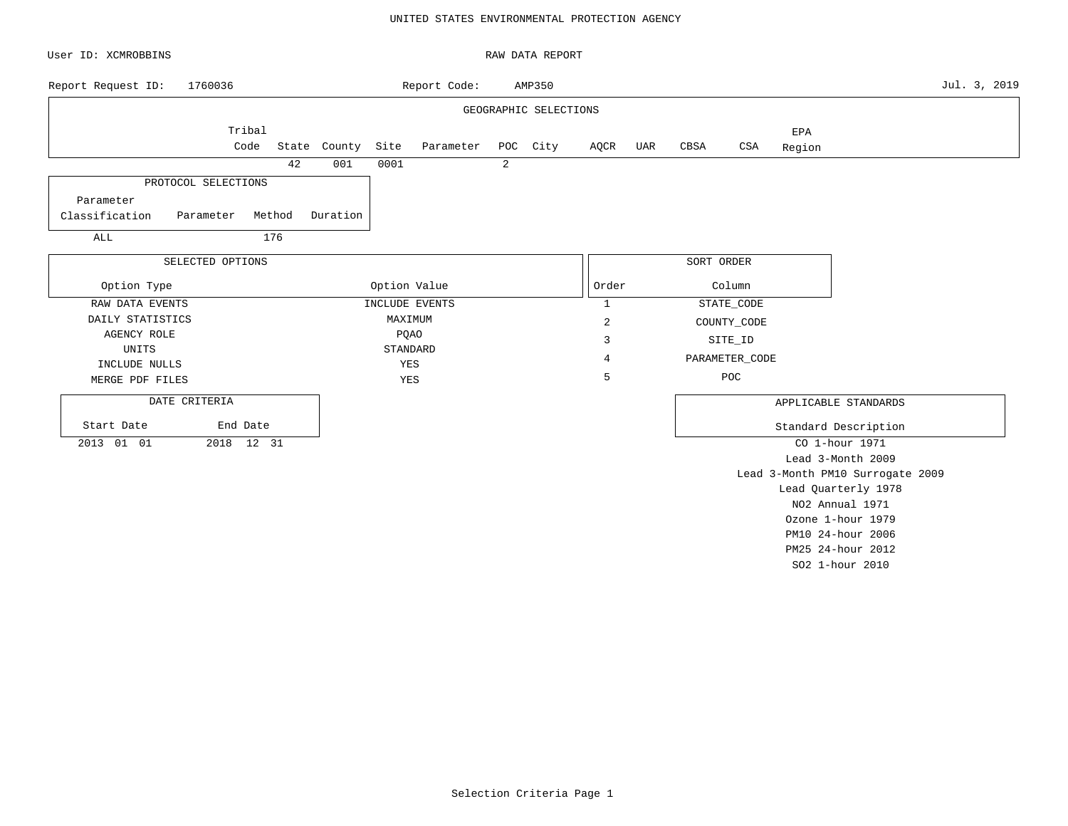## UNITED STATES ENVIRONMENTAL PROTECTION AGENCY

| User ID: XCMROBBINS         |                  |        |              |              |                |   | RAW DATA REPORT       |                |     |            |                |        |                                  |              |
|-----------------------------|------------------|--------|--------------|--------------|----------------|---|-----------------------|----------------|-----|------------|----------------|--------|----------------------------------|--------------|
| Report Request ID:          | 1760036          |        |              |              | Report Code:   |   | AMP350                |                |     |            |                |        |                                  | Jul. 3, 2019 |
|                             |                  |        |              |              |                |   | GEOGRAPHIC SELECTIONS |                |     |            |                |        |                                  |              |
|                             | Tribal           |        |              |              |                |   |                       |                |     |            |                | EPA    |                                  |              |
|                             | Code             |        | State County | Site         | Parameter      |   | POC City              | AQCR           | UAR | CBSA       | CSA            | Region |                                  |              |
|                             |                  | 42     | 001          | 0001         |                | 2 |                       |                |     |            |                |        |                                  |              |
| PROTOCOL SELECTIONS         |                  |        |              |              |                |   |                       |                |     |            |                |        |                                  |              |
| Parameter                   |                  |        |              |              |                |   |                       |                |     |            |                |        |                                  |              |
| Classification<br>Parameter |                  | Method | Duration     |              |                |   |                       |                |     |            |                |        |                                  |              |
| ALL                         |                  | 176    |              |              |                |   |                       |                |     |            |                |        |                                  |              |
|                             |                  |        |              |              |                |   |                       |                |     |            |                |        |                                  |              |
|                             | SELECTED OPTIONS |        |              |              |                |   |                       |                |     | SORT ORDER |                |        |                                  |              |
| Option Type                 |                  |        |              | Option Value |                |   |                       | Order          |     |            | Column         |        |                                  |              |
| RAW DATA EVENTS             |                  |        |              |              | INCLUDE EVENTS |   |                       | $\mathbf{1}$   |     |            | STATE_CODE     |        |                                  |              |
| DAILY STATISTICS            |                  |        |              | MAXIMUM      |                |   |                       | $\overline{c}$ |     |            | COUNTY_CODE    |        |                                  |              |
| AGENCY ROLE                 |                  |        |              |              | <b>PQAO</b>    |   |                       | 3              |     |            | SITE_ID        |        |                                  |              |
| UNITS                       |                  |        |              |              | STANDARD       |   |                       | 4              |     |            | PARAMETER_CODE |        |                                  |              |
| INCLUDE NULLS               |                  |        |              | YES<br>YES   |                |   |                       | 5              |     |            | POC            |        |                                  |              |
| MERGE PDF FILES             |                  |        |              |              |                |   |                       |                |     |            |                |        |                                  |              |
| DATE CRITERIA               |                  |        |              |              |                |   |                       |                |     |            |                |        | APPLICABLE STANDARDS             |              |
| Start Date                  | End Date         |        |              |              |                |   |                       |                |     |            |                |        | Standard Description             |              |
| 2013 01 01                  | 2018 12 31       |        |              |              |                |   |                       |                |     |            |                |        | CO 1-hour 1971                   |              |
|                             |                  |        |              |              |                |   |                       |                |     |            |                |        | Lead 3-Month 2009                |              |
|                             |                  |        |              |              |                |   |                       |                |     |            |                |        | Lead 3-Month PM10 Surrogate 2009 |              |
|                             |                  |        |              |              |                |   |                       |                |     |            |                |        | Lead Quarterly 1978              |              |
|                             |                  |        |              |              |                |   |                       |                |     |            |                |        | NO2 Annual 1971                  |              |
|                             |                  |        |              |              |                |   |                       |                |     |            |                |        | Ozone 1-hour 1979                |              |
|                             |                  |        |              |              |                |   |                       |                |     |            |                |        | PM10 24-hour 2006                |              |

PM25 24-hour 2012 SO2 1-hour 2010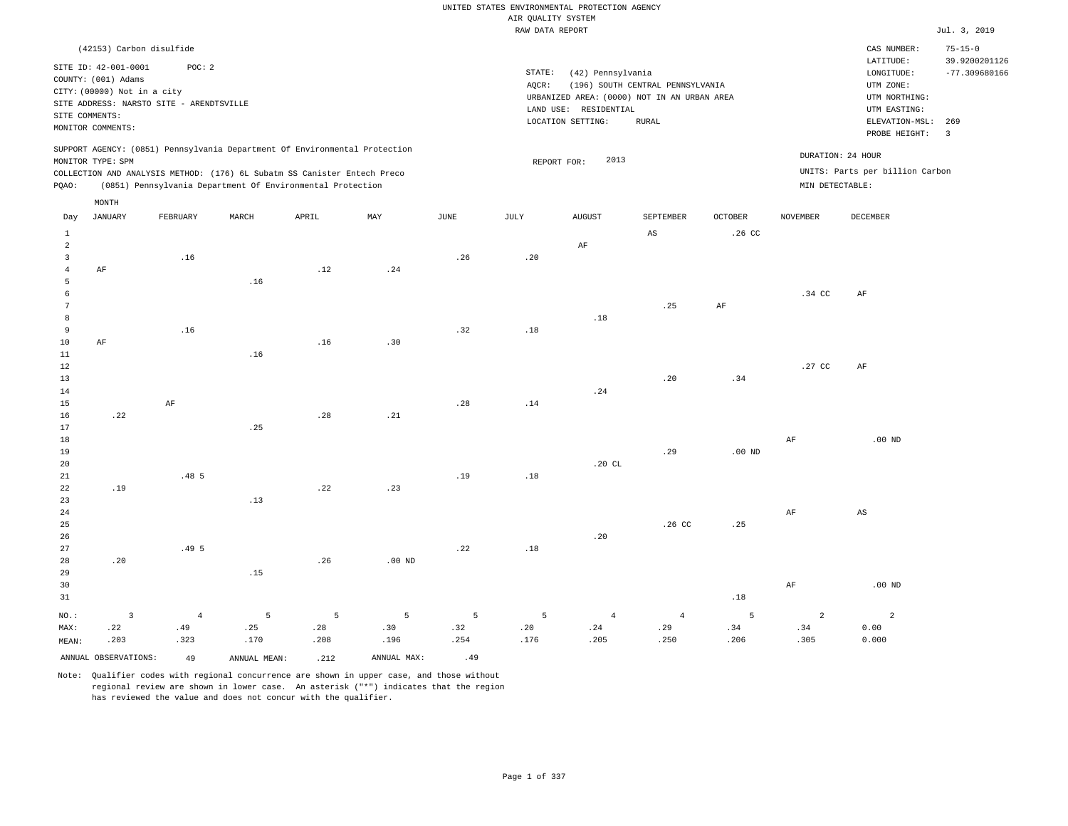|                     |                                             |                |                                                                                                                                        |       |                   |             |                                       | UNITED STATES ENVIRONMENTAL PROTECTION AGENCY |                                  |                  |                 |                                 |                                |
|---------------------|---------------------------------------------|----------------|----------------------------------------------------------------------------------------------------------------------------------------|-------|-------------------|-------------|---------------------------------------|-----------------------------------------------|----------------------------------|------------------|-----------------|---------------------------------|--------------------------------|
|                     |                                             |                |                                                                                                                                        |       |                   |             | AIR QUALITY SYSTEM<br>RAW DATA REPORT |                                               |                                  |                  |                 |                                 | Jul. 3, 2019                   |
|                     |                                             |                |                                                                                                                                        |       |                   |             |                                       |                                               |                                  |                  |                 |                                 |                                |
|                     | (42153) Carbon disulfide                    |                |                                                                                                                                        |       |                   |             |                                       |                                               |                                  |                  |                 | CAS NUMBER:<br>LATITUDE:        | $75 - 15 - 0$<br>39.9200201126 |
|                     | SITE ID: 42-001-0001<br>COUNTY: (001) Adams | POC: 2         |                                                                                                                                        |       |                   |             | STATE:                                | (42) Pennsylvania                             |                                  |                  |                 | LONGITUDE:                      | $-77.309680166$                |
|                     | CITY: (00000) Not in a city                 |                |                                                                                                                                        |       |                   |             | AOCR:                                 |                                               | (196) SOUTH CENTRAL PENNSYLVANIA |                  |                 | UTM ZONE:                       |                                |
|                     | SITE ADDRESS: NARSTO SITE - ARENDTSVILLE    |                |                                                                                                                                        |       |                   |             |                                       | URBANIZED AREA: (0000) NOT IN AN URBAN AREA   |                                  |                  |                 | UTM NORTHING:                   |                                |
|                     | SITE COMMENTS:                              |                |                                                                                                                                        |       |                   |             |                                       | LAND USE: RESIDENTIAL<br>LOCATION SETTING:    | RURAL                            |                  |                 | UTM EASTING:<br>ELEVATION-MSL:  | 269                            |
|                     | MONITOR COMMENTS:                           |                |                                                                                                                                        |       |                   |             |                                       |                                               |                                  |                  |                 | PROBE HEIGHT:                   | $\overline{3}$                 |
|                     |                                             |                | SUPPORT AGENCY: (0851) Pennsylvania Department Of Environmental Protection                                                             |       |                   |             |                                       |                                               |                                  |                  |                 | DURATION: 24 HOUR               |                                |
|                     | MONITOR TYPE: SPM                           |                |                                                                                                                                        |       |                   |             | REPORT FOR:                           | 2013                                          |                                  |                  |                 | UNITS: Parts per billion Carbon |                                |
| PQAO:               |                                             |                | COLLECTION AND ANALYSIS METHOD: (176) 6L Subatm SS Canister Entech Preco<br>(0851) Pennsylvania Department Of Environmental Protection |       |                   |             |                                       |                                               |                                  |                  | MIN DETECTABLE: |                                 |                                |
|                     | MONTH                                       |                |                                                                                                                                        |       |                   |             |                                       |                                               |                                  |                  |                 |                                 |                                |
| Day                 | <b>JANUARY</b>                              | FEBRUARY       | MARCH                                                                                                                                  | APRIL | MAY               | <b>JUNE</b> | JULY                                  | <b>AUGUST</b>                                 | SEPTEMBER                        | <b>OCTOBER</b>   | <b>NOVEMBER</b> | <b>DECEMBER</b>                 |                                |
| $\mathbf{1}$        |                                             |                |                                                                                                                                        |       |                   |             |                                       |                                               | $\mathbb{A}\mathbb{S}$           | .26 <sub>c</sub> |                 |                                 |                                |
| $\overline{a}$      |                                             |                |                                                                                                                                        |       |                   |             |                                       | AF                                            |                                  |                  |                 |                                 |                                |
| $\overline{3}$      |                                             | .16            |                                                                                                                                        | .12   | .24               | .26         | .20                                   |                                               |                                  |                  |                 |                                 |                                |
| $\overline{4}$<br>5 | AF                                          |                | .16                                                                                                                                    |       |                   |             |                                       |                                               |                                  |                  |                 |                                 |                                |
| 6                   |                                             |                |                                                                                                                                        |       |                   |             |                                       |                                               |                                  |                  | .34 CC          | AF                              |                                |
| $7\phantom{.0}$     |                                             |                |                                                                                                                                        |       |                   |             |                                       |                                               | .25                              | AF               |                 |                                 |                                |
| 8                   |                                             |                |                                                                                                                                        |       |                   |             |                                       | .18                                           |                                  |                  |                 |                                 |                                |
| 9                   |                                             | .16            |                                                                                                                                        |       |                   | .32         | .18                                   |                                               |                                  |                  |                 |                                 |                                |
| $10$                | AF                                          |                |                                                                                                                                        | .16   | .30               |             |                                       |                                               |                                  |                  |                 |                                 |                                |
| 11                  |                                             |                | .16                                                                                                                                    |       |                   |             |                                       |                                               |                                  |                  |                 |                                 |                                |
| $1\,2$<br>13        |                                             |                |                                                                                                                                        |       |                   |             |                                       |                                               |                                  |                  | .27 CC          | AF                              |                                |
| 14                  |                                             |                |                                                                                                                                        |       |                   |             |                                       | .24                                           | .20                              | .34              |                 |                                 |                                |
| 15                  |                                             | AF             |                                                                                                                                        |       |                   | .28         | .14                                   |                                               |                                  |                  |                 |                                 |                                |
| 16                  | .22                                         |                |                                                                                                                                        | .28   | .21               |             |                                       |                                               |                                  |                  |                 |                                 |                                |
| 17                  |                                             |                | .25                                                                                                                                    |       |                   |             |                                       |                                               |                                  |                  |                 |                                 |                                |
| 18                  |                                             |                |                                                                                                                                        |       |                   |             |                                       |                                               |                                  |                  | AF              | $.00$ ND                        |                                |
| 19                  |                                             |                |                                                                                                                                        |       |                   |             |                                       |                                               | .29                              | $.00$ ND         |                 |                                 |                                |
| 20                  |                                             |                |                                                                                                                                        |       |                   |             |                                       | .20CL                                         |                                  |                  |                 |                                 |                                |
| 21                  |                                             | .485           |                                                                                                                                        |       |                   | .19         | .18                                   |                                               |                                  |                  |                 |                                 |                                |
| 22                  | .19                                         |                |                                                                                                                                        | .22   | .23               |             |                                       |                                               |                                  |                  |                 |                                 |                                |
| 23<br>$2\,4$        |                                             |                | .13                                                                                                                                    |       |                   |             |                                       |                                               |                                  |                  | AF              | $\mathbb{A}\mathbb{S}$          |                                |
| 25                  |                                             |                |                                                                                                                                        |       |                   |             |                                       |                                               | .26 <sub>c</sub>                 | .25              |                 |                                 |                                |
| 26                  |                                             |                |                                                                                                                                        |       |                   |             |                                       | .20                                           |                                  |                  |                 |                                 |                                |
| 27                  |                                             | .495           |                                                                                                                                        |       |                   | .22         | .18                                   |                                               |                                  |                  |                 |                                 |                                |
| 28                  | .20                                         |                |                                                                                                                                        | .26   | .00 <sub>ND</sub> |             |                                       |                                               |                                  |                  |                 |                                 |                                |
| 29                  |                                             |                | .15                                                                                                                                    |       |                   |             |                                       |                                               |                                  |                  |                 |                                 |                                |
| 30                  |                                             |                |                                                                                                                                        |       |                   |             |                                       |                                               |                                  |                  | $\rm{AF}$       | $.00$ ND                        |                                |
| 31                  |                                             |                |                                                                                                                                        |       |                   |             |                                       |                                               |                                  | .18              |                 |                                 |                                |
| NO.:                | $\overline{\mathbf{3}}$                     | $\overline{4}$ | 5                                                                                                                                      | 5     | $\overline{5}$    | 5           | 5                                     | $\overline{4}$                                | $\overline{4}$                   | 5                | $\overline{a}$  | $\overline{a}$                  |                                |
| MAX:                | .22                                         | .49            | .25                                                                                                                                    | .28   | .30               | .32         | .20                                   | .24                                           | .29                              | .34              | .34             | 0.00                            |                                |
| MEAN:               | .203                                        | .323           | .170                                                                                                                                   | .208  | .196              | .254        | .176                                  | .205                                          | .250                             | .206             | .305            | 0.000                           |                                |
|                     | ANNUAL OBSERVATIONS:                        | 49             | ANNUAL MEAN:                                                                                                                           | .212  | ANNUAL MAX:       | .49         |                                       |                                               |                                  |                  |                 |                                 |                                |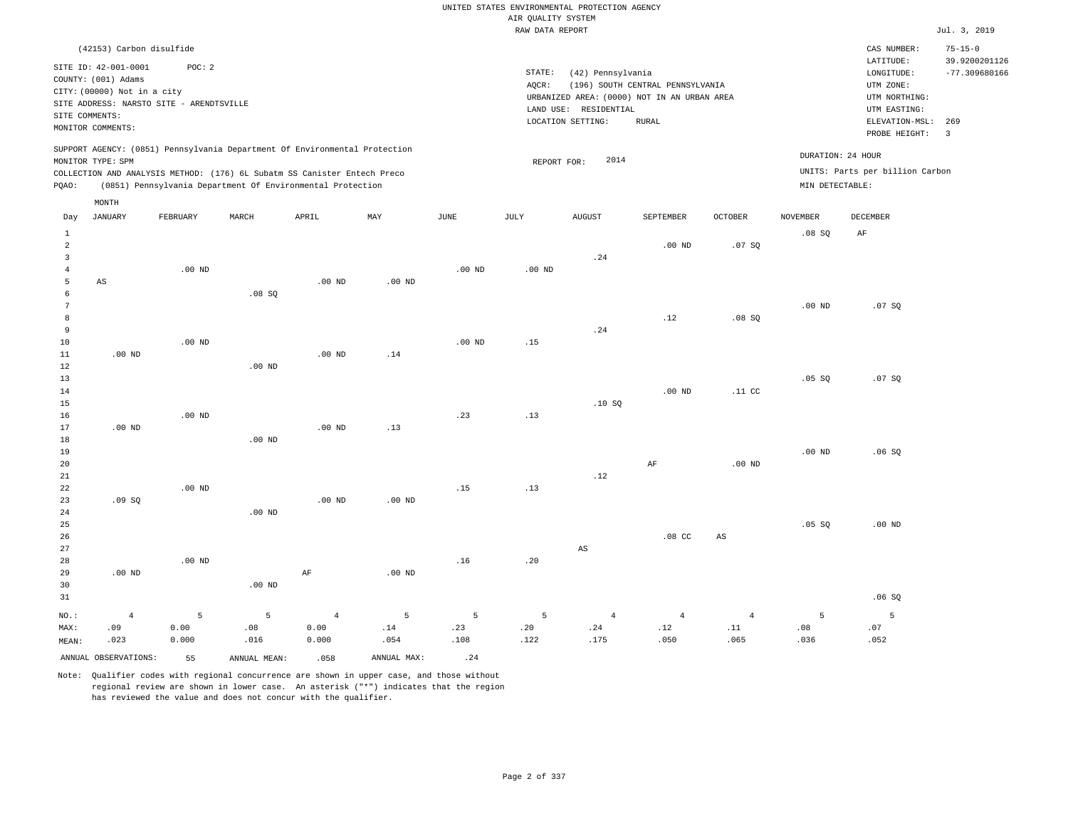|                         |                                             |                                          |                                                                            |                   |             |                   |                    | UNITED STATES ENVIRONMENTAL PROTECTION AGENCY |                                             |                   |                   |                                 |                                |
|-------------------------|---------------------------------------------|------------------------------------------|----------------------------------------------------------------------------|-------------------|-------------|-------------------|--------------------|-----------------------------------------------|---------------------------------------------|-------------------|-------------------|---------------------------------|--------------------------------|
|                         |                                             |                                          |                                                                            |                   |             |                   | AIR QUALITY SYSTEM |                                               |                                             |                   |                   |                                 |                                |
|                         |                                             |                                          |                                                                            |                   |             |                   | RAW DATA REPORT    |                                               |                                             |                   |                   |                                 | Jul. 3, 2019                   |
|                         | (42153) Carbon disulfide                    |                                          |                                                                            |                   |             |                   |                    |                                               |                                             |                   |                   | CAS NUMBER:<br>LATITUDE:        | $75 - 15 - 0$<br>39.9200201126 |
|                         | SITE ID: 42-001-0001<br>COUNTY: (001) Adams | POC: 2                                   |                                                                            |                   |             |                   | STATE:             | (42) Pennsylvania                             |                                             |                   |                   | LONGITUDE:                      | $-77.309680166$                |
|                         | CITY: (00000) Not in a city                 |                                          |                                                                            |                   |             |                   | AQCR:              |                                               | (196) SOUTH CENTRAL PENNSYLVANIA            |                   |                   | UTM ZONE:                       |                                |
|                         |                                             | SITE ADDRESS: NARSTO SITE - ARENDTSVILLE |                                                                            |                   |             |                   |                    |                                               | URBANIZED AREA: (0000) NOT IN AN URBAN AREA |                   |                   | UTM NORTHING:                   |                                |
| SITE COMMENTS:          |                                             |                                          |                                                                            |                   |             |                   |                    | LAND USE: RESIDENTIAL<br>LOCATION SETTING:    | <b>RURAL</b>                                |                   |                   | UTM EASTING:<br>ELEVATION-MSL:  | 269                            |
|                         | MONITOR COMMENTS:                           |                                          |                                                                            |                   |             |                   |                    |                                               |                                             |                   |                   | PROBE HEIGHT:                   | $\overline{3}$                 |
|                         | MONITOR TYPE: SPM                           |                                          | SUPPORT AGENCY: (0851) Pennsylvania Department Of Environmental Protection |                   |             |                   | REPORT FOR:        | 2014                                          |                                             |                   | DURATION: 24 HOUR |                                 |                                |
|                         |                                             |                                          | COLLECTION AND ANALYSIS METHOD: (176) 6L Subatm SS Canister Entech Preco   |                   |             |                   |                    |                                               |                                             |                   |                   | UNITS: Parts per billion Carbon |                                |
| PQAO:                   |                                             |                                          | (0851) Pennsylvania Department Of Environmental Protection                 |                   |             |                   |                    |                                               |                                             |                   | MIN DETECTABLE:   |                                 |                                |
|                         | MONTH                                       |                                          |                                                                            |                   |             |                   |                    |                                               |                                             |                   |                   |                                 |                                |
| Day                     | <b>JANUARY</b>                              | FEBRUARY                                 | MARCH                                                                      | APRIL             | MAX         | <b>JUNE</b>       | JULY               | <b>AUGUST</b>                                 | SEPTEMBER                                   | <b>OCTOBER</b>    | <b>NOVEMBER</b>   | <b>DECEMBER</b>                 |                                |
| $\mathbf{1}$            |                                             |                                          |                                                                            |                   |             |                   |                    |                                               |                                             |                   | .08S              | AF                              |                                |
| $\overline{a}$          |                                             |                                          |                                                                            |                   |             |                   |                    |                                               | $.00$ ND                                    | .07SQ             |                   |                                 |                                |
| $\overline{\mathbf{3}}$ |                                             |                                          |                                                                            |                   |             |                   |                    | .24                                           |                                             |                   |                   |                                 |                                |
| $\bf 4$                 |                                             | $.00$ ND                                 |                                                                            |                   |             | $.00$ ND          | $.00$ ND           |                                               |                                             |                   |                   |                                 |                                |
| 5<br>$\epsilon$         | AS                                          |                                          |                                                                            | $.00$ ND          | $.00$ ND    |                   |                    |                                               |                                             |                   |                   |                                 |                                |
| $\overline{7}$          |                                             |                                          | .08SQ                                                                      |                   |             |                   |                    |                                               |                                             |                   | .00 <sub>ND</sub> | .07SQ                           |                                |
| 8                       |                                             |                                          |                                                                            |                   |             |                   |                    |                                               | .12                                         | .08S              |                   |                                 |                                |
| 9                       |                                             |                                          |                                                                            |                   |             |                   |                    | .24                                           |                                             |                   |                   |                                 |                                |
| 10                      |                                             | $.00$ ND                                 |                                                                            |                   |             | .00 <sub>ND</sub> | .15                |                                               |                                             |                   |                   |                                 |                                |
| 11                      | .00 <sub>ND</sub>                           |                                          |                                                                            | .00 <sub>ND</sub> | .14         |                   |                    |                                               |                                             |                   |                   |                                 |                                |
| 12                      |                                             |                                          | $.00$ ND                                                                   |                   |             |                   |                    |                                               |                                             |                   |                   |                                 |                                |
| 13<br>14                |                                             |                                          |                                                                            |                   |             |                   |                    |                                               | .00 <sub>ND</sub>                           | .11 <sub>c</sub>  | .05 SQ            | .07SQ                           |                                |
| 15                      |                                             |                                          |                                                                            |                   |             |                   |                    | .10SQ                                         |                                             |                   |                   |                                 |                                |
| 16                      |                                             | .00 <sub>ND</sub>                        |                                                                            |                   |             | .23               | .13                |                                               |                                             |                   |                   |                                 |                                |
| 17                      | $.00$ ND                                    |                                          |                                                                            | $.00$ ND          | .13         |                   |                    |                                               |                                             |                   |                   |                                 |                                |
| 18                      |                                             |                                          | $.00$ ND                                                                   |                   |             |                   |                    |                                               |                                             |                   |                   |                                 |                                |
| 19                      |                                             |                                          |                                                                            |                   |             |                   |                    |                                               |                                             |                   | $.00$ ND          | .06SQ                           |                                |
| 20                      |                                             |                                          |                                                                            |                   |             |                   |                    |                                               | $\rm AF$                                    | .00 <sub>ND</sub> |                   |                                 |                                |
| 21<br>22                |                                             | $.00$ ND                                 |                                                                            |                   |             | .15               | .13                | .12                                           |                                             |                   |                   |                                 |                                |
| 23                      | .09SQ                                       |                                          |                                                                            | .00 <sub>ND</sub> | $.00$ ND    |                   |                    |                                               |                                             |                   |                   |                                 |                                |
| 24                      |                                             |                                          | .00 <sub>ND</sub>                                                          |                   |             |                   |                    |                                               |                                             |                   |                   |                                 |                                |
| 25                      |                                             |                                          |                                                                            |                   |             |                   |                    |                                               |                                             |                   | .05 SQ            | $.00$ ND                        |                                |
| 26                      |                                             |                                          |                                                                            |                   |             |                   |                    |                                               | .08 <sub>cc</sub>                           | $_{\rm AS}$       |                   |                                 |                                |
| 27                      |                                             |                                          |                                                                            |                   |             |                   |                    | $\mathbb{A}\mathbb{S}$                        |                                             |                   |                   |                                 |                                |
| 28                      |                                             | $.00$ ND                                 |                                                                            |                   |             | .16               | .20                |                                               |                                             |                   |                   |                                 |                                |
| 29<br>30                | $.00$ ND                                    |                                          | $.00$ ND                                                                   | $\rm AF$          | $.00$ ND    |                   |                    |                                               |                                             |                   |                   |                                 |                                |
| 31                      |                                             |                                          |                                                                            |                   |             |                   |                    |                                               |                                             |                   |                   | .06SQ                           |                                |
| NO.:                    | $\overline{4}$                              | 5                                        | 5                                                                          | $\overline{4}$    | 5           | $5\overline{5}$   | 5                  | $\overline{4}$                                | $\sqrt{4}$                                  | $\sqrt{4}$        | 5                 | 5                               |                                |
| MAX:                    | .09                                         | 0.00                                     | .08                                                                        | 0.00              | .14         | .23               | .20                | .24                                           | .12                                         | .11               | .08               | .07                             |                                |
| MEAN:                   | .023                                        | 0.000                                    | .016                                                                       | 0.000             | .054        | .108              | .122               | .175                                          | .050                                        | .065              | .036              | .052                            |                                |
|                         | ANNUAL OBSERVATIONS:                        | 55                                       | ANNUAL, MEAN:                                                              | .058              | ANNUAL MAX: | .24               |                    |                                               |                                             |                   |                   |                                 |                                |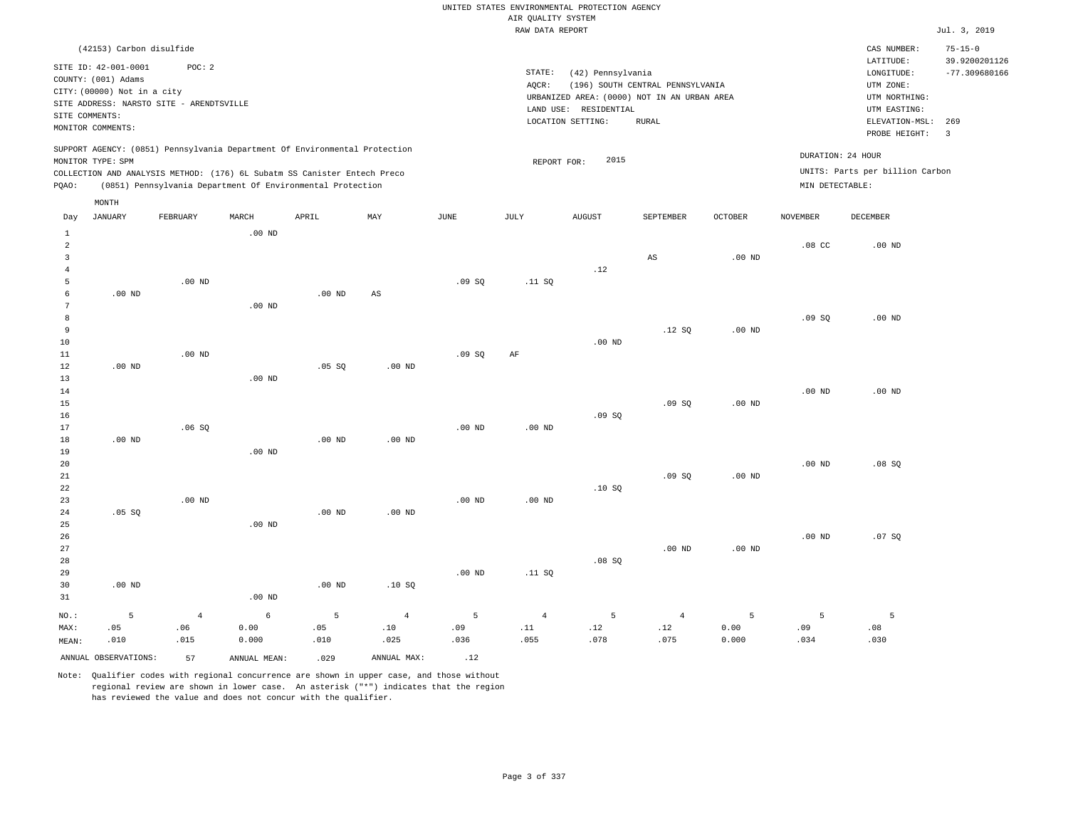RAW DATA REPORT JUL. 3, 2019 UNITED STATES ENVIRONMENTAL PROTECTION AGENCY AIR QUALITY SYSTEM

| (42153) Carbon disulfide                                                                                                                                                                                                                           |                                                                                                                                                                                | CAS NUMBER:                                                                                                  | $75 - 15 - 0$                    |
|----------------------------------------------------------------------------------------------------------------------------------------------------------------------------------------------------------------------------------------------------|--------------------------------------------------------------------------------------------------------------------------------------------------------------------------------|--------------------------------------------------------------------------------------------------------------|----------------------------------|
| SITE ID: 42-001-0001<br>POC:2<br>COUNTY: (001) Adams<br>CITY: (00000) Not in a city<br>SITE ADDRESS: NARSTO SITE - ARENDTSVILLE<br>SITE COMMENTS:<br>MONITOR COMMENTS:                                                                             | STATE:<br>(42) Pennsylvania<br>(196) SOUTH CENTRAL PENNSYLVANIA<br>AOCR:<br>URBANIZED AREA: (0000) NOT IN AN URBAN AREA<br>LAND USE: RESIDENTIAL<br>LOCATION SETTING:<br>RURAL | LATITUDE:<br>LONGITUDE:<br>UTM ZONE:<br>UTM NORTHING:<br>UTM EASTING:<br>ELEVATION-MSL: 269<br>PROBE HEIGHT: | 39.9200201126<br>$-77.309680166$ |
| SUPPORT AGENCY: (0851) Pennsylvania Department Of Environmental Protection<br>MONITOR TYPE: SPM<br>COLLECTION AND ANALYSIS METHOD: (176) 6L Subatm SS Canister Entech Preco<br>(0851) Pennsylvania Department Of Environmental Protection<br>POAO: | 2015<br>REPORT FOR:                                                                                                                                                            | DURATION: 24 HOUR<br>UNITS: Parts per billion Carbon<br>MIN DETECTABLE:                                      |                                  |

| Day            | <b>JANUARY</b>       | FEBRUARY       | $\tt MARCH$  | APRIL       | MAY         | $_{\rm JUNE}$ | $\mathtt{JULY}$              | AUGUST                       | SEPTEMBER                    | OCTOBER           | $\,$ NOVEMBER     | DECEMBER |
|----------------|----------------------|----------------|--------------|-------------|-------------|---------------|------------------------------|------------------------------|------------------------------|-------------------|-------------------|----------|
| $\mathbf{1}$   |                      |                | .00 $ND$     |             |             |               |                              |                              |                              |                   |                   |          |
| $\overline{a}$ |                      |                |              |             |             |               |                              |                              |                              |                   | .08 <sub>c</sub>  | $.00$ ND |
| 3              |                      |                |              |             |             |               |                              |                              | $\mathbb{A}\mathbb{S}$       | .00 <sub>ND</sub> |                   |          |
| $\overline{4}$ |                      |                |              |             |             |               |                              | .12                          |                              |                   |                   |          |
| 5              |                      | $.00$ ND       |              |             |             | .09SQ         | .11 SQ                       |                              |                              |                   |                   |          |
| 6              | .00 $ND$             |                |              | $.00$ ND    | AS          |               |                              |                              |                              |                   |                   |          |
| 7              |                      |                | $.00$ ND     |             |             |               |                              |                              |                              |                   |                   |          |
| 8              |                      |                |              |             |             |               |                              |                              |                              |                   | .09SQ             | $.00$ ND |
| 9              |                      |                |              |             |             |               |                              |                              | .12S                         | .00 <sub>ND</sub> |                   |          |
| 10             |                      |                |              |             |             |               |                              | $.00$ ND                     |                              |                   |                   |          |
| $11\,$         |                      | $.00$ ND       |              |             |             | .09SQ         | AF                           |                              |                              |                   |                   |          |
| 12             | $.00$ ND             |                |              | .05 SQ      | $.00$ ND    |               |                              |                              |                              |                   |                   |          |
| 13             |                      |                | $.00$ ND     |             |             |               |                              |                              |                              |                   |                   |          |
| $14$           |                      |                |              |             |             |               |                              |                              |                              |                   | .00 <sub>ND</sub> | $.00$ ND |
| 15             |                      |                |              |             |             |               |                              |                              | .09SQ                        | .00 <sub>ND</sub> |                   |          |
| 16             |                      |                |              |             |             |               |                              | .09SQ                        |                              |                   |                   |          |
| 17             |                      | .06SQ          |              |             |             | $.00$ ND      | $.00$ ND                     |                              |                              |                   |                   |          |
| 18             | .00 $ND$             |                |              | $.00$ ND    | $.00$ ND    |               |                              |                              |                              |                   |                   |          |
| 19             |                      |                | $.00$ ND     |             |             |               |                              |                              |                              |                   |                   |          |
| 20             |                      |                |              |             |             |               |                              |                              |                              |                   | $.00$ ND          | .08SQ    |
| 21             |                      |                |              |             |             |               |                              |                              | .09SQ                        | $.00$ ND          |                   |          |
| 22             |                      |                |              |             |             |               |                              | .10SQ                        |                              |                   |                   |          |
| 23             |                      | $.00$ ND       |              |             |             | $.00$ ND      | $.00$ ND                     |                              |                              |                   |                   |          |
| 24             | .05 SQ               |                |              | $.00$ ND    | $.00$ ND    |               |                              |                              |                              |                   |                   |          |
| 25<br>26       |                      |                | $.00$ ND     |             |             |               |                              |                              |                              |                   | $.00$ ND          | .07 SQ   |
| 27             |                      |                |              |             |             |               |                              |                              | $.00$ ND                     | .00 <sub>ND</sub> |                   |          |
| 28             |                      |                |              |             |             |               |                              | .08SQ                        |                              |                   |                   |          |
| 29             |                      |                |              |             |             | $.00$ ND      | .11SQ                        |                              |                              |                   |                   |          |
| 30             | $.00$ ND             |                |              | $.00$ ND    | .10SQ       |               |                              |                              |                              |                   |                   |          |
| 31             |                      |                | $.00$ ND     |             |             |               |                              |                              |                              |                   |                   |          |
|                |                      |                |              |             |             |               |                              |                              |                              |                   |                   |          |
| NO.:           | $\overline{5}$       | $\overline{4}$ | $\epsilon$   | $\mathsf S$ | $\,4$       | 5             | $\sqrt{4}$                   | 5                            | $\overline{4}$               | 5                 | 5                 | 5        |
| MAX:           | .05                  | .06            | 0.00         | .05         | $.10$       | .09           | $\footnotesize\substack{11}$ | $\footnotesize\substack{12}$ | $\footnotesize\substack{12}$ | 0.00              | .09               | .08      |
| MEAN:          | .010                 | .015           | 0.000        | .010        | .025        | .036          | .055                         | .078                         | .075                         | 0.000             | .034              | .030     |
|                | ANNUAL OBSERVATIONS: | 57             | ANNUAL MEAN: | .029        | ANNUAL MAX: | .12           |                              |                              |                              |                   |                   |          |

Note: Qualifier codes with regional concurrence are shown in upper case, and those without regional review are shown in lower case. An asterisk ("\*") indicates that the region has reviewed the value and does not concur with the qualifier.

MONTH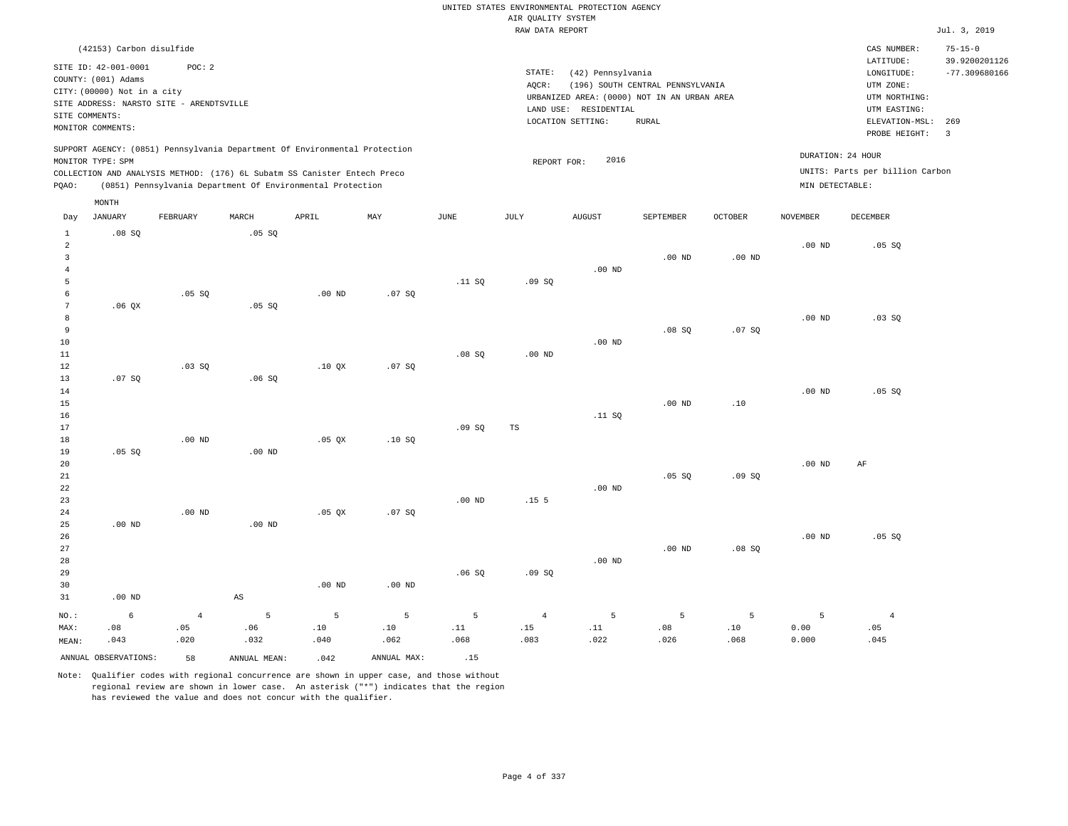|                                                             |                                                                            |                                                    |                        |                                                                                                                                                                                                                      |                |             |                                       | UNITED STATES ENVIRONMENTAL PROTECTION AGENCY                    |                                  |                   |                   |                                                      |                                |
|-------------------------------------------------------------|----------------------------------------------------------------------------|----------------------------------------------------|------------------------|----------------------------------------------------------------------------------------------------------------------------------------------------------------------------------------------------------------------|----------------|-------------|---------------------------------------|------------------------------------------------------------------|----------------------------------|-------------------|-------------------|------------------------------------------------------|--------------------------------|
|                                                             |                                                                            |                                                    |                        |                                                                                                                                                                                                                      |                |             | AIR QUALITY SYSTEM<br>RAW DATA REPORT |                                                                  |                                  |                   |                   |                                                      | Jul. 3, 2019                   |
|                                                             | (42153) Carbon disulfide                                                   |                                                    |                        |                                                                                                                                                                                                                      |                |             |                                       |                                                                  |                                  |                   |                   | CAS NUMBER:<br>LATITUDE:                             | $75 - 15 - 0$<br>39.9200201126 |
|                                                             | SITE ID: 42-001-0001<br>COUNTY: (001) Adams<br>CITY: (00000) Not in a city | POC: 2<br>SITE ADDRESS: NARSTO SITE - ARENDTSVILLE |                        |                                                                                                                                                                                                                      |                |             | STATE:<br>AQCR:                       | (42) Pennsylvania<br>URBANIZED AREA: (0000) NOT IN AN URBAN AREA | (196) SOUTH CENTRAL PENNSYLVANIA |                   |                   | LONGITUDE:<br>UTM ZONE:<br>UTM NORTHING:             | $-77.309680166$                |
|                                                             | SITE COMMENTS:                                                             |                                                    |                        |                                                                                                                                                                                                                      |                |             |                                       | LAND USE: RESIDENTIAL                                            |                                  |                   |                   | UTM EASTING:                                         |                                |
|                                                             | MONITOR COMMENTS:                                                          |                                                    |                        |                                                                                                                                                                                                                      |                |             |                                       | LOCATION SETTING:                                                | <b>RURAL</b>                     |                   |                   | ELEVATION-MSL: 269<br>PROBE HEIGHT:                  | $\overline{3}$                 |
| PQAO:                                                       | MONITOR TYPE: SPM                                                          |                                                    |                        | SUPPORT AGENCY: (0851) Pennsylvania Department Of Environmental Protection<br>COLLECTION AND ANALYSIS METHOD: (176) 6L Subatm SS Canister Entech Preco<br>(0851) Pennsylvania Department Of Environmental Protection |                |             | REPORT FOR:                           | 2016                                                             |                                  |                   | MIN DETECTABLE:   | DURATION: 24 HOUR<br>UNITS: Parts per billion Carbon |                                |
|                                                             | MONTH                                                                      |                                                    |                        |                                                                                                                                                                                                                      |                |             |                                       |                                                                  |                                  |                   |                   |                                                      |                                |
| Day                                                         | <b>JANUARY</b>                                                             | FEBRUARY                                           | MARCH                  | APRIL                                                                                                                                                                                                                | MAY            | <b>JUNE</b> | <b>JULY</b>                           | <b>AUGUST</b>                                                    | SEPTEMBER                        | <b>OCTOBER</b>    | <b>NOVEMBER</b>   | <b>DECEMBER</b>                                      |                                |
| $1\,$<br>$\overline{2}$<br>$\overline{3}$<br>$\overline{4}$ | .08SQ                                                                      |                                                    | .05 SQ                 |                                                                                                                                                                                                                      |                |             |                                       | $.00$ ND                                                         | .00 <sub>ND</sub>                | .00 <sub>ND</sub> | .00 <sub>ND</sub> | .05SQ                                                |                                |
| 5<br>6<br>$7\phantom{.0}$                                   | .06QX                                                                      | .05 SQ                                             | .05SQ                  | $.00$ ND                                                                                                                                                                                                             | .07 SQ         | .11 S0      | .09SQ                                 |                                                                  |                                  |                   |                   |                                                      |                                |
| 8<br>9<br>$10$<br>11                                        |                                                                            |                                                    |                        |                                                                                                                                                                                                                      |                | .08S        | $.00$ ND                              | $.00$ ND                                                         | .08SQ                            | .07 SQ            | $.00$ ND          | .03SQ                                                |                                |
| 12<br>13<br>14<br>15                                        | .07SQ                                                                      | .03SQ                                              | .06SQ                  | $.10$ $OX$                                                                                                                                                                                                           | .07 SQ         |             |                                       |                                                                  | $.00$ ND                         | .10               | $.00$ ND          | .05 SQ                                               |                                |
| 16<br>17<br>18                                              |                                                                            | $.00$ ND                                           |                        | $.05$ $OX$                                                                                                                                                                                                           | .10S           | .09SQ       | TS                                    | .11 SQ                                                           |                                  |                   |                   |                                                      |                                |
| 19<br>20<br>21<br>22                                        | .05 SQ                                                                     |                                                    | .00 <sub>ND</sub>      |                                                                                                                                                                                                                      |                |             |                                       | $.00$ ND                                                         | .05 S0                           | .09S              | $.00$ ND          | AF                                                   |                                |
| 23<br>24<br>25<br>26                                        | $.00$ ND                                                                   | $.00$ ND                                           | $.00$ ND               | $.05$ QX                                                                                                                                                                                                             | .07 SQ         | $.00$ ND    | .15 <sub>5</sub>                      |                                                                  |                                  |                   | $.00$ ND          | .05 SQ                                               |                                |
| 27<br>28<br>29                                              |                                                                            |                                                    |                        |                                                                                                                                                                                                                      |                | .06SQ       | .09SQ                                 | $.00$ ND                                                         | .00 <sub>ND</sub>                | .08SQ             |                   |                                                      |                                |
| 30                                                          |                                                                            |                                                    |                        | $.00$ ND                                                                                                                                                                                                             | $.00$ ND       |             |                                       |                                                                  |                                  |                   |                   |                                                      |                                |
| 31                                                          | $.00$ ND                                                                   |                                                    | $\mathbb{A}\mathbb{S}$ |                                                                                                                                                                                                                      |                |             |                                       |                                                                  |                                  |                   |                   |                                                      |                                |
| NO.:                                                        | $\epsilon$                                                                 | $\sqrt{4}$                                         | 5                      | 5                                                                                                                                                                                                                    | $\overline{5}$ | 5           | $\overline{4}$                        | 5                                                                | $\overline{5}$                   | 5                 | 5                 | $\bf{4}$                                             |                                |
| MAX:                                                        | .08                                                                        | .05                                                | .06                    | .10<br>.040                                                                                                                                                                                                          | .10            | .11<br>.068 | .15<br>.083                           | .11<br>.022                                                      | .08                              | .10<br>.068       | 0.00              | .05                                                  |                                |
| MEAN:                                                       | .043                                                                       | .020                                               | .032                   |                                                                                                                                                                                                                      | .062           |             |                                       |                                                                  | .026                             |                   | 0.000             | .045                                                 |                                |
|                                                             | ANNUAL OBSERVATIONS:                                                       | 58                                                 | ANNUAL MEAN:           | .042                                                                                                                                                                                                                 | ANNUAL MAX:    | .15         |                                       |                                                                  |                                  |                   |                   |                                                      |                                |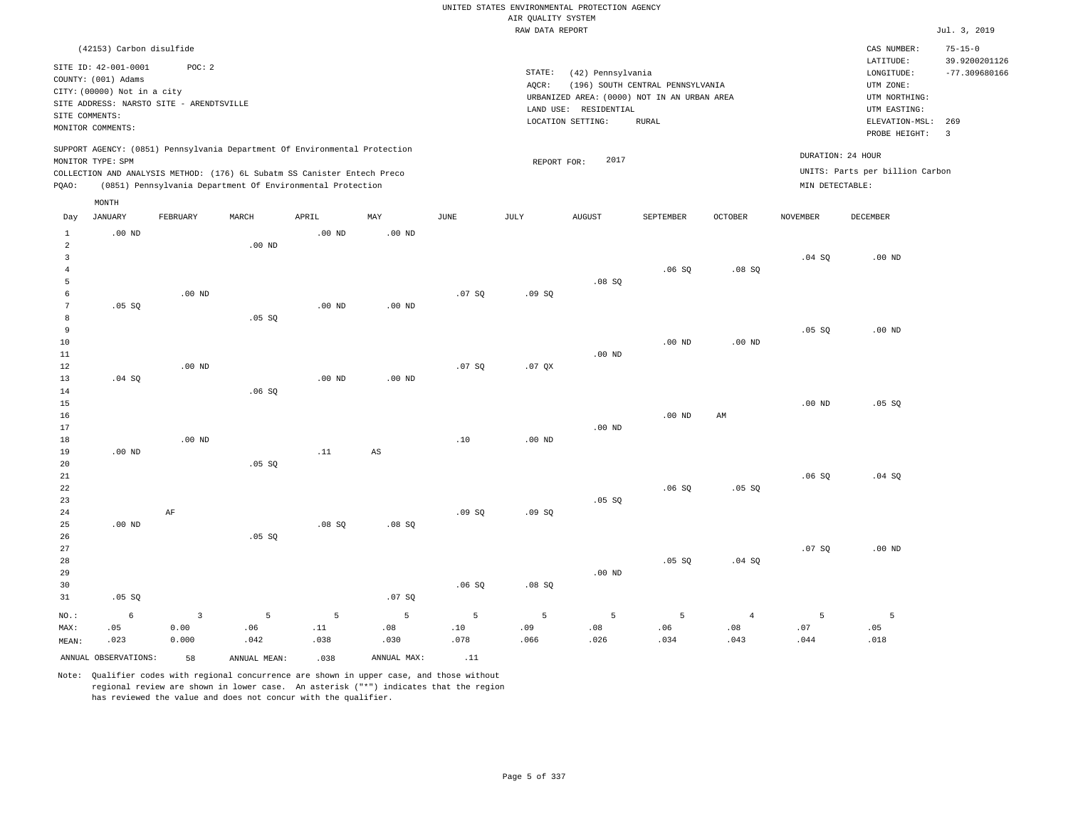|                                                                                                                                                                                                 |                                                            |                                   |                                           |                                           |                         | AIR QUALITY SYSTEM            | UNITED STATES ENVIRONMENTAL PROTECTION AGENCY                                                                  |                                                  |                               |                                      |                                                                                                        |                                                          |
|-------------------------------------------------------------------------------------------------------------------------------------------------------------------------------------------------|------------------------------------------------------------|-----------------------------------|-------------------------------------------|-------------------------------------------|-------------------------|-------------------------------|----------------------------------------------------------------------------------------------------------------|--------------------------------------------------|-------------------------------|--------------------------------------|--------------------------------------------------------------------------------------------------------|----------------------------------------------------------|
|                                                                                                                                                                                                 |                                                            |                                   |                                           |                                           |                         | RAW DATA REPORT               |                                                                                                                |                                                  |                               |                                      |                                                                                                        | Jul. 3, 2019                                             |
| (42153) Carbon disulfide<br>SITE ID: 42-001-0001<br>COUNTY: (001) Adams<br>CITY: (00000) Not in a city<br>SITE ADDRESS: NARSTO SITE - ARENDTSVILLE<br>SITE COMMENTS:<br>MONITOR COMMENTS:       | POC: 2                                                     |                                   |                                           |                                           |                         | STATE:<br>AQCR:               | (42) Pennsylvania<br>URBANIZED AREA: (0000) NOT IN AN URBAN AREA<br>LAND USE: RESIDENTIAL<br>LOCATION SETTING: | (196) SOUTH CENTRAL PENNSYLVANIA<br><b>RURAL</b> |                               |                                      | CAS NUMBER:<br>LATITUDE:<br>LONGITUDE:<br>UTM ZONE:<br>UTM NORTHING:<br>UTM EASTING:<br>ELEVATION-MSL: | $75 - 15 - 0$<br>39.9200201126<br>$-77.309680166$<br>269 |
| SUPPORT AGENCY: (0851) Pennsylvania Department Of Environmental Protection<br>MONITOR TYPE: SPM<br>COLLECTION AND ANALYSIS METHOD: (176) 6L Subatm SS Canister Entech Preco<br>PQAO:            | (0851) Pennsylvania Department Of Environmental Protection |                                   |                                           |                                           |                         | REPORT FOR:                   | 2017                                                                                                           |                                                  |                               | DURATION: 24 HOUR<br>MIN DETECTABLE: | PROBE HEIGHT:<br>UNITS: Parts per billion Carbon                                                       | $\overline{\mathbf{3}}$                                  |
| MONTH<br><b>JANUARY</b><br>Day                                                                                                                                                                  | FEBRUARY                                                   | MARCH                             | APRIL                                     | MAY                                       | <b>JUNE</b>             | <b>JULY</b>                   | AUGUST                                                                                                         | SEPTEMBER                                        | <b>OCTOBER</b>                | <b>NOVEMBER</b>                      | <b>DECEMBER</b>                                                                                        |                                                          |
| $\mathbf{1}$<br>$.00$ ND<br>$\overline{a}$<br>$\overline{3}$<br>$\overline{4}$<br>5<br>6<br>$\boldsymbol{7}$<br>.05SQ<br>8<br>9<br>10<br>11<br>12<br>.04 SQ<br>13<br>14<br>15<br>16<br>17<br>18 | $.00$ ND<br>$.00$ ND<br>$.00$ ND                           | $.00$ ND<br>.05S<br>.06S          | .00 <sub>ND</sub><br>$.00$ ND<br>$.00$ ND | .00 <sub>ND</sub><br>$.00$ ND<br>$.00$ ND | .07 SQ<br>.07S<br>.10   | .09SQ<br>$.07$ QX<br>$.00$ ND | .08SQ<br>$.00$ ND<br>.00 <sub>ND</sub>                                                                         | .06S<br>$.00$ ND<br>$.00$ ND                     | .08S<br>$.00$ ND<br>AM        | .04 SQ<br>.05 SQ<br>$.00$ ND         | $.00$ ND<br>.00 <sub>ND</sub><br>.05 SQ                                                                |                                                          |
| 19<br>$.00$ ND<br>20<br>21<br>22<br>23<br>24<br>$.00$ ND<br>25                                                                                                                                  | AF                                                         | .05 SQ                            | .11<br>.08S                               | $\mathbb{A}\mathbb{S}$<br>.08S            | .09SQ                   | .09SQ                         | .05 SQ                                                                                                         | .06SQ                                            | .05SQ                         | .06SQ                                | .04 SQ                                                                                                 |                                                          |
| 26<br>27<br>28<br>29<br>30<br>$.05$ SO<br>31                                                                                                                                                    |                                                            | .05 SQ                            |                                           | .07 SQ                                    | .06SQ                   | .08 SQ                        | .00 <sub>ND</sub>                                                                                              | .05 SQ                                           | .04SQ                         | .07S                                 | $.00$ ND                                                                                               |                                                          |
| 6<br>NO.:<br>.05<br>MAX:<br>.023<br>MEAN:<br>ANNUAL OBSERVATIONS:                                                                                                                               | $\overline{3}$<br>0.00<br>0.000<br>58                      | 5<br>.06<br>.042<br>ANNUAL, MEAN: | 5<br>.11<br>.038<br>.038                  | 5<br>.08<br>.030<br>ANNUAL MAX:           | 5<br>.10<br>.078<br>.11 | 5<br>.09<br>.066              | 5<br>.08<br>.026                                                                                               | 5<br>.06<br>.034                                 | $\overline{4}$<br>.08<br>.043 | 5<br>.07<br>.044                     | $\overline{5}$<br>.05<br>.018                                                                          |                                                          |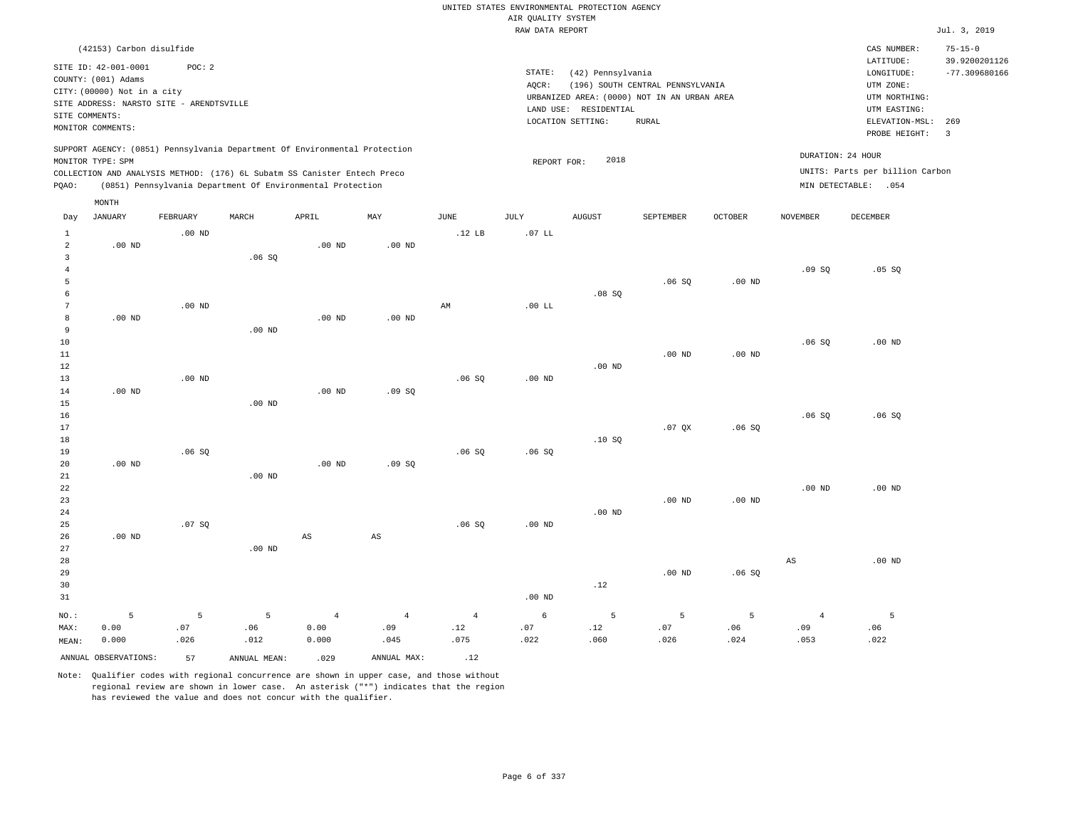|                                    |                                                                                                                        |            |                                                            |                        |                        |                        | AIR QUALITY SYSTEM | UNITED STATES ENVIRONMENTAL PROTECTION AGENCY |                                                                                 |                |                       |                                                          |                                |
|------------------------------------|------------------------------------------------------------------------------------------------------------------------|------------|------------------------------------------------------------|------------------------|------------------------|------------------------|--------------------|-----------------------------------------------|---------------------------------------------------------------------------------|----------------|-----------------------|----------------------------------------------------------|--------------------------------|
|                                    |                                                                                                                        |            |                                                            |                        |                        |                        | RAW DATA REPORT    |                                               |                                                                                 |                |                       |                                                          | Jul. 3, 2019                   |
|                                    | (42153) Carbon disulfide                                                                                               |            |                                                            |                        |                        |                        |                    |                                               |                                                                                 |                |                       | CAS NUMBER:<br>LATITUDE:                                 | $75 - 15 - 0$<br>39.9200201126 |
| SITE COMMENTS:                     | SITE ID: 42-001-0001<br>COUNTY: (001) Adams<br>CITY: (00000) Not in a city<br>SITE ADDRESS: NARSTO SITE - ARENDTSVILLE | POC: 2     |                                                            |                        |                        |                        | STATE:<br>AQCR:    | (42) Pennsylvania<br>LAND USE: RESIDENTIAL    | (196) SOUTH CENTRAL PENNSYLVANIA<br>URBANIZED AREA: (0000) NOT IN AN URBAN AREA |                |                       | LONGITUDE:<br>UTM ZONE:<br>UTM NORTHING:<br>UTM EASTING: | $-77.309680166$                |
|                                    | MONITOR COMMENTS:                                                                                                      |            |                                                            |                        |                        |                        |                    | LOCATION SETTING:                             | RURAL                                                                           |                |                       | ELEVATION-MSL:<br>PROBE HEIGHT:                          | 269<br>$\overline{3}$          |
|                                    | SUPPORT AGENCY: (0851) Pennsylvania Department Of Environmental Protection<br>MONITOR TYPE: SPM                        |            |                                                            |                        |                        |                        | REPORT FOR:        | 2018                                          |                                                                                 |                |                       | DURATION: 24 HOUR                                        |                                |
| PQAO:                              | COLLECTION AND ANALYSIS METHOD: (176) 6L Subatm SS Canister Entech Preco                                               |            | (0851) Pennsylvania Department Of Environmental Protection |                        |                        |                        |                    |                                               |                                                                                 |                |                       | UNITS: Parts per billion Carbon<br>MIN DETECTABLE: .054  |                                |
|                                    | MONTH                                                                                                                  |            |                                                            |                        |                        |                        |                    |                                               |                                                                                 |                |                       |                                                          |                                |
| Day                                | <b>JANUARY</b>                                                                                                         | FEBRUARY   | MARCH                                                      | APRIL                  | MAY                    | JUNE                   | JULY               | <b>AUGUST</b>                                 | SEPTEMBER                                                                       | <b>OCTOBER</b> | <b>NOVEMBER</b>       | DECEMBER                                                 |                                |
| $\mathbf{1}$<br>$\overline{a}$     | $.00$ ND                                                                                                               | $.00$ ND   |                                                            | $.00$ ND               | $.00$ ND               | .12 <sub>LB</sub>      | $.07$ LL           |                                               |                                                                                 |                |                       |                                                          |                                |
| $\overline{3}$<br>$\overline{4}$   |                                                                                                                        |            | .06SQ                                                      |                        |                        |                        |                    |                                               |                                                                                 |                | .09SQ                 | .05 SQ                                                   |                                |
| 5<br>6                             |                                                                                                                        |            |                                                            |                        |                        |                        |                    | .08SQ                                         | .06S                                                                            | $.00$ ND       |                       |                                                          |                                |
| $7\phantom{.0}$<br>$^{\rm 8}$<br>9 | .00 <sub>ND</sub>                                                                                                      | $.00$ ND   | $.00$ ND                                                   | $.00$ ND               | $.00$ ND               | $\mathbb{A}\mathbb{M}$ | .00 LL             |                                               |                                                                                 |                |                       |                                                          |                                |
| 10<br>11                           |                                                                                                                        |            |                                                            |                        |                        |                        |                    |                                               | $.00$ ND                                                                        | $.00$ ND       | .06SQ                 | .00 <sub>ND</sub>                                        |                                |
| 12<br>13                           |                                                                                                                        | $.00$ ND   |                                                            |                        |                        | .06S                   | $.00$ ND           | $.00$ ND                                      |                                                                                 |                |                       |                                                          |                                |
| 14<br>15                           | $.00$ ND                                                                                                               |            | $.00$ ND                                                   | .00 <sub>ND</sub>      | .09SQ                  |                        |                    |                                               |                                                                                 |                |                       |                                                          |                                |
| 16<br>17<br>18                     |                                                                                                                        |            |                                                            |                        |                        |                        |                    | .10SQ                                         | .07 <sub>OX</sub>                                                               | .06S           | .06SQ                 | .06SQ                                                    |                                |
| 19<br>20                           | $.00$ ND                                                                                                               | .06S       |                                                            | $.00$ ND               | .09S                   | .06S                   | .06S               |                                               |                                                                                 |                |                       |                                                          |                                |
| 21<br>22<br>23                     |                                                                                                                        |            | $.00$ ND                                                   |                        |                        |                        |                    |                                               | $.00$ ND                                                                        | $.00$ ND       | $.00$ ND              | $.00$ ND                                                 |                                |
| 24<br>25<br>26                     | $.00$ ND                                                                                                               | .07 SQ     |                                                            | $_{\rm AS}$            | $\mathbb{A}\mathbb{S}$ | .06SQ                  | $.00$ ND           | $.00$ ND                                      |                                                                                 |                |                       |                                                          |                                |
| 27<br>28<br>29<br>30<br>31         |                                                                                                                        |            | $.00$ ND                                                   |                        |                        |                        | .00 <sub>ND</sub>  | .12                                           | $.00$ ND                                                                        | .06SQ          | $_{\rm AS}$           | $.00$ ND                                                 |                                |
| NO.:<br>MAX:                       | 5<br>0.00                                                                                                              | 5<br>.07   | 5<br>.06                                                   | $\overline{4}$<br>0.00 | $\overline{4}$<br>.09  | $\overline{4}$<br>.12  | 6<br>.07           | 5<br>.12                                      | 5<br>.07                                                                        | 5<br>.06       | $\overline{4}$<br>.09 | 5<br>.06                                                 |                                |
| MEAN:                              | 0.000<br>ANNUAL OBSERVATIONS:                                                                                          | .026<br>57 | .012<br>ANNUAL MEAN:                                       | 0.000<br>.029          | .045<br>ANNUAL MAX:    | .075<br>.12            | .022               | .060                                          | .026                                                                            | .024           | .053                  | .022                                                     |                                |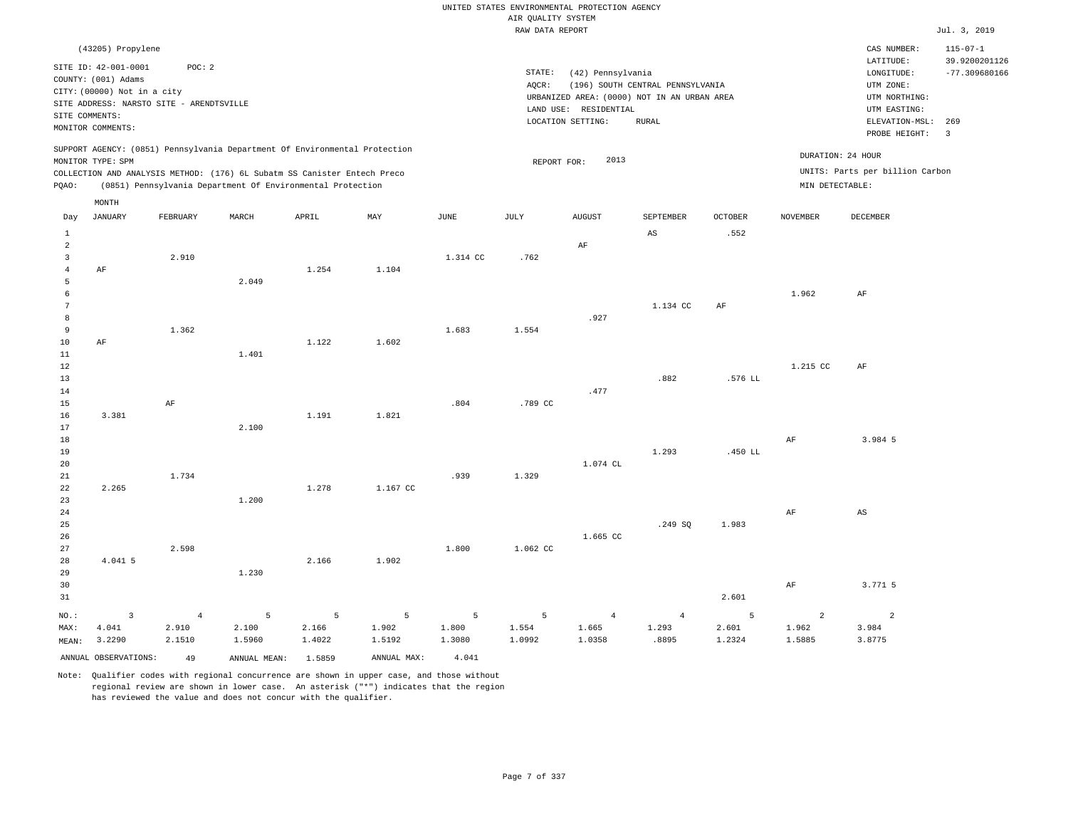|                      |                                          |                |                                                                            |        |                |             |                    | UNITED STATES ENVIRONMENTAL PROTECTION AGENCY |                                  |                |                 |                                 |                         |
|----------------------|------------------------------------------|----------------|----------------------------------------------------------------------------|--------|----------------|-------------|--------------------|-----------------------------------------------|----------------------------------|----------------|-----------------|---------------------------------|-------------------------|
|                      |                                          |                |                                                                            |        |                |             | AIR QUALITY SYSTEM |                                               |                                  |                |                 |                                 |                         |
|                      |                                          |                |                                                                            |        |                |             | RAW DATA REPORT    |                                               |                                  |                |                 |                                 | Jul. 3, 2019            |
|                      | (43205) Propylene                        |                |                                                                            |        |                |             |                    |                                               |                                  |                |                 | CAS NUMBER:                     | $115 - 07 - 1$          |
|                      | SITE ID: 42-001-0001                     | POC: 2         |                                                                            |        |                |             |                    |                                               |                                  |                |                 | LATITUDE:                       | 39.9200201126           |
|                      | COUNTY: (001) Adams                      |                |                                                                            |        |                |             | STATE:             | (42) Pennsylvania                             |                                  |                |                 | LONGITUDE:                      | $-77.309680166$         |
|                      | CITY: (00000) Not in a city              |                |                                                                            |        |                |             | AOCR:              | URBANIZED AREA: (0000) NOT IN AN URBAN AREA   | (196) SOUTH CENTRAL PENNSYLVANIA |                |                 | UTM ZONE:<br>UTM NORTHING:      |                         |
|                      | SITE ADDRESS: NARSTO SITE - ARENDTSVILLE |                |                                                                            |        |                |             |                    | LAND USE: RESIDENTIAL                         |                                  |                |                 | UTM EASTING:                    |                         |
| SITE COMMENTS:       |                                          |                |                                                                            |        |                |             |                    | LOCATION SETTING:                             | RURAL                            |                |                 | ELEVATION-MSL:                  | 269                     |
|                      | MONITOR COMMENTS:                        |                |                                                                            |        |                |             |                    |                                               |                                  |                |                 | PROBE HEIGHT:                   | $\overline{\mathbf{3}}$ |
|                      |                                          |                | SUPPORT AGENCY: (0851) Pennsylvania Department Of Environmental Protection |        |                |             |                    |                                               |                                  |                |                 |                                 |                         |
|                      | MONITOR TYPE: SPM                        |                |                                                                            |        |                |             | REPORT FOR:        | 2013                                          |                                  |                |                 | DURATION: 24 HOUR               |                         |
|                      |                                          |                | COLLECTION AND ANALYSIS METHOD: (176) 6L Subatm SS Canister Entech Preco   |        |                |             |                    |                                               |                                  |                |                 | UNITS: Parts per billion Carbon |                         |
| PQAO:                |                                          |                | (0851) Pennsylvania Department Of Environmental Protection                 |        |                |             |                    |                                               |                                  |                | MIN DETECTABLE: |                                 |                         |
|                      | MONTH                                    |                |                                                                            |        |                |             |                    |                                               |                                  |                |                 |                                 |                         |
| Day                  | <b>JANUARY</b>                           | FEBRUARY       | MARCH                                                                      | APRIL  | MAY            | <b>JUNE</b> | $\mathtt{JULY}$    | <b>AUGUST</b>                                 | SEPTEMBER                        | <b>OCTOBER</b> | <b>NOVEMBER</b> | <b>DECEMBER</b>                 |                         |
| $\mathbf{1}$         |                                          |                |                                                                            |        |                |             |                    |                                               | AS                               | .552           |                 |                                 |                         |
| $\overline{2}$       |                                          |                |                                                                            |        |                |             |                    | AF                                            |                                  |                |                 |                                 |                         |
| $\overline{3}$       |                                          | 2.910          |                                                                            |        |                | 1.314 CC    | .762               |                                               |                                  |                |                 |                                 |                         |
| $\overline{4}$       | AF                                       |                |                                                                            | 1.254  | 1.104          |             |                    |                                               |                                  |                |                 |                                 |                         |
| 5                    |                                          |                | 2.049                                                                      |        |                |             |                    |                                               |                                  |                |                 |                                 |                         |
| 6<br>$7\phantom{.0}$ |                                          |                |                                                                            |        |                |             |                    |                                               | 1.134 CC                         | AF             | 1.962           | AF                              |                         |
| 8                    |                                          |                |                                                                            |        |                |             |                    | .927                                          |                                  |                |                 |                                 |                         |
| 9                    |                                          | 1.362          |                                                                            |        |                | 1.683       | 1.554              |                                               |                                  |                |                 |                                 |                         |
| 10                   | AF                                       |                |                                                                            | 1.122  | 1.602          |             |                    |                                               |                                  |                |                 |                                 |                         |
| $11\,$               |                                          |                | 1.401                                                                      |        |                |             |                    |                                               |                                  |                |                 |                                 |                         |
| 12                   |                                          |                |                                                                            |        |                |             |                    |                                               |                                  |                | 1.215 CC        | AF                              |                         |
| 13                   |                                          |                |                                                                            |        |                |             |                    |                                               | .882                             | .576 LL        |                 |                                 |                         |
| 14<br>15             |                                          | AF             |                                                                            |        |                | .804        | .789 CC            | .477                                          |                                  |                |                 |                                 |                         |
| 16                   | 3.381                                    |                |                                                                            | 1.191  | 1.821          |             |                    |                                               |                                  |                |                 |                                 |                         |
| 17                   |                                          |                | 2.100                                                                      |        |                |             |                    |                                               |                                  |                |                 |                                 |                         |
| 18                   |                                          |                |                                                                            |        |                |             |                    |                                               |                                  |                | AF              | 3.984 5                         |                         |
| 19                   |                                          |                |                                                                            |        |                |             |                    |                                               | 1.293                            | .450 LL        |                 |                                 |                         |
| 20                   |                                          |                |                                                                            |        |                |             |                    | 1.074 CL                                      |                                  |                |                 |                                 |                         |
| $2\sqrt{1}$          |                                          | 1.734          |                                                                            |        |                | .939        | 1.329              |                                               |                                  |                |                 |                                 |                         |
| 22                   | 2.265                                    |                |                                                                            | 1.278  | 1.167 CC       |             |                    |                                               |                                  |                |                 |                                 |                         |
| 23<br>24             |                                          |                | 1.200                                                                      |        |                |             |                    |                                               |                                  |                | AF              | AS                              |                         |
| 25                   |                                          |                |                                                                            |        |                |             |                    |                                               | .249 SQ                          | 1.983          |                 |                                 |                         |
| 26                   |                                          |                |                                                                            |        |                |             |                    | 1.665 CC                                      |                                  |                |                 |                                 |                         |
| 27                   |                                          | 2.598          |                                                                            |        |                | 1.800       | 1.062 CC           |                                               |                                  |                |                 |                                 |                         |
| 28                   | 4.041 5                                  |                |                                                                            | 2.166  | 1.902          |             |                    |                                               |                                  |                |                 |                                 |                         |
| 29                   |                                          |                | 1.230                                                                      |        |                |             |                    |                                               |                                  |                |                 |                                 |                         |
| 30                   |                                          |                |                                                                            |        |                |             |                    |                                               |                                  |                | AF              | 3.771 5                         |                         |
| 31                   |                                          |                |                                                                            |        |                |             |                    |                                               |                                  | 2.601          |                 |                                 |                         |
| NO.:                 | $\overline{3}$                           | $\overline{4}$ | 5                                                                          | 5      | $\overline{5}$ | 5           | 5                  | $\overline{4}$                                | $\sqrt{4}$                       | 5              | $\overline{a}$  | $\overline{a}$                  |                         |
| MAX:                 | 4.041                                    | 2.910          | 2.100                                                                      | 2.166  | 1.902          | 1.800       | 1.554              | 1.665                                         | 1.293                            | 2.601          | 1.962           | 3.984                           |                         |
| MEAN:                | 3.2290                                   | 2.1510         | 1.5960                                                                     | 1.4022 | 1.5192         | 1.3080      | 1.0992             | 1.0358                                        | .8895                            | 1.2324         | 1.5885          | 3.8775                          |                         |
|                      | ANNUAL OBSERVATIONS:                     | 49             | ANNUAL MEAN:                                                               | 1.5859 | ANNUAL MAX:    | 4.041       |                    |                                               |                                  |                |                 |                                 |                         |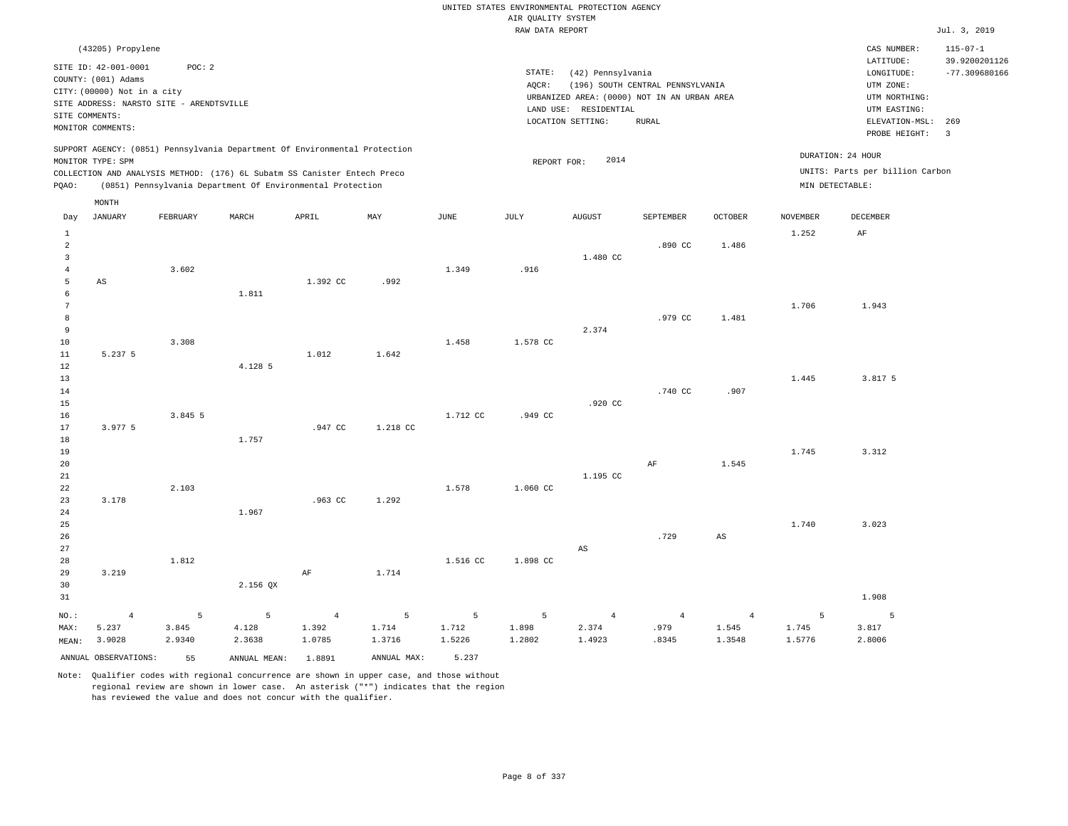|                                                             |                                                                                                                                                                                    |                 |                                                                                                                                                                                                                      |                               |                 |                                    | AIR QUALITY SYSTEM   | UNITED STATES ENVIRONMENTAL PROTECTION AGENCY                                                                  |                                                  |                                   |                      |                                                                                                                             |                                                                      |
|-------------------------------------------------------------|------------------------------------------------------------------------------------------------------------------------------------------------------------------------------------|-----------------|----------------------------------------------------------------------------------------------------------------------------------------------------------------------------------------------------------------------|-------------------------------|-----------------|------------------------------------|----------------------|----------------------------------------------------------------------------------------------------------------|--------------------------------------------------|-----------------------------------|----------------------|-----------------------------------------------------------------------------------------------------------------------------|----------------------------------------------------------------------|
|                                                             |                                                                                                                                                                                    |                 |                                                                                                                                                                                                                      |                               |                 |                                    | RAW DATA REPORT      |                                                                                                                |                                                  |                                   |                      |                                                                                                                             | Jul. 3, 2019                                                         |
|                                                             | (43205) Propylene<br>SITE ID: 42-001-0001<br>COUNTY: (001) Adams<br>CITY: (00000) Not in a city<br>SITE ADDRESS: NARSTO SITE - ARENDTSVILLE<br>SITE COMMENTS:<br>MONITOR COMMENTS: | POC: 2          |                                                                                                                                                                                                                      |                               |                 |                                    | STATE:<br>AQCR:      | (42) Pennsylvania<br>URBANIZED AREA: (0000) NOT IN AN URBAN AREA<br>LAND USE: RESIDENTIAL<br>LOCATION SETTING: | (196) SOUTH CENTRAL PENNSYLVANIA<br><b>RURAL</b> |                                   |                      | CAS NUMBER:<br>LATITUDE:<br>LONGITUDE:<br>UTM ZONE:<br>UTM NORTHING:<br>UTM EASTING:<br>ELEVATION-MSL: 269<br>PROBE HEIGHT: | $115 - 07 - 1$<br>39.9200201126<br>$-77.309680166$<br>$\overline{3}$ |
| PQAO:                                                       | MONITOR TYPE: SPM                                                                                                                                                                  |                 | SUPPORT AGENCY: (0851) Pennsylvania Department Of Environmental Protection<br>COLLECTION AND ANALYSIS METHOD: (176) 6L Subatm SS Canister Entech Preco<br>(0851) Pennsylvania Department Of Environmental Protection |                               |                 |                                    | REPORT FOR:          | 2014                                                                                                           |                                                  |                                   | MIN DETECTABLE:      | DURATION: 24 HOUR<br>UNITS: Parts per billion Carbon                                                                        |                                                                      |
|                                                             | MONTH                                                                                                                                                                              |                 |                                                                                                                                                                                                                      |                               |                 |                                    |                      |                                                                                                                |                                                  |                                   |                      |                                                                                                                             |                                                                      |
| Day                                                         | <b>JANUARY</b>                                                                                                                                                                     | FEBRUARY        | MARCH                                                                                                                                                                                                                | APRIL                         | MAY             | $_{\rm JUNE}$                      | <b>JULY</b>          | <b>AUGUST</b>                                                                                                  | SEPTEMBER                                        | <b>OCTOBER</b>                    | <b>NOVEMBER</b>      | <b>DECEMBER</b>                                                                                                             |                                                                      |
| $1\,$<br>$\overline{a}$<br>$\overline{3}$<br>$\sqrt{4}$     |                                                                                                                                                                                    | 3.602           |                                                                                                                                                                                                                      |                               |                 | 1.349                              | .916                 | 1.480 CC                                                                                                       | .890 CC                                          | 1.486                             | 1.252                | $\rm{AF}$                                                                                                                   |                                                                      |
| 5<br>$\epsilon$<br>$7\phantom{.0}$<br>$\boldsymbol{8}$<br>9 | AS                                                                                                                                                                                 |                 | 1.811                                                                                                                                                                                                                | 1.392 CC                      | .992            |                                    |                      | 2.374                                                                                                          | .979 CC                                          | 1.481                             | 1.706                | 1.943                                                                                                                       |                                                                      |
| $10$<br>$11\,$<br>12<br>13                                  | 5.237 5                                                                                                                                                                            | 3.308           | 4.128 5                                                                                                                                                                                                              | 1.012                         | 1.642           | 1.458                              | 1.578 CC             |                                                                                                                |                                                  |                                   | 1.445                | 3.817 5                                                                                                                     |                                                                      |
| 14<br>15<br>16<br>17<br>$1\,8$                              | 3.977 5                                                                                                                                                                            | 3.845 5         | 1.757                                                                                                                                                                                                                | .947 CC                       | 1.218 CC        | 1.712 CC                           | .949 CC              | .920 CC                                                                                                        | .740 CC                                          | .907                              |                      |                                                                                                                             |                                                                      |
| 19<br>20<br>21<br>22                                        |                                                                                                                                                                                    | 2.103           |                                                                                                                                                                                                                      |                               |                 | 1.578                              | 1.060 CC             | 1.195 CC                                                                                                       | AF                                               | 1.545                             | 1.745                | 3.312                                                                                                                       |                                                                      |
| 23<br>24<br>25<br>26                                        | 3.178                                                                                                                                                                              |                 | 1.967                                                                                                                                                                                                                | .963 CC                       | 1.292           |                                    |                      |                                                                                                                | .729                                             | $_{\rm AS}$                       | 1.740                | 3.023                                                                                                                       |                                                                      |
| 27<br>28<br>29<br>30                                        | 3.219                                                                                                                                                                              | 1.812           | 2.156 QX                                                                                                                                                                                                             | $\rm AF$                      | 1.714           | 1.516 CC                           | 1.898 CC             | $_{\rm AS}$                                                                                                    |                                                  |                                   |                      |                                                                                                                             |                                                                      |
| 31                                                          |                                                                                                                                                                                    | 5               |                                                                                                                                                                                                                      |                               | 5               |                                    |                      |                                                                                                                |                                                  |                                   |                      | 1.908                                                                                                                       |                                                                      |
| $NO.$ :<br>MAX:<br>MEAN:                                    | $\overline{4}$<br>5.237<br>3.9028                                                                                                                                                  | 3.845<br>2.9340 | 5<br>4.128<br>2.3638                                                                                                                                                                                                 | $\sqrt{4}$<br>1.392<br>1.0785 | 1.714<br>1.3716 | $5\phantom{.0}$<br>1.712<br>1.5226 | 5<br>1.898<br>1.2802 | $\overline{4}$<br>2.374<br>1.4923                                                                              | $\overline{4}$<br>.979<br>.8345                  | $\overline{4}$<br>1.545<br>1.3548 | 5<br>1.745<br>1.5776 | 5<br>3.817<br>2.8006                                                                                                        |                                                                      |
|                                                             | ANNUAL OBSERVATIONS:                                                                                                                                                               | 55              | ANNUAL MEAN: 1.8891                                                                                                                                                                                                  |                               | ANNUAL MAX:     | 5.237                              |                      |                                                                                                                |                                                  |                                   |                      |                                                                                                                             |                                                                      |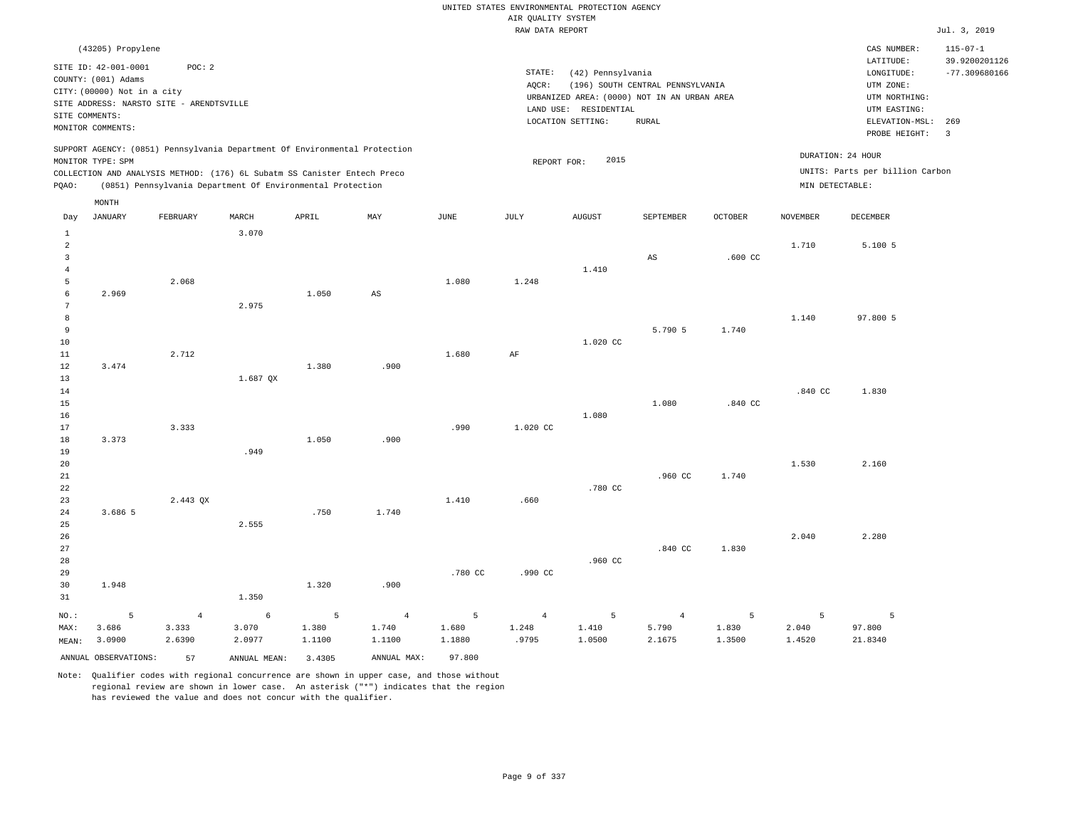|                         |                                           |                |                                                                            |        |                |         |                    | UNITED STATES ENVIRONMENTAL PROTECTION AGENCY |                                             |                |                    |                                 |                                 |
|-------------------------|-------------------------------------------|----------------|----------------------------------------------------------------------------|--------|----------------|---------|--------------------|-----------------------------------------------|---------------------------------------------|----------------|--------------------|---------------------------------|---------------------------------|
|                         |                                           |                |                                                                            |        |                |         | AIR QUALITY SYSTEM |                                               |                                             |                |                    |                                 |                                 |
|                         |                                           |                |                                                                            |        |                |         | RAW DATA REPORT    |                                               |                                             |                |                    |                                 | Jul. 3, 2019                    |
|                         | (43205) Propylene<br>SITE ID: 42-001-0001 | POC: 2         |                                                                            |        |                |         |                    |                                               |                                             |                |                    | CAS NUMBER:<br>LATITUDE:        | $115 - 07 - 1$<br>39.9200201126 |
|                         | COUNTY: (001) Adams                       |                |                                                                            |        |                |         | STATE:<br>AOCR:    | (42) Pennsylvania                             | (196) SOUTH CENTRAL PENNSYLVANIA            |                |                    | LONGITUDE:<br>UTM ZONE:         | $-77.309680166$                 |
|                         | CITY: (00000) Not in a city               |                |                                                                            |        |                |         |                    |                                               | URBANIZED AREA: (0000) NOT IN AN URBAN AREA |                |                    | UTM NORTHING:                   |                                 |
|                         | SITE ADDRESS: NARSTO SITE - ARENDTSVILLE  |                |                                                                            |        |                |         |                    | LAND USE: RESIDENTIAL                         |                                             |                |                    | UTM EASTING:                    |                                 |
|                         | SITE COMMENTS:                            |                |                                                                            |        |                |         |                    | LOCATION SETTING:                             | <b>RURAL</b>                                |                |                    | ELEVATION-MSL: 269              |                                 |
|                         | MONITOR COMMENTS:                         |                |                                                                            |        |                |         |                    |                                               |                                             |                |                    | PROBE HEIGHT:                   | $\overline{3}$                  |
|                         | MONITOR TYPE: SPM                         |                | SUPPORT AGENCY: (0851) Pennsylvania Department Of Environmental Protection |        |                |         | REPORT FOR:        | 2015                                          |                                             |                | DURATION: 24 HOUR  |                                 |                                 |
|                         |                                           |                | COLLECTION AND ANALYSIS METHOD: (176) 6L Subatm SS Canister Entech Preco   |        |                |         |                    |                                               |                                             |                |                    | UNITS: Parts per billion Carbon |                                 |
| PQAO:                   |                                           |                | (0851) Pennsylvania Department Of Environmental Protection                 |        |                |         |                    |                                               |                                             |                | MIN DETECTABLE:    |                                 |                                 |
|                         | MONTH                                     |                |                                                                            |        |                |         |                    |                                               |                                             |                |                    |                                 |                                 |
| Day                     | <b>JANUARY</b>                            | FEBRUARY       | MARCH                                                                      | APRIL  | MAY            | JUNE    | JULY               | <b>AUGUST</b>                                 | SEPTEMBER                                   | <b>OCTOBER</b> | <b>NOVEMBER</b>    | <b>DECEMBER</b>                 |                                 |
| 1<br>$\overline{a}$     |                                           |                | 3.070                                                                      |        |                |         |                    |                                               |                                             |                | 1.710              | 5.100 5                         |                                 |
| $\overline{\mathbf{3}}$ |                                           |                |                                                                            |        |                |         |                    |                                               | $\mathbb{A}\mathbb{S}$                      | $.600$ CC      |                    |                                 |                                 |
| $\overline{4}$<br>5     |                                           | 2.068          |                                                                            |        |                | 1.080   | 1.248              | 1.410                                         |                                             |                |                    |                                 |                                 |
| 6                       | 2.969                                     |                |                                                                            | 1.050  | AS             |         |                    |                                               |                                             |                |                    |                                 |                                 |
| 7                       |                                           |                | 2.975                                                                      |        |                |         |                    |                                               |                                             |                |                    |                                 |                                 |
| $^{\rm 8}$              |                                           |                |                                                                            |        |                |         |                    |                                               |                                             |                | 1.140              | 97.800 5                        |                                 |
| 9                       |                                           |                |                                                                            |        |                |         |                    |                                               | 5.790 5                                     | 1.740          |                    |                                 |                                 |
| 10                      |                                           |                |                                                                            |        |                |         |                    | 1.020 CC                                      |                                             |                |                    |                                 |                                 |
| $1\,1$                  |                                           | 2.712          |                                                                            |        |                | 1.680   | AF                 |                                               |                                             |                |                    |                                 |                                 |
| 12                      | 3.474                                     |                |                                                                            | 1.380  | .900           |         |                    |                                               |                                             |                |                    |                                 |                                 |
| 13                      |                                           |                | 1.687 QX                                                                   |        |                |         |                    |                                               |                                             |                |                    |                                 |                                 |
| 14                      |                                           |                |                                                                            |        |                |         |                    |                                               |                                             |                | .840 <sub>CC</sub> | 1.830                           |                                 |
| $15$                    |                                           |                |                                                                            |        |                |         |                    |                                               | 1.080                                       | .840 CC        |                    |                                 |                                 |
| 16                      |                                           |                |                                                                            |        |                |         |                    | 1.080                                         |                                             |                |                    |                                 |                                 |
| 17                      |                                           | 3.333          |                                                                            |        |                | .990    | 1.020 CC           |                                               |                                             |                |                    |                                 |                                 |
| 18<br>19                | 3.373                                     |                | .949                                                                       | 1.050  | .900           |         |                    |                                               |                                             |                |                    |                                 |                                 |
| 20                      |                                           |                |                                                                            |        |                |         |                    |                                               |                                             |                | 1.530              | 2.160                           |                                 |
| 21                      |                                           |                |                                                                            |        |                |         |                    |                                               | $.960$ CC                                   | 1.740          |                    |                                 |                                 |
| 22                      |                                           |                |                                                                            |        |                |         |                    | .780 CC                                       |                                             |                |                    |                                 |                                 |
| 23                      |                                           | 2.443 QX       |                                                                            |        |                | 1.410   | .660               |                                               |                                             |                |                    |                                 |                                 |
| 24                      | 3.686 5                                   |                |                                                                            | .750   | 1.740          |         |                    |                                               |                                             |                |                    |                                 |                                 |
| 25                      |                                           |                | 2.555                                                                      |        |                |         |                    |                                               |                                             |                |                    |                                 |                                 |
| 26                      |                                           |                |                                                                            |        |                |         |                    |                                               |                                             |                | 2.040              | 2.280                           |                                 |
| 27                      |                                           |                |                                                                            |        |                |         |                    |                                               | .840 <sub>C</sub>                           | 1.830          |                    |                                 |                                 |
| 28                      |                                           |                |                                                                            |        |                |         |                    | .960 CC                                       |                                             |                |                    |                                 |                                 |
| 29                      |                                           |                |                                                                            |        |                | .780 CC | .990 CC            |                                               |                                             |                |                    |                                 |                                 |
| 30<br>31                | 1.948                                     |                | 1.350                                                                      | 1.320  | .900           |         |                    |                                               |                                             |                |                    |                                 |                                 |
| NO.:                    | 5                                         | $\overline{4}$ | 6                                                                          | 5      | $\overline{4}$ | 5       | $\overline{4}$     | 5                                             | $\overline{4}$                              | 5              | 5                  | 5                               |                                 |
| MAX:                    | 3.686                                     | 3.333          | 3.070                                                                      | 1.380  | 1.740          | 1.680   | 1.248              | 1.410                                         | 5.790                                       | 1.830          | 2.040              | 97.800                          |                                 |
| MEAN:                   | 3.0900                                    | 2.6390         | 2.0977                                                                     | 1.1100 | 1.1100         | 1.1880  | .9795              | 1.0500                                        | 2.1675                                      | 1.3500         | 1.4520             | 21.8340                         |                                 |
|                         | ANNUAL OBSERVATIONS:                      | 57             | ANNUAL MEAN:                                                               | 3.4305 | ANNUAL MAX:    | 97.800  |                    |                                               |                                             |                |                    |                                 |                                 |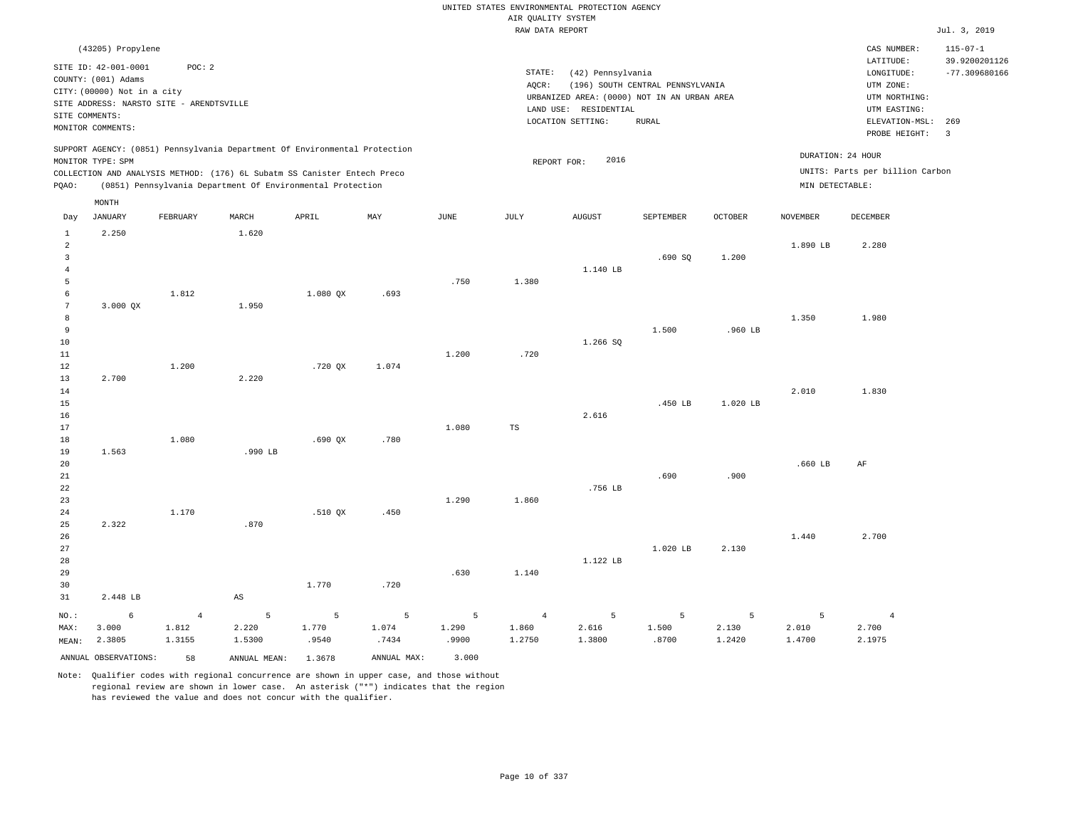|                                                                  |                                                                                                                                                                                    |                                   |                                                                                                                                                        |                     |                     |                     |                                   | UNITED STATES ENVIRONMENTAL PROTECTION AGENCY                                                                  |                                                  |                      |                      |                                                                                                                         |                                                                             |
|------------------------------------------------------------------|------------------------------------------------------------------------------------------------------------------------------------------------------------------------------------|-----------------------------------|--------------------------------------------------------------------------------------------------------------------------------------------------------|---------------------|---------------------|---------------------|-----------------------------------|----------------------------------------------------------------------------------------------------------------|--------------------------------------------------|----------------------|----------------------|-------------------------------------------------------------------------------------------------------------------------|-----------------------------------------------------------------------------|
|                                                                  |                                                                                                                                                                                    |                                   |                                                                                                                                                        |                     |                     |                     | AIR QUALITY SYSTEM                |                                                                                                                |                                                  |                      |                      |                                                                                                                         |                                                                             |
|                                                                  |                                                                                                                                                                                    |                                   |                                                                                                                                                        |                     |                     |                     | RAW DATA REPORT                   |                                                                                                                |                                                  |                      |                      |                                                                                                                         | Jul. 3, 2019                                                                |
|                                                                  | (43205) Propylene<br>SITE ID: 42-001-0001<br>COUNTY: (001) Adams<br>CITY: (00000) Not in a city<br>SITE ADDRESS: NARSTO SITE - ARENDTSVILLE<br>SITE COMMENTS:<br>MONITOR COMMENTS: | POC: 2                            |                                                                                                                                                        |                     |                     |                     | STATE:<br>AQCR:                   | (42) Pennsylvania<br>URBANIZED AREA: (0000) NOT IN AN URBAN AREA<br>LAND USE: RESIDENTIAL<br>LOCATION SETTING: | (196) SOUTH CENTRAL PENNSYLVANIA<br><b>RURAL</b> |                      |                      | CAS NUMBER:<br>LATITUDE:<br>LONGITUDE:<br>UTM ZONE:<br>UTM NORTHING:<br>UTM EASTING:<br>ELEVATION-MSL:<br>PROBE HEIGHT: | $115 - 07 - 1$<br>39.9200201126<br>$-77.309680166$<br>269<br>$\overline{3}$ |
|                                                                  | MONITOR TYPE: SPM                                                                                                                                                                  |                                   | SUPPORT AGENCY: (0851) Pennsylvania Department Of Environmental Protection<br>COLLECTION AND ANALYSIS METHOD: (176) 6L Subatm SS Canister Entech Preco |                     |                     |                     |                                   | 2016<br>REPORT FOR:                                                                                            |                                                  |                      | DURATION: 24 HOUR    | UNITS: Parts per billion Carbon                                                                                         |                                                                             |
| PQAO:                                                            |                                                                                                                                                                                    |                                   | (0851) Pennsylvania Department Of Environmental Protection                                                                                             |                     |                     |                     |                                   |                                                                                                                |                                                  |                      | MIN DETECTABLE:      |                                                                                                                         |                                                                             |
| Day                                                              | $\texttt{MONTH}$<br><b>JANUARY</b>                                                                                                                                                 | FEBRUARY                          | MARCH                                                                                                                                                  | APRIL               | MAY                 | JUNE                | JULY                              | AUGUST                                                                                                         | SEPTEMBER                                        | OCTOBER              | <b>NOVEMBER</b>      | DECEMBER                                                                                                                |                                                                             |
| 1<br>$\overline{2}$<br>$\overline{\mathbf{3}}$<br>$\overline{4}$ | 2.250                                                                                                                                                                              |                                   | 1.620                                                                                                                                                  |                     |                     |                     |                                   | 1.140 LB                                                                                                       | .690SQ                                           | 1.200                | 1.890 LB             | 2.280                                                                                                                   |                                                                             |
| 5<br>6<br>$7\phantom{.0}$<br>8<br>$\overline{9}$                 | 3.000 QX                                                                                                                                                                           | 1.812                             | 1.950                                                                                                                                                  | 1.080 QX            | .693                | .750                | 1.380                             |                                                                                                                | 1.500                                            | .960 LB              | 1.350                | 1.980                                                                                                                   |                                                                             |
| 10<br>11<br>12<br>13<br>14                                       | 2.700                                                                                                                                                                              | 1.200                             | 2.220                                                                                                                                                  | .720 QX             | 1.074               | 1.200               | .720                              | 1.266 SQ                                                                                                       |                                                  |                      | 2.010                | 1.830                                                                                                                   |                                                                             |
| 15<br>16<br>17<br>$1\,8$                                         |                                                                                                                                                                                    | 1.080                             |                                                                                                                                                        | .690QX              | .780                | 1,080               | <b>TS</b>                         | 2.616                                                                                                          | .450 LB                                          | 1.020 LB             |                      |                                                                                                                         |                                                                             |
| 19<br>20<br>21<br>22<br>23                                       | 1.563                                                                                                                                                                              |                                   | .990 LB                                                                                                                                                |                     |                     | 1.290               | 1.860                             | .756 LB                                                                                                        | .690                                             | .900                 | $.660$ LB            | AF                                                                                                                      |                                                                             |
| 24<br>25<br>26<br>27                                             | 2.322                                                                                                                                                                              | 1.170                             | .870                                                                                                                                                   | .510 QX             | .450                |                     |                                   |                                                                                                                | 1.020 LB                                         | 2.130                | 1.440                | 2.700                                                                                                                   |                                                                             |
| 28<br>29<br>30<br>31                                             | 2.448 LB                                                                                                                                                                           |                                   | $\mathbb{A}\mathbb{S}$                                                                                                                                 | 1.770               | .720                | .630                | 1.140                             | 1.122 LB                                                                                                       |                                                  |                      |                      |                                                                                                                         |                                                                             |
| NO.:<br>MAX:<br>MEAN:                                            | 6<br>3.000<br>2.3805                                                                                                                                                               | $\overline{4}$<br>1.812<br>1.3155 | 5<br>2.220<br>1.5300                                                                                                                                   | 5<br>1.770<br>.9540 | 5<br>1.074<br>.7434 | 5<br>1.290<br>.9900 | $\overline{4}$<br>1.860<br>1.2750 | 5<br>2.616<br>1.3800                                                                                           | 5<br>1.500<br>.8700                              | 5<br>2.130<br>1.2420 | 5<br>2.010<br>1.4700 | $\overline{4}$<br>2.700<br>2.1975                                                                                       |                                                                             |
|                                                                  | ANNUAL OBSERVATIONS:                                                                                                                                                               | 58                                | ANNUAL MEAN: 1.3678                                                                                                                                    |                     | ANNUAL MAX:         | 3.000               |                                   |                                                                                                                |                                                  |                      |                      |                                                                                                                         |                                                                             |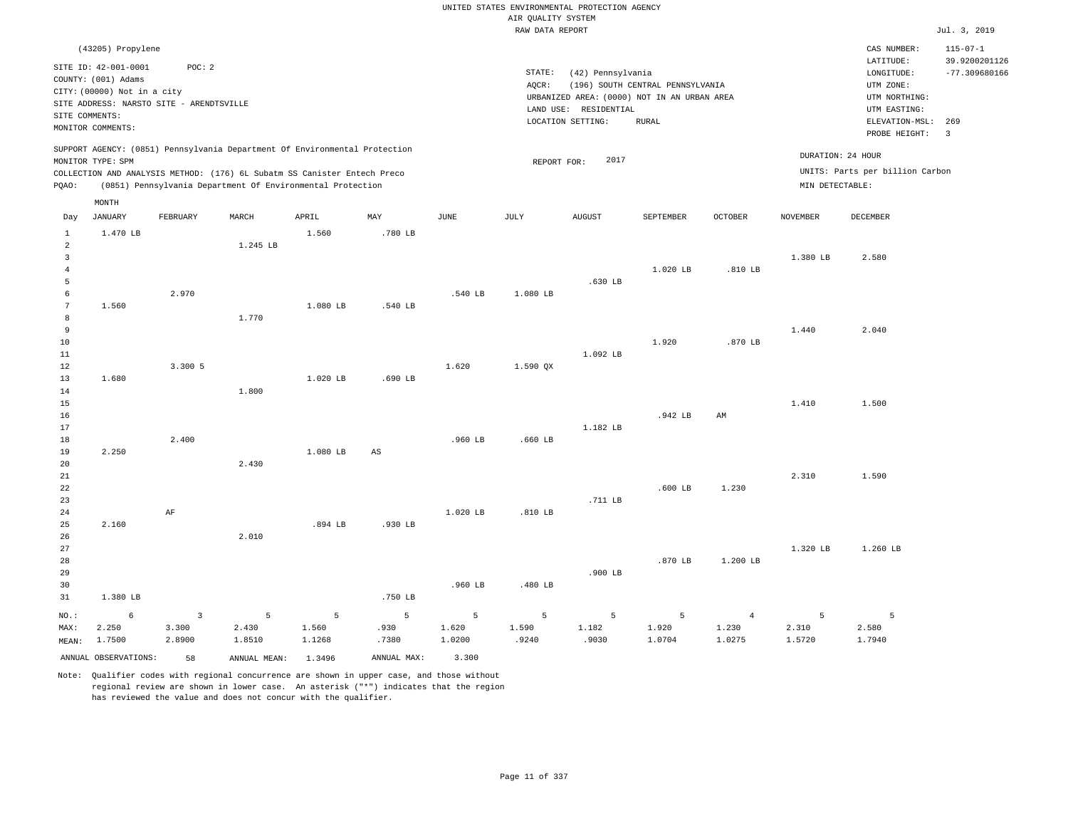|                                  |                                                                                                                                             |                 |                                                                                                                                        |                 |                        |                 | AIR QUALITY SYSTEM | UNITED STATES ENVIRONMENTAL PROTECTION AGENCY                   |                                                                                                 |                 |                   |                                                                                        |                                 |
|----------------------------------|---------------------------------------------------------------------------------------------------------------------------------------------|-----------------|----------------------------------------------------------------------------------------------------------------------------------------|-----------------|------------------------|-----------------|--------------------|-----------------------------------------------------------------|-------------------------------------------------------------------------------------------------|-----------------|-------------------|----------------------------------------------------------------------------------------|---------------------------------|
|                                  |                                                                                                                                             |                 |                                                                                                                                        |                 |                        |                 | RAW DATA REPORT    |                                                                 |                                                                                                 |                 |                   |                                                                                        | Jul. 3, 2019                    |
|                                  | (43205) Propylene                                                                                                                           |                 |                                                                                                                                        |                 |                        |                 |                    |                                                                 |                                                                                                 |                 |                   | CAS NUMBER:<br>LATITUDE:                                                               | $115 - 07 - 1$<br>39.9200201126 |
| SITE COMMENTS:                   | SITE ID: 42-001-0001<br>COUNTY: (001) Adams<br>CITY: (00000) Not in a city<br>SITE ADDRESS: NARSTO SITE - ARENDTSVILLE<br>MONITOR COMMENTS: | POC: 2          |                                                                                                                                        |                 |                        |                 | STATE:<br>AQCR:    | (42) Pennsylvania<br>LAND USE: RESIDENTIAL<br>LOCATION SETTING: | (196) SOUTH CENTRAL PENNSYLVANIA<br>URBANIZED AREA: (0000) NOT IN AN URBAN AREA<br><b>RURAL</b> |                 |                   | $\texttt{LONGITUDE}$ :<br>UTM ZONE:<br>UTM NORTHING:<br>UTM EASTING:<br>ELEVATION-MSL: | $-77.309680166$<br>269          |
|                                  |                                                                                                                                             |                 | SUPPORT AGENCY: (0851) Pennsylvania Department Of Environmental Protection                                                             |                 |                        |                 |                    |                                                                 |                                                                                                 |                 | DURATION: 24 HOUR | PROBE HEIGHT:                                                                          | $\overline{\mathbf{3}}$         |
|                                  | MONITOR TYPE: SPM                                                                                                                           |                 |                                                                                                                                        |                 |                        |                 | REPORT FOR:        | 2017                                                            |                                                                                                 |                 |                   | UNITS: Parts per billion Carbon                                                        |                                 |
| PQAO:                            |                                                                                                                                             |                 | COLLECTION AND ANALYSIS METHOD: (176) 6L Subatm SS Canister Entech Preco<br>(0851) Pennsylvania Department Of Environmental Protection |                 |                        |                 |                    |                                                                 |                                                                                                 |                 | MIN DETECTABLE:   |                                                                                        |                                 |
| Day                              | MONTH<br><b>JANUARY</b>                                                                                                                     | FEBRUARY        | MARCH                                                                                                                                  | APRIL           | MAY                    | <b>JUNE</b>     | JULY               | <b>AUGUST</b>                                                   | SEPTEMBER                                                                                       | <b>OCTOBER</b>  | <b>NOVEMBER</b>   | <b>DECEMBER</b>                                                                        |                                 |
| $\mathbf{1}$                     | 1.470 LB                                                                                                                                    |                 |                                                                                                                                        | 1.560           | .780 LB                |                 |                    |                                                                 |                                                                                                 |                 |                   |                                                                                        |                                 |
| $\overline{a}$<br>$\overline{3}$ |                                                                                                                                             |                 | 1.245 LB                                                                                                                               |                 |                        |                 |                    |                                                                 |                                                                                                 |                 | 1.380 LB          | 2.580                                                                                  |                                 |
| $\overline{4}$<br>5              |                                                                                                                                             |                 |                                                                                                                                        |                 |                        |                 |                    | .630 LB                                                         | 1.020 LB                                                                                        | .810 LB         |                   |                                                                                        |                                 |
| 6                                |                                                                                                                                             | 2.970           |                                                                                                                                        |                 |                        | .540 LB         | 1.080 LB           |                                                                 |                                                                                                 |                 |                   |                                                                                        |                                 |
| $\overline{7}$                   | 1.560                                                                                                                                       |                 |                                                                                                                                        | 1.080 LB        | .540 LB                |                 |                    |                                                                 |                                                                                                 |                 |                   |                                                                                        |                                 |
| 8                                |                                                                                                                                             |                 | 1.770                                                                                                                                  |                 |                        |                 |                    |                                                                 |                                                                                                 |                 |                   |                                                                                        |                                 |
| 9                                |                                                                                                                                             |                 |                                                                                                                                        |                 |                        |                 |                    |                                                                 |                                                                                                 |                 | 1.440             | 2.040                                                                                  |                                 |
| 10                               |                                                                                                                                             |                 |                                                                                                                                        |                 |                        |                 |                    |                                                                 | 1.920                                                                                           | $.870$ LB       |                   |                                                                                        |                                 |
| 11<br>12                         |                                                                                                                                             | 3.300 5         |                                                                                                                                        |                 |                        | 1.620           | 1.590 QX           | 1.092 LB                                                        |                                                                                                 |                 |                   |                                                                                        |                                 |
| 13                               | 1.680                                                                                                                                       |                 |                                                                                                                                        | 1.020 LB        | .690 LB                |                 |                    |                                                                 |                                                                                                 |                 |                   |                                                                                        |                                 |
| 14                               |                                                                                                                                             |                 | 1.800                                                                                                                                  |                 |                        |                 |                    |                                                                 |                                                                                                 |                 |                   |                                                                                        |                                 |
| 15                               |                                                                                                                                             |                 |                                                                                                                                        |                 |                        |                 |                    |                                                                 |                                                                                                 |                 | 1.410             | 1.500                                                                                  |                                 |
| 16                               |                                                                                                                                             |                 |                                                                                                                                        |                 |                        |                 |                    |                                                                 | .942 LB                                                                                         | AM              |                   |                                                                                        |                                 |
| 17<br>18                         |                                                                                                                                             | 2.400           |                                                                                                                                        |                 |                        | .960 LB         | $.660$ LB          | 1.182 LB                                                        |                                                                                                 |                 |                   |                                                                                        |                                 |
| 19                               | 2.250                                                                                                                                       |                 |                                                                                                                                        | 1.080 LB        | $\mathbb{A}\mathbb{S}$ |                 |                    |                                                                 |                                                                                                 |                 |                   |                                                                                        |                                 |
| 20                               |                                                                                                                                             |                 | 2.430                                                                                                                                  |                 |                        |                 |                    |                                                                 |                                                                                                 |                 |                   |                                                                                        |                                 |
| $2\sqrt{1}$                      |                                                                                                                                             |                 |                                                                                                                                        |                 |                        |                 |                    |                                                                 |                                                                                                 |                 | 2.310             | 1.590                                                                                  |                                 |
| 22                               |                                                                                                                                             |                 |                                                                                                                                        |                 |                        |                 |                    |                                                                 | $.600$ LB                                                                                       | 1.230           |                   |                                                                                        |                                 |
| 23<br>24                         |                                                                                                                                             | AF              |                                                                                                                                        |                 |                        | 1.020 LB        | .810 LB            | .711 LB                                                         |                                                                                                 |                 |                   |                                                                                        |                                 |
| 25                               | 2.160                                                                                                                                       |                 |                                                                                                                                        | .894 LB         | .930 LB                |                 |                    |                                                                 |                                                                                                 |                 |                   |                                                                                        |                                 |
| 26                               |                                                                                                                                             |                 | 2.010                                                                                                                                  |                 |                        |                 |                    |                                                                 |                                                                                                 |                 |                   |                                                                                        |                                 |
| 27                               |                                                                                                                                             |                 |                                                                                                                                        |                 |                        |                 |                    |                                                                 |                                                                                                 |                 | 1.320 LB          | 1.260 LB                                                                               |                                 |
| 28                               |                                                                                                                                             |                 |                                                                                                                                        |                 |                        |                 |                    |                                                                 | .870 LB                                                                                         | 1.200 LB        |                   |                                                                                        |                                 |
| 29                               |                                                                                                                                             |                 |                                                                                                                                        |                 |                        |                 |                    | .900 LB                                                         |                                                                                                 |                 |                   |                                                                                        |                                 |
| 30<br>31                         | 1.380 LB                                                                                                                                    |                 |                                                                                                                                        |                 | .750 LB                | .960 LB         | .480 LB            |                                                                 |                                                                                                 |                 |                   |                                                                                        |                                 |
| $_{\rm NO.}$ :                   | 6                                                                                                                                           | $\mathbf{3}$    | 5                                                                                                                                      | $\overline{5}$  | $\overline{5}$         | 5               | $\overline{5}$     | 5                                                               | $\overline{5}$                                                                                  | $\overline{4}$  | 5                 | 5                                                                                      |                                 |
| MAX:                             | 2.250<br>1.7500                                                                                                                             | 3.300<br>2.8900 | 2.430<br>1.8510                                                                                                                        | 1.560<br>1.1268 | .930<br>.7380          | 1.620<br>1.0200 | 1.590<br>.9240     | 1.182<br>.9030                                                  | 1.920<br>1.0704                                                                                 | 1.230<br>1.0275 | 2.310<br>1.5720   | 2.580<br>1.7940                                                                        |                                 |
| MEAN:                            |                                                                                                                                             |                 |                                                                                                                                        |                 |                        |                 |                    |                                                                 |                                                                                                 |                 |                   |                                                                                        |                                 |
|                                  | ANNUAL OBSERVATIONS:                                                                                                                        | 58              | ANNUAL MEAN: 1.3496                                                                                                                    |                 | ANNUAL MAX:            | 3.300           |                    |                                                                 |                                                                                                 |                 |                   |                                                                                        |                                 |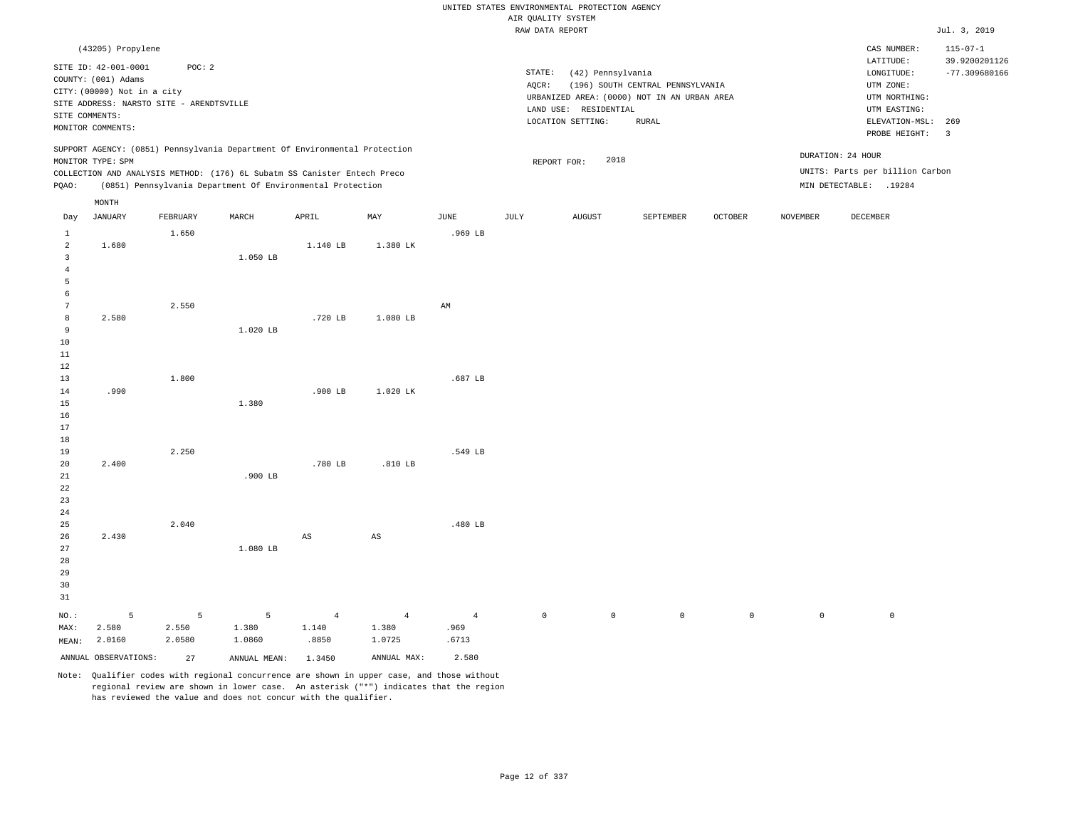|                                |                                                                                                                                                                                    |          |                                                                                                                                        |                |                        |                |                     | UNITED STATES ENVIRONMENTAL PROTECTION AGENCY                   |                                                                                                 |             |                 |                                                                                                                         |                                                                                      |
|--------------------------------|------------------------------------------------------------------------------------------------------------------------------------------------------------------------------------|----------|----------------------------------------------------------------------------------------------------------------------------------------|----------------|------------------------|----------------|---------------------|-----------------------------------------------------------------|-------------------------------------------------------------------------------------------------|-------------|-----------------|-------------------------------------------------------------------------------------------------------------------------|--------------------------------------------------------------------------------------|
|                                |                                                                                                                                                                                    |          |                                                                                                                                        |                |                        |                | AIR QUALITY SYSTEM  |                                                                 |                                                                                                 |             |                 |                                                                                                                         |                                                                                      |
|                                |                                                                                                                                                                                    |          |                                                                                                                                        |                |                        |                | RAW DATA REPORT     |                                                                 |                                                                                                 |             |                 |                                                                                                                         | Jul. 3, 2019                                                                         |
|                                | (43205) Propylene<br>SITE ID: 42-001-0001<br>COUNTY: (001) Adams<br>CITY: (00000) Not in a city<br>SITE ADDRESS: NARSTO SITE - ARENDTSVILLE<br>SITE COMMENTS:<br>MONITOR COMMENTS: | POC: 2   |                                                                                                                                        |                |                        |                | STATE:<br>AQCR:     | (42) Pennsylvania<br>LAND USE: RESIDENTIAL<br>LOCATION SETTING: | (196) SOUTH CENTRAL PENNSYLVANIA<br>URBANIZED AREA: (0000) NOT IN AN URBAN AREA<br><b>RURAL</b> |             |                 | CAS NUMBER:<br>LATITUDE:<br>LONGITUDE:<br>UTM ZONE:<br>UTM NORTHING:<br>UTM EASTING:<br>ELEVATION-MSL:<br>PROBE HEIGHT: | $115 - 07 - 1$<br>39.9200201126<br>$-77.309680166$<br>269<br>$\overline{\mathbf{3}}$ |
|                                |                                                                                                                                                                                    |          | SUPPORT AGENCY: (0851) Pennsylvania Department Of Environmental Protection                                                             |                |                        |                |                     |                                                                 |                                                                                                 |             |                 | DURATION: 24 HOUR                                                                                                       |                                                                                      |
|                                | MONITOR TYPE: SPM                                                                                                                                                                  |          |                                                                                                                                        |                |                        |                |                     | 2018<br>REPORT FOR:                                             |                                                                                                 |             |                 |                                                                                                                         |                                                                                      |
| PQAO:                          |                                                                                                                                                                                    |          | COLLECTION AND ANALYSIS METHOD: (176) 6L Subatm SS Canister Entech Preco<br>(0851) Pennsylvania Department Of Environmental Protection |                |                        |                |                     |                                                                 |                                                                                                 |             |                 | UNITS: Parts per billion Carbon<br>MIN DETECTABLE: .19284                                                               |                                                                                      |
|                                |                                                                                                                                                                                    |          |                                                                                                                                        |                |                        |                |                     |                                                                 |                                                                                                 |             |                 |                                                                                                                         |                                                                                      |
|                                | MONTH<br><b>JANUARY</b>                                                                                                                                                            | FEBRUARY | MARCH                                                                                                                                  | APRIL          | MAX                    | $_{\rm JUNE}$  | JULY                | ${\tt AUGUST}$                                                  | SEPTEMBER                                                                                       | OCTOBER     | <b>NOVEMBER</b> | DECEMBER                                                                                                                |                                                                                      |
| Day                            |                                                                                                                                                                                    |          |                                                                                                                                        |                |                        |                |                     |                                                                 |                                                                                                 |             |                 |                                                                                                                         |                                                                                      |
| $\mathbf{1}$<br>$\overline{c}$ | 1.680                                                                                                                                                                              | 1.650    |                                                                                                                                        | 1.140 LB       | 1.380 LK               | .969 LB        |                     |                                                                 |                                                                                                 |             |                 |                                                                                                                         |                                                                                      |
| $\overline{3}$                 |                                                                                                                                                                                    |          | 1.050 LB                                                                                                                               |                |                        |                |                     |                                                                 |                                                                                                 |             |                 |                                                                                                                         |                                                                                      |
| $\overline{4}$                 |                                                                                                                                                                                    |          |                                                                                                                                        |                |                        |                |                     |                                                                 |                                                                                                 |             |                 |                                                                                                                         |                                                                                      |
| 5                              |                                                                                                                                                                                    |          |                                                                                                                                        |                |                        |                |                     |                                                                 |                                                                                                 |             |                 |                                                                                                                         |                                                                                      |
| $\epsilon$                     |                                                                                                                                                                                    |          |                                                                                                                                        |                |                        |                |                     |                                                                 |                                                                                                 |             |                 |                                                                                                                         |                                                                                      |
| $7\phantom{.0}$                |                                                                                                                                                                                    | 2.550    |                                                                                                                                        |                |                        | AM             |                     |                                                                 |                                                                                                 |             |                 |                                                                                                                         |                                                                                      |
| 8                              | 2.580                                                                                                                                                                              |          |                                                                                                                                        | .720 LB        | 1.080 LB               |                |                     |                                                                 |                                                                                                 |             |                 |                                                                                                                         |                                                                                      |
| 9                              |                                                                                                                                                                                    |          | 1.020 LB                                                                                                                               |                |                        |                |                     |                                                                 |                                                                                                 |             |                 |                                                                                                                         |                                                                                      |
| $10$                           |                                                                                                                                                                                    |          |                                                                                                                                        |                |                        |                |                     |                                                                 |                                                                                                 |             |                 |                                                                                                                         |                                                                                      |
| $11\,$                         |                                                                                                                                                                                    |          |                                                                                                                                        |                |                        |                |                     |                                                                 |                                                                                                 |             |                 |                                                                                                                         |                                                                                      |
| 12                             |                                                                                                                                                                                    |          |                                                                                                                                        |                |                        | .687 LB        |                     |                                                                 |                                                                                                 |             |                 |                                                                                                                         |                                                                                      |
| 13<br>14                       | .990                                                                                                                                                                               | 1.800    |                                                                                                                                        | $.900$ LB      | 1.020 LK               |                |                     |                                                                 |                                                                                                 |             |                 |                                                                                                                         |                                                                                      |
| 15                             |                                                                                                                                                                                    |          | 1.380                                                                                                                                  |                |                        |                |                     |                                                                 |                                                                                                 |             |                 |                                                                                                                         |                                                                                      |
| 16                             |                                                                                                                                                                                    |          |                                                                                                                                        |                |                        |                |                     |                                                                 |                                                                                                 |             |                 |                                                                                                                         |                                                                                      |
| 17                             |                                                                                                                                                                                    |          |                                                                                                                                        |                |                        |                |                     |                                                                 |                                                                                                 |             |                 |                                                                                                                         |                                                                                      |
| 18                             |                                                                                                                                                                                    |          |                                                                                                                                        |                |                        |                |                     |                                                                 |                                                                                                 |             |                 |                                                                                                                         |                                                                                      |
| 19                             |                                                                                                                                                                                    | 2.250    |                                                                                                                                        |                |                        | .549 LB        |                     |                                                                 |                                                                                                 |             |                 |                                                                                                                         |                                                                                      |
| 20                             | 2.400                                                                                                                                                                              |          |                                                                                                                                        | .780 LB        | .810 LB                |                |                     |                                                                 |                                                                                                 |             |                 |                                                                                                                         |                                                                                      |
| 21                             |                                                                                                                                                                                    |          | .900 LB                                                                                                                                |                |                        |                |                     |                                                                 |                                                                                                 |             |                 |                                                                                                                         |                                                                                      |
| 22                             |                                                                                                                                                                                    |          |                                                                                                                                        |                |                        |                |                     |                                                                 |                                                                                                 |             |                 |                                                                                                                         |                                                                                      |
| 23                             |                                                                                                                                                                                    |          |                                                                                                                                        |                |                        |                |                     |                                                                 |                                                                                                 |             |                 |                                                                                                                         |                                                                                      |
| $2\sqrt{4}$                    |                                                                                                                                                                                    | 2.040    |                                                                                                                                        |                |                        |                |                     |                                                                 |                                                                                                 |             |                 |                                                                                                                         |                                                                                      |
| 25<br>26                       | 2.430                                                                                                                                                                              |          |                                                                                                                                        | AS             | $\mathbb{A}\mathbb{S}$ | .480 LB        |                     |                                                                 |                                                                                                 |             |                 |                                                                                                                         |                                                                                      |
| 27                             |                                                                                                                                                                                    |          | 1.080 LB                                                                                                                               |                |                        |                |                     |                                                                 |                                                                                                 |             |                 |                                                                                                                         |                                                                                      |
| 28                             |                                                                                                                                                                                    |          |                                                                                                                                        |                |                        |                |                     |                                                                 |                                                                                                 |             |                 |                                                                                                                         |                                                                                      |
| 29                             |                                                                                                                                                                                    |          |                                                                                                                                        |                |                        |                |                     |                                                                 |                                                                                                 |             |                 |                                                                                                                         |                                                                                      |
| 30                             |                                                                                                                                                                                    |          |                                                                                                                                        |                |                        |                |                     |                                                                 |                                                                                                 |             |                 |                                                                                                                         |                                                                                      |
| 31                             |                                                                                                                                                                                    |          |                                                                                                                                        |                |                        |                |                     |                                                                 |                                                                                                 |             |                 |                                                                                                                         |                                                                                      |
| NO.:                           | 5                                                                                                                                                                                  | 5        | 5                                                                                                                                      | $\overline{4}$ | $\overline{4}$         | $\overline{4}$ | $\mathsf{O}\xspace$ | $\mathbb O$                                                     | $\mathsf 0$                                                                                     | $\mathbb O$ | $\mathbb O$     | $\mathbb O$                                                                                                             |                                                                                      |
| MAX:                           | 2.580                                                                                                                                                                              | 2.550    | 1.380                                                                                                                                  | 1.140          | 1.380                  | .969           |                     |                                                                 |                                                                                                 |             |                 |                                                                                                                         |                                                                                      |
| MEAN:                          | 2.0160                                                                                                                                                                             | 2.0580   | 1.0860                                                                                                                                 | .8850          | 1.0725                 | .6713          |                     |                                                                 |                                                                                                 |             |                 |                                                                                                                         |                                                                                      |
|                                | ANNUAL OBSERVATIONS:                                                                                                                                                               | 27       |                                                                                                                                        |                | ANNUAL MAX:            | 2.580          |                     |                                                                 |                                                                                                 |             |                 |                                                                                                                         |                                                                                      |
|                                |                                                                                                                                                                                    |          | ANNUAL MEAN:                                                                                                                           | 1.3450         |                        |                |                     |                                                                 |                                                                                                 |             |                 |                                                                                                                         |                                                                                      |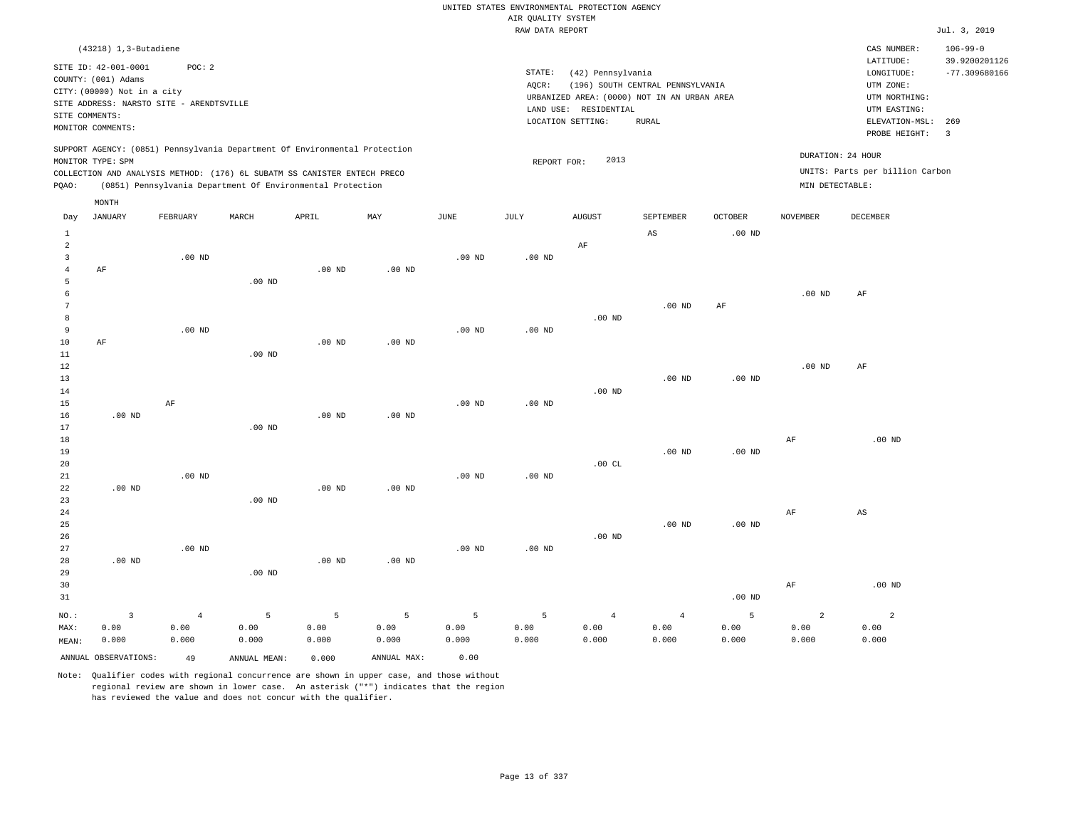|                         |                                             |                   |                                                                            |                   |                   |                   | AIR QUALITY SYSTEM | UNITED STATES ENVIRONMENTAL PROTECTION AGENCY |                                             |                                     |                 |                                 |                                 |
|-------------------------|---------------------------------------------|-------------------|----------------------------------------------------------------------------|-------------------|-------------------|-------------------|--------------------|-----------------------------------------------|---------------------------------------------|-------------------------------------|-----------------|---------------------------------|---------------------------------|
|                         |                                             |                   |                                                                            |                   |                   |                   | RAW DATA REPORT    |                                               |                                             |                                     |                 |                                 | Jul. 3, 2019                    |
|                         | $(43218)$ 1, 3-Butadiene                    |                   |                                                                            |                   |                   |                   |                    |                                               |                                             |                                     |                 | CAS NUMBER:<br>LATITUDE:        | $106 - 99 - 0$<br>39.9200201126 |
|                         | SITE ID: 42-001-0001<br>COUNTY: (001) Adams | POC: 2            |                                                                            |                   |                   |                   | STATE:<br>AQCR:    | (42) Pennsylvania                             | (196) SOUTH CENTRAL PENNSYLVANIA            |                                     |                 | LONGITUDE:<br>UTM ZONE:         | $-77.309680166$                 |
|                         | CITY: (00000) Not in a city                 |                   |                                                                            |                   |                   |                   |                    |                                               | URBANIZED AREA: (0000) NOT IN AN URBAN AREA |                                     |                 | UTM NORTHING:                   |                                 |
|                         | SITE ADDRESS: NARSTO SITE - ARENDTSVILLE    |                   |                                                                            |                   |                   |                   |                    | LAND USE: RESIDENTIAL                         |                                             |                                     |                 | UTM EASTING:                    |                                 |
|                         | SITE COMMENTS:<br>MONITOR COMMENTS:         |                   |                                                                            |                   |                   |                   |                    | LOCATION SETTING:                             | <b>RURAL</b>                                |                                     |                 | ELEVATION-MSL:<br>PROBE HEIGHT: | 269<br>$\overline{3}$           |
|                         | MONITOR TYPE: SPM                           |                   | SUPPORT AGENCY: (0851) Pennsylvania Department Of Environmental Protection |                   |                   |                   | REPORT FOR:        | 2013                                          |                                             |                                     |                 | DURATION: 24 HOUR               |                                 |
|                         |                                             |                   | COLLECTION AND ANALYSIS METHOD: (176) 6L SUBATM SS CANISTER ENTECH PRECO   |                   |                   |                   |                    |                                               |                                             |                                     |                 | UNITS: Parts per billion Carbon |                                 |
| PQAO:                   |                                             |                   | (0851) Pennsylvania Department Of Environmental Protection                 |                   |                   |                   |                    |                                               |                                             |                                     | MIN DETECTABLE: |                                 |                                 |
|                         | MONTH                                       |                   |                                                                            |                   |                   |                   |                    |                                               |                                             |                                     |                 |                                 |                                 |
| Day<br>$\mathbf{1}$     | <b>JANUARY</b>                              | FEBRUARY          | MARCH                                                                      | APRIL             | MAY               | <b>JUNE</b>       | JULY               | <b>AUGUST</b>                                 | SEPTEMBER<br>$_{\rm AS}$                    | <b>OCTOBER</b><br>.00 <sub>ND</sub> | <b>NOVEMBER</b> | <b>DECEMBER</b>                 |                                 |
| $\overline{a}$          |                                             |                   |                                                                            |                   |                   |                   |                    | AF                                            |                                             |                                     |                 |                                 |                                 |
| $\overline{\mathbf{3}}$ |                                             | .00 <sub>ND</sub> |                                                                            |                   |                   | $.00$ ND          | $.00$ ND           |                                               |                                             |                                     |                 |                                 |                                 |
| $\overline{4}$          | AF                                          |                   |                                                                            | $.00$ ND          | .00 <sub>ND</sub> |                   |                    |                                               |                                             |                                     |                 |                                 |                                 |
| 5                       |                                             |                   | $.00$ ND                                                                   |                   |                   |                   |                    |                                               |                                             |                                     |                 |                                 |                                 |
| $\epsilon$              |                                             |                   |                                                                            |                   |                   |                   |                    |                                               |                                             |                                     | $.00$ ND        | $\rm AF$                        |                                 |
| $\overline{7}$<br>8     |                                             |                   |                                                                            |                   |                   |                   |                    | $.00$ ND                                      | $.00$ ND                                    | AF                                  |                 |                                 |                                 |
| $\overline{9}$          |                                             | $.00$ ND          |                                                                            |                   |                   | .00 <sub>ND</sub> | $.00$ ND           |                                               |                                             |                                     |                 |                                 |                                 |
| 10                      | $\rm AF$                                    |                   |                                                                            | $.00$ ND          | $.00$ ND          |                   |                    |                                               |                                             |                                     |                 |                                 |                                 |
| 11                      |                                             |                   | $.00$ ND                                                                   |                   |                   |                   |                    |                                               |                                             |                                     |                 |                                 |                                 |
| 12                      |                                             |                   |                                                                            |                   |                   |                   |                    |                                               |                                             |                                     | $.00$ ND        | AF                              |                                 |
| 13                      |                                             |                   |                                                                            |                   |                   |                   |                    |                                               | .00 <sub>ND</sub>                           | .00 <sub>ND</sub>                   |                 |                                 |                                 |
| 14                      |                                             |                   |                                                                            |                   |                   |                   |                    | $.00$ ND                                      |                                             |                                     |                 |                                 |                                 |
| 15                      |                                             | AF                |                                                                            |                   |                   | $.00$ ND          | $.00$ ND           |                                               |                                             |                                     |                 |                                 |                                 |
| 16<br>17                | $.00$ ND                                    |                   | .00 <sub>ND</sub>                                                          | $.00$ ND          | $.00$ ND          |                   |                    |                                               |                                             |                                     |                 |                                 |                                 |
| 18                      |                                             |                   |                                                                            |                   |                   |                   |                    |                                               |                                             |                                     | AF              | $.00$ ND                        |                                 |
| 19                      |                                             |                   |                                                                            |                   |                   |                   |                    |                                               | $.00$ ND                                    | .00 <sub>ND</sub>                   |                 |                                 |                                 |
| 20                      |                                             |                   |                                                                            |                   |                   |                   |                    | .00CL                                         |                                             |                                     |                 |                                 |                                 |
| 21                      |                                             | $.00$ ND          |                                                                            |                   |                   | $.00$ ND          | $.00$ ND           |                                               |                                             |                                     |                 |                                 |                                 |
| 22                      | $.00$ ND                                    |                   |                                                                            | .00 <sub>ND</sub> | $.00$ ND          |                   |                    |                                               |                                             |                                     |                 |                                 |                                 |
| 23                      |                                             |                   | $.00$ ND                                                                   |                   |                   |                   |                    |                                               |                                             |                                     |                 |                                 |                                 |
| 24                      |                                             |                   |                                                                            |                   |                   |                   |                    |                                               |                                             |                                     | AF              | $\mathbb{A}\mathbb{S}$          |                                 |
| 25<br>26                |                                             |                   |                                                                            |                   |                   |                   |                    | $.00$ ND                                      | $.00$ ND                                    | $.00$ ND                            |                 |                                 |                                 |
| 27                      |                                             | .00 <sub>ND</sub> |                                                                            |                   |                   | .00 <sub>ND</sub> | $.00$ ND           |                                               |                                             |                                     |                 |                                 |                                 |
| 28                      | $.00$ ND                                    |                   |                                                                            | $.00$ ND          | .00 <sub>ND</sub> |                   |                    |                                               |                                             |                                     |                 |                                 |                                 |
| 29                      |                                             |                   | .00 <sub>ND</sub>                                                          |                   |                   |                   |                    |                                               |                                             |                                     |                 |                                 |                                 |
| 30                      |                                             |                   |                                                                            |                   |                   |                   |                    |                                               |                                             |                                     | AF              | $.00$ ND                        |                                 |
| 31                      |                                             |                   |                                                                            |                   |                   |                   |                    |                                               |                                             | .00 $ND$                            |                 |                                 |                                 |
| NO.:                    | $\overline{\mathbf{3}}$                     | $\overline{4}$    | 5                                                                          | 5                 | 5                 | 5                 | 5                  | $\overline{4}$                                | $\overline{4}$                              | 5                                   | $\overline{a}$  | $\overline{a}$                  |                                 |
| MAX:                    | 0.00                                        | 0.00              | 0.00                                                                       | 0.00              | 0.00              | 0.00              | 0.00               | 0.00                                          | 0.00                                        | 0.00                                | 0.00            | 0.00                            |                                 |
| MEAN:                   | 0.000                                       | 0.000             | 0.000                                                                      | 0.000             | 0.000             | 0.000             | 0.000              | 0.000                                         | 0.000                                       | 0.000                               | 0.000           | 0.000                           |                                 |
|                         | ANNUAL OBSERVATIONS:                        | 49                | ANNUAL MEAN:                                                               | 0.000             | ANNUAL MAX:       | 0.00              |                    |                                               |                                             |                                     |                 |                                 |                                 |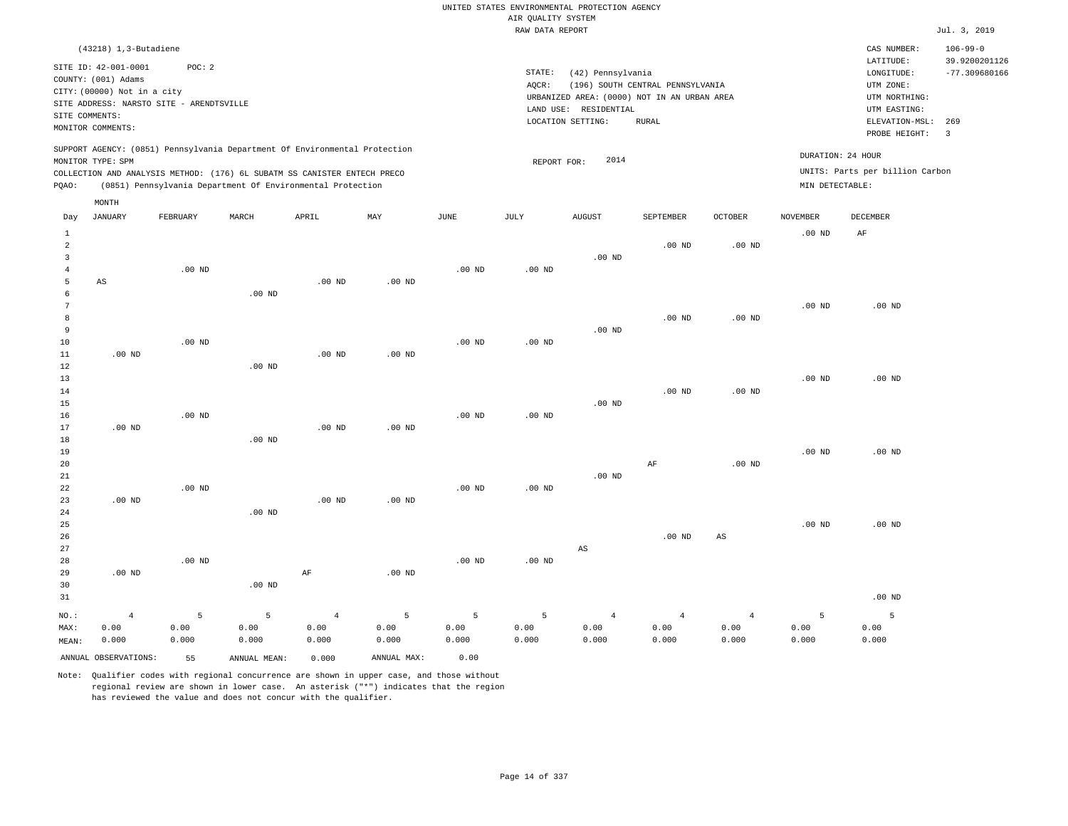|                     |                                             |                   |                                                                            |                   |                   |                   |                    | UNITED STATES ENVIRONMENTAL PROTECTION AGENCY |                                  |                   |                   |                                 |                                 |
|---------------------|---------------------------------------------|-------------------|----------------------------------------------------------------------------|-------------------|-------------------|-------------------|--------------------|-----------------------------------------------|----------------------------------|-------------------|-------------------|---------------------------------|---------------------------------|
|                     |                                             |                   |                                                                            |                   |                   |                   | AIR QUALITY SYSTEM |                                               |                                  |                   |                   |                                 |                                 |
|                     |                                             |                   |                                                                            |                   |                   |                   | RAW DATA REPORT    |                                               |                                  |                   |                   |                                 | Jul. 3, 2019                    |
|                     | $(43218)$ 1, 3-Butadiene                    |                   |                                                                            |                   |                   |                   |                    |                                               |                                  |                   |                   | CAS NUMBER:<br>LATITUDE:        | $106 - 99 - 0$<br>39.9200201126 |
|                     | SITE ID: 42-001-0001<br>COUNTY: (001) Adams | POC: 2            |                                                                            |                   |                   |                   | STATE:             | (42) Pennsylvania                             |                                  |                   |                   | LONGITUDE:                      | $-77.309680166$                 |
|                     | CITY: (00000) Not in a city                 |                   |                                                                            |                   |                   |                   | AQCR:              |                                               | (196) SOUTH CENTRAL PENNSYLVANIA |                   |                   | UTM ZONE:                       |                                 |
|                     | SITE ADDRESS: NARSTO SITE - ARENDTSVILLE    |                   |                                                                            |                   |                   |                   |                    | URBANIZED AREA: (0000) NOT IN AN URBAN AREA   |                                  |                   |                   | UTM NORTHING:                   |                                 |
| SITE COMMENTS:      |                                             |                   |                                                                            |                   |                   |                   |                    | LAND USE: RESIDENTIAL<br>LOCATION SETTING:    | <b>RURAL</b>                     |                   |                   | UTM EASTING:<br>ELEVATION-MSL:  | 269                             |
|                     | MONITOR COMMENTS:                           |                   |                                                                            |                   |                   |                   |                    |                                               |                                  |                   |                   | PROBE HEIGHT:                   | $\overline{3}$                  |
|                     | MONITOR TYPE: SPM                           |                   | SUPPORT AGENCY: (0851) Pennsylvania Department Of Environmental Protection |                   |                   |                   | REPORT FOR:        | 2014                                          |                                  |                   | DURATION: 24 HOUR |                                 |                                 |
|                     |                                             |                   | COLLECTION AND ANALYSIS METHOD: (176) 6L SUBATM SS CANISTER ENTECH PRECO   |                   |                   |                   |                    |                                               |                                  |                   |                   | UNITS: Parts per billion Carbon |                                 |
| PQAO:               |                                             |                   | (0851) Pennsylvania Department Of Environmental Protection                 |                   |                   |                   |                    |                                               |                                  |                   | MIN DETECTABLE:   |                                 |                                 |
|                     | MONTH                                       |                   |                                                                            |                   |                   |                   |                    |                                               |                                  |                   |                   |                                 |                                 |
| Day                 | <b>JANUARY</b>                              | FEBRUARY          | MARCH                                                                      | APRIL             | MAX               | <b>JUNE</b>       | JULY               | <b>AUGUST</b>                                 | SEPTEMBER                        | <b>OCTOBER</b>    | <b>NOVEMBER</b>   | <b>DECEMBER</b>                 |                                 |
| <sup>1</sup>        |                                             |                   |                                                                            |                   |                   |                   |                    |                                               |                                  |                   | .00 <sub>ND</sub> | AF                              |                                 |
| $\overline{a}$      |                                             |                   |                                                                            |                   |                   |                   |                    |                                               | $.00$ ND                         | .00 <sub>ND</sub> |                   |                                 |                                 |
| $\overline{3}$      |                                             |                   |                                                                            |                   |                   |                   |                    | $.00$ ND                                      |                                  |                   |                   |                                 |                                 |
| $\overline{4}$<br>5 |                                             | $.00$ ND          |                                                                            |                   |                   | $.00$ ND          | $.00$ ND           |                                               |                                  |                   |                   |                                 |                                 |
| $\epsilon$          | AS                                          |                   | .00 <sub>ND</sub>                                                          | $.00$ ND          | $.00$ ND          |                   |                    |                                               |                                  |                   |                   |                                 |                                 |
| $\overline{7}$      |                                             |                   |                                                                            |                   |                   |                   |                    |                                               |                                  |                   | .00 <sub>ND</sub> | $.00$ ND                        |                                 |
| 8                   |                                             |                   |                                                                            |                   |                   |                   |                    |                                               | .00 <sub>ND</sub>                | .00 <sub>ND</sub> |                   |                                 |                                 |
| $\overline{9}$      |                                             |                   |                                                                            |                   |                   |                   |                    | $.00$ ND                                      |                                  |                   |                   |                                 |                                 |
| 10                  |                                             | .00 <sub>ND</sub> |                                                                            |                   |                   | .00 <sub>ND</sub> | .00 <sub>ND</sub>  |                                               |                                  |                   |                   |                                 |                                 |
| 11                  | $.00$ ND                                    |                   |                                                                            | .00 <sub>ND</sub> | .00 <sub>ND</sub> |                   |                    |                                               |                                  |                   |                   |                                 |                                 |
| 12<br>13            |                                             |                   | $.00$ ND                                                                   |                   |                   |                   |                    |                                               |                                  |                   | .00 <sub>ND</sub> | $.00$ ND                        |                                 |
| 14                  |                                             |                   |                                                                            |                   |                   |                   |                    |                                               | .00 <sub>ND</sub>                | .00 <sub>ND</sub> |                   |                                 |                                 |
| 15                  |                                             |                   |                                                                            |                   |                   |                   |                    | .00 <sub>ND</sub>                             |                                  |                   |                   |                                 |                                 |
| 16                  |                                             | .00 <sub>ND</sub> |                                                                            |                   |                   | .00 <sub>ND</sub> | $.00$ ND           |                                               |                                  |                   |                   |                                 |                                 |
| 17                  | $.00$ ND                                    |                   |                                                                            | $.00$ ND          | .00 <sub>ND</sub> |                   |                    |                                               |                                  |                   |                   |                                 |                                 |
| 18<br>19            |                                             |                   | $.00$ ND                                                                   |                   |                   |                   |                    |                                               |                                  |                   | $.00$ ND          | $.00$ ND                        |                                 |
| 20                  |                                             |                   |                                                                            |                   |                   |                   |                    |                                               | $\rm AF$                         | .00 <sub>ND</sub> |                   |                                 |                                 |
| 21                  |                                             |                   |                                                                            |                   |                   |                   |                    | $.00$ ND                                      |                                  |                   |                   |                                 |                                 |
| 22                  |                                             | .00 <sub>ND</sub> |                                                                            |                   |                   | $.00$ ND          | $.00$ ND           |                                               |                                  |                   |                   |                                 |                                 |
| 23                  | .00 <sub>ND</sub>                           |                   |                                                                            | .00 <sub>ND</sub> | .00 <sub>ND</sub> |                   |                    |                                               |                                  |                   |                   |                                 |                                 |
| 24                  |                                             |                   | .00 <sub>ND</sub>                                                          |                   |                   |                   |                    |                                               |                                  |                   |                   |                                 |                                 |
| 25<br>26            |                                             |                   |                                                                            |                   |                   |                   |                    |                                               | .00 <sub>ND</sub>                |                   | .00 <sub>ND</sub> | $.00$ ND                        |                                 |
| 27                  |                                             |                   |                                                                            |                   |                   |                   |                    | $_{\rm AS}$                                   |                                  | $_{\rm AS}$       |                   |                                 |                                 |
| 28                  |                                             | $.00$ ND          |                                                                            |                   |                   | $.00$ ND          | $.00$ ND           |                                               |                                  |                   |                   |                                 |                                 |
| 29                  | $.00$ ND                                    |                   |                                                                            | $\rm AF$          | $.00$ ND          |                   |                    |                                               |                                  |                   |                   |                                 |                                 |
| 30                  |                                             |                   | $.00$ ND                                                                   |                   |                   |                   |                    |                                               |                                  |                   |                   |                                 |                                 |
| 31                  |                                             |                   |                                                                            |                   |                   |                   |                    |                                               |                                  |                   |                   | $.00$ ND                        |                                 |
| NO.:                | $\overline{4}$                              | 5                 | 5                                                                          | $\overline{4}$    | 5                 | 5                 | $\overline{5}$     | $\overline{4}$                                | $\overline{4}$                   | $\overline{4}$    | 5                 | 5                               |                                 |
| MAX:                | 0.00                                        | 0.00              | 0.00                                                                       | 0.00              | 0.00              | 0.00              | 0.00               | 0.00                                          | 0.00                             | 0.00              | 0.00              | 0.00                            |                                 |
| MEAN:               | 0.000                                       | 0.000             | 0.000                                                                      | 0.000             | 0.000             | 0.000             | 0.000              | 0.000                                         | 0.000                            | 0.000             | 0.000             | 0.000                           |                                 |
|                     | ANNUAL OBSERVATIONS:                        | 55                | ANNUAL MEAN:                                                               | 0.000             | ANNUAL MAX:       | 0.00              |                    |                                               |                                  |                   |                   |                                 |                                 |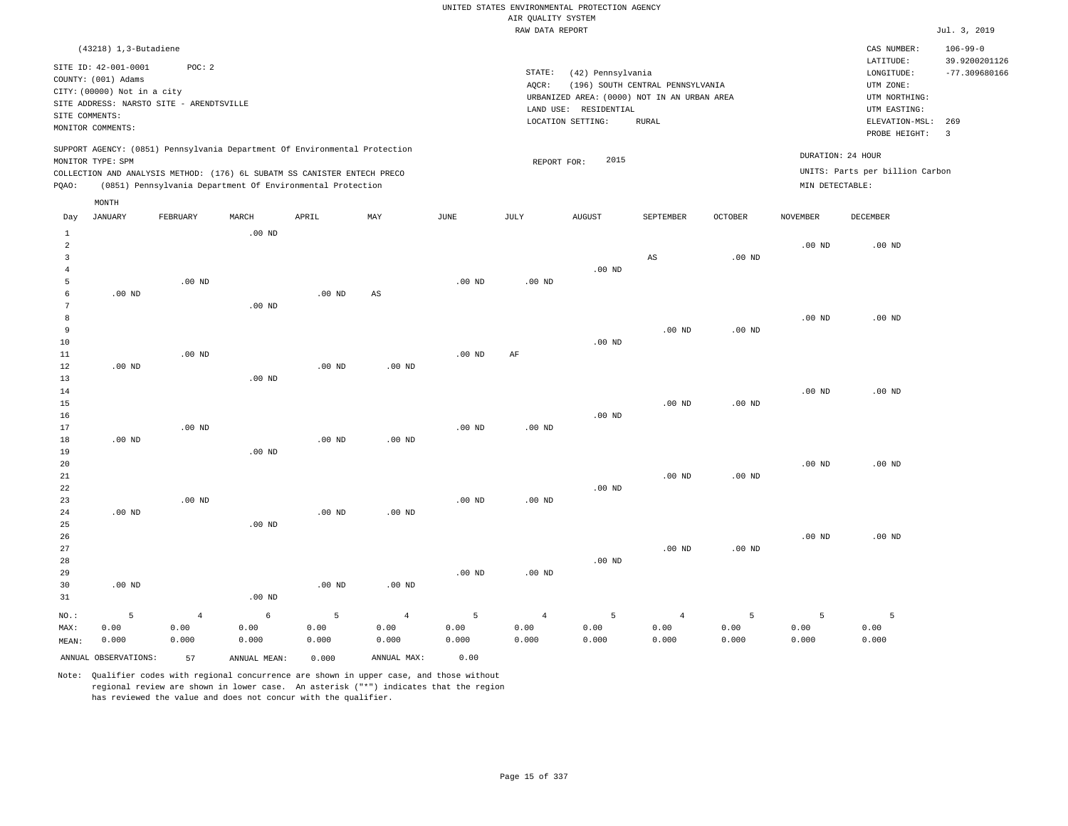|                                                                    |                                                                            |                                                    |                    |                                                                                                                                                                                                                      |                                 |                    | AIR QUALITY SYSTEM              | UNITED STATES ENVIRONMENTAL PROTECTION AGENCY                    |                                  |                    |                                      |                                                       |                                  |
|--------------------------------------------------------------------|----------------------------------------------------------------------------|----------------------------------------------------|--------------------|----------------------------------------------------------------------------------------------------------------------------------------------------------------------------------------------------------------------|---------------------------------|--------------------|---------------------------------|------------------------------------------------------------------|----------------------------------|--------------------|--------------------------------------|-------------------------------------------------------|----------------------------------|
|                                                                    |                                                                            |                                                    |                    |                                                                                                                                                                                                                      |                                 |                    | RAW DATA REPORT                 |                                                                  |                                  |                    |                                      |                                                       | Jul. 3, 2019                     |
|                                                                    | $(43218)$ 1, 3-Butadiene                                                   |                                                    |                    |                                                                                                                                                                                                                      |                                 |                    |                                 |                                                                  |                                  |                    |                                      | CAS NUMBER:                                           | $106 - 99 - 0$                   |
|                                                                    | SITE ID: 42-001-0001<br>COUNTY: (001) Adams<br>CITY: (00000) Not in a city | POC: 2<br>SITE ADDRESS: NARSTO SITE - ARENDTSVILLE |                    |                                                                                                                                                                                                                      |                                 |                    | STATE:<br>AQCR:                 | (42) Pennsylvania<br>URBANIZED AREA: (0000) NOT IN AN URBAN AREA | (196) SOUTH CENTRAL PENNSYLVANIA |                    |                                      | LATITUDE:<br>LONGITUDE:<br>UTM ZONE:<br>UTM NORTHING: | 39.9200201126<br>$-77.309680166$ |
| SITE COMMENTS:                                                     | MONITOR COMMENTS:                                                          |                                                    |                    |                                                                                                                                                                                                                      |                                 |                    |                                 | LAND USE: RESIDENTIAL<br>LOCATION SETTING:                       | <b>RURAL</b>                     |                    |                                      | UTM EASTING:<br>ELEVATION-MSL:<br>PROBE HEIGHT:       | 269<br>$\overline{\mathbf{3}}$   |
| PQAO:                                                              | MONITOR TYPE: SPM                                                          |                                                    |                    | SUPPORT AGENCY: (0851) Pennsylvania Department Of Environmental Protection<br>COLLECTION AND ANALYSIS METHOD: (176) 6L SUBATM SS CANISTER ENTECH PRECO<br>(0851) Pennsylvania Department Of Environmental Protection |                                 |                    | REPORT FOR:                     | 2015                                                             |                                  |                    | DURATION: 24 HOUR<br>MIN DETECTABLE: | UNITS: Parts per billion Carbon                       |                                  |
|                                                                    | $\texttt{MONTH}$                                                           |                                                    |                    |                                                                                                                                                                                                                      |                                 |                    |                                 |                                                                  |                                  |                    |                                      |                                                       |                                  |
| Day                                                                | <b>JANUARY</b>                                                             | FEBRUARY                                           | MARCH              | APRIL                                                                                                                                                                                                                | MAY                             | JUNE               | JULY                            | <b>AUGUST</b>                                                    | SEPTEMBER                        | <b>OCTOBER</b>     | <b>NOVEMBER</b>                      | <b>DECEMBER</b>                                       |                                  |
| $\mathbf{1}$<br>$\overline{a}$<br>$\overline{3}$<br>$\overline{4}$ |                                                                            |                                                    | $.00$ ND           |                                                                                                                                                                                                                      |                                 |                    |                                 | $.00$ ND                                                         | $\mathbb{A}\mathbb{S}$           | .00 <sub>ND</sub>  | .00 <sub>ND</sub>                    | $.00$ ND                                              |                                  |
| 5<br>$\epsilon$<br>$7\phantom{.0}$                                 | $.00$ ND                                                                   | $.00$ ND                                           | $.00$ ND           | $.00$ ND                                                                                                                                                                                                             | $_{\rm AS}$                     | .00 <sub>ND</sub>  | .00 <sub>ND</sub>               |                                                                  |                                  |                    |                                      |                                                       |                                  |
| 8<br>9<br>$10$<br>11                                               |                                                                            | $.00$ ND                                           |                    |                                                                                                                                                                                                                      |                                 | .00 <sub>ND</sub>  | AF                              | $.00$ ND                                                         | $.00$ ND                         | .00 <sub>ND</sub>  | $.00$ ND                             | $.00$ ND                                              |                                  |
| 12<br>13<br>14<br>15                                               | $.00$ ND                                                                   |                                                    | $.00$ ND           | .00 <sub>ND</sub>                                                                                                                                                                                                    | .00 <sub>ND</sub>               |                    |                                 |                                                                  | .00 <sub>ND</sub>                | .00 <sub>ND</sub>  | .00 <sub>ND</sub>                    | $.00$ ND                                              |                                  |
| 16<br>17<br>18                                                     | $.00$ ND                                                                   | $.00$ ND                                           |                    | $.00$ ND                                                                                                                                                                                                             | $.00$ ND                        | $.00$ ND           | $.00$ ND                        | $.00$ ND                                                         |                                  |                    |                                      |                                                       |                                  |
| 19<br>20<br>21<br>22                                               |                                                                            |                                                    | .00 <sub>ND</sub>  |                                                                                                                                                                                                                      |                                 |                    |                                 | $.00$ ND                                                         | .00 <sub>ND</sub>                | .00 <sub>ND</sub>  | .00 <sub>ND</sub>                    | .00 <sub>ND</sub>                                     |                                  |
| 23<br>24<br>25<br>26                                               | $.00$ ND                                                                   | $.00$ ND                                           | $.00$ ND           | .00 <sub>ND</sub>                                                                                                                                                                                                    | $.00$ ND                        | .00 <sub>ND</sub>  | $.00$ ND                        |                                                                  |                                  |                    | $.00$ ND                             | $.00$ ND                                              |                                  |
| 27<br>28<br>29<br>30                                               | $.00$ ND                                                                   |                                                    |                    | $.00$ ND                                                                                                                                                                                                             | $.00$ ND                        | .00 <sub>ND</sub>  | .00 <sub>ND</sub>               | $.00$ ND                                                         | .00 <sub>ND</sub>                | $.00$ ND           |                                      |                                                       |                                  |
| 31                                                                 |                                                                            |                                                    | $.00$ ND           |                                                                                                                                                                                                                      |                                 |                    |                                 |                                                                  |                                  |                    |                                      |                                                       |                                  |
| NO.:<br>MAX:<br>MEAN:                                              | 5<br>0.00<br>0.000                                                         | $\overline{4}$<br>0.00<br>0.000                    | 6<br>0.00<br>0.000 | 5<br>0.00<br>0.000                                                                                                                                                                                                   | $\overline{4}$<br>0.00<br>0.000 | 5<br>0.00<br>0.000 | $\overline{4}$<br>0.00<br>0.000 | 5<br>0.00<br>0.000                                               | $\overline{4}$<br>0.00<br>0.000  | 5<br>0.00<br>0.000 | 5<br>0.00<br>0.000                   | 5<br>0.00<br>0.000                                    |                                  |

ANNUAL OBSERVATIONS: 57 ANNUAL MEAN: 0.000 ANNUAL MAX: 0.00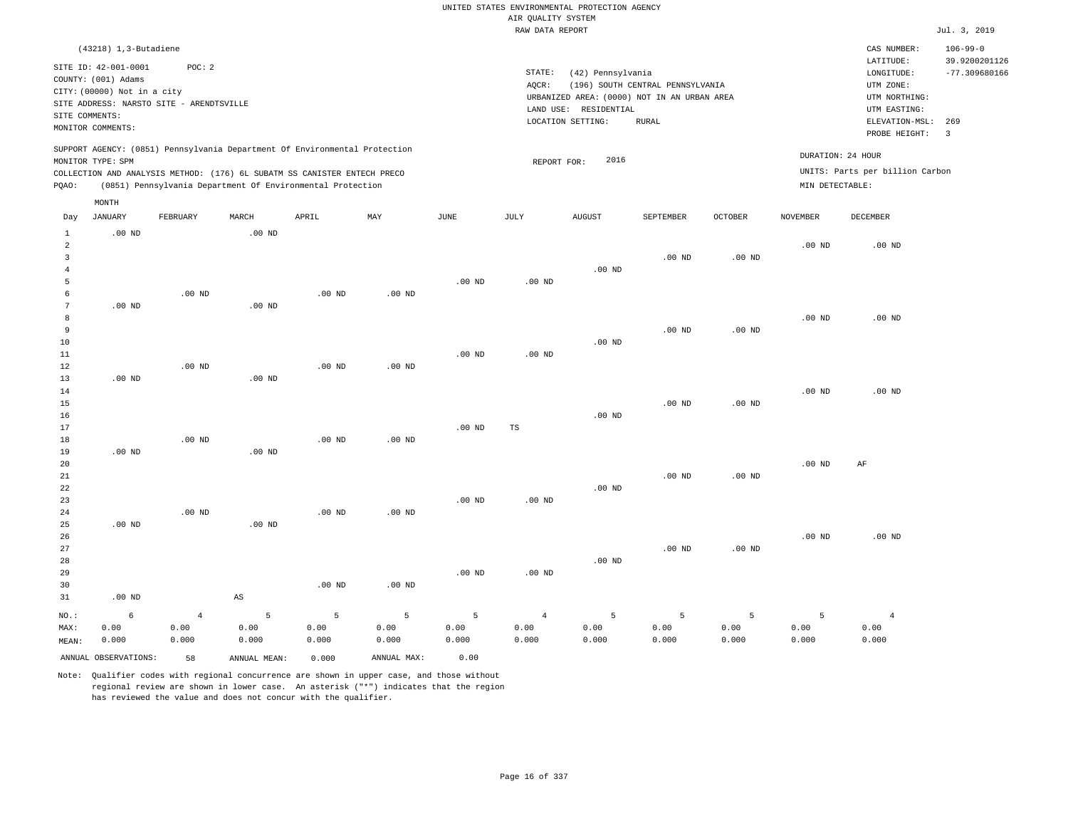|                     |                             |                                          |                        |                                                                            |                           |                   |                                       | UNITED STATES ENVIRONMENTAL PROTECTION AGENCY |                                  |                   |                   |                                 |                 |
|---------------------|-----------------------------|------------------------------------------|------------------------|----------------------------------------------------------------------------|---------------------------|-------------------|---------------------------------------|-----------------------------------------------|----------------------------------|-------------------|-------------------|---------------------------------|-----------------|
|                     |                             |                                          |                        |                                                                            |                           |                   | AIR QUALITY SYSTEM<br>RAW DATA REPORT |                                               |                                  |                   |                   |                                 | Jul. 3, 2019    |
|                     |                             |                                          |                        |                                                                            |                           |                   |                                       |                                               |                                  |                   |                   |                                 |                 |
|                     | (43218) 1,3-Butadiene       |                                          |                        |                                                                            |                           |                   |                                       |                                               |                                  |                   |                   | CAS NUMBER:                     | $106 - 99 - 0$  |
|                     | SITE ID: 42-001-0001        | POC: 2                                   |                        |                                                                            |                           |                   |                                       |                                               |                                  |                   |                   | LATITUDE:                       | 39.9200201126   |
|                     | COUNTY: (001) Adams         |                                          |                        |                                                                            |                           |                   | STATE:<br>AOCR:                       | (42) Pennsylvania                             | (196) SOUTH CENTRAL PENNSYLVANIA |                   |                   | LONGITUDE:<br>UTM ZONE:         | $-77.309680166$ |
|                     | CITY: (00000) Not in a city |                                          |                        |                                                                            |                           |                   |                                       | URBANIZED AREA: (0000) NOT IN AN URBAN AREA   |                                  |                   |                   | UTM NORTHING:                   |                 |
|                     |                             | SITE ADDRESS: NARSTO SITE - ARENDTSVILLE |                        |                                                                            |                           |                   |                                       | LAND USE: RESIDENTIAL                         |                                  |                   |                   | UTM EASTING:                    |                 |
| SITE COMMENTS:      |                             |                                          |                        |                                                                            |                           |                   |                                       | LOCATION SETTING:                             | <b>RURAL</b>                     |                   |                   | ELEVATION-MSL:                  | 269             |
|                     | MONITOR COMMENTS:           |                                          |                        |                                                                            |                           |                   |                                       |                                               |                                  |                   |                   | PROBE HEIGHT:                   | $\overline{3}$  |
|                     |                             |                                          |                        | SUPPORT AGENCY: (0851) Pennsylvania Department Of Environmental Protection |                           |                   |                                       |                                               |                                  |                   |                   |                                 |                 |
|                     | MONITOR TYPE: SPM           |                                          |                        |                                                                            |                           |                   | REPORT FOR:                           | 2016                                          |                                  |                   |                   | DURATION: 24 HOUR               |                 |
|                     |                             |                                          |                        | COLLECTION AND ANALYSIS METHOD: (176) 6L SUBATM SS CANISTER ENTECH PRECO   |                           |                   |                                       |                                               |                                  |                   |                   | UNITS: Parts per billion Carbon |                 |
| PQAO:               |                             |                                          |                        | (0851) Pennsylvania Department Of Environmental Protection                 |                           |                   |                                       |                                               |                                  |                   | MIN DETECTABLE:   |                                 |                 |
|                     | MONTH                       |                                          |                        |                                                                            |                           |                   |                                       |                                               |                                  |                   |                   |                                 |                 |
| Day                 | <b>JANUARY</b>              | FEBRUARY                                 | MARCH                  | APRIL                                                                      | $\ensuremath{\text{MAX}}$ | <b>JUNE</b>       | JULY                                  | <b>AUGUST</b>                                 | SEPTEMBER                        | <b>OCTOBER</b>    | <b>NOVEMBER</b>   | DECEMBER                        |                 |
| $\mathbf{1}$        | $.00$ ND                    |                                          | .00 <sub>ND</sub>      |                                                                            |                           |                   |                                       |                                               |                                  |                   |                   |                                 |                 |
| $\overline{a}$      |                             |                                          |                        |                                                                            |                           |                   |                                       |                                               |                                  |                   | .00 <sub>ND</sub> | $.00$ ND                        |                 |
| 3                   |                             |                                          |                        |                                                                            |                           |                   |                                       |                                               | $.00$ ND                         | .00 <sub>ND</sub> |                   |                                 |                 |
| $\overline{4}$<br>5 |                             |                                          |                        |                                                                            |                           | $.00$ ND          | $.00$ ND                              | $.00$ ND                                      |                                  |                   |                   |                                 |                 |
| 6                   |                             | $.00$ ND                                 |                        | $.00$ ND                                                                   | $.00$ ND                  |                   |                                       |                                               |                                  |                   |                   |                                 |                 |
| $\overline{7}$      | $.00$ ND                    |                                          | .00 <sub>ND</sub>      |                                                                            |                           |                   |                                       |                                               |                                  |                   |                   |                                 |                 |
| 8                   |                             |                                          |                        |                                                                            |                           |                   |                                       |                                               |                                  |                   | .00 <sub>ND</sub> | $.00$ ND                        |                 |
| 9                   |                             |                                          |                        |                                                                            |                           |                   |                                       |                                               | $.00$ ND                         | .00 <sub>ND</sub> |                   |                                 |                 |
| 10                  |                             |                                          |                        |                                                                            |                           |                   |                                       | $.00$ ND                                      |                                  |                   |                   |                                 |                 |
| $11\,$              |                             |                                          |                        |                                                                            |                           | $.00$ ND          | .00 <sub>ND</sub>                     |                                               |                                  |                   |                   |                                 |                 |
| 12                  |                             | $.00$ ND                                 |                        | $.00$ ND                                                                   | .00 <sub>ND</sub>         |                   |                                       |                                               |                                  |                   |                   |                                 |                 |
| 13                  | $.00$ ND                    |                                          | $.00$ ND               |                                                                            |                           |                   |                                       |                                               |                                  |                   |                   |                                 |                 |
| 14                  |                             |                                          |                        |                                                                            |                           |                   |                                       |                                               |                                  |                   | $.00$ ND          | $.00$ ND                        |                 |
| 15<br>16            |                             |                                          |                        |                                                                            |                           |                   |                                       | $.00$ ND                                      | $.00$ ND                         | .00 <sub>ND</sub> |                   |                                 |                 |
| 17                  |                             |                                          |                        |                                                                            |                           | $.00$ ND          | TS                                    |                                               |                                  |                   |                   |                                 |                 |
| 18                  |                             | $.00$ ND                                 |                        | .00 <sub>ND</sub>                                                          | $.00$ ND                  |                   |                                       |                                               |                                  |                   |                   |                                 |                 |
| 19                  | $.00$ ND                    |                                          | $.00$ ND               |                                                                            |                           |                   |                                       |                                               |                                  |                   |                   |                                 |                 |
| 20                  |                             |                                          |                        |                                                                            |                           |                   |                                       |                                               |                                  |                   | .00 <sub>ND</sub> | $\rm{AF}$                       |                 |
| $2\sqrt{1}$         |                             |                                          |                        |                                                                            |                           |                   |                                       |                                               | $.00$ ND                         | .00 <sub>ND</sub> |                   |                                 |                 |
| 22                  |                             |                                          |                        |                                                                            |                           |                   |                                       | $.00$ ND                                      |                                  |                   |                   |                                 |                 |
| 23                  |                             |                                          |                        |                                                                            |                           | $.00$ ND          | $.00$ ND                              |                                               |                                  |                   |                   |                                 |                 |
| 24                  |                             | $.00$ ND                                 |                        | $.00$ ND                                                                   | .00 $ND$                  |                   |                                       |                                               |                                  |                   |                   |                                 |                 |
| 25<br>26            | $.00$ ND                    |                                          | $.00$ ND               |                                                                            |                           |                   |                                       |                                               |                                  |                   | $.00$ ND          | $.00$ ND                        |                 |
| 27                  |                             |                                          |                        |                                                                            |                           |                   |                                       |                                               | $.00$ ND                         | .00 <sub>ND</sub> |                   |                                 |                 |
| 28                  |                             |                                          |                        |                                                                            |                           |                   |                                       | $.00$ ND                                      |                                  |                   |                   |                                 |                 |
| 29                  |                             |                                          |                        |                                                                            |                           | .00 <sub>ND</sub> | $.00$ ND                              |                                               |                                  |                   |                   |                                 |                 |
| 30                  |                             |                                          |                        | .00 <sub>ND</sub>                                                          | $.00$ ND                  |                   |                                       |                                               |                                  |                   |                   |                                 |                 |
| 31                  | $.00$ ND                    |                                          | $\mathbb{A}\mathbb{S}$ |                                                                            |                           |                   |                                       |                                               |                                  |                   |                   |                                 |                 |
| NO.:                | 6                           | $\overline{4}$                           | 5                      | 5                                                                          | 5                         | 5                 | $\overline{4}$                        | 5                                             | $\overline{5}$                   | 5                 | 5                 | $\overline{4}$                  |                 |
| MAX:                | 0.00                        | 0.00                                     | 0.00                   | 0.00                                                                       | 0.00                      | 0.00              | 0.00                                  | 0.00                                          | 0.00                             | 0.00              | 0.00              | 0.00                            |                 |
| MEAN:               | 0.000                       | 0.000                                    | 0.000                  | 0.000                                                                      | 0.000                     | 0.000             | 0.000                                 | 0.000                                         | 0.000                            | 0.000             | 0.000             | 0.000                           |                 |
|                     | ANNUAL OBSERVATIONS:        | 58                                       | ANNUAL MEAN:           | 0.000                                                                      | ANNUAL MAX:               | 0.00              |                                       |                                               |                                  |                   |                   |                                 |                 |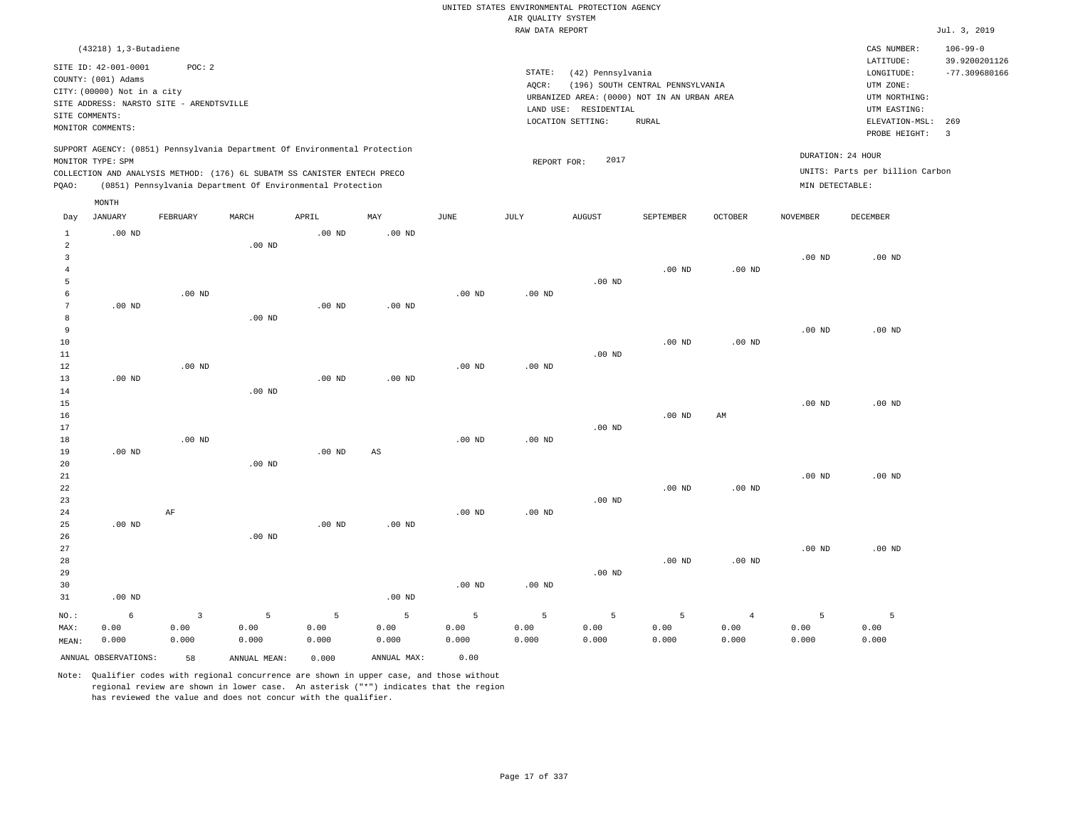|                                |                                             |                   |                                                                            |                   |             |             |                    | UNITED STATES ENVIRONMENTAL PROTECTION AGENCY |                                  |                |                   |                                 |                                 |
|--------------------------------|---------------------------------------------|-------------------|----------------------------------------------------------------------------|-------------------|-------------|-------------|--------------------|-----------------------------------------------|----------------------------------|----------------|-------------------|---------------------------------|---------------------------------|
|                                |                                             |                   |                                                                            |                   |             |             | AIR QUALITY SYSTEM |                                               |                                  |                |                   |                                 |                                 |
|                                |                                             |                   |                                                                            |                   |             |             | RAW DATA REPORT    |                                               |                                  |                |                   |                                 | Jul. 3, 2019                    |
|                                | (43218) 1,3-Butadiene                       |                   |                                                                            |                   |             |             |                    |                                               |                                  |                |                   | CAS NUMBER:<br>LATITUDE:        | $106 - 99 - 0$<br>39.9200201126 |
|                                | SITE ID: 42-001-0001<br>COUNTY: (001) Adams | POC: 2            |                                                                            |                   |             |             | STATE:             | (42) Pennsylvania                             |                                  |                |                   | LONGITUDE:                      | $-77.309680166$                 |
|                                | CITY: (00000) Not in a city                 |                   |                                                                            |                   |             |             | AQCR:              |                                               | (196) SOUTH CENTRAL PENNSYLVANIA |                |                   | UTM ZONE:                       |                                 |
|                                | SITE ADDRESS: NARSTO SITE - ARENDTSVILLE    |                   |                                                                            |                   |             |             |                    | URBANIZED AREA: (0000) NOT IN AN URBAN AREA   |                                  |                |                   | UTM NORTHING:                   |                                 |
| SITE COMMENTS:                 |                                             |                   |                                                                            |                   |             |             |                    | LAND USE: RESIDENTIAL                         |                                  |                |                   | UTM EASTING:                    |                                 |
|                                | MONITOR COMMENTS:                           |                   |                                                                            |                   |             |             |                    | LOCATION SETTING:                             | <b>RURAL</b>                     |                |                   | ELEVATION-MSL:<br>PROBE HEIGHT: | 269<br>$\overline{\mathbf{3}}$  |
|                                | MONITOR TYPE: SPM                           |                   | SUPPORT AGENCY: (0851) Pennsylvania Department Of Environmental Protection |                   |             |             | REPORT FOR:        | 2017                                          |                                  |                |                   | DURATION: 24 HOUR               |                                 |
|                                |                                             |                   | COLLECTION AND ANALYSIS METHOD: (176) 6L SUBATM SS CANISTER ENTECH PRECO   |                   |             |             |                    |                                               |                                  |                |                   | UNITS: Parts per billion Carbon |                                 |
| PQAO:                          |                                             |                   | (0851) Pennsylvania Department Of Environmental Protection                 |                   |             |             |                    |                                               |                                  |                | MIN DETECTABLE:   |                                 |                                 |
|                                | MONTH                                       |                   |                                                                            |                   |             |             |                    |                                               |                                  |                |                   |                                 |                                 |
| Day                            | <b>JANUARY</b>                              | FEBRUARY          | MARCH                                                                      | APRIL             | MAY         | <b>JUNE</b> | <b>JULY</b>        | AUGUST                                        | SEPTEMBER                        | OCTOBER        | <b>NOVEMBER</b>   | <b>DECEMBER</b>                 |                                 |
| $\mathbf{1}$                   | $.00$ ND                                    |                   |                                                                            | $.00$ ND          | $.00$ ND    |             |                    |                                               |                                  |                |                   |                                 |                                 |
| $\overline{2}$<br>$\mathbf{3}$ |                                             |                   | $.00$ ND                                                                   |                   |             |             |                    |                                               |                                  |                | .00 <sub>ND</sub> |                                 |                                 |
| $\overline{4}$                 |                                             |                   |                                                                            |                   |             |             |                    |                                               | $.00$ ND                         | $.00$ ND       |                   | $.00$ ND                        |                                 |
| 5                              |                                             |                   |                                                                            |                   |             |             |                    | $.00$ ND                                      |                                  |                |                   |                                 |                                 |
| 6                              |                                             | $.00$ ND          |                                                                            |                   |             | $.00$ ND    | $.00$ ND           |                                               |                                  |                |                   |                                 |                                 |
| $7\phantom{.0}$                | $.00$ ND                                    |                   |                                                                            | $.00$ ND          | $.00$ ND    |             |                    |                                               |                                  |                |                   |                                 |                                 |
| 8                              |                                             |                   | .00 <sub>ND</sub>                                                          |                   |             |             |                    |                                               |                                  |                |                   |                                 |                                 |
| 9                              |                                             |                   |                                                                            |                   |             |             |                    |                                               |                                  |                | $.00$ ND          | $.00$ ND                        |                                 |
| 10                             |                                             |                   |                                                                            |                   |             |             |                    |                                               | .00 <sub>ND</sub>                | $.00$ ND       |                   |                                 |                                 |
| 11                             |                                             |                   |                                                                            |                   |             |             |                    | .00 <sub>ND</sub>                             |                                  |                |                   |                                 |                                 |
| 12                             |                                             | $.00$ ND          |                                                                            |                   |             | $.00$ ND    | .00 <sub>ND</sub>  |                                               |                                  |                |                   |                                 |                                 |
| 13                             | $.00$ ND                                    |                   |                                                                            | $.00$ ND          | $.00$ ND    |             |                    |                                               |                                  |                |                   |                                 |                                 |
| 14                             |                                             |                   | $.00$ ND                                                                   |                   |             |             |                    |                                               |                                  |                |                   |                                 |                                 |
| 15                             |                                             |                   |                                                                            |                   |             |             |                    |                                               |                                  |                | $.00$ ND          | $.00$ ND                        |                                 |
| 16<br>17                       |                                             |                   |                                                                            |                   |             |             |                    | .00 <sub>ND</sub>                             | $.00$ ND                         | AM             |                   |                                 |                                 |
| 18                             |                                             | .00 <sub>ND</sub> |                                                                            |                   |             | $.00$ ND    | $.00$ ND           |                                               |                                  |                |                   |                                 |                                 |
| 19                             | $.00$ ND                                    |                   |                                                                            | .00 <sub>ND</sub> | $_{\rm AS}$ |             |                    |                                               |                                  |                |                   |                                 |                                 |
| 20                             |                                             |                   | $.00$ ND                                                                   |                   |             |             |                    |                                               |                                  |                |                   |                                 |                                 |
| $21\,$                         |                                             |                   |                                                                            |                   |             |             |                    |                                               |                                  |                | $.00$ ND          | $.00$ ND                        |                                 |
| 22                             |                                             |                   |                                                                            |                   |             |             |                    |                                               | $.00$ ND                         | $.00$ ND       |                   |                                 |                                 |
| 23                             |                                             |                   |                                                                            |                   |             |             |                    | $.00$ ND                                      |                                  |                |                   |                                 |                                 |
| 24                             |                                             | AF                |                                                                            |                   |             | $.00$ ND    | $.00$ ND           |                                               |                                  |                |                   |                                 |                                 |
| 25                             | $.00$ ND                                    |                   |                                                                            | $.00$ ND          | $.00$ ND    |             |                    |                                               |                                  |                |                   |                                 |                                 |
| 26                             |                                             |                   | $.00$ ND                                                                   |                   |             |             |                    |                                               |                                  |                |                   |                                 |                                 |
| 27                             |                                             |                   |                                                                            |                   |             |             |                    |                                               |                                  |                | $.00$ ND          | $.00$ ND                        |                                 |
| 28                             |                                             |                   |                                                                            |                   |             |             |                    |                                               | .00 <sub>ND</sub>                | $.00$ ND       |                   |                                 |                                 |
| 29                             |                                             |                   |                                                                            |                   |             |             |                    | $.00$ ND                                      |                                  |                |                   |                                 |                                 |
| 30<br>31                       | $.00$ ND                                    |                   |                                                                            |                   | $.00$ ND    | $.00$ ND    | .00 <sub>ND</sub>  |                                               |                                  |                |                   |                                 |                                 |
|                                |                                             |                   |                                                                            |                   |             |             |                    |                                               |                                  |                |                   |                                 |                                 |
| NO.:                           | 6                                           | 3                 | 5                                                                          | 5                 | 5           | 5           | 5                  | 5                                             | 5                                | $\overline{4}$ | 5                 | 5                               |                                 |
| MAX:                           | 0.00                                        | 0.00              | 0.00                                                                       | 0.00              | 0.00        | 0.00        | 0.00               | 0.00                                          | 0.00                             | 0.00           | 0.00              | 0.00                            |                                 |
| MEAN:                          | 0.000                                       | 0.000             | 0.000                                                                      | 0.000             | 0.000       | 0.000       | 0.000              | 0.000                                         | 0.000                            | 0.000          | 0.000             | 0.000                           |                                 |
|                                | ANNUAL OBSERVATIONS:                        | 58                | ANNUAL MEAN:                                                               | 0.000             | ANNUAL MAX: | 0.00        |                    |                                               |                                  |                |                   |                                 |                                 |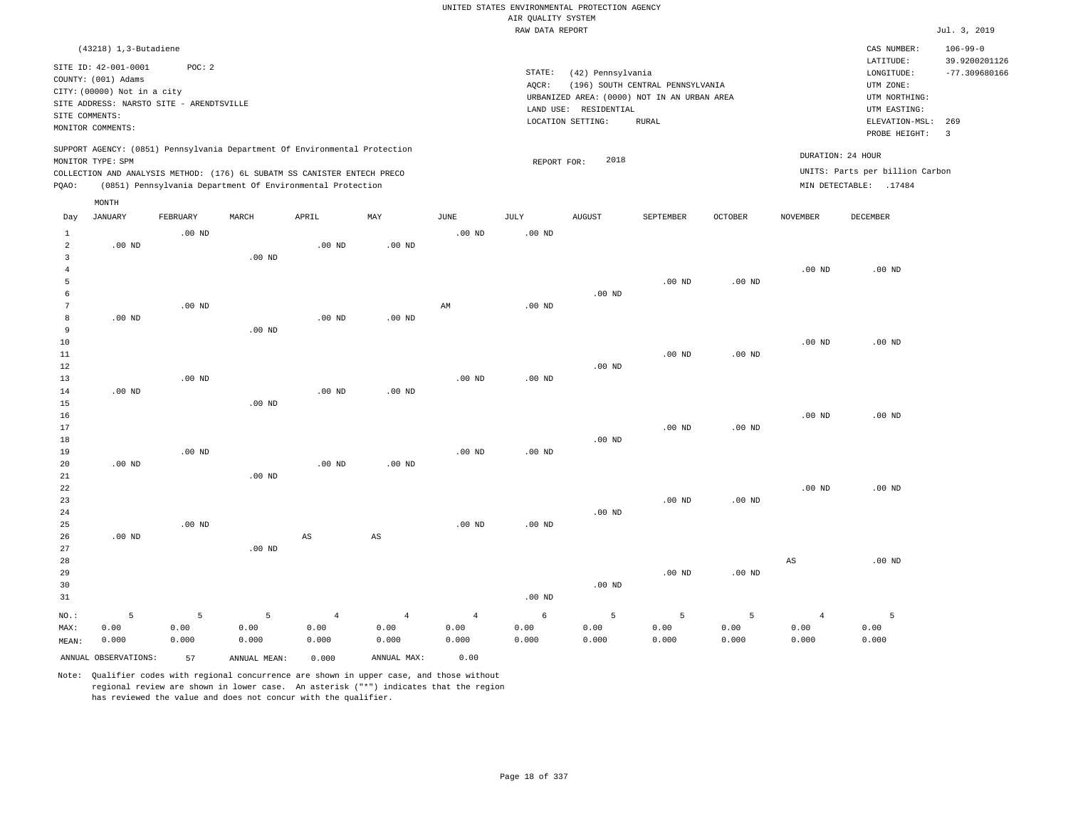|                                       |                                                                                                                                             |                    |                                                            |                                 |                                 |                                 | AIR QUALITY SYSTEM | UNITED STATES ENVIRONMENTAL PROTECTION AGENCY                   |                                                                                                 |                    |                                 |                                                                                                          |                                                   |
|---------------------------------------|---------------------------------------------------------------------------------------------------------------------------------------------|--------------------|------------------------------------------------------------|---------------------------------|---------------------------------|---------------------------------|--------------------|-----------------------------------------------------------------|-------------------------------------------------------------------------------------------------|--------------------|---------------------------------|----------------------------------------------------------------------------------------------------------|---------------------------------------------------|
|                                       |                                                                                                                                             |                    |                                                            |                                 |                                 |                                 | RAW DATA REPORT    |                                                                 |                                                                                                 |                    |                                 |                                                                                                          | Jul. 3, 2019                                      |
|                                       | $(43218)$ 1, 3-Butadiene                                                                                                                    |                    |                                                            |                                 |                                 |                                 |                    |                                                                 |                                                                                                 |                    |                                 | CAS NUMBER:                                                                                              | $106 - 99 - 0$<br>39.9200201126                   |
| SITE COMMENTS:                        | SITE ID: 42-001-0001<br>COUNTY: (001) Adams<br>CITY: (00000) Not in a city<br>SITE ADDRESS: NARSTO SITE - ARENDTSVILLE<br>MONITOR COMMENTS: | POC: 2             |                                                            |                                 |                                 |                                 | STATE:<br>AQCR:    | (42) Pennsylvania<br>LAND USE: RESIDENTIAL<br>LOCATION SETTING: | (196) SOUTH CENTRAL PENNSYLVANIA<br>URBANIZED AREA: (0000) NOT IN AN URBAN AREA<br><b>RURAL</b> |                    |                                 | LATITUDE:<br>LONGITUDE:<br>UTM ZONE:<br>UTM NORTHING:<br>UTM EASTING:<br>ELEVATION-MSL:<br>PROBE HEIGHT: | $-77.309680166$<br>269<br>$\overline{\mathbf{3}}$ |
|                                       | SUPPORT AGENCY: (0851) Pennsylvania Department Of Environmental Protection<br>MONITOR TYPE: SPM                                             |                    |                                                            |                                 |                                 |                                 | REPORT FOR:        | 2018                                                            |                                                                                                 |                    |                                 | DURATION: 24 HOUR                                                                                        |                                                   |
| PQAO:                                 | COLLECTION AND ANALYSIS METHOD: (176) 6L SUBATM SS CANISTER ENTECH PRECO                                                                    |                    | (0851) Pennsylvania Department Of Environmental Protection |                                 |                                 |                                 |                    |                                                                 |                                                                                                 |                    |                                 | UNITS: Parts per billion Carbon<br>MIN DETECTABLE: .17484                                                |                                                   |
|                                       | MONTH                                                                                                                                       |                    |                                                            |                                 |                                 |                                 |                    |                                                                 |                                                                                                 |                    |                                 |                                                                                                          |                                                   |
| Day                                   | JANUARY                                                                                                                                     | FEBRUARY           | MARCH                                                      | APRIL                           | MAY                             | JUNE                            | JULY               | <b>AUGUST</b>                                                   | SEPTEMBER                                                                                       | OCTOBER            | NOVEMBER                        | DECEMBER                                                                                                 |                                                   |
| $\mathbf{1}$<br>$\overline{a}$        | $.00$ ND                                                                                                                                    | $.00$ ND           |                                                            | $.00$ ND                        | $.00$ ND                        | .00 <sub>ND</sub>               | .00 <sub>ND</sub>  |                                                                 |                                                                                                 |                    |                                 |                                                                                                          |                                                   |
| $\overline{3}$<br>$\overline{4}$<br>5 |                                                                                                                                             |                    | .00 <sub>ND</sub>                                          |                                 |                                 |                                 |                    |                                                                 | $.00$ ND                                                                                        | $.00$ ND           | $.00$ ND                        | $.00$ ND                                                                                                 |                                                   |
| 6<br>$7\phantom{.0}$                  |                                                                                                                                             | $.00$ ND           |                                                            |                                 |                                 | $\mathbb{A}\mathbb{M}$          | $.00$ ND           | $.00$ ND                                                        |                                                                                                 |                    |                                 |                                                                                                          |                                                   |
| 8<br>9<br>$10$                        | $.00$ ND                                                                                                                                    |                    | $.00$ ND                                                   | $.00$ ND                        | $.00$ ND                        |                                 |                    |                                                                 |                                                                                                 |                    | $.00$ ND                        | $.00$ ND                                                                                                 |                                                   |
| 11<br>12                              |                                                                                                                                             |                    |                                                            |                                 |                                 |                                 |                    | $.00$ ND                                                        | .00 <sub>ND</sub>                                                                               | $.00$ ND           |                                 |                                                                                                          |                                                   |
| 13<br>14<br>15                        | .00 <sub>ND</sub>                                                                                                                           | $.00$ ND           | $.00$ ND                                                   | .00 <sub>ND</sub>               | $.00$ ND                        | .00 <sub>ND</sub>               | .00 <sub>ND</sub>  |                                                                 |                                                                                                 |                    |                                 |                                                                                                          |                                                   |
| 16<br>17                              |                                                                                                                                             |                    |                                                            |                                 |                                 |                                 |                    |                                                                 | $.00$ ND                                                                                        | $.00$ ND           | .00 <sub>ND</sub>               | $.00$ ND                                                                                                 |                                                   |
| 18<br>19<br>20                        | $.00$ ND                                                                                                                                    | $.00$ ND           |                                                            | $.00$ ND                        | $.00$ ND                        | $.00$ ND                        | $.00$ ND           | $.00$ ND                                                        |                                                                                                 |                    |                                 |                                                                                                          |                                                   |
| 21<br>22<br>23                        |                                                                                                                                             |                    | $.00$ ND                                                   |                                 |                                 |                                 |                    |                                                                 | $.00$ ND                                                                                        | $.00$ ND           | $.00$ ND                        | $.00$ ND                                                                                                 |                                                   |
| 24<br>25<br>26                        | $.00$ ND                                                                                                                                    | $.00$ ND           |                                                            | $\mathbb{A}\mathbb{S}$          | $\mathbb{A}\mathbb{S}$          | .00 <sub>ND</sub>               | .00 <sub>ND</sub>  | $.00$ ND                                                        |                                                                                                 |                    |                                 |                                                                                                          |                                                   |
| 27<br>28<br>29<br>30<br>31            |                                                                                                                                             |                    | $.00$ ND                                                   |                                 |                                 |                                 | .00 <sub>ND</sub>  | $.00$ ND                                                        | $.00$ ND                                                                                        | $.00$ ND           | $_{\rm AS}$                     | $.00$ ND                                                                                                 |                                                   |
| NO.:<br>MAX:                          | 5<br>0.00<br>0.000                                                                                                                          | 5<br>0.00<br>0.000 | 5<br>0.00<br>0.000                                         | $\overline{4}$<br>0.00<br>0.000 | $\overline{4}$<br>0.00<br>0.000 | $\overline{4}$<br>0.00<br>0.000 | 6<br>0.00<br>0.000 | 5<br>0.00<br>0.000                                              | 5<br>0.00<br>0.000                                                                              | 5<br>0.00<br>0.000 | $\overline{4}$<br>0.00<br>0.000 | 5<br>0.00<br>0.000                                                                                       |                                                   |
| MEAN:                                 | ANNUAL OBSERVATIONS:                                                                                                                        | 57                 | ANNUAL MEAN:                                               | 0.000                           | ANNUAL MAX:                     | 0.00                            |                    |                                                                 |                                                                                                 |                    |                                 |                                                                                                          |                                                   |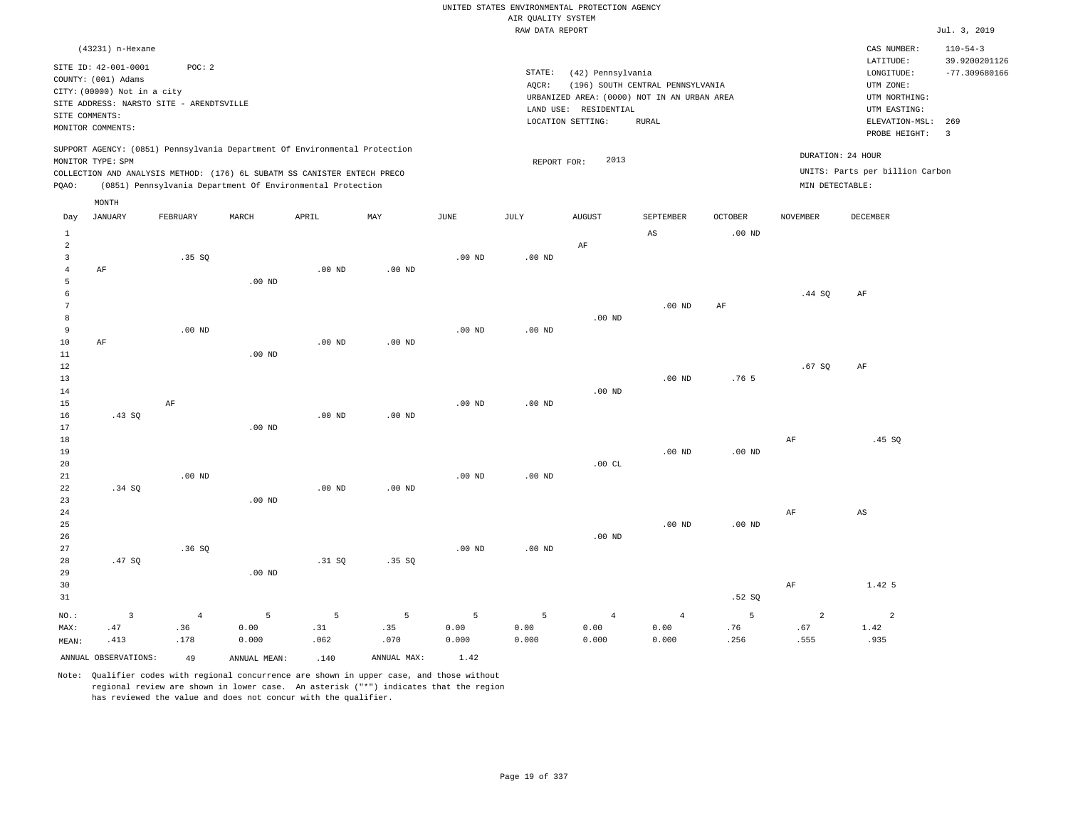|                                           |                                             |                   |                   |                                                                                                                                        |                   |                   |                    | UNITED STATES ENVIRONMENTAL PROTECTION AGENCY |                                             |                   |                   |                                 |                                 |
|-------------------------------------------|---------------------------------------------|-------------------|-------------------|----------------------------------------------------------------------------------------------------------------------------------------|-------------------|-------------------|--------------------|-----------------------------------------------|---------------------------------------------|-------------------|-------------------|---------------------------------|---------------------------------|
|                                           |                                             |                   |                   |                                                                                                                                        |                   |                   | AIR QUALITY SYSTEM |                                               |                                             |                   |                   |                                 |                                 |
|                                           |                                             |                   |                   |                                                                                                                                        |                   |                   | RAW DATA REPORT    |                                               |                                             |                   |                   |                                 | Jul. 3, 2019                    |
|                                           | (43231) n-Hexane                            |                   |                   |                                                                                                                                        |                   |                   |                    |                                               |                                             |                   |                   | CAS NUMBER:<br>LATITUDE:        | $110 - 54 - 3$<br>39.9200201126 |
|                                           | SITE ID: 42-001-0001<br>COUNTY: (001) Adams | POC: 2            |                   |                                                                                                                                        |                   |                   | STATE:             | (42) Pennsylvania                             |                                             |                   |                   | LONGITUDE:                      | $-77.309680166$                 |
|                                           | CITY: (00000) Not in a city                 |                   |                   |                                                                                                                                        |                   |                   | AQCR:              |                                               | (196) SOUTH CENTRAL PENNSYLVANIA            |                   |                   | UTM ZONE:                       |                                 |
|                                           | SITE ADDRESS: NARSTO SITE - ARENDTSVILLE    |                   |                   |                                                                                                                                        |                   |                   |                    |                                               | URBANIZED AREA: (0000) NOT IN AN URBAN AREA |                   |                   | UTM NORTHING:                   |                                 |
|                                           | SITE COMMENTS:                              |                   |                   |                                                                                                                                        |                   |                   |                    | LAND USE: RESIDENTIAL                         |                                             |                   |                   | UTM EASTING:                    |                                 |
|                                           | MONITOR COMMENTS:                           |                   |                   |                                                                                                                                        |                   |                   |                    | LOCATION SETTING:                             | <b>RURAL</b>                                |                   |                   | ELEVATION-MSL:<br>PROBE HEIGHT: | 269<br>$\overline{3}$           |
|                                           |                                             |                   |                   | SUPPORT AGENCY: (0851) Pennsylvania Department Of Environmental Protection                                                             |                   |                   |                    |                                               |                                             |                   | DURATION: 24 HOUR |                                 |                                 |
|                                           | MONITOR TYPE: SPM                           |                   |                   |                                                                                                                                        |                   |                   | REPORT FOR:        | 2013                                          |                                             |                   |                   | UNITS: Parts per billion Carbon |                                 |
| PQAO:                                     |                                             |                   |                   | COLLECTION AND ANALYSIS METHOD: (176) 6L SUBATM SS CANISTER ENTECH PRECO<br>(0851) Pennsylvania Department Of Environmental Protection |                   |                   |                    |                                               |                                             |                   | MIN DETECTABLE:   |                                 |                                 |
|                                           | $\texttt{MONTH}$                            |                   |                   |                                                                                                                                        |                   |                   |                    |                                               |                                             |                   |                   |                                 |                                 |
| Day                                       | <b>JANUARY</b>                              | FEBRUARY          | MARCH             | APRIL                                                                                                                                  | MAY               | $\mathtt{JUNE}$   | JULY               | <b>AUGUST</b>                                 | SEPTEMBER                                   | <b>OCTOBER</b>    | <b>NOVEMBER</b>   | DECEMBER                        |                                 |
| $\mathbf{1}$                              |                                             |                   |                   |                                                                                                                                        |                   |                   |                    |                                               | AS                                          | .00 <sub>ND</sub> |                   |                                 |                                 |
| 2                                         |                                             |                   |                   |                                                                                                                                        |                   |                   |                    | $\rm{AF}$                                     |                                             |                   |                   |                                 |                                 |
| $\overline{\mathbf{3}}$<br>$\overline{4}$ | AF                                          | .35 SQ            |                   | $.00$ ND                                                                                                                               | $.00$ ND          | .00 <sub>ND</sub> | .00 <sub>ND</sub>  |                                               |                                             |                   |                   |                                 |                                 |
| 5                                         |                                             |                   | $.00$ ND          |                                                                                                                                        |                   |                   |                    |                                               |                                             |                   |                   |                                 |                                 |
| 6                                         |                                             |                   |                   |                                                                                                                                        |                   |                   |                    |                                               |                                             |                   | .44 S0            | $\rm{AF}$                       |                                 |
| $7\phantom{.0}$                           |                                             |                   |                   |                                                                                                                                        |                   |                   |                    |                                               | .00 <sub>ND</sub>                           | AF                |                   |                                 |                                 |
| 8                                         |                                             |                   |                   |                                                                                                                                        |                   |                   |                    | $.00$ ND                                      |                                             |                   |                   |                                 |                                 |
| 9                                         |                                             | $.00$ ND          |                   |                                                                                                                                        |                   | $.00$ ND          | $.00$ ND           |                                               |                                             |                   |                   |                                 |                                 |
| $10$                                      | AF                                          |                   |                   | $.00$ ND                                                                                                                               | .00 <sub>ND</sub> |                   |                    |                                               |                                             |                   |                   |                                 |                                 |
| $11\,$                                    |                                             |                   | $.00$ ND          |                                                                                                                                        |                   |                   |                    |                                               |                                             |                   |                   |                                 |                                 |
| 12<br>13                                  |                                             |                   |                   |                                                                                                                                        |                   |                   |                    |                                               | .00 <sub>ND</sub>                           | .76 <sub>5</sub>  | .67SQ             | AF                              |                                 |
| $14\,$                                    |                                             |                   |                   |                                                                                                                                        |                   |                   |                    | $.00$ ND                                      |                                             |                   |                   |                                 |                                 |
| 15                                        |                                             | AF                |                   |                                                                                                                                        |                   | $.00$ ND          | $.00$ ND           |                                               |                                             |                   |                   |                                 |                                 |
| 16                                        | .43SQ                                       |                   |                   | $.00$ ND                                                                                                                               | .00 <sub>ND</sub> |                   |                    |                                               |                                             |                   |                   |                                 |                                 |
| 17                                        |                                             |                   | $.00$ ND          |                                                                                                                                        |                   |                   |                    |                                               |                                             |                   |                   |                                 |                                 |
| 18                                        |                                             |                   |                   |                                                                                                                                        |                   |                   |                    |                                               |                                             |                   | $\rm{AF}$         | .45 SQ                          |                                 |
| 19                                        |                                             |                   |                   |                                                                                                                                        |                   |                   |                    |                                               | $.00$ ND                                    | .00 <sub>ND</sub> |                   |                                 |                                 |
| 20                                        |                                             |                   |                   |                                                                                                                                        |                   |                   |                    | .00CL                                         |                                             |                   |                   |                                 |                                 |
| 21<br>22                                  | .34 S0                                      | .00 <sub>ND</sub> |                   | $.00$ ND                                                                                                                               | $.00$ ND          | $.00$ ND          | $.00$ ND           |                                               |                                             |                   |                   |                                 |                                 |
| 23                                        |                                             |                   | $.00$ ND          |                                                                                                                                        |                   |                   |                    |                                               |                                             |                   |                   |                                 |                                 |
| 24                                        |                                             |                   |                   |                                                                                                                                        |                   |                   |                    |                                               |                                             |                   | AF                | AS                              |                                 |
| 25                                        |                                             |                   |                   |                                                                                                                                        |                   |                   |                    |                                               | $.00$ ND                                    | .00 <sub>ND</sub> |                   |                                 |                                 |
| 26                                        |                                             |                   |                   |                                                                                                                                        |                   |                   |                    | $.00$ ND                                      |                                             |                   |                   |                                 |                                 |
| 27                                        |                                             | .36SQ             |                   |                                                                                                                                        |                   | $.00$ ND          | $.00$ ND           |                                               |                                             |                   |                   |                                 |                                 |
| 28                                        | .47SQ                                       |                   |                   | .31 SQ                                                                                                                                 | .35SQ             |                   |                    |                                               |                                             |                   |                   |                                 |                                 |
| 29                                        |                                             |                   | .00 <sub>ND</sub> |                                                                                                                                        |                   |                   |                    |                                               |                                             |                   |                   |                                 |                                 |
| 30                                        |                                             |                   |                   |                                                                                                                                        |                   |                   |                    |                                               |                                             |                   | AF                | 1.42 5                          |                                 |
| 31                                        |                                             |                   |                   |                                                                                                                                        |                   |                   |                    |                                               |                                             | .52S              |                   |                                 |                                 |
| NO.:                                      | $\overline{3}$                              | $\overline{4}$    | 5                 | 5                                                                                                                                      | 5                 | 5                 | 5                  | $\overline{4}$                                | $\overline{4}$                              | 5                 | $\overline{a}$    | $\overline{a}$                  |                                 |
| MAX:                                      | .47                                         | .36               | 0.00              | .31                                                                                                                                    | .35               | 0.00              | 0.00               | 0.00                                          | 0.00                                        | .76               | .67               | 1.42                            |                                 |
| MEAN:                                     | .413                                        | .178              | 0.000             | .062                                                                                                                                   | .070              | 0.000             | 0.000              | 0.000                                         | 0.000                                       | .256              | .555              | .935                            |                                 |
|                                           | ANNUAL OBSERVATIONS:                        | 49                | ANNUAL MEAN:      | .140                                                                                                                                   | ANNUAL MAX:       | 1.42              |                    |                                               |                                             |                   |                   |                                 |                                 |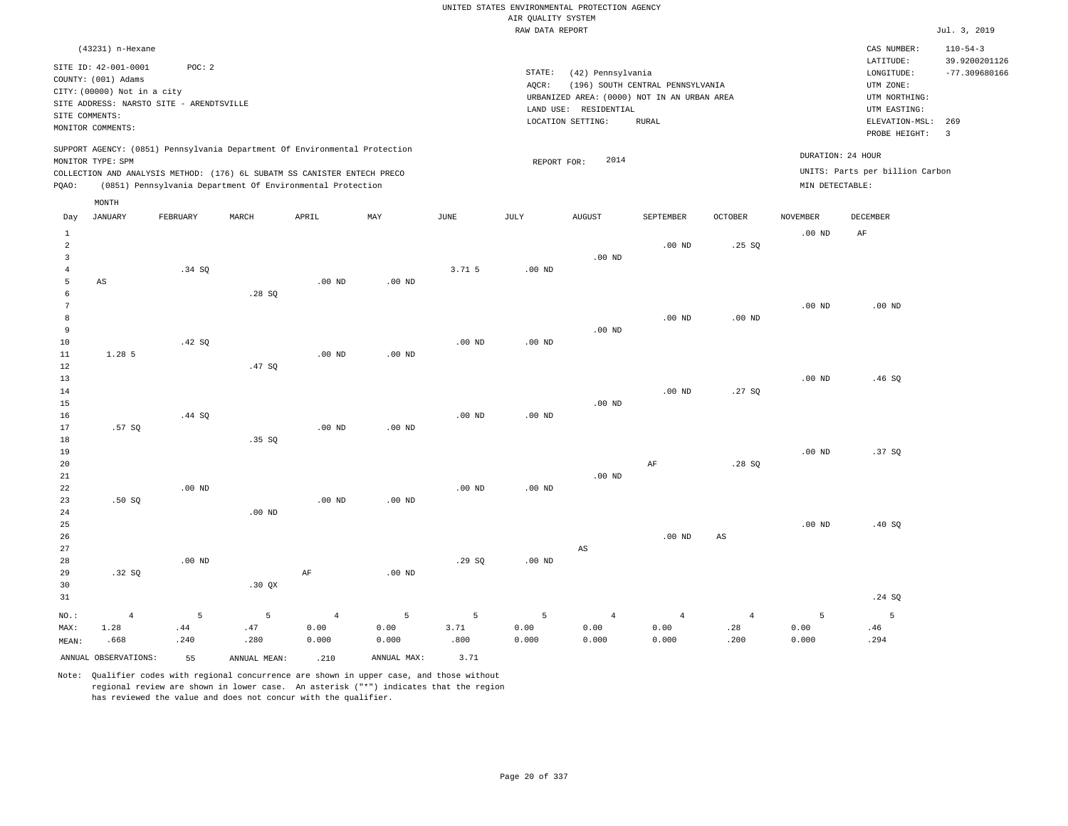|                                                     |                                                                                                |                   |                                                                                                                                                                                                                      |                                 |                    |                   |                    | UNITED STATES ENVIRONMENTAL PROTECTION AGENCY                    |                                  |                               |                                      |                                                                      |                                                    |
|-----------------------------------------------------|------------------------------------------------------------------------------------------------|-------------------|----------------------------------------------------------------------------------------------------------------------------------------------------------------------------------------------------------------------|---------------------------------|--------------------|-------------------|--------------------|------------------------------------------------------------------|----------------------------------|-------------------------------|--------------------------------------|----------------------------------------------------------------------|----------------------------------------------------|
|                                                     |                                                                                                |                   |                                                                                                                                                                                                                      |                                 |                    |                   | AIR QUALITY SYSTEM |                                                                  |                                  |                               |                                      |                                                                      |                                                    |
|                                                     |                                                                                                |                   |                                                                                                                                                                                                                      |                                 |                    |                   | RAW DATA REPORT    |                                                                  |                                  |                               |                                      |                                                                      | Jul. 3, 2019                                       |
|                                                     | (43231) n-Hexane<br>SITE ID: 42-001-0001<br>COUNTY: (001) Adams<br>CITY: (00000) Not in a city | POC: 2            |                                                                                                                                                                                                                      |                                 |                    |                   | STATE:<br>AQCR:    | (42) Pennsylvania<br>URBANIZED AREA: (0000) NOT IN AN URBAN AREA | (196) SOUTH CENTRAL PENNSYLVANIA |                               |                                      | CAS NUMBER:<br>LATITUDE:<br>LONGITUDE:<br>UTM ZONE:<br>UTM NORTHING: | $110 - 54 - 3$<br>39.9200201126<br>$-77.309680166$ |
|                                                     | SITE ADDRESS: NARSTO SITE - ARENDTSVILLE<br>SITE COMMENTS:<br>MONITOR COMMENTS:                |                   |                                                                                                                                                                                                                      |                                 |                    |                   |                    | LAND USE: RESIDENTIAL<br>LOCATION SETTING:                       | <b>RURAL</b>                     |                               |                                      | UTM EASTING:<br>ELEVATION-MSL:<br>PROBE HEIGHT:                      | 269<br>$\overline{\mathbf{3}}$                     |
| PQAO:                                               | MONITOR TYPE: SPM                                                                              |                   | SUPPORT AGENCY: (0851) Pennsylvania Department Of Environmental Protection<br>COLLECTION AND ANALYSIS METHOD: (176) 6L SUBATM SS CANISTER ENTECH PRECO<br>(0851) Pennsylvania Department Of Environmental Protection |                                 |                    |                   | REPORT FOR:        | 2014                                                             |                                  |                               | DURATION: 24 HOUR<br>MIN DETECTABLE: | UNITS: Parts per billion Carbon                                      |                                                    |
| Day                                                 | MONTH<br><b>JANUARY</b>                                                                        | FEBRUARY          | MARCH                                                                                                                                                                                                                | APRIL                           | MAY                | JUNE              | JULY               | <b>AUGUST</b>                                                    | SEPTEMBER                        | <b>OCTOBER</b>                | <b>NOVEMBER</b>                      | DECEMBER                                                             |                                                    |
| $\mathbf{1}$<br>$\overline{a}$                      |                                                                                                |                   |                                                                                                                                                                                                                      |                                 |                    |                   |                    |                                                                  | $.00$ ND                         | .25SQ                         | .00 <sub>ND</sub>                    | AF                                                                   |                                                    |
| $\overline{\mathbf{3}}$<br>$\overline{4}$<br>5<br>6 | $\mathbb{A}\mathbb{S}$                                                                         | .34 SQ            | .28SQ                                                                                                                                                                                                                | $.00$ ND                        | $.00$ ND           | 3.71 5            | .00 <sub>ND</sub>  | .00 <sub>ND</sub>                                                |                                  |                               |                                      |                                                                      |                                                    |
| $7\phantom{.0}$<br>8<br>9                           |                                                                                                |                   |                                                                                                                                                                                                                      |                                 |                    |                   |                    | .00 <sub>ND</sub>                                                | $.00$ ND                         | $.00$ ND                      | .00 <sub>ND</sub>                    | $.00$ ND                                                             |                                                    |
| $10$<br>11<br>$1\,2$<br>13                          | 1.28 5                                                                                         | .42 SQ            | .47SQ                                                                                                                                                                                                                | $.00$ ND                        | $.00$ ND           | .00 <sub>ND</sub> | $.00$ ND           |                                                                  |                                  |                               | .00 <sub>ND</sub>                    | .46SQ                                                                |                                                    |
| 14<br>15<br>16<br>17                                | .57SQ                                                                                          | .44 SQ            |                                                                                                                                                                                                                      | $.00$ ND                        | $.00$ ND           | .00 <sub>ND</sub> | $.00$ ND           | $.00$ ND                                                         | $.00$ ND                         | .27SQ                         |                                      |                                                                      |                                                    |
| 18<br>19<br>20                                      |                                                                                                |                   | .35SQ                                                                                                                                                                                                                |                                 |                    |                   |                    |                                                                  | $\rm AF$                         | .28SQ                         | .00 <sub>ND</sub>                    | .37SQ                                                                |                                                    |
| $2\sqrt{1}$<br>22<br>23<br>24                       | .50S                                                                                           | .00 <sub>ND</sub> | $.00$ ND                                                                                                                                                                                                             | $.00$ ND                        | .00 <sub>ND</sub>  | .00 <sub>ND</sub> | .00 <sub>ND</sub>  | $.00$ ND                                                         |                                  |                               |                                      |                                                                      |                                                    |
| 25<br>26<br>27                                      |                                                                                                |                   |                                                                                                                                                                                                                      |                                 |                    |                   |                    | AS                                                               | $.00$ ND                         | $\mathbb{A}\mathbb{S}$        | .00 <sub>ND</sub>                    | .40 SQ                                                               |                                                    |
| 28<br>29<br>30<br>31                                | .32SQ                                                                                          | $.00$ ND          | .30 QX                                                                                                                                                                                                               | $\rm{AF}$                       | .00 <sub>ND</sub>  | .29S              | .00 <sub>ND</sub>  |                                                                  |                                  |                               |                                      | .24 SQ                                                               |                                                    |
| NO.:<br>MAX:<br>MEAN:                               | $\overline{4}$<br>1.28<br>.668                                                                 | 5<br>.44<br>.240  | 5<br>.47<br>.280                                                                                                                                                                                                     | $\overline{4}$<br>0.00<br>0.000 | 5<br>0.00<br>0.000 | 5<br>3.71<br>.800 | 5<br>0.00<br>0.000 | $\overline{4}$<br>0.00<br>0.000                                  | $\overline{4}$<br>0.00<br>0.000  | $\overline{4}$<br>.28<br>.200 | 5<br>0.00<br>0.000                   | $\overline{5}$<br>.46<br>.294                                        |                                                    |
|                                                     | ANNUAL OBSERVATIONS:                                                                           | 55                | ANNUAL MEAN:                                                                                                                                                                                                         | .210                            | ANNUAL MAX:        | 3.71              |                    |                                                                  |                                  |                               |                                      |                                                                      |                                                    |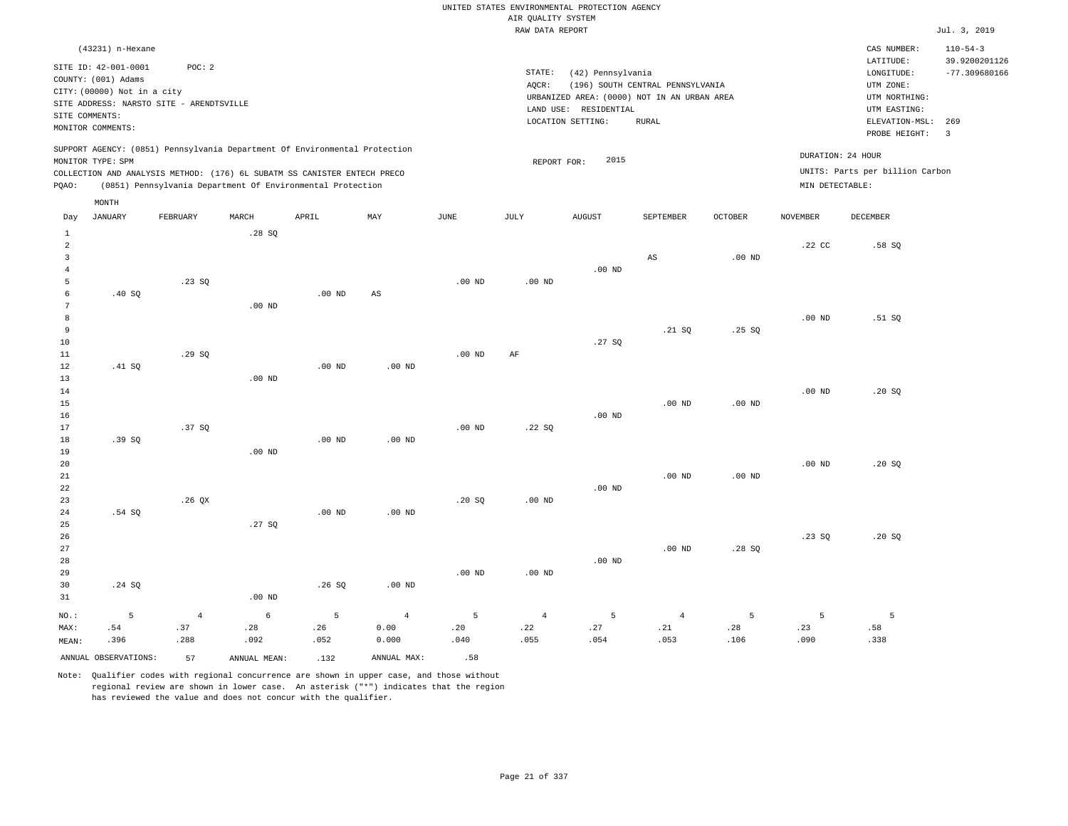|                         |                                             |                                          |                   |                                                                                                                                        |             |                   |                                       | UNITED STATES ENVIRONMENTAL PROTECTION AGENCY |                                  |                   |                 |                                 |                                 |
|-------------------------|---------------------------------------------|------------------------------------------|-------------------|----------------------------------------------------------------------------------------------------------------------------------------|-------------|-------------------|---------------------------------------|-----------------------------------------------|----------------------------------|-------------------|-----------------|---------------------------------|---------------------------------|
|                         |                                             |                                          |                   |                                                                                                                                        |             |                   | AIR QUALITY SYSTEM<br>RAW DATA REPORT |                                               |                                  |                   |                 |                                 | Jul. 3, 2019                    |
|                         |                                             |                                          |                   |                                                                                                                                        |             |                   |                                       |                                               |                                  |                   |                 |                                 |                                 |
|                         | (43231) n-Hexane                            | POC: 2                                   |                   |                                                                                                                                        |             |                   |                                       |                                               |                                  |                   |                 | CAS NUMBER:<br>LATITUDE:        | $110 - 54 - 3$<br>39.9200201126 |
|                         | SITE ID: 42-001-0001<br>COUNTY: (001) Adams |                                          |                   |                                                                                                                                        |             |                   | STATE:                                | (42) Pennsylvania                             |                                  |                   |                 | LONGITUDE:                      | $-77.309680166$                 |
|                         | CITY: (00000) Not in a city                 |                                          |                   |                                                                                                                                        |             |                   | AOCR:                                 |                                               | (196) SOUTH CENTRAL PENNSYLVANIA |                   |                 | UTM ZONE:                       |                                 |
|                         |                                             | SITE ADDRESS: NARSTO SITE - ARENDTSVILLE |                   |                                                                                                                                        |             |                   |                                       | URBANIZED AREA: (0000) NOT IN AN URBAN AREA   |                                  |                   |                 | UTM NORTHING:                   |                                 |
| SITE COMMENTS:          |                                             |                                          |                   |                                                                                                                                        |             |                   |                                       | LAND USE: RESIDENTIAL                         |                                  |                   |                 | UTM EASTING:                    |                                 |
|                         | MONITOR COMMENTS:                           |                                          |                   |                                                                                                                                        |             |                   |                                       | LOCATION SETTING:                             | <b>RURAL</b>                     |                   |                 | ELEVATION-MSL:<br>PROBE HEIGHT: | 269<br>$\overline{3}$           |
|                         |                                             |                                          |                   | SUPPORT AGENCY: (0851) Pennsylvania Department Of Environmental Protection                                                             |             |                   |                                       |                                               |                                  |                   |                 | DURATION: 24 HOUR               |                                 |
|                         | MONITOR TYPE: SPM                           |                                          |                   |                                                                                                                                        |             |                   | REPORT FOR:                           | 2015                                          |                                  |                   |                 | UNITS: Parts per billion Carbon |                                 |
| PQAO:                   |                                             |                                          |                   | COLLECTION AND ANALYSIS METHOD: (176) 6L SUBATM SS CANISTER ENTECH PRECO<br>(0851) Pennsylvania Department Of Environmental Protection |             |                   |                                       |                                               |                                  |                   | MIN DETECTABLE: |                                 |                                 |
|                         | MONTH                                       |                                          |                   |                                                                                                                                        |             |                   |                                       |                                               |                                  |                   |                 |                                 |                                 |
| Day<br>$1\,$            | JANUARY                                     | FEBRUARY                                 | MARCH<br>.28SQ    | APRIL                                                                                                                                  | MAY         | <b>JUNE</b>       | <b>JULY</b>                           | <b>AUGUST</b>                                 | SEPTEMBER                        | <b>OCTOBER</b>    | <b>NOVEMBER</b> | <b>DECEMBER</b>                 |                                 |
| 2                       |                                             |                                          |                   |                                                                                                                                        |             |                   |                                       |                                               |                                  |                   | .22 CC          | .58S                            |                                 |
| $\overline{\mathbf{3}}$ |                                             |                                          |                   |                                                                                                                                        |             |                   |                                       |                                               | $_{\rm AS}$                      | .00 <sub>ND</sub> |                 |                                 |                                 |
| $\overline{4}$          |                                             |                                          |                   |                                                                                                                                        |             |                   |                                       | $.00$ ND                                      |                                  |                   |                 |                                 |                                 |
| 5                       |                                             | .23SQ                                    |                   |                                                                                                                                        |             | .00 <sub>ND</sub> | $.00$ ND                              |                                               |                                  |                   |                 |                                 |                                 |
| 6                       | .40S                                        |                                          |                   | $.00$ ND                                                                                                                               | AS          |                   |                                       |                                               |                                  |                   |                 |                                 |                                 |
| $\overline{7}$          |                                             |                                          | .00 <sub>ND</sub> |                                                                                                                                        |             |                   |                                       |                                               |                                  |                   |                 |                                 |                                 |
| 8                       |                                             |                                          |                   |                                                                                                                                        |             |                   |                                       |                                               |                                  |                   | $.00$ ND        | .51 SQ                          |                                 |
| $\overline{9}$          |                                             |                                          |                   |                                                                                                                                        |             |                   |                                       |                                               | .21 S0                           | .25S              |                 |                                 |                                 |
| 10<br>11                |                                             |                                          |                   |                                                                                                                                        |             | $.00$ ND          | AF                                    | .27SQ                                         |                                  |                   |                 |                                 |                                 |
| 12                      | .41 SQ                                      | .29SQ                                    |                   | $.00$ ND                                                                                                                               | $.00$ ND    |                   |                                       |                                               |                                  |                   |                 |                                 |                                 |
| 13                      |                                             |                                          | $.00$ ND          |                                                                                                                                        |             |                   |                                       |                                               |                                  |                   |                 |                                 |                                 |
| 14                      |                                             |                                          |                   |                                                                                                                                        |             |                   |                                       |                                               |                                  |                   | $.00$ ND        | .20SQ                           |                                 |
| 15                      |                                             |                                          |                   |                                                                                                                                        |             |                   |                                       |                                               | $.00$ ND                         | $.00$ ND          |                 |                                 |                                 |
| 16                      |                                             |                                          |                   |                                                                                                                                        |             |                   |                                       | $.00$ ND                                      |                                  |                   |                 |                                 |                                 |
| 17                      |                                             | .37 SQ                                   |                   |                                                                                                                                        |             | .00 <sub>ND</sub> | .22SQ                                 |                                               |                                  |                   |                 |                                 |                                 |
| 18                      | .39 SO                                      |                                          |                   | $.00$ ND                                                                                                                               | $.00$ ND    |                   |                                       |                                               |                                  |                   |                 |                                 |                                 |
| 19                      |                                             |                                          | $.00$ ND          |                                                                                                                                        |             |                   |                                       |                                               |                                  |                   |                 |                                 |                                 |
| 20                      |                                             |                                          |                   |                                                                                                                                        |             |                   |                                       |                                               |                                  |                   | $.00$ ND        | .20SQ                           |                                 |
| 21                      |                                             |                                          |                   |                                                                                                                                        |             |                   |                                       |                                               | $.00$ ND                         | $.00$ ND          |                 |                                 |                                 |
| 22<br>23                |                                             | .26QX                                    |                   |                                                                                                                                        |             | .20 SQ            | .00 <sub>ND</sub>                     | $.00$ ND                                      |                                  |                   |                 |                                 |                                 |
| 24                      | .54 SQ                                      |                                          |                   | .00 <sub>ND</sub>                                                                                                                      | $.00$ ND    |                   |                                       |                                               |                                  |                   |                 |                                 |                                 |
| 25                      |                                             |                                          | .27S              |                                                                                                                                        |             |                   |                                       |                                               |                                  |                   |                 |                                 |                                 |
| 26                      |                                             |                                          |                   |                                                                                                                                        |             |                   |                                       |                                               |                                  |                   | .23SQ           | .20SQ                           |                                 |
| 27                      |                                             |                                          |                   |                                                                                                                                        |             |                   |                                       |                                               | $.00$ ND                         | .28SQ             |                 |                                 |                                 |
| 28                      |                                             |                                          |                   |                                                                                                                                        |             |                   |                                       | $.00$ ND                                      |                                  |                   |                 |                                 |                                 |
| 29                      |                                             |                                          |                   |                                                                                                                                        |             | $.00$ ND          | $.00$ ND                              |                                               |                                  |                   |                 |                                 |                                 |
| 30                      | .24 SQ                                      |                                          |                   | .26SQ                                                                                                                                  | $.00$ ND    |                   |                                       |                                               |                                  |                   |                 |                                 |                                 |
| 31                      |                                             |                                          | .00 <sub>ND</sub> |                                                                                                                                        |             |                   |                                       |                                               |                                  |                   |                 |                                 |                                 |
| NO.:                    | 5                                           | $\overline{4}$                           | $\epsilon$        | 5                                                                                                                                      | $\sqrt{4}$  | 5                 | $\sqrt{4}$                            | $\overline{5}$                                | $\overline{4}$                   | 5                 | 5               | 5                               |                                 |
| MAX:                    | .54                                         | .37                                      | .28               | .26                                                                                                                                    | 0.00        | .20               | .22                                   | .27                                           | .21                              | .28               | .23             | .58                             |                                 |
| MEAN:                   | .396                                        | .288                                     | .092              | .052                                                                                                                                   | 0.000       | .040              | .055                                  | .054                                          | .053                             | .106              | .090            | .338                            |                                 |
|                         | ANNUAL OBSERVATIONS:                        | 57                                       | ANNUAL, MEAN:     | .132                                                                                                                                   | ANNUAL MAX: | .58               |                                       |                                               |                                  |                   |                 |                                 |                                 |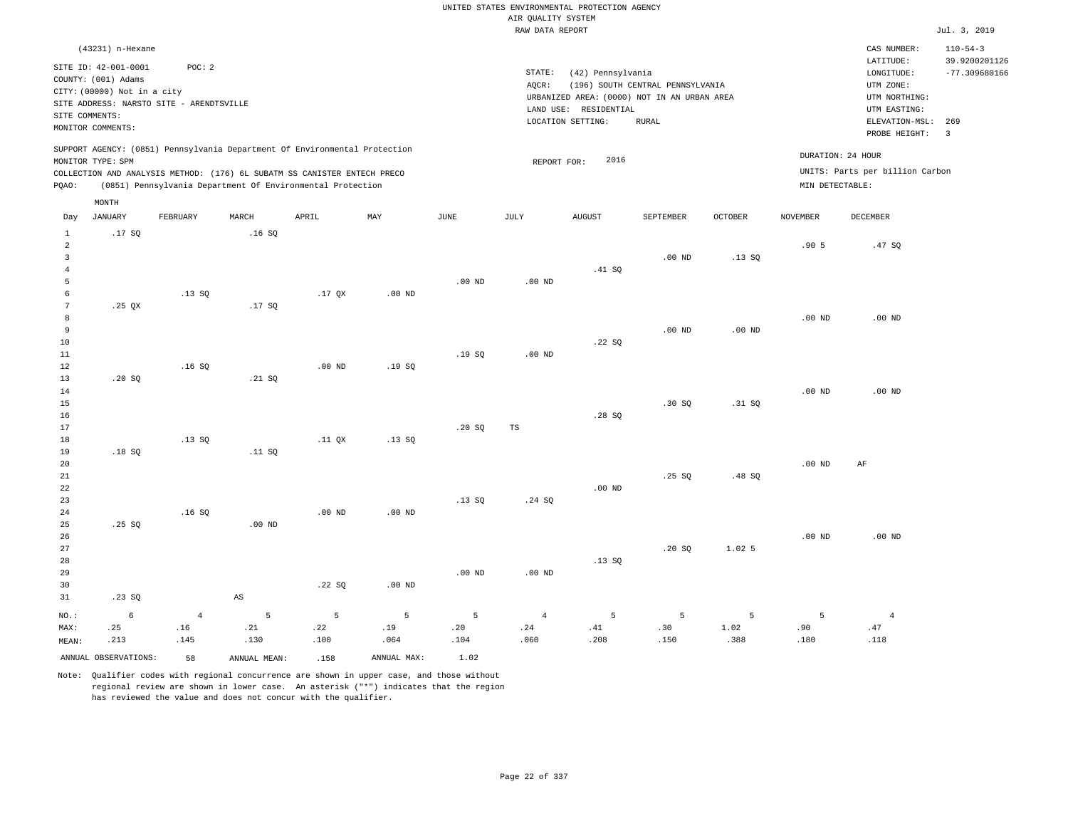|                     |                                                    |                                          |                        |                                                                            |             |                   |                    | UNITED STATES ENVIRONMENTAL PROTECTION AGENCY                        |                                  |                |                   |                                        |                                                    |
|---------------------|----------------------------------------------------|------------------------------------------|------------------------|----------------------------------------------------------------------------|-------------|-------------------|--------------------|----------------------------------------------------------------------|----------------------------------|----------------|-------------------|----------------------------------------|----------------------------------------------------|
|                     |                                                    |                                          |                        |                                                                            |             |                   | AIR QUALITY SYSTEM |                                                                      |                                  |                |                   |                                        |                                                    |
|                     |                                                    |                                          |                        |                                                                            |             |                   | RAW DATA REPORT    |                                                                      |                                  |                |                   |                                        | Jul. 3, 2019                                       |
|                     | (43231) n-Hexane<br>SITE ID: 42-001-0001           | POC: 2                                   |                        |                                                                            |             |                   | STATE:             | (42) Pennsylvania                                                    |                                  |                |                   | CAS NUMBER:<br>LATITUDE:<br>LONGITUDE: | $110 - 54 - 3$<br>39.9200201126<br>$-77.309680166$ |
|                     | COUNTY: (001) Adams<br>CITY: (00000) Not in a city |                                          |                        |                                                                            |             |                   | AQCR:              |                                                                      | (196) SOUTH CENTRAL PENNSYLVANIA |                |                   | UTM ZONE:                              |                                                    |
|                     |                                                    | SITE ADDRESS: NARSTO SITE - ARENDTSVILLE |                        |                                                                            |             |                   |                    | URBANIZED AREA: (0000) NOT IN AN URBAN AREA<br>LAND USE: RESIDENTIAL |                                  |                |                   | UTM NORTHING:<br>UTM EASTING:          |                                                    |
|                     | SITE COMMENTS:                                     |                                          |                        |                                                                            |             |                   |                    | LOCATION SETTING:                                                    | <b>RURAL</b>                     |                |                   | ELEVATION-MSL:                         | 269                                                |
|                     | MONITOR COMMENTS:                                  |                                          |                        |                                                                            |             |                   |                    |                                                                      |                                  |                |                   | PROBE HEIGHT:                          | $\overline{3}$                                     |
|                     | MONITOR TYPE: SPM                                  |                                          |                        | SUPPORT AGENCY: (0851) Pennsylvania Department Of Environmental Protection |             |                   | REPORT FOR:        | 2016                                                                 |                                  |                | DURATION: 24 HOUR |                                        |                                                    |
|                     |                                                    |                                          |                        | COLLECTION AND ANALYSIS METHOD: (176) 6L SUBATM SS CANISTER ENTECH PRECO   |             |                   |                    |                                                                      |                                  |                |                   | UNITS: Parts per billion Carbon        |                                                    |
| PQAO:               |                                                    |                                          |                        | (0851) Pennsylvania Department Of Environmental Protection                 |             |                   |                    |                                                                      |                                  |                | MIN DETECTABLE:   |                                        |                                                    |
|                     | MONTH                                              |                                          |                        |                                                                            |             |                   |                    |                                                                      |                                  |                |                   |                                        |                                                    |
| Day<br>$\mathbf{1}$ | <b>JANUARY</b><br>.17S                             | FEBRUARY                                 | MARCH<br>.16S          | APRIL                                                                      | MAY         | <b>JUNE</b>       | JULY               | <b>AUGUST</b>                                                        | SEPTEMBER                        | <b>OCTOBER</b> | <b>NOVEMBER</b>   | DECEMBER                               |                                                    |
| $\overline{a}$      |                                                    |                                          |                        |                                                                            |             |                   |                    |                                                                      |                                  |                | .905              | .47SQ                                  |                                                    |
| $\overline{3}$      |                                                    |                                          |                        |                                                                            |             |                   |                    |                                                                      | $.00$ ND                         | .13S           |                   |                                        |                                                    |
| $\overline{4}$      |                                                    |                                          |                        |                                                                            |             |                   |                    | .41 SQ                                                               |                                  |                |                   |                                        |                                                    |
| 5<br>$\epsilon$     |                                                    | .13SQ                                    |                        | .17 <sub>QX</sub>                                                          | $.00$ ND    | $.00$ ND          | $.00$ ND           |                                                                      |                                  |                |                   |                                        |                                                    |
| $7\phantom{.0}$     | $.25$ QX                                           |                                          | .17SQ                  |                                                                            |             |                   |                    |                                                                      |                                  |                |                   |                                        |                                                    |
| 8                   |                                                    |                                          |                        |                                                                            |             |                   |                    |                                                                      |                                  |                | .00 <sub>ND</sub> | $.00$ ND                               |                                                    |
| 9                   |                                                    |                                          |                        |                                                                            |             |                   |                    |                                                                      | $.00$ ND                         | $.00$ ND       |                   |                                        |                                                    |
| $10$                |                                                    |                                          |                        |                                                                            |             |                   |                    | .22SQ                                                                |                                  |                |                   |                                        |                                                    |
| 11                  |                                                    |                                          |                        |                                                                            |             | .19SQ             | .00 <sub>ND</sub>  |                                                                      |                                  |                |                   |                                        |                                                    |
| 12                  |                                                    | .16S                                     |                        | $.00$ ND                                                                   | .19S        |                   |                    |                                                                      |                                  |                |                   |                                        |                                                    |
| 13<br>14            | .20SQ                                              |                                          | .21 SQ                 |                                                                            |             |                   |                    |                                                                      |                                  |                | .00 <sub>ND</sub> | $.00$ ND                               |                                                    |
| 15                  |                                                    |                                          |                        |                                                                            |             |                   |                    |                                                                      | .30 SQ                           | .31 SQ         |                   |                                        |                                                    |
| 16                  |                                                    |                                          |                        |                                                                            |             |                   |                    | .28S                                                                 |                                  |                |                   |                                        |                                                    |
| 17                  |                                                    |                                          |                        |                                                                            |             | .20S              | TS                 |                                                                      |                                  |                |                   |                                        |                                                    |
| 18                  |                                                    | .13S                                     |                        | .11 <sub>OX</sub>                                                          | .13S        |                   |                    |                                                                      |                                  |                |                   |                                        |                                                    |
| 19                  | .18S                                               |                                          | .11 SQ                 |                                                                            |             |                   |                    |                                                                      |                                  |                |                   |                                        |                                                    |
| 20                  |                                                    |                                          |                        |                                                                            |             |                   |                    |                                                                      |                                  |                | .00 <sub>ND</sub> | AF                                     |                                                    |
| 21<br>22            |                                                    |                                          |                        |                                                                            |             |                   |                    | $.00$ ND                                                             | .25S                             | .48 SQ         |                   |                                        |                                                    |
| 23                  |                                                    |                                          |                        |                                                                            |             | .13SQ             | .24SQ              |                                                                      |                                  |                |                   |                                        |                                                    |
| 24                  |                                                    | .16SQ                                    |                        | $.00$ ND                                                                   | $.00$ ND    |                   |                    |                                                                      |                                  |                |                   |                                        |                                                    |
| 25                  | .25SQ                                              |                                          | .00 <sub>ND</sub>      |                                                                            |             |                   |                    |                                                                      |                                  |                |                   |                                        |                                                    |
| 26                  |                                                    |                                          |                        |                                                                            |             |                   |                    |                                                                      |                                  |                | .00 <sub>ND</sub> | $.00$ ND                               |                                                    |
| $2\,7$              |                                                    |                                          |                        |                                                                            |             |                   |                    |                                                                      | .20 SQ                           | 1.02 5         |                   |                                        |                                                    |
| 28                  |                                                    |                                          |                        |                                                                            |             |                   |                    | .13SQ                                                                |                                  |                |                   |                                        |                                                    |
| 29                  |                                                    |                                          |                        |                                                                            |             | .00 <sub>ND</sub> | $.00$ ND           |                                                                      |                                  |                |                   |                                        |                                                    |
| 30<br>31            | .23SQ                                              |                                          | $\mathbb{A}\mathbb{S}$ | .22S                                                                       | $.00$ ND    |                   |                    |                                                                      |                                  |                |                   |                                        |                                                    |
|                     |                                                    |                                          |                        |                                                                            |             |                   |                    |                                                                      |                                  |                |                   |                                        |                                                    |
| $NO.$ :             | $\epsilon$                                         | $\bf{4}$                                 | 5                      | 5                                                                          | 5           | 5                 | $\overline{4}$     | 5                                                                    | 5                                | 5              | 5                 | $\overline{4}$                         |                                                    |
| MAX:                | .25                                                | .16                                      | .21                    | .22<br>.100                                                                | .19         | .20               | .24<br>.060        | .41                                                                  | .30<br>.150                      | 1.02<br>.388   | .90<br>.180       | .47<br>.118                            |                                                    |
| MEAN:               | .213                                               | .145                                     | .130                   |                                                                            | .064        | .104              |                    | .208                                                                 |                                  |                |                   |                                        |                                                    |
|                     | ANNUAL OBSERVATIONS:                               | 58                                       | ANNUAL MEAN:           | .158                                                                       | ANNUAL MAX: | 1.02              |                    |                                                                      |                                  |                |                   |                                        |                                                    |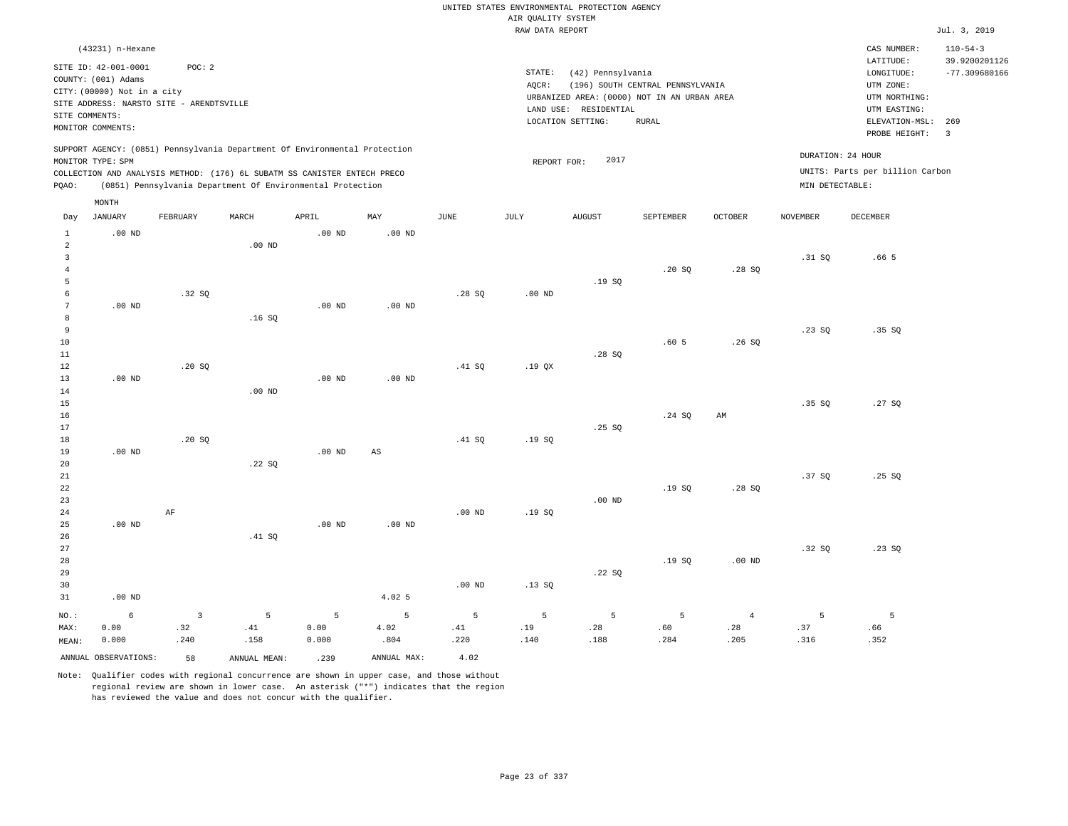|                                                  |                                                                                                                                             |                               |                                                                                                                                        |                    |                   |                  | AIR QUALITY SYSTEM | UNITED STATES ENVIRONMENTAL PROTECTION AGENCY                                                                  |                                                  |                               |                   |                                                                                                              |                                                    |
|--------------------------------------------------|---------------------------------------------------------------------------------------------------------------------------------------------|-------------------------------|----------------------------------------------------------------------------------------------------------------------------------------|--------------------|-------------------|------------------|--------------------|----------------------------------------------------------------------------------------------------------------|--------------------------------------------------|-------------------------------|-------------------|--------------------------------------------------------------------------------------------------------------|----------------------------------------------------|
|                                                  |                                                                                                                                             |                               |                                                                                                                                        |                    |                   |                  | RAW DATA REPORT    |                                                                                                                |                                                  |                               |                   |                                                                                                              | Jul. 3, 2019                                       |
|                                                  | (43231) n-Hexane                                                                                                                            |                               |                                                                                                                                        |                    |                   |                  |                    |                                                                                                                |                                                  |                               |                   | CAS NUMBER:                                                                                                  | $110 - 54 - 3$                                     |
| SITE COMMENTS:                                   | SITE ID: 42-001-0001<br>COUNTY: (001) Adams<br>CITY: (00000) Not in a city<br>SITE ADDRESS: NARSTO SITE - ARENDTSVILLE<br>MONITOR COMMENTS: | POC: 2                        |                                                                                                                                        |                    |                   |                  | STATE:<br>AQCR:    | (42) Pennsylvania<br>URBANIZED AREA: (0000) NOT IN AN URBAN AREA<br>LAND USE: RESIDENTIAL<br>LOCATION SETTING: | (196) SOUTH CENTRAL PENNSYLVANIA<br><b>RURAL</b> |                               |                   | LATITUDE:<br>LONGITUDE:<br>UTM ZONE:<br>UTM NORTHING:<br>UTM EASTING:<br>ELEVATION-MSL: 269<br>PROBE HEIGHT: | 39.9200201126<br>$-77.309680166$<br>$\overline{3}$ |
|                                                  | MONITOR TYPE: SPM                                                                                                                           |                               | SUPPORT AGENCY: (0851) Pennsylvania Department Of Environmental Protection                                                             |                    |                   |                  | REPORT FOR:        | 2017                                                                                                           |                                                  |                               | DURATION: 24 HOUR |                                                                                                              |                                                    |
| PQAO:                                            |                                                                                                                                             |                               | COLLECTION AND ANALYSIS METHOD: (176) 6L SUBATM SS CANISTER ENTECH PRECO<br>(0851) Pennsylvania Department Of Environmental Protection |                    |                   |                  |                    |                                                                                                                |                                                  |                               | MIN DETECTABLE:   | UNITS: Parts per billion Carbon                                                                              |                                                    |
|                                                  | MONTH                                                                                                                                       |                               |                                                                                                                                        |                    |                   |                  |                    |                                                                                                                |                                                  |                               |                   |                                                                                                              |                                                    |
| Day                                              | <b>JANUARY</b>                                                                                                                              | FEBRUARY                      | MARCH                                                                                                                                  | APRIL              | MAY               | JUNE             | JULY               | <b>AUGUST</b>                                                                                                  | SEPTEMBER                                        | <b>OCTOBER</b>                | <b>NOVEMBER</b>   | DECEMBER                                                                                                     |                                                    |
| $\mathbf{1}$<br>$\overline{a}$<br>$\overline{3}$ | $.00$ ND                                                                                                                                    |                               | .00 <sub>ND</sub>                                                                                                                      | $.00$ ND           | $.00$ ND          |                  |                    |                                                                                                                |                                                  |                               | .31 SO            | .66 <sub>5</sub>                                                                                             |                                                    |
| $\overline{4}$<br>5<br>6                         |                                                                                                                                             | .32SQ                         |                                                                                                                                        |                    |                   | .28SQ            | $.00$ ND           | .19S                                                                                                           | .20 SQ                                           | .28S                          |                   |                                                                                                              |                                                    |
| $7\phantom{.0}$<br>8<br>9                        | $.00$ ND                                                                                                                                    |                               | .16SQ                                                                                                                                  | $.00$ ND           | .00 <sub>ND</sub> |                  |                    |                                                                                                                |                                                  |                               | .23SQ             | .35S                                                                                                         |                                                    |
| 10<br>11<br>12                                   |                                                                                                                                             | .20 SQ                        |                                                                                                                                        |                    |                   | .41 SQ           | $.19$ QX           | .28S                                                                                                           | .60 <sub>5</sub>                                 | .26SQ                         |                   |                                                                                                              |                                                    |
| 13<br>14<br>15                                   | $.00$ ND                                                                                                                                    |                               | .00 <sub>ND</sub>                                                                                                                      | $.00$ ND           | $.00$ ND          |                  |                    |                                                                                                                |                                                  |                               | .35 SO            | .27S                                                                                                         |                                                    |
| 16<br>17<br>18<br>19                             | $.00$ ND                                                                                                                                    | .20 SQ                        |                                                                                                                                        | $.00$ ND           | $_{\rm AS}$       | .41 SQ           | .19SQ              | .25 S                                                                                                          | .24 SQ                                           | AM                            |                   |                                                                                                              |                                                    |
| 20<br>21<br>$2\sqrt{2}$<br>23                    |                                                                                                                                             |                               | .22S                                                                                                                                   |                    |                   |                  |                    | $.00$ ND                                                                                                       | .19SQ                                            | .28SQ                         | .37 SO            | .25S                                                                                                         |                                                    |
| 24<br>25<br>26                                   | $.00$ ND                                                                                                                                    | AF                            | .41 SQ                                                                                                                                 | .00 <sub>ND</sub>  | $.00$ ND          | $.00$ ND         | .19SQ              |                                                                                                                |                                                  |                               |                   |                                                                                                              |                                                    |
| 27<br>28<br>29<br>30                             |                                                                                                                                             |                               |                                                                                                                                        |                    |                   | $.00$ ND         | .13S               | .22SQ                                                                                                          | .19S                                             | $.00$ ND                      | .32S              | .23SQ                                                                                                        |                                                    |
| 31                                               | $.00$ ND                                                                                                                                    |                               |                                                                                                                                        |                    | 4.02 5            |                  |                    |                                                                                                                |                                                  |                               |                   |                                                                                                              |                                                    |
| NO.:<br>MAX:<br>MEAN:                            | 6<br>0.00<br>0.000                                                                                                                          | $\overline{3}$<br>.32<br>.240 | 5<br>.41<br>.158                                                                                                                       | 5<br>0.00<br>0.000 | 5<br>4.02<br>.804 | 5<br>.41<br>.220 | 5<br>.19<br>.140   | 5<br>.28<br>.188                                                                                               | 5<br>.60<br>.284                                 | $\overline{4}$<br>.28<br>.205 | 5<br>.37<br>.316  | 5<br>.66<br>.352                                                                                             |                                                    |
|                                                  | ANNUAL OBSERVATIONS:                                                                                                                        | 58                            | ANNUAL MEAN:                                                                                                                           | .239               | ANNUAL MAX:       | 4.02             |                    |                                                                                                                |                                                  |                               |                   |                                                                                                              |                                                    |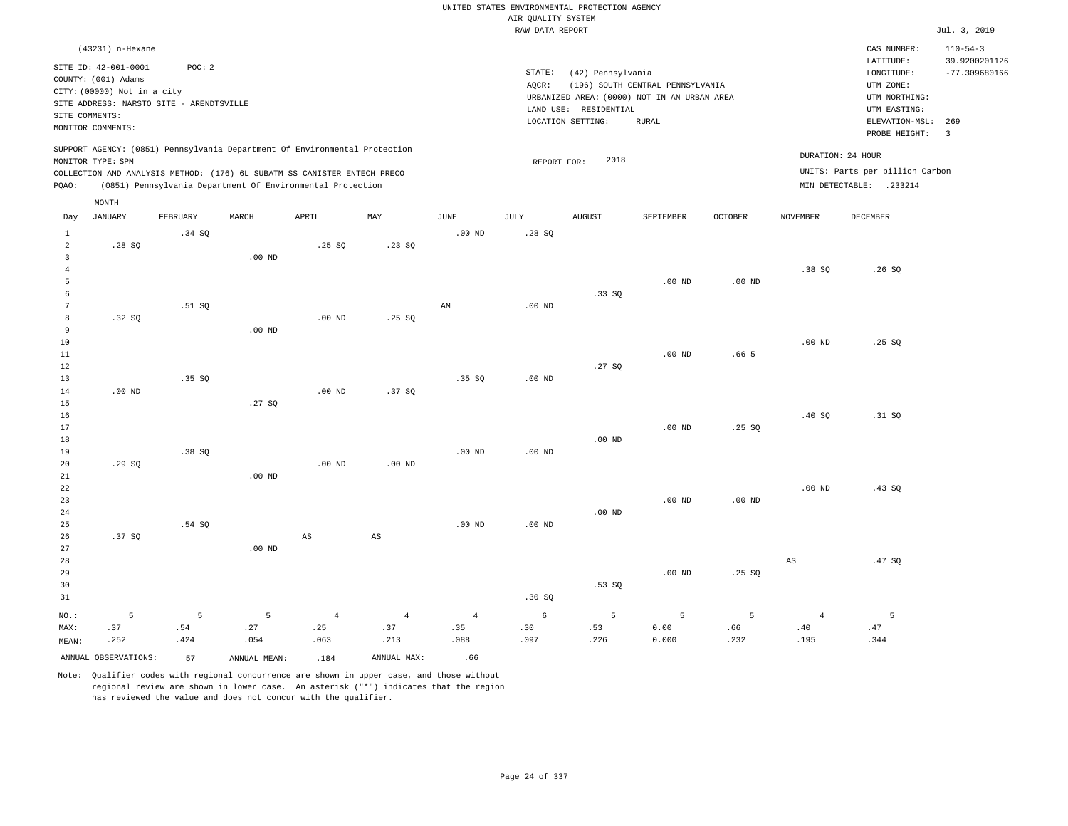|                 |                                             |          |                   |                                                                            |                |                   | AIR OUALITY SYSTEM | UNITED STATES ENVIRONMENTAL PROTECTION AGENCY |                                  |                  |                   |                                 |                                 |
|-----------------|---------------------------------------------|----------|-------------------|----------------------------------------------------------------------------|----------------|-------------------|--------------------|-----------------------------------------------|----------------------------------|------------------|-------------------|---------------------------------|---------------------------------|
|                 |                                             |          |                   |                                                                            |                |                   | RAW DATA REPORT    |                                               |                                  |                  |                   |                                 | Jul. 3, 2019                    |
|                 | (43231) n-Hexane                            |          |                   |                                                                            |                |                   |                    |                                               |                                  |                  |                   | CAS NUMBER:<br>LATITUDE:        | $110 - 54 - 3$<br>39.9200201126 |
|                 | SITE ID: 42-001-0001<br>COUNTY: (001) Adams | POC: 2   |                   |                                                                            |                |                   | STATE:<br>AQCR:    | (42) Pennsylvania                             | (196) SOUTH CENTRAL PENNSYLVANIA |                  |                   | LONGITUDE:<br>UTM ZONE:         | $-77.309680166$                 |
|                 | CITY: (00000) Not in a city                 |          |                   |                                                                            |                |                   |                    | URBANIZED AREA: (0000) NOT IN AN URBAN AREA   |                                  |                  |                   | UTM NORTHING:                   |                                 |
| SITE COMMENTS:  | SITE ADDRESS: NARSTO SITE - ARENDTSVILLE    |          |                   |                                                                            |                |                   |                    | LAND USE: RESIDENTIAL                         |                                  |                  |                   | UTM EASTING:                    |                                 |
|                 | MONITOR COMMENTS:                           |          |                   |                                                                            |                |                   |                    | LOCATION SETTING:                             | RURAL                            |                  |                   | ELEVATION-MSL:<br>PROBE HEIGHT: | 269<br>$\overline{3}$           |
|                 | MONITOR TYPE: SPM                           |          |                   | SUPPORT AGENCY: (0851) Pennsylvania Department Of Environmental Protection |                |                   | REPORT FOR:        | 2018                                          |                                  |                  |                   | DURATION: 24 HOUR               |                                 |
|                 |                                             |          |                   | COLLECTION AND ANALYSIS METHOD: (176) 6L SUBATM SS CANISTER ENTECH PRECO   |                |                   |                    |                                               |                                  |                  |                   | UNITS: Parts per billion Carbon |                                 |
| PQAO:           |                                             |          |                   | (0851) Pennsylvania Department Of Environmental Protection                 |                |                   |                    |                                               |                                  |                  |                   | MIN DETECTABLE: .233214         |                                 |
|                 | MONTH<br><b>JANUARY</b>                     | FEBRUARY | MARCH             | APRIL                                                                      | MAY            | $_{\rm JUNE}$     | $\mathtt{JULY}$    | <b>AUGUST</b>                                 | SEPTEMBER                        | OCTOBER          | <b>NOVEMBER</b>   | DECEMBER                        |                                 |
| Day             |                                             |          |                   |                                                                            |                |                   |                    |                                               |                                  |                  |                   |                                 |                                 |
| 1<br>$\sqrt{2}$ | .28SQ                                       | .34 SO   |                   | .25SQ                                                                      | .23SQ          | .00 <sub>ND</sub> | .28S               |                                               |                                  |                  |                   |                                 |                                 |
| $\overline{3}$  |                                             |          | .00 <sub>ND</sub> |                                                                            |                |                   |                    |                                               |                                  |                  |                   |                                 |                                 |
| $\overline{4}$  |                                             |          |                   |                                                                            |                |                   |                    |                                               |                                  |                  | .38SQ             | .26S                            |                                 |
| 5               |                                             |          |                   |                                                                            |                |                   |                    |                                               | $.00$ ND                         | $.00$ ND         |                   |                                 |                                 |
| $\epsilon$      |                                             |          |                   |                                                                            |                |                   |                    | .33SQ                                         |                                  |                  |                   |                                 |                                 |
| $7\phantom{.0}$ |                                             | .51 SO   |                   |                                                                            |                | AM                | $.00$ ND           |                                               |                                  |                  |                   |                                 |                                 |
| 8               | .32 SQ                                      |          |                   | $.00$ ND                                                                   | .25SQ          |                   |                    |                                               |                                  |                  |                   |                                 |                                 |
| 9               |                                             |          | $.00$ ND          |                                                                            |                |                   |                    |                                               |                                  |                  |                   |                                 |                                 |
| 10              |                                             |          |                   |                                                                            |                |                   |                    |                                               |                                  |                  | $.00$ ND          | .25S                            |                                 |
| 11              |                                             |          |                   |                                                                            |                |                   |                    |                                               | $.00$ ND                         | .66 <sub>5</sub> |                   |                                 |                                 |
| 12              |                                             |          |                   |                                                                            |                |                   |                    | .27SQ                                         |                                  |                  |                   |                                 |                                 |
| 13              |                                             | .35 SO   |                   |                                                                            |                | .35 S             | $.00$ ND           |                                               |                                  |                  |                   |                                 |                                 |
| 14<br>15        | $.00$ ND                                    |          | .27S              | $.00$ ND                                                                   | .37SQ          |                   |                    |                                               |                                  |                  |                   |                                 |                                 |
| 16              |                                             |          |                   |                                                                            |                |                   |                    |                                               |                                  |                  | .40SQ             | .31 SQ                          |                                 |
| 17              |                                             |          |                   |                                                                            |                |                   |                    |                                               | $.00$ ND                         | .25S             |                   |                                 |                                 |
| $18\,$          |                                             |          |                   |                                                                            |                |                   |                    | $.00$ ND                                      |                                  |                  |                   |                                 |                                 |
| 19              |                                             | .38SQ    |                   |                                                                            |                | .00 <sub>ND</sub> | .00 <sub>ND</sub>  |                                               |                                  |                  |                   |                                 |                                 |
| 20              | .29SQ                                       |          |                   | $.00$ ND                                                                   | $.00$ ND       |                   |                    |                                               |                                  |                  |                   |                                 |                                 |
| $2\sqrt{1}$     |                                             |          | $.00$ ND          |                                                                            |                |                   |                    |                                               |                                  |                  |                   |                                 |                                 |
| 22              |                                             |          |                   |                                                                            |                |                   |                    |                                               |                                  |                  | .00 <sub>ND</sub> | .43SQ                           |                                 |
| 23              |                                             |          |                   |                                                                            |                |                   |                    |                                               | .00 <sub>ND</sub>                | $.00$ ND         |                   |                                 |                                 |
| 24              |                                             |          |                   |                                                                            |                |                   |                    | $.00$ ND                                      |                                  |                  |                   |                                 |                                 |
| 25              |                                             | .54 SQ   |                   |                                                                            |                | $.00$ ND          | $.00$ ND           |                                               |                                  |                  |                   |                                 |                                 |
| 26              | .37 SO                                      |          |                   | $\mathbb{A}\mathbb{S}$                                                     | $_{\rm AS}$    |                   |                    |                                               |                                  |                  |                   |                                 |                                 |
| 27<br>28        |                                             |          | $.00$ ND          |                                                                            |                |                   |                    |                                               |                                  |                  | AS                | .47SQ                           |                                 |
| 29              |                                             |          |                   |                                                                            |                |                   |                    |                                               | $.00$ ND                         | .25SQ            |                   |                                 |                                 |
| 30              |                                             |          |                   |                                                                            |                |                   |                    | .53SQ                                         |                                  |                  |                   |                                 |                                 |
| 31              |                                             |          |                   |                                                                            |                |                   | .30S               |                                               |                                  |                  |                   |                                 |                                 |
| NO.:            | 5                                           | 5        | 5                 | $\overline{4}$                                                             | $\overline{4}$ | $\overline{4}$    | 6                  | 5                                             | 5                                | 5                | $\overline{4}$    | 5                               |                                 |
| MAX:            | .37                                         | .54      | .27               | .25                                                                        | .37            | .35               | .30                | .53                                           | 0.00                             | .66              | .40               | .47                             |                                 |
| MEAN:           | .252                                        | .424     | .054              | .063                                                                       | .213           | .088              | .097               | .226                                          | 0.000                            | .232             | .195              | .344                            |                                 |
|                 | ANNUAL OBSERVATIONS:                        | 57       | ANNUAL MEAN:      | .184                                                                       | ANNUAL MAX:    | .66               |                    |                                               |                                  |                  |                   |                                 |                                 |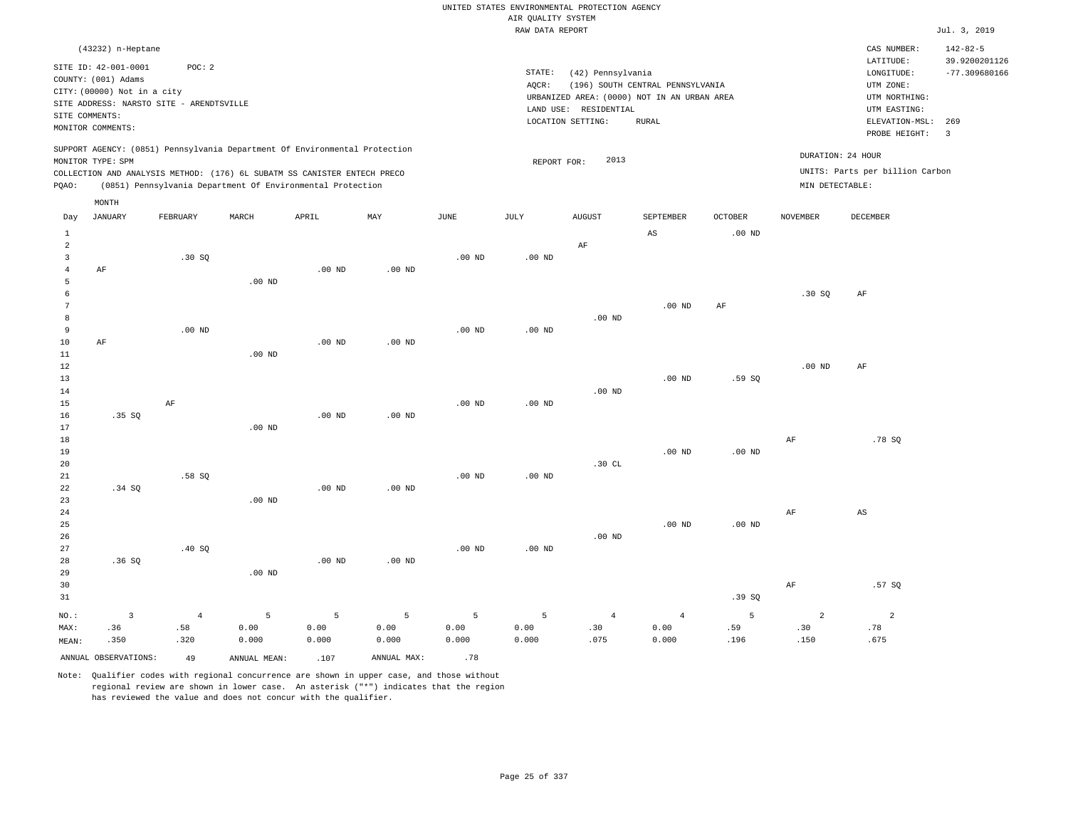|                           |                                           |                                          |                                                                            |                   |                   |                   |                                       | UNITED STATES ENVIRONMENTAL PROTECTION AGENCY |                                             |                   |                   |                                 |                                 |
|---------------------------|-------------------------------------------|------------------------------------------|----------------------------------------------------------------------------|-------------------|-------------------|-------------------|---------------------------------------|-----------------------------------------------|---------------------------------------------|-------------------|-------------------|---------------------------------|---------------------------------|
|                           |                                           |                                          |                                                                            |                   |                   |                   | AIR OUALITY SYSTEM<br>RAW DATA REPORT |                                               |                                             |                   |                   |                                 | Jul. 3, 2019                    |
|                           |                                           |                                          |                                                                            |                   |                   |                   |                                       |                                               |                                             |                   |                   |                                 |                                 |
|                           | (43232) n-Heptane<br>SITE ID: 42-001-0001 | POC: 2                                   |                                                                            |                   |                   |                   |                                       |                                               |                                             |                   |                   | CAS NUMBER:<br>LATITUDE:        | $142 - 82 - 5$<br>39.9200201126 |
|                           | COUNTY: (001) Adams                       |                                          |                                                                            |                   |                   |                   | STATE:                                | (42) Pennsylvania                             |                                             |                   |                   | LONGITUDE:                      | $-77.309680166$                 |
|                           | CITY: (00000) Not in a city               |                                          |                                                                            |                   |                   |                   | AQCR:                                 |                                               | (196) SOUTH CENTRAL PENNSYLVANIA            |                   |                   | UTM ZONE:                       |                                 |
|                           |                                           | SITE ADDRESS: NARSTO SITE - ARENDTSVILLE |                                                                            |                   |                   |                   |                                       |                                               | URBANIZED AREA: (0000) NOT IN AN URBAN AREA |                   |                   | UTM NORTHING:                   |                                 |
|                           | SITE COMMENTS:                            |                                          |                                                                            |                   |                   |                   |                                       | LAND USE: RESIDENTIAL<br>LOCATION SETTING:    | <b>RURAL</b>                                |                   |                   | UTM EASTING:<br>ELEVATION-MSL:  | 269                             |
|                           | MONITOR COMMENTS:                         |                                          |                                                                            |                   |                   |                   |                                       |                                               |                                             |                   |                   | PROBE HEIGHT:                   | $\overline{3}$                  |
|                           |                                           |                                          | SUPPORT AGENCY: (0851) Pennsylvania Department Of Environmental Protection |                   |                   |                   |                                       |                                               |                                             |                   | DURATION: 24 HOUR |                                 |                                 |
|                           | MONITOR TYPE: SPM                         |                                          |                                                                            |                   |                   |                   | REPORT FOR:                           | 2013                                          |                                             |                   |                   |                                 |                                 |
|                           |                                           |                                          | COLLECTION AND ANALYSIS METHOD: (176) 6L SUBATM SS CANISTER ENTECH PRECO   |                   |                   |                   |                                       |                                               |                                             |                   |                   | UNITS: Parts per billion Carbon |                                 |
| PQAO:                     |                                           |                                          | (0851) Pennsylvania Department Of Environmental Protection                 |                   |                   |                   |                                       |                                               |                                             |                   | MIN DETECTABLE:   |                                 |                                 |
| Day                       | MONTH<br><b>JANUARY</b>                   | FEBRUARY                                 | MARCH                                                                      | APRIL             | MAY               | $_{\rm JUNE}$     | <b>JULY</b>                           | <b>AUGUST</b>                                 | SEPTEMBER                                   | <b>OCTOBER</b>    | <b>NOVEMBER</b>   | <b>DECEMBER</b>                 |                                 |
|                           |                                           |                                          |                                                                            |                   |                   |                   |                                       |                                               |                                             |                   |                   |                                 |                                 |
| $\,1\,$<br>$\overline{a}$ |                                           |                                          |                                                                            |                   |                   |                   |                                       | $\rm AF$                                      | AS                                          | .00 <sub>ND</sub> |                   |                                 |                                 |
| $\overline{3}$            |                                           | .30S                                     |                                                                            |                   |                   | $.00$ ND          | $.00$ ND                              |                                               |                                             |                   |                   |                                 |                                 |
| $\overline{4}$            | $\rm{AF}$                                 |                                          |                                                                            | $.00$ ND          | $.00$ ND          |                   |                                       |                                               |                                             |                   |                   |                                 |                                 |
| 5                         |                                           |                                          | .00 <sub>ND</sub>                                                          |                   |                   |                   |                                       |                                               |                                             |                   |                   |                                 |                                 |
| 6                         |                                           |                                          |                                                                            |                   |                   |                   |                                       |                                               |                                             |                   | .30S              | AF                              |                                 |
| $7\phantom{.0}$           |                                           |                                          |                                                                            |                   |                   |                   |                                       |                                               | $.00$ ND                                    | AF                |                   |                                 |                                 |
| 8                         |                                           |                                          |                                                                            |                   |                   |                   |                                       | .00 <sub>ND</sub>                             |                                             |                   |                   |                                 |                                 |
| 9                         |                                           | .00 <sub>ND</sub>                        |                                                                            |                   |                   | $.00$ ND          | .00 <sub>ND</sub>                     |                                               |                                             |                   |                   |                                 |                                 |
| 10                        | AF                                        |                                          |                                                                            | $.00$ ND          | $.00$ ND          |                   |                                       |                                               |                                             |                   |                   |                                 |                                 |
| 11                        |                                           |                                          | $.00$ ND                                                                   |                   |                   |                   |                                       |                                               |                                             |                   |                   |                                 |                                 |
| 12                        |                                           |                                          |                                                                            |                   |                   |                   |                                       |                                               |                                             |                   | $.00$ ND          | AF                              |                                 |
| 13<br>14                  |                                           |                                          |                                                                            |                   |                   |                   |                                       | $.00$ ND                                      | $.00$ ND                                    | .59SQ             |                   |                                 |                                 |
| 15                        |                                           | AF                                       |                                                                            |                   |                   | .00 <sub>ND</sub> | .00 <sub>ND</sub>                     |                                               |                                             |                   |                   |                                 |                                 |
| 16                        | .35 SQ                                    |                                          |                                                                            | .00 <sub>ND</sub> | .00 <sub>ND</sub> |                   |                                       |                                               |                                             |                   |                   |                                 |                                 |
| 17                        |                                           |                                          | $.00$ ND                                                                   |                   |                   |                   |                                       |                                               |                                             |                   |                   |                                 |                                 |
| 18                        |                                           |                                          |                                                                            |                   |                   |                   |                                       |                                               |                                             |                   | $\rm{AF}$         | .78 SQ                          |                                 |
| 19                        |                                           |                                          |                                                                            |                   |                   |                   |                                       |                                               | .00 <sub>ND</sub>                           | $.00$ ND          |                   |                                 |                                 |
| 20                        |                                           |                                          |                                                                            |                   |                   |                   |                                       | .30CL                                         |                                             |                   |                   |                                 |                                 |
| 21                        |                                           | .58S                                     |                                                                            |                   |                   | .00 <sub>ND</sub> | $.00$ ND                              |                                               |                                             |                   |                   |                                 |                                 |
| 22                        | .34 S0                                    |                                          |                                                                            | .00 <sub>ND</sub> | $.00$ ND          |                   |                                       |                                               |                                             |                   |                   |                                 |                                 |
| 23                        |                                           |                                          | $.00$ ND                                                                   |                   |                   |                   |                                       |                                               |                                             |                   |                   |                                 |                                 |
| 24<br>25                  |                                           |                                          |                                                                            |                   |                   |                   |                                       |                                               | $.00$ ND                                    | .00 <sub>ND</sub> | AF                | AS                              |                                 |
| 26                        |                                           |                                          |                                                                            |                   |                   |                   |                                       | $.00$ ND                                      |                                             |                   |                   |                                 |                                 |
| 27                        |                                           | .40 SQ                                   |                                                                            |                   |                   | .00 <sub>ND</sub> | .00 <sub>ND</sub>                     |                                               |                                             |                   |                   |                                 |                                 |
| 28                        | .36SQ                                     |                                          |                                                                            | $.00$ ND          | .00 <sub>ND</sub> |                   |                                       |                                               |                                             |                   |                   |                                 |                                 |
| 29                        |                                           |                                          | $.00$ ND                                                                   |                   |                   |                   |                                       |                                               |                                             |                   |                   |                                 |                                 |
| 30                        |                                           |                                          |                                                                            |                   |                   |                   |                                       |                                               |                                             |                   | $\rm AF$          | .57 SQ                          |                                 |
| 31                        |                                           |                                          |                                                                            |                   |                   |                   |                                       |                                               |                                             | .39SQ             |                   |                                 |                                 |
| NO.:                      | $\overline{3}$                            | $\sqrt{4}$                               | 5                                                                          | 5                 | $\overline{5}$    | 5                 | 5                                     | $\overline{4}$                                | $\overline{4}$                              | 5                 | $\overline{a}$    | $\overline{a}$                  |                                 |
| MAX:                      | .36                                       | .58                                      | 0.00                                                                       | 0.00              | 0.00              | 0.00              | 0.00                                  | .30                                           | 0.00                                        | .59               | .30               | .78                             |                                 |
| MEAN:                     | .350                                      | .320                                     | 0.000                                                                      | 0.000             | 0.000             | 0.000             | 0.000                                 | .075                                          | 0.000                                       | .196              | .150              | .675                            |                                 |
|                           | ANNUAL OBSERVATIONS:                      | 49                                       | ANNUAL MEAN:                                                               | .107              | ANNUAL MAX:       | .78               |                                       |                                               |                                             |                   |                   |                                 |                                 |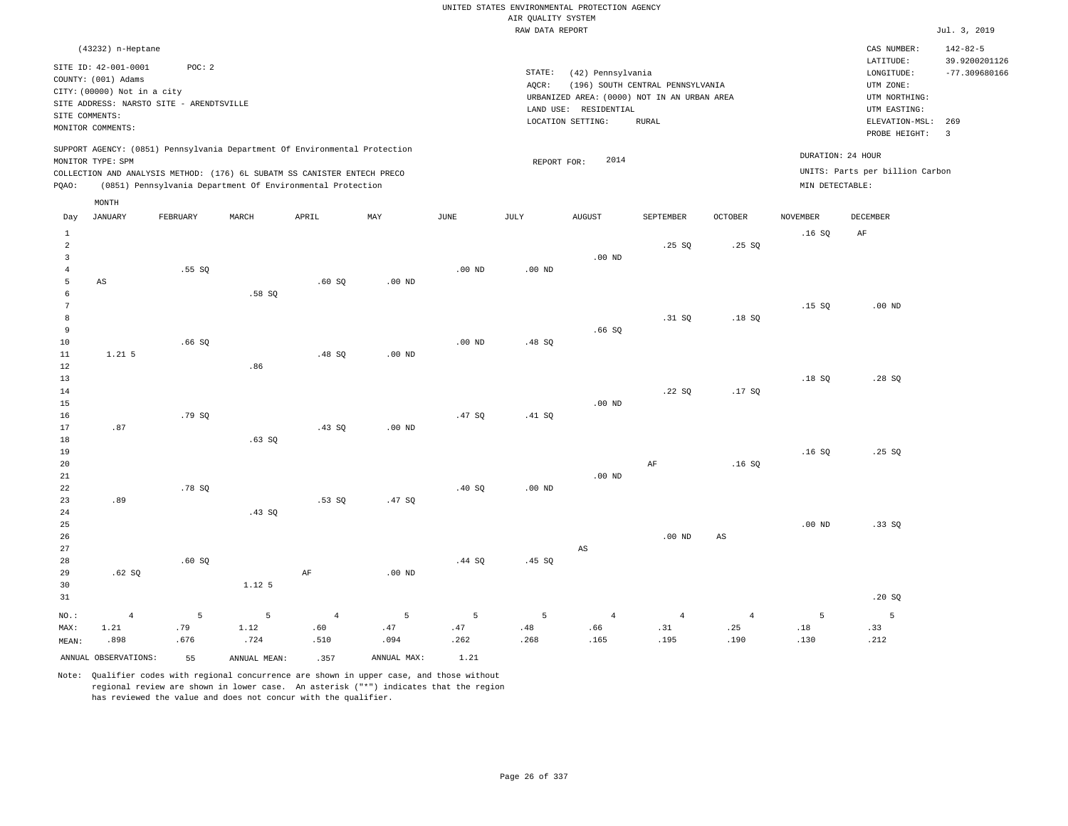|                                                     |                                                                                                                                             |                  |                                                                                                                                                                                                                      |                               |                   |                   |                    | UNITED STATES ENVIRONMENTAL PROTECTION AGENCY                    |                                  |                               |                   |                                                                      |                                                    |
|-----------------------------------------------------|---------------------------------------------------------------------------------------------------------------------------------------------|------------------|----------------------------------------------------------------------------------------------------------------------------------------------------------------------------------------------------------------------|-------------------------------|-------------------|-------------------|--------------------|------------------------------------------------------------------|----------------------------------|-------------------------------|-------------------|----------------------------------------------------------------------|----------------------------------------------------|
|                                                     |                                                                                                                                             |                  |                                                                                                                                                                                                                      |                               |                   |                   | AIR QUALITY SYSTEM |                                                                  |                                  |                               |                   |                                                                      |                                                    |
|                                                     |                                                                                                                                             |                  |                                                                                                                                                                                                                      |                               |                   |                   | RAW DATA REPORT    |                                                                  |                                  |                               |                   |                                                                      | Jul. 3, 2019                                       |
|                                                     | (43232) n-Heptane<br>SITE ID: 42-001-0001<br>COUNTY: (001) Adams<br>CITY: (00000) Not in a city<br>SITE ADDRESS: NARSTO SITE - ARENDTSVILLE | POC: 2           |                                                                                                                                                                                                                      |                               |                   |                   | STATE:<br>AQCR:    | (42) Pennsylvania<br>URBANIZED AREA: (0000) NOT IN AN URBAN AREA | (196) SOUTH CENTRAL PENNSYLVANIA |                               |                   | CAS NUMBER:<br>LATITUDE:<br>LONGITUDE:<br>UTM ZONE:<br>UTM NORTHING: | $142 - 82 - 5$<br>39.9200201126<br>$-77.309680166$ |
|                                                     | SITE COMMENTS:<br>MONITOR COMMENTS:                                                                                                         |                  |                                                                                                                                                                                                                      |                               |                   |                   |                    | LAND USE: RESIDENTIAL<br>LOCATION SETTING:                       | <b>RURAL</b>                     |                               |                   | UTM EASTING:<br>ELEVATION-MSL:<br>PROBE HEIGHT:                      | 269<br>$\overline{\mathbf{3}}$                     |
| PQAO:                                               | MONITOR TYPE: SPM                                                                                                                           |                  | SUPPORT AGENCY: (0851) Pennsylvania Department Of Environmental Protection<br>COLLECTION AND ANALYSIS METHOD: (176) 6L SUBATM SS CANISTER ENTECH PRECO<br>(0851) Pennsylvania Department Of Environmental Protection |                               |                   |                   | REPORT FOR:        | 2014                                                             |                                  |                               | MIN DETECTABLE:   | DURATION: 24 HOUR<br>UNITS: Parts per billion Carbon                 |                                                    |
| Day                                                 | MONTH<br><b>JANUARY</b>                                                                                                                     | FEBRUARY         | MARCH                                                                                                                                                                                                                | APRIL                         | MAY               | JUNE              | JULY               | <b>AUGUST</b>                                                    | SEPTEMBER                        | <b>OCTOBER</b>                | <b>NOVEMBER</b>   | DECEMBER                                                             |                                                    |
| $\mathbf{1}$<br>$\sqrt{2}$                          |                                                                                                                                             |                  |                                                                                                                                                                                                                      |                               |                   |                   |                    |                                                                  | .25SQ                            | .25SQ                         | .16S              | AF                                                                   |                                                    |
| $\overline{\mathbf{3}}$<br>$\overline{4}$<br>5<br>6 | $\mathbb{A}\mathbb{S}$                                                                                                                      | .55SQ            | .58S                                                                                                                                                                                                                 | .60SQ                         | $.00$ ND          | .00 <sub>ND</sub> | .00 <sub>ND</sub>  | $.00$ ND                                                         |                                  |                               |                   |                                                                      |                                                    |
| $7\phantom{.0}$<br>8<br>9<br>$10$                   |                                                                                                                                             | .66SQ            |                                                                                                                                                                                                                      |                               |                   | $.00$ ND          | .48 SQ             | .66SQ                                                            | .31 S0                           | .18SQ                         | .15S              | $.00$ ND                                                             |                                                    |
| 11<br>$1\,2$<br>13                                  | $1.21$ 5                                                                                                                                    |                  | .86                                                                                                                                                                                                                  | .48S                          | $.00$ ND          |                   |                    |                                                                  |                                  |                               | .18S              | .28S                                                                 |                                                    |
| 14<br>15<br>16<br>17                                | .87                                                                                                                                         | .79 SQ           |                                                                                                                                                                                                                      | .43SQ                         | $.00$ ND          | .47 SQ            | .41 SQ             | $.00$ ND                                                         | .22SQ                            | .17SQ                         |                   |                                                                      |                                                    |
| 18<br>19<br>20<br>$21\,$                            |                                                                                                                                             |                  | .63SQ                                                                                                                                                                                                                |                               |                   |                   |                    | $.00$ ND                                                         | $\rm AF$                         | .16SQ                         | .16S              | .25SQ                                                                |                                                    |
| 22<br>23<br>24                                      | .89                                                                                                                                         | .78 SQ           | .43SQ                                                                                                                                                                                                                | .53SQ                         | .47 SQ            | .40 SQ            | .00 <sub>ND</sub>  |                                                                  |                                  |                               |                   |                                                                      |                                                    |
| 25<br>26<br>27<br>28                                |                                                                                                                                             | .60S             |                                                                                                                                                                                                                      |                               |                   | .44 S0            | .45 SO             | AS                                                               | $.00$ ND                         | $\mathbb{A}\mathbb{S}$        | .00 <sub>ND</sub> | .33SQ                                                                |                                                    |
| 29<br>30<br>31                                      | .62SQ                                                                                                                                       |                  | 1.12.5                                                                                                                                                                                                               | $\rm AF$                      | .00 <sub>ND</sub> |                   |                    |                                                                  |                                  |                               |                   | .20S                                                                 |                                                    |
| NO.:<br>MAX:<br>MEAN:                               | $\overline{4}$<br>1.21<br>.898                                                                                                              | 5<br>.79<br>.676 | 5<br>1.12<br>.724                                                                                                                                                                                                    | $\overline{4}$<br>.60<br>.510 | 5<br>.47<br>.094  | 5<br>.47<br>.262  | 5<br>.48<br>.268   | $\overline{4}$<br>.66<br>.165                                    | $\overline{4}$<br>.31<br>.195    | $\overline{4}$<br>.25<br>.190 | 5<br>.18<br>.130  | $\overline{5}$<br>.33<br>.212                                        |                                                    |
|                                                     | ANNUAL OBSERVATIONS:                                                                                                                        | 55               | ANNUAL MEAN:                                                                                                                                                                                                         | .357                          | ANNUAL MAX:       | 1.21              |                    |                                                                  |                                  |                               |                   |                                                                      |                                                    |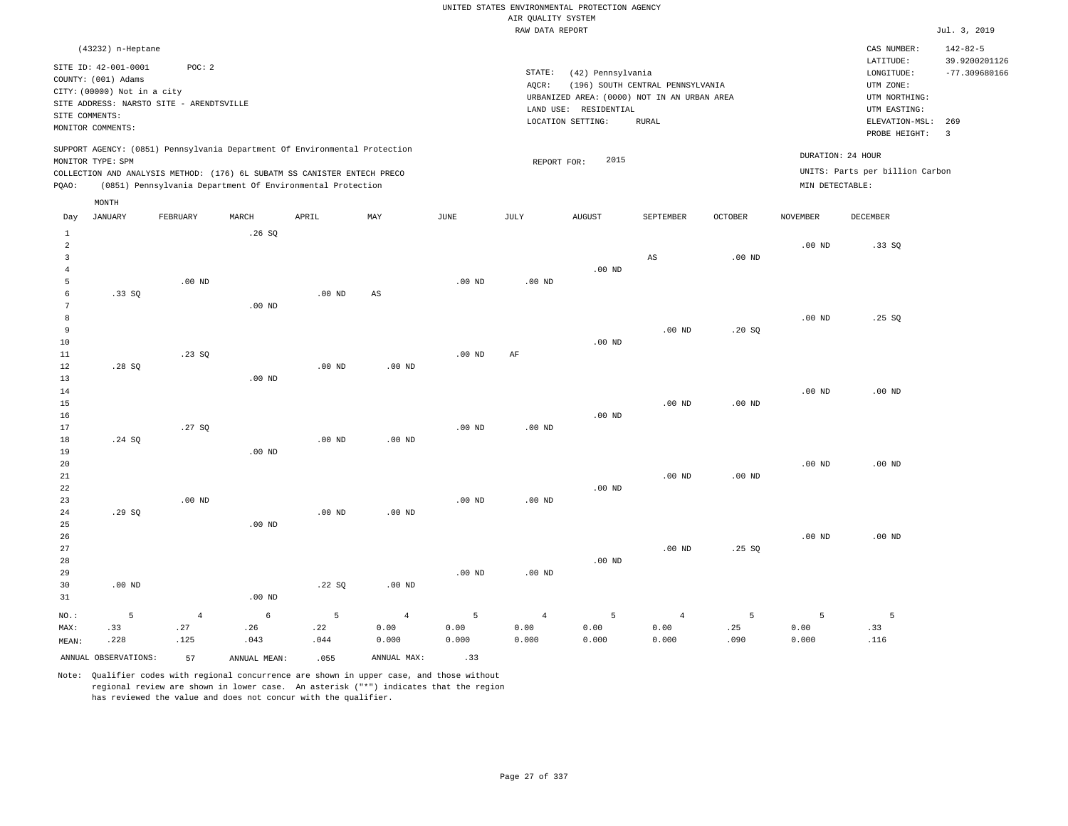|                              |                             |                                          |                                                                            |          |                   |                   |                    | UNITED STATES ENVIRONMENTAL PROTECTION AGENCY |                                  |                   |                   |                                 |                 |
|------------------------------|-----------------------------|------------------------------------------|----------------------------------------------------------------------------|----------|-------------------|-------------------|--------------------|-----------------------------------------------|----------------------------------|-------------------|-------------------|---------------------------------|-----------------|
|                              |                             |                                          |                                                                            |          |                   |                   | AIR QUALITY SYSTEM |                                               |                                  |                   |                   |                                 |                 |
|                              |                             |                                          |                                                                            |          |                   |                   | RAW DATA REPORT    |                                               |                                  |                   |                   |                                 | Jul. 3, 2019    |
|                              | (43232) n-Heptane           |                                          |                                                                            |          |                   |                   |                    |                                               |                                  |                   |                   | CAS NUMBER:                     | $142 - 82 - 5$  |
|                              | SITE ID: 42-001-0001        | POC: 2                                   |                                                                            |          |                   |                   | STATE:             |                                               |                                  |                   |                   | LATITUDE:                       | 39.9200201126   |
|                              | COUNTY: (001) Adams         |                                          |                                                                            |          |                   |                   | AQCR:              | (42) Pennsylvania                             | (196) SOUTH CENTRAL PENNSYLVANIA |                   |                   | LONGITUDE:<br>UTM ZONE:         | $-77.309680166$ |
|                              | CITY: (00000) Not in a city |                                          |                                                                            |          |                   |                   |                    | URBANIZED AREA: (0000) NOT IN AN URBAN AREA   |                                  |                   |                   | UTM NORTHING:                   |                 |
|                              |                             | SITE ADDRESS: NARSTO SITE - ARENDTSVILLE |                                                                            |          |                   |                   |                    | LAND USE: RESIDENTIAL                         |                                  |                   |                   | UTM EASTING:                    |                 |
|                              | SITE COMMENTS:              |                                          |                                                                            |          |                   |                   |                    | LOCATION SETTING:                             | <b>RURAL</b>                     |                   |                   | ELEVATION-MSL:                  | 269             |
|                              | MONITOR COMMENTS:           |                                          |                                                                            |          |                   |                   |                    |                                               |                                  |                   |                   | PROBE HEIGHT:                   | $\overline{3}$  |
|                              |                             |                                          | SUPPORT AGENCY: (0851) Pennsylvania Department Of Environmental Protection |          |                   |                   |                    |                                               |                                  |                   |                   | DURATION: 24 HOUR               |                 |
|                              | MONITOR TYPE: SPM           |                                          |                                                                            |          |                   |                   | REPORT FOR:        | 2015                                          |                                  |                   |                   |                                 |                 |
|                              |                             |                                          | COLLECTION AND ANALYSIS METHOD: (176) 6L SUBATM SS CANISTER ENTECH PRECO   |          |                   |                   |                    |                                               |                                  |                   |                   | UNITS: Parts per billion Carbon |                 |
| PQAO:                        |                             |                                          | (0851) Pennsylvania Department Of Environmental Protection                 |          |                   |                   |                    |                                               |                                  |                   | MIN DETECTABLE:   |                                 |                 |
|                              | MONTH                       |                                          |                                                                            |          |                   |                   |                    |                                               |                                  |                   |                   |                                 |                 |
| Day                          | <b>JANUARY</b>              | FEBRUARY                                 | MARCH                                                                      | APRIL    | MAY               | <b>JUNE</b>       | JULY               | <b>AUGUST</b>                                 | SEPTEMBER                        | <b>OCTOBER</b>    | <b>NOVEMBER</b>   | <b>DECEMBER</b>                 |                 |
| $1\,$                        |                             |                                          | .26SQ                                                                      |          |                   |                   |                    |                                               |                                  |                   |                   |                                 |                 |
| $\sqrt{2}$<br>$\overline{3}$ |                             |                                          |                                                                            |          |                   |                   |                    |                                               | $_{\rm AS}$                      | $.00$ ND          | $.00$ ND          | .33SQ                           |                 |
| $\overline{4}$               |                             |                                          |                                                                            |          |                   |                   |                    | $.00$ ND                                      |                                  |                   |                   |                                 |                 |
| 5                            |                             | $.00$ ND                                 |                                                                            |          |                   | $.00$ ND          | $.00$ ND           |                                               |                                  |                   |                   |                                 |                 |
| 6                            | .33 S0                      |                                          |                                                                            | $.00$ ND | AS                |                   |                    |                                               |                                  |                   |                   |                                 |                 |
| 7                            |                             |                                          | .00 <sub>ND</sub>                                                          |          |                   |                   |                    |                                               |                                  |                   |                   |                                 |                 |
| 8                            |                             |                                          |                                                                            |          |                   |                   |                    |                                               |                                  |                   | $.00$ ND          | .25SQ                           |                 |
| 9                            |                             |                                          |                                                                            |          |                   |                   |                    |                                               | $.00$ ND                         | .20S              |                   |                                 |                 |
| 10                           |                             |                                          |                                                                            |          |                   |                   |                    | $.00$ ND                                      |                                  |                   |                   |                                 |                 |
| $11\,$                       |                             | .23SQ                                    |                                                                            |          |                   | $.00$ ND          | AF                 |                                               |                                  |                   |                   |                                 |                 |
| 12                           | .28S                        |                                          |                                                                            | $.00$ ND | .00 <sub>ND</sub> |                   |                    |                                               |                                  |                   |                   |                                 |                 |
| 13                           |                             |                                          | .00 <sub>ND</sub>                                                          |          |                   |                   |                    |                                               |                                  |                   |                   |                                 |                 |
| 14                           |                             |                                          |                                                                            |          |                   |                   |                    |                                               |                                  |                   | .00 <sub>ND</sub> | $.00$ ND                        |                 |
| 15                           |                             |                                          |                                                                            |          |                   |                   |                    |                                               | $.00$ ND                         | $.00$ ND          |                   |                                 |                 |
| 16<br>17                     |                             | .27S                                     |                                                                            |          |                   |                   |                    | $.00$ ND                                      |                                  |                   |                   |                                 |                 |
| 18                           | .24 SQ                      |                                          |                                                                            | $.00$ ND | $.00$ ND          | $.00$ ND          | $.00$ ND           |                                               |                                  |                   |                   |                                 |                 |
| 19                           |                             |                                          | $.00$ ND                                                                   |          |                   |                   |                    |                                               |                                  |                   |                   |                                 |                 |
| 20                           |                             |                                          |                                                                            |          |                   |                   |                    |                                               |                                  |                   | .00 <sub>ND</sub> | $.00$ ND                        |                 |
| 21                           |                             |                                          |                                                                            |          |                   |                   |                    |                                               | $.00$ ND                         | .00 <sub>ND</sub> |                   |                                 |                 |
| 22                           |                             |                                          |                                                                            |          |                   |                   |                    | $.00$ ND                                      |                                  |                   |                   |                                 |                 |
| 23                           |                             | $.00$ ND                                 |                                                                            |          |                   | $.00$ ND          | $.00$ ND           |                                               |                                  |                   |                   |                                 |                 |
| 24                           | .29SQ                       |                                          |                                                                            | $.00$ ND | .00 <sub>ND</sub> |                   |                    |                                               |                                  |                   |                   |                                 |                 |
| 25                           |                             |                                          | $.00$ ND                                                                   |          |                   |                   |                    |                                               |                                  |                   |                   |                                 |                 |
| 26                           |                             |                                          |                                                                            |          |                   |                   |                    |                                               |                                  |                   | $.00$ ND          | $.00$ ND                        |                 |
| 27                           |                             |                                          |                                                                            |          |                   |                   |                    |                                               | $.00$ ND                         | .25S              |                   |                                 |                 |
| 28                           |                             |                                          |                                                                            |          |                   |                   |                    | $.00$ ND                                      |                                  |                   |                   |                                 |                 |
| 29                           |                             |                                          |                                                                            |          |                   | .00 <sub>ND</sub> | $.00$ ND           |                                               |                                  |                   |                   |                                 |                 |
| 30                           | $.00$ ND                    |                                          |                                                                            | .22S     | $.00$ ND          |                   |                    |                                               |                                  |                   |                   |                                 |                 |
| 31                           |                             |                                          | .00 <sub>ND</sub>                                                          |          |                   |                   |                    |                                               |                                  |                   |                   |                                 |                 |
| NO.:                         | 5                           | $\overline{4}$                           | 6                                                                          | 5        | $\overline{4}$    | 5                 | $\overline{4}$     | 5                                             | $\overline{4}$                   | 5                 | 5                 | 5                               |                 |
| MAX:                         | .33                         | .27                                      | .26                                                                        | .22      | 0.00              | 0.00              | 0.00               | 0.00                                          | 0.00                             | .25               | 0.00              | .33                             |                 |
| MEAN:                        | .228                        | .125                                     | .043                                                                       | .044     | 0.000             | 0.000             | 0.000              | 0.000                                         | 0.000                            | .090              | 0.000             | .116                            |                 |
|                              | ANNUAL OBSERVATIONS:        | 57                                       | ANNUAL, MEAN:                                                              | .055     | ANNUAL MAX:       | .33               |                    |                                               |                                  |                   |                   |                                 |                 |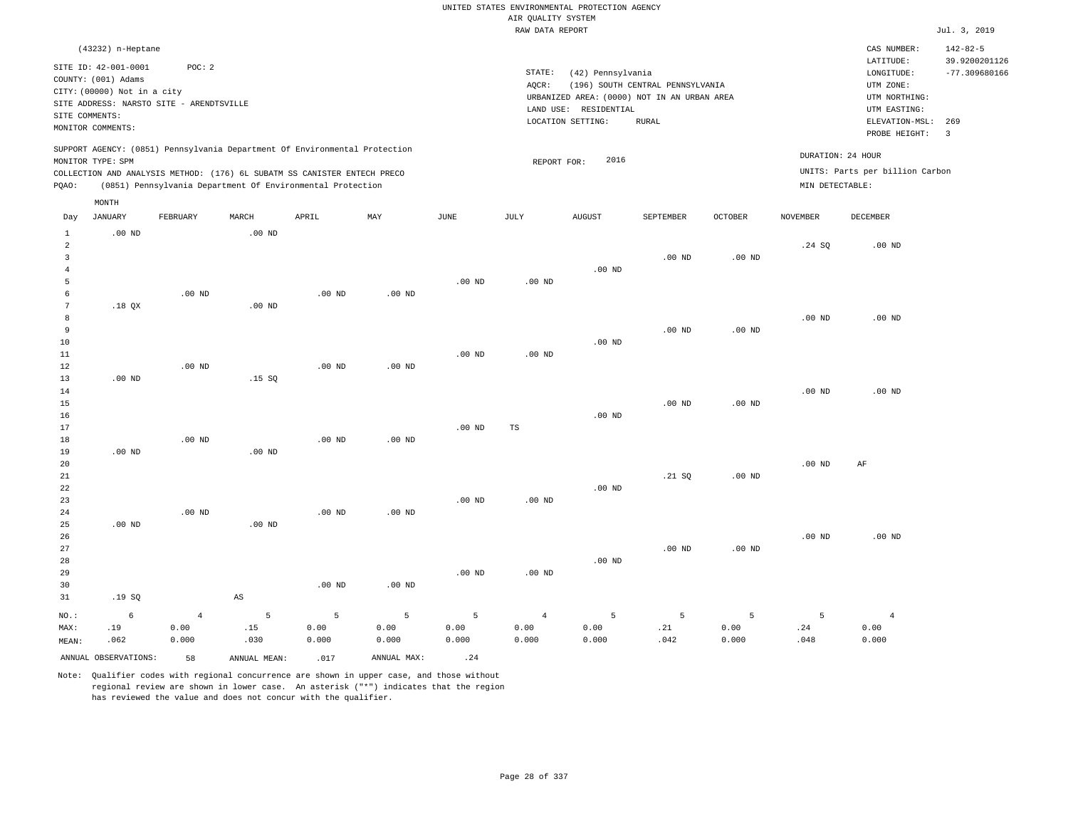|                                |                             |                                          |                        |                                                                            |                           |                   |                    | UNITED STATES ENVIRONMENTAL PROTECTION AGENCY |                                  |                   |                   |                                 |                                  |
|--------------------------------|-----------------------------|------------------------------------------|------------------------|----------------------------------------------------------------------------|---------------------------|-------------------|--------------------|-----------------------------------------------|----------------------------------|-------------------|-------------------|---------------------------------|----------------------------------|
|                                |                             |                                          |                        |                                                                            |                           |                   | AIR QUALITY SYSTEM |                                               |                                  |                   |                   |                                 |                                  |
|                                |                             |                                          |                        |                                                                            |                           |                   | RAW DATA REPORT    |                                               |                                  |                   |                   |                                 | Jul. 3, 2019                     |
|                                | (43232) n-Heptane           |                                          |                        |                                                                            |                           |                   |                    |                                               |                                  |                   |                   | CAS NUMBER:                     | $142 - 82 - 5$                   |
|                                | SITE ID: 42-001-0001        | POC: 2                                   |                        |                                                                            |                           |                   | STATE:             | (42) Pennsylvania                             |                                  |                   |                   | LATITUDE:<br>LONGITUDE:         | 39.9200201126<br>$-77.309680166$ |
|                                | COUNTY: (001) Adams         |                                          |                        |                                                                            |                           |                   | AQCR:              |                                               | (196) SOUTH CENTRAL PENNSYLVANIA |                   |                   | UTM ZONE:                       |                                  |
|                                | CITY: (00000) Not in a city |                                          |                        |                                                                            |                           |                   |                    | URBANIZED AREA: (0000) NOT IN AN URBAN AREA   |                                  |                   |                   | UTM NORTHING:                   |                                  |
|                                |                             | SITE ADDRESS: NARSTO SITE - ARENDTSVILLE |                        |                                                                            |                           |                   |                    | LAND USE: RESIDENTIAL                         |                                  |                   |                   | UTM EASTING:                    |                                  |
| SITE COMMENTS:                 |                             |                                          |                        |                                                                            |                           |                   |                    | LOCATION SETTING:                             | <b>RURAL</b>                     |                   |                   | ELEVATION-MSL:                  | 269                              |
|                                | MONITOR COMMENTS:           |                                          |                        |                                                                            |                           |                   |                    |                                               |                                  |                   |                   | PROBE HEIGHT:                   | $\overline{3}$                   |
|                                |                             |                                          |                        | SUPPORT AGENCY: (0851) Pennsylvania Department Of Environmental Protection |                           |                   |                    |                                               |                                  |                   | DURATION: 24 HOUR |                                 |                                  |
|                                | MONITOR TYPE: SPM           |                                          |                        |                                                                            |                           |                   | REPORT FOR:        | 2016                                          |                                  |                   |                   |                                 |                                  |
|                                |                             |                                          |                        | COLLECTION AND ANALYSIS METHOD: (176) 6L SUBATM SS CANISTER ENTECH PRECO   |                           |                   |                    |                                               |                                  |                   |                   | UNITS: Parts per billion Carbon |                                  |
| PQAO:                          |                             |                                          |                        | (0851) Pennsylvania Department Of Environmental Protection                 |                           |                   |                    |                                               |                                  |                   | MIN DETECTABLE:   |                                 |                                  |
|                                | MONTH                       |                                          |                        |                                                                            |                           |                   |                    |                                               |                                  |                   |                   |                                 |                                  |
| Day                            | <b>JANUARY</b>              | FEBRUARY                                 | MARCH                  | APRIL                                                                      | $\ensuremath{\text{MAX}}$ | JUNE              | JULY               | <b>AUGUST</b>                                 | SEPTEMBER                        | <b>OCTOBER</b>    | <b>NOVEMBER</b>   | DECEMBER                        |                                  |
| $\mathbf{1}$<br>$\overline{a}$ | $.00$ ND                    |                                          | $.00$ ND               |                                                                            |                           |                   |                    |                                               |                                  |                   | .24 S0            | $.00$ ND                        |                                  |
| $\overline{3}$                 |                             |                                          |                        |                                                                            |                           |                   |                    |                                               | .00 <sub>ND</sub>                | .00 <sub>ND</sub> |                   |                                 |                                  |
| $\overline{4}$                 |                             |                                          |                        |                                                                            |                           |                   |                    | $.00$ ND                                      |                                  |                   |                   |                                 |                                  |
| 5                              |                             |                                          |                        |                                                                            |                           | .00 <sub>ND</sub> | $.00$ ND           |                                               |                                  |                   |                   |                                 |                                  |
| 6                              |                             | $.00$ ND                                 |                        | $.00$ ND                                                                   | $.00$ ND                  |                   |                    |                                               |                                  |                   |                   |                                 |                                  |
| 7                              | $.18$ QX                    |                                          | .00 <sub>ND</sub>      |                                                                            |                           |                   |                    |                                               |                                  |                   |                   |                                 |                                  |
| 8                              |                             |                                          |                        |                                                                            |                           |                   |                    |                                               |                                  |                   | $.00$ ND          | $.00$ ND                        |                                  |
| $\overline{9}$                 |                             |                                          |                        |                                                                            |                           |                   |                    |                                               | $.00$ ND                         | .00 <sub>ND</sub> |                   |                                 |                                  |
| 10                             |                             |                                          |                        |                                                                            |                           |                   |                    | $.00$ ND                                      |                                  |                   |                   |                                 |                                  |
| 11                             |                             |                                          |                        |                                                                            |                           | .00 <sub>ND</sub> | .00 <sub>ND</sub>  |                                               |                                  |                   |                   |                                 |                                  |
| 12                             |                             | .00 <sub>ND</sub>                        |                        | .00 <sub>ND</sub>                                                          | $.00$ ND                  |                   |                    |                                               |                                  |                   |                   |                                 |                                  |
| 13                             | $.00$ ND                    |                                          | .15S                   |                                                                            |                           |                   |                    |                                               |                                  |                   |                   |                                 |                                  |
| 14                             |                             |                                          |                        |                                                                            |                           |                   |                    |                                               |                                  |                   | $.00$ ND          | $.00$ ND                        |                                  |
| 15                             |                             |                                          |                        |                                                                            |                           |                   |                    |                                               | $.00$ ND                         | .00 <sub>ND</sub> |                   |                                 |                                  |
| 16                             |                             |                                          |                        |                                                                            |                           |                   |                    | $.00$ ND                                      |                                  |                   |                   |                                 |                                  |
| 17                             |                             |                                          |                        |                                                                            |                           | $.00$ ND          | TS                 |                                               |                                  |                   |                   |                                 |                                  |
| 18                             |                             | $.00$ ND                                 |                        | $.00$ ND                                                                   | $.00$ ND                  |                   |                    |                                               |                                  |                   |                   |                                 |                                  |
| 19                             | $.00$ ND                    |                                          | $.00$ ND               |                                                                            |                           |                   |                    |                                               |                                  |                   |                   |                                 |                                  |
| 20                             |                             |                                          |                        |                                                                            |                           |                   |                    |                                               |                                  |                   | .00 <sub>ND</sub> | AF                              |                                  |
| $2\sqrt{1}$                    |                             |                                          |                        |                                                                            |                           |                   |                    |                                               | .21 SQ                           | $.00$ ND          |                   |                                 |                                  |
| 22<br>23                       |                             |                                          |                        |                                                                            |                           | .00 <sub>ND</sub> | .00 <sub>ND</sub>  | $.00$ ND                                      |                                  |                   |                   |                                 |                                  |
| 24                             |                             | .00 <sub>ND</sub>                        |                        | .00 <sub>ND</sub>                                                          | $.00$ ND                  |                   |                    |                                               |                                  |                   |                   |                                 |                                  |
| 25                             | $.00$ ND                    |                                          | $.00$ ND               |                                                                            |                           |                   |                    |                                               |                                  |                   |                   |                                 |                                  |
| 26                             |                             |                                          |                        |                                                                            |                           |                   |                    |                                               |                                  |                   | .00 <sub>ND</sub> | $.00$ ND                        |                                  |
| 27                             |                             |                                          |                        |                                                                            |                           |                   |                    |                                               | .00 <sub>ND</sub>                | .00 <sub>ND</sub> |                   |                                 |                                  |
| 28                             |                             |                                          |                        |                                                                            |                           |                   |                    | $.00$ ND                                      |                                  |                   |                   |                                 |                                  |
| 29                             |                             |                                          |                        |                                                                            |                           | .00 <sub>ND</sub> | $.00$ ND           |                                               |                                  |                   |                   |                                 |                                  |
| 30                             |                             |                                          |                        | $.00$ ND                                                                   | $.00$ ND                  |                   |                    |                                               |                                  |                   |                   |                                 |                                  |
| 31                             | .19S                        |                                          | $\mathbb{A}\mathbb{S}$ |                                                                            |                           |                   |                    |                                               |                                  |                   |                   |                                 |                                  |
|                                |                             |                                          |                        |                                                                            |                           |                   |                    |                                               |                                  |                   |                   |                                 |                                  |
| NO.:                           | 6                           | $\overline{4}$                           | 5                      | $\overline{5}$                                                             | 5                         | 5                 | $\overline{4}$     | 5                                             | 5                                | 5                 | $\overline{5}$    | $\overline{4}$                  |                                  |
| MAX:                           | .19                         | 0.00                                     | .15                    | 0.00                                                                       | 0.00                      | 0.00              | 0.00               | 0.00                                          | .21                              | 0.00              | .24               | 0.00                            |                                  |
| MEAN:                          | .062                        | 0.000                                    | .030                   | 0.000                                                                      | 0.000                     | 0.000             | 0.000              | 0.000                                         | .042                             | 0.000             | .048              | 0.000                           |                                  |
|                                | ANNUAL OBSERVATIONS:        | 58                                       | ANNUAL, MEAN:          | .017                                                                       | ANNUAL MAX:               | .24               |                    |                                               |                                  |                   |                   |                                 |                                  |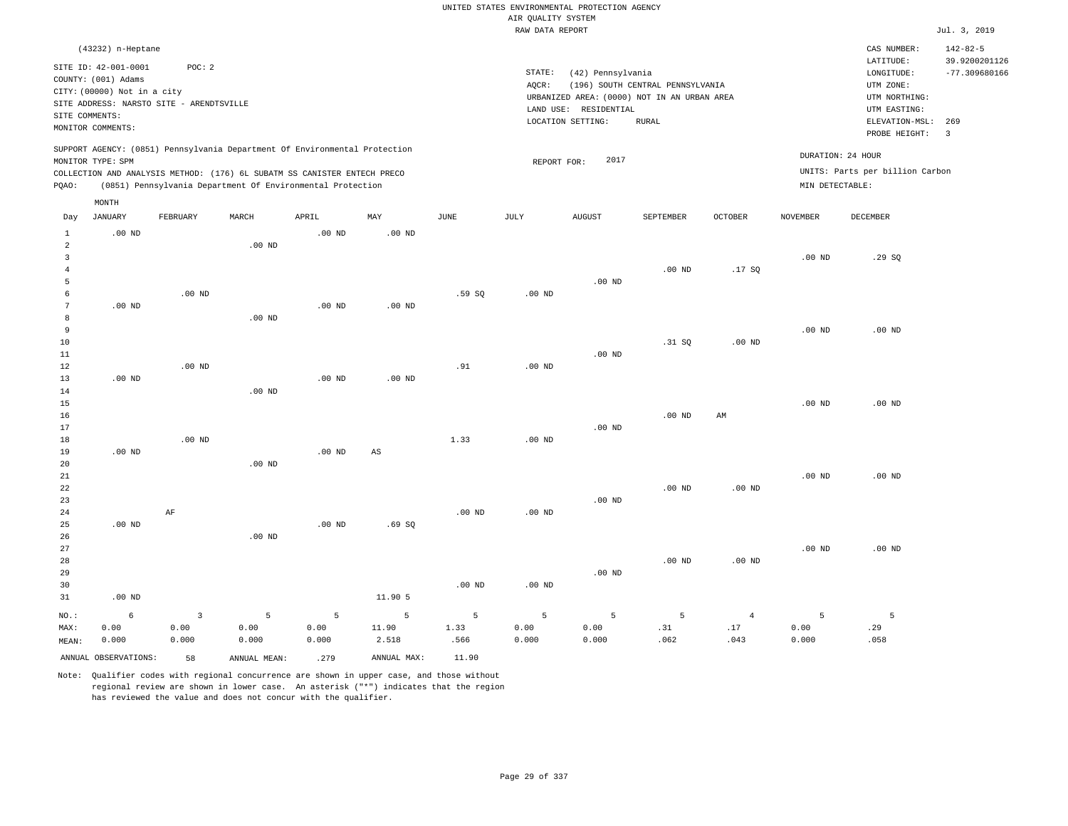|                                  |                                          |                         |                                                                            |                   |             |                       |                    | UNITED STATES ENVIRONMENTAL PROTECTION AGENCY |                                             |                |                   |                                 |                                |
|----------------------------------|------------------------------------------|-------------------------|----------------------------------------------------------------------------|-------------------|-------------|-----------------------|--------------------|-----------------------------------------------|---------------------------------------------|----------------|-------------------|---------------------------------|--------------------------------|
|                                  |                                          |                         |                                                                            |                   |             |                       | AIR QUALITY SYSTEM |                                               |                                             |                |                   |                                 |                                |
|                                  |                                          |                         |                                                                            |                   |             |                       | RAW DATA REPORT    |                                               |                                             |                |                   |                                 | Jul. 3, 2019                   |
|                                  | (43232) n-Heptane                        |                         |                                                                            |                   |             |                       |                    |                                               |                                             |                |                   | CAS NUMBER:                     | $142 - 82 - 5$                 |
|                                  | SITE ID: 42-001-0001                     | POC: 2                  |                                                                            |                   |             |                       |                    |                                               |                                             |                |                   | LATITUDE:                       | 39.9200201126                  |
|                                  | COUNTY: (001) Adams                      |                         |                                                                            |                   |             |                       | STATE:             | (42) Pennsylvania                             |                                             |                |                   | LONGITUDE:                      | $-77.309680166$                |
|                                  | CITY: (00000) Not in a city              |                         |                                                                            |                   |             |                       | AQCR:              |                                               | (196) SOUTH CENTRAL PENNSYLVANIA            |                |                   | UTM ZONE:                       |                                |
|                                  | SITE ADDRESS: NARSTO SITE - ARENDTSVILLE |                         |                                                                            |                   |             |                       |                    |                                               | URBANIZED AREA: (0000) NOT IN AN URBAN AREA |                |                   | UTM NORTHING:                   |                                |
| SITE COMMENTS:                   |                                          |                         |                                                                            |                   |             |                       |                    | LAND USE: RESIDENTIAL                         |                                             |                |                   | UTM EASTING:                    |                                |
|                                  | MONITOR COMMENTS:                        |                         |                                                                            |                   |             |                       |                    | LOCATION SETTING:                             | <b>RURAL</b>                                |                |                   | ELEVATION-MSL:<br>PROBE HEIGHT: | 269<br>$\overline{\mathbf{3}}$ |
|                                  |                                          |                         | SUPPORT AGENCY: (0851) Pennsylvania Department Of Environmental Protection |                   |             |                       |                    |                                               |                                             |                |                   |                                 |                                |
|                                  | MONITOR TYPE: SPM                        |                         |                                                                            |                   |             |                       | REPORT FOR:        | 2017                                          |                                             |                |                   | DURATION: 24 HOUR               |                                |
|                                  |                                          |                         | COLLECTION AND ANALYSIS METHOD: (176) 6L SUBATM SS CANISTER ENTECH PRECO   |                   |             |                       |                    |                                               |                                             |                |                   | UNITS: Parts per billion Carbon |                                |
| PQAO:                            |                                          |                         | (0851) Pennsylvania Department Of Environmental Protection                 |                   |             |                       |                    |                                               |                                             |                | MIN DETECTABLE:   |                                 |                                |
|                                  | MONTH                                    |                         |                                                                            |                   |             |                       |                    |                                               |                                             |                |                   |                                 |                                |
| Day                              | <b>JANUARY</b>                           | ${\tt FEBRUARY}$        | MARCH                                                                      | APRIL             | MAY         | $\operatorname{JUNE}$ | JULY               | <b>AUGUST</b>                                 | SEPTEMBER                                   | OCTOBER        | <b>NOVEMBER</b>   | DECEMBER                        |                                |
| $\mathbf{1}$                     | $.00$ ND                                 |                         |                                                                            | $.00$ ND          | $.00$ ND    |                       |                    |                                               |                                             |                |                   |                                 |                                |
| $\overline{a}$                   |                                          |                         | .00 <sub>ND</sub>                                                          |                   |             |                       |                    |                                               |                                             |                |                   |                                 |                                |
| $\overline{3}$<br>$\overline{4}$ |                                          |                         |                                                                            |                   |             |                       |                    |                                               | $.00$ ND                                    | .17SQ          | $.00$ ND          | .29S                            |                                |
| 5                                |                                          |                         |                                                                            |                   |             |                       |                    | $.00$ ND                                      |                                             |                |                   |                                 |                                |
| 6                                |                                          | .00 <sub>ND</sub>       |                                                                            |                   |             | .59SQ                 | $.00$ ND           |                                               |                                             |                |                   |                                 |                                |
| $\overline{7}$                   | $.00$ ND                                 |                         |                                                                            | .00 <sub>ND</sub> | $.00$ ND    |                       |                    |                                               |                                             |                |                   |                                 |                                |
| 8                                |                                          |                         | .00 <sub>ND</sub>                                                          |                   |             |                       |                    |                                               |                                             |                |                   |                                 |                                |
| 9                                |                                          |                         |                                                                            |                   |             |                       |                    |                                               |                                             |                | $.00$ ND          | $.00$ ND                        |                                |
| 10                               |                                          |                         |                                                                            |                   |             |                       |                    |                                               | .31 SQ                                      | $.00$ ND       |                   |                                 |                                |
| 11                               |                                          |                         |                                                                            |                   |             |                       |                    | $.00$ ND                                      |                                             |                |                   |                                 |                                |
| 12                               |                                          | $.00$ ND                |                                                                            |                   |             | .91                   | .00 $ND$           |                                               |                                             |                |                   |                                 |                                |
| 13                               | $.00$ ND                                 |                         |                                                                            | $.00$ ND          | $.00$ ND    |                       |                    |                                               |                                             |                |                   |                                 |                                |
| 14                               |                                          |                         | .00 <sub>ND</sub>                                                          |                   |             |                       |                    |                                               |                                             |                | .00 <sub>ND</sub> | $.00$ ND                        |                                |
| 15<br>16                         |                                          |                         |                                                                            |                   |             |                       |                    |                                               | $.00$ ND                                    | AM             |                   |                                 |                                |
| 17                               |                                          |                         |                                                                            |                   |             |                       |                    | $.00$ ND                                      |                                             |                |                   |                                 |                                |
| 18                               |                                          | $.00$ ND                |                                                                            |                   |             | 1.33                  | $.00$ ND           |                                               |                                             |                |                   |                                 |                                |
| 19                               | $.00$ ND                                 |                         |                                                                            | $.00$ ND          | AS          |                       |                    |                                               |                                             |                |                   |                                 |                                |
| 20                               |                                          |                         | $.00$ ND                                                                   |                   |             |                       |                    |                                               |                                             |                |                   |                                 |                                |
| $21\,$                           |                                          |                         |                                                                            |                   |             |                       |                    |                                               |                                             |                | $.00$ ND          | $.00$ ND                        |                                |
| 22                               |                                          |                         |                                                                            |                   |             |                       |                    |                                               | $.00$ ND                                    | $.00$ ND       |                   |                                 |                                |
| 23                               |                                          |                         |                                                                            |                   |             |                       |                    | $.00$ ND                                      |                                             |                |                   |                                 |                                |
| 24                               |                                          | AF                      |                                                                            | .00 <sub>ND</sub> |             | $.00$ ND              | $.00$ ND           |                                               |                                             |                |                   |                                 |                                |
| 25<br>26                         | $.00$ ND                                 |                         | $.00$ ND                                                                   |                   | .69SQ       |                       |                    |                                               |                                             |                |                   |                                 |                                |
| 27                               |                                          |                         |                                                                            |                   |             |                       |                    |                                               |                                             |                | $.00$ ND          | $.00$ ND                        |                                |
| 28                               |                                          |                         |                                                                            |                   |             |                       |                    |                                               | .00 <sub>ND</sub>                           | $.00$ ND       |                   |                                 |                                |
| 29                               |                                          |                         |                                                                            |                   |             |                       |                    | $.00$ ND                                      |                                             |                |                   |                                 |                                |
| 30                               |                                          |                         |                                                                            |                   |             | $.00$ ND              | .00 <sub>ND</sub>  |                                               |                                             |                |                   |                                 |                                |
| 31                               | $.00$ ND                                 |                         |                                                                            |                   | 11.90 5     |                       |                    |                                               |                                             |                |                   |                                 |                                |
| NO.:                             | $6\overline{6}$                          | $\overline{\mathbf{3}}$ | 5                                                                          | 5                 | 5           | $\overline{5}$        | 5                  | 5                                             | 5                                           | $\overline{4}$ | 5                 | $\overline{5}$                  |                                |
| MAX:                             | 0.00                                     | 0.00                    | 0.00                                                                       | 0.00              | 11.90       | 1.33                  | 0.00               | 0.00                                          | .31                                         | .17            | 0.00              | .29                             |                                |
| MEAN:                            | 0.000                                    | 0.000                   | 0.000                                                                      | 0.000             | 2.518       | .566                  | 0.000              | 0.000                                         | .062                                        | .043           | 0.000             | .058                            |                                |
|                                  | ANNUAL OBSERVATIONS:                     | 58                      | ANNUAL, MEAN:                                                              | .279              | ANNUAL MAX: | 11.90                 |                    |                                               |                                             |                |                   |                                 |                                |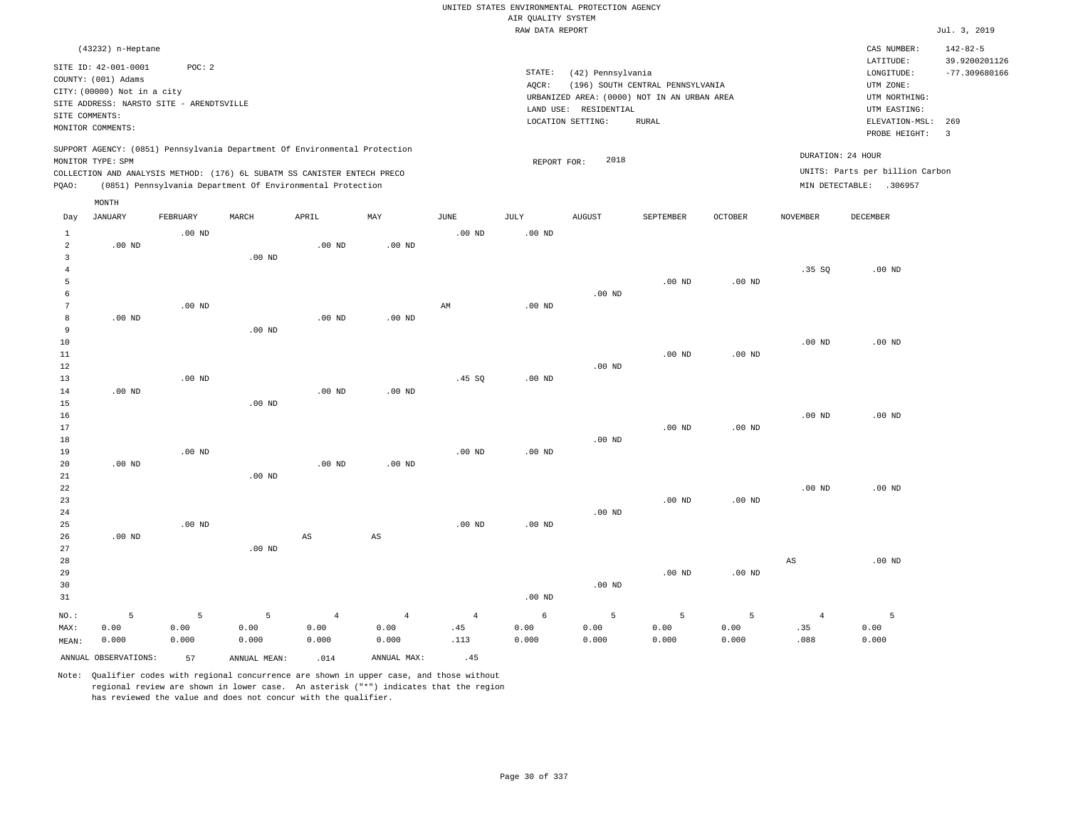|                                |                                          |                   |                                                                            |                |                        |                        |                    | UNITED STATES ENVIRONMENTAL PROTECTION AGENCY |                                             |          |                   |                                   |                                |
|--------------------------------|------------------------------------------|-------------------|----------------------------------------------------------------------------|----------------|------------------------|------------------------|--------------------|-----------------------------------------------|---------------------------------------------|----------|-------------------|-----------------------------------|--------------------------------|
|                                |                                          |                   |                                                                            |                |                        |                        | AIR QUALITY SYSTEM |                                               |                                             |          |                   |                                   |                                |
|                                |                                          |                   |                                                                            |                |                        |                        | RAW DATA REPORT    |                                               |                                             |          |                   |                                   | Jul. 3, 2019                   |
|                                | (43232) n-Heptane                        |                   |                                                                            |                |                        |                        |                    |                                               |                                             |          |                   | CAS NUMBER:                       | $142 - 82 - 5$                 |
|                                | SITE ID: 42-001-0001                     | POC: 2            |                                                                            |                |                        |                        |                    |                                               |                                             |          |                   | LATITUDE:                         | 39.9200201126                  |
|                                | COUNTY: (001) Adams                      |                   |                                                                            |                |                        |                        | STATE:             | (42) Pennsylvania                             |                                             |          |                   | LONGITUDE:                        | $-77.309680166$                |
|                                | CITY: (00000) Not in a city              |                   |                                                                            |                |                        |                        | AQCR:              |                                               | (196) SOUTH CENTRAL PENNSYLVANIA            |          |                   | UTM ZONE:                         |                                |
|                                | SITE ADDRESS: NARSTO SITE - ARENDTSVILLE |                   |                                                                            |                |                        |                        |                    |                                               | URBANIZED AREA: (0000) NOT IN AN URBAN AREA |          |                   | UTM NORTHING:                     |                                |
| SITE COMMENTS:                 |                                          |                   |                                                                            |                |                        |                        |                    | LAND USE: RESIDENTIAL                         |                                             |          |                   | UTM EASTING:                      |                                |
|                                | MONITOR COMMENTS:                        |                   |                                                                            |                |                        |                        |                    | LOCATION SETTING:                             | <b>RURAL</b>                                |          |                   | $ELEVATION-MSL:$<br>PROBE HEIGHT: | 269<br>$\overline{\mathbf{3}}$ |
|                                |                                          |                   | SUPPORT AGENCY: (0851) Pennsylvania Department Of Environmental Protection |                |                        |                        |                    |                                               |                                             |          |                   | DURATION: 24 HOUR                 |                                |
|                                | MONITOR TYPE: SPM                        |                   |                                                                            |                |                        |                        | REPORT FOR:        | 2018                                          |                                             |          |                   |                                   |                                |
|                                |                                          |                   | COLLECTION AND ANALYSIS METHOD: (176) 6L SUBATM SS CANISTER ENTECH PRECO   |                |                        |                        |                    |                                               |                                             |          |                   | UNITS: Parts per billion Carbon   |                                |
| PQAO:                          |                                          |                   | (0851) Pennsylvania Department Of Environmental Protection                 |                |                        |                        |                    |                                               |                                             |          |                   | MIN DETECTABLE: .306957           |                                |
|                                | MONTH                                    |                   |                                                                            |                |                        |                        |                    |                                               |                                             |          |                   |                                   |                                |
| Day                            | <b>JANUARY</b>                           | FEBRUARY          | MARCH                                                                      | APRIL          | MAY                    | <b>JUNE</b>            | JULY               | <b>AUGUST</b>                                 | SEPTEMBER                                   | OCTOBER  | NOVEMBER          | DECEMBER                          |                                |
| $\mathbf{1}$                   |                                          | $.00$ ND          |                                                                            |                |                        | $.00$ ND               | .00 <sub>ND</sub>  |                                               |                                             |          |                   |                                   |                                |
| $\overline{a}$                 | $.00$ ND                                 |                   |                                                                            | $.00$ ND       | $.00$ ND               |                        |                    |                                               |                                             |          |                   |                                   |                                |
| $\mathbf{3}$<br>$\overline{4}$ |                                          |                   | $.00$ ND                                                                   |                |                        |                        |                    |                                               |                                             |          | .35 SQ            | $.00$ ND                          |                                |
| 5                              |                                          |                   |                                                                            |                |                        |                        |                    |                                               | $.00$ ND                                    | $.00$ ND |                   |                                   |                                |
| 6                              |                                          |                   |                                                                            |                |                        |                        |                    | $.00$ ND                                      |                                             |          |                   |                                   |                                |
| $\boldsymbol{7}$               |                                          | .00 <sub>ND</sub> |                                                                            |                |                        | $\mathbb{A}\mathbb{M}$ | $.00$ ND           |                                               |                                             |          |                   |                                   |                                |
| 8                              | $.00$ ND                                 |                   |                                                                            | $.00$ ND       | $.00$ ND               |                        |                    |                                               |                                             |          |                   |                                   |                                |
| 9                              |                                          |                   | $.00$ ND                                                                   |                |                        |                        |                    |                                               |                                             |          |                   |                                   |                                |
| 10                             |                                          |                   |                                                                            |                |                        |                        |                    |                                               |                                             |          | $.00$ ND          | $.00$ ND                          |                                |
| 11                             |                                          |                   |                                                                            |                |                        |                        |                    |                                               | $.00$ ND                                    | $.00$ ND |                   |                                   |                                |
| 12                             |                                          |                   |                                                                            |                |                        |                        |                    | $.00$ ND                                      |                                             |          |                   |                                   |                                |
| 13                             |                                          | .00 <sub>ND</sub> |                                                                            |                |                        | .45 SQ                 | $.00$ ND           |                                               |                                             |          |                   |                                   |                                |
| 14                             | $.00$ ND                                 |                   |                                                                            | $.00$ ND       | $.00$ ND               |                        |                    |                                               |                                             |          |                   |                                   |                                |
| 15                             |                                          |                   | $.00$ ND                                                                   |                |                        |                        |                    |                                               |                                             |          |                   |                                   |                                |
| 16                             |                                          |                   |                                                                            |                |                        |                        |                    |                                               |                                             |          | $.00$ ND          | $.00$ ND                          |                                |
| 17                             |                                          |                   |                                                                            |                |                        |                        |                    |                                               | $.00$ ND                                    | $.00$ ND |                   |                                   |                                |
| 18<br>19                       |                                          | .00 <sub>ND</sub> |                                                                            |                |                        | $.00$ ND               | $.00$ ND           | $.00$ ND                                      |                                             |          |                   |                                   |                                |
| 20                             | $.00$ ND                                 |                   |                                                                            | $.00$ ND       | $.00$ ND               |                        |                    |                                               |                                             |          |                   |                                   |                                |
| 21                             |                                          |                   | .00 <sub>ND</sub>                                                          |                |                        |                        |                    |                                               |                                             |          |                   |                                   |                                |
| 22                             |                                          |                   |                                                                            |                |                        |                        |                    |                                               |                                             |          | .00 <sub>ND</sub> | $.00$ ND                          |                                |
| 23                             |                                          |                   |                                                                            |                |                        |                        |                    |                                               | $.00$ ND                                    | $.00$ ND |                   |                                   |                                |
| 24                             |                                          |                   |                                                                            |                |                        |                        |                    | .00 <sub>ND</sub>                             |                                             |          |                   |                                   |                                |
| 25                             |                                          | $.00$ ND          |                                                                            |                |                        | $.00$ ND               | $.00$ ND           |                                               |                                             |          |                   |                                   |                                |
| 26                             | $.00$ ND                                 |                   |                                                                            | AS             | $\mathbb{A}\mathbb{S}$ |                        |                    |                                               |                                             |          |                   |                                   |                                |
| 27                             |                                          |                   | $.00$ ND                                                                   |                |                        |                        |                    |                                               |                                             |          |                   |                                   |                                |
| 28                             |                                          |                   |                                                                            |                |                        |                        |                    |                                               |                                             |          | AS                | $.00$ ND                          |                                |
| 29                             |                                          |                   |                                                                            |                |                        |                        |                    |                                               | $.00$ ND                                    | $.00$ ND |                   |                                   |                                |
| 30                             |                                          |                   |                                                                            |                |                        |                        |                    | $.00$ ND                                      |                                             |          |                   |                                   |                                |
| 31                             |                                          |                   |                                                                            |                |                        |                        | .00 <sub>ND</sub>  |                                               |                                             |          |                   |                                   |                                |
| NO.:                           | 5                                        | 5                 | $\overline{5}$                                                             | $\overline{4}$ | $\overline{4}$         | $\overline{4}$         | 6                  | 5                                             | 5                                           | 5        | $\overline{4}$    | 5                                 |                                |
| MAX:                           | 0.00                                     | 0.00              | 0.00                                                                       | 0.00           | 0.00                   | .45                    | 0.00               | 0.00                                          | 0.00                                        | 0.00     | .35               | 0.00                              |                                |
| MEAN:                          | 0.000                                    | 0.000             | 0.000                                                                      | 0.000          | 0.000                  | .113                   | 0.000              | 0.000                                         | 0.000                                       | 0.000    | .088              | 0.000                             |                                |
|                                | ANNUAL OBSERVATIONS:                     | 57                | ANNUAL MEAN:                                                               | .014           | ANNUAL MAX:            | .45                    |                    |                                               |                                             |          |                   |                                   |                                |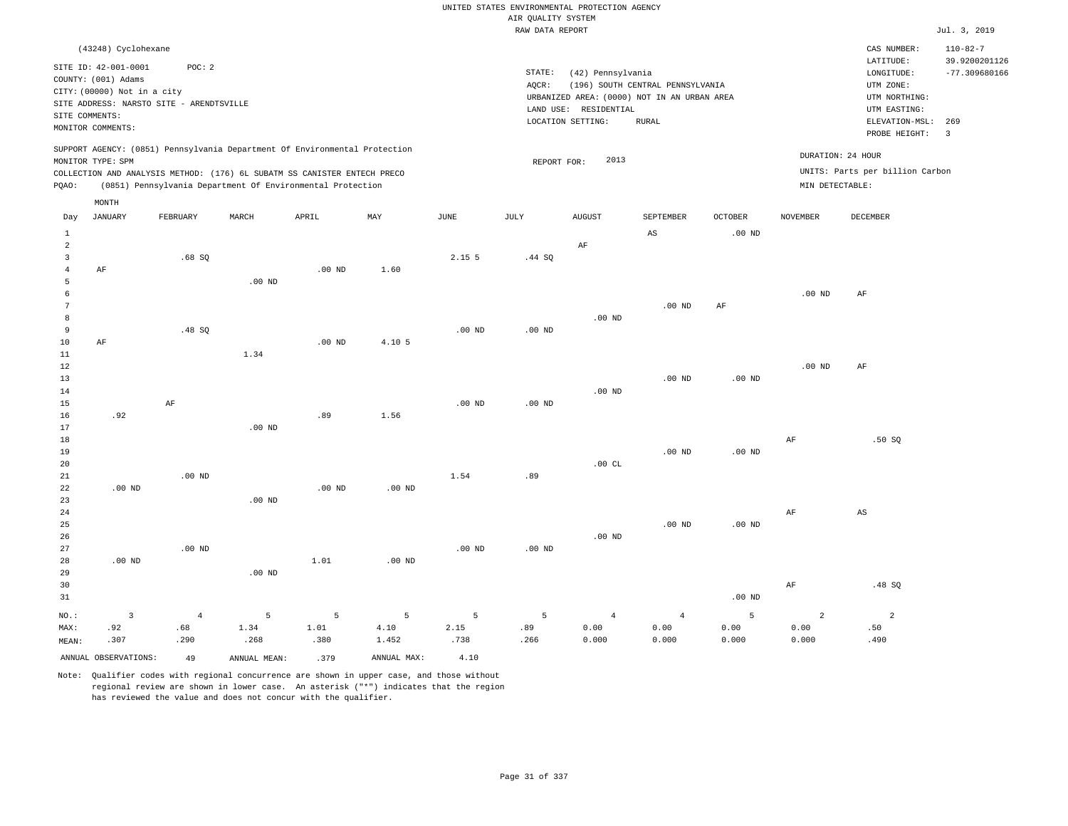|                                  |                                             |                   |                   |                                                                            |                           |               | UNITED STATES ENVIRONMENTAL PROTECTION AGENCY |                       |                                             |                |                   |                                 |                                 |
|----------------------------------|---------------------------------------------|-------------------|-------------------|----------------------------------------------------------------------------|---------------------------|---------------|-----------------------------------------------|-----------------------|---------------------------------------------|----------------|-------------------|---------------------------------|---------------------------------|
|                                  |                                             |                   |                   |                                                                            |                           |               | AIR QUALITY SYSTEM                            |                       |                                             |                |                   |                                 |                                 |
|                                  |                                             |                   |                   |                                                                            |                           |               | RAW DATA REPORT                               |                       |                                             |                |                   |                                 | Jul. 3, 2019                    |
|                                  | (43248) Cyclohexane                         |                   |                   |                                                                            |                           |               |                                               |                       |                                             |                |                   | CAS NUMBER:<br>LATITUDE:        | $110 - 82 - 7$<br>39.9200201126 |
|                                  | SITE ID: 42-001-0001<br>COUNTY: (001) Adams | POC: 2            |                   |                                                                            |                           |               | STATE:                                        | (42) Pennsylvania     |                                             |                |                   | LONGITUDE:                      | $-77.309680166$                 |
|                                  | CITY: (00000) Not in a city                 |                   |                   |                                                                            |                           |               | AQCR:                                         |                       | (196) SOUTH CENTRAL PENNSYLVANIA            |                |                   | UTM ZONE:                       |                                 |
|                                  | SITE ADDRESS: NARSTO SITE - ARENDTSVILLE    |                   |                   |                                                                            |                           |               |                                               |                       | URBANIZED AREA: (0000) NOT IN AN URBAN AREA |                |                   | UTM NORTHING:                   |                                 |
|                                  | SITE COMMENTS:                              |                   |                   |                                                                            |                           |               |                                               | LAND USE: RESIDENTIAL |                                             |                |                   | UTM EASTING:                    |                                 |
|                                  | MONITOR COMMENTS:                           |                   |                   |                                                                            |                           |               |                                               | LOCATION SETTING:     | RURAL                                       |                |                   | ELEVATION-MSL:<br>PROBE HEIGHT: | 269<br>$\overline{3}$           |
|                                  | MONITOR TYPE: SPM                           |                   |                   | SUPPORT AGENCY: (0851) Pennsylvania Department Of Environmental Protection |                           |               |                                               | 2013                  |                                             |                |                   | DURATION: 24 HOUR               |                                 |
|                                  |                                             |                   |                   | COLLECTION AND ANALYSIS METHOD: (176) 6L SUBATM SS CANISTER ENTECH PRECO   |                           |               | REPORT FOR:                                   |                       |                                             |                |                   | UNITS: Parts per billion Carbon |                                 |
| PQAO:                            |                                             |                   |                   | (0851) Pennsylvania Department Of Environmental Protection                 |                           |               |                                               |                       |                                             |                | MIN DETECTABLE:   |                                 |                                 |
|                                  | MONTH                                       |                   |                   |                                                                            |                           |               |                                               |                       |                                             |                |                   |                                 |                                 |
| Day                              | <b>JANUARY</b>                              | FEBRUARY          | MARCH             | APRIL                                                                      | $\ensuremath{\text{MAX}}$ | $_{\rm JUNE}$ | $\mathtt{JULY}$                               | <b>AUGUST</b>         | SEPTEMBER                                   | <b>OCTOBER</b> | <b>NOVEMBER</b>   | <b>DECEMBER</b>                 |                                 |
| $\mathbf{1}$                     |                                             |                   |                   |                                                                            |                           |               |                                               |                       | AS                                          | $.00$ ND       |                   |                                 |                                 |
| $\overline{2}$                   |                                             |                   |                   |                                                                            |                           | 2.15 5        |                                               | AF                    |                                             |                |                   |                                 |                                 |
| $\overline{3}$<br>$\overline{4}$ | AF                                          | .68SQ             |                   | .00 <sub>ND</sub>                                                          | 1.60                      |               | .44 SQ                                        |                       |                                             |                |                   |                                 |                                 |
| 5                                |                                             |                   | .00 <sub>ND</sub> |                                                                            |                           |               |                                               |                       |                                             |                |                   |                                 |                                 |
| 6                                |                                             |                   |                   |                                                                            |                           |               |                                               |                       |                                             |                | $.00$ ND          | AF                              |                                 |
| $7\phantom{.0}$                  |                                             |                   |                   |                                                                            |                           |               |                                               |                       | $.00$ ND                                    | $\rm AF$       |                   |                                 |                                 |
| 8                                |                                             |                   |                   |                                                                            |                           |               |                                               | $.00$ ND              |                                             |                |                   |                                 |                                 |
| 9                                |                                             | .48 SQ            |                   |                                                                            |                           | $.00$ ND      | $.00$ ND                                      |                       |                                             |                |                   |                                 |                                 |
| 10                               | AF                                          |                   |                   | $.00$ ND                                                                   | 4.10 5                    |               |                                               |                       |                                             |                |                   |                                 |                                 |
| 11                               |                                             |                   | 1.34              |                                                                            |                           |               |                                               |                       |                                             |                |                   |                                 |                                 |
| 12                               |                                             |                   |                   |                                                                            |                           |               |                                               |                       |                                             |                | .00 <sub>ND</sub> | AF                              |                                 |
| 13<br>14                         |                                             |                   |                   |                                                                            |                           |               |                                               | $.00$ ND              | $.00$ ND                                    | $.00$ ND       |                   |                                 |                                 |
| 15                               |                                             | AF                |                   |                                                                            |                           | $.00$ ND      | $.00$ ND                                      |                       |                                             |                |                   |                                 |                                 |
| 16                               | .92                                         |                   |                   | .89                                                                        | 1.56                      |               |                                               |                       |                                             |                |                   |                                 |                                 |
| 17                               |                                             |                   | $.00$ ND          |                                                                            |                           |               |                                               |                       |                                             |                |                   |                                 |                                 |
| 18                               |                                             |                   |                   |                                                                            |                           |               |                                               |                       |                                             |                | AF                | .50SQ                           |                                 |
| 19                               |                                             |                   |                   |                                                                            |                           |               |                                               |                       | .00 <sub>ND</sub>                           | $.00$ ND       |                   |                                 |                                 |
| 20                               |                                             |                   |                   |                                                                            |                           |               |                                               | .00CL                 |                                             |                |                   |                                 |                                 |
| 21                               |                                             | .00 <sub>ND</sub> |                   |                                                                            |                           | 1.54          | .89                                           |                       |                                             |                |                   |                                 |                                 |
| 22                               | $.00$ ND                                    |                   |                   | $.00$ ND                                                                   | $.00$ ND                  |               |                                               |                       |                                             |                |                   |                                 |                                 |
| 23<br>24                         |                                             |                   | $.00$ ND          |                                                                            |                           |               |                                               |                       |                                             |                | AF                | AS                              |                                 |
| 25                               |                                             |                   |                   |                                                                            |                           |               |                                               |                       | .00 <sub>ND</sub>                           | $.00$ ND       |                   |                                 |                                 |
| 26                               |                                             |                   |                   |                                                                            |                           |               |                                               | $.00$ ND              |                                             |                |                   |                                 |                                 |
| 27                               |                                             | $.00$ ND          |                   |                                                                            |                           | $.00$ ND      | $.00$ ND                                      |                       |                                             |                |                   |                                 |                                 |
| 28                               | $.00$ ND                                    |                   |                   | 1.01                                                                       | $.00$ ND                  |               |                                               |                       |                                             |                |                   |                                 |                                 |
| 29                               |                                             |                   | $.00$ ND          |                                                                            |                           |               |                                               |                       |                                             |                |                   |                                 |                                 |
| 30                               |                                             |                   |                   |                                                                            |                           |               |                                               |                       |                                             |                | AF                | .48SQ                           |                                 |
| 31                               |                                             |                   |                   |                                                                            |                           |               |                                               |                       |                                             | $.00$ ND       |                   |                                 |                                 |
| $NO.$ :                          | $\overline{\mathbf{3}}$                     | $\overline{4}$    | 5                 | 5                                                                          | $\overline{5}$            | 5             | 5                                             | $\overline{4}$        | $\sqrt{4}$                                  | 5              | $\overline{a}$    | $\overline{a}$                  |                                 |
| MAX:                             | .92                                         | .68               | 1.34              | 1.01                                                                       | 4.10                      | 2.15          | .89                                           | 0.00                  | 0.00                                        | 0.00           | 0.00              | .50                             |                                 |
| MEAN:                            | .307                                        | .290              | .268              | .380                                                                       | 1.452                     | .738          | .266                                          | 0.000                 | 0.000                                       | 0.000          | 0.000             | .490                            |                                 |
|                                  | ANNUAL OBSERVATIONS:                        | 49                | ANNUAL MEAN:      | .379                                                                       | ANNUAL MAX:               | 4.10          |                                               |                       |                                             |                |                   |                                 |                                 |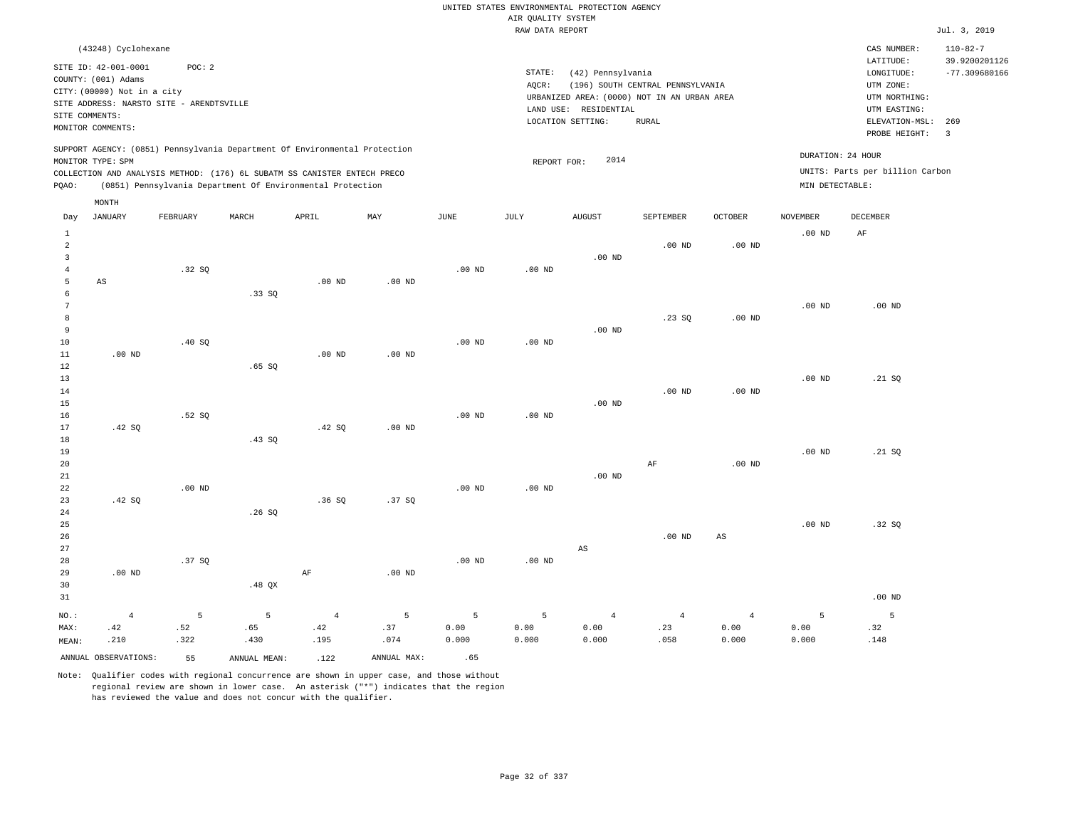|                                                     |                                                                                                   |                  |                                                                                                                                        |                               |                  |                    |                    | UNITED STATES ENVIRONMENTAL PROTECTION AGENCY                    |                                  |                                 |                    |                                                                      |                                                    |
|-----------------------------------------------------|---------------------------------------------------------------------------------------------------|------------------|----------------------------------------------------------------------------------------------------------------------------------------|-------------------------------|------------------|--------------------|--------------------|------------------------------------------------------------------|----------------------------------|---------------------------------|--------------------|----------------------------------------------------------------------|----------------------------------------------------|
|                                                     |                                                                                                   |                  |                                                                                                                                        |                               |                  |                    | AIR OUALITY SYSTEM |                                                                  |                                  |                                 |                    |                                                                      |                                                    |
|                                                     |                                                                                                   |                  |                                                                                                                                        |                               |                  |                    | RAW DATA REPORT    |                                                                  |                                  |                                 |                    |                                                                      | Jul. 3, 2019                                       |
|                                                     | (43248) Cyclohexane<br>SITE ID: 42-001-0001<br>COUNTY: (001) Adams<br>CITY: (00000) Not in a city | POC: 2           |                                                                                                                                        |                               |                  |                    | STATE:<br>AOCR:    | (42) Pennsylvania<br>URBANIZED AREA: (0000) NOT IN AN URBAN AREA | (196) SOUTH CENTRAL PENNSYLVANIA |                                 |                    | CAS NUMBER:<br>LATITUDE:<br>LONGITUDE:<br>UTM ZONE:<br>UTM NORTHING: | $110 - 82 - 7$<br>39.9200201126<br>$-77.309680166$ |
|                                                     | SITE ADDRESS: NARSTO SITE - ARENDTSVILLE<br>SITE COMMENTS:<br>MONITOR COMMENTS:                   |                  |                                                                                                                                        |                               |                  |                    |                    | LAND USE: RESIDENTIAL<br>LOCATION SETTING:                       | <b>RURAL</b>                     |                                 |                    | UTM EASTING:<br>ELEVATION-MSL:<br>PROBE HEIGHT:                      | 269<br>$\overline{\mathbf{3}}$                     |
|                                                     | MONITOR TYPE: SPM                                                                                 |                  | SUPPORT AGENCY: (0851) Pennsylvania Department Of Environmental Protection                                                             |                               |                  |                    | REPORT FOR:        | 2014                                                             |                                  |                                 | DURATION: 24 HOUR  |                                                                      |                                                    |
| PQAO:                                               |                                                                                                   |                  | COLLECTION AND ANALYSIS METHOD: (176) 6L SUBATM SS CANISTER ENTECH PRECO<br>(0851) Pennsylvania Department Of Environmental Protection |                               |                  |                    |                    |                                                                  |                                  |                                 | MIN DETECTABLE:    | UNITS: Parts per billion Carbon                                      |                                                    |
| Day                                                 | MONTH<br><b>JANUARY</b>                                                                           | FEBRUARY         | MARCH                                                                                                                                  | APRIL                         | MAY              | JUNE               | JULY               | <b>AUGUST</b>                                                    | SEPTEMBER                        | <b>OCTOBER</b>                  | <b>NOVEMBER</b>    | <b>DECEMBER</b>                                                      |                                                    |
| $\mathbf{1}$<br>$\overline{a}$                      |                                                                                                   |                  |                                                                                                                                        |                               |                  |                    |                    |                                                                  | $.00$ ND                         | $.00$ ND                        | .00 <sub>ND</sub>  | AF                                                                   |                                                    |
| $\overline{\mathbf{3}}$<br>$\overline{4}$<br>5<br>6 | $_{\rm AS}$                                                                                       | .32S             | .33SQ                                                                                                                                  | $.00$ ND                      | $.00$ ND         | $.00$ ND           | $.00$ ND           | $.00$ ND                                                         |                                  |                                 |                    |                                                                      |                                                    |
| $\overline{7}$<br>8<br>9<br>10                      |                                                                                                   | .40 SQ           |                                                                                                                                        |                               |                  | $.00$ ND           | .00 <sub>ND</sub>  | $.00$ ND                                                         | .23SQ                            | $.00$ ND                        | .00 <sub>ND</sub>  | .00 <sub>ND</sub>                                                    |                                                    |
| 11<br>$1\,2$<br>13                                  | $.00$ ND                                                                                          |                  | .65SQ                                                                                                                                  | $.00$ ND                      | $.00$ ND         |                    |                    |                                                                  |                                  |                                 | .00 <sub>ND</sub>  | .21 SQ                                                               |                                                    |
| 14<br>15<br>16                                      |                                                                                                   | .52S             |                                                                                                                                        |                               |                  | .00 <sub>ND</sub>  | $.00$ ND           | $.00$ ND                                                         | $.00$ ND                         | $.00$ ND                        |                    |                                                                      |                                                    |
| 17<br>18<br>19<br>20                                | .42 S0                                                                                            |                  | .43SQ                                                                                                                                  | .42S                          | $.00$ ND         |                    |                    |                                                                  | $\rm AF$                         | $.00$ ND                        | .00 <sub>ND</sub>  | .21 SQ                                                               |                                                    |
| 21<br>22<br>23<br>24                                | .42 SQ                                                                                            | $.00$ ND         | .26SQ                                                                                                                                  | .36SQ                         | .37SQ            | $.00$ ND           | .00 <sub>ND</sub>  | $.00$ ND                                                         |                                  |                                 |                    |                                                                      |                                                    |
| 25<br>26<br>27                                      |                                                                                                   |                  |                                                                                                                                        |                               |                  |                    |                    | AS                                                               | $.00$ ND                         | $\mathbb{A}\mathbb{S}$          | .00 <sub>ND</sub>  | .32S                                                                 |                                                    |
| 28<br>29<br>30                                      | $.00$ ND                                                                                          | .37 SO           | .48 QX                                                                                                                                 | $\rm AF$                      | $.00$ ND         | $.00$ ND           | .00 <sub>ND</sub>  |                                                                  |                                  |                                 |                    | $.00$ ND                                                             |                                                    |
| 31                                                  |                                                                                                   |                  |                                                                                                                                        |                               |                  |                    |                    |                                                                  |                                  |                                 |                    |                                                                      |                                                    |
| NO.:<br>MAX:<br>MEAN:                               | $\overline{4}$<br>.42<br>.210                                                                     | 5<br>.52<br>.322 | 5<br>.65<br>.430                                                                                                                       | $\overline{4}$<br>.42<br>.195 | 5<br>.37<br>.074 | 5<br>0.00<br>0.000 | 5<br>0.00<br>0.000 | $\overline{4}$<br>0.00<br>0.000                                  | $\overline{4}$<br>.23<br>.058    | $\overline{4}$<br>0.00<br>0.000 | 5<br>0.00<br>0.000 | $\overline{5}$<br>.32<br>.148                                        |                                                    |
|                                                     | ANNUAL OBSERVATIONS:                                                                              | 55               | ANNUAL, MEAN:                                                                                                                          | .122                          | ANNUAL MAX:      | .65                |                    |                                                                  |                                  |                                 |                    |                                                                      |                                                    |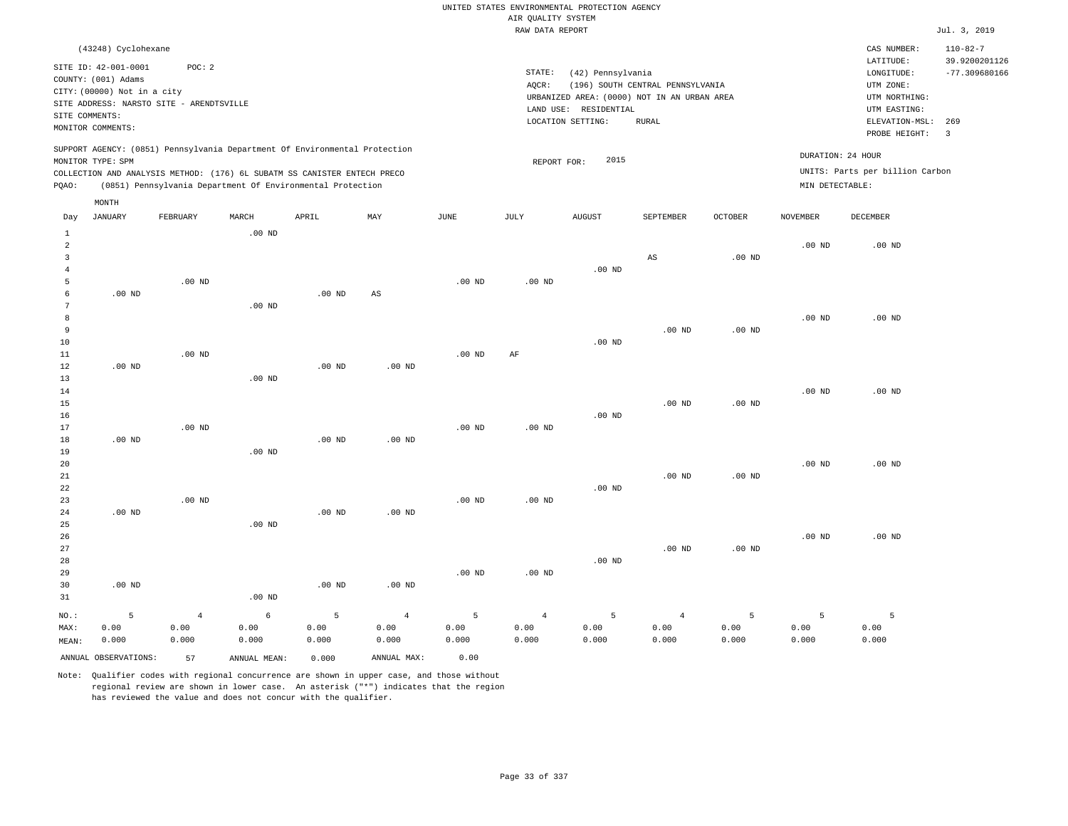|                                  |                                          |                   |                                                                            |                   |                   |                   |                    | UNITED STATES ENVIRONMENTAL PROTECTION AGENCY |                                  |                   |                   |                                 |                 |
|----------------------------------|------------------------------------------|-------------------|----------------------------------------------------------------------------|-------------------|-------------------|-------------------|--------------------|-----------------------------------------------|----------------------------------|-------------------|-------------------|---------------------------------|-----------------|
|                                  |                                          |                   |                                                                            |                   |                   |                   | AIR QUALITY SYSTEM |                                               |                                  |                   |                   |                                 |                 |
|                                  |                                          |                   |                                                                            |                   |                   |                   | RAW DATA REPORT    |                                               |                                  |                   |                   |                                 | Jul. 3, 2019    |
|                                  | (43248) Cyclohexane                      |                   |                                                                            |                   |                   |                   |                    |                                               |                                  |                   |                   | CAS NUMBER:                     | $110 - 82 - 7$  |
|                                  | SITE ID: 42-001-0001                     | POC: 2            |                                                                            |                   |                   |                   | STATE:             |                                               |                                  |                   |                   | LATITUDE:                       | 39.9200201126   |
|                                  | COUNTY: (001) Adams                      |                   |                                                                            |                   |                   |                   | AQCR:              | (42) Pennsylvania                             | (196) SOUTH CENTRAL PENNSYLVANIA |                   |                   | LONGITUDE:<br>UTM ZONE:         | $-77.309680166$ |
|                                  | CITY: (00000) Not in a city              |                   |                                                                            |                   |                   |                   |                    | URBANIZED AREA: (0000) NOT IN AN URBAN AREA   |                                  |                   |                   | UTM NORTHING:                   |                 |
|                                  | SITE ADDRESS: NARSTO SITE - ARENDTSVILLE |                   |                                                                            |                   |                   |                   |                    | LAND USE: RESIDENTIAL                         |                                  |                   |                   | UTM EASTING:                    |                 |
|                                  | SITE COMMENTS:                           |                   |                                                                            |                   |                   |                   |                    | LOCATION SETTING:                             | <b>RURAL</b>                     |                   |                   | ELEVATION-MSL:                  | 269             |
|                                  | MONITOR COMMENTS:                        |                   |                                                                            |                   |                   |                   |                    |                                               |                                  |                   |                   | PROBE HEIGHT:                   | $\overline{3}$  |
|                                  |                                          |                   | SUPPORT AGENCY: (0851) Pennsylvania Department Of Environmental Protection |                   |                   |                   |                    |                                               |                                  |                   | DURATION: 24 HOUR |                                 |                 |
|                                  | MONITOR TYPE: SPM                        |                   |                                                                            |                   |                   |                   | REPORT FOR:        | 2015                                          |                                  |                   |                   |                                 |                 |
|                                  |                                          |                   | COLLECTION AND ANALYSIS METHOD: (176) 6L SUBATM SS CANISTER ENTECH PRECO   |                   |                   |                   |                    |                                               |                                  |                   |                   | UNITS: Parts per billion Carbon |                 |
| PQAO:                            |                                          |                   | (0851) Pennsylvania Department Of Environmental Protection                 |                   |                   |                   |                    |                                               |                                  |                   | MIN DETECTABLE:   |                                 |                 |
|                                  | MONTH                                    |                   |                                                                            |                   |                   |                   |                    |                                               |                                  |                   |                   |                                 |                 |
| Day                              | <b>JANUARY</b>                           | FEBRUARY          | MARCH                                                                      | APRIL             | MAY               | <b>JUNE</b>       | JULY               | <b>AUGUST</b>                                 | SEPTEMBER                        | <b>OCTOBER</b>    | <b>NOVEMBER</b>   | <b>DECEMBER</b>                 |                 |
| $1\,$                            |                                          |                   | .00 <sub>ND</sub>                                                          |                   |                   |                   |                    |                                               |                                  |                   |                   |                                 |                 |
| $\overline{a}$<br>$\overline{3}$ |                                          |                   |                                                                            |                   |                   |                   |                    |                                               |                                  |                   | $.00$ ND          | $.00$ ND                        |                 |
| $\overline{4}$                   |                                          |                   |                                                                            |                   |                   |                   |                    | $.00$ ND                                      | $_{\rm AS}$                      | $.00$ ND          |                   |                                 |                 |
| 5                                |                                          | $.00$ ND          |                                                                            |                   |                   | $.00$ ND          | $.00$ ND           |                                               |                                  |                   |                   |                                 |                 |
| 6                                | $.00$ ND                                 |                   |                                                                            | $.00$ ND          | AS                |                   |                    |                                               |                                  |                   |                   |                                 |                 |
| 7                                |                                          |                   | .00 <sub>ND</sub>                                                          |                   |                   |                   |                    |                                               |                                  |                   |                   |                                 |                 |
| 8                                |                                          |                   |                                                                            |                   |                   |                   |                    |                                               |                                  |                   | $.00$ ND          | $.00$ ND                        |                 |
| 9                                |                                          |                   |                                                                            |                   |                   |                   |                    |                                               | $.00$ ND                         | $.00$ ND          |                   |                                 |                 |
| 10                               |                                          |                   |                                                                            |                   |                   |                   |                    | $.00$ ND                                      |                                  |                   |                   |                                 |                 |
| 11                               |                                          | .00 <sub>ND</sub> |                                                                            |                   |                   | .00 <sub>ND</sub> | AF                 |                                               |                                  |                   |                   |                                 |                 |
| 12                               | $.00$ ND                                 |                   |                                                                            | $.00$ ND          | .00 <sub>ND</sub> |                   |                    |                                               |                                  |                   |                   |                                 |                 |
| 13<br>14                         |                                          |                   | $.00$ ND                                                                   |                   |                   |                   |                    |                                               |                                  |                   | .00 <sub>ND</sub> | $.00$ ND                        |                 |
| 15                               |                                          |                   |                                                                            |                   |                   |                   |                    |                                               | $.00$ ND                         | .00 <sub>ND</sub> |                   |                                 |                 |
| 16                               |                                          |                   |                                                                            |                   |                   |                   |                    | $.00$ ND                                      |                                  |                   |                   |                                 |                 |
| 17                               |                                          | $.00$ ND          |                                                                            |                   |                   | $.00$ ND          | $.00$ ND           |                                               |                                  |                   |                   |                                 |                 |
| 18                               | $.00$ ND                                 |                   |                                                                            | $.00$ ND          | $.00$ ND          |                   |                    |                                               |                                  |                   |                   |                                 |                 |
| 19                               |                                          |                   | $.00$ ND                                                                   |                   |                   |                   |                    |                                               |                                  |                   |                   |                                 |                 |
| 20                               |                                          |                   |                                                                            |                   |                   |                   |                    |                                               |                                  |                   | .00 <sub>ND</sub> | $.00$ ND                        |                 |
| 21                               |                                          |                   |                                                                            |                   |                   |                   |                    |                                               | $.00$ ND                         | .00 <sub>ND</sub> |                   |                                 |                 |
| 22                               |                                          | $.00$ ND          |                                                                            |                   |                   |                   |                    | $.00$ ND                                      |                                  |                   |                   |                                 |                 |
| 23<br>24                         | $.00$ ND                                 |                   |                                                                            | $.00$ ND          | .00 <sub>ND</sub> | $.00$ ND          | $.00$ ND           |                                               |                                  |                   |                   |                                 |                 |
| 25                               |                                          |                   | $.00$ ND                                                                   |                   |                   |                   |                    |                                               |                                  |                   |                   |                                 |                 |
| 26                               |                                          |                   |                                                                            |                   |                   |                   |                    |                                               |                                  |                   | $.00$ ND          | .00 <sub>ND</sub>               |                 |
| 27                               |                                          |                   |                                                                            |                   |                   |                   |                    |                                               | $.00$ ND                         | .00 <sub>ND</sub> |                   |                                 |                 |
| 28                               |                                          |                   |                                                                            |                   |                   |                   |                    | $.00$ ND                                      |                                  |                   |                   |                                 |                 |
| 29                               |                                          |                   |                                                                            |                   |                   | .00 <sub>ND</sub> | $.00$ ND           |                                               |                                  |                   |                   |                                 |                 |
| 30                               | $.00$ ND                                 |                   |                                                                            | .00 <sub>ND</sub> | $.00$ ND          |                   |                    |                                               |                                  |                   |                   |                                 |                 |
| 31                               |                                          |                   | .00 <sub>ND</sub>                                                          |                   |                   |                   |                    |                                               |                                  |                   |                   |                                 |                 |
| NO.:                             | 5                                        | $\overline{4}$    | 6                                                                          | 5                 | $\overline{4}$    | 5                 | $\overline{4}$     | 5                                             | $\overline{4}$                   | 5                 | 5                 | 5                               |                 |
| MAX:                             | 0.00                                     | 0.00              | 0.00                                                                       | 0.00              | 0.00              | 0.00              | 0.00               | 0.00                                          | 0.00                             | 0.00              | 0.00              | 0.00                            |                 |
| MEAN:                            | 0.000                                    | 0.000             | 0.000                                                                      | 0.000             | 0.000             | 0.000             | 0.000              | 0.000                                         | 0.000                            | 0.000             | 0.000             | 0.000                           |                 |
|                                  | ANNUAL OBSERVATIONS:                     | 57                | ANNUAL MEAN:                                                               | 0.000             | ANNUAL MAX:       | 0.00              |                    |                                               |                                  |                   |                   |                                 |                 |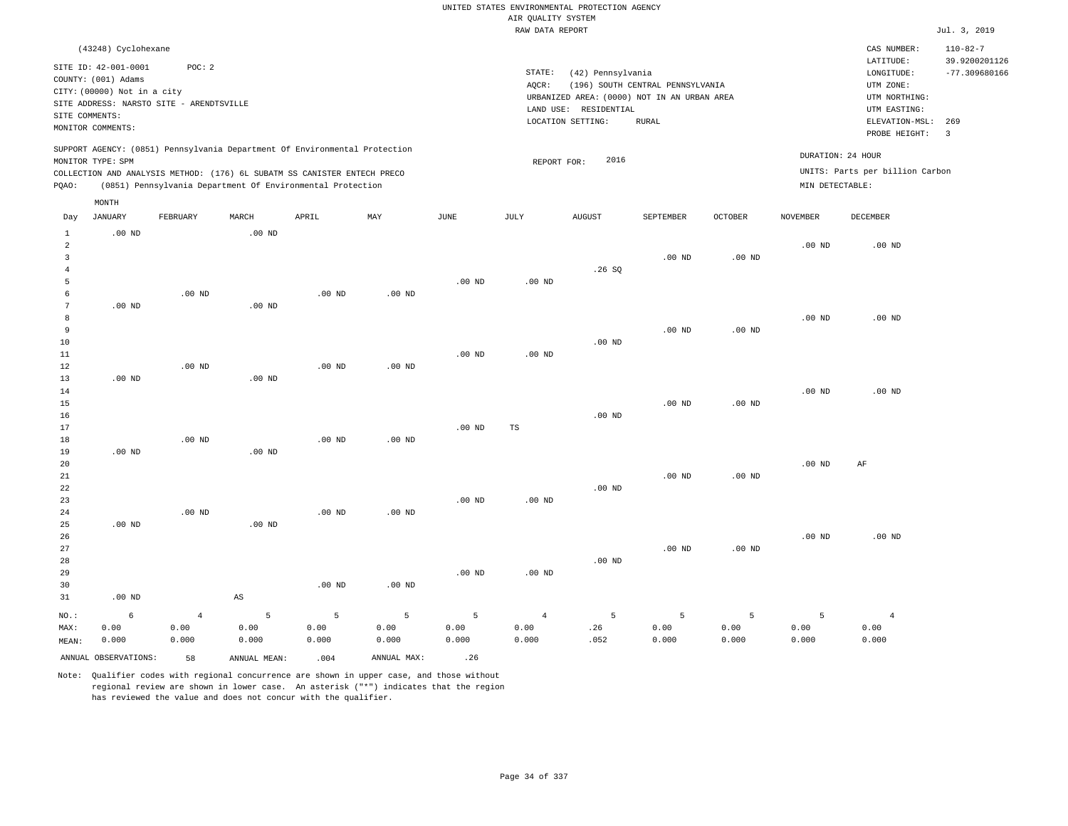|                                              |                                                                            |                                          |                        |                                                                                                                                                        |                    |                    |                                       | UNITED STATES ENVIRONMENTAL PROTECTION AGENCY                        |                                  |                    |                    |                                                      |                                  |
|----------------------------------------------|----------------------------------------------------------------------------|------------------------------------------|------------------------|--------------------------------------------------------------------------------------------------------------------------------------------------------|--------------------|--------------------|---------------------------------------|----------------------------------------------------------------------|----------------------------------|--------------------|--------------------|------------------------------------------------------|----------------------------------|
|                                              |                                                                            |                                          |                        |                                                                                                                                                        |                    |                    | AIR QUALITY SYSTEM<br>RAW DATA REPORT |                                                                      |                                  |                    |                    |                                                      | Jul. 3, 2019                     |
|                                              | (43248) Cyclohexane                                                        |                                          |                        |                                                                                                                                                        |                    |                    |                                       |                                                                      |                                  |                    |                    | CAS NUMBER:                                          | $110 - 82 - 7$                   |
|                                              | SITE ID: 42-001-0001<br>COUNTY: (001) Adams<br>CITY: (00000) Not in a city | POC: 2                                   |                        |                                                                                                                                                        |                    |                    | STATE:<br>AQCR:                       | (42) Pennsylvania                                                    | (196) SOUTH CENTRAL PENNSYLVANIA |                    |                    | LATITUDE:<br>LONGITUDE:<br>UTM ZONE:                 | 39.9200201126<br>$-77.309680166$ |
| SITE COMMENTS:                               |                                                                            | SITE ADDRESS: NARSTO SITE - ARENDTSVILLE |                        |                                                                                                                                                        |                    |                    |                                       | URBANIZED AREA: (0000) NOT IN AN URBAN AREA<br>LAND USE: RESIDENTIAL |                                  |                    |                    | UTM NORTHING:<br>UTM EASTING:                        |                                  |
|                                              | MONITOR COMMENTS:                                                          |                                          |                        |                                                                                                                                                        |                    |                    |                                       | LOCATION SETTING:                                                    | <b>RURAL</b>                     |                    |                    | ELEVATION-MSL: 269<br>PROBE HEIGHT:                  | $\overline{3}$                   |
|                                              | MONITOR TYPE: SPM                                                          |                                          |                        | SUPPORT AGENCY: (0851) Pennsylvania Department Of Environmental Protection<br>COLLECTION AND ANALYSIS METHOD: (176) 6L SUBATM SS CANISTER ENTECH PRECO |                    |                    | REPORT FOR:                           | 2016                                                                 |                                  |                    |                    | DURATION: 24 HOUR<br>UNITS: Parts per billion Carbon |                                  |
| PQAO:                                        |                                                                            |                                          |                        | (0851) Pennsylvania Department Of Environmental Protection                                                                                             |                    |                    |                                       |                                                                      |                                  |                    | MIN DETECTABLE:    |                                                      |                                  |
| Day                                          | MONTH<br><b>JANUARY</b>                                                    | FEBRUARY                                 | MARCH                  | APRIL                                                                                                                                                  | MAY                | JUNE               | JULY                                  | <b>AUGUST</b>                                                        | SEPTEMBER                        | <b>OCTOBER</b>     | <b>NOVEMBER</b>    | <b>DECEMBER</b>                                      |                                  |
| $\mathbf{1}$<br>2<br>$\overline{\mathbf{3}}$ | $.00$ ND                                                                   |                                          | .00 <sub>ND</sub>      |                                                                                                                                                        |                    |                    |                                       |                                                                      | .00 <sub>ND</sub>                | $.00$ ND           | .00 <sub>ND</sub>  | $.00$ ND                                             |                                  |
| $\overline{4}$<br>5<br>6                     |                                                                            | $.00$ ND                                 |                        | $.00$ ND                                                                                                                                               | $.00$ ND           | $.00$ ND           | $.00$ ND                              | .26S                                                                 |                                  |                    |                    |                                                      |                                  |
| $7\phantom{.0}$<br>8<br>9<br>10              | $.00$ ND                                                                   |                                          | .00 <sub>ND</sub>      |                                                                                                                                                        |                    |                    |                                       | .00 <sub>ND</sub>                                                    | .00 <sub>ND</sub>                | .00 <sub>ND</sub>  | $.00$ ND           | $.00$ ND                                             |                                  |
| 11<br>12<br>13                               | $.00$ ND                                                                   | .00 <sub>ND</sub>                        | .00 <sub>ND</sub>      | $.00$ ND                                                                                                                                               | .00 <sub>ND</sub>  | .00 <sub>ND</sub>  | $.00$ ND                              |                                                                      |                                  |                    |                    |                                                      |                                  |
| 14<br>15<br>16<br>17                         |                                                                            |                                          |                        |                                                                                                                                                        |                    | $.00$ ND           | $_{\rm TS}$                           | $.00$ ND                                                             | $.00$ ND                         | $.00$ ND           | $.00$ ND           | $.00$ ND                                             |                                  |
| 18<br>19<br>20                               | $.00$ ND                                                                   | $.00$ ND                                 | $.00$ ND               | $.00$ ND                                                                                                                                               | $.00$ ND           |                    |                                       |                                                                      |                                  |                    | $.00$ ND           | AF                                                   |                                  |
| 21<br>22<br>23<br>24                         |                                                                            | $.00$ ND                                 |                        | .00 <sub>ND</sub>                                                                                                                                      | .00 <sub>ND</sub>  | $.00$ ND           | $.00$ ND                              | $.00$ ND                                                             | $.00$ ND                         | $.00$ ND           |                    |                                                      |                                  |
| 25<br>26<br>27                               | $.00$ ND                                                                   |                                          | $.00$ ND               |                                                                                                                                                        |                    |                    |                                       |                                                                      | .00 <sub>ND</sub>                | $.00$ ND           | $.00$ ND           | $.00$ ND                                             |                                  |
| 28<br>29<br>30<br>31                         | $.00$ ND                                                                   |                                          | $\mathbb{A}\mathbb{S}$ | $.00$ ND                                                                                                                                               | $.00$ ND           | $.00$ ND           | .00 <sub>ND</sub>                     | $.00$ ND                                                             |                                  |                    |                    |                                                      |                                  |
|                                              |                                                                            |                                          |                        |                                                                                                                                                        |                    |                    |                                       |                                                                      |                                  |                    |                    |                                                      |                                  |
| $NO.$ :<br>MAX:<br>MEAN:                     | $\epsilon$<br>0.00<br>0.000                                                | $\bf{4}$<br>0.00<br>0.000                | 5<br>0.00<br>0.000     | 5<br>0.00<br>0.000                                                                                                                                     | 5<br>0.00<br>0.000 | 5<br>0.00<br>0.000 | $\overline{4}$<br>0.00<br>0.000       | 5<br>.26<br>.052                                                     | 5<br>0.00<br>0.000               | 5<br>0.00<br>0.000 | 5<br>0.00<br>0.000 | $\overline{4}$<br>0.00<br>0.000                      |                                  |
|                                              | ANNUAL OBSERVATIONS:                                                       | 58                                       | ANNUAL, MEAN:          | .004                                                                                                                                                   | ANNUAL MAX:        | .26                |                                       |                                                                      |                                  |                    |                    |                                                      |                                  |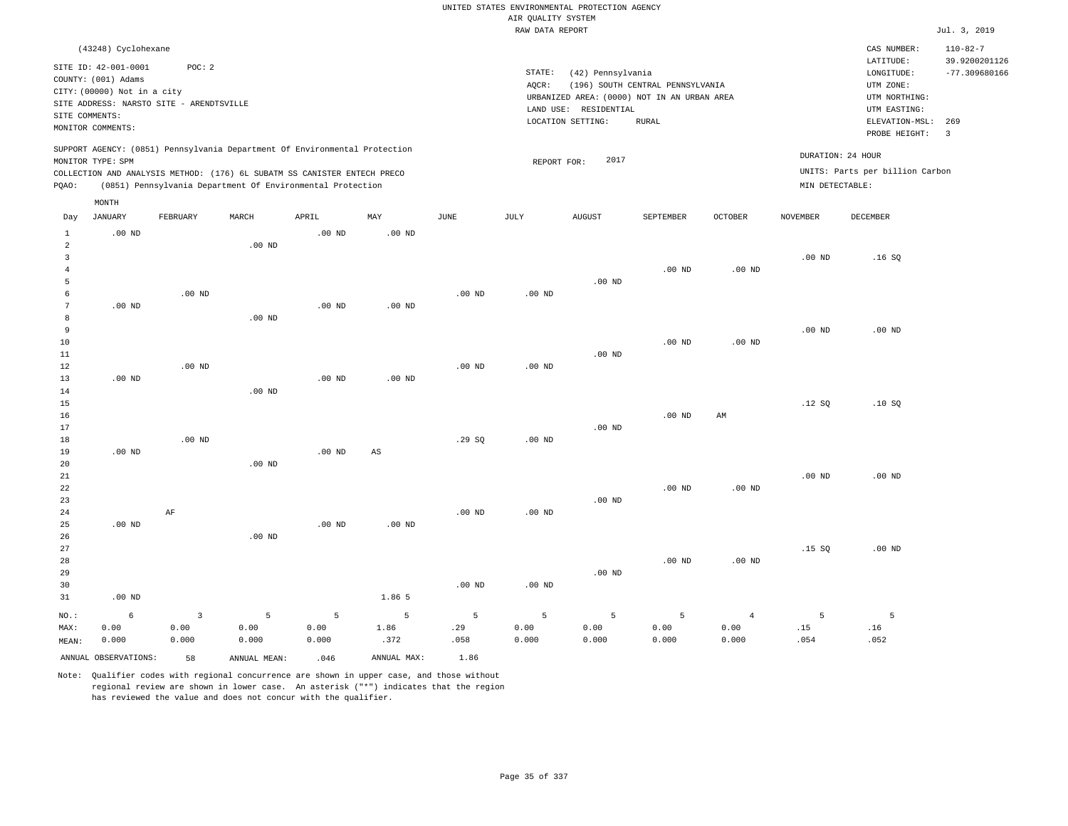| UNITED STATES ENVIRONMENTAL PROTECTION AGENCY                                                               |                   |                         |                   |                   |                                                                                                                         |          |                                       |               |                   |                                 |                                      |                                                                                    |                         |
|-------------------------------------------------------------------------------------------------------------|-------------------|-------------------------|-------------------|-------------------|-------------------------------------------------------------------------------------------------------------------------|----------|---------------------------------------|---------------|-------------------|---------------------------------|--------------------------------------|------------------------------------------------------------------------------------|-------------------------|
|                                                                                                             |                   |                         |                   |                   |                                                                                                                         |          | AIR QUALITY SYSTEM<br>RAW DATA REPORT |               |                   |                                 |                                      |                                                                                    | Jul. 3, 2019            |
|                                                                                                             |                   |                         |                   |                   |                                                                                                                         |          |                                       |               |                   |                                 |                                      |                                                                                    |                         |
| (43248) Cyclohexane<br>SITE ID: 42-001-0001<br>POC: 2<br>COUNTY: (001) Adams<br>CITY: (00000) Not in a city |                   |                         |                   |                   | STATE:<br>(42) Pennsylvania<br>(196) SOUTH CENTRAL PENNSYLVANIA<br>AQCR:<br>URBANIZED AREA: (0000) NOT IN AN URBAN AREA |          |                                       |               |                   |                                 | LATITUDE:<br>LONGITUDE:<br>UTM ZONE: | CAS NUMBER:<br>$110 - 82 - 7$<br>39.9200201126<br>$-77.309680166$<br>UTM NORTHING: |                         |
| SITE ADDRESS: NARSTO SITE - ARENDTSVILLE                                                                    |                   |                         |                   |                   | LAND USE: RESIDENTIAL                                                                                                   |          |                                       |               |                   |                                 | UTM EASTING:                         |                                                                                    |                         |
| SITE COMMENTS:                                                                                              |                   |                         |                   |                   | LOCATION SETTING:<br><b>RURAL</b>                                                                                       |          |                                       |               |                   |                                 | ELEVATION-MSL:                       | 269                                                                                |                         |
|                                                                                                             | MONITOR COMMENTS: |                         |                   |                   |                                                                                                                         |          |                                       |               |                   |                                 |                                      | PROBE HEIGHT:                                                                      | $\overline{\mathbf{3}}$ |
| SUPPORT AGENCY: (0851) Pennsylvania Department Of Environmental Protection<br>MONITOR TYPE: SPM             |                   |                         |                   |                   | 2017<br>REPORT FOR:                                                                                                     |          |                                       |               |                   | DURATION: 24 HOUR               |                                      |                                                                                    |                         |
| COLLECTION AND ANALYSIS METHOD: (176) 6L SUBATM SS CANISTER ENTECH PRECO                                    |                   |                         |                   |                   |                                                                                                                         |          |                                       |               |                   | UNITS: Parts per billion Carbon |                                      |                                                                                    |                         |
| (0851) Pennsylvania Department Of Environmental Protection<br>PQAO:                                         |                   |                         |                   |                   |                                                                                                                         |          |                                       |               | MIN DETECTABLE:   |                                 |                                      |                                                                                    |                         |
|                                                                                                             | MONTH             |                         |                   |                   |                                                                                                                         |          |                                       |               |                   |                                 |                                      |                                                                                    |                         |
| Day                                                                                                         | <b>JANUARY</b>    | FEBRUARY                | MARCH             | APRIL             | MAY                                                                                                                     | JUNE     | JULY                                  | <b>AUGUST</b> | SEPTEMBER         | <b>OCTOBER</b>                  | <b>NOVEMBER</b>                      | <b>DECEMBER</b>                                                                    |                         |
| $\mathbf{1}$                                                                                                | $.00$ ND          |                         |                   | $.00$ ND          | $.00$ ND                                                                                                                |          |                                       |               |                   |                                 |                                      |                                                                                    |                         |
| $\overline{2}$<br>$\overline{3}$                                                                            |                   |                         | $.00$ ND          |                   |                                                                                                                         |          |                                       |               |                   |                                 | .00 <sub>ND</sub>                    | .16S                                                                               |                         |
| $\overline{4}$                                                                                              |                   |                         |                   |                   |                                                                                                                         |          |                                       |               | $.00$ ND          | $.00$ ND                        |                                      |                                                                                    |                         |
| 5                                                                                                           |                   |                         |                   |                   |                                                                                                                         |          |                                       | $.00$ ND      |                   |                                 |                                      |                                                                                    |                         |
| 6                                                                                                           |                   | $.00$ ND                |                   |                   |                                                                                                                         | $.00$ ND | $.00$ ND                              |               |                   |                                 |                                      |                                                                                    |                         |
| $7\phantom{.0}$                                                                                             | $.00$ ND          |                         |                   | .00 <sub>ND</sub> | $.00$ ND                                                                                                                |          |                                       |               |                   |                                 |                                      |                                                                                    |                         |
| 8                                                                                                           |                   |                         | .00 <sub>ND</sub> |                   |                                                                                                                         |          |                                       |               |                   |                                 |                                      |                                                                                    |                         |
| $\overline{9}$                                                                                              |                   |                         |                   |                   |                                                                                                                         |          |                                       |               |                   |                                 | $.00$ ND                             | $.00$ ND                                                                           |                         |
| 10                                                                                                          |                   |                         |                   |                   |                                                                                                                         |          |                                       |               | $.00$ ND          | $.00$ ND                        |                                      |                                                                                    |                         |
| 11                                                                                                          |                   |                         |                   |                   |                                                                                                                         |          |                                       | $.00$ ND      |                   |                                 |                                      |                                                                                    |                         |
| 12                                                                                                          |                   | $.00$ ND                |                   |                   |                                                                                                                         | $.00$ ND | $.00$ ND                              |               |                   |                                 |                                      |                                                                                    |                         |
| 13                                                                                                          | $.00$ ND          |                         |                   | $.00$ ND          | $.00$ ND                                                                                                                |          |                                       |               |                   |                                 |                                      |                                                                                    |                         |
| 14                                                                                                          |                   |                         | $.00$ ND          |                   |                                                                                                                         |          |                                       |               |                   |                                 | .12S                                 | .10S                                                                               |                         |
| 15<br>16                                                                                                    |                   |                         |                   |                   |                                                                                                                         |          |                                       |               | .00 <sub>ND</sub> | AM                              |                                      |                                                                                    |                         |
| 17                                                                                                          |                   |                         |                   |                   |                                                                                                                         |          |                                       | $.00$ ND      |                   |                                 |                                      |                                                                                    |                         |
| 18                                                                                                          |                   | $.00$ ND                |                   |                   |                                                                                                                         | .29SQ    | .00 <sub>ND</sub>                     |               |                   |                                 |                                      |                                                                                    |                         |
| 19                                                                                                          | $.00$ ND          |                         |                   | $.00$ ND          | AS                                                                                                                      |          |                                       |               |                   |                                 |                                      |                                                                                    |                         |
| 20                                                                                                          |                   |                         | $.00$ ND          |                   |                                                                                                                         |          |                                       |               |                   |                                 |                                      |                                                                                    |                         |
| 21                                                                                                          |                   |                         |                   |                   |                                                                                                                         |          |                                       |               |                   |                                 | $.00$ ND                             | $.00$ ND                                                                           |                         |
| 22                                                                                                          |                   |                         |                   |                   |                                                                                                                         |          |                                       |               | .00 <sub>ND</sub> | .00 <sub>ND</sub>               |                                      |                                                                                    |                         |
| 23                                                                                                          |                   |                         |                   |                   |                                                                                                                         |          |                                       | $.00$ ND      |                   |                                 |                                      |                                                                                    |                         |
| 24                                                                                                          |                   | $\rm AF$                |                   |                   |                                                                                                                         | $.00$ ND | $.00$ ND                              |               |                   |                                 |                                      |                                                                                    |                         |
| 25                                                                                                          | $.00$ ND          |                         |                   | $.00$ ND          | $.00$ ND                                                                                                                |          |                                       |               |                   |                                 |                                      |                                                                                    |                         |
| 26                                                                                                          |                   |                         | $.00$ ND          |                   |                                                                                                                         |          |                                       |               |                   |                                 |                                      |                                                                                    |                         |
| 27<br>28                                                                                                    |                   |                         |                   |                   |                                                                                                                         |          |                                       |               | $.00$ ND          | .00 <sub>ND</sub>               | .15S                                 | $.00$ ND                                                                           |                         |
| 29                                                                                                          |                   |                         |                   |                   |                                                                                                                         |          |                                       | $.00$ ND      |                   |                                 |                                      |                                                                                    |                         |
| 30                                                                                                          |                   |                         |                   |                   |                                                                                                                         | $.00$ ND | .00 <sub>ND</sub>                     |               |                   |                                 |                                      |                                                                                    |                         |
| 31                                                                                                          | $.00$ ND          |                         |                   |                   | 1.86 5                                                                                                                  |          |                                       |               |                   |                                 |                                      |                                                                                    |                         |
| NO.:                                                                                                        | 6                 | $\overline{\mathbf{3}}$ | 5                 | 5                 | 5                                                                                                                       | 5        | 5                                     | 5             | 5                 | $\overline{4}$                  | 5                                    | 5                                                                                  |                         |
| MAX:                                                                                                        | 0.00              | 0.00                    | 0.00              | 0.00              | 1.86                                                                                                                    | .29      | 0.00                                  | 0.00          | 0.00              | 0.00                            | .15                                  | .16                                                                                |                         |
| MEAN:                                                                                                       | 0.000             | 0.000                   | 0.000             | 0.000             | .372                                                                                                                    | .058     | 0.000                                 | 0.000         | 0.000             | 0.000                           | .054                                 | .052                                                                               |                         |
| ANNUAL OBSERVATIONS:<br>ANNUAL MAX:<br>58<br>ANNUAL MEAN:<br>.046                                           |                   |                         |                   |                   | 1.86                                                                                                                    |          |                                       |               |                   |                                 |                                      |                                                                                    |                         |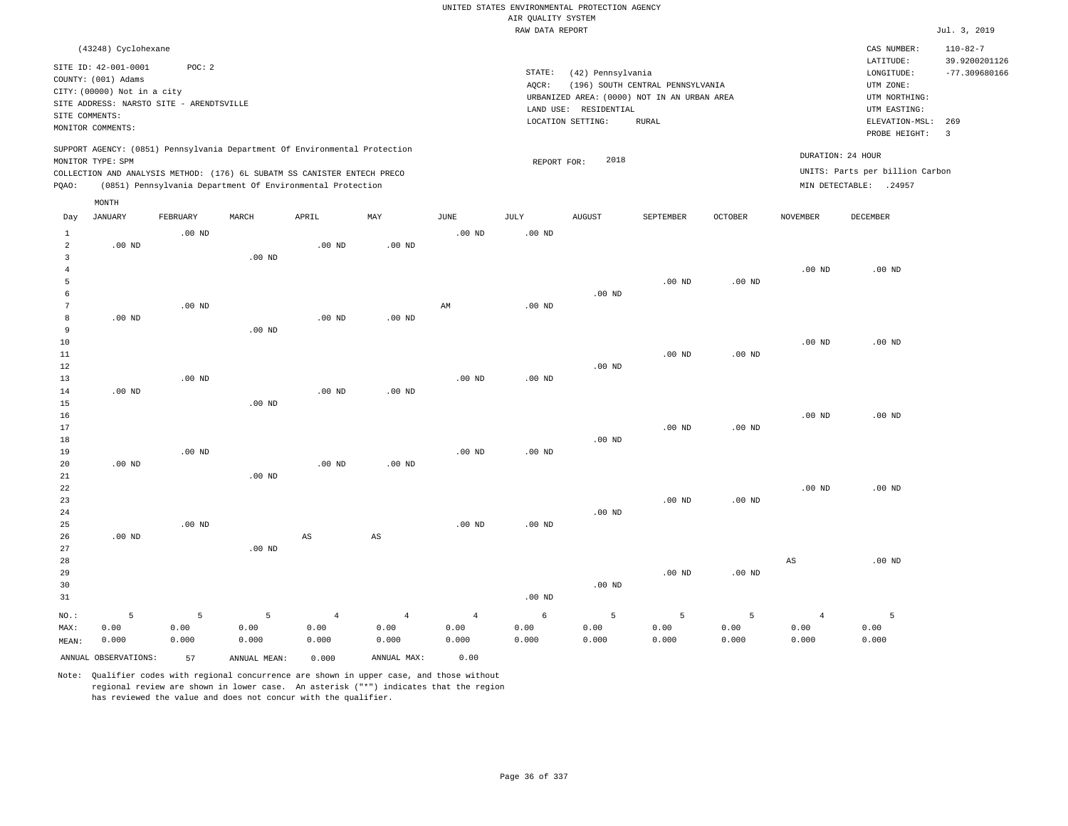|                 |                                                                                                   |          |                                                            |                        |                        |                        |                                       | UNITED STATES ENVIRONMENTAL PROTECTION AGENCY                    |                                  |                   |                        |                                                                      |                                                    |
|-----------------|---------------------------------------------------------------------------------------------------|----------|------------------------------------------------------------|------------------------|------------------------|------------------------|---------------------------------------|------------------------------------------------------------------|----------------------------------|-------------------|------------------------|----------------------------------------------------------------------|----------------------------------------------------|
|                 |                                                                                                   |          |                                                            |                        |                        |                        | AIR QUALITY SYSTEM<br>RAW DATA REPORT |                                                                  |                                  |                   |                        |                                                                      | Jul. 3, 2019                                       |
|                 |                                                                                                   |          |                                                            |                        |                        |                        |                                       |                                                                  |                                  |                   |                        |                                                                      |                                                    |
|                 | (43248) Cyclohexane<br>SITE ID: 42-001-0001<br>COUNTY: (001) Adams<br>CITY: (00000) Not in a city | POC: 2   |                                                            |                        |                        |                        | STATE:<br>AQCR:                       | (42) Pennsylvania<br>URBANIZED AREA: (0000) NOT IN AN URBAN AREA | (196) SOUTH CENTRAL PENNSYLVANIA |                   |                        | CAS NUMBER:<br>LATITUDE:<br>LONGITUDE:<br>UTM ZONE:<br>UTM NORTHING: | $110 - 82 - 7$<br>39.9200201126<br>$-77.309680166$ |
|                 | SITE ADDRESS: NARSTO SITE - ARENDTSVILLE                                                          |          |                                                            |                        |                        |                        |                                       | LAND USE: RESIDENTIAL                                            |                                  |                   |                        | UTM EASTING:                                                         |                                                    |
| SITE COMMENTS:  | MONITOR COMMENTS:                                                                                 |          |                                                            |                        |                        |                        |                                       | LOCATION SETTING:                                                | <b>RURAL</b>                     |                   |                        | ELEVATION-MSL:                                                       | 269                                                |
|                 |                                                                                                   |          |                                                            |                        |                        |                        |                                       |                                                                  |                                  |                   |                        | PROBE HEIGHT:                                                        | $\overline{\mathbf{3}}$                            |
|                 | SUPPORT AGENCY: (0851) Pennsylvania Department Of Environmental Protection<br>MONITOR TYPE: SPM   |          |                                                            |                        |                        |                        | REPORT FOR:                           | 2018                                                             |                                  |                   |                        | DURATION: 24 HOUR                                                    |                                                    |
|                 | COLLECTION AND ANALYSIS METHOD: (176) 6L SUBATM SS CANISTER ENTECH PRECO                          |          |                                                            |                        |                        |                        |                                       |                                                                  |                                  |                   |                        | UNITS: Parts per billion Carbon                                      |                                                    |
| PQAO:           |                                                                                                   |          | (0851) Pennsylvania Department Of Environmental Protection |                        |                        |                        |                                       |                                                                  |                                  |                   |                        | MIN DETECTABLE: .24957                                               |                                                    |
|                 | MONTH                                                                                             |          |                                                            |                        |                        |                        |                                       |                                                                  |                                  |                   |                        |                                                                      |                                                    |
| Day             | <b>JANUARY</b>                                                                                    | FEBRUARY | MARCH                                                      | APRIL                  | MAY                    | JUNE                   | JULY                                  | <b>AUGUST</b>                                                    | SEPTEMBER                        | <b>OCTOBER</b>    | <b>NOVEMBER</b>        | <b>DECEMBER</b>                                                      |                                                    |
| $\mathbf{1}$    |                                                                                                   | $.00$ ND |                                                            |                        |                        | .00 <sub>ND</sub>      | .00 <sub>ND</sub>                     |                                                                  |                                  |                   |                        |                                                                      |                                                    |
| 2               | $.00$ ND                                                                                          |          |                                                            | $.00$ ND               | $.00$ ND               |                        |                                       |                                                                  |                                  |                   |                        |                                                                      |                                                    |
| $\overline{3}$  |                                                                                                   |          | .00 <sub>ND</sub>                                          |                        |                        |                        |                                       |                                                                  |                                  |                   |                        |                                                                      |                                                    |
| $\overline{4}$  |                                                                                                   |          |                                                            |                        |                        |                        |                                       |                                                                  |                                  |                   | $.00$ ND               | $.00$ ND                                                             |                                                    |
| 5               |                                                                                                   |          |                                                            |                        |                        |                        |                                       |                                                                  | $.00$ ND                         | $.00$ ND          |                        |                                                                      |                                                    |
| 6               |                                                                                                   |          |                                                            |                        |                        |                        |                                       | $.00$ ND                                                         |                                  |                   |                        |                                                                      |                                                    |
| $7\phantom{.0}$ |                                                                                                   | $.00$ ND |                                                            |                        |                        | $\mathbb{A}\mathbb{M}$ | .00 <sub>ND</sub>                     |                                                                  |                                  |                   |                        |                                                                      |                                                    |
| 8<br>9          | .00 <sub>ND</sub>                                                                                 |          |                                                            | .00 <sub>ND</sub>      | .00 <sub>ND</sub>      |                        |                                       |                                                                  |                                  |                   |                        |                                                                      |                                                    |
| 10              |                                                                                                   |          | $.00$ ND                                                   |                        |                        |                        |                                       |                                                                  |                                  |                   | $.00$ ND               | $.00$ ND                                                             |                                                    |
| 11              |                                                                                                   |          |                                                            |                        |                        |                        |                                       |                                                                  | $.00$ ND                         | $.00$ ND          |                        |                                                                      |                                                    |
| 12              |                                                                                                   |          |                                                            |                        |                        |                        |                                       | $.00$ ND                                                         |                                  |                   |                        |                                                                      |                                                    |
| 13              |                                                                                                   | $.00$ ND |                                                            |                        |                        | $.00$ ND               | $.00$ ND                              |                                                                  |                                  |                   |                        |                                                                      |                                                    |
| 14              | $.00$ ND                                                                                          |          |                                                            | $.00$ ND               | $.00$ ND               |                        |                                       |                                                                  |                                  |                   |                        |                                                                      |                                                    |
| 15              |                                                                                                   |          | $.00$ ND                                                   |                        |                        |                        |                                       |                                                                  |                                  |                   |                        |                                                                      |                                                    |
| 16              |                                                                                                   |          |                                                            |                        |                        |                        |                                       |                                                                  |                                  |                   | $.00$ ND               | $.00$ ND                                                             |                                                    |
| 17              |                                                                                                   |          |                                                            |                        |                        |                        |                                       |                                                                  | .00 <sub>ND</sub>                | .00 <sub>ND</sub> |                        |                                                                      |                                                    |
| 18              |                                                                                                   |          |                                                            |                        |                        |                        |                                       | $.00$ ND                                                         |                                  |                   |                        |                                                                      |                                                    |
| 19              |                                                                                                   | $.00$ ND |                                                            |                        |                        | $.00$ ND               | $.00$ ND                              |                                                                  |                                  |                   |                        |                                                                      |                                                    |
| 20<br>21        | $.00$ ND                                                                                          |          | $.00$ ND                                                   | $.00$ ND               | $.00$ ND               |                        |                                       |                                                                  |                                  |                   |                        |                                                                      |                                                    |
| 22              |                                                                                                   |          |                                                            |                        |                        |                        |                                       |                                                                  |                                  |                   | .00 <sub>ND</sub>      | $.00$ ND                                                             |                                                    |
| 23              |                                                                                                   |          |                                                            |                        |                        |                        |                                       |                                                                  | $.00$ ND                         | $.00$ ND          |                        |                                                                      |                                                    |
| 24              |                                                                                                   |          |                                                            |                        |                        |                        |                                       | $.00$ ND                                                         |                                  |                   |                        |                                                                      |                                                    |
| 25              |                                                                                                   | $.00$ ND |                                                            |                        |                        | $.00$ ND               | $.00$ ND                              |                                                                  |                                  |                   |                        |                                                                      |                                                    |
| 26              | $.00$ ND                                                                                          |          |                                                            | $\mathbb{A}\mathbb{S}$ | $\mathbb{A}\mathbb{S}$ |                        |                                       |                                                                  |                                  |                   |                        |                                                                      |                                                    |
| 27              |                                                                                                   |          | $.00$ ND                                                   |                        |                        |                        |                                       |                                                                  |                                  |                   |                        |                                                                      |                                                    |
| 28              |                                                                                                   |          |                                                            |                        |                        |                        |                                       |                                                                  |                                  |                   | $\mathbb{A}\mathbb{S}$ | $.00$ ND                                                             |                                                    |
| 29              |                                                                                                   |          |                                                            |                        |                        |                        |                                       |                                                                  | $.00$ ND                         | $.00$ ND          |                        |                                                                      |                                                    |
| 30              |                                                                                                   |          |                                                            |                        |                        |                        |                                       | $.00$ ND                                                         |                                  |                   |                        |                                                                      |                                                    |
| 31              |                                                                                                   |          |                                                            |                        |                        |                        | .00 <sub>ND</sub>                     |                                                                  |                                  |                   |                        |                                                                      |                                                    |
| NO.:            | 5                                                                                                 | 5        | 5                                                          | $\overline{4}$         | $\overline{4}$         | $\overline{4}$         | 6                                     | 5                                                                | 5                                | 5                 | $\overline{4}$         | 5                                                                    |                                                    |
| MAX:            | 0.00                                                                                              | 0.00     | 0.00                                                       | 0.00                   | 0.00                   | 0.00                   | 0.00                                  | 0.00                                                             | 0.00                             | 0.00              | 0.00                   | 0.00                                                                 |                                                    |
| MEAN:           | 0.000                                                                                             | 0.000    | 0.000                                                      | 0.000                  | 0.000                  | 0.000                  | 0.000                                 | 0.000                                                            | 0.000                            | 0.000             | 0.000                  | 0.000                                                                |                                                    |
|                 | ANNUAL OBSERVATIONS:                                                                              | 57       | ANNUAL MEAN:                                               | 0.000                  | ANNUAL MAX:            | 0.00                   |                                       |                                                                  |                                  |                   |                        |                                                                      |                                                    |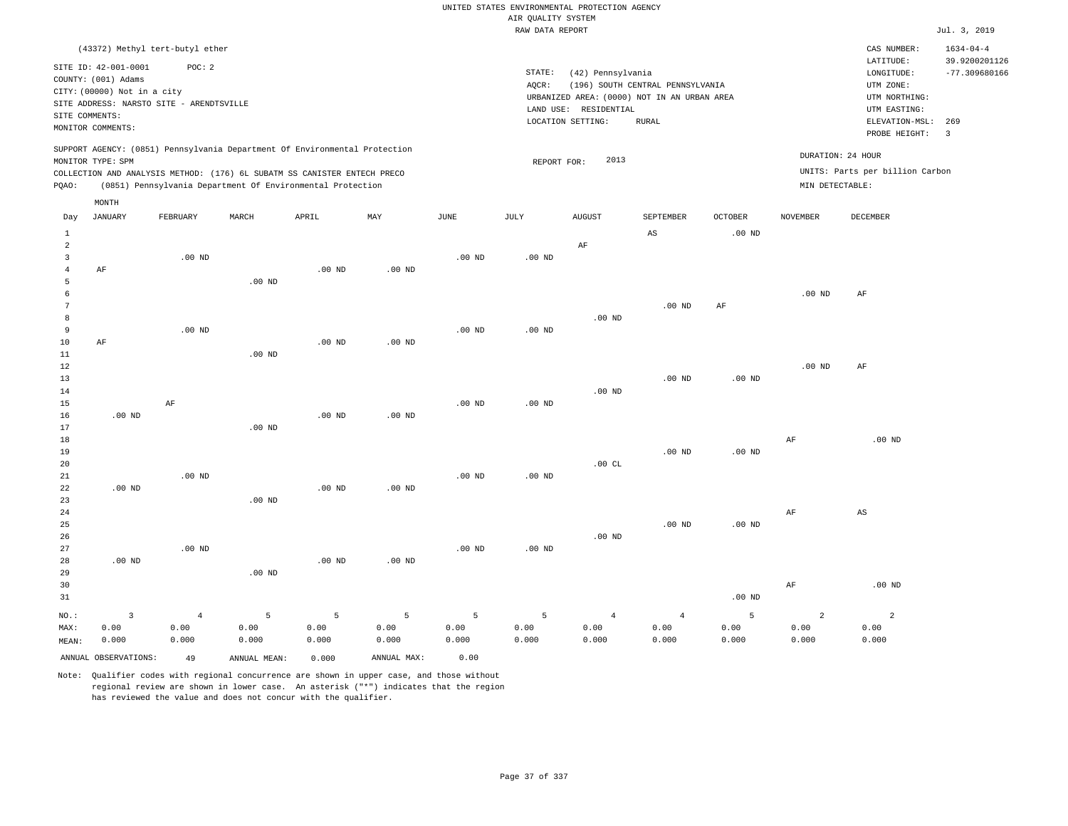|                                  |                                                                                                 |                   |                   |                                                            |                   |                   |                    | UNITED STATES ENVIRONMENTAL PROTECTION AGENCY |                                             |                |                   |                                 |                                  |
|----------------------------------|-------------------------------------------------------------------------------------------------|-------------------|-------------------|------------------------------------------------------------|-------------------|-------------------|--------------------|-----------------------------------------------|---------------------------------------------|----------------|-------------------|---------------------------------|----------------------------------|
|                                  |                                                                                                 |                   |                   |                                                            |                   |                   | AIR QUALITY SYSTEM |                                               |                                             |                |                   |                                 |                                  |
|                                  |                                                                                                 |                   |                   |                                                            |                   |                   | RAW DATA REPORT    |                                               |                                             |                |                   |                                 | Jul. 3, 2019                     |
|                                  | (43372) Methyl tert-butyl ether                                                                 |                   |                   |                                                            |                   |                   |                    |                                               |                                             |                |                   | CAS NUMBER:<br>LATITUDE:        | $1634 - 04 - 4$<br>39.9200201126 |
|                                  | SITE ID: 42-001-0001                                                                            | POC: 2            |                   |                                                            |                   |                   | STATE:             | (42) Pennsylvania                             |                                             |                |                   | LONGITUDE:                      | $-77.309680166$                  |
|                                  | COUNTY: (001) Adams<br>CITY: (00000) Not in a city                                              |                   |                   |                                                            |                   |                   | AQCR:              |                                               | (196) SOUTH CENTRAL PENNSYLVANIA            |                |                   | UTM ZONE:                       |                                  |
|                                  | SITE ADDRESS: NARSTO SITE - ARENDTSVILLE                                                        |                   |                   |                                                            |                   |                   |                    |                                               | URBANIZED AREA: (0000) NOT IN AN URBAN AREA |                |                   | UTM NORTHING:                   |                                  |
| SITE COMMENTS:                   |                                                                                                 |                   |                   |                                                            |                   |                   |                    | LAND USE: RESIDENTIAL                         |                                             |                |                   | UTM EASTING:                    |                                  |
|                                  | MONITOR COMMENTS:                                                                               |                   |                   |                                                            |                   |                   |                    | LOCATION SETTING:                             | RURAL                                       |                |                   | ELEVATION-MSL:<br>PROBE HEIGHT: | 269<br>$\overline{3}$            |
|                                  | SUPPORT AGENCY: (0851) Pennsylvania Department Of Environmental Protection<br>MONITOR TYPE: SPM |                   |                   |                                                            |                   |                   |                    | 2013                                          |                                             |                |                   | DURATION: 24 HOUR               |                                  |
|                                  | COLLECTION AND ANALYSIS METHOD: (176) 6L SUBATM SS CANISTER ENTECH PRECO                        |                   |                   |                                                            |                   |                   | REPORT FOR:        |                                               |                                             |                |                   | UNITS: Parts per billion Carbon |                                  |
| PQAO:                            |                                                                                                 |                   |                   | (0851) Pennsylvania Department Of Environmental Protection |                   |                   |                    |                                               |                                             |                | MIN DETECTABLE:   |                                 |                                  |
|                                  | MONTH                                                                                           |                   |                   |                                                            |                   |                   |                    |                                               |                                             |                |                   |                                 |                                  |
| Day                              | <b>JANUARY</b>                                                                                  | FEBRUARY          | MARCH             | APRIL                                                      | MAY               | $_{\rm JUNE}$     | $\mathtt{JULY}$    | <b>AUGUST</b>                                 | SEPTEMBER                                   | <b>OCTOBER</b> | <b>NOVEMBER</b>   | <b>DECEMBER</b>                 |                                  |
| $\mathbf{1}$                     |                                                                                                 |                   |                   |                                                            |                   |                   |                    |                                               | AS                                          | $.00$ ND       |                   |                                 |                                  |
| $\overline{2}$<br>$\overline{3}$ |                                                                                                 | $.00$ ND          |                   |                                                            |                   | $.00$ ND          | $.00$ ND           | AF                                            |                                             |                |                   |                                 |                                  |
| $\overline{4}$                   | AF                                                                                              |                   |                   | .00 <sub>ND</sub>                                          | $.00$ ND          |                   |                    |                                               |                                             |                |                   |                                 |                                  |
| 5                                |                                                                                                 |                   | .00 <sub>ND</sub> |                                                            |                   |                   |                    |                                               |                                             |                |                   |                                 |                                  |
| 6                                |                                                                                                 |                   |                   |                                                            |                   |                   |                    |                                               |                                             |                | $.00$ ND          | AF                              |                                  |
| $7\phantom{.0}$                  |                                                                                                 |                   |                   |                                                            |                   |                   |                    |                                               | $.00$ ND                                    | $\rm AF$       |                   |                                 |                                  |
| 8                                |                                                                                                 |                   |                   |                                                            |                   |                   |                    | $.00$ ND                                      |                                             |                |                   |                                 |                                  |
| 9                                |                                                                                                 | .00 <sub>ND</sub> |                   |                                                            |                   | $.00$ ND          | $.00$ ND           |                                               |                                             |                |                   |                                 |                                  |
| 10                               | AF                                                                                              |                   |                   | $.00$ ND                                                   | .00 <sub>ND</sub> |                   |                    |                                               |                                             |                |                   |                                 |                                  |
| 11                               |                                                                                                 |                   | $.00$ ND          |                                                            |                   |                   |                    |                                               |                                             |                |                   |                                 |                                  |
| 12                               |                                                                                                 |                   |                   |                                                            |                   |                   |                    |                                               |                                             |                | .00 <sub>ND</sub> | AF                              |                                  |
| 13<br>14                         |                                                                                                 |                   |                   |                                                            |                   |                   |                    | $.00$ ND                                      | $.00$ ND                                    | $.00$ ND       |                   |                                 |                                  |
| 15                               |                                                                                                 | AF                |                   |                                                            |                   | $.00$ ND          | $.00$ ND           |                                               |                                             |                |                   |                                 |                                  |
| 16                               | $.00$ ND                                                                                        |                   |                   | $.00$ ND                                                   | $.00$ ND          |                   |                    |                                               |                                             |                |                   |                                 |                                  |
| 17                               |                                                                                                 |                   | $.00$ ND          |                                                            |                   |                   |                    |                                               |                                             |                |                   |                                 |                                  |
| 18                               |                                                                                                 |                   |                   |                                                            |                   |                   |                    |                                               |                                             |                | AF                | $.00$ ND                        |                                  |
| 19                               |                                                                                                 |                   |                   |                                                            |                   |                   |                    |                                               | .00 <sub>ND</sub>                           | $.00$ ND       |                   |                                 |                                  |
| 20                               |                                                                                                 |                   |                   |                                                            |                   |                   |                    | .00CL                                         |                                             |                |                   |                                 |                                  |
| 21                               |                                                                                                 | .00 <sub>ND</sub> |                   |                                                            |                   | .00 <sub>ND</sub> | .00 <sub>ND</sub>  |                                               |                                             |                |                   |                                 |                                  |
| 22                               | $.00$ ND                                                                                        |                   |                   | $.00$ ND                                                   | $.00$ ND          |                   |                    |                                               |                                             |                |                   |                                 |                                  |
| 23<br>24                         |                                                                                                 |                   | $.00$ ND          |                                                            |                   |                   |                    |                                               |                                             |                | AF                | AS                              |                                  |
| 25                               |                                                                                                 |                   |                   |                                                            |                   |                   |                    |                                               | $.00$ ND                                    | $.00$ ND       |                   |                                 |                                  |
| 26                               |                                                                                                 |                   |                   |                                                            |                   |                   |                    | $.00$ ND                                      |                                             |                |                   |                                 |                                  |
| 27                               |                                                                                                 | $.00$ ND          |                   |                                                            |                   | $.00$ ND          | $.00$ ND           |                                               |                                             |                |                   |                                 |                                  |
| 28                               | $.00$ ND                                                                                        |                   |                   | $.00$ ND                                                   | $.00$ ND          |                   |                    |                                               |                                             |                |                   |                                 |                                  |
| 29                               |                                                                                                 |                   | $.00$ ND          |                                                            |                   |                   |                    |                                               |                                             |                |                   |                                 |                                  |
| 30                               |                                                                                                 |                   |                   |                                                            |                   |                   |                    |                                               |                                             |                | AF                | $.00$ ND                        |                                  |
| 31                               |                                                                                                 |                   |                   |                                                            |                   |                   |                    |                                               |                                             | $.00$ ND       |                   |                                 |                                  |
| NO.:                             | $\overline{\mathbf{3}}$                                                                         | $\overline{4}$    | 5                 | 5                                                          | $\overline{5}$    | 5                 | 5                  | $\overline{4}$                                | $\sqrt{4}$                                  | 5              | $\overline{a}$    | $\overline{2}$                  |                                  |
| MAX:                             | 0.00                                                                                            | 0.00              | 0.00              | 0.00                                                       | 0.00              | 0.00              | 0.00               | 0.00                                          | 0.00                                        | 0.00           | 0.00              | 0.00                            |                                  |
| MEAN:                            | 0.000                                                                                           | 0.000             | 0.000             | 0.000                                                      | 0.000             | 0.000             | 0.000              | 0.000                                         | 0.000                                       | 0.000          | 0.000             | 0.000                           |                                  |
|                                  | ANNUAL OBSERVATIONS:                                                                            | 49                | ANNUAL MEAN:      | 0.000                                                      | ANNUAL MAX:       | 0.00              |                    |                                               |                                             |                |                   |                                 |                                  |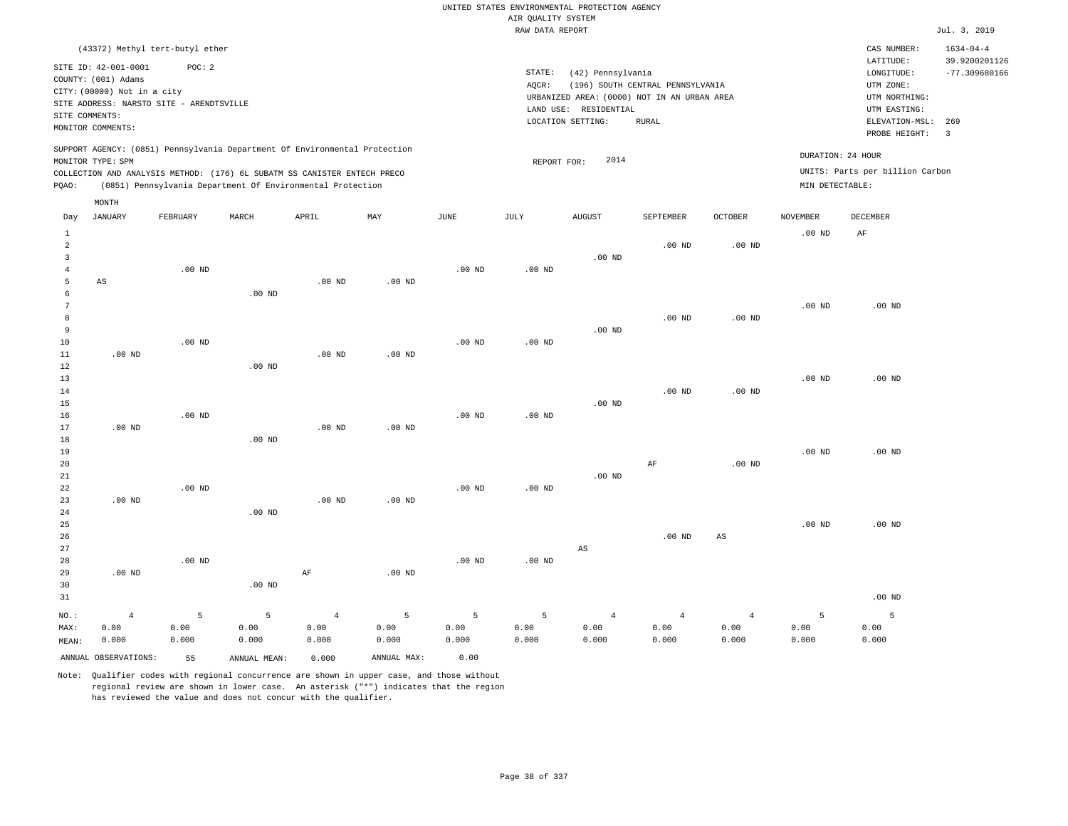|                                  |                                                         |                   |                                                                            |                   |                   |                   |                    | UNITED STATES ENVIRONMENTAL PROTECTION AGENCY |                                  |                   |                   |                                        |                                                     |
|----------------------------------|---------------------------------------------------------|-------------------|----------------------------------------------------------------------------|-------------------|-------------------|-------------------|--------------------|-----------------------------------------------|----------------------------------|-------------------|-------------------|----------------------------------------|-----------------------------------------------------|
|                                  |                                                         |                   |                                                                            |                   |                   |                   | AIR QUALITY SYSTEM |                                               |                                  |                   |                   |                                        |                                                     |
|                                  |                                                         |                   |                                                                            |                   |                   |                   | RAW DATA REPORT    |                                               |                                  |                   |                   |                                        | Jul. 3, 2019                                        |
|                                  | (43372) Methyl tert-butyl ether<br>SITE ID: 42-001-0001 | POC: 2            |                                                                            |                   |                   |                   | STATE:             | (42) Pennsylvania                             |                                  |                   |                   | CAS NUMBER:<br>LATITUDE:<br>LONGITUDE: | $1634 - 04 - 4$<br>39.9200201126<br>$-77.309680166$ |
|                                  | COUNTY: (001) Adams<br>CITY: (00000) Not in a city      |                   |                                                                            |                   |                   |                   | AQCR:              | URBANIZED AREA: (0000) NOT IN AN URBAN AREA   | (196) SOUTH CENTRAL PENNSYLVANIA |                   |                   | UTM ZONE:<br>UTM NORTHING:             |                                                     |
|                                  | SITE ADDRESS: NARSTO SITE - ARENDTSVILLE                |                   |                                                                            |                   |                   |                   |                    | LAND USE: RESIDENTIAL                         |                                  |                   |                   | UTM EASTING:                           |                                                     |
| SITE COMMENTS:                   |                                                         |                   |                                                                            |                   |                   |                   |                    | LOCATION SETTING:                             | RURAL                            |                   |                   | ELEVATION-MSL:                         | 269                                                 |
|                                  | MONITOR COMMENTS:                                       |                   |                                                                            |                   |                   |                   |                    |                                               |                                  |                   |                   | PROBE HEIGHT:                          | 3                                                   |
|                                  | MONITOR TYPE: SPM                                       |                   | SUPPORT AGENCY: (0851) Pennsylvania Department Of Environmental Protection |                   |                   |                   | REPORT FOR:        | 2014                                          |                                  |                   | DURATION: 24 HOUR |                                        |                                                     |
|                                  |                                                         |                   | COLLECTION AND ANALYSIS METHOD: (176) 6L SUBATM SS CANISTER ENTECH PRECO   |                   |                   |                   |                    |                                               |                                  |                   |                   | UNITS: Parts per billion Carbon        |                                                     |
| PQAO:                            |                                                         |                   | (0851) Pennsylvania Department Of Environmental Protection                 |                   |                   |                   |                    |                                               |                                  |                   | MIN DETECTABLE:   |                                        |                                                     |
| Day                              | MONTH<br><b>JANUARY</b>                                 | FEBRUARY          | MARCH                                                                      | APRIL             | MAY               | $_{\rm JUNE}$     | JULY               | <b>AUGUST</b>                                 | SEPTEMBER                        | <b>OCTOBER</b>    | <b>NOVEMBER</b>   | <b>DECEMBER</b>                        |                                                     |
| $\mathbf{1}$                     |                                                         |                   |                                                                            |                   |                   |                   |                    |                                               |                                  |                   | $.00$ ND          | AF                                     |                                                     |
| $\overline{a}$<br>$\overline{3}$ |                                                         |                   |                                                                            |                   |                   |                   |                    | .00 <sub>ND</sub>                             | $.00$ ND                         | $.00$ ND          |                   |                                        |                                                     |
| $\overline{4}$                   |                                                         | .00 <sub>ND</sub> |                                                                            |                   |                   | $.00$ ND          | $.00$ ND           |                                               |                                  |                   |                   |                                        |                                                     |
| 5                                | $\mathbb{A}\mathbb{S}$                                  |                   |                                                                            | $.00$ ND          | $.00$ ND          |                   |                    |                                               |                                  |                   |                   |                                        |                                                     |
| 6                                |                                                         |                   | $.00$ ND                                                                   |                   |                   |                   |                    |                                               |                                  |                   |                   |                                        |                                                     |
| $7\phantom{.0}$                  |                                                         |                   |                                                                            |                   |                   |                   |                    |                                               |                                  |                   | $.00$ ND          | $.00$ ND                               |                                                     |
| 8<br>$\overline{9}$              |                                                         |                   |                                                                            |                   |                   |                   |                    | .00 <sub>ND</sub>                             | $.00$ ND                         | .00 <sub>ND</sub> |                   |                                        |                                                     |
| 10                               |                                                         | $.00$ ND          |                                                                            |                   |                   | $.00$ ND          | $.00$ ND           |                                               |                                  |                   |                   |                                        |                                                     |
| 11                               | $.00$ ND                                                |                   |                                                                            | $.00$ ND          | $.00$ ND          |                   |                    |                                               |                                  |                   |                   |                                        |                                                     |
| 12                               |                                                         |                   | $.00$ ND                                                                   |                   |                   |                   |                    |                                               |                                  |                   |                   |                                        |                                                     |
| 13                               |                                                         |                   |                                                                            |                   |                   |                   |                    |                                               |                                  |                   | $.00$ ND          | $.00$ ND                               |                                                     |
| 14                               |                                                         |                   |                                                                            |                   |                   |                   |                    |                                               | .00 <sub>ND</sub>                | $.00$ ND          |                   |                                        |                                                     |
| 15                               |                                                         |                   |                                                                            |                   |                   |                   |                    | $.00$ ND                                      |                                  |                   |                   |                                        |                                                     |
| 16<br>17                         | $.00$ ND                                                | $.00$ ND          |                                                                            | .00 <sub>ND</sub> | .00 <sub>ND</sub> | $.00$ ND          | $.00$ ND           |                                               |                                  |                   |                   |                                        |                                                     |
| 18                               |                                                         |                   | $.00$ ND                                                                   |                   |                   |                   |                    |                                               |                                  |                   |                   |                                        |                                                     |
| 19                               |                                                         |                   |                                                                            |                   |                   |                   |                    |                                               |                                  |                   | $.00$ ND          | $.00$ ND                               |                                                     |
| 20                               |                                                         |                   |                                                                            |                   |                   |                   |                    |                                               | AF                               | $.00$ ND          |                   |                                        |                                                     |
| 21                               |                                                         |                   |                                                                            |                   |                   |                   |                    | $.00$ ND                                      |                                  |                   |                   |                                        |                                                     |
| 22                               |                                                         | $.00$ ND          |                                                                            |                   |                   | .00 <sub>ND</sub> | .00 <sub>ND</sub>  |                                               |                                  |                   |                   |                                        |                                                     |
| 23<br>24                         | .00 <sub>ND</sub>                                       |                   | $.00$ ND                                                                   | $.00$ ND          | .00 <sub>ND</sub> |                   |                    |                                               |                                  |                   |                   |                                        |                                                     |
| 25                               |                                                         |                   |                                                                            |                   |                   |                   |                    |                                               |                                  |                   | $.00$ ND          | $.00$ ND                               |                                                     |
| 26                               |                                                         |                   |                                                                            |                   |                   |                   |                    |                                               | $.00$ ND                         | $_{\rm AS}$       |                   |                                        |                                                     |
| 27                               |                                                         |                   |                                                                            |                   |                   |                   |                    | $\mathbb{A}\mathbb{S}$                        |                                  |                   |                   |                                        |                                                     |
| 28                               |                                                         | $.00$ ND          |                                                                            |                   |                   | $.00$ ND          | $.00$ ND           |                                               |                                  |                   |                   |                                        |                                                     |
| 29                               | $.00$ ND                                                |                   |                                                                            | $\rm AF$          | .00 <sub>ND</sub> |                   |                    |                                               |                                  |                   |                   |                                        |                                                     |
| 30                               |                                                         |                   | $.00$ ND                                                                   |                   |                   |                   |                    |                                               |                                  |                   |                   |                                        |                                                     |
| 31                               |                                                         |                   |                                                                            |                   |                   |                   |                    |                                               |                                  |                   |                   | .00 <sub>ND</sub>                      |                                                     |
| NO.:                             | $\overline{4}$                                          | 5                 | 5                                                                          | $\overline{4}$    | $\overline{5}$    | 5                 | 5                  | $\overline{4}$                                | $\overline{4}$                   | $\overline{4}$    | 5                 | 5                                      |                                                     |
| MAX:                             | 0.00                                                    | 0.00              | 0.00                                                                       | 0.00              | 0.00              | 0.00              | 0.00               | 0.00                                          | 0.00                             | 0.00              | 0.00              | 0.00                                   |                                                     |
| MEAN:                            | 0.000                                                   | 0.000             | 0.000                                                                      | 0.000             | 0.000             | 0.000             | 0.000              | 0.000                                         | 0.000                            | 0.000             | 0.000             | 0.000                                  |                                                     |
|                                  | ANNUAL OBSERVATIONS:                                    | 55                | ANNUAL MEAN:                                                               | 0.000             | ANNUAL MAX:       | 0.00              |                    |                                               |                                  |                   |                   |                                        |                                                     |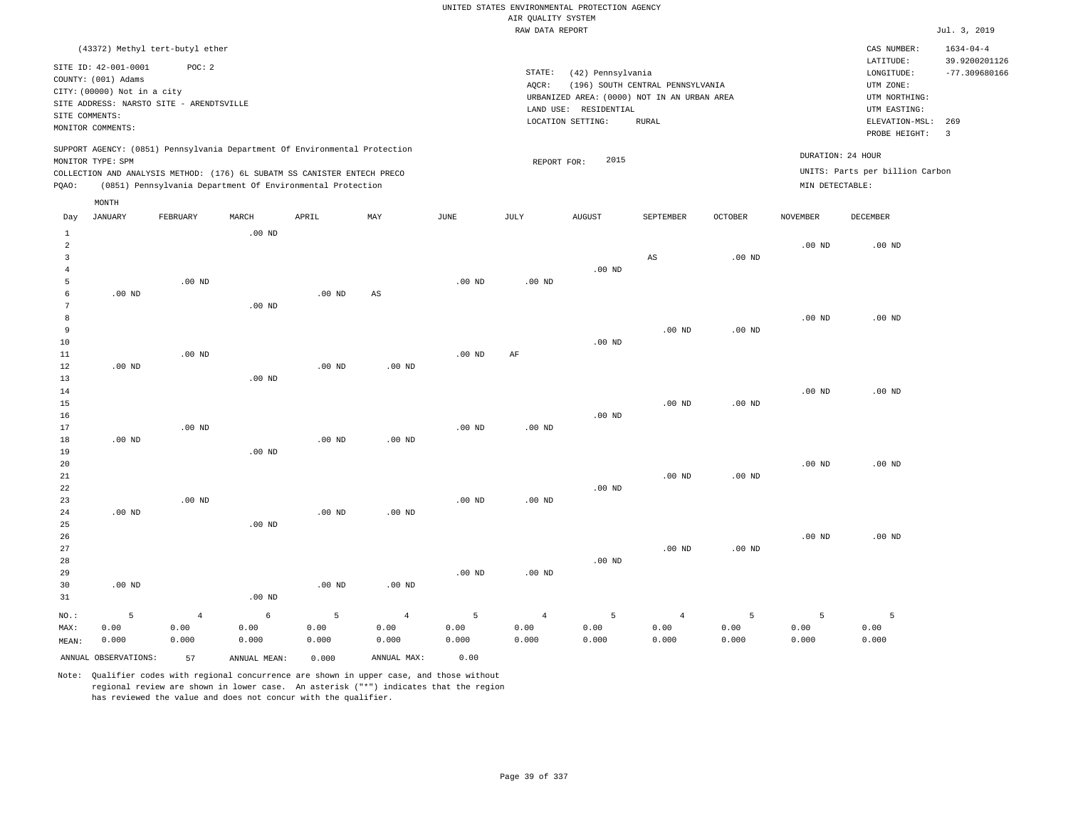RAW DATA REPORT Jul. 3, 2019 UNITED STATES ENVIRONMENTAL PROTECTION AGENCY AIR QUALITY SYSTEM (43372) Methyl tert-butyl ether STATE: (42) Pennsylvania CAS NUMBER: 1634-04-4 SITE ID: 42-001-0001 POC: 2 AQCR: (196) SOUTH CENTRAL PENNSYLVANIA COUNTY: (001) Adams CITY: (00000) Not in a city LONGITUDE: -77.309680166 LATITUDE: 39.9200201126 LOCATION SETTING: RURAL SITE ADDRESS: NARSTO SITE - ARENDTSVILLE LAND USE: RESIDENTIAL SITE COMMENTS: MONITOR COMMENTS: PROBE HEIGHT: 3 ELEVATION-MSL: 269 URBANIZED AREA: (0000) NOT IN AN URBAN AREA **URBAN SERIA UTM NORTHING**: UTM EASTING: UTM ZONE: SUPPORT AGENCY: (0851) Pennsylvania Department Of Environmental Protection MONITOR TYPE: SPM COLLECTION AND ANALYSIS METHOD: (176) 6L SUBATM SS CANISTER ENTECH PRECO REPORT FOR: 2015 UNITS: Parts per billion Carbon PQAO: (0851) Pennsylvania Department Of Environmental Protection MIN DETECTABLE: DURATION: 24 HOUR 1 2 3 4 5 6 7 8 9 10 11 12 13 14 15 16 17 18 19  $20$ 21 22 23 24 25 26 27 28 29 30 31 .00 ND .00 ND .00 ND .00 ND .00 ND NO.: MAX: MEAN: 5 0.00 0.000 .00 ND .00 ND .00 ND .00 ND .00 ND .00 ND .00 ND .00 ND .00 ND .00 ND .00 ND .00 ND .00 ND .00 ND .00 ND AS .00 ND .00 ND .00 ND .00 ND .00 ND .00 ND .00 ND .00 ND .00 ND .00 ND AF .00 ND .00 ND .00 ND .00 ND .00 ND .00 ND .00 ND .00 ND AS .00 ND .00 ND .00 ND .00 ND .00 ND .00 ND .00 ND .00 ND .00 ND .00 ND .00 ND .00 ND .00 ND .00 ND .00 ND .00 ND .00 ND .00 ND .00 ND 4 0.00 0.000 6 0.00 0.000 5 0.00 0.000 4 0.00 0.000 5 0.00 0.000 4 0.00 0.000 5 0.00 0.000 4 0.00 0.000 5 0.00 0.000 5 0.00 0.000 5 0.00 0.000 ANNUAL OBSERVATIONS: 57 ANNUAL MEAN: 0.000 ANNUAL MAX: 0.00 Day JANUARY FEBRUARY MARCH APRIL MAY JUNE JULY AUGUST SEPTEMBER OCTOBER NOVEMBER DECEMBER MONTH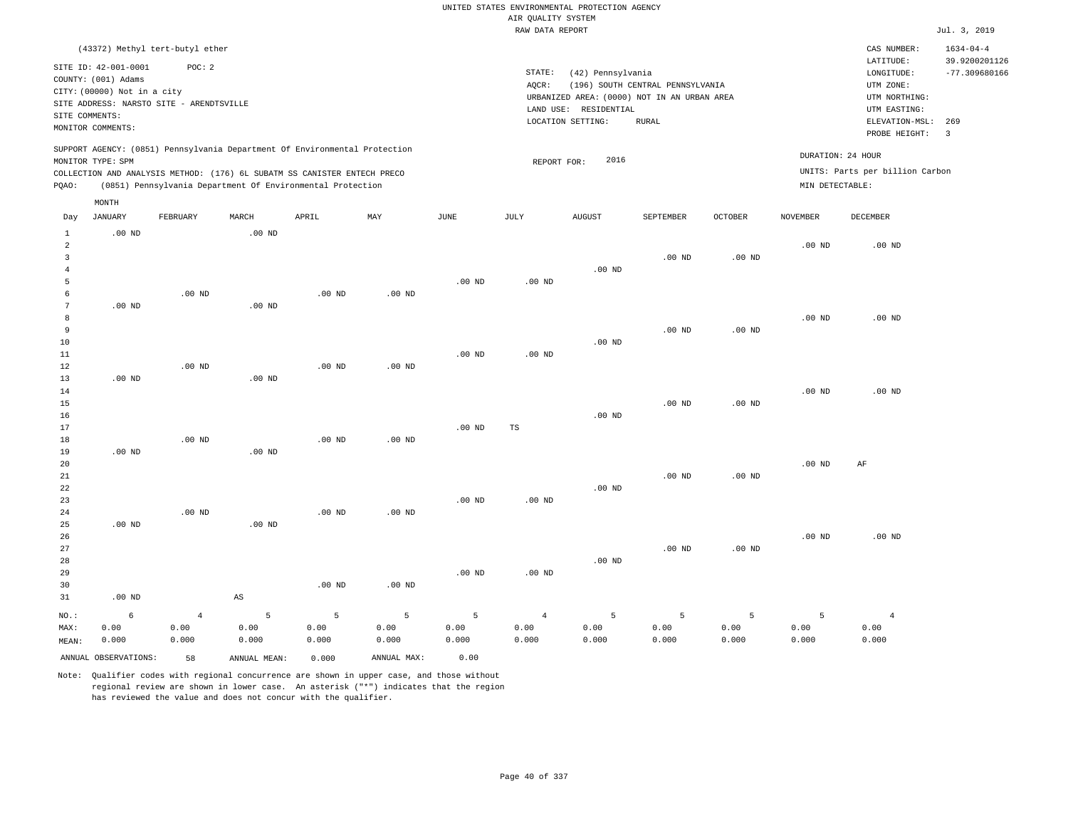RAW DATA REPORT Jul. 3, 2019 UNITED STATES ENVIRONMENTAL PROTECTION AGENCY AIR QUALITY SYSTEM (43372) Methyl tert-butyl ether STATE: (42) Pennsylvania CAS NUMBER: 1634-04-4 SITE ID: 42-001-0001 POC: 2 AQCR: (196) SOUTH CENTRAL PENNSYLVANIA COUNTY: (001) Adams CITY: (00000) Not in a city LONGITUDE: -77.309680166 LATITUDE: 39.9200201126 LOCATION SETTING: RURAL SITE ADDRESS: NARSTO SITE - ARENDTSVILLE LAND USE: RESIDENTIAL SITE COMMENTS: MONITOR COMMENTS: PROBE HEIGHT: 3 ELEVATION-MSL: 269 URBANIZED AREA: (0000) NOT IN AN URBAN AREA **URBAN SERIA UTM NORTHING**: UTM EASTING: UTM ZONE: SUPPORT AGENCY: (0851) Pennsylvania Department Of Environmental Protection MONITOR TYPE: SPM COLLECTION AND ANALYSIS METHOD: (176) 6L SUBATM SS CANISTER ENTECH PRECO REPORT FOR: 2016 UNITS: Parts per billion Carbon PQAO: (0851) Pennsylvania Department Of Environmental Protection MIN DETECTABLE: DURATION: 24 HOUR 1 2 3 4 5 6 7 8 9 10 11 12 13 14 15 16 17 18 19  $20$ 21 22 23 24  $25$ 26 27 28 29 30 31 .00 ND .00 ND .00 ND .00 ND .00 ND .00 ND NO.: MAX: MEAN: 6 0.00 0.000 .00 ND .00 ND .00 ND .00 ND .00 ND .00 ND .00 ND .00 ND .00 ND AS .00 ND .00 ND .00 ND .00 ND .00 ND .00 ND .00 ND .00 ND .00 ND .00 ND .00 ND .00 ND .00 ND .00 ND .00 ND .00 ND .00 ND TS .00 ND .00 ND .00 ND .00 ND .00 ND .00 ND .00 ND .00 ND .00 ND .00 ND .00 ND .00 ND .00 ND .00 ND .00 ND .00 ND .00 ND .00 ND .00 ND .00 ND .00 ND .00 ND .00 ND .00 ND .00 ND AF .00 ND 4 0.00 0.000 5 0.00 0.000 5 0.00 0.000 5 0.00 0.000 5 0.00 0.000 4 0.00 0.000 5 0.00 0.000 5 0.00 0.000 5 0.00 0.000 5 0.00 0.000 4 0.00 0.000 ANNUAL OBSERVATIONS: 58 ANNUAL MEAN: 0.000 ANNUAL MAX: 0.00 Day JANUARY FEBRUARY MARCH APRIL MAY JUNE JULY AUGUST SEPTEMBER OCTOBER NOVEMBER DECEMBER MONTH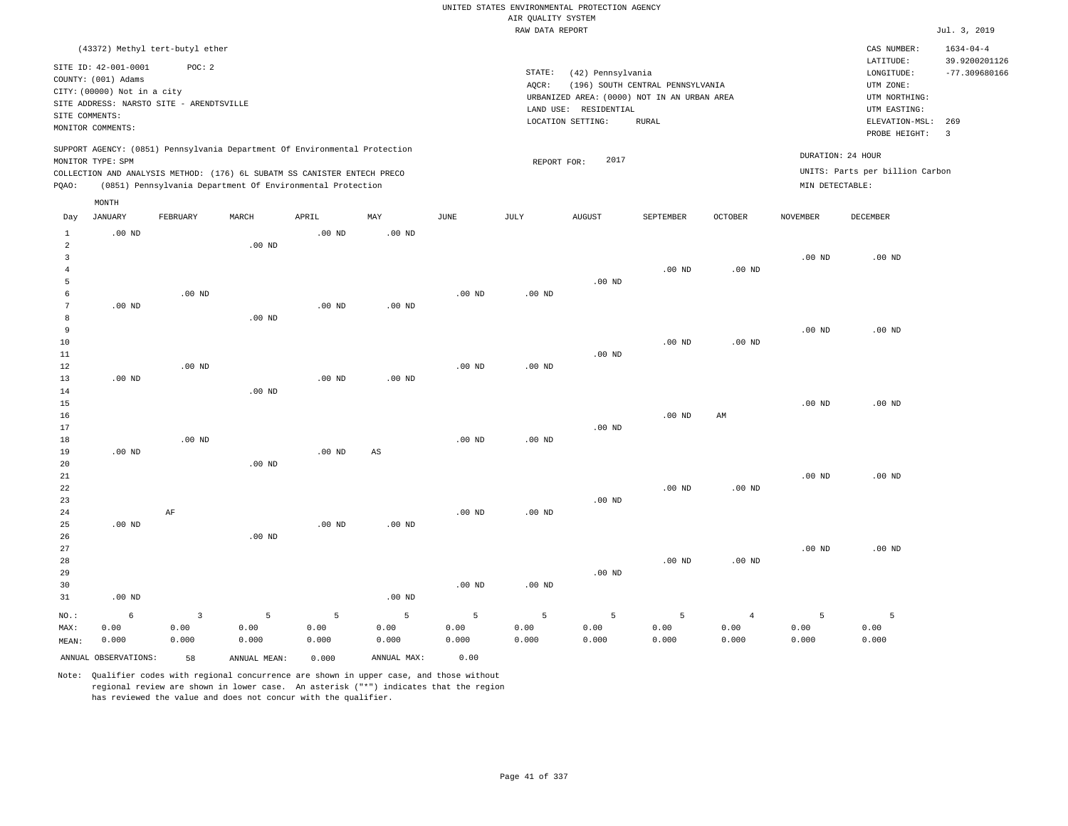|                                                                    |                                                                                                                                                           |                                                |                                                                                                                                                                                                                      |                             |                                   |                            |                                       | UNITED STATES ENVIRONMENTAL PROTECTION AGENCY                                             |                                  |                                 |                    |                                                                                      |                                                     |
|--------------------------------------------------------------------|-----------------------------------------------------------------------------------------------------------------------------------------------------------|------------------------------------------------|----------------------------------------------------------------------------------------------------------------------------------------------------------------------------------------------------------------------|-----------------------------|-----------------------------------|----------------------------|---------------------------------------|-------------------------------------------------------------------------------------------|----------------------------------|---------------------------------|--------------------|--------------------------------------------------------------------------------------|-----------------------------------------------------|
|                                                                    |                                                                                                                                                           |                                                |                                                                                                                                                                                                                      |                             |                                   |                            | AIR QUALITY SYSTEM<br>RAW DATA REPORT |                                                                                           |                                  |                                 |                    |                                                                                      | Jul. 3, 2019                                        |
|                                                                    |                                                                                                                                                           |                                                |                                                                                                                                                                                                                      |                             |                                   |                            |                                       |                                                                                           |                                  |                                 |                    |                                                                                      |                                                     |
| SITE COMMENTS:                                                     | (43372) Methyl tert-butyl ether<br>SITE ID: 42-001-0001<br>COUNTY: (001) Adams<br>CITY: (00000) Not in a city<br>SITE ADDRESS: NARSTO SITE - ARENDTSVILLE | POC: 2                                         |                                                                                                                                                                                                                      |                             |                                   |                            | STATE:<br>AQCR:                       | (42) Pennsylvania<br>URBANIZED AREA: (0000) NOT IN AN URBAN AREA<br>LAND USE: RESIDENTIAL | (196) SOUTH CENTRAL PENNSYLVANIA |                                 |                    | CAS NUMBER:<br>LATITUDE:<br>LONGITUDE:<br>UTM ZONE:<br>UTM NORTHING:<br>UTM EASTING: | $1634 - 04 - 4$<br>39.9200201126<br>$-77.309680166$ |
|                                                                    | MONITOR COMMENTS:                                                                                                                                         |                                                |                                                                                                                                                                                                                      |                             |                                   |                            |                                       | LOCATION SETTING:                                                                         | <b>RURAL</b>                     |                                 |                    | ELEVATION-MSL:<br>PROBE HEIGHT:                                                      | 269<br>$\overline{\mathbf{3}}$                      |
| PQAO:                                                              | MONITOR TYPE: SPM                                                                                                                                         |                                                | SUPPORT AGENCY: (0851) Pennsylvania Department Of Environmental Protection<br>COLLECTION AND ANALYSIS METHOD: (176) 6L SUBATM SS CANISTER ENTECH PRECO<br>(0851) Pennsylvania Department Of Environmental Protection |                             |                                   |                            | REPORT FOR:                           | 2017                                                                                      |                                  |                                 | MIN DETECTABLE:    | DURATION: 24 HOUR<br>UNITS: Parts per billion Carbon                                 |                                                     |
|                                                                    | MONTH                                                                                                                                                     |                                                |                                                                                                                                                                                                                      |                             |                                   |                            |                                       |                                                                                           |                                  |                                 |                    |                                                                                      |                                                     |
| Day                                                                | <b>JANUARY</b>                                                                                                                                            | FEBRUARY                                       | MARCH                                                                                                                                                                                                                | APRIL                       | MAY                               | JUNE                       | JULY                                  | <b>AUGUST</b>                                                                             | SEPTEMBER                        | <b>OCTOBER</b>                  | <b>NOVEMBER</b>    | <b>DECEMBER</b>                                                                      |                                                     |
| $\mathbf{1}$<br>$\overline{2}$<br>$\overline{3}$<br>$\overline{4}$ | $.00$ ND                                                                                                                                                  |                                                | $.00$ ND                                                                                                                                                                                                             | $.00$ ND                    | $.00$ ND                          |                            |                                       |                                                                                           | $.00$ ND                         | $.00$ ND                        | $.00$ ND           | $.00$ ND                                                                             |                                                     |
| 5<br>6<br>$7\phantom{.0}$<br>8                                     | .00 <sub>ND</sub>                                                                                                                                         | $.00$ ND                                       | .00 <sub>ND</sub>                                                                                                                                                                                                    | .00 <sub>ND</sub>           | $.00$ ND                          | $.00$ ND                   | $.00$ ND                              | $.00$ ND                                                                                  |                                  |                                 |                    |                                                                                      |                                                     |
| $\overline{9}$<br>10<br>11<br>12<br>13                             | $.00$ ND                                                                                                                                                  | $.00$ ND                                       |                                                                                                                                                                                                                      | .00 <sub>ND</sub>           | $.00$ ND                          | $.00$ ND                   | $.00$ ND                              | $.00$ ND                                                                                  | $.00$ ND                         | $.00$ ND                        | $.00$ ND           | $.00$ ND                                                                             |                                                     |
| 14<br>15<br>16<br>17                                               |                                                                                                                                                           |                                                | $.00$ ND                                                                                                                                                                                                             |                             |                                   |                            |                                       | $.00$ ND                                                                                  | .00 <sub>ND</sub>                | AM                              | .00 <sub>ND</sub>  | $.00$ ND                                                                             |                                                     |
| 18<br>19<br>20<br>21                                               | $.00$ ND                                                                                                                                                  | $.00$ ND                                       | $.00$ ND                                                                                                                                                                                                             | $.00$ ND                    | AS                                | .00 <sub>ND</sub>          | .00 <sub>ND</sub>                     |                                                                                           |                                  |                                 | $.00$ ND           | $.00$ ND                                                                             |                                                     |
| 22<br>23<br>24<br>25                                               | $.00$ ND                                                                                                                                                  | $\rm AF$                                       |                                                                                                                                                                                                                      | $.00$ ND                    | $.00$ ND                          | $.00$ ND                   | $.00$ ND                              | $.00$ ND                                                                                  | $.00$ ND                         | .00 <sub>ND</sub>               |                    |                                                                                      |                                                     |
| 26<br>27<br>28<br>29<br>30<br>31                                   | $.00$ ND                                                                                                                                                  |                                                | $.00$ ND                                                                                                                                                                                                             |                             | .00 <sub>ND</sub>                 | $.00$ ND                   | .00 <sub>ND</sub>                     | $.00$ ND                                                                                  | $.00$ ND                         | .00 <sub>ND</sub>               | $.00$ ND           | $.00$ ND                                                                             |                                                     |
| NO.:<br>MAX:<br>MEAN:                                              | 6<br>0.00<br>0.000<br>ANNUAL OBSERVATIONS:                                                                                                                | $\overline{\mathbf{3}}$<br>0.00<br>0.000<br>58 | 5<br>0.00<br>0.000<br>ANNUAL MEAN:                                                                                                                                                                                   | 5<br>0.00<br>0.000<br>0.000 | 5<br>0.00<br>0.000<br>ANNUAL MAX: | 5<br>0.00<br>0.000<br>0.00 | 5<br>0.00<br>0.000                    | 5<br>0.00<br>0.000                                                                        | 5<br>0.00<br>0.000               | $\overline{4}$<br>0.00<br>0.000 | 5<br>0.00<br>0.000 | 5<br>0.00<br>0.000                                                                   |                                                     |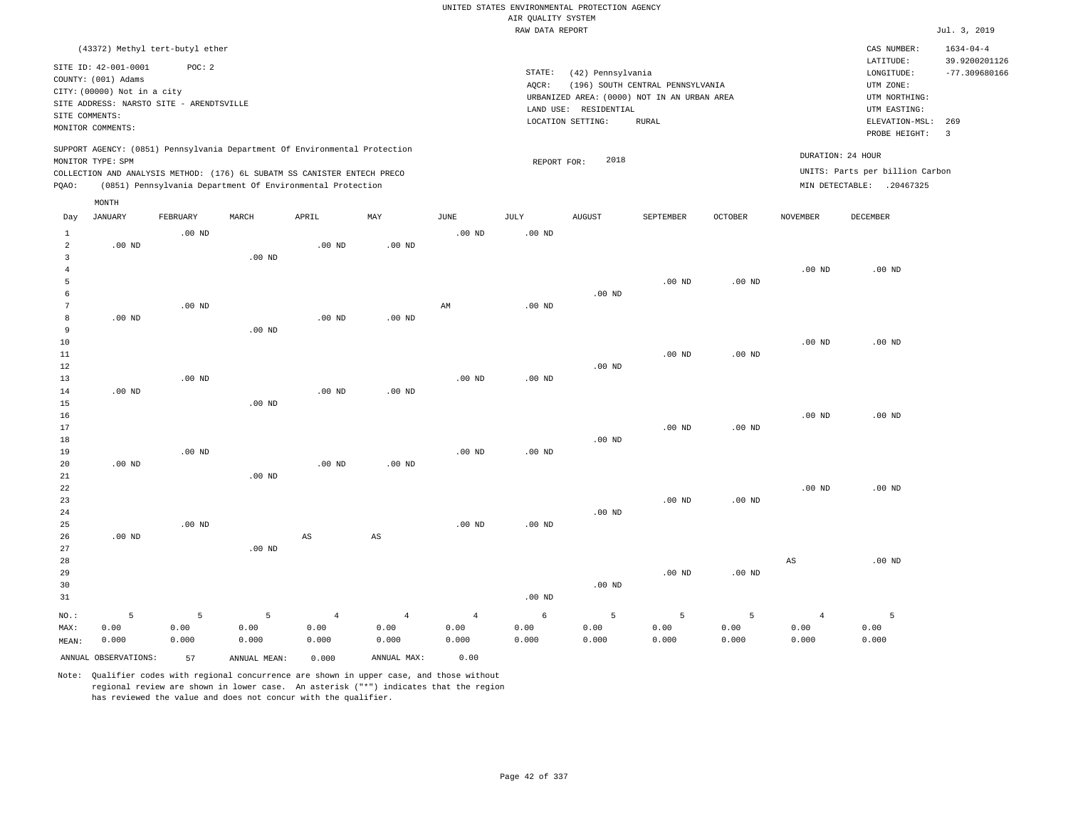|                                       |                                                                                                                        |                    |                    |                                                            |                                 |                                 | AIR QUALITY SYSTEM | UNITED STATES ENVIRONMENTAL PROTECTION AGENCY |                                                                                 |                    |                                 |                                                              |                                  |
|---------------------------------------|------------------------------------------------------------------------------------------------------------------------|--------------------|--------------------|------------------------------------------------------------|---------------------------------|---------------------------------|--------------------|-----------------------------------------------|---------------------------------------------------------------------------------|--------------------|---------------------------------|--------------------------------------------------------------|----------------------------------|
|                                       |                                                                                                                        |                    |                    |                                                            |                                 |                                 | RAW DATA REPORT    |                                               |                                                                                 |                    |                                 |                                                              | Jul. 3, 2019                     |
|                                       | (43372) Methyl tert-butyl ether                                                                                        |                    |                    |                                                            |                                 |                                 |                    |                                               |                                                                                 |                    |                                 | CAS NUMBER:<br>LATITUDE:                                     | $1634 - 04 - 4$<br>39.9200201126 |
| SITE COMMENTS:                        | SITE ID: 42-001-0001<br>COUNTY: (001) Adams<br>CITY: (00000) Not in a city<br>SITE ADDRESS: NARSTO SITE - ARENDTSVILLE | POC: 2             |                    |                                                            |                                 |                                 | STATE:<br>AQCR:    | (42) Pennsylvania<br>LAND USE: RESIDENTIAL    | (196) SOUTH CENTRAL PENNSYLVANIA<br>URBANIZED AREA: (0000) NOT IN AN URBAN AREA |                    |                                 | LONGITUDE:<br>UTM ZONE:<br>UTM NORTHING:<br>UTM EASTING:     | $-77.309680166$                  |
|                                       | MONITOR COMMENTS:                                                                                                      |                    |                    |                                                            |                                 |                                 |                    | LOCATION SETTING:                             | <b>RURAL</b>                                                                    |                    |                                 | ELEVATION-MSL:<br>PROBE HEIGHT:                              | 269<br>$\overline{3}$            |
|                                       | SUPPORT AGENCY: (0851) Pennsylvania Department Of Environmental Protection<br>MONITOR TYPE: SPM                        |                    |                    |                                                            |                                 |                                 | REPORT FOR:        | 2018                                          |                                                                                 |                    |                                 | DURATION: 24 HOUR                                            |                                  |
| PQAO:                                 | COLLECTION AND ANALYSIS METHOD: (176) 6L SUBATM SS CANISTER ENTECH PRECO                                               |                    |                    | (0851) Pennsylvania Department Of Environmental Protection |                                 |                                 |                    |                                               |                                                                                 |                    |                                 | UNITS: Parts per billion Carbon<br>MIN DETECTABLE: .20467325 |                                  |
|                                       | MONTH                                                                                                                  |                    |                    |                                                            |                                 |                                 |                    |                                               |                                                                                 |                    |                                 |                                                              |                                  |
| Day                                   | JANUARY                                                                                                                | FEBRUARY           | MARCH              | APRIL                                                      | MAY                             | JUNE                            | JULY               | <b>AUGUST</b>                                 | SEPTEMBER                                                                       | OCTOBER            | NOVEMBER                        | DECEMBER                                                     |                                  |
| $\mathbf{1}$<br>$\overline{a}$        | .00 <sub>ND</sub>                                                                                                      | $.00$ ND           |                    | .00 <sub>ND</sub>                                          | .00 <sub>ND</sub>               | .00 <sub>ND</sub>               | .00 <sub>ND</sub>  |                                               |                                                                                 |                    |                                 |                                                              |                                  |
| $\overline{3}$<br>$\overline{4}$<br>5 |                                                                                                                        |                    | $.00$ ND           |                                                            |                                 |                                 |                    |                                               | $.00$ ND                                                                        | $.00$ ND           | $.00$ ND                        | $.00$ ND                                                     |                                  |
| 6<br>$7\phantom{.0}$                  |                                                                                                                        | $.00$ ND           |                    |                                                            |                                 | AM                              | .00 <sub>ND</sub>  | $.00$ ND                                      |                                                                                 |                    |                                 |                                                              |                                  |
| 8<br>$\overline{9}$                   | $.00$ ND                                                                                                               |                    | $.00$ ND           | .00 <sub>ND</sub>                                          | $.00$ ND                        |                                 |                    |                                               |                                                                                 |                    |                                 |                                                              |                                  |
| 10<br>11<br>12                        |                                                                                                                        |                    |                    |                                                            |                                 |                                 |                    | $.00$ ND                                      | .00 <sub>ND</sub>                                                               | $.00$ ND           | $.00$ ND                        | $.00$ ND                                                     |                                  |
| 13<br>14                              | .00 <sub>ND</sub>                                                                                                      | $.00$ ND           |                    | $.00$ ND                                                   | $.00$ ND                        | .00 <sub>ND</sub>               | .00 <sub>ND</sub>  |                                               |                                                                                 |                    |                                 |                                                              |                                  |
| 15<br>16<br>17                        |                                                                                                                        |                    | $.00$ ND           |                                                            |                                 |                                 |                    |                                               | $.00$ ND                                                                        | $.00$ ND           | $.00$ ND                        | $.00$ ND                                                     |                                  |
| 18<br>19                              |                                                                                                                        | $.00$ ND           |                    |                                                            |                                 | .00 <sub>ND</sub>               | $.00$ ND           | $.00$ ND                                      |                                                                                 |                    |                                 |                                                              |                                  |
| 20<br>21<br>22                        | $.00$ ND                                                                                                               |                    | $.00$ ND           | $.00$ ND                                                   | $.00$ ND                        |                                 |                    |                                               |                                                                                 |                    | $.00$ ND                        | $.00$ ND                                                     |                                  |
| 23<br>24<br>25                        |                                                                                                                        | $.00$ ND           |                    |                                                            |                                 | $.00$ ND                        | $.00$ ND           | $.00$ ND                                      | $.00$ ND                                                                        | $.00$ ND           |                                 |                                                              |                                  |
| 26<br>27                              | $.00$ ND                                                                                                               |                    | $.00$ ND           | $\mathbb{A}\mathbb{S}$                                     | $\mathbb{A}\mathbb{S}$          |                                 |                    |                                               |                                                                                 |                    |                                 |                                                              |                                  |
| 28<br>29<br>30<br>31                  |                                                                                                                        |                    |                    |                                                            |                                 |                                 | $.00$ ND           | $.00$ ND                                      | .00 <sub>ND</sub>                                                               | $.00$ ND           | $_{\rm AS}$                     | $.00$ ND                                                     |                                  |
| NO.:<br>MAX:<br>MEAN:                 | 5<br>0.00<br>0.000                                                                                                     | 5<br>0.00<br>0.000 | 5<br>0.00<br>0.000 | $\overline{4}$<br>0.00<br>0.000                            | $\overline{4}$<br>0.00<br>0.000 | $\overline{4}$<br>0.00<br>0.000 | 6<br>0.00<br>0.000 | 5<br>0.00<br>0.000                            | 5<br>0.00<br>0.000                                                              | 5<br>0.00<br>0.000 | $\overline{4}$<br>0.00<br>0.000 | 5<br>0.00<br>0.000                                           |                                  |
|                                       | ANNUAL OBSERVATIONS:                                                                                                   | 57                 | ANNUAL MEAN:       | 0.000                                                      | ANNUAL MAX:                     | 0.00                            |                    |                                               |                                                                                 |                    |                                 |                                                              |                                  |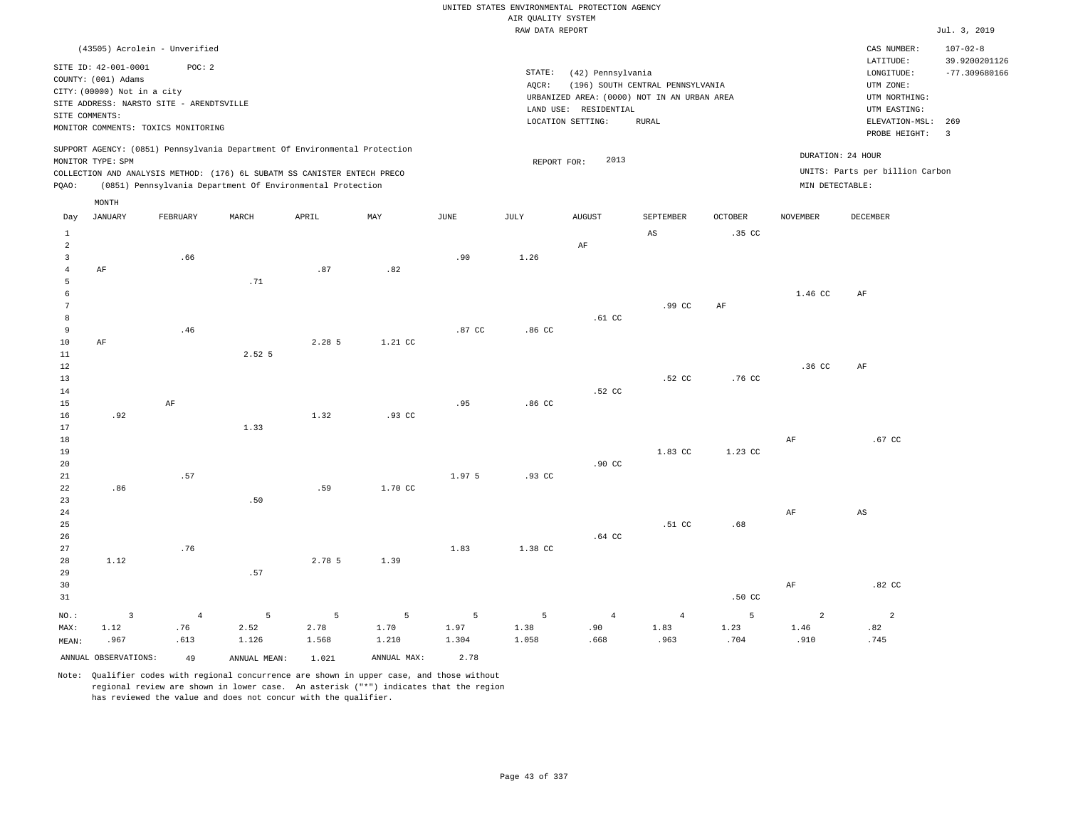|                                                                |                                                                                                                                                                           |                               |                                                                                                                                                                                                                      |                                 |                    |                    |                    | UNITED STATES ENVIRONMENTAL PROTECTION AGENCY                                             |                                  |                   |                   |                                                                                      |                                                    |
|----------------------------------------------------------------|---------------------------------------------------------------------------------------------------------------------------------------------------------------------------|-------------------------------|----------------------------------------------------------------------------------------------------------------------------------------------------------------------------------------------------------------------|---------------------------------|--------------------|--------------------|--------------------|-------------------------------------------------------------------------------------------|----------------------------------|-------------------|-------------------|--------------------------------------------------------------------------------------|----------------------------------------------------|
|                                                                |                                                                                                                                                                           |                               |                                                                                                                                                                                                                      |                                 |                    |                    | AIR QUALITY SYSTEM |                                                                                           |                                  |                   |                   |                                                                                      |                                                    |
|                                                                |                                                                                                                                                                           |                               |                                                                                                                                                                                                                      |                                 |                    |                    | RAW DATA REPORT    |                                                                                           |                                  |                   |                   |                                                                                      | Jul. 3, 2019                                       |
|                                                                | (43505) Acrolein - Unverified<br>SITE ID: 42-001-0001<br>COUNTY: (001) Adams<br>CITY: (00000) Not in a city<br>SITE ADDRESS: NARSTO SITE - ARENDTSVILLE<br>SITE COMMENTS: | POC: 2                        |                                                                                                                                                                                                                      |                                 |                    |                    | STATE:<br>AOCR:    | (42) Pennsylvania<br>URBANIZED AREA: (0000) NOT IN AN URBAN AREA<br>LAND USE: RESIDENTIAL | (196) SOUTH CENTRAL PENNSYLVANIA |                   |                   | CAS NUMBER:<br>LATITUDE:<br>LONGITUDE:<br>UTM ZONE:<br>UTM NORTHING:<br>UTM EASTING: | $107 - 02 - 8$<br>39.9200201126<br>$-77.309680166$ |
|                                                                | MONITOR COMMENTS: TOXICS MONITORING                                                                                                                                       |                               |                                                                                                                                                                                                                      |                                 |                    |                    |                    | LOCATION SETTING:                                                                         | <b>RURAL</b>                     |                   |                   | ELEVATION-MSL:                                                                       | 269                                                |
| PQAO:                                                          | MONITOR TYPE: SPM                                                                                                                                                         |                               | SUPPORT AGENCY: (0851) Pennsylvania Department Of Environmental Protection<br>COLLECTION AND ANALYSIS METHOD: (176) 6L SUBATM SS CANISTER ENTECH PRECO<br>(0851) Pennsylvania Department Of Environmental Protection |                                 |                    |                    | REPORT FOR:        | 2013                                                                                      |                                  |                   | MIN DETECTABLE:   | PROBE HEIGHT:<br>DURATION: 24 HOUR<br>UNITS: Parts per billion Carbon                | $\overline{\phantom{a}}$                           |
| Day                                                            | $\texttt{MONTH}$<br><b>JANUARY</b>                                                                                                                                        | FEBRUARY                      | MARCH                                                                                                                                                                                                                | APRIL                           | MAY                | JUNE               | JULY               | <b>AUGUST</b>                                                                             | SEPTEMBER                        | <b>OCTOBER</b>    | <b>NOVEMBER</b>   | DECEMBER                                                                             |                                                    |
|                                                                |                                                                                                                                                                           |                               |                                                                                                                                                                                                                      |                                 |                    |                    |                    |                                                                                           |                                  |                   |                   |                                                                                      |                                                    |
| $\mathbf{1}$<br>$\overline{a}$<br>$\overline{3}$<br>$\sqrt{4}$ | AF                                                                                                                                                                        | .66                           |                                                                                                                                                                                                                      | .87                             | .82                | .90                | 1.26               | AF                                                                                        | $\mathbb{A}\mathbb{S}$           | .35 <sub>c</sub>  |                   |                                                                                      |                                                    |
| 5<br>6<br>$7\phantom{.0}$<br>$\boldsymbol{8}$                  |                                                                                                                                                                           |                               | .71                                                                                                                                                                                                                  |                                 |                    |                    |                    | .61 <sub>c</sub>                                                                          | .99 CC                           | AF                | 1.46 CC           | $\rm AF$                                                                             |                                                    |
| $\overline{9}$<br>10<br>11<br>12                               | $\rm AF$                                                                                                                                                                  | .46                           | 2.52 5                                                                                                                                                                                                               | 2.28 5                          | 1.21 CC            | .87 CC             | .86 <sub>cc</sub>  |                                                                                           |                                  |                   | .36 <sub>C</sub>  | AF                                                                                   |                                                    |
| 13<br>14<br>$15$<br>16                                         | .92                                                                                                                                                                       | $\rm AF$                      |                                                                                                                                                                                                                      | 1.32                            | .93 CC             | .95                | .86 <sub>c</sub>   | .52 CC                                                                                    | .52 CC                           | .76 CC            |                   |                                                                                      |                                                    |
| 17<br>18<br>19                                                 |                                                                                                                                                                           |                               | 1.33                                                                                                                                                                                                                 |                                 |                    |                    |                    |                                                                                           | 1.83 CC                          | 1.23 CC           | AF                | $.67$ CC                                                                             |                                                    |
| 20<br>21<br>22<br>23                                           | .86                                                                                                                                                                       | .57                           | .50                                                                                                                                                                                                                  | .59                             | 1.70 CC            | 1.97 5             | $.93$ CC           | $.90$ CC                                                                                  |                                  |                   |                   |                                                                                      |                                                    |
| 24<br>25<br>26<br>27                                           |                                                                                                                                                                           | .76                           |                                                                                                                                                                                                                      |                                 |                    | 1.83               | 1.38 CC            | $.64$ CC                                                                                  | .51 <sub>c</sub>                 | .68               | AF                | AS                                                                                   |                                                    |
| 28<br>29<br>30<br>31                                           | 1.12                                                                                                                                                                      |                               | .57                                                                                                                                                                                                                  | 2.78 5                          | 1.39               |                    |                    |                                                                                           |                                  | .50 <sub>C</sub>  | $\rm{AF}$         | $.82$ CC                                                                             |                                                    |
| NO.:<br>MAX:<br>MEAN:                                          | $\overline{\mathbf{3}}$<br>1.12<br>.967                                                                                                                                   | $\overline{4}$<br>.76<br>.613 | 5<br>2.52<br>1.126                                                                                                                                                                                                   | $\overline{5}$<br>2.78<br>1.568 | 5<br>1.70<br>1.210 | 5<br>1.97<br>1.304 | 5<br>1.38<br>1.058 | $\overline{4}$<br>.90<br>.668                                                             | $\overline{4}$<br>1.83<br>.963   | 5<br>1.23<br>.704 | 2<br>1.46<br>.910 | $\overline{a}$<br>.82<br>.745                                                        |                                                    |
|                                                                | ANNUAL OBSERVATIONS:                                                                                                                                                      | 49                            | ANNUAL MEAN:                                                                                                                                                                                                         | 1.021                           | ANNUAL MAX:        | 2.78               |                    |                                                                                           |                                  |                   |                   |                                                                                      |                                                    |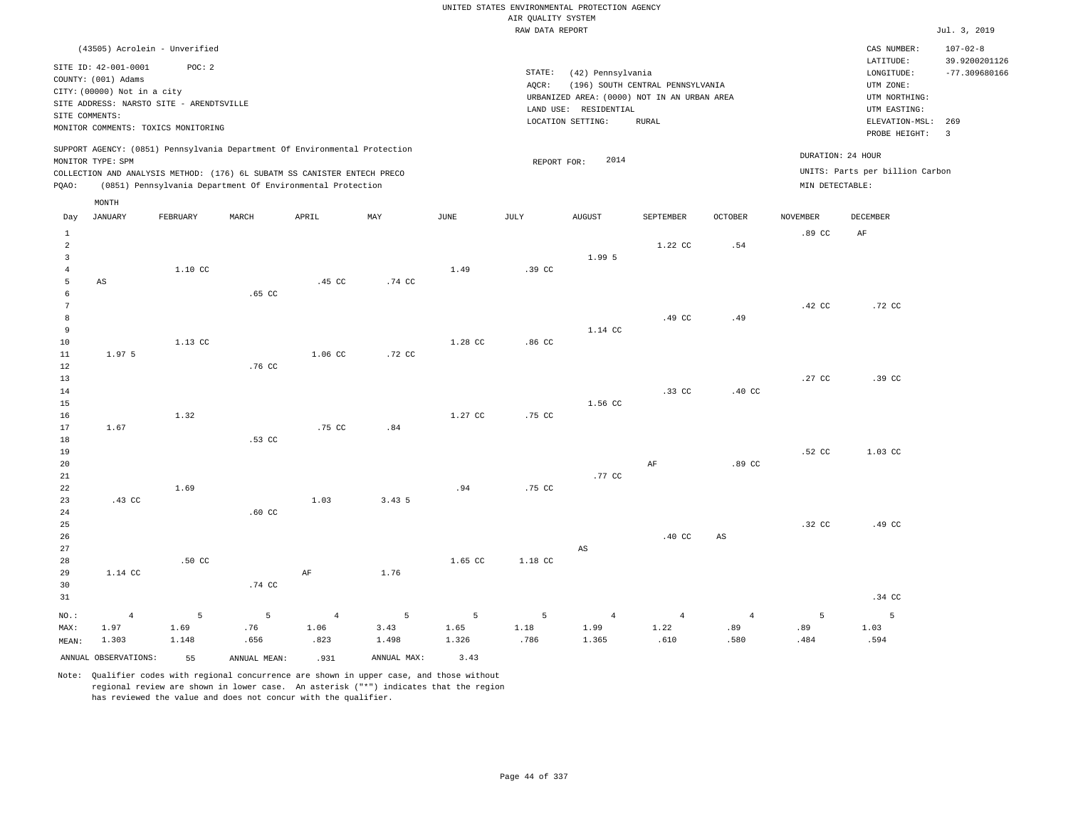|                                  |                                                       |                  |                                                                            |                |                           |         |                                       | UNITED STATES ENVIRONMENTAL PROTECTION AGENCY                        |                                  |                |                   |                                 |                                 |
|----------------------------------|-------------------------------------------------------|------------------|----------------------------------------------------------------------------|----------------|---------------------------|---------|---------------------------------------|----------------------------------------------------------------------|----------------------------------|----------------|-------------------|---------------------------------|---------------------------------|
|                                  |                                                       |                  |                                                                            |                |                           |         | AIR QUALITY SYSTEM<br>RAW DATA REPORT |                                                                      |                                  |                |                   |                                 | Jul. 3, 2019                    |
|                                  |                                                       |                  |                                                                            |                |                           |         |                                       |                                                                      |                                  |                |                   |                                 |                                 |
|                                  | (43505) Acrolein - Unverified<br>SITE ID: 42-001-0001 | POC: 2           |                                                                            |                |                           |         |                                       |                                                                      |                                  |                |                   | CAS NUMBER:<br>LATITUDE:        | $107 - 02 - 8$<br>39.9200201126 |
|                                  | COUNTY: (001) Adams                                   |                  |                                                                            |                |                           |         | STATE:                                | (42) Pennsylvania                                                    |                                  |                |                   | LONGITUDE:                      | $-77.309680166$                 |
|                                  | CITY: (00000) Not in a city                           |                  |                                                                            |                |                           |         | AQCR:                                 |                                                                      | (196) SOUTH CENTRAL PENNSYLVANIA |                |                   | UTM ZONE:                       |                                 |
|                                  | SITE ADDRESS: NARSTO SITE - ARENDTSVILLE              |                  |                                                                            |                |                           |         |                                       | URBANIZED AREA: (0000) NOT IN AN URBAN AREA<br>LAND USE: RESIDENTIAL |                                  |                |                   | UTM NORTHING:<br>UTM EASTING:   |                                 |
| SITE COMMENTS:                   |                                                       |                  |                                                                            |                |                           |         |                                       | LOCATION SETTING:                                                    | <b>RURAL</b>                     |                |                   | ELEVATION-MSL:                  | 269                             |
|                                  | MONITOR COMMENTS: TOXICS MONITORING                   |                  |                                                                            |                |                           |         |                                       |                                                                      |                                  |                |                   | PROBE HEIGHT:                   | $\overline{3}$                  |
|                                  | MONITOR TYPE: SPM                                     |                  | SUPPORT AGENCY: (0851) Pennsylvania Department Of Environmental Protection |                |                           |         |                                       | 2014                                                                 |                                  |                | DURATION: 24 HOUR |                                 |                                 |
|                                  |                                                       |                  | COLLECTION AND ANALYSIS METHOD: (176) 6L SUBATM SS CANISTER ENTECH PRECO   |                |                           |         | REPORT FOR:                           |                                                                      |                                  |                |                   | UNITS: Parts per billion Carbon |                                 |
| PQAO:                            |                                                       |                  | (0851) Pennsylvania Department Of Environmental Protection                 |                |                           |         |                                       |                                                                      |                                  |                | MIN DETECTABLE:   |                                 |                                 |
|                                  | MONTH                                                 |                  |                                                                            |                |                           |         |                                       |                                                                      |                                  |                |                   |                                 |                                 |
| Day                              | JANUARY                                               | FEBRUARY         | MARCH                                                                      | APRIL          | $\ensuremath{\text{MAX}}$ | JUNE    | JULY                                  | <b>AUGUST</b>                                                        | SEPTEMBER                        | <b>OCTOBER</b> | <b>NOVEMBER</b>   | DECEMBER                        |                                 |
| $\mathbf{1}$                     |                                                       |                  |                                                                            |                |                           |         |                                       |                                                                      |                                  |                | .89 <sub>cc</sub> | AF                              |                                 |
| $\overline{a}$<br>$\overline{3}$ |                                                       |                  |                                                                            |                |                           |         |                                       | 1.99 5                                                               | 1.22 CC                          | .54            |                   |                                 |                                 |
| $\overline{4}$                   |                                                       | 1.10 CC          |                                                                            |                |                           | 1.49    | .39 CC                                |                                                                      |                                  |                |                   |                                 |                                 |
| 5                                | $\mathbb{A}\mathbb{S}$                                |                  |                                                                            | .45 CC         | .74 CC                    |         |                                       |                                                                      |                                  |                |                   |                                 |                                 |
| 6                                |                                                       |                  | .65 <sub>c</sub>                                                           |                |                           |         |                                       |                                                                      |                                  |                |                   |                                 |                                 |
| $7\phantom{.0}$                  |                                                       |                  |                                                                            |                |                           |         |                                       |                                                                      |                                  |                | $.42 \text{ CC}$  | .72 CC                          |                                 |
| 8                                |                                                       |                  |                                                                            |                |                           |         |                                       |                                                                      | .49 CC                           | .49            |                   |                                 |                                 |
| 9                                |                                                       |                  |                                                                            |                |                           |         |                                       | 1.14 CC                                                              |                                  |                |                   |                                 |                                 |
| 10                               | 1.97 5                                                | 1.13 CC          |                                                                            |                |                           | 1.28 CC | .86 <sub>C</sub>                      |                                                                      |                                  |                |                   |                                 |                                 |
| 11<br>12                         |                                                       |                  | .76 CC                                                                     | 1.06 CC        | .72 CC                    |         |                                       |                                                                      |                                  |                |                   |                                 |                                 |
| 13                               |                                                       |                  |                                                                            |                |                           |         |                                       |                                                                      |                                  |                | .27 <sub>c</sub>  | .39 CC                          |                                 |
| 14                               |                                                       |                  |                                                                            |                |                           |         |                                       |                                                                      | .33 CC                           | $.40$ CC       |                   |                                 |                                 |
| 15                               |                                                       |                  |                                                                            |                |                           |         |                                       | 1.56 CC                                                              |                                  |                |                   |                                 |                                 |
| 16                               |                                                       | 1.32             |                                                                            |                |                           | 1.27 CC | .75 CC                                |                                                                      |                                  |                |                   |                                 |                                 |
| 17                               | 1.67                                                  |                  |                                                                            | .75 CC         | .84                       |         |                                       |                                                                      |                                  |                |                   |                                 |                                 |
| 18                               |                                                       |                  | .53 CC                                                                     |                |                           |         |                                       |                                                                      |                                  |                |                   |                                 |                                 |
| 19<br>20                         |                                                       |                  |                                                                            |                |                           |         |                                       |                                                                      | AF                               | .89 CC         | .52 CC            | 1.03 CC                         |                                 |
| 21                               |                                                       |                  |                                                                            |                |                           |         |                                       | .77 CC                                                               |                                  |                |                   |                                 |                                 |
| 22                               |                                                       | 1.69             |                                                                            |                |                           | .94     | .75 CC                                |                                                                      |                                  |                |                   |                                 |                                 |
| 23                               | .43 CC                                                |                  |                                                                            | 1.03           | 3.43 5                    |         |                                       |                                                                      |                                  |                |                   |                                 |                                 |
| 24                               |                                                       |                  | $.60$ CC                                                                   |                |                           |         |                                       |                                                                      |                                  |                |                   |                                 |                                 |
| 25                               |                                                       |                  |                                                                            |                |                           |         |                                       |                                                                      |                                  |                | .32 <sub>c</sub>  | .49 <sub>CC</sub>               |                                 |
| 26                               |                                                       |                  |                                                                            |                |                           |         |                                       |                                                                      | .40 <sub>C</sub>                 | AS             |                   |                                 |                                 |
| 27                               |                                                       |                  |                                                                            |                |                           |         |                                       | $\mathbb{A}\mathbb{S}$                                               |                                  |                |                   |                                 |                                 |
| 28<br>29                         | 1.14 CC                                               | .50 <sub>C</sub> |                                                                            | $\rm AF$       | 1.76                      | 1.65 CC | 1.18 CC                               |                                                                      |                                  |                |                   |                                 |                                 |
| 30                               |                                                       |                  | .74 CC                                                                     |                |                           |         |                                       |                                                                      |                                  |                |                   |                                 |                                 |
| 31                               |                                                       |                  |                                                                            |                |                           |         |                                       |                                                                      |                                  |                |                   | .34 CC                          |                                 |
| NO.:                             | $\overline{4}$                                        | 5                | 5                                                                          | $\overline{4}$ | 5                         | 5       | 5                                     | $\overline{4}$                                                       | $\overline{4}$                   | $\overline{4}$ | 5                 | 5                               |                                 |
| MAX:                             | 1.97                                                  | 1.69             | .76                                                                        | 1.06           | 3.43                      | 1.65    | 1.18                                  | 1.99                                                                 | 1.22                             | .89            | .89               | 1.03                            |                                 |
| MEAN:                            | 1.303                                                 | 1.148            | .656                                                                       | .823           | 1.498                     | 1.326   | .786                                  | 1.365                                                                | .610                             | .580           | .484              | .594                            |                                 |
|                                  | ANNUAL OBSERVATIONS:                                  | 55               | ANNUAL MEAN:                                                               | .931           | ANNUAL MAX:               | 3.43    |                                       |                                                                      |                                  |                |                   |                                 |                                 |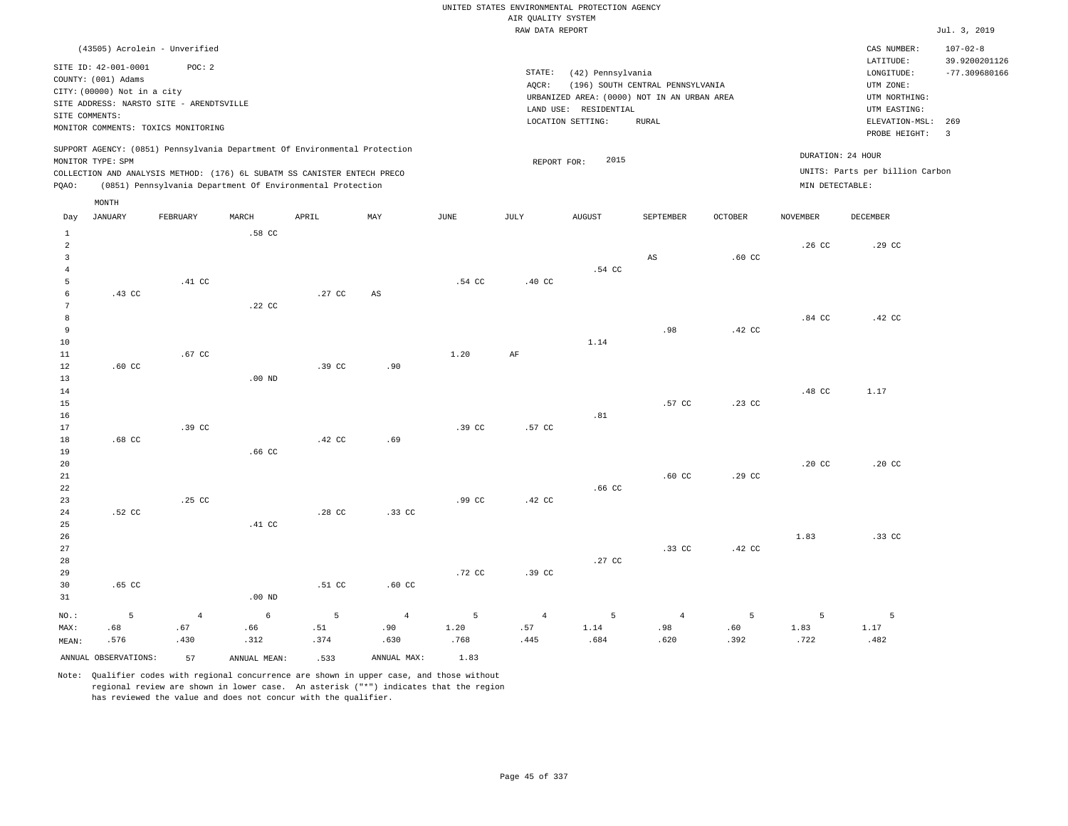UNITED STATES ENVIRONMENTAL PROTECTION AGENCY AIR QUALITY SYSTEM

|                |                             |                                          |                   |                                                                            |                        |                  | RAW DATA REPORT |                       |                                             |                   |                  |                                 | Jul. 3, 2019    |
|----------------|-----------------------------|------------------------------------------|-------------------|----------------------------------------------------------------------------|------------------------|------------------|-----------------|-----------------------|---------------------------------------------|-------------------|------------------|---------------------------------|-----------------|
|                |                             | (43505) Acrolein - Unverified            |                   |                                                                            |                        |                  |                 |                       |                                             |                   |                  | CAS NUMBER:                     | $107 - 02 - 8$  |
|                |                             |                                          |                   |                                                                            |                        |                  |                 |                       |                                             |                   |                  | LATITUDE:                       | 39.9200201126   |
|                | SITE ID: 42-001-0001        | POC: 2                                   |                   |                                                                            |                        |                  | STATE:          | (42) Pennsylvania     |                                             |                   |                  | LONGITUDE:                      | $-77.309680166$ |
|                | COUNTY: (001) Adams         |                                          |                   |                                                                            |                        |                  | AQCR:           |                       | (196) SOUTH CENTRAL PENNSYLVANIA            |                   |                  | UTM ZONE:                       |                 |
|                | CITY: (00000) Not in a city |                                          |                   |                                                                            |                        |                  |                 |                       | URBANIZED AREA: (0000) NOT IN AN URBAN AREA |                   |                  | UTM NORTHING:                   |                 |
|                |                             | SITE ADDRESS: NARSTO SITE - ARENDTSVILLE |                   |                                                                            |                        |                  |                 | LAND USE: RESIDENTIAL |                                             |                   |                  | UTM EASTING:                    |                 |
|                | SITE COMMENTS:              | MONITOR COMMENTS: TOXICS MONITORING      |                   |                                                                            |                        |                  |                 | LOCATION SETTING:     | <b>RURAL</b>                                |                   |                  | ELEVATION-MSL:                  | 269             |
|                |                             |                                          |                   |                                                                            |                        |                  |                 |                       |                                             |                   |                  | PROBE HEIGHT: 3                 |                 |
|                |                             |                                          |                   | SUPPORT AGENCY: (0851) Pennsylvania Department Of Environmental Protection |                        |                  |                 |                       |                                             |                   |                  |                                 |                 |
|                | MONITOR TYPE: SPM           |                                          |                   |                                                                            |                        |                  | REPORT FOR:     | 2015                  |                                             |                   |                  | DURATION: 24 HOUR               |                 |
|                |                             |                                          |                   | COLLECTION AND ANALYSIS METHOD: (176) 6L SUBATM SS CANISTER ENTECH PRECO   |                        |                  |                 |                       |                                             |                   |                  | UNITS: Parts per billion Carbon |                 |
| PQAO:          |                             |                                          |                   | (0851) Pennsylvania Department Of Environmental Protection                 |                        |                  |                 |                       |                                             |                   | MIN DETECTABLE:  |                                 |                 |
|                | MONTH                       |                                          |                   |                                                                            |                        |                  |                 |                       |                                             |                   |                  |                                 |                 |
| Day            | <b>JANUARY</b>              | FEBRUARY                                 | MARCH             | APRIL                                                                      | MAY                    | JUNE             | JULY            | <b>AUGUST</b>         | SEPTEMBER                                   | OCTOBER           | <b>NOVEMBER</b>  | DECEMBER                        |                 |
| $\mathbf{1}$   |                             |                                          | .58 CC            |                                                                            |                        |                  |                 |                       |                                             |                   |                  |                                 |                 |
| $\overline{a}$ |                             |                                          |                   |                                                                            |                        |                  |                 |                       |                                             |                   | .26 <sub>c</sub> | .29 CC                          |                 |
| $\overline{3}$ |                             |                                          |                   |                                                                            |                        |                  |                 |                       | AS                                          | .60 <sub>cc</sub> |                  |                                 |                 |
| $\overline{4}$ |                             |                                          |                   |                                                                            |                        |                  |                 | .54 CC                |                                             |                   |                  |                                 |                 |
| 5              |                             | .41 CC                                   |                   |                                                                            |                        | .54 CC           | .40 CC          |                       |                                             |                   |                  |                                 |                 |
| 6              | .43 CC                      |                                          |                   | .27 CC                                                                     | $\mathbb{A}\mathbb{S}$ |                  |                 |                       |                                             |                   |                  |                                 |                 |
| 7              |                             |                                          | .22 CC            |                                                                            |                        |                  |                 |                       |                                             |                   |                  |                                 |                 |
| 8              |                             |                                          |                   |                                                                            |                        |                  |                 |                       |                                             |                   | .84 <sub>C</sub> | .42 CC                          |                 |
| 9<br>10        |                             |                                          |                   |                                                                            |                        |                  |                 | 1.14                  | .98                                         | .42 CC            |                  |                                 |                 |
| 11             |                             | .67 CC                                   |                   |                                                                            |                        | 1.20             | $\rm{AF}$       |                       |                                             |                   |                  |                                 |                 |
| 12             | $.60 \text{ CC}$            |                                          |                   | .39 <sub>c</sub>                                                           | .90                    |                  |                 |                       |                                             |                   |                  |                                 |                 |
| 13             |                             |                                          | $.00$ ND          |                                                                            |                        |                  |                 |                       |                                             |                   |                  |                                 |                 |
| 14             |                             |                                          |                   |                                                                            |                        |                  |                 |                       |                                             |                   | .48 CC           | 1.17                            |                 |
| 15             |                             |                                          |                   |                                                                            |                        |                  |                 |                       | .57 CC                                      | .23 CC            |                  |                                 |                 |
| 16             |                             |                                          |                   |                                                                            |                        |                  |                 | .81                   |                                             |                   |                  |                                 |                 |
| 17             |                             | .39 <sub>c</sub>                         |                   |                                                                            |                        | .39 <sub>c</sub> | .57 CC          |                       |                                             |                   |                  |                                 |                 |
| 18             | .68 <sub>C</sub>            |                                          |                   | .42 CC                                                                     | .69                    |                  |                 |                       |                                             |                   |                  |                                 |                 |
| 19             |                             |                                          | .66 <sub>cc</sub> |                                                                            |                        |                  |                 |                       |                                             |                   |                  |                                 |                 |
| 20             |                             |                                          |                   |                                                                            |                        |                  |                 |                       |                                             |                   | .20 <sub>C</sub> | .20 <sub>C</sub>                |                 |
| 21             |                             |                                          |                   |                                                                            |                        |                  |                 |                       | .60 <sub>C</sub>                            | .29 CC            |                  |                                 |                 |
| 22             |                             |                                          |                   |                                                                            |                        |                  |                 | .66 <sub>CC</sub>     |                                             |                   |                  |                                 |                 |
| 23             |                             | .25 CC                                   |                   |                                                                            |                        | .99 <sub>c</sub> | .42 CC          |                       |                                             |                   |                  |                                 |                 |
| 24             | .52 CC                      |                                          |                   | .28 CC                                                                     | .33 <sub>c</sub>       |                  |                 |                       |                                             |                   |                  |                                 |                 |
| 25             |                             |                                          | .41 <sub>c</sub>  |                                                                            |                        |                  |                 |                       |                                             |                   |                  |                                 |                 |
| 26             |                             |                                          |                   |                                                                            |                        |                  |                 |                       |                                             |                   | 1.83             | .33 CC                          |                 |
| 27             |                             |                                          |                   |                                                                            |                        |                  |                 |                       | .33 <sub>c</sub>                            | .42 CC            |                  |                                 |                 |
| 28             |                             |                                          |                   |                                                                            |                        |                  |                 | .27 <sub>c</sub>      |                                             |                   |                  |                                 |                 |

ANNUAL OBSERVATIONS: 57 ANNUAL MEAN: .533 ANNUAL MAX: 1.83 Note: Qualifier codes with regional concurrence are shown in upper case, and those without regional review are shown in lower case. An asterisk ("\*") indicates that the region has reviewed the value and does not concur with the qualifier.

.51 CC

5 .51 .374

.60 CC

4 .90 .630

.72 CC

5 1.20 .768

.00 ND

6 .66 .312

4 .67 .430

29 30 31

NO.: MAX: MEAN: .65 CC

5 .68 .576

.39 CC

4 .57 .445

5 1.14 .684

4 .98 .620

5 .60 .392

5 1.83 .722

5 1.17 .482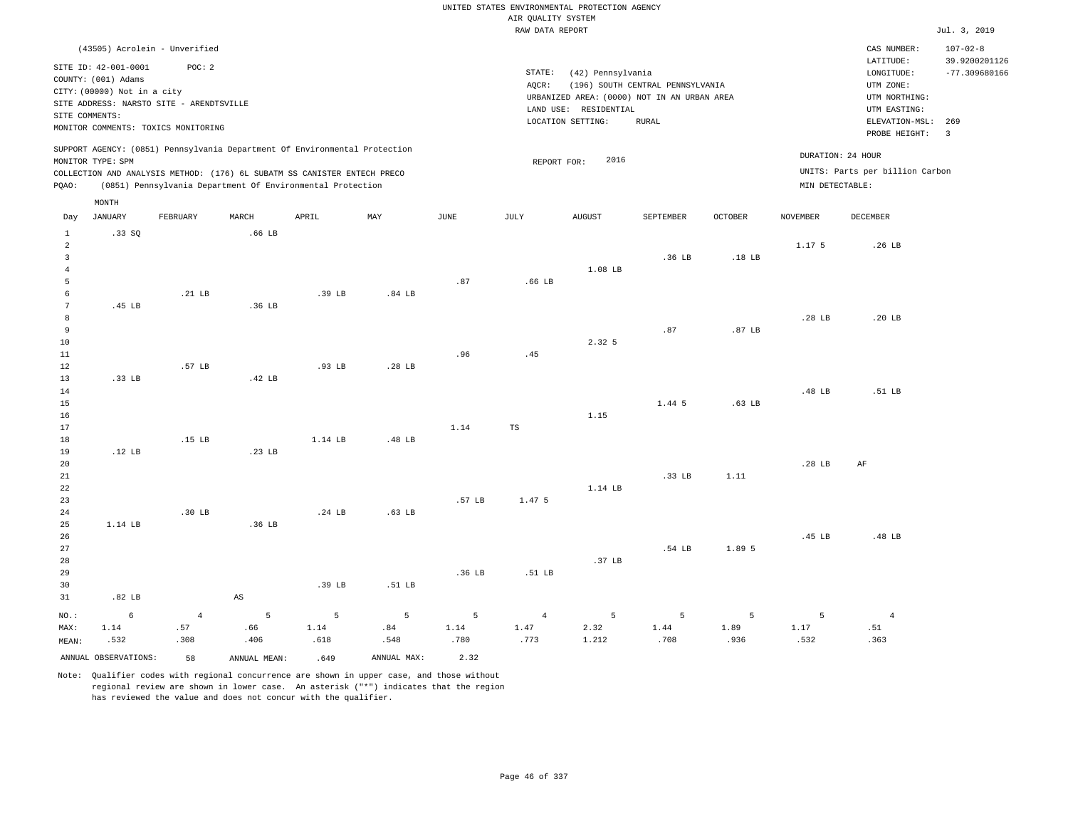| AIR QUALITY SYSTEM<br>RAW DATA REPORT<br>(43505) Acrolein - Unverified<br>CAS NUMBER:<br>LATITUDE:<br>SITE ID: 42-001-0001<br>POC: 2<br>STATE:<br>(42) Pennsylvania<br>$\texttt{LONGITUDE}$ :<br>COUNTY: (001) Adams<br>(196) SOUTH CENTRAL PENNSYLVANIA<br>UTM ZONE:<br>AOCR:<br>CITY: (00000) Not in a city<br>URBANIZED AREA: (0000) NOT IN AN URBAN AREA<br>UTM NORTHING:<br>SITE ADDRESS: NARSTO SITE - ARENDTSVILLE<br>LAND USE: RESIDENTIAL<br>UTM EASTING:<br>SITE COMMENTS:<br>LOCATION SETTING:<br><b>RURAL</b><br>ELEVATION-MSL:<br>MONITOR COMMENTS: TOXICS MONITORING<br>PROBE HEIGHT:<br>SUPPORT AGENCY: (0851) Pennsylvania Department Of Environmental Protection<br>DURATION: 24 HOUR<br>2016<br>MONITOR TYPE: SPM<br>REPORT FOR:<br>UNITS: Parts per billion Carbon<br>COLLECTION AND ANALYSIS METHOD: (176) 6L SUBATM SS CANISTER ENTECH PRECO<br>(0851) Pennsylvania Department Of Environmental Protection<br>MIN DETECTABLE:<br>PQAO:<br>MONTH<br><b>JANUARY</b><br>SEPTEMBER<br><b>OCTOBER</b><br><b>NOVEMBER</b><br>DECEMBER<br>Day<br>FEBRUARY<br>MARCH<br>APRIL<br>MAY<br>JUNE<br>JULY<br><b>AUGUST</b><br>$\mathbf{1}$<br>.33SQ<br>.66 LB<br>1.175<br>$\overline{a}$<br>.26 <sub>LB</sub><br>$\overline{3}$<br>.36 LB<br>.18 LB<br>1.08 LB<br>$\overline{4}$<br>5<br>.87<br>.66 <sub>LB</sub><br>$\epsilon$<br>$.21$ LB<br>.39 LB<br>.84 <sub>LB</sub><br>$7\phantom{.0}$<br>.45 LB<br>.36 LB |                                  |
|--------------------------------------------------------------------------------------------------------------------------------------------------------------------------------------------------------------------------------------------------------------------------------------------------------------------------------------------------------------------------------------------------------------------------------------------------------------------------------------------------------------------------------------------------------------------------------------------------------------------------------------------------------------------------------------------------------------------------------------------------------------------------------------------------------------------------------------------------------------------------------------------------------------------------------------------------------------------------------------------------------------------------------------------------------------------------------------------------------------------------------------------------------------------------------------------------------------------------------------------------------------------------------------------------------------------------------------------------------------------------------------------------------------------------|----------------------------------|
|                                                                                                                                                                                                                                                                                                                                                                                                                                                                                                                                                                                                                                                                                                                                                                                                                                                                                                                                                                                                                                                                                                                                                                                                                                                                                                                                                                                                                          | Jul. 3, 2019                     |
|                                                                                                                                                                                                                                                                                                                                                                                                                                                                                                                                                                                                                                                                                                                                                                                                                                                                                                                                                                                                                                                                                                                                                                                                                                                                                                                                                                                                                          | $107 - 02 - 8$                   |
|                                                                                                                                                                                                                                                                                                                                                                                                                                                                                                                                                                                                                                                                                                                                                                                                                                                                                                                                                                                                                                                                                                                                                                                                                                                                                                                                                                                                                          | 39.9200201126<br>$-77.309680166$ |
|                                                                                                                                                                                                                                                                                                                                                                                                                                                                                                                                                                                                                                                                                                                                                                                                                                                                                                                                                                                                                                                                                                                                                                                                                                                                                                                                                                                                                          | 269<br>$\overline{3}$            |
|                                                                                                                                                                                                                                                                                                                                                                                                                                                                                                                                                                                                                                                                                                                                                                                                                                                                                                                                                                                                                                                                                                                                                                                                                                                                                                                                                                                                                          |                                  |
|                                                                                                                                                                                                                                                                                                                                                                                                                                                                                                                                                                                                                                                                                                                                                                                                                                                                                                                                                                                                                                                                                                                                                                                                                                                                                                                                                                                                                          |                                  |
|                                                                                                                                                                                                                                                                                                                                                                                                                                                                                                                                                                                                                                                                                                                                                                                                                                                                                                                                                                                                                                                                                                                                                                                                                                                                                                                                                                                                                          |                                  |
|                                                                                                                                                                                                                                                                                                                                                                                                                                                                                                                                                                                                                                                                                                                                                                                                                                                                                                                                                                                                                                                                                                                                                                                                                                                                                                                                                                                                                          |                                  |
| 8<br>.28 <sub>LB</sub><br>.20 <sub>LB</sub><br>9<br>.87<br>.87 <sub>LB</sub>                                                                                                                                                                                                                                                                                                                                                                                                                                                                                                                                                                                                                                                                                                                                                                                                                                                                                                                                                                                                                                                                                                                                                                                                                                                                                                                                             |                                  |
| 2.32 5<br>10<br>$11\,$<br>.96<br>.45<br>12<br>.57 LB<br>.93 LB<br>.28 <sub>LB</sub><br>.33 LB<br>.42 LB<br>13                                                                                                                                                                                                                                                                                                                                                                                                                                                                                                                                                                                                                                                                                                                                                                                                                                                                                                                                                                                                                                                                                                                                                                                                                                                                                                            |                                  |
| .48 LB<br>.51 <sub>LB</sub><br>14<br>1.44 5<br>15<br>.63 <sub>LB</sub><br>1.15<br>16<br>17<br>1.14<br>TS                                                                                                                                                                                                                                                                                                                                                                                                                                                                                                                                                                                                                                                                                                                                                                                                                                                                                                                                                                                                                                                                                                                                                                                                                                                                                                                 |                                  |
| .15 LB<br>1.14 LB<br>.48 LB<br>18<br>.12 LB<br>.23 <sub>LB</sub><br>19<br>20<br>.28 LB<br>AF<br>21<br>.33 LB<br>1.11<br>1.14 LB<br>22                                                                                                                                                                                                                                                                                                                                                                                                                                                                                                                                                                                                                                                                                                                                                                                                                                                                                                                                                                                                                                                                                                                                                                                                                                                                                    |                                  |
| .57 LB<br>1.47 5<br>23<br>.30 <sub>LB</sub><br>24<br>.24 LB<br>.63 <sub>LB</sub><br>25<br>1.14 LB<br>.36 LB                                                                                                                                                                                                                                                                                                                                                                                                                                                                                                                                                                                                                                                                                                                                                                                                                                                                                                                                                                                                                                                                                                                                                                                                                                                                                                              |                                  |
| .45 LB<br>.48 LB<br>26<br>27<br>.54 LB<br>1.89 5<br>.37 LB<br>28<br>29<br>.36 LB<br>.51 LB<br>.39 LB<br>.51 LB<br>30                                                                                                                                                                                                                                                                                                                                                                                                                                                                                                                                                                                                                                                                                                                                                                                                                                                                                                                                                                                                                                                                                                                                                                                                                                                                                                     |                                  |
| .82 <sub>LB</sub><br>$\mathbb{A}\mathbb{S}$<br>31                                                                                                                                                                                                                                                                                                                                                                                                                                                                                                                                                                                                                                                                                                                                                                                                                                                                                                                                                                                                                                                                                                                                                                                                                                                                                                                                                                        |                                  |
| $\overline{5}$<br>$\overline{5}$<br>5<br>5<br>6<br>$\overline{4}$<br>5<br>5<br>5<br>5<br>$\overline{4}$<br>$\overline{4}$<br>$NO.$ :<br>MAX:<br>1.14<br>.57<br>.66<br>1.14<br>.84<br>1.14<br>1.47<br>2.32<br>1.44<br>1.89<br>1.17<br>.51<br>.773<br>1.212<br>.936<br>.532<br>.308<br>.406<br>.618<br>.548<br>.780<br>.708<br>.532<br>.363<br>MEAN:<br>ANNUAL OBSERVATIONS:<br>ANNUAL MAX:<br>2.32                                                                                                                                                                                                                                                                                                                                                                                                                                                                                                                                                                                                                                                                                                                                                                                                                                                                                                                                                                                                                        |                                  |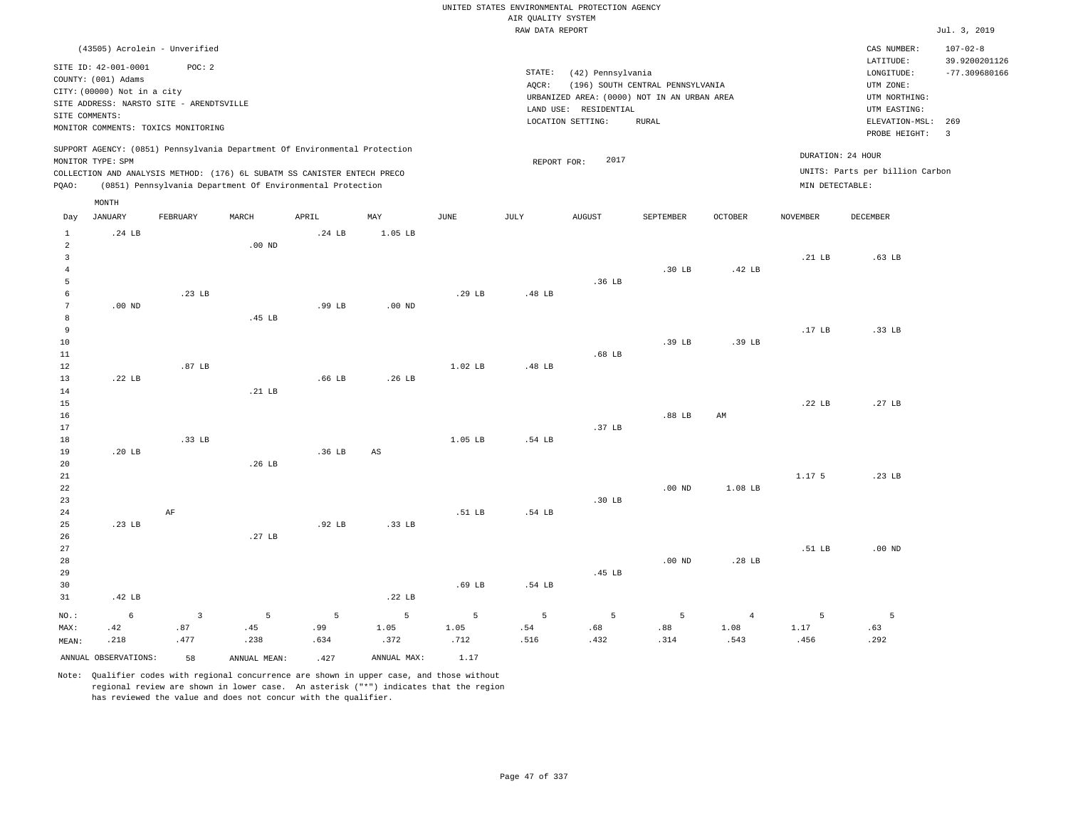|                                |                                                                                                             |                   |              |                                                                                                                                        |                   |           |                    | UNITED STATES ENVIRONMENTAL PROTECTION AGENCY                    |                                  |                |                 |                                                                      |                                                    |
|--------------------------------|-------------------------------------------------------------------------------------------------------------|-------------------|--------------|----------------------------------------------------------------------------------------------------------------------------------------|-------------------|-----------|--------------------|------------------------------------------------------------------|----------------------------------|----------------|-----------------|----------------------------------------------------------------------|----------------------------------------------------|
|                                |                                                                                                             |                   |              |                                                                                                                                        |                   |           | AIR OUALITY SYSTEM |                                                                  |                                  |                |                 |                                                                      |                                                    |
|                                |                                                                                                             |                   |              |                                                                                                                                        |                   |           | RAW DATA REPORT    |                                                                  |                                  |                |                 |                                                                      | Jul. 3, 2019                                       |
|                                | (43505) Acrolein - Unverified<br>SITE ID: 42-001-0001<br>COUNTY: (001) Adams<br>CITY: (00000) Not in a city | POC: 2            |              |                                                                                                                                        |                   |           | STATE:<br>AOCR:    | (42) Pennsylvania<br>URBANIZED AREA: (0000) NOT IN AN URBAN AREA | (196) SOUTH CENTRAL PENNSYLVANIA |                |                 | CAS NUMBER:<br>LATITUDE:<br>LONGITUDE:<br>UTM ZONE:<br>UTM NORTHING: | $107 - 02 - 8$<br>39.9200201126<br>$-77.309680166$ |
|                                | SITE ADDRESS: NARSTO SITE - ARENDTSVILLE<br>SITE COMMENTS:                                                  |                   |              |                                                                                                                                        |                   |           |                    | LAND USE: RESIDENTIAL                                            |                                  |                |                 | UTM EASTING:                                                         |                                                    |
|                                | MONITOR COMMENTS: TOXICS MONITORING                                                                         |                   |              |                                                                                                                                        |                   |           |                    | LOCATION SETTING:                                                | <b>RURAL</b>                     |                |                 | ELEVATION-MSL: 269                                                   |                                                    |
|                                |                                                                                                             |                   |              | SUPPORT AGENCY: (0851) Pennsylvania Department Of Environmental Protection                                                             |                   |           |                    |                                                                  |                                  |                |                 | PROBE HEIGHT:                                                        | $\overline{\mathbf{3}}$                            |
|                                | MONITOR TYPE: SPM                                                                                           |                   |              |                                                                                                                                        |                   |           | REPORT FOR:        | 2017                                                             |                                  |                |                 | DURATION: 24 HOUR                                                    |                                                    |
| PQAO:                          |                                                                                                             |                   |              | COLLECTION AND ANALYSIS METHOD: (176) 6L SUBATM SS CANISTER ENTECH PRECO<br>(0851) Pennsylvania Department Of Environmental Protection |                   |           |                    |                                                                  |                                  |                | MIN DETECTABLE: | UNITS: Parts per billion Carbon                                      |                                                    |
|                                | MONTH                                                                                                       |                   |              |                                                                                                                                        |                   |           |                    |                                                                  |                                  |                |                 |                                                                      |                                                    |
| Day                            | <b>JANUARY</b>                                                                                              | FEBRUARY          | MARCH        | APRIL                                                                                                                                  | MAY               | JUNE      | JULY               | <b>AUGUST</b>                                                    | SEPTEMBER                        | <b>OCTOBER</b> | <b>NOVEMBER</b> | <b>DECEMBER</b>                                                      |                                                    |
| $\mathbf{1}$<br>$\overline{a}$ | .24 LB                                                                                                      |                   | $.00$ ND     | .24 <sub>LB</sub>                                                                                                                      | 1.05 LB           |           |                    |                                                                  |                                  |                |                 |                                                                      |                                                    |
| $\overline{\mathbf{3}}$        |                                                                                                             |                   |              |                                                                                                                                        |                   |           |                    |                                                                  |                                  |                | .21 LB          | .63 <sub>LB</sub>                                                    |                                                    |
| $\overline{4}$                 |                                                                                                             |                   |              |                                                                                                                                        |                   |           |                    |                                                                  | .30 <sub>LB</sub>                | .42 LB         |                 |                                                                      |                                                    |
| 5                              |                                                                                                             |                   |              |                                                                                                                                        |                   |           |                    | .36 LB                                                           |                                  |                |                 |                                                                      |                                                    |
| 6                              |                                                                                                             | .23 <sub>B</sub>  |              |                                                                                                                                        |                   | .29 LB    | .48 LB             |                                                                  |                                  |                |                 |                                                                      |                                                    |
| 7                              | $.00$ ND                                                                                                    |                   |              | $.99$ LB                                                                                                                               | .00 <sub>ND</sub> |           |                    |                                                                  |                                  |                |                 |                                                                      |                                                    |
| 8                              |                                                                                                             |                   | .45 LB       |                                                                                                                                        |                   |           |                    |                                                                  |                                  |                |                 |                                                                      |                                                    |
| 9<br>10                        |                                                                                                             |                   |              |                                                                                                                                        |                   |           |                    |                                                                  | .39 <sub>LB</sub>                | .39 LB         | .17 LB          | .33 LB                                                               |                                                    |
| 11                             |                                                                                                             |                   |              |                                                                                                                                        |                   |           |                    | .68 <sub>LB</sub>                                                |                                  |                |                 |                                                                      |                                                    |
| 12                             |                                                                                                             | .87 <sub>LB</sub> |              |                                                                                                                                        |                   | $1.02$ LB | .48 LB             |                                                                  |                                  |                |                 |                                                                      |                                                    |
| 13                             | .22 LB                                                                                                      |                   |              | .66 <sub>LB</sub>                                                                                                                      | .26 LB            |           |                    |                                                                  |                                  |                |                 |                                                                      |                                                    |
| 14                             |                                                                                                             |                   | .21 LB       |                                                                                                                                        |                   |           |                    |                                                                  |                                  |                |                 |                                                                      |                                                    |
| 15                             |                                                                                                             |                   |              |                                                                                                                                        |                   |           |                    |                                                                  |                                  |                | .22 LB          | .27 LB                                                               |                                                    |
| 16                             |                                                                                                             |                   |              |                                                                                                                                        |                   |           |                    |                                                                  | .88 <sub>LB</sub>                | AM             |                 |                                                                      |                                                    |
| 17                             |                                                                                                             |                   |              |                                                                                                                                        |                   |           |                    | .37 <sub>LB</sub>                                                |                                  |                |                 |                                                                      |                                                    |
| 18                             |                                                                                                             | .33 LB            |              |                                                                                                                                        |                   | 1.05 LB   | .54 LB             |                                                                  |                                  |                |                 |                                                                      |                                                    |
| 19                             | .20 LB                                                                                                      |                   |              | .36 LB                                                                                                                                 | AS                |           |                    |                                                                  |                                  |                |                 |                                                                      |                                                    |
| 20                             |                                                                                                             |                   | .26 LB       |                                                                                                                                        |                   |           |                    |                                                                  |                                  |                |                 |                                                                      |                                                    |
| $2\sqrt{1}$<br>22              |                                                                                                             |                   |              |                                                                                                                                        |                   |           |                    |                                                                  | .00 <sub>ND</sub>                | 1.08 LB        | 1.17 5          | .23 LB                                                               |                                                    |
| 23                             |                                                                                                             |                   |              |                                                                                                                                        |                   |           |                    | $.30$ LB                                                         |                                  |                |                 |                                                                      |                                                    |
| 24                             |                                                                                                             | $\rm AF$          |              |                                                                                                                                        |                   | .51 LB    | .54 LB             |                                                                  |                                  |                |                 |                                                                      |                                                    |
| 25                             | .23 <sub>B</sub>                                                                                            |                   |              | .92 <sub>LB</sub>                                                                                                                      | .33 LB            |           |                    |                                                                  |                                  |                |                 |                                                                      |                                                    |
| 26                             |                                                                                                             |                   | .27 LB       |                                                                                                                                        |                   |           |                    |                                                                  |                                  |                |                 |                                                                      |                                                    |
| 27                             |                                                                                                             |                   |              |                                                                                                                                        |                   |           |                    |                                                                  |                                  |                | .51 LB          | $.00$ ND                                                             |                                                    |
| 28                             |                                                                                                             |                   |              |                                                                                                                                        |                   |           |                    |                                                                  | $.00$ ND                         | .28 LB         |                 |                                                                      |                                                    |
| 29                             |                                                                                                             |                   |              |                                                                                                                                        |                   |           |                    | .45 LB                                                           |                                  |                |                 |                                                                      |                                                    |
| 30                             |                                                                                                             |                   |              |                                                                                                                                        |                   | .69 LB    | .54 LB             |                                                                  |                                  |                |                 |                                                                      |                                                    |
| 31                             | .42 LB                                                                                                      |                   |              |                                                                                                                                        | .22 LB            |           |                    |                                                                  |                                  |                |                 |                                                                      |                                                    |
| NO.:                           | $\epsilon$                                                                                                  | $\overline{3}$    | 5            | 5                                                                                                                                      | 5                 | 5         | 5                  | 5                                                                | 5                                | $\overline{4}$ | 5               | 5                                                                    |                                                    |
| MAX:                           | .42                                                                                                         | .87               | .45          | .99                                                                                                                                    | 1.05              | 1.05      | .54                | .68                                                              | .88                              | 1.08           | 1.17            | .63                                                                  |                                                    |
| MEAN:                          | .218                                                                                                        | .477              | .238         | .634                                                                                                                                   | .372              | .712      | .516               | .432                                                             | .314                             | .543           | .456            | .292                                                                 |                                                    |
|                                | ANNUAL OBSERVATIONS:                                                                                        | 58                | ANNUAL MEAN: | .427                                                                                                                                   | ANNUAL MAX:       | 1.17      |                    |                                                                  |                                  |                |                 |                                                                      |                                                    |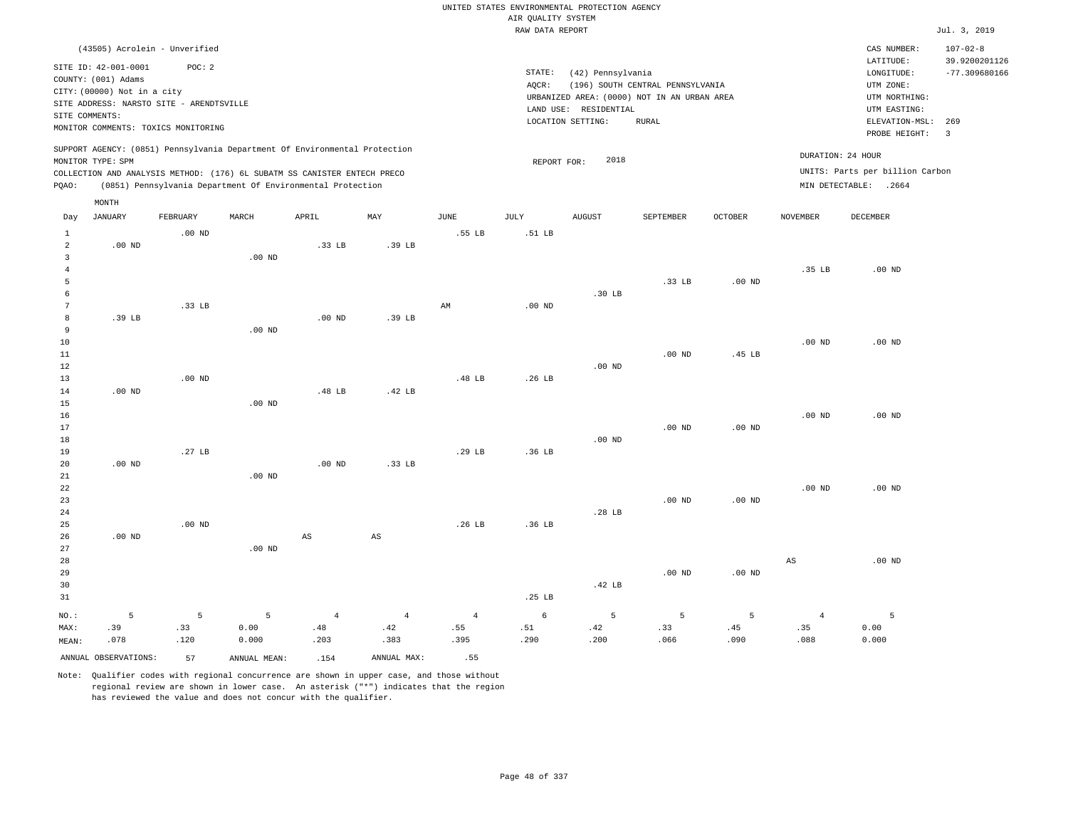|                         |                                                                            |                                                                                     |                                                                                                                                                                                                                      |                   |                        |                |                    | UNITED STATES ENVIRONMENTAL PROTECTION AGENCY |                                                                                 |                   |                   |                                                                               |                                                    |
|-------------------------|----------------------------------------------------------------------------|-------------------------------------------------------------------------------------|----------------------------------------------------------------------------------------------------------------------------------------------------------------------------------------------------------------------|-------------------|------------------------|----------------|--------------------|-----------------------------------------------|---------------------------------------------------------------------------------|-------------------|-------------------|-------------------------------------------------------------------------------|----------------------------------------------------|
|                         |                                                                            |                                                                                     |                                                                                                                                                                                                                      |                   |                        |                | AIR QUALITY SYSTEM |                                               |                                                                                 |                   |                   |                                                                               |                                                    |
|                         |                                                                            |                                                                                     |                                                                                                                                                                                                                      |                   |                        |                | RAW DATA REPORT    |                                               |                                                                                 |                   |                   |                                                                               | Jul. 3, 2019                                       |
|                         | SITE ID: 42-001-0001<br>COUNTY: (001) Adams<br>CITY: (00000) Not in a city | (43505) Acrolein - Unverified<br>POC: 2<br>SITE ADDRESS: NARSTO SITE - ARENDTSVILLE |                                                                                                                                                                                                                      |                   |                        |                | STATE:<br>AQCR:    | (42) Pennsylvania                             | (196) SOUTH CENTRAL PENNSYLVANIA<br>URBANIZED AREA: (0000) NOT IN AN URBAN AREA |                   |                   | CAS NUMBER:<br>LATITUDE:<br>LONGITUDE:<br>UTM ZONE:<br>UTM NORTHING:          | $107 - 02 - 8$<br>39.9200201126<br>$-77.309680166$ |
| SITE COMMENTS:          |                                                                            |                                                                                     |                                                                                                                                                                                                                      |                   |                        |                |                    | LAND USE: RESIDENTIAL                         |                                                                                 |                   |                   | UTM EASTING:                                                                  |                                                    |
|                         |                                                                            | MONITOR COMMENTS: TOXICS MONITORING                                                 |                                                                                                                                                                                                                      |                   |                        |                |                    | LOCATION SETTING:                             | <b>RURAL</b>                                                                    |                   |                   | ELEVATION-MSL:<br>PROBE HEIGHT:                                               | 269<br>$\overline{\mathbf{3}}$                     |
| PQAO:                   | MONITOR TYPE: SPM                                                          |                                                                                     | SUPPORT AGENCY: (0851) Pennsylvania Department Of Environmental Protection<br>COLLECTION AND ANALYSIS METHOD: (176) 6L SUBATM SS CANISTER ENTECH PRECO<br>(0851) Pennsylvania Department Of Environmental Protection |                   |                        |                | REPORT FOR:        | 2018                                          |                                                                                 |                   |                   | DURATION: 24 HOUR<br>UNITS: Parts per billion Carbon<br>MIN DETECTABLE: .2664 |                                                    |
|                         | MONTH                                                                      |                                                                                     |                                                                                                                                                                                                                      |                   |                        |                |                    |                                               |                                                                                 |                   |                   |                                                                               |                                                    |
| Day                     | <b>JANUARY</b>                                                             | FEBRUARY                                                                            | MARCH                                                                                                                                                                                                                | APRIL             | MAY                    | <b>JUNE</b>    | <b>JULY</b>        | AUGUST                                        | SEPTEMBER                                                                       | OCTOBER           | <b>NOVEMBER</b>   | <b>DECEMBER</b>                                                               |                                                    |
| $\mathbf{1}$            |                                                                            | $.00$ ND                                                                            |                                                                                                                                                                                                                      |                   |                        | .55 LB         | .51 LB             |                                               |                                                                                 |                   |                   |                                                                               |                                                    |
| $\overline{2}$          | $.00$ ND                                                                   |                                                                                     |                                                                                                                                                                                                                      | .33 <sub>LB</sub> | .39 LB                 |                |                    |                                               |                                                                                 |                   |                   |                                                                               |                                                    |
| $\overline{\mathbf{3}}$ |                                                                            |                                                                                     | $.00$ ND                                                                                                                                                                                                             |                   |                        |                |                    |                                               |                                                                                 |                   |                   |                                                                               |                                                    |
| $\overline{4}$<br>5     |                                                                            |                                                                                     |                                                                                                                                                                                                                      |                   |                        |                |                    |                                               | .33 LB                                                                          | $.00$ ND          | .35 LB            | $.00$ ND                                                                      |                                                    |
| 6                       |                                                                            |                                                                                     |                                                                                                                                                                                                                      |                   |                        |                |                    | .30 <sub>LB</sub>                             |                                                                                 |                   |                   |                                                                               |                                                    |
| 7                       |                                                                            | .33 LB                                                                              |                                                                                                                                                                                                                      |                   |                        | AM             | $.00$ ND           |                                               |                                                                                 |                   |                   |                                                                               |                                                    |
| 8                       | .39 LB                                                                     |                                                                                     |                                                                                                                                                                                                                      | $.00$ ND          | .39 LB                 |                |                    |                                               |                                                                                 |                   |                   |                                                                               |                                                    |
| 9                       |                                                                            |                                                                                     | $.00$ ND                                                                                                                                                                                                             |                   |                        |                |                    |                                               |                                                                                 |                   |                   |                                                                               |                                                    |
| 10                      |                                                                            |                                                                                     |                                                                                                                                                                                                                      |                   |                        |                |                    |                                               |                                                                                 |                   | .00 <sub>ND</sub> | $.00$ ND                                                                      |                                                    |
| $1\,1$                  |                                                                            |                                                                                     |                                                                                                                                                                                                                      |                   |                        |                |                    |                                               | .00 <sub>ND</sub>                                                               | .45 LB            |                   |                                                                               |                                                    |
| 12                      |                                                                            |                                                                                     |                                                                                                                                                                                                                      |                   |                        |                |                    | $.00$ ND                                      |                                                                                 |                   |                   |                                                                               |                                                    |
| 13                      |                                                                            | .00 <sub>ND</sub>                                                                   |                                                                                                                                                                                                                      |                   |                        | .48 LB         | .26 LB             |                                               |                                                                                 |                   |                   |                                                                               |                                                    |
| 14                      | $.00$ ND                                                                   |                                                                                     |                                                                                                                                                                                                                      | .48 LB            | .42 LB                 |                |                    |                                               |                                                                                 |                   |                   |                                                                               |                                                    |
| 15                      |                                                                            |                                                                                     | .00 <sub>ND</sub>                                                                                                                                                                                                    |                   |                        |                |                    |                                               |                                                                                 |                   |                   |                                                                               |                                                    |
| 16                      |                                                                            |                                                                                     |                                                                                                                                                                                                                      |                   |                        |                |                    |                                               |                                                                                 |                   | .00 <sub>ND</sub> | $.00$ ND                                                                      |                                                    |
| 17                      |                                                                            |                                                                                     |                                                                                                                                                                                                                      |                   |                        |                |                    |                                               | .00 <sub>ND</sub>                                                               | .00 <sub>ND</sub> |                   |                                                                               |                                                    |
| 18                      |                                                                            |                                                                                     |                                                                                                                                                                                                                      |                   |                        |                |                    | $.00$ ND                                      |                                                                                 |                   |                   |                                                                               |                                                    |
| 19<br>20                | $.00$ ND                                                                   | .27 LB                                                                              |                                                                                                                                                                                                                      | .00 <sub>ND</sub> | .33 LB                 | .29 LB         | .36 LB             |                                               |                                                                                 |                   |                   |                                                                               |                                                    |
| 21                      |                                                                            |                                                                                     | $.00$ ND                                                                                                                                                                                                             |                   |                        |                |                    |                                               |                                                                                 |                   |                   |                                                                               |                                                    |
| 22                      |                                                                            |                                                                                     |                                                                                                                                                                                                                      |                   |                        |                |                    |                                               |                                                                                 |                   | .00 <sub>ND</sub> | $.00$ ND                                                                      |                                                    |
| 23                      |                                                                            |                                                                                     |                                                                                                                                                                                                                      |                   |                        |                |                    |                                               | $.00$ ND                                                                        | $.00$ ND          |                   |                                                                               |                                                    |
| 24                      |                                                                            |                                                                                     |                                                                                                                                                                                                                      |                   |                        |                |                    | .28 LB                                        |                                                                                 |                   |                   |                                                                               |                                                    |
| 25                      |                                                                            | $.00$ ND                                                                            |                                                                                                                                                                                                                      |                   |                        | .26 LB         | .36 LB             |                                               |                                                                                 |                   |                   |                                                                               |                                                    |
| 26                      | $.00$ ND                                                                   |                                                                                     |                                                                                                                                                                                                                      | AS                | $\mathbb{A}\mathbb{S}$ |                |                    |                                               |                                                                                 |                   |                   |                                                                               |                                                    |
| 27                      |                                                                            |                                                                                     | $.00$ ND                                                                                                                                                                                                             |                   |                        |                |                    |                                               |                                                                                 |                   |                   |                                                                               |                                                    |
| 28                      |                                                                            |                                                                                     |                                                                                                                                                                                                                      |                   |                        |                |                    |                                               |                                                                                 |                   | AS                | .00 <sub>ND</sub>                                                             |                                                    |
| 29                      |                                                                            |                                                                                     |                                                                                                                                                                                                                      |                   |                        |                |                    |                                               | .00 <sub>ND</sub>                                                               | $.00$ ND          |                   |                                                                               |                                                    |
| 30                      |                                                                            |                                                                                     |                                                                                                                                                                                                                      |                   |                        |                |                    | .42 LB                                        |                                                                                 |                   |                   |                                                                               |                                                    |
| 31                      |                                                                            |                                                                                     |                                                                                                                                                                                                                      |                   |                        |                | .25 <sub>LB</sub>  |                                               |                                                                                 |                   |                   |                                                                               |                                                    |
| NO.:                    | 5                                                                          | 5                                                                                   | 5                                                                                                                                                                                                                    | $\overline{4}$    | $\overline{4}$         | $\overline{4}$ | 6                  | 5                                             | 5                                                                               | 5                 | $\overline{4}$    | 5                                                                             |                                                    |
| MAX:                    | .39                                                                        | .33                                                                                 | 0.00                                                                                                                                                                                                                 | .48               | .42                    | .55            | .51                | .42                                           | .33                                                                             | .45               | .35               | 0.00                                                                          |                                                    |
| MEAN:                   | .078                                                                       | .120                                                                                | 0.000                                                                                                                                                                                                                | .203              | .383                   | .395           | .290               | .200                                          | .066                                                                            | .090              | .088              | 0.000                                                                         |                                                    |
|                         | ANNUAL OBSERVATIONS:                                                       | 57                                                                                  | ANNUAL MEAN:                                                                                                                                                                                                         | .154              | ANNUAL MAX:            | .55            |                    |                                               |                                                                                 |                   |                   |                                                                               |                                                    |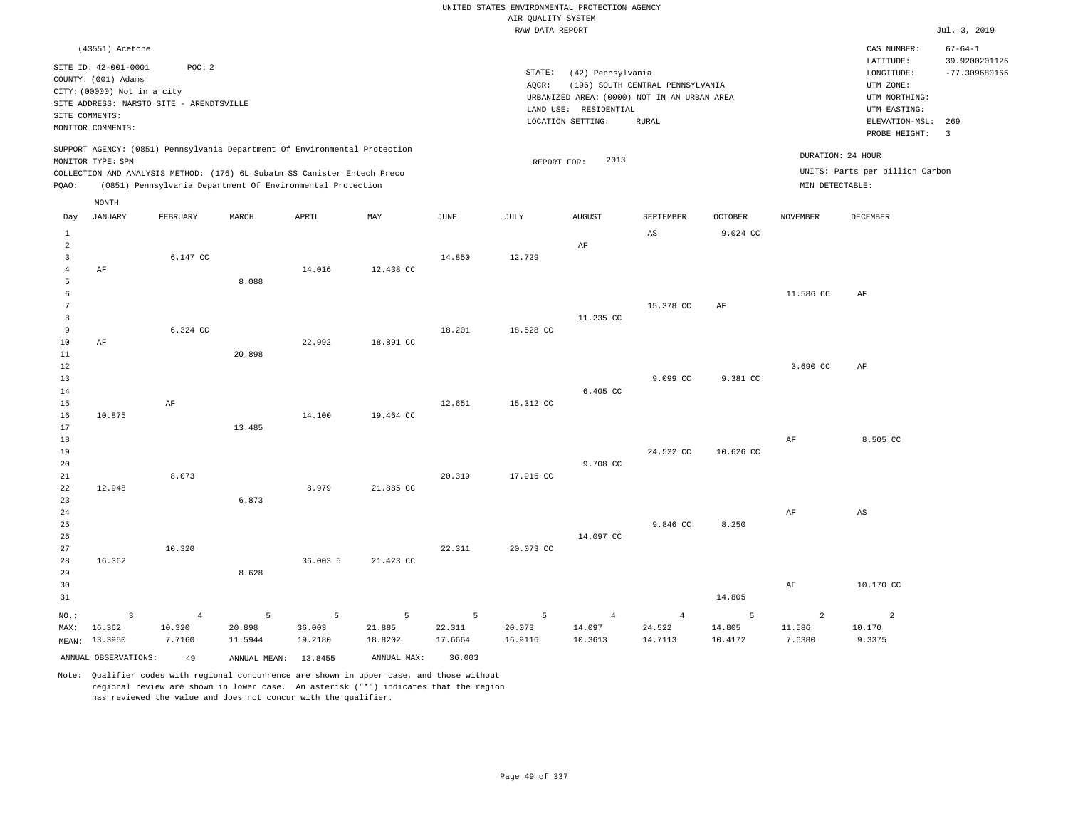|                                  |                                                                                 |                  |                                                                                                                                        |                   |                           |                   | UNITED STATES ENVIRONMENTAL PROTECTION AGENCY<br>AIR QUALITY SYSTEM |                                                                  |                                  |                   |                   |                                                     |                                |
|----------------------------------|---------------------------------------------------------------------------------|------------------|----------------------------------------------------------------------------------------------------------------------------------------|-------------------|---------------------------|-------------------|---------------------------------------------------------------------|------------------------------------------------------------------|----------------------------------|-------------------|-------------------|-----------------------------------------------------|--------------------------------|
|                                  |                                                                                 |                  |                                                                                                                                        |                   |                           |                   | RAW DATA REPORT                                                     |                                                                  |                                  |                   |                   |                                                     | Jul. 3, 2019                   |
|                                  | (43551) Acetone                                                                 |                  |                                                                                                                                        |                   |                           |                   |                                                                     |                                                                  |                                  |                   |                   | CAS NUMBER:<br>LATITUDE:                            | $67 - 64 - 1$<br>39.9200201126 |
|                                  | SITE ID: 42-001-0001<br>COUNTY: (001) Adams<br>CITY: (00000) Not in a city      | POC: 2           |                                                                                                                                        |                   |                           |                   | STATE:<br>AQCR:                                                     | (42) Pennsylvania<br>URBANIZED AREA: (0000) NOT IN AN URBAN AREA | (196) SOUTH CENTRAL PENNSYLVANIA |                   |                   | LONGITUDE:<br>UTM ZONE:<br>UTM NORTHING:            | $-77.309680166$                |
|                                  | SITE ADDRESS: NARSTO SITE - ARENDTSVILLE<br>SITE COMMENTS:<br>MONITOR COMMENTS: |                  |                                                                                                                                        |                   |                           |                   |                                                                     | LAND USE: RESIDENTIAL<br>LOCATION SETTING:                       | <b>RURAL</b>                     |                   |                   | UTM EASTING:<br>ELEVATION-MSL: 269<br>PROBE HEIGHT: | $\overline{\mathbf{3}}$        |
|                                  | MONITOR TYPE: SPM                                                               |                  | SUPPORT AGENCY: (0851) Pennsylvania Department Of Environmental Protection                                                             |                   |                           |                   | REPORT FOR:                                                         | 2013                                                             |                                  |                   | DURATION: 24 HOUR |                                                     |                                |
| PQAO:                            |                                                                                 |                  | COLLECTION AND ANALYSIS METHOD: (176) 6L Subatm SS Canister Entech Preco<br>(0851) Pennsylvania Department Of Environmental Protection |                   |                           |                   |                                                                     |                                                                  |                                  |                   | MIN DETECTABLE:   | UNITS: Parts per billion Carbon                     |                                |
|                                  | MONTH                                                                           |                  |                                                                                                                                        |                   |                           |                   |                                                                     |                                                                  |                                  |                   |                   |                                                     |                                |
| Day                              | <b>JANUARY</b>                                                                  | FEBRUARY         | MARCH                                                                                                                                  | APRIL             | $\ensuremath{\text{MAX}}$ | JUNE              | JULY                                                                | <b>AUGUST</b>                                                    | SEPTEMBER                        | OCTOBER           | <b>NOVEMBER</b>   | DECEMBER                                            |                                |
| $\mathbf{1}$<br>$\sqrt{2}$       |                                                                                 |                  |                                                                                                                                        |                   |                           |                   |                                                                     | $\rm AF$                                                         | AS                               | 9.024 CC          |                   |                                                     |                                |
| $\overline{3}$<br>$\overline{4}$ | AF                                                                              | 6.147 CC         |                                                                                                                                        | 14.016            | 12.438 CC                 | 14.850            | 12.729                                                              |                                                                  |                                  |                   |                   |                                                     |                                |
| 5<br>6                           |                                                                                 |                  | 8.088                                                                                                                                  |                   |                           |                   |                                                                     |                                                                  |                                  |                   | 11.586 CC         | AF                                                  |                                |
| $7\phantom{.0}$<br>8             |                                                                                 |                  |                                                                                                                                        |                   |                           |                   |                                                                     | 11.235 CC                                                        | 15.378 CC                        | AF                |                   |                                                     |                                |
| 9                                |                                                                                 | 6.324 CC         |                                                                                                                                        |                   |                           | 18.201            | 18.528 CC                                                           |                                                                  |                                  |                   |                   |                                                     |                                |
| $10$<br>$1\,1$                   | AF                                                                              |                  | 20.898                                                                                                                                 | 22.992            | 18.891 CC                 |                   |                                                                     |                                                                  |                                  |                   |                   |                                                     |                                |
| 12<br>13                         |                                                                                 |                  |                                                                                                                                        |                   |                           |                   |                                                                     |                                                                  | 9.099 CC                         | 9.381 CC          | 3.690 CC          | AF                                                  |                                |
| 14<br>15                         |                                                                                 | AF               |                                                                                                                                        |                   |                           | 12.651            | 15.312 CC                                                           | 6.405 CC                                                         |                                  |                   |                   |                                                     |                                |
| 16<br>17                         | 10.875                                                                          |                  | 13.485                                                                                                                                 | 14.100            | 19.464 CC                 |                   |                                                                     |                                                                  |                                  |                   |                   |                                                     |                                |
| 18<br>19                         |                                                                                 |                  |                                                                                                                                        |                   |                           |                   |                                                                     |                                                                  | 24.522 CC                        | 10.626 CC         | $\rm AF$          | 8.505 CC                                            |                                |
| 20<br>21                         |                                                                                 | 8.073            |                                                                                                                                        |                   |                           | 20.319            | 17.916 CC                                                           | 9.708 CC                                                         |                                  |                   |                   |                                                     |                                |
| 22<br>23                         | 12.948                                                                          |                  | 6.873                                                                                                                                  | 8.979             | 21.885 CC                 |                   |                                                                     |                                                                  |                                  |                   |                   |                                                     |                                |
| 24<br>25                         |                                                                                 |                  |                                                                                                                                        |                   |                           |                   |                                                                     |                                                                  | 9.846 CC                         | 8.250             | AF                | AS                                                  |                                |
| 26<br>27                         |                                                                                 | 10.320           |                                                                                                                                        |                   |                           | 22.311            | 20.073 CC                                                           | 14.097 CC                                                        |                                  |                   |                   |                                                     |                                |
| 28<br>29                         | 16.362                                                                          |                  | 8.628                                                                                                                                  | 36.003 5          | 21.423 CC                 |                   |                                                                     |                                                                  |                                  |                   |                   |                                                     |                                |
| 30<br>31                         |                                                                                 |                  |                                                                                                                                        |                   |                           |                   |                                                                     |                                                                  |                                  | 14.805            | AF                | 10.170 CC                                           |                                |
| NO.:                             | $\overline{3}$                                                                  | $\overline{4}$   | 5                                                                                                                                      | 5                 | 5                         | 5                 | 5                                                                   | $\overline{4}$                                                   | $\overline{4}$                   | 5                 | $\overline{2}$    | 2                                                   |                                |
| MAX:                             | 16.362<br>MEAN: 13.3950                                                         | 10.320<br>7.7160 | 20.898<br>11.5944                                                                                                                      | 36.003<br>19.2180 | 21.885<br>18.8202         | 22.311<br>17.6664 | 20.073<br>16.9116                                                   | 14.097<br>10.3613                                                | 24.522<br>14.7113                | 14.805<br>10.4172 | 11.586<br>7.6380  | 10.170<br>9.3375                                    |                                |
|                                  | ANNUAL OBSERVATIONS:                                                            | 49               | ANNUAL MEAN: 13.8455                                                                                                                   |                   | ANNUAL MAX:               | 36.003            |                                                                     |                                                                  |                                  |                   |                   |                                                     |                                |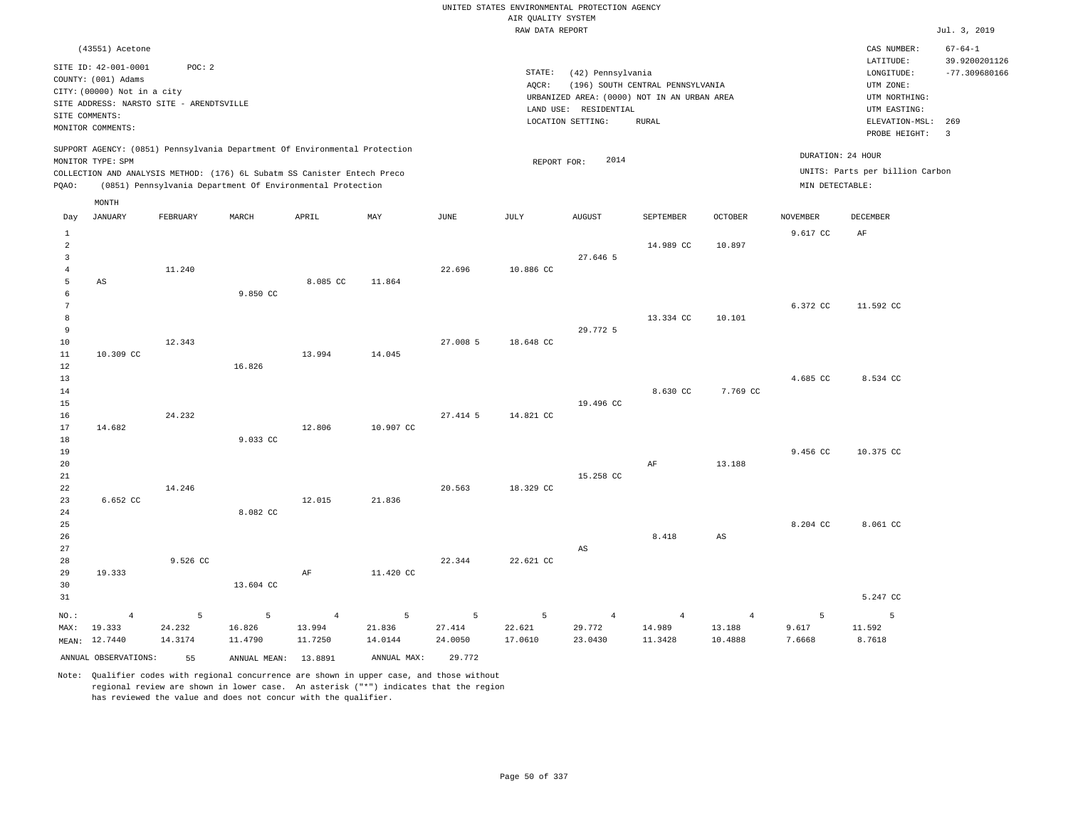|                                                 |                                                                                               |                   |                                                                                                                                                        |                   |                   |                   | AIR QUALITY SYSTEM | UNITED STATES ENVIRONMENTAL PROTECTION AGENCY                    |                                  |                   |                   |                                                                      |                                                   |
|-------------------------------------------------|-----------------------------------------------------------------------------------------------|-------------------|--------------------------------------------------------------------------------------------------------------------------------------------------------|-------------------|-------------------|-------------------|--------------------|------------------------------------------------------------------|----------------------------------|-------------------|-------------------|----------------------------------------------------------------------|---------------------------------------------------|
|                                                 |                                                                                               |                   |                                                                                                                                                        |                   |                   |                   | RAW DATA REPORT    |                                                                  |                                  |                   |                   |                                                                      | Jul. 3, 2019                                      |
|                                                 | (43551) Acetone<br>SITE ID: 42-001-0001<br>COUNTY: (001) Adams<br>CITY: (00000) Not in a city | POC: 2            |                                                                                                                                                        |                   |                   |                   | STATE:<br>AQCR:    | (42) Pennsylvania<br>URBANIZED AREA: (0000) NOT IN AN URBAN AREA | (196) SOUTH CENTRAL PENNSYLVANIA |                   |                   | CAS NUMBER:<br>LATITUDE:<br>LONGITUDE:<br>UTM ZONE:<br>UTM NORTHING: | $67 - 64 - 1$<br>39.9200201126<br>$-77.309680166$ |
|                                                 | SITE ADDRESS: NARSTO SITE - ARENDTSVILLE<br>SITE COMMENTS:<br>MONITOR COMMENTS:               |                   |                                                                                                                                                        |                   |                   |                   |                    | LAND USE: RESIDENTIAL<br>LOCATION SETTING:                       | <b>RURAL</b>                     |                   |                   | UTM EASTING:<br>ELEVATION-MSL:<br>PROBE HEIGHT:                      | 269<br>$\overline{\mathbf{3}}$                    |
|                                                 | MONITOR TYPE: SPM                                                                             |                   | SUPPORT AGENCY: (0851) Pennsylvania Department Of Environmental Protection<br>COLLECTION AND ANALYSIS METHOD: (176) 6L Subatm SS Canister Entech Preco |                   |                   |                   | REPORT FOR:        | 2014                                                             |                                  |                   | DURATION: 24 HOUR | UNITS: Parts per billion Carbon                                      |                                                   |
| PQAO:                                           |                                                                                               |                   | (0851) Pennsylvania Department Of Environmental Protection                                                                                             |                   |                   |                   |                    |                                                                  |                                  |                   | MIN DETECTABLE:   |                                                                      |                                                   |
| Day                                             | MONTH<br>JANUARY                                                                              | FEBRUARY          | MARCH                                                                                                                                                  | APRIL             | MAY               | JUNE              | JULY               | AUGUST                                                           | SEPTEMBER                        | OCTOBER           | NOVEMBER          | DECEMBER                                                             |                                                   |
| $\,$ 1<br>$\sqrt{2}$<br>$\overline{\mathbf{3}}$ |                                                                                               |                   |                                                                                                                                                        |                   |                   |                   |                    | 27.646 5                                                         | 14.989 CC                        | 10.897            | 9.617 CC          | $\rm AF$                                                             |                                                   |
| $\overline{4}$<br>5<br>6                        | AS                                                                                            | 11.240            | 9.850 CC                                                                                                                                               | 8.085 CC          | 11.864            | 22.696            | 10.886 CC          |                                                                  |                                  |                   |                   |                                                                      |                                                   |
| $7\phantom{.0}$<br>8<br>9<br>10                 |                                                                                               | 12.343            |                                                                                                                                                        |                   |                   | 27.008 5          | 18.648 CC          | 29.772 5                                                         | 13.334 CC                        | 10.101            | 6.372 CC          | 11.592 CC                                                            |                                                   |
| 11<br>12<br>13                                  | 10.309 CC                                                                                     |                   | 16.826                                                                                                                                                 | 13.994            | 14.045            |                   |                    |                                                                  |                                  |                   | 4.685 CC          | 8.534 CC                                                             |                                                   |
| 14<br>15<br>16<br>17                            | 14.682                                                                                        | 24.232            |                                                                                                                                                        | 12.806            | 10.907 CC         | 27.414 5          | 14.821 CC          | 19.496 CC                                                        | 8.630 CC                         | 7.769 CC          |                   |                                                                      |                                                   |
| 18<br>19<br>20<br>21                            |                                                                                               |                   | 9.033 CC                                                                                                                                               |                   |                   |                   |                    | 15.258 CC                                                        | $\rm{AF}$                        | 13.188            | 9.456 CC          | 10.375 CC                                                            |                                                   |
| 22<br>23<br>24                                  | 6.652 CC                                                                                      | 14.246            | 8.082 CC                                                                                                                                               | 12.015            | 21.836            | 20.563            | 18.329 CC          |                                                                  |                                  |                   |                   |                                                                      |                                                   |
| 25<br>26<br>27                                  |                                                                                               |                   |                                                                                                                                                        |                   |                   |                   |                    | AS                                                               | 8.418                            | $_{\rm AS}$       | 8.204 CC          | 8.061 CC                                                             |                                                   |
| 28<br>29<br>30<br>31                            | 19.333                                                                                        | 9.526 CC          | 13.604 CC                                                                                                                                              | AF                | 11.420 CC         | 22.344            | 22.621 CC          |                                                                  |                                  |                   |                   | 5.247 CC                                                             |                                                   |
| NO.:                                            | $\overline{4}$                                                                                | 5                 | 5                                                                                                                                                      | $\overline{4}$    | 5                 | 5                 | 5                  | $\overline{4}$                                                   | 4                                | $\overline{4}$    | 5                 | 5                                                                    |                                                   |
| MAX:                                            | 19.333<br>MEAN: 12.7440                                                                       | 24.232<br>14.3174 | 16.826<br>11.4790                                                                                                                                      | 13.994<br>11.7250 | 21.836<br>14.0144 | 27.414<br>24.0050 | 22.621<br>17.0610  | 29.772<br>23.0430                                                | 14.989<br>11.3428                | 13.188<br>10.4888 | 9.617<br>7.6668   | 11.592<br>8.7618                                                     |                                                   |
|                                                 | ANNUAL OBSERVATIONS:                                                                          | 55                | ANNUAL MEAN: 13.8891                                                                                                                                   |                   | ANNUAL MAX:       | 29.772            |                    |                                                                  |                                  |                   |                   |                                                                      |                                                   |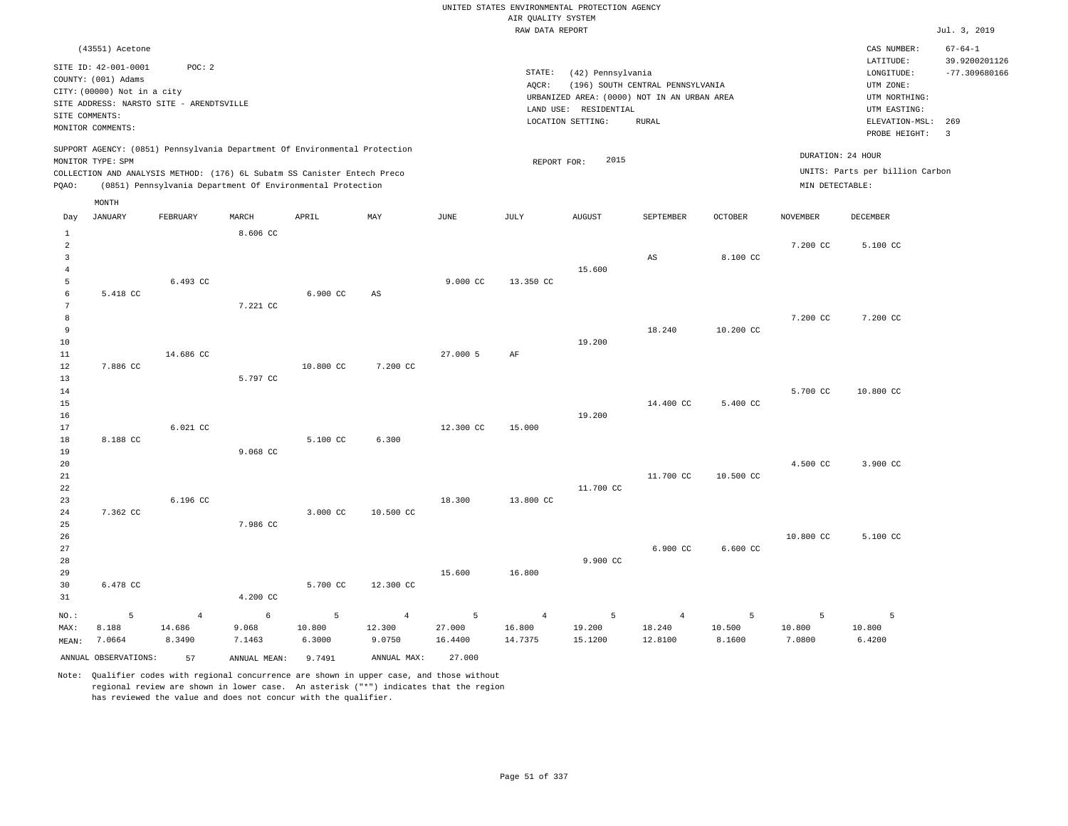RAW DATA REPORT Jul. 3, 2019 UNITED STATES ENVIRONMENTAL PROTECTION AGENCY AIR QUALITY SYSTEM (43551) Acetone STATE: (42) Pennsylvania CAS NUMBER: 67-64-1 SITE ID: 42-001-0001 POC: 2 AQCR: (196) SOUTH CENTRAL PENNSYLVANIA COUNTY: (001) Adams CITY: (00000) Not in a city LONGITUDE: -77.309680166 LATITUDE: 39.9200201126 LOCATION SETTING: RURAL SITE ADDRESS: NARSTO SITE - ARENDTSVILLE LAND USE: RESIDENTIAL SITE COMMENTS: MONITOR COMMENTS: PROBE HEIGHT: 3 ELEVATION-MSL: 269 URBANIZED AREA: (0000) NOT IN AN URBAN AREA **URBAN SERIA UTM NORTHING**: UTM EASTING: UTM ZONE: SUPPORT AGENCY: (0851) Pennsylvania Department Of Environmental Protection MONITOR TYPE: SPM COLLECTION AND ANALYSIS METHOD: (176) 6L Subatm SS Canister Entech Preco REPORT FOR: 2015 UNITS: Parts per billion Carbon PQAO: (0851) Pennsylvania Department Of Environmental Protection MIN DETECTABLE: DURATION: 24 HOUR 1 2 3 4 5 6 7 8 9 10 11 12 13 14 15 16 17 18 19  $20$ 21 22 23 24 25 26 27 28 29 30 31 5.418 CC 7.886 CC 8.188 CC 7.362 CC 6.478 CC NO.: MAX: MEAN: 5 8.188 7.0664 6.493 CC 14.686 CC 6.021 CC 6.196 CC  $8.606$  CC 7.221 CC 5.797 CC 9.068 CC 7.986 CC 4.200 CC 6.900 CC 10.800 CC 5.100 CC 3.000 CC 5.700 CC AS 7.200 CC 6.300 10.500 CC 12.300 CC 9.000 CC 27.000 5 12.300 CC 18.300 15.600 13.350 CC AF 15.000 13.800 CC 16.800 15.600 19.200 19.200 11.700 CC 9.900 CC AS 18.240 14.400 CC 11.700 CC 6.900 CC 8.100 CC 10.200 CC 5.400 CC 10.500 CC 6.600 CC 7.200 CC 7.200 CC 5.700 CC 4.500 CC 10.800 CC 5.100 CC 7.200 CC 10.800 CC 3.900 CC 5.100 CC 4 14.686 8.3490 6 9.068 7.1463 5 10.800 6.3000 4 12.300 9.0750 5 27.000 16.4400 4 16.800 14.7375 5 19.200 15.1200 4 18.240 12.8100 5 10.500 8.1600 5 10.800 7.0800 5 10.800 6.4200 ANNUAL OBSERVATIONS: 57 ANNUAL MEAN: 9.7491 ANNUAL MAX: 27.000 Day JANUARY FEBRUARY MARCH APRIL MAY JUNE JULY AUGUST SEPTEMBER OCTOBER NOVEMBER DECEMBER MONTH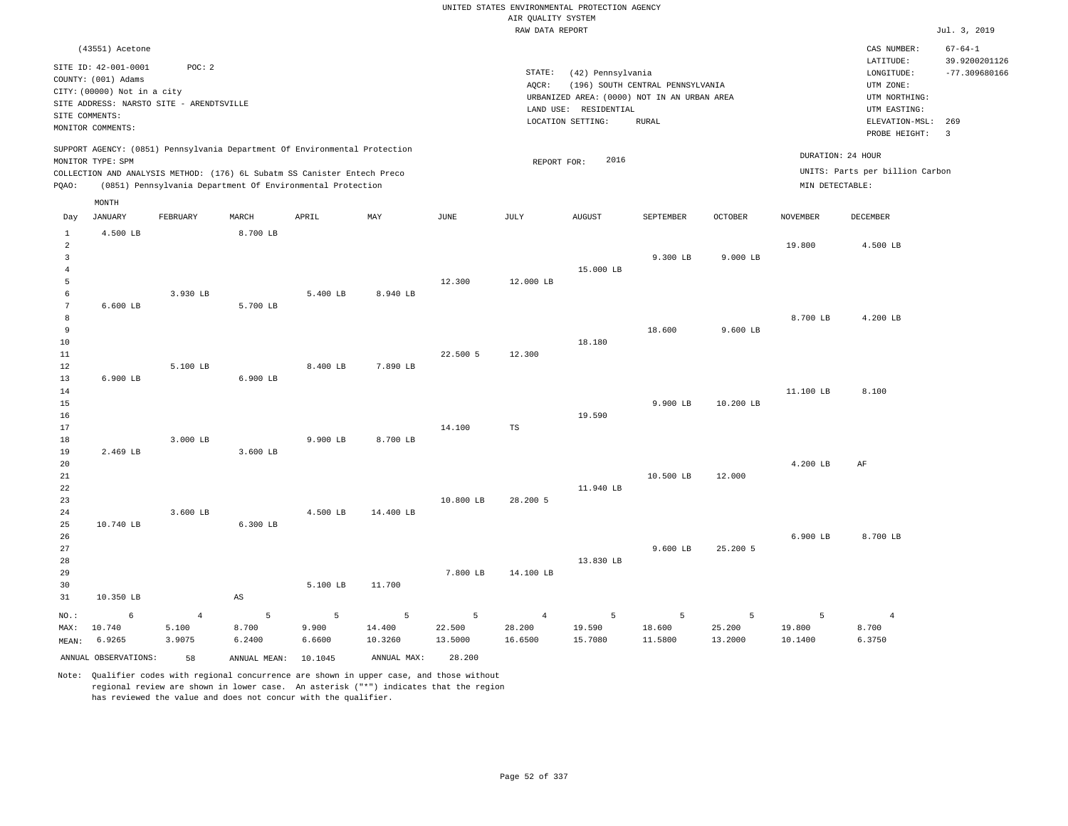RAW DATA REPORT Jul. 3, 2019 UNITED STATES ENVIRONMENTAL PROTECTION AGENCY AIR QUALITY SYSTEM (43551) Acetone STATE: (42) Pennsylvania CAS NUMBER: 67-64-1 SITE ID: 42-001-0001 POC: 2 AQCR: (196) SOUTH CENTRAL PENNSYLVANIA COUNTY: (001) Adams CITY: (00000) Not in a city LONGITUDE: -77.309680166 LATITUDE: 39.9200201126 LOCATION SETTING: RURAL SITE ADDRESS: NARSTO SITE - ARENDTSVILLE LAND USE: RESIDENTIAL SITE COMMENTS: MONITOR COMMENTS: PROBE HEIGHT: 3 ELEVATION-MSL: 269 URBANIZED AREA: (0000) NOT IN AN URBAN AREA **URBAN SERIA UTM NORTHING**: UTM EASTING: UTM ZONE: SUPPORT AGENCY: (0851) Pennsylvania Department Of Environmental Protection MONITOR TYPE: SPM COLLECTION AND ANALYSIS METHOD: (176) 6L Subatm SS Canister Entech Preco REPORT FOR: 2016 UNITS: Parts per billion Carbon PQAO: (0851) Pennsylvania Department Of Environmental Protection MIN DETECTABLE: DURATION: 24 HOUR 1 2 3 4 5 6 7 8 9 10 11 12 13 14 15 16 17 18 19  $20$ 21 22 23 24 25 26 27 28 29 30 31 4.500 LB 6.600 LB 6.900 LB 2.469 LB 10.740 LB 10.350 LB NO.: MAX: MEAN: 6 10.740 6.9265 3.930 LB 5.100 LB 3.000 LB 3.600 LB 8.700 LB 5.700 LB 6.900 LB 3.600 LB 6.300 LB AS 5.400 LB 8.400 LB 9.900 LB 4.500 LB 5.100 LB 8.940 LB 7.890 LB 8.700 LB 14.400 LB 11.700 12.300 22.500 5 14.100 10.800 LB 7.800 LB 12.000 LB 12.300 TS 28.200 5 14.100 LB 15.000 LB 18.180 19.590 11.940 LB 13.830 LB 9.300 LB 18.600 9.900 LB 10.500 LB 9.600 LB 9.000 LB 9.600 LB 10.200 LB 12.000 25.200 5 19.800 8.700 LB 11.100 LB 4.200 LB 6.900 LB 4.500 LB 4.200 LB 8.100 AF 8.700 LB 4 5.100 3.9075 5 8.700 6.2400 5 9.900 6.6600 5 14.400 10.3260 5 22.500 13.5000 4 28.200 16.6500 5 19.590 15.7080 5 18.600 11.5800 5 25.200 13.2000 5 19.800 10.1400 4 8.700 6.3750 ANNUAL OBSERVATIONS: 58 ANNUAL MEAN: 10.1045 ANNUAL MAX: 28.200 Day JANUARY FEBRUARY MARCH APRIL MAY JUNE JULY AUGUST SEPTEMBER OCTOBER NOVEMBER DECEMBER MONTH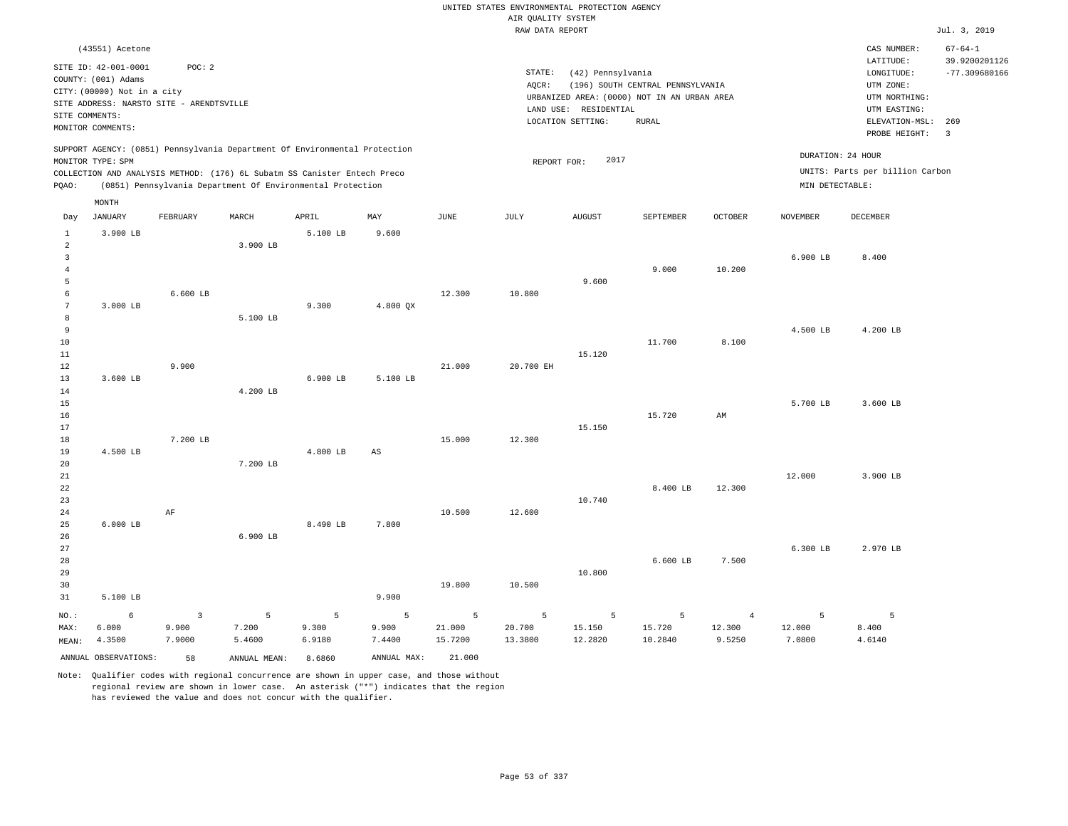|                     |                                             |                 |                                                                            |                 |                 |                   | UNITED STATES ENVIRONMENTAL PROTECTION AGENCY |                       |                                             |                  |                  |                                    |                                  |
|---------------------|---------------------------------------------|-----------------|----------------------------------------------------------------------------|-----------------|-----------------|-------------------|-----------------------------------------------|-----------------------|---------------------------------------------|------------------|------------------|------------------------------------|----------------------------------|
|                     |                                             |                 |                                                                            |                 |                 |                   | AIR QUALITY SYSTEM                            |                       |                                             |                  |                  |                                    |                                  |
|                     |                                             |                 |                                                                            |                 |                 |                   | RAW DATA REPORT                               |                       |                                             |                  |                  |                                    | Jul. 3, 2019                     |
|                     | (43551) Acetone                             |                 |                                                                            |                 |                 |                   |                                               |                       |                                             |                  |                  | CAS NUMBER:                        | $67 - 64 - 1$                    |
|                     | SITE ID: 42-001-0001<br>COUNTY: (001) Adams | POC: 2          |                                                                            |                 |                 |                   | STATE:                                        | (42) Pennsylvania     |                                             |                  |                  | LATITUDE:<br>$\texttt{LONGITUDE}:$ | 39.9200201126<br>$-77.309680166$ |
|                     | CITY: (00000) Not in a city                 |                 |                                                                            |                 |                 |                   | AOCR:                                         |                       | (196) SOUTH CENTRAL PENNSYLVANIA            |                  |                  | UTM ZONE:                          |                                  |
|                     | SITE ADDRESS: NARSTO SITE - ARENDTSVILLE    |                 |                                                                            |                 |                 |                   |                                               |                       | URBANIZED AREA: (0000) NOT IN AN URBAN AREA |                  |                  | UTM NORTHING:                      |                                  |
| SITE COMMENTS:      |                                             |                 |                                                                            |                 |                 |                   |                                               | LAND USE: RESIDENTIAL |                                             |                  |                  | UTM EASTING:                       |                                  |
|                     | MONITOR COMMENTS:                           |                 |                                                                            |                 |                 |                   |                                               | LOCATION SETTING:     | <b>RURAL</b>                                |                  |                  | ELEVATION-MSL: 269                 |                                  |
|                     | MONITOR TYPE: SPM                           |                 | SUPPORT AGENCY: (0851) Pennsylvania Department Of Environmental Protection |                 |                 |                   |                                               | 2017                  |                                             |                  |                  | PROBE HEIGHT:<br>DURATION: 24 HOUR | $\overline{\mathbf{3}}$          |
|                     |                                             |                 | COLLECTION AND ANALYSIS METHOD: (176) 6L Subatm SS Canister Entech Preco   |                 |                 |                   | REPORT FOR:                                   |                       |                                             |                  |                  | UNITS: Parts per billion Carbon    |                                  |
| PQAO:               |                                             |                 | (0851) Pennsylvania Department Of Environmental Protection                 |                 |                 |                   |                                               |                       |                                             |                  | MIN DETECTABLE:  |                                    |                                  |
|                     | MONTH                                       |                 |                                                                            |                 |                 |                   |                                               |                       |                                             |                  |                  |                                    |                                  |
| Day                 | <b>JANUARY</b>                              | FEBRUARY        | MARCH                                                                      | APRIL           | MAY             | <b>JUNE</b>       | <b>JULY</b>                                   | <b>AUGUST</b>         | SEPTEMBER                                   | OCTOBER          | <b>NOVEMBER</b>  | DECEMBER                           |                                  |
| $\mathbf{1}$        | 3.900 LB                                    |                 |                                                                            | 5.100 LB        | 9.600           |                   |                                               |                       |                                             |                  |                  |                                    |                                  |
| $\overline{a}$      |                                             |                 | 3.900 LB                                                                   |                 |                 |                   |                                               |                       |                                             |                  |                  |                                    |                                  |
| $\overline{3}$      |                                             |                 |                                                                            |                 |                 |                   |                                               |                       | 9.000                                       | 10.200           | 6.900 LB         | 8.400                              |                                  |
| $\overline{4}$<br>5 |                                             |                 |                                                                            |                 |                 |                   |                                               | 9.600                 |                                             |                  |                  |                                    |                                  |
| 6                   |                                             | $6.600$ LB      |                                                                            |                 |                 | 12.300            | 10.800                                        |                       |                                             |                  |                  |                                    |                                  |
| $7\phantom{.0}$     | 3.000 LB                                    |                 |                                                                            | 9.300           | 4.800 OX        |                   |                                               |                       |                                             |                  |                  |                                    |                                  |
| 8                   |                                             |                 | 5.100 LB                                                                   |                 |                 |                   |                                               |                       |                                             |                  |                  |                                    |                                  |
| $\,9$               |                                             |                 |                                                                            |                 |                 |                   |                                               |                       |                                             |                  | 4.500 LB         | 4.200 LB                           |                                  |
| $10$                |                                             |                 |                                                                            |                 |                 |                   |                                               |                       | 11,700                                      | 8,100            |                  |                                    |                                  |
| 11                  |                                             |                 |                                                                            |                 |                 |                   |                                               | 15.120                |                                             |                  |                  |                                    |                                  |
| 12                  |                                             | 9.900           |                                                                            |                 |                 | 21.000            | 20.700 EH                                     |                       |                                             |                  |                  |                                    |                                  |
| 13                  | 3.600 LB                                    |                 |                                                                            | 6.900 LB        | 5.100 LB        |                   |                                               |                       |                                             |                  |                  |                                    |                                  |
| 14                  |                                             |                 | 4.200 LB                                                                   |                 |                 |                   |                                               |                       |                                             |                  |                  |                                    |                                  |
| 15                  |                                             |                 |                                                                            |                 |                 |                   |                                               |                       |                                             |                  | 5.700 LB         | 3.600 LB                           |                                  |
| 16                  |                                             |                 |                                                                            |                 |                 |                   |                                               | 15.150                | 15.720                                      | AM               |                  |                                    |                                  |
| 17<br>18            |                                             | 7.200 LB        |                                                                            |                 |                 | 15.000            | 12.300                                        |                       |                                             |                  |                  |                                    |                                  |
| 19                  | 4.500 LB                                    |                 |                                                                            | 4.800 LB        | AS              |                   |                                               |                       |                                             |                  |                  |                                    |                                  |
| 20                  |                                             |                 | 7.200 LB                                                                   |                 |                 |                   |                                               |                       |                                             |                  |                  |                                    |                                  |
| 21                  |                                             |                 |                                                                            |                 |                 |                   |                                               |                       |                                             |                  | 12.000           | 3.900 LB                           |                                  |
| 22                  |                                             |                 |                                                                            |                 |                 |                   |                                               |                       | 8.400 LB                                    | 12.300           |                  |                                    |                                  |
| 23                  |                                             |                 |                                                                            |                 |                 |                   |                                               | 10.740                |                                             |                  |                  |                                    |                                  |
| 24                  |                                             | $\rm{AF}$       |                                                                            |                 |                 | 10.500            | 12.600                                        |                       |                                             |                  |                  |                                    |                                  |
| 25                  | $6.000$ LB                                  |                 |                                                                            | 8.490 LB        | 7.800           |                   |                                               |                       |                                             |                  |                  |                                    |                                  |
| 26                  |                                             |                 | 6.900 LB                                                                   |                 |                 |                   |                                               |                       |                                             |                  |                  |                                    |                                  |
| 27                  |                                             |                 |                                                                            |                 |                 |                   |                                               |                       |                                             |                  | 6.300 LB         | 2.970 LB                           |                                  |
| 28<br>29            |                                             |                 |                                                                            |                 |                 |                   |                                               | 10.800                | $6.600$ LB                                  | 7.500            |                  |                                    |                                  |
| 30                  |                                             |                 |                                                                            |                 |                 | 19.800            | 10.500                                        |                       |                                             |                  |                  |                                    |                                  |
| 31                  | 5.100 LB                                    |                 |                                                                            |                 | 9.900           |                   |                                               |                       |                                             |                  |                  |                                    |                                  |
|                     |                                             |                 |                                                                            |                 |                 |                   |                                               |                       |                                             |                  |                  |                                    |                                  |
| NO.:                | 6                                           | $\overline{3}$  | 5                                                                          | 5               | 5               | 5                 | 5                                             | 5                     | 5                                           | $\overline{4}$   | 5                | 5                                  |                                  |
| MAX:                | 6.000<br>4.3500                             | 9.900<br>7.9000 | 7.200<br>5.4600                                                            | 9.300<br>6.9180 | 9.900<br>7.4400 | 21.000<br>15.7200 | 20.700<br>13.3800                             | 15.150<br>12.2820     | 15.720<br>10.2840                           | 12.300<br>9.5250 | 12.000<br>7.0800 | 8.400<br>4.6140                    |                                  |
| MEAN:               |                                             |                 |                                                                            |                 |                 |                   |                                               |                       |                                             |                  |                  |                                    |                                  |
|                     | ANNUAL OBSERVATIONS:                        | 58              | ANNUAL MEAN:                                                               | 8,6860          | ANNUAL MAX:     | 21.000            |                                               |                       |                                             |                  |                  |                                    |                                  |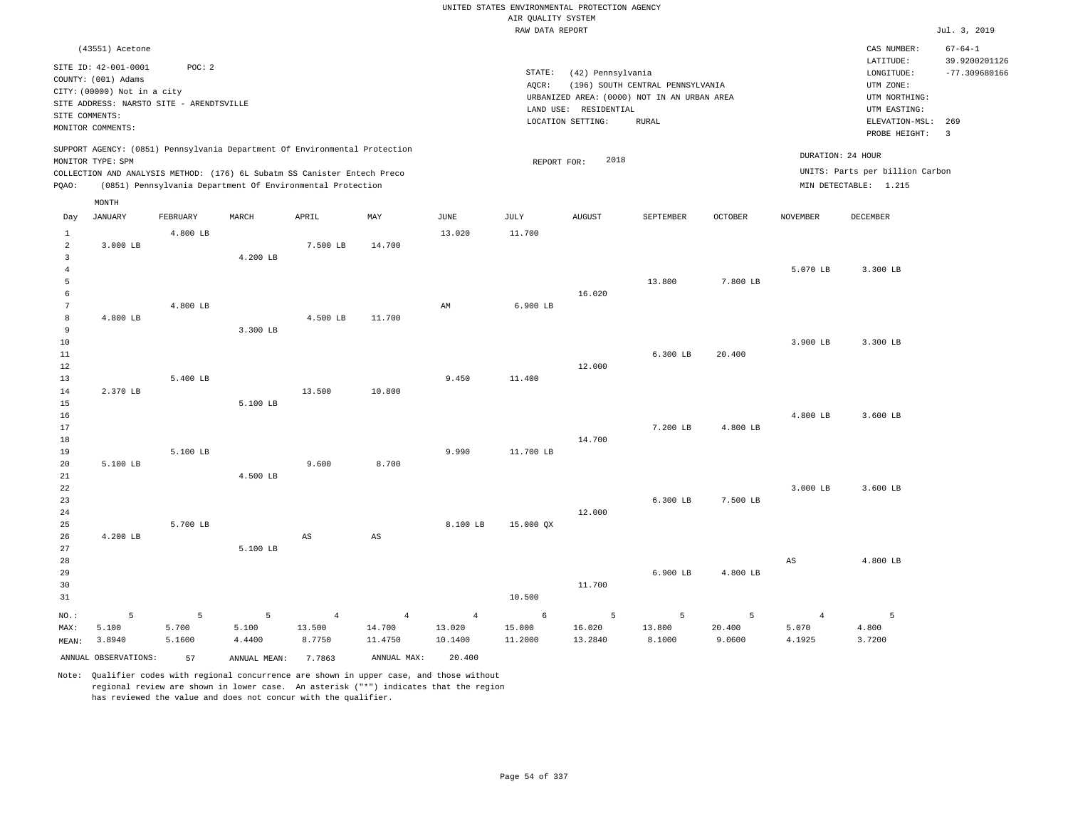|                 |                                          |          |                                                                            |                |                |                | UNITED STATES ENVIRONMENTAL PROTECTION AGENCY |                       |                                             |          |                 |                                    |                 |
|-----------------|------------------------------------------|----------|----------------------------------------------------------------------------|----------------|----------------|----------------|-----------------------------------------------|-----------------------|---------------------------------------------|----------|-----------------|------------------------------------|-----------------|
|                 |                                          |          |                                                                            |                |                |                | AIR QUALITY SYSTEM                            |                       |                                             |          |                 |                                    |                 |
|                 |                                          |          |                                                                            |                |                |                | RAW DATA REPORT                               |                       |                                             |          |                 |                                    | Jul. 3, 2019    |
|                 | (43551) Acetone                          |          |                                                                            |                |                |                |                                               |                       |                                             |          |                 | CAS NUMBER:                        | $67 - 64 - 1$   |
|                 | SITE ID: 42-001-0001                     | POC: 2   |                                                                            |                |                |                |                                               |                       |                                             |          |                 | LATITUDE:                          | 39.9200201126   |
|                 | COUNTY: (001) Adams                      |          |                                                                            |                |                |                | STATE:                                        | (42) Pennsylvania     |                                             |          |                 | LONGITUDE:                         | $-77.309680166$ |
|                 | CITY: (00000) Not in a city              |          |                                                                            |                |                |                | AQCR:                                         |                       | (196) SOUTH CENTRAL PENNSYLVANIA            |          |                 | UTM ZONE:                          |                 |
|                 | SITE ADDRESS: NARSTO SITE - ARENDTSVILLE |          |                                                                            |                |                |                |                                               |                       | URBANIZED AREA: (0000) NOT IN AN URBAN AREA |          |                 | UTM NORTHING:                      |                 |
| SITE COMMENTS:  |                                          |          |                                                                            |                |                |                |                                               | LAND USE: RESIDENTIAL |                                             |          |                 | UTM EASTING:                       |                 |
|                 | MONITOR COMMENTS:                        |          |                                                                            |                |                |                |                                               | LOCATION SETTING:     | <b>RURAL</b>                                |          |                 | ELEVATION-MSL: 269                 |                 |
|                 | MONITOR TYPE: SPM                        |          | SUPPORT AGENCY: (0851) Pennsylvania Department Of Environmental Protection |                |                |                | REPORT FOR:                                   | 2018                  |                                             |          |                 | PROBE HEIGHT:<br>DURATION: 24 HOUR | $\overline{3}$  |
|                 |                                          |          | COLLECTION AND ANALYSIS METHOD: (176) 6L Subatm SS Canister Entech Preco   |                |                |                |                                               |                       |                                             |          |                 | UNITS: Parts per billion Carbon    |                 |
| PQAO:           |                                          |          | (0851) Pennsylvania Department Of Environmental Protection                 |                |                |                |                                               |                       |                                             |          |                 | MIN DETECTABLE: 1.215              |                 |
|                 |                                          |          |                                                                            |                |                |                |                                               |                       |                                             |          |                 |                                    |                 |
| Day             | MONTH<br><b>JANUARY</b>                  | FEBRUARY | MARCH                                                                      | APRIL          | MAY            | JUNE           | JULY                                          | <b>AUGUST</b>         | SEPTEMBER                                   | OCTOBER  | <b>NOVEMBER</b> | DECEMBER                           |                 |
| $\mathbf{1}$    |                                          | 4.800 LB |                                                                            |                |                | 13.020         | 11.700                                        |                       |                                             |          |                 |                                    |                 |
| $\overline{a}$  | 3.000 LB                                 |          |                                                                            | 7.500 LB       | 14.700         |                |                                               |                       |                                             |          |                 |                                    |                 |
| $\overline{3}$  |                                          |          | 4.200 LB                                                                   |                |                |                |                                               |                       |                                             |          |                 |                                    |                 |
| $\overline{4}$  |                                          |          |                                                                            |                |                |                |                                               |                       |                                             |          | 5.070 LB        | 3.300 LB                           |                 |
| $\overline{5}$  |                                          |          |                                                                            |                |                |                |                                               |                       | 13.800                                      | 7.800 LB |                 |                                    |                 |
| 6               |                                          |          |                                                                            |                |                |                |                                               | 16.020                |                                             |          |                 |                                    |                 |
| $7\phantom{.0}$ |                                          | 4.800 LB |                                                                            |                |                | AM             | 6.900 LB                                      |                       |                                             |          |                 |                                    |                 |
| 8<br>9          | 4.800 LB                                 |          | 3.300 LB                                                                   | 4.500 LB       | 11.700         |                |                                               |                       |                                             |          |                 |                                    |                 |
| 10              |                                          |          |                                                                            |                |                |                |                                               |                       |                                             |          | 3.900 LB        | 3.300 LB                           |                 |
| $11\,$          |                                          |          |                                                                            |                |                |                |                                               |                       | 6.300 LB                                    | 20.400   |                 |                                    |                 |
| 12              |                                          |          |                                                                            |                |                |                |                                               | 12.000                |                                             |          |                 |                                    |                 |
| 13              |                                          | 5.400 LB |                                                                            |                |                | 9.450          | 11.400                                        |                       |                                             |          |                 |                                    |                 |
| 14              | 2.370 LB                                 |          |                                                                            | 13.500         | 10.800         |                |                                               |                       |                                             |          |                 |                                    |                 |
| 15              |                                          |          | 5.100 LB                                                                   |                |                |                |                                               |                       |                                             |          |                 |                                    |                 |
| 16              |                                          |          |                                                                            |                |                |                |                                               |                       |                                             |          | 4.800 LB        | 3.600 LB                           |                 |
| 17              |                                          |          |                                                                            |                |                |                |                                               |                       | 7.200 LB                                    | 4.800 LB |                 |                                    |                 |
| 18              |                                          |          |                                                                            |                |                |                |                                               | 14.700                |                                             |          |                 |                                    |                 |
| 19              |                                          | 5.100 LB |                                                                            |                |                | 9.990          | 11.700 LB                                     |                       |                                             |          |                 |                                    |                 |
| 20              | 5.100 LB                                 |          | 4.500 LB                                                                   | 9.600          | 8.700          |                |                                               |                       |                                             |          |                 |                                    |                 |
| 21<br>22        |                                          |          |                                                                            |                |                |                |                                               |                       |                                             |          | 3.000 LB        | 3.600 LB                           |                 |
| 23              |                                          |          |                                                                            |                |                |                |                                               |                       | 6.300 LB                                    | 7.500 LB |                 |                                    |                 |
| 24              |                                          |          |                                                                            |                |                |                |                                               | 12.000                |                                             |          |                 |                                    |                 |
| 25              |                                          | 5.700 LB |                                                                            |                |                | 8.100 LB       | 15.000 QX                                     |                       |                                             |          |                 |                                    |                 |
| 26              | 4.200 LB                                 |          |                                                                            | AS             | AS             |                |                                               |                       |                                             |          |                 |                                    |                 |
| 27              |                                          |          | 5.100 LB                                                                   |                |                |                |                                               |                       |                                             |          |                 |                                    |                 |
| 28              |                                          |          |                                                                            |                |                |                |                                               |                       |                                             |          | $_{\rm AS}$     | 4.800 LB                           |                 |
| 29              |                                          |          |                                                                            |                |                |                |                                               |                       | 6.900 LB                                    | 4.800 LB |                 |                                    |                 |
| 30              |                                          |          |                                                                            |                |                |                |                                               | 11.700                |                                             |          |                 |                                    |                 |
| 31              |                                          |          |                                                                            |                |                |                | 10.500                                        |                       |                                             |          |                 |                                    |                 |
| NO.:            | 5                                        | 5        | 5                                                                          | $\overline{4}$ | $\overline{4}$ | $\overline{4}$ | 6                                             | 5                     | 5                                           | 5        | $\overline{4}$  | $\overline{5}$                     |                 |
| MAX:            | 5.100                                    | 5.700    | 5.100                                                                      | 13.500         | 14.700         | 13.020         | 15.000                                        | 16.020                | 13.800                                      | 20.400   | 5.070           | 4.800                              |                 |
| MEAN:           | 3.8940                                   | 5.1600   | 4.4400                                                                     | 8.7750         | 11.4750        | 10.1400        | 11.2000                                       | 13.2840               | 8.1000                                      | 9.0600   | 4.1925          | 3.7200                             |                 |
|                 | ANNUAL OBSERVATIONS:                     | 57       | ANNUAL MEAN:                                                               | 7.7863         | ANNUAL MAX:    | 20.400         |                                               |                       |                                             |          |                 |                                    |                 |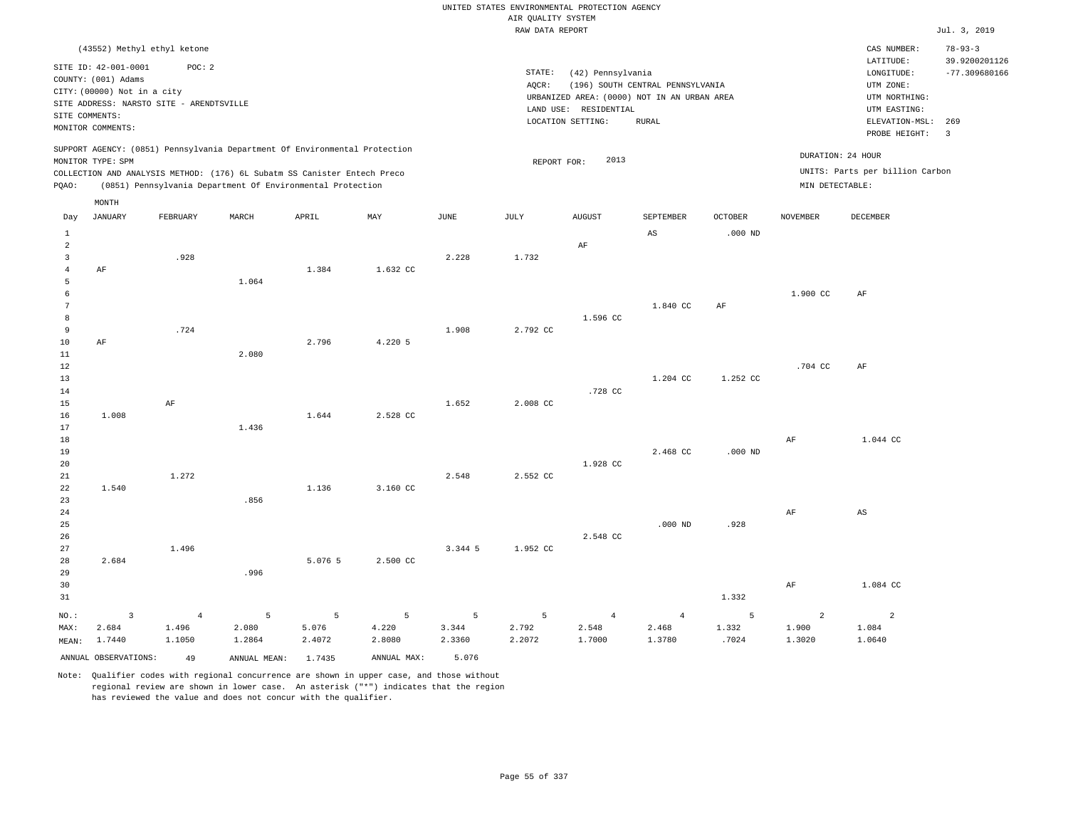|                                  |                                                                                                                                             |                                   |                                                                                                                                        |                      |                      |                      | UNITED STATES ENVIRONMENTAL PROTECTION AGENCY<br>AIR QUALITY SYSTEM |                                                                 |                                                                                                 |                     |                      |                                                                                                          |                                                           |
|----------------------------------|---------------------------------------------------------------------------------------------------------------------------------------------|-----------------------------------|----------------------------------------------------------------------------------------------------------------------------------------|----------------------|----------------------|----------------------|---------------------------------------------------------------------|-----------------------------------------------------------------|-------------------------------------------------------------------------------------------------|---------------------|----------------------|----------------------------------------------------------------------------------------------------------|-----------------------------------------------------------|
|                                  |                                                                                                                                             |                                   |                                                                                                                                        |                      |                      |                      | RAW DATA REPORT                                                     |                                                                 |                                                                                                 |                     |                      |                                                                                                          | Jul. 3, 2019                                              |
|                                  | (43552) Methyl ethyl ketone                                                                                                                 |                                   |                                                                                                                                        |                      |                      |                      |                                                                     |                                                                 |                                                                                                 |                     |                      | CAS NUMBER:                                                                                              | $78 - 93 - 3$                                             |
| SITE COMMENTS:                   | SITE ID: 42-001-0001<br>COUNTY: (001) Adams<br>CITY: (00000) Not in a city<br>SITE ADDRESS: NARSTO SITE - ARENDTSVILLE<br>MONITOR COMMENTS: | POC: 2                            |                                                                                                                                        |                      |                      |                      | $\texttt{STATE}{}:$<br>AQCR:                                        | (42) Pennsylvania<br>LAND USE: RESIDENTIAL<br>LOCATION SETTING: | (196) SOUTH CENTRAL PENNSYLVANIA<br>URBANIZED AREA: (0000) NOT IN AN URBAN AREA<br><b>RURAL</b> |                     |                      | LATITUDE:<br>LONGITUDE:<br>UTM ZONE:<br>UTM NORTHING:<br>UTM EASTING:<br>ELEVATION-MSL:<br>PROBE HEIGHT: | 39.9200201126<br>$-77.309680166$<br>269<br>$\overline{3}$ |
|                                  | MONITOR TYPE: SPM                                                                                                                           |                                   | SUPPORT AGENCY: (0851) Pennsylvania Department Of Environmental Protection                                                             |                      |                      |                      | REPORT FOR:                                                         | 2013                                                            |                                                                                                 |                     | DURATION: 24 HOUR    |                                                                                                          |                                                           |
| PQAO:                            |                                                                                                                                             |                                   | COLLECTION AND ANALYSIS METHOD: (176) 6L Subatm SS Canister Entech Preco<br>(0851) Pennsylvania Department Of Environmental Protection |                      |                      |                      |                                                                     |                                                                 |                                                                                                 |                     | MIN DETECTABLE:      | UNITS: Parts per billion Carbon                                                                          |                                                           |
|                                  | MONTH                                                                                                                                       |                                   |                                                                                                                                        |                      |                      |                      |                                                                     |                                                                 |                                                                                                 |                     |                      |                                                                                                          |                                                           |
| Day                              | <b>JANUARY</b>                                                                                                                              | FEBRUARY                          | MARCH                                                                                                                                  | APRIL                | MAY                  | <b>JUNE</b>          | JULY                                                                | <b>AUGUST</b>                                                   | SEPTEMBER                                                                                       | <b>OCTOBER</b>      | <b>NOVEMBER</b>      | <b>DECEMBER</b>                                                                                          |                                                           |
| $\mathbf{1}$<br>$\overline{a}$   |                                                                                                                                             |                                   |                                                                                                                                        |                      |                      |                      |                                                                     | AF                                                              | $\mathbb{A}\mathbb{S}$                                                                          | $.000$ ND           |                      |                                                                                                          |                                                           |
| $\overline{3}$<br>$\overline{4}$ | AF                                                                                                                                          | .928                              |                                                                                                                                        | 1.384                | 1.632 CC             | 2.228                | 1.732                                                               |                                                                 |                                                                                                 |                     |                      |                                                                                                          |                                                           |
| 5<br>6<br>$7\phantom{.0}$<br>8   |                                                                                                                                             |                                   | 1.064                                                                                                                                  |                      |                      |                      |                                                                     | 1.596 CC                                                        | 1,840 CC                                                                                        | AF                  | 1.900 CC             | AF                                                                                                       |                                                           |
| 9<br>$10$<br>11                  | AF                                                                                                                                          | .724                              | 2.080                                                                                                                                  | 2.796                | 4.220 5              | 1.908                | 2.792 CC                                                            |                                                                 |                                                                                                 |                     |                      |                                                                                                          |                                                           |
| 12<br>13<br>14                   |                                                                                                                                             |                                   |                                                                                                                                        |                      |                      |                      |                                                                     | .728 CC                                                         | 1.204 CC                                                                                        | 1.252 CC            | .704 CC              | AF                                                                                                       |                                                           |
| 15<br>16<br>17                   | 1.008                                                                                                                                       | AF                                | 1.436                                                                                                                                  | 1.644                | 2.528 CC             | 1.652                | 2.008 CC                                                            |                                                                 |                                                                                                 |                     |                      |                                                                                                          |                                                           |
| 18<br>19<br>20                   |                                                                                                                                             |                                   |                                                                                                                                        |                      |                      |                      |                                                                     | 1.928 CC                                                        | 2.468 CC                                                                                        | $.000$ ND           | $\rm{AF}$            | 1.044 CC                                                                                                 |                                                           |
| 21<br>$2\sqrt{2}$<br>23<br>24    | 1.540                                                                                                                                       | 1.272                             | .856                                                                                                                                   | 1.136                | 3.160 CC             | 2.548                | 2.552 CC                                                            |                                                                 |                                                                                                 |                     | $\rm{AF}$            | $_{\rm AS}$                                                                                              |                                                           |
| 25<br>26<br>27                   |                                                                                                                                             | 1.496                             |                                                                                                                                        |                      |                      | 3.344 5              | 1.952 CC                                                            | 2.548 CC                                                        | $.000$ ND                                                                                       | .928                |                      |                                                                                                          |                                                           |
| 28<br>29                         | 2.684                                                                                                                                       |                                   | .996                                                                                                                                   | 5.076 5              | 2.500 CC             |                      |                                                                     |                                                                 |                                                                                                 |                     |                      |                                                                                                          |                                                           |
| 30<br>31                         |                                                                                                                                             |                                   |                                                                                                                                        |                      |                      |                      |                                                                     |                                                                 |                                                                                                 | 1.332               | AF                   | 1.084 CC                                                                                                 |                                                           |
| NO.:<br>MAX:<br>MEAN:            | $\overline{\mathbf{3}}$<br>2.684<br>1.7440                                                                                                  | $\overline{4}$<br>1.496<br>1.1050 | 5<br>2.080<br>1.2864                                                                                                                   | 5<br>5.076<br>2.4072 | 5<br>4.220<br>2.8080 | 5<br>3.344<br>2.3360 | 5<br>2.792<br>2.2072                                                | $\overline{4}$<br>2.548<br>1.7000                               | $\overline{4}$<br>2.468<br>1.3780                                                               | 5<br>1.332<br>.7024 | 2<br>1.900<br>1.3020 | $\overline{a}$<br>1.084<br>1.0640                                                                        |                                                           |
|                                  | ANNUAL OBSERVATIONS:                                                                                                                        | 49                                | ANNUAL MEAN:                                                                                                                           | 1.7435               | ANNUAL MAX:          | 5.076                |                                                                     |                                                                 |                                                                                                 |                     |                      |                                                                                                          |                                                           |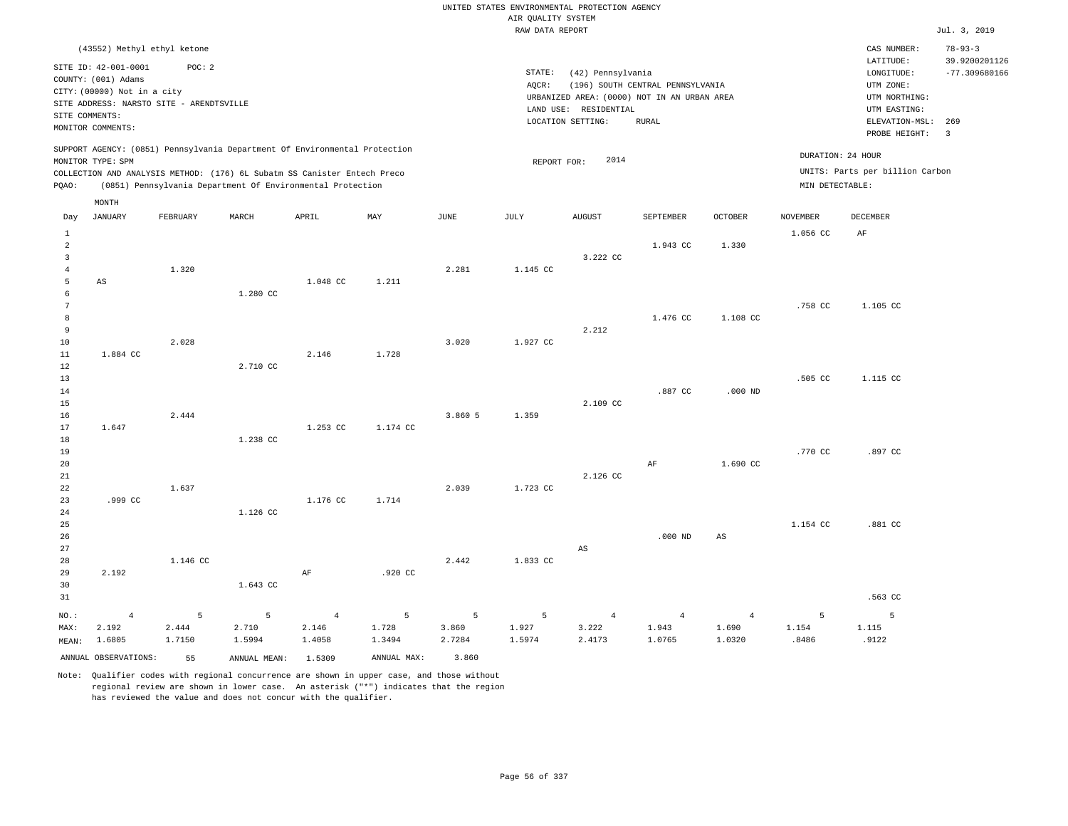|                                                     |                                                                                                                                                                                              |                      |                                                                                                                                        |                                   |                      |                      |                      | UNITED STATES ENVIRONMENTAL PROTECTION AGENCY                                                                  |                                                  |                                   |                     |                                                                                                                         |                                                                            |
|-----------------------------------------------------|----------------------------------------------------------------------------------------------------------------------------------------------------------------------------------------------|----------------------|----------------------------------------------------------------------------------------------------------------------------------------|-----------------------------------|----------------------|----------------------|----------------------|----------------------------------------------------------------------------------------------------------------|--------------------------------------------------|-----------------------------------|---------------------|-------------------------------------------------------------------------------------------------------------------------|----------------------------------------------------------------------------|
|                                                     |                                                                                                                                                                                              |                      |                                                                                                                                        |                                   |                      |                      | AIR QUALITY SYSTEM   |                                                                                                                |                                                  |                                   |                     |                                                                                                                         |                                                                            |
|                                                     |                                                                                                                                                                                              |                      |                                                                                                                                        |                                   |                      |                      | RAW DATA REPORT      |                                                                                                                |                                                  |                                   |                     |                                                                                                                         | Jul. 3, 2019                                                               |
|                                                     | (43552) Methyl ethyl ketone<br>SITE ID: 42-001-0001<br>COUNTY: (001) Adams<br>CITY: (00000) Not in a city<br>SITE ADDRESS: NARSTO SITE - ARENDTSVILLE<br>SITE COMMENTS:<br>MONITOR COMMENTS: | POC: 2               |                                                                                                                                        |                                   |                      |                      | STATE:<br>AQCR:      | (42) Pennsylvania<br>URBANIZED AREA: (0000) NOT IN AN URBAN AREA<br>LAND USE: RESIDENTIAL<br>LOCATION SETTING: | (196) SOUTH CENTRAL PENNSYLVANIA<br><b>RURAL</b> |                                   |                     | CAS NUMBER:<br>LATITUDE:<br>LONGITUDE:<br>UTM ZONE:<br>UTM NORTHING:<br>UTM EASTING:<br>ELEVATION-MSL:<br>PROBE HEIGHT: | $78 - 93 - 3$<br>39.9200201126<br>$-77.309680166$<br>269<br>$\overline{3}$ |
|                                                     |                                                                                                                                                                                              |                      | SUPPORT AGENCY: (0851) Pennsylvania Department Of Environmental Protection                                                             |                                   |                      |                      |                      |                                                                                                                |                                                  |                                   | DURATION: 24 HOUR   |                                                                                                                         |                                                                            |
| PQAO:                                               | MONITOR TYPE: SPM                                                                                                                                                                            |                      | COLLECTION AND ANALYSIS METHOD: (176) 6L Subatm SS Canister Entech Preco<br>(0851) Pennsylvania Department Of Environmental Protection |                                   |                      |                      | REPORT FOR:          | 2014                                                                                                           |                                                  |                                   | MIN DETECTABLE:     | UNITS: Parts per billion Carbon                                                                                         |                                                                            |
| Day                                                 | MONTH<br><b>JANUARY</b>                                                                                                                                                                      | FEBRUARY             | MARCH                                                                                                                                  | APRIL                             | MAY                  | JUNE                 | JULY                 | AUGUST                                                                                                         | SEPTEMBER                                        | OCTOBER                           | <b>NOVEMBER</b>     | <b>DECEMBER</b>                                                                                                         |                                                                            |
| 1<br>$\overline{2}$                                 |                                                                                                                                                                                              |                      |                                                                                                                                        |                                   |                      |                      |                      |                                                                                                                | 1.943 CC                                         | 1.330                             | 1.056 CC            | AF                                                                                                                      |                                                                            |
| $\overline{\mathbf{3}}$<br>$\overline{4}$<br>5<br>6 | AS                                                                                                                                                                                           | 1.320                | 1.280 CC                                                                                                                               | 1.048 CC                          | 1.211                | 2.281                | 1.145 CC             | 3.222 CC                                                                                                       |                                                  |                                   |                     |                                                                                                                         |                                                                            |
| $7\phantom{.0}$<br>8<br>9<br>10                     |                                                                                                                                                                                              | 2.028                |                                                                                                                                        |                                   |                      | 3.020                | 1.927 CC             | 2.212                                                                                                          | 1.476 CC                                         | 1,108 CC                          | .758 CC             | 1.105 CC                                                                                                                |                                                                            |
| $1\,1$<br>12<br>13<br>14                            | 1.884 CC                                                                                                                                                                                     |                      | 2.710 CC                                                                                                                               | 2.146                             | 1.728                |                      |                      |                                                                                                                | .887 CC                                          | $.000$ ND                         | .505 CC             | 1.115 CC                                                                                                                |                                                                            |
| 15<br>16<br>17<br>18                                | 1.647                                                                                                                                                                                        | 2.444                | 1.238 CC                                                                                                                               | 1.253 CC                          | 1.174 CC             | 3.860 5              | 1.359                | 2.109 CC                                                                                                       |                                                  |                                   |                     |                                                                                                                         |                                                                            |
| 19<br>20<br>21<br>22                                |                                                                                                                                                                                              | 1.637                |                                                                                                                                        |                                   |                      | 2.039                | 1.723 CC             | 2.126 CC                                                                                                       | $\rm AF$                                         | 1.690 CC                          | .770 CC             | .897 CC                                                                                                                 |                                                                            |
| 23<br>24<br>25                                      | .999 CC                                                                                                                                                                                      |                      | 1.126 CC                                                                                                                               | 1.176 CC                          | 1.714                |                      |                      |                                                                                                                |                                                  |                                   | 1.154 CC            | .881 CC                                                                                                                 |                                                                            |
| 26<br>27<br>28<br>29<br>30                          | 2.192                                                                                                                                                                                        | 1.146 CC             | 1.643 CC                                                                                                                               | AF                                | .920 CC              | 2.442                | 1.833 CC             | AS                                                                                                             | $.000$ ND                                        | $\mathbb{A}\mathbb{S}$            |                     |                                                                                                                         |                                                                            |
| 31                                                  |                                                                                                                                                                                              |                      |                                                                                                                                        |                                   |                      |                      |                      |                                                                                                                |                                                  |                                   |                     | .563 CC                                                                                                                 |                                                                            |
| NO.:<br>MAX:<br>MEAN:                               | $\overline{4}$<br>2.192<br>1.6805                                                                                                                                                            | 5<br>2.444<br>1.7150 | 5<br>2.710<br>1.5994                                                                                                                   | $\overline{4}$<br>2.146<br>1.4058 | 5<br>1.728<br>1.3494 | 5<br>3.860<br>2.7284 | 5<br>1.927<br>1.5974 | $\overline{4}$<br>3.222<br>2.4173                                                                              | $\overline{4}$<br>1.943<br>1.0765                | $\overline{4}$<br>1.690<br>1.0320 | 5<br>1.154<br>.8486 | $\overline{5}$<br>1.115<br>.9122                                                                                        |                                                                            |
|                                                     | ANNUAL OBSERVATIONS:                                                                                                                                                                         | 55                   | ANNUAL MEAN: 1.5309                                                                                                                    |                                   | ANNUAL MAX:          | 3.860                |                      |                                                                                                                |                                                  |                                   |                     |                                                                                                                         |                                                                            |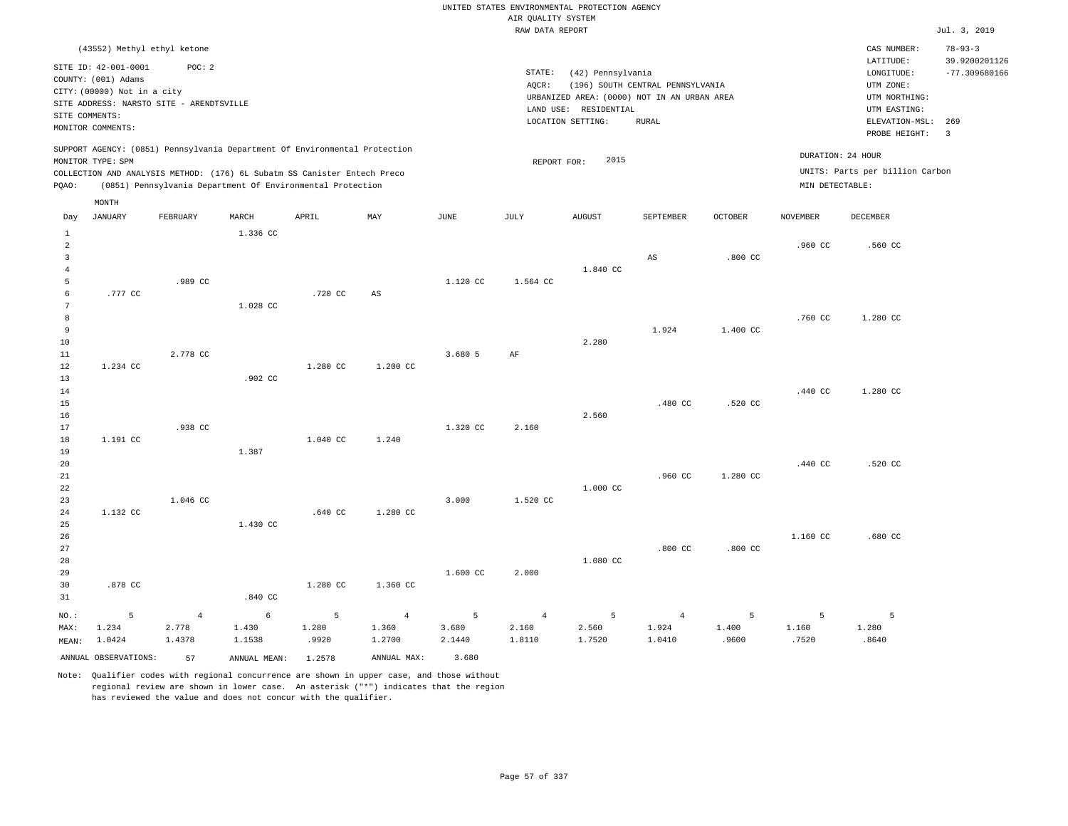RAW DATA REPORT Jul. 3, 2019 UNITED STATES ENVIRONMENTAL PROTECTION AGENCY AIR QUALITY SYSTEM (43552) Methyl ethyl ketone STATE: (42) Pennsylvania CAS NUMBER: 78-93-3 SITE ID: 42-001-0001 POC: 2 AQCR: (196) SOUTH CENTRAL PENNSYLVANIA COUNTY: (001) Adams CITY: (00000) Not in a city LONGITUDE: -77.309680166 LATITUDE: 39.9200201126 LOCATION SETTING: RURAL SITE ADDRESS: NARSTO SITE - ARENDTSVILLE LAND USE: RESIDENTIAL SITE COMMENTS: MONITOR COMMENTS: PROBE HEIGHT: 3 ELEVATION-MSL: 269 URBANIZED AREA: (0000) NOT IN AN URBAN AREA **URBAN SERIA UTM NORTHING**: UTM EASTING: UTM ZONE: SUPPORT AGENCY: (0851) Pennsylvania Department Of Environmental Protection MONITOR TYPE: SPM COLLECTION AND ANALYSIS METHOD: (176) 6L Subatm SS Canister Entech Preco REPORT FOR: 2015 UNITS: Parts per billion Carbon PQAO: (0851) Pennsylvania Department Of Environmental Protection MIN DETECTABLE: DURATION: 24 HOUR 1 2 3 4 5 6 7 8 9 10 11 12 13 14 15 16 17 18 19  $20$ 21 22 23 24 25 26 27 28 29 30 31 .777 CC 1.234 CC 1.191 CC 1.132 CC .878 CC NO.: MAX: MEAN: 5 1.234 1.0424 .989 CC 2.778 CC .938 CC 1.046 CC 1.336 CC 1.028 CC .902 CC 1.387 1.430 CC .840 CC .720 CC 1.280 CC 1.040 CC .640 CC 1.280 CC AS 1.200 CC 1.240 1.280 CC 1.360 CC 1.120 CC 3.680 5 1.320 CC 3.000 1.600 CC 1.564 CC AF 2.160 1.520 CC 2.000 1.840 CC 2.280 2.560 1.000 CC 1.080 CC AS 1.924 .480 CC .960 CC .800 CC .800 CC 1.400 CC .520 CC 1.280 CC .800 CC .960 CC .760 CC .440 CC .440 CC 1.160 CC .560 CC 1.280 CC 1.280 CC .520 CC .680 CC 4 2.778 1.4378 6 1.430 1.1538 5 1.280 .9920 4 1.360 1.2700 5 3.680 2.1440 4 2.160 1.8110 5 2.560 1.7520 4 1.924 1.0410 5 1.400 .9600 5 1.160 .7520 5 1.280 .8640 ANNUAL OBSERVATIONS: 57 ANNUAL MEAN: 1.2578 ANNUAL MAX: 3.680 Day JANUARY FEBRUARY MARCH APRIL MAY JUNE JULY AUGUST SEPTEMBER OCTOBER NOVEMBER DECEMBER MONTH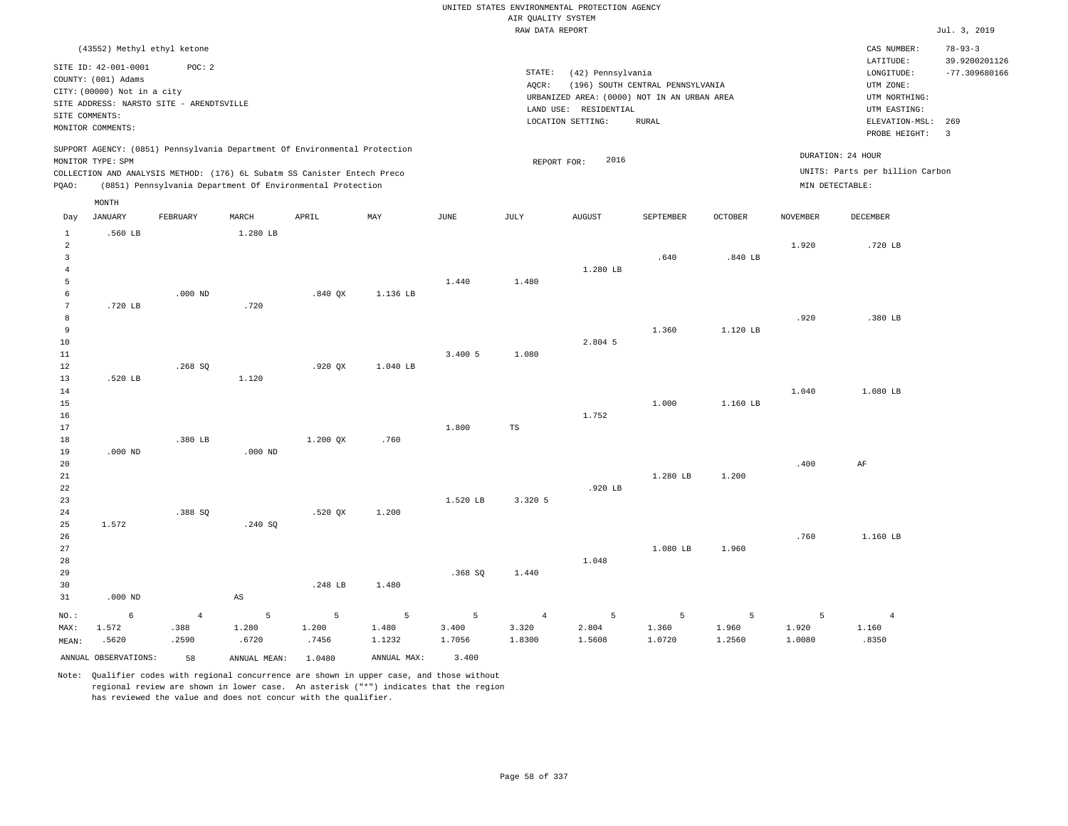|                                                                            |                                                                                                                                                                                              |                                 |                                                                                                                                                        |                     |                      |                        |                                   | UNITED STATES ENVIRONMENTAL PROTECTION AGENCY                                                                  |                                           |                      |                      |                                                                                                                         |                                                                            |
|----------------------------------------------------------------------------|----------------------------------------------------------------------------------------------------------------------------------------------------------------------------------------------|---------------------------------|--------------------------------------------------------------------------------------------------------------------------------------------------------|---------------------|----------------------|------------------------|-----------------------------------|----------------------------------------------------------------------------------------------------------------|-------------------------------------------|----------------------|----------------------|-------------------------------------------------------------------------------------------------------------------------|----------------------------------------------------------------------------|
|                                                                            |                                                                                                                                                                                              |                                 |                                                                                                                                                        |                     |                      |                        | AIR QUALITY SYSTEM                |                                                                                                                |                                           |                      |                      |                                                                                                                         |                                                                            |
|                                                                            |                                                                                                                                                                                              |                                 |                                                                                                                                                        |                     |                      |                        | RAW DATA REPORT                   |                                                                                                                |                                           |                      |                      |                                                                                                                         | Jul. 3, 2019                                                               |
|                                                                            | (43552) Methyl ethyl ketone<br>SITE ID: 42-001-0001<br>COUNTY: (001) Adams<br>CITY: (00000) Not in a city<br>SITE ADDRESS: NARSTO SITE - ARENDTSVILLE<br>SITE COMMENTS:<br>MONITOR COMMENTS: | POC: 2                          |                                                                                                                                                        |                     |                      |                        | STATE:<br>AQCR:                   | (42) Pennsylvania<br>URBANIZED AREA: (0000) NOT IN AN URBAN AREA<br>LAND USE: RESIDENTIAL<br>LOCATION SETTING: | (196) SOUTH CENTRAL PENNSYLVANIA<br>RURAL |                      |                      | CAS NUMBER:<br>LATITUDE:<br>LONGITUDE:<br>UTM ZONE:<br>UTM NORTHING:<br>UTM EASTING:<br>ELEVATION-MSL:<br>PROBE HEIGHT: | $78 - 93 - 3$<br>39.9200201126<br>$-77.309680166$<br>269<br>$\overline{3}$ |
|                                                                            | MONITOR TYPE: SPM                                                                                                                                                                            |                                 | SUPPORT AGENCY: (0851) Pennsylvania Department Of Environmental Protection<br>COLLECTION AND ANALYSIS METHOD: (176) 6L Subatm SS Canister Entech Preco |                     |                      |                        | REPORT FOR:                       | 2016                                                                                                           |                                           |                      | MIN DETECTABLE:      | DURATION: 24 HOUR<br>UNITS: Parts per billion Carbon                                                                    |                                                                            |
| PQAO:                                                                      |                                                                                                                                                                                              |                                 | (0851) Pennsylvania Department Of Environmental Protection                                                                                             |                     |                      |                        |                                   |                                                                                                                |                                           |                      |                      |                                                                                                                         |                                                                            |
| Day                                                                        | MONTH<br><b>JANUARY</b>                                                                                                                                                                      | FEBRUARY                        | MARCH                                                                                                                                                  | APRIL               | MAY                  | $_{\rm JUNE}$          | JULY                              | ${\tt AUGUST}$                                                                                                 | SEPTEMBER                                 | OCTOBER              | <b>NOVEMBER</b>      | DECEMBER                                                                                                                |                                                                            |
| 1<br>2<br>$\overline{\mathbf{3}}$<br>$\overline{4}$<br>$\overline{5}$<br>6 | .560 LB                                                                                                                                                                                      | $.000$ ND                       | 1.280 LB                                                                                                                                               | $.840$ QX           | 1.136 LB             | 1.440                  | 1.480                             | 1.280 LB                                                                                                       | .640                                      | .840 LB              | 1.920                | .720 LB                                                                                                                 |                                                                            |
| $7\phantom{.0}$<br>8<br>9<br>10<br>11<br>$1\,2$                            | .720 LB                                                                                                                                                                                      | .268SQ                          | .720                                                                                                                                                   | .920 QX             | 1.040 LB             | 3.400 5                | 1.080                             | 2.804 5                                                                                                        | 1.360                                     | 1.120 LB             | .920                 | .380 LB                                                                                                                 |                                                                            |
| 13<br>14<br>15<br>16<br>17<br>18                                           | .520 LB                                                                                                                                                                                      | .380 LB                         | 1.120                                                                                                                                                  | 1.200 OX            | .760                 | 1.800                  | TS                                | 1.752                                                                                                          | 1.000                                     | 1.160 LB             | 1.040                | 1.080 LB                                                                                                                |                                                                            |
| 19<br>20<br>$2\sqrt{1}$<br>22<br>23<br>24                                  | $.000$ ND                                                                                                                                                                                    | .388 SO                         | $.000$ ND                                                                                                                                              | .520 OX             | 1.200                | 1.520 LB               | 3.320 5                           | .920 LB                                                                                                        | 1.280 LB                                  | 1.200                | .400                 | AF                                                                                                                      |                                                                            |
| 25<br>26<br>27<br>28<br>29<br>30<br>31                                     | 1.572<br>$.000$ ND                                                                                                                                                                           |                                 | .240 SQ<br>AS                                                                                                                                          | .248 LB             | 1.480                | .368SQ                 | 1.440                             | 1.048                                                                                                          | 1.080 LB                                  | 1.960                | .760                 | 1.160 LB                                                                                                                |                                                                            |
| $NO.$ :<br>MAX:<br>MEAN:                                                   | 6<br>1.572<br>.5620                                                                                                                                                                          | $\overline{4}$<br>.388<br>.2590 | 5<br>1.280<br>.6720                                                                                                                                    | 5<br>1.200<br>.7456 | 5<br>1.480<br>1.1232 | - 5<br>3.400<br>1.7056 | $\overline{4}$<br>3.320<br>1.8300 | 5<br>2.804<br>1.5608                                                                                           | 5<br>1.360<br>1.0720                      | 5<br>1.960<br>1.2560 | 5<br>1.920<br>1.0080 | $\overline{4}$<br>1.160<br>.8350                                                                                        |                                                                            |
|                                                                            | ANNUAL OBSERVATIONS:                                                                                                                                                                         | 58                              | ANNUAL MEAN:                                                                                                                                           | 1.0480              | ANNUAL MAX:          | 3.400                  |                                   |                                                                                                                |                                           |                      |                      |                                                                                                                         |                                                                            |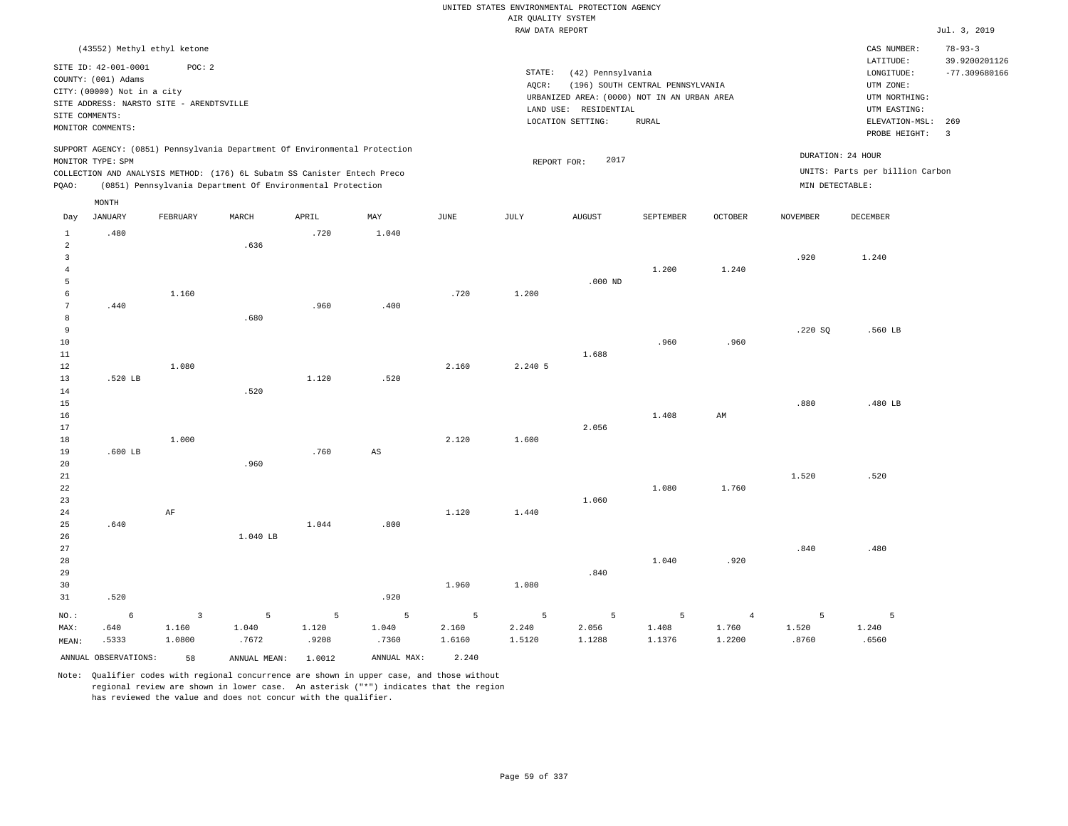|                         |                                          |                         |                                                                            |            |             |            |                    | UNITED STATES ENVIRONMENTAL PROTECTION AGENCY |                                  |                         |                 |                                 |                         |
|-------------------------|------------------------------------------|-------------------------|----------------------------------------------------------------------------|------------|-------------|------------|--------------------|-----------------------------------------------|----------------------------------|-------------------------|-----------------|---------------------------------|-------------------------|
|                         |                                          |                         |                                                                            |            |             |            | AIR QUALITY SYSTEM |                                               |                                  |                         |                 |                                 |                         |
|                         |                                          |                         |                                                                            |            |             |            | RAW DATA REPORT    |                                               |                                  |                         |                 |                                 | Jul. 3, 2019            |
|                         | (43552) Methyl ethyl ketone              |                         |                                                                            |            |             |            |                    |                                               |                                  |                         |                 | CAS NUMBER:                     | $78 - 93 - 3$           |
|                         | SITE ID: 42-001-0001                     | POC: 2                  |                                                                            |            |             |            |                    |                                               |                                  |                         |                 | LATITUDE:                       | 39.9200201126           |
|                         | COUNTY: (001) Adams                      |                         |                                                                            |            |             |            | STATE:<br>AQCR:    | (42) Pennsylvania                             | (196) SOUTH CENTRAL PENNSYLVANIA |                         |                 | LONGITUDE:<br>UTM ZONE:         | $-77.309680166$         |
|                         | CITY: (00000) Not in a city              |                         |                                                                            |            |             |            |                    | URBANIZED AREA: (0000) NOT IN AN URBAN AREA   |                                  |                         |                 | UTM NORTHING:                   |                         |
|                         | SITE ADDRESS: NARSTO SITE - ARENDTSVILLE |                         |                                                                            |            |             |            |                    | LAND USE: RESIDENTIAL                         |                                  |                         |                 | UTM EASTING:                    |                         |
| SITE COMMENTS:          |                                          |                         |                                                                            |            |             |            |                    | LOCATION SETTING:                             | RURAL                            |                         |                 | ELEVATION-MSL: 269              |                         |
|                         | MONITOR COMMENTS:                        |                         |                                                                            |            |             |            |                    |                                               |                                  |                         |                 | PROBE HEIGHT:                   | $\overline{\mathbf{3}}$ |
|                         |                                          |                         | SUPPORT AGENCY: (0851) Pennsylvania Department Of Environmental Protection |            |             |            |                    |                                               |                                  |                         |                 | DURATION: 24 HOUR               |                         |
|                         | MONITOR TYPE: SPM                        |                         |                                                                            |            |             |            | REPORT FOR:        | 2017                                          |                                  |                         |                 |                                 |                         |
|                         |                                          |                         | COLLECTION AND ANALYSIS METHOD: (176) 6L Subatm SS Canister Entech Preco   |            |             |            |                    |                                               |                                  |                         |                 | UNITS: Parts per billion Carbon |                         |
| PQAO:                   |                                          |                         | (0851) Pennsylvania Department Of Environmental Protection                 |            |             |            |                    |                                               |                                  |                         | MIN DETECTABLE: |                                 |                         |
|                         | $\texttt{MONTH}$                         |                         |                                                                            |            |             |            |                    |                                               |                                  |                         |                 |                                 |                         |
| Day                     | <b>JANUARY</b>                           | FEBRUARY                | MARCH                                                                      | APRIL      | MAY         | JUNE       | JULY               | ${\tt AUGUST}$                                | SEPTEMBER                        | OCTOBER                 | <b>NOVEMBER</b> | DECEMBER                        |                         |
| $\mathbf{1}$            | .480                                     |                         |                                                                            | .720       | 1.040       |            |                    |                                               |                                  |                         |                 |                                 |                         |
| $\overline{a}$          |                                          |                         | .636                                                                       |            |             |            |                    |                                               |                                  |                         |                 |                                 |                         |
| $\overline{3}$<br>$\,4$ |                                          |                         |                                                                            |            |             |            |                    |                                               | 1.200                            | 1.240                   | .920            | 1.240                           |                         |
| 5                       |                                          |                         |                                                                            |            |             |            |                    | $.000$ ND                                     |                                  |                         |                 |                                 |                         |
| 6                       |                                          | 1.160                   |                                                                            |            |             | .720       | 1.200              |                                               |                                  |                         |                 |                                 |                         |
| $\boldsymbol{7}$        | .440                                     |                         |                                                                            | .960       | .400        |            |                    |                                               |                                  |                         |                 |                                 |                         |
| 8                       |                                          |                         | .680                                                                       |            |             |            |                    |                                               |                                  |                         |                 |                                 |                         |
| 9                       |                                          |                         |                                                                            |            |             |            |                    |                                               |                                  |                         | .220S           | .560 LB                         |                         |
| 10                      |                                          |                         |                                                                            |            |             |            |                    |                                               | .960                             | .960                    |                 |                                 |                         |
| 11                      |                                          |                         |                                                                            |            |             |            |                    | 1.688                                         |                                  |                         |                 |                                 |                         |
| 12<br>13                | .520 LB                                  | 1.080                   |                                                                            | 1.120      | .520        | 2.160      | 2.240 5            |                                               |                                  |                         |                 |                                 |                         |
| 14                      |                                          |                         | .520                                                                       |            |             |            |                    |                                               |                                  |                         |                 |                                 |                         |
| 15                      |                                          |                         |                                                                            |            |             |            |                    |                                               |                                  |                         | .880            | .480 LB                         |                         |
| 16                      |                                          |                         |                                                                            |            |             |            |                    |                                               | 1.408                            | AM                      |                 |                                 |                         |
| 17                      |                                          |                         |                                                                            |            |             |            |                    | 2.056                                         |                                  |                         |                 |                                 |                         |
| 18                      |                                          | 1.000                   |                                                                            |            |             | 2.120      | 1.600              |                                               |                                  |                         |                 |                                 |                         |
| 19                      | $.600$ LB                                |                         |                                                                            | .760       | AS          |            |                    |                                               |                                  |                         |                 |                                 |                         |
| 20<br>21                |                                          |                         | .960                                                                       |            |             |            |                    |                                               |                                  |                         | 1.520           | .520                            |                         |
| 22                      |                                          |                         |                                                                            |            |             |            |                    |                                               | 1.080                            | 1.760                   |                 |                                 |                         |
| 23                      |                                          |                         |                                                                            |            |             |            |                    | 1.060                                         |                                  |                         |                 |                                 |                         |
| 24                      |                                          | AF                      |                                                                            |            |             | 1.120      | 1.440              |                                               |                                  |                         |                 |                                 |                         |
| 25                      | .640                                     |                         |                                                                            | 1.044      | .800        |            |                    |                                               |                                  |                         |                 |                                 |                         |
| 26                      |                                          |                         | 1.040 LB                                                                   |            |             |            |                    |                                               |                                  |                         |                 |                                 |                         |
| 27                      |                                          |                         |                                                                            |            |             |            |                    |                                               |                                  |                         | .840            | .480                            |                         |
| 28                      |                                          |                         |                                                                            |            |             |            |                    | .840                                          | 1.040                            | .920                    |                 |                                 |                         |
| 29<br>30                |                                          |                         |                                                                            |            |             | 1.960      | 1.080              |                                               |                                  |                         |                 |                                 |                         |
| 31                      | .520                                     |                         |                                                                            |            | .920        |            |                    |                                               |                                  |                         |                 |                                 |                         |
|                         |                                          |                         |                                                                            |            |             |            |                    |                                               |                                  |                         |                 |                                 |                         |
| NO.:<br>MAX:            | 6<br>.640                                | $\overline{3}$<br>1.160 | 5<br>1.040                                                                 | 5<br>1.120 | 5<br>1.040  | 5<br>2.160 | 5<br>2.240         | 5<br>2.056                                    | 5<br>1.408                       | $\overline{4}$<br>1.760 | 5<br>1.520      | $\overline{5}$<br>1.240         |                         |
| MEAN:                   | .5333                                    | 1.0800                  | .7672                                                                      | .9208      | .7360       | 1.6160     | 1.5120             | 1.1288                                        | 1.1376                           | 1.2200                  | .8760           | .6560                           |                         |
|                         |                                          |                         |                                                                            |            |             |            |                    |                                               |                                  |                         |                 |                                 |                         |
|                         | ANNUAL OBSERVATIONS:                     | 58                      | ANNUAL MEAN: 1.0012                                                        |            | ANNUAL MAX: | 2.240      |                    |                                               |                                  |                         |                 |                                 |                         |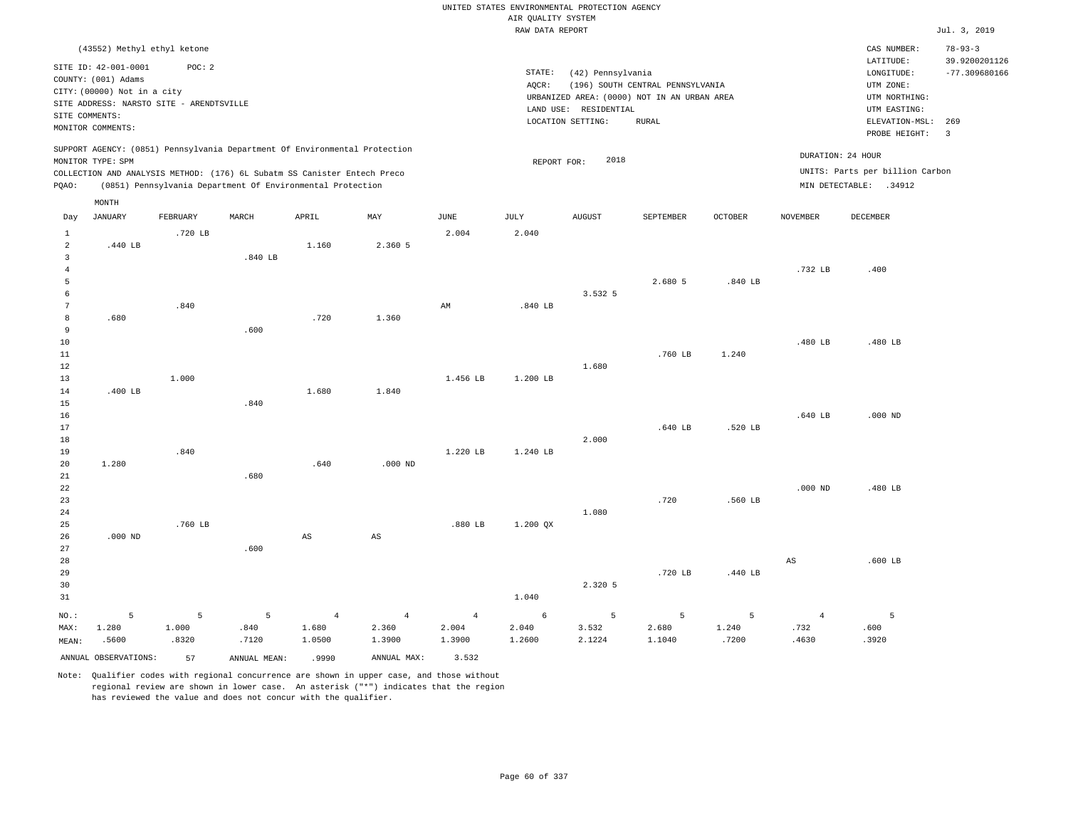|                                |                                                                                                                                             |          |                                                                                                                                        |                        |                |                | UNITED STATES ENVIRONMENTAL PROTECTION AGENCY<br>AIR QUALITY SYSTEM |                                                                 |                                                                                                 |                |                   |                                                                            |                                |
|--------------------------------|---------------------------------------------------------------------------------------------------------------------------------------------|----------|----------------------------------------------------------------------------------------------------------------------------------------|------------------------|----------------|----------------|---------------------------------------------------------------------|-----------------------------------------------------------------|-------------------------------------------------------------------------------------------------|----------------|-------------------|----------------------------------------------------------------------------|--------------------------------|
|                                |                                                                                                                                             |          |                                                                                                                                        |                        |                |                | RAW DATA REPORT                                                     |                                                                 |                                                                                                 |                |                   |                                                                            | Jul. 3, 2019                   |
|                                | (43552) Methyl ethyl ketone                                                                                                                 |          |                                                                                                                                        |                        |                |                |                                                                     |                                                                 |                                                                                                 |                |                   | CAS NUMBER:<br>LATITUDE:                                                   | $78 - 93 - 3$<br>39.9200201126 |
| SITE COMMENTS:                 | SITE ID: 42-001-0001<br>COUNTY: (001) Adams<br>CITY: (00000) Not in a city<br>SITE ADDRESS: NARSTO SITE - ARENDTSVILLE<br>MONITOR COMMENTS: | POC: 2   |                                                                                                                                        |                        |                |                | STATE:<br>AQCR:                                                     | (42) Pennsylvania<br>LAND USE: RESIDENTIAL<br>LOCATION SETTING: | (196) SOUTH CENTRAL PENNSYLVANIA<br>URBANIZED AREA: (0000) NOT IN AN URBAN AREA<br><b>RURAL</b> |                |                   | LONGITUDE:<br>UTM ZONE:<br>UTM NORTHING:<br>UTM EASTING:<br>ELEVATION-MSL: | $-77.309680166$<br>269         |
|                                |                                                                                                                                             |          | SUPPORT AGENCY: (0851) Pennsylvania Department Of Environmental Protection                                                             |                        |                |                |                                                                     |                                                                 |                                                                                                 |                |                   | PROBE HEIGHT:                                                              | $\overline{3}$                 |
|                                | MONITOR TYPE: SPM                                                                                                                           |          |                                                                                                                                        |                        |                |                | REPORT FOR:                                                         | 2018                                                            |                                                                                                 |                | DURATION: 24 HOUR |                                                                            |                                |
| PQAO:                          |                                                                                                                                             |          | COLLECTION AND ANALYSIS METHOD: (176) 6L Subatm SS Canister Entech Preco<br>(0851) Pennsylvania Department Of Environmental Protection |                        |                |                |                                                                     |                                                                 |                                                                                                 |                |                   | UNITS: Parts per billion Carbon<br>MIN DETECTABLE: .34912                  |                                |
|                                | MONTH                                                                                                                                       |          |                                                                                                                                        |                        |                |                |                                                                     |                                                                 |                                                                                                 |                |                   |                                                                            |                                |
| Day                            | <b>JANUARY</b>                                                                                                                              | FEBRUARY | MARCH                                                                                                                                  | APRIL                  | MAY            | <b>JUNE</b>    | JULY                                                                | <b>AUGUST</b>                                                   | SEPTEMBER                                                                                       | <b>OCTOBER</b> | <b>NOVEMBER</b>   | DECEMBER                                                                   |                                |
| $\mathbf{1}$<br>$\overline{a}$ | .440 LB                                                                                                                                     | .720 LB  |                                                                                                                                        | 1.160                  | 2.360 5        | 2.004          | 2.040                                                               |                                                                 |                                                                                                 |                |                   |                                                                            |                                |
| $\overline{3}$                 |                                                                                                                                             |          | .840 LB                                                                                                                                |                        |                |                |                                                                     |                                                                 |                                                                                                 |                |                   |                                                                            |                                |
| $\overline{4}$                 |                                                                                                                                             |          |                                                                                                                                        |                        |                |                |                                                                     |                                                                 |                                                                                                 |                | .732 LB           | .400                                                                       |                                |
| 5                              |                                                                                                                                             |          |                                                                                                                                        |                        |                |                |                                                                     |                                                                 | 2.680 5                                                                                         | .840 LB        |                   |                                                                            |                                |
| 6                              |                                                                                                                                             |          |                                                                                                                                        |                        |                |                |                                                                     | 3.532 5                                                         |                                                                                                 |                |                   |                                                                            |                                |
| $7\phantom{.0}$<br>$^{\rm 8}$  | .680                                                                                                                                        | .840     |                                                                                                                                        | .720                   | 1.360          | AM             | .840 LB                                                             |                                                                 |                                                                                                 |                |                   |                                                                            |                                |
| 9                              |                                                                                                                                             |          | .600                                                                                                                                   |                        |                |                |                                                                     |                                                                 |                                                                                                 |                |                   |                                                                            |                                |
| 10                             |                                                                                                                                             |          |                                                                                                                                        |                        |                |                |                                                                     |                                                                 |                                                                                                 |                | .480 LB           | .480 LB                                                                    |                                |
| 11                             |                                                                                                                                             |          |                                                                                                                                        |                        |                |                |                                                                     |                                                                 | .760 LB                                                                                         | 1.240          |                   |                                                                            |                                |
| 12                             |                                                                                                                                             |          |                                                                                                                                        |                        |                |                |                                                                     | 1.680                                                           |                                                                                                 |                |                   |                                                                            |                                |
| 13                             |                                                                                                                                             | 1.000    |                                                                                                                                        |                        |                | 1.456 LB       | 1.200 LB                                                            |                                                                 |                                                                                                 |                |                   |                                                                            |                                |
| 14                             | .400 LB                                                                                                                                     |          |                                                                                                                                        | 1.680                  | 1.840          |                |                                                                     |                                                                 |                                                                                                 |                |                   |                                                                            |                                |
| 15                             |                                                                                                                                             |          | .840                                                                                                                                   |                        |                |                |                                                                     |                                                                 |                                                                                                 |                |                   |                                                                            |                                |
| 16<br>17                       |                                                                                                                                             |          |                                                                                                                                        |                        |                |                |                                                                     |                                                                 | .640 LB                                                                                         | .520 LB        | .640 LB           | $.000$ ND                                                                  |                                |
| 18                             |                                                                                                                                             |          |                                                                                                                                        |                        |                |                |                                                                     | 2.000                                                           |                                                                                                 |                |                   |                                                                            |                                |
| 19                             |                                                                                                                                             | .840     |                                                                                                                                        |                        |                | 1.220 LB       | 1.240 LB                                                            |                                                                 |                                                                                                 |                |                   |                                                                            |                                |
| 20                             | 1.280                                                                                                                                       |          |                                                                                                                                        | .640                   | $.000$ ND      |                |                                                                     |                                                                 |                                                                                                 |                |                   |                                                                            |                                |
| 21                             |                                                                                                                                             |          | .680                                                                                                                                   |                        |                |                |                                                                     |                                                                 |                                                                                                 |                |                   |                                                                            |                                |
| 22                             |                                                                                                                                             |          |                                                                                                                                        |                        |                |                |                                                                     |                                                                 |                                                                                                 |                | $.000$ ND         | .480 LB                                                                    |                                |
| 23                             |                                                                                                                                             |          |                                                                                                                                        |                        |                |                |                                                                     |                                                                 | .720                                                                                            | .560 LB        |                   |                                                                            |                                |
| 24                             |                                                                                                                                             |          |                                                                                                                                        |                        |                |                |                                                                     | 1.080                                                           |                                                                                                 |                |                   |                                                                            |                                |
| 25<br>26                       | $.000$ ND                                                                                                                                   | .760 LB  |                                                                                                                                        | $\mathbb{A}\mathbb{S}$ | $_{\rm AS}$    | .880 LB        | $1.200$ QX                                                          |                                                                 |                                                                                                 |                |                   |                                                                            |                                |
| 27                             |                                                                                                                                             |          | .600                                                                                                                                   |                        |                |                |                                                                     |                                                                 |                                                                                                 |                |                   |                                                                            |                                |
| 28                             |                                                                                                                                             |          |                                                                                                                                        |                        |                |                |                                                                     |                                                                 |                                                                                                 |                | $_{\rm AS}$       | $.600$ LB                                                                  |                                |
| 29                             |                                                                                                                                             |          |                                                                                                                                        |                        |                |                |                                                                     |                                                                 | .720 LB                                                                                         | .440 LB        |                   |                                                                            |                                |
| 30                             |                                                                                                                                             |          |                                                                                                                                        |                        |                |                |                                                                     | 2.320 5                                                         |                                                                                                 |                |                   |                                                                            |                                |
| 31                             |                                                                                                                                             |          |                                                                                                                                        |                        |                |                | 1.040                                                               |                                                                 |                                                                                                 |                |                   |                                                                            |                                |
| NO.:                           | 5                                                                                                                                           | 5        | 5                                                                                                                                      | $\overline{4}$         | $\overline{4}$ | $\overline{4}$ | 6                                                                   | 5                                                               | 5                                                                                               | 5              | $\overline{4}$    | 5                                                                          |                                |
| MAX:                           | 1.280                                                                                                                                       | 1.000    | .840                                                                                                                                   | 1.680                  | 2.360          | 2.004          | 2.040                                                               | 3.532                                                           | 2.680                                                                                           | 1.240          | .732              | .600                                                                       |                                |
| MEAN:                          | .5600                                                                                                                                       | .8320    | .7120                                                                                                                                  | 1.0500                 | 1.3900         | 1.3900         | 1.2600                                                              | 2.1224                                                          | 1.1040                                                                                          | .7200          | .4630             | .3920                                                                      |                                |
|                                | ANNUAL OBSERVATIONS:                                                                                                                        | 57       | ANNUAL MEAN:                                                                                                                           | .9990                  | ANNUAL MAX:    | 3.532          |                                                                     |                                                                 |                                                                                                 |                |                   |                                                                            |                                |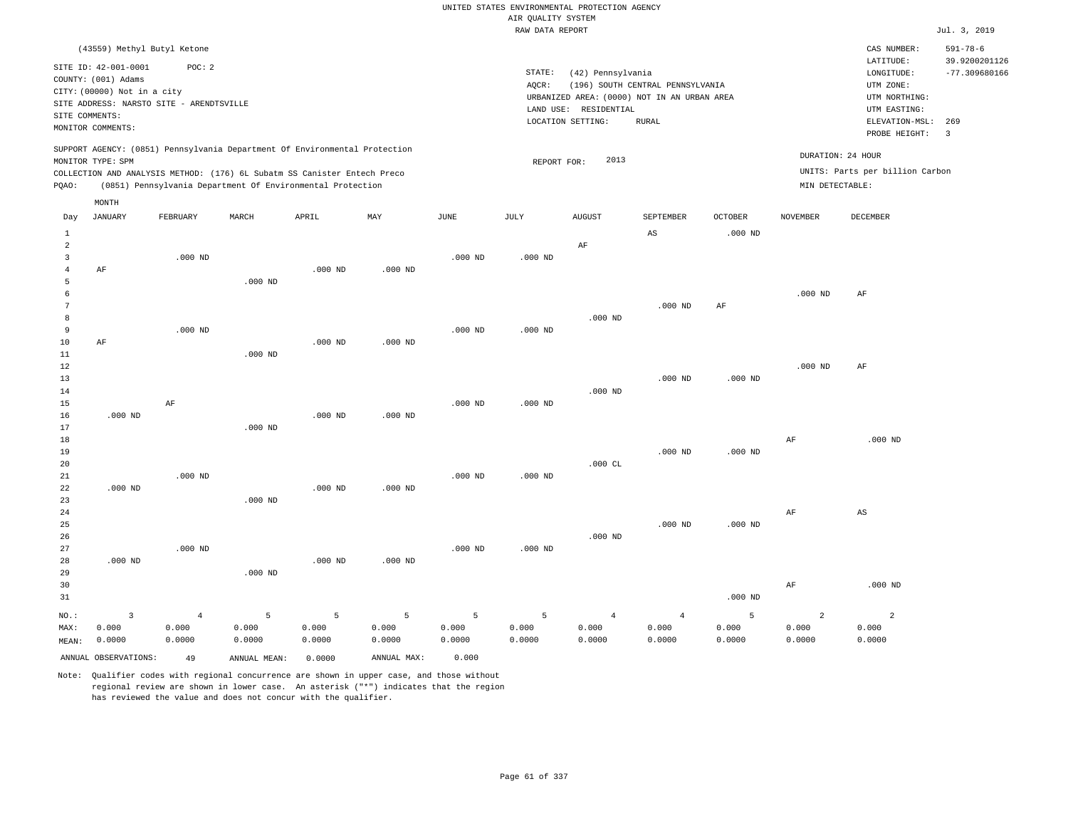|                     |                                                                                                 |                |                                                            |           |             |                       |                    | UNITED STATES ENVIRONMENTAL PROTECTION AGENCY |                                             |                |                   |                                 |                                 |
|---------------------|-------------------------------------------------------------------------------------------------|----------------|------------------------------------------------------------|-----------|-------------|-----------------------|--------------------|-----------------------------------------------|---------------------------------------------|----------------|-------------------|---------------------------------|---------------------------------|
|                     |                                                                                                 |                |                                                            |           |             |                       | AIR QUALITY SYSTEM |                                               |                                             |                |                   |                                 |                                 |
|                     |                                                                                                 |                |                                                            |           |             |                       | RAW DATA REPORT    |                                               |                                             |                |                   |                                 | Jul. 3, 2019                    |
|                     | (43559) Methyl Butyl Ketone<br>SITE ID: 42-001-0001                                             | POC: 2         |                                                            |           |             |                       |                    |                                               |                                             |                |                   | CAS NUMBER:<br>LATITUDE:        | $591 - 78 - 6$<br>39.9200201126 |
|                     | COUNTY: (001) Adams                                                                             |                |                                                            |           |             |                       | STATE:             | (42) Pennsylvania                             |                                             |                |                   | LONGITUDE:                      | $-77.309680166$                 |
|                     | CITY: (00000) Not in a city                                                                     |                |                                                            |           |             |                       | AQCR:              |                                               | (196) SOUTH CENTRAL PENNSYLVANIA            |                |                   | UTM ZONE:                       |                                 |
|                     | SITE ADDRESS: NARSTO SITE - ARENDTSVILLE                                                        |                |                                                            |           |             |                       |                    |                                               | URBANIZED AREA: (0000) NOT IN AN URBAN AREA |                |                   | UTM NORTHING:                   |                                 |
| SITE COMMENTS:      |                                                                                                 |                |                                                            |           |             |                       |                    | LAND USE: RESIDENTIAL                         | <b>RURAL</b>                                |                |                   | UTM EASTING:<br>ELEVATION-MSL:  | 269                             |
|                     | MONITOR COMMENTS:                                                                               |                |                                                            |           |             |                       |                    | LOCATION SETTING:                             |                                             |                |                   | PROBE HEIGHT:                   | $\overline{3}$                  |
|                     | SUPPORT AGENCY: (0851) Pennsylvania Department Of Environmental Protection<br>MONITOR TYPE: SPM |                |                                                            |           |             |                       | REPORT FOR:        | 2013                                          |                                             |                | DURATION: 24 HOUR |                                 |                                 |
|                     | COLLECTION AND ANALYSIS METHOD: (176) 6L Subatm SS Canister Entech Preco                        |                |                                                            |           |             |                       |                    |                                               |                                             |                |                   | UNITS: Parts per billion Carbon |                                 |
| PQAO:               |                                                                                                 |                | (0851) Pennsylvania Department Of Environmental Protection |           |             |                       |                    |                                               |                                             |                | MIN DETECTABLE:   |                                 |                                 |
|                     | MONTH                                                                                           |                |                                                            |           |             |                       |                    |                                               |                                             |                |                   |                                 |                                 |
| Day                 | <b>JANUARY</b>                                                                                  | FEBRUARY       | MARCH                                                      | APRIL     | MAY         | $\operatorname{JUNE}$ | $\mathtt{JULY}$    | <b>AUGUST</b>                                 | SEPTEMBER                                   | <b>OCTOBER</b> | <b>NOVEMBER</b>   | DECEMBER                        |                                 |
| $\mathbf{1}$        |                                                                                                 |                |                                                            |           |             |                       |                    |                                               | $\mathbb{A}\mathbb{S}$                      | $.000$ ND      |                   |                                 |                                 |
| 2                   |                                                                                                 |                |                                                            |           |             |                       |                    | AF                                            |                                             |                |                   |                                 |                                 |
| 3<br>$\overline{4}$ |                                                                                                 | $.000$ ND      |                                                            | $.000$ ND | $.000$ ND   | $.000$ ND             | $.000$ ND          |                                               |                                             |                |                   |                                 |                                 |
| 5                   | AF                                                                                              |                | $.000$ ND                                                  |           |             |                       |                    |                                               |                                             |                |                   |                                 |                                 |
| 6                   |                                                                                                 |                |                                                            |           |             |                       |                    |                                               |                                             |                | $.000$ ND         | $\rm AF$                        |                                 |
| 7                   |                                                                                                 |                |                                                            |           |             |                       |                    |                                               | $.000$ ND                                   | AF             |                   |                                 |                                 |
| 8                   |                                                                                                 |                |                                                            |           |             |                       |                    | $.000$ ND                                     |                                             |                |                   |                                 |                                 |
| 9                   |                                                                                                 | $.000$ ND      |                                                            |           |             | $.000$ ND             | $.000$ ND          |                                               |                                             |                |                   |                                 |                                 |
| 10                  | AF                                                                                              |                |                                                            | $.000$ ND | $.000$ ND   |                       |                    |                                               |                                             |                |                   |                                 |                                 |
| 11                  |                                                                                                 |                | $.000$ ND                                                  |           |             |                       |                    |                                               |                                             |                |                   |                                 |                                 |
| 12                  |                                                                                                 |                |                                                            |           |             |                       |                    |                                               |                                             |                | $.000$ ND         | AF                              |                                 |
| 13<br>14            |                                                                                                 |                |                                                            |           |             |                       |                    | $.000$ ND                                     | $.000$ ND                                   | $.000$ ND      |                   |                                 |                                 |
| 15                  |                                                                                                 | AF             |                                                            |           |             | $.000$ ND             | $.000$ ND          |                                               |                                             |                |                   |                                 |                                 |
| 16                  | $.000$ ND                                                                                       |                |                                                            | $.000$ ND | $.000$ ND   |                       |                    |                                               |                                             |                |                   |                                 |                                 |
| 17                  |                                                                                                 |                | $.000$ ND                                                  |           |             |                       |                    |                                               |                                             |                |                   |                                 |                                 |
| 18                  |                                                                                                 |                |                                                            |           |             |                       |                    |                                               |                                             |                | AF                | $.000$ ND                       |                                 |
| 19                  |                                                                                                 |                |                                                            |           |             |                       |                    |                                               | $.000$ ND                                   | $.000$ ND      |                   |                                 |                                 |
| 20                  |                                                                                                 |                |                                                            |           |             |                       |                    | .000 $CL$                                     |                                             |                |                   |                                 |                                 |
| 21                  |                                                                                                 | $.000$ ND      |                                                            |           |             | $.000$ ND             | $.000$ ND          |                                               |                                             |                |                   |                                 |                                 |
| 22                  | $.000$ ND                                                                                       |                |                                                            | $.000$ ND | $.000$ ND   |                       |                    |                                               |                                             |                |                   |                                 |                                 |
| 23<br>24            |                                                                                                 |                | $.000$ ND                                                  |           |             |                       |                    |                                               |                                             |                | AF                | $_{\rm AS}$                     |                                 |
| 25                  |                                                                                                 |                |                                                            |           |             |                       |                    |                                               | $.000$ ND                                   | $.000$ ND      |                   |                                 |                                 |
| 26                  |                                                                                                 |                |                                                            |           |             |                       |                    | $.000$ ND                                     |                                             |                |                   |                                 |                                 |
| 27                  |                                                                                                 | $.000$ ND      |                                                            |           |             | $.000$ ND             | $.000$ ND          |                                               |                                             |                |                   |                                 |                                 |
| 28                  | $.000$ ND                                                                                       |                |                                                            | $.000$ ND | $.000$ ND   |                       |                    |                                               |                                             |                |                   |                                 |                                 |
| 29                  |                                                                                                 |                | $.000$ ND                                                  |           |             |                       |                    |                                               |                                             |                |                   |                                 |                                 |
| 30                  |                                                                                                 |                |                                                            |           |             |                       |                    |                                               |                                             |                | AF                | $.000$ ND                       |                                 |
| 31                  |                                                                                                 |                |                                                            |           |             |                       |                    |                                               |                                             | $.000$ ND      |                   |                                 |                                 |
| NO.:                | $\overline{3}$                                                                                  | $\overline{4}$ | 5                                                          | 5         | 5           | 5                     | 5                  | $\overline{4}$                                | $\overline{4}$                              | 5              | $\overline{a}$    | $\overline{a}$                  |                                 |
| MAX:                | 0.000                                                                                           | 0.000          | 0.000                                                      | 0.000     | 0.000       | 0.000                 | 0.000              | 0.000                                         | 0.000                                       | 0.000          | 0.000             | 0.000                           |                                 |
| MEAN:               | 0.0000                                                                                          | 0.0000         | 0.0000                                                     | 0.0000    | 0.0000      | 0.0000                | 0.0000             | 0.0000                                        | 0.0000                                      | 0.0000         | 0.0000            | 0.0000                          |                                 |
|                     | ANNUAL OBSERVATIONS:                                                                            | 49             | ANNUAL MEAN:                                               | 0.0000    | ANNUAL MAX: | 0.000                 |                    |                                               |                                             |                |                   |                                 |                                 |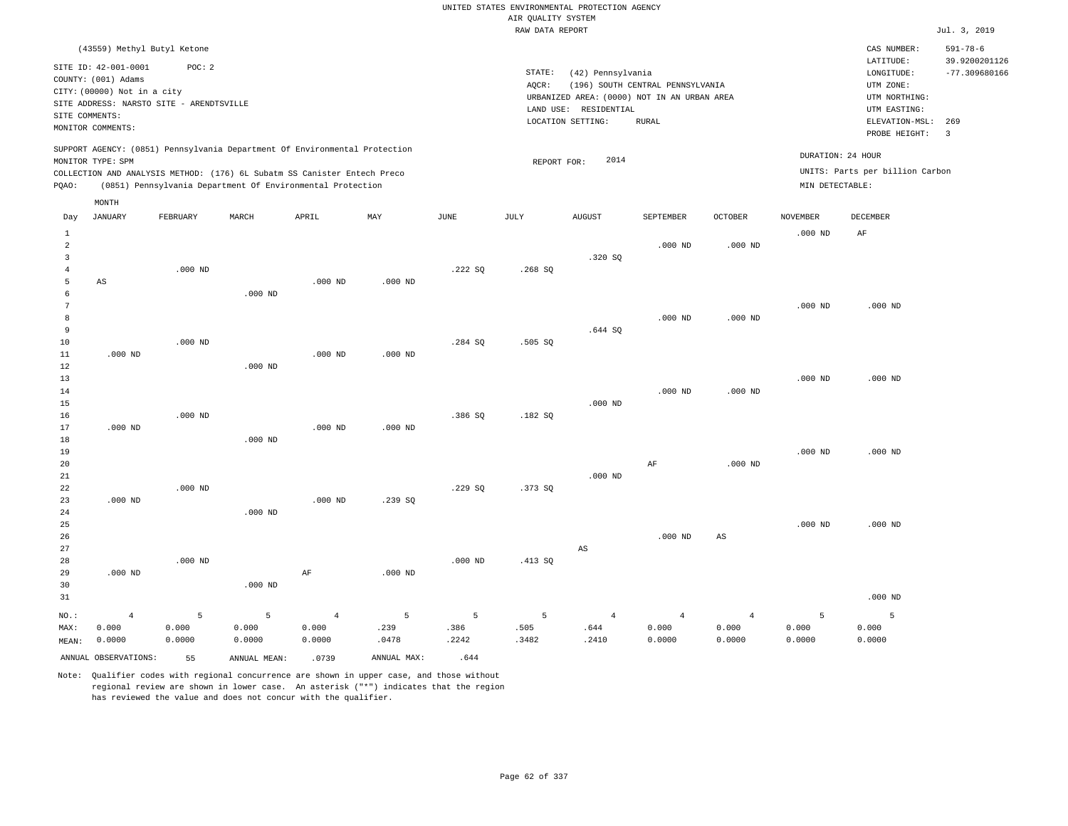RAW DATA REPORT Jul. 3, 2019 UNITED STATES ENVIRONMENTAL PROTECTION AGENCY AIR QUALITY SYSTEM (43559) Methyl Butyl Ketone STATE: (42) Pennsylvania CAS NUMBER: 591-78-6 SITE ID: 42-001-0001 POC: 2 AQCR: (196) SOUTH CENTRAL PENNSYLVANIA COUNTY: (001) Adams CITY: (00000) Not in a city LONGITUDE: -77.309680166 LATITUDE: 39.9200201126 LOCATION SETTING: RURAL SITE ADDRESS: NARSTO SITE - ARENDTSVILLE LAND USE: RESIDENTIAL SITE COMMENTS: MONITOR COMMENTS: PROBE HEIGHT: 3 ELEVATION-MSL: 269 URBANIZED AREA: (0000) NOT IN AN URBAN AREA **URBAN SERIA UTM NORTHING**: UTM EASTING: UTM ZONE: SUPPORT AGENCY: (0851) Pennsylvania Department Of Environmental Protection MONITOR TYPE: SPM COLLECTION AND ANALYSIS METHOD: (176) 6L Subatm SS Canister Entech Preco REPORT FOR: 2014 UNITS: Parts per billion Carbon PQAO: (0851) Pennsylvania Department Of Environmental Protection MIN DETECTABLE: DURATION: 24 HOUR AS .000 ND .000 ND .000 ND .000 ND NO.: MAX: MEAN: 4 0.000 0.0000 .000 ND .000 ND .000 ND .000 ND .000 ND .000 ND .000 ND .000 ND .000 ND .000 ND .000 ND .000 ND .000 ND .000 ND AF .000 ND .000 ND .000 ND .239 SQ .000 ND .222 SQ .284 SQ .386 SQ .229 SQ .000 ND .268 SQ .505 SQ .182 SQ .373 SQ .413 SQ .320 SQ .644 SQ .000 ND .000 ND  $\Delta$ S .000 ND .000 ND .000 ND AF .000 ND .000 ND .000 ND .000 ND .000 ND AS .000 ND .000 ND .000 ND .000 ND .000 ND AF .000 ND .000 ND .000 ND .000 ND .000 ND 5 0.000 0.0000 5 0.000 0.0000 4 0.000 0.0000 5 .239 .0478 5 .386 .2242 5 .505 .3482 4 .644 .2410 4 0.000 0.0000 4 0.000 0.0000 5 0.000 0.0000 5 0.000 0.0000 Day JANUARY FEBRUARY MARCH APRIL MAY JUNE JULY AUGUST SEPTEMBER OCTOBER NOVEMBER DECEMBER MONTH

ANNUAL OBSERVATIONS: 55 ANNUAL MEAN: .0739 ANNUAL MAX: .644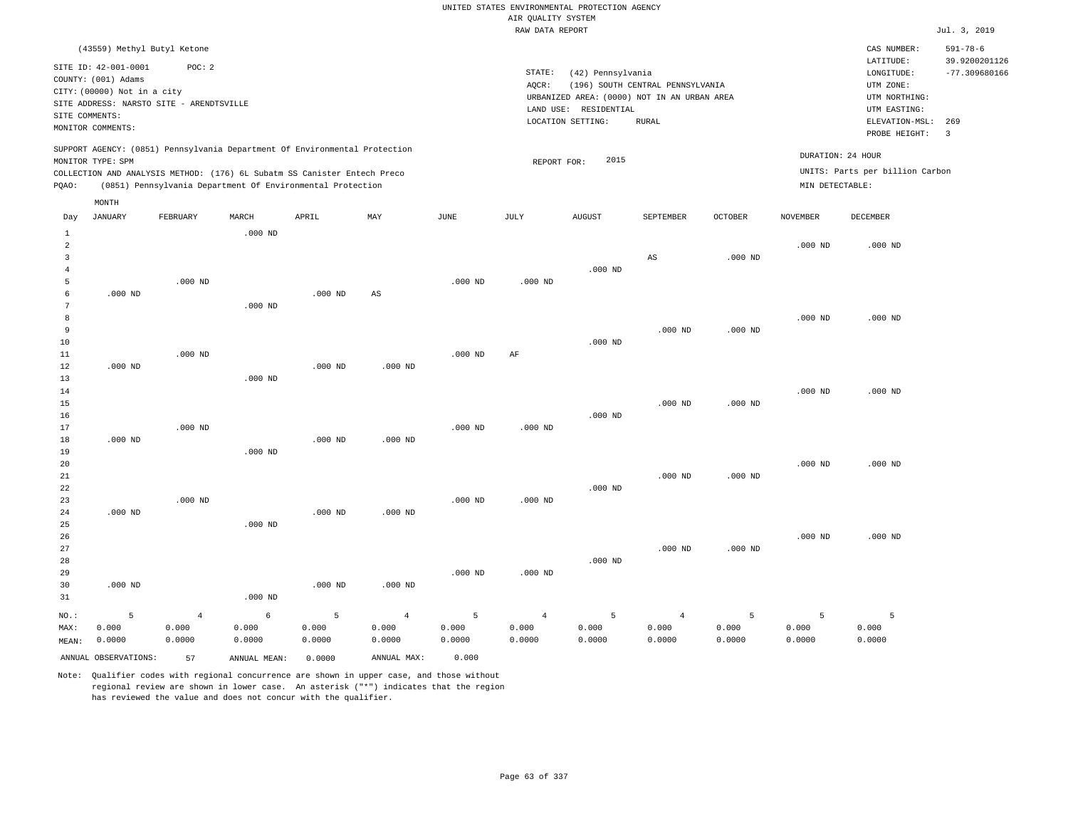UNITED STATES ENVIRONMENTAL PROTECTION AGENCY AIR QUALITY SYSTEM

|                                       |                                                                                                                                                               |                         |                                                                                                                                                                                                                      |            |                         |            | RAW DATA REPORT         |                                                                                                                |                                                  |            |                                      |                                                                                                          | Jul. 3, 2019                                                       |
|---------------------------------------|---------------------------------------------------------------------------------------------------------------------------------------------------------------|-------------------------|----------------------------------------------------------------------------------------------------------------------------------------------------------------------------------------------------------------------|------------|-------------------------|------------|-------------------------|----------------------------------------------------------------------------------------------------------------|--------------------------------------------------|------------|--------------------------------------|----------------------------------------------------------------------------------------------------------|--------------------------------------------------------------------|
|                                       | (43559) Methyl Butyl Ketone                                                                                                                                   |                         |                                                                                                                                                                                                                      |            |                         |            |                         |                                                                                                                |                                                  |            |                                      | CAS NUMBER:                                                                                              | $591 - 78 - 6$                                                     |
|                                       | SITE ID: 42-001-0001<br>COUNTY: (001) Adams<br>CITY: (00000) Not in a city<br>SITE ADDRESS: NARSTO SITE - ARENDTSVILLE<br>SITE COMMENTS:<br>MONITOR COMMENTS: | POC: 2                  |                                                                                                                                                                                                                      |            |                         |            | STATE:<br>AQCR:         | (42) Pennsylvania<br>URBANIZED AREA: (0000) NOT IN AN URBAN AREA<br>LAND USE: RESIDENTIAL<br>LOCATION SETTING: | (196) SOUTH CENTRAL PENNSYLVANIA<br><b>RURAL</b> |            |                                      | LATITUDE:<br>LONGITUDE:<br>UTM ZONE:<br>UTM NORTHING:<br>UTM EASTING:<br>ELEVATION-MSL:<br>PROBE HEIGHT: | 39.9200201126<br>$-77.309680166$<br>269<br>$\overline{\mathbf{3}}$ |
| PQAO:                                 | MONITOR TYPE: SPM                                                                                                                                             |                         | SUPPORT AGENCY: (0851) Pennsylvania Department Of Environmental Protection<br>COLLECTION AND ANALYSIS METHOD: (176) 6L Subatm SS Canister Entech Preco<br>(0851) Pennsylvania Department Of Environmental Protection |            |                         |            | REPORT FOR:             | 2015                                                                                                           |                                                  |            | DURATION: 24 HOUR<br>MIN DETECTABLE: | UNITS: Parts per billion Carbon                                                                          |                                                                    |
|                                       | MONTH                                                                                                                                                         |                         |                                                                                                                                                                                                                      |            |                         |            |                         |                                                                                                                |                                                  |            |                                      |                                                                                                          |                                                                    |
| Day                                   | <b>JANUARY</b>                                                                                                                                                | FEBRUARY                | MARCH                                                                                                                                                                                                                | APRIL      | MAY                     | JUNE       | JULY                    | <b>AUGUST</b>                                                                                                  | SEPTEMBER                                        | OCTOBER    | NOVEMBER                             | DECEMBER                                                                                                 |                                                                    |
| 1                                     |                                                                                                                                                               |                         | $.000$ ND                                                                                                                                                                                                            |            |                         |            |                         |                                                                                                                |                                                  |            |                                      |                                                                                                          |                                                                    |
| $\overline{a}$<br>3<br>$\overline{4}$ |                                                                                                                                                               |                         |                                                                                                                                                                                                                      |            |                         |            |                         | $.000$ ND                                                                                                      | $\mathbb{A}\mathbb{S}$                           | $.000$ ND  | $.000$ ND                            | $.000$ ND                                                                                                |                                                                    |
| 5                                     |                                                                                                                                                               | $.000$ ND               |                                                                                                                                                                                                                      |            |                         | $.000$ ND  | $.000$ ND               |                                                                                                                |                                                  |            |                                      |                                                                                                          |                                                                    |
| 6                                     | $.000$ ND                                                                                                                                                     |                         |                                                                                                                                                                                                                      | $.000$ ND  | $\mathbb{A}\mathbb{S}$  |            |                         |                                                                                                                |                                                  |            |                                      |                                                                                                          |                                                                    |
| 7<br>8                                |                                                                                                                                                               |                         | $.000$ ND                                                                                                                                                                                                            |            |                         |            |                         |                                                                                                                |                                                  |            | $.000$ ND                            | $.000$ ND                                                                                                |                                                                    |
| 9                                     |                                                                                                                                                               |                         |                                                                                                                                                                                                                      |            |                         |            |                         |                                                                                                                | $.000$ ND                                        | $.000$ ND  |                                      |                                                                                                          |                                                                    |
| 10                                    |                                                                                                                                                               |                         |                                                                                                                                                                                                                      |            |                         |            |                         | $.000$ ND                                                                                                      |                                                  |            |                                      |                                                                                                          |                                                                    |
| 11                                    |                                                                                                                                                               | $.000$ ND               |                                                                                                                                                                                                                      |            |                         | $.000$ ND  | AF                      |                                                                                                                |                                                  |            |                                      |                                                                                                          |                                                                    |
| 12                                    | $.000$ ND                                                                                                                                                     |                         |                                                                                                                                                                                                                      | $.000$ ND  | $.000$ ND               |            |                         |                                                                                                                |                                                  |            |                                      |                                                                                                          |                                                                    |
| 13<br>14                              |                                                                                                                                                               |                         | $.000$ ND                                                                                                                                                                                                            |            |                         |            |                         |                                                                                                                |                                                  |            | $.000$ ND                            | $.000$ ND                                                                                                |                                                                    |
| 15                                    |                                                                                                                                                               |                         |                                                                                                                                                                                                                      |            |                         |            |                         |                                                                                                                | $.000$ ND                                        | $.000$ ND  |                                      |                                                                                                          |                                                                    |
| 16                                    |                                                                                                                                                               |                         |                                                                                                                                                                                                                      |            |                         |            |                         | $.000$ ND                                                                                                      |                                                  |            |                                      |                                                                                                          |                                                                    |
| 17                                    |                                                                                                                                                               | $.000$ ND               |                                                                                                                                                                                                                      |            |                         | $.000$ ND  | $.000$ ND               |                                                                                                                |                                                  |            |                                      |                                                                                                          |                                                                    |
| 18                                    | $.000$ ND                                                                                                                                                     |                         |                                                                                                                                                                                                                      | $.000$ ND  | $.000$ ND               |            |                         |                                                                                                                |                                                  |            |                                      |                                                                                                          |                                                                    |
| 19<br>20                              |                                                                                                                                                               |                         | $.000$ ND                                                                                                                                                                                                            |            |                         |            |                         |                                                                                                                |                                                  |            | $.000$ ND                            | $.000$ ND                                                                                                |                                                                    |
| 21                                    |                                                                                                                                                               |                         |                                                                                                                                                                                                                      |            |                         |            |                         |                                                                                                                | $.000$ ND                                        | $.000$ ND  |                                      |                                                                                                          |                                                                    |
| 22                                    |                                                                                                                                                               |                         |                                                                                                                                                                                                                      |            |                         |            |                         | $.000$ ND                                                                                                      |                                                  |            |                                      |                                                                                                          |                                                                    |
| 23                                    |                                                                                                                                                               | $.000$ ND               |                                                                                                                                                                                                                      |            |                         | $.000$ ND  | $.000$ ND               |                                                                                                                |                                                  |            |                                      |                                                                                                          |                                                                    |
| 24<br>25                              | $.000$ ND                                                                                                                                                     |                         | $.000$ ND                                                                                                                                                                                                            | $.000$ ND  | $.000$ ND               |            |                         |                                                                                                                |                                                  |            |                                      |                                                                                                          |                                                                    |
| 26                                    |                                                                                                                                                               |                         |                                                                                                                                                                                                                      |            |                         |            |                         |                                                                                                                |                                                  |            | $.000$ ND                            | $.000$ ND                                                                                                |                                                                    |
| 27                                    |                                                                                                                                                               |                         |                                                                                                                                                                                                                      |            |                         |            |                         |                                                                                                                | $.000$ ND                                        | $.000$ ND  |                                      |                                                                                                          |                                                                    |
| 28                                    |                                                                                                                                                               |                         |                                                                                                                                                                                                                      |            |                         |            |                         | $.000$ ND                                                                                                      |                                                  |            |                                      |                                                                                                          |                                                                    |
| 29<br>30                              | $.000$ ND                                                                                                                                                     |                         |                                                                                                                                                                                                                      | $.000$ ND  | $.000$ ND               | $.000$ ND  | $.000$ ND               |                                                                                                                |                                                  |            |                                      |                                                                                                          |                                                                    |
| 31                                    |                                                                                                                                                               |                         | $.000$ ND                                                                                                                                                                                                            |            |                         |            |                         |                                                                                                                |                                                  |            |                                      |                                                                                                          |                                                                    |
|                                       |                                                                                                                                                               |                         |                                                                                                                                                                                                                      |            |                         |            |                         |                                                                                                                |                                                  |            |                                      | 5                                                                                                        |                                                                    |
| NO.:<br>MAX:                          | 5<br>0.000                                                                                                                                                    | $\overline{4}$<br>0.000 | 6<br>0.000                                                                                                                                                                                                           | 5<br>0.000 | $\overline{4}$<br>0.000 | 5<br>0.000 | $\overline{4}$<br>0.000 | 5<br>0.000                                                                                                     | $\overline{4}$<br>0.000                          | 5<br>0.000 | 5<br>0.000                           | 0.000                                                                                                    |                                                                    |
| MEAN:                                 | 0.0000                                                                                                                                                        | 0.0000                  | 0.0000                                                                                                                                                                                                               | 0.0000     | 0.0000                  | 0.0000     | 0.0000                  | 0.0000                                                                                                         | 0.0000                                           | 0.0000     | 0.0000                               | 0.0000                                                                                                   |                                                                    |
|                                       | ANNUAL OBSERVATIONS:                                                                                                                                          | 57                      | ANNUAL MEAN:                                                                                                                                                                                                         | 0.0000     | ANNUAL MAX:             | 0.000      |                         |                                                                                                                |                                                  |            |                                      |                                                                                                          |                                                                    |
|                                       |                                                                                                                                                               |                         |                                                                                                                                                                                                                      |            |                         |            |                         |                                                                                                                |                                                  |            |                                      |                                                                                                          |                                                                    |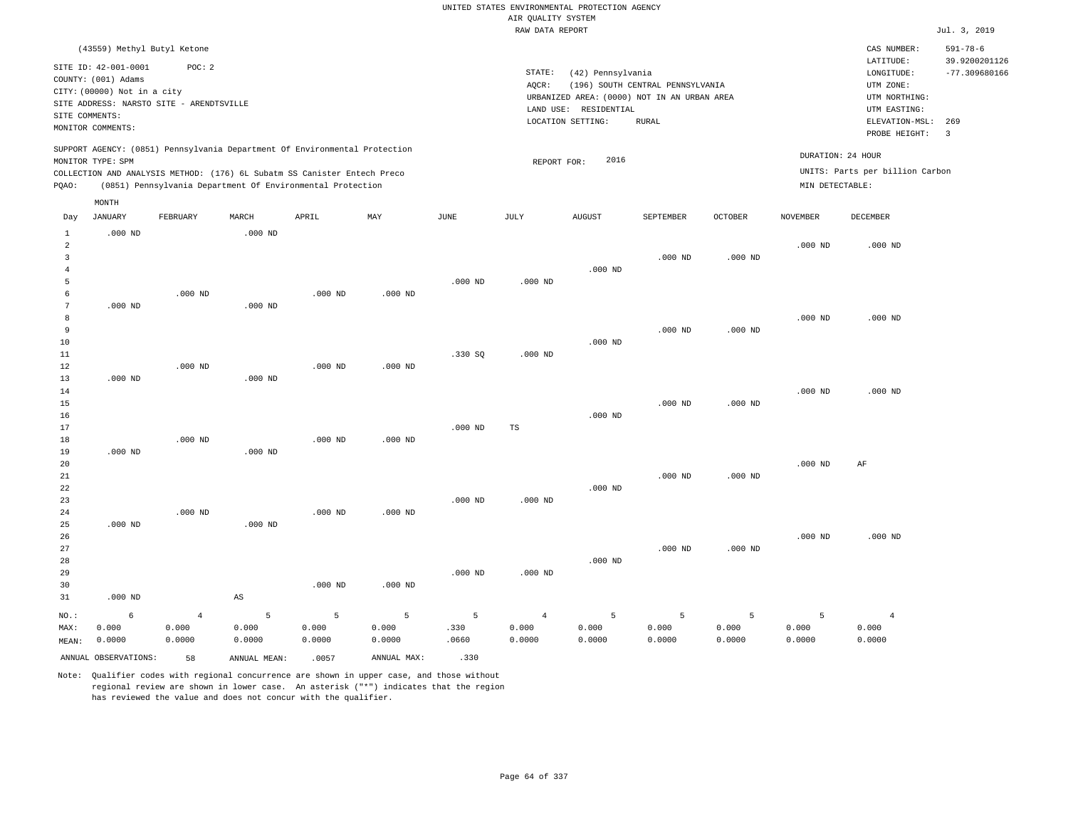UNITED STATES ENVIRONMENTAL PROTECTION AGENCY AIR QUALITY SYSTEM

|                |                                          |                |              |                                                                            |             |           | RAW DATA REPORT |                                             |                                  |                |                    |                                 | Jul. 3, 2019          |
|----------------|------------------------------------------|----------------|--------------|----------------------------------------------------------------------------|-------------|-----------|-----------------|---------------------------------------------|----------------------------------|----------------|--------------------|---------------------------------|-----------------------|
|                | (43559) Methyl Butyl Ketone              |                |              |                                                                            |             |           |                 |                                             |                                  |                |                    | CAS NUMBER:                     | $591 - 78 - 6$        |
|                | SITE ID: 42-001-0001                     | POC: 2         |              |                                                                            |             |           |                 |                                             |                                  |                |                    | LATITUDE:                       | 39.9200201126         |
|                | COUNTY: (001) Adams                      |                |              |                                                                            |             |           | STATE:          | (42) Pennsylvania                           |                                  |                |                    | LONGITUDE:                      | $-77.309680166$       |
|                | CITY: (00000) Not in a city              |                |              |                                                                            |             |           | AQCR:           |                                             | (196) SOUTH CENTRAL PENNSYLVANIA |                |                    | UTM ZONE:                       |                       |
|                | SITE ADDRESS: NARSTO SITE - ARENDTSVILLE |                |              |                                                                            |             |           |                 | URBANIZED AREA: (0000) NOT IN AN URBAN AREA |                                  |                |                    | UTM NORTHING:                   |                       |
|                | SITE COMMENTS:                           |                |              |                                                                            |             |           |                 | LAND USE: RESIDENTIAL                       |                                  |                |                    | UTM EASTING:                    |                       |
|                | MONITOR COMMENTS:                        |                |              |                                                                            |             |           |                 | LOCATION SETTING:                           | <b>RURAL</b>                     |                |                    | ELEVATION-MSL:<br>PROBE HEIGHT: | 269<br>$\overline{3}$ |
|                |                                          |                |              | SUPPORT AGENCY: (0851) Pennsylvania Department Of Environmental Protection |             |           |                 |                                             |                                  |                |                    |                                 |                       |
|                | MONITOR TYPE: SPM                        |                |              |                                                                            |             |           | REPORT FOR:     | 2016                                        |                                  |                |                    | DURATION: 24 HOUR               |                       |
|                |                                          |                |              | COLLECTION AND ANALYSIS METHOD: (176) 6L Subatm SS Canister Entech Preco   |             |           |                 |                                             |                                  |                |                    | UNITS: Parts per billion Carbon |                       |
| PQAO:          |                                          |                |              | (0851) Pennsylvania Department Of Environmental Protection                 |             |           |                 |                                             |                                  |                | MIN DETECTABLE:    |                                 |                       |
|                | MONTH                                    |                |              |                                                                            |             |           |                 |                                             |                                  |                |                    |                                 |                       |
| Day            | <b>JANUARY</b>                           | FEBRUARY       | MARCH        | APRIL                                                                      | MAY         | JUNE      | JULY            | <b>AUGUST</b>                               | SEPTEMBER                        | <b>OCTOBER</b> | <b>NOVEMBER</b>    | DECEMBER                        |                       |
| $\mathbf{1}$   | $.000$ ND                                |                | $.000$ ND    |                                                                            |             |           |                 |                                             |                                  |                |                    |                                 |                       |
| $\overline{a}$ |                                          |                |              |                                                                            |             |           |                 |                                             |                                  |                | $.000$ ND          | $.000$ ND                       |                       |
| $\overline{3}$ |                                          |                |              |                                                                            |             |           |                 |                                             | $.000$ ND                        | $.000$ ND      |                    |                                 |                       |
| $\overline{4}$ |                                          |                |              |                                                                            |             |           |                 | $.000$ ND                                   |                                  |                |                    |                                 |                       |
| 5              |                                          |                |              |                                                                            |             | $.000$ ND | $.000$ ND       |                                             |                                  |                |                    |                                 |                       |
| 6              |                                          | $.000$ ND      |              | $.000$ ND                                                                  | $.000$ ND   |           |                 |                                             |                                  |                |                    |                                 |                       |
| 7              | $.000$ ND                                |                | $.000$ ND    |                                                                            |             |           |                 |                                             |                                  |                |                    |                                 |                       |
| 8              |                                          |                |              |                                                                            |             |           |                 |                                             |                                  |                | .000 <sub>ND</sub> | $.000$ ND                       |                       |
| $\overline{9}$ |                                          |                |              |                                                                            |             |           |                 |                                             | $.000$ ND                        | $.000$ ND      |                    |                                 |                       |
| 10             |                                          |                |              |                                                                            |             |           |                 | $.000$ ND                                   |                                  |                |                    |                                 |                       |
| 11             |                                          |                |              |                                                                            |             | .330S     | $.000$ ND       |                                             |                                  |                |                    |                                 |                       |
| 12             |                                          | $.000$ ND      |              | $.000$ ND                                                                  | $.000$ ND   |           |                 |                                             |                                  |                |                    |                                 |                       |
| 13             | $.000$ ND                                |                | $.000$ ND    |                                                                            |             |           |                 |                                             |                                  |                |                    |                                 |                       |
| 14             |                                          |                |              |                                                                            |             |           |                 |                                             |                                  |                | $.000$ ND          | $.000$ ND                       |                       |
| 15             |                                          |                |              |                                                                            |             |           |                 |                                             | $.000$ ND                        | $.000$ ND      |                    |                                 |                       |
| 16             |                                          |                |              |                                                                            |             |           |                 | $.000$ ND                                   |                                  |                |                    |                                 |                       |
| 17             |                                          |                |              |                                                                            |             | $.000$ ND | TS              |                                             |                                  |                |                    |                                 |                       |
| 18             |                                          | $.000$ ND      |              | $.000$ ND                                                                  | $.000$ ND   |           |                 |                                             |                                  |                |                    |                                 |                       |
| 19             | $.000$ ND                                |                | $.000$ ND    |                                                                            |             |           |                 |                                             |                                  |                |                    |                                 |                       |
| 20<br>21       |                                          |                |              |                                                                            |             |           |                 |                                             | $.000$ ND                        | $.000$ ND      | $.000$ ND          | AF                              |                       |
| 22             |                                          |                |              |                                                                            |             |           |                 | $.000$ ND                                   |                                  |                |                    |                                 |                       |
| 23             |                                          |                |              |                                                                            |             | $.000$ ND | $.000$ ND       |                                             |                                  |                |                    |                                 |                       |
| 24             |                                          | $.000$ ND      |              | $.000$ ND                                                                  | $.000$ ND   |           |                 |                                             |                                  |                |                    |                                 |                       |
| 25             | $.000$ ND                                |                | $.000$ ND    |                                                                            |             |           |                 |                                             |                                  |                |                    |                                 |                       |
| 26             |                                          |                |              |                                                                            |             |           |                 |                                             |                                  |                | $.000$ ND          | $.000$ ND                       |                       |
| 27             |                                          |                |              |                                                                            |             |           |                 |                                             | $.000$ ND                        | $.000$ ND      |                    |                                 |                       |
| 28             |                                          |                |              |                                                                            |             |           |                 | $.000$ ND                                   |                                  |                |                    |                                 |                       |
| 29             |                                          |                |              |                                                                            |             | $.000$ ND | $.000$ ND       |                                             |                                  |                |                    |                                 |                       |
| 30             |                                          |                |              | $.000$ ND                                                                  | $.000$ ND   |           |                 |                                             |                                  |                |                    |                                 |                       |
| 31             | $.000$ ND                                |                | AS           |                                                                            |             |           |                 |                                             |                                  |                |                    |                                 |                       |
|                |                                          |                |              |                                                                            |             |           |                 |                                             |                                  |                |                    |                                 |                       |
| NO.:           | 6                                        | $\overline{4}$ | 5            | $\overline{5}$                                                             | 5           | 5         | $\overline{4}$  | 5                                           | 5                                | 5              | 5                  | $\overline{4}$                  |                       |
| MAX:           | 0.000                                    | 0.000          | 0.000        | 0.000                                                                      | 0.000       | .330      | 0.000           | 0.000                                       | 0.000                            | 0.000          | 0.000              | 0.000                           |                       |
| MEAN:          | 0.0000                                   | 0.0000         | 0.0000       | 0.0000                                                                     | 0.0000      | .0660     | 0.0000          | 0.0000                                      | 0.0000                           | 0.0000         | 0.0000             | 0.0000                          |                       |
|                | ANNUAL OBSERVATIONS:                     | 58             | ANNUAL MEAN: | .0057                                                                      | ANNUAL MAX: | .330      |                 |                                             |                                  |                |                    |                                 |                       |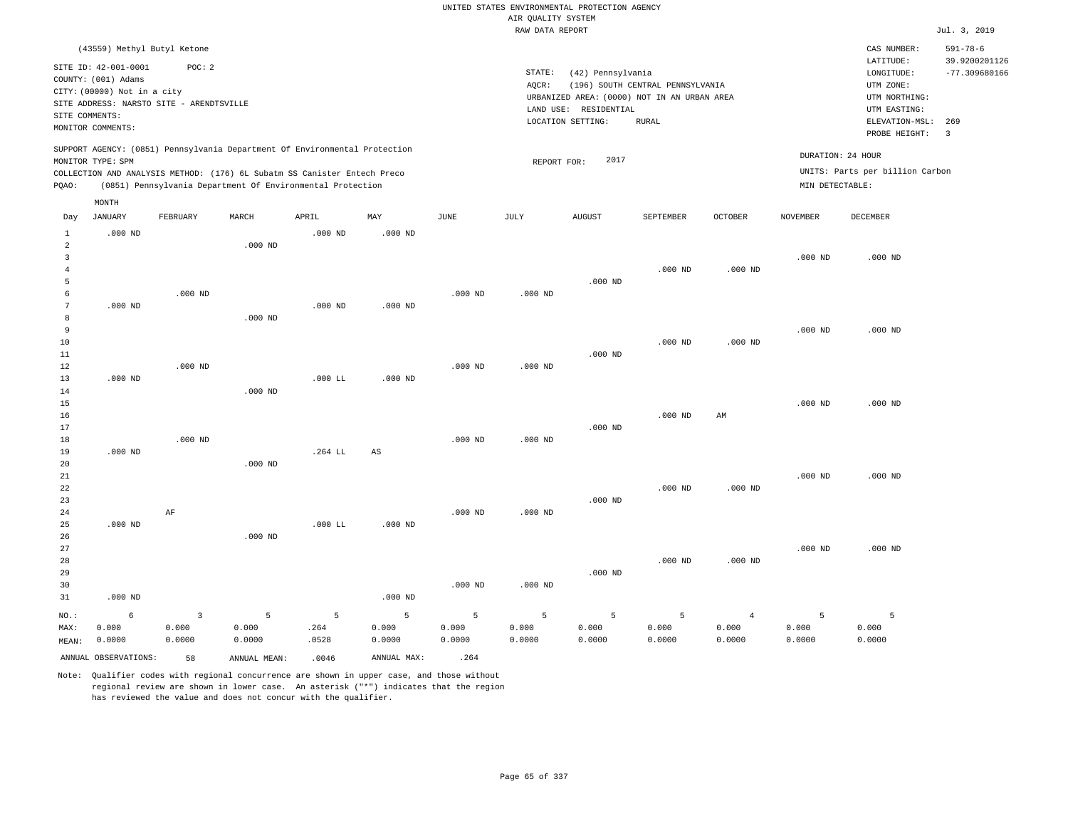|                                         |                                                                            |                                   |                                                                                                                                                                                                                      |                    |                      |                      |                      | UNITED STATES ENVIRONMENTAL PROTECTION AGENCY                                             |                                                  |                                   |                                      |                                                              |                                                    |
|-----------------------------------------|----------------------------------------------------------------------------|-----------------------------------|----------------------------------------------------------------------------------------------------------------------------------------------------------------------------------------------------------------------|--------------------|----------------------|----------------------|----------------------|-------------------------------------------------------------------------------------------|--------------------------------------------------|-----------------------------------|--------------------------------------|--------------------------------------------------------------|----------------------------------------------------|
|                                         |                                                                            |                                   |                                                                                                                                                                                                                      |                    |                      |                      | AIR QUALITY SYSTEM   |                                                                                           |                                                  |                                   |                                      |                                                              |                                                    |
|                                         |                                                                            |                                   |                                                                                                                                                                                                                      |                    |                      |                      | RAW DATA REPORT      |                                                                                           |                                                  |                                   |                                      |                                                              | Jul. 3, 2019                                       |
|                                         | (43559) Methyl Butyl Ketone<br>SITE ID: 42-001-0001<br>COUNTY: (001) Adams | POC: 2                            |                                                                                                                                                                                                                      |                    |                      |                      | STATE:               | (42) Pennsylvania                                                                         |                                                  |                                   |                                      | CAS NUMBER:<br>LATITUDE:<br>LONGITUDE:                       | $591 - 78 - 6$<br>39.9200201126<br>$-77.309680166$ |
| SITE COMMENTS:                          | CITY: (00000) Not in a city<br>SITE ADDRESS: NARSTO SITE - ARENDTSVILLE    |                                   |                                                                                                                                                                                                                      |                    |                      |                      | AQCR:                | URBANIZED AREA: (0000) NOT IN AN URBAN AREA<br>LAND USE: RESIDENTIAL<br>LOCATION SETTING: | (196) SOUTH CENTRAL PENNSYLVANIA<br><b>RURAL</b> |                                   |                                      | UTM ZONE:<br>UTM NORTHING:<br>UTM EASTING:<br>ELEVATION-MSL: | 269                                                |
|                                         | MONITOR COMMENTS:                                                          |                                   |                                                                                                                                                                                                                      |                    |                      |                      |                      |                                                                                           |                                                  |                                   |                                      | PROBE HEIGHT:                                                | $\overline{\mathbf{3}}$                            |
| PQAO:                                   | MONITOR TYPE: SPM                                                          |                                   | SUPPORT AGENCY: (0851) Pennsylvania Department Of Environmental Protection<br>COLLECTION AND ANALYSIS METHOD: (176) 6L Subatm SS Canister Entech Preco<br>(0851) Pennsylvania Department Of Environmental Protection |                    |                      |                      | REPORT FOR:          | 2017                                                                                      |                                                  |                                   | DURATION: 24 HOUR<br>MIN DETECTABLE: | UNITS: Parts per billion Carbon                              |                                                    |
|                                         | MONTH                                                                      |                                   |                                                                                                                                                                                                                      |                    |                      |                      |                      |                                                                                           |                                                  |                                   |                                      |                                                              |                                                    |
| Day                                     | <b>JANUARY</b>                                                             | FEBRUARY                          | MARCH                                                                                                                                                                                                                | APRIL              | MAY                  | <b>JUNE</b>          | JULY                 | <b>AUGUST</b>                                                                             | SEPTEMBER                                        | <b>OCTOBER</b>                    | <b>NOVEMBER</b>                      | <b>DECEMBER</b>                                              |                                                    |
| $1\,$<br>$\overline{a}$<br>$\mathbf{3}$ | $.000$ ND                                                                  |                                   | $.000$ ND                                                                                                                                                                                                            | $.000$ ND          | $.000$ ND            |                      |                      |                                                                                           |                                                  |                                   | $.000$ ND                            | $.000$ ND                                                    |                                                    |
| $\overline{4}$<br>5<br>6                |                                                                            | $.000$ ND                         |                                                                                                                                                                                                                      |                    |                      | $.000$ ND            | $.000$ ND            | $.000$ ND                                                                                 | $.000$ ND                                        | $.000$ ND                         |                                      |                                                              |                                                    |
| $7\phantom{.0}$<br>8<br>9               | $.000$ ND                                                                  |                                   | $.000$ ND                                                                                                                                                                                                            | $.000$ ND          | $.000$ ND            |                      |                      |                                                                                           |                                                  |                                   | $.000$ ND                            | $.000$ ND                                                    |                                                    |
| 10<br>11<br>12                          |                                                                            | $.000$ ND                         |                                                                                                                                                                                                                      |                    |                      | $.000$ ND            | $.000$ ND            | $.000$ ND                                                                                 | $.000$ ND                                        | $.000$ ND                         |                                      |                                                              |                                                    |
| 13<br>14<br>15                          | $.000$ ND                                                                  |                                   | $.000$ ND                                                                                                                                                                                                            | .000 LL            | $.000$ ND            |                      |                      |                                                                                           |                                                  |                                   | $.000$ ND                            | $.000$ ND                                                    |                                                    |
| 16<br>17<br>18                          |                                                                            | $.000$ ND                         |                                                                                                                                                                                                                      |                    |                      | $.000$ ND            | $.000$ ND            | $.000$ ND                                                                                 | $.000$ ND                                        | $\mathop{\rm AM}\nolimits$        |                                      |                                                              |                                                    |
| 19<br>20<br>21<br>22                    | $.000$ ND                                                                  |                                   | $.000$ ND                                                                                                                                                                                                            | .264 LL            | AS                   |                      |                      |                                                                                           | $.000$ ND                                        | $.000$ ND                         | $.000$ ND                            | $.000$ ND                                                    |                                                    |
| 23<br>24<br>25                          | $.000$ ND                                                                  | AF                                |                                                                                                                                                                                                                      | $.000$ LL          | $.000$ ND            | $.000$ ND            | $.000$ ND            | $.000$ ND                                                                                 |                                                  |                                   |                                      |                                                              |                                                    |
| 26<br>27<br>28<br>29                    |                                                                            |                                   | $.000$ ND                                                                                                                                                                                                            |                    |                      |                      |                      | $.000$ ND                                                                                 | $.000$ ND                                        | $.000$ ND                         | $.000$ ND                            | $.000$ ND                                                    |                                                    |
| 30<br>31                                | $.000$ ND                                                                  |                                   |                                                                                                                                                                                                                      |                    | $.000$ ND            | $.000$ ND            | $.000$ ND            |                                                                                           |                                                  |                                   |                                      |                                                              |                                                    |
| NO.:<br>MAX:<br>MEAN:                   | 6<br>0.000<br>0.0000                                                       | $\overline{3}$<br>0.000<br>0.0000 | 5<br>0.000<br>0.0000                                                                                                                                                                                                 | 5<br>.264<br>.0528 | 5<br>0.000<br>0.0000 | 5<br>0.000<br>0.0000 | 5<br>0.000<br>0.0000 | 5<br>0.000<br>0.0000                                                                      | 5<br>0.000<br>0.0000                             | $\overline{4}$<br>0.000<br>0.0000 | 5<br>0.000<br>0.0000                 | $\overline{5}$<br>0.000<br>0.0000                            |                                                    |
|                                         | ANNUAL OBSERVATIONS:                                                       | 58                                | ANNUAL, MEAN:                                                                                                                                                                                                        | .0046              | ANNUAL MAX:          | .264                 |                      |                                                                                           |                                                  |                                   |                                      |                                                              |                                                    |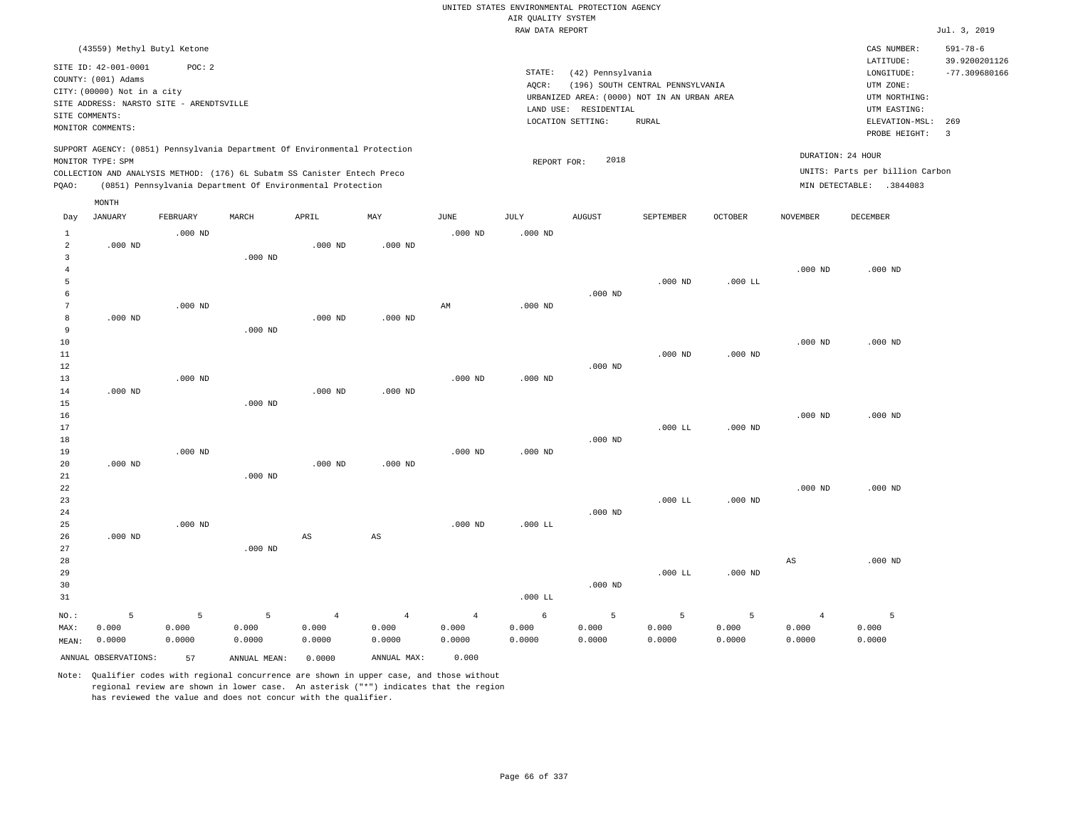RAW DATA REPORT Jul. 3, 2019 UNITED STATES ENVIRONMENTAL PROTECTION AGENCY AIR QUALITY SYSTEM (43559) Methyl Butyl Ketone STATE: (42) Pennsylvania CAS NUMBER: 591-78-6 SITE ID: 42-001-0001 POC: 2 AQCR: (196) SOUTH CENTRAL PENNSYLVANIA COUNTY: (001) Adams CITY: (00000) Not in a city LONGITUDE: -77.309680166 LATITUDE: 39.9200201126 LOCATION SETTING: RURAL SITE ADDRESS: NARSTO SITE - ARENDTSVILLE LAND USE: RESIDENTIAL SITE COMMENTS: MONITOR COMMENTS: PROBE HEIGHT: 3 ELEVATION-MSL: 269 URBANIZED AREA: (0000) NOT IN AN URBAN AREA **URBAN SERIA UTM NORTHING**: UTM EASTING: UTM ZONE: SUPPORT AGENCY: (0851) Pennsylvania Department Of Environmental Protection MONITOR TYPE: SPM COLLECTION AND ANALYSIS METHOD: (176) 6L Subatm SS Canister Entech Preco REPORT FOR: 2018 UNITS: Parts per billion Carbon PQAO: (0851) Pennsylvania Department Of Environmental Protection DURATION: 24 HOUR MIN DETECTABLE: .3844083 1 2 3 4 5 6 7 8 9 10 11 12 13 14 15 16 17 18 19  $20$ 21 22 23 24 25 26 27 28 29 30 31 .000 ND .000 ND .000 ND .000 ND .000 ND NO.: MAX: MEAN: 5 0.000 0.0000 .000 ND .000 ND .000 ND .000 ND .000 ND .000 ND .000 ND .000 ND .000 ND .000 ND .000 ND .000 ND .000 ND .000 ND AS .000 ND .000 ND .000 ND .000 ND AS .000 ND AM .000 ND .000 ND .000 ND .000 ND .000 ND .000 ND .000 ND .000 LL .000 LL .000 ND .000 ND .000 ND .000 ND .000 ND .000 ND .000 ND .000 LL .000 LL .000 LL .000 LL .000 ND .000 ND .000 ND .000 ND .000 ND .000 ND .000 ND .000 ND AS .000 ND .000 ND .000 ND .000 ND .000 ND 5 0.000 0.0000 5 0.000 0.0000 4 0.000 0.0000 4 0.000 0.0000 4 0.000 0.0000 6 0.000 0.0000 5 0.000 0.0000 5 0.000 0.0000 5 0.000 0.0000 4 0.000 0.0000 5 0.000 0.0000 ANNUAL OBSERVATIONS: 57 ANNUAL MEAN: 0.0000 ANNUAL MAX: 0.000 Day JANUARY FEBRUARY MARCH APRIL MAY JUNE JULY AUGUST SEPTEMBER OCTOBER NOVEMBER DECEMBER MONTH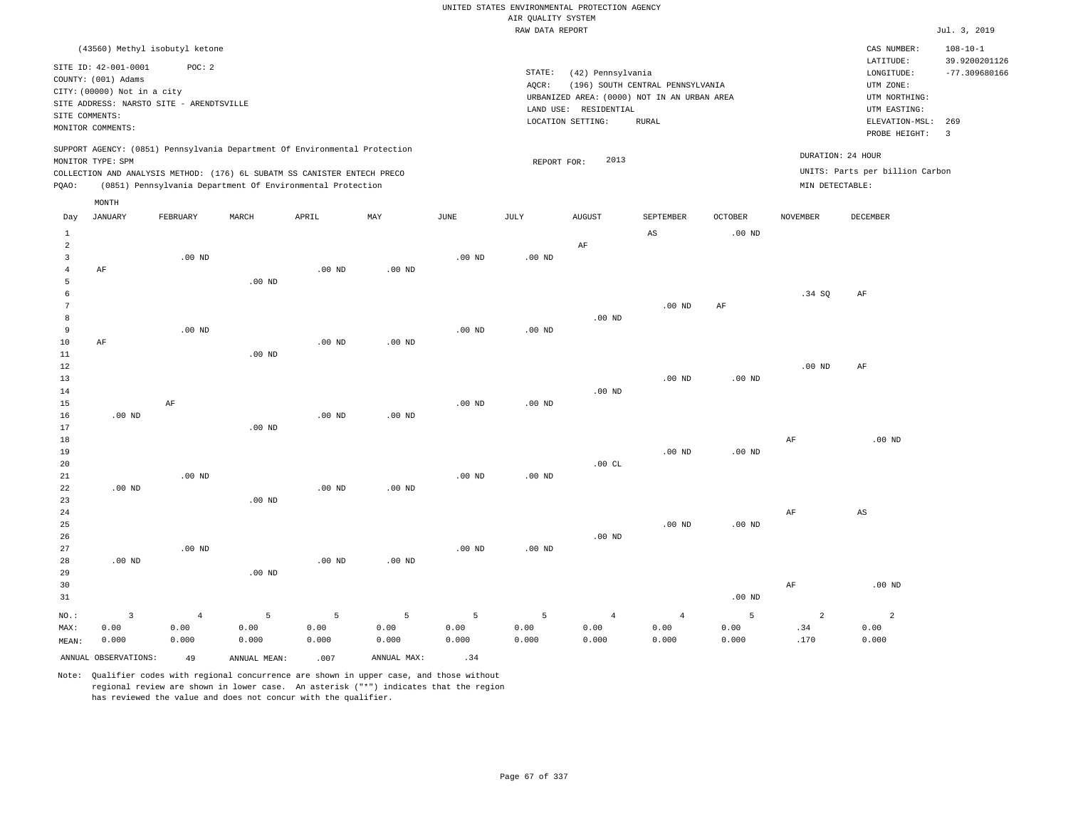|                                  |                                             |                   |                                                                            |                   |                   |             |                    | UNITED STATES ENVIRONMENTAL PROTECTION AGENCY |                                             |                   |                   |                                 |                                 |
|----------------------------------|---------------------------------------------|-------------------|----------------------------------------------------------------------------|-------------------|-------------------|-------------|--------------------|-----------------------------------------------|---------------------------------------------|-------------------|-------------------|---------------------------------|---------------------------------|
|                                  |                                             |                   |                                                                            |                   |                   |             | AIR QUALITY SYSTEM |                                               |                                             |                   |                   |                                 |                                 |
|                                  |                                             |                   |                                                                            |                   |                   |             | RAW DATA REPORT    |                                               |                                             |                   |                   |                                 | Jul. 3, 2019                    |
|                                  | (43560) Methyl isobutyl ketone              |                   |                                                                            |                   |                   |             |                    |                                               |                                             |                   |                   | CAS NUMBER:<br>LATITUDE:        | $108 - 10 - 1$<br>39.9200201126 |
|                                  | SITE ID: 42-001-0001<br>COUNTY: (001) Adams | POC: 2            |                                                                            |                   |                   |             | STATE:<br>AQCR:    | (42) Pennsylvania                             | (196) SOUTH CENTRAL PENNSYLVANIA            |                   |                   | LONGITUDE:<br>UTM ZONE:         | $-77.309680166$                 |
|                                  | CITY: (00000) Not in a city                 |                   |                                                                            |                   |                   |             |                    |                                               | URBANIZED AREA: (0000) NOT IN AN URBAN AREA |                   |                   | UTM NORTHING:                   |                                 |
|                                  | SITE ADDRESS: NARSTO SITE - ARENDTSVILLE    |                   |                                                                            |                   |                   |             |                    | LAND USE: RESIDENTIAL                         |                                             |                   |                   | UTM EASTING:                    |                                 |
| SITE COMMENTS:                   |                                             |                   |                                                                            |                   |                   |             |                    | LOCATION SETTING:                             | <b>RURAL</b>                                |                   |                   | ELEVATION-MSL:                  | 269                             |
|                                  | MONITOR COMMENTS:                           |                   |                                                                            |                   |                   |             |                    |                                               |                                             |                   |                   | PROBE HEIGHT:                   | $\overline{3}$                  |
|                                  | MONITOR TYPE: SPM                           |                   | SUPPORT AGENCY: (0851) Pennsylvania Department Of Environmental Protection |                   |                   |             | REPORT FOR:        | 2013                                          |                                             |                   | DURATION: 24 HOUR |                                 |                                 |
|                                  |                                             |                   | COLLECTION AND ANALYSIS METHOD: (176) 6L SUBATM SS CANISTER ENTECH PRECO   |                   |                   |             |                    |                                               |                                             |                   |                   | UNITS: Parts per billion Carbon |                                 |
| PQAO:                            |                                             |                   | (0851) Pennsylvania Department Of Environmental Protection                 |                   |                   |             |                    |                                               |                                             |                   | MIN DETECTABLE:   |                                 |                                 |
|                                  | MONTH                                       |                   |                                                                            |                   |                   |             |                    |                                               |                                             |                   |                   |                                 |                                 |
| Day                              | <b>JANUARY</b>                              | FEBRUARY          | MARCH                                                                      | APRIL             | MAX               | <b>JUNE</b> | JULY               | <b>AUGUST</b>                                 | SEPTEMBER                                   | <b>OCTOBER</b>    | <b>NOVEMBER</b>   | <b>DECEMBER</b>                 |                                 |
| $\mathbf{1}$                     |                                             |                   |                                                                            |                   |                   |             |                    |                                               | AS                                          | .00 <sub>ND</sub> |                   |                                 |                                 |
| $\overline{a}$                   |                                             |                   |                                                                            |                   |                   |             |                    | AF                                            |                                             |                   |                   |                                 |                                 |
| $\overline{3}$<br>$\overline{4}$ | AF                                          | .00 <sub>ND</sub> |                                                                            | $.00$ ND          | .00 <sub>ND</sub> | $.00$ ND    | $.00$ ND           |                                               |                                             |                   |                   |                                 |                                 |
| 5                                |                                             |                   | $.00$ ND                                                                   |                   |                   |             |                    |                                               |                                             |                   |                   |                                 |                                 |
| 6                                |                                             |                   |                                                                            |                   |                   |             |                    |                                               |                                             |                   | .34 SO            | AF                              |                                 |
| $\overline{7}$                   |                                             |                   |                                                                            |                   |                   |             |                    |                                               | .00 <sub>ND</sub>                           | $\rm AF$          |                   |                                 |                                 |
| 8                                |                                             |                   |                                                                            |                   |                   |             |                    | $.00$ ND                                      |                                             |                   |                   |                                 |                                 |
| $\overline{9}$                   |                                             | $.00$ ND          |                                                                            |                   |                   | $.00$ ND    | $.00$ ND           |                                               |                                             |                   |                   |                                 |                                 |
| $10$                             | AF                                          |                   |                                                                            | .00 <sub>ND</sub> | $.00$ ND          |             |                    |                                               |                                             |                   |                   |                                 |                                 |
| 11                               |                                             |                   | .00 <sub>ND</sub>                                                          |                   |                   |             |                    |                                               |                                             |                   |                   |                                 |                                 |
| $1\,2$                           |                                             |                   |                                                                            |                   |                   |             |                    |                                               |                                             |                   | .00 <sub>ND</sub> | AF                              |                                 |
| 13<br>14                         |                                             |                   |                                                                            |                   |                   |             |                    | $.00$ ND                                      | $.00$ ND                                    | $.00$ ND          |                   |                                 |                                 |
| 15                               |                                             | AF                |                                                                            |                   |                   | $.00$ ND    | $.00$ ND           |                                               |                                             |                   |                   |                                 |                                 |
| 16                               | $.00$ ND                                    |                   |                                                                            | .00 <sub>ND</sub> | $.00$ ND          |             |                    |                                               |                                             |                   |                   |                                 |                                 |
| 17                               |                                             |                   | $.00$ ND                                                                   |                   |                   |             |                    |                                               |                                             |                   |                   |                                 |                                 |
| 18                               |                                             |                   |                                                                            |                   |                   |             |                    |                                               |                                             |                   | AF                | .00 <sub>ND</sub>               |                                 |
| 19                               |                                             |                   |                                                                            |                   |                   |             |                    |                                               | .00 <sub>ND</sub>                           | $.00$ ND          |                   |                                 |                                 |
| 20                               |                                             |                   |                                                                            |                   |                   |             |                    | .00CL                                         |                                             |                   |                   |                                 |                                 |
| 21                               |                                             | $.00$ ND          |                                                                            |                   |                   | $.00$ ND    | $.00$ ND           |                                               |                                             |                   |                   |                                 |                                 |
| 22<br>23                         | $.00$ ND                                    |                   | .00 <sub>ND</sub>                                                          | $.00$ ND          | $.00$ ND          |             |                    |                                               |                                             |                   |                   |                                 |                                 |
| 24                               |                                             |                   |                                                                            |                   |                   |             |                    |                                               |                                             |                   | AF                | $_{\rm AS}$                     |                                 |
| 25                               |                                             |                   |                                                                            |                   |                   |             |                    |                                               | .00 <sub>ND</sub>                           | .00 <sub>ND</sub> |                   |                                 |                                 |
| 26                               |                                             |                   |                                                                            |                   |                   |             |                    | $.00$ ND                                      |                                             |                   |                   |                                 |                                 |
| 27                               |                                             | .00 <sub>ND</sub> |                                                                            |                   |                   | $.00$ ND    | $.00$ ND           |                                               |                                             |                   |                   |                                 |                                 |
| 28                               | $.00$ ND                                    |                   |                                                                            | $.00$ ND          | $.00$ ND          |             |                    |                                               |                                             |                   |                   |                                 |                                 |
| 29                               |                                             |                   | $.00$ ND                                                                   |                   |                   |             |                    |                                               |                                             |                   |                   |                                 |                                 |
| 30                               |                                             |                   |                                                                            |                   |                   |             |                    |                                               |                                             |                   | AF                | $.00$ ND                        |                                 |
| 31                               |                                             |                   |                                                                            |                   |                   |             |                    |                                               |                                             | $.00$ ND          |                   |                                 |                                 |
| $NO.$ :                          | $\overline{3}$                              | $\overline{4}$    | 5                                                                          | 5                 | 5                 | 5           | 5                  | $\overline{4}$                                | $\overline{4}$                              | 5                 | $\overline{a}$    | $\overline{2}$                  |                                 |
| MAX:                             | 0.00                                        | 0.00              | 0.00                                                                       | 0.00              | 0.00              | 0.00        | 0.00               | 0.00                                          | 0.00                                        | 0.00              | .34               | 0.00                            |                                 |
| $\texttt{MEAN}:$                 | 0.000                                       | 0.000             | 0.000                                                                      | 0.000             | 0.000             | 0.000       | 0.000              | 0.000                                         | 0.000                                       | 0.000             | .170              | 0.000                           |                                 |
|                                  | ANNUAL OBSERVATIONS:                        | 49                | ANNUAL MEAN:                                                               | .007              | ANNUAL MAX:       | .34         |                    |                                               |                                             |                   |                   |                                 |                                 |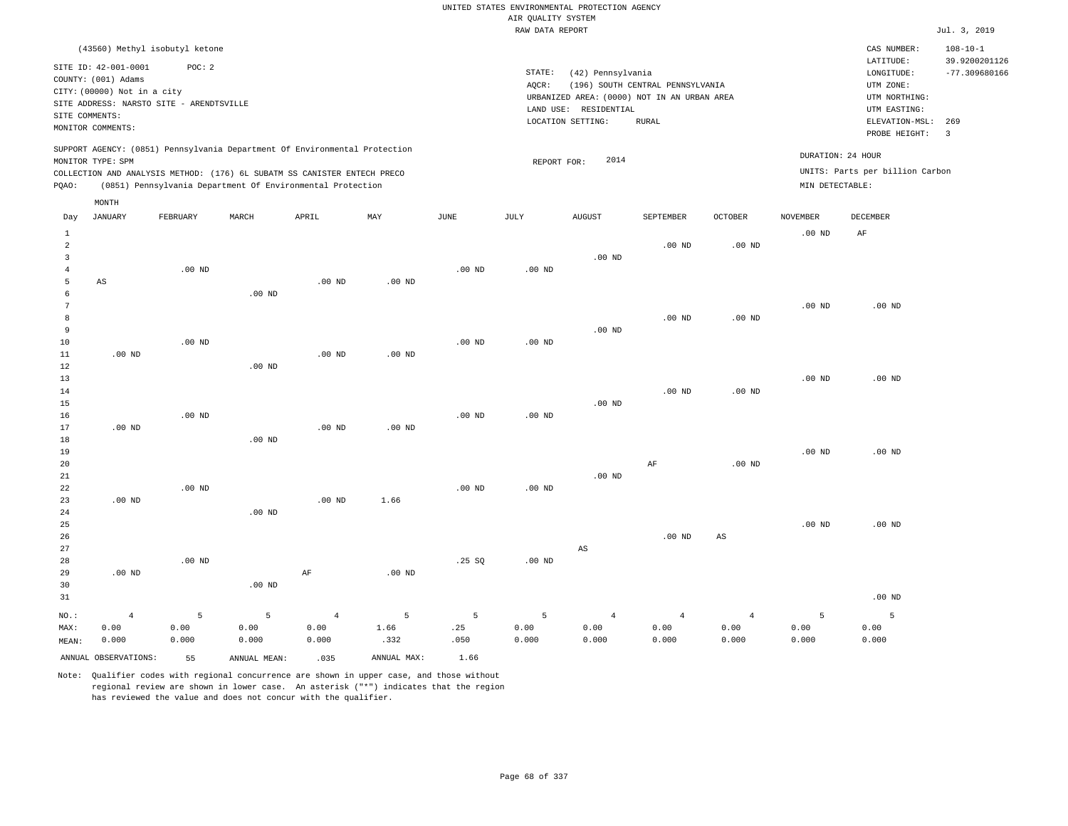|                      |                                          |                   |                                                                                                                                        |                   |             |                                                                             |                    | UNITED STATES ENVIRONMENTAL PROTECTION AGENCY |                   |                   |                   |                                 |                                 |
|----------------------|------------------------------------------|-------------------|----------------------------------------------------------------------------------------------------------------------------------------|-------------------|-------------|-----------------------------------------------------------------------------|--------------------|-----------------------------------------------|-------------------|-------------------|-------------------|---------------------------------|---------------------------------|
|                      |                                          |                   |                                                                                                                                        |                   |             |                                                                             | AIR QUALITY SYSTEM |                                               |                   |                   |                   |                                 |                                 |
|                      |                                          |                   |                                                                                                                                        |                   |             |                                                                             | RAW DATA REPORT    |                                               |                   |                   |                   |                                 | Jul. 3, 2019                    |
|                      | (43560) Methyl isobutyl ketone           |                   |                                                                                                                                        |                   |             |                                                                             |                    |                                               |                   |                   |                   | CAS NUMBER:<br>LATITUDE:        | $108 - 10 - 1$<br>39.9200201126 |
|                      | SITE ID: 42-001-0001                     | POC: 2            |                                                                                                                                        |                   |             |                                                                             | STATE:             |                                               |                   |                   |                   | LONGITUDE:                      | $-77.309680166$                 |
|                      | COUNTY: (001) Adams                      |                   |                                                                                                                                        |                   |             | (42) Pennsylvania<br>AQCR:<br>(196) SOUTH CENTRAL PENNSYLVANIA<br>UTM ZONE: |                    |                                               |                   |                   |                   |                                 |                                 |
|                      | CITY: (00000) Not in a city              |                   |                                                                                                                                        |                   |             |                                                                             |                    | URBANIZED AREA: (0000) NOT IN AN URBAN AREA   |                   |                   |                   | UTM NORTHING:                   |                                 |
|                      | SITE ADDRESS: NARSTO SITE - ARENDTSVILLE |                   |                                                                                                                                        |                   |             |                                                                             |                    | LAND USE: RESIDENTIAL                         |                   |                   |                   | UTM EASTING:                    |                                 |
| SITE COMMENTS:       |                                          |                   |                                                                                                                                        |                   |             |                                                                             |                    | LOCATION SETTING:                             | <b>RURAL</b>      |                   |                   | ELEVATION-MSL:                  | 269                             |
|                      | MONITOR COMMENTS:                        |                   |                                                                                                                                        |                   |             |                                                                             |                    |                                               |                   |                   |                   | PROBE HEIGHT:                   | $\overline{\mathbf{3}}$         |
|                      |                                          |                   | SUPPORT AGENCY: (0851) Pennsylvania Department Of Environmental Protection                                                             |                   |             |                                                                             |                    |                                               |                   |                   |                   | DURATION: 24 HOUR               |                                 |
|                      | MONITOR TYPE: SPM                        |                   |                                                                                                                                        |                   |             |                                                                             | REPORT FOR:        | 2014                                          |                   |                   |                   | UNITS: Parts per billion Carbon |                                 |
| PQAO:                |                                          |                   | COLLECTION AND ANALYSIS METHOD: (176) 6L SUBATM SS CANISTER ENTECH PRECO<br>(0851) Pennsylvania Department Of Environmental Protection |                   |             |                                                                             |                    |                                               |                   |                   | MIN DETECTABLE:   |                                 |                                 |
|                      | MONTH                                    |                   |                                                                                                                                        |                   |             |                                                                             |                    |                                               |                   |                   |                   |                                 |                                 |
| Day                  | <b>JANUARY</b>                           | FEBRUARY          | MARCH                                                                                                                                  | APRIL             | MAY         | JUNE                                                                        | JULY               | <b>AUGUST</b>                                 | SEPTEMBER         | <b>OCTOBER</b>    | <b>NOVEMBER</b>   | DECEMBER                        |                                 |
| $\mathbf{1}$         |                                          |                   |                                                                                                                                        |                   |             |                                                                             |                    |                                               |                   |                   | .00 <sub>ND</sub> | AF                              |                                 |
| $\overline{a}$       |                                          |                   |                                                                                                                                        |                   |             |                                                                             |                    |                                               | .00 <sub>ND</sub> | $.00$ ND          |                   |                                 |                                 |
| $\overline{3}$       |                                          |                   |                                                                                                                                        |                   |             |                                                                             |                    | $.00$ ND                                      |                   |                   |                   |                                 |                                 |
| $\sqrt{4}$           |                                          | $.00$ ND          |                                                                                                                                        |                   |             | .00 <sub>ND</sub>                                                           | .00 <sub>ND</sub>  |                                               |                   |                   |                   |                                 |                                 |
| 5                    | AS                                       |                   |                                                                                                                                        | $.00$ ND          | $.00$ ND    |                                                                             |                    |                                               |                   |                   |                   |                                 |                                 |
| 6<br>$7\phantom{.0}$ |                                          |                   | $.00$ ND                                                                                                                               |                   |             |                                                                             |                    |                                               |                   |                   |                   |                                 |                                 |
| 8                    |                                          |                   |                                                                                                                                        |                   |             |                                                                             |                    |                                               | $.00$ ND          | .00 <sub>ND</sub> | $.00$ ND          | $.00$ ND                        |                                 |
| 9                    |                                          |                   |                                                                                                                                        |                   |             |                                                                             |                    | $.00$ ND                                      |                   |                   |                   |                                 |                                 |
| 10                   |                                          | $.00$ ND          |                                                                                                                                        |                   |             | $.00$ ND                                                                    | $.00$ ND           |                                               |                   |                   |                   |                                 |                                 |
| 11                   | $.00$ ND                                 |                   |                                                                                                                                        | $.00$ ND          | $.00$ ND    |                                                                             |                    |                                               |                   |                   |                   |                                 |                                 |
| 12                   |                                          |                   | .00 <sub>ND</sub>                                                                                                                      |                   |             |                                                                             |                    |                                               |                   |                   |                   |                                 |                                 |
| 13                   |                                          |                   |                                                                                                                                        |                   |             |                                                                             |                    |                                               |                   |                   | .00 <sub>ND</sub> | $.00$ ND                        |                                 |
| 14                   |                                          |                   |                                                                                                                                        |                   |             |                                                                             |                    |                                               | $.00$ ND          | .00 $ND$          |                   |                                 |                                 |
| 15                   |                                          |                   |                                                                                                                                        |                   |             |                                                                             |                    | $.00$ ND                                      |                   |                   |                   |                                 |                                 |
| 16                   |                                          | $.00$ ND          |                                                                                                                                        |                   |             | .00 <sub>ND</sub>                                                           | $.00$ ND           |                                               |                   |                   |                   |                                 |                                 |
| 17                   | $.00$ ND                                 |                   |                                                                                                                                        | .00 <sub>ND</sub> | $.00$ ND    |                                                                             |                    |                                               |                   |                   |                   |                                 |                                 |
| 18<br>19             |                                          |                   | $.00$ ND                                                                                                                               |                   |             |                                                                             |                    |                                               |                   |                   | $.00$ ND          | $.00$ ND                        |                                 |
| 20                   |                                          |                   |                                                                                                                                        |                   |             |                                                                             |                    |                                               | AF                | .00 <sub>ND</sub> |                   |                                 |                                 |
| $2\sqrt{1}$          |                                          |                   |                                                                                                                                        |                   |             |                                                                             |                    | $.00$ ND                                      |                   |                   |                   |                                 |                                 |
| 22                   |                                          | $.00$ ND          |                                                                                                                                        |                   |             | $.00$ ND                                                                    | $.00$ ND           |                                               |                   |                   |                   |                                 |                                 |
| 23                   | $.00$ ND                                 |                   |                                                                                                                                        | $.00$ ND          | 1.66        |                                                                             |                    |                                               |                   |                   |                   |                                 |                                 |
| 24                   |                                          |                   | $.00$ ND                                                                                                                               |                   |             |                                                                             |                    |                                               |                   |                   |                   |                                 |                                 |
| 25                   |                                          |                   |                                                                                                                                        |                   |             |                                                                             |                    |                                               |                   |                   | .00 <sub>ND</sub> | $.00$ ND                        |                                 |
| 26                   |                                          |                   |                                                                                                                                        |                   |             |                                                                             |                    |                                               | $.00$ ND          | AS                |                   |                                 |                                 |
| 27                   |                                          |                   |                                                                                                                                        |                   |             |                                                                             |                    | AS                                            |                   |                   |                   |                                 |                                 |
| 28                   |                                          | .00 <sub>ND</sub> |                                                                                                                                        |                   |             | .25 SQ                                                                      | $.00$ ND           |                                               |                   |                   |                   |                                 |                                 |
| 29                   | $.00$ ND                                 |                   |                                                                                                                                        | AF                | $.00$ ND    |                                                                             |                    |                                               |                   |                   |                   |                                 |                                 |
| 30                   |                                          |                   | $.00$ ND                                                                                                                               |                   |             |                                                                             |                    |                                               |                   |                   |                   |                                 |                                 |
| 31                   |                                          |                   |                                                                                                                                        |                   |             |                                                                             |                    |                                               |                   |                   |                   | $.00$ ND                        |                                 |
| $NO.$ :              | $\overline{4}$                           | 5                 | 5                                                                                                                                      | $\overline{4}$    | 5           | 5                                                                           | 5                  | $\overline{4}$                                | $\overline{4}$    | $\overline{4}$    | 5                 | 5                               |                                 |
| MAX:                 | 0.00                                     | 0.00              | 0.00                                                                                                                                   | 0.00              | 1.66        | .25                                                                         | 0.00               | 0.00                                          | 0.00              | 0.00              | 0.00              | 0.00                            |                                 |
| MEAN:                | 0.000                                    | 0.000             | 0.000                                                                                                                                  | 0.000             | .332        | .050                                                                        | 0.000              | 0.000                                         | 0.000             | 0.000             | 0.000             | 0.000                           |                                 |
|                      | ANNUAL OBSERVATIONS:                     | 55                | ANNUAL, MEAN:                                                                                                                          | .035              | ANNUAL MAX: | 1.66                                                                        |                    |                                               |                   |                   |                   |                                 |                                 |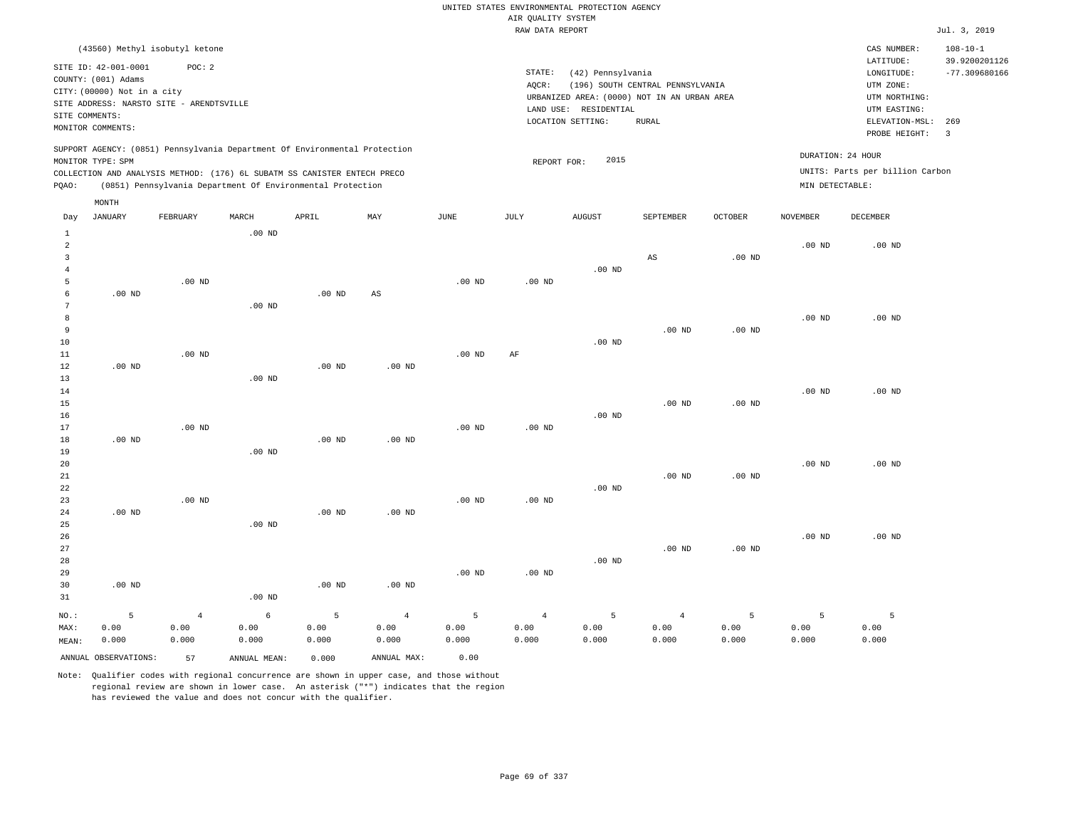## RAW DATA REPORT Jul. 3, 2019 UNITED STATES ENVIRONMENTAL PROTECTION AGENCY AIR QUALITY SYSTEM

| (43560) Methyl isobutyl ketone                                                                                                                                                                                                                     |                                                                                                                                                                                | CAS NUMBER:<br>$108 - 10 - 1$                                                                                                                    |
|----------------------------------------------------------------------------------------------------------------------------------------------------------------------------------------------------------------------------------------------------|--------------------------------------------------------------------------------------------------------------------------------------------------------------------------------|--------------------------------------------------------------------------------------------------------------------------------------------------|
| SITE ID: 42-001-0001<br>POC: 2<br>COUNTY: (001) Adams<br>CITY: (00000) Not in a city<br>SITE ADDRESS: NARSTO SITE - ARENDTSVILLE<br>SITE COMMENTS:<br>MONITOR COMMENTS:                                                                            | STATE:<br>(42) Pennsylvania<br>(196) SOUTH CENTRAL PENNSYLVANIA<br>AOCR:<br>URBANIZED AREA: (0000) NOT IN AN URBAN AREA<br>LAND USE: RESIDENTIAL<br>LOCATION SETTING:<br>RURAL | 39.9200201126<br>LATITUDE:<br>$-77.309680166$<br>LONGITUDE:<br>UTM ZONE:<br>UTM NORTHING:<br>UTM EASTING:<br>ELEVATION-MSL: 269<br>PROBE HEIGHT: |
| SUPPORT AGENCY: (0851) Pennsylvania Department Of Environmental Protection<br>MONITOR TYPE: SPM<br>COLLECTION AND ANALYSIS METHOD: (176) 6L SUBATM SS CANISTER ENTECH PRECO<br>(0851) Pennsylvania Department Of Environmental Protection<br>POAO: | 2015<br>REPORT FOR:                                                                                                                                                            | DURATION: 24 HOUR<br>UNITS: Parts per billion Carbon<br>MIN DETECTABLE:                                                                          |

|                | MONTH                |          |              |          |                        |               |            |               |                |                   |                 |                   |
|----------------|----------------------|----------|--------------|----------|------------------------|---------------|------------|---------------|----------------|-------------------|-----------------|-------------------|
| Day            | <b>JANUARY</b>       | FEBRUARY | MARCH        | APRIL    | MAY                    | $_{\rm JUNE}$ | JULY       | <b>AUGUST</b> | SEPTEMBER      | OCTOBER           | <b>NOVEMBER</b> | DECEMBER          |
| $\mathbf{1}$   |                      |          | $.00$ ND     |          |                        |               |            |               |                |                   |                 |                   |
| $\overline{c}$ |                      |          |              |          |                        |               |            |               |                |                   | $.00$ ND        | .00 <sub>ND</sub> |
| 3              |                      |          |              |          |                        |               |            |               | $_{\rm AS}$    | $.00$ ND          |                 |                   |
| $\overline{4}$ |                      |          |              |          |                        |               |            | $.00$ ND      |                |                   |                 |                   |
| 5              |                      | $.00$ ND |              |          |                        | $.00$ ND      | $.00$ ND   |               |                |                   |                 |                   |
| 6              | $.00$ ND             |          |              | $.00$ ND | $\mathbb{A}\mathbb{S}$ |               |            |               |                |                   |                 |                   |
| 7              |                      |          | $.00$ ND     |          |                        |               |            |               |                |                   |                 |                   |
| 8              |                      |          |              |          |                        |               |            |               |                |                   | $.00$ ND        | .00 <sub>ND</sub> |
| 9              |                      |          |              |          |                        |               |            |               | $.00$ ND       | $.00$ ND          |                 |                   |
| 10             |                      |          |              |          |                        |               |            | $.00$ ND      |                |                   |                 |                   |
| 11             |                      | $.00$ ND |              |          |                        | $.00$ ND      | $\rm{AF}$  |               |                |                   |                 |                   |
| 12             | $.00$ ND             |          |              | $.00$ ND | $.00$ ND               |               |            |               |                |                   |                 |                   |
| 13             |                      |          | $.00$ ND     |          |                        |               |            |               |                |                   |                 |                   |
| 14             |                      |          |              |          |                        |               |            |               |                |                   | $.00$ ND        | .00 <sub>ND</sub> |
| 15             |                      |          |              |          |                        |               |            |               | $.00$ ND       | .00 <sub>ND</sub> |                 |                   |
| 16             |                      |          |              |          |                        |               |            | $.00$ ND      |                |                   |                 |                   |
| 17             |                      | $.00$ ND |              |          |                        | $.00$ ND      | $.00$ ND   |               |                |                   |                 |                   |
| 18             | $.00$ ND             |          |              | $.00$ ND | $.00$ ND               |               |            |               |                |                   |                 |                   |
| 19             |                      |          | $.00$ ND     |          |                        |               |            |               |                |                   |                 |                   |
| 20             |                      |          |              |          |                        |               |            |               |                |                   | $.00$ ND        | .00 <sub>ND</sub> |
| 21             |                      |          |              |          |                        |               |            |               | $.00$ ND       | $.00$ ND          |                 |                   |
| 22             |                      |          |              |          |                        |               |            | $.00$ ND      |                |                   |                 |                   |
| 23             |                      | $.00$ ND |              |          |                        | $.00$ ND      | $.00$ ND   |               |                |                   |                 |                   |
| 24             | $.00$ ND             |          |              | $.00$ ND | $.00$ ND               |               |            |               |                |                   |                 |                   |
| 25             |                      |          | $.00$ ND     |          |                        |               |            |               |                |                   |                 |                   |
| 26<br>27       |                      |          |              |          |                        |               |            |               | $.00$ ND       | $.00$ ND          | $.00$ ND        | $.00$ ND          |
| 28             |                      |          |              |          |                        |               |            | $.00$ ND      |                |                   |                 |                   |
| 29             |                      |          |              |          |                        | $.00$ ND      | $.00$ ND   |               |                |                   |                 |                   |
| 30             | $.00$ ND             |          |              | $.00$ ND | $.00$ ND               |               |            |               |                |                   |                 |                   |
| 31             |                      |          | $.00$ ND     |          |                        |               |            |               |                |                   |                 |                   |
|                |                      |          |              |          |                        |               |            |               |                |                   |                 |                   |
| NO.:           | $\mathsf S$          | $\,4$    | $\epsilon$   | 5        | $\,4\,$                | 5             | $\sqrt{4}$ | 5             | $\overline{4}$ | 5                 | 5               | 5                 |
| MAX:           | 0.00                 | 0.00     | 0.00         | 0.00     | 0.00                   | 0.00          | 0.00       | 0.00          | 0.00           | 0.00              | 0.00            | 0.00              |
| MEAN:          | 0.000                | 0.000    | 0.000        | 0.000    | 0.000                  | 0.000         | 0.000      | 0.000         | 0.000          | 0.000             | 0.000           | 0.000             |
|                | ANNUAL OBSERVATIONS: | 57       | ANNUAL MEAN: | 0.000    | ANNUAL MAX:            | 0.00          |            |               |                |                   |                 |                   |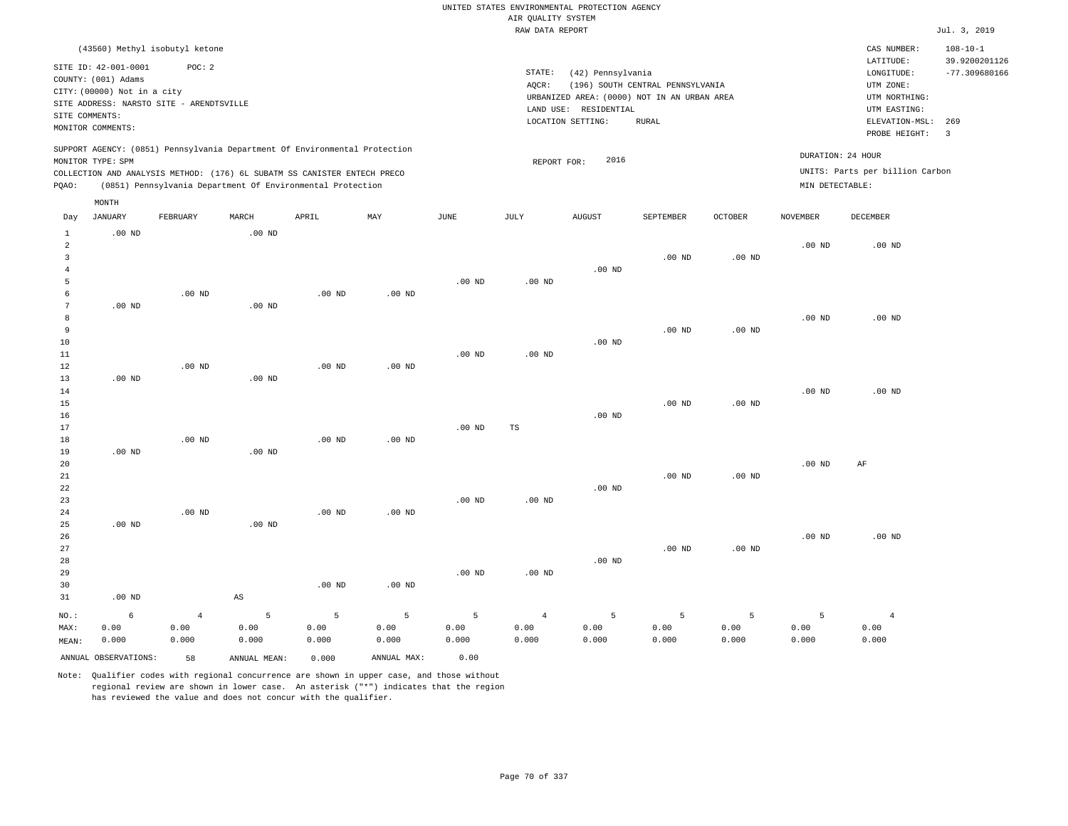UNITED STATES ENVIRONMENTAL PROTECTION AGENCY AIR QUALITY SYSTEM

|          |                                                                            |                                                                                      |          |                                                                                                                                                                                                                      |          |                   | RAW DATA REPORT                                                                         |                                                                                      |                                                    |                   |                 |                                                      | Jul. 3, 2019 |
|----------|----------------------------------------------------------------------------|--------------------------------------------------------------------------------------|----------|----------------------------------------------------------------------------------------------------------------------------------------------------------------------------------------------------------------------|----------|-------------------|-----------------------------------------------------------------------------------------|--------------------------------------------------------------------------------------|----------------------------------------------------|-------------------|-----------------|------------------------------------------------------|--------------|
|          | SITE ID: 42-001-0001<br>COUNTY: (001) Adams<br>CITY: (00000) Not in a city | (43560) Methyl isobutyl ketone<br>POC: 2<br>SITE ADDRESS: NARSTO SITE - ARENDTSVILLE |          |                                                                                                                                                                                                                      |          |                   | STATE:<br>AOCR:<br>URBANIZED AREA: (0000) NOT IN AN URBAN AREA<br>LAND USE: RESIDENTIAL | CAS NUMBER:<br>LATITUDE:<br>LONGITUDE:<br>UTM ZONE:<br>UTM NORTHING:<br>UTM EASTING: | $108 - 10 - 1$<br>39.9200201126<br>$-77.309680166$ |                   |                 |                                                      |              |
|          | SITE COMMENTS:<br>MONITOR COMMENTS:                                        |                                                                                      |          |                                                                                                                                                                                                                      |          |                   | LOCATION SETTING:                                                                       | ELEVATION-MSL:                                                                       | 269                                                |                   |                 |                                                      |              |
|          |                                                                            |                                                                                      |          |                                                                                                                                                                                                                      |          |                   |                                                                                         |                                                                                      |                                                    |                   |                 | PROBE HEIGHT:                                        | 3            |
| POAO:    | MONITOR TYPE: SPM                                                          |                                                                                      |          | SUPPORT AGENCY: (0851) Pennsylvania Department Of Environmental Protection<br>COLLECTION AND ANALYSIS METHOD: (176) 6L SUBATM SS CANISTER ENTECH PRECO<br>(0851) Pennsylvania Department Of Environmental Protection |          |                   | REPORT FOR:                                                                             | 2016                                                                                 |                                                    |                   | MIN DETECTABLE: | DURATION: 24 HOUR<br>UNITS: Parts per billion Carbon |              |
|          | MONTH                                                                      |                                                                                      |          |                                                                                                                                                                                                                      |          |                   |                                                                                         |                                                                                      |                                                    |                   |                 |                                                      |              |
| Day      | JANUARY                                                                    | FEBRUARY                                                                             | MARCH    | APRIL                                                                                                                                                                                                                | MAY      | JUNE              | JULY                                                                                    | <b>AUGUST</b>                                                                        | SEPTEMBER                                          | OCTOBER           | NOVEMBER        | DECEMBER                                             |              |
| 1<br>2   | $.00$ ND                                                                   |                                                                                      | $.00$ ND |                                                                                                                                                                                                                      |          |                   |                                                                                         |                                                                                      |                                                    |                   | $.00$ ND        | $.00$ ND                                             |              |
|          |                                                                            |                                                                                      |          |                                                                                                                                                                                                                      |          |                   |                                                                                         | $.00$ ND                                                                             | $.00$ ND                                           | .00 <sub>ND</sub> |                 |                                                      |              |
| 5        |                                                                            |                                                                                      |          |                                                                                                                                                                                                                      |          | $.00$ ND          | .00 <sub>ND</sub>                                                                       |                                                                                      |                                                    |                   |                 |                                                      |              |
|          |                                                                            | $.00$ ND                                                                             |          | $.00$ ND                                                                                                                                                                                                             | $.00$ ND |                   |                                                                                         |                                                                                      |                                                    |                   |                 |                                                      |              |
|          | $.00$ ND                                                                   |                                                                                      | $.00$ ND |                                                                                                                                                                                                                      |          |                   |                                                                                         |                                                                                      |                                                    |                   |                 |                                                      |              |
| 8        |                                                                            |                                                                                      |          |                                                                                                                                                                                                                      |          |                   |                                                                                         |                                                                                      |                                                    |                   | $.00$ ND        | $.00$ ND                                             |              |
| 9        |                                                                            |                                                                                      |          |                                                                                                                                                                                                                      |          |                   |                                                                                         |                                                                                      | $.00$ ND                                           | $.00$ ND          |                 |                                                      |              |
| 10       |                                                                            |                                                                                      |          |                                                                                                                                                                                                                      |          |                   | .00 <sub>ND</sub>                                                                       | $.00$ ND                                                                             |                                                    |                   |                 |                                                      |              |
| 11<br>12 |                                                                            | $.00$ ND                                                                             |          | $.00$ ND                                                                                                                                                                                                             | $.00$ ND | .00 <sub>ND</sub> |                                                                                         |                                                                                      |                                                    |                   |                 |                                                      |              |
| 13       | $.00$ ND                                                                   |                                                                                      | $.00$ ND |                                                                                                                                                                                                                      |          |                   |                                                                                         |                                                                                      |                                                    |                   |                 |                                                      |              |
| 14       |                                                                            |                                                                                      |          |                                                                                                                                                                                                                      |          |                   |                                                                                         |                                                                                      |                                                    |                   | $.00$ ND        | $.00$ ND                                             |              |
| 15       |                                                                            |                                                                                      |          |                                                                                                                                                                                                                      |          |                   |                                                                                         |                                                                                      | $.00$ ND                                           | $.00$ ND          |                 |                                                      |              |

| 16 |          |          |          |          |          |          |          | $.00$ ND |          |          |          |          |
|----|----------|----------|----------|----------|----------|----------|----------|----------|----------|----------|----------|----------|
| 17 |          |          |          |          |          | $.00$ ND | TS       |          |          |          |          |          |
| 18 |          | $.00$ ND |          | $.00$ ND | $.00$ ND |          |          |          |          |          |          |          |
| 19 | $.00$ ND |          | $.00$ ND |          |          |          |          |          |          |          |          |          |
| 20 |          |          |          |          |          |          |          |          |          |          | $.00$ ND | AF       |
| 21 |          |          |          |          |          |          |          |          | $.00$ ND | $.00$ ND |          |          |
| 22 |          |          |          |          |          |          |          | $.00$ ND |          |          |          |          |
| 23 |          |          |          |          |          | $.00$ ND | $.00$ ND |          |          |          |          |          |
| 24 |          | $.00$ ND |          | $.00$ ND | $.00$ ND |          |          |          |          |          |          |          |
| 25 | $.00$ ND |          | $.00$ ND |          |          |          |          |          |          |          |          |          |
| 26 |          |          |          |          |          |          |          |          |          |          | $.00$ ND | $.00$ ND |
| 27 |          |          |          |          |          |          |          |          | $.00$ ND | $.00$ ND |          |          |

| 28    |          |       |       |          |          |          |                   | $.00$ ND |       |       |       |       |
|-------|----------|-------|-------|----------|----------|----------|-------------------|----------|-------|-------|-------|-------|
| 29    |          |       |       |          |          | $.00$ ND | .00 <sub>ND</sub> |          |       |       |       |       |
| 30    |          |       |       | $.00$ ND | $.00$ ND |          |                   |          |       |       |       |       |
| 31    | $.00$ ND |       | AS    |          |          |          |                   |          |       |       |       |       |
| NO.:  | 6        | -4    | 5     | 5        |          |          |                   | 5        | 5.    |       |       |       |
| MAX:  | 0.00     | 0.00  | 0.00  | 0.00     | 0.00     | 0.00     | 0.00              | 0.00     | 0.00  | 0.00  | 0.00  | 0.00  |
| MEAN: | 0.000    | 0.000 | 0.000 | 0.000    | 0.000    | 0.000    | 0.000             | 0.000    | 0.000 | 0.000 | 0.000 | 0.000 |

ANNUAL OBSERVATIONS: 58 ANNUAL MEAN: 0.000 ANNUAL MAX: 0.00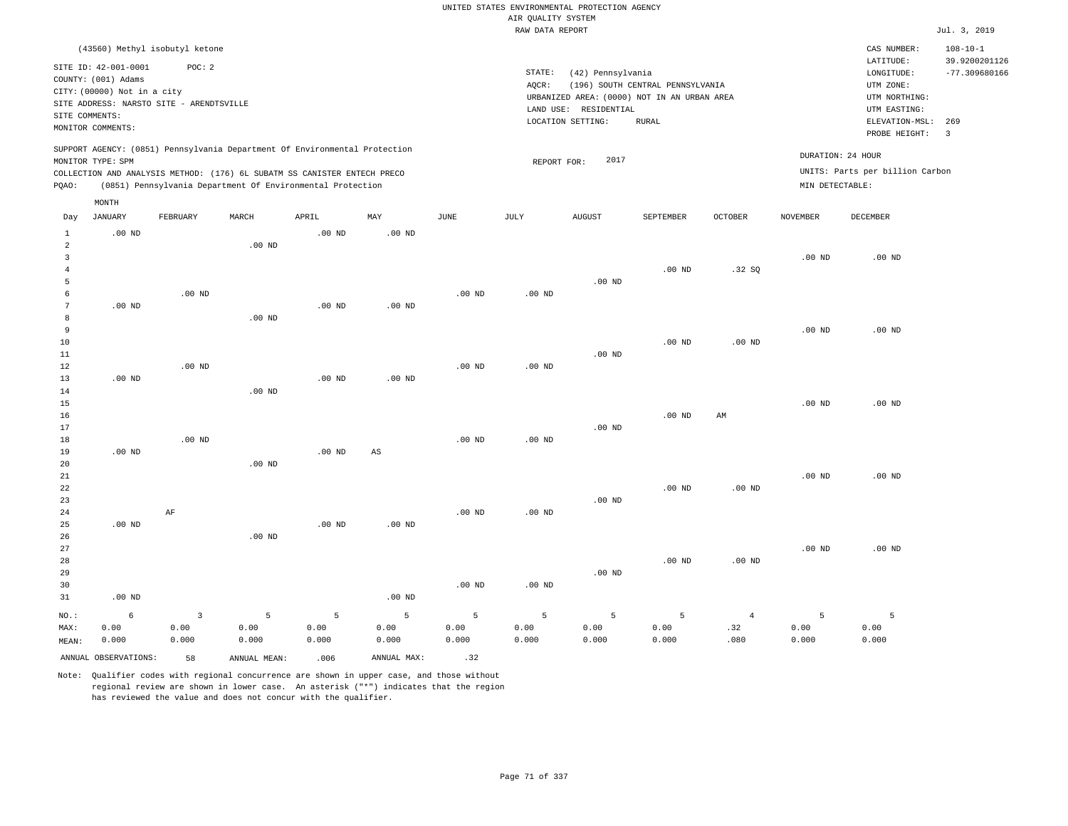|                                                  |                                                                                                              |                    |                                                                                                                                        |                    |                    |                    |                                                                                                                                                              | UNITED STATES ENVIRONMENTAL PROTECTION AGENCY |                                  |                               |                    |                                                                      |                                                    |  |
|--------------------------------------------------|--------------------------------------------------------------------------------------------------------------|--------------------|----------------------------------------------------------------------------------------------------------------------------------------|--------------------|--------------------|--------------------|--------------------------------------------------------------------------------------------------------------------------------------------------------------|-----------------------------------------------|----------------------------------|-------------------------------|--------------------|----------------------------------------------------------------------|----------------------------------------------------|--|
|                                                  |                                                                                                              |                    |                                                                                                                                        |                    |                    |                    | AIR QUALITY SYSTEM                                                                                                                                           |                                               |                                  |                               |                    |                                                                      |                                                    |  |
|                                                  |                                                                                                              |                    |                                                                                                                                        |                    |                    |                    | RAW DATA REPORT                                                                                                                                              |                                               |                                  |                               |                    |                                                                      | Jul. 3, 2019                                       |  |
|                                                  | (43560) Methyl isobutyl ketone<br>SITE ID: 42-001-0001<br>COUNTY: (001) Adams<br>CITY: (00000) Not in a city | POC: 2             |                                                                                                                                        |                    |                    |                    | STATE:<br>$AQCR$ :                                                                                                                                           | (42) Pennsylvania                             | (196) SOUTH CENTRAL PENNSYLVANIA |                               |                    | CAS NUMBER:<br>LATITUDE:<br>LONGITUDE:<br>UTM ZONE:<br>UTM NORTHING: | $108 - 10 - 1$<br>39.9200201126<br>$-77.309680166$ |  |
| SITE COMMENTS:                                   | SITE ADDRESS: NARSTO SITE - ARENDTSVILLE<br>MONITOR COMMENTS:                                                |                    |                                                                                                                                        |                    |                    |                    | URBANIZED AREA: (0000) NOT IN AN URBAN AREA<br>LAND USE: RESIDENTIAL<br>UTM EASTING:<br>LOCATION SETTING:<br><b>RURAL</b><br>ELEVATION-MSL:<br>PROBE HEIGHT: |                                               |                                  |                               |                    |                                                                      |                                                    |  |
|                                                  | MONITOR TYPE: SPM                                                                                            |                    | SUPPORT AGENCY: (0851) Pennsylvania Department Of Environmental Protection                                                             |                    |                    |                    | REPORT FOR:                                                                                                                                                  | 2017                                          |                                  |                               | DURATION: 24 HOUR  |                                                                      |                                                    |  |
| PQAO:                                            |                                                                                                              |                    | COLLECTION AND ANALYSIS METHOD: (176) 6L SUBATM SS CANISTER ENTECH PRECO<br>(0851) Pennsylvania Department Of Environmental Protection |                    |                    |                    |                                                                                                                                                              |                                               |                                  |                               | MIN DETECTABLE:    | UNITS: Parts per billion Carbon                                      |                                                    |  |
|                                                  | MONTH                                                                                                        |                    |                                                                                                                                        |                    |                    |                    |                                                                                                                                                              |                                               |                                  |                               |                    |                                                                      |                                                    |  |
| Day                                              | JANUARY                                                                                                      | FEBRUARY           | MARCH                                                                                                                                  | APRIL              | MAY                | JUNE               | JULY                                                                                                                                                         | AUGUST                                        | SEPTEMBER                        | OCTOBER                       | NOVEMBER           | DECEMBER                                                             |                                                    |  |
| $\mathbf{1}$<br>$\overline{a}$<br>$\overline{3}$ | $.00$ ND                                                                                                     |                    | $.00$ ND                                                                                                                               | $.00$ ND           | $.00$ ND           |                    |                                                                                                                                                              |                                               |                                  |                               | .00 <sub>ND</sub>  | $.00$ ND                                                             |                                                    |  |
| $\overline{4}$<br>5                              |                                                                                                              |                    |                                                                                                                                        |                    |                    |                    |                                                                                                                                                              | $.00$ ND                                      | $.00$ ND                         | .32S                          |                    |                                                                      |                                                    |  |
| $\epsilon$                                       |                                                                                                              | $.00$ ND           |                                                                                                                                        |                    |                    | $.00$ ND           | .00 <sub>ND</sub>                                                                                                                                            |                                               |                                  |                               |                    |                                                                      |                                                    |  |
| 7<br>8                                           | $.00$ ND                                                                                                     |                    | .00 <sub>ND</sub>                                                                                                                      | $.00$ ND           | $.00$ ND           |                    |                                                                                                                                                              |                                               |                                  |                               |                    |                                                                      |                                                    |  |
| 9                                                |                                                                                                              |                    |                                                                                                                                        |                    |                    |                    |                                                                                                                                                              |                                               |                                  |                               | .00 <sub>ND</sub>  | $.00$ ND                                                             |                                                    |  |
| 10<br>11                                         |                                                                                                              |                    |                                                                                                                                        |                    |                    |                    |                                                                                                                                                              | $.00$ ND                                      | $.00$ ND                         | $.00$ ND                      |                    |                                                                      |                                                    |  |
| 12                                               |                                                                                                              | $.00$ ND           |                                                                                                                                        |                    |                    | $.00$ ND           | $.00$ ND                                                                                                                                                     |                                               |                                  |                               |                    |                                                                      |                                                    |  |
| 13<br>14                                         | $.00$ ND                                                                                                     |                    | $.00$ ND                                                                                                                               | $.00$ ND           | $.00$ ND           |                    |                                                                                                                                                              |                                               |                                  |                               |                    |                                                                      |                                                    |  |
| 15<br>16<br>17                                   |                                                                                                              |                    |                                                                                                                                        |                    |                    |                    |                                                                                                                                                              | $.00$ ND                                      | $.00$ ND                         | AM                            | .00 <sub>ND</sub>  | $.00$ ND                                                             |                                                    |  |
| 18                                               |                                                                                                              | $.00$ ND           |                                                                                                                                        |                    |                    | $.00$ ND           | .00 <sub>ND</sub>                                                                                                                                            |                                               |                                  |                               |                    |                                                                      |                                                    |  |
| 19<br>20                                         | $.00$ ND                                                                                                     |                    | $.00$ ND                                                                                                                               | $.00$ ND           | $_{\rm AS}$        |                    |                                                                                                                                                              |                                               |                                  |                               |                    |                                                                      |                                                    |  |
| $2\sqrt{1}$<br>22<br>23                          |                                                                                                              |                    |                                                                                                                                        |                    |                    |                    |                                                                                                                                                              | .00 <sub>ND</sub>                             | $.00$ ND                         | $.00$ ND                      | .00 <sub>ND</sub>  | $.00$ ND                                                             |                                                    |  |
| 24<br>25<br>26                                   | $.00$ ND                                                                                                     | AF                 | $.00$ ND                                                                                                                               | $.00$ ND           | .00 <sub>ND</sub>  | $.00$ ND           | $.00$ ND                                                                                                                                                     |                                               |                                  |                               |                    |                                                                      |                                                    |  |
| 27<br>28<br>29                                   |                                                                                                              |                    |                                                                                                                                        |                    |                    |                    |                                                                                                                                                              | $.00$ ND                                      | .00 <sub>ND</sub>                | $.00$ ND                      | .00 <sub>ND</sub>  | $.00$ ND                                                             |                                                    |  |
| 30<br>31                                         | $.00$ ND                                                                                                     |                    |                                                                                                                                        |                    | $.00$ ND           | .00 <sub>ND</sub>  | .00 <sub>ND</sub>                                                                                                                                            |                                               |                                  |                               |                    |                                                                      |                                                    |  |
| NO.:<br>MAX:<br>MEAN:                            | 6<br>0.00<br>0.000                                                                                           | 3<br>0.00<br>0.000 | 5<br>0.00<br>0.000                                                                                                                     | 5<br>0.00<br>0.000 | 5<br>0.00<br>0.000 | 5<br>0.00<br>0.000 | 5<br>0.00<br>0.000                                                                                                                                           | 5<br>0.00<br>0.000                            | 5<br>0.00<br>0.000               | $\overline{4}$<br>.32<br>.080 | 5<br>0.00<br>0.000 | 5<br>0.00<br>0.000                                                   |                                                    |  |
|                                                  | ANNUAL OBSERVATIONS:                                                                                         | 58                 | ANNUAL, MEAN:                                                                                                                          | .006               | ANNUAL MAX:        | .32                |                                                                                                                                                              |                                               |                                  |                               |                    |                                                                      |                                                    |  |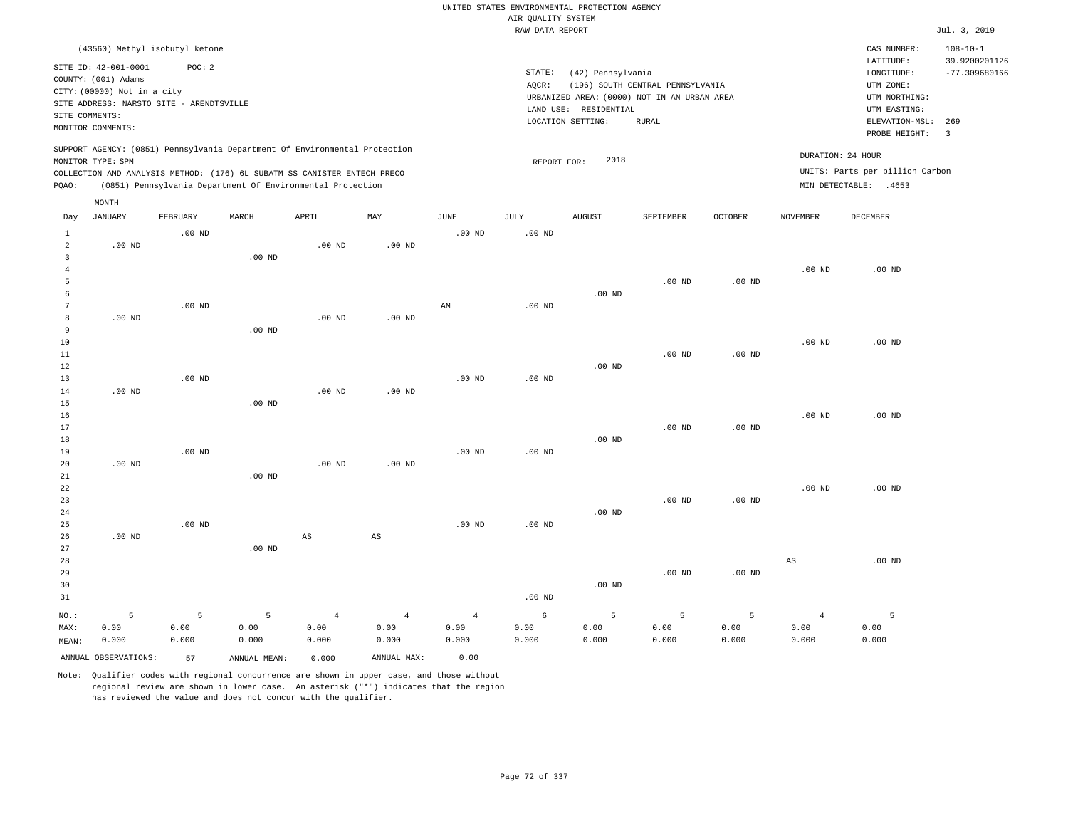|                     |                                                                         |                   |                                                                            |                   |                        |                        |                    | UNITED STATES ENVIRONMENTAL PROTECTION AGENCY |                                             |                   |                 |                                 |                                 |
|---------------------|-------------------------------------------------------------------------|-------------------|----------------------------------------------------------------------------|-------------------|------------------------|------------------------|--------------------|-----------------------------------------------|---------------------------------------------|-------------------|-----------------|---------------------------------|---------------------------------|
|                     |                                                                         |                   |                                                                            |                   |                        |                        | AIR QUALITY SYSTEM |                                               |                                             |                   |                 |                                 |                                 |
|                     |                                                                         |                   |                                                                            |                   |                        |                        | RAW DATA REPORT    |                                               |                                             |                   |                 |                                 | Jul. 3, 2019                    |
|                     | (43560) Methyl isobutyl ketone                                          |                   |                                                                            |                   |                        |                        |                    |                                               |                                             |                   |                 | CAS NUMBER:<br>LATITUDE:        | $108 - 10 - 1$<br>39.9200201126 |
|                     | SITE ID: 42-001-0001                                                    | POC: 2            |                                                                            |                   |                        |                        | STATE:             | (42) Pennsylvania                             |                                             |                   |                 | LONGITUDE:                      | $-77.309680166$                 |
|                     | COUNTY: (001) Adams                                                     |                   |                                                                            |                   |                        |                        | AQCR:              |                                               | (196) SOUTH CENTRAL PENNSYLVANIA            |                   |                 | UTM ZONE:                       |                                 |
|                     | CITY: (00000) Not in a city<br>SITE ADDRESS: NARSTO SITE - ARENDTSVILLE |                   |                                                                            |                   |                        |                        |                    |                                               | URBANIZED AREA: (0000) NOT IN AN URBAN AREA |                   |                 | UTM NORTHING:                   |                                 |
| SITE COMMENTS:      |                                                                         |                   |                                                                            |                   |                        |                        |                    | LAND USE: RESIDENTIAL                         |                                             |                   |                 | UTM EASTING:                    |                                 |
|                     | MONITOR COMMENTS:                                                       |                   |                                                                            |                   |                        |                        |                    | LOCATION SETTING:                             | <b>RURAL</b>                                |                   |                 | ELEVATION-MSL:                  | 269                             |
|                     |                                                                         |                   | SUPPORT AGENCY: (0851) Pennsylvania Department Of Environmental Protection |                   |                        |                        |                    |                                               |                                             |                   |                 | PROBE HEIGHT:                   | $\overline{\mathbf{3}}$         |
|                     | MONITOR TYPE: SPM                                                       |                   |                                                                            |                   |                        |                        | REPORT FOR:        | 2018                                          |                                             |                   |                 | DURATION: 24 HOUR               |                                 |
|                     |                                                                         |                   | COLLECTION AND ANALYSIS METHOD: (176) 6L SUBATM SS CANISTER ENTECH PRECO   |                   |                        |                        |                    |                                               |                                             |                   |                 | UNITS: Parts per billion Carbon |                                 |
| PQAO:               |                                                                         |                   | (0851) Pennsylvania Department Of Environmental Protection                 |                   |                        |                        |                    |                                               |                                             |                   |                 | MIN DETECTABLE: .4653           |                                 |
|                     | MONTH                                                                   |                   |                                                                            |                   |                        |                        |                    |                                               |                                             |                   |                 |                                 |                                 |
| Day                 | <b>JANUARY</b>                                                          | FEBRUARY          | MARCH                                                                      | APRIL             | MAY                    | <b>JUNE</b>            | JULY               | <b>AUGUST</b>                                 | SEPTEMBER                                   | OCTOBER           | <b>NOVEMBER</b> | <b>DECEMBER</b>                 |                                 |
| 1<br>$\overline{a}$ | $.00$ ND                                                                | $.00$ ND          |                                                                            | $.00$ ND          | $.00$ ND               | $.00$ ND               | $.00$ ND           |                                               |                                             |                   |                 |                                 |                                 |
| $\mathbf{3}$        |                                                                         |                   | .00 <sub>ND</sub>                                                          |                   |                        |                        |                    |                                               |                                             |                   |                 |                                 |                                 |
| $\overline{4}$      |                                                                         |                   |                                                                            |                   |                        |                        |                    |                                               |                                             |                   | $.00$ ND        | $.00$ ND                        |                                 |
| 5                   |                                                                         |                   |                                                                            |                   |                        |                        |                    |                                               | .00 <sub>ND</sub>                           | $.00$ ND          |                 |                                 |                                 |
| 6                   |                                                                         |                   |                                                                            |                   |                        |                        |                    | $.00$ ND                                      |                                             |                   |                 |                                 |                                 |
| $7\phantom{.0}$     |                                                                         | $.00$ ND          |                                                                            |                   |                        | $\mathbb{A}\mathbb{M}$ | $.00$ ND           |                                               |                                             |                   |                 |                                 |                                 |
| 8                   | $.00$ ND                                                                |                   |                                                                            | $.00$ ND          | $.00$ ND               |                        |                    |                                               |                                             |                   |                 |                                 |                                 |
| 9                   |                                                                         |                   | $.00$ ND                                                                   |                   |                        |                        |                    |                                               |                                             |                   |                 |                                 |                                 |
| 10                  |                                                                         |                   |                                                                            |                   |                        |                        |                    |                                               |                                             |                   | $.00$ ND        | $.00$ ND                        |                                 |
| 11                  |                                                                         |                   |                                                                            |                   |                        |                        |                    |                                               | $.00$ ND                                    | $.00$ ND          |                 |                                 |                                 |
| 12                  |                                                                         |                   |                                                                            |                   |                        |                        |                    | $.00$ ND                                      |                                             |                   |                 |                                 |                                 |
| 13                  |                                                                         | .00 <sub>ND</sub> |                                                                            |                   |                        | .00 <sub>ND</sub>      | $.00$ ND           |                                               |                                             |                   |                 |                                 |                                 |
| 14                  | .00 <sub>ND</sub>                                                       |                   |                                                                            | $.00$ ND          | $.00$ ND               |                        |                    |                                               |                                             |                   |                 |                                 |                                 |
| 15                  |                                                                         |                   | .00 <sub>ND</sub>                                                          |                   |                        |                        |                    |                                               |                                             |                   |                 |                                 |                                 |
| 16                  |                                                                         |                   |                                                                            |                   |                        |                        |                    |                                               |                                             |                   | $.00$ ND        | $.00$ ND                        |                                 |
| 17                  |                                                                         |                   |                                                                            |                   |                        |                        |                    |                                               | .00 <sub>ND</sub>                           | .00 <sub>ND</sub> |                 |                                 |                                 |
| 18<br>19            |                                                                         | $.00$ ND          |                                                                            |                   |                        | $.00$ ND               | .00 <sub>ND</sub>  | $.00$ ND                                      |                                             |                   |                 |                                 |                                 |
| 20                  | $.00$ ND                                                                |                   |                                                                            | .00 <sub>ND</sub> | $.00$ ND               |                        |                    |                                               |                                             |                   |                 |                                 |                                 |
| $21\,$              |                                                                         |                   | $.00$ ND                                                                   |                   |                        |                        |                    |                                               |                                             |                   |                 |                                 |                                 |
| 22                  |                                                                         |                   |                                                                            |                   |                        |                        |                    |                                               |                                             |                   | $.00$ ND        | $.00$ ND                        |                                 |
| 23                  |                                                                         |                   |                                                                            |                   |                        |                        |                    |                                               | $.00$ ND                                    | $.00$ ND          |                 |                                 |                                 |
| 24                  |                                                                         |                   |                                                                            |                   |                        |                        |                    | $.00$ ND                                      |                                             |                   |                 |                                 |                                 |
| 25                  |                                                                         | $.00$ ND          |                                                                            |                   |                        | $.00$ ND               | $.00$ ND           |                                               |                                             |                   |                 |                                 |                                 |
| 26                  | $.00$ ND                                                                |                   |                                                                            | AS                | $\mathbb{A}\mathbb{S}$ |                        |                    |                                               |                                             |                   |                 |                                 |                                 |
| 27                  |                                                                         |                   | $.00$ ND                                                                   |                   |                        |                        |                    |                                               |                                             |                   |                 |                                 |                                 |
| 28                  |                                                                         |                   |                                                                            |                   |                        |                        |                    |                                               |                                             |                   | AS              | $.00$ ND                        |                                 |
| 29                  |                                                                         |                   |                                                                            |                   |                        |                        |                    |                                               | $.00$ ND                                    | $.00$ ND          |                 |                                 |                                 |
| 30                  |                                                                         |                   |                                                                            |                   |                        |                        |                    | $.00$ ND                                      |                                             |                   |                 |                                 |                                 |
| 31                  |                                                                         |                   |                                                                            |                   |                        |                        | .00 <sub>ND</sub>  |                                               |                                             |                   |                 |                                 |                                 |
| NO.:                | 5                                                                       | 5                 | 5                                                                          | $\overline{4}$    | $\overline{4}$         | $\overline{4}$         | 6                  | 5                                             | 5                                           | 5                 | $\overline{4}$  | 5                               |                                 |
| MAX:                | 0.00                                                                    | 0.00              | 0.00                                                                       | 0.00              | 0.00                   | 0.00                   | 0.00               | 0.00                                          | 0.00                                        | 0.00              | 0.00            | 0.00                            |                                 |
| MEAN:               | 0.000                                                                   | 0.000             | 0.000                                                                      | 0.000             | 0.000                  | 0.000                  | 0.000              | 0.000                                         | 0.000                                       | 0.000             | 0.000           | 0.000                           |                                 |
|                     | ANNUAL OBSERVATIONS:                                                    | 57                | ANNUAL MEAN:                                                               | 0.000             | ANNUAL MAX:            | 0.00                   |                    |                                               |                                             |                   |                 |                                 |                                 |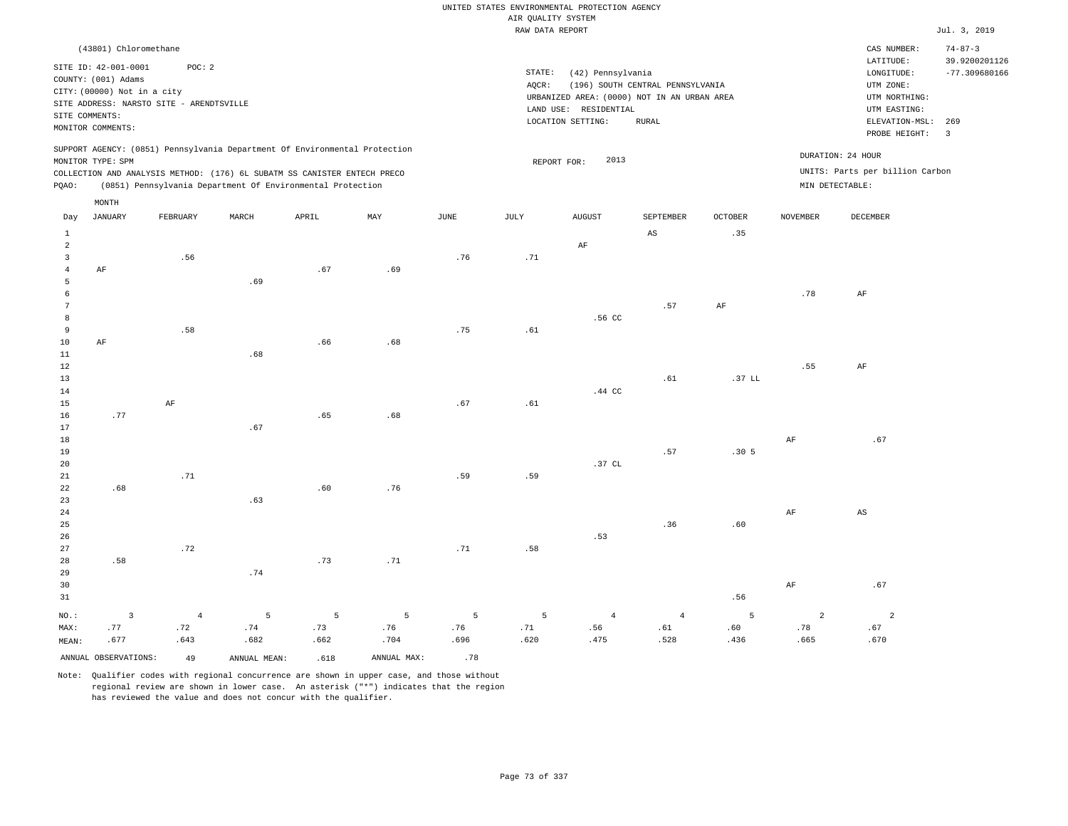|                           |                                                    |                       |                                                                            |          |             |             | AIR QUALITY SYSTEM | UNITED STATES ENVIRONMENTAL PROTECTION AGENCY |                                  |                        |                     |                                 |                                |
|---------------------------|----------------------------------------------------|-----------------------|----------------------------------------------------------------------------|----------|-------------|-------------|--------------------|-----------------------------------------------|----------------------------------|------------------------|---------------------|---------------------------------|--------------------------------|
|                           |                                                    |                       |                                                                            |          |             |             | RAW DATA REPORT    |                                               |                                  |                        |                     |                                 | Jul. 3, 2019                   |
|                           | (43801) Chloromethane                              |                       |                                                                            |          |             |             |                    |                                               |                                  |                        |                     | CAS NUMBER:<br>LATITUDE:        | $74 - 87 - 3$<br>39.9200201126 |
|                           | SITE ID: 42-001-0001                               | POC: 2                |                                                                            |          |             |             | STATE:             | (42) Pennsylvania                             |                                  |                        |                     | LONGITUDE:                      | $-77.309680166$                |
|                           | COUNTY: (001) Adams<br>CITY: (00000) Not in a city |                       |                                                                            |          |             |             | AQCR:              |                                               | (196) SOUTH CENTRAL PENNSYLVANIA |                        |                     | UTM ZONE:                       |                                |
|                           | SITE ADDRESS: NARSTO SITE - ARENDTSVILLE           |                       |                                                                            |          |             |             |                    | URBANIZED AREA: (0000) NOT IN AN URBAN AREA   |                                  |                        |                     | UTM NORTHING:                   |                                |
|                           | SITE COMMENTS:                                     |                       |                                                                            |          |             |             |                    | LAND USE: RESIDENTIAL                         |                                  |                        |                     | UTM EASTING:                    |                                |
|                           | MONITOR COMMENTS:                                  |                       |                                                                            |          |             |             |                    | LOCATION SETTING:                             | ${\tt RURAL}$                    |                        |                     | ELEVATION-MSL:<br>PROBE HEIGHT: | 269<br>$\overline{3}$          |
|                           |                                                    |                       | SUPPORT AGENCY: (0851) Pennsylvania Department Of Environmental Protection |          |             |             |                    |                                               |                                  |                        |                     | DURATION: 24 HOUR               |                                |
|                           | MONITOR TYPE: SPM                                  |                       | COLLECTION AND ANALYSIS METHOD: (176) 6L SUBATM SS CANISTER ENTECH PRECO   |          |             |             | REPORT FOR:        | 2013                                          |                                  |                        |                     | UNITS: Parts per billion Carbon |                                |
| PQAO:                     |                                                    |                       | (0851) Pennsylvania Department Of Environmental Protection                 |          |             |             |                    |                                               |                                  |                        | MIN DETECTABLE:     |                                 |                                |
|                           | MONTH                                              |                       |                                                                            |          |             |             |                    |                                               |                                  |                        |                     |                                 |                                |
| Day                       | <b>JANUARY</b>                                     | FEBRUARY              | MARCH                                                                      | APRIL    | MAX         | <b>JUNE</b> | JULY               | <b>AUGUST</b>                                 | SEPTEMBER                        | <b>OCTOBER</b>         | <b>NOVEMBER</b>     | <b>DECEMBER</b>                 |                                |
| $\,1\,$<br>$\overline{a}$ |                                                    |                       |                                                                            |          |             |             |                    |                                               | $\mathbb{A}\mathbb{S}$           | .35                    |                     |                                 |                                |
| $\overline{\mathbf{3}}$   |                                                    | .56                   |                                                                            |          |             | .76         | .71                | AF                                            |                                  |                        |                     |                                 |                                |
| $\bf{4}$                  | AF                                                 |                       |                                                                            | .67      | .69         |             |                    |                                               |                                  |                        |                     |                                 |                                |
| 5                         |                                                    |                       | .69                                                                        |          |             |             |                    |                                               |                                  |                        |                     |                                 |                                |
| 6                         |                                                    |                       |                                                                            |          |             |             |                    |                                               |                                  |                        | .78                 | $\rm AF$                        |                                |
| 7                         |                                                    |                       |                                                                            |          |             |             |                    |                                               | .57                              | AF                     |                     |                                 |                                |
| $^{\rm 8}$                |                                                    |                       |                                                                            |          |             |             |                    | .56 CC                                        |                                  |                        |                     |                                 |                                |
| 9                         |                                                    | .58                   |                                                                            |          |             | .75         | .61                |                                               |                                  |                        |                     |                                 |                                |
| 10<br>$1\,1$              | AF                                                 |                       | .68                                                                        | .66      | .68         |             |                    |                                               |                                  |                        |                     |                                 |                                |
| 12                        |                                                    |                       |                                                                            |          |             |             |                    |                                               |                                  |                        | .55                 | AF                              |                                |
| 13                        |                                                    |                       |                                                                            |          |             |             |                    |                                               | .61                              | .37 LL                 |                     |                                 |                                |
| 14                        |                                                    |                       |                                                                            |          |             |             |                    | .44 CC                                        |                                  |                        |                     |                                 |                                |
| 15                        |                                                    | $\rm AF$              |                                                                            |          |             | .67         | .61                |                                               |                                  |                        |                     |                                 |                                |
| 16                        | .77                                                |                       |                                                                            | .65      | .68         |             |                    |                                               |                                  |                        |                     |                                 |                                |
| 17                        |                                                    |                       | .67                                                                        |          |             |             |                    |                                               |                                  |                        |                     |                                 |                                |
| 18<br>19                  |                                                    |                       |                                                                            |          |             |             |                    |                                               | .57                              | .30 <sub>5</sub>       | $\rm{AF}$           | .67                             |                                |
| 20                        |                                                    |                       |                                                                            |          |             |             |                    | .37 CL                                        |                                  |                        |                     |                                 |                                |
| 21                        |                                                    | .71                   |                                                                            |          |             | .59         | .59                |                                               |                                  |                        |                     |                                 |                                |
| 22                        | .68                                                |                       |                                                                            | .60      | .76         |             |                    |                                               |                                  |                        |                     |                                 |                                |
| 23                        |                                                    |                       | .63                                                                        |          |             |             |                    |                                               |                                  |                        |                     |                                 |                                |
| 24                        |                                                    |                       |                                                                            |          |             |             |                    |                                               |                                  |                        | $\rm{AF}$           | $\mathbb{A}\mathbb{S}$          |                                |
| 25                        |                                                    |                       |                                                                            |          |             |             |                    |                                               | .36                              | .60                    |                     |                                 |                                |
| 26                        |                                                    |                       |                                                                            |          |             |             |                    | .53                                           |                                  |                        |                     |                                 |                                |
| 27                        |                                                    | .72                   |                                                                            |          |             | .71         | .58                |                                               |                                  |                        |                     |                                 |                                |
| 28<br>29                  | .58                                                |                       | .74                                                                        | .73      | .71         |             |                    |                                               |                                  |                        |                     |                                 |                                |
| 30                        |                                                    |                       |                                                                            |          |             |             |                    |                                               |                                  |                        | AF                  | .67                             |                                |
| 31                        |                                                    |                       |                                                                            |          |             |             |                    |                                               |                                  | .56                    |                     |                                 |                                |
|                           |                                                    |                       | 5                                                                          |          |             |             | 5                  |                                               |                                  |                        |                     |                                 |                                |
| NO.:<br>MAX:              | $\overline{\mathbf{3}}$<br>.77                     | $\overline{4}$<br>.72 | .74                                                                        | 5<br>.73 | 5<br>.76    | 5<br>.76    | .71                | $\overline{4}$<br>.56                         | $\sqrt{4}$<br>.61                | $5\phantom{.0}$<br>.60 | $\mathbf{2}$<br>.78 | $\overline{a}$<br>.67           |                                |
| MEAN:                     | .677                                               | .643                  | .682                                                                       | .662     | .704        | .696        | .620               | .475                                          | .528                             | .436                   | .665                | .670                            |                                |
|                           | ANNUAL OBSERVATIONS:                               | 49                    | ANNUAL, MEAN:                                                              | .618     | ANNUAL MAX: | .78         |                    |                                               |                                  |                        |                     |                                 |                                |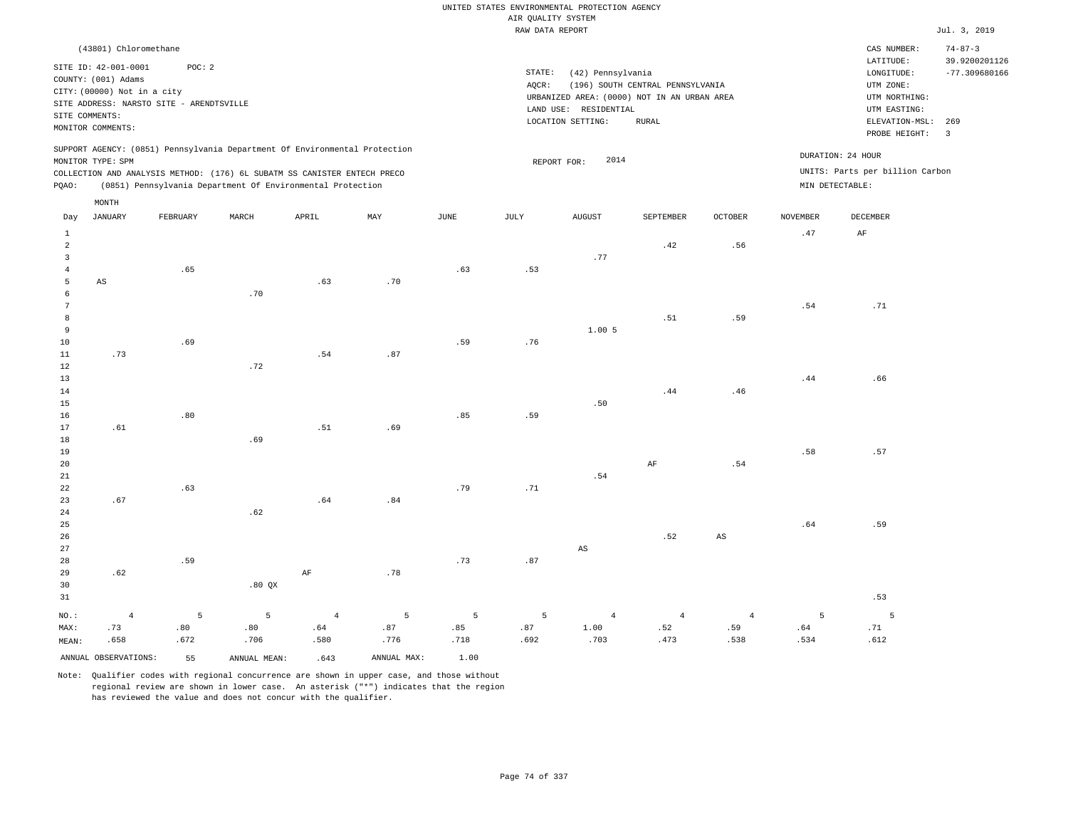|                |                                    |                                          |                                                                            |                |                           |                       |                    | UNITED STATES ENVIRONMENTAL PROTECTION AGENCY |                                  |                        |                 |                                 |                                |
|----------------|------------------------------------|------------------------------------------|----------------------------------------------------------------------------|----------------|---------------------------|-----------------------|--------------------|-----------------------------------------------|----------------------------------|------------------------|-----------------|---------------------------------|--------------------------------|
|                |                                    |                                          |                                                                            |                |                           |                       | AIR QUALITY SYSTEM |                                               |                                  |                        |                 |                                 |                                |
|                |                                    |                                          |                                                                            |                |                           |                       | RAW DATA REPORT    |                                               |                                  |                        |                 |                                 | Jul. 3, 2019                   |
|                | (43801) Chloromethane              |                                          |                                                                            |                |                           |                       |                    |                                               |                                  |                        |                 | CAS NUMBER:<br>LATITUDE:        | $74 - 87 - 3$<br>39.9200201126 |
|                | SITE ID: 42-001-0001               | POC: 2                                   |                                                                            |                |                           |                       | STATE:             | (42) Pennsylvania                             |                                  |                        |                 | LONGITUDE:                      | $-77.309680166$                |
|                | COUNTY: (001) Adams                |                                          |                                                                            |                |                           |                       | AQCR:              |                                               | (196) SOUTH CENTRAL PENNSYLVANIA |                        |                 | UTM ZONE:                       |                                |
|                | CITY: (00000) Not in a city        |                                          |                                                                            |                |                           |                       |                    | URBANIZED AREA: (0000) NOT IN AN URBAN AREA   |                                  |                        |                 | UTM NORTHING:                   |                                |
|                |                                    | SITE ADDRESS: NARSTO SITE - ARENDTSVILLE |                                                                            |                |                           |                       |                    | LAND USE: RESIDENTIAL                         |                                  |                        |                 | UTM EASTING:                    |                                |
|                | SITE COMMENTS:                     |                                          |                                                                            |                |                           |                       |                    | LOCATION SETTING:                             | <b>RURAL</b>                     |                        |                 | ELEVATION-MSL:                  | 269                            |
|                | MONITOR COMMENTS:                  |                                          |                                                                            |                |                           |                       |                    |                                               |                                  |                        |                 | PROBE HEIGHT:                   | $\overline{3}$                 |
|                |                                    |                                          | SUPPORT AGENCY: (0851) Pennsylvania Department Of Environmental Protection |                |                           |                       |                    |                                               |                                  |                        |                 | DURATION: 24 HOUR               |                                |
|                | MONITOR TYPE: SPM                  |                                          |                                                                            |                |                           |                       |                    | 2014<br>REPORT FOR:                           |                                  |                        |                 | UNITS: Parts per billion Carbon |                                |
|                |                                    |                                          | COLLECTION AND ANALYSIS METHOD: (176) 6L SUBATM SS CANISTER ENTECH PRECO   |                |                           |                       |                    |                                               |                                  |                        |                 |                                 |                                |
| PQAO:          |                                    |                                          | (0851) Pennsylvania Department Of Environmental Protection                 |                |                           |                       |                    |                                               |                                  |                        | MIN DETECTABLE: |                                 |                                |
| Day            | $\texttt{MONTH}$<br><b>JANUARY</b> | FEBRUARY                                 | MARCH                                                                      | APRIL          | $\ensuremath{\text{MAX}}$ | $\operatorname{JUNE}$ | JULY               | <b>AUGUST</b>                                 | SEPTEMBER                        | <b>OCTOBER</b>         | <b>NOVEMBER</b> | DECEMBER                        |                                |
| $\mathbf{1}$   |                                    |                                          |                                                                            |                |                           |                       |                    |                                               |                                  |                        | .47             | AF                              |                                |
| $\overline{a}$ |                                    |                                          |                                                                            |                |                           |                       |                    |                                               | .42                              | .56                    |                 |                                 |                                |
| $\overline{3}$ |                                    |                                          |                                                                            |                |                           |                       |                    | .77                                           |                                  |                        |                 |                                 |                                |
| $\overline{4}$ |                                    | .65                                      |                                                                            |                |                           | .63                   | .53                |                                               |                                  |                        |                 |                                 |                                |
| 5              | AS                                 |                                          |                                                                            | .63            | .70                       |                       |                    |                                               |                                  |                        |                 |                                 |                                |
| 6              |                                    |                                          | .70                                                                        |                |                           |                       |                    |                                               |                                  |                        |                 |                                 |                                |
| 7              |                                    |                                          |                                                                            |                |                           |                       |                    |                                               |                                  |                        | .54             | .71                             |                                |
| 8              |                                    |                                          |                                                                            |                |                           |                       |                    |                                               | .51                              | .59                    |                 |                                 |                                |
| 9              |                                    |                                          |                                                                            |                |                           |                       |                    | 1.005                                         |                                  |                        |                 |                                 |                                |
| $10$<br>$11\,$ | .73                                | .69                                      |                                                                            | .54            | .87                       | .59                   | .76                |                                               |                                  |                        |                 |                                 |                                |
| 12             |                                    |                                          | .72                                                                        |                |                           |                       |                    |                                               |                                  |                        |                 |                                 |                                |
| 13             |                                    |                                          |                                                                            |                |                           |                       |                    |                                               |                                  |                        | .44             | .66                             |                                |
| 14             |                                    |                                          |                                                                            |                |                           |                       |                    |                                               | .44                              | .46                    |                 |                                 |                                |
| 15             |                                    |                                          |                                                                            |                |                           |                       |                    | .50                                           |                                  |                        |                 |                                 |                                |
| 16             |                                    | .80                                      |                                                                            |                |                           | .85                   | .59                |                                               |                                  |                        |                 |                                 |                                |
| 17             | .61                                |                                          |                                                                            | .51            | .69                       |                       |                    |                                               |                                  |                        |                 |                                 |                                |
| 18             |                                    |                                          | .69                                                                        |                |                           |                       |                    |                                               |                                  |                        |                 |                                 |                                |
| 19             |                                    |                                          |                                                                            |                |                           |                       |                    |                                               |                                  |                        | .58             | .57                             |                                |
| 20             |                                    |                                          |                                                                            |                |                           |                       |                    |                                               | AF                               | .54                    |                 |                                 |                                |
| 21<br>22       |                                    | .63                                      |                                                                            |                |                           | .79                   | .71                | .54                                           |                                  |                        |                 |                                 |                                |
| 23             | .67                                |                                          |                                                                            | .64            | .84                       |                       |                    |                                               |                                  |                        |                 |                                 |                                |
| 24             |                                    |                                          | .62                                                                        |                |                           |                       |                    |                                               |                                  |                        |                 |                                 |                                |
| 25             |                                    |                                          |                                                                            |                |                           |                       |                    |                                               |                                  |                        | .64             | .59                             |                                |
| 26             |                                    |                                          |                                                                            |                |                           |                       |                    |                                               | .52                              | $\mathbb{A}\mathbb{S}$ |                 |                                 |                                |
| 27             |                                    |                                          |                                                                            |                |                           |                       |                    | $\mathbb{A}\mathbb{S}$                        |                                  |                        |                 |                                 |                                |
| 28             |                                    | .59                                      |                                                                            |                |                           | .73                   | .87                |                                               |                                  |                        |                 |                                 |                                |
| 29             | .62                                |                                          |                                                                            | AF             | .78                       |                       |                    |                                               |                                  |                        |                 |                                 |                                |
| 30             |                                    |                                          | .80 QX                                                                     |                |                           |                       |                    |                                               |                                  |                        |                 |                                 |                                |
| 31             |                                    |                                          |                                                                            |                |                           |                       |                    |                                               |                                  |                        |                 | .53                             |                                |
| NO.:           | $\overline{4}$                     | 5                                        | 5                                                                          | $\overline{4}$ | 5                         | 5                     | 5                  | $\overline{4}$                                | $\overline{4}$                   | $\overline{4}$         | 5               | 5                               |                                |
| MAX:           | .73                                | .80                                      | .80                                                                        | .64            | .87                       | .85                   | .87                | 1.00                                          | .52                              | .59                    | .64             | .71                             |                                |
| MEAN:          | .658                               | .672                                     | .706                                                                       | .580           | .776                      | .718                  | .692               | .703                                          | .473                             | .538                   | .534            | .612                            |                                |
|                | ANNUAL OBSERVATIONS:               | 55                                       | ANNUAL MEAN:                                                               | .643           | ANNUAL MAX:               | 1.00                  |                    |                                               |                                  |                        |                 |                                 |                                |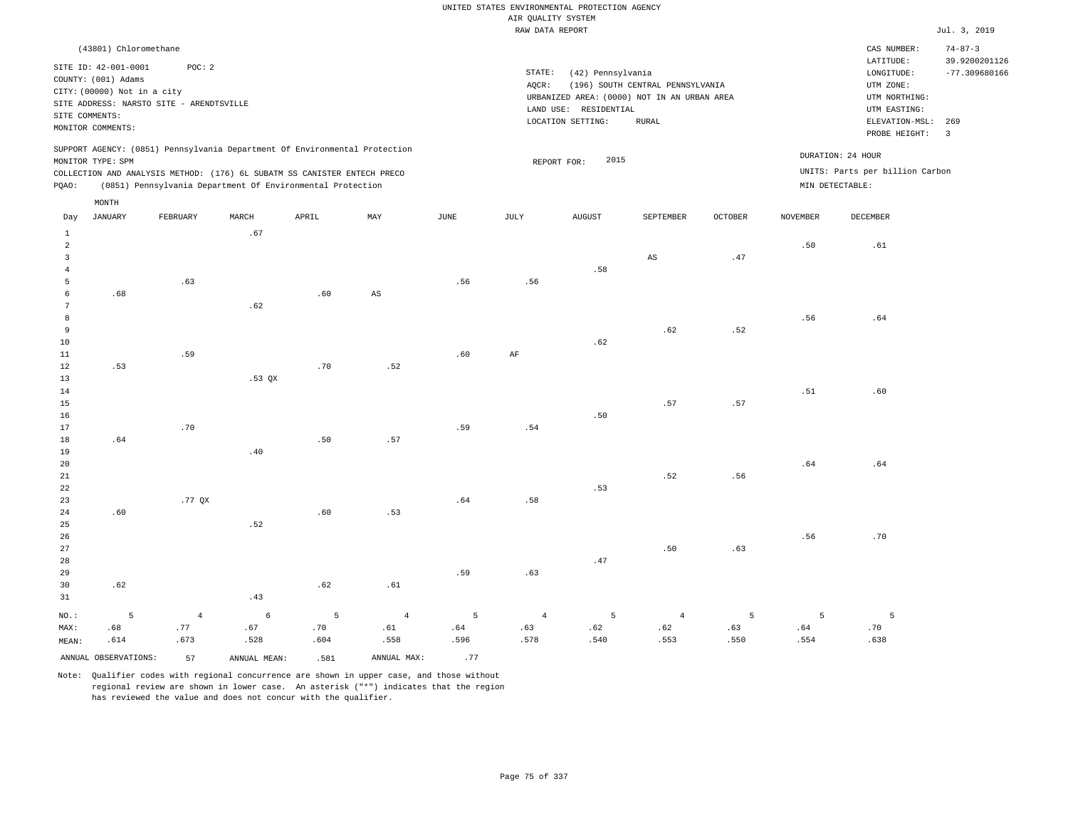## RAW DATA REPORT **Jul. 3, 2019** UNITED STATES ENVIRONMENTAL PROTECTION AGENCY AIR QUALITY SYSTEM

| (43801) Chloromethane                                                                                                                                                                                                                                       |                                                                                                                                                                                |                                      | CAS NUMBER:                                                                                                  | $74 - 87 - 3$                    |
|-------------------------------------------------------------------------------------------------------------------------------------------------------------------------------------------------------------------------------------------------------------|--------------------------------------------------------------------------------------------------------------------------------------------------------------------------------|--------------------------------------|--------------------------------------------------------------------------------------------------------------|----------------------------------|
| SITE ID: 42-001-0001<br>POC: 2<br>COUNTY: (001) Adams<br>CITY: (00000) Not in a city<br>SITE ADDRESS: NARSTO SITE - ARENDTSVILLE<br>SITE COMMENTS:<br>MONITOR COMMENTS:                                                                                     | STATE:<br>(42) Pennsylvania<br>AOCR:<br>(196) SOUTH CENTRAL PENNSYLVANIA<br>URBANIZED AREA: (0000) NOT IN AN URBAN AREA<br>LAND USE: RESIDENTIAL<br>LOCATION SETTING:<br>RURAL |                                      | LATITUDE:<br>LONGITUDE:<br>UTM ZONE:<br>UTM NORTHING:<br>UTM EASTING:<br>ELEVATION-MSL: 269<br>PROBE HEIGHT: | 39.9200201126<br>$-77.309680166$ |
| SUPPORT AGENCY: (0851) Pennsylvania Department Of Environmental Protection<br>MONITOR TYPE: SPM<br>COLLECTION AND ANALYSIS METHOD: (176) 6L SUBATM SS CANISTER ENTECH PRECO<br>(0851) Pennsylvania Department Of Environmental Protection<br>POAO:<br>MONTH | 2015<br>REPORT FOR:                                                                                                                                                            | DURATION: 24 HOUR<br>MIN DETECTABLE: | UNITS: Parts per billion Carbon                                                                              |                                  |

| Day            | JANUARY              | FEBRUARY       | MARCH        | APRIL          | MAY                    | JUNE | JULY       | AUGUST                        | SEPTEMBER              | OCTOBER | NOVEMBER                     | DECEMBER                        |
|----------------|----------------------|----------------|--------------|----------------|------------------------|------|------------|-------------------------------|------------------------|---------|------------------------------|---------------------------------|
| $\mathbf{1}$   |                      |                | .67          |                |                        |      |            |                               |                        |         |                              |                                 |
| $\overline{a}$ |                      |                |              |                |                        |      |            |                               |                        |         | .50                          | .61                             |
| 3              |                      |                |              |                |                        |      |            |                               | $\mathbb{A}\mathbb{S}$ | $.47\,$ |                              |                                 |
| $\overline{4}$ |                      |                |              |                |                        |      |            | .58                           |                        |         |                              |                                 |
| 5              |                      | .63            |              |                |                        | .56  | .56        |                               |                        |         |                              |                                 |
| 6              | .68                  |                |              | .60            | $\mathbb{A}\mathbb{S}$ |      |            |                               |                        |         |                              |                                 |
| $\overline{7}$ |                      |                | .62          |                |                        |      |            |                               |                        |         |                              |                                 |
| $\,8\,$        |                      |                |              |                |                        |      |            |                               |                        |         | .56                          | .64                             |
| $\overline{9}$ |                      |                |              |                |                        |      |            |                               | .62                    | .52     |                              |                                 |
| $10$           |                      |                |              |                |                        |      |            | .62                           |                        |         |                              |                                 |
| 11             |                      | .59            |              |                |                        | .60  | $\rm{AF}$  |                               |                        |         |                              |                                 |
| 12             | .53                  |                |              | $.70$          | .52                    |      |            |                               |                        |         |                              |                                 |
| 13             |                      |                | .53 $QX$     |                |                        |      |            |                               |                        |         |                              |                                 |
| 14             |                      |                |              |                |                        |      |            |                               |                        |         | $\footnotesize\substack{51}$ | .60                             |
| 15             |                      |                |              |                |                        |      |            |                               | .57                    | $.57\,$ |                              |                                 |
| 16             |                      |                |              |                |                        |      |            | .50                           |                        |         |                              |                                 |
| 17             |                      | .70            |              |                |                        | .59  | .54        |                               |                        |         |                              |                                 |
| 18             | .64                  |                |              | .50            | .57                    |      |            |                               |                        |         |                              |                                 |
| 19             |                      |                | .40          |                |                        |      |            |                               |                        |         |                              |                                 |
| $20\,$         |                      |                |              |                |                        |      |            |                               |                        |         | .64                          | $\footnotesize\substack{+ 64 }$ |
| $2\sqrt{1}$    |                      |                |              |                |                        |      |            |                               | .52                    | .56     |                              |                                 |
| 22             |                      |                |              |                |                        |      |            | .53                           |                        |         |                              |                                 |
| 23             |                      | .77 QX         |              |                |                        | .64  | .58        |                               |                        |         |                              |                                 |
| $2\,4$         | .60                  |                |              | .60            | .53                    |      |            |                               |                        |         |                              |                                 |
| $25\,$         |                      |                | .52          |                |                        |      |            |                               |                        |         |                              |                                 |
| 26             |                      |                |              |                |                        |      |            |                               |                        |         | .56                          | $.70$                           |
| 27             |                      |                |              |                |                        |      |            |                               | .50                    | .63     |                              |                                 |
| 28             |                      |                |              |                |                        |      |            | $\footnotesize{\textbf{.47}}$ |                        |         |                              |                                 |
| 29             |                      |                |              |                |                        | .59  | .63        |                               |                        |         |                              |                                 |
| 30             | .62                  |                |              | .62            | .61                    |      |            |                               |                        |         |                              |                                 |
| 31             |                      |                | .43          |                |                        |      |            |                               |                        |         |                              |                                 |
| $NO.$ :        | 5                    | $\overline{4}$ | $\epsilon$   | $\overline{5}$ | $\overline{4}$         | 5    | $\sqrt{4}$ | 5                             | $\overline{4}$         | 5       | 5                            | 5                               |
| MAX:           | .68                  | .77            | .67          | .70            | .61                    | .64  | .63        | .62                           | .62                    | .63     | .64                          | .70                             |
| MEAN:          | .614                 | .673           | .528         | .604           | .558                   | .596 | .578       | .540                          | .553                   | .550    | .554                         | .638                            |
|                | ANNUAL OBSERVATIONS: | 57             | ANNUAL MEAN: | .581           | ANNUAL MAX:            | .77  |            |                               |                        |         |                              |                                 |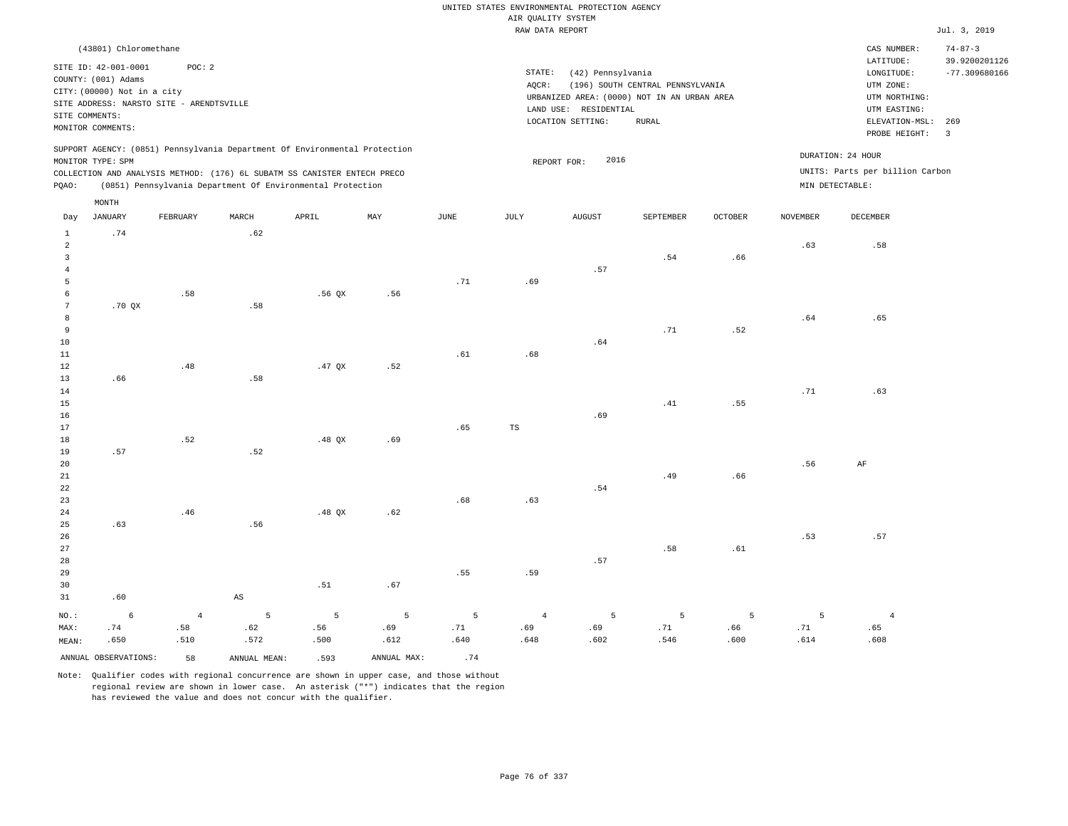## RAW DATA REPORT Jul. 3, 2019 UNITED STATES ENVIRONMENTAL PROTECTION AGENCY AIR QUALITY SYSTEM

| (43801) Chloromethane                                                                                                                                                                                                                              |                                                                                                                                                                                |                                                                         | CAS NUMBER:                                                                                                  | $74 - 87 - 3$                    |
|----------------------------------------------------------------------------------------------------------------------------------------------------------------------------------------------------------------------------------------------------|--------------------------------------------------------------------------------------------------------------------------------------------------------------------------------|-------------------------------------------------------------------------|--------------------------------------------------------------------------------------------------------------|----------------------------------|
| SITE ID: 42-001-0001<br>POC:2<br>COUNTY: (001) Adams<br>CITY: (00000) Not in a city<br>SITE ADDRESS: NARSTO SITE - ARENDTSVILLE<br>SITE COMMENTS:<br>MONITOR COMMENTS:                                                                             | STATE:<br>(42) Pennsylvania<br>(196) SOUTH CENTRAL PENNSYLVANIA<br>AOCR:<br>URBANIZED AREA: (0000) NOT IN AN URBAN AREA<br>LAND USE: RESIDENTIAL<br>LOCATION SETTING:<br>RURAL |                                                                         | LATITUDE:<br>LONGITUDE:<br>UTM ZONE:<br>UTM NORTHING:<br>UTM EASTING:<br>ELEVATION-MSL: 269<br>PROBE HEIGHT: | 39.9200201126<br>$-77.309680166$ |
| SUPPORT AGENCY: (0851) Pennsylvania Department Of Environmental Protection<br>MONITOR TYPE: SPM<br>COLLECTION AND ANALYSIS METHOD: (176) 6L SUBATM SS CANISTER ENTECH PRECO<br>(0851) Pennsylvania Department Of Environmental Protection<br>POAO: | 2016<br>REPORT FOR:                                                                                                                                                            | DURATION: 24 HOUR<br>UNITS: Parts per billion Carbon<br>MIN DETECTABLE: |                                                                                                              |                                  |

| Day            | <b>JANUARY</b>       | FEBRUARY                      | $\tt MARCH$            | APRIL          | $\ensuremath{\text{MAX}}$ | $_{\rm JUNE}$ | JULY           | AUGUST | SEPTEMBER | OCTOBER | NOVEMBER | DECEMBER       |
|----------------|----------------------|-------------------------------|------------------------|----------------|---------------------------|---------------|----------------|--------|-----------|---------|----------|----------------|
| $\mathbf{1}$   | .74                  |                               | .62                    |                |                           |               |                |        |           |         |          |                |
| $\overline{a}$ |                      |                               |                        |                |                           |               |                |        |           |         | .63      | .58            |
| $\overline{3}$ |                      |                               |                        |                |                           |               |                |        | .54       | .66     |          |                |
| $\overline{4}$ |                      |                               |                        |                |                           |               |                | .57    |           |         |          |                |
| 5              |                      |                               |                        |                |                           | .71           | .69            |        |           |         |          |                |
| 6              |                      | .58                           |                        | .56QX          | .56                       |               |                |        |           |         |          |                |
| 7              | .70QX                |                               | .58                    |                |                           |               |                |        |           |         |          |                |
| 8              |                      |                               |                        |                |                           |               |                |        |           |         | .64      | .65            |
| 9              |                      |                               |                        |                |                           |               |                |        | .71       | .52     |          |                |
| 10             |                      |                               |                        |                |                           |               |                | .64    |           |         |          |                |
| 11             |                      |                               |                        |                |                           | .61           | .68            |        |           |         |          |                |
| 12             |                      | $\footnotesize{\textbf{.48}}$ |                        | .47 $QX$       | .52                       |               |                |        |           |         |          |                |
| 13             | .66                  |                               | .58                    |                |                           |               |                |        |           |         |          |                |
| 14             |                      |                               |                        |                |                           |               |                |        |           |         | .71      | .63            |
| 15             |                      |                               |                        |                |                           |               |                |        | .41       | .55     |          |                |
| 16             |                      |                               |                        |                |                           |               |                | .69    |           |         |          |                |
| 17             |                      |                               |                        |                |                           | .65           | $_{\rm TS}$    |        |           |         |          |                |
| 18             |                      | .52                           |                        | .48 $QX$       | .69                       |               |                |        |           |         |          |                |
| 19             | .57                  |                               | .52                    |                |                           |               |                |        |           |         | .56      |                |
| 20<br>21       |                      |                               |                        |                |                           |               |                |        | .49       | .66     |          | $\rm AF$       |
| $^{\rm 22}$    |                      |                               |                        |                |                           |               |                | .54    |           |         |          |                |
| 23             |                      |                               |                        |                |                           | .68           | .63            |        |           |         |          |                |
| 24             |                      | .46                           |                        | .48 $QX$       | .62                       |               |                |        |           |         |          |                |
| 25             | .63                  |                               | .56                    |                |                           |               |                |        |           |         |          |                |
| 26             |                      |                               |                        |                |                           |               |                |        |           |         | .53      | .57            |
| 27             |                      |                               |                        |                |                           |               |                |        | .58       | .61     |          |                |
| 28             |                      |                               |                        |                |                           |               |                | .57    |           |         |          |                |
| 29             |                      |                               |                        |                |                           | .55           | .59            |        |           |         |          |                |
| 30             |                      |                               |                        | .51            | .67                       |               |                |        |           |         |          |                |
| 31             | .60                  |                               | $\mathbb{A}\mathbb{S}$ |                |                           |               |                |        |           |         |          |                |
| $NO.$ :        | 6                    | $\sqrt{4}$                    | $\mathsf S$            | $\overline{5}$ | $\overline{5}$            | 5             | $\overline{4}$ | 5      | 5         | 5       | 5        | $\overline{4}$ |
| MAX:           | .74                  | .58                           | .62                    | .56            | .69                       | .71           | .69            | .69    | .71       | .66     | .71      | .65            |
| MEAN:          | .650                 | .510                          | .572                   | .500           | .612                      | .640          | .648           | .602   | .546      | .600    | .614     | .608           |
|                | ANNUAL OBSERVATIONS: | 58                            | ANNUAL MEAN:           | .593           | ANNUAL MAX:               | .74           |                |        |           |         |          |                |

Note: Qualifier codes with regional concurrence are shown in upper case, and those without regional review are shown in lower case. An asterisk ("\*") indicates that the region has reviewed the value and does not concur with the qualifier.

MONTH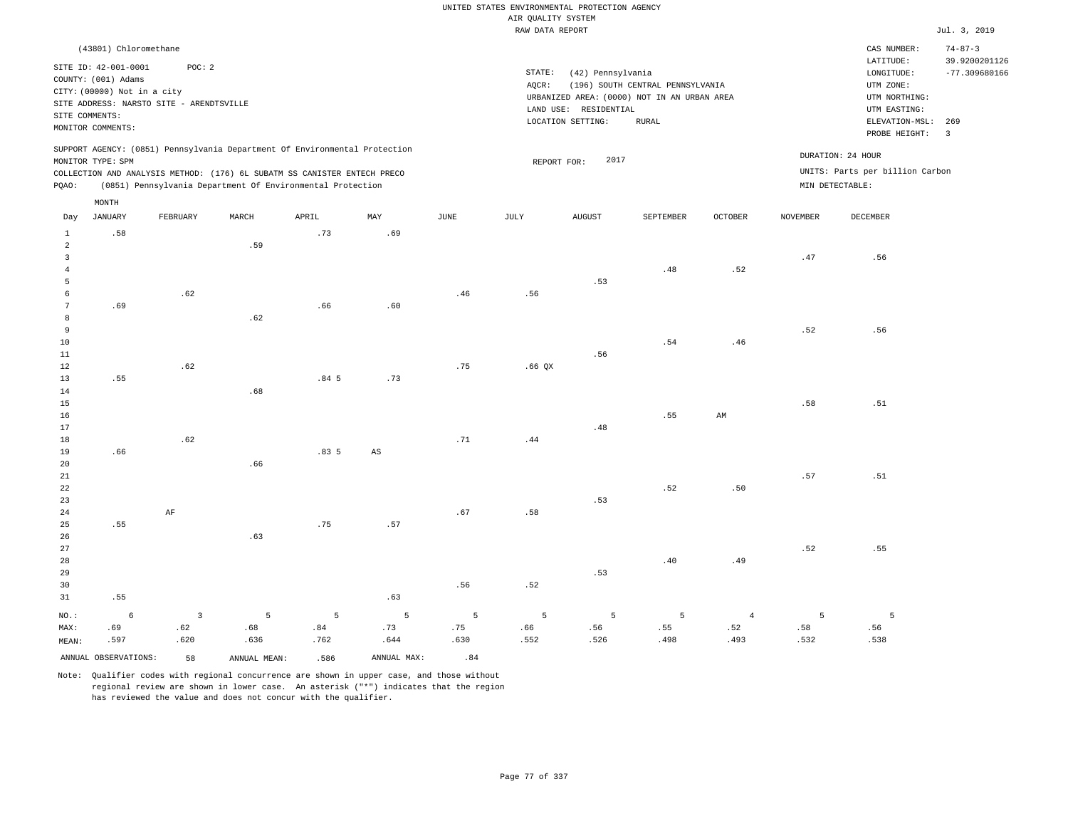|                                           |                                                                                           |                |                                                                                                                                                        |       |                        |      | UNITED STATES ENVIRONMENTAL PROTECTION AGENCY |                                                                                           |                                                  |                |                 |                                                              |                                                   |
|-------------------------------------------|-------------------------------------------------------------------------------------------|----------------|--------------------------------------------------------------------------------------------------------------------------------------------------------|-------|------------------------|------|-----------------------------------------------|-------------------------------------------------------------------------------------------|--------------------------------------------------|----------------|-----------------|--------------------------------------------------------------|---------------------------------------------------|
|                                           |                                                                                           |                |                                                                                                                                                        |       |                        |      | AIR QUALITY SYSTEM                            |                                                                                           |                                                  |                |                 |                                                              |                                                   |
|                                           |                                                                                           |                |                                                                                                                                                        |       |                        |      | RAW DATA REPORT                               |                                                                                           |                                                  |                |                 |                                                              | Jul. 3, 2019                                      |
|                                           | (43801) Chloromethane<br>SITE ID: 42-001-0001<br>COUNTY: (001) Adams                      | POC: 2         |                                                                                                                                                        |       |                        |      | STATE:                                        | (42) Pennsylvania                                                                         |                                                  |                |                 | CAS NUMBER:<br>LATITUDE:<br>LONGITUDE:                       | $74 - 87 - 3$<br>39.9200201126<br>$-77.309680166$ |
|                                           | CITY: (00000) Not in a city<br>SITE ADDRESS: NARSTO SITE - ARENDTSVILLE<br>SITE COMMENTS: |                |                                                                                                                                                        |       |                        |      | AOCR:                                         | URBANIZED AREA: (0000) NOT IN AN URBAN AREA<br>LAND USE: RESIDENTIAL<br>LOCATION SETTING: | (196) SOUTH CENTRAL PENNSYLVANIA<br><b>RURAL</b> |                |                 | UTM ZONE:<br>UTM NORTHING:<br>UTM EASTING:<br>ELEVATION-MSL: | 269                                               |
|                                           | MONITOR COMMENTS:                                                                         |                |                                                                                                                                                        |       |                        |      |                                               |                                                                                           |                                                  |                |                 | PROBE HEIGHT:                                                | $\overline{\mathbf{3}}$                           |
|                                           | MONITOR TYPE: SPM                                                                         |                | SUPPORT AGENCY: (0851) Pennsylvania Department Of Environmental Protection<br>COLLECTION AND ANALYSIS METHOD: (176) 6L SUBATM SS CANISTER ENTECH PRECO |       |                        |      | REPORT FOR:                                   | 2017                                                                                      |                                                  |                |                 | DURATION: 24 HOUR<br>UNITS: Parts per billion Carbon         |                                                   |
| PQAO:                                     |                                                                                           |                | (0851) Pennsylvania Department Of Environmental Protection                                                                                             |       |                        |      |                                               |                                                                                           |                                                  |                | MIN DETECTABLE: |                                                              |                                                   |
|                                           | MONTH                                                                                     |                |                                                                                                                                                        |       |                        |      |                                               |                                                                                           |                                                  |                |                 |                                                              |                                                   |
| Day                                       | <b>JANUARY</b>                                                                            | FEBRUARY       | MARCH                                                                                                                                                  | APRIL | MAX                    | JUNE | JULY                                          | <b>AUGUST</b>                                                                             | SEPTEMBER                                        | OCTOBER        | <b>NOVEMBER</b> | DECEMBER                                                     |                                                   |
| $\mathbf{1}$<br>$\overline{c}$            | .58                                                                                       |                | .59                                                                                                                                                    | .73   | .69                    |      |                                               |                                                                                           |                                                  |                |                 |                                                              |                                                   |
| $\overline{\mathbf{3}}$<br>$\overline{4}$ |                                                                                           |                |                                                                                                                                                        |       |                        |      |                                               |                                                                                           | .48                                              | .52            | .47             | .56                                                          |                                                   |
| $\overline{5}$                            |                                                                                           |                |                                                                                                                                                        |       |                        |      |                                               | .53                                                                                       |                                                  |                |                 |                                                              |                                                   |
| 6<br>$7\phantom{.0}$                      | .69                                                                                       | .62            |                                                                                                                                                        | .66   | .60                    | .46  | .56                                           |                                                                                           |                                                  |                |                 |                                                              |                                                   |
| 8                                         |                                                                                           |                | .62                                                                                                                                                    |       |                        |      |                                               |                                                                                           |                                                  |                |                 |                                                              |                                                   |
| 9                                         |                                                                                           |                |                                                                                                                                                        |       |                        |      |                                               |                                                                                           |                                                  |                | .52             | .56                                                          |                                                   |
| 10                                        |                                                                                           |                |                                                                                                                                                        |       |                        |      |                                               |                                                                                           | .54                                              | .46            |                 |                                                              |                                                   |
| $11\,$                                    |                                                                                           |                |                                                                                                                                                        |       |                        |      |                                               | .56                                                                                       |                                                  |                |                 |                                                              |                                                   |
| 12                                        |                                                                                           | .62            |                                                                                                                                                        |       |                        | .75  | .66QX                                         |                                                                                           |                                                  |                |                 |                                                              |                                                   |
| 13                                        | .55                                                                                       |                |                                                                                                                                                        | .845  | .73                    |      |                                               |                                                                                           |                                                  |                |                 |                                                              |                                                   |
| 14                                        |                                                                                           |                | .68                                                                                                                                                    |       |                        |      |                                               |                                                                                           |                                                  |                |                 |                                                              |                                                   |
| 15                                        |                                                                                           |                |                                                                                                                                                        |       |                        |      |                                               |                                                                                           |                                                  |                | .58             | .51                                                          |                                                   |
| 16                                        |                                                                                           |                |                                                                                                                                                        |       |                        |      |                                               |                                                                                           | .55                                              | AM             |                 |                                                              |                                                   |
| 17                                        |                                                                                           |                |                                                                                                                                                        |       |                        |      |                                               | .48                                                                                       |                                                  |                |                 |                                                              |                                                   |
| 18                                        |                                                                                           | .62            |                                                                                                                                                        |       |                        | .71  | .44                                           |                                                                                           |                                                  |                |                 |                                                              |                                                   |
| 19<br>20                                  | .66                                                                                       |                | .66                                                                                                                                                    | .835  | $\mathbb{A}\mathbb{S}$ |      |                                               |                                                                                           |                                                  |                |                 |                                                              |                                                   |
| $21\,$                                    |                                                                                           |                |                                                                                                                                                        |       |                        |      |                                               |                                                                                           |                                                  |                | .57             | .51                                                          |                                                   |
| 22                                        |                                                                                           |                |                                                                                                                                                        |       |                        |      |                                               |                                                                                           | .52                                              | .50            |                 |                                                              |                                                   |
| 23                                        |                                                                                           |                |                                                                                                                                                        |       |                        |      |                                               | .53                                                                                       |                                                  |                |                 |                                                              |                                                   |
| 24                                        |                                                                                           | $\rm{AF}$      |                                                                                                                                                        |       |                        | .67  | .58                                           |                                                                                           |                                                  |                |                 |                                                              |                                                   |
| 25                                        | .55                                                                                       |                |                                                                                                                                                        | .75   | .57                    |      |                                               |                                                                                           |                                                  |                |                 |                                                              |                                                   |
| 26                                        |                                                                                           |                | .63                                                                                                                                                    |       |                        |      |                                               |                                                                                           |                                                  |                |                 |                                                              |                                                   |
| $2\,7$                                    |                                                                                           |                |                                                                                                                                                        |       |                        |      |                                               |                                                                                           |                                                  |                | .52             | .55                                                          |                                                   |
| 28                                        |                                                                                           |                |                                                                                                                                                        |       |                        |      |                                               |                                                                                           | .40                                              | .49            |                 |                                                              |                                                   |
| 29                                        |                                                                                           |                |                                                                                                                                                        |       |                        |      |                                               | .53                                                                                       |                                                  |                |                 |                                                              |                                                   |
| 30<br>31                                  | .55                                                                                       |                |                                                                                                                                                        |       | .63                    | .56  | .52                                           |                                                                                           |                                                  |                |                 |                                                              |                                                   |
| NO.:                                      | $\epsilon$                                                                                | $\overline{3}$ | 5                                                                                                                                                      | 5     | 5                      | 5    | 5                                             | 5                                                                                         | 5                                                | $\overline{4}$ | 5               | $\overline{5}$                                               |                                                   |
| MAX:                                      | .69                                                                                       | .62            | .68                                                                                                                                                    | .84   | .73                    | .75  | .66                                           | .56                                                                                       | .55                                              | .52            | .58             | .56                                                          |                                                   |
| MEAN:                                     | .597                                                                                      | .620           | .636                                                                                                                                                   | .762  | .644                   | .630 | .552                                          | .526                                                                                      | .498                                             | .493           | .532            | .538                                                         |                                                   |
|                                           | ANNUAL OBSERVATIONS:                                                                      | 58             | ANNUAL MEAN:                                                                                                                                           | .586  | ANNUAL MAX:            | .84  |                                               |                                                                                           |                                                  |                |                 |                                                              |                                                   |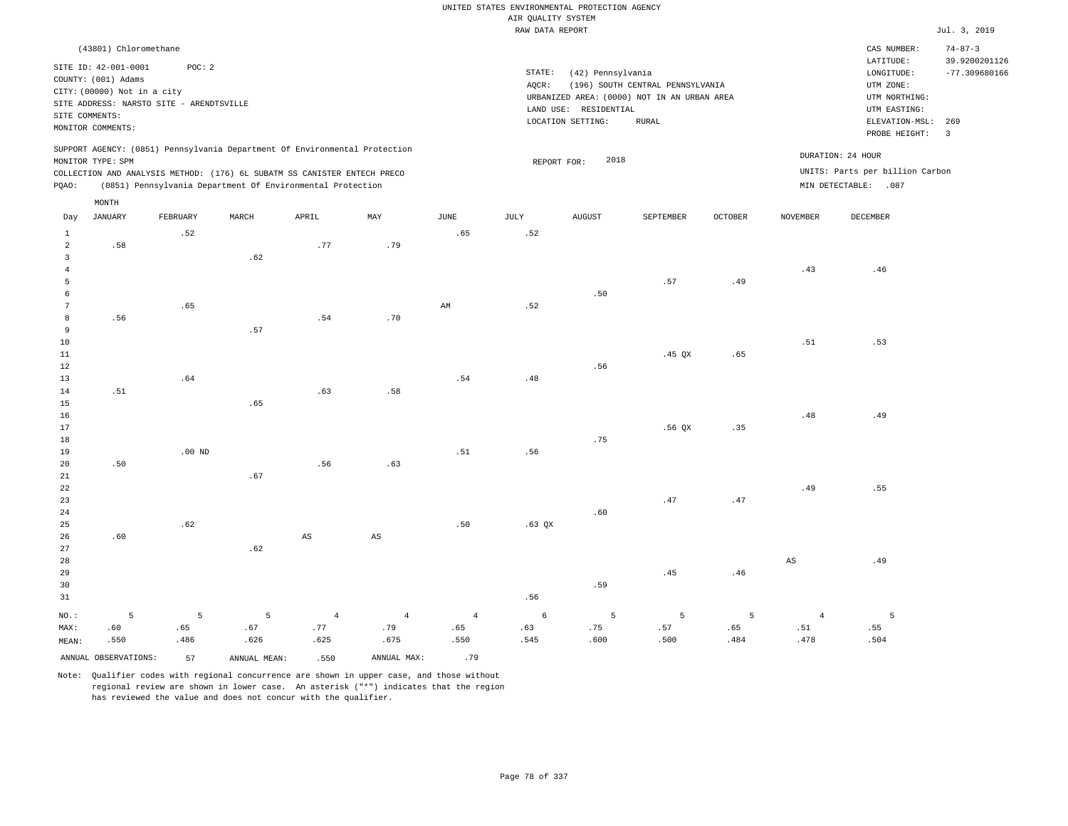|                                            |                                                                                                                                                                                        |                  |                                                                                                                                                                                                                      |                               |                               |                               | UNITED STATES ENVIRONMENTAL PROTECTION AGENCY<br>AIR QUALITY SYSTEM |                                                                 |                                                                                                 |                  |                               |                                                                                                        |                                                          |
|--------------------------------------------|----------------------------------------------------------------------------------------------------------------------------------------------------------------------------------------|------------------|----------------------------------------------------------------------------------------------------------------------------------------------------------------------------------------------------------------------|-------------------------------|-------------------------------|-------------------------------|---------------------------------------------------------------------|-----------------------------------------------------------------|-------------------------------------------------------------------------------------------------|------------------|-------------------------------|--------------------------------------------------------------------------------------------------------|----------------------------------------------------------|
|                                            |                                                                                                                                                                                        |                  |                                                                                                                                                                                                                      |                               |                               |                               | RAW DATA REPORT                                                     |                                                                 |                                                                                                 |                  |                               |                                                                                                        | Jul. 3, 2019                                             |
|                                            | (43801) Chloromethane<br>SITE ID: 42-001-0001<br>COUNTY: (001) Adams<br>CITY: (00000) Not in a city<br>SITE ADDRESS: NARSTO SITE - ARENDTSVILLE<br>SITE COMMENTS:<br>MONITOR COMMENTS: | POC: 2           |                                                                                                                                                                                                                      |                               |                               |                               | STATE:<br>AQCR:                                                     | (42) Pennsylvania<br>LAND USE: RESIDENTIAL<br>LOCATION SETTING: | (196) SOUTH CENTRAL PENNSYLVANIA<br>URBANIZED AREA: (0000) NOT IN AN URBAN AREA<br><b>RURAL</b> |                  |                               | CAS NUMBER:<br>LATITUDE:<br>LONGITUDE:<br>UTM ZONE:<br>UTM NORTHING:<br>UTM EASTING:<br>ELEVATION-MSL: | $74 - 87 - 3$<br>39.9200201126<br>$-77.309680166$<br>269 |
| PQAO:                                      | MONITOR TYPE: SPM                                                                                                                                                                      |                  | SUPPORT AGENCY: (0851) Pennsylvania Department Of Environmental Protection<br>COLLECTION AND ANALYSIS METHOD: (176) 6L SUBATM SS CANISTER ENTECH PRECO<br>(0851) Pennsylvania Department Of Environmental Protection |                               |                               |                               | REPORT FOR:                                                         | 2018                                                            |                                                                                                 |                  |                               | PROBE HEIGHT:<br>DURATION: 24 HOUR<br>UNITS: Parts per billion Carbon<br>MIN DETECTABLE: .087          | $\overline{3}$                                           |
|                                            | MONTH                                                                                                                                                                                  |                  |                                                                                                                                                                                                                      |                               |                               |                               |                                                                     |                                                                 |                                                                                                 |                  |                               |                                                                                                        |                                                          |
| Day<br>$\mathbf{1}$<br>$\sqrt{2}$          | <b>JANUARY</b><br>.58                                                                                                                                                                  | FEBRUARY<br>.52  | MARCH                                                                                                                                                                                                                | APRIL<br>.77                  | MAY<br>.79                    | JUNE<br>.65                   | JULY<br>.52                                                         | AUGUST                                                          | SEPTEMBER                                                                                       | OCTOBER          | NOVEMBER                      | DECEMBER                                                                                               |                                                          |
| $\overline{3}$<br>$\overline{4}$<br>5<br>6 |                                                                                                                                                                                        |                  | .62                                                                                                                                                                                                                  |                               |                               |                               |                                                                     | .50                                                             | .57                                                                                             | .49              | .43                           | .46                                                                                                    |                                                          |
| $7\phantom{.0}$<br>8<br>9<br>$10$          | .56                                                                                                                                                                                    | .65              | .57                                                                                                                                                                                                                  | .54                           | .70                           | $\mathbb{A}\mathbb{M}$        | .52                                                                 |                                                                 |                                                                                                 |                  | .51                           | .53                                                                                                    |                                                          |
| 11<br>12<br>13                             |                                                                                                                                                                                        | .64              |                                                                                                                                                                                                                      |                               |                               | .54                           | .48                                                                 | .56                                                             | $.45$ QX                                                                                        | .65              |                               |                                                                                                        |                                                          |
| 14<br>15<br>16<br>17                       | .51                                                                                                                                                                                    |                  | .65                                                                                                                                                                                                                  | .63                           | .58                           |                               |                                                                     |                                                                 | $.56$ $OX$                                                                                      | .35              | .48                           | .49                                                                                                    |                                                          |
| 18<br>19<br>20<br>21                       | .50                                                                                                                                                                                    | $.00$ ND         | .67                                                                                                                                                                                                                  | .56                           | .63                           | .51                           | .56                                                                 | .75                                                             |                                                                                                 |                  |                               |                                                                                                        |                                                          |
| 22<br>23<br>24<br>25                       |                                                                                                                                                                                        | .62              |                                                                                                                                                                                                                      |                               |                               | .50                           | .63 QX                                                              | .60                                                             | .47                                                                                             | .47              | .49                           | .55                                                                                                    |                                                          |
| 26<br>27<br>28<br>29<br>30                 | .60                                                                                                                                                                                    |                  | .62                                                                                                                                                                                                                  | AS                            | $_{\rm AS}$                   |                               |                                                                     | .59                                                             | .45                                                                                             | .46              | $\mathbb{A}\mathbb{S}$        | .49                                                                                                    |                                                          |
| 31<br>NO.:<br>MAX:<br>MEAN:                | 5<br>.60<br>.550                                                                                                                                                                       | 5<br>.65<br>.486 | 5<br>.67<br>.626                                                                                                                                                                                                     | $\overline{4}$<br>.77<br>.625 | $\overline{4}$<br>.79<br>.675 | $\overline{4}$<br>.65<br>.550 | .56<br>$\epsilon$<br>.63<br>.545                                    | 5<br>.75<br>.600                                                | 5<br>.57<br>.500                                                                                | 5<br>.65<br>.484 | $\overline{4}$<br>.51<br>.478 | 5<br>.55<br>.504                                                                                       |                                                          |
|                                            | ANNUAL OBSERVATIONS:                                                                                                                                                                   | 57               | ANNUAL MEAN:                                                                                                                                                                                                         | .550                          | ANNUAL MAX:                   | .79                           |                                                                     |                                                                 |                                                                                                 |                  |                               |                                                                                                        |                                                          |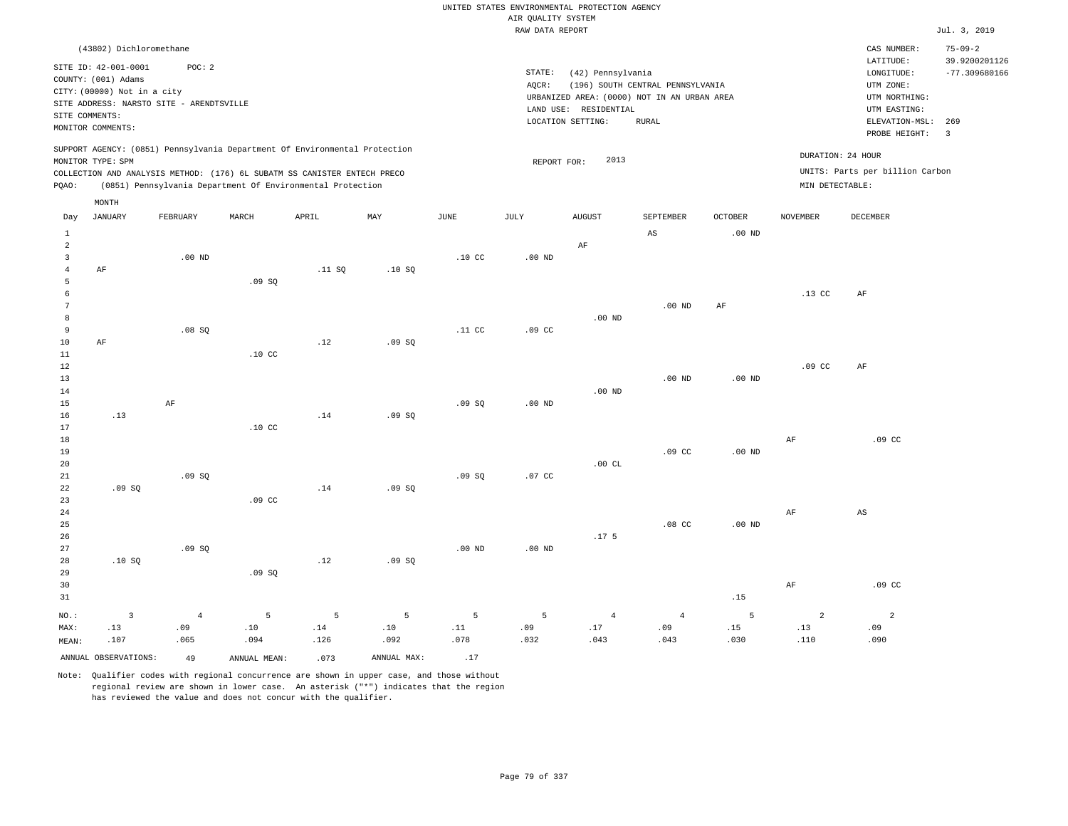|                |                                             |                                          |                                                                            |        |             |                  |                    | UNITED STATES ENVIRONMENTAL PROTECTION AGENCY |                                             |                   |                   |                                 |                                |
|----------------|---------------------------------------------|------------------------------------------|----------------------------------------------------------------------------|--------|-------------|------------------|--------------------|-----------------------------------------------|---------------------------------------------|-------------------|-------------------|---------------------------------|--------------------------------|
|                |                                             |                                          |                                                                            |        |             |                  | AIR QUALITY SYSTEM |                                               |                                             |                   |                   |                                 |                                |
|                |                                             |                                          |                                                                            |        |             |                  | RAW DATA REPORT    |                                               |                                             |                   |                   |                                 | Jul. 3, 2019                   |
|                | (43802) Dichloromethane                     |                                          |                                                                            |        |             |                  |                    |                                               |                                             |                   |                   | CAS NUMBER:<br>LATITUDE:        | $75 - 09 - 2$<br>39.9200201126 |
|                | SITE ID: 42-001-0001<br>COUNTY: (001) Adams | POC: 2                                   |                                                                            |        |             |                  | STATE:             | (42) Pennsylvania                             |                                             |                   |                   | LONGITUDE:                      | $-77.309680166$                |
|                | CITY: (00000) Not in a city                 |                                          |                                                                            |        |             |                  | AQCR:              |                                               | (196) SOUTH CENTRAL PENNSYLVANIA            |                   |                   | UTM ZONE:                       |                                |
|                |                                             | SITE ADDRESS: NARSTO SITE - ARENDTSVILLE |                                                                            |        |             |                  |                    |                                               | URBANIZED AREA: (0000) NOT IN AN URBAN AREA |                   |                   | UTM NORTHING:                   |                                |
|                | SITE COMMENTS:                              |                                          |                                                                            |        |             |                  |                    | LAND USE: RESIDENTIAL<br>LOCATION SETTING:    | <b>RURAL</b>                                |                   |                   | UTM EASTING:<br>ELEVATION-MSL:  | 269                            |
|                | MONITOR COMMENTS:                           |                                          |                                                                            |        |             |                  |                    |                                               |                                             |                   |                   | PROBE HEIGHT:                   | $\overline{3}$                 |
|                | MONITOR TYPE: SPM                           |                                          | SUPPORT AGENCY: (0851) Pennsylvania Department Of Environmental Protection |        |             |                  | REPORT FOR:        | 2013                                          |                                             |                   | DURATION: 24 HOUR |                                 |                                |
|                |                                             |                                          | COLLECTION AND ANALYSIS METHOD: (176) 6L SUBATM SS CANISTER ENTECH PRECO   |        |             |                  |                    |                                               |                                             |                   |                   | UNITS: Parts per billion Carbon |                                |
| PQAO:          |                                             |                                          | (0851) Pennsylvania Department Of Environmental Protection                 |        |             |                  |                    |                                               |                                             |                   | MIN DETECTABLE:   |                                 |                                |
|                | MONTH                                       |                                          |                                                                            |        |             |                  |                    |                                               |                                             |                   |                   |                                 |                                |
| Day            | <b>JANUARY</b>                              | FEBRUARY                                 | MARCH                                                                      | APRIL  | MAX         | <b>JUNE</b>      | JULY               | <b>AUGUST</b>                                 | SEPTEMBER                                   | <b>OCTOBER</b>    | <b>NOVEMBER</b>   | <b>DECEMBER</b>                 |                                |
| $\mathbf{1}$   |                                             |                                          |                                                                            |        |             |                  |                    |                                               | AS                                          | .00 <sub>ND</sub> |                   |                                 |                                |
| $\overline{a}$ |                                             |                                          |                                                                            |        |             |                  |                    | $\rm AF$                                      |                                             |                   |                   |                                 |                                |
| $\overline{3}$ |                                             | $.00$ ND                                 |                                                                            |        |             | .10 <sub>C</sub> | $.00$ ND           |                                               |                                             |                   |                   |                                 |                                |
| $\bf{4}$<br>5  | $\rm{AF}$                                   |                                          | .09S                                                                       | .11 SQ | .10SQ       |                  |                    |                                               |                                             |                   |                   |                                 |                                |
| 6              |                                             |                                          |                                                                            |        |             |                  |                    |                                               |                                             |                   | $.13$ CC          | $\rm AF$                        |                                |
| $\overline{7}$ |                                             |                                          |                                                                            |        |             |                  |                    |                                               | $.00$ ND                                    | AF                |                   |                                 |                                |
| 8              |                                             |                                          |                                                                            |        |             |                  |                    | $.00$ ND                                      |                                             |                   |                   |                                 |                                |
| 9              |                                             | .08SQ                                    |                                                                            |        |             | .11 <sub>c</sub> | .09 <sub>c</sub>   |                                               |                                             |                   |                   |                                 |                                |
| 10             | AF                                          |                                          |                                                                            | .12    | .09SQ       |                  |                    |                                               |                                             |                   |                   |                                 |                                |
| $11\,$         |                                             |                                          | .10 <sub>c</sub>                                                           |        |             |                  |                    |                                               |                                             |                   |                   |                                 |                                |
| 12<br>13       |                                             |                                          |                                                                            |        |             |                  |                    |                                               | $.00$ ND                                    | $.00$ ND          | .09 <sub>c</sub>  | AF                              |                                |
| 14             |                                             |                                          |                                                                            |        |             |                  |                    | $.00$ ND                                      |                                             |                   |                   |                                 |                                |
| 15             |                                             | $\rm AF$                                 |                                                                            |        |             | .09SQ            | $.00$ ND           |                                               |                                             |                   |                   |                                 |                                |
| 16             | .13                                         |                                          |                                                                            | .14    | .09SQ       |                  |                    |                                               |                                             |                   |                   |                                 |                                |
| 17             |                                             |                                          | .10 <sub>C</sub>                                                           |        |             |                  |                    |                                               |                                             |                   |                   |                                 |                                |
| 18             |                                             |                                          |                                                                            |        |             |                  |                    |                                               |                                             |                   | $\rm{AF}$         | .09 <sub>c</sub>                |                                |
| 19             |                                             |                                          |                                                                            |        |             |                  |                    |                                               | .09 <sub>c</sub>                            | $.00$ ND          |                   |                                 |                                |
| 20             |                                             |                                          |                                                                            |        |             |                  |                    | .00CL                                         |                                             |                   |                   |                                 |                                |
| 21<br>22       | .09S                                        | .09S                                     |                                                                            | .14    | .09S        | .09S             | .07 <sub>c</sub>   |                                               |                                             |                   |                   |                                 |                                |
| 23             |                                             |                                          | .09 <sub>c</sub>                                                           |        |             |                  |                    |                                               |                                             |                   |                   |                                 |                                |
| 24             |                                             |                                          |                                                                            |        |             |                  |                    |                                               |                                             |                   | AF                | AS                              |                                |
| 25             |                                             |                                          |                                                                            |        |             |                  |                    |                                               | .08 <sub>c</sub>                            | $.00$ ND          |                   |                                 |                                |
| 26             |                                             |                                          |                                                                            |        |             |                  |                    | .17 <sub>5</sub>                              |                                             |                   |                   |                                 |                                |
| 27             |                                             | .09SQ                                    |                                                                            |        |             | $.00$ ND         | $.00$ ND           |                                               |                                             |                   |                   |                                 |                                |
| 28             | .10S                                        |                                          |                                                                            | .12    | .09SQ       |                  |                    |                                               |                                             |                   |                   |                                 |                                |
| 29             |                                             |                                          | .09SQ                                                                      |        |             |                  |                    |                                               |                                             |                   |                   |                                 |                                |
| 30<br>31       |                                             |                                          |                                                                            |        |             |                  |                    |                                               |                                             | .15               | AF                | .09 <sub>c</sub>                |                                |
|                |                                             |                                          |                                                                            |        |             |                  |                    |                                               |                                             |                   |                   |                                 |                                |
| NO.:           | $\overline{\mathbf{3}}$                     | $\overline{4}$                           | 5                                                                          | 5      | 5           | $5\overline{5}$  | 5                  | $\overline{4}$                                | $\sqrt{4}$                                  | 5                 | $\mathbf{2}$      | $\overline{a}$                  |                                |
| MAX:           | .13                                         | .09                                      | .10                                                                        | .14    | .10         | .11              | .09                | .17                                           | .09                                         | .15               | .13               | .09                             |                                |
| MEAN:          | .107                                        | .065                                     | .094                                                                       | .126   | .092        | .078             | .032               | .043                                          | .043                                        | .030              | .110              | .090                            |                                |
|                | ANNUAL OBSERVATIONS:                        | 49                                       | ANNUAL MEAN:                                                               | .073   | ANNUAL MAX: | .17              |                    |                                               |                                             |                   |                   |                                 |                                |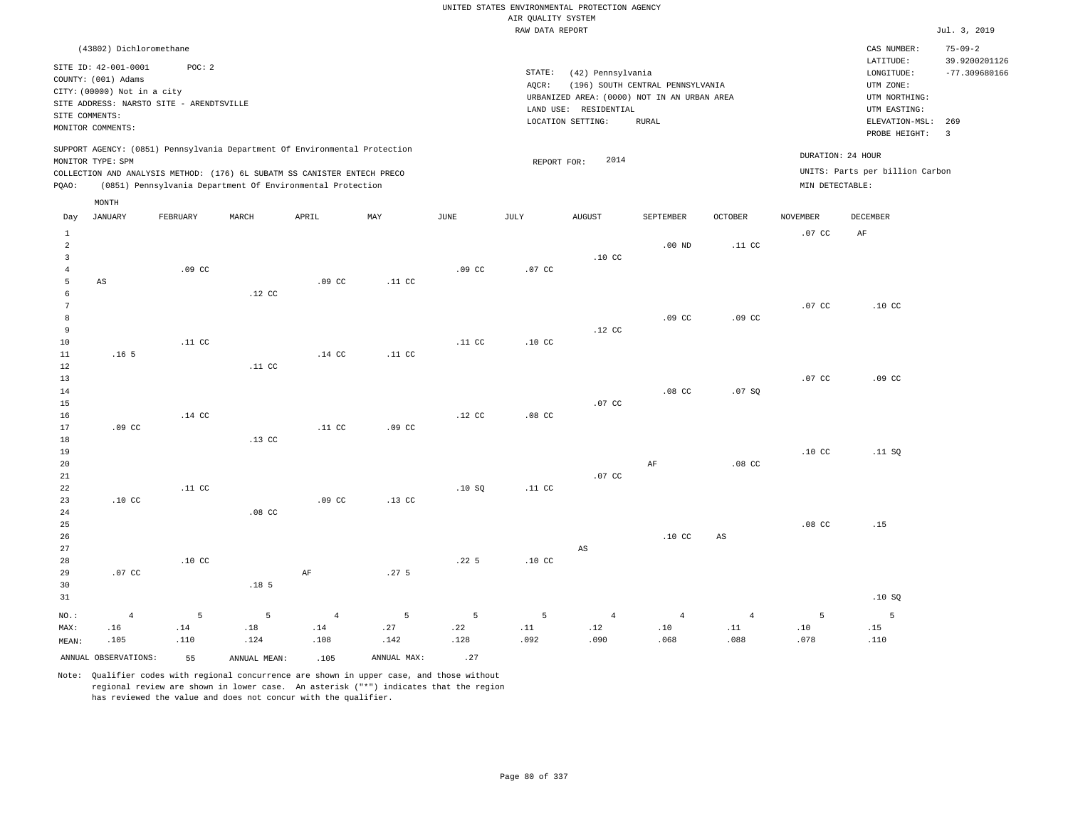|                                                  |                                                    |                                          |                  |                                                                                                                                        |                  |                  |                    | UNITED STATES ENVIRONMENTAL PROTECTION AGENCY                        |                                  |                               |                                |                                            |                                                   |
|--------------------------------------------------|----------------------------------------------------|------------------------------------------|------------------|----------------------------------------------------------------------------------------------------------------------------------------|------------------|------------------|--------------------|----------------------------------------------------------------------|----------------------------------|-------------------------------|--------------------------------|--------------------------------------------|---------------------------------------------------|
|                                                  |                                                    |                                          |                  |                                                                                                                                        |                  |                  | AIR QUALITY SYSTEM |                                                                      |                                  |                               |                                |                                            |                                                   |
|                                                  |                                                    |                                          |                  |                                                                                                                                        |                  |                  | RAW DATA REPORT    |                                                                      |                                  |                               |                                |                                            | Jul. 3, 2019                                      |
|                                                  | (43802) Dichloromethane<br>SITE ID: 42-001-0001    | POC: 2                                   |                  |                                                                                                                                        |                  |                  | STATE:             | (42) Pennsylvania                                                    |                                  |                               |                                | CAS NUMBER:<br>LATITUDE:<br>LONGITUDE:     | $75 - 09 - 2$<br>39.9200201126<br>$-77.309680166$ |
|                                                  | COUNTY: (001) Adams<br>CITY: (00000) Not in a city | SITE ADDRESS: NARSTO SITE - ARENDTSVILLE |                  |                                                                                                                                        |                  |                  | AQCR:              | URBANIZED AREA: (0000) NOT IN AN URBAN AREA<br>LAND USE: RESIDENTIAL | (196) SOUTH CENTRAL PENNSYLVANIA |                               |                                | UTM ZONE:<br>UTM NORTHING:<br>UTM EASTING: |                                                   |
|                                                  | SITE COMMENTS:<br>MONITOR COMMENTS:                |                                          |                  |                                                                                                                                        |                  |                  |                    | LOCATION SETTING:                                                    | RURAL                            |                               |                                | ELEVATION-MSL:<br>PROBE HEIGHT:            | 269<br>3                                          |
|                                                  | MONITOR TYPE: SPM                                  |                                          |                  | SUPPORT AGENCY: (0851) Pennsylvania Department Of Environmental Protection                                                             |                  |                  | REPORT FOR:        | 2014                                                                 |                                  |                               | DURATION: 24 HOUR              |                                            |                                                   |
| PQAO:                                            |                                                    |                                          |                  | COLLECTION AND ANALYSIS METHOD: (176) 6L SUBATM SS CANISTER ENTECH PRECO<br>(0851) Pennsylvania Department Of Environmental Protection |                  |                  |                    |                                                                      |                                  |                               | MIN DETECTABLE:                | UNITS: Parts per billion Carbon            |                                                   |
| Day                                              | MONTH<br><b>JANUARY</b>                            | FEBRUARY                                 | MARCH            | APRIL                                                                                                                                  | MAY              | $_{\rm JUNE}$    | $\mathtt{JULY}$    | <b>AUGUST</b>                                                        | SEPTEMBER                        | <b>OCTOBER</b>                | <b>NOVEMBER</b>                | <b>DECEMBER</b>                            |                                                   |
| $\mathbf{1}$<br>$\overline{a}$<br>$\overline{3}$ |                                                    |                                          |                  |                                                                                                                                        |                  |                  |                    | .10 <sub>C</sub>                                                     | $.00$ ND                         | .11 <sub>c</sub>              | .07 <sub>c</sub>               | AF                                         |                                                   |
| $\overline{4}$<br>5<br>6                         | $_{\rm AS}$                                        | .09 <sub>c</sub>                         | .12 <sub>c</sub> | .09 <sub>c</sub>                                                                                                                       | .11 <sub>c</sub> | .09 <sub>c</sub> | .07 CC             |                                                                      |                                  |                               |                                |                                            |                                                   |
| $7\phantom{.0}$<br>8                             |                                                    |                                          |                  |                                                                                                                                        |                  |                  |                    |                                                                      | .09 <sub>c</sub>                 | .09 <sub>cc</sub>             | .07 <sub>c</sub>               | .10 <sub>C</sub>                           |                                                   |
| $\overline{9}$<br>10<br>11                       | .16 <sub>5</sub>                                   | .11 <sub>c</sub>                         |                  | $.14$ CC                                                                                                                               | .11 CC           | .11 CC           | .10 <sub>C</sub>   | $.12$ CC                                                             |                                  |                               |                                |                                            |                                                   |
| 12<br>$13$<br>14                                 |                                                    |                                          | .11 <sub>c</sub> |                                                                                                                                        |                  |                  |                    |                                                                      | .08 <sub>C</sub>                 | .07SQ                         | .07 <sub>c</sub>               | .09 <sub>c</sub>                           |                                                   |
| 15<br>16<br>17                                   | .09 <sub>cc</sub>                                  | $.14$ CC                                 |                  | .11 <sub>c</sub>                                                                                                                       | .09 <sub>c</sub> | $.12$ CC         | $.08$ CC           | .07 <sub>c</sub>                                                     |                                  |                               |                                |                                            |                                                   |
| 18<br>19<br>20                                   |                                                    |                                          | $.13$ CC         |                                                                                                                                        |                  |                  |                    |                                                                      | $\rm{AF}$                        | .08 <sub>C</sub>              | .10 <sub>C</sub>               | .11 SQ                                     |                                                   |
| 21<br>22<br>23                                   | .10 <sub>c</sub>                                   | .11 <sub>c</sub>                         |                  | .09 <sub>c</sub>                                                                                                                       | .13 <sub>c</sub> | .10S             | .11 <sub>c</sub>   | .07 <sub>c</sub>                                                     |                                  |                               |                                |                                            |                                                   |
| 24<br>25<br>26                                   |                                                    |                                          | .08 <sub>C</sub> |                                                                                                                                        |                  |                  |                    |                                                                      | .10 <sub>C</sub>                 | $_{\rm AS}$                   | .08 <sub>C</sub>               | .15                                        |                                                   |
| 27<br>28                                         |                                                    | .10 <sub>C</sub>                         |                  |                                                                                                                                        |                  | .22 <sub>5</sub> | .10 <sub>C</sub>   | $\mathbb{A}\mathbb{S}$                                               |                                  |                               |                                |                                            |                                                   |
| 29<br>30<br>31                                   | .07 <sub>c</sub>                                   |                                          | .18 <sub>5</sub> | $\rm AF$                                                                                                                               | .27 <sub>5</sub> |                  |                    |                                                                      |                                  |                               |                                | .10SQ                                      |                                                   |
| NO.:<br>MAX:                                     | $\sqrt{4}$<br>.16<br>.105                          | $\mathsf S$<br>.14<br>.110               | 5<br>.18<br>.124 | $\overline{4}$<br>.14<br>.108                                                                                                          | 5<br>.27<br>.142 | 5<br>.22<br>.128 | 5<br>.11<br>.092   | $\overline{4}$<br>.12<br>.090                                        | $\sqrt{4}$<br>.10<br>.068        | $\overline{4}$<br>.11<br>.088 | $5\phantom{.0}$<br>.10<br>.078 | 5<br>.15<br>.110                           |                                                   |
| MEAN:                                            | ANNUAL OBSERVATIONS:                               | 55                                       | ANNUAL MEAN:     | .105                                                                                                                                   | ANNUAL MAX:      | .27              |                    |                                                                      |                                  |                               |                                |                                            |                                                   |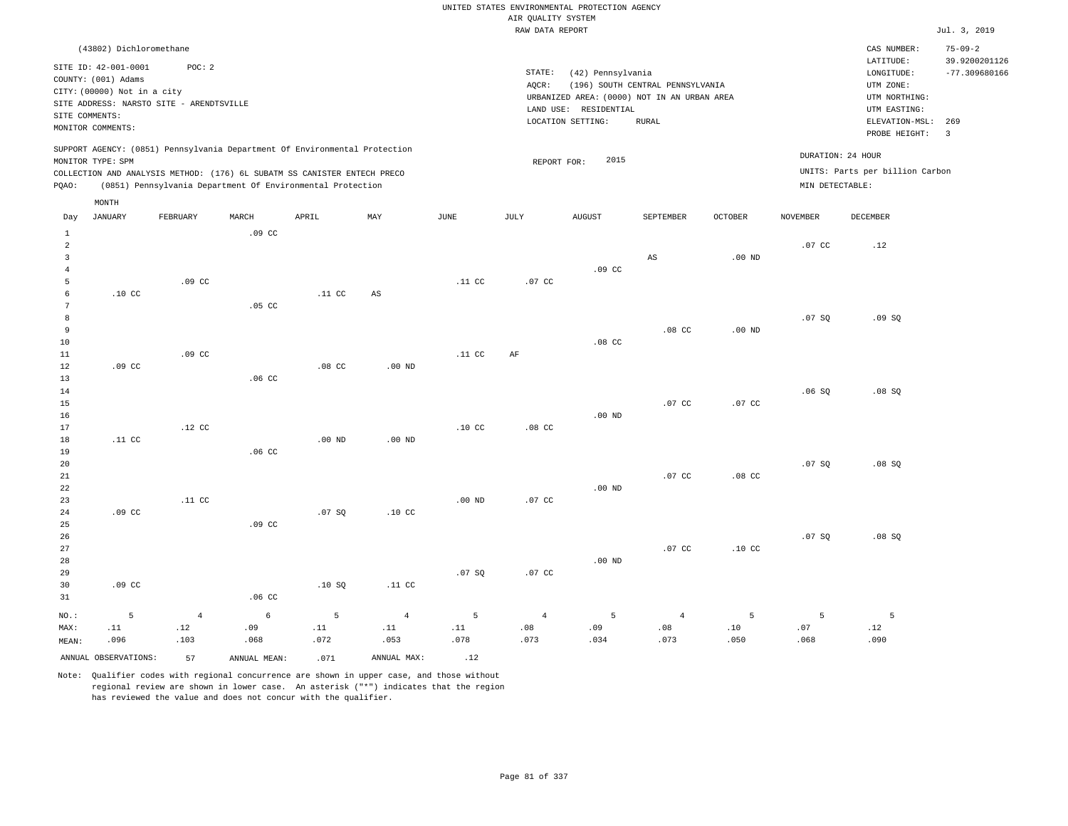RAW DATA REPORT Jul. 3, 2019 UNITED STATES ENVIRONMENTAL PROTECTION AGENCY AIR QUALITY SYSTEM (43802) Dichloromethane (42) Pennsylvania CAS NUMBER: 75-09-2 SITE ID: 42-001-0001 POC: 2 AQCR: (196) SOUTH CENTRAL PENNSYLVANIA COUNTY: (001) Adams CITY: (00000) Not in a city LONGITUDE: -77.309680166 LATITUDE: 39.9200201126 LOCATION SETTING: RURAL SITE ADDRESS: NARSTO SITE - ARENDTSVILLE LAND USE: RESIDENTIAL SITE COMMENTS: MONITOR COMMENTS: PROBE HEIGHT: 3 ELEVATION-MSL: 269 URBANIZED AREA: (0000) NOT IN AN URBAN AREA **URBAN SERIA UTM NORTHING**: UTM EASTING: UTM ZONE: SUPPORT AGENCY: (0851) Pennsylvania Department Of Environmental Protection MONITOR TYPE: SPM COLLECTION AND ANALYSIS METHOD: (176) 6L SUBATM SS CANISTER ENTECH PRECO REPORT FOR: 2015 UNITS: Parts per billion Carbon PQAO: (0851) Pennsylvania Department Of Environmental Protection MIN DETECTABLE: DURATION: 24 HOUR 1 2 3 4 5 6 7 8 9 10 11 12 13 14 15 16 17 18 19  $20$ 21 22 23 24 25 26 27 28 29 30 31 .10 CC .09 CC .11 CC .09 CC .09 CC NO.: MAX: MEAN: 5 .11 .096 .09 CC .09 CC .12 CC .11 CC  $09 C$  .05 CC .06 CC .06 CC .09 CC .06 CC .11 CC .08 CC .00 ND .07 SQ .10 SQ AS .00 ND .00 ND .10 CC .11 CC .11 CC .11 CC .10 CC .00 ND .07 SQ .07 CC AF .08 CC .07 CC .07 CC .09 CC .08 CC .00 ND .00 ND .00 ND AS .08 CC .07 CC .07 CC .07 CC .00 ND .00 ND .07 CC .08 CC .10 CC .07 CC .07 SQ .06 SQ .07 SQ .07 SQ .12 .09 SQ .08 SQ .08 SQ .08 SQ 4 .12 .103 6 .09 .068 5 .11 .072 4 .11 .053 5 .11 .078 4 .08 .073 5 .09 .034 4 .08 .073 5 .10 .050 5 .07 .068 5 .12 .090 ANNUAL OBSERVATIONS:  $57$  ANNUAL MEAN: .071 ANNUAL MAX: .12 Day JANUARY FEBRUARY MARCH APRIL MAY JUNE JULY AUGUST SEPTEMBER OCTOBER NOVEMBER DECEMBER MONTH STATE: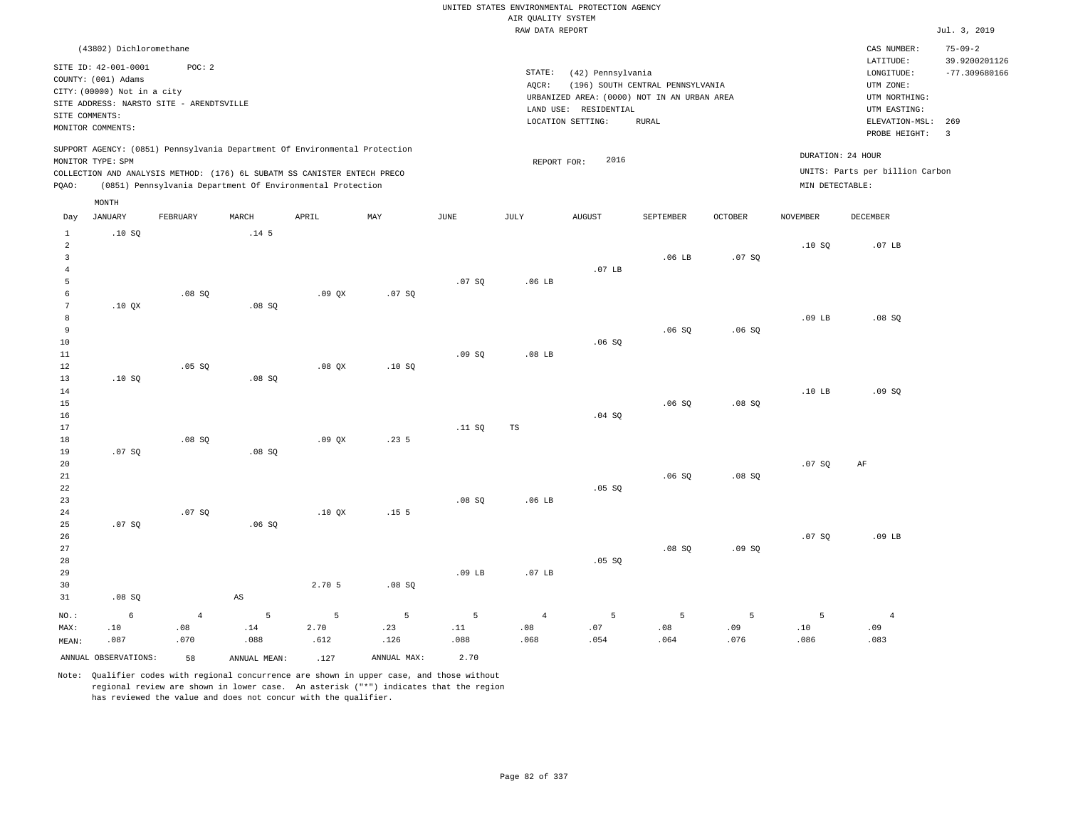|                                    |                                                 |                                          |                        |                                                                            |                  |                 |                    | UNITED STATES ENVIRONMENTAL PROTECTION AGENCY |                                  |                |                   |                                 |                                |
|------------------------------------|-------------------------------------------------|------------------------------------------|------------------------|----------------------------------------------------------------------------|------------------|-----------------|--------------------|-----------------------------------------------|----------------------------------|----------------|-------------------|---------------------------------|--------------------------------|
|                                    |                                                 |                                          |                        |                                                                            |                  |                 | AIR QUALITY SYSTEM |                                               |                                  |                |                   |                                 |                                |
|                                    |                                                 |                                          |                        |                                                                            |                  |                 | RAW DATA REPORT    |                                               |                                  |                |                   |                                 | Jul. 3, 2019                   |
|                                    | (43802) Dichloromethane<br>SITE ID: 42-001-0001 | POC: 2                                   |                        |                                                                            |                  |                 | STATE:             |                                               |                                  |                |                   | CAS NUMBER:<br>LATITUDE:        | $75 - 09 - 2$<br>39.9200201126 |
|                                    | COUNTY: (001) Adams                             |                                          |                        |                                                                            |                  |                 | AQCR:              | (42) Pennsylvania                             | (196) SOUTH CENTRAL PENNSYLVANIA |                |                   | LONGITUDE:<br>UTM ZONE:         | $-77.309680166$                |
|                                    | CITY: (00000) Not in a city                     |                                          |                        |                                                                            |                  |                 |                    | URBANIZED AREA: (0000) NOT IN AN URBAN AREA   |                                  |                |                   | UTM NORTHING:                   |                                |
|                                    | SITE COMMENTS:                                  | SITE ADDRESS: NARSTO SITE - ARENDTSVILLE |                        |                                                                            |                  |                 |                    | LAND USE: RESIDENTIAL                         |                                  |                |                   | UTM EASTING:                    |                                |
|                                    | MONITOR COMMENTS:                               |                                          |                        |                                                                            |                  |                 |                    | LOCATION SETTING:                             | <b>RURAL</b>                     |                |                   | ELEVATION-MSL:<br>PROBE HEIGHT: | 269<br>$\overline{3}$          |
|                                    | MONITOR TYPE: SPM                               |                                          |                        | SUPPORT AGENCY: (0851) Pennsylvania Department Of Environmental Protection |                  |                 | REPORT FOR:        | 2016                                          |                                  |                | DURATION: 24 HOUR |                                 |                                |
|                                    |                                                 |                                          |                        | COLLECTION AND ANALYSIS METHOD: (176) 6L SUBATM SS CANISTER ENTECH PRECO   |                  |                 |                    |                                               |                                  |                |                   | UNITS: Parts per billion Carbon |                                |
| PQAO:                              |                                                 |                                          |                        | (0851) Pennsylvania Department Of Environmental Protection                 |                  |                 |                    |                                               |                                  |                | MIN DETECTABLE:   |                                 |                                |
|                                    | MONTH                                           |                                          |                        |                                                                            |                  |                 |                    |                                               |                                  |                |                   |                                 |                                |
| Day                                | <b>JANUARY</b>                                  | FEBRUARY                                 | MARCH                  | APRIL                                                                      | MAX              | <b>JUNE</b>     | JULY               | <b>AUGUST</b>                                 | SEPTEMBER                        | <b>OCTOBER</b> | <b>NOVEMBER</b>   | DECEMBER                        |                                |
| $\mathbf{1}$<br>$\overline{a}$     | .10S                                            |                                          | .14 <sub>5</sub>       |                                                                            |                  |                 |                    |                                               |                                  |                | .10S              | .07 <sub>LB</sub>               |                                |
| $\overline{\mathbf{3}}$<br>$\bf 4$ |                                                 |                                          |                        |                                                                            |                  |                 |                    | .07 <sub>LB</sub>                             | .06 <sub>LB</sub>                | .07SQ          |                   |                                 |                                |
| 5                                  |                                                 |                                          |                        |                                                                            |                  | .07SQ           | .06 <sub>LB</sub>  |                                               |                                  |                |                   |                                 |                                |
| 6                                  |                                                 | $.08$ SO                                 |                        | .09OX                                                                      | .07S             |                 |                    |                                               |                                  |                |                   |                                 |                                |
| $\overline{7}$                     | .10 QX                                          |                                          | .08SQ                  |                                                                            |                  |                 |                    |                                               |                                  |                |                   |                                 |                                |
| $\mathbf{8}$                       |                                                 |                                          |                        |                                                                            |                  |                 |                    |                                               |                                  |                | .09 <sub>LB</sub> | .08S                            |                                |
| $\overline{9}$<br>10               |                                                 |                                          |                        |                                                                            |                  |                 |                    | .06S                                          | .06SQ                            | .06SQ          |                   |                                 |                                |
| 11                                 |                                                 |                                          |                        |                                                                            |                  | .09SQ           | $.08$ LB           |                                               |                                  |                |                   |                                 |                                |
| 12                                 |                                                 | $.05$ SO                                 |                        | $.08$ $OX$                                                                 | .10S             |                 |                    |                                               |                                  |                |                   |                                 |                                |
| 13                                 | .10SQ                                           |                                          | .08 SQ                 |                                                                            |                  |                 |                    |                                               |                                  |                |                   |                                 |                                |
| 14                                 |                                                 |                                          |                        |                                                                            |                  |                 |                    |                                               |                                  |                | .10 <sub>LB</sub> | .09SQ                           |                                |
| 15<br>16                           |                                                 |                                          |                        |                                                                            |                  |                 |                    | .04 SQ                                        | .06S                             | .08S           |                   |                                 |                                |
| 17                                 |                                                 |                                          |                        |                                                                            |                  | .11 SQ          | <b>TS</b>          |                                               |                                  |                |                   |                                 |                                |
| 18                                 |                                                 | .08SQ                                    |                        | .09QX                                                                      | .235             |                 |                    |                                               |                                  |                |                   |                                 |                                |
| 19                                 | .07 SQ                                          |                                          | .08 SQ                 |                                                                            |                  |                 |                    |                                               |                                  |                |                   |                                 |                                |
| 20                                 |                                                 |                                          |                        |                                                                            |                  |                 |                    |                                               |                                  |                | .07SQ             | $\rm AF$                        |                                |
| 21<br>22                           |                                                 |                                          |                        |                                                                            |                  |                 |                    | .05 SQ                                        | .06S                             | .08S           |                   |                                 |                                |
| 23                                 |                                                 |                                          |                        |                                                                            |                  | .08SQ           | .06 <sub>LB</sub>  |                                               |                                  |                |                   |                                 |                                |
| 24                                 |                                                 | .07S                                     |                        | $.10$ $OX$                                                                 | .15 <sub>5</sub> |                 |                    |                                               |                                  |                |                   |                                 |                                |
| 25                                 | .07SQ                                           |                                          | .06SQ                  |                                                                            |                  |                 |                    |                                               |                                  |                |                   |                                 |                                |
| 26                                 |                                                 |                                          |                        |                                                                            |                  |                 |                    |                                               |                                  |                | .07S              | $.09$ LB                        |                                |
| 27                                 |                                                 |                                          |                        |                                                                            |                  |                 |                    |                                               | .08 SQ                           | .09SQ          |                   |                                 |                                |
| 28<br>29                           |                                                 |                                          |                        |                                                                            |                  | $.09$ LB        | .07 <sub>LB</sub>  | .05 SQ                                        |                                  |                |                   |                                 |                                |
| 30                                 |                                                 |                                          |                        | 2.70 5                                                                     | .08S             |                 |                    |                                               |                                  |                |                   |                                 |                                |
| 31                                 | .08 SQ                                          |                                          | $\mathbb{A}\mathbb{S}$ |                                                                            |                  |                 |                    |                                               |                                  |                |                   |                                 |                                |
| NO.:                               | 6                                               | $\overline{4}$                           | 5                      | 5                                                                          | 5                | $5\overline{5}$ | $\sqrt{4}$         | 5                                             | $\overline{5}$                   | 5              | 5                 | $\bf{4}$                        |                                |
| MAX:                               | .10                                             | .08                                      | .14                    | 2.70                                                                       | .23              | .11             | .08                | .07                                           | .08                              | .09            | .10               | .09                             |                                |
| MEAN:                              | .087                                            | .070                                     | .088                   | .612                                                                       | .126             | .088            | .068               | .054                                          | .064                             | .076           | .086              | .083                            |                                |
|                                    | ANNUAL OBSERVATIONS:                            | 58                                       | ANNUAL MEAN:           | .127                                                                       | ANNUAL MAX:      | 2.70            |                    |                                               |                                  |                |                   |                                 |                                |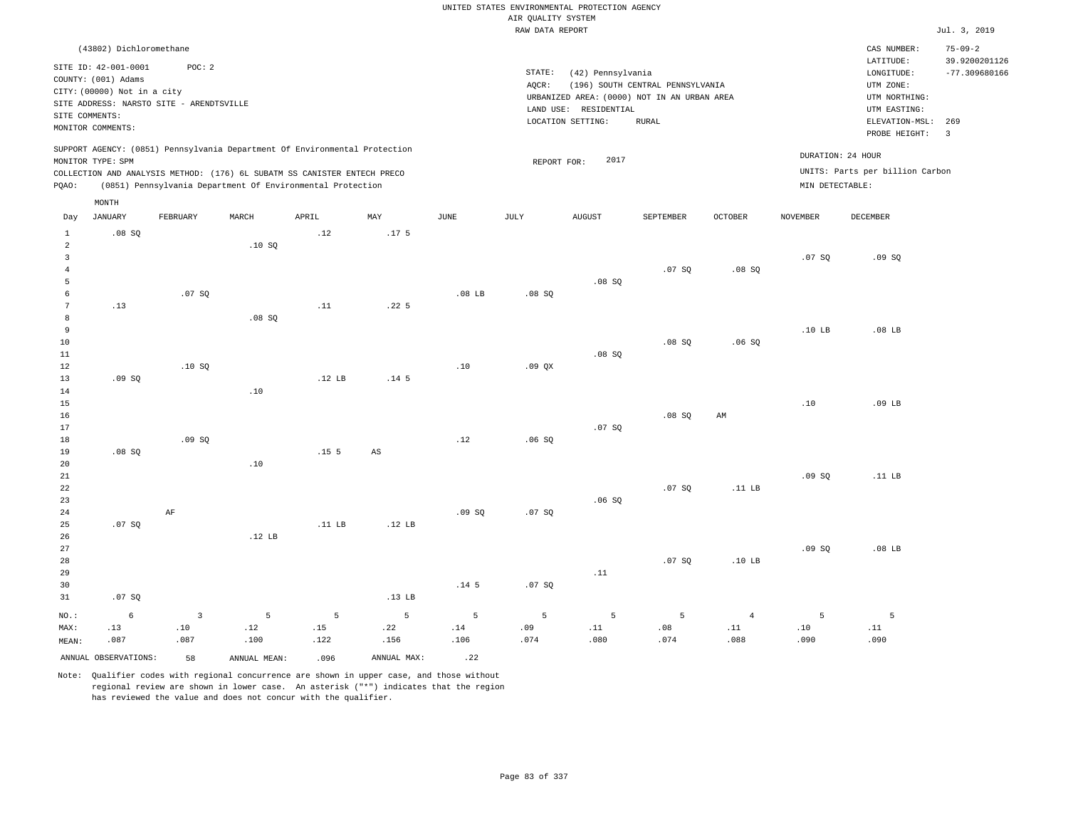|                                  |                             |                                          |                   |                                                                            |                  |                   |                    | UNITED STATES ENVIRONMENTAL PROTECTION AGENCY |                                  |                   |                              |                                 |                                |
|----------------------------------|-----------------------------|------------------------------------------|-------------------|----------------------------------------------------------------------------|------------------|-------------------|--------------------|-----------------------------------------------|----------------------------------|-------------------|------------------------------|---------------------------------|--------------------------------|
|                                  |                             |                                          |                   |                                                                            |                  |                   | AIR QUALITY SYSTEM |                                               |                                  |                   |                              |                                 |                                |
|                                  |                             |                                          |                   |                                                                            |                  |                   | RAW DATA REPORT    |                                               |                                  |                   |                              |                                 | Jul. 3, 2019                   |
|                                  | (43802) Dichloromethane     |                                          |                   |                                                                            |                  |                   |                    |                                               |                                  |                   |                              | CAS NUMBER:<br>LATITUDE:        | $75 - 09 - 2$<br>39.9200201126 |
|                                  | SITE ID: 42-001-0001        | POC:2                                    |                   |                                                                            |                  |                   | STATE:             | (42) Pennsylvania                             |                                  |                   |                              | LONGITUDE:                      | $-77.309680166$                |
|                                  | COUNTY: (001) Adams         |                                          |                   |                                                                            |                  |                   | AQCR:              |                                               | (196) SOUTH CENTRAL PENNSYLVANIA |                   |                              | UTM ZONE:                       |                                |
|                                  | CITY: (00000) Not in a city | SITE ADDRESS: NARSTO SITE - ARENDTSVILLE |                   |                                                                            |                  |                   |                    | URBANIZED AREA: (0000) NOT IN AN URBAN AREA   |                                  |                   |                              | UTM NORTHING:                   |                                |
| SITE COMMENTS:                   |                             |                                          |                   |                                                                            |                  |                   |                    | LAND USE: RESIDENTIAL                         |                                  |                   |                              | UTM EASTING:                    |                                |
|                                  | MONITOR COMMENTS:           |                                          |                   |                                                                            |                  |                   |                    | LOCATION SETTING:                             | <b>RURAL</b>                     |                   |                              | ELEVATION-MSL:                  | 269                            |
|                                  |                             |                                          |                   |                                                                            |                  |                   |                    |                                               |                                  |                   |                              | PROBE HEIGHT:                   | $\overline{3}$                 |
|                                  | MONITOR TYPE: SPM           |                                          |                   | SUPPORT AGENCY: (0851) Pennsylvania Department Of Environmental Protection |                  |                   | REPORT FOR:        | 2017                                          |                                  |                   |                              | DURATION: 24 HOUR               |                                |
|                                  |                             |                                          |                   | COLLECTION AND ANALYSIS METHOD: (176) 6L SUBATM SS CANISTER ENTECH PRECO   |                  |                   |                    |                                               |                                  |                   |                              | UNITS: Parts per billion Carbon |                                |
| PQAO:                            |                             |                                          |                   | (0851) Pennsylvania Department Of Environmental Protection                 |                  |                   |                    |                                               |                                  |                   | MIN DETECTABLE:              |                                 |                                |
|                                  | MONTH                       |                                          |                   |                                                                            |                  |                   |                    |                                               |                                  |                   |                              |                                 |                                |
| Day                              | <b>JANUARY</b>              | <b>FEBRUARY</b>                          | MARCH             | APRIL                                                                      | MAY              | JUNE              | JULY               | <b>AUGUST</b>                                 | SEPTEMBER                        | <b>OCTOBER</b>    | <b>NOVEMBER</b>              | <b>DECEMBER</b>                 |                                |
| $\mathbf{1}$                     | .08SQ                       |                                          |                   | .12                                                                        | .17 <sub>5</sub> |                   |                    |                                               |                                  |                   |                              |                                 |                                |
| $\overline{a}$<br>$\overline{3}$ |                             |                                          | .10S              |                                                                            |                  |                   |                    |                                               |                                  |                   |                              |                                 |                                |
| $\overline{4}$                   |                             |                                          |                   |                                                                            |                  |                   |                    |                                               | .07S                             | .08S              | .07S                         | .09SQ                           |                                |
| 5                                |                             |                                          |                   |                                                                            |                  |                   |                    | .08SQ                                         |                                  |                   |                              |                                 |                                |
| 6                                |                             | .07S                                     |                   |                                                                            |                  | .08 <sub>LB</sub> | .08S               |                                               |                                  |                   |                              |                                 |                                |
| $7\phantom{.0}$                  | .13                         |                                          |                   | .11                                                                        | .22 <sub>5</sub> |                   |                    |                                               |                                  |                   |                              |                                 |                                |
| 8                                |                             |                                          | .08S              |                                                                            |                  |                   |                    |                                               |                                  |                   |                              |                                 |                                |
| $\overline{9}$                   |                             |                                          |                   |                                                                            |                  |                   |                    |                                               |                                  |                   | .10 <sub>LB</sub>            | .08 <sub>LB</sub>               |                                |
| 10                               |                             |                                          |                   |                                                                            |                  |                   |                    |                                               | .08S                             | .06S              |                              |                                 |                                |
| 11                               |                             |                                          |                   |                                                                            |                  |                   |                    | .08SQ                                         |                                  |                   |                              |                                 |                                |
| 12                               |                             | .10S                                     |                   |                                                                            |                  | .10               | $.09$ $OX$         |                                               |                                  |                   |                              |                                 |                                |
| 13                               | .09S                        |                                          |                   | .12 LB                                                                     | .14 <sub>5</sub> |                   |                    |                                               |                                  |                   |                              |                                 |                                |
| 14                               |                             |                                          | .10               |                                                                            |                  |                   |                    |                                               |                                  |                   |                              | $.09$ LB                        |                                |
| 15<br>16                         |                             |                                          |                   |                                                                            |                  |                   |                    |                                               | .08S                             | AM                | .10                          |                                 |                                |
| 17                               |                             |                                          |                   |                                                                            |                  |                   |                    | .07SQ                                         |                                  |                   |                              |                                 |                                |
| 18                               |                             | .09S                                     |                   |                                                                            |                  | .12               | .06S               |                                               |                                  |                   |                              |                                 |                                |
| 19                               | .08S                        |                                          |                   | .15 <sub>5</sub>                                                           | $_{\rm AS}$      |                   |                    |                                               |                                  |                   |                              |                                 |                                |
| 20                               |                             |                                          | .10               |                                                                            |                  |                   |                    |                                               |                                  |                   |                              |                                 |                                |
| 21                               |                             |                                          |                   |                                                                            |                  |                   |                    |                                               |                                  |                   | .09S                         | .11 LB                          |                                |
| 22                               |                             |                                          |                   |                                                                            |                  |                   |                    |                                               | .07S                             | .11 <sub>LB</sub> |                              |                                 |                                |
| 23                               |                             |                                          |                   |                                                                            |                  |                   |                    | .06S                                          |                                  |                   |                              |                                 |                                |
| 24                               |                             | AF                                       |                   |                                                                            |                  | .09S              | .07S               |                                               |                                  |                   |                              |                                 |                                |
| 25<br>26                         | .07S                        |                                          | .12 <sub>LB</sub> | .11 LB                                                                     | .12 $LB$         |                   |                    |                                               |                                  |                   |                              |                                 |                                |
| 27                               |                             |                                          |                   |                                                                            |                  |                   |                    |                                               |                                  |                   | .09S                         | $.08$ LB                        |                                |
| 28                               |                             |                                          |                   |                                                                            |                  |                   |                    |                                               | .07S                             | .10 <sub>LB</sub> |                              |                                 |                                |
| 29                               |                             |                                          |                   |                                                                            |                  |                   |                    | .11                                           |                                  |                   |                              |                                 |                                |
| 30                               |                             |                                          |                   |                                                                            |                  | .14 <sub>5</sub>  | .07S               |                                               |                                  |                   |                              |                                 |                                |
| 31                               | .07SQ                       |                                          |                   |                                                                            | .13 <sub>B</sub> |                   |                    |                                               |                                  |                   |                              |                                 |                                |
| NO.:                             | $\epsilon$                  | $\overline{3}$                           | 5                 | 5                                                                          | 5                | 5                 | 5                  | 5                                             | 5                                | $\overline{4}$    | 5                            | 5                               |                                |
| MAX:                             | .13                         | .10                                      | .12               | .15                                                                        | .22              | .14               | .09                | .11                                           | .08                              | .11               | $\footnotesize\substack{10}$ | .11                             |                                |
| MEAN:                            | .087                        | .087                                     | .100              | .122                                                                       | .156             | .106              | .074               | .080                                          | .074                             | .088              | .090                         | .090                            |                                |
|                                  | ANNUAL OBSERVATIONS:        | 58                                       | ANNUAL MEAN:      | .096                                                                       | ANNUAL MAX:      | .22               |                    |                                               |                                  |                   |                              |                                 |                                |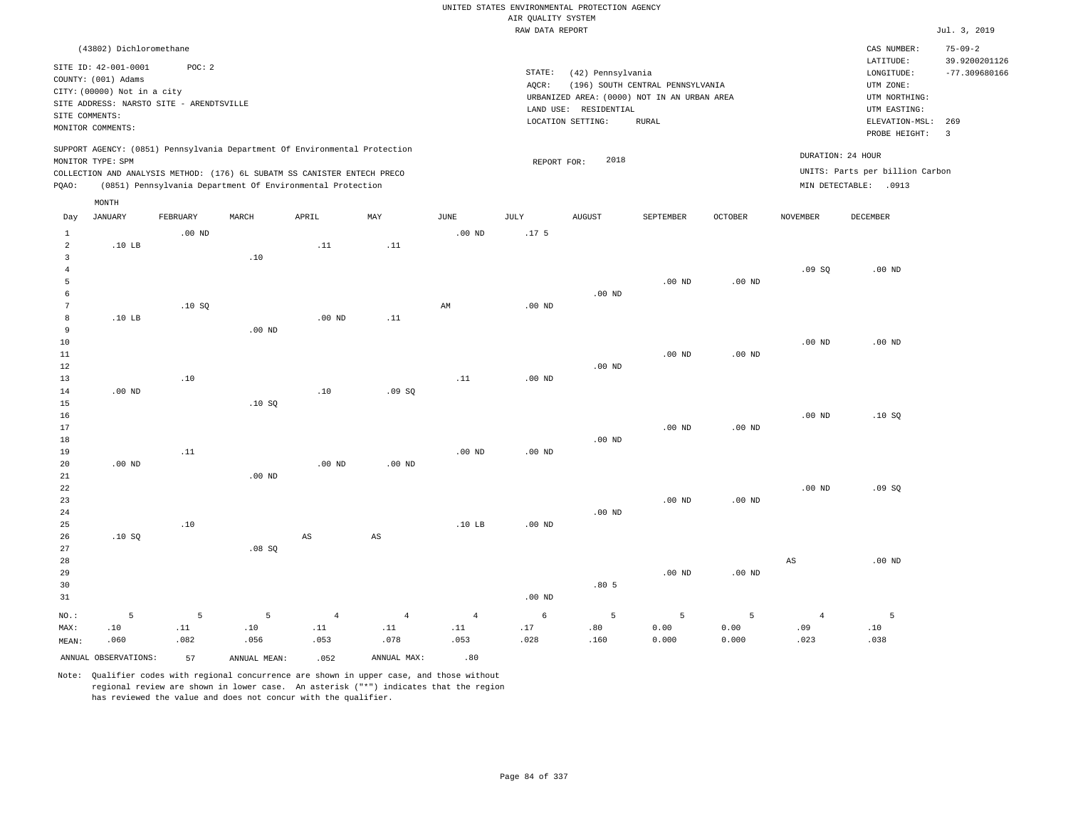|                      |                                          |          |                                                                            |                   |                   |                   |                    | UNITED STATES ENVIRONMENTAL PROTECTION AGENCY |                                  |          |                        |                                 |                       |
|----------------------|------------------------------------------|----------|----------------------------------------------------------------------------|-------------------|-------------------|-------------------|--------------------|-----------------------------------------------|----------------------------------|----------|------------------------|---------------------------------|-----------------------|
|                      |                                          |          |                                                                            |                   |                   |                   | AIR QUALITY SYSTEM |                                               |                                  |          |                        |                                 |                       |
|                      |                                          |          |                                                                            |                   |                   |                   | RAW DATA REPORT    |                                               |                                  |          |                        |                                 | Jul. 3, 2019          |
|                      | (43802) Dichloromethane                  |          |                                                                            |                   |                   |                   |                    |                                               |                                  |          |                        | CAS NUMBER:                     | $75 - 09 - 2$         |
|                      | SITE ID: 42-001-0001                     | POC: 2   |                                                                            |                   |                   |                   |                    |                                               |                                  |          |                        | LATITUDE:                       | 39.9200201126         |
|                      | COUNTY: (001) Adams                      |          |                                                                            |                   |                   |                   | STATE:             | (42) Pennsylvania                             |                                  |          |                        | $\texttt{LONGITUDE}:$           | $-77.309680166$       |
|                      | CITY: (00000) Not in a city              |          |                                                                            |                   |                   |                   | AOCR:              |                                               | (196) SOUTH CENTRAL PENNSYLVANIA |          |                        | UTM ZONE:                       |                       |
|                      | SITE ADDRESS: NARSTO SITE - ARENDTSVILLE |          |                                                                            |                   |                   |                   |                    | URBANIZED AREA: (0000) NOT IN AN URBAN AREA   |                                  |          |                        | UTM NORTHING:                   |                       |
| SITE COMMENTS:       |                                          |          |                                                                            |                   |                   |                   |                    | LAND USE: RESIDENTIAL                         |                                  |          |                        | UTM EASTING:                    |                       |
|                      | MONITOR COMMENTS:                        |          |                                                                            |                   |                   |                   |                    | LOCATION SETTING:                             | <b>RURAL</b>                     |          |                        | ELEVATION-MSL:<br>PROBE HEIGHT: | 269<br>$\overline{3}$ |
|                      |                                          |          | SUPPORT AGENCY: (0851) Pennsylvania Department Of Environmental Protection |                   |                   |                   |                    |                                               |                                  |          |                        |                                 |                       |
|                      | MONITOR TYPE: SPM                        |          |                                                                            |                   |                   |                   | REPORT FOR:        | 2018                                          |                                  |          |                        | DURATION: 24 HOUR               |                       |
|                      |                                          |          | COLLECTION AND ANALYSIS METHOD: (176) 6L SUBATM SS CANISTER ENTECH PRECO   |                   |                   |                   |                    |                                               |                                  |          |                        | UNITS: Parts per billion Carbon |                       |
| PQAO:                |                                          |          | (0851) Pennsylvania Department Of Environmental Protection                 |                   |                   |                   |                    |                                               |                                  |          |                        | MIN DETECTABLE: .0913           |                       |
|                      | MONTH                                    |          |                                                                            |                   |                   |                   |                    |                                               |                                  |          |                        |                                 |                       |
| Day                  | <b>JANUARY</b>                           | FEBRUARY | MARCH                                                                      | APRIL             | MAY               | <b>JUNE</b>       | $\mathtt{JULY}$    | <b>AUGUST</b>                                 | SEPTEMBER                        | OCTOBER  | <b>NOVEMBER</b>        | DECEMBER                        |                       |
| $\mathbf{1}$         |                                          | $.00$ ND |                                                                            |                   |                   | $.00$ ND          | .17 <sub>5</sub>   |                                               |                                  |          |                        |                                 |                       |
| $\overline{a}$       | .10 <sub>LB</sub>                        |          |                                                                            | .11               | .11               |                   |                    |                                               |                                  |          |                        |                                 |                       |
| $\overline{3}$       |                                          |          | .10                                                                        |                   |                   |                   |                    |                                               |                                  |          |                        |                                 |                       |
| $\overline{4}$       |                                          |          |                                                                            |                   |                   |                   |                    |                                               |                                  |          | .09SQ                  | $.00$ ND                        |                       |
| 5                    |                                          |          |                                                                            |                   |                   |                   |                    |                                               | $.00$ ND                         | $.00$ ND |                        |                                 |                       |
| 6<br>$7\phantom{.0}$ |                                          |          |                                                                            |                   |                   |                   |                    | $.00$ ND                                      |                                  |          |                        |                                 |                       |
| 8                    | .10 <sub>LB</sub>                        | .10S     |                                                                            | .00 <sub>ND</sub> | .11               | AM                | $.00$ ND           |                                               |                                  |          |                        |                                 |                       |
| $\,9$                |                                          |          | $.00$ ND                                                                   |                   |                   |                   |                    |                                               |                                  |          |                        |                                 |                       |
| $10$                 |                                          |          |                                                                            |                   |                   |                   |                    |                                               |                                  |          | .00 <sub>ND</sub>      | $.00$ ND                        |                       |
| $11\,$               |                                          |          |                                                                            |                   |                   |                   |                    |                                               | $.00$ ND                         | $.00$ ND |                        |                                 |                       |
| 12                   |                                          |          |                                                                            |                   |                   |                   |                    | $.00$ ND                                      |                                  |          |                        |                                 |                       |
| 13                   |                                          | .10      |                                                                            |                   |                   | .11               | .00 <sub>ND</sub>  |                                               |                                  |          |                        |                                 |                       |
| 14                   | $.00$ ND                                 |          |                                                                            | .10               | .09SQ             |                   |                    |                                               |                                  |          |                        |                                 |                       |
| 15                   |                                          |          | .10S                                                                       |                   |                   |                   |                    |                                               |                                  |          |                        |                                 |                       |
| 16                   |                                          |          |                                                                            |                   |                   |                   |                    |                                               |                                  |          | $.00$ ND               | .10S                            |                       |
| 17                   |                                          |          |                                                                            |                   |                   |                   |                    |                                               | $.00$ ND                         | $.00$ ND |                        |                                 |                       |
| 18<br>19             |                                          | .11      |                                                                            |                   |                   | .00 <sub>ND</sub> | .00 <sub>ND</sub>  | $.00$ ND                                      |                                  |          |                        |                                 |                       |
| 20                   | $.00$ ND                                 |          |                                                                            | $.00$ ND          | .00 <sub>ND</sub> |                   |                    |                                               |                                  |          |                        |                                 |                       |
| 21                   |                                          |          | $.00$ ND                                                                   |                   |                   |                   |                    |                                               |                                  |          |                        |                                 |                       |
| 22                   |                                          |          |                                                                            |                   |                   |                   |                    |                                               |                                  |          | $.00$ ND               | .09SQ                           |                       |
| 23                   |                                          |          |                                                                            |                   |                   |                   |                    |                                               | $.00$ ND                         | $.00$ ND |                        |                                 |                       |
| 24                   |                                          |          |                                                                            |                   |                   |                   |                    | $.00$ ND                                      |                                  |          |                        |                                 |                       |
| 25                   |                                          | .10      |                                                                            |                   |                   | .10 <sub>LB</sub> | .00 <sub>ND</sub>  |                                               |                                  |          |                        |                                 |                       |
| 26                   | .10S                                     |          |                                                                            | $_{\rm AS}$       | AS                |                   |                    |                                               |                                  |          |                        |                                 |                       |
| 27                   |                                          |          | .08SQ                                                                      |                   |                   |                   |                    |                                               |                                  |          |                        |                                 |                       |
| 28                   |                                          |          |                                                                            |                   |                   |                   |                    |                                               |                                  |          | $\mathbb{A}\mathbb{S}$ | $.00$ ND                        |                       |
| 29                   |                                          |          |                                                                            |                   |                   |                   |                    |                                               | $.00$ ND                         | $.00$ ND |                        |                                 |                       |
| 30                   |                                          |          |                                                                            |                   |                   |                   |                    | .805                                          |                                  |          |                        |                                 |                       |
| 31                   |                                          |          |                                                                            |                   |                   |                   | .00 <sub>ND</sub>  |                                               |                                  |          |                        |                                 |                       |
| NO.:                 | 5                                        | 5        | 5                                                                          | $\overline{4}$    | $\overline{4}$    | $\overline{4}$    | 6                  | 5                                             | 5                                | 5        | $\overline{4}$         | 5                               |                       |
| MAX:                 | .10                                      | .11      | .10                                                                        | .11               | .11               | .11               | .17                | .80                                           | 0.00                             | 0.00     | .09                    | .10                             |                       |
| MEAN:                | .060                                     | .082     | .056                                                                       | .053              | .078              | .053              | .028               | .160                                          | 0.000                            | 0.000    | .023                   | .038                            |                       |
|                      | ANNUAL OBSERVATIONS:                     | 57       | ANNUAL MEAN:                                                               | .052              | ANNUAL MAX:       | .80               |                    |                                               |                                  |          |                        |                                 |                       |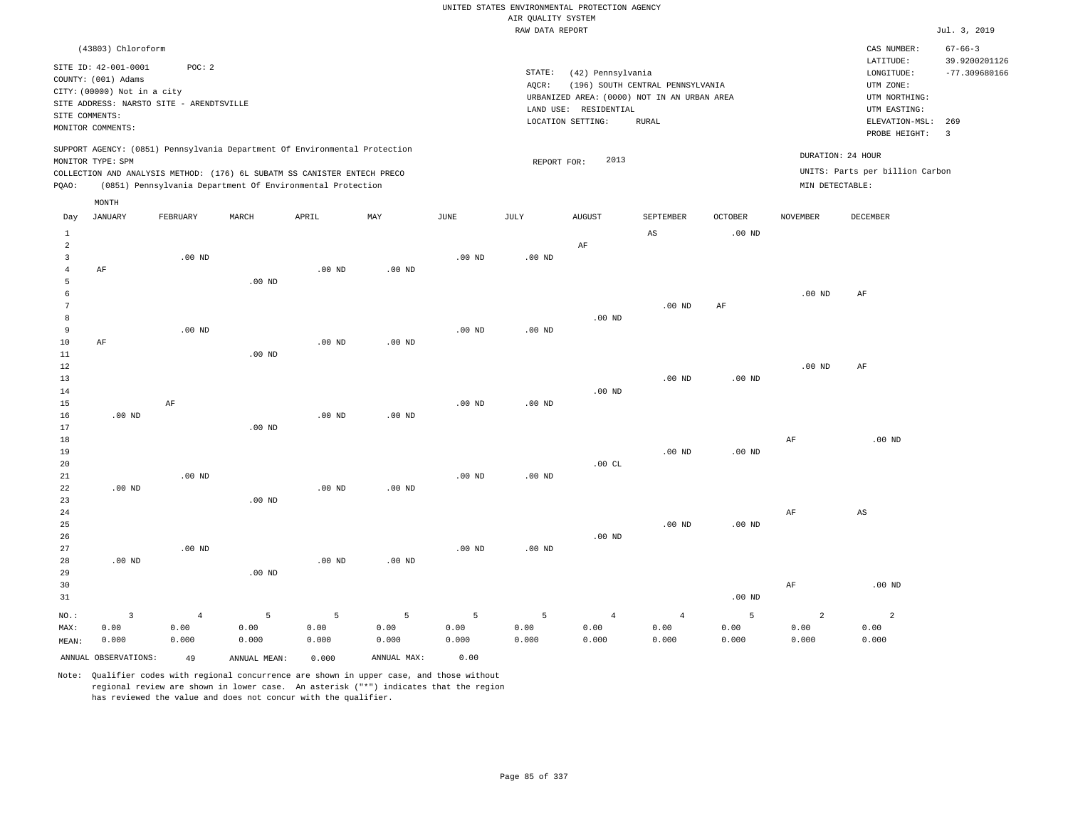|                                  |                                                                                                 |                        |                   |                                                            |                        |             | UNITED STATES ENVIRONMENTAL PROTECTION AGENCY |                        |                                             |                   |                        |                                 |                                |
|----------------------------------|-------------------------------------------------------------------------------------------------|------------------------|-------------------|------------------------------------------------------------|------------------------|-------------|-----------------------------------------------|------------------------|---------------------------------------------|-------------------|------------------------|---------------------------------|--------------------------------|
|                                  |                                                                                                 |                        |                   |                                                            |                        |             | AIR QUALITY SYSTEM                            |                        |                                             |                   |                        |                                 |                                |
|                                  |                                                                                                 |                        |                   |                                                            |                        |             | RAW DATA REPORT                               |                        |                                             |                   |                        |                                 | Jul. 3, 2019                   |
|                                  | (43803) Chloroform                                                                              |                        |                   |                                                            |                        |             |                                               |                        |                                             |                   |                        | CAS NUMBER:<br>LATITUDE:        | $67 - 66 - 3$<br>39.9200201126 |
|                                  | SITE ID: 42-001-0001                                                                            | POC: 2                 |                   |                                                            |                        |             | STATE:                                        | (42) Pennsylvania      |                                             |                   |                        | LONGITUDE:                      | $-77.309680166$                |
|                                  | COUNTY: (001) Adams<br>CITY: (00000) Not in a city                                              |                        |                   |                                                            |                        |             | AOCR:                                         |                        | (196) SOUTH CENTRAL PENNSYLVANIA            |                   |                        | UTM ZONE:                       |                                |
|                                  | SITE ADDRESS: NARSTO SITE - ARENDTSVILLE                                                        |                        |                   |                                                            |                        |             |                                               |                        | URBANIZED AREA: (0000) NOT IN AN URBAN AREA |                   |                        | UTM NORTHING:                   |                                |
| SITE COMMENTS:                   |                                                                                                 |                        |                   |                                                            |                        |             |                                               | LAND USE: RESIDENTIAL  |                                             |                   |                        | UTM EASTING:                    |                                |
|                                  | MONITOR COMMENTS:                                                                               |                        |                   |                                                            |                        |             |                                               | LOCATION SETTING:      | RURAL                                       |                   |                        | ELEVATION-MSL:<br>PROBE HEIGHT: | 269<br>$\overline{3}$          |
|                                  | SUPPORT AGENCY: (0851) Pennsylvania Department Of Environmental Protection<br>MONITOR TYPE: SPM |                        |                   |                                                            |                        |             |                                               | 2013                   |                                             |                   |                        | DURATION: 24 HOUR               |                                |
|                                  | COLLECTION AND ANALYSIS METHOD: (176) 6L SUBATM SS CANISTER ENTECH PRECO                        |                        |                   |                                                            |                        |             | REPORT FOR:                                   |                        |                                             |                   |                        | UNITS: Parts per billion Carbon |                                |
| PQAO:                            |                                                                                                 |                        |                   | (0851) Pennsylvania Department Of Environmental Protection |                        |             |                                               |                        |                                             |                   | MIN DETECTABLE:        |                                 |                                |
|                                  | MONTH                                                                                           |                        |                   |                                                            |                        |             |                                               |                        |                                             |                   |                        |                                 |                                |
| Day                              | <b>JANUARY</b>                                                                                  | FEBRUARY               | MARCH             | APRIL                                                      | MAY                    | <b>JUNE</b> | JULY                                          | <b>AUGUST</b>          | SEPTEMBER                                   | <b>OCTOBER</b>    | <b>NOVEMBER</b>        | <b>DECEMBER</b>                 |                                |
| $\mathbf{1}$                     |                                                                                                 |                        |                   |                                                            |                        |             |                                               |                        | $\mathbb{A}\mathbb{S}$                      | $.00$ ND          |                        |                                 |                                |
| 2                                |                                                                                                 |                        |                   |                                                            |                        |             |                                               | AF                     |                                             |                   |                        |                                 |                                |
| $\overline{3}$<br>$\overline{4}$ | AF                                                                                              | $.00$ ND               |                   | $.00$ ND                                                   | $.00$ ND               | $.00$ ND    | $.00$ ND                                      |                        |                                             |                   |                        |                                 |                                |
| 5                                |                                                                                                 |                        | .00 <sub>ND</sub> |                                                            |                        |             |                                               |                        |                                             |                   |                        |                                 |                                |
| 6                                |                                                                                                 |                        |                   |                                                            |                        |             |                                               |                        |                                             |                   | .00 <sub>ND</sub>      | AF                              |                                |
| 7                                |                                                                                                 |                        |                   |                                                            |                        |             |                                               |                        | $.00$ ND                                    | AF                |                        |                                 |                                |
| 8                                |                                                                                                 |                        |                   |                                                            |                        |             |                                               | $.00$ ND               |                                             |                   |                        |                                 |                                |
| 9                                |                                                                                                 | $.00$ ND               |                   |                                                            |                        | $.00$ ND    | $.00$ ND                                      |                        |                                             |                   |                        |                                 |                                |
| $10$                             | AF                                                                                              |                        |                   | $.00$ ND                                                   | .00 <sub>ND</sub>      |             |                                               |                        |                                             |                   |                        |                                 |                                |
| 11                               |                                                                                                 |                        | $.00$ ND          |                                                            |                        |             |                                               |                        |                                             |                   |                        |                                 |                                |
| 12                               |                                                                                                 |                        |                   |                                                            |                        |             |                                               |                        |                                             |                   | .00 <sub>ND</sub>      | AF                              |                                |
| 13                               |                                                                                                 |                        |                   |                                                            |                        |             |                                               |                        | $.00$ ND                                    | $.00$ ND          |                        |                                 |                                |
| 14                               |                                                                                                 |                        |                   |                                                            |                        |             |                                               | $.00$ ND               |                                             |                   |                        |                                 |                                |
| 15<br>16                         | $.00$ ND                                                                                        | AF                     |                   | .00 <sub>ND</sub>                                          | $.00$ ND               | $.00$ ND    | $.00$ ND                                      |                        |                                             |                   |                        |                                 |                                |
| 17                               |                                                                                                 |                        | $.00$ ND          |                                                            |                        |             |                                               |                        |                                             |                   |                        |                                 |                                |
| 18                               |                                                                                                 |                        |                   |                                                            |                        |             |                                               |                        |                                             |                   | AF                     | $.00$ ND                        |                                |
| 19                               |                                                                                                 |                        |                   |                                                            |                        |             |                                               |                        | .00 <sub>ND</sub>                           | $.00$ ND          |                        |                                 |                                |
| 20                               |                                                                                                 |                        |                   |                                                            |                        |             |                                               | .00CL                  |                                             |                   |                        |                                 |                                |
| 21                               |                                                                                                 | $.00$ ND               |                   |                                                            |                        | $.00$ ND    | $.00$ ND                                      |                        |                                             |                   |                        |                                 |                                |
| 22                               | $.00$ ND                                                                                        |                        |                   | $.00$ ND                                                   | $.00$ ND               |             |                                               |                        |                                             |                   |                        |                                 |                                |
| 23                               |                                                                                                 |                        | $.00$ ND          |                                                            |                        |             |                                               |                        |                                             |                   |                        |                                 |                                |
| $2\,4$                           |                                                                                                 |                        |                   |                                                            |                        |             |                                               |                        |                                             |                   | AF                     | $_{\rm AS}$                     |                                |
| 25                               |                                                                                                 |                        |                   |                                                            |                        |             |                                               |                        | $.00$ ND                                    | .00 <sub>ND</sub> |                        |                                 |                                |
| 26<br>27                         |                                                                                                 | .00 <sub>ND</sub>      |                   |                                                            |                        | $.00$ ND    | $.00$ ND                                      | $.00$ ND               |                                             |                   |                        |                                 |                                |
| 28                               | $.00$ ND                                                                                        |                        |                   | $.00$ ND                                                   | .00 <sub>ND</sub>      |             |                                               |                        |                                             |                   |                        |                                 |                                |
| 29                               |                                                                                                 |                        | $.00$ ND          |                                                            |                        |             |                                               |                        |                                             |                   |                        |                                 |                                |
| 30                               |                                                                                                 |                        |                   |                                                            |                        |             |                                               |                        |                                             |                   | AF                     | $.00$ ND                        |                                |
| 31                               |                                                                                                 |                        |                   |                                                            |                        |             |                                               |                        |                                             | $.00$ ND          |                        |                                 |                                |
|                                  |                                                                                                 |                        |                   |                                                            |                        |             |                                               |                        |                                             |                   |                        |                                 |                                |
| NO.:<br>MAX:                     | $\overline{3}$<br>0.00                                                                          | $\overline{4}$<br>0.00 | 5<br>0.00         | 5<br>0.00                                                  | $\overline{5}$<br>0.00 | 5<br>0.00   | 5<br>0.00                                     | $\overline{4}$<br>0.00 | $\sqrt{4}$<br>0.00                          | 5<br>0.00         | $\overline{a}$<br>0.00 | $\overline{a}$<br>0.00          |                                |
| MEAN:                            | 0.000                                                                                           | 0.000                  | 0.000             | 0.000                                                      | 0.000                  | 0.000       | 0.000                                         | 0.000                  | 0.000                                       | 0.000             | 0.000                  | 0.000                           |                                |
|                                  |                                                                                                 |                        |                   |                                                            |                        |             |                                               |                        |                                             |                   |                        |                                 |                                |
|                                  | ANNUAL OBSERVATIONS:                                                                            | 49                     | ANNUAL MEAN:      | 0.000                                                      | ANNUAL MAX:            | 0.00        |                                               |                        |                                             |                   |                        |                                 |                                |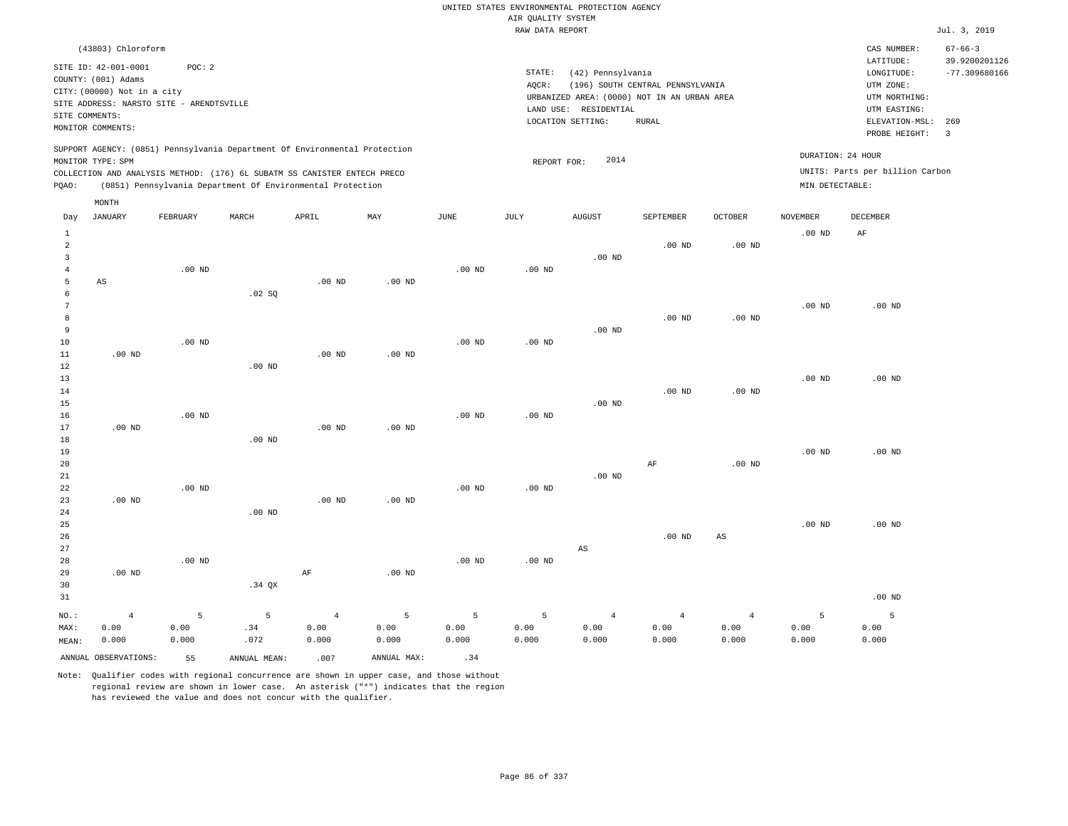|                                                           |                                                                                                  |                    |                                                                                                                                                                                                                      |                                 |                    |                    |                    | UNITED STATES ENVIRONMENTAL PROTECTION AGENCY                    |                                  |                                 |                                      |                                                                      |                                                   |
|-----------------------------------------------------------|--------------------------------------------------------------------------------------------------|--------------------|----------------------------------------------------------------------------------------------------------------------------------------------------------------------------------------------------------------------|---------------------------------|--------------------|--------------------|--------------------|------------------------------------------------------------------|----------------------------------|---------------------------------|--------------------------------------|----------------------------------------------------------------------|---------------------------------------------------|
|                                                           |                                                                                                  |                    |                                                                                                                                                                                                                      |                                 |                    |                    | AIR QUALITY SYSTEM |                                                                  |                                  |                                 |                                      |                                                                      |                                                   |
|                                                           |                                                                                                  |                    |                                                                                                                                                                                                                      |                                 |                    |                    | RAW DATA REPORT    |                                                                  |                                  |                                 |                                      |                                                                      | Jul. 3, 2019                                      |
|                                                           | (43803) Chloroform<br>SITE ID: 42-001-0001<br>COUNTY: (001) Adams<br>CITY: (00000) Not in a city | POC: 2             |                                                                                                                                                                                                                      |                                 |                    |                    | STATE:<br>AQCR:    | (42) Pennsylvania<br>URBANIZED AREA: (0000) NOT IN AN URBAN AREA | (196) SOUTH CENTRAL PENNSYLVANIA |                                 |                                      | CAS NUMBER:<br>LATITUDE:<br>LONGITUDE:<br>UTM ZONE:<br>UTM NORTHING: | $67 - 66 - 3$<br>39.9200201126<br>$-77.309680166$ |
| SITE COMMENTS:                                            | SITE ADDRESS: NARSTO SITE - ARENDTSVILLE<br>MONITOR COMMENTS:                                    |                    |                                                                                                                                                                                                                      |                                 |                    |                    |                    | LAND USE: RESIDENTIAL<br>LOCATION SETTING:                       | <b>RURAL</b>                     |                                 |                                      | UTM EASTING:<br>ELEVATION-MSL:<br>PROBE HEIGHT:                      | 269<br>$\overline{\mathbf{3}}$                    |
| PQAO:                                                     | MONITOR TYPE: SPM                                                                                |                    | SUPPORT AGENCY: (0851) Pennsylvania Department Of Environmental Protection<br>COLLECTION AND ANALYSIS METHOD: (176) 6L SUBATM SS CANISTER ENTECH PRECO<br>(0851) Pennsylvania Department Of Environmental Protection |                                 |                    |                    | REPORT FOR:        | 2014                                                             |                                  |                                 | DURATION: 24 HOUR<br>MIN DETECTABLE: | UNITS: Parts per billion Carbon                                      |                                                   |
|                                                           | MONTH                                                                                            |                    |                                                                                                                                                                                                                      |                                 |                    |                    |                    |                                                                  |                                  |                                 |                                      |                                                                      |                                                   |
| Day                                                       | <b>JANUARY</b>                                                                                   | FEBRUARY           | MARCH                                                                                                                                                                                                                | APRIL                           | MAY                | JUNE               | JULY               | <b>AUGUST</b>                                                    | SEPTEMBER                        | <b>OCTOBER</b>                  | <b>NOVEMBER</b>                      | DECEMBER                                                             |                                                   |
| $\mathbf{1}$<br>$\overline{a}$<br>$\overline{\mathbf{3}}$ |                                                                                                  |                    |                                                                                                                                                                                                                      |                                 |                    |                    |                    | $.00$ ND                                                         | $.00$ ND                         | $.00$ ND                        | .00 <sub>ND</sub>                    | AF                                                                   |                                                   |
| $\overline{4}$<br>5<br>6                                  | $\mathbb{A}\mathbb{S}$                                                                           | .00 <sub>ND</sub>  | .02 SQ                                                                                                                                                                                                               | $.00$ ND                        | $.00$ ND           | .00 <sub>ND</sub>  | .00 <sub>ND</sub>  |                                                                  |                                  |                                 |                                      |                                                                      |                                                   |
| $7\phantom{.0}$<br>8<br>9                                 |                                                                                                  |                    |                                                                                                                                                                                                                      |                                 |                    |                    |                    | .00 <sub>ND</sub>                                                | $.00$ ND                         | $.00$ ND                        | .00 <sub>ND</sub>                    | $.00$ ND                                                             |                                                   |
| $10$<br>11<br>$1\,2$                                      | $.00$ ND                                                                                         | .00 <sub>ND</sub>  | .00 <sub>ND</sub>                                                                                                                                                                                                    | $.00$ ND                        | $.00$ ND           | .00 <sub>ND</sub>  | $.00$ ND           |                                                                  |                                  |                                 |                                      |                                                                      |                                                   |
| 13<br>14<br>15<br>16                                      |                                                                                                  | $.00$ ND           |                                                                                                                                                                                                                      |                                 |                    | .00 <sub>ND</sub>  | $.00$ ND           | $.00$ ND                                                         | $.00$ ND                         | $.00$ ND                        | .00 <sub>ND</sub>                    | $.00$ ND                                                             |                                                   |
| 17<br>18<br>19                                            | $.00$ ND                                                                                         |                    | $.00$ ND                                                                                                                                                                                                             | $.00$ ND                        | $.00$ ND           |                    |                    |                                                                  |                                  |                                 | .00 <sub>ND</sub>                    | $.00$ ND                                                             |                                                   |
| 20<br>$2\sqrt{1}$<br>22                                   |                                                                                                  | .00 <sub>ND</sub>  |                                                                                                                                                                                                                      |                                 |                    | .00 <sub>ND</sub>  | .00 <sub>ND</sub>  | $.00$ ND                                                         | $\rm AF$                         | $.00$ ND                        |                                      |                                                                      |                                                   |
| 23<br>24<br>25                                            | $.00$ ND                                                                                         |                    | $.00$ ND                                                                                                                                                                                                             | $.00$ ND                        | .00 <sub>ND</sub>  |                    |                    |                                                                  |                                  |                                 | .00 <sub>ND</sub>                    | $.00$ ND                                                             |                                                   |
| 26<br>27<br>28<br>29                                      | $.00$ ND                                                                                         | $.00$ ND           |                                                                                                                                                                                                                      | $\rm{AF}$                       | .00 <sub>ND</sub>  | $.00$ ND           | .00 <sub>ND</sub>  | AS                                                               | $.00$ ND                         | $\mathbb{A}\mathbb{S}$          |                                      |                                                                      |                                                   |
| 30<br>31                                                  |                                                                                                  |                    | $.34$ QX                                                                                                                                                                                                             |                                 |                    |                    |                    |                                                                  |                                  |                                 |                                      | $.00$ ND                                                             |                                                   |
| NO.:<br>MAX:<br>MEAN:                                     | $\overline{4}$<br>0.00<br>0.000                                                                  | 5<br>0.00<br>0.000 | 5<br>.34<br>.072                                                                                                                                                                                                     | $\overline{4}$<br>0.00<br>0.000 | 5<br>0.00<br>0.000 | 5<br>0.00<br>0.000 | 5<br>0.00<br>0.000 | $\overline{4}$<br>0.00<br>0.000                                  | $\overline{4}$<br>0.00<br>0.000  | $\overline{4}$<br>0.00<br>0.000 | 5<br>0.00<br>0.000                   | 5<br>0.00<br>0.000                                                   |                                                   |
|                                                           | ANNUAL OBSERVATIONS:                                                                             | 55                 | ANNUAL MEAN:                                                                                                                                                                                                         | .007                            | ANNUAL MAX:        | .34                |                    |                                                                  |                                  |                                 |                                      |                                                                      |                                                   |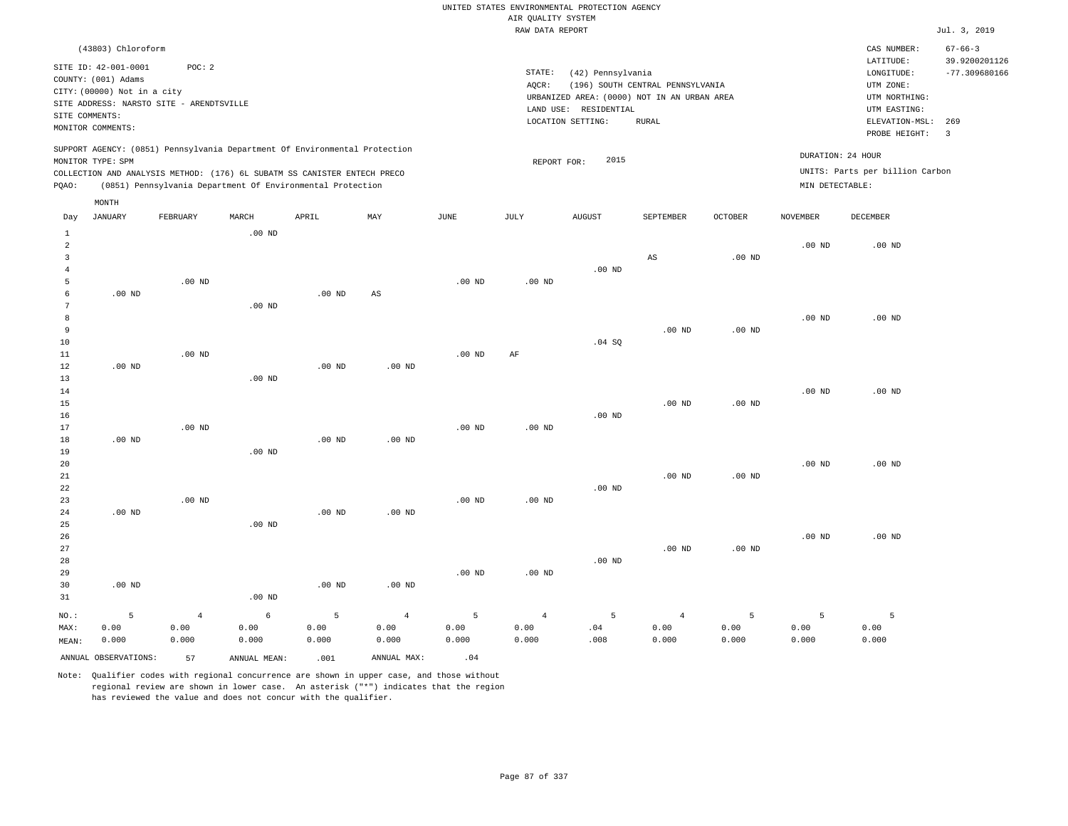|                                                                |                                                                            |                     |                                                                                                                                                        |                       |                              |                      |                                       | UNITED STATES ENVIRONMENTAL PROTECTION AGENCY                    |                                  |                   |                                      |                                                       |                                  |
|----------------------------------------------------------------|----------------------------------------------------------------------------|---------------------|--------------------------------------------------------------------------------------------------------------------------------------------------------|-----------------------|------------------------------|----------------------|---------------------------------------|------------------------------------------------------------------|----------------------------------|-------------------|--------------------------------------|-------------------------------------------------------|----------------------------------|
|                                                                |                                                                            |                     |                                                                                                                                                        |                       |                              |                      | AIR QUALITY SYSTEM<br>RAW DATA REPORT |                                                                  |                                  |                   |                                      |                                                       | Jul. 3, 2019                     |
|                                                                | (43803) Chloroform                                                         |                     |                                                                                                                                                        |                       |                              |                      |                                       |                                                                  |                                  |                   |                                      | CAS NUMBER:                                           | $67 - 66 - 3$                    |
|                                                                | SITE ID: 42-001-0001<br>COUNTY: (001) Adams<br>CITY: (00000) Not in a city | POC: 2              |                                                                                                                                                        |                       |                              |                      | STATE:<br>AQCR:                       | (42) Pennsylvania<br>URBANIZED AREA: (0000) NOT IN AN URBAN AREA | (196) SOUTH CENTRAL PENNSYLVANIA |                   |                                      | LATITUDE:<br>LONGITUDE:<br>UTM ZONE:<br>UTM NORTHING: | 39.9200201126<br>$-77.309680166$ |
| SITE COMMENTS:                                                 | SITE ADDRESS: NARSTO SITE - ARENDTSVILLE<br>MONITOR COMMENTS:              |                     |                                                                                                                                                        |                       |                              |                      |                                       | LAND USE: RESIDENTIAL<br>LOCATION SETTING:                       | <b>RURAL</b>                     |                   |                                      | UTM EASTING:<br>ELEVATION-MSL: 269<br>PROBE HEIGHT:   | $\overline{3}$                   |
|                                                                | MONITOR TYPE: SPM                                                          |                     | SUPPORT AGENCY: (0851) Pennsylvania Department Of Environmental Protection<br>COLLECTION AND ANALYSIS METHOD: (176) 6L SUBATM SS CANISTER ENTECH PRECO |                       |                              |                      | REPORT FOR:                           | 2015                                                             |                                  |                   | DURATION: 24 HOUR<br>MIN DETECTABLE: | UNITS: Parts per billion Carbon                       |                                  |
| PQAO:                                                          |                                                                            |                     | (0851) Pennsylvania Department Of Environmental Protection                                                                                             |                       |                              |                      |                                       |                                                                  |                                  |                   |                                      |                                                       |                                  |
| Day                                                            | MONTH<br><b>JANUARY</b>                                                    | FEBRUARY            | MARCH                                                                                                                                                  | APRIL                 | MAY                          | JUNE                 | JULY                                  | <b>AUGUST</b>                                                    | SEPTEMBER                        | <b>OCTOBER</b>    | <b>NOVEMBER</b>                      | DECEMBER                                              |                                  |
| $\mathbf{1}$<br>2<br>$\overline{\mathbf{3}}$<br>$\overline{4}$ |                                                                            |                     | .00 <sub>ND</sub>                                                                                                                                      |                       |                              |                      |                                       | $.00$ ND                                                         | AS                               | $.00$ ND          | .00 <sub>ND</sub>                    | $.00$ ND                                              |                                  |
| 5<br>6<br>$7\phantom{.0}$                                      | $.00$ ND                                                                   | $.00$ ND            | .00 <sub>ND</sub>                                                                                                                                      | $.00$ ND              | $\mathbb{A}\mathbb{S}$       | $.00$ ND             | $.00$ ND                              |                                                                  |                                  |                   |                                      |                                                       |                                  |
| 8<br>9<br>10<br>11                                             |                                                                            | $.00$ ND            |                                                                                                                                                        |                       |                              | $.00$ ND             | AF                                    | .04 SQ                                                           | .00 <sub>ND</sub>                | .00 <sub>ND</sub> | $.00$ ND                             | $.00$ ND                                              |                                  |
| 12<br>13<br>14<br>15<br>16                                     | $.00$ ND                                                                   |                     | .00 <sub>ND</sub>                                                                                                                                      | $.00$ ND              | .00 <sub>ND</sub>            |                      |                                       | $.00$ ND                                                         | $.00$ ND                         | $.00$ ND          | $.00$ ND                             | $.00$ ND                                              |                                  |
| 17<br>18<br>19                                                 | $.00$ ND                                                                   | $.00$ ND            | .00 <sub>ND</sub>                                                                                                                                      | $.00$ ND              | .00 <sub>ND</sub>            | $.00$ ND             | .00 <sub>ND</sub>                     |                                                                  |                                  |                   |                                      |                                                       |                                  |
| 20<br>21<br>22<br>23                                           |                                                                            | $.00$ ND            |                                                                                                                                                        |                       |                              | $.00$ ND             | $.00$ ND                              | $.00$ ND                                                         | $.00$ ND                         | $.00$ ND          | $.00$ ND                             | $.00$ ND                                              |                                  |
| 24<br>25<br>26                                                 | $.00$ ND                                                                   |                     | $.00$ ND                                                                                                                                               | .00 <sub>ND</sub>     | $.00$ ND                     |                      |                                       |                                                                  |                                  |                   | $.00$ ND                             | $.00$ ND                                              |                                  |
| 27<br>28<br>29<br>30                                           | $.00$ ND                                                                   |                     |                                                                                                                                                        | $.00$ ND              | $.00$ ND                     | $.00$ ND             | .00 <sub>ND</sub>                     | $.00$ ND                                                         | .00 <sub>ND</sub>                | $.00$ ND          |                                      |                                                       |                                  |
| 31<br>$NO.$ :                                                  | $5\phantom{.0}$                                                            | $\overline{4}$      | $.00$ ND<br>6                                                                                                                                          | 5                     | $\overline{4}$               | 5                    | $\overline{4}$                        | 5                                                                | $\overline{4}$                   | 5                 | 5                                    | 5                                                     |                                  |
| MAX:<br>MEAN:                                                  | 0.00<br>0.000<br>ANNUAL OBSERVATIONS:                                      | 0.00<br>0.000<br>57 | 0.00<br>0.000<br>ANNUAL, MEAN:                                                                                                                         | 0.00<br>0.000<br>.001 | 0.00<br>0.000<br>ANNUAL MAX: | 0.00<br>0.000<br>.04 | 0.00<br>0.000                         | .04<br>.008                                                      | 0.00<br>0.000                    | 0.00<br>0.000     | 0.00<br>0.000                        | 0.00<br>0.000                                         |                                  |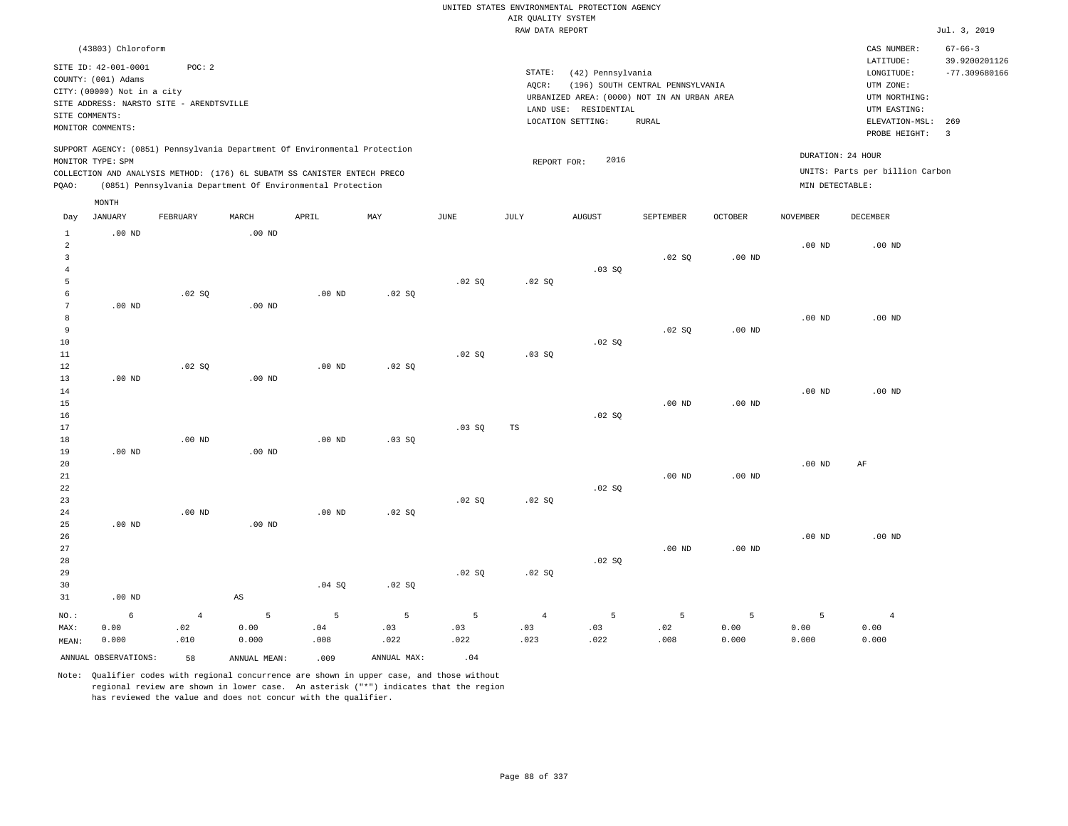|                                                                            |                                                                                                  |                                                    |                                              |                                                                                                                                                                                                                      |                  |                  |                               | UNITED STATES ENVIRONMENTAL PROTECTION AGENCY                    |                                  |                    |                                      |                                                                      |                                                   |
|----------------------------------------------------------------------------|--------------------------------------------------------------------------------------------------|----------------------------------------------------|----------------------------------------------|----------------------------------------------------------------------------------------------------------------------------------------------------------------------------------------------------------------------|------------------|------------------|-------------------------------|------------------------------------------------------------------|----------------------------------|--------------------|--------------------------------------|----------------------------------------------------------------------|---------------------------------------------------|
|                                                                            |                                                                                                  |                                                    |                                              |                                                                                                                                                                                                                      |                  |                  | AIR QUALITY SYSTEM            |                                                                  |                                  |                    |                                      |                                                                      |                                                   |
|                                                                            |                                                                                                  |                                                    |                                              |                                                                                                                                                                                                                      |                  |                  | RAW DATA REPORT               |                                                                  |                                  |                    |                                      |                                                                      | Jul. 3, 2019                                      |
|                                                                            | (43803) Chloroform<br>SITE ID: 42-001-0001<br>COUNTY: (001) Adams<br>CITY: (00000) Not in a city | POC: 2<br>SITE ADDRESS: NARSTO SITE - ARENDTSVILLE |                                              |                                                                                                                                                                                                                      |                  |                  | STATE:<br>AQCR:               | (42) Pennsylvania<br>URBANIZED AREA: (0000) NOT IN AN URBAN AREA | (196) SOUTH CENTRAL PENNSYLVANIA |                    |                                      | CAS NUMBER:<br>LATITUDE:<br>LONGITUDE:<br>UTM ZONE:<br>UTM NORTHING: | $67 - 66 - 3$<br>39.9200201126<br>$-77.309680166$ |
| SITE COMMENTS:                                                             | MONITOR COMMENTS:                                                                                |                                                    |                                              |                                                                                                                                                                                                                      |                  |                  |                               | LAND USE: RESIDENTIAL<br>LOCATION SETTING:                       | <b>RURAL</b>                     |                    |                                      | UTM EASTING:<br>ELEVATION-MSL:<br>PROBE HEIGHT:                      | 269<br>$\overline{3}$                             |
| PQAO:                                                                      | MONITOR TYPE: SPM                                                                                |                                                    |                                              | SUPPORT AGENCY: (0851) Pennsylvania Department Of Environmental Protection<br>COLLECTION AND ANALYSIS METHOD: (176) 6L SUBATM SS CANISTER ENTECH PRECO<br>(0851) Pennsylvania Department Of Environmental Protection |                  |                  | REPORT FOR:                   | 2016                                                             |                                  |                    | DURATION: 24 HOUR<br>MIN DETECTABLE: | UNITS: Parts per billion Carbon                                      |                                                   |
| Day                                                                        | MONTH<br><b>JANUARY</b>                                                                          | FEBRUARY                                           | MARCH                                        | APRIL                                                                                                                                                                                                                | MAX              | JUNE             | JULY                          | AUGUST                                                           | SEPTEMBER                        | OCTOBER            | <b>NOVEMBER</b>                      | DECEMBER                                                             |                                                   |
| 1<br>$\overline{a}$<br>$\overline{\mathbf{3}}$<br>$\overline{4}$<br>5<br>6 | $.00$ ND                                                                                         | .02 SQ                                             | $.00$ ND                                     | $.00$ ND                                                                                                                                                                                                             | .02 SQ           | .02 SQ           | .02 SQ                        | .03SQ                                                            | .02 SQ                           | $.00$ ND           | $.00$ ND                             | $.00$ ND                                                             |                                                   |
| $7\phantom{.0}$<br>8<br>$\overline{9}$<br>10<br>11<br>12                   | $.00$ ND                                                                                         | .02S                                               | $.00$ ND                                     | $.00$ ND                                                                                                                                                                                                             | .02S             | .02 SQ           | .03 SQ                        | .02 SQ                                                           | .02 SQ                           | $.00$ ND           | .00 <sub>ND</sub>                    | .00 <sub>ND</sub>                                                    |                                                   |
| 13<br>14<br>15<br>16<br>17<br>18                                           | $.00$ ND                                                                                         | $.00$ ND                                           | .00 <sub>ND</sub>                            | $.00$ ND                                                                                                                                                                                                             | .03 SQ           | .03 SQ           | $_{\rm TS}$                   | .02 SQ                                                           | .00 <sub>ND</sub>                | $.00$ ND           | .00 <sub>ND</sub>                    | $.00$ ND                                                             |                                                   |
| 19<br>20<br>21<br>$2\sqrt{2}$<br>23<br>24                                  | $.00$ ND                                                                                         | $.00$ ND                                           | $.00$ ND                                     | $.00$ ND                                                                                                                                                                                                             | .02 SQ           | .02 SQ           | .02 SQ                        | .02 SQ                                                           | $.00$ ND                         | $.00$ ND           | .00 <sub>ND</sub>                    | AF                                                                   |                                                   |
| 25<br>26<br>$2\,7$<br>28<br>29<br>30                                       | $.00$ ND                                                                                         |                                                    | .00 <sub>ND</sub>                            | .04 S0                                                                                                                                                                                                               | .02 SQ           | .02 SQ           | .02 SQ                        | .02S                                                             | $.00$ ND                         | $.00$ ND           | .00 <sub>ND</sub>                    | $.00$ ND                                                             |                                                   |
| 31<br>NO.:<br>MAX:<br>MEAN:                                                | $.00$ ND<br>6<br>0.00<br>0.000                                                                   | $\overline{4}$<br>.02<br>.010                      | $\mathbb{A}\mathbb{S}$<br>5<br>0.00<br>0.000 | 5<br>.04<br>.008                                                                                                                                                                                                     | 5<br>.03<br>.022 | 5<br>.03<br>.022 | $\overline{4}$<br>.03<br>.023 | 5<br>.03<br>.022                                                 | 5<br>.02<br>.008                 | 5<br>0.00<br>0.000 | 5<br>0.00<br>0.000                   | $\overline{4}$<br>0.00<br>0.000                                      |                                                   |
|                                                                            | ANNUAL OBSERVATIONS:                                                                             | 58                                                 | ANNUAL, MEAN:                                | .009                                                                                                                                                                                                                 | ANNUAL MAX:      | .04              |                               |                                                                  |                                  |                    |                                      |                                                                      |                                                   |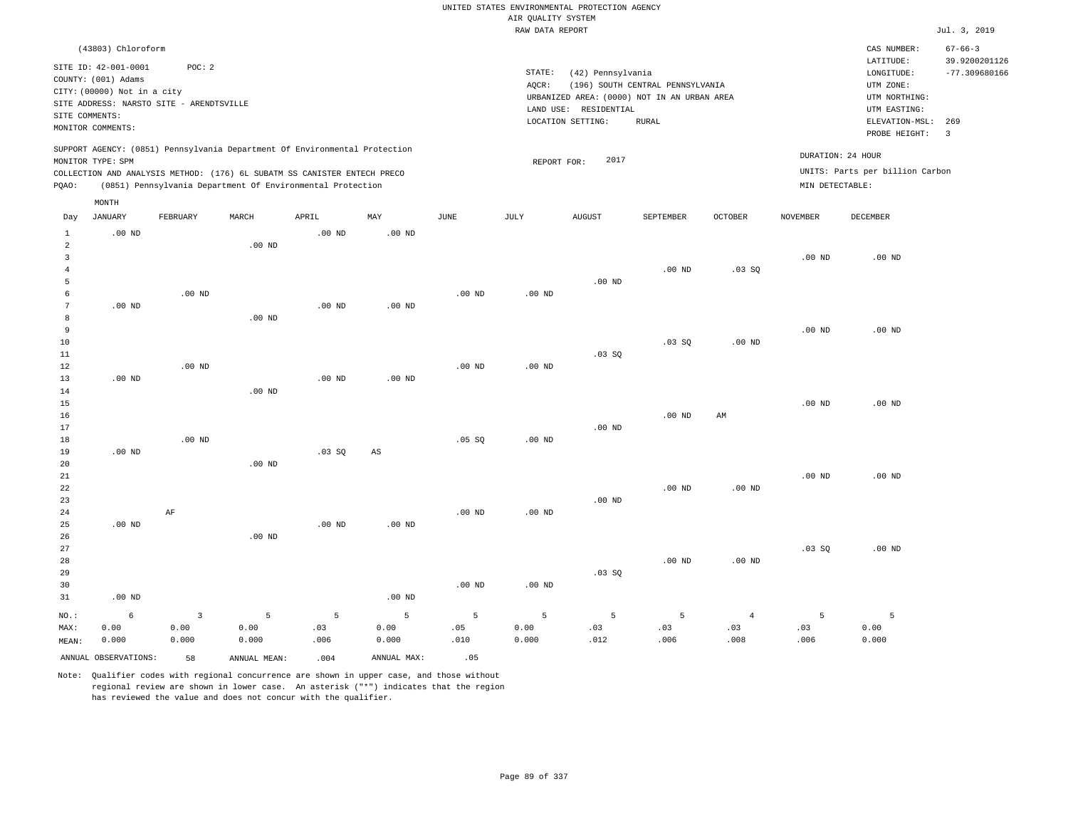|                                  |                                                                                                                        |                                 |                                                                                                                                        |                   |                    |                   | AIR QUALITY SYSTEM | UNITED STATES ENVIRONMENTAL PROTECTION AGENCY                                                                  |                                                  |                               |                   |                                                                            |                                |
|----------------------------------|------------------------------------------------------------------------------------------------------------------------|---------------------------------|----------------------------------------------------------------------------------------------------------------------------------------|-------------------|--------------------|-------------------|--------------------|----------------------------------------------------------------------------------------------------------------|--------------------------------------------------|-------------------------------|-------------------|----------------------------------------------------------------------------|--------------------------------|
|                                  |                                                                                                                        |                                 |                                                                                                                                        |                   |                    |                   | RAW DATA REPORT    |                                                                                                                |                                                  |                               |                   |                                                                            | Jul. 3, 2019                   |
|                                  | (43803) Chloroform                                                                                                     |                                 |                                                                                                                                        |                   |                    |                   |                    |                                                                                                                |                                                  |                               |                   | CAS NUMBER:<br>LATITUDE:                                                   | $67 - 66 - 3$<br>39.9200201126 |
| SITE COMMENTS:                   | SITE ID: 42-001-0001<br>COUNTY: (001) Adams<br>CITY: (00000) Not in a city<br>SITE ADDRESS: NARSTO SITE - ARENDTSVILLE | POC: 2                          |                                                                                                                                        |                   |                    |                   | STATE:<br>AQCR:    | (42) Pennsylvania<br>URBANIZED AREA: (0000) NOT IN AN URBAN AREA<br>LAND USE: RESIDENTIAL<br>LOCATION SETTING: | (196) SOUTH CENTRAL PENNSYLVANIA<br><b>RURAL</b> |                               |                   | LONGITUDE:<br>UTM ZONE:<br>UTM NORTHING:<br>UTM EASTING:<br>ELEVATION-MSL: | $-77.309680166$<br>269         |
|                                  | MONITOR COMMENTS:                                                                                                      |                                 |                                                                                                                                        |                   |                    |                   |                    |                                                                                                                |                                                  |                               |                   | PROBE HEIGHT:                                                              | $\overline{\mathbf{3}}$        |
|                                  | MONITOR TYPE: SPM                                                                                                      |                                 | SUPPORT AGENCY: (0851) Pennsylvania Department Of Environmental Protection                                                             |                   |                    |                   | REPORT FOR:        | 2017                                                                                                           |                                                  |                               | DURATION: 24 HOUR |                                                                            |                                |
| PQAO:                            |                                                                                                                        |                                 | COLLECTION AND ANALYSIS METHOD: (176) 6L SUBATM SS CANISTER ENTECH PRECO<br>(0851) Pennsylvania Department Of Environmental Protection |                   |                    |                   |                    |                                                                                                                |                                                  |                               | MIN DETECTABLE:   | UNITS: Parts per billion Carbon                                            |                                |
|                                  | MONTH                                                                                                                  |                                 |                                                                                                                                        |                   |                    |                   |                    |                                                                                                                |                                                  |                               |                   |                                                                            |                                |
| Day                              | JANUARY                                                                                                                | FEBRUARY                        | MARCH                                                                                                                                  | APRIL             | MAY                | JUNE              | JULY               | <b>AUGUST</b>                                                                                                  | SEPTEMBER                                        | OCTOBER                       | NOVEMBER          | DECEMBER                                                                   |                                |
| $\mathbf{1}$<br>$\sqrt{2}$       | .00 <sub>ND</sub>                                                                                                      |                                 | $.00$ ND                                                                                                                               | .00 <sub>ND</sub> | $.00$ ND           |                   |                    |                                                                                                                |                                                  |                               |                   |                                                                            |                                |
| $\overline{3}$<br>$\overline{4}$ |                                                                                                                        |                                 |                                                                                                                                        |                   |                    |                   |                    |                                                                                                                | $.00$ ND                                         | .03SQ                         | $.00$ ND          | $.00$ ND                                                                   |                                |
| 5<br>6                           |                                                                                                                        | $.00$ ND                        |                                                                                                                                        |                   |                    | .00 <sub>ND</sub> | .00 <sub>ND</sub>  | $.00$ ND                                                                                                       |                                                  |                               |                   |                                                                            |                                |
| $7\phantom{.0}$<br>8             | $.00$ ND                                                                                                               |                                 | $.00$ ND                                                                                                                               | $.00$ ND          | .00 <sub>ND</sub>  |                   |                    |                                                                                                                |                                                  |                               |                   |                                                                            |                                |
| 9<br>$10$                        |                                                                                                                        |                                 |                                                                                                                                        |                   |                    |                   |                    |                                                                                                                | .03 SQ                                           | $.00$ ND                      | .00 <sub>ND</sub> | $.00$ ND                                                                   |                                |
| 11<br>12<br>13                   | .00 <sub>ND</sub>                                                                                                      | $.00$ ND                        |                                                                                                                                        | .00 <sub>ND</sub> | .00 <sub>ND</sub>  | $.00$ ND          | $.00$ ND           | $.03$ SO                                                                                                       |                                                  |                               |                   |                                                                            |                                |
| 14<br>15                         |                                                                                                                        |                                 | $.00$ ND                                                                                                                               |                   |                    |                   |                    |                                                                                                                |                                                  |                               | $.00$ ND          | $.00$ ND                                                                   |                                |
| 16<br>17                         |                                                                                                                        |                                 |                                                                                                                                        |                   |                    |                   |                    | $.00$ ND                                                                                                       | .00 <sub>ND</sub>                                | AM                            |                   |                                                                            |                                |
| 18<br>19                         | $.00$ ND                                                                                                               | $.00$ ND                        |                                                                                                                                        | .03S              | AS                 | .05 SQ            | .00 <sub>ND</sub>  |                                                                                                                |                                                  |                               |                   |                                                                            |                                |
| 20<br>21<br>22                   |                                                                                                                        |                                 | $.00$ ND                                                                                                                               |                   |                    |                   |                    |                                                                                                                | $.00$ ND                                         | $.00$ ND                      | $.00$ ND          | $.00$ ND                                                                   |                                |
| 23<br>24<br>25                   | $.00$ ND                                                                                                               | $\rm{AF}$                       |                                                                                                                                        | .00 <sub>ND</sub> | $.00$ ND           | $.00$ ND          | $.00$ ND           | $.00$ ND                                                                                                       |                                                  |                               |                   |                                                                            |                                |
| 26<br>27<br>28<br>29             |                                                                                                                        |                                 | $.00$ ND                                                                                                                               |                   |                    |                   |                    | .03SQ                                                                                                          | $.00$ ND                                         | $.00$ ND                      | .03 SQ            | $.00$ ND                                                                   |                                |
| 30<br>31                         | $.00$ ND                                                                                                               |                                 |                                                                                                                                        |                   | .00 <sub>ND</sub>  | $.00$ ND          | $.00$ ND           |                                                                                                                |                                                  |                               |                   |                                                                            |                                |
| NO.:<br>MAX:<br>MEAN:            | 6<br>0.00<br>0.000                                                                                                     | $\overline{3}$<br>0.00<br>0.000 | 5<br>0.00<br>0.000                                                                                                                     | 5<br>.03<br>.006  | 5<br>0.00<br>0.000 | 5<br>.05<br>.010  | 5<br>0.00<br>0.000 | 5<br>.03<br>.012                                                                                               | 5<br>.03<br>.006                                 | $\overline{4}$<br>.03<br>.008 | 5<br>.03<br>.006  | 5<br>0.00<br>0.000                                                         |                                |
|                                  | ANNUAL OBSERVATIONS:                                                                                                   | 58                              | ANNUAL MEAN:                                                                                                                           | .004              | ANNUAL MAX:        | .05               |                    |                                                                                                                |                                                  |                               |                   |                                                                            |                                |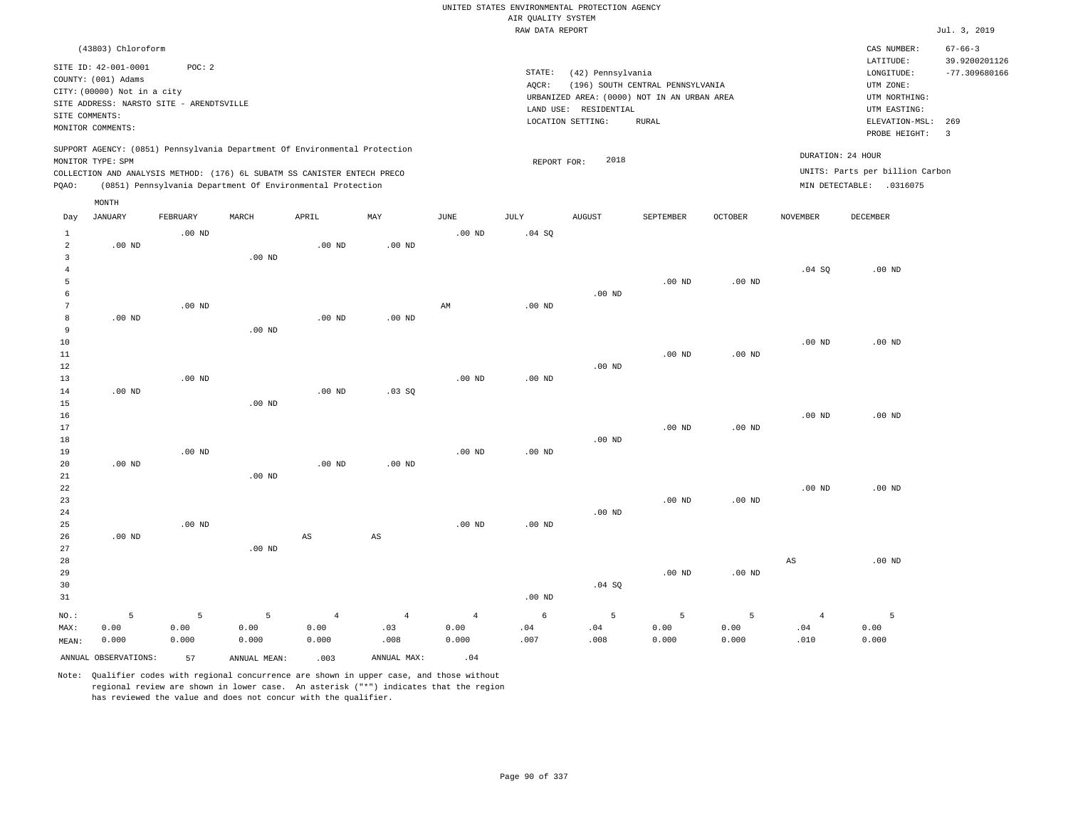|                              |                                          |          |                   |                                                                            |                |                   |                    | UNITED STATES ENVIRONMENTAL PROTECTION AGENCY |                                  |                   |                 |                                     |                                  |
|------------------------------|------------------------------------------|----------|-------------------|----------------------------------------------------------------------------|----------------|-------------------|--------------------|-----------------------------------------------|----------------------------------|-------------------|-----------------|-------------------------------------|----------------------------------|
|                              |                                          |          |                   |                                                                            |                |                   | AIR QUALITY SYSTEM |                                               |                                  |                   |                 |                                     |                                  |
|                              |                                          |          |                   |                                                                            |                |                   | RAW DATA REPORT    |                                               |                                  |                   |                 |                                     | Jul. 3, 2019                     |
|                              | (43803) Chloroform                       |          |                   |                                                                            |                |                   |                    |                                               |                                  |                   |                 | CAS NUMBER:                         | $67 - 66 - 3$                    |
|                              | SITE ID: 42-001-0001                     | POC: 2   |                   |                                                                            |                |                   | STATE:             | (42) Pennsylvania                             |                                  |                   |                 | LATITUDE:<br>$\texttt{LONGITUDE}$ : | 39.9200201126<br>$-77.309680166$ |
|                              | COUNTY: (001) Adams                      |          |                   |                                                                            |                |                   | AOCR:              |                                               | (196) SOUTH CENTRAL PENNSYLVANIA |                   |                 | UTM ZONE:                           |                                  |
|                              | CITY: (00000) Not in a city              |          |                   |                                                                            |                |                   |                    | URBANIZED AREA: (0000) NOT IN AN URBAN AREA   |                                  |                   |                 | UTM NORTHING:                       |                                  |
|                              | SITE ADDRESS: NARSTO SITE - ARENDTSVILLE |          |                   |                                                                            |                |                   |                    | LAND USE: RESIDENTIAL                         |                                  |                   |                 | UTM EASTING:                        |                                  |
| SITE COMMENTS:               |                                          |          |                   |                                                                            |                |                   |                    | LOCATION SETTING:                             | <b>RURAL</b>                     |                   |                 | ELEVATION-MSL:                      | 269                              |
|                              | MONITOR COMMENTS:                        |          |                   |                                                                            |                |                   |                    |                                               |                                  |                   |                 | PROBE HEIGHT:                       | $\overline{3}$                   |
|                              | MONITOR TYPE: SPM                        |          |                   | SUPPORT AGENCY: (0851) Pennsylvania Department Of Environmental Protection |                |                   | REPORT FOR:        | 2018                                          |                                  |                   |                 | DURATION: 24 HOUR                   |                                  |
|                              |                                          |          |                   | COLLECTION AND ANALYSIS METHOD: (176) 6L SUBATM SS CANISTER ENTECH PRECO   |                |                   |                    |                                               |                                  |                   |                 | UNITS: Parts per billion Carbon     |                                  |
| PQAO:                        |                                          |          |                   | (0851) Pennsylvania Department Of Environmental Protection                 |                |                   |                    |                                               |                                  |                   |                 | MIN DETECTABLE: .0316075            |                                  |
|                              | MONTH                                    |          |                   |                                                                            |                |                   |                    |                                               |                                  |                   |                 |                                     |                                  |
| Day                          | JANUARY                                  | FEBRUARY | MARCH             | APRIL                                                                      | MAY            | $_{\rm JUNE}$     | JULY               | <b>AUGUST</b>                                 | SEPTEMBER                        | OCTOBER           | <b>NOVEMBER</b> | DECEMBER                            |                                  |
| $\mathbf{1}$                 |                                          | $.00$ ND |                   |                                                                            |                | $.00$ ND          | .04 S0             |                                               |                                  |                   |                 |                                     |                                  |
| $\overline{a}$               | $.00$ ND                                 |          |                   | $.00$ ND                                                                   | $.00$ ND       |                   |                    |                                               |                                  |                   |                 |                                     |                                  |
| $\overline{3}$               |                                          |          | $.00$ ND          |                                                                            |                |                   |                    |                                               |                                  |                   |                 |                                     |                                  |
| $\overline{4}$               |                                          |          |                   |                                                                            |                |                   |                    |                                               |                                  |                   | .04 SQ          | $.00$ ND                            |                                  |
| 5                            |                                          |          |                   |                                                                            |                |                   |                    |                                               | $.00$ ND                         | $.00$ ND          |                 |                                     |                                  |
| 6                            |                                          |          |                   |                                                                            |                |                   |                    | $.00$ ND                                      |                                  |                   |                 |                                     |                                  |
| $7\phantom{.0}$              |                                          | $.00$ ND |                   |                                                                            |                | AM                | $.00$ ND           |                                               |                                  |                   |                 |                                     |                                  |
| $^{\rm 8}$<br>$\overline{9}$ | $.00$ ND                                 |          |                   | .00 <sub>ND</sub>                                                          | $.00$ ND       |                   |                    |                                               |                                  |                   |                 |                                     |                                  |
| $10$                         |                                          |          | .00 <sub>ND</sub> |                                                                            |                |                   |                    |                                               |                                  |                   | $.00$ ND        | .00 <sub>ND</sub>                   |                                  |
| $11\,$                       |                                          |          |                   |                                                                            |                |                   |                    |                                               | .00 <sub>ND</sub>                | $.00$ ND          |                 |                                     |                                  |
| $1\,2$                       |                                          |          |                   |                                                                            |                |                   |                    | $.00$ ND                                      |                                  |                   |                 |                                     |                                  |
| 13                           |                                          | $.00$ ND |                   |                                                                            |                | $.00$ ND          | .00 <sub>ND</sub>  |                                               |                                  |                   |                 |                                     |                                  |
| 14                           | .00 <sub>ND</sub>                        |          |                   | $.00$ ND                                                                   | .03SQ          |                   |                    |                                               |                                  |                   |                 |                                     |                                  |
| 15                           |                                          |          | $.00$ ND          |                                                                            |                |                   |                    |                                               |                                  |                   |                 |                                     |                                  |
| 16                           |                                          |          |                   |                                                                            |                |                   |                    |                                               |                                  |                   | $.00$ ND        | $.00$ ND                            |                                  |
| 17                           |                                          |          |                   |                                                                            |                |                   |                    |                                               | .00 <sub>ND</sub>                | $.00$ ND          |                 |                                     |                                  |
| 18                           |                                          |          |                   |                                                                            |                |                   |                    | $.00$ ND                                      |                                  |                   |                 |                                     |                                  |
| 19<br>20                     | $.00$ ND                                 | $.00$ ND |                   | $.00$ ND                                                                   | $.00$ ND       | .00 <sub>ND</sub> | .00 <sub>ND</sub>  |                                               |                                  |                   |                 |                                     |                                  |
| 21                           |                                          |          | .00 <sub>ND</sub> |                                                                            |                |                   |                    |                                               |                                  |                   |                 |                                     |                                  |
| 22                           |                                          |          |                   |                                                                            |                |                   |                    |                                               |                                  |                   | $.00$ ND        | $.00$ ND                            |                                  |
| 23                           |                                          |          |                   |                                                                            |                |                   |                    |                                               | .00 <sub>ND</sub>                | .00 <sub>ND</sub> |                 |                                     |                                  |
| 24                           |                                          |          |                   |                                                                            |                |                   |                    | $.00$ ND                                      |                                  |                   |                 |                                     |                                  |
| 25                           |                                          | $.00$ ND |                   |                                                                            |                | $.00$ ND          | .00 <sub>ND</sub>  |                                               |                                  |                   |                 |                                     |                                  |
| 26                           | $.00$ ND                                 |          |                   | AS                                                                         | $_{\rm AS}$    |                   |                    |                                               |                                  |                   |                 |                                     |                                  |
| 27                           |                                          |          | $.00$ ND          |                                                                            |                |                   |                    |                                               |                                  |                   |                 |                                     |                                  |
| 28                           |                                          |          |                   |                                                                            |                |                   |                    |                                               |                                  |                   | $_{\rm AS}$     | $.00$ ND                            |                                  |
| 29                           |                                          |          |                   |                                                                            |                |                   |                    |                                               | $.00$ ND                         | .00 <sub>ND</sub> |                 |                                     |                                  |
| 30                           |                                          |          |                   |                                                                            |                |                   |                    | .04 SQ                                        |                                  |                   |                 |                                     |                                  |
| 31                           |                                          |          |                   |                                                                            |                |                   | .00 <sub>ND</sub>  |                                               |                                  |                   |                 |                                     |                                  |
| NO.:                         | 5                                        | 5        | 5                 | $\overline{4}$                                                             | $\overline{4}$ | $\overline{4}$    | 6                  | 5                                             | 5                                | 5                 | $\overline{4}$  | 5                                   |                                  |
| MAX:                         | 0.00                                     | 0.00     | 0.00              | 0.00                                                                       | .03            | 0.00              | .04                | .04                                           | 0.00                             | 0.00              | .04             | 0.00                                |                                  |
| MEAN:                        | 0.000                                    | 0.000    | 0.000             | 0.000                                                                      | .008           | 0.000             | .007               | .008                                          | 0.000                            | 0.000             | .010            | 0.000                               |                                  |
|                              | ANNUAL OBSERVATIONS:                     | 57       | ANNUAL MEAN:      | .003                                                                       | ANNUAL MAX:    | .04               |                    |                                               |                                  |                   |                 |                                     |                                  |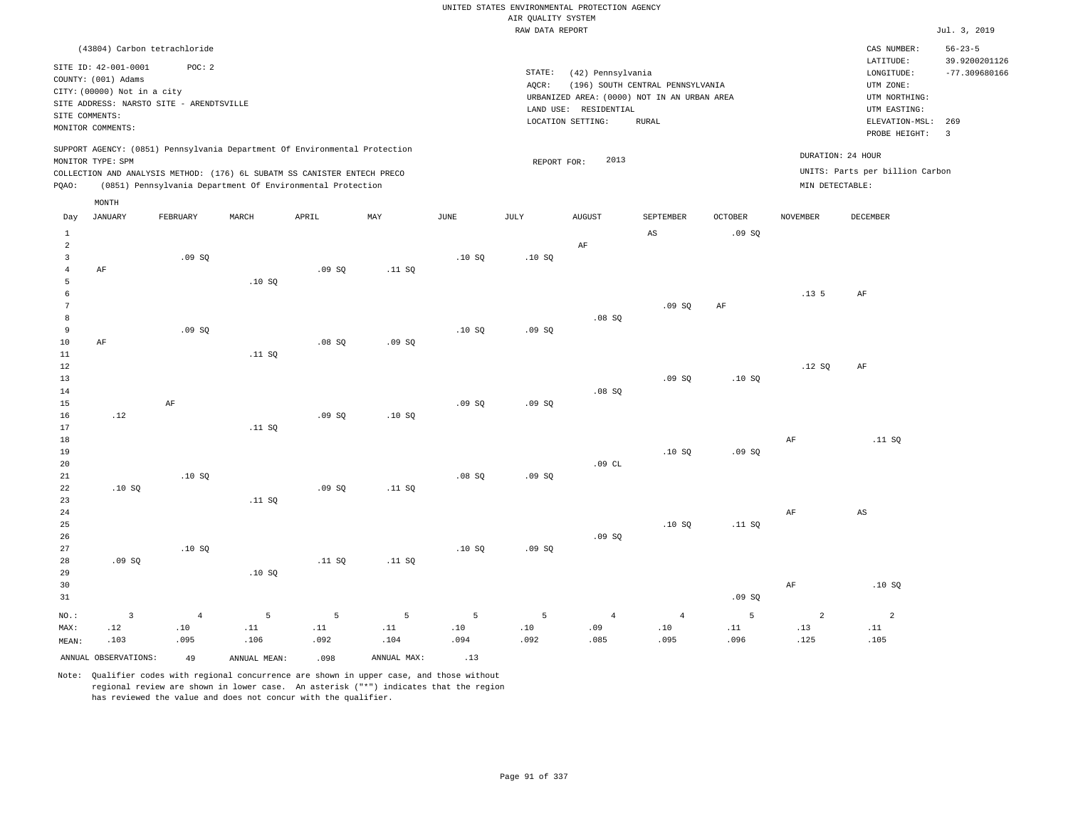|                           |                                             |                |              |                                                                            |             |               |                    | UNITED STATES ENVIRONMENTAL PROTECTION AGENCY |                                             |                |                 |                                 |                                |
|---------------------------|---------------------------------------------|----------------|--------------|----------------------------------------------------------------------------|-------------|---------------|--------------------|-----------------------------------------------|---------------------------------------------|----------------|-----------------|---------------------------------|--------------------------------|
|                           |                                             |                |              |                                                                            |             |               | AIR QUALITY SYSTEM |                                               |                                             |                |                 |                                 |                                |
|                           |                                             |                |              |                                                                            |             |               | RAW DATA REPORT    |                                               |                                             |                |                 |                                 | Jul. 3, 2019                   |
|                           | (43804) Carbon tetrachloride                |                |              |                                                                            |             |               |                    |                                               |                                             |                |                 | CAS NUMBER:<br>LATITUDE:        | $56 - 23 - 5$<br>39.9200201126 |
|                           | SITE ID: 42-001-0001<br>COUNTY: (001) Adams | POC: 2         |              |                                                                            |             |               | $\texttt{STATE}$ : | (42) Pennsylvania                             |                                             |                |                 | LONGITUDE:                      | $-77.309680166$                |
|                           | CITY: (00000) Not in a city                 |                |              |                                                                            |             |               | AOCR:              |                                               | (196) SOUTH CENTRAL PENNSYLVANIA            |                |                 | UTM ZONE:                       |                                |
|                           | SITE ADDRESS: NARSTO SITE - ARENDTSVILLE    |                |              |                                                                            |             |               |                    |                                               | URBANIZED AREA: (0000) NOT IN AN URBAN AREA |                |                 | UTM NORTHING:                   |                                |
|                           | SITE COMMENTS:                              |                |              |                                                                            |             |               |                    | LAND USE: RESIDENTIAL<br>LOCATION SETTING:    |                                             |                |                 | UTM EASTING:                    |                                |
|                           | MONITOR COMMENTS:                           |                |              |                                                                            |             |               |                    |                                               | <b>RURAL</b>                                |                |                 | ELEVATION-MSL:<br>PROBE HEIGHT: | 269<br>$\overline{3}$          |
|                           | MONITOR TYPE: SPM                           |                |              | SUPPORT AGENCY: (0851) Pennsylvania Department Of Environmental Protection |             |               |                    | 2013                                          |                                             |                |                 | DURATION: 24 HOUR               |                                |
|                           |                                             |                |              | COLLECTION AND ANALYSIS METHOD: (176) 6L SUBATM SS CANISTER ENTECH PRECO   |             |               | REPORT FOR:        |                                               |                                             |                |                 | UNITS: Parts per billion Carbon |                                |
| PQAO:                     |                                             |                |              | (0851) Pennsylvania Department Of Environmental Protection                 |             |               |                    |                                               |                                             |                | MIN DETECTABLE: |                                 |                                |
|                           | MONTH                                       | FEBRUARY       | MARCH        | APRIL                                                                      | MAY         | $_{\rm JUNE}$ | <b>JULY</b>        | <b>AUGUST</b>                                 | SEPTEMBER                                   | <b>OCTOBER</b> | <b>NOVEMBER</b> | <b>DECEMBER</b>                 |                                |
| Day                       | <b>JANUARY</b>                              |                |              |                                                                            |             |               |                    |                                               |                                             |                |                 |                                 |                                |
| $\,1\,$<br>$\overline{a}$ |                                             |                |              |                                                                            |             |               |                    | AF                                            | $_{\rm AS}$                                 | .09SQ          |                 |                                 |                                |
| $\overline{3}$            |                                             | .09S           |              |                                                                            |             | .10S          | .10S               |                                               |                                             |                |                 |                                 |                                |
| $\overline{4}$            | AF                                          |                |              | .09SQ                                                                      | .11 SQ      |               |                    |                                               |                                             |                |                 |                                 |                                |
| 5                         |                                             |                | .10SQ        |                                                                            |             |               |                    |                                               |                                             |                |                 |                                 |                                |
| 6                         |                                             |                |              |                                                                            |             |               |                    |                                               |                                             |                | .13.5           | $\rm AF$                        |                                |
| 7                         |                                             |                |              |                                                                            |             |               |                    |                                               | .09S                                        | AF             |                 |                                 |                                |
| 8<br>9                    |                                             |                |              |                                                                            |             |               |                    | .08SQ                                         |                                             |                |                 |                                 |                                |
| 10                        | $\rm{AF}$                                   | .09SQ          |              | .08S                                                                       | .09SQ       | .10S          | .09SQ              |                                               |                                             |                |                 |                                 |                                |
| 11                        |                                             |                | .11 SQ       |                                                                            |             |               |                    |                                               |                                             |                |                 |                                 |                                |
| 12                        |                                             |                |              |                                                                            |             |               |                    |                                               |                                             |                | .12S            | $\rm{AF}$                       |                                |
| $13$                      |                                             |                |              |                                                                            |             |               |                    |                                               | .09SQ                                       | .10SQ          |                 |                                 |                                |
| 14                        |                                             |                |              |                                                                            |             |               |                    | .08S                                          |                                             |                |                 |                                 |                                |
| 15                        |                                             | $\rm{AF}$      |              |                                                                            |             | .09SQ         | .09SQ              |                                               |                                             |                |                 |                                 |                                |
| 16                        | .12                                         |                |              | .09S                                                                       | .10S        |               |                    |                                               |                                             |                |                 |                                 |                                |
| 17                        |                                             |                | .11 SQ       |                                                                            |             |               |                    |                                               |                                             |                |                 |                                 |                                |
| $18\,$<br>19              |                                             |                |              |                                                                            |             |               |                    |                                               | .10S                                        | .09S           | AF              | .11 SQ                          |                                |
| 20                        |                                             |                |              |                                                                            |             |               |                    | .09CL                                         |                                             |                |                 |                                 |                                |
| 21                        |                                             | .10SQ          |              |                                                                            |             | .08SQ         | .09SQ              |                                               |                                             |                |                 |                                 |                                |
| 22                        | .10SQ                                       |                |              | .09 SQ                                                                     | .11 SQ      |               |                    |                                               |                                             |                |                 |                                 |                                |
| 23                        |                                             |                | .11 S0       |                                                                            |             |               |                    |                                               |                                             |                |                 |                                 |                                |
| 24                        |                                             |                |              |                                                                            |             |               |                    |                                               |                                             |                | $\rm{AF}$       | $\mathbb{A}\mathbb{S}$          |                                |
| 25                        |                                             |                |              |                                                                            |             |               |                    |                                               | .10S                                        | .11 S0         |                 |                                 |                                |
| 26<br>27                  |                                             |                |              |                                                                            |             |               |                    | .09SQ                                         |                                             |                |                 |                                 |                                |
| 28                        | .09S                                        | .10S           |              | .11 S0                                                                     | .11 S0      | .10S          | .09SQ              |                                               |                                             |                |                 |                                 |                                |
| 29                        |                                             |                | .10SQ        |                                                                            |             |               |                    |                                               |                                             |                |                 |                                 |                                |
| 30                        |                                             |                |              |                                                                            |             |               |                    |                                               |                                             |                | $\rm{AF}$       | .10SQ                           |                                |
| 31                        |                                             |                |              |                                                                            |             |               |                    |                                               |                                             | .09SQ          |                 |                                 |                                |
| NO.:                      | $\overline{3}$                              | $\overline{4}$ | 5            | 5                                                                          | 5           | 5             | 5                  | $\overline{4}$                                | $\overline{4}$                              | 5              | $\overline{a}$  | $\overline{a}$                  |                                |
| MAX:                      | .12                                         | .10            | .11          | .11                                                                        | .11         | .10           | .10                | .09                                           | .10                                         | .11            | .13             | .11                             |                                |
| MEAN:                     | .103                                        | .095           | .106         | .092                                                                       | .104        | .094          | .092               | .085                                          | .095                                        | .096           | .125            | .105                            |                                |
|                           | ANNUAL OBSERVATIONS:                        | 49             | ANNUAL MEAN: | .098                                                                       | ANNUAL MAX: | .13           |                    |                                               |                                             |                |                 |                                 |                                |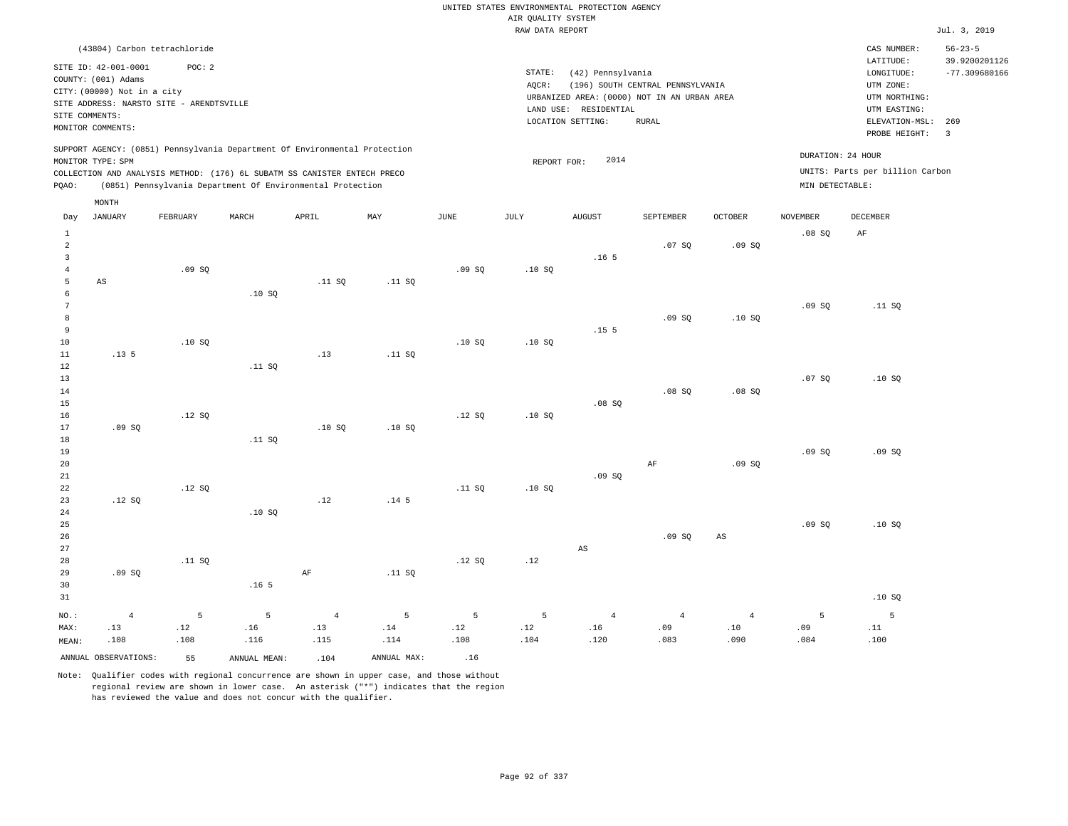|                                                                  |                                                                                                                                                        |                  |                                                                                                                                                                                                                      |                               |                  |                  |                    | UNITED STATES ENVIRONMENTAL PROTECTION AGENCY                                             |                                  |                               |                                      |                                                                                      |                                                   |
|------------------------------------------------------------------|--------------------------------------------------------------------------------------------------------------------------------------------------------|------------------|----------------------------------------------------------------------------------------------------------------------------------------------------------------------------------------------------------------------|-------------------------------|------------------|------------------|--------------------|-------------------------------------------------------------------------------------------|----------------------------------|-------------------------------|--------------------------------------|--------------------------------------------------------------------------------------|---------------------------------------------------|
|                                                                  |                                                                                                                                                        |                  |                                                                                                                                                                                                                      |                               |                  |                  | AIR QUALITY SYSTEM |                                                                                           |                                  |                               |                                      |                                                                                      |                                                   |
|                                                                  |                                                                                                                                                        |                  |                                                                                                                                                                                                                      |                               |                  |                  | RAW DATA REPORT    |                                                                                           |                                  |                               |                                      |                                                                                      | Jul. 3, 2019                                      |
|                                                                  | (43804) Carbon tetrachloride<br>SITE ID: 42-001-0001<br>COUNTY: (001) Adams<br>CITY: (00000) Not in a city<br>SITE ADDRESS: NARSTO SITE - ARENDTSVILLE | POC: 2           |                                                                                                                                                                                                                      |                               |                  |                  | STATE:<br>AQCR:    | (42) Pennsylvania<br>URBANIZED AREA: (0000) NOT IN AN URBAN AREA<br>LAND USE: RESIDENTIAL | (196) SOUTH CENTRAL PENNSYLVANIA |                               |                                      | CAS NUMBER:<br>LATITUDE:<br>LONGITUDE:<br>UTM ZONE:<br>UTM NORTHING:<br>UTM EASTING: | $56 - 23 - 5$<br>39.9200201126<br>$-77.309680166$ |
|                                                                  | SITE COMMENTS:<br>MONITOR COMMENTS:                                                                                                                    |                  |                                                                                                                                                                                                                      |                               |                  |                  |                    | LOCATION SETTING:                                                                         | <b>RURAL</b>                     |                               |                                      | ELEVATION-MSL:<br>PROBE HEIGHT:                                                      | 269<br>$\overline{\mathbf{3}}$                    |
| PQAO:                                                            | MONITOR TYPE: SPM                                                                                                                                      |                  | SUPPORT AGENCY: (0851) Pennsylvania Department Of Environmental Protection<br>COLLECTION AND ANALYSIS METHOD: (176) 6L SUBATM SS CANISTER ENTECH PRECO<br>(0851) Pennsylvania Department Of Environmental Protection |                               |                  |                  | REPORT FOR:        | 2014                                                                                      |                                  |                               | DURATION: 24 HOUR<br>MIN DETECTABLE: | UNITS: Parts per billion Carbon                                                      |                                                   |
| Day                                                              | MONTH<br><b>JANUARY</b>                                                                                                                                | FEBRUARY         | MARCH                                                                                                                                                                                                                | APRIL                         | MAY              | JUNE             | <b>JULY</b>        | <b>AUGUST</b>                                                                             | SEPTEMBER                        | <b>OCTOBER</b>                | <b>NOVEMBER</b>                      | DECEMBER                                                                             |                                                   |
| $\mathbf{1}$<br>$\sqrt{2}$                                       |                                                                                                                                                        |                  |                                                                                                                                                                                                                      |                               |                  |                  |                    |                                                                                           | .07 SQ                           | .09SQ                         | .08SQ                                | AF                                                                                   |                                                   |
| $\overline{\mathbf{3}}$<br>$\overline{4}$<br>$\overline{5}$<br>6 | $\mathbb{A}\mathbb{S}$                                                                                                                                 | .09SQ            | .10S                                                                                                                                                                                                                 | .11S                          | .11 S0           | .09SQ            | .10S               | .16 <sub>5</sub>                                                                          |                                  |                               |                                      |                                                                                      |                                                   |
| $7\phantom{.0}$<br>8<br>9<br>$10$                                |                                                                                                                                                        | .10SQ            |                                                                                                                                                                                                                      |                               |                  | .10SQ            | .10SQ              | .15 <sub>5</sub>                                                                          | .09SQ                            | .10SQ                         | .09S                                 | .11 S0                                                                               |                                                   |
| 11<br>$1\,2$<br>13<br>14<br>15                                   | .135                                                                                                                                                   |                  | .11 SQ                                                                                                                                                                                                               | .13                           | .11 S0           |                  |                    | .08S                                                                                      | .08S                             | .08SQ                         | .07S                                 | .10S                                                                                 |                                                   |
| 16<br>17<br>18<br>19                                             | .09SQ                                                                                                                                                  | .12 SQ           | .11 SQ                                                                                                                                                                                                               | .10S                          | .10S             | .12S             | .10SQ              |                                                                                           |                                  |                               | .09SQ                                | .09SQ                                                                                |                                                   |
| 20<br>21<br>22<br>23                                             | .12 SQ                                                                                                                                                 | .12S             |                                                                                                                                                                                                                      | .12                           | .14 <sub>5</sub> | .11 SQ           | .10SQ              | .09SQ                                                                                     | $\rm AF$                         | .09S                          |                                      |                                                                                      |                                                   |
| 24<br>25<br>26<br>27                                             |                                                                                                                                                        |                  | .10S                                                                                                                                                                                                                 |                               |                  |                  |                    | $\mathbb{A}\mathbb{S}$                                                                    | .09S                             | $\mathbb{A}\mathbb{S}$        | .09SQ                                | .10SQ                                                                                |                                                   |
| 28<br>29<br>30<br>31                                             | .09SQ                                                                                                                                                  | .11 S0           | .16 <sub>5</sub>                                                                                                                                                                                                     | $\rm AF$                      | .11 SQ           | .12S             | .12                |                                                                                           |                                  |                               |                                      | .10S                                                                                 |                                                   |
| NO.:<br>MAX:<br>MEAN:                                            | $\overline{4}$<br>.13<br>.108                                                                                                                          | 5<br>.12<br>.108 | 5<br>.16<br>.116                                                                                                                                                                                                     | $\overline{4}$<br>.13<br>.115 | 5<br>.14<br>.114 | 5<br>.12<br>.108 | 5<br>.12<br>.104   | $\overline{4}$<br>.16<br>.120                                                             | $\overline{4}$<br>.09<br>.083    | $\overline{4}$<br>.10<br>.090 | 5<br>.09<br>.084                     | $\overline{5}$<br>.11<br>.100                                                        |                                                   |
|                                                                  | ANNUAL OBSERVATIONS:                                                                                                                                   | 55               | ANNUAL MEAN:                                                                                                                                                                                                         | .104                          | ANNUAL MAX:      | .16              |                    |                                                                                           |                                  |                               |                                      |                                                                                      |                                                   |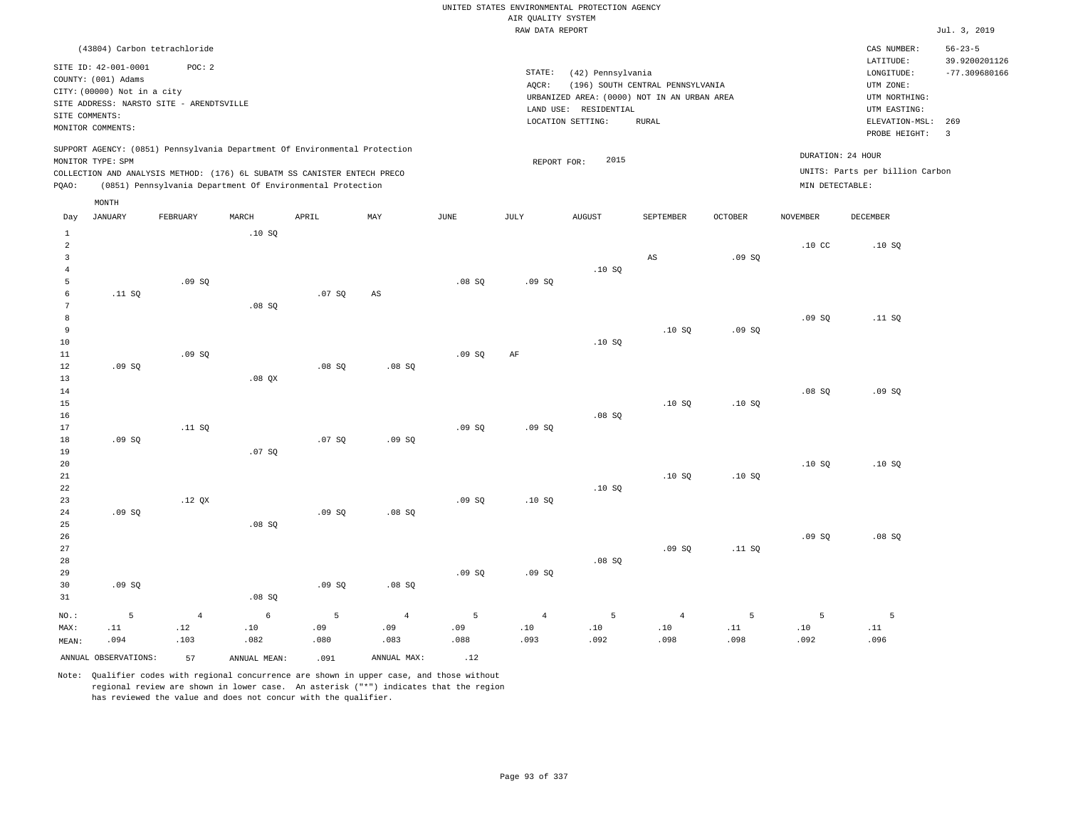|                         |                                             |                                          |                                                                            |       |                |             |                                       | UNITED STATES ENVIRONMENTAL PROTECTION AGENCY |                                  |                |                  |                                 |                                |
|-------------------------|---------------------------------------------|------------------------------------------|----------------------------------------------------------------------------|-------|----------------|-------------|---------------------------------------|-----------------------------------------------|----------------------------------|----------------|------------------|---------------------------------|--------------------------------|
|                         |                                             |                                          |                                                                            |       |                |             | AIR QUALITY SYSTEM<br>RAW DATA REPORT |                                               |                                  |                |                  |                                 | Jul. 3, 2019                   |
|                         |                                             |                                          |                                                                            |       |                |             |                                       |                                               |                                  |                |                  |                                 |                                |
|                         | (43804) Carbon tetrachloride                |                                          |                                                                            |       |                |             |                                       |                                               |                                  |                |                  | CAS NUMBER:<br>LATITUDE:        | $56 - 23 - 5$<br>39.9200201126 |
|                         | SITE ID: 42-001-0001<br>COUNTY: (001) Adams | POC: 2                                   |                                                                            |       |                |             | STATE:                                | (42) Pennsylvania                             |                                  |                |                  | LONGITUDE:                      | $-77.309680166$                |
|                         | CITY: (00000) Not in a city                 |                                          |                                                                            |       |                |             | AOCR:                                 |                                               | (196) SOUTH CENTRAL PENNSYLVANIA |                |                  | UTM ZONE:                       |                                |
|                         |                                             | SITE ADDRESS: NARSTO SITE - ARENDTSVILLE |                                                                            |       |                |             |                                       | URBANIZED AREA: (0000) NOT IN AN URBAN AREA   |                                  |                |                  | UTM NORTHING:                   |                                |
| SITE COMMENTS:          |                                             |                                          |                                                                            |       |                |             |                                       | LAND USE: RESIDENTIAL                         |                                  |                |                  | UTM EASTING:                    |                                |
|                         | MONITOR COMMENTS:                           |                                          |                                                                            |       |                |             |                                       | LOCATION SETTING:                             | <b>RURAL</b>                     |                |                  | ELEVATION-MSL:<br>PROBE HEIGHT: | 269<br>$\overline{3}$          |
|                         |                                             |                                          | SUPPORT AGENCY: (0851) Pennsylvania Department Of Environmental Protection |       |                |             |                                       | 2015                                          |                                  |                |                  | DURATION: 24 HOUR               |                                |
|                         | MONITOR TYPE: SPM                           |                                          | COLLECTION AND ANALYSIS METHOD: (176) 6L SUBATM SS CANISTER ENTECH PRECO   |       |                |             | REPORT FOR:                           |                                               |                                  |                |                  | UNITS: Parts per billion Carbon |                                |
| PQAO:                   |                                             |                                          | (0851) Pennsylvania Department Of Environmental Protection                 |       |                |             |                                       |                                               |                                  |                | MIN DETECTABLE:  |                                 |                                |
|                         | MONTH                                       |                                          |                                                                            |       |                |             |                                       |                                               |                                  |                |                  |                                 |                                |
| Day                     | JANUARY                                     | FEBRUARY                                 | MARCH                                                                      | APRIL | MAY            | <b>JUNE</b> | <b>JULY</b>                           | <b>AUGUST</b>                                 | SEPTEMBER                        | <b>OCTOBER</b> | <b>NOVEMBER</b>  | <b>DECEMBER</b>                 |                                |
| $1\,$<br>$\mathfrak{D}$ |                                             |                                          | .10SQ                                                                      |       |                |             |                                       |                                               |                                  |                | .10 <sub>c</sub> | .10S                            |                                |
| $\overline{\mathbf{3}}$ |                                             |                                          |                                                                            |       |                |             |                                       |                                               | $_{\rm AS}$                      | .09SQ          |                  |                                 |                                |
| $\overline{4}$          |                                             |                                          |                                                                            |       |                |             |                                       | .10S                                          |                                  |                |                  |                                 |                                |
| 5                       |                                             | .09SQ                                    |                                                                            |       |                | .08 SQ      | .09SQ                                 |                                               |                                  |                |                  |                                 |                                |
| 6                       | .11 SQ                                      |                                          |                                                                            | .07S  | AS             |             |                                       |                                               |                                  |                |                  |                                 |                                |
| 7                       |                                             |                                          | .08 SQ                                                                     |       |                |             |                                       |                                               |                                  |                |                  |                                 |                                |
| 8                       |                                             |                                          |                                                                            |       |                |             |                                       |                                               |                                  |                | .09SQ            | .11 SQ                          |                                |
| 9                       |                                             |                                          |                                                                            |       |                |             |                                       |                                               | .10S                             | .09S           |                  |                                 |                                |
| 10                      |                                             |                                          |                                                                            |       |                |             |                                       | .10SQ                                         |                                  |                |                  |                                 |                                |
| 11                      |                                             | .09SQ                                    |                                                                            |       |                | .09SQ       | AF                                    |                                               |                                  |                |                  |                                 |                                |
| 12<br>13                | .09SQ                                       |                                          | $.08$ $OX$                                                                 | .08SQ | .08 SQ         |             |                                       |                                               |                                  |                |                  |                                 |                                |
| 14                      |                                             |                                          |                                                                            |       |                |             |                                       |                                               |                                  |                | .08SQ            | .09SQ                           |                                |
| 15                      |                                             |                                          |                                                                            |       |                |             |                                       |                                               | .10S                             | .10S           |                  |                                 |                                |
| 16                      |                                             |                                          |                                                                            |       |                |             |                                       | .08S                                          |                                  |                |                  |                                 |                                |
| 17                      |                                             | .11 SQ                                   |                                                                            |       |                | .09SQ       | .09SQ                                 |                                               |                                  |                |                  |                                 |                                |
| 18                      | .09S                                        |                                          |                                                                            | .07S  | .09S           |             |                                       |                                               |                                  |                |                  |                                 |                                |
| 19                      |                                             |                                          | .07SQ                                                                      |       |                |             |                                       |                                               |                                  |                |                  |                                 |                                |
| 20                      |                                             |                                          |                                                                            |       |                |             |                                       |                                               |                                  |                | .10S             | .10SQ                           |                                |
| 21                      |                                             |                                          |                                                                            |       |                |             |                                       |                                               | .10SQ                            | .10S           |                  |                                 |                                |
| 22                      |                                             |                                          |                                                                            |       |                |             |                                       | .10SQ                                         |                                  |                |                  |                                 |                                |
| 23<br>24                | .09SQ                                       | .12 QX                                   |                                                                            | .09SQ | .08 SQ         | .09S        | .10S                                  |                                               |                                  |                |                  |                                 |                                |
| 25                      |                                             |                                          | .08S                                                                       |       |                |             |                                       |                                               |                                  |                |                  |                                 |                                |
| 26                      |                                             |                                          |                                                                            |       |                |             |                                       |                                               |                                  |                | .09SQ            | .08S                            |                                |
| 27                      |                                             |                                          |                                                                            |       |                |             |                                       |                                               | .09SQ                            | .11 SQ         |                  |                                 |                                |
| 28                      |                                             |                                          |                                                                            |       |                |             |                                       | .08SQ                                         |                                  |                |                  |                                 |                                |
| 29                      |                                             |                                          |                                                                            |       |                | .09SQ       | .09S                                  |                                               |                                  |                |                  |                                 |                                |
| 30                      | .09SQ                                       |                                          |                                                                            | .09SQ | .08 SQ         |             |                                       |                                               |                                  |                |                  |                                 |                                |
| 31                      |                                             |                                          | .08SQ                                                                      |       |                |             |                                       |                                               |                                  |                |                  |                                 |                                |
| NO.:                    | 5                                           | $\overline{4}$                           | $\epsilon$                                                                 | 5     | $\overline{4}$ | 5           | $\sqrt{4}$                            | $\overline{5}$                                | $\overline{4}$                   | 5              | 5                | 5                               |                                |
| MAX:                    | .11                                         | .12                                      | .10                                                                        | .09   | .09            | .09         | .10                                   | .10                                           | .10                              | .11            | .10              | .11                             |                                |
| MEAN:                   | .094                                        | .103                                     | .082                                                                       | .080  | .083           | .088        | .093                                  | .092                                          | .098                             | .098           | .092             | .096                            |                                |
|                         | ANNUAL OBSERVATIONS:                        | 57                                       | ANNUAL, MEAN:                                                              | .091  | ANNUAL MAX:    | .12         |                                       |                                               |                                  |                |                  |                                 |                                |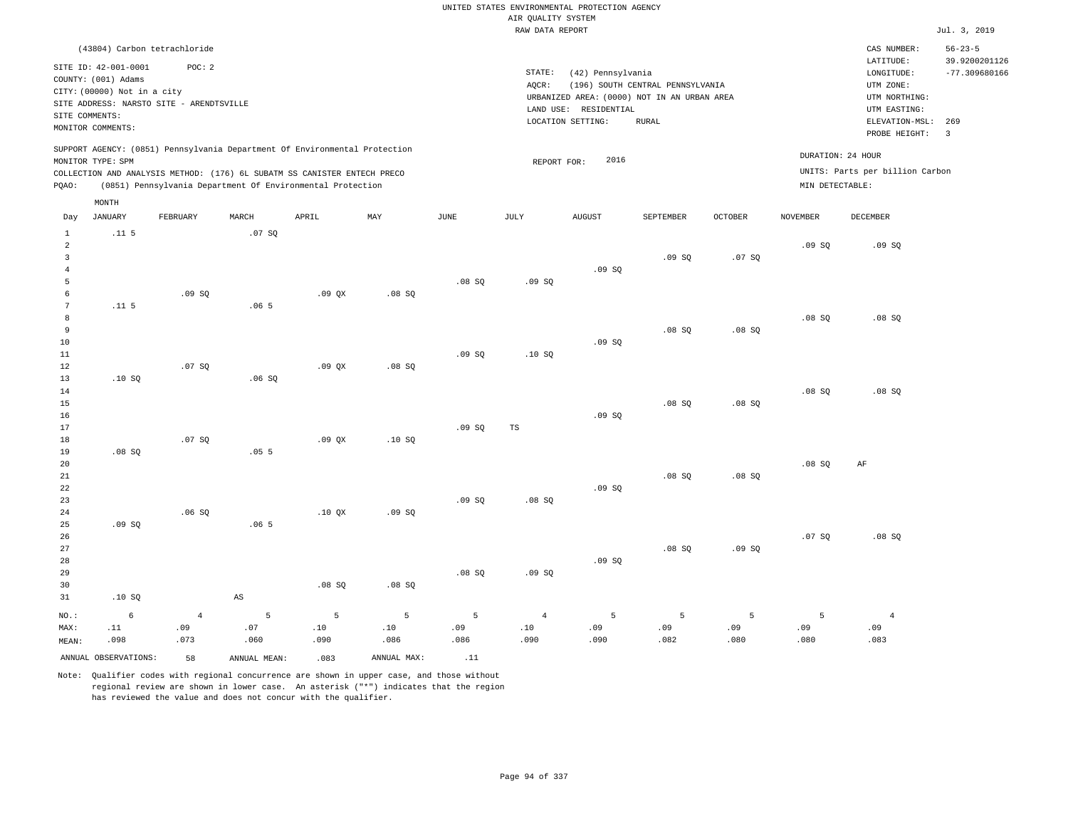|                     |                                             |                                          |              |                                                                            |             |             | AIR QUALITY SYSTEM | UNITED STATES ENVIRONMENTAL PROTECTION AGENCY |                                  |                |                 |                                 |                                |
|---------------------|---------------------------------------------|------------------------------------------|--------------|----------------------------------------------------------------------------|-------------|-------------|--------------------|-----------------------------------------------|----------------------------------|----------------|-----------------|---------------------------------|--------------------------------|
|                     |                                             |                                          |              |                                                                            |             |             | RAW DATA REPORT    |                                               |                                  |                |                 |                                 | Jul. 3, 2019                   |
|                     |                                             | (43804) Carbon tetrachloride             |              |                                                                            |             |             |                    |                                               |                                  |                |                 | CAS NUMBER:<br>LATITUDE:        | $56 - 23 - 5$<br>39.9200201126 |
|                     | SITE ID: 42-001-0001<br>COUNTY: (001) Adams | POC: 2                                   |              |                                                                            |             |             | STATE:             | (42) Pennsylvania                             |                                  |                |                 | LONGITUDE:                      | $-77.309680166$                |
|                     | CITY: (00000) Not in a city                 |                                          |              |                                                                            |             |             | AQCR:              | URBANIZED AREA: (0000) NOT IN AN URBAN AREA   | (196) SOUTH CENTRAL PENNSYLVANIA |                |                 | UTM ZONE:<br>UTM NORTHING:      |                                |
|                     |                                             | SITE ADDRESS: NARSTO SITE - ARENDTSVILLE |              |                                                                            |             |             |                    | LAND USE: RESIDENTIAL                         |                                  |                |                 | UTM EASTING:                    |                                |
|                     | SITE COMMENTS:                              |                                          |              |                                                                            |             |             |                    | LOCATION SETTING:                             | <b>RURAL</b>                     |                |                 | ELEVATION-MSL:                  | 269                            |
|                     | MONITOR COMMENTS:                           |                                          |              |                                                                            |             |             |                    |                                               |                                  |                |                 | PROBE HEIGHT:                   | $\overline{3}$                 |
|                     | MONITOR TYPE: SPM                           |                                          |              | SUPPORT AGENCY: (0851) Pennsylvania Department Of Environmental Protection |             |             | REPORT FOR:        | 2016                                          |                                  |                |                 | DURATION: 24 HOUR               |                                |
|                     |                                             |                                          |              | COLLECTION AND ANALYSIS METHOD: (176) 6L SUBATM SS CANISTER ENTECH PRECO   |             |             |                    |                                               |                                  |                |                 | UNITS: Parts per billion Carbon |                                |
| PQAO:               |                                             |                                          |              | (0851) Pennsylvania Department Of Environmental Protection                 |             |             |                    |                                               |                                  |                | MIN DETECTABLE: |                                 |                                |
|                     | MONTH                                       |                                          |              |                                                                            |             |             |                    |                                               |                                  |                |                 |                                 |                                |
| Day                 | <b>JANUARY</b>                              | FEBRUARY                                 | MARCH        | APRIL                                                                      | MAY         | <b>JUNE</b> | JULY               | <b>AUGUST</b>                                 | SEPTEMBER                        | <b>OCTOBER</b> | <b>NOVEMBER</b> | <b>DECEMBER</b>                 |                                |
| $1\,$<br>$\sqrt{2}$ | .11 <sub>5</sub>                            |                                          | .07 SQ       |                                                                            |             |             |                    |                                               |                                  |                | .09SQ           | .09SQ                           |                                |
| $\overline{3}$      |                                             |                                          |              |                                                                            |             |             |                    |                                               | .09SQ                            | .07SQ          |                 |                                 |                                |
| $\overline{4}$      |                                             |                                          |              |                                                                            |             |             |                    | .09SQ                                         |                                  |                |                 |                                 |                                |
| 5                   |                                             |                                          |              |                                                                            |             | .08S        | .09S               |                                               |                                  |                |                 |                                 |                                |
| 6                   |                                             | .09 SQ                                   |              | .09QX                                                                      | .08 SQ      |             |                    |                                               |                                  |                |                 |                                 |                                |
| $\overline{7}$      | .11 <sub>5</sub>                            |                                          | .065         |                                                                            |             |             |                    |                                               |                                  |                |                 |                                 |                                |
| 8<br>$\overline{9}$ |                                             |                                          |              |                                                                            |             |             |                    |                                               | .08S                             | .08S           | .08SQ           | .08SQ                           |                                |
| 10                  |                                             |                                          |              |                                                                            |             |             |                    | .09 SQ                                        |                                  |                |                 |                                 |                                |
| 11                  |                                             |                                          |              |                                                                            |             | .09SQ       | .10S               |                                               |                                  |                |                 |                                 |                                |
| 12                  |                                             | .07S                                     |              | .09 <sub>0X</sub>                                                          | $.08$ SO    |             |                    |                                               |                                  |                |                 |                                 |                                |
| 13                  | .10SQ                                       |                                          | .06SQ        |                                                                            |             |             |                    |                                               |                                  |                |                 |                                 |                                |
| 14                  |                                             |                                          |              |                                                                            |             |             |                    |                                               |                                  |                | .08S            | .08S                            |                                |
| 15                  |                                             |                                          |              |                                                                            |             |             |                    |                                               | .08 SQ                           | .08SQ          |                 |                                 |                                |
| 16                  |                                             |                                          |              |                                                                            |             |             |                    | .09S                                          |                                  |                |                 |                                 |                                |
| 17<br>18            |                                             | .07SQ                                    |              | .09QX                                                                      | .10S        | .09SQ       | $_{\rm TS}$        |                                               |                                  |                |                 |                                 |                                |
| 19                  | .08SQ                                       |                                          | .055         |                                                                            |             |             |                    |                                               |                                  |                |                 |                                 |                                |
| 20                  |                                             |                                          |              |                                                                            |             |             |                    |                                               |                                  |                | .08SQ           | AF                              |                                |
| 21                  |                                             |                                          |              |                                                                            |             |             |                    |                                               | .08S                             | .08SQ          |                 |                                 |                                |
| 22                  |                                             |                                          |              |                                                                            |             |             |                    | .09SQ                                         |                                  |                |                 |                                 |                                |
| 23                  |                                             |                                          |              |                                                                            |             | .09S        | .08S               |                                               |                                  |                |                 |                                 |                                |
| 24                  |                                             | .06S                                     |              | .10 QX                                                                     | .09SQ       |             |                    |                                               |                                  |                |                 |                                 |                                |
| 25<br>26            | .09SQ                                       |                                          | .065         |                                                                            |             |             |                    |                                               |                                  |                | .07SQ           | .08SQ                           |                                |
| 27                  |                                             |                                          |              |                                                                            |             |             |                    |                                               | .08SQ                            | .09SQ          |                 |                                 |                                |
| 28                  |                                             |                                          |              |                                                                            |             |             |                    | .09S                                          |                                  |                |                 |                                 |                                |
| 29                  |                                             |                                          |              |                                                                            |             | .08SQ       | .09SQ              |                                               |                                  |                |                 |                                 |                                |
| 30                  |                                             |                                          |              | .08S                                                                       | .08S        |             |                    |                                               |                                  |                |                 |                                 |                                |
| 31                  | .10S                                        |                                          | $_{\rm AS}$  |                                                                            |             |             |                    |                                               |                                  |                |                 |                                 |                                |
| NO.:                | 6                                           | $\overline{4}$                           | 5            | 5                                                                          | 5           | 5           | $\sqrt{4}$         | 5                                             | $\overline{5}$                   | 5              | 5               | $\bf{4}$                        |                                |
| MAX:                | .11                                         | .09                                      | .07          | .10                                                                        | .10         | .09         | .10                | .09                                           | .09                              | .09            | .09             | .09                             |                                |
| MEAN:               | .098                                        | .073                                     | .060         | .090                                                                       | .086        | .086        | .090               | .090                                          | .082                             | .080           | .080            | .083                            |                                |
|                     | ANNUAL OBSERVATIONS:                        | 58                                       | ANNUAL MEAN: | .083                                                                       | ANNUAL MAX: | .11         |                    |                                               |                                  |                |                 |                                 |                                |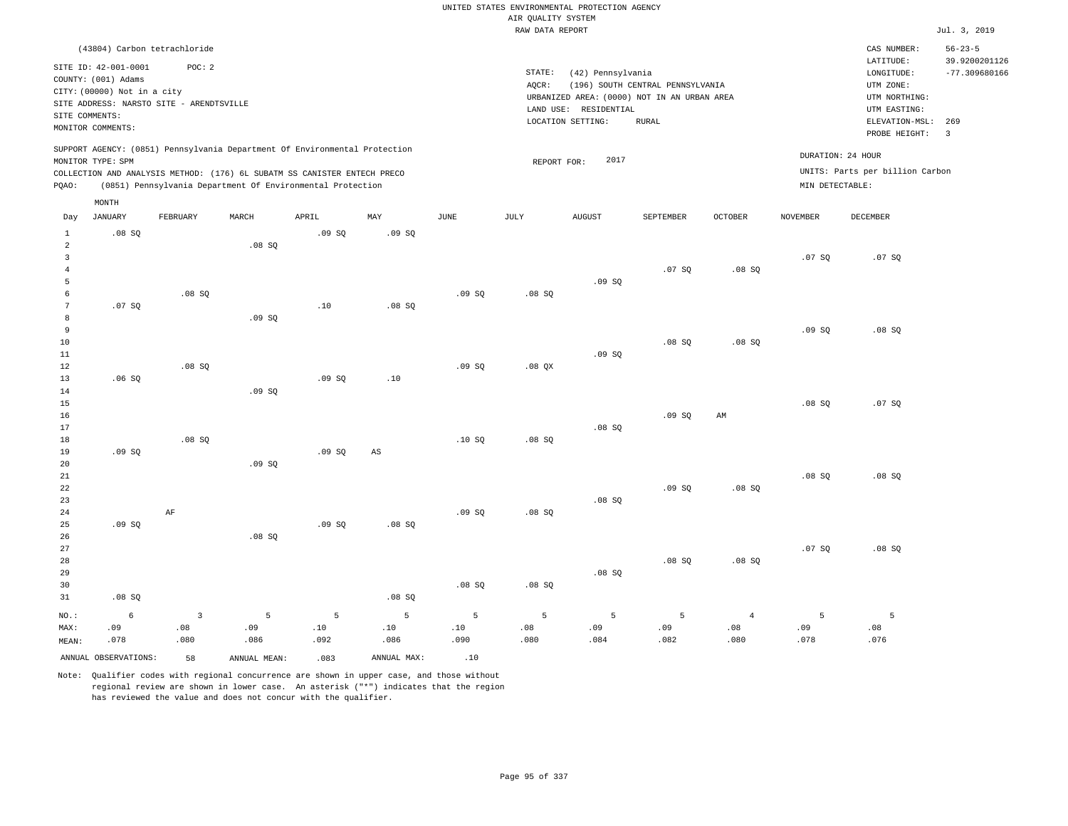|                                                  |                                                                                                                                             |                                        |                  |                                                                                                                                        |                  |                  | AIR OUALITY SYSTEM | UNITED STATES ENVIRONMENTAL PROTECTION AGENCY                                                                  |                                                  |                         |                   |                                                                                         |                                         |
|--------------------------------------------------|---------------------------------------------------------------------------------------------------------------------------------------------|----------------------------------------|------------------|----------------------------------------------------------------------------------------------------------------------------------------|------------------|------------------|--------------------|----------------------------------------------------------------------------------------------------------------|--------------------------------------------------|-------------------------|-------------------|-----------------------------------------------------------------------------------------|-----------------------------------------|
|                                                  |                                                                                                                                             |                                        |                  |                                                                                                                                        |                  |                  | RAW DATA REPORT    |                                                                                                                |                                                  |                         |                   |                                                                                         | Jul. 3, 2019                            |
|                                                  | (43804) Carbon tetrachloride                                                                                                                |                                        |                  |                                                                                                                                        |                  |                  |                    |                                                                                                                |                                                  |                         |                   | CAS NUMBER:                                                                             | $56 - 23 - 5$                           |
| SITE COMMENTS:                                   | SITE ID: 42-001-0001<br>COUNTY: (001) Adams<br>CITY: (00000) Not in a city<br>SITE ADDRESS: NARSTO SITE - ARENDTSVILLE<br>MONITOR COMMENTS: | POC: 2                                 |                  |                                                                                                                                        |                  |                  | STATE:<br>AOCR:    | (42) Pennsylvania<br>URBANIZED AREA: (0000) NOT IN AN URBAN AREA<br>LAND USE: RESIDENTIAL<br>LOCATION SETTING: | (196) SOUTH CENTRAL PENNSYLVANIA<br><b>RURAL</b> |                         |                   | LATITUDE:<br>LONGITUDE:<br>UTM ZONE:<br>UTM NORTHING:<br>UTM EASTING:<br>ELEVATION-MSL: | 39.9200201126<br>$-77.309680166$<br>269 |
|                                                  | MONITOR TYPE: SPM                                                                                                                           |                                        |                  | SUPPORT AGENCY: (0851) Pennsylvania Department Of Environmental Protection                                                             |                  |                  | REPORT FOR:        | 2017                                                                                                           |                                                  |                         | DURATION: 24 HOUR | PROBE HEIGHT:                                                                           | $\overline{3}$                          |
| PQAO:                                            |                                                                                                                                             |                                        |                  | COLLECTION AND ANALYSIS METHOD: (176) 6L SUBATM SS CANISTER ENTECH PRECO<br>(0851) Pennsylvania Department Of Environmental Protection |                  |                  |                    |                                                                                                                |                                                  |                         | MIN DETECTABLE:   | UNITS: Parts per billion Carbon                                                         |                                         |
|                                                  | MONTH                                                                                                                                       |                                        |                  |                                                                                                                                        |                  |                  |                    |                                                                                                                |                                                  |                         |                   |                                                                                         |                                         |
| Day                                              | JANUARY                                                                                                                                     | FEBRUARY                               | MARCH            | APRIL                                                                                                                                  | MAY              | $_{\rm JUNE}$    | JULY               | <b>AUGUST</b>                                                                                                  | SEPTEMBER                                        | <b>OCTOBER</b>          | <b>NOVEMBER</b>   | DECEMBER                                                                                |                                         |
| $\mathbf{1}$<br>$\overline{2}$<br>$\overline{3}$ | .08S                                                                                                                                        |                                        | .08SQ            | .09S                                                                                                                                   | .09S             |                  |                    |                                                                                                                |                                                  |                         | .07S              | .07 SQ                                                                                  |                                         |
| $\overline{4}$<br>5                              |                                                                                                                                             |                                        |                  |                                                                                                                                        |                  |                  |                    | .09S                                                                                                           | .07 SQ                                           | .08SQ                   |                   |                                                                                         |                                         |
| 6<br>$7\phantom{.0}$<br>8                        | .07S                                                                                                                                        | .08 SQ                                 | .09SQ            | .10                                                                                                                                    | $.08$ SO         | .09SQ            | .08 SQ             |                                                                                                                |                                                  |                         |                   |                                                                                         |                                         |
| 9<br>10<br>11                                    |                                                                                                                                             |                                        |                  |                                                                                                                                        |                  |                  |                    | .09S                                                                                                           | .08SQ                                            | .08SQ                   | .09S              | .08S                                                                                    |                                         |
| 12<br>13<br>14                                   | .06S                                                                                                                                        | .08S                                   | .09SQ            | .09S                                                                                                                                   | .10              | .09SQ            | .08 QX             |                                                                                                                |                                                  |                         |                   |                                                                                         |                                         |
| 15<br>16<br>17                                   |                                                                                                                                             |                                        |                  |                                                                                                                                        |                  |                  |                    | .08S                                                                                                           | .09SQ                                            | AM                      | .08S              | .07S                                                                                    |                                         |
| 18<br>19<br>20                                   | .09S                                                                                                                                        | .08S                                   | .09SQ            | .09S                                                                                                                                   | AS               | .10S             | .08S               |                                                                                                                |                                                  |                         |                   |                                                                                         |                                         |
| 21<br>22<br>23                                   |                                                                                                                                             |                                        |                  |                                                                                                                                        |                  |                  |                    | .08S                                                                                                           | .09SQ                                            | .08SQ                   | .08S              | .08S                                                                                    |                                         |
| 24<br>25<br>26<br>27                             | .09S                                                                                                                                        | AF                                     | .08SQ            | .09S                                                                                                                                   | $.08$ SO         | .09S             | .08S               |                                                                                                                |                                                  |                         |                   |                                                                                         |                                         |
| 28<br>29<br>30                                   |                                                                                                                                             |                                        |                  |                                                                                                                                        |                  | .08SQ            | .08SQ              | .08S                                                                                                           | .08S                                             | .08S                    | .07S              | .08S                                                                                    |                                         |
| 31                                               | .08SQ                                                                                                                                       |                                        |                  |                                                                                                                                        | .08 SQ           |                  |                    |                                                                                                                |                                                  |                         |                   |                                                                                         |                                         |
| $NO.$ :<br>MAX:<br>MEAN:                         | $\epsilon$<br>.09<br>.078                                                                                                                   | $\overline{\mathbf{3}}$<br>.08<br>.080 | 5<br>.09<br>.086 | 5<br>.10<br>.092                                                                                                                       | 5<br>.10<br>.086 | 5<br>.10<br>.090 | 5<br>.08<br>.080   | 5<br>.09<br>.084                                                                                               | 5<br>.09<br>.082                                 | $\bf{4}$<br>.08<br>.080 | 5<br>.09<br>.078  | 5<br>.08<br>.076                                                                        |                                         |
|                                                  | ANNUAL OBSERVATIONS:                                                                                                                        | 58                                     | ANNUAL MEAN:     | .083                                                                                                                                   | ANNUAL MAX:      | .10              |                    |                                                                                                                |                                                  |                         |                   |                                                                                         |                                         |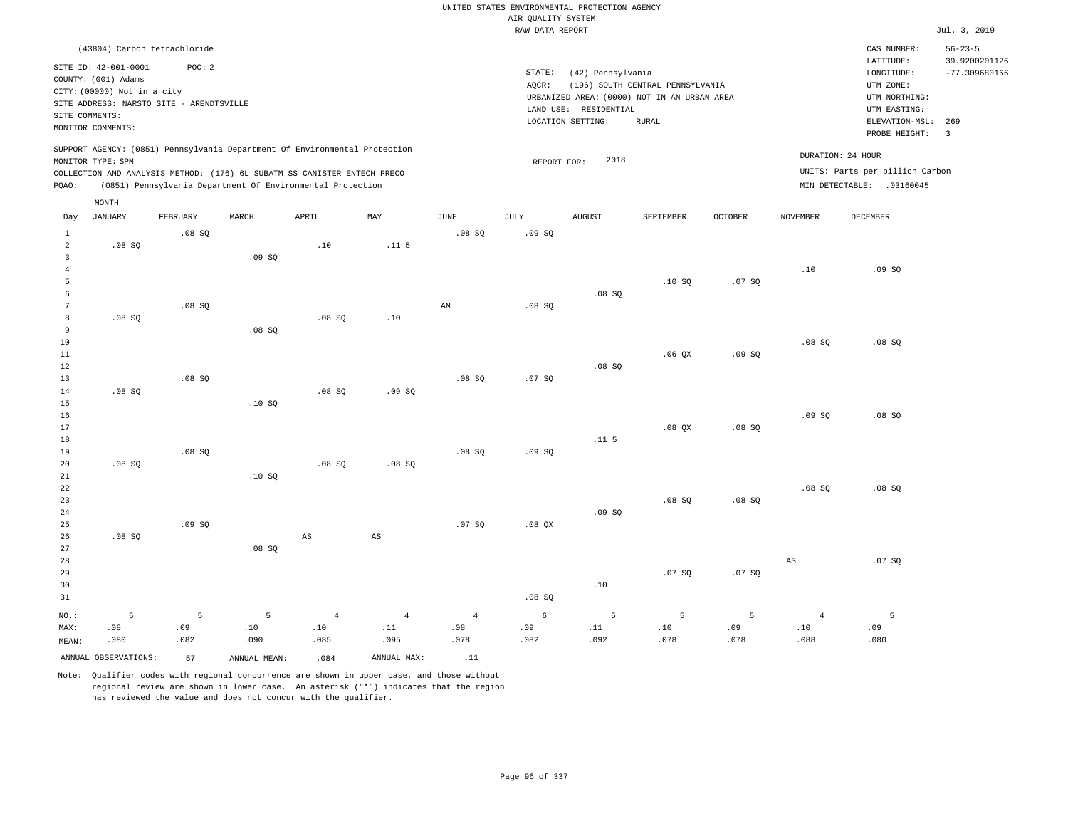|                     |                                             |          |              |                                                                            |                |                | AIR OUALITY SYSTEM | UNITED STATES ENVIRONMENTAL PROTECTION AGENCY |                                  |                |                 |                                 |                                |
|---------------------|---------------------------------------------|----------|--------------|----------------------------------------------------------------------------|----------------|----------------|--------------------|-----------------------------------------------|----------------------------------|----------------|-----------------|---------------------------------|--------------------------------|
|                     |                                             |          |              |                                                                            |                |                | RAW DATA REPORT    |                                               |                                  |                |                 |                                 | Jul. 3, 2019                   |
|                     | (43804) Carbon tetrachloride                |          |              |                                                                            |                |                |                    |                                               |                                  |                |                 | CAS NUMBER:<br>LATITUDE:        | $56 - 23 - 5$<br>39.9200201126 |
|                     | SITE ID: 42-001-0001<br>COUNTY: (001) Adams | POC: 2   |              |                                                                            |                |                | STATE:             | (42) Pennsylvania                             |                                  |                |                 | LONGITUDE:                      | $-77.309680166$                |
|                     | CITY: (00000) Not in a city                 |          |              |                                                                            |                |                | AQCR:              |                                               | (196) SOUTH CENTRAL PENNSYLVANIA |                |                 | UTM ZONE:                       |                                |
|                     | SITE ADDRESS: NARSTO SITE - ARENDTSVILLE    |          |              |                                                                            |                |                |                    | URBANIZED AREA: (0000) NOT IN AN URBAN AREA   |                                  |                |                 | UTM NORTHING:                   |                                |
| SITE COMMENTS:      |                                             |          |              |                                                                            |                |                |                    | LAND USE: RESIDENTIAL                         |                                  |                |                 | UTM EASTING:                    |                                |
|                     | MONITOR COMMENTS:                           |          |              |                                                                            |                |                |                    | LOCATION SETTING:                             | RURAL                            |                |                 | ELEVATION-MSL:<br>PROBE HEIGHT: | 269<br>$\overline{3}$          |
|                     | MONITOR TYPE: SPM                           |          |              | SUPPORT AGENCY: (0851) Pennsylvania Department Of Environmental Protection |                |                | REPORT FOR:        | 2018                                          |                                  |                |                 | DURATION: 24 HOUR               |                                |
|                     |                                             |          |              | COLLECTION AND ANALYSIS METHOD: (176) 6L SUBATM SS CANISTER ENTECH PRECO   |                |                |                    |                                               |                                  |                |                 | UNITS: Parts per billion Carbon |                                |
| PQAO:               |                                             |          |              | (0851) Pennsylvania Department Of Environmental Protection                 |                |                |                    |                                               |                                  |                |                 | MIN DETECTABLE: .03160045       |                                |
|                     | MONTH                                       |          |              |                                                                            |                |                |                    |                                               |                                  |                |                 |                                 |                                |
| Day                 | <b>JANUARY</b>                              | FEBRUARY | MARCH        | APRIL                                                                      | MAY            | $_{\rm JUNE}$  | $\mathtt{JULY}$    | <b>AUGUST</b>                                 | SEPTEMBER                        | <b>OCTOBER</b> | <b>NOVEMBER</b> | DECEMBER                        |                                |
| 1                   |                                             | .08S     |              |                                                                            |                | .08S           | .09SQ              |                                               |                                  |                |                 |                                 |                                |
| $\sqrt{2}$          | .08 SQ                                      |          |              | .10                                                                        | .11.5          |                |                    |                                               |                                  |                |                 |                                 |                                |
| $\overline{3}$      |                                             |          | .09SQ        |                                                                            |                |                |                    |                                               |                                  |                | .10             |                                 |                                |
| $\overline{4}$<br>5 |                                             |          |              |                                                                            |                |                |                    |                                               | .10S                             | .07S           |                 | .09SQ                           |                                |
| $\epsilon$          |                                             |          |              |                                                                            |                |                |                    | .08SQ                                         |                                  |                |                 |                                 |                                |
| $7\phantom{.0}$     |                                             | .08S     |              |                                                                            |                | AM             | .08S               |                                               |                                  |                |                 |                                 |                                |
| 8                   | .08SQ                                       |          |              | .08SQ                                                                      | .10            |                |                    |                                               |                                  |                |                 |                                 |                                |
| 9                   |                                             |          | .08S         |                                                                            |                |                |                    |                                               |                                  |                |                 |                                 |                                |
| 10                  |                                             |          |              |                                                                            |                |                |                    |                                               |                                  |                | .08SQ           | .08SQ                           |                                |
| 11                  |                                             |          |              |                                                                            |                |                |                    |                                               | $.06$ $OX$                       | .09S           |                 |                                 |                                |
| 12                  |                                             |          |              |                                                                            |                |                |                    | .08SQ                                         |                                  |                |                 |                                 |                                |
| 13                  |                                             | .08S     |              |                                                                            |                | $.08$ SO       | .07S               |                                               |                                  |                |                 |                                 |                                |
| 14                  | .08SQ                                       |          |              | .08SQ                                                                      | .09SQ          |                |                    |                                               |                                  |                |                 |                                 |                                |
| 15                  |                                             |          | .10S         |                                                                            |                |                |                    |                                               |                                  |                |                 |                                 |                                |
| 16                  |                                             |          |              |                                                                            |                |                |                    |                                               |                                  |                | .09SQ           | .08SQ                           |                                |
| 17                  |                                             |          |              |                                                                            |                |                |                    | .11 <sub>5</sub>                              | $.08$ $OX$                       | .08S           |                 |                                 |                                |
| $18\,$<br>19        |                                             | .08SQ    |              |                                                                            |                | .08 SQ         | .09SQ              |                                               |                                  |                |                 |                                 |                                |
| 20                  | .08S                                        |          |              | .08S                                                                       | .08 SQ         |                |                    |                                               |                                  |                |                 |                                 |                                |
| $2\sqrt{1}$         |                                             |          | .10SQ        |                                                                            |                |                |                    |                                               |                                  |                |                 |                                 |                                |
| 22                  |                                             |          |              |                                                                            |                |                |                    |                                               |                                  |                | .08SQ           | .08SQ                           |                                |
| 23                  |                                             |          |              |                                                                            |                |                |                    |                                               | .08SQ                            | .08SQ          |                 |                                 |                                |
| 24                  |                                             |          |              |                                                                            |                |                |                    | .09SQ                                         |                                  |                |                 |                                 |                                |
| 25                  |                                             | .09SQ    |              |                                                                            |                | .07 SQ         | .08 QX             |                                               |                                  |                |                 |                                 |                                |
| 26                  | .08S                                        |          |              | AS                                                                         | $_{\rm AS}$    |                |                    |                                               |                                  |                |                 |                                 |                                |
| 27                  |                                             |          | .08SQ        |                                                                            |                |                |                    |                                               |                                  |                |                 |                                 |                                |
| 28                  |                                             |          |              |                                                                            |                |                |                    |                                               |                                  |                | $_{\rm AS}$     | .07S                            |                                |
| 29                  |                                             |          |              |                                                                            |                |                |                    |                                               | .07SQ                            | .07SQ          |                 |                                 |                                |
| 30                  |                                             |          |              |                                                                            |                |                |                    | .10                                           |                                  |                |                 |                                 |                                |
| 31                  |                                             |          |              |                                                                            |                |                | .08 SQ             |                                               |                                  |                |                 |                                 |                                |
| NO.:                | 5                                           | 5        | 5            | $\overline{4}$                                                             | $\overline{4}$ | $\overline{4}$ | 6                  | 5                                             | 5                                | 5              | $\overline{4}$  | 5                               |                                |
| MAX:                | .08                                         | .09      | $.10$        | .10                                                                        | .11            | .08            | .09                | .11                                           | .10                              | .09            | .10             | .09                             |                                |
| MEAN:               | .080                                        | .082     | .090         | .085                                                                       | .095           | .078           | .082               | .092                                          | .078                             | .078           | .088            | .080                            |                                |
|                     | ANNUAL OBSERVATIONS:                        | 57       | ANNUAL MEAN: | .084                                                                       | ANNUAL MAX:    | .11            |                    |                                               |                                  |                |                 |                                 |                                |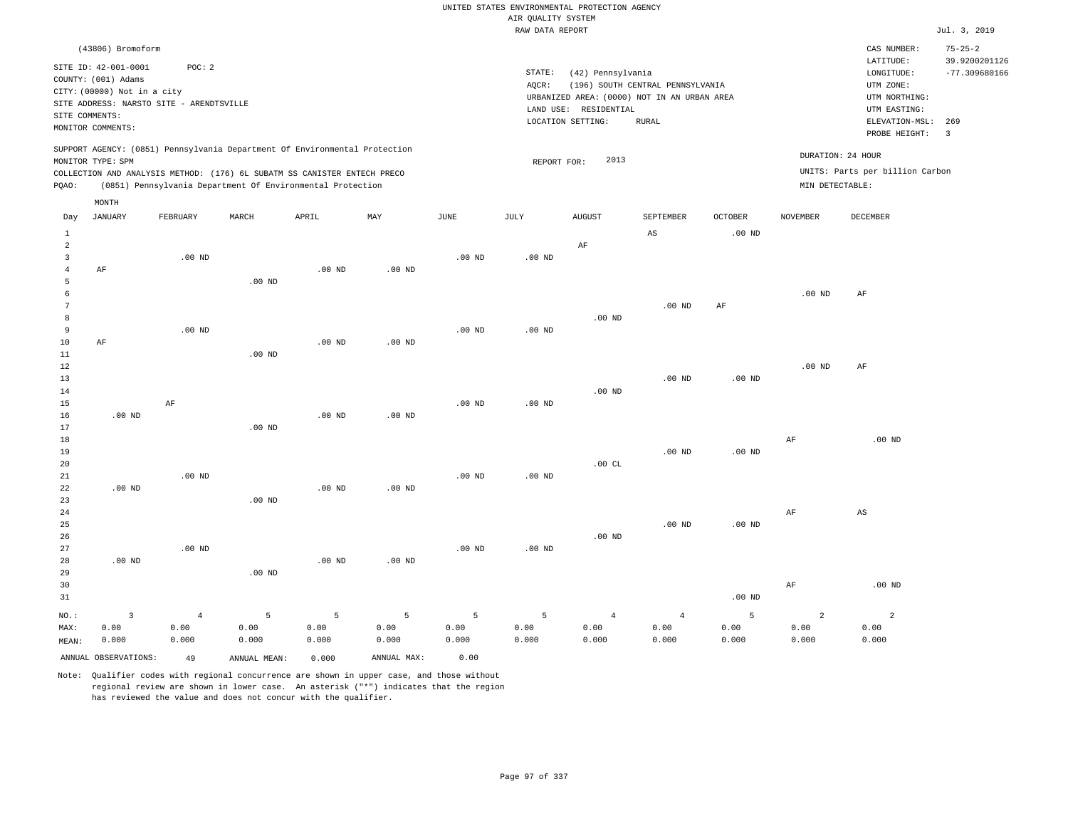|                     |                                                                                                                                                                             |                   |                                                            |          |                   |                   |                    | UNITED STATES ENVIRONMENTAL PROTECTION AGENCY |                                     |                                     |                 |                                                      |                                                   |
|---------------------|-----------------------------------------------------------------------------------------------------------------------------------------------------------------------------|-------------------|------------------------------------------------------------|----------|-------------------|-------------------|--------------------|-----------------------------------------------|-------------------------------------|-------------------------------------|-----------------|------------------------------------------------------|---------------------------------------------------|
|                     |                                                                                                                                                                             |                   |                                                            |          |                   |                   | AIR QUALITY SYSTEM |                                               |                                     |                                     |                 |                                                      |                                                   |
|                     |                                                                                                                                                                             |                   |                                                            |          |                   |                   | RAW DATA REPORT    |                                               |                                     |                                     |                 |                                                      | Jul. 3, 2019                                      |
|                     | (43806) Bromoform<br>SITE ID: 42-001-0001                                                                                                                                   | POC: 2            |                                                            |          |                   |                   | STATE:             | (42) Pennsylvania                             |                                     |                                     |                 | CAS NUMBER:<br>LATITUDE:<br>LONGITUDE:               | $75 - 25 - 2$<br>39.9200201126<br>$-77.309680166$ |
|                     | COUNTY: (001) Adams                                                                                                                                                         |                   |                                                            |          |                   |                   | AOCR:              |                                               | (196) SOUTH CENTRAL PENNSYLVANIA    |                                     |                 | UTM ZONE:                                            |                                                   |
|                     | CITY: (00000) Not in a city                                                                                                                                                 |                   |                                                            |          |                   |                   |                    | URBANIZED AREA: (0000) NOT IN AN URBAN AREA   |                                     |                                     |                 | UTM NORTHING:                                        |                                                   |
|                     | SITE ADDRESS: NARSTO SITE - ARENDTSVILLE                                                                                                                                    |                   |                                                            |          |                   |                   |                    | LAND USE: RESIDENTIAL                         |                                     |                                     |                 | UTM EASTING:                                         |                                                   |
| SITE COMMENTS:      |                                                                                                                                                                             |                   |                                                            |          |                   |                   |                    | LOCATION SETTING:                             | <b>RURAL</b>                        |                                     |                 | ELEVATION-MSL:                                       | 269                                               |
|                     | MONITOR COMMENTS:                                                                                                                                                           |                   |                                                            |          |                   |                   |                    |                                               |                                     |                                     |                 | PROBE HEIGHT:                                        | $\overline{3}$                                    |
|                     | SUPPORT AGENCY: (0851) Pennsylvania Department Of Environmental Protection<br>MONITOR TYPE: SPM<br>COLLECTION AND ANALYSIS METHOD: (176) 6L SUBATM SS CANISTER ENTECH PRECO |                   |                                                            |          |                   |                   | REPORT FOR:        | 2013                                          |                                     |                                     |                 | DURATION: 24 HOUR<br>UNITS: Parts per billion Carbon |                                                   |
| PQAO:               |                                                                                                                                                                             |                   | (0851) Pennsylvania Department Of Environmental Protection |          |                   |                   |                    |                                               |                                     |                                     | MIN DETECTABLE: |                                                      |                                                   |
|                     | MONTH                                                                                                                                                                       |                   |                                                            |          |                   |                   |                    |                                               |                                     |                                     |                 |                                                      |                                                   |
| Day<br>$\mathbf{1}$ | JANUARY                                                                                                                                                                     | FEBRUARY          | MARCH                                                      | APRIL    | MAY               | $_{\rm JUNE}$     | JULY               | <b>AUGUST</b>                                 | SEPTEMBER<br>$\mathbb{A}\mathbb{S}$ | <b>OCTOBER</b><br>.00 <sub>ND</sub> | <b>NOVEMBER</b> | <b>DECEMBER</b>                                      |                                                   |
| 2                   |                                                                                                                                                                             |                   |                                                            |          |                   |                   |                    | $\rm AF$                                      |                                     |                                     |                 |                                                      |                                                   |
| $\overline{3}$      |                                                                                                                                                                             | $.00$ ND          |                                                            |          |                   | $.00$ ND          | $.00$ ND           |                                               |                                     |                                     |                 |                                                      |                                                   |
| $\overline{4}$      | $\rm AF$                                                                                                                                                                    |                   |                                                            | $.00$ ND | .00 <sub>ND</sub> |                   |                    |                                               |                                     |                                     |                 |                                                      |                                                   |
| 5                   |                                                                                                                                                                             |                   | .00 <sub>ND</sub>                                          |          |                   |                   |                    |                                               |                                     |                                     |                 |                                                      |                                                   |
| 6                   |                                                                                                                                                                             |                   |                                                            |          |                   |                   |                    |                                               |                                     |                                     | $.00$ ND        | AF                                                   |                                                   |
| 7                   |                                                                                                                                                                             |                   |                                                            |          |                   |                   |                    |                                               | $.00$ ND                            | AF                                  |                 |                                                      |                                                   |
| 8                   |                                                                                                                                                                             |                   |                                                            |          |                   |                   |                    | $.00$ ND                                      |                                     |                                     |                 |                                                      |                                                   |
| 9                   |                                                                                                                                                                             | $.00$ ND          |                                                            |          |                   | $.00$ ND          | $.00$ ND           |                                               |                                     |                                     |                 |                                                      |                                                   |
| 10<br>$11\,$        | $\rm AF$                                                                                                                                                                    |                   |                                                            | $.00$ ND | $.00$ ND          |                   |                    |                                               |                                     |                                     |                 |                                                      |                                                   |
| 12                  |                                                                                                                                                                             |                   | .00 <sub>ND</sub>                                          |          |                   |                   |                    |                                               |                                     |                                     | $.00$ ND        | AF                                                   |                                                   |
| 13                  |                                                                                                                                                                             |                   |                                                            |          |                   |                   |                    |                                               | $.00$ ND                            | $.00$ ND                            |                 |                                                      |                                                   |
| 14                  |                                                                                                                                                                             |                   |                                                            |          |                   |                   |                    | .00 <sub>ND</sub>                             |                                     |                                     |                 |                                                      |                                                   |
| 15                  |                                                                                                                                                                             | $\rm AF$          |                                                            |          |                   | .00 <sub>ND</sub> | .00 <sub>ND</sub>  |                                               |                                     |                                     |                 |                                                      |                                                   |
| 16                  | $.00$ ND                                                                                                                                                                    |                   |                                                            | $.00$ ND | $.00$ ND          |                   |                    |                                               |                                     |                                     |                 |                                                      |                                                   |
| 17                  |                                                                                                                                                                             |                   | $.00$ ND                                                   |          |                   |                   |                    |                                               |                                     |                                     |                 |                                                      |                                                   |
| 18                  |                                                                                                                                                                             |                   |                                                            |          |                   |                   |                    |                                               |                                     |                                     | AF              | $.00$ ND                                             |                                                   |
| 19                  |                                                                                                                                                                             |                   |                                                            |          |                   |                   |                    |                                               | .00 <sub>ND</sub>                   | $.00$ ND                            |                 |                                                      |                                                   |
| 20                  |                                                                                                                                                                             |                   |                                                            |          |                   |                   |                    | .00CL                                         |                                     |                                     |                 |                                                      |                                                   |
| $21\,$<br>22        | .00 <sub>ND</sub>                                                                                                                                                           | .00 <sub>ND</sub> |                                                            | $.00$ ND | $.00$ ND          | $.00$ ND          | $.00$ ND           |                                               |                                     |                                     |                 |                                                      |                                                   |
| 23                  |                                                                                                                                                                             |                   | $.00$ ND                                                   |          |                   |                   |                    |                                               |                                     |                                     |                 |                                                      |                                                   |
| 24                  |                                                                                                                                                                             |                   |                                                            |          |                   |                   |                    |                                               |                                     |                                     | AF              | AS                                                   |                                                   |
| 25                  |                                                                                                                                                                             |                   |                                                            |          |                   |                   |                    |                                               | $.00$ ND                            | .00 <sub>ND</sub>                   |                 |                                                      |                                                   |
| 26                  |                                                                                                                                                                             |                   |                                                            |          |                   |                   |                    | $.00$ ND                                      |                                     |                                     |                 |                                                      |                                                   |
| 27                  |                                                                                                                                                                             | $.00$ ND          |                                                            |          |                   | $.00$ ND          | $.00$ ND           |                                               |                                     |                                     |                 |                                                      |                                                   |
| 28                  | .00 <sub>ND</sub>                                                                                                                                                           |                   |                                                            | $.00$ ND | .00 <sub>ND</sub> |                   |                    |                                               |                                     |                                     |                 |                                                      |                                                   |
| 29                  |                                                                                                                                                                             |                   | $.00$ ND                                                   |          |                   |                   |                    |                                               |                                     |                                     |                 |                                                      |                                                   |
| 30                  |                                                                                                                                                                             |                   |                                                            |          |                   |                   |                    |                                               |                                     |                                     | AF              | $.00$ ND                                             |                                                   |
| 31                  |                                                                                                                                                                             |                   |                                                            |          |                   |                   |                    |                                               |                                     | .00 <sub>ND</sub>                   |                 |                                                      |                                                   |
| NO.:                | $\overline{\mathbf{3}}$                                                                                                                                                     | $\overline{4}$    | 5                                                          | 5        | 5                 | 5                 | 5                  | $\overline{4}$                                | $\overline{4}$                      | 5                                   | $\overline{a}$  | 2                                                    |                                                   |
| MAX:                | 0.00                                                                                                                                                                        | 0.00              | 0.00                                                       | 0.00     | 0.00              | 0.00              | 0.00               | 0.00                                          | 0.00                                | 0.00                                | 0.00            | 0.00                                                 |                                                   |
| MEAN:               | 0.000                                                                                                                                                                       | 0.000             | 0.000                                                      | 0.000    | 0.000             | 0.000             | 0.000              | 0.000                                         | 0.000                               | 0.000                               | 0.000           | 0.000                                                |                                                   |
|                     | ANNUAL OBSERVATIONS:                                                                                                                                                        | 49                | ANNUAL MEAN:                                               | 0.000    | ANNUAL MAX:       | 0.00              |                    |                                               |                                     |                                     |                 |                                                      |                                                   |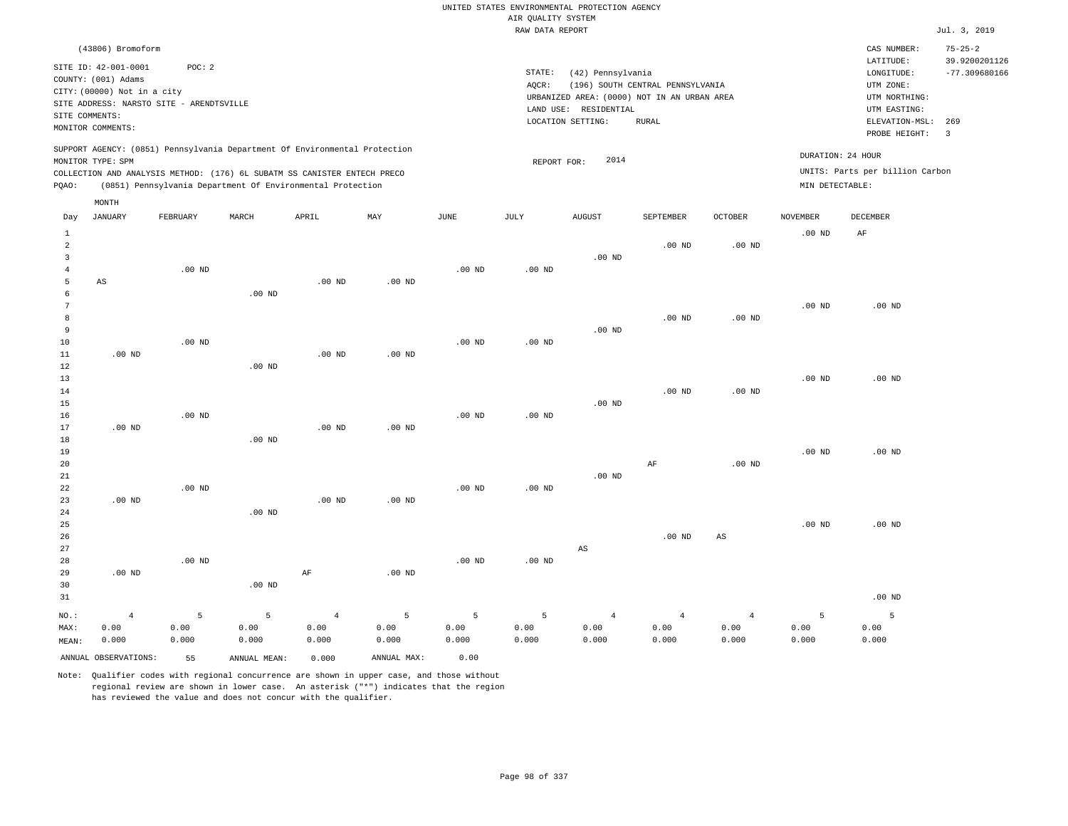|                                       |                                                                                                                                             |                    |                                                                                                                                        |                                 |                    |                    |                    | UNITED STATES ENVIRONMENTAL PROTECTION AGENCY                                             |                                  |                                 |                    |                                                                                      |                                                   |
|---------------------------------------|---------------------------------------------------------------------------------------------------------------------------------------------|--------------------|----------------------------------------------------------------------------------------------------------------------------------------|---------------------------------|--------------------|--------------------|--------------------|-------------------------------------------------------------------------------------------|----------------------------------|---------------------------------|--------------------|--------------------------------------------------------------------------------------|---------------------------------------------------|
|                                       |                                                                                                                                             |                    |                                                                                                                                        |                                 |                    |                    | AIR QUALITY SYSTEM |                                                                                           |                                  |                                 |                    |                                                                                      |                                                   |
|                                       |                                                                                                                                             |                    |                                                                                                                                        |                                 |                    |                    | RAW DATA REPORT    |                                                                                           |                                  |                                 |                    |                                                                                      | Jul. 3, 2019                                      |
|                                       | (43806) Bromoform<br>SITE ID: 42-001-0001<br>COUNTY: (001) Adams<br>CITY: (00000) Not in a city<br>SITE ADDRESS: NARSTO SITE - ARENDTSVILLE | POC: 2             |                                                                                                                                        |                                 |                    |                    | STATE:<br>$AQCR$ : | (42) Pennsylvania<br>URBANIZED AREA: (0000) NOT IN AN URBAN AREA<br>LAND USE: RESIDENTIAL | (196) SOUTH CENTRAL PENNSYLVANIA |                                 |                    | CAS NUMBER:<br>LATITUDE:<br>LONGITUDE:<br>UTM ZONE:<br>UTM NORTHING:<br>UTM EASTING: | $75 - 25 - 2$<br>39.9200201126<br>$-77.309680166$ |
| SITE COMMENTS:                        | MONITOR COMMENTS:                                                                                                                           |                    |                                                                                                                                        |                                 |                    |                    |                    | LOCATION SETTING:                                                                         | <b>RURAL</b>                     |                                 |                    | ELEVATION-MSL:<br>PROBE HEIGHT:                                                      | 269<br>$\overline{\mathbf{3}}$                    |
|                                       | MONITOR TYPE: SPM                                                                                                                           |                    | SUPPORT AGENCY: (0851) Pennsylvania Department Of Environmental Protection                                                             |                                 |                    |                    | REPORT FOR:        | 2014                                                                                      |                                  |                                 | DURATION: 24 HOUR  |                                                                                      |                                                   |
| PQAO:                                 |                                                                                                                                             |                    | COLLECTION AND ANALYSIS METHOD: (176) 6L SUBATM SS CANISTER ENTECH PRECO<br>(0851) Pennsylvania Department Of Environmental Protection |                                 |                    |                    |                    |                                                                                           |                                  |                                 | MIN DETECTABLE:    | UNITS: Parts per billion Carbon                                                      |                                                   |
| Day                                   | MONTH<br>JANUARY                                                                                                                            | FEBRUARY           | MARCH                                                                                                                                  | APRIL                           | MAY                | JUNE               | JULY               | AUGUST                                                                                    | SEPTEMBER                        | OCTOBER                         | NOVEMBER           | DECEMBER                                                                             |                                                   |
| $\mathbf{1}$<br>$\overline{a}$        |                                                                                                                                             |                    |                                                                                                                                        |                                 |                    |                    |                    |                                                                                           | $.00$ ND                         | $.00$ ND                        | .00 <sub>ND</sub>  | AF                                                                                   |                                                   |
| $\overline{3}$<br>$\overline{4}$<br>5 | AS                                                                                                                                          | $.00$ ND           |                                                                                                                                        | $.00$ ND                        | $.00$ ND           | $.00$ ND           | $.00$ ND           | $.00$ ND                                                                                  |                                  |                                 |                    |                                                                                      |                                                   |
| 6<br>7<br>8<br>9                      |                                                                                                                                             |                    | .00 <sub>ND</sub>                                                                                                                      |                                 |                    |                    |                    | $.00$ ND                                                                                  | $.00$ ND                         | $.00$ ND                        | .00 <sub>ND</sub>  | $.00$ ND                                                                             |                                                   |
| 10<br>11<br>12                        | $.00$ ND                                                                                                                                    | $.00$ ND           | $.00$ ND                                                                                                                               | .00 <sub>ND</sub>               | $.00$ ND           | .00 <sub>ND</sub>  | .00 <sub>ND</sub>  |                                                                                           |                                  |                                 |                    |                                                                                      |                                                   |
| 13<br>14<br>15                        |                                                                                                                                             | $.00$ ND           |                                                                                                                                        |                                 |                    | .00 <sub>ND</sub>  | $.00$ ND           | $.00$ ND                                                                                  | $.00$ ND                         | $.00$ ND                        | .00 <sub>ND</sub>  | $.00$ ND                                                                             |                                                   |
| 16<br>17<br>18<br>19                  | $.00$ ND                                                                                                                                    |                    | $.00$ ND                                                                                                                               | $.00$ ND                        | $.00$ ND           |                    |                    |                                                                                           |                                  |                                 | .00 <sub>ND</sub>  | $.00$ ND                                                                             |                                                   |
| 20<br>$2\sqrt{1}$<br>22               |                                                                                                                                             | $.00$ ND           |                                                                                                                                        |                                 |                    | .00 <sub>ND</sub>  | $.00$ ND           | $.00$ ND                                                                                  | $\rm{AF}$                        | $.00$ ND                        |                    |                                                                                      |                                                   |
| 23<br>24<br>25                        | .00 <sub>ND</sub>                                                                                                                           |                    | $.00$ ND                                                                                                                               | $.00$ ND                        | $.00$ ND           |                    |                    |                                                                                           |                                  |                                 | .00 <sub>ND</sub>  | $.00$ ND                                                                             |                                                   |
| 26<br>27<br>28<br>29                  | $.00$ ND                                                                                                                                    | $.00$ ND           |                                                                                                                                        | $\rm AF$                        | .00 <sub>ND</sub>  | .00 <sub>ND</sub>  | .00 <sub>ND</sub>  | AS                                                                                        | $.00$ ND                         | $\mathbb{A}\mathbb{S}$          |                    |                                                                                      |                                                   |
| 30<br>31                              |                                                                                                                                             |                    | $.00$ ND                                                                                                                               |                                 |                    |                    |                    |                                                                                           |                                  |                                 |                    | $.00$ ND                                                                             |                                                   |
| NO.:<br>MAX:<br>MEAN:                 | $\overline{4}$<br>0.00<br>0.000                                                                                                             | 5<br>0.00<br>0.000 | 5<br>0.00<br>0.000                                                                                                                     | $\overline{4}$<br>0.00<br>0.000 | 5<br>0.00<br>0.000 | 5<br>0.00<br>0.000 | 5<br>0.00<br>0.000 | $\overline{4}$<br>0.00<br>0.000                                                           | $\overline{4}$<br>0.00<br>0.000  | $\overline{4}$<br>0.00<br>0.000 | 5<br>0.00<br>0.000 | 5<br>0.00<br>0.000                                                                   |                                                   |
|                                       | ANNUAL OBSERVATIONS:                                                                                                                        | 55                 | ANNUAL, MEAN:                                                                                                                          | 0.000                           | ANNUAL MAX:        | 0.00               |                    |                                                                                           |                                  |                                 |                    |                                                                                      |                                                   |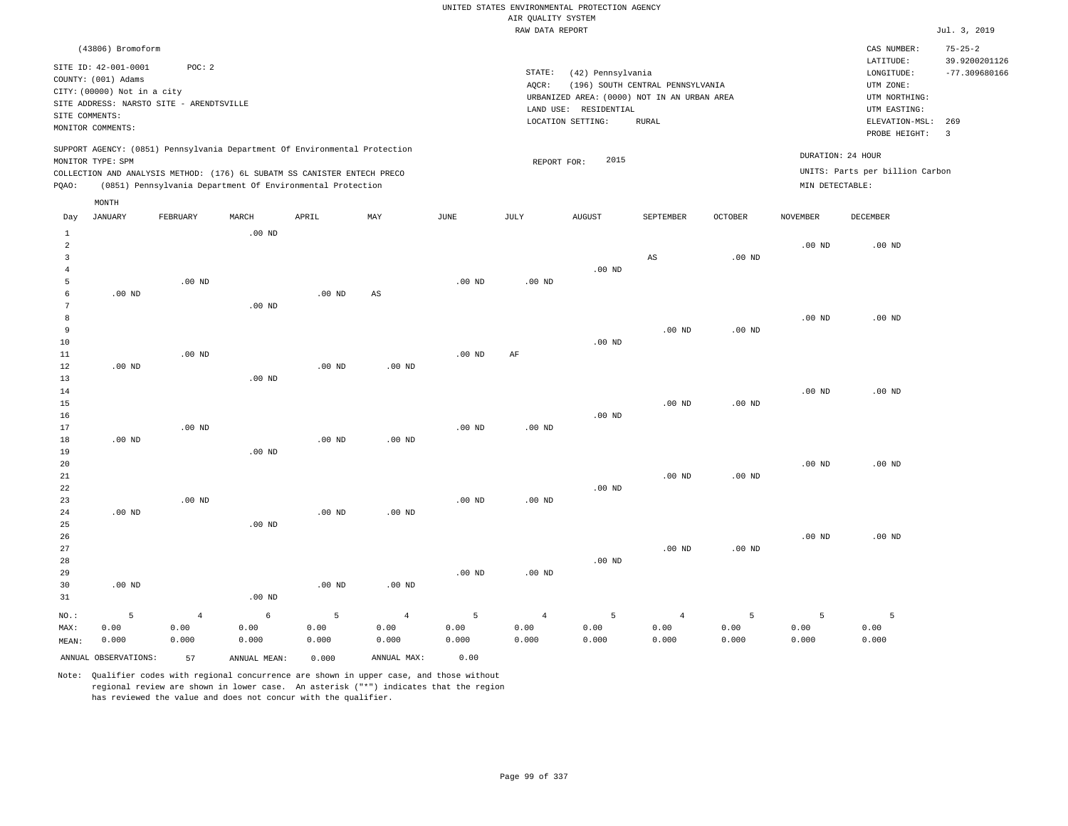|                         |                                           |                   |                                                                            |          |                   |                   | AIR QUALITY SYSTEM | UNITED STATES ENVIRONMENTAL PROTECTION AGENCY |                                  |                |                   |                                     |                                |
|-------------------------|-------------------------------------------|-------------------|----------------------------------------------------------------------------|----------|-------------------|-------------------|--------------------|-----------------------------------------------|----------------------------------|----------------|-------------------|-------------------------------------|--------------------------------|
|                         |                                           |                   |                                                                            |          |                   |                   | RAW DATA REPORT    |                                               |                                  |                |                   |                                     | Jul. 3, 2019                   |
|                         | (43806) Bromoform<br>SITE ID: 42-001-0001 | POC: 2            |                                                                            |          |                   |                   |                    |                                               |                                  |                |                   | CAS NUMBER:<br>LATITUDE:            | $75 - 25 - 2$<br>39.9200201126 |
|                         | COUNTY: (001) Adams                       |                   |                                                                            |          |                   |                   | STATE:             | (42) Pennsylvania                             |                                  |                |                   | LONGITUDE:                          | $-77.309680166$                |
|                         | CITY: (00000) Not in a city               |                   |                                                                            |          |                   |                   | AQCR:              |                                               | (196) SOUTH CENTRAL PENNSYLVANIA |                |                   | UTM ZONE:                           |                                |
|                         | SITE ADDRESS: NARSTO SITE - ARENDTSVILLE  |                   |                                                                            |          |                   |                   |                    | URBANIZED AREA: (0000) NOT IN AN URBAN AREA   |                                  |                |                   | UTM NORTHING:                       |                                |
| SITE COMMENTS:          |                                           |                   |                                                                            |          |                   |                   |                    | LAND USE: RESIDENTIAL                         |                                  |                |                   | UTM EASTING:                        |                                |
|                         | MONITOR COMMENTS:                         |                   |                                                                            |          |                   |                   |                    | LOCATION SETTING:                             | <b>RURAL</b>                     |                |                   | ELEVATION-MSL: 269<br>PROBE HEIGHT: | 3                              |
|                         |                                           |                   | SUPPORT AGENCY: (0851) Pennsylvania Department Of Environmental Protection |          |                   |                   |                    | 2015                                          |                                  |                | DURATION: 24 HOUR |                                     |                                |
|                         | MONITOR TYPE: SPM                         |                   | COLLECTION AND ANALYSIS METHOD: (176) 6L SUBATM SS CANISTER ENTECH PRECO   |          |                   |                   | REPORT FOR:        |                                               |                                  |                |                   | UNITS: Parts per billion Carbon     |                                |
| PQAO:                   |                                           |                   | (0851) Pennsylvania Department Of Environmental Protection                 |          |                   |                   |                    |                                               |                                  |                | MIN DETECTABLE:   |                                     |                                |
|                         | MONTH                                     |                   |                                                                            |          |                   |                   |                    |                                               |                                  |                |                   |                                     |                                |
| Day<br>$\mathbf{1}$     | <b>JANUARY</b>                            | FEBRUARY          | MARCH<br>.00 <sub>ND</sub>                                                 | APRIL    | MAY               | <b>JUNE</b>       | <b>JULY</b>        | <b>AUGUST</b>                                 | SEPTEMBER                        | <b>OCTOBER</b> | <b>NOVEMBER</b>   | DECEMBER                            |                                |
| $\overline{a}$          |                                           |                   |                                                                            |          |                   |                   |                    |                                               |                                  |                | $.00$ ND          | $.00$ ND                            |                                |
| $\overline{\mathbf{3}}$ |                                           |                   |                                                                            |          |                   |                   |                    |                                               | $\mathbb{A}\mathbb{S}$           | $.00$ ND       |                   |                                     |                                |
| $\overline{4}$          |                                           |                   |                                                                            |          |                   |                   |                    | $.00$ ND                                      |                                  |                |                   |                                     |                                |
| 5                       |                                           | .00 <sub>ND</sub> |                                                                            |          |                   | .00 <sub>ND</sub> | $.00$ ND           |                                               |                                  |                |                   |                                     |                                |
| 6                       | $.00$ ND                                  |                   |                                                                            | $.00$ ND | AS                |                   |                    |                                               |                                  |                |                   |                                     |                                |
| 7                       |                                           |                   | $.00$ ND                                                                   |          |                   |                   |                    |                                               |                                  |                |                   |                                     |                                |
| $^{\rm 8}$              |                                           |                   |                                                                            |          |                   |                   |                    |                                               |                                  |                | .00 <sub>ND</sub> | $.00$ ND                            |                                |
| 9                       |                                           |                   |                                                                            |          |                   |                   |                    |                                               | $.00$ ND                         | $.00$ ND       |                   |                                     |                                |
| 10<br>$1\,1$            |                                           | $.00$ ND          |                                                                            |          |                   | .00 <sub>ND</sub> | AF                 | $.00$ ND                                      |                                  |                |                   |                                     |                                |
| 12                      | $.00$ ND                                  |                   |                                                                            | $.00$ ND | $.00$ ND          |                   |                    |                                               |                                  |                |                   |                                     |                                |
| 13                      |                                           |                   | .00 <sub>ND</sub>                                                          |          |                   |                   |                    |                                               |                                  |                |                   |                                     |                                |
| 14                      |                                           |                   |                                                                            |          |                   |                   |                    |                                               |                                  |                | .00 <sub>ND</sub> | $.00$ ND                            |                                |
| 15                      |                                           |                   |                                                                            |          |                   |                   |                    |                                               | $.00$ ND                         | $.00$ ND       |                   |                                     |                                |
| 16                      |                                           |                   |                                                                            |          |                   |                   |                    | $.00$ ND                                      |                                  |                |                   |                                     |                                |
| 17                      |                                           | $.00$ ND          |                                                                            |          |                   | .00 <sub>ND</sub> | $.00$ ND           |                                               |                                  |                |                   |                                     |                                |
| 18                      | $.00$ ND                                  |                   |                                                                            | $.00$ ND | $.00$ ND          |                   |                    |                                               |                                  |                |                   |                                     |                                |
| 19                      |                                           |                   | $.00$ ND                                                                   |          |                   |                   |                    |                                               |                                  |                |                   |                                     |                                |
| 20                      |                                           |                   |                                                                            |          |                   |                   |                    |                                               |                                  |                | .00 <sub>ND</sub> | $.00$ ND                            |                                |
| 21<br>22                |                                           |                   |                                                                            |          |                   |                   |                    | $.00$ ND                                      | $.00$ ND                         | $.00$ ND       |                   |                                     |                                |
| 23                      |                                           | $.00$ ND          |                                                                            |          |                   | $.00$ ND          | $.00$ ND           |                                               |                                  |                |                   |                                     |                                |
| 24                      | $.00$ ND                                  |                   |                                                                            | $.00$ ND | .00 <sub>ND</sub> |                   |                    |                                               |                                  |                |                   |                                     |                                |
| 25                      |                                           |                   | .00 <sub>ND</sub>                                                          |          |                   |                   |                    |                                               |                                  |                |                   |                                     |                                |
| 26                      |                                           |                   |                                                                            |          |                   |                   |                    |                                               |                                  |                | .00 <sub>ND</sub> | $.00$ ND                            |                                |
| 27                      |                                           |                   |                                                                            |          |                   |                   |                    |                                               | $.00$ ND                         | $.00$ ND       |                   |                                     |                                |
| 28                      |                                           |                   |                                                                            |          |                   |                   |                    | $.00$ ND                                      |                                  |                |                   |                                     |                                |
| 29                      |                                           |                   |                                                                            |          |                   | .00 <sub>ND</sub> | $.00$ ND           |                                               |                                  |                |                   |                                     |                                |
| 30                      | $.00$ ND                                  |                   |                                                                            | $.00$ ND | $.00$ ND          |                   |                    |                                               |                                  |                |                   |                                     |                                |
| 31                      |                                           |                   | $.00$ ND                                                                   |          |                   |                   |                    |                                               |                                  |                |                   |                                     |                                |
| $NO.$ :                 | $\overline{5}$                            | $\overline{4}$    | $\epsilon$                                                                 | 5        | $\overline{4}$    | 5                 | $\overline{4}$     | 5                                             | $\,4$                            | 5              | 5                 | 5                                   |                                |
| MAX:                    | 0.00                                      | 0.00              | 0.00                                                                       | 0.00     | 0.00              | 0.00              | 0.00               | 0.00                                          | 0.00                             | 0.00           | 0.00              | 0.00                                |                                |
| MEAN:                   | 0.000                                     | 0.000             | 0.000                                                                      | 0.000    | 0.000             | 0.000             | 0.000              | 0.000                                         | 0.000                            | 0.000          | 0.000             | 0.000                               |                                |
|                         | ANNUAL OBSERVATIONS:                      | 57                | ANNUAL, MEAN:                                                              | 0.000    | ANNUAL MAX:       | 0.00              |                    |                                               |                                  |                |                   |                                     |                                |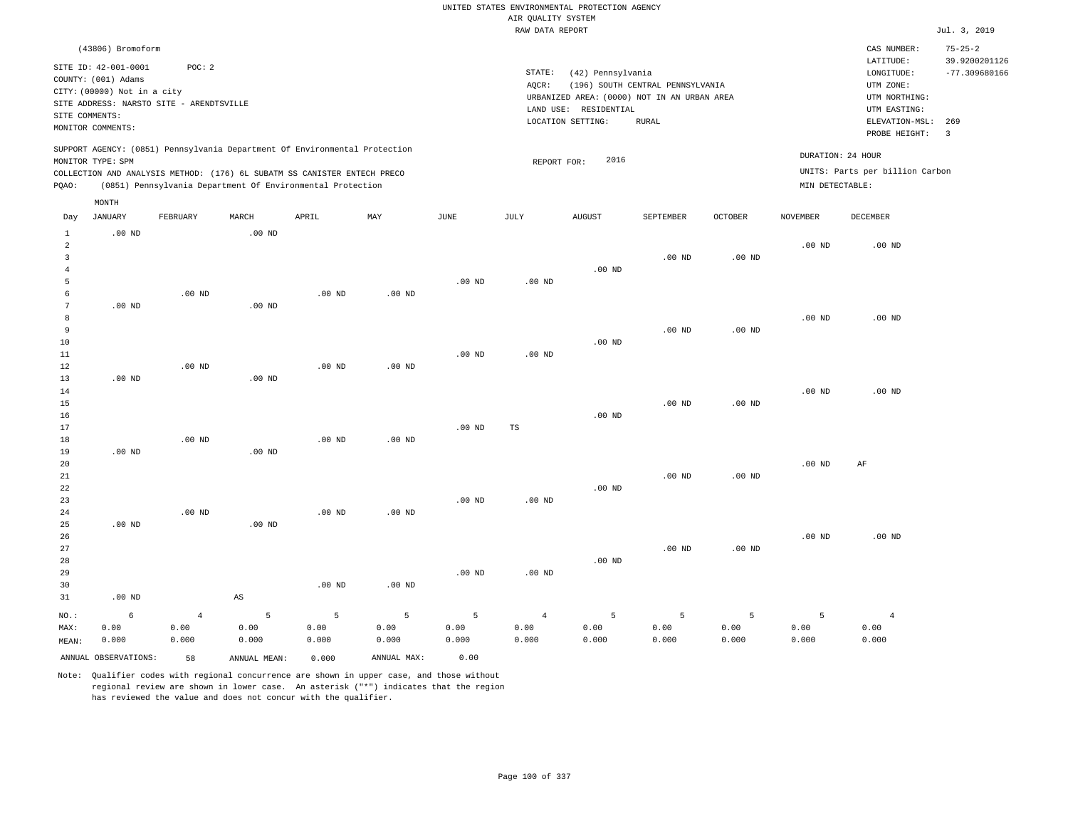|                                                    |                                                                         |                                 |                                                                                                                                                        |                    |                    |                    |                             | UNITED STATES ENVIRONMENTAL PROTECTION AGENCY                        |                                  |                    |                    |                                            |                                                   |
|----------------------------------------------------|-------------------------------------------------------------------------|---------------------------------|--------------------------------------------------------------------------------------------------------------------------------------------------------|--------------------|--------------------|--------------------|-----------------------------|----------------------------------------------------------------------|----------------------------------|--------------------|--------------------|--------------------------------------------|---------------------------------------------------|
|                                                    |                                                                         |                                 |                                                                                                                                                        |                    |                    |                    | AIR QUALITY SYSTEM          |                                                                      |                                  |                    |                    |                                            |                                                   |
|                                                    |                                                                         |                                 |                                                                                                                                                        |                    |                    |                    | RAW DATA REPORT             |                                                                      |                                  |                    |                    |                                            | Jul. 3, 2019                                      |
|                                                    | (43806) Bromoform<br>SITE ID: 42-001-0001<br>COUNTY: (001) Adams        | POC: 2                          |                                                                                                                                                        |                    |                    |                    | STATE:                      | (42) Pennsylvania                                                    |                                  |                    |                    | CAS NUMBER:<br>LATITUDE:<br>LONGITUDE:     | $75 - 25 - 2$<br>39.9200201126<br>$-77.309680166$ |
|                                                    | CITY: (00000) Not in a city<br>SITE ADDRESS: NARSTO SITE - ARENDTSVILLE |                                 |                                                                                                                                                        |                    |                    |                    | AQCR:                       | URBANIZED AREA: (0000) NOT IN AN URBAN AREA<br>LAND USE: RESIDENTIAL | (196) SOUTH CENTRAL PENNSYLVANIA |                    |                    | UTM ZONE:<br>UTM NORTHING:<br>UTM EASTING: |                                                   |
| SITE COMMENTS:                                     | MONITOR COMMENTS:                                                       |                                 |                                                                                                                                                        |                    |                    |                    |                             | LOCATION SETTING:                                                    | <b>RURAL</b>                     |                    |                    | ELEVATION-MSL:<br>PROBE HEIGHT:            | 269<br>$\overline{3}$                             |
|                                                    | MONITOR TYPE: SPM                                                       |                                 | SUPPORT AGENCY: (0851) Pennsylvania Department Of Environmental Protection<br>COLLECTION AND ANALYSIS METHOD: (176) 6L SUBATM SS CANISTER ENTECH PRECO |                    |                    |                    | REPORT FOR:                 | 2016                                                                 |                                  |                    | DURATION: 24 HOUR  | UNITS: Parts per billion Carbon            |                                                   |
| PQAO:                                              | MONTH                                                                   |                                 | (0851) Pennsylvania Department Of Environmental Protection                                                                                             |                    |                    |                    |                             |                                                                      |                                  |                    | MIN DETECTABLE:    |                                            |                                                   |
| Day<br><sup>1</sup>                                | JANUARY<br>$.00$ ND                                                     | FEBRUARY                        | MARCH<br>$.00$ ND                                                                                                                                      | APRIL              | MAY                | <b>JUNE</b>        | JULY                        | <b>AUGUST</b>                                                        | SEPTEMBER                        | <b>OCTOBER</b>     | <b>NOVEMBER</b>    | <b>DECEMBER</b>                            |                                                   |
| $\overline{a}$<br>$\overline{3}$<br>$\overline{4}$ |                                                                         |                                 |                                                                                                                                                        |                    |                    |                    |                             | .00 <sub>ND</sub>                                                    | $.00$ ND                         | $.00$ ND           | .00 <sub>ND</sub>  | $.00$ ND                                   |                                                   |
| 5<br>6<br>$\overline{7}$                           | $.00$ ND                                                                | $.00$ ND                        | .00 <sub>ND</sub>                                                                                                                                      | $.00$ ND           | .00 <sub>ND</sub>  | $.00$ ND           | $.00$ ND                    |                                                                      |                                  |                    |                    |                                            |                                                   |
| 8<br>9<br>$10$<br>11                               |                                                                         |                                 |                                                                                                                                                        |                    |                    | $.00$ ND           | .00 <sub>ND</sub>           | .00 <sub>ND</sub>                                                    | $.00$ ND                         | $.00$ ND           | .00 <sub>ND</sub>  | $.00$ ND                                   |                                                   |
| 12<br>13<br>14<br>15                               | $.00$ ND                                                                | $.00$ ND                        | .00 <sub>ND</sub>                                                                                                                                      | $.00$ ND           | $.00$ ND           |                    |                             |                                                                      | $.00$ ND                         | $.00$ ND           | .00 <sub>ND</sub>  | $.00$ ND                                   |                                                   |
| 16<br>17<br>18<br>19                               | $.00$ ND                                                                | $.00$ ND                        | .00 <sub>ND</sub>                                                                                                                                      | $.00$ ND           | $.00$ ND           | .00 <sub>ND</sub>  | TS                          | $.00$ ND                                                             |                                  |                    |                    |                                            |                                                   |
| 20<br>21<br>22                                     |                                                                         |                                 |                                                                                                                                                        |                    |                    |                    |                             | $.00$ ND                                                             | $.00$ ND                         | $.00$ ND           | .00 <sub>ND</sub>  | AF                                         |                                                   |
| 23<br>24<br>25<br>26                               | $.00$ ND                                                                | .00 <sub>ND</sub>               | .00 <sub>ND</sub>                                                                                                                                      | $.00$ ND           | $.00$ ND           | .00 <sub>ND</sub>  | .00 <sub>ND</sub>           |                                                                      |                                  |                    | .00 <sub>ND</sub>  | $.00$ ND                                   |                                                   |
| $2\,7$<br>28<br>29                                 |                                                                         |                                 |                                                                                                                                                        |                    |                    | .00 <sub>ND</sub>  | .00 <sub>ND</sub>           | $.00$ ND                                                             | $.00$ ND                         | $.00$ ND           |                    |                                            |                                                   |
| 30<br>31                                           | $.00$ ND                                                                |                                 | $\mathbb{A}\mathbb{S}$                                                                                                                                 | $.00$ ND           | $.00$ ND           |                    |                             |                                                                      |                                  |                    |                    |                                            |                                                   |
| NO.:<br>MAX:<br>MEAN:                              | $\epsilon$<br>0.00<br>0.000                                             | $\overline{4}$<br>0.00<br>0.000 | 5<br>0.00<br>0.000                                                                                                                                     | 5<br>0.00<br>0.000 | 5<br>0.00<br>0.000 | 5<br>0.00<br>0.000 | $\sqrt{4}$<br>0.00<br>0.000 | 5<br>0.00<br>0.000                                                   | 5<br>0.00<br>0.000               | 5<br>0.00<br>0.000 | 5<br>0.00<br>0.000 | $\overline{4}$<br>0.00<br>0.000            |                                                   |
|                                                    | ANNUAL OBSERVATIONS:                                                    | 58                              | ANNUAL, MEAN:                                                                                                                                          | 0.000              | ANNUAL MAX:        | 0.00               |                             |                                                                      |                                  |                    |                    |                                            |                                                   |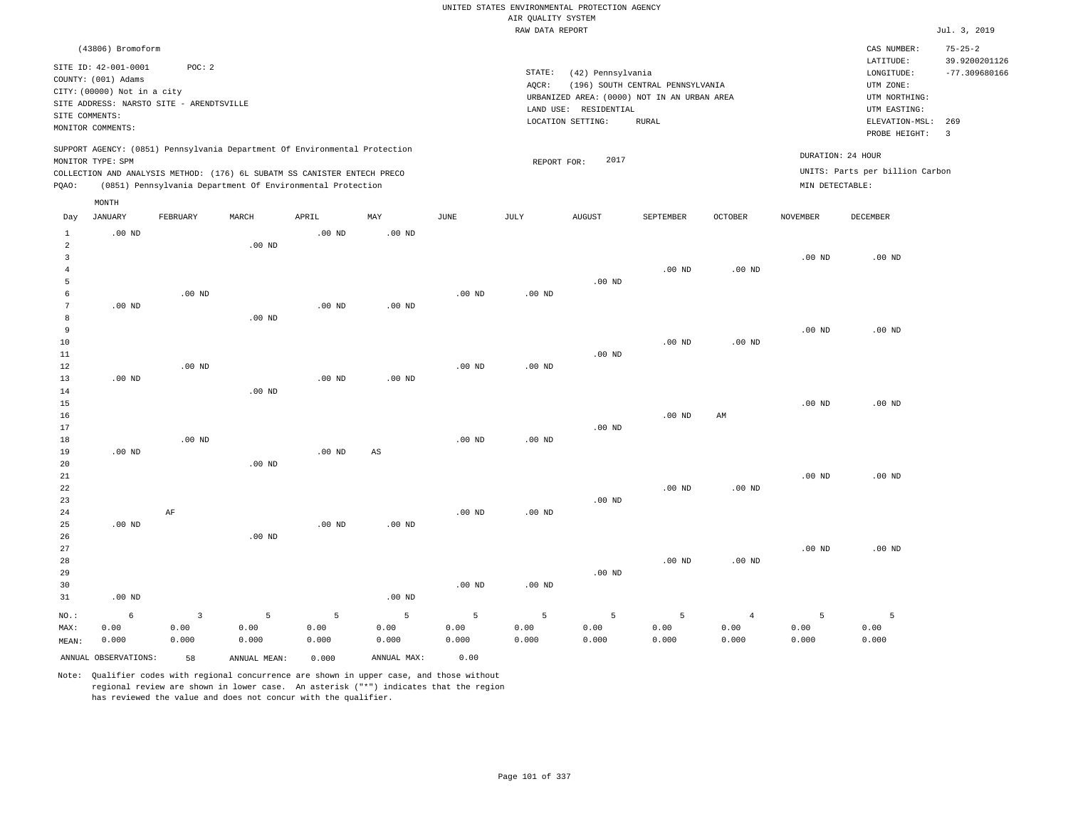|                                |                                                                                                                        |                |                                                                                                                                        |                   |                   |          | AIR QUALITY SYSTEM | UNITED STATES ENVIRONMENTAL PROTECTION AGENCY                                                                  |                                                  |                   |                   |                                                                            |                                |
|--------------------------------|------------------------------------------------------------------------------------------------------------------------|----------------|----------------------------------------------------------------------------------------------------------------------------------------|-------------------|-------------------|----------|--------------------|----------------------------------------------------------------------------------------------------------------|--------------------------------------------------|-------------------|-------------------|----------------------------------------------------------------------------|--------------------------------|
|                                |                                                                                                                        |                |                                                                                                                                        |                   |                   |          | RAW DATA REPORT    |                                                                                                                |                                                  |                   |                   |                                                                            | Jul. 3, 2019                   |
|                                | (43806) Bromoform                                                                                                      |                |                                                                                                                                        |                   |                   |          |                    |                                                                                                                |                                                  |                   |                   | CAS NUMBER:<br>LATITUDE:                                                   | $75 - 25 - 2$<br>39.9200201126 |
| SITE COMMENTS:                 | SITE ID: 42-001-0001<br>COUNTY: (001) Adams<br>CITY: (00000) Not in a city<br>SITE ADDRESS: NARSTO SITE - ARENDTSVILLE | POC: 2         |                                                                                                                                        |                   |                   |          | STATE:<br>AQCR:    | (42) Pennsylvania<br>URBANIZED AREA: (0000) NOT IN AN URBAN AREA<br>LAND USE: RESIDENTIAL<br>LOCATION SETTING: | (196) SOUTH CENTRAL PENNSYLVANIA<br><b>RURAL</b> |                   |                   | LONGITUDE:<br>UTM ZONE:<br>UTM NORTHING:<br>UTM EASTING:<br>ELEVATION-MSL: | $-77.309680166$<br>269         |
|                                | MONITOR COMMENTS:                                                                                                      |                | SUPPORT AGENCY: (0851) Pennsylvania Department Of Environmental Protection                                                             |                   |                   |          |                    |                                                                                                                |                                                  |                   |                   | PROBE HEIGHT:                                                              | $\overline{\mathbf{3}}$        |
|                                | MONITOR TYPE: SPM                                                                                                      |                |                                                                                                                                        |                   |                   |          | REPORT FOR:        | 2017                                                                                                           |                                                  |                   | DURATION: 24 HOUR |                                                                            |                                |
| PQAO:                          |                                                                                                                        |                | COLLECTION AND ANALYSIS METHOD: (176) 6L SUBATM SS CANISTER ENTECH PRECO<br>(0851) Pennsylvania Department Of Environmental Protection |                   |                   |          |                    |                                                                                                                |                                                  |                   | MIN DETECTABLE:   | UNITS: Parts per billion Carbon                                            |                                |
|                                | MONTH                                                                                                                  |                |                                                                                                                                        |                   |                   |          |                    |                                                                                                                |                                                  |                   |                   |                                                                            |                                |
| Day                            | JANUARY                                                                                                                | FEBRUARY       | MARCH                                                                                                                                  | APRIL             | MAY               | JUNE     | JULY               | <b>AUGUST</b>                                                                                                  | SEPTEMBER                                        | OCTOBER           | NOVEMBER          | DECEMBER                                                                   |                                |
| $\mathbf{1}$<br>$\overline{a}$ | .00 <sub>ND</sub>                                                                                                      |                | .00 <sub>ND</sub>                                                                                                                      | .00 <sub>ND</sub> | $.00$ ND          |          |                    |                                                                                                                |                                                  |                   |                   |                                                                            |                                |
| $\overline{3}$                 |                                                                                                                        |                |                                                                                                                                        |                   |                   |          |                    |                                                                                                                |                                                  |                   | $.00$ ND          | $.00$ ND                                                                   |                                |
| $\overline{4}$                 |                                                                                                                        |                |                                                                                                                                        |                   |                   |          |                    |                                                                                                                | .00 <sub>ND</sub>                                | $.00$ ND          |                   |                                                                            |                                |
| 5<br>6                         |                                                                                                                        | $.00$ ND       |                                                                                                                                        |                   |                   | $.00$ ND | $.00$ ND           | $.00$ ND                                                                                                       |                                                  |                   |                   |                                                                            |                                |
| $7\phantom{.0}$                | .00 <sub>ND</sub>                                                                                                      |                |                                                                                                                                        | .00 <sub>ND</sub> | $.00$ ND          |          |                    |                                                                                                                |                                                  |                   |                   |                                                                            |                                |
| 8                              |                                                                                                                        |                | $.00$ ND                                                                                                                               |                   |                   |          |                    |                                                                                                                |                                                  |                   |                   |                                                                            |                                |
| $\overline{9}$                 |                                                                                                                        |                |                                                                                                                                        |                   |                   |          |                    |                                                                                                                |                                                  |                   | $.00$ ND          | $.00$ ND                                                                   |                                |
| 10                             |                                                                                                                        |                |                                                                                                                                        |                   |                   |          |                    |                                                                                                                | $.00$ ND                                         | $.00$ ND          |                   |                                                                            |                                |
| 11<br>12                       |                                                                                                                        | $.00$ ND       |                                                                                                                                        |                   |                   | $.00$ ND | $.00$ ND           | $.00$ ND                                                                                                       |                                                  |                   |                   |                                                                            |                                |
| 13                             | .00 <sub>ND</sub>                                                                                                      |                |                                                                                                                                        | .00 <sub>ND</sub> | .00 <sub>ND</sub> |          |                    |                                                                                                                |                                                  |                   |                   |                                                                            |                                |
| 14                             |                                                                                                                        |                | $.00$ ND                                                                                                                               |                   |                   |          |                    |                                                                                                                |                                                  |                   |                   |                                                                            |                                |
| 15                             |                                                                                                                        |                |                                                                                                                                        |                   |                   |          |                    |                                                                                                                |                                                  |                   | $.00$ ND          | $.00$ ND                                                                   |                                |
| 16                             |                                                                                                                        |                |                                                                                                                                        |                   |                   |          |                    |                                                                                                                | .00 <sub>ND</sub>                                | AM                |                   |                                                                            |                                |
| 17<br>18                       |                                                                                                                        | $.00$ ND       |                                                                                                                                        |                   |                   | $.00$ ND | $.00$ ND           | $.00$ ND                                                                                                       |                                                  |                   |                   |                                                                            |                                |
| 19                             | $.00$ ND                                                                                                               |                |                                                                                                                                        | .00 <sub>ND</sub> | AS                |          |                    |                                                                                                                |                                                  |                   |                   |                                                                            |                                |
| 20                             |                                                                                                                        |                | $.00$ ND                                                                                                                               |                   |                   |          |                    |                                                                                                                |                                                  |                   |                   |                                                                            |                                |
| 21                             |                                                                                                                        |                |                                                                                                                                        |                   |                   |          |                    |                                                                                                                |                                                  |                   | $.00$ ND          | $.00$ ND                                                                   |                                |
| 22                             |                                                                                                                        |                |                                                                                                                                        |                   |                   |          |                    |                                                                                                                | $.00$ ND                                         | .00 <sub>ND</sub> |                   |                                                                            |                                |
| 23<br>24                       |                                                                                                                        | $\rm AF$       |                                                                                                                                        |                   |                   | $.00$ ND | $.00$ ND           | $.00$ ND                                                                                                       |                                                  |                   |                   |                                                                            |                                |
| 25                             | .00 <sub>ND</sub>                                                                                                      |                |                                                                                                                                        | .00 <sub>ND</sub> | .00 <sub>ND</sub> |          |                    |                                                                                                                |                                                  |                   |                   |                                                                            |                                |
| 26                             |                                                                                                                        |                | $.00$ ND                                                                                                                               |                   |                   |          |                    |                                                                                                                |                                                  |                   |                   |                                                                            |                                |
| 27                             |                                                                                                                        |                |                                                                                                                                        |                   |                   |          |                    |                                                                                                                |                                                  |                   | $.00$ ND          | $.00$ ND                                                                   |                                |
| 28<br>29                       |                                                                                                                        |                |                                                                                                                                        |                   |                   |          |                    | $.00$ ND                                                                                                       | $.00$ ND                                         | $.00$ ND          |                   |                                                                            |                                |
| 30                             |                                                                                                                        |                |                                                                                                                                        |                   |                   | $.00$ ND | $.00$ ND           |                                                                                                                |                                                  |                   |                   |                                                                            |                                |
| 31                             | $.00$ ND                                                                                                               |                |                                                                                                                                        |                   | $.00$ ND          |          |                    |                                                                                                                |                                                  |                   |                   |                                                                            |                                |
| NO.:                           | 6                                                                                                                      | $\overline{3}$ | 5                                                                                                                                      | 5                 | 5                 | 5        | 5                  | 5                                                                                                              | 5                                                | $\overline{4}$    | 5                 | 5                                                                          |                                |
| MAX:                           | 0.00                                                                                                                   | 0.00           | 0.00                                                                                                                                   | 0.00              | 0.00              | 0.00     | 0.00               | 0.00                                                                                                           | 0.00                                             | 0.00              | 0.00              | 0.00                                                                       |                                |
| MEAN:                          | 0.000                                                                                                                  | 0.000          | 0.000                                                                                                                                  | 0.000             | 0.000             | 0.000    | 0.000              | 0.000                                                                                                          | 0.000                                            | 0.000             | 0.000             | 0.000                                                                      |                                |
|                                | ANNUAL OBSERVATIONS:                                                                                                   | 58             | ANNUAL MEAN:                                                                                                                           | 0.000             | ANNUAL MAX:       | 0.00     |                    |                                                                                                                |                                                  |                   |                   |                                                                            |                                |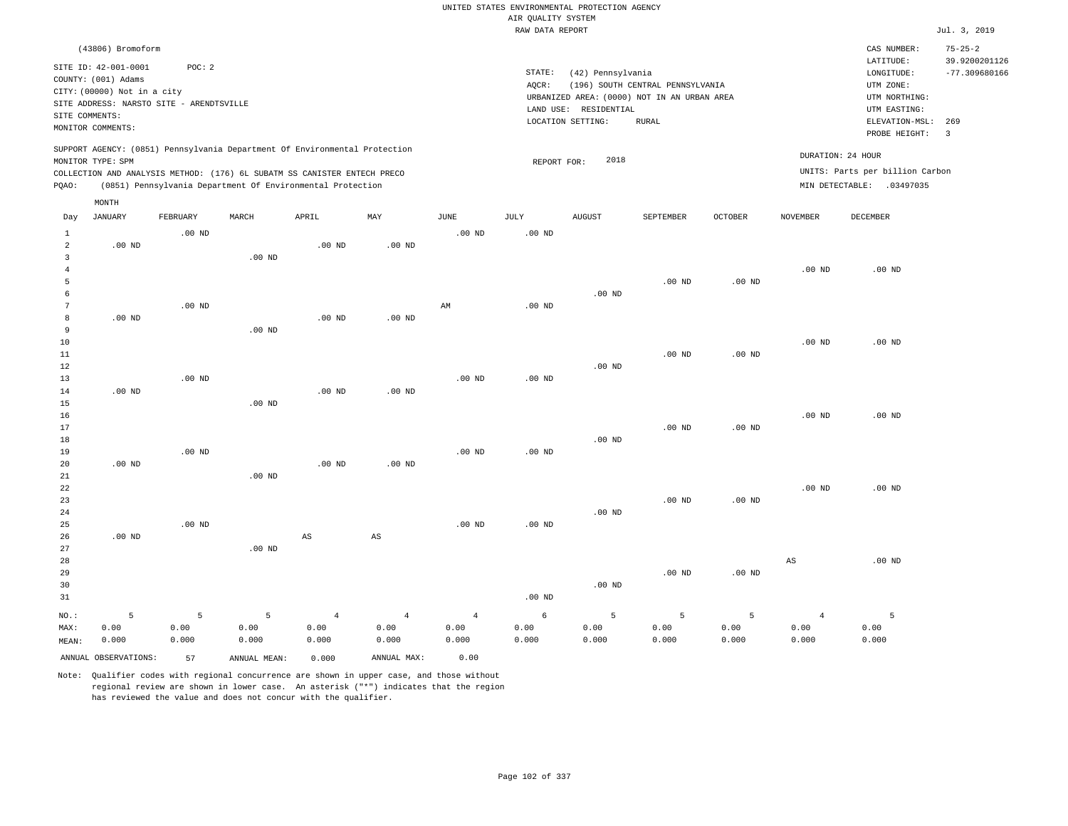|                                                  |                                                                                                                                             |                    |                    |                                                            |                                 |                                 | AIR QUALITY SYSTEM | UNITED STATES ENVIRONMENTAL PROTECTION AGENCY                                                                  |                                                  |                    |                                 |                                                                                                          |                                                           |
|--------------------------------------------------|---------------------------------------------------------------------------------------------------------------------------------------------|--------------------|--------------------|------------------------------------------------------------|---------------------------------|---------------------------------|--------------------|----------------------------------------------------------------------------------------------------------------|--------------------------------------------------|--------------------|---------------------------------|----------------------------------------------------------------------------------------------------------|-----------------------------------------------------------|
|                                                  |                                                                                                                                             |                    |                    |                                                            |                                 |                                 | RAW DATA REPORT    |                                                                                                                |                                                  |                    |                                 |                                                                                                          | Jul. 3, 2019                                              |
|                                                  | (43806) Bromoform                                                                                                                           |                    |                    |                                                            |                                 |                                 |                    |                                                                                                                |                                                  |                    |                                 | CAS NUMBER:                                                                                              | $75 - 25 - 2$                                             |
| SITE COMMENTS:                                   | SITE ID: 42-001-0001<br>COUNTY: (001) Adams<br>CITY: (00000) Not in a city<br>SITE ADDRESS: NARSTO SITE - ARENDTSVILLE<br>MONITOR COMMENTS: | POC: 2             |                    |                                                            |                                 |                                 | STATE:<br>AQCR:    | (42) Pennsylvania<br>URBANIZED AREA: (0000) NOT IN AN URBAN AREA<br>LAND USE: RESIDENTIAL<br>LOCATION SETTING: | (196) SOUTH CENTRAL PENNSYLVANIA<br><b>RURAL</b> |                    |                                 | LATITUDE:<br>LONGITUDE:<br>UTM ZONE:<br>UTM NORTHING:<br>UTM EASTING:<br>ELEVATION-MSL:<br>PROBE HEIGHT: | 39.9200201126<br>$-77.309680166$<br>269<br>$\overline{3}$ |
|                                                  | SUPPORT AGENCY: (0851) Pennsylvania Department Of Environmental Protection<br>MONITOR TYPE: SPM                                             |                    |                    |                                                            |                                 |                                 | REPORT FOR:        | 2018                                                                                                           |                                                  |                    |                                 | DURATION: 24 HOUR                                                                                        |                                                           |
| PQAO:                                            | COLLECTION AND ANALYSIS METHOD: (176) 6L SUBATM SS CANISTER ENTECH PRECO                                                                    |                    |                    | (0851) Pennsylvania Department Of Environmental Protection |                                 |                                 |                    |                                                                                                                |                                                  |                    |                                 | UNITS: Parts per billion Carbon<br>MIN DETECTABLE: .03497035                                             |                                                           |
|                                                  | MONTH                                                                                                                                       |                    |                    |                                                            |                                 |                                 |                    |                                                                                                                |                                                  |                    |                                 |                                                                                                          |                                                           |
| Day                                              | <b>JANUARY</b>                                                                                                                              | FEBRUARY           | MARCH              | APRIL                                                      | MAY                             | <b>JUNE</b>                     | JULY               | <b>AUGUST</b>                                                                                                  | SEPTEMBER                                        | <b>OCTOBER</b>     | <b>NOVEMBER</b>                 | DECEMBER                                                                                                 |                                                           |
| $\mathbf{1}$<br>$\overline{a}$<br>$\overline{3}$ | $.00$ ND                                                                                                                                    | $.00$ ND           | $.00$ ND           | $.00$ ND                                                   | $.00$ ND                        | $.00$ ND                        | $.00$ ND           |                                                                                                                |                                                  |                    |                                 |                                                                                                          |                                                           |
| $\overline{4}$<br>5<br>6                         |                                                                                                                                             |                    |                    |                                                            |                                 |                                 |                    | $.00$ ND                                                                                                       | .00 <sub>ND</sub>                                | .00 <sub>ND</sub>  | $.00$ ND                        | $.00$ ND                                                                                                 |                                                           |
| $7\phantom{.0}$<br>$\boldsymbol{8}$<br>9         | $.00$ ND                                                                                                                                    | .00 <sub>ND</sub>  | .00 <sub>ND</sub>  | $.00$ ND                                                   | $.00$ ND                        | AM                              | .00 <sub>ND</sub>  |                                                                                                                |                                                  |                    |                                 |                                                                                                          |                                                           |
| 10<br>11<br>12                                   |                                                                                                                                             |                    |                    |                                                            |                                 |                                 |                    | $.00$ ND                                                                                                       | $.00$ ND                                         | $.00$ ND           | $.00$ ND                        | $.00$ ND                                                                                                 |                                                           |
| 13<br>14<br>15                                   | $.00$ ND                                                                                                                                    | $.00$ ND           | $.00$ ND           | .00 <sub>ND</sub>                                          | $.00$ ND                        | $.00$ ND                        | $.00$ ND           |                                                                                                                |                                                  |                    |                                 |                                                                                                          |                                                           |
| 16<br>17<br>18                                   |                                                                                                                                             |                    |                    |                                                            |                                 |                                 |                    | $.00$ ND                                                                                                       | $.00$ ND                                         | $.00$ ND           | $.00$ ND                        | $.00$ ND                                                                                                 |                                                           |
| 19<br>20<br>21                                   | $.00$ ND                                                                                                                                    | $.00$ ND           | $.00$ ND           | $.00$ ND                                                   | $.00$ ND                        | $.00$ ND                        | $.00$ ND           |                                                                                                                |                                                  |                    |                                 |                                                                                                          |                                                           |
| $2\sqrt{2}$<br>23<br>24<br>25                    |                                                                                                                                             | $.00$ ND           |                    |                                                            |                                 | .00 <sub>ND</sub>               | .00 <sub>ND</sub>  | $.00$ ND                                                                                                       | .00 <sub>ND</sub>                                | $.00$ ND           | $.00$ ND                        | $.00$ ND                                                                                                 |                                                           |
| 26<br>27                                         | $.00$ ND                                                                                                                                    |                    | .00 <sub>ND</sub>  | $\mathbb{A}\mathbb{S}$                                     | $_{\rm AS}$                     |                                 |                    |                                                                                                                |                                                  |                    |                                 | $.00$ ND                                                                                                 |                                                           |
| 28<br>29<br>30<br>31                             |                                                                                                                                             |                    |                    |                                                            |                                 |                                 | .00 <sub>ND</sub>  | $.00$ ND                                                                                                       | .00 <sub>ND</sub>                                | .00 <sub>ND</sub>  | $_{\rm AS}$                     |                                                                                                          |                                                           |
| NO.:<br>MAX:<br>MEAN:                            | 5<br>0.00<br>0.000                                                                                                                          | 5<br>0.00<br>0.000 | 5<br>0.00<br>0.000 | $\overline{4}$<br>0.00<br>0.000                            | $\overline{4}$<br>0.00<br>0.000 | $\overline{4}$<br>0.00<br>0.000 | 6<br>0.00<br>0.000 | 5<br>0.00<br>0.000                                                                                             | 5<br>0.00<br>0.000                               | 5<br>0.00<br>0.000 | $\overline{4}$<br>0.00<br>0.000 | 5<br>0.00<br>0.000                                                                                       |                                                           |
|                                                  | ANNUAL OBSERVATIONS:                                                                                                                        | 57                 | ANNUAL MEAN:       | 0.000                                                      | ANNUAL MAX:                     | 0.00                            |                    |                                                                                                                |                                                  |                    |                                 |                                                                                                          |                                                           |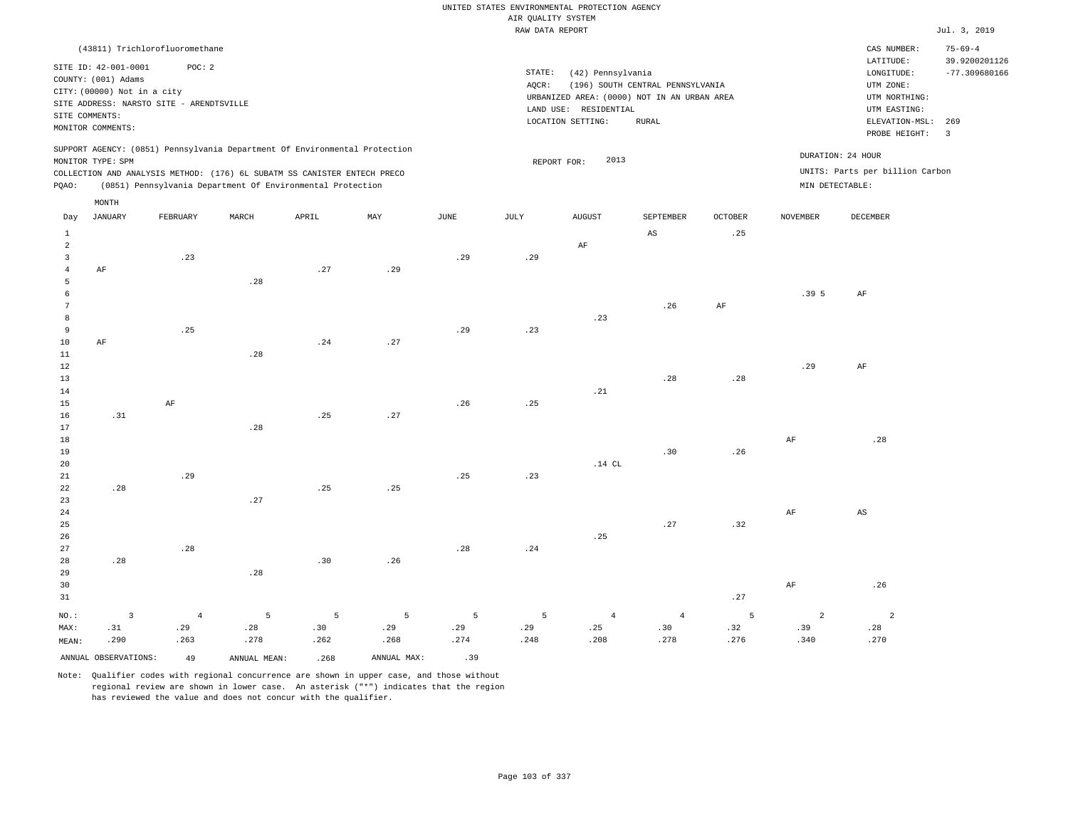|                    |  |  |                  |  | UNITED STATES ENVIRONMENTAL PROTECTION AGENCY |  |  |  |  |  |  |  |
|--------------------|--|--|------------------|--|-----------------------------------------------|--|--|--|--|--|--|--|
| AIR OUALITY SYSTEM |  |  |                  |  |                                               |  |  |  |  |  |  |  |
|                    |  |  | ---- ---- ------ |  |                                               |  |  |  |  |  |  |  |

|                 |                                                                                                                                                               |                |                                                                            |       |             |      | RAW DATA REPORT |                                                                                                                |                                                   |                |                 |                                                                                                          | Jul. 3, 2019                                                       |
|-----------------|---------------------------------------------------------------------------------------------------------------------------------------------------------------|----------------|----------------------------------------------------------------------------|-------|-------------|------|-----------------|----------------------------------------------------------------------------------------------------------------|---------------------------------------------------|----------------|-----------------|----------------------------------------------------------------------------------------------------------|--------------------------------------------------------------------|
|                 | (43811) Trichlorofluoromethane                                                                                                                                |                |                                                                            |       |             |      |                 |                                                                                                                |                                                   |                |                 | CAS NUMBER:                                                                                              | $75 - 69 - 4$                                                      |
|                 | SITE ID: 42-001-0001<br>COUNTY: (001) Adams<br>CITY: (00000) Not in a city<br>SITE ADDRESS: NARSTO SITE - ARENDTSVILLE<br>SITE COMMENTS:<br>MONITOR COMMENTS: | POC: 2         |                                                                            |       |             |      | STATE:<br>AQCR: | (42) Pennsylvania<br>URBANIZED AREA: (0000) NOT IN AN URBAN AREA<br>LAND USE: RESIDENTIAL<br>LOCATION SETTING: | (196) SOUTH CENTRAL PENNSYLVANIA<br>${\tt RURAL}$ |                |                 | LATITUDE:<br>LONGITUDE:<br>UTM ZONE:<br>UTM NORTHING:<br>UTM EASTING:<br>ELEVATION-MSL:<br>PROBE HEIGHT: | 39.9200201126<br>$-77.309680166$<br>269<br>$\overline{\mathbf{3}}$ |
|                 |                                                                                                                                                               |                | SUPPORT AGENCY: (0851) Pennsylvania Department Of Environmental Protection |       |             |      |                 |                                                                                                                |                                                   |                |                 |                                                                                                          |                                                                    |
|                 | MONITOR TYPE: SPM                                                                                                                                             |                |                                                                            |       |             |      |                 | 2013<br>REPORT FOR:                                                                                            |                                                   |                |                 | DURATION: 24 HOUR                                                                                        |                                                                    |
|                 |                                                                                                                                                               |                | COLLECTION AND ANALYSIS METHOD: (176) 6L SUBATM SS CANISTER ENTECH PRECO   |       |             |      |                 |                                                                                                                |                                                   |                |                 | UNITS: Parts per billion Carbon                                                                          |                                                                    |
| PQAO:           |                                                                                                                                                               |                | (0851) Pennsylvania Department Of Environmental Protection                 |       |             |      |                 |                                                                                                                |                                                   |                | MIN DETECTABLE: |                                                                                                          |                                                                    |
|                 | MONTH                                                                                                                                                         |                |                                                                            |       |             |      |                 |                                                                                                                |                                                   |                |                 |                                                                                                          |                                                                    |
| Day             | <b>JANUARY</b>                                                                                                                                                | FEBRUARY       | MARCH                                                                      | APRIL | MAY         | JUNE | JULY            | <b>AUGUST</b>                                                                                                  | SEPTEMBER                                         | <b>OCTOBER</b> | <b>NOVEMBER</b> | DECEMBER                                                                                                 |                                                                    |
| $\mathbf{1}$    |                                                                                                                                                               |                |                                                                            |       |             |      |                 |                                                                                                                | $\mathbb{A}\mathbb{S}$                            | .25            |                 |                                                                                                          |                                                                    |
| $\overline{a}$  |                                                                                                                                                               |                |                                                                            |       |             |      |                 | AF                                                                                                             |                                                   |                |                 |                                                                                                          |                                                                    |
| 3               |                                                                                                                                                               | .23            |                                                                            |       |             | .29  | .29             |                                                                                                                |                                                   |                |                 |                                                                                                          |                                                                    |
| $\overline{4}$  | AF                                                                                                                                                            |                |                                                                            | .27   | .29         |      |                 |                                                                                                                |                                                   |                |                 |                                                                                                          |                                                                    |
| 5               |                                                                                                                                                               |                | .28                                                                        |       |             |      |                 |                                                                                                                |                                                   |                |                 |                                                                                                          |                                                                    |
| 6               |                                                                                                                                                               |                |                                                                            |       |             |      |                 |                                                                                                                |                                                   |                | .395            | $\rm{AF}$                                                                                                |                                                                    |
| $7\phantom{.0}$ |                                                                                                                                                               |                |                                                                            |       |             |      |                 |                                                                                                                | .26                                               | AF             |                 |                                                                                                          |                                                                    |
| 8<br>9          |                                                                                                                                                               | .25            |                                                                            |       |             | .29  | .23             | .23                                                                                                            |                                                   |                |                 |                                                                                                          |                                                                    |
| 10              | AF                                                                                                                                                            |                |                                                                            | .24   | .27         |      |                 |                                                                                                                |                                                   |                |                 |                                                                                                          |                                                                    |
| 11              |                                                                                                                                                               |                | .28                                                                        |       |             |      |                 |                                                                                                                |                                                   |                |                 |                                                                                                          |                                                                    |
| 12              |                                                                                                                                                               |                |                                                                            |       |             |      |                 |                                                                                                                |                                                   |                | .29             | $\rm AF$                                                                                                 |                                                                    |
| 13              |                                                                                                                                                               |                |                                                                            |       |             |      |                 |                                                                                                                | .28                                               | .28            |                 |                                                                                                          |                                                                    |
| 14              |                                                                                                                                                               |                |                                                                            |       |             |      |                 | .21                                                                                                            |                                                   |                |                 |                                                                                                          |                                                                    |
| 15              |                                                                                                                                                               | $\rm{AF}$      |                                                                            |       |             | .26  | .25             |                                                                                                                |                                                   |                |                 |                                                                                                          |                                                                    |
| 16              | .31                                                                                                                                                           |                |                                                                            | .25   | .27         |      |                 |                                                                                                                |                                                   |                |                 |                                                                                                          |                                                                    |
| 17              |                                                                                                                                                               |                | .28                                                                        |       |             |      |                 |                                                                                                                |                                                   |                |                 |                                                                                                          |                                                                    |
| 18              |                                                                                                                                                               |                |                                                                            |       |             |      |                 |                                                                                                                |                                                   |                | AF              | .28                                                                                                      |                                                                    |
| 19              |                                                                                                                                                               |                |                                                                            |       |             |      |                 |                                                                                                                | .30                                               | .26            |                 |                                                                                                          |                                                                    |
| 20              |                                                                                                                                                               |                |                                                                            |       |             |      |                 | $.14$ CL                                                                                                       |                                                   |                |                 |                                                                                                          |                                                                    |
| 21              |                                                                                                                                                               | .29            |                                                                            |       |             | .25  | .23             |                                                                                                                |                                                   |                |                 |                                                                                                          |                                                                    |
| 22              | .28                                                                                                                                                           |                |                                                                            | .25   | .25         |      |                 |                                                                                                                |                                                   |                |                 |                                                                                                          |                                                                    |
| 23              |                                                                                                                                                               |                | .27                                                                        |       |             |      |                 |                                                                                                                |                                                   |                |                 |                                                                                                          |                                                                    |
| 24<br>25        |                                                                                                                                                               |                |                                                                            |       |             |      |                 |                                                                                                                | .27                                               | .32            | AF              | $\mathbb{A}\mathbb{S}$                                                                                   |                                                                    |
| 26              |                                                                                                                                                               |                |                                                                            |       |             |      |                 | .25                                                                                                            |                                                   |                |                 |                                                                                                          |                                                                    |
| 27              |                                                                                                                                                               | .28            |                                                                            |       |             | .28  | .24             |                                                                                                                |                                                   |                |                 |                                                                                                          |                                                                    |
| 28              | .28                                                                                                                                                           |                |                                                                            | .30   | .26         |      |                 |                                                                                                                |                                                   |                |                 |                                                                                                          |                                                                    |
| 29              |                                                                                                                                                               |                | .28                                                                        |       |             |      |                 |                                                                                                                |                                                   |                |                 |                                                                                                          |                                                                    |
| 30              |                                                                                                                                                               |                |                                                                            |       |             |      |                 |                                                                                                                |                                                   |                | $\rm{AF}$       | .26                                                                                                      |                                                                    |
| 31              |                                                                                                                                                               |                |                                                                            |       |             |      |                 |                                                                                                                |                                                   | .27            |                 |                                                                                                          |                                                                    |
|                 | $\overline{3}$                                                                                                                                                | $\overline{4}$ | 5                                                                          | 5     | 5           | 5    | 5               | $\overline{4}$                                                                                                 | $\overline{4}$                                    | 5              | $\overline{a}$  | $\overline{a}$                                                                                           |                                                                    |
| NO.:<br>MAX:    | .31                                                                                                                                                           | .29            | .28                                                                        | .30   | .29         | .29  | .29             | .25                                                                                                            | .30                                               | .32            | .39             | .28                                                                                                      |                                                                    |
| MEAN:           | .290                                                                                                                                                          | .263           | .278                                                                       | .262  | .268        | .274 | .248            | .208                                                                                                           | .278                                              | .276           | .340            | .270                                                                                                     |                                                                    |
|                 |                                                                                                                                                               |                |                                                                            |       |             |      |                 |                                                                                                                |                                                   |                |                 |                                                                                                          |                                                                    |
|                 | ANNUAL OBSERVATIONS:                                                                                                                                          | 49             | ANNUAL MEAN:                                                               | .268  | ANNUAL MAX: | .39  |                 |                                                                                                                |                                                   |                |                 |                                                                                                          |                                                                    |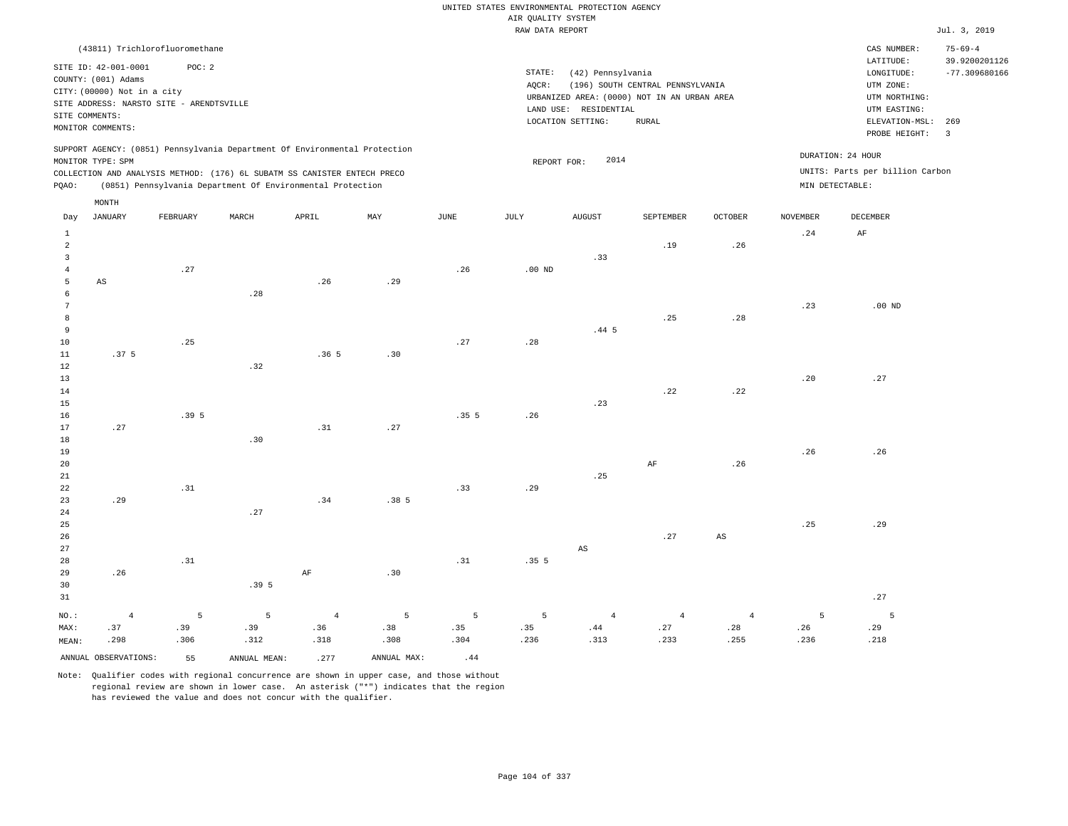RAW DATA REPORT **FOUND ASSESSED ASSESSED A**  $J$ ul. 3, 2019 UNITED STATES ENVIRONMENTAL PROTECTION AGENCY AIR QUALITY SYSTEM

|                |                             |                                          |                                                                                                                                                        |                |             |                       | same present start para |                       |                                             |                        |                 |                                                      | $0.421$ $0.4022$                 |
|----------------|-----------------------------|------------------------------------------|--------------------------------------------------------------------------------------------------------------------------------------------------------|----------------|-------------|-----------------------|-------------------------|-----------------------|---------------------------------------------|------------------------|-----------------|------------------------------------------------------|----------------------------------|
|                |                             | (43811) Trichlorofluoromethane           |                                                                                                                                                        |                |             |                       |                         |                       |                                             |                        |                 | CAS NUMBER:                                          | $75 - 69 - 4$                    |
|                | SITE ID: 42-001-0001        | POC: 2                                   |                                                                                                                                                        |                |             |                       | STATE:                  | (42) Pennsylvania     |                                             |                        |                 | LATITUDE:<br>LONGITUDE:                              | 39.9200201126<br>$-77.309680166$ |
|                | COUNTY: (001) Adams         |                                          |                                                                                                                                                        |                |             |                       | AOCR:                   |                       | (196) SOUTH CENTRAL PENNSYLVANIA            |                        |                 | UTM ZONE:                                            |                                  |
|                | CITY: (00000) Not in a city |                                          |                                                                                                                                                        |                |             |                       |                         |                       | URBANIZED AREA: (0000) NOT IN AN URBAN AREA |                        |                 | UTM NORTHING:                                        |                                  |
|                |                             | SITE ADDRESS: NARSTO SITE - ARENDTSVILLE |                                                                                                                                                        |                |             |                       |                         | LAND USE: RESIDENTIAL |                                             |                        |                 | UTM EASTING:                                         |                                  |
|                | SITE COMMENTS:              |                                          |                                                                                                                                                        |                |             |                       |                         | LOCATION SETTING:     | RURAL                                       |                        |                 | ELEVATION-MSL:                                       | 269                              |
|                | MONITOR COMMENTS:           |                                          |                                                                                                                                                        |                |             |                       |                         |                       |                                             |                        |                 | PROBE HEIGHT:                                        | $\overline{\mathbf{3}}$          |
|                | MONITOR TYPE: SPM           |                                          | SUPPORT AGENCY: (0851) Pennsylvania Department Of Environmental Protection<br>COLLECTION AND ANALYSIS METHOD: (176) 6L SUBATM SS CANISTER ENTECH PRECO |                |             |                       | REPORT FOR:             | 2014                  |                                             |                        |                 | DURATION: 24 HOUR<br>UNITS: Parts per billion Carbon |                                  |
| PQAO:          |                             |                                          | (0851) Pennsylvania Department Of Environmental Protection                                                                                             |                |             |                       |                         |                       |                                             |                        | MIN DETECTABLE: |                                                      |                                  |
|                | MONTH                       |                                          |                                                                                                                                                        |                |             |                       |                         |                       |                                             |                        |                 |                                                      |                                  |
| Day            | <b>JANUARY</b>              | FEBRUARY                                 | MARCH                                                                                                                                                  | APRIL          | MAY         | $\operatorname{JUNE}$ | JULY                    | <b>AUGUST</b>         | SEPTEMBER                                   | <b>OCTOBER</b>         | <b>NOVEMBER</b> | DECEMBER                                             |                                  |
| $\mathbf{1}$   |                             |                                          |                                                                                                                                                        |                |             |                       |                         |                       |                                             |                        | .24             | $\rm AF$                                             |                                  |
| $\overline{a}$ |                             |                                          |                                                                                                                                                        |                |             |                       |                         |                       | .19                                         | .26                    |                 |                                                      |                                  |
| $\mathbf{3}$   |                             |                                          |                                                                                                                                                        |                |             |                       |                         | .33                   |                                             |                        |                 |                                                      |                                  |
| $\bf{4}$       |                             | .27                                      |                                                                                                                                                        |                |             | .26                   | $.00$ ND                |                       |                                             |                        |                 |                                                      |                                  |
| 5              | $_{\rm AS}$                 |                                          |                                                                                                                                                        | .26            | .29         |                       |                         |                       |                                             |                        |                 |                                                      |                                  |
| 6              |                             |                                          | .28                                                                                                                                                    |                |             |                       |                         |                       |                                             |                        |                 |                                                      |                                  |
| $\overline{7}$ |                             |                                          |                                                                                                                                                        |                |             |                       |                         |                       |                                             |                        | .23             | $.00$ ND                                             |                                  |
| 8              |                             |                                          |                                                                                                                                                        |                |             |                       |                         |                       | .25                                         | .28                    |                 |                                                      |                                  |
| $\,9$          |                             |                                          |                                                                                                                                                        |                |             |                       |                         | $.44-5$               |                                             |                        |                 |                                                      |                                  |
| 10             |                             | .25                                      |                                                                                                                                                        |                |             | .27                   | .28                     |                       |                                             |                        |                 |                                                      |                                  |
| 11             | .37 <sub>5</sub>            |                                          |                                                                                                                                                        | .365           | .30         |                       |                         |                       |                                             |                        |                 |                                                      |                                  |
| 12             |                             |                                          | .32                                                                                                                                                    |                |             |                       |                         |                       |                                             |                        |                 |                                                      |                                  |
| 13             |                             |                                          |                                                                                                                                                        |                |             |                       |                         |                       |                                             |                        | .20             | .27                                                  |                                  |
| 14             |                             |                                          |                                                                                                                                                        |                |             |                       |                         |                       | .22                                         | .22                    |                 |                                                      |                                  |
| 15             |                             |                                          |                                                                                                                                                        |                |             |                       |                         | .23                   |                                             |                        |                 |                                                      |                                  |
| 16             |                             | .395                                     |                                                                                                                                                        |                |             | .355                  | .26                     |                       |                                             |                        |                 |                                                      |                                  |
| 17             | .27                         |                                          |                                                                                                                                                        | .31            | .27         |                       |                         |                       |                                             |                        |                 |                                                      |                                  |
| 18             |                             |                                          | .30                                                                                                                                                    |                |             |                       |                         |                       |                                             |                        |                 |                                                      |                                  |
| 19             |                             |                                          |                                                                                                                                                        |                |             |                       |                         |                       |                                             |                        | .26             | .26                                                  |                                  |
| 20             |                             |                                          |                                                                                                                                                        |                |             |                       |                         |                       | AF                                          | .26                    |                 |                                                      |                                  |
| 21             |                             |                                          |                                                                                                                                                        |                |             |                       |                         | .25                   |                                             |                        |                 |                                                      |                                  |
| 22             |                             | .31                                      |                                                                                                                                                        |                |             | .33                   | .29                     |                       |                                             |                        |                 |                                                      |                                  |
| 23             | .29                         |                                          |                                                                                                                                                        | .34            | .385        |                       |                         |                       |                                             |                        |                 |                                                      |                                  |
| 24             |                             |                                          | .27                                                                                                                                                    |                |             |                       |                         |                       |                                             |                        |                 |                                                      |                                  |
| 25             |                             |                                          |                                                                                                                                                        |                |             |                       |                         |                       |                                             |                        | .25             | .29                                                  |                                  |
| 26             |                             |                                          |                                                                                                                                                        |                |             |                       |                         |                       | .27                                         | $\mathbb{A}\mathbb{S}$ |                 |                                                      |                                  |
| 27             |                             |                                          |                                                                                                                                                        |                |             |                       |                         | $_{\rm AS}$           |                                             |                        |                 |                                                      |                                  |
| 28             |                             | .31                                      |                                                                                                                                                        |                |             | .31                   | .355                    |                       |                                             |                        |                 |                                                      |                                  |
| 29             | .26                         |                                          |                                                                                                                                                        | $\rm AF$       | .30         |                       |                         |                       |                                             |                        |                 |                                                      |                                  |
| 30             |                             |                                          | .395                                                                                                                                                   |                |             |                       |                         |                       |                                             |                        |                 |                                                      |                                  |
| 31             |                             |                                          |                                                                                                                                                        |                |             |                       |                         |                       |                                             |                        |                 | .27                                                  |                                  |
| NO.:           | $\overline{4}$              | 5                                        | 5                                                                                                                                                      | $\overline{4}$ | 5           | 5                     | 5                       | $\overline{4}$        | $\overline{4}$                              | $\overline{4}$         | 5               | 5                                                    |                                  |
| MAX:           | .37                         | .39                                      | .39                                                                                                                                                    | .36            | .38         | .35                   | .35                     | .44                   | .27                                         | .28                    | .26             | .29                                                  |                                  |
| MEAN:          | .298                        | .306                                     | .312                                                                                                                                                   | .318           | .308        | .304                  | .236                    | .313                  | .233                                        | .255                   | .236            | .218                                                 |                                  |
|                | ANNUAL OBSERVATIONS:        | 55                                       | ANNUAL MEAN:                                                                                                                                           | .277           | ANNUAL MAX: | .44                   |                         |                       |                                             |                        |                 |                                                      |                                  |
|                |                             |                                          |                                                                                                                                                        |                |             |                       |                         |                       |                                             |                        |                 |                                                      |                                  |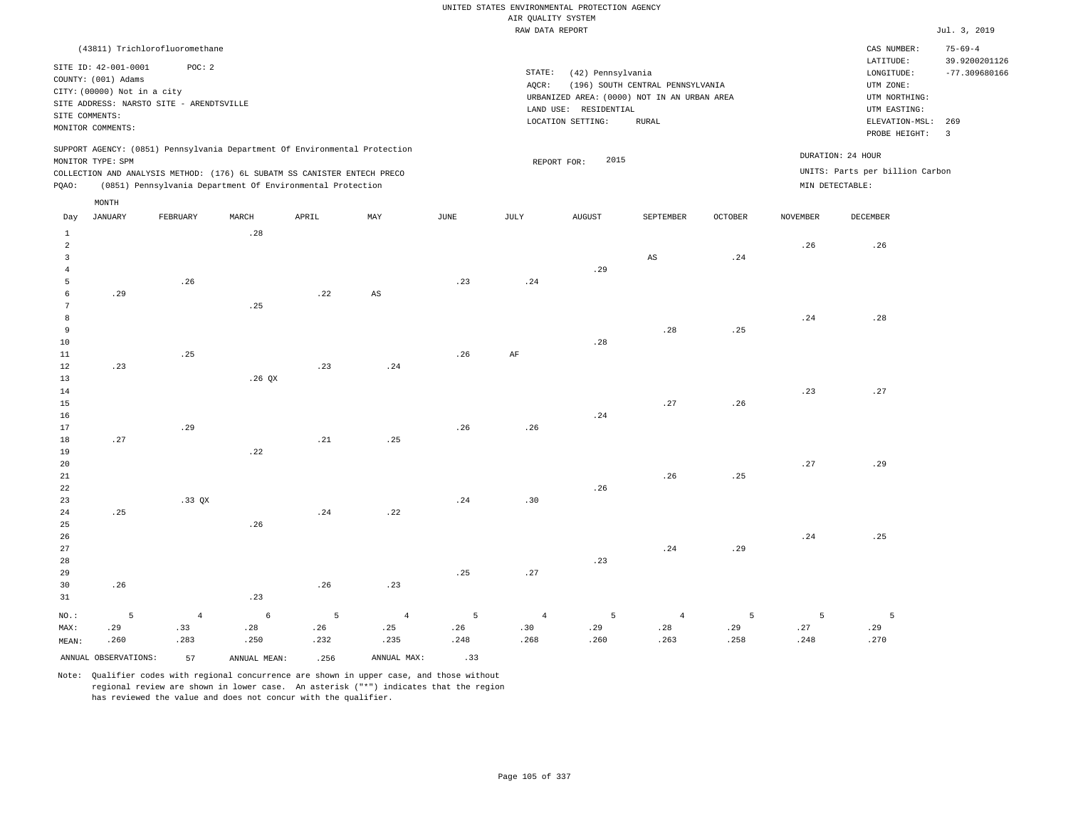RAW DATA REPORT Jul. 3, 2019 UNITED STATES ENVIRONMENTAL PROTECTION AGENCY AIR QUALITY SYSTEM

|       |                             | (43811) Trichlorofluoromethane                                           |       |       |                                                                            |      |        |                                             |                                  |                |                 | CAS NUMBER:                                          | $75 - 69 - 4$   |
|-------|-----------------------------|--------------------------------------------------------------------------|-------|-------|----------------------------------------------------------------------------|------|--------|---------------------------------------------|----------------------------------|----------------|-----------------|------------------------------------------------------|-----------------|
|       | SITE ID: 42-001-0001        | POC:2                                                                    |       |       |                                                                            |      |        |                                             |                                  |                |                 | LATITUDE:                                            | 39.9200201126   |
|       |                             |                                                                          |       |       |                                                                            |      | STATE: | (42) Pennsylvania                           |                                  |                |                 | LONGITUDE:                                           | $-77.309680166$ |
|       | COUNTY: (001) Adams         |                                                                          |       |       |                                                                            |      | AOCR:  |                                             | (196) SOUTH CENTRAL PENNSYLVANIA |                |                 | UTM ZONE:                                            |                 |
|       | CITY: (00000) Not in a city |                                                                          |       |       |                                                                            |      |        | URBANIZED AREA: (0000) NOT IN AN URBAN AREA |                                  |                |                 | UTM NORTHING:                                        |                 |
|       |                             | SITE ADDRESS: NARSTO SITE - ARENDTSVILLE                                 |       |       |                                                                            |      |        | LAND USE: RESIDENTIAL                       |                                  |                |                 | UTM EASTING:                                         |                 |
|       | SITE COMMENTS:              |                                                                          |       |       |                                                                            |      |        | LOCATION SETTING:                           | RURAL                            |                |                 | ELEVATION-MSL:                                       | 269             |
|       | MONITOR COMMENTS:           |                                                                          |       |       |                                                                            |      |        |                                             |                                  |                |                 | PROBE HEIGHT:                                        | 3               |
|       | MONITOR TYPE: SPM           | COLLECTION AND ANALYSIS METHOD: (176) 6L SUBATM SS CANISTER ENTECH PRECO |       |       | SUPPORT AGENCY: (0851) Pennsylvania Department Of Environmental Protection |      |        | 2015<br>REPORT FOR:                         |                                  |                |                 | DURATION: 24 HOUR<br>UNITS: Parts per billion Carbon |                 |
| POAO: |                             | (0851) Pennsylvania Department Of Environmental Protection               |       |       |                                                                            |      |        |                                             |                                  |                | MIN DETECTABLE: |                                                      |                 |
|       | MONTH                       |                                                                          |       |       |                                                                            |      |        |                                             |                                  |                |                 |                                                      |                 |
| Day   | JANUARY                     | FEBRUARY                                                                 | MARCH | APRIL | MAY                                                                        | JUNE | JULY   | <b>AUGUST</b>                               | SEPTEMBER                        | <b>OCTOBER</b> | NOVEMBER        | DECEMBER                                             |                 |
|       |                             |                                                                          | .28   |       |                                                                            |      |        |                                             |                                  |                |                 |                                                      |                 |
|       |                             |                                                                          |       |       |                                                                            |      |        |                                             |                                  |                | .26             | .26                                                  |                 |
|       |                             |                                                                          |       |       |                                                                            |      |        |                                             | AS                               | .24            |                 |                                                      |                 |

| $\overline{4}$                                |     |     |          |     |                        |     |     | .29 |     |     |     |     |
|-----------------------------------------------|-----|-----|----------|-----|------------------------|-----|-----|-----|-----|-----|-----|-----|
| 5 <sub>1</sub>                                |     | .26 |          |     |                        | .23 | .24 |     |     |     |     |     |
| $6\overline{6}$                               | .29 |     |          | .22 | $\mathbb{A}\mathbb{S}$ |     |     |     |     |     |     |     |
| 7                                             |     |     | .25      |     |                        |     |     |     |     |     |     |     |
| 8                                             |     |     |          |     |                        |     |     |     |     |     | .24 | .28 |
| 9                                             |     |     |          |     |                        |     |     |     | .28 | .25 |     |     |
|                                               |     |     |          |     |                        |     |     | .28 |     |     |     |     |
| $\begin{array}{c} 10 \\ 11 \\ 12 \end{array}$ |     | .25 |          |     |                        | .26 | AF  |     |     |     |     |     |
|                                               | .23 |     |          | .23 | .24                    |     |     |     |     |     |     |     |
| $\begin{array}{c} 13 \\ 14 \end{array}$       |     |     | $.26$ QX |     |                        |     |     |     |     |     |     |     |
|                                               |     |     |          |     |                        |     |     |     |     |     | .23 | .27 |
| 15                                            |     |     |          |     |                        |     |     |     | .27 | .26 |     |     |
|                                               |     |     |          |     |                        |     |     | .24 |     |     |     |     |
| $\begin{array}{c} 16 \\ 17 \end{array}$       |     | .29 |          |     |                        | .26 | .26 |     |     |     |     |     |
| $18\,$                                        | .27 |     |          | .21 | .25                    |     |     |     |     |     |     |     |
| 19                                            |     |     | .22      |     |                        |     |     |     |     |     |     |     |

| 20 |     |        |     |     |     |     |     |     |     |     | .27 | .29 |
|----|-----|--------|-----|-----|-----|-----|-----|-----|-----|-----|-----|-----|
| 21 |     |        |     |     |     |     |     |     | .26 | .25 |     |     |
| 22 |     |        |     |     |     |     |     | .26 |     |     |     |     |
| 23 |     | .33 QX |     |     |     | .24 | .30 |     |     |     |     |     |
| 24 | .25 |        |     | .24 | .22 |     |     |     |     |     |     |     |
| 25 |     |        | .26 |     |     |     |     |     |     |     |     |     |
| 26 |     |        |     |     |     |     |     |     |     |     | .24 | .25 |
| 27 |     |        |     |     |     |     |     |     | .24 | .29 |     |     |
| 28 |     |        |     |     |     |     |     | .23 |     |     |     |     |

| 29    |      |         |         |                |                 | .25      | .27             |      |      |                |      |      |
|-------|------|---------|---------|----------------|-----------------|----------|-----------------|------|------|----------------|------|------|
| 30    | .26  |         |         | .26            | .23             |          |                 |      |      |                |      |      |
| 31    |      |         | .23     |                |                 |          |                 |      |      |                |      |      |
| NO.:  |      | $4 - 4$ | $6 - 6$ | $\overline{5}$ | $4\overline{ }$ | $\sim$ 5 | $4\overline{4}$ | $-5$ | -4   | 5 <sup>5</sup> |      | 5    |
| MAX:  | .29  | .33     | .28     | .26            | .25             | .26      | .30             | .29  | .28  | .29            | .27  | .29  |
| MEAN: | .260 | .283    | .250    | .232           | .235            | .248     | .268            | .260 | .263 | .258           | .248 | .270 |

ANNUAL OBSERVATIONS: 57 ANNUAL MEAN: .256 ANNUAL MAX: .33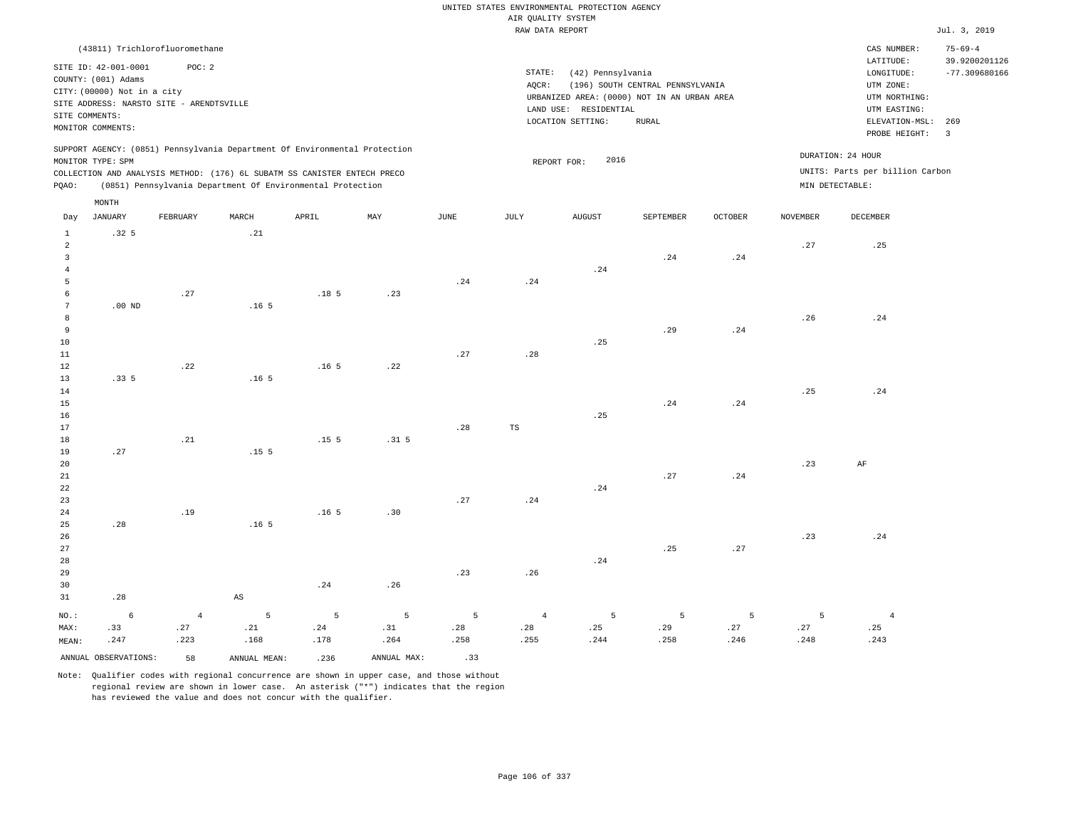RAW DATA REPORT **FOUND ASSESSED ASSESSED A**  $Jul. 3, 2019$ UNITED STATES ENVIRONMENTAL PROTECTION AGENCY AIR QUALITY SYSTEM

|       |                             | (43811) Trichlorofluoromethane           |                  |                                                                            |     |      |           |                     |                                             |                |                 | CAS NUMBER:                     | $75 - 69 - 4$            |
|-------|-----------------------------|------------------------------------------|------------------|----------------------------------------------------------------------------|-----|------|-----------|---------------------|---------------------------------------------|----------------|-----------------|---------------------------------|--------------------------|
|       | SITE ID: 42-001-0001        | POC: 2                                   |                  |                                                                            |     |      |           |                     |                                             |                |                 | LATITUDE:                       | 39.9200201126            |
|       | COUNTY: (001) Adams         |                                          |                  |                                                                            |     |      | STATE:    | (42) Pennsylvania   |                                             |                |                 | LONGITUDE:                      | $-77.309680166$          |
|       | CITY: (00000) Not in a city |                                          |                  |                                                                            |     |      | AOCR:     |                     | (196) SOUTH CENTRAL PENNSYLVANIA            |                |                 | UTM ZONE:                       |                          |
|       |                             | SITE ADDRESS: NARSTO SITE - ARENDTSVILLE |                  |                                                                            |     |      |           |                     | URBANIZED AREA: (0000) NOT IN AN URBAN AREA |                |                 | UTM NORTHING:                   |                          |
|       | SITE COMMENTS:              |                                          |                  |                                                                            |     |      | LAND USE: | RESIDENTIAL         |                                             |                |                 | UTM EASTING:                    |                          |
|       |                             |                                          |                  |                                                                            |     |      |           | LOCATION SETTING:   | RURAL                                       |                |                 | ELEVATION-MSL:                  | 269                      |
|       | MONITOR COMMENTS:           |                                          |                  |                                                                            |     |      |           |                     |                                             |                |                 | PROBE HEIGHT:                   | $\overline{\phantom{a}}$ |
|       |                             |                                          |                  | SUPPORT AGENCY: (0851) Pennsylvania Department Of Environmental Protection |     |      |           |                     |                                             |                |                 |                                 |                          |
|       | MONITOR TYPE: SPM           |                                          |                  |                                                                            |     |      |           | 2016<br>REPORT FOR: |                                             |                |                 | DURATION: 24 HOUR               |                          |
|       |                             |                                          |                  | COLLECTION AND ANALYSIS METHOD: (176) 6L SUBATM SS CANISTER ENTECH PRECO   |     |      |           |                     |                                             |                |                 | UNITS: Parts per billion Carbon |                          |
| POAO: |                             |                                          |                  | (0851) Pennsylvania Department Of Environmental Protection                 |     |      |           |                     |                                             |                |                 | MIN DETECTABLE:                 |                          |
|       |                             |                                          |                  |                                                                            |     |      |           |                     |                                             |                |                 |                                 |                          |
|       | MONTH                       |                                          |                  |                                                                            |     |      |           |                     |                                             |                |                 |                                 |                          |
| Day   | JANUARY                     | FEBRUARY                                 | MARCH            | APRIL                                                                      | MAY | JUNE | JULY      | <b>AUGUST</b>       | SEPTEMBER                                   | <b>OCTOBER</b> | <b>NOVEMBER</b> | DECEMBER                        |                          |
|       | .32 <sub>5</sub>            |                                          | .21              |                                                                            |     |      |           |                     |                                             |                |                 |                                 |                          |
| 2     |                             |                                          |                  |                                                                            |     |      |           |                     |                                             |                | .27             | .25                             |                          |
|       |                             |                                          |                  |                                                                            |     |      |           |                     | .24                                         | .24            |                 |                                 |                          |
|       |                             |                                          |                  |                                                                            |     |      |           | .24                 |                                             |                |                 |                                 |                          |
|       |                             |                                          |                  |                                                                            |     | .24  | .24       |                     |                                             |                |                 |                                 |                          |
|       |                             | .27                                      |                  | .18 <sub>5</sub>                                                           | .23 |      |           |                     |                                             |                |                 |                                 |                          |
|       | $.00$ ND                    |                                          | .16 <sub>5</sub> |                                                                            |     |      |           |                     |                                             |                |                 |                                 |                          |
|       |                             |                                          |                  |                                                                            |     |      |           |                     |                                             |                |                 |                                 |                          |

| 8 <sup>1</sup> |               |                    |  |     |     |     |     |     | .26 | .24 |
|----------------|---------------|--------------------|--|-----|-----|-----|-----|-----|-----|-----|
| 9              |               |                    |  |     |     |     | .29 | .24 |     |     |
| 10             |               |                    |  |     |     | .25 |     |     |     |     |
| 11             |               |                    |  | .27 | .28 |     |     |     |     |     |
| 12             |               | $.22$ $.165$ $.22$ |  |     |     |     |     |     |     |     |
| 13             | $.335$ $.165$ |                    |  |     |     |     |     |     |     |     |
| 14             |               |                    |  |     |     |     |     |     | .25 | .24 |

| $ -$ |                     |  |          |     |             | --- |  |
|------|---------------------|--|----------|-----|-------------|-----|--|
| 15   |                     |  |          |     | $.24$ $.24$ |     |  |
| 16   |                     |  |          | .25 |             |     |  |
| 17   |                     |  | $.28$ TS |     |             |     |  |
| 18   | $.21$ $.155$ $.315$ |  |          |     |             |     |  |

|    | $19 \t 27 \t 155$ |              |  |             |     |             |     |    |
|----|-------------------|--------------|--|-------------|-----|-------------|-----|----|
| 20 |                   |              |  |             |     |             | .23 | AF |
| 21 |                   |              |  |             |     | $.27$ $.24$ |     |    |
| 22 |                   |              |  |             | .24 |             |     |    |
| 23 |                   |              |  | $.27$ $.24$ |     |             |     |    |
| 24 | .19               | $.165$ $.30$ |  |             |     |             |     |    |

|    | 25 28 28 16 5                                    |             |     |     |                                |             |         |     |
|----|--------------------------------------------------|-------------|-----|-----|--------------------------------|-------------|---------|-----|
| 26 |                                                  |             |     |     |                                |             | $.23 -$ | .24 |
| 27 |                                                  |             |     |     |                                | $.25$ $.27$ |         |     |
| 28 |                                                  |             |     |     | .24                            |             |         |     |
| 29 |                                                  |             | .23 | .26 |                                |             |         |     |
| 30 |                                                  | $.24$ $.26$ |     |     |                                |             |         |     |
|    | $31 \hspace{3.1em} .28 \hspace{3.1em} \text{AS}$ |             |     |     |                                |             |         |     |
|    |                                                  |             |     |     | NO.: 6 4 5 5 5 5 5 4 5 5 5 5 4 |             |         |     |

| MAX:  |                      | .27  | .21          |      |             | . 28 | .28  |      | .29   |      |      |
|-------|----------------------|------|--------------|------|-------------|------|------|------|-------|------|------|
| MEAN: | .247                 | .223 | .168         | .178 | .264        | .258 | .255 | .244 | . 258 | .246 | .248 |
|       | ANNUAL OBSERVATIONS: | 58   | ANNUAL MEAN: | .236 | ANNUAL MAX: |      |      |      |       |      |      |

Note: Qualifier codes with regional concurrence are shown in upper case, and those without regional review are shown in lower case. An asterisk ("\*") indicates that the region has reviewed the value and does not concur with the qualifier.

 .25 .243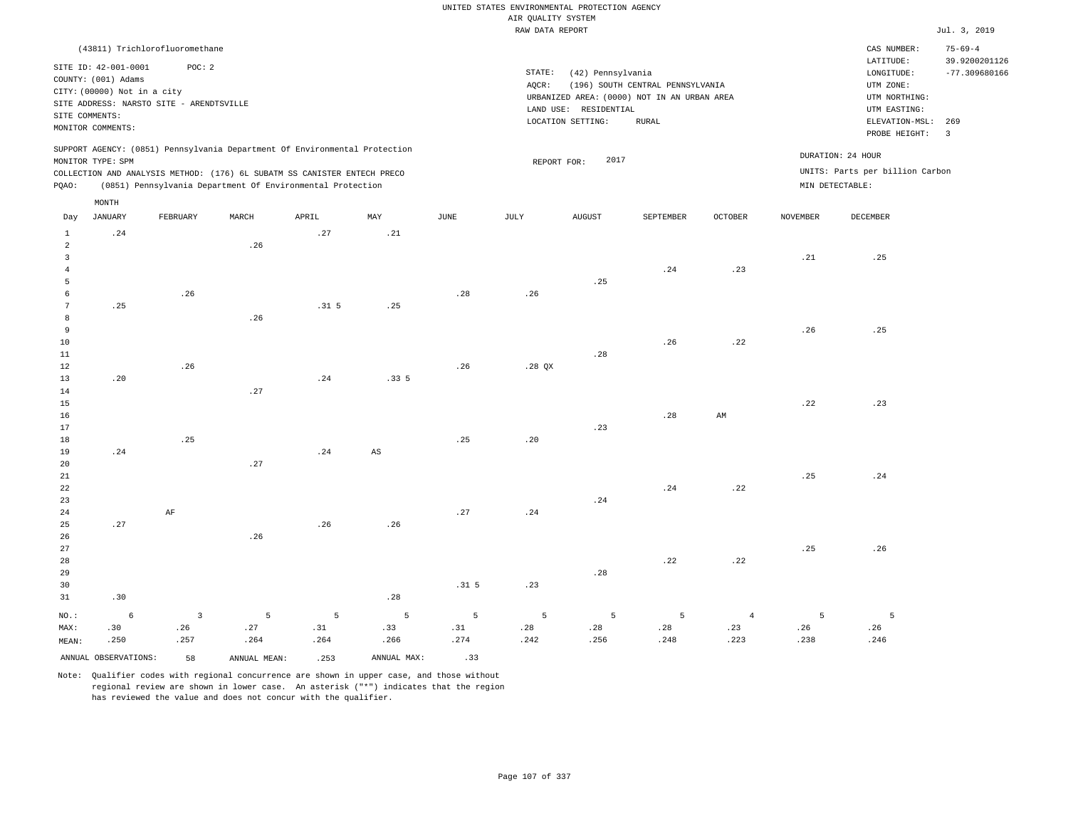|                                |                                                                               |                         |                                                                                                                                        |                  |             |                  | UNITED STATES ENVIRONMENTAL PROTECTION AGENCY |                       |                                             |                |                   |                                                     |                                                   |
|--------------------------------|-------------------------------------------------------------------------------|-------------------------|----------------------------------------------------------------------------------------------------------------------------------------|------------------|-------------|------------------|-----------------------------------------------|-----------------------|---------------------------------------------|----------------|-------------------|-----------------------------------------------------|---------------------------------------------------|
|                                |                                                                               |                         |                                                                                                                                        |                  |             |                  | AIR QUALITY SYSTEM                            |                       |                                             |                |                   |                                                     |                                                   |
|                                |                                                                               |                         |                                                                                                                                        |                  |             |                  | RAW DATA REPORT                               |                       |                                             |                |                   |                                                     | Jul. 3, 2019                                      |
|                                | (43811) Trichlorofluoromethane<br>SITE ID: 42-001-0001<br>COUNTY: (001) Adams | POC: 2                  |                                                                                                                                        |                  |             |                  | STATE:<br>AQCR:                               | (42) Pennsylvania     | (196) SOUTH CENTRAL PENNSYLVANIA            |                |                   | CAS NUMBER:<br>LATITUDE:<br>LONGITUDE:<br>UTM ZONE: | $75 - 69 - 4$<br>39.9200201126<br>$-77.309680166$ |
|                                | CITY: (00000) Not in a city<br>SITE ADDRESS: NARSTO SITE - ARENDTSVILLE       |                         |                                                                                                                                        |                  |             |                  |                                               |                       | URBANIZED AREA: (0000) NOT IN AN URBAN AREA |                |                   | UTM NORTHING:                                       |                                                   |
| SITE COMMENTS:                 |                                                                               |                         |                                                                                                                                        |                  |             |                  |                                               | LAND USE: RESIDENTIAL |                                             |                |                   | UTM EASTING:                                        |                                                   |
|                                | MONITOR COMMENTS:                                                             |                         |                                                                                                                                        |                  |             |                  |                                               | LOCATION SETTING:     | RURAL                                       |                |                   | ELEVATION-MSL:<br>PROBE HEIGHT:                     | 269<br>3                                          |
|                                | MONITOR TYPE: SPM                                                             |                         | SUPPORT AGENCY: (0851) Pennsylvania Department Of Environmental Protection                                                             |                  |             |                  | REPORT FOR:                                   | 2017                  |                                             |                | DURATION: 24 HOUR |                                                     |                                                   |
| PQAO:                          |                                                                               |                         | COLLECTION AND ANALYSIS METHOD: (176) 6L SUBATM SS CANISTER ENTECH PRECO<br>(0851) Pennsylvania Department Of Environmental Protection |                  |             |                  |                                               |                       |                                             |                | MIN DETECTABLE:   | UNITS: Parts per billion Carbon                     |                                                   |
|                                | MONTH                                                                         |                         |                                                                                                                                        |                  |             |                  |                                               |                       |                                             |                |                   |                                                     |                                                   |
| Day                            | <b>JANUARY</b>                                                                | FEBRUARY                | MARCH                                                                                                                                  | APRIL            | MAY         | $_{\rm JUNE}$    | <b>JULY</b>                                   | <b>AUGUST</b>         | SEPTEMBER                                   | <b>OCTOBER</b> | <b>NOVEMBER</b>   | <b>DECEMBER</b>                                     |                                                   |
| $\mathbf{1}$<br>$\overline{2}$ | .24                                                                           |                         | .26                                                                                                                                    | .27              | .21         |                  |                                               |                       |                                             |                |                   |                                                     |                                                   |
| $\overline{3}$                 |                                                                               |                         |                                                                                                                                        |                  |             |                  |                                               |                       |                                             |                | .21               | .25                                                 |                                                   |
| $\overline{4}$<br>5            |                                                                               |                         |                                                                                                                                        |                  |             |                  |                                               | .25                   | .24                                         | .23            |                   |                                                     |                                                   |
| 6                              |                                                                               | .26                     |                                                                                                                                        |                  |             | .28              | .26                                           |                       |                                             |                |                   |                                                     |                                                   |
| $7\phantom{.0}$<br>8           | .25                                                                           |                         | .26                                                                                                                                    | .31 <sub>5</sub> | .25         |                  |                                               |                       |                                             |                |                   |                                                     |                                                   |
| $\overline{9}$                 |                                                                               |                         |                                                                                                                                        |                  |             |                  |                                               |                       |                                             |                | .26               | .25                                                 |                                                   |
| 10                             |                                                                               |                         |                                                                                                                                        |                  |             |                  |                                               |                       | .26                                         | .22            |                   |                                                     |                                                   |
| 11<br>12                       |                                                                               | .26                     |                                                                                                                                        |                  |             | .26              | $.28$ $OX$                                    | .28                   |                                             |                |                   |                                                     |                                                   |
| $13$                           | .20                                                                           |                         |                                                                                                                                        | .24              | .335        |                  |                                               |                       |                                             |                |                   |                                                     |                                                   |
| 14<br>15                       |                                                                               |                         | .27                                                                                                                                    |                  |             |                  |                                               |                       |                                             |                | .22               | .23                                                 |                                                   |
| 16                             |                                                                               |                         |                                                                                                                                        |                  |             |                  |                                               |                       | .28                                         | AM             |                   |                                                     |                                                   |
| 17                             |                                                                               |                         |                                                                                                                                        |                  |             |                  |                                               | .23                   |                                             |                |                   |                                                     |                                                   |
| $1\,8$<br>19                   | .24                                                                           | .25                     |                                                                                                                                        | .24              | AS          | .25              | .20                                           |                       |                                             |                |                   |                                                     |                                                   |
| 20                             |                                                                               |                         | .27                                                                                                                                    |                  |             |                  |                                               |                       |                                             |                |                   |                                                     |                                                   |
| 21<br>22                       |                                                                               |                         |                                                                                                                                        |                  |             |                  |                                               |                       | .24                                         | .22            | .25               | .24                                                 |                                                   |
| 23                             |                                                                               |                         |                                                                                                                                        |                  |             |                  |                                               | .24                   |                                             |                |                   |                                                     |                                                   |
| 24                             |                                                                               | $\rm{AF}$               |                                                                                                                                        |                  |             | .27              | .24                                           |                       |                                             |                |                   |                                                     |                                                   |
| 25<br>26                       | .27                                                                           |                         | .26                                                                                                                                    | .26              | .26         |                  |                                               |                       |                                             |                |                   |                                                     |                                                   |
| 27                             |                                                                               |                         |                                                                                                                                        |                  |             |                  |                                               |                       |                                             |                | .25               | .26                                                 |                                                   |
| 28                             |                                                                               |                         |                                                                                                                                        |                  |             |                  |                                               |                       | .22                                         | .22            |                   |                                                     |                                                   |
| 29<br>30                       |                                                                               |                         |                                                                                                                                        |                  |             | .31 <sub>5</sub> | .23                                           | .28                   |                                             |                |                   |                                                     |                                                   |
| 31                             | .30                                                                           |                         |                                                                                                                                        |                  | .28         |                  |                                               |                       |                                             |                |                   |                                                     |                                                   |
| NO.:                           | $\epsilon$                                                                    | $\overline{\mathbf{3}}$ | 5                                                                                                                                      | $5\phantom{.0}$  | 5           | $5\phantom{.0}$  | 5                                             | 5                     | $\overline{5}$                              | $\overline{4}$ | 5                 | 5                                                   |                                                   |
| MAX:                           | .30                                                                           | .26                     | .27                                                                                                                                    | .31              | .33         | .31              | .28                                           | .28                   | .28                                         | .23            | .26               | .26                                                 |                                                   |
| MEAN:                          | .250                                                                          | .257                    | .264                                                                                                                                   | .264             | .266        | .274             | .242                                          | .256                  | .248                                        | .223           | .238              | .246                                                |                                                   |
|                                | ANNUAL OBSERVATIONS:                                                          | 58                      | ANNUAL MEAN:                                                                                                                           | .253             | ANNUAL MAX: | .33              |                                               |                       |                                             |                |                   |                                                     |                                                   |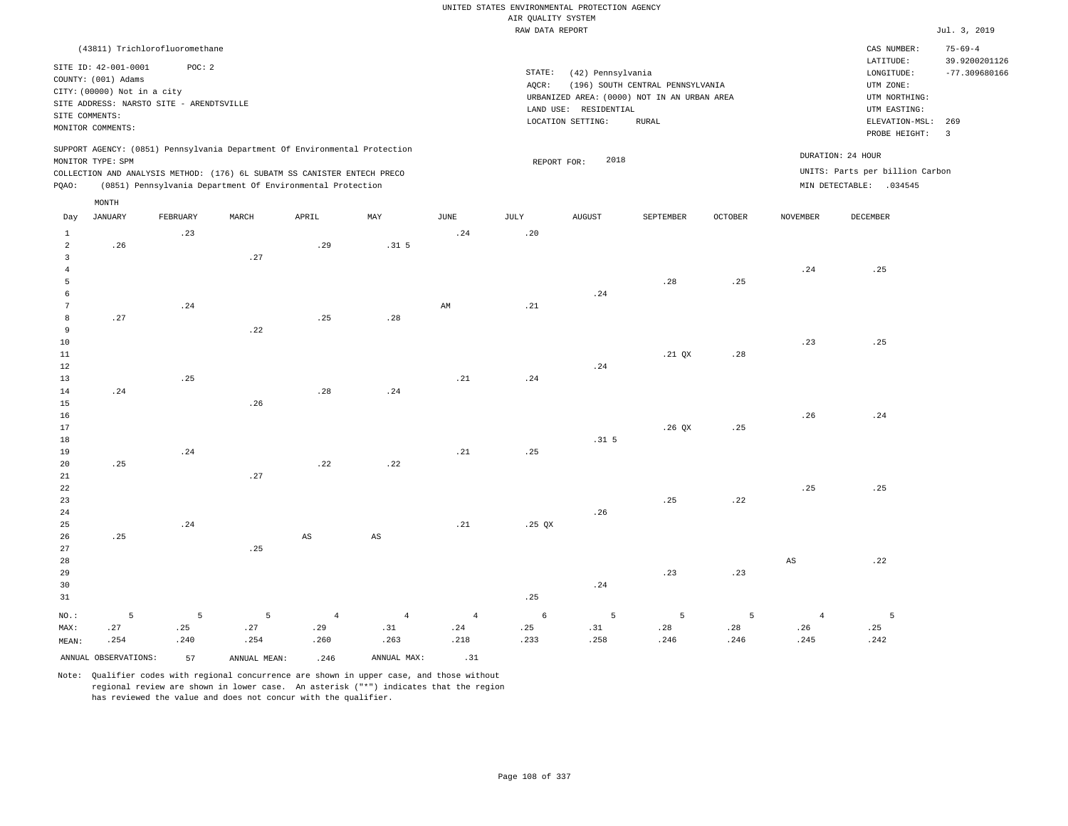|                 |                                             |                                          |              |                                                                            |                        |                        | UNITED STATES ENVIRONMENTAL PROTECTION AGENCY |                       |                                             |                |                 |                                 |                         |
|-----------------|---------------------------------------------|------------------------------------------|--------------|----------------------------------------------------------------------------|------------------------|------------------------|-----------------------------------------------|-----------------------|---------------------------------------------|----------------|-----------------|---------------------------------|-------------------------|
|                 |                                             |                                          |              |                                                                            |                        |                        | AIR QUALITY SYSTEM                            |                       |                                             |                |                 |                                 |                         |
|                 |                                             |                                          |              |                                                                            |                        |                        | RAW DATA REPORT                               |                       |                                             |                |                 |                                 | Jul. 3, 2019            |
|                 |                                             | (43811) Trichlorofluoromethane           |              |                                                                            |                        |                        |                                               |                       |                                             |                |                 | CAS NUMBER:                     | $75 - 69 - 4$           |
|                 |                                             |                                          |              |                                                                            |                        |                        |                                               |                       |                                             |                |                 | LATITUDE:                       | 39.9200201126           |
|                 | SITE ID: 42-001-0001<br>COUNTY: (001) Adams | POC: 2                                   |              |                                                                            |                        |                        | STATE:                                        | (42) Pennsylvania     |                                             |                |                 | LONGITUDE:                      | $-77.309680166$         |
|                 | CITY: (00000) Not in a city                 |                                          |              |                                                                            |                        |                        | AOCR:                                         |                       | (196) SOUTH CENTRAL PENNSYLVANIA            |                |                 | UTM ZONE:                       |                         |
|                 |                                             | SITE ADDRESS: NARSTO SITE - ARENDTSVILLE |              |                                                                            |                        |                        |                                               |                       | URBANIZED AREA: (0000) NOT IN AN URBAN AREA |                |                 | UTM NORTHING:                   |                         |
|                 | SITE COMMENTS:                              |                                          |              |                                                                            |                        |                        |                                               | LAND USE: RESIDENTIAL |                                             |                |                 | UTM EASTING:                    |                         |
|                 | MONITOR COMMENTS:                           |                                          |              |                                                                            |                        |                        |                                               | LOCATION SETTING:     | <b>RURAL</b>                                |                |                 | ELEVATION-MSL:                  | 269                     |
|                 |                                             |                                          |              |                                                                            |                        |                        |                                               |                       |                                             |                |                 | PROBE HEIGHT:                   | $\overline{\mathbf{3}}$ |
|                 |                                             |                                          |              | SUPPORT AGENCY: (0851) Pennsylvania Department Of Environmental Protection |                        |                        |                                               |                       |                                             |                |                 | DURATION: 24 HOUR               |                         |
|                 | MONITOR TYPE: SPM                           |                                          |              |                                                                            |                        |                        | REPORT FOR:                                   | 2018                  |                                             |                |                 |                                 |                         |
|                 |                                             |                                          |              | COLLECTION AND ANALYSIS METHOD: (176) 6L SUBATM SS CANISTER ENTECH PRECO   |                        |                        |                                               |                       |                                             |                |                 | UNITS: Parts per billion Carbon |                         |
| PQAO:           |                                             |                                          |              | (0851) Pennsylvania Department Of Environmental Protection                 |                        |                        |                                               |                       |                                             |                |                 | MIN DETECTABLE: .034545         |                         |
|                 | MONTH                                       |                                          |              |                                                                            |                        |                        |                                               |                       |                                             |                |                 |                                 |                         |
| Day             | <b>JANUARY</b>                              | FEBRUARY                                 | MARCH        | APRIL                                                                      | MAY                    | JUNE                   | <b>JULY</b>                                   | <b>AUGUST</b>         | SEPTEMBER                                   | <b>OCTOBER</b> | <b>NOVEMBER</b> | DECEMBER                        |                         |
| $\mathbf{1}$    |                                             | .23                                      |              |                                                                            |                        | .24                    | .20                                           |                       |                                             |                |                 |                                 |                         |
| $\overline{a}$  | .26                                         |                                          |              | .29                                                                        | .31 <sub>5</sub>       |                        |                                               |                       |                                             |                |                 |                                 |                         |
| $\overline{3}$  |                                             |                                          | .27          |                                                                            |                        |                        |                                               |                       |                                             |                |                 |                                 |                         |
| $\overline{4}$  |                                             |                                          |              |                                                                            |                        |                        |                                               |                       |                                             |                | .24             | .25                             |                         |
| $\overline{5}$  |                                             |                                          |              |                                                                            |                        |                        |                                               |                       | .28                                         | .25            |                 |                                 |                         |
| 6               |                                             |                                          |              |                                                                            |                        |                        |                                               | .24                   |                                             |                |                 |                                 |                         |
| $7\phantom{.0}$ |                                             | .24                                      |              |                                                                            |                        | $\mathbb{A}\mathbb{M}$ | .21                                           |                       |                                             |                |                 |                                 |                         |
| 8               | .27                                         |                                          |              | .25                                                                        | .28                    |                        |                                               |                       |                                             |                |                 |                                 |                         |
| 9               |                                             |                                          | .22          |                                                                            |                        |                        |                                               |                       |                                             |                |                 |                                 |                         |
| $10$            |                                             |                                          |              |                                                                            |                        |                        |                                               |                       |                                             |                | .23             | .25                             |                         |
| $11\,$          |                                             |                                          |              |                                                                            |                        |                        |                                               |                       | .21 QX                                      | .28            |                 |                                 |                         |
| $1\,2$<br>13    |                                             | .25                                      |              |                                                                            |                        | .21                    | .24                                           | .24                   |                                             |                |                 |                                 |                         |
| $14\,$          | .24                                         |                                          |              | .28                                                                        | .24                    |                        |                                               |                       |                                             |                |                 |                                 |                         |
| 15              |                                             |                                          | .26          |                                                                            |                        |                        |                                               |                       |                                             |                |                 |                                 |                         |
| 16              |                                             |                                          |              |                                                                            |                        |                        |                                               |                       |                                             |                | .26             | .24                             |                         |
| 17              |                                             |                                          |              |                                                                            |                        |                        |                                               |                       | .26QX                                       | .25            |                 |                                 |                         |
| $1\,8$          |                                             |                                          |              |                                                                            |                        |                        |                                               | .31 <sub>5</sub>      |                                             |                |                 |                                 |                         |
| 19              |                                             | .24                                      |              |                                                                            |                        | .21                    | .25                                           |                       |                                             |                |                 |                                 |                         |
| 20              | .25                                         |                                          |              | .22                                                                        | .22                    |                        |                                               |                       |                                             |                |                 |                                 |                         |
| $2\sqrt{1}$     |                                             |                                          | .27          |                                                                            |                        |                        |                                               |                       |                                             |                |                 |                                 |                         |
| $\bf{22}$       |                                             |                                          |              |                                                                            |                        |                        |                                               |                       |                                             |                | .25             | .25                             |                         |
| 23              |                                             |                                          |              |                                                                            |                        |                        |                                               |                       | .25                                         | .22            |                 |                                 |                         |
| 24              |                                             |                                          |              |                                                                            |                        |                        |                                               | .26                   |                                             |                |                 |                                 |                         |
| 25              |                                             | .24                                      |              |                                                                            |                        | .21                    | $.25$ QX                                      |                       |                                             |                |                 |                                 |                         |
| 26              | .25                                         |                                          |              | $\mathbb{A}\mathbb{S}$                                                     | $\mathbb{A}\mathbb{S}$ |                        |                                               |                       |                                             |                |                 |                                 |                         |
| 27<br>28        |                                             |                                          | .25          |                                                                            |                        |                        |                                               |                       |                                             |                | $_{\rm AS}$     | .22                             |                         |
| 29              |                                             |                                          |              |                                                                            |                        |                        |                                               |                       | .23                                         | .23            |                 |                                 |                         |
| 30              |                                             |                                          |              |                                                                            |                        |                        |                                               | .24                   |                                             |                |                 |                                 |                         |
| 31              |                                             |                                          |              |                                                                            |                        |                        | .25                                           |                       |                                             |                |                 |                                 |                         |
|                 |                                             |                                          |              |                                                                            |                        |                        |                                               |                       |                                             |                |                 |                                 |                         |
| NO.:            | 5                                           | $5\phantom{.0}$                          | 5            | $\overline{4}$                                                             | $\overline{4}$         | $\overline{4}$         | $\epsilon$                                    | 5                     | 5                                           | 5              | $\overline{4}$  | 5                               |                         |
| MAX:            | .27                                         | .25                                      | .27          | .29                                                                        | .31                    | .24                    | .25                                           | .31                   | .28                                         | .28            | .26             | .25                             |                         |
| MEAN:           | .254                                        | .240                                     | .254         | .260                                                                       | .263                   | .218                   | .233                                          | .258                  | .246                                        | .246           | .245            | .242                            |                         |
|                 | ANNUAL OBSERVATIONS:                        | 57                                       | ANNUAL MEAN: | .246                                                                       | ANNUAL MAX:            | .31                    |                                               |                       |                                             |                |                 |                                 |                         |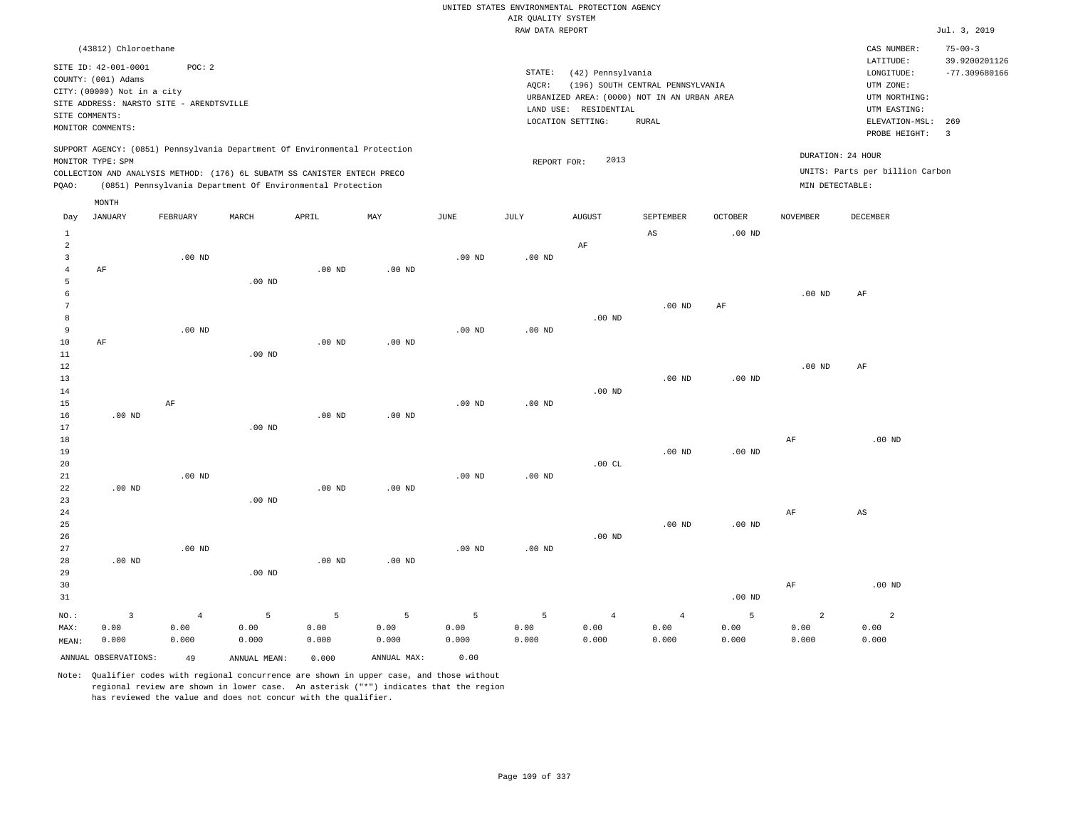|                |                                                                                                 |                   |                   |                                                            |                   |                   | UNITED STATES ENVIRONMENTAL PROTECTION AGENCY |                       |                                             |                |                   |                                        |                                                   |
|----------------|-------------------------------------------------------------------------------------------------|-------------------|-------------------|------------------------------------------------------------|-------------------|-------------------|-----------------------------------------------|-----------------------|---------------------------------------------|----------------|-------------------|----------------------------------------|---------------------------------------------------|
|                |                                                                                                 |                   |                   |                                                            |                   |                   | AIR QUALITY SYSTEM                            |                       |                                             |                |                   |                                        |                                                   |
|                |                                                                                                 |                   |                   |                                                            |                   |                   | RAW DATA REPORT                               |                       |                                             |                |                   |                                        | Jul. 3, 2019                                      |
|                | (43812) Chloroethane<br>SITE ID: 42-001-0001                                                    | POC: 2            |                   |                                                            |                   |                   | $\texttt{STATE}$ :                            | (42) Pennsylvania     |                                             |                |                   | CAS NUMBER:<br>LATITUDE:<br>LONGITUDE: | $75 - 00 - 3$<br>39.9200201126<br>$-77.309680166$ |
|                | COUNTY: (001) Adams                                                                             |                   |                   |                                                            |                   |                   | AOCR:                                         |                       | (196) SOUTH CENTRAL PENNSYLVANIA            |                |                   | UTM ZONE:                              |                                                   |
|                | CITY: (00000) Not in a city                                                                     |                   |                   |                                                            |                   |                   |                                               |                       | URBANIZED AREA: (0000) NOT IN AN URBAN AREA |                |                   | UTM NORTHING:                          |                                                   |
| SITE COMMENTS: | SITE ADDRESS: NARSTO SITE - ARENDTSVILLE                                                        |                   |                   |                                                            |                   |                   |                                               | LAND USE: RESIDENTIAL |                                             |                |                   | UTM EASTING:                           |                                                   |
|                | MONITOR COMMENTS:                                                                               |                   |                   |                                                            |                   |                   |                                               | LOCATION SETTING:     | <b>RURAL</b>                                |                |                   | ELEVATION-MSL:                         | 269                                               |
|                |                                                                                                 |                   |                   |                                                            |                   |                   |                                               |                       |                                             |                |                   | PROBE HEIGHT:                          | 3                                                 |
|                | SUPPORT AGENCY: (0851) Pennsylvania Department Of Environmental Protection<br>MONITOR TYPE: SPM |                   |                   |                                                            |                   |                   | REPORT FOR:                                   | 2013                  |                                             |                |                   | DURATION: 24 HOUR                      |                                                   |
|                | COLLECTION AND ANALYSIS METHOD: (176) 6L SUBATM SS CANISTER ENTECH PRECO                        |                   |                   |                                                            |                   |                   |                                               |                       |                                             |                |                   | UNITS: Parts per billion Carbon        |                                                   |
| PQAO:          |                                                                                                 |                   |                   | (0851) Pennsylvania Department Of Environmental Protection |                   |                   |                                               |                       |                                             |                | MIN DETECTABLE:   |                                        |                                                   |
|                | MONTH                                                                                           |                   |                   |                                                            |                   |                   |                                               |                       |                                             |                |                   |                                        |                                                   |
| Day            | <b>JANUARY</b>                                                                                  | FEBRUARY          | MARCH             | APRIL                                                      | MAY               | $_{\rm JUNE}$     | <b>JULY</b>                                   | <b>AUGUST</b>         | SEPTEMBER                                   | <b>OCTOBER</b> | <b>NOVEMBER</b>   | <b>DECEMBER</b>                        |                                                   |
| $\mathbf{1}$   |                                                                                                 |                   |                   |                                                            |                   |                   |                                               |                       | $\mathbb{A}\mathbb{S}$                      | $.00$ ND       |                   |                                        |                                                   |
| $\overline{2}$ |                                                                                                 |                   |                   |                                                            |                   |                   |                                               | AF                    |                                             |                |                   |                                        |                                                   |
| $\overline{3}$ |                                                                                                 | .00 <sub>ND</sub> |                   |                                                            |                   | .00 <sub>ND</sub> | .00 <sub>ND</sub>                             |                       |                                             |                |                   |                                        |                                                   |
| $\overline{4}$ | AF                                                                                              |                   |                   | $.00$ ND                                                   | $.00$ ND          |                   |                                               |                       |                                             |                |                   |                                        |                                                   |
| 5              |                                                                                                 |                   | .00 <sub>ND</sub> |                                                            |                   |                   |                                               |                       |                                             |                |                   |                                        |                                                   |
| 6              |                                                                                                 |                   |                   |                                                            |                   |                   |                                               |                       |                                             |                | $.00$ ND          | AF                                     |                                                   |
| $\overline{7}$ |                                                                                                 |                   |                   |                                                            |                   |                   |                                               |                       | $.00$ ND                                    | $\rm{AF}$      |                   |                                        |                                                   |
| 8<br>9         |                                                                                                 | $.00$ ND          |                   |                                                            |                   | $.00$ ND          | $.00$ ND                                      | .00 <sub>ND</sub>     |                                             |                |                   |                                        |                                                   |
| 10             | AF                                                                                              |                   |                   | $.00$ ND                                                   | $.00$ ND          |                   |                                               |                       |                                             |                |                   |                                        |                                                   |
| 11             |                                                                                                 |                   | $.00$ ND          |                                                            |                   |                   |                                               |                       |                                             |                |                   |                                        |                                                   |
| $1\,2$         |                                                                                                 |                   |                   |                                                            |                   |                   |                                               |                       |                                             |                | .00 <sub>ND</sub> | AF                                     |                                                   |
| 13             |                                                                                                 |                   |                   |                                                            |                   |                   |                                               |                       | $.00$ ND                                    | $.00$ ND       |                   |                                        |                                                   |
| 14             |                                                                                                 |                   |                   |                                                            |                   |                   |                                               | $.00$ ND              |                                             |                |                   |                                        |                                                   |
| 15             |                                                                                                 | AF                |                   |                                                            |                   | $.00$ ND          | $.00$ ND                                      |                       |                                             |                |                   |                                        |                                                   |
| 16             | $.00$ ND                                                                                        |                   |                   | .00 <sub>ND</sub>                                          | $.00$ ND          |                   |                                               |                       |                                             |                |                   |                                        |                                                   |
| 17             |                                                                                                 |                   | $.00$ ND          |                                                            |                   |                   |                                               |                       |                                             |                |                   |                                        |                                                   |
| 18             |                                                                                                 |                   |                   |                                                            |                   |                   |                                               |                       |                                             |                | AF                | $.00$ ND                               |                                                   |
| 19<br>20       |                                                                                                 |                   |                   |                                                            |                   |                   |                                               | .00CL                 | $.00$ ND                                    | $.00$ ND       |                   |                                        |                                                   |
| $21\,$         |                                                                                                 | $.00$ ND          |                   |                                                            |                   | $.00$ ND          | .00 <sub>ND</sub>                             |                       |                                             |                |                   |                                        |                                                   |
| 22             | $.00$ ND                                                                                        |                   |                   | $.00$ ND                                                   | $.00$ ND          |                   |                                               |                       |                                             |                |                   |                                        |                                                   |
| 23             |                                                                                                 |                   | $.00$ ND          |                                                            |                   |                   |                                               |                       |                                             |                |                   |                                        |                                                   |
| 24             |                                                                                                 |                   |                   |                                                            |                   |                   |                                               |                       |                                             |                | AF                | $_{\rm AS}$                            |                                                   |
| 25             |                                                                                                 |                   |                   |                                                            |                   |                   |                                               |                       | .00 <sub>ND</sub>                           | $.00$ ND       |                   |                                        |                                                   |
| 26             |                                                                                                 |                   |                   |                                                            |                   |                   |                                               | $.00$ ND              |                                             |                |                   |                                        |                                                   |
| 27             |                                                                                                 | .00 <sub>ND</sub> |                   |                                                            |                   | $.00$ ND          | $.00$ ND                                      |                       |                                             |                |                   |                                        |                                                   |
| 28             | .00 <sub>ND</sub>                                                                               |                   |                   | $.00$ ND                                                   | .00 <sub>ND</sub> |                   |                                               |                       |                                             |                |                   |                                        |                                                   |
| 29             |                                                                                                 |                   | $.00$ ND          |                                                            |                   |                   |                                               |                       |                                             |                |                   |                                        |                                                   |
| 30             |                                                                                                 |                   |                   |                                                            |                   |                   |                                               |                       |                                             |                | AF                | .00 <sub>ND</sub>                      |                                                   |
| 31             |                                                                                                 |                   |                   |                                                            |                   |                   |                                               |                       |                                             | $.00$ ND       |                   |                                        |                                                   |
| NO.:           | $\overline{3}$                                                                                  | $\overline{4}$    | 5                 | 5                                                          | $\overline{5}$    | 5                 | 5                                             | $\overline{4}$        | $\sqrt{4}$                                  | 5              | $\overline{a}$    | $\overline{a}$                         |                                                   |
| MAX:           | 0.00                                                                                            | 0.00              | 0.00              | 0.00                                                       | 0.00              | 0.00              | 0.00                                          | 0.00                  | 0.00                                        | 0.00           | 0.00              | 0.00                                   |                                                   |
| MEAN:          | 0.000                                                                                           | 0.000             | 0.000             | 0.000                                                      | 0.000             | 0.000             | 0.000                                         | 0.000                 | 0.000                                       | 0.000          | 0.000             | 0.000                                  |                                                   |
|                | ANNUAL OBSERVATIONS:                                                                            | 49                | ANNUAL MEAN:      | 0.000                                                      | ANNUAL MAX:       | 0.00              |                                               |                       |                                             |                |                   |                                        |                                                   |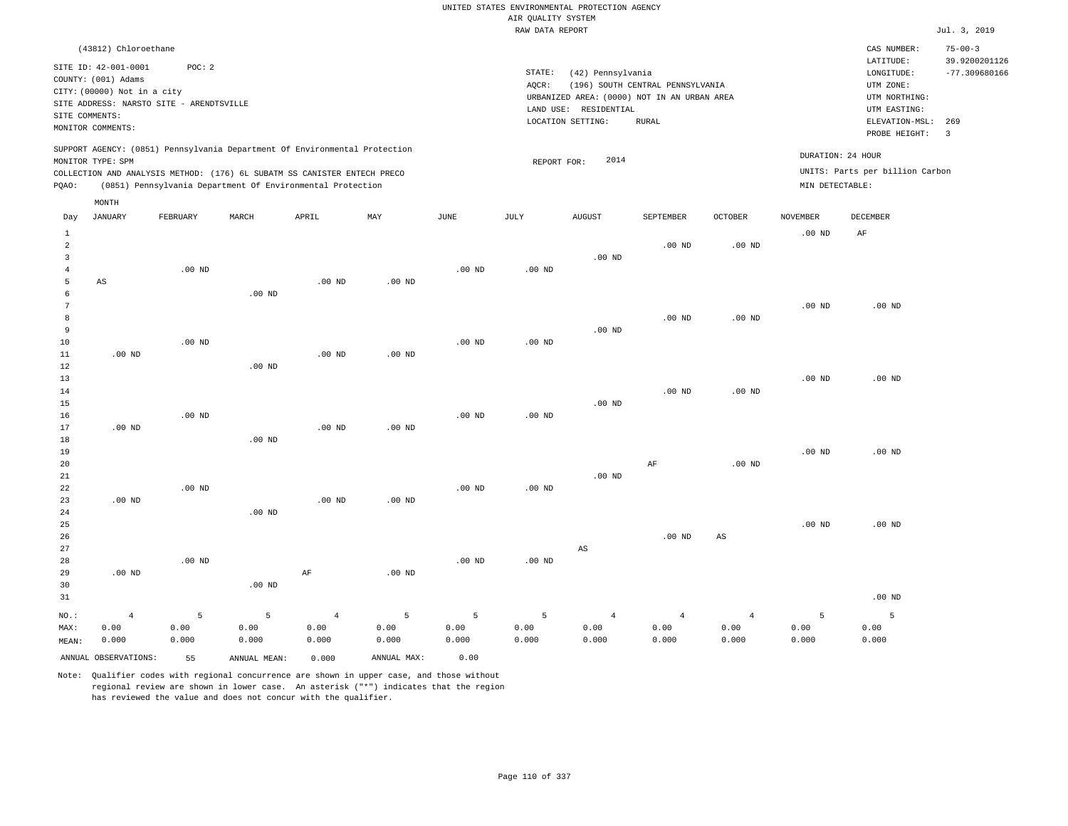|                                                     |                                                                                                    |                    |                                                                                                                                                                                                                      |                                 |                    |                    |                    | UNITED STATES ENVIRONMENTAL PROTECTION AGENCY                    |                                  |                                 |                                      |                                                                      |                                                   |
|-----------------------------------------------------|----------------------------------------------------------------------------------------------------|--------------------|----------------------------------------------------------------------------------------------------------------------------------------------------------------------------------------------------------------------|---------------------------------|--------------------|--------------------|--------------------|------------------------------------------------------------------|----------------------------------|---------------------------------|--------------------------------------|----------------------------------------------------------------------|---------------------------------------------------|
|                                                     |                                                                                                    |                    |                                                                                                                                                                                                                      |                                 |                    |                    | AIR QUALITY SYSTEM |                                                                  |                                  |                                 |                                      |                                                                      |                                                   |
|                                                     |                                                                                                    |                    |                                                                                                                                                                                                                      |                                 |                    |                    | RAW DATA REPORT    |                                                                  |                                  |                                 |                                      |                                                                      | Jul. 3, 2019                                      |
|                                                     | (43812) Chloroethane<br>SITE ID: 42-001-0001<br>COUNTY: (001) Adams<br>CITY: (00000) Not in a city | POC: 2             |                                                                                                                                                                                                                      |                                 |                    |                    | STATE:<br>AQCR:    | (42) Pennsylvania<br>URBANIZED AREA: (0000) NOT IN AN URBAN AREA | (196) SOUTH CENTRAL PENNSYLVANIA |                                 |                                      | CAS NUMBER:<br>LATITUDE:<br>LONGITUDE:<br>UTM ZONE:<br>UTM NORTHING: | $75 - 00 - 3$<br>39.9200201126<br>$-77.309680166$ |
| SITE COMMENTS:                                      | SITE ADDRESS: NARSTO SITE - ARENDTSVILLE<br>MONITOR COMMENTS:                                      |                    |                                                                                                                                                                                                                      |                                 |                    |                    |                    | LAND USE: RESIDENTIAL<br>LOCATION SETTING:                       | <b>RURAL</b>                     |                                 |                                      | UTM EASTING:<br>ELEVATION-MSL:<br>PROBE HEIGHT:                      | 269<br>$\overline{\mathbf{3}}$                    |
| PQAO:                                               | MONITOR TYPE: SPM                                                                                  |                    | SUPPORT AGENCY: (0851) Pennsylvania Department Of Environmental Protection<br>COLLECTION AND ANALYSIS METHOD: (176) 6L SUBATM SS CANISTER ENTECH PRECO<br>(0851) Pennsylvania Department Of Environmental Protection |                                 |                    |                    | REPORT FOR:        | 2014                                                             |                                  |                                 | DURATION: 24 HOUR<br>MIN DETECTABLE: | UNITS: Parts per billion Carbon                                      |                                                   |
| Day                                                 | MONTH<br><b>JANUARY</b>                                                                            | FEBRUARY           | MARCH                                                                                                                                                                                                                | APRIL                           | MAY                | JUNE               | JULY               | <b>AUGUST</b>                                                    | SEPTEMBER                        | <b>OCTOBER</b>                  | <b>NOVEMBER</b>                      | DECEMBER                                                             |                                                   |
| $\mathbf{1}$<br>$\overline{a}$                      |                                                                                                    |                    |                                                                                                                                                                                                                      |                                 |                    |                    |                    |                                                                  | $.00$ ND                         | $.00$ ND                        | .00 <sub>ND</sub>                    | AF                                                                   |                                                   |
| $\overline{\mathbf{3}}$<br>$\overline{4}$<br>5<br>6 | $\mathbb{A}\mathbb{S}$                                                                             | .00 <sub>ND</sub>  | $.00$ ND                                                                                                                                                                                                             | $.00$ ND                        | $.00$ ND           | .00 <sub>ND</sub>  | .00 <sub>ND</sub>  | .00 <sub>ND</sub>                                                |                                  |                                 |                                      |                                                                      |                                                   |
| $7\phantom{.0}$<br>8<br>9<br>$10$                   |                                                                                                    | $.00$ ND           |                                                                                                                                                                                                                      |                                 |                    | .00 <sub>ND</sub>  | $.00$ ND           | .00 <sub>ND</sub>                                                | $.00$ ND                         | $.00$ ND                        | .00 <sub>ND</sub>                    | .00 <sub>ND</sub>                                                    |                                                   |
| 11<br>$1\,2$<br>13<br>14<br>15                      | $.00$ ND                                                                                           |                    | .00 <sub>ND</sub>                                                                                                                                                                                                    | $.00$ ND                        | $.00$ ND           |                    |                    | $.00$ ND                                                         | $.00$ ND                         | $.00$ ND                        | .00 <sub>ND</sub>                    | $.00$ ND                                                             |                                                   |
| 16<br>17<br>18<br>19                                | $.00$ ND                                                                                           | $.00$ ND           | $.00$ ND                                                                                                                                                                                                             | $.00$ ND                        | $.00$ ND           | .00 <sub>ND</sub>  | $.00$ ND           |                                                                  |                                  |                                 | .00 <sub>ND</sub>                    | $.00$ ND                                                             |                                                   |
| 20<br>$2\sqrt{1}$<br>22<br>23                       | $.00$ ND                                                                                           | .00 <sub>ND</sub>  |                                                                                                                                                                                                                      | $.00$ ND                        | .00 <sub>ND</sub>  | .00 <sub>ND</sub>  | .00 <sub>ND</sub>  | $.00$ ND                                                         | $\rm AF$                         | $.00$ ND                        |                                      |                                                                      |                                                   |
| 24<br>25<br>26<br>27                                |                                                                                                    |                    | $.00$ ND                                                                                                                                                                                                             |                                 |                    |                    |                    | AS                                                               | $.00$ ND                         | $\mathbb{A}\mathbb{S}$          | .00 <sub>ND</sub>                    | $.00$ ND                                                             |                                                   |
| 28<br>29<br>30<br>31                                | .00 <sub>ND</sub>                                                                                  | $.00$ ND           | .00 <sub>ND</sub>                                                                                                                                                                                                    | $\rm AF$                        | .00 <sub>ND</sub>  | $.00$ ND           | .00 <sub>ND</sub>  |                                                                  |                                  |                                 |                                      | $.00$ ND                                                             |                                                   |
| NO.:<br>MAX:<br>MEAN:                               | $\overline{4}$<br>0.00<br>0.000                                                                    | 5<br>0.00<br>0.000 | 5<br>0.00<br>0.000                                                                                                                                                                                                   | $\overline{4}$<br>0.00<br>0.000 | 5<br>0.00<br>0.000 | 5<br>0.00<br>0.000 | 5<br>0.00<br>0.000 | $\overline{4}$<br>0.00<br>0.000                                  | $\overline{4}$<br>0.00<br>0.000  | $\overline{4}$<br>0.00<br>0.000 | 5<br>0.00<br>0.000                   | 5<br>0.00<br>0.000                                                   |                                                   |
|                                                     | ANNUAL OBSERVATIONS:                                                                               | 55                 | ANNUAL, MEAN:                                                                                                                                                                                                        | 0.000                           | ANNUAL MAX:        | 0.00               |                    |                                                                  |                                  |                                 |                                      |                                                                      |                                                   |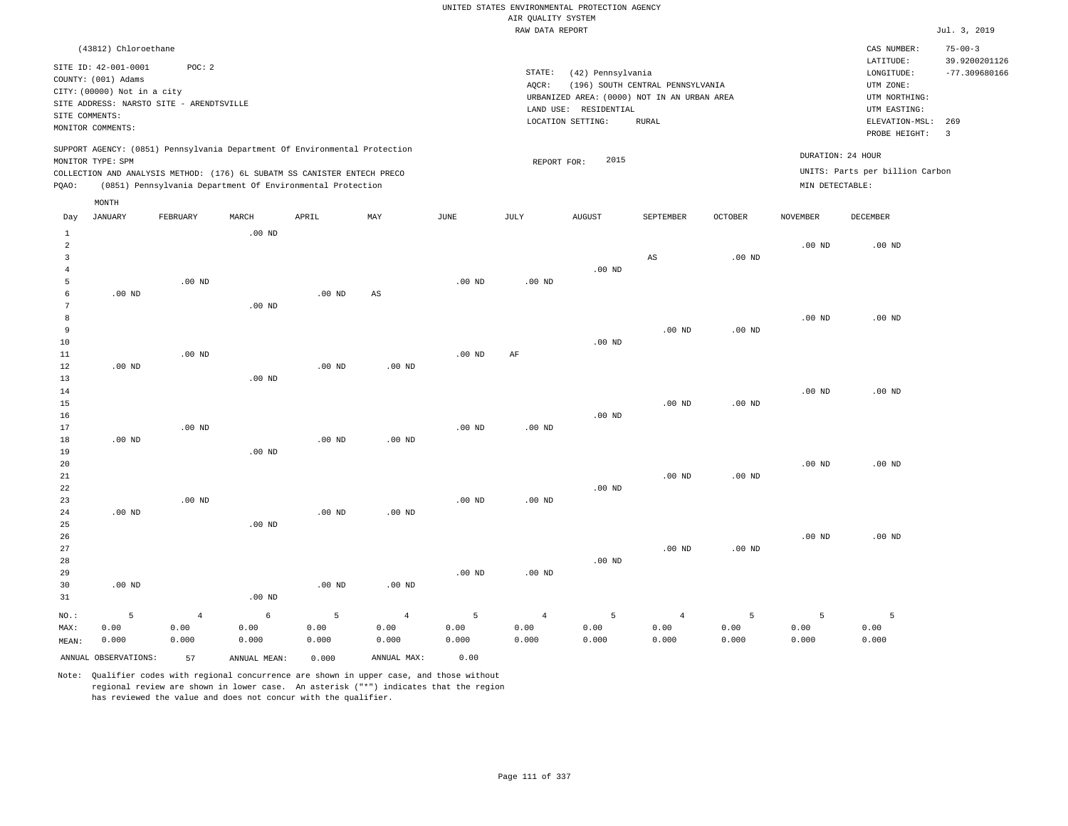|                |                                                    |                                          |                                                                                                                                        |                   |             |                   |                                       | UNITED STATES ENVIRONMENTAL PROTECTION AGENCY |                                  |                   |                   |                                 |                                |
|----------------|----------------------------------------------------|------------------------------------------|----------------------------------------------------------------------------------------------------------------------------------------|-------------------|-------------|-------------------|---------------------------------------|-----------------------------------------------|----------------------------------|-------------------|-------------------|---------------------------------|--------------------------------|
|                |                                                    |                                          |                                                                                                                                        |                   |             |                   | AIR QUALITY SYSTEM<br>RAW DATA REPORT |                                               |                                  |                   |                   |                                 | Jul. 3, 2019                   |
|                |                                                    |                                          |                                                                                                                                        |                   |             |                   |                                       |                                               |                                  |                   |                   |                                 |                                |
|                | (43812) Chloroethane                               |                                          |                                                                                                                                        |                   |             |                   |                                       |                                               |                                  |                   |                   | CAS NUMBER:<br>LATITUDE:        | $75 - 00 - 3$<br>39.9200201126 |
|                | SITE ID: 42-001-0001                               | POC: 2                                   |                                                                                                                                        |                   |             |                   | STATE:                                | (42) Pennsylvania                             |                                  |                   |                   | LONGITUDE:                      | $-77.309680166$                |
|                | COUNTY: (001) Adams<br>CITY: (00000) Not in a city |                                          |                                                                                                                                        |                   |             |                   | AQCR:                                 |                                               | (196) SOUTH CENTRAL PENNSYLVANIA |                   |                   | UTM ZONE:                       |                                |
|                |                                                    | SITE ADDRESS: NARSTO SITE - ARENDTSVILLE |                                                                                                                                        |                   |             |                   |                                       | URBANIZED AREA: (0000) NOT IN AN URBAN AREA   |                                  |                   |                   | UTM NORTHING:                   |                                |
| SITE COMMENTS: |                                                    |                                          |                                                                                                                                        |                   |             |                   |                                       | LAND USE: RESIDENTIAL                         |                                  |                   |                   | UTM EASTING:                    |                                |
|                | MONITOR COMMENTS:                                  |                                          |                                                                                                                                        |                   |             |                   |                                       | LOCATION SETTING:                             | <b>RURAL</b>                     |                   |                   | ELEVATION-MSL:<br>PROBE HEIGHT: | 269<br>$\overline{3}$          |
|                |                                                    |                                          | SUPPORT AGENCY: (0851) Pennsylvania Department Of Environmental Protection                                                             |                   |             |                   |                                       |                                               |                                  |                   | DURATION: 24 HOUR |                                 |                                |
|                | MONITOR TYPE: SPM                                  |                                          |                                                                                                                                        |                   |             |                   | REPORT FOR:                           | 2015                                          |                                  |                   |                   | UNITS: Parts per billion Carbon |                                |
| PQAO:          |                                                    |                                          | COLLECTION AND ANALYSIS METHOD: (176) 6L SUBATM SS CANISTER ENTECH PRECO<br>(0851) Pennsylvania Department Of Environmental Protection |                   |             |                   |                                       |                                               |                                  |                   | MIN DETECTABLE:   |                                 |                                |
|                | MONTH                                              |                                          |                                                                                                                                        |                   |             |                   |                                       |                                               |                                  |                   |                   |                                 |                                |
| Day            | JANUARY                                            | FEBRUARY                                 | MARCH                                                                                                                                  | APRIL             | MAY         | <b>JUNE</b>       | <b>JULY</b>                           | <b>AUGUST</b>                                 | SEPTEMBER                        | <b>OCTOBER</b>    | <b>NOVEMBER</b>   | <b>DECEMBER</b>                 |                                |
| $1\,$<br>2     |                                                    |                                          | .00 <sub>ND</sub>                                                                                                                      |                   |             |                   |                                       |                                               |                                  |                   | $.00$ ND          | $.00$ ND                        |                                |
| $\overline{3}$ |                                                    |                                          |                                                                                                                                        |                   |             |                   |                                       |                                               | $_{\rm AS}$                      | .00 <sub>ND</sub> |                   |                                 |                                |
| $\overline{4}$ |                                                    |                                          |                                                                                                                                        |                   |             |                   |                                       | .00 <sub>ND</sub>                             |                                  |                   |                   |                                 |                                |
| 5              |                                                    | .00 <sub>ND</sub>                        |                                                                                                                                        |                   |             | .00 <sub>ND</sub> | $.00$ ND                              |                                               |                                  |                   |                   |                                 |                                |
| 6              | $.00$ ND                                           |                                          |                                                                                                                                        | $.00$ ND          | AS          |                   |                                       |                                               |                                  |                   |                   |                                 |                                |
| $\overline{7}$ |                                                    |                                          | .00 <sub>ND</sub>                                                                                                                      |                   |             |                   |                                       |                                               |                                  |                   |                   |                                 |                                |
| 8              |                                                    |                                          |                                                                                                                                        |                   |             |                   |                                       |                                               |                                  |                   | $.00$ ND          | $.00$ ND                        |                                |
| $\overline{9}$ |                                                    |                                          |                                                                                                                                        |                   |             |                   |                                       |                                               | .00 <sub>ND</sub>                | .00 <sub>ND</sub> |                   |                                 |                                |
| 10             |                                                    |                                          |                                                                                                                                        |                   |             |                   |                                       | $.00$ ND                                      |                                  |                   |                   |                                 |                                |
| 11             |                                                    | $.00$ ND                                 |                                                                                                                                        |                   |             | $.00$ ND          | AF                                    |                                               |                                  |                   |                   |                                 |                                |
| 12             | $.00$ ND                                           |                                          |                                                                                                                                        | $.00$ ND          | $.00$ ND    |                   |                                       |                                               |                                  |                   |                   |                                 |                                |
| 13<br>14       |                                                    |                                          | $.00$ ND                                                                                                                               |                   |             |                   |                                       |                                               |                                  |                   | $.00$ ND          | $.00$ ND                        |                                |
| 15             |                                                    |                                          |                                                                                                                                        |                   |             |                   |                                       |                                               | .00 <sub>ND</sub>                | .00 <sub>ND</sub> |                   |                                 |                                |
| 16             |                                                    |                                          |                                                                                                                                        |                   |             |                   |                                       | $.00$ ND                                      |                                  |                   |                   |                                 |                                |
| 17             |                                                    | .00 <sub>ND</sub>                        |                                                                                                                                        |                   |             | $.00$ ND          | .00 <sub>ND</sub>                     |                                               |                                  |                   |                   |                                 |                                |
| 18             | $.00$ ND                                           |                                          |                                                                                                                                        | $.00$ ND          | $.00$ ND    |                   |                                       |                                               |                                  |                   |                   |                                 |                                |
| 19             |                                                    |                                          | $.00$ ND                                                                                                                               |                   |             |                   |                                       |                                               |                                  |                   |                   |                                 |                                |
| 20             |                                                    |                                          |                                                                                                                                        |                   |             |                   |                                       |                                               |                                  |                   | .00 <sub>ND</sub> | $.00$ ND                        |                                |
| $2\sqrt{1}$    |                                                    |                                          |                                                                                                                                        |                   |             |                   |                                       |                                               | $.00$ ND                         | $.00$ ND          |                   |                                 |                                |
| 22             |                                                    |                                          |                                                                                                                                        |                   |             |                   |                                       | $.00$ ND                                      |                                  |                   |                   |                                 |                                |
| 23             |                                                    | .00 <sub>ND</sub>                        |                                                                                                                                        |                   |             | .00 <sub>ND</sub> | .00 <sub>ND</sub>                     |                                               |                                  |                   |                   |                                 |                                |
| 24<br>25       | $.00$ ND                                           |                                          | $.00$ ND                                                                                                                               | .00 <sub>ND</sub> | $.00$ ND    |                   |                                       |                                               |                                  |                   |                   |                                 |                                |
| 26             |                                                    |                                          |                                                                                                                                        |                   |             |                   |                                       |                                               |                                  |                   | .00 <sub>ND</sub> | $.00$ ND                        |                                |
| 27             |                                                    |                                          |                                                                                                                                        |                   |             |                   |                                       |                                               | .00 <sub>ND</sub>                | .00 <sub>ND</sub> |                   |                                 |                                |
| 28             |                                                    |                                          |                                                                                                                                        |                   |             |                   |                                       | $.00$ ND                                      |                                  |                   |                   |                                 |                                |
| 29             |                                                    |                                          |                                                                                                                                        |                   |             | $.00$ ND          | $.00$ ND                              |                                               |                                  |                   |                   |                                 |                                |
| 30             | $.00$ ND                                           |                                          |                                                                                                                                        | $.00$ ND          | $.00$ ND    |                   |                                       |                                               |                                  |                   |                   |                                 |                                |
| 31             |                                                    |                                          | .00 <sub>ND</sub>                                                                                                                      |                   |             |                   |                                       |                                               |                                  |                   |                   |                                 |                                |
| NO.:           | $\overline{5}$                                     | $\overline{4}$                           | 6                                                                                                                                      | $\overline{5}$    | $\sqrt{4}$  | 5                 | $\overline{4}$                        | 5                                             | $\overline{4}$                   | $5\phantom{.0}$   | $\overline{5}$    | 5                               |                                |
| MAX:           | 0.00                                               | 0.00                                     | 0.00                                                                                                                                   | 0.00              | 0.00        | 0.00              | 0.00                                  | 0.00                                          | 0.00                             | 0.00              | 0.00              | 0.00                            |                                |
| MEAN:          | 0.000                                              | 0.000                                    | 0.000                                                                                                                                  | 0.000             | 0.000       | 0.000             | 0.000                                 | 0.000                                         | 0.000                            | 0.000             | 0.000             | 0.000                           |                                |
|                | ANNUAL OBSERVATIONS:                               | 57                                       | ANNUAL MEAN:                                                                                                                           | 0.000             | ANNUAL MAX: | 0.00              |                                       |                                               |                                  |                   |                   |                                 |                                |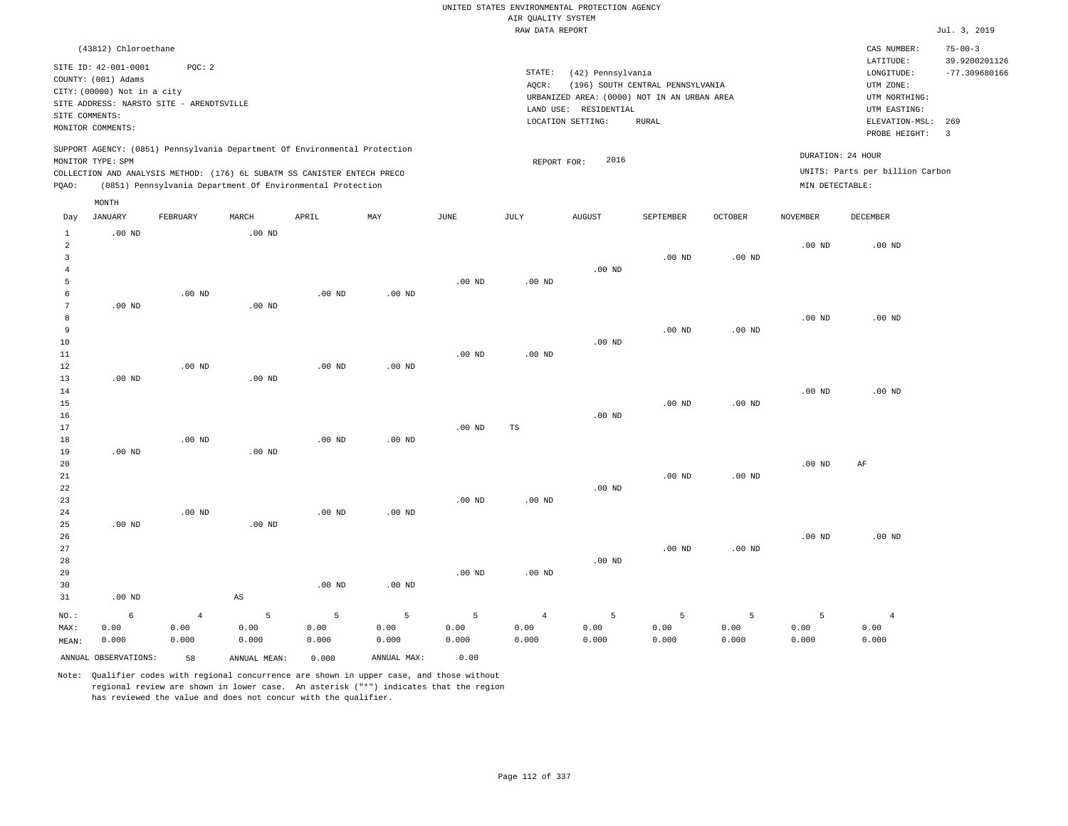|                                                                                  |                                                                                                    |                                 |                                                                                                                                                                                                                      |                      |                      |                    | AIR QUALITY SYSTEM              | UNITED STATES ENVIRONMENTAL PROTECTION AGENCY                    |                                  |                    |                                      |                                                                      |                                                   |
|----------------------------------------------------------------------------------|----------------------------------------------------------------------------------------------------|---------------------------------|----------------------------------------------------------------------------------------------------------------------------------------------------------------------------------------------------------------------|----------------------|----------------------|--------------------|---------------------------------|------------------------------------------------------------------|----------------------------------|--------------------|--------------------------------------|----------------------------------------------------------------------|---------------------------------------------------|
|                                                                                  |                                                                                                    |                                 |                                                                                                                                                                                                                      |                      |                      |                    | RAW DATA REPORT                 |                                                                  |                                  |                    |                                      |                                                                      | Jul. 3, 2019                                      |
|                                                                                  | (43812) Chloroethane<br>SITE ID: 42-001-0001<br>COUNTY: (001) Adams<br>CITY: (00000) Not in a city | POC: 2                          |                                                                                                                                                                                                                      |                      |                      |                    | STATE:<br>AQCR:                 | (42) Pennsylvania<br>URBANIZED AREA: (0000) NOT IN AN URBAN AREA | (196) SOUTH CENTRAL PENNSYLVANIA |                    |                                      | CAS NUMBER:<br>LATITUDE:<br>LONGITUDE:<br>UTM ZONE:<br>UTM NORTHING: | $75 - 00 - 3$<br>39.9200201126<br>$-77.309680166$ |
| SITE COMMENTS:                                                                   | SITE ADDRESS: NARSTO SITE - ARENDTSVILLE<br>MONITOR COMMENTS:                                      |                                 |                                                                                                                                                                                                                      |                      |                      |                    |                                 | LAND USE: RESIDENTIAL<br>LOCATION SETTING:                       | <b>RURAL</b>                     |                    |                                      | UTM EASTING:<br>ELEVATION-MSL:<br>PROBE HEIGHT:                      | 269<br>$\overline{3}$                             |
| PQAO:                                                                            | MONITOR TYPE: SPM                                                                                  |                                 | SUPPORT AGENCY: (0851) Pennsylvania Department Of Environmental Protection<br>COLLECTION AND ANALYSIS METHOD: (176) 6L SUBATM SS CANISTER ENTECH PRECO<br>(0851) Pennsylvania Department Of Environmental Protection |                      |                      |                    | REPORT FOR:                     | 2016                                                             |                                  |                    | DURATION: 24 HOUR<br>MIN DETECTABLE: | UNITS: Parts per billion Carbon                                      |                                                   |
| Day                                                                              | MONTH<br><b>JANUARY</b>                                                                            | FEBRUARY                        | MARCH                                                                                                                                                                                                                | APRIL                | MAY                  | JUNE               | JULY                            | <b>AUGUST</b>                                                    | SEPTEMBER                        | <b>OCTOBER</b>     | <b>NOVEMBER</b>                      | <b>DECEMBER</b>                                                      |                                                   |
| $\mathbf{1}$<br>$\overline{a}$<br>$\overline{\mathbf{3}}$<br>$\overline{4}$<br>5 | $.00$ ND                                                                                           |                                 | $.00$ ND                                                                                                                                                                                                             |                      |                      | $.00$ ND           | $.00$ ND                        | $.00$ ND                                                         | .00 <sub>ND</sub>                | $.00$ ND           | .00 <sub>ND</sub>                    | $.00$ ND                                                             |                                                   |
| 6<br>7<br>8<br>9<br>$10$<br>11                                                   | $.00$ ND                                                                                           | $.00$ ND                        | $.00$ ND                                                                                                                                                                                                             | $.00$ ND             | $.00$ ND             | .00 <sub>ND</sub>  | .00 <sub>ND</sub>               | $.00$ ND                                                         | $.00$ ND                         | $.00$ ND           | .00 <sub>ND</sub>                    | $.00$ ND                                                             |                                                   |
| 12<br>13<br>14<br>15<br>16<br>17                                                 | $.00$ ND                                                                                           | .00 <sub>ND</sub>               | $.00$ ND                                                                                                                                                                                                             | $.00$ ND             | $.00$ ND             | $.00$ ND           | $_{\rm TS}$                     | $.00$ ND                                                         | $.00$ ND                         | $.00$ ND           | .00 <sub>ND</sub>                    | $.00$ ND                                                             |                                                   |
| 18<br>19<br>20<br>21<br>22<br>23<br>24                                           | $.00$ ND                                                                                           | .00 <sub>ND</sub><br>$.00$ ND   | $.00$ ND                                                                                                                                                                                                             | $.00$ ND<br>$.00$ ND | $.00$ ND<br>$.00$ ND | $.00$ ND           | $.00$ ND                        | $.00$ ND                                                         | $.00$ ND                         | $.00$ ND           | .00 <sub>ND</sub>                    | AF                                                                   |                                                   |
| 25<br>26<br>27<br>28<br>29<br>30                                                 | $.00$ ND                                                                                           |                                 | .00 <sub>ND</sub>                                                                                                                                                                                                    | $.00$ ND             | $.00$ ND             | .00 <sub>ND</sub>  | $.00$ ND                        | $.00$ ND                                                         | $.00$ ND                         | $.00$ ND           | .00 <sub>ND</sub>                    | $.00$ ND                                                             |                                                   |
| 31<br>NO.:<br>MAX:<br>MEAN:                                                      | $.00$ ND<br>$\epsilon$<br>0.00<br>0.000                                                            | $\overline{4}$<br>0.00<br>0.000 | $_{\rm AS}$<br>5<br>0.00<br>0.000                                                                                                                                                                                    | 5<br>0.00<br>0.000   | 5<br>0.00<br>0.000   | 5<br>0.00<br>0.000 | $\overline{4}$<br>0.00<br>0.000 | 5<br>0.00<br>0.000                                               | 5<br>0.00<br>0.000               | 5<br>0.00<br>0.000 | 5<br>0.00<br>0.000                   | $\overline{4}$<br>0.00<br>0.000                                      |                                                   |
|                                                                                  | ANNUAL OBSERVATIONS:                                                                               | 58                              | ANNUAL, MEAN:                                                                                                                                                                                                        | 0.000                | ANNUAL MAX:          | 0.00               |                                 |                                                                  |                                  |                    |                                      |                                                                      |                                                   |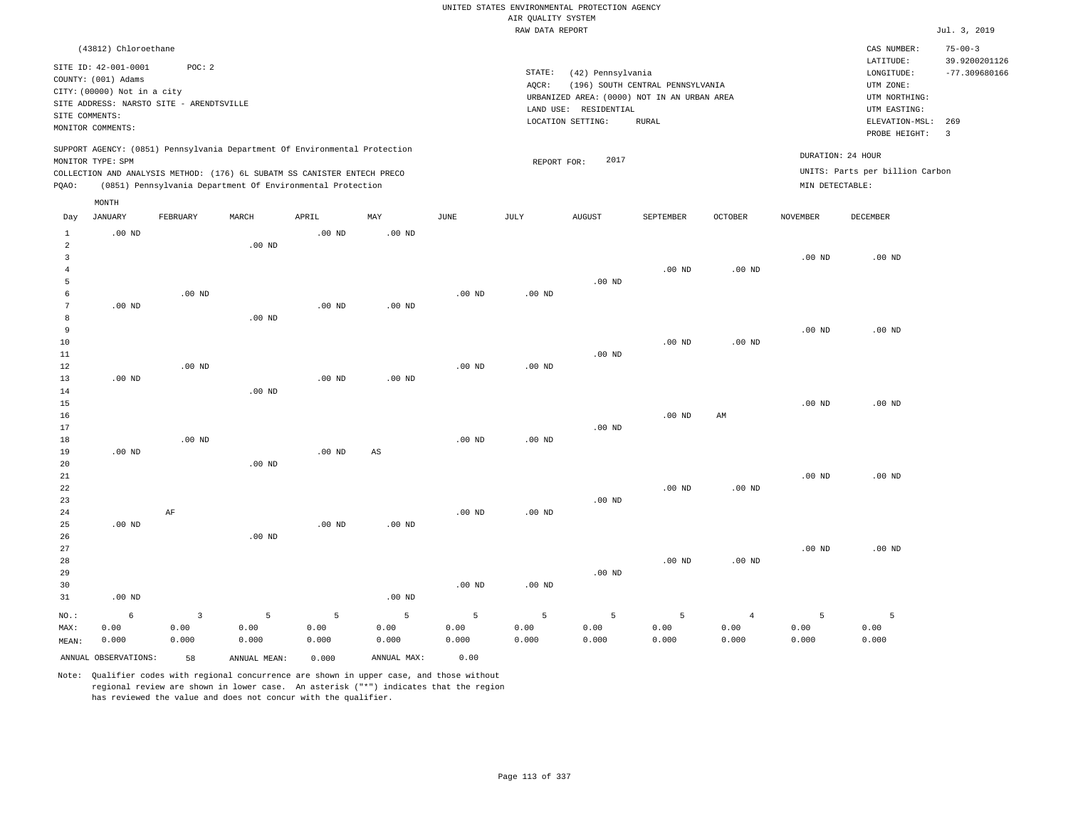|                                        |                                                                                                                        |                                 |                                                                                                                                        |                    |                    |                    | AIR QUALITY SYSTEM | UNITED STATES ENVIRONMENTAL PROTECTION AGENCY                                             |                                  |                                 |                    |                                                          |                                |
|----------------------------------------|------------------------------------------------------------------------------------------------------------------------|---------------------------------|----------------------------------------------------------------------------------------------------------------------------------------|--------------------|--------------------|--------------------|--------------------|-------------------------------------------------------------------------------------------|----------------------------------|---------------------------------|--------------------|----------------------------------------------------------|--------------------------------|
|                                        |                                                                                                                        |                                 |                                                                                                                                        |                    |                    |                    | RAW DATA REPORT    |                                                                                           |                                  |                                 |                    |                                                          | Jul. 3, 2019                   |
|                                        | (43812) Chloroethane                                                                                                   |                                 |                                                                                                                                        |                    |                    |                    |                    |                                                                                           |                                  |                                 |                    | CAS NUMBER:<br>LATITUDE:                                 | $75 - 00 - 3$<br>39.9200201126 |
|                                        | SITE ID: 42-001-0001<br>COUNTY: (001) Adams<br>CITY: (00000) Not in a city<br>SITE ADDRESS: NARSTO SITE - ARENDTSVILLE | POC: 2                          |                                                                                                                                        |                    |                    |                    | STATE:<br>AQCR:    | (42) Pennsylvania<br>URBANIZED AREA: (0000) NOT IN AN URBAN AREA<br>LAND USE: RESIDENTIAL | (196) SOUTH CENTRAL PENNSYLVANIA |                                 |                    | LONGITUDE:<br>UTM ZONE:<br>UTM NORTHING:<br>UTM EASTING: | $-77.309680166$                |
| SITE COMMENTS:                         | MONITOR COMMENTS:                                                                                                      |                                 |                                                                                                                                        |                    |                    |                    |                    | LOCATION SETTING:                                                                         | <b>RURAL</b>                     |                                 |                    | ELEVATION-MSL:<br>PROBE HEIGHT:                          | 269<br>$\overline{\mathbf{3}}$ |
|                                        | MONITOR TYPE: SPM                                                                                                      |                                 | SUPPORT AGENCY: (0851) Pennsylvania Department Of Environmental Protection                                                             |                    |                    |                    | REPORT FOR:        | 2017                                                                                      |                                  |                                 | DURATION: 24 HOUR  |                                                          |                                |
| PQAO:                                  |                                                                                                                        |                                 | COLLECTION AND ANALYSIS METHOD: (176) 6L SUBATM SS CANISTER ENTECH PRECO<br>(0851) Pennsylvania Department Of Environmental Protection |                    |                    |                    |                    |                                                                                           |                                  |                                 | MIN DETECTABLE:    | UNITS: Parts per billion Carbon                          |                                |
|                                        | MONTH                                                                                                                  |                                 |                                                                                                                                        |                    |                    |                    |                    |                                                                                           |                                  |                                 |                    |                                                          |                                |
| Day                                    | JANUARY                                                                                                                | FEBRUARY                        | MARCH                                                                                                                                  | APRIL              | MAY                | JUNE               | JULY               | <b>AUGUST</b>                                                                             | SEPTEMBER                        | OCTOBER                         | NOVEMBER           | DECEMBER                                                 |                                |
| $\mathbf{1}$<br>$\overline{a}$         | .00 <sub>ND</sub>                                                                                                      |                                 | .00 <sub>ND</sub>                                                                                                                      | .00 <sub>ND</sub>  | $.00$ ND           |                    |                    |                                                                                           |                                  |                                 |                    |                                                          |                                |
| $\overline{3}$<br>$\overline{4}$       |                                                                                                                        |                                 |                                                                                                                                        |                    |                    |                    |                    |                                                                                           | .00 <sub>ND</sub>                | $.00$ ND                        | $.00$ ND           | $.00$ ND                                                 |                                |
| 5<br>6                                 |                                                                                                                        | $.00$ ND                        |                                                                                                                                        |                    |                    | $.00$ ND           | $.00$ ND           | $.00$ ND                                                                                  |                                  |                                 |                    |                                                          |                                |
| $7\phantom{.0}$<br>8<br>$\overline{9}$ | .00 <sub>ND</sub>                                                                                                      |                                 | $.00$ ND                                                                                                                               | .00 <sub>ND</sub>  | $.00$ ND           |                    |                    |                                                                                           |                                  |                                 | $.00$ ND           | $.00$ ND                                                 |                                |
| 10<br>11                               |                                                                                                                        |                                 |                                                                                                                                        |                    |                    |                    |                    | $.00$ ND                                                                                  | $.00$ ND                         | $.00$ ND                        |                    |                                                          |                                |
| 12<br>13                               | .00 <sub>ND</sub>                                                                                                      | $.00$ ND                        |                                                                                                                                        | .00 <sub>ND</sub>  | .00 <sub>ND</sub>  | $.00$ ND           | $.00$ ND           |                                                                                           |                                  |                                 |                    |                                                          |                                |
| 14<br>15                               |                                                                                                                        |                                 | .00 <sub>ND</sub>                                                                                                                      |                    |                    |                    |                    |                                                                                           |                                  |                                 | $.00$ ND           | $.00$ ND                                                 |                                |
| 16<br>17                               |                                                                                                                        | $.00$ ND                        |                                                                                                                                        |                    |                    |                    |                    | $.00$ ND                                                                                  | .00 <sub>ND</sub>                | AM                              |                    |                                                          |                                |
| 18<br>19<br>20                         | $.00$ ND                                                                                                               |                                 | .00 <sub>ND</sub>                                                                                                                      | .00 <sub>ND</sub>  | AS                 | $.00$ ND           | $.00$ ND           |                                                                                           |                                  |                                 |                    |                                                          |                                |
| 21<br>22<br>23                         |                                                                                                                        |                                 |                                                                                                                                        |                    |                    |                    |                    | $.00$ ND                                                                                  | $.00$ ND                         | .00 <sub>ND</sub>               | $.00$ ND           | $.00$ ND                                                 |                                |
| 24<br>25<br>26<br>27                   | .00 <sub>ND</sub>                                                                                                      | $\rm AF$                        | $.00$ ND                                                                                                                               | .00 <sub>ND</sub>  | .00 <sub>ND</sub>  | $.00$ ND           | $.00$ ND           |                                                                                           |                                  |                                 | $.00$ ND           | $.00$ ND                                                 |                                |
| 28<br>29<br>30                         |                                                                                                                        |                                 |                                                                                                                                        |                    |                    | $.00$ ND           | $.00$ ND           | $.00$ ND                                                                                  | $.00$ ND                         | $.00$ ND                        |                    |                                                          |                                |
| 31                                     | $.00$ ND                                                                                                               |                                 |                                                                                                                                        |                    | $.00$ ND           |                    |                    |                                                                                           |                                  |                                 |                    |                                                          |                                |
| NO.:<br>MAX:<br>MEAN:                  | 6<br>0.00<br>0.000                                                                                                     | $\overline{3}$<br>0.00<br>0.000 | 5<br>0.00<br>0.000                                                                                                                     | 5<br>0.00<br>0.000 | 5<br>0.00<br>0.000 | 5<br>0.00<br>0.000 | 5<br>0.00<br>0.000 | 5<br>0.00<br>0.000                                                                        | 5<br>0.00<br>0.000               | $\overline{4}$<br>0.00<br>0.000 | 5<br>0.00<br>0.000 | 5<br>0.00<br>0.000                                       |                                |
|                                        | ANNUAL OBSERVATIONS:                                                                                                   | 58                              | ANNUAL MEAN:                                                                                                                           | 0.000              | ANNUAL MAX:        | 0.00               |                    |                                                                                           |                                  |                                 |                    |                                                          |                                |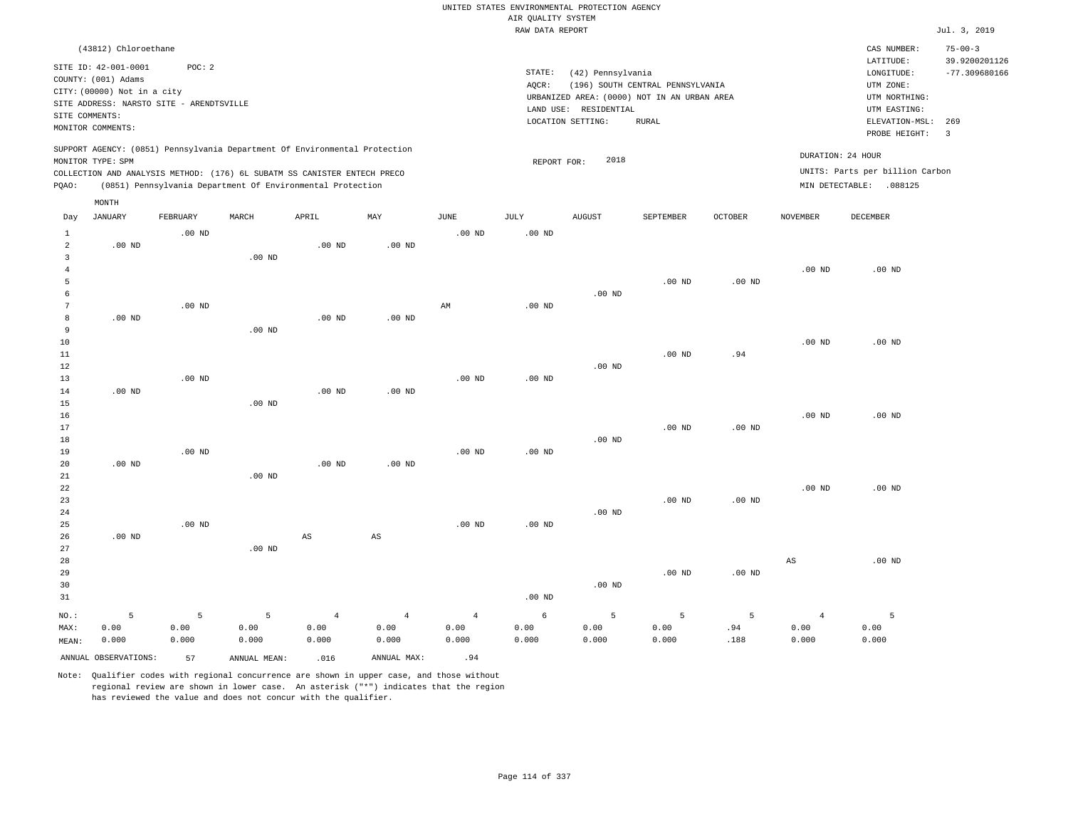|                                       |                                                                                                                                             |                    |                    |                                                            |                                 |                                 | AIR QUALITY SYSTEM | UNITED STATES ENVIRONMENTAL PROTECTION AGENCY                                                                  |                                                  |                   |                                 |                                                                                                          |                                                           |
|---------------------------------------|---------------------------------------------------------------------------------------------------------------------------------------------|--------------------|--------------------|------------------------------------------------------------|---------------------------------|---------------------------------|--------------------|----------------------------------------------------------------------------------------------------------------|--------------------------------------------------|-------------------|---------------------------------|----------------------------------------------------------------------------------------------------------|-----------------------------------------------------------|
|                                       |                                                                                                                                             |                    |                    |                                                            |                                 |                                 | RAW DATA REPORT    |                                                                                                                |                                                  |                   |                                 |                                                                                                          | Jul. 3, 2019                                              |
|                                       | (43812) Chloroethane                                                                                                                        |                    |                    |                                                            |                                 |                                 |                    |                                                                                                                |                                                  |                   |                                 | CAS NUMBER:                                                                                              | $75 - 00 - 3$                                             |
| SITE COMMENTS:                        | SITE ID: 42-001-0001<br>COUNTY: (001) Adams<br>CITY: (00000) Not in a city<br>SITE ADDRESS: NARSTO SITE - ARENDTSVILLE<br>MONITOR COMMENTS: | POC: 2             |                    |                                                            |                                 |                                 | STATE:<br>AQCR:    | (42) Pennsylvania<br>URBANIZED AREA: (0000) NOT IN AN URBAN AREA<br>LAND USE: RESIDENTIAL<br>LOCATION SETTING: | (196) SOUTH CENTRAL PENNSYLVANIA<br><b>RURAL</b> |                   |                                 | LATITUDE:<br>LONGITUDE:<br>UTM ZONE:<br>UTM NORTHING:<br>UTM EASTING:<br>ELEVATION-MSL:<br>PROBE HEIGHT: | 39.9200201126<br>$-77.309680166$<br>269<br>$\overline{3}$ |
|                                       | SUPPORT AGENCY: (0851) Pennsylvania Department Of Environmental Protection<br>MONITOR TYPE: SPM                                             |                    |                    |                                                            |                                 |                                 | REPORT FOR:        | 2018                                                                                                           |                                                  |                   |                                 | DURATION: 24 HOUR                                                                                        |                                                           |
| PQAO:                                 | COLLECTION AND ANALYSIS METHOD: (176) 6L SUBATM SS CANISTER ENTECH PRECO                                                                    |                    |                    | (0851) Pennsylvania Department Of Environmental Protection |                                 |                                 |                    |                                                                                                                |                                                  |                   |                                 | UNITS: Parts per billion Carbon<br>MIN DETECTABLE: .088125                                               |                                                           |
|                                       | MONTH                                                                                                                                       |                    |                    |                                                            |                                 |                                 |                    |                                                                                                                |                                                  |                   |                                 |                                                                                                          |                                                           |
| Day                                   | <b>JANUARY</b>                                                                                                                              | FEBRUARY           | MARCH              | APRIL                                                      | MAY                             | <b>JUNE</b>                     | JULY               | <b>AUGUST</b>                                                                                                  | SEPTEMBER                                        | <b>OCTOBER</b>    | <b>NOVEMBER</b>                 | DECEMBER                                                                                                 |                                                           |
| $\mathbf{1}$<br>$\overline{a}$        | $.00$ ND                                                                                                                                    | $.00$ ND           |                    | $.00$ ND                                                   | $.00$ ND                        | $.00$ ND                        | $.00$ ND           |                                                                                                                |                                                  |                   |                                 |                                                                                                          |                                                           |
| $\overline{3}$<br>$\overline{4}$<br>5 |                                                                                                                                             |                    | $.00$ ND           |                                                            |                                 |                                 |                    |                                                                                                                | .00 <sub>ND</sub>                                | .00 <sub>ND</sub> | $.00$ ND                        | $.00$ ND                                                                                                 |                                                           |
| 6<br>$7\phantom{.0}$                  |                                                                                                                                             | .00 <sub>ND</sub>  |                    |                                                            |                                 | AM                              | .00 <sub>ND</sub>  | $.00$ ND                                                                                                       |                                                  |                   |                                 |                                                                                                          |                                                           |
| $\boldsymbol{8}$<br>9<br>10           | $.00$ ND                                                                                                                                    |                    | .00 <sub>ND</sub>  | $.00$ ND                                                   | $.00$ ND                        |                                 |                    |                                                                                                                |                                                  |                   | $.00$ ND                        | $.00$ ND                                                                                                 |                                                           |
| 11<br>12<br>13                        |                                                                                                                                             | $.00$ ND           |                    |                                                            |                                 | $.00$ ND                        | $.00$ ND           | $.00$ ND                                                                                                       | $.00$ ND                                         | .94               |                                 |                                                                                                          |                                                           |
| 14<br>15                              | $.00$ ND                                                                                                                                    |                    | $.00$ ND           | .00 <sub>ND</sub>                                          | $.00$ ND                        |                                 |                    |                                                                                                                |                                                  |                   |                                 |                                                                                                          |                                                           |
| 16<br>17<br>18                        |                                                                                                                                             |                    |                    |                                                            |                                 |                                 |                    | $.00$ ND                                                                                                       | $.00$ ND                                         | $.00$ ND          | $.00$ ND                        | $.00$ ND                                                                                                 |                                                           |
| 19<br>20<br>21                        | $.00$ ND                                                                                                                                    | $.00$ ND           | $.00$ ND           | $.00$ ND                                                   | $.00$ ND                        | $.00$ ND                        | $.00$ ND           |                                                                                                                |                                                  |                   |                                 |                                                                                                          |                                                           |
| $2\sqrt{2}$<br>23                     |                                                                                                                                             |                    |                    |                                                            |                                 |                                 |                    |                                                                                                                | .00 <sub>ND</sub>                                | $.00$ ND          | $.00$ ND                        | $.00$ ND                                                                                                 |                                                           |
| 24<br>25<br>26                        | $.00$ ND                                                                                                                                    | $.00$ ND           |                    | $\mathbb{A}\mathbb{S}$                                     | $_{\rm AS}$                     | .00 <sub>ND</sub>               | .00 <sub>ND</sub>  | $.00$ ND                                                                                                       |                                                  |                   |                                 |                                                                                                          |                                                           |
| 27<br>28<br>29<br>30<br>31            |                                                                                                                                             |                    | .00 <sub>ND</sub>  |                                                            |                                 |                                 | .00 <sub>ND</sub>  | $.00$ ND                                                                                                       | .00 <sub>ND</sub>                                | .00 <sub>ND</sub> | $_{\rm AS}$                     | $.00$ ND                                                                                                 |                                                           |
| NO.:<br>MAX:<br>MEAN:                 | 5<br>0.00<br>0.000                                                                                                                          | 5<br>0.00<br>0.000 | 5<br>0.00<br>0.000 | $\overline{4}$<br>0.00<br>0.000                            | $\overline{4}$<br>0.00<br>0.000 | $\overline{4}$<br>0.00<br>0.000 | 6<br>0.00<br>0.000 | 5<br>0.00<br>0.000                                                                                             | 5<br>0.00<br>0.000                               | 5<br>.94<br>.188  | $\overline{4}$<br>0.00<br>0.000 | 5<br>0.00<br>0.000                                                                                       |                                                           |
|                                       | ANNUAL OBSERVATIONS:                                                                                                                        | 57                 | ANNUAL MEAN:       | .016                                                       | ANNUAL MAX:                     | .94                             |                    |                                                                                                                |                                                  |                   |                                 |                                                                                                          |                                                           |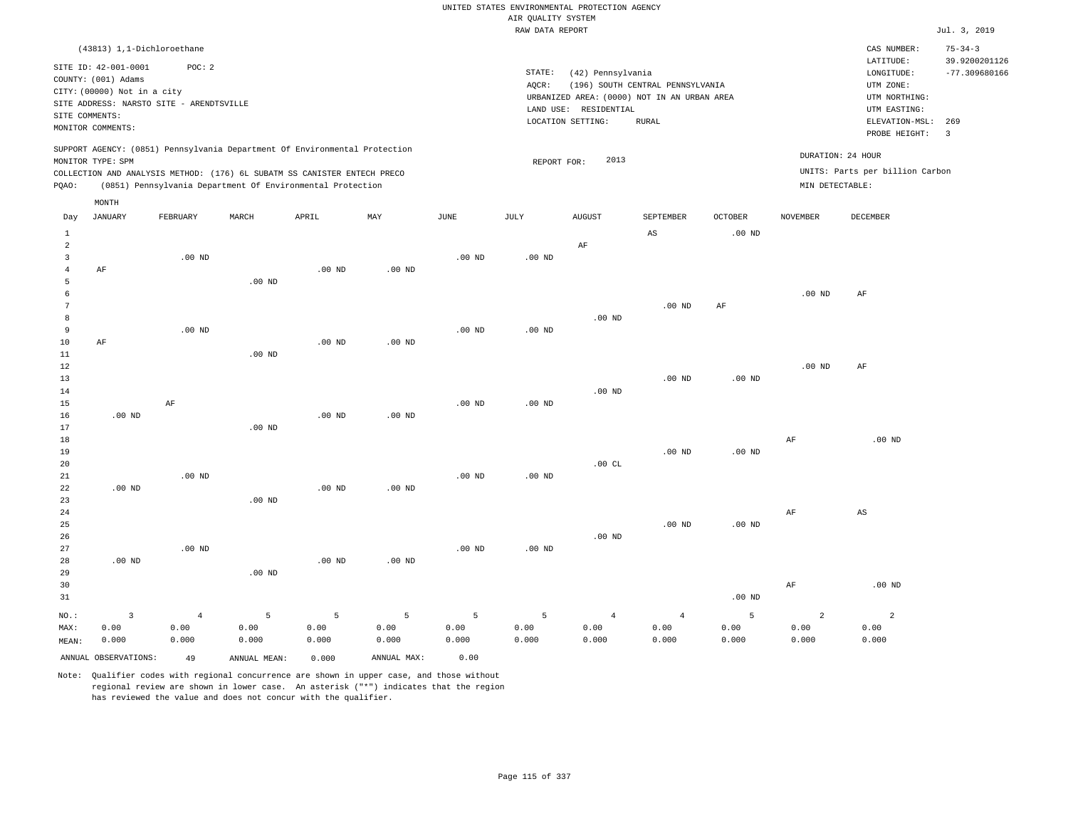|                           |                                                                            |                   |                                                                            |                   |                   |                   |                                       | UNITED STATES ENVIRONMENTAL PROTECTION AGENCY |                                             |                   |                   |                                      |                                  |
|---------------------------|----------------------------------------------------------------------------|-------------------|----------------------------------------------------------------------------|-------------------|-------------------|-------------------|---------------------------------------|-----------------------------------------------|---------------------------------------------|-------------------|-------------------|--------------------------------------|----------------------------------|
|                           |                                                                            |                   |                                                                            |                   |                   |                   | AIR OUALITY SYSTEM<br>RAW DATA REPORT |                                               |                                             |                   |                   |                                      | Jul. 3, 2019                     |
|                           | (43813) 1,1-Dichloroethane                                                 |                   |                                                                            |                   |                   |                   |                                       |                                               |                                             |                   |                   | CAS NUMBER:                          | $75 - 34 - 3$                    |
|                           | SITE ID: 42-001-0001<br>COUNTY: (001) Adams<br>CITY: (00000) Not in a city | POC: 2            |                                                                            |                   |                   |                   | STATE:<br>AOCR:                       | (42) Pennsylvania                             | (196) SOUTH CENTRAL PENNSYLVANIA            |                   |                   | LATITUDE:<br>LONGITUDE:<br>UTM ZONE: | 39.9200201126<br>$-77.309680166$ |
|                           | SITE ADDRESS: NARSTO SITE - ARENDTSVILLE                                   |                   |                                                                            |                   |                   |                   |                                       |                                               | URBANIZED AREA: (0000) NOT IN AN URBAN AREA |                   |                   | UTM NORTHING:                        |                                  |
|                           | SITE COMMENTS:                                                             |                   |                                                                            |                   |                   |                   |                                       | LAND USE: RESIDENTIAL                         |                                             |                   |                   | UTM EASTING:                         |                                  |
|                           | MONITOR COMMENTS:                                                          |                   |                                                                            |                   |                   |                   |                                       | LOCATION SETTING:                             | <b>RURAL</b>                                |                   |                   | ELEVATION-MSL:<br>PROBE HEIGHT:      | 269<br>$\overline{3}$            |
|                           | MONITOR TYPE: SPM                                                          |                   | SUPPORT AGENCY: (0851) Pennsylvania Department Of Environmental Protection |                   |                   |                   | REPORT FOR:                           | 2013                                          |                                             |                   | DURATION: 24 HOUR |                                      |                                  |
|                           |                                                                            |                   | COLLECTION AND ANALYSIS METHOD: (176) 6L SUBATM SS CANISTER ENTECH PRECO   |                   |                   |                   |                                       |                                               |                                             |                   |                   | UNITS: Parts per billion Carbon      |                                  |
| PQAO:                     |                                                                            |                   | (0851) Pennsylvania Department Of Environmental Protection                 |                   |                   |                   |                                       |                                               |                                             |                   | MIN DETECTABLE:   |                                      |                                  |
|                           | MONTH                                                                      |                   |                                                                            |                   |                   |                   |                                       |                                               |                                             |                   |                   |                                      |                                  |
| Day                       | JANUARY                                                                    | FEBRUARY          | MARCH                                                                      | APRIL             | MAX               | <b>JUNE</b>       | JULY                                  | <b>AUGUST</b>                                 | SEPTEMBER                                   | <b>OCTOBER</b>    | <b>NOVEMBER</b>   | <b>DECEMBER</b>                      |                                  |
| $\mathbf{1}$              |                                                                            |                   |                                                                            |                   |                   |                   |                                       |                                               | $_{\rm AS}$                                 | $.00$ ND          |                   |                                      |                                  |
| $\overline{a}$            |                                                                            |                   |                                                                            |                   |                   |                   |                                       | AF                                            |                                             |                   |                   |                                      |                                  |
| $\overline{3}$<br>$\bf 4$ | AF                                                                         | $.00$ ND          |                                                                            | $.00$ ND          | $.00$ ND          | $.00$ ND          | $.00$ ND                              |                                               |                                             |                   |                   |                                      |                                  |
| 5                         |                                                                            |                   | .00 <sub>ND</sub>                                                          |                   |                   |                   |                                       |                                               |                                             |                   |                   |                                      |                                  |
| 6                         |                                                                            |                   |                                                                            |                   |                   |                   |                                       |                                               |                                             |                   | $.00$ ND          | AF                                   |                                  |
| $\overline{7}$            |                                                                            |                   |                                                                            |                   |                   |                   |                                       |                                               | $.00$ ND                                    | $\rm AF$          |                   |                                      |                                  |
| 8                         |                                                                            |                   |                                                                            |                   |                   |                   |                                       | $.00$ ND                                      |                                             |                   |                   |                                      |                                  |
| $\overline{9}$            |                                                                            | $.00$ ND          |                                                                            |                   |                   | $.00$ ND          | $.00$ ND                              |                                               |                                             |                   |                   |                                      |                                  |
| $10$                      | AF                                                                         |                   |                                                                            | .00 <sub>ND</sub> | .00 <sub>ND</sub> |                   |                                       |                                               |                                             |                   |                   |                                      |                                  |
| 11                        |                                                                            |                   | $.00$ ND                                                                   |                   |                   |                   |                                       |                                               |                                             |                   |                   |                                      |                                  |
| 12<br>13                  |                                                                            |                   |                                                                            |                   |                   |                   |                                       |                                               | $.00$ ND                                    | $.00$ ND          | .00 <sub>ND</sub> | AF                                   |                                  |
| 14                        |                                                                            |                   |                                                                            |                   |                   |                   |                                       | $.00$ ND                                      |                                             |                   |                   |                                      |                                  |
| 15                        |                                                                            | AF                |                                                                            |                   |                   | $.00$ ND          | $.00$ ND                              |                                               |                                             |                   |                   |                                      |                                  |
| 16                        | $.00$ ND                                                                   |                   |                                                                            | $.00$ ND          | $.00$ ND          |                   |                                       |                                               |                                             |                   |                   |                                      |                                  |
| 17                        |                                                                            |                   | $.00$ ND                                                                   |                   |                   |                   |                                       |                                               |                                             |                   |                   |                                      |                                  |
| 18                        |                                                                            |                   |                                                                            |                   |                   |                   |                                       |                                               |                                             |                   | AF                | $.00$ ND                             |                                  |
| 19                        |                                                                            |                   |                                                                            |                   |                   |                   |                                       |                                               | $.00$ ND                                    | .00 <sub>ND</sub> |                   |                                      |                                  |
| 20                        |                                                                            |                   |                                                                            |                   |                   |                   |                                       | .00CL                                         |                                             |                   |                   |                                      |                                  |
| 21                        |                                                                            | .00 <sub>ND</sub> |                                                                            |                   |                   | .00 <sub>ND</sub> | .00 <sub>ND</sub>                     |                                               |                                             |                   |                   |                                      |                                  |
| 22<br>23                  | $.00$ ND                                                                   |                   | .00 <sub>ND</sub>                                                          | .00 <sub>ND</sub> | $.00$ ND          |                   |                                       |                                               |                                             |                   |                   |                                      |                                  |
| 24                        |                                                                            |                   |                                                                            |                   |                   |                   |                                       |                                               |                                             |                   | AF                | $\mathbb{A}\mathbb{S}$               |                                  |
| 25                        |                                                                            |                   |                                                                            |                   |                   |                   |                                       |                                               | .00 <sub>ND</sub>                           | .00 <sub>ND</sub> |                   |                                      |                                  |
| 26                        |                                                                            |                   |                                                                            |                   |                   |                   |                                       | .00 <sub>ND</sub>                             |                                             |                   |                   |                                      |                                  |
| 27                        |                                                                            | $.00$ ND          |                                                                            |                   |                   | $.00$ ND          | $.00$ ND                              |                                               |                                             |                   |                   |                                      |                                  |
| 28                        | $.00$ ND                                                                   |                   |                                                                            | $.00$ ND          | .00 <sub>ND</sub> |                   |                                       |                                               |                                             |                   |                   |                                      |                                  |
| 29                        |                                                                            |                   | .00 <sub>ND</sub>                                                          |                   |                   |                   |                                       |                                               |                                             |                   |                   |                                      |                                  |
| 30                        |                                                                            |                   |                                                                            |                   |                   |                   |                                       |                                               |                                             |                   | AF                | $.00$ ND                             |                                  |
| 31                        |                                                                            |                   |                                                                            |                   |                   |                   |                                       |                                               |                                             | .00 <sub>ND</sub> |                   |                                      |                                  |
| NO.:                      | $\overline{3}$                                                             | $\overline{4}$    | 5                                                                          | 5                 | 5                 | 5                 | 5                                     | $\overline{4}$                                | $\overline{4}$                              | 5                 | $\overline{a}$    | $\overline{a}$                       |                                  |
| MAX:                      | 0.00                                                                       | 0.00              | 0.00                                                                       | 0.00              | 0.00              | 0.00              | 0.00                                  | 0.00                                          | 0.00                                        | 0.00              | 0.00              | 0.00                                 |                                  |
| MEAN:                     | 0.000                                                                      | 0.000             | 0.000                                                                      | 0.000             | 0.000             | 0.000             | 0.000                                 | 0.000                                         | 0.000                                       | 0.000             | 0.000             | 0.000                                |                                  |
|                           | ANNUAL OBSERVATIONS:                                                       | 49                | ANNUAL MEAN:                                                               | 0.000             | ANNUAL MAX:       | 0.00              |                                       |                                               |                                             |                   |                   |                                      |                                  |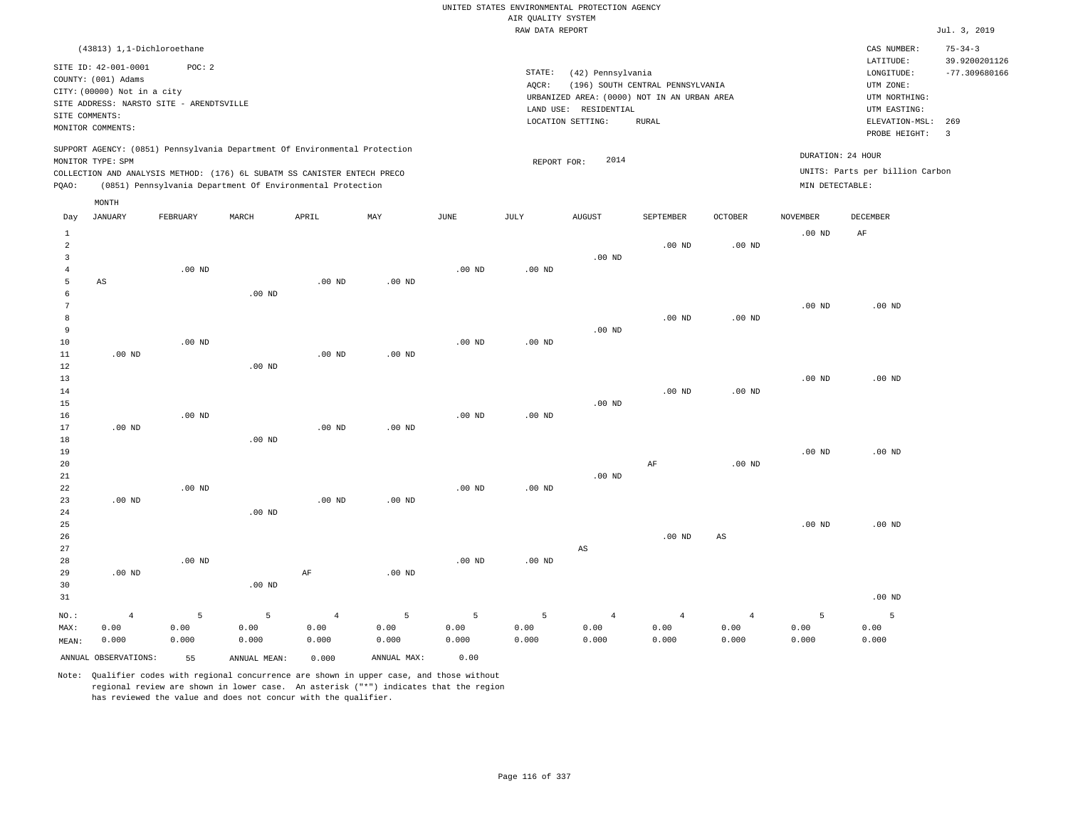|                                |                                             |                   |                                                                            |                   |               |               |                                       | UNITED STATES ENVIRONMENTAL PROTECTION AGENCY |                                  |                   |                   |                                     |                                |
|--------------------------------|---------------------------------------------|-------------------|----------------------------------------------------------------------------|-------------------|---------------|---------------|---------------------------------------|-----------------------------------------------|----------------------------------|-------------------|-------------------|-------------------------------------|--------------------------------|
|                                |                                             |                   |                                                                            |                   |               |               | AIR OUALITY SYSTEM<br>RAW DATA REPORT |                                               |                                  |                   |                   |                                     | Jul. 3, 2019                   |
|                                | (43813) 1,1-Dichloroethane                  |                   |                                                                            |                   |               |               |                                       |                                               |                                  |                   |                   | CAS NUMBER:<br>LATITUDE:            | $75 - 34 - 3$<br>39.9200201126 |
|                                | SITE ID: 42-001-0001<br>COUNTY: (001) Adams | POC: 2            |                                                                            |                   |               |               | STATE:<br>AOCR:                       | (42) Pennsylvania                             | (196) SOUTH CENTRAL PENNSYLVANIA |                   |                   | LONGITUDE:<br>UTM ZONE:             | $-77.309680166$                |
|                                | CITY: (00000) Not in a city                 |                   |                                                                            |                   |               |               |                                       | URBANIZED AREA: (0000) NOT IN AN URBAN AREA   |                                  |                   |                   | UTM NORTHING:                       |                                |
| SITE COMMENTS:                 | SITE ADDRESS: NARSTO SITE - ARENDTSVILLE    |                   |                                                                            |                   |               |               |                                       | LAND USE: RESIDENTIAL                         |                                  |                   |                   | UTM EASTING:                        |                                |
|                                | MONITOR COMMENTS:                           |                   |                                                                            |                   |               |               |                                       | LOCATION SETTING:                             | <b>RURAL</b>                     |                   |                   | ELEVATION-MSL: 269<br>PROBE HEIGHT: | $\overline{3}$                 |
|                                | MONITOR TYPE: SPM                           |                   | SUPPORT AGENCY: (0851) Pennsylvania Department Of Environmental Protection |                   |               |               | REPORT FOR:                           | 2014                                          |                                  |                   | DURATION: 24 HOUR |                                     |                                |
|                                |                                             |                   | COLLECTION AND ANALYSIS METHOD: (176) 6L SUBATM SS CANISTER ENTECH PRECO   |                   |               |               |                                       |                                               |                                  |                   |                   | UNITS: Parts per billion Carbon     |                                |
| PQAO:                          |                                             |                   | (0851) Pennsylvania Department Of Environmental Protection                 |                   |               |               |                                       |                                               |                                  |                   | MIN DETECTABLE:   |                                     |                                |
|                                | MONTH                                       |                   |                                                                            |                   |               |               |                                       |                                               |                                  |                   |                   |                                     |                                |
| Day                            | JANUARY                                     | FEBRUARY          | MARCH                                                                      | APRIL             | MAY           | JUNE          | JULY                                  | <b>AUGUST</b>                                 | SEPTEMBER                        | <b>OCTOBER</b>    | <b>NOVEMBER</b>   | DECEMBER                            |                                |
| $\mathbf{1}$<br>$\overline{a}$ |                                             |                   |                                                                            |                   |               |               |                                       |                                               | $.00$ ND                         | .00 <sub>ND</sub> | $.00$ ND          | AF                                  |                                |
| $\overline{3}$                 |                                             |                   |                                                                            |                   |               |               |                                       | $.00$ ND                                      |                                  |                   |                   |                                     |                                |
| $\sqrt{4}$                     |                                             | $.00$ ND          |                                                                            |                   |               | $.00$ ND      | .00 <sub>ND</sub>                     |                                               |                                  |                   |                   |                                     |                                |
| 5                              | AS                                          |                   |                                                                            | $.00$ ND          | $.00$ ND      |               |                                       |                                               |                                  |                   |                   |                                     |                                |
| 6<br>$7\phantom{.0}$           |                                             |                   | .00 <sub>ND</sub>                                                          |                   |               |               |                                       |                                               |                                  |                   | $.00$ ND          | $.00$ ND                            |                                |
| 8                              |                                             |                   |                                                                            |                   |               |               |                                       |                                               | $.00$ ND                         | $.00$ ND          |                   |                                     |                                |
| 9                              |                                             |                   |                                                                            |                   |               |               |                                       | $.00$ ND                                      |                                  |                   |                   |                                     |                                |
| 10                             |                                             | .00 <sub>ND</sub> |                                                                            |                   |               | $.00$ ND      | $.00$ ND                              |                                               |                                  |                   |                   |                                     |                                |
| 11                             | $.00$ ND                                    |                   |                                                                            | $.00$ ND          | $.00$ ND      |               |                                       |                                               |                                  |                   |                   |                                     |                                |
| 12<br>13                       |                                             |                   | $.00$ ND                                                                   |                   |               |               |                                       |                                               |                                  |                   | $.00$ ND          | $.00$ ND                            |                                |
| 14                             |                                             |                   |                                                                            |                   |               |               |                                       |                                               | $.00$ ND                         | $.00$ ND          |                   |                                     |                                |
| 15                             |                                             |                   |                                                                            |                   |               |               |                                       | $.00$ ND                                      |                                  |                   |                   |                                     |                                |
| 16                             |                                             | $.00$ ND          |                                                                            |                   |               | $.00$ ND      | .00 <sub>ND</sub>                     |                                               |                                  |                   |                   |                                     |                                |
| 17                             | $.00$ ND                                    |                   |                                                                            | .00 <sub>ND</sub> | $.00$ ND      |               |                                       |                                               |                                  |                   |                   |                                     |                                |
| 18<br>19                       |                                             |                   | $.00$ ND                                                                   |                   |               |               |                                       |                                               |                                  |                   | .00 <sub>ND</sub> | $.00$ ND                            |                                |
| 20                             |                                             |                   |                                                                            |                   |               |               |                                       |                                               | $\rm AF$                         | $.00$ ND          |                   |                                     |                                |
| 21                             |                                             |                   |                                                                            |                   |               |               |                                       | $.00$ ND                                      |                                  |                   |                   |                                     |                                |
| 22                             |                                             | $.00$ ND          |                                                                            |                   |               | $.00$ ND      | .00 <sub>ND</sub>                     |                                               |                                  |                   |                   |                                     |                                |
| 23                             | $.00$ ND                                    |                   |                                                                            | $.00$ ND          | $.00$ ND      |               |                                       |                                               |                                  |                   |                   |                                     |                                |
| 24                             |                                             |                   | .00 <sub>ND</sub>                                                          |                   |               |               |                                       |                                               |                                  |                   |                   |                                     |                                |
| 25<br>26                       |                                             |                   |                                                                            |                   |               |               |                                       |                                               | .00 <sub>ND</sub>                | $_{\rm AS}$       | $.00$ ND          | $.00$ ND                            |                                |
| 27                             |                                             |                   |                                                                            |                   |               |               |                                       | $_{\rm AS}$                                   |                                  |                   |                   |                                     |                                |
| 28                             |                                             | $.00$ ND          |                                                                            |                   |               | $.00$ ND      | .00 <sub>ND</sub>                     |                                               |                                  |                   |                   |                                     |                                |
| 29                             | $.00$ ND                                    |                   |                                                                            | AF                | $.00$ ND      |               |                                       |                                               |                                  |                   |                   |                                     |                                |
| 30                             |                                             |                   | .00 <sub>ND</sub>                                                          |                   |               |               |                                       |                                               |                                  |                   |                   |                                     |                                |
| 31                             |                                             |                   |                                                                            |                   |               |               |                                       |                                               |                                  |                   |                   | $.00$ ND                            |                                |
| NO.:                           | $\overline{4}$                              | 5                 | 5                                                                          | $\sqrt{4}$        | 5             | 5             | 5                                     | $\overline{4}$                                | $\overline{4}$                   | $\overline{4}$    | 5                 | 5                                   |                                |
| MAX:                           | 0.00<br>0.000                               | 0.00<br>0.000     | 0.00<br>0.000                                                              | 0.00<br>0.000     | 0.00<br>0.000 | 0.00<br>0.000 | 0.00<br>0.000                         | 0.00<br>0.000                                 | 0.00<br>0.000                    | 0.00<br>0.000     | 0.00<br>0.000     | 0.00<br>0.000                       |                                |
| MEAN:                          |                                             |                   |                                                                            |                   |               |               |                                       |                                               |                                  |                   |                   |                                     |                                |
|                                | ANNUAL OBSERVATIONS:                        | 55                | ANNUAL, MEAN:                                                              | 0.000             | ANNUAL MAX:   | 0.00          |                                       |                                               |                                  |                   |                   |                                     |                                |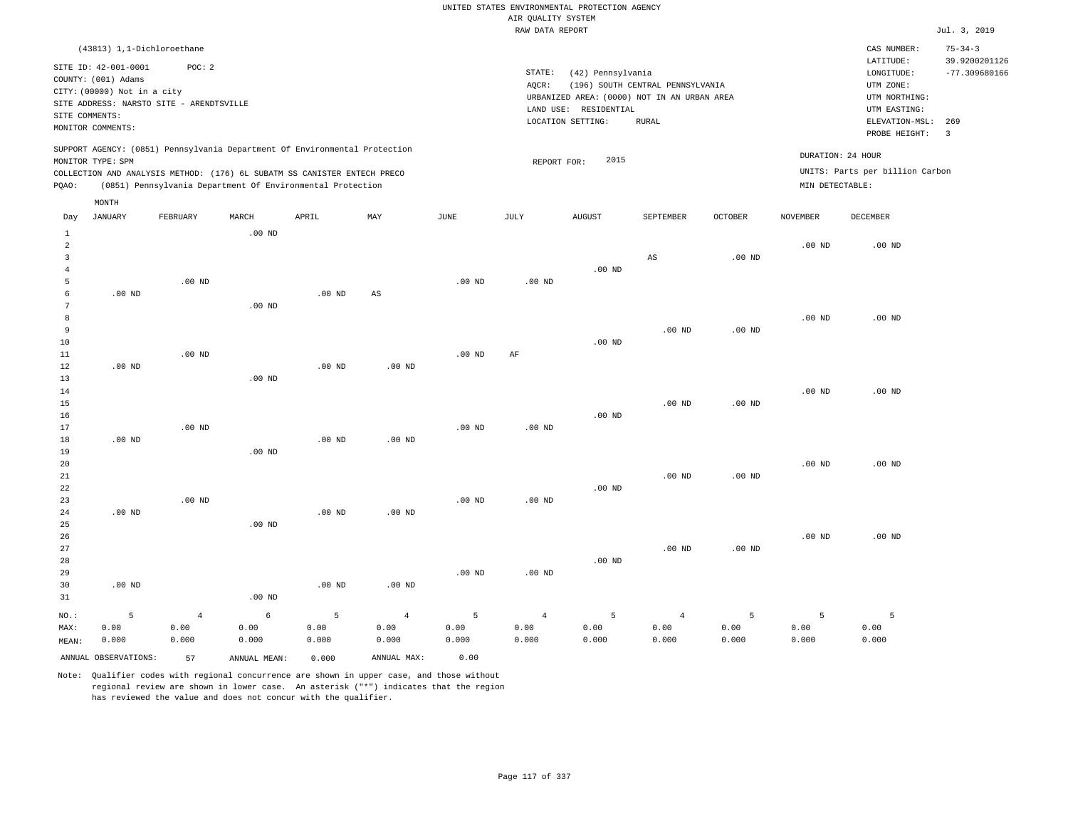|                                                                              |                                                                                                 |                                                    |                                        |                                                                                                                                                                                                                      |                                 |                    | AIR QUALITY SYSTEM              | UNITED STATES ENVIRONMENTAL PROTECTION AGENCY                                                                  |                                                  |                    |                                      |                                                                                             |                                                   |
|------------------------------------------------------------------------------|-------------------------------------------------------------------------------------------------|----------------------------------------------------|----------------------------------------|----------------------------------------------------------------------------------------------------------------------------------------------------------------------------------------------------------------------|---------------------------------|--------------------|---------------------------------|----------------------------------------------------------------------------------------------------------------|--------------------------------------------------|--------------------|--------------------------------------|---------------------------------------------------------------------------------------------|---------------------------------------------------|
|                                                                              |                                                                                                 |                                                    |                                        |                                                                                                                                                                                                                      |                                 |                    | RAW DATA REPORT                 |                                                                                                                |                                                  |                    |                                      |                                                                                             | Jul. 3, 2019                                      |
|                                                                              | (43813) 1,1-Dichloroethane                                                                      |                                                    |                                        |                                                                                                                                                                                                                      |                                 |                    |                                 |                                                                                                                |                                                  |                    |                                      | CAS NUMBER:<br>LATITUDE:                                                                    | $75 - 34 - 3$<br>39.9200201126                    |
| SITE COMMENTS:                                                               | SITE ID: 42-001-0001<br>COUNTY: (001) Adams<br>CITY: (00000) Not in a city<br>MONITOR COMMENTS: | POC: 2<br>SITE ADDRESS: NARSTO SITE - ARENDTSVILLE |                                        |                                                                                                                                                                                                                      |                                 |                    | STATE:<br>AQCR:                 | (42) Pennsylvania<br>URBANIZED AREA: (0000) NOT IN AN URBAN AREA<br>LAND USE: RESIDENTIAL<br>LOCATION SETTING: | (196) SOUTH CENTRAL PENNSYLVANIA<br><b>RURAL</b> |                    |                                      | LONGITUDE:<br>UTM ZONE:<br>UTM NORTHING:<br>UTM EASTING:<br>ELEVATION-MSL:<br>PROBE HEIGHT: | $-77.309680166$<br>269<br>$\overline{\mathbf{3}}$ |
| PQAO:                                                                        | MONITOR TYPE: SPM                                                                               |                                                    |                                        | SUPPORT AGENCY: (0851) Pennsylvania Department Of Environmental Protection<br>COLLECTION AND ANALYSIS METHOD: (176) 6L SUBATM SS CANISTER ENTECH PRECO<br>(0851) Pennsylvania Department Of Environmental Protection |                                 |                    | REPORT FOR:                     | 2015                                                                                                           |                                                  |                    | DURATION: 24 HOUR<br>MIN DETECTABLE: | UNITS: Parts per billion Carbon                                                             |                                                   |
| Day                                                                          | MONTH<br><b>JANUARY</b>                                                                         | FEBRUARY                                           | MARCH                                  | APRIL                                                                                                                                                                                                                | MAX                             | JUNE               | JULY                            | <b>AUGUST</b>                                                                                                  | SEPTEMBER                                        | <b>OCTOBER</b>     | <b>NOVEMBER</b>                      | <b>DECEMBER</b>                                                                             |                                                   |
| $\mathbf{1}$<br>$\overline{a}$<br>$\overline{3}$<br>$\overline{4}$<br>5<br>6 | $.00$ ND                                                                                        | $.00$ ND                                           | $.00$ ND                               | $.00$ ND                                                                                                                                                                                                             | $\mathbb{A}\mathbb{S}$          | $.00$ ND           | $.00$ ND                        | $.00$ ND                                                                                                       | AS                                               | .00 <sub>ND</sub>  | .00 <sub>ND</sub>                    | $.00$ ND                                                                                    |                                                   |
| $7\phantom{.0}$<br>$\boldsymbol{8}$<br>$\overline{9}$<br>10<br>11<br>12      | $.00$ ND                                                                                        | $.00$ ND                                           | .00 <sub>ND</sub>                      | .00 <sub>ND</sub>                                                                                                                                                                                                    | .00 <sub>ND</sub>               | .00 <sub>ND</sub>  | AF                              | $.00$ ND                                                                                                       | .00 <sub>ND</sub>                                | .00 <sub>ND</sub>  | .00 <sub>ND</sub>                    | $.00$ ND                                                                                    |                                                   |
| 13<br>14<br>15<br>16<br>17<br>18                                             | $.00$ ND                                                                                        | $.00$ ND                                           | $.00$ ND                               | .00 <sub>ND</sub>                                                                                                                                                                                                    | $.00$ ND                        | .00 <sub>ND</sub>  | $.00$ ND                        | $.00$ ND                                                                                                       | $.00$ ND                                         | $.00$ ND           | .00 <sub>ND</sub>                    | $.00$ ND                                                                                    |                                                   |
| 19<br>20<br>21<br>22<br>23<br>24                                             | $.00$ ND                                                                                        | $.00$ ND                                           | $.00$ ND                               | $.00$ ND                                                                                                                                                                                                             | $.00$ ND                        | .00 <sub>ND</sub>  | .00 <sub>ND</sub>               | $.00$ ND                                                                                                       | $.00$ ND                                         | .00 <sub>ND</sub>  | $.00$ ND                             | $.00$ ND                                                                                    |                                                   |
| 25<br>26<br>27<br>28<br>29<br>30<br>31                                       | $.00$ ND                                                                                        |                                                    | .00 <sub>ND</sub><br>.00 <sub>ND</sub> | .00 <sub>ND</sub>                                                                                                                                                                                                    | $.00$ ND                        | .00 <sub>ND</sub>  | $.00$ ND                        | $.00$ ND                                                                                                       | $.00$ ND                                         | .00 <sub>ND</sub>  | $.00$ ND                             | $.00$ ND                                                                                    |                                                   |
| NO.:<br>MAX:<br>MEAN:                                                        | 5<br>0.00<br>0.000                                                                              | $\overline{4}$<br>0.00<br>0.000                    | 6<br>0.00<br>0.000                     | 5<br>0.00<br>0.000                                                                                                                                                                                                   | $\overline{4}$<br>0.00<br>0.000 | 5<br>0.00<br>0.000 | $\overline{4}$<br>0.00<br>0.000 | 5<br>0.00<br>0.000                                                                                             | $\overline{4}$<br>0.00<br>0.000                  | 5<br>0.00<br>0.000 | 5<br>0.00<br>0.000                   | 5<br>0.00<br>0.000                                                                          |                                                   |

ANNUAL OBSERVATIONS: 57 ANNUAL MEAN: 0.000 ANNUAL MAX: 0.00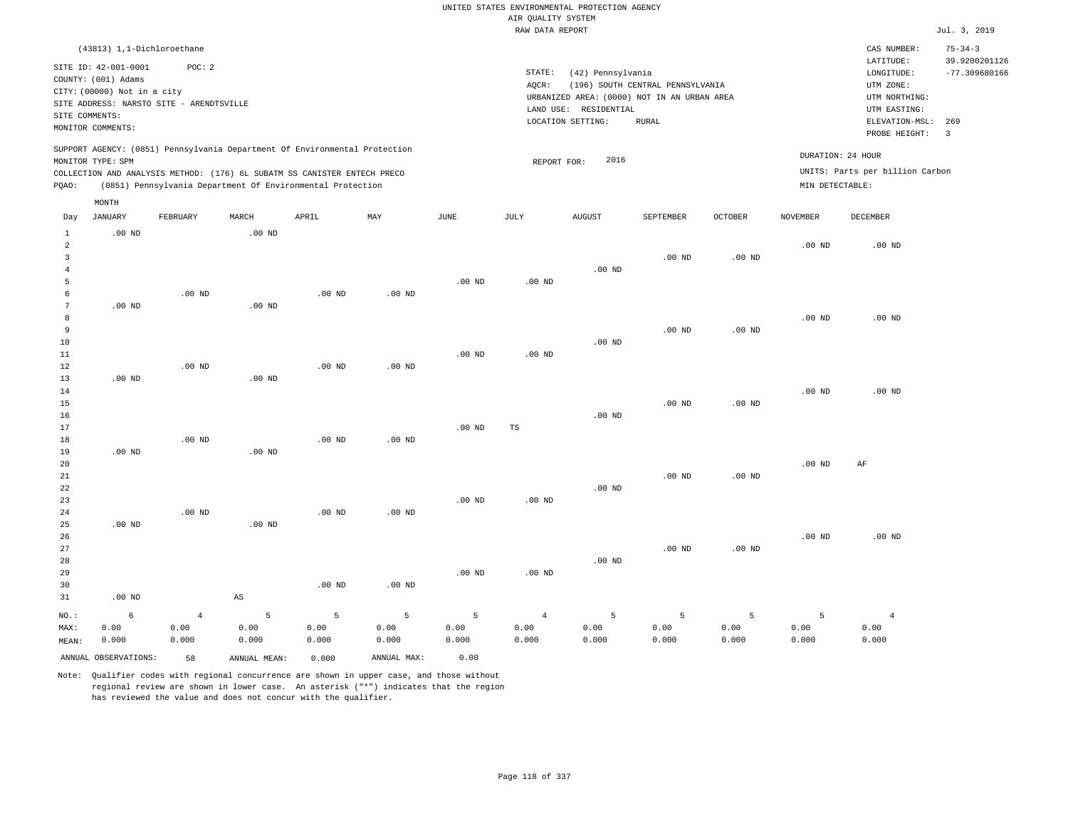|                |                             |                                          |                        |                                                                            |                   |                   |                    | UNITED STATES ENVIRONMENTAL PROTECTION AGENCY |                                  |                   |                   |                                 |                       |
|----------------|-----------------------------|------------------------------------------|------------------------|----------------------------------------------------------------------------|-------------------|-------------------|--------------------|-----------------------------------------------|----------------------------------|-------------------|-------------------|---------------------------------|-----------------------|
|                |                             |                                          |                        |                                                                            |                   |                   | AIR QUALITY SYSTEM |                                               |                                  |                   |                   |                                 |                       |
|                |                             |                                          |                        |                                                                            |                   |                   | RAW DATA REPORT    |                                               |                                  |                   |                   |                                 | Jul. 3, 2019          |
|                | (43813) 1,1-Dichloroethane  |                                          |                        |                                                                            |                   |                   |                    |                                               |                                  |                   |                   | CAS NUMBER:                     | $75 - 34 - 3$         |
|                | SITE ID: 42-001-0001        | POC: 2                                   |                        |                                                                            |                   |                   |                    |                                               |                                  |                   |                   | LATITUDE:                       | 39.9200201126         |
|                | COUNTY: (001) Adams         |                                          |                        |                                                                            |                   |                   | STATE:             | (42) Pennsylvania                             |                                  |                   |                   | LONGITUDE:                      | $-77.309680166$       |
|                | CITY: (00000) Not in a city |                                          |                        |                                                                            |                   |                   | AQCR:              |                                               | (196) SOUTH CENTRAL PENNSYLVANIA |                   |                   | UTM ZONE:                       |                       |
|                |                             | SITE ADDRESS: NARSTO SITE - ARENDTSVILLE |                        |                                                                            |                   |                   |                    | URBANIZED AREA: (0000) NOT IN AN URBAN AREA   |                                  |                   |                   | UTM NORTHING:                   |                       |
|                | SITE COMMENTS:              |                                          |                        |                                                                            |                   |                   |                    | LAND USE: RESIDENTIAL                         |                                  |                   |                   | UTM EASTING:                    |                       |
|                | MONITOR COMMENTS:           |                                          |                        |                                                                            |                   |                   |                    | LOCATION SETTING:                             | <b>RURAL</b>                     |                   |                   | ELEVATION-MSL:<br>PROBE HEIGHT: | 269<br>$\overline{3}$ |
|                |                             |                                          |                        | SUPPORT AGENCY: (0851) Pennsylvania Department Of Environmental Protection |                   |                   |                    |                                               |                                  |                   |                   | DURATION: 24 HOUR               |                       |
|                | MONITOR TYPE: SPM           |                                          |                        |                                                                            |                   |                   | REPORT FOR:        | 2016                                          |                                  |                   |                   |                                 |                       |
|                |                             |                                          |                        | COLLECTION AND ANALYSIS METHOD: (176) 6L SUBATM SS CANISTER ENTECH PRECO   |                   |                   |                    |                                               |                                  |                   |                   | UNITS: Parts per billion Carbon |                       |
| PQAO:          |                             |                                          |                        | (0851) Pennsylvania Department Of Environmental Protection                 |                   |                   |                    |                                               |                                  |                   | MIN DETECTABLE:   |                                 |                       |
| Day            | MONTH<br><b>JANUARY</b>     | FEBRUARY                                 | MARCH                  | APRIL                                                                      | MAY               | <b>JUNE</b>       | JULY               | <b>AUGUST</b>                                 | SEPTEMBER                        | <b>OCTOBER</b>    | <b>NOVEMBER</b>   | <b>DECEMBER</b>                 |                       |
| $1\,$          | $.00$ ND                    |                                          | .00 <sub>ND</sub>      |                                                                            |                   |                   |                    |                                               |                                  |                   |                   |                                 |                       |
| $\sqrt{2}$     |                             |                                          |                        |                                                                            |                   |                   |                    |                                               |                                  |                   | $.00$ ND          | $.00$ ND                        |                       |
| 3              |                             |                                          |                        |                                                                            |                   |                   |                    |                                               | $.00$ ND                         | .00 <sub>ND</sub> |                   |                                 |                       |
| $\overline{4}$ |                             |                                          |                        |                                                                            |                   |                   |                    | $.00$ ND                                      |                                  |                   |                   |                                 |                       |
| 5              |                             |                                          |                        |                                                                            |                   | $.00$ ND          | $.00$ ND           |                                               |                                  |                   |                   |                                 |                       |
| 6              |                             | $.00$ ND                                 |                        | $.00$ ND                                                                   | $.00$ ND          |                   |                    |                                               |                                  |                   |                   |                                 |                       |
| $\overline{7}$ | $.00$ ND                    |                                          | $.00$ ND               |                                                                            |                   |                   |                    |                                               |                                  |                   |                   |                                 |                       |
| 8              |                             |                                          |                        |                                                                            |                   |                   |                    |                                               |                                  |                   | $.00$ ND          | $.00$ ND                        |                       |
| $\overline{9}$ |                             |                                          |                        |                                                                            |                   |                   |                    |                                               | $.00$ ND                         | .00 <sub>ND</sub> |                   |                                 |                       |
| 10             |                             |                                          |                        |                                                                            |                   |                   |                    | $.00$ ND                                      |                                  |                   |                   |                                 |                       |
| 11             |                             |                                          |                        |                                                                            |                   | $.00$ ND          | $.00$ ND           |                                               |                                  |                   |                   |                                 |                       |
| $1\,2$         |                             | $.00$ ND                                 |                        | .00 <sub>ND</sub>                                                          | .00 <sub>ND</sub> |                   |                    |                                               |                                  |                   |                   |                                 |                       |
| 13             | $.00$ ND                    |                                          | $.00$ ND               |                                                                            |                   |                   |                    |                                               |                                  |                   |                   |                                 |                       |
| 14             |                             |                                          |                        |                                                                            |                   |                   |                    |                                               |                                  |                   | $.00$ ND          | $.00$ ND                        |                       |
| 15             |                             |                                          |                        |                                                                            |                   |                   |                    |                                               | $.00$ ND                         | .00 <sub>ND</sub> |                   |                                 |                       |
| 16             |                             |                                          |                        |                                                                            |                   |                   |                    | $.00$ ND                                      |                                  |                   |                   |                                 |                       |
| 17             |                             | $.00$ ND                                 |                        |                                                                            |                   | $.00$ ND          | TS                 |                                               |                                  |                   |                   |                                 |                       |
| 18             | $.00$ ND                    |                                          | $.00$ ND               | $.00$ ND                                                                   | $.00$ ND          |                   |                    |                                               |                                  |                   |                   |                                 |                       |
| 19<br>20       |                             |                                          |                        |                                                                            |                   |                   |                    |                                               |                                  |                   | .00 <sub>ND</sub> | AF                              |                       |
| 21             |                             |                                          |                        |                                                                            |                   |                   |                    |                                               | $.00$ ND                         | .00 <sub>ND</sub> |                   |                                 |                       |
| 22             |                             |                                          |                        |                                                                            |                   |                   |                    | $.00$ ND                                      |                                  |                   |                   |                                 |                       |
| 23             |                             |                                          |                        |                                                                            |                   | $.00$ ND          | $.00$ ND           |                                               |                                  |                   |                   |                                 |                       |
| 24             |                             | .00 <sub>ND</sub>                        |                        | .00 <sub>ND</sub>                                                          | $.00$ ND          |                   |                    |                                               |                                  |                   |                   |                                 |                       |
| 25             | $.00$ ND                    |                                          | $.00$ ND               |                                                                            |                   |                   |                    |                                               |                                  |                   |                   |                                 |                       |
| 26             |                             |                                          |                        |                                                                            |                   |                   |                    |                                               |                                  |                   | $.00$ ND          | $.00$ ND                        |                       |
| 27             |                             |                                          |                        |                                                                            |                   |                   |                    |                                               | $.00$ ND                         | .00 <sub>ND</sub> |                   |                                 |                       |
| 28             |                             |                                          |                        |                                                                            |                   |                   |                    | .00 <sub>ND</sub>                             |                                  |                   |                   |                                 |                       |
| 29             |                             |                                          |                        |                                                                            |                   | .00 <sub>ND</sub> | $.00$ ND           |                                               |                                  |                   |                   |                                 |                       |
| 30             |                             |                                          |                        | $.00$ ND                                                                   | $.00$ ND          |                   |                    |                                               |                                  |                   |                   |                                 |                       |
| 31             | $.00$ ND                    |                                          | $\mathbb{A}\mathbb{S}$ |                                                                            |                   |                   |                    |                                               |                                  |                   |                   |                                 |                       |
| NO.:           | 6                           | $\overline{4}$                           | 5                      | 5                                                                          | 5                 | 5                 | $\overline{4}$     | 5                                             | 5                                | 5                 | 5                 | $\overline{4}$                  |                       |
| MAX:           | 0.00                        | 0.00                                     | 0.00                   | 0.00                                                                       | 0.00              | 0.00              | 0.00               | 0.00                                          | 0.00                             | 0.00              | 0.00              | 0.00                            |                       |
| MEAN:          | 0.000                       | 0.000                                    | 0.000                  | 0.000                                                                      | 0.000             | 0.000             | 0.000              | 0.000                                         | 0.000                            | 0.000             | 0.000             | 0.000                           |                       |
|                | ANNUAL OBSERVATIONS:        | 58                                       | ANNUAL, MEAN:          | 0.000                                                                      | ANNUAL MAX:       | 0.00              |                    |                                               |                                  |                   |                   |                                 |                       |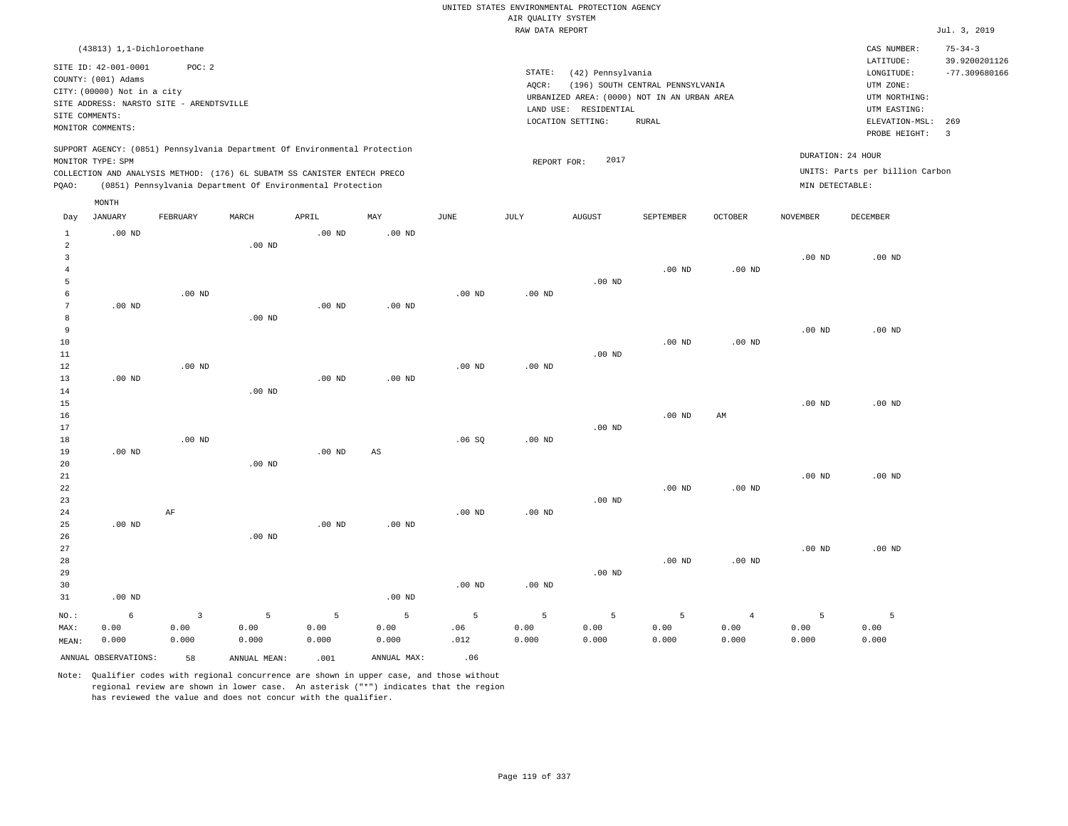|                   |                                                    |                                          |                                                                            |                   |                   |             |                    | UNITED STATES ENVIRONMENTAL PROTECTION AGENCY |                                  |                   |                   |                                 |                                |
|-------------------|----------------------------------------------------|------------------------------------------|----------------------------------------------------------------------------|-------------------|-------------------|-------------|--------------------|-----------------------------------------------|----------------------------------|-------------------|-------------------|---------------------------------|--------------------------------|
|                   |                                                    |                                          |                                                                            |                   |                   |             | AIR QUALITY SYSTEM |                                               |                                  |                   |                   |                                 |                                |
|                   |                                                    |                                          |                                                                            |                   |                   |             | RAW DATA REPORT    |                                               |                                  |                   |                   |                                 | Jul. 3, 2019                   |
|                   | (43813) 1,1-Dichloroethane<br>SITE ID: 42-001-0001 | POC: 2                                   |                                                                            |                   |                   |             |                    |                                               |                                  |                   |                   | CAS NUMBER:<br>LATITUDE:        | $75 - 34 - 3$<br>39.9200201126 |
|                   | COUNTY: (001) Adams                                |                                          |                                                                            |                   |                   |             | STATE:             | (42) Pennsylvania                             |                                  |                   |                   | LONGITUDE:                      | $-77.309680166$                |
|                   | CITY: (00000) Not in a city                        |                                          |                                                                            |                   |                   |             | AOCR:              |                                               | (196) SOUTH CENTRAL PENNSYLVANIA |                   |                   | UTM ZONE:                       |                                |
|                   |                                                    | SITE ADDRESS: NARSTO SITE - ARENDTSVILLE |                                                                            |                   |                   |             |                    | URBANIZED AREA: (0000) NOT IN AN URBAN AREA   |                                  |                   |                   | UTM NORTHING:                   |                                |
| SITE COMMENTS:    |                                                    |                                          |                                                                            |                   |                   |             |                    | LAND USE: RESIDENTIAL<br>LOCATION SETTING:    | <b>RURAL</b>                     |                   |                   | UTM EASTING:<br>ELEVATION-MSL:  | 269                            |
|                   | MONITOR COMMENTS:                                  |                                          |                                                                            |                   |                   |             |                    |                                               |                                  |                   |                   | PROBE HEIGHT:                   | $\overline{\mathbf{3}}$        |
|                   | MONITOR TYPE: SPM                                  |                                          | SUPPORT AGENCY: (0851) Pennsylvania Department Of Environmental Protection |                   |                   |             | REPORT FOR:        | 2017                                          |                                  |                   | DURATION: 24 HOUR |                                 |                                |
|                   |                                                    |                                          | COLLECTION AND ANALYSIS METHOD: (176) 6L SUBATM SS CANISTER ENTECH PRECO   |                   |                   |             |                    |                                               |                                  |                   |                   | UNITS: Parts per billion Carbon |                                |
| PQAO:             |                                                    |                                          | (0851) Pennsylvania Department Of Environmental Protection                 |                   |                   |             |                    |                                               |                                  |                   | MIN DETECTABLE:   |                                 |                                |
|                   | MONTH                                              |                                          |                                                                            |                   |                   |             |                    |                                               |                                  |                   |                   |                                 |                                |
| Day               | <b>JANUARY</b>                                     | FEBRUARY                                 | MARCH                                                                      | APRIL             | MAY               | <b>JUNE</b> | JULY               | <b>AUGUST</b>                                 | SEPTEMBER                        | <b>OCTOBER</b>    | <b>NOVEMBER</b>   | DECEMBER                        |                                |
| $\mathbf{1}$      | $.00$ ND                                           |                                          |                                                                            | .00 <sub>ND</sub> | $.00$ ND          |             |                    |                                               |                                  |                   |                   |                                 |                                |
| 2<br>$\mathbf{3}$ |                                                    |                                          | $.00$ ND                                                                   |                   |                   |             |                    |                                               |                                  |                   | $.00$ ND          | $.00$ ND                        |                                |
| $\overline{4}$    |                                                    |                                          |                                                                            |                   |                   |             |                    |                                               | $.00$ ND                         | $.00$ ND          |                   |                                 |                                |
| 5                 |                                                    |                                          |                                                                            |                   |                   |             |                    | $.00$ ND                                      |                                  |                   |                   |                                 |                                |
| 6                 |                                                    | $.00$ ND                                 |                                                                            |                   |                   | $.00$ ND    | $.00$ ND           |                                               |                                  |                   |                   |                                 |                                |
| $\overline{7}$    | $.00$ ND                                           |                                          |                                                                            | $.00$ ND          | $.00$ ND          |             |                    |                                               |                                  |                   |                   |                                 |                                |
| 8                 |                                                    |                                          | .00 <sub>ND</sub>                                                          |                   |                   |             |                    |                                               |                                  |                   |                   |                                 |                                |
| 9                 |                                                    |                                          |                                                                            |                   |                   |             |                    |                                               |                                  |                   | $.00$ ND          | $.00$ ND                        |                                |
| 10                |                                                    |                                          |                                                                            |                   |                   |             |                    |                                               | .00 <sub>ND</sub>                | .00 <sub>ND</sub> |                   |                                 |                                |
| $11\,$<br>12      |                                                    | $.00$ ND                                 |                                                                            |                   |                   | $.00$ ND    | $.00$ ND           | $.00$ ND                                      |                                  |                   |                   |                                 |                                |
| 13                | $.00$ ND                                           |                                          |                                                                            | $.00$ ND          | $.00$ ND          |             |                    |                                               |                                  |                   |                   |                                 |                                |
| 14                |                                                    |                                          | $.00$ ND                                                                   |                   |                   |             |                    |                                               |                                  |                   |                   |                                 |                                |
| 15                |                                                    |                                          |                                                                            |                   |                   |             |                    |                                               |                                  |                   | .00 <sub>ND</sub> | $.00$ ND                        |                                |
| 16                |                                                    |                                          |                                                                            |                   |                   |             |                    |                                               | .00 <sub>ND</sub>                | AM                |                   |                                 |                                |
| 17                |                                                    |                                          |                                                                            |                   |                   |             |                    | .00 <sub>ND</sub>                             |                                  |                   |                   |                                 |                                |
| 18                | $.00$ ND                                           | $.00$ ND                                 |                                                                            |                   |                   | .06S        | $.00$ ND           |                                               |                                  |                   |                   |                                 |                                |
| 19<br>20          |                                                    |                                          | $.00$ ND                                                                   | .00 <sub>ND</sub> | $_{\rm AS}$       |             |                    |                                               |                                  |                   |                   |                                 |                                |
| 21                |                                                    |                                          |                                                                            |                   |                   |             |                    |                                               |                                  |                   | .00 <sub>ND</sub> | .00 <sub>ND</sub>               |                                |
| 22                |                                                    |                                          |                                                                            |                   |                   |             |                    |                                               | $.00$ ND                         | $.00$ ND          |                   |                                 |                                |
| 23                |                                                    |                                          |                                                                            |                   |                   |             |                    | .00 <sub>ND</sub>                             |                                  |                   |                   |                                 |                                |
| 24                |                                                    | AF                                       |                                                                            |                   |                   | $.00$ ND    | .00 <sub>ND</sub>  |                                               |                                  |                   |                   |                                 |                                |
| 25                | $.00$ ND                                           |                                          |                                                                            | $.00$ ND          | .00 <sub>ND</sub> |             |                    |                                               |                                  |                   |                   |                                 |                                |
| 26<br>27          |                                                    |                                          | $.00$ ND                                                                   |                   |                   |             |                    |                                               |                                  |                   | $.00$ ND          | $.00$ ND                        |                                |
| 28                |                                                    |                                          |                                                                            |                   |                   |             |                    |                                               | $.00$ ND                         | $.00$ ND          |                   |                                 |                                |
| 29                |                                                    |                                          |                                                                            |                   |                   |             |                    | $.00$ ND                                      |                                  |                   |                   |                                 |                                |
| 30                |                                                    |                                          |                                                                            |                   |                   | $.00$ ND    | .00 <sub>ND</sub>  |                                               |                                  |                   |                   |                                 |                                |
| 31                | $.00$ ND                                           |                                          |                                                                            |                   | $.00$ ND          |             |                    |                                               |                                  |                   |                   |                                 |                                |
| NO.:              | $6\overline{6}$                                    | $\overline{3}$                           | 5                                                                          | 5                 | 5                 | 5           | 5                  | 5                                             | 5                                | $\overline{4}$    | 5                 | $\overline{5}$                  |                                |
| MAX:              | 0.00                                               | 0.00                                     | 0.00                                                                       | 0.00              | 0.00              | .06         | 0.00               | 0.00                                          | 0.00                             | 0.00              | 0.00              | 0.00                            |                                |
| MEAN:             | 0.000                                              | 0.000                                    | 0.000                                                                      | 0.000             | 0.000             | .012        | 0.000              | 0.000                                         | 0.000                            | 0.000             | 0.000             | 0.000                           |                                |
|                   | ANNUAL OBSERVATIONS:                               | 58                                       | ANNUAL, MEAN:                                                              | .001              | ANNUAL MAX:       | .06         |                    |                                               |                                  |                   |                   |                                 |                                |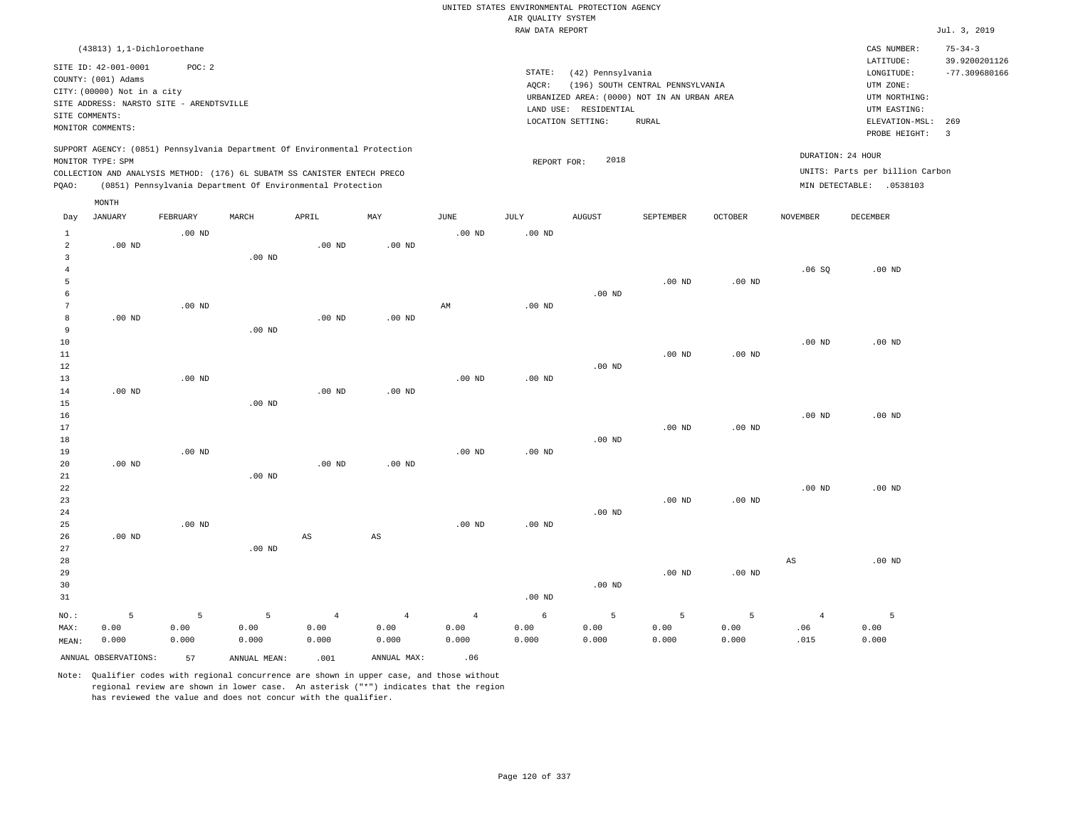|                                       |                                                                                                                                             |                    |                                                            |                                 |                                 |                                 | AIR QUALITY SYSTEM | UNITED STATES ENVIRONMENTAL PROTECTION AGENCY                   |                                                                                                 |                    |                               |                                                                                                          |                                                                    |
|---------------------------------------|---------------------------------------------------------------------------------------------------------------------------------------------|--------------------|------------------------------------------------------------|---------------------------------|---------------------------------|---------------------------------|--------------------|-----------------------------------------------------------------|-------------------------------------------------------------------------------------------------|--------------------|-------------------------------|----------------------------------------------------------------------------------------------------------|--------------------------------------------------------------------|
|                                       |                                                                                                                                             |                    |                                                            |                                 |                                 |                                 | RAW DATA REPORT    |                                                                 |                                                                                                 |                    |                               |                                                                                                          | Jul. 3, 2019                                                       |
|                                       | (43813) 1,1-Dichloroethane                                                                                                                  |                    |                                                            |                                 |                                 |                                 |                    |                                                                 |                                                                                                 |                    |                               | CAS NUMBER:                                                                                              | $75 - 34 - 3$                                                      |
| SITE COMMENTS:                        | SITE ID: 42-001-0001<br>COUNTY: (001) Adams<br>CITY: (00000) Not in a city<br>SITE ADDRESS: NARSTO SITE - ARENDTSVILLE<br>MONITOR COMMENTS: | POC: 2             |                                                            |                                 |                                 |                                 | STATE:<br>AQCR:    | (42) Pennsylvania<br>LAND USE: RESIDENTIAL<br>LOCATION SETTING: | (196) SOUTH CENTRAL PENNSYLVANIA<br>URBANIZED AREA: (0000) NOT IN AN URBAN AREA<br><b>RURAL</b> |                    |                               | LATITUDE:<br>LONGITUDE:<br>UTM ZONE:<br>UTM NORTHING:<br>UTM EASTING:<br>ELEVATION-MSL:<br>PROBE HEIGHT: | 39.9200201126<br>$-77.309680166$<br>269<br>$\overline{\mathbf{3}}$ |
|                                       | SUPPORT AGENCY: (0851) Pennsylvania Department Of Environmental Protection<br>MONITOR TYPE: SPM                                             |                    |                                                            |                                 |                                 |                                 | REPORT FOR:        | 2018                                                            |                                                                                                 |                    |                               | DURATION: 24 HOUR<br>UNITS: Parts per billion Carbon                                                     |                                                                    |
| PQAO:                                 | COLLECTION AND ANALYSIS METHOD: (176) 6L SUBATM SS CANISTER ENTECH PRECO                                                                    |                    | (0851) Pennsylvania Department Of Environmental Protection |                                 |                                 |                                 |                    |                                                                 |                                                                                                 |                    |                               | MIN DETECTABLE: .0538103                                                                                 |                                                                    |
|                                       | MONTH                                                                                                                                       |                    |                                                            |                                 |                                 |                                 |                    |                                                                 |                                                                                                 |                    |                               |                                                                                                          |                                                                    |
| Day                                   | JANUARY                                                                                                                                     | FEBRUARY           | MARCH                                                      | APRIL                           | MAY                             | JUNE                            | JULY               | <b>AUGUST</b>                                                   | SEPTEMBER                                                                                       | OCTOBER            | NOVEMBER                      | DECEMBER                                                                                                 |                                                                    |
| $\mathbf{1}$<br>$\overline{a}$        | $.00$ ND                                                                                                                                    | $.00$ ND           |                                                            | $.00$ ND                        | $.00$ ND                        | .00 <sub>ND</sub>               | .00 <sub>ND</sub>  |                                                                 |                                                                                                 |                    |                               |                                                                                                          |                                                                    |
| $\overline{3}$<br>$\overline{4}$<br>5 |                                                                                                                                             |                    | .00 <sub>ND</sub>                                          |                                 |                                 |                                 |                    |                                                                 | $.00$ ND                                                                                        | $.00$ ND           | .06SQ                         | $.00$ ND                                                                                                 |                                                                    |
| 6<br>$7\phantom{.0}$                  |                                                                                                                                             | $.00$ ND           |                                                            |                                 |                                 | $\mathbb{A}\mathbb{M}$          | $.00$ ND           | $.00$ ND                                                        |                                                                                                 |                    |                               |                                                                                                          |                                                                    |
| 8<br>9<br>$10$                        | $.00$ ND                                                                                                                                    |                    | $.00$ ND                                                   | $.00$ ND                        | $.00$ ND                        |                                 |                    |                                                                 |                                                                                                 |                    | $.00$ ND                      | $.00$ ND                                                                                                 |                                                                    |
| 11<br>12                              |                                                                                                                                             |                    |                                                            |                                 |                                 |                                 |                    | $.00$ ND                                                        | .00 <sub>ND</sub>                                                                               | $.00$ ND           |                               |                                                                                                          |                                                                    |
| 13<br>14                              | .00 <sub>ND</sub>                                                                                                                           | $.00$ ND           |                                                            | .00 <sub>ND</sub>               | $.00$ ND                        | .00 <sub>ND</sub>               | .00 <sub>ND</sub>  |                                                                 |                                                                                                 |                    |                               |                                                                                                          |                                                                    |
| 15<br>16<br>17                        |                                                                                                                                             |                    | $.00$ ND                                                   |                                 |                                 |                                 |                    |                                                                 | $.00$ ND                                                                                        | $.00$ ND           | .00 <sub>ND</sub>             | $.00$ ND                                                                                                 |                                                                    |
| 18<br>19                              |                                                                                                                                             | $.00$ ND           |                                                            |                                 |                                 | $.00$ ND                        | $.00$ ND           | $.00$ ND                                                        |                                                                                                 |                    |                               |                                                                                                          |                                                                    |
| 20<br>21<br>22<br>23                  | $.00$ ND                                                                                                                                    |                    | $.00$ ND                                                   | $.00$ ND                        | $.00$ ND                        |                                 |                    |                                                                 | $.00$ ND                                                                                        | $.00$ ND           | $.00$ ND                      | $.00$ ND                                                                                                 |                                                                    |
| 24<br>25                              | $.00$ ND                                                                                                                                    | $.00$ ND           |                                                            | $\mathbb{A}\mathbb{S}$          | $\mathbb{A}\mathbb{S}$          | .00 <sub>ND</sub>               | .00 <sub>ND</sub>  | $.00$ ND                                                        |                                                                                                 |                    |                               |                                                                                                          |                                                                    |
| 26<br>27<br>28<br>29<br>30<br>31      |                                                                                                                                             |                    | $.00$ ND                                                   |                                 |                                 |                                 | .00 <sub>ND</sub>  | $.00$ ND                                                        | $.00$ ND                                                                                        | $.00$ ND           | $_{\rm AS}$                   | $.00$ ND                                                                                                 |                                                                    |
| NO.:<br>MAX:                          | 5<br>0.00<br>0.000                                                                                                                          | 5<br>0.00<br>0.000 | 5<br>0.00<br>0.000                                         | $\overline{4}$<br>0.00<br>0.000 | $\overline{4}$<br>0.00<br>0.000 | $\overline{4}$<br>0.00<br>0.000 | 6<br>0.00<br>0.000 | 5<br>0.00<br>0.000                                              | 5<br>0.00<br>0.000                                                                              | 5<br>0.00<br>0.000 | $\overline{4}$<br>.06<br>.015 | 5<br>0.00<br>0.000                                                                                       |                                                                    |
| MEAN:                                 | ANNUAL OBSERVATIONS:                                                                                                                        | 57                 | ANNUAL MEAN:                                               | .001                            | ANNUAL MAX:                     | .06                             |                    |                                                                 |                                                                                                 |                    |                               |                                                                                                          |                                                                    |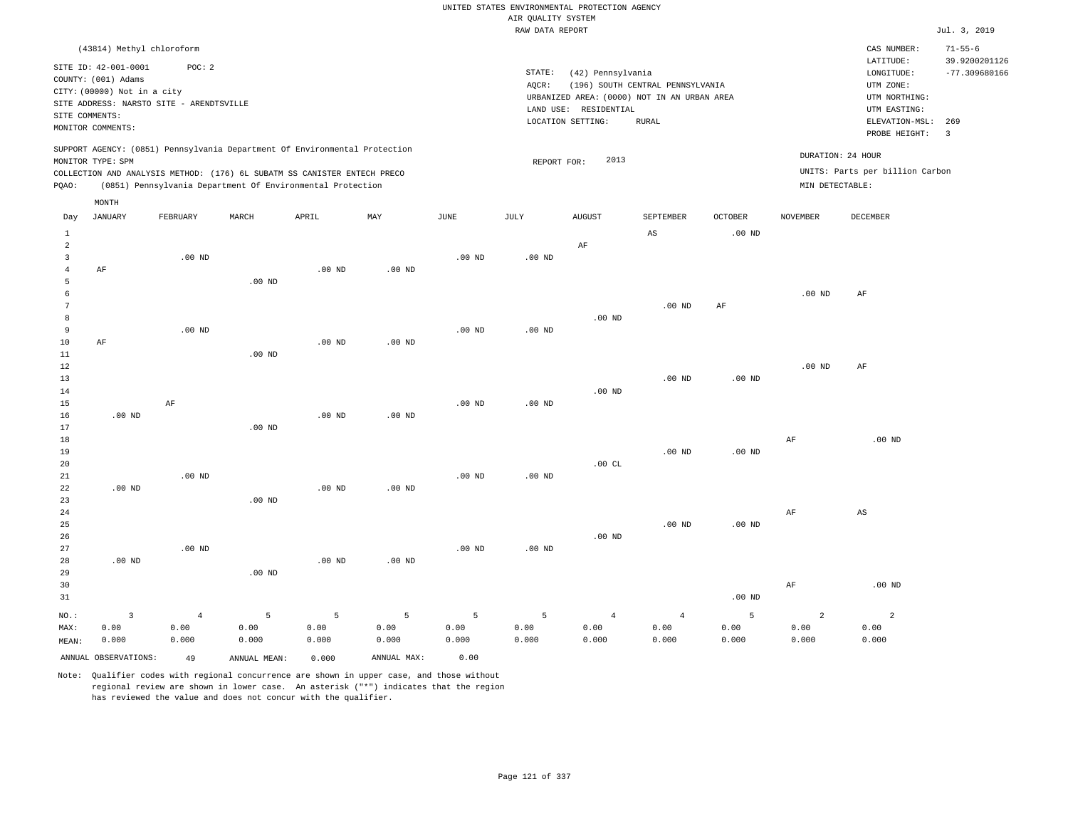|                     |                                                                                                 |                   |                   |                                                            |                   |                   |                    | UNITED STATES ENVIRONMENTAL PROTECTION AGENCY |                                             |                |                   |                                 |                                |
|---------------------|-------------------------------------------------------------------------------------------------|-------------------|-------------------|------------------------------------------------------------|-------------------|-------------------|--------------------|-----------------------------------------------|---------------------------------------------|----------------|-------------------|---------------------------------|--------------------------------|
|                     |                                                                                                 |                   |                   |                                                            |                   |                   | AIR QUALITY SYSTEM |                                               |                                             |                |                   |                                 |                                |
|                     |                                                                                                 |                   |                   |                                                            |                   |                   | RAW DATA REPORT    |                                               |                                             |                |                   |                                 | Jul. 3, 2019                   |
|                     | (43814) Methyl chloroform                                                                       |                   |                   |                                                            |                   |                   |                    |                                               |                                             |                |                   | CAS NUMBER:<br>LATITUDE:        | $71 - 55 - 6$<br>39.9200201126 |
|                     | SITE ID: 42-001-0001                                                                            | POC: 2            |                   |                                                            |                   |                   | STATE:             | (42) Pennsylvania                             |                                             |                |                   | LONGITUDE:                      | $-77.309680166$                |
|                     | COUNTY: (001) Adams                                                                             |                   |                   |                                                            |                   |                   | AQCR:              |                                               | (196) SOUTH CENTRAL PENNSYLVANIA            |                |                   | UTM ZONE:                       |                                |
|                     | CITY: (00000) Not in a city<br>SITE ADDRESS: NARSTO SITE - ARENDTSVILLE                         |                   |                   |                                                            |                   |                   |                    |                                               | URBANIZED AREA: (0000) NOT IN AN URBAN AREA |                |                   | UTM NORTHING:                   |                                |
|                     | SITE COMMENTS:                                                                                  |                   |                   |                                                            |                   |                   |                    | LAND USE: RESIDENTIAL                         |                                             |                |                   | UTM EASTING:                    |                                |
|                     | MONITOR COMMENTS:                                                                               |                   |                   |                                                            |                   |                   |                    | LOCATION SETTING:                             | RURAL                                       |                |                   | ELEVATION-MSL:<br>PROBE HEIGHT: | 269<br>$\overline{3}$          |
|                     | SUPPORT AGENCY: (0851) Pennsylvania Department Of Environmental Protection<br>MONITOR TYPE: SPM |                   |                   |                                                            |                   |                   | REPORT FOR:        | 2013                                          |                                             |                |                   | DURATION: 24 HOUR               |                                |
|                     | COLLECTION AND ANALYSIS METHOD: (176) 6L SUBATM SS CANISTER ENTECH PRECO                        |                   |                   |                                                            |                   |                   |                    |                                               |                                             |                |                   | UNITS: Parts per billion Carbon |                                |
| PQAO:               |                                                                                                 |                   |                   | (0851) Pennsylvania Department Of Environmental Protection |                   |                   |                    |                                               |                                             |                | MIN DETECTABLE:   |                                 |                                |
|                     | MONTH                                                                                           |                   |                   |                                                            |                   |                   |                    |                                               |                                             |                |                   |                                 |                                |
| Day                 | <b>JANUARY</b>                                                                                  | FEBRUARY          | MARCH             | APRIL                                                      | MAY               | $_{\rm JUNE}$     | $\mathtt{JULY}$    | <b>AUGUST</b>                                 | SEPTEMBER                                   | <b>OCTOBER</b> | <b>NOVEMBER</b>   | <b>DECEMBER</b>                 |                                |
| $\mathbf{1}$        |                                                                                                 |                   |                   |                                                            |                   |                   |                    |                                               | AS                                          | $.00$ ND       |                   |                                 |                                |
| $\overline{2}$      |                                                                                                 |                   |                   |                                                            |                   |                   |                    | AF                                            |                                             |                |                   |                                 |                                |
| $\overline{3}$      |                                                                                                 | $.00$ ND          |                   | .00 <sub>ND</sub>                                          | $.00$ ND          | $.00$ ND          | $.00$ ND           |                                               |                                             |                |                   |                                 |                                |
| $\overline{4}$<br>5 | AF                                                                                              |                   | .00 <sub>ND</sub> |                                                            |                   |                   |                    |                                               |                                             |                |                   |                                 |                                |
| 6                   |                                                                                                 |                   |                   |                                                            |                   |                   |                    |                                               |                                             |                | $.00$ ND          | AF                              |                                |
| $7\phantom{.0}$     |                                                                                                 |                   |                   |                                                            |                   |                   |                    |                                               | $.00$ ND                                    | $\rm AF$       |                   |                                 |                                |
| 8                   |                                                                                                 |                   |                   |                                                            |                   |                   |                    | $.00$ ND                                      |                                             |                |                   |                                 |                                |
| 9                   |                                                                                                 | .00 <sub>ND</sub> |                   |                                                            |                   | $.00$ ND          | $.00$ ND           |                                               |                                             |                |                   |                                 |                                |
| 10                  | AF                                                                                              |                   |                   | $.00$ ND                                                   | .00 <sub>ND</sub> |                   |                    |                                               |                                             |                |                   |                                 |                                |
| 11                  |                                                                                                 |                   | $.00$ ND          |                                                            |                   |                   |                    |                                               |                                             |                |                   |                                 |                                |
| 12                  |                                                                                                 |                   |                   |                                                            |                   |                   |                    |                                               |                                             |                | .00 <sub>ND</sub> | AF                              |                                |
| 13                  |                                                                                                 |                   |                   |                                                            |                   |                   |                    |                                               | $.00$ ND                                    | $.00$ ND       |                   |                                 |                                |
| 14                  |                                                                                                 |                   |                   |                                                            |                   |                   |                    | $.00$ ND                                      |                                             |                |                   |                                 |                                |
| 15                  |                                                                                                 | AF                |                   |                                                            |                   | $.00$ ND          | $.00$ ND           |                                               |                                             |                |                   |                                 |                                |
| 16                  | $.00$ ND                                                                                        |                   |                   | $.00$ ND                                                   | $.00$ ND          |                   |                    |                                               |                                             |                |                   |                                 |                                |
| 17                  |                                                                                                 |                   | $.00$ ND          |                                                            |                   |                   |                    |                                               |                                             |                |                   |                                 |                                |
| 18                  |                                                                                                 |                   |                   |                                                            |                   |                   |                    |                                               |                                             |                | AF                | $.00$ ND                        |                                |
| 19<br>20            |                                                                                                 |                   |                   |                                                            |                   |                   |                    | .00CL                                         | .00 <sub>ND</sub>                           | $.00$ ND       |                   |                                 |                                |
| 21                  |                                                                                                 | .00 <sub>ND</sub> |                   |                                                            |                   | .00 <sub>ND</sub> | .00 <sub>ND</sub>  |                                               |                                             |                |                   |                                 |                                |
| 22                  | $.00$ ND                                                                                        |                   |                   | $.00$ ND                                                   | $.00$ ND          |                   |                    |                                               |                                             |                |                   |                                 |                                |
| 23                  |                                                                                                 |                   | $.00$ ND          |                                                            |                   |                   |                    |                                               |                                             |                |                   |                                 |                                |
| 24                  |                                                                                                 |                   |                   |                                                            |                   |                   |                    |                                               |                                             |                | AF                | AS                              |                                |
| 25                  |                                                                                                 |                   |                   |                                                            |                   |                   |                    |                                               | $.00$ ND                                    | $.00$ ND       |                   |                                 |                                |
| 26                  |                                                                                                 |                   |                   |                                                            |                   |                   |                    | $.00$ ND                                      |                                             |                |                   |                                 |                                |
| 27                  |                                                                                                 | $.00$ ND          |                   |                                                            |                   | $.00$ ND          | $.00$ ND           |                                               |                                             |                |                   |                                 |                                |
| 28                  | $.00$ ND                                                                                        |                   |                   | $.00$ ND                                                   | $.00$ ND          |                   |                    |                                               |                                             |                |                   |                                 |                                |
| 29                  |                                                                                                 |                   | $.00$ ND          |                                                            |                   |                   |                    |                                               |                                             |                |                   |                                 |                                |
| 30                  |                                                                                                 |                   |                   |                                                            |                   |                   |                    |                                               |                                             |                | AF                | .00 <sub>ND</sub>               |                                |
| 31                  |                                                                                                 |                   |                   |                                                            |                   |                   |                    |                                               |                                             | $.00$ ND       |                   |                                 |                                |
| NO.:                | $\overline{\mathbf{3}}$                                                                         | $\overline{4}$    | 5                 | 5                                                          | $\overline{5}$    | 5                 | 5                  | $\overline{4}$                                | $\sqrt{4}$                                  | 5              | $\overline{a}$    | $\overline{2}$                  |                                |
| MAX:                | 0.00                                                                                            | 0.00              | 0.00              | 0.00                                                       | 0.00              | 0.00              | 0.00               | 0.00                                          | 0.00                                        | 0.00           | 0.00              | 0.00                            |                                |
| MEAN:               | 0.000                                                                                           | 0.000             | 0.000             | 0.000                                                      | 0.000             | 0.000             | 0.000              | 0.000                                         | 0.000                                       | 0.000          | 0.000             | 0.000                           |                                |
|                     | ANNUAL OBSERVATIONS:                                                                            | 49                | ANNUAL MEAN:      | 0.000                                                      | ANNUAL MAX:       | 0.00              |                    |                                               |                                             |                |                   |                                 |                                |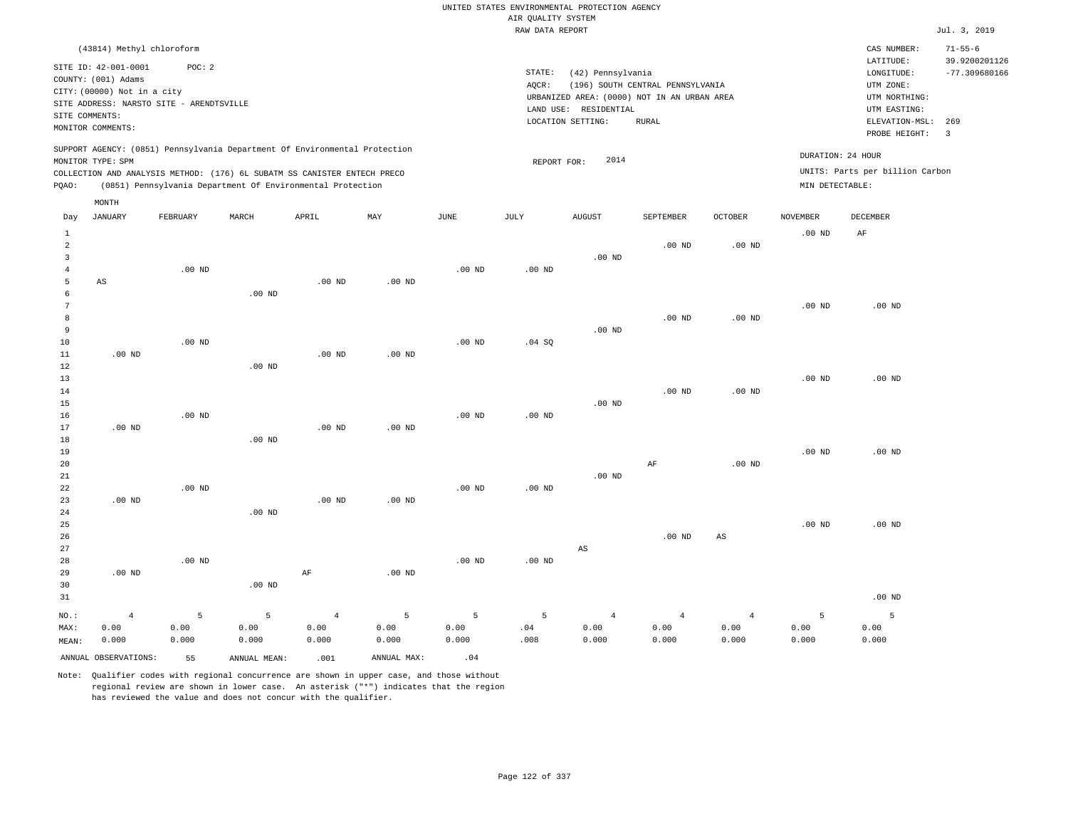|                                |                                             |                   |                                                                            |            |             |          |                                       | UNITED STATES ENVIRONMENTAL PROTECTION AGENCY |                                  |                   |                   |                                      |                                  |
|--------------------------------|---------------------------------------------|-------------------|----------------------------------------------------------------------------|------------|-------------|----------|---------------------------------------|-----------------------------------------------|----------------------------------|-------------------|-------------------|--------------------------------------|----------------------------------|
|                                |                                             |                   |                                                                            |            |             |          | AIR OUALITY SYSTEM<br>RAW DATA REPORT |                                               |                                  |                   |                   |                                      | Jul. 3, 2019                     |
|                                | (43814) Methyl chloroform                   |                   |                                                                            |            |             |          |                                       |                                               |                                  |                   |                   | CAS NUMBER:                          | $71 - 55 - 6$                    |
|                                | SITE ID: 42-001-0001<br>COUNTY: (001) Adams | POC: 2            |                                                                            |            |             |          | STATE:<br>AOCR:                       | (42) Pennsylvania                             | (196) SOUTH CENTRAL PENNSYLVANIA |                   |                   | LATITUDE:<br>LONGITUDE:<br>UTM ZONE: | 39.9200201126<br>$-77.309680166$ |
|                                | CITY: (00000) Not in a city                 |                   |                                                                            |            |             |          |                                       | URBANIZED AREA: (0000) NOT IN AN URBAN AREA   |                                  |                   |                   | UTM NORTHING:                        |                                  |
| SITE COMMENTS:                 | SITE ADDRESS: NARSTO SITE - ARENDTSVILLE    |                   |                                                                            |            |             |          |                                       | LAND USE: RESIDENTIAL                         |                                  |                   |                   | UTM EASTING:                         |                                  |
|                                | MONITOR COMMENTS:                           |                   |                                                                            |            |             |          |                                       | LOCATION SETTING:                             | <b>RURAL</b>                     |                   |                   | ELEVATION-MSL: 269<br>PROBE HEIGHT:  | $\overline{3}$                   |
|                                | MONITOR TYPE: SPM                           |                   | SUPPORT AGENCY: (0851) Pennsylvania Department Of Environmental Protection |            |             |          | REPORT FOR:                           | 2014                                          |                                  |                   |                   | DURATION: 24 HOUR                    |                                  |
|                                |                                             |                   | COLLECTION AND ANALYSIS METHOD: (176) 6L SUBATM SS CANISTER ENTECH PRECO   |            |             |          |                                       |                                               |                                  |                   |                   | UNITS: Parts per billion Carbon      |                                  |
| PQAO:                          |                                             |                   | (0851) Pennsylvania Department Of Environmental Protection                 |            |             |          |                                       |                                               |                                  |                   | MIN DETECTABLE:   |                                      |                                  |
|                                | MONTH                                       |                   |                                                                            |            |             |          |                                       |                                               |                                  |                   |                   |                                      |                                  |
| Day                            | JANUARY                                     | FEBRUARY          | MARCH                                                                      | APRIL      | MAY         | JUNE     | JULY                                  | <b>AUGUST</b>                                 | SEPTEMBER                        | <b>OCTOBER</b>    | <b>NOVEMBER</b>   | DECEMBER                             |                                  |
| $\mathbf{1}$<br>$\overline{a}$ |                                             |                   |                                                                            |            |             |          |                                       |                                               | .00 <sub>ND</sub>                | .00 <sub>ND</sub> | $.00$ ND          | AF                                   |                                  |
| $\overline{3}$                 |                                             |                   |                                                                            |            |             |          |                                       | $.00$ ND                                      |                                  |                   |                   |                                      |                                  |
| $\sqrt{4}$                     |                                             | $.00$ ND          |                                                                            |            |             | $.00$ ND | .00 <sub>ND</sub>                     |                                               |                                  |                   |                   |                                      |                                  |
| 5                              | AS                                          |                   |                                                                            | $.00$ ND   | $.00$ ND    |          |                                       |                                               |                                  |                   |                   |                                      |                                  |
| 6<br>$7\phantom{.0}$           |                                             |                   | .00 <sub>ND</sub>                                                          |            |             |          |                                       |                                               |                                  |                   |                   |                                      |                                  |
| 8                              |                                             |                   |                                                                            |            |             |          |                                       |                                               | $.00$ ND                         | $.00$ ND          | $.00$ ND          | $.00$ ND                             |                                  |
| 9                              |                                             |                   |                                                                            |            |             |          |                                       | $.00$ ND                                      |                                  |                   |                   |                                      |                                  |
| 10                             |                                             | .00 <sub>ND</sub> |                                                                            |            |             | $.00$ ND | .04 S0                                |                                               |                                  |                   |                   |                                      |                                  |
| 11                             | $.00$ ND                                    |                   |                                                                            | $.00$ ND   | $.00$ ND    |          |                                       |                                               |                                  |                   |                   |                                      |                                  |
| 12                             |                                             |                   | $.00$ ND                                                                   |            |             |          |                                       |                                               |                                  |                   |                   |                                      |                                  |
| 13                             |                                             |                   |                                                                            |            |             |          |                                       |                                               |                                  |                   | $.00$ ND          | $.00$ ND                             |                                  |
| 14<br>15                       |                                             |                   |                                                                            |            |             |          |                                       | $.00$ ND                                      | $.00$ ND                         | $.00$ ND          |                   |                                      |                                  |
| 16                             |                                             | $.00$ ND          |                                                                            |            |             | $.00$ ND | .00 <sub>ND</sub>                     |                                               |                                  |                   |                   |                                      |                                  |
| 17                             | $.00$ ND                                    |                   |                                                                            | $.00$ ND   | $.00$ ND    |          |                                       |                                               |                                  |                   |                   |                                      |                                  |
| 18                             |                                             |                   | .00 <sub>ND</sub>                                                          |            |             |          |                                       |                                               |                                  |                   |                   |                                      |                                  |
| 19                             |                                             |                   |                                                                            |            |             |          |                                       |                                               |                                  |                   | .00 <sub>ND</sub> | $.00$ ND                             |                                  |
| 20                             |                                             |                   |                                                                            |            |             |          |                                       |                                               | $\rm AF$                         | $.00$ ND          |                   |                                      |                                  |
| 21                             |                                             |                   |                                                                            |            |             |          |                                       | $.00$ ND                                      |                                  |                   |                   |                                      |                                  |
| 22                             |                                             | $.00$ ND          |                                                                            |            |             | $.00$ ND | .00 <sub>ND</sub>                     |                                               |                                  |                   |                   |                                      |                                  |
| 23<br>24                       | $.00$ ND                                    |                   | .00 <sub>ND</sub>                                                          | $.00$ ND   | $.00$ ND    |          |                                       |                                               |                                  |                   |                   |                                      |                                  |
| 25                             |                                             |                   |                                                                            |            |             |          |                                       |                                               |                                  |                   | $.00$ ND          | $.00$ ND                             |                                  |
| 26                             |                                             |                   |                                                                            |            |             |          |                                       |                                               | .00 <sub>ND</sub>                | $_{\rm AS}$       |                   |                                      |                                  |
| 27                             |                                             |                   |                                                                            |            |             |          |                                       | $_{\rm AS}$                                   |                                  |                   |                   |                                      |                                  |
| 28                             |                                             | $.00$ ND          |                                                                            |            |             | $.00$ ND | .00 <sub>ND</sub>                     |                                               |                                  |                   |                   |                                      |                                  |
| 29                             | $.00$ ND                                    |                   |                                                                            | AF         | $.00$ ND    |          |                                       |                                               |                                  |                   |                   |                                      |                                  |
| 30                             |                                             |                   | .00 <sub>ND</sub>                                                          |            |             |          |                                       |                                               |                                  |                   |                   |                                      |                                  |
| 31                             |                                             |                   |                                                                            |            |             |          |                                       |                                               |                                  |                   |                   | $.00$ ND                             |                                  |
| NO.:                           | $\overline{4}$                              | 5                 | 5                                                                          | $\sqrt{4}$ | 5           | 5        | 5                                     | $\overline{4}$                                | $\overline{4}$                   | $\overline{4}$    | 5                 | 5                                    |                                  |
| MAX:                           | 0.00                                        | 0.00              | 0.00                                                                       | 0.00       | 0.00        | 0.00     | .04                                   | 0.00                                          | 0.00                             | 0.00              | 0.00              | 0.00                                 |                                  |
| MEAN:                          | 0.000                                       | 0.000             | 0.000                                                                      | 0.000      | 0.000       | 0.000    | .008                                  | 0.000                                         | 0.000                            | 0.000             | 0.000             | 0.000                                |                                  |
|                                | ANNUAL OBSERVATIONS:                        | 55                | ANNUAL, MEAN:                                                              | .001       | ANNUAL MAX: | .04      |                                       |                                               |                                  |                   |                   |                                      |                                  |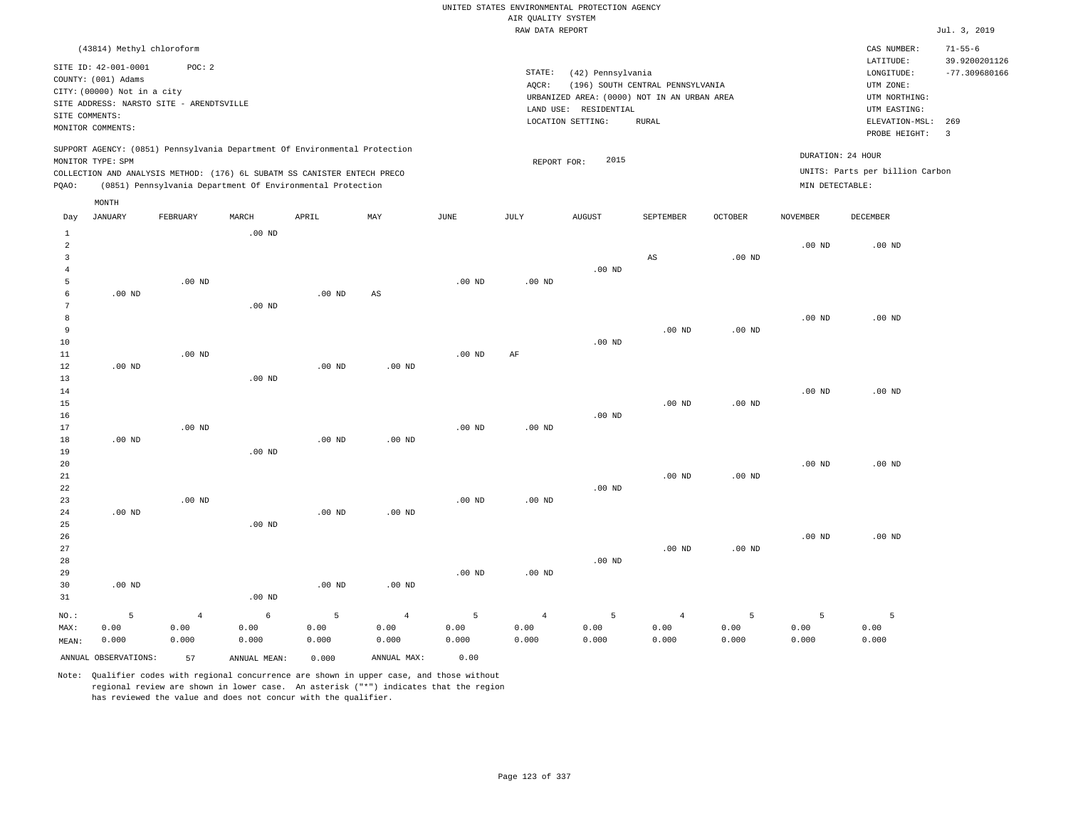|                                                                         |                                                                                                         |                                                    |                               |                                                                                                                                                                                                                      |                                 |                    |                                       | UNITED STATES ENVIRONMENTAL PROTECTION AGENCY                                             |                                  |                    |                                      |                                                                                      |                                                   |
|-------------------------------------------------------------------------|---------------------------------------------------------------------------------------------------------|----------------------------------------------------|-------------------------------|----------------------------------------------------------------------------------------------------------------------------------------------------------------------------------------------------------------------|---------------------------------|--------------------|---------------------------------------|-------------------------------------------------------------------------------------------|----------------------------------|--------------------|--------------------------------------|--------------------------------------------------------------------------------------|---------------------------------------------------|
|                                                                         |                                                                                                         |                                                    |                               |                                                                                                                                                                                                                      |                                 |                    | AIR QUALITY SYSTEM<br>RAW DATA REPORT |                                                                                           |                                  |                    |                                      |                                                                                      | Jul. 3, 2019                                      |
|                                                                         |                                                                                                         |                                                    |                               |                                                                                                                                                                                                                      |                                 |                    |                                       |                                                                                           |                                  |                    |                                      |                                                                                      |                                                   |
| SITE COMMENTS:                                                          | (43814) Methyl chloroform<br>SITE ID: 42-001-0001<br>COUNTY: (001) Adams<br>CITY: (00000) Not in a city | POC: 2<br>SITE ADDRESS: NARSTO SITE - ARENDTSVILLE |                               |                                                                                                                                                                                                                      |                                 |                    | STATE:<br>AOCR:                       | (42) Pennsylvania<br>URBANIZED AREA: (0000) NOT IN AN URBAN AREA<br>LAND USE: RESIDENTIAL | (196) SOUTH CENTRAL PENNSYLVANIA |                    |                                      | CAS NUMBER:<br>LATITUDE:<br>LONGITUDE:<br>UTM ZONE:<br>UTM NORTHING:<br>UTM EASTING: | $71 - 55 - 6$<br>39.9200201126<br>$-77.309680166$ |
|                                                                         | MONITOR COMMENTS:                                                                                       |                                                    |                               |                                                                                                                                                                                                                      |                                 |                    |                                       | LOCATION SETTING:                                                                         | <b>RURAL</b>                     |                    |                                      | ELEVATION-MSL:<br>PROBE HEIGHT:                                                      | 269<br>$\overline{3}$                             |
| PQAO:                                                                   | MONITOR TYPE: SPM                                                                                       |                                                    |                               | SUPPORT AGENCY: (0851) Pennsylvania Department Of Environmental Protection<br>COLLECTION AND ANALYSIS METHOD: (176) 6L SUBATM SS CANISTER ENTECH PRECO<br>(0851) Pennsylvania Department Of Environmental Protection |                                 |                    | REPORT FOR:                           | 2015                                                                                      |                                  |                    | DURATION: 24 HOUR<br>MIN DETECTABLE: | UNITS: Parts per billion Carbon                                                      |                                                   |
| Day                                                                     | MONTH<br><b>JANUARY</b>                                                                                 | FEBRUARY                                           | MARCH                         | APRIL                                                                                                                                                                                                                | MAY                             | JUNE               | JULY                                  | <b>AUGUST</b>                                                                             | SEPTEMBER                        | <b>OCTOBER</b>     | <b>NOVEMBER</b>                      | DECEMBER                                                                             |                                                   |
| $\mathbf{1}$<br>$\overline{a}$<br>$\overline{3}$<br>$\overline{4}$<br>5 |                                                                                                         | .00 <sub>ND</sub>                                  | .00 <sub>ND</sub>             |                                                                                                                                                                                                                      |                                 | $.00$ ND           | $.00$ ND                              | $.00$ ND                                                                                  | $\mathbb{A}\mathbb{S}$           | $.00$ ND           | .00 <sub>ND</sub>                    | $.00$ ND                                                                             |                                                   |
| $\epsilon$<br>$7\phantom{.0}$<br>8<br>9<br>10<br>11<br>12               | $.00$ ND<br>$.00$ ND                                                                                    | $.00$ ND                                           | $.00$ ND                      | $.00$ ND<br>.00 <sub>ND</sub>                                                                                                                                                                                        | AS<br>$.00$ ND                  | .00 <sub>ND</sub>  | AF                                    | $.00$ ND                                                                                  | $.00$ ND                         | .00 <sub>ND</sub>  | $.00$ ND                             | $.00$ ND                                                                             |                                                   |
| 13<br>14<br>15<br>16<br>17<br>18                                        | .00 <sub>ND</sub>                                                                                       | $.00$ ND                                           | $.00$ ND                      | $.00$ ND                                                                                                                                                                                                             | $.00$ ND                        | .00 <sub>ND</sub>  | .00 <sub>ND</sub>                     | $.00$ ND                                                                                  | $.00$ ND                         | .00 <sub>ND</sub>  | .00 <sub>ND</sub>                    | $.00$ ND                                                                             |                                                   |
| 19<br>20<br>21<br>22<br>23<br>24                                        | $.00$ ND                                                                                                | $.00$ ND                                           | $.00$ ND                      | $.00$ ND                                                                                                                                                                                                             | $.00$ ND                        | .00 <sub>ND</sub>  | $.00$ ND                              | $.00$ ND                                                                                  | $.00$ ND                         | .00 <sub>ND</sub>  | .00 <sub>ND</sub>                    | $.00$ ND                                                                             |                                                   |
| 25<br>26<br>27<br>28<br>29<br>30<br>31                                  | .00 <sub>ND</sub>                                                                                       |                                                    | $.00$ ND<br>.00 <sub>ND</sub> | .00 <sub>ND</sub>                                                                                                                                                                                                    | $.00$ ND                        | .00 <sub>ND</sub>  | .00 <sub>ND</sub>                     | $.00$ ND                                                                                  | $.00$ ND                         | .00 <sub>ND</sub>  | .00 <sub>ND</sub>                    | $.00$ ND                                                                             |                                                   |
| NO.:<br>MAX:<br>MEAN:                                                   | 5<br>0.00<br>0.000                                                                                      | $\overline{4}$<br>0.00<br>0.000                    | 6<br>0.00<br>0.000            | 5<br>0.00<br>0.000                                                                                                                                                                                                   | $\overline{4}$<br>0.00<br>0.000 | 5<br>0.00<br>0.000 | $\overline{4}$<br>0.00<br>0.000       | 5<br>0.00<br>0.000                                                                        | $\overline{4}$<br>0.00<br>0.000  | 5<br>0.00<br>0.000 | 5<br>0.00<br>0.000                   | 5<br>0.00<br>0.000                                                                   |                                                   |

ANNUAL OBSERVATIONS: 57 ANNUAL MEAN: 0.000 ANNUAL MAX: 0.00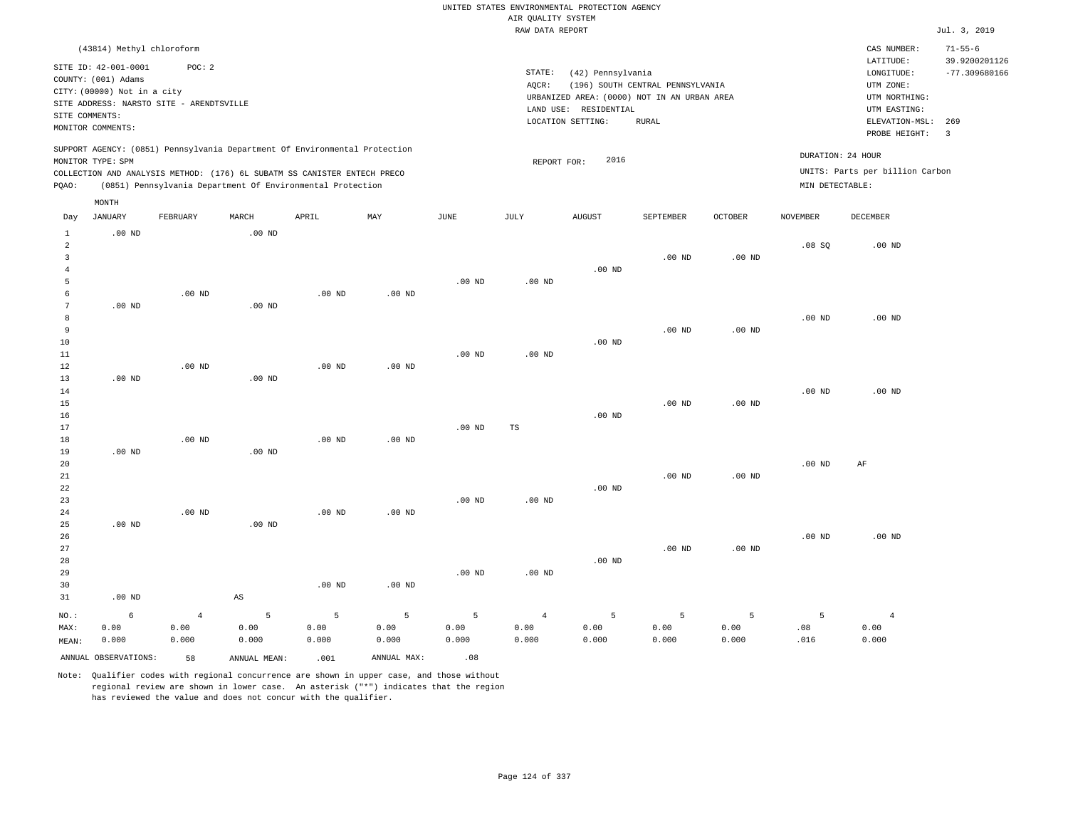|                 |                                          |                |                   |                                                                            |                   |                   |                    | UNITED STATES ENVIRONMENTAL PROTECTION AGENCY |                                  |                   |                   |                                 |                                  |
|-----------------|------------------------------------------|----------------|-------------------|----------------------------------------------------------------------------|-------------------|-------------------|--------------------|-----------------------------------------------|----------------------------------|-------------------|-------------------|---------------------------------|----------------------------------|
|                 |                                          |                |                   |                                                                            |                   |                   | AIR QUALITY SYSTEM |                                               |                                  |                   |                   |                                 |                                  |
|                 |                                          |                |                   |                                                                            |                   |                   | RAW DATA REPORT    |                                               |                                  |                   |                   |                                 | Jul. 3, 2019                     |
|                 | (43814) Methyl chloroform                |                |                   |                                                                            |                   |                   |                    |                                               |                                  |                   |                   | CAS NUMBER:                     | $71 - 55 - 6$                    |
|                 | SITE ID: 42-001-0001                     | POC: 2         |                   |                                                                            |                   |                   | STATE:             | (42) Pennsylvania                             |                                  |                   |                   | LATITUDE:                       | 39.9200201126<br>$-77.309680166$ |
|                 | COUNTY: (001) Adams                      |                |                   |                                                                            |                   |                   | AOCR:              |                                               | (196) SOUTH CENTRAL PENNSYLVANIA |                   |                   | ${\tt LONGITUDE:}$<br>UTM ZONE: |                                  |
|                 | CITY: (00000) Not in a city              |                |                   |                                                                            |                   |                   |                    | URBANIZED AREA: (0000) NOT IN AN URBAN AREA   |                                  |                   |                   | UTM NORTHING:                   |                                  |
|                 | SITE ADDRESS: NARSTO SITE - ARENDTSVILLE |                |                   |                                                                            |                   |                   |                    | LAND USE: RESIDENTIAL                         |                                  |                   |                   | UTM EASTING:                    |                                  |
| SITE COMMENTS:  |                                          |                |                   |                                                                            |                   |                   |                    | LOCATION SETTING:                             | <b>RURAL</b>                     |                   |                   | ELEVATION-MSL:                  | 269                              |
|                 | MONITOR COMMENTS:                        |                |                   |                                                                            |                   |                   |                    |                                               |                                  |                   |                   | PROBE HEIGHT:                   | $\overline{3}$                   |
|                 |                                          |                |                   | SUPPORT AGENCY: (0851) Pennsylvania Department Of Environmental Protection |                   |                   |                    |                                               |                                  |                   |                   | DURATION: 24 HOUR               |                                  |
|                 | MONITOR TYPE: SPM                        |                |                   |                                                                            |                   |                   | REPORT FOR:        | 2016                                          |                                  |                   |                   |                                 |                                  |
|                 |                                          |                |                   | COLLECTION AND ANALYSIS METHOD: (176) 6L SUBATM SS CANISTER ENTECH PRECO   |                   |                   |                    |                                               |                                  |                   |                   | UNITS: Parts per billion Carbon |                                  |
| PQAO:           |                                          |                |                   | (0851) Pennsylvania Department Of Environmental Protection                 |                   |                   |                    |                                               |                                  |                   | MIN DETECTABLE:   |                                 |                                  |
| Day             | MONTH<br><b>JANUARY</b>                  | FEBRUARY       | MARCH             | APRIL                                                                      | MAY               | $_{\rm JUNE}$     | <b>JULY</b>        | <b>AUGUST</b>                                 | SEPTEMBER                        | <b>OCTOBER</b>    | <b>NOVEMBER</b>   | <b>DECEMBER</b>                 |                                  |
| $\mathbf{1}$    | $.00$ ND                                 |                | $.00$ ND          |                                                                            |                   |                   |                    |                                               |                                  |                   |                   |                                 |                                  |
| $\overline{a}$  |                                          |                |                   |                                                                            |                   |                   |                    |                                               |                                  |                   | .08SQ             | .00 <sub>ND</sub>               |                                  |
| $\overline{3}$  |                                          |                |                   |                                                                            |                   |                   |                    |                                               | $.00$ ND                         | .00 <sub>ND</sub> |                   |                                 |                                  |
| $\overline{4}$  |                                          |                |                   |                                                                            |                   |                   |                    | $.00$ ND                                      |                                  |                   |                   |                                 |                                  |
| 5               |                                          |                |                   |                                                                            |                   | .00 <sub>ND</sub> | $.00$ ND           |                                               |                                  |                   |                   |                                 |                                  |
| -6              |                                          | $.00$ ND       |                   | $.00$ ND                                                                   | $.00$ ND          |                   |                    |                                               |                                  |                   |                   |                                 |                                  |
| $7\phantom{.0}$ | $.00$ ND                                 |                | .00 <sub>ND</sub> |                                                                            |                   |                   |                    |                                               |                                  |                   |                   |                                 |                                  |
| 8               |                                          |                |                   |                                                                            |                   |                   |                    |                                               |                                  |                   | $.00$ ND          | $.00$ ND                        |                                  |
| 9               |                                          |                |                   |                                                                            |                   |                   |                    |                                               | $.00$ ND                         | $.00$ ND          |                   |                                 |                                  |
| 10              |                                          |                |                   |                                                                            |                   |                   |                    | $.00$ ND                                      |                                  |                   |                   |                                 |                                  |
| 11              |                                          |                |                   |                                                                            |                   | $.00$ ND          | $.00$ ND           |                                               |                                  |                   |                   |                                 |                                  |
| 12<br>13        | $.00$ ND                                 | $.00$ ND       | $.00$ ND          | $.00$ ND                                                                   | $.00$ ND          |                   |                    |                                               |                                  |                   |                   |                                 |                                  |
| 14              |                                          |                |                   |                                                                            |                   |                   |                    |                                               |                                  |                   | .00 <sub>ND</sub> | $.00$ ND                        |                                  |
| 15              |                                          |                |                   |                                                                            |                   |                   |                    |                                               | $.00$ ND                         | .00 <sub>ND</sub> |                   |                                 |                                  |
| 16              |                                          |                |                   |                                                                            |                   |                   |                    | $.00$ ND                                      |                                  |                   |                   |                                 |                                  |
| 17              |                                          |                |                   |                                                                            |                   | .00 <sub>ND</sub> | TS                 |                                               |                                  |                   |                   |                                 |                                  |
| 18              |                                          | $.00$ ND       |                   | $.00$ ND                                                                   | $.00$ ND          |                   |                    |                                               |                                  |                   |                   |                                 |                                  |
| 19              | $.00$ ND                                 |                | $.00$ ND          |                                                                            |                   |                   |                    |                                               |                                  |                   |                   |                                 |                                  |
| 20              |                                          |                |                   |                                                                            |                   |                   |                    |                                               |                                  |                   | $.00$ ND          | AF                              |                                  |
| $2\sqrt{1}$     |                                          |                |                   |                                                                            |                   |                   |                    |                                               | $.00$ ND                         | $.00$ ND          |                   |                                 |                                  |
| 22              |                                          |                |                   |                                                                            |                   |                   |                    | $.00$ ND                                      |                                  |                   |                   |                                 |                                  |
| 23              |                                          |                |                   |                                                                            |                   | .00 <sub>ND</sub> | .00 <sub>ND</sub>  |                                               |                                  |                   |                   |                                 |                                  |
| 24              |                                          | $.00$ ND       |                   | $.00$ ND                                                                   | $.00$ ND          |                   |                    |                                               |                                  |                   |                   |                                 |                                  |
| 25              | $.00$ ND                                 |                | $.00$ ND          |                                                                            |                   |                   |                    |                                               |                                  |                   |                   |                                 |                                  |
| 26              |                                          |                |                   |                                                                            |                   |                   |                    |                                               |                                  |                   | .00 <sub>ND</sub> | $.00$ ND                        |                                  |
| 27              |                                          |                |                   |                                                                            |                   |                   |                    |                                               | $.00$ ND                         | $.00$ ND          |                   |                                 |                                  |
| 28              |                                          |                |                   |                                                                            |                   |                   |                    | $.00$ ND                                      |                                  |                   |                   |                                 |                                  |
| 29<br>30        |                                          |                |                   | .00 <sub>ND</sub>                                                          | .00 <sub>ND</sub> | .00 <sub>ND</sub> | $.00$ ND           |                                               |                                  |                   |                   |                                 |                                  |
| 31              | $.00$ ND                                 |                | AS                |                                                                            |                   |                   |                    |                                               |                                  |                   |                   |                                 |                                  |
|                 |                                          |                |                   |                                                                            |                   |                   |                    |                                               |                                  |                   |                   |                                 |                                  |
| NO.:            | 6                                        | $\overline{4}$ | 5                 | 5                                                                          | 5                 | 5                 | $\overline{4}$     | 5                                             | 5                                | 5                 | 5                 | $\overline{4}$                  |                                  |
| MAX:            | 0.00                                     | 0.00           | 0.00              | 0.00                                                                       | 0.00              | 0.00              | 0.00               | 0.00                                          | 0.00                             | 0.00              | .08               | 0.00                            |                                  |
| MEAN:           | 0.000                                    | 0.000          | 0.000             | 0.000                                                                      | 0.000             | 0.000             | 0.000              | 0.000                                         | 0.000                            | 0.000             | .016              | 0.000                           |                                  |
|                 | ANNUAL OBSERVATIONS:                     | 58             | ANNUAL MEAN:      | .001                                                                       | ANNUAL MAX:       | .08               |                    |                                               |                                  |                   |                   |                                 |                                  |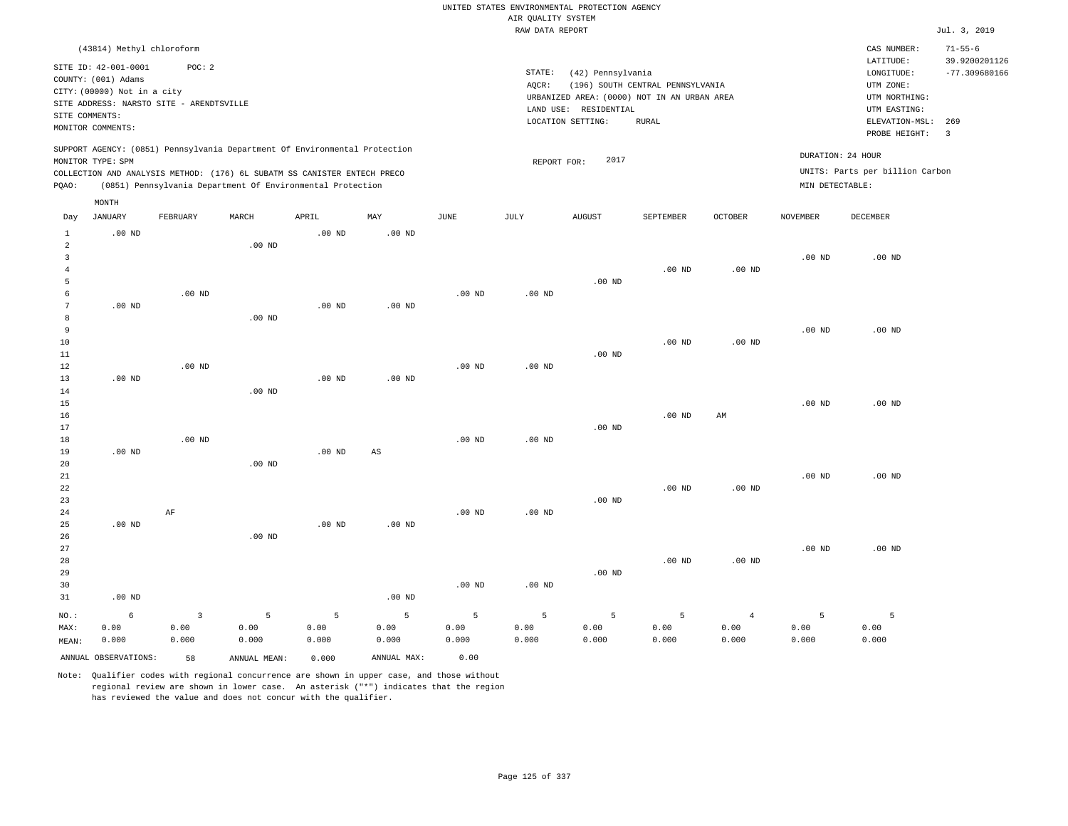|                      |                                                                         |          |                                                                            |                   |             |             |                    | UNITED STATES ENVIRONMENTAL PROTECTION AGENCY |                                  |                |                   |                                 |                                |
|----------------------|-------------------------------------------------------------------------|----------|----------------------------------------------------------------------------|-------------------|-------------|-------------|--------------------|-----------------------------------------------|----------------------------------|----------------|-------------------|---------------------------------|--------------------------------|
|                      |                                                                         |          |                                                                            |                   |             |             | AIR QUALITY SYSTEM |                                               |                                  |                |                   |                                 |                                |
|                      |                                                                         |          |                                                                            |                   |             |             | RAW DATA REPORT    |                                               |                                  |                |                   |                                 | Jul. 3, 2019                   |
|                      | (43814) Methyl chloroform                                               |          |                                                                            |                   |             |             |                    |                                               |                                  |                |                   | CAS NUMBER:<br>LATITUDE:        | $71 - 55 - 6$<br>39.9200201126 |
|                      | SITE ID: 42-001-0001                                                    | POC: 2   |                                                                            |                   |             |             | STATE:             | (42) Pennsylvania                             |                                  |                |                   | LONGITUDE:                      | $-77.309680166$                |
|                      | COUNTY: (001) Adams                                                     |          |                                                                            |                   |             |             | AQCR:              |                                               | (196) SOUTH CENTRAL PENNSYLVANIA |                |                   | UTM ZONE:                       |                                |
|                      | CITY: (00000) Not in a city<br>SITE ADDRESS: NARSTO SITE - ARENDTSVILLE |          |                                                                            |                   |             |             |                    | URBANIZED AREA: (0000) NOT IN AN URBAN AREA   |                                  |                |                   | UTM NORTHING:                   |                                |
| SITE COMMENTS:       |                                                                         |          |                                                                            |                   |             |             |                    | LAND USE: RESIDENTIAL                         |                                  |                |                   | UTM EASTING:                    |                                |
|                      | MONITOR COMMENTS:                                                       |          |                                                                            |                   |             |             |                    | LOCATION SETTING:                             | <b>RURAL</b>                     |                |                   | ELEVATION-MSL:<br>PROBE HEIGHT: | 269<br>$\overline{\mathbf{3}}$ |
|                      | MONITOR TYPE: SPM                                                       |          | SUPPORT AGENCY: (0851) Pennsylvania Department Of Environmental Protection |                   |             |             | REPORT FOR:        | 2017                                          |                                  |                | DURATION: 24 HOUR |                                 |                                |
|                      |                                                                         |          | COLLECTION AND ANALYSIS METHOD: (176) 6L SUBATM SS CANISTER ENTECH PRECO   |                   |             |             |                    |                                               |                                  |                |                   | UNITS: Parts per billion Carbon |                                |
| PQAO:                |                                                                         |          | (0851) Pennsylvania Department Of Environmental Protection                 |                   |             |             |                    |                                               |                                  |                | MIN DETECTABLE:   |                                 |                                |
|                      | MONTH                                                                   |          |                                                                            |                   |             |             |                    |                                               |                                  |                |                   |                                 |                                |
| Day                  | <b>JANUARY</b>                                                          | FEBRUARY | MARCH                                                                      | APRIL             | MAY         | <b>JUNE</b> | <b>JULY</b>        | AUGUST                                        | SEPTEMBER                        | OCTOBER        | <b>NOVEMBER</b>   | <b>DECEMBER</b>                 |                                |
| $\mathbf{1}$         | $.00$ ND                                                                |          |                                                                            | $.00$ ND          | $.00$ ND    |             |                    |                                               |                                  |                |                   |                                 |                                |
| $\overline{2}$       |                                                                         |          | $.00$ ND                                                                   |                   |             |             |                    |                                               |                                  |                |                   |                                 |                                |
| $\mathbf{3}$         |                                                                         |          |                                                                            |                   |             |             |                    |                                               |                                  |                | .00 <sub>ND</sub> | $.00$ ND                        |                                |
| $\overline{4}$       |                                                                         |          |                                                                            |                   |             |             |                    |                                               | $.00$ ND                         | $.00$ ND       |                   |                                 |                                |
| 5                    |                                                                         |          |                                                                            |                   |             |             |                    | $.00$ ND                                      |                                  |                |                   |                                 |                                |
| 6<br>$7\phantom{.0}$ | $.00$ ND                                                                | $.00$ ND |                                                                            | $.00$ ND          | $.00$ ND    | $.00$ ND    | $.00$ ND           |                                               |                                  |                |                   |                                 |                                |
| 8                    |                                                                         |          | .00 <sub>ND</sub>                                                          |                   |             |             |                    |                                               |                                  |                |                   |                                 |                                |
| 9                    |                                                                         |          |                                                                            |                   |             |             |                    |                                               |                                  |                | $.00$ ND          | $.00$ ND                        |                                |
| 10                   |                                                                         |          |                                                                            |                   |             |             |                    |                                               | .00 <sub>ND</sub>                | $.00$ ND       |                   |                                 |                                |
| 11                   |                                                                         |          |                                                                            |                   |             |             |                    | $.00$ ND                                      |                                  |                |                   |                                 |                                |
| 12                   |                                                                         | $.00$ ND |                                                                            |                   |             | $.00$ ND    | .00 <sub>ND</sub>  |                                               |                                  |                |                   |                                 |                                |
| 13                   | $.00$ ND                                                                |          |                                                                            | $.00$ ND          | $.00$ ND    |             |                    |                                               |                                  |                |                   |                                 |                                |
| 14                   |                                                                         |          | $.00$ ND                                                                   |                   |             |             |                    |                                               |                                  |                |                   |                                 |                                |
| 15                   |                                                                         |          |                                                                            |                   |             |             |                    |                                               |                                  |                | $.00$ ND          | $.00$ ND                        |                                |
| 16                   |                                                                         |          |                                                                            |                   |             |             |                    |                                               | $.00$ ND                         | AM             |                   |                                 |                                |
| 17                   |                                                                         |          |                                                                            |                   |             |             |                    | .00 <sub>ND</sub>                             |                                  |                |                   |                                 |                                |
| 18                   |                                                                         | $.00$ ND |                                                                            |                   |             | $.00$ ND    | $.00$ ND           |                                               |                                  |                |                   |                                 |                                |
| 19                   | $.00$ ND                                                                |          |                                                                            | .00 <sub>ND</sub> | $_{\rm AS}$ |             |                    |                                               |                                  |                |                   |                                 |                                |
| 20<br>$21\,$         |                                                                         |          | $.00$ ND                                                                   |                   |             |             |                    |                                               |                                  |                | $.00$ ND          | $.00$ ND                        |                                |
| 22                   |                                                                         |          |                                                                            |                   |             |             |                    |                                               | $.00$ ND                         | $.00$ ND       |                   |                                 |                                |
| 23                   |                                                                         |          |                                                                            |                   |             |             |                    | $.00$ ND                                      |                                  |                |                   |                                 |                                |
| 24                   |                                                                         | AF       |                                                                            |                   |             | $.00$ ND    | $.00$ ND           |                                               |                                  |                |                   |                                 |                                |
| 25                   | $.00$ ND                                                                |          |                                                                            | $.00$ ND          | $.00$ ND    |             |                    |                                               |                                  |                |                   |                                 |                                |
| 26                   |                                                                         |          | $.00$ ND                                                                   |                   |             |             |                    |                                               |                                  |                |                   |                                 |                                |
| 27                   |                                                                         |          |                                                                            |                   |             |             |                    |                                               |                                  |                | $.00$ ND          | $.00$ ND                        |                                |
| 28                   |                                                                         |          |                                                                            |                   |             |             |                    |                                               | .00 <sub>ND</sub>                | $.00$ ND       |                   |                                 |                                |
| 29                   |                                                                         |          |                                                                            |                   |             |             |                    | $.00$ ND                                      |                                  |                |                   |                                 |                                |
| 30                   |                                                                         |          |                                                                            |                   |             | $.00$ ND    | .00 <sub>ND</sub>  |                                               |                                  |                |                   |                                 |                                |
| 31                   | $.00$ ND                                                                |          |                                                                            |                   | $.00$ ND    |             |                    |                                               |                                  |                |                   |                                 |                                |
| NO.:                 | 6                                                                       | 3        | 5                                                                          | 5                 | 5           | 5           | 5                  | 5                                             | 5                                | $\overline{4}$ | 5                 | 5                               |                                |
| MAX:                 | 0.00                                                                    | 0.00     | 0.00                                                                       | 0.00              | 0.00        | 0.00        | 0.00               | 0.00                                          | 0.00                             | 0.00           | 0.00              | 0.00                            |                                |
| MEAN:                | 0.000                                                                   | 0.000    | 0.000                                                                      | 0.000             | 0.000       | 0.000       | 0.000              | 0.000                                         | 0.000                            | 0.000          | 0.000             | 0.000                           |                                |
|                      | ANNUAL OBSERVATIONS:                                                    | 58       | ANNUAL MEAN:                                                               | 0.000             | ANNUAL MAX: | 0.00        |                    |                                               |                                  |                |                   |                                 |                                |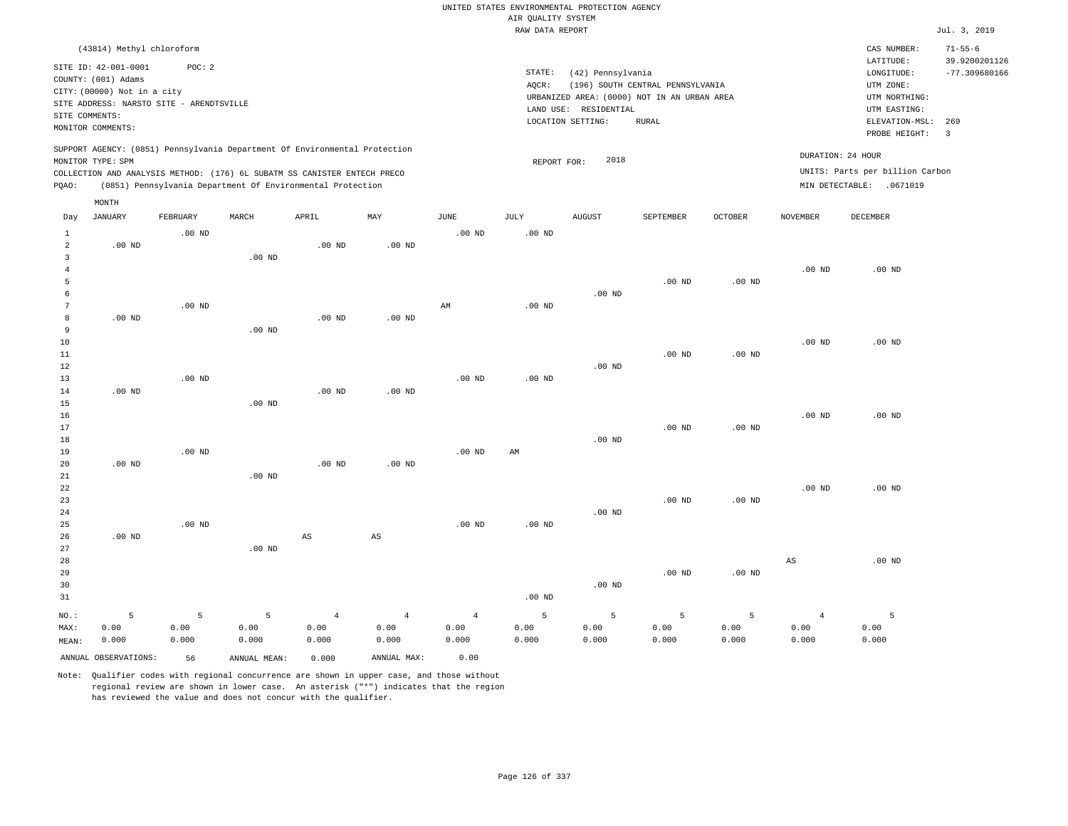|                                  |                                                                                                                                                                             |                    |                                                            |                                 |                                 |                                 | AIR QUALITY SYSTEM | UNITED STATES ENVIRONMENTAL PROTECTION AGENCY                   |                                                                                                 |                    |                                 |                                                                            |                                |
|----------------------------------|-----------------------------------------------------------------------------------------------------------------------------------------------------------------------------|--------------------|------------------------------------------------------------|---------------------------------|---------------------------------|---------------------------------|--------------------|-----------------------------------------------------------------|-------------------------------------------------------------------------------------------------|--------------------|---------------------------------|----------------------------------------------------------------------------|--------------------------------|
|                                  |                                                                                                                                                                             |                    |                                                            |                                 |                                 |                                 | RAW DATA REPORT    |                                                                 |                                                                                                 |                    |                                 |                                                                            | Jul. 3, 2019                   |
|                                  | (43814) Methyl chloroform                                                                                                                                                   |                    |                                                            |                                 |                                 |                                 |                    |                                                                 |                                                                                                 |                    |                                 | CAS NUMBER:<br>LATITUDE:                                                   | $71 - 55 - 6$<br>39.9200201126 |
| SITE COMMENTS:                   | SITE ID: 42-001-0001<br>COUNTY: (001) Adams<br>CITY: (00000) Not in a city<br>SITE ADDRESS: NARSTO SITE - ARENDTSVILLE                                                      | POC: 2             |                                                            |                                 |                                 |                                 | STATE:<br>AQCR:    | (42) Pennsylvania<br>LAND USE: RESIDENTIAL<br>LOCATION SETTING: | (196) SOUTH CENTRAL PENNSYLVANIA<br>URBANIZED AREA: (0000) NOT IN AN URBAN AREA<br><b>RURAL</b> |                    |                                 | LONGITUDE:<br>UTM ZONE:<br>UTM NORTHING:<br>UTM EASTING:<br>ELEVATION-MSL: | $-77.309680166$<br>269         |
|                                  | MONITOR COMMENTS:                                                                                                                                                           |                    |                                                            |                                 |                                 |                                 |                    |                                                                 |                                                                                                 |                    |                                 | PROBE HEIGHT:                                                              | $\overline{\mathbf{3}}$        |
|                                  | SUPPORT AGENCY: (0851) Pennsylvania Department Of Environmental Protection<br>MONITOR TYPE: SPM<br>COLLECTION AND ANALYSIS METHOD: (176) 6L SUBATM SS CANISTER ENTECH PRECO |                    |                                                            |                                 |                                 |                                 | REPORT FOR:        | 2018                                                            |                                                                                                 |                    |                                 | DURATION: 24 HOUR<br>UNITS: Parts per billion Carbon                       |                                |
| PQAO:                            |                                                                                                                                                                             |                    | (0851) Pennsylvania Department Of Environmental Protection |                                 |                                 |                                 |                    |                                                                 |                                                                                                 |                    |                                 | MIN DETECTABLE: . 0671019                                                  |                                |
| Day                              | MONTH<br>JANUARY                                                                                                                                                            | FEBRUARY           | MARCH                                                      | APRIL                           | MAY                             | JUNE                            | JULY               | <b>AUGUST</b>                                                   | SEPTEMBER                                                                                       | OCTOBER            | NOVEMBER                        | DECEMBER                                                                   |                                |
| $\mathbf{1}$<br>$\overline{a}$   | $.00$ ND                                                                                                                                                                    | $.00$ ND           |                                                            | $.00$ ND                        | .00 <sub>ND</sub>               | .00 <sub>ND</sub>               | .00 <sub>ND</sub>  |                                                                 |                                                                                                 |                    |                                 |                                                                            |                                |
| $\overline{3}$<br>$\overline{4}$ |                                                                                                                                                                             |                    | .00 <sub>ND</sub>                                          |                                 |                                 |                                 |                    |                                                                 |                                                                                                 |                    | $.00$ ND                        | $.00$ ND                                                                   |                                |
| 5<br>6<br>$7\phantom{.0}$        |                                                                                                                                                                             | $.00$ ND           |                                                            |                                 |                                 | $\mathbb{A}\mathbb{M}$          | $.00$ ND           | $.00$ ND                                                        | $.00$ ND                                                                                        | $.00$ ND           |                                 |                                                                            |                                |
| 8<br>9                           | $.00$ ND                                                                                                                                                                    |                    | $.00$ ND                                                   | $.00$ ND                        | $.00$ ND                        |                                 |                    |                                                                 |                                                                                                 |                    |                                 |                                                                            |                                |
| $10$<br>11<br>12                 |                                                                                                                                                                             |                    |                                                            |                                 |                                 |                                 |                    | $.00$ ND                                                        | .00 <sub>ND</sub>                                                                               | $.00$ ND           | $.00$ ND                        | $.00$ ND                                                                   |                                |
| 13<br>14<br>15                   | $.00$ ND                                                                                                                                                                    | .00 <sub>ND</sub>  | $.00$ ND                                                   | .00 <sub>ND</sub>               | $.00$ ND                        | .00 <sub>ND</sub>               | .00 <sub>ND</sub>  |                                                                 |                                                                                                 |                    |                                 |                                                                            |                                |
| 16<br>17                         |                                                                                                                                                                             |                    |                                                            |                                 |                                 |                                 |                    |                                                                 | $.00$ ND                                                                                        | $.00$ ND           | .00 <sub>ND</sub>               | $.00$ ND                                                                   |                                |
| 18<br>19<br>20                   | $.00$ ND                                                                                                                                                                    | $.00$ ND           |                                                            | $.00$ ND                        | $.00$ ND                        | $.00$ ND                        | AM                 | $.00$ ND                                                        |                                                                                                 |                    |                                 |                                                                            |                                |
| 21<br>22<br>23                   |                                                                                                                                                                             |                    | $.00$ ND                                                   |                                 |                                 |                                 |                    |                                                                 | $.00$ ND                                                                                        | $.00$ ND           | $.00$ ND                        | $.00$ ND                                                                   |                                |
| 24<br>25<br>26<br>27             | $.00$ ND                                                                                                                                                                    | $.00$ ND           | $.00$ ND                                                   | $\mathbb{A}\mathbb{S}$          | $\mathbb{A}\mathbb{S}$          | .00 <sub>ND</sub>               | .00 <sub>ND</sub>  | $.00$ ND                                                        |                                                                                                 |                    |                                 |                                                                            |                                |
| 28<br>29<br>30<br>31             |                                                                                                                                                                             |                    |                                                            |                                 |                                 |                                 | .00 <sub>ND</sub>  | $.00$ ND                                                        | $.00$ ND                                                                                        | $.00$ ND           | $_{\rm AS}$                     | $.00$ ND                                                                   |                                |
| NO.:<br>MAX:<br>MEAN:            | 5<br>0.00<br>0.000                                                                                                                                                          | 5<br>0.00<br>0.000 | 5<br>0.00<br>0.000                                         | $\overline{4}$<br>0.00<br>0.000 | $\overline{4}$<br>0.00<br>0.000 | $\overline{4}$<br>0.00<br>0.000 | 5<br>0.00<br>0.000 | 5<br>0.00<br>0.000                                              | 5<br>0.00<br>0.000                                                                              | 5<br>0.00<br>0.000 | $\overline{4}$<br>0.00<br>0.000 | 5<br>0.00<br>0.000                                                         |                                |
|                                  | ANNUAL OBSERVATIONS:                                                                                                                                                        | 56                 | ANNUAL MEAN:                                               | 0.000                           | ANNUAL MAX:                     | 0.00                            |                    |                                                                 |                                                                                                 |                    |                                 |                                                                            |                                |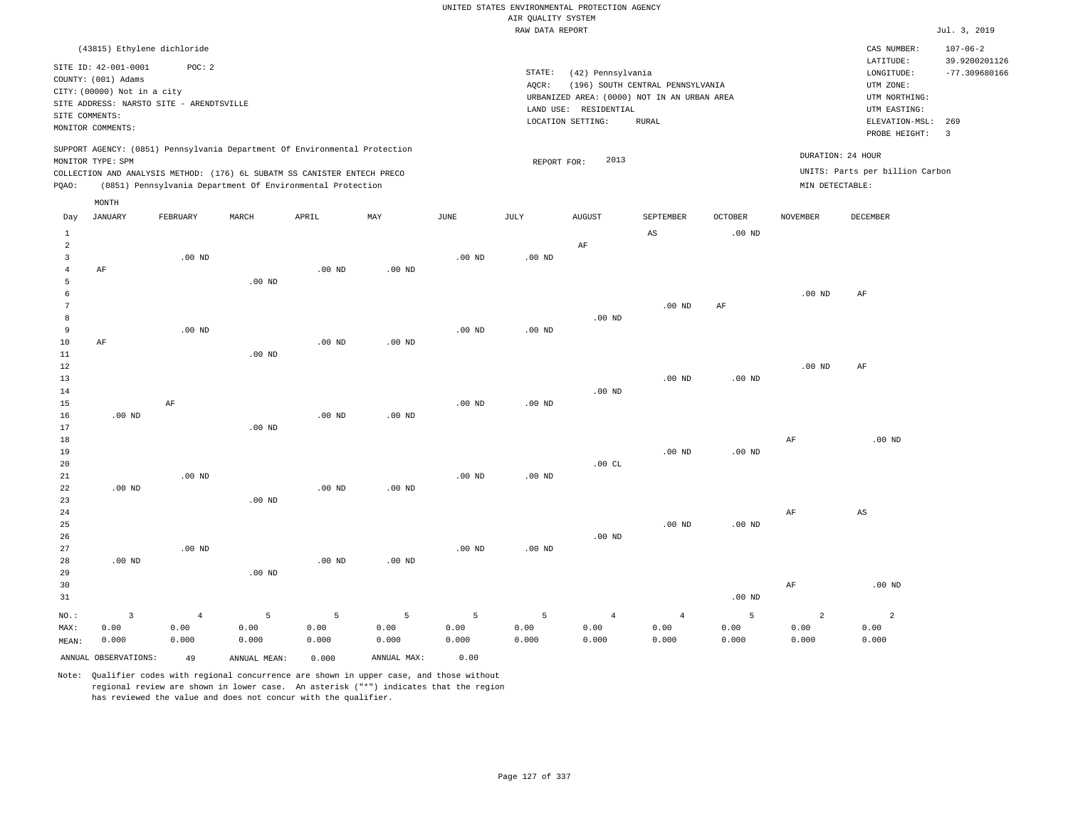|                |                                          |                |                                                                            |                |                   |                   |                    | UNITED STATES ENVIRONMENTAL PROTECTION AGENCY |                                  |                   |                   |                                 |                                 |
|----------------|------------------------------------------|----------------|----------------------------------------------------------------------------|----------------|-------------------|-------------------|--------------------|-----------------------------------------------|----------------------------------|-------------------|-------------------|---------------------------------|---------------------------------|
|                |                                          |                |                                                                            |                |                   |                   | AIR QUALITY SYSTEM |                                               |                                  |                   |                   |                                 |                                 |
|                |                                          |                |                                                                            |                |                   |                   | RAW DATA REPORT    |                                               |                                  |                   |                   |                                 | Jul. 3, 2019                    |
|                | (43815) Ethylene dichloride              |                |                                                                            |                |                   |                   |                    |                                               |                                  |                   |                   | CAS NUMBER:<br>LATITUDE:        | $107 - 06 - 2$<br>39.9200201126 |
|                | SITE ID: 42-001-0001                     | POC: 2         |                                                                            |                |                   |                   | STATE:             | (42) Pennsylvania                             |                                  |                   |                   | LONGITUDE:                      | $-77.309680166$                 |
|                | COUNTY: (001) Adams                      |                |                                                                            |                |                   |                   | AQCR:              |                                               | (196) SOUTH CENTRAL PENNSYLVANIA |                   |                   | UTM ZONE:                       |                                 |
|                | CITY: (00000) Not in a city              |                |                                                                            |                |                   |                   |                    | URBANIZED AREA: (0000) NOT IN AN URBAN AREA   |                                  |                   |                   | UTM NORTHING:                   |                                 |
|                | SITE ADDRESS: NARSTO SITE - ARENDTSVILLE |                |                                                                            |                |                   |                   |                    | LAND USE: RESIDENTIAL                         |                                  |                   |                   | UTM EASTING:                    |                                 |
|                | SITE COMMENTS:<br>MONITOR COMMENTS:      |                |                                                                            |                |                   |                   |                    | LOCATION SETTING:                             | <b>RURAL</b>                     |                   |                   | ELEVATION-MSL:<br>PROBE HEIGHT: | 269<br>$\overline{\mathbf{3}}$  |
|                |                                          |                | SUPPORT AGENCY: (0851) Pennsylvania Department Of Environmental Protection |                |                   |                   |                    |                                               |                                  |                   |                   |                                 |                                 |
|                | MONITOR TYPE: SPM                        |                |                                                                            |                |                   |                   | REPORT FOR:        | 2013                                          |                                  |                   |                   | DURATION: 24 HOUR               |                                 |
|                |                                          |                | COLLECTION AND ANALYSIS METHOD: (176) 6L SUBATM SS CANISTER ENTECH PRECO   |                |                   |                   |                    |                                               |                                  |                   |                   | UNITS: Parts per billion Carbon |                                 |
| PQAO:          |                                          |                | (0851) Pennsylvania Department Of Environmental Protection                 |                |                   |                   |                    |                                               |                                  |                   | MIN DETECTABLE:   |                                 |                                 |
| Day            | MONTH<br><b>JANUARY</b>                  | FEBRUARY       | MARCH                                                                      | APRIL          | MAY               | <b>JUNE</b>       | JULY               | <b>AUGUST</b>                                 | SEPTEMBER                        | <b>OCTOBER</b>    | <b>NOVEMBER</b>   | DECEMBER                        |                                 |
| <sup>1</sup>   |                                          |                |                                                                            |                |                   |                   |                    |                                               | $\mathbb{A}\mathbb{S}$           | .00 <sub>ND</sub> |                   |                                 |                                 |
| $\overline{a}$ |                                          |                |                                                                            |                |                   |                   |                    | $\rm AF$                                      |                                  |                   |                   |                                 |                                 |
| $\overline{3}$ |                                          | $.00$ ND       |                                                                            |                |                   | $.00$ ND          | $.00$ ND           |                                               |                                  |                   |                   |                                 |                                 |
| $\sqrt{4}$     | $\rm AF$                                 |                |                                                                            | $.00$ ND       | .00 <sub>ND</sub> |                   |                    |                                               |                                  |                   |                   |                                 |                                 |
| -5             |                                          |                | .00 <sub>ND</sub>                                                          |                |                   |                   |                    |                                               |                                  |                   |                   |                                 |                                 |
| 6              |                                          |                |                                                                            |                |                   |                   |                    |                                               |                                  |                   | .00 <sub>ND</sub> | AF                              |                                 |
| $\overline{7}$ |                                          |                |                                                                            |                |                   |                   |                    |                                               | .00 <sub>ND</sub>                | $\rm{AF}$         |                   |                                 |                                 |
| 8              |                                          |                |                                                                            |                |                   |                   |                    | $.00$ ND                                      |                                  |                   |                   |                                 |                                 |
| 9              |                                          | $.00$ ND       |                                                                            |                |                   | .00 <sub>ND</sub> | $.00$ ND           |                                               |                                  |                   |                   |                                 |                                 |
| $10$<br>11     | AF                                       |                | .00 <sub>ND</sub>                                                          | $.00$ ND       | .00 <sub>ND</sub> |                   |                    |                                               |                                  |                   |                   |                                 |                                 |
| 12             |                                          |                |                                                                            |                |                   |                   |                    |                                               |                                  |                   | $.00$ ND          | AF                              |                                 |
| 13             |                                          |                |                                                                            |                |                   |                   |                    |                                               | $.00$ ND                         | .00 <sub>ND</sub> |                   |                                 |                                 |
| 14             |                                          |                |                                                                            |                |                   |                   |                    | $.00$ ND                                      |                                  |                   |                   |                                 |                                 |
| 15             |                                          | AF             |                                                                            |                |                   | .00 <sub>ND</sub> | $.00$ ND           |                                               |                                  |                   |                   |                                 |                                 |
| 16             | $.00$ ND                                 |                |                                                                            | $.00$ ND       | $.00$ ND          |                   |                    |                                               |                                  |                   |                   |                                 |                                 |
| 17             |                                          |                | .00 <sub>ND</sub>                                                          |                |                   |                   |                    |                                               |                                  |                   |                   |                                 |                                 |
| 18             |                                          |                |                                                                            |                |                   |                   |                    |                                               |                                  |                   | AF                | $.00$ ND                        |                                 |
| 19             |                                          |                |                                                                            |                |                   |                   |                    |                                               | .00 <sub>ND</sub>                | $.00$ ND          |                   |                                 |                                 |
| 20             |                                          |                |                                                                            |                |                   |                   |                    | .00CL                                         |                                  |                   |                   |                                 |                                 |
| $2\sqrt{1}$    |                                          | $.00$ ND       |                                                                            |                |                   | $.00$ ND          | $.00$ ND           |                                               |                                  |                   |                   |                                 |                                 |
| 22             | .00 <sub>ND</sub>                        |                |                                                                            | .00 $ND$       | $.00$ ND          |                   |                    |                                               |                                  |                   |                   |                                 |                                 |
| 23             |                                          |                | $.00$ ND                                                                   |                |                   |                   |                    |                                               |                                  |                   |                   |                                 |                                 |
| 24<br>25       |                                          |                |                                                                            |                |                   |                   |                    |                                               | $.00$ ND                         | .00 <sub>ND</sub> | $\rm{AF}$         | $\mathbb{A}\mathbb{S}$          |                                 |
| 26             |                                          |                |                                                                            |                |                   |                   |                    | $.00$ ND                                      |                                  |                   |                   |                                 |                                 |
| 27             |                                          | $.00$ ND       |                                                                            |                |                   | $.00$ ND          | $.00$ ND           |                                               |                                  |                   |                   |                                 |                                 |
| 28             | $.00$ ND                                 |                |                                                                            | $.00$ ND       | $.00$ ND          |                   |                    |                                               |                                  |                   |                   |                                 |                                 |
| 29             |                                          |                | .00 <sub>ND</sub>                                                          |                |                   |                   |                    |                                               |                                  |                   |                   |                                 |                                 |
| 30             |                                          |                |                                                                            |                |                   |                   |                    |                                               |                                  |                   | $\rm{AF}$         | $.00$ ND                        |                                 |
| 31             |                                          |                |                                                                            |                |                   |                   |                    |                                               |                                  | .00 <sub>ND</sub> |                   |                                 |                                 |
| $NO.$ :        | $\overline{\mathbf{3}}$                  | $\overline{4}$ | 5                                                                          | $\overline{5}$ | 5                 | 5                 | 5                  | $\overline{4}$                                | $\sqrt{4}$                       | 5                 | $\overline{a}$    | $\overline{a}$                  |                                 |
| MAX:           | 0.00                                     | 0.00           | 0.00                                                                       | 0.00           | 0.00              | 0.00              | 0.00               | 0.00                                          | 0.00                             | 0.00              | 0.00              | 0.00                            |                                 |
| MEAN:          | 0.000                                    | 0.000          | 0.000                                                                      | 0.000          | 0.000             | 0.000             | 0.000              | 0.000                                         | 0.000                            | 0.000             | 0.000             | 0.000                           |                                 |
|                | ANNUAL OBSERVATIONS:                     |                | ANNUAL, MEAN:                                                              | 0.000          | ANNUAL MAX:       | 0.00              |                    |                                               |                                  |                   |                   |                                 |                                 |
|                |                                          | 49             |                                                                            |                |                   |                   |                    |                                               |                                  |                   |                   |                                 |                                 |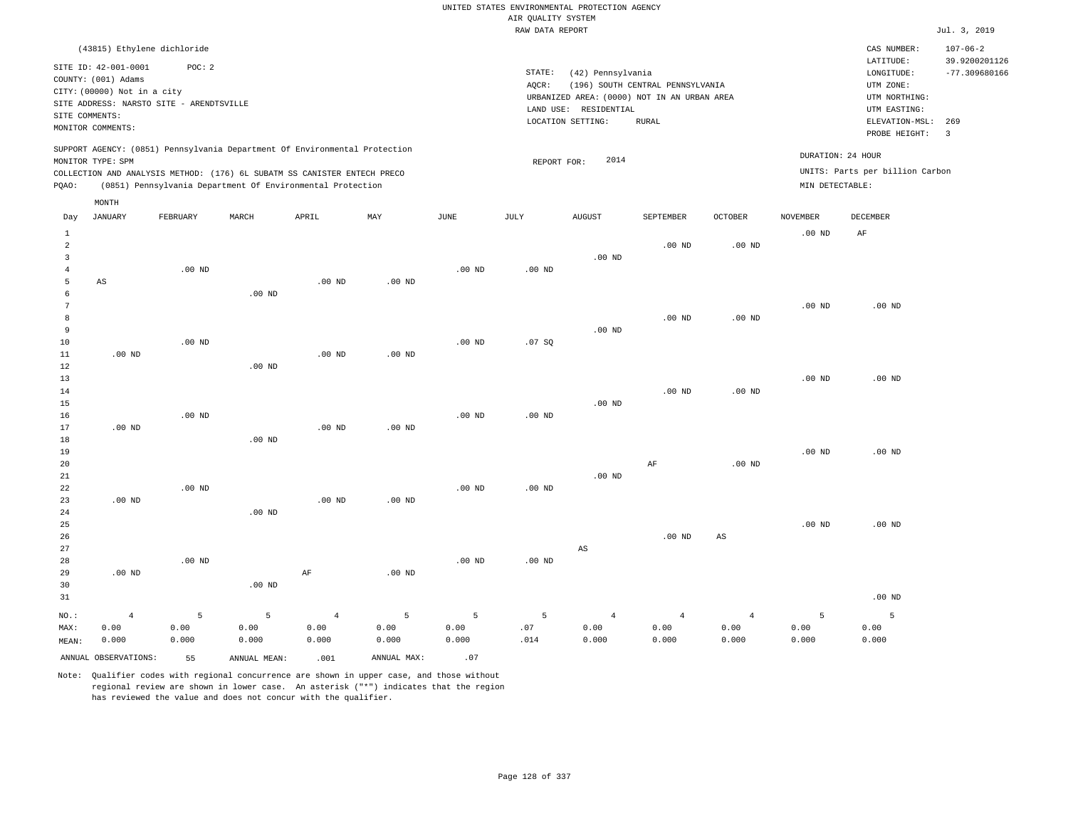|                                                  |                                                                                                                                                                         |                    |                                                                                                                                                                                                                      |                                 |                                 |                    | AIR QUALITY SYSTEM | UNITED STATES ENVIRONMENTAL PROTECTION AGENCY                                             |                                  |                                 |                                      |                                                                                                  |                                                    |
|--------------------------------------------------|-------------------------------------------------------------------------------------------------------------------------------------------------------------------------|--------------------|----------------------------------------------------------------------------------------------------------------------------------------------------------------------------------------------------------------------|---------------------------------|---------------------------------|--------------------|--------------------|-------------------------------------------------------------------------------------------|----------------------------------|---------------------------------|--------------------------------------|--------------------------------------------------------------------------------------------------|----------------------------------------------------|
|                                                  |                                                                                                                                                                         |                    |                                                                                                                                                                                                                      |                                 |                                 |                    | RAW DATA REPORT    |                                                                                           |                                  |                                 |                                      |                                                                                                  | Jul. 3, 2019                                       |
|                                                  |                                                                                                                                                                         |                    |                                                                                                                                                                                                                      |                                 |                                 |                    |                    |                                                                                           |                                  |                                 |                                      |                                                                                                  |                                                    |
|                                                  | (43815) Ethylene dichloride<br>SITE ID: 42-001-0001<br>COUNTY: (001) Adams<br>CITY: (00000) Not in a city<br>SITE ADDRESS: NARSTO SITE - ARENDTSVILLE<br>SITE COMMENTS: | POC: 2             |                                                                                                                                                                                                                      |                                 |                                 |                    | STATE:<br>AQCR:    | (42) Pennsylvania<br>URBANIZED AREA: (0000) NOT IN AN URBAN AREA<br>LAND USE: RESIDENTIAL | (196) SOUTH CENTRAL PENNSYLVANIA |                                 |                                      | CAS NUMBER:<br>LATITUDE:<br>$\texttt{LONGITUDE}$ :<br>UTM ZONE:<br>UTM NORTHING:<br>UTM EASTING: | $107 - 06 - 2$<br>39.9200201126<br>$-77.309680166$ |
|                                                  | MONITOR COMMENTS:                                                                                                                                                       |                    |                                                                                                                                                                                                                      |                                 |                                 |                    |                    | LOCATION SETTING:                                                                         | <b>RURAL</b>                     |                                 |                                      | ELEVATION-MSL:                                                                                   | 269                                                |
|                                                  |                                                                                                                                                                         |                    |                                                                                                                                                                                                                      |                                 |                                 |                    |                    |                                                                                           |                                  |                                 |                                      | PROBE HEIGHT:                                                                                    | $\overline{3}$                                     |
| PQAO:                                            | MONITOR TYPE: SPM                                                                                                                                                       |                    | SUPPORT AGENCY: (0851) Pennsylvania Department Of Environmental Protection<br>COLLECTION AND ANALYSIS METHOD: (176) 6L SUBATM SS CANISTER ENTECH PRECO<br>(0851) Pennsylvania Department Of Environmental Protection |                                 |                                 |                    | REPORT FOR:        | 2014                                                                                      |                                  |                                 | DURATION: 24 HOUR<br>MIN DETECTABLE: | UNITS: Parts per billion Carbon                                                                  |                                                    |
|                                                  | MONTH                                                                                                                                                                   |                    |                                                                                                                                                                                                                      |                                 |                                 |                    |                    |                                                                                           |                                  |                                 |                                      |                                                                                                  |                                                    |
| Day                                              | <b>JANUARY</b>                                                                                                                                                          | FEBRUARY           | MARCH                                                                                                                                                                                                                | APRIL                           | MAY                             | JUNE               | JULY               | <b>AUGUST</b>                                                                             | SEPTEMBER                        | <b>OCTOBER</b>                  | <b>NOVEMBER</b>                      | DECEMBER                                                                                         |                                                    |
| $\mathbf{1}$<br>$\overline{a}$<br>$\overline{3}$ |                                                                                                                                                                         |                    |                                                                                                                                                                                                                      |                                 |                                 |                    |                    | $.00$ ND                                                                                  | $.00$ ND                         | .00 <sub>ND</sub>               | .00 <sub>ND</sub>                    | AF                                                                                               |                                                    |
| $\overline{4}$<br>5<br>6                         | AS                                                                                                                                                                      | $.00$ ND           | $.00$ ND                                                                                                                                                                                                             | $.00$ ND                        | $.00$ ND                        | .00 <sub>ND</sub>  | $.00$ ND           |                                                                                           |                                  |                                 |                                      |                                                                                                  |                                                    |
| $7\phantom{.0}$<br>8<br>9<br>10                  |                                                                                                                                                                         | $.00$ ND           |                                                                                                                                                                                                                      |                                 |                                 | $.00$ ND           | .07S               | $.00$ ND                                                                                  | $.00$ ND                         | .00 <sub>ND</sub>               | .00 <sub>ND</sub>                    | $.00$ ND                                                                                         |                                                    |
| $11\,$<br>12<br>13                               | $.00$ ND                                                                                                                                                                |                    | .00 <sub>ND</sub>                                                                                                                                                                                                    | $.00$ ND                        | $.00$ ND                        |                    |                    |                                                                                           |                                  |                                 | .00 <sub>ND</sub>                    | .00 <sub>ND</sub>                                                                                |                                                    |
| $14\,$<br>15<br>16                               |                                                                                                                                                                         | $.00$ ND           |                                                                                                                                                                                                                      |                                 |                                 | .00 <sub>ND</sub>  | .00 <sub>ND</sub>  | $.00$ ND                                                                                  | .00 <sub>ND</sub>                | $.00$ ND                        |                                      |                                                                                                  |                                                    |
| 17<br>18<br>19<br>20                             | $.00$ ND                                                                                                                                                                |                    | .00 <sub>ND</sub>                                                                                                                                                                                                    | .00 <sub>ND</sub>               | $.00$ ND                        |                    |                    |                                                                                           | AF                               | .00 <sub>ND</sub>               | .00 <sub>ND</sub>                    | $.00$ ND                                                                                         |                                                    |
| 21<br>22<br>23                                   | .00 <sub>ND</sub>                                                                                                                                                       | $.00$ ND           |                                                                                                                                                                                                                      | $.00$ ND                        | $.00$ ND                        | .00 <sub>ND</sub>  | $.00$ ND           | $.00$ ND                                                                                  |                                  |                                 |                                      |                                                                                                  |                                                    |
| 24<br>25<br>26                                   |                                                                                                                                                                         |                    | .00 <sub>ND</sub>                                                                                                                                                                                                    |                                 |                                 |                    |                    |                                                                                           | $.00$ ND                         | AS                              | .00 <sub>ND</sub>                    | $.00$ ND                                                                                         |                                                    |
| 27<br>28<br>29<br>30                             | $.00$ ND                                                                                                                                                                | .00 <sub>ND</sub>  | $.00$ ND                                                                                                                                                                                                             | AF                              | $.00$ ND                        | .00 <sub>ND</sub>  | $.00$ ND           | AS                                                                                        |                                  |                                 |                                      |                                                                                                  |                                                    |
| 31                                               |                                                                                                                                                                         |                    |                                                                                                                                                                                                                      |                                 |                                 |                    |                    |                                                                                           |                                  |                                 |                                      | $.00$ ND                                                                                         |                                                    |
| NO.:<br>MAX:<br>MEAN:                            | $\overline{4}$<br>0.00<br>0.000                                                                                                                                         | 5<br>0.00<br>0.000 | 5<br>0.00<br>0.000                                                                                                                                                                                                   | $\overline{4}$<br>0.00<br>0.000 | $\overline{5}$<br>0.00<br>0.000 | 5<br>0.00<br>0.000 | 5<br>.07<br>.014   | $\overline{4}$<br>0.00<br>0.000                                                           | $\overline{4}$<br>0.00<br>0.000  | $\overline{4}$<br>0.00<br>0.000 | 5<br>0.00<br>0.000                   | 5<br>0.00<br>0.000                                                                               |                                                    |
|                                                  | ANNUAL OBSERVATIONS:                                                                                                                                                    | 55                 | ANNUAL, MEAN:                                                                                                                                                                                                        | .001                            | ANNUAL MAX:                     | .07                |                    |                                                                                           |                                  |                                 |                                      |                                                                                                  |                                                    |

Note: Qualifier codes with regional concurrence are shown in upper case, and those without regional review are shown in lower case. An asterisk ("\*") indicates that the region

has reviewed the value and does not concur with the qualifier.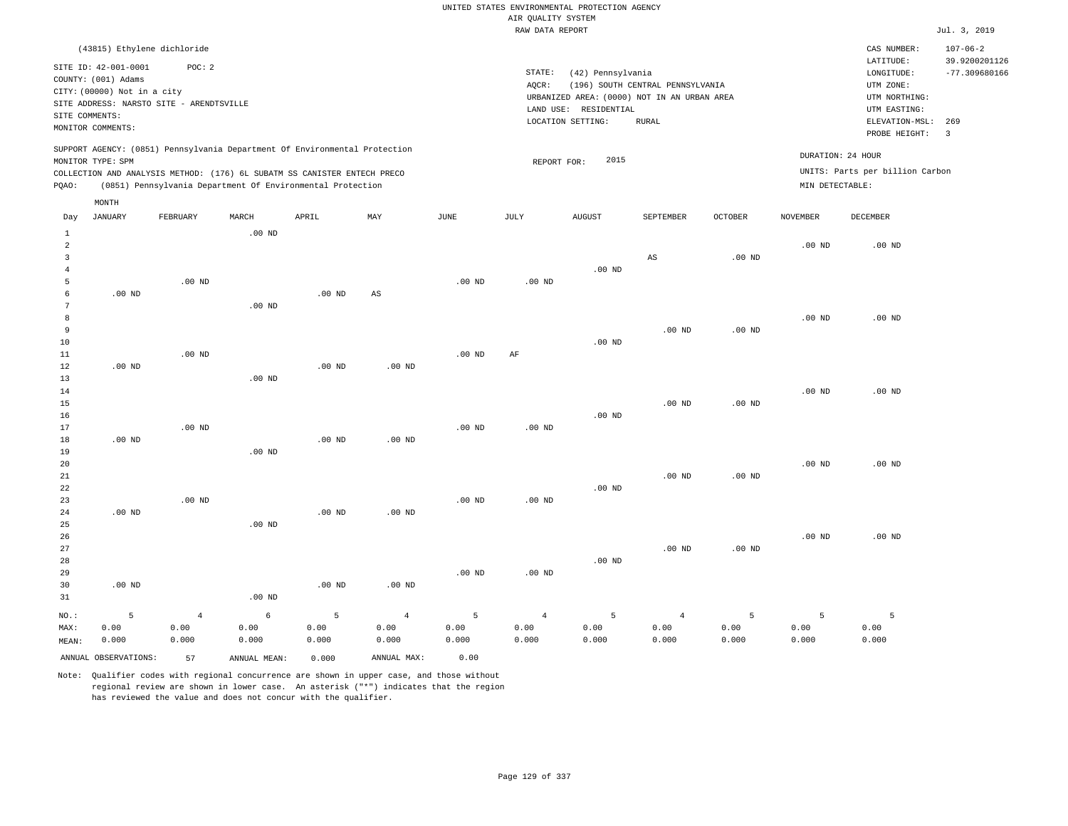UNITED STATES ENVIRONMENTAL PROTECTION AGENCY AIR QUALITY SYSTEM

|                |                                                                            |                   |               |                                                            |                        |                   | RAW DATA REPORT   |                                             |                                  |                   |                   |                                 | Jul. 3, 2019    |
|----------------|----------------------------------------------------------------------------|-------------------|---------------|------------------------------------------------------------|------------------------|-------------------|-------------------|---------------------------------------------|----------------------------------|-------------------|-------------------|---------------------------------|-----------------|
|                | (43815) Ethylene dichloride                                                |                   |               |                                                            |                        |                   |                   |                                             |                                  |                   |                   | CAS NUMBER:                     | $107 - 06 - 2$  |
|                |                                                                            |                   |               |                                                            |                        |                   |                   |                                             |                                  |                   |                   | LATITUDE:                       | 39.9200201126   |
|                | SITE ID: 42-001-0001                                                       | POC: 2            |               |                                                            |                        |                   | STATE:            | (42) Pennsylvania                           |                                  |                   |                   | LONGITUDE:                      | $-77.309680166$ |
|                | COUNTY: (001) Adams                                                        |                   |               |                                                            |                        |                   | AQCR:             |                                             | (196) SOUTH CENTRAL PENNSYLVANIA |                   |                   | UTM ZONE:                       |                 |
|                | CITY: (00000) Not in a city                                                |                   |               |                                                            |                        |                   |                   | URBANIZED AREA: (0000) NOT IN AN URBAN AREA |                                  |                   |                   | UTM NORTHING:                   |                 |
|                | SITE ADDRESS: NARSTO SITE - ARENDTSVILLE                                   |                   |               |                                                            |                        |                   |                   | LAND USE: RESIDENTIAL                       |                                  |                   |                   | UTM EASTING:                    |                 |
|                | SITE COMMENTS:<br>MONITOR COMMENTS:                                        |                   |               |                                                            |                        |                   |                   | LOCATION SETTING:                           | <b>RURAL</b>                     |                   |                   | ELEVATION-MSL:                  | 269             |
|                |                                                                            |                   |               |                                                            |                        |                   |                   |                                             |                                  |                   |                   | PROBE HEIGHT:                   | $\overline{3}$  |
|                | SUPPORT AGENCY: (0851) Pennsylvania Department Of Environmental Protection |                   |               |                                                            |                        |                   |                   |                                             |                                  |                   |                   |                                 |                 |
|                | MONITOR TYPE: SPM                                                          |                   |               |                                                            |                        |                   | REPORT FOR:       | 2015                                        |                                  |                   | DURATION: 24 HOUR |                                 |                 |
|                | COLLECTION AND ANALYSIS METHOD: (176) 6L SUBATM SS CANISTER ENTECH PRECO   |                   |               |                                                            |                        |                   |                   |                                             |                                  |                   |                   | UNITS: Parts per billion Carbon |                 |
| PQAO:          |                                                                            |                   |               | (0851) Pennsylvania Department Of Environmental Protection |                        |                   |                   |                                             |                                  |                   | MIN DETECTABLE:   |                                 |                 |
|                | MONTH                                                                      |                   |               |                                                            |                        |                   |                   |                                             |                                  |                   |                   |                                 |                 |
| Day            | <b>JANUARY</b>                                                             | FEBRUARY          | MARCH         | APRIL                                                      | MAY                    | JUNE              | JULY              | <b>AUGUST</b>                               | SEPTEMBER                        | <b>OCTOBER</b>    | <b>NOVEMBER</b>   | DECEMBER                        |                 |
| $\mathbf{1}$   |                                                                            |                   | $.00$ ND      |                                                            |                        |                   |                   |                                             |                                  |                   |                   |                                 |                 |
| $\overline{2}$ |                                                                            |                   |               |                                                            |                        |                   |                   |                                             |                                  |                   | $.00$ ND          | $.00$ ND                        |                 |
| $\overline{3}$ |                                                                            |                   |               |                                                            |                        |                   |                   |                                             | AS                               | $.00$ ND          |                   |                                 |                 |
| $\overline{4}$ |                                                                            |                   |               |                                                            |                        |                   |                   | $.00$ ND                                    |                                  |                   |                   |                                 |                 |
| 5              |                                                                            | .00 <sub>ND</sub> |               |                                                            |                        | .00 <sub>ND</sub> | .00 <sub>ND</sub> |                                             |                                  |                   |                   |                                 |                 |
| 6              | $.00$ ND                                                                   |                   |               | .00 <sub>ND</sub>                                          | $\mathbb{A}\mathbb{S}$ |                   |                   |                                             |                                  |                   |                   |                                 |                 |
| $\overline{7}$ |                                                                            |                   | $.00$ ND      |                                                            |                        |                   |                   |                                             |                                  |                   |                   |                                 |                 |
| 8              |                                                                            |                   |               |                                                            |                        |                   |                   |                                             |                                  |                   | .00 <sub>ND</sub> | $.00$ ND                        |                 |
| 9              |                                                                            |                   |               |                                                            |                        |                   |                   |                                             | $.00$ ND                         | .00 <sub>ND</sub> |                   |                                 |                 |
| 10             |                                                                            |                   |               |                                                            |                        |                   |                   | $.00$ ND                                    |                                  |                   |                   |                                 |                 |
| 11             |                                                                            | $.00$ ND          |               |                                                            |                        | $.00$ ND          | AF                |                                             |                                  |                   |                   |                                 |                 |
| $1\,2$         | .00 <sub>ND</sub>                                                          |                   |               | .00 <sub>ND</sub>                                          | .00 <sub>ND</sub>      |                   |                   |                                             |                                  |                   |                   |                                 |                 |
| 13             |                                                                            |                   | $.00$ ND      |                                                            |                        |                   |                   |                                             |                                  |                   |                   |                                 |                 |
| 14             |                                                                            |                   |               |                                                            |                        |                   |                   |                                             |                                  |                   | $.00$ ND          | $.00$ ND                        |                 |
| 15             |                                                                            |                   |               |                                                            |                        |                   |                   |                                             | $.00$ ND                         | .00 <sub>ND</sub> |                   |                                 |                 |
| 16             |                                                                            |                   |               |                                                            |                        |                   |                   | $.00$ ND                                    |                                  |                   |                   |                                 |                 |
| 17             |                                                                            | $.00$ ND          |               |                                                            |                        | $.00$ ND          | $.00$ ND          |                                             |                                  |                   |                   |                                 |                 |
| $1\,8$         | $.00$ ND                                                                   |                   |               | $.00$ ND                                                   | $.00$ ND               |                   |                   |                                             |                                  |                   |                   |                                 |                 |
| 19             |                                                                            |                   | $.00$ ND      |                                                            |                        |                   |                   |                                             |                                  |                   |                   |                                 |                 |
| 20             |                                                                            |                   |               |                                                            |                        |                   |                   |                                             |                                  |                   | .00 <sub>ND</sub> | $.00$ ND                        |                 |
| 21             |                                                                            |                   |               |                                                            |                        |                   |                   |                                             | .00 <sub>ND</sub>                | .00 <sub>ND</sub> |                   |                                 |                 |
| 22             |                                                                            |                   |               |                                                            |                        |                   |                   | $.00$ ND                                    |                                  |                   |                   |                                 |                 |
| 23             |                                                                            | $.00$ ND          |               |                                                            |                        | .00 <sub>ND</sub> | .00 <sub>ND</sub> |                                             |                                  |                   |                   |                                 |                 |
| 24             | .00 <sub>ND</sub>                                                          |                   |               | $.00$ ND                                                   | .00 <sub>ND</sub>      |                   |                   |                                             |                                  |                   |                   |                                 |                 |
| 25             |                                                                            |                   | $.00$ ND      |                                                            |                        |                   |                   |                                             |                                  |                   |                   |                                 |                 |
| 26<br>27       |                                                                            |                   |               |                                                            |                        |                   |                   |                                             |                                  |                   | $.00$ ND          | $.00$ ND                        |                 |
| 28             |                                                                            |                   |               |                                                            |                        |                   |                   | $.00$ ND                                    | .00 <sub>ND</sub>                | $.00$ ND          |                   |                                 |                 |
| 29             |                                                                            |                   |               |                                                            |                        | $.00$ ND          | $.00$ ND          |                                             |                                  |                   |                   |                                 |                 |
| 30             | $.00$ ND                                                                   |                   |               | .00 <sub>ND</sub>                                          | .00 <sub>ND</sub>      |                   |                   |                                             |                                  |                   |                   |                                 |                 |
| 31             |                                                                            |                   | $.00$ ND      |                                                            |                        |                   |                   |                                             |                                  |                   |                   |                                 |                 |
|                |                                                                            |                   |               |                                                            |                        |                   |                   |                                             |                                  |                   |                   |                                 |                 |
| NO.:           | 5                                                                          | $\overline{4}$    | 6             | 5                                                          | $\overline{4}$         | 5                 | $\overline{4}$    | 5                                           | $\overline{4}$                   | 5                 | 5                 | 5                               |                 |
| MAX:           | 0.00                                                                       | 0.00              | 0.00          | 0.00                                                       | 0.00                   | 0.00              | 0.00              | 0.00                                        | 0.00                             | 0.00              | 0.00              | 0.00                            |                 |
| MEAN:          | 0.000                                                                      | 0.000             | 0.000         | 0.000                                                      | 0.000                  | 0.000             | 0.000             | 0.000                                       | 0.000                            | 0.000             | 0.000             | 0.000                           |                 |
|                | ANNUAL OBSERVATIONS:                                                       | 57                | ANNUAL, MEAN: | 0.000                                                      | ANNUAL MAX:            | 0.00              |                   |                                             |                                  |                   |                   |                                 |                 |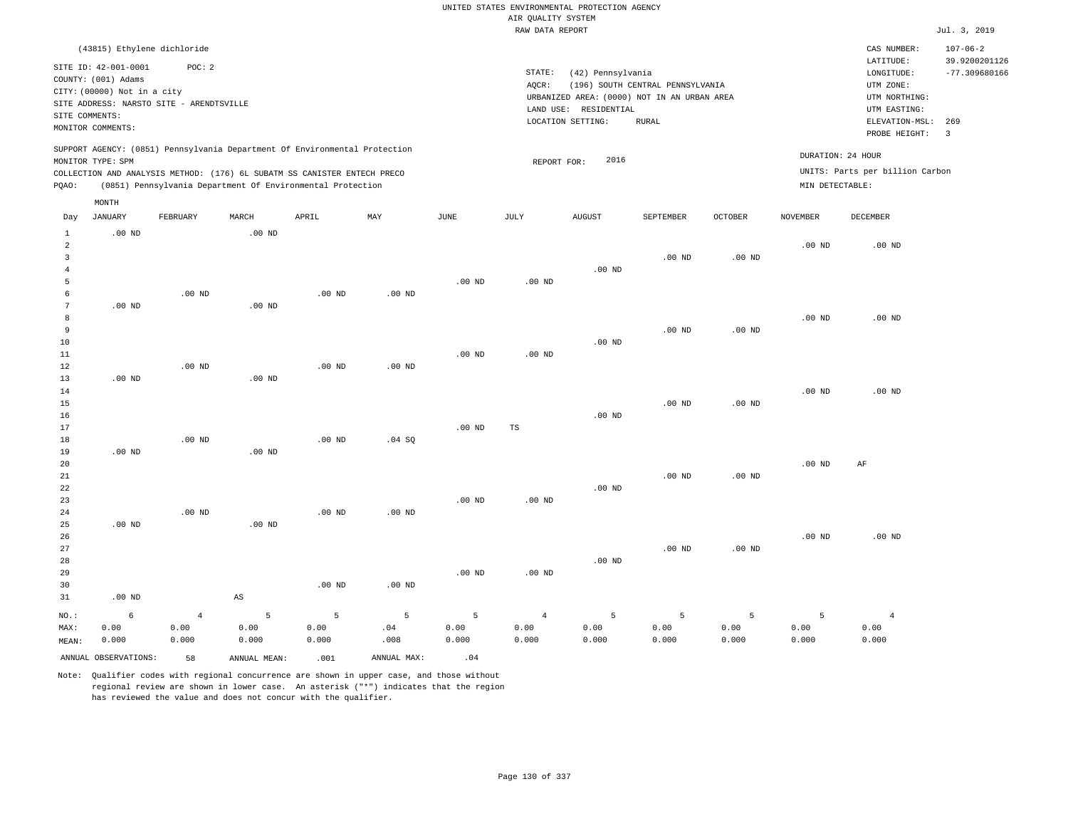|                                  |                             |                                          |                   |                                                                            |                           |                   |                    | UNITED STATES ENVIRONMENTAL PROTECTION AGENCY |                                             |                   |                   |                                 |                                 |
|----------------------------------|-----------------------------|------------------------------------------|-------------------|----------------------------------------------------------------------------|---------------------------|-------------------|--------------------|-----------------------------------------------|---------------------------------------------|-------------------|-------------------|---------------------------------|---------------------------------|
|                                  |                             |                                          |                   |                                                                            |                           |                   | AIR OUALITY SYSTEM |                                               |                                             |                   |                   |                                 |                                 |
|                                  |                             |                                          |                   |                                                                            |                           |                   | RAW DATA REPORT    |                                               |                                             |                   |                   |                                 | Jul. 3, 2019                    |
|                                  | (43815) Ethylene dichloride |                                          |                   |                                                                            |                           |                   |                    |                                               |                                             |                   |                   | CAS NUMBER:<br>LATITUDE:        | $107 - 06 - 2$<br>39.9200201126 |
|                                  | SITE ID: 42-001-0001        | POC: 2                                   |                   |                                                                            |                           |                   | STATE:             | (42) Pennsylvania                             |                                             |                   |                   | LONGITUDE:                      | $-77.309680166$                 |
|                                  | COUNTY: (001) Adams         |                                          |                   |                                                                            |                           |                   | AQCR:              |                                               | (196) SOUTH CENTRAL PENNSYLVANIA            |                   |                   | UTM ZONE:                       |                                 |
|                                  | CITY: (00000) Not in a city |                                          |                   |                                                                            |                           |                   |                    |                                               | URBANIZED AREA: (0000) NOT IN AN URBAN AREA |                   |                   | UTM NORTHING:                   |                                 |
|                                  |                             | SITE ADDRESS: NARSTO SITE - ARENDTSVILLE |                   |                                                                            |                           |                   |                    | LAND USE: RESIDENTIAL                         |                                             |                   |                   | UTM EASTING:                    |                                 |
|                                  | SITE COMMENTS:              |                                          |                   |                                                                            |                           |                   |                    | LOCATION SETTING:                             | <b>RURAL</b>                                |                   |                   | ELEVATION-MSL:                  | 269                             |
|                                  | MONITOR COMMENTS:           |                                          |                   |                                                                            |                           |                   |                    |                                               |                                             |                   |                   | PROBE HEIGHT:                   | $\overline{\mathbf{3}}$         |
|                                  |                             |                                          |                   | SUPPORT AGENCY: (0851) Pennsylvania Department Of Environmental Protection |                           |                   |                    |                                               |                                             |                   |                   | DURATION: 24 HOUR               |                                 |
|                                  | MONITOR TYPE: SPM           |                                          |                   |                                                                            |                           |                   | REPORT FOR:        | 2016                                          |                                             |                   |                   |                                 |                                 |
|                                  |                             |                                          |                   | COLLECTION AND ANALYSIS METHOD: (176) 6L SUBATM SS CANISTER ENTECH PRECO   |                           |                   |                    |                                               |                                             |                   |                   | UNITS: Parts per billion Carbon |                                 |
| PQAO:                            |                             |                                          |                   | (0851) Pennsylvania Department Of Environmental Protection                 |                           |                   |                    |                                               |                                             |                   | MIN DETECTABLE:   |                                 |                                 |
|                                  | MONTH                       |                                          |                   |                                                                            |                           |                   |                    |                                               |                                             |                   |                   |                                 |                                 |
| Day                              | <b>JANUARY</b>              | FEBRUARY                                 | MARCH             | APRIL                                                                      | $\ensuremath{\text{MAX}}$ | $_{\rm JUNE}$     | JULY               | <b>AUGUST</b>                                 | SEPTEMBER                                   | <b>OCTOBER</b>    | <b>NOVEMBER</b>   | DECEMBER                        |                                 |
| <sup>1</sup>                     | $.00$ ND                    |                                          | .00 <sub>ND</sub> |                                                                            |                           |                   |                    |                                               |                                             |                   |                   |                                 |                                 |
| $\overline{a}$                   |                             |                                          |                   |                                                                            |                           |                   |                    |                                               |                                             |                   | $.00$ ND          | $.00$ ND                        |                                 |
| $\overline{3}$<br>$\overline{4}$ |                             |                                          |                   |                                                                            |                           |                   |                    | $.00$ ND                                      | $.00$ ND                                    | .00 <sub>ND</sub> |                   |                                 |                                 |
| 5                                |                             |                                          |                   |                                                                            |                           | $.00$ ND          | $.00$ ND           |                                               |                                             |                   |                   |                                 |                                 |
| 6                                |                             | $.00$ ND                                 |                   | .00 <sub>ND</sub>                                                          | $.00$ ND                  |                   |                    |                                               |                                             |                   |                   |                                 |                                 |
| 7                                | $.00$ ND                    |                                          | $.00$ ND          |                                                                            |                           |                   |                    |                                               |                                             |                   |                   |                                 |                                 |
| 8                                |                             |                                          |                   |                                                                            |                           |                   |                    |                                               |                                             |                   | $.00$ ND          | $.00$ ND                        |                                 |
| 9                                |                             |                                          |                   |                                                                            |                           |                   |                    |                                               | .00 <sub>ND</sub>                           | $.00$ ND          |                   |                                 |                                 |
| 10                               |                             |                                          |                   |                                                                            |                           |                   |                    | $.00$ ND                                      |                                             |                   |                   |                                 |                                 |
| 11                               |                             |                                          |                   |                                                                            |                           | .00 <sub>ND</sub> | .00 <sub>ND</sub>  |                                               |                                             |                   |                   |                                 |                                 |
| 12                               |                             | .00 <sub>ND</sub>                        |                   | $.00$ ND                                                                   | $.00$ ND                  |                   |                    |                                               |                                             |                   |                   |                                 |                                 |
| 13                               | $.00$ ND                    |                                          | $.00$ ND          |                                                                            |                           |                   |                    |                                               |                                             |                   |                   |                                 |                                 |
| 14                               |                             |                                          |                   |                                                                            |                           |                   |                    |                                               |                                             |                   | .00 <sub>ND</sub> | $.00$ ND                        |                                 |
| 15<br>16                         |                             |                                          |                   |                                                                            |                           |                   |                    | $.00$ ND                                      | $.00$ ND                                    | .00 <sub>ND</sub> |                   |                                 |                                 |
| 17                               |                             |                                          |                   |                                                                            |                           | $.00$ ND          | TS                 |                                               |                                             |                   |                   |                                 |                                 |
| 18                               |                             | $.00$ ND                                 |                   | $.00$ ND                                                                   | .04 SQ                    |                   |                    |                                               |                                             |                   |                   |                                 |                                 |
| 19                               | $.00$ ND                    |                                          | $.00$ ND          |                                                                            |                           |                   |                    |                                               |                                             |                   |                   |                                 |                                 |
| 20                               |                             |                                          |                   |                                                                            |                           |                   |                    |                                               |                                             |                   | $.00$ ND          | AF                              |                                 |
| 21                               |                             |                                          |                   |                                                                            |                           |                   |                    |                                               | $.00$ ND                                    | .00 <sub>ND</sub> |                   |                                 |                                 |
| 22                               |                             |                                          |                   |                                                                            |                           |                   |                    | $.00$ ND                                      |                                             |                   |                   |                                 |                                 |
| 23                               |                             |                                          |                   |                                                                            |                           | $.00$ ND          | $.00$ ND           |                                               |                                             |                   |                   |                                 |                                 |
| 24                               |                             | $.00$ ND                                 |                   | $.00$ ND                                                                   | $.00$ ND                  |                   |                    |                                               |                                             |                   |                   |                                 |                                 |
| 25                               | $.00$ ND                    |                                          | $.00$ ND          |                                                                            |                           |                   |                    |                                               |                                             |                   |                   |                                 |                                 |
| 26                               |                             |                                          |                   |                                                                            |                           |                   |                    |                                               |                                             |                   | $.00$ ND          | $.00$ ND                        |                                 |
| 27<br>28                         |                             |                                          |                   |                                                                            |                           |                   |                    | $.00$ ND                                      | $.00$ ND                                    | .00 <sub>ND</sub> |                   |                                 |                                 |
| 29                               |                             |                                          |                   |                                                                            |                           | .00 <sub>ND</sub> | $.00$ ND           |                                               |                                             |                   |                   |                                 |                                 |
| 30                               |                             |                                          |                   | $.00$ ND                                                                   | $.00$ ND                  |                   |                    |                                               |                                             |                   |                   |                                 |                                 |
| 21                               | $00 \text{ MP}$             |                                          | $\lambda$ C       |                                                                            |                           |                   |                    |                                               |                                             |                   |                   |                                 |                                 |

| 31    | $.00$ ND             |                 | AS           |       |                                         |       |       |         |         |           |       |       |
|-------|----------------------|-----------------|--------------|-------|-----------------------------------------|-------|-------|---------|---------|-----------|-------|-------|
|       | NO.: 6               | $4\overline{ }$ |              |       | $5 \qquad 5 \qquad 5 \qquad 5 \qquad 4$ |       |       | $5 - 5$ | $5 - 5$ | $-5$ $-5$ |       |       |
| MAX:  | 0.00                 | 0.00            | 0.00         | 0.00  | .04                                     | 0.00  | 0.00  | 0.00    | 0.00    | 0.00      | 0.00  | 0.00  |
| MEAN: | 0.000                | 0.000           | 0.000        | 0.000 | .008                                    | 0.000 | 0.000 | 0.000   | 0.000   | 0.000     | 0.000 | 0.000 |
|       | ANNUAL OBSERVATIONS: | 58              | ANNUAL MEAN: | .001  | ANNUAL MAX:                             | .04   |       |         |         |           |       |       |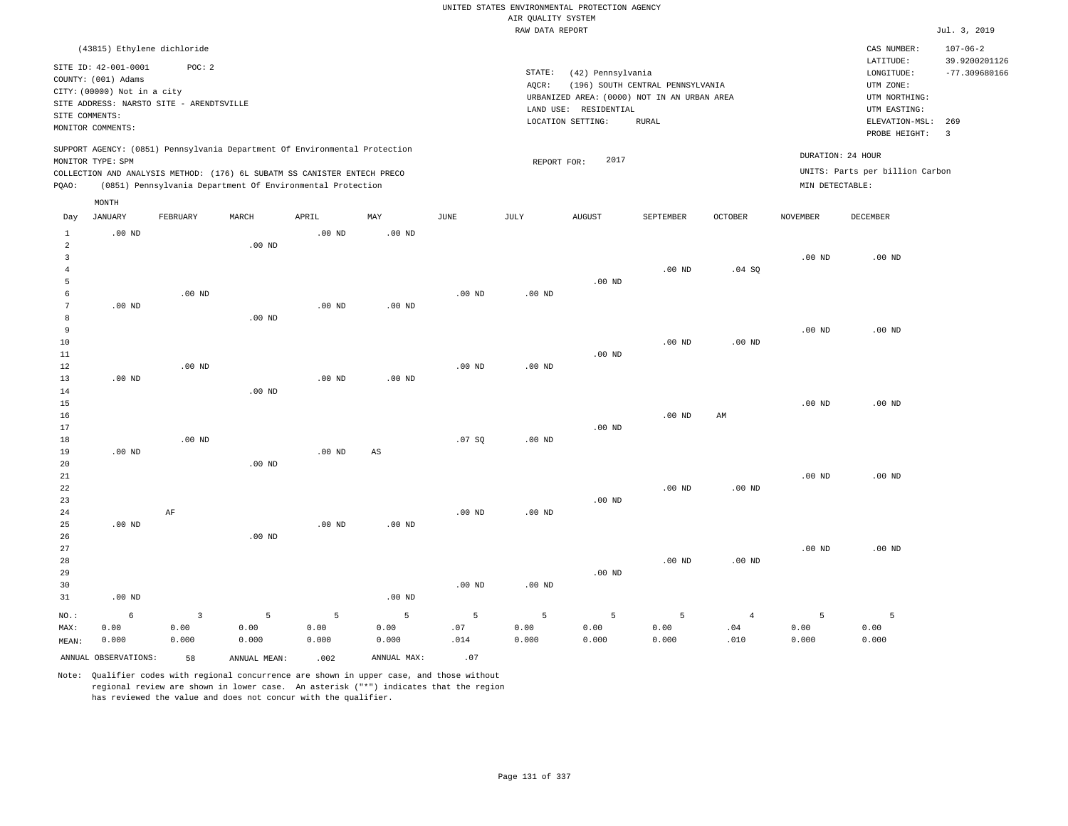|                                  |                                                                                              |                        |                                                                                                                                        |                   |                        |             |                    | UNITED STATES ENVIRONMENTAL PROTECTION AGENCY                                             |                                           |                       |                   |                                                              |                                                    |
|----------------------------------|----------------------------------------------------------------------------------------------|------------------------|----------------------------------------------------------------------------------------------------------------------------------------|-------------------|------------------------|-------------|--------------------|-------------------------------------------------------------------------------------------|-------------------------------------------|-----------------------|-------------------|--------------------------------------------------------------|----------------------------------------------------|
|                                  |                                                                                              |                        |                                                                                                                                        |                   |                        |             | AIR QUALITY SYSTEM |                                                                                           |                                           |                       |                   |                                                              |                                                    |
|                                  |                                                                                              |                        |                                                                                                                                        |                   |                        |             | RAW DATA REPORT    |                                                                                           |                                           |                       |                   |                                                              | Jul. 3, 2019                                       |
|                                  | (43815) Ethylene dichloride<br>SITE ID: 42-001-0001<br>COUNTY: (001) Adams                   | POC: 2                 |                                                                                                                                        |                   |                        |             | STATE:             | (42) Pennsylvania                                                                         |                                           |                       |                   | CAS NUMBER:<br>LATITUDE:<br>LONGITUDE:                       | $107 - 06 - 2$<br>39.9200201126<br>$-77.309680166$ |
| SITE COMMENTS:                   | CITY: (00000) Not in a city<br>SITE ADDRESS: NARSTO SITE - ARENDTSVILLE<br>MONITOR COMMENTS: |                        |                                                                                                                                        |                   |                        |             | AQCR:              | URBANIZED AREA: (0000) NOT IN AN URBAN AREA<br>LAND USE: RESIDENTIAL<br>LOCATION SETTING: | (196) SOUTH CENTRAL PENNSYLVANIA<br>RURAL |                       |                   | UTM ZONE:<br>UTM NORTHING:<br>UTM EASTING:<br>ELEVATION-MSL: | 269                                                |
|                                  | MONITOR TYPE: SPM                                                                            |                        | SUPPORT AGENCY: (0851) Pennsylvania Department Of Environmental Protection                                                             |                   |                        |             | REPORT FOR:        | 2017                                                                                      |                                           |                       | DURATION: 24 HOUR | PROBE HEIGHT:                                                | $\overline{3}$                                     |
| PQAO:                            |                                                                                              |                        | COLLECTION AND ANALYSIS METHOD: (176) 6L SUBATM SS CANISTER ENTECH PRECO<br>(0851) Pennsylvania Department Of Environmental Protection |                   |                        |             |                    |                                                                                           |                                           |                       | MIN DETECTABLE:   | UNITS: Parts per billion Carbon                              |                                                    |
|                                  | MONTH                                                                                        |                        |                                                                                                                                        |                   |                        |             |                    |                                                                                           |                                           |                       |                   |                                                              |                                                    |
| Day                              | JANUARY                                                                                      | FEBRUARY               | MARCH                                                                                                                                  | APRIL             | MAY                    | <b>JUNE</b> | JULY               | <b>AUGUST</b>                                                                             | SEPTEMBER                                 | OCTOBER               | <b>NOVEMBER</b>   | DECEMBER                                                     |                                                    |
| $\mathbf{1}$<br>$\overline{a}$   | $.00$ ND                                                                                     |                        | $.00$ ND                                                                                                                               | $.00$ ND          | .00 <sub>ND</sub>      |             |                    |                                                                                           |                                           |                       |                   |                                                              |                                                    |
| $\overline{3}$<br>$\overline{4}$ |                                                                                              |                        |                                                                                                                                        |                   |                        |             |                    |                                                                                           | .00 <sub>ND</sub>                         | .04SQ                 | $.00$ ND          | $.00$ ND                                                     |                                                    |
| 5<br>6                           |                                                                                              | $.00$ ND               |                                                                                                                                        |                   |                        | $.00$ ND    | .00 <sub>ND</sub>  | $.00$ ND                                                                                  |                                           |                       |                   |                                                              |                                                    |
| 7<br>8                           | $.00$ ND                                                                                     |                        | .00 <sub>ND</sub>                                                                                                                      | .00 <sub>ND</sub> | $.00$ ND               |             |                    |                                                                                           |                                           |                       |                   |                                                              |                                                    |
| 9<br>$10$<br>11                  |                                                                                              |                        |                                                                                                                                        |                   |                        |             |                    | $.00$ ND                                                                                  | .00 <sub>ND</sub>                         | .00 <sub>ND</sub>     | $.00$ ND          | $.00$ ND                                                     |                                                    |
| 12<br>13<br>14                   | .00 <sub>ND</sub>                                                                            | .00 <sub>ND</sub>      | $.00$ ND                                                                                                                               | .00 <sub>ND</sub> | $.00$ ND               | $.00$ ND    | $.00$ ND           |                                                                                           |                                           |                       |                   |                                                              |                                                    |
| 15<br>16                         |                                                                                              |                        |                                                                                                                                        |                   |                        |             |                    |                                                                                           | .00 <sub>ND</sub>                         | AM                    | $.00$ ND          | $.00$ ND                                                     |                                                    |
| 17<br>18<br>19                   | $.00$ ND                                                                                     | .00 <sub>ND</sub>      |                                                                                                                                        | $.00$ ND          | $\mathbb{A}\mathbb{S}$ | .07 SQ      | .00 <sub>ND</sub>  | $.00$ ND                                                                                  |                                           |                       |                   |                                                              |                                                    |
| 20<br>21<br>22                   |                                                                                              |                        | $.00$ ND                                                                                                                               |                   |                        |             |                    |                                                                                           | $.00$ ND                                  | $.00$ ND              | $.00$ ND          | $.00$ ND                                                     |                                                    |
| 23<br>24                         |                                                                                              | AF                     |                                                                                                                                        |                   |                        | $.00$ ND    | $.00$ ND           | $.00$ ND                                                                                  |                                           |                       |                   |                                                              |                                                    |
| 25<br>26<br>27                   | $.00$ ND                                                                                     |                        | $.00$ ND                                                                                                                               | $.00$ ND          | $.00$ ND               |             |                    |                                                                                           |                                           |                       | .00 <sub>ND</sub> | $.00$ ND                                                     |                                                    |
| 28<br>29<br>30<br>31             | $.00$ ND                                                                                     |                        |                                                                                                                                        |                   | $.00$ ND               | $.00$ ND    | $.00$ ND           | $.00$ ND                                                                                  | $.00$ ND                                  | .00 <sub>ND</sub>     |                   |                                                              |                                                    |
| NO.:<br>MAX:                     | 6<br>0.00                                                                                    | $\overline{3}$<br>0.00 | 5<br>0.00                                                                                                                              | 5<br>0.00         | 5<br>0.00              | 5<br>.07    | 5<br>0.00          | 5<br>0.00                                                                                 | 5<br>0.00                                 | $\overline{4}$<br>.04 | 5<br>0.00         | $\overline{5}$<br>0.00                                       |                                                    |
| MEAN:                            | 0.000                                                                                        | 0.000                  | 0.000                                                                                                                                  | 0.000             | 0.000                  | .014        | 0.000              | 0.000                                                                                     | 0.000                                     | .010                  | 0.000             | 0.000                                                        |                                                    |
|                                  | ANNUAL OBSERVATIONS:                                                                         | 58                     | ANNUAL, MEAN:                                                                                                                          | .002              | ANNUAL MAX:            | .07         |                    |                                                                                           |                                           |                       |                   |                                                              |                                                    |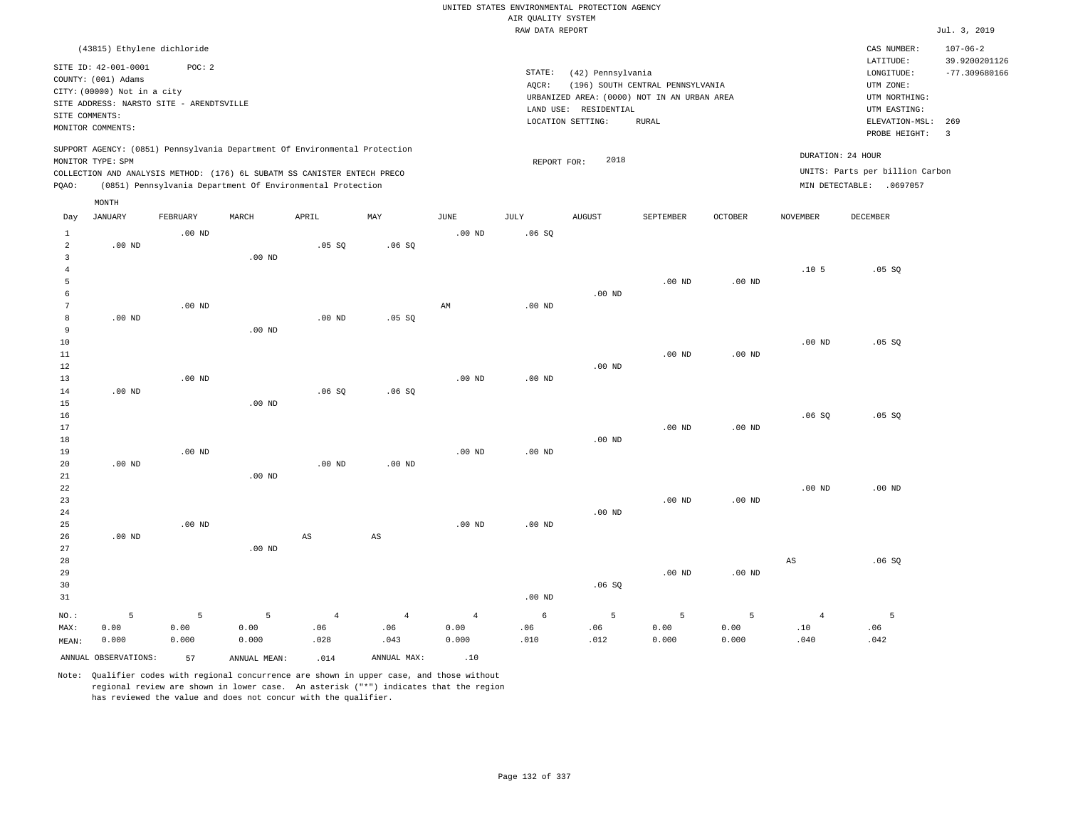|                                  |                                                                                                                                             |                   |                                                            |                        |                        |                        | AIR QUALITY SYSTEM | UNITED STATES ENVIRONMENTAL PROTECTION AGENCY                   |                                                                                                 |           |                       |                                                                            |                                 |
|----------------------------------|---------------------------------------------------------------------------------------------------------------------------------------------|-------------------|------------------------------------------------------------|------------------------|------------------------|------------------------|--------------------|-----------------------------------------------------------------|-------------------------------------------------------------------------------------------------|-----------|-----------------------|----------------------------------------------------------------------------|---------------------------------|
|                                  |                                                                                                                                             |                   |                                                            |                        |                        |                        | RAW DATA REPORT    |                                                                 |                                                                                                 |           |                       |                                                                            | Jul. 3, 2019                    |
|                                  | (43815) Ethylene dichloride                                                                                                                 |                   |                                                            |                        |                        |                        |                    |                                                                 |                                                                                                 |           |                       | CAS NUMBER:<br>LATITUDE:                                                   | $107 - 06 - 2$<br>39.9200201126 |
| SITE COMMENTS:                   | SITE ID: 42-001-0001<br>COUNTY: (001) Adams<br>CITY: (00000) Not in a city<br>SITE ADDRESS: NARSTO SITE - ARENDTSVILLE<br>MONITOR COMMENTS: | POC: 2            |                                                            |                        |                        |                        | STATE:<br>AQCR:    | (42) Pennsylvania<br>LAND USE: RESIDENTIAL<br>LOCATION SETTING: | (196) SOUTH CENTRAL PENNSYLVANIA<br>URBANIZED AREA: (0000) NOT IN AN URBAN AREA<br><b>RURAL</b> |           |                       | LONGITUDE:<br>UTM ZONE:<br>UTM NORTHING:<br>UTM EASTING:<br>ELEVATION-MSL: | $-77.309680166$<br>269          |
|                                  | SUPPORT AGENCY: (0851) Pennsylvania Department Of Environmental Protection<br>MONITOR TYPE: SPM                                             |                   |                                                            |                        |                        |                        | REPORT FOR:        | 2018                                                            |                                                                                                 |           | DURATION: 24 HOUR     | PROBE HEIGHT:                                                              | $\overline{\mathbf{3}}$         |
| PQAO:                            | COLLECTION AND ANALYSIS METHOD: (176) 6L SUBATM SS CANISTER ENTECH PRECO                                                                    |                   | (0851) Pennsylvania Department Of Environmental Protection |                        |                        |                        |                    |                                                                 |                                                                                                 |           |                       | UNITS: Parts per billion Carbon<br>MIN DETECTABLE: . 0697057               |                                 |
|                                  | MONTH                                                                                                                                       |                   |                                                            |                        |                        |                        |                    |                                                                 |                                                                                                 |           |                       |                                                                            |                                 |
| Day                              | JANUARY                                                                                                                                     | FEBRUARY          | MARCH                                                      | APRIL                  | MAY                    | JUNE                   | JULY               | <b>AUGUST</b>                                                   | SEPTEMBER                                                                                       | OCTOBER   | NOVEMBER              | DECEMBER                                                                   |                                 |
| $\mathbf{1}$<br>$\overline{a}$   | $.00$ ND                                                                                                                                    | $.00$ ND          |                                                            | .05 SQ                 | .06SQ                  | .00 <sub>ND</sub>      | .06SQ              |                                                                 |                                                                                                 |           |                       |                                                                            |                                 |
| $\overline{3}$<br>$\overline{4}$ |                                                                                                                                             |                   | .00 <sub>ND</sub>                                          |                        |                        |                        |                    |                                                                 |                                                                                                 |           | .10 <sub>5</sub>      | .05 SQ                                                                     |                                 |
| 5<br>6                           |                                                                                                                                             |                   |                                                            |                        |                        |                        |                    | $.00$ ND                                                        | $.00$ ND                                                                                        | $.00$ ND  |                       |                                                                            |                                 |
| $7\phantom{.0}$<br>8<br>9        | $.00$ ND                                                                                                                                    | $.00$ ND          | $.00$ ND                                                   | $.00$ ND               | .05 SQ                 | $\mathbb{A}\mathbb{M}$ | $.00$ ND           |                                                                 |                                                                                                 |           |                       |                                                                            |                                 |
| $10$<br>11                       |                                                                                                                                             |                   |                                                            |                        |                        |                        |                    |                                                                 | .00 <sub>ND</sub>                                                                               | $.00$ ND  | $.00$ ND              | .05 SQ                                                                     |                                 |
| 12<br>13                         |                                                                                                                                             | .00 <sub>ND</sub> |                                                            |                        |                        | .00 <sub>ND</sub>      | .00 <sub>ND</sub>  | $.00$ ND                                                        |                                                                                                 |           |                       |                                                                            |                                 |
| 14<br>15                         | $.00$ ND                                                                                                                                    |                   | $.00$ ND                                                   | .06SQ                  | .06SQ                  |                        |                    |                                                                 |                                                                                                 |           |                       |                                                                            |                                 |
| 16<br>17<br>18                   |                                                                                                                                             |                   |                                                            |                        |                        |                        |                    | $.00$ ND                                                        | $.00$ ND                                                                                        | $.00$ ND  | .06SQ                 | .05 SQ                                                                     |                                 |
| 19<br>20                         | $.00$ ND                                                                                                                                    | $.00$ ND          |                                                            | $.00$ ND               | $.00$ ND               | $.00$ ND               | $.00$ ND           |                                                                 |                                                                                                 |           |                       |                                                                            |                                 |
| 21<br>22<br>23                   |                                                                                                                                             |                   | $.00$ ND                                                   |                        |                        |                        |                    |                                                                 | $.00$ ND                                                                                        | $.00$ ND  | $.00$ ND              | $.00$ ND                                                                   |                                 |
| 24<br>25<br>26                   | $.00$ ND                                                                                                                                    | $.00$ ND          |                                                            | $\mathbb{A}\mathbb{S}$ | $\mathbb{A}\mathbb{S}$ | .00 <sub>ND</sub>      | .00 <sub>ND</sub>  | $.00$ ND                                                        |                                                                                                 |           |                       |                                                                            |                                 |
| 27<br>28<br>29<br>30<br>31       |                                                                                                                                             |                   | $.00$ ND                                                   |                        |                        |                        | .00 <sub>ND</sub>  | .06SQ                                                           | $.00$ ND                                                                                        | $.00$ ND  | $_{\rm AS}$           | .06SQ                                                                      |                                 |
| NO.:<br>MAX:                     | 5<br>0.00                                                                                                                                   | 5<br>0.00         | 5<br>0.00                                                  | $\overline{4}$<br>.06  | $\overline{4}$<br>.06  | $\overline{4}$<br>0.00 | 6<br>.06           | 5<br>.06                                                        | 5<br>0.00                                                                                       | 5<br>0.00 | $\overline{4}$<br>.10 | 5<br>.06                                                                   |                                 |
| MEAN:                            | 0.000<br>ANNUAL OBSERVATIONS:                                                                                                               | 0.000<br>57       | 0.000<br>ANNUAL MEAN:                                      | .028<br>.014           | .043<br>ANNUAL MAX:    | 0.000<br>.10           | .010               | .012                                                            | 0.000                                                                                           | 0.000     | .040                  | .042                                                                       |                                 |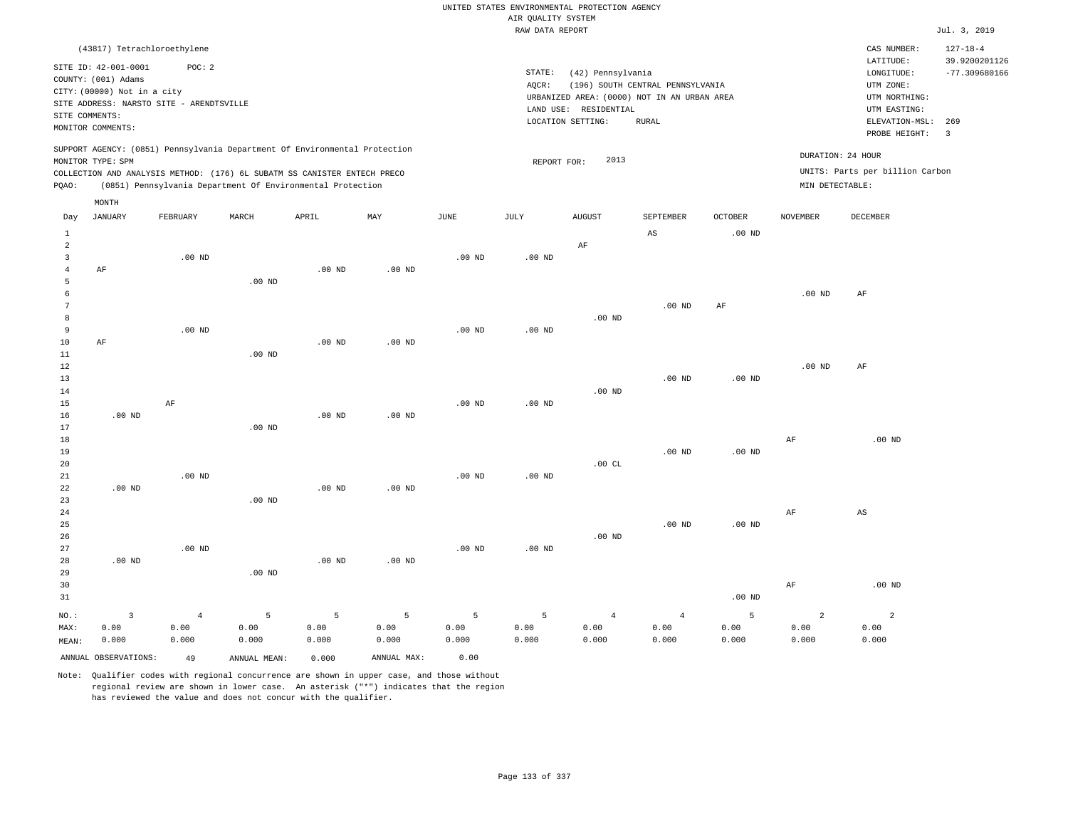|                                  |                                             |                   |                                                                            |                   |                   |             |                    | UNITED STATES ENVIRONMENTAL PROTECTION AGENCY |                                             |                   |                   |                                 |                                 |
|----------------------------------|---------------------------------------------|-------------------|----------------------------------------------------------------------------|-------------------|-------------------|-------------|--------------------|-----------------------------------------------|---------------------------------------------|-------------------|-------------------|---------------------------------|---------------------------------|
|                                  |                                             |                   |                                                                            |                   |                   |             | AIR QUALITY SYSTEM |                                               |                                             |                   |                   |                                 |                                 |
|                                  |                                             |                   |                                                                            |                   |                   |             | RAW DATA REPORT    |                                               |                                             |                   |                   |                                 | Jul. 3, 2019                    |
|                                  | (43817) Tetrachloroethylene                 |                   |                                                                            |                   |                   |             |                    |                                               |                                             |                   |                   | CAS NUMBER:<br>LATITUDE:        | $127 - 18 - 4$<br>39.9200201126 |
|                                  | SITE ID: 42-001-0001<br>COUNTY: (001) Adams | POC: 2            |                                                                            |                   |                   |             | STATE:<br>AQCR:    | (42) Pennsylvania                             | (196) SOUTH CENTRAL PENNSYLVANIA            |                   |                   | LONGITUDE:<br>UTM ZONE:         | $-77.309680166$                 |
|                                  | CITY: (00000) Not in a city                 |                   |                                                                            |                   |                   |             |                    |                                               | URBANIZED AREA: (0000) NOT IN AN URBAN AREA |                   |                   | UTM NORTHING:                   |                                 |
|                                  | SITE ADDRESS: NARSTO SITE - ARENDTSVILLE    |                   |                                                                            |                   |                   |             |                    | LAND USE: RESIDENTIAL                         |                                             |                   |                   | UTM EASTING:                    |                                 |
| SITE COMMENTS:                   |                                             |                   |                                                                            |                   |                   |             |                    | LOCATION SETTING:                             | <b>RURAL</b>                                |                   |                   | ELEVATION-MSL:                  | 269                             |
|                                  | MONITOR COMMENTS:                           |                   |                                                                            |                   |                   |             |                    |                                               |                                             |                   |                   | PROBE HEIGHT:                   | $\overline{3}$                  |
|                                  | MONITOR TYPE: SPM                           |                   | SUPPORT AGENCY: (0851) Pennsylvania Department Of Environmental Protection |                   |                   |             | REPORT FOR:        | 2013                                          |                                             |                   | DURATION: 24 HOUR |                                 |                                 |
|                                  |                                             |                   | COLLECTION AND ANALYSIS METHOD: (176) 6L SUBATM SS CANISTER ENTECH PRECO   |                   |                   |             |                    |                                               |                                             |                   |                   | UNITS: Parts per billion Carbon |                                 |
| PQAO:                            |                                             |                   | (0851) Pennsylvania Department Of Environmental Protection                 |                   |                   |             |                    |                                               |                                             |                   | MIN DETECTABLE:   |                                 |                                 |
|                                  | MONTH                                       |                   |                                                                            |                   |                   |             |                    |                                               |                                             |                   |                   |                                 |                                 |
| Day                              | <b>JANUARY</b>                              | FEBRUARY          | MARCH                                                                      | APRIL             | MAX               | <b>JUNE</b> | JULY               | <b>AUGUST</b>                                 | SEPTEMBER                                   | <b>OCTOBER</b>    | <b>NOVEMBER</b>   | <b>DECEMBER</b>                 |                                 |
| $\mathbf{1}$                     |                                             |                   |                                                                            |                   |                   |             |                    |                                               | AS                                          | .00 <sub>ND</sub> |                   |                                 |                                 |
| $\overline{a}$<br>$\overline{3}$ |                                             |                   |                                                                            |                   |                   |             |                    | AF                                            |                                             |                   |                   |                                 |                                 |
| $\overline{4}$                   | AF                                          | .00 <sub>ND</sub> |                                                                            | .00 <sub>ND</sub> | .00 <sub>ND</sub> | $.00$ ND    | $.00$ ND           |                                               |                                             |                   |                   |                                 |                                 |
| 5                                |                                             |                   | $.00$ ND                                                                   |                   |                   |             |                    |                                               |                                             |                   |                   |                                 |                                 |
| 6                                |                                             |                   |                                                                            |                   |                   |             |                    |                                               |                                             |                   | .00 <sub>ND</sub> | AF                              |                                 |
| $\overline{7}$                   |                                             |                   |                                                                            |                   |                   |             |                    |                                               | .00 <sub>ND</sub>                           | $\rm AF$          |                   |                                 |                                 |
| 8                                |                                             |                   |                                                                            |                   |                   |             |                    | $.00$ ND                                      |                                             |                   |                   |                                 |                                 |
| $\overline{9}$                   |                                             | $.00$ ND          |                                                                            |                   |                   | $.00$ ND    | $.00$ ND           |                                               |                                             |                   |                   |                                 |                                 |
| $10$                             | AF                                          |                   |                                                                            | .00 <sub>ND</sub> | $.00$ ND          |             |                    |                                               |                                             |                   |                   |                                 |                                 |
| 11<br>$1\,2$                     |                                             |                   | .00 <sub>ND</sub>                                                          |                   |                   |             |                    |                                               |                                             |                   | .00 <sub>ND</sub> | AF                              |                                 |
| 13                               |                                             |                   |                                                                            |                   |                   |             |                    |                                               | $.00$ ND                                    | $.00$ ND          |                   |                                 |                                 |
| 14                               |                                             |                   |                                                                            |                   |                   |             |                    | $.00$ ND                                      |                                             |                   |                   |                                 |                                 |
| 15                               |                                             | AF                |                                                                            |                   |                   | $.00$ ND    | $.00$ ND           |                                               |                                             |                   |                   |                                 |                                 |
| 16                               | $.00$ ND                                    |                   |                                                                            | .00 <sub>ND</sub> | $.00$ ND          |             |                    |                                               |                                             |                   |                   |                                 |                                 |
| 17                               |                                             |                   | $.00$ ND                                                                   |                   |                   |             |                    |                                               |                                             |                   |                   |                                 |                                 |
| 18                               |                                             |                   |                                                                            |                   |                   |             |                    |                                               |                                             |                   | AF                | .00 <sub>ND</sub>               |                                 |
| 19                               |                                             |                   |                                                                            |                   |                   |             |                    | .00CL                                         | .00 <sub>ND</sub>                           | $.00$ ND          |                   |                                 |                                 |
| 20<br>21                         |                                             | $.00$ ND          |                                                                            |                   |                   | $.00$ ND    | $.00$ ND           |                                               |                                             |                   |                   |                                 |                                 |
| 22                               | $.00$ ND                                    |                   |                                                                            | $.00$ ND          | $.00$ ND          |             |                    |                                               |                                             |                   |                   |                                 |                                 |
| 23                               |                                             |                   | .00 <sub>ND</sub>                                                          |                   |                   |             |                    |                                               |                                             |                   |                   |                                 |                                 |
| 24                               |                                             |                   |                                                                            |                   |                   |             |                    |                                               |                                             |                   | AF                | $_{\rm AS}$                     |                                 |
| 25                               |                                             |                   |                                                                            |                   |                   |             |                    |                                               | .00 <sub>ND</sub>                           | .00 <sub>ND</sub> |                   |                                 |                                 |
| 26                               |                                             |                   |                                                                            |                   |                   |             |                    | $.00$ ND                                      |                                             |                   |                   |                                 |                                 |
| 27                               |                                             | .00 <sub>ND</sub> |                                                                            |                   |                   | $.00$ ND    | $.00$ ND           |                                               |                                             |                   |                   |                                 |                                 |
| 28                               | $.00$ ND                                    |                   |                                                                            | $.00$ ND          | $.00$ ND          |             |                    |                                               |                                             |                   |                   |                                 |                                 |
| 29<br>30                         |                                             |                   | $.00$ ND                                                                   |                   |                   |             |                    |                                               |                                             |                   | AF                | $.00$ ND                        |                                 |
| 31                               |                                             |                   |                                                                            |                   |                   |             |                    |                                               |                                             | $.00$ ND          |                   |                                 |                                 |
|                                  |                                             |                   |                                                                            |                   |                   |             |                    |                                               |                                             |                   |                   |                                 |                                 |
| $NO.$ :                          | $\overline{3}$                              | $\overline{4}$    | 5                                                                          | 5                 | 5                 | 5           | 5                  | $\overline{4}$                                | $\overline{4}$                              | 5                 | $\overline{a}$    | $\overline{2}$                  |                                 |
| MAX:                             | 0.00                                        | 0.00              | 0.00                                                                       | 0.00              | 0.00              | 0.00        | 0.00               | 0.00                                          | 0.00                                        | 0.00              | 0.00              | 0.00                            |                                 |
| MEAN:                            | 0.000                                       | 0.000             | 0.000                                                                      | 0.000             | 0.000             | 0.000       | 0.000              | 0.000                                         | 0.000                                       | 0.000             | 0.000             | 0.000                           |                                 |
|                                  | ANNUAL OBSERVATIONS:                        | 49                | ANNUAL MEAN:                                                               | 0.000             | ANNUAL MAX:       | 0.00        |                    |                                               |                                             |                   |                   |                                 |                                 |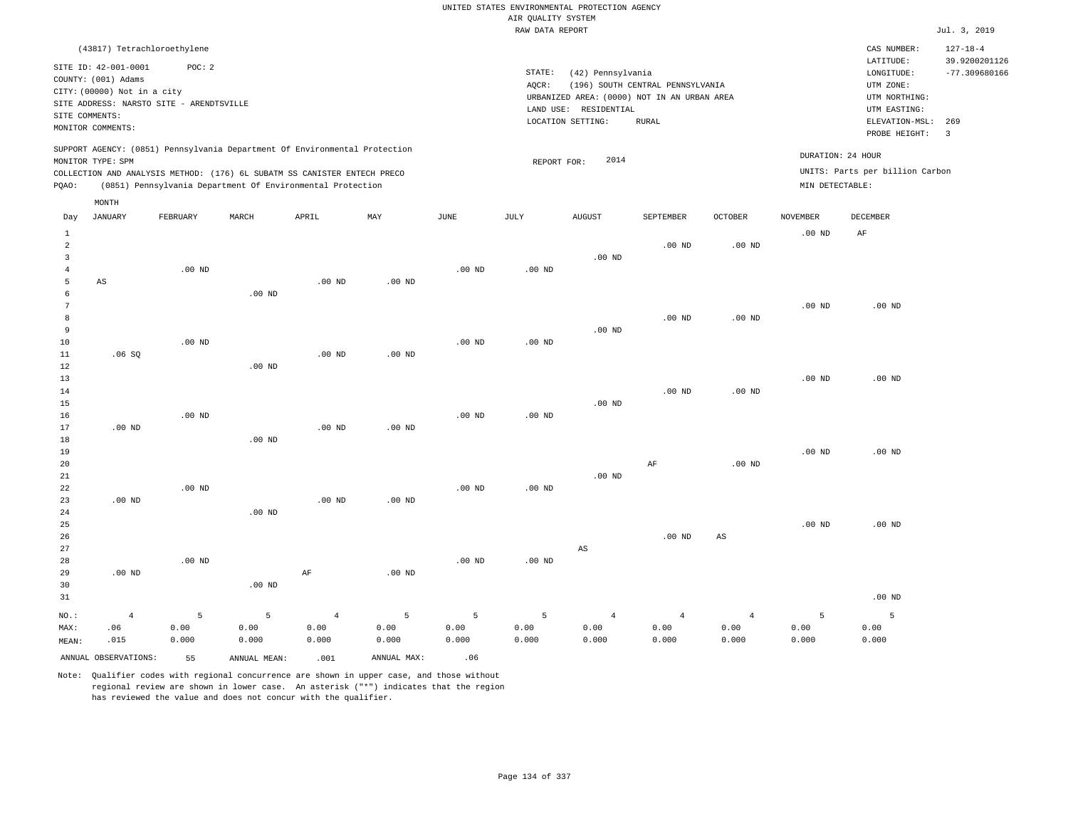|                 |                                             |                                          |                                                                            |                    |             |           |                                       | UNITED STATES ENVIRONMENTAL PROTECTION AGENCY |                                  |                        |                   |                                     |                                  |
|-----------------|---------------------------------------------|------------------------------------------|----------------------------------------------------------------------------|--------------------|-------------|-----------|---------------------------------------|-----------------------------------------------|----------------------------------|------------------------|-------------------|-------------------------------------|----------------------------------|
|                 |                                             |                                          |                                                                            |                    |             |           | AIR OUALITY SYSTEM<br>RAW DATA REPORT |                                               |                                  |                        |                   |                                     | Jul. 3, 2019                     |
|                 | (43817) Tetrachloroethylene                 |                                          |                                                                            |                    |             |           |                                       |                                               |                                  |                        |                   | CAS NUMBER:                         | $127 - 18 - 4$                   |
|                 | SITE ID: 42-001-0001<br>COUNTY: (001) Adams | POC: 2                                   |                                                                            |                    |             |           | STATE:                                | (42) Pennsylvania                             |                                  |                        |                   | LATITUDE:<br>${\tt LONGITUDE:}$     | 39.9200201126<br>$-77.309680166$ |
|                 | CITY: (00000) Not in a city                 |                                          |                                                                            |                    |             |           | AOCR:                                 | URBANIZED AREA: (0000) NOT IN AN URBAN AREA   | (196) SOUTH CENTRAL PENNSYLVANIA |                        |                   | UTM ZONE:<br>UTM NORTHING:          |                                  |
|                 |                                             | SITE ADDRESS: NARSTO SITE - ARENDTSVILLE |                                                                            |                    |             |           |                                       | LAND USE: RESIDENTIAL                         |                                  |                        |                   | UTM EASTING:                        |                                  |
| SITE COMMENTS:  | MONITOR COMMENTS:                           |                                          |                                                                            |                    |             |           |                                       | LOCATION SETTING:                             | <b>RURAL</b>                     |                        |                   | ELEVATION-MSL: 269<br>PROBE HEIGHT: | $\overline{3}$                   |
|                 | MONITOR TYPE: SPM                           |                                          | SUPPORT AGENCY: (0851) Pennsylvania Department Of Environmental Protection |                    |             |           | REPORT FOR:                           | 2014                                          |                                  |                        | DURATION: 24 HOUR |                                     |                                  |
|                 |                                             |                                          | COLLECTION AND ANALYSIS METHOD: (176) 6L SUBATM SS CANISTER ENTECH PRECO   |                    |             |           |                                       |                                               |                                  |                        |                   | UNITS: Parts per billion Carbon     |                                  |
| PQAO:           |                                             |                                          | (0851) Pennsylvania Department Of Environmental Protection                 |                    |             |           |                                       |                                               |                                  |                        | MIN DETECTABLE:   |                                     |                                  |
| Day             | MONTH<br>JANUARY                            | FEBRUARY                                 | MARCH                                                                      | APRIL              | MAY         | JUNE      | JULY                                  | <b>AUGUST</b>                                 | SEPTEMBER                        | <b>OCTOBER</b>         | <b>NOVEMBER</b>   | DECEMBER                            |                                  |
| $\mathbf{1}$    |                                             |                                          |                                                                            |                    |             |           |                                       |                                               |                                  |                        | $.00$ ND          | AF                                  |                                  |
| $\overline{a}$  |                                             |                                          |                                                                            |                    |             |           |                                       |                                               | .00 <sub>ND</sub>                | .00 <sub>ND</sub>      |                   |                                     |                                  |
| $\overline{3}$  |                                             |                                          |                                                                            |                    |             |           |                                       | $.00$ ND                                      |                                  |                        |                   |                                     |                                  |
| $\sqrt{4}$      |                                             | $.00$ ND                                 |                                                                            |                    |             | $.00$ ND  | .00 <sub>ND</sub>                     |                                               |                                  |                        |                   |                                     |                                  |
| 5<br>6          | AS                                          |                                          | .00 <sub>ND</sub>                                                          | $.00$ ND           | $.00$ ND    |           |                                       |                                               |                                  |                        |                   |                                     |                                  |
| $7\phantom{.0}$ |                                             |                                          |                                                                            |                    |             |           |                                       |                                               |                                  |                        | $.00$ ND          | $.00$ ND                            |                                  |
| 8               |                                             |                                          |                                                                            |                    |             |           |                                       |                                               | $.00$ ND                         | $.00$ ND               |                   |                                     |                                  |
| 9               |                                             |                                          |                                                                            |                    |             |           |                                       | $.00$ ND                                      |                                  |                        |                   |                                     |                                  |
| 10              |                                             | $.00$ ND                                 |                                                                            |                    |             | $.00$ ND  | $.00$ ND                              |                                               |                                  |                        |                   |                                     |                                  |
| 11<br>12        | .06SQ                                       |                                          | $.00$ ND                                                                   | $.00$ ND           | $.00$ ND    |           |                                       |                                               |                                  |                        |                   |                                     |                                  |
| 13              |                                             |                                          |                                                                            |                    |             |           |                                       |                                               |                                  |                        | $.00$ ND          | $.00$ ND                            |                                  |
| 14              |                                             |                                          |                                                                            |                    |             |           |                                       |                                               | $.00$ ND                         | $.00$ ND               |                   |                                     |                                  |
| 15              |                                             |                                          |                                                                            |                    |             |           |                                       | $.00$ ND                                      |                                  |                        |                   |                                     |                                  |
| 16              |                                             | $.00$ ND                                 |                                                                            |                    |             | $.00$ ND  | .00 <sub>ND</sub>                     |                                               |                                  |                        |                   |                                     |                                  |
| 17<br>18        | $.00$ ND                                    |                                          | $.00$ ND                                                                   | .00 <sub>ND</sub>  | $.00$ ND    |           |                                       |                                               |                                  |                        |                   |                                     |                                  |
| 19              |                                             |                                          |                                                                            |                    |             |           |                                       |                                               |                                  |                        | .00 <sub>ND</sub> | $.00$ ND                            |                                  |
| 20              |                                             |                                          |                                                                            |                    |             |           |                                       |                                               | $\rm AF$                         | $.00$ ND               |                   |                                     |                                  |
| 21              |                                             |                                          |                                                                            |                    |             |           |                                       | $.00$ ND                                      |                                  |                        |                   |                                     |                                  |
| 22              |                                             | $.00$ ND                                 |                                                                            |                    |             | $.00$ ND  | .00 <sub>ND</sub>                     |                                               |                                  |                        |                   |                                     |                                  |
| 23              | $.00$ ND                                    |                                          | .00 <sub>ND</sub>                                                          | $.00$ ND           | $.00$ ND    |           |                                       |                                               |                                  |                        |                   |                                     |                                  |
| 24<br>25        |                                             |                                          |                                                                            |                    |             |           |                                       |                                               |                                  |                        | $.00$ ND          | $.00$ ND                            |                                  |
| 26              |                                             |                                          |                                                                            |                    |             |           |                                       |                                               | .00 <sub>ND</sub>                | $_{\rm AS}$            |                   |                                     |                                  |
| 27              |                                             |                                          |                                                                            |                    |             |           |                                       | $_{\rm AS}$                                   |                                  |                        |                   |                                     |                                  |
| 28              |                                             | $.00$ ND                                 |                                                                            |                    |             | $.00$ ND  | .00 <sub>ND</sub>                     |                                               |                                  |                        |                   |                                     |                                  |
| 29<br>30        | $.00$ ND                                    |                                          |                                                                            | AF                 | $.00$ ND    |           |                                       |                                               |                                  |                        |                   |                                     |                                  |
| 31              |                                             |                                          | .00 <sub>ND</sub>                                                          |                    |             |           |                                       |                                               |                                  |                        |                   | $.00$ ND                            |                                  |
|                 |                                             |                                          |                                                                            |                    |             |           |                                       |                                               |                                  |                        |                   |                                     |                                  |
| $NO.$ :<br>MAX: | $\overline{4}$<br>.06                       | 5<br>0.00                                | 5<br>0.00                                                                  | $\sqrt{4}$<br>0.00 | 5<br>0.00   | 5<br>0.00 | 5<br>0.00                             | $\overline{4}$<br>0.00                        | $\overline{4}$<br>0.00           | $\overline{4}$<br>0.00 | 5<br>0.00         | 5<br>0.00                           |                                  |
| MEAN:           | .015                                        | 0.000                                    | 0.000                                                                      | 0.000              | 0.000       | 0.000     | 0.000                                 | 0.000                                         | 0.000                            | 0.000                  | 0.000             | 0.000                               |                                  |
|                 | ANNUAL OBSERVATIONS:                        | 55                                       | ANNUAL, MEAN:                                                              | .001               | ANNUAL MAX: | .06       |                                       |                                               |                                  |                        |                   |                                     |                                  |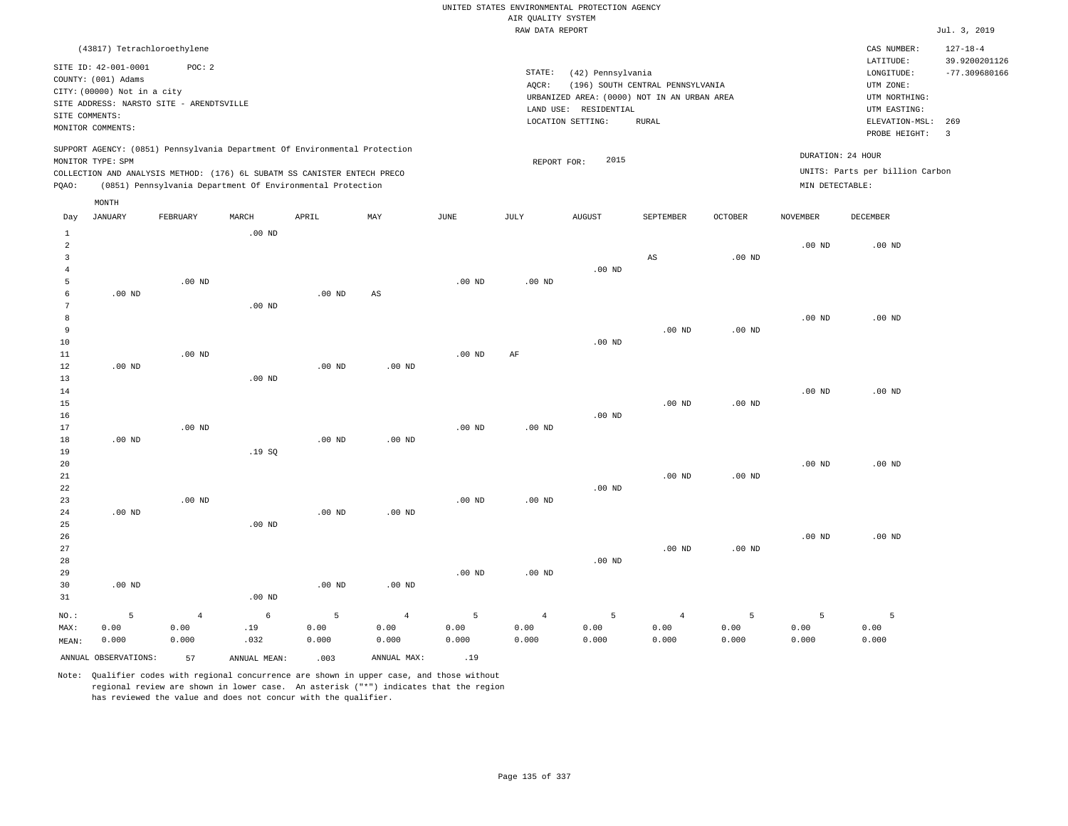|                                                                    |                                                                            |                                                                                                                                                                                                                      |                  |                    |                                 |                    |                                       | UNITED STATES ENVIRONMENTAL PROTECTION AGENCY                                             |                                  |                    |                                      |                                                                       |                                  |
|--------------------------------------------------------------------|----------------------------------------------------------------------------|----------------------------------------------------------------------------------------------------------------------------------------------------------------------------------------------------------------------|------------------|--------------------|---------------------------------|--------------------|---------------------------------------|-------------------------------------------------------------------------------------------|----------------------------------|--------------------|--------------------------------------|-----------------------------------------------------------------------|----------------------------------|
|                                                                    |                                                                            |                                                                                                                                                                                                                      |                  |                    |                                 |                    | AIR QUALITY SYSTEM<br>RAW DATA REPORT |                                                                                           |                                  |                    |                                      |                                                                       | Jul. 3, 2019                     |
|                                                                    |                                                                            | (43817) Tetrachloroethylene                                                                                                                                                                                          |                  |                    |                                 |                    |                                       |                                                                                           |                                  |                    |                                      | CAS NUMBER:                                                           | $127 - 18 - 4$                   |
|                                                                    | SITE ID: 42-001-0001<br>COUNTY: (001) Adams<br>CITY: (00000) Not in a city | POC: 2<br>SITE ADDRESS: NARSTO SITE - ARENDTSVILLE                                                                                                                                                                   |                  |                    |                                 |                    | STATE:<br>AOCR:                       | (42) Pennsylvania<br>URBANIZED AREA: (0000) NOT IN AN URBAN AREA<br>LAND USE: RESIDENTIAL | (196) SOUTH CENTRAL PENNSYLVANIA |                    |                                      | LATITUDE:<br>LONGITUDE:<br>UTM ZONE:<br>UTM NORTHING:<br>UTM EASTING: | 39.9200201126<br>$-77.309680166$ |
| SITE COMMENTS:                                                     | MONITOR COMMENTS:                                                          |                                                                                                                                                                                                                      |                  |                    |                                 |                    |                                       | LOCATION SETTING:                                                                         | <b>RURAL</b>                     |                    |                                      | ELEVATION-MSL:<br>PROBE HEIGHT:                                       | 269<br>$\overline{3}$            |
| PQAO:                                                              | MONITOR TYPE: SPM                                                          | SUPPORT AGENCY: (0851) Pennsylvania Department Of Environmental Protection<br>COLLECTION AND ANALYSIS METHOD: (176) 6L SUBATM SS CANISTER ENTECH PRECO<br>(0851) Pennsylvania Department Of Environmental Protection |                  |                    |                                 |                    | REPORT FOR:                           | 2015                                                                                      |                                  |                    | DURATION: 24 HOUR<br>MIN DETECTABLE: | UNITS: Parts per billion Carbon                                       |                                  |
|                                                                    | MONTH                                                                      |                                                                                                                                                                                                                      |                  |                    |                                 |                    |                                       |                                                                                           |                                  |                    |                                      |                                                                       |                                  |
| Day                                                                | <b>JANUARY</b>                                                             | FEBRUARY                                                                                                                                                                                                             | MARCH            | APRIL              | MAY                             | JUNE               | JULY                                  | <b>AUGUST</b>                                                                             | SEPTEMBER                        | OCTOBER            | <b>NOVEMBER</b>                      | <b>DECEMBER</b>                                                       |                                  |
| $\mathbf{1}$<br>$\overline{a}$<br>$\overline{3}$<br>$\overline{4}$ |                                                                            |                                                                                                                                                                                                                      | $.00$ ND         |                    |                                 |                    |                                       | $.00$ ND                                                                                  | $_{\rm AS}$                      | $.00$ ND           | $.00$ ND                             | $.00$ ND                                                              |                                  |
| 5<br>6<br>7                                                        | .00 <sub>ND</sub>                                                          | $.00$ ND                                                                                                                                                                                                             | $.00$ ND         | .00 <sub>ND</sub>  | $_{\rm AS}$                     | $.00$ ND           | .00 <sub>ND</sub>                     |                                                                                           |                                  |                    |                                      |                                                                       |                                  |
| 8<br>9<br>10<br>11                                                 |                                                                            | $.00$ ND                                                                                                                                                                                                             |                  |                    |                                 | $.00$ ND           | $\rm{AF}$                             | .00 <sub>ND</sub>                                                                         | $.00$ ND                         | $.00$ ND           | $.00$ ND                             | .00 <sub>ND</sub>                                                     |                                  |
| 12<br>13<br>14                                                     | $.00$ ND                                                                   |                                                                                                                                                                                                                      | $.00$ ND         | $.00$ ND           | $.00$ ND                        |                    |                                       |                                                                                           |                                  |                    | $.00$ ND                             | $.00$ ND                                                              |                                  |
| 15<br>16<br>17<br>18                                               | $.00$ ND                                                                   | $.00$ ND                                                                                                                                                                                                             |                  | $.00$ ND           | $.00$ ND                        | $.00$ ND           | $.00$ ND                              | $.00$ ND                                                                                  | $.00$ ND                         | .00 <sub>ND</sub>  |                                      |                                                                       |                                  |
| 19<br>20<br>21<br>22                                               |                                                                            |                                                                                                                                                                                                                      | .19SQ            |                    |                                 |                    |                                       | .00 <sub>ND</sub>                                                                         | $.00$ ND                         | $.00$ ND           | $.00$ ND                             | $.00$ ND                                                              |                                  |
| 23<br>24<br>25                                                     | $.00$ ND                                                                   | .00 <sub>ND</sub>                                                                                                                                                                                                    | $.00$ ND         | .00 <sub>ND</sub>  | .00 <sub>ND</sub>               | $.00$ ND           | $.00$ ND                              |                                                                                           |                                  |                    |                                      |                                                                       |                                  |
| 26<br>27<br>28                                                     |                                                                            |                                                                                                                                                                                                                      |                  |                    |                                 |                    |                                       | $.00$ ND                                                                                  | .00 <sub>ND</sub>                | .00 <sub>ND</sub>  | $.00$ ND                             | $.00$ ND                                                              |                                  |
| 29<br>30<br>31                                                     | $.00$ ND                                                                   |                                                                                                                                                                                                                      | $.00$ ND         | .00 <sub>ND</sub>  | $.00$ ND                        | .00 <sub>ND</sub>  | $.00$ ND                              |                                                                                           |                                  |                    |                                      |                                                                       |                                  |
| NO.:<br>MAX:<br>MEAN:                                              | 5<br>0.00<br>0.000                                                         | $\overline{4}$<br>0.00<br>0.000                                                                                                                                                                                      | 6<br>.19<br>.032 | 5<br>0.00<br>0.000 | $\overline{4}$<br>0.00<br>0.000 | 5<br>0.00<br>0.000 | $\overline{4}$<br>0.00<br>0.000       | 5<br>0.00<br>0.000                                                                        | $\overline{4}$<br>0.00<br>0.000  | 5<br>0.00<br>0.000 | 5<br>0.00<br>0.000                   | 5<br>0.00<br>0.000                                                    |                                  |

ANNUAL OBSERVATIONS: 57 ANNUAL MEAN: .003 ANNUAL MAX: .19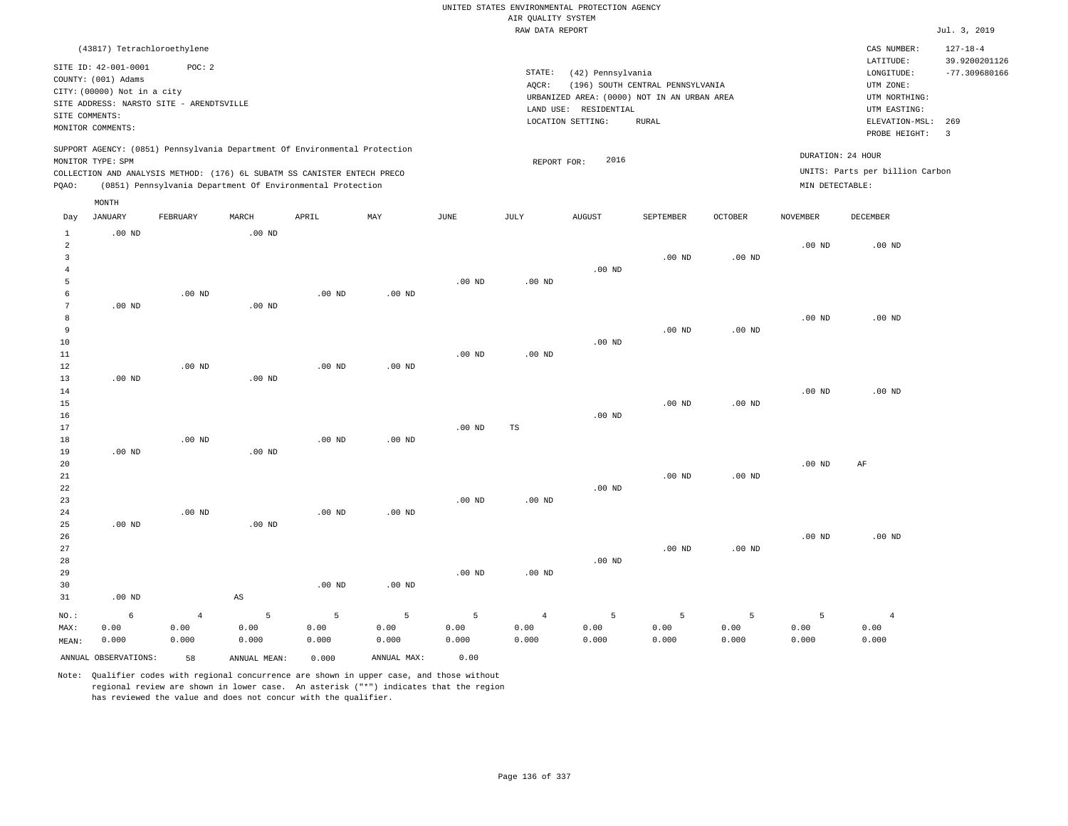|                     |                                             |                                          |                        |                                                                            |                   |             |                    | UNITED STATES ENVIRONMENTAL PROTECTION AGENCY |                                  |                   |                   |                                 |                       |
|---------------------|---------------------------------------------|------------------------------------------|------------------------|----------------------------------------------------------------------------|-------------------|-------------|--------------------|-----------------------------------------------|----------------------------------|-------------------|-------------------|---------------------------------|-----------------------|
|                     |                                             |                                          |                        |                                                                            |                   |             | AIR QUALITY SYSTEM |                                               |                                  |                   |                   |                                 |                       |
|                     |                                             |                                          |                        |                                                                            |                   |             | RAW DATA REPORT    |                                               |                                  |                   |                   |                                 | Jul. 3, 2019          |
|                     | (43817) Tetrachloroethylene                 |                                          |                        |                                                                            |                   |             |                    |                                               |                                  |                   |                   | CAS NUMBER:                     | $127 - 18 - 4$        |
|                     |                                             |                                          |                        |                                                                            |                   |             |                    |                                               |                                  |                   |                   | LATITUDE:                       | 39.9200201126         |
|                     | SITE ID: 42-001-0001<br>COUNTY: (001) Adams | POC: 2                                   |                        |                                                                            |                   |             | STATE:             | (42) Pennsylvania                             |                                  |                   |                   | LONGITUDE:                      | $-77.309680166$       |
|                     | CITY: (00000) Not in a city                 |                                          |                        |                                                                            |                   |             | AQCR:              |                                               | (196) SOUTH CENTRAL PENNSYLVANIA |                   |                   | UTM ZONE:                       |                       |
|                     |                                             | SITE ADDRESS: NARSTO SITE - ARENDTSVILLE |                        |                                                                            |                   |             |                    | URBANIZED AREA: (0000) NOT IN AN URBAN AREA   |                                  |                   |                   | UTM NORTHING:                   |                       |
|                     | SITE COMMENTS:                              |                                          |                        |                                                                            |                   |             |                    | LAND USE: RESIDENTIAL                         |                                  |                   |                   | UTM EASTING:                    |                       |
|                     | MONITOR COMMENTS:                           |                                          |                        |                                                                            |                   |             |                    | LOCATION SETTING:                             | <b>RURAL</b>                     |                   |                   | ELEVATION-MSL:<br>PROBE HEIGHT: | 269<br>$\overline{3}$ |
|                     |                                             |                                          |                        | SUPPORT AGENCY: (0851) Pennsylvania Department Of Environmental Protection |                   |             |                    |                                               |                                  |                   |                   |                                 |                       |
|                     | MONITOR TYPE: SPM                           |                                          |                        |                                                                            |                   |             | REPORT FOR:        | 2016                                          |                                  |                   |                   | DURATION: 24 HOUR               |                       |
|                     |                                             |                                          |                        | COLLECTION AND ANALYSIS METHOD: (176) 6L SUBATM SS CANISTER ENTECH PRECO   |                   |             |                    |                                               |                                  |                   |                   | UNITS: Parts per billion Carbon |                       |
| PQAO:               |                                             |                                          |                        | (0851) Pennsylvania Department Of Environmental Protection                 |                   |             |                    |                                               |                                  |                   | MIN DETECTABLE:   |                                 |                       |
|                     | MONTH                                       |                                          |                        |                                                                            |                   |             |                    |                                               |                                  |                   |                   |                                 |                       |
| Day                 | <b>JANUARY</b>                              | FEBRUARY                                 | MARCH                  | APRIL                                                                      | MAY               | <b>JUNE</b> | JULY               | <b>AUGUST</b>                                 | SEPTEMBER                        | <b>OCTOBER</b>    | <b>NOVEMBER</b>   | <b>DECEMBER</b>                 |                       |
| $1\,$<br>$\sqrt{2}$ | $.00$ ND                                    |                                          | .00 <sub>ND</sub>      |                                                                            |                   |             |                    |                                               |                                  |                   | $.00$ ND          | $.00$ ND                        |                       |
| 3                   |                                             |                                          |                        |                                                                            |                   |             |                    |                                               | $.00$ ND                         | .00 <sub>ND</sub> |                   |                                 |                       |
| $\overline{4}$      |                                             |                                          |                        |                                                                            |                   |             |                    | $.00$ ND                                      |                                  |                   |                   |                                 |                       |
| 5                   |                                             |                                          |                        |                                                                            |                   | $.00$ ND    | $.00$ ND           |                                               |                                  |                   |                   |                                 |                       |
| 6                   |                                             | $.00$ ND                                 |                        | $.00$ ND                                                                   | $.00$ ND          |             |                    |                                               |                                  |                   |                   |                                 |                       |
| $\overline{7}$      | $.00$ ND                                    |                                          | $.00$ ND               |                                                                            |                   |             |                    |                                               |                                  |                   |                   |                                 |                       |
| 8                   |                                             |                                          |                        |                                                                            |                   |             |                    |                                               |                                  |                   | $.00$ ND          | $.00$ ND                        |                       |
| $\overline{9}$      |                                             |                                          |                        |                                                                            |                   |             |                    |                                               | $.00$ ND                         | .00 <sub>ND</sub> |                   |                                 |                       |
| 10                  |                                             |                                          |                        |                                                                            |                   |             |                    | $.00$ ND                                      |                                  |                   |                   |                                 |                       |
| 11                  |                                             |                                          |                        |                                                                            |                   | $.00$ ND    | $.00$ ND           |                                               |                                  |                   |                   |                                 |                       |
| $1\,2$              |                                             | $.00$ ND                                 |                        | .00 <sub>ND</sub>                                                          | .00 <sub>ND</sub> |             |                    |                                               |                                  |                   |                   |                                 |                       |
| 13                  | $.00$ ND                                    |                                          | $.00$ ND               |                                                                            |                   |             |                    |                                               |                                  |                   |                   |                                 |                       |
| 14                  |                                             |                                          |                        |                                                                            |                   |             |                    |                                               |                                  |                   | $.00$ ND          | $.00$ ND                        |                       |
| 15                  |                                             |                                          |                        |                                                                            |                   |             |                    |                                               | $.00$ ND                         | .00 <sub>ND</sub> |                   |                                 |                       |
| 16                  |                                             |                                          |                        |                                                                            |                   |             |                    | $.00$ ND                                      |                                  |                   |                   |                                 |                       |
| 17                  |                                             |                                          |                        |                                                                            |                   | $.00$ ND    | TS                 |                                               |                                  |                   |                   |                                 |                       |
| 18                  |                                             | $.00$ ND                                 |                        | $.00$ ND                                                                   | $.00$ ND          |             |                    |                                               |                                  |                   |                   |                                 |                       |
| 19                  | $.00$ ND                                    |                                          | $.00$ ND               |                                                                            |                   |             |                    |                                               |                                  |                   |                   |                                 |                       |
| 20                  |                                             |                                          |                        |                                                                            |                   |             |                    |                                               |                                  |                   | .00 <sub>ND</sub> | AF                              |                       |
| 21<br>22            |                                             |                                          |                        |                                                                            |                   |             |                    | $.00$ ND                                      | $.00$ ND                         | .00 <sub>ND</sub> |                   |                                 |                       |
| 23                  |                                             |                                          |                        |                                                                            |                   | $.00$ ND    | $.00$ ND           |                                               |                                  |                   |                   |                                 |                       |
| 24                  |                                             | .00 <sub>ND</sub>                        |                        | .00 <sub>ND</sub>                                                          | $.00$ ND          |             |                    |                                               |                                  |                   |                   |                                 |                       |
| 25                  | $.00$ ND                                    |                                          | $.00$ ND               |                                                                            |                   |             |                    |                                               |                                  |                   |                   |                                 |                       |
| 26                  |                                             |                                          |                        |                                                                            |                   |             |                    |                                               |                                  |                   | $.00$ ND          | $.00$ ND                        |                       |
| 27                  |                                             |                                          |                        |                                                                            |                   |             |                    |                                               | $.00$ ND                         | .00 <sub>ND</sub> |                   |                                 |                       |
| 28                  |                                             |                                          |                        |                                                                            |                   |             |                    | .00 <sub>ND</sub>                             |                                  |                   |                   |                                 |                       |
| 29                  |                                             |                                          |                        |                                                                            |                   | $.00$ ND    | $.00$ ND           |                                               |                                  |                   |                   |                                 |                       |
| 30                  |                                             |                                          |                        | $.00$ ND                                                                   | $.00$ ND          |             |                    |                                               |                                  |                   |                   |                                 |                       |
| 31                  | $.00$ ND                                    |                                          | $\mathbb{A}\mathbb{S}$ |                                                                            |                   |             |                    |                                               |                                  |                   |                   |                                 |                       |
| NO.:                | 6                                           | $\overline{4}$                           | 5                      | 5                                                                          | 5                 | 5           | $\overline{4}$     | 5                                             | 5                                | 5                 | 5                 | $\overline{4}$                  |                       |
| MAX:                | 0.00                                        | 0.00                                     | 0.00                   | 0.00                                                                       | 0.00              | 0.00        | 0.00               | 0.00                                          | 0.00                             | 0.00              | 0.00              | 0.00                            |                       |
| MEAN:               | 0.000                                       | 0.000                                    | 0.000                  | 0.000                                                                      | 0.000             | 0.000       | 0.000              | 0.000                                         | 0.000                            | 0.000             | 0.000             | 0.000                           |                       |
|                     | ANNUAL OBSERVATIONS:                        | 58                                       | ANNUAL, MEAN:          | 0.000                                                                      | ANNUAL MAX:       | 0.00        |                    |                                               |                                  |                   |                   |                                 |                       |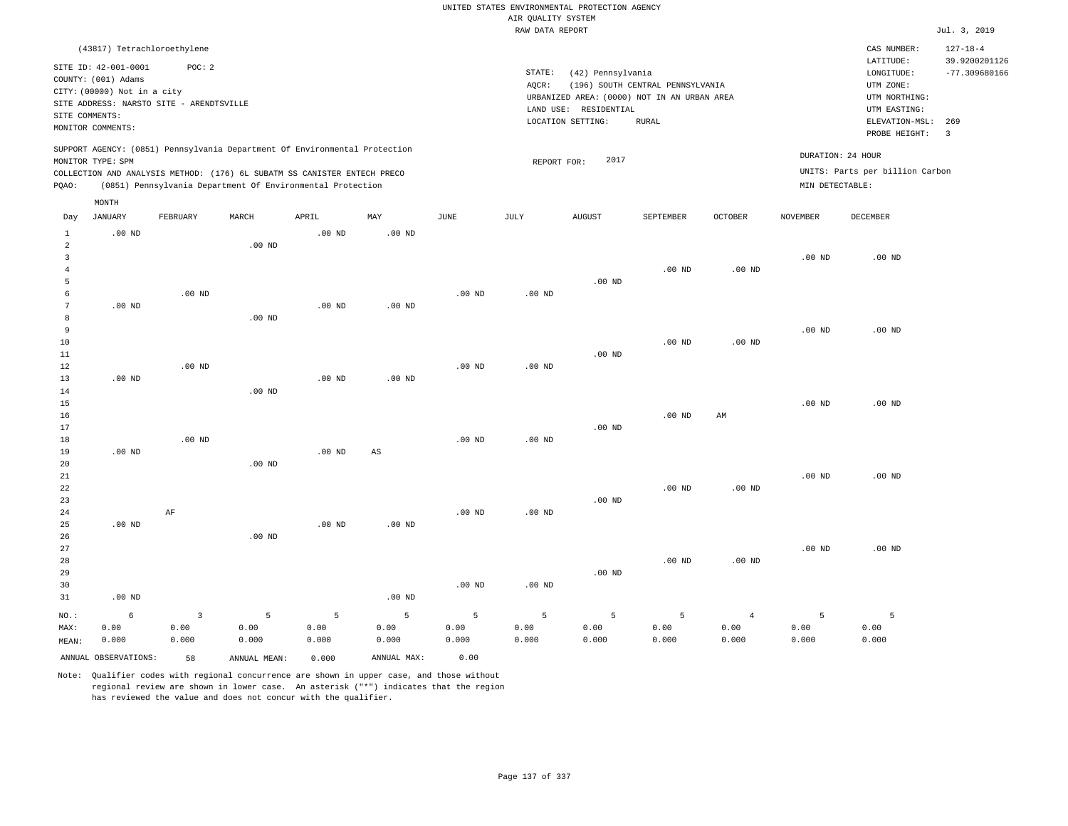|                                |                                          |          |                                                                            |                   |                   |             |                    | UNITED STATES ENVIRONMENTAL PROTECTION AGENCY                        |                                  |                   |                   |                                 |                         |
|--------------------------------|------------------------------------------|----------|----------------------------------------------------------------------------|-------------------|-------------------|-------------|--------------------|----------------------------------------------------------------------|----------------------------------|-------------------|-------------------|---------------------------------|-------------------------|
|                                |                                          |          |                                                                            |                   |                   |             | AIR QUALITY SYSTEM |                                                                      |                                  |                   |                   |                                 |                         |
|                                |                                          |          |                                                                            |                   |                   |             | RAW DATA REPORT    |                                                                      |                                  |                   |                   |                                 | Jul. 3, 2019            |
|                                | (43817) Tetrachloroethylene              |          |                                                                            |                   |                   |             |                    |                                                                      |                                  |                   |                   | CAS NUMBER:                     | $127 - 18 - 4$          |
|                                | SITE ID: 42-001-0001                     | POC: 2   |                                                                            |                   |                   |             |                    |                                                                      |                                  |                   |                   | LATITUDE:                       | 39.9200201126           |
|                                | COUNTY: (001) Adams                      |          |                                                                            |                   |                   |             | STATE:             | (42) Pennsylvania                                                    |                                  |                   |                   | LONGITUDE:                      | $-77.309680166$         |
|                                | CITY: (00000) Not in a city              |          |                                                                            |                   |                   |             | AQCR:              |                                                                      | (196) SOUTH CENTRAL PENNSYLVANIA |                   |                   | UTM ZONE:                       |                         |
|                                | SITE ADDRESS: NARSTO SITE - ARENDTSVILLE |          |                                                                            |                   |                   |             |                    | URBANIZED AREA: (0000) NOT IN AN URBAN AREA<br>LAND USE: RESIDENTIAL |                                  |                   |                   | UTM NORTHING:<br>UTM EASTING:   |                         |
| SITE COMMENTS:                 |                                          |          |                                                                            |                   |                   |             |                    | LOCATION SETTING:                                                    | <b>RURAL</b>                     |                   |                   | ELEVATION-MSL:                  | 269                     |
|                                | MONITOR COMMENTS:                        |          |                                                                            |                   |                   |             |                    |                                                                      |                                  |                   |                   | PROBE HEIGHT:                   | $\overline{\mathbf{3}}$ |
|                                |                                          |          | SUPPORT AGENCY: (0851) Pennsylvania Department Of Environmental Protection |                   |                   |             |                    | 2017                                                                 |                                  |                   | DURATION: 24 HOUR |                                 |                         |
|                                | MONITOR TYPE: SPM                        |          | COLLECTION AND ANALYSIS METHOD: (176) 6L SUBATM SS CANISTER ENTECH PRECO   |                   |                   |             | REPORT FOR:        |                                                                      |                                  |                   |                   | UNITS: Parts per billion Carbon |                         |
| PQAO:                          |                                          |          | (0851) Pennsylvania Department Of Environmental Protection                 |                   |                   |             |                    |                                                                      |                                  |                   | MIN DETECTABLE:   |                                 |                         |
|                                | MONTH                                    |          |                                                                            |                   |                   |             |                    |                                                                      |                                  |                   |                   |                                 |                         |
| Day                            | <b>JANUARY</b>                           | FEBRUARY | MARCH                                                                      | APRIL             | MAY               | <b>JUNE</b> | JULY               | <b>AUGUST</b>                                                        | SEPTEMBER                        | OCTOBER           | <b>NOVEMBER</b>   | DECEMBER                        |                         |
| $\mathbf{1}$                   | $.00$ ND                                 |          |                                                                            | .00 <sub>ND</sub> | .00 <sub>ND</sub> |             |                    |                                                                      |                                  |                   |                   |                                 |                         |
| $\overline{a}$                 |                                          |          | .00 <sub>ND</sub>                                                          |                   |                   |             |                    |                                                                      |                                  |                   |                   |                                 |                         |
| $\mathbf{3}$<br>$\overline{4}$ |                                          |          |                                                                            |                   |                   |             |                    |                                                                      | .00 <sub>ND</sub>                | .00 <sub>ND</sub> | $.00$ ND          | $.00$ ND                        |                         |
| 5                              |                                          |          |                                                                            |                   |                   |             |                    | $.00$ ND                                                             |                                  |                   |                   |                                 |                         |
| 6                              |                                          | $.00$ ND |                                                                            |                   |                   | $.00$ ND    | $.00$ ND           |                                                                      |                                  |                   |                   |                                 |                         |
| $\boldsymbol{7}$               | $.00$ ND                                 |          |                                                                            | $.00$ ND          | $.00$ ND          |             |                    |                                                                      |                                  |                   |                   |                                 |                         |
| 8                              |                                          |          | $.00$ ND                                                                   |                   |                   |             |                    |                                                                      |                                  |                   |                   |                                 |                         |
| 9                              |                                          |          |                                                                            |                   |                   |             |                    |                                                                      |                                  |                   | $.00$ ND          | $.00$ ND                        |                         |
| 10                             |                                          |          |                                                                            |                   |                   |             |                    |                                                                      | $.00$ ND                         | $.00$ ND          |                   |                                 |                         |
| 11                             |                                          |          |                                                                            |                   |                   |             |                    | $.00$ ND                                                             |                                  |                   |                   |                                 |                         |
| 12<br>13                       | $.00$ ND                                 | $.00$ ND |                                                                            | $.00$ ND          | $.00$ ND          | $.00$ ND    | $.00$ ND           |                                                                      |                                  |                   |                   |                                 |                         |
| 14                             |                                          |          | $.00$ ND                                                                   |                   |                   |             |                    |                                                                      |                                  |                   |                   |                                 |                         |
| 15                             |                                          |          |                                                                            |                   |                   |             |                    |                                                                      |                                  |                   | $.00$ ND          | $.00$ ND                        |                         |
| 16                             |                                          |          |                                                                            |                   |                   |             |                    |                                                                      | $.00$ ND                         | AM                |                   |                                 |                         |
| 17                             |                                          |          |                                                                            |                   |                   |             |                    | $.00$ ND                                                             |                                  |                   |                   |                                 |                         |
| 18                             |                                          | $.00$ ND |                                                                            |                   |                   | $.00$ ND    | .00 <sub>ND</sub>  |                                                                      |                                  |                   |                   |                                 |                         |
| 19                             | $.00$ ND                                 |          |                                                                            | $.00$ ND          | $_{\rm AS}$       |             |                    |                                                                      |                                  |                   |                   |                                 |                         |
| 20<br>21                       |                                          |          | $.00$ ND                                                                   |                   |                   |             |                    |                                                                      |                                  |                   | .00 <sub>ND</sub> | $.00$ ND                        |                         |
| 22                             |                                          |          |                                                                            |                   |                   |             |                    |                                                                      | .00 <sub>ND</sub>                | .00 <sub>ND</sub> |                   |                                 |                         |
| 23                             |                                          |          |                                                                            |                   |                   |             |                    | $.00$ ND                                                             |                                  |                   |                   |                                 |                         |
| 24                             |                                          | AF       |                                                                            |                   |                   | $.00$ ND    | .00 <sub>ND</sub>  |                                                                      |                                  |                   |                   |                                 |                         |
| 25                             | $.00$ ND                                 |          |                                                                            | $.00$ ND          | $.00$ ND          |             |                    |                                                                      |                                  |                   |                   |                                 |                         |
| 26                             |                                          |          | $.00$ ND                                                                   |                   |                   |             |                    |                                                                      |                                  |                   |                   |                                 |                         |
| 27                             |                                          |          |                                                                            |                   |                   |             |                    |                                                                      |                                  |                   | $.00$ ND          | $.00$ ND                        |                         |
| 28<br>29                       |                                          |          |                                                                            |                   |                   |             |                    | $.00$ ND                                                             | .00 <sub>ND</sub>                | $.00$ ND          |                   |                                 |                         |
| 30                             |                                          |          |                                                                            |                   |                   | $.00$ ND    | .00 <sub>ND</sub>  |                                                                      |                                  |                   |                   |                                 |                         |
| 31                             | $.00$ ND                                 |          |                                                                            |                   | $.00$ ND          |             |                    |                                                                      |                                  |                   |                   |                                 |                         |
| NO.:                           | 6                                        | 3        | 5                                                                          | 5                 | 5                 | 5           | 5                  | 5                                                                    | 5                                | $\overline{4}$    | 5                 | 5                               |                         |
| MAX:                           | 0.00                                     | 0.00     | 0.00                                                                       | 0.00              | 0.00              | 0.00        | 0.00               | 0.00                                                                 | 0.00                             | 0.00              | 0.00              | 0.00                            |                         |
| MEAN:                          | 0.000                                    | 0.000    | 0.000                                                                      | 0.000             | 0.000             | 0.000       | 0.000              | 0.000                                                                | 0.000                            | 0.000             | 0.000             | 0.000                           |                         |
|                                | ANNUAL OBSERVATIONS:                     | 58       | ANNUAL MEAN:                                                               | 0.000             | ANNUAL MAX:       | 0.00        |                    |                                                                      |                                  |                   |                   |                                 |                         |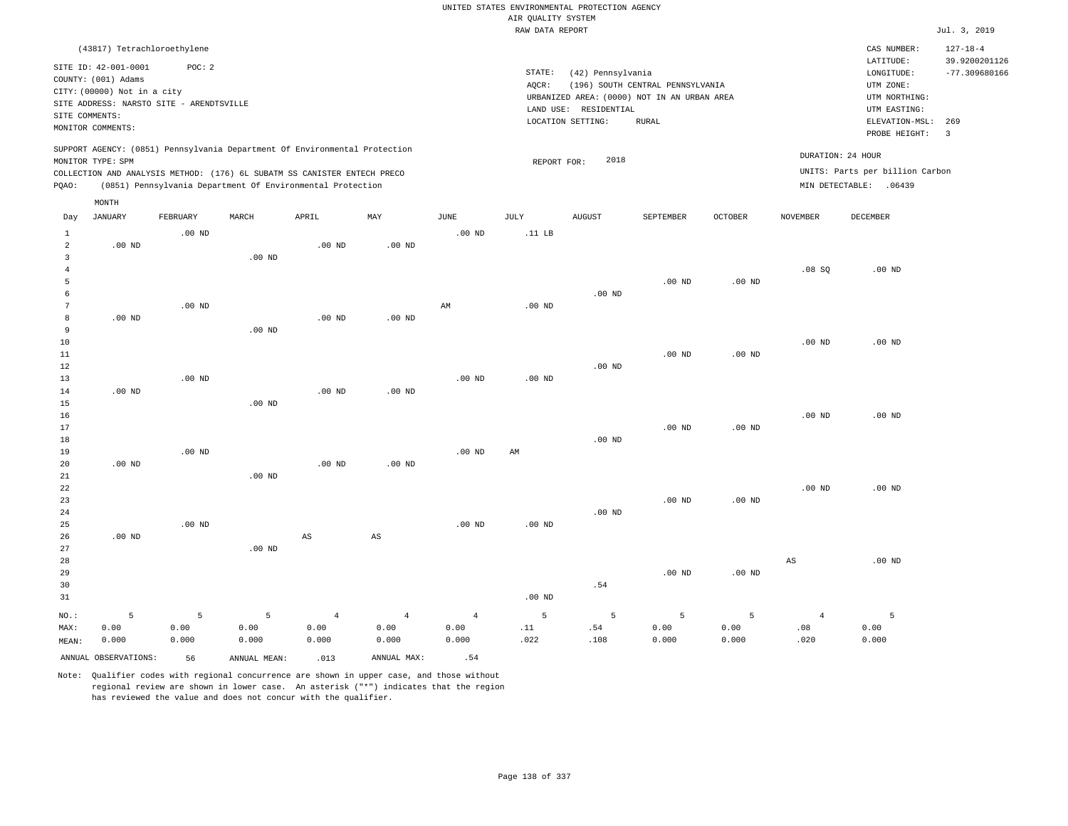|                                                 |                                                                                                                                             |                    |                    |                                                            |                                 |                                 | AIR QUALITY SYSTEM | UNITED STATES ENVIRONMENTAL PROTECTION AGENCY                                                                  |                                           |                    |                               |                                                                            |                                 |
|-------------------------------------------------|---------------------------------------------------------------------------------------------------------------------------------------------|--------------------|--------------------|------------------------------------------------------------|---------------------------------|---------------------------------|--------------------|----------------------------------------------------------------------------------------------------------------|-------------------------------------------|--------------------|-------------------------------|----------------------------------------------------------------------------|---------------------------------|
|                                                 |                                                                                                                                             |                    |                    |                                                            |                                 |                                 | RAW DATA REPORT    |                                                                                                                |                                           |                    |                               |                                                                            | Jul. 3, 2019                    |
|                                                 | (43817) Tetrachloroethylene                                                                                                                 |                    |                    |                                                            |                                 |                                 |                    |                                                                                                                |                                           |                    |                               | CAS NUMBER:<br>LATITUDE:                                                   | $127 - 18 - 4$<br>39.9200201126 |
| SITE COMMENTS:                                  | SITE ID: 42-001-0001<br>COUNTY: (001) Adams<br>CITY: (00000) Not in a city<br>SITE ADDRESS: NARSTO SITE - ARENDTSVILLE<br>MONITOR COMMENTS: | POC: 2             |                    |                                                            |                                 |                                 | STATE:<br>AQCR:    | (42) Pennsylvania<br>URBANIZED AREA: (0000) NOT IN AN URBAN AREA<br>LAND USE: RESIDENTIAL<br>LOCATION SETTING: | (196) SOUTH CENTRAL PENNSYLVANIA<br>RURAL |                    |                               | LONGITUDE:<br>UTM ZONE:<br>UTM NORTHING:<br>UTM EASTING:<br>ELEVATION-MSL: | $-77.309680166$<br>269          |
|                                                 | SUPPORT AGENCY: (0851) Pennsylvania Department Of Environmental Protection<br>MONITOR TYPE: SPM                                             |                    |                    |                                                            |                                 |                                 | REPORT FOR:        | 2018                                                                                                           |                                           |                    |                               | PROBE HEIGHT:<br>DURATION: 24 HOUR                                         | $\overline{3}$                  |
| PQAO:                                           | COLLECTION AND ANALYSIS METHOD: (176) 6L SUBATM SS CANISTER ENTECH PRECO                                                                    |                    |                    | (0851) Pennsylvania Department Of Environmental Protection |                                 |                                 |                    |                                                                                                                |                                           |                    |                               | UNITS: Parts per billion Carbon<br>MIN DETECTABLE: .06439                  |                                 |
|                                                 | MONTH                                                                                                                                       |                    |                    |                                                            |                                 |                                 |                    |                                                                                                                |                                           |                    |                               |                                                                            |                                 |
| Day                                             | JANUARY                                                                                                                                     | FEBRUARY           | MARCH              | APRIL                                                      | MAY                             | JUNE                            | JULY               | <b>AUGUST</b>                                                                                                  | SEPTEMBER                                 | <b>OCTOBER</b>     | <b>NOVEMBER</b>               | DECEMBER                                                                   |                                 |
| $\mathbf{1}$<br>$\overline{2}$                  | $.00$ ND                                                                                                                                    | $.00$ ND           |                    | $.00$ ND                                                   | $.00$ ND                        | .00 <sub>ND</sub>               | .11 LB             |                                                                                                                |                                           |                    |                               |                                                                            |                                 |
| $\overline{3}$<br>$\overline{4}$                |                                                                                                                                             |                    | $.00$ ND           |                                                            |                                 |                                 |                    |                                                                                                                |                                           |                    | .08SQ                         | $.00$ ND                                                                   |                                 |
| 5<br>6                                          |                                                                                                                                             |                    |                    |                                                            |                                 |                                 |                    | $.00$ ND                                                                                                       | $.00$ ND                                  | .00 <sub>ND</sub>  |                               |                                                                            |                                 |
| $7\phantom{.0}$<br>$^{\rm 8}$<br>$\overline{9}$ | $.00$ ND                                                                                                                                    | $.00$ ND           | $.00$ ND           | $.00$ ND                                                   | $.00$ ND                        | AM                              | .00 <sub>ND</sub>  |                                                                                                                |                                           |                    |                               |                                                                            |                                 |
| 10<br>11<br>12                                  |                                                                                                                                             |                    |                    |                                                            |                                 |                                 |                    | $.00$ ND                                                                                                       | $.00$ ND                                  | $.00$ ND           | $.00$ ND                      | $.00$ ND                                                                   |                                 |
| 13<br>14                                        | $.00$ ND                                                                                                                                    | $.00$ ND           |                    | $.00$ ND                                                   | $.00$ ND                        | .00 <sub>ND</sub>               | $.00$ ND           |                                                                                                                |                                           |                    |                               |                                                                            |                                 |
| 15<br>16<br>17                                  |                                                                                                                                             |                    | $.00$ ND           |                                                            |                                 |                                 |                    |                                                                                                                | $.00$ ND                                  | $.00$ ND           | $.00$ ND                      | $.00$ ND                                                                   |                                 |
| 18<br>19<br>20                                  | .00 <sub>ND</sub>                                                                                                                           | $.00$ ND           |                    | .00 <sub>ND</sub>                                          | $.00$ ND                        | .00 <sub>ND</sub>               | AM                 | $.00$ ND                                                                                                       |                                           |                    |                               |                                                                            |                                 |
| 21<br>$2\sqrt{2}$<br>23                         |                                                                                                                                             |                    | $.00$ ND           |                                                            |                                 |                                 |                    |                                                                                                                | .00 <sub>ND</sub>                         | $.00$ ND           | $.00$ ND                      | $.00$ ND                                                                   |                                 |
| 24<br>25<br>26<br>27                            | $.00$ ND                                                                                                                                    | $.00$ ND           | $.00$ ND           | $\mathbb{A}\mathbb{S}$                                     | $_{\rm AS}$                     | .00 <sub>ND</sub>               | $.00$ ND           | $.00$ ND                                                                                                       |                                           |                    |                               |                                                                            |                                 |
| 28<br>29<br>30<br>31                            |                                                                                                                                             |                    |                    |                                                            |                                 |                                 | $.00$ ND           | .54                                                                                                            | .00 <sub>ND</sub>                         | $.00$ ND           | AS                            | $.00$ ND                                                                   |                                 |
| NO.:<br>MAX:<br>MEAN:                           | 5<br>0.00<br>0.000                                                                                                                          | 5<br>0.00<br>0.000 | 5<br>0.00<br>0.000 | $\overline{4}$<br>0.00<br>0.000                            | $\overline{4}$<br>0.00<br>0.000 | $\overline{4}$<br>0.00<br>0.000 | 5<br>.11<br>.022   | 5<br>.54<br>.108                                                                                               | 5<br>0.00<br>0.000                        | 5<br>0.00<br>0.000 | $\overline{4}$<br>.08<br>.020 | 5<br>0.00<br>0.000                                                         |                                 |
|                                                 | ANNUAL OBSERVATIONS:                                                                                                                        | 56                 | ANNUAL MEAN:       | .013                                                       | ANNUAL MAX:                     | .54                             |                    |                                                                                                                |                                           |                    |                               |                                                                            |                                 |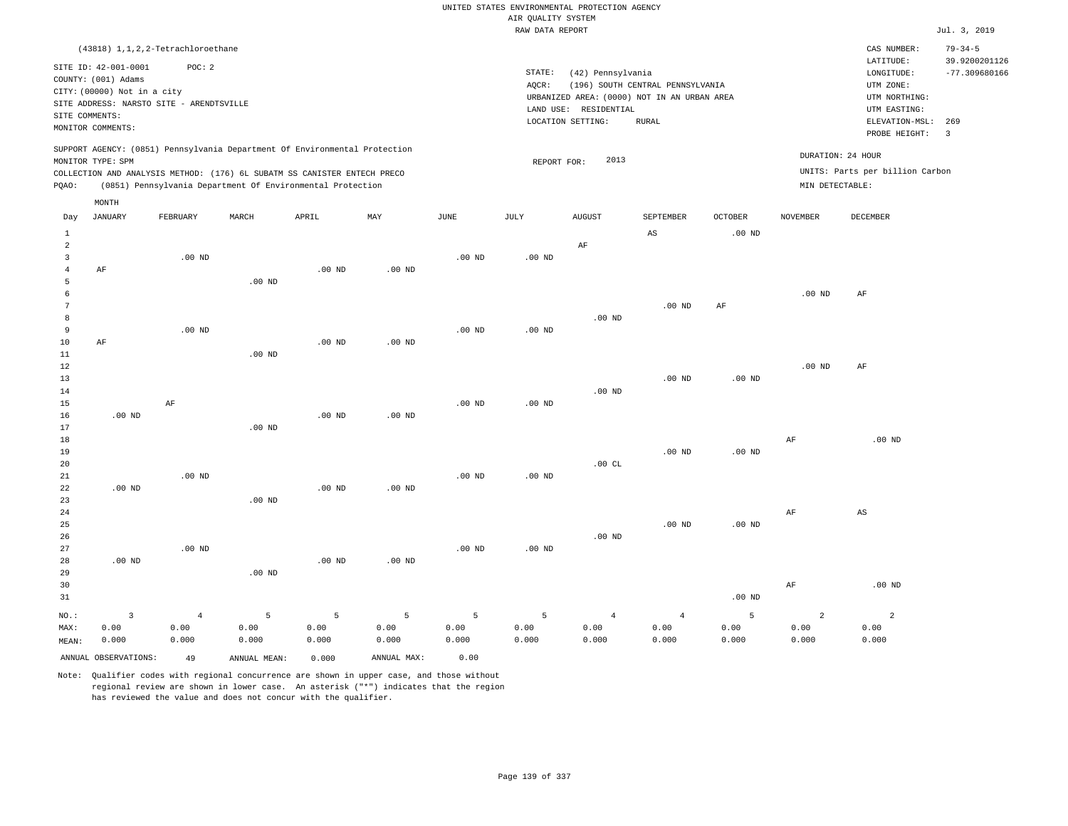|                                  |                                             |                   |                                                                            |                   |                |                   | AIR QUALITY SYSTEM | UNITED STATES ENVIRONMENTAL PROTECTION AGENCY |                                                                                 |                    |                   |                                 |                                |
|----------------------------------|---------------------------------------------|-------------------|----------------------------------------------------------------------------|-------------------|----------------|-------------------|--------------------|-----------------------------------------------|---------------------------------------------------------------------------------|--------------------|-------------------|---------------------------------|--------------------------------|
|                                  |                                             |                   |                                                                            |                   |                |                   | RAW DATA REPORT    |                                               |                                                                                 |                    |                   |                                 | Jul. 3, 2019                   |
|                                  | (43818) 1, 1, 2, 2-Tetrachloroethane        |                   |                                                                            |                   |                |                   |                    |                                               |                                                                                 |                    |                   | CAS NUMBER:<br>LATITUDE:        | $79 - 34 - 5$<br>39.9200201126 |
|                                  | SITE ID: 42-001-0001<br>COUNTY: (001) Adams | POC: 2            |                                                                            |                   |                |                   | STATE:             | (42) Pennsylvania                             |                                                                                 |                    |                   | LONGITUDE:                      | $-77.309680166$                |
|                                  | CITY: (00000) Not in a city                 |                   |                                                                            |                   |                |                   | AQCR:              |                                               | (196) SOUTH CENTRAL PENNSYLVANIA<br>URBANIZED AREA: (0000) NOT IN AN URBAN AREA |                    |                   | UTM ZONE:<br>UTM NORTHING:      |                                |
|                                  | SITE ADDRESS: NARSTO SITE - ARENDTSVILLE    |                   |                                                                            |                   |                |                   |                    | LAND USE: RESIDENTIAL                         |                                                                                 |                    |                   | UTM EASTING:                    |                                |
|                                  | SITE COMMENTS:                              |                   |                                                                            |                   |                |                   |                    | LOCATION SETTING:                             | <b>RURAL</b>                                                                    |                    |                   | ELEVATION-MSL:                  | 269                            |
|                                  | MONITOR COMMENTS:                           |                   |                                                                            |                   |                |                   |                    |                                               |                                                                                 |                    |                   | PROBE HEIGHT:                   | $\overline{3}$                 |
|                                  | MONITOR TYPE: SPM                           |                   | SUPPORT AGENCY: (0851) Pennsylvania Department Of Environmental Protection |                   |                |                   | REPORT FOR:        | 2013                                          |                                                                                 |                    | DURATION: 24 HOUR |                                 |                                |
|                                  |                                             |                   | COLLECTION AND ANALYSIS METHOD: (176) 6L SUBATM SS CANISTER ENTECH PRECO   |                   |                |                   |                    |                                               |                                                                                 |                    |                   | UNITS: Parts per billion Carbon |                                |
| PQAO:                            |                                             |                   | (0851) Pennsylvania Department Of Environmental Protection                 |                   |                |                   |                    |                                               |                                                                                 |                    | MIN DETECTABLE:   |                                 |                                |
|                                  | MONTH                                       |                   |                                                                            |                   |                |                   |                    |                                               |                                                                                 |                    |                   |                                 |                                |
| Day                              | JANUARY                                     | FEBRUARY          | MARCH                                                                      | APRIL             | MAY            | $_{\rm JUNE}$     | $\mathtt{JULY}$    | <b>AUGUST</b>                                 | SEPTEMBER                                                                       | $\mathtt{OCTOBER}$ | <b>NOVEMBER</b>   | DECEMBER                        |                                |
| $\mathbf{1}$                     |                                             |                   |                                                                            |                   |                |                   |                    |                                               | $\mathbb{A}\mathbb{S}$                                                          | .00 <sub>ND</sub>  |                   |                                 |                                |
| $\overline{c}$<br>$\overline{3}$ |                                             | $.00$ ND          |                                                                            |                   |                | $.00$ ND          | $.00$ ND           | AF                                            |                                                                                 |                    |                   |                                 |                                |
| $\overline{4}$                   | AF                                          |                   |                                                                            | $.00$ ND          | $.00$ ND       |                   |                    |                                               |                                                                                 |                    |                   |                                 |                                |
| 5                                |                                             |                   | $.00$ ND                                                                   |                   |                |                   |                    |                                               |                                                                                 |                    |                   |                                 |                                |
| 6                                |                                             |                   |                                                                            |                   |                |                   |                    |                                               |                                                                                 |                    | .00 <sub>ND</sub> | AF                              |                                |
| $\overline{7}$                   |                                             |                   |                                                                            |                   |                |                   |                    |                                               | .00 <sub>ND</sub>                                                               | $\rm{AF}$          |                   |                                 |                                |
| 8                                |                                             |                   |                                                                            |                   |                |                   |                    | $.00$ ND                                      |                                                                                 |                    |                   |                                 |                                |
| $\overline{9}$                   |                                             | $.00$ ND          |                                                                            |                   |                | $.00$ ND          | $.00$ ND           |                                               |                                                                                 |                    |                   |                                 |                                |
| $10$                             | AF                                          |                   |                                                                            | $.00$ ND          | $.00$ ND       |                   |                    |                                               |                                                                                 |                    |                   |                                 |                                |
| 11                               |                                             |                   | $.00$ ND                                                                   |                   |                |                   |                    |                                               |                                                                                 |                    |                   |                                 |                                |
| 12<br>13                         |                                             |                   |                                                                            |                   |                |                   |                    |                                               |                                                                                 |                    | $.00$ ND          | AF                              |                                |
| 14                               |                                             |                   |                                                                            |                   |                |                   |                    | $.00$ ND                                      | $.00$ ND                                                                        | .00 <sub>ND</sub>  |                   |                                 |                                |
| 15                               |                                             | AF                |                                                                            |                   |                | $.00$ ND          | $.00$ ND           |                                               |                                                                                 |                    |                   |                                 |                                |
| 16                               | $.00$ ND                                    |                   |                                                                            | $.00$ ND          | $.00$ ND       |                   |                    |                                               |                                                                                 |                    |                   |                                 |                                |
| 17                               |                                             |                   | .00 <sub>ND</sub>                                                          |                   |                |                   |                    |                                               |                                                                                 |                    |                   |                                 |                                |
| 18                               |                                             |                   |                                                                            |                   |                |                   |                    |                                               |                                                                                 |                    | AF                | $.00$ ND                        |                                |
| 19                               |                                             |                   |                                                                            |                   |                |                   |                    |                                               | $.00$ ND                                                                        | .00 <sub>ND</sub>  |                   |                                 |                                |
| 20                               |                                             |                   |                                                                            |                   |                |                   |                    | .00 $CL$                                      |                                                                                 |                    |                   |                                 |                                |
| 21                               |                                             | $.00$ ND          |                                                                            |                   |                | .00 <sub>ND</sub> | $.00$ ND           |                                               |                                                                                 |                    |                   |                                 |                                |
| 22                               | $.00$ ND                                    |                   |                                                                            | .00 <sub>ND</sub> | $.00$ ND       |                   |                    |                                               |                                                                                 |                    |                   |                                 |                                |
| 23                               |                                             |                   | $.00$ ND                                                                   |                   |                |                   |                    |                                               |                                                                                 |                    |                   |                                 |                                |
| 24<br>25                         |                                             |                   |                                                                            |                   |                |                   |                    |                                               | $.00$ ND                                                                        | .00 <sub>ND</sub>  | AF                | $\mathbb{A}\mathbb{S}$          |                                |
| 26                               |                                             |                   |                                                                            |                   |                |                   |                    | .00 <sub>ND</sub>                             |                                                                                 |                    |                   |                                 |                                |
| 27                               |                                             | .00 <sub>ND</sub> |                                                                            |                   |                | .00 <sub>ND</sub> | $.00$ ND           |                                               |                                                                                 |                    |                   |                                 |                                |
| 28                               | $.00$ ND                                    |                   |                                                                            | $.00$ ND          | $.00$ ND       |                   |                    |                                               |                                                                                 |                    |                   |                                 |                                |
| 29                               |                                             |                   | .00 <sub>ND</sub>                                                          |                   |                |                   |                    |                                               |                                                                                 |                    |                   |                                 |                                |
| 30                               |                                             |                   |                                                                            |                   |                |                   |                    |                                               |                                                                                 |                    | $\rm{AF}$         | $.00$ ND                        |                                |
| 31                               |                                             |                   |                                                                            |                   |                |                   |                    |                                               |                                                                                 | .00 <sub>ND</sub>  |                   |                                 |                                |
| NO.:                             | $\overline{\mathbf{3}}$                     | $\overline{4}$    | 5                                                                          | $\overline{5}$    | $\overline{5}$ | 5                 | 5                  | $\overline{4}$                                | $\overline{4}$                                                                  | 5                  | $\overline{a}$    | $\overline{a}$                  |                                |
| MAX:                             | 0.00                                        | 0.00              | 0.00                                                                       | 0.00              | 0.00           | 0.00              | 0.00               | 0.00                                          | 0.00                                                                            | 0.00               | 0.00              | 0.00                            |                                |
| MEAN:                            | 0.000                                       | 0.000             | 0.000                                                                      | 0.000             | 0.000          | 0.000             | 0.000              | 0.000                                         | 0.000                                                                           | 0.000              | 0.000             | 0.000                           |                                |
|                                  | ANNUAL OBSERVATIONS:                        | 49                | ANNUAL, MEAN:                                                              | 0.000             | ANNUAL MAX:    | 0.00              |                    |                                               |                                                                                 |                    |                   |                                 |                                |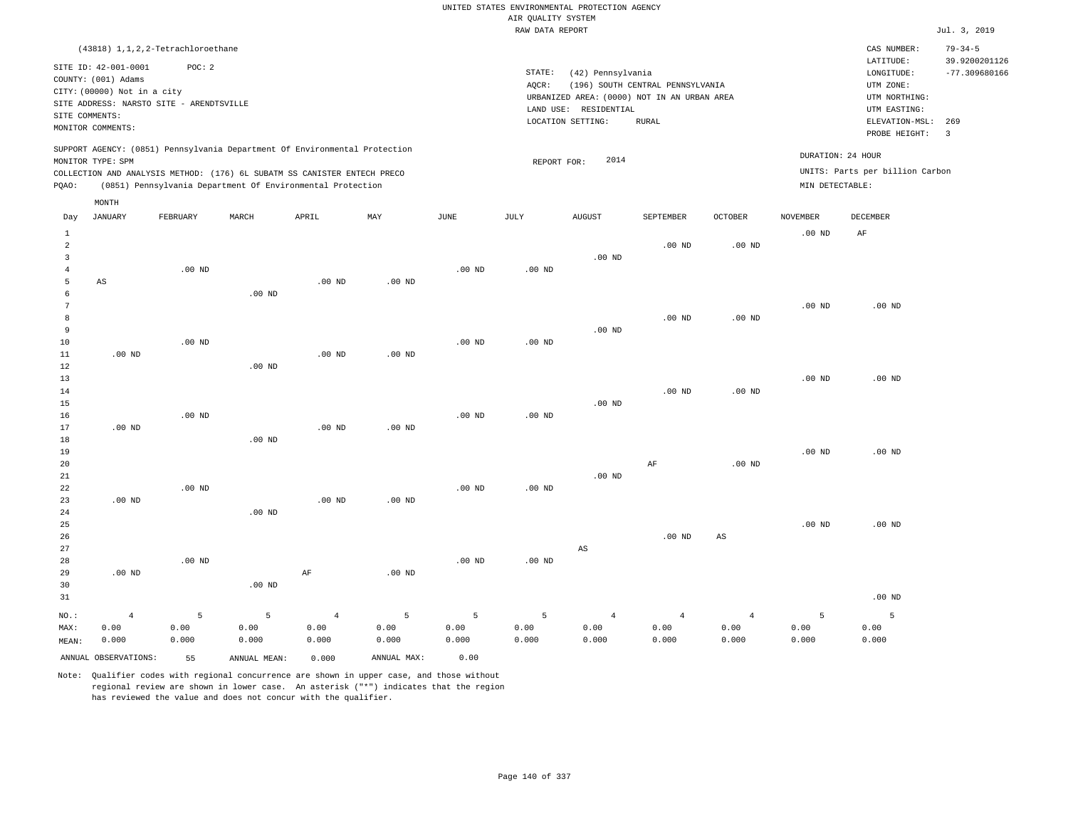|                                  |                                             |                   |                                                                            |                |                   |                   | AIR QUALITY SYSTEM | UNITED STATES ENVIRONMENTAL PROTECTION AGENCY |                                  |                   |                   |                                 |                                |
|----------------------------------|---------------------------------------------|-------------------|----------------------------------------------------------------------------|----------------|-------------------|-------------------|--------------------|-----------------------------------------------|----------------------------------|-------------------|-------------------|---------------------------------|--------------------------------|
|                                  |                                             |                   |                                                                            |                |                   |                   | RAW DATA REPORT    |                                               |                                  |                   |                   |                                 | Jul. 3, 2019                   |
|                                  | (43818) 1, 1, 2, 2-Tetrachloroethane        |                   |                                                                            |                |                   |                   |                    |                                               |                                  |                   |                   | CAS NUMBER:<br>LATITUDE:        | $79 - 34 - 5$<br>39.9200201126 |
|                                  | SITE ID: 42-001-0001<br>COUNTY: (001) Adams | POC: 2            |                                                                            |                |                   |                   | STATE:<br>AQCR:    | (42) Pennsylvania                             | (196) SOUTH CENTRAL PENNSYLVANIA |                   |                   | LONGITUDE:<br>UTM ZONE:         | $-77.309680166$                |
|                                  | CITY: (00000) Not in a city                 |                   |                                                                            |                |                   |                   |                    | URBANIZED AREA: (0000) NOT IN AN URBAN AREA   |                                  |                   |                   | UTM NORTHING:                   |                                |
|                                  | SITE ADDRESS: NARSTO SITE - ARENDTSVILLE    |                   |                                                                            |                |                   |                   |                    | LAND USE: RESIDENTIAL                         |                                  |                   |                   | UTM EASTING:                    |                                |
| SITE COMMENTS:                   | MONITOR COMMENTS:                           |                   |                                                                            |                |                   |                   |                    | LOCATION SETTING:                             | <b>RURAL</b>                     |                   |                   | ELEVATION-MSL:<br>PROBE HEIGHT: | 269<br>$\overline{3}$          |
|                                  | MONITOR TYPE: SPM                           |                   | SUPPORT AGENCY: (0851) Pennsylvania Department Of Environmental Protection |                |                   |                   | REPORT FOR:        | 2014                                          |                                  |                   | DURATION: 24 HOUR |                                 |                                |
|                                  |                                             |                   | COLLECTION AND ANALYSIS METHOD: (176) 6L SUBATM SS CANISTER ENTECH PRECO   |                |                   |                   |                    |                                               |                                  |                   |                   | UNITS: Parts per billion Carbon |                                |
| PQAO:                            |                                             |                   | (0851) Pennsylvania Department Of Environmental Protection                 |                |                   |                   |                    |                                               |                                  |                   | MIN DETECTABLE:   |                                 |                                |
|                                  | MONTH                                       |                   |                                                                            |                |                   |                   |                    |                                               |                                  |                   |                   |                                 |                                |
| Day                              | <b>JANUARY</b>                              | FEBRUARY          | MARCH                                                                      | APRIL          | MAY               | <b>JUNE</b>       | JULY               | <b>AUGUST</b>                                 | SEPTEMBER                        | <b>OCTOBER</b>    | <b>NOVEMBER</b>   | <b>DECEMBER</b>                 |                                |
| $\mathbf{1}$<br>$\sqrt{2}$       |                                             |                   |                                                                            |                |                   |                   |                    |                                               | $.00$ ND                         | $.00$ ND          | .00 <sub>ND</sub> | AF                              |                                |
| $\overline{3}$<br>$\overline{4}$ |                                             | $.00$ ND          |                                                                            |                |                   | .00 <sub>ND</sub> | $.00$ ND           | $.00$ ND                                      |                                  |                   |                   |                                 |                                |
| 5                                | AS                                          |                   |                                                                            | $.00$ ND       | .00 <sub>ND</sub> |                   |                    |                                               |                                  |                   |                   |                                 |                                |
| $\epsilon$                       |                                             |                   | .00 <sub>ND</sub>                                                          |                |                   |                   |                    |                                               |                                  |                   |                   |                                 |                                |
| $\overline{7}$                   |                                             |                   |                                                                            |                |                   |                   |                    |                                               |                                  |                   | $.00$ ND          | $.00$ ND                        |                                |
| 8                                |                                             |                   |                                                                            |                |                   |                   |                    |                                               | .00 <sub>ND</sub>                | .00 <sub>ND</sub> |                   |                                 |                                |
| $\overline{9}$<br>10             |                                             | $.00$ ND          |                                                                            |                |                   | $.00$ ND          | .00 <sub>ND</sub>  | $.00$ ND                                      |                                  |                   |                   |                                 |                                |
| 11                               | $.00$ ND                                    |                   |                                                                            | $.00$ ND       | .00 <sub>ND</sub> |                   |                    |                                               |                                  |                   |                   |                                 |                                |
| 12                               |                                             |                   | $.00$ ND                                                                   |                |                   |                   |                    |                                               |                                  |                   |                   |                                 |                                |
| 13                               |                                             |                   |                                                                            |                |                   |                   |                    |                                               |                                  |                   | $.00$ ND          | $.00$ ND                        |                                |
| 14                               |                                             |                   |                                                                            |                |                   |                   |                    |                                               | $.00$ ND                         | .00 <sub>ND</sub> |                   |                                 |                                |
| 15                               |                                             |                   |                                                                            |                |                   |                   |                    | .00 <sub>ND</sub>                             |                                  |                   |                   |                                 |                                |
| 16<br>17                         | $.00$ ND                                    | $.00$ ND          |                                                                            | $.00$ ND       | .00 <sub>ND</sub> | $.00$ ND          | $.00$ ND           |                                               |                                  |                   |                   |                                 |                                |
| 18                               |                                             |                   | $.00$ ND                                                                   |                |                   |                   |                    |                                               |                                  |                   |                   |                                 |                                |
| 19                               |                                             |                   |                                                                            |                |                   |                   |                    |                                               |                                  |                   | $.00$ ND          | $.00$ ND                        |                                |
| 20                               |                                             |                   |                                                                            |                |                   |                   |                    |                                               | $\rm{AF}$                        | .00 <sub>ND</sub> |                   |                                 |                                |
| 21                               |                                             |                   |                                                                            |                |                   |                   |                    | $.00$ ND                                      |                                  |                   |                   |                                 |                                |
| 22<br>23                         | $.00$ ND                                    | $.00$ ND          |                                                                            | $.00$ ND       | $.00$ ND          | .00 <sub>ND</sub> | $.00$ ND           |                                               |                                  |                   |                   |                                 |                                |
| 24                               |                                             |                   | $.00$ ND                                                                   |                |                   |                   |                    |                                               |                                  |                   |                   |                                 |                                |
| 25                               |                                             |                   |                                                                            |                |                   |                   |                    |                                               |                                  |                   | $.00$ ND          | $.00$ ND                        |                                |
| 26                               |                                             |                   |                                                                            |                |                   |                   |                    |                                               | $.00$ ND                         | $_{\rm AS}$       |                   |                                 |                                |
| 27                               |                                             |                   |                                                                            |                |                   |                   |                    | $\mathbb{A}\mathbb{S}$                        |                                  |                   |                   |                                 |                                |
| 28                               |                                             | .00 <sub>ND</sub> |                                                                            |                |                   | .00 <sub>ND</sub> | $.00$ ND           |                                               |                                  |                   |                   |                                 |                                |
| 29<br>30                         | $.00$ ND                                    |                   | $.00$ ND                                                                   | $\rm{AF}$      | $.00$ ND          |                   |                    |                                               |                                  |                   |                   |                                 |                                |
| 31                               |                                             |                   |                                                                            |                |                   |                   |                    |                                               |                                  |                   |                   | $.00$ ND                        |                                |
| NO.:                             | $\overline{4}$                              | 5                 | 5                                                                          | $\overline{4}$ | 5                 | 5                 | 5                  | $\overline{4}$                                | $\overline{4}$                   | $\sqrt{4}$        | 5                 | 5                               |                                |
| MAX:                             | 0.00                                        | 0.00              | 0.00                                                                       | 0.00           | 0.00              | 0.00              | 0.00               | 0.00                                          | 0.00                             | 0.00              | 0.00              | 0.00                            |                                |
| MEAN:                            | 0.000                                       | 0.000             | 0.000                                                                      | 0.000          | 0.000             | 0.000             | 0.000              | 0.000                                         | 0.000                            | 0.000             | 0.000             | 0.000                           |                                |
|                                  | ANNUAL OBSERVATIONS:                        | 55                | ANNUAL MEAN:                                                               | 0.000          | ANNUAL MAX:       | 0.00              |                    |                                               |                                  |                   |                   |                                 |                                |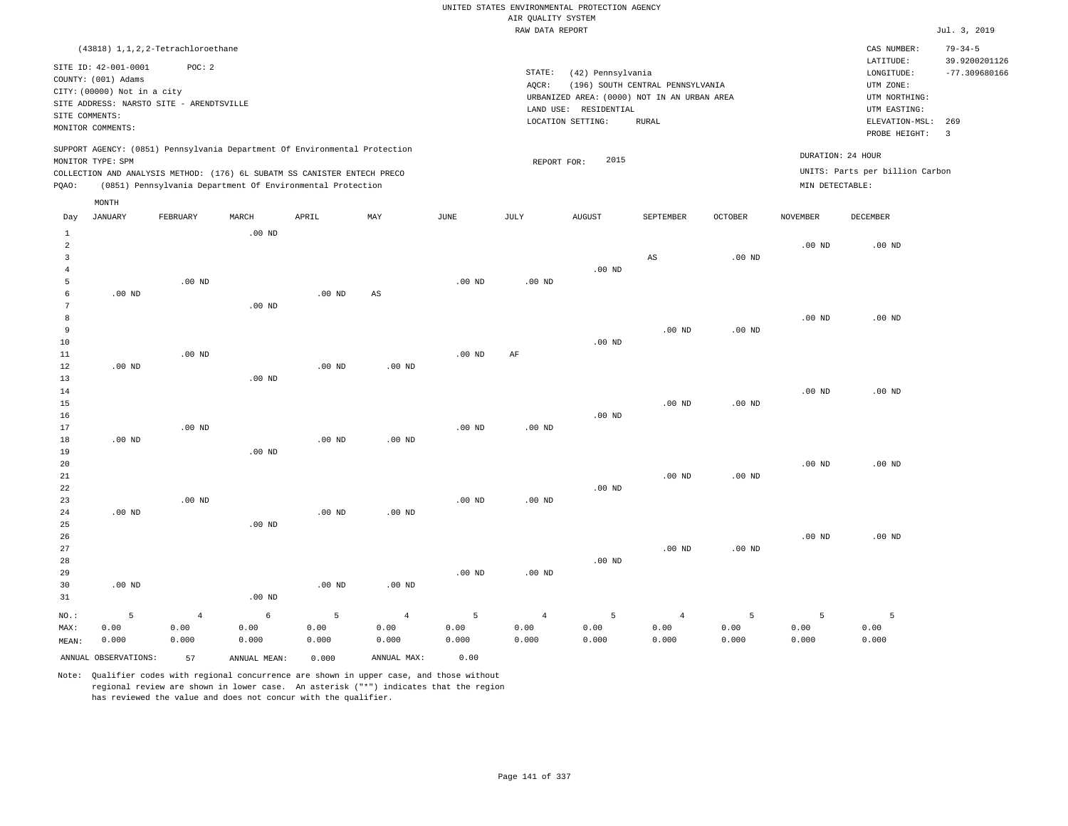RAW DATA REPORT Jul. 3, 2019 UNITED STATES ENVIRONMENTAL PROTECTION AGENCY AIR QUALITY SYSTEM (43818) 1,1,2,2-Tetrachloroethane STATE: (42) Pennsylvania CAS NUMBER: 79-34-5 SITE ID: 42-001-0001 POC: 2 AQCR: (196) SOUTH CENTRAL PENNSYLVANIA COUNTY: (001) Adams CITY: (00000) Not in a city LONGITUDE: -77.309680166 LATITUDE: 39.9200201126 LOCATION SETTING: RURAL SITE ADDRESS: NARSTO SITE - ARENDTSVILLE LAND USE: RESIDENTIAL SITE COMMENTS: MONITOR COMMENTS: PROBE HEIGHT: 3 ELEVATION-MSL: 269 URBANIZED AREA: (0000) NOT IN AN URBAN AREA **URBAN SERIA UTM NORTHING**: UTM EASTING: UTM ZONE: SUPPORT AGENCY: (0851) Pennsylvania Department Of Environmental Protection MONITOR TYPE: SPM COLLECTION AND ANALYSIS METHOD: (176) 6L SUBATM SS CANISTER ENTECH PRECO REPORT FOR: 2015 UNITS: Parts per billion Carbon PQAO: (0851) Pennsylvania Department Of Environmental Protection MIN DETECTABLE: DURATION: 24 HOUR .00 ND .00 ND .00 ND .00 ND .00 ND 5 .00 ND .00 ND .00 ND .00 ND .00 ND .00 ND .00 ND .00 ND .00 ND .00 ND .00 ND .00 ND .00 ND .00 ND .00 ND AS .00 ND .00 ND .00 ND .00 ND .00 ND .00 ND .00 ND .00 ND .00 ND .00 ND AF .00 ND .00 ND .00 ND .00 ND .00 ND .00 ND .00 ND .00 ND AS .00 ND .00 ND .00 ND .00 ND .00 ND .00 ND .00 ND .00 ND .00 ND .00 ND .00 ND .00 ND .00 ND .00 ND .00 ND .00 ND .00 ND .00 ND .00 ND 4 6 5 4 5 4 5 4 5 5 5 0.00 Day JANUARY FEBRUARY MARCH APRIL MAY JUNE JULY AUGUST SEPTEMBER OCTOBER NOVEMBER DECEMBER MONTH

MAX: MEAN: 0.00 0.000 0.00 0.000 0.00 0.000 0.00 0.000 0.00 0.000 0.00 0.000 0.00 0.000 0.00 0.000 0.00 0.000 0.00 0.000 0.00 0.000 ANNUAL OBSERVATIONS: 57 ANNUAL MEAN: 0.000 ANNUAL MAX: 0.00

Note: Qualifier codes with regional concurrence are shown in upper case, and those without regional review are shown in lower case. An asterisk ("\*") indicates that the region has reviewed the value and does not concur with the qualifier.

NO.:

0.000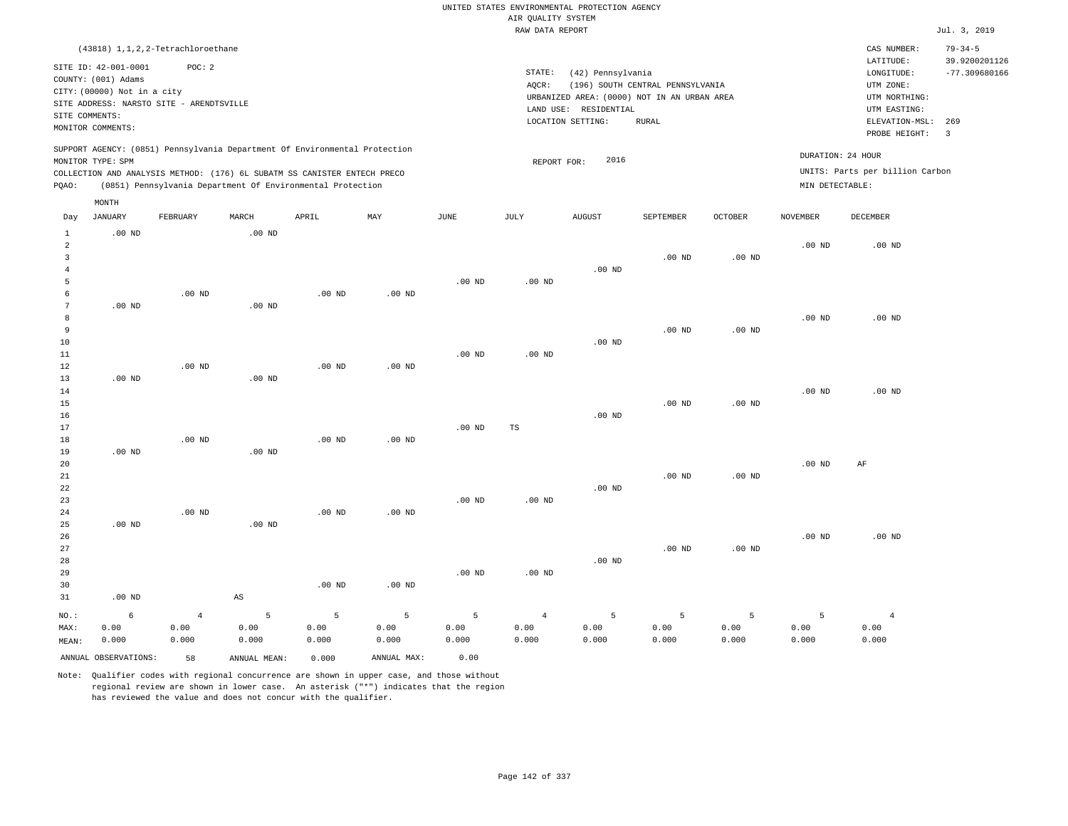RAW DATA REPORT JUL. 3, 2019 UNITED STATES ENVIRONMENTAL PROTECTION AGENCY AIR QUALITY SYSTEM (43818) 1,1,2,2-Tetrachloroethane STATE: (42) Pennsylvania CAS NUMBER: 79-34-5 SITE ID: 42-001-0001 POC: 2 AQCR: (196) SOUTH CENTRAL PENNSYLVANIA COUNTY: (001) Adams CITY: (00000) Not in a city LONGITUDE: -77.309680166 LATITUDE: 39.9200201126 LOCATION SETTING: RURAL SITE ADDRESS: NARSTO SITE - ARENDTSVILLE LAND USE: RESIDENTIAL SITE COMMENTS: MONITOR COMMENTS: PROBE HEIGHT: 3 ELEVATION-MSL: 269 URBANIZED AREA: (0000) NOT IN AN URBAN AREA **URBAN SERIA UTM NORTHING**: UTM EASTING: UTM ZONE: SUPPORT AGENCY: (0851) Pennsylvania Department Of Environmental Protection MONITOR TYPE: SPM COLLECTION AND ANALYSIS METHOD: (176) 6L SUBATM SS CANISTER ENTECH PRECO REPORT FOR: 2016 UNITS: Parts per billion Carbon PQAO: (0851) Pennsylvania Department Of Environmental Protection MIN DETECTABLE: DURATION: 24 HOUR 1 2 3 4 5 6 7 8 9 10 11 12 13 14 15 16 17 18 19  $20$ 21 22 23 24  $25$ 26 27 28 29 30 31 .00 ND .00 ND .00 ND .00 ND .00 ND .00 ND NO.: MAX: MEAN: 6 0.00 0.000 .00 ND .00 ND .00 ND .00 ND .00 ND .00 ND .00 ND .00 ND .00 ND AS .00 ND .00 ND .00 ND .00 ND .00 ND .00 ND .00 ND .00 ND .00 ND .00 ND .00 ND .00 ND .00 ND .00 ND .00 ND .00 ND .00 ND TS .00 ND .00 ND .00 ND .00 ND .00 ND .00 ND .00 ND .00 ND .00 ND .00 ND .00 ND .00 ND .00 ND .00 ND .00 ND .00 ND .00 ND .00 ND .00 ND .00 ND .00 ND .00 ND .00 ND .00 ND .00 ND AF .00 ND 4 0.00 0.000 5 0.00 0.000 5 0.00 0.000 5 0.00 0.000 5 0.00 0.000 4 0.00 0.000 5 0.00 0.000 5 0.00 0.000 5 0.00 0.000 5 0.00 0.000 4 0.00 0.000 ANNUAL OBSERVATIONS: 58 ANNUAL MEAN: 0.000 ANNUAL MAX: 0.00 Day JANUARY FEBRUARY MARCH APRIL MAY JUNE JULY AUGUST SEPTEMBER OCTOBER NOVEMBER DECEMBER MONTH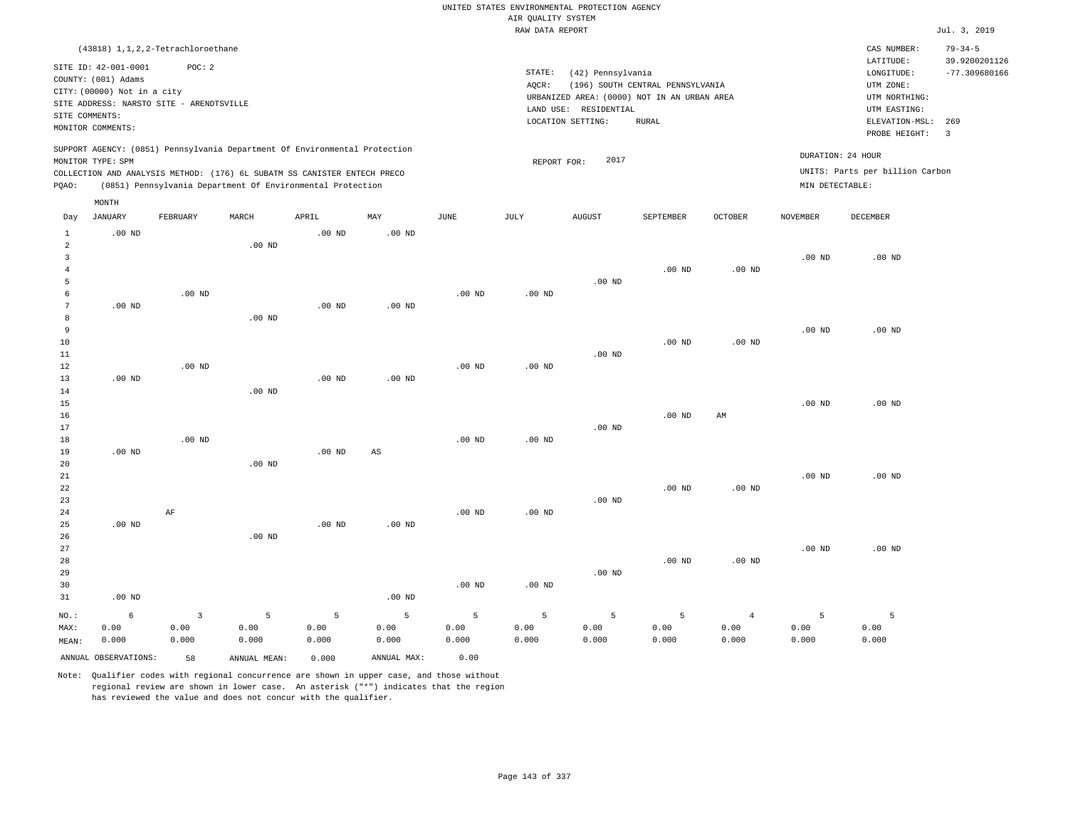|                                     |                                                                                                                    |                                 |                                                                                                                                                                                                                      |                    |                        |                    |                    | UNITED STATES ENVIRONMENTAL PROTECTION AGENCY                    |                                  |                                 |                                      |                                                                      |                                                   |
|-------------------------------------|--------------------------------------------------------------------------------------------------------------------|---------------------------------|----------------------------------------------------------------------------------------------------------------------------------------------------------------------------------------------------------------------|--------------------|------------------------|--------------------|--------------------|------------------------------------------------------------------|----------------------------------|---------------------------------|--------------------------------------|----------------------------------------------------------------------|---------------------------------------------------|
|                                     |                                                                                                                    |                                 |                                                                                                                                                                                                                      |                    |                        |                    | AIR QUALITY SYSTEM |                                                                  |                                  |                                 |                                      |                                                                      |                                                   |
|                                     |                                                                                                                    |                                 |                                                                                                                                                                                                                      |                    |                        |                    | RAW DATA REPORT    |                                                                  |                                  |                                 |                                      |                                                                      | Jul. 3, 2019                                      |
|                                     | (43818) 1, 1, 2, 2-Tetrachloroethane<br>SITE ID: 42-001-0001<br>COUNTY: (001) Adams<br>CITY: (00000) Not in a city | POC: 2                          |                                                                                                                                                                                                                      |                    |                        |                    | STATE:<br>AQCR:    | (42) Pennsylvania<br>URBANIZED AREA: (0000) NOT IN AN URBAN AREA | (196) SOUTH CENTRAL PENNSYLVANIA |                                 |                                      | CAS NUMBER:<br>LATITUDE:<br>LONGITUDE:<br>UTM ZONE:<br>UTM NORTHING: | $79 - 34 - 5$<br>39.9200201126<br>$-77.309680166$ |
| SITE COMMENTS:                      | SITE ADDRESS: NARSTO SITE - ARENDTSVILLE<br>MONITOR COMMENTS:                                                      |                                 |                                                                                                                                                                                                                      |                    |                        |                    |                    | LAND USE: RESIDENTIAL<br>LOCATION SETTING:                       | <b>RURAL</b>                     |                                 |                                      | UTM EASTING:<br>ELEVATION-MSL:<br>PROBE HEIGHT:                      | 269<br>$\overline{\mathbf{3}}$                    |
| PQAO:                               | MONITOR TYPE: SPM                                                                                                  |                                 | SUPPORT AGENCY: (0851) Pennsylvania Department Of Environmental Protection<br>COLLECTION AND ANALYSIS METHOD: (176) 6L SUBATM SS CANISTER ENTECH PRECO<br>(0851) Pennsylvania Department Of Environmental Protection |                    |                        |                    | REPORT FOR:        | 2017                                                             |                                  |                                 | DURATION: 24 HOUR<br>MIN DETECTABLE: | UNITS: Parts per billion Carbon                                      |                                                   |
| Day                                 | MONTH<br><b>JANUARY</b>                                                                                            | FEBRUARY                        | MARCH                                                                                                                                                                                                                | APRIL              | MAY                    | <b>JUNE</b>        | <b>JULY</b>        | AUGUST                                                           | SEPTEMBER                        | OCTOBER                         | <b>NOVEMBER</b>                      | <b>DECEMBER</b>                                                      |                                                   |
| $\mathbf{1}$<br>$\overline{a}$<br>3 | $.00$ ND                                                                                                           |                                 | $.00$ ND                                                                                                                                                                                                             | $.00$ ND           | $.00$ ND               |                    |                    |                                                                  |                                  |                                 | $.00$ ND                             | .00 <sub>ND</sub>                                                    |                                                   |
| $\bf{4}$<br>5<br>6                  |                                                                                                                    | $.00$ ND                        |                                                                                                                                                                                                                      |                    |                        | $.00$ ND           | $.00$ ND           | .00 <sub>ND</sub>                                                | $.00$ ND                         | $.00$ ND                        |                                      |                                                                      |                                                   |
| $7\phantom{.0}$<br>8<br>9           | $.00$ ND                                                                                                           |                                 | $.00$ ND                                                                                                                                                                                                             | $.00$ ND           | .00 <sub>ND</sub>      |                    |                    |                                                                  |                                  |                                 | $.00$ ND                             | $.00$ ND                                                             |                                                   |
| 10<br>$11\,$<br>12<br>13            | $.00$ ND                                                                                                           | $.00$ ND                        |                                                                                                                                                                                                                      | .00 <sub>ND</sub>  | $.00$ ND               | $.00$ ND           | .00 <sub>ND</sub>  | $.00$ ND                                                         | $.00$ ND                         | $.00$ ND                        |                                      |                                                                      |                                                   |
| 14<br>15<br>16                      |                                                                                                                    |                                 | .00 <sub>ND</sub>                                                                                                                                                                                                    |                    |                        |                    |                    |                                                                  | $.00$ ND                         | AM                              | $.00$ ND                             | $.00$ ND                                                             |                                                   |
| 17<br>18<br>19<br>20                | $.00$ ND                                                                                                           | $.00$ ND                        | $.00$ ND                                                                                                                                                                                                             | .00 <sub>ND</sub>  | $\mathbb{A}\mathbb{S}$ | $.00$ ND           | $.00$ ND           | .00 <sub>ND</sub>                                                |                                  |                                 |                                      |                                                                      |                                                   |
| 21<br>22<br>23<br>24                |                                                                                                                    | AF                              |                                                                                                                                                                                                                      |                    |                        | $.00$ ND           | $.00$ ND           | $.00$ ND                                                         | .00 <sub>ND</sub>                | $.00$ ND                        | $.00$ ND                             | $.00$ ND                                                             |                                                   |
| 25<br>26<br>27                      | $.00$ ND                                                                                                           |                                 | .00 <sub>ND</sub>                                                                                                                                                                                                    | .00 <sub>ND</sub>  | $.00$ ND               |                    |                    |                                                                  |                                  |                                 | $.00$ ND                             | $.00$ ND                                                             |                                                   |
| 28<br>29<br>30<br>31                | $.00$ ND                                                                                                           |                                 |                                                                                                                                                                                                                      |                    | $.00$ ND               | $.00$ ND           | .00 <sub>ND</sub>  | .00 <sub>ND</sub>                                                | .00 <sub>ND</sub>                | $.00$ ND                        |                                      |                                                                      |                                                   |
| NO.:<br>MAX:<br>MEAN:               | 6<br>0.00<br>0.000                                                                                                 | $\overline{3}$<br>0.00<br>0.000 | 5<br>0.00<br>0.000                                                                                                                                                                                                   | 5<br>0.00<br>0.000 | 5<br>0.00<br>0.000     | 5<br>0.00<br>0.000 | 5<br>0.00<br>0.000 | 5<br>0.00<br>0.000                                               | 5<br>0.00<br>0.000               | $\overline{4}$<br>0.00<br>0.000 | 5<br>0.00<br>0.000                   | 5<br>0.00<br>0.000                                                   |                                                   |
|                                     | ANNUAL OBSERVATIONS:                                                                                               | 58                              | ANNUAL MEAN:                                                                                                                                                                                                         | 0.000              | ANNUAL MAX:            | 0.00               |                    |                                                                  |                                  |                                 |                                      |                                                                      |                                                   |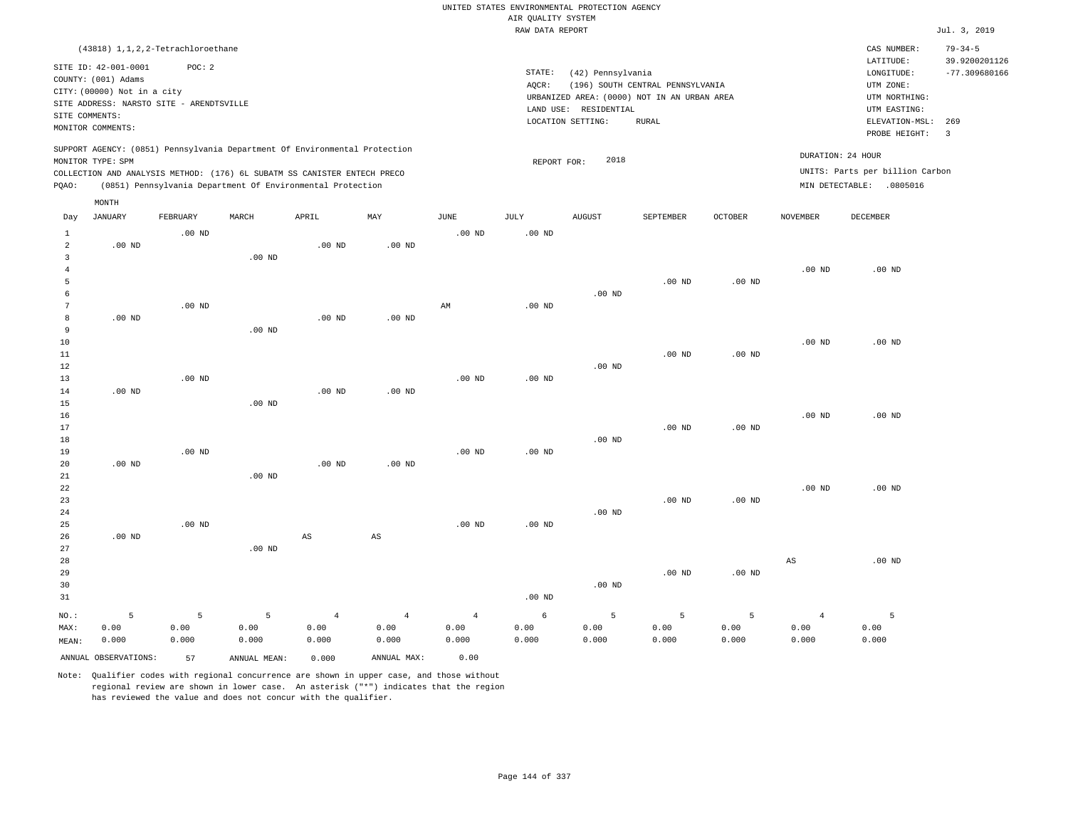|                     |                                                                                                                    |          |                                                            |                        |                        |                        |                                       | UNITED STATES ENVIRONMENTAL PROTECTION AGENCY |                                  |                   |                        |                                                     |                                                   |
|---------------------|--------------------------------------------------------------------------------------------------------------------|----------|------------------------------------------------------------|------------------------|------------------------|------------------------|---------------------------------------|-----------------------------------------------|----------------------------------|-------------------|------------------------|-----------------------------------------------------|---------------------------------------------------|
|                     |                                                                                                                    |          |                                                            |                        |                        |                        | AIR QUALITY SYSTEM<br>RAW DATA REPORT |                                               |                                  |                   |                        |                                                     | Jul. 3, 2019                                      |
|                     |                                                                                                                    |          |                                                            |                        |                        |                        |                                       |                                               |                                  |                   |                        |                                                     |                                                   |
|                     | (43818) 1, 1, 2, 2-Tetrachloroethane<br>SITE ID: 42-001-0001<br>COUNTY: (001) Adams<br>CITY: (00000) Not in a city | POC: 2   |                                                            |                        |                        |                        | STATE:<br>AQCR:                       | (42) Pennsylvania                             | (196) SOUTH CENTRAL PENNSYLVANIA |                   |                        | CAS NUMBER:<br>LATITUDE:<br>LONGITUDE:<br>UTM ZONE: | $79 - 34 - 5$<br>39.9200201126<br>$-77.309680166$ |
|                     | SITE ADDRESS: NARSTO SITE - ARENDTSVILLE                                                                           |          |                                                            |                        |                        |                        |                                       | URBANIZED AREA: (0000) NOT IN AN URBAN AREA   |                                  |                   |                        | UTM NORTHING:                                       |                                                   |
| SITE COMMENTS:      |                                                                                                                    |          |                                                            |                        |                        |                        |                                       | LAND USE: RESIDENTIAL                         |                                  |                   |                        | UTM EASTING:                                        |                                                   |
|                     | MONITOR COMMENTS:                                                                                                  |          |                                                            |                        |                        |                        |                                       | LOCATION SETTING:                             | <b>RURAL</b>                     |                   |                        | ELEVATION-MSL:                                      | 269                                               |
|                     | SUPPORT AGENCY: (0851) Pennsylvania Department Of Environmental Protection<br>MONITOR TYPE: SPM                    |          |                                                            |                        |                        |                        | REPORT FOR:                           | 2018                                          |                                  |                   |                        | PROBE HEIGHT:<br>DURATION: 24 HOUR                  | $\overline{\mathbf{3}}$                           |
|                     | COLLECTION AND ANALYSIS METHOD: (176) 6L SUBATM SS CANISTER ENTECH PRECO                                           |          |                                                            |                        |                        |                        |                                       |                                               |                                  |                   |                        | UNITS: Parts per billion Carbon                     |                                                   |
| PQAO:               |                                                                                                                    |          | (0851) Pennsylvania Department Of Environmental Protection |                        |                        |                        |                                       |                                               |                                  |                   |                        | MIN DETECTABLE: .0805016                            |                                                   |
|                     | MONTH                                                                                                              |          |                                                            |                        |                        |                        |                                       |                                               |                                  |                   |                        |                                                     |                                                   |
| Day                 | <b>JANUARY</b>                                                                                                     | FEBRUARY | MARCH                                                      | APRIL                  | MAY                    | JUNE                   | JULY                                  | <b>AUGUST</b>                                 | SEPTEMBER                        | <b>OCTOBER</b>    | <b>NOVEMBER</b>        | <b>DECEMBER</b>                                     |                                                   |
| $\mathbf{1}$        |                                                                                                                    | $.00$ ND |                                                            |                        |                        | .00 <sub>ND</sub>      | .00 <sub>ND</sub>                     |                                               |                                  |                   |                        |                                                     |                                                   |
| 2                   | $.00$ ND                                                                                                           |          |                                                            | $.00$ ND               | $.00$ ND               |                        |                                       |                                               |                                  |                   |                        |                                                     |                                                   |
| $\overline{3}$      |                                                                                                                    |          | .00 <sub>ND</sub>                                          |                        |                        |                        |                                       |                                               |                                  |                   |                        |                                                     |                                                   |
| $\overline{4}$<br>5 |                                                                                                                    |          |                                                            |                        |                        |                        |                                       |                                               | .00 <sub>ND</sub>                | $.00$ ND          | $.00$ ND               | $.00$ ND                                            |                                                   |
| 6                   |                                                                                                                    |          |                                                            |                        |                        |                        |                                       | $.00$ ND                                      |                                  |                   |                        |                                                     |                                                   |
| $7\phantom{.0}$     |                                                                                                                    | $.00$ ND |                                                            |                        |                        | $\mathbb{A}\mathbb{M}$ | .00 <sub>ND</sub>                     |                                               |                                  |                   |                        |                                                     |                                                   |
| 8                   | .00 <sub>ND</sub>                                                                                                  |          |                                                            | .00 <sub>ND</sub>      | .00 <sub>ND</sub>      |                        |                                       |                                               |                                  |                   |                        |                                                     |                                                   |
| 9                   |                                                                                                                    |          | $.00$ ND                                                   |                        |                        |                        |                                       |                                               |                                  |                   |                        |                                                     |                                                   |
| 10                  |                                                                                                                    |          |                                                            |                        |                        |                        |                                       |                                               |                                  |                   | $.00$ ND               | $.00$ ND                                            |                                                   |
| 11                  |                                                                                                                    |          |                                                            |                        |                        |                        |                                       |                                               | $.00$ ND                         | $.00$ ND          |                        |                                                     |                                                   |
| 12                  |                                                                                                                    |          |                                                            |                        |                        |                        |                                       | $.00$ ND                                      |                                  |                   |                        |                                                     |                                                   |
| 13                  |                                                                                                                    | $.00$ ND |                                                            |                        |                        | $.00$ ND               | $.00$ ND                              |                                               |                                  |                   |                        |                                                     |                                                   |
| 14                  | $.00$ ND                                                                                                           |          |                                                            | $.00$ ND               | $.00$ ND               |                        |                                       |                                               |                                  |                   |                        |                                                     |                                                   |
| 15                  |                                                                                                                    |          | $.00$ ND                                                   |                        |                        |                        |                                       |                                               |                                  |                   |                        |                                                     |                                                   |
| 16                  |                                                                                                                    |          |                                                            |                        |                        |                        |                                       |                                               |                                  |                   | $.00$ ND               | $.00$ ND                                            |                                                   |
| 17                  |                                                                                                                    |          |                                                            |                        |                        |                        |                                       |                                               | .00 <sub>ND</sub>                | .00 <sub>ND</sub> |                        |                                                     |                                                   |
| 18                  |                                                                                                                    |          |                                                            |                        |                        |                        |                                       | $.00$ ND                                      |                                  |                   |                        |                                                     |                                                   |
| 19                  |                                                                                                                    | $.00$ ND |                                                            |                        |                        | $.00$ ND               | $.00$ ND                              |                                               |                                  |                   |                        |                                                     |                                                   |
| 20                  | $.00$ ND                                                                                                           |          |                                                            | .00 <sub>ND</sub>      | $.00$ ND               |                        |                                       |                                               |                                  |                   |                        |                                                     |                                                   |
| 21<br>22            |                                                                                                                    |          | $.00$ ND                                                   |                        |                        |                        |                                       |                                               |                                  |                   | .00 <sub>ND</sub>      | $.00$ ND                                            |                                                   |
| 23                  |                                                                                                                    |          |                                                            |                        |                        |                        |                                       |                                               | $.00$ ND                         | $.00$ ND          |                        |                                                     |                                                   |
| 24                  |                                                                                                                    |          |                                                            |                        |                        |                        |                                       | $.00$ ND                                      |                                  |                   |                        |                                                     |                                                   |
| 25                  |                                                                                                                    | $.00$ ND |                                                            |                        |                        | $.00$ ND               | $.00$ ND                              |                                               |                                  |                   |                        |                                                     |                                                   |
| 26                  | $.00$ ND                                                                                                           |          |                                                            | $\mathbb{A}\mathbb{S}$ | $\mathbb{A}\mathbb{S}$ |                        |                                       |                                               |                                  |                   |                        |                                                     |                                                   |
| 27                  |                                                                                                                    |          | $.00$ ND                                                   |                        |                        |                        |                                       |                                               |                                  |                   |                        |                                                     |                                                   |
| 28                  |                                                                                                                    |          |                                                            |                        |                        |                        |                                       |                                               |                                  |                   | $\mathbb{A}\mathbb{S}$ | $.00$ ND                                            |                                                   |
| 29                  |                                                                                                                    |          |                                                            |                        |                        |                        |                                       |                                               | .00 <sub>ND</sub>                | $.00$ ND          |                        |                                                     |                                                   |
| 30                  |                                                                                                                    |          |                                                            |                        |                        |                        |                                       | $.00$ ND                                      |                                  |                   |                        |                                                     |                                                   |
| 31                  |                                                                                                                    |          |                                                            |                        |                        |                        | .00 <sub>ND</sub>                     |                                               |                                  |                   |                        |                                                     |                                                   |
| NO.:                | 5                                                                                                                  | 5        | 5                                                          | $\overline{4}$         | $\overline{4}$         | $\overline{4}$         | 6                                     | 5                                             | 5                                | 5                 | $\overline{4}$         | 5                                                   |                                                   |
| MAX:                | 0.00                                                                                                               | 0.00     | 0.00                                                       | 0.00                   | 0.00                   | 0.00                   | 0.00                                  | 0.00                                          | 0.00                             | 0.00              | 0.00                   | 0.00                                                |                                                   |
| MEAN:               | 0.000                                                                                                              | 0.000    | 0.000                                                      | 0.000                  | 0.000                  | 0.000                  | 0.000                                 | 0.000                                         | 0.000                            | 0.000             | 0.000                  | 0.000                                               |                                                   |
|                     | ANNUAL OBSERVATIONS:                                                                                               | 57       | ANNUAL MEAN:                                               | 0.000                  | ANNUAL MAX:            | 0.00                   |                                       |                                               |                                  |                   |                        |                                                     |                                                   |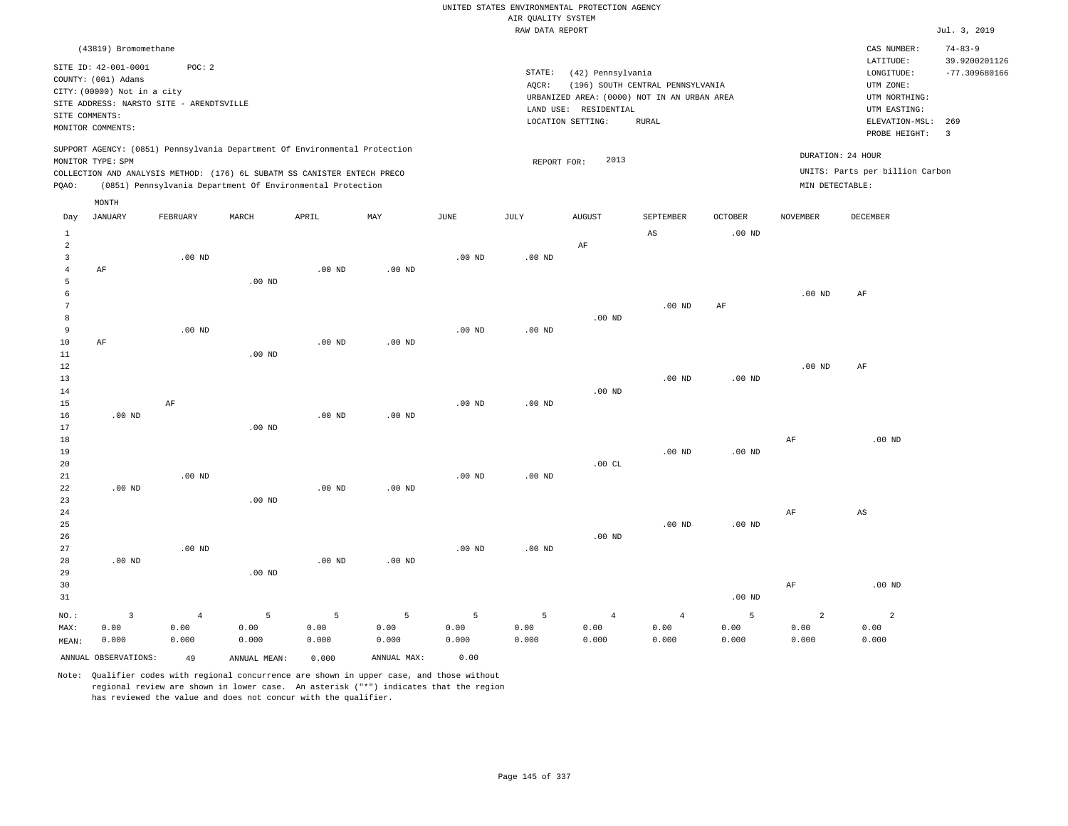|                                  |                                                                                               |                   |                   |                                                            |                   |             | UNITED STATES ENVIRONMENTAL PROTECTION AGENCY |                                            |                                             |                   |                   |                                 |                                |
|----------------------------------|-----------------------------------------------------------------------------------------------|-------------------|-------------------|------------------------------------------------------------|-------------------|-------------|-----------------------------------------------|--------------------------------------------|---------------------------------------------|-------------------|-------------------|---------------------------------|--------------------------------|
|                                  |                                                                                               |                   |                   |                                                            |                   |             | AIR QUALITY SYSTEM                            |                                            |                                             |                   |                   |                                 |                                |
|                                  |                                                                                               |                   |                   |                                                            |                   |             | RAW DATA REPORT                               |                                            |                                             |                   |                   |                                 | Jul. 3, 2019                   |
|                                  | (43819) Bromomethane                                                                          |                   |                   |                                                            |                   |             |                                               |                                            |                                             |                   |                   | CAS NUMBER:<br>LATITUDE:        | $74 - 83 - 9$<br>39.9200201126 |
|                                  | SITE ID: 42-001-0001<br>COUNTY: (001) Adams                                                   | POC: 2            |                   |                                                            |                   |             | STATE:                                        | (42) Pennsylvania                          |                                             |                   |                   | LONGITUDE:                      | $-77.309680166$                |
|                                  | CITY: (00000) Not in a city                                                                   |                   |                   |                                                            |                   |             | AOCR:                                         |                                            | (196) SOUTH CENTRAL PENNSYLVANIA            |                   |                   | UTM ZONE:                       |                                |
|                                  | SITE ADDRESS: NARSTO SITE - ARENDTSVILLE                                                      |                   |                   |                                                            |                   |             |                                               |                                            | URBANIZED AREA: (0000) NOT IN AN URBAN AREA |                   |                   | UTM NORTHING:                   |                                |
| SITE COMMENTS:                   |                                                                                               |                   |                   |                                                            |                   |             |                                               | LAND USE: RESIDENTIAL<br>LOCATION SETTING: | RURAL                                       |                   |                   | UTM EASTING:<br>ELEVATION-MSL:  | 269                            |
|                                  | MONITOR COMMENTS:                                                                             |                   |                   |                                                            |                   |             |                                               |                                            |                                             |                   |                   | PROBE HEIGHT:                   | $\overline{3}$                 |
|                                  | SUPPORT AGENCY: (0851) Pennsylvania Department Of Environmental Protection                    |                   |                   |                                                            |                   |             |                                               |                                            |                                             |                   |                   | DURATION: 24 HOUR               |                                |
|                                  | MONITOR TYPE: SPM<br>COLLECTION AND ANALYSIS METHOD: (176) 6L SUBATM SS CANISTER ENTECH PRECO |                   |                   |                                                            |                   |             | REPORT FOR:                                   | 2013                                       |                                             |                   |                   | UNITS: Parts per billion Carbon |                                |
| PQAO:                            |                                                                                               |                   |                   | (0851) Pennsylvania Department Of Environmental Protection |                   |             |                                               |                                            |                                             |                   | MIN DETECTABLE:   |                                 |                                |
|                                  | MONTH                                                                                         |                   |                   |                                                            |                   |             |                                               |                                            |                                             |                   |                   |                                 |                                |
| Day                              | <b>JANUARY</b>                                                                                | FEBRUARY          | MARCH             | APRIL                                                      | MAY               | <b>JUNE</b> | JULY                                          | <b>AUGUST</b>                              | SEPTEMBER                                   | <b>OCTOBER</b>    | <b>NOVEMBER</b>   | <b>DECEMBER</b>                 |                                |
| $\mathbf{1}$                     |                                                                                               |                   |                   |                                                            |                   |             |                                               |                                            | $\mathbb{A}\mathbb{S}$                      | $.00$ ND          |                   |                                 |                                |
| $\overline{2}$<br>$\overline{3}$ |                                                                                               | $.00$ ND          |                   |                                                            |                   | $.00$ ND    | $.00$ ND                                      | AF                                         |                                             |                   |                   |                                 |                                |
| $\overline{4}$                   | AF                                                                                            |                   |                   | $.00$ ND                                                   | $.00$ ND          |             |                                               |                                            |                                             |                   |                   |                                 |                                |
| 5                                |                                                                                               |                   | .00 <sub>ND</sub> |                                                            |                   |             |                                               |                                            |                                             |                   |                   |                                 |                                |
| 6                                |                                                                                               |                   |                   |                                                            |                   |             |                                               |                                            |                                             |                   | .00 <sub>ND</sub> | AF                              |                                |
| 7                                |                                                                                               |                   |                   |                                                            |                   |             |                                               |                                            | $.00$ ND                                    | AF                |                   |                                 |                                |
| 8                                |                                                                                               |                   |                   |                                                            |                   |             |                                               | $.00$ ND                                   |                                             |                   |                   |                                 |                                |
| 9                                |                                                                                               | $.00$ ND          |                   |                                                            |                   | $.00$ ND    | $.00$ ND                                      |                                            |                                             |                   |                   |                                 |                                |
| $10$                             | AF                                                                                            |                   |                   | $.00$ ND                                                   | .00 <sub>ND</sub> |             |                                               |                                            |                                             |                   |                   |                                 |                                |
| 11<br>12                         |                                                                                               |                   | $.00$ ND          |                                                            |                   |             |                                               |                                            |                                             |                   | .00 <sub>ND</sub> | AF                              |                                |
| 13                               |                                                                                               |                   |                   |                                                            |                   |             |                                               |                                            | $.00$ ND                                    | $.00$ ND          |                   |                                 |                                |
| 14                               |                                                                                               |                   |                   |                                                            |                   |             |                                               | $.00$ ND                                   |                                             |                   |                   |                                 |                                |
| 15                               |                                                                                               | AF                |                   |                                                            |                   | $.00$ ND    | $.00$ ND                                      |                                            |                                             |                   |                   |                                 |                                |
| 16                               | $.00$ ND                                                                                      |                   |                   | .00 <sub>ND</sub>                                          | $.00$ ND          |             |                                               |                                            |                                             |                   |                   |                                 |                                |
| 17                               |                                                                                               |                   | $.00$ ND          |                                                            |                   |             |                                               |                                            |                                             |                   |                   |                                 |                                |
| 18                               |                                                                                               |                   |                   |                                                            |                   |             |                                               |                                            |                                             |                   | AF                | $.00$ ND                        |                                |
| 19                               |                                                                                               |                   |                   |                                                            |                   |             |                                               |                                            | .00 <sub>ND</sub>                           | $.00$ ND          |                   |                                 |                                |
| 20<br>$21\,$                     |                                                                                               | $.00$ ND          |                   |                                                            |                   | $.00$ ND    | $.00$ ND                                      | .00CL                                      |                                             |                   |                   |                                 |                                |
| 22                               | $.00$ ND                                                                                      |                   |                   | $.00$ ND                                                   | $.00$ ND          |             |                                               |                                            |                                             |                   |                   |                                 |                                |
| 23                               |                                                                                               |                   | $.00$ ND          |                                                            |                   |             |                                               |                                            |                                             |                   |                   |                                 |                                |
| $2\,4$                           |                                                                                               |                   |                   |                                                            |                   |             |                                               |                                            |                                             |                   | AF                | $_{\rm AS}$                     |                                |
| 25                               |                                                                                               |                   |                   |                                                            |                   |             |                                               |                                            | $.00$ ND                                    | .00 <sub>ND</sub> |                   |                                 |                                |
| 26                               |                                                                                               |                   |                   |                                                            |                   |             |                                               | $.00$ ND                                   |                                             |                   |                   |                                 |                                |
| 27                               |                                                                                               | .00 <sub>ND</sub> |                   |                                                            |                   | $.00$ ND    | $.00$ ND                                      |                                            |                                             |                   |                   |                                 |                                |
| 28                               | $.00$ ND                                                                                      |                   |                   | $.00$ ND                                                   | .00 <sub>ND</sub> |             |                                               |                                            |                                             |                   |                   |                                 |                                |
| 29                               |                                                                                               |                   | $.00$ ND          |                                                            |                   |             |                                               |                                            |                                             |                   |                   |                                 |                                |
| 30<br>31                         |                                                                                               |                   |                   |                                                            |                   |             |                                               |                                            |                                             | $.00$ ND          | AF                | $.00$ ND                        |                                |
|                                  |                                                                                               |                   |                   |                                                            |                   |             |                                               |                                            |                                             |                   |                   |                                 |                                |
| NO.:                             | $\overline{3}$                                                                                | $\overline{4}$    | 5                 | 5                                                          | $\overline{5}$    | 5           | 5                                             | $\overline{4}$                             | $\sqrt{4}$                                  | 5                 | $\overline{a}$    | $\overline{a}$                  |                                |
| MAX:                             | 0.00                                                                                          | 0.00              | 0.00              | 0.00                                                       | 0.00              | 0.00        | 0.00                                          | 0.00                                       | 0.00                                        | 0.00              | 0.00              | 0.00                            |                                |
| MEAN:                            | 0.000                                                                                         | 0.000             | 0.000             | 0.000                                                      | 0.000             | 0.000       | 0.000                                         | 0.000                                      | 0.000                                       | 0.000             | 0.000             | 0.000                           |                                |
|                                  | ANNUAL OBSERVATIONS:                                                                          | 49                | ANNUAL MEAN:      | 0.000                                                      | ANNUAL MAX:       | 0.00        |                                               |                                            |                                             |                   |                   |                                 |                                |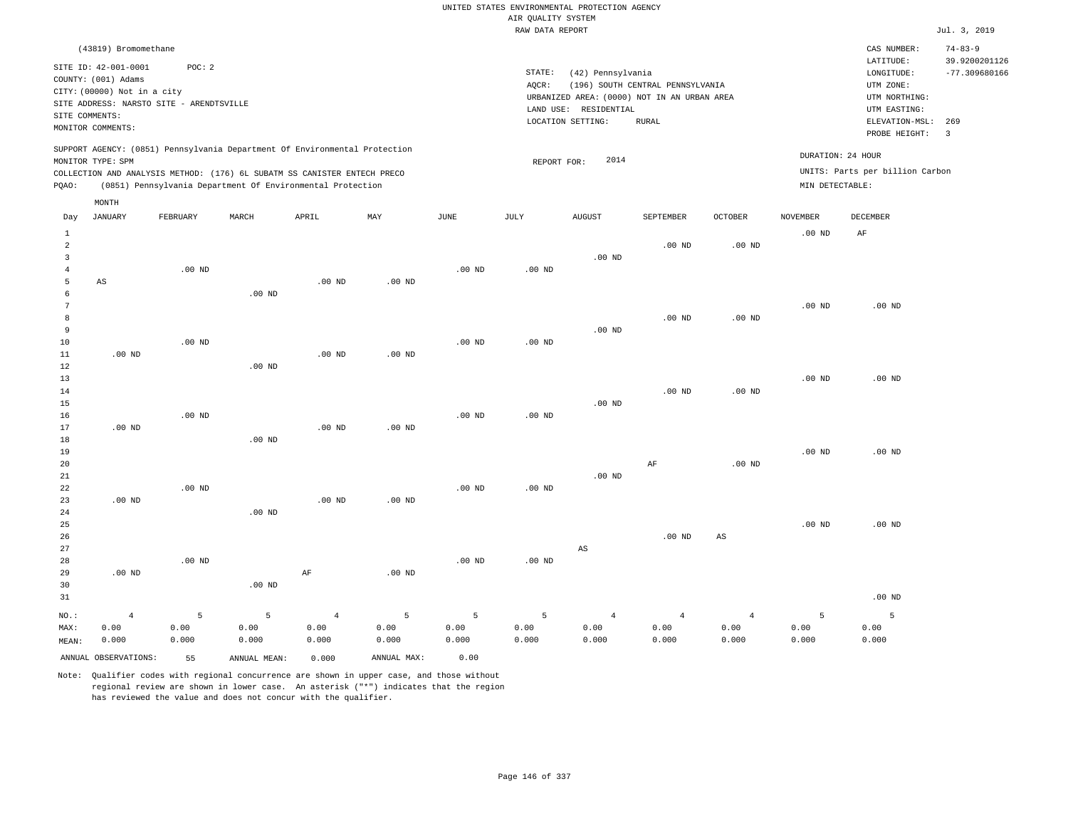|                                            |                                                                                                                                                |                    |                                                                                                                                        |                                 |                    |                    |                    | UNITED STATES ENVIRONMENTAL PROTECTION AGENCY                                             |                                  |                                 |                    |                                                                                      |                                                   |
|--------------------------------------------|------------------------------------------------------------------------------------------------------------------------------------------------|--------------------|----------------------------------------------------------------------------------------------------------------------------------------|---------------------------------|--------------------|--------------------|--------------------|-------------------------------------------------------------------------------------------|----------------------------------|---------------------------------|--------------------|--------------------------------------------------------------------------------------|---------------------------------------------------|
|                                            |                                                                                                                                                |                    |                                                                                                                                        |                                 |                    |                    | AIR QUALITY SYSTEM |                                                                                           |                                  |                                 |                    |                                                                                      |                                                   |
|                                            |                                                                                                                                                |                    |                                                                                                                                        |                                 |                    |                    | RAW DATA REPORT    |                                                                                           |                                  |                                 |                    |                                                                                      | Jul. 3, 2019                                      |
| SITE COMMENTS:                             | (43819) Bromomethane<br>SITE ID: 42-001-0001<br>COUNTY: (001) Adams<br>CITY: (00000) Not in a city<br>SITE ADDRESS: NARSTO SITE - ARENDTSVILLE | POC: 2             |                                                                                                                                        |                                 |                    |                    | STATE:<br>$AQCR$ : | (42) Pennsylvania<br>URBANIZED AREA: (0000) NOT IN AN URBAN AREA<br>LAND USE: RESIDENTIAL | (196) SOUTH CENTRAL PENNSYLVANIA |                                 |                    | CAS NUMBER:<br>LATITUDE:<br>LONGITUDE:<br>UTM ZONE:<br>UTM NORTHING:<br>UTM EASTING: | $74 - 83 - 9$<br>39.9200201126<br>$-77.309680166$ |
|                                            | MONITOR COMMENTS:                                                                                                                              |                    |                                                                                                                                        |                                 |                    |                    |                    | LOCATION SETTING:                                                                         | <b>RURAL</b>                     |                                 |                    | ELEVATION-MSL:<br>PROBE HEIGHT:                                                      | 269<br>$\overline{\mathbf{3}}$                    |
|                                            | MONITOR TYPE: SPM                                                                                                                              |                    | SUPPORT AGENCY: (0851) Pennsylvania Department Of Environmental Protection                                                             |                                 |                    |                    | REPORT FOR:        | 2014                                                                                      |                                  |                                 | DURATION: 24 HOUR  |                                                                                      |                                                   |
| PQAO:                                      |                                                                                                                                                |                    | COLLECTION AND ANALYSIS METHOD: (176) 6L SUBATM SS CANISTER ENTECH PRECO<br>(0851) Pennsylvania Department Of Environmental Protection |                                 |                    |                    |                    |                                                                                           |                                  |                                 | MIN DETECTABLE:    | UNITS: Parts per billion Carbon                                                      |                                                   |
| Day                                        | MONTH<br>JANUARY                                                                                                                               | FEBRUARY           | MARCH                                                                                                                                  | APRIL                           | MAY                | JUNE               | JULY               | AUGUST                                                                                    | SEPTEMBER                        | OCTOBER                         | NOVEMBER           | DECEMBER                                                                             |                                                   |
| $\mathbf{1}$<br>$\overline{a}$             |                                                                                                                                                |                    |                                                                                                                                        |                                 |                    |                    |                    |                                                                                           | $.00$ ND                         | $.00$ ND                        | .00 <sub>ND</sub>  | AF                                                                                   |                                                   |
| $\overline{3}$<br>$\overline{4}$<br>5<br>6 | AS                                                                                                                                             | $.00$ ND           |                                                                                                                                        | $.00$ ND                        | $.00$ ND           | $.00$ ND           | $.00$ ND           | $.00$ ND                                                                                  |                                  |                                 |                    |                                                                                      |                                                   |
| 7<br>8<br>9                                |                                                                                                                                                |                    | .00 <sub>ND</sub>                                                                                                                      |                                 |                    |                    |                    | $.00$ ND                                                                                  | $.00$ ND                         | $.00$ ND                        | .00 <sub>ND</sub>  | $.00$ ND                                                                             |                                                   |
| 10<br>11<br>12                             | $.00$ ND                                                                                                                                       | $.00$ ND           | $.00$ ND                                                                                                                               | .00 <sub>ND</sub>               | $.00$ ND           | .00 <sub>ND</sub>  | $.00$ ND           |                                                                                           |                                  |                                 |                    |                                                                                      |                                                   |
| 13<br>14<br>15                             |                                                                                                                                                |                    |                                                                                                                                        |                                 |                    |                    |                    | $.00$ ND                                                                                  | $.00$ ND                         | $.00$ ND                        | .00 <sub>ND</sub>  | $.00$ ND                                                                             |                                                   |
| 16<br>17<br>18<br>19                       | $.00$ ND                                                                                                                                       | $.00$ ND           | $.00$ ND                                                                                                                               | $.00$ ND                        | $.00$ ND           | .00 <sub>ND</sub>  | $.00$ ND           |                                                                                           |                                  |                                 | .00 <sub>ND</sub>  | $.00$ ND                                                                             |                                                   |
| 20<br>$2\sqrt{1}$<br>22                    |                                                                                                                                                | $.00$ ND           |                                                                                                                                        |                                 |                    | .00 <sub>ND</sub>  | $.00$ ND           | $.00$ ND                                                                                  | $\rm{AF}$                        | $.00$ ND                        |                    |                                                                                      |                                                   |
| 23<br>24<br>25                             | .00 <sub>ND</sub>                                                                                                                              |                    | $.00$ ND                                                                                                                               | $.00$ ND                        | $.00$ ND           |                    |                    |                                                                                           |                                  |                                 | .00 <sub>ND</sub>  | $.00$ ND                                                                             |                                                   |
| 26<br>27<br>28<br>29                       | $.00$ ND                                                                                                                                       | $.00$ ND           |                                                                                                                                        | $\rm AF$                        | .00 <sub>ND</sub>  | .00 <sub>ND</sub>  | .00 <sub>ND</sub>  | AS                                                                                        | $.00$ ND                         | $\mathbb{A}\mathbb{S}$          |                    |                                                                                      |                                                   |
| 30<br>31                                   |                                                                                                                                                |                    | $.00$ ND                                                                                                                               |                                 |                    |                    |                    |                                                                                           |                                  |                                 |                    | $.00$ ND                                                                             |                                                   |
| NO.:<br>MAX:<br>MEAN:                      | $\overline{4}$<br>0.00<br>0.000                                                                                                                | 5<br>0.00<br>0.000 | 5<br>0.00<br>0.000                                                                                                                     | $\overline{4}$<br>0.00<br>0.000 | 5<br>0.00<br>0.000 | 5<br>0.00<br>0.000 | 5<br>0.00<br>0.000 | $\overline{4}$<br>0.00<br>0.000                                                           | $\overline{4}$<br>0.00<br>0.000  | $\overline{4}$<br>0.00<br>0.000 | 5<br>0.00<br>0.000 | 5<br>0.00<br>0.000                                                                   |                                                   |
|                                            | ANNUAL OBSERVATIONS:                                                                                                                           | 55                 | ANNUAL, MEAN:                                                                                                                          | 0.000                           | ANNUAL MAX:        | 0.00               |                    |                                                                                           |                                  |                                 |                    |                                                                                      |                                                   |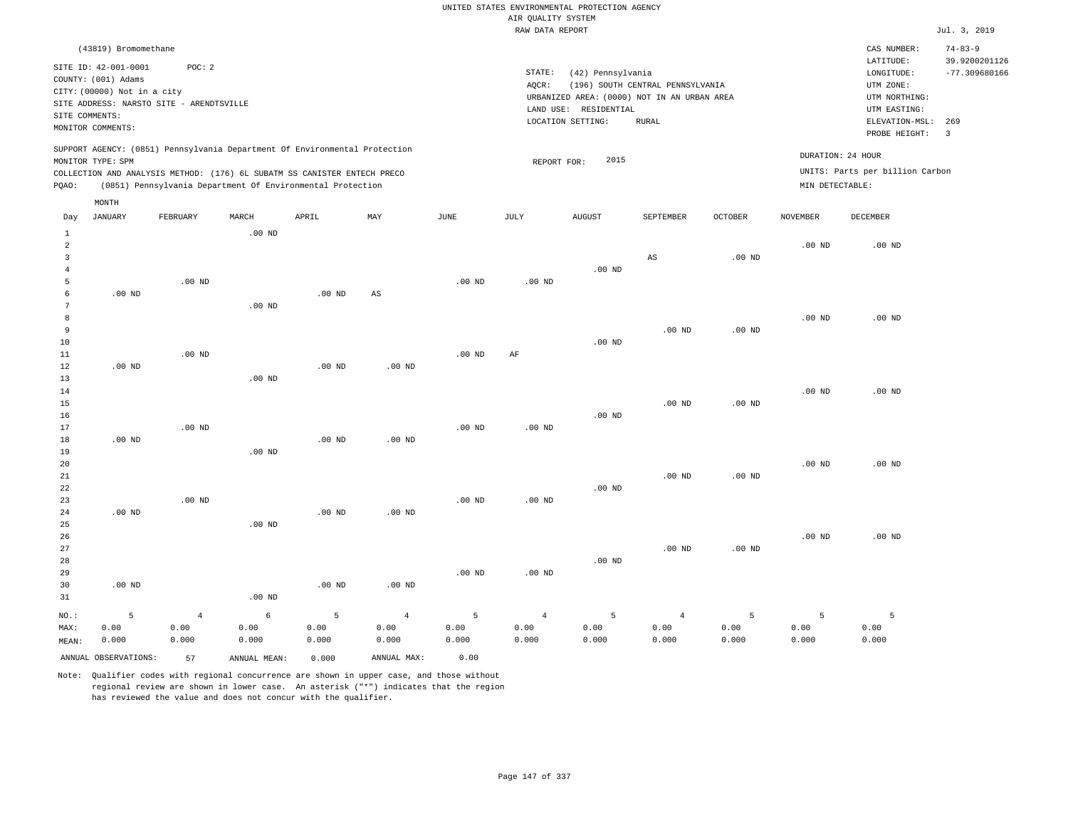|                |                                                    |                                          |                                                                            |                   |                        |                   | AIR QUALITY SYSTEM | UNITED STATES ENVIRONMENTAL PROTECTION AGENCY |                                  |                   |                   |                                 |                                |
|----------------|----------------------------------------------------|------------------------------------------|----------------------------------------------------------------------------|-------------------|------------------------|-------------------|--------------------|-----------------------------------------------|----------------------------------|-------------------|-------------------|---------------------------------|--------------------------------|
|                |                                                    |                                          |                                                                            |                   |                        |                   | RAW DATA REPORT    |                                               |                                  |                   |                   |                                 | Jul. 3, 2019                   |
|                | (43819) Bromomethane                               |                                          |                                                                            |                   |                        |                   |                    |                                               |                                  |                   |                   | CAS NUMBER:<br>LATITUDE:        | $74 - 83 - 9$<br>39.9200201126 |
|                | SITE ID: 42-001-0001                               | POC: 2                                   |                                                                            |                   |                        |                   | STATE:             | (42) Pennsylvania                             |                                  |                   |                   | LONGITUDE:                      | $-77.309680166$                |
|                | COUNTY: (001) Adams<br>CITY: (00000) Not in a city |                                          |                                                                            |                   |                        |                   | AQCR:              |                                               | (196) SOUTH CENTRAL PENNSYLVANIA |                   |                   | UTM ZONE:                       |                                |
|                |                                                    | SITE ADDRESS: NARSTO SITE - ARENDTSVILLE |                                                                            |                   |                        |                   |                    | URBANIZED AREA: (0000) NOT IN AN URBAN AREA   |                                  |                   |                   | UTM NORTHING:                   |                                |
| SITE COMMENTS: |                                                    |                                          |                                                                            |                   |                        |                   |                    | LAND USE: RESIDENTIAL                         |                                  |                   |                   | UTM EASTING:                    |                                |
|                | MONITOR COMMENTS:                                  |                                          |                                                                            |                   |                        |                   |                    | LOCATION SETTING:                             | <b>RURAL</b>                     |                   |                   | ELEVATION-MSL:<br>PROBE HEIGHT: | 269<br>$\overline{3}$          |
|                | MONITOR TYPE: SPM                                  |                                          | SUPPORT AGENCY: (0851) Pennsylvania Department Of Environmental Protection |                   |                        |                   | REPORT FOR:        | 2015                                          |                                  |                   |                   | DURATION: 24 HOUR               |                                |
|                |                                                    |                                          | COLLECTION AND ANALYSIS METHOD: (176) 6L SUBATM SS CANISTER ENTECH PRECO   |                   |                        |                   |                    |                                               |                                  |                   |                   | UNITS: Parts per billion Carbon |                                |
| PQAO:          |                                                    |                                          | (0851) Pennsylvania Department Of Environmental Protection                 |                   |                        |                   |                    |                                               |                                  |                   | MIN DETECTABLE:   |                                 |                                |
|                | MONTH                                              |                                          |                                                                            |                   |                        |                   |                    |                                               |                                  |                   |                   |                                 |                                |
| Day<br>$\,1\,$ | <b>JANUARY</b>                                     | FEBRUARY                                 | MARCH<br>.00 <sub>ND</sub>                                                 | APRIL             | MAX                    | $_{\rm JUNE}$     | <b>JULY</b>        | <b>AUGUST</b>                                 | SEPTEMBER                        | <b>OCTOBER</b>    | <b>NOVEMBER</b>   | <b>DECEMBER</b>                 |                                |
| $\overline{a}$ |                                                    |                                          |                                                                            |                   |                        |                   |                    |                                               |                                  |                   | $.00$ ND          | $.00$ ND                        |                                |
| $\overline{3}$ |                                                    |                                          |                                                                            |                   |                        |                   |                    |                                               | $\mathbb{A}\mathbb{S}$           | $.00$ ND          |                   |                                 |                                |
| $\overline{4}$ |                                                    |                                          |                                                                            |                   |                        |                   |                    | .00 <sub>ND</sub>                             |                                  |                   |                   |                                 |                                |
| 5              |                                                    | $.00$ ND                                 |                                                                            |                   |                        | $.00$ ND          | $.00$ ND           |                                               |                                  |                   |                   |                                 |                                |
| 6<br>7         | $.00$ ND                                           |                                          | $.00$ ND                                                                   | $.00$ ND          | $\mathbb{A}\mathbb{S}$ |                   |                    |                                               |                                  |                   |                   |                                 |                                |
| 8              |                                                    |                                          |                                                                            |                   |                        |                   |                    |                                               |                                  |                   | $.00$ ND          | $.00$ ND                        |                                |
| $\overline{9}$ |                                                    |                                          |                                                                            |                   |                        |                   |                    |                                               | $.00$ ND                         | .00 <sub>ND</sub> |                   |                                 |                                |
| 10             |                                                    |                                          |                                                                            |                   |                        |                   |                    | $.00$ ND                                      |                                  |                   |                   |                                 |                                |
| $1\,1$         |                                                    | .00 <sub>ND</sub>                        |                                                                            |                   |                        | .00 <sub>ND</sub> | AF                 |                                               |                                  |                   |                   |                                 |                                |
| 12             | .00 <sub>ND</sub>                                  |                                          |                                                                            | $.00$ ND          | $.00$ ND               |                   |                    |                                               |                                  |                   |                   |                                 |                                |
| 13             |                                                    |                                          | .00 <sub>ND</sub>                                                          |                   |                        |                   |                    |                                               |                                  |                   |                   |                                 |                                |
| 14             |                                                    |                                          |                                                                            |                   |                        |                   |                    |                                               |                                  |                   | $.00$ ND          | $.00$ ND                        |                                |
| 15             |                                                    |                                          |                                                                            |                   |                        |                   |                    |                                               | $.00$ ND                         | .00 <sub>ND</sub> |                   |                                 |                                |
| 16<br>17       |                                                    | $.00$ ND                                 |                                                                            |                   |                        | $.00$ ND          | $.00$ ND           | $.00$ ND                                      |                                  |                   |                   |                                 |                                |
| 18             | $.00$ ND                                           |                                          |                                                                            | .00 <sub>ND</sub> | .00 <sub>ND</sub>      |                   |                    |                                               |                                  |                   |                   |                                 |                                |
| 19             |                                                    |                                          | .00 <sub>ND</sub>                                                          |                   |                        |                   |                    |                                               |                                  |                   |                   |                                 |                                |
| 20             |                                                    |                                          |                                                                            |                   |                        |                   |                    |                                               |                                  |                   | .00 <sub>ND</sub> | $.00$ ND                        |                                |
| 21             |                                                    |                                          |                                                                            |                   |                        |                   |                    |                                               | $.00$ ND                         | .00 <sub>ND</sub> |                   |                                 |                                |
| 22             |                                                    |                                          |                                                                            |                   |                        |                   |                    | $.00$ ND                                      |                                  |                   |                   |                                 |                                |
| 23             |                                                    | $.00$ ND                                 |                                                                            |                   |                        | $.00$ ND          | $.00$ ND           |                                               |                                  |                   |                   |                                 |                                |
| 24             | $.00$ ND                                           |                                          |                                                                            | $.00$ ND          | $.00$ ND               |                   |                    |                                               |                                  |                   |                   |                                 |                                |
| 25<br>26       |                                                    |                                          | .00 <sub>ND</sub>                                                          |                   |                        |                   |                    |                                               |                                  |                   | $.00$ ND          | .00 <sub>ND</sub>               |                                |
| 27             |                                                    |                                          |                                                                            |                   |                        |                   |                    |                                               | $.00$ ND                         | .00 <sub>ND</sub> |                   |                                 |                                |
| 28             |                                                    |                                          |                                                                            |                   |                        |                   |                    | $.00$ ND                                      |                                  |                   |                   |                                 |                                |
| 29             |                                                    |                                          |                                                                            |                   |                        | $.00$ ND          | .00 <sub>ND</sub>  |                                               |                                  |                   |                   |                                 |                                |
| 30             | $.00$ ND                                           |                                          |                                                                            | $.00$ ND          | $.00$ ND               |                   |                    |                                               |                                  |                   |                   |                                 |                                |
| 31             |                                                    |                                          | .00 <sub>ND</sub>                                                          |                   |                        |                   |                    |                                               |                                  |                   |                   |                                 |                                |
| NO.:           | 5                                                  | $\overline{4}$                           | $\epsilon$                                                                 | 5                 | $\sqrt{4}$             | 5                 | $\sqrt{4}$         | 5                                             | $\overline{4}$                   | 5                 | 5                 | 5                               |                                |
| MAX:           | 0.00                                               | 0.00                                     | 0.00                                                                       | 0.00              | 0.00                   | 0.00              | 0.00               | 0.00                                          | 0.00                             | 0.00              | 0.00              | 0.00                            |                                |
| MEAN:          | 0.000                                              | 0.000                                    | 0.000                                                                      | 0.000             | 0.000                  | 0.000             | 0.000              | 0.000                                         | 0.000                            | 0.000             | 0.000             | 0.000                           |                                |
|                | ANNUAL OBSERVATIONS:                               | 57                                       | ANNUAL MEAN:                                                               | 0.000             | ANNUAL MAX:            | 0.00              |                    |                                               |                                  |                   |                   |                                 |                                |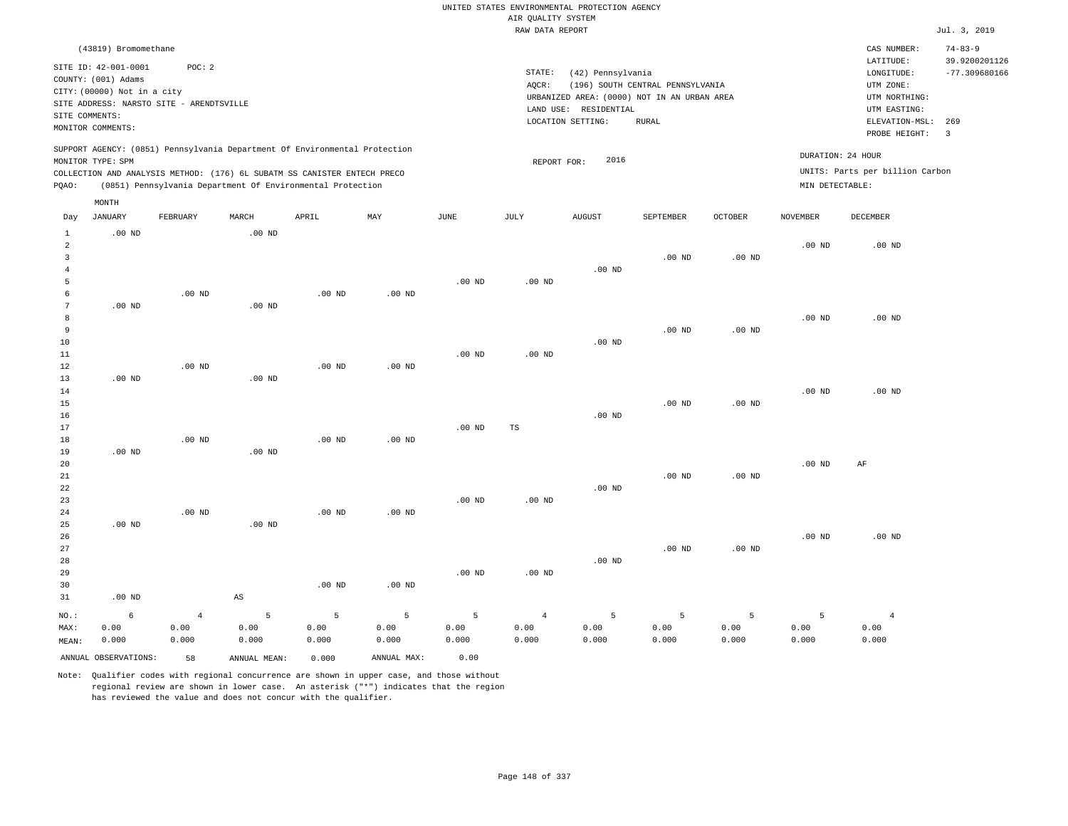|                                  |                                          |                |                                                                            |          |                   |                   |                                       | UNITED STATES ENVIRONMENTAL PROTECTION AGENCY |                                  |          |                   |                                 |                                  |
|----------------------------------|------------------------------------------|----------------|----------------------------------------------------------------------------|----------|-------------------|-------------------|---------------------------------------|-----------------------------------------------|----------------------------------|----------|-------------------|---------------------------------|----------------------------------|
|                                  |                                          |                |                                                                            |          |                   |                   | AIR OUALITY SYSTEM<br>RAW DATA REPORT |                                               |                                  |          |                   |                                 | Jul. 3, 2019                     |
|                                  | (43819) Bromomethane                     |                |                                                                            |          |                   |                   |                                       |                                               |                                  |          |                   | CAS NUMBER:                     | $74 - 83 - 9$                    |
|                                  | SITE ID: 42-001-0001                     | POC: 2         |                                                                            |          |                   |                   | STATE:                                | (42) Pennsylvania                             |                                  |          |                   | LATITUDE:<br>LONGITUDE:         | 39.9200201126<br>$-77.309680166$ |
|                                  | COUNTY: (001) Adams                      |                |                                                                            |          |                   |                   | AOCR:                                 |                                               | (196) SOUTH CENTRAL PENNSYLVANIA |          |                   | UTM ZONE:                       |                                  |
|                                  | CITY: (00000) Not in a city              |                |                                                                            |          |                   |                   |                                       | URBANIZED AREA: (0000) NOT IN AN URBAN AREA   |                                  |          |                   | UTM NORTHING:                   |                                  |
| SITE COMMENTS:                   | SITE ADDRESS: NARSTO SITE - ARENDTSVILLE |                |                                                                            |          |                   |                   |                                       | LAND USE: RESIDENTIAL                         |                                  |          |                   | UTM EASTING:                    |                                  |
|                                  | MONITOR COMMENTS:                        |                |                                                                            |          |                   |                   |                                       | LOCATION SETTING:                             | <b>RURAL</b>                     |          |                   | ELEVATION-MSL: 269              |                                  |
|                                  |                                          |                |                                                                            |          |                   |                   |                                       |                                               |                                  |          |                   | PROBE HEIGHT:                   | $\overline{3}$                   |
|                                  | MONITOR TYPE: SPM                        |                | SUPPORT AGENCY: (0851) Pennsylvania Department Of Environmental Protection |          |                   |                   | REPORT FOR:                           | 2016                                          |                                  |          | DURATION: 24 HOUR |                                 |                                  |
|                                  |                                          |                | COLLECTION AND ANALYSIS METHOD: (176) 6L SUBATM SS CANISTER ENTECH PRECO   |          |                   |                   |                                       |                                               |                                  |          |                   | UNITS: Parts per billion Carbon |                                  |
| PQAO:                            |                                          |                | (0851) Pennsylvania Department Of Environmental Protection                 |          |                   |                   |                                       |                                               |                                  |          | MIN DETECTABLE:   |                                 |                                  |
|                                  | MONTH                                    |                |                                                                            |          |                   |                   |                                       |                                               |                                  |          |                   |                                 |                                  |
| Day                              | <b>JANUARY</b>                           | FEBRUARY       | MARCH                                                                      | APRIL    | MAY               | JUNE              | JULY                                  | AUGUST                                        | SEPTEMBER                        | OCTOBER  | NOVEMBER          | DECEMBER                        |                                  |
| $\mathbf{1}$                     | $.00$ ND                                 |                | $.00$ ND                                                                   |          |                   |                   |                                       |                                               |                                  |          |                   |                                 |                                  |
| $\overline{a}$<br>$\overline{3}$ |                                          |                |                                                                            |          |                   |                   |                                       |                                               | .00 <sub>ND</sub>                |          | .00 <sub>ND</sub> | $.00$ ND                        |                                  |
| $\overline{4}$                   |                                          |                |                                                                            |          |                   |                   |                                       | .00 <sub>ND</sub>                             |                                  | $.00$ ND |                   |                                 |                                  |
| 5                                |                                          |                |                                                                            |          |                   | .00 <sub>ND</sub> | $.00$ ND                              |                                               |                                  |          |                   |                                 |                                  |
| 6                                |                                          | $.00$ ND       |                                                                            | $.00$ ND | .00 <sub>ND</sub> |                   |                                       |                                               |                                  |          |                   |                                 |                                  |
| $7\phantom{.0}$                  | $.00$ ND                                 |                | $.00$ ND                                                                   |          |                   |                   |                                       |                                               |                                  |          |                   |                                 |                                  |
| 8                                |                                          |                |                                                                            |          |                   |                   |                                       |                                               |                                  |          | .00 <sub>ND</sub> | $.00$ ND                        |                                  |
| 9                                |                                          |                |                                                                            |          |                   |                   |                                       |                                               | $.00$ ND                         | $.00$ ND |                   |                                 |                                  |
| 10                               |                                          |                |                                                                            |          |                   |                   |                                       | $.00$ ND                                      |                                  |          |                   |                                 |                                  |
| $1\,1$                           |                                          |                |                                                                            |          |                   | .00 <sub>ND</sub> | .00 <sub>ND</sub>                     |                                               |                                  |          |                   |                                 |                                  |
| 12                               |                                          | $.00$ ND       |                                                                            | $.00$ ND | $.00$ ND          |                   |                                       |                                               |                                  |          |                   |                                 |                                  |
| 13<br>14                         | .00 <sub>ND</sub>                        |                | .00 <sub>ND</sub>                                                          |          |                   |                   |                                       |                                               |                                  |          | .00 <sub>ND</sub> | $.00$ ND                        |                                  |
| 15                               |                                          |                |                                                                            |          |                   |                   |                                       |                                               | $.00$ ND                         | $.00$ ND |                   |                                 |                                  |
| 16                               |                                          |                |                                                                            |          |                   |                   |                                       | $.00$ ND                                      |                                  |          |                   |                                 |                                  |
| 17                               |                                          |                |                                                                            |          |                   | .00 <sub>ND</sub> | TS                                    |                                               |                                  |          |                   |                                 |                                  |
| 18                               |                                          | $.00$ ND       |                                                                            | $.00$ ND | $.00$ ND          |                   |                                       |                                               |                                  |          |                   |                                 |                                  |
| 19                               | $.00$ ND                                 |                | $.00$ ND                                                                   |          |                   |                   |                                       |                                               |                                  |          |                   |                                 |                                  |
| $20$                             |                                          |                |                                                                            |          |                   |                   |                                       |                                               |                                  |          | .00 <sub>ND</sub> | AF                              |                                  |
| 21                               |                                          |                |                                                                            |          |                   |                   |                                       |                                               | $.00$ ND                         | $.00$ ND |                   |                                 |                                  |
| 22                               |                                          |                |                                                                            |          |                   |                   |                                       | $.00$ ND                                      |                                  |          |                   |                                 |                                  |
| 23<br>24                         |                                          | $.00$ ND       |                                                                            | $.00$ ND | .00 <sub>ND</sub> | $.00$ ND          | $.00$ ND                              |                                               |                                  |          |                   |                                 |                                  |
| 25                               | $.00$ ND                                 |                | .00 <sub>ND</sub>                                                          |          |                   |                   |                                       |                                               |                                  |          |                   |                                 |                                  |
| 26                               |                                          |                |                                                                            |          |                   |                   |                                       |                                               |                                  |          | .00 <sub>ND</sub> | $.00$ ND                        |                                  |
| 27                               |                                          |                |                                                                            |          |                   |                   |                                       |                                               | $.00$ ND                         | $.00$ ND |                   |                                 |                                  |
| 28                               |                                          |                |                                                                            |          |                   |                   |                                       | $.00$ ND                                      |                                  |          |                   |                                 |                                  |
| 29                               |                                          |                |                                                                            |          |                   | .00 <sub>ND</sub> | .00 <sub>ND</sub>                     |                                               |                                  |          |                   |                                 |                                  |
| 30                               |                                          |                |                                                                            | $.00$ ND | $.00$ ND          |                   |                                       |                                               |                                  |          |                   |                                 |                                  |
| 31                               | $.00$ ND                                 |                | $\mathbb{A}\mathbb{S}$                                                     |          |                   |                   |                                       |                                               |                                  |          |                   |                                 |                                  |
| NO.:                             | $\epsilon$                               | $\overline{4}$ | 5                                                                          | 5        | 5                 | 5                 | $\sqrt{4}$                            | 5                                             | 5                                | 5        | 5                 | $\overline{4}$                  |                                  |
| MAX:                             | 0.00                                     | 0.00           | 0.00                                                                       | 0.00     | 0.00              | 0.00              | 0.00                                  | 0.00                                          | 0.00                             | 0.00     | 0.00              | 0.00                            |                                  |
| MEAN:                            | 0.000                                    | 0.000          | 0.000                                                                      | 0.000    | 0.000             | 0.000             | 0.000                                 | 0.000                                         | 0.000                            | 0.000    | 0.000             | 0.000                           |                                  |
|                                  | ANNUAL OBSERVATIONS:                     | 58             | ANNUAL, MEAN:                                                              | 0.000    | ANNUAL MAX:       | 0.00              |                                       |                                               |                                  |          |                   |                                 |                                  |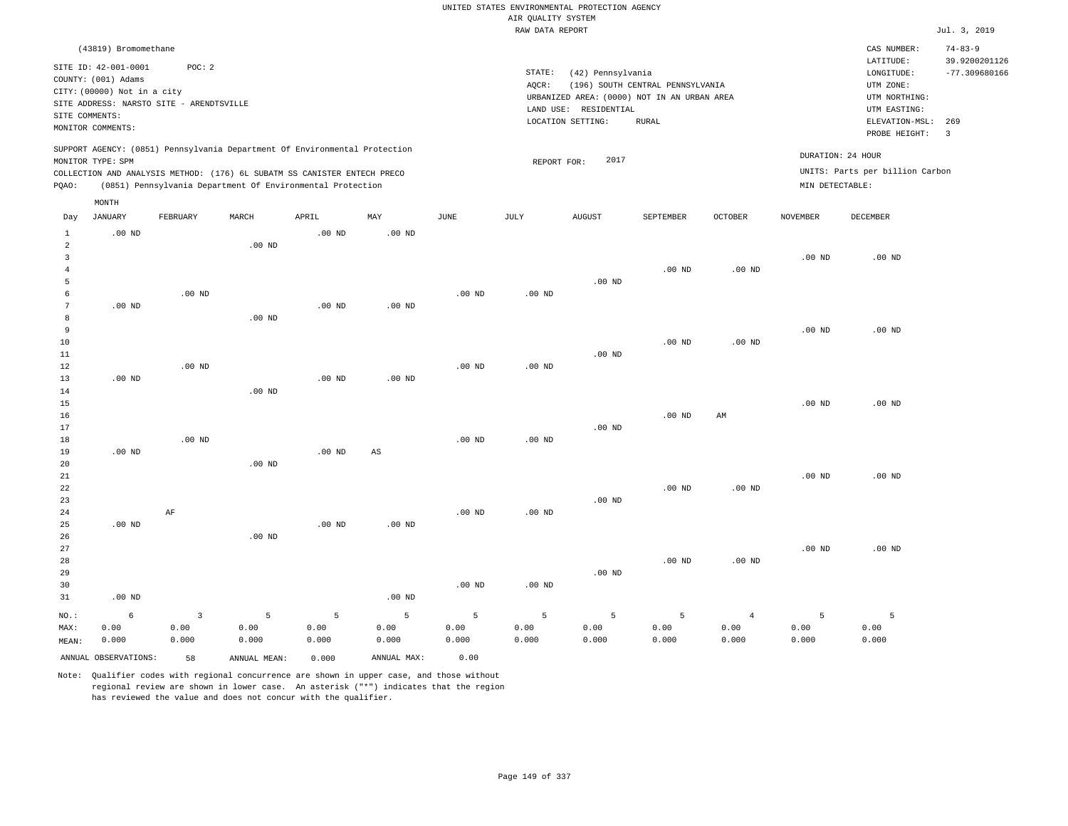|                                       |                                                                                                                                             |                                 |                                                                                                                                        |                    |                    |                    | AIR QUALITY SYSTEM | UNITED STATES ENVIRONMENTAL PROTECTION AGENCY                                                                  |                                           |                                 |                    |                                                                                             |                                          |
|---------------------------------------|---------------------------------------------------------------------------------------------------------------------------------------------|---------------------------------|----------------------------------------------------------------------------------------------------------------------------------------|--------------------|--------------------|--------------------|--------------------|----------------------------------------------------------------------------------------------------------------|-------------------------------------------|---------------------------------|--------------------|---------------------------------------------------------------------------------------------|------------------------------------------|
|                                       |                                                                                                                                             |                                 |                                                                                                                                        |                    |                    |                    | RAW DATA REPORT    |                                                                                                                |                                           |                                 |                    |                                                                                             | Jul. 3, 2019                             |
|                                       | (43819) Bromomethane                                                                                                                        |                                 |                                                                                                                                        |                    |                    |                    |                    |                                                                                                                |                                           |                                 |                    | CAS NUMBER:<br>LATITUDE:                                                                    | $74 - 83 - 9$<br>39.9200201126           |
| SITE COMMENTS:                        | SITE ID: 42-001-0001<br>COUNTY: (001) Adams<br>CITY: (00000) Not in a city<br>SITE ADDRESS: NARSTO SITE - ARENDTSVILLE<br>MONITOR COMMENTS: | POC: 2                          |                                                                                                                                        |                    |                    |                    | STATE:<br>AQCR:    | (42) Pennsylvania<br>URBANIZED AREA: (0000) NOT IN AN URBAN AREA<br>LAND USE: RESIDENTIAL<br>LOCATION SETTING: | (196) SOUTH CENTRAL PENNSYLVANIA<br>RURAL |                                 |                    | LONGITUDE:<br>UTM ZONE:<br>UTM NORTHING:<br>UTM EASTING:<br>ELEVATION-MSL:<br>PROBE HEIGHT: | $-77.309680166$<br>269<br>$\overline{3}$ |
|                                       | MONITOR TYPE: SPM                                                                                                                           |                                 | SUPPORT AGENCY: (0851) Pennsylvania Department Of Environmental Protection                                                             |                    |                    |                    | REPORT FOR:        | 2017                                                                                                           |                                           |                                 | DURATION: 24 HOUR  |                                                                                             |                                          |
| PQAO:                                 |                                                                                                                                             |                                 | COLLECTION AND ANALYSIS METHOD: (176) 6L SUBATM SS CANISTER ENTECH PRECO<br>(0851) Pennsylvania Department Of Environmental Protection |                    |                    |                    |                    |                                                                                                                |                                           |                                 | MIN DETECTABLE:    | UNITS: Parts per billion Carbon                                                             |                                          |
|                                       | MONTH                                                                                                                                       |                                 |                                                                                                                                        |                    |                    |                    |                    |                                                                                                                |                                           |                                 |                    |                                                                                             |                                          |
| Day                                   | JANUARY                                                                                                                                     | FEBRUARY                        | MARCH                                                                                                                                  | APRIL              | MAY                | JUNE               | JULY               | <b>AUGUST</b>                                                                                                  | SEPTEMBER                                 | <b>OCTOBER</b>                  | <b>NOVEMBER</b>    | DECEMBER                                                                                    |                                          |
| $\mathbf{1}$<br>$\overline{2}$        | $.00$ ND                                                                                                                                    |                                 | $.00$ ND                                                                                                                               | .00 <sub>ND</sub>  | $.00$ ND           |                    |                    |                                                                                                                |                                           |                                 |                    |                                                                                             |                                          |
| $\overline{3}$<br>$\overline{4}$<br>5 |                                                                                                                                             |                                 |                                                                                                                                        |                    |                    |                    |                    | $.00$ ND                                                                                                       | $.00$ ND                                  | $.00$ ND                        | .00 <sub>ND</sub>  | $.00$ ND                                                                                    |                                          |
| 6<br>$7\phantom{.0}$                  | .00 <sub>ND</sub>                                                                                                                           | .00 <sub>ND</sub>               |                                                                                                                                        | .00 <sub>ND</sub>  | .00 <sub>ND</sub>  | $.00$ ND           | $.00$ ND           |                                                                                                                |                                           |                                 |                    |                                                                                             |                                          |
| $^{\rm 8}$<br>$\overline{9}$          |                                                                                                                                             |                                 | $.00$ ND                                                                                                                               |                    |                    |                    |                    |                                                                                                                |                                           |                                 | $.00$ ND           | $.00$ ND                                                                                    |                                          |
| 10<br>11<br>12                        |                                                                                                                                             | $.00$ ND                        |                                                                                                                                        |                    |                    | $.00$ ND           | $.00$ ND           | $.00$ ND                                                                                                       | .00 <sub>ND</sub>                         | .00 <sub>ND</sub>               |                    |                                                                                             |                                          |
| 13<br>14                              | $.00$ ND                                                                                                                                    |                                 | $.00$ ND                                                                                                                               | .00 <sub>ND</sub>  | $.00$ ND           |                    |                    |                                                                                                                |                                           |                                 |                    |                                                                                             |                                          |
| 15<br>16<br>17                        |                                                                                                                                             |                                 |                                                                                                                                        |                    |                    |                    |                    | $.00$ ND                                                                                                       | $.00$ ND                                  | AM                              | $.00$ ND           | $.00$ ND                                                                                    |                                          |
| 18<br>19                              | $.00$ ND                                                                                                                                    | $.00$ ND                        |                                                                                                                                        | .00 <sub>ND</sub>  | AS                 | $.00$ ND           | $.00$ ND           |                                                                                                                |                                           |                                 |                    |                                                                                             |                                          |
| 20<br>21<br>$2\sqrt{2}$<br>23         |                                                                                                                                             |                                 | $.00$ ND                                                                                                                               |                    |                    |                    |                    | $.00$ ND                                                                                                       | $.00$ ND                                  | $.00$ ND                        | $.00$ ND           | $.00$ ND                                                                                    |                                          |
| 24<br>25<br>26                        | .00 <sub>ND</sub>                                                                                                                           | $\rm AF$                        | .00 <sub>ND</sub>                                                                                                                      | .00 <sub>ND</sub>  | $.00$ ND           | .00 <sub>ND</sub>  | $.00$ ND           |                                                                                                                |                                           |                                 |                    |                                                                                             |                                          |
| 27<br>28<br>29<br>30                  |                                                                                                                                             |                                 |                                                                                                                                        |                    |                    | $.00$ ND           | $.00$ ND           | $.00$ ND                                                                                                       | $.00$ ND                                  | $.00$ ND                        | $.00$ ND           | .00 <sub>ND</sub>                                                                           |                                          |
| 31                                    | $.00$ ND                                                                                                                                    |                                 |                                                                                                                                        |                    | $.00$ ND           |                    |                    |                                                                                                                |                                           |                                 |                    |                                                                                             |                                          |
| NO.:<br>MAX:<br>MEAN:                 | 6<br>0.00<br>0.000                                                                                                                          | $\overline{3}$<br>0.00<br>0.000 | 5<br>0.00<br>0.000                                                                                                                     | 5<br>0.00<br>0.000 | 5<br>0.00<br>0.000 | 5<br>0.00<br>0.000 | 5<br>0.00<br>0.000 | 5<br>0.00<br>0.000                                                                                             | 5<br>0.00<br>0.000                        | $\overline{4}$<br>0.00<br>0.000 | 5<br>0.00<br>0.000 | 5<br>0.00<br>0.000                                                                          |                                          |
|                                       | ANNUAL OBSERVATIONS:                                                                                                                        | 58                              | ANNUAL MEAN:                                                                                                                           | 0.000              | ANNUAL MAX:        | 0.00               |                    |                                                                                                                |                                           |                                 |                    |                                                                                             |                                          |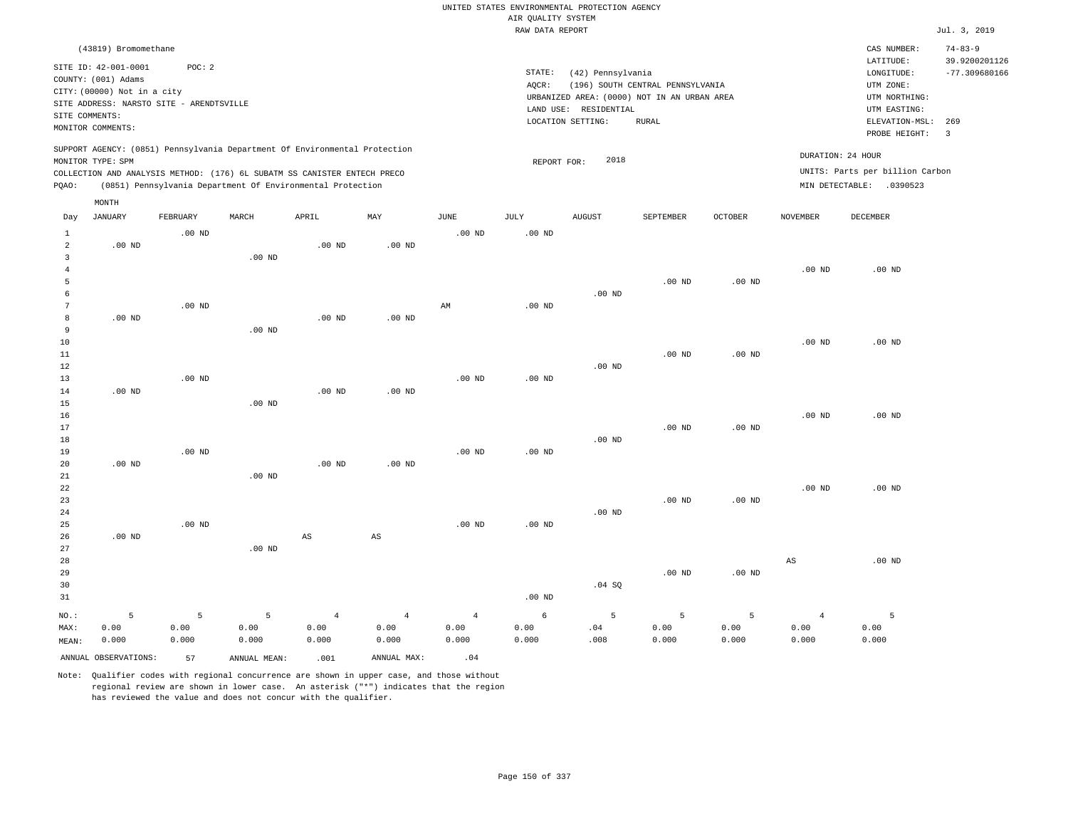|                 |                                          |          |                   |                                                                            |                |                   |                    | UNITED STATES ENVIRONMENTAL PROTECTION AGENCY |                                  |                   |                 |                                 |                 |
|-----------------|------------------------------------------|----------|-------------------|----------------------------------------------------------------------------|----------------|-------------------|--------------------|-----------------------------------------------|----------------------------------|-------------------|-----------------|---------------------------------|-----------------|
|                 |                                          |          |                   |                                                                            |                |                   | AIR QUALITY SYSTEM |                                               |                                  |                   |                 |                                 |                 |
|                 |                                          |          |                   |                                                                            |                |                   | RAW DATA REPORT    |                                               |                                  |                   |                 |                                 | Jul. 3, 2019    |
|                 | (43819) Bromomethane                     |          |                   |                                                                            |                |                   |                    |                                               |                                  |                   |                 | CAS NUMBER:                     | $74 - 83 - 9$   |
|                 | SITE ID: 42-001-0001                     | POC: 2   |                   |                                                                            |                |                   |                    |                                               |                                  |                   |                 | LATITUDE:                       | 39.9200201126   |
|                 | COUNTY: (001) Adams                      |          |                   |                                                                            |                |                   | STATE:             | (42) Pennsylvania                             |                                  |                   |                 | ${\tt LONGITUDE:}$              | $-77.309680166$ |
|                 | CITY: (00000) Not in a city              |          |                   |                                                                            |                |                   | AOCR:              |                                               | (196) SOUTH CENTRAL PENNSYLVANIA |                   |                 | UTM ZONE:                       |                 |
|                 | SITE ADDRESS: NARSTO SITE - ARENDTSVILLE |          |                   |                                                                            |                |                   |                    | URBANIZED AREA: (0000) NOT IN AN URBAN AREA   |                                  |                   |                 | UTM NORTHING:                   |                 |
| SITE COMMENTS:  |                                          |          |                   |                                                                            |                |                   |                    | LAND USE: RESIDENTIAL<br>LOCATION SETTING:    | <b>RURAL</b>                     |                   |                 | UTM EASTING:<br>ELEVATION-MSL:  | 269             |
|                 | MONITOR COMMENTS:                        |          |                   |                                                                            |                |                   |                    |                                               |                                  |                   |                 | PROBE HEIGHT:                   | $\overline{3}$  |
|                 |                                          |          |                   | SUPPORT AGENCY: (0851) Pennsylvania Department Of Environmental Protection |                |                   |                    |                                               |                                  |                   |                 | DURATION: 24 HOUR               |                 |
|                 | MONITOR TYPE: SPM                        |          |                   |                                                                            |                |                   | REPORT FOR:        | 2018                                          |                                  |                   |                 | UNITS: Parts per billion Carbon |                 |
|                 |                                          |          |                   | COLLECTION AND ANALYSIS METHOD: (176) 6L SUBATM SS CANISTER ENTECH PRECO   |                |                   |                    |                                               |                                  |                   |                 |                                 |                 |
| PQAO:           |                                          |          |                   | (0851) Pennsylvania Department Of Environmental Protection                 |                |                   |                    |                                               |                                  |                   |                 | MIN DETECTABLE: .0390523        |                 |
| Day             | MONTH<br>JANUARY                         | FEBRUARY | MARCH             | APRIL                                                                      | MAY            | $_{\rm JUNE}$     | JULY               | <b>AUGUST</b>                                 | SEPTEMBER                        | OCTOBER           | <b>NOVEMBER</b> | DECEMBER                        |                 |
| 1               |                                          | $.00$ ND |                   |                                                                            |                | $.00$ ND          | $.00$ ND           |                                               |                                  |                   |                 |                                 |                 |
| $\overline{a}$  | $.00$ ND                                 |          |                   | $.00$ ND                                                                   | $.00$ ND       |                   |                    |                                               |                                  |                   |                 |                                 |                 |
| $\overline{3}$  |                                          |          | $.00$ ND          |                                                                            |                |                   |                    |                                               |                                  |                   |                 |                                 |                 |
| $\overline{4}$  |                                          |          |                   |                                                                            |                |                   |                    |                                               |                                  |                   | $.00$ ND        | $.00$ ND                        |                 |
| 5               |                                          |          |                   |                                                                            |                |                   |                    |                                               | $.00$ ND                         | $.00$ ND          |                 |                                 |                 |
| 6               |                                          |          |                   |                                                                            |                |                   |                    | $.00$ ND                                      |                                  |                   |                 |                                 |                 |
| $7\phantom{.0}$ |                                          | $.00$ ND |                   |                                                                            |                | AM                | $.00$ ND           |                                               |                                  |                   |                 |                                 |                 |
| $^{\rm 8}$      | $.00$ ND                                 |          |                   | .00 <sub>ND</sub>                                                          | $.00$ ND       |                   |                    |                                               |                                  |                   |                 |                                 |                 |
| $\overline{9}$  |                                          |          | .00 <sub>ND</sub> |                                                                            |                |                   |                    |                                               |                                  |                   |                 |                                 |                 |
| $10$            |                                          |          |                   |                                                                            |                |                   |                    |                                               |                                  |                   | $.00$ ND        | .00 <sub>ND</sub>               |                 |
| $11\,$          |                                          |          |                   |                                                                            |                |                   |                    |                                               | .00 <sub>ND</sub>                | $.00$ ND          |                 |                                 |                 |
| $1\,2$          |                                          |          |                   |                                                                            |                |                   |                    | $.00$ ND                                      |                                  |                   |                 |                                 |                 |
| 13              |                                          | $.00$ ND |                   |                                                                            |                | $.00$ ND          | .00 <sub>ND</sub>  |                                               |                                  |                   |                 |                                 |                 |
| 14              | $.00$ ND                                 |          |                   | $.00$ ND                                                                   | $.00$ ND       |                   |                    |                                               |                                  |                   |                 |                                 |                 |
| 15              |                                          |          | $.00$ ND          |                                                                            |                |                   |                    |                                               |                                  |                   |                 |                                 |                 |
| 16<br>17        |                                          |          |                   |                                                                            |                |                   |                    |                                               | .00 <sub>ND</sub>                | $.00$ ND          | $.00$ ND        | $.00$ ND                        |                 |
| 18              |                                          |          |                   |                                                                            |                |                   |                    | $.00$ ND                                      |                                  |                   |                 |                                 |                 |
| 19              |                                          | $.00$ ND |                   |                                                                            |                | .00 <sub>ND</sub> | .00 <sub>ND</sub>  |                                               |                                  |                   |                 |                                 |                 |
| 20              | $.00$ ND                                 |          |                   | $.00$ ND                                                                   | $.00$ ND       |                   |                    |                                               |                                  |                   |                 |                                 |                 |
| 21              |                                          |          | .00 <sub>ND</sub> |                                                                            |                |                   |                    |                                               |                                  |                   |                 |                                 |                 |
| 22              |                                          |          |                   |                                                                            |                |                   |                    |                                               |                                  |                   | $.00$ ND        | $.00$ ND                        |                 |
| 23              |                                          |          |                   |                                                                            |                |                   |                    |                                               | .00 <sub>ND</sub>                | .00 <sub>ND</sub> |                 |                                 |                 |
| 24              |                                          |          |                   |                                                                            |                |                   |                    | $.00$ ND                                      |                                  |                   |                 |                                 |                 |
| 25              |                                          | $.00$ ND |                   |                                                                            |                | $.00$ ND          | .00 <sub>ND</sub>  |                                               |                                  |                   |                 |                                 |                 |
| 26              | $.00$ ND                                 |          |                   | AS                                                                         | $_{\rm AS}$    |                   |                    |                                               |                                  |                   |                 |                                 |                 |
| 27              |                                          |          | $.00$ ND          |                                                                            |                |                   |                    |                                               |                                  |                   |                 |                                 |                 |
| 28              |                                          |          |                   |                                                                            |                |                   |                    |                                               |                                  |                   | $_{\rm AS}$     | $.00$ ND                        |                 |
| 29              |                                          |          |                   |                                                                            |                |                   |                    |                                               | $.00$ ND                         | .00 <sub>ND</sub> |                 |                                 |                 |
| 30              |                                          |          |                   |                                                                            |                |                   |                    | .04 SQ                                        |                                  |                   |                 |                                 |                 |
| 31              |                                          |          |                   |                                                                            |                |                   | .00 <sub>ND</sub>  |                                               |                                  |                   |                 |                                 |                 |
| NO.:            | 5                                        | 5        | 5                 | $\overline{4}$                                                             | $\overline{4}$ | $\overline{4}$    | 6                  | 5                                             | 5                                | 5                 | $\overline{4}$  | 5                               |                 |
| MAX:            | 0.00                                     | 0.00     | 0.00              | 0.00                                                                       | 0.00           | 0.00              | 0.00               | .04                                           | 0.00                             | 0.00              | 0.00            | 0.00                            |                 |
| MEAN:           | 0.000                                    | 0.000    | 0.000             | 0.000                                                                      | 0.000          | 0.000             | 0.000              | .008                                          | 0.000                            | 0.000             | 0.000           | 0.000                           |                 |
|                 | ANNUAL OBSERVATIONS:                     | 57       | ANNUAL MEAN:      | .001                                                                       | ANNUAL MAX:    | .04               |                    |                                               |                                  |                   |                 |                                 |                 |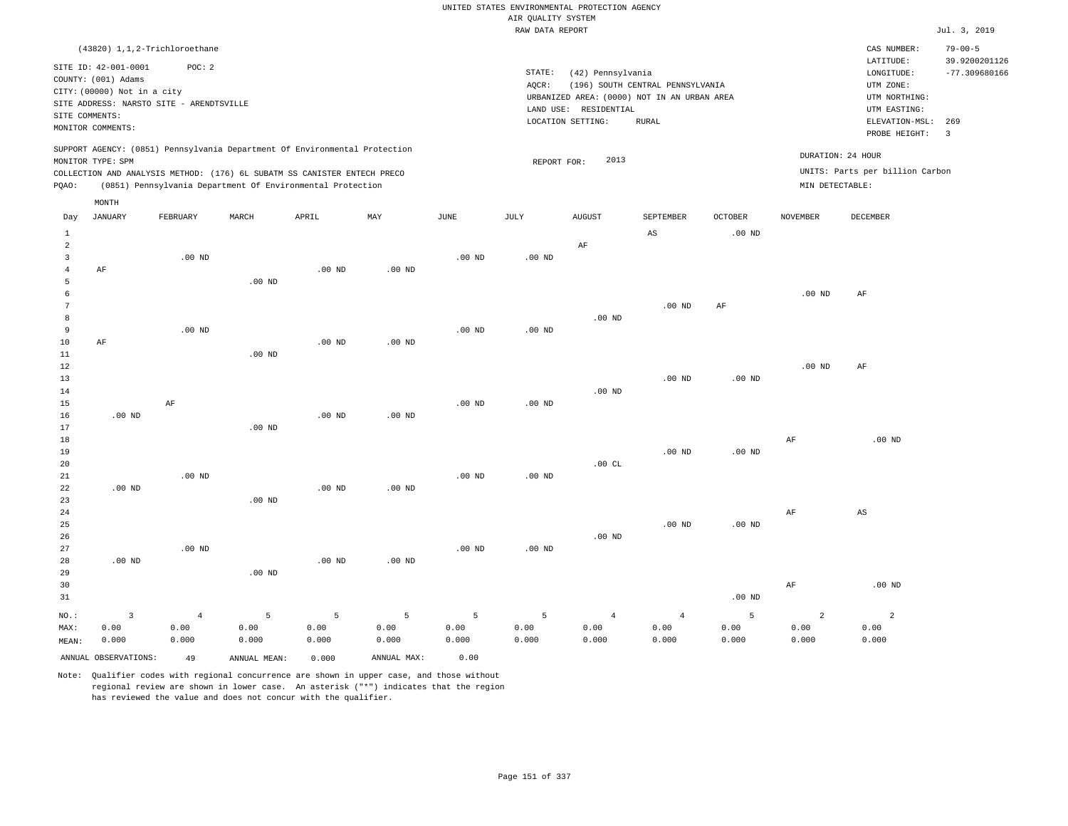|                                  |                                                                         |                   |                                                                            |                   |                   |                   | AIR QUALITY SYSTEM | UNITED STATES ENVIRONMENTAL PROTECTION AGENCY |                                             |                    |                   |                                 |                                |
|----------------------------------|-------------------------------------------------------------------------|-------------------|----------------------------------------------------------------------------|-------------------|-------------------|-------------------|--------------------|-----------------------------------------------|---------------------------------------------|--------------------|-------------------|---------------------------------|--------------------------------|
|                                  |                                                                         |                   |                                                                            |                   |                   |                   | RAW DATA REPORT    |                                               |                                             |                    |                   |                                 | Jul. 3, 2019                   |
|                                  | $(43820)$ 1, 1, 2-Trichloroethane                                       |                   |                                                                            |                   |                   |                   |                    |                                               |                                             |                    |                   | CAS NUMBER:<br>LATITUDE:        | $79 - 00 - 5$<br>39.9200201126 |
|                                  | SITE ID: 42-001-0001                                                    | POC: 2            |                                                                            |                   |                   |                   | STATE:             | (42) Pennsylvania                             |                                             |                    |                   | LONGITUDE:                      | $-77.309680166$                |
|                                  | COUNTY: (001) Adams                                                     |                   |                                                                            |                   |                   |                   | AQCR:              |                                               | (196) SOUTH CENTRAL PENNSYLVANIA            |                    |                   | UTM ZONE:                       |                                |
|                                  | CITY: (00000) Not in a city<br>SITE ADDRESS: NARSTO SITE - ARENDTSVILLE |                   |                                                                            |                   |                   |                   |                    |                                               | URBANIZED AREA: (0000) NOT IN AN URBAN AREA |                    |                   | UTM NORTHING:                   |                                |
|                                  | SITE COMMENTS:                                                          |                   |                                                                            |                   |                   |                   |                    | LAND USE: RESIDENTIAL                         |                                             |                    |                   | UTM EASTING:                    |                                |
|                                  | MONITOR COMMENTS:                                                       |                   |                                                                            |                   |                   |                   |                    | LOCATION SETTING:                             | <b>RURAL</b>                                |                    |                   | ELEVATION-MSL:<br>PROBE HEIGHT: | 269<br>$\overline{3}$          |
|                                  | MONITOR TYPE: SPM                                                       |                   | SUPPORT AGENCY: (0851) Pennsylvania Department Of Environmental Protection |                   |                   |                   |                    | 2013                                          |                                             |                    |                   | DURATION: 24 HOUR               |                                |
|                                  |                                                                         |                   | COLLECTION AND ANALYSIS METHOD: (176) 6L SUBATM SS CANISTER ENTECH PRECO   |                   |                   |                   | REPORT FOR:        |                                               |                                             |                    |                   | UNITS: Parts per billion Carbon |                                |
| PQAO:                            |                                                                         |                   | (0851) Pennsylvania Department Of Environmental Protection                 |                   |                   |                   |                    |                                               |                                             |                    | MIN DETECTABLE:   |                                 |                                |
|                                  | MONTH                                                                   |                   |                                                                            |                   |                   |                   |                    |                                               |                                             |                    |                   |                                 |                                |
| Day                              | JANUARY                                                                 | FEBRUARY          | MARCH                                                                      | APRIL             | MAY               | $_{\rm JUNE}$     | $\mathtt{JULY}$    | <b>AUGUST</b>                                 | SEPTEMBER                                   | $\mathtt{OCTOBER}$ | <b>NOVEMBER</b>   | DECEMBER                        |                                |
| $\mathbf{1}$                     |                                                                         |                   |                                                                            |                   |                   |                   |                    |                                               | $\mathbb{A}\mathbb{S}$                      | .00 <sub>ND</sub>  |                   |                                 |                                |
| $\overline{c}$                   |                                                                         |                   |                                                                            |                   |                   |                   |                    | AF                                            |                                             |                    |                   |                                 |                                |
| $\overline{3}$<br>$\overline{4}$ | AF                                                                      | $.00$ ND          |                                                                            | $.00$ ND          | .00 <sub>ND</sub> | $.00$ ND          | $.00$ ND           |                                               |                                             |                    |                   |                                 |                                |
| 5                                |                                                                         |                   | $.00$ ND                                                                   |                   |                   |                   |                    |                                               |                                             |                    |                   |                                 |                                |
| 6                                |                                                                         |                   |                                                                            |                   |                   |                   |                    |                                               |                                             |                    | .00 <sub>ND</sub> | AF                              |                                |
| $\overline{7}$                   |                                                                         |                   |                                                                            |                   |                   |                   |                    |                                               | .00 <sub>ND</sub>                           | $\rm{AF}$          |                   |                                 |                                |
| 8                                |                                                                         |                   |                                                                            |                   |                   |                   |                    | $.00$ ND                                      |                                             |                    |                   |                                 |                                |
| $\overline{9}$                   |                                                                         | $.00$ ND          |                                                                            |                   |                   | $.00$ ND          | $.00$ ND           |                                               |                                             |                    |                   |                                 |                                |
| $10$                             | AF                                                                      |                   |                                                                            | $.00$ ND          | $.00$ ND          |                   |                    |                                               |                                             |                    |                   |                                 |                                |
| 11                               |                                                                         |                   | $.00$ ND                                                                   |                   |                   |                   |                    |                                               |                                             |                    |                   |                                 |                                |
| 12                               |                                                                         |                   |                                                                            |                   |                   |                   |                    |                                               |                                             |                    | $.00$ ND          | AF                              |                                |
| 13                               |                                                                         |                   |                                                                            |                   |                   |                   |                    |                                               | $.00$ ND                                    | .00 <sub>ND</sub>  |                   |                                 |                                |
| 14                               |                                                                         |                   |                                                                            |                   |                   |                   |                    | $.00$ ND                                      |                                             |                    |                   |                                 |                                |
| 15<br>16                         | $.00$ ND                                                                | AF                |                                                                            | $.00$ ND          | $.00$ ND          | $.00$ ND          | $.00$ ND           |                                               |                                             |                    |                   |                                 |                                |
| 17                               |                                                                         |                   | .00 <sub>ND</sub>                                                          |                   |                   |                   |                    |                                               |                                             |                    |                   |                                 |                                |
| 18                               |                                                                         |                   |                                                                            |                   |                   |                   |                    |                                               |                                             |                    | AF                | $.00$ ND                        |                                |
| 19                               |                                                                         |                   |                                                                            |                   |                   |                   |                    |                                               | $.00$ ND                                    | .00 <sub>ND</sub>  |                   |                                 |                                |
| 20                               |                                                                         |                   |                                                                            |                   |                   |                   |                    | .00 $CL$                                      |                                             |                    |                   |                                 |                                |
| 21                               |                                                                         | $.00$ ND          |                                                                            |                   |                   | .00 <sub>ND</sub> | $.00$ ND           |                                               |                                             |                    |                   |                                 |                                |
| 22                               | $.00$ ND                                                                |                   |                                                                            | .00 <sub>ND</sub> | $.00$ ND          |                   |                    |                                               |                                             |                    |                   |                                 |                                |
| 23                               |                                                                         |                   | .00 <sub>ND</sub>                                                          |                   |                   |                   |                    |                                               |                                             |                    |                   |                                 |                                |
| 24                               |                                                                         |                   |                                                                            |                   |                   |                   |                    |                                               |                                             |                    | AF                | $\mathbb{A}\mathbb{S}$          |                                |
| 25                               |                                                                         |                   |                                                                            |                   |                   |                   |                    |                                               | $.00$ ND                                    | .00 <sub>ND</sub>  |                   |                                 |                                |
| 26                               |                                                                         |                   |                                                                            |                   |                   |                   |                    | .00 <sub>ND</sub>                             |                                             |                    |                   |                                 |                                |
| 27<br>28                         | $.00$ ND                                                                | .00 <sub>ND</sub> |                                                                            | $.00$ ND          | $.00$ ND          | .00 <sub>ND</sub> | $.00$ ND           |                                               |                                             |                    |                   |                                 |                                |
| 29                               |                                                                         |                   | .00 <sub>ND</sub>                                                          |                   |                   |                   |                    |                                               |                                             |                    |                   |                                 |                                |
| 30                               |                                                                         |                   |                                                                            |                   |                   |                   |                    |                                               |                                             |                    | $\rm{AF}$         | $.00$ ND                        |                                |
| 31                               |                                                                         |                   |                                                                            |                   |                   |                   |                    |                                               |                                             | .00 <sub>ND</sub>  |                   |                                 |                                |
|                                  |                                                                         |                   |                                                                            |                   |                   |                   |                    |                                               |                                             |                    |                   |                                 |                                |
| NO.:                             | $\overline{\mathbf{3}}$                                                 | $\overline{4}$    | 5                                                                          | $\overline{5}$    | $\overline{5}$    | 5                 | 5                  | $\overline{4}$                                | $\overline{4}$                              | 5                  | $\overline{a}$    | $\overline{a}$                  |                                |
| MAX:<br>MEAN:                    | 0.00<br>0.000                                                           | 0.00<br>0.000     | 0.00<br>0.000                                                              | 0.00<br>0.000     | 0.00<br>0.000     | 0.00<br>0.000     | 0.00<br>0.000      | 0.00<br>0.000                                 | 0.00<br>0.000                               | 0.00<br>0.000      | 0.00<br>0.000     | 0.00<br>0.000                   |                                |
|                                  |                                                                         |                   |                                                                            |                   |                   |                   |                    |                                               |                                             |                    |                   |                                 |                                |
|                                  | ANNUAL OBSERVATIONS:                                                    | 49                | ANNUAL, MEAN:                                                              | 0.000             | ANNUAL MAX:       | 0.00              |                    |                                               |                                             |                    |                   |                                 |                                |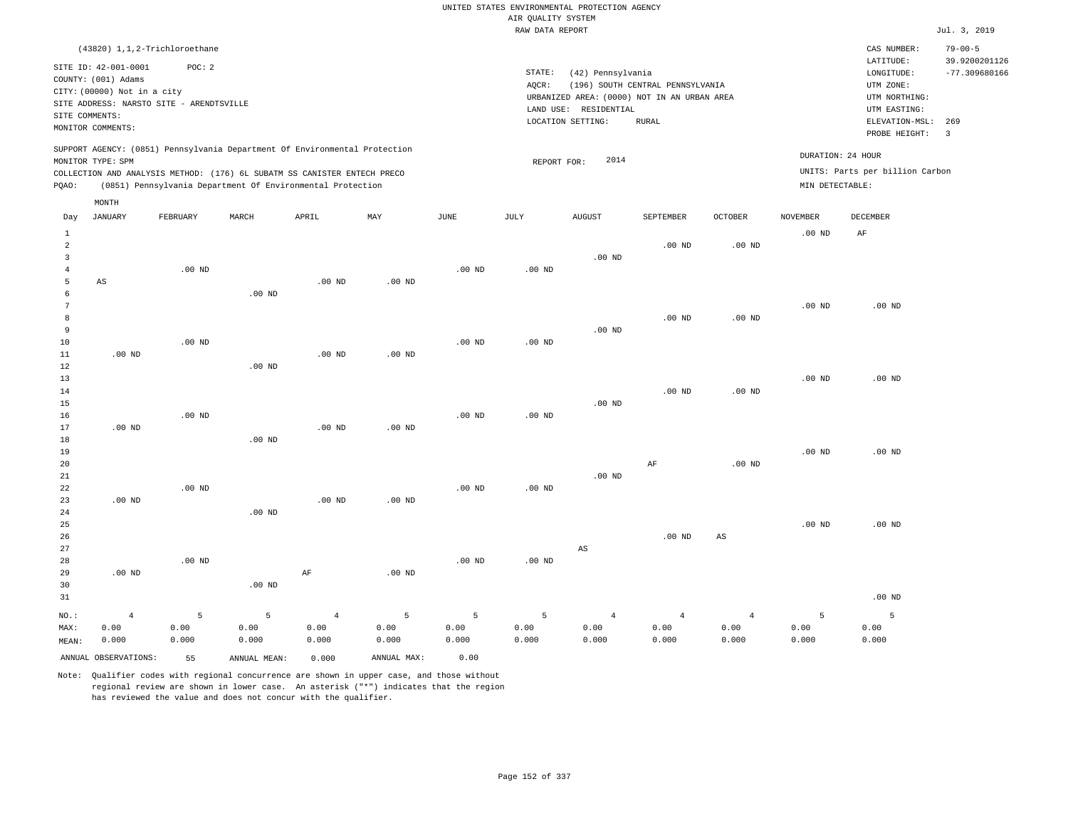|                           |                                                    |                   |                                                                            |                   |                   |                   |                                       | UNITED STATES ENVIRONMENTAL PROTECTION AGENCY |                                  |                   |                   |                                 |                                |
|---------------------------|----------------------------------------------------|-------------------|----------------------------------------------------------------------------|-------------------|-------------------|-------------------|---------------------------------------|-----------------------------------------------|----------------------------------|-------------------|-------------------|---------------------------------|--------------------------------|
|                           |                                                    |                   |                                                                            |                   |                   |                   | AIR QUALITY SYSTEM<br>RAW DATA REPORT |                                               |                                  |                   |                   |                                 | Jul. 3, 2019                   |
|                           |                                                    |                   |                                                                            |                   |                   |                   |                                       |                                               |                                  |                   |                   |                                 |                                |
|                           | (43820) 1,1,2-Trichloroethane                      |                   |                                                                            |                   |                   |                   |                                       |                                               |                                  |                   |                   | CAS NUMBER:<br>LATITUDE:        | $79 - 00 - 5$<br>39.9200201126 |
|                           | SITE ID: 42-001-0001                               | POC: 2            |                                                                            |                   |                   |                   | STATE:                                | (42) Pennsylvania                             |                                  |                   |                   | LONGITUDE:                      | $-77.309680166$                |
|                           | COUNTY: (001) Adams<br>CITY: (00000) Not in a city |                   |                                                                            |                   |                   |                   | AQCR:                                 |                                               | (196) SOUTH CENTRAL PENNSYLVANIA |                   |                   | UTM ZONE:                       |                                |
|                           | SITE ADDRESS: NARSTO SITE - ARENDTSVILLE           |                   |                                                                            |                   |                   |                   |                                       | URBANIZED AREA: (0000) NOT IN AN URBAN AREA   |                                  |                   |                   | UTM NORTHING:                   |                                |
| SITE COMMENTS:            |                                                    |                   |                                                                            |                   |                   |                   |                                       | LAND USE: RESIDENTIAL                         |                                  |                   |                   | UTM EASTING:                    |                                |
|                           | MONITOR COMMENTS:                                  |                   |                                                                            |                   |                   |                   |                                       | LOCATION SETTING:                             | <b>RURAL</b>                     |                   |                   | ELEVATION-MSL:<br>PROBE HEIGHT: | 269<br>$\overline{3}$          |
|                           |                                                    |                   | SUPPORT AGENCY: (0851) Pennsylvania Department Of Environmental Protection |                   |                   |                   |                                       | 2014                                          |                                  |                   | DURATION: 24 HOUR |                                 |                                |
|                           | MONITOR TYPE: SPM                                  |                   | COLLECTION AND ANALYSIS METHOD: (176) 6L SUBATM SS CANISTER ENTECH PRECO   |                   |                   |                   | REPORT FOR:                           |                                               |                                  |                   |                   | UNITS: Parts per billion Carbon |                                |
| PQAO:                     |                                                    |                   | (0851) Pennsylvania Department Of Environmental Protection                 |                   |                   |                   |                                       |                                               |                                  |                   | MIN DETECTABLE:   |                                 |                                |
|                           | MONTH                                              |                   |                                                                            |                   |                   |                   |                                       |                                               |                                  |                   |                   |                                 |                                |
| Day                       | JANUARY                                            | FEBRUARY          | MARCH                                                                      | APRIL             | MAX               | <b>JUNE</b>       | <b>JULY</b>                           | <b>AUGUST</b>                                 | SEPTEMBER                        | <b>OCTOBER</b>    | <b>NOVEMBER</b>   | <b>DECEMBER</b>                 |                                |
| $\,1\,$<br>$\overline{a}$ |                                                    |                   |                                                                            |                   |                   |                   |                                       |                                               |                                  |                   | .00 <sub>ND</sub> | $\rm AF$                        |                                |
| $\overline{\mathbf{3}}$   |                                                    |                   |                                                                            |                   |                   |                   |                                       | $.00$ ND                                      | $.00$ ND                         | $.00$ ND          |                   |                                 |                                |
| $\overline{4}$            |                                                    | .00 <sub>ND</sub> |                                                                            |                   |                   | .00 <sub>ND</sub> | .00 <sub>ND</sub>                     |                                               |                                  |                   |                   |                                 |                                |
| 5                         | AS                                                 |                   |                                                                            | $.00$ ND          | .00 <sub>ND</sub> |                   |                                       |                                               |                                  |                   |                   |                                 |                                |
| 6                         |                                                    |                   | $.00$ ND                                                                   |                   |                   |                   |                                       |                                               |                                  |                   |                   |                                 |                                |
| $\overline{7}$            |                                                    |                   |                                                                            |                   |                   |                   |                                       |                                               |                                  |                   | .00 <sub>ND</sub> | $.00$ ND                        |                                |
| 8                         |                                                    |                   |                                                                            |                   |                   |                   |                                       |                                               | $.00$ ND                         | $.00$ ND          |                   |                                 |                                |
| $\overline{9}$            |                                                    |                   |                                                                            |                   |                   |                   |                                       | $.00$ ND                                      |                                  |                   |                   |                                 |                                |
| 10                        |                                                    | $.00$ ND          |                                                                            |                   |                   | $.00$ ND          | $.00$ ND                              |                                               |                                  |                   |                   |                                 |                                |
| 11                        | .00 <sub>ND</sub>                                  |                   |                                                                            | $.00$ ND          | $.00$ ND          |                   |                                       |                                               |                                  |                   |                   |                                 |                                |
| 12                        |                                                    |                   | .00 <sub>ND</sub>                                                          |                   |                   |                   |                                       |                                               |                                  |                   |                   |                                 |                                |
| 13                        |                                                    |                   |                                                                            |                   |                   |                   |                                       |                                               |                                  |                   | $.00$ ND          | $.00$ ND                        |                                |
| 14<br>15                  |                                                    |                   |                                                                            |                   |                   |                   |                                       | $.00$ ND                                      | $.00$ ND                         | $.00$ ND          |                   |                                 |                                |
| 16                        |                                                    | .00 <sub>ND</sub> |                                                                            |                   |                   | .00 <sub>ND</sub> | .00 <sub>ND</sub>                     |                                               |                                  |                   |                   |                                 |                                |
| 17                        | $.00$ ND                                           |                   |                                                                            | .00 <sub>ND</sub> | $.00$ ND          |                   |                                       |                                               |                                  |                   |                   |                                 |                                |
| 18                        |                                                    |                   | $.00$ ND                                                                   |                   |                   |                   |                                       |                                               |                                  |                   |                   |                                 |                                |
| 19                        |                                                    |                   |                                                                            |                   |                   |                   |                                       |                                               |                                  |                   | .00 <sub>ND</sub> | $.00$ ND                        |                                |
| 20                        |                                                    |                   |                                                                            |                   |                   |                   |                                       |                                               | $\rm AF$                         | .00 <sub>ND</sub> |                   |                                 |                                |
| 21                        |                                                    |                   |                                                                            |                   |                   |                   |                                       | .00 <sub>ND</sub>                             |                                  |                   |                   |                                 |                                |
| 22                        |                                                    | $.00$ ND          |                                                                            |                   |                   | $.00$ ND          | $.00$ ND                              |                                               |                                  |                   |                   |                                 |                                |
| 23                        | $.00$ ND                                           |                   |                                                                            | $.00$ ND          | .00 <sub>ND</sub> |                   |                                       |                                               |                                  |                   |                   |                                 |                                |
| 24                        |                                                    |                   | .00 <sub>ND</sub>                                                          |                   |                   |                   |                                       |                                               |                                  |                   |                   |                                 |                                |
| 25                        |                                                    |                   |                                                                            |                   |                   |                   |                                       |                                               | .00 <sub>ND</sub>                |                   | .00 <sub>ND</sub> | $.00$ ND                        |                                |
| 26<br>27                  |                                                    |                   |                                                                            |                   |                   |                   |                                       | $\mathbb{A}\mathbb{S}$                        |                                  | $_{\rm AS}$       |                   |                                 |                                |
| 28                        |                                                    | $.00$ ND          |                                                                            |                   |                   | .00 <sub>ND</sub> | $.00$ ND                              |                                               |                                  |                   |                   |                                 |                                |
| 29                        | $.00$ ND                                           |                   |                                                                            | AF                | $.00$ ND          |                   |                                       |                                               |                                  |                   |                   |                                 |                                |
| 30                        |                                                    |                   | .00 <sub>ND</sub>                                                          |                   |                   |                   |                                       |                                               |                                  |                   |                   |                                 |                                |
| 31                        |                                                    |                   |                                                                            |                   |                   |                   |                                       |                                               |                                  |                   |                   | $.00$ ND                        |                                |
| $_{\rm NO.}$ :            | $\overline{4}$                                     | 5                 | 5                                                                          | $\overline{4}$    | 5                 | 5                 | 5                                     | $\overline{4}$                                | $\overline{4}$                   | $\sqrt{4}$        | 5                 | 5                               |                                |
| MAX:                      | 0.00                                               | 0.00              | 0.00                                                                       | 0.00              | 0.00              | 0.00              | 0.00                                  | 0.00                                          | 0.00                             | 0.00              | 0.00              | 0.00                            |                                |
| MEAN:                     | 0.000                                              | 0.000             | 0.000                                                                      | 0.000             | 0.000             | 0.000             | 0.000                                 | 0.000                                         | 0.000                            | 0.000             | 0.000             | 0.000                           |                                |
|                           | ANNUAL OBSERVATIONS:                               | 55                | ANNUAL MEAN:                                                               | 0.000             | ANNUAL MAX:       | 0.00              |                                       |                                               |                                  |                   |                   |                                 |                                |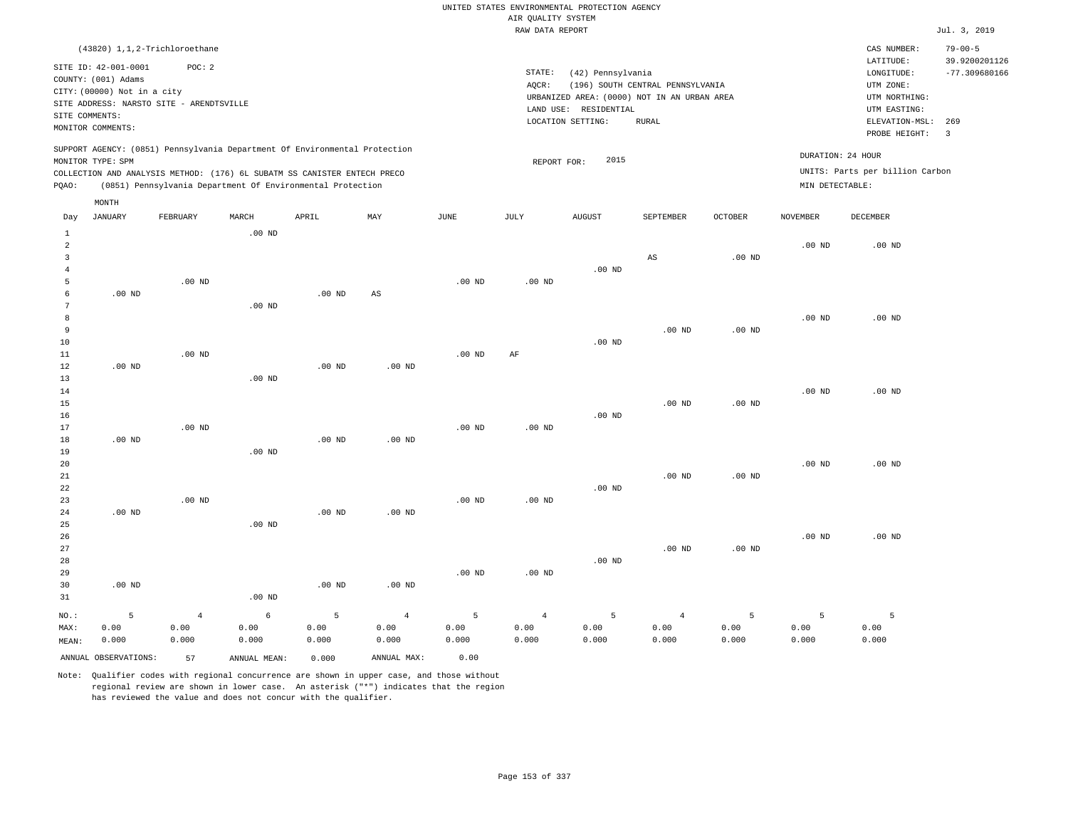RAW DATA REPORT Jul. 3, 2019 UNITED STATES ENVIRONMENTAL PROTECTION AGENCY AIR QUALITY SYSTEM

CAS NUMBER: 79-00-5

| SITE ID: 42-001-0001                     | POC:2                                                                      |                                             | LATITUDE:           | 39.9200201126   |
|------------------------------------------|----------------------------------------------------------------------------|---------------------------------------------|---------------------|-----------------|
| COUNTY: (001) Adams                      |                                                                            | STATE:<br>(42) Pennsylvania                 | LONGITUDE:          | $-77.309680166$ |
| CITY: (00000) Not in a city              |                                                                            | (196) SOUTH CENTRAL PENNSYLVANIA<br>AOCR:   | UTM ZONE:           |                 |
| SITE ADDRESS: NARSTO SITE - ARENDTSVILLE |                                                                            | URBANIZED AREA: (0000) NOT IN AN URBAN AREA | UTM NORTHING:       |                 |
| SITE COMMENTS:                           |                                                                            | LAND USE: RESIDENTIAL                       | UTM EASTING:        |                 |
| MONITOR COMMENTS:                        |                                                                            | LOCATION SETTING:<br>RURAL                  | ELEVATION-MSL:      | 269             |
|                                          |                                                                            |                                             | PROBE HEIGHT:       |                 |
|                                          | SUPPORT AGENCY: (0851) Pennsylvania Department Of Environmental Protection |                                             | printments of train |                 |

| MONITOR TYPE: SPM                                                        | REPORT FOR: | 2015 | DURATION: 24 HOUR               |
|--------------------------------------------------------------------------|-------------|------|---------------------------------|
| COLLECTION AND ANALYSIS METHOD: (176) 6L SUBATM SS CANISTER ENTECH PRECO |             |      | UNITS: Parts per billion Carbon |
| (0851) Pennsylvania Department Of Environmental Protection<br>POAO:      |             |      | MIN DETECTABLE:                 |

| Day                                 | JANUARY              | FEBRUARY       | MARCH        | APRIL             | $\ensuremath{\text{MAX}}$ | $_{\rm JUNE}$     | $\mathtt{JULY}$   | AUGUST         | SEPTEMBER              | OCTOBER  | NOVEMBER | DECEMBER |
|-------------------------------------|----------------------|----------------|--------------|-------------------|---------------------------|-------------------|-------------------|----------------|------------------------|----------|----------|----------|
| $\mathbf{1}$<br>$\overline{a}$<br>3 |                      |                | $.00$ ND     |                   |                           |                   |                   |                | $\mathbb{A}\mathbb{S}$ | $.00$ ND | $.00$ ND | $.00$ ND |
| $\overline{4}$<br>5                 |                      | $.00$ ND       |              |                   |                           | .00 $ND$          | $.00$ ND          | $.00$ ND       |                        |          |          |          |
| 6                                   | .00 <sub>ND</sub>    |                |              | .00 <sub>ND</sub> | $_{\rm AS}$               |                   |                   |                |                        |          |          |          |
| 7                                   |                      |                | $.00$ ND     |                   |                           |                   |                   |                |                        |          |          |          |
| 8                                   |                      |                |              |                   |                           |                   |                   |                |                        |          | $.00$ ND | $.00$ ND |
| 9                                   |                      |                |              |                   |                           |                   |                   |                | $.00$ ND               | $.00$ ND |          |          |
| 10                                  |                      |                |              |                   |                           |                   |                   | $.00$ ND       |                        |          |          |          |
| $11\,$                              |                      | $.00$ ND       |              |                   |                           | $.00$ ND          | AF                |                |                        |          |          |          |
| 12                                  | $.00$ ND             |                |              | $.00$ ND          | $.00$ ND                  |                   |                   |                |                        |          |          |          |
| 13                                  |                      |                | $.00$ ND     |                   |                           |                   |                   |                |                        |          |          |          |
| $14$                                |                      |                |              |                   |                           |                   |                   |                |                        |          | $.00$ ND | $.00$ ND |
| 15                                  |                      |                |              |                   |                           |                   |                   |                | $.00$ ND               | $.00$ ND |          |          |
| 16                                  |                      |                |              |                   |                           |                   |                   | .00 $ND$       |                        |          |          |          |
| 17                                  |                      | $.00$ ND       |              |                   |                           | .00 <sub>ND</sub> | .00 <sub>ND</sub> |                |                        |          |          |          |
| 18                                  | $.00$ ND             |                |              | $.00$ ND          | $.00$ ND                  |                   |                   |                |                        |          |          |          |
| 19                                  |                      |                | $.00$ ND     |                   |                           |                   |                   |                |                        |          |          |          |
| 20                                  |                      |                |              |                   |                           |                   |                   |                |                        |          | $.00$ ND | $.00$ ND |
| 21                                  |                      |                |              |                   |                           |                   |                   |                | $.00$ ND               | $.00$ ND |          |          |
| 22                                  |                      |                |              |                   |                           |                   |                   | .00 $ND$       |                        |          |          |          |
| 23                                  |                      | $.00$ ND       |              |                   |                           | .00 <sub>ND</sub> | .00 <sub>ND</sub> |                |                        |          |          |          |
| 24                                  | $.00$ ND             |                |              | .00 <sub>ND</sub> | $.00$ ND                  |                   |                   |                |                        |          |          |          |
| 25                                  |                      |                | $.00$ ND     |                   |                           |                   |                   |                |                        |          |          |          |
| 26                                  |                      |                |              |                   |                           |                   |                   |                |                        |          | $.00$ ND | $.00$ ND |
| 27                                  |                      |                |              |                   |                           |                   |                   |                | $.00$ ND               | $.00$ ND |          |          |
| 28                                  |                      |                |              |                   |                           |                   |                   | $.00$ ND       |                        |          |          |          |
| 29<br>30                            | $.00~\mathrm{ND}$    |                |              | $.00$ ND          | $.00$ ND                  | .00 <sub>ND</sub> | .00 <sub>ND</sub> |                |                        |          |          |          |
| 31                                  |                      |                | $.00$ ND     |                   |                           |                   |                   |                |                        |          |          |          |
|                                     |                      |                |              |                   |                           |                   |                   |                |                        |          |          |          |
| NO.:                                | 5                    | $\overline{4}$ | $\epsilon$   | 5                 | $\overline{4}$            | $\overline{5}$    | $\overline{4}$    | $\overline{5}$ | $\overline{4}$         | 5        | 5        | 5        |
| MAX:                                | 0.00                 | 0.00           | 0.00         | 0.00              | 0.00                      | 0.00              | 0.00              | 0.00           | 0.00                   | 0.00     | 0.00     | 0.00     |
| MEAN:                               | 0.000                | 0.000          | 0.000        | 0.000             | 0.000                     | 0.000             | 0.000             | 0.000          | 0.000                  | 0.000    | 0.000    | 0.000    |
|                                     | ANNUAL OBSERVATIONS: | 57             | ANNUAL MEAN: | 0.000             | ANNUAL MAX:               | 0.00              |                   |                |                        |          |          |          |

Note: Qualifier codes with regional concurrence are shown in upper case, and those without regional review are shown in lower case. An asterisk ("\*") indicates that the region has reviewed the value and does not concur with the qualifier.

(43820) 1,1,2-Trichloroethane

MONTH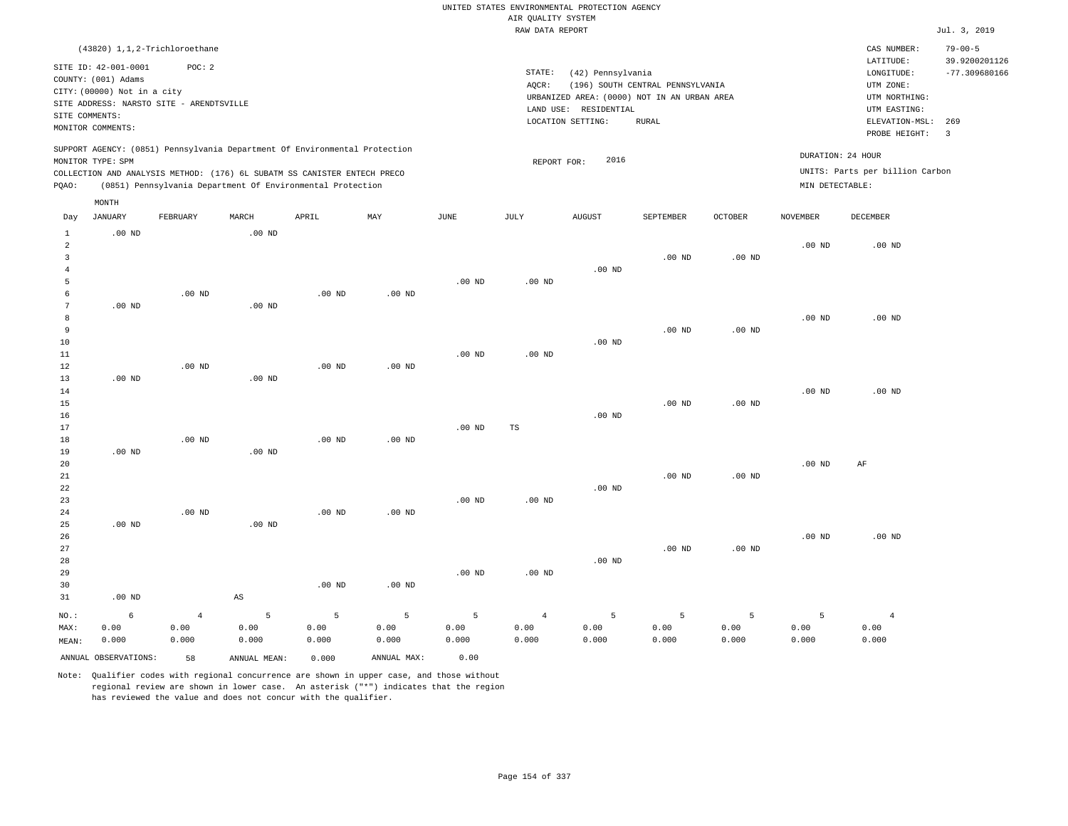|                 |                             |                                          |                        |                                                                            |                   |                   |                    | UNITED STATES ENVIRONMENTAL PROTECTION AGENCY |                                  |                   |                   |                                 |                                |
|-----------------|-----------------------------|------------------------------------------|------------------------|----------------------------------------------------------------------------|-------------------|-------------------|--------------------|-----------------------------------------------|----------------------------------|-------------------|-------------------|---------------------------------|--------------------------------|
|                 |                             |                                          |                        |                                                                            |                   |                   | AIR QUALITY SYSTEM |                                               |                                  |                   |                   |                                 |                                |
|                 |                             |                                          |                        |                                                                            |                   |                   | RAW DATA REPORT    |                                               |                                  |                   |                   |                                 | Jul. 3, 2019                   |
|                 |                             |                                          |                        |                                                                            |                   |                   |                    |                                               |                                  |                   |                   |                                 |                                |
|                 |                             | (43820) 1,1,2-Trichloroethane            |                        |                                                                            |                   |                   |                    |                                               |                                  |                   |                   | CAS NUMBER:                     | $79 - 00 - 5$                  |
|                 | SITE ID: 42-001-0001        | POC: 2                                   |                        |                                                                            |                   |                   |                    |                                               |                                  |                   |                   | LATITUDE:                       | 39.9200201126                  |
|                 | COUNTY: (001) Adams         |                                          |                        |                                                                            |                   |                   | STATE:             | (42) Pennsylvania                             |                                  |                   |                   | LONGITUDE:                      | $-77.309680166$                |
|                 | CITY: (00000) Not in a city |                                          |                        |                                                                            |                   |                   | AQCR:              |                                               | (196) SOUTH CENTRAL PENNSYLVANIA |                   |                   | UTM ZONE:                       |                                |
|                 |                             | SITE ADDRESS: NARSTO SITE - ARENDTSVILLE |                        |                                                                            |                   |                   |                    | URBANIZED AREA: (0000) NOT IN AN URBAN AREA   |                                  |                   |                   | UTM NORTHING:                   |                                |
| SITE COMMENTS:  |                             |                                          |                        |                                                                            |                   |                   |                    | LAND USE: RESIDENTIAL                         |                                  |                   |                   | UTM EASTING:                    |                                |
|                 | MONITOR COMMENTS:           |                                          |                        |                                                                            |                   |                   |                    | LOCATION SETTING:                             | <b>RURAL</b>                     |                   |                   | ELEVATION-MSL:<br>PROBE HEIGHT: | 269<br>$\overline{\mathbf{3}}$ |
|                 |                             |                                          |                        | SUPPORT AGENCY: (0851) Pennsylvania Department Of Environmental Protection |                   |                   |                    |                                               |                                  |                   |                   |                                 |                                |
|                 | MONITOR TYPE: SPM           |                                          |                        |                                                                            |                   |                   | REPORT FOR:        | 2016                                          |                                  |                   | DURATION: 24 HOUR |                                 |                                |
|                 |                             |                                          |                        | COLLECTION AND ANALYSIS METHOD: (176) 6L SUBATM SS CANISTER ENTECH PRECO   |                   |                   |                    |                                               |                                  |                   |                   | UNITS: Parts per billion Carbon |                                |
| PQAO:           |                             |                                          |                        | (0851) Pennsylvania Department Of Environmental Protection                 |                   |                   |                    |                                               |                                  |                   | MIN DETECTABLE:   |                                 |                                |
|                 | MONTH                       |                                          |                        |                                                                            |                   |                   |                    |                                               |                                  |                   |                   |                                 |                                |
| Day             | <b>JANUARY</b>              | FEBRUARY                                 | MARCH                  | APRIL                                                                      | MAY               | JUNE              | JULY               | <b>AUGUST</b>                                 | SEPTEMBER                        | <b>OCTOBER</b>    | <b>NOVEMBER</b>   | DECEMBER                        |                                |
| $\mathbf{1}$    | .00 <sub>ND</sub>           |                                          | .00 <sub>ND</sub>      |                                                                            |                   |                   |                    |                                               |                                  |                   |                   |                                 |                                |
| $\overline{a}$  |                             |                                          |                        |                                                                            |                   |                   |                    |                                               |                                  |                   | .00 <sub>ND</sub> | $.00$ ND                        |                                |
| $\overline{3}$  |                             |                                          |                        |                                                                            |                   |                   |                    |                                               | $.00$ ND                         | .00 <sub>ND</sub> |                   |                                 |                                |
| $\overline{4}$  |                             |                                          |                        |                                                                            |                   |                   |                    | $.00$ ND                                      |                                  |                   |                   |                                 |                                |
| 5               |                             |                                          |                        |                                                                            |                   | .00 <sub>ND</sub> | $.00$ ND           |                                               |                                  |                   |                   |                                 |                                |
| 6               |                             | $.00$ ND                                 |                        | $.00$ ND                                                                   | $.00$ ND          |                   |                    |                                               |                                  |                   |                   |                                 |                                |
| $7\phantom{.0}$ | $.00$ ND                    |                                          | $.00$ ND               |                                                                            |                   |                   |                    |                                               |                                  |                   |                   |                                 |                                |
| 8<br>9          |                             |                                          |                        |                                                                            |                   |                   |                    |                                               | $.00$ ND                         | .00 <sub>ND</sub> | $.00$ ND          | $.00$ ND                        |                                |
| $10$            |                             |                                          |                        |                                                                            |                   |                   |                    | $.00$ ND                                      |                                  |                   |                   |                                 |                                |
| 11              |                             |                                          |                        |                                                                            |                   | .00 <sub>ND</sub> | $.00$ ND           |                                               |                                  |                   |                   |                                 |                                |
| $1\,2$          |                             | .00 <sub>ND</sub>                        |                        | $.00$ ND                                                                   | .00 <sub>ND</sub> |                   |                    |                                               |                                  |                   |                   |                                 |                                |
| 13              | $.00$ ND                    |                                          | .00 <sub>ND</sub>      |                                                                            |                   |                   |                    |                                               |                                  |                   |                   |                                 |                                |
| 14              |                             |                                          |                        |                                                                            |                   |                   |                    |                                               |                                  |                   | .00 <sub>ND</sub> | .00 <sub>ND</sub>               |                                |
| 15              |                             |                                          |                        |                                                                            |                   |                   |                    |                                               | .00 <sub>ND</sub>                | .00 <sub>ND</sub> |                   |                                 |                                |
| 16              |                             |                                          |                        |                                                                            |                   |                   |                    | $.00$ ND                                      |                                  |                   |                   |                                 |                                |
| 17              |                             |                                          |                        |                                                                            |                   | .00 <sub>ND</sub> | $_{\rm TS}$        |                                               |                                  |                   |                   |                                 |                                |
| 18              |                             | $.00$ ND                                 |                        | $.00$ ND                                                                   | .00 $ND$          |                   |                    |                                               |                                  |                   |                   |                                 |                                |
| 19              | $.00$ ND                    |                                          | $.00$ ND               |                                                                            |                   |                   |                    |                                               |                                  |                   |                   |                                 |                                |
| 20              |                             |                                          |                        |                                                                            |                   |                   |                    |                                               |                                  |                   | .00 <sub>ND</sub> | AF                              |                                |
| 21              |                             |                                          |                        |                                                                            |                   |                   |                    |                                               | .00 <sub>ND</sub>                | .00 <sub>ND</sub> |                   |                                 |                                |
| 22              |                             |                                          |                        |                                                                            |                   |                   |                    | $.00$ ND                                      |                                  |                   |                   |                                 |                                |
| 23              |                             |                                          |                        |                                                                            |                   | $.00$ ND          | .00 <sub>ND</sub>  |                                               |                                  |                   |                   |                                 |                                |
| 24              |                             | $.00$ ND                                 |                        | $.00$ ND                                                                   | $.00$ ND          |                   |                    |                                               |                                  |                   |                   |                                 |                                |
| 25              | $.00$ ND                    |                                          | $.00$ ND               |                                                                            |                   |                   |                    |                                               |                                  |                   |                   |                                 |                                |
| 26              |                             |                                          |                        |                                                                            |                   |                   |                    |                                               |                                  |                   | $.00$ ND          | $.00$ ND                        |                                |
| 27              |                             |                                          |                        |                                                                            |                   |                   |                    |                                               | $.00$ ND                         | .00 <sub>ND</sub> |                   |                                 |                                |
| 28              |                             |                                          |                        |                                                                            |                   |                   |                    | $.00$ ND                                      |                                  |                   |                   |                                 |                                |
| 29              |                             |                                          |                        |                                                                            |                   | $.00$ ND          | $.00$ ND           |                                               |                                  |                   |                   |                                 |                                |
| 30              |                             |                                          |                        | $.00$ ND                                                                   | $.00$ ND          |                   |                    |                                               |                                  |                   |                   |                                 |                                |
| 31              | $.00$ ND                    |                                          | $\mathbb{A}\mathbb{S}$ |                                                                            |                   |                   |                    |                                               |                                  |                   |                   |                                 |                                |
| NO.:            | 6                           | $\overline{4}$                           | 5                      | $\overline{5}$                                                             | $\overline{5}$    | 5                 | $\overline{4}$     | 5                                             | 5                                | 5                 | 5                 | $\overline{4}$                  |                                |
| MAX:            | 0.00                        | 0.00                                     | 0.00                   | 0.00                                                                       | 0.00              | 0.00              | 0.00               | 0.00                                          | 0.00                             | 0.00              | 0.00              | 0.00                            |                                |
| MEAN:           | 0.000                       | 0.000                                    | 0.000                  | 0.000                                                                      | 0.000             | 0.000             | 0.000              | 0.000                                         | 0.000                            | 0.000             | 0.000             | 0.000                           |                                |
|                 |                             |                                          |                        |                                                                            |                   |                   |                    |                                               |                                  |                   |                   |                                 |                                |
|                 | ANNUAL OBSERVATIONS:        | 58                                       | ANNUAL, MEAN:          | 0.000                                                                      | ANNUAL MAX:       | 0.00              |                    |                                               |                                  |                   |                   |                                 |                                |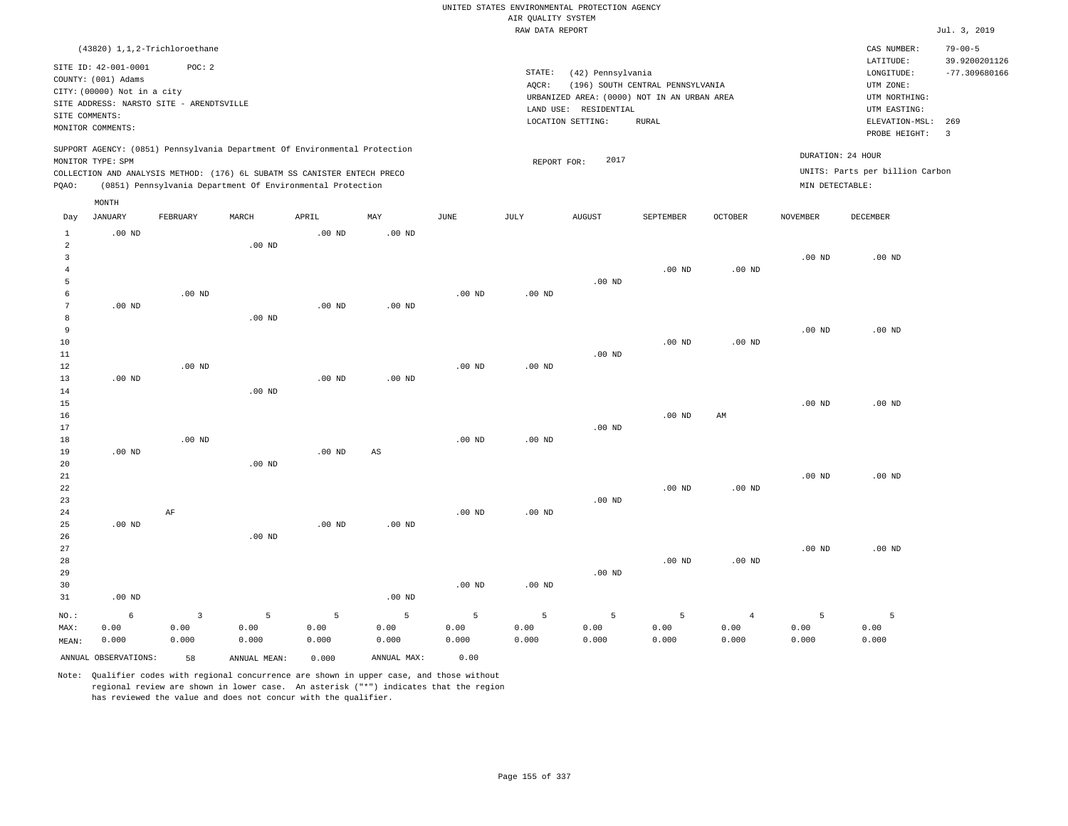|                                                 |                                                                                                             |                                 |                                                                                                                                                                                                                      |                    |                                |                    |                    | UNITED STATES ENVIRONMENTAL PROTECTION AGENCY                    |                                  |                                 |                                      |                                                                      |                                                   |
|-------------------------------------------------|-------------------------------------------------------------------------------------------------------------|---------------------------------|----------------------------------------------------------------------------------------------------------------------------------------------------------------------------------------------------------------------|--------------------|--------------------------------|--------------------|--------------------|------------------------------------------------------------------|----------------------------------|---------------------------------|--------------------------------------|----------------------------------------------------------------------|---------------------------------------------------|
|                                                 |                                                                                                             |                                 |                                                                                                                                                                                                                      |                    |                                |                    | AIR QUALITY SYSTEM |                                                                  |                                  |                                 |                                      |                                                                      |                                                   |
|                                                 |                                                                                                             |                                 |                                                                                                                                                                                                                      |                    |                                |                    | RAW DATA REPORT    |                                                                  |                                  |                                 |                                      |                                                                      | Jul. 3, 2019                                      |
|                                                 | (43820) 1,1,2-Trichloroethane<br>SITE ID: 42-001-0001<br>COUNTY: (001) Adams<br>CITY: (00000) Not in a city | POC: 2                          |                                                                                                                                                                                                                      |                    |                                |                    | STATE:<br>AQCR:    | (42) Pennsylvania<br>URBANIZED AREA: (0000) NOT IN AN URBAN AREA | (196) SOUTH CENTRAL PENNSYLVANIA |                                 |                                      | CAS NUMBER:<br>LATITUDE:<br>LONGITUDE:<br>UTM ZONE:<br>UTM NORTHING: | $79 - 00 - 5$<br>39.9200201126<br>$-77.309680166$ |
| SITE COMMENTS:                                  | SITE ADDRESS: NARSTO SITE - ARENDTSVILLE<br>MONITOR COMMENTS:                                               |                                 |                                                                                                                                                                                                                      |                    |                                |                    |                    | LAND USE: RESIDENTIAL<br>LOCATION SETTING:                       | <b>RURAL</b>                     |                                 |                                      | UTM EASTING:<br>ELEVATION-MSL:<br>PROBE HEIGHT:                      | 269<br>$\overline{\mathbf{3}}$                    |
| PQAO:                                           | MONITOR TYPE: SPM                                                                                           |                                 | SUPPORT AGENCY: (0851) Pennsylvania Department Of Environmental Protection<br>COLLECTION AND ANALYSIS METHOD: (176) 6L SUBATM SS CANISTER ENTECH PRECO<br>(0851) Pennsylvania Department Of Environmental Protection |                    |                                |                    | REPORT FOR:        | 2017                                                             |                                  |                                 | DURATION: 24 HOUR<br>MIN DETECTABLE: | UNITS: Parts per billion Carbon                                      |                                                   |
| Day                                             | MONTH<br><b>JANUARY</b>                                                                                     | FEBRUARY                        | MARCH                                                                                                                                                                                                                | APRIL              | MAY                            | <b>JUNE</b>        | <b>JULY</b>        | AUGUST                                                           | SEPTEMBER                        | OCTOBER                         | <b>NOVEMBER</b>                      | <b>DECEMBER</b>                                                      |                                                   |
| $\mathbf{1}$<br>$\overline{a}$<br>3<br>$\bf{4}$ | $.00$ ND                                                                                                    |                                 | $.00$ ND                                                                                                                                                                                                             | $.00$ ND           | $.00$ ND                       |                    |                    |                                                                  | $.00$ ND                         | $.00$ ND                        | .00 <sub>ND</sub>                    | .00 <sub>ND</sub>                                                    |                                                   |
| $\overline{5}$<br>6<br>$7\phantom{.0}$<br>8     | $.00$ ND                                                                                                    | $.00$ ND                        | $.00$ ND                                                                                                                                                                                                             | $.00$ ND           | .00 <sub>ND</sub>              | $.00$ ND           | $.00$ ND           | .00 <sub>ND</sub>                                                |                                  |                                 |                                      |                                                                      |                                                   |
| 9<br>10<br>$11\,$<br>12                         |                                                                                                             | $.00$ ND                        |                                                                                                                                                                                                                      |                    |                                | $.00$ ND           | .00 <sub>ND</sub>  | $.00$ ND                                                         | $.00$ ND                         | $.00$ ND                        | $.00$ ND                             | $.00$ ND                                                             |                                                   |
| 13<br>14<br>15<br>16<br>17                      | $.00$ ND                                                                                                    |                                 | .00 <sub>ND</sub>                                                                                                                                                                                                    | .00 <sub>ND</sub>  | $.00$ ND                       |                    |                    | .00 <sub>ND</sub>                                                | $.00$ ND                         | AM                              | $.00$ ND                             | $.00$ ND                                                             |                                                   |
| 18<br>19<br>20<br>21                            | .00 <sub>ND</sub>                                                                                           | $.00$ ND                        | $.00$ ND                                                                                                                                                                                                             | .00 <sub>ND</sub>  | $\mathbb{A}\mathbb{S}$         | $.00$ ND           | $.00$ ND           |                                                                  |                                  |                                 | $.00$ ND                             | $.00$ ND                                                             |                                                   |
| 22<br>23<br>24                                  |                                                                                                             | AF                              |                                                                                                                                                                                                                      |                    |                                | $.00$ ND           | $.00$ ND           | $.00$ ND                                                         | .00 <sub>ND</sub>                | $.00$ ND                        |                                      |                                                                      |                                                   |
| 25<br>26<br>27<br>28<br>29<br>30                | $.00$ ND                                                                                                    |                                 | .00 <sub>ND</sub>                                                                                                                                                                                                    | .00 <sub>ND</sub>  | $.00$ ND                       | $.00$ ND           | .00 <sub>ND</sub>  | .00 <sub>ND</sub>                                                | .00 <sub>ND</sub>                | $.00$ ND                        | $.00$ ND                             | $.00$ ND                                                             |                                                   |
| 31<br>NO.:<br>MAX:<br>MEAN:                     | $.00$ ND<br>6<br>0.00<br>0.000                                                                              | $\overline{3}$<br>0.00<br>0.000 | 5<br>0.00<br>0.000                                                                                                                                                                                                   | 5<br>0.00<br>0.000 | $.00$ ND<br>5<br>0.00<br>0.000 | 5<br>0.00<br>0.000 | 5<br>0.00<br>0.000 | 5<br>0.00<br>0.000                                               | 5<br>0.00<br>0.000               | $\overline{4}$<br>0.00<br>0.000 | 5<br>0.00<br>0.000                   | 5<br>0.00<br>0.000                                                   |                                                   |
|                                                 | ANNUAL OBSERVATIONS:                                                                                        | 58                              | ANNUAL MEAN:                                                                                                                                                                                                         | 0.000              | ANNUAL MAX:                    | 0.00               |                    |                                                                  |                                  |                                 |                                      |                                                                      |                                                   |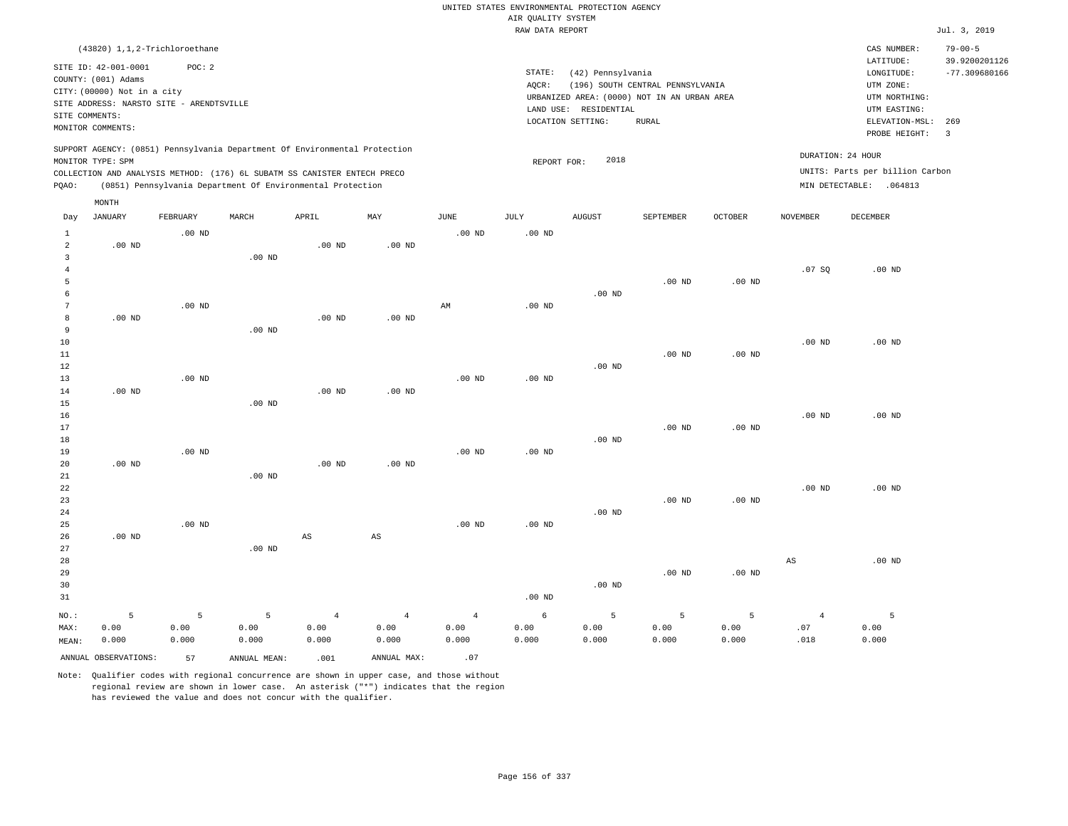|                                     |                                                                                                                                                         |                    |                                                                                                                                                        |                                 |                                 |                                 |                                       | UNITED STATES ENVIRONMENTAL PROTECTION AGENCY                   |                                                                                                 |                    |                               |                                                                                                        |                                                          |
|-------------------------------------|---------------------------------------------------------------------------------------------------------------------------------------------------------|--------------------|--------------------------------------------------------------------------------------------------------------------------------------------------------|---------------------------------|---------------------------------|---------------------------------|---------------------------------------|-----------------------------------------------------------------|-------------------------------------------------------------------------------------------------|--------------------|-------------------------------|--------------------------------------------------------------------------------------------------------|----------------------------------------------------------|
|                                     |                                                                                                                                                         |                    |                                                                                                                                                        |                                 |                                 |                                 | AIR QUALITY SYSTEM<br>RAW DATA REPORT |                                                                 |                                                                                                 |                    |                               |                                                                                                        | Jul. 3, 2019                                             |
|                                     |                                                                                                                                                         |                    |                                                                                                                                                        |                                 |                                 |                                 |                                       |                                                                 |                                                                                                 |                    |                               |                                                                                                        |                                                          |
| SITE COMMENTS:                      | (43820) 1,1,2-Trichloroethane<br>SITE ID: 42-001-0001<br>COUNTY: (001) Adams<br>CITY: (00000) Not in a city<br>SITE ADDRESS: NARSTO SITE - ARENDTSVILLE | POC: 2             |                                                                                                                                                        |                                 |                                 |                                 | STATE:<br>AQCR:                       | (42) Pennsylvania<br>LAND USE: RESIDENTIAL<br>LOCATION SETTING: | (196) SOUTH CENTRAL PENNSYLVANIA<br>URBANIZED AREA: (0000) NOT IN AN URBAN AREA<br><b>RURAL</b> |                    |                               | CAS NUMBER:<br>LATITUDE:<br>LONGITUDE:<br>UTM ZONE:<br>UTM NORTHING:<br>UTM EASTING:<br>ELEVATION-MSL: | $79 - 00 - 5$<br>39.9200201126<br>$-77.309680166$<br>269 |
|                                     | MONITOR COMMENTS:                                                                                                                                       |                    |                                                                                                                                                        |                                 |                                 |                                 |                                       |                                                                 |                                                                                                 |                    |                               | PROBE HEIGHT:                                                                                          | $\overline{\mathbf{3}}$                                  |
|                                     | MONITOR TYPE: SPM                                                                                                                                       |                    | SUPPORT AGENCY: (0851) Pennsylvania Department Of Environmental Protection<br>COLLECTION AND ANALYSIS METHOD: (176) 6L SUBATM SS CANISTER ENTECH PRECO |                                 |                                 |                                 | REPORT FOR:                           | 2018                                                            |                                                                                                 |                    |                               | DURATION: 24 HOUR<br>UNITS: Parts per billion Carbon                                                   |                                                          |
| PQAO:                               |                                                                                                                                                         |                    | (0851) Pennsylvania Department Of Environmental Protection                                                                                             |                                 |                                 |                                 |                                       |                                                                 |                                                                                                 |                    |                               | MIN DETECTABLE: . 064813                                                                               |                                                          |
|                                     | MONTH                                                                                                                                                   |                    |                                                                                                                                                        |                                 |                                 |                                 |                                       |                                                                 |                                                                                                 |                    |                               |                                                                                                        |                                                          |
| Day                                 | <b>JANUARY</b>                                                                                                                                          | FEBRUARY           | MARCH                                                                                                                                                  | APRIL                           | MAY                             | <b>JUNE</b>                     | <b>JULY</b>                           | <b>AUGUST</b>                                                   | SEPTEMBER                                                                                       | <b>OCTOBER</b>     | <b>NOVEMBER</b>               | DECEMBER                                                                                               |                                                          |
| $\mathbf{1}$<br>$\overline{a}$      | $.00$ ND                                                                                                                                                | $.00$ ND           |                                                                                                                                                        | $.00$ ND                        | $.00$ ND                        | $.00$ ND                        | .00 <sub>ND</sub>                     |                                                                 |                                                                                                 |                    |                               |                                                                                                        |                                                          |
| $\mathbf{3}$<br>$\overline{4}$<br>5 |                                                                                                                                                         |                    | $.00$ ND                                                                                                                                               |                                 |                                 |                                 |                                       |                                                                 | $.00$ ND                                                                                        | $.00$ ND           | .07S                          | $.00$ ND                                                                                               |                                                          |
| 6<br>$\overline{7}$                 |                                                                                                                                                         | .00 <sub>ND</sub>  |                                                                                                                                                        |                                 |                                 | $\mbox{AM}$                     | $.00$ ND                              | $.00$ ND                                                        |                                                                                                 |                    |                               |                                                                                                        |                                                          |
| 8<br>9<br>10                        | $.00$ ND                                                                                                                                                |                    | $.00$ ND                                                                                                                                               | .00 <sub>ND</sub>               | .00 <sub>ND</sub>               |                                 |                                       |                                                                 |                                                                                                 |                    | $.00$ ND                      | $.00$ ND                                                                                               |                                                          |
| 11<br>12                            |                                                                                                                                                         |                    |                                                                                                                                                        |                                 |                                 |                                 |                                       | $.00$ ND                                                        | $.00$ ND                                                                                        | $.00$ ND           |                               |                                                                                                        |                                                          |
| 13<br>14<br>15                      | .00 <sub>ND</sub>                                                                                                                                       | .00 <sub>ND</sub>  | $.00$ ND                                                                                                                                               | $.00$ ND                        | $.00$ ND                        | $.00$ ND                        | $.00$ ND                              |                                                                 |                                                                                                 |                    |                               |                                                                                                        |                                                          |
| 16<br>17<br>$18\,$                  |                                                                                                                                                         |                    |                                                                                                                                                        |                                 |                                 |                                 |                                       | .00 <sub>ND</sub>                                               | .00 <sub>ND</sub>                                                                               | .00 <sub>ND</sub>  | $.00$ ND                      | $.00$ ND                                                                                               |                                                          |
| 19<br>20                            | $.00$ ND                                                                                                                                                | $.00$ ND           |                                                                                                                                                        | .00 <sub>ND</sub>               | $.00$ ND                        | $.00$ ND                        | $.00$ ND                              |                                                                 |                                                                                                 |                    |                               |                                                                                                        |                                                          |
| 21<br>22<br>23<br>24                |                                                                                                                                                         |                    | $.00$ ND                                                                                                                                               |                                 |                                 |                                 |                                       | $.00$ ND                                                        | $.00$ ND                                                                                        | $.00$ ND           | .00 <sub>ND</sub>             | .00 <sub>ND</sub>                                                                                      |                                                          |
| 25<br>26<br>27                      | $.00$ ND                                                                                                                                                | .00 <sub>ND</sub>  |                                                                                                                                                        | $\mathbb{A}\mathbb{S}$          | $\mathbb{A}\mathbb{S}$          | $.00$ ND                        | $.00$ ND                              |                                                                 |                                                                                                 |                    |                               |                                                                                                        |                                                          |
| 28<br>29<br>30<br>31                |                                                                                                                                                         |                    | $.00$ ND                                                                                                                                               |                                 |                                 |                                 | .00 <sub>ND</sub>                     | $.00$ ND                                                        | $.00$ ND                                                                                        | $.00$ ND           | $\mathbb{A}\mathbb{S}$        | $.00$ ND                                                                                               |                                                          |
| NO.:<br>MAX:<br>MEAN:               | 5<br>0.00<br>0.000                                                                                                                                      | 5<br>0.00<br>0.000 | 5<br>0.00<br>0.000                                                                                                                                     | $\overline{4}$<br>0.00<br>0.000 | $\overline{4}$<br>0.00<br>0.000 | $\overline{4}$<br>0.00<br>0.000 | 6<br>0.00<br>0.000                    | 5<br>0.00<br>0.000                                              | 5<br>0.00<br>0.000                                                                              | 5<br>0.00<br>0.000 | $\overline{4}$<br>.07<br>.018 | 5<br>0.00<br>0.000                                                                                     |                                                          |
|                                     | ANNUAL OBSERVATIONS:                                                                                                                                    | 57                 | ANNUAL MEAN:                                                                                                                                           | .001                            | ANNUAL MAX:                     | .07                             |                                       |                                                                 |                                                                                                 |                    |                               |                                                                                                        |                                                          |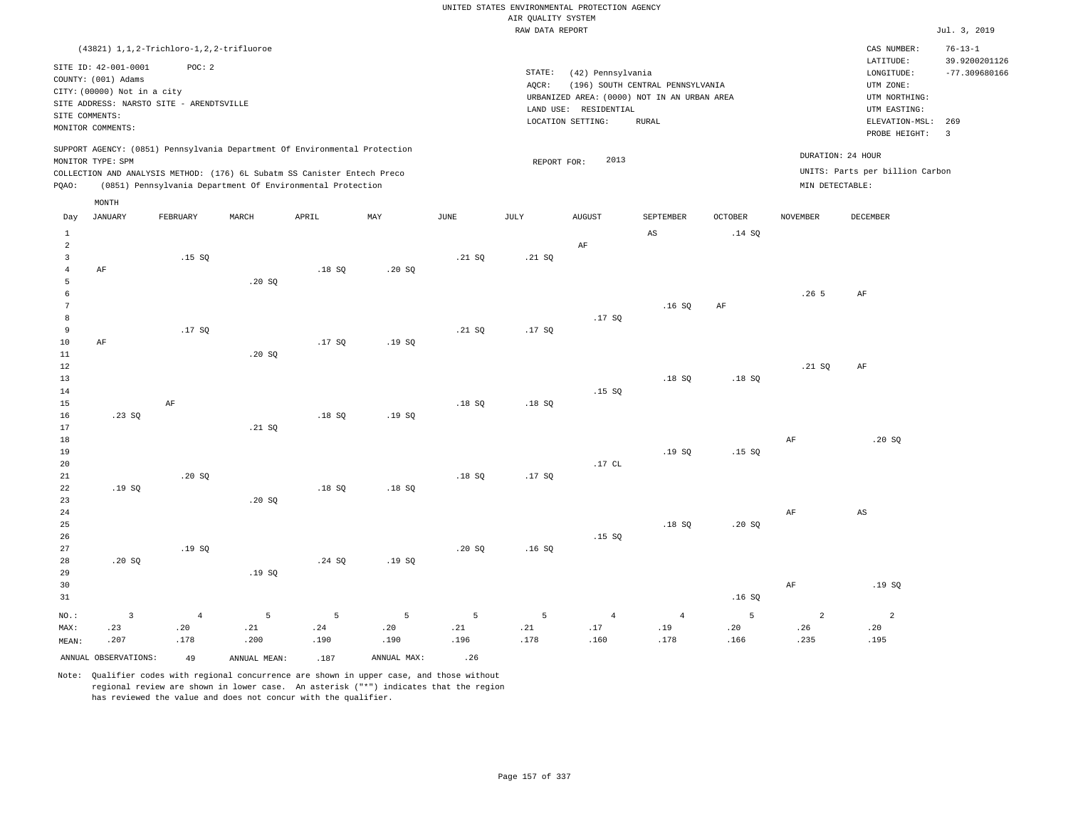RAW DATA REPORT JUL. 3, 2019 UNITED STATES ENVIRONMENTAL PROTECTION AGENCY AIR QUALITY SYSTEM (43821) 1,1,2-Trichloro-1,2,2-trifluoroe STATE: (42) Pennsylvania CAS NUMBER: 76-13-1 SITE ID: 42-001-0001 POC: 2 AQCR: (196) SOUTH CENTRAL PENNSYLVANIA COUNTY: (001) Adams CITY: (00000) Not in a city LONGITUDE: -77.309680166 LATITUDE: 39.9200201126 LOCATION SETTING: RURAL SITE ADDRESS: NARSTO SITE - ARENDTSVILLE LAND USE: RESIDENTIAL SITE COMMENTS: MONITOR COMMENTS: PROBE HEIGHT: 3 ELEVATION-MSL: 269 URBANIZED AREA: (0000) NOT IN AN URBAN AREA **URBAN SERIA UTM NORTHING**: UTM EASTING: UTM ZONE: SUPPORT AGENCY: (0851) Pennsylvania Department Of Environmental Protection MONITOR TYPE: SPM COLLECTION AND ANALYSIS METHOD: (176) 6L Subatm SS Canister Entech Preco REPORT FOR: 2013 UNITS: Parts per billion Carbon PQAO: (0851) Pennsylvania Department Of Environmental Protection MIN DETECTABLE: DURATION: 24 HOUR 1 2 3 4 5 6 7 8 9 10 11 12 13 14 15 16 17 18 19  $20$ 21 22 23 24 25 26 27 28 29 30 31 AF AF .23 SQ  $.19 S<sub>0</sub>$  .20 SQ NO.: MAX: MEAN:  $\overline{3}$  .23 .207 .15 SQ .17 SQ AF .20 SQ .19 SQ  $.20$  SQ .20 SQ  $.21 S<sub>0</sub>$  .20 SQ .19 SQ .18 SQ .17 SQ .18 SQ .18 SQ .24 SQ .20 SQ .19 SQ .19 SQ .18 SQ .19 SQ  $.21 S$  .21 SQ .18 SQ .18 SQ .20 SQ .21 SQ .17 SQ .18 SQ .17 SQ .16 SQ AF .17 SQ .15 SQ  $.17$  CL .15 SQ  $\Delta$ S .16 SQ .18 SQ .19 SQ .18 SQ .14 SQ AF .18 SQ .15 SQ .20 SQ .16 SQ .26 5  $.21 S<sub>0</sub>$  AF AF AF AF AF .20 SQ AS .19 SQ 4 .20 .178 5 .21 .200 5 .24 .190 5 .20 .190 5 .21 .196 5 .21 .178 4 .17 .160 4 .19 .178 5 .20 .166 2 .26 .235 2 .20 .195 ANNUAL OBSERVATIONS:  $\begin{array}{ccc} 49 & 26 \end{array}$  ANNUAL MEAN: .187 ANNUAL MAX: .26 Day JANUARY FEBRUARY MARCH APRIL MAY JUNE JULY AUGUST SEPTEMBER OCTOBER NOVEMBER DECEMBER MONTH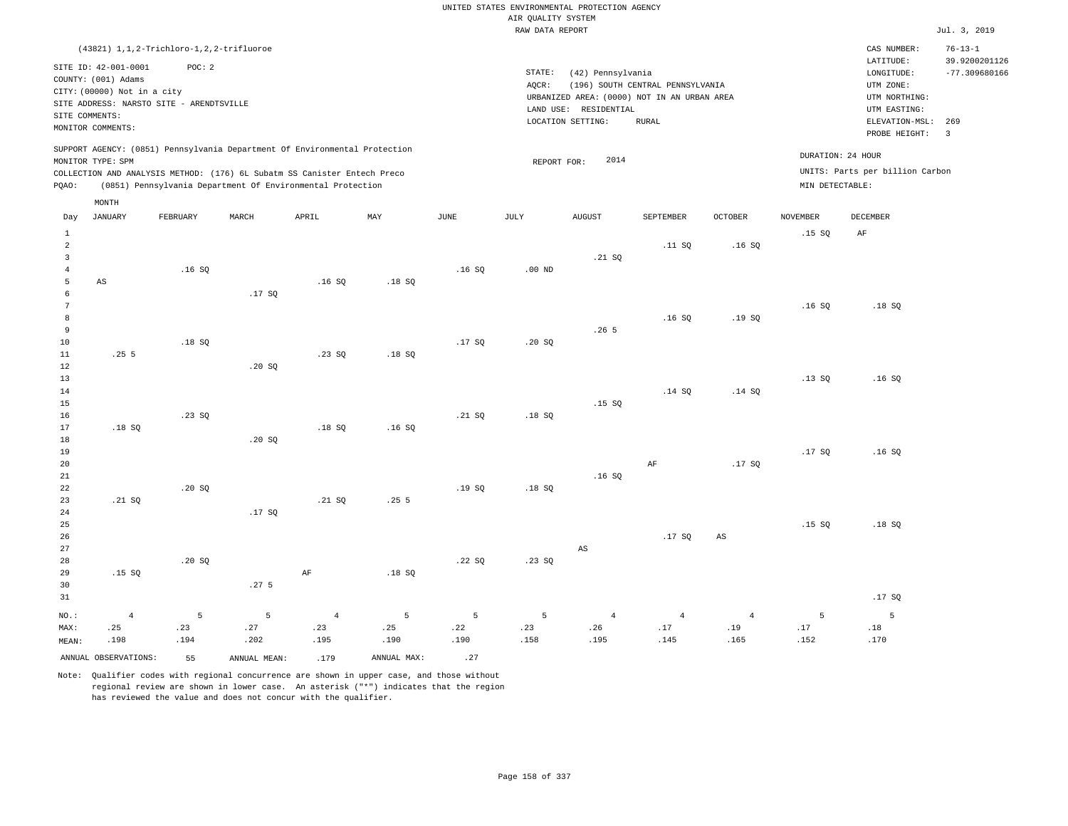RAW DATA REPORT Jul. 3, 2019 UNITED STATES ENVIRONMENTAL PROTECTION AGENCY AIR QUALITY SYSTEM (43821) 1,1,2-Trichloro-1,2,2-trifluoroe STATE: (42) Pennsylvania CAS NUMBER: 76-13-1 SITE ID: 42-001-0001 POC: 2 AQCR: (196) SOUTH CENTRAL PENNSYLVANIA COUNTY: (001) Adams CITY: (00000) Not in a city LONGITUDE: -77.309680166 LATITUDE: 39.9200201126 LOCATION SETTING: RURAL SITE ADDRESS: NARSTO SITE - ARENDTSVILLE LAND USE: RESIDENTIAL SITE COMMENTS: MONITOR COMMENTS: PROBE HEIGHT: 3 ELEVATION-MSL: 269 URBANIZED AREA: (0000) NOT IN AN URBAN AREA **URBAN SERIA UTM NORTHING**: UTM EASTING: UTM ZONE: SUPPORT AGENCY: (0851) Pennsylvania Department Of Environmental Protection MONITOR TYPE: SPM COLLECTION AND ANALYSIS METHOD: (176) 6L Subatm SS Canister Entech Preco REPORT FOR: 2014 UNITS: Parts per billion Carbon PQAO: (0851) Pennsylvania Department Of Environmental Protection MIN DETECTABLE: DURATION: 24 HOUR 1 2 3 4 5 6 7 8 9 10 11 12 13 14 15 16 17 18 19  $20$ 21 22 23 24 25 26 27 28 29 30 31 AS .25 5 .18 SQ .21 SQ .15 SQ NO.: MAX: MEAN: 4 .25 .198 .16 SQ .18 SQ .23 SQ  $.20 S$  .20 SQ .17 SQ  $.20$  SQ .20 SQ .17 SQ .27 5 .16 SQ .23 SQ .18 SQ .21 SQ AF .18 SQ .18 SQ .16 SQ .25 5 .18 SQ .16 SQ .17 SQ .21 SQ .19 SQ .22 SQ .00 ND  $.20 S<sub>Q</sub>$  .18 SQ .18 SQ .23 SQ .21 SQ .26 5 .15 SQ .16 SQ AS .11 SQ .16 SQ .14 SQ AF .17 SQ .16 SQ .19 SQ .14 SQ .17 SQ AS .15 SQ .16 SQ .13 SQ .17 SQ .15 SQ AF .18 SQ .16 SQ .16 SQ .18 SQ .17 SQ 5 .23 .194 5 .27 .202 4 .23 .195 5 .25 .190 5 .22 .190 5 .23 .158 4 .26 .195 4 .17 .145 4 .19 .165 5 .17 .152 5 .18 .170 ANNUAL OBSERVATIONS: 55 ANNUAL MEAN: .179 ANNUAL MAX: .27 Day JANUARY FEBRUARY MARCH APRIL MAY JUNE JULY AUGUST SEPTEMBER OCTOBER NOVEMBER DECEMBER MONTH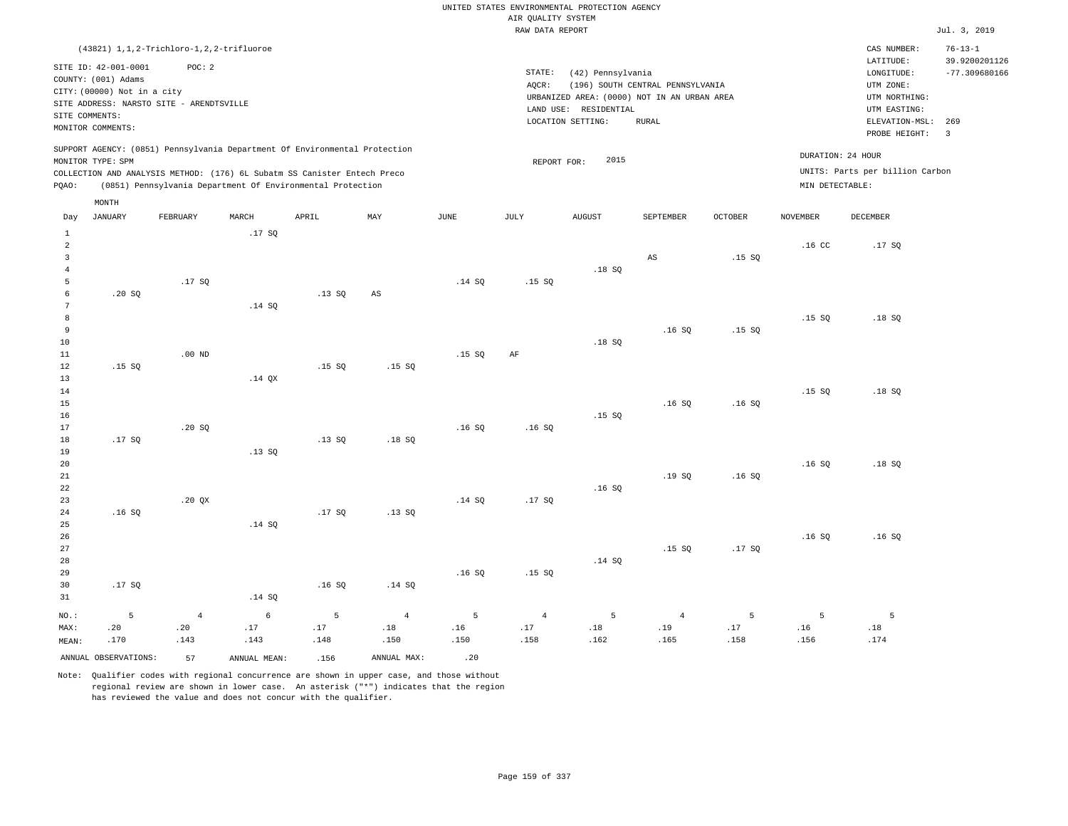RAW DATA REPORT JUL. 3, 2019 UNITED STATES ENVIRONMENTAL PROTECTION AGENCY AIR QUALITY SYSTEM (43821) 1,1,2-Trichloro-1,2,2-trifluoroe STATE: (42) Pennsylvania CAS NUMBER: 76-13-1 SITE ID: 42-001-0001 POC: 2 AQCR: (196) SOUTH CENTRAL PENNSYLVANIA COUNTY: (001) Adams CITY: (00000) Not in a city LONGITUDE: -77.309680166 LATITUDE: 39.9200201126 LOCATION SETTING: RURAL SITE ADDRESS: NARSTO SITE - ARENDTSVILLE LAND USE: RESIDENTIAL PROBE HEIGHT: 3 ELEVATION-MSL: 269 URBANIZED AREA: (0000) NOT IN AN URBAN AREA **URBAN SERIA UTM NORTHING**: UTM EASTING: UTM ZONE: SUPPORT AGENCY: (0851) Pennsylvania Department Of Environmental Protection COLLECTION AND ANALYSIS METHOD: (176) 6L Subatm SS Canister Entech Preco REPORT FOR: 2015 UNITS: Parts per billion Carbon PQAO: (0851) Pennsylvania Department Of Environmental Protection MIN DETECTABLE: DURATION: 24 HOUR .20 SQ .15 SQ .17 SQ .16 SQ .17 SQ .00 ND  $.20$  SQ .20 QX .17 SQ .14 SQ .14 QX .13 SQ .14 SQ .13 SQ .15 SQ .13 SQ .17 SQ AS .15 SQ .18 SQ .13 SQ  $.14$  SQ .15 SQ .16 SQ .14 SQ .15 SQ AF .16 SQ .17 SQ .18 SQ .18 SQ .15 SQ .16 SQ AS .16 SQ .16 SQ .19 SQ .15 SQ .15 SQ .15 SQ .16 SQ .16 SQ .17 SQ .16 CC .15 SQ .15 SQ .16 SQ .16 SQ .17 SQ .18 SQ .18 SQ .18 SQ .16 SQ Day JANUARY FEBRUARY MARCH APRIL MAY JUNE JULY AUGUST SEPTEMBER OCTOBER NOVEMBER DECEMBER

27 28 29 30 31 .17 SQ NO.: MAX: MEAN: 5 .20 .170 .14 SQ .16 SQ .14 SQ .16 SQ .15 SQ .14 SQ 4 .20 .143 6 .17 .143 5 .17 .148 4 .18 .150 5 .16 .150 4 .17 .158 5 .18 .162 4 .19 .165 5 .17 .158 5 .16 .156 ANNUAL OBSERVATIONS:  $57$  ANNUAL MEAN: .156 ANNUAL MAX: .20

Note: Qualifier codes with regional concurrence are shown in upper case, and those without regional review are shown in lower case. An asterisk ("\*") indicates that the region has reviewed the value and does not concur with the qualifier.

SITE COMMENTS: MONITOR COMMENTS:

MONITOR TYPE: SPM

MONTH

5 .18 .174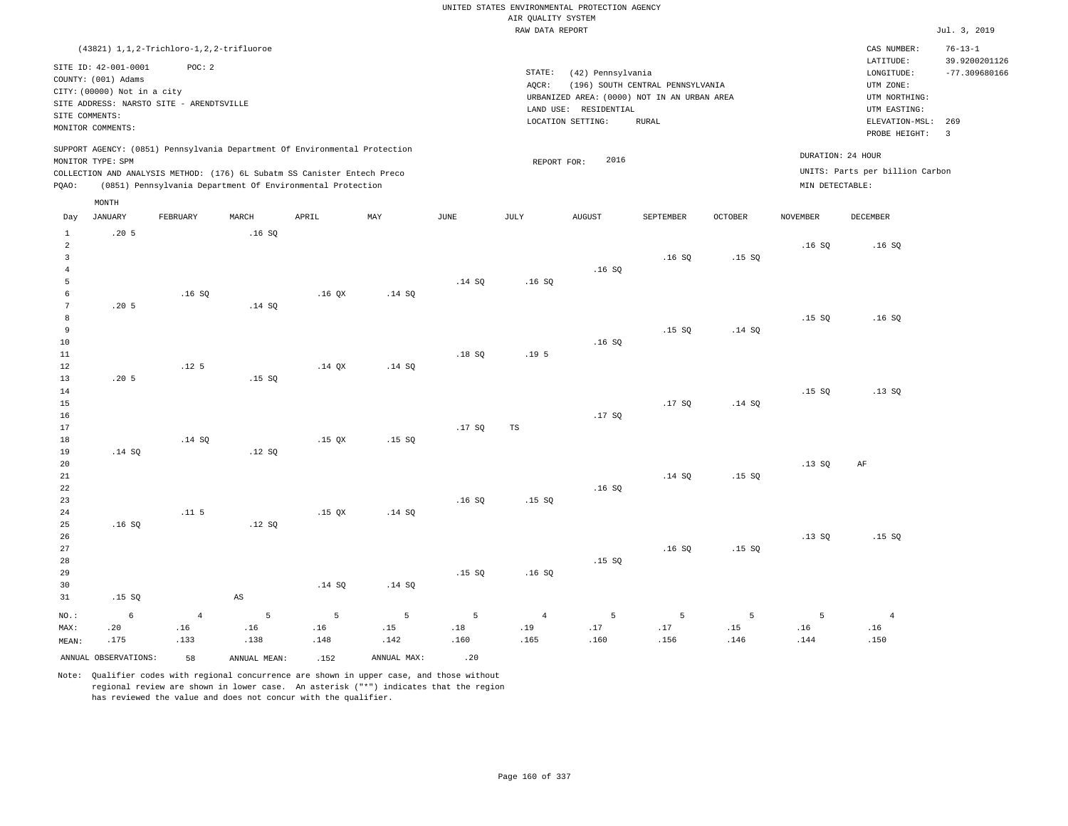RAW DATA REPORT JUL. 3, 2019 UNITED STATES ENVIRONMENTAL PROTECTION AGENCY AIR QUALITY SYSTEM (43821) 1,1,2-Trichloro-1,2,2-trifluoroe STATE: (42) Pennsylvania CAS NUMBER: 76-13-1 SITE ID: 42-001-0001 POC: 2 AQCR: (196) SOUTH CENTRAL PENNSYLVANIA COUNTY: (001) Adams CITY: (00000) Not in a city LONGITUDE: -77.309680166 LATITUDE: 39.9200201126 LOCATION SETTING: RURAL SITE ADDRESS: NARSTO SITE - ARENDTSVILLE LAND USE: RESIDENTIAL SITE COMMENTS: MONITOR COMMENTS: PROBE HEIGHT: 3 ELEVATION-MSL: 269 URBANIZED AREA: (0000) NOT IN AN URBAN AREA **URBAN SERIA UTM NORTHING**: UTM EASTING: UTM ZONE: SUPPORT AGENCY: (0851) Pennsylvania Department Of Environmental Protection MONITOR TYPE: SPM COLLECTION AND ANALYSIS METHOD: (176) 6L Subatm SS Canister Entech Preco REPORT FOR: 2016 UNITS: Parts per billion Carbon PQAO: (0851) Pennsylvania Department Of Environmental Protection MIN DETECTABLE: DURATION: 24 HOUR  $20.5$  .20 5 .20 5 .14 SQ .16 SQ .15 SQ 6 .20 .175 .16 SQ .12 5  $.14$  SQ .11 5 .16 SQ .14 SQ .15 SQ .12 SQ .12 SQ AS .16 QX  $.14 \, \text{OX}$  .15 QX .15 QX .14 SQ .14 SQ .14 SQ .15 SQ .14 SQ .14 SQ  $.14$  SQ .18 SQ .17 SQ .16 SQ .15 SQ .16 SQ .19 5 TS .15 SQ .16 SQ .16 SQ .16 SQ .17 SQ .16 SQ .15 SQ .16 SQ .15 SQ .17 SQ .14 SQ .16 SQ .15 SQ .14 SQ  $.14 S<sub>0</sub>$  .15 SQ .15 SQ .16 SQ .15 SQ .15 SQ .13 SQ .13 SQ .16 SQ .16 SQ .13 SQ AF .15 SQ 4 .16 .133 5 .16 .138 5 .16 .148 5 .15 .142 5 .18 .160 4 .19 .165 5 .17 .160 5 .17 .156 5 .15 .146 5 .16 .144 4 .16 .150 Day JANUARY FEBRUARY MARCH APRIL MAY JUNE JULY AUGUST SEPTEMBER OCTOBER NOVEMBER DECEMBER MONTH

ANNUAL OBSERVATIONS: 58 ANNUAL MEAN: .152 ANNUAL MAX: .20

NO.: MAX: MEAN: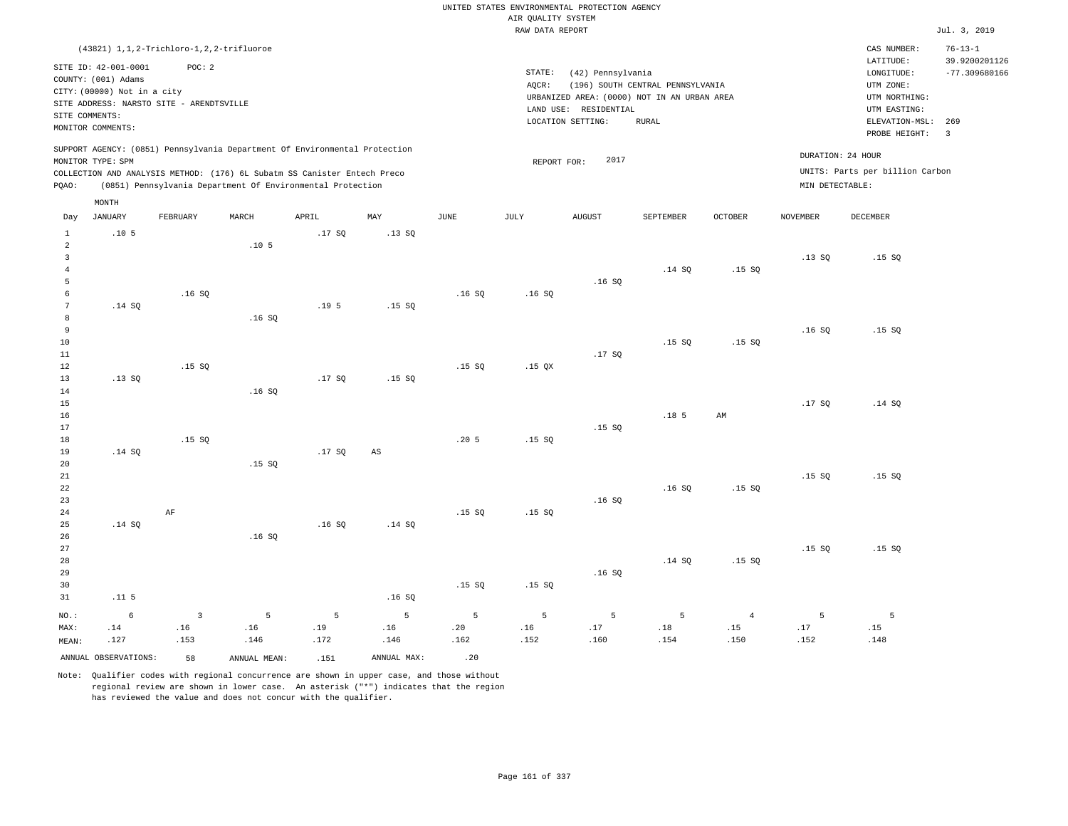|                                                                    |                                                                                                                                                                                             |                               |                                                                                                                                                                                                                      |                  |                        |                  | AIR QUALITY SYSTEM | UNITED STATES ENVIRONMENTAL PROTECTION AGENCY                                                                  |                                                  |                               |                  |                                                                                                        |                                                          |
|--------------------------------------------------------------------|---------------------------------------------------------------------------------------------------------------------------------------------------------------------------------------------|-------------------------------|----------------------------------------------------------------------------------------------------------------------------------------------------------------------------------------------------------------------|------------------|------------------------|------------------|--------------------|----------------------------------------------------------------------------------------------------------------|--------------------------------------------------|-------------------------------|------------------|--------------------------------------------------------------------------------------------------------|----------------------------------------------------------|
|                                                                    |                                                                                                                                                                                             |                               |                                                                                                                                                                                                                      |                  |                        |                  | RAW DATA REPORT    |                                                                                                                |                                                  |                               |                  |                                                                                                        | Jul. 3, 2019                                             |
| SITE COMMENTS:                                                     | (43821) 1, 1, 2-Trichloro-1, 2, 2-trifluoroe<br>SITE ID: 42-001-0001<br>COUNTY: (001) Adams<br>CITY: (00000) Not in a city<br>SITE ADDRESS: NARSTO SITE - ARENDTSVILLE<br>MONITOR COMMENTS: | POC: 2                        |                                                                                                                                                                                                                      |                  |                        |                  | STATE:<br>AQCR:    | (42) Pennsylvania<br>URBANIZED AREA: (0000) NOT IN AN URBAN AREA<br>LAND USE: RESIDENTIAL<br>LOCATION SETTING: | (196) SOUTH CENTRAL PENNSYLVANIA<br><b>RURAL</b> |                               |                  | CAS NUMBER:<br>LATITUDE:<br>LONGITUDE:<br>UTM ZONE:<br>UTM NORTHING:<br>UTM EASTING:<br>ELEVATION-MSL: | $76 - 13 - 1$<br>39.9200201126<br>$-77.309680166$<br>269 |
| PQAO:                                                              | MONITOR TYPE: SPM                                                                                                                                                                           |                               | SUPPORT AGENCY: (0851) Pennsylvania Department Of Environmental Protection<br>COLLECTION AND ANALYSIS METHOD: (176) 6L Subatm SS Canister Entech Preco<br>(0851) Pennsylvania Department Of Environmental Protection |                  |                        |                  | REPORT FOR:        | 2017                                                                                                           |                                                  |                               | MIN DETECTABLE:  | PROBE HEIGHT:<br>DURATION: 24 HOUR<br>UNITS: Parts per billion Carbon                                  | $\overline{\mathbf{3}}$                                  |
| Day                                                                | MONTH<br><b>JANUARY</b>                                                                                                                                                                     | FEBRUARY                      | MARCH                                                                                                                                                                                                                | APRIL            | MAY                    | <b>JUNE</b>      | <b>JULY</b>        | <b>AUGUST</b>                                                                                                  | SEPTEMBER                                        | OCTOBER                       | <b>NOVEMBER</b>  | <b>DECEMBER</b>                                                                                        |                                                          |
| $\mathbf{1}$<br>$\overline{2}$<br>$\overline{3}$<br>$\overline{4}$ | .105                                                                                                                                                                                        |                               | .10 <sub>5</sub>                                                                                                                                                                                                     | .17S             | .13SQ                  |                  |                    |                                                                                                                | .14 S0                                           | .15S                          | .13SQ            | .15S                                                                                                   |                                                          |
| 5<br>6<br>$\overline{7}$<br>8                                      | .14 SQ                                                                                                                                                                                      | .16S                          | .16S                                                                                                                                                                                                                 | .19 <sub>5</sub> | .15S                   | .16SQ            | .16SQ              | .16SQ                                                                                                          |                                                  |                               |                  |                                                                                                        |                                                          |
| 9<br>10<br>$11\,$<br>12                                            |                                                                                                                                                                                             | .15S                          |                                                                                                                                                                                                                      |                  |                        | .15S             | .15 <sub>OX</sub>  | .17SQ                                                                                                          | .15S                                             | .15S                          | .16SQ            | .15S                                                                                                   |                                                          |
| 13<br>14<br>15<br>16                                               | .13SQ                                                                                                                                                                                       |                               | .16S                                                                                                                                                                                                                 | .17SQ            | .15S                   |                  |                    |                                                                                                                | .18 <sub>5</sub>                                 | AM                            | .17SQ            | .14 SQ                                                                                                 |                                                          |
| 17<br>$18$<br>19<br>20                                             | .14 SQ                                                                                                                                                                                      | .15 SO                        | .15S                                                                                                                                                                                                                 | .17SQ            | $\mathbb{A}\mathbb{S}$ | .205             | .15S               | .15 SO                                                                                                         |                                                  |                               |                  |                                                                                                        |                                                          |
| $2\sqrt{1}$<br>22<br>23<br>24                                      |                                                                                                                                                                                             | AF                            |                                                                                                                                                                                                                      |                  |                        | .15S             | .15S               | .16SQ                                                                                                          | .16SQ                                            | .15S                          | .15S             | .15S                                                                                                   |                                                          |
| 25<br>26<br>27<br>28<br>29                                         | .14 SQ                                                                                                                                                                                      |                               | .16S                                                                                                                                                                                                                 | .16S             | .14 SQ                 |                  |                    | .16SQ                                                                                                          | .14 SQ                                           | .15S                          | .15S             | .15 SO                                                                                                 |                                                          |
| 30<br>31                                                           | .11 <sub>5</sub>                                                                                                                                                                            |                               |                                                                                                                                                                                                                      |                  | .16SQ                  | .15S             | .15S               |                                                                                                                |                                                  |                               |                  |                                                                                                        |                                                          |
| $NO.$ :<br>MAX:<br>MEAN:                                           | 6<br>.14<br>.127                                                                                                                                                                            | $\overline{3}$<br>.16<br>.153 | $\overline{5}$<br>.16<br>.146                                                                                                                                                                                        | 5<br>.19<br>.172 | 5<br>.16<br>.146       | 5<br>.20<br>.162 | 5<br>.16<br>.152   | 5<br>.17<br>.160                                                                                               | 5<br>.18<br>.154                                 | $\overline{4}$<br>.15<br>.150 | 5<br>.17<br>.152 | 5<br>.15<br>.148                                                                                       |                                                          |
|                                                                    | ANNUAL OBSERVATIONS:                                                                                                                                                                        | 58                            | ANNUAL MEAN:                                                                                                                                                                                                         | .151             | ANNUAL MAX:            | .20              |                    |                                                                                                                |                                                  |                               |                  |                                                                                                        |                                                          |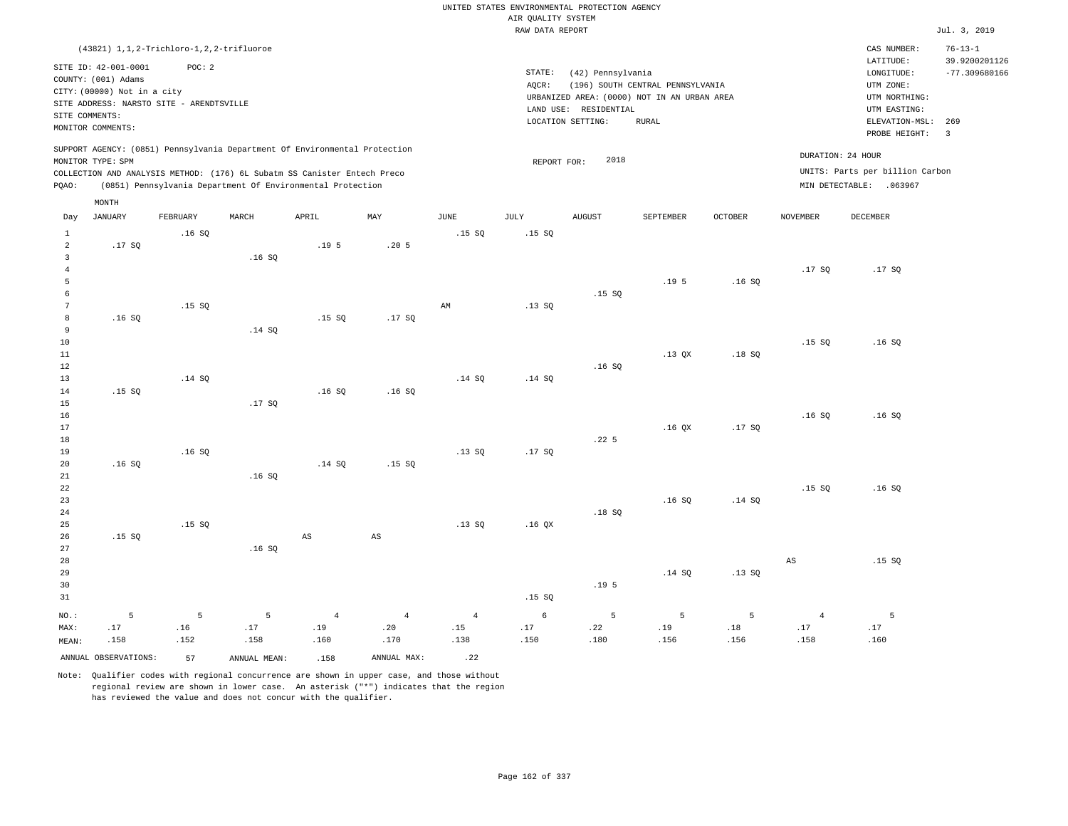RAW DATA REPORT Jul. 3, 2019 UNITED STATES ENVIRONMENTAL PROTECTION AGENCY AIR QUALITY SYSTEM (43821) 1,1,2-Trichloro-1,2,2-trifluoroe STATE: (42) Pennsylvania CAS NUMBER: 76-13-1 SITE ID: 42-001-0001 POC: 2 AQCR: (196) SOUTH CENTRAL PENNSYLVANIA COUNTY: (001) Adams CITY: (00000) Not in a city LONGITUDE: -77.309680166 LATITUDE: 39.9200201126 LOCATION SETTING: RURAL SITE ADDRESS: NARSTO SITE - ARENDTSVILLE LAND USE: RESIDENTIAL SITE COMMENTS: MONITOR COMMENTS: PROBE HEIGHT: 3 ELEVATION-MSL: 269 URBANIZED AREA: (0000) NOT IN AN URBAN AREA **URBAN SERIA UTM NORTHING**: UTM EASTING: UTM ZONE: SUPPORT AGENCY: (0851) Pennsylvania Department Of Environmental Protection MONITOR TYPE: SPM COLLECTION AND ANALYSIS METHOD: (176) 6L Subatm SS Canister Entech Preco REPORT FOR: 2018 UNITS: Parts per billion Carbon PQAO: (0851) Pennsylvania Department Of Environmental Protection DURATION: 24 HOUR MIN DETECTABLE: .063967 1 2 3 4 5 6 7 8 9 10 11 12 13 14 15 16 17 18 19 20 21 22 23 24 25 26 27 28 29 30 31 .17 SQ .16 SQ .15 SQ .16 SQ .15 SQ NO.: MAX: MEAN: 5 .17 .158 .16 SQ .15 SQ .14 SQ .16 SQ .15 SQ .16 SQ .14 SQ .17 SQ .16 SQ .16 SQ .19 5 .15 SQ .16 SQ  $.14$  SQ AS .20 5 .17 SQ .16 SQ .15 SQ AS .15 SQ AM .14 SQ .13 SQ .13 SQ .15 SQ .13 SQ .14 SQ .17 SQ  $.16$   $OX$  .15 SQ .15 SQ .16 SQ .22 5 .18 SQ .19 5 .19 5 .13 QX  $.16 \, \text{OX}$  .16 SQ  $.14$  SQ .16 SQ .18 SQ .17 SQ .14 SQ .13 SQ .17 SQ .15 SQ .16 SQ .15 SQ AS .17 SQ .16 SQ .16 SQ .16 SQ .15 SQ 5 .16 .152 5 .17 .158 4 .19 .160 4 .20 .170 4 .15 .138 6 .17 .150 5 .22 .180 5 .19 .156 5 .18 .156 4 .17 .158 5 .17 .160 ANNUAL OBSERVATIONS:  $57$  ANNUAL MEAN: .158 ANNUAL MAX: .22 Day JANUARY FEBRUARY MARCH APRIL MAY JUNE JULY AUGUST SEPTEMBER OCTOBER NOVEMBER DECEMBER MONTH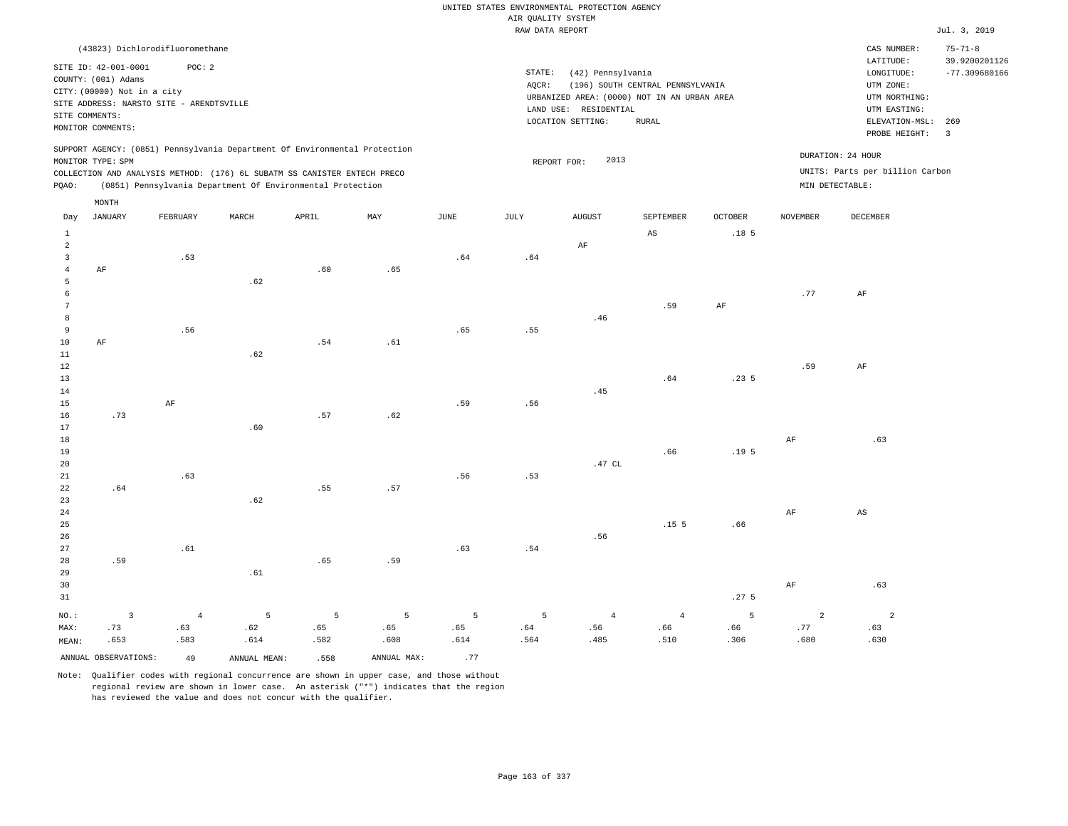|                                           |                                             |                |                                                                            |                |                |               | AIR QUALITY SYSTEM | UNITED STATES ENVIRONMENTAL PROTECTION AGENCY |                                  |                    |                 |                                 |                                |
|-------------------------------------------|---------------------------------------------|----------------|----------------------------------------------------------------------------|----------------|----------------|---------------|--------------------|-----------------------------------------------|----------------------------------|--------------------|-----------------|---------------------------------|--------------------------------|
|                                           |                                             |                |                                                                            |                |                |               | RAW DATA REPORT    |                                               |                                  |                    |                 |                                 | Jul. 3, 2019                   |
|                                           | (43823) Dichlorodifluoromethane             |                |                                                                            |                |                |               |                    |                                               |                                  |                    |                 | CAS NUMBER:<br>LATITUDE:        | $75 - 71 - 8$<br>39.9200201126 |
|                                           | SITE ID: 42-001-0001<br>COUNTY: (001) Adams | POC: 2         |                                                                            |                |                |               | STATE:             | (42) Pennsylvania                             |                                  |                    |                 | LONGITUDE:                      | $-77.309680166$                |
|                                           | CITY: (00000) Not in a city                 |                |                                                                            |                |                |               | AQCR:              |                                               | (196) SOUTH CENTRAL PENNSYLVANIA |                    |                 | UTM ZONE:                       |                                |
|                                           | SITE ADDRESS: NARSTO SITE - ARENDTSVILLE    |                |                                                                            |                |                |               |                    | URBANIZED AREA: (0000) NOT IN AN URBAN AREA   |                                  |                    |                 | UTM NORTHING:<br>UTM EASTING:   |                                |
|                                           | SITE COMMENTS:                              |                |                                                                            |                |                |               |                    | LAND USE: RESIDENTIAL<br>LOCATION SETTING:    | <b>RURAL</b>                     |                    |                 | ELEVATION-MSL:                  | 269                            |
|                                           | MONITOR COMMENTS:                           |                |                                                                            |                |                |               |                    |                                               |                                  |                    |                 | PROBE HEIGHT:                   | $\overline{3}$                 |
|                                           | MONITOR TYPE: SPM                           |                | SUPPORT AGENCY: (0851) Pennsylvania Department Of Environmental Protection |                |                |               |                    | 2013                                          |                                  |                    |                 | DURATION: 24 HOUR               |                                |
|                                           |                                             |                | COLLECTION AND ANALYSIS METHOD: (176) 6L SUBATM SS CANISTER ENTECH PRECO   |                |                |               |                    | REPORT FOR:                                   |                                  |                    |                 | UNITS: Parts per billion Carbon |                                |
| PQAO:                                     |                                             |                | (0851) Pennsylvania Department Of Environmental Protection                 |                |                |               |                    |                                               |                                  |                    | MIN DETECTABLE: |                                 |                                |
|                                           | MONTH                                       |                |                                                                            |                |                |               |                    |                                               |                                  |                    |                 |                                 |                                |
| Day                                       | JANUARY                                     | FEBRUARY       | $\tt MARCH$                                                                | APRIL          | $\mathtt{MAX}$ | $_{\rm JUNE}$ | $\mathtt{JULY}$    | <b>AUGUST</b>                                 | SEPTEMBER                        | $\mathtt{OCTOBER}$ | <b>NOVEMBER</b> | DECEMBER                        |                                |
| $\,1\,$                                   |                                             |                |                                                                            |                |                |               |                    |                                               | $\mathbb{A}\mathbb{S}$           | .18 <sub>5</sub>   |                 |                                 |                                |
| $\overline{a}$<br>$\overline{\mathbf{3}}$ |                                             | .53            |                                                                            |                |                |               |                    | AF                                            |                                  |                    |                 |                                 |                                |
| $\overline{4}$                            | $\rm AF$                                    |                |                                                                            | .60            | .65            | .64           | .64                |                                               |                                  |                    |                 |                                 |                                |
| 5                                         |                                             |                | .62                                                                        |                |                |               |                    |                                               |                                  |                    |                 |                                 |                                |
| 6                                         |                                             |                |                                                                            |                |                |               |                    |                                               |                                  |                    | .77             | AF                              |                                |
| $7\phantom{.0}$                           |                                             |                |                                                                            |                |                |               |                    |                                               | .59                              | $\rm{AF}$          |                 |                                 |                                |
| 8                                         |                                             |                |                                                                            |                |                |               |                    | .46                                           |                                  |                    |                 |                                 |                                |
| 9                                         |                                             | .56            |                                                                            |                |                | .65           | .55                |                                               |                                  |                    |                 |                                 |                                |
| $10$                                      | AF                                          |                |                                                                            | .54            | .61            |               |                    |                                               |                                  |                    |                 |                                 |                                |
| 11                                        |                                             |                | .62                                                                        |                |                |               |                    |                                               |                                  |                    |                 |                                 |                                |
| 12                                        |                                             |                |                                                                            |                |                |               |                    |                                               |                                  |                    | .59             | AF                              |                                |
| 13                                        |                                             |                |                                                                            |                |                |               |                    |                                               | .64                              | .235               |                 |                                 |                                |
| 14                                        |                                             |                |                                                                            |                |                |               |                    | .45                                           |                                  |                    |                 |                                 |                                |
| 15<br>16                                  | .73                                         | AF             |                                                                            | .57            | .62            | .59           | .56                |                                               |                                  |                    |                 |                                 |                                |
| 17                                        |                                             |                | .60                                                                        |                |                |               |                    |                                               |                                  |                    |                 |                                 |                                |
| 18                                        |                                             |                |                                                                            |                |                |               |                    |                                               |                                  |                    | AF              | .63                             |                                |
| 19                                        |                                             |                |                                                                            |                |                |               |                    |                                               | .66                              | .19 <sub>5</sub>   |                 |                                 |                                |
| 20                                        |                                             |                |                                                                            |                |                |               |                    | .47 $CL$                                      |                                  |                    |                 |                                 |                                |
| 21                                        |                                             | .63            |                                                                            |                |                | .56           | .53                |                                               |                                  |                    |                 |                                 |                                |
| 22                                        | .64                                         |                |                                                                            | .55            | .57            |               |                    |                                               |                                  |                    |                 |                                 |                                |
| 23                                        |                                             |                | .62                                                                        |                |                |               |                    |                                               |                                  |                    |                 |                                 |                                |
| 24                                        |                                             |                |                                                                            |                |                |               |                    |                                               |                                  |                    | $\rm{AF}$       | $\mathbb{A}\mathbb{S}$          |                                |
| 25<br>26                                  |                                             |                |                                                                            |                |                |               |                    |                                               | .15 <sub>5</sub>                 | .66                |                 |                                 |                                |
| 27                                        |                                             | .61            |                                                                            |                |                | .63           | .54                | .56                                           |                                  |                    |                 |                                 |                                |
| 28                                        | .59                                         |                |                                                                            | .65            | .59            |               |                    |                                               |                                  |                    |                 |                                 |                                |
| 29                                        |                                             |                | .61                                                                        |                |                |               |                    |                                               |                                  |                    |                 |                                 |                                |
| 30                                        |                                             |                |                                                                            |                |                |               |                    |                                               |                                  |                    | $\rm AF$        | .63                             |                                |
| 31                                        |                                             |                |                                                                            |                |                |               |                    |                                               |                                  | .27 <sub>5</sub>   |                 |                                 |                                |
| NO.:                                      | $\overline{\mathbf{3}}$                     | $\overline{4}$ | 5                                                                          | $\overline{5}$ | $\overline{5}$ | 5             | 5                  | $\overline{4}$                                | $\sqrt{4}$                       | 5                  | $\overline{a}$  | $\overline{a}$                  |                                |
| MAX:                                      | .73                                         | .63            | .62                                                                        | .65            | .65            | .65           | .64                | .56                                           | .66                              | .66                | .77             | .63                             |                                |
| MEAN:                                     | .653                                        | .583           | .614                                                                       | .582           | .608           | .614          | .564               | .485                                          | .510                             | .306               | .680            | .630                            |                                |
|                                           | ANNUAL OBSERVATIONS:                        | 49             | ANNUAL MEAN:                                                               | .558           | ANNUAL MAX:    | .77           |                    |                                               |                                  |                    |                 |                                 |                                |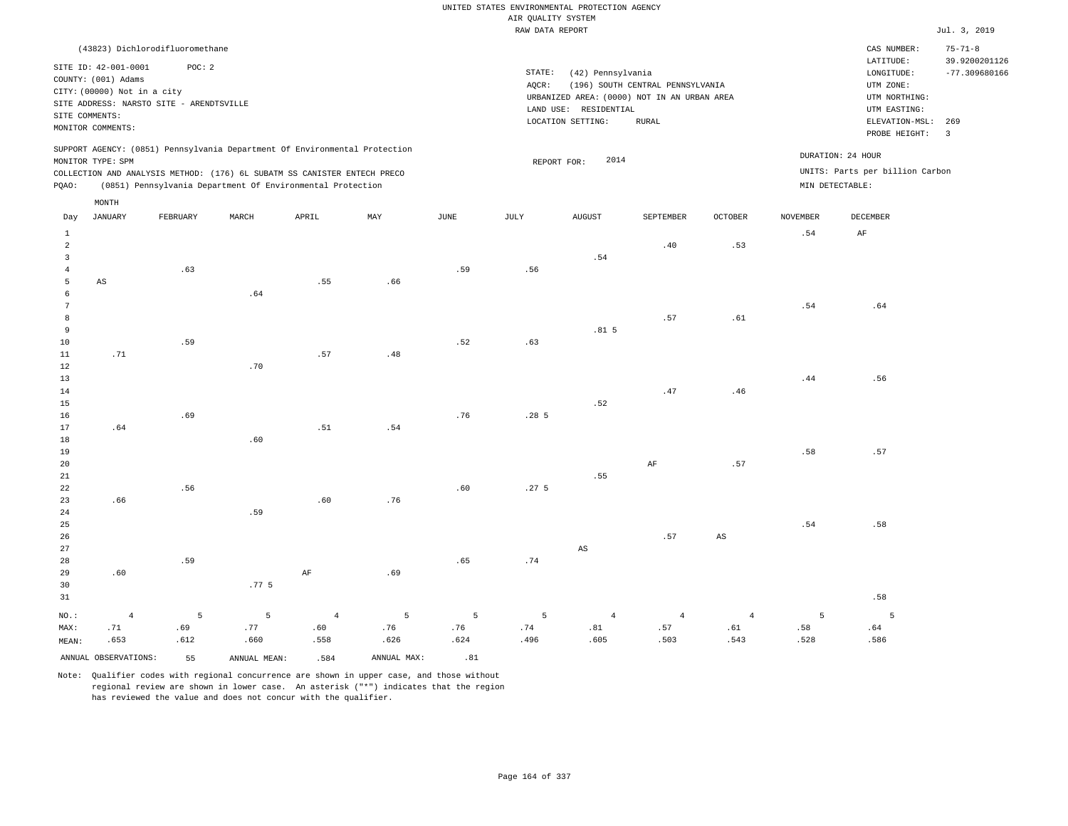UNITED STATES ENVIRONMENTAL PROTECTION AGENCY AIR QUALITY SYSTEM

|                 |                             |                                          |                                                                            |                |             |             | RAW DATA REPORT  |                                             |                                  |                        |                 |                                 | Jul. 3, 2019            |
|-----------------|-----------------------------|------------------------------------------|----------------------------------------------------------------------------|----------------|-------------|-------------|------------------|---------------------------------------------|----------------------------------|------------------------|-----------------|---------------------------------|-------------------------|
|                 |                             | (43823) Dichlorodifluoromethane          |                                                                            |                |             |             |                  |                                             |                                  |                        |                 | CAS NUMBER:                     | $75 - 71 - 8$           |
|                 |                             |                                          |                                                                            |                |             |             |                  |                                             |                                  |                        |                 | LATITUDE:                       | 39.9200201126           |
|                 | SITE ID: 42-001-0001        | POC: 2                                   |                                                                            |                |             |             | STATE:           | (42) Pennsylvania                           |                                  |                        |                 | LONGITUDE:                      | $-77.309680166$         |
|                 | COUNTY: (001) Adams         |                                          |                                                                            |                |             |             | AQCR:            |                                             | (196) SOUTH CENTRAL PENNSYLVANIA |                        |                 | UTM ZONE:                       |                         |
|                 | CITY: (00000) Not in a city |                                          |                                                                            |                |             |             |                  | URBANIZED AREA: (0000) NOT IN AN URBAN AREA |                                  |                        |                 | UTM NORTHING:                   |                         |
|                 |                             | SITE ADDRESS: NARSTO SITE - ARENDTSVILLE |                                                                            |                |             |             |                  | LAND USE: RESIDENTIAL                       |                                  |                        |                 | UTM EASTING:                    |                         |
|                 | SITE COMMENTS:              |                                          |                                                                            |                |             |             |                  | LOCATION SETTING:                           | <b>RURAL</b>                     |                        |                 | ELEVATION-MSL:                  | 269                     |
|                 | MONITOR COMMENTS:           |                                          |                                                                            |                |             |             |                  |                                             |                                  |                        |                 | PROBE HEIGHT:                   | $\overline{\mathbf{3}}$ |
|                 |                             |                                          | SUPPORT AGENCY: (0851) Pennsylvania Department Of Environmental Protection |                |             |             |                  |                                             |                                  |                        |                 | DURATION: 24 HOUR               |                         |
|                 | MONITOR TYPE: SPM           |                                          |                                                                            |                |             |             |                  | 2014<br>REPORT FOR:                         |                                  |                        |                 |                                 |                         |
|                 |                             |                                          | COLLECTION AND ANALYSIS METHOD: (176) 6L SUBATM SS CANISTER ENTECH PRECO   |                |             |             |                  |                                             |                                  |                        |                 | UNITS: Parts per billion Carbon |                         |
| PQAO:           |                             |                                          | (0851) Pennsylvania Department Of Environmental Protection                 |                |             |             |                  |                                             |                                  |                        |                 | MIN DETECTABLE:                 |                         |
|                 | $\texttt{MONTH}$            |                                          |                                                                            |                |             |             |                  |                                             |                                  |                        |                 |                                 |                         |
| Day             | <b>JANUARY</b>              | FEBRUARY                                 | MARCH                                                                      | APRIL          | MAY         | <b>JUNE</b> | JULY             | <b>AUGUST</b>                               | SEPTEMBER                        | <b>OCTOBER</b>         | <b>NOVEMBER</b> | DECEMBER                        |                         |
| $\mathbf{1}$    |                             |                                          |                                                                            |                |             |             |                  |                                             |                                  |                        | .54             | AF                              |                         |
| $\overline{a}$  |                             |                                          |                                                                            |                |             |             |                  |                                             | .40                              | .53                    |                 |                                 |                         |
| $\overline{3}$  |                             |                                          |                                                                            |                |             |             |                  | .54                                         |                                  |                        |                 |                                 |                         |
| $\overline{4}$  |                             | .63                                      |                                                                            |                |             | .59         | .56              |                                             |                                  |                        |                 |                                 |                         |
| 5               | $\mathbb{A}\mathbb{S}$      |                                          |                                                                            | .55            | .66         |             |                  |                                             |                                  |                        |                 |                                 |                         |
| 6               |                             |                                          | .64                                                                        |                |             |             |                  |                                             |                                  |                        |                 |                                 |                         |
| $7\phantom{.0}$ |                             |                                          |                                                                            |                |             |             |                  |                                             |                                  |                        | .54             | .64                             |                         |
| $^{\rm 8}$      |                             |                                          |                                                                            |                |             |             |                  |                                             | .57                              | .61                    |                 |                                 |                         |
| 9               |                             |                                          |                                                                            |                |             |             |                  | .81 <sub>5</sub>                            |                                  |                        |                 |                                 |                         |
| $10$            |                             | .59                                      |                                                                            |                |             | .52         | .63              |                                             |                                  |                        |                 |                                 |                         |
| 11              | .71                         |                                          |                                                                            | .57            | .48         |             |                  |                                             |                                  |                        |                 |                                 |                         |
| 12              |                             |                                          | .70                                                                        |                |             |             |                  |                                             |                                  |                        |                 |                                 |                         |
| 13              |                             |                                          |                                                                            |                |             |             |                  |                                             |                                  |                        | .44             | .56                             |                         |
| 14              |                             |                                          |                                                                            |                |             |             |                  |                                             | .47                              | .46                    |                 |                                 |                         |
| 15              |                             |                                          |                                                                            |                |             |             |                  | .52                                         |                                  |                        |                 |                                 |                         |
| 16              |                             | .69                                      |                                                                            |                |             | .76         | .285             |                                             |                                  |                        |                 |                                 |                         |
| 17              | .64                         |                                          |                                                                            | .51            | .54         |             |                  |                                             |                                  |                        |                 |                                 |                         |
| 18              |                             |                                          | .60                                                                        |                |             |             |                  |                                             |                                  |                        |                 |                                 |                         |
| 19              |                             |                                          |                                                                            |                |             |             |                  |                                             |                                  |                        | .58             | .57                             |                         |
| $20\,$          |                             |                                          |                                                                            |                |             |             |                  |                                             | $\rm{AF}$                        | .57                    |                 |                                 |                         |
| 21              |                             |                                          |                                                                            |                |             |             |                  | .55                                         |                                  |                        |                 |                                 |                         |
| 22              |                             | .56                                      |                                                                            |                |             | .60         | .27 <sub>5</sub> |                                             |                                  |                        |                 |                                 |                         |
| 23              | .66                         |                                          |                                                                            | .60            | .76         |             |                  |                                             |                                  |                        |                 |                                 |                         |
| 24              |                             |                                          | .59                                                                        |                |             |             |                  |                                             |                                  |                        |                 |                                 |                         |
| 25              |                             |                                          |                                                                            |                |             |             |                  |                                             |                                  |                        | .54             | .58                             |                         |
| 26              |                             |                                          |                                                                            |                |             |             |                  |                                             | .57                              | $\mathbb{A}\mathbb{S}$ |                 |                                 |                         |
| 27              |                             |                                          |                                                                            |                |             |             |                  | AS                                          |                                  |                        |                 |                                 |                         |
| 28              |                             | .59                                      |                                                                            |                |             | .65         | .74              |                                             |                                  |                        |                 |                                 |                         |
| 29              | .60                         |                                          |                                                                            | $\rm AF$       | .69         |             |                  |                                             |                                  |                        |                 |                                 |                         |
| 30              |                             |                                          | .77 <sub>5</sub>                                                           |                |             |             |                  |                                             |                                  |                        |                 |                                 |                         |
| 31              |                             |                                          |                                                                            |                |             |             |                  |                                             |                                  |                        |                 | .58                             |                         |
|                 |                             | 5                                        |                                                                            |                |             | 5           |                  |                                             |                                  |                        |                 |                                 |                         |
| NO.:            | $\overline{4}$              |                                          | 5                                                                          | $\overline{4}$ | 5           |             | 5                | $\overline{4}$                              | $\overline{4}$                   | $\overline{4}$         | 5               | $\overline{5}$                  |                         |
| MAX:            | .71                         | .69                                      | .77                                                                        | .60            | .76         | .76         | .74              | .81                                         | .57                              | .61                    | .58             | .64                             |                         |
| MEAN:           | .653                        | .612                                     | .660                                                                       | .558           | .626        | .624        | .496             | .605                                        | .503                             | .543                   | .528            | .586                            |                         |
|                 | ANNUAL OBSERVATIONS:        | 55                                       | ANNUAL MEAN:                                                               | .584           | ANNUAL MAX: | .81         |                  |                                             |                                  |                        |                 |                                 |                         |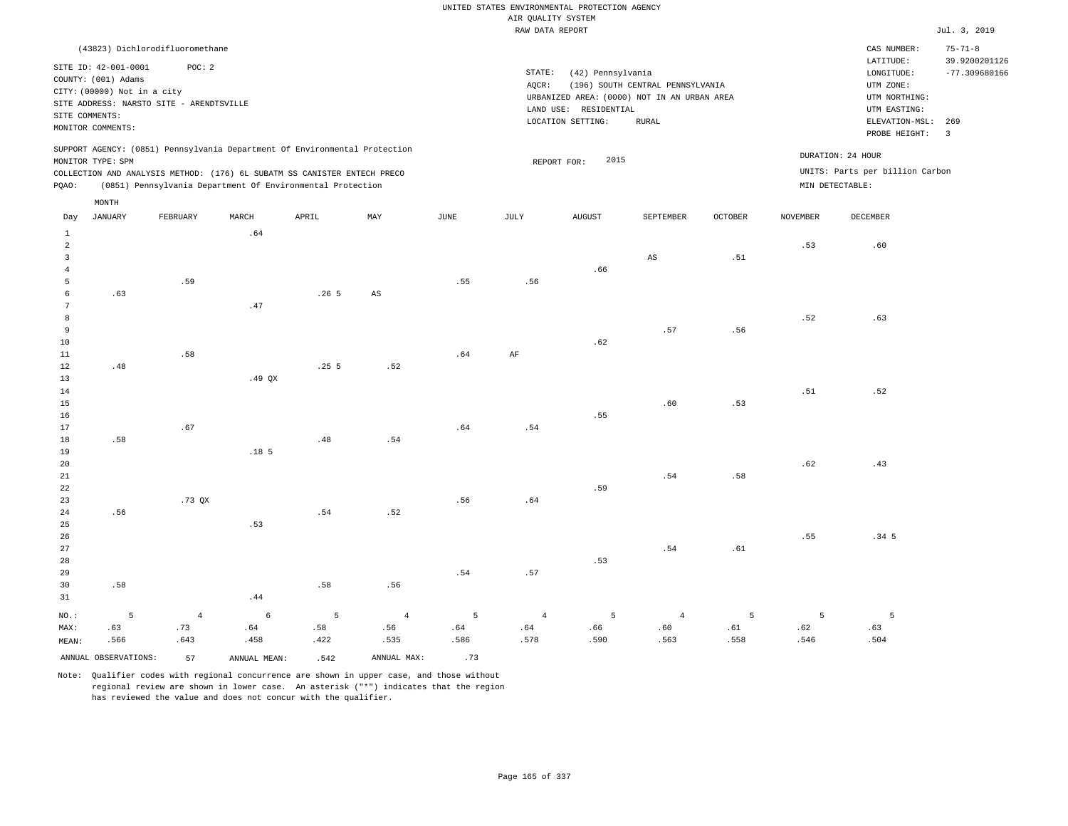UNITED STATES ENVIRONMENTAL PROTECTION AGENCY AIR QUALITY SYSTEM

|          |                             |                                                                            |                   |       |                        |      | RAW DATA REPORT |                       |                                             |                |                 |                                 | Jul. 3, 2019                   |
|----------|-----------------------------|----------------------------------------------------------------------------|-------------------|-------|------------------------|------|-----------------|-----------------------|---------------------------------------------|----------------|-----------------|---------------------------------|--------------------------------|
|          |                             | (43823) Dichlorodifluoromethane                                            |                   |       |                        |      |                 |                       |                                             |                |                 | CAS NUMBER:                     | $75 - 71 - 8$<br>39.9200201126 |
|          | SITE ID: 42-001-0001        | POC: 2                                                                     |                   |       |                        |      | STATE:          | (42) Pennsylvania     |                                             |                |                 | LATITUDE:<br>LONGITUDE:         | $-77.309680166$                |
|          | COUNTY: (001) Adams         |                                                                            |                   |       |                        |      | AOCR:           |                       | (196) SOUTH CENTRAL PENNSYLVANIA            |                |                 | UTM ZONE:                       |                                |
|          | CITY: (00000) Not in a city |                                                                            |                   |       |                        |      |                 |                       | URBANIZED AREA: (0000) NOT IN AN URBAN AREA |                |                 | UTM NORTHING:                   |                                |
|          |                             | SITE ADDRESS: NARSTO SITE - ARENDTSVILLE                                   |                   |       |                        |      |                 | LAND USE: RESIDENTIAL |                                             |                |                 | UTM EASTING:                    |                                |
|          | SITE COMMENTS:              |                                                                            |                   |       |                        |      |                 | LOCATION SETTING:     | <b>RURAL</b>                                |                |                 | ELEVATION-MSL:                  | 269                            |
|          | MONITOR COMMENTS:           |                                                                            |                   |       |                        |      |                 |                       |                                             |                |                 | PROBE HEIGHT: 3                 |                                |
|          |                             | SUPPORT AGENCY: (0851) Pennsylvania Department Of Environmental Protection |                   |       |                        |      |                 |                       |                                             |                |                 |                                 |                                |
|          | MONITOR TYPE: SPM           |                                                                            |                   |       |                        |      |                 | 2015<br>REPORT FOR:   |                                             |                |                 | DURATION: 24 HOUR               |                                |
|          |                             | COLLECTION AND ANALYSIS METHOD: (176) 6L SUBATM SS CANISTER ENTECH PRECO   |                   |       |                        |      |                 |                       |                                             |                |                 | UNITS: Parts per billion Carbon |                                |
| PQAO:    |                             | (0851) Pennsylvania Department Of Environmental Protection                 |                   |       |                        |      |                 |                       |                                             |                |                 | MIN DETECTABLE:                 |                                |
|          | MONTH                       |                                                                            |                   |       |                        |      |                 |                       |                                             |                |                 |                                 |                                |
| Day      | <b>JANUARY</b>              | FEBRUARY                                                                   | MARCH             | APRIL | MAY                    | JUNE | JULY            | <b>AUGUST</b>         | SEPTEMBER                                   | <b>OCTOBER</b> | <b>NOVEMBER</b> | DECEMBER                        |                                |
| 1        |                             |                                                                            | .64               |       |                        |      |                 |                       |                                             |                |                 |                                 |                                |
| 2        |                             |                                                                            |                   |       |                        |      |                 |                       |                                             |                | .53             | .60                             |                                |
| 3        |                             |                                                                            |                   |       |                        |      |                 |                       | $\mathbb{A}\mathbb{S}$                      | .51            |                 |                                 |                                |
|          |                             |                                                                            |                   |       |                        |      |                 | .66                   |                                             |                |                 |                                 |                                |
| 5        |                             | .59                                                                        |                   |       |                        | .55  | .56             |                       |                                             |                |                 |                                 |                                |
| 6        | .63                         |                                                                            |                   | .265  | $\mathbb{A}\mathbb{S}$ |      |                 |                       |                                             |                |                 |                                 |                                |
| 7        |                             |                                                                            | .47               |       |                        |      |                 |                       |                                             |                |                 |                                 |                                |
| 8        |                             |                                                                            |                   |       |                        |      |                 |                       |                                             |                | .52             | .63                             |                                |
| 9        |                             |                                                                            |                   |       |                        |      |                 |                       | .57                                         | .56            |                 |                                 |                                |
| 10       |                             |                                                                            |                   |       |                        |      |                 | .62                   |                                             |                |                 |                                 |                                |
| 11       |                             | .58                                                                        |                   |       |                        | .64  | AF              |                       |                                             |                |                 |                                 |                                |
| 12       | .48                         |                                                                            |                   | .255  | .52                    |      |                 |                       |                                             |                |                 |                                 |                                |
| 13       |                             |                                                                            | .49 <sub>QX</sub> |       |                        |      |                 |                       |                                             |                |                 |                                 |                                |
| 14       |                             |                                                                            |                   |       |                        |      |                 |                       | .60                                         |                | .51             | .52                             |                                |
| 15<br>16 |                             |                                                                            |                   |       |                        |      |                 | .55                   |                                             | .53            |                 |                                 |                                |
| 17       |                             | .67                                                                        |                   |       |                        | .64  | .54             |                       |                                             |                |                 |                                 |                                |
| 18       | .58                         |                                                                            |                   | .48   | .54                    |      |                 |                       |                                             |                |                 |                                 |                                |
|          |                             |                                                                            |                   |       |                        |      |                 |                       |                                             |                |                 |                                 |                                |

19 20 21 22 23 24 .56 .73 QX .18 5 .54 .52 .56 .64 .59 .54 .58 .62 .43

25 26 27 28 29 30 31 .58 NO.: 5 .53 .44 .58 .56 .54 .57 .53 .54 .61 .55 .34 5 4 6 5 4 5 4 5 4 5 5 5

MAX: MEAN: .63 .566 .73 .643 .64 .458 .58 .422 .56 .535 .64 .586 .64 .578 .66 .590 .60 .563 .61 .558 .62 .546 .63 .504 ANNUAL OBSERVATIONS:  $57$  ANNUAL MEAN: .542 ANNUAL MAX: .73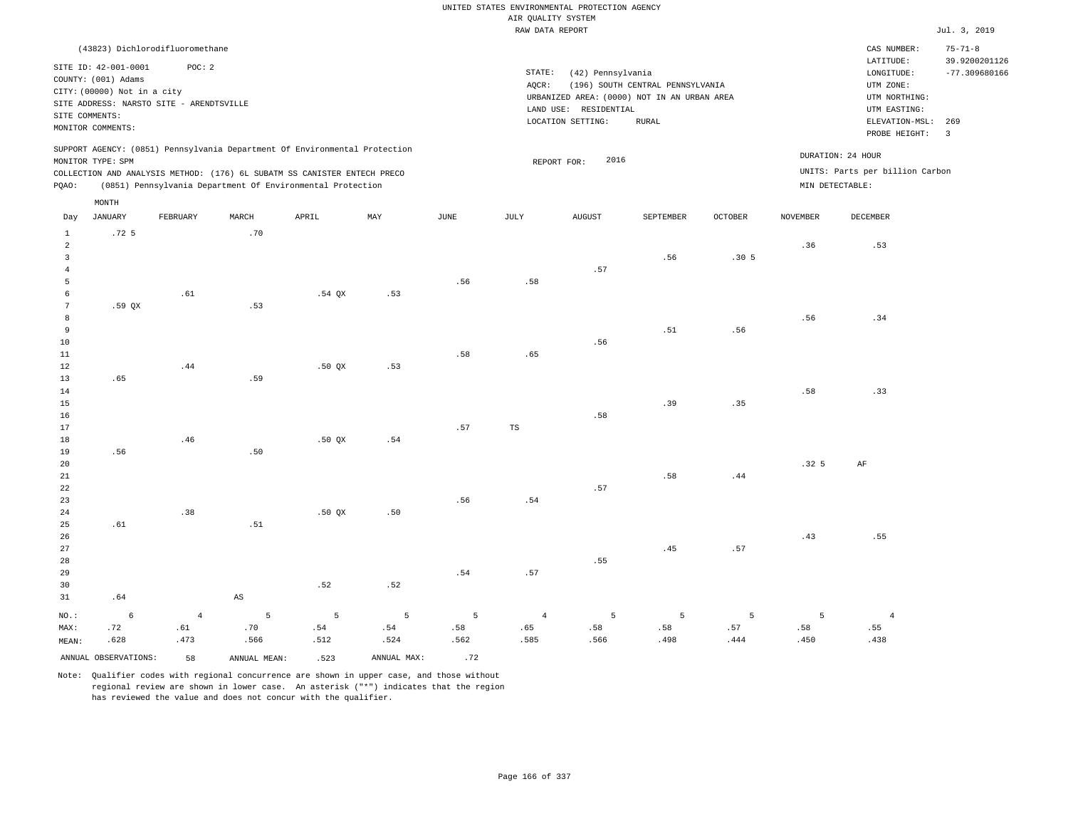RAW DATA REPORT Jul. 3, 2019 UNITED STATES ENVIRONMENTAL PROTECTION AGENCY AIR QUALITY SYSTEM

| (43823) Dichlorodifluoromethane                                                                                                                                             |                                                                                                                                                                                   | CAS NUMBER:                                                                                                  | $75 - 71 - 8$                    |
|-----------------------------------------------------------------------------------------------------------------------------------------------------------------------------|-----------------------------------------------------------------------------------------------------------------------------------------------------------------------------------|--------------------------------------------------------------------------------------------------------------|----------------------------------|
| SITE ID: 42-001-0001<br>POC:2<br>COUNTY: (001) Adams<br>CITY: (00000) Not in a city<br>SITE ADDRESS: NARSTO SITE - ARENDTSVILLE<br>SITE COMMENTS:<br>MONITOR COMMENTS:      | STATE:<br>(42) Pennsylvania<br>(196) SOUTH CENTRAL PENNSYLVANIA<br>AOCR:<br>URBANIZED AREA: (0000) NOT IN AN URBAN AREA<br>RESIDENTIAL<br>LAND USE:<br>LOCATION SETTING:<br>RURAL | LATITUDE:<br>LONGITUDE:<br>UTM ZONE:<br>UTM NORTHING:<br>UTM EASTING:<br>ELEVATION-MSL: 269<br>PROBE HEIGHT: | 39.9200201126<br>$-77.309680166$ |
| SUPPORT AGENCY: (0851) Pennsylvania Department Of Environmental Protection<br>MONITOR TYPE: SPM<br>COLLECTION AND ANALYSIS METHOD: (176) 6L SUBATM SS CANISTER ENTECH PRECO | 2016<br>REPORT FOR:                                                                                                                                                               | DURATION: 24 HOUR<br>UNITS: Parts per billion Carbon                                                         |                                  |

PQAO: (0851) Pennsylvania Department Of Environmental Protection MIN DETECTABLE:

|                 | MONTH                |                |                        |        |             |      |                |               |           |                  |                  |                |
|-----------------|----------------------|----------------|------------------------|--------|-------------|------|----------------|---------------|-----------|------------------|------------------|----------------|
| Day             | <b>JANUARY</b>       | FEBRUARY       | MARCH                  | APRIL  | MAY         | JUNE | JULY           | <b>AUGUST</b> | SEPTEMBER | <b>OCTOBER</b>   | <b>NOVEMBER</b>  | DECEMBER       |
| $\mathbf{1}$    | .72 <sub>5</sub>     |                | .70                    |        |             |      |                |               |           |                  |                  |                |
| $\overline{a}$  |                      |                |                        |        |             |      |                |               |           |                  | .36              | .53            |
| $\overline{3}$  |                      |                |                        |        |             |      |                |               | .56       | .30 <sub>5</sub> |                  |                |
| $\overline{4}$  |                      |                |                        |        |             |      |                | .57           |           |                  |                  |                |
| 5               |                      |                |                        |        |             | .56  | .58            |               |           |                  |                  |                |
| 6               |                      | .61            |                        | .54 QX | .53         |      |                |               |           |                  |                  |                |
| $7\phantom{.0}$ | .59 QX               |                | .53                    |        |             |      |                |               |           |                  |                  |                |
| 8               |                      |                |                        |        |             |      |                |               |           |                  | .56              | .34            |
| 9               |                      |                |                        |        |             |      |                |               | .51       | .56              |                  |                |
| $10$            |                      |                |                        |        |             |      |                | .56           |           |                  |                  |                |
| $11\,$          |                      |                |                        |        |             | .58  | .65            |               |           |                  |                  |                |
| 12              |                      | .44            |                        | .50QX  | .53         |      |                |               |           |                  |                  |                |
| 13              | .65                  |                | .59                    |        |             |      |                |               |           |                  |                  |                |
| 14              |                      |                |                        |        |             |      |                |               |           |                  | .58              | .33            |
| 15              |                      |                |                        |        |             |      |                |               | .39       | .35              |                  |                |
| 16<br>17        |                      |                |                        |        |             | .57  |                | .58           |           |                  |                  |                |
| 18              |                      | .46            |                        | .50QX  | .54         |      | $_{\rm TS}$    |               |           |                  |                  |                |
| 19              | .56                  |                | .50                    |        |             |      |                |               |           |                  |                  |                |
| 20              |                      |                |                        |        |             |      |                |               |           |                  | .32 <sub>5</sub> | $\rm{AF}$      |
| $2\sqrt{1}$     |                      |                |                        |        |             |      |                |               | .58       | .44              |                  |                |
| $2\sqrt{2}$     |                      |                |                        |        |             |      |                | .57           |           |                  |                  |                |
| 23              |                      |                |                        |        |             | .56  | .54            |               |           |                  |                  |                |
| 24              |                      | .38            |                        | .50QX  | .50         |      |                |               |           |                  |                  |                |
| 25              | .61                  |                | .51                    |        |             |      |                |               |           |                  |                  |                |
| 26              |                      |                |                        |        |             |      |                |               |           |                  | .43              | .55            |
| 27              |                      |                |                        |        |             |      |                |               | .45       | .57              |                  |                |
| 28              |                      |                |                        |        |             |      |                | .55           |           |                  |                  |                |
| 29              |                      |                |                        |        |             | .54  | .57            |               |           |                  |                  |                |
| 30              |                      |                |                        | .52    | .52         |      |                |               |           |                  |                  |                |
| 31              | .64                  |                | $\mathbb{A}\mathbb{S}$ |        |             |      |                |               |           |                  |                  |                |
| $NO.$ :         | $6\overline{6}$      | $\overline{4}$ | 5                      | 5      | 5           | 5    | $\overline{4}$ | 5             | 5         | 5                | 5                | $\overline{4}$ |
| MAX:            | .72                  | .61            | .70                    | .54    | .54         | .58  | .65            | .58           | .58       | .57              | .58              | .55            |
| MEAN:           | .628                 | .473           | .566                   | .512   | .524        | .562 | .585           | .566          | .498      | .444             | .450             | .438           |
|                 | ANNUAL OBSERVATIONS: | 58             | ANNUAL MEAN:           | .523   | ANNUAL MAX: | .72  |                |               |           |                  |                  |                |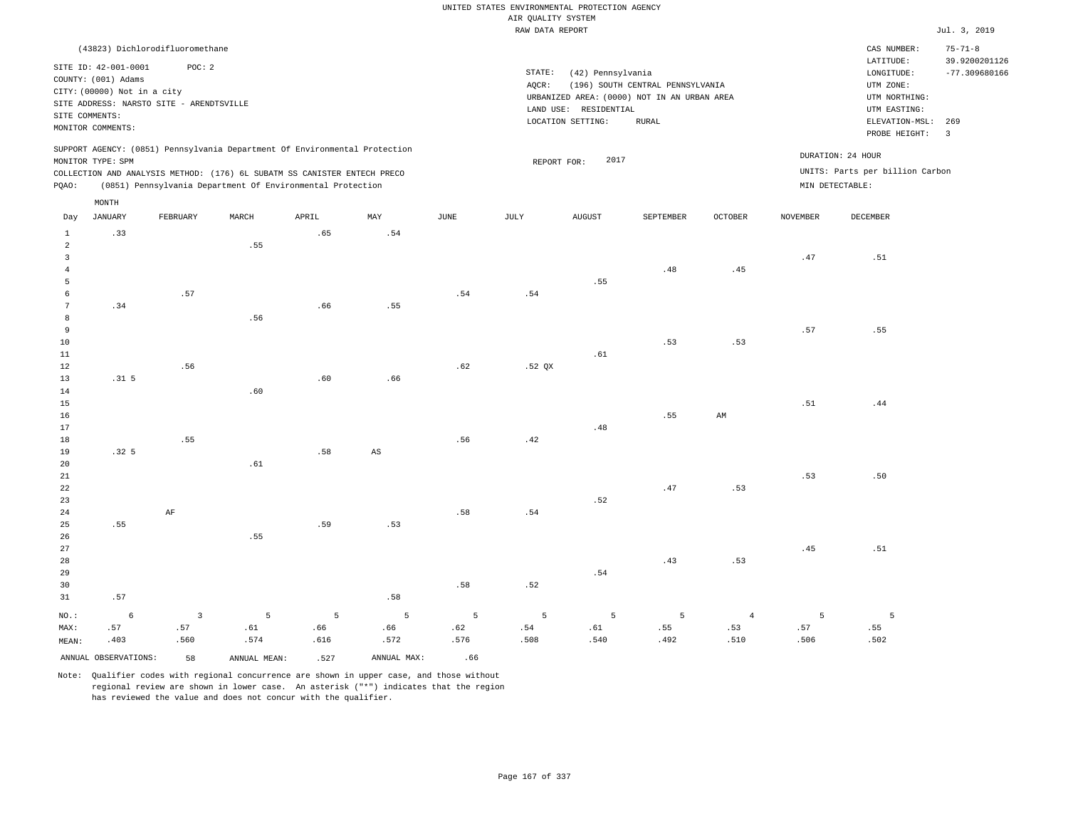|                                           |                                                    |                         |              |                                                                            |             |                       | UNITED STATES ENVIRONMENTAL PROTECTION AGENCY |                       |                                             |                |                           |                                    |                                |
|-------------------------------------------|----------------------------------------------------|-------------------------|--------------|----------------------------------------------------------------------------|-------------|-----------------------|-----------------------------------------------|-----------------------|---------------------------------------------|----------------|---------------------------|------------------------------------|--------------------------------|
|                                           |                                                    |                         |              |                                                                            |             |                       | AIR QUALITY SYSTEM                            |                       |                                             |                |                           |                                    |                                |
|                                           |                                                    |                         |              |                                                                            |             |                       | RAW DATA REPORT                               |                       |                                             |                |                           |                                    | Jul. 3, 2019                   |
|                                           | (43823) Dichlorodifluoromethane                    |                         |              |                                                                            |             |                       |                                               |                       |                                             |                |                           | CAS NUMBER:<br>$_{\rm LATITUDE}$ : | $75 - 71 - 8$<br>39.9200201126 |
|                                           | SITE ID: 42-001-0001                               | POC: 2                  |              |                                                                            |             |                       | STATE:                                        | (42) Pennsylvania     |                                             |                |                           | LONGITUDE:                         | $-77.309680166$                |
|                                           | COUNTY: (001) Adams<br>CITY: (00000) Not in a city |                         |              |                                                                            |             |                       | AQCR:                                         |                       | (196) SOUTH CENTRAL PENNSYLVANIA            |                |                           | UTM ZONE:                          |                                |
|                                           | SITE ADDRESS: NARSTO SITE - ARENDTSVILLE           |                         |              |                                                                            |             |                       |                                               |                       | URBANIZED AREA: (0000) NOT IN AN URBAN AREA |                |                           | UTM NORTHING:                      |                                |
|                                           | SITE COMMENTS:                                     |                         |              |                                                                            |             |                       |                                               | LAND USE: RESIDENTIAL |                                             |                |                           | UTM EASTING:                       |                                |
|                                           | MONITOR COMMENTS:                                  |                         |              |                                                                            |             |                       |                                               | LOCATION SETTING:     | <b>RURAL</b>                                |                |                           | ELEVATION-MSL:<br>PROBE HEIGHT:    | 269<br>$\overline{3}$          |
|                                           | MONITOR TYPE: SPM                                  |                         |              | SUPPORT AGENCY: (0851) Pennsylvania Department Of Environmental Protection |             |                       | REPORT FOR:                                   | 2017                  |                                             |                | DURATION: 24 HOUR         |                                    |                                |
|                                           |                                                    |                         |              | COLLECTION AND ANALYSIS METHOD: (176) 6L SUBATM SS CANISTER ENTECH PRECO   |             |                       |                                               |                       |                                             |                |                           | UNITS: Parts per billion Carbon    |                                |
| PQAO:                                     |                                                    |                         |              | (0851) Pennsylvania Department Of Environmental Protection                 |             |                       |                                               |                       |                                             |                | $\verb+MIN DETERCTABLE+:$ |                                    |                                |
|                                           | $\texttt{MONTH}$                                   |                         |              |                                                                            |             |                       |                                               |                       |                                             |                |                           |                                    |                                |
| Day                                       | <b>JANUARY</b>                                     | FEBRUARY                | MARCH        | APRIL                                                                      | MAX         | $\operatorname{JUNE}$ | JULY                                          | <b>AUGUST</b>         | SEPTEMBER                                   | <b>OCTOBER</b> | <b>NOVEMBER</b>           | DECEMBER                           |                                |
| $\mathbf{1}$                              | .33                                                |                         |              | .65                                                                        | .54         |                       |                                               |                       |                                             |                |                           |                                    |                                |
| $\overline{a}$                            |                                                    |                         | .55          |                                                                            |             |                       |                                               |                       |                                             |                |                           |                                    |                                |
| $\overline{\mathbf{3}}$<br>$\overline{4}$ |                                                    |                         |              |                                                                            |             |                       |                                               |                       | .48                                         | .45            | .47                       | .51                                |                                |
| 5                                         |                                                    |                         |              |                                                                            |             |                       |                                               | .55                   |                                             |                |                           |                                    |                                |
| 6                                         |                                                    | .57                     |              |                                                                            |             | .54                   | .54                                           |                       |                                             |                |                           |                                    |                                |
| $\overline{7}$                            | .34                                                |                         |              | .66                                                                        | .55         |                       |                                               |                       |                                             |                |                           |                                    |                                |
| 8                                         |                                                    |                         | .56          |                                                                            |             |                       |                                               |                       |                                             |                |                           |                                    |                                |
| $\overline{9}$                            |                                                    |                         |              |                                                                            |             |                       |                                               |                       |                                             |                | .57                       | .55                                |                                |
| 10                                        |                                                    |                         |              |                                                                            |             |                       |                                               |                       | .53                                         | .53            |                           |                                    |                                |
| $11\,$                                    |                                                    |                         |              |                                                                            |             |                       |                                               | .61                   |                                             |                |                           |                                    |                                |
| 12<br>13                                  | .31 <sub>5</sub>                                   | .56                     |              | .60                                                                        |             | .62                   | .52 QX                                        |                       |                                             |                |                           |                                    |                                |
| 14                                        |                                                    |                         | .60          |                                                                            | .66         |                       |                                               |                       |                                             |                |                           |                                    |                                |
| 15                                        |                                                    |                         |              |                                                                            |             |                       |                                               |                       |                                             |                | .51                       | .44                                |                                |
| 16                                        |                                                    |                         |              |                                                                            |             |                       |                                               |                       | .55                                         | AM             |                           |                                    |                                |
| 17                                        |                                                    |                         |              |                                                                            |             |                       |                                               | .48                   |                                             |                |                           |                                    |                                |
| 18                                        |                                                    | .55                     |              |                                                                            |             | .56                   | .42                                           |                       |                                             |                |                           |                                    |                                |
| 19                                        | .32 <sub>5</sub>                                   |                         |              | .58                                                                        | AS          |                       |                                               |                       |                                             |                |                           |                                    |                                |
| 20                                        |                                                    |                         | .61          |                                                                            |             |                       |                                               |                       |                                             |                |                           |                                    |                                |
| 21                                        |                                                    |                         |              |                                                                            |             |                       |                                               |                       |                                             |                | .53                       | .50                                |                                |
| 22<br>23                                  |                                                    |                         |              |                                                                            |             |                       |                                               | .52                   | .47                                         | .53            |                           |                                    |                                |
| 24                                        |                                                    | $\rm AF$                |              |                                                                            |             | .58                   | .54                                           |                       |                                             |                |                           |                                    |                                |
| 25                                        | .55                                                |                         |              | .59                                                                        | .53         |                       |                                               |                       |                                             |                |                           |                                    |                                |
| 26                                        |                                                    |                         | .55          |                                                                            |             |                       |                                               |                       |                                             |                |                           |                                    |                                |
| 27                                        |                                                    |                         |              |                                                                            |             |                       |                                               |                       |                                             |                | .45                       | .51                                |                                |
| 28                                        |                                                    |                         |              |                                                                            |             |                       |                                               |                       | .43                                         | .53            |                           |                                    |                                |
| 29                                        |                                                    |                         |              |                                                                            |             |                       |                                               | .54                   |                                             |                |                           |                                    |                                |
| 30                                        |                                                    |                         |              |                                                                            |             | .58                   | .52                                           |                       |                                             |                |                           |                                    |                                |
| 31                                        | .57                                                |                         |              |                                                                            | .58         |                       |                                               |                       |                                             |                |                           |                                    |                                |
| NO.:                                      | 6                                                  | $\overline{\mathbf{3}}$ | 5            | 5                                                                          | 5           | $5\overline{5}$       | 5                                             | 5                     | $\overline{5}$                              | $\overline{4}$ | 5                         | 5                                  |                                |
| MAX:                                      | .57                                                | .57                     | .61          | .66                                                                        | .66         | .62                   | .54                                           | .61                   | .55                                         | .53            | .57                       | .55                                |                                |
| MEAN:                                     | .403                                               | .560                    | .574         | .616                                                                       | .572        | .576                  | .508                                          | .540                  | .492                                        | .510           | .506                      | .502                               |                                |
|                                           | ANNUAL OBSERVATIONS:                               | 58                      | ANNUAL MEAN: | .527                                                                       | ANNUAL MAX: | .66                   |                                               |                       |                                             |                |                           |                                    |                                |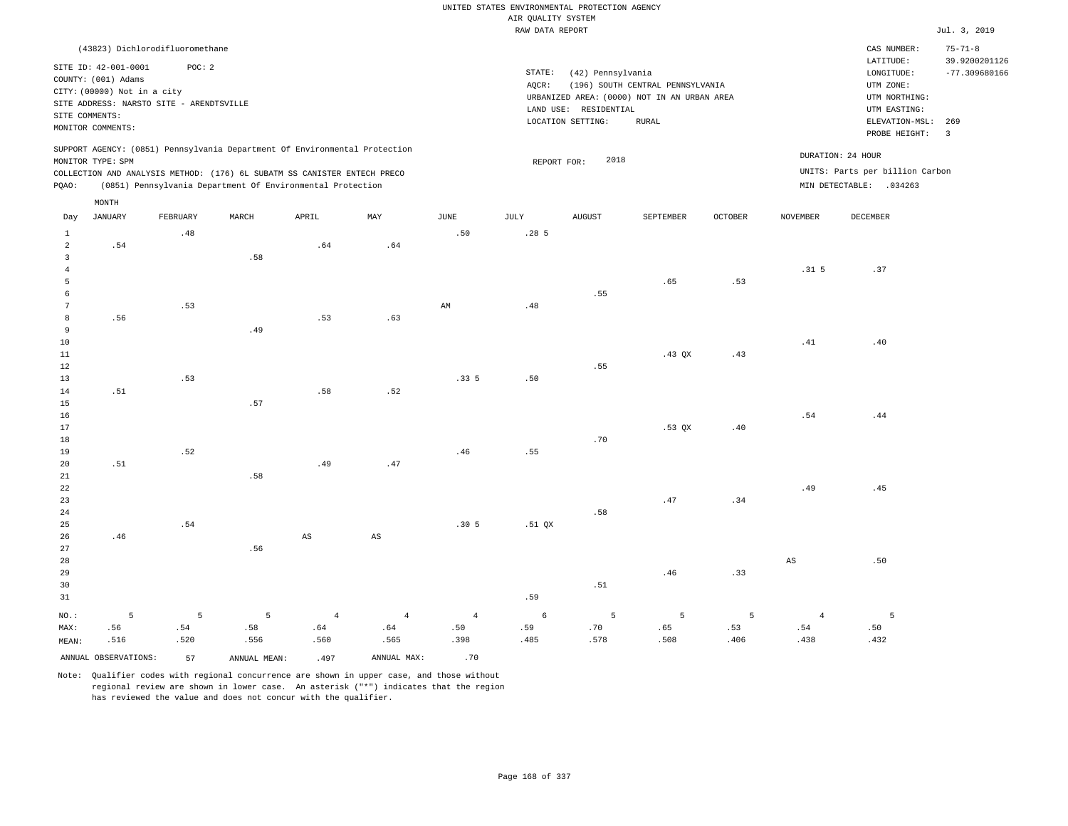|                         |                                                                                                                                                           |          |                                                                                                                                                                                                                      |                        |                        |                | UNITED STATES ENVIRONMENTAL PROTECTION AGENCY |                       |                                                                                 |                |                        |                                                                                 |                                                   |
|-------------------------|-----------------------------------------------------------------------------------------------------------------------------------------------------------|----------|----------------------------------------------------------------------------------------------------------------------------------------------------------------------------------------------------------------------|------------------------|------------------------|----------------|-----------------------------------------------|-----------------------|---------------------------------------------------------------------------------|----------------|------------------------|---------------------------------------------------------------------------------|---------------------------------------------------|
|                         |                                                                                                                                                           |          |                                                                                                                                                                                                                      |                        |                        |                | AIR QUALITY SYSTEM                            |                       |                                                                                 |                |                        |                                                                                 |                                                   |
|                         |                                                                                                                                                           |          |                                                                                                                                                                                                                      |                        |                        |                | RAW DATA REPORT                               |                       |                                                                                 |                |                        |                                                                                 | Jul. 3, 2019                                      |
|                         | (43823) Dichlorodifluoromethane<br>SITE ID: 42-001-0001<br>COUNTY: (001) Adams<br>CITY: (00000) Not in a city<br>SITE ADDRESS: NARSTO SITE - ARENDTSVILLE | POC: 2   |                                                                                                                                                                                                                      |                        |                        |                | STATE:<br>AQCR:                               | (42) Pennsylvania     | (196) SOUTH CENTRAL PENNSYLVANIA<br>URBANIZED AREA: (0000) NOT IN AN URBAN AREA |                |                        | CAS NUMBER:<br>LATITUDE:<br>LONGITUDE:<br>UTM ZONE:<br>UTM NORTHING:            | $75 - 71 - 8$<br>39.9200201126<br>$-77.309680166$ |
|                         | SITE COMMENTS:                                                                                                                                            |          |                                                                                                                                                                                                                      |                        |                        |                |                                               | LAND USE: RESIDENTIAL |                                                                                 |                |                        | UTM EASTING:                                                                    |                                                   |
|                         | MONITOR COMMENTS:                                                                                                                                         |          |                                                                                                                                                                                                                      |                        |                        |                |                                               | LOCATION SETTING:     | <b>RURAL</b>                                                                    |                |                        | ELEVATION-MSL:<br>PROBE HEIGHT:                                                 | 269<br>$\overline{\mathbf{3}}$                    |
| PQAO:                   | MONITOR TYPE: SPM                                                                                                                                         |          | SUPPORT AGENCY: (0851) Pennsylvania Department Of Environmental Protection<br>COLLECTION AND ANALYSIS METHOD: (176) 6L SUBATM SS CANISTER ENTECH PRECO<br>(0851) Pennsylvania Department Of Environmental Protection |                        |                        |                | REPORT FOR:                                   | 2018                  |                                                                                 |                |                        | DURATION: 24 HOUR<br>UNITS: Parts per billion Carbon<br>MIN DETECTABLE: .034263 |                                                   |
|                         | MONTH                                                                                                                                                     |          |                                                                                                                                                                                                                      |                        |                        |                |                                               |                       |                                                                                 |                |                        |                                                                                 |                                                   |
| Day                     | <b>JANUARY</b>                                                                                                                                            | FEBRUARY | MARCH                                                                                                                                                                                                                | APRIL                  | MAY                    | $_{\rm JUNE}$  | <b>JULY</b>                                   | <b>AUGUST</b>         | SEPTEMBER                                                                       | <b>OCTOBER</b> | <b>NOVEMBER</b>        | DECEMBER                                                                        |                                                   |
| $\mathbf{1}$            |                                                                                                                                                           | .48      |                                                                                                                                                                                                                      |                        |                        | .50            | .285                                          |                       |                                                                                 |                |                        |                                                                                 |                                                   |
| $\overline{2}$          | .54                                                                                                                                                       |          |                                                                                                                                                                                                                      | .64                    | .64                    |                |                                               |                       |                                                                                 |                |                        |                                                                                 |                                                   |
| $\overline{\mathbf{3}}$ |                                                                                                                                                           |          | .58                                                                                                                                                                                                                  |                        |                        |                |                                               |                       |                                                                                 |                |                        |                                                                                 |                                                   |
| $\overline{4}$          |                                                                                                                                                           |          |                                                                                                                                                                                                                      |                        |                        |                |                                               |                       |                                                                                 |                | .31 <sub>5</sub>       | .37                                                                             |                                                   |
| $\overline{5}$          |                                                                                                                                                           |          |                                                                                                                                                                                                                      |                        |                        |                |                                               |                       | .65                                                                             | .53            |                        |                                                                                 |                                                   |
| 6                       |                                                                                                                                                           |          |                                                                                                                                                                                                                      |                        |                        |                |                                               | .55                   |                                                                                 |                |                        |                                                                                 |                                                   |
| $7\phantom{.0}$         |                                                                                                                                                           | .53      |                                                                                                                                                                                                                      |                        |                        | AM             | .48                                           |                       |                                                                                 |                |                        |                                                                                 |                                                   |
| 8                       | .56                                                                                                                                                       |          |                                                                                                                                                                                                                      | .53                    | .63                    |                |                                               |                       |                                                                                 |                |                        |                                                                                 |                                                   |
| 9                       |                                                                                                                                                           |          | .49                                                                                                                                                                                                                  |                        |                        |                |                                               |                       |                                                                                 |                |                        |                                                                                 |                                                   |
| 10                      |                                                                                                                                                           |          |                                                                                                                                                                                                                      |                        |                        |                |                                               |                       |                                                                                 |                | .41                    | .40                                                                             |                                                   |
| $11\,$                  |                                                                                                                                                           |          |                                                                                                                                                                                                                      |                        |                        |                |                                               |                       | .43 QX                                                                          | .43            |                        |                                                                                 |                                                   |
| $1\,2$                  |                                                                                                                                                           |          |                                                                                                                                                                                                                      |                        |                        |                |                                               | .55                   |                                                                                 |                |                        |                                                                                 |                                                   |
| 13                      |                                                                                                                                                           | .53      |                                                                                                                                                                                                                      |                        |                        | .335           | .50                                           |                       |                                                                                 |                |                        |                                                                                 |                                                   |
| 14                      | .51                                                                                                                                                       |          | .57                                                                                                                                                                                                                  | .58                    | .52                    |                |                                               |                       |                                                                                 |                |                        |                                                                                 |                                                   |
| 15<br>16                |                                                                                                                                                           |          |                                                                                                                                                                                                                      |                        |                        |                |                                               |                       |                                                                                 |                | .54                    | .44                                                                             |                                                   |
| 17                      |                                                                                                                                                           |          |                                                                                                                                                                                                                      |                        |                        |                |                                               |                       | $.53$ $OX$                                                                      | .40            |                        |                                                                                 |                                                   |
| 18                      |                                                                                                                                                           |          |                                                                                                                                                                                                                      |                        |                        |                |                                               | .70                   |                                                                                 |                |                        |                                                                                 |                                                   |
| 19                      |                                                                                                                                                           | .52      |                                                                                                                                                                                                                      |                        |                        | .46            | .55                                           |                       |                                                                                 |                |                        |                                                                                 |                                                   |
| 20                      | .51                                                                                                                                                       |          |                                                                                                                                                                                                                      | .49                    | .47                    |                |                                               |                       |                                                                                 |                |                        |                                                                                 |                                                   |
| 21                      |                                                                                                                                                           |          | .58                                                                                                                                                                                                                  |                        |                        |                |                                               |                       |                                                                                 |                |                        |                                                                                 |                                                   |
| 22                      |                                                                                                                                                           |          |                                                                                                                                                                                                                      |                        |                        |                |                                               |                       |                                                                                 |                | .49                    | .45                                                                             |                                                   |
| 23                      |                                                                                                                                                           |          |                                                                                                                                                                                                                      |                        |                        |                |                                               |                       | .47                                                                             | .34            |                        |                                                                                 |                                                   |
| 24                      |                                                                                                                                                           |          |                                                                                                                                                                                                                      |                        |                        |                |                                               | .58                   |                                                                                 |                |                        |                                                                                 |                                                   |
| 25                      |                                                                                                                                                           | .54      |                                                                                                                                                                                                                      |                        |                        | .305           | $.51$ QX                                      |                       |                                                                                 |                |                        |                                                                                 |                                                   |
| 26                      | .46                                                                                                                                                       |          |                                                                                                                                                                                                                      | $\mathbb{A}\mathbb{S}$ | $\mathbb{A}\mathbb{S}$ |                |                                               |                       |                                                                                 |                |                        |                                                                                 |                                                   |
| 27                      |                                                                                                                                                           |          | .56                                                                                                                                                                                                                  |                        |                        |                |                                               |                       |                                                                                 |                |                        |                                                                                 |                                                   |
| 28                      |                                                                                                                                                           |          |                                                                                                                                                                                                                      |                        |                        |                |                                               |                       |                                                                                 |                | $\mathbb{A}\mathbb{S}$ | .50                                                                             |                                                   |
| 29                      |                                                                                                                                                           |          |                                                                                                                                                                                                                      |                        |                        |                |                                               |                       | .46                                                                             | .33            |                        |                                                                                 |                                                   |
| 30                      |                                                                                                                                                           |          |                                                                                                                                                                                                                      |                        |                        |                |                                               | .51                   |                                                                                 |                |                        |                                                                                 |                                                   |
| 31                      |                                                                                                                                                           |          |                                                                                                                                                                                                                      |                        |                        |                | .59                                           |                       |                                                                                 |                |                        |                                                                                 |                                                   |
| NO.:                    | 5                                                                                                                                                         | 5        | 5                                                                                                                                                                                                                    | $\overline{4}$         | $\overline{4}$         | $\overline{4}$ | $\epsilon$                                    | 5                     | 5                                                                               | 5              | $\overline{4}$         | 5                                                                               |                                                   |
| MAX:                    | .56                                                                                                                                                       | .54      | .58                                                                                                                                                                                                                  | .64                    | .64                    | .50            | .59                                           | .70                   | .65                                                                             | .53            | .54                    | .50                                                                             |                                                   |
| MEAN:                   | .516                                                                                                                                                      | .520     | .556                                                                                                                                                                                                                 | .560                   | .565                   | .398           | .485                                          | .578                  | .508                                                                            | .406           | .438                   | .432                                                                            |                                                   |
|                         | ANNUAL OBSERVATIONS:                                                                                                                                      | 57       | ANNUAL MEAN:                                                                                                                                                                                                         | .497                   | ANNUAL MAX:            | .70            |                                               |                       |                                                                                 |                |                        |                                                                                 |                                                   |
|                         |                                                                                                                                                           |          |                                                                                                                                                                                                                      |                        |                        |                |                                               |                       |                                                                                 |                |                        |                                                                                 |                                                   |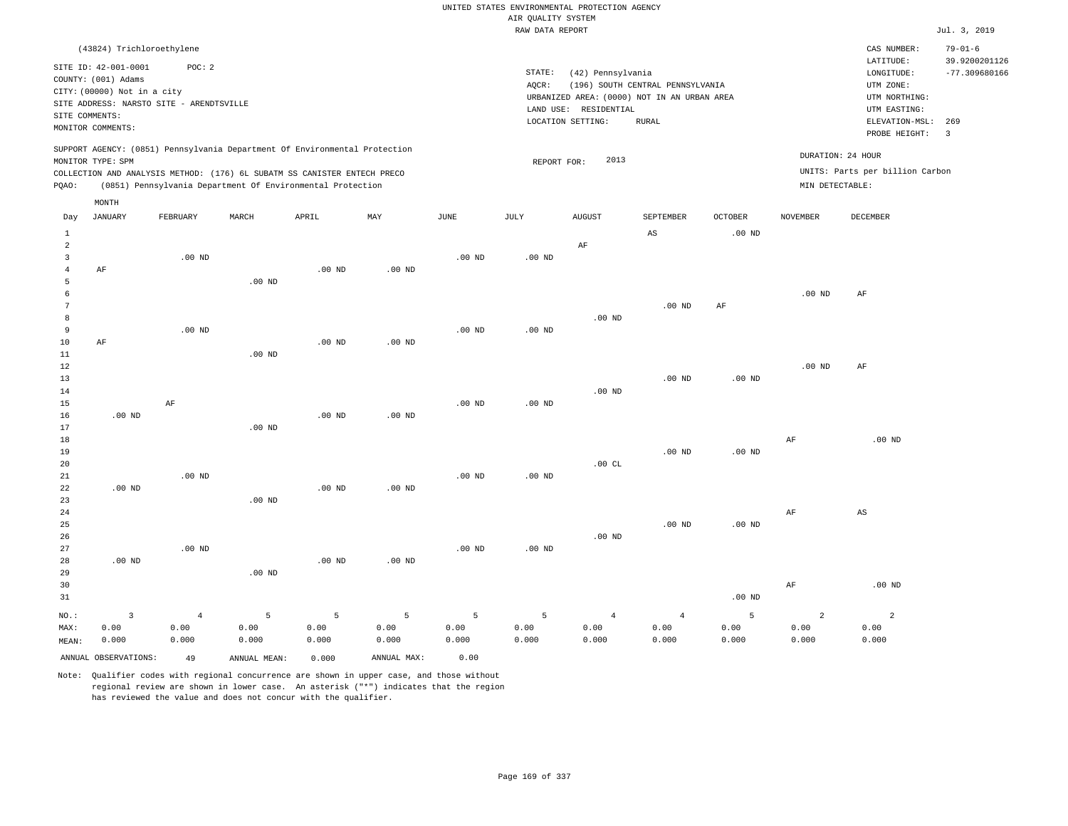|                 |                                                                                                 |                |                                                            |          |                   |                   |                    | UNITED STATES ENVIRONMENTAL PROTECTION AGENCY |                                                                                 |                   |                   |                                 |                                |
|-----------------|-------------------------------------------------------------------------------------------------|----------------|------------------------------------------------------------|----------|-------------------|-------------------|--------------------|-----------------------------------------------|---------------------------------------------------------------------------------|-------------------|-------------------|---------------------------------|--------------------------------|
|                 |                                                                                                 |                |                                                            |          |                   |                   | AIR QUALITY SYSTEM |                                               |                                                                                 |                   |                   |                                 |                                |
|                 |                                                                                                 |                |                                                            |          |                   |                   | RAW DATA REPORT    |                                               |                                                                                 |                   |                   |                                 | Jul. 3, 2019                   |
|                 | (43824) Trichloroethylene                                                                       |                |                                                            |          |                   |                   |                    |                                               |                                                                                 |                   |                   | CAS NUMBER:<br>LATITUDE:        | $79 - 01 - 6$<br>39.9200201126 |
|                 | SITE ID: 42-001-0001<br>COUNTY: (001) Adams                                                     | POC: 2         |                                                            |          |                   |                   | STATE:             | (42) Pennsylvania                             |                                                                                 |                   |                   | LONGITUDE:                      | $-77.309680166$                |
|                 | CITY: (00000) Not in a city                                                                     |                |                                                            |          |                   |                   | AQCR:              |                                               | (196) SOUTH CENTRAL PENNSYLVANIA<br>URBANIZED AREA: (0000) NOT IN AN URBAN AREA |                   |                   | UTM ZONE:<br>UTM NORTHING:      |                                |
|                 | SITE ADDRESS: NARSTO SITE - ARENDTSVILLE                                                        |                |                                                            |          |                   |                   |                    | LAND USE: RESIDENTIAL                         |                                                                                 |                   |                   | UTM EASTING:                    |                                |
| SITE COMMENTS:  |                                                                                                 |                |                                                            |          |                   |                   |                    | LOCATION SETTING:                             | <b>RURAL</b>                                                                    |                   |                   | ELEVATION-MSL:                  | 269                            |
|                 | MONITOR COMMENTS:                                                                               |                |                                                            |          |                   |                   |                    |                                               |                                                                                 |                   |                   | PROBE HEIGHT:                   | $\overline{3}$                 |
|                 | SUPPORT AGENCY: (0851) Pennsylvania Department Of Environmental Protection<br>MONITOR TYPE: SPM |                |                                                            |          |                   |                   | REPORT FOR:        | 2013                                          |                                                                                 |                   | DURATION: 24 HOUR |                                 |                                |
|                 | COLLECTION AND ANALYSIS METHOD: (176) 6L SUBATM SS CANISTER ENTECH PRECO                        |                |                                                            |          |                   |                   |                    |                                               |                                                                                 |                   |                   | UNITS: Parts per billion Carbon |                                |
| PQAO:           |                                                                                                 |                | (0851) Pennsylvania Department Of Environmental Protection |          |                   |                   |                    |                                               |                                                                                 |                   | MIN DETECTABLE:   |                                 |                                |
|                 | MONTH                                                                                           |                |                                                            |          |                   |                   |                    |                                               |                                                                                 |                   |                   |                                 |                                |
| Day             | <b>JANUARY</b>                                                                                  | FEBRUARY       | MARCH                                                      | APRIL    | $_{\rm MAY}$      | $_{\rm JUNE}$     | JULY               | <b>AUGUST</b>                                 | SEPTEMBER                                                                       | <b>OCTOBER</b>    | <b>NOVEMBER</b>   | <b>DECEMBER</b>                 |                                |
| $\mathbf{1}$    |                                                                                                 |                |                                                            |          |                   |                   |                    |                                               | AS                                                                              | $.00$ ND          |                   |                                 |                                |
| $\overline{a}$  |                                                                                                 |                |                                                            |          |                   |                   |                    | $\rm AF$                                      |                                                                                 |                   |                   |                                 |                                |
| $\overline{3}$  |                                                                                                 | $.00$ ND       |                                                            |          |                   | .00 <sub>ND</sub> | $.00$ ND           |                                               |                                                                                 |                   |                   |                                 |                                |
| $\overline{4}$  | AF                                                                                              |                |                                                            | $.00$ ND | $.00$ ND          |                   |                    |                                               |                                                                                 |                   |                   |                                 |                                |
| 5               |                                                                                                 |                | $.00$ ND                                                   |          |                   |                   |                    |                                               |                                                                                 |                   |                   |                                 |                                |
| 6               |                                                                                                 |                |                                                            |          |                   |                   |                    |                                               |                                                                                 |                   | .00 <sub>ND</sub> | $\rm{AF}$                       |                                |
| $7\phantom{.0}$ |                                                                                                 |                |                                                            |          |                   |                   |                    |                                               | .00 <sub>ND</sub>                                                               | AF                |                   |                                 |                                |
| 8<br>9          |                                                                                                 | $.00$ ND       |                                                            |          |                   | $.00$ ND          |                    | $.00$ ND                                      |                                                                                 |                   |                   |                                 |                                |
| 10              | AF                                                                                              |                |                                                            | $.00$ ND | $.00$ ND          |                   | $.00$ ND           |                                               |                                                                                 |                   |                   |                                 |                                |
| 11              |                                                                                                 |                | $.00$ ND                                                   |          |                   |                   |                    |                                               |                                                                                 |                   |                   |                                 |                                |
| 12              |                                                                                                 |                |                                                            |          |                   |                   |                    |                                               |                                                                                 |                   | $.00$ ND          | AF                              |                                |
| 13              |                                                                                                 |                |                                                            |          |                   |                   |                    |                                               | $.00$ ND                                                                        | $.00$ ND          |                   |                                 |                                |
| 14              |                                                                                                 |                |                                                            |          |                   |                   |                    | $.00$ ND                                      |                                                                                 |                   |                   |                                 |                                |
| 15              |                                                                                                 | AF             |                                                            |          |                   | $.00$ ND          | $.00$ ND           |                                               |                                                                                 |                   |                   |                                 |                                |
| 16              | $.00$ ND                                                                                        |                |                                                            | $.00$ ND | .00 <sub>ND</sub> |                   |                    |                                               |                                                                                 |                   |                   |                                 |                                |
| 17              |                                                                                                 |                | $.00$ ND                                                   |          |                   |                   |                    |                                               |                                                                                 |                   |                   |                                 |                                |
| 18              |                                                                                                 |                |                                                            |          |                   |                   |                    |                                               |                                                                                 |                   | $\rm{AF}$         | .00 <sub>ND</sub>               |                                |
| 19              |                                                                                                 |                |                                                            |          |                   |                   |                    |                                               | .00 <sub>ND</sub>                                                               | $.00$ ND          |                   |                                 |                                |
| 20              |                                                                                                 |                |                                                            |          |                   |                   |                    | .00CL                                         |                                                                                 |                   |                   |                                 |                                |
| 21              |                                                                                                 | $.00$ ND       |                                                            |          |                   | $.00$ ND          | $.00$ ND           |                                               |                                                                                 |                   |                   |                                 |                                |
| 22              | $.00$ ND                                                                                        |                |                                                            | $.00$ ND | $.00$ ND          |                   |                    |                                               |                                                                                 |                   |                   |                                 |                                |
| 23              |                                                                                                 |                | $.00$ ND                                                   |          |                   |                   |                    |                                               |                                                                                 |                   |                   |                                 |                                |
| 24              |                                                                                                 |                |                                                            |          |                   |                   |                    |                                               | $.00$ ND                                                                        | .00 <sub>ND</sub> | AF                | AS                              |                                |
| 25<br>26        |                                                                                                 |                |                                                            |          |                   |                   |                    | $.00$ ND                                      |                                                                                 |                   |                   |                                 |                                |
| 27              |                                                                                                 | $.00$ ND       |                                                            |          |                   | $.00$ ND          | $.00$ ND           |                                               |                                                                                 |                   |                   |                                 |                                |
| 28              | $.00$ ND                                                                                        |                |                                                            | $.00$ ND | .00 <sub>ND</sub> |                   |                    |                                               |                                                                                 |                   |                   |                                 |                                |
| 29              |                                                                                                 |                | .00 <sub>ND</sub>                                          |          |                   |                   |                    |                                               |                                                                                 |                   |                   |                                 |                                |
| 30              |                                                                                                 |                |                                                            |          |                   |                   |                    |                                               |                                                                                 |                   | AF                | $.00$ ND                        |                                |
| 31              |                                                                                                 |                |                                                            |          |                   |                   |                    |                                               |                                                                                 | $.00$ ND          |                   |                                 |                                |
|                 |                                                                                                 |                |                                                            |          |                   |                   |                    |                                               |                                                                                 |                   |                   |                                 |                                |
| NO.:            | $\overline{3}$                                                                                  | $\overline{4}$ | 5                                                          | 5        | 5                 | 5                 | 5                  | $\overline{4}$                                | $\overline{4}$                                                                  | 5                 | $\overline{a}$    | $\overline{a}$                  |                                |
| MAX:            | 0.00                                                                                            | 0.00           | 0.00                                                       | 0.00     | 0.00              | 0.00              | 0.00               | 0.00                                          | 0.00                                                                            | 0.00              | 0.00              | 0.00                            |                                |
| MEAN:           | 0.000                                                                                           | 0.000          | 0.000                                                      | 0.000    | 0.000             | 0.000             | 0.000              | 0.000                                         | 0.000                                                                           | 0.000             | 0.000             | 0.000                           |                                |
|                 | ANNUAL OBSERVATIONS:                                                                            | 49             | ANNUAL MEAN:                                               | 0.000    | ANNUAL MAX:       | 0.00              |                    |                                               |                                                                                 |                   |                   |                                 |                                |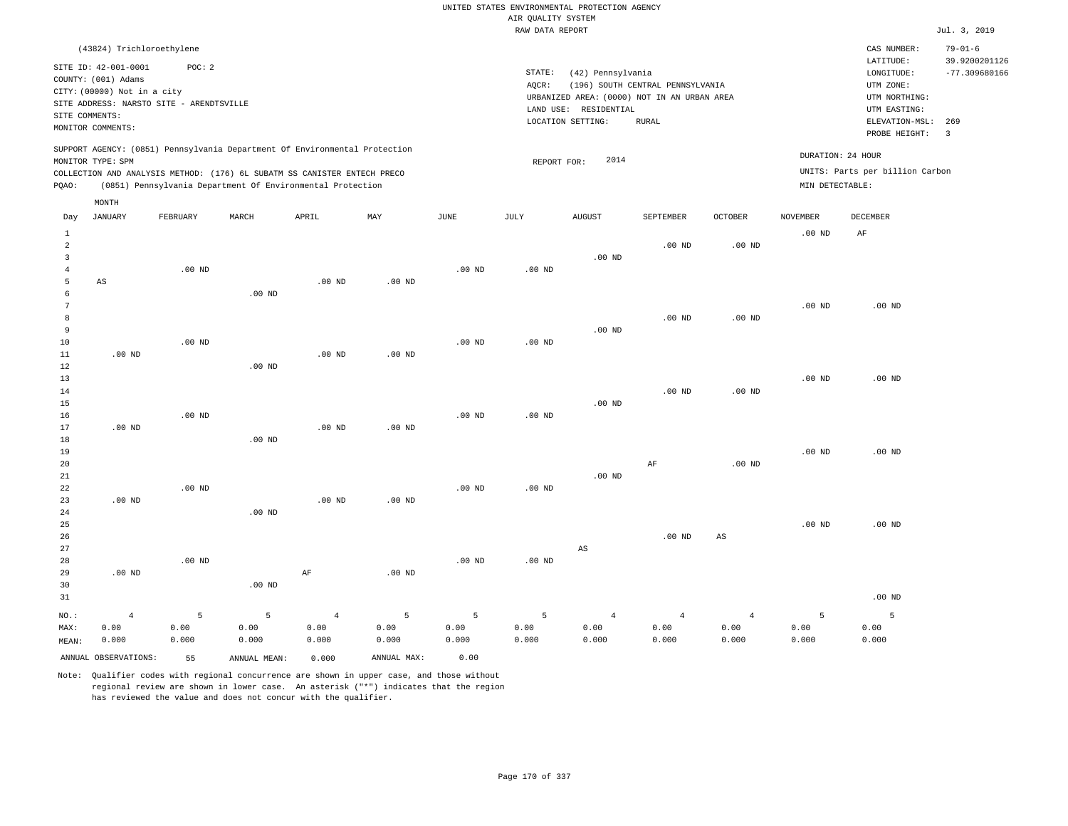|                                |                                             |                   |                                                                            |                   |               |               |                                       | UNITED STATES ENVIRONMENTAL PROTECTION AGENCY |                                  |                   |                   |                                 |                                |
|--------------------------------|---------------------------------------------|-------------------|----------------------------------------------------------------------------|-------------------|---------------|---------------|---------------------------------------|-----------------------------------------------|----------------------------------|-------------------|-------------------|---------------------------------|--------------------------------|
|                                |                                             |                   |                                                                            |                   |               |               | AIR OUALITY SYSTEM<br>RAW DATA REPORT |                                               |                                  |                   |                   |                                 | Jul. 3, 2019                   |
|                                | (43824) Trichloroethylene                   |                   |                                                                            |                   |               |               |                                       |                                               |                                  |                   |                   | CAS NUMBER:<br>LATITUDE:        | $79 - 01 - 6$<br>39.9200201126 |
|                                | SITE ID: 42-001-0001<br>COUNTY: (001) Adams | POC: 2            |                                                                            |                   |               |               | STATE:                                | (42) Pennsylvania                             |                                  |                   |                   | LONGITUDE:                      | $-77.309680166$                |
|                                | CITY: (00000) Not in a city                 |                   |                                                                            |                   |               |               | AOCR:                                 | URBANIZED AREA: (0000) NOT IN AN URBAN AREA   | (196) SOUTH CENTRAL PENNSYLVANIA |                   |                   | UTM ZONE:<br>UTM NORTHING:      |                                |
|                                | SITE ADDRESS: NARSTO SITE - ARENDTSVILLE    |                   |                                                                            |                   |               |               |                                       | LAND USE: RESIDENTIAL                         |                                  |                   |                   | UTM EASTING:                    |                                |
| SITE COMMENTS:                 | MONITOR COMMENTS:                           |                   |                                                                            |                   |               |               |                                       | LOCATION SETTING:                             | <b>RURAL</b>                     |                   |                   | ELEVATION-MSL: 269              |                                |
|                                |                                             |                   |                                                                            |                   |               |               |                                       |                                               |                                  |                   |                   | PROBE HEIGHT:                   | $\overline{3}$                 |
|                                | MONITOR TYPE: SPM                           |                   | SUPPORT AGENCY: (0851) Pennsylvania Department Of Environmental Protection |                   |               |               | REPORT FOR:                           | 2014                                          |                                  |                   | DURATION: 24 HOUR |                                 |                                |
|                                |                                             |                   | COLLECTION AND ANALYSIS METHOD: (176) 6L SUBATM SS CANISTER ENTECH PRECO   |                   |               |               |                                       |                                               |                                  |                   |                   | UNITS: Parts per billion Carbon |                                |
| PQAO:                          |                                             |                   | (0851) Pennsylvania Department Of Environmental Protection                 |                   |               |               |                                       |                                               |                                  |                   | MIN DETECTABLE:   |                                 |                                |
|                                | MONTH                                       |                   |                                                                            |                   |               |               |                                       |                                               |                                  |                   |                   |                                 |                                |
| Day                            | JANUARY                                     | FEBRUARY          | MARCH                                                                      | APRIL             | MAY           | JUNE          | JULY                                  | <b>AUGUST</b>                                 | SEPTEMBER                        | <b>OCTOBER</b>    | <b>NOVEMBER</b>   | DECEMBER                        |                                |
| $\mathbf{1}$<br>$\overline{a}$ |                                             |                   |                                                                            |                   |               |               |                                       |                                               | $.00$ ND                         | .00 <sub>ND</sub> | $.00$ ND          | AF                              |                                |
| $\overline{3}$                 |                                             |                   |                                                                            |                   |               |               |                                       | $.00$ ND                                      |                                  |                   |                   |                                 |                                |
| $\sqrt{4}$                     |                                             | $.00$ ND          |                                                                            |                   |               | $.00$ ND      | .00 <sub>ND</sub>                     |                                               |                                  |                   |                   |                                 |                                |
| 5                              | AS                                          |                   |                                                                            | $.00$ ND          | $.00$ ND      |               |                                       |                                               |                                  |                   |                   |                                 |                                |
| 6                              |                                             |                   | .00 <sub>ND</sub>                                                          |                   |               |               |                                       |                                               |                                  |                   |                   |                                 |                                |
| $7\phantom{.0}$<br>8           |                                             |                   |                                                                            |                   |               |               |                                       |                                               | $.00$ ND                         | $.00$ ND          | $.00$ ND          | $.00$ ND                        |                                |
| 9                              |                                             |                   |                                                                            |                   |               |               |                                       | $.00$ ND                                      |                                  |                   |                   |                                 |                                |
| 10                             |                                             | .00 <sub>ND</sub> |                                                                            |                   |               | $.00$ ND      | $.00$ ND                              |                                               |                                  |                   |                   |                                 |                                |
| 11                             | $.00$ ND                                    |                   |                                                                            | $.00$ ND          | $.00$ ND      |               |                                       |                                               |                                  |                   |                   |                                 |                                |
| 12                             |                                             |                   | $.00$ ND                                                                   |                   |               |               |                                       |                                               |                                  |                   |                   |                                 |                                |
| 13                             |                                             |                   |                                                                            |                   |               |               |                                       |                                               |                                  |                   | $.00$ ND          | $.00$ ND                        |                                |
| 14                             |                                             |                   |                                                                            |                   |               |               |                                       |                                               | $.00$ ND                         | $.00$ ND          |                   |                                 |                                |
| 15<br>16                       |                                             | $.00$ ND          |                                                                            |                   |               | $.00$ ND      | .00 <sub>ND</sub>                     | $.00$ ND                                      |                                  |                   |                   |                                 |                                |
| 17                             | $.00$ ND                                    |                   |                                                                            | .00 <sub>ND</sub> | $.00$ ND      |               |                                       |                                               |                                  |                   |                   |                                 |                                |
| 18                             |                                             |                   | $.00$ ND                                                                   |                   |               |               |                                       |                                               |                                  |                   |                   |                                 |                                |
| 19                             |                                             |                   |                                                                            |                   |               |               |                                       |                                               |                                  |                   | .00 <sub>ND</sub> | $.00$ ND                        |                                |
| 20                             |                                             |                   |                                                                            |                   |               |               |                                       |                                               | $\rm AF$                         | $.00$ ND          |                   |                                 |                                |
| 21                             |                                             |                   |                                                                            |                   |               |               |                                       | $.00$ ND                                      |                                  |                   |                   |                                 |                                |
| 22<br>23                       | $.00$ ND                                    | $.00$ ND          |                                                                            | $.00$ ND          | $.00$ ND      | $.00$ ND      | .00 <sub>ND</sub>                     |                                               |                                  |                   |                   |                                 |                                |
| 24                             |                                             |                   | .00 <sub>ND</sub>                                                          |                   |               |               |                                       |                                               |                                  |                   |                   |                                 |                                |
| 25                             |                                             |                   |                                                                            |                   |               |               |                                       |                                               |                                  |                   | $.00$ ND          | $.00$ ND                        |                                |
| 26                             |                                             |                   |                                                                            |                   |               |               |                                       |                                               | .00 <sub>ND</sub>                | $_{\rm AS}$       |                   |                                 |                                |
| 27                             |                                             |                   |                                                                            |                   |               |               |                                       | $_{\rm AS}$                                   |                                  |                   |                   |                                 |                                |
| 28                             |                                             | $.00$ ND          |                                                                            |                   |               | $.00$ ND      | .00 <sub>ND</sub>                     |                                               |                                  |                   |                   |                                 |                                |
| 29                             | $.00$ ND                                    |                   |                                                                            | AF                | $.00$ ND      |               |                                       |                                               |                                  |                   |                   |                                 |                                |
| 30<br>31                       |                                             |                   | .00 <sub>ND</sub>                                                          |                   |               |               |                                       |                                               |                                  |                   |                   | $.00$ ND                        |                                |
|                                |                                             |                   |                                                                            |                   |               |               |                                       |                                               |                                  |                   |                   |                                 |                                |
| NO.:                           | $\overline{4}$                              | 5                 | 5                                                                          | $\sqrt{4}$        | 5             | 5             | 5                                     | $\overline{4}$                                | $\overline{4}$                   | $\overline{4}$    | 5                 | 5                               |                                |
| MAX:<br>MEAN:                  | 0.00<br>0.000                               | 0.00<br>0.000     | 0.00<br>0.000                                                              | 0.00<br>0.000     | 0.00<br>0.000 | 0.00<br>0.000 | 0.00<br>0.000                         | 0.00<br>0.000                                 | 0.00<br>0.000                    | 0.00<br>0.000     | 0.00<br>0.000     | 0.00<br>0.000                   |                                |
|                                |                                             |                   |                                                                            |                   |               |               |                                       |                                               |                                  |                   |                   |                                 |                                |
|                                | ANNUAL OBSERVATIONS:                        | 55                | ANNUAL, MEAN:                                                              | 0.000             | ANNUAL MAX:   | 0.00          |                                       |                                               |                                  |                   |                   |                                 |                                |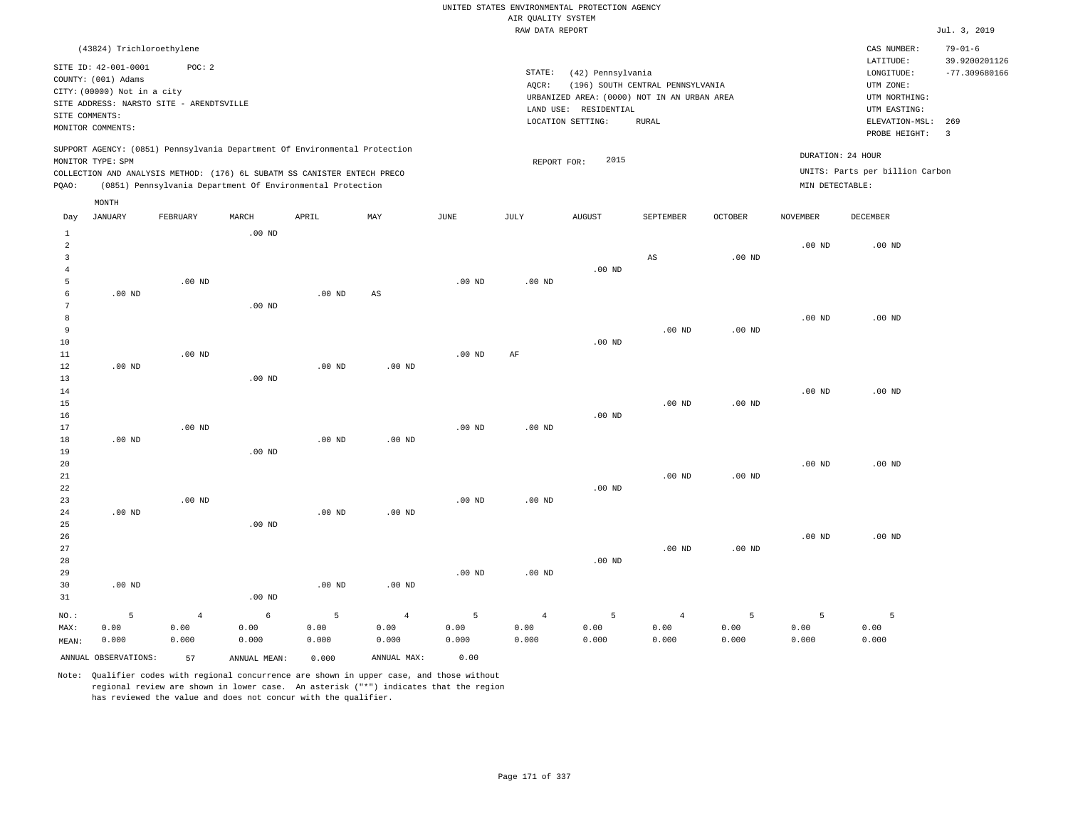|                      |                             |                                                                            |          |                   |                   |                   |                    | UNITED STATES ENVIRONMENTAL PROTECTION AGENCY |                                  |                   |                   |                                     |                                  |
|----------------------|-----------------------------|----------------------------------------------------------------------------|----------|-------------------|-------------------|-------------------|--------------------|-----------------------------------------------|----------------------------------|-------------------|-------------------|-------------------------------------|----------------------------------|
|                      |                             |                                                                            |          |                   |                   |                   | AIR QUALITY SYSTEM |                                               |                                  |                   |                   |                                     |                                  |
|                      |                             |                                                                            |          |                   |                   |                   | RAW DATA REPORT    |                                               |                                  |                   |                   |                                     | Jul. 3, 2019                     |
|                      | (43824) Trichloroethylene   |                                                                            |          |                   |                   |                   |                    |                                               |                                  |                   |                   | CAS NUMBER:                         | $79 - 01 - 6$                    |
|                      | SITE ID: 42-001-0001        | POC: 2                                                                     |          |                   |                   |                   | STATE:             | (42) Pennsylvania                             |                                  |                   |                   | LATITUDE:<br>$\texttt{LONGITUDE}$ : | 39.9200201126<br>$-77.309680166$ |
|                      | COUNTY: (001) Adams         |                                                                            |          |                   |                   |                   | AOCR:              |                                               | (196) SOUTH CENTRAL PENNSYLVANIA |                   |                   | UTM ZONE:                           |                                  |
|                      | CITY: (00000) Not in a city |                                                                            |          |                   |                   |                   |                    | URBANIZED AREA: (0000) NOT IN AN URBAN AREA   |                                  |                   |                   | UTM NORTHING:                       |                                  |
|                      |                             | SITE ADDRESS: NARSTO SITE - ARENDTSVILLE                                   |          |                   |                   |                   |                    | LAND USE: RESIDENTIAL                         |                                  |                   |                   | UTM EASTING:                        |                                  |
| SITE COMMENTS:       |                             |                                                                            |          |                   |                   |                   |                    | LOCATION SETTING:                             | <b>RURAL</b>                     |                   |                   | ELEVATION-MSL:                      | 269                              |
|                      | MONITOR COMMENTS:           |                                                                            |          |                   |                   |                   |                    |                                               |                                  |                   |                   | PROBE HEIGHT:                       | $\overline{\mathbf{3}}$          |
|                      |                             | SUPPORT AGENCY: (0851) Pennsylvania Department Of Environmental Protection |          |                   |                   |                   |                    |                                               |                                  |                   | DURATION: 24 HOUR |                                     |                                  |
|                      | MONITOR TYPE: SPM           |                                                                            |          |                   |                   |                   | REPORT FOR:        | 2015                                          |                                  |                   |                   |                                     |                                  |
|                      |                             | COLLECTION AND ANALYSIS METHOD: (176) 6L SUBATM SS CANISTER ENTECH PRECO   |          |                   |                   |                   |                    |                                               |                                  |                   |                   | UNITS: Parts per billion Carbon     |                                  |
| PQAO:                |                             | (0851) Pennsylvania Department Of Environmental Protection                 |          |                   |                   |                   |                    |                                               |                                  |                   | MIN DETECTABLE:   |                                     |                                  |
| Day                  | MONTH<br><b>JANUARY</b>     | FEBRUARY                                                                   | MARCH    | APRIL             | MAY               | JUNE              | JULY               | <b>AUGUST</b>                                 | SEPTEMBER                        | <b>OCTOBER</b>    | <b>NOVEMBER</b>   | <b>DECEMBER</b>                     |                                  |
| $\mathbf{1}$         |                             |                                                                            | $.00$ ND |                   |                   |                   |                    |                                               |                                  |                   |                   |                                     |                                  |
| $\overline{a}$       |                             |                                                                            |          |                   |                   |                   |                    |                                               |                                  |                   | $.00$ ND          | $.00$ ND                            |                                  |
| $\overline{3}$       |                             |                                                                            |          |                   |                   |                   |                    |                                               | $\mathbb{A}\mathbb{S}$           | $.00$ ND          |                   |                                     |                                  |
| 4                    |                             |                                                                            |          |                   |                   |                   |                    | $.00$ ND                                      |                                  |                   |                   |                                     |                                  |
| 5                    |                             | $.00$ ND                                                                   |          |                   |                   | $.00$ ND          | $.00$ ND           |                                               |                                  |                   |                   |                                     |                                  |
| 6<br>$7\phantom{.0}$ | $.00$ ND                    |                                                                            |          | .00 <sub>ND</sub> | AS                |                   |                    |                                               |                                  |                   |                   |                                     |                                  |
| 8                    |                             |                                                                            | $.00$ ND |                   |                   |                   |                    |                                               |                                  |                   | $.00$ ND          | $.00$ ND                            |                                  |
| 9                    |                             |                                                                            |          |                   |                   |                   |                    |                                               | $.00$ ND                         | .00 <sub>ND</sub> |                   |                                     |                                  |
| 10                   |                             |                                                                            |          |                   |                   |                   |                    | $.00$ ND                                      |                                  |                   |                   |                                     |                                  |
| 11                   |                             | .00 <sub>ND</sub>                                                          |          |                   |                   | $.00$ ND          | AF                 |                                               |                                  |                   |                   |                                     |                                  |
| 12                   | .00 <sub>ND</sub>           |                                                                            |          | .00 <sub>ND</sub> | .00 <sub>ND</sub> |                   |                    |                                               |                                  |                   |                   |                                     |                                  |
| 13                   |                             |                                                                            | $.00$ ND |                   |                   |                   |                    |                                               |                                  |                   |                   |                                     |                                  |
| 14                   |                             |                                                                            |          |                   |                   |                   |                    |                                               |                                  |                   | $.00$ ND          | .00 <sub>ND</sub>                   |                                  |
| 15                   |                             |                                                                            |          |                   |                   |                   |                    |                                               | .00 <sub>ND</sub>                | .00 <sub>ND</sub> |                   |                                     |                                  |
| 16                   |                             |                                                                            |          |                   |                   |                   |                    | $.00$ ND                                      |                                  |                   |                   |                                     |                                  |
| 17                   |                             | $.00$ ND                                                                   |          |                   |                   | .00 <sub>ND</sub> | .00 <sub>ND</sub>  |                                               |                                  |                   |                   |                                     |                                  |
| 18<br>19             | $.00$ ND                    |                                                                            | $.00$ ND | $.00$ ND          | $.00$ ND          |                   |                    |                                               |                                  |                   |                   |                                     |                                  |
| 20                   |                             |                                                                            |          |                   |                   |                   |                    |                                               |                                  |                   | $.00$ ND          | $.00$ ND                            |                                  |
| $2\sqrt{1}$          |                             |                                                                            |          |                   |                   |                   |                    |                                               | $.00$ ND                         | .00 <sub>ND</sub> |                   |                                     |                                  |
| $2\sqrt{2}$          |                             |                                                                            |          |                   |                   |                   |                    | $.00$ ND                                      |                                  |                   |                   |                                     |                                  |
| 23                   |                             | $.00$ ND                                                                   |          |                   |                   | $.00$ ND          | $.00$ ND           |                                               |                                  |                   |                   |                                     |                                  |
| 24                   | $.00$ ND                    |                                                                            |          | .00 $ND$          | $.00$ ND          |                   |                    |                                               |                                  |                   |                   |                                     |                                  |
| 25                   |                             |                                                                            | $.00$ ND |                   |                   |                   |                    |                                               |                                  |                   |                   |                                     |                                  |
| 26                   |                             |                                                                            |          |                   |                   |                   |                    |                                               |                                  |                   | $.00$ ND          | $.00$ ND                            |                                  |
| 27                   |                             |                                                                            |          |                   |                   |                   |                    |                                               | $.00$ ND                         | $.00$ ND          |                   |                                     |                                  |
| 28                   |                             |                                                                            |          |                   |                   |                   |                    | $.00$ ND                                      |                                  |                   |                   |                                     |                                  |
| 29<br>30             | .00 <sub>ND</sub>           |                                                                            |          | .00 <sub>ND</sub> | .00 <sub>ND</sub> | $.00$ ND          | $.00$ ND           |                                               |                                  |                   |                   |                                     |                                  |
| 31                   |                             |                                                                            | $.00$ ND |                   |                   |                   |                    |                                               |                                  |                   |                   |                                     |                                  |
| NO.:                 | 5                           | $\overline{4}$                                                             | 6        | 5                 | $\overline{4}$    | 5                 | $\overline{4}$     | 5                                             | $\overline{4}$                   | 5                 | 5                 | 5                                   |                                  |
| MAX:                 | 0.00                        | 0.00                                                                       | 0.00     | 0.00              | 0.00              | 0.00              | 0.00               | 0.00                                          | 0.00                             | 0.00              | 0.00              | 0.00                                |                                  |
| MEAN:                | 0.000                       | 0.000                                                                      | 0.000    | 0.000             | 0.000             | 0.000             | 0.000              | 0.000                                         | 0.000                            | 0.000             | 0.000             | 0.000                               |                                  |

ANNUAL OBSERVATIONS: 57 ANNUAL MEAN: 0.000 ANNUAL MAX: 0.00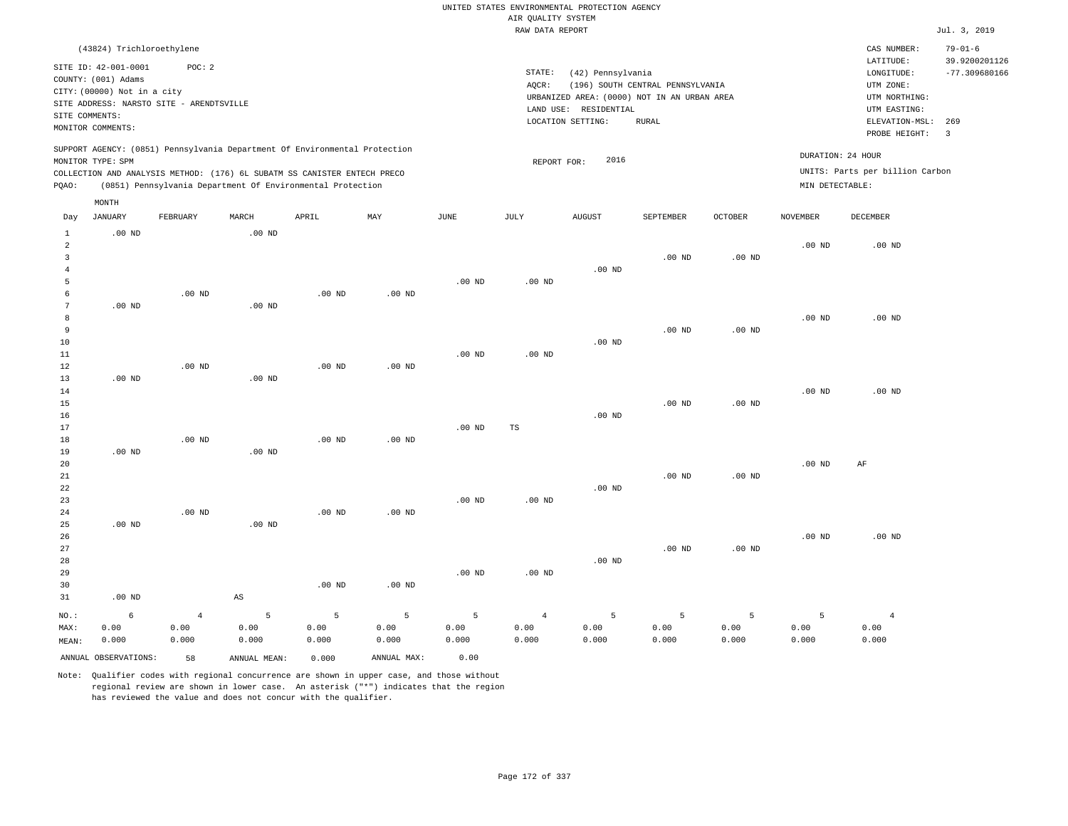|                |                             |                                          |                        |                                                                            |                   |                   |                    | UNITED STATES ENVIRONMENTAL PROTECTION AGENCY |                                  |                   |                   |                                 |                                |
|----------------|-----------------------------|------------------------------------------|------------------------|----------------------------------------------------------------------------|-------------------|-------------------|--------------------|-----------------------------------------------|----------------------------------|-------------------|-------------------|---------------------------------|--------------------------------|
|                |                             |                                          |                        |                                                                            |                   |                   | AIR QUALITY SYSTEM |                                               |                                  |                   |                   |                                 | Jul. 3, 2019                   |
|                |                             |                                          |                        |                                                                            |                   |                   | RAW DATA REPORT    |                                               |                                  |                   |                   |                                 |                                |
|                | (43824) Trichloroethylene   |                                          |                        |                                                                            |                   |                   |                    |                                               |                                  |                   |                   | CAS NUMBER:<br>LATITUDE:        | $79 - 01 - 6$<br>39.9200201126 |
|                | SITE ID: 42-001-0001        | POC: 2                                   |                        |                                                                            |                   |                   | STATE:             | (42) Pennsylvania                             |                                  |                   |                   | LONGITUDE:                      | $-77.309680166$                |
|                | COUNTY: (001) Adams         |                                          |                        |                                                                            |                   |                   | AOCR:              |                                               | (196) SOUTH CENTRAL PENNSYLVANIA |                   |                   | UTM ZONE:                       |                                |
|                | CITY: (00000) Not in a city |                                          |                        |                                                                            |                   |                   |                    | URBANIZED AREA: (0000) NOT IN AN URBAN AREA   |                                  |                   |                   | UTM NORTHING:                   |                                |
|                |                             | SITE ADDRESS: NARSTO SITE - ARENDTSVILLE |                        |                                                                            |                   |                   |                    | LAND USE: RESIDENTIAL                         |                                  |                   |                   | UTM EASTING:                    |                                |
| SITE COMMENTS: |                             |                                          |                        |                                                                            |                   |                   |                    | LOCATION SETTING:                             | <b>RURAL</b>                     |                   |                   | ELEVATION-MSL:                  | 269                            |
|                | MONITOR COMMENTS:           |                                          |                        |                                                                            |                   |                   |                    |                                               |                                  |                   |                   | PROBE HEIGHT:                   | $\overline{3}$                 |
|                |                             |                                          |                        | SUPPORT AGENCY: (0851) Pennsylvania Department Of Environmental Protection |                   |                   |                    |                                               |                                  |                   |                   | DURATION: 24 HOUR               |                                |
|                | MONITOR TYPE: SPM           |                                          |                        |                                                                            |                   |                   | REPORT FOR:        | 2016                                          |                                  |                   |                   |                                 |                                |
|                |                             |                                          |                        | COLLECTION AND ANALYSIS METHOD: (176) 6L SUBATM SS CANISTER ENTECH PRECO   |                   |                   |                    |                                               |                                  |                   |                   | UNITS: Parts per billion Carbon |                                |
| PQAO:          |                             |                                          |                        | (0851) Pennsylvania Department Of Environmental Protection                 |                   |                   |                    |                                               |                                  |                   | MIN DETECTABLE:   |                                 |                                |
|                | MONTH                       |                                          |                        |                                                                            |                   |                   |                    |                                               |                                  |                   |                   |                                 |                                |
| Day            | <b>JANUARY</b>              | FEBRUARY                                 | MARCH                  | APRIL                                                                      | $\texttt{MAY}$    | <b>JUNE</b>       | JULY               | <b>AUGUST</b>                                 | SEPTEMBER                        | <b>OCTOBER</b>    | <b>NOVEMBER</b>   | DECEMBER                        |                                |
| $\mathbf{1}$   | $.00$ ND                    |                                          | .00 <sub>ND</sub>      |                                                                            |                   |                   |                    |                                               |                                  |                   |                   |                                 |                                |
| $\overline{a}$ |                             |                                          |                        |                                                                            |                   |                   |                    |                                               |                                  |                   | .00 <sub>ND</sub> | $.00$ ND                        |                                |
| 3              |                             |                                          |                        |                                                                            |                   |                   |                    |                                               | $.00$ ND                         | .00 <sub>ND</sub> |                   |                                 |                                |
| $\overline{4}$ |                             |                                          |                        |                                                                            |                   |                   |                    | $.00$ ND                                      |                                  |                   |                   |                                 |                                |
| 5<br>6         |                             |                                          |                        |                                                                            |                   | $.00$ ND          | $.00$ ND           |                                               |                                  |                   |                   |                                 |                                |
| $\overline{7}$ | $.00$ ND                    | $.00$ ND                                 | .00 <sub>ND</sub>      | $.00$ ND                                                                   | $.00$ ND          |                   |                    |                                               |                                  |                   |                   |                                 |                                |
| 8              |                             |                                          |                        |                                                                            |                   |                   |                    |                                               |                                  |                   | .00 <sub>ND</sub> | $.00$ ND                        |                                |
| 9              |                             |                                          |                        |                                                                            |                   |                   |                    |                                               | $.00$ ND                         | .00 <sub>ND</sub> |                   |                                 |                                |
| 10             |                             |                                          |                        |                                                                            |                   |                   |                    | $.00$ ND                                      |                                  |                   |                   |                                 |                                |
| 11             |                             |                                          |                        |                                                                            |                   | $.00$ ND          | .00 <sub>ND</sub>  |                                               |                                  |                   |                   |                                 |                                |
| 12             |                             | $.00$ ND                                 |                        | $.00$ ND                                                                   | .00 <sub>ND</sub> |                   |                    |                                               |                                  |                   |                   |                                 |                                |
| 13             | $.00$ ND                    |                                          | $.00$ ND               |                                                                            |                   |                   |                    |                                               |                                  |                   |                   |                                 |                                |
| 14             |                             |                                          |                        |                                                                            |                   |                   |                    |                                               |                                  |                   | $.00$ ND          | $.00$ ND                        |                                |
| 15             |                             |                                          |                        |                                                                            |                   |                   |                    |                                               | $.00$ ND                         | .00 <sub>ND</sub> |                   |                                 |                                |
| 16             |                             |                                          |                        |                                                                            |                   |                   |                    | $.00$ ND                                      |                                  |                   |                   |                                 |                                |
| 17             |                             |                                          |                        | .00 <sub>ND</sub>                                                          |                   | $.00$ ND          | $_{\rm TS}$        |                                               |                                  |                   |                   |                                 |                                |
| 18<br>19       | $.00$ ND                    | $.00$ ND                                 | $.00$ ND               |                                                                            | $.00$ ND          |                   |                    |                                               |                                  |                   |                   |                                 |                                |
| 20             |                             |                                          |                        |                                                                            |                   |                   |                    |                                               |                                  |                   | .00 <sub>ND</sub> | $\rm{AF}$                       |                                |
| $2\sqrt{1}$    |                             |                                          |                        |                                                                            |                   |                   |                    |                                               | $.00$ ND                         | .00 <sub>ND</sub> |                   |                                 |                                |
| 22             |                             |                                          |                        |                                                                            |                   |                   |                    | $.00$ ND                                      |                                  |                   |                   |                                 |                                |
| 23             |                             |                                          |                        |                                                                            |                   | .00 <sub>ND</sub> | $.00$ ND           |                                               |                                  |                   |                   |                                 |                                |
| 24             |                             | $.00$ ND                                 |                        | $.00$ ND                                                                   | .00 $ND$          |                   |                    |                                               |                                  |                   |                   |                                 |                                |
| 25             | $.00$ ND                    |                                          | $.00$ ND               |                                                                            |                   |                   |                    |                                               |                                  |                   |                   |                                 |                                |
| 26             |                             |                                          |                        |                                                                            |                   |                   |                    |                                               |                                  |                   | $.00$ ND          | $.00$ ND                        |                                |
| 27             |                             |                                          |                        |                                                                            |                   |                   |                    |                                               | $.00$ ND                         | .00 <sub>ND</sub> |                   |                                 |                                |
| 28             |                             |                                          |                        |                                                                            |                   |                   |                    | $.00$ ND                                      |                                  |                   |                   |                                 |                                |
| 29<br>30       |                             |                                          |                        | .00 <sub>ND</sub>                                                          |                   | .00 <sub>ND</sub> | $.00$ ND           |                                               |                                  |                   |                   |                                 |                                |
| 31             | $.00$ ND                    |                                          | $\mathbb{A}\mathbb{S}$ |                                                                            | $.00$ ND          |                   |                    |                                               |                                  |                   |                   |                                 |                                |
|                |                             |                                          |                        |                                                                            |                   |                   |                    |                                               |                                  |                   |                   |                                 |                                |
| NO.:           | 6                           | $\overline{4}$                           | 5                      | 5                                                                          | 5                 | 5                 | $\overline{4}$     | 5                                             | $\overline{5}$                   | 5                 | 5                 | $\overline{4}$                  |                                |
| MAX:           | 0.00                        | 0.00                                     | 0.00                   | 0.00                                                                       | 0.00              | 0.00              | 0.00               | 0.00                                          | 0.00                             | 0.00              | 0.00              | 0.00                            |                                |
| MEAN:          | 0.000                       | 0.000                                    | 0.000                  | 0.000                                                                      | 0.000             | 0.000             | 0.000              | 0.000                                         | 0.000                            | 0.000             | 0.000             | 0.000                           |                                |
|                | ANNUAL OBSERVATIONS:        | 58                                       | ANNUAL MEAN:           | 0.000                                                                      | ANNUAL MAX:       | 0.00              |                    |                                               |                                  |                   |                   |                                 |                                |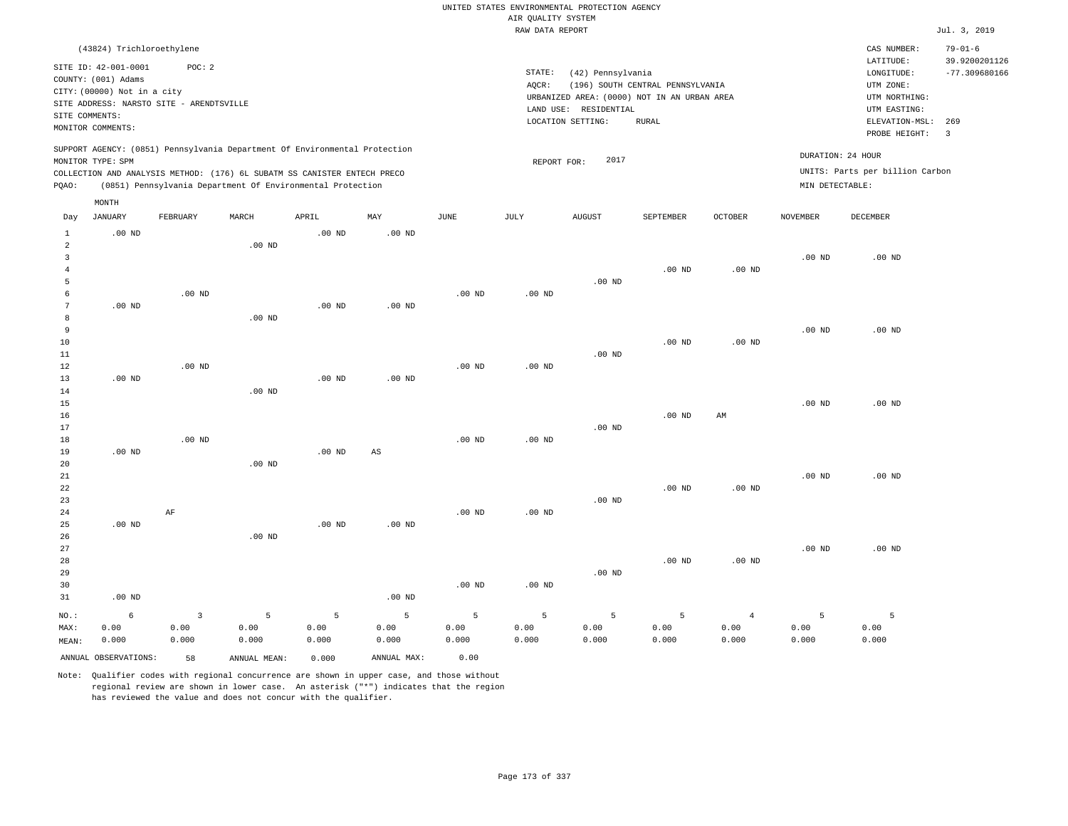|                  |                                          |          |                                                                            |                   |                   |             |                    | UNITED STATES ENVIRONMENTAL PROTECTION AGENCY |                                  |                   |                   |                                 |                         |
|------------------|------------------------------------------|----------|----------------------------------------------------------------------------|-------------------|-------------------|-------------|--------------------|-----------------------------------------------|----------------------------------|-------------------|-------------------|---------------------------------|-------------------------|
|                  |                                          |          |                                                                            |                   |                   |             | AIR QUALITY SYSTEM |                                               |                                  |                   |                   |                                 |                         |
|                  |                                          |          |                                                                            |                   |                   |             | RAW DATA REPORT    |                                               |                                  |                   |                   |                                 | Jul. 3, 2019            |
|                  | (43824) Trichloroethylene                |          |                                                                            |                   |                   |             |                    |                                               |                                  |                   |                   | CAS NUMBER:                     | $79 - 01 - 6$           |
|                  | SITE ID: 42-001-0001                     | POC: 2   |                                                                            |                   |                   |             |                    |                                               |                                  |                   |                   | LATITUDE:                       | 39.9200201126           |
|                  | COUNTY: (001) Adams                      |          |                                                                            |                   |                   |             | STATE:             | (42) Pennsylvania                             |                                  |                   |                   | LONGITUDE:                      | $-77.309680166$         |
|                  | CITY: (00000) Not in a city              |          |                                                                            |                   |                   |             | AQCR:              |                                               | (196) SOUTH CENTRAL PENNSYLVANIA |                   |                   | UTM ZONE:                       |                         |
|                  | SITE ADDRESS: NARSTO SITE - ARENDTSVILLE |          |                                                                            |                   |                   |             |                    | URBANIZED AREA: (0000) NOT IN AN URBAN AREA   |                                  |                   |                   | UTM NORTHING:                   |                         |
| SITE COMMENTS:   |                                          |          |                                                                            |                   |                   |             |                    | LAND USE: RESIDENTIAL<br>LOCATION SETTING:    | <b>RURAL</b>                     |                   |                   | UTM EASTING:<br>ELEVATION-MSL:  | 269                     |
|                  | MONITOR COMMENTS:                        |          |                                                                            |                   |                   |             |                    |                                               |                                  |                   |                   | PROBE HEIGHT:                   | $\overline{\mathbf{3}}$ |
|                  |                                          |          | SUPPORT AGENCY: (0851) Pennsylvania Department Of Environmental Protection |                   |                   |             |                    | 2017                                          |                                  |                   | DURATION: 24 HOUR |                                 |                         |
|                  | MONITOR TYPE: SPM                        |          | COLLECTION AND ANALYSIS METHOD: (176) 6L SUBATM SS CANISTER ENTECH PRECO   |                   |                   |             | REPORT FOR:        |                                               |                                  |                   |                   | UNITS: Parts per billion Carbon |                         |
| PQAO:            |                                          |          | (0851) Pennsylvania Department Of Environmental Protection                 |                   |                   |             |                    |                                               |                                  |                   | MIN DETECTABLE:   |                                 |                         |
|                  | MONTH                                    |          |                                                                            |                   |                   |             |                    |                                               |                                  |                   |                   |                                 |                         |
| Day              | JANUARY                                  | FEBRUARY | MARCH                                                                      | APRIL             | MAY               | <b>JUNE</b> | JULY               | <b>AUGUST</b>                                 | SEPTEMBER                        | OCTOBER           | <b>NOVEMBER</b>   | DECEMBER                        |                         |
| $\mathbf{1}$     | $.00$ ND                                 |          |                                                                            | .00 <sub>ND</sub> | .00 <sub>ND</sub> |             |                    |                                               |                                  |                   |                   |                                 |                         |
| $\overline{a}$   |                                          |          | .00 <sub>ND</sub>                                                          |                   |                   |             |                    |                                               |                                  |                   |                   |                                 |                         |
| $\mathbf{3}$     |                                          |          |                                                                            |                   |                   |             |                    |                                               |                                  |                   | $.00$ ND          | $.00$ ND                        |                         |
| $\overline{4}$   |                                          |          |                                                                            |                   |                   |             |                    |                                               | .00 <sub>ND</sub>                | .00 <sub>ND</sub> |                   |                                 |                         |
| 5<br>6           |                                          | $.00$ ND |                                                                            |                   |                   | $.00$ ND    | $.00$ ND           | $.00$ ND                                      |                                  |                   |                   |                                 |                         |
| $\boldsymbol{7}$ | $.00$ ND                                 |          |                                                                            | $.00$ ND          | $.00$ ND          |             |                    |                                               |                                  |                   |                   |                                 |                         |
| 8                |                                          |          | $.00$ ND                                                                   |                   |                   |             |                    |                                               |                                  |                   |                   |                                 |                         |
| 9                |                                          |          |                                                                            |                   |                   |             |                    |                                               |                                  |                   | $.00$ ND          | $.00$ ND                        |                         |
| 10               |                                          |          |                                                                            |                   |                   |             |                    |                                               | $.00$ ND                         | $.00$ ND          |                   |                                 |                         |
| 11               |                                          |          |                                                                            |                   |                   |             |                    | $.00$ ND                                      |                                  |                   |                   |                                 |                         |
| 12               |                                          | $.00$ ND |                                                                            |                   |                   | $.00$ ND    | $.00$ ND           |                                               |                                  |                   |                   |                                 |                         |
| 13               | $.00$ ND                                 |          |                                                                            | $.00$ ND          | $.00$ ND          |             |                    |                                               |                                  |                   |                   |                                 |                         |
| 14               |                                          |          | $.00$ ND                                                                   |                   |                   |             |                    |                                               |                                  |                   |                   |                                 |                         |
| 15               |                                          |          |                                                                            |                   |                   |             |                    |                                               |                                  |                   | $.00$ ND          | $.00$ ND                        |                         |
| 16<br>17         |                                          |          |                                                                            |                   |                   |             |                    | $.00$ ND                                      | $.00$ ND                         | AM                |                   |                                 |                         |
| 18               |                                          | $.00$ ND |                                                                            |                   |                   | $.00$ ND    | .00 <sub>ND</sub>  |                                               |                                  |                   |                   |                                 |                         |
| 19               | $.00$ ND                                 |          |                                                                            | $.00$ ND          | $_{\rm AS}$       |             |                    |                                               |                                  |                   |                   |                                 |                         |
| 20               |                                          |          | $.00$ ND                                                                   |                   |                   |             |                    |                                               |                                  |                   |                   |                                 |                         |
| 21               |                                          |          |                                                                            |                   |                   |             |                    |                                               |                                  |                   | .00 <sub>ND</sub> | $.00$ ND                        |                         |
| 22               |                                          |          |                                                                            |                   |                   |             |                    |                                               | $.00$ ND                         | .00 <sub>ND</sub> |                   |                                 |                         |
| 23               |                                          |          |                                                                            |                   |                   |             |                    | $.00$ ND                                      |                                  |                   |                   |                                 |                         |
| 24               |                                          | AF       |                                                                            |                   |                   | $.00$ ND    | .00 <sub>ND</sub>  |                                               |                                  |                   |                   |                                 |                         |
| 25               | $.00$ ND                                 |          |                                                                            | $.00$ ND          | $.00$ ND          |             |                    |                                               |                                  |                   |                   |                                 |                         |
| 26<br>27         |                                          |          | $.00$ ND                                                                   |                   |                   |             |                    |                                               |                                  |                   | $.00$ ND          | $.00$ ND                        |                         |
| 28               |                                          |          |                                                                            |                   |                   |             |                    |                                               | .00 <sub>ND</sub>                | $.00$ ND          |                   |                                 |                         |
| 29               |                                          |          |                                                                            |                   |                   |             |                    | $.00$ ND                                      |                                  |                   |                   |                                 |                         |
| 30               |                                          |          |                                                                            |                   |                   | $.00$ ND    | .00 <sub>ND</sub>  |                                               |                                  |                   |                   |                                 |                         |
| 31               | $.00$ ND                                 |          |                                                                            |                   | $.00$ ND          |             |                    |                                               |                                  |                   |                   |                                 |                         |
| NO.:             | 6                                        | 3        | 5                                                                          | 5                 | 5                 | 5           | 5                  | 5                                             | 5                                | $\overline{4}$    | 5                 | 5                               |                         |
| MAX:             | 0.00                                     | 0.00     | 0.00                                                                       | 0.00              | 0.00              | 0.00        | 0.00               | 0.00                                          | 0.00                             | 0.00              | 0.00              | 0.00                            |                         |
| MEAN:            | 0.000                                    | 0.000    | 0.000                                                                      | 0.000             | 0.000             | 0.000       | 0.000              | 0.000                                         | 0.000                            | 0.000             | 0.000             | 0.000                           |                         |
|                  | ANNUAL OBSERVATIONS:                     | 58       | ANNUAL MEAN:                                                               | 0.000             | ANNUAL MAX:       | 0.00        |                    |                                               |                                  |                   |                   |                                 |                         |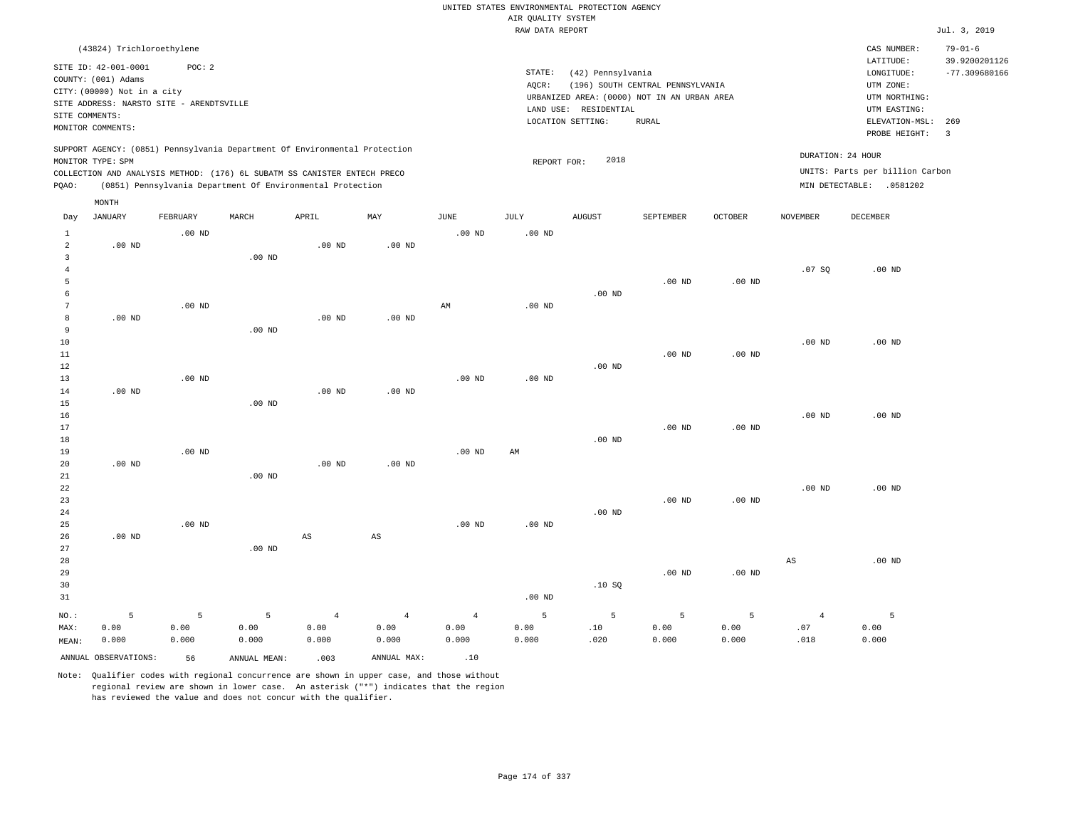|                                |                                                                                                                                             |          |              |                                                                                                                                        |                        |                   | AIR QUALITY SYSTEM | UNITED STATES ENVIRONMENTAL PROTECTION AGENCY                                                                  |                                                  |          |                |                                                                            |                                |
|--------------------------------|---------------------------------------------------------------------------------------------------------------------------------------------|----------|--------------|----------------------------------------------------------------------------------------------------------------------------------------|------------------------|-------------------|--------------------|----------------------------------------------------------------------------------------------------------------|--------------------------------------------------|----------|----------------|----------------------------------------------------------------------------|--------------------------------|
|                                |                                                                                                                                             |          |              |                                                                                                                                        |                        |                   | RAW DATA REPORT    |                                                                                                                |                                                  |          |                |                                                                            | Jul. 3, 2019                   |
|                                | (43824) Trichloroethylene                                                                                                                   |          |              |                                                                                                                                        |                        |                   |                    |                                                                                                                |                                                  |          |                | CAS NUMBER:<br>$\mathtt{LATITUDE}$                                         | $79 - 01 - 6$<br>39.9200201126 |
| SITE COMMENTS:                 | SITE ID: 42-001-0001<br>COUNTY: (001) Adams<br>CITY: (00000) Not in a city<br>SITE ADDRESS: NARSTO SITE - ARENDTSVILLE<br>MONITOR COMMENTS: | POC: 2   |              |                                                                                                                                        |                        |                   | STATE:<br>AQCR:    | (42) Pennsylvania<br>URBANIZED AREA: (0000) NOT IN AN URBAN AREA<br>LAND USE: RESIDENTIAL<br>LOCATION SETTING: | (196) SOUTH CENTRAL PENNSYLVANIA<br><b>RURAL</b> |          |                | LONGITUDE:<br>UTM ZONE:<br>UTM NORTHING:<br>UTM EASTING:<br>ELEVATION-MSL: | $-77.309680166$<br>269         |
|                                |                                                                                                                                             |          |              | SUPPORT AGENCY: (0851) Pennsylvania Department Of Environmental Protection                                                             |                        |                   |                    |                                                                                                                |                                                  |          |                | PROBE HEIGHT:<br>DURATION: 24 HOUR                                         | $\overline{3}$                 |
|                                | MONITOR TYPE: SPM                                                                                                                           |          |              |                                                                                                                                        |                        |                   | REPORT FOR:        | 2018                                                                                                           |                                                  |          |                |                                                                            |                                |
| PQAO:                          |                                                                                                                                             |          |              | COLLECTION AND ANALYSIS METHOD: (176) 6L SUBATM SS CANISTER ENTECH PRECO<br>(0851) Pennsylvania Department Of Environmental Protection |                        |                   |                    |                                                                                                                |                                                  |          |                | UNITS: Parts per billion Carbon<br>MIN DETECTABLE: .0581202                |                                |
|                                | MONTH                                                                                                                                       |          |              |                                                                                                                                        |                        |                   |                    |                                                                                                                |                                                  |          |                |                                                                            |                                |
| Day                            | JANUARY                                                                                                                                     | FEBRUARY | MARCH        | APRIL                                                                                                                                  | MAY                    | JUNE              | JULY               | <b>AUGUST</b>                                                                                                  | SEPTEMBER                                        | OCTOBER  | NOVEMBER       | DECEMBER                                                                   |                                |
| $\mathbf{1}$<br>$\overline{a}$ | .00 <sub>ND</sub>                                                                                                                           | $.00$ ND |              | .00 <sub>ND</sub>                                                                                                                      | .00 <sub>ND</sub>      | .00 <sub>ND</sub> | $.00$ ND           |                                                                                                                |                                                  |          |                |                                                                            |                                |
| $\overline{3}$                 |                                                                                                                                             |          | $.00$ ND     |                                                                                                                                        |                        |                   |                    |                                                                                                                |                                                  |          |                |                                                                            |                                |
| $\overline{4}$<br>5            |                                                                                                                                             |          |              |                                                                                                                                        |                        |                   |                    |                                                                                                                | $.00$ ND                                         | $.00$ ND | .07SQ          | $.00$ ND                                                                   |                                |
| 6                              |                                                                                                                                             |          |              |                                                                                                                                        |                        |                   |                    | $.00$ ND                                                                                                       |                                                  |          |                |                                                                            |                                |
| $7\phantom{.0}$                |                                                                                                                                             | $.00$ ND |              |                                                                                                                                        |                        | AM                | .00 <sub>ND</sub>  |                                                                                                                |                                                  |          |                |                                                                            |                                |
| 8                              | $.00$ ND                                                                                                                                    |          |              | .00 <sub>ND</sub>                                                                                                                      | $.00$ ND               |                   |                    |                                                                                                                |                                                  |          |                |                                                                            |                                |
| $\overline{9}$                 |                                                                                                                                             |          | $.00$ ND     |                                                                                                                                        |                        |                   |                    |                                                                                                                |                                                  |          |                |                                                                            |                                |
| 10                             |                                                                                                                                             |          |              |                                                                                                                                        |                        |                   |                    |                                                                                                                |                                                  |          | $.00$ ND       | $.00$ ND                                                                   |                                |
| 11                             |                                                                                                                                             |          |              |                                                                                                                                        |                        |                   |                    |                                                                                                                | .00 <sub>ND</sub>                                | $.00$ ND |                |                                                                            |                                |
| 12                             |                                                                                                                                             |          |              |                                                                                                                                        |                        |                   |                    | $.00$ ND                                                                                                       |                                                  |          |                |                                                                            |                                |
| 13                             |                                                                                                                                             | $.00$ ND |              |                                                                                                                                        |                        | .00 <sub>ND</sub> | .00 <sub>ND</sub>  |                                                                                                                |                                                  |          |                |                                                                            |                                |
| 14<br>15                       | $.00$ ND                                                                                                                                    |          | $.00$ ND     | $.00$ ND                                                                                                                               | $.00$ ND               |                   |                    |                                                                                                                |                                                  |          |                |                                                                            |                                |
| 16                             |                                                                                                                                             |          |              |                                                                                                                                        |                        |                   |                    |                                                                                                                |                                                  |          | $.00$ ND       | $.00$ ND                                                                   |                                |
| 17                             |                                                                                                                                             |          |              |                                                                                                                                        |                        |                   |                    |                                                                                                                | $.00$ ND                                         | $.00$ ND |                |                                                                            |                                |
| 18                             |                                                                                                                                             |          |              |                                                                                                                                        |                        |                   |                    | $.00$ ND                                                                                                       |                                                  |          |                |                                                                            |                                |
| 19                             |                                                                                                                                             | $.00$ ND |              |                                                                                                                                        |                        | .00 <sub>ND</sub> | AM                 |                                                                                                                |                                                  |          |                |                                                                            |                                |
| 20                             | $.00$ ND                                                                                                                                    |          |              | $.00$ ND                                                                                                                               | $.00$ ND               |                   |                    |                                                                                                                |                                                  |          |                |                                                                            |                                |
| 21                             |                                                                                                                                             |          | $.00$ ND     |                                                                                                                                        |                        |                   |                    |                                                                                                                |                                                  |          |                |                                                                            |                                |
| 22                             |                                                                                                                                             |          |              |                                                                                                                                        |                        |                   |                    |                                                                                                                |                                                  |          | $.00$ ND       | $.00$ ND                                                                   |                                |
| 23<br>24                       |                                                                                                                                             |          |              |                                                                                                                                        |                        |                   |                    | $.00$ ND                                                                                                       | $.00$ ND                                         | $.00$ ND |                |                                                                            |                                |
| 25                             |                                                                                                                                             | $.00$ ND |              |                                                                                                                                        |                        | $.00$ ND          | $.00$ ND           |                                                                                                                |                                                  |          |                |                                                                            |                                |
| 26                             | $.00$ ND                                                                                                                                    |          |              | $\mathbb{A}\mathbb{S}$                                                                                                                 | $\mathbb{A}\mathbb{S}$ |                   |                    |                                                                                                                |                                                  |          |                |                                                                            |                                |
| 27                             |                                                                                                                                             |          | $.00$ ND     |                                                                                                                                        |                        |                   |                    |                                                                                                                |                                                  |          |                |                                                                            |                                |
| 28                             |                                                                                                                                             |          |              |                                                                                                                                        |                        |                   |                    |                                                                                                                |                                                  |          | $_{\rm AS}$    | .00 <sub>ND</sub>                                                          |                                |
| 29                             |                                                                                                                                             |          |              |                                                                                                                                        |                        |                   |                    |                                                                                                                | .00 <sub>ND</sub>                                | $.00$ ND |                |                                                                            |                                |
| 30                             |                                                                                                                                             |          |              |                                                                                                                                        |                        |                   |                    | .10SQ                                                                                                          |                                                  |          |                |                                                                            |                                |
| 31                             |                                                                                                                                             |          |              |                                                                                                                                        |                        |                   | $.00$ ND           |                                                                                                                |                                                  |          |                |                                                                            |                                |
| NO.:                           | 5                                                                                                                                           | 5        | 5            | $\overline{4}$                                                                                                                         | $\overline{4}$         | $\overline{4}$    | 5                  | 5                                                                                                              | 5                                                | 5        | $\overline{4}$ | 5                                                                          |                                |
| MAX:                           | 0.00                                                                                                                                        | 0.00     | 0.00         | 0.00                                                                                                                                   | 0.00                   | 0.00              | 0.00               | .10                                                                                                            | 0.00                                             | 0.00     | .07            | 0.00                                                                       |                                |
| MEAN:                          | 0.000                                                                                                                                       | 0.000    | 0.000        | 0.000                                                                                                                                  | 0.000                  | 0.000             | 0.000              | .020                                                                                                           | 0.000                                            | 0.000    | .018           | 0.000                                                                      |                                |
|                                | ANNUAL OBSERVATIONS:                                                                                                                        | 56       | ANNUAL MEAN: | .003                                                                                                                                   | ANNUAL MAX:            | .10               |                    |                                                                                                                |                                                  |          |                |                                                                            |                                |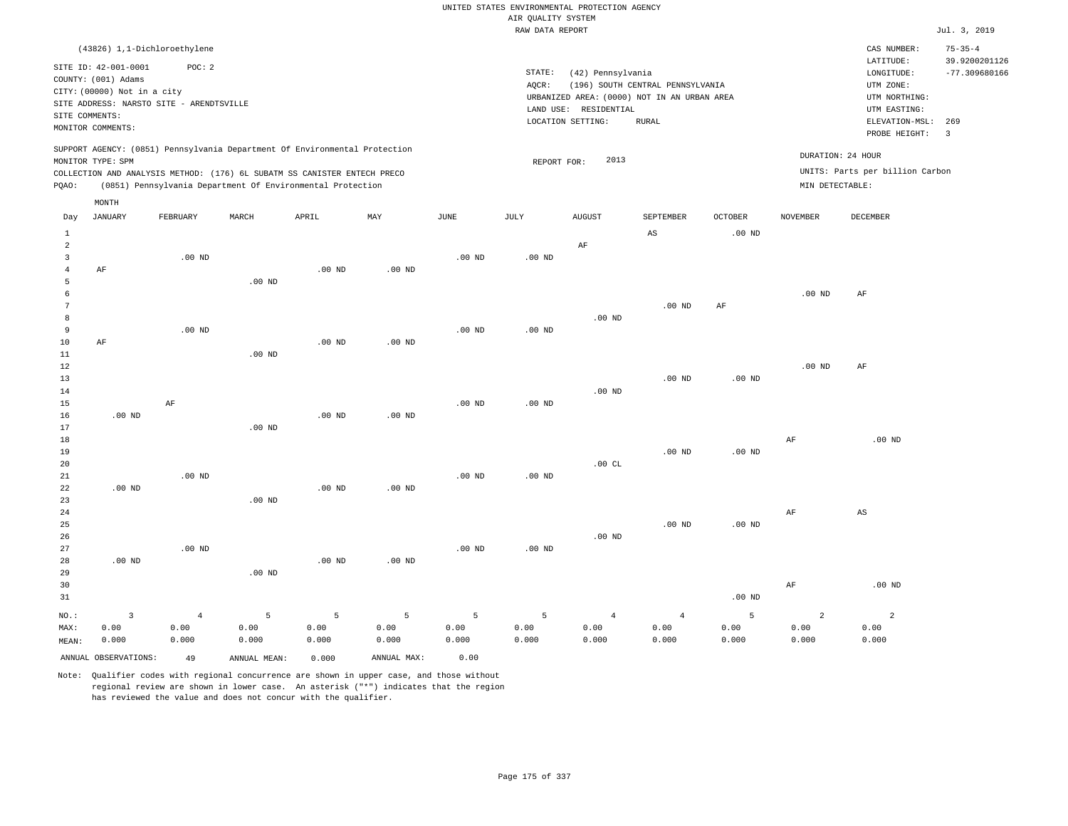|                                |                                             |                   |                                                                            |                   |                   |                   |                                       | UNITED STATES ENVIRONMENTAL PROTECTION AGENCY |                                             |                   |                 |                                 |                                |
|--------------------------------|---------------------------------------------|-------------------|----------------------------------------------------------------------------|-------------------|-------------------|-------------------|---------------------------------------|-----------------------------------------------|---------------------------------------------|-------------------|-----------------|---------------------------------|--------------------------------|
|                                |                                             |                   |                                                                            |                   |                   |                   | AIR OUALITY SYSTEM<br>RAW DATA REPORT |                                               |                                             |                   |                 |                                 | Jul. 3, 2019                   |
|                                |                                             |                   |                                                                            |                   |                   |                   |                                       |                                               |                                             |                   |                 |                                 |                                |
|                                | (43826) 1,1-Dichloroethylene                | POC: 2            |                                                                            |                   |                   |                   |                                       |                                               |                                             |                   |                 | CAS NUMBER:<br>LATITUDE:        | $75 - 35 - 4$<br>39.9200201126 |
|                                | SITE ID: 42-001-0001<br>COUNTY: (001) Adams |                   |                                                                            |                   |                   |                   | STATE:                                | (42) Pennsylvania                             |                                             |                   |                 | LONGITUDE:                      | $-77.309680166$                |
|                                | CITY: (00000) Not in a city                 |                   |                                                                            |                   |                   |                   | AQCR:                                 |                                               | (196) SOUTH CENTRAL PENNSYLVANIA            |                   |                 | UTM ZONE:                       |                                |
|                                | SITE ADDRESS: NARSTO SITE - ARENDTSVILLE    |                   |                                                                            |                   |                   |                   |                                       |                                               | URBANIZED AREA: (0000) NOT IN AN URBAN AREA |                   |                 | UTM NORTHING:                   |                                |
| SITE COMMENTS:                 |                                             |                   |                                                                            |                   |                   |                   |                                       | LAND USE: RESIDENTIAL                         |                                             |                   |                 | UTM EASTING:                    |                                |
|                                | MONITOR COMMENTS:                           |                   |                                                                            |                   |                   |                   |                                       | LOCATION SETTING:                             | <b>RURAL</b>                                |                   |                 | ELEVATION-MSL:<br>PROBE HEIGHT: | 269<br>$\overline{\mathbf{3}}$ |
|                                |                                             |                   | SUPPORT AGENCY: (0851) Pennsylvania Department Of Environmental Protection |                   |                   |                   |                                       |                                               |                                             |                   |                 | DURATION: 24 HOUR               |                                |
|                                | MONITOR TYPE: SPM                           |                   |                                                                            |                   |                   |                   | REPORT FOR:                           | 2013                                          |                                             |                   |                 |                                 |                                |
|                                |                                             |                   | COLLECTION AND ANALYSIS METHOD: (176) 6L SUBATM SS CANISTER ENTECH PRECO   |                   |                   |                   |                                       |                                               |                                             |                   |                 | UNITS: Parts per billion Carbon |                                |
| PQAO:                          |                                             |                   | (0851) Pennsylvania Department Of Environmental Protection                 |                   |                   |                   |                                       |                                               |                                             |                   | MIN DETECTABLE: |                                 |                                |
| Day                            | MONTH<br><b>JANUARY</b>                     | FEBRUARY          | MARCH                                                                      | APRIL             | MAY               | $_{\rm JUNE}$     | <b>JULY</b>                           | <b>AUGUST</b>                                 | SEPTEMBER                                   | <b>OCTOBER</b>    | <b>NOVEMBER</b> | DECEMBER                        |                                |
|                                |                                             |                   |                                                                            |                   |                   |                   |                                       |                                               |                                             |                   |                 |                                 |                                |
| <sup>1</sup><br>$\overline{a}$ |                                             |                   |                                                                            |                   |                   |                   |                                       | $\rm AF$                                      | AS                                          | .00 <sub>ND</sub> |                 |                                 |                                |
| $\overline{3}$                 |                                             | $.00$ ND          |                                                                            |                   |                   | $.00$ ND          | $.00$ ND                              |                                               |                                             |                   |                 |                                 |                                |
| $\overline{4}$                 | AF                                          |                   |                                                                            | $.00$ ND          | $.00$ ND          |                   |                                       |                                               |                                             |                   |                 |                                 |                                |
| 5                              |                                             |                   | $.00$ ND                                                                   |                   |                   |                   |                                       |                                               |                                             |                   |                 |                                 |                                |
| 6                              |                                             |                   |                                                                            |                   |                   |                   |                                       |                                               |                                             |                   | $.00$ ND        | AF                              |                                |
| $\overline{7}$                 |                                             |                   |                                                                            |                   |                   |                   |                                       |                                               | $.00$ ND                                    | AF                |                 |                                 |                                |
| $\mathbf{g}$                   |                                             |                   |                                                                            |                   |                   |                   |                                       | .00 <sub>ND</sub>                             |                                             |                   |                 |                                 |                                |
| $\overline{9}$                 |                                             | .00 <sub>ND</sub> |                                                                            |                   |                   | .00 <sub>ND</sub> | .00 <sub>ND</sub>                     |                                               |                                             |                   |                 |                                 |                                |
| 10                             | AF                                          |                   |                                                                            | $.00$ ND          | $.00$ ND          |                   |                                       |                                               |                                             |                   |                 |                                 |                                |
| 11<br>$1\,2$                   |                                             |                   | $.00$ ND                                                                   |                   |                   |                   |                                       |                                               |                                             |                   | $.00$ ND        | AF                              |                                |
| 13                             |                                             |                   |                                                                            |                   |                   |                   |                                       |                                               | $.00$ ND                                    | .00 <sub>ND</sub> |                 |                                 |                                |
| 14                             |                                             |                   |                                                                            |                   |                   |                   |                                       | $.00$ ND                                      |                                             |                   |                 |                                 |                                |
| 15                             |                                             | AF                |                                                                            |                   |                   | .00 <sub>ND</sub> | .00 <sub>ND</sub>                     |                                               |                                             |                   |                 |                                 |                                |
| 16                             | .00 <sub>ND</sub>                           |                   |                                                                            | $.00$ ND          | .00 <sub>ND</sub> |                   |                                       |                                               |                                             |                   |                 |                                 |                                |
| 17                             |                                             |                   | $.00$ ND                                                                   |                   |                   |                   |                                       |                                               |                                             |                   |                 |                                 |                                |
| 18                             |                                             |                   |                                                                            |                   |                   |                   |                                       |                                               |                                             |                   | AF              | $.00$ ND                        |                                |
| 19                             |                                             |                   |                                                                            |                   |                   |                   |                                       |                                               | $.00$ ND                                    | $.00$ ND          |                 |                                 |                                |
| 20<br>21                       |                                             | $.00$ ND          |                                                                            |                   |                   | $.00$ ND          | $.00$ ND                              | .00CL                                         |                                             |                   |                 |                                 |                                |
| 22                             | $.00$ ND                                    |                   |                                                                            | .00 <sub>ND</sub> | $.00$ ND          |                   |                                       |                                               |                                             |                   |                 |                                 |                                |
| 23                             |                                             |                   | .00 <sub>ND</sub>                                                          |                   |                   |                   |                                       |                                               |                                             |                   |                 |                                 |                                |
| 24                             |                                             |                   |                                                                            |                   |                   |                   |                                       |                                               |                                             |                   | AF              | AS                              |                                |
| 25                             |                                             |                   |                                                                            |                   |                   |                   |                                       |                                               | $.00$ ND                                    | .00 <sub>ND</sub> |                 |                                 |                                |
| 26                             |                                             |                   |                                                                            |                   |                   |                   |                                       | $.00$ ND                                      |                                             |                   |                 |                                 |                                |
| 27                             |                                             | $.00$ ND          |                                                                            |                   |                   | .00 <sub>ND</sub> | $.00$ ND                              |                                               |                                             |                   |                 |                                 |                                |
| 28                             | $.00$ ND                                    |                   |                                                                            | $.00$ ND          | $.00$ ND          |                   |                                       |                                               |                                             |                   |                 |                                 |                                |
| 29                             |                                             |                   | $.00$ ND                                                                   |                   |                   |                   |                                       |                                               |                                             |                   |                 |                                 |                                |
| 30                             |                                             |                   |                                                                            |                   |                   |                   |                                       |                                               |                                             |                   | $\rm{AF}$       | $.00$ ND                        |                                |
| 31                             |                                             |                   |                                                                            |                   |                   |                   |                                       |                                               |                                             | .00 <sub>ND</sub> |                 |                                 |                                |
| $NO.$ :                        | $\overline{3}$                              | $\overline{4}$    | 5                                                                          | 5                 | 5                 | 5                 | 5                                     | $\overline{4}$                                | $\overline{4}$                              | 5                 | $\overline{2}$  | $\overline{2}$                  |                                |
| MAX:                           | 0.00                                        | 0.00              | 0.00                                                                       | 0.00              | 0.00              | 0.00              | 0.00                                  | 0.00                                          | 0.00                                        | 0.00              | 0.00            | 0.00                            |                                |
| MEAN:                          | 0.000                                       | 0.000             | 0.000                                                                      | 0.000             | 0.000             | 0.000             | 0.000                                 | 0.000                                         | 0.000                                       | 0.000             | 0.000           | 0.000                           |                                |
|                                | ANNUAL OBSERVATIONS:                        | 49                | ANNUAL MEAN:                                                               | 0.000             | ANNUAL MAX:       | 0.00              |                                       |                                               |                                             |                   |                 |                                 |                                |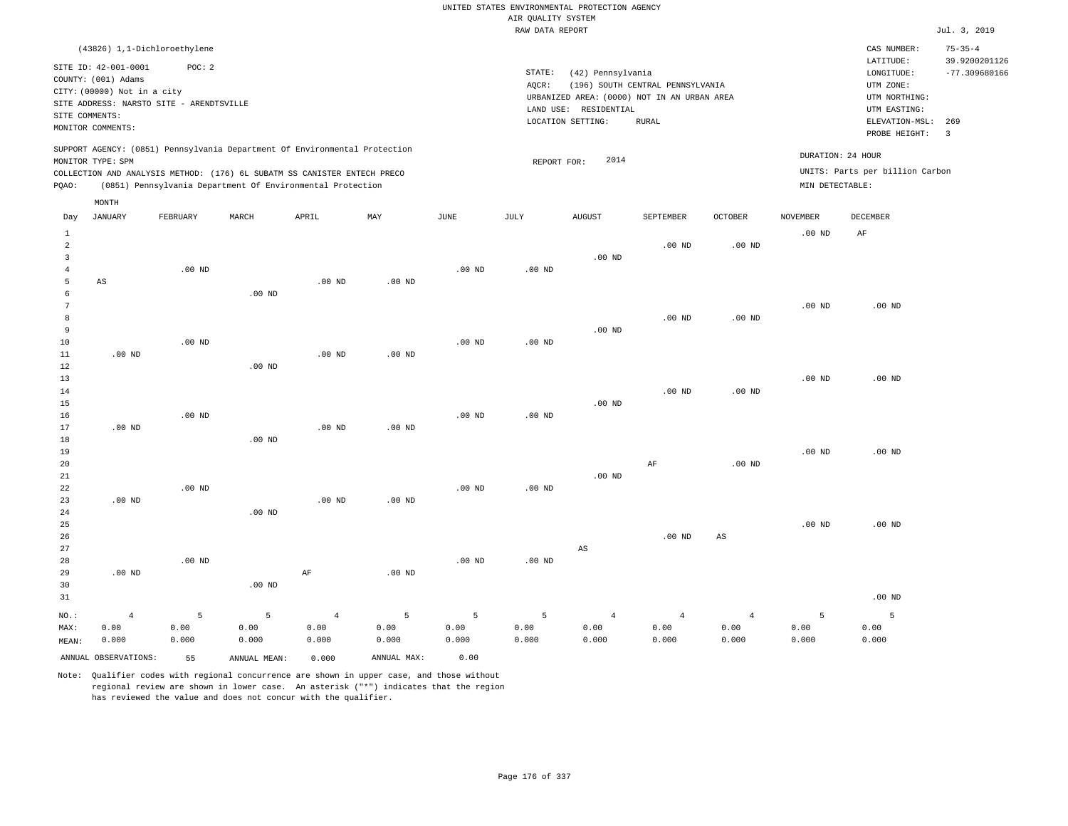|                                           |                                                    |                   |                                                                                                                                        |                   |                   |                   | AIR QUALITY SYSTEM | UNITED STATES ENVIRONMENTAL PROTECTION AGENCY |                                  |                   |                   |                                 |                                |
|-------------------------------------------|----------------------------------------------------|-------------------|----------------------------------------------------------------------------------------------------------------------------------------|-------------------|-------------------|-------------------|--------------------|-----------------------------------------------|----------------------------------|-------------------|-------------------|---------------------------------|--------------------------------|
|                                           |                                                    |                   |                                                                                                                                        |                   |                   |                   | RAW DATA REPORT    |                                               |                                  |                   |                   |                                 | Jul. 3, 2019                   |
|                                           | (43826) 1,1-Dichloroethylene                       |                   |                                                                                                                                        |                   |                   |                   |                    |                                               |                                  |                   |                   | CAS NUMBER:<br>LATITUDE:        | $75 - 35 - 4$<br>39.9200201126 |
|                                           | SITE ID: 42-001-0001                               | POC: 2            |                                                                                                                                        |                   |                   |                   | STATE:             | (42) Pennsylvania                             |                                  |                   |                   | LONGITUDE:                      | $-77.309680166$                |
|                                           | COUNTY: (001) Adams<br>CITY: (00000) Not in a city |                   |                                                                                                                                        |                   |                   |                   | AQCR:              |                                               | (196) SOUTH CENTRAL PENNSYLVANIA |                   |                   | UTM ZONE:                       |                                |
|                                           | SITE ADDRESS: NARSTO SITE - ARENDTSVILLE           |                   |                                                                                                                                        |                   |                   |                   |                    | URBANIZED AREA: (0000) NOT IN AN URBAN AREA   |                                  |                   |                   | UTM NORTHING:                   |                                |
| SITE COMMENTS:                            |                                                    |                   |                                                                                                                                        |                   |                   |                   |                    | LAND USE: RESIDENTIAL<br>LOCATION SETTING:    | <b>RURAL</b>                     |                   |                   | UTM EASTING:                    |                                |
|                                           | MONITOR COMMENTS:                                  |                   |                                                                                                                                        |                   |                   |                   |                    |                                               |                                  |                   |                   | ELEVATION-MSL:<br>PROBE HEIGHT: | 269<br>$\overline{3}$          |
|                                           |                                                    |                   | SUPPORT AGENCY: (0851) Pennsylvania Department Of Environmental Protection                                                             |                   |                   |                   |                    |                                               |                                  |                   |                   | DURATION: 24 HOUR               |                                |
|                                           | MONITOR TYPE: SPM                                  |                   |                                                                                                                                        |                   |                   |                   | REPORT FOR:        | 2014                                          |                                  |                   |                   | UNITS: Parts per billion Carbon |                                |
| PQAO:                                     |                                                    |                   | COLLECTION AND ANALYSIS METHOD: (176) 6L SUBATM SS CANISTER ENTECH PRECO<br>(0851) Pennsylvania Department Of Environmental Protection |                   |                   |                   |                    |                                               |                                  |                   | MIN DETECTABLE:   |                                 |                                |
|                                           | MONTH                                              |                   |                                                                                                                                        |                   |                   |                   |                    |                                               |                                  |                   |                   |                                 |                                |
| Day                                       | <b>JANUARY</b>                                     | FEBRUARY          | MARCH                                                                                                                                  | APRIL             | MAX               | <b>JUNE</b>       | <b>JULY</b>        | <b>AUGUST</b>                                 | SEPTEMBER                        | <b>OCTOBER</b>    | <b>NOVEMBER</b>   | <b>DECEMBER</b>                 |                                |
| $\,1\,$                                   |                                                    |                   |                                                                                                                                        |                   |                   |                   |                    |                                               |                                  |                   | .00 <sub>ND</sub> | AF                              |                                |
| $\overline{a}$<br>$\overline{\mathbf{3}}$ |                                                    |                   |                                                                                                                                        |                   |                   |                   |                    |                                               | $.00$ ND                         | .00 <sub>ND</sub> |                   |                                 |                                |
| $\overline{4}$                            |                                                    | .00 <sub>ND</sub> |                                                                                                                                        |                   |                   | $.00$ ND          | $.00$ ND           | .00 <sub>ND</sub>                             |                                  |                   |                   |                                 |                                |
| 5                                         | AS                                                 |                   |                                                                                                                                        | .00 <sub>ND</sub> | $.00$ ND          |                   |                    |                                               |                                  |                   |                   |                                 |                                |
| 6                                         |                                                    |                   | $.00$ ND                                                                                                                               |                   |                   |                   |                    |                                               |                                  |                   |                   |                                 |                                |
| $\overline{7}$                            |                                                    |                   |                                                                                                                                        |                   |                   |                   |                    |                                               |                                  |                   | $.00$ ND          | $.00$ ND                        |                                |
| 8                                         |                                                    |                   |                                                                                                                                        |                   |                   |                   |                    |                                               | $.00$ ND                         | .00 <sub>ND</sub> |                   |                                 |                                |
| $\overline{9}$                            |                                                    | $.00$ ND          |                                                                                                                                        |                   |                   |                   |                    | $.00$ ND                                      |                                  |                   |                   |                                 |                                |
| 10<br>$1\,1$                              | $.00$ ND                                           |                   |                                                                                                                                        | .00 <sub>ND</sub> | .00 <sub>ND</sub> | $.00$ ND          | $.00$ ND           |                                               |                                  |                   |                   |                                 |                                |
| 12                                        |                                                    |                   | .00 <sub>ND</sub>                                                                                                                      |                   |                   |                   |                    |                                               |                                  |                   |                   |                                 |                                |
| 13                                        |                                                    |                   |                                                                                                                                        |                   |                   |                   |                    |                                               |                                  |                   | .00 <sub>ND</sub> | $.00$ ND                        |                                |
| 14                                        |                                                    |                   |                                                                                                                                        |                   |                   |                   |                    |                                               | .00 <sub>ND</sub>                | .00 <sub>ND</sub> |                   |                                 |                                |
| 15                                        |                                                    |                   |                                                                                                                                        |                   |                   |                   |                    | $.00$ ND                                      |                                  |                   |                   |                                 |                                |
| 16                                        |                                                    | $.00$ ND          |                                                                                                                                        |                   |                   | $.00$ ND          | $.00$ ND           |                                               |                                  |                   |                   |                                 |                                |
| 17<br>18                                  | $.00$ ND                                           |                   | .00 <sub>ND</sub>                                                                                                                      | $.00$ ND          | $.00$ ND          |                   |                    |                                               |                                  |                   |                   |                                 |                                |
| 19                                        |                                                    |                   |                                                                                                                                        |                   |                   |                   |                    |                                               |                                  |                   | $.00$ ND          | $.00$ ND                        |                                |
| 20                                        |                                                    |                   |                                                                                                                                        |                   |                   |                   |                    |                                               | AF                               | .00 <sub>ND</sub> |                   |                                 |                                |
| 21                                        |                                                    |                   |                                                                                                                                        |                   |                   |                   |                    | .00 <sub>ND</sub>                             |                                  |                   |                   |                                 |                                |
| 22                                        |                                                    | .00 <sub>ND</sub> |                                                                                                                                        |                   |                   | $.00$ ND          | .00 <sub>ND</sub>  |                                               |                                  |                   |                   |                                 |                                |
| 23                                        | $.00$ ND                                           |                   |                                                                                                                                        | $.00$ ND          | $.00$ ND          |                   |                    |                                               |                                  |                   |                   |                                 |                                |
| 24<br>25                                  |                                                    |                   | $.00$ ND                                                                                                                               |                   |                   |                   |                    |                                               |                                  |                   | $.00$ ND          | $.00$ ND                        |                                |
| 26                                        |                                                    |                   |                                                                                                                                        |                   |                   |                   |                    |                                               | $.00$ ND                         | $_{\rm AS}$       |                   |                                 |                                |
| 27                                        |                                                    |                   |                                                                                                                                        |                   |                   |                   |                    | $\mathbb{A}\mathbb{S}$                        |                                  |                   |                   |                                 |                                |
| 28                                        |                                                    | .00 <sub>ND</sub> |                                                                                                                                        |                   |                   | .00 <sub>ND</sub> | $.00$ ND           |                                               |                                  |                   |                   |                                 |                                |
| 29                                        | $.00$ ND                                           |                   |                                                                                                                                        | $\rm AF$          | $.00$ ND          |                   |                    |                                               |                                  |                   |                   |                                 |                                |
| 30                                        |                                                    |                   | $.00$ ND                                                                                                                               |                   |                   |                   |                    |                                               |                                  |                   |                   |                                 |                                |
| 31                                        |                                                    |                   |                                                                                                                                        |                   |                   |                   |                    |                                               |                                  |                   |                   | $.00$ ND                        |                                |
| NO.:                                      | $\overline{4}$                                     | 5                 | 5                                                                                                                                      | $\overline{4}$    | 5                 | 5                 | 5                  | $\overline{4}$                                | $\overline{4}$                   | $\sqrt{4}$        | 5                 | 5                               |                                |
| MAX:                                      | 0.00                                               | 0.00              | 0.00                                                                                                                                   | 0.00              | 0.00              | 0.00              | 0.00               | 0.00                                          | 0.00                             | 0.00              | 0.00              | 0.00                            |                                |
| MEAN:                                     | 0.000                                              | 0.000             | 0.000                                                                                                                                  | 0.000             | 0.000             | 0.000             | 0.000              | 0.000                                         | 0.000                            | 0.000             | 0.000             | 0.000                           |                                |
|                                           | ANNUAL OBSERVATIONS:                               | 55                | ANNUAL MEAN:                                                                                                                           | 0.000             | ANNUAL MAX:       | 0.00              |                    |                                               |                                  |                   |                   |                                 |                                |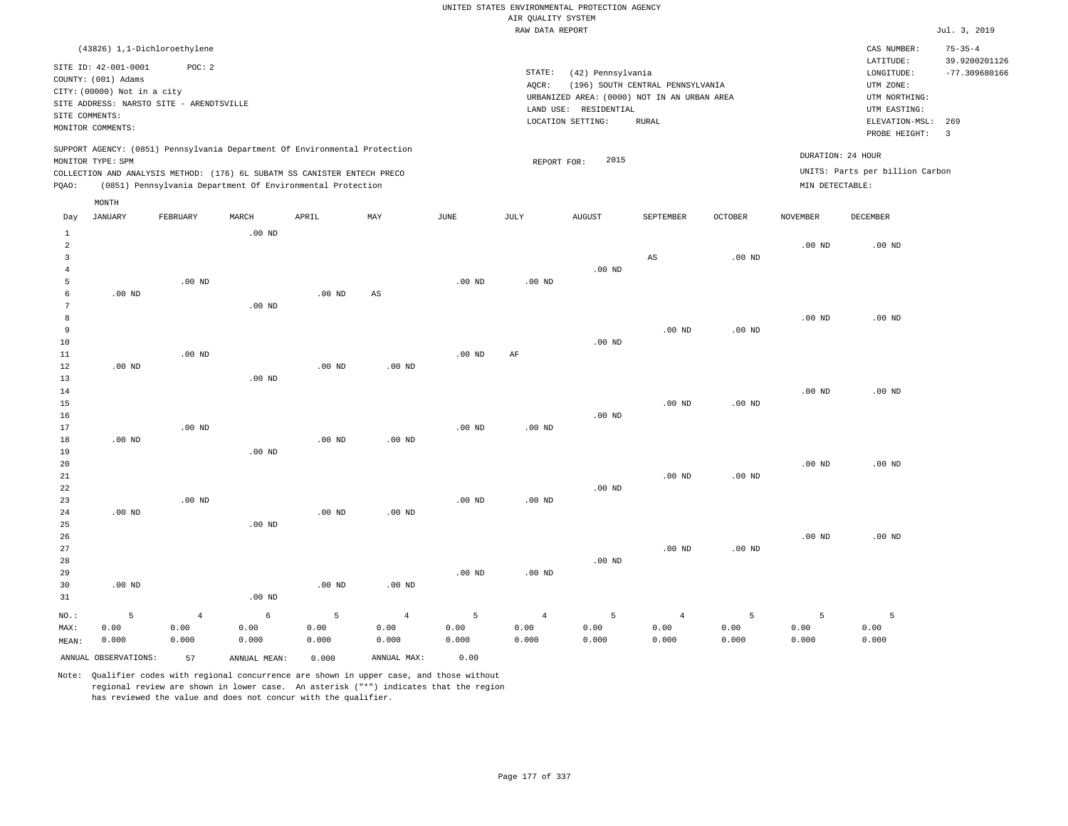| UNITED STATES ENVIRONMENTAL PROTECTION AGENCY |  |
|-----------------------------------------------|--|
| AIR OUALITY SYSTEM                            |  |
| RAW DATA REPORT                               |  |

Jul. 3, 2019

| (43826) 1,1-Dichloroethylene                                                                    |                                                                          | $75 - 35 - 4$<br>CAS NUMBER:               |
|-------------------------------------------------------------------------------------------------|--------------------------------------------------------------------------|--------------------------------------------|
| SITE ID: 42-001-0001<br>POC:2                                                                   |                                                                          | 39.9200201126<br>LATITUDE:                 |
| COUNTY: (001) Adams<br>CITY: (00000) Not in a city                                              | STATE:<br>(42) Pennsylvania<br>(196) SOUTH CENTRAL PENNSYLVANIA<br>AOCR: | $-77.309680166$<br>LONGITUDE:<br>UTM ZONE: |
| SITE ADDRESS: NARSTO SITE - ARENDTSVILLE<br>SITE COMMENTS:                                      | URBANIZED AREA: (0000) NOT IN AN URBAN AREA<br>LAND USE: RESIDENTIAL     | UTM NORTHING:<br>UTM EASTING:              |
| MONITOR COMMENTS:                                                                               | LOCATION SETTING:<br>RURAL                                               | ELEVATION-MSL: 269<br>PROBE HEIGHT:        |
| SUPPORT AGENCY: (0851) Pennsylvania Department Of Environmental Protection<br>MONITOR TYPE: SPM | 2015<br>REPORT FOR:                                                      | DURATION: 24 HOUR                          |
| COLLECTION AND ANALYSIS METHOD: (176) 6L SUBATM SS CANISTER ENTECH PRECO                        |                                                                          | UNITS: Parts per billion Carbon            |
| (0851) Pennsylvania Department Of Environmental Protection<br>POAO:                             |                                                                          | MIN DETECTABLE:                            |

|                | MONTH                |                |              |          |                        |               |                 |               |                |                   |                 |                   |
|----------------|----------------------|----------------|--------------|----------|------------------------|---------------|-----------------|---------------|----------------|-------------------|-----------------|-------------------|
| Day            | <b>JANUARY</b>       | FEBRUARY       | MARCH        | APRIL    | MAY                    | $_{\rm JUNE}$ | $\mathtt{JULY}$ | <b>AUGUST</b> | SEPTEMBER      | OCTOBER           | <b>NOVEMBER</b> | DECEMBER          |
| $\mathbf{1}$   |                      |                | $.00$ ND     |          |                        |               |                 |               |                |                   |                 |                   |
| $\overline{a}$ |                      |                |              |          |                        |               |                 |               |                |                   | $.00$ ND        | $.00$ ND          |
| 3              |                      |                |              |          |                        |               |                 |               | AS             | $.00$ ND          |                 |                   |
| $\overline{4}$ |                      |                |              |          |                        |               |                 | $.00$ ND      |                |                   |                 |                   |
| 5              |                      | $.00$ ND       |              |          |                        | $.00$ ND      | $.00$ ND        |               |                |                   |                 |                   |
| 6              | .00 $ND$             |                |              | $.00$ ND | $\mathbb{A}\mathbb{S}$ |               |                 |               |                |                   |                 |                   |
| 7              |                      |                | $.00$ ND     |          |                        |               |                 |               |                |                   |                 |                   |
| 8              |                      |                |              |          |                        |               |                 |               |                |                   | $.00$ ND        | .00 <sub>ND</sub> |
| 9              |                      |                |              |          |                        |               |                 |               | $.00$ ND       | $.00$ ND          |                 |                   |
| 10             |                      |                |              |          |                        |               |                 | $.00$ ND      |                |                   |                 |                   |
| 11             |                      | $.00$ ND       |              |          |                        | $.00$ ND      | $\rm AF$        |               |                |                   |                 |                   |
| 12             | $.00$ ND             |                |              | $.00$ ND | $.00$ ND               |               |                 |               |                |                   |                 |                   |
| 13             |                      |                | $.00$ ND     |          |                        |               |                 |               |                |                   |                 |                   |
| 14             |                      |                |              |          |                        |               |                 |               |                |                   | $.00$ ND        | $.00$ ND          |
| 15             |                      |                |              |          |                        |               |                 |               | $.00$ ND       | $.00$ ND          |                 |                   |
| 16             |                      |                |              |          |                        |               |                 | $.00$ ND      |                |                   |                 |                   |
| 17             |                      | $.00$ ND       |              |          |                        | $.00$ ND      | $.00$ ND        |               |                |                   |                 |                   |
| 18             | $.00$ ND             |                |              | $.00$ ND | $.00$ ND               |               |                 |               |                |                   |                 |                   |
| 19             |                      |                | $.00$ ND     |          |                        |               |                 |               |                |                   |                 |                   |
| 20<br>21       |                      |                |              |          |                        |               |                 |               | $.00$ ND       | .00 <sub>ND</sub> | $.00$ ND        | $.00$ ND          |
| 22             |                      |                |              |          |                        |               |                 | $.00$ ND      |                |                   |                 |                   |
| 23             |                      | $.00$ ND       |              |          |                        | $.00$ ND      | $.00$ ND        |               |                |                   |                 |                   |
| 24             | $.00$ ND             |                |              | $.00$ ND | $.00$ ND               |               |                 |               |                |                   |                 |                   |
| 25             |                      |                | $.00$ ND     |          |                        |               |                 |               |                |                   |                 |                   |
| 26             |                      |                |              |          |                        |               |                 |               |                |                   | $.00$ ND        | $.00$ ND          |
| 27             |                      |                |              |          |                        |               |                 |               | $.00$ ND       | .00 <sub>ND</sub> |                 |                   |
| 28             |                      |                |              |          |                        |               |                 | $.00$ ND      |                |                   |                 |                   |
| 29             |                      |                |              |          |                        | $.00$ ND      | $.00$ ND        |               |                |                   |                 |                   |
| 30             | $.00$ ND             |                |              | $.00$ ND | $.00$ ND               |               |                 |               |                |                   |                 |                   |
| 31             |                      |                | $.00$ ND     |          |                        |               |                 |               |                |                   |                 |                   |
| NO.:           | 5                    | $\overline{4}$ | $\epsilon$   | 5        | $\overline{4}$         | $\mathsf S$   | $\overline{4}$  | 5             | $\overline{4}$ | 5                 | 5               | 5                 |
| MAX:           | 0.00                 | 0.00           | 0.00         | 0.00     | 0.00                   | 0.00          | 0.00            | 0.00          | 0.00           | 0.00              | 0.00            | 0.00              |
| MEAN:          | 0.000                | 0.000          | 0.000        | 0.000    | 0.000                  | 0.000         | 0.000           | 0.000         | 0.000          | 0.000             | 0.000           | 0.000             |
|                | ANNUAL OBSERVATIONS: | 57             | ANNUAL MEAN: | 0.000    | ANNUAL MAX:            | 0.00          |                 |               |                |                   |                 |                   |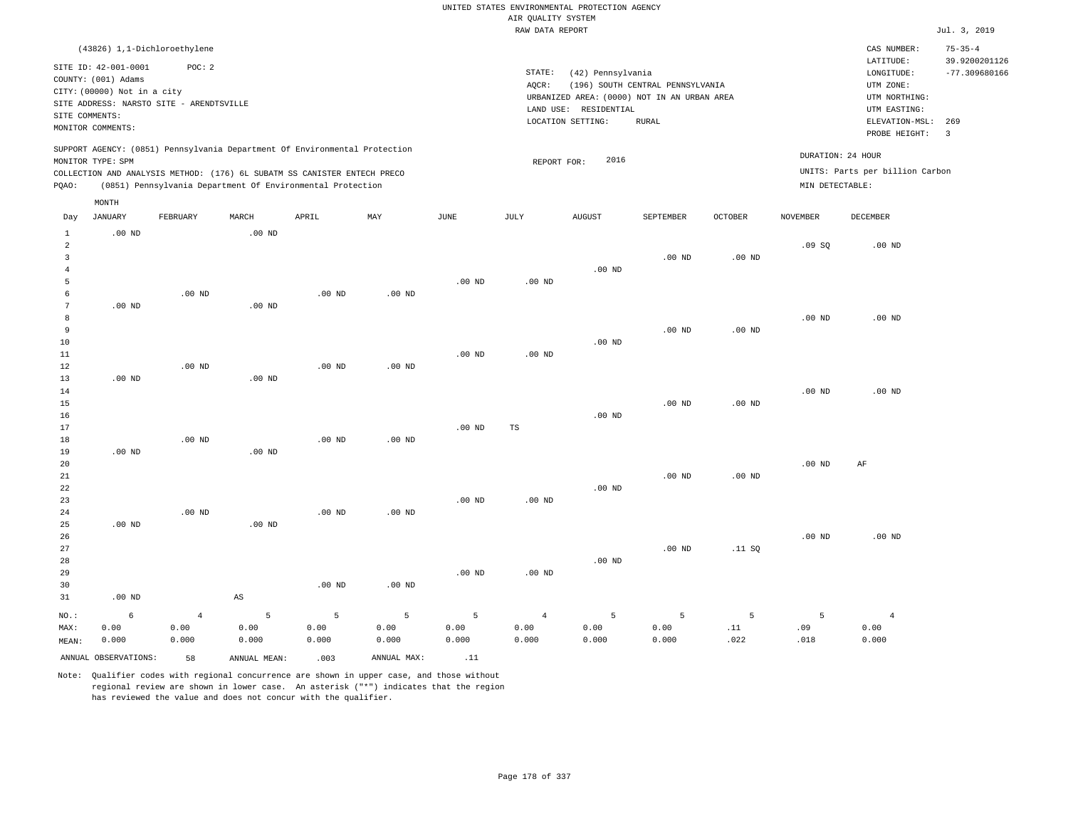|                                                                             |                                                                            |                                                    |                        |                                                                                                                                                                                                                      |                                 |                    |                                       | UNITED STATES ENVIRONMENTAL PROTECTION AGENCY                                             |                                  |                   |                   |                                                                       |                                  |
|-----------------------------------------------------------------------------|----------------------------------------------------------------------------|----------------------------------------------------|------------------------|----------------------------------------------------------------------------------------------------------------------------------------------------------------------------------------------------------------------|---------------------------------|--------------------|---------------------------------------|-------------------------------------------------------------------------------------------|----------------------------------|-------------------|-------------------|-----------------------------------------------------------------------|----------------------------------|
|                                                                             |                                                                            |                                                    |                        |                                                                                                                                                                                                                      |                                 |                    | AIR QUALITY SYSTEM<br>RAW DATA REPORT |                                                                                           |                                  |                   |                   |                                                                       | Jul. 3, 2019                     |
|                                                                             | (43826) 1,1-Dichloroethylene                                               |                                                    |                        |                                                                                                                                                                                                                      |                                 |                    |                                       |                                                                                           |                                  |                   |                   | CAS NUMBER:                                                           | $75 - 35 - 4$                    |
|                                                                             | SITE ID: 42-001-0001<br>COUNTY: (001) Adams<br>CITY: (00000) Not in a city | POC: 2<br>SITE ADDRESS: NARSTO SITE - ARENDTSVILLE |                        |                                                                                                                                                                                                                      |                                 |                    | STATE:<br>AQCR:                       | (42) Pennsylvania<br>URBANIZED AREA: (0000) NOT IN AN URBAN AREA<br>LAND USE: RESIDENTIAL | (196) SOUTH CENTRAL PENNSYLVANIA |                   |                   | LATITUDE:<br>LONGITUDE:<br>UTM ZONE:<br>UTM NORTHING:<br>UTM EASTING: | 39.9200201126<br>$-77.309680166$ |
| SITE COMMENTS:                                                              | MONITOR COMMENTS:                                                          |                                                    |                        |                                                                                                                                                                                                                      |                                 |                    |                                       | LOCATION SETTING:                                                                         | <b>RURAL</b>                     |                   |                   | ELEVATION-MSL:<br>PROBE HEIGHT:                                       | 269<br>$\overline{3}$            |
| PQAO:                                                                       | MONITOR TYPE: SPM                                                          |                                                    |                        | SUPPORT AGENCY: (0851) Pennsylvania Department Of Environmental Protection<br>COLLECTION AND ANALYSIS METHOD: (176) 6L SUBATM SS CANISTER ENTECH PRECO<br>(0851) Pennsylvania Department Of Environmental Protection |                                 |                    | REPORT FOR:                           | 2016                                                                                      |                                  |                   | MIN DETECTABLE:   | DURATION: 24 HOUR<br>UNITS: Parts per billion Carbon                  |                                  |
|                                                                             | MONTH                                                                      |                                                    |                        |                                                                                                                                                                                                                      |                                 |                    |                                       |                                                                                           |                                  |                   |                   |                                                                       |                                  |
| Day                                                                         | <b>JANUARY</b>                                                             | FEBRUARY                                           | MARCH                  | APRIL                                                                                                                                                                                                                | MAY                             | JUNE               | JULY                                  | <b>AUGUST</b>                                                                             | SEPTEMBER                        | <b>OCTOBER</b>    | <b>NOVEMBER</b>   | <b>DECEMBER</b>                                                       |                                  |
| $\mathbf{1}$<br>$\overline{a}$<br>$\overline{\mathbf{3}}$<br>$\overline{4}$ | $.00$ ND                                                                   |                                                    | .00 <sub>ND</sub>      |                                                                                                                                                                                                                      |                                 |                    |                                       | $.00$ ND                                                                                  | $.00$ ND                         | .00 <sub>ND</sub> | .09S              | $.00$ ND                                                              |                                  |
| 5<br>6<br>$7\phantom{.0}$<br>8                                              | $.00$ ND                                                                   | $.00$ ND                                           | $.00$ ND               | $.00$ ND                                                                                                                                                                                                             | $.00$ ND                        | .00 <sub>ND</sub>  | $.00$ ND                              |                                                                                           |                                  |                   | $.00$ ND          | $.00$ ND                                                              |                                  |
| $\overline{9}$<br>10<br>11<br>12                                            |                                                                            | $.00$ ND                                           |                        | $.00$ ND                                                                                                                                                                                                             | $.00$ ND                        | .00 <sub>ND</sub>  | $.00$ ND                              | $.00$ ND                                                                                  | $.00$ ND                         | .00 <sub>ND</sub> |                   |                                                                       |                                  |
| 13<br>14<br>15<br>16                                                        | $.00$ ND                                                                   |                                                    | $.00$ ND               |                                                                                                                                                                                                                      |                                 |                    |                                       | $.00$ ND                                                                                  | .00 <sub>ND</sub>                | $.00$ ND          | $.00$ ND          | $.00$ ND                                                              |                                  |
| 17<br>18<br>19                                                              | $.00$ ND                                                                   | $.00$ ND                                           | $.00$ ND               | $.00$ ND                                                                                                                                                                                                             | .00 <sub>ND</sub>               | .00 <sub>ND</sub>  | TS                                    |                                                                                           |                                  |                   |                   |                                                                       |                                  |
| 20<br>21<br>22<br>23                                                        |                                                                            |                                                    |                        |                                                                                                                                                                                                                      |                                 | .00 <sub>ND</sub>  | $.00$ ND                              | $.00$ ND                                                                                  | $.00$ ND                         | .00 <sub>ND</sub> | .00 <sub>ND</sub> | AF                                                                    |                                  |
| 24<br>25<br>26<br>27                                                        | $.00$ ND                                                                   | .00 <sub>ND</sub>                                  | $.00$ ND               | $.00$ ND                                                                                                                                                                                                             | .00 <sub>ND</sub>               |                    |                                       |                                                                                           | $.00$ ND                         | .11 S0            | .00 <sub>ND</sub> | $.00$ ND                                                              |                                  |
| 28<br>29<br>30                                                              |                                                                            |                                                    |                        | $.00$ ND                                                                                                                                                                                                             | $.00$ ND                        | .00 <sub>ND</sub>  | $.00$ ND                              | $.00$ ND                                                                                  |                                  |                   |                   |                                                                       |                                  |
| 31                                                                          | $.00$ ND                                                                   |                                                    | $\mathbb{A}\mathbb{S}$ |                                                                                                                                                                                                                      |                                 |                    |                                       |                                                                                           |                                  |                   |                   |                                                                       |                                  |
| NO.:<br>MAX:<br>MEAN:                                                       | 6<br>0.00<br>0.000                                                         | $\overline{4}$<br>0.00<br>0.000                    | 5<br>0.00<br>0.000     | $\overline{5}$<br>0.00<br>0.000                                                                                                                                                                                      | $\overline{5}$<br>0.00<br>0.000 | 5<br>0.00<br>0.000 | $\overline{4}$<br>0.00<br>0.000       | 5<br>0.00<br>0.000                                                                        | $\overline{5}$<br>0.00<br>0.000  | 5<br>.11<br>.022  | 5<br>.09<br>.018  | $\overline{4}$<br>0.00<br>0.000                                       |                                  |
|                                                                             | ANNUAL OBSERVATIONS:                                                       | 58                                                 | ANNUAL, MEAN:          | .003                                                                                                                                                                                                                 | ANNUAL MAX:                     | .11                |                                       |                                                                                           |                                  |                   |                   |                                                                       |                                  |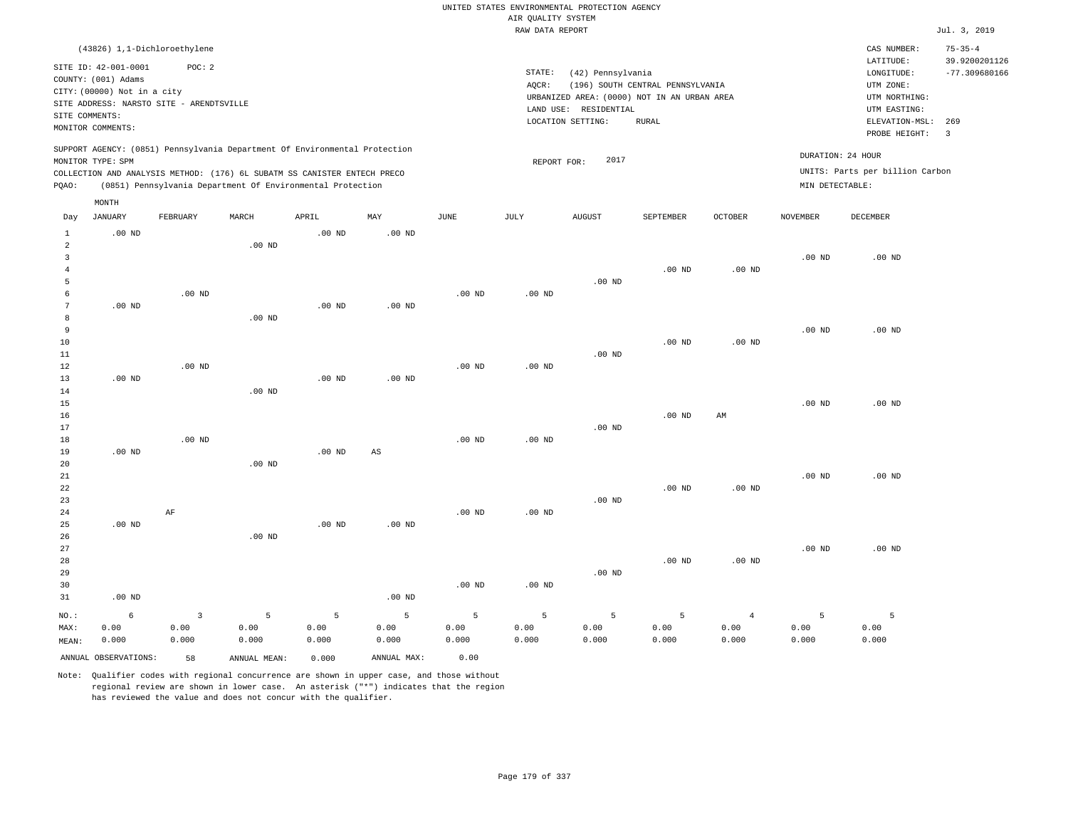|                     |                                          |          |                                                                            |                   |                   |             |                    | UNITED STATES ENVIRONMENTAL PROTECTION AGENCY |                                  |                   |                   |                                 |                         |
|---------------------|------------------------------------------|----------|----------------------------------------------------------------------------|-------------------|-------------------|-------------|--------------------|-----------------------------------------------|----------------------------------|-------------------|-------------------|---------------------------------|-------------------------|
|                     |                                          |          |                                                                            |                   |                   |             | AIR QUALITY SYSTEM |                                               |                                  |                   |                   |                                 |                         |
|                     |                                          |          |                                                                            |                   |                   |             | RAW DATA REPORT    |                                               |                                  |                   |                   |                                 | Jul. 3, 2019            |
|                     | (43826) 1,1-Dichloroethylene             |          |                                                                            |                   |                   |             |                    |                                               |                                  |                   |                   | CAS NUMBER:                     | $75 - 35 - 4$           |
|                     | SITE ID: 42-001-0001                     | POC: 2   |                                                                            |                   |                   |             |                    |                                               |                                  |                   |                   | LATITUDE:                       | 39.9200201126           |
|                     | COUNTY: (001) Adams                      |          |                                                                            |                   |                   |             | STATE:             | (42) Pennsylvania                             |                                  |                   |                   | LONGITUDE:                      | $-77.309680166$         |
|                     | CITY: (00000) Not in a city              |          |                                                                            |                   |                   |             | AQCR:              |                                               | (196) SOUTH CENTRAL PENNSYLVANIA |                   |                   | UTM ZONE:                       |                         |
|                     | SITE ADDRESS: NARSTO SITE - ARENDTSVILLE |          |                                                                            |                   |                   |             |                    | URBANIZED AREA: (0000) NOT IN AN URBAN AREA   |                                  |                   |                   | UTM NORTHING:                   |                         |
| SITE COMMENTS:      |                                          |          |                                                                            |                   |                   |             |                    | LAND USE: RESIDENTIAL<br>LOCATION SETTING:    | <b>RURAL</b>                     |                   |                   | UTM EASTING:<br>ELEVATION-MSL:  | 269                     |
|                     | MONITOR COMMENTS:                        |          |                                                                            |                   |                   |             |                    |                                               |                                  |                   |                   | PROBE HEIGHT:                   | $\overline{\mathbf{3}}$ |
|                     |                                          |          | SUPPORT AGENCY: (0851) Pennsylvania Department Of Environmental Protection |                   |                   |             |                    | 2017                                          |                                  |                   | DURATION: 24 HOUR |                                 |                         |
|                     | MONITOR TYPE: SPM                        |          | COLLECTION AND ANALYSIS METHOD: (176) 6L SUBATM SS CANISTER ENTECH PRECO   |                   |                   |             | REPORT FOR:        |                                               |                                  |                   |                   | UNITS: Parts per billion Carbon |                         |
| PQAO:               |                                          |          | (0851) Pennsylvania Department Of Environmental Protection                 |                   |                   |             |                    |                                               |                                  |                   | MIN DETECTABLE:   |                                 |                         |
|                     | MONTH                                    |          |                                                                            |                   |                   |             |                    |                                               |                                  |                   |                   |                                 |                         |
| Day                 | JANUARY                                  | FEBRUARY | MARCH                                                                      | APRIL             | MAY               | <b>JUNE</b> | JULY               | <b>AUGUST</b>                                 | SEPTEMBER                        | OCTOBER           | <b>NOVEMBER</b>   | DECEMBER                        |                         |
| $\mathbf{1}$        | $.00$ ND                                 |          |                                                                            | .00 <sub>ND</sub> | .00 <sub>ND</sub> |             |                    |                                               |                                  |                   |                   |                                 |                         |
| $\overline{a}$      |                                          |          | .00 <sub>ND</sub>                                                          |                   |                   |             |                    |                                               |                                  |                   |                   |                                 |                         |
| $\mathbf{3}$        |                                          |          |                                                                            |                   |                   |             |                    |                                               |                                  |                   | $.00$ ND          | $.00$ ND                        |                         |
| $\overline{4}$<br>5 |                                          |          |                                                                            |                   |                   |             |                    | $.00$ ND                                      | .00 <sub>ND</sub>                | .00 <sub>ND</sub> |                   |                                 |                         |
| 6                   |                                          | $.00$ ND |                                                                            |                   |                   | $.00$ ND    | $.00$ ND           |                                               |                                  |                   |                   |                                 |                         |
| $\boldsymbol{7}$    | $.00$ ND                                 |          |                                                                            | $.00$ ND          | $.00$ ND          |             |                    |                                               |                                  |                   |                   |                                 |                         |
| 8                   |                                          |          | $.00$ ND                                                                   |                   |                   |             |                    |                                               |                                  |                   |                   |                                 |                         |
| 9                   |                                          |          |                                                                            |                   |                   |             |                    |                                               |                                  |                   | $.00$ ND          | $.00$ ND                        |                         |
| 10                  |                                          |          |                                                                            |                   |                   |             |                    |                                               | $.00$ ND                         | $.00$ ND          |                   |                                 |                         |
| 11                  |                                          |          |                                                                            |                   |                   |             |                    | $.00$ ND                                      |                                  |                   |                   |                                 |                         |
| 12                  |                                          | $.00$ ND |                                                                            |                   |                   | $.00$ ND    | $.00$ ND           |                                               |                                  |                   |                   |                                 |                         |
| 13                  | $.00$ ND                                 |          |                                                                            | $.00$ ND          | $.00$ ND          |             |                    |                                               |                                  |                   |                   |                                 |                         |
| 14                  |                                          |          | $.00$ ND                                                                   |                   |                   |             |                    |                                               |                                  |                   |                   |                                 |                         |
| 15                  |                                          |          |                                                                            |                   |                   |             |                    |                                               |                                  |                   | $.00$ ND          | $.00$ ND                        |                         |
| 16<br>17            |                                          |          |                                                                            |                   |                   |             |                    | $.00$ ND                                      | $.00$ ND                         | AM                |                   |                                 |                         |
| 18                  |                                          | $.00$ ND |                                                                            |                   |                   | $.00$ ND    | .00 <sub>ND</sub>  |                                               |                                  |                   |                   |                                 |                         |
| 19                  | $.00$ ND                                 |          |                                                                            | $.00$ ND          | $_{\rm AS}$       |             |                    |                                               |                                  |                   |                   |                                 |                         |
| 20                  |                                          |          | $.00$ ND                                                                   |                   |                   |             |                    |                                               |                                  |                   |                   |                                 |                         |
| 21                  |                                          |          |                                                                            |                   |                   |             |                    |                                               |                                  |                   | .00 <sub>ND</sub> | $.00$ ND                        |                         |
| 22                  |                                          |          |                                                                            |                   |                   |             |                    |                                               | .00 <sub>ND</sub>                | .00 <sub>ND</sub> |                   |                                 |                         |
| 23                  |                                          |          |                                                                            |                   |                   |             |                    | $.00$ ND                                      |                                  |                   |                   |                                 |                         |
| 24                  |                                          | AF       |                                                                            |                   |                   | $.00$ ND    | .00 <sub>ND</sub>  |                                               |                                  |                   |                   |                                 |                         |
| 25                  | $.00$ ND                                 |          |                                                                            | $.00$ ND          | $.00$ ND          |             |                    |                                               |                                  |                   |                   |                                 |                         |
| 26                  |                                          |          | $.00$ ND                                                                   |                   |                   |             |                    |                                               |                                  |                   |                   |                                 |                         |
| 27<br>28            |                                          |          |                                                                            |                   |                   |             |                    |                                               | .00 <sub>ND</sub>                | $.00$ ND          | $.00$ ND          | $.00$ ND                        |                         |
| 29                  |                                          |          |                                                                            |                   |                   |             |                    | $.00$ ND                                      |                                  |                   |                   |                                 |                         |
| 30                  |                                          |          |                                                                            |                   |                   | $.00$ ND    | .00 <sub>ND</sub>  |                                               |                                  |                   |                   |                                 |                         |
| 31                  | $.00$ ND                                 |          |                                                                            |                   | $.00$ ND          |             |                    |                                               |                                  |                   |                   |                                 |                         |
| NO.:                | 6                                        | 3        | 5                                                                          | 5                 | 5                 | 5           | 5                  | 5                                             | 5                                | $\overline{4}$    | 5                 | 5                               |                         |
| MAX:                | 0.00                                     | 0.00     | 0.00                                                                       | 0.00              | 0.00              | 0.00        | 0.00               | 0.00                                          | 0.00                             | 0.00              | 0.00              | 0.00                            |                         |
| MEAN:               | 0.000                                    | 0.000    | 0.000                                                                      | 0.000             | 0.000             | 0.000       | 0.000              | 0.000                                         | 0.000                            | 0.000             | 0.000             | 0.000                           |                         |
|                     | ANNUAL OBSERVATIONS:                     | 58       | ANNUAL MEAN:                                                               | 0.000             | ANNUAL MAX:       | 0.00        |                    |                                               |                                  |                   |                   |                                 |                         |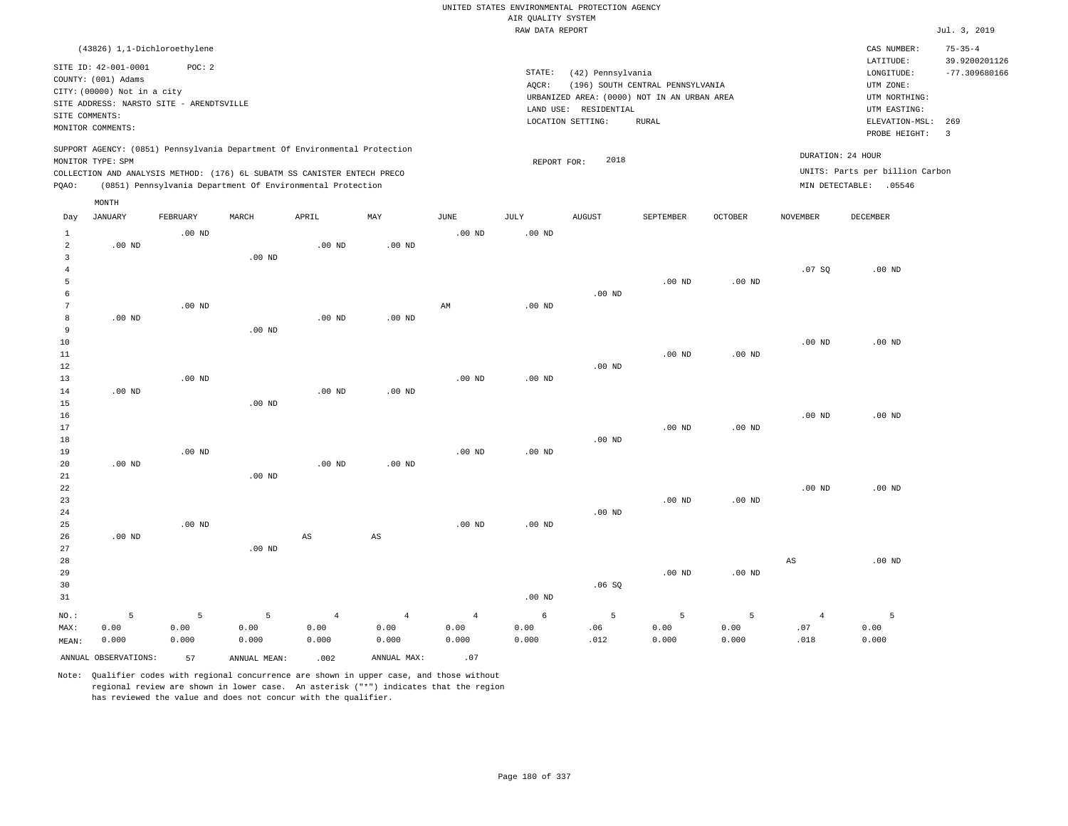|                                |                                                                                                                                                        |                   |                                                                            |                        |                        |                |                                       | UNITED STATES ENVIRONMENTAL PROTECTION AGENCY |                                                                                 |                   |                        |                                                                      |                                                   |
|--------------------------------|--------------------------------------------------------------------------------------------------------------------------------------------------------|-------------------|----------------------------------------------------------------------------|------------------------|------------------------|----------------|---------------------------------------|-----------------------------------------------|---------------------------------------------------------------------------------|-------------------|------------------------|----------------------------------------------------------------------|---------------------------------------------------|
|                                |                                                                                                                                                        |                   |                                                                            |                        |                        |                | AIR QUALITY SYSTEM<br>RAW DATA REPORT |                                               |                                                                                 |                   |                        |                                                                      | Jul. 3, 2019                                      |
|                                |                                                                                                                                                        |                   |                                                                            |                        |                        |                |                                       |                                               |                                                                                 |                   |                        |                                                                      |                                                   |
|                                | (43826) 1,1-Dichloroethylene<br>SITE ID: 42-001-0001<br>COUNTY: (001) Adams<br>CITY: (00000) Not in a city<br>SITE ADDRESS: NARSTO SITE - ARENDTSVILLE | POC: 2            |                                                                            |                        |                        |                | STATE:<br>AQCR:                       | (42) Pennsylvania                             | (196) SOUTH CENTRAL PENNSYLVANIA<br>URBANIZED AREA: (0000) NOT IN AN URBAN AREA |                   |                        | CAS NUMBER:<br>LATITUDE:<br>LONGITUDE:<br>UTM ZONE:<br>UTM NORTHING: | $75 - 35 - 4$<br>39.9200201126<br>$-77.309680166$ |
| SITE COMMENTS:                 |                                                                                                                                                        |                   |                                                                            |                        |                        |                |                                       | LAND USE: RESIDENTIAL                         |                                                                                 |                   |                        | UTM EASTING:                                                         |                                                   |
|                                | MONITOR COMMENTS:                                                                                                                                      |                   |                                                                            |                        |                        |                |                                       | LOCATION SETTING:                             | <b>RURAL</b>                                                                    |                   |                        | ELEVATION-MSL:<br>PROBE HEIGHT:                                      | 269<br>$\overline{\mathbf{3}}$                    |
|                                | MONITOR TYPE: SPM                                                                                                                                      |                   | SUPPORT AGENCY: (0851) Pennsylvania Department Of Environmental Protection |                        |                        |                | REPORT FOR:                           | 2018                                          |                                                                                 |                   |                        | DURATION: 24 HOUR                                                    |                                                   |
|                                |                                                                                                                                                        |                   | COLLECTION AND ANALYSIS METHOD: (176) 6L SUBATM SS CANISTER ENTECH PRECO   |                        |                        |                |                                       |                                               |                                                                                 |                   |                        | UNITS: Parts per billion Carbon                                      |                                                   |
| PQAO:                          |                                                                                                                                                        |                   | (0851) Pennsylvania Department Of Environmental Protection                 |                        |                        |                |                                       |                                               |                                                                                 |                   |                        | MIN DETECTABLE: .05546                                               |                                                   |
|                                | MONTH                                                                                                                                                  |                   |                                                                            |                        |                        |                |                                       |                                               |                                                                                 |                   |                        |                                                                      |                                                   |
| Day                            | <b>JANUARY</b>                                                                                                                                         | FEBRUARY          | MARCH                                                                      | APRIL                  | MAY                    | <b>JUNE</b>    | JULY                                  | <b>AUGUST</b>                                 | SEPTEMBER                                                                       | <b>OCTOBER</b>    | <b>NOVEMBER</b>        | DECEMBER                                                             |                                                   |
| $\mathbf{1}$                   |                                                                                                                                                        | $.00$ ND          |                                                                            |                        |                        | $.00$ ND       | .00 <sub>ND</sub>                     |                                               |                                                                                 |                   |                        |                                                                      |                                                   |
| $\overline{a}$<br>$\mathbf{3}$ | $.00$ ND                                                                                                                                               |                   | .00 <sub>ND</sub>                                                          | $.00$ ND               | $.00$ ND               |                |                                       |                                               |                                                                                 |                   |                        |                                                                      |                                                   |
| $\overline{4}$                 |                                                                                                                                                        |                   |                                                                            |                        |                        |                |                                       |                                               |                                                                                 |                   | .07S                   | $.00$ ND                                                             |                                                   |
| 5                              |                                                                                                                                                        |                   |                                                                            |                        |                        |                |                                       |                                               | $.00$ ND                                                                        | $.00$ ND          |                        |                                                                      |                                                   |
| 6                              |                                                                                                                                                        |                   |                                                                            |                        |                        |                |                                       | $.00$ ND                                      |                                                                                 |                   |                        |                                                                      |                                                   |
| $\overline{7}$                 |                                                                                                                                                        | .00 <sub>ND</sub> |                                                                            |                        |                        | $\mbox{AM}$    | $.00$ ND                              |                                               |                                                                                 |                   |                        |                                                                      |                                                   |
| 8                              | $.00$ ND                                                                                                                                               |                   |                                                                            | .00 <sub>ND</sub>      | .00 <sub>ND</sub>      |                |                                       |                                               |                                                                                 |                   |                        |                                                                      |                                                   |
| 9                              |                                                                                                                                                        |                   | $.00$ ND                                                                   |                        |                        |                |                                       |                                               |                                                                                 |                   |                        |                                                                      |                                                   |
| 10                             |                                                                                                                                                        |                   |                                                                            |                        |                        |                |                                       |                                               |                                                                                 |                   | $.00$ ND               | $.00$ ND                                                             |                                                   |
| 11                             |                                                                                                                                                        |                   |                                                                            |                        |                        |                |                                       |                                               | $.00$ ND                                                                        | $.00$ ND          |                        |                                                                      |                                                   |
| 12                             |                                                                                                                                                        |                   |                                                                            |                        |                        |                |                                       | $.00$ ND                                      |                                                                                 |                   |                        |                                                                      |                                                   |
| 13                             |                                                                                                                                                        | $.00$ ND          |                                                                            |                        |                        | $.00$ ND       | $.00$ ND                              |                                               |                                                                                 |                   |                        |                                                                      |                                                   |
| 14                             | $.00$ ND                                                                                                                                               |                   | $.00$ ND                                                                   | $.00$ ND               | $.00$ ND               |                |                                       |                                               |                                                                                 |                   |                        |                                                                      |                                                   |
| 15<br>16                       |                                                                                                                                                        |                   |                                                                            |                        |                        |                |                                       |                                               |                                                                                 |                   | $.00$ ND               | $.00$ ND                                                             |                                                   |
| 17                             |                                                                                                                                                        |                   |                                                                            |                        |                        |                |                                       |                                               | .00 <sub>ND</sub>                                                               | .00 <sub>ND</sub> |                        |                                                                      |                                                   |
| $18\,$                         |                                                                                                                                                        |                   |                                                                            |                        |                        |                |                                       | .00 <sub>ND</sub>                             |                                                                                 |                   |                        |                                                                      |                                                   |
| 19                             |                                                                                                                                                        | $.00$ ND          |                                                                            |                        |                        | $.00$ ND       | $.00$ ND                              |                                               |                                                                                 |                   |                        |                                                                      |                                                   |
| 20                             | $.00$ ND                                                                                                                                               |                   |                                                                            | .00 <sub>ND</sub>      | $.00$ ND               |                |                                       |                                               |                                                                                 |                   |                        |                                                                      |                                                   |
| 21                             |                                                                                                                                                        |                   | $.00$ ND                                                                   |                        |                        |                |                                       |                                               |                                                                                 |                   |                        |                                                                      |                                                   |
| 22                             |                                                                                                                                                        |                   |                                                                            |                        |                        |                |                                       |                                               |                                                                                 |                   | .00 <sub>ND</sub>      | $.00$ ND                                                             |                                                   |
| 23                             |                                                                                                                                                        |                   |                                                                            |                        |                        |                |                                       |                                               | $.00$ ND                                                                        | $.00$ ND          |                        |                                                                      |                                                   |
| 24                             |                                                                                                                                                        |                   |                                                                            |                        |                        |                |                                       | $.00$ ND                                      |                                                                                 |                   |                        |                                                                      |                                                   |
| 25                             |                                                                                                                                                        | $.00$ ND          |                                                                            |                        |                        | $.00$ ND       | $.00$ ND                              |                                               |                                                                                 |                   |                        |                                                                      |                                                   |
| 26                             | $.00$ ND                                                                                                                                               |                   |                                                                            | $\mathbb{A}\mathbb{S}$ | $\mathbb{A}\mathbb{S}$ |                |                                       |                                               |                                                                                 |                   |                        |                                                                      |                                                   |
| 27<br>28                       |                                                                                                                                                        |                   | $.00$ ND                                                                   |                        |                        |                |                                       |                                               |                                                                                 |                   | $\mathbb{A}\mathbb{S}$ | $.00$ ND                                                             |                                                   |
| 29                             |                                                                                                                                                        |                   |                                                                            |                        |                        |                |                                       |                                               | .00 <sub>ND</sub>                                                               | $.00$ ND          |                        |                                                                      |                                                   |
| 30                             |                                                                                                                                                        |                   |                                                                            |                        |                        |                |                                       | .06SQ                                         |                                                                                 |                   |                        |                                                                      |                                                   |
| 31                             |                                                                                                                                                        |                   |                                                                            |                        |                        |                | .00 <sub>ND</sub>                     |                                               |                                                                                 |                   |                        |                                                                      |                                                   |
| NO.:                           | 5                                                                                                                                                      | 5                 | 5                                                                          | $\overline{4}$         | $\overline{4}$         | $\overline{4}$ | 6                                     | 5                                             | 5                                                                               | 5                 | $\overline{4}$         | 5                                                                    |                                                   |
| MAX:                           | 0.00                                                                                                                                                   | 0.00              | 0.00                                                                       | 0.00                   | 0.00                   | 0.00           | 0.00                                  | .06                                           | 0.00                                                                            | 0.00              | .07                    | 0.00                                                                 |                                                   |
| MEAN:                          | 0.000                                                                                                                                                  | 0.000             | 0.000                                                                      | 0.000                  | 0.000                  | 0.000          | 0.000                                 | .012                                          | 0.000                                                                           | 0.000             | .018                   | 0.000                                                                |                                                   |
|                                | ANNUAL OBSERVATIONS:                                                                                                                                   | 57                | ANNUAL MEAN:                                                               | .002                   | ANNUAL MAX:            | .07            |                                       |                                               |                                                                                 |                   |                        |                                                                      |                                                   |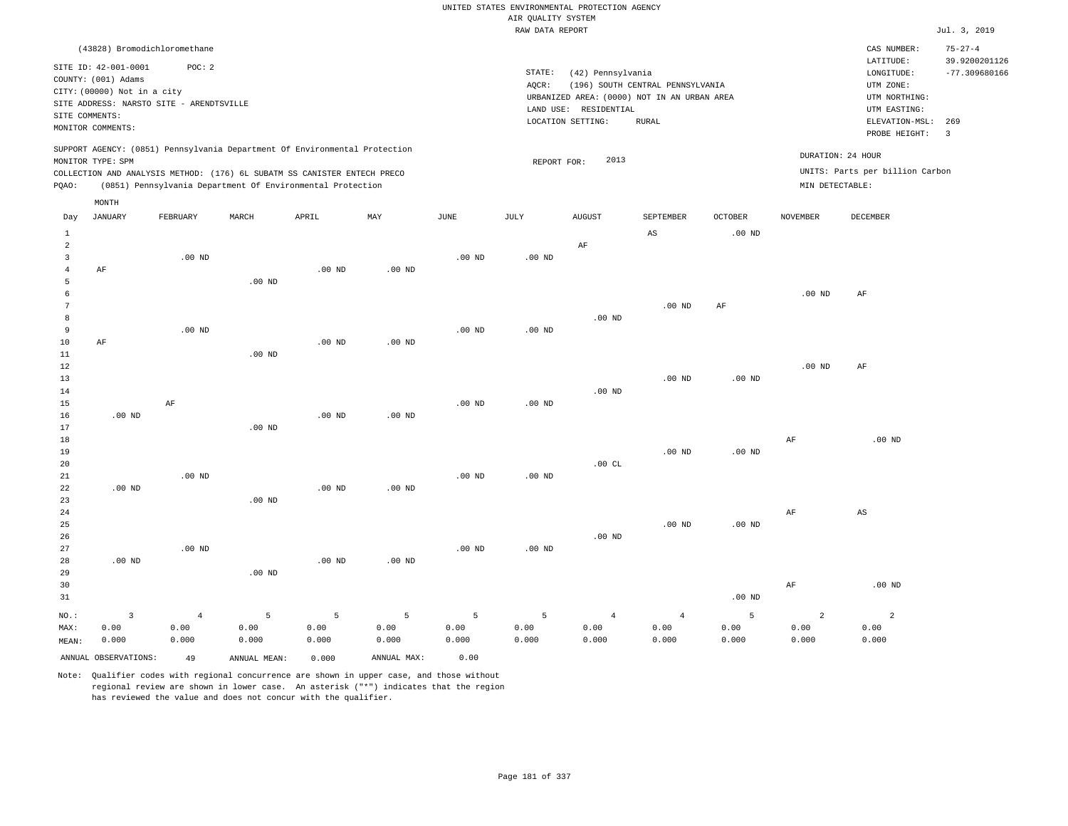|                                  |                                                                            |                   |                                                            |                   |                           |               | AIR QUALITY SYSTEM | UNITED STATES ENVIRONMENTAL PROTECTION AGENCY |                                             |                   |                   |                                 |                                |
|----------------------------------|----------------------------------------------------------------------------|-------------------|------------------------------------------------------------|-------------------|---------------------------|---------------|--------------------|-----------------------------------------------|---------------------------------------------|-------------------|-------------------|---------------------------------|--------------------------------|
|                                  |                                                                            |                   |                                                            |                   |                           |               | RAW DATA REPORT    |                                               |                                             |                   |                   |                                 | Jul. 3, 2019                   |
|                                  | (43828) Bromodichloromethane                                               |                   |                                                            |                   |                           |               |                    |                                               |                                             |                   |                   | CAS NUMBER:<br>LATITUDE:        | $75 - 27 - 4$<br>39.9200201126 |
|                                  | SITE ID: 42-001-0001<br>COUNTY: (001) Adams                                | POC: 2            |                                                            |                   |                           |               | STATE:<br>AOCR:    | (42) Pennsylvania                             | (196) SOUTH CENTRAL PENNSYLVANIA            |                   |                   | LONGITUDE:<br>UTM ZONE:         | $-77.309680166$                |
|                                  | CITY: (00000) Not in a city                                                |                   |                                                            |                   |                           |               |                    |                                               | URBANIZED AREA: (0000) NOT IN AN URBAN AREA |                   |                   | UTM NORTHING:                   |                                |
|                                  | SITE ADDRESS: NARSTO SITE - ARENDTSVILLE                                   |                   |                                                            |                   |                           |               |                    | LAND USE: RESIDENTIAL                         |                                             |                   |                   | UTM EASTING:                    |                                |
| SITE COMMENTS:                   | MONITOR COMMENTS:                                                          |                   |                                                            |                   |                           |               |                    | LOCATION SETTING:                             | <b>RURAL</b>                                |                   |                   | ELEVATION-MSL:                  | 269                            |
|                                  | SUPPORT AGENCY: (0851) Pennsylvania Department Of Environmental Protection |                   |                                                            |                   |                           |               |                    |                                               |                                             |                   |                   | PROBE HEIGHT:                   | $\overline{\mathbf{3}}$        |
|                                  | MONITOR TYPE: SPM                                                          |                   |                                                            |                   |                           |               | REPORT FOR:        | 2013                                          |                                             |                   | DURATION: 24 HOUR |                                 |                                |
|                                  | COLLECTION AND ANALYSIS METHOD: (176) 6L SUBATM SS CANISTER ENTECH PRECO   |                   |                                                            |                   |                           |               |                    |                                               |                                             |                   |                   | UNITS: Parts per billion Carbon |                                |
| PQAO:                            |                                                                            |                   | (0851) Pennsylvania Department Of Environmental Protection |                   |                           |               |                    |                                               |                                             |                   | MIN DETECTABLE:   |                                 |                                |
|                                  | MONTH                                                                      |                   |                                                            |                   |                           |               |                    |                                               |                                             |                   |                   |                                 |                                |
| Day                              | <b>JANUARY</b>                                                             | FEBRUARY          | MARCH                                                      | APRIL             | $\ensuremath{\text{MAX}}$ | $_{\rm JUNE}$ | JULY               | <b>AUGUST</b>                                 | SEPTEMBER                                   | <b>OCTOBER</b>    | <b>NOVEMBER</b>   | DECEMBER                        |                                |
| $\mathbf{1}$                     |                                                                            |                   |                                                            |                   |                           |               |                    |                                               | $\mathbb{A}\mathbb{S}$                      | .00 <sub>ND</sub> |                   |                                 |                                |
| $\overline{a}$<br>$\overline{3}$ |                                                                            | $.00$ ND          |                                                            |                   |                           | $.00$ ND      | $.00$ ND           | $\rm AF$                                      |                                             |                   |                   |                                 |                                |
| $\overline{4}$                   | AF                                                                         |                   |                                                            | .00 <sub>ND</sub> | $.00$ ND                  |               |                    |                                               |                                             |                   |                   |                                 |                                |
| 5                                |                                                                            |                   | $.00$ ND                                                   |                   |                           |               |                    |                                               |                                             |                   |                   |                                 |                                |
| 6                                |                                                                            |                   |                                                            |                   |                           |               |                    |                                               |                                             |                   | $.00$ ND          | $\rm{AF}$                       |                                |
| $\overline{7}$                   |                                                                            |                   |                                                            |                   |                           |               |                    |                                               | $.00$ ND                                    | AF                |                   |                                 |                                |
| 8                                |                                                                            |                   |                                                            |                   |                           |               |                    | $.00$ ND                                      |                                             |                   |                   |                                 |                                |
| 9                                |                                                                            | .00 <sub>ND</sub> |                                                            |                   |                           | $.00$ ND      | $.00$ ND           |                                               |                                             |                   |                   |                                 |                                |
| 10                               | AF                                                                         |                   |                                                            | $.00$ ND          | $.00$ ND                  |               |                    |                                               |                                             |                   |                   |                                 |                                |
| 11                               |                                                                            |                   | .00 <sub>ND</sub>                                          |                   |                           |               |                    |                                               |                                             |                   |                   |                                 |                                |
| 12                               |                                                                            |                   |                                                            |                   |                           |               |                    |                                               |                                             |                   | $.00$ ND          | AF                              |                                |
| 13                               |                                                                            |                   |                                                            |                   |                           |               |                    |                                               | .00 <sub>ND</sub>                           | $.00$ ND          |                   |                                 |                                |
| 14                               |                                                                            |                   |                                                            |                   |                           |               |                    | .00 <sub>ND</sub>                             |                                             |                   |                   |                                 |                                |
| 15<br>16                         | $.00$ ND                                                                   | AF                |                                                            | $.00$ ND          | $.00$ ND                  | $.00$ ND      | $.00$ ND           |                                               |                                             |                   |                   |                                 |                                |
| 17                               |                                                                            |                   | $.00$ ND                                                   |                   |                           |               |                    |                                               |                                             |                   |                   |                                 |                                |
| 18                               |                                                                            |                   |                                                            |                   |                           |               |                    |                                               |                                             |                   | $\rm AF$          | $.00$ ND                        |                                |
| 19                               |                                                                            |                   |                                                            |                   |                           |               |                    |                                               | $.00$ ND                                    | .00 <sub>ND</sub> |                   |                                 |                                |
| 20                               |                                                                            |                   |                                                            |                   |                           |               |                    | .00CL                                         |                                             |                   |                   |                                 |                                |
| 21                               |                                                                            | $.00$ ND          |                                                            |                   |                           | $.00$ ND      | .00 <sub>ND</sub>  |                                               |                                             |                   |                   |                                 |                                |
| 22                               | $.00$ ND                                                                   |                   |                                                            | $.00$ ND          | $.00$ ND                  |               |                    |                                               |                                             |                   |                   |                                 |                                |
| 23                               |                                                                            |                   | .00 <sub>ND</sub>                                          |                   |                           |               |                    |                                               |                                             |                   |                   |                                 |                                |
| 24                               |                                                                            |                   |                                                            |                   |                           |               |                    |                                               |                                             |                   | AF                | AS                              |                                |
| 25                               |                                                                            |                   |                                                            |                   |                           |               |                    |                                               | $.00$ ND                                    | $.00$ ND          |                   |                                 |                                |
| 26                               |                                                                            |                   |                                                            |                   |                           |               |                    | $.00$ ND                                      |                                             |                   |                   |                                 |                                |
| 27                               |                                                                            | $.00$ ND          |                                                            |                   |                           | $.00$ ND      | $.00$ ND           |                                               |                                             |                   |                   |                                 |                                |
| 28                               | $.00$ ND                                                                   |                   | $.00$ ND                                                   | .00 <sub>ND</sub> | $.00$ ND                  |               |                    |                                               |                                             |                   |                   |                                 |                                |
| 29                               |                                                                            |                   |                                                            |                   |                           |               |                    |                                               |                                             |                   |                   | $.00$ ND                        |                                |
| 30<br>31                         |                                                                            |                   |                                                            |                   |                           |               |                    |                                               |                                             | .00 <sub>ND</sub> | $\rm AF$          |                                 |                                |
|                                  |                                                                            |                   |                                                            |                   |                           |               |                    |                                               |                                             |                   |                   |                                 |                                |
| $NO.$ :                          | $\overline{3}$                                                             | $\overline{4}$    | 5                                                          | 5                 | 5                         | 5             | 5                  | $\overline{4}$                                | $\overline{4}$                              | 5                 | $\overline{2}$    | $\overline{a}$                  |                                |
| MAX:                             | 0.00                                                                       | 0.00              | 0.00                                                       | 0.00              | 0.00                      | 0.00          | 0.00               | 0.00                                          | 0.00                                        | 0.00              | 0.00              | 0.00                            |                                |
| MEAN:                            | 0.000                                                                      | 0.000             | 0.000                                                      | 0.000             | 0.000                     | 0.000         | 0.000              | 0.000                                         | 0.000                                       | 0.000             | 0.000             | 0.000                           |                                |
|                                  | ANNUAL OBSERVATIONS:                                                       | 49                | ANNUAL MEAN:                                               | 0.000             | ANNUAL MAX:               | 0.00          |                    |                                               |                                             |                   |                   |                                 |                                |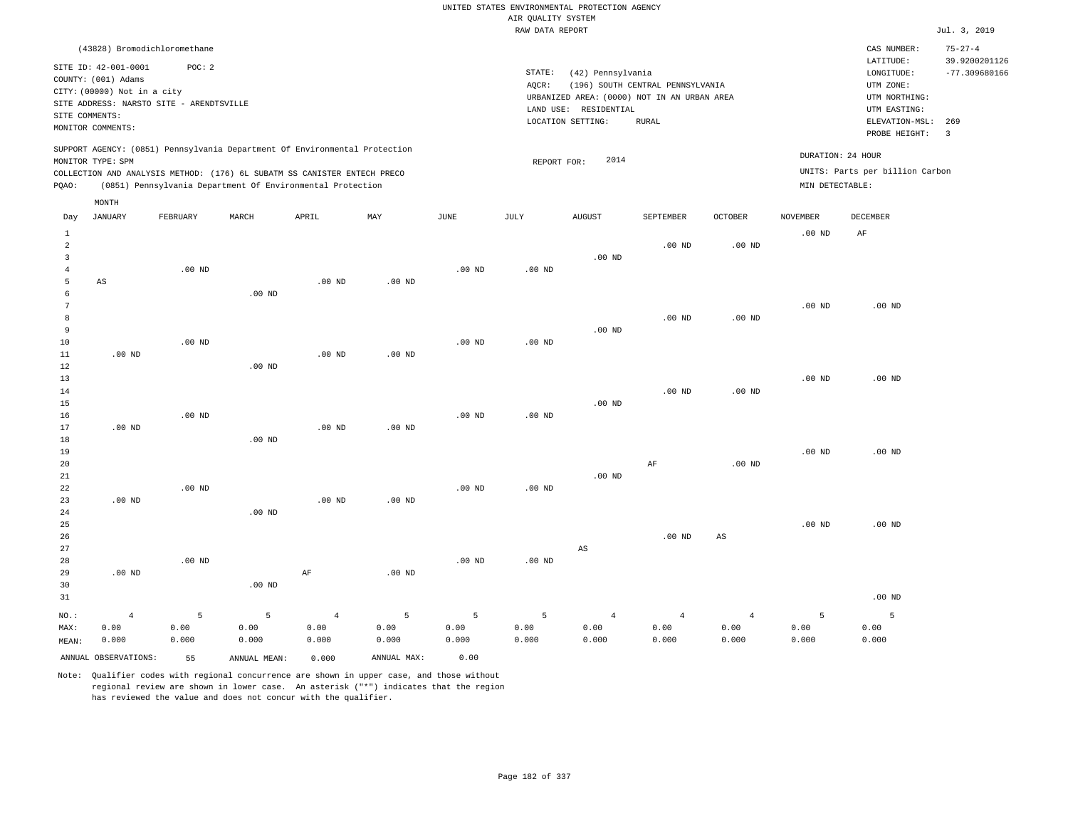|                                |                                                                         |                   |                                                                            |                |                   |                   |                                       | UNITED STATES ENVIRONMENTAL PROTECTION AGENCY |                                  |                   |                   |                                 |                                |
|--------------------------------|-------------------------------------------------------------------------|-------------------|----------------------------------------------------------------------------|----------------|-------------------|-------------------|---------------------------------------|-----------------------------------------------|----------------------------------|-------------------|-------------------|---------------------------------|--------------------------------|
|                                |                                                                         |                   |                                                                            |                |                   |                   | AIR OUALITY SYSTEM<br>RAW DATA REPORT |                                               |                                  |                   |                   |                                 | Jul. 3, 2019                   |
|                                |                                                                         |                   |                                                                            |                |                   |                   |                                       |                                               |                                  |                   |                   |                                 |                                |
|                                | (43828) Bromodichloromethane                                            |                   |                                                                            |                |                   |                   |                                       |                                               |                                  |                   |                   | CAS NUMBER:<br>LATITUDE:        | $75 - 27 - 4$<br>39.9200201126 |
|                                | SITE ID: 42-001-0001                                                    | POC: 2            |                                                                            |                |                   |                   | STATE:                                | (42) Pennsylvania                             |                                  |                   |                   | LONGITUDE:                      | $-77.309680166$                |
|                                | COUNTY: (001) Adams                                                     |                   |                                                                            |                |                   |                   | AOCR:                                 |                                               | (196) SOUTH CENTRAL PENNSYLVANIA |                   |                   | UTM ZONE:                       |                                |
|                                | CITY: (00000) Not in a city<br>SITE ADDRESS: NARSTO SITE - ARENDTSVILLE |                   |                                                                            |                |                   |                   |                                       | URBANIZED AREA: (0000) NOT IN AN URBAN AREA   |                                  |                   |                   | UTM NORTHING:                   |                                |
| SITE COMMENTS:                 |                                                                         |                   |                                                                            |                |                   |                   |                                       | LAND USE: RESIDENTIAL                         |                                  |                   |                   | UTM EASTING:                    |                                |
|                                | MONITOR COMMENTS:                                                       |                   |                                                                            |                |                   |                   |                                       | LOCATION SETTING:                             | <b>RURAL</b>                     |                   |                   | ELEVATION-MSL:<br>PROBE HEIGHT: | 269<br>$\overline{\mathbf{3}}$ |
|                                |                                                                         |                   | SUPPORT AGENCY: (0851) Pennsylvania Department Of Environmental Protection |                |                   |                   |                                       |                                               |                                  |                   |                   |                                 |                                |
|                                | MONITOR TYPE: SPM                                                       |                   |                                                                            |                |                   |                   | REPORT FOR:                           | 2014                                          |                                  |                   | DURATION: 24 HOUR |                                 |                                |
|                                |                                                                         |                   | COLLECTION AND ANALYSIS METHOD: (176) 6L SUBATM SS CANISTER ENTECH PRECO   |                |                   |                   |                                       |                                               |                                  |                   |                   | UNITS: Parts per billion Carbon |                                |
| PQAO:                          |                                                                         |                   | (0851) Pennsylvania Department Of Environmental Protection                 |                |                   |                   |                                       |                                               |                                  |                   | MIN DETECTABLE:   |                                 |                                |
| Day                            | MONTH<br><b>JANUARY</b>                                                 | FEBRUARY          | MARCH                                                                      | APRIL          | MAY               | JUNE              | JULY                                  | <b>AUGUST</b>                                 | SEPTEMBER                        | OCTOBER           | NOVEMBER          | DECEMBER                        |                                |
|                                |                                                                         |                   |                                                                            |                |                   |                   |                                       |                                               |                                  |                   |                   |                                 |                                |
| $\mathbf{1}$<br>$\overline{a}$ |                                                                         |                   |                                                                            |                |                   |                   |                                       |                                               | $.00$ ND                         | $.00$ ND          | $.00$ ND          | AF                              |                                |
| $\overline{3}$                 |                                                                         |                   |                                                                            |                |                   |                   |                                       | .00 <sub>ND</sub>                             |                                  |                   |                   |                                 |                                |
| $\overline{4}$                 |                                                                         | .00 <sub>ND</sub> |                                                                            |                |                   | $.00$ ND          | .00 <sub>ND</sub>                     |                                               |                                  |                   |                   |                                 |                                |
| 5                              | AS                                                                      |                   |                                                                            | $.00$ ND       | $.00$ ND          |                   |                                       |                                               |                                  |                   |                   |                                 |                                |
| 6                              |                                                                         |                   | .00 <sub>ND</sub>                                                          |                |                   |                   |                                       |                                               |                                  |                   |                   |                                 |                                |
| $\overline{7}$                 |                                                                         |                   |                                                                            |                |                   |                   |                                       |                                               |                                  |                   | .00 <sub>ND</sub> | $.00$ ND                        |                                |
| 8<br>$\overline{9}$            |                                                                         |                   |                                                                            |                |                   |                   |                                       | $.00$ ND                                      | $.00$ ND                         | .00 <sub>ND</sub> |                   |                                 |                                |
| 10                             |                                                                         | $.00$ ND          |                                                                            |                |                   | $.00$ ND          | $.00$ ND                              |                                               |                                  |                   |                   |                                 |                                |
| 11                             | $.00$ ND                                                                |                   |                                                                            | $.00$ ND       | $.00$ ND          |                   |                                       |                                               |                                  |                   |                   |                                 |                                |
| 12                             |                                                                         |                   | $.00$ ND                                                                   |                |                   |                   |                                       |                                               |                                  |                   |                   |                                 |                                |
| 13                             |                                                                         |                   |                                                                            |                |                   |                   |                                       |                                               |                                  |                   | .00 <sub>ND</sub> | $.00$ ND                        |                                |
| 14                             |                                                                         |                   |                                                                            |                |                   |                   |                                       |                                               | $.00$ ND                         | .00 <sub>ND</sub> |                   |                                 |                                |
| 15<br>16                       |                                                                         | .00 <sub>ND</sub> |                                                                            |                |                   | $.00$ ND          | $.00$ ND                              | $.00$ ND                                      |                                  |                   |                   |                                 |                                |
| 17                             | $.00$ ND                                                                |                   |                                                                            | $.00$ ND       | $.00$ ND          |                   |                                       |                                               |                                  |                   |                   |                                 |                                |
| 18                             |                                                                         |                   | $.00$ ND                                                                   |                |                   |                   |                                       |                                               |                                  |                   |                   |                                 |                                |
| 19                             |                                                                         |                   |                                                                            |                |                   |                   |                                       |                                               |                                  |                   | $.00$ ND          | $.00$ ND                        |                                |
| 20                             |                                                                         |                   |                                                                            |                |                   |                   |                                       |                                               | $\rm AF$                         | .00 <sub>ND</sub> |                   |                                 |                                |
| 21                             |                                                                         |                   |                                                                            |                |                   |                   |                                       | $.00$ ND                                      |                                  |                   |                   |                                 |                                |
| 22<br>23                       | $.00$ ND                                                                | $.00$ ND          |                                                                            | $.00$ ND       | $.00$ ND          | $.00$ ND          | $.00$ ND                              |                                               |                                  |                   |                   |                                 |                                |
| 24                             |                                                                         |                   | .00 <sub>ND</sub>                                                          |                |                   |                   |                                       |                                               |                                  |                   |                   |                                 |                                |
| 25                             |                                                                         |                   |                                                                            |                |                   |                   |                                       |                                               |                                  |                   | .00 <sub>ND</sub> | $.00$ ND                        |                                |
| 26                             |                                                                         |                   |                                                                            |                |                   |                   |                                       |                                               | $.00$ ND                         | $_{\rm AS}$       |                   |                                 |                                |
| 27                             |                                                                         |                   |                                                                            |                |                   |                   |                                       | $\mathbb{A}\mathbb{S}$                        |                                  |                   |                   |                                 |                                |
| 28                             |                                                                         | $.00$ ND          |                                                                            |                |                   | .00 <sub>ND</sub> | $.00$ ND                              |                                               |                                  |                   |                   |                                 |                                |
| 29                             | $.00$ ND                                                                |                   |                                                                            | AF             | .00 <sub>ND</sub> |                   |                                       |                                               |                                  |                   |                   |                                 |                                |
| 30<br>31                       |                                                                         |                   | $.00$ ND                                                                   |                |                   |                   |                                       |                                               |                                  |                   |                   | $.00$ ND                        |                                |
|                                |                                                                         |                   |                                                                            |                |                   |                   |                                       |                                               |                                  |                   |                   |                                 |                                |
| NO.:                           | $\overline{4}$                                                          | 5                 | 5                                                                          | $\overline{4}$ | 5                 | 5                 | 5                                     | $\overline{4}$                                | $\overline{4}$                   | $\sqrt{4}$        | 5                 | 5                               |                                |
| MAX:<br>MEAN:                  | 0.00<br>0.000                                                           | 0.00<br>0.000     | 0.00<br>0.000                                                              | 0.00<br>0.000  | 0.00<br>0.000     | 0.00<br>0.000     | 0.00<br>0.000                         | 0.00<br>0.000                                 | 0.00<br>0.000                    | 0.00<br>0.000     | 0.00<br>0.000     | 0.00<br>0.000                   |                                |
|                                |                                                                         |                   |                                                                            |                |                   |                   |                                       |                                               |                                  |                   |                   |                                 |                                |
|                                | ANNUAL OBSERVATIONS:                                                    | 55                | ANNUAL MEAN:                                                               | 0.000          | ANNUAL MAX:       | 0.00              |                                       |                                               |                                  |                   |                   |                                 |                                |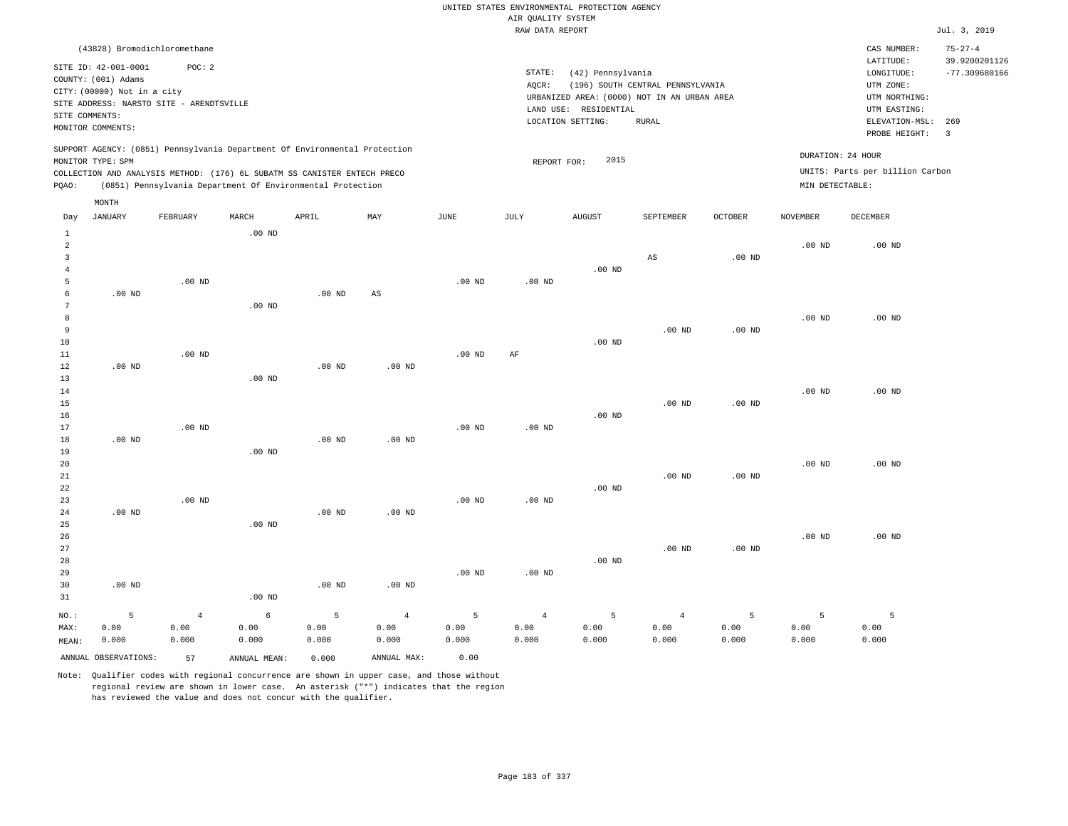|                         |                                                                                                 |                                                                            |                   |                   |                        |                   | AIR QUALITY SYSTEM | UNITED STATES ENVIRONMENTAL PROTECTION AGENCY                                                                  |                                                  |                   |                   |                                                                            |                                |
|-------------------------|-------------------------------------------------------------------------------------------------|----------------------------------------------------------------------------|-------------------|-------------------|------------------------|-------------------|--------------------|----------------------------------------------------------------------------------------------------------------|--------------------------------------------------|-------------------|-------------------|----------------------------------------------------------------------------|--------------------------------|
|                         |                                                                                                 |                                                                            |                   |                   |                        |                   | RAW DATA REPORT    |                                                                                                                |                                                  |                   |                   |                                                                            | Jul. 3, 2019                   |
|                         |                                                                                                 | (43828) Bromodichloromethane                                               |                   |                   |                        |                   |                    |                                                                                                                |                                                  |                   |                   | CAS NUMBER:<br>LATITUDE:                                                   | $75 - 27 - 4$<br>39.9200201126 |
| SITE COMMENTS:          | SITE ID: 42-001-0001<br>COUNTY: (001) Adams<br>CITY: (00000) Not in a city<br>MONITOR COMMENTS: | POC: 2<br>SITE ADDRESS: NARSTO SITE - ARENDTSVILLE                         |                   |                   |                        |                   | STATE:<br>AQCR:    | (42) Pennsylvania<br>URBANIZED AREA: (0000) NOT IN AN URBAN AREA<br>LAND USE: RESIDENTIAL<br>LOCATION SETTING: | (196) SOUTH CENTRAL PENNSYLVANIA<br><b>RURAL</b> |                   |                   | LONGITUDE:<br>UTM ZONE:<br>UTM NORTHING:<br>UTM EASTING:<br>ELEVATION-MSL: | $-77.309680166$<br>269         |
|                         |                                                                                                 |                                                                            |                   |                   |                        |                   |                    |                                                                                                                |                                                  |                   |                   | PROBE HEIGHT:                                                              | $\overline{3}$                 |
|                         | MONITOR TYPE: SPM                                                                               | SUPPORT AGENCY: (0851) Pennsylvania Department Of Environmental Protection |                   |                   |                        |                   | REPORT FOR:        | 2015                                                                                                           |                                                  |                   | DURATION: 24 HOUR |                                                                            |                                |
|                         |                                                                                                 | COLLECTION AND ANALYSIS METHOD: (176) 6L SUBATM SS CANISTER ENTECH PRECO   |                   |                   |                        |                   |                    |                                                                                                                |                                                  |                   |                   | UNITS: Parts per billion Carbon                                            |                                |
| PQAO:                   |                                                                                                 | (0851) Pennsylvania Department Of Environmental Protection                 |                   |                   |                        |                   |                    |                                                                                                                |                                                  |                   | MIN DETECTABLE:   |                                                                            |                                |
|                         | MONTH                                                                                           |                                                                            |                   |                   |                        |                   |                    |                                                                                                                |                                                  |                   |                   |                                                                            |                                |
| Day                     | <b>JANUARY</b>                                                                                  | FEBRUARY                                                                   | MARCH             | APRIL             | MAY                    | JUNE              | JULY               | <b>AUGUST</b>                                                                                                  | SEPTEMBER                                        | <b>OCTOBER</b>    | <b>NOVEMBER</b>   | <b>DECEMBER</b>                                                            |                                |
| $\mathbf{1}$            |                                                                                                 |                                                                            | $.00$ ND          |                   |                        |                   |                    |                                                                                                                |                                                  |                   |                   |                                                                            |                                |
| $\overline{a}$          |                                                                                                 |                                                                            |                   |                   |                        |                   |                    |                                                                                                                |                                                  |                   | $.00$ ND          | $.00$ ND                                                                   |                                |
| $\overline{\mathbf{3}}$ |                                                                                                 |                                                                            |                   |                   |                        |                   |                    |                                                                                                                | $_{\rm AS}$                                      | $.00$ ND          |                   |                                                                            |                                |
| 4                       |                                                                                                 |                                                                            |                   |                   |                        |                   |                    | $.00$ ND                                                                                                       |                                                  |                   |                   |                                                                            |                                |
| 5<br>6                  | $.00$ ND                                                                                        | $.00$ ND                                                                   |                   | $.00$ ND          | $\mathbb{A}\mathbb{S}$ | .00 <sub>ND</sub> | .00 <sub>ND</sub>  |                                                                                                                |                                                  |                   |                   |                                                                            |                                |
| $7\phantom{.0}$         |                                                                                                 |                                                                            | $.00$ ND          |                   |                        |                   |                    |                                                                                                                |                                                  |                   |                   |                                                                            |                                |
| 8                       |                                                                                                 |                                                                            |                   |                   |                        |                   |                    |                                                                                                                |                                                  |                   | $.00$ ND          | $.00$ ND                                                                   |                                |
| 9                       |                                                                                                 |                                                                            |                   |                   |                        |                   |                    |                                                                                                                | .00 <sub>ND</sub>                                | $.00$ ND          |                   |                                                                            |                                |
| 10                      |                                                                                                 |                                                                            |                   |                   |                        |                   |                    | $.00$ ND                                                                                                       |                                                  |                   |                   |                                                                            |                                |
| 11                      |                                                                                                 | $.00$ ND                                                                   |                   |                   |                        | $.00$ ND          | AF                 |                                                                                                                |                                                  |                   |                   |                                                                            |                                |
| 12                      | $.00$ ND                                                                                        |                                                                            |                   | $.00$ ND          | $.00$ ND               |                   |                    |                                                                                                                |                                                  |                   |                   |                                                                            |                                |
| 13                      |                                                                                                 |                                                                            | $.00$ ND          |                   |                        |                   |                    |                                                                                                                |                                                  |                   |                   |                                                                            |                                |
| 14<br>15                |                                                                                                 |                                                                            |                   |                   |                        |                   |                    |                                                                                                                | .00 <sub>ND</sub>                                | .00 <sub>ND</sub> | $.00$ ND          | $.00$ ND                                                                   |                                |
| 16                      |                                                                                                 |                                                                            |                   |                   |                        |                   |                    | $.00$ ND                                                                                                       |                                                  |                   |                   |                                                                            |                                |
| 17                      |                                                                                                 | $.00$ ND                                                                   |                   |                   |                        | $.00$ ND          | $.00$ ND           |                                                                                                                |                                                  |                   |                   |                                                                            |                                |
| 18                      | $.00$ ND                                                                                        |                                                                            |                   | .00 <sub>ND</sub> | .00 <sub>ND</sub>      |                   |                    |                                                                                                                |                                                  |                   |                   |                                                                            |                                |
| 19                      |                                                                                                 |                                                                            | $.00$ ND          |                   |                        |                   |                    |                                                                                                                |                                                  |                   |                   |                                                                            |                                |
| 20                      |                                                                                                 |                                                                            |                   |                   |                        |                   |                    |                                                                                                                |                                                  |                   | .00 <sub>ND</sub> | .00 <sub>ND</sub>                                                          |                                |
| 21                      |                                                                                                 |                                                                            |                   |                   |                        |                   |                    |                                                                                                                | $.00$ ND                                         | .00 <sub>ND</sub> |                   |                                                                            |                                |
| 22                      |                                                                                                 |                                                                            |                   |                   |                        |                   |                    | $.00$ ND                                                                                                       |                                                  |                   |                   |                                                                            |                                |
| 23<br>24                | $.00$ ND                                                                                        | .00 <sub>ND</sub>                                                          |                   | .00 <sub>ND</sub> | $.00$ ND               | .00 <sub>ND</sub> | .00 <sub>ND</sub>  |                                                                                                                |                                                  |                   |                   |                                                                            |                                |
| 25                      |                                                                                                 |                                                                            | .00 <sub>ND</sub> |                   |                        |                   |                    |                                                                                                                |                                                  |                   |                   |                                                                            |                                |
| 26                      |                                                                                                 |                                                                            |                   |                   |                        |                   |                    |                                                                                                                |                                                  |                   | $.00$ ND          | $.00$ ND                                                                   |                                |
| 27                      |                                                                                                 |                                                                            |                   |                   |                        |                   |                    |                                                                                                                | .00 <sub>ND</sub>                                | $.00$ ND          |                   |                                                                            |                                |
| 28                      |                                                                                                 |                                                                            |                   |                   |                        |                   |                    | $.00$ ND                                                                                                       |                                                  |                   |                   |                                                                            |                                |
| 29                      |                                                                                                 |                                                                            |                   |                   |                        | .00 <sub>ND</sub> | .00 <sub>ND</sub>  |                                                                                                                |                                                  |                   |                   |                                                                            |                                |
| 30                      | $.00$ ND                                                                                        |                                                                            |                   | $.00$ ND          | .00 <sub>ND</sub>      |                   |                    |                                                                                                                |                                                  |                   |                   |                                                                            |                                |
| 31                      |                                                                                                 |                                                                            | $.00$ ND          |                   |                        |                   |                    |                                                                                                                |                                                  |                   |                   |                                                                            |                                |
| NO.:                    | 5                                                                                               | $\overline{4}$                                                             | $\epsilon$        | 5                 | $\overline{4}$         | 5                 | $\overline{4}$     | 5                                                                                                              | $\overline{4}$                                   | 5                 | 5                 | 5                                                                          |                                |
| MAX:                    | 0.00                                                                                            | 0.00                                                                       | 0.00              | 0.00              | 0.00                   | 0.00              | 0.00               | 0.00                                                                                                           | 0.00                                             | 0.00              | 0.00              | 0.00                                                                       |                                |
| MEAN:                   | 0.000                                                                                           | 0.000                                                                      | 0.000             | 0.000             | 0.000                  | 0.000             | 0.000              | 0.000                                                                                                          | 0.000                                            | 0.000             | 0.000             | 0.000                                                                      |                                |

ANNUAL OBSERVATIONS: 57 ANNUAL MEAN: 0.000 ANNUAL MAX: 0.00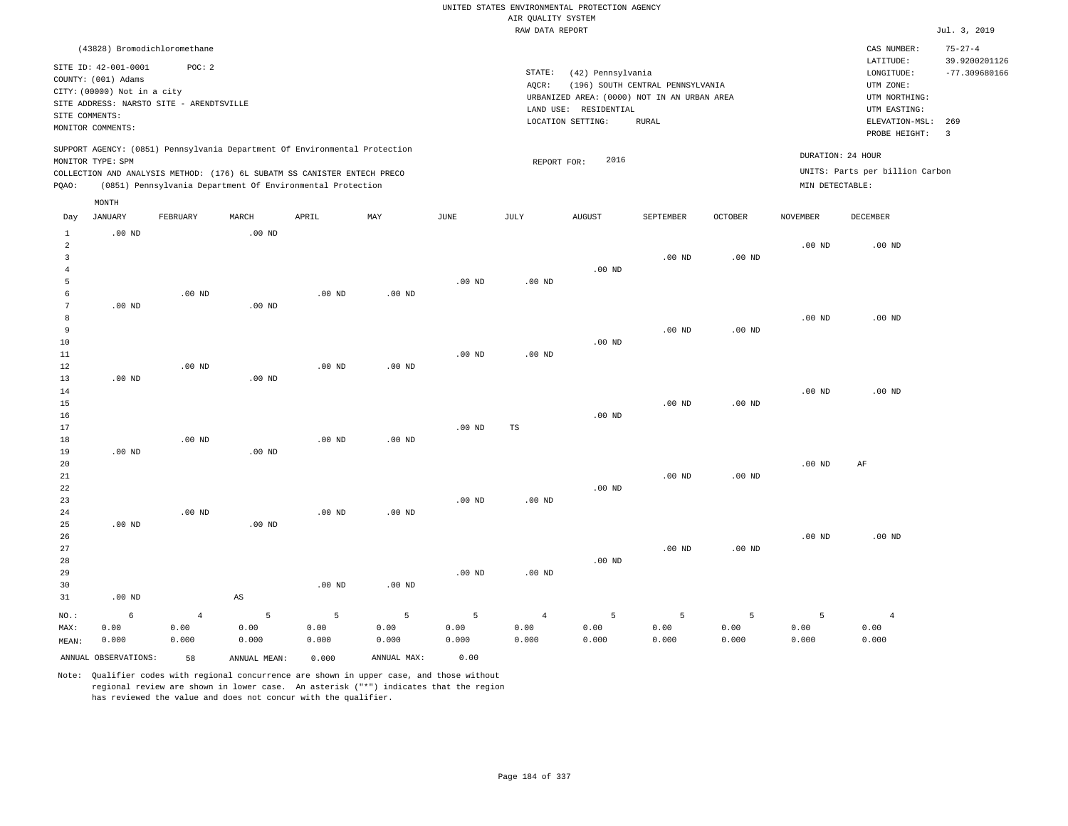|                |                              |                                          |                        |                                                                            |                   |             |                    | UNITED STATES ENVIRONMENTAL PROTECTION AGENCY |                                  |                   |                   |                                 |                       |
|----------------|------------------------------|------------------------------------------|------------------------|----------------------------------------------------------------------------|-------------------|-------------|--------------------|-----------------------------------------------|----------------------------------|-------------------|-------------------|---------------------------------|-----------------------|
|                |                              |                                          |                        |                                                                            |                   |             | AIR QUALITY SYSTEM |                                               |                                  |                   |                   |                                 |                       |
|                |                              |                                          |                        |                                                                            |                   |             | RAW DATA REPORT    |                                               |                                  |                   |                   |                                 | Jul. 3, 2019          |
|                | (43828) Bromodichloromethane |                                          |                        |                                                                            |                   |             |                    |                                               |                                  |                   |                   | CAS NUMBER:                     | $75 - 27 - 4$         |
|                | SITE ID: 42-001-0001         | POC: 2                                   |                        |                                                                            |                   |             |                    |                                               |                                  |                   |                   | LATITUDE:                       | 39.9200201126         |
|                | COUNTY: (001) Adams          |                                          |                        |                                                                            |                   |             | STATE:             | (42) Pennsylvania                             |                                  |                   |                   | LONGITUDE:                      | $-77.309680166$       |
|                | CITY: (00000) Not in a city  |                                          |                        |                                                                            |                   |             | AQCR:              |                                               | (196) SOUTH CENTRAL PENNSYLVANIA |                   |                   | UTM ZONE:                       |                       |
|                |                              | SITE ADDRESS: NARSTO SITE - ARENDTSVILLE |                        |                                                                            |                   |             |                    | URBANIZED AREA: (0000) NOT IN AN URBAN AREA   |                                  |                   |                   | UTM NORTHING:                   |                       |
|                | SITE COMMENTS:               |                                          |                        |                                                                            |                   |             |                    | LAND USE: RESIDENTIAL                         |                                  |                   |                   | UTM EASTING:                    |                       |
|                | MONITOR COMMENTS:            |                                          |                        |                                                                            |                   |             |                    | LOCATION SETTING:                             | <b>RURAL</b>                     |                   |                   | ELEVATION-MSL:<br>PROBE HEIGHT: | 269<br>$\overline{3}$ |
|                |                              |                                          |                        | SUPPORT AGENCY: (0851) Pennsylvania Department Of Environmental Protection |                   |             |                    |                                               |                                  |                   |                   | DURATION: 24 HOUR               |                       |
|                | MONITOR TYPE: SPM            |                                          |                        |                                                                            |                   |             | REPORT FOR:        | 2016                                          |                                  |                   |                   |                                 |                       |
|                |                              |                                          |                        | COLLECTION AND ANALYSIS METHOD: (176) 6L SUBATM SS CANISTER ENTECH PRECO   |                   |             |                    |                                               |                                  |                   |                   | UNITS: Parts per billion Carbon |                       |
| PQAO:          |                              |                                          |                        | (0851) Pennsylvania Department Of Environmental Protection                 |                   |             |                    |                                               |                                  |                   | MIN DETECTABLE:   |                                 |                       |
| Day            | MONTH<br><b>JANUARY</b>      | FEBRUARY                                 | MARCH                  | APRIL                                                                      | MAY               | <b>JUNE</b> | JULY               | <b>AUGUST</b>                                 | SEPTEMBER                        | <b>OCTOBER</b>    | <b>NOVEMBER</b>   | <b>DECEMBER</b>                 |                       |
| $1\,$          | $.00$ ND                     |                                          | .00 <sub>ND</sub>      |                                                                            |                   |             |                    |                                               |                                  |                   |                   |                                 |                       |
| $\sqrt{2}$     |                              |                                          |                        |                                                                            |                   |             |                    |                                               |                                  |                   | $.00$ ND          | $.00$ ND                        |                       |
| 3              |                              |                                          |                        |                                                                            |                   |             |                    |                                               | $.00$ ND                         | .00 <sub>ND</sub> |                   |                                 |                       |
| $\overline{4}$ |                              |                                          |                        |                                                                            |                   |             |                    | $.00$ ND                                      |                                  |                   |                   |                                 |                       |
| 5              |                              |                                          |                        |                                                                            |                   | $.00$ ND    | $.00$ ND           |                                               |                                  |                   |                   |                                 |                       |
| 6              |                              | $.00$ ND                                 |                        | $.00$ ND                                                                   | $.00$ ND          |             |                    |                                               |                                  |                   |                   |                                 |                       |
| $\overline{7}$ | $.00$ ND                     |                                          | $.00$ ND               |                                                                            |                   |             |                    |                                               |                                  |                   |                   |                                 |                       |
| 8              |                              |                                          |                        |                                                                            |                   |             |                    |                                               |                                  |                   | $.00$ ND          | $.00$ ND                        |                       |
| $\overline{9}$ |                              |                                          |                        |                                                                            |                   |             |                    |                                               | $.00$ ND                         | .00 <sub>ND</sub> |                   |                                 |                       |
| 10             |                              |                                          |                        |                                                                            |                   |             |                    | $.00$ ND                                      |                                  |                   |                   |                                 |                       |
| 11             |                              |                                          |                        |                                                                            |                   | $.00$ ND    | $.00$ ND           |                                               |                                  |                   |                   |                                 |                       |
| $1\,2$         |                              | $.00$ ND                                 |                        | .00 <sub>ND</sub>                                                          | .00 <sub>ND</sub> |             |                    |                                               |                                  |                   |                   |                                 |                       |
| 13             | $.00$ ND                     |                                          | $.00$ ND               |                                                                            |                   |             |                    |                                               |                                  |                   |                   |                                 |                       |
| 14             |                              |                                          |                        |                                                                            |                   |             |                    |                                               |                                  |                   | $.00$ ND          | $.00$ ND                        |                       |
| 15             |                              |                                          |                        |                                                                            |                   |             |                    |                                               | $.00$ ND                         | .00 <sub>ND</sub> |                   |                                 |                       |
| 16             |                              |                                          |                        |                                                                            |                   |             |                    | .00 <sub>ND</sub>                             |                                  |                   |                   |                                 |                       |
| 17<br>18       |                              | $.00$ ND                                 |                        | $.00$ ND                                                                   | $.00$ ND          | $.00$ ND    | TS                 |                                               |                                  |                   |                   |                                 |                       |
| 19             | $.00$ ND                     |                                          | .00 <sub>ND</sub>      |                                                                            |                   |             |                    |                                               |                                  |                   |                   |                                 |                       |
| 20             |                              |                                          |                        |                                                                            |                   |             |                    |                                               |                                  |                   | .00 <sub>ND</sub> | AF                              |                       |
| 21             |                              |                                          |                        |                                                                            |                   |             |                    |                                               | $.00$ ND                         | .00 <sub>ND</sub> |                   |                                 |                       |
| 22             |                              |                                          |                        |                                                                            |                   |             |                    | $.00$ ND                                      |                                  |                   |                   |                                 |                       |
| 23             |                              |                                          |                        |                                                                            |                   | $.00$ ND    | $.00$ ND           |                                               |                                  |                   |                   |                                 |                       |
| 24             |                              | .00 <sub>ND</sub>                        |                        | .00 <sub>ND</sub>                                                          | $.00$ ND          |             |                    |                                               |                                  |                   |                   |                                 |                       |
| 25             | $.00$ ND                     |                                          | $.00$ ND               |                                                                            |                   |             |                    |                                               |                                  |                   |                   |                                 |                       |
| 26             |                              |                                          |                        |                                                                            |                   |             |                    |                                               |                                  |                   | $.00$ ND          | $.00$ ND                        |                       |
| 27             |                              |                                          |                        |                                                                            |                   |             |                    |                                               | $.00$ ND                         | .00 <sub>ND</sub> |                   |                                 |                       |
| 28             |                              |                                          |                        |                                                                            |                   |             |                    | .00 <sub>ND</sub>                             |                                  |                   |                   |                                 |                       |
| 29             |                              |                                          |                        |                                                                            |                   | $.00$ ND    | $.00$ ND           |                                               |                                  |                   |                   |                                 |                       |
| 30             |                              |                                          |                        | $.00$ ND                                                                   | $.00$ ND          |             |                    |                                               |                                  |                   |                   |                                 |                       |
| 31             | $.00$ ND                     |                                          | $\mathbb{A}\mathbb{S}$ |                                                                            |                   |             |                    |                                               |                                  |                   |                   |                                 |                       |
| NO.:           | 6                            | $\overline{4}$                           | 5                      | 5                                                                          | 5                 | 5           | $\overline{4}$     | 5                                             | 5                                | 5                 | 5                 | $\overline{4}$                  |                       |
| MAX:           | 0.00                         | 0.00                                     | 0.00                   | 0.00                                                                       | 0.00              | 0.00        | 0.00               | 0.00                                          | 0.00                             | 0.00              | 0.00              | 0.00                            |                       |
| MEAN:          | 0.000                        | 0.000                                    | 0.000                  | 0.000                                                                      | 0.000             | 0.000       | 0.000              | 0.000                                         | 0.000                            | 0.000             | 0.000             | 0.000                           |                       |
|                | ANNUAL OBSERVATIONS:         | 58                                       | ANNUAL, MEAN:          | 0.000                                                                      | ANNUAL MAX:       | 0.00        |                    |                                               |                                  |                   |                   |                                 |                       |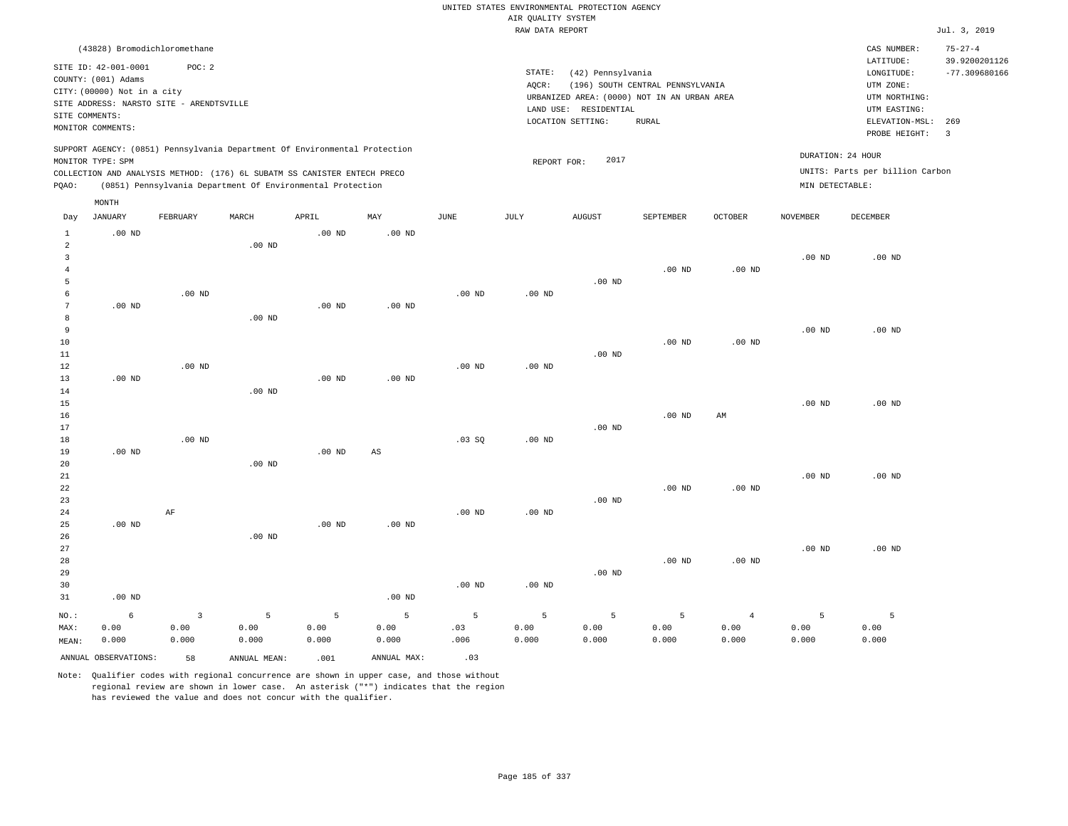|                                |                                                                             |                |                                                                                                                                        |                   |                        |          |                    | UNITED STATES ENVIRONMENTAL PROTECTION AGENCY |                                  |                   |                   |                                                     |                                                   |
|--------------------------------|-----------------------------------------------------------------------------|----------------|----------------------------------------------------------------------------------------------------------------------------------------|-------------------|------------------------|----------|--------------------|-----------------------------------------------|----------------------------------|-------------------|-------------------|-----------------------------------------------------|---------------------------------------------------|
|                                |                                                                             |                |                                                                                                                                        |                   |                        |          | AIR QUALITY SYSTEM |                                               |                                  |                   |                   |                                                     |                                                   |
|                                |                                                                             |                |                                                                                                                                        |                   |                        |          | RAW DATA REPORT    |                                               |                                  |                   |                   |                                                     | Jul. 3, 2019                                      |
|                                | (43828) Bromodichloromethane<br>SITE ID: 42-001-0001<br>COUNTY: (001) Adams | POC: 2         |                                                                                                                                        |                   |                        |          | STATE:<br>AOCR:    | (42) Pennsylvania                             | (196) SOUTH CENTRAL PENNSYLVANIA |                   |                   | CAS NUMBER:<br>LATITUDE:<br>LONGITUDE:<br>UTM ZONE: | $75 - 27 - 4$<br>39.9200201126<br>$-77.309680166$ |
|                                | CITY: (00000) Not in a city                                                 |                |                                                                                                                                        |                   |                        |          |                    | URBANIZED AREA: (0000) NOT IN AN URBAN AREA   |                                  |                   |                   | UTM NORTHING:                                       |                                                   |
|                                | SITE ADDRESS: NARSTO SITE - ARENDTSVILLE                                    |                |                                                                                                                                        |                   |                        |          |                    | LAND USE: RESIDENTIAL                         |                                  |                   |                   | UTM EASTING:                                        |                                                   |
| SITE COMMENTS:                 | MONITOR COMMENTS:                                                           |                |                                                                                                                                        |                   |                        |          |                    | LOCATION SETTING:                             | <b>RURAL</b>                     |                   |                   | ELEVATION-MSL:<br>PROBE HEIGHT:                     | 269<br>$\overline{\mathbf{3}}$                    |
|                                | MONITOR TYPE: SPM                                                           |                | SUPPORT AGENCY: (0851) Pennsylvania Department Of Environmental Protection                                                             |                   |                        |          | REPORT FOR:        | 2017                                          |                                  |                   | DURATION: 24 HOUR | UNITS: Parts per billion Carbon                     |                                                   |
| PQAO:                          |                                                                             |                | COLLECTION AND ANALYSIS METHOD: (176) 6L SUBATM SS CANISTER ENTECH PRECO<br>(0851) Pennsylvania Department Of Environmental Protection |                   |                        |          |                    |                                               |                                  |                   | MIN DETECTABLE:   |                                                     |                                                   |
| Day                            | MONTH<br><b>JANUARY</b>                                                     | FEBRUARY       | MARCH                                                                                                                                  | APRIL             | MAY                    | JUNE     | JULY               | <b>AUGUST</b>                                 | SEPTEMBER                        | OCTOBER           | <b>NOVEMBER</b>   | DECEMBER                                            |                                                   |
|                                |                                                                             |                |                                                                                                                                        |                   | .00 <sub>ND</sub>      |          |                    |                                               |                                  |                   |                   |                                                     |                                                   |
| $\mathbf{1}$<br>$\overline{a}$ | $.00$ ND                                                                    |                | $.00$ ND                                                                                                                               | $.00$ ND          |                        |          |                    |                                               |                                  |                   |                   |                                                     |                                                   |
| 3<br>$\overline{4}$            |                                                                             |                |                                                                                                                                        |                   |                        |          |                    |                                               | $.00$ ND                         | $.00$ ND          | $.00$ ND          | $.00$ ND                                            |                                                   |
| $\overline{5}$                 |                                                                             |                |                                                                                                                                        |                   |                        |          |                    | $.00$ ND                                      |                                  |                   |                   |                                                     |                                                   |
| 6                              |                                                                             | $.00$ ND       |                                                                                                                                        |                   |                        | $.00$ ND | .00 <sub>ND</sub>  |                                               |                                  |                   |                   |                                                     |                                                   |
| $\overline{7}$                 | $.00$ ND                                                                    |                |                                                                                                                                        | .00 <sub>ND</sub> | $.00$ ND               |          |                    |                                               |                                  |                   |                   |                                                     |                                                   |
| 8                              |                                                                             |                | $.00$ ND                                                                                                                               |                   |                        |          |                    |                                               |                                  |                   |                   |                                                     |                                                   |
| 9                              |                                                                             |                |                                                                                                                                        |                   |                        |          |                    |                                               |                                  |                   | $.00$ ND          | $.00$ ND                                            |                                                   |
| 10                             |                                                                             |                |                                                                                                                                        |                   |                        |          |                    |                                               | .00 <sub>ND</sub>                | .00 <sub>ND</sub> |                   |                                                     |                                                   |
| 11                             |                                                                             |                |                                                                                                                                        |                   |                        |          |                    | $.00$ ND                                      |                                  |                   |                   |                                                     |                                                   |
| 12                             |                                                                             | $.00$ ND       |                                                                                                                                        |                   |                        | $.00$ ND | $.00$ ND           |                                               |                                  |                   |                   |                                                     |                                                   |
| 13                             | $.00$ ND                                                                    |                |                                                                                                                                        | $.00$ ND          | $.00$ ND               |          |                    |                                               |                                  |                   |                   |                                                     |                                                   |
| 14                             |                                                                             |                | $.00$ ND                                                                                                                               |                   |                        |          |                    |                                               |                                  |                   |                   |                                                     |                                                   |
| 15                             |                                                                             |                |                                                                                                                                        |                   |                        |          |                    |                                               |                                  |                   | $.00$ ND          | $.00$ ND                                            |                                                   |
| 16                             |                                                                             |                |                                                                                                                                        |                   |                        |          |                    |                                               | $.00$ ND                         | AM                |                   |                                                     |                                                   |
| 17                             |                                                                             |                |                                                                                                                                        |                   |                        |          |                    | $.00$ ND                                      |                                  |                   |                   |                                                     |                                                   |
| 18<br>19                       | $.00$ ND                                                                    | $.00$ ND       |                                                                                                                                        | $.00$ ND          | $\mathbb{A}\mathbb{S}$ | $.03$ SO | $.00$ ND           |                                               |                                  |                   |                   |                                                     |                                                   |
| 20                             |                                                                             |                | $.00$ ND                                                                                                                               |                   |                        |          |                    |                                               |                                  |                   |                   |                                                     |                                                   |
| 21                             |                                                                             |                |                                                                                                                                        |                   |                        |          |                    |                                               |                                  |                   | .00 <sub>ND</sub> | .00 <sub>ND</sub>                                   |                                                   |
| 22                             |                                                                             |                |                                                                                                                                        |                   |                        |          |                    |                                               | $.00$ ND                         | $.00$ ND          |                   |                                                     |                                                   |
| 23                             |                                                                             |                |                                                                                                                                        |                   |                        |          |                    | .00 <sub>ND</sub>                             |                                  |                   |                   |                                                     |                                                   |
| 24                             |                                                                             | AF             |                                                                                                                                        |                   |                        | $.00$ ND | $.00$ ND           |                                               |                                  |                   |                   |                                                     |                                                   |
| 25                             | $.00$ ND                                                                    |                |                                                                                                                                        | $.00$ ND          | $.00$ ND               |          |                    |                                               |                                  |                   |                   |                                                     |                                                   |
| 26                             |                                                                             |                | .00 <sub>ND</sub>                                                                                                                      |                   |                        |          |                    |                                               |                                  |                   |                   |                                                     |                                                   |
| 27                             |                                                                             |                |                                                                                                                                        |                   |                        |          |                    |                                               |                                  |                   | $.00$ ND          | $.00$ ND                                            |                                                   |
| 28                             |                                                                             |                |                                                                                                                                        |                   |                        |          |                    |                                               | $.00$ ND                         | .00 <sub>ND</sub> |                   |                                                     |                                                   |
| 29                             |                                                                             |                |                                                                                                                                        |                   |                        |          |                    | $.00$ ND                                      |                                  |                   |                   |                                                     |                                                   |
| 30<br>31                       | $.00$ ND                                                                    |                |                                                                                                                                        |                   | $.00$ ND               | $.00$ ND | $.00$ ND           |                                               |                                  |                   |                   |                                                     |                                                   |
|                                |                                                                             |                |                                                                                                                                        |                   |                        |          |                    |                                               |                                  |                   |                   |                                                     |                                                   |
| NO.:                           | 6                                                                           | $\overline{3}$ | 5                                                                                                                                      | 5                 | 5                      | 5        | 5                  | 5                                             | 5                                | $\overline{4}$    | 5                 | $\overline{5}$                                      |                                                   |
| MAX:                           | 0.00                                                                        | 0.00           | 0.00                                                                                                                                   | 0.00              | 0.00                   | .03      | 0.00               | 0.00                                          | 0.00                             | 0.00              | 0.00              | 0.00                                                |                                                   |
| MEAN:                          | 0.000                                                                       | 0.000          | 0.000                                                                                                                                  | 0.000             | 0.000                  | .006     | 0.000              | 0.000                                         | 0.000                            | 0.000             | 0.000             | 0.000                                               |                                                   |
|                                | ANNUAL OBSERVATIONS:                                                        | 58             | ANNUAL, MEAN:                                                                                                                          | .001              | ANNUAL MAX:            | .03      |                    |                                               |                                  |                   |                   |                                                     |                                                   |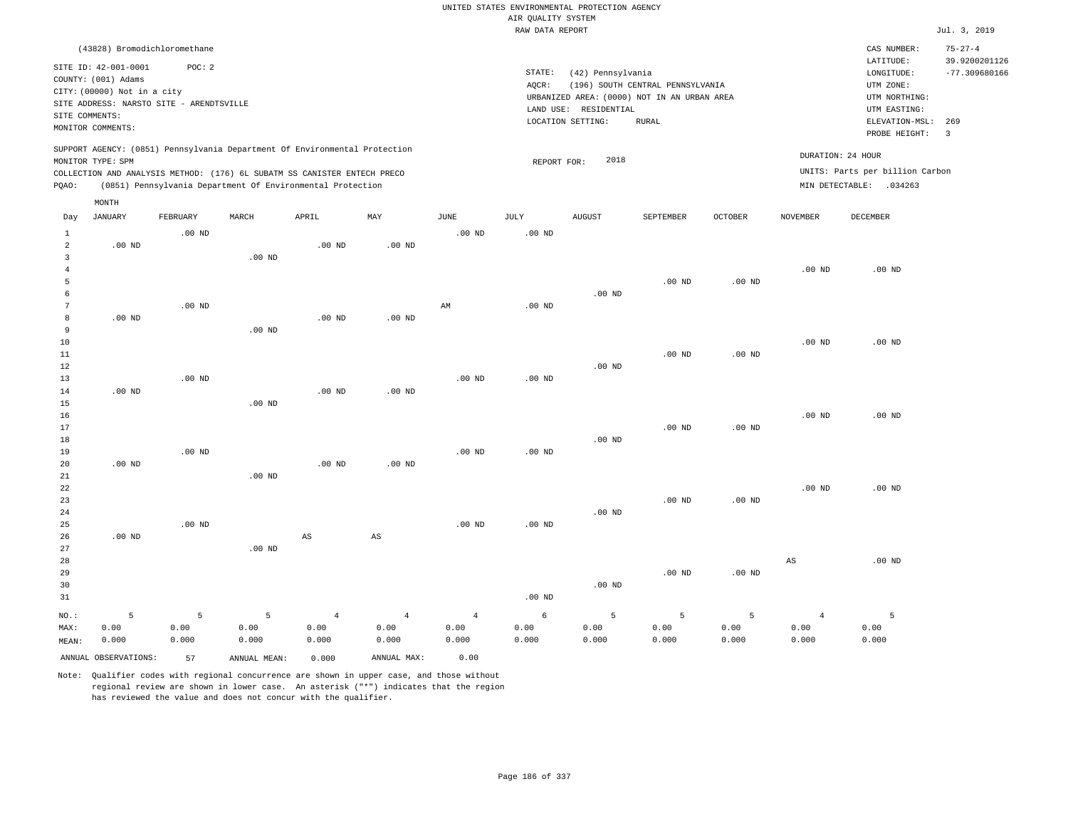|                                                    |                                                                                                                                                                             |                    |                                                            |                                 |                                 |                                 | AIR QUALITY SYSTEM | UNITED STATES ENVIRONMENTAL PROTECTION AGENCY                   |                                                                                                 |                    |                                 |                                                                            |                                |
|----------------------------------------------------|-----------------------------------------------------------------------------------------------------------------------------------------------------------------------------|--------------------|------------------------------------------------------------|---------------------------------|---------------------------------|---------------------------------|--------------------|-----------------------------------------------------------------|-------------------------------------------------------------------------------------------------|--------------------|---------------------------------|----------------------------------------------------------------------------|--------------------------------|
|                                                    |                                                                                                                                                                             |                    |                                                            |                                 |                                 |                                 | RAW DATA REPORT    |                                                                 |                                                                                                 |                    |                                 |                                                                            | Jul. 3, 2019                   |
|                                                    | (43828) Bromodichloromethane                                                                                                                                                |                    |                                                            |                                 |                                 |                                 |                    |                                                                 |                                                                                                 |                    |                                 | CAS NUMBER:<br>LATITUDE:                                                   | $75 - 27 - 4$<br>39.9200201126 |
| SITE COMMENTS:                                     | SITE ID: 42-001-0001<br>COUNTY: (001) Adams<br>CITY: (00000) Not in a city<br>SITE ADDRESS: NARSTO SITE - ARENDTSVILLE                                                      | POC: 2             |                                                            |                                 |                                 |                                 | STATE:<br>AQCR:    | (42) Pennsylvania<br>LAND USE: RESIDENTIAL<br>LOCATION SETTING: | (196) SOUTH CENTRAL PENNSYLVANIA<br>URBANIZED AREA: (0000) NOT IN AN URBAN AREA<br><b>RURAL</b> |                    |                                 | LONGITUDE:<br>UTM ZONE:<br>UTM NORTHING:<br>UTM EASTING:<br>ELEVATION-MSL: | $-77.309680166$<br>269         |
|                                                    | MONITOR COMMENTS:                                                                                                                                                           |                    |                                                            |                                 |                                 |                                 |                    |                                                                 |                                                                                                 |                    |                                 | PROBE HEIGHT:                                                              | $\overline{\mathbf{3}}$        |
|                                                    | SUPPORT AGENCY: (0851) Pennsylvania Department Of Environmental Protection<br>MONITOR TYPE: SPM<br>COLLECTION AND ANALYSIS METHOD: (176) 6L SUBATM SS CANISTER ENTECH PRECO |                    |                                                            |                                 |                                 |                                 | REPORT FOR:        | 2018                                                            |                                                                                                 |                    |                                 | DURATION: 24 HOUR<br>UNITS: Parts per billion Carbon                       |                                |
| PQAO:                                              |                                                                                                                                                                             |                    | (0851) Pennsylvania Department Of Environmental Protection |                                 |                                 |                                 |                    |                                                                 |                                                                                                 |                    |                                 | MIN DETECTABLE: .034263                                                    |                                |
| Day                                                | MONTH<br>JANUARY                                                                                                                                                            | FEBRUARY           | MARCH                                                      | APRIL                           | MAY                             | JUNE                            | JULY               | <b>AUGUST</b>                                                   | SEPTEMBER                                                                                       | OCTOBER            | NOVEMBER                        | DECEMBER                                                                   |                                |
| $\mathbf{1}$                                       |                                                                                                                                                                             | $.00$ ND           |                                                            |                                 |                                 | .00 <sub>ND</sub>               | .00 <sub>ND</sub>  |                                                                 |                                                                                                 |                    |                                 |                                                                            |                                |
| $\overline{a}$<br>$\overline{3}$<br>$\overline{4}$ | $.00$ ND                                                                                                                                                                    |                    | .00 <sub>ND</sub>                                          | $.00$ ND                        | .00 <sub>ND</sub>               |                                 |                    |                                                                 |                                                                                                 |                    | $.00$ ND                        | $.00$ ND                                                                   |                                |
| 5<br>6                                             |                                                                                                                                                                             |                    |                                                            |                                 |                                 |                                 |                    | $.00$ ND                                                        | $.00$ ND                                                                                        | $.00$ ND           |                                 |                                                                            |                                |
| $7\phantom{.0}$<br>8<br>9                          | $.00$ ND                                                                                                                                                                    | $.00$ ND           | $.00$ ND                                                   | $.00$ ND                        | $.00$ ND                        | $\mathbb{A}\mathbb{M}$          | $.00$ ND           |                                                                 |                                                                                                 |                    |                                 |                                                                            |                                |
| $10$<br>11<br>12                                   |                                                                                                                                                                             |                    |                                                            |                                 |                                 |                                 |                    | $.00$ ND                                                        | .00 <sub>ND</sub>                                                                               | $.00$ ND           | $.00$ ND                        | $.00$ ND                                                                   |                                |
| 13<br>14<br>15                                     | .00 <sub>ND</sub>                                                                                                                                                           | $.00$ ND           | $.00$ ND                                                   | .00 <sub>ND</sub>               | $.00$ ND                        | .00 <sub>ND</sub>               | .00 <sub>ND</sub>  |                                                                 |                                                                                                 |                    |                                 |                                                                            |                                |
| 16<br>17<br>18                                     |                                                                                                                                                                             |                    |                                                            |                                 |                                 |                                 |                    | $.00$ ND                                                        | $.00$ ND                                                                                        | $.00$ ND           | .00 <sub>ND</sub>               | $.00$ ND                                                                   |                                |
| 19<br>20                                           | $.00$ ND                                                                                                                                                                    | $.00$ ND           |                                                            | $.00$ ND                        | $.00$ ND                        | $.00$ ND                        | $.00$ ND           |                                                                 |                                                                                                 |                    |                                 |                                                                            |                                |
| 21<br>22<br>23<br>24                               |                                                                                                                                                                             |                    | $.00$ ND                                                   |                                 |                                 |                                 |                    | $.00$ ND                                                        | $.00$ ND                                                                                        | $.00$ ND           | $.00$ ND                        | $.00$ ND                                                                   |                                |
| 25<br>26<br>27                                     | $.00$ ND                                                                                                                                                                    | $.00$ ND           | $.00$ ND                                                   | $\mathbb{A}\mathbb{S}$          | $\mathbb{A}\mathbb{S}$          | .00 <sub>ND</sub>               | .00 <sub>ND</sub>  |                                                                 |                                                                                                 |                    |                                 |                                                                            |                                |
| 28<br>29<br>30<br>31                               |                                                                                                                                                                             |                    |                                                            |                                 |                                 |                                 | .00 <sub>ND</sub>  | $.00$ ND                                                        | $.00$ ND                                                                                        | $.00$ ND           | $_{\rm AS}$                     | $.00$ ND                                                                   |                                |
| NO.:<br>MAX:<br>MEAN:                              | 5<br>0.00<br>0.000                                                                                                                                                          | 5<br>0.00<br>0.000 | 5<br>0.00<br>0.000                                         | $\overline{4}$<br>0.00<br>0.000 | $\overline{4}$<br>0.00<br>0.000 | $\overline{4}$<br>0.00<br>0.000 | 6<br>0.00<br>0.000 | 5<br>0.00<br>0.000                                              | 5<br>0.00<br>0.000                                                                              | 5<br>0.00<br>0.000 | $\overline{4}$<br>0.00<br>0.000 | 5<br>0.00<br>0.000                                                         |                                |
|                                                    | ANNUAL OBSERVATIONS:                                                                                                                                                        | 57                 | ANNUAL MEAN:                                               | 0.000                           | ANNUAL MAX:                     | 0.00                            |                    |                                                                 |                                                                                                 |                    |                                 |                                                                            |                                |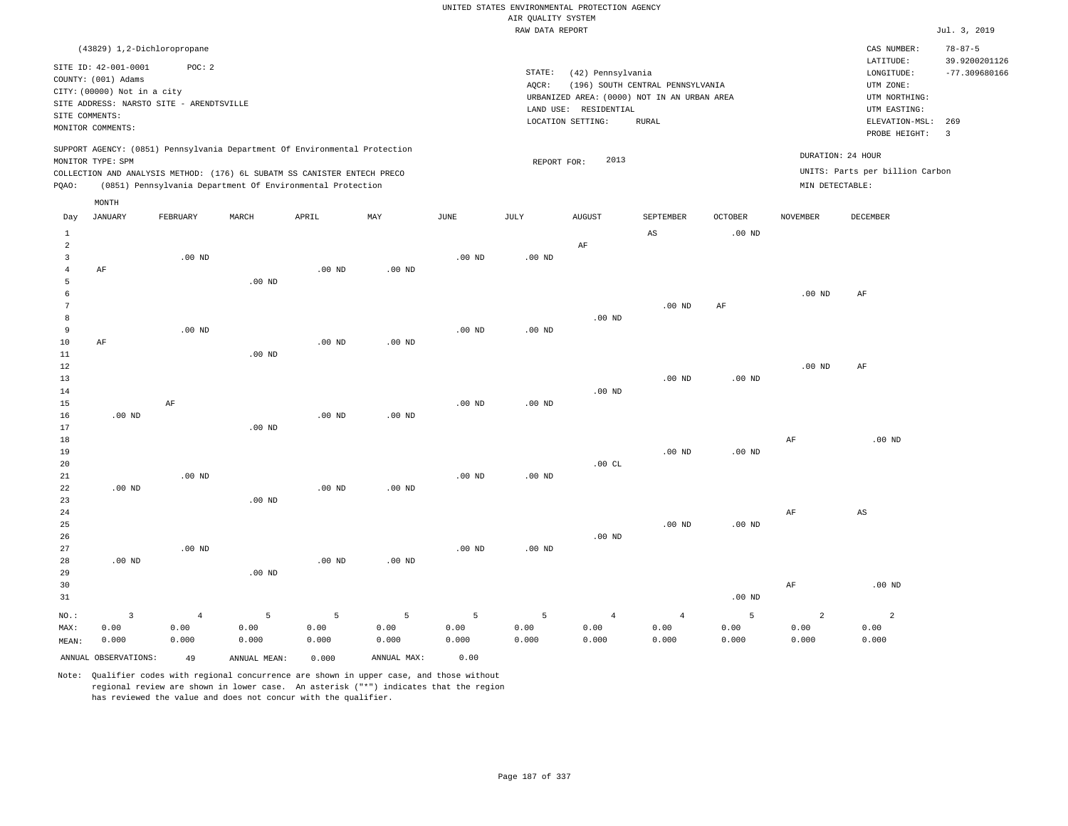|                                |                                             |                   |                                                                            |                   |                   |                   | AIR QUALITY SYSTEM | UNITED STATES ENVIRONMENTAL PROTECTION AGENCY |                                             |                   |                   |                                 |                                |
|--------------------------------|---------------------------------------------|-------------------|----------------------------------------------------------------------------|-------------------|-------------------|-------------------|--------------------|-----------------------------------------------|---------------------------------------------|-------------------|-------------------|---------------------------------|--------------------------------|
|                                |                                             |                   |                                                                            |                   |                   |                   | RAW DATA REPORT    |                                               |                                             |                   |                   |                                 | Jul. 3, 2019                   |
|                                | (43829) 1,2-Dichloropropane                 |                   |                                                                            |                   |                   |                   |                    |                                               |                                             |                   |                   | CAS NUMBER:<br>LATITUDE:        | $78 - 87 - 5$<br>39.9200201126 |
|                                | SITE ID: 42-001-0001<br>COUNTY: (001) Adams | POC:2             |                                                                            |                   |                   |                   | STATE:<br>AQCR:    | (42) Pennsylvania                             | (196) SOUTH CENTRAL PENNSYLVANIA            |                   |                   | LONGITUDE:<br>UTM ZONE:         | $-77.309680166$                |
|                                | CITY: (00000) Not in a city                 |                   |                                                                            |                   |                   |                   |                    |                                               | URBANIZED AREA: (0000) NOT IN AN URBAN AREA |                   |                   | UTM NORTHING:                   |                                |
|                                | SITE ADDRESS: NARSTO SITE - ARENDTSVILLE    |                   |                                                                            |                   |                   |                   |                    | LAND USE: RESIDENTIAL                         |                                             |                   |                   | UTM EASTING:                    |                                |
|                                | SITE COMMENTS:<br>MONITOR COMMENTS:         |                   |                                                                            |                   |                   |                   |                    | LOCATION SETTING:                             | RURAL                                       |                   |                   | ELEVATION-MSL:<br>PROBE HEIGHT: | 269<br>3                       |
|                                | MONITOR TYPE: SPM                           |                   | SUPPORT AGENCY: (0851) Pennsylvania Department Of Environmental Protection |                   |                   |                   | REPORT FOR:        | 2013                                          |                                             |                   |                   | DURATION: 24 HOUR               |                                |
|                                |                                             |                   | COLLECTION AND ANALYSIS METHOD: (176) 6L SUBATM SS CANISTER ENTECH PRECO   |                   |                   |                   |                    |                                               |                                             |                   |                   | UNITS: Parts per billion Carbon |                                |
| PQAO:                          |                                             |                   | (0851) Pennsylvania Department Of Environmental Protection                 |                   |                   |                   |                    |                                               |                                             |                   | MIN DETECTABLE:   |                                 |                                |
|                                | MONTH                                       |                   |                                                                            |                   |                   |                   |                    |                                               |                                             |                   |                   |                                 |                                |
| Day                            | <b>JANUARY</b>                              | FEBRUARY          | MARCH                                                                      | APRIL             | MAY               | <b>JUNE</b>       | <b>JULY</b>        | <b>AUGUST</b>                                 | SEPTEMBER                                   | <b>OCTOBER</b>    | <b>NOVEMBER</b>   | DECEMBER                        |                                |
| $\mathbf{1}$<br>$\overline{a}$ |                                             |                   |                                                                            |                   |                   |                   |                    | AF                                            | $\mathbb{A}\mathbb{S}$                      | $.00$ ND          |                   |                                 |                                |
| $\overline{\mathbf{3}}$        |                                             | $.00$ ND          |                                                                            |                   |                   | .00 <sub>ND</sub> | $.00$ ND           |                                               |                                             |                   |                   |                                 |                                |
| $\sqrt{4}$                     | AF                                          |                   |                                                                            | $.00$ ND          | .00 <sub>ND</sub> |                   |                    |                                               |                                             |                   |                   |                                 |                                |
| 5                              |                                             |                   | $.00$ ND                                                                   |                   |                   |                   |                    |                                               |                                             |                   |                   |                                 |                                |
| 6                              |                                             |                   |                                                                            |                   |                   |                   |                    |                                               |                                             |                   | $.00$ ND          | AF                              |                                |
| $7\phantom{.0}$                |                                             |                   |                                                                            |                   |                   |                   |                    |                                               | $.00$ ND                                    | AF                |                   |                                 |                                |
| 8                              |                                             |                   |                                                                            |                   |                   |                   |                    | $.00$ ND                                      |                                             |                   |                   |                                 |                                |
| 9                              |                                             | $.00$ ND          |                                                                            |                   |                   | .00 <sub>ND</sub> | $.00$ ND           |                                               |                                             |                   |                   |                                 |                                |
| $10$                           | AF                                          |                   |                                                                            | $.00$ ND          | $.00$ ND          |                   |                    |                                               |                                             |                   |                   |                                 |                                |
| $11\,$<br>12                   |                                             |                   | .00 <sub>ND</sub>                                                          |                   |                   |                   |                    |                                               |                                             |                   | .00 <sub>ND</sub> | AF                              |                                |
| 13                             |                                             |                   |                                                                            |                   |                   |                   |                    |                                               | .00 <sub>ND</sub>                           | .00 <sub>ND</sub> |                   |                                 |                                |
| 14                             |                                             |                   |                                                                            |                   |                   |                   |                    | $.00$ ND                                      |                                             |                   |                   |                                 |                                |
| 15                             |                                             | $\rm AF$          |                                                                            |                   |                   | $.00$ ND          | $.00$ ND           |                                               |                                             |                   |                   |                                 |                                |
| 16                             | $.00$ ND                                    |                   |                                                                            | $.00$ ND          | $.00$ ND          |                   |                    |                                               |                                             |                   |                   |                                 |                                |
| 17                             |                                             |                   | $.00$ ND                                                                   |                   |                   |                   |                    |                                               |                                             |                   |                   |                                 |                                |
| 18                             |                                             |                   |                                                                            |                   |                   |                   |                    |                                               |                                             |                   | AF                | $.00$ ND                        |                                |
| 19                             |                                             |                   |                                                                            |                   |                   |                   |                    |                                               | .00 <sub>ND</sub>                           | $.00$ ND          |                   |                                 |                                |
| 20                             |                                             |                   |                                                                            |                   |                   |                   |                    | .00 $CL$                                      |                                             |                   |                   |                                 |                                |
| 21                             |                                             | .00 <sub>ND</sub> |                                                                            |                   |                   | .00 <sub>ND</sub> | .00 <sub>ND</sub>  |                                               |                                             |                   |                   |                                 |                                |
| 22<br>23                       | $.00$ ND                                    |                   | $.00$ ND                                                                   | $.00$ ND          | $.00$ ND          |                   |                    |                                               |                                             |                   |                   |                                 |                                |
| 24                             |                                             |                   |                                                                            |                   |                   |                   |                    |                                               |                                             |                   | AF                | $\mathbb{A}\mathbb{S}$          |                                |
| 25                             |                                             |                   |                                                                            |                   |                   |                   |                    |                                               | $.00$ ND                                    | .00 <sub>ND</sub> |                   |                                 |                                |
| 26                             |                                             |                   |                                                                            |                   |                   |                   |                    | $.00$ ND                                      |                                             |                   |                   |                                 |                                |
| 27                             |                                             | $.00$ ND          |                                                                            |                   |                   | .00 <sub>ND</sub> | $.00$ ND           |                                               |                                             |                   |                   |                                 |                                |
| 28                             | $.00$ ND                                    |                   |                                                                            | .00 <sub>ND</sub> | .00 <sub>ND</sub> |                   |                    |                                               |                                             |                   |                   |                                 |                                |
| 29                             |                                             |                   | $.00$ ND                                                                   |                   |                   |                   |                    |                                               |                                             |                   |                   |                                 |                                |
| 30                             |                                             |                   |                                                                            |                   |                   |                   |                    |                                               |                                             |                   | AF                | $.00$ ND                        |                                |
| 31                             |                                             |                   |                                                                            |                   |                   |                   |                    |                                               |                                             | $.00$ ND          |                   |                                 |                                |
| $NO.$ :                        | $\overline{\mathbf{3}}$                     | $\,4$             | 5                                                                          | $\overline{5}$    | $\overline{5}$    | 5                 | $\overline{5}$     | $\overline{4}$                                | $\sqrt{4}$                                  | 5                 | $\overline{a}$    | $\sqrt{2}$                      |                                |
| MAX:                           | 0.00                                        | 0.00              | 0.00                                                                       | 0.00              | 0.00              | 0.00              | 0.00               | 0.00                                          | 0.00                                        | 0.00              | 0.00              | 0.00                            |                                |
| MEAN:                          | 0.000                                       | 0.000             | 0.000                                                                      | 0.000             | 0.000             | 0.000             | 0.000              | 0.000                                         | 0.000                                       | 0.000             | 0.000             | 0.000                           |                                |
|                                | ANNUAL OBSERVATIONS:                        | 49                | ANNUAL, MEAN:                                                              | 0.000             | ANNUAL MAX:       | 0.00              |                    |                                               |                                             |                   |                   |                                 |                                |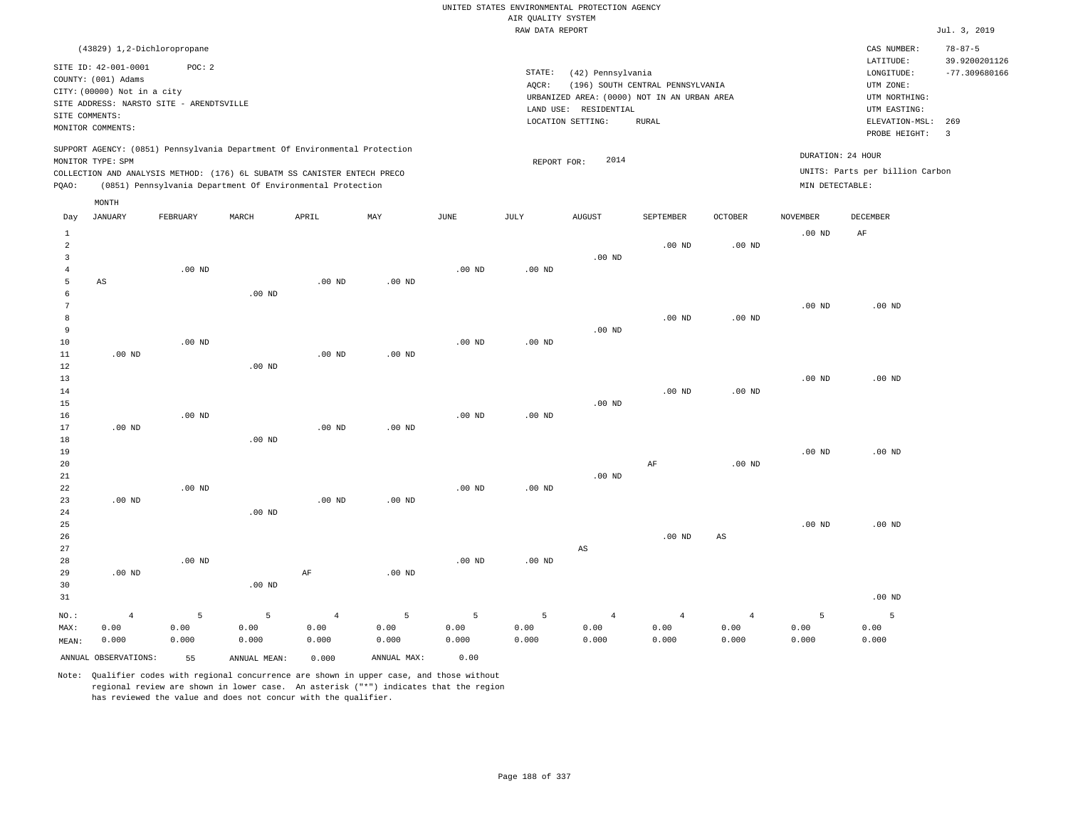|                                                    |                                             |          |                                                                            |                   |                   |                   | AIR QUALITY SYSTEM | UNITED STATES ENVIRONMENTAL PROTECTION AGENCY |                                  |                        |                   |                                      |                                |
|----------------------------------------------------|---------------------------------------------|----------|----------------------------------------------------------------------------|-------------------|-------------------|-------------------|--------------------|-----------------------------------------------|----------------------------------|------------------------|-------------------|--------------------------------------|--------------------------------|
|                                                    |                                             |          |                                                                            |                   |                   |                   | RAW DATA REPORT    |                                               |                                  |                        |                   |                                      | Jul. 3, 2019                   |
|                                                    | (43829) 1,2-Dichloropropane                 |          |                                                                            |                   |                   |                   |                    |                                               |                                  |                        |                   | CAS NUMBER:                          | $78 - 87 - 5$<br>39.9200201126 |
|                                                    | SITE ID: 42-001-0001<br>COUNTY: (001) Adams | POC: 2   |                                                                            |                   |                   |                   | STATE:<br>AQCR:    | (42) Pennsylvania                             | (196) SOUTH CENTRAL PENNSYLVANIA |                        |                   | LATITUDE:<br>LONGITUDE:<br>UTM ZONE: | $-77.309680166$                |
|                                                    | CITY: (00000) Not in a city                 |          |                                                                            |                   |                   |                   |                    | URBANIZED AREA: (0000) NOT IN AN URBAN AREA   |                                  |                        |                   | UTM NORTHING:                        |                                |
|                                                    | SITE ADDRESS: NARSTO SITE - ARENDTSVILLE    |          |                                                                            |                   |                   |                   |                    | LAND USE: RESIDENTIAL                         |                                  |                        |                   | UTM EASTING:                         |                                |
|                                                    | SITE COMMENTS:<br>MONITOR COMMENTS:         |          |                                                                            |                   |                   |                   |                    | LOCATION SETTING:                             | <b>RURAL</b>                     |                        |                   | ELEVATION-MSL:<br>PROBE HEIGHT:      | 269<br>$\overline{3}$          |
|                                                    | MONITOR TYPE: SPM                           |          | SUPPORT AGENCY: (0851) Pennsylvania Department Of Environmental Protection |                   |                   |                   | REPORT FOR:        | 2014                                          |                                  |                        | DURATION: 24 HOUR |                                      |                                |
|                                                    |                                             |          | COLLECTION AND ANALYSIS METHOD: (176) 6L SUBATM SS CANISTER ENTECH PRECO   |                   |                   |                   |                    |                                               |                                  |                        |                   | UNITS: Parts per billion Carbon      |                                |
| PQAO:                                              |                                             |          | (0851) Pennsylvania Department Of Environmental Protection                 |                   |                   |                   |                    |                                               |                                  |                        | MIN DETECTABLE:   |                                      |                                |
|                                                    | MONTH                                       |          |                                                                            |                   |                   |                   |                    |                                               |                                  |                        |                   |                                      |                                |
| Day                                                | JANUARY                                     | FEBRUARY | $\tt MARCH$                                                                | APRIL             | MAY               | $_{\rm JUNE}$     | $\mathtt{JULY}$    | <b>AUGUST</b>                                 | SEPTEMBER                        | $\mathtt{OCTOBER}$     | <b>NOVEMBER</b>   | DECEMBER                             |                                |
| $1\,$<br>$\overline{a}$<br>$\overline{\mathbf{3}}$ |                                             |          |                                                                            |                   |                   |                   |                    |                                               | $.00$ ND                         | .00 <sub>ND</sub>      | $.00$ ND          | $\rm AF$                             |                                |
| $\overline{4}$                                     |                                             | $.00$ ND |                                                                            |                   |                   | .00 <sub>ND</sub> | $.00$ ND           | $.00$ ND                                      |                                  |                        |                   |                                      |                                |
| 5                                                  | AS                                          |          |                                                                            | $.00$ ND          | $.00$ ND          |                   |                    |                                               |                                  |                        |                   |                                      |                                |
| 6                                                  |                                             |          | $.00$ ND                                                                   |                   |                   |                   |                    |                                               |                                  |                        |                   |                                      |                                |
| 7                                                  |                                             |          |                                                                            |                   |                   |                   |                    |                                               |                                  |                        | $.00$ ND          | $.00$ ND                             |                                |
| 8<br>9                                             |                                             |          |                                                                            |                   |                   |                   |                    | $.00$ ND                                      | .00 <sub>ND</sub>                | .00 <sub>ND</sub>      |                   |                                      |                                |
| $10$                                               |                                             | $.00$ ND |                                                                            |                   |                   | $.00$ ND          | $.00$ ND           |                                               |                                  |                        |                   |                                      |                                |
| 11                                                 | $.00$ ND                                    |          |                                                                            | $.00$ ND          | $.00$ ND          |                   |                    |                                               |                                  |                        |                   |                                      |                                |
| 12                                                 |                                             |          | $.00$ ND                                                                   |                   |                   |                   |                    |                                               |                                  |                        |                   |                                      |                                |
| 13                                                 |                                             |          |                                                                            |                   |                   |                   |                    |                                               |                                  |                        | $.00$ ND          | $.00$ ND                             |                                |
| 14                                                 |                                             |          |                                                                            |                   |                   |                   |                    |                                               | $.00$ ND                         | .00 <sub>ND</sub>      |                   |                                      |                                |
| 15<br>16                                           |                                             | $.00$ ND |                                                                            |                   |                   | $.00$ ND          | $.00$ ND           | $.00$ ND                                      |                                  |                        |                   |                                      |                                |
| 17                                                 | $.00$ ND                                    |          |                                                                            | $.00$ ND          | .00 <sub>ND</sub> |                   |                    |                                               |                                  |                        |                   |                                      |                                |
| 18                                                 |                                             |          | $.00$ ND                                                                   |                   |                   |                   |                    |                                               |                                  |                        |                   |                                      |                                |
| 19                                                 |                                             |          |                                                                            |                   |                   |                   |                    |                                               |                                  |                        | .00 <sub>ND</sub> | .00 <sub>ND</sub>                    |                                |
| 20                                                 |                                             |          |                                                                            |                   |                   |                   |                    |                                               | $\rm{AF}$                        | .00 <sub>ND</sub>      |                   |                                      |                                |
| 21                                                 |                                             |          |                                                                            |                   |                   |                   |                    | $.00$ ND                                      |                                  |                        |                   |                                      |                                |
| 22                                                 |                                             | .00 $ND$ |                                                                            |                   |                   | $.00$ ND          | $.00$ ND           |                                               |                                  |                        |                   |                                      |                                |
| 23<br>24                                           | $.00$ ND                                    |          | .00 <sub>ND</sub>                                                          | .00 <sub>ND</sub> | $.00$ ND          |                   |                    |                                               |                                  |                        |                   |                                      |                                |
| 25                                                 |                                             |          |                                                                            |                   |                   |                   |                    |                                               |                                  |                        | .00 <sub>ND</sub> | $.00$ ND                             |                                |
| 26                                                 |                                             |          |                                                                            |                   |                   |                   |                    |                                               | $.00$ ND                         | $\mathbb{A}\mathbb{S}$ |                   |                                      |                                |
| 27                                                 |                                             |          |                                                                            |                   |                   |                   |                    | AS                                            |                                  |                        |                   |                                      |                                |
| 28                                                 |                                             | $.00$ ND |                                                                            |                   |                   | $.00$ ND          | $.00$ ND           |                                               |                                  |                        |                   |                                      |                                |
| 29                                                 | $.00$ ND                                    |          |                                                                            | $\rm{AF}$         | .00 <sub>ND</sub> |                   |                    |                                               |                                  |                        |                   |                                      |                                |
| 30                                                 |                                             |          | .00 <sub>ND</sub>                                                          |                   |                   |                   |                    |                                               |                                  |                        |                   |                                      |                                |
| 31                                                 |                                             |          |                                                                            |                   |                   |                   |                    |                                               |                                  |                        |                   | $.00$ ND                             |                                |
| NO.:                                               | $\overline{4}$                              | 5        | 5                                                                          | $\overline{4}$    | $\overline{5}$    | 5                 | 5                  | $\overline{4}$                                | $\overline{4}$                   | $\overline{4}$         | 5                 | 5                                    |                                |
| MAX:                                               | 0.00                                        | 0.00     | 0.00                                                                       | 0.00              | 0.00              | 0.00              | 0.00               | 0.00                                          | 0.00                             | 0.00                   | 0.00              | 0.00                                 |                                |
| MEAN:                                              | 0.000                                       | 0.000    | 0.000                                                                      | 0.000             | 0.000             | 0.000             | 0.000              | 0.000                                         | 0.000                            | 0.000                  | 0.000             | 0.000                                |                                |
|                                                    | ANNUAL OBSERVATIONS:                        | 55       | ANNUAL, MEAN:                                                              | 0.000             | ANNUAL MAX:       | 0.00              |                    |                                               |                                  |                        |                   |                                      |                                |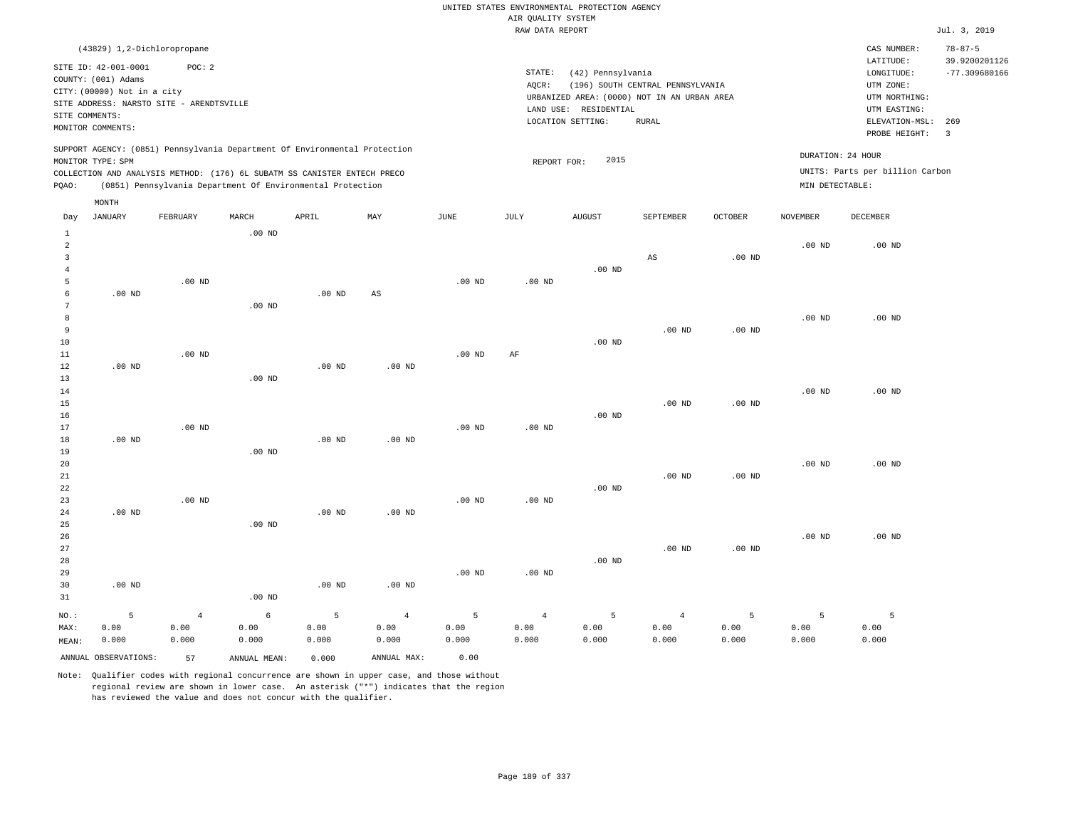## RAW DATA REPORT Jul. 3, 2019 UNITED STATES ENVIRONMENTAL PROTECTION AGENCY AIR QUALITY SYSTEM

| (43829) 1,2-Dichloropropane                                                                                                                                                                                                                        |                                                                                                                                                                                | CAS NUMBER:                                                                                                  | $78 - 87 - 5$                    |
|----------------------------------------------------------------------------------------------------------------------------------------------------------------------------------------------------------------------------------------------------|--------------------------------------------------------------------------------------------------------------------------------------------------------------------------------|--------------------------------------------------------------------------------------------------------------|----------------------------------|
| SITE ID: 42-001-0001<br>POC:2<br>COUNTY: (001) Adams<br>CITY: (00000) Not in a city<br>SITE ADDRESS: NARSTO SITE - ARENDTSVILLE<br>SITE COMMENTS:<br>MONITOR COMMENTS:                                                                             | STATE:<br>(42) Pennsylvania<br>(196) SOUTH CENTRAL PENNSYLVANIA<br>AOCR:<br>URBANIZED AREA: (0000) NOT IN AN URBAN AREA<br>LAND USE: RESIDENTIAL<br>LOCATION SETTING:<br>RURAL | LATITUDE:<br>LONGITUDE:<br>UTM ZONE:<br>UTM NORTHING:<br>UTM EASTING:<br>ELEVATION-MSL: 269<br>PROBE HEIGHT: | 39.9200201126<br>$-77.309680166$ |
| SUPPORT AGENCY: (0851) Pennsylvania Department Of Environmental Protection<br>MONITOR TYPE: SPM<br>COLLECTION AND ANALYSIS METHOD: (176) 6L SUBATM SS CANISTER ENTECH PRECO<br>(0851) Pennsylvania Department Of Environmental Protection<br>POAO: | 2015<br>REPORT FOR:                                                                                                                                                            | DURATION: 24 HOUR<br>UNITS: Parts per billion Carbon<br>MIN DETECTABLE:                                      |                                  |

|                                                            | MONTH                |                                 |                             |                    |                                 |                    |                                 |                    |                                 |                    |                    |                    |
|------------------------------------------------------------|----------------------|---------------------------------|-----------------------------|--------------------|---------------------------------|--------------------|---------------------------------|--------------------|---------------------------------|--------------------|--------------------|--------------------|
| Day                                                        | <b>JANUARY</b>       | FEBRUARY                        | MARCH                       | APRIL              | MAY                             | JUNE               | $\mathtt{JULY}$                 | <b>AUGUST</b>      | SEPTEMBER                       | OCTOBER            | <b>NOVEMBER</b>    | DECEMBER           |
| $\mathbf{1}$<br>$\overline{a}$<br>3<br>$\overline{4}$<br>5 |                      | $.00$ ND                        | $.00$ ND                    |                    |                                 | $.00$ ND           | $.00$ ND                        | $.00$ ND           | $\mathbb{A}\mathbb{S}$          | $.00$ ND           | .00 <sub>ND</sub>  | $.00$ ND           |
| 6<br>7<br>8<br>9<br>10                                     | .00 $ND$             |                                 | $.00$ ND                    | $.00$ ND           | $\mathbb{A}\mathbb{S}$          |                    |                                 | $.00$ ND           | $.00$ ND                        | $.00$ ND           | .00 <sub>ND</sub>  | $.00$ ND           |
| $11\,$<br>$12\,$<br>13<br>14                               | .00 $ND$             | $.00$ ND                        | $.00$ ND                    | $.00$ ND           | $.00$ ND                        | $.00$ ND           | $\rm AF$                        |                    |                                 |                    | $.00$ ND           | $.00$ ND           |
| 15<br>$16\,$<br>17<br>18                                   | $.00$ ND             | $.00$ ND                        |                             | $.00$ ND           | $.00$ ND                        | $.00$ ND           | $.00$ ND                        | $.00$ ND           | $.00$ ND                        | $.00$ ND           |                    |                    |
| 19<br>20<br>21<br>22                                       |                      |                                 | $.00$ ND                    |                    |                                 |                    |                                 | $.00$ ND           | $.00$ ND                        | $.00$ ND           | .00 <sub>ND</sub>  | $.00$ ND           |
| 23<br>24<br>25<br>26                                       | $.00$ ND             | $.00$ ND                        | $.00$ ND                    | $.00$ ND           | $.00$ ND                        | $.00$ ND           | $.00$ ND                        |                    |                                 |                    | .00 <sub>ND</sub>  | .00 <sub>ND</sub>  |
| 27<br>28<br>29<br>30                                       | $.00$ ND             |                                 |                             | $.00$ ND           | .00 <sub>ND</sub>               | $.00$ ND           | $.00$ ND                        | $.00$ ND           | $.00$ ND                        | .00 <sub>ND</sub>  |                    |                    |
| 31                                                         |                      |                                 | $.00$ ND                    |                    |                                 |                    |                                 |                    |                                 |                    |                    |                    |
| NO.:<br>MAX:<br>MEAN:                                      | 5<br>0.00<br>0.000   | $\overline{4}$<br>0.00<br>0.000 | $\epsilon$<br>0.00<br>0.000 | 5<br>0.00<br>0.000 | $\overline{4}$<br>0.00<br>0.000 | 5<br>0.00<br>0.000 | $\overline{4}$<br>0.00<br>0.000 | 5<br>0.00<br>0.000 | $\overline{4}$<br>0.00<br>0.000 | 5<br>0.00<br>0.000 | 5<br>0.00<br>0.000 | 5<br>0.00<br>0.000 |
|                                                            | ANNUAL OBSERVATIONS: | 57                              | ANNUAL MEAN:                | 0.000              | ANNUAL MAX:                     | 0.00               |                                 |                    |                                 |                    |                    |                    |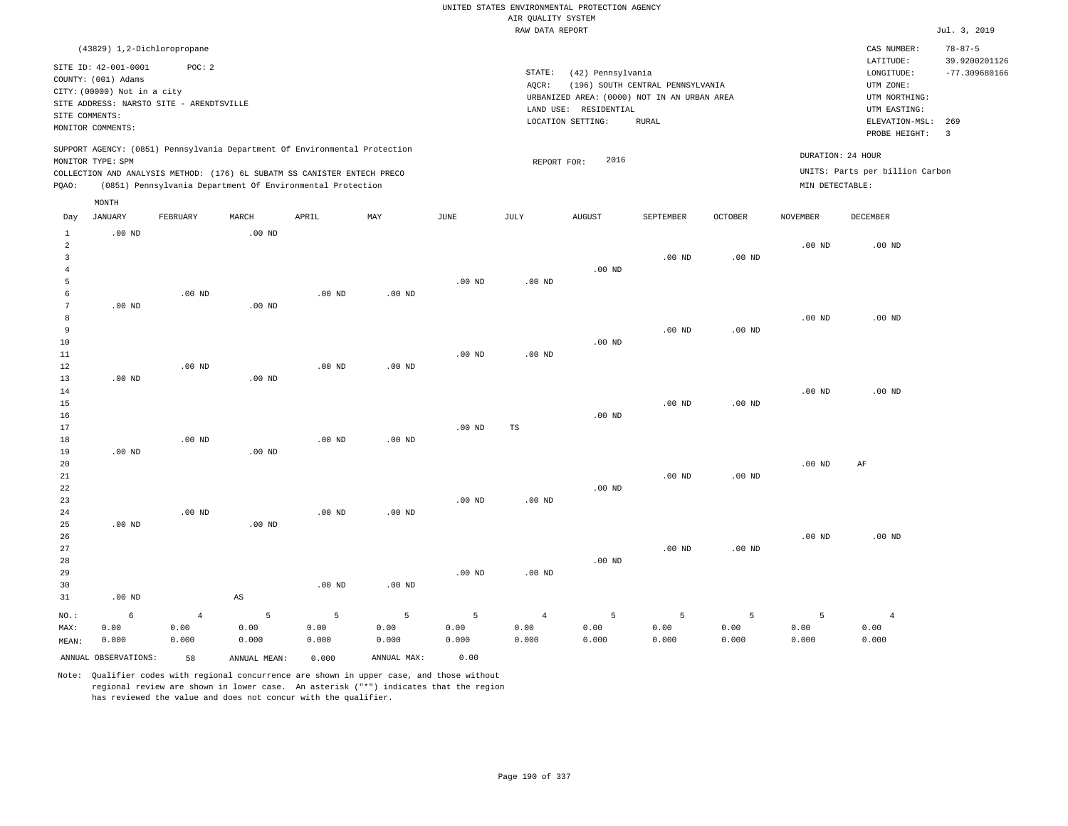|                                                                    |                                                                            |                                          |                        |                                                                                                                                                        |                                 |                    | AIR QUALITY SYSTEM              | UNITED STATES ENVIRONMENTAL PROTECTION AGENCY                                             |                                                  |                    |                    |                                                              |                                                   |
|--------------------------------------------------------------------|----------------------------------------------------------------------------|------------------------------------------|------------------------|--------------------------------------------------------------------------------------------------------------------------------------------------------|---------------------------------|--------------------|---------------------------------|-------------------------------------------------------------------------------------------|--------------------------------------------------|--------------------|--------------------|--------------------------------------------------------------|---------------------------------------------------|
|                                                                    |                                                                            |                                          |                        |                                                                                                                                                        |                                 |                    | RAW DATA REPORT                 |                                                                                           |                                                  |                    |                    |                                                              | Jul. 3, 2019                                      |
|                                                                    | (43829) 1,2-Dichloropropane<br>SITE ID: 42-001-0001<br>COUNTY: (001) Adams | POC: 2                                   |                        |                                                                                                                                                        |                                 |                    | STATE:                          | (42) Pennsylvania                                                                         |                                                  |                    |                    | CAS NUMBER:<br>LATITUDE:<br>LONGITUDE:                       | $78 - 87 - 5$<br>39.9200201126<br>$-77.309680166$ |
| SITE COMMENTS:                                                     | CITY: (00000) Not in a city                                                | SITE ADDRESS: NARSTO SITE - ARENDTSVILLE |                        |                                                                                                                                                        |                                 |                    | AOCR:                           | URBANIZED AREA: (0000) NOT IN AN URBAN AREA<br>LAND USE: RESIDENTIAL<br>LOCATION SETTING: | (196) SOUTH CENTRAL PENNSYLVANIA<br><b>RURAL</b> |                    |                    | UTM ZONE:<br>UTM NORTHING:<br>UTM EASTING:<br>ELEVATION-MSL: | 269                                               |
|                                                                    | MONITOR COMMENTS:                                                          |                                          |                        |                                                                                                                                                        |                                 |                    |                                 |                                                                                           |                                                  |                    |                    | PROBE HEIGHT:                                                | $\overline{\mathbf{3}}$                           |
|                                                                    | MONITOR TYPE: SPM                                                          |                                          |                        | SUPPORT AGENCY: (0851) Pennsylvania Department Of Environmental Protection<br>COLLECTION AND ANALYSIS METHOD: (176) 6L SUBATM SS CANISTER ENTECH PRECO |                                 |                    | REPORT FOR:                     | 2016                                                                                      |                                                  |                    |                    | DURATION: 24 HOUR<br>UNITS: Parts per billion Carbon         |                                                   |
| PQAO:                                                              |                                                                            |                                          |                        | (0851) Pennsylvania Department Of Environmental Protection                                                                                             |                                 |                    |                                 |                                                                                           |                                                  |                    | MIN DETECTABLE:    |                                                              |                                                   |
| Day                                                                | MONTH<br><b>JANUARY</b>                                                    | FEBRUARY                                 | MARCH                  | APRIL                                                                                                                                                  | MAX                             | $_{\rm JUNE}$      | JULY                            | <b>AUGUST</b>                                                                             | SEPTEMBER                                        | <b>OCTOBER</b>     | <b>NOVEMBER</b>    | DECEMBER                                                     |                                                   |
| $\mathbf{1}$<br>$\overline{a}$<br>$\overline{3}$<br>$\overline{4}$ | $.00$ ND                                                                   |                                          | $.00$ ND               |                                                                                                                                                        |                                 |                    |                                 | $.00$ ND                                                                                  | $.00$ ND                                         | .00 <sub>ND</sub>  | .00 <sub>ND</sub>  | .00 <sub>ND</sub>                                            |                                                   |
| 5<br>6<br>$7\phantom{.0}$                                          | .00 <sub>ND</sub>                                                          | $.00$ ND                                 | $.00$ ND               | $.00$ ND                                                                                                                                               | $.00$ ND                        | $.00$ ND           | .00 <sub>ND</sub>               |                                                                                           |                                                  |                    |                    |                                                              |                                                   |
| 8<br>9<br>10<br>11                                                 |                                                                            |                                          |                        |                                                                                                                                                        |                                 | .00 <sub>ND</sub>  | $.00$ ND                        | $.00$ ND                                                                                  | $.00$ ND                                         | .00 <sub>ND</sub>  | $.00$ ND           | $.00$ ND                                                     |                                                   |
| 12<br>13<br>14<br>15                                               | $.00$ ND                                                                   | $.00$ ND                                 | $.00$ ND               | $.00$ ND                                                                                                                                               | $.00$ ND                        |                    |                                 |                                                                                           | $.00$ ND                                         | .00 <sub>ND</sub>  | .00 <sub>ND</sub>  | $.00$ ND                                                     |                                                   |
| 16<br>17<br>18                                                     |                                                                            | $.00$ ND                                 |                        | $.00$ ND                                                                                                                                               | .00 <sub>ND</sub>               | .00 <sub>ND</sub>  | <b>TS</b>                       | $.00$ ND                                                                                  |                                                  |                    |                    |                                                              |                                                   |
| 19<br>$20\,$<br>21<br>22                                           | $.00$ ND                                                                   |                                          | $.00$ ND               |                                                                                                                                                        |                                 |                    |                                 | $.00$ ND                                                                                  | .00 <sub>ND</sub>                                | .00 <sub>ND</sub>  | $.00$ ND           | AF                                                           |                                                   |
| 23<br>24<br>25<br>26                                               | .00 <sub>ND</sub>                                                          | $.00$ ND                                 | $.00$ ND               | $.00$ ND                                                                                                                                               | $.00$ ND                        | $.00$ ND           | .00 <sub>ND</sub>               |                                                                                           |                                                  |                    | $.00$ ND           | $.00$ ND                                                     |                                                   |
| 27<br>28<br>29                                                     |                                                                            |                                          |                        |                                                                                                                                                        |                                 | $.00$ ND           | $.00$ ND                        | .00 <sub>ND</sub>                                                                         | $.00$ ND                                         | .00 <sub>ND</sub>  |                    |                                                              |                                                   |
| 30<br>31                                                           | $.00$ ND                                                                   |                                          | $\mathbb{A}\mathbb{S}$ | $.00$ ND                                                                                                                                               | $.00$ ND                        |                    |                                 |                                                                                           |                                                  |                    |                    |                                                              |                                                   |
| NO.:<br>MAX:<br>MEAN:                                              | 6<br>0.00<br>0.000                                                         | $\overline{4}$<br>0.00<br>0.000          | 5<br>0.00<br>0.000     | $\overline{5}$<br>0.00<br>0.000                                                                                                                        | $\overline{5}$<br>0.00<br>0.000 | 5<br>0.00<br>0.000 | $\overline{4}$<br>0.00<br>0.000 | 5<br>0.00<br>0.000                                                                        | 5<br>0.00<br>0.000                               | 5<br>0.00<br>0.000 | 5<br>0.00<br>0.000 | $\overline{4}$<br>0.00<br>0.000                              |                                                   |
|                                                                    | ANNUAL OBSERVATIONS:                                                       | 58                                       | ANNUAL, MEAN:          | 0.000                                                                                                                                                  | ANNUAL MAX:                     | 0.00               |                                 |                                                                                           |                                                  |                    |                    |                                                              |                                                   |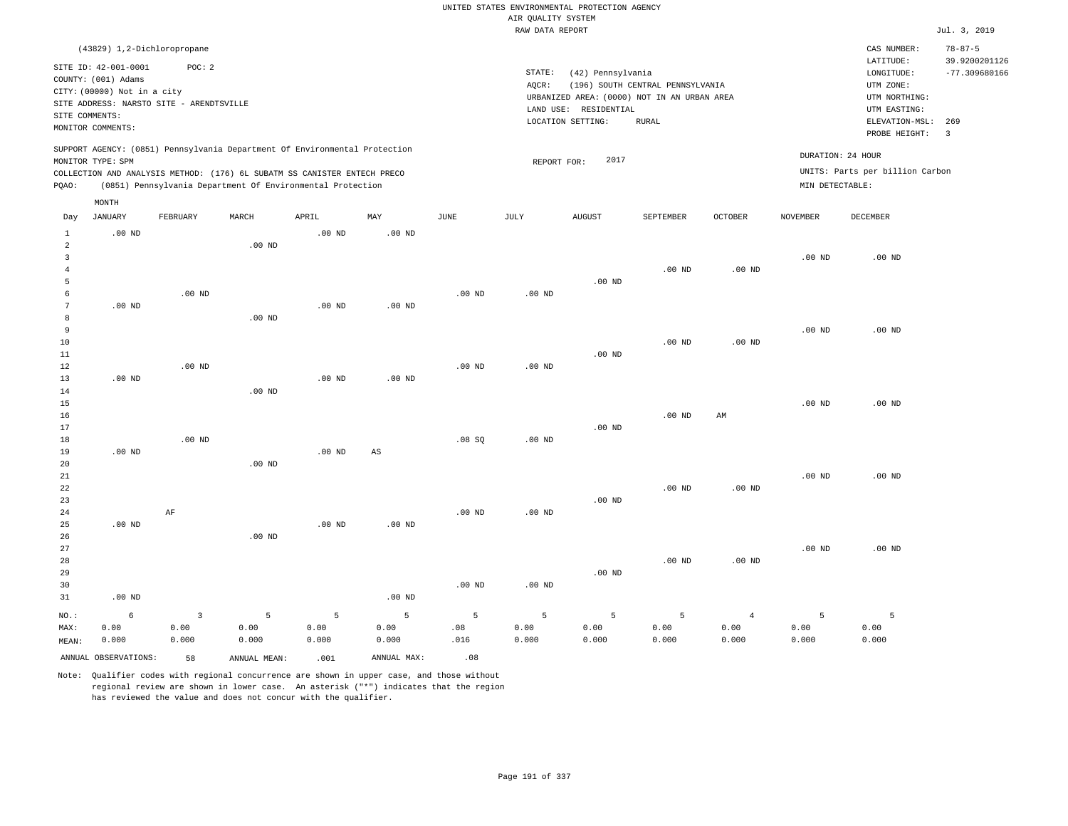|                     |                                          |                        |                                                                            |                   |             |                   |                    | UNITED STATES ENVIRONMENTAL PROTECTION AGENCY |                                  |                            |                   |                                 |                         |
|---------------------|------------------------------------------|------------------------|----------------------------------------------------------------------------|-------------------|-------------|-------------------|--------------------|-----------------------------------------------|----------------------------------|----------------------------|-------------------|---------------------------------|-------------------------|
|                     |                                          |                        |                                                                            |                   |             |                   | AIR QUALITY SYSTEM |                                               |                                  |                            |                   |                                 |                         |
|                     |                                          |                        |                                                                            |                   |             |                   | RAW DATA REPORT    |                                               |                                  |                            |                   |                                 | Jul. 3, 2019            |
|                     | (43829) 1,2-Dichloropropane              |                        |                                                                            |                   |             |                   |                    |                                               |                                  |                            |                   | CAS NUMBER:                     | $78 - 87 - 5$           |
|                     | SITE ID: 42-001-0001                     | POC: 2                 |                                                                            |                   |             |                   |                    |                                               |                                  |                            |                   | LATITUDE:                       | 39.9200201126           |
|                     | COUNTY: (001) Adams                      |                        |                                                                            |                   |             |                   | STATE:             | (42) Pennsylvania                             |                                  |                            |                   | LONGITUDE:                      | $-77.309680166$         |
|                     | CITY: (00000) Not in a city              |                        |                                                                            |                   |             |                   | AQCR:              |                                               | (196) SOUTH CENTRAL PENNSYLVANIA |                            |                   | UTM ZONE:                       |                         |
|                     | SITE ADDRESS: NARSTO SITE - ARENDTSVILLE |                        |                                                                            |                   |             |                   |                    | URBANIZED AREA: (0000) NOT IN AN URBAN AREA   |                                  |                            |                   | UTM NORTHING:                   |                         |
| SITE COMMENTS:      |                                          |                        |                                                                            |                   |             |                   |                    | LAND USE: RESIDENTIAL<br>LOCATION SETTING:    | RURAL                            |                            |                   | UTM EASTING:<br>ELEVATION-MSL:  | 269                     |
|                     | MONITOR COMMENTS:                        |                        |                                                                            |                   |             |                   |                    |                                               |                                  |                            |                   | PROBE HEIGHT:                   | $\overline{\mathbf{3}}$ |
|                     |                                          |                        | SUPPORT AGENCY: (0851) Pennsylvania Department Of Environmental Protection |                   |             |                   |                    |                                               |                                  |                            |                   |                                 |                         |
|                     | MONITOR TYPE: SPM                        |                        |                                                                            |                   |             |                   | REPORT FOR:        | 2017                                          |                                  |                            | DURATION: 24 HOUR |                                 |                         |
|                     |                                          |                        | COLLECTION AND ANALYSIS METHOD: (176) 6L SUBATM SS CANISTER ENTECH PRECO   |                   |             |                   |                    |                                               |                                  |                            |                   | UNITS: Parts per billion Carbon |                         |
| PQAO:               |                                          |                        | (0851) Pennsylvania Department Of Environmental Protection                 |                   |             |                   |                    |                                               |                                  |                            | MIN DETECTABLE:   |                                 |                         |
|                     | MONTH                                    |                        |                                                                            |                   |             |                   |                    |                                               |                                  |                            |                   |                                 |                         |
| Day                 | <b>JANUARY</b>                           | FEBRUARY               | MARCH                                                                      | APRIL             | MAY         | $_{\rm JUNE}$     | JULY               | ${\tt AUGUST}$                                | SEPTEMBER                        | OCTOBER                    | <b>NOVEMBER</b>   | DECEMBER                        |                         |
| $\mathbf{1}$        | $.00$ ND                                 |                        |                                                                            | $.00$ ND          | $.00$ ND    |                   |                    |                                               |                                  |                            |                   |                                 |                         |
| $\overline{a}$      |                                          |                        | $.00$ ND                                                                   |                   |             |                   |                    |                                               |                                  |                            |                   |                                 |                         |
| $\overline{3}$      |                                          |                        |                                                                            |                   |             |                   |                    |                                               |                                  |                            | .00 <sub>ND</sub> | $.00$ ND                        |                         |
| $\overline{4}$      |                                          |                        |                                                                            |                   |             |                   |                    |                                               | $.00$ ND                         | .00 <sub>ND</sub>          |                   |                                 |                         |
| 5                   |                                          |                        |                                                                            |                   |             |                   |                    | $.00$ ND                                      |                                  |                            |                   |                                 |                         |
| 6<br>$\overline{7}$ | $.00$ ND                                 | .00 <sub>ND</sub>      |                                                                            | $.00$ ND          | $.00$ ND    | .00 <sub>ND</sub> | $.00$ ND           |                                               |                                  |                            |                   |                                 |                         |
| 8                   |                                          |                        | $.00$ ND                                                                   |                   |             |                   |                    |                                               |                                  |                            |                   |                                 |                         |
| 9                   |                                          |                        |                                                                            |                   |             |                   |                    |                                               |                                  |                            | .00 <sub>ND</sub> | $.00$ ND                        |                         |
| 10                  |                                          |                        |                                                                            |                   |             |                   |                    |                                               | $.00$ ND                         | $.00$ ND                   |                   |                                 |                         |
| 11                  |                                          |                        |                                                                            |                   |             |                   |                    | $.00$ ND                                      |                                  |                            |                   |                                 |                         |
| 12                  |                                          | $.00$ ND               |                                                                            |                   |             | $.00$ ND          | .00 <sub>ND</sub>  |                                               |                                  |                            |                   |                                 |                         |
| 13                  | $.00$ ND                                 |                        |                                                                            | $.00$ ND          | $.00$ ND    |                   |                    |                                               |                                  |                            |                   |                                 |                         |
| 14                  |                                          |                        | $.00$ ND                                                                   |                   |             |                   |                    |                                               |                                  |                            |                   |                                 |                         |
| 15                  |                                          |                        |                                                                            |                   |             |                   |                    |                                               |                                  |                            | .00 <sub>ND</sub> | $.00$ ND                        |                         |
| 16                  |                                          |                        |                                                                            |                   |             |                   |                    |                                               | $.00$ ND                         | $\mathop{\rm AM}\nolimits$ |                   |                                 |                         |
| 17<br>18            |                                          | $.00$ ND               |                                                                            |                   |             | .08SQ             | $.00$ ND           | $.00$ ND                                      |                                  |                            |                   |                                 |                         |
| 19                  | .00 <sub>ND</sub>                        |                        |                                                                            | $.00$ ND          | $_{\rm AS}$ |                   |                    |                                               |                                  |                            |                   |                                 |                         |
| 20                  |                                          |                        | $.00$ ND                                                                   |                   |             |                   |                    |                                               |                                  |                            |                   |                                 |                         |
| 21                  |                                          |                        |                                                                            |                   |             |                   |                    |                                               |                                  |                            | .00 <sub>ND</sub> | $.00$ ND                        |                         |
| 22                  |                                          |                        |                                                                            |                   |             |                   |                    |                                               | $.00$ ND                         | $.00$ ND                   |                   |                                 |                         |
| 23                  |                                          |                        |                                                                            |                   |             |                   |                    | $.00$ ND                                      |                                  |                            |                   |                                 |                         |
| 24                  |                                          | AF                     |                                                                            |                   |             | $.00$ ND          | $.00$ ND           |                                               |                                  |                            |                   |                                 |                         |
| 25                  | .00 <sub>ND</sub>                        |                        |                                                                            | .00 <sub>ND</sub> | $.00$ ND    |                   |                    |                                               |                                  |                            |                   |                                 |                         |
| 26                  |                                          |                        | $.00$ ND                                                                   |                   |             |                   |                    |                                               |                                  |                            |                   |                                 |                         |
| 27                  |                                          |                        |                                                                            |                   |             |                   |                    |                                               |                                  |                            | .00 <sub>ND</sub> | $.00$ ND                        |                         |
| 28<br>29            |                                          |                        |                                                                            |                   |             |                   |                    | $.00$ ND                                      | .00 <sub>ND</sub>                | $.00$ ND                   |                   |                                 |                         |
| 30                  |                                          |                        |                                                                            |                   |             | .00 <sub>ND</sub> | .00 <sub>ND</sub>  |                                               |                                  |                            |                   |                                 |                         |
| 31                  | $.00$ ND                                 |                        |                                                                            |                   | $.00$ ND    |                   |                    |                                               |                                  |                            |                   |                                 |                         |
|                     |                                          |                        |                                                                            |                   |             |                   |                    |                                               |                                  |                            |                   |                                 |                         |
| NO.:<br>MAX:        | 6<br>0.00                                | $\overline{3}$<br>0.00 | $\overline{5}$<br>0.00                                                     | 5<br>0.00         | 5<br>0.00   | 5<br>.08          | 5<br>0.00          | 5<br>0.00                                     | 5<br>0.00                        | $\overline{4}$<br>0.00     | 5<br>0.00         | 5<br>0.00                       |                         |
| MEAN:               | 0.000                                    | 0.000                  | 0.000                                                                      | 0.000             | 0.000       | .016              | 0.000              | 0.000                                         | 0.000                            | 0.000                      | 0.000             | 0.000                           |                         |
|                     |                                          |                        |                                                                            |                   |             |                   |                    |                                               |                                  |                            |                   |                                 |                         |
|                     | ANNUAL OBSERVATIONS:                     | 58                     | ANNUAL, MEAN:                                                              | .001              | ANNUAL MAX: | .08               |                    |                                               |                                  |                            |                   |                                 |                         |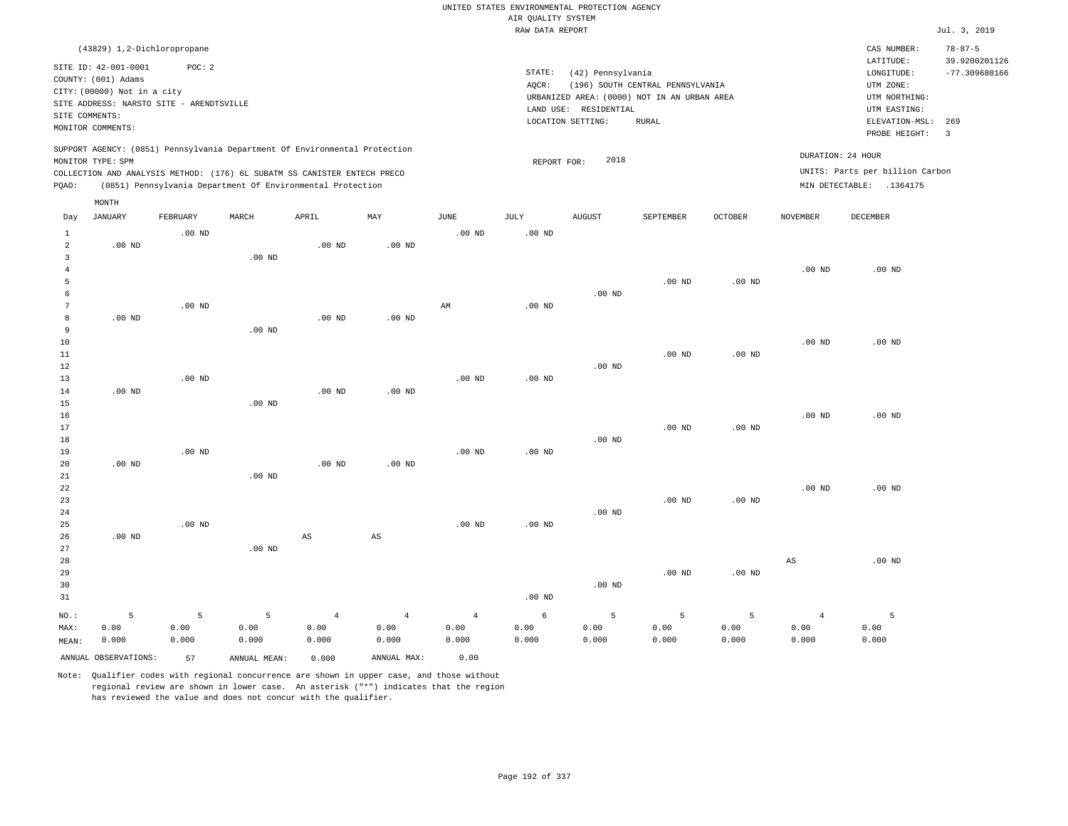|                       |                                          |                   |                                                                            |                |                        |                        |                    | UNITED STATES ENVIRONMENTAL PROTECTION AGENCY |                                             |          |                   |                                 |                                |
|-----------------------|------------------------------------------|-------------------|----------------------------------------------------------------------------|----------------|------------------------|------------------------|--------------------|-----------------------------------------------|---------------------------------------------|----------|-------------------|---------------------------------|--------------------------------|
|                       |                                          |                   |                                                                            |                |                        |                        | AIR QUALITY SYSTEM |                                               |                                             |          |                   |                                 |                                |
|                       |                                          |                   |                                                                            |                |                        |                        | RAW DATA REPORT    |                                               |                                             |          |                   |                                 | Jul. 3, 2019                   |
|                       | (43829) 1,2-Dichloropropane              |                   |                                                                            |                |                        |                        |                    |                                               |                                             |          |                   | CAS NUMBER:                     | $78 - 87 - 5$                  |
|                       | SITE ID: 42-001-0001                     | POC: 2            |                                                                            |                |                        |                        |                    |                                               |                                             |          |                   | LATITUDE:                       | 39.9200201126                  |
|                       | COUNTY: (001) Adams                      |                   |                                                                            |                |                        |                        | STATE:             | (42) Pennsylvania                             |                                             |          |                   | LONGITUDE:                      | $-77.309680166$                |
|                       | CITY: (00000) Not in a city              |                   |                                                                            |                |                        |                        | AQCR:              |                                               | (196) SOUTH CENTRAL PENNSYLVANIA            |          |                   | UTM ZONE:                       |                                |
|                       | SITE ADDRESS: NARSTO SITE - ARENDTSVILLE |                   |                                                                            |                |                        |                        |                    |                                               | URBANIZED AREA: (0000) NOT IN AN URBAN AREA |          |                   | UTM NORTHING:                   |                                |
| SITE COMMENTS:        |                                          |                   |                                                                            |                |                        |                        |                    | LAND USE: RESIDENTIAL                         |                                             |          |                   | UTM EASTING:                    |                                |
|                       | MONITOR COMMENTS:                        |                   |                                                                            |                |                        |                        |                    | LOCATION SETTING:                             | <b>RURAL</b>                                |          |                   | ELEVATION-MSL:<br>PROBE HEIGHT: | 269<br>$\overline{\mathbf{3}}$ |
|                       | MONITOR TYPE: SPM                        |                   | SUPPORT AGENCY: (0851) Pennsylvania Department Of Environmental Protection |                |                        |                        | REPORT FOR:        | 2018                                          |                                             |          |                   | DURATION: 24 HOUR               |                                |
|                       |                                          |                   | COLLECTION AND ANALYSIS METHOD: (176) 6L SUBATM SS CANISTER ENTECH PRECO   |                |                        |                        |                    |                                               |                                             |          |                   | UNITS: Parts per billion Carbon |                                |
| PQAO:                 |                                          |                   | (0851) Pennsylvania Department Of Environmental Protection                 |                |                        |                        |                    |                                               |                                             |          |                   | MIN DETECTABLE: .1364175        |                                |
|                       | MONTH                                    |                   |                                                                            |                |                        |                        |                    |                                               |                                             |          |                   |                                 |                                |
| Day                   | <b>JANUARY</b>                           | FEBRUARY          | MARCH                                                                      | APRIL          | MAY                    | <b>JUNE</b>            | JULY               | <b>AUGUST</b>                                 | SEPTEMBER                                   | OCTOBER  | NOVEMBER          | DECEMBER                        |                                |
| $\mathbf{1}$          |                                          | $.00$ ND          |                                                                            |                |                        | $.00$ ND               | .00 <sub>ND</sub>  |                                               |                                             |          |                   |                                 |                                |
| $\overline{a}$        | $.00$ ND                                 |                   |                                                                            | $.00$ ND       | $.00$ ND               |                        |                    |                                               |                                             |          |                   |                                 |                                |
| $\mathbf{3}$          |                                          |                   | $.00$ ND                                                                   |                |                        |                        |                    |                                               |                                             |          |                   |                                 |                                |
| $\overline{4}$        |                                          |                   |                                                                            |                |                        |                        |                    |                                               |                                             |          | .00 <sub>ND</sub> | $.00$ ND                        |                                |
| 5                     |                                          |                   |                                                                            |                |                        |                        |                    |                                               | $.00$ ND                                    | $.00$ ND |                   |                                 |                                |
| 6<br>$\boldsymbol{7}$ |                                          | .00 <sub>ND</sub> |                                                                            |                |                        | $\mathbb{A}\mathbb{M}$ | $.00$ ND           | $.00$ ND                                      |                                             |          |                   |                                 |                                |
| 8                     | $.00$ ND                                 |                   |                                                                            | $.00$ ND       | $.00$ ND               |                        |                    |                                               |                                             |          |                   |                                 |                                |
| 9                     |                                          |                   | $.00$ ND                                                                   |                |                        |                        |                    |                                               |                                             |          |                   |                                 |                                |
| 10                    |                                          |                   |                                                                            |                |                        |                        |                    |                                               |                                             |          | $.00$ ND          | $.00$ ND                        |                                |
| 11                    |                                          |                   |                                                                            |                |                        |                        |                    |                                               | $.00$ ND                                    | $.00$ ND |                   |                                 |                                |
| 12                    |                                          |                   |                                                                            |                |                        |                        |                    | $.00$ ND                                      |                                             |          |                   |                                 |                                |
| 13                    |                                          | $.00$ ND          |                                                                            |                |                        | $.00$ ND               | $.00$ ND           |                                               |                                             |          |                   |                                 |                                |
| 14                    | $.00$ ND                                 |                   |                                                                            | $.00$ ND       | $.00$ ND               |                        |                    |                                               |                                             |          |                   |                                 |                                |
| 15                    |                                          |                   | $.00$ ND                                                                   |                |                        |                        |                    |                                               |                                             |          |                   |                                 |                                |
| 16                    |                                          |                   |                                                                            |                |                        |                        |                    |                                               |                                             |          | $.00$ ND          | $.00$ ND                        |                                |
| 17                    |                                          |                   |                                                                            |                |                        |                        |                    |                                               | $.00$ ND                                    | $.00$ ND |                   |                                 |                                |
| 18<br>19              |                                          | $.00$ ND          |                                                                            |                |                        | $.00$ ND               | $.00$ ND           | $.00$ ND                                      |                                             |          |                   |                                 |                                |
| 20                    | $.00$ ND                                 |                   |                                                                            | $.00$ ND       | $.00$ ND               |                        |                    |                                               |                                             |          |                   |                                 |                                |
| 21                    |                                          |                   | .00 <sub>ND</sub>                                                          |                |                        |                        |                    |                                               |                                             |          |                   |                                 |                                |
| 22                    |                                          |                   |                                                                            |                |                        |                        |                    |                                               |                                             |          | .00 <sub>ND</sub> | $.00$ ND                        |                                |
| 23                    |                                          |                   |                                                                            |                |                        |                        |                    |                                               | $.00$ ND                                    | $.00$ ND |                   |                                 |                                |
| 24                    |                                          |                   |                                                                            |                |                        |                        |                    | .00 <sub>ND</sub>                             |                                             |          |                   |                                 |                                |
| 25                    |                                          | $.00$ ND          |                                                                            |                |                        | $.00$ ND               | .00 <sub>ND</sub>  |                                               |                                             |          |                   |                                 |                                |
| 26                    | $.00$ ND                                 |                   |                                                                            | AS             | $\mathbb{A}\mathbb{S}$ |                        |                    |                                               |                                             |          |                   |                                 |                                |
| 27                    |                                          |                   | $.00$ ND                                                                   |                |                        |                        |                    |                                               |                                             |          |                   |                                 |                                |
| 28                    |                                          |                   |                                                                            |                |                        |                        |                    |                                               |                                             |          | AS                | $.00$ ND                        |                                |
| 29                    |                                          |                   |                                                                            |                |                        |                        |                    |                                               | $.00$ ND                                    | $.00$ ND |                   |                                 |                                |
| 30                    |                                          |                   |                                                                            |                |                        |                        |                    | $.00$ ND                                      |                                             |          |                   |                                 |                                |
| 31                    |                                          |                   |                                                                            |                |                        |                        | .00 <sub>ND</sub>  |                                               |                                             |          |                   |                                 |                                |
| NO.:                  | 5                                        | 5                 | $\overline{5}$                                                             | $\overline{4}$ | $\overline{4}$         | $\overline{4}$         | 6                  | 5                                             | 5                                           | 5        | $\overline{4}$    | 5                               |                                |
| MAX:                  | 0.00                                     | 0.00              | 0.00                                                                       | 0.00           | 0.00                   | 0.00                   | 0.00               | 0.00                                          | 0.00                                        | 0.00     | 0.00              | 0.00                            |                                |
| MEAN:                 | 0.000                                    | 0.000             | 0.000                                                                      | 0.000          | 0.000                  | 0.000                  | 0.000              | 0.000                                         | 0.000                                       | 0.000    | 0.000             | 0.000                           |                                |
|                       | ANNUAL OBSERVATIONS:                     | 57                | ANNUAL MEAN:                                                               | 0.000          | ANNUAL MAX:            | 0.00                   |                    |                                               |                                             |          |                   |                                 |                                |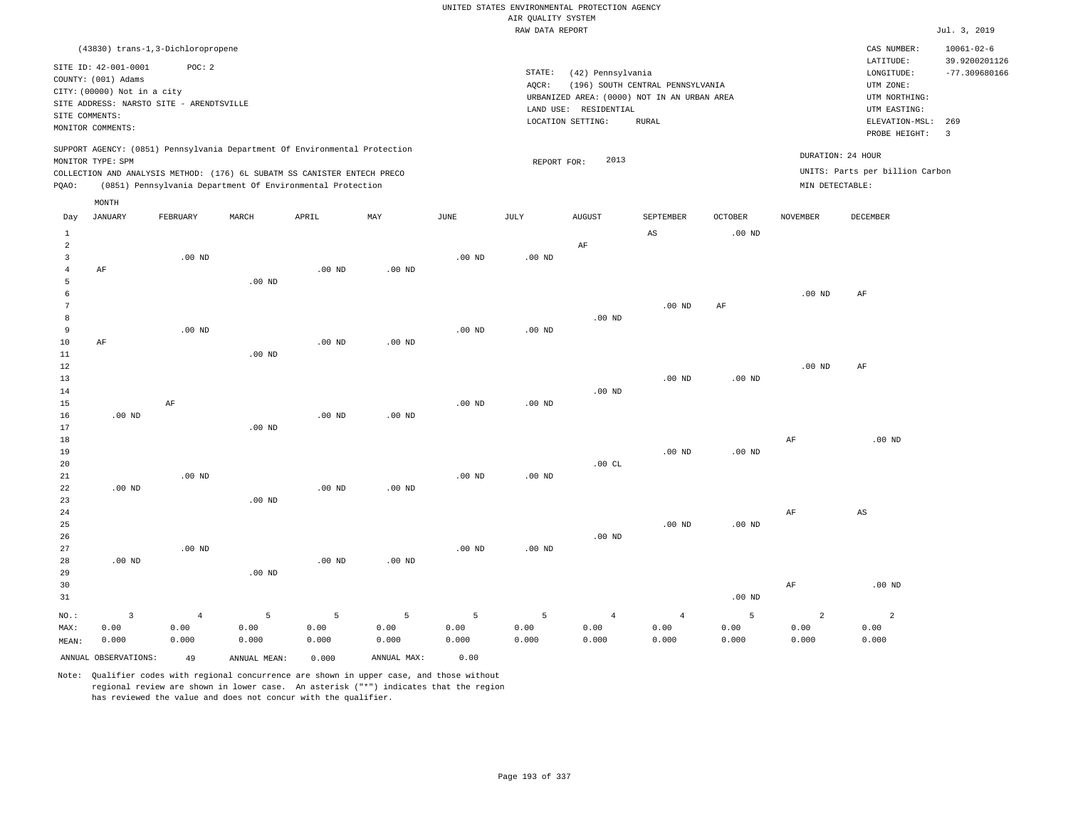|                                |                                             |                        |                                                                            |                        |                        |                   | AIR QUALITY SYSTEM | UNITED STATES ENVIRONMENTAL PROTECTION AGENCY |                                                                                 |                   |                        |                                 |                                   |
|--------------------------------|---------------------------------------------|------------------------|----------------------------------------------------------------------------|------------------------|------------------------|-------------------|--------------------|-----------------------------------------------|---------------------------------------------------------------------------------|-------------------|------------------------|---------------------------------|-----------------------------------|
|                                |                                             |                        |                                                                            |                        |                        |                   | RAW DATA REPORT    |                                               |                                                                                 |                   |                        |                                 | Jul. 3, 2019                      |
|                                | (43830) trans-1,3-Dichloropropene           |                        |                                                                            |                        |                        |                   |                    |                                               |                                                                                 |                   |                        | CAS NUMBER:<br>LATITUDE:        | $10061 - 02 - 6$<br>39.9200201126 |
|                                | SITE ID: 42-001-0001<br>COUNTY: (001) Adams | POC: 2                 |                                                                            |                        |                        |                   | STATE:             | (42) Pennsylvania                             |                                                                                 |                   |                        | LONGITUDE:                      | $-77.309680166$                   |
|                                | CITY: (00000) Not in a city                 |                        |                                                                            |                        |                        |                   | AQCR:              |                                               | (196) SOUTH CENTRAL PENNSYLVANIA<br>URBANIZED AREA: (0000) NOT IN AN URBAN AREA |                   |                        | UTM ZONE:<br>UTM NORTHING:      |                                   |
|                                | SITE ADDRESS: NARSTO SITE - ARENDTSVILLE    |                        |                                                                            |                        |                        |                   |                    | LAND USE: RESIDENTIAL                         |                                                                                 |                   |                        | UTM EASTING:                    |                                   |
|                                | SITE COMMENTS:<br>MONITOR COMMENTS:         |                        |                                                                            |                        |                        |                   |                    | LOCATION SETTING:                             | <b>RURAL</b>                                                                    |                   |                        | ELEVATION-MSL:<br>PROBE HEIGHT: | 269<br>$\overline{3}$             |
|                                |                                             |                        | SUPPORT AGENCY: (0851) Pennsylvania Department Of Environmental Protection |                        |                        |                   |                    |                                               |                                                                                 |                   | DURATION: 24 HOUR      |                                 |                                   |
|                                | MONITOR TYPE: SPM                           |                        | COLLECTION AND ANALYSIS METHOD: (176) 6L SUBATM SS CANISTER ENTECH PRECO   |                        |                        |                   | REPORT FOR:        | 2013                                          |                                                                                 |                   |                        | UNITS: Parts per billion Carbon |                                   |
| PQAO:                          |                                             |                        | (0851) Pennsylvania Department Of Environmental Protection                 |                        |                        |                   |                    |                                               |                                                                                 |                   | MIN DETECTABLE:        |                                 |                                   |
|                                | MONTH                                       |                        |                                                                            |                        |                        |                   |                    |                                               |                                                                                 |                   |                        |                                 |                                   |
| Day                            | <b>JANUARY</b>                              | FEBRUARY               | MARCH                                                                      | APRIL                  | MAY                    | <b>JUNE</b>       | JULY               | <b>AUGUST</b>                                 | <b>SEPTEMBER</b>                                                                | <b>OCTOBER</b>    | <b>NOVEMBER</b>        | DECEMBER                        |                                   |
| $\mathbf{1}$<br>$\overline{a}$ |                                             |                        |                                                                            |                        |                        |                   |                    | $\rm AF$                                      | $_{\rm AS}$                                                                     | $.00$ ND          |                        |                                 |                                   |
| $\overline{\mathbf{3}}$        |                                             | .00 <sub>ND</sub>      |                                                                            |                        |                        | $.00$ ND          | $.00$ ND           |                                               |                                                                                 |                   |                        |                                 |                                   |
| $\overline{4}$                 | AF                                          |                        |                                                                            | .00 <sub>ND</sub>      | $.00$ ND               |                   |                    |                                               |                                                                                 |                   |                        |                                 |                                   |
| 5                              |                                             |                        | $.00$ ND                                                                   |                        |                        |                   |                    |                                               |                                                                                 |                   |                        |                                 |                                   |
| $\epsilon$                     |                                             |                        |                                                                            |                        |                        |                   |                    |                                               |                                                                                 |                   | $.00$ ND               | $\rm AF$                        |                                   |
| 7                              |                                             |                        |                                                                            |                        |                        |                   |                    |                                               | $.00$ ND                                                                        | $\rm AF$          |                        |                                 |                                   |
| 8<br>$\overline{9}$            |                                             | $.00$ ND               |                                                                            |                        |                        | $.00$ ND          | $.00$ ND           | $.00$ ND                                      |                                                                                 |                   |                        |                                 |                                   |
| $10$                           | AF                                          |                        |                                                                            | $.00$ ND               | .00 <sub>ND</sub>      |                   |                    |                                               |                                                                                 |                   |                        |                                 |                                   |
| $1\,1$                         |                                             |                        | $.00$ ND                                                                   |                        |                        |                   |                    |                                               |                                                                                 |                   |                        |                                 |                                   |
| 12                             |                                             |                        |                                                                            |                        |                        |                   |                    |                                               |                                                                                 |                   | .00 <sub>ND</sub>      | AF                              |                                   |
| 13                             |                                             |                        |                                                                            |                        |                        |                   |                    |                                               | .00 <sub>ND</sub>                                                               | $.00$ ND          |                        |                                 |                                   |
| 14                             |                                             |                        |                                                                            |                        |                        |                   |                    | $.00$ ND                                      |                                                                                 |                   |                        |                                 |                                   |
| 15                             |                                             | AF                     |                                                                            |                        |                        | .00 <sub>ND</sub> | .00 <sub>ND</sub>  |                                               |                                                                                 |                   |                        |                                 |                                   |
| 16                             | $.00$ ND                                    |                        |                                                                            | $.00$ ND               | $.00$ ND               |                   |                    |                                               |                                                                                 |                   |                        |                                 |                                   |
| 17<br>18                       |                                             |                        | .00 <sub>ND</sub>                                                          |                        |                        |                   |                    |                                               |                                                                                 |                   |                        | $.00$ ND                        |                                   |
| 19                             |                                             |                        |                                                                            |                        |                        |                   |                    |                                               | $.00$ ND                                                                        | .00 <sub>ND</sub> | AF                     |                                 |                                   |
| 20                             |                                             |                        |                                                                            |                        |                        |                   |                    | .00CL                                         |                                                                                 |                   |                        |                                 |                                   |
| 21                             |                                             | $.00$ ND               |                                                                            |                        |                        | .00 <sub>ND</sub> | $.00$ ND           |                                               |                                                                                 |                   |                        |                                 |                                   |
| 22                             | $.00$ ND                                    |                        |                                                                            | .00 <sub>ND</sub>      | $.00$ ND               |                   |                    |                                               |                                                                                 |                   |                        |                                 |                                   |
| 23                             |                                             |                        | $.00$ ND                                                                   |                        |                        |                   |                    |                                               |                                                                                 |                   |                        |                                 |                                   |
| 24                             |                                             |                        |                                                                            |                        |                        |                   |                    |                                               |                                                                                 |                   | $\rm AF$               | $_{\rm AS}$                     |                                   |
| 25                             |                                             |                        |                                                                            |                        |                        |                   |                    |                                               | .00 <sub>ND</sub>                                                               | $.00$ ND          |                        |                                 |                                   |
| 26                             |                                             |                        |                                                                            |                        |                        |                   |                    | .00 <sub>ND</sub>                             |                                                                                 |                   |                        |                                 |                                   |
| 27<br>28                       | $.00$ ND                                    | $.00$ ND               |                                                                            | $.00$ ND               | $.00$ ND               | .00 <sub>ND</sub> | $.00$ ND           |                                               |                                                                                 |                   |                        |                                 |                                   |
| 29                             |                                             |                        | .00 <sub>ND</sub>                                                          |                        |                        |                   |                    |                                               |                                                                                 |                   |                        |                                 |                                   |
| 30                             |                                             |                        |                                                                            |                        |                        |                   |                    |                                               |                                                                                 |                   | $\rm AF$               | $.00$ ND                        |                                   |
| 31                             |                                             |                        |                                                                            |                        |                        |                   |                    |                                               |                                                                                 | $.00$ ND          |                        |                                 |                                   |
|                                |                                             |                        |                                                                            |                        |                        |                   |                    |                                               |                                                                                 |                   |                        |                                 |                                   |
| NO.:<br>MAX:                   | $\overline{\mathbf{3}}$<br>0.00             | $\overline{4}$<br>0.00 | 5<br>0.00                                                                  | $\overline{5}$<br>0.00 | $\overline{5}$<br>0.00 | 5<br>0.00         | 5<br>0.00          | $\overline{4}$<br>0.00                        | $\overline{4}$<br>0.00                                                          | 5<br>0.00         | $\overline{a}$<br>0.00 | $\overline{a}$<br>0.00          |                                   |
| MEAN:                          | 0.000                                       | 0.000                  | 0.000                                                                      | 0.000                  | 0.000                  | 0.000             | 0.000              | 0.000                                         | 0.000                                                                           | 0.000             | 0.000                  | 0.000                           |                                   |
|                                |                                             |                        |                                                                            |                        |                        |                   |                    |                                               |                                                                                 |                   |                        |                                 |                                   |
|                                | ANNUAL OBSERVATIONS:                        | 49                     | ANNUAL, MEAN:                                                              | 0.000                  | ANNUAL MAX:            | 0.00              |                    |                                               |                                                                                 |                   |                        |                                 |                                   |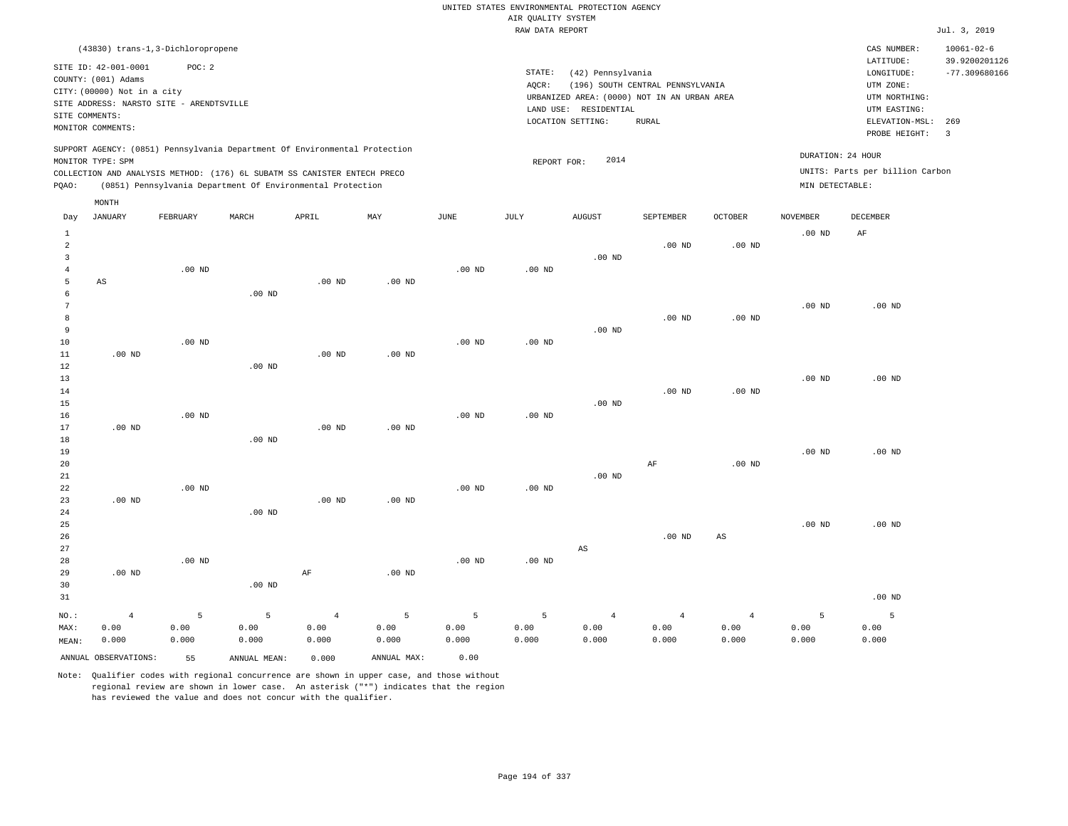|                                           |                                             |                   |                                                                            |                   |                   |                   | AIR QUALITY SYSTEM | UNITED STATES ENVIRONMENTAL PROTECTION AGENCY |                                  |                   |                   |                                 |                                   |
|-------------------------------------------|---------------------------------------------|-------------------|----------------------------------------------------------------------------|-------------------|-------------------|-------------------|--------------------|-----------------------------------------------|----------------------------------|-------------------|-------------------|---------------------------------|-----------------------------------|
|                                           |                                             |                   |                                                                            |                   |                   |                   | RAW DATA REPORT    |                                               |                                  |                   |                   |                                 | Jul. 3, 2019                      |
|                                           | (43830) trans-1,3-Dichloropropene           |                   |                                                                            |                   |                   |                   |                    |                                               |                                  |                   |                   | CAS NUMBER:<br>LATITUDE:        | $10061 - 02 - 6$<br>39.9200201126 |
|                                           | SITE ID: 42-001-0001<br>COUNTY: (001) Adams | POC: 2            |                                                                            |                   |                   |                   | STATE:             | (42) Pennsylvania                             |                                  |                   |                   | LONGITUDE:                      | $-77.309680166$                   |
|                                           | CITY: (00000) Not in a city                 |                   |                                                                            |                   |                   |                   | AQCR:              |                                               | (196) SOUTH CENTRAL PENNSYLVANIA |                   |                   | UTM ZONE:                       |                                   |
|                                           | SITE ADDRESS: NARSTO SITE - ARENDTSVILLE    |                   |                                                                            |                   |                   |                   |                    | URBANIZED AREA: (0000) NOT IN AN URBAN AREA   |                                  |                   |                   | UTM NORTHING:                   |                                   |
| SITE COMMENTS:                            |                                             |                   |                                                                            |                   |                   |                   |                    | LAND USE: RESIDENTIAL<br>LOCATION SETTING:    | <b>RURAL</b>                     |                   |                   | UTM EASTING:<br>ELEVATION-MSL:  | 269                               |
|                                           | MONITOR COMMENTS:                           |                   |                                                                            |                   |                   |                   |                    |                                               |                                  |                   |                   | PROBE HEIGHT:                   | $\overline{3}$                    |
|                                           |                                             |                   | SUPPORT AGENCY: (0851) Pennsylvania Department Of Environmental Protection |                   |                   |                   |                    | 2014                                          |                                  |                   | DURATION: 24 HOUR |                                 |                                   |
|                                           | MONITOR TYPE: SPM                           |                   | COLLECTION AND ANALYSIS METHOD: (176) 6L SUBATM SS CANISTER ENTECH PRECO   |                   |                   |                   | REPORT FOR:        |                                               |                                  |                   |                   | UNITS: Parts per billion Carbon |                                   |
| PQAO:                                     |                                             |                   | (0851) Pennsylvania Department Of Environmental Protection                 |                   |                   |                   |                    |                                               |                                  |                   | MIN DETECTABLE:   |                                 |                                   |
|                                           | MONTH                                       |                   |                                                                            |                   |                   |                   |                    |                                               |                                  |                   |                   |                                 |                                   |
| Day                                       | <b>JANUARY</b>                              | FEBRUARY          | MARCH                                                                      | APRIL             | MAX               | <b>JUNE</b>       | <b>JULY</b>        | <b>AUGUST</b>                                 | SEPTEMBER                        | <b>OCTOBER</b>    | <b>NOVEMBER</b>   | <b>DECEMBER</b>                 |                                   |
| $\,1\,$                                   |                                             |                   |                                                                            |                   |                   |                   |                    |                                               |                                  |                   | .00 <sub>ND</sub> | AF                              |                                   |
| $\overline{a}$<br>$\overline{\mathbf{3}}$ |                                             |                   |                                                                            |                   |                   |                   |                    | .00 <sub>ND</sub>                             | $.00$ ND                         | .00 <sub>ND</sub> |                   |                                 |                                   |
| $\overline{4}$                            |                                             | .00 <sub>ND</sub> |                                                                            |                   |                   | $.00$ ND          | $.00$ ND           |                                               |                                  |                   |                   |                                 |                                   |
| 5                                         | AS                                          |                   |                                                                            | .00 <sub>ND</sub> | $.00$ ND          |                   |                    |                                               |                                  |                   |                   |                                 |                                   |
| 6                                         |                                             |                   | $.00$ ND                                                                   |                   |                   |                   |                    |                                               |                                  |                   |                   |                                 |                                   |
| $\overline{7}$                            |                                             |                   |                                                                            |                   |                   |                   |                    |                                               |                                  |                   | $.00$ ND          | $.00$ ND                        |                                   |
| 8                                         |                                             |                   |                                                                            |                   |                   |                   |                    |                                               | $.00$ ND                         | $.00$ ND          |                   |                                 |                                   |
| $\overline{9}$<br>10                      |                                             | $.00$ ND          |                                                                            |                   |                   | $.00$ ND          | $.00$ ND           | $.00$ ND                                      |                                  |                   |                   |                                 |                                   |
| $1\,1$                                    | $.00$ ND                                    |                   |                                                                            | .00 <sub>ND</sub> | .00 <sub>ND</sub> |                   |                    |                                               |                                  |                   |                   |                                 |                                   |
| 12                                        |                                             |                   | .00 <sub>ND</sub>                                                          |                   |                   |                   |                    |                                               |                                  |                   |                   |                                 |                                   |
| 13                                        |                                             |                   |                                                                            |                   |                   |                   |                    |                                               |                                  |                   | .00 <sub>ND</sub> | $.00$ ND                        |                                   |
| 14                                        |                                             |                   |                                                                            |                   |                   |                   |                    |                                               | .00 <sub>ND</sub>                | .00 <sub>ND</sub> |                   |                                 |                                   |
| 15                                        |                                             |                   |                                                                            |                   |                   |                   |                    | $.00$ ND                                      |                                  |                   |                   |                                 |                                   |
| 16<br>17                                  | $.00$ ND                                    | $.00$ ND          |                                                                            | $.00$ ND          | $.00$ ND          | $.00$ ND          | $.00$ ND           |                                               |                                  |                   |                   |                                 |                                   |
| 18                                        |                                             |                   | .00 <sub>ND</sub>                                                          |                   |                   |                   |                    |                                               |                                  |                   |                   |                                 |                                   |
| 19                                        |                                             |                   |                                                                            |                   |                   |                   |                    |                                               |                                  |                   | $.00$ ND          | $.00$ ND                        |                                   |
| 20                                        |                                             |                   |                                                                            |                   |                   |                   |                    |                                               | AF                               | .00 <sub>ND</sub> |                   |                                 |                                   |
| 21                                        |                                             |                   |                                                                            |                   |                   |                   |                    | .00 <sub>ND</sub>                             |                                  |                   |                   |                                 |                                   |
| 22                                        |                                             | .00 <sub>ND</sub> |                                                                            |                   |                   | $.00$ ND          | .00 <sub>ND</sub>  |                                               |                                  |                   |                   |                                 |                                   |
| 23<br>24                                  | $.00$ ND                                    |                   | $.00$ ND                                                                   | $.00$ ND          | $.00$ ND          |                   |                    |                                               |                                  |                   |                   |                                 |                                   |
| 25                                        |                                             |                   |                                                                            |                   |                   |                   |                    |                                               |                                  |                   | $.00$ ND          | .00 <sub>ND</sub>               |                                   |
| 26                                        |                                             |                   |                                                                            |                   |                   |                   |                    |                                               | $.00$ ND                         | $_{\rm AS}$       |                   |                                 |                                   |
| 27                                        |                                             |                   |                                                                            |                   |                   |                   |                    | $\mathbb{A}\mathbb{S}$                        |                                  |                   |                   |                                 |                                   |
| 28                                        |                                             | .00 <sub>ND</sub> |                                                                            |                   |                   | .00 <sub>ND</sub> | $.00$ ND           |                                               |                                  |                   |                   |                                 |                                   |
| 29                                        | .00 <sub>ND</sub>                           |                   |                                                                            | $\rm{AF}$         | $.00$ ND          |                   |                    |                                               |                                  |                   |                   |                                 |                                   |
| 30<br>31                                  |                                             |                   | $.00$ ND                                                                   |                   |                   |                   |                    |                                               |                                  |                   |                   | $.00$ ND                        |                                   |
|                                           |                                             |                   |                                                                            |                   |                   |                   |                    |                                               |                                  |                   |                   |                                 |                                   |
| NO.:                                      | $\overline{4}$                              | 5                 | 5                                                                          | $\overline{4}$    | 5                 | 5                 | 5                  | $\overline{4}$                                | $\overline{4}$                   | $\sqrt{4}$        | 5                 | 5                               |                                   |
| MAX:                                      | 0.00<br>0.000                               | 0.00<br>0.000     | 0.00<br>0.000                                                              | 0.00<br>0.000     | 0.00<br>0.000     | 0.00<br>0.000     | 0.00<br>0.000      | 0.00<br>0.000                                 | 0.00<br>0.000                    | 0.00<br>0.000     | 0.00<br>0.000     | 0.00<br>0.000                   |                                   |
| MEAN:                                     |                                             |                   |                                                                            |                   |                   |                   |                    |                                               |                                  |                   |                   |                                 |                                   |
|                                           | ANNUAL OBSERVATIONS:                        | 55                | ANNUAL MEAN:                                                               | 0.000             | ANNUAL MAX:       | 0.00              |                    |                                               |                                  |                   |                   |                                 |                                   |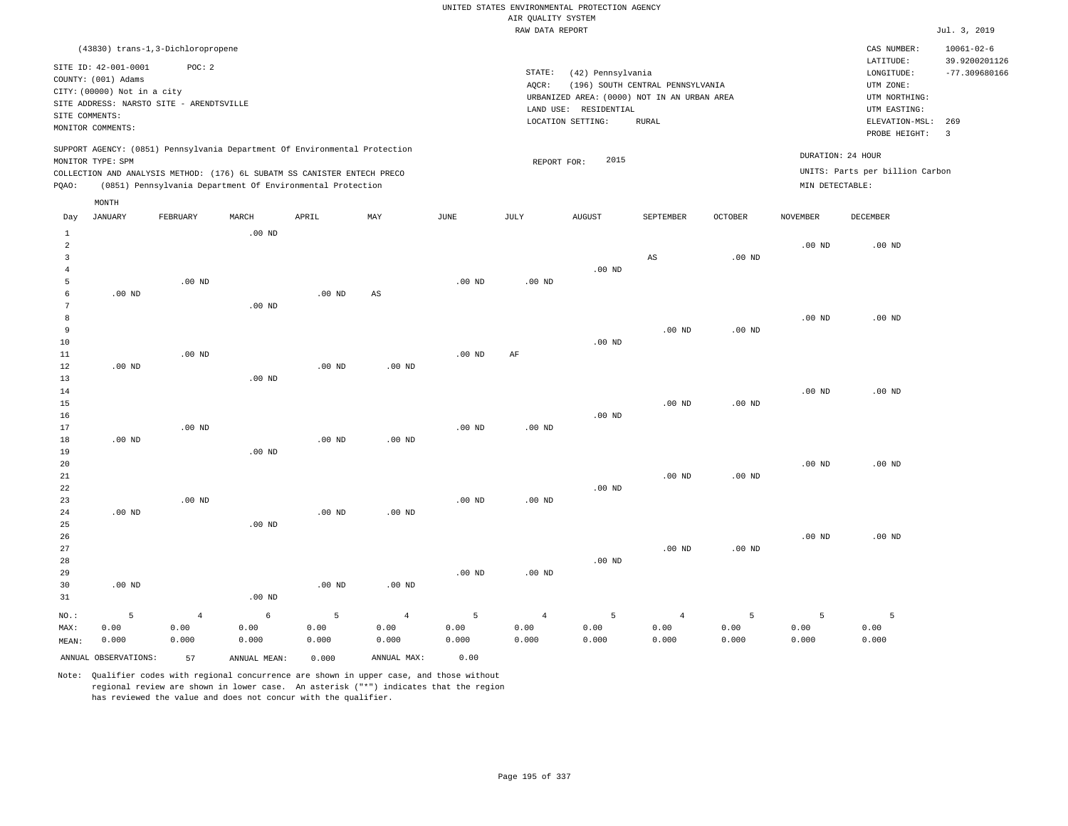RAW DATA REPORT Jul. 3, 2019 UNITED STATES ENVIRONMENTAL PROTECTION AGENCY AIR QUALITY SYSTEM

| (43830) trans-1,3-Dichloropropene                                                                                                                                                                                                                  |                                                                                                                                                                                | $10061 - 02 - 6$<br>CAS NUMBER:                                                                                                                  |
|----------------------------------------------------------------------------------------------------------------------------------------------------------------------------------------------------------------------------------------------------|--------------------------------------------------------------------------------------------------------------------------------------------------------------------------------|--------------------------------------------------------------------------------------------------------------------------------------------------|
| SITE ID: 42-001-0001<br>POC:2<br>COUNTY: (001) Adams<br>CITY: (00000) Not in a city<br>SITE ADDRESS: NARSTO SITE - ARENDTSVILLE<br>SITE COMMENTS:<br>MONITOR COMMENTS:                                                                             | STATE:<br>(42) Pennsylvania<br>(196) SOUTH CENTRAL PENNSYLVANIA<br>AOCR:<br>URBANIZED AREA: (0000) NOT IN AN URBAN AREA<br>LAND USE: RESIDENTIAL<br>LOCATION SETTING:<br>RURAL | 39.9200201126<br>LATITUDE:<br>$-77.309680166$<br>LONGITUDE:<br>UTM ZONE:<br>UTM NORTHING:<br>UTM EASTING:<br>ELEVATION-MSL: 269<br>PROBE HEIGHT: |
| SUPPORT AGENCY: (0851) Pennsylvania Department Of Environmental Protection<br>MONITOR TYPE: SPM<br>COLLECTION AND ANALYSIS METHOD: (176) 6L SUBATM SS CANISTER ENTECH PRECO<br>(0851) Pennsylvania Department Of Environmental Protection<br>POAO: | 2015<br>REPORT FOR:                                                                                                                                                            | DURATION: 24 HOUR<br>UNITS: Parts per billion Carbon<br>MIN DETECTABLE:                                                                          |

|                                     | MONTH                |                |              |          |                |             |                |               |                |          |                 |          |
|-------------------------------------|----------------------|----------------|--------------|----------|----------------|-------------|----------------|---------------|----------------|----------|-----------------|----------|
| Day                                 | <b>JANUARY</b>       | FEBRUARY       | MARCH        | APRIL    | MAY            | <b>JUNE</b> | JULY           | <b>AUGUST</b> | SEPTEMBER      | OCTOBER  | <b>NOVEMBER</b> | DECEMBER |
| $\mathbf{1}$<br>$\overline{a}$<br>3 |                      |                | $.00$ ND     |          |                |             |                |               | AS             | $.00$ ND | $.00$ ND        | $.00$ ND |
| $\overline{4}$                      |                      |                |              |          |                |             |                | $.00$ ND      |                |          |                 |          |
| 5                                   |                      | $.00$ ND       |              |          |                | $.00$ ND    | $.00$ ND       |               |                |          |                 |          |
| 6                                   | .00 $ND$             |                |              | $.00$ ND | AS             |             |                |               |                |          |                 |          |
| 7                                   |                      |                | $.00$ ND     |          |                |             |                |               |                |          |                 |          |
| 8<br>9                              |                      |                |              |          |                |             |                |               | $.00$ ND       | $.00$ ND | $.00$ ND        | $.00$ ND |
| 10                                  |                      |                |              |          |                |             |                | $.00$ ND      |                |          |                 |          |
| $11\,$                              |                      | $.00$ ND       |              |          |                | $.00$ ND    | $\rm AF$       |               |                |          |                 |          |
| $12\,$                              | .00 $ND$             |                |              | $.00$ ND | $.00$ ND       |             |                |               |                |          |                 |          |
| 13                                  |                      |                | $.00$ ND     |          |                |             |                |               |                |          |                 |          |
| 14                                  |                      |                |              |          |                |             |                |               |                |          | $.00$ ND        | $.00$ ND |
| 15                                  |                      |                |              |          |                |             |                |               | $.00$ ND       | $.00$ ND |                 |          |
| $16\,$                              |                      |                |              |          |                |             |                | $.00$ ND      |                |          |                 |          |
| 17                                  |                      | $.00$ ND       |              |          |                | $.00$ ND    | $.00$ ND       |               |                |          |                 |          |
| 18                                  | $.00$ ND             |                |              | $.00$ ND | $.00$ ND       |             |                |               |                |          |                 |          |
| 19                                  |                      |                | $.00$ ND     |          |                |             |                |               |                |          |                 |          |
| 20                                  |                      |                |              |          |                |             |                |               |                |          | $.00$ ND        | $.00$ ND |
| 21                                  |                      |                |              |          |                |             |                |               | $.00$ ND       | $.00$ ND |                 |          |
| 22                                  |                      |                |              |          |                |             |                | $.00$ ND      |                |          |                 |          |
| 23                                  |                      | $.00$ ND       |              |          |                | $.00$ ND    | $.00$ ND       |               |                |          |                 |          |
| 24                                  | $.00$ ND             |                |              | $.00$ ND | $.00$ ND       |             |                |               |                |          |                 |          |
| 25                                  |                      |                | $.00$ ND     |          |                |             |                |               |                |          |                 |          |
| 26                                  |                      |                |              |          |                |             |                |               |                |          | $.00$ ND        | $.00$ ND |
| 27                                  |                      |                |              |          |                |             |                |               | $.00$ ND       | $.00$ ND |                 |          |
| 28                                  |                      |                |              |          |                |             |                | $.00$ ND      |                |          |                 |          |
| 29<br>30                            | $.00$ ND             |                |              | $.00$ ND | $.00$ ND       | $.00$ ND    | $.00$ ND       |               |                |          |                 |          |
| 31                                  |                      |                | $.00$ ND     |          |                |             |                |               |                |          |                 |          |
|                                     |                      |                |              |          |                |             |                |               |                |          |                 |          |
| NO.:                                | 5                    | $\overline{4}$ | $\epsilon$   | 5        | $\overline{4}$ | 5           | $\overline{4}$ | 5             | $\overline{4}$ | 5        | 5               | 5        |
| MAX:                                | 0.00                 | 0.00           | 0.00         | 0.00     | 0.00           | 0.00        | 0.00           | 0.00          | 0.00           | 0.00     | 0.00            | 0.00     |
| MEAN:                               | 0.000                | 0.000          | 0.000        | 0.000    | 0.000          | 0.000       | 0.000          | 0.000         | 0.000          | 0.000    | 0.000           | 0.000    |
|                                     | ANNUAL OBSERVATIONS: | 57             | ANNUAL MEAN: | 0.000    | ANNUAL MAX:    | 0.00        |                |               |                |          |                 |          |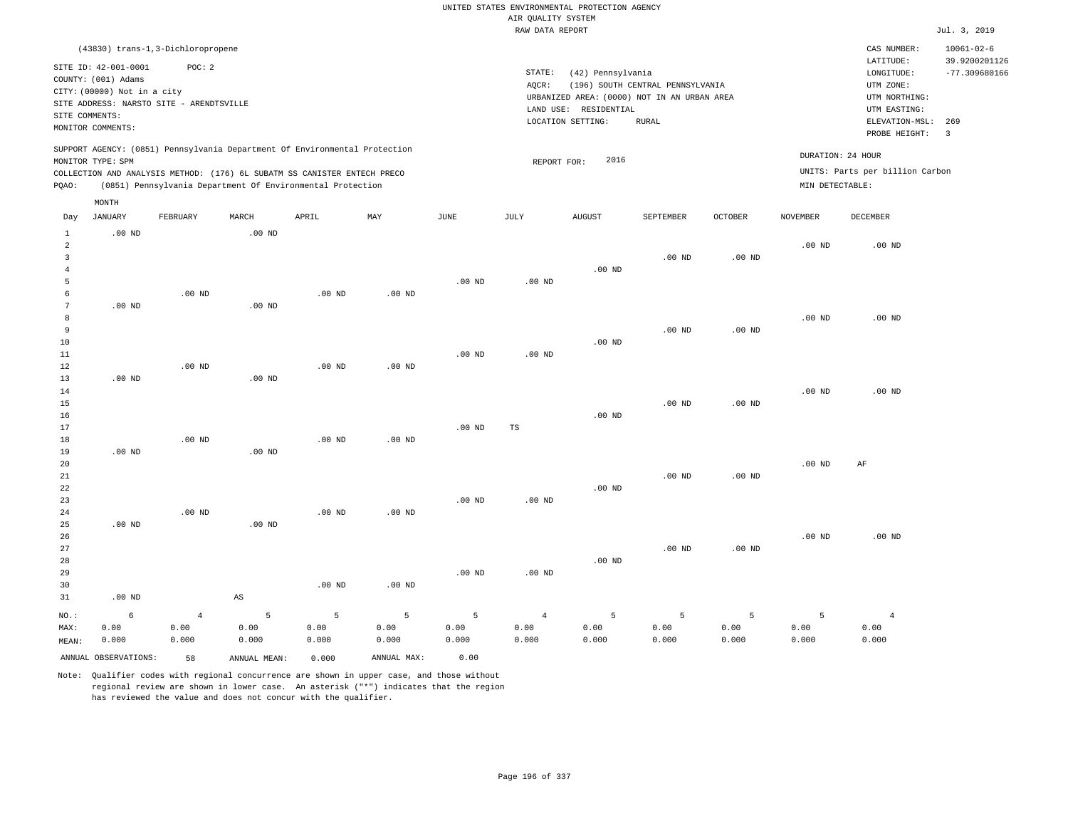RAW DATA REPORT JUL. 3, 2019 UNITED STATES ENVIRONMENTAL PROTECTION AGENCY AIR QUALITY SYSTEM (43830) trans-1,3-Dichloropropene STATE: (42) Pennsylvania CAS NUMBER: 10061-02-6 SITE ID: 42-001-0001 POC: 2 AQCR: (196) SOUTH CENTRAL PENNSYLVANIA COUNTY: (001) Adams CITY: (00000) Not in a city LONGITUDE: -77.309680166 LATITUDE: 39.9200201126 LOCATION SETTING: RURAL SITE ADDRESS: NARSTO SITE - ARENDTSVILLE LAND USE: RESIDENTIAL SITE COMMENTS: MONITOR COMMENTS: PROBE HEIGHT: 3 ELEVATION-MSL: 269 URBANIZED AREA: (0000) NOT IN AN URBAN AREA **URBAN SERIA UTM NORTHING**: UTM EASTING: UTM ZONE: SUPPORT AGENCY: (0851) Pennsylvania Department Of Environmental Protection MONITOR TYPE: SPM COLLECTION AND ANALYSIS METHOD: (176) 6L SUBATM SS CANISTER ENTECH PRECO REPORT FOR: 2016 UNITS: Parts per billion Carbon PQAO: (0851) Pennsylvania Department Of Environmental Protection MIN DETECTABLE: DURATION: 24 HOUR 1 2 3 4 5 6 8 9 15 16 23 .00 ND .00 ND .00 ND .00 ND .00 ND .00 ND NO.: MAX: MEAN: 6 0.00 0.000 .00 ND .00 ND .00 ND .00 ND .00 ND .00 ND .00 ND .00 ND .00 ND AS .00 ND .00 ND .00 ND .00 ND .00 ND .00 ND .00 ND .00 ND .00 ND .00 ND .00 ND .00 ND .00 ND .00 ND .00 ND .00 ND .00 ND TS .00 ND .00 ND .00 ND .00 ND .00 ND .00 ND .00 ND .00 ND .00 ND .00 ND .00 ND .00 ND .00 ND .00 ND .00 ND .00 ND .00 ND .00 ND .00 ND .00 ND .00 ND .00 ND .00 ND .00 ND .00 ND AF .00 ND 4 0.00 0.000 5 0.00 0.000 5 0.00 0.000 5 0.00 0.000 5 0.00 0.000 4 0.00 0.000 5 0.00 0.000 5 0.00 0.000 5 0.00 0.000 5 0.00 0.000 4 0.00 0.000 ANNUAL OBSERVATIONS: 58 ANNUAL MEAN: 0.000 ANNUAL MAX: 0.00 Day JANUARY FEBRUARY MARCH APRIL MAY JUNE JULY AUGUST SEPTEMBER OCTOBER NOVEMBER DECEMBER MONTH

Note: Qualifier codes with regional concurrence are shown in upper case, and those without regional review are shown in lower case. An asterisk ("\*") indicates that the region has reviewed the value and does not concur with the qualifier.

7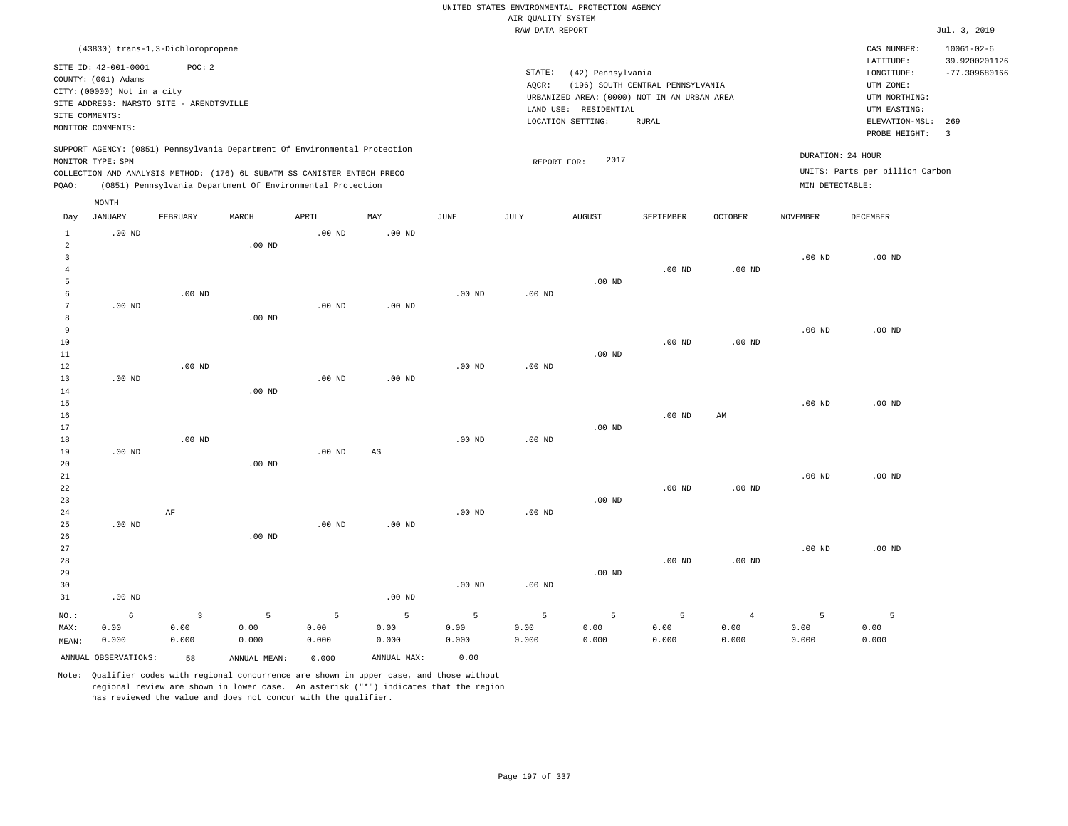|                                                    |                                                                            |                                             |                                                                                                                                                                                                                      |                    |                        |                    |                    | UNITED STATES ENVIRONMENTAL PROTECTION AGENCY                    |                                  |                                 |                                      |                                                                      |                                                      |
|----------------------------------------------------|----------------------------------------------------------------------------|---------------------------------------------|----------------------------------------------------------------------------------------------------------------------------------------------------------------------------------------------------------------------|--------------------|------------------------|--------------------|--------------------|------------------------------------------------------------------|----------------------------------|---------------------------------|--------------------------------------|----------------------------------------------------------------------|------------------------------------------------------|
|                                                    |                                                                            |                                             |                                                                                                                                                                                                                      |                    |                        |                    | AIR QUALITY SYSTEM |                                                                  |                                  |                                 |                                      |                                                                      |                                                      |
|                                                    |                                                                            |                                             |                                                                                                                                                                                                                      |                    |                        |                    | RAW DATA REPORT    |                                                                  |                                  |                                 |                                      |                                                                      | Jul. 3, 2019                                         |
|                                                    | SITE ID: 42-001-0001<br>COUNTY: (001) Adams<br>CITY: (00000) Not in a city | (43830) trans-1,3-Dichloropropene<br>POC: 2 |                                                                                                                                                                                                                      |                    |                        |                    | STATE:<br>AQCR:    | (42) Pennsylvania<br>URBANIZED AREA: (0000) NOT IN AN URBAN AREA | (196) SOUTH CENTRAL PENNSYLVANIA |                                 |                                      | CAS NUMBER:<br>LATITUDE:<br>LONGITUDE:<br>UTM ZONE:<br>UTM NORTHING: | $10061 - 02 - 6$<br>39.9200201126<br>$-77.309680166$ |
| SITE COMMENTS:                                     | MONITOR COMMENTS:                                                          | SITE ADDRESS: NARSTO SITE - ARENDTSVILLE    |                                                                                                                                                                                                                      |                    |                        |                    |                    | LAND USE: RESIDENTIAL<br>LOCATION SETTING:                       | <b>RURAL</b>                     |                                 |                                      | UTM EASTING:<br>ELEVATION-MSL:<br>PROBE HEIGHT:                      | 269<br>$\overline{\mathbf{3}}$                       |
| PQAO:                                              | MONITOR TYPE: SPM                                                          |                                             | SUPPORT AGENCY: (0851) Pennsylvania Department Of Environmental Protection<br>COLLECTION AND ANALYSIS METHOD: (176) 6L SUBATM SS CANISTER ENTECH PRECO<br>(0851) Pennsylvania Department Of Environmental Protection |                    |                        |                    | REPORT FOR:        | 2017                                                             |                                  |                                 | DURATION: 24 HOUR<br>MIN DETECTABLE: | UNITS: Parts per billion Carbon                                      |                                                      |
| Day                                                | MONTH<br><b>JANUARY</b>                                                    | FEBRUARY                                    | MARCH                                                                                                                                                                                                                | APRIL              | MAY                    | <b>JUNE</b>        | <b>JULY</b>        | AUGUST                                                           | SEPTEMBER                        | OCTOBER                         | <b>NOVEMBER</b>                      | <b>DECEMBER</b>                                                      |                                                      |
| $\mathbf{1}$<br>$\overline{a}$<br>3                | $.00$ ND                                                                   |                                             | $.00$ ND                                                                                                                                                                                                             | .00 <sub>ND</sub>  | $.00$ ND               |                    |                    |                                                                  |                                  |                                 | $.00$ ND                             | .00 <sub>ND</sub>                                                    |                                                      |
| $\bf{4}$<br>$\overline{5}$<br>6<br>$7\phantom{.0}$ | $.00$ ND                                                                   | $.00$ ND                                    |                                                                                                                                                                                                                      | $.00$ ND           | .00 <sub>ND</sub>      | $.00$ ND           | $.00$ ND           | .00 <sub>ND</sub>                                                | $.00$ ND                         | $.00$ ND                        |                                      |                                                                      |                                                      |
| 8<br>9<br>10                                       |                                                                            |                                             | $.00$ ND                                                                                                                                                                                                             |                    |                        |                    |                    |                                                                  | $.00$ ND                         | $.00$ ND                        | $.00$ ND                             | $.00$ ND                                                             |                                                      |
| 11<br>12<br>13<br>14                               | $.00$ ND                                                                   | $.00$ ND                                    | .00 <sub>ND</sub>                                                                                                                                                                                                    | .00 <sub>ND</sub>  | $.00$ ND               | $.00$ ND           | .00 <sub>ND</sub>  | $.00$ ND                                                         |                                  |                                 |                                      |                                                                      |                                                      |
| 15<br>16<br>17                                     |                                                                            |                                             |                                                                                                                                                                                                                      |                    |                        |                    |                    | $.00$ ND                                                         | $.00$ ND                         | AM                              | $.00$ ND                             | $.00$ ND                                                             |                                                      |
| 18<br>19<br>20<br>21                               | $.00$ ND                                                                   | $.00$ ND                                    | $.00$ ND                                                                                                                                                                                                             | .00 <sub>ND</sub>  | $\mathbb{A}\mathbb{S}$ | $.00$ ND           | $.00$ ND           |                                                                  |                                  |                                 | $.00$ ND                             | $.00$ ND                                                             |                                                      |
| 22<br>23<br>24                                     |                                                                            | AF                                          |                                                                                                                                                                                                                      |                    |                        | $.00$ ND           | $.00$ ND           | $.00$ ND                                                         | .00 <sub>ND</sub>                | $.00$ ND                        |                                      |                                                                      |                                                      |
| 25<br>26<br>27<br>28<br>29                         | $.00$ ND                                                                   |                                             | .00 <sub>ND</sub>                                                                                                                                                                                                    | .00 <sub>ND</sub>  | $.00$ ND               |                    |                    | .00 <sub>ND</sub>                                                | .00 <sub>ND</sub>                | $.00$ ND                        | $.00$ ND                             | $.00$ ND                                                             |                                                      |
| 30<br>31                                           | $.00$ ND                                                                   |                                             |                                                                                                                                                                                                                      |                    | $.00$ ND               | $.00$ ND           | .00 <sub>ND</sub>  |                                                                  |                                  |                                 |                                      |                                                                      |                                                      |
| NO.:<br>MAX:<br>MEAN:                              | 6<br>0.00<br>0.000                                                         | $\overline{3}$<br>0.00<br>0.000             | 5<br>0.00<br>0.000                                                                                                                                                                                                   | 5<br>0.00<br>0.000 | 5<br>0.00<br>0.000     | 5<br>0.00<br>0.000 | 5<br>0.00<br>0.000 | 5<br>0.00<br>0.000                                               | 5<br>0.00<br>0.000               | $\overline{4}$<br>0.00<br>0.000 | 5<br>0.00<br>0.000                   | 5<br>0.00<br>0.000                                                   |                                                      |
|                                                    | ANNUAL OBSERVATIONS:                                                       | 58                                          | ANNUAL MEAN:                                                                                                                                                                                                         | 0.000              | ANNUAL MAX:            | 0.00               |                    |                                                                  |                                  |                                 |                                      |                                                                      |                                                      |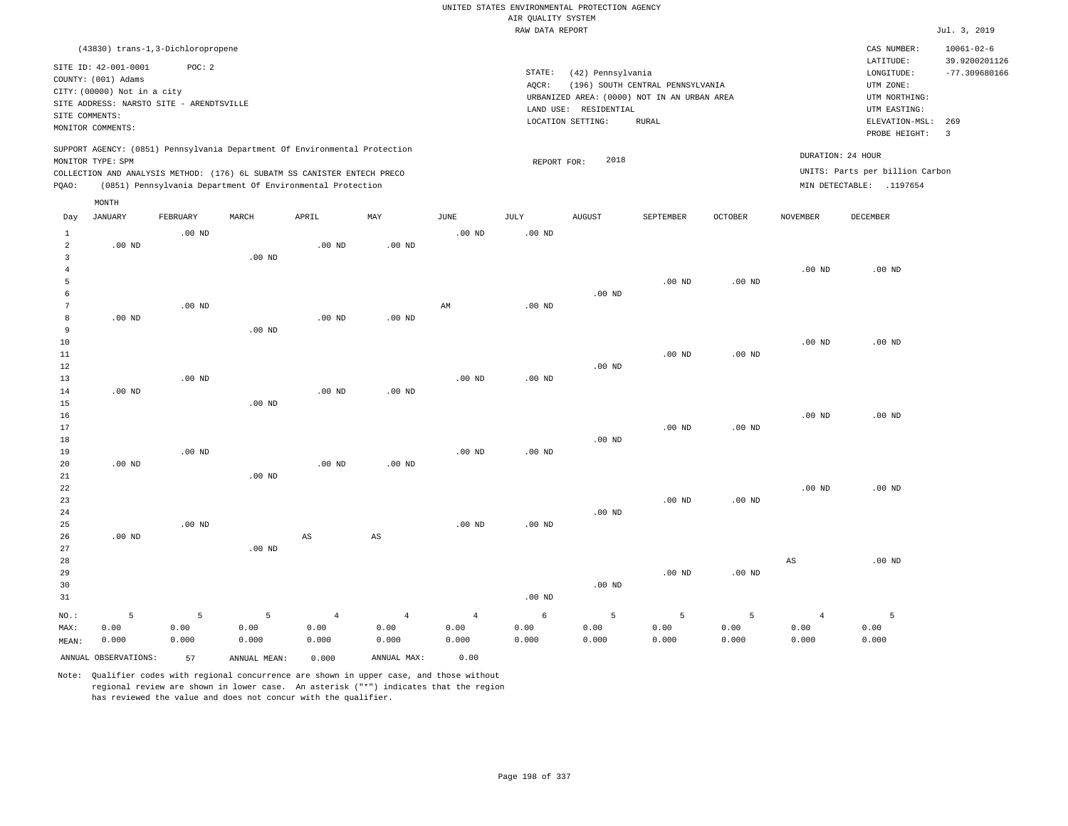|                      |                                                                                                 |                   |                                                            |                        |                        |                        | UNITED STATES ENVIRONMENTAL PROTECTION AGENCY<br>AIR QUALITY SYSTEM |                       |                                             |          |                   |                                 |                                   |
|----------------------|-------------------------------------------------------------------------------------------------|-------------------|------------------------------------------------------------|------------------------|------------------------|------------------------|---------------------------------------------------------------------|-----------------------|---------------------------------------------|----------|-------------------|---------------------------------|-----------------------------------|
|                      |                                                                                                 |                   |                                                            |                        |                        |                        | RAW DATA REPORT                                                     |                       |                                             |          |                   |                                 | Jul. 3, 2019                      |
|                      | (43830) trans-1,3-Dichloropropene                                                               |                   |                                                            |                        |                        |                        |                                                                     |                       |                                             |          |                   | CAS NUMBER:<br>LATITUDE:        | $10061 - 02 - 6$<br>39.9200201126 |
|                      | SITE ID: 42-001-0001<br>COUNTY: (001) Adams                                                     | POC: 2            |                                                            |                        |                        |                        | STATE:<br>AQCR:                                                     | (42) Pennsylvania     | (196) SOUTH CENTRAL PENNSYLVANIA            |          |                   | LONGITUDE:<br>UTM ZONE:         | $-77.309680166$                   |
|                      | CITY: (00000) Not in a city                                                                     |                   |                                                            |                        |                        |                        |                                                                     |                       | URBANIZED AREA: (0000) NOT IN AN URBAN AREA |          |                   | UTM NORTHING:                   |                                   |
|                      | SITE ADDRESS: NARSTO SITE - ARENDTSVILLE                                                        |                   |                                                            |                        |                        |                        |                                                                     | LAND USE: RESIDENTIAL |                                             |          |                   | UTM EASTING:                    |                                   |
| SITE COMMENTS:       |                                                                                                 |                   |                                                            |                        |                        |                        |                                                                     | LOCATION SETTING:     | <b>RURAL</b>                                |          |                   | ELEVATION-MSL:                  | 269                               |
|                      | MONITOR COMMENTS:                                                                               |                   |                                                            |                        |                        |                        |                                                                     |                       |                                             |          |                   | PROBE HEIGHT:                   | $\overline{\mathbf{3}}$           |
|                      | SUPPORT AGENCY: (0851) Pennsylvania Department Of Environmental Protection<br>MONITOR TYPE: SPM |                   |                                                            |                        |                        |                        | REPORT FOR:                                                         | 2018                  |                                             |          |                   | DURATION: 24 HOUR               |                                   |
|                      | COLLECTION AND ANALYSIS METHOD: (176) 6L SUBATM SS CANISTER ENTECH PRECO                        |                   |                                                            |                        |                        |                        |                                                                     |                       |                                             |          |                   | UNITS: Parts per billion Carbon |                                   |
| PQAO:                |                                                                                                 |                   | (0851) Pennsylvania Department Of Environmental Protection |                        |                        |                        |                                                                     |                       |                                             |          |                   | MIN DETECTABLE: .1197654        |                                   |
|                      | MONTH                                                                                           |                   |                                                            |                        |                        |                        |                                                                     |                       |                                             |          |                   |                                 |                                   |
| Day                  | JANUARY                                                                                         | FEBRUARY          | MARCH                                                      | APRIL                  | MAY                    | JUNE                   | JULY                                                                | <b>AUGUST</b>         | SEPTEMBER                                   | OCTOBER  | NOVEMBER          | DECEMBER                        |                                   |
| $\mathbf{1}$         |                                                                                                 | $.00$ ND          |                                                            |                        |                        | .00 <sub>ND</sub>      | .00 <sub>ND</sub>                                                   |                       |                                             |          |                   |                                 |                                   |
| $\overline{a}$       | $.00$ ND                                                                                        |                   |                                                            | $.00$ ND               | .00 <sub>ND</sub>      |                        |                                                                     |                       |                                             |          |                   |                                 |                                   |
| $\overline{3}$       |                                                                                                 |                   | .00 <sub>ND</sub>                                          |                        |                        |                        |                                                                     |                       |                                             |          |                   |                                 |                                   |
| $\overline{4}$       |                                                                                                 |                   |                                                            |                        |                        |                        |                                                                     |                       |                                             |          | $.00$ ND          | $.00$ ND                        |                                   |
| 5                    |                                                                                                 |                   |                                                            |                        |                        |                        |                                                                     |                       | $.00$ ND                                    | $.00$ ND |                   |                                 |                                   |
| 6<br>$7\phantom{.0}$ |                                                                                                 | $.00$ ND          |                                                            |                        |                        | $\mathbb{A}\mathbb{M}$ | $.00$ ND                                                            | $.00$ ND              |                                             |          |                   |                                 |                                   |
| 8                    | $.00$ ND                                                                                        |                   |                                                            | $.00$ ND               | $.00$ ND               |                        |                                                                     |                       |                                             |          |                   |                                 |                                   |
| 9                    |                                                                                                 |                   | $.00$ ND                                                   |                        |                        |                        |                                                                     |                       |                                             |          |                   |                                 |                                   |
| $10$                 |                                                                                                 |                   |                                                            |                        |                        |                        |                                                                     |                       |                                             |          | $.00$ ND          | $.00$ ND                        |                                   |
| 11                   |                                                                                                 |                   |                                                            |                        |                        |                        |                                                                     |                       | .00 <sub>ND</sub>                           | $.00$ ND |                   |                                 |                                   |
| 12                   |                                                                                                 |                   |                                                            |                        |                        |                        |                                                                     | $.00$ ND              |                                             |          |                   |                                 |                                   |
| 13                   |                                                                                                 | .00 <sub>ND</sub> |                                                            |                        |                        | .00 <sub>ND</sub>      | .00 <sub>ND</sub>                                                   |                       |                                             |          |                   |                                 |                                   |
| 14                   | .00 <sub>ND</sub>                                                                               |                   |                                                            | .00 <sub>ND</sub>      | $.00$ ND               |                        |                                                                     |                       |                                             |          |                   |                                 |                                   |
| 15                   |                                                                                                 |                   | $.00$ ND                                                   |                        |                        |                        |                                                                     |                       |                                             |          |                   |                                 |                                   |
| 16                   |                                                                                                 |                   |                                                            |                        |                        |                        |                                                                     |                       |                                             |          | .00 <sub>ND</sub> | $.00$ ND                        |                                   |
| 17                   |                                                                                                 |                   |                                                            |                        |                        |                        |                                                                     | .00 <sub>ND</sub>     | .00 <sub>ND</sub>                           | $.00$ ND |                   |                                 |                                   |
| 18<br>19             |                                                                                                 | $.00$ ND          |                                                            |                        |                        | $.00$ ND               | $.00$ ND                                                            |                       |                                             |          |                   |                                 |                                   |
| 20                   | $.00$ ND                                                                                        |                   |                                                            | $.00$ ND               | $.00$ ND               |                        |                                                                     |                       |                                             |          |                   |                                 |                                   |
| 21                   |                                                                                                 |                   | $.00$ ND                                                   |                        |                        |                        |                                                                     |                       |                                             |          |                   |                                 |                                   |
| 22                   |                                                                                                 |                   |                                                            |                        |                        |                        |                                                                     |                       |                                             |          | $.00$ ND          | $.00$ ND                        |                                   |
| 23                   |                                                                                                 |                   |                                                            |                        |                        |                        |                                                                     |                       | .00 <sub>ND</sub>                           | $.00$ ND |                   |                                 |                                   |
| 24                   |                                                                                                 |                   |                                                            |                        |                        |                        |                                                                     | $.00$ ND              |                                             |          |                   |                                 |                                   |
| 25                   |                                                                                                 | $.00$ ND          |                                                            |                        |                        | .00 <sub>ND</sub>      | .00 <sub>ND</sub>                                                   |                       |                                             |          |                   |                                 |                                   |
| 26                   | $.00$ ND                                                                                        |                   |                                                            | $\mathbb{A}\mathbb{S}$ | $\mathbb{A}\mathbb{S}$ |                        |                                                                     |                       |                                             |          |                   |                                 |                                   |
| 27                   |                                                                                                 |                   | $.00$ ND                                                   |                        |                        |                        |                                                                     |                       |                                             |          |                   |                                 |                                   |
| 28                   |                                                                                                 |                   |                                                            |                        |                        |                        |                                                                     |                       |                                             |          | $_{\rm AS}$       | $.00$ ND                        |                                   |
| 29<br>30             |                                                                                                 |                   |                                                            |                        |                        |                        |                                                                     | $.00$ ND              | $.00$ ND                                    | $.00$ ND |                   |                                 |                                   |
| 31                   |                                                                                                 |                   |                                                            |                        |                        |                        | .00 <sub>ND</sub>                                                   |                       |                                             |          |                   |                                 |                                   |
|                      |                                                                                                 |                   |                                                            |                        |                        |                        |                                                                     |                       |                                             |          |                   |                                 |                                   |
| NO.:                 | 5                                                                                               | 5                 | 5                                                          | $\overline{4}$         | $\overline{4}$         | $\overline{4}$         | 6                                                                   | 5                     | 5                                           | 5        | $\overline{4}$    | 5                               |                                   |
| MAX:                 | 0.00                                                                                            | 0.00              | 0.00                                                       | 0.00                   | 0.00                   | 0.00                   | 0.00                                                                | 0.00                  | 0.00                                        | 0.00     | 0.00              | 0.00                            |                                   |
| MEAN:                | 0.000                                                                                           | 0.000             | 0.000                                                      | 0.000                  | 0.000                  | 0.000                  | 0.000                                                               | 0.000                 | 0.000                                       | 0.000    | 0.000             | 0.000                           |                                   |
|                      | ANNUAL OBSERVATIONS:                                                                            | 57                | ANNUAL MEAN:                                               | 0.000                  | ANNUAL MAX:            | 0.00                   |                                                                     |                       |                                             |          |                   |                                 |                                   |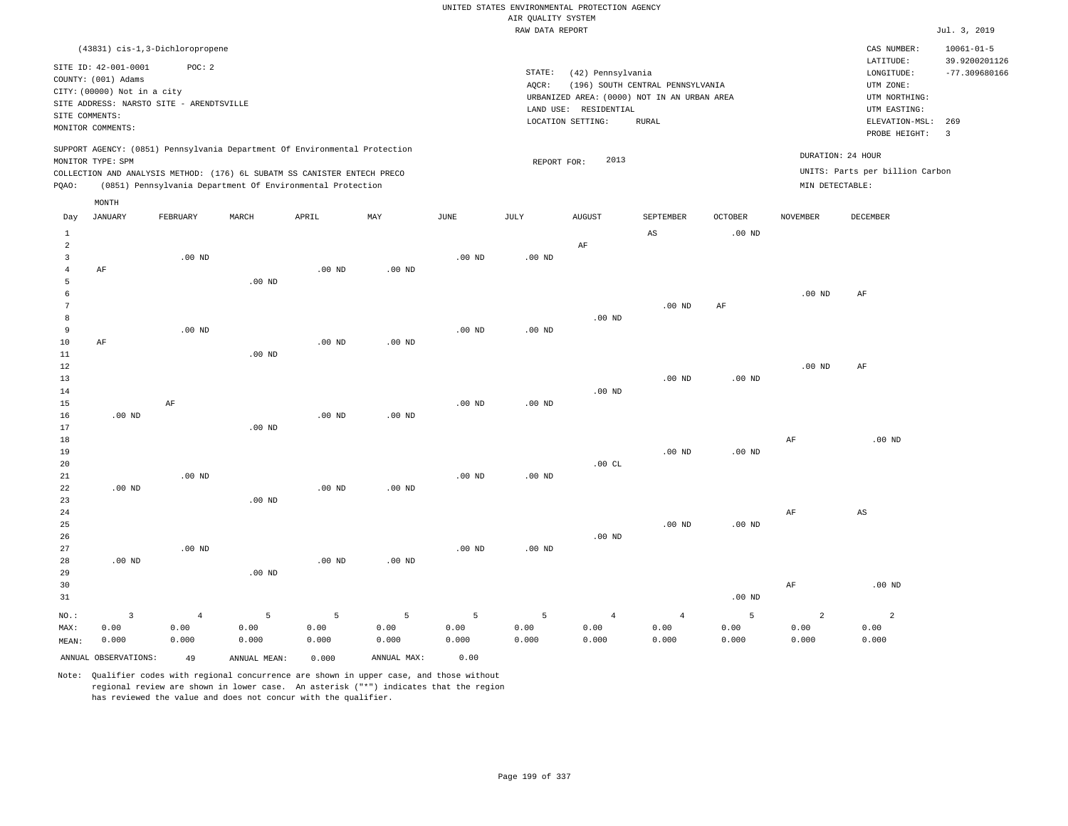|                                                |                                                                                                               |                                 |                                                                                                                                                                                                                      |                                 |                                 |                    |                                       | UNITED STATES ENVIRONMENTAL PROTECTION AGENCY |                                                                                 |                                |                                 |                                                                      |                                                      |
|------------------------------------------------|---------------------------------------------------------------------------------------------------------------|---------------------------------|----------------------------------------------------------------------------------------------------------------------------------------------------------------------------------------------------------------------|---------------------------------|---------------------------------|--------------------|---------------------------------------|-----------------------------------------------|---------------------------------------------------------------------------------|--------------------------------|---------------------------------|----------------------------------------------------------------------|------------------------------------------------------|
|                                                |                                                                                                               |                                 |                                                                                                                                                                                                                      |                                 |                                 |                    | AIR QUALITY SYSTEM<br>RAW DATA REPORT |                                               |                                                                                 |                                |                                 |                                                                      | Jul. 3, 2019                                         |
|                                                |                                                                                                               |                                 |                                                                                                                                                                                                                      |                                 |                                 |                    |                                       |                                               |                                                                                 |                                |                                 |                                                                      |                                                      |
|                                                | (43831) cis-1,3-Dichloropropene<br>SITE ID: 42-001-0001<br>COUNTY: (001) Adams<br>CITY: (00000) Not in a city | POC: 2                          |                                                                                                                                                                                                                      |                                 |                                 |                    | STATE:<br>AQCR:                       | (42) Pennsylvania                             | (196) SOUTH CENTRAL PENNSYLVANIA<br>URBANIZED AREA: (0000) NOT IN AN URBAN AREA |                                |                                 | CAS NUMBER:<br>LATITUDE:<br>LONGITUDE:<br>UTM ZONE:<br>UTM NORTHING: | $10061 - 01 - 5$<br>39.9200201126<br>$-77.309680166$ |
|                                                | SITE ADDRESS: NARSTO SITE - ARENDTSVILLE<br>SITE COMMENTS:                                                    |                                 |                                                                                                                                                                                                                      |                                 |                                 |                    |                                       | LAND USE: RESIDENTIAL                         |                                                                                 |                                |                                 | UTM EASTING:                                                         |                                                      |
|                                                | MONITOR COMMENTS:                                                                                             |                                 |                                                                                                                                                                                                                      |                                 |                                 |                    |                                       | LOCATION SETTING:                             | <b>RURAL</b>                                                                    |                                |                                 | ELEVATION-MSL:<br>PROBE HEIGHT:                                      | 269<br>$\overline{3}$                                |
| PQAO:                                          | MONITOR TYPE: SPM                                                                                             |                                 | SUPPORT AGENCY: (0851) Pennsylvania Department Of Environmental Protection<br>COLLECTION AND ANALYSIS METHOD: (176) 6L SUBATM SS CANISTER ENTECH PRECO<br>(0851) Pennsylvania Department Of Environmental Protection |                                 |                                 |                    | REPORT FOR:                           | 2013                                          |                                                                                 |                                | MIN DETECTABLE:                 | DURATION: 24 HOUR<br>UNITS: Parts per billion Carbon                 |                                                      |
| Day                                            | MONTH<br><b>JANUARY</b>                                                                                       | FEBRUARY                        | MARCH                                                                                                                                                                                                                | APRIL                           | MAY                             | $_{\rm JUNE}$      | <b>JULY</b>                           | <b>AUGUST</b>                                 | SEPTEMBER                                                                       | <b>OCTOBER</b>                 | <b>NOVEMBER</b>                 | DECEMBER                                                             |                                                      |
| $\mathbf{1}$                                   |                                                                                                               |                                 |                                                                                                                                                                                                                      |                                 |                                 |                    |                                       |                                               | AS                                                                              | .00 <sub>ND</sub>              |                                 |                                                                      |                                                      |
| 2<br>$\overline{\mathbf{3}}$<br>$\overline{4}$ | AF                                                                                                            | $.00$ ND                        |                                                                                                                                                                                                                      | $.00$ ND                        | $.00$ ND                        | $.00$ ND           | .00 <sub>ND</sub>                     | AF                                            |                                                                                 |                                |                                 |                                                                      |                                                      |
| 5<br>$\epsilon$<br>$7\phantom{.0}$<br>8        |                                                                                                               |                                 | $.00$ ND                                                                                                                                                                                                             |                                 |                                 |                    |                                       | $.00$ ND                                      | $.00$ ND                                                                        | AF                             | $.00$ ND                        | AF                                                                   |                                                      |
| 9<br>10<br>11<br>12                            | AF                                                                                                            | $.00$ ND                        | $.00$ ND                                                                                                                                                                                                             | $.00$ ND                        | $.00$ ND                        | .00 <sub>ND</sub>  | .00 <sub>ND</sub>                     |                                               |                                                                                 |                                | .00 <sub>ND</sub>               | AF                                                                   |                                                      |
| 13<br>14<br>15                                 |                                                                                                               | AF                              |                                                                                                                                                                                                                      |                                 |                                 | .00 <sub>ND</sub>  | $.00$ ND                              | $.00$ ND                                      | .00 <sub>ND</sub>                                                               | $.00$ ND                       |                                 |                                                                      |                                                      |
| 16<br>17<br>18<br>19                           | $.00$ ND                                                                                                      |                                 | .00 <sub>ND</sub>                                                                                                                                                                                                    | $.00$ ND                        | $.00$ ND                        |                    |                                       |                                               | .00 <sub>ND</sub>                                                               | .00 <sub>ND</sub>              | AF                              | $.00$ ND                                                             |                                                      |
| 20<br>21<br>22<br>23                           | $.00$ ND                                                                                                      | .00 <sub>ND</sub>               | $.00$ ND                                                                                                                                                                                                             | $.00$ ND                        | $.00$ ND                        | $.00$ ND           | $.00$ ND                              | .00CL                                         |                                                                                 |                                |                                 |                                                                      |                                                      |
| 24<br>25<br>26                                 |                                                                                                               |                                 |                                                                                                                                                                                                                      |                                 |                                 |                    |                                       | .00 <sub>ND</sub>                             | $.00$ ND                                                                        | .00 <sub>ND</sub>              | AF                              | $\mathbb{A}\mathbb{S}$                                               |                                                      |
| 27<br>28<br>29<br>30                           | $.00$ ND                                                                                                      | $.00$ ND                        | $.00$ ND                                                                                                                                                                                                             | .00 <sub>ND</sub>               | .00 <sub>ND</sub>               | .00 <sub>ND</sub>  | $.00$ ND                              |                                               |                                                                                 |                                | $\rm{AF}$                       | $.00$ ND                                                             |                                                      |
| 31<br>$NO.$ :<br>MAX:<br>MEAN:                 | $\overline{\mathbf{3}}$<br>0.00<br>0.000                                                                      | $\overline{4}$<br>0.00<br>0.000 | 5<br>0.00<br>0.000                                                                                                                                                                                                   | $\overline{5}$<br>0.00<br>0.000 | $\overline{5}$<br>0.00<br>0.000 | 5<br>0.00<br>0.000 | $\overline{5}$<br>0.00<br>0.000       | $\overline{4}$<br>0.00<br>0.000               | $\sqrt{4}$<br>0.00<br>0.000                                                     | $.00$ ND<br>5<br>0.00<br>0.000 | $\overline{a}$<br>0.00<br>0.000 | $\sqrt{2}$<br>0.00<br>0.000                                          |                                                      |
|                                                | ANNUAL OBSERVATIONS:                                                                                          | 49                              | ANNUAL, MEAN:                                                                                                                                                                                                        | 0.000                           | ANNUAL MAX:                     | 0.00               |                                       |                                               |                                                                                 |                                |                                 |                                                                      |                                                      |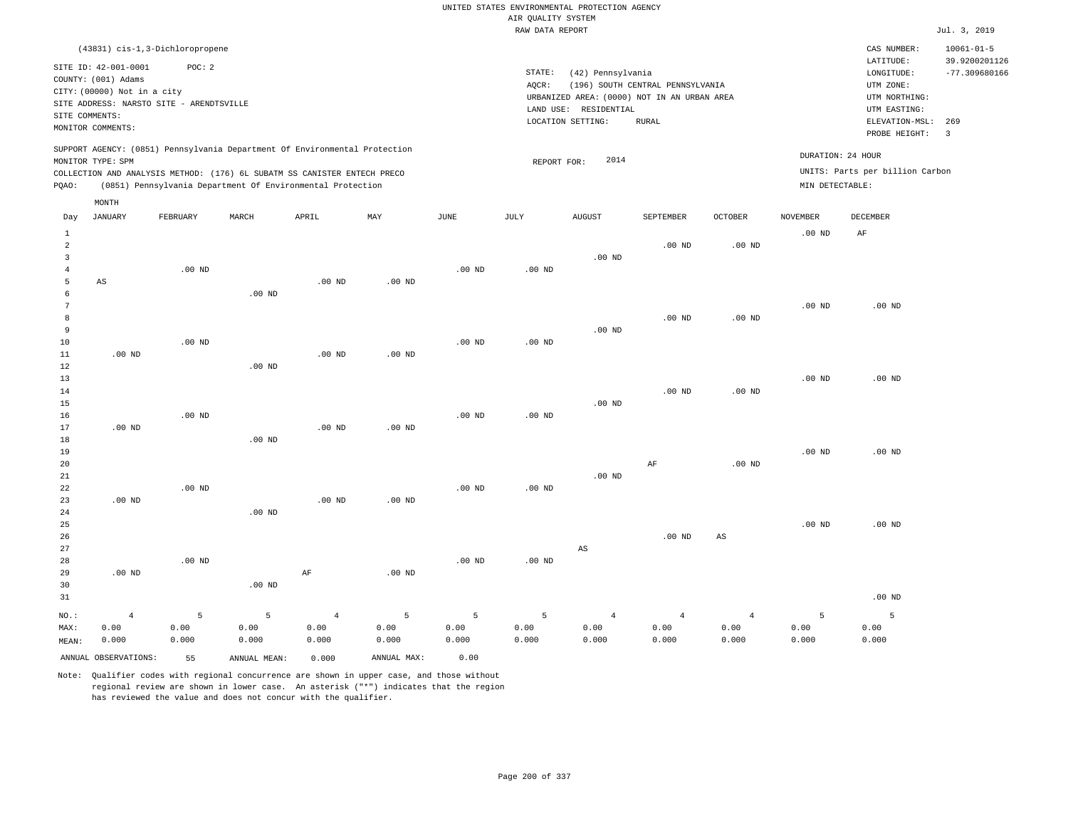|                                                                                  |                                                                                                                        |                          |                                                                                                                                                                                                                      |                                      |                                   |                            |                                       | UNITED STATES ENVIRONMENTAL PROTECTION AGENCY                    |                                  |                                 |                    |                                                       |                                  |
|----------------------------------------------------------------------------------|------------------------------------------------------------------------------------------------------------------------|--------------------------|----------------------------------------------------------------------------------------------------------------------------------------------------------------------------------------------------------------------|--------------------------------------|-----------------------------------|----------------------------|---------------------------------------|------------------------------------------------------------------|----------------------------------|---------------------------------|--------------------|-------------------------------------------------------|----------------------------------|
|                                                                                  |                                                                                                                        |                          |                                                                                                                                                                                                                      |                                      |                                   |                            | AIR QUALITY SYSTEM<br>RAW DATA REPORT |                                                                  |                                  |                                 |                    |                                                       | Jul. 3, 2019                     |
|                                                                                  | (43831) cis-1, 3-Dichloropropene                                                                                       |                          |                                                                                                                                                                                                                      |                                      |                                   |                            |                                       |                                                                  |                                  |                                 |                    | CAS NUMBER:                                           | $10061 - 01 - 5$                 |
|                                                                                  | SITE ID: 42-001-0001<br>COUNTY: (001) Adams<br>CITY: (00000) Not in a city<br>SITE ADDRESS: NARSTO SITE - ARENDTSVILLE | POC: 2                   |                                                                                                                                                                                                                      |                                      |                                   |                            | STATE:<br>AQCR:                       | (42) Pennsylvania<br>URBANIZED AREA: (0000) NOT IN AN URBAN AREA | (196) SOUTH CENTRAL PENNSYLVANIA |                                 |                    | LATITUDE:<br>LONGITUDE:<br>UTM ZONE:<br>UTM NORTHING: | 39.9200201126<br>$-77.309680166$ |
| SITE COMMENTS:                                                                   | MONITOR COMMENTS:                                                                                                      |                          |                                                                                                                                                                                                                      |                                      |                                   |                            |                                       | LAND USE: RESIDENTIAL<br>LOCATION SETTING:                       | <b>RURAL</b>                     |                                 |                    | UTM EASTING:<br>ELEVATION-MSL: 269<br>PROBE HEIGHT:   | $\overline{3}$                   |
| PQAO:                                                                            | MONITOR TYPE: SPM                                                                                                      |                          | SUPPORT AGENCY: (0851) Pennsylvania Department Of Environmental Protection<br>COLLECTION AND ANALYSIS METHOD: (176) 6L SUBATM SS CANISTER ENTECH PRECO<br>(0851) Pennsylvania Department Of Environmental Protection |                                      |                                   |                            | REPORT FOR:                           | 2014                                                             |                                  |                                 | MIN DETECTABLE:    | DURATION: 24 HOUR<br>UNITS: Parts per billion Carbon  |                                  |
| Day                                                                              | MONTH<br><b>JANUARY</b>                                                                                                | FEBRUARY                 | MARCH                                                                                                                                                                                                                | APRIL                                | MAY                               | JUNE                       | JULY                                  | <b>AUGUST</b>                                                    | SEPTEMBER                        | <b>OCTOBER</b>                  | <b>NOVEMBER</b>    | <b>DECEMBER</b>                                       |                                  |
| $\mathbf{1}$<br>$\overline{a}$<br>$\overline{\mathbf{3}}$<br>$\overline{4}$<br>5 | AS                                                                                                                     | $.00$ ND                 |                                                                                                                                                                                                                      | $.00$ ND                             | $.00$ ND                          | $.00$ ND                   | $.00$ ND                              | $.00$ ND                                                         | .00 <sub>ND</sub>                | .00 <sub>ND</sub>               | $.00$ ND           | AF                                                    |                                  |
| 6<br>$7\phantom{.0}$<br>8<br>9<br>10<br>11                                       | $.00$ ND                                                                                                               | .00 <sub>ND</sub>        | .00 <sub>ND</sub>                                                                                                                                                                                                    | $.00$ ND                             | $.00$ ND                          | $.00$ ND                   | .00 <sub>ND</sub>                     | $.00$ ND                                                         | $.00$ ND                         | .00 <sub>ND</sub>               | $.00$ ND           | $.00$ ND                                              |                                  |
| 12<br>13<br>14<br>15<br>16<br>17                                                 | $.00$ ND                                                                                                               | $.00$ ND                 | $.00$ ND                                                                                                                                                                                                             | $.00$ ND                             | $.00$ ND                          | $.00$ ND                   | $.00$ ND                              | $.00$ ND                                                         | $.00$ ND                         | $.00$ ND                        | $.00$ ND           | $.00$ ND                                              |                                  |
| 18<br>19<br>20<br>21<br>22<br>23                                                 | $.00$ ND                                                                                                               | $.00$ ND                 | $.00$ ND                                                                                                                                                                                                             | $.00$ ND                             | $.00$ ND                          | $.00$ ND                   | $.00$ ND                              | $.00$ ND                                                         | AF                               | $.00$ ND                        | .00 <sub>ND</sub>  | $.00$ ND                                              |                                  |
| 24<br>25<br>26<br>27<br>28                                                       |                                                                                                                        | $.00$ ND                 | .00 <sub>ND</sub>                                                                                                                                                                                                    |                                      |                                   | $.00$ ND                   | $.00$ ND                              | $_{\rm AS}$                                                      | $.00$ ND                         | $_{\rm AS}$                     | $.00$ ND           | $.00$ ND                                              |                                  |
| 29<br>30<br>31                                                                   | $.00$ ND                                                                                                               |                          | .00 <sub>ND</sub>                                                                                                                                                                                                    | $\rm{AF}$                            | $.00$ ND                          |                            |                                       |                                                                  |                                  |                                 |                    | $.00$ ND                                              |                                  |
| $NO.$ :<br>MAX:<br>MEAN:                                                         | $\overline{4}$<br>0.00<br>0.000<br>ANNUAL OBSERVATIONS:                                                                | 5<br>0.00<br>0.000<br>55 | 5<br>0.00<br>0.000<br>ANNUAL, MEAN:                                                                                                                                                                                  | $\sqrt{4}$<br>0.00<br>0.000<br>0.000 | 5<br>0.00<br>0.000<br>ANNUAL MAX: | 5<br>0.00<br>0.000<br>0.00 | 5<br>0.00<br>0.000                    | $\overline{4}$<br>0.00<br>0.000                                  | $\overline{4}$<br>0.00<br>0.000  | $\overline{4}$<br>0.00<br>0.000 | 5<br>0.00<br>0.000 | 5<br>0.00<br>0.000                                    |                                  |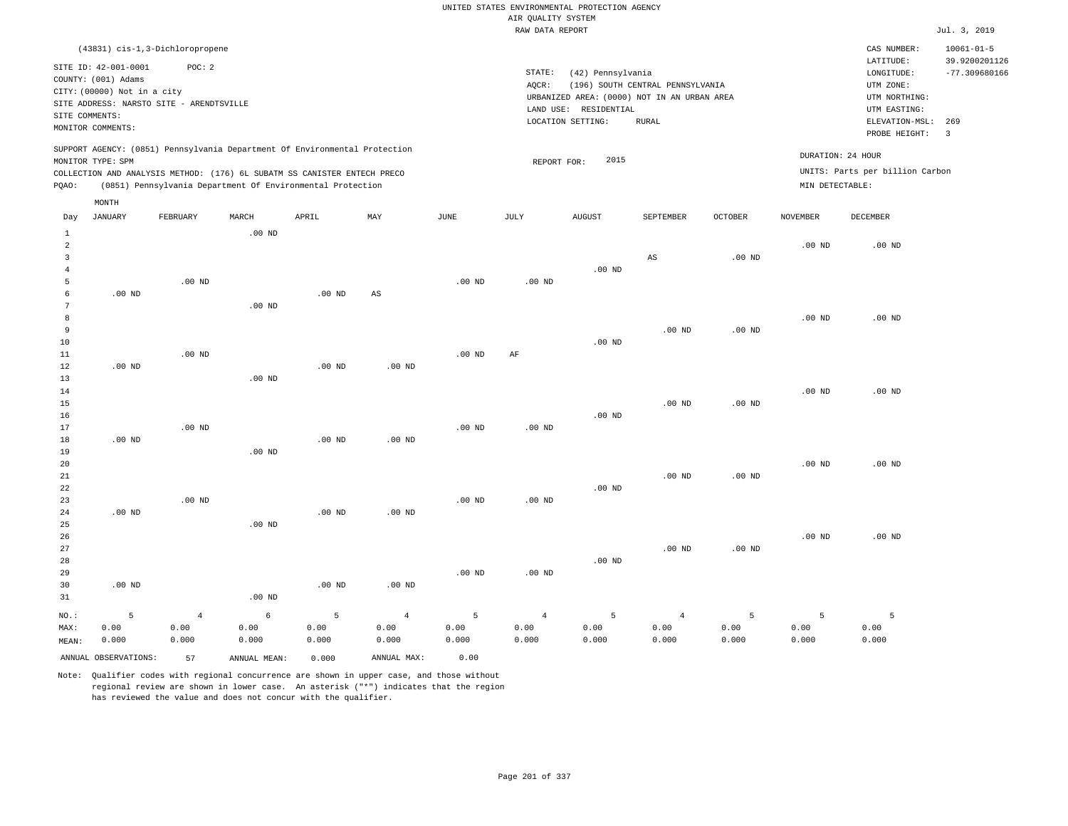|                |                             |                                          |                   |                                                                            |                   |             |                    | UNITED STATES ENVIRONMENTAL PROTECTION AGENCY |                                  |                   |                   |                                 |                                   |
|----------------|-----------------------------|------------------------------------------|-------------------|----------------------------------------------------------------------------|-------------------|-------------|--------------------|-----------------------------------------------|----------------------------------|-------------------|-------------------|---------------------------------|-----------------------------------|
|                |                             |                                          |                   |                                                                            |                   |             | AIR QUALITY SYSTEM |                                               |                                  |                   |                   |                                 |                                   |
|                |                             |                                          |                   |                                                                            |                   |             | RAW DATA REPORT    |                                               |                                  |                   |                   |                                 | Jul. 3, 2019                      |
|                |                             | (43831) cis-1,3-Dichloropropene          |                   |                                                                            |                   |             |                    |                                               |                                  |                   |                   | CAS NUMBER:<br>LATITUDE:        | $10061 - 01 - 5$<br>39.9200201126 |
|                | SITE ID: 42-001-0001        | POC: 2                                   |                   |                                                                            |                   |             | STATE:             | (42) Pennsylvania                             |                                  |                   |                   | LONGITUDE:                      | $-77.309680166$                   |
|                | COUNTY: (001) Adams         |                                          |                   |                                                                            |                   |             | AOCR:              |                                               | (196) SOUTH CENTRAL PENNSYLVANIA |                   |                   | UTM ZONE:                       |                                   |
|                | CITY: (00000) Not in a city |                                          |                   |                                                                            |                   |             |                    | URBANIZED AREA: (0000) NOT IN AN URBAN AREA   |                                  |                   |                   | UTM NORTHING:                   |                                   |
|                |                             | SITE ADDRESS: NARSTO SITE - ARENDTSVILLE |                   |                                                                            |                   |             |                    | LAND USE: RESIDENTIAL                         |                                  |                   |                   | UTM EASTING:                    |                                   |
|                | SITE COMMENTS:              |                                          |                   |                                                                            |                   |             |                    | LOCATION SETTING:                             | <b>RURAL</b>                     |                   |                   | ELEVATION-MSL:                  | 269                               |
|                | MONITOR COMMENTS:           |                                          |                   |                                                                            |                   |             |                    |                                               |                                  |                   |                   | PROBE HEIGHT:                   | $\overline{\mathbf{3}}$           |
|                |                             |                                          |                   | SUPPORT AGENCY: (0851) Pennsylvania Department Of Environmental Protection |                   |             |                    |                                               |                                  |                   |                   |                                 |                                   |
|                | MONITOR TYPE: SPM           |                                          |                   |                                                                            |                   |             | REPORT FOR:        | 2015                                          |                                  |                   |                   | DURATION: 24 HOUR               |                                   |
|                |                             |                                          |                   | COLLECTION AND ANALYSIS METHOD: (176) 6L SUBATM SS CANISTER ENTECH PRECO   |                   |             |                    |                                               |                                  |                   |                   | UNITS: Parts per billion Carbon |                                   |
| PQAO:          |                             |                                          |                   | (0851) Pennsylvania Department Of Environmental Protection                 |                   |             |                    |                                               |                                  |                   | MIN DETECTABLE:   |                                 |                                   |
|                | MONTH                       |                                          |                   |                                                                            |                   |             |                    |                                               |                                  |                   |                   |                                 |                                   |
| Day            | JANUARY                     | FEBRUARY                                 | MARCH             | APRIL                                                                      | MAY               | <b>JUNE</b> | JULY               | <b>AUGUST</b>                                 | SEPTEMBER                        | OCTOBER           | NOVEMBER          | DECEMBER                        |                                   |
| 1              |                             |                                          | $.00$ ND          |                                                                            |                   |             |                    |                                               |                                  |                   |                   |                                 |                                   |
| $\overline{a}$ |                             |                                          |                   |                                                                            |                   |             |                    |                                               |                                  |                   | .00 <sub>ND</sub> | $.00$ ND                        |                                   |
| $\overline{3}$ |                             |                                          |                   |                                                                            |                   |             |                    |                                               | AS                               | .00 <sub>ND</sub> |                   |                                 |                                   |
| $\overline{4}$ |                             |                                          |                   |                                                                            |                   |             |                    | $.00$ ND                                      |                                  |                   |                   |                                 |                                   |
| 5              |                             | $.00$ ND                                 |                   |                                                                            |                   | $.00$ ND    | $.00$ ND           |                                               |                                  |                   |                   |                                 |                                   |
| 6              | $.00$ ND                    |                                          |                   | $.00$ ND                                                                   | AS                |             |                    |                                               |                                  |                   |                   |                                 |                                   |
| 7              |                             |                                          | $.00$ ND          |                                                                            |                   |             |                    |                                               |                                  |                   |                   |                                 |                                   |
| 8              |                             |                                          |                   |                                                                            |                   |             |                    |                                               |                                  |                   | .00 <sub>ND</sub> | $.00$ ND                        |                                   |
| 9              |                             |                                          |                   |                                                                            |                   |             |                    |                                               | .00 <sub>ND</sub>                | .00 <sub>ND</sub> |                   |                                 |                                   |
| 10<br>11       |                             | $.00$ ND                                 |                   |                                                                            |                   | $.00$ ND    | AF                 | $.00$ ND                                      |                                  |                   |                   |                                 |                                   |
| 12             | $.00$ ND                    |                                          |                   | $.00$ ND                                                                   | .00 <sub>ND</sub> |             |                    |                                               |                                  |                   |                   |                                 |                                   |
| 13             |                             |                                          | $.00$ ND          |                                                                            |                   |             |                    |                                               |                                  |                   |                   |                                 |                                   |
| 14             |                             |                                          |                   |                                                                            |                   |             |                    |                                               |                                  |                   | .00 <sub>ND</sub> | $.00$ ND                        |                                   |
| 15             |                             |                                          |                   |                                                                            |                   |             |                    |                                               | $.00$ ND                         | .00 <sub>ND</sub> |                   |                                 |                                   |
| 16             |                             |                                          |                   |                                                                            |                   |             |                    | $.00$ ND                                      |                                  |                   |                   |                                 |                                   |
| 17             |                             | $.00$ ND                                 |                   |                                                                            |                   | $.00$ ND    | $.00$ ND           |                                               |                                  |                   |                   |                                 |                                   |
| 18             | $.00$ ND                    |                                          |                   | .00 <sub>ND</sub>                                                          | $.00$ ND          |             |                    |                                               |                                  |                   |                   |                                 |                                   |
| 19             |                             |                                          | .00 <sub>ND</sub> |                                                                            |                   |             |                    |                                               |                                  |                   |                   |                                 |                                   |
| 20             |                             |                                          |                   |                                                                            |                   |             |                    |                                               |                                  |                   | $.00$ ND          | $.00$ ND                        |                                   |
| 21             |                             |                                          |                   |                                                                            |                   |             |                    |                                               | .00 <sub>ND</sub>                | .00 <sub>ND</sub> |                   |                                 |                                   |
| 22             |                             |                                          |                   |                                                                            |                   |             |                    | $.00$ ND                                      |                                  |                   |                   |                                 |                                   |
| 23             |                             | $.00$ ND                                 |                   |                                                                            |                   | $.00$ ND    | $.00$ ND           |                                               |                                  |                   |                   |                                 |                                   |
| 24             | $.00$ ND                    |                                          |                   | $.00$ ND                                                                   | $.00$ ND          |             |                    |                                               |                                  |                   |                   |                                 |                                   |
| 25             |                             |                                          | $.00$ ND          |                                                                            |                   |             |                    |                                               |                                  |                   |                   |                                 |                                   |

.00 ND

5 0.00 0.000

.00 ND

4 0.00 0.000

.00 ND

5 0.00 0.000

.00 ND

6 0.00 0.000

ANNUAL OBSERVATIONS: 57 ANNUAL MEAN: 0.000 ANNUAL MAX: 0.00

4 0.00 0.000

.00 ND

5 0.00 0.000

NO.: MAX: MEAN:

.00 ND

4 0.00 0.000

.00 ND

5 0.00 0.000

.00 ND

4 0.00 0.000

.00 ND

5 0.00 0.000

.00 ND

5 0.00 0.000

.00 ND

5 0.00 0.000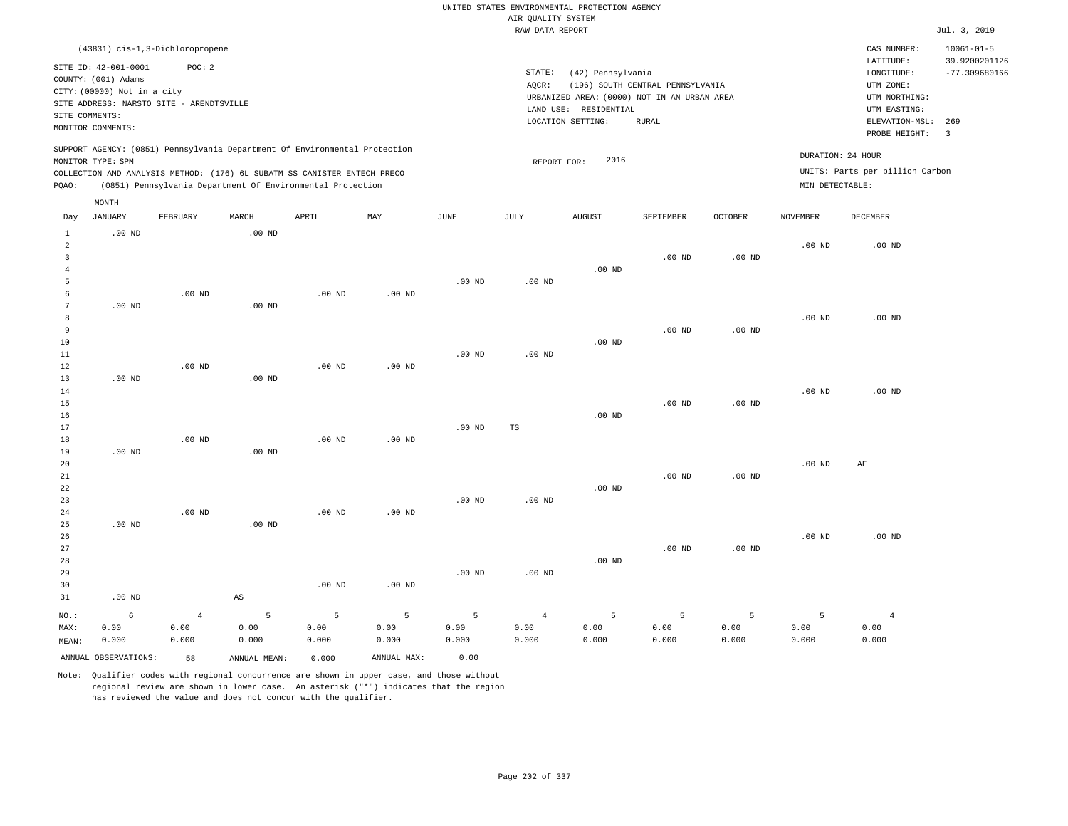|                         |                             |                                          |                        |                                                                                                                                        |                   |                   |                    | UNITED STATES ENVIRONMENTAL PROTECTION AGENCY |                                  |                   |                   |                                 |                         |
|-------------------------|-----------------------------|------------------------------------------|------------------------|----------------------------------------------------------------------------------------------------------------------------------------|-------------------|-------------------|--------------------|-----------------------------------------------|----------------------------------|-------------------|-------------------|---------------------------------|-------------------------|
|                         |                             |                                          |                        |                                                                                                                                        |                   |                   | AIR OUALITY SYSTEM |                                               |                                  |                   |                   |                                 |                         |
|                         |                             |                                          |                        |                                                                                                                                        |                   |                   | RAW DATA REPORT    |                                               |                                  |                   |                   |                                 | Jul. 3, 2019            |
|                         |                             | (43831) cis-1,3-Dichloropropene          |                        |                                                                                                                                        |                   |                   |                    |                                               |                                  |                   |                   | CAS NUMBER:                     | $10061 - 01 - 5$        |
|                         | SITE ID: 42-001-0001        | POC: 2                                   |                        |                                                                                                                                        |                   |                   |                    |                                               |                                  |                   |                   | LATITUDE:                       | 39.9200201126           |
|                         | COUNTY: (001) Adams         |                                          |                        |                                                                                                                                        |                   |                   | STATE:             | (42) Pennsylvania                             |                                  |                   |                   | LONGITUDE:                      | $-77.309680166$         |
|                         | CITY: (00000) Not in a city |                                          |                        |                                                                                                                                        |                   |                   | AQCR:              | URBANIZED AREA: (0000) NOT IN AN URBAN AREA   | (196) SOUTH CENTRAL PENNSYLVANIA |                   |                   | UTM ZONE:<br>UTM NORTHING:      |                         |
|                         |                             | SITE ADDRESS: NARSTO SITE - ARENDTSVILLE |                        |                                                                                                                                        |                   |                   |                    | LAND USE: RESIDENTIAL                         |                                  |                   |                   | UTM EASTING:                    |                         |
| SITE COMMENTS:          |                             |                                          |                        |                                                                                                                                        |                   |                   |                    | LOCATION SETTING:                             | RURAL                            |                   |                   | ELEVATION-MSL:                  | 269                     |
|                         | MONITOR COMMENTS:           |                                          |                        |                                                                                                                                        |                   |                   |                    |                                               |                                  |                   |                   | PROBE HEIGHT:                   | $\overline{\mathbf{3}}$ |
|                         |                             |                                          |                        | SUPPORT AGENCY: (0851) Pennsylvania Department Of Environmental Protection                                                             |                   |                   |                    |                                               |                                  |                   |                   | DURATION: 24 HOUR               |                         |
|                         | MONITOR TYPE: SPM           |                                          |                        |                                                                                                                                        |                   |                   | REPORT FOR:        | 2016                                          |                                  |                   |                   |                                 |                         |
| PQAO:                   |                             |                                          |                        | COLLECTION AND ANALYSIS METHOD: (176) 6L SUBATM SS CANISTER ENTECH PRECO<br>(0851) Pennsylvania Department Of Environmental Protection |                   |                   |                    |                                               |                                  |                   | MIN DETECTABLE:   | UNITS: Parts per billion Carbon |                         |
|                         | MONTH                       |                                          |                        |                                                                                                                                        |                   |                   |                    |                                               |                                  |                   |                   |                                 |                         |
| Day                     | <b>JANUARY</b>              | FEBRUARY                                 | MARCH                  | APRIL                                                                                                                                  | MAY               | <b>JUNE</b>       | <b>JULY</b>        | <b>AUGUST</b>                                 | SEPTEMBER                        | <b>OCTOBER</b>    | <b>NOVEMBER</b>   | <b>DECEMBER</b>                 |                         |
| $\mathbf{1}$<br>2       | $.00$ ND                    |                                          | .00 <sub>ND</sub>      |                                                                                                                                        |                   |                   |                    |                                               |                                  |                   | .00 <sub>ND</sub> | $.00$ ND                        |                         |
| $\overline{\mathbf{3}}$ |                             |                                          |                        |                                                                                                                                        |                   |                   |                    |                                               | $.00$ ND                         | .00 <sub>ND</sub> |                   |                                 |                         |
| $\overline{4}$          |                             |                                          |                        |                                                                                                                                        |                   |                   |                    | .00 <sub>ND</sub>                             |                                  |                   |                   |                                 |                         |
| 5                       |                             |                                          |                        |                                                                                                                                        |                   | .00 <sub>ND</sub> | $.00$ ND           |                                               |                                  |                   |                   |                                 |                         |
| $\epsilon$              |                             | $.00$ ND                                 |                        | $.00$ ND                                                                                                                               | .00 <sub>ND</sub> |                   |                    |                                               |                                  |                   |                   |                                 |                         |
| $7\phantom{.0}$         | $.00$ ND                    |                                          | $.00$ ND               |                                                                                                                                        |                   |                   |                    |                                               |                                  |                   |                   |                                 |                         |
| 8                       |                             |                                          |                        |                                                                                                                                        |                   |                   |                    |                                               |                                  |                   | .00 <sub>ND</sub> | .00 <sub>ND</sub>               |                         |
| 9                       |                             |                                          |                        |                                                                                                                                        |                   |                   |                    |                                               | $.00$ ND                         | .00 <sub>ND</sub> |                   |                                 |                         |
| 10                      |                             |                                          |                        |                                                                                                                                        |                   |                   |                    | $.00$ ND                                      |                                  |                   |                   |                                 |                         |
| 11                      |                             |                                          |                        |                                                                                                                                        |                   | $.00$ ND          | .00 <sub>ND</sub>  |                                               |                                  |                   |                   |                                 |                         |
| 12                      |                             | $.00$ ND                                 |                        | $.00$ ND                                                                                                                               | $.00$ ND          |                   |                    |                                               |                                  |                   |                   |                                 |                         |
| 13                      | $.00$ ND                    |                                          | $.00$ ND               |                                                                                                                                        |                   |                   |                    |                                               |                                  |                   | $.00$ ND          | $.00$ ND                        |                         |
| 14<br>15                |                             |                                          |                        |                                                                                                                                        |                   |                   |                    |                                               | .00 <sub>ND</sub>                | .00 <sub>ND</sub> |                   |                                 |                         |
| 16                      |                             |                                          |                        |                                                                                                                                        |                   |                   |                    | $.00$ ND                                      |                                  |                   |                   |                                 |                         |
| 17                      |                             |                                          |                        |                                                                                                                                        |                   | .00 <sub>ND</sub> | <b>TS</b>          |                                               |                                  |                   |                   |                                 |                         |
| $1\,8$                  |                             | $.00$ ND                                 |                        | $.00$ ND                                                                                                                               | $.00$ ND          |                   |                    |                                               |                                  |                   |                   |                                 |                         |
| 19                      | $.00$ ND                    |                                          | $.00$ ND               |                                                                                                                                        |                   |                   |                    |                                               |                                  |                   |                   |                                 |                         |
| 20                      |                             |                                          |                        |                                                                                                                                        |                   |                   |                    |                                               |                                  |                   | .00 <sub>ND</sub> | AF                              |                         |
| 21                      |                             |                                          |                        |                                                                                                                                        |                   |                   |                    |                                               | $.00$ ND                         | $.00$ ND          |                   |                                 |                         |
| 22                      |                             |                                          |                        |                                                                                                                                        |                   |                   |                    | $.00$ ND                                      |                                  |                   |                   |                                 |                         |
| 23                      |                             |                                          |                        |                                                                                                                                        |                   | .00 <sub>ND</sub> | $.00$ ND           |                                               |                                  |                   |                   |                                 |                         |
| 24                      |                             | .00 <sub>ND</sub>                        |                        | $.00$ ND                                                                                                                               | .00 <sub>ND</sub> |                   |                    |                                               |                                  |                   |                   |                                 |                         |
| 25                      | $.00$ ND                    |                                          | $.00$ ND               |                                                                                                                                        |                   |                   |                    |                                               |                                  |                   |                   |                                 |                         |
| 26                      |                             |                                          |                        |                                                                                                                                        |                   |                   |                    |                                               |                                  |                   | $.00$ ND          | $.00$ ND                        |                         |
| 27                      |                             |                                          |                        |                                                                                                                                        |                   |                   |                    |                                               | $.00$ ND                         | .00 <sub>ND</sub> |                   |                                 |                         |
| 28                      |                             |                                          |                        |                                                                                                                                        |                   |                   |                    | $.00$ ND                                      |                                  |                   |                   |                                 |                         |
| 29                      |                             |                                          |                        |                                                                                                                                        |                   | .00 <sub>ND</sub> | $.00$ ND           |                                               |                                  |                   |                   |                                 |                         |
| 30                      |                             |                                          |                        | $.00$ ND                                                                                                                               | $.00$ ND          |                   |                    |                                               |                                  |                   |                   |                                 |                         |
| 31                      | $.00$ ND                    |                                          | $\mathbb{A}\mathbb{S}$ |                                                                                                                                        |                   |                   |                    |                                               |                                  |                   |                   |                                 |                         |
| NO.:                    | 6                           | $\overline{4}$                           | 5                      | $\overline{5}$                                                                                                                         | $\overline{5}$    | 5                 | $\overline{4}$     | 5                                             | $\overline{5}$                   | 5                 | 5                 | $\overline{4}$                  |                         |
| MAX:                    | 0.00                        | 0.00                                     | 0.00                   | 0.00                                                                                                                                   | 0.00              | 0.00              | 0.00               | 0.00                                          | 0.00                             | 0.00              | 0.00              | 0.00                            |                         |
| MEAN:                   | 0.000                       | 0.000                                    | 0.000                  | 0.000                                                                                                                                  | 0.000             | 0.000             | 0.000              | 0.000                                         | 0.000                            | 0.000             | 0.000             | 0.000                           |                         |
|                         | ANNUAL OBSERVATIONS:        | 58                                       | ANNUAL, MEAN:          | 0.000                                                                                                                                  | ANNUAL MAX:       | 0.00              |                    |                                               |                                  |                   |                   |                                 |                         |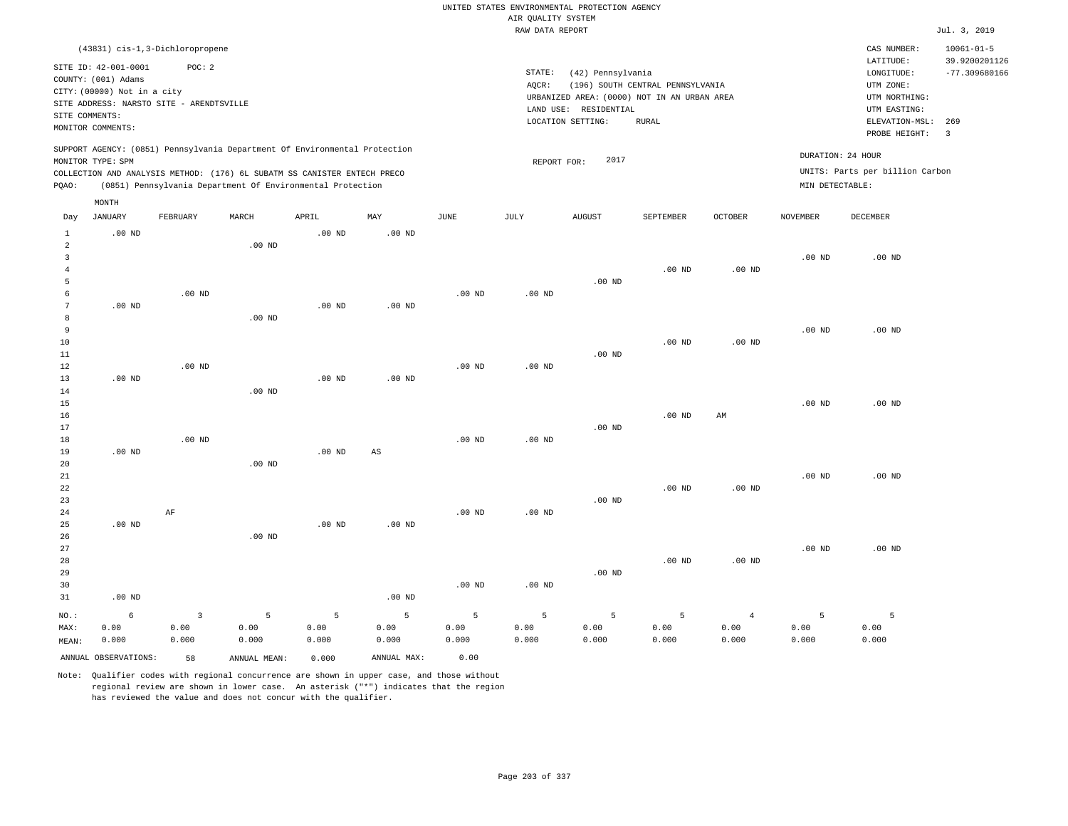|                            |                                          |                |                                                                            |                   |                        |          |                    | UNITED STATES ENVIRONMENTAL PROTECTION AGENCY |                                  |                   |                   |                                 |                                |
|----------------------------|------------------------------------------|----------------|----------------------------------------------------------------------------|-------------------|------------------------|----------|--------------------|-----------------------------------------------|----------------------------------|-------------------|-------------------|---------------------------------|--------------------------------|
|                            |                                          |                |                                                                            |                   |                        |          | AIR QUALITY SYSTEM |                                               |                                  |                   |                   |                                 |                                |
|                            |                                          |                |                                                                            |                   |                        |          | RAW DATA REPORT    |                                               |                                  |                   |                   |                                 | Jul. 3, 2019                   |
|                            | (43831) cis-1,3-Dichloropropene          |                |                                                                            |                   |                        |          |                    |                                               |                                  |                   |                   | CAS NUMBER:                     | $10061 - 01 - 5$               |
|                            | SITE ID: 42-001-0001                     | POC: 2         |                                                                            |                   |                        |          |                    |                                               |                                  |                   |                   | LATITUDE:                       | 39.9200201126                  |
|                            | COUNTY: (001) Adams                      |                |                                                                            |                   |                        |          | STATE:             | (42) Pennsylvania                             |                                  |                   |                   | LONGITUDE:                      | $-77.309680166$                |
|                            | CITY: (00000) Not in a city              |                |                                                                            |                   |                        |          | AQCR:              |                                               | (196) SOUTH CENTRAL PENNSYLVANIA |                   |                   | UTM ZONE:                       |                                |
|                            | SITE ADDRESS: NARSTO SITE - ARENDTSVILLE |                |                                                                            |                   |                        |          |                    | URBANIZED AREA: (0000) NOT IN AN URBAN AREA   |                                  |                   |                   | UTM NORTHING:                   |                                |
| SITE COMMENTS:             |                                          |                |                                                                            |                   |                        |          |                    | LAND USE: RESIDENTIAL                         |                                  |                   |                   | UTM EASTING:                    |                                |
|                            | MONITOR COMMENTS:                        |                |                                                                            |                   |                        |          |                    | LOCATION SETTING:                             | RURAL                            |                   |                   | ELEVATION-MSL:<br>PROBE HEIGHT: | 269<br>$\overline{\mathbf{3}}$ |
|                            |                                          |                | SUPPORT AGENCY: (0851) Pennsylvania Department Of Environmental Protection |                   |                        |          |                    |                                               |                                  |                   |                   |                                 |                                |
|                            | MONITOR TYPE: SPM                        |                |                                                                            |                   |                        |          | REPORT FOR:        | 2017                                          |                                  |                   |                   | DURATION: 24 HOUR               |                                |
|                            |                                          |                | COLLECTION AND ANALYSIS METHOD: (176) 6L SUBATM SS CANISTER ENTECH PRECO   |                   |                        |          |                    |                                               |                                  |                   |                   | UNITS: Parts per billion Carbon |                                |
| PQAO:                      |                                          |                | (0851) Pennsylvania Department Of Environmental Protection                 |                   |                        |          |                    |                                               |                                  |                   | MIN DETECTABLE:   |                                 |                                |
|                            | MONTH                                    |                |                                                                            |                   |                        |          |                    |                                               |                                  |                   |                   |                                 |                                |
| Day                        | <b>JANUARY</b>                           | FEBRUARY       | MARCH                                                                      | APRIL             | MAY                    | JUNE     | JULY               | ${\tt AUGUST}$                                | SEPTEMBER                        | OCTOBER           | <b>NOVEMBER</b>   | DECEMBER                        |                                |
| $\mathbf{1}$               | $.00$ ND                                 |                |                                                                            | $.00$ ND          | $.00$ ND               |          |                    |                                               |                                  |                   |                   |                                 |                                |
| $\overline{a}$             |                                          |                | .00 <sub>ND</sub>                                                          |                   |                        |          |                    |                                               |                                  |                   |                   |                                 |                                |
| $\overline{3}$<br>$\bf{4}$ |                                          |                |                                                                            |                   |                        |          |                    |                                               | $.00$ ND                         | $.00$ ND          | $.00$ ND          | $.00$ ND                        |                                |
| 5                          |                                          |                |                                                                            |                   |                        |          |                    | $.00$ ND                                      |                                  |                   |                   |                                 |                                |
| 6                          |                                          | $.00$ ND       |                                                                            |                   |                        | $.00$ ND | $.00$ ND           |                                               |                                  |                   |                   |                                 |                                |
| $\overline{7}$             | $.00$ ND                                 |                |                                                                            | $.00$ ND          | $.00$ ND               |          |                    |                                               |                                  |                   |                   |                                 |                                |
| 8                          |                                          |                | $.00$ ND                                                                   |                   |                        |          |                    |                                               |                                  |                   |                   |                                 |                                |
| 9                          |                                          |                |                                                                            |                   |                        |          |                    |                                               |                                  |                   | $.00$ ND          | $.00$ ND                        |                                |
| 10                         |                                          |                |                                                                            |                   |                        |          |                    |                                               | .00 <sub>ND</sub>                | $.00$ ND          |                   |                                 |                                |
| 11                         |                                          |                |                                                                            |                   |                        |          |                    | .00 <sub>ND</sub>                             |                                  |                   |                   |                                 |                                |
| 12                         |                                          | $.00$ ND       |                                                                            |                   |                        | $.00$ ND | $.00$ ND           |                                               |                                  |                   |                   |                                 |                                |
| 13                         | $.00$ ND                                 |                |                                                                            | .00 <sub>ND</sub> | $.00$ ND               |          |                    |                                               |                                  |                   |                   |                                 |                                |
| 14                         |                                          |                | $.00$ ND                                                                   |                   |                        |          |                    |                                               |                                  |                   | .00 <sub>ND</sub> | $.00$ ND                        |                                |
| 15<br>16                   |                                          |                |                                                                            |                   |                        |          |                    |                                               | $.00$ ND                         | AM                |                   |                                 |                                |
| 17                         |                                          |                |                                                                            |                   |                        |          |                    | $.00$ ND                                      |                                  |                   |                   |                                 |                                |
| 18                         |                                          | $.00$ ND       |                                                                            |                   |                        | $.00$ ND | $.00$ ND           |                                               |                                  |                   |                   |                                 |                                |
| 19                         | $.00$ ND                                 |                |                                                                            | .00 <sub>ND</sub> | $\mathbb{A}\mathbb{S}$ |          |                    |                                               |                                  |                   |                   |                                 |                                |
| 20                         |                                          |                | $.00$ ND                                                                   |                   |                        |          |                    |                                               |                                  |                   |                   |                                 |                                |
| 21                         |                                          |                |                                                                            |                   |                        |          |                    |                                               |                                  |                   | $.00$ ND          | .00 <sub>ND</sub>               |                                |
| 22                         |                                          |                |                                                                            |                   |                        |          |                    |                                               | $.00$ ND                         | $.00$ ND          |                   |                                 |                                |
| 23                         |                                          |                |                                                                            |                   |                        |          |                    | $.00$ ND                                      |                                  |                   |                   |                                 |                                |
| 24                         | $.00$ ND                                 | AF             |                                                                            | .00 <sub>ND</sub> |                        | $.00$ ND | $.00$ ND           |                                               |                                  |                   |                   |                                 |                                |
| 25<br>26                   |                                          |                | .00 <sub>ND</sub>                                                          |                   | .00 <sub>ND</sub>      |          |                    |                                               |                                  |                   |                   |                                 |                                |
| 27                         |                                          |                |                                                                            |                   |                        |          |                    |                                               |                                  |                   | $.00$ ND          | $.00$ ND                        |                                |
| 28                         |                                          |                |                                                                            |                   |                        |          |                    |                                               | .00 <sub>ND</sub>                | .00 <sub>ND</sub> |                   |                                 |                                |
| 29                         |                                          |                |                                                                            |                   |                        |          |                    | $.00$ ND                                      |                                  |                   |                   |                                 |                                |
| 30                         |                                          |                |                                                                            |                   |                        | $.00$ ND | $.00$ ND           |                                               |                                  |                   |                   |                                 |                                |
| 31                         | $.00$ ND                                 |                |                                                                            |                   | $.00$ ND               |          |                    |                                               |                                  |                   |                   |                                 |                                |
| NO.:                       | 6                                        | $\overline{3}$ | 5                                                                          | 5                 | 5                      | 5        | 5                  | 5                                             | 5                                | $\overline{4}$    | 5                 | $\overline{5}$                  |                                |
| MAX:                       | 0.00                                     | 0.00           | 0.00                                                                       | 0.00              | 0.00                   | 0.00     | 0.00               | 0.00                                          | 0.00                             | 0.00              | 0.00              | 0.00                            |                                |
| MEAN:                      | 0.000                                    | 0.000          | 0.000                                                                      | 0.000             | 0.000                  | 0.000    | 0.000              | 0.000                                         | 0.000                            | 0.000             | 0.000             | 0.000                           |                                |
|                            | ANNUAL OBSERVATIONS:                     | 58             | ANNUAL, MEAN:                                                              | 0.000             | ANNUAL MAX:            | 0.00     |                    |                                               |                                  |                   |                   |                                 |                                |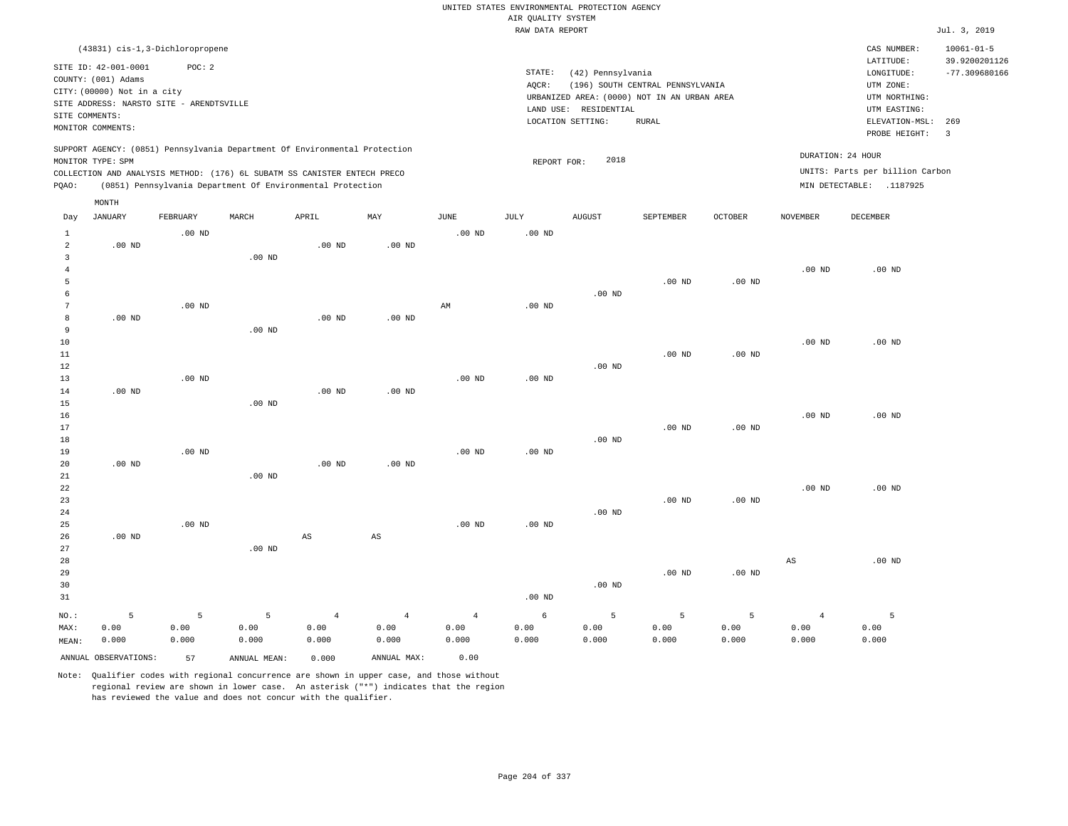|                     |                                          |                   |                                                                            |                |                        |                        |                    | UNITED STATES ENVIRONMENTAL PROTECTION AGENCY |                                             |          |                   |                                 |                                |
|---------------------|------------------------------------------|-------------------|----------------------------------------------------------------------------|----------------|------------------------|------------------------|--------------------|-----------------------------------------------|---------------------------------------------|----------|-------------------|---------------------------------|--------------------------------|
|                     |                                          |                   |                                                                            |                |                        |                        | AIR QUALITY SYSTEM |                                               |                                             |          |                   |                                 |                                |
|                     |                                          |                   |                                                                            |                |                        |                        | RAW DATA REPORT    |                                               |                                             |          |                   |                                 | Jul. 3, 2019                   |
|                     | (43831) cis-1,3-Dichloropropene          |                   |                                                                            |                |                        |                        |                    |                                               |                                             |          |                   | CAS NUMBER:                     | $10061 - 01 - 5$               |
|                     | SITE ID: 42-001-0001                     | POC: 2            |                                                                            |                |                        |                        |                    |                                               |                                             |          |                   | LATITUDE:                       | 39.9200201126                  |
|                     | COUNTY: (001) Adams                      |                   |                                                                            |                |                        |                        | STATE:             | (42) Pennsylvania                             |                                             |          |                   | LONGITUDE:                      | $-77.309680166$                |
|                     | CITY: (00000) Not in a city              |                   |                                                                            |                |                        |                        | AQCR:              |                                               | (196) SOUTH CENTRAL PENNSYLVANIA            |          |                   | UTM ZONE:                       |                                |
|                     | SITE ADDRESS: NARSTO SITE - ARENDTSVILLE |                   |                                                                            |                |                        |                        |                    |                                               | URBANIZED AREA: (0000) NOT IN AN URBAN AREA |          |                   | UTM NORTHING:                   |                                |
| SITE COMMENTS:      |                                          |                   |                                                                            |                |                        |                        |                    | LAND USE: RESIDENTIAL                         |                                             |          |                   | UTM EASTING:                    |                                |
|                     | MONITOR COMMENTS:                        |                   |                                                                            |                |                        |                        |                    | LOCATION SETTING:                             | <b>RURAL</b>                                |          |                   | ELEVATION-MSL:<br>PROBE HEIGHT: | 269<br>$\overline{\mathbf{3}}$ |
|                     |                                          |                   | SUPPORT AGENCY: (0851) Pennsylvania Department Of Environmental Protection |                |                        |                        |                    | 2018                                          |                                             |          |                   | DURATION: 24 HOUR               |                                |
|                     | MONITOR TYPE: SPM                        |                   | COLLECTION AND ANALYSIS METHOD: (176) 6L SUBATM SS CANISTER ENTECH PRECO   |                |                        |                        | REPORT FOR:        |                                               |                                             |          |                   | UNITS: Parts per billion Carbon |                                |
| PQAO:               |                                          |                   | (0851) Pennsylvania Department Of Environmental Protection                 |                |                        |                        |                    |                                               |                                             |          |                   | MIN DETECTABLE: .1187925        |                                |
|                     | MONTH                                    |                   |                                                                            |                |                        |                        |                    |                                               |                                             |          |                   |                                 |                                |
| Day                 | <b>JANUARY</b>                           | FEBRUARY          | MARCH                                                                      | APRIL          | MAY                    | <b>JUNE</b>            | <b>JULY</b>        | <b>AUGUST</b>                                 | SEPTEMBER                                   | OCTOBER  | NOVEMBER          | DECEMBER                        |                                |
| $\mathbf{1}$        |                                          | $.00$ ND          |                                                                            |                |                        | $.00$ ND               | .00 <sub>ND</sub>  |                                               |                                             |          |                   |                                 |                                |
| $\overline{a}$      | $.00$ ND                                 |                   |                                                                            | $.00$ ND       | $.00$ ND               |                        |                    |                                               |                                             |          |                   |                                 |                                |
| $\mathbf{3}$        |                                          |                   | $.00$ ND                                                                   |                |                        |                        |                    |                                               |                                             |          |                   |                                 |                                |
| $\overline{4}$<br>5 |                                          |                   |                                                                            |                |                        |                        |                    |                                               | $.00$ ND                                    | $.00$ ND | .00 <sub>ND</sub> | $.00$ ND                        |                                |
| 6                   |                                          |                   |                                                                            |                |                        |                        |                    | $.00$ ND                                      |                                             |          |                   |                                 |                                |
| $\boldsymbol{7}$    |                                          | .00 <sub>ND</sub> |                                                                            |                |                        | $\mathbb{A}\mathbb{M}$ | $.00$ ND           |                                               |                                             |          |                   |                                 |                                |
| 8                   | $.00$ ND                                 |                   |                                                                            | $.00$ ND       | $.00$ ND               |                        |                    |                                               |                                             |          |                   |                                 |                                |
| 9                   |                                          |                   | $.00$ ND                                                                   |                |                        |                        |                    |                                               |                                             |          |                   |                                 |                                |
| 10                  |                                          |                   |                                                                            |                |                        |                        |                    |                                               |                                             |          | $.00$ ND          | $.00$ ND                        |                                |
| 11                  |                                          |                   |                                                                            |                |                        |                        |                    |                                               | $.00$ ND                                    | $.00$ ND |                   |                                 |                                |
| 12                  |                                          |                   |                                                                            |                |                        |                        |                    | $.00$ ND                                      |                                             |          |                   |                                 |                                |
| 13                  |                                          | $.00$ ND          |                                                                            |                |                        | $.00$ ND               | $.00$ ND           |                                               |                                             |          |                   |                                 |                                |
| 14                  | $.00$ ND                                 |                   |                                                                            | $.00$ ND       | $.00$ ND               |                        |                    |                                               |                                             |          |                   |                                 |                                |
| 15                  |                                          |                   | $.00$ ND                                                                   |                |                        |                        |                    |                                               |                                             |          |                   |                                 |                                |
| 16                  |                                          |                   |                                                                            |                |                        |                        |                    |                                               |                                             |          | $.00$ ND          | $.00$ ND                        |                                |
| 17                  |                                          |                   |                                                                            |                |                        |                        |                    |                                               | $.00$ ND                                    | $.00$ ND |                   |                                 |                                |
| 18<br>19            |                                          | $.00$ ND          |                                                                            |                |                        | $.00$ ND               | $.00$ ND           | $.00$ ND                                      |                                             |          |                   |                                 |                                |
| 20                  | $.00$ ND                                 |                   |                                                                            | $.00$ ND       | $.00$ ND               |                        |                    |                                               |                                             |          |                   |                                 |                                |
| 21                  |                                          |                   | .00 <sub>ND</sub>                                                          |                |                        |                        |                    |                                               |                                             |          |                   |                                 |                                |
| 22                  |                                          |                   |                                                                            |                |                        |                        |                    |                                               |                                             |          | .00 <sub>ND</sub> | $.00$ ND                        |                                |
| 23                  |                                          |                   |                                                                            |                |                        |                        |                    |                                               | $.00$ ND                                    | $.00$ ND |                   |                                 |                                |
| 24                  |                                          |                   |                                                                            |                |                        |                        |                    | .00 <sub>ND</sub>                             |                                             |          |                   |                                 |                                |
| 25                  |                                          | $.00$ ND          |                                                                            |                |                        | $.00$ ND               | $.00$ ND           |                                               |                                             |          |                   |                                 |                                |
| 26                  | $.00$ ND                                 |                   |                                                                            | AS             | $\mathbb{A}\mathbb{S}$ |                        |                    |                                               |                                             |          |                   |                                 |                                |
| 27                  |                                          |                   | $.00$ ND                                                                   |                |                        |                        |                    |                                               |                                             |          |                   |                                 |                                |
| 28                  |                                          |                   |                                                                            |                |                        |                        |                    |                                               |                                             |          | AS                | $.00$ ND                        |                                |
| 29                  |                                          |                   |                                                                            |                |                        |                        |                    |                                               | $.00$ ND                                    | $.00$ ND |                   |                                 |                                |
| 30                  |                                          |                   |                                                                            |                |                        |                        |                    | .00 <sub>ND</sub>                             |                                             |          |                   |                                 |                                |
| 31                  |                                          |                   |                                                                            |                |                        |                        | .00 <sub>ND</sub>  |                                               |                                             |          |                   |                                 |                                |
| NO.:                | 5                                        | 5                 | $\overline{5}$                                                             | $\overline{4}$ | $\overline{4}$         | $\overline{4}$         | 6                  | 5                                             | 5                                           | 5        | $\overline{4}$    | 5                               |                                |
| MAX:                | 0.00                                     | 0.00              | 0.00                                                                       | 0.00           | 0.00                   | 0.00                   | 0.00               | 0.00                                          | 0.00                                        | 0.00     | 0.00              | 0.00                            |                                |
| MEAN:               | 0.000                                    | 0.000             | 0.000                                                                      | 0.000          | 0.000                  | 0.000                  | 0.000              | 0.000                                         | 0.000                                       | 0.000    | 0.000             | 0.000                           |                                |
|                     | ANNUAL OBSERVATIONS:                     | 57                | ANNUAL MEAN:                                                               | 0.000          | ANNUAL MAX:            | 0.00                   |                    |                                               |                                             |          |                   |                                 |                                |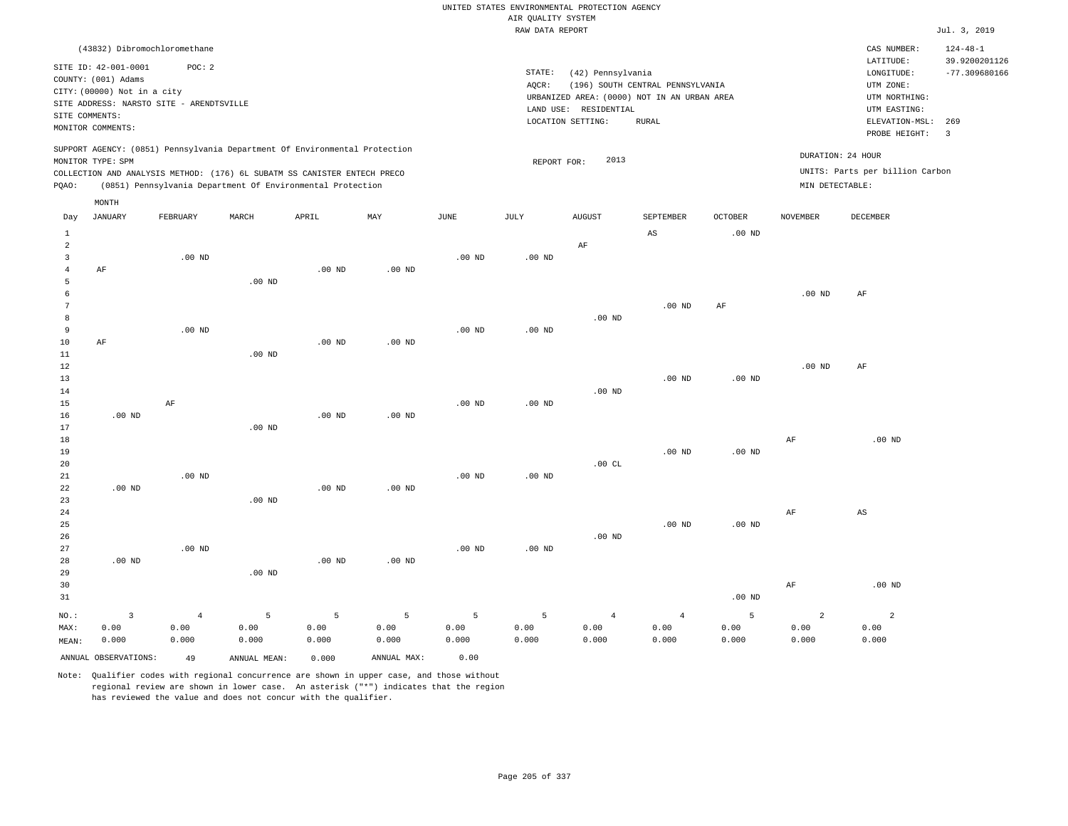RAW DATA REPORT Jul. 3, 2019 UNITED STATES ENVIRONMENTAL PROTECTION AGENCY AIR QUALITY SYSTEM

| (43832) Dibromochloromethane                                               |                                             | CAS NUMBER:                     | $124 - 48 - 1$  |
|----------------------------------------------------------------------------|---------------------------------------------|---------------------------------|-----------------|
| SITE ID: 42-001-0001<br>POC: 2                                             |                                             | LATITUDE:                       | 39.9200201126   |
|                                                                            | STATE:<br>(42) Pennsylvania                 | LONGITUDE:                      | $-77.309680166$ |
| COUNTY: (001) Adams                                                        | (196) SOUTH CENTRAL PENNSYLVANIA<br>AOCR:   | UTM ZONE:                       |                 |
| CITY: (00000) Not in a city                                                | URBANIZED AREA: (0000) NOT IN AN URBAN AREA | UTM NORTHING:                   |                 |
| SITE ADDRESS: NARSTO SITE - ARENDTSVILLE                                   | LAND USE: RESIDENTIAL                       | UTM EASTING:                    |                 |
| SITE COMMENTS:                                                             | LOCATION SETTING:<br>RURAL                  | ELEVATION-MSL: 269              |                 |
| MONITOR COMMENTS:                                                          |                                             | PROBE HEIGHT:                   |                 |
| SUPPORT AGENCY: (0851) Pennsylvania Department Of Environmental Protection |                                             | DURATION: 24 HOUR               |                 |
| MONITOR TYPE: SPM                                                          | 2013<br>REPORT FOR:                         |                                 |                 |
| COLLECTION AND ANALYSIS METHOD: (176) 6L SUBATM SS CANISTER ENTECH PRECO   |                                             | UNITS: Parts per billion Carbon |                 |

PQAO: (0851) Pennsylvania Department Of Environmental Protection MIN DETECTABLE:

|                | $\texttt{MONTH}$     |                |              |                   |             |          |          |                |             |                   |                |          |
|----------------|----------------------|----------------|--------------|-------------------|-------------|----------|----------|----------------|-------------|-------------------|----------------|----------|
| Day            | JANUARY              | FEBRUARY       | MARCH        | APRIL             | MAY         | JUNE     | JULY     | <b>AUGUST</b>  | SEPTEMBER   | OCTOBER           | NOVEMBER       | DECEMBER |
| $\mathbf{1}$   |                      |                |              |                   |             |          |          |                | $_{\rm AS}$ | $.00$ ND          |                |          |
| $\overline{a}$ |                      |                |              |                   |             |          |          | $\rm{AF}$      |             |                   |                |          |
| 3              |                      | $.00$ ND       |              |                   |             | $.00$ ND | $.00$ ND |                |             |                   |                |          |
| $\overline{4}$ | AF                   |                |              | .00 <sub>ND</sub> | $.00$ ND    |          |          |                |             |                   |                |          |
| 5              |                      |                | $.00$ ND     |                   |             |          |          |                |             |                   |                |          |
| 6              |                      |                |              |                   |             |          |          |                |             |                   | $.00$ ND       | AF       |
| 7              |                      |                |              |                   |             |          |          |                | $.00$ ND    | $\rm{AF}$         |                |          |
| 8              |                      |                |              |                   |             |          |          | $.00$ ND       |             |                   |                |          |
| 9              |                      | $.00$ ND       |              |                   |             | $.00$ ND | .00 $ND$ |                |             |                   |                |          |
| $10$           | $\rm{AF}$            |                |              | .00 <sub>ND</sub> | $.00$ ND    |          |          |                |             |                   |                |          |
| $11\,$         |                      |                | $.00$ ND     |                   |             |          |          |                |             |                   |                |          |
| $12$           |                      |                |              |                   |             |          |          |                |             |                   | $.00$ ND       | AF       |
| 13             |                      |                |              |                   |             |          |          |                | $.00$ ND    | .00 <sub>ND</sub> |                |          |
| 14             |                      |                |              |                   |             |          |          | $.00$ ND       |             |                   |                |          |
| 15             |                      | $\rm AF$       |              |                   |             | $.00$ ND | $.00$ ND |                |             |                   |                |          |
| 16             | $.00$ ND             |                |              | .00 <sub>ND</sub> | $.00$ ND    |          |          |                |             |                   |                |          |
| 17             |                      |                | $.00$ ND     |                   |             |          |          |                |             |                   |                |          |
| 18             |                      |                |              |                   |             |          |          |                |             |                   | $\rm{AF}$      | $.00$ ND |
| 19             |                      |                |              |                   |             |          |          |                | $.00$ ND    | $.00$ ND          |                |          |
| 20             |                      |                |              |                   |             |          |          | .00CL          |             |                   |                |          |
| 21             |                      | $.00$ ND       |              |                   |             | $.00$ ND | $.00$ ND |                |             |                   |                |          |
| 22             | $.00$ ND             |                |              | .00 <sub>ND</sub> | $.00$ ND    |          |          |                |             |                   |                |          |
| 23             |                      |                | $.00$ ND     |                   |             |          |          |                |             |                   |                |          |
| 24             |                      |                |              |                   |             |          |          |                |             |                   | $\rm{AF}$      | AS       |
| 25             |                      |                |              |                   |             |          |          | $.00$ ND       | $.00$ ND    | .00 <sub>ND</sub> |                |          |
| 26<br>27       |                      | $.00$ ND       |              |                   |             | $.00$ ND | .00 $ND$ |                |             |                   |                |          |
| 28             | $.00$ ND             |                |              | .00 <sub>ND</sub> | $.00$ ND    |          |          |                |             |                   |                |          |
| 29             |                      |                | $.00$ ND     |                   |             |          |          |                |             |                   |                |          |
| 30             |                      |                |              |                   |             |          |          |                |             |                   | $\rm{AF}$      | $.00$ ND |
| 31             |                      |                |              |                   |             |          |          |                |             | .00 $ND$          |                |          |
|                |                      |                |              |                   |             |          |          |                |             |                   |                |          |
| $NO.$ :        | $\overline{3}$       | $\overline{4}$ | 5            | 5                 | 5           | 5        | 5        | $\overline{4}$ | $\sqrt{4}$  | 5                 | $\overline{a}$ | 2        |
| MAX:           | 0.00                 | 0.00           | 0.00         | 0.00              | 0.00        | 0.00     | 0.00     | 0.00           | 0.00        | 0.00              | 0.00           | 0.00     |
| MEAN:          | 0.000                | 0.000          | 0.000        | 0.000             | 0.000       | 0.000    | 0.000    | 0.000          | 0.000       | 0.000             | 0.000          | 0.000    |
|                | ANNUAL OBSERVATIONS: | 49             | ANNUAL MEAN: | 0.000             | ANNUAL MAX: | 0.00     |          |                |             |                   |                |          |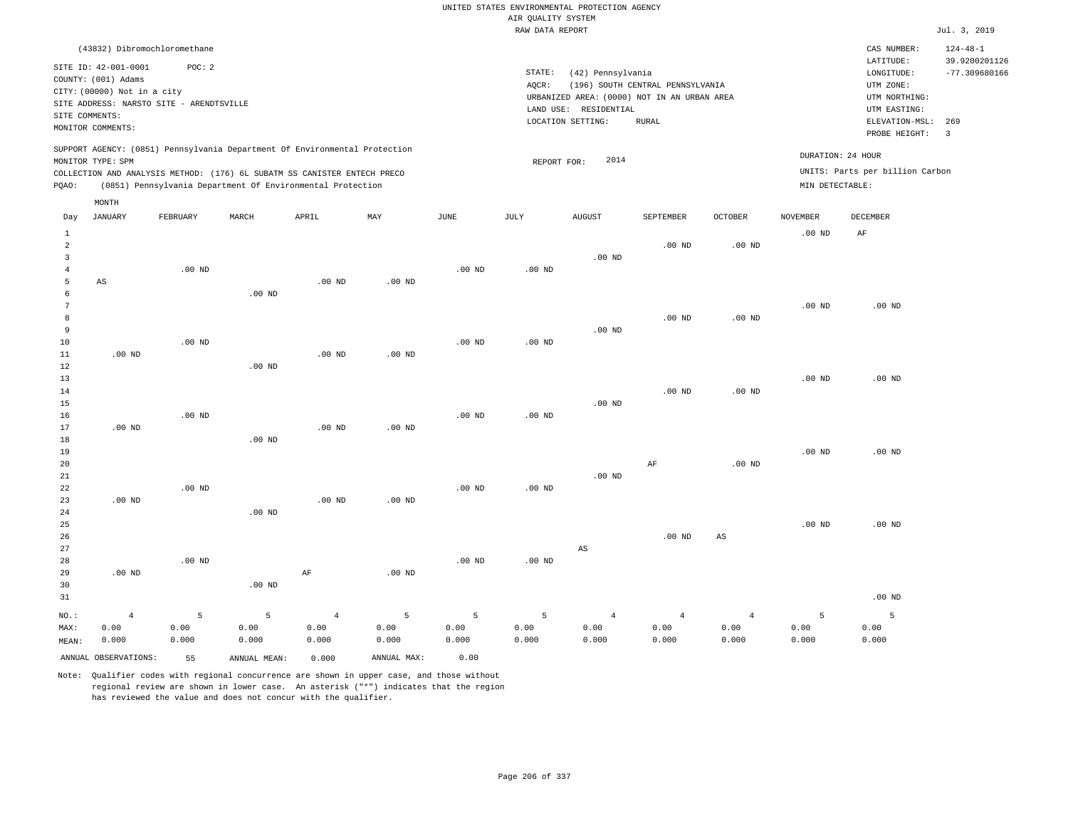|                |                                    |                                          |           |                                                                            |                   |                   |                    | UNITED STATES ENVIRONMENTAL PROTECTION AGENCY                        |                                  |                        |                   |                                 |                 |
|----------------|------------------------------------|------------------------------------------|-----------|----------------------------------------------------------------------------|-------------------|-------------------|--------------------|----------------------------------------------------------------------|----------------------------------|------------------------|-------------------|---------------------------------|-----------------|
|                |                                    |                                          |           |                                                                            |                   |                   | AIR QUALITY SYSTEM |                                                                      |                                  |                        |                   |                                 |                 |
|                |                                    |                                          |           |                                                                            |                   |                   | RAW DATA REPORT    |                                                                      |                                  |                        |                   |                                 | Jul. 3, 2019    |
|                |                                    | (43832) Dibromochloromethane             |           |                                                                            |                   |                   |                    |                                                                      |                                  |                        |                   | CAS NUMBER:                     | $124 - 48 - 1$  |
|                | SITE ID: 42-001-0001               | POC: 2                                   |           |                                                                            |                   |                   |                    |                                                                      |                                  |                        |                   | LATITUDE:                       | 39.9200201126   |
|                | COUNTY: (001) Adams                |                                          |           |                                                                            |                   |                   | STATE:             | (42) Pennsylvania                                                    |                                  |                        |                   | LONGITUDE:                      | $-77.309680166$ |
|                | CITY: (00000) Not in a city        |                                          |           |                                                                            |                   |                   | AOCR:              |                                                                      | (196) SOUTH CENTRAL PENNSYLVANIA |                        |                   | UTM ZONE:                       |                 |
|                |                                    | SITE ADDRESS: NARSTO SITE - ARENDTSVILLE |           |                                                                            |                   |                   |                    | URBANIZED AREA: (0000) NOT IN AN URBAN AREA<br>LAND USE: RESIDENTIAL |                                  |                        |                   | UTM NORTHING:<br>UTM EASTING:   |                 |
| SITE COMMENTS: |                                    |                                          |           |                                                                            |                   |                   |                    | LOCATION SETTING:                                                    | ${\tt RURAL}$                    |                        |                   | ELEVATION-MSL:                  | 269             |
|                | MONITOR COMMENTS:                  |                                          |           |                                                                            |                   |                   |                    |                                                                      |                                  |                        |                   | PROBE HEIGHT:                   | $\overline{3}$  |
|                |                                    |                                          |           | SUPPORT AGENCY: (0851) Pennsylvania Department Of Environmental Protection |                   |                   |                    |                                                                      |                                  |                        |                   |                                 |                 |
|                | MONITOR TYPE: SPM                  |                                          |           |                                                                            |                   |                   | REPORT FOR:        | 2014                                                                 |                                  |                        | DURATION: 24 HOUR |                                 |                 |
|                |                                    |                                          |           | COLLECTION AND ANALYSIS METHOD: (176) 6L SUBATM SS CANISTER ENTECH PRECO   |                   |                   |                    |                                                                      |                                  |                        |                   | UNITS: Parts per billion Carbon |                 |
| PQAO:          |                                    |                                          |           | (0851) Pennsylvania Department Of Environmental Protection                 |                   |                   |                    |                                                                      |                                  |                        | MIN DETECTABLE:   |                                 |                 |
| Day            | $\texttt{MONTH}$<br><b>JANUARY</b> | FEBRUARY                                 | MARCH     | APRIL                                                                      | MAY               | JUNE              | JULY               | <b>AUGUST</b>                                                        | SEPTEMBER                        | OCTOBER                | <b>NOVEMBER</b>   | <b>DECEMBER</b>                 |                 |
| $\mathbf{1}$   |                                    |                                          |           |                                                                            |                   |                   |                    |                                                                      |                                  |                        | $.00$ ND          | AF                              |                 |
| $\overline{a}$ |                                    |                                          |           |                                                                            |                   |                   |                    |                                                                      | .00 <sub>ND</sub>                | .00 <sub>ND</sub>      |                   |                                 |                 |
| $\overline{3}$ |                                    |                                          |           |                                                                            |                   |                   |                    | $.00$ ND                                                             |                                  |                        |                   |                                 |                 |
| $\overline{4}$ |                                    | $.00$ ND                                 |           |                                                                            |                   | $.00$ ND          | $.00$ ND           |                                                                      |                                  |                        |                   |                                 |                 |
| 5              | AS                                 |                                          |           | .00 <sub>ND</sub>                                                          | $.00$ ND          |                   |                    |                                                                      |                                  |                        |                   |                                 |                 |
| 6              |                                    |                                          | $.00$ ND  |                                                                            |                   |                   |                    |                                                                      |                                  |                        |                   |                                 |                 |
| 7              |                                    |                                          |           |                                                                            |                   |                   |                    |                                                                      |                                  |                        | $.00$ ND          | $.00$ ND                        |                 |
| 8              |                                    |                                          |           |                                                                            |                   |                   |                    |                                                                      | $.00$ ND                         | $.00$ ND               |                   |                                 |                 |
| 9<br>10        |                                    | .00 <sub>ND</sub>                        |           |                                                                            |                   | $.00$ ND          | $.00$ ND           | $.00$ ND                                                             |                                  |                        |                   |                                 |                 |
| 11             | $.00$ ND                           |                                          |           | .00 <sub>ND</sub>                                                          | .00 <sub>ND</sub> |                   |                    |                                                                      |                                  |                        |                   |                                 |                 |
| 12             |                                    |                                          | $.00$ ND  |                                                                            |                   |                   |                    |                                                                      |                                  |                        |                   |                                 |                 |
| 13             |                                    |                                          |           |                                                                            |                   |                   |                    |                                                                      |                                  |                        | $.00$ ND          | $.00$ ND                        |                 |
| 14             |                                    |                                          |           |                                                                            |                   |                   |                    |                                                                      | $.00$ ND                         | $.00$ ND               |                   |                                 |                 |
| 15             |                                    |                                          |           |                                                                            |                   |                   |                    | .00 <sub>ND</sub>                                                    |                                  |                        |                   |                                 |                 |
| 16             |                                    | $.00$ ND                                 |           |                                                                            |                   | $.00$ ND          | $.00$ ND           |                                                                      |                                  |                        |                   |                                 |                 |
| 17             | .00 <sub>ND</sub>                  |                                          |           | .00 <sub>ND</sub>                                                          | .00 <sub>ND</sub> |                   |                    |                                                                      |                                  |                        |                   |                                 |                 |
| 18             |                                    |                                          | $.00$ ND  |                                                                            |                   |                   |                    |                                                                      |                                  |                        |                   | $.00$ ND                        |                 |
| 19<br>20       |                                    |                                          |           |                                                                            |                   |                   |                    |                                                                      | AF                               | .00 <sub>ND</sub>      | $.00$ ND          |                                 |                 |
| 21             |                                    |                                          |           |                                                                            |                   |                   |                    | $.00$ ND                                                             |                                  |                        |                   |                                 |                 |
| 22             |                                    | $.00$ ND                                 |           |                                                                            |                   | .00 <sub>ND</sub> | .00 <sub>ND</sub>  |                                                                      |                                  |                        |                   |                                 |                 |
| 23             | $.00$ ND                           |                                          |           | $.00$ ND                                                                   | .00 <sub>ND</sub> |                   |                    |                                                                      |                                  |                        |                   |                                 |                 |
| 24             |                                    |                                          | $.00$ ND  |                                                                            |                   |                   |                    |                                                                      |                                  |                        |                   |                                 |                 |
| 25             |                                    |                                          |           |                                                                            |                   |                   |                    |                                                                      |                                  |                        | $.00$ ND          | $.00$ ND                        |                 |
| 26             |                                    |                                          |           |                                                                            |                   |                   |                    |                                                                      | .00 <sub>ND</sub>                | AS                     |                   |                                 |                 |
| 27             |                                    |                                          |           |                                                                            |                   |                   |                    | AS                                                                   |                                  |                        |                   |                                 |                 |
| 28             |                                    | $.00$ ND                                 |           |                                                                            |                   | $.00$ ND          | $.00$ ND           |                                                                      |                                  |                        |                   |                                 |                 |
| 29<br>30       | $.00$ ND                           |                                          | $.00$ ND  | $\rm AF$                                                                   | $.00$ ND          |                   |                    |                                                                      |                                  |                        |                   |                                 |                 |
| 31             |                                    |                                          |           |                                                                            |                   |                   |                    |                                                                      |                                  |                        |                   | $.00$ ND                        |                 |
|                |                                    |                                          |           |                                                                            |                   |                   |                    |                                                                      |                                  |                        |                   |                                 |                 |
| NO.:<br>MAX:   | $\overline{4}$<br>0.00             | 5<br>0.00                                | 5<br>0.00 | $\overline{4}$<br>0.00                                                     | 5<br>0.00         | 5<br>0.00         | 5<br>0.00          | $\overline{4}$<br>0.00                                               | $\overline{4}$<br>0.00           | $\overline{4}$<br>0.00 | 5<br>0.00         | 5<br>0.00                       |                 |
| MEAN:          | 0.000                              | 0.000                                    | 0.000     | 0.000                                                                      | 0.000             | 0.000             | 0.000              | 0.000                                                                | 0.000                            | 0.000                  | 0.000             | 0.000                           |                 |
|                |                                    |                                          |           |                                                                            |                   |                   |                    |                                                                      |                                  |                        |                   |                                 |                 |

ANNUAL OBSERVATIONS: 55 ANNUAL MEAN: 0.000 ANNUAL MAX: 0.00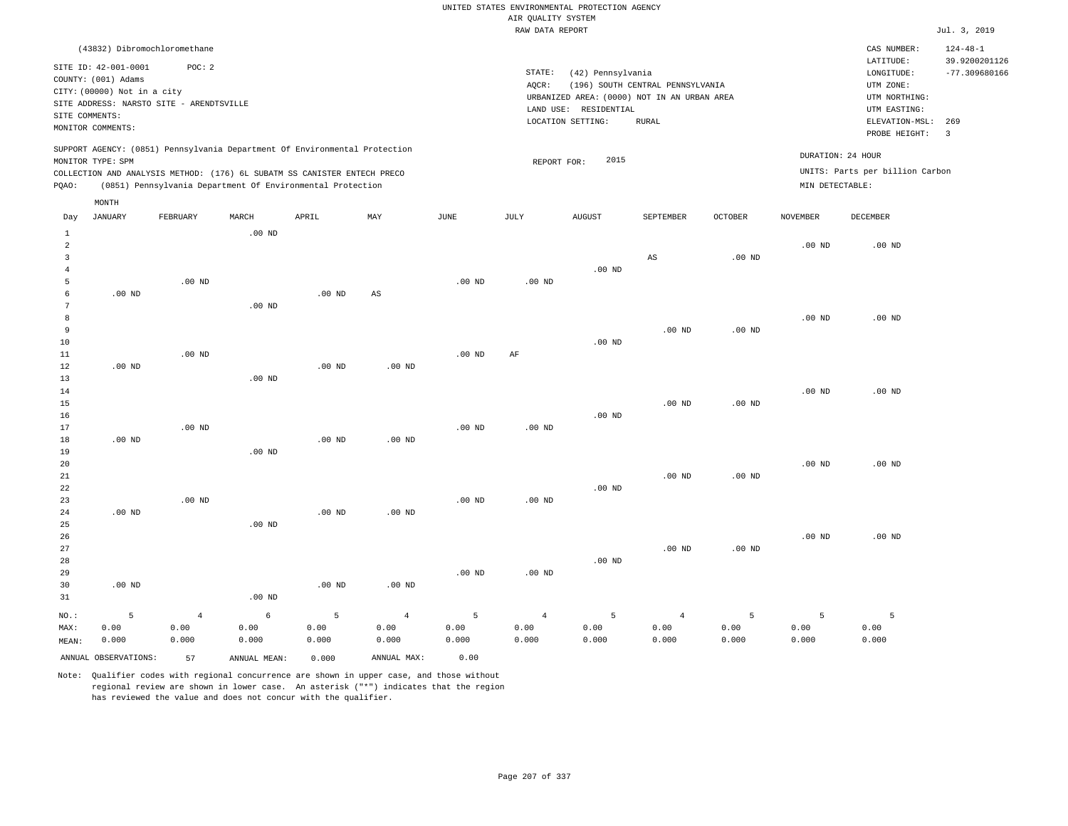## RAW DATA REPORT JUL. 3, 2019 UNITED STATES ENVIRONMENTAL PROTECTION AGENCY AIR QUALITY SYSTEM

|                                                                                                                                        | CAS NUMBER:<br>LATITUDE:                                                      | $124 - 48 - 1$<br>39.9200201126                                                                            |
|----------------------------------------------------------------------------------------------------------------------------------------|-------------------------------------------------------------------------------|------------------------------------------------------------------------------------------------------------|
|                                                                                                                                        |                                                                               |                                                                                                            |
| (196) SOUTH CENTRAL PENNSYLVANIA<br>URBANIZED AREA: (0000) NOT IN AN URBAN AREA<br>LAND USE: RESIDENTIAL<br>LOCATION SETTING:<br>RURAL | UTM ZONE:<br>UTM NORTHING:<br>UTM EASTING:<br>ELEVATION-MSL:<br>PROBE HEIGHT: | $-77.309680166$<br>269                                                                                     |
| 2015<br>REPORT FOR:                                                                                                                    |                                                                               |                                                                                                            |
|                                                                                                                                        |                                                                               | (42) Pennsylvania<br>LONGITUDE:<br>DURATION: 24 HOUR<br>UNITS: Parts per billion Carbon<br>MIN DETECTABLE: |

| Day                     | JANUARY              | FEBRUARY          | MARCH        | ${\tt APRIL}$ | $\mathtt{MAX}$         | $_{\rm JUNE}$ | $\mathtt{JULY}$ | AUGUST     | SEPTEMBER      | $OCTOBER$         | NOVEMBER          | DECEMBER |
|-------------------------|----------------------|-------------------|--------------|---------------|------------------------|---------------|-----------------|------------|----------------|-------------------|-------------------|----------|
| $\mathbf{1}$            |                      |                   | $.00$ ND     |               |                        |               |                 |            |                |                   |                   |          |
| $\overline{\mathbf{c}}$ |                      |                   |              |               |                        |               |                 |            |                |                   | $.00$ ND          | $.00$ ND |
| 3                       |                      |                   |              |               |                        |               |                 |            | $_{\rm AS}$    | $.00$ ND          |                   |          |
| $\overline{4}$          |                      |                   |              |               |                        |               |                 | $.00$ ND   |                |                   |                   |          |
| 5                       |                      | .00 <sub>ND</sub> |              |               |                        | $.00$ ND      | $.00$ ND        |            |                |                   |                   |          |
| 6                       | $.00$ ND             |                   |              | $.00$ ND      | $\mathbb{A}\mathbb{S}$ |               |                 |            |                |                   |                   |          |
| 7                       |                      |                   | $.00$ ND     |               |                        |               |                 |            |                |                   |                   |          |
| 8                       |                      |                   |              |               |                        |               |                 |            |                |                   | $.00$ ND          | $.00$ ND |
| 9                       |                      |                   |              |               |                        |               |                 |            | $.00$ ND       | .00 <sub>ND</sub> |                   |          |
| 10                      |                      |                   |              |               |                        |               |                 | $.00$ ND   |                |                   |                   |          |
| 11                      |                      | .00 <sub>ND</sub> |              |               |                        | $.00$ ND      | AF              |            |                |                   |                   |          |
| 12                      | $.00$ ND             |                   |              | $.00$ ND      | $.00$ ND               |               |                 |            |                |                   |                   |          |
| 13                      |                      |                   | $.00$ ND     |               |                        |               |                 |            |                |                   |                   |          |
| 14                      |                      |                   |              |               |                        |               |                 |            |                |                   | $.00$ ND          | $.00$ ND |
| 15                      |                      |                   |              |               |                        |               |                 |            | $.00$ ND       | $.00$ ND          |                   |          |
| 16                      |                      |                   |              |               |                        |               |                 | $.00$ ND   |                |                   |                   |          |
| 17                      |                      | .00 <sub>ND</sub> |              |               |                        | $.00$ ND      | $.00$ ND        |            |                |                   |                   |          |
| 18                      | $.00$ ND             |                   |              | $.00$ ND      | $.00$ ND               |               |                 |            |                |                   |                   |          |
| 19                      |                      |                   | $.00$ ND     |               |                        |               |                 |            |                |                   |                   |          |
| 20                      |                      |                   |              |               |                        |               |                 |            |                |                   | .00 <sub>ND</sub> | $.00$ ND |
| 21                      |                      |                   |              |               |                        |               |                 |            | $.00$ ND       | $.00$ ND          |                   |          |
| 22                      |                      |                   |              |               |                        |               |                 | $.00$ ND   |                |                   |                   |          |
| 23                      |                      | $.00$ ND          |              |               |                        | $.00$ ND      | $.00$ ND        |            |                |                   |                   |          |
| 24                      | $.00$ ND             |                   |              | $.00$ ND      | $.00$ ND               |               |                 |            |                |                   |                   |          |
| 25                      |                      |                   | $.00$ ND     |               |                        |               |                 |            |                |                   |                   |          |
| 26                      |                      |                   |              |               |                        |               |                 |            |                |                   | $.00$ ND          | $.00$ ND |
| 27                      |                      |                   |              |               |                        |               |                 |            | $.00$ ND       | $.00$ ND          |                   |          |
| 28<br>29                |                      |                   |              |               |                        | $.00$ ND      | $.00$ ND        | $.00$ ND   |                |                   |                   |          |
| 30                      | $.00$ ND             |                   |              | $.00$ ND      | $.00$ ND               |               |                 |            |                |                   |                   |          |
| 31                      |                      |                   | $.00$ ND     |               |                        |               |                 |            |                |                   |                   |          |
|                         |                      |                   |              |               |                        |               |                 |            |                |                   |                   |          |
| $_{\rm NO.}$ :          | 5                    | $\overline{4}$    | 6            | 5             | $\,4$                  | 5             | $\sqrt{4}$      | $\sqrt{5}$ | $\overline{4}$ | 5                 | 5                 | 5        |
| MAX:                    | 0.00                 | 0.00              | 0.00         | 0.00          | 0.00                   | 0.00          | 0.00            | 0.00       | 0.00           | 0.00              | 0.00              | 0.00     |
| MEAN:                   | 0.000                | 0.000             | 0.000        | 0.000         | 0.000                  | 0.000         | 0.000           | 0.000      | 0.000          | 0.000             | 0.000             | 0.000    |
|                         | ANNUAL OBSERVATIONS: | 57                | ANNUAL MEAN: | 0.000         | ANNUAL MAX:            | 0.00          |                 |            |                |                   |                   |          |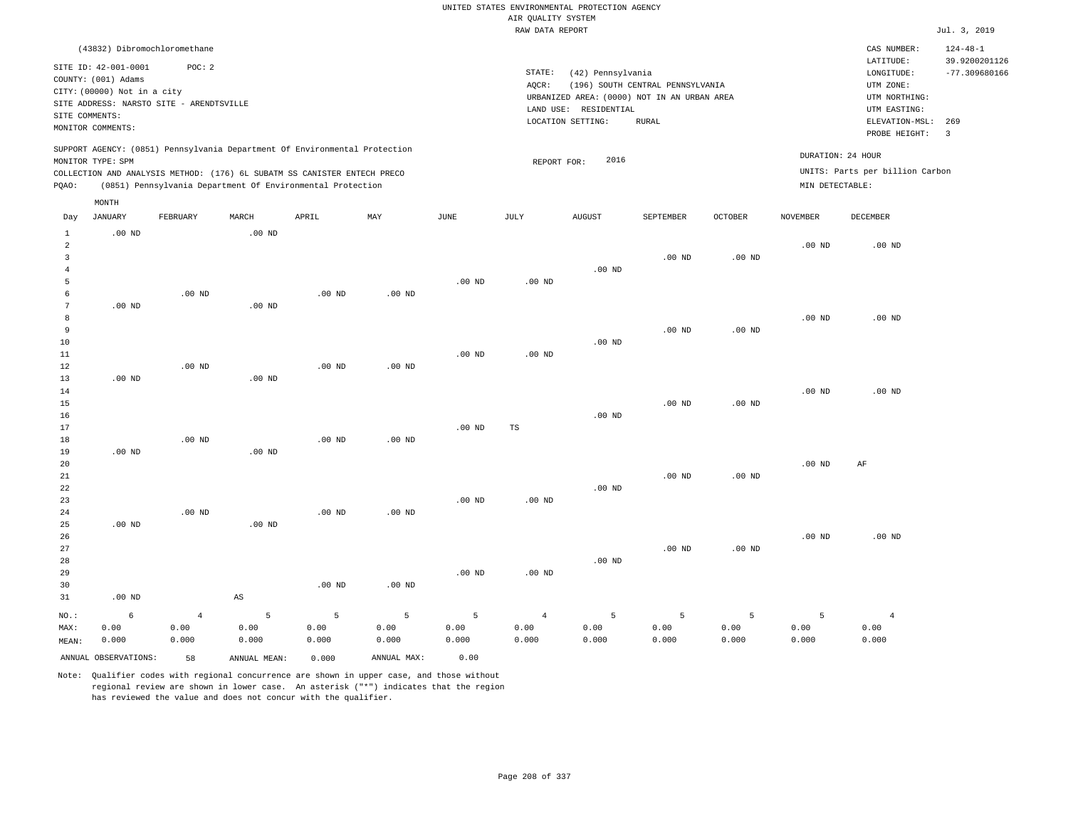## UNITED STATES ENVIRONMENTAL PROTECTION AGENCY AIR QUALITY SYSTEM

|         |                                                                                              |                                                   |          |                                                                                                                                                                                                                      |          |          | RAW DATA REPORT   |                                            |                                                                                 |          |                 |                                                                       | Jul. 3, 2019                     |
|---------|----------------------------------------------------------------------------------------------|---------------------------------------------------|----------|----------------------------------------------------------------------------------------------------------------------------------------------------------------------------------------------------------------------|----------|----------|-------------------|--------------------------------------------|---------------------------------------------------------------------------------|----------|-----------------|-----------------------------------------------------------------------|----------------------------------|
|         |                                                                                              | (43832) Dibromochloromethane                      |          |                                                                                                                                                                                                                      |          |          |                   |                                            |                                                                                 |          |                 | CAS NUMBER:                                                           | $124 - 48 - 1$                   |
|         | SITE ID: 42-001-0001<br>COUNTY: (001) Adams<br>CITY: (00000) Not in a city<br>SITE COMMENTS: | POC:2<br>SITE ADDRESS: NARSTO SITE - ARENDTSVILLE |          |                                                                                                                                                                                                                      |          |          | STATE:<br>AOCR:   | (42) Pennsylvania<br>LAND USE: RESIDENTIAL | (196) SOUTH CENTRAL PENNSYLVANIA<br>URBANIZED AREA: (0000) NOT IN AN URBAN AREA |          |                 | LATITUDE:<br>LONGITUDE:<br>UTM ZONE:<br>UTM NORTHING:<br>UTM EASTING: | 39.9200201126<br>$-77.309680166$ |
|         | MONITOR COMMENTS:                                                                            |                                                   |          |                                                                                                                                                                                                                      |          |          |                   | LOCATION SETTING:                          | <b>RURAL</b>                                                                    |          |                 | ELEVATION-MSL:<br>PROBE HEIGHT:                                       | 269<br>3                         |
| POAO:   | MONITOR TYPE: SPM                                                                            |                                                   |          | SUPPORT AGENCY: (0851) Pennsylvania Department Of Environmental Protection<br>COLLECTION AND ANALYSIS METHOD: (176) 6L SUBATM SS CANISTER ENTECH PRECO<br>(0851) Pennsylvania Department Of Environmental Protection |          |          | REPORT FOR:       | 2016                                       |                                                                                 |          | MIN DETECTABLE: | DURATION: 24 HOUR<br>UNITS: Parts per billion Carbon                  |                                  |
|         | MONTH                                                                                        |                                                   |          |                                                                                                                                                                                                                      |          |          |                   |                                            |                                                                                 |          |                 |                                                                       |                                  |
| Day     | JANUARY                                                                                      | FEBRUARY                                          | MARCH    | APRIL                                                                                                                                                                                                                | MAY      | JUNE     | JULY              | <b>AUGUST</b>                              | SEPTEMBER                                                                       | OCTOBER  | NOVEMBER        | DECEMBER                                                              |                                  |
|         | $.00$ ND                                                                                     |                                                   | $.00$ ND |                                                                                                                                                                                                                      |          |          |                   |                                            | .00 <sub>ND</sub>                                                               | $.00$ ND | $.00$ ND        | $.00$ ND                                                              |                                  |
|         |                                                                                              |                                                   |          |                                                                                                                                                                                                                      |          |          |                   | .00 <sub>ND</sub>                          |                                                                                 |          |                 |                                                                       |                                  |
|         |                                                                                              |                                                   |          |                                                                                                                                                                                                                      |          | $.00$ ND | $.00$ ND          |                                            |                                                                                 |          |                 |                                                                       |                                  |
|         |                                                                                              | $.00$ ND                                          |          | $.00$ ND                                                                                                                                                                                                             | $.00$ ND |          |                   |                                            |                                                                                 |          |                 |                                                                       |                                  |
|         | $.00$ ND                                                                                     |                                                   | $.00$ ND |                                                                                                                                                                                                                      |          |          |                   |                                            |                                                                                 |          |                 |                                                                       |                                  |
| 8       |                                                                                              |                                                   |          |                                                                                                                                                                                                                      |          |          |                   |                                            |                                                                                 |          | $.00$ ND        | $.00$ ND                                                              |                                  |
| 9<br>10 |                                                                                              |                                                   |          |                                                                                                                                                                                                                      |          |          |                   | $.00$ ND                                   | $.00$ ND                                                                        | $.00$ ND |                 |                                                                       |                                  |
| 11      |                                                                                              |                                                   |          |                                                                                                                                                                                                                      |          | $.00$ ND | .00 <sub>ND</sub> |                                            |                                                                                 |          |                 |                                                                       |                                  |
|         |                                                                                              |                                                   |          |                                                                                                                                                                                                                      |          |          |                   |                                            |                                                                                 |          |                 |                                                                       |                                  |

| 12         |          | $.00$ ND |          | $.00$ ND | $.00$ ND |          |          |          |          |          |          |          |
|------------|----------|----------|----------|----------|----------|----------|----------|----------|----------|----------|----------|----------|
| 13         | $.00$ ND |          | $.00$ ND |          |          |          |          |          |          |          |          |          |
| 14         |          |          |          |          |          |          |          |          |          |          | $.00$ ND | $.00$ ND |
| 15         |          |          |          |          |          |          |          |          | $.00$ ND | $.00$ ND |          |          |
| 16         |          |          |          |          |          |          |          | $.00$ ND |          |          |          |          |
| 17         |          |          |          |          |          | $.00$ ND | TS       |          |          |          |          |          |
| 18         |          | $.00$ ND |          | $.00$ ND | $.00$ ND |          |          |          |          |          |          |          |
| 19         | $.00$ ND |          | $.00$ ND |          |          |          |          |          |          |          |          |          |
| 20         |          |          |          |          |          |          |          |          |          |          | $.00$ ND | AF       |
| 21         |          |          |          |          |          |          |          |          | $.00$ ND | $.00$ ND |          |          |
| 22         |          |          |          |          |          |          |          | $.00$ ND |          |          |          |          |
| 23         |          |          |          |          |          | $.00$ ND | $.00$ ND |          |          |          |          |          |
| ${\bf 24}$ |          | $.00$ ND |          | $.00$ ND | $.00$ ND |          |          |          |          |          |          |          |
| 25         | .00 $ND$ |          | $.00$ ND |          |          |          |          |          |          |          |          |          |
| 26         |          |          |          |          |          |          |          |          |          |          | $.00$ ND | $.00$ ND |
| 27         |          |          |          |          |          |          |          |          | $.00$ ND | $.00$ ND |          |          |
| 28         |          |          |          |          |          |          |          | $.00$ ND |          |          |          |          |
| 29         |          |          |          |          |          | $.00$ ND | $.00$ ND |          |          |          |          |          |
| 30         |          |          |          | $.00$ ND | $.00$ ND |          |          |          |          |          |          |          |
| 31         | $.00$ ND |          | AS       |          |          |          |          |          |          |          |          |          |

| NO.:  | $6\degree$           |       | - 4 5 5 5 5 5 4 5 5 |       |             |       |       |       |       |       |       |       |
|-------|----------------------|-------|---------------------|-------|-------------|-------|-------|-------|-------|-------|-------|-------|
| MAX:  | 0.00                 | 0.00  | 0.00                | 0.00  | 0.00        | 0.00  | 0.00  | 0.00  | 0.00  | 0.00  | 0.00  | 0.00  |
| MEAN: | 0.000                | 0.000 | 0.000               | 0.000 | 0.000       | 0.000 | 0.000 | 0.000 | 0.000 | 0.000 | 0.000 | 0.000 |
|       | ANNUAL OBSERVATIONS: | 58    | ANNUAL MEAN:        | 0.000 | ANNUAL MAX: | 0.00  |       |       |       |       |       |       |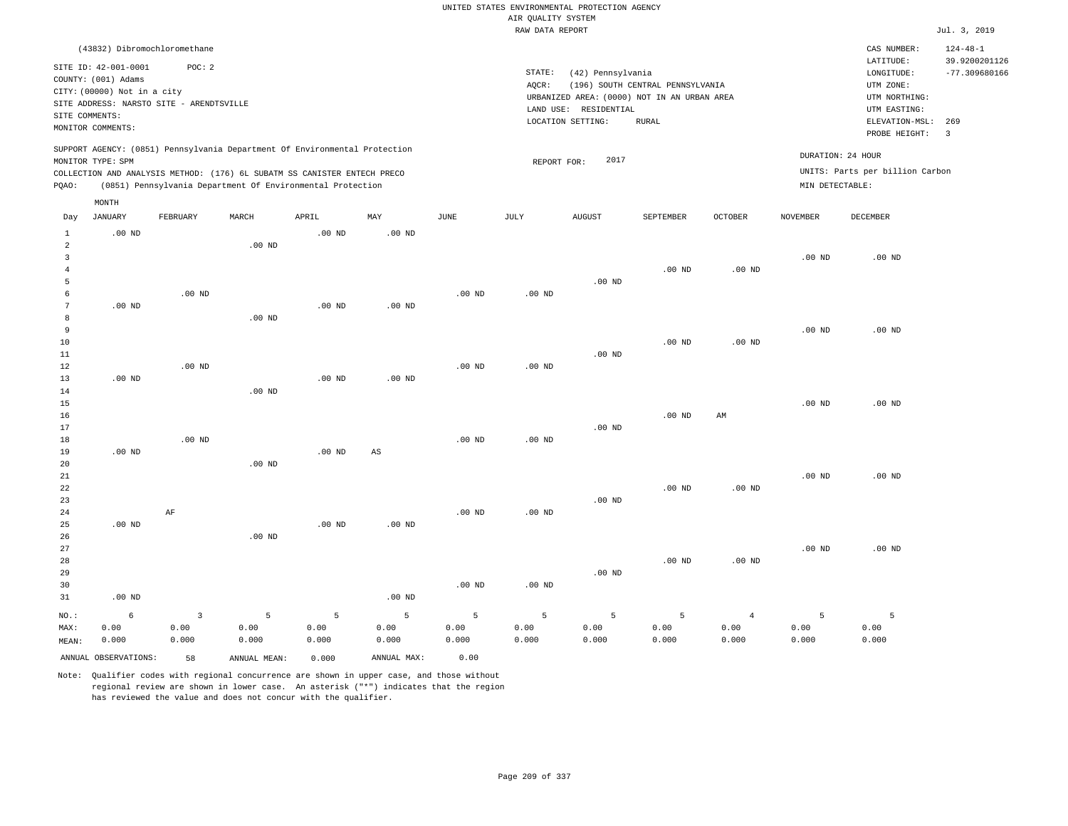|                         |                                                      |                   |                                                                            |                   |                        |                   |                    | UNITED STATES ENVIRONMENTAL PROTECTION AGENCY |                                  |                |                   |                                 |                                                    |
|-------------------------|------------------------------------------------------|-------------------|----------------------------------------------------------------------------|-------------------|------------------------|-------------------|--------------------|-----------------------------------------------|----------------------------------|----------------|-------------------|---------------------------------|----------------------------------------------------|
|                         |                                                      |                   |                                                                            |                   |                        |                   | AIR QUALITY SYSTEM |                                               |                                  |                |                   |                                 |                                                    |
|                         |                                                      |                   |                                                                            |                   |                        |                   | RAW DATA REPORT    |                                               |                                  |                |                   |                                 | Jul. 3, 2019                                       |
|                         | (43832) Dibromochloromethane<br>SITE ID: 42-001-0001 | POC: 2            |                                                                            |                   |                        |                   | STATE:             |                                               |                                  |                |                   | CAS NUMBER:<br>LATITUDE:        | $124 - 48 - 1$<br>39.9200201126<br>$-77.309680166$ |
|                         | COUNTY: (001) Adams                                  |                   |                                                                            |                   |                        |                   | AQCR:              | (42) Pennsylvania                             | (196) SOUTH CENTRAL PENNSYLVANIA |                |                   | LONGITUDE:<br>UTM ZONE:         |                                                    |
|                         | CITY: (00000) Not in a city                          |                   |                                                                            |                   |                        |                   |                    | URBANIZED AREA: (0000) NOT IN AN URBAN AREA   |                                  |                |                   | UTM NORTHING:                   |                                                    |
|                         | SITE ADDRESS: NARSTO SITE - ARENDTSVILLE             |                   |                                                                            |                   |                        |                   |                    | LAND USE: RESIDENTIAL                         |                                  |                |                   | UTM EASTING:                    |                                                    |
| SITE COMMENTS:          |                                                      |                   |                                                                            |                   |                        |                   |                    | LOCATION SETTING:                             | <b>RURAL</b>                     |                |                   | ELEVATION-MSL: 269              |                                                    |
|                         | MONITOR COMMENTS:                                    |                   |                                                                            |                   |                        |                   |                    |                                               |                                  |                |                   | PROBE HEIGHT:                   | $\overline{3}$                                     |
|                         | MONITOR TYPE: SPM                                    |                   | SUPPORT AGENCY: (0851) Pennsylvania Department Of Environmental Protection |                   |                        |                   | REPORT FOR:        | 2017                                          |                                  |                | DURATION: 24 HOUR |                                 |                                                    |
|                         |                                                      |                   | COLLECTION AND ANALYSIS METHOD: (176) 6L SUBATM SS CANISTER ENTECH PRECO   |                   |                        |                   |                    |                                               |                                  |                |                   | UNITS: Parts per billion Carbon |                                                    |
| PQAO:                   |                                                      |                   | (0851) Pennsylvania Department Of Environmental Protection                 |                   |                        |                   |                    |                                               |                                  |                | MIN DETECTABLE:   |                                 |                                                    |
|                         | MONTH                                                |                   |                                                                            |                   |                        |                   |                    |                                               |                                  |                |                   |                                 |                                                    |
| Day                     | <b>JANUARY</b>                                       | FEBRUARY          | MARCH                                                                      | APRIL             | MAY                    | <b>JUNE</b>       | <b>JULY</b>        | <b>AUGUST</b>                                 | SEPTEMBER                        | <b>OCTOBER</b> | <b>NOVEMBER</b>   | <b>DECEMBER</b>                 |                                                    |
| $\mathbf{1}$            | $.00$ ND                                             |                   |                                                                            | $.00$ ND          | $.00$ ND               |                   |                    |                                               |                                  |                |                   |                                 |                                                    |
| $\overline{2}$          |                                                      |                   | $.00$ ND                                                                   |                   |                        |                   |                    |                                               |                                  |                |                   |                                 |                                                    |
| $\overline{\mathbf{3}}$ |                                                      |                   |                                                                            |                   |                        |                   |                    |                                               |                                  |                | .00 <sub>ND</sub> | $.00$ ND                        |                                                    |
| $\overline{4}$<br>5     |                                                      |                   |                                                                            |                   |                        |                   |                    | .00 <sub>ND</sub>                             | $.00$ ND                         | $.00$ ND       |                   |                                 |                                                    |
| 6                       |                                                      | $.00$ ND          |                                                                            |                   |                        | $.00$ ND          | $.00$ ND           |                                               |                                  |                |                   |                                 |                                                    |
| $7\phantom{.0}$         | $.00$ ND                                             |                   |                                                                            | .00 <sub>ND</sub> | $.00$ ND               |                   |                    |                                               |                                  |                |                   |                                 |                                                    |
| 8                       |                                                      |                   | $.00$ ND                                                                   |                   |                        |                   |                    |                                               |                                  |                |                   |                                 |                                                    |
| 9                       |                                                      |                   |                                                                            |                   |                        |                   |                    |                                               |                                  |                | .00 <sub>ND</sub> | $.00$ ND                        |                                                    |
| 10                      |                                                      |                   |                                                                            |                   |                        |                   |                    |                                               | $.00$ ND                         | $.00$ ND       |                   |                                 |                                                    |
| 11                      |                                                      |                   |                                                                            |                   |                        |                   |                    | $.00$ ND                                      |                                  |                |                   |                                 |                                                    |
| $1\,2$                  |                                                      | $.00$ ND          |                                                                            |                   |                        | $.00$ ND          | $.00$ ND           |                                               |                                  |                |                   |                                 |                                                    |
| 13                      | $.00$ ND                                             |                   |                                                                            | .00 <sub>ND</sub> | $.00$ ND               |                   |                    |                                               |                                  |                |                   |                                 |                                                    |
| $1\,4$                  |                                                      |                   | .00 <sub>ND</sub>                                                          |                   |                        |                   |                    |                                               |                                  |                |                   |                                 |                                                    |
| 15                      |                                                      |                   |                                                                            |                   |                        |                   |                    |                                               |                                  |                | .00 <sub>ND</sub> | $.00$ ND                        |                                                    |
| 16                      |                                                      |                   |                                                                            |                   |                        |                   |                    |                                               | $.00$ ND                         | AM             |                   |                                 |                                                    |
| 17                      |                                                      | .00 <sub>ND</sub> |                                                                            |                   |                        | $.00$ ND          | $.00$ ND           | $.00$ ND                                      |                                  |                |                   |                                 |                                                    |
| 18<br>19                | $.00$ ND                                             |                   |                                                                            | .00 <sub>ND</sub> | $\mathbb{A}\mathbb{S}$ |                   |                    |                                               |                                  |                |                   |                                 |                                                    |
| $20$                    |                                                      |                   | .00 <sub>ND</sub>                                                          |                   |                        |                   |                    |                                               |                                  |                |                   |                                 |                                                    |
| 21                      |                                                      |                   |                                                                            |                   |                        |                   |                    |                                               |                                  |                | .00 <sub>ND</sub> | $.00$ ND                        |                                                    |
| 22                      |                                                      |                   |                                                                            |                   |                        |                   |                    |                                               | .00 <sub>ND</sub>                | $.00$ ND       |                   |                                 |                                                    |
| 23                      |                                                      |                   |                                                                            |                   |                        |                   |                    | $.00$ ND                                      |                                  |                |                   |                                 |                                                    |
| 24                      |                                                      | $\rm{AF}$         |                                                                            |                   |                        | $.00$ ND          | $.00$ ND           |                                               |                                  |                |                   |                                 |                                                    |
| 25                      | $.00$ ND                                             |                   |                                                                            | $.00$ ND          | $.00$ ND               |                   |                    |                                               |                                  |                |                   |                                 |                                                    |
| 26                      |                                                      |                   | $.00$ ND                                                                   |                   |                        |                   |                    |                                               |                                  |                |                   |                                 |                                                    |
| 27                      |                                                      |                   |                                                                            |                   |                        |                   |                    |                                               |                                  |                | .00 <sub>ND</sub> | $.00$ ND                        |                                                    |
| 28                      |                                                      |                   |                                                                            |                   |                        |                   |                    |                                               | $.00$ ND                         | $.00$ ND       |                   |                                 |                                                    |
| 29                      |                                                      |                   |                                                                            |                   |                        |                   |                    | $.00$ ND                                      |                                  |                |                   |                                 |                                                    |
| 30                      |                                                      |                   |                                                                            |                   |                        | .00 <sub>ND</sub> | $.00$ ND           |                                               |                                  |                |                   |                                 |                                                    |
| 31                      | $.00$ ND                                             |                   |                                                                            |                   | .00 <sub>ND</sub>      |                   |                    |                                               |                                  |                |                   |                                 |                                                    |
| NO.:                    | 6                                                    | 3                 | 5                                                                          | 5                 | 5                      | - 5               | 5                  | 5                                             | 5                                | $\overline{4}$ | 5                 | 5                               |                                                    |
| MAX:                    | 0.00                                                 | 0.00              | 0.00                                                                       | 0.00              | 0.00                   | 0.00              | 0.00               | 0.00                                          | 0.00                             | 0.00           | 0.00              | 0.00                            |                                                    |
| MEAN:                   | 0.000                                                | 0.000             | 0.000                                                                      | 0.000             | 0.000                  | 0.000             | 0.000              | 0.000                                         | 0.000                            | 0.000          | 0.000             | 0.000                           |                                                    |
|                         | ANNUAL OBSERVATIONS:                                 | 58                | ANNUAL, MEAN:                                                              | 0.000             | ANNUAL MAX:            | 0.00              |                    |                                               |                                  |                |                   |                                 |                                                    |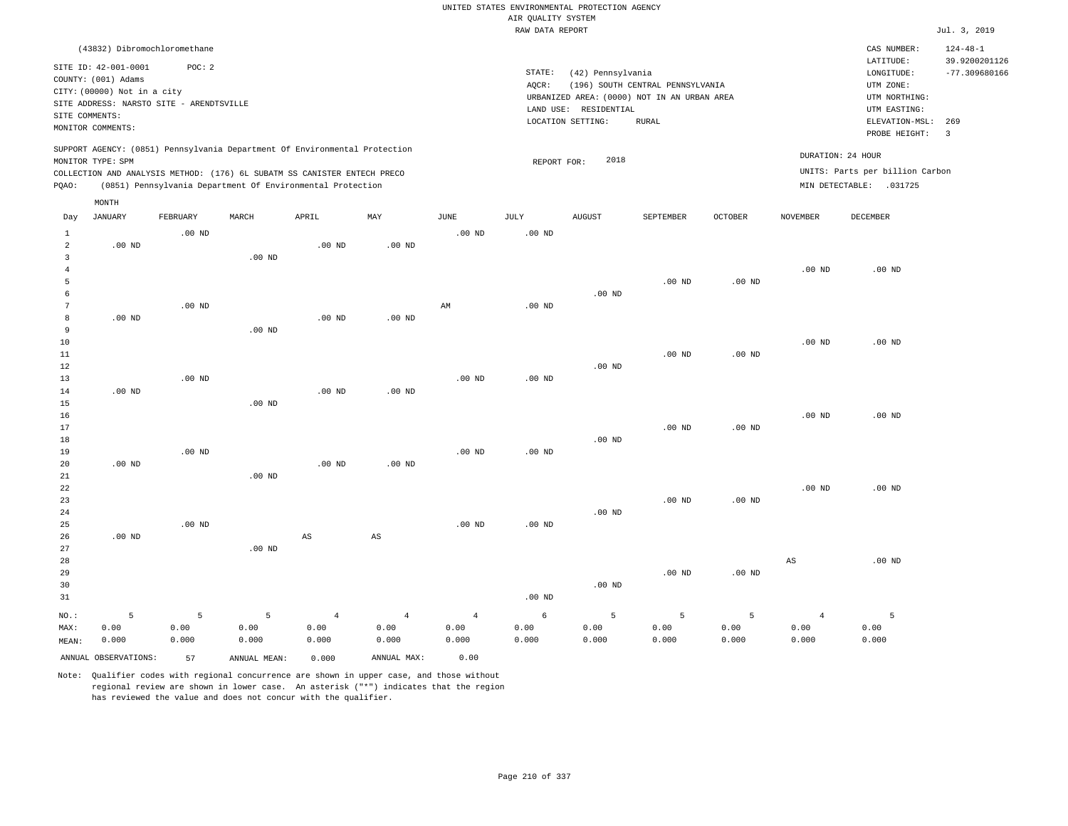|                                                  |                                                                                                |                    |                                                                                                                                        |                                 |                                 |                                 |                    | UNITED STATES ENVIRONMENTAL PROTECTION AGENCY |                                                                                 |                    |                                 |                                                            |                                                    |
|--------------------------------------------------|------------------------------------------------------------------------------------------------|--------------------|----------------------------------------------------------------------------------------------------------------------------------------|---------------------------------|---------------------------------|---------------------------------|--------------------|-----------------------------------------------|---------------------------------------------------------------------------------|--------------------|---------------------------------|------------------------------------------------------------|----------------------------------------------------|
|                                                  |                                                                                                |                    |                                                                                                                                        |                                 |                                 |                                 | AIR QUALITY SYSTEM |                                               |                                                                                 |                    |                                 |                                                            |                                                    |
|                                                  |                                                                                                |                    |                                                                                                                                        |                                 |                                 |                                 | RAW DATA REPORT    |                                               |                                                                                 |                    |                                 |                                                            | Jul. 3, 2019                                       |
|                                                  | (43832) Dibromochloromethane<br>SITE ID: 42-001-0001                                           | POC: 2             |                                                                                                                                        |                                 |                                 |                                 | STATE:             | (42) Pennsylvania                             |                                                                                 |                    |                                 | CAS NUMBER:<br>LATITUDE:<br>LONGITUDE:                     | $124 - 48 - 1$<br>39.9200201126<br>$-77.309680166$ |
| SITE COMMENTS:                                   | COUNTY: (001) Adams<br>CITY: (00000) Not in a city<br>SITE ADDRESS: NARSTO SITE - ARENDTSVILLE |                    |                                                                                                                                        |                                 |                                 |                                 | AQCR:              | LAND USE: RESIDENTIAL                         | (196) SOUTH CENTRAL PENNSYLVANIA<br>URBANIZED AREA: (0000) NOT IN AN URBAN AREA |                    |                                 | UTM ZONE:<br>UTM NORTHING:<br>UTM EASTING:                 |                                                    |
|                                                  | MONITOR COMMENTS:                                                                              |                    |                                                                                                                                        |                                 |                                 |                                 |                    | LOCATION SETTING:                             | RURAL                                                                           |                    |                                 | ELEVATION-MSL:<br>PROBE HEIGHT:                            | 269<br>$\overline{3}$                              |
|                                                  | MONITOR TYPE: SPM                                                                              |                    | SUPPORT AGENCY: (0851) Pennsylvania Department Of Environmental Protection                                                             |                                 |                                 |                                 | REPORT FOR:        | 2018                                          |                                                                                 |                    |                                 | DURATION: 24 HOUR                                          |                                                    |
| PQAO:                                            |                                                                                                |                    | COLLECTION AND ANALYSIS METHOD: (176) 6L SUBATM SS CANISTER ENTECH PRECO<br>(0851) Pennsylvania Department Of Environmental Protection |                                 |                                 |                                 |                    |                                               |                                                                                 |                    |                                 | UNITS: Parts per billion Carbon<br>MIN DETECTABLE: .031725 |                                                    |
|                                                  | MONTH                                                                                          |                    |                                                                                                                                        |                                 |                                 |                                 |                    |                                               |                                                                                 |                    |                                 |                                                            |                                                    |
| Day                                              | <b>JANUARY</b>                                                                                 | FEBRUARY           | MARCH                                                                                                                                  | APRIL                           | MAY                             | JUNE                            | JULY               | AUGUST                                        | SEPTEMBER                                                                       | OCTOBER            | NOVEMBER                        | DECEMBER                                                   |                                                    |
| $\mathbf{1}$<br>$\overline{a}$<br>$\overline{3}$ | $.00$ ND                                                                                       | $.00$ ND           | $.00$ ND                                                                                                                               | $.00$ ND                        | $.00$ ND                        | $.00$ ND                        | $.00$ ND           |                                               |                                                                                 |                    |                                 |                                                            |                                                    |
| $\overline{4}$<br>5                              |                                                                                                |                    |                                                                                                                                        |                                 |                                 |                                 |                    |                                               | .00 <sub>ND</sub>                                                               | $.00$ ND           | .00 <sub>ND</sub>               | $.00$ ND                                                   |                                                    |
| 6<br>$\overline{7}$                              |                                                                                                | $.00$ ND           |                                                                                                                                        |                                 |                                 | AM                              | .00 <sub>ND</sub>  | $.00$ ND                                      |                                                                                 |                    |                                 |                                                            |                                                    |
| 8<br>9<br>10                                     | $.00$ ND                                                                                       |                    | $.00$ ND                                                                                                                               | .00 <sub>ND</sub>               | $.00$ ND                        |                                 |                    |                                               |                                                                                 |                    | .00 <sub>ND</sub>               | .00 <sub>ND</sub>                                          |                                                    |
| $1\,1$<br>12                                     |                                                                                                |                    |                                                                                                                                        |                                 |                                 |                                 |                    | $.00$ ND                                      | .00 <sub>ND</sub>                                                               | $.00$ ND           |                                 |                                                            |                                                    |
| 13<br>14<br>15                                   | $.00$ ND                                                                                       | $.00$ ND           | $.00$ ND                                                                                                                               | $.00$ ND                        | $.00$ ND                        | .00 <sub>ND</sub>               | $.00$ ND           |                                               |                                                                                 |                    |                                 |                                                            |                                                    |
| 16<br>17                                         |                                                                                                |                    |                                                                                                                                        |                                 |                                 |                                 |                    |                                               | .00 <sub>ND</sub>                                                               | $.00$ ND           | .00 <sub>ND</sub>               | $.00$ ND                                                   |                                                    |
| 18<br>19<br>20                                   | $.00$ ND                                                                                       | $.00$ ND           |                                                                                                                                        | $.00$ ND                        | $.00$ ND                        | $.00$ ND                        | $.00$ ND           | .00 <sub>ND</sub>                             |                                                                                 |                    |                                 |                                                            |                                                    |
| 21<br>22<br>23<br>24                             |                                                                                                |                    | $.00$ ND                                                                                                                               |                                 |                                 |                                 |                    | .00 <sub>ND</sub>                             | .00 <sub>ND</sub>                                                               | $.00$ ND           | .00 <sub>ND</sub>               | $.00$ ND                                                   |                                                    |
| 25<br>26<br>27                                   | $.00$ ND                                                                                       | $.00$ ND           | $.00$ ND                                                                                                                               | $\mathbb{A}\mathbb{S}$          | $_{\rm AS}$                     | $.00$ ND                        | $.00$ ND           |                                               |                                                                                 |                    |                                 |                                                            |                                                    |
| 28<br>29<br>30<br>31                             |                                                                                                |                    |                                                                                                                                        |                                 |                                 |                                 | $.00$ ND           | $.00$ ND                                      | $.00$ ND                                                                        | $.00$ ND           | AS                              | $.00$ ND                                                   |                                                    |
| NO.:<br>MAX:<br>MEAN:                            | 5<br>0.00<br>0.000                                                                             | 5<br>0.00<br>0.000 | 5<br>0.00<br>0.000                                                                                                                     | $\overline{4}$<br>0.00<br>0.000 | $\overline{4}$<br>0.00<br>0.000 | $\overline{4}$<br>0.00<br>0.000 | 6<br>0.00<br>0.000 | 5<br>0.00<br>0.000                            | 5<br>0.00<br>0.000                                                              | 5<br>0.00<br>0.000 | $\overline{4}$<br>0.00<br>0.000 | 5<br>0.00<br>0.000                                         |                                                    |
|                                                  | ANNUAL OBSERVATIONS:                                                                           | 57                 | ANNUAL MEAN:                                                                                                                           | 0.000                           | ANNUAL MAX:                     | 0.00                            |                    |                                               |                                                                                 |                    |                                 |                                                            |                                                    |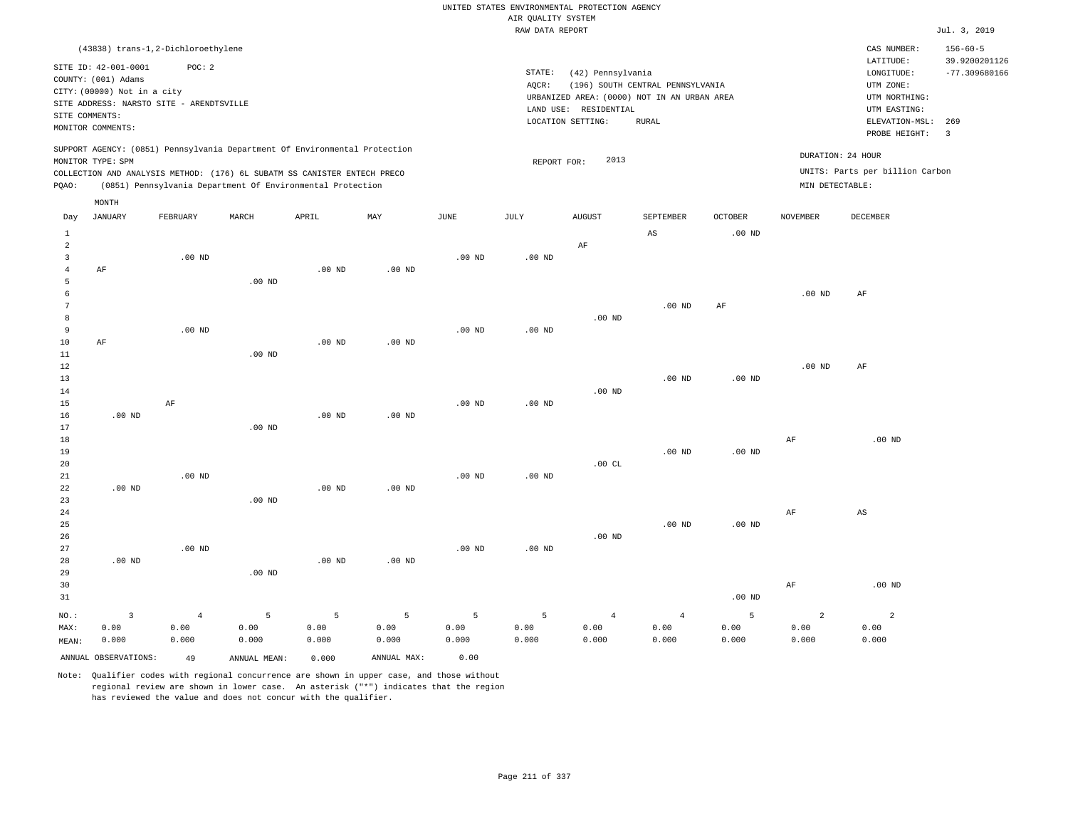RAW DATA REPORT Jul. 3, 2019 UNITED STATES ENVIRONMENTAL PROTECTION AGENCY AIR QUALITY SYSTEM (43838) trans-1,2-Dichloroethylene STATE: (42) Pennsylvania CAS NUMBER: 156-60-5 SITE ID: 42-001-0001 POC: 2 AQCR: (196) SOUTH CENTRAL PENNSYLVANIA COUNTY: (001) Adams CITY: (00000) Not in a city LONGITUDE: -77.309680166 LATITUDE: 39.9200201126 LOCATION SETTING: RURAL SITE ADDRESS: NARSTO SITE - ARENDTSVILLE LAND USE: RESIDENTIAL SITE COMMENTS: MONITOR COMMENTS: PROBE HEIGHT: 3 ELEVATION-MSL: 269 URBANIZED AREA: (0000) NOT IN AN URBAN AREA **URBAN SERIA UTM NORTHING**: UTM EASTING: UTM ZONE: SUPPORT AGENCY: (0851) Pennsylvania Department Of Environmental Protection MONITOR TYPE: SPM COLLECTION AND ANALYSIS METHOD: (176) 6L SUBATM SS CANISTER ENTECH PRECO REPORT FOR: 2013 UNITS: Parts per billion Carbon PQAO: (0851) Pennsylvania Department Of Environmental Protection MIN DETECTABLE: DURATION: 24 HOUR AF AF .00 ND .00 ND .00 ND NO.: MAX: MEAN: 3 0.00 0.000 .00 ND .00 ND AF .00 ND .00 ND .00 ND .00 ND .00 ND .00 ND .00 ND .00 ND .00 ND .00 ND .00 ND .00 ND .00 ND .00 ND .00 ND .00 ND .00 ND .00 ND .00 ND .00 ND .00 ND .00 ND .00 ND .00 ND .00 ND .00 ND .00 ND AF .00 ND .00 ND  $.00 \text{ } C$ L .00 ND  $A<sub>S</sub>$  .00 ND .00 ND .00 ND .00 ND .00 ND AF .00 ND .00 ND .00 ND .00 ND .00 ND .00 ND AF AF AF AF AF .00 ND AS .00 ND 4 0.00 0.000 5 0.00 0.000 5 0.00 0.000 5 0.00 0.000 5 0.00 0.000 5 0.00 0.000 4 0.00 0.000 4 0.00 0.000 5 0.00 0.000 2 0.00 0.000 2 0.00 0.000 ANNUAL OBSERVATIONS: 49 ANNUAL MEAN: 0.000 ANNUAL MAX: 0.00 Day JANUARY FEBRUARY MARCH APRIL MAY JUNE JULY AUGUST SEPTEMBER OCTOBER NOVEMBER DECEMBER MONTH

Note: Qualifier codes with regional concurrence are shown in upper case, and those without regional review are shown in lower case. An asterisk ("\*") indicates that the region has reviewed the value and does not concur with the qualifier.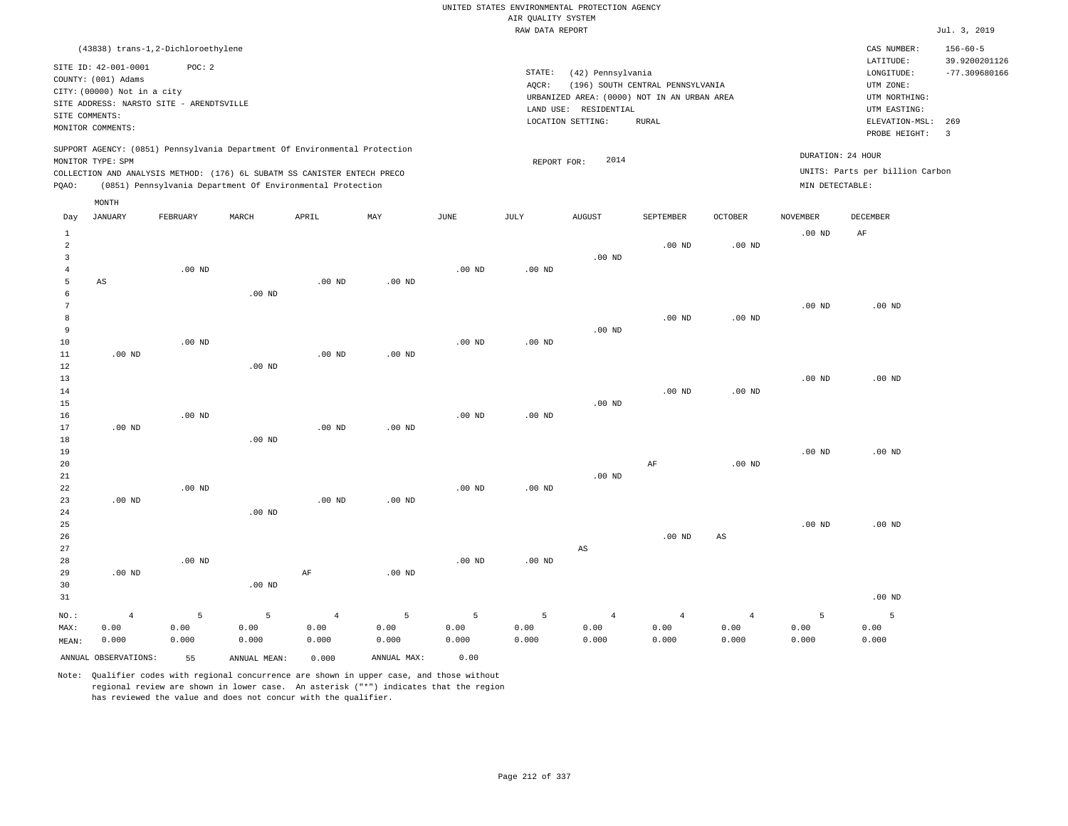RAW DATA REPORT JUL. 3, 2019 UNITED STATES ENVIRONMENTAL PROTECTION AGENCY AIR QUALITY SYSTEM (43838) trans-1,2-Dichloroethylene STATE: (42) Pennsylvania CAS NUMBER: 156-60-5 SITE ID: 42-001-0001 POC: 2 AQCR: (196) SOUTH CENTRAL PENNSYLVANIA COUNTY: (001) Adams CITY: (00000) Not in a city LONGITUDE: -77.309680166 LATITUDE: 39.9200201126 LOCATION SETTING: RURAL SITE ADDRESS: NARSTO SITE - ARENDTSVILLE LAND USE: RESIDENTIAL SITE COMMENTS: MONITOR COMMENTS: PROBE HEIGHT: 3 ELEVATION-MSL: 269 URBANIZED AREA: (0000) NOT IN AN URBAN AREA **URBAN SERIA UTM NORTHING**: UTM EASTING: UTM ZONE: SUPPORT AGENCY: (0851) Pennsylvania Department Of Environmental Protection MONITOR TYPE: SPM COLLECTION AND ANALYSIS METHOD: (176) 6L SUBATM SS CANISTER ENTECH PRECO REPORT FOR: 2014 UNITS: Parts per billion Carbon PQAO: (0851) Pennsylvania Department Of Environmental Protection MIN DETECTABLE: DURATION: 24 HOUR 1 2 3 4 5 6 7 8 9 10 11 12 13 14 15 16 17 18 19 21 22 23 24 25 26 27 28 29 30 31 AS .00 ND .00 ND .00 ND .00 ND NO.: MAX: MEAN: 4 0.00 0.000 .00 ND .00 ND .00 ND .00 ND .00 ND .00 ND .00 ND .00 ND .00 ND .00 ND .00 ND .00 ND .00 ND .00 ND AF .00 ND .00 ND .00 ND .00 ND .00 ND .00 ND .00 ND .00 ND .00 ND .00 ND .00 ND .00 ND .00 ND .00 ND .00 ND .00 ND .00 ND .00 ND .00 ND  $\Delta$ S .00 ND .00 ND .00 ND AF .00 ND .00 ND .00 ND .00 ND .00 ND AS .00 ND .00 ND .00 ND .00 ND .00 ND AF .00 ND .00 ND .00 ND .00 ND .00 ND 5 0.00 0.000 5 0.00 0.000 4 0.00 0.000 5 0.00 0.000 5 0.00 0.000 5 0.00 0.000 4 0.00 0.000 4 0.00 0.000 4 0.00 0.000 5 0.00 0.000 5 0.00 0.000 ANNUAL OBSERVATIONS: 55 ANNUAL MEAN: 0.000 ANNUAL MAX: 0.00 Day JANUARY FEBRUARY MARCH APRIL MAY JUNE JULY AUGUST SEPTEMBER OCTOBER NOVEMBER DECEMBER MONTH

Note: Qualifier codes with regional concurrence are shown in upper case, and those without regional review are shown in lower case. An asterisk ("\*") indicates that the region has reviewed the value and does not concur with the qualifier.

 $20$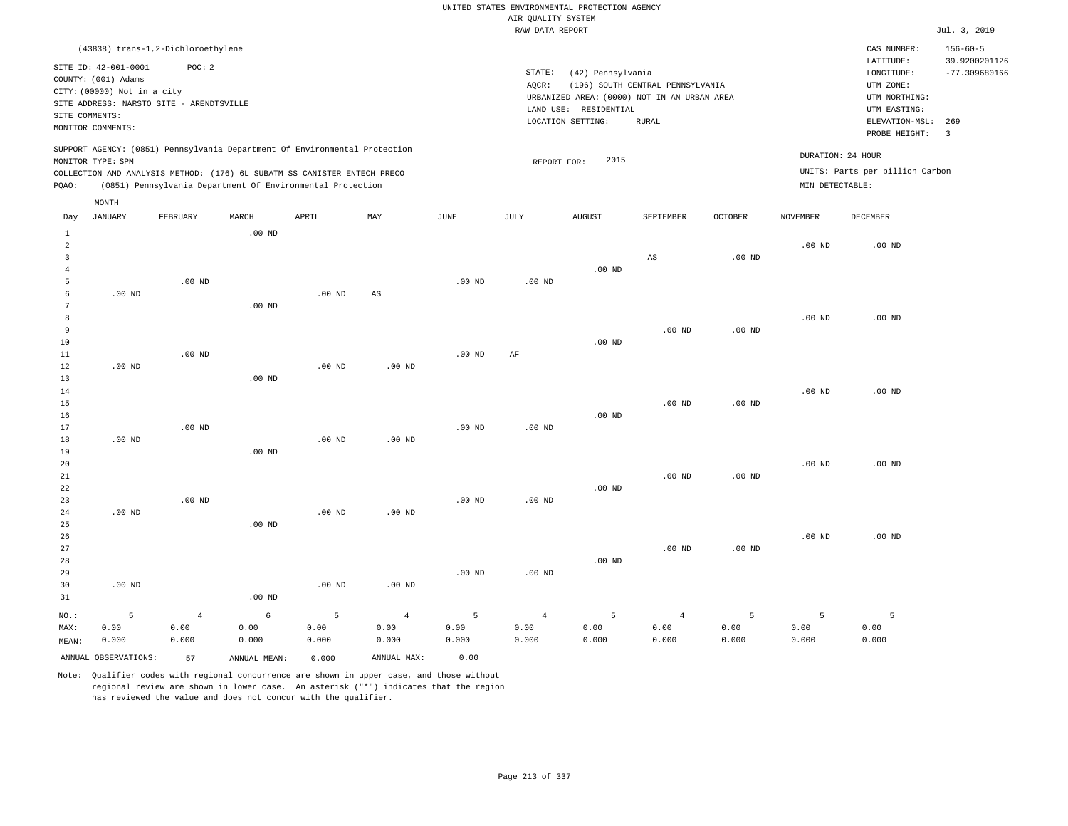RAW DATA REPORT JUL. 3, 2019 UNITED STATES ENVIRONMENTAL PROTECTION AGENCY AIR QUALITY SYSTEM

|                                                                                                                                                                                                                                                    | (43838) trans-1,2-Dichloroethylene       |          |       |     |      |                 |                                                                                              |                                                 |                |                                      | CAS NUMBER:                                      | $156 - 60 - 5$ |
|----------------------------------------------------------------------------------------------------------------------------------------------------------------------------------------------------------------------------------------------------|------------------------------------------|----------|-------|-----|------|-----------------|----------------------------------------------------------------------------------------------|-------------------------------------------------|----------------|--------------------------------------|--------------------------------------------------|----------------|
| SITE ID: 42-001-0001<br>COUNTY: (001) Adams<br>CITY: (00000) Not in a city                                                                                                                                                                         | POC:2                                    |          |       |     |      | STATE:<br>AQCR: | LATITUDE:<br>LONGITUDE:<br>UTM ZONE:                                                         | 39.9200201126<br>$-77.309680166$                |                |                                      |                                                  |                |
| SITE COMMENTS:<br>MONITOR COMMENTS:                                                                                                                                                                                                                | SITE ADDRESS: NARSTO SITE - ARENDTSVILLE |          |       |     |      |                 | URBANIZED AREA: (0000) NOT IN AN URBAN AREA<br>RESIDENTIAL<br>LAND USE:<br>LOCATION SETTING: | UTM NORTHING:<br>UTM EASTING:<br>ELEVATION-MSL: | 269            |                                      |                                                  |                |
| SUPPORT AGENCY: (0851) Pennsylvania Department Of Environmental Protection<br>MONITOR TYPE: SPM<br>COLLECTION AND ANALYSIS METHOD: (176) 6L SUBATM SS CANISTER ENTECH PRECO<br>(0851) Pennsylvania Department Of Environmental Protection<br>POAO: |                                          |          |       |     |      |                 | 2015<br>REPORT FOR:                                                                          |                                                 |                | DURATION: 24 HOUR<br>MIN DETECTABLE: | PROBE HEIGHT:<br>UNITS: Parts per billion Carbon | 3              |
| MONTH<br>JANUARY<br>Day                                                                                                                                                                                                                            | FEBRUARY                                 | MARCH    | APRIL | MAY | JUNE | JULY            | <b>AUGUST</b>                                                                                | SEPTEMBER                                       | <b>OCTOBER</b> | NOVEMBER                             | DECEMBER                                         |                |
|                                                                                                                                                                                                                                                    |                                          | $.00$ ND |       |     |      |                 |                                                                                              |                                                 |                | $.00$ ND                             | $.00$ ND                                         |                |

| $\overline{3}$ |          |          |          |          |             |          |           |          | AS       | $.00$ ND          |          |          |
|----------------|----------|----------|----------|----------|-------------|----------|-----------|----------|----------|-------------------|----------|----------|
| 4              |          |          |          |          |             |          |           | $.00$ ND |          |                   |          |          |
| 5              |          | $.00$ ND |          |          |             | $.00$ ND | $.00$ ND  |          |          |                   |          |          |
| 6              | $.00$ ND |          |          | $.00$ ND | $_{\rm AS}$ |          |           |          |          |                   |          |          |
| 7              |          |          | $.00$ ND |          |             |          |           |          |          |                   |          |          |
| 8              |          |          |          |          |             |          |           |          |          |                   | $.00$ ND | $.00$ ND |
| 9              |          |          |          |          |             |          |           |          | $.00$ ND | $.00$ ND          |          |          |
| $10$           |          |          |          |          |             |          |           | .00 $ND$ |          |                   |          |          |
| $11\,$         |          | $.00$ ND |          |          |             | $.00$ ND | $\rm{AF}$ |          |          |                   |          |          |
| 12             | $.00$ ND |          |          | $.00$ ND | $.00$ ND    |          |           |          |          |                   |          |          |
| 13             |          |          | $.00$ ND |          |             |          |           |          |          |                   |          |          |
| 14             |          |          |          |          |             |          |           |          |          |                   | $.00$ ND | $.00$ ND |
| 15             |          |          |          |          |             |          |           |          | $.00$ ND | .00 $ND$          |          |          |
| 16             |          |          |          |          |             |          |           | $.00$ ND |          |                   |          |          |
| 17<br>18       | $.00$ ND | .00 $ND$ |          |          |             | $.00$ ND | .00 $ND$  |          |          |                   |          |          |
| 19             |          |          | $.00$ ND | $.00$ ND | $.00$ ND    |          |           |          |          |                   |          |          |
| 20             |          |          |          |          |             |          |           |          |          |                   | $.00$ ND | $.00$ ND |
| 21             |          |          |          |          |             |          |           |          | $.00$ ND | $.00$ ND          |          |          |
| 22             |          |          |          |          |             |          |           | $.00$ ND |          |                   |          |          |
| 23             |          | $.00$ ND |          |          |             | $.00$ ND | $.00$ ND  |          |          |                   |          |          |
| 24             | $.00$ ND |          |          | $.00$ ND | $.00$ ND    |          |           |          |          |                   |          |          |
| 25             |          |          | $.00$ ND |          |             |          |           |          |          |                   |          |          |
| 26             |          |          |          |          |             |          |           |          |          |                   | $.00$ ND | $.00$ ND |
| 27             |          |          |          |          |             |          |           |          | $.00$ ND | .00 <sub>ND</sub> |          |          |
| 28             |          |          |          |          |             |          |           | $.00$ ND |          |                   |          |          |
| 29             |          |          |          |          |             | $.00$ ND | $.00$ ND  |          |          |                   |          |          |
| 30             | $.00$ ND |          |          | $.00$ ND | $.00$ ND    |          |           |          |          |                   |          |          |
| 31             |          |          | $.00$ ND |          |             |          |           |          |          |                   |          |          |
|                |          |          |          |          |             |          |           |          |          |                   |          |          |

NO.: MAX: MEAN: 5 0.00 0.000 4 0.00 0.000 6 0.00 0.000 5 0.00 0.000 4 0.00 0.000 5 0.00 0.000 4 0.00 0.000 5 0.00 0.000 4 0.00 0.000 5 0.00 0.000 5 0.00 0.000 ANNUAL OBSERVATIONS: 57 ANNUAL MEAN: 0.000 ANNUAL MAX: 0.00

Note: Qualifier codes with regional concurrence are shown in upper case, and those without regional review are shown in lower case. An asterisk ("\*") indicates that the region has reviewed the value and does not concur with the qualifier.

5 0.00 0.000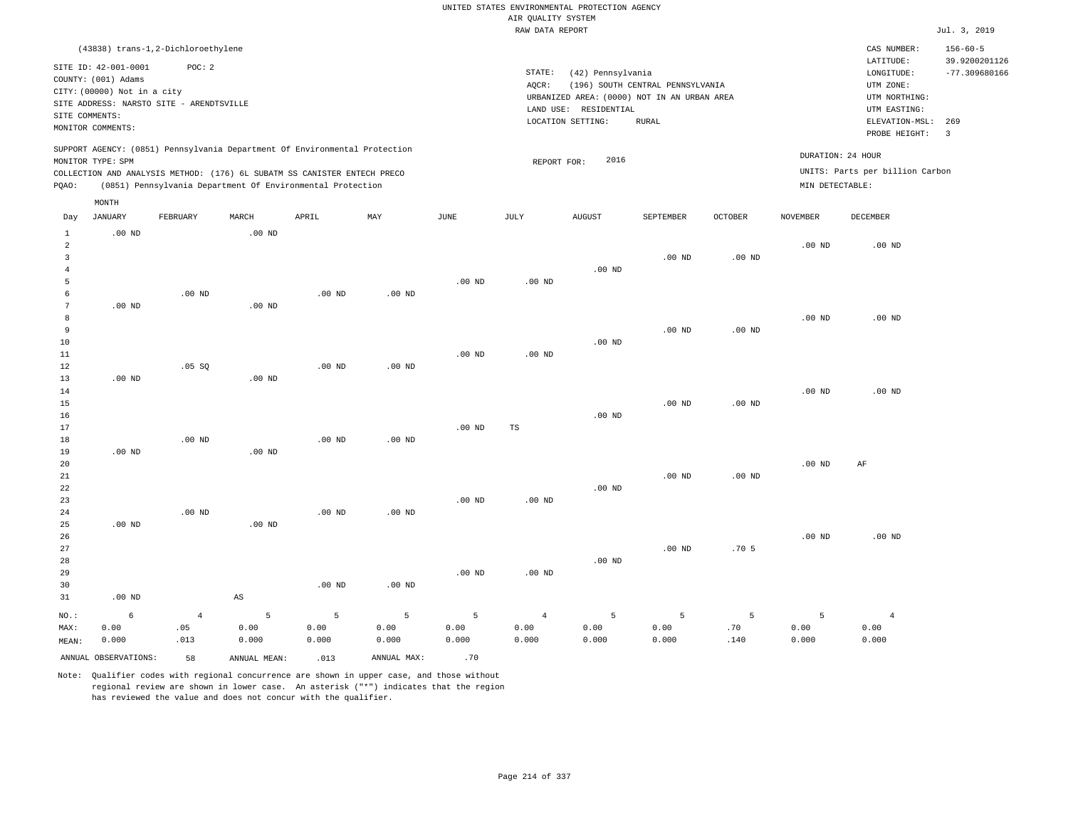RAW DATA REPORT Jul. 3, 2019 UNITED STATES ENVIRONMENTAL PROTECTION AGENCY AIR QUALITY SYSTEM

|                                                                                                                         |                                                    | (43838) trans-1,2-Dichloroethylene                                         |                        |                   |                   |               |                   |               |               |                   |                                 | CAS NUMBER:                     | $156 - 60 - 5$          |  |
|-------------------------------------------------------------------------------------------------------------------------|----------------------------------------------------|----------------------------------------------------------------------------|------------------------|-------------------|-------------------|---------------|-------------------|---------------|---------------|-------------------|---------------------------------|---------------------------------|-------------------------|--|
|                                                                                                                         | SITE ID: 42-001-0001                               | POC: 2                                                                     |                        |                   |                   |               |                   |               |               |                   |                                 | LATITUDE:                       | 39.9200201126           |  |
|                                                                                                                         | STATE:<br>(42) Pennsylvania<br>COUNTY: (001) Adams |                                                                            |                        |                   |                   |               |                   |               |               |                   |                                 | LONGITUDE:                      | $-77.309680166$         |  |
| (196) SOUTH CENTRAL PENNSYLVANIA<br>AOCR:<br>CITY: (00000) Not in a city<br>URBANIZED AREA: (0000) NOT IN AN URBAN AREA |                                                    |                                                                            |                        |                   |                   |               |                   |               |               |                   |                                 | UTM ZONE:                       |                         |  |
| SITE ADDRESS: NARSTO SITE - ARENDTSVILLE                                                                                |                                                    |                                                                            |                        |                   |                   |               |                   |               |               |                   |                                 | UTM NORTHING:                   |                         |  |
| LAND USE: RESIDENTIAL<br>SITE COMMENTS:<br>LOCATION SETTING:                                                            |                                                    |                                                                            |                        |                   |                   |               |                   |               |               |                   |                                 | UTM EASTING:                    | 269                     |  |
|                                                                                                                         | MONITOR COMMENTS:                                  |                                                                            |                        |                   |                   |               |                   |               | ${\tt RURAL}$ |                   |                                 | ELEVATION-MSL:<br>PROBE HEIGHT: | $\overline{\mathbf{3}}$ |  |
|                                                                                                                         |                                                    | SUPPORT AGENCY: (0851) Pennsylvania Department Of Environmental Protection |                        |                   |                   |               |                   |               |               |                   |                                 |                                 |                         |  |
|                                                                                                                         | MONITOR TYPE: SPM                                  |                                                                            |                        |                   |                   |               | REPORT FOR:       | 2016          |               |                   | DURATION: 24 HOUR               |                                 |                         |  |
|                                                                                                                         |                                                    | COLLECTION AND ANALYSIS METHOD: (176) 6L SUBATM SS CANISTER ENTECH PRECO   |                        |                   |                   |               |                   |               |               |                   | UNITS: Parts per billion Carbon |                                 |                         |  |
| (0851) Pennsylvania Department Of Environmental Protection<br>PQAO:                                                     |                                                    |                                                                            |                        |                   |                   |               |                   |               |               |                   | MIN DETECTABLE:                 |                                 |                         |  |
| MONTH                                                                                                                   |                                                    |                                                                            |                        |                   |                   |               |                   |               |               |                   |                                 |                                 |                         |  |
| Day                                                                                                                     | JANUARY                                            | FEBRUARY                                                                   | MARCH                  | APRIL             | MAY               | $_{\rm JUNE}$ | JULY              | <b>AUGUST</b> | SEPTEMBER     | <b>OCTOBER</b>    | <b>NOVEMBER</b>                 | DECEMBER                        |                         |  |
| $\mathbf{1}$                                                                                                            | .00 <sub>ND</sub>                                  |                                                                            | $.00$ ND               |                   |                   |               |                   |               |               |                   |                                 |                                 |                         |  |
| $\overline{a}$                                                                                                          |                                                    |                                                                            |                        |                   |                   |               |                   |               |               |                   | $.00$ ND                        | $.00$ ND                        |                         |  |
| $\overline{3}$                                                                                                          |                                                    |                                                                            |                        |                   |                   |               |                   |               | $.00$ ND      | .00 <sub>ND</sub> |                                 |                                 |                         |  |
| $\overline{4}$                                                                                                          |                                                    |                                                                            |                        |                   |                   |               |                   | $.00$ ND      |               |                   |                                 |                                 |                         |  |
| $\overline{5}$                                                                                                          |                                                    |                                                                            |                        |                   |                   | $.00$ ND      | .00 <sub>ND</sub> |               |               |                   |                                 |                                 |                         |  |
| 6                                                                                                                       |                                                    | .00 <sub>ND</sub>                                                          |                        | .00 <sub>ND</sub> | .00 <sub>ND</sub> |               |                   |               |               |                   |                                 |                                 |                         |  |
| $7\phantom{.0}$                                                                                                         | $.00$ ND                                           |                                                                            | $.00$ ND               |                   |                   |               |                   |               |               |                   |                                 |                                 |                         |  |
| 8                                                                                                                       |                                                    |                                                                            |                        |                   |                   |               |                   |               |               |                   | .00 <sub>ND</sub>               | $.00$ ND                        |                         |  |
| 9                                                                                                                       |                                                    |                                                                            |                        |                   |                   |               |                   |               | $.00$ ND      | .00 <sub>ND</sub> |                                 |                                 |                         |  |
| 10                                                                                                                      |                                                    |                                                                            |                        |                   |                   |               |                   | $.00$ ND      |               |                   |                                 |                                 |                         |  |
| $11\,$                                                                                                                  |                                                    |                                                                            |                        |                   |                   | $.00$ ND      | .00 <sub>ND</sub> |               |               |                   |                                 |                                 |                         |  |
| $1\,2$                                                                                                                  |                                                    | .05SQ                                                                      |                        | $.00$ ND          | $.00$ ND          |               |                   |               |               |                   |                                 |                                 |                         |  |
| 13<br>14                                                                                                                | .00 <sub>ND</sub>                                  |                                                                            | $.00$ ND               |                   |                   |               |                   |               |               |                   | $.00$ ND                        | $.00$ ND                        |                         |  |
| 15                                                                                                                      |                                                    |                                                                            |                        |                   |                   |               |                   |               | $.00$ ND      | .00 <sub>ND</sub> |                                 |                                 |                         |  |
| 16                                                                                                                      |                                                    |                                                                            |                        |                   |                   |               |                   | $.00$ ND      |               |                   |                                 |                                 |                         |  |
| 17                                                                                                                      |                                                    |                                                                            |                        |                   |                   | $.00$ ND      | TS                |               |               |                   |                                 |                                 |                         |  |
| 18                                                                                                                      |                                                    | $.00$ ND                                                                   |                        | $.00$ ND          | $.00$ ND          |               |                   |               |               |                   |                                 |                                 |                         |  |
| 19                                                                                                                      | .00 <sub>ND</sub>                                  |                                                                            | $.00$ ND               |                   |                   |               |                   |               |               |                   |                                 |                                 |                         |  |
| 20                                                                                                                      |                                                    |                                                                            |                        |                   |                   |               |                   |               |               |                   | .00 <sub>ND</sub>               | $\rm AF$                        |                         |  |
| 21                                                                                                                      |                                                    |                                                                            |                        |                   |                   |               |                   |               | $.00$ ND      | .00 <sub>ND</sub> |                                 |                                 |                         |  |
| 22                                                                                                                      |                                                    |                                                                            |                        |                   |                   |               |                   | $.00$ ND      |               |                   |                                 |                                 |                         |  |
| 23                                                                                                                      |                                                    |                                                                            |                        |                   |                   | $.00$ ND      | .00 <sub>ND</sub> |               |               |                   |                                 |                                 |                         |  |
| 24                                                                                                                      |                                                    | $.00$ ND                                                                   |                        | $.00$ ND          | $.00$ ND          |               |                   |               |               |                   |                                 |                                 |                         |  |
| 25                                                                                                                      | $.00$ ND                                           |                                                                            | $.00$ ND               |                   |                   |               |                   |               |               |                   |                                 |                                 |                         |  |
| 26                                                                                                                      |                                                    |                                                                            |                        |                   |                   |               |                   |               |               |                   | $.00$ ND                        | $.00$ ND                        |                         |  |
| 27                                                                                                                      |                                                    |                                                                            |                        |                   |                   |               |                   |               | $.00$ ND      | .705              |                                 |                                 |                         |  |
| 28                                                                                                                      |                                                    |                                                                            |                        |                   |                   |               |                   | $.00$ ND      |               |                   |                                 |                                 |                         |  |
| 29<br>30                                                                                                                |                                                    |                                                                            |                        | $.00$ ND          | $.00$ ND          | $.00$ ND      | $.00$ ND          |               |               |                   |                                 |                                 |                         |  |
| 31                                                                                                                      | $.00$ ND                                           |                                                                            | $\mathbb{A}\mathbb{S}$ |                   |                   |               |                   |               |               |                   |                                 |                                 |                         |  |
|                                                                                                                         |                                                    |                                                                            |                        |                   |                   |               |                   |               |               |                   |                                 |                                 |                         |  |
| NO.:                                                                                                                    | 6                                                  | $\overline{4}$                                                             | 5                      | 5                 | 5                 | 5             | $\overline{4}$    | 5             | 5             | 5                 | 5                               | $\overline{4}$                  |                         |  |
| MAX:                                                                                                                    | 0.00                                               | .05                                                                        | 0.00                   | 0.00              | 0.00              | 0.00          | 0.00              | 0.00          | 0.00          | .70               | 0.00                            | 0.00                            |                         |  |
| MEAN:                                                                                                                   | 0.000                                              | .013                                                                       | 0.000                  | 0.000             | 0.000             | 0.000         | 0.000             | 0.000         | 0.000         | .140              | 0.000                           | 0.000                           |                         |  |
|                                                                                                                         | ANNUAL OBSERVATIONS:                               | 58                                                                         | ANNUAL MEAN:           | .013              | ANNUAL MAX:       | .70           |                   |               |               |                   |                                 |                                 |                         |  |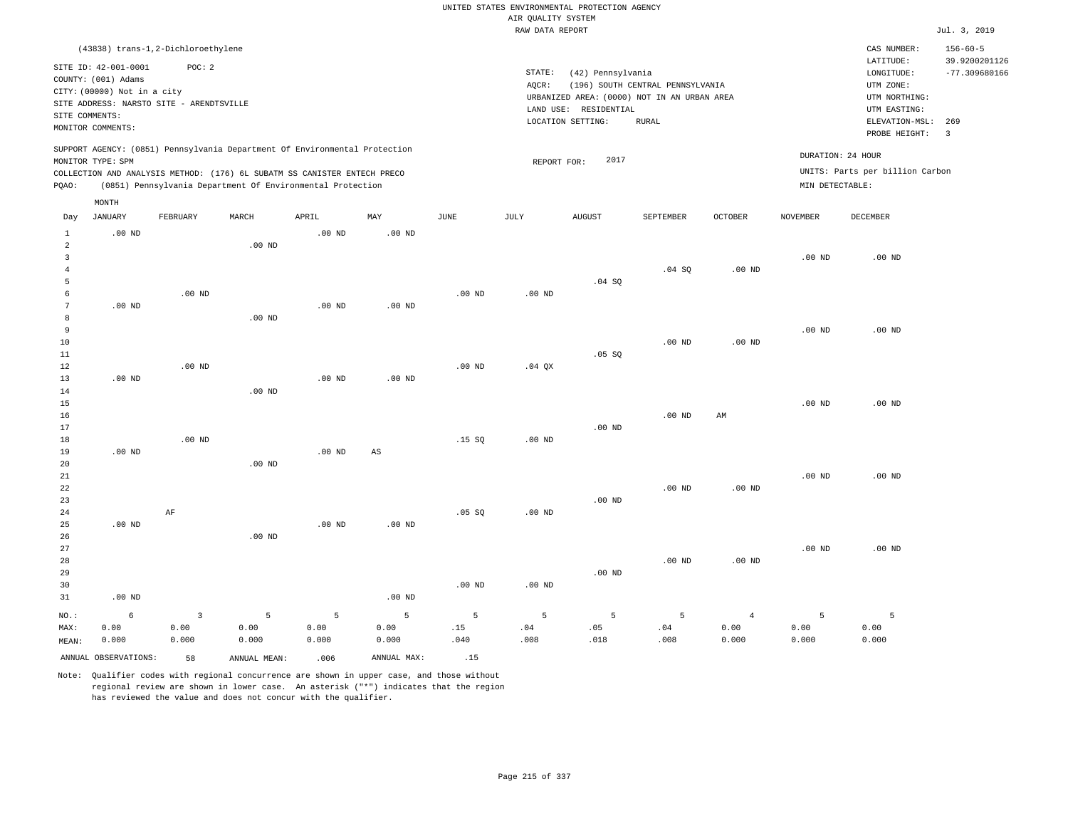|                                                                                                                                                                                                                                                    |                                                                                                                  |                               |                    |                    |                        |                   |                                            | UNITED STATES ENVIRONMENTAL PROTECTION AGENCY                                                        |                                                 |                                                                      |                                                    |                    |              |
|----------------------------------------------------------------------------------------------------------------------------------------------------------------------------------------------------------------------------------------------------|------------------------------------------------------------------------------------------------------------------|-------------------------------|--------------------|--------------------|------------------------|-------------------|--------------------------------------------|------------------------------------------------------------------------------------------------------|-------------------------------------------------|----------------------------------------------------------------------|----------------------------------------------------|--------------------|--------------|
|                                                                                                                                                                                                                                                    |                                                                                                                  |                               |                    |                    |                        |                   | AIR QUALITY SYSTEM                         |                                                                                                      |                                                 |                                                                      |                                                    |                    |              |
|                                                                                                                                                                                                                                                    |                                                                                                                  |                               |                    |                    |                        |                   | RAW DATA REPORT                            |                                                                                                      |                                                 |                                                                      |                                                    |                    | Jul. 3, 2019 |
|                                                                                                                                                                                                                                                    | (43838) trans-1,2-Dichloroethylene<br>SITE ID: 42-001-0001<br>COUNTY: (001) Adams<br>CITY: (00000) Not in a city | POC: 2                        |                    |                    |                        |                   | STATE:<br>AQCR:                            | (42) Pennsylvania<br>(196) SOUTH CENTRAL PENNSYLVANIA<br>URBANIZED AREA: (0000) NOT IN AN URBAN AREA |                                                 | CAS NUMBER:<br>LATITUDE:<br>LONGITUDE:<br>UTM ZONE:<br>UTM NORTHING: | $156 - 60 - 5$<br>39.9200201126<br>$-77.309680166$ |                    |              |
| SITE COMMENTS:                                                                                                                                                                                                                                     | SITE ADDRESS: NARSTO SITE - ARENDTSVILLE<br>MONITOR COMMENTS:                                                    |                               |                    |                    |                        |                   | LAND USE: RESIDENTIAL<br>LOCATION SETTING: |                                                                                                      | UTM EASTING:<br>ELEVATION-MSL:<br>PROBE HEIGHT: | 269<br>$\overline{\mathbf{3}}$                                       |                                                    |                    |              |
| SUPPORT AGENCY: (0851) Pennsylvania Department Of Environmental Protection<br>MONITOR TYPE: SPM<br>COLLECTION AND ANALYSIS METHOD: (176) 6L SUBATM SS CANISTER ENTECH PRECO<br>(0851) Pennsylvania Department Of Environmental Protection<br>PQAO: |                                                                                                                  |                               |                    |                    |                        |                   | REPORT FOR:                                | 2017                                                                                                 |                                                 | DURATION: 24 HOUR<br>MIN DETECTABLE:                                 | UNITS: Parts per billion Carbon                    |                    |              |
|                                                                                                                                                                                                                                                    | MONTH<br><b>JANUARY</b>                                                                                          | FEBRUARY                      | MARCH              | APRIL              | MAY                    | JUNE              | JULY                                       | <b>AUGUST</b>                                                                                        | SEPTEMBER                                       | <b>OCTOBER</b>                                                       | <b>NOVEMBER</b>                                    | <b>DECEMBER</b>    |              |
| Day                                                                                                                                                                                                                                                |                                                                                                                  |                               |                    |                    |                        |                   |                                            |                                                                                                      |                                                 |                                                                      |                                                    |                    |              |
| $\mathbf{1}$<br>$\overline{a}$<br>$\overline{\mathbf{3}}$                                                                                                                                                                                          | $.00$ ND                                                                                                         |                               | $.00$ ND           | $.00$ ND           | .00 <sub>ND</sub>      |                   |                                            |                                                                                                      |                                                 |                                                                      | .00 <sub>ND</sub>                                  | $.00$ ND           |              |
| $\overline{4}$<br>5<br>6                                                                                                                                                                                                                           |                                                                                                                  | $.00$ ND                      |                    |                    |                        | .00 <sub>ND</sub> | .00 <sub>ND</sub>                          | .04 SQ                                                                                               | .04 SQ                                          | $.00$ ND                                                             |                                                    |                    |              |
| 7<br>8<br>9                                                                                                                                                                                                                                        | .00 <sub>ND</sub>                                                                                                |                               | $.00$ ND           | .00 <sub>ND</sub>  | $.00$ ND               |                   |                                            |                                                                                                      |                                                 |                                                                      | .00 <sub>ND</sub>                                  | $.00$ ND           |              |
| $10$<br>11<br>12<br>13                                                                                                                                                                                                                             | $.00$ ND                                                                                                         | $.00$ ND                      |                    | $.00$ ND           | $.00$ ND               | .00 <sub>ND</sub> | $.04$ QX                                   | $.05$ SO                                                                                             | $.00$ ND                                        | $.00$ ND                                                             |                                                    |                    |              |
| 14<br>15<br>16                                                                                                                                                                                                                                     |                                                                                                                  |                               | $.00$ ND           |                    |                        |                   |                                            |                                                                                                      | $.00$ ND                                        | AM                                                                   | .00 <sub>ND</sub>                                  | $.00$ ND           |              |
| 17<br>18<br>19                                                                                                                                                                                                                                     | $.00$ ND                                                                                                         | $.00$ ND                      |                    | $.00$ ND           | $\mathbb{A}\mathbb{S}$ | .15S              | $.00$ ND                                   | $.00$ ND                                                                                             |                                                 |                                                                      |                                                    |                    |              |
| 20<br>$2\sqrt{1}$<br>22<br>23                                                                                                                                                                                                                      |                                                                                                                  |                               | $.00$ ND           |                    |                        |                   |                                            | .00 <sub>ND</sub>                                                                                    | .00 <sub>ND</sub>                               | .00 <sub>ND</sub>                                                    | .00 <sub>ND</sub>                                  | $.00$ ND           |              |
| 24<br>25<br>26                                                                                                                                                                                                                                     | $.00$ ND                                                                                                         | AF                            | $.00$ ND           | $.00$ ND           | $.00$ ND               | .05 SQ            | $.00$ ND                                   |                                                                                                      |                                                 |                                                                      |                                                    |                    |              |
| 27<br>28<br>29                                                                                                                                                                                                                                     |                                                                                                                  |                               |                    |                    |                        |                   |                                            | .00 <sub>ND</sub>                                                                                    | $.00$ ND                                        | $.00$ ND                                                             | .00 <sub>ND</sub>                                  | $.00$ ND           |              |
| 30<br>31                                                                                                                                                                                                                                           | $.00$ ND                                                                                                         |                               |                    |                    | $.00$ ND               | .00 <sub>ND</sub> | $.00$ ND                                   |                                                                                                      |                                                 |                                                                      |                                                    |                    |              |
| NO.:<br>MAX:<br>MEAN:                                                                                                                                                                                                                              | 6<br>0.00<br>0.000                                                                                               | $\mathbf{3}$<br>0.00<br>0.000 | 5<br>0.00<br>0.000 | 5<br>0.00<br>0.000 | 5<br>0.00<br>0.000     | 5<br>.15<br>.040  | 5<br>.04<br>.008                           | 5<br>.05<br>.018                                                                                     | 5<br>.04<br>.008                                | $\overline{4}$<br>0.00<br>0.000                                      | 5<br>0.00<br>0.000                                 | 5<br>0.00<br>0.000 |              |
|                                                                                                                                                                                                                                                    | ANNUAL OBSERVATIONS:                                                                                             | 58                            | ANNUAL MEAN:       | .006               | ANNUAL MAX:            | .15               |                                            |                                                                                                      |                                                 |                                                                      |                                                    |                    |              |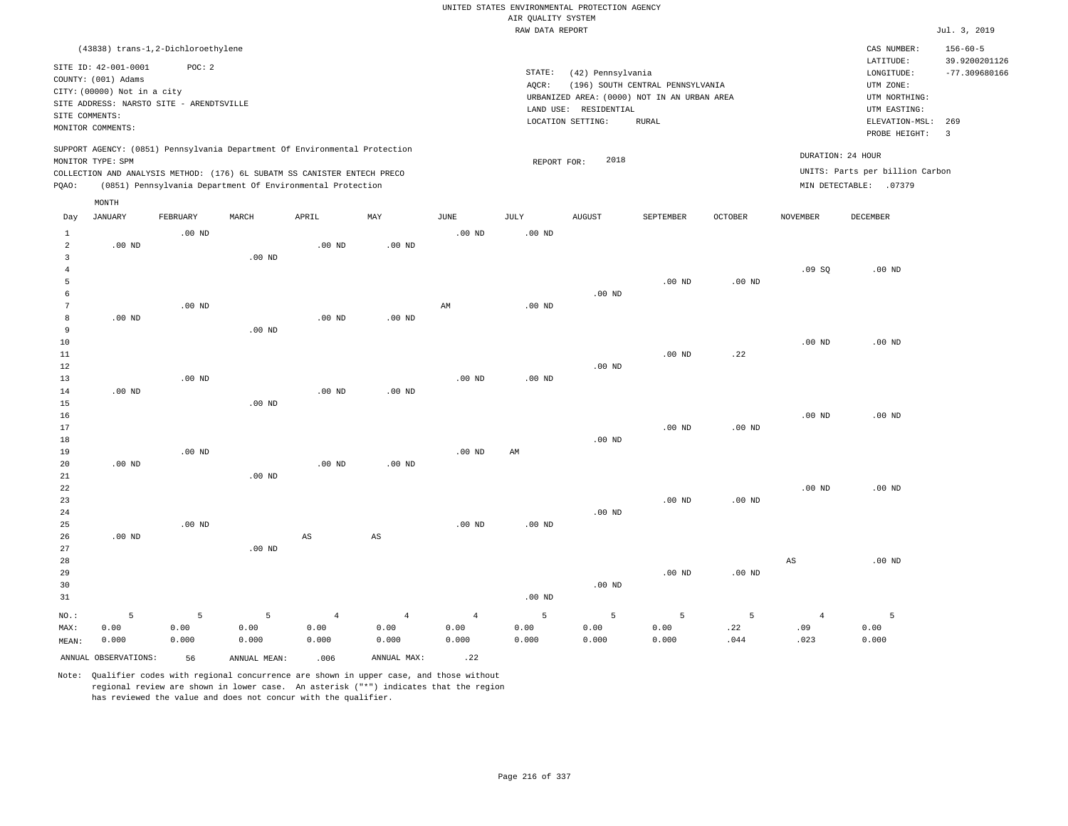RAW DATA REPORT Jul. 3, 2019 UNITED STATES ENVIRONMENTAL PROTECTION AGENCY AIR QUALITY SYSTEM (43838) trans-1,2-Dichloroethylene STATE: (42) Pennsylvania CAS NUMBER: 156-60-5 SITE ID: 42-001-0001 POC: 2 AQCR: (196) SOUTH CENTRAL PENNSYLVANIA COUNTY: (001) Adams CITY: (00000) Not in a city LONGITUDE: -77.309680166 LATITUDE: 39.9200201126 LOCATION SETTING: RURAL SITE ADDRESS: NARSTO SITE - ARENDTSVILLE LAND USE: RESIDENTIAL SITE COMMENTS: MONITOR COMMENTS: PROBE HEIGHT: 3 ELEVATION-MSL: 269 URBANIZED AREA: (0000) NOT IN AN URBAN AREA **URBAN SERIA UTM NORTHING**: UTM EASTING: UTM ZONE: SUPPORT AGENCY: (0851) Pennsylvania Department Of Environmental Protection MONITOR TYPE: SPM COLLECTION AND ANALYSIS METHOD: (176) 6L SUBATM SS CANISTER ENTECH PRECO REPORT FOR: 2018 UNITS: Parts per billion Carbon PQAO: (0851) Pennsylvania Department Of Environmental Protection DURATION: 24 HOUR MIN DETECTABLE: .07379 1 2 3 4 5 6 7 8 9 10 11 12 13 14 15 16 17 18 19  $20$ 21 22 23 24 25 26 27 28 29 30 31 .00 ND .00 ND .00 ND .00 ND .00 ND NO.: MAX: MEAN: 5 0.00 0.000 .00 ND .00 ND .00 ND .00 ND .00 ND .00 ND .00 ND .00 ND .00 ND .00 ND .00 ND .00 ND .00 ND .00 ND AS .00 ND .00 ND .00 ND .00 ND AS .00 ND AM .00 ND .00 ND .00 ND .00 ND .00 ND .00 ND AM .00 ND .00 ND .00 ND .00 ND .00 ND .00 ND .00 ND .00 ND .00 ND .00 ND .00 ND .00 ND .00 ND .22 .00 ND .00 ND .00 ND .09 SQ .00 ND .00 ND .00 ND AS .00 ND .00 ND .00 ND .00 ND .00 ND 5 0.00 0.000 5 0.00 0.000 4 0.00 0.000 4 0.00 0.000 4 0.00 0.000 5 0.00 0.000 5 0.00 0.000 5 0.00 0.000 5 .22 .044 4 .09 .023 5 0.00 0.000 ANNUAL OBSERVATIONS:  $\begin{array}{ccc} 56 & \text{ANNUAL MEAN:} & .006 \end{array}$  ANNUAL MAX: . .22 Day JANUARY FEBRUARY MARCH APRIL MAY JUNE JULY AUGUST SEPTEMBER OCTOBER NOVEMBER DECEMBER MONTH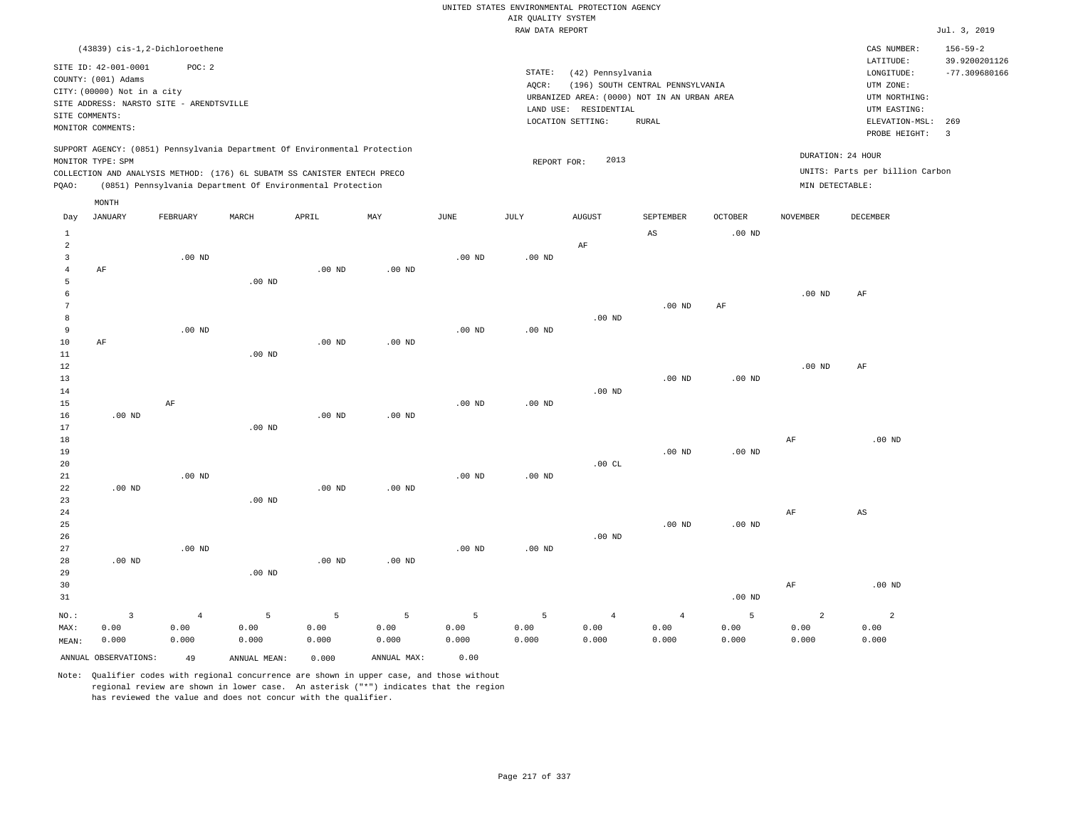|                                                                                                                                                                                                                                                             | UNITED STATES ENVIRONMENTAL PROTECTION AGENCY<br>AIR OUALITY SYSTEM                                                                                                            |                                                                                                                      |                                                           |
|-------------------------------------------------------------------------------------------------------------------------------------------------------------------------------------------------------------------------------------------------------------|--------------------------------------------------------------------------------------------------------------------------------------------------------------------------------|----------------------------------------------------------------------------------------------------------------------|-----------------------------------------------------------|
|                                                                                                                                                                                                                                                             | RAW DATA REPORT                                                                                                                                                                |                                                                                                                      | Jul. 3, 2019                                              |
| (43839) cis-1,2-Dichloroethene<br>SITE ID: 42-001-0001<br>POC: 2<br>COUNTY: (001) Adams<br>CITY: (00000) Not in a city<br>SITE ADDRESS: NARSTO SITE - ARENDTSVILLE<br>SITE COMMENTS:<br>MONITOR COMMENTS:                                                   | STATE:<br>(42) Pennsylvania<br>(196) SOUTH CENTRAL PENNSYLVANIA<br>AQCR:<br>URBANIZED AREA: (0000) NOT IN AN URBAN AREA<br>LAND USE: RESIDENTIAL<br>LOCATION SETTING:<br>RURAL | CAS NUMBER:<br>LATITUDE:<br>LONGITUDE:<br>UTM ZONE:<br>UTM NORTHING:<br>UTM EASTING:<br>ELEVATION-MSL:               | $156 - 59 - 2$<br>39.9200201126<br>$-77.309680166$<br>269 |
| SUPPORT AGENCY: (0851) Pennsylvania Department Of Environmental Protection<br>MONITOR TYPE: SPM<br>COLLECTION AND ANALYSIS METHOD: (176) 6L SUBATM SS CANISTER ENTECH PRECO<br>(0851) Pennsylvania Department Of Environmental Protection<br>POAO:<br>MONTH | 2013<br>REPORT FOR:                                                                                                                                                            | $\overline{\phantom{a}}$<br>PROBE HEIGHT:<br>DURATION: 24 HOUR<br>UNITS: Parts per billion Carbon<br>MIN DETECTABLE: |                                                           |

| Day            | JANUARY              | FEBRUARY       | MARCH             | APRIL          | MAY         | JUNE     | JULY     | AUGUST         | SEPTEMBER              | OCTOBER           | NOVEMBER       | DECEMBER               |
|----------------|----------------------|----------------|-------------------|----------------|-------------|----------|----------|----------------|------------------------|-------------------|----------------|------------------------|
| $\mathbf{1}$   |                      |                |                   |                |             |          |          |                | $\mathbb{A}\mathbb{S}$ | .00 <sub>ND</sub> |                |                        |
| $\overline{a}$ |                      |                |                   |                |             |          |          | $\rm{AF}$      |                        |                   |                |                        |
| $\overline{3}$ |                      | $.00$ ND       |                   |                |             | $.00$ ND | $.00$ ND |                |                        |                   |                |                        |
| $\overline{4}$ | AF                   |                |                   | $.00$ ND       | $.00$ ND    |          |          |                |                        |                   |                |                        |
| 5              |                      |                | .00 <sub>ND</sub> |                |             |          |          |                |                        |                   |                |                        |
| 6              |                      |                |                   |                |             |          |          |                |                        |                   | $.00$ ND       | AF                     |
| 7              |                      |                |                   |                |             |          |          |                | $.00$ ND               | $\rm AF$          |                |                        |
| 8              |                      |                |                   |                |             |          |          | $.00$ ND       |                        |                   |                |                        |
| 9              |                      | $.00$ ND       |                   |                |             | $.00$ ND | $.00$ ND |                |                        |                   |                |                        |
| $10$           | $\rm AF$             |                |                   | $.00$ ND       | $.00$ ND    |          |          |                |                        |                   |                |                        |
| 11             |                      |                | .00 <sub>ND</sub> |                |             |          |          |                |                        |                   |                |                        |
| 12             |                      |                |                   |                |             |          |          |                |                        |                   | $.00$ ND       | $\rm AF$               |
| 13             |                      |                |                   |                |             |          |          |                | $.00$ ND               | .00 <sub>ND</sub> |                |                        |
| 14             |                      |                |                   |                |             |          |          | $.00$ ND       |                        |                   |                |                        |
| 15             |                      | $\rm AF$       |                   |                |             | $.00$ ND | $.00$ ND |                |                        |                   |                |                        |
| 16             | $.00$ ND             |                |                   | $.00$ ND       | $.00$ ND    |          |          |                |                        |                   |                |                        |
| 17             |                      |                | .00 <sub>ND</sub> |                |             |          |          |                |                        |                   |                |                        |
| 18             |                      |                |                   |                |             |          |          |                |                        |                   | $\rm{AF}$      | $.00$ ND               |
| 19             |                      |                |                   |                |             |          |          |                | $.00$ ND               | .00 <sub>ND</sub> |                |                        |
| 20             |                      |                |                   |                |             |          |          | .00 $CL$       |                        |                   |                |                        |
| $21\,$         |                      | $.00$ ND       |                   |                |             | $.00$ ND | $.00$ ND |                |                        |                   |                |                        |
| 22             | $.00$ ND             |                |                   | $.00$ ND       | $.00$ ND    |          |          |                |                        |                   |                |                        |
| 23             |                      |                | .00 <sub>ND</sub> |                |             |          |          |                |                        |                   |                |                        |
| 24             |                      |                |                   |                |             |          |          |                |                        |                   | $\rm{AF}$      | $\mathbb{A}\mathbb{S}$ |
| 25             |                      |                |                   |                |             |          |          |                | .00 <sub>ND</sub>      | $.00$ ND          |                |                        |
| 26             |                      |                |                   |                |             |          |          | $.00$ ND       |                        |                   |                |                        |
| 27             |                      | $.00$ ND       |                   |                |             | $.00$ ND | $.00$ ND |                |                        |                   |                |                        |
| 28             | $.00$ ND             |                |                   | $.00$ ND       | $.00$ ND    |          |          |                |                        |                   |                |                        |
| 29             |                      |                | $.00$ ND          |                |             |          |          |                |                        |                   |                |                        |
| 30             |                      |                |                   |                |             |          |          |                |                        |                   | $\rm{AF}$      | $.00$ ND               |
| 31             |                      |                |                   |                |             |          |          |                |                        | $.00$ ND          |                |                        |
| $_{\rm NO.}$ : | $\mathbf{3}$         | $\overline{4}$ | 5                 | $\overline{5}$ | 5           | 5        | 5        | $\overline{4}$ | $\overline{4}$         | 5                 | $\overline{a}$ | $\overline{c}$         |
| MAX:           | 0.00                 | 0.00           | 0.00              | 0.00           | 0.00        | 0.00     | 0.00     | 0.00           | 0.00                   | 0.00              | 0.00           | 0.00                   |
| MEAN:          | 0.000                | 0.000          | 0.000             | 0.000          | 0.000       | 0.000    | 0.000    | 0.000          | 0.000                  | 0.000             | 0.000          | 0.000                  |
|                | ANNUAL OBSERVATIONS: | 49             | ANNUAL MEAN:      | 0.000          | ANNUAL MAX: | 0.00     |          |                |                        |                   |                |                        |

Note: Qualifier codes with regional concurrence are shown in upper case, and those without regional review are shown in lower case. An asterisk ("\*") indicates that the region has reviewed the value and does not concur with the qualifier.

MONTH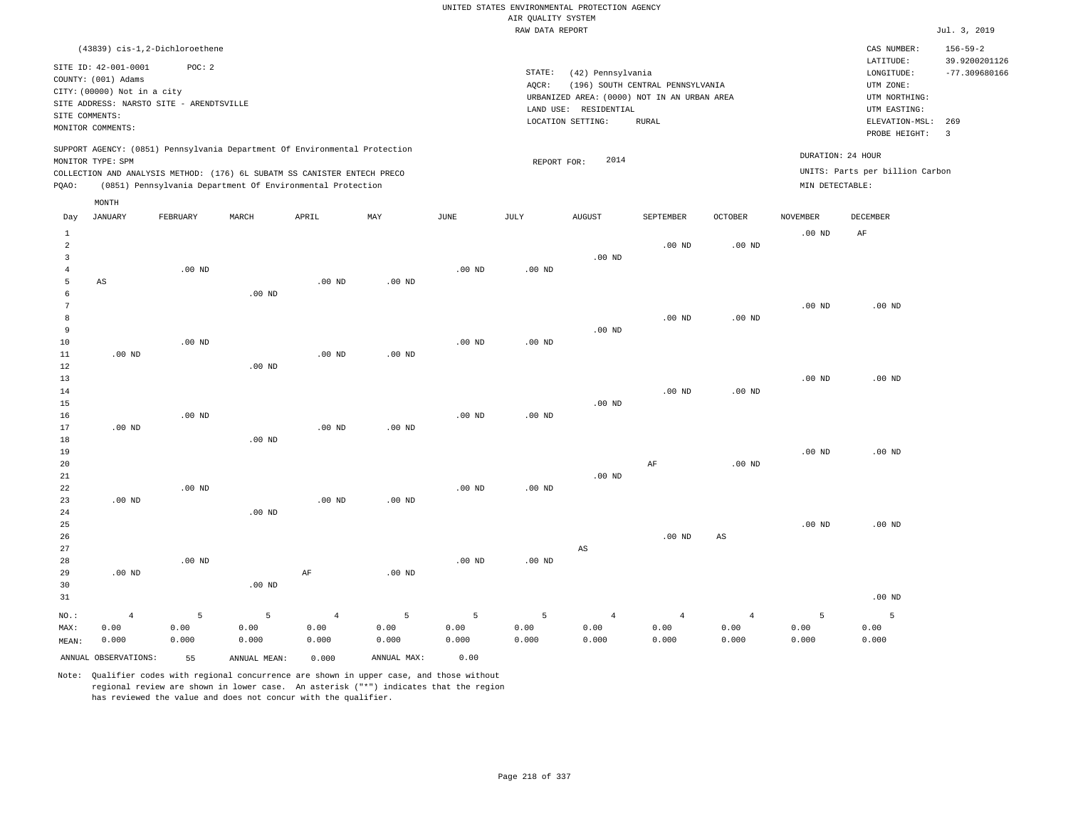|                 |                             |                                          |          |                                                                            |                   |                   |                    | UNITED STATES ENVIRONMENTAL PROTECTION AGENCY |                                  |                   |                 |                                 |                                 |
|-----------------|-----------------------------|------------------------------------------|----------|----------------------------------------------------------------------------|-------------------|-------------------|--------------------|-----------------------------------------------|----------------------------------|-------------------|-----------------|---------------------------------|---------------------------------|
|                 |                             |                                          |          |                                                                            |                   |                   | AIR QUALITY SYSTEM |                                               |                                  |                   |                 |                                 |                                 |
|                 |                             |                                          |          |                                                                            |                   |                   | RAW DATA REPORT    |                                               |                                  |                   |                 |                                 | Jul. 3, 2019                    |
|                 |                             | (43839) cis-1,2-Dichloroethene           |          |                                                                            |                   |                   |                    |                                               |                                  |                   |                 | CAS NUMBER:<br>LATITUDE:        | $156 - 59 - 2$<br>39.9200201126 |
|                 | SITE ID: 42-001-0001        | POC: 2                                   |          |                                                                            |                   |                   | STATE:             | (42) Pennsylvania                             |                                  |                   |                 | LONGITUDE:                      | $-77.309680166$                 |
|                 | COUNTY: (001) Adams         |                                          |          |                                                                            |                   |                   | AQCR:              |                                               | (196) SOUTH CENTRAL PENNSYLVANIA |                   |                 | UTM ZONE:                       |                                 |
|                 | CITY: (00000) Not in a city | SITE ADDRESS: NARSTO SITE - ARENDTSVILLE |          |                                                                            |                   |                   |                    | URBANIZED AREA: (0000) NOT IN AN URBAN AREA   |                                  |                   |                 | UTM NORTHING:                   |                                 |
|                 | SITE COMMENTS:              |                                          |          |                                                                            |                   |                   |                    | LAND USE: RESIDENTIAL                         |                                  |                   |                 | UTM EASTING:                    |                                 |
|                 | MONITOR COMMENTS:           |                                          |          |                                                                            |                   |                   |                    | LOCATION SETTING:                             | <b>RURAL</b>                     |                   |                 | ELEVATION-MSL:                  | 269                             |
|                 |                             |                                          |          |                                                                            |                   |                   |                    |                                               |                                  |                   |                 | PROBE HEIGHT:                   | $\overline{\mathbf{3}}$         |
|                 |                             |                                          |          | SUPPORT AGENCY: (0851) Pennsylvania Department Of Environmental Protection |                   |                   |                    |                                               |                                  |                   |                 | DURATION: 24 HOUR               |                                 |
|                 | MONITOR TYPE: SPM           |                                          |          |                                                                            |                   |                   | REPORT FOR:        | 2014                                          |                                  |                   |                 | UNITS: Parts per billion Carbon |                                 |
|                 |                             |                                          |          | COLLECTION AND ANALYSIS METHOD: (176) 6L SUBATM SS CANISTER ENTECH PRECO   |                   |                   |                    |                                               |                                  |                   |                 |                                 |                                 |
| PQAO:           |                             |                                          |          | (0851) Pennsylvania Department Of Environmental Protection                 |                   |                   |                    |                                               |                                  |                   | MIN DETECTABLE: |                                 |                                 |
| Day             | MONTH<br><b>JANUARY</b>     | FEBRUARY                                 | MARCH    | APRIL                                                                      | MAY               | JUNE              | JULY               | <b>AUGUST</b>                                 | SEPTEMBER                        | OCTOBER           | <b>NOVEMBER</b> | <b>DECEMBER</b>                 |                                 |
| $\mathbf{1}$    |                             |                                          |          |                                                                            |                   |                   |                    |                                               |                                  |                   | $.00$ ND        | AF                              |                                 |
| $\overline{a}$  |                             |                                          |          |                                                                            |                   |                   |                    |                                               | .00 <sub>ND</sub>                | .00 <sub>ND</sub> |                 |                                 |                                 |
| $\overline{3}$  |                             |                                          |          |                                                                            |                   |                   |                    | $.00$ ND                                      |                                  |                   |                 |                                 |                                 |
| $\overline{4}$  |                             | $.00$ ND                                 |          |                                                                            |                   | $.00$ ND          | $.00$ ND           |                                               |                                  |                   |                 |                                 |                                 |
| 5               | $_{\rm AS}$                 |                                          |          | .00 <sub>ND</sub>                                                          | $.00$ ND          |                   |                    |                                               |                                  |                   |                 |                                 |                                 |
| 6               |                             |                                          | $.00$ ND |                                                                            |                   |                   |                    |                                               |                                  |                   |                 |                                 |                                 |
| $7\phantom{.0}$ |                             |                                          |          |                                                                            |                   |                   |                    |                                               |                                  |                   | $.00$ ND        | $.00$ ND                        |                                 |
| 8               |                             |                                          |          |                                                                            |                   |                   |                    |                                               | .00 <sub>ND</sub>                | .00 <sub>ND</sub> |                 |                                 |                                 |
| 9               |                             |                                          |          |                                                                            |                   |                   |                    | $.00$ ND                                      |                                  |                   |                 |                                 |                                 |
| 10              |                             | $.00$ ND                                 |          |                                                                            |                   | .00 <sub>ND</sub> | .00 <sub>ND</sub>  |                                               |                                  |                   |                 |                                 |                                 |
| 11              | $.00$ ND                    |                                          |          | $.00$ ND                                                                   | $.00$ ND          |                   |                    |                                               |                                  |                   |                 |                                 |                                 |
| 12<br>13        |                             |                                          | $.00$ ND |                                                                            |                   |                   |                    |                                               |                                  |                   | $.00$ ND        | $.00$ ND                        |                                 |
| 14              |                             |                                          |          |                                                                            |                   |                   |                    |                                               | $.00$ ND                         | $.00$ ND          |                 |                                 |                                 |
| 15              |                             |                                          |          |                                                                            |                   |                   |                    | $.00$ ND                                      |                                  |                   |                 |                                 |                                 |
| 16              |                             | $.00$ ND                                 |          |                                                                            |                   | $.00$ ND          | $.00$ ND           |                                               |                                  |                   |                 |                                 |                                 |
| 17              | $.00$ ND                    |                                          |          | $.00$ ND                                                                   | $.00$ ND          |                   |                    |                                               |                                  |                   |                 |                                 |                                 |
| 18              |                             |                                          | $.00$ ND |                                                                            |                   |                   |                    |                                               |                                  |                   |                 |                                 |                                 |
| 19              |                             |                                          |          |                                                                            |                   |                   |                    |                                               |                                  |                   | $.00$ ND        | $.00$ ND                        |                                 |
| 20              |                             |                                          |          |                                                                            |                   |                   |                    |                                               | AF                               | .00 <sub>ND</sub> |                 |                                 |                                 |
| 21              |                             |                                          |          |                                                                            |                   |                   |                    | $.00$ ND                                      |                                  |                   |                 |                                 |                                 |
| 22              |                             | $.00$ ND                                 |          |                                                                            |                   | $.00$ ND          | $.00$ ND           |                                               |                                  |                   |                 |                                 |                                 |
| 23              | .00 <sub>ND</sub>           |                                          |          | .00 <sub>ND</sub>                                                          | .00 <sub>ND</sub> |                   |                    |                                               |                                  |                   |                 |                                 |                                 |
| 24              |                             |                                          | $.00$ ND |                                                                            |                   |                   |                    |                                               |                                  |                   |                 |                                 |                                 |
| 25<br>26        |                             |                                          |          |                                                                            |                   |                   |                    |                                               | $.00$ ND                         | $_{\rm AS}$       | $.00$ ND        | $.00$ ND                        |                                 |
| 27              |                             |                                          |          |                                                                            |                   |                   |                    | $_{\rm AS}$                                   |                                  |                   |                 |                                 |                                 |
| 28              |                             | $.00$ ND                                 |          |                                                                            |                   | .00 <sub>ND</sub> | $.00$ ND           |                                               |                                  |                   |                 |                                 |                                 |
| 29              | $.00$ ND                    |                                          |          | AF                                                                         | $.00$ ND          |                   |                    |                                               |                                  |                   |                 |                                 |                                 |
| 30              |                             |                                          | $.00$ ND |                                                                            |                   |                   |                    |                                               |                                  |                   |                 |                                 |                                 |
| 31              |                             |                                          |          |                                                                            |                   |                   |                    |                                               |                                  |                   |                 | .00 <sub>ND</sub>               |                                 |
| NO.:            | $\overline{4}$              | 5                                        | 5        | $\overline{4}$                                                             | 5                 | 5                 | 5                  | $\overline{4}$                                | $\overline{4}$                   | $\overline{4}$    | 5               | 5                               |                                 |
| MAX:            | 0.00                        | 0.00                                     | 0.00     | 0.00                                                                       | 0.00              | 0.00              | 0.00               | 0.00                                          | 0.00                             | 0.00              | 0.00            | 0.00                            |                                 |
| MEAN:           | 0.000                       | 0.000                                    | 0.000    | 0.000                                                                      | 0.000             | 0.000             | 0.000              | 0.000                                         | 0.000                            | 0.000             | 0.000           | 0.000                           |                                 |

ANNUAL OBSERVATIONS: 55 ANNUAL MEAN: 0.000 ANNUAL MAX: 0.00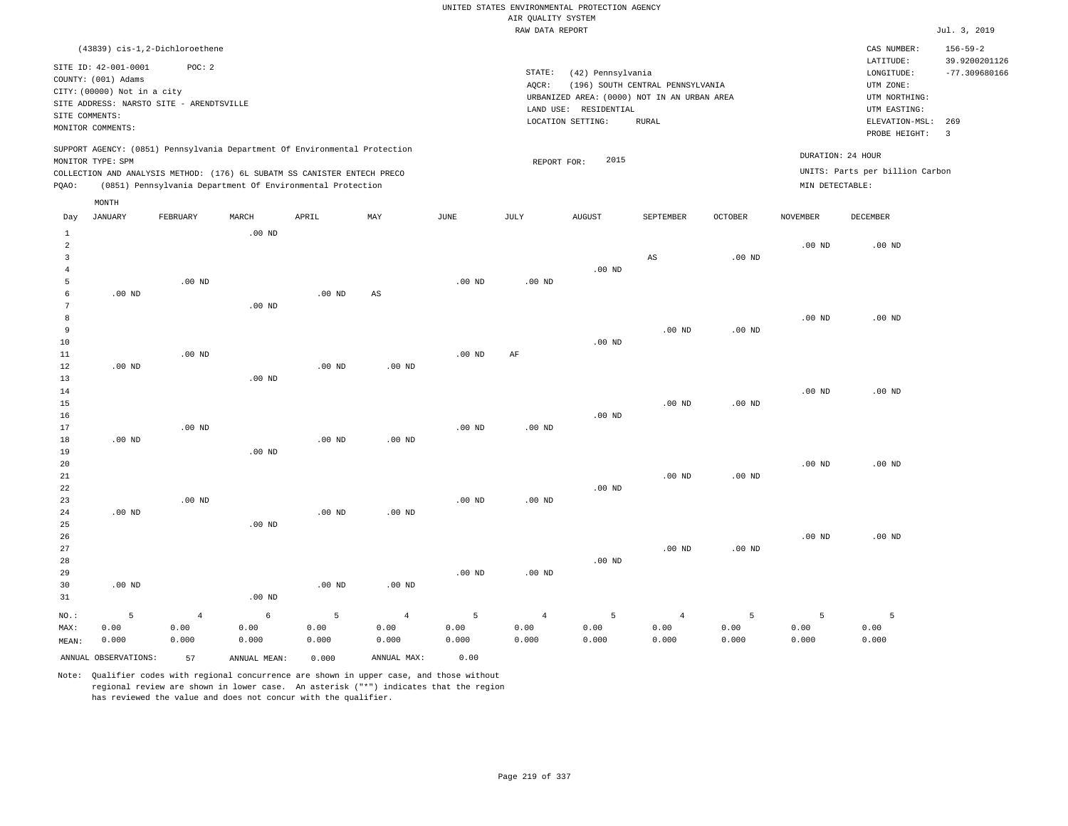RAW DATA REPORT Jul. 3, 2019 UNITED STATES ENVIRONMENTAL PROTECTION AGENCY AIR QUALITY SYSTEM

|                |                             | (43839) cis-1,2-Dichloroethene           |       |                                                                            |     |      |        |                                             |                                  |                |                 | CAS NUMBER:                     | $156 - 59 - 2$  |
|----------------|-----------------------------|------------------------------------------|-------|----------------------------------------------------------------------------|-----|------|--------|---------------------------------------------|----------------------------------|----------------|-----------------|---------------------------------|-----------------|
|                | SITE ID: 42-001-0001        | POC:2                                    |       |                                                                            |     |      |        |                                             |                                  |                |                 | LATITUDE:                       | 39.9200201126   |
|                | COUNTY: (001) Adams         |                                          |       |                                                                            |     |      | STATE: | (42) Pennsylvania                           |                                  |                |                 | LONGITUDE:                      | $-77.309680166$ |
|                |                             |                                          |       |                                                                            |     |      | AOCR:  |                                             | (196) SOUTH CENTRAL PENNSYLVANIA |                |                 | UTM ZONE:                       |                 |
|                | CITY: (00000) Not in a city |                                          |       |                                                                            |     |      |        | URBANIZED AREA: (0000) NOT IN AN URBAN AREA |                                  |                |                 | UTM NORTHING:                   |                 |
|                |                             | SITE ADDRESS: NARSTO SITE - ARENDTSVILLE |       |                                                                            |     |      |        | RESIDENTIAL<br>LAND USE:                    |                                  |                |                 | UTM EASTING:                    |                 |
| SITE COMMENTS: |                             |                                          |       |                                                                            |     |      |        | LOCATION SETTING:                           | RURAL                            |                |                 | ELEVATION-MSL:                  | 269             |
|                | MONITOR COMMENTS:           |                                          |       |                                                                            |     |      |        |                                             |                                  |                |                 | PROBE HEIGHT:                   |                 |
|                |                             |                                          |       |                                                                            |     |      |        |                                             |                                  |                |                 |                                 |                 |
|                |                             |                                          |       | SUPPORT AGENCY: (0851) Pennsylvania Department Of Environmental Protection |     |      |        |                                             |                                  |                |                 | DURATION: 24 HOUR               |                 |
|                | MONITOR TYPE: SPM           |                                          |       |                                                                            |     |      |        | 2015<br>REPORT FOR:                         |                                  |                |                 |                                 |                 |
|                |                             |                                          |       | COLLECTION AND ANALYSIS METHOD: (176) 6L SUBATM SS CANISTER ENTECH PRECO   |     |      |        |                                             |                                  |                |                 | UNITS: Parts per billion Carbon |                 |
| POAO:          |                             |                                          |       | (0851) Pennsylvania Department Of Environmental Protection                 |     |      |        |                                             |                                  |                | MIN DETECTABLE: |                                 |                 |
|                |                             |                                          |       |                                                                            |     |      |        |                                             |                                  |                |                 |                                 |                 |
|                | MONTH                       |                                          |       |                                                                            |     |      |        |                                             |                                  |                |                 |                                 |                 |
| Day            | JANUARY                     | FEBRUARY                                 | MARCH | APRIL                                                                      | MAY | JUNE | JULY   | <b>AUGUST</b>                               | SEPTEMBER                        | <b>OCTOBER</b> | <b>NOVEMBER</b> | DECEMBER                        |                 |

| $\mathbf{1}$   |                      |                | $.00$ ND     |                   |                        |          |                   |          |                   |                   |          |          |
|----------------|----------------------|----------------|--------------|-------------------|------------------------|----------|-------------------|----------|-------------------|-------------------|----------|----------|
| $\overline{a}$ |                      |                |              |                   |                        |          |                   |          |                   |                   | $.00$ ND | $.00$ ND |
| 3              |                      |                |              |                   |                        |          |                   |          | AS                | .00 <sub>ND</sub> |          |          |
| 4              |                      |                |              |                   |                        |          |                   | $.00$ ND |                   |                   |          |          |
| 5              |                      | $.00$ ND       |              |                   |                        | $.00$ ND | $.00$ ND          |          |                   |                   |          |          |
| 6              | .00 <sub>ND</sub>    |                |              | $.00$ ND          | $\mathbb{A}\mathbb{S}$ |          |                   |          |                   |                   |          |          |
| 7              |                      |                | $.00$ ND     |                   |                        |          |                   |          |                   |                   |          |          |
| 8              |                      |                |              |                   |                        |          |                   |          |                   |                   | $.00$ ND | $.00$ ND |
| 9              |                      |                |              |                   |                        |          |                   |          | $.00$ ND          | .00 <sub>ND</sub> |          |          |
| 10             |                      |                |              |                   |                        |          |                   | $.00$ ND |                   |                   |          |          |
| 11             |                      | $.00$ ND       |              |                   |                        | $.00$ ND | $\rm AF$          |          |                   |                   |          |          |
| 12             | $.00$ ND             |                |              | $.00$ ND          | $.00$ ND               |          |                   |          |                   |                   |          |          |
| 13             |                      |                | $.00$ ND     |                   |                        |          |                   |          |                   |                   |          |          |
| 14             |                      |                |              |                   |                        |          |                   |          |                   |                   | $.00$ ND | $.00$ ND |
| 15             |                      |                |              |                   |                        |          |                   |          | .00 <sub>ND</sub> | $.00$ ND          |          |          |
| 16             |                      |                |              |                   |                        |          |                   | .00 $ND$ |                   |                   |          |          |
| 17             |                      | $.00$ ND       |              |                   |                        | $.00$ ND | $.00$ ND          |          |                   |                   |          |          |
| 18             | $.00$ ND             |                |              | $.00$ ND          | $.00$ ND               |          |                   |          |                   |                   |          |          |
| 19             |                      |                | $.00$ ND     |                   |                        |          |                   |          |                   |                   |          |          |
| 20             |                      |                |              |                   |                        |          |                   |          |                   |                   | $.00$ ND | $.00$ ND |
| 21             |                      |                |              |                   |                        |          |                   |          | $.00$ ND          | $.00$ ND          |          |          |
| 22             |                      |                |              |                   |                        |          |                   | $.00$ ND |                   |                   |          |          |
| 23             |                      | $.00$ ND       |              |                   |                        | $.00$ ND | $.00$ ND          |          |                   |                   |          |          |
| 24             | $.00$ ND             |                |              | .00 <sub>ND</sub> | $.00$ ND               |          |                   |          |                   |                   |          |          |
| 25             |                      |                | $.00$ ND     |                   |                        |          |                   |          |                   |                   |          |          |
| 26             |                      |                |              |                   |                        |          |                   |          |                   |                   | $.00$ ND | $.00$ ND |
| 27             |                      |                |              |                   |                        |          |                   |          | .00 <sub>ND</sub> | $.00$ ND          |          |          |
| 28             |                      |                |              |                   |                        |          |                   | $.00$ ND |                   |                   |          |          |
| 29             |                      |                |              |                   |                        | $.00$ ND | .00 <sub>ND</sub> |          |                   |                   |          |          |
| 30             | .00 <sub>ND</sub>    |                |              | .00 <sub>ND</sub> | $.00$ ND               |          |                   |          |                   |                   |          |          |
| 31             |                      |                | .00 $ND$     |                   |                        |          |                   |          |                   |                   |          |          |
| $_{\rm NO.}$ : | 5                    | $\overline{4}$ | $\epsilon$   | 5                 | $\overline{4}$         | 5        | $\overline{4}$    | 5        | $\overline{4}$    | 5                 | 5        | 5        |
| MAX:           | 0.00                 | 0.00           | 0.00         | 0.00              | 0.00                   | 0.00     | 0.00              | 0.00     | 0.00              | 0.00              | 0.00     | 0.00     |
| MEAN:          | 0.000                | 0.000          | 0.000        | 0.000             | 0.000                  | 0.000    | 0.000             | 0.000    | 0.000             | 0.000             | 0.000    | 0.000    |
|                | ANNUAL OBSERVATIONS: | 57             | ANNUAL MEAN: | 0.000             | ANNUAL MAX:            | 0.00     |                   |          |                   |                   |          |          |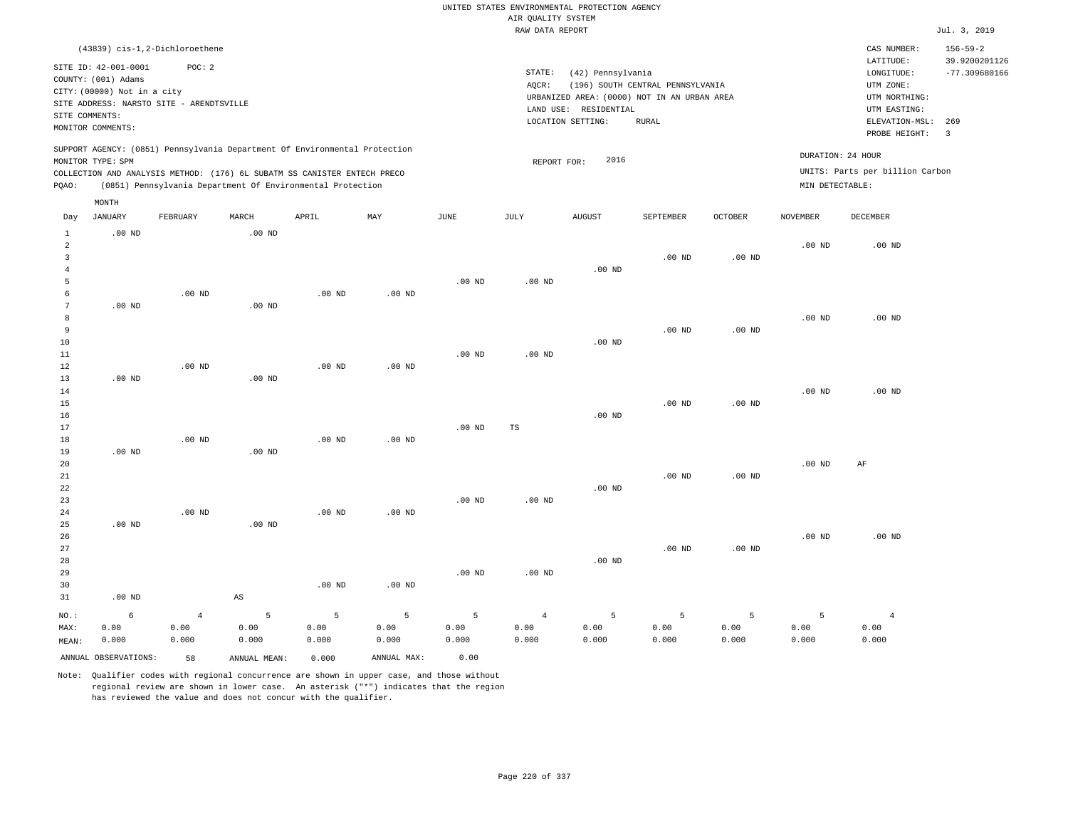# UNITED STATES ENVIRONMENTAL PROTECTION AGENCY AIR QUALITY SYSTEM

|                                                                                                                                                                                                                                                             |                                                                    |                                          |                      |                   |          |          | RAW DATA REPORT |                                  |                                                      |                |                                      |                                                                  | Jul. 3, 2019                                       |
|-------------------------------------------------------------------------------------------------------------------------------------------------------------------------------------------------------------------------------------------------------------|--------------------------------------------------------------------|------------------------------------------|----------------------|-------------------|----------|----------|-----------------|----------------------------------|------------------------------------------------------|----------------|--------------------------------------|------------------------------------------------------------------|----------------------------------------------------|
|                                                                                                                                                                                                                                                             | SITE ID: 42-001-0001<br>COUNTY: (001) Adams                        | (43839) cis-1,2-Dichloroethene<br>POC:2  |                      |                   |          |          | STATE:<br>AOCR: | (42) Pennsylvania                | (196) SOUTH CENTRAL PENNSYLVANIA                     |                |                                      | CAS NUMBER:<br>LATITUDE:<br>LONGITUDE:<br>UTM ZONE:              | $156 - 59 - 2$<br>39.9200201126<br>$-77.309680166$ |
|                                                                                                                                                                                                                                                             | CITY: (00000) Not in a city<br>SITE COMMENTS:<br>MONITOR COMMENTS: | SITE ADDRESS: NARSTO SITE - ARENDTSVILLE |                      |                   |          |          | LAND USE:       | RESIDENTIAL<br>LOCATION SETTING: | URBANIZED AREA: (0000) NOT IN AN URBAN AREA<br>RURAL |                |                                      | UTM NORTHING:<br>UTM EASTING:<br>ELEVATION-MSL:<br>PROBE HEIGHT: | 269<br>-3                                          |
| SUPPORT AGENCY: (0851) Pennsylvania Department Of Environmental Protection<br>MONITOR TYPE: SPM<br>COLLECTION AND ANALYSIS METHOD: (176) 6L SUBATM SS CANISTER ENTECH PRECO<br>(0851) Pennsylvania Department Of Environmental Protection<br>POAO:<br>MONTH |                                                                    |                                          |                      |                   |          |          | REPORT FOR:     | 2016                             |                                                      |                | DURATION: 24 HOUR<br>MIN DETECTABLE: | UNITS: Parts per billion Carbon                                  |                                                    |
| Day                                                                                                                                                                                                                                                         | JANUARY                                                            | FEBRUARY                                 | MARCH                | APRIL             | MAY      | JUNE     | JULY            | <b>AUGUST</b>                    | SEPTEMBER                                            | <b>OCTOBER</b> | <b>NOVEMBER</b>                      | DECEMBER                                                         |                                                    |
|                                                                                                                                                                                                                                                             | $.00$ ND<br>.00 <sub>ND</sub>                                      | $.00$ ND                                 | $.00$ ND<br>$.00$ ND | .00 <sub>ND</sub> | $.00$ ND | $.00$ ND | $.00$ ND        | $.00$ ND                         | $.00$ ND                                             | $.00$ ND       | $.00$ ND                             | $.00$ ND                                                         |                                                    |
| 8                                                                                                                                                                                                                                                           |                                                                    |                                          |                      |                   |          |          |                 |                                  |                                                      |                | $.00$ ND                             | .00 <sub>ND</sub>                                                |                                                    |

.00 ND

.00 ND

.00 ND

.00 ND

.00 ND

.00 ND

.00 ND

.00 ND

4 0.00 0.000

AF

.00 ND

.00 ND

5 0.00 0.000

.00 ND

.00 ND

5 0.00 0.000

.00 ND

.00 ND

.00 ND

5 0.00 0.000

.00 ND

.00 ND

.00 ND

5 0.00 0.000

.00 ND

.00 ND

4 0.00 0.000

NO.: MAX: MEAN: .00 ND

.00 ND

.00 ND

.00 ND

.00 ND

.00 ND

.00 ND

TS

.00 ND

.00 ND

5 0.00 0.000

.00 ND

.00 ND

.00 ND

5 0.00 0.000

.00 ND

.00 ND

.00 ND

5 0.00 0.000

.00 ND

.00 ND

5 0.00 0.000

ANNUAL OBSERVATIONS: 58 ANNUAL MEAN: 0.000 ANNUAL MAX: 0.00 Note: Qualifier codes with regional concurrence are shown in upper case, and those without regional review are shown in lower case. An asterisk ("\*") indicates that the region

AS

has reviewed the value and does not concur with the qualifier.

.00 ND

.00 ND

4 0.00 0.000

.00 ND

.00 ND

.00 ND

6 0.00 0.000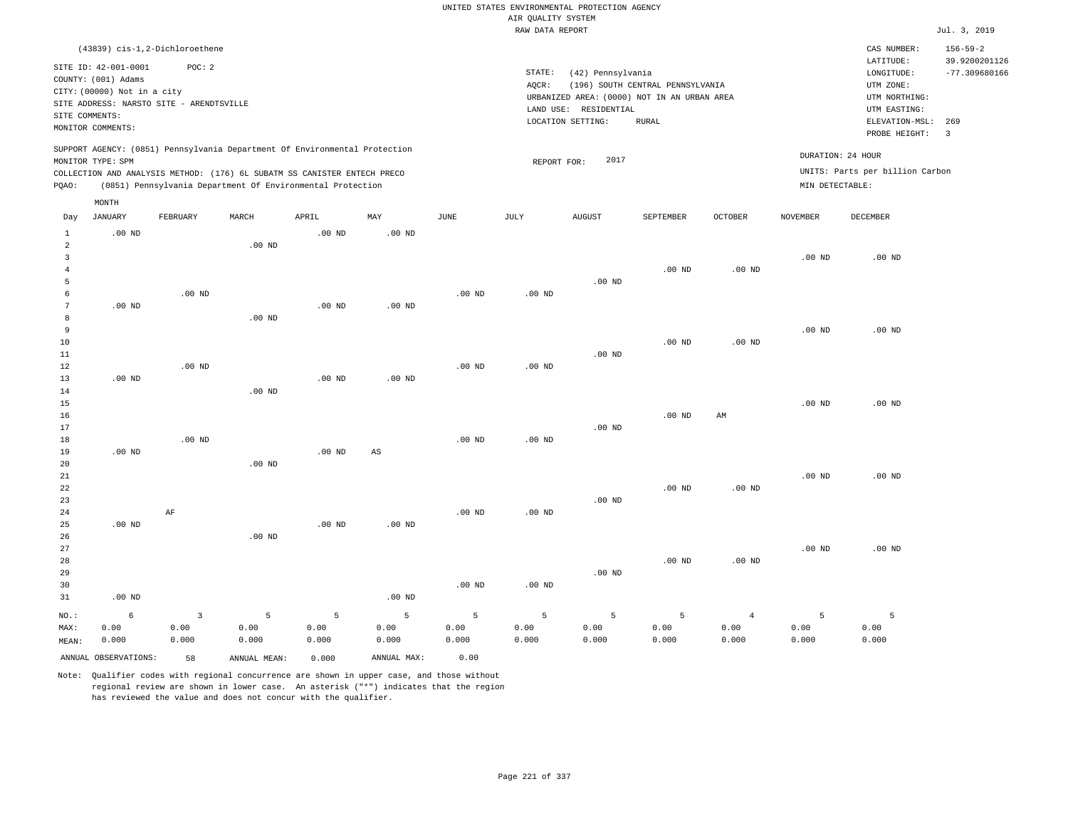|                                           |                                                                                                              |          |                                                                            |                   |             |                   |                    | UNITED STATES ENVIRONMENTAL PROTECTION AGENCY                                             |                                  |                |                   |                                                     |                                                    |
|-------------------------------------------|--------------------------------------------------------------------------------------------------------------|----------|----------------------------------------------------------------------------|-------------------|-------------|-------------------|--------------------|-------------------------------------------------------------------------------------------|----------------------------------|----------------|-------------------|-----------------------------------------------------|----------------------------------------------------|
|                                           |                                                                                                              |          |                                                                            |                   |             |                   | AIR OUALITY SYSTEM |                                                                                           |                                  |                |                   |                                                     |                                                    |
|                                           |                                                                                                              |          |                                                                            |                   |             |                   | RAW DATA REPORT    |                                                                                           |                                  |                |                   |                                                     | Jul. 3, 2019                                       |
|                                           | (43839) cis-1,2-Dichloroethene<br>SITE ID: 42-001-0001<br>COUNTY: (001) Adams<br>CITY: (00000) Not in a city | POC: 2   |                                                                            |                   |             |                   | STATE:<br>AOCR:    | (42) Pennsylvania                                                                         | (196) SOUTH CENTRAL PENNSYLVANIA |                |                   | CAS NUMBER:<br>LATITUDE:<br>LONGITUDE:<br>UTM ZONE: | $156 - 59 - 2$<br>39.9200201126<br>$-77.309680166$ |
| SITE COMMENTS:                            | SITE ADDRESS: NARSTO SITE - ARENDTSVILLE                                                                     |          |                                                                            |                   |             |                   |                    | URBANIZED AREA: (0000) NOT IN AN URBAN AREA<br>LAND USE: RESIDENTIAL<br>LOCATION SETTING: | <b>RURAL</b>                     |                |                   | UTM NORTHING:<br>UTM EASTING:<br>ELEVATION-MSL:     | 269                                                |
|                                           | MONITOR COMMENTS:                                                                                            |          |                                                                            |                   |             |                   |                    |                                                                                           |                                  |                |                   | PROBE HEIGHT:                                       | $\overline{\mathbf{3}}$                            |
|                                           | MONITOR TYPE: SPM                                                                                            |          | SUPPORT AGENCY: (0851) Pennsylvania Department Of Environmental Protection |                   |             |                   | REPORT FOR:        | 2017                                                                                      |                                  |                | DURATION: 24 HOUR |                                                     |                                                    |
|                                           |                                                                                                              |          | COLLECTION AND ANALYSIS METHOD: (176) 6L SUBATM SS CANISTER ENTECH PRECO   |                   |             |                   |                    |                                                                                           |                                  |                |                   | UNITS: Parts per billion Carbon                     |                                                    |
| PQAO:                                     |                                                                                                              |          | (0851) Pennsylvania Department Of Environmental Protection                 |                   |             |                   |                    |                                                                                           |                                  |                | MIN DETECTABLE:   |                                                     |                                                    |
| Day                                       | MONTH<br><b>JANUARY</b>                                                                                      | FEBRUARY | MARCH                                                                      | APRIL             | MAY         | JUNE              | JULY               | <b>AUGUST</b>                                                                             | SEPTEMBER                        | <b>OCTOBER</b> | <b>NOVEMBER</b>   | <b>DECEMBER</b>                                     |                                                    |
| $\mathbf{1}$                              | $.00$ ND                                                                                                     |          |                                                                            | $.00$ ND          | $.00$ ND    |                   |                    |                                                                                           |                                  |                |                   |                                                     |                                                    |
| $\overline{a}$<br>$\overline{\mathbf{3}}$ |                                                                                                              |          | $.00$ ND                                                                   |                   |             |                   |                    |                                                                                           |                                  |                | .00 <sub>ND</sub> | $.00$ ND                                            |                                                    |
| $\overline{4}$<br>5                       |                                                                                                              |          |                                                                            |                   |             |                   |                    | $.00$ ND                                                                                  | $.00$ ND                         | $.00$ ND       |                   |                                                     |                                                    |
| 6<br>7                                    | $.00$ ND                                                                                                     | $.00$ ND |                                                                            | $.00$ ND          | $.00$ ND    | $.00$ ND          | .00 <sub>ND</sub>  |                                                                                           |                                  |                |                   |                                                     |                                                    |
| 8                                         |                                                                                                              |          | $.00$ ND                                                                   |                   |             |                   |                    |                                                                                           |                                  |                |                   |                                                     |                                                    |
| 9                                         |                                                                                                              |          |                                                                            |                   |             |                   |                    |                                                                                           |                                  |                | .00 <sub>ND</sub> | $.00$ ND                                            |                                                    |
| 10                                        |                                                                                                              |          |                                                                            |                   |             |                   |                    |                                                                                           | $.00$ ND                         | $.00$ ND       |                   |                                                     |                                                    |
| 11<br>12                                  |                                                                                                              | $.00$ ND |                                                                            |                   |             | .00 <sub>ND</sub> | .00 <sub>ND</sub>  | $.00$ ND                                                                                  |                                  |                |                   |                                                     |                                                    |
| 13                                        | $.00$ ND                                                                                                     |          |                                                                            | .00 <sub>ND</sub> | $.00$ ND    |                   |                    |                                                                                           |                                  |                |                   |                                                     |                                                    |
| 14                                        |                                                                                                              |          | .00 <sub>ND</sub>                                                          |                   |             |                   |                    |                                                                                           |                                  |                |                   |                                                     |                                                    |
| 15                                        |                                                                                                              |          |                                                                            |                   |             |                   |                    |                                                                                           |                                  |                | .00 <sub>ND</sub> | $.00$ ND                                            |                                                    |
| 16<br>17                                  |                                                                                                              |          |                                                                            |                   |             |                   |                    | $.00$ ND                                                                                  | $.00$ ND                         | AM             |                   |                                                     |                                                    |
| 18                                        |                                                                                                              | $.00$ ND |                                                                            |                   |             | .00 <sub>ND</sub> | $.00$ ND           |                                                                                           |                                  |                |                   |                                                     |                                                    |
| 19                                        | $.00$ ND                                                                                                     |          |                                                                            | $.00$ ND          | AS          |                   |                    |                                                                                           |                                  |                |                   |                                                     |                                                    |
| 20                                        |                                                                                                              |          | $.00$ ND                                                                   |                   |             |                   |                    |                                                                                           |                                  |                |                   |                                                     |                                                    |
| 21<br>22                                  |                                                                                                              |          |                                                                            |                   |             |                   |                    |                                                                                           | .00 <sub>ND</sub>                | $.00$ ND       | .00 <sub>ND</sub> | $.00$ ND                                            |                                                    |
| 23                                        |                                                                                                              |          |                                                                            |                   |             |                   |                    | $.00$ ND                                                                                  |                                  |                |                   |                                                     |                                                    |
| 24                                        |                                                                                                              | $\rm AF$ |                                                                            |                   |             | $.00$ ND          | $.00$ ND           |                                                                                           |                                  |                |                   |                                                     |                                                    |
| 25                                        | .00 <sub>ND</sub>                                                                                            |          |                                                                            | $.00$ ND          | $.00$ ND    |                   |                    |                                                                                           |                                  |                |                   |                                                     |                                                    |
| 26<br>27                                  |                                                                                                              |          | $.00$ ND                                                                   |                   |             |                   |                    |                                                                                           |                                  |                | .00 <sub>ND</sub> | $.00$ ND                                            |                                                    |
| 28                                        |                                                                                                              |          |                                                                            |                   |             |                   |                    |                                                                                           | $.00$ ND                         | $.00$ ND       |                   |                                                     |                                                    |
| 29                                        |                                                                                                              |          |                                                                            |                   |             |                   |                    | $.00$ ND                                                                                  |                                  |                |                   |                                                     |                                                    |
| 30<br>31                                  | $.00$ ND                                                                                                     |          |                                                                            |                   | $.00$ ND    | .00 <sub>ND</sub> | $.00$ ND           |                                                                                           |                                  |                |                   |                                                     |                                                    |
| NO.:                                      | 6                                                                                                            | 3        | 5                                                                          | 5                 | 5           | 5                 | 5                  | 5                                                                                         | 5                                | $\overline{4}$ | 5                 | 5                                                   |                                                    |
| MAX:                                      | 0.00                                                                                                         | 0.00     | 0.00                                                                       | 0.00              | 0.00        | 0.00              | 0.00               | 0.00                                                                                      | 0.00                             | 0.00           | 0.00              | 0.00                                                |                                                    |
| MEAN:                                     | 0.000                                                                                                        | 0.000    | 0.000                                                                      | 0.000             | 0.000       | 0.000             | 0.000              | 0.000                                                                                     | 0.000                            | 0.000          | 0.000             | 0.000                                               |                                                    |
|                                           | ANNUAL OBSERVATIONS:                                                                                         | 58       | ANNUAL, MEAN:                                                              | 0.000             | ANNUAL MAX: | 0.00              |                    |                                                                                           |                                  |                |                   |                                                     |                                                    |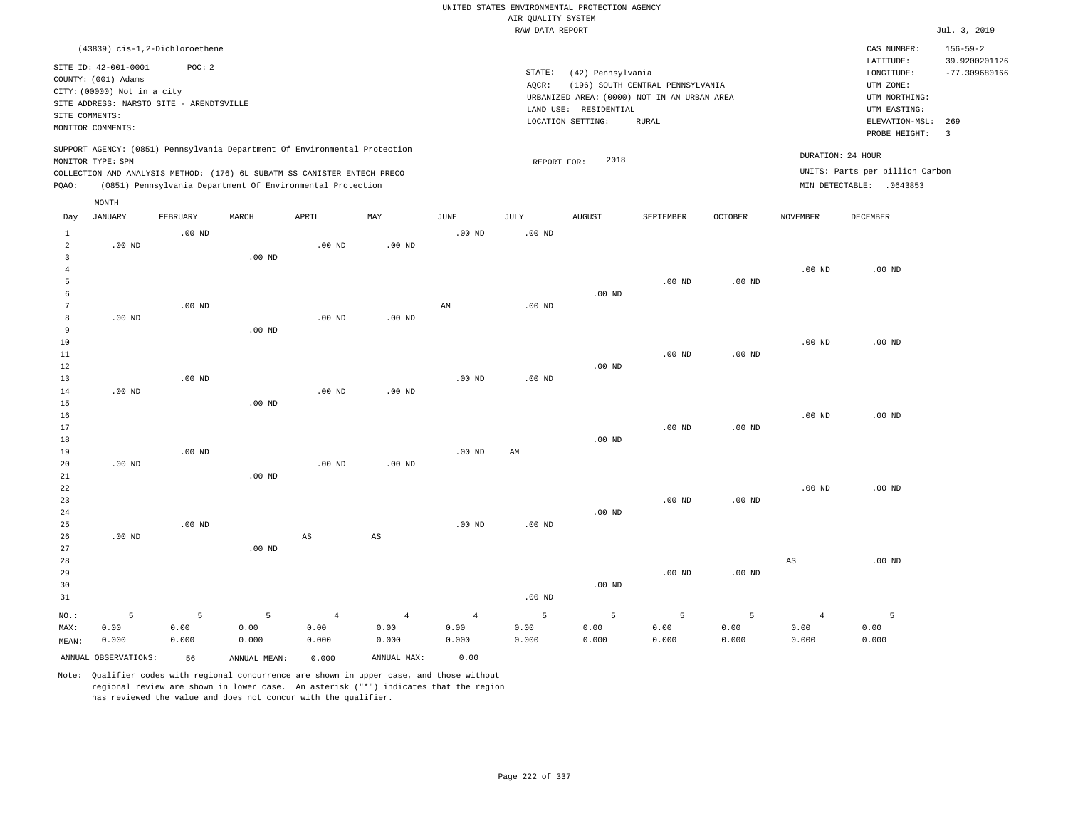|                |                                                                                                              |                   |                                                                                                                                                                                                                      |                   |                        |                |                    | UNITED STATES ENVIRONMENTAL PROTECTION AGENCY |                                             |                   |                 |                                                                                  |                                                    |
|----------------|--------------------------------------------------------------------------------------------------------------|-------------------|----------------------------------------------------------------------------------------------------------------------------------------------------------------------------------------------------------------------|-------------------|------------------------|----------------|--------------------|-----------------------------------------------|---------------------------------------------|-------------------|-----------------|----------------------------------------------------------------------------------|----------------------------------------------------|
|                |                                                                                                              |                   |                                                                                                                                                                                                                      |                   |                        |                | AIR QUALITY SYSTEM |                                               |                                             |                   |                 |                                                                                  |                                                    |
|                |                                                                                                              |                   |                                                                                                                                                                                                                      |                   |                        |                | RAW DATA REPORT    |                                               |                                             |                   |                 |                                                                                  | Jul. 3, 2019                                       |
|                | (43839) cis-1,2-Dichloroethene<br>SITE ID: 42-001-0001<br>COUNTY: (001) Adams<br>CITY: (00000) Not in a city | POC: 2            |                                                                                                                                                                                                                      |                   |                        |                | STATE:<br>AQCR:    | (42) Pennsylvania                             | (196) SOUTH CENTRAL PENNSYLVANIA            |                   |                 | CAS NUMBER:<br>LATITUDE:<br>LONGITUDE:<br>UTM ZONE:                              | $156 - 59 - 2$<br>39.9200201126<br>$-77.309680166$ |
|                | SITE ADDRESS: NARSTO SITE - ARENDTSVILLE                                                                     |                   |                                                                                                                                                                                                                      |                   |                        |                |                    |                                               | URBANIZED AREA: (0000) NOT IN AN URBAN AREA |                   |                 | UTM NORTHING:                                                                    |                                                    |
| SITE COMMENTS: |                                                                                                              |                   |                                                                                                                                                                                                                      |                   |                        |                |                    | LAND USE: RESIDENTIAL                         |                                             |                   |                 | UTM EASTING:                                                                     |                                                    |
|                | MONITOR COMMENTS:                                                                                            |                   |                                                                                                                                                                                                                      |                   |                        |                |                    | LOCATION SETTING:                             | <b>RURAL</b>                                |                   |                 | ELEVATION-MSL:<br>PROBE HEIGHT:                                                  | 269<br>$\overline{\mathbf{3}}$                     |
| PQAO:          | MONITOR TYPE: SPM                                                                                            |                   | SUPPORT AGENCY: (0851) Pennsylvania Department Of Environmental Protection<br>COLLECTION AND ANALYSIS METHOD: (176) 6L SUBATM SS CANISTER ENTECH PRECO<br>(0851) Pennsylvania Department Of Environmental Protection |                   |                        |                | REPORT FOR:        | 2018                                          |                                             |                   |                 | DURATION: 24 HOUR<br>UNITS: Parts per billion Carbon<br>MIN DETECTABLE: .0643853 |                                                    |
|                | MONTH                                                                                                        |                   |                                                                                                                                                                                                                      |                   |                        |                |                    |                                               |                                             |                   |                 |                                                                                  |                                                    |
| Day            | <b>JANUARY</b>                                                                                               | FEBRUARY          | MARCH                                                                                                                                                                                                                | APRIL             | MAY                    | <b>JUNE</b>    | <b>JULY</b>        | <b>AUGUST</b>                                 | SEPTEMBER                                   | OCTOBER           | <b>NOVEMBER</b> | <b>DECEMBER</b>                                                                  |                                                    |
| $\mathbf{1}$   |                                                                                                              | $.00$ ND          |                                                                                                                                                                                                                      |                   |                        | $.00$ ND       | $.00$ ND           |                                               |                                             |                   |                 |                                                                                  |                                                    |
| $\overline{a}$ | $.00$ ND                                                                                                     |                   |                                                                                                                                                                                                                      | .00 <sub>ND</sub> | .00 <sub>ND</sub>      |                |                    |                                               |                                             |                   |                 |                                                                                  |                                                    |
| 3              |                                                                                                              |                   | $.00$ ND                                                                                                                                                                                                             |                   |                        |                |                    |                                               |                                             |                   |                 |                                                                                  |                                                    |
| $\bf{4}$       |                                                                                                              |                   |                                                                                                                                                                                                                      |                   |                        |                |                    |                                               |                                             |                   | $.00$ ND        | $.00$ ND                                                                         |                                                    |
| $\overline{5}$ |                                                                                                              |                   |                                                                                                                                                                                                                      |                   |                        |                |                    |                                               | .00 <sub>ND</sub>                           | .00 <sub>ND</sub> |                 |                                                                                  |                                                    |
| 6<br>7         |                                                                                                              | $.00$ ND          |                                                                                                                                                                                                                      |                   |                        | AM             | $.00$ ND           | $.00$ ND                                      |                                             |                   |                 |                                                                                  |                                                    |
| 8              | $.00$ ND                                                                                                     |                   |                                                                                                                                                                                                                      | .00 <sub>ND</sub> | $.00$ ND               |                |                    |                                               |                                             |                   |                 |                                                                                  |                                                    |
| 9              |                                                                                                              |                   | .00 <sub>ND</sub>                                                                                                                                                                                                    |                   |                        |                |                    |                                               |                                             |                   |                 |                                                                                  |                                                    |
| 10             |                                                                                                              |                   |                                                                                                                                                                                                                      |                   |                        |                |                    |                                               |                                             |                   | $.00$ ND        | $.00$ ND                                                                         |                                                    |
| $11\,$         |                                                                                                              |                   |                                                                                                                                                                                                                      |                   |                        |                |                    |                                               | .00 <sub>ND</sub>                           | $.00$ ND          |                 |                                                                                  |                                                    |
| 12             |                                                                                                              |                   |                                                                                                                                                                                                                      |                   |                        |                |                    | $.00$ ND                                      |                                             |                   |                 |                                                                                  |                                                    |
| 13             |                                                                                                              | .00 <sub>ND</sub> |                                                                                                                                                                                                                      |                   |                        | $.00$ ND       | $.00$ ND           |                                               |                                             |                   |                 |                                                                                  |                                                    |
| 14             | $.00$ ND                                                                                                     |                   |                                                                                                                                                                                                                      | .00 <sub>ND</sub> | $.00$ ND               |                |                    |                                               |                                             |                   |                 |                                                                                  |                                                    |
| 15             |                                                                                                              |                   | $.00$ ND                                                                                                                                                                                                             |                   |                        |                |                    |                                               |                                             |                   |                 |                                                                                  |                                                    |
| 16             |                                                                                                              |                   |                                                                                                                                                                                                                      |                   |                        |                |                    |                                               |                                             |                   | $.00$ ND        | $.00$ ND                                                                         |                                                    |
| 17             |                                                                                                              |                   |                                                                                                                                                                                                                      |                   |                        |                |                    |                                               | .00 <sub>ND</sub>                           | .00 <sub>ND</sub> |                 |                                                                                  |                                                    |
| 18             |                                                                                                              |                   |                                                                                                                                                                                                                      |                   |                        |                |                    | $.00$ ND                                      |                                             |                   |                 |                                                                                  |                                                    |
| 19<br>20       | $.00$ ND                                                                                                     | .00 <sub>ND</sub> |                                                                                                                                                                                                                      | $.00$ ND          | $.00$ ND               | $.00$ ND       | AM                 |                                               |                                             |                   |                 |                                                                                  |                                                    |
| 21             |                                                                                                              |                   | $.00$ ND                                                                                                                                                                                                             |                   |                        |                |                    |                                               |                                             |                   |                 |                                                                                  |                                                    |
| 22             |                                                                                                              |                   |                                                                                                                                                                                                                      |                   |                        |                |                    |                                               |                                             |                   | $.00$ ND        | $.00$ ND                                                                         |                                                    |
| 23             |                                                                                                              |                   |                                                                                                                                                                                                                      |                   |                        |                |                    |                                               | $.00$ ND                                    | $.00$ ND          |                 |                                                                                  |                                                    |
| 24             |                                                                                                              |                   |                                                                                                                                                                                                                      |                   |                        |                |                    | $.00$ ND                                      |                                             |                   |                 |                                                                                  |                                                    |
| 25             |                                                                                                              | $.00$ ND          |                                                                                                                                                                                                                      |                   |                        | $.00$ ND       | $.00$ ND           |                                               |                                             |                   |                 |                                                                                  |                                                    |
| 26             | $.00$ ND                                                                                                     |                   |                                                                                                                                                                                                                      | $_{\rm AS}$       | $\mathbb{A}\mathbb{S}$ |                |                    |                                               |                                             |                   |                 |                                                                                  |                                                    |
| 27             |                                                                                                              |                   | $.00$ ND                                                                                                                                                                                                             |                   |                        |                |                    |                                               |                                             |                   |                 |                                                                                  |                                                    |
| 28             |                                                                                                              |                   |                                                                                                                                                                                                                      |                   |                        |                |                    |                                               |                                             |                   | AS              | $.00$ ND                                                                         |                                                    |
| 29             |                                                                                                              |                   |                                                                                                                                                                                                                      |                   |                        |                |                    |                                               | .00 <sub>ND</sub>                           | $.00$ ND          |                 |                                                                                  |                                                    |
| 30             |                                                                                                              |                   |                                                                                                                                                                                                                      |                   |                        |                |                    | $.00$ ND                                      |                                             |                   |                 |                                                                                  |                                                    |
| 31             |                                                                                                              |                   |                                                                                                                                                                                                                      |                   |                        |                | .00 <sub>ND</sub>  |                                               |                                             |                   |                 |                                                                                  |                                                    |
| NO.:           | 5                                                                                                            | 5                 | 5                                                                                                                                                                                                                    | $\overline{4}$    | $\overline{4}$         | $\overline{4}$ | 5                  | 5                                             | 5                                           | 5                 | $\overline{4}$  | 5                                                                                |                                                    |
| MAX:           | 0.00                                                                                                         | 0.00              | 0.00                                                                                                                                                                                                                 | 0.00              | 0.00                   | 0.00           | 0.00               | 0.00                                          | 0.00                                        | 0.00              | 0.00            | 0.00                                                                             |                                                    |
| MEAN:          | 0.000                                                                                                        | 0.000             | 0.000                                                                                                                                                                                                                | 0.000             | 0.000                  | 0.000          | 0.000              | 0.000                                         | 0.000                                       | 0.000             | 0.000           | 0.000                                                                            |                                                    |
|                | ANNUAL OBSERVATIONS:                                                                                         | 56                | ANNUAL MEAN:                                                                                                                                                                                                         | 0.000             | ANNUAL MAX:            | 0.00           |                    |                                               |                                             |                   |                 |                                                                                  |                                                    |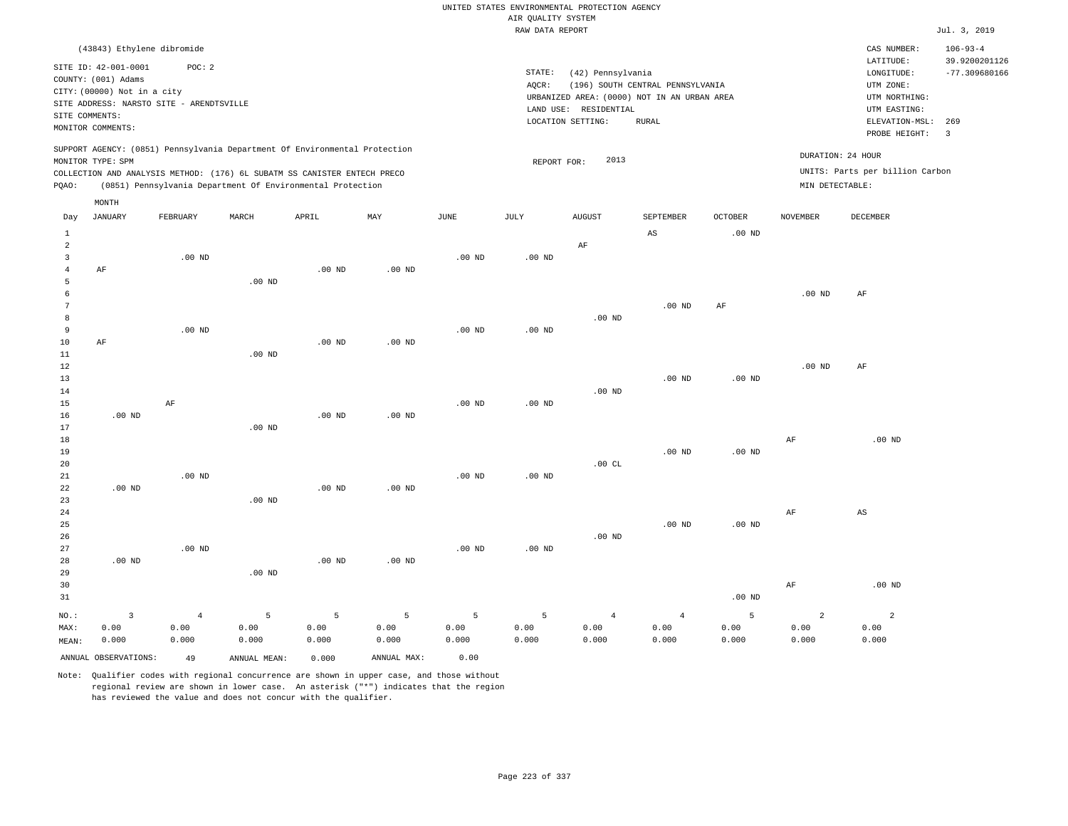|                |                                             |                   |                                                                            |                   |                |                   |                                       | UNITED STATES ENVIRONMENTAL PROTECTION AGENCY |                                     |                                     |                   |                                      |                                  |
|----------------|---------------------------------------------|-------------------|----------------------------------------------------------------------------|-------------------|----------------|-------------------|---------------------------------------|-----------------------------------------------|-------------------------------------|-------------------------------------|-------------------|--------------------------------------|----------------------------------|
|                |                                             |                   |                                                                            |                   |                |                   | AIR QUALITY SYSTEM<br>RAW DATA REPORT |                                               |                                     |                                     |                   |                                      | Jul. 3, 2019                     |
|                | (43843) Ethylene dibromide                  |                   |                                                                            |                   |                |                   |                                       |                                               |                                     |                                     |                   | CAS NUMBER:                          | $106 - 93 - 4$                   |
|                | SITE ID: 42-001-0001<br>COUNTY: (001) Adams | POC: 2            |                                                                            |                   |                |                   | STATE:<br>AQCR:                       | (42) Pennsylvania                             | (196) SOUTH CENTRAL PENNSYLVANIA    |                                     |                   | LATITUDE:<br>LONGITUDE:<br>UTM ZONE: | 39.9200201126<br>$-77.309680166$ |
|                | CITY: (00000) Not in a city                 |                   |                                                                            |                   |                |                   |                                       | URBANIZED AREA: (0000) NOT IN AN URBAN AREA   |                                     |                                     |                   | UTM NORTHING:                        |                                  |
|                | SITE ADDRESS: NARSTO SITE - ARENDTSVILLE    |                   |                                                                            |                   |                |                   |                                       | LAND USE: RESIDENTIAL                         |                                     |                                     |                   | UTM EASTING:                         |                                  |
|                | SITE COMMENTS:                              |                   |                                                                            |                   |                |                   |                                       | LOCATION SETTING:                             | <b>RURAL</b>                        |                                     |                   | ELEVATION-MSL:                       | 269                              |
|                | MONITOR COMMENTS:                           |                   |                                                                            |                   |                |                   |                                       |                                               |                                     |                                     |                   | PROBE HEIGHT:                        | $\overline{3}$                   |
|                | MONITOR TYPE: SPM                           |                   | SUPPORT AGENCY: (0851) Pennsylvania Department Of Environmental Protection |                   |                |                   | REPORT FOR:                           | 2013                                          |                                     |                                     |                   | DURATION: 24 HOUR                    |                                  |
|                |                                             |                   | COLLECTION AND ANALYSIS METHOD: (176) 6L SUBATM SS CANISTER ENTECH PRECO   |                   |                |                   |                                       |                                               |                                     |                                     |                   | UNITS: Parts per billion Carbon      |                                  |
| PQAO:          |                                             |                   | (0851) Pennsylvania Department Of Environmental Protection                 |                   |                |                   |                                       |                                               |                                     |                                     | MIN DETECTABLE:   |                                      |                                  |
|                | MONTH                                       |                   |                                                                            |                   |                |                   |                                       |                                               |                                     |                                     |                   |                                      |                                  |
| Day<br>$1\,$   | <b>JANUARY</b>                              | FEBRUARY          | MARCH                                                                      | APRIL             | MAY            | <b>JUNE</b>       | <b>JULY</b>                           | <b>AUGUST</b>                                 | SEPTEMBER<br>$\mathbb{A}\mathbb{S}$ | <b>OCTOBER</b><br>.00 <sub>ND</sub> | <b>NOVEMBER</b>   | DECEMBER                             |                                  |
| $\mathfrak{D}$ |                                             |                   |                                                                            |                   |                |                   |                                       | $\rm AF$                                      |                                     |                                     |                   |                                      |                                  |
| $\overline{3}$ |                                             | .00 <sub>ND</sub> |                                                                            |                   |                | .00 <sub>ND</sub> | .00 <sub>ND</sub>                     |                                               |                                     |                                     |                   |                                      |                                  |
| $\overline{4}$ | AF                                          |                   |                                                                            | $.00$ ND          | $.00$ ND       |                   |                                       |                                               |                                     |                                     |                   |                                      |                                  |
| 5              |                                             |                   | $.00$ ND                                                                   |                   |                |                   |                                       |                                               |                                     |                                     |                   |                                      |                                  |
| 6              |                                             |                   |                                                                            |                   |                |                   |                                       |                                               |                                     |                                     | $.00$ ND          | AF                                   |                                  |
| $\overline{7}$ |                                             |                   |                                                                            |                   |                |                   |                                       |                                               | $.00$ ND                            | $\rm AF$                            |                   |                                      |                                  |
| 8              |                                             |                   |                                                                            |                   |                |                   |                                       | .00 <sub>ND</sub>                             |                                     |                                     |                   |                                      |                                  |
| $\mathbf{q}$   |                                             | $.00$ ND          |                                                                            |                   |                | .00 <sub>ND</sub> | .00 <sub>ND</sub>                     |                                               |                                     |                                     |                   |                                      |                                  |
| 10             | AF                                          |                   |                                                                            | .00 <sub>ND</sub> | $.00$ ND       |                   |                                       |                                               |                                     |                                     |                   |                                      |                                  |
| 11             |                                             |                   | $.00$ ND                                                                   |                   |                |                   |                                       |                                               |                                     |                                     | .00 <sub>ND</sub> |                                      |                                  |
| 12<br>13       |                                             |                   |                                                                            |                   |                |                   |                                       |                                               | $.00$ ND                            | .00 <sub>ND</sub>                   |                   | $\rm{AF}$                            |                                  |
| 14             |                                             |                   |                                                                            |                   |                |                   |                                       | $.00$ ND                                      |                                     |                                     |                   |                                      |                                  |
| 15             |                                             | AF                |                                                                            |                   |                | $.00$ ND          | $.00$ ND                              |                                               |                                     |                                     |                   |                                      |                                  |
| 16             | $.00$ ND                                    |                   |                                                                            | $.00$ ND          | $.00$ ND       |                   |                                       |                                               |                                     |                                     |                   |                                      |                                  |
| 17             |                                             |                   | .00 <sub>ND</sub>                                                          |                   |                |                   |                                       |                                               |                                     |                                     |                   |                                      |                                  |
| 18             |                                             |                   |                                                                            |                   |                |                   |                                       |                                               |                                     |                                     | AF                | $.00$ ND                             |                                  |
| 19             |                                             |                   |                                                                            |                   |                |                   |                                       |                                               | $.00$ ND                            | .00 <sub>ND</sub>                   |                   |                                      |                                  |
| 20             |                                             |                   |                                                                            |                   |                |                   |                                       | .00CL                                         |                                     |                                     |                   |                                      |                                  |
| 21             |                                             | $.00$ ND          |                                                                            |                   |                | $.00$ ND          | $.00$ ND                              |                                               |                                     |                                     |                   |                                      |                                  |
| 22             | $.00$ ND                                    |                   |                                                                            | .00 <sub>ND</sub> | $.00$ ND       |                   |                                       |                                               |                                     |                                     |                   |                                      |                                  |
| 23             |                                             |                   | $.00$ ND                                                                   |                   |                |                   |                                       |                                               |                                     |                                     |                   |                                      |                                  |
| 24<br>25       |                                             |                   |                                                                            |                   |                |                   |                                       |                                               | $.00$ ND                            | .00 <sub>ND</sub>                   | AF                | $_{\rm AS}$                          |                                  |
| 26             |                                             |                   |                                                                            |                   |                |                   |                                       | $.00$ ND                                      |                                     |                                     |                   |                                      |                                  |
| 27             |                                             | .00 <sub>ND</sub> |                                                                            |                   |                | $.00$ ND          | $.00$ ND                              |                                               |                                     |                                     |                   |                                      |                                  |
| 28             | $.00$ ND                                    |                   |                                                                            | $.00$ ND          | $.00$ ND       |                   |                                       |                                               |                                     |                                     |                   |                                      |                                  |
| 29             |                                             |                   | $.00$ ND                                                                   |                   |                |                   |                                       |                                               |                                     |                                     |                   |                                      |                                  |
| 30             |                                             |                   |                                                                            |                   |                |                   |                                       |                                               |                                     |                                     | $\rm{AF}$         | $.00$ ND                             |                                  |
| 31             |                                             |                   |                                                                            |                   |                |                   |                                       |                                               |                                     | .00 <sub>ND</sub>                   |                   |                                      |                                  |
| NO.:           | $\overline{\mathbf{3}}$                     | $\overline{4}$    | 5                                                                          | $\overline{5}$    | $\overline{5}$ | 5                 | 5                                     | $\overline{4}$                                | $\overline{4}$                      | 5                                   | $\overline{a}$    | $\overline{a}$                       |                                  |
| MAX:           | 0.00                                        | 0.00              | 0.00                                                                       | 0.00              | 0.00           | 0.00              | 0.00                                  | 0.00                                          | 0.00                                | 0.00                                | 0.00              | 0.00                                 |                                  |
| MEAN:          | 0.000                                       | 0.000             | 0.000                                                                      | 0.000             | 0.000          | 0.000             | 0.000                                 | 0.000                                         | 0.000                               | 0.000                               | 0.000             | 0.000                                |                                  |
|                | ANNUAL OBSERVATIONS:                        | 49                | ANNUAL, MEAN:                                                              | 0.000             | ANNUAL MAX:    | 0.00              |                                       |                                               |                                     |                                     |                   |                                      |                                  |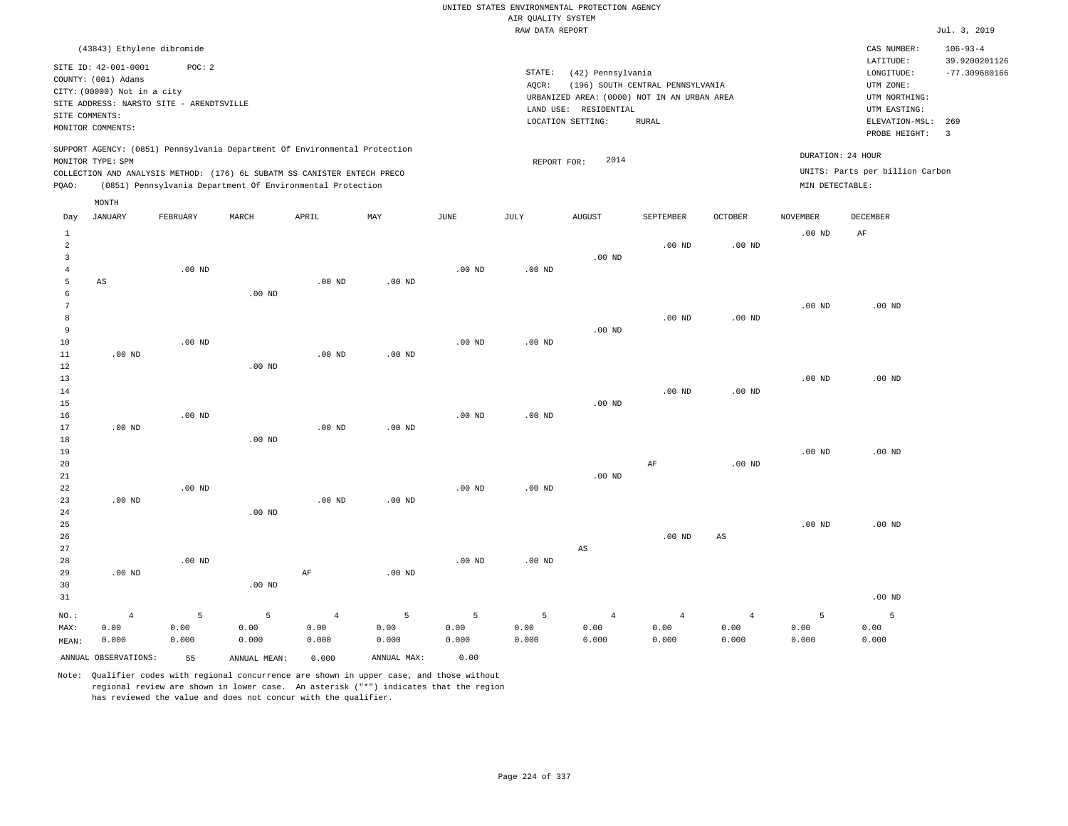|                         |                                          |          |                                                                            |                   |                   |                   |                    | UNITED STATES ENVIRONMENTAL PROTECTION AGENCY |                                  |                   |                   |                                 |                                  |
|-------------------------|------------------------------------------|----------|----------------------------------------------------------------------------|-------------------|-------------------|-------------------|--------------------|-----------------------------------------------|----------------------------------|-------------------|-------------------|---------------------------------|----------------------------------|
|                         |                                          |          |                                                                            |                   |                   |                   | AIR QUALITY SYSTEM |                                               |                                  |                   |                   |                                 |                                  |
|                         |                                          |          |                                                                            |                   |                   |                   | RAW DATA REPORT    |                                               |                                  |                   |                   |                                 | Jul. 3, 2019                     |
|                         | (43843) Ethylene dibromide               |          |                                                                            |                   |                   |                   |                    |                                               |                                  |                   |                   | CAS NUMBER:                     | $106 - 93 - 4$                   |
|                         | SITE ID: 42-001-0001                     | POC: 2   |                                                                            |                   |                   |                   | STATE:             | (42) Pennsylvania                             |                                  |                   |                   | LATITUDE:<br>LONGITUDE:         | 39.9200201126<br>$-77.309680166$ |
|                         | COUNTY: (001) Adams                      |          |                                                                            |                   |                   |                   | AQCR:              |                                               | (196) SOUTH CENTRAL PENNSYLVANIA |                   |                   | UTM ZONE:                       |                                  |
|                         | CITY: (00000) Not in a city              |          |                                                                            |                   |                   |                   |                    | URBANIZED AREA: (0000) NOT IN AN URBAN AREA   |                                  |                   |                   | UTM NORTHING:                   |                                  |
|                         | SITE ADDRESS: NARSTO SITE - ARENDTSVILLE |          |                                                                            |                   |                   |                   |                    | LAND USE: RESIDENTIAL                         |                                  |                   |                   | UTM EASTING:                    |                                  |
| SITE COMMENTS:          |                                          |          |                                                                            |                   |                   |                   |                    | LOCATION SETTING:                             | <b>RURAL</b>                     |                   |                   | ELEVATION-MSL:                  | 269                              |
|                         | MONITOR COMMENTS:                        |          |                                                                            |                   |                   |                   |                    |                                               |                                  |                   |                   | PROBE HEIGHT:                   | $\overline{\mathbf{3}}$          |
|                         |                                          |          | SUPPORT AGENCY: (0851) Pennsylvania Department Of Environmental Protection |                   |                   |                   |                    | 2014                                          |                                  |                   | DURATION: 24 HOUR |                                 |                                  |
|                         | MONITOR TYPE: SPM                        |          | COLLECTION AND ANALYSIS METHOD: (176) 6L SUBATM SS CANISTER ENTECH PRECO   |                   |                   |                   | REPORT FOR:        |                                               |                                  |                   |                   | UNITS: Parts per billion Carbon |                                  |
| PQAO:                   |                                          |          | (0851) Pennsylvania Department Of Environmental Protection                 |                   |                   |                   |                    |                                               |                                  |                   | MIN DETECTABLE:   |                                 |                                  |
|                         | MONTH                                    |          |                                                                            |                   |                   |                   |                    |                                               |                                  |                   |                   |                                 |                                  |
| Day                     | <b>JANUARY</b>                           | FEBRUARY | MARCH                                                                      | APRIL             | MAY               | JUNE              | JULY               | <b>AUGUST</b>                                 | SEPTEMBER                        | <b>OCTOBER</b>    | <b>NOVEMBER</b>   | DECEMBER                        |                                  |
| $\mathbf{1}$            |                                          |          |                                                                            |                   |                   |                   |                    |                                               |                                  |                   | .00 <sub>ND</sub> | AF                              |                                  |
| $\overline{a}$          |                                          |          |                                                                            |                   |                   |                   |                    |                                               | $.00$ ND                         | .00 <sub>ND</sub> |                   |                                 |                                  |
| $\overline{\mathbf{3}}$ |                                          |          |                                                                            |                   |                   |                   |                    | .00 <sub>ND</sub>                             |                                  |                   |                   |                                 |                                  |
| $\overline{4}$          |                                          | $.00$ ND |                                                                            |                   |                   | $.00$ ND          | $.00$ ND           |                                               |                                  |                   |                   |                                 |                                  |
| 5                       | AS                                       |          |                                                                            | $.00$ ND          | $.00$ ND          |                   |                    |                                               |                                  |                   |                   |                                 |                                  |
| 6                       |                                          |          | $.00$ ND                                                                   |                   |                   |                   |                    |                                               |                                  |                   |                   |                                 |                                  |
| $7\phantom{.0}$         |                                          |          |                                                                            |                   |                   |                   |                    |                                               |                                  |                   | $.00$ ND          | $.00$ ND                        |                                  |
| 8                       |                                          |          |                                                                            |                   |                   |                   |                    |                                               | $.00$ ND                         | .00 <sub>ND</sub> |                   |                                 |                                  |
| 9                       |                                          |          |                                                                            |                   |                   |                   |                    | $.00$ ND                                      |                                  |                   |                   |                                 |                                  |
| 10                      |                                          | $.00$ ND |                                                                            |                   |                   | .00 <sub>ND</sub> | $.00$ ND           |                                               |                                  |                   |                   |                                 |                                  |
| 11                      | $.00$ ND                                 |          |                                                                            | .00 <sub>ND</sub> | .00 <sub>ND</sub> |                   |                    |                                               |                                  |                   |                   |                                 |                                  |
| $1\,2$                  |                                          |          | $.00$ ND                                                                   |                   |                   |                   |                    |                                               |                                  |                   |                   |                                 |                                  |
| 13                      |                                          |          |                                                                            |                   |                   |                   |                    |                                               |                                  |                   | $.00$ ND          | $.00$ ND                        |                                  |
| 14                      |                                          |          |                                                                            |                   |                   |                   |                    |                                               | $.00$ ND                         | .00 <sub>ND</sub> |                   |                                 |                                  |
| 15                      |                                          |          |                                                                            |                   |                   |                   |                    | $.00$ ND                                      |                                  |                   |                   |                                 |                                  |
| 16                      |                                          | $.00$ ND |                                                                            |                   |                   | .00 <sub>ND</sub> | $.00$ ND           |                                               |                                  |                   |                   |                                 |                                  |
| 17                      | $.00$ ND                                 |          |                                                                            | .00 <sub>ND</sub> | $.00$ ND          |                   |                    |                                               |                                  |                   |                   |                                 |                                  |
| 18                      |                                          |          | $.00$ ND                                                                   |                   |                   |                   |                    |                                               |                                  |                   |                   |                                 |                                  |
| 19                      |                                          |          |                                                                            |                   |                   |                   |                    |                                               |                                  |                   | .00 <sub>ND</sub> | $.00$ ND                        |                                  |
| 20                      |                                          |          |                                                                            |                   |                   |                   |                    |                                               | AF                               | .00 <sub>ND</sub> |                   |                                 |                                  |
| 21                      |                                          |          |                                                                            |                   |                   |                   |                    | $.00$ ND                                      |                                  |                   |                   |                                 |                                  |
| 22                      |                                          | $.00$ ND |                                                                            |                   |                   | .00 <sub>ND</sub> | $.00$ ND           |                                               |                                  |                   |                   |                                 |                                  |
| 23                      | $.00$ ND                                 |          |                                                                            | $.00$ ND          | $.00$ ND          |                   |                    |                                               |                                  |                   |                   |                                 |                                  |
| 24                      |                                          |          | $.00$ ND                                                                   |                   |                   |                   |                    |                                               |                                  |                   |                   |                                 |                                  |
| 25                      |                                          |          |                                                                            |                   |                   |                   |                    |                                               |                                  |                   | $.00$ ND          | $.00$ ND                        |                                  |
| 26                      |                                          |          |                                                                            |                   |                   |                   |                    |                                               | $.00$ ND                         | $_{\rm AS}$       |                   |                                 |                                  |
| 27                      |                                          |          |                                                                            |                   |                   |                   |                    | $\mathbb{A}\mathbb{S}$                        |                                  |                   |                   |                                 |                                  |
| 28                      |                                          | $.00$ ND |                                                                            |                   |                   | .00 <sub>ND</sub> | $.00$ ND           |                                               |                                  |                   |                   |                                 |                                  |
| 29                      | $.00$ ND                                 |          |                                                                            | AF                | $.00$ ND          |                   |                    |                                               |                                  |                   |                   |                                 |                                  |
| 30                      |                                          |          | $.00$ ND                                                                   |                   |                   |                   |                    |                                               |                                  |                   |                   |                                 |                                  |
| 31                      |                                          |          |                                                                            |                   |                   |                   |                    |                                               |                                  |                   |                   | $.00$ ND                        |                                  |
| $NO.$ :                 | $\sqrt{4}$                               | 5        | 5                                                                          | $\sqrt{4}$        | 5                 | 5                 | 5                  | $\overline{4}$                                | $\overline{4}$                   | $\overline{4}$    | $\overline{5}$    | 5                               |                                  |
| MAX:                    | 0.00                                     | 0.00     | 0.00                                                                       | 0.00              | 0.00              | 0.00              | 0.00               | 0.00                                          | 0.00                             | 0.00              | 0.00              | 0.00                            |                                  |
| MEAN:                   | 0.000                                    | 0.000    | 0.000                                                                      | 0.000             | 0.000             | 0.000             | 0.000              | 0.000                                         | 0.000                            | 0.000             | 0.000             | 0.000                           |                                  |
|                         | ANNUAL OBSERVATIONS:                     | 55       | ANNUAL, MEAN:                                                              | 0.000             | ANNUAL MAX:       | 0.00              |                    |                                               |                                  |                   |                   |                                 |                                  |

Note: Qualifier codes with regional concurrence are shown in upper case, and those without regional review are shown in lower case. An asterisk ("\*") indicates that the region

has reviewed the value and does not concur with the qualifier.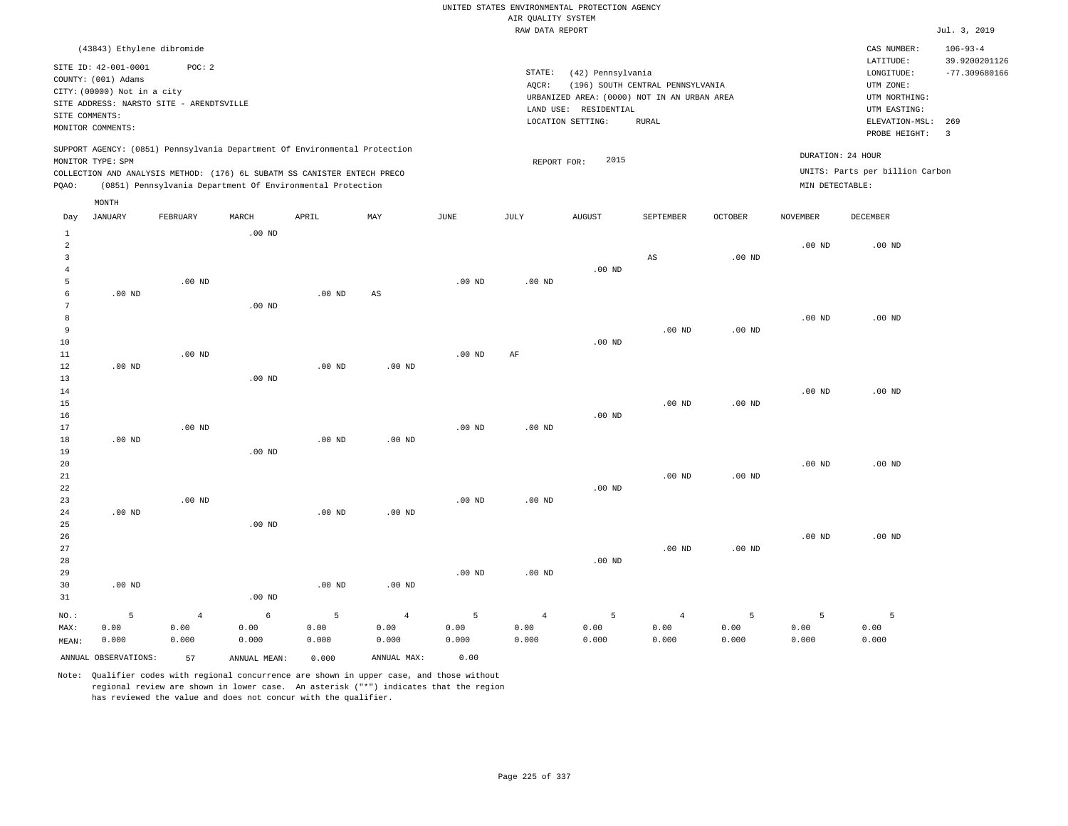## RAW DATA REPORT Jul. 3, 2019 UNITED STATES ENVIRONMENTAL PROTECTION AGENCY AIR QUALITY SYSTEM

|                |                             | (43843) Ethylene dibromide                                                 |       |       |     |      |        |                                             |                                  |                |                 | CAS NUMBER:                     | $106 - 93 - 4$  |
|----------------|-----------------------------|----------------------------------------------------------------------------|-------|-------|-----|------|--------|---------------------------------------------|----------------------------------|----------------|-----------------|---------------------------------|-----------------|
|                | SITE ID: 42-001-0001        | POC:2                                                                      |       |       |     |      |        |                                             |                                  |                |                 | LATITUDE:                       | 39.9200201126   |
|                | COUNTY: (001) Adams         |                                                                            |       |       |     |      | STATE: | (42) Pennsylvania                           |                                  |                |                 | LONGITUDE:                      | $-77.309680166$ |
|                | CITY: (00000) Not in a city |                                                                            |       |       |     |      | AOCR:  |                                             | (196) SOUTH CENTRAL PENNSYLVANIA |                |                 | UTM ZONE:                       |                 |
|                |                             | SITE ADDRESS: NARSTO SITE - ARENDTSVILLE                                   |       |       |     |      |        | URBANIZED AREA: (0000) NOT IN AN URBAN AREA |                                  |                |                 | UTM NORTHING:                   |                 |
| SITE COMMENTS: |                             |                                                                            |       |       |     |      |        | LAND USE: RESIDENTIAL                       |                                  |                |                 | UTM EASTING:                    |                 |
|                | MONITOR COMMENTS:           |                                                                            |       |       |     |      |        | LOCATION SETTING:                           | RURAL                            |                |                 | ELEVATION-MSL:                  | 269             |
|                |                             |                                                                            |       |       |     |      |        |                                             |                                  |                |                 | PROBE HEIGHT:                   |                 |
|                |                             | SUPPORT AGENCY: (0851) Pennsylvania Department Of Environmental Protection |       |       |     |      |        |                                             |                                  |                |                 | DURATION: 24 HOUR               |                 |
|                | MONITOR TYPE: SPM           |                                                                            |       |       |     |      |        | 2015<br>REPORT FOR:                         |                                  |                |                 |                                 |                 |
|                |                             | COLLECTION AND ANALYSIS METHOD: (176) 6L SUBATM SS CANISTER ENTECH PRECO   |       |       |     |      |        |                                             |                                  |                |                 | UNITS: Parts per billion Carbon |                 |
| POAO:          |                             | (0851) Pennsylvania Department Of Environmental Protection                 |       |       |     |      |        |                                             |                                  |                | MIN DETECTABLE: |                                 |                 |
|                | MONTH                       |                                                                            |       |       |     |      |        |                                             |                                  |                |                 |                                 |                 |
| Day            | JANUARY                     | FEBRUARY                                                                   | MARCH | APRIL | MAY | JUNE | JULY   | <b>AUGUST</b>                               | SEPTEMBER                        | <b>OCTOBER</b> | <b>NOVEMBER</b> | DECEMBER                        |                 |

|                | ANNUAL OBSERVATIONS: | 57             | ANNUAL MEAN:  | 0.000         | ANNUAL MAX:    | 0.00              |                   |               |                        |               |                |               |
|----------------|----------------------|----------------|---------------|---------------|----------------|-------------------|-------------------|---------------|------------------------|---------------|----------------|---------------|
| MAX:<br>MEAN:  | 0.00<br>0.000        | 0.00<br>0.000  | 0.00<br>0.000 | 0.00<br>0.000 | 0.00<br>0.000  | 0.00<br>0.000     | 0.00<br>0.000     | 0.00<br>0.000 | 0.00<br>0.000          | 0.00<br>0.000 | 0.00<br>0.000  | 0.00<br>0.000 |
| $_{\rm NO.}$ : | 5                    | $\overline{4}$ | $\epsilon$    | 5             | $\overline{4}$ | 5                 | $\overline{4}$    | 5             | $\overline{4}$         | 5             | $\overline{5}$ | 5             |
| 31             |                      |                | $.00$ ND      |               |                |                   |                   |               |                        |               |                |               |
| 30             | $.00$ ND             |                |               | $.00$ ND      | $.00$ ND       |                   |                   |               |                        |               |                |               |
| 29             |                      |                |               |               |                | $.00$ ND          | .00 <sub>ND</sub> |               |                        |               |                |               |
| 28             |                      |                |               |               |                |                   |                   | $.00$ ND      |                        |               |                |               |
| 27             |                      |                |               |               |                |                   |                   |               | .00 <sub>ND</sub>      | $.00$ ND      |                |               |
| 26             |                      |                |               |               |                |                   |                   |               |                        |               | $.00$ ND       | $.00$ ND      |
| 25             |                      |                | $.00$ ND      |               |                |                   |                   |               |                        |               |                |               |
| 24             | $.00$ ND             |                |               | $.00$ ND      | $.00$ ND       |                   |                   |               |                        |               |                |               |
| 23             |                      | $.00$ ND       |               |               |                | $.00$ ND          | .00 $ND$          |               |                        |               |                |               |
| 22             |                      |                |               |               |                |                   |                   | $.00$ ND      |                        |               |                |               |
| 21             |                      |                |               |               |                |                   |                   |               | $.00$ ND               | .00 $ND$      |                |               |
| 20             |                      |                |               |               |                |                   |                   |               |                        |               | $.00$ ND       | $.00$ ND      |
| 19             |                      |                | $.00$ ND      |               |                |                   |                   |               |                        |               |                |               |
| 18             | $.00$ ND             |                |               | $.00$ ND      | $.00$ ND       |                   |                   |               |                        |               |                |               |
| 16<br>17       |                      | $.00$ ND       |               |               |                | .00 <sub>ND</sub> | $.00$ ND          | $.00$ ND      |                        |               |                |               |
| 15             |                      |                |               |               |                |                   |                   |               | $.00$ ND               | $.00$ ND      |                |               |
| 14             |                      |                |               |               |                |                   |                   |               |                        |               | $.00$ ND       | $.00$ ND      |
| 13             |                      |                | $.00$ ND      |               |                |                   |                   |               |                        |               |                |               |
| 12             | $.00$ ND             |                |               | $.00$ ND      | $.00$ ND       |                   |                   |               |                        |               |                |               |
| $11\,$         |                      | .00 $ND$       |               |               |                | $.00$ ND          | $\rm{AF}$         |               |                        |               |                |               |
| 10             |                      |                |               |               |                |                   |                   | $.00$ ND      |                        |               |                |               |
| 9              |                      |                |               |               |                |                   |                   |               | $.00$ ND               | .00 $ND$      |                |               |
| 8              |                      |                |               |               |                |                   |                   |               |                        |               | $.00$ ND       | $.00$ ND      |
| 7              |                      |                | $.00$ ND      |               |                |                   |                   |               |                        |               |                |               |
| 6              | $.00$ ND             |                |               | $.00$ ND      | $_{\rm AS}$    |                   |                   |               |                        |               |                |               |
| 5              |                      | $.00$ ND       |               |               |                | $.00$ ND          | .00 <sub>ND</sub> |               |                        |               |                |               |
| $\overline{4}$ |                      |                |               |               |                |                   |                   | $.00$ ND      |                        |               |                |               |
| 3              |                      |                |               |               |                |                   |                   |               | $\mathbb{A}\mathbb{S}$ | $.00$ ND      |                |               |
| $\overline{c}$ |                      |                |               |               |                |                   |                   |               |                        |               | $.00$ ND       | $.00$ ND      |
| $\mathbf{1}$   |                      |                | $.00$ ND      |               |                |                   |                   |               |                        |               |                |               |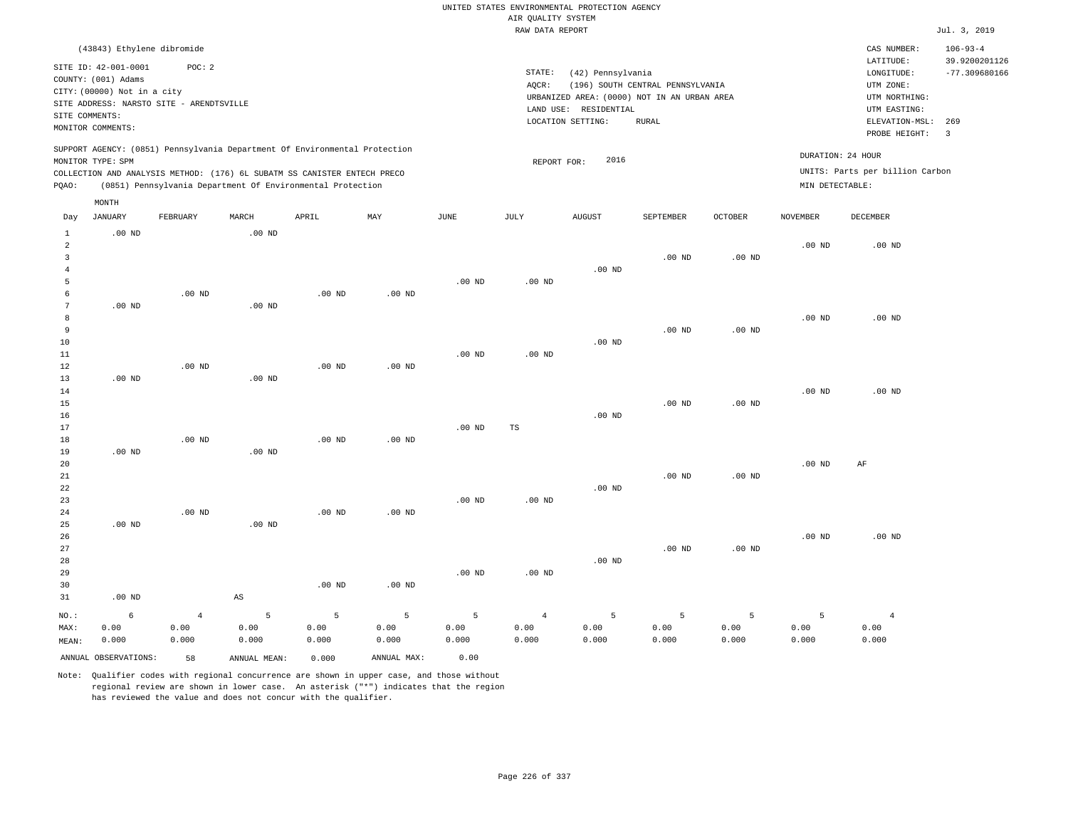| UNITED STATES ENVIRONMENTAL PROTECTION AGENCY |                |                 |
|-----------------------------------------------|----------------|-----------------|
| AIR OUALITY SYSTEM                            |                |                 |
| RAW DATA REPORT                               |                | Jul. 3, 2019    |
|                                               | CAS NUMBER:    | $106 - 93 - 4$  |
|                                               | LATITUDE:      | 39.9200201126   |
| STATE:<br>(42) Pennsylvania                   | LONGITUDE:     | $-77.309680166$ |
| (196) SOUTH CENTRAL PENNSYLVANIA<br>AOCR:     | UTM ZONE:      |                 |
| URBANIZED AREA: (0000) NOT IN AN URBAN AREA   | UTM NORTHING:  |                 |
| LAND USE: RESIDENTIAL                         | UTM EASTING:   |                 |
| LOCATION SETTING:<br>RURAL                    | ELEVATION-MSL: | 269             |
|                                               | PROBE HEIGHT:  | 3               |

REPORT FOR: 2016

DURATION: 24 HOUR

SUPPORT AGENCY: (0851) Pennsylvania Department Of Environmental Protection MONITOR TYPE: SPM

(43843) Ethylene dibromide

SITE ADDRESS: NARSTO SITE - ARENDTSVILLE

SITE ID: 42-001-0001 POC: 2

COUNTY: (001) Adams CITY: (00000) Not in a city

SITE COMMENTS: MONITOR COMMENTS:

COLLECTION AND ANALYSIS METHOD: (176) 6L SUBATM SS CANISTER ENTECH PRECO UNITS: Parts per billion Carbon PQAO: (0851) Pennsylvania Department Of Environmental Protection MIN DETECTABLE: MONTH

| Day            | <b>JANUARY</b>       | FEBRUARY       | MARCH                  | APRIL    | MAY               | <b>JUNE</b> | JULY              | <b>AUGUST</b> | SEPTEMBER | <b>OCTOBER</b>    | <b>NOVEMBER</b> | DECEMBER       |
|----------------|----------------------|----------------|------------------------|----------|-------------------|-------------|-------------------|---------------|-----------|-------------------|-----------------|----------------|
| 1<br>2<br>3    | $.00$ ND             |                | $.00$ ND               |          |                   |             |                   |               | $.00$ ND  | $.00$ ND          | $.00$ ND        | $.00$ ND       |
| $\overline{4}$ |                      |                |                        |          |                   |             |                   | $.00$ ND      |           |                   |                 |                |
| 5              |                      |                |                        |          |                   | $.00$ ND    | $.00$ ND          |               |           |                   |                 |                |
| 6              |                      | $.00$ ND       |                        | $.00$ ND | $.00$ ND          |             |                   |               |           |                   |                 |                |
| 7              | $.00$ ND             |                | $.00$ ND               |          |                   |             |                   |               |           |                   |                 |                |
| 8<br>9         |                      |                |                        |          |                   |             |                   |               |           |                   | $.00$ ND        | $.00$ ND       |
| 10             |                      |                |                        |          |                   |             |                   | $.00$ ND      | $.00$ ND  | .00 <sub>ND</sub> |                 |                |
| 11             |                      |                |                        |          |                   | $.00$ ND    | $.00$ ND          |               |           |                   |                 |                |
| 12             |                      | $.00$ ND       |                        | $.00$ ND | $.00$ ND          |             |                   |               |           |                   |                 |                |
| 13             | .00 $ND$             |                | $.00$ ND               |          |                   |             |                   |               |           |                   |                 |                |
| 14             |                      |                |                        |          |                   |             |                   |               |           |                   | $.00$ ND        | $.00$ ND       |
| 15             |                      |                |                        |          |                   |             |                   |               | $.00$ ND  | .00 <sub>ND</sub> |                 |                |
| 16             |                      |                |                        |          |                   |             |                   | $.00$ ND      |           |                   |                 |                |
| 17             |                      |                |                        |          |                   | $.00$ ND    | TS                |               |           |                   |                 |                |
| 18             |                      | $.00$ ND       |                        | $.00$ ND | .00 <sub>ND</sub> |             |                   |               |           |                   |                 |                |
| 19             | $.00$ ND             |                | .00 <sub>ND</sub>      |          |                   |             |                   |               |           |                   |                 |                |
| 20             |                      |                |                        |          |                   |             |                   |               |           |                   | $.00$ ND        | AF             |
| 21             |                      |                |                        |          |                   |             |                   |               | $.00$ ND  | $.00$ ND          |                 |                |
| 22             |                      |                |                        |          |                   |             |                   | $.00$ ND      |           |                   |                 |                |
| 23             |                      |                |                        |          |                   | $.00$ ND    | .00 <sub>ND</sub> |               |           |                   |                 |                |
| 24             |                      | $.00$ ND       |                        | $.00$ ND | .00 <sub>ND</sub> |             |                   |               |           |                   |                 |                |
| 25             | $.00$ ND             |                | $.00$ ND               |          |                   |             |                   |               |           |                   |                 |                |
| 26             |                      |                |                        |          |                   |             |                   |               |           |                   | $.00$ ND        | $.00$ ND       |
| 27             |                      |                |                        |          |                   |             |                   |               | $.00$ ND  | $.00$ ND          |                 |                |
| 28             |                      |                |                        |          |                   |             |                   | $.00$ ND      |           |                   |                 |                |
| 29             |                      |                |                        |          |                   | $.00$ ND    | .00 <sub>ND</sub> |               |           |                   |                 |                |
| 30<br>31       | .00 $ND$             |                | $\mathbb{A}\mathbb{S}$ | $.00$ ND | $.00$ ND          |             |                   |               |           |                   |                 |                |
|                |                      |                |                        |          |                   |             |                   |               |           |                   |                 |                |
| $NO.$ :        | $\epsilon$           | $\overline{4}$ | 5                      | 5        | 5                 | 5           | $\overline{4}$    | 5             | 5         | 5                 | 5               | $\overline{4}$ |
| MAX:           | 0.00                 | 0.00           | 0.00                   | 0.00     | 0.00              | 0.00        | 0.00              | 0.00          | 0.00      | 0.00              | 0.00            | 0.00           |
| MEAN:          | 0.000                | 0.000          | 0.000                  | 0.000    | 0.000             | 0.000       | 0.000             | 0.000         | 0.000     | 0.000             | 0.000           | 0.000          |
|                | ANNUAL OBSERVATIONS: | 58             | ANNUAL MEAN:           | 0.000    | ANNUAL MAX:       | 0.00        |                   |               |           |                   |                 |                |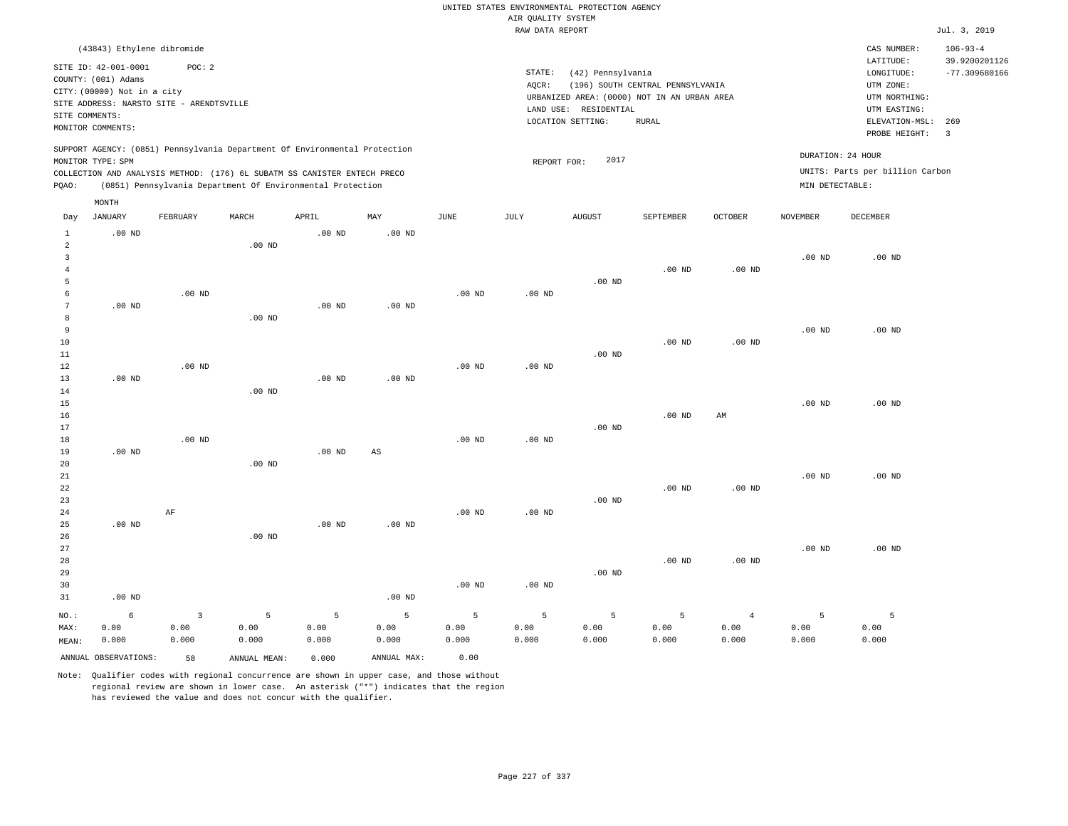|                                                                    |                                                                                                                                                      |                                 |                                                                                                                                                        |                    |                    |                    |                    | UNITED STATES ENVIRONMENTAL PROTECTION AGENCY                    |                                  |                                 |                    |                                                                      |                                                    |
|--------------------------------------------------------------------|------------------------------------------------------------------------------------------------------------------------------------------------------|---------------------------------|--------------------------------------------------------------------------------------------------------------------------------------------------------|--------------------|--------------------|--------------------|--------------------|------------------------------------------------------------------|----------------------------------|---------------------------------|--------------------|----------------------------------------------------------------------|----------------------------------------------------|
|                                                                    |                                                                                                                                                      |                                 |                                                                                                                                                        |                    |                    |                    | AIR QUALITY SYSTEM |                                                                  |                                  |                                 |                    |                                                                      |                                                    |
|                                                                    |                                                                                                                                                      |                                 |                                                                                                                                                        |                    |                    |                    | RAW DATA REPORT    |                                                                  |                                  |                                 |                    |                                                                      | Jul. 3, 2019                                       |
|                                                                    | (43843) Ethylene dibromide<br>SITE ID: 42-001-0001<br>COUNTY: (001) Adams<br>CITY: (00000) Not in a city<br>SITE ADDRESS: NARSTO SITE - ARENDTSVILLE | POC: 2                          |                                                                                                                                                        |                    |                    |                    | STATE:<br>AQCR:    | (42) Pennsylvania<br>URBANIZED AREA: (0000) NOT IN AN URBAN AREA | (196) SOUTH CENTRAL PENNSYLVANIA |                                 |                    | CAS NUMBER:<br>LATITUDE:<br>LONGITUDE:<br>UTM ZONE:<br>UTM NORTHING: | $106 - 93 - 4$<br>39.9200201126<br>$-77.309680166$ |
| SITE COMMENTS:                                                     | MONITOR COMMENTS:                                                                                                                                    |                                 |                                                                                                                                                        |                    |                    |                    |                    | LAND USE: RESIDENTIAL<br>LOCATION SETTING:                       | <b>RURAL</b>                     |                                 |                    | UTM EASTING:<br>ELEVATION-MSL:<br>PROBE HEIGHT:                      | 269<br>$\overline{\mathbf{3}}$                     |
|                                                                    | MONITOR TYPE: SPM                                                                                                                                    |                                 | SUPPORT AGENCY: (0851) Pennsylvania Department Of Environmental Protection<br>COLLECTION AND ANALYSIS METHOD: (176) 6L SUBATM SS CANISTER ENTECH PRECO |                    |                    |                    | REPORT FOR:        | 2017                                                             |                                  |                                 | DURATION: 24 HOUR  | UNITS: Parts per billion Carbon                                      |                                                    |
| PQAO:                                                              |                                                                                                                                                      |                                 | (0851) Pennsylvania Department Of Environmental Protection                                                                                             |                    |                    |                    |                    |                                                                  |                                  |                                 | MIN DETECTABLE:    |                                                                      |                                                    |
|                                                                    | MONTH                                                                                                                                                |                                 |                                                                                                                                                        |                    |                    |                    |                    |                                                                  |                                  |                                 |                    |                                                                      |                                                    |
| Day                                                                | <b>JANUARY</b>                                                                                                                                       | FEBRUARY                        | MARCH                                                                                                                                                  | APRIL              | MAY                | $\mathtt{JUNE}$    | JULY               | AUGUST                                                           | SEPTEMBER                        | OCTOBER                         | NOVEMBER           | DECEMBER                                                             |                                                    |
| $\mathbf{1}$<br>$\overline{a}$<br>$\overline{3}$<br>$\overline{4}$ | $.00$ ND                                                                                                                                             |                                 | $.00$ ND                                                                                                                                               | $.00$ ND           | $.00$ ND           |                    |                    |                                                                  | $.00$ ND                         | $.00$ ND                        | .00 <sub>ND</sub>  | $.00$ ND                                                             |                                                    |
| 5<br>$\epsilon$<br>7<br>8                                          | $.00$ ND                                                                                                                                             | .00 <sub>ND</sub>               | .00 <sub>ND</sub>                                                                                                                                      | $.00$ ND           | $.00$ ND           | .00 <sub>ND</sub>  | .00 <sub>ND</sub>  | .00 <sub>ND</sub>                                                |                                  |                                 |                    |                                                                      |                                                    |
| $\overline{9}$<br>10<br>11<br>12                                   |                                                                                                                                                      | $.00$ ND                        |                                                                                                                                                        |                    |                    | $.00$ ND           | $.00$ ND           | $.00$ ND                                                         | $.00$ ND                         | $.00$ ND                        | .00 <sub>ND</sub>  | $.00$ ND                                                             |                                                    |
| 13<br>14<br>15<br>16                                               | $.00$ ND                                                                                                                                             |                                 | $.00$ ND                                                                                                                                               | $.00$ ND           | $.00$ ND           |                    |                    |                                                                  | $.00$ ND                         | AM                              | .00 <sub>ND</sub>  | $.00$ ND                                                             |                                                    |
| 17<br>18<br>19                                                     | .00 <sub>ND</sub>                                                                                                                                    | .00 <sub>ND</sub>               |                                                                                                                                                        | $.00$ ND           | $_{\rm AS}$        | $.00$ ND           | .00 <sub>ND</sub>  | $.00$ ND                                                         |                                  |                                 |                    |                                                                      |                                                    |
| 20<br>21<br>22<br>23<br>24                                         |                                                                                                                                                      | AF                              | $.00$ ND                                                                                                                                               |                    |                    | $.00$ ND           | $.00$ ND           | $.00$ ND                                                         | $.00$ ND                         | $.00$ ND                        | .00 <sub>ND</sub>  | $.00$ ND                                                             |                                                    |
| 25<br>26<br>27                                                     | $.00$ ND                                                                                                                                             |                                 | $.00$ ND                                                                                                                                               | $.00$ ND           | .00 <sub>ND</sub>  |                    |                    |                                                                  |                                  |                                 | .00 <sub>ND</sub>  | $.00$ ND                                                             |                                                    |
| 28<br>29<br>30<br>31                                               | $.00$ ND                                                                                                                                             |                                 |                                                                                                                                                        |                    | $.00$ ND           | .00 <sub>ND</sub>  | .00 <sub>ND</sub>  | $.00$ ND                                                         | .00 <sub>ND</sub>                | $.00$ ND                        |                    |                                                                      |                                                    |
| NO.:<br>MAX:<br>MEAN:                                              | 6<br>0.00<br>0.000                                                                                                                                   | $\overline{3}$<br>0.00<br>0.000 | $\overline{5}$<br>0.00<br>0.000                                                                                                                        | 5<br>0.00<br>0.000 | 5<br>0.00<br>0.000 | 5<br>0.00<br>0.000 | 5<br>0.00<br>0.000 | 5<br>0.00<br>0.000                                               | 5<br>0.00<br>0.000               | $\overline{4}$<br>0.00<br>0.000 | 5<br>0.00<br>0.000 | 5<br>0.00<br>0.000                                                   |                                                    |
|                                                                    | ANNUAL OBSERVATIONS:                                                                                                                                 | 58                              | ANNUAL, MEAN:                                                                                                                                          | 0.000              | ANNUAL MAX:        | 0.00               |                    |                                                                  |                                  |                                 |                    |                                                                      |                                                    |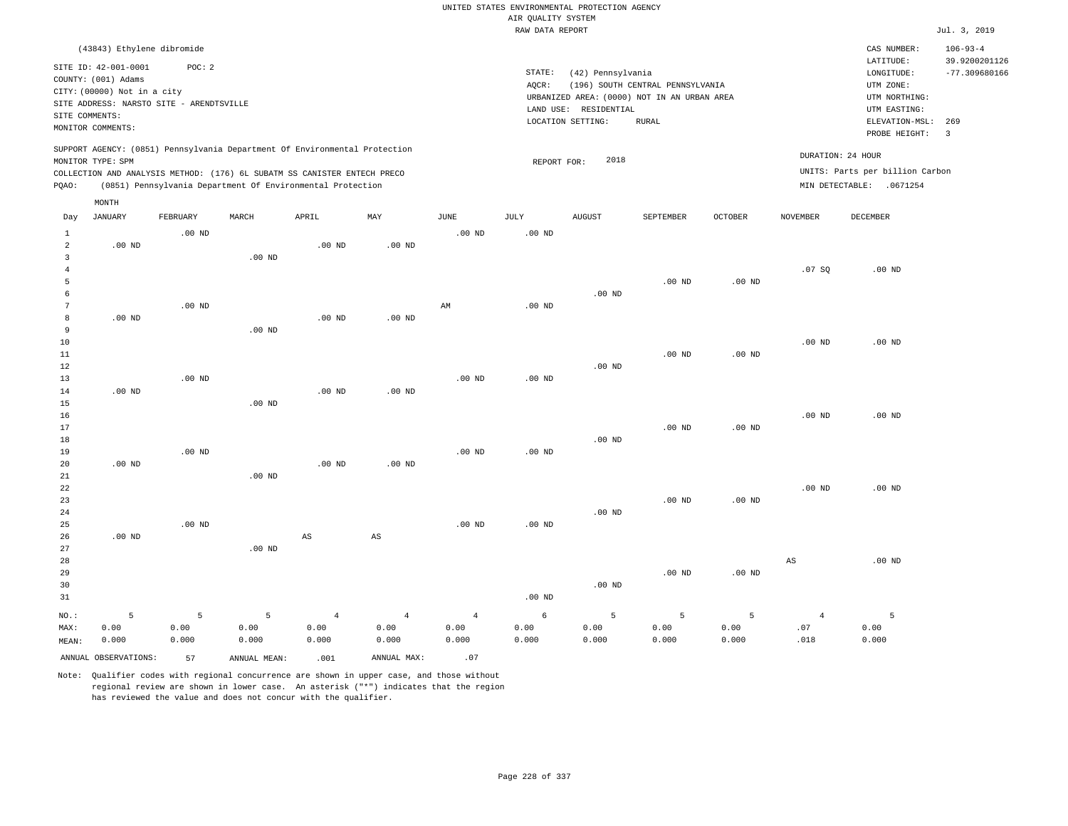|                                |                                                                                                                                                      |                   |                                                                            |                        |                        |                |                                       | UNITED STATES ENVIRONMENTAL PROTECTION AGENCY |                                                                                 |                   |                   |                                                                                      |                                                    |
|--------------------------------|------------------------------------------------------------------------------------------------------------------------------------------------------|-------------------|----------------------------------------------------------------------------|------------------------|------------------------|----------------|---------------------------------------|-----------------------------------------------|---------------------------------------------------------------------------------|-------------------|-------------------|--------------------------------------------------------------------------------------|----------------------------------------------------|
|                                |                                                                                                                                                      |                   |                                                                            |                        |                        |                | AIR QUALITY SYSTEM<br>RAW DATA REPORT |                                               |                                                                                 |                   |                   |                                                                                      | Jul. 3, 2019                                       |
|                                |                                                                                                                                                      |                   |                                                                            |                        |                        |                |                                       |                                               |                                                                                 |                   |                   |                                                                                      |                                                    |
|                                | (43843) Ethylene dibromide<br>SITE ID: 42-001-0001<br>COUNTY: (001) Adams<br>CITY: (00000) Not in a city<br>SITE ADDRESS: NARSTO SITE - ARENDTSVILLE | POC: 2            |                                                                            |                        |                        |                | STATE:<br>AQCR:                       | (42) Pennsylvania<br>LAND USE: RESIDENTIAL    | (196) SOUTH CENTRAL PENNSYLVANIA<br>URBANIZED AREA: (0000) NOT IN AN URBAN AREA |                   |                   | CAS NUMBER:<br>LATITUDE:<br>LONGITUDE:<br>UTM ZONE:<br>UTM NORTHING:<br>UTM EASTING: | $106 - 93 - 4$<br>39.9200201126<br>$-77.309680166$ |
| SITE COMMENTS:                 | MONITOR COMMENTS:                                                                                                                                    |                   |                                                                            |                        |                        |                |                                       | LOCATION SETTING:                             | <b>RURAL</b>                                                                    |                   |                   | ELEVATION-MSL:                                                                       | 269                                                |
|                                |                                                                                                                                                      |                   |                                                                            |                        |                        |                |                                       |                                               |                                                                                 |                   |                   | PROBE HEIGHT:                                                                        | $\overline{\mathbf{3}}$                            |
|                                | MONITOR TYPE: SPM                                                                                                                                    |                   | SUPPORT AGENCY: (0851) Pennsylvania Department Of Environmental Protection |                        |                        |                | REPORT FOR:                           | 2018                                          |                                                                                 |                   |                   | DURATION: 24 HOUR                                                                    |                                                    |
|                                |                                                                                                                                                      |                   | COLLECTION AND ANALYSIS METHOD: (176) 6L SUBATM SS CANISTER ENTECH PRECO   |                        |                        |                |                                       |                                               |                                                                                 |                   |                   | UNITS: Parts per billion Carbon                                                      |                                                    |
| PQAO:                          |                                                                                                                                                      |                   | (0851) Pennsylvania Department Of Environmental Protection                 |                        |                        |                |                                       |                                               |                                                                                 |                   |                   | MIN DETECTABLE: .0671254                                                             |                                                    |
|                                | MONTH                                                                                                                                                |                   |                                                                            |                        |                        |                |                                       |                                               |                                                                                 |                   |                   |                                                                                      |                                                    |
| Day                            | <b>JANUARY</b>                                                                                                                                       | FEBRUARY          | MARCH                                                                      | APRIL                  | MAY                    | <b>JUNE</b>    | JULY                                  | <b>AUGUST</b>                                 | SEPTEMBER                                                                       | <b>OCTOBER</b>    | <b>NOVEMBER</b>   | DECEMBER                                                                             |                                                    |
| $\mathbf{1}$                   |                                                                                                                                                      | $.00$ ND          |                                                                            |                        |                        | $.00$ ND       | .00 <sub>ND</sub>                     |                                               |                                                                                 |                   |                   |                                                                                      |                                                    |
| $\overline{a}$<br>$\mathbf{3}$ | $.00$ ND                                                                                                                                             |                   | $.00$ ND                                                                   | $.00$ ND               | $.00$ ND               |                |                                       |                                               |                                                                                 |                   |                   |                                                                                      |                                                    |
| $\overline{4}$                 |                                                                                                                                                      |                   |                                                                            |                        |                        |                |                                       |                                               |                                                                                 |                   | .07S              | $.00$ ND                                                                             |                                                    |
| 5                              |                                                                                                                                                      |                   |                                                                            |                        |                        |                |                                       |                                               | $.00$ ND                                                                        | $.00$ ND          |                   |                                                                                      |                                                    |
| 6                              |                                                                                                                                                      |                   |                                                                            |                        |                        |                |                                       | $.00$ ND                                      |                                                                                 |                   |                   |                                                                                      |                                                    |
| $\overline{7}$                 |                                                                                                                                                      | .00 <sub>ND</sub> |                                                                            |                        |                        | $\mbox{AM}$    | $.00$ ND                              |                                               |                                                                                 |                   |                   |                                                                                      |                                                    |
| 8<br>9                         | $.00$ ND                                                                                                                                             |                   | $.00$ ND                                                                   | .00 <sub>ND</sub>      | .00 <sub>ND</sub>      |                |                                       |                                               |                                                                                 |                   |                   |                                                                                      |                                                    |
| 10                             |                                                                                                                                                      |                   |                                                                            |                        |                        |                |                                       |                                               |                                                                                 |                   | $.00$ ND          | $.00$ ND                                                                             |                                                    |
| 11                             |                                                                                                                                                      |                   |                                                                            |                        |                        |                |                                       |                                               | $.00$ ND                                                                        | $.00$ ND          |                   |                                                                                      |                                                    |
| 12                             |                                                                                                                                                      |                   |                                                                            |                        |                        |                |                                       | $.00$ ND                                      |                                                                                 |                   |                   |                                                                                      |                                                    |
| 13                             |                                                                                                                                                      | .00 <sub>ND</sub> |                                                                            |                        |                        | $.00$ ND       | $.00$ ND                              |                                               |                                                                                 |                   |                   |                                                                                      |                                                    |
| 14                             | .00 <sub>ND</sub>                                                                                                                                    |                   |                                                                            | $.00$ ND               | $.00$ ND               |                |                                       |                                               |                                                                                 |                   |                   |                                                                                      |                                                    |
| 15                             |                                                                                                                                                      |                   | $.00$ ND                                                                   |                        |                        |                |                                       |                                               |                                                                                 |                   |                   |                                                                                      |                                                    |
| 16<br>17                       |                                                                                                                                                      |                   |                                                                            |                        |                        |                |                                       |                                               | .00 <sub>ND</sub>                                                               | .00 <sub>ND</sub> | $.00$ ND          | $.00$ ND                                                                             |                                                    |
| $18\,$                         |                                                                                                                                                      |                   |                                                                            |                        |                        |                |                                       | .00 <sub>ND</sub>                             |                                                                                 |                   |                   |                                                                                      |                                                    |
| 19                             |                                                                                                                                                      | $.00$ ND          |                                                                            |                        |                        | $.00$ ND       | $.00$ ND                              |                                               |                                                                                 |                   |                   |                                                                                      |                                                    |
| 20                             | $.00$ ND                                                                                                                                             |                   |                                                                            | .00 <sub>ND</sub>      | $.00$ ND               |                |                                       |                                               |                                                                                 |                   |                   |                                                                                      |                                                    |
| 21                             |                                                                                                                                                      |                   | $.00$ ND                                                                   |                        |                        |                |                                       |                                               |                                                                                 |                   |                   |                                                                                      |                                                    |
| 22                             |                                                                                                                                                      |                   |                                                                            |                        |                        |                |                                       |                                               |                                                                                 |                   | .00 <sub>ND</sub> | $.00$ ND                                                                             |                                                    |
| 23                             |                                                                                                                                                      |                   |                                                                            |                        |                        |                |                                       |                                               | $.00$ ND                                                                        | $.00$ ND          |                   |                                                                                      |                                                    |
| 24<br>25                       |                                                                                                                                                      | .00 <sub>ND</sub> |                                                                            |                        |                        | $.00$ ND       | .00 <sub>ND</sub>                     | $.00$ ND                                      |                                                                                 |                   |                   |                                                                                      |                                                    |
| 26                             | $.00$ ND                                                                                                                                             |                   |                                                                            | $\mathbb{A}\mathbb{S}$ | $\mathbb{A}\mathbb{S}$ |                |                                       |                                               |                                                                                 |                   |                   |                                                                                      |                                                    |
| 27                             |                                                                                                                                                      |                   | $.00$ ND                                                                   |                        |                        |                |                                       |                                               |                                                                                 |                   |                   |                                                                                      |                                                    |
| 28                             |                                                                                                                                                      |                   |                                                                            |                        |                        |                |                                       |                                               |                                                                                 |                   | AS                | $.00$ ND                                                                             |                                                    |
| 29                             |                                                                                                                                                      |                   |                                                                            |                        |                        |                |                                       |                                               | $.00$ ND                                                                        | $.00$ ND          |                   |                                                                                      |                                                    |
| 30                             |                                                                                                                                                      |                   |                                                                            |                        |                        |                |                                       | $.00$ ND                                      |                                                                                 |                   |                   |                                                                                      |                                                    |
| 31                             |                                                                                                                                                      |                   |                                                                            |                        |                        |                | .00 <sub>ND</sub>                     |                                               |                                                                                 |                   |                   |                                                                                      |                                                    |
| NO.:                           | 5                                                                                                                                                    | 5                 | 5                                                                          | $\overline{4}$         | $\overline{4}$         | $\overline{4}$ | 6                                     | 5                                             | 5                                                                               | 5                 | $\overline{4}$    | 5                                                                                    |                                                    |
| MAX:                           | 0.00                                                                                                                                                 | 0.00              | 0.00                                                                       | 0.00                   | 0.00                   | 0.00           | 0.00                                  | 0.00                                          | 0.00                                                                            | 0.00              | .07               | 0.00                                                                                 |                                                    |
| MEAN:                          | 0.000                                                                                                                                                | 0.000             | 0.000                                                                      | 0.000                  | 0.000                  | 0.000          | 0.000                                 | 0.000                                         | 0.000                                                                           | 0.000             | .018              | 0.000                                                                                |                                                    |
|                                | ANNUAL OBSERVATIONS:                                                                                                                                 | 57                | ANNUAL MEAN:                                                               | .001                   | ANNUAL MAX:            | .07            |                                       |                                               |                                                                                 |                   |                   |                                                                                      |                                                    |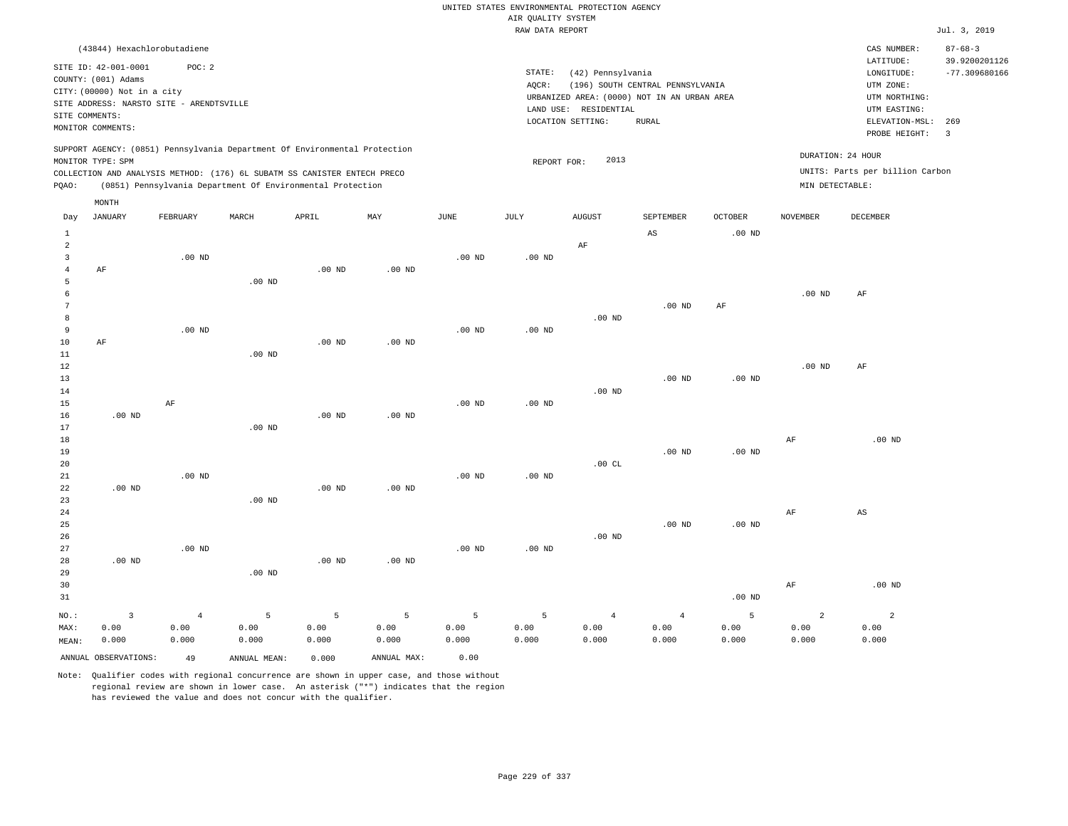|                      |                                                                            |                    |                   |                                                            |                        |                   |                    | UNITED STATES ENVIRONMENTAL PROTECTION AGENCY |                                             |                   |                 |                                 |                                |
|----------------------|----------------------------------------------------------------------------|--------------------|-------------------|------------------------------------------------------------|------------------------|-------------------|--------------------|-----------------------------------------------|---------------------------------------------|-------------------|-----------------|---------------------------------|--------------------------------|
|                      |                                                                            |                    |                   |                                                            |                        |                   | AIR OUALITY SYSTEM |                                               |                                             |                   |                 |                                 |                                |
|                      |                                                                            |                    |                   |                                                            |                        |                   | RAW DATA REPORT    |                                               |                                             |                   |                 |                                 | Jul. 3, 2019                   |
|                      | (43844) Hexachlorobutadiene                                                |                    |                   |                                                            |                        |                   |                    |                                               |                                             |                   |                 | CAS NUMBER:<br>LATITUDE:        | $87 - 68 - 3$<br>39.9200201126 |
|                      | SITE ID: 42-001-0001                                                       | POC: 2             |                   |                                                            |                        |                   | STATE:             | (42) Pennsylvania                             |                                             |                   |                 | LONGITUDE:                      | $-77.309680166$                |
|                      | COUNTY: (001) Adams                                                        |                    |                   |                                                            |                        |                   | AQCR:              |                                               | (196) SOUTH CENTRAL PENNSYLVANIA            |                   |                 | UTM ZONE:                       |                                |
|                      | CITY: (00000) Not in a city                                                |                    |                   |                                                            |                        |                   |                    |                                               | URBANIZED AREA: (0000) NOT IN AN URBAN AREA |                   |                 | UTM NORTHING:                   |                                |
| SITE COMMENTS:       | SITE ADDRESS: NARSTO SITE - ARENDTSVILLE                                   |                    |                   |                                                            |                        |                   |                    | LAND USE: RESIDENTIAL                         |                                             |                   |                 | UTM EASTING:                    |                                |
|                      | MONITOR COMMENTS:                                                          |                    |                   |                                                            |                        |                   |                    | LOCATION SETTING:                             | <b>RURAL</b>                                |                   |                 | ELEVATION-MSL:<br>PROBE HEIGHT: | 269<br>$\overline{3}$          |
|                      | SUPPORT AGENCY: (0851) Pennsylvania Department Of Environmental Protection |                    |                   |                                                            |                        |                   |                    |                                               |                                             |                   |                 |                                 |                                |
|                      | MONITOR TYPE: SPM                                                          |                    |                   |                                                            |                        |                   | REPORT FOR:        | 2013                                          |                                             |                   |                 | DURATION: 24 HOUR               |                                |
|                      | COLLECTION AND ANALYSIS METHOD: (176) 6L SUBATM SS CANISTER ENTECH PRECO   |                    |                   |                                                            |                        |                   |                    |                                               |                                             |                   |                 | UNITS: Parts per billion Carbon |                                |
| PQAO:                |                                                                            |                    |                   | (0851) Pennsylvania Department Of Environmental Protection |                        |                   |                    |                                               |                                             |                   | MIN DETECTABLE: |                                 |                                |
|                      | MONTH                                                                      |                    |                   |                                                            |                        |                   |                    |                                               |                                             |                   |                 |                                 |                                |
| Day                  | JANUARY                                                                    | FEBRUARY           | MARCH             | APRIL                                                      | MAY                    | <b>JUNE</b>       | JULY               | <b>AUGUST</b>                                 | SEPTEMBER                                   | <b>OCTOBER</b>    | <b>NOVEMBER</b> | <b>DECEMBER</b>                 |                                |
| $\mathbf{1}$         |                                                                            |                    |                   |                                                            |                        |                   |                    |                                               | AS                                          | .00 <sub>ND</sub> |                 |                                 |                                |
| $\overline{a}$       |                                                                            |                    |                   |                                                            |                        |                   |                    | $\rm AF$                                      |                                             |                   |                 |                                 |                                |
| $\overline{3}$       |                                                                            | $.00$ ND           |                   |                                                            |                        | $.00$ ND          | $.00$ ND           |                                               |                                             |                   |                 |                                 |                                |
| $\overline{4}$       | AF                                                                         |                    |                   | $.00$ ND                                                   | $.00$ ND               |                   |                    |                                               |                                             |                   |                 |                                 |                                |
| 5                    |                                                                            |                    | .00 <sub>ND</sub> |                                                            |                        |                   |                    |                                               |                                             |                   |                 |                                 |                                |
| 6<br>$7\phantom{.0}$ |                                                                            |                    |                   |                                                            |                        |                   |                    |                                               | $.00$ ND                                    | AF                | $.00$ ND        | AF                              |                                |
| 8                    |                                                                            |                    |                   |                                                            |                        |                   |                    | .00 <sub>ND</sub>                             |                                             |                   |                 |                                 |                                |
| 9                    |                                                                            | .00 <sub>ND</sub>  |                   |                                                            |                        | $.00$ ND          | .00 <sub>ND</sub>  |                                               |                                             |                   |                 |                                 |                                |
| 10                   | AF                                                                         |                    |                   | $.00$ ND                                                   | $.00$ ND               |                   |                    |                                               |                                             |                   |                 |                                 |                                |
| 11                   |                                                                            |                    | $.00$ ND          |                                                            |                        |                   |                    |                                               |                                             |                   |                 |                                 |                                |
| 12                   |                                                                            |                    |                   |                                                            |                        |                   |                    |                                               |                                             |                   | $.00$ ND        | AF                              |                                |
| 13                   |                                                                            |                    |                   |                                                            |                        |                   |                    |                                               | $.00$ ND                                    | $.00~\mathrm{ND}$ |                 |                                 |                                |
| 14                   |                                                                            |                    |                   |                                                            |                        |                   |                    | .00 <sub>ND</sub>                             |                                             |                   |                 |                                 |                                |
| 15                   |                                                                            | AF                 |                   |                                                            |                        | .00 <sub>ND</sub> | .00 <sub>ND</sub>  |                                               |                                             |                   |                 |                                 |                                |
| 16                   | .00 <sub>ND</sub>                                                          |                    |                   | .00 <sub>ND</sub>                                          | .00 <sub>ND</sub>      |                   |                    |                                               |                                             |                   |                 |                                 |                                |
| 17                   |                                                                            |                    | $.00$ ND          |                                                            |                        |                   |                    |                                               |                                             |                   |                 |                                 |                                |
| 18                   |                                                                            |                    |                   |                                                            |                        |                   |                    |                                               |                                             |                   | $\rm{AF}$       | $.00$ ND                        |                                |
| 19                   |                                                                            |                    |                   |                                                            |                        |                   |                    |                                               | .00 <sub>ND</sub>                           | $.00$ ND          |                 |                                 |                                |
| 20                   |                                                                            |                    |                   |                                                            |                        |                   |                    | .00CL                                         |                                             |                   |                 |                                 |                                |
| 21                   |                                                                            | $.00$ ND           |                   |                                                            |                        | $.00$ ND          | $.00$ ND           |                                               |                                             |                   |                 |                                 |                                |
| 22                   | .00 <sub>ND</sub>                                                          |                    |                   | .00 <sub>ND</sub>                                          | $.00$ ND               |                   |                    |                                               |                                             |                   |                 |                                 |                                |
| 23<br>24             |                                                                            |                    | $.00$ ND          |                                                            |                        |                   |                    |                                               |                                             |                   | AF              | AS                              |                                |
| 25                   |                                                                            |                    |                   |                                                            |                        |                   |                    |                                               | $.00$ ND                                    | .00 <sub>ND</sub> |                 |                                 |                                |
| 26                   |                                                                            |                    |                   |                                                            |                        |                   |                    | $.00$ ND                                      |                                             |                   |                 |                                 |                                |
| 27                   |                                                                            | .00 <sub>ND</sub>  |                   |                                                            |                        | .00 <sub>ND</sub> | $.00$ ND           |                                               |                                             |                   |                 |                                 |                                |
| 28                   | $.00$ ND                                                                   |                    |                   | $.00$ ND                                                   | .00 <sub>ND</sub>      |                   |                    |                                               |                                             |                   |                 |                                 |                                |
| 29                   |                                                                            |                    | $.00$ ND          |                                                            |                        |                   |                    |                                               |                                             |                   |                 |                                 |                                |
| 30                   |                                                                            |                    |                   |                                                            |                        |                   |                    |                                               |                                             |                   | $\rm AF$        | $.00$ ND                        |                                |
| 31                   |                                                                            |                    |                   |                                                            |                        |                   |                    |                                               |                                             | $.00$ ND          |                 |                                 |                                |
| NO.:                 | $\overline{3}$                                                             |                    | 5                 |                                                            |                        | 5                 | 5                  | $\overline{4}$                                | $\overline{4}$                              | 5                 | $\overline{a}$  | $\overline{a}$                  |                                |
| MAX:                 | 0.00                                                                       | $\sqrt{4}$<br>0.00 | 0.00              | 5<br>0.00                                                  | $\overline{5}$<br>0.00 | 0.00              | 0.00               | 0.00                                          | 0.00                                        | 0.00              | 0.00            | 0.00                            |                                |
| MEAN:                | 0.000                                                                      | 0.000              | 0.000             | 0.000                                                      | 0.000                  | 0.000             | 0.000              | 0.000                                         | 0.000                                       | 0.000             | 0.000           | 0.000                           |                                |
|                      |                                                                            |                    |                   |                                                            |                        |                   |                    |                                               |                                             |                   |                 |                                 |                                |
|                      | ANNUAL OBSERVATIONS:                                                       | 49                 | ANNUAL MEAN:      | 0.000                                                      | ANNUAL MAX:            | 0.00              |                    |                                               |                                             |                   |                 |                                 |                                |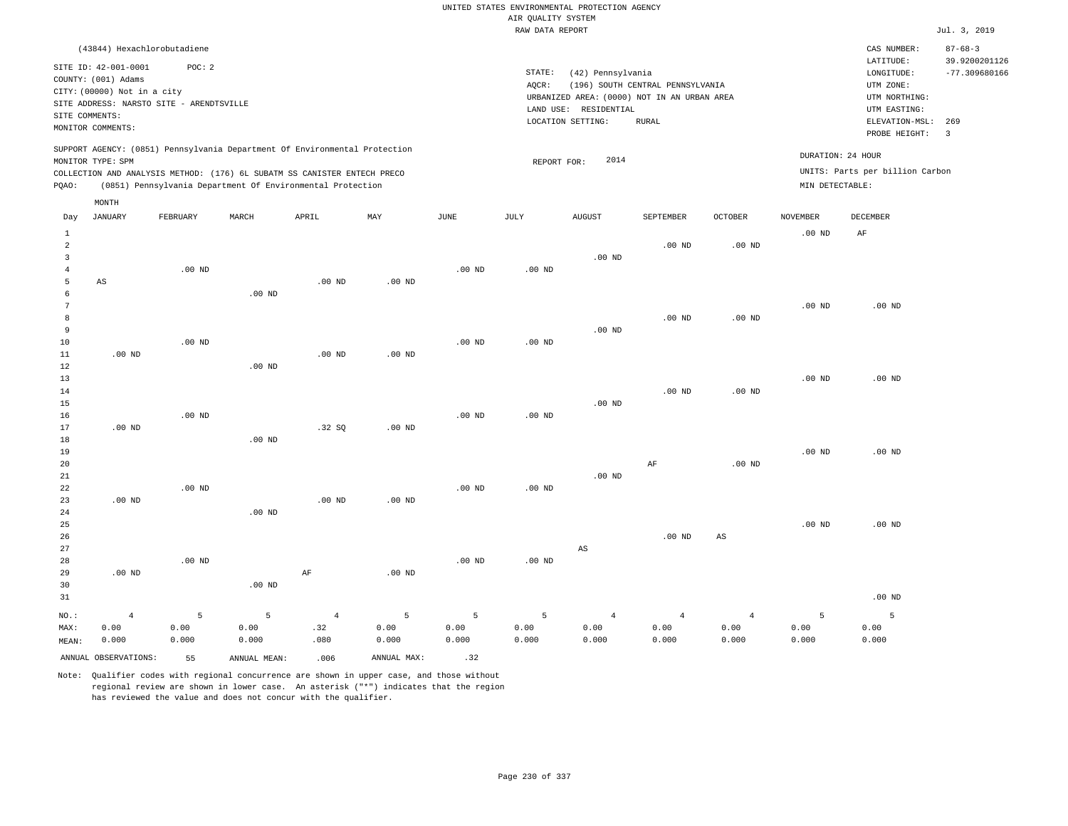|                                                           |                                                                                                |                    |                    |                                                                                                                                        |                    |                       |                    | UNITED STATES ENVIRONMENTAL PROTECTION AGENCY                        |                                  |                                 |                    |                                            |                                                   |
|-----------------------------------------------------------|------------------------------------------------------------------------------------------------|--------------------|--------------------|----------------------------------------------------------------------------------------------------------------------------------------|--------------------|-----------------------|--------------------|----------------------------------------------------------------------|----------------------------------|---------------------------------|--------------------|--------------------------------------------|---------------------------------------------------|
|                                                           |                                                                                                |                    |                    |                                                                                                                                        |                    |                       | AIR QUALITY SYSTEM |                                                                      |                                  |                                 |                    |                                            |                                                   |
|                                                           |                                                                                                |                    |                    |                                                                                                                                        |                    |                       | RAW DATA REPORT    |                                                                      |                                  |                                 |                    |                                            | Jul. 3, 2019                                      |
|                                                           | (43844) Hexachlorobutadiene<br>SITE ID: 42-001-0001                                            | POC: 2             |                    |                                                                                                                                        |                    |                       | STATE:             | (42) Pennsylvania                                                    |                                  |                                 |                    | CAS NUMBER:<br>LATITUDE:<br>LONGITUDE:     | $87 - 68 - 3$<br>39.9200201126<br>$-77.309680166$ |
|                                                           | COUNTY: (001) Adams<br>CITY: (00000) Not in a city<br>SITE ADDRESS: NARSTO SITE - ARENDTSVILLE |                    |                    |                                                                                                                                        |                    |                       | AQCR:              | URBANIZED AREA: (0000) NOT IN AN URBAN AREA<br>LAND USE: RESIDENTIAL | (196) SOUTH CENTRAL PENNSYLVANIA |                                 |                    | UTM ZONE:<br>UTM NORTHING:<br>UTM EASTING: |                                                   |
|                                                           | SITE COMMENTS:<br>MONITOR COMMENTS:                                                            |                    |                    |                                                                                                                                        |                    |                       |                    | LOCATION SETTING:                                                    | <b>RURAL</b>                     |                                 |                    | ELEVATION-MSL:<br>PROBE HEIGHT:            | 269<br>$\overline{3}$                             |
|                                                           | MONITOR TYPE: SPM                                                                              |                    |                    | SUPPORT AGENCY: (0851) Pennsylvania Department Of Environmental Protection                                                             |                    |                       | REPORT FOR:        | 2014                                                                 |                                  |                                 | DURATION: 24 HOUR  |                                            |                                                   |
| PQAO:                                                     |                                                                                                |                    |                    | COLLECTION AND ANALYSIS METHOD: (176) 6L SUBATM SS CANISTER ENTECH PRECO<br>(0851) Pennsylvania Department Of Environmental Protection |                    |                       |                    |                                                                      |                                  |                                 | MIN DETECTABLE:    | UNITS: Parts per billion Carbon            |                                                   |
|                                                           | $\texttt{MONTH}$                                                                               |                    |                    |                                                                                                                                        |                    |                       |                    |                                                                      |                                  |                                 |                    |                                            |                                                   |
| Day                                                       | <b>JANUARY</b>                                                                                 | FEBRUARY           | MARCH              | APRIL                                                                                                                                  | $\texttt{MAY}$     | $\operatorname{JUNE}$ | JULY               | <b>AUGUST</b>                                                        | SEPTEMBER                        | OCTOBER                         | <b>NOVEMBER</b>    | DECEMBER                                   |                                                   |
| $\mathbf{1}$<br>$\overline{a}$<br>$\overline{\mathbf{3}}$ |                                                                                                |                    |                    |                                                                                                                                        |                    |                       |                    | $.00$ ND                                                             | $.00$ ND                         | $.00$ ND                        | $.00$ ND           | AF                                         |                                                   |
| $\bf{4}$<br>5                                             | AS                                                                                             | $.00$ ND           |                    | $.00$ ND                                                                                                                               | .00 <sub>ND</sub>  | $.00$ ND              | $.00$ ND           |                                                                      |                                  |                                 |                    |                                            |                                                   |
| 6<br>$\overline{7}$<br>$\mathbf{8}$                       |                                                                                                |                    | $.00$ ND           |                                                                                                                                        |                    |                       |                    |                                                                      | .00 <sub>ND</sub>                | .00 <sub>ND</sub>               | .00 <sub>ND</sub>  | $.00$ ND                                   |                                                   |
| $\overline{9}$<br>10<br>11                                | $.00$ ND                                                                                       | $.00$ ND           |                    | $.00$ ND                                                                                                                               | $.00$ ND           | $.00$ ND              | $.00$ ND           | $.00$ ND                                                             |                                  |                                 |                    |                                            |                                                   |
| 12<br>13                                                  |                                                                                                |                    | $.00$ ND           |                                                                                                                                        |                    |                       |                    |                                                                      |                                  |                                 | $.00$ ND           | $.00$ ND                                   |                                                   |
| 14<br>15<br>16                                            |                                                                                                | $.00$ ND           |                    |                                                                                                                                        |                    | $.00$ ND              | $.00$ ND           | $.00$ ND                                                             | .00 <sub>ND</sub>                | $.00$ ND                        |                    |                                            |                                                   |
| 17<br>18<br>19                                            | $.00$ ND                                                                                       |                    | .00 <sub>ND</sub>  | .32SQ                                                                                                                                  | .00 <sub>ND</sub>  |                       |                    |                                                                      |                                  |                                 | $.00$ ND           | $.00$ ND                                   |                                                   |
| 20<br>21                                                  |                                                                                                | $.00$ ND           |                    |                                                                                                                                        |                    | .00 <sub>ND</sub>     | .00 <sub>ND</sub>  | $.00$ ND                                                             | AF                               | .00 <sub>ND</sub>               |                    |                                            |                                                   |
| 22<br>23<br>24                                            | $.00$ ND                                                                                       |                    | $.00$ ND           | $.00$ ND                                                                                                                               | .00 <sub>ND</sub>  |                       |                    |                                                                      |                                  |                                 |                    |                                            |                                                   |
| 25<br>26<br>27                                            |                                                                                                |                    |                    |                                                                                                                                        |                    |                       |                    | $\mathbb{A}\mathbb{S}$                                               | .00 <sub>ND</sub>                | AS                              | .00 <sub>ND</sub>  | $.00$ ND                                   |                                                   |
| 28<br>29                                                  | .00 <sub>ND</sub>                                                                              | $.00$ ND           |                    | $\rm AF$                                                                                                                               | $.00$ ND           | .00 <sub>ND</sub>     | $.00$ ND           |                                                                      |                                  |                                 |                    |                                            |                                                   |
| 30<br>31                                                  |                                                                                                |                    | $.00$ ND           |                                                                                                                                        |                    |                       |                    |                                                                      |                                  |                                 |                    | $.00$ ND                                   |                                                   |
| NO.:<br>MAX:<br>MEAN:                                     | $\overline{4}$<br>0.00<br>0.000                                                                | 5<br>0.00<br>0.000 | 5<br>0.00<br>0.000 | $\overline{4}$<br>.32<br>.080                                                                                                          | 5<br>0.00<br>0.000 | 5<br>0.00<br>0.000    | 5<br>0.00<br>0.000 | $\overline{4}$<br>0.00<br>0.000                                      | $\overline{4}$<br>0.00<br>0.000  | $\overline{4}$<br>0.00<br>0.000 | 5<br>0.00<br>0.000 | 5<br>0.00<br>0.000                         |                                                   |
|                                                           | ANNUAL OBSERVATIONS:                                                                           | 55                 | ANNUAL, MEAN:      | .006                                                                                                                                   | ANNUAL MAX:        | .32                   |                    |                                                                      |                                  |                                 |                    |                                            |                                                   |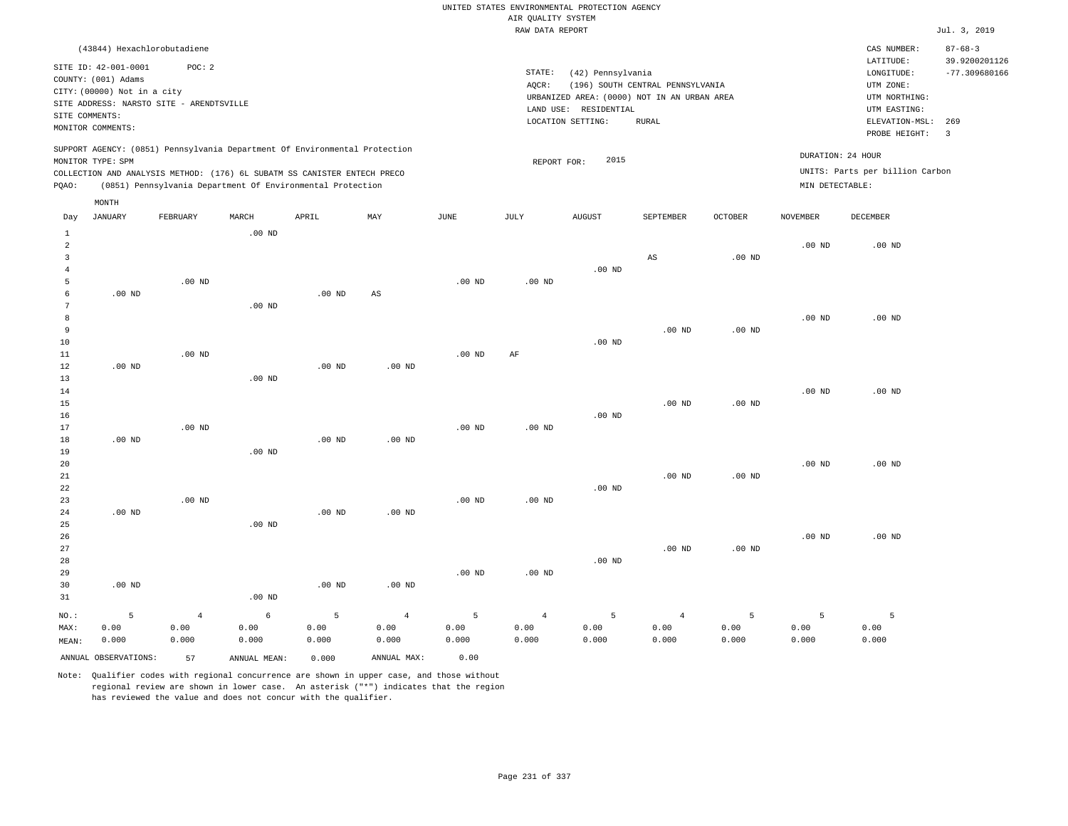RAW DATA REPORT Jul. 3, 2019 UNITED STATES ENVIRONMENTAL PROTECTION AGENCY AIR QUALITY SYSTEM (43844) Hexachlorobutadiene STATE: (42) Pennsylvania CAS NUMBER: 87-68-3 SITE ID: 42-001-0001 POC: 2 AQCR: (196) SOUTH CENTRAL PENNSYLVANIA COUNTY: (001) Adams CITY: (00000) Not in a city LONGITUDE: -77.309680166 LATITUDE: 39.9200201126 LOCATION SETTING: RURAL SITE ADDRESS: NARSTO SITE - ARENDTSVILLE LAND USE: RESIDENTIAL SITE COMMENTS: MONITOR COMMENTS: PROBE HEIGHT: 3 ELEVATION-MSL: 269 URBANIZED AREA: (0000) NOT IN AN URBAN AREA **URBAN SERIA UTM NORTHING**: UTM EASTING: UTM ZONE: SUPPORT AGENCY: (0851) Pennsylvania Department Of Environmental Protection MONITOR TYPE: SPM COLLECTION AND ANALYSIS METHOD: (176) 6L SUBATM SS CANISTER ENTECH PRECO REPORT FOR: 2015 UNITS: Parts per billion Carbon PQAO: (0851) Pennsylvania Department Of Environmental Protection MIN DETECTABLE: DURATION: 24 HOUR 1 2 3 4 5 6 7 8 9 10 11 12 13 14 15 16 17 18 19  $20$ 21 22 23 24 25 26 27 28 29 30 31 .00 ND .00 ND .00 ND .00 ND .00 ND NO.: MAX: MEAN: 5 0.00 0.000 .00 ND .00 ND .00 ND .00 ND .00 ND .00 ND .00 ND .00 ND .00 ND .00 ND .00 ND .00 ND .00 ND .00 ND .00 ND AS .00 ND .00 ND .00 ND .00 ND .00 ND .00 ND .00 ND .00 ND .00 ND .00 ND AF .00 ND .00 ND .00 ND .00 ND .00 ND .00 ND .00 ND .00 ND AS .00 ND .00 ND .00 ND .00 ND .00 ND .00 ND .00 ND .00 ND .00 ND .00 ND .00 ND .00 ND .00 ND .00 ND .00 ND .00 ND .00 ND .00 ND .00 ND 4 0.00 0.000 6 0.00 0.000 5 0.00 0.000 4 0.00 0.000 5 0.00 0.000 4 0.00 0.000 5 0.00 0.000 4 0.00 0.000 5 0.00 0.000 5 0.00 0.000 5 0.00 0.000 Day JANUARY FEBRUARY MARCH APRIL MAY JUNE JULY AUGUST SEPTEMBER OCTOBER NOVEMBER DECEMBER MONTH

Note: Qualifier codes with regional concurrence are shown in upper case, and those without regional review are shown in lower case. An asterisk ("\*") indicates that the region has reviewed the value and does not concur with the qualifier.

ANNUAL OBSERVATIONS: 57 ANNUAL MEAN: 0.000 ANNUAL MAX: 0.00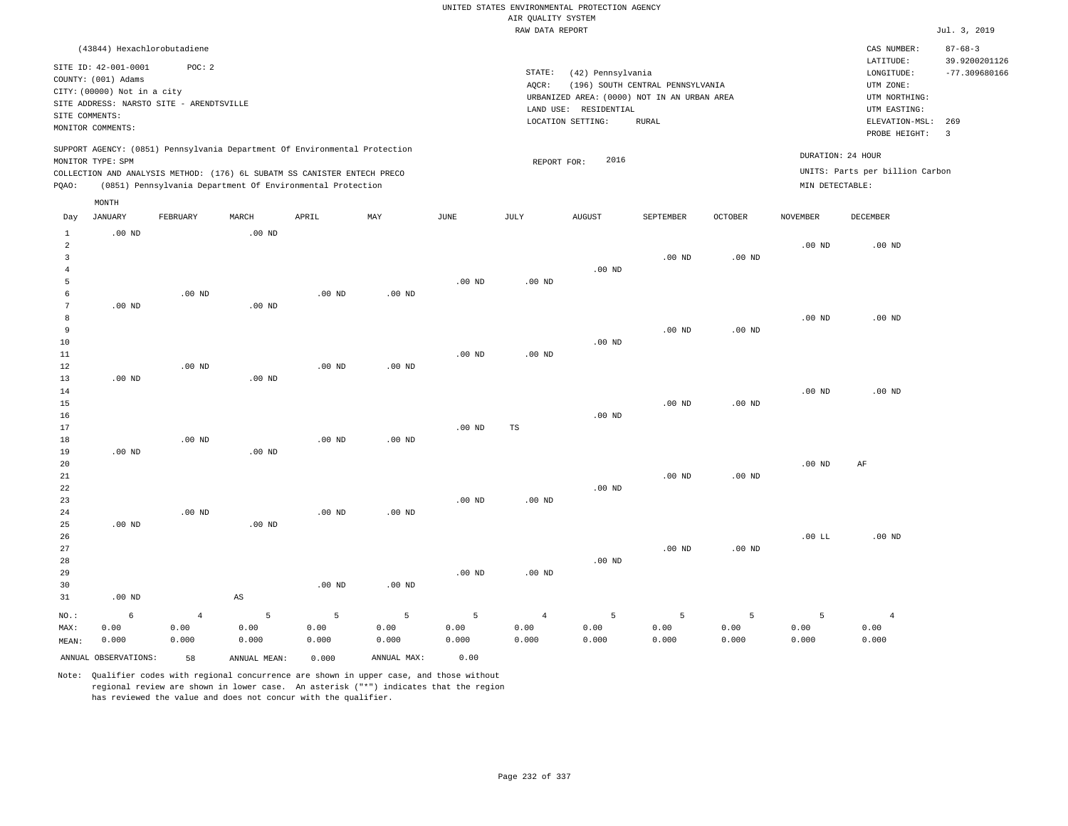RAW DATA REPORT Jul. 3, 2019 UNITED STATES ENVIRONMENTAL PROTECTION AGENCY AIR QUALITY SYSTEM (43844) Hexachlorobutadiene STATE: (42) Pennsylvania CAS NUMBER: 87-68-3 SITE ID: 42-001-0001 POC: 2 AQCR: (196) SOUTH CENTRAL PENNSYLVANIA COUNTY: (001) Adams CITY: (00000) Not in a city LONGITUDE: -77.309680166 LATITUDE: 39.9200201126 LOCATION SETTING: RURAL SITE ADDRESS: NARSTO SITE - ARENDTSVILLE LAND USE: RESIDENTIAL SITE COMMENTS: MONITOR COMMENTS: PROBE HEIGHT: 3 ELEVATION-MSL: 269 URBANIZED AREA: (0000) NOT IN AN URBAN AREA **URBAN SERIA UTM NORTHING**: UTM EASTING: UTM ZONE: SUPPORT AGENCY: (0851) Pennsylvania Department Of Environmental Protection MONITOR TYPE: SPM COLLECTION AND ANALYSIS METHOD: (176) 6L SUBATM SS CANISTER ENTECH PRECO REPORT FOR: 2016 UNITS: Parts per billion Carbon PQAO: (0851) Pennsylvania Department Of Environmental Protection MIN DETECTABLE: DURATION: 24 HOUR 1 2 3 4 5 6 7 8 9 10 11 12 13 14 15 16 17 18 19  $20$ 21 22 23 24  $25$ 26 27 28 29 30 31 .00 ND .00 ND .00 ND .00 ND .00 ND .00 ND NO.: MAX: MEAN: 6 0.00 0.000 .00 ND .00 ND .00 ND .00 ND .00 ND .00 ND .00 ND .00 ND .00 ND AS .00 ND .00 ND .00 ND .00 ND .00 ND .00 ND .00 ND .00 ND .00 ND .00 ND .00 ND .00 ND .00 ND .00 ND .00 ND .00 ND .00 ND TS .00 ND .00 ND .00 ND .00 ND .00 ND .00 ND .00 ND .00 ND .00 ND .00 ND .00 ND .00 ND .00 ND .00 ND .00 ND .00 ND .00 ND .00 ND .00 ND .00 ND .00 ND  $.00$  LL .00 ND .00 ND .00 ND AF .00 ND 4 0.00 0.000 5 0.00 0.000 5 0.00 0.000 5 0.00 0.000 5 0.00 0.000 4 0.00 0.000 5 0.00 0.000 5 0.00 0.000 5 0.00 0.000 5 0.00 0.000 4 0.00 0.000 ANNUAL OBSERVATIONS: 58 ANNUAL MEAN: 0.000 ANNUAL MAX: 0.00 Day JANUARY FEBRUARY MARCH APRIL MAY JUNE JULY AUGUST SEPTEMBER OCTOBER NOVEMBER DECEMBER MONTH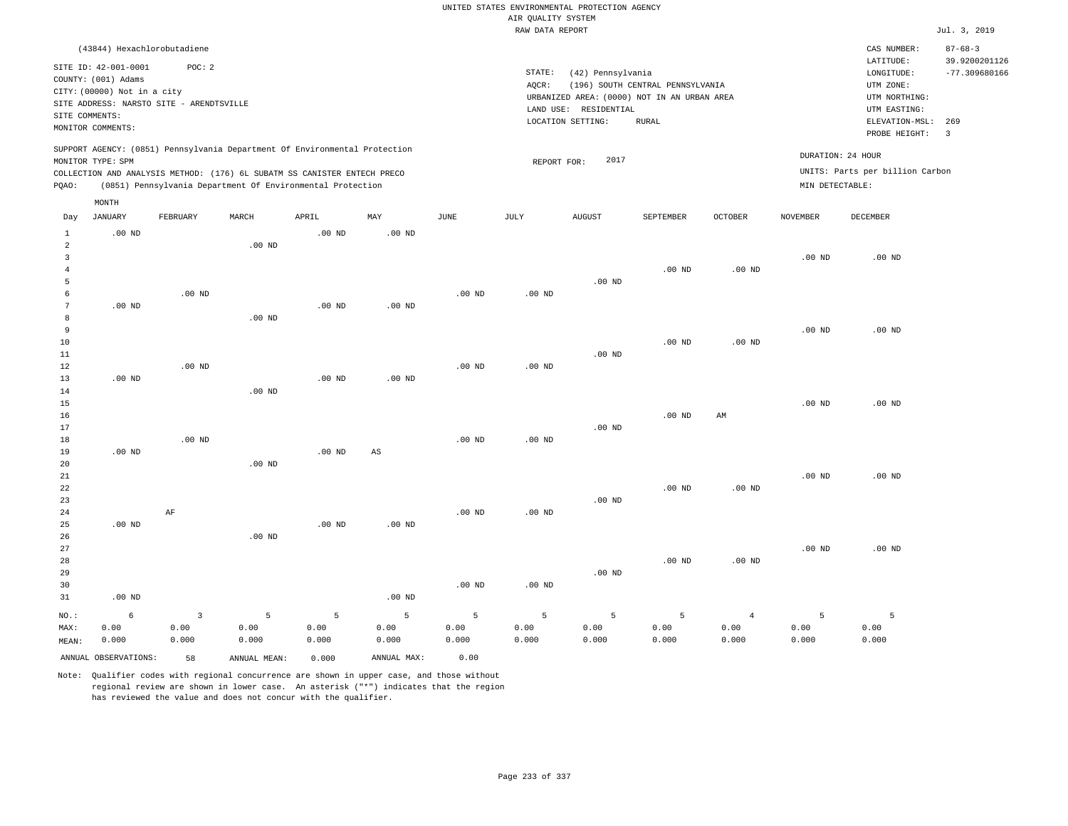|                                |                                             |                   |                                                                            |                   |             |             |                    | UNITED STATES ENVIRONMENTAL PROTECTION AGENCY |                                  |                |                   |                                 |                                |
|--------------------------------|---------------------------------------------|-------------------|----------------------------------------------------------------------------|-------------------|-------------|-------------|--------------------|-----------------------------------------------|----------------------------------|----------------|-------------------|---------------------------------|--------------------------------|
|                                |                                             |                   |                                                                            |                   |             |             | AIR QUALITY SYSTEM |                                               |                                  |                |                   |                                 |                                |
|                                |                                             |                   |                                                                            |                   |             |             | RAW DATA REPORT    |                                               |                                  |                |                   |                                 | Jul. 3, 2019                   |
|                                | (43844) Hexachlorobutadiene                 |                   |                                                                            |                   |             |             |                    |                                               |                                  |                |                   | CAS NUMBER:<br>LATITUDE:        | $87 - 68 - 3$<br>39.9200201126 |
|                                | SITE ID: 42-001-0001<br>COUNTY: (001) Adams | POC: 2            |                                                                            |                   |             |             | STATE:             | (42) Pennsylvania                             |                                  |                |                   | LONGITUDE:                      | $-77.309680166$                |
|                                | CITY: (00000) Not in a city                 |                   |                                                                            |                   |             |             | AQCR:              |                                               | (196) SOUTH CENTRAL PENNSYLVANIA |                |                   | UTM ZONE:                       |                                |
|                                | SITE ADDRESS: NARSTO SITE - ARENDTSVILLE    |                   |                                                                            |                   |             |             |                    | URBANIZED AREA: (0000) NOT IN AN URBAN AREA   |                                  |                |                   | UTM NORTHING:                   |                                |
| SITE COMMENTS:                 |                                             |                   |                                                                            |                   |             |             |                    | LAND USE: RESIDENTIAL                         |                                  |                |                   | UTM EASTING:                    |                                |
|                                | MONITOR COMMENTS:                           |                   |                                                                            |                   |             |             |                    | LOCATION SETTING:                             | <b>RURAL</b>                     |                |                   | ELEVATION-MSL:<br>PROBE HEIGHT: | 269<br>$\overline{\mathbf{3}}$ |
|                                | MONITOR TYPE: SPM                           |                   | SUPPORT AGENCY: (0851) Pennsylvania Department Of Environmental Protection |                   |             |             | REPORT FOR:        | 2017                                          |                                  |                |                   | DURATION: 24 HOUR               |                                |
|                                |                                             |                   | COLLECTION AND ANALYSIS METHOD: (176) 6L SUBATM SS CANISTER ENTECH PRECO   |                   |             |             |                    |                                               |                                  |                |                   | UNITS: Parts per billion Carbon |                                |
| PQAO:                          |                                             |                   | (0851) Pennsylvania Department Of Environmental Protection                 |                   |             |             |                    |                                               |                                  |                | MIN DETECTABLE:   |                                 |                                |
|                                | MONTH                                       |                   |                                                                            |                   |             |             |                    |                                               |                                  |                |                   |                                 |                                |
| Day                            | <b>JANUARY</b>                              | FEBRUARY          | MARCH                                                                      | APRIL             | MAY         | <b>JUNE</b> | <b>JULY</b>        | AUGUST                                        | SEPTEMBER                        | OCTOBER        | <b>NOVEMBER</b>   | <b>DECEMBER</b>                 |                                |
| $\mathbf{1}$                   | $.00$ ND                                    |                   |                                                                            | $.00$ ND          | $.00$ ND    |             |                    |                                               |                                  |                |                   |                                 |                                |
| $\overline{2}$<br>$\mathbf{3}$ |                                             |                   | $.00$ ND                                                                   |                   |             |             |                    |                                               |                                  |                |                   |                                 |                                |
| $\overline{4}$                 |                                             |                   |                                                                            |                   |             |             |                    |                                               | $.00$ ND                         | $.00$ ND       | .00 <sub>ND</sub> | $.00$ ND                        |                                |
| 5                              |                                             |                   |                                                                            |                   |             |             |                    | $.00$ ND                                      |                                  |                |                   |                                 |                                |
| 6                              |                                             | $.00$ ND          |                                                                            |                   |             | $.00$ ND    | .00 <sub>ND</sub>  |                                               |                                  |                |                   |                                 |                                |
| $\overline{7}$                 | $.00$ ND                                    |                   |                                                                            | $.00$ ND          | $.00$ ND    |             |                    |                                               |                                  |                |                   |                                 |                                |
| 8                              |                                             |                   | .00 <sub>ND</sub>                                                          |                   |             |             |                    |                                               |                                  |                |                   |                                 |                                |
| 9                              |                                             |                   |                                                                            |                   |             |             |                    |                                               |                                  |                | $.00$ ND          | $.00$ ND                        |                                |
| 10                             |                                             |                   |                                                                            |                   |             |             |                    |                                               | $.00$ ND                         | $.00$ ND       |                   |                                 |                                |
| 11                             |                                             |                   |                                                                            |                   |             |             |                    | .00 <sub>ND</sub>                             |                                  |                |                   |                                 |                                |
| 12                             |                                             | .00 <sub>ND</sub> |                                                                            |                   |             | $.00$ ND    | .00 <sub>ND</sub>  |                                               |                                  |                |                   |                                 |                                |
| 13                             | $.00$ ND                                    |                   |                                                                            | $.00$ ND          | $.00$ ND    |             |                    |                                               |                                  |                |                   |                                 |                                |
| 14                             |                                             |                   | $.00$ ND                                                                   |                   |             |             |                    |                                               |                                  |                |                   |                                 |                                |
| 15                             |                                             |                   |                                                                            |                   |             |             |                    |                                               |                                  |                | $.00$ ND          | $.00$ ND                        |                                |
| 16                             |                                             |                   |                                                                            |                   |             |             |                    |                                               | $.00$ ND                         | AM             |                   |                                 |                                |
| 17                             |                                             | $.00$ ND          |                                                                            |                   |             |             |                    | .00 <sub>ND</sub>                             |                                  |                |                   |                                 |                                |
| 18<br>19                       | $.00$ ND                                    |                   |                                                                            | .00 <sub>ND</sub> | $_{\rm AS}$ | $.00$ ND    | .00 <sub>ND</sub>  |                                               |                                  |                |                   |                                 |                                |
| 20                             |                                             |                   | $.00$ ND                                                                   |                   |             |             |                    |                                               |                                  |                |                   |                                 |                                |
| $21\,$                         |                                             |                   |                                                                            |                   |             |             |                    |                                               |                                  |                | $.00$ ND          | $.00$ ND                        |                                |
| 22                             |                                             |                   |                                                                            |                   |             |             |                    |                                               | $.00$ ND                         | $.00$ ND       |                   |                                 |                                |
| 23                             |                                             |                   |                                                                            |                   |             |             |                    | $.00$ ND                                      |                                  |                |                   |                                 |                                |
| 24                             |                                             | AF                |                                                                            |                   |             | $.00$ ND    | $.00$ ND           |                                               |                                  |                |                   |                                 |                                |
| 25                             | $.00$ ND                                    |                   |                                                                            | $.00$ ND          | $.00$ ND    |             |                    |                                               |                                  |                |                   |                                 |                                |
| 26                             |                                             |                   | $.00$ ND                                                                   |                   |             |             |                    |                                               |                                  |                |                   |                                 |                                |
| 27                             |                                             |                   |                                                                            |                   |             |             |                    |                                               |                                  |                | $.00$ ND          | $.00$ ND                        |                                |
| 28                             |                                             |                   |                                                                            |                   |             |             |                    |                                               | .00 <sub>ND</sub>                | $.00$ ND       |                   |                                 |                                |
| 29                             |                                             |                   |                                                                            |                   |             |             |                    | $.00$ ND                                      |                                  |                |                   |                                 |                                |
| 30                             |                                             |                   |                                                                            |                   |             | $.00$ ND    | .00 <sub>ND</sub>  |                                               |                                  |                |                   |                                 |                                |
| 31                             | $.00$ ND                                    |                   |                                                                            |                   | $.00$ ND    |             |                    |                                               |                                  |                |                   |                                 |                                |
| NO.:                           | 6                                           | 3                 | 5                                                                          | 5                 | 5           | 5           | 5                  | 5                                             | 5                                | $\overline{4}$ | 5                 | 5                               |                                |
| MAX:                           | 0.00                                        | 0.00              | 0.00                                                                       | 0.00              | 0.00        | 0.00        | 0.00               | 0.00                                          | 0.00                             | 0.00           | 0.00              | 0.00                            |                                |
| MEAN:                          | 0.000                                       | 0.000             | 0.000                                                                      | 0.000             | 0.000       | 0.000       | 0.000              | 0.000                                         | 0.000                            | 0.000          | 0.000             | 0.000                           |                                |
|                                | ANNUAL OBSERVATIONS:                        | 58                | ANNUAL MEAN:                                                               | 0.000             | ANNUAL MAX: | 0.00        |                    |                                               |                                  |                |                   |                                 |                                |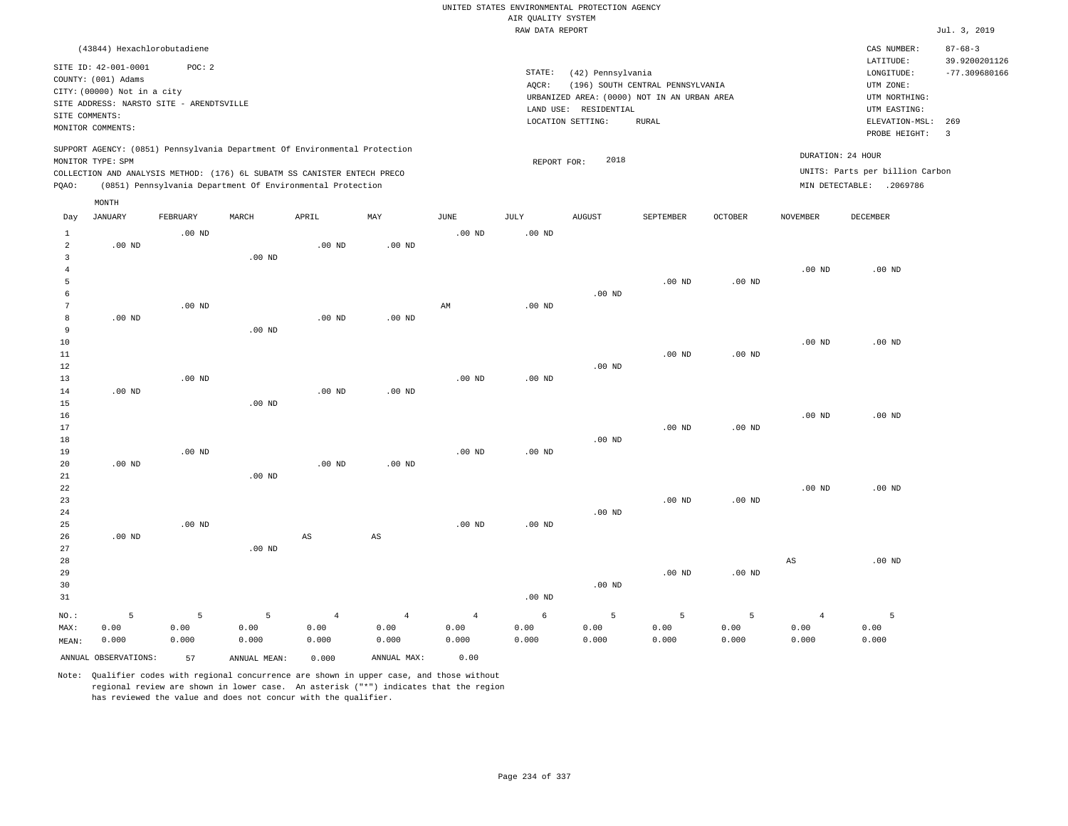|                                       |                                                                                                                                                                             |                    |                                                            |                                 |                                 |                                 | AIR QUALITY SYSTEM | UNITED STATES ENVIRONMENTAL PROTECTION AGENCY |                                                                                 |                    |                                 |                                                          |                                |
|---------------------------------------|-----------------------------------------------------------------------------------------------------------------------------------------------------------------------------|--------------------|------------------------------------------------------------|---------------------------------|---------------------------------|---------------------------------|--------------------|-----------------------------------------------|---------------------------------------------------------------------------------|--------------------|---------------------------------|----------------------------------------------------------|--------------------------------|
|                                       |                                                                                                                                                                             |                    |                                                            |                                 |                                 |                                 | RAW DATA REPORT    |                                               |                                                                                 |                    |                                 |                                                          | Jul. 3, 2019                   |
|                                       | (43844) Hexachlorobutadiene                                                                                                                                                 |                    |                                                            |                                 |                                 |                                 |                    |                                               |                                                                                 |                    |                                 | CAS NUMBER:<br>LATITUDE:                                 | $87 - 68 - 3$<br>39.9200201126 |
| SITE COMMENTS:                        | SITE ID: 42-001-0001<br>COUNTY: (001) Adams<br>CITY: (00000) Not in a city<br>SITE ADDRESS: NARSTO SITE - ARENDTSVILLE                                                      | POC: 2             |                                                            |                                 |                                 |                                 | STATE:<br>AQCR:    | (42) Pennsylvania<br>LAND USE: RESIDENTIAL    | (196) SOUTH CENTRAL PENNSYLVANIA<br>URBANIZED AREA: (0000) NOT IN AN URBAN AREA |                    |                                 | LONGITUDE:<br>UTM ZONE:<br>UTM NORTHING:<br>UTM EASTING: | $-77.309680166$                |
|                                       | MONITOR COMMENTS:                                                                                                                                                           |                    |                                                            |                                 |                                 |                                 |                    | LOCATION SETTING:                             | <b>RURAL</b>                                                                    |                    |                                 | ELEVATION-MSL:<br>PROBE HEIGHT:                          | 269<br>$\overline{\mathbf{3}}$ |
|                                       | SUPPORT AGENCY: (0851) Pennsylvania Department Of Environmental Protection<br>MONITOR TYPE: SPM<br>COLLECTION AND ANALYSIS METHOD: (176) 6L SUBATM SS CANISTER ENTECH PRECO |                    |                                                            |                                 |                                 |                                 | REPORT FOR:        | 2018                                          |                                                                                 |                    |                                 | DURATION: 24 HOUR<br>UNITS: Parts per billion Carbon     |                                |
| PQAO:                                 |                                                                                                                                                                             |                    | (0851) Pennsylvania Department Of Environmental Protection |                                 |                                 |                                 |                    |                                               |                                                                                 |                    |                                 | MIN DETECTABLE: .2069786                                 |                                |
|                                       | MONTH                                                                                                                                                                       |                    |                                                            |                                 |                                 |                                 |                    |                                               |                                                                                 |                    |                                 |                                                          |                                |
| Day                                   | JANUARY                                                                                                                                                                     | FEBRUARY           | MARCH                                                      | APRIL                           | MAY                             | JUNE                            | JULY               | <b>AUGUST</b>                                 | SEPTEMBER                                                                       | OCTOBER            | NOVEMBER                        | DECEMBER                                                 |                                |
| $\mathbf{1}$<br>$\overline{a}$        | $.00$ ND                                                                                                                                                                    | $.00$ ND           |                                                            | $.00$ ND                        | .00 <sub>ND</sub>               | .00 <sub>ND</sub>               | .00 <sub>ND</sub>  |                                               |                                                                                 |                    |                                 |                                                          |                                |
| $\overline{3}$<br>$\overline{4}$<br>5 |                                                                                                                                                                             |                    | .00 <sub>ND</sub>                                          |                                 |                                 |                                 |                    |                                               | $.00$ ND                                                                        | $.00$ ND           | $.00$ ND                        | $.00$ ND                                                 |                                |
| 6<br>$7\phantom{.0}$<br>8             | $.00$ ND                                                                                                                                                                    | $.00$ ND           |                                                            | $.00$ ND                        | $.00$ ND                        | $\mathbb{A}\mathbb{M}$          | $.00$ ND           | $.00$ ND                                      |                                                                                 |                    |                                 |                                                          |                                |
| 9<br>$10$                             |                                                                                                                                                                             |                    | $.00$ ND                                                   |                                 |                                 |                                 |                    |                                               |                                                                                 |                    | $.00$ ND                        | $.00$ ND                                                 |                                |
| 11<br>12<br>13                        |                                                                                                                                                                             | .00 <sub>ND</sub>  |                                                            |                                 |                                 | .00 <sub>ND</sub>               | .00 <sub>ND</sub>  | $.00$ ND                                      | .00 <sub>ND</sub>                                                               | $.00$ ND           |                                 |                                                          |                                |
| 14<br>15                              | .00 <sub>ND</sub>                                                                                                                                                           |                    | $.00$ ND                                                   | .00 <sub>ND</sub>               | $.00$ ND                        |                                 |                    |                                               |                                                                                 |                    |                                 |                                                          |                                |
| 16<br>17<br>18                        |                                                                                                                                                                             |                    |                                                            |                                 |                                 |                                 |                    | $.00$ ND                                      | $.00$ ND                                                                        | $.00$ ND           | .00 <sub>ND</sub>               | $.00$ ND                                                 |                                |
| 19<br>20                              | $.00$ ND                                                                                                                                                                    | $.00$ ND           |                                                            | $.00$ ND                        | $.00$ ND                        | $.00$ ND                        | $.00$ ND           |                                               |                                                                                 |                    |                                 |                                                          |                                |
| 21<br>22<br>23<br>24                  |                                                                                                                                                                             |                    | $.00$ ND                                                   |                                 |                                 |                                 |                    | $.00$ ND                                      | $.00$ ND                                                                        | $.00$ ND           | $.00$ ND                        | $.00$ ND                                                 |                                |
| 25<br>26<br>27                        | $.00$ ND                                                                                                                                                                    | $.00$ ND           | $.00$ ND                                                   | $\mathbb{A}\mathbb{S}$          | $\mathbb{A}\mathbb{S}$          | .00 <sub>ND</sub>               | .00 <sub>ND</sub>  |                                               |                                                                                 |                    |                                 |                                                          |                                |
| 28<br>29<br>30<br>31                  |                                                                                                                                                                             |                    |                                                            |                                 |                                 |                                 | .00 <sub>ND</sub>  | $.00$ ND                                      | $.00$ ND                                                                        | $.00$ ND           | $_{\rm AS}$                     | $.00$ ND                                                 |                                |
| NO.:<br>MAX:<br>MEAN:                 | 5<br>0.00<br>0.000                                                                                                                                                          | 5<br>0.00<br>0.000 | 5<br>0.00<br>0.000                                         | $\overline{4}$<br>0.00<br>0.000 | $\overline{4}$<br>0.00<br>0.000 | $\overline{4}$<br>0.00<br>0.000 | 6<br>0.00<br>0.000 | 5<br>0.00<br>0.000                            | 5<br>0.00<br>0.000                                                              | 5<br>0.00<br>0.000 | $\overline{4}$<br>0.00<br>0.000 | 5<br>0.00<br>0.000                                       |                                |
|                                       | ANNUAL OBSERVATIONS:                                                                                                                                                        | 57                 | ANNUAL MEAN:                                               | 0.000                           | ANNUAL MAX:                     | 0.00                            |                    |                                               |                                                                                 |                    |                                 |                                                          |                                |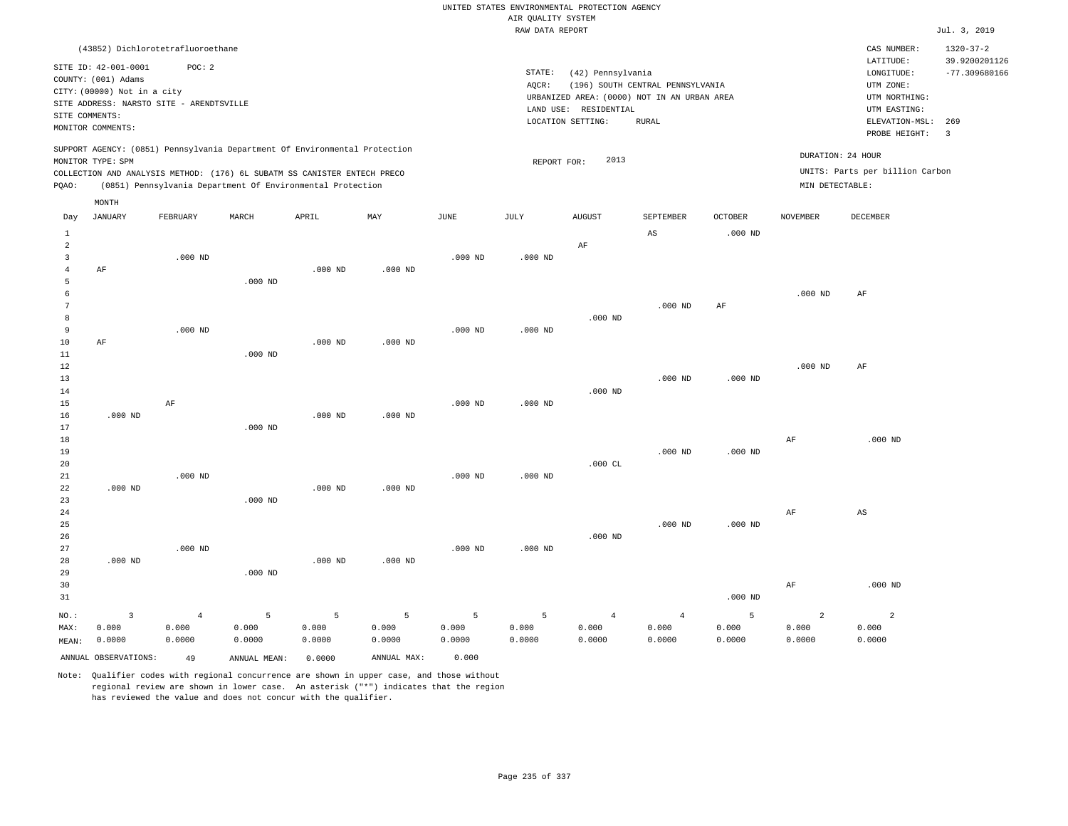RAW DATA REPORT Jul. 3, 2019 UNITED STATES ENVIRONMENTAL PROTECTION AGENCY AIR QUALITY SYSTEM (43852) Dichlorotetrafluoroethane STATE: (42) Pennsylvania CAS NUMBER: 1320-37-2 SITE ID: 42-001-0001 POC: 2 AQCR: (196) SOUTH CENTRAL PENNSYLVANIA COUNTY: (001) Adams CITY: (00000) Not in a city LONGITUDE: -77.309680166 LATITUDE: 39.9200201126 LOCATION SETTING: RURAL SITE ADDRESS: NARSTO SITE - ARENDTSVILLE LAND USE: RESIDENTIAL SITE COMMENTS: MONITOR COMMENTS: PROBE HEIGHT: 3 ELEVATION-MSL: 269 URBANIZED AREA: (0000) NOT IN AN URBAN AREA **URBAN SERIA UTM NORTHING**: UTM EASTING: UTM ZONE: SUPPORT AGENCY: (0851) Pennsylvania Department Of Environmental Protection MONITOR TYPE: SPM COLLECTION AND ANALYSIS METHOD: (176) 6L SUBATM SS CANISTER ENTECH PRECO REPORT FOR: 2013 UNITS: Parts per billion Carbon PQAO: (0851) Pennsylvania Department Of Environmental Protection MIN DETECTABLE: DURATION: 24 HOUR 1 2 3 4 5 6 7 8 9 10 11 12 13 14 15 16 17 18 19  $20$ 21 22 23 24 25 26 27 28 29 30 31 AF AF .000 ND .000 ND .000 ND NO.: MAX: MEAN: 3 0.000 0.0000 .000 ND .000 ND AF .000 ND .000 ND .000 ND .000 ND .000 ND .000 ND .000 ND .000 ND .000 ND .000 ND .000 ND .000 ND .000 ND .000 ND .000 ND .000 ND .000 ND .000 ND .000 ND .000 ND .000 ND .000 ND .000 ND .000 ND .000 ND .000 ND .000 ND AF .000 ND .000 ND  $.000 \text{ C}$ L .000 ND  $\Delta$ S .000 ND .000 ND .000 ND .000 ND .000 ND AF .000 ND .000 ND .000 ND .000 ND .000 ND .000 ND AF AF AF AF AF .000 ND AS .000 ND 4 0.000 0.0000 5 0.000 0.0000 5 0.000 0.0000 5 0.000 0.0000 5 0.000 0.0000 5 0.000 0.0000 4 0.000 0.0000 4 0.000 0.0000 5 0.000 0.0000 2 0.000 0.0000 2 0.000 0.0000 ANNUAL OBSERVATIONS: 49 ANNUAL MEAN: 0.0000 ANNUAL MAX: 0.000 Day JANUARY FEBRUARY MARCH APRIL MAY JUNE JULY AUGUST SEPTEMBER OCTOBER NOVEMBER DECEMBER MONTH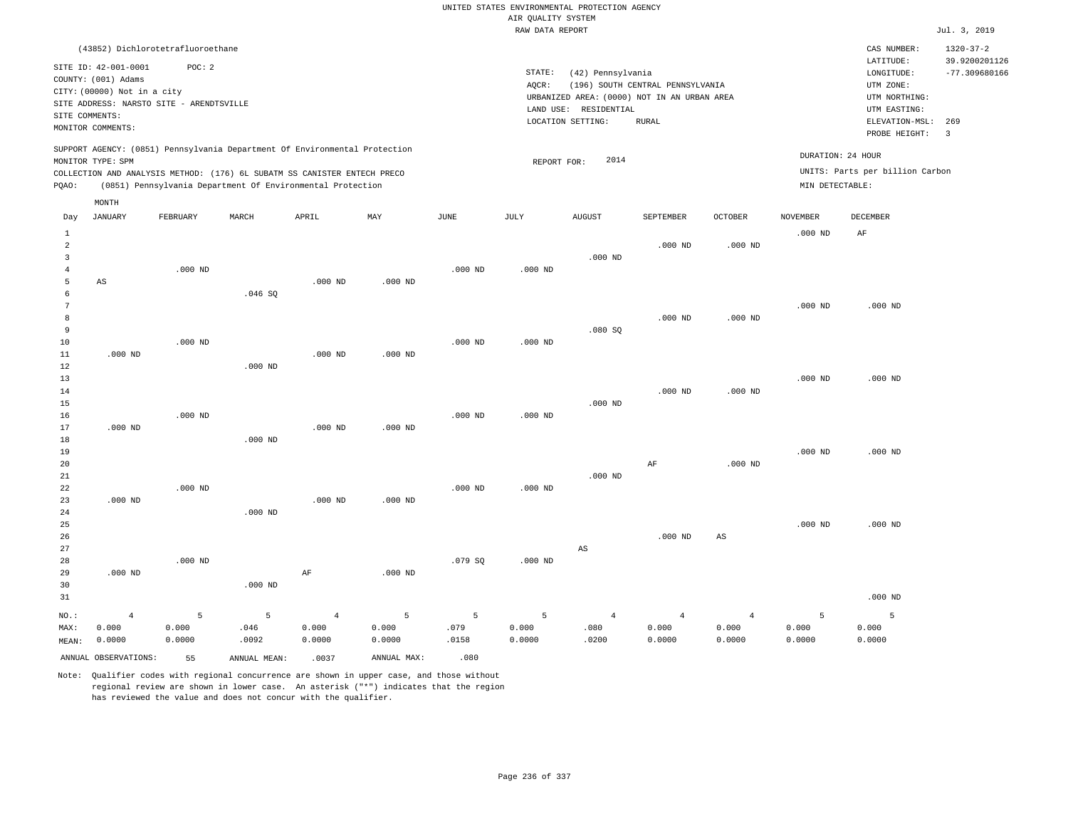RAW DATA REPORT Jul. 3, 2019 UNITED STATES ENVIRONMENTAL PROTECTION AGENCY AIR QUALITY SYSTEM (43852) Dichlorotetrafluoroethane STATE: (42) Pennsylvania CAS NUMBER: 1320-37-2 SITE ID: 42-001-0001 POC: 2 AQCR: (196) SOUTH CENTRAL PENNSYLVANIA COUNTY: (001) Adams CITY: (00000) Not in a city LONGITUDE: -77.309680166 LATITUDE: 39.9200201126 LOCATION SETTING: RURAL SITE ADDRESS: NARSTO SITE - ARENDTSVILLE LAND USE: RESIDENTIAL SITE COMMENTS: MONITOR COMMENTS: PROBE HEIGHT: 3 ELEVATION-MSL: 269 URBANIZED AREA: (0000) NOT IN AN URBAN AREA **URBAN SERIA UTM NORTHING**: UTM EASTING: UTM ZONE: SUPPORT AGENCY: (0851) Pennsylvania Department Of Environmental Protection MONITOR TYPE: SPM COLLECTION AND ANALYSIS METHOD: (176) 6L SUBATM SS CANISTER ENTECH PRECO REPORT FOR: 2014 UNITS: Parts per billion Carbon PQAO: (0851) Pennsylvania Department Of Environmental Protection MIN DETECTABLE: DURATION: 24 HOUR 1 2 3 4 5 6 7 8 9 10 11 12 13 14 15 16 17 18 19  $20$ 21 22 23 24 25 26 27 28 29 30 31 AS .000 ND .000 ND .000 ND .000 ND NO.: MAX: MEAN: 4 0.000 0.0000 .000 ND .000 ND .000 ND .000 ND .000 ND .046 SQ .000 ND .000 ND .000 ND .000 ND .000 ND .000 ND .000 ND .000 ND AF .000 ND .000 ND .000 ND .000 ND .000 ND .000 ND .000 ND .000 ND .000 ND .079 SQ .000 ND .000 ND .000 ND .000 ND .000 ND .000 ND .080 SQ .000 ND .000 ND  $\Delta$ S .000 ND .000 ND .000 ND AF .000 ND .000 ND .000 ND .000 ND .000 ND AS .000 ND .000 ND .000 ND .000 ND .000 ND AF .000 ND .000 ND .000 ND .000 ND .000 ND 5 0.000 0.0000 5 .046 .0092 4 0.000 0.0000 5 0.000 0.0000 5 .079 .0158 5 0.000 0.0000 4 .080 .0200 4 0.000 0.0000 4 0.000 0.0000 5 0.000 0.0000 5 0.000 0.0000 Day JANUARY FEBRUARY MARCH APRIL MAY JUNE JULY AUGUST SEPTEMBER OCTOBER NOVEMBER DECEMBER MONTH

Note: Qualifier codes with regional concurrence are shown in upper case, and those without regional review are shown in lower case. An asterisk ("\*") indicates that the region has reviewed the value and does not concur with the qualifier.

ANNUAL OBSERVATIONS: 55 ANNUAL MEAN: .0037 ANNUAL MAX: .080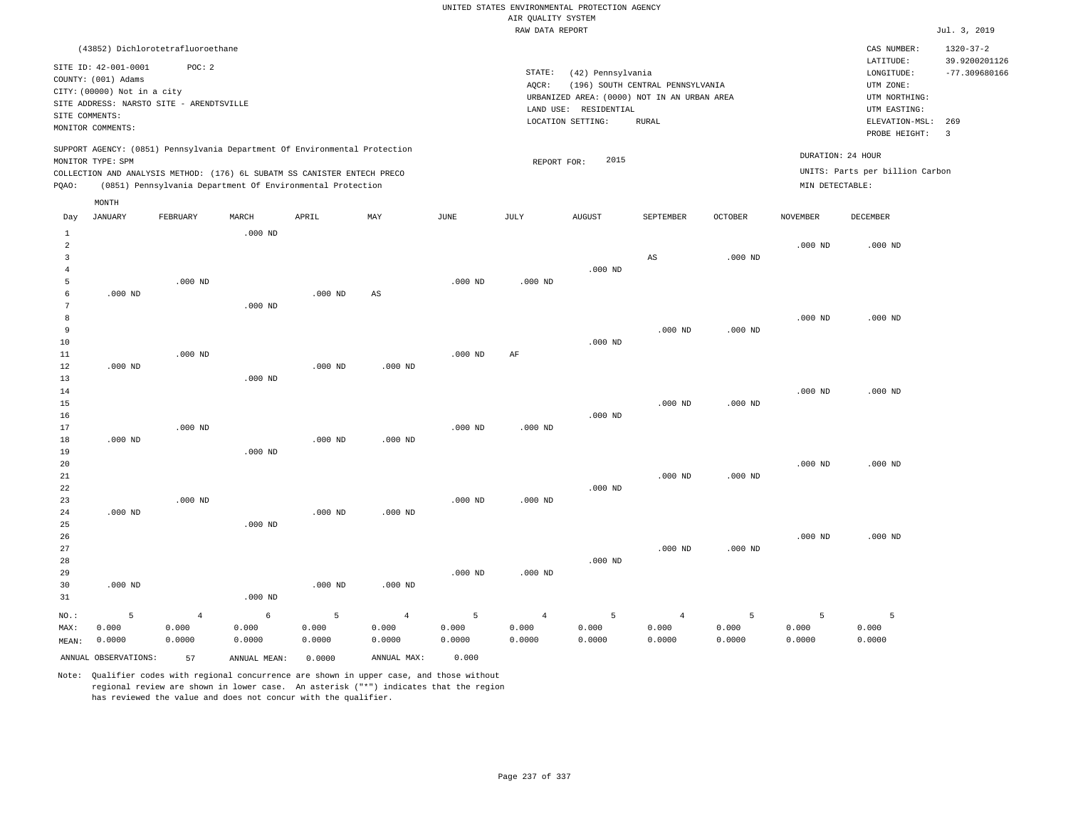UNITED STATES ENVIRONMENTAL PROTECTION AGENCY AIR QUALITY SYSTEM

|                                                                |                                                                                                                                                               |                                         |                                               |                                                                                                                                                                                                                      |                                                  |                                            | RAW DATA REPORT                   |                                                                                                                |                                           |                      |                                      |                                                                                                          | Jul. 3, 2019                     |
|----------------------------------------------------------------|---------------------------------------------------------------------------------------------------------------------------------------------------------------|-----------------------------------------|-----------------------------------------------|----------------------------------------------------------------------------------------------------------------------------------------------------------------------------------------------------------------------|--------------------------------------------------|--------------------------------------------|-----------------------------------|----------------------------------------------------------------------------------------------------------------|-------------------------------------------|----------------------|--------------------------------------|----------------------------------------------------------------------------------------------------------|----------------------------------|
|                                                                | (43852) Dichlorotetrafluoroethane                                                                                                                             |                                         |                                               |                                                                                                                                                                                                                      |                                                  |                                            |                                   |                                                                                                                |                                           |                      |                                      | CAS NUMBER:                                                                                              | $1320 - 37 - 2$<br>39.9200201126 |
|                                                                | SITE ID: 42-001-0001<br>COUNTY: (001) Adams<br>CITY: (00000) Not in a city<br>SITE ADDRESS: NARSTO SITE - ARENDTSVILLE<br>SITE COMMENTS:<br>MONITOR COMMENTS: | POC: 2                                  |                                               |                                                                                                                                                                                                                      |                                                  |                                            | STATE:<br>AQCR:                   | (42) Pennsylvania<br>URBANIZED AREA: (0000) NOT IN AN URBAN AREA<br>LAND USE: RESIDENTIAL<br>LOCATION SETTING: | (196) SOUTH CENTRAL PENNSYLVANIA<br>RURAL |                      |                                      | LATITUDE:<br>LONGITUDE:<br>UTM ZONE:<br>UTM NORTHING:<br>UTM EASTING:<br>ELEVATION-MSL:<br>PROBE HEIGHT: | $-77.309680166$<br>269<br>3      |
| PQAO:                                                          | MONITOR TYPE: SPM                                                                                                                                             |                                         |                                               | SUPPORT AGENCY: (0851) Pennsylvania Department Of Environmental Protection<br>COLLECTION AND ANALYSIS METHOD: (176) 6L SUBATM SS CANISTER ENTECH PRECO<br>(0851) Pennsylvania Department Of Environmental Protection |                                                  |                                            | REPORT FOR:                       | 2015                                                                                                           |                                           |                      | DURATION: 24 HOUR<br>MIN DETECTABLE: | UNITS: Parts per billion Carbon                                                                          |                                  |
| Day                                                            | MONTH<br><b>JANUARY</b>                                                                                                                                       | FEBRUARY                                | MARCH                                         | APRIL                                                                                                                                                                                                                | MAY                                              | JUNE                                       | JULY                              | <b>AUGUST</b>                                                                                                  | SEPTEMBER                                 | <b>OCTOBER</b>       | <b>NOVEMBER</b>                      | DECEMBER                                                                                                 |                                  |
| $\mathbf{1}$<br>$\overline{2}$<br>$\overline{\mathbf{3}}$<br>4 |                                                                                                                                                               |                                         | $.000$ ND                                     |                                                                                                                                                                                                                      |                                                  |                                            |                                   | $.000$ ND                                                                                                      | $\mathbb{A}\mathbb{S}$                    | $.000$ ND            | $.000$ ND                            | $.000$ ND                                                                                                |                                  |
| 5<br>6<br>7<br>8<br>9                                          | $.000$ ND                                                                                                                                                     | $.000$ ND                               | $.000$ ND                                     | $.000$ ND                                                                                                                                                                                                            | AS                                               | $.000$ ND                                  | $.000$ ND                         |                                                                                                                | $.000$ ND                                 | $.000$ ND            | $.000$ ND                            | $.000$ ND                                                                                                |                                  |
| 10<br>11<br>12<br>13                                           | $.000$ ND                                                                                                                                                     | $.000$ ND                               | $.000$ ND                                     | $.000$ ND                                                                                                                                                                                                            | $.000$ ND                                        | $.000$ ND                                  | AF                                | $.000$ ND                                                                                                      |                                           |                      |                                      |                                                                                                          |                                  |
| 14<br>15<br>16<br>17                                           |                                                                                                                                                               | $.000$ ND                               |                                               |                                                                                                                                                                                                                      |                                                  | $.000$ ND                                  | $.000$ ND                         | $.000$ ND                                                                                                      | $.000$ ND                                 | $.000$ ND            | $.000$ ND                            | $.000$ ND                                                                                                |                                  |
| 18<br>19<br>20<br>21<br>22                                     | $.000$ ND                                                                                                                                                     |                                         | $.000$ ND                                     | $.000$ ND                                                                                                                                                                                                            | $.000$ ND                                        |                                            |                                   | $.000$ ND                                                                                                      | $.000$ ND                                 | $.000$ ND            | $.000$ ND                            | $.000$ ND                                                                                                |                                  |
| 23<br>24<br>25<br>26<br>27                                     | $.000$ ND                                                                                                                                                     | $.000$ ND                               | $.000$ ND                                     | $.000$ ND                                                                                                                                                                                                            | $.000$ ND                                        | $.000$ ND                                  | $.000$ ND                         |                                                                                                                | $.000$ ND                                 | $.000$ ND            | $.000$ ND                            | $.000$ ND                                                                                                |                                  |
| 28<br>29<br>30<br>31                                           | $.000$ ND                                                                                                                                                     |                                         | $.000$ ND                                     | $.000$ ND                                                                                                                                                                                                            | $.000$ ND                                        | $.000$ ND                                  | $.000$ ND                         | $.000$ ND                                                                                                      |                                           |                      |                                      |                                                                                                          |                                  |
| NO.:<br>MAX:<br>MEAN:                                          | $\overline{5}$<br>0.000<br>0.0000<br>ANNUAL OBSERVATIONS:                                                                                                     | $\overline{4}$<br>0.000<br>0.0000<br>57 | $\epsilon$<br>0.000<br>0.0000<br>ANNUAL MEAN: | 5<br>0.000<br>0.0000<br>0.0000                                                                                                                                                                                       | $\overline{4}$<br>0.000<br>0.0000<br>ANNUAL MAX: | $\overline{5}$<br>0.000<br>0.0000<br>0.000 | $\overline{4}$<br>0.000<br>0.0000 | 5<br>0.000<br>0.0000                                                                                           | $\overline{4}$<br>0.000<br>0.0000         | 5<br>0.000<br>0.0000 | 5<br>0.000<br>0.0000                 | 5<br>0.000<br>0.0000                                                                                     |                                  |
|                                                                |                                                                                                                                                               |                                         |                                               |                                                                                                                                                                                                                      |                                                  |                                            |                                   |                                                                                                                |                                           |                      |                                      |                                                                                                          |                                  |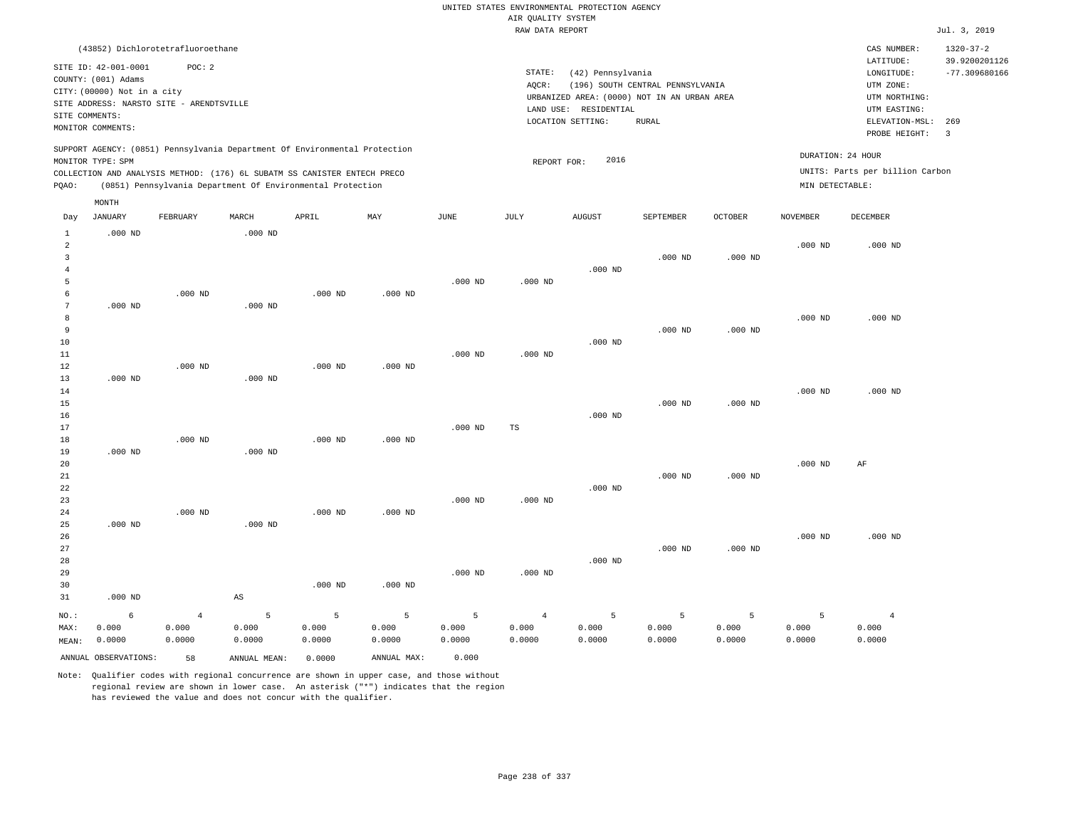UNITED STATES ENVIRONMENTAL PROTECTION AGENCY AIR QUALITY SYSTEM<br>PAW DATA PEDOPT

|                                |                                                                                                                        |                |                        |                                                                                                                                                        |                           |           | RAW DATA REPORT |                                            |                                                                                 |                |                   |                                                                       | Jul. 3, 2019                     |
|--------------------------------|------------------------------------------------------------------------------------------------------------------------|----------------|------------------------|--------------------------------------------------------------------------------------------------------------------------------------------------------|---------------------------|-----------|-----------------|--------------------------------------------|---------------------------------------------------------------------------------|----------------|-------------------|-----------------------------------------------------------------------|----------------------------------|
|                                | (43852) Dichlorotetrafluoroethane                                                                                      |                |                        |                                                                                                                                                        |                           |           |                 |                                            |                                                                                 |                |                   | CAS NUMBER:                                                           | $1320 - 37 - 2$                  |
|                                | SITE ID: 42-001-0001<br>COUNTY: (001) Adams<br>CITY: (00000) Not in a city<br>SITE ADDRESS: NARSTO SITE - ARENDTSVILLE | POC: 2         |                        |                                                                                                                                                        |                           |           | STATE:<br>AQCR: | (42) Pennsylvania<br>LAND USE: RESIDENTIAL | (196) SOUTH CENTRAL PENNSYLVANIA<br>URBANIZED AREA: (0000) NOT IN AN URBAN AREA |                |                   | LATITUDE:<br>LONGITUDE:<br>UTM ZONE:<br>UTM NORTHING:<br>UTM EASTING: | 39.9200201126<br>$-77.309680166$ |
|                                | SITE COMMENTS:                                                                                                         |                |                        |                                                                                                                                                        |                           |           |                 | LOCATION SETTING:                          | <b>RURAL</b>                                                                    |                |                   | ELEVATION-MSL:                                                        | 269                              |
|                                | MONITOR COMMENTS:                                                                                                      |                |                        |                                                                                                                                                        |                           |           |                 |                                            |                                                                                 |                |                   | PROBE HEIGHT:                                                         | $\overline{3}$                   |
|                                | MONITOR TYPE: SPM                                                                                                      |                |                        | SUPPORT AGENCY: (0851) Pennsylvania Department Of Environmental Protection<br>COLLECTION AND ANALYSIS METHOD: (176) 6L SUBATM SS CANISTER ENTECH PRECO |                           |           | REPORT FOR:     | 2016                                       |                                                                                 |                | DURATION: 24 HOUR | UNITS: Parts per billion Carbon                                       |                                  |
| PQAO:                          |                                                                                                                        |                |                        | (0851) Pennsylvania Department Of Environmental Protection                                                                                             |                           |           |                 |                                            |                                                                                 |                | MIN DETECTABLE:   |                                                                       |                                  |
|                                | MONTH                                                                                                                  |                |                        |                                                                                                                                                        |                           |           |                 |                                            |                                                                                 |                |                   |                                                                       |                                  |
| Day                            | JANUARY                                                                                                                | FEBRUARY       | MARCH                  | APRIL                                                                                                                                                  | $\ensuremath{\text{MAX}}$ | JUNE      | JULY            | <b>AUGUST</b>                              | SEPTEMBER                                                                       | <b>OCTOBER</b> | <b>NOVEMBER</b>   | <b>DECEMBER</b>                                                       |                                  |
| $\mathbf{1}$<br>$\overline{a}$ | $.000$ ND                                                                                                              |                | $.000$ ND              |                                                                                                                                                        |                           |           |                 |                                            |                                                                                 |                | $.000$ ND         | $.000$ ND                                                             |                                  |
| 3                              |                                                                                                                        |                |                        |                                                                                                                                                        |                           |           |                 |                                            | $.000$ ND                                                                       | $.000$ ND      |                   |                                                                       |                                  |
| $\overline{4}$<br>5            |                                                                                                                        |                |                        |                                                                                                                                                        |                           | $.000$ ND | $.000$ ND       | $.000$ ND                                  |                                                                                 |                |                   |                                                                       |                                  |
| 6                              |                                                                                                                        | $.000$ ND      |                        | $.000$ ND                                                                                                                                              | $.000$ ND                 |           |                 |                                            |                                                                                 |                |                   |                                                                       |                                  |
| 7                              | $.000$ ND                                                                                                              |                | $.000$ ND              |                                                                                                                                                        |                           |           |                 |                                            |                                                                                 |                |                   |                                                                       |                                  |
| 8                              |                                                                                                                        |                |                        |                                                                                                                                                        |                           |           |                 |                                            |                                                                                 |                | $.000$ ND         | $.000$ ND                                                             |                                  |
| 9                              |                                                                                                                        |                |                        |                                                                                                                                                        |                           |           |                 |                                            | $.000$ ND                                                                       | $.000$ ND      |                   |                                                                       |                                  |
| 10                             |                                                                                                                        |                |                        |                                                                                                                                                        |                           |           |                 | $.000$ ND                                  |                                                                                 |                |                   |                                                                       |                                  |
| 11                             |                                                                                                                        |                |                        |                                                                                                                                                        |                           | $.000$ ND | $.000$ ND       |                                            |                                                                                 |                |                   |                                                                       |                                  |
| 12<br>13                       | $.000$ ND                                                                                                              | $.000$ ND      | $.000$ ND              | $.000$ ND                                                                                                                                              | $.000$ ND                 |           |                 |                                            |                                                                                 |                |                   |                                                                       |                                  |
| 14                             |                                                                                                                        |                |                        |                                                                                                                                                        |                           |           |                 |                                            |                                                                                 |                | $.000$ ND         | $.000$ ND                                                             |                                  |
| 15                             |                                                                                                                        |                |                        |                                                                                                                                                        |                           |           |                 |                                            | $.000$ ND                                                                       | $.000$ ND      |                   |                                                                       |                                  |
| 16                             |                                                                                                                        |                |                        |                                                                                                                                                        |                           |           |                 | $.000$ ND                                  |                                                                                 |                |                   |                                                                       |                                  |
| 17                             |                                                                                                                        |                |                        |                                                                                                                                                        |                           | $.000$ ND | TS              |                                            |                                                                                 |                |                   |                                                                       |                                  |
| 18                             |                                                                                                                        | $.000$ ND      |                        | $.000$ ND                                                                                                                                              | $.000$ ND                 |           |                 |                                            |                                                                                 |                |                   |                                                                       |                                  |
| 19                             | $.000$ ND                                                                                                              |                | $.000$ ND              |                                                                                                                                                        |                           |           |                 |                                            |                                                                                 |                |                   |                                                                       |                                  |
| 20<br>$2\sqrt{1}$              |                                                                                                                        |                |                        |                                                                                                                                                        |                           |           |                 |                                            | $.000$ ND                                                                       | $.000$ ND      | $.000$ ND         | AF                                                                    |                                  |
| $2\sqrt{2}$                    |                                                                                                                        |                |                        |                                                                                                                                                        |                           |           |                 | $.000$ ND                                  |                                                                                 |                |                   |                                                                       |                                  |
| 23                             |                                                                                                                        |                |                        |                                                                                                                                                        |                           | $.000$ ND | $.000$ ND       |                                            |                                                                                 |                |                   |                                                                       |                                  |
| 24                             |                                                                                                                        | $.000$ ND      |                        | $.000$ ND                                                                                                                                              | $.000$ ND                 |           |                 |                                            |                                                                                 |                |                   |                                                                       |                                  |
| 25                             | $.000$ ND                                                                                                              |                | $.000$ ND              |                                                                                                                                                        |                           |           |                 |                                            |                                                                                 |                |                   |                                                                       |                                  |
| 26                             |                                                                                                                        |                |                        |                                                                                                                                                        |                           |           |                 |                                            |                                                                                 |                | $.000$ ND         | $.000$ ND                                                             |                                  |
| 27<br>28                       |                                                                                                                        |                |                        |                                                                                                                                                        |                           |           |                 | $.000$ ND                                  | $.000$ ND                                                                       | $.000$ ND      |                   |                                                                       |                                  |
| 29                             |                                                                                                                        |                |                        |                                                                                                                                                        |                           | $.000$ ND | $.000$ ND       |                                            |                                                                                 |                |                   |                                                                       |                                  |
| 30                             |                                                                                                                        |                |                        | $.000$ ND                                                                                                                                              | $.000$ ND                 |           |                 |                                            |                                                                                 |                |                   |                                                                       |                                  |
| 31                             | $.000$ ND                                                                                                              |                | $\mathbb{A}\mathbb{S}$ |                                                                                                                                                        |                           |           |                 |                                            |                                                                                 |                |                   |                                                                       |                                  |
| NO.:                           | 6                                                                                                                      | $\overline{4}$ | 5                      | 5                                                                                                                                                      | 5                         | 5         | $\overline{4}$  | 5                                          | 5                                                                               | 5              | 5                 | $\overline{4}$                                                        |                                  |
| MAX:                           | 0.000                                                                                                                  | 0.000          | 0.000                  | 0.000                                                                                                                                                  | 0.000                     | 0.000     | 0.000           | 0.000                                      | 0.000                                                                           | 0.000          | 0.000             | 0.000                                                                 |                                  |
| MEAN:                          | 0.0000                                                                                                                 | 0.0000         | 0.0000                 | 0.0000                                                                                                                                                 | 0.0000                    | 0.0000    | 0.0000          | 0.0000                                     | 0.0000                                                                          | 0.0000         | 0.0000            | 0.0000                                                                |                                  |
|                                | ANNUAL OBSERVATIONS:                                                                                                   | 58             | ANNUAL MEAN:           | 0.0000                                                                                                                                                 | ANNUAL MAX:               | 0.000     |                 |                                            |                                                                                 |                |                   |                                                                       |                                  |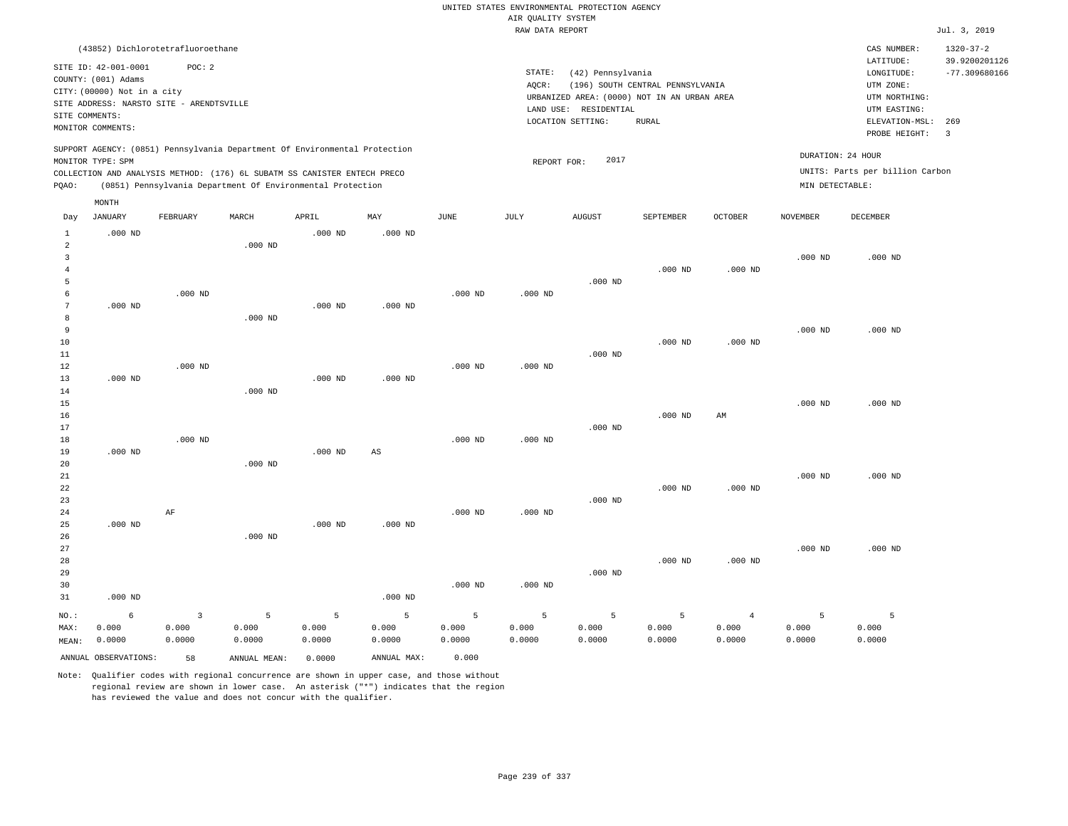RAW DATA REPORT Jul. 3, 2019 UNITED STATES ENVIRONMENTAL PROTECTION AGENCY AIR QUALITY SYSTEM (43852) Dichlorotetrafluoroethane STATE: (42) Pennsylvania CAS NUMBER: 1320-37-2 SITE ID: 42-001-0001 POC: 2 AQCR: (196) SOUTH CENTRAL PENNSYLVANIA COUNTY: (001) Adams CITY: (00000) Not in a city LONGITUDE: -77.309680166 LATITUDE: 39.9200201126 LOCATION SETTING: RURAL SITE ADDRESS: NARSTO SITE - ARENDTSVILLE LAND USE: RESIDENTIAL SITE COMMENTS: MONITOR COMMENTS: PROBE HEIGHT: 3 ELEVATION-MSL: 269 URBANIZED AREA: (0000) NOT IN AN URBAN AREA **URBAN SERIA UTM NORTHING**: UTM EASTING: UTM ZONE: SUPPORT AGENCY: (0851) Pennsylvania Department Of Environmental Protection MONITOR TYPE: SPM COLLECTION AND ANALYSIS METHOD: (176) 6L SUBATM SS CANISTER ENTECH PRECO REPORT FOR: 2017 UNITS: Parts per billion Carbon PQAO: (0851) Pennsylvania Department Of Environmental Protection MIN DETECTABLE: DURATION: 24 HOUR 1 2 3 4 5 6 7 8 9 10 11 12 13 14 15 16 17 18 19  $20$ 21 22 23 24  $25$ 26 27 28 29 30 31 .000 ND .000 ND .000 ND .000 ND .000 ND .000 ND NO.: MAX: MEAN: 6 0.000 0.0000 .000 ND .000 ND .000 ND AF .000 ND .000 ND .000 ND .000 ND .000 ND .000 ND .000 ND .000 ND .000 ND .000 ND .000 ND .000 ND .000 ND AS .000 ND .000 ND .000 ND .000 ND .000 ND .000 ND .000 ND .000 ND .000 ND .000 ND .000 ND .000 ND .000 ND .000 ND .000 ND .000 ND .000 ND .000 ND .000 ND .000 ND .000 ND .000 ND .000 ND .000 ND AM .000 ND .000 ND .000 ND .000 ND .000 ND .000 ND .000 ND .000 ND .000 ND .000 ND .000 ND .000 ND 3 0.000 0.0000 5 0.000 0.0000 5 0.000 0.0000 5 0.000 0.0000 5 0.000 0.0000 5 0.000 0.0000 5 0.000 0.0000 5 0.000 0.0000 4 0.000 0.0000 5 0.000 0.0000 5 0.000 0.0000 ANNUAL OBSERVATIONS: 58 ANNUAL MEAN: 0.0000 ANNUAL MAX: 0.000 Day JANUARY FEBRUARY MARCH APRIL MAY JUNE JULY AUGUST SEPTEMBER OCTOBER NOVEMBER DECEMBER MONTH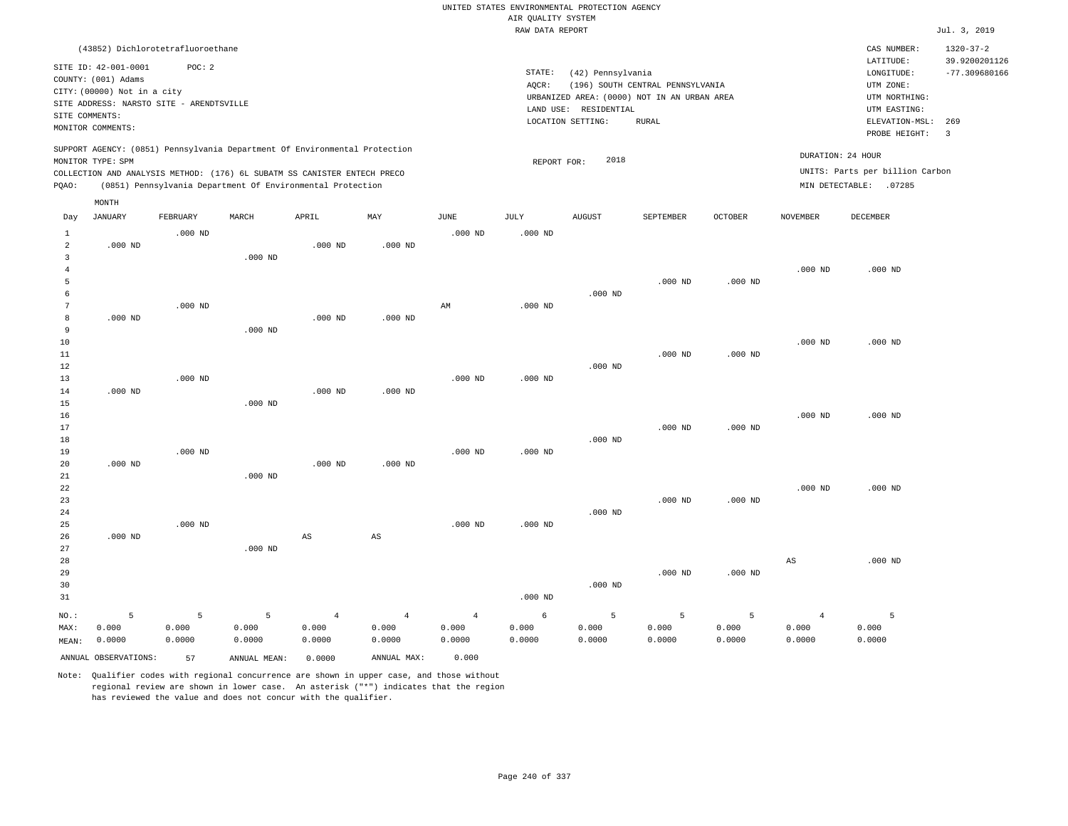RAW DATA REPORT Jul. 3, 2019 UNITED STATES ENVIRONMENTAL PROTECTION AGENCY AIR QUALITY SYSTEM (43852) Dichlorotetrafluoroethane STATE: (42) Pennsylvania CAS NUMBER: 1320-37-2 SITE ID: 42-001-0001 POC: 2 AQCR: (196) SOUTH CENTRAL PENNSYLVANIA COUNTY: (001) Adams CITY: (00000) Not in a city LONGITUDE: -77.309680166 LATITUDE: 39.9200201126 LOCATION SETTING: RURAL SITE ADDRESS: NARSTO SITE - ARENDTSVILLE LAND USE: RESIDENTIAL SITE COMMENTS: MONITOR COMMENTS: PROBE HEIGHT: 3 ELEVATION-MSL: 269 URBANIZED AREA: (0000) NOT IN AN URBAN AREA **URBAN SERIA UTM NORTHING**: UTM EASTING: UTM ZONE: SUPPORT AGENCY: (0851) Pennsylvania Department Of Environmental Protection MONITOR TYPE: SPM COLLECTION AND ANALYSIS METHOD: (176) 6L SUBATM SS CANISTER ENTECH PRECO REPORT FOR: 2018 UNITS: Parts per billion Carbon PQAO: (0851) Pennsylvania Department Of Environmental Protection DURATION: 24 HOUR MIN DETECTABLE: .07285 1 2 3 4 5 6 7 8 9 10 11 12 13 14 15 16 17 18 19  $20$ 21 22 23 24 25 26 27 28 29 30 31 .000 ND .000 ND .000 ND .000 ND .000 ND NO.: MAX: MEAN: 5 0.000 0.0000 .000 ND .000 ND .000 ND .000 ND .000 ND .000 ND .000 ND .000 ND .000 ND .000 ND .000 ND .000 ND .000 ND .000 ND AS .000 ND .000 ND .000 ND .000 ND AS .000 ND AM .000 ND .000 ND .000 ND .000 ND .000 ND .000 ND .000 ND .000 ND .000 ND .000 ND .000 ND .000 ND .000 ND .000 ND .000 ND .000 ND .000 ND .000 ND .000 ND .000 ND .000 ND .000 ND .000 ND .000 ND .000 ND .000 ND .000 ND .000 ND AS .000 ND .000 ND .000 ND .000 ND .000 ND 5 0.000 0.0000 5 0.000 0.0000 4 0.000 0.0000 4 0.000 0.0000 4 0.000 0.0000 6 0.000 0.0000 5 0.000 0.0000 5 0.000 0.0000 5 0.000 0.0000 4 0.000 0.0000 5 0.000 0.0000 ANNUAL OBSERVATIONS: 57 ANNUAL MEAN: 0.0000 ANNUAL MAX: 0.000 Day JANUARY FEBRUARY MARCH APRIL MAY JUNE JULY AUGUST SEPTEMBER OCTOBER NOVEMBER DECEMBER MONTH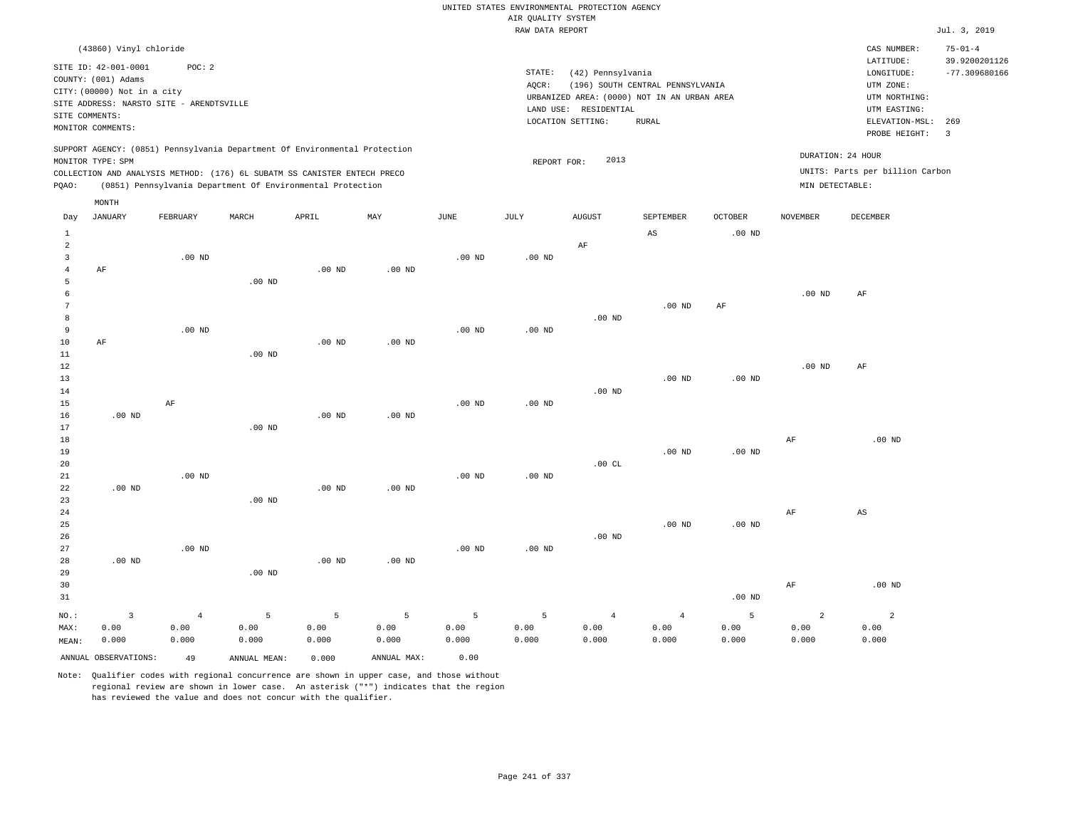|                                  |                                                                                               |                |                   |                                                            |                   |             | UNITED STATES ENVIRONMENTAL PROTECTION AGENCY |                                            |                                             |                   |                   |                                 |                                |
|----------------------------------|-----------------------------------------------------------------------------------------------|----------------|-------------------|------------------------------------------------------------|-------------------|-------------|-----------------------------------------------|--------------------------------------------|---------------------------------------------|-------------------|-------------------|---------------------------------|--------------------------------|
|                                  |                                                                                               |                |                   |                                                            |                   |             | AIR QUALITY SYSTEM                            |                                            |                                             |                   |                   |                                 | Jul. 3, 2019                   |
|                                  |                                                                                               |                |                   |                                                            |                   |             | RAW DATA REPORT                               |                                            |                                             |                   |                   |                                 |                                |
|                                  | (43860) Vinyl chloride                                                                        |                |                   |                                                            |                   |             |                                               |                                            |                                             |                   |                   | CAS NUMBER:<br>LATITUDE:        | $75 - 01 - 4$<br>39.9200201126 |
|                                  | SITE ID: 42-001-0001<br>COUNTY: (001) Adams                                                   | POC: 2         |                   |                                                            |                   |             | STATE:                                        | (42) Pennsylvania                          |                                             |                   |                   | LONGITUDE:                      | $-77.309680166$                |
|                                  | CITY: (00000) Not in a city                                                                   |                |                   |                                                            |                   |             | AOCR:                                         |                                            | (196) SOUTH CENTRAL PENNSYLVANIA            |                   |                   | UTM ZONE:                       |                                |
|                                  | SITE ADDRESS: NARSTO SITE - ARENDTSVILLE                                                      |                |                   |                                                            |                   |             |                                               |                                            | URBANIZED AREA: (0000) NOT IN AN URBAN AREA |                   |                   | UTM NORTHING:                   |                                |
| SITE COMMENTS:                   |                                                                                               |                |                   |                                                            |                   |             |                                               | LAND USE: RESIDENTIAL<br>LOCATION SETTING: | RURAL                                       |                   |                   | UTM EASTING:<br>ELEVATION-MSL:  | 269                            |
|                                  | MONITOR COMMENTS:                                                                             |                |                   |                                                            |                   |             |                                               |                                            |                                             |                   |                   | PROBE HEIGHT:                   | $\overline{3}$                 |
|                                  | SUPPORT AGENCY: (0851) Pennsylvania Department Of Environmental Protection                    |                |                   |                                                            |                   |             |                                               |                                            |                                             |                   |                   | DURATION: 24 HOUR               |                                |
|                                  | MONITOR TYPE: SPM<br>COLLECTION AND ANALYSIS METHOD: (176) 6L SUBATM SS CANISTER ENTECH PRECO |                |                   |                                                            |                   |             | REPORT FOR:                                   | 2013                                       |                                             |                   |                   | UNITS: Parts per billion Carbon |                                |
| PQAO:                            |                                                                                               |                |                   | (0851) Pennsylvania Department Of Environmental Protection |                   |             |                                               |                                            |                                             |                   | MIN DETECTABLE:   |                                 |                                |
|                                  | MONTH                                                                                         |                |                   |                                                            |                   |             |                                               |                                            |                                             |                   |                   |                                 |                                |
| Day                              | <b>JANUARY</b>                                                                                | FEBRUARY       | MARCH             | APRIL                                                      | MAY               | <b>JUNE</b> | JULY                                          | <b>AUGUST</b>                              | SEPTEMBER                                   | <b>OCTOBER</b>    | <b>NOVEMBER</b>   | <b>DECEMBER</b>                 |                                |
| $\mathbf{1}$                     |                                                                                               |                |                   |                                                            |                   |             |                                               |                                            | $\mathbb{A}\mathbb{S}$                      | $.00$ ND          |                   |                                 |                                |
| 2                                |                                                                                               |                |                   |                                                            |                   |             |                                               | AF                                         |                                             |                   |                   |                                 |                                |
| $\overline{3}$<br>$\overline{4}$ | AF                                                                                            | $.00$ ND       |                   | $.00$ ND                                                   | $.00$ ND          | $.00$ ND    | $.00$ ND                                      |                                            |                                             |                   |                   |                                 |                                |
| 5                                |                                                                                               |                | .00 <sub>ND</sub> |                                                            |                   |             |                                               |                                            |                                             |                   |                   |                                 |                                |
| 6                                |                                                                                               |                |                   |                                                            |                   |             |                                               |                                            |                                             |                   | .00 <sub>ND</sub> | AF                              |                                |
| 7                                |                                                                                               |                |                   |                                                            |                   |             |                                               |                                            | $.00$ ND                                    | AF                |                   |                                 |                                |
| 8                                |                                                                                               |                |                   |                                                            |                   |             |                                               | $.00$ ND                                   |                                             |                   |                   |                                 |                                |
| 9                                |                                                                                               | $.00$ ND       |                   |                                                            |                   | $.00$ ND    | $.00$ ND                                      |                                            |                                             |                   |                   |                                 |                                |
| $10$                             | AF                                                                                            |                |                   | $.00$ ND                                                   | .00 <sub>ND</sub> |             |                                               |                                            |                                             |                   |                   |                                 |                                |
| 11<br>12                         |                                                                                               |                | $.00$ ND          |                                                            |                   |             |                                               |                                            |                                             |                   | .00 <sub>ND</sub> | AF                              |                                |
| 13                               |                                                                                               |                |                   |                                                            |                   |             |                                               |                                            | $.00$ ND                                    | $.00$ ND          |                   |                                 |                                |
| 14                               |                                                                                               |                |                   |                                                            |                   |             |                                               | $.00$ ND                                   |                                             |                   |                   |                                 |                                |
| 15                               |                                                                                               | AF             |                   |                                                            |                   | $.00$ ND    | .00 <sub>ND</sub>                             |                                            |                                             |                   |                   |                                 |                                |
| 16                               | $.00$ ND                                                                                      |                |                   | .00 <sub>ND</sub>                                          | $.00$ ND          |             |                                               |                                            |                                             |                   |                   |                                 |                                |
| 17                               |                                                                                               |                | $.00$ ND          |                                                            |                   |             |                                               |                                            |                                             |                   |                   |                                 |                                |
| 18                               |                                                                                               |                |                   |                                                            |                   |             |                                               |                                            |                                             |                   | AF                | $.00$ ND                        |                                |
| 19<br>20                         |                                                                                               |                |                   |                                                            |                   |             |                                               | .00CL                                      | .00 <sub>ND</sub>                           | $.00$ ND          |                   |                                 |                                |
| $21\,$                           |                                                                                               | $.00$ ND       |                   |                                                            |                   | $.00$ ND    | $.00$ ND                                      |                                            |                                             |                   |                   |                                 |                                |
| 22                               | $.00$ ND                                                                                      |                |                   | $.00$ ND                                                   | $.00$ ND          |             |                                               |                                            |                                             |                   |                   |                                 |                                |
| 23                               |                                                                                               |                | $.00$ ND          |                                                            |                   |             |                                               |                                            |                                             |                   |                   |                                 |                                |
| $2\,4$                           |                                                                                               |                |                   |                                                            |                   |             |                                               |                                            |                                             |                   | AF                | $_{\rm AS}$                     |                                |
| 25                               |                                                                                               |                |                   |                                                            |                   |             |                                               |                                            | $.00$ ND                                    | .00 <sub>ND</sub> |                   |                                 |                                |
| 26                               |                                                                                               |                |                   |                                                            |                   |             |                                               | $.00$ ND                                   |                                             |                   |                   |                                 |                                |
| 27<br>28                         | $.00$ ND                                                                                      | $.00$ ND       |                   | $.00$ ND                                                   | .00 <sub>ND</sub> | $.00$ ND    | $.00$ ND                                      |                                            |                                             |                   |                   |                                 |                                |
| 29                               |                                                                                               |                | $.00$ ND          |                                                            |                   |             |                                               |                                            |                                             |                   |                   |                                 |                                |
| 30                               |                                                                                               |                |                   |                                                            |                   |             |                                               |                                            |                                             |                   | AF                | $.00$ ND                        |                                |
| 31                               |                                                                                               |                |                   |                                                            |                   |             |                                               |                                            |                                             | $.00$ ND          |                   |                                 |                                |
| NO.:                             | $\overline{3}$                                                                                | $\overline{4}$ | 5                 | 5                                                          | $\overline{5}$    | 5           | 5                                             | $\overline{4}$                             | $\sqrt{4}$                                  | 5                 | $\overline{a}$    | $\overline{a}$                  |                                |
| MAX:                             | 0.00                                                                                          | 0.00           | 0.00              | 0.00                                                       | 0.00              | 0.00        | 0.00                                          | 0.00                                       | 0.00                                        | 0.00              | 0.00              | 0.00                            |                                |
| MEAN:                            | 0.000                                                                                         | 0.000          | 0.000             | 0.000                                                      | 0.000             | 0.000       | 0.000                                         | 0.000                                      | 0.000                                       | 0.000             | 0.000             | 0.000                           |                                |
|                                  | ANNUAL OBSERVATIONS:                                                                          | 49             | ANNUAL MEAN:      | 0.000                                                      | ANNUAL MAX:       | 0.00        |                                               |                                            |                                             |                   |                   |                                 |                                |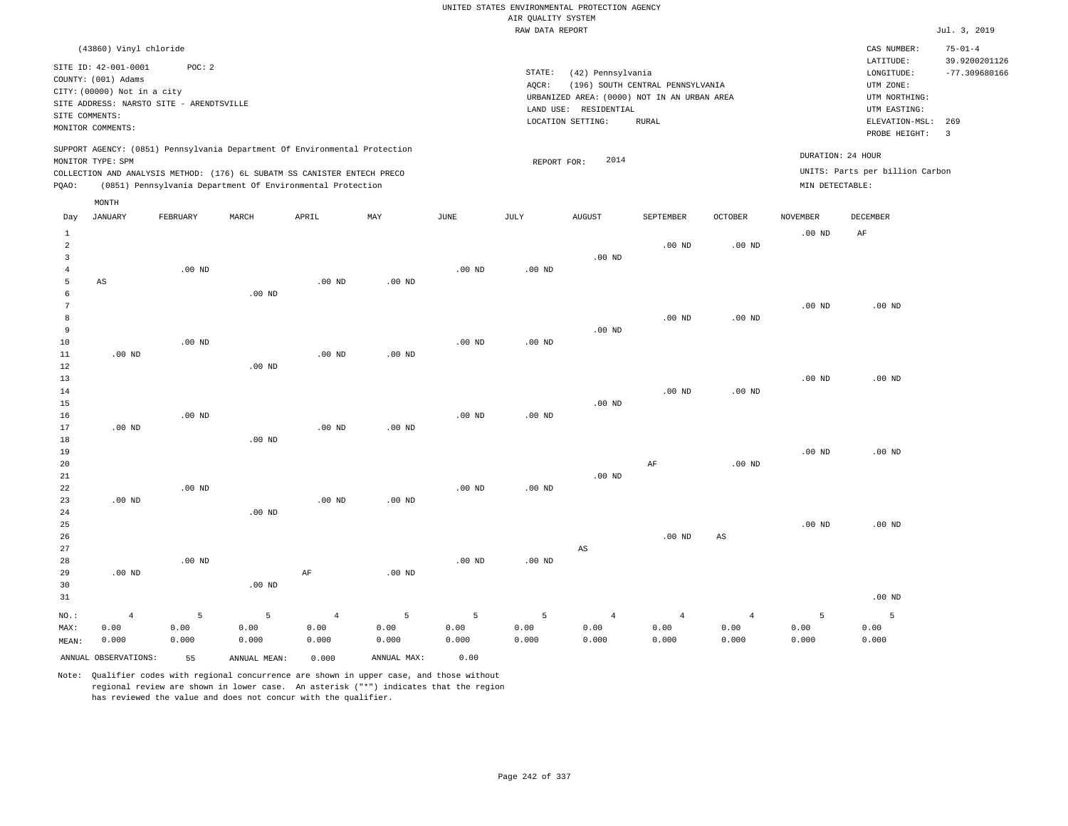|                                                    |                                                                                                                                                  |                   |                                                                                                                                        |                                 |               |                    |                    | UNITED STATES ENVIRONMENTAL PROTECTION AGENCY                                             |                                  |                                 |                    |                                                                                      |                                                   |
|----------------------------------------------------|--------------------------------------------------------------------------------------------------------------------------------------------------|-------------------|----------------------------------------------------------------------------------------------------------------------------------------|---------------------------------|---------------|--------------------|--------------------|-------------------------------------------------------------------------------------------|----------------------------------|---------------------------------|--------------------|--------------------------------------------------------------------------------------|---------------------------------------------------|
|                                                    |                                                                                                                                                  |                   |                                                                                                                                        |                                 |               |                    | AIR QUALITY SYSTEM |                                                                                           |                                  |                                 |                    |                                                                                      |                                                   |
|                                                    |                                                                                                                                                  |                   |                                                                                                                                        |                                 |               |                    | RAW DATA REPORT    |                                                                                           |                                  |                                 |                    |                                                                                      | Jul. 3, 2019                                      |
|                                                    | (43860) Vinyl chloride<br>SITE ID: 42-001-0001<br>COUNTY: (001) Adams<br>CITY: (00000) Not in a city<br>SITE ADDRESS: NARSTO SITE - ARENDTSVILLE | POC: 2            |                                                                                                                                        |                                 |               |                    | STATE:<br>AQCR:    | (42) Pennsylvania<br>URBANIZED AREA: (0000) NOT IN AN URBAN AREA<br>LAND USE: RESIDENTIAL | (196) SOUTH CENTRAL PENNSYLVANIA |                                 |                    | CAS NUMBER:<br>LATITUDE:<br>LONGITUDE:<br>UTM ZONE:<br>UTM NORTHING:<br>UTM EASTING: | $75 - 01 - 4$<br>39.9200201126<br>$-77.309680166$ |
|                                                    | SITE COMMENTS:                                                                                                                                   |                   |                                                                                                                                        |                                 |               |                    |                    | LOCATION SETTING:                                                                         | <b>RURAL</b>                     |                                 |                    | ELEVATION-MSL: 269                                                                   |                                                   |
|                                                    | MONITOR COMMENTS:                                                                                                                                |                   |                                                                                                                                        |                                 |               |                    |                    |                                                                                           |                                  |                                 |                    | PROBE HEIGHT:                                                                        | $\overline{3}$                                    |
|                                                    | MONITOR TYPE: SPM                                                                                                                                |                   | SUPPORT AGENCY: (0851) Pennsylvania Department Of Environmental Protection                                                             |                                 |               |                    | REPORT FOR:        | 2014                                                                                      |                                  |                                 | DURATION: 24 HOUR  |                                                                                      |                                                   |
| PQAO:                                              |                                                                                                                                                  |                   | COLLECTION AND ANALYSIS METHOD: (176) 6L SUBATM SS CANISTER ENTECH PRECO<br>(0851) Pennsylvania Department Of Environmental Protection |                                 |               |                    |                    |                                                                                           |                                  |                                 | MIN DETECTABLE:    | UNITS: Parts per billion Carbon                                                      |                                                   |
|                                                    |                                                                                                                                                  |                   |                                                                                                                                        |                                 |               |                    |                    |                                                                                           |                                  |                                 |                    |                                                                                      |                                                   |
| Day                                                | MONTH<br><b>JANUARY</b>                                                                                                                          | FEBRUARY          | MARCH                                                                                                                                  | APRIL                           | MAY           | <b>JUNE</b>        | <b>JULY</b>        | <b>AUGUST</b>                                                                             | SEPTEMBER                        | <b>OCTOBER</b>                  | <b>NOVEMBER</b>    | <b>DECEMBER</b>                                                                      |                                                   |
| $1\,$<br>$\overline{2}$<br>$\overline{\mathbf{3}}$ |                                                                                                                                                  |                   |                                                                                                                                        |                                 |               |                    |                    | .00 <sub>ND</sub>                                                                         | $.00$ ND                         | $.00$ ND                        | $.00~\mathrm{ND}$  | AF                                                                                   |                                                   |
| $\overline{4}$<br>$\overline{5}$<br>6              | AS                                                                                                                                               | $.00$ ND          | $.00$ ND                                                                                                                               | $.00$ ND                        | $.00$ ND      | $.00$ ND           | $.00$ ND           |                                                                                           |                                  |                                 |                    |                                                                                      |                                                   |
| $7\phantom{.0}$<br>8<br>9                          |                                                                                                                                                  |                   |                                                                                                                                        |                                 |               |                    |                    | $.00$ ND                                                                                  | $.00$ ND                         | $.00$ ND                        | .00 <sub>ND</sub>  | $.00$ ND                                                                             |                                                   |
| 10<br>11<br>$1\,2$                                 | $.00$ ND                                                                                                                                         | .00 <sub>ND</sub> | .00 <sub>ND</sub>                                                                                                                      | $.00$ ND                        | $.00$ ND      | .00 <sub>ND</sub>  | .00 <sub>ND</sub>  |                                                                                           |                                  |                                 |                    |                                                                                      |                                                   |
| 13<br>$1\,4$<br>15<br>16                           |                                                                                                                                                  | $.00$ ND          |                                                                                                                                        |                                 |               | .00 <sub>ND</sub>  | $.00$ ND           | $.00$ ND                                                                                  | $.00$ ND                         | $.00$ ND                        | .00 <sub>ND</sub>  | $.00$ ND                                                                             |                                                   |
| 17<br>18<br>19                                     | $.00$ ND                                                                                                                                         |                   | $.00$ ND                                                                                                                               | .00 <sub>ND</sub>               | $.00$ ND      |                    |                    |                                                                                           |                                  |                                 | .00 <sub>ND</sub>  | $.00$ ND                                                                             |                                                   |
| $20$<br>21                                         |                                                                                                                                                  |                   |                                                                                                                                        |                                 |               |                    |                    | $.00$ ND                                                                                  | $\rm{AF}$                        | $.00$ ND                        |                    |                                                                                      |                                                   |
| 22<br>23<br>24<br>25                               | $.00$ ND                                                                                                                                         | .00 <sub>ND</sub> | $.00$ ND                                                                                                                               | $.00$ ND                        | $.00$ ND      | $.00$ ND           | .00 <sub>ND</sub>  |                                                                                           |                                  |                                 | .00 <sub>ND</sub>  | $.00$ ND                                                                             |                                                   |
| 26<br>27<br>28                                     |                                                                                                                                                  | $.00$ ND          |                                                                                                                                        |                                 |               | $.00$ ND           | $.00$ ND           | AS                                                                                        | $.00$ ND                         | $\mathbb{A}\mathbb{S}$          |                    |                                                                                      |                                                   |
| 29<br>30<br>31                                     | $.00$ ND                                                                                                                                         |                   | $.00$ ND                                                                                                                               | $\rm AF$                        | $.00$ ND      |                    |                    |                                                                                           |                                  |                                 |                    | $.00$ ND                                                                             |                                                   |
|                                                    |                                                                                                                                                  | 5                 | 5                                                                                                                                      |                                 | 5             |                    | 5                  |                                                                                           |                                  |                                 |                    | 5                                                                                    |                                                   |
| NO.:<br>MAX:<br>MEAN:                              | $\overline{4}$<br>0.00<br>0.000                                                                                                                  | 0.00<br>0.000     | 0.00<br>0.000                                                                                                                          | $\overline{4}$<br>0.00<br>0.000 | 0.00<br>0.000 | 5<br>0.00<br>0.000 | 0.00<br>0.000      | $\overline{4}$<br>0.00<br>0.000                                                           | $\overline{4}$<br>0.00<br>0.000  | $\overline{4}$<br>0.00<br>0.000 | 5<br>0.00<br>0.000 | 0.00<br>0.000                                                                        |                                                   |
|                                                    | ANNUAL OBSERVATIONS:                                                                                                                             | 55                | ANNUAL, MEAN:                                                                                                                          | 0.000                           | ANNUAL MAX:   | 0.00               |                    |                                                                                           |                                  |                                 |                    |                                                                                      |                                                   |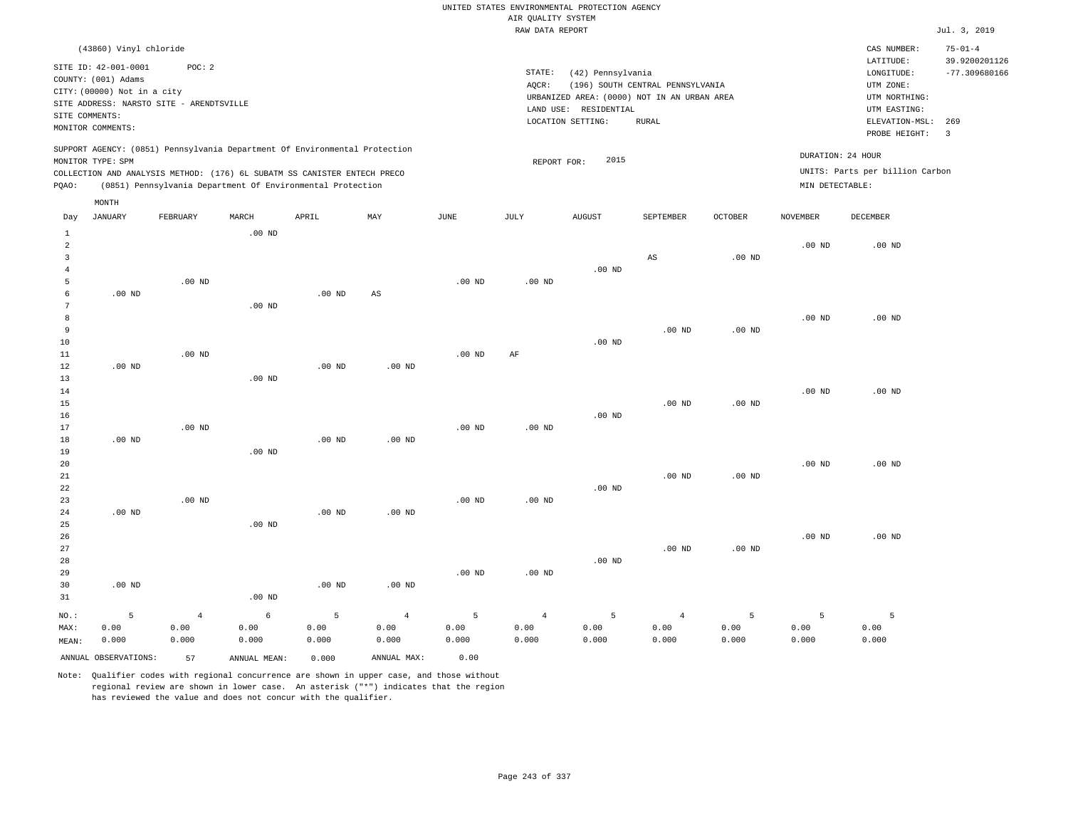|                |                                          |                   |                                                                            |                   |                   |                   |                    | UNITED STATES ENVIRONMENTAL PROTECTION AGENCY |                                  |                   |                   |                                 |                                  |
|----------------|------------------------------------------|-------------------|----------------------------------------------------------------------------|-------------------|-------------------|-------------------|--------------------|-----------------------------------------------|----------------------------------|-------------------|-------------------|---------------------------------|----------------------------------|
|                |                                          |                   |                                                                            |                   |                   |                   | AIR QUALITY SYSTEM |                                               |                                  |                   |                   |                                 |                                  |
|                |                                          |                   |                                                                            |                   |                   |                   | RAW DATA REPORT    |                                               |                                  |                   |                   |                                 | Jul. 3, 2019                     |
|                | (43860) Vinyl chloride                   |                   |                                                                            |                   |                   |                   |                    |                                               |                                  |                   |                   | CAS NUMBER:                     | $75 - 01 - 4$                    |
|                | SITE ID: 42-001-0001                     | POC: 2            |                                                                            |                   |                   |                   | STATE:             | (42) Pennsylvania                             |                                  |                   |                   | LATITUDE:                       | 39.9200201126<br>$-77.309680166$ |
|                | COUNTY: (001) Adams                      |                   |                                                                            |                   |                   |                   | AOCR:              |                                               | (196) SOUTH CENTRAL PENNSYLVANIA |                   |                   | ${\tt LONGITUDE:}$<br>UTM ZONE: |                                  |
|                | CITY: (00000) Not in a city              |                   |                                                                            |                   |                   |                   |                    | URBANIZED AREA: (0000) NOT IN AN URBAN AREA   |                                  |                   |                   | UTM NORTHING:                   |                                  |
|                | SITE ADDRESS: NARSTO SITE - ARENDTSVILLE |                   |                                                                            |                   |                   |                   |                    | LAND USE: RESIDENTIAL                         |                                  |                   |                   | UTM EASTING:                    |                                  |
| SITE COMMENTS: |                                          |                   |                                                                            |                   |                   |                   |                    | LOCATION SETTING:                             | <b>RURAL</b>                     |                   |                   | ELEVATION-MSL:                  | 269                              |
|                | MONITOR COMMENTS:                        |                   |                                                                            |                   |                   |                   |                    |                                               |                                  |                   |                   | PROBE HEIGHT:                   | $\overline{3}$                   |
|                |                                          |                   | SUPPORT AGENCY: (0851) Pennsylvania Department Of Environmental Protection |                   |                   |                   |                    |                                               |                                  |                   | DURATION: 24 HOUR |                                 |                                  |
|                | MONITOR TYPE: SPM                        |                   |                                                                            |                   |                   |                   | REPORT FOR:        | 2015                                          |                                  |                   |                   |                                 |                                  |
|                |                                          |                   | COLLECTION AND ANALYSIS METHOD: (176) 6L SUBATM SS CANISTER ENTECH PRECO   |                   |                   |                   |                    |                                               |                                  |                   |                   | UNITS: Parts per billion Carbon |                                  |
| PQAO:          |                                          |                   | (0851) Pennsylvania Department Of Environmental Protection                 |                   |                   |                   |                    |                                               |                                  |                   | MIN DETECTABLE:   |                                 |                                  |
| Day            | MONTH<br><b>JANUARY</b>                  | FEBRUARY          | MARCH                                                                      | APRIL             | MAY               | $_{\rm JUNE}$     | JULY               | <b>AUGUST</b>                                 | SEPTEMBER                        | <b>OCTOBER</b>    | <b>NOVEMBER</b>   | <b>DECEMBER</b>                 |                                  |
| $\mathbf{1}$   |                                          |                   | $.00$ ND                                                                   |                   |                   |                   |                    |                                               |                                  |                   |                   |                                 |                                  |
| $\overline{a}$ |                                          |                   |                                                                            |                   |                   |                   |                    |                                               |                                  |                   | .00 <sub>ND</sub> | .00 <sub>ND</sub>               |                                  |
| $\overline{3}$ |                                          |                   |                                                                            |                   |                   |                   |                    |                                               | AS                               | .00 <sub>ND</sub> |                   |                                 |                                  |
| $\overline{4}$ |                                          |                   |                                                                            |                   |                   |                   |                    | $.00$ ND                                      |                                  |                   |                   |                                 |                                  |
| 5              |                                          | $.00$ ND          |                                                                            |                   |                   | .00 <sub>ND</sub> | $.00$ ND           |                                               |                                  |                   |                   |                                 |                                  |
| 6              | $.00$ ND                                 |                   |                                                                            | $.00$ ND          | AS                |                   |                    |                                               |                                  |                   |                   |                                 |                                  |
| 7              |                                          |                   | .00 $ND$                                                                   |                   |                   |                   |                    |                                               |                                  |                   |                   |                                 |                                  |
| 8              |                                          |                   |                                                                            |                   |                   |                   |                    |                                               |                                  |                   | $.00$ ND          | $.00$ ND                        |                                  |
| 9              |                                          |                   |                                                                            |                   |                   |                   |                    |                                               | $.00$ ND                         | $.00$ ND          |                   |                                 |                                  |
| 10             |                                          |                   |                                                                            |                   |                   |                   |                    | $.00$ ND                                      |                                  |                   |                   |                                 |                                  |
| 11             |                                          | .00 <sub>ND</sub> |                                                                            |                   |                   | $.00$ ND          | AF                 |                                               |                                  |                   |                   |                                 |                                  |
| 12<br>13       | $.00$ ND                                 |                   | $.00$ ND                                                                   | $.00$ ND          | $.00$ ND          |                   |                    |                                               |                                  |                   |                   |                                 |                                  |
| 14             |                                          |                   |                                                                            |                   |                   |                   |                    |                                               |                                  |                   | .00 <sub>ND</sub> | $.00$ ND                        |                                  |
| 15             |                                          |                   |                                                                            |                   |                   |                   |                    |                                               | $.00$ ND                         | .00 <sub>ND</sub> |                   |                                 |                                  |
| 16             |                                          |                   |                                                                            |                   |                   |                   |                    | $.00$ ND                                      |                                  |                   |                   |                                 |                                  |
| 17             |                                          | $.00$ ND          |                                                                            |                   |                   | .00 <sub>ND</sub> | $.00$ ND           |                                               |                                  |                   |                   |                                 |                                  |
| 18             | $.00$ ND                                 |                   |                                                                            | $.00$ ND          | $.00$ ND          |                   |                    |                                               |                                  |                   |                   |                                 |                                  |
| 19             |                                          |                   | $.00$ ND                                                                   |                   |                   |                   |                    |                                               |                                  |                   |                   |                                 |                                  |
| 20             |                                          |                   |                                                                            |                   |                   |                   |                    |                                               |                                  |                   | $.00$ ND          | $.00$ ND                        |                                  |
| $2\sqrt{1}$    |                                          |                   |                                                                            |                   |                   |                   |                    |                                               | $.00$ ND                         | $.00$ ND          |                   |                                 |                                  |
| 22             |                                          |                   |                                                                            |                   |                   |                   |                    | $.00$ ND                                      |                                  |                   |                   |                                 |                                  |
| 23             |                                          | $.00$ ND          |                                                                            |                   |                   | .00 <sub>ND</sub> | .00 <sub>ND</sub>  |                                               |                                  |                   |                   |                                 |                                  |
| 24             | $.00$ ND                                 |                   |                                                                            | $.00$ ND          | $.00$ ND          |                   |                    |                                               |                                  |                   |                   |                                 |                                  |
| 25             |                                          |                   | $.00$ ND                                                                   |                   |                   |                   |                    |                                               |                                  |                   |                   |                                 |                                  |
| 26             |                                          |                   |                                                                            |                   |                   |                   |                    |                                               |                                  |                   | .00 <sub>ND</sub> | $.00$ ND                        |                                  |
| 27             |                                          |                   |                                                                            |                   |                   |                   |                    |                                               | $.00$ ND                         | .00 <sub>ND</sub> |                   |                                 |                                  |
| 28             |                                          |                   |                                                                            |                   |                   |                   |                    | $.00$ ND                                      |                                  |                   |                   |                                 |                                  |
| 29<br>30       | $.00$ ND                                 |                   |                                                                            | .00 <sub>ND</sub> | .00 <sub>ND</sub> | .00 <sub>ND</sub> | $.00$ ND           |                                               |                                  |                   |                   |                                 |                                  |
| 31             |                                          |                   | $.00$ ND                                                                   |                   |                   |                   |                    |                                               |                                  |                   |                   |                                 |                                  |
|                |                                          |                   |                                                                            |                   |                   |                   |                    |                                               |                                  |                   |                   |                                 |                                  |
| NO.:           | 5                                        | $\overline{4}$    | $\epsilon$                                                                 | 5                 | $\overline{4}$    | 5                 | $\overline{4}$     | 5                                             | $\sqrt{4}$                       | 5                 | 5                 | 5                               |                                  |
| MAX:           | 0.00                                     | 0.00              | 0.00                                                                       | 0.00              | 0.00              | 0.00              | 0.00               | 0.00                                          | 0.00                             | 0.00              | 0.00              | 0.00                            |                                  |
| MEAN:          | 0.000                                    | 0.000             | 0.000                                                                      | 0.000             | 0.000             | 0.000             | 0.000              | 0.000                                         | 0.000                            | 0.000             | 0.000             | 0.000                           |                                  |
|                | ANNUAL OBSERVATIONS:                     | 57                | ANNUAL MEAN:                                                               | 0.000             | ANNUAL MAX:       | 0.00              |                    |                                               |                                  |                   |                   |                                 |                                  |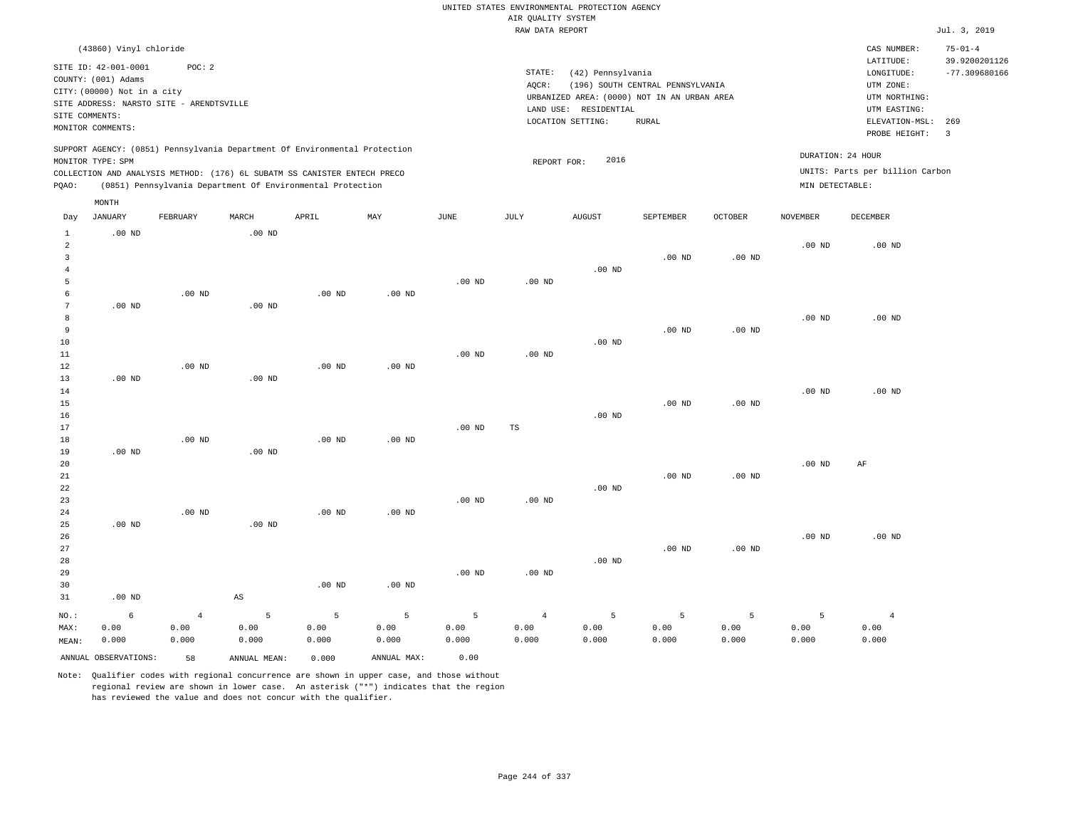|                                                  |                                             |                                          |                        |                                                                                                                                        |             |                   | AIR QUALITY SYSTEM | UNITED STATES ENVIRONMENTAL PROTECTION AGENCY |                                  |                |                   |                                      |                                  |
|--------------------------------------------------|---------------------------------------------|------------------------------------------|------------------------|----------------------------------------------------------------------------------------------------------------------------------------|-------------|-------------------|--------------------|-----------------------------------------------|----------------------------------|----------------|-------------------|--------------------------------------|----------------------------------|
|                                                  |                                             |                                          |                        |                                                                                                                                        |             |                   | RAW DATA REPORT    |                                               |                                  |                |                   |                                      | Jul. 3, 2019                     |
|                                                  | (43860) Vinyl chloride                      |                                          |                        |                                                                                                                                        |             |                   |                    |                                               |                                  |                |                   | CAS NUMBER:                          | $75 - 01 - 4$                    |
|                                                  | SITE ID: 42-001-0001<br>COUNTY: (001) Adams | POC: 2                                   |                        |                                                                                                                                        |             |                   | STATE:<br>AQCR:    | (42) Pennsylvania                             | (196) SOUTH CENTRAL PENNSYLVANIA |                |                   | LATITUDE:<br>LONGITUDE:<br>UTM ZONE: | 39.9200201126<br>$-77.309680166$ |
|                                                  | CITY: (00000) Not in a city                 | SITE ADDRESS: NARSTO SITE - ARENDTSVILLE |                        |                                                                                                                                        |             |                   |                    | URBANIZED AREA: (0000) NOT IN AN URBAN AREA   |                                  |                |                   | UTM NORTHING:                        |                                  |
|                                                  | SITE COMMENTS:                              |                                          |                        |                                                                                                                                        |             |                   |                    | LAND USE: RESIDENTIAL                         |                                  |                |                   | UTM EASTING:                         |                                  |
|                                                  | MONITOR COMMENTS:                           |                                          |                        |                                                                                                                                        |             |                   |                    | LOCATION SETTING:                             | <b>RURAL</b>                     |                |                   | ELEVATION-MSL:<br>PROBE HEIGHT:      | 269<br>$\overline{3}$            |
|                                                  | MONITOR TYPE: SPM                           |                                          |                        | SUPPORT AGENCY: (0851) Pennsylvania Department Of Environmental Protection                                                             |             |                   | REPORT FOR:        | 2016                                          |                                  |                |                   | DURATION: 24 HOUR                    |                                  |
| PQAO:                                            |                                             |                                          |                        | COLLECTION AND ANALYSIS METHOD: (176) 6L SUBATM SS CANISTER ENTECH PRECO<br>(0851) Pennsylvania Department Of Environmental Protection |             |                   |                    |                                               |                                  |                | MIN DETECTABLE:   | UNITS: Parts per billion Carbon      |                                  |
|                                                  | MONTH                                       |                                          |                        |                                                                                                                                        |             |                   |                    |                                               |                                  |                |                   |                                      |                                  |
| Day                                              | JANUARY                                     | FEBRUARY                                 | $\tt MARCH$            | APRIL                                                                                                                                  | MAY         | $_{\rm JUNE}$     | $\mathtt{JULY}$    | <b>AUGUST</b>                                 | SEPTEMBER                        | <b>OCTOBER</b> | NOVEMBER          | DECEMBER                             |                                  |
| $\mathbf{1}$<br>$\overline{a}$<br>$\overline{3}$ | $.00$ ND                                    |                                          | .00 <sub>ND</sub>      |                                                                                                                                        |             |                   |                    |                                               | .00 <sub>ND</sub>                | $.00$ ND       | $.00$ ND          | $.00$ ND                             |                                  |
| $\overline{4}$<br>5                              |                                             |                                          |                        |                                                                                                                                        |             | $.00$ ND          | .00 <sub>ND</sub>  | $.00$ ND                                      |                                  |                |                   |                                      |                                  |
| 6<br>$7\phantom{.0}$                             |                                             | $.00$ ND                                 |                        | $.00$ ND                                                                                                                               | $.00$ ND    |                   |                    |                                               |                                  |                |                   |                                      |                                  |
| 8                                                | $.00$ ND                                    |                                          | $.00$ ND               |                                                                                                                                        |             |                   |                    |                                               |                                  |                | $.00$ ND          | .00 <sub>ND</sub>                    |                                  |
| 9                                                |                                             |                                          |                        |                                                                                                                                        |             |                   |                    |                                               | $.00$ ND                         | $.00$ ND       |                   |                                      |                                  |
| $10$                                             |                                             |                                          |                        |                                                                                                                                        |             |                   |                    | $.00~\mathrm{ND}$                             |                                  |                |                   |                                      |                                  |
| 11<br>12                                         |                                             | $.00$ ND                                 |                        | $.00$ ND                                                                                                                               | $.00$ ND    | $.00$ ND          | $.00$ ND           |                                               |                                  |                |                   |                                      |                                  |
| 13                                               | $.00$ ND                                    |                                          | $.00$ ND               |                                                                                                                                        |             |                   |                    |                                               |                                  |                |                   |                                      |                                  |
| 14                                               |                                             |                                          |                        |                                                                                                                                        |             |                   |                    |                                               |                                  |                | $.00$ ND          | $.00$ ND                             |                                  |
| 15                                               |                                             |                                          |                        |                                                                                                                                        |             |                   |                    |                                               | .00 <sub>ND</sub>                | $.00$ ND       |                   |                                      |                                  |
| 16                                               |                                             |                                          |                        |                                                                                                                                        |             |                   |                    | $.00$ ND                                      |                                  |                |                   |                                      |                                  |
| 17<br>18                                         |                                             | $.00$ ND                                 |                        | $.00$ ND                                                                                                                               | $.00$ ND    | .00 <sub>ND</sub> | TS                 |                                               |                                  |                |                   |                                      |                                  |
| 19                                               | $.00$ ND                                    |                                          | $.00$ ND               |                                                                                                                                        |             |                   |                    |                                               |                                  |                |                   |                                      |                                  |
| 20                                               |                                             |                                          |                        |                                                                                                                                        |             |                   |                    |                                               |                                  |                | $.00$ ND          | AF                                   |                                  |
| 21                                               |                                             |                                          |                        |                                                                                                                                        |             |                   |                    |                                               | .00 <sub>ND</sub>                | $.00$ ND       |                   |                                      |                                  |
| 22                                               |                                             |                                          |                        |                                                                                                                                        |             |                   |                    | .00 <sub>ND</sub>                             |                                  |                |                   |                                      |                                  |
| 23                                               |                                             | $.00$ ND                                 |                        |                                                                                                                                        |             | .00 <sub>ND</sub> | .00 <sub>ND</sub>  |                                               |                                  |                |                   |                                      |                                  |
| 24<br>25                                         | $.00$ ND                                    |                                          | $.00$ ND               | .00 <sub>ND</sub>                                                                                                                      | $.00$ ND    |                   |                    |                                               |                                  |                |                   |                                      |                                  |
| 26                                               |                                             |                                          |                        |                                                                                                                                        |             |                   |                    |                                               |                                  |                | .00 <sub>ND</sub> | .00 <sub>ND</sub>                    |                                  |
| 27                                               |                                             |                                          |                        |                                                                                                                                        |             |                   |                    |                                               | .00 <sub>ND</sub>                | $.00$ ND       |                   |                                      |                                  |
| 28                                               |                                             |                                          |                        |                                                                                                                                        |             |                   |                    | $.00$ ND                                      |                                  |                |                   |                                      |                                  |
| 29                                               |                                             |                                          |                        |                                                                                                                                        |             | $.00$ ND          | $.00$ ND           |                                               |                                  |                |                   |                                      |                                  |
| 30                                               |                                             |                                          |                        | .00 <sub>ND</sub>                                                                                                                      | $.00$ ND    |                   |                    |                                               |                                  |                |                   |                                      |                                  |
| 31                                               | $.00$ ND                                    |                                          | $\mathbb{A}\mathbb{S}$ |                                                                                                                                        |             |                   |                    |                                               |                                  |                |                   |                                      |                                  |
| $NO.$ :                                          | $\epsilon$                                  | $\bf{4}$                                 | 5                      | $\overline{5}$                                                                                                                         | 5           | 5                 | $\overline{4}$     | 5                                             | 5                                | $\mathsf S$    | 5                 | $\overline{4}$                       |                                  |
| MAX:                                             | 0.00                                        | 0.00                                     | 0.00                   | 0.00                                                                                                                                   | 0.00        | 0.00              | 0.00               | 0.00                                          | 0.00                             | 0.00           | 0.00              | 0.00                                 |                                  |
| MEAN:                                            | 0.000                                       | 0.000                                    | 0.000                  | 0.000                                                                                                                                  | 0.000       | 0.000             | 0.000              | 0.000                                         | 0.000                            | 0.000          | 0.000             | 0.000                                |                                  |
|                                                  | ANNUAL OBSERVATIONS:                        | 58                                       | ANNUAL, MEAN:          | 0.000                                                                                                                                  | ANNUAL MAX: | 0.00              |                    |                                               |                                  |                |                   |                                      |                                  |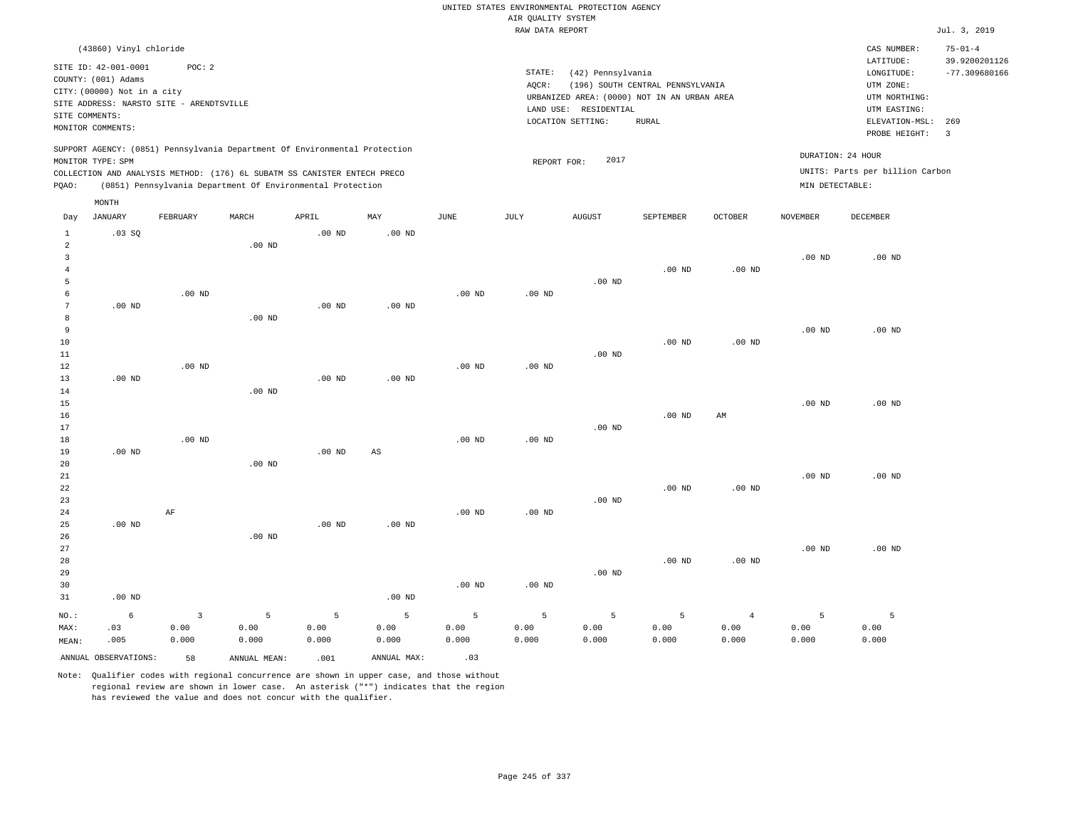|                                                                    |                                                                            |                                                    |                                                                                                                                                                                                                      |                    |                        |                    |                                       | UNITED STATES ENVIRONMENTAL PROTECTION AGENCY                                             |                                  |                                 |                    |                                                                       |                                  |
|--------------------------------------------------------------------|----------------------------------------------------------------------------|----------------------------------------------------|----------------------------------------------------------------------------------------------------------------------------------------------------------------------------------------------------------------------|--------------------|------------------------|--------------------|---------------------------------------|-------------------------------------------------------------------------------------------|----------------------------------|---------------------------------|--------------------|-----------------------------------------------------------------------|----------------------------------|
|                                                                    |                                                                            |                                                    |                                                                                                                                                                                                                      |                    |                        |                    | AIR QUALITY SYSTEM<br>RAW DATA REPORT |                                                                                           |                                  |                                 |                    |                                                                       | Jul. 3, 2019                     |
|                                                                    | (43860) Vinyl chloride                                                     |                                                    |                                                                                                                                                                                                                      |                    |                        |                    |                                       |                                                                                           |                                  |                                 |                    | CAS NUMBER:                                                           | $75 - 01 - 4$                    |
| SITE COMMENTS:                                                     | SITE ID: 42-001-0001<br>COUNTY: (001) Adams<br>CITY: (00000) Not in a city | POC: 2<br>SITE ADDRESS: NARSTO SITE - ARENDTSVILLE |                                                                                                                                                                                                                      |                    |                        |                    | STATE:<br>AQCR:                       | (42) Pennsylvania<br>URBANIZED AREA: (0000) NOT IN AN URBAN AREA<br>LAND USE: RESIDENTIAL | (196) SOUTH CENTRAL PENNSYLVANIA |                                 |                    | LATITUDE:<br>LONGITUDE:<br>UTM ZONE:<br>UTM NORTHING:<br>UTM EASTING: | 39.9200201126<br>$-77.309680166$ |
|                                                                    | MONITOR COMMENTS:                                                          |                                                    |                                                                                                                                                                                                                      |                    |                        |                    |                                       | LOCATION SETTING:                                                                         | <b>RURAL</b>                     |                                 |                    | ELEVATION-MSL:<br>PROBE HEIGHT:                                       | 269<br>$\overline{\mathbf{3}}$   |
| PQAO:                                                              | MONITOR TYPE: SPM                                                          |                                                    | SUPPORT AGENCY: (0851) Pennsylvania Department Of Environmental Protection<br>COLLECTION AND ANALYSIS METHOD: (176) 6L SUBATM SS CANISTER ENTECH PRECO<br>(0851) Pennsylvania Department Of Environmental Protection |                    |                        |                    | REPORT FOR:                           | 2017                                                                                      |                                  |                                 | MIN DETECTABLE:    | DURATION: 24 HOUR<br>UNITS: Parts per billion Carbon                  |                                  |
|                                                                    | MONTH                                                                      |                                                    |                                                                                                                                                                                                                      |                    |                        |                    |                                       |                                                                                           |                                  |                                 |                    |                                                                       |                                  |
| Day                                                                | <b>JANUARY</b>                                                             | FEBRUARY                                           | MARCH                                                                                                                                                                                                                | APRIL              | MAY                    | $_{\rm JUNE}$      | <b>JULY</b>                           | AUGUST                                                                                    | SEPTEMBER                        | OCTOBER                         | <b>NOVEMBER</b>    | DECEMBER                                                              |                                  |
| $\mathbf{1}$<br>$\overline{a}$<br>$\overline{3}$<br>$\overline{4}$ | .03SQ                                                                      |                                                    | $.00$ ND                                                                                                                                                                                                             | $.00$ ND           | .00 <sub>ND</sub>      |                    |                                       |                                                                                           | .00 <sub>ND</sub>                | .00 <sub>ND</sub>               | $.00$ ND           | $.00$ ND                                                              |                                  |
| 5<br>6<br>$\boldsymbol{7}$<br>8                                    | $.00$ ND                                                                   | .00 <sub>ND</sub>                                  | $.00$ ND                                                                                                                                                                                                             | $.00$ ND           | $.00$ ND               | $.00$ ND           | $.00$ ND                              | $.00$ ND                                                                                  |                                  |                                 |                    |                                                                       |                                  |
| 9<br>10<br>11<br>12                                                |                                                                            | $.00$ ND                                           |                                                                                                                                                                                                                      |                    |                        | $.00$ ND           | $.00$ ND                              | $.00$ ND                                                                                  | $.00$ ND                         | $.00$ ND                        | $.00$ ND           | $.00$ ND                                                              |                                  |
| 13<br>14<br>15<br>16                                               | $.00$ ND                                                                   |                                                    | $.00$ ND                                                                                                                                                                                                             | $.00$ ND           | $.00$ ND               |                    |                                       |                                                                                           | $.00$ ND                         | AM                              | $.00$ ND           | $.00$ ND                                                              |                                  |
| $17\,$<br>18<br>19<br>20                                           | $.00$ ND                                                                   | $.00$ ND                                           | $.00$ ND                                                                                                                                                                                                             | $.00$ ND           | $\mathbb{A}\mathbb{S}$ | $.00$ ND           | $.00$ ND                              | .00 <sub>ND</sub>                                                                         |                                  |                                 |                    |                                                                       |                                  |
| $2\sqrt{1}$<br>22<br>23<br>24                                      |                                                                            | AF                                                 |                                                                                                                                                                                                                      |                    |                        | $.00$ ND           | .00 <sub>ND</sub>                     | $.00$ ND                                                                                  | $.00$ ND                         | $.00$ ND                        | $.00$ ND           | $.00$ ND                                                              |                                  |
| 25<br>26<br>27<br>28<br>29                                         | $.00$ ND                                                                   |                                                    | $.00$ ND                                                                                                                                                                                                             | $.00$ ND           | $.00$ ND               |                    |                                       | $.00$ ND                                                                                  | $.00$ ND                         | $.00$ ND                        | $.00$ ND           | $.00$ ND                                                              |                                  |
| 30<br>31                                                           | $.00$ ND                                                                   |                                                    |                                                                                                                                                                                                                      |                    | .00 $ND$               | $.00$ ND           | .00 <sub>ND</sub>                     |                                                                                           |                                  |                                 |                    |                                                                       |                                  |
| NO.:<br>MAX:<br>MEAN:                                              | $\epsilon$<br>.03<br>.005                                                  | $\overline{3}$<br>0.00<br>0.000                    | 5<br>0.00<br>0.000                                                                                                                                                                                                   | 5<br>0.00<br>0.000 | 5<br>0.00<br>0.000     | 5<br>0.00<br>0.000 | 5<br>0.00<br>0.000                    | $\overline{5}$<br>0.00<br>0.000                                                           | 5<br>0.00<br>0.000               | $\overline{4}$<br>0.00<br>0.000 | 5<br>0.00<br>0.000 | $\overline{5}$<br>0.00<br>0.000                                       |                                  |
|                                                                    | ANNUAL OBSERVATIONS:                                                       | 58                                                 | ANNUAL, MEAN:                                                                                                                                                                                                        | .001               | ANNUAL MAX:            | .03                |                                       |                                                                                           |                                  |                                 |                    |                                                                       |                                  |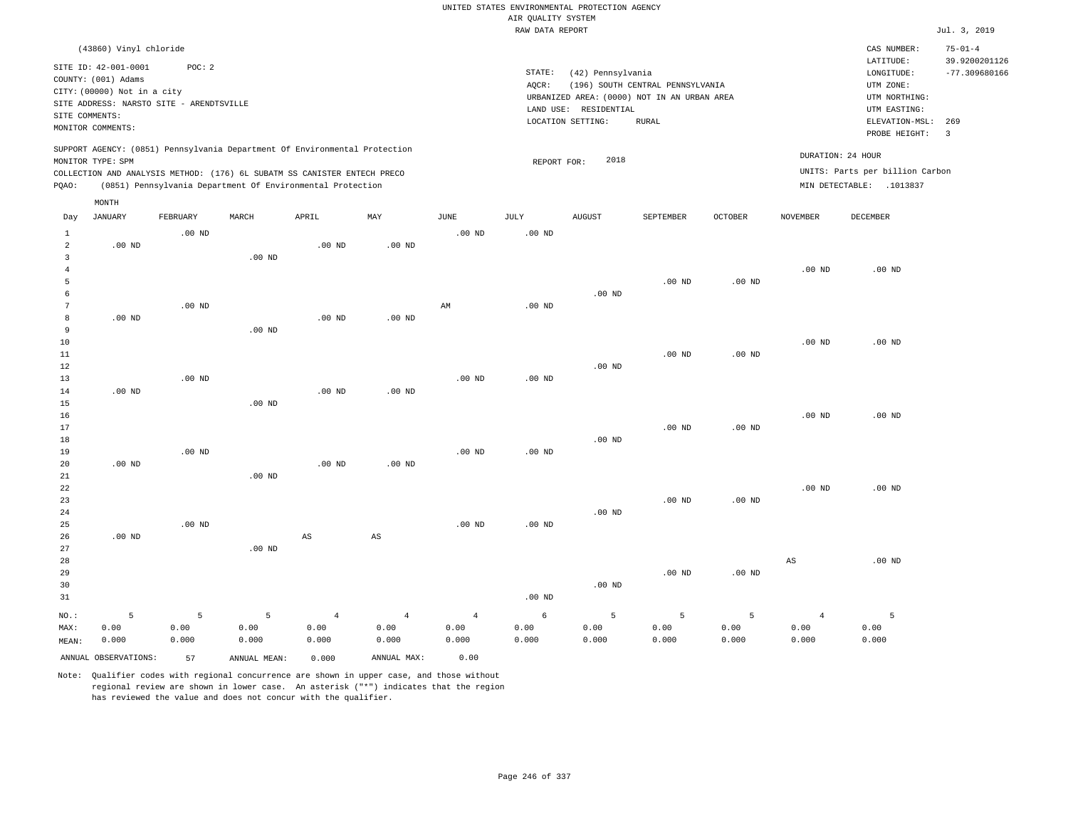|                                  |                                                                                                                                             |          |              |                                                            |                   |                   | AIR QUALITY SYSTEM | UNITED STATES ENVIRONMENTAL PROTECTION AGENCY                                                                  |                                           |                |                 |                                                                            |                                |
|----------------------------------|---------------------------------------------------------------------------------------------------------------------------------------------|----------|--------------|------------------------------------------------------------|-------------------|-------------------|--------------------|----------------------------------------------------------------------------------------------------------------|-------------------------------------------|----------------|-----------------|----------------------------------------------------------------------------|--------------------------------|
|                                  |                                                                                                                                             |          |              |                                                            |                   |                   | RAW DATA REPORT    |                                                                                                                |                                           |                |                 |                                                                            | Jul. 3, 2019                   |
|                                  | (43860) Vinyl chloride                                                                                                                      |          |              |                                                            |                   |                   |                    |                                                                                                                |                                           |                |                 | CAS NUMBER:<br>LATITUDE:                                                   | $75 - 01 - 4$<br>39.9200201126 |
| SITE COMMENTS:                   | SITE ID: 42-001-0001<br>COUNTY: (001) Adams<br>CITY: (00000) Not in a city<br>SITE ADDRESS: NARSTO SITE - ARENDTSVILLE<br>MONITOR COMMENTS: | POC: 2   |              |                                                            |                   |                   | STATE:<br>AQCR:    | (42) Pennsylvania<br>URBANIZED AREA: (0000) NOT IN AN URBAN AREA<br>LAND USE: RESIDENTIAL<br>LOCATION SETTING: | (196) SOUTH CENTRAL PENNSYLVANIA<br>RURAL |                |                 | LONGITUDE:<br>UTM ZONE:<br>UTM NORTHING:<br>UTM EASTING:<br>ELEVATION-MSL: | $-77.309680166$<br>269         |
|                                  | SUPPORT AGENCY: (0851) Pennsylvania Department Of Environmental Protection                                                                  |          |              |                                                            |                   |                   |                    |                                                                                                                |                                           |                |                 | PROBE HEIGHT:<br>DURATION: 24 HOUR                                         | $\overline{\mathbf{3}}$        |
|                                  | MONITOR TYPE: SPM                                                                                                                           |          |              |                                                            |                   |                   | REPORT FOR:        | 2018                                                                                                           |                                           |                |                 |                                                                            |                                |
| PQAO:                            | COLLECTION AND ANALYSIS METHOD: (176) 6L SUBATM SS CANISTER ENTECH PRECO                                                                    |          |              | (0851) Pennsylvania Department Of Environmental Protection |                   |                   |                    |                                                                                                                |                                           |                |                 | UNITS: Parts per billion Carbon<br>MIN DETECTABLE: .1013837                |                                |
|                                  | MONTH                                                                                                                                       |          |              |                                                            |                   |                   |                    |                                                                                                                |                                           |                |                 |                                                                            |                                |
| Day                              | JANUARY                                                                                                                                     | FEBRUARY | MARCH        | APRIL                                                      | MAY               | JUNE              | JULY               | <b>AUGUST</b>                                                                                                  | SEPTEMBER                                 | <b>OCTOBER</b> | <b>NOVEMBER</b> | DECEMBER                                                                   |                                |
| $\overline{1}$<br>$\overline{2}$ | $.00$ ND                                                                                                                                    | $.00$ ND |              | $.00$ ND                                                   | $.00$ ND          | .00 <sub>ND</sub> | $.00$ ND           |                                                                                                                |                                           |                |                 |                                                                            |                                |
| $\overline{3}$                   |                                                                                                                                             |          | $.00$ ND     |                                                            |                   |                   |                    |                                                                                                                |                                           |                |                 |                                                                            |                                |
| $\overline{4}$                   |                                                                                                                                             |          |              |                                                            |                   |                   |                    |                                                                                                                |                                           |                | $.00$ ND        | $.00$ ND                                                                   |                                |
| 5                                |                                                                                                                                             |          |              |                                                            |                   |                   |                    |                                                                                                                | $.00$ ND                                  | $.00$ ND       |                 |                                                                            |                                |
| 6                                |                                                                                                                                             |          |              |                                                            |                   |                   |                    | $.00$ ND                                                                                                       |                                           |                |                 |                                                                            |                                |
| $7\phantom{.0}$                  |                                                                                                                                             | $.00$ ND |              |                                                            |                   | AM                | .00 <sub>ND</sub>  |                                                                                                                |                                           |                |                 |                                                                            |                                |
| $^{\rm 8}$<br>$\overline{9}$     | $.00$ ND                                                                                                                                    |          | $.00$ ND     | $.00$ ND                                                   | $.00$ ND          |                   |                    |                                                                                                                |                                           |                |                 |                                                                            |                                |
| 10                               |                                                                                                                                             |          |              |                                                            |                   |                   |                    |                                                                                                                |                                           |                | $.00$ ND        | $.00$ ND                                                                   |                                |
| 11                               |                                                                                                                                             |          |              |                                                            |                   |                   |                    |                                                                                                                | $.00$ ND                                  | $.00$ ND       |                 |                                                                            |                                |
| 12                               |                                                                                                                                             |          |              |                                                            |                   |                   |                    | $.00$ ND                                                                                                       |                                           |                |                 |                                                                            |                                |
| 13                               |                                                                                                                                             | $.00$ ND |              |                                                            |                   | $.00$ ND          | $.00$ ND           |                                                                                                                |                                           |                |                 |                                                                            |                                |
| 14                               | $.00$ ND                                                                                                                                    |          |              | $.00$ ND                                                   | .00 <sub>ND</sub> |                   |                    |                                                                                                                |                                           |                |                 |                                                                            |                                |
| 15                               |                                                                                                                                             |          | $.00$ ND     |                                                            |                   |                   |                    |                                                                                                                |                                           |                |                 |                                                                            |                                |
| 16                               |                                                                                                                                             |          |              |                                                            |                   |                   |                    |                                                                                                                |                                           |                | $.00$ ND        | $.00$ ND                                                                   |                                |
| 17                               |                                                                                                                                             |          |              |                                                            |                   |                   |                    |                                                                                                                | $.00$ ND                                  | $.00$ ND       |                 |                                                                            |                                |
| 18                               |                                                                                                                                             |          |              |                                                            |                   |                   |                    | $.00$ ND                                                                                                       |                                           |                |                 |                                                                            |                                |
| 19<br>20                         | .00 <sub>ND</sub>                                                                                                                           | $.00$ ND |              | .00 <sub>ND</sub>                                          | $.00$ ND          | $.00$ ND          | $.00$ ND           |                                                                                                                |                                           |                |                 |                                                                            |                                |
| 21                               |                                                                                                                                             |          | $.00$ ND     |                                                            |                   |                   |                    |                                                                                                                |                                           |                |                 |                                                                            |                                |
| $2\sqrt{2}$                      |                                                                                                                                             |          |              |                                                            |                   |                   |                    |                                                                                                                |                                           |                | $.00$ ND        | $.00$ ND                                                                   |                                |
| 23                               |                                                                                                                                             |          |              |                                                            |                   |                   |                    |                                                                                                                | .00 <sub>ND</sub>                         | $.00$ ND       |                 |                                                                            |                                |
| 24                               |                                                                                                                                             |          |              |                                                            |                   |                   |                    | $.00$ ND                                                                                                       |                                           |                |                 |                                                                            |                                |
| 25                               |                                                                                                                                             | $.00$ ND |              |                                                            |                   | $.00$ ND          | $.00$ ND           |                                                                                                                |                                           |                |                 |                                                                            |                                |
| 26                               | $.00$ ND                                                                                                                                    |          |              | $\mathbb{A}\mathbb{S}$                                     | $_{\rm AS}$       |                   |                    |                                                                                                                |                                           |                |                 |                                                                            |                                |
| 27                               |                                                                                                                                             |          | $.00$ ND     |                                                            |                   |                   |                    |                                                                                                                |                                           |                |                 |                                                                            |                                |
| 28                               |                                                                                                                                             |          |              |                                                            |                   |                   |                    |                                                                                                                |                                           |                | $_{\rm AS}$     | $.00$ ND                                                                   |                                |
| 29                               |                                                                                                                                             |          |              |                                                            |                   |                   |                    | $.00$ ND                                                                                                       | .00 <sub>ND</sub>                         | $.00$ ND       |                 |                                                                            |                                |
| 30                               |                                                                                                                                             |          |              |                                                            |                   |                   | $.00$ ND           |                                                                                                                |                                           |                |                 |                                                                            |                                |
| 31                               |                                                                                                                                             |          |              |                                                            |                   |                   |                    |                                                                                                                |                                           |                |                 |                                                                            |                                |
| NO.:                             | 5                                                                                                                                           | 5        | 5            | $\overline{4}$                                             | $\overline{4}$    | $\overline{4}$    | 6                  | 5                                                                                                              | 5                                         | 5              | $\overline{4}$  | 5                                                                          |                                |
| MAX:                             | 0.00                                                                                                                                        | 0.00     | 0.00         | 0.00                                                       | 0.00              | 0.00              | 0.00               | 0.00                                                                                                           | 0.00                                      | 0.00           | 0.00            | 0.00                                                                       |                                |
| MEAN:                            | 0.000                                                                                                                                       | 0.000    | 0.000        | 0.000                                                      | 0.000             | 0.000             | 0.000              | 0.000                                                                                                          | 0.000                                     | 0.000          | 0.000           | 0.000                                                                      |                                |
|                                  | ANNUAL OBSERVATIONS:                                                                                                                        | 57       | ANNUAL MEAN: | 0.000                                                      | ANNUAL MAX:       | 0.00              |                    |                                                                                                                |                                           |                |                 |                                                                            |                                |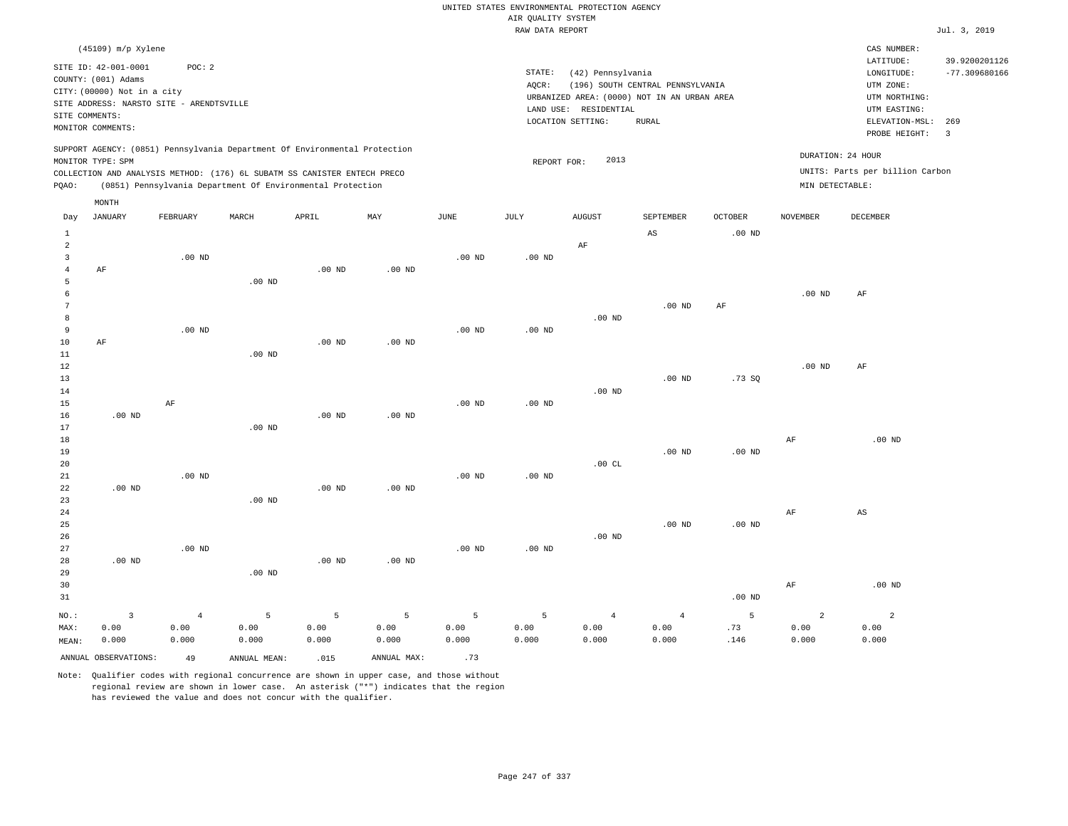## RAW DATA REPORT Jul. 3, 2019 UNITED STATES ENVIRONMENTAL PROTECTION AGENCY AIR QUALITY SYSTEM

| $(45109)$ m/p Xylene                                                                                                                                                                                                                               |                                                                                                                                                                                | CAS NUMBER:                                                                                                                                         |
|----------------------------------------------------------------------------------------------------------------------------------------------------------------------------------------------------------------------------------------------------|--------------------------------------------------------------------------------------------------------------------------------------------------------------------------------|-----------------------------------------------------------------------------------------------------------------------------------------------------|
| SITE ID: 42-001-0001<br>POC:2<br>COUNTY: (001) Adams<br>CITY: (00000) Not in a city<br>SITE ADDRESS: NARSTO SITE - ARENDTSVILLE<br>SITE COMMENTS:<br>MONITOR COMMENTS:                                                                             | STATE:<br>(42) Pennsylvania<br>(196) SOUTH CENTRAL PENNSYLVANIA<br>AOCR:<br>URBANIZED AREA: (0000) NOT IN AN URBAN AREA<br>LAND USE: RESIDENTIAL<br>LOCATION SETTING:<br>RURAL | 39.9200201126<br>LATITUDE:<br>$-77.309680166$<br>LONGITUDE:<br>UTM ZONE:<br>UTM NORTHING:<br>UTM EASTING:<br>269<br>ELEVATION-MSL:<br>PROBE HEIGHT: |
| SUPPORT AGENCY: (0851) Pennsylvania Department Of Environmental Protection<br>MONITOR TYPE: SPM<br>COLLECTION AND ANALYSIS METHOD: (176) 6L SUBATM SS CANISTER ENTECH PRECO<br>(0851) Pennsylvania Department Of Environmental Protection<br>POAO: | 2013<br>REPORT FOR:                                                                                                                                                            | DURATION: 24 HOUR<br>UNITS: Parts per billion Carbon<br>MIN DETECTABLE:                                                                             |

|                 | MONTH                   |                |                |          |             |          |          |                |                        |                |                |                |
|-----------------|-------------------------|----------------|----------------|----------|-------------|----------|----------|----------------|------------------------|----------------|----------------|----------------|
| Day             | JANUARY                 | FEBRUARY       | MARCH          | APRIL    | MAY         | JUNE     | JULY     | <b>AUGUST</b>  | SEPTEMBER              | <b>OCTOBER</b> | NOVEMBER       | DECEMBER       |
| $\mathbf{1}$    |                         |                |                |          |             |          |          |                | $\mathbb{A}\mathbb{S}$ | .00 $ND$       |                |                |
| $\overline{a}$  |                         |                |                |          |             |          |          | $\rm{AF}$      |                        |                |                |                |
| $\overline{3}$  |                         | $.00$ ND       |                |          |             | $.00$ ND | $.00$ ND |                |                        |                |                |                |
| $\overline{4}$  | AF                      |                |                | $.00$ ND | $.00$ ND    |          |          |                |                        |                |                |                |
| 5               |                         |                | $.00$ ND       |          |             |          |          |                |                        |                |                |                |
| 6               |                         |                |                |          |             |          |          |                |                        |                | $.00$ ND       | AF             |
| $7\phantom{.0}$ |                         |                |                |          |             |          |          |                | $.00$ ND               | AF             |                |                |
| 8               |                         |                |                |          |             |          |          | $.00$ ND       |                        |                |                |                |
| 9               |                         | $.00$ ND       |                |          |             | $.00$ ND | $.00$ ND |                |                        |                |                |                |
| 10              | AF                      |                |                | .00 $ND$ | $.00$ ND    |          |          |                |                        |                |                |                |
| $11\,$          |                         |                | $.00$ ND       |          |             |          |          |                |                        |                |                |                |
| 12              |                         |                |                |          |             |          |          |                |                        |                | $.00$ ND       | AF             |
| 13              |                         |                |                |          |             |          |          |                | $.00$ ND               | .73SQ          |                |                |
| $14$            |                         |                |                |          |             |          |          | $.00$ ND       |                        |                |                |                |
| $15$            |                         | $\rm{AF}$      |                |          |             | $.00$ ND | $.00$ ND |                |                        |                |                |                |
| 16              | .00 $ND$                |                |                | $.00$ ND | $.00$ ND    |          |          |                |                        |                |                |                |
| $17$<br>18      |                         |                | $.00$ ND       |          |             |          |          |                |                        |                |                |                |
| 19              |                         |                |                |          |             |          |          |                | $.00$ ND               | $.00$ ND       | AF             | $.00$ ND       |
| 20              |                         |                |                |          |             |          |          | .00CL          |                        |                |                |                |
| $2\sqrt{1}$     |                         | $.00$ ND       |                |          |             | $.00$ ND | $.00$ ND |                |                        |                |                |                |
| 22              | $.00$ ND                |                |                | $.00$ ND | $.00$ ND    |          |          |                |                        |                |                |                |
| 23              |                         |                | $.00$ ND       |          |             |          |          |                |                        |                |                |                |
| 24              |                         |                |                |          |             |          |          |                |                        |                | AF             | AS             |
| 25              |                         |                |                |          |             |          |          |                | $.00$ ND               | .00 $ND$       |                |                |
| 26              |                         |                |                |          |             |          |          | $.00$ ND       |                        |                |                |                |
| 27              |                         | $.00$ ND       |                |          |             | $.00$ ND | $.00$ ND |                |                        |                |                |                |
| 28              | $.00$ ND                |                |                | $.00$ ND | $.00$ ND    |          |          |                |                        |                |                |                |
| 29              |                         |                | $.00$ ND       |          |             |          |          |                |                        |                |                |                |
| 30              |                         |                |                |          |             |          |          |                |                        |                | $\rm{AF}$      | $.00$ ND       |
| 31              |                         |                |                |          |             |          |          |                |                        | $.00$ ND       |                |                |
| $NO.$ :         | $\overline{\mathbf{3}}$ | $\overline{4}$ | $\overline{5}$ | 5        | 5           | 5        | 5        | $\overline{4}$ | $\overline{4}$         | 5              | $\overline{2}$ | $\overline{a}$ |
| MAX:            | 0.00                    | 0.00           | 0.00           | 0.00     | 0.00        | 0.00     | 0.00     | 0.00           | 0.00                   | .73            | 0.00           | 0.00           |
| MEAN:           | 0.000                   | 0.000          | 0.000          | 0.000    | 0.000       | 0.000    | 0.000    | 0.000          | 0.000                  | .146           | 0.000          | 0.000          |
|                 | ANNUAL OBSERVATIONS:    | 49             | ANNUAL MEAN:   | .015     | ANNUAL MAX: | .73      |          |                |                        |                |                |                |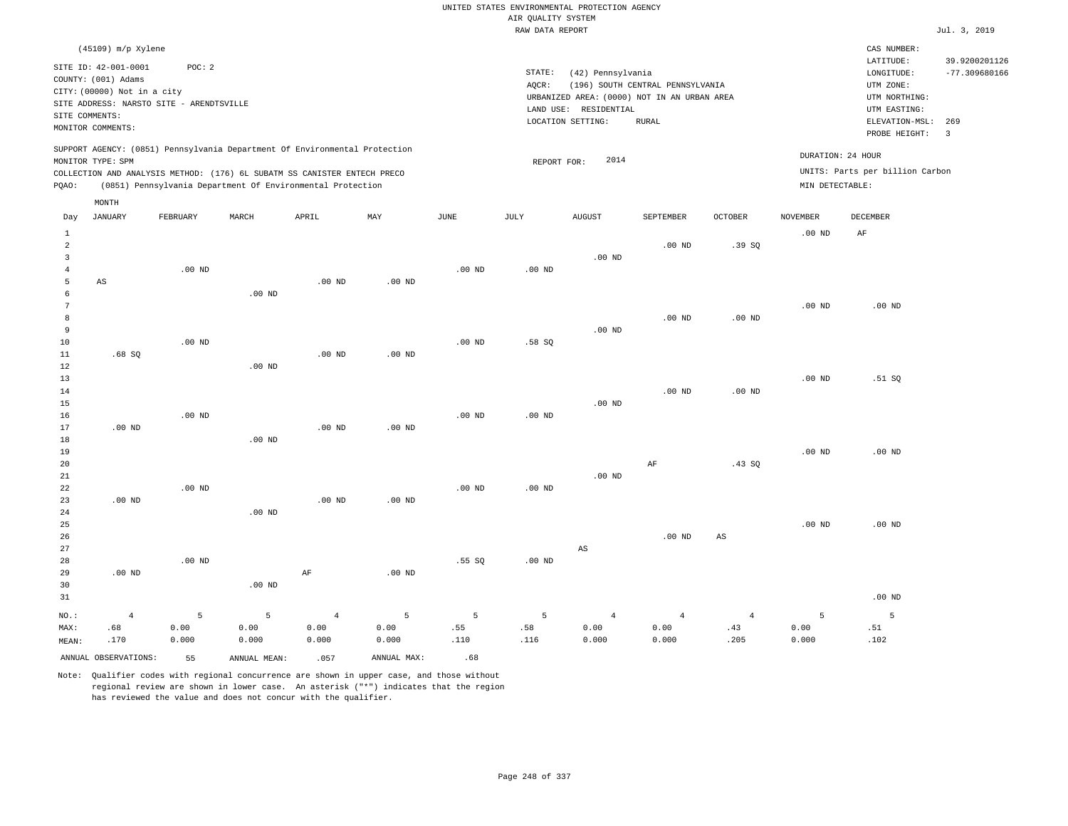|                |                                                                          |                                          |                   |                                                                            |                   |                   |                                       | UNITED STATES ENVIRONMENTAL PROTECTION AGENCY |                                             |                   |                   |                                 |                          |
|----------------|--------------------------------------------------------------------------|------------------------------------------|-------------------|----------------------------------------------------------------------------|-------------------|-------------------|---------------------------------------|-----------------------------------------------|---------------------------------------------|-------------------|-------------------|---------------------------------|--------------------------|
|                |                                                                          |                                          |                   |                                                                            |                   |                   | AIR QUALITY SYSTEM<br>RAW DATA REPORT |                                               |                                             |                   |                   |                                 | Jul. 3, 2019             |
|                |                                                                          |                                          |                   |                                                                            |                   |                   |                                       |                                               |                                             |                   |                   |                                 |                          |
|                | (45109) m/p Xylene                                                       |                                          |                   |                                                                            |                   |                   |                                       |                                               |                                             |                   |                   | CAS NUMBER:                     |                          |
|                | SITE ID: 42-001-0001                                                     | POC: 2                                   |                   |                                                                            |                   |                   |                                       |                                               |                                             |                   |                   | LATITUDE:                       | 39.9200201126            |
|                | COUNTY: (001) Adams                                                      |                                          |                   |                                                                            |                   |                   | STATE:                                | (42) Pennsylvania                             |                                             |                   |                   | LONGITUDE:                      | $-77.309680166$          |
|                | CITY: (00000) Not in a city                                              |                                          |                   |                                                                            |                   |                   | AQCR:                                 |                                               | (196) SOUTH CENTRAL PENNSYLVANIA            |                   |                   | UTM ZONE:                       |                          |
|                |                                                                          | SITE ADDRESS: NARSTO SITE - ARENDTSVILLE |                   |                                                                            |                   |                   |                                       |                                               | URBANIZED AREA: (0000) NOT IN AN URBAN AREA |                   |                   | UTM NORTHING:                   |                          |
|                | SITE COMMENTS:                                                           |                                          |                   |                                                                            |                   |                   |                                       | LAND USE: RESIDENTIAL                         |                                             |                   |                   | UTM EASTING:                    |                          |
|                | MONITOR COMMENTS:                                                        |                                          |                   |                                                                            |                   |                   |                                       | LOCATION SETTING:                             | RURAL                                       |                   |                   | ELEVATION-MSL:                  | 269                      |
|                |                                                                          |                                          |                   |                                                                            |                   |                   |                                       |                                               |                                             |                   |                   | PROBE HEIGHT:                   | $\overline{\phantom{a}}$ |
|                |                                                                          |                                          |                   | SUPPORT AGENCY: (0851) Pennsylvania Department Of Environmental Protection |                   |                   |                                       |                                               |                                             |                   |                   |                                 |                          |
|                | MONITOR TYPE: SPM                                                        |                                          |                   |                                                                            |                   |                   | REPORT FOR:                           | 2014                                          |                                             |                   |                   | DURATION: 24 HOUR               |                          |
|                | COLLECTION AND ANALYSIS METHOD: (176) 6L SUBATM SS CANISTER ENTECH PRECO |                                          |                   |                                                                            |                   |                   |                                       |                                               |                                             |                   |                   | UNITS: Parts per billion Carbon |                          |
| PQAO:          |                                                                          |                                          |                   | (0851) Pennsylvania Department Of Environmental Protection                 |                   |                   |                                       |                                               |                                             |                   | MIN DETECTABLE:   |                                 |                          |
|                | MONTH                                                                    |                                          |                   |                                                                            |                   |                   |                                       |                                               |                                             |                   |                   |                                 |                          |
| Day            | <b>JANUARY</b>                                                           | FEBRUARY                                 | MARCH             | APRIL                                                                      | MAY               | JUNE              | JULY                                  | <b>AUGUST</b>                                 | SEPTEMBER                                   | <b>OCTOBER</b>    | <b>NOVEMBER</b>   | DECEMBER                        |                          |
| $\mathbf{1}$   |                                                                          |                                          |                   |                                                                            |                   |                   |                                       |                                               |                                             |                   | .00 <sub>ND</sub> | AF                              |                          |
| $\mathfrak{D}$ |                                                                          |                                          |                   |                                                                            |                   |                   |                                       |                                               | $.00$ ND                                    | .39SQ             |                   |                                 |                          |
| $\overline{3}$ |                                                                          |                                          |                   |                                                                            |                   |                   |                                       | .00 <sub>ND</sub>                             |                                             |                   |                   |                                 |                          |
| $\overline{4}$ |                                                                          | $.00$ ND                                 |                   |                                                                            |                   | .00 <sub>ND</sub> | $.00$ ND                              |                                               |                                             |                   |                   |                                 |                          |
| 5              | AS                                                                       |                                          |                   | .00 <sub>ND</sub>                                                          | $.00$ ND          |                   |                                       |                                               |                                             |                   |                   |                                 |                          |
| 6              |                                                                          |                                          | .00 <sub>ND</sub> |                                                                            |                   |                   |                                       |                                               |                                             |                   |                   |                                 |                          |
| $\overline{7}$ |                                                                          |                                          |                   |                                                                            |                   |                   |                                       |                                               |                                             |                   | .00 <sub>ND</sub> | $.00$ ND                        |                          |
| 8              |                                                                          |                                          |                   |                                                                            |                   |                   |                                       |                                               | $.00$ ND                                    | .00 <sub>ND</sub> |                   |                                 |                          |
| 9              |                                                                          |                                          |                   |                                                                            |                   |                   |                                       | $.00$ ND                                      |                                             |                   |                   |                                 |                          |
| 10             |                                                                          | .00 <sub>ND</sub>                        |                   |                                                                            |                   | $.00$ ND          | .58S                                  |                                               |                                             |                   |                   |                                 |                          |
| 11             | .68SQ                                                                    |                                          |                   | $.00$ ND                                                                   | .00 <sub>ND</sub> |                   |                                       |                                               |                                             |                   |                   |                                 |                          |
| 12             |                                                                          |                                          | $.00$ ND          |                                                                            |                   |                   |                                       |                                               |                                             |                   |                   |                                 |                          |
| 13             |                                                                          |                                          |                   |                                                                            |                   |                   |                                       |                                               |                                             |                   | .00 <sub>ND</sub> | .51 SQ                          |                          |
| 14             |                                                                          |                                          |                   |                                                                            |                   |                   |                                       |                                               | $.00$ ND                                    | .00 <sub>ND</sub> |                   |                                 |                          |
| 15             |                                                                          |                                          |                   |                                                                            |                   |                   |                                       | $.00$ ND                                      |                                             |                   |                   |                                 |                          |
| 16             |                                                                          | $.00$ ND                                 |                   |                                                                            |                   | $.00$ ND          | $.00$ ND                              |                                               |                                             |                   |                   |                                 |                          |
| 17             | $.00$ ND                                                                 |                                          |                   | $.00$ ND                                                                   | $.00$ ND          |                   |                                       |                                               |                                             |                   |                   |                                 |                          |
| 18             |                                                                          |                                          | $.00$ ND          |                                                                            |                   |                   |                                       |                                               |                                             |                   |                   |                                 |                          |
| 19             |                                                                          |                                          |                   |                                                                            |                   |                   |                                       |                                               |                                             |                   | $.00$ ND          | .00 <sub>ND</sub>               |                          |
| 20             |                                                                          |                                          |                   |                                                                            |                   |                   |                                       |                                               | AF                                          | .43SQ             |                   |                                 |                          |
| 21             |                                                                          |                                          |                   |                                                                            |                   |                   |                                       | $.00$ ND                                      |                                             |                   |                   |                                 |                          |
| 22             |                                                                          | $.00$ ND                                 |                   |                                                                            |                   | $.00$ ND          | $.00$ ND                              |                                               |                                             |                   |                   |                                 |                          |
| 23             | $.00$ ND                                                                 |                                          |                   | $.00$ ND                                                                   | $.00$ ND          |                   |                                       |                                               |                                             |                   |                   |                                 |                          |
| 24             |                                                                          |                                          | .00 <sub>ND</sub> |                                                                            |                   |                   |                                       |                                               |                                             |                   |                   |                                 |                          |
|                |                                                                          |                                          |                   |                                                                            |                   |                   |                                       |                                               |                                             |                   |                   |                                 |                          |

.00 ND

.00 ND

26 27 28 29 30 .00 ND .00 ND .00 ND AF .00 ND .55 SQ .00 ND AS .00 ND AS

| ___   |      | ------- |                                                 |  |  |                                                        |                   |
|-------|------|---------|-------------------------------------------------|--|--|--------------------------------------------------------|-------------------|
| 31    |      |         |                                                 |  |  |                                                        | .00 <sub>ND</sub> |
|       |      |         |                                                 |  |  | NO.: 4 5 5 4 5 5 5 4 4 4 5 5                           |                   |
| MAX:  |      |         |                                                 |  |  | .51 0.00 0.00 0.00 0.00 .55 .58 0.00 0.00 .43 0.00 .51 |                   |
| MEAN: | .170 |         | $0.000$ $0.000$ $0.000$ $0.000$ $0.110$ $0.116$ |  |  | $0.000$ $0.000$ $0.205$ $0.000$                        | .102              |
|       |      |         |                                                 |  |  |                                                        |                   |

ANNUAL OBSERVATIONS: 55 ANNUAL MEAN: .057 ANNUAL MAX: .68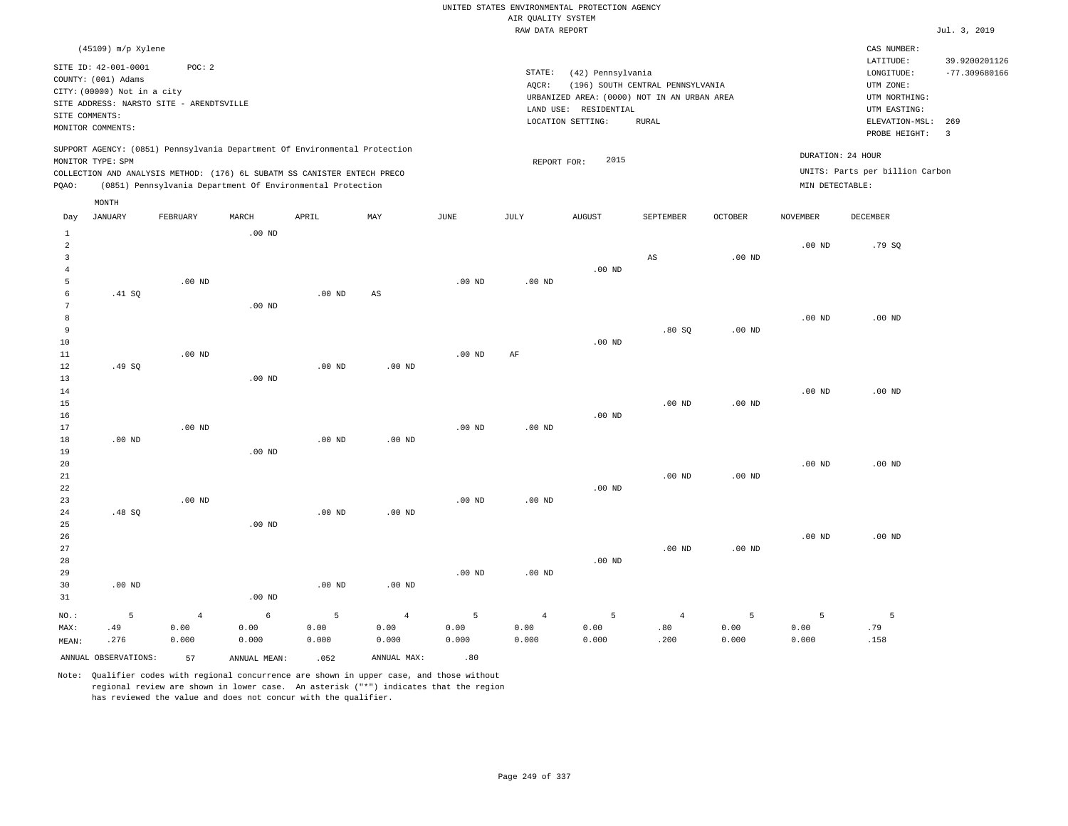## RAW DATA REPORT Jul. 3, 2019 UNITED STATES ENVIRONMENTAL PROTECTION AGENCY AIR QUALITY SYSTEM

| (45109) m/p Xylene                                                                                                                                                                                                                                 |                                                                                                                                                                                | CAS NUMBER:                                                                                                                                      |
|----------------------------------------------------------------------------------------------------------------------------------------------------------------------------------------------------------------------------------------------------|--------------------------------------------------------------------------------------------------------------------------------------------------------------------------------|--------------------------------------------------------------------------------------------------------------------------------------------------|
| SITE ID: 42-001-0001<br>POC:2<br>COUNTY: (001) Adams<br>CITY: (00000) Not in a city<br>SITE ADDRESS: NARSTO SITE - ARENDTSVILLE<br>SITE COMMENTS:<br>MONITOR COMMENTS:                                                                             | STATE:<br>(42) Pennsylvania<br>(196) SOUTH CENTRAL PENNSYLVANIA<br>AOCR:<br>URBANIZED AREA: (0000) NOT IN AN URBAN AREA<br>LAND USE: RESIDENTIAL<br>LOCATION SETTING:<br>RURAL | LATITUDE:<br>39.9200201126<br>$-77.309680166$<br>LONGITUDE:<br>UTM ZONE:<br>UTM NORTHING:<br>UTM EASTING:<br>ELEVATION-MSL: 269<br>PROBE HEIGHT: |
| SUPPORT AGENCY: (0851) Pennsylvania Department Of Environmental Protection<br>MONITOR TYPE: SPM<br>COLLECTION AND ANALYSIS METHOD: (176) 6L SUBATM SS CANISTER ENTECH PRECO<br>(0851) Pennsylvania Department Of Environmental Protection<br>POAO: | 2015<br>REPORT FOR:                                                                                                                                                            | DURATION: 24 HOUR<br>UNITS: Parts per billion Carbon<br>MIN DETECTABLE:                                                                          |

|                   | MONTH                |            |              |          |             |               |                 |               |           |                |                   |                   |
|-------------------|----------------------|------------|--------------|----------|-------------|---------------|-----------------|---------------|-----------|----------------|-------------------|-------------------|
| Day               | <b>JANUARY</b>       | FEBRUARY   | MARCH        | APRIL    | MAY         | $_{\rm JUNE}$ | $\mathtt{JULY}$ | <b>AUGUST</b> | SEPTEMBER | OCTOBER        | <b>NOVEMBER</b>   | DECEMBER          |
| $\mathbf{1}$      |                      |            | $.00$ ND     |          |             |               |                 |               |           |                |                   |                   |
| $\overline{c}$    |                      |            |              |          |             |               |                 |               |           |                | .00 <sub>ND</sub> | .79 SQ            |
| 3                 |                      |            |              |          |             |               |                 |               | AS        | $.00$ ND       |                   |                   |
| $\overline{4}$    |                      |            |              |          |             |               |                 | $.00$ ND      |           |                |                   |                   |
| 5                 |                      | $.00$ ND   |              |          |             | $.00$ ND      | $.00$ ND        |               |           |                |                   |                   |
| 6                 | .41 SQ               |            |              | $.00$ ND | AS          |               |                 |               |           |                |                   |                   |
| 7                 |                      |            | $.00$ ND     |          |             |               |                 |               |           |                |                   |                   |
| 8                 |                      |            |              |          |             |               |                 |               |           |                | $.00$ ND          | .00 <sub>ND</sub> |
| 9                 |                      |            |              |          |             |               |                 |               | .80S      | $.00$ ND       |                   |                   |
| 10                |                      |            |              |          |             |               |                 | $.00$ ND      |           |                |                   |                   |
| 11                |                      | $.00$ ND   |              |          |             | $.00$ ND      | $\rm{AF}$       |               |           |                |                   |                   |
| 12                | .49 SQ               |            |              | $.00$ ND | $.00$ ND    |               |                 |               |           |                |                   |                   |
| 13                |                      |            | $.00$ ND     |          |             |               |                 |               |           |                |                   |                   |
| 14                |                      |            |              |          |             |               |                 |               |           |                | $.00$ ND          | $.00$ ND          |
| 15                |                      |            |              |          |             |               |                 |               | $.00$ ND  | $.00$ ND       |                   |                   |
| 16                |                      |            |              |          |             |               |                 | $.00$ ND      |           |                |                   |                   |
| 17                |                      | $.00$ ND   |              |          |             | $.00$ ND      | $.00$ ND        |               |           |                |                   |                   |
| 18                | $.00$ ND             |            |              | $.00$ ND | $.00$ ND    |               |                 |               |           |                |                   |                   |
| 19                |                      |            | $.00$ ND     |          |             |               |                 |               |           |                |                   |                   |
| 20                |                      |            |              |          |             |               |                 |               |           |                | .00 <sub>ND</sub> | $.00$ ND          |
| 21<br>$^{\rm 22}$ |                      |            |              |          |             |               |                 | $.00$ ND      | $.00$ ND  | $.00$ ND       |                   |                   |
| 23                |                      | $.00$ ND   |              |          |             | $.00$ ND      | $.00$ ND        |               |           |                |                   |                   |
| 24                | .48SQ                |            |              | .00 $ND$ | $.00$ ND    |               |                 |               |           |                |                   |                   |
| 25                |                      |            | $.00$ ND     |          |             |               |                 |               |           |                |                   |                   |
| 26                |                      |            |              |          |             |               |                 |               |           |                | .00 <sub>ND</sub> | $.00$ ND          |
| 27                |                      |            |              |          |             |               |                 |               | $.00$ ND  | $.00$ ND       |                   |                   |
| 28                |                      |            |              |          |             |               |                 | $.00$ ND      |           |                |                   |                   |
| 29                |                      |            |              |          |             | $.00$ ND      | $.00$ ND        |               |           |                |                   |                   |
| 30                | $.00$ ND             |            |              | $.00$ ND | $.00$ ND    |               |                 |               |           |                |                   |                   |
| 31                |                      |            | $.00$ ND     |          |             |               |                 |               |           |                |                   |                   |
| NO.:              | $\mathsf S$          | $\sqrt{4}$ | $\epsilon$   | 5        | $\,4\,$     | 5             | $\overline{4}$  | 5             | $\,4\,$   | $\overline{5}$ | 5                 | 5                 |
| MAX:              | .49                  | 0.00       | 0.00         | 0.00     | 0.00        | 0.00          | 0.00            | 0.00          | .80       | 0.00           | 0.00              | .79               |
| MEAN:             | .276                 | 0.000      | 0.000        | 0.000    | 0.000       | 0.000         | 0.000           | 0.000         | .200      | 0.000          | 0.000             | .158              |
|                   | ANNUAL OBSERVATIONS: | 57         | ANNUAL MEAN: | .052     | ANNUAL MAX: | .80           |                 |               |           |                |                   |                   |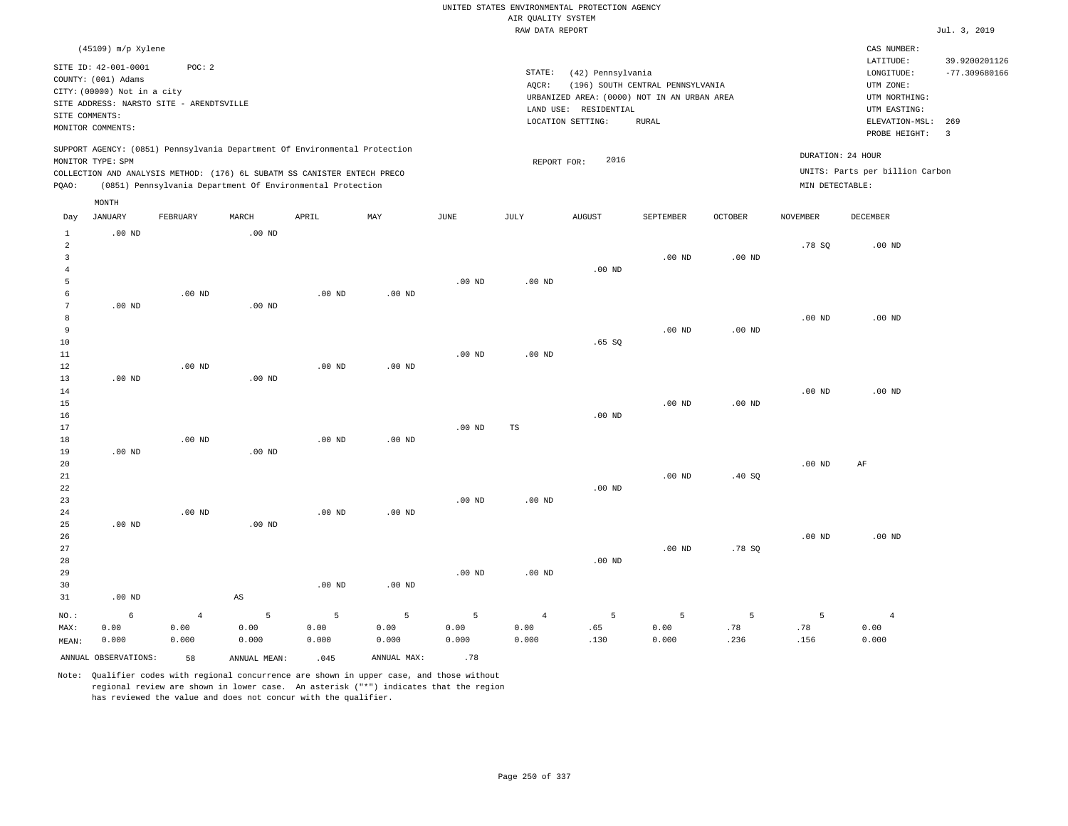## RAW DATA REPORT Jul. 3, 2019 UNITED STATES ENVIRONMENTAL PROTECTION AGENCY AIR QUALITY SYSTEM

| (45109) m/p Xylene                                                                                                                                                                                                                                 |                                                                                                                                                                                | CAS NUMBER:                                                                                                  |                                  |
|----------------------------------------------------------------------------------------------------------------------------------------------------------------------------------------------------------------------------------------------------|--------------------------------------------------------------------------------------------------------------------------------------------------------------------------------|--------------------------------------------------------------------------------------------------------------|----------------------------------|
| SITE ID: 42-001-0001<br>POC: 2<br>COUNTY: (001) Adams<br>CITY: (00000) Not in a city<br>SITE ADDRESS: NARSTO SITE - ARENDTSVILLE<br>SITE COMMENTS:<br>MONITOR COMMENTS:                                                                            | STATE:<br>(42) Pennsylvania<br>(196) SOUTH CENTRAL PENNSYLVANIA<br>AOCR:<br>URBANIZED AREA: (0000) NOT IN AN URBAN AREA<br>LAND USE: RESIDENTIAL<br>LOCATION SETTING:<br>RURAL | LATITUDE:<br>LONGITUDE:<br>UTM ZONE:<br>UTM NORTHING:<br>UTM EASTING:<br>ELEVATION-MSL: 269<br>PROBE HEIGHT: | 39.9200201126<br>$-77.309680166$ |
| SUPPORT AGENCY: (0851) Pennsylvania Department Of Environmental Protection<br>MONITOR TYPE: SPM<br>COLLECTION AND ANALYSIS METHOD: (176) 6L SUBATM SS CANISTER ENTECH PRECO<br>(0851) Pennsylvania Department Of Environmental Protection<br>POAO: | 2016<br>REPORT FOR:                                                                                                                                                            | DURATION: 24 HOUR<br>UNITS: Parts per billion Carbon<br>MIN DETECTABLE:                                      |                                  |

|                                                                         | MONTH                |                                 |                                    |                               |                      |                    |                                 |                  |                                 |                  |                   |                                 |
|-------------------------------------------------------------------------|----------------------|---------------------------------|------------------------------------|-------------------------------|----------------------|--------------------|---------------------------------|------------------|---------------------------------|------------------|-------------------|---------------------------------|
| Day                                                                     | JANUARY              | FEBRUARY                        | MARCH                              | APRIL                         | MAY                  | JUNE               | JULY                            | <b>AUGUST</b>    | SEPTEMBER                       | OCTOBER          | NOVEMBER          | DECEMBER                        |
| $\mathbf{1}$<br>$\overline{a}$<br>$\overline{3}$<br>$\overline{4}$<br>5 | $.00$ ND             |                                 | $.00$ ND                           |                               |                      | $.00$ ND           | $.00$ ND                        | $.00$ ND         | $.00$ ND                        | $.00$ ND         | .78 SQ            | $.00$ ND                        |
| 6<br>7<br>8<br>9<br>10<br>11<br>12                                      | $.00$ ND             | $.00$ ND<br>$.00$ ND            | $.00$ ND                           | .00 <sub>ND</sub><br>$.00$ ND | $.00$ ND<br>$.00$ ND | $.00$ ND           | $.00$ ND                        | .65SQ            | $.00$ ND                        | $.00$ ND         | $.00$ ND          | $.00$ ND                        |
| 13<br>14<br>15<br>16<br>17<br>18                                        | $.00$ ND             | $.00$ ND                        | $.00$ ND                           | .00 <sub>ND</sub>             | $.00$ ND             | $.00$ ND           | $_{\rm TS}$                     | $.00$ ND         | $.00$ ND                        | $.00$ ND         | .00 <sub>ND</sub> | $.00$ ND                        |
| 19<br>20<br>21<br>22<br>23<br>24                                        | $.00$ ND             | $.00$ ND                        | $.00$ ND                           | .00 <sub>ND</sub>             | $.00$ ND             | $.00$ ND           | $.00$ ND                        | $.00$ ND         | $.00$ ND                        | .40SQ            | .00 <sub>ND</sub> | AF                              |
| 25<br>26<br>27<br>28<br>29<br>30<br>31                                  | $.00$ ND<br>$.00$ ND |                                 | $.00$ ND<br>$\mathbb{A}\mathbb{S}$ | .00 <sub>ND</sub>             | $.00$ ND             | $.00$ ND           | $.00$ ND                        | $.00$ ND         | $.00$ ND                        | .78 SQ           | $.00$ ND          | .00 $ND$                        |
| $NO.$ :<br>MAX:<br>MEAN:                                                | 6<br>0.00<br>0.000   | $\overline{4}$<br>0.00<br>0.000 | 5<br>0.00<br>0.000                 | 5<br>0.00<br>0.000            | 5<br>0.00<br>0.000   | 5<br>0.00<br>0.000 | $\overline{4}$<br>0.00<br>0.000 | 5<br>.65<br>.130 | $\overline{5}$<br>0.00<br>0.000 | 5<br>.78<br>.236 | 5<br>.78<br>.156  | $\overline{4}$<br>0.00<br>0.000 |
|                                                                         | ANNUAL OBSERVATIONS: | 58                              | ANNUAL MEAN:                       | .045                          | ANNUAL MAX:          | .78                |                                 |                  |                                 |                  |                   |                                 |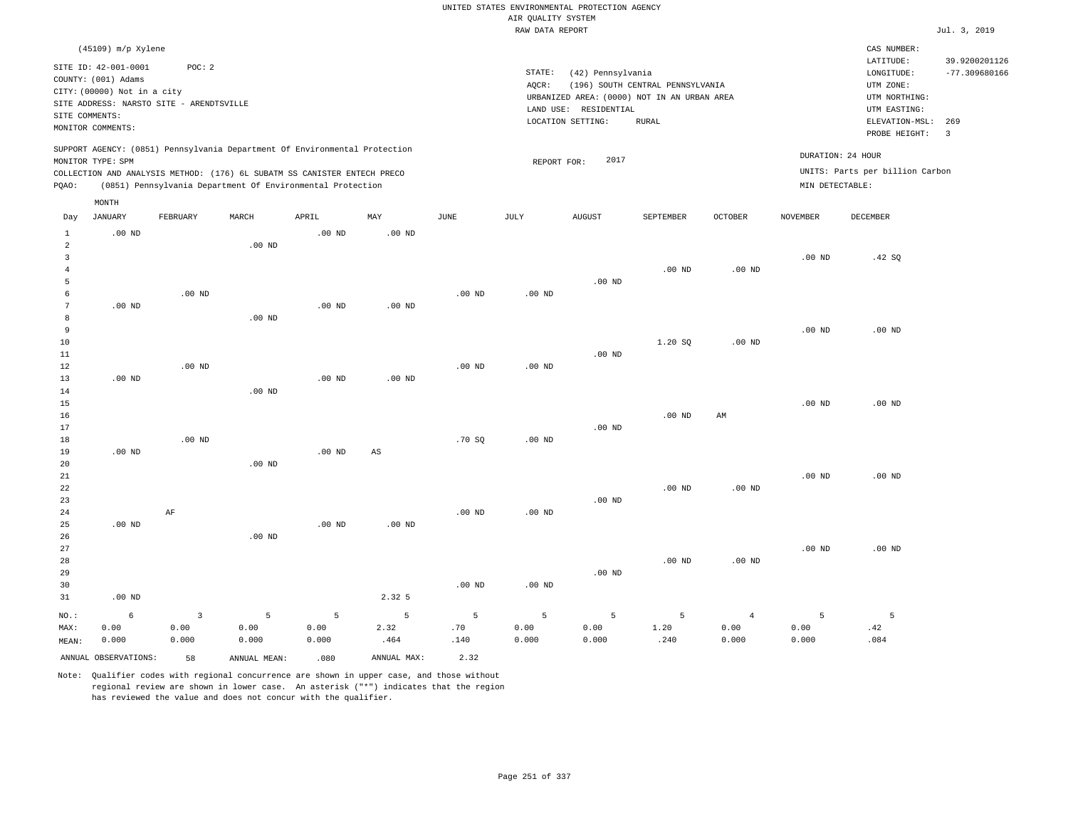| UNITED STATES ENVIRONMENTAL PROTECTION AGENCY<br>AIR QUALITY SYSTEM                                                                                                                                                                                |                                         |                               |                    |                    |                             |                                                                                                                                                                                       |                    |                    |                   |                                 |                                                                         |                                                                  |                                  |
|----------------------------------------------------------------------------------------------------------------------------------------------------------------------------------------------------------------------------------------------------|-----------------------------------------|-------------------------------|--------------------|--------------------|-----------------------------|---------------------------------------------------------------------------------------------------------------------------------------------------------------------------------------|--------------------|--------------------|-------------------|---------------------------------|-------------------------------------------------------------------------|------------------------------------------------------------------|----------------------------------|
|                                                                                                                                                                                                                                                    |                                         |                               |                    |                    |                             |                                                                                                                                                                                       | RAW DATA REPORT    |                    |                   |                                 |                                                                         |                                                                  | Jul. 3, 2019                     |
| (45109) m/p Xylene<br>SITE ID: 42-001-0001<br>POC: 2<br>COUNTY: (001) Adams                                                                                                                                                                        |                                         |                               |                    |                    |                             | STATE:<br>(42) Pennsylvania<br>AQCR:<br>(196) SOUTH CENTRAL PENNSYLVANIA<br>URBANIZED AREA: (0000) NOT IN AN URBAN AREA<br>LAND USE: RESIDENTIAL<br>LOCATION SETTING:<br><b>RURAL</b> |                    |                    |                   |                                 |                                                                         | CAS NUMBER:<br>LATITUDE:<br>LONGITUDE:<br>UTM ZONE:              | 39.9200201126<br>$-77.309680166$ |
| CITY: (00000) Not in a city<br>SITE ADDRESS: NARSTO SITE - ARENDTSVILLE<br>SITE COMMENTS:<br>MONITOR COMMENTS:                                                                                                                                     |                                         |                               |                    |                    |                             |                                                                                                                                                                                       |                    |                    |                   |                                 |                                                                         | UTM NORTHING:<br>UTM EASTING:<br>ELEVATION-MSL:<br>PROBE HEIGHT: | 269<br>$\overline{3}$            |
| SUPPORT AGENCY: (0851) Pennsylvania Department Of Environmental Protection<br>MONITOR TYPE: SPM<br>COLLECTION AND ANALYSIS METHOD: (176) 6L SUBATM SS CANISTER ENTECH PRECO<br>PQAO:<br>(0851) Pennsylvania Department Of Environmental Protection |                                         |                               |                    |                    |                             | 2017<br>REPORT FOR:                                                                                                                                                                   |                    |                    |                   |                                 | DURATION: 24 HOUR<br>UNITS: Parts per billion Carbon<br>MIN DETECTABLE: |                                                                  |                                  |
| Day                                                                                                                                                                                                                                                | MONTH<br><b>JANUARY</b>                 | FEBRUARY                      | MARCH              | APRIL              | MAY                         | JUNE                                                                                                                                                                                  | JULY               | <b>AUGUST</b>      | SEPTEMBER         | <b>OCTOBER</b>                  | <b>NOVEMBER</b>                                                         | <b>DECEMBER</b>                                                  |                                  |
| $\mathbf{1}$<br>$\overline{a}$<br>$\overline{\mathbf{3}}$<br>$\overline{4}$                                                                                                                                                                        | $.00$ ND                                |                               | $.00$ ND           | $.00$ ND           | .00 <sub>ND</sub>           |                                                                                                                                                                                       |                    |                    | $.00$ ND          | $.00$ ND                        | .00 <sub>ND</sub>                                                       | .42 SQ                                                           |                                  |
| 5<br>$\epsilon$<br>7<br>8                                                                                                                                                                                                                          | $.00$ ND                                | $.00$ ND                      | $.00$ ND           | .00 <sub>ND</sub>  | $.00$ ND                    | .00 <sub>ND</sub>                                                                                                                                                                     | .00 <sub>ND</sub>  | $.00$ ND           |                   |                                 |                                                                         |                                                                  |                                  |
| 9<br>$10$<br>11<br>12<br>13                                                                                                                                                                                                                        | $.00$ ND                                | .00 <sub>ND</sub>             |                    | $.00$ ND           | .00 <sub>ND</sub>           | $.00$ ND                                                                                                                                                                              | $.00$ ND           | $.00$ ND           | 1.20S             | $.00$ ND                        | .00 <sub>ND</sub>                                                       | $.00$ ND                                                         |                                  |
| 14<br>15<br>16<br>17                                                                                                                                                                                                                               |                                         |                               | $.00$ ND           |                    |                             |                                                                                                                                                                                       |                    | .00 <sub>ND</sub>  | $.00$ ND          | AM                              | .00 <sub>ND</sub>                                                       | $.00$ ND                                                         |                                  |
| 18<br>19<br>20<br>21                                                                                                                                                                                                                               | $.00$ ND                                | .00 <sub>ND</sub>             | .00 <sub>ND</sub>  | .00 <sub>ND</sub>  | AS                          | .70SQ                                                                                                                                                                                 | .00 <sub>ND</sub>  |                    |                   |                                 | .00 <sub>ND</sub>                                                       | $.00$ ND                                                         |                                  |
| 22<br>23<br>24<br>25                                                                                                                                                                                                                               | $.00$ ND                                | $\rm{AF}$                     |                    | $.00$ ND           | $.00$ ND                    | $.00$ ND                                                                                                                                                                              | $.00$ ND           | $.00$ ND           | .00 <sub>ND</sub> | $.00$ ND                        |                                                                         |                                                                  |                                  |
| 26<br>27<br>28<br>29<br>30                                                                                                                                                                                                                         |                                         |                               | $.00$ ND           |                    |                             | .00 <sub>ND</sub>                                                                                                                                                                     | $.00$ ND           | .00 <sub>ND</sub>  | .00 <sub>ND</sub> | $.00$ ND                        | .00 <sub>ND</sub>                                                       | $.00$ ND                                                         |                                  |
| 31<br>$NO.$ :<br>MAX:<br>MEAN:                                                                                                                                                                                                                     | $.00$ ND<br>$\epsilon$<br>0.00<br>0.000 | $\mathbf{3}$<br>0.00<br>0.000 | 5<br>0.00<br>0.000 | 5<br>0.00<br>0.000 | 2.32 5<br>5<br>2.32<br>.464 | 5<br>.70<br>.140                                                                                                                                                                      | 5<br>0.00<br>0.000 | 5<br>0.00<br>0.000 | 5<br>1.20<br>.240 | $\overline{4}$<br>0.00<br>0.000 | 5<br>0.00<br>0.000                                                      | $\overline{5}$<br>.42<br>.084                                    |                                  |
|                                                                                                                                                                                                                                                    | ANNUAL OBSERVATIONS:                    | 58                            | ANNUAL, MEAN:      | .080               | ANNUAL MAX:                 | 2.32                                                                                                                                                                                  |                    |                    |                   |                                 |                                                                         |                                                                  |                                  |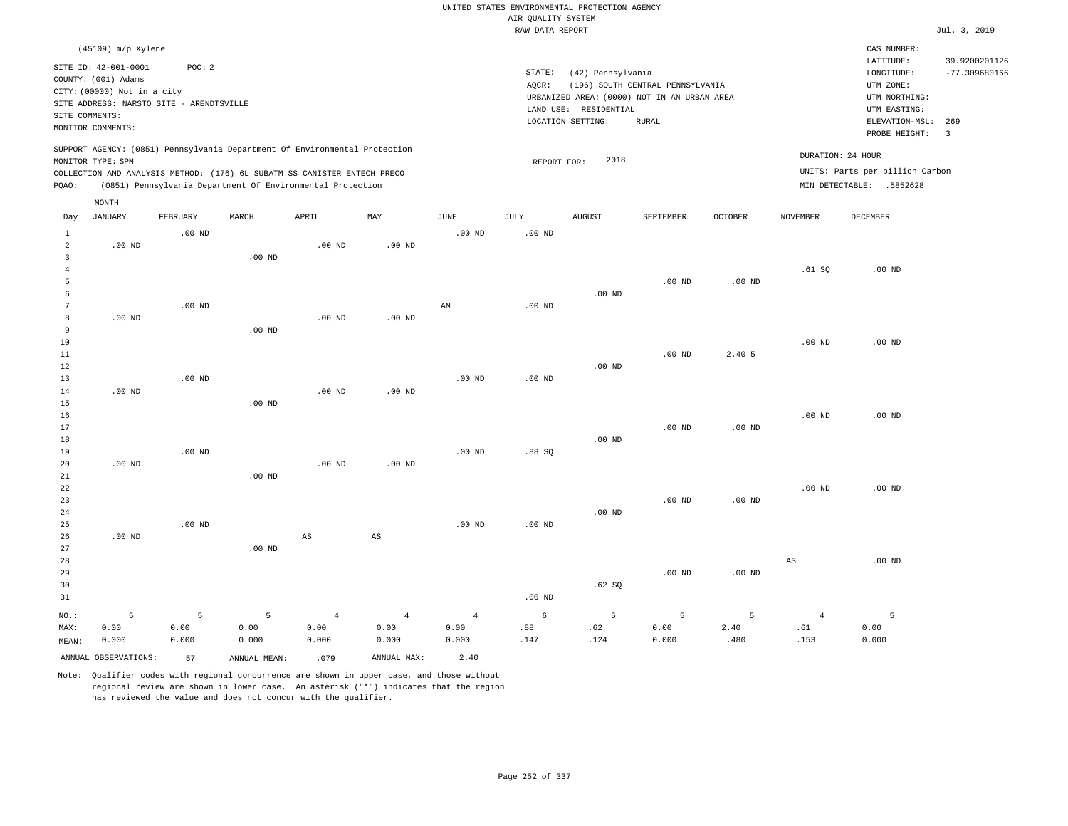|                                                    |                                                                                                  |                      |                                                                                                                                                                                                                      |                                 |                                 |                                 |                    | UNITED STATES ENVIRONMENTAL PROTECTION AGENCY                                             |                                  |                   |                               |                                                                                  |                                  |
|----------------------------------------------------|--------------------------------------------------------------------------------------------------|----------------------|----------------------------------------------------------------------------------------------------------------------------------------------------------------------------------------------------------------------|---------------------------------|---------------------------------|---------------------------------|--------------------|-------------------------------------------------------------------------------------------|----------------------------------|-------------------|-------------------------------|----------------------------------------------------------------------------------|----------------------------------|
|                                                    |                                                                                                  |                      |                                                                                                                                                                                                                      |                                 |                                 |                                 | AIR QUALITY SYSTEM |                                                                                           |                                  |                   |                               |                                                                                  |                                  |
|                                                    |                                                                                                  |                      |                                                                                                                                                                                                                      |                                 |                                 |                                 | RAW DATA REPORT    |                                                                                           |                                  |                   |                               |                                                                                  | Jul. 3, 2019                     |
|                                                    | (45109) m/p Xylene<br>SITE ID: 42-001-0001<br>COUNTY: (001) Adams<br>CITY: (00000) Not in a city | POC: 2               |                                                                                                                                                                                                                      |                                 |                                 |                                 | STATE:<br>AOCR:    | (42) Pennsylvania                                                                         | (196) SOUTH CENTRAL PENNSYLVANIA |                   |                               | CAS NUMBER:<br>LATITUDE:<br>LONGITUDE:<br>UTM ZONE:                              | 39.9200201126<br>$-77.309680166$ |
| SITE COMMENTS:                                     | SITE ADDRESS: NARSTO SITE - ARENDTSVILLE<br>MONITOR COMMENTS:                                    |                      |                                                                                                                                                                                                                      |                                 |                                 |                                 |                    | URBANIZED AREA: (0000) NOT IN AN URBAN AREA<br>LAND USE: RESIDENTIAL<br>LOCATION SETTING: | <b>RURAL</b>                     |                   |                               | UTM NORTHING:<br>UTM EASTING:<br>ELEVATION-MSL:<br>PROBE HEIGHT:                 | 269<br>$\overline{\phantom{a}}$  |
| PQAO:                                              | MONITOR TYPE: SPM                                                                                |                      | SUPPORT AGENCY: (0851) Pennsylvania Department Of Environmental Protection<br>COLLECTION AND ANALYSIS METHOD: (176) 6L SUBATM SS CANISTER ENTECH PRECO<br>(0851) Pennsylvania Department Of Environmental Protection |                                 |                                 |                                 | REPORT FOR:        | 2018                                                                                      |                                  |                   |                               | DURATION: 24 HOUR<br>UNITS: Parts per billion Carbon<br>MIN DETECTABLE: .5852628 |                                  |
|                                                    | MONTH                                                                                            |                      |                                                                                                                                                                                                                      |                                 |                                 |                                 |                    |                                                                                           |                                  |                   |                               |                                                                                  |                                  |
| Day<br>$\mathbf{1}$                                | <b>JANUARY</b>                                                                                   | FEBRUARY<br>$.00$ ND | MARCH                                                                                                                                                                                                                | APRIL                           | MAY                             | <b>JUNE</b><br>$.00$ ND         | JULY<br>$.00$ ND   | AUGUST                                                                                    | SEPTEMBER                        | OCTOBER           | NOVEMBER                      | DECEMBER                                                                         |                                  |
| $\overline{a}$<br>$\overline{3}$<br>$\overline{4}$ | $.00$ ND                                                                                         |                      | $.00$ ND                                                                                                                                                                                                             | $.00$ ND                        | .00 <sub>ND</sub>               |                                 |                    |                                                                                           |                                  |                   | .61 SQ                        | $.00$ ND                                                                         |                                  |
| 5<br>6<br>$\overline{7}$                           |                                                                                                  | $.00$ ND             |                                                                                                                                                                                                                      |                                 |                                 | AM                              | $.00$ ND           | $.00$ ND                                                                                  | $.00$ ND                         | $.00$ ND          |                               |                                                                                  |                                  |
| 8<br>$\overline{9}$<br>10<br>11                    | $.00$ ND                                                                                         |                      | .00 <sub>ND</sub>                                                                                                                                                                                                    | $.00$ ND                        | $.00$ ND                        |                                 |                    |                                                                                           | $.00$ ND                         | 2.40 5            | .00 <sub>ND</sub>             | $.00$ ND                                                                         |                                  |
| 12<br>13<br>14                                     | $.00$ ND                                                                                         | $.00$ ND             |                                                                                                                                                                                                                      | .00 <sub>ND</sub>               | .00 <sub>ND</sub>               | $.00$ ND                        | $.00$ ND           | $.00$ ND                                                                                  |                                  |                   |                               |                                                                                  |                                  |
| 15<br>16<br>17<br>18                               |                                                                                                  |                      | $.00$ ND                                                                                                                                                                                                             |                                 |                                 |                                 |                    | $.00$ ND                                                                                  | $.00$ ND                         | $.00$ ND          | $.00$ ND                      | $.00$ ND                                                                         |                                  |
| 19<br>20<br>21                                     | $.00$ ND                                                                                         | .00 <sub>ND</sub>    | $.00$ ND                                                                                                                                                                                                             | .00 <sub>ND</sub>               | $.00$ ND                        | $.00$ ND                        | .88SQ              |                                                                                           |                                  |                   |                               |                                                                                  |                                  |
| 22<br>23<br>24<br>25                               |                                                                                                  | $.00$ ND             |                                                                                                                                                                                                                      |                                 |                                 | .00 <sub>ND</sub>               | .00 <sub>ND</sub>  | $.00$ ND                                                                                  | $.00$ ND                         | $.00$ ND          | .00 <sub>ND</sub>             | $.00$ ND                                                                         |                                  |
| 26<br>27<br>28                                     | $.00$ ND                                                                                         |                      | $.00$ ND                                                                                                                                                                                                             | $\mathbb{A}\mathbb{S}$          | $\mathbb{A}\mathbb{S}$          |                                 |                    |                                                                                           |                                  |                   | AS                            | $.00$ ND                                                                         |                                  |
| 29<br>30<br>31                                     |                                                                                                  |                      |                                                                                                                                                                                                                      |                                 |                                 |                                 | $.00$ ND           | .62 SQ                                                                                    | $.00$ ND                         | $.00$ ND          |                               |                                                                                  |                                  |
| NO.:<br>MAX:<br>MEAN:                              | 5<br>0.00<br>0.000                                                                               | 5<br>0.00<br>0.000   | 5<br>0.00<br>0.000                                                                                                                                                                                                   | $\overline{4}$<br>0.00<br>0.000 | $\overline{4}$<br>0.00<br>0.000 | $\overline{4}$<br>0.00<br>0.000 | 6<br>.88<br>.147   | 5<br>.62<br>.124                                                                          | 5<br>0.00<br>0.000               | 5<br>2.40<br>.480 | $\overline{4}$<br>.61<br>.153 | 5<br>0.00<br>0.000                                                               |                                  |
|                                                    | ANNUAL OBSERVATIONS:                                                                             | 57                   | ANNUAL MEAN:                                                                                                                                                                                                         | .079                            | ANNUAL MAX:                     | 2.40                            |                    |                                                                                           |                                  |                   |                               |                                                                                  |                                  |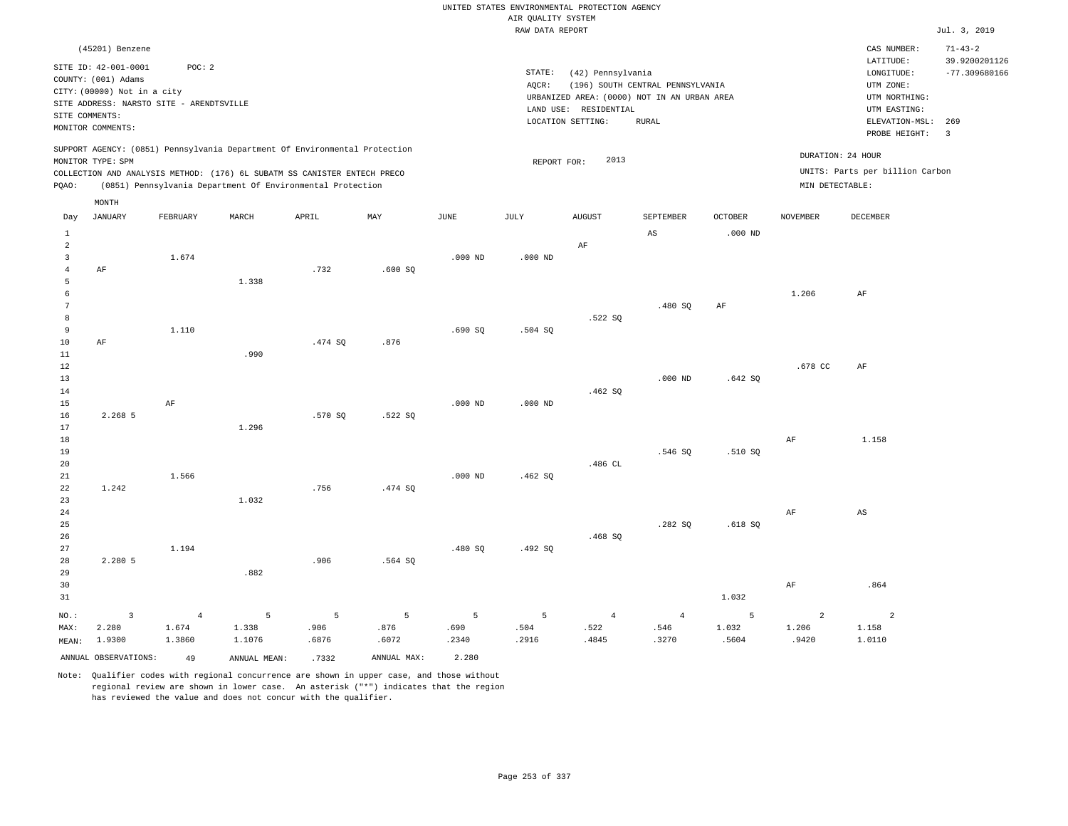|                                                             |                                                                                               |                                   |                                                                                                                                                                                                                      |                    |                    |                    |                                       | UNITED STATES ENVIRONMENTAL PROTECTION AGENCY                    |                                  |                     |                                  |                                                                      |                                                   |
|-------------------------------------------------------------|-----------------------------------------------------------------------------------------------|-----------------------------------|----------------------------------------------------------------------------------------------------------------------------------------------------------------------------------------------------------------------|--------------------|--------------------|--------------------|---------------------------------------|------------------------------------------------------------------|----------------------------------|---------------------|----------------------------------|----------------------------------------------------------------------|---------------------------------------------------|
|                                                             |                                                                                               |                                   |                                                                                                                                                                                                                      |                    |                    |                    | AIR QUALITY SYSTEM<br>RAW DATA REPORT |                                                                  |                                  |                     |                                  |                                                                      |                                                   |
|                                                             |                                                                                               |                                   |                                                                                                                                                                                                                      |                    |                    |                    |                                       |                                                                  |                                  |                     |                                  |                                                                      | Jul. 3, 2019                                      |
|                                                             | (45201) Benzene<br>SITE ID: 42-001-0001<br>COUNTY: (001) Adams<br>CITY: (00000) Not in a city | POC: 2                            |                                                                                                                                                                                                                      |                    |                    |                    | STATE:<br>AQCR:                       | (42) Pennsylvania<br>URBANIZED AREA: (0000) NOT IN AN URBAN AREA | (196) SOUTH CENTRAL PENNSYLVANIA |                     |                                  | CAS NUMBER:<br>LATITUDE:<br>LONGITUDE:<br>UTM ZONE:<br>UTM NORTHING: | $71 - 43 - 2$<br>39.9200201126<br>$-77.309680166$ |
|                                                             | SITE ADDRESS: NARSTO SITE - ARENDTSVILLE<br>SITE COMMENTS:<br>MONITOR COMMENTS:               |                                   |                                                                                                                                                                                                                      |                    |                    |                    |                                       | LAND USE: RESIDENTIAL<br>LOCATION SETTING:                       | <b>RURAL</b>                     |                     |                                  | UTM EASTING:<br>ELEVATION-MSL:<br>PROBE HEIGHT:                      | 269<br>$\overline{\mathbf{3}}$                    |
| PQAO:                                                       | MONITOR TYPE: SPM                                                                             |                                   | SUPPORT AGENCY: (0851) Pennsylvania Department Of Environmental Protection<br>COLLECTION AND ANALYSIS METHOD: (176) 6L SUBATM SS CANISTER ENTECH PRECO<br>(0851) Pennsylvania Department Of Environmental Protection |                    |                    |                    | REPORT FOR:                           | 2013                                                             |                                  |                     | MIN DETECTABLE:                  | DURATION: 24 HOUR<br>UNITS: Parts per billion Carbon                 |                                                   |
|                                                             | MONTH<br><b>JANUARY</b>                                                                       | FEBRUARY                          | MARCH                                                                                                                                                                                                                | APRIL              | MAY                | <b>JUNE</b>        | <b>JULY</b>                           | <b>AUGUST</b>                                                    | SEPTEMBER                        | <b>OCTOBER</b>      | <b>NOVEMBER</b>                  | DECEMBER                                                             |                                                   |
| Day<br>$\mathbf{1}$                                         |                                                                                               |                                   |                                                                                                                                                                                                                      |                    |                    |                    |                                       |                                                                  | $_{\rm AS}$                      | $.000$ ND           |                                  |                                                                      |                                                   |
| $\overline{2}$<br>$\overline{\mathbf{3}}$<br>$\overline{4}$ | $\rm{AF}$                                                                                     | 1.674                             |                                                                                                                                                                                                                      | .732               | .600SQ             | $.000$ ND          | $.000$ ND                             | AF                                                               |                                  |                     |                                  |                                                                      |                                                   |
| $\overline{5}$<br>6<br>$7\phantom{.0}$<br>8                 |                                                                                               |                                   | 1.338                                                                                                                                                                                                                |                    |                    |                    |                                       | .522 SO                                                          | .480SQ                           | AF                  | 1.206                            | AF                                                                   |                                                   |
| 9<br>10<br>$11\,$                                           | AF                                                                                            | 1.110                             | .990                                                                                                                                                                                                                 | .474 SO            | .876               | .690SQ             | .504 SQ                               |                                                                  |                                  |                     |                                  |                                                                      |                                                   |
| $1\,2$<br>13<br>14<br>15                                    |                                                                                               | AF                                |                                                                                                                                                                                                                      |                    |                    | $.000$ ND          | $.000$ ND                             | .462SQ                                                           | $.000$ ND                        | .642S               | .678 CC                          | AF                                                                   |                                                   |
| 16<br>17<br>18                                              | 2.268 5                                                                                       |                                   | 1.296                                                                                                                                                                                                                | .570S              | .522S              |                    |                                       |                                                                  |                                  |                     | AF                               | 1.158                                                                |                                                   |
| 19<br>20<br>21                                              |                                                                                               | 1.566                             |                                                                                                                                                                                                                      |                    |                    | $.000$ ND          | .462SQ                                | .486 CL                                                          | .546 SO                          | .510 SO             |                                  |                                                                      |                                                   |
| 22<br>23<br>24<br>25                                        | 1.242                                                                                         |                                   | 1.032                                                                                                                                                                                                                | .756               | .474 SQ            |                    |                                       |                                                                  | .282SQ                           | .618S               | AF                               | $\mathbb{A}\mathbb{S}$                                               |                                                   |
| 26<br>27<br>28<br>29                                        | 2.280 5                                                                                       | 1.194                             | .882                                                                                                                                                                                                                 | .906               | .564 SQ            | .480 SO            | .492 SO                               | .468SQ                                                           |                                  |                     |                                  |                                                                      |                                                   |
| 30<br>31                                                    |                                                                                               |                                   |                                                                                                                                                                                                                      |                    |                    |                    |                                       |                                                                  |                                  | 1.032               | AF                               | .864                                                                 |                                                   |
| NO.:<br>MAX:<br>MEAN:                                       | $\overline{3}$<br>2.280<br>1.9300                                                             | $\overline{4}$<br>1.674<br>1.3860 | 5<br>1.338<br>1.1076                                                                                                                                                                                                 | 5<br>.906<br>.6876 | 5<br>.876<br>.6072 | 5<br>.690<br>.2340 | 5<br>.504<br>.2916                    | $\overline{4}$<br>.522<br>.4845                                  | $\overline{4}$<br>.546<br>.3270  | 5<br>1.032<br>.5604 | $\overline{2}$<br>1.206<br>.9420 | 2<br>1.158<br>1.0110                                                 |                                                   |
|                                                             | ANNUAL OBSERVATIONS:                                                                          | 49                                | ANNUAL MEAN:                                                                                                                                                                                                         | .7332              | ANNUAL MAX:        | 2.280              |                                       |                                                                  |                                  |                     |                                  |                                                                      |                                                   |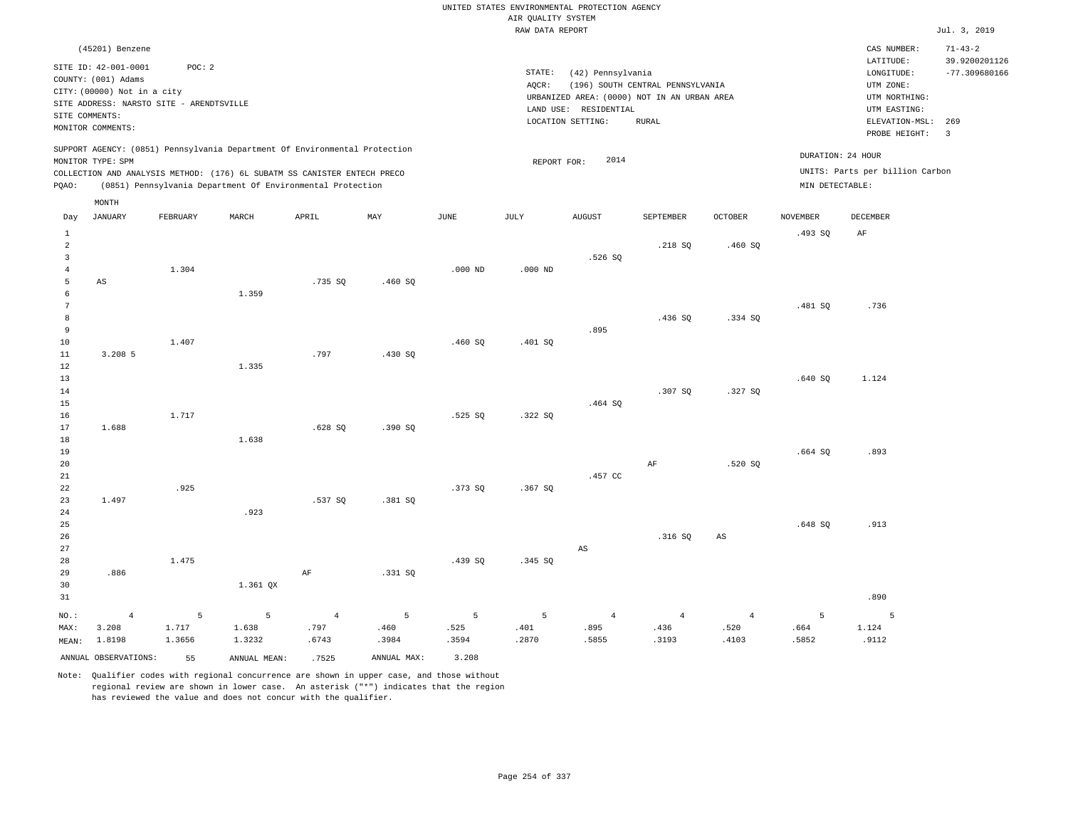|                                            |                                                                                                                                                                                  |                      |                                                                                                                                                                                                                      |                                 |                    |                    |                    | UNITED STATES ENVIRONMENTAL PROTECTION AGENCY                                                                  |                                                  |                                 |                    |                                                                                                        |                                                          |
|--------------------------------------------|----------------------------------------------------------------------------------------------------------------------------------------------------------------------------------|----------------------|----------------------------------------------------------------------------------------------------------------------------------------------------------------------------------------------------------------------|---------------------------------|--------------------|--------------------|--------------------|----------------------------------------------------------------------------------------------------------------|--------------------------------------------------|---------------------------------|--------------------|--------------------------------------------------------------------------------------------------------|----------------------------------------------------------|
|                                            |                                                                                                                                                                                  |                      |                                                                                                                                                                                                                      |                                 |                    |                    | AIR QUALITY SYSTEM |                                                                                                                |                                                  |                                 |                    |                                                                                                        |                                                          |
|                                            |                                                                                                                                                                                  |                      |                                                                                                                                                                                                                      |                                 |                    |                    | RAW DATA REPORT    |                                                                                                                |                                                  |                                 |                    |                                                                                                        | Jul. 3, 2019                                             |
|                                            | (45201) Benzene<br>SITE ID: 42-001-0001<br>COUNTY: (001) Adams<br>CITY: (00000) Not in a city<br>SITE ADDRESS: NARSTO SITE - ARENDTSVILLE<br>SITE COMMENTS:<br>MONITOR COMMENTS: | POC: 2               |                                                                                                                                                                                                                      |                                 |                    |                    | STATE:<br>AOCR:    | (42) Pennsylvania<br>URBANIZED AREA: (0000) NOT IN AN URBAN AREA<br>LAND USE: RESIDENTIAL<br>LOCATION SETTING: | (196) SOUTH CENTRAL PENNSYLVANIA<br><b>RURAL</b> |                                 |                    | CAS NUMBER:<br>LATITUDE:<br>LONGITUDE:<br>UTM ZONE:<br>UTM NORTHING:<br>UTM EASTING:<br>ELEVATION-MSL: | $71 - 43 - 2$<br>39.9200201126<br>$-77.309680166$<br>269 |
|                                            |                                                                                                                                                                                  |                      |                                                                                                                                                                                                                      |                                 |                    |                    |                    |                                                                                                                |                                                  |                                 |                    | PROBE HEIGHT:                                                                                          | $\overline{\mathbf{3}}$                                  |
| PQAO:                                      | MONITOR TYPE: SPM                                                                                                                                                                |                      | SUPPORT AGENCY: (0851) Pennsylvania Department Of Environmental Protection<br>COLLECTION AND ANALYSIS METHOD: (176) 6L SUBATM SS CANISTER ENTECH PRECO<br>(0851) Pennsylvania Department Of Environmental Protection |                                 |                    |                    | REPORT FOR:        | 2014                                                                                                           |                                                  |                                 | MIN DETECTABLE:    | DURATION: 24 HOUR<br>UNITS: Parts per billion Carbon                                                   |                                                          |
| Day                                        | MONTH<br><b>JANUARY</b>                                                                                                                                                          | FEBRUARY             | MARCH                                                                                                                                                                                                                | APRIL                           | MAY                | JUNE               | JULY               | AUGUST                                                                                                         | SEPTEMBER                                        | OCTOBER                         | <b>NOVEMBER</b>    | <b>DECEMBER</b>                                                                                        |                                                          |
| $\mathbf{1}$<br>$\overline{2}$             |                                                                                                                                                                                  |                      |                                                                                                                                                                                                                      |                                 |                    |                    |                    |                                                                                                                | .218 SQ                                          | .460 SQ                         | .493SQ             | AF                                                                                                     |                                                          |
| $\overline{3}$<br>$\overline{4}$<br>5<br>6 | AS                                                                                                                                                                               | 1.304                | 1.359                                                                                                                                                                                                                | .735 SO                         | .460S              | $.000$ ND          | $.000$ ND          | .526 SO                                                                                                        |                                                  |                                 |                    |                                                                                                        |                                                          |
| $\overline{7}$<br>8<br>9                   |                                                                                                                                                                                  |                      |                                                                                                                                                                                                                      |                                 |                    |                    |                    | .895                                                                                                           | .436SQ                                           | .334 SQ                         | .481 SO            | .736                                                                                                   |                                                          |
| $10$<br>$1\,1$<br>12<br>13                 | 3.208 5                                                                                                                                                                          | 1.407                | 1.335                                                                                                                                                                                                                | .797                            | .430 SQ            | .460SQ             | .401 SQ            |                                                                                                                |                                                  |                                 | .640SQ             | 1.124                                                                                                  |                                                          |
| 14<br>$15$<br>16<br>17                     | 1.688                                                                                                                                                                            | 1.717                |                                                                                                                                                                                                                      | .628SQ                          | .390SQ             | .525S              | .322S              | .464 SQ                                                                                                        | .307 SO                                          | .327 SO                         |                    |                                                                                                        |                                                          |
| 18<br>19<br>20<br>$2\sqrt{1}$              |                                                                                                                                                                                  |                      | 1.638                                                                                                                                                                                                                |                                 |                    |                    |                    | .457 CC                                                                                                        | AF                                               | .520S                           | .664SQ             | .893                                                                                                   |                                                          |
| 22<br>23<br>24                             | 1.497                                                                                                                                                                            | .925                 | .923                                                                                                                                                                                                                 | .537 SQ                         | .381 SQ            | .373 SQ            | .367S              |                                                                                                                |                                                  |                                 |                    |                                                                                                        |                                                          |
| 25<br>26<br>27<br>28                       |                                                                                                                                                                                  | 1.475                |                                                                                                                                                                                                                      |                                 |                    | .439 SQ            | .345 SQ            | AS                                                                                                             | .316S                                            | $\mathbb{A}\mathbb{S}$          | .648 SO            | .913                                                                                                   |                                                          |
| 29<br>30<br>31                             | .886                                                                                                                                                                             |                      | 1.361 QX                                                                                                                                                                                                             | AF                              | .331 SO            |                    |                    |                                                                                                                |                                                  |                                 |                    | .890                                                                                                   |                                                          |
| NO.:<br>MAX:<br>MEAN:                      | $\overline{4}$<br>3.208<br>1.8198                                                                                                                                                | 5<br>1.717<br>1.3656 | 5<br>1.638<br>1.3232                                                                                                                                                                                                 | $\overline{4}$<br>.797<br>.6743 | 5<br>.460<br>.3984 | 5<br>.525<br>.3594 | 5<br>.401<br>.2870 | $\overline{4}$<br>.895<br>.5855                                                                                | $\overline{4}$<br>.436<br>.3193                  | $\overline{4}$<br>.520<br>.4103 | 5<br>.664<br>.5852 | 5<br>1.124<br>.9112                                                                                    |                                                          |
|                                            | ANNUAL OBSERVATIONS:                                                                                                                                                             | 55                   | ANNUAL MEAN:                                                                                                                                                                                                         | .7525                           | ANNUAL MAX:        | 3.208              |                    |                                                                                                                |                                                  |                                 |                    |                                                                                                        |                                                          |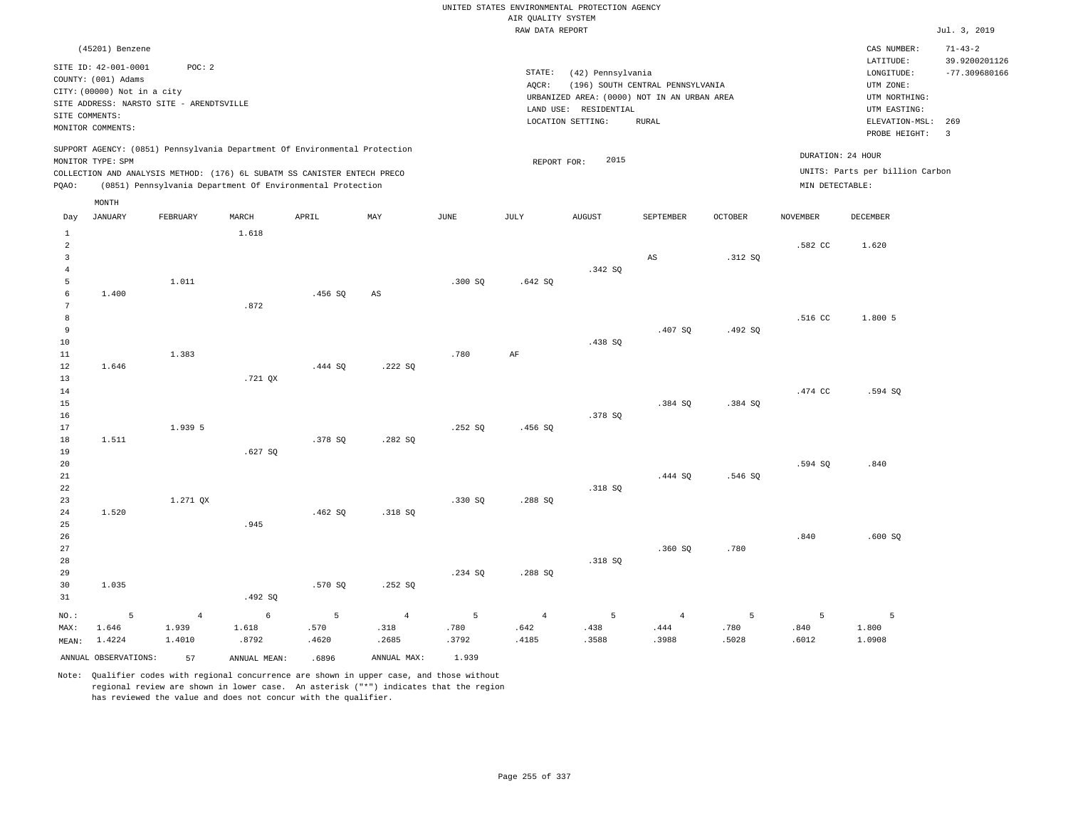|                                |                                                                                                 |                |                                                            |         |                        |         |                                       | UNITED STATES ENVIRONMENTAL PROTECTION AGENCY |                                  |                |                   |                                     |                                  |
|--------------------------------|-------------------------------------------------------------------------------------------------|----------------|------------------------------------------------------------|---------|------------------------|---------|---------------------------------------|-----------------------------------------------|----------------------------------|----------------|-------------------|-------------------------------------|----------------------------------|
|                                |                                                                                                 |                |                                                            |         |                        |         | AIR OUALITY SYSTEM<br>RAW DATA REPORT |                                               |                                  |                |                   |                                     | Jul. 3, 2019                     |
|                                | (45201) Benzene                                                                                 |                |                                                            |         |                        |         |                                       |                                               |                                  |                |                   | CAS NUMBER:                         | $71 - 43 - 2$                    |
|                                | SITE ID: 42-001-0001                                                                            | POC: 2         |                                                            |         |                        |         | STATE:                                | (42) Pennsylvania                             |                                  |                |                   | LATITUDE:<br>LONGITUDE:             | 39.9200201126<br>$-77.309680166$ |
|                                | COUNTY: (001) Adams                                                                             |                |                                                            |         |                        |         | AOCR:                                 |                                               | (196) SOUTH CENTRAL PENNSYLVANIA |                |                   | UTM ZONE:                           |                                  |
|                                | CITY: (00000) Not in a city                                                                     |                |                                                            |         |                        |         |                                       | URBANIZED AREA: (0000) NOT IN AN URBAN AREA   |                                  |                |                   | UTM NORTHING:                       |                                  |
| SITE COMMENTS:                 | SITE ADDRESS: NARSTO SITE - ARENDTSVILLE                                                        |                |                                                            |         |                        |         |                                       | LAND USE: RESIDENTIAL                         |                                  |                |                   | UTM EASTING:                        |                                  |
|                                | MONITOR COMMENTS:                                                                               |                |                                                            |         |                        |         |                                       | LOCATION SETTING:                             | <b>RURAL</b>                     |                |                   | ELEVATION-MSL: 269<br>PROBE HEIGHT: | $\overline{\mathbf{3}}$          |
|                                | SUPPORT AGENCY: (0851) Pennsylvania Department Of Environmental Protection<br>MONITOR TYPE: SPM |                |                                                            |         |                        |         | REPORT FOR:                           | 2015                                          |                                  |                | DURATION: 24 HOUR |                                     |                                  |
|                                | COLLECTION AND ANALYSIS METHOD: (176) 6L SUBATM SS CANISTER ENTECH PRECO                        |                |                                                            |         |                        |         |                                       |                                               |                                  |                |                   | UNITS: Parts per billion Carbon     |                                  |
| PQAO:                          |                                                                                                 |                | (0851) Pennsylvania Department Of Environmental Protection |         |                        |         |                                       |                                               |                                  |                | MIN DETECTABLE:   |                                     |                                  |
|                                | MONTH                                                                                           |                |                                                            |         |                        |         |                                       |                                               |                                  |                |                   |                                     |                                  |
| Day                            | <b>JANUARY</b>                                                                                  | FEBRUARY       | MARCH                                                      | APRIL   | MAY                    | JUNE    | JULY                                  | <b>AUGUST</b>                                 | SEPTEMBER                        | <b>OCTOBER</b> | <b>NOVEMBER</b>   | DECEMBER                            |                                  |
| $\mathbf{1}$<br>$\overline{a}$ |                                                                                                 |                | 1.618                                                      |         |                        |         |                                       |                                               |                                  |                | .582 CC           | 1.620                               |                                  |
| $\overline{3}$                 |                                                                                                 |                |                                                            |         |                        |         |                                       |                                               | AS                               | .312 SO        |                   |                                     |                                  |
| $\sqrt{4}$                     |                                                                                                 |                |                                                            |         |                        |         |                                       | .342 SQ                                       |                                  |                |                   |                                     |                                  |
| 5                              |                                                                                                 | 1.011          |                                                            |         |                        | .300 SO | .642S                                 |                                               |                                  |                |                   |                                     |                                  |
| 6                              | 1.400                                                                                           |                |                                                            | .456SQ  | $\mathbb{A}\mathbb{S}$ |         |                                       |                                               |                                  |                |                   |                                     |                                  |
| $7\phantom{.0}$                |                                                                                                 |                | .872                                                       |         |                        |         |                                       |                                               |                                  |                |                   |                                     |                                  |
| $^{\rm 8}$                     |                                                                                                 |                |                                                            |         |                        |         |                                       |                                               |                                  |                | .516 CC           | 1.800 5                             |                                  |
| $\overline{9}$<br>10           |                                                                                                 |                |                                                            |         |                        |         |                                       | .438 SO                                       | .407 SQ                          | .492SQ         |                   |                                     |                                  |
| 11                             |                                                                                                 | 1.383          |                                                            |         |                        | .780    | AF                                    |                                               |                                  |                |                   |                                     |                                  |
| 12                             | 1.646                                                                                           |                |                                                            | .444 SQ | .222SQ                 |         |                                       |                                               |                                  |                |                   |                                     |                                  |
| 13                             |                                                                                                 |                | $.721$ QX                                                  |         |                        |         |                                       |                                               |                                  |                |                   |                                     |                                  |
| 14                             |                                                                                                 |                |                                                            |         |                        |         |                                       |                                               |                                  |                | .474 CC           | .594 SO                             |                                  |
| 15                             |                                                                                                 |                |                                                            |         |                        |         |                                       |                                               | .384 SO                          | .384 SQ        |                   |                                     |                                  |
| 16                             |                                                                                                 |                |                                                            |         |                        |         |                                       | .378 SQ                                       |                                  |                |                   |                                     |                                  |
| 17                             | 1.511                                                                                           | 1.939 5        |                                                            |         |                        | .252SQ  | .456SQ                                |                                               |                                  |                |                   |                                     |                                  |
| 18<br>19                       |                                                                                                 |                | .627 SO                                                    | .378 SQ | .282SQ                 |         |                                       |                                               |                                  |                |                   |                                     |                                  |
| 20                             |                                                                                                 |                |                                                            |         |                        |         |                                       |                                               |                                  |                | .594 SQ           | .840                                |                                  |
| 21                             |                                                                                                 |                |                                                            |         |                        |         |                                       |                                               | .444 SO                          | .546 SO        |                   |                                     |                                  |
| 22                             |                                                                                                 |                |                                                            |         |                        |         |                                       | .318 SQ                                       |                                  |                |                   |                                     |                                  |
| 23                             |                                                                                                 | 1.271 OX       |                                                            |         |                        | .330 SO | .288 SO                               |                                               |                                  |                |                   |                                     |                                  |
| $2\,4$                         | 1.520                                                                                           |                |                                                            | .462SQ  | .318 SQ                |         |                                       |                                               |                                  |                |                   |                                     |                                  |
| 25                             |                                                                                                 |                | .945                                                       |         |                        |         |                                       |                                               |                                  |                |                   |                                     |                                  |
| 26<br>27                       |                                                                                                 |                |                                                            |         |                        |         |                                       |                                               | .360SQ                           | .780           | .840              | .600S                               |                                  |
| 28                             |                                                                                                 |                |                                                            |         |                        |         |                                       | .318 SQ                                       |                                  |                |                   |                                     |                                  |
| 29                             |                                                                                                 |                |                                                            |         |                        | .234 SQ | .288 SQ                               |                                               |                                  |                |                   |                                     |                                  |
| 30                             | 1.035                                                                                           |                |                                                            | .570 SO | .252 SO                |         |                                       |                                               |                                  |                |                   |                                     |                                  |
| 31                             |                                                                                                 |                | .492 SQ                                                    |         |                        |         |                                       |                                               |                                  |                |                   |                                     |                                  |
| $NO.$ :                        | 5                                                                                               | $\overline{4}$ | 6                                                          | 5       | $\sqrt{4}$             | 5       | $\overline{4}$                        | 5                                             | $\sqrt{4}$                       | 5              | 5                 | 5                                   |                                  |
| MAX:                           | 1.646                                                                                           | 1.939          | 1.618                                                      | .570    | .318                   | .780    | .642                                  | .438                                          | .444                             | .780           | .840              | 1.800                               |                                  |
| MEAN:                          | 1.4224                                                                                          | 1.4010         | .8792                                                      | .4620   | .2685                  | .3792   | .4185                                 | .3588                                         | .3988                            | .5028          | .6012             | 1.0908                              |                                  |
|                                | ANNUAL OBSERVATIONS:                                                                            | 57             | ANNUAL, MEAN:                                              | .6896   | ANNUAL MAX:            | 1.939   |                                       |                                               |                                  |                |                   |                                     |                                  |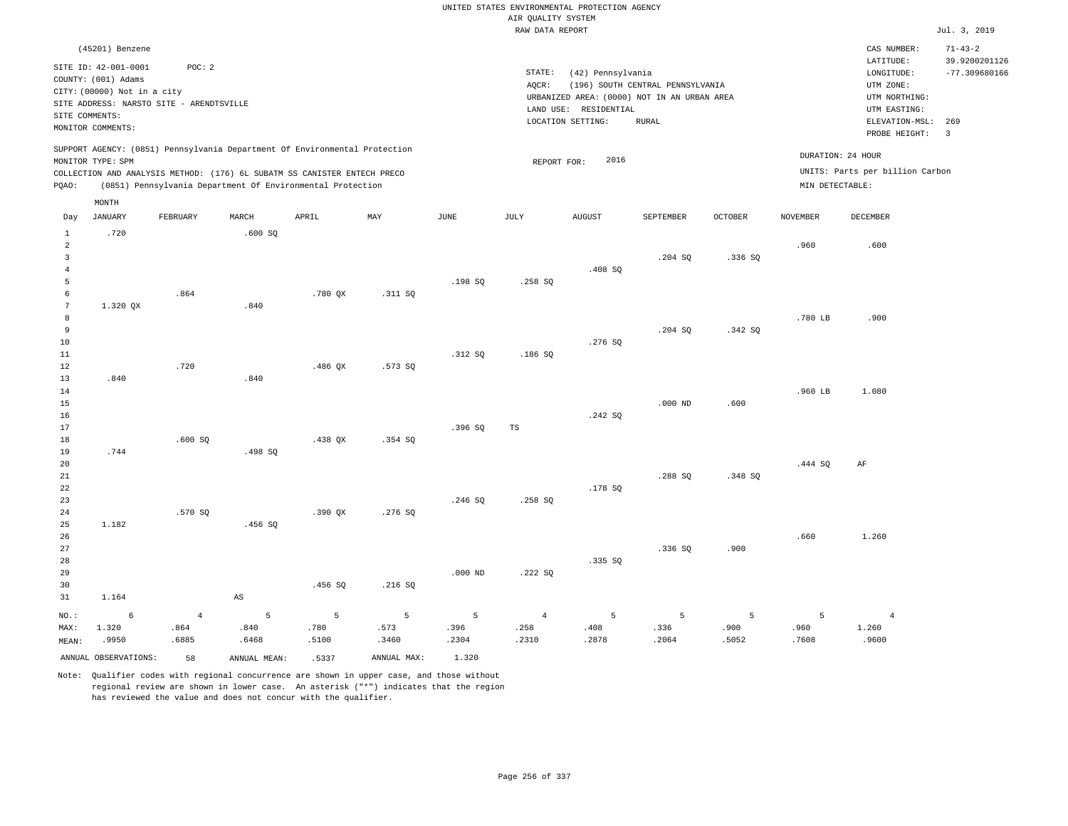|                      |                                         |                                          |                                                                            |           |                |               | AIR QUALITY SYSTEM | UNITED STATES ENVIRONMENTAL PROTECTION AGENCY |                                  |                |                 |                                                    |                                                   |
|----------------------|-----------------------------------------|------------------------------------------|----------------------------------------------------------------------------|-----------|----------------|---------------|--------------------|-----------------------------------------------|----------------------------------|----------------|-----------------|----------------------------------------------------|---------------------------------------------------|
|                      |                                         |                                          |                                                                            |           |                |               | RAW DATA REPORT    |                                               |                                  |                |                 |                                                    | Jul. 3, 2019                                      |
|                      | (45201) Benzene<br>SITE ID: 42-001-0001 | POC: 2                                   |                                                                            |           |                |               | STATE:             | (42) Pennsylvania                             |                                  |                |                 | CAS NUMBER:<br>LATITUDE:<br>$\texttt{LONGITUDE}$ : | $71 - 43 - 2$<br>39.9200201126<br>$-77.309680166$ |
|                      | COUNTY: (001) Adams                     |                                          |                                                                            |           |                |               | AOCR:              |                                               | (196) SOUTH CENTRAL PENNSYLVANIA |                |                 | UTM ZONE:                                          |                                                   |
|                      | CITY: (00000) Not in a city             | SITE ADDRESS: NARSTO SITE - ARENDTSVILLE |                                                                            |           |                |               |                    | URBANIZED AREA: (0000) NOT IN AN URBAN AREA   |                                  |                |                 | UTM NORTHING:                                      |                                                   |
|                      | SITE COMMENTS:                          |                                          |                                                                            |           |                |               |                    | LAND USE: RESIDENTIAL                         |                                  |                |                 | UTM EASTING:                                       |                                                   |
|                      | MONITOR COMMENTS:                       |                                          |                                                                            |           |                |               |                    | LOCATION SETTING:                             | ${\tt RURAL}$                    |                |                 | ELEVATION-MSL:<br>PROBE HEIGHT:                    | 269<br>3                                          |
|                      | MONITOR TYPE: SPM                       |                                          | SUPPORT AGENCY: (0851) Pennsylvania Department Of Environmental Protection |           |                |               |                    | 2016                                          |                                  |                |                 | DURATION: 24 HOUR                                  |                                                   |
|                      |                                         |                                          | COLLECTION AND ANALYSIS METHOD: (176) 6L SUBATM SS CANISTER ENTECH PRECO   |           |                |               | REPORT FOR:        |                                               |                                  |                |                 | UNITS: Parts per billion Carbon                    |                                                   |
| PQAO:                |                                         |                                          | (0851) Pennsylvania Department Of Environmental Protection                 |           |                |               |                    |                                               |                                  |                | MIN DETECTABLE: |                                                    |                                                   |
|                      | MONTH                                   |                                          |                                                                            |           |                |               |                    |                                               |                                  |                |                 |                                                    |                                                   |
| Day                  | <b>JANUARY</b>                          | FEBRUARY                                 | MARCH                                                                      | APRIL     | MAY            | $_{\rm JUNE}$ | <b>JULY</b>        | <b>AUGUST</b>                                 | SEPTEMBER                        | <b>OCTOBER</b> | <b>NOVEMBER</b> | <b>DECEMBER</b>                                    |                                                   |
| $\mathbf 1$<br>2     | .720                                    |                                          | .600 SQ                                                                    |           |                |               |                    |                                               |                                  |                | .960            | .600                                               |                                                   |
| $\overline{3}$       |                                         |                                          |                                                                            |           |                |               |                    |                                               | .204 SQ                          | .336S          |                 |                                                    |                                                   |
| $\overline{4}$       |                                         |                                          |                                                                            |           |                |               |                    | .408SQ                                        |                                  |                |                 |                                                    |                                                   |
| 5                    |                                         |                                          |                                                                            |           |                | .198 SO       | .258 SO            |                                               |                                  |                |                 |                                                    |                                                   |
| 6<br>$7\phantom{.0}$ | 1.320 OX                                | .864                                     | .840                                                                       | $.780$ QX | .311 SQ        |               |                    |                                               |                                  |                |                 |                                                    |                                                   |
| 8                    |                                         |                                          |                                                                            |           |                |               |                    |                                               |                                  |                | .780 LB         | .900                                               |                                                   |
| 9                    |                                         |                                          |                                                                            |           |                |               |                    |                                               | .204 SO                          | .342S          |                 |                                                    |                                                   |
| 10                   |                                         |                                          |                                                                            |           |                |               |                    | .276 SQ                                       |                                  |                |                 |                                                    |                                                   |
| $11\,$               |                                         |                                          |                                                                            |           |                | .312 SQ       | .186S              |                                               |                                  |                |                 |                                                    |                                                   |
| 12<br>13             | .840                                    | .720                                     | .840                                                                       | $.486$ QX | .573 SQ        |               |                    |                                               |                                  |                |                 |                                                    |                                                   |
| 14                   |                                         |                                          |                                                                            |           |                |               |                    |                                               |                                  |                | .960 LB         | 1.080                                              |                                                   |
| $15$                 |                                         |                                          |                                                                            |           |                |               |                    |                                               | $.000$ ND                        | .600           |                 |                                                    |                                                   |
| 16                   |                                         |                                          |                                                                            |           |                |               |                    | .242S                                         |                                  |                |                 |                                                    |                                                   |
| 17                   |                                         |                                          |                                                                            |           |                | .396SQ        | $_{\rm TS}$        |                                               |                                  |                |                 |                                                    |                                                   |
| 18<br>19             | .744                                    | .600SQ                                   | .498 SQ                                                                    | $.438$ QX | .354S          |               |                    |                                               |                                  |                |                 |                                                    |                                                   |
| 20                   |                                         |                                          |                                                                            |           |                |               |                    |                                               |                                  |                | .444SQ          | AF                                                 |                                                   |
| 21                   |                                         |                                          |                                                                            |           |                |               |                    |                                               | .288 SO                          | .348 SO        |                 |                                                    |                                                   |
| 22                   |                                         |                                          |                                                                            |           |                |               |                    | .178 SQ                                       |                                  |                |                 |                                                    |                                                   |
| 23                   |                                         |                                          |                                                                            |           |                | .246 SO       | .258 SO            |                                               |                                  |                |                 |                                                    |                                                   |
| 24<br>25             | 1.182                                   | .570 SQ                                  | .456SQ                                                                     | $.390$ QX | .276 SQ        |               |                    |                                               |                                  |                |                 |                                                    |                                                   |
| 26                   |                                         |                                          |                                                                            |           |                |               |                    |                                               |                                  |                | .660            | 1.260                                              |                                                   |
| 27                   |                                         |                                          |                                                                            |           |                |               |                    |                                               | .336S                            | .900           |                 |                                                    |                                                   |
| 28                   |                                         |                                          |                                                                            |           |                |               |                    | .335 SO                                       |                                  |                |                 |                                                    |                                                   |
| 29                   |                                         |                                          |                                                                            |           |                | $.000$ ND     | .222 SQ            |                                               |                                  |                |                 |                                                    |                                                   |
| 30                   |                                         |                                          |                                                                            | .456 SO   | .216 SO        |               |                    |                                               |                                  |                |                 |                                                    |                                                   |
| 31                   | 1.164                                   |                                          | $_{\rm AS}$                                                                |           |                |               |                    |                                               |                                  |                |                 |                                                    |                                                   |
| NO.:                 | $\epsilon$                              | $\sqrt{4}$                               | 5                                                                          | 5         | $\overline{5}$ | 5             | $\overline{4}$     | 5                                             | $\overline{5}$                   | 5              | 5               | $\bf{4}$                                           |                                                   |
| MAX:                 | 1.320                                   | .864                                     | .840                                                                       | .780      | .573           | .396          | .258               | .408                                          | .336                             | .900           | .960            | 1.260                                              |                                                   |
| MEAN:                | .9950                                   | .6885                                    | .6468                                                                      | .5100     | .3460          | .2304         | .2310              | .2878                                         | .2064                            | .5052          | .7608           | .9600                                              |                                                   |
|                      | ANNUAL OBSERVATIONS:                    | 58                                       | ANNUAL MEAN:                                                               | .5337     | ANNUAL MAX:    | 1.320         |                    |                                               |                                  |                |                 |                                                    |                                                   |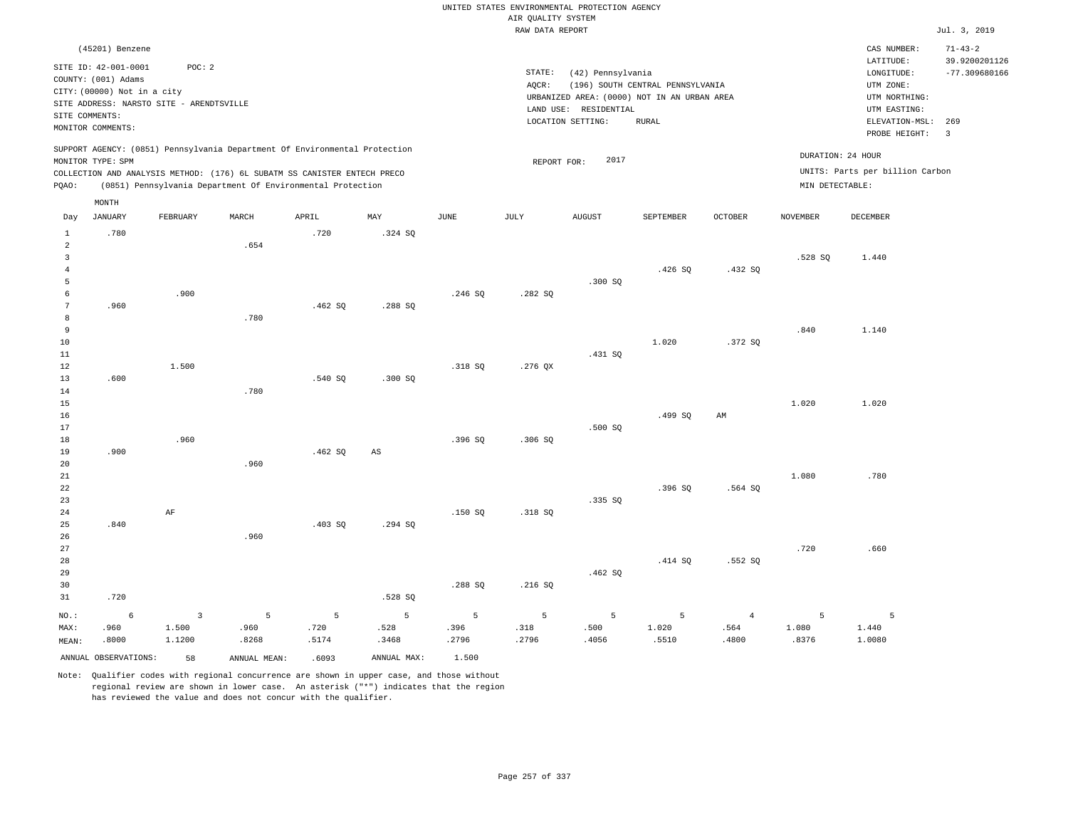|                     |                                                                |              |                                                                            |         |                        |             |                    | UNITED STATES ENVIRONMENTAL PROTECTION AGENCY |                                  |                |                 |                                                     |                                                   |
|---------------------|----------------------------------------------------------------|--------------|----------------------------------------------------------------------------|---------|------------------------|-------------|--------------------|-----------------------------------------------|----------------------------------|----------------|-----------------|-----------------------------------------------------|---------------------------------------------------|
|                     |                                                                |              |                                                                            |         |                        |             | AIR QUALITY SYSTEM |                                               |                                  |                |                 |                                                     |                                                   |
|                     |                                                                |              |                                                                            |         |                        |             | RAW DATA REPORT    |                                               |                                  |                |                 |                                                     | Jul. 3, 2019                                      |
|                     | (45201) Benzene<br>SITE ID: 42-001-0001<br>COUNTY: (001) Adams | POC: 2       |                                                                            |         |                        |             | STATE:<br>AQCR:    | (42) Pennsylvania                             | (196) SOUTH CENTRAL PENNSYLVANIA |                |                 | CAS NUMBER:<br>LATITUDE:<br>LONGITUDE:<br>UTM ZONE: | $71 - 43 - 2$<br>39.9200201126<br>$-77.309680166$ |
|                     | CITY: (00000) Not in a city                                    |              |                                                                            |         |                        |             |                    | URBANIZED AREA: (0000) NOT IN AN URBAN AREA   |                                  |                |                 | UTM NORTHING:                                       |                                                   |
|                     | SITE ADDRESS: NARSTO SITE - ARENDTSVILLE                       |              |                                                                            |         |                        |             |                    | LAND USE: RESIDENTIAL                         |                                  |                |                 | UTM EASTING:                                        |                                                   |
| SITE COMMENTS:      | MONITOR COMMENTS:                                              |              |                                                                            |         |                        |             |                    | LOCATION SETTING:                             | RURAL                            |                |                 | ELEVATION-MSL: 269<br>PROBE HEIGHT:                 | $\overline{3}$                                    |
|                     | MONITOR TYPE: SPM                                              |              | SUPPORT AGENCY: (0851) Pennsylvania Department Of Environmental Protection |         |                        |             | REPORT FOR:        | 2017                                          |                                  |                |                 | DURATION: 24 HOUR                                   |                                                   |
|                     |                                                                |              | COLLECTION AND ANALYSIS METHOD: (176) 6L SUBATM SS CANISTER ENTECH PRECO   |         |                        |             |                    |                                               |                                  |                |                 | UNITS: Parts per billion Carbon                     |                                                   |
| PQAO:               |                                                                |              | (0851) Pennsylvania Department Of Environmental Protection                 |         |                        |             |                    |                                               |                                  |                | MIN DETECTABLE: |                                                     |                                                   |
|                     | MONTH                                                          |              |                                                                            |         |                        |             |                    |                                               |                                  |                |                 |                                                     |                                                   |
| Day                 | <b>JANUARY</b>                                                 | FEBRUARY     | MARCH                                                                      | APRIL   | MAX                    | <b>JUNE</b> | JULY               | ${\tt AUGUST}$                                | SEPTEMBER                        | OCTOBER        | <b>NOVEMBER</b> | DECEMBER                                            |                                                   |
| $\mathbf{1}$        | .780                                                           |              |                                                                            | .720    | .324 SQ                |             |                    |                                               |                                  |                |                 |                                                     |                                                   |
| $\overline{a}$      |                                                                |              | .654                                                                       |         |                        |             |                    |                                               |                                  |                |                 |                                                     |                                                   |
| $\overline{3}$      |                                                                |              |                                                                            |         |                        |             |                    |                                               |                                  |                | .528S           | 1.440                                               |                                                   |
| $\overline{4}$<br>5 |                                                                |              |                                                                            |         |                        |             |                    | .300 SO                                       | .426SQ                           | .432SQ         |                 |                                                     |                                                   |
| 6                   |                                                                | .900         |                                                                            |         |                        | .246S       | .282SQ             |                                               |                                  |                |                 |                                                     |                                                   |
| $\overline{7}$      | .960                                                           |              |                                                                            | .462S   | .288 SO                |             |                    |                                               |                                  |                |                 |                                                     |                                                   |
| 8                   |                                                                |              | .780                                                                       |         |                        |             |                    |                                               |                                  |                |                 |                                                     |                                                   |
| 9                   |                                                                |              |                                                                            |         |                        |             |                    |                                               |                                  |                | .840            | 1.140                                               |                                                   |
| $10$                |                                                                |              |                                                                            |         |                        |             |                    |                                               | 1.020                            | .372 SQ        |                 |                                                     |                                                   |
| $1\,1$              |                                                                |              |                                                                            |         |                        |             |                    | .431 SQ                                       |                                  |                |                 |                                                     |                                                   |
| 12                  |                                                                | 1.500        |                                                                            |         |                        | .318 SQ     | $.276$ QX          |                                               |                                  |                |                 |                                                     |                                                   |
| 13                  | .600                                                           |              |                                                                            | .540S   | .300SQ                 |             |                    |                                               |                                  |                |                 |                                                     |                                                   |
| 14                  |                                                                |              | .780                                                                       |         |                        |             |                    |                                               |                                  |                |                 |                                                     |                                                   |
| 15                  |                                                                |              |                                                                            |         |                        |             |                    |                                               |                                  |                | 1.020           | 1.020                                               |                                                   |
| 16                  |                                                                |              |                                                                            |         |                        |             |                    |                                               | .499 SO                          | AM             |                 |                                                     |                                                   |
| 17                  |                                                                |              |                                                                            |         |                        |             |                    | .500 SO                                       |                                  |                |                 |                                                     |                                                   |
| 18                  |                                                                | .960         |                                                                            |         |                        | .396SQ      | .306SQ             |                                               |                                  |                |                 |                                                     |                                                   |
| 19<br>20            | .900                                                           |              | .960                                                                       | .462SQ  | $\mathbb{A}\mathbb{S}$ |             |                    |                                               |                                  |                |                 |                                                     |                                                   |
| $2\sqrt{1}$         |                                                                |              |                                                                            |         |                        |             |                    |                                               |                                  |                | 1.080           | .780                                                |                                                   |
| 22                  |                                                                |              |                                                                            |         |                        |             |                    |                                               | .396SQ                           | .564 SO        |                 |                                                     |                                                   |
| 23                  |                                                                |              |                                                                            |         |                        |             |                    | .335 SQ                                       |                                  |                |                 |                                                     |                                                   |
| 24                  |                                                                | AF           |                                                                            |         |                        | .150 SO     | .318 SO            |                                               |                                  |                |                 |                                                     |                                                   |
| 25                  | .840                                                           |              |                                                                            | .403 SQ | .294 SQ                |             |                    |                                               |                                  |                |                 |                                                     |                                                   |
| 26                  |                                                                |              | .960                                                                       |         |                        |             |                    |                                               |                                  |                |                 |                                                     |                                                   |
| $2\,7$              |                                                                |              |                                                                            |         |                        |             |                    |                                               |                                  |                | .720            | .660                                                |                                                   |
| 28                  |                                                                |              |                                                                            |         |                        |             |                    |                                               | .414 SQ                          | .552S          |                 |                                                     |                                                   |
| 29                  |                                                                |              |                                                                            |         |                        |             |                    | .462SQ                                        |                                  |                |                 |                                                     |                                                   |
| 30<br>31            | .720                                                           |              |                                                                            |         | .528 SQ                | .288 SQ     | .216S              |                                               |                                  |                |                 |                                                     |                                                   |
| NO.:                | 6                                                              | $\mathbf{3}$ | 5                                                                          | 5       | 5                      | 5           | 5                  | 5                                             | 5                                | $\overline{4}$ | 5               | $\overline{5}$                                      |                                                   |
| MAX:                | .960                                                           | 1.500        | .960                                                                       | .720    | .528                   | .396        | .318               | .500                                          | 1.020                            | .564           | 1.080           | 1.440                                               |                                                   |
| MEAN:               | .8000                                                          | 1.1200       | .8268                                                                      | .5174   | .3468                  | .2796       | .2796              | .4056                                         | .5510                            | .4800          | .8376           | 1.0080                                              |                                                   |
|                     | ANNUAL OBSERVATIONS:                                           | 58           | ANNUAL, MEAN:                                                              | .6093   | ANNUAL MAX:            | 1.500       |                    |                                               |                                  |                |                 |                                                     |                                                   |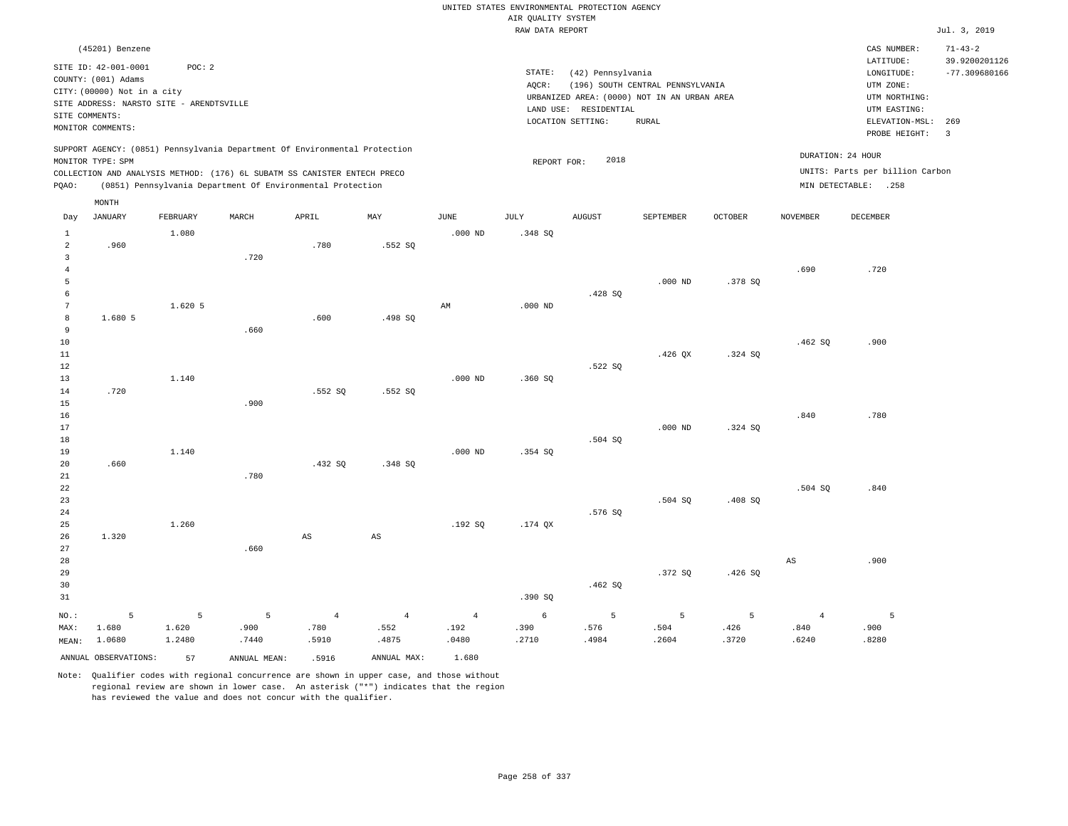|                                |                                                                                                                        |          |                                                                                                                                        |                        |                |                | UNITED STATES ENVIRONMENTAL PROTECTION AGENCY<br>AIR QUALITY SYSTEM |                                            |                                                                                 |         |                   |                                                          |                                |
|--------------------------------|------------------------------------------------------------------------------------------------------------------------|----------|----------------------------------------------------------------------------------------------------------------------------------------|------------------------|----------------|----------------|---------------------------------------------------------------------|--------------------------------------------|---------------------------------------------------------------------------------|---------|-------------------|----------------------------------------------------------|--------------------------------|
|                                |                                                                                                                        |          |                                                                                                                                        |                        |                |                | RAW DATA REPORT                                                     |                                            |                                                                                 |         |                   |                                                          | Jul. 3, 2019                   |
|                                | (45201) Benzene                                                                                                        |          |                                                                                                                                        |                        |                |                |                                                                     |                                            |                                                                                 |         |                   | CAS NUMBER:<br>LATITUDE:                                 | $71 - 43 - 2$<br>39.9200201126 |
|                                | SITE ID: 42-001-0001<br>COUNTY: (001) Adams<br>CITY: (00000) Not in a city<br>SITE ADDRESS: NARSTO SITE - ARENDTSVILLE | POC: 2   |                                                                                                                                        |                        |                |                | STATE:<br>AQCR:                                                     | (42) Pennsylvania<br>LAND USE: RESIDENTIAL | (196) SOUTH CENTRAL PENNSYLVANIA<br>URBANIZED AREA: (0000) NOT IN AN URBAN AREA |         |                   | LONGITUDE:<br>UTM ZONE:<br>UTM NORTHING:<br>UTM EASTING: | $-77.309680166$                |
| SITE COMMENTS:                 | MONITOR COMMENTS:                                                                                                      |          |                                                                                                                                        |                        |                |                |                                                                     | LOCATION SETTING:                          | <b>RURAL</b>                                                                    |         |                   | ELEVATION-MSL:<br>PROBE HEIGHT:                          | 269<br>$\overline{\mathbf{3}}$ |
|                                | MONITOR TYPE: SPM                                                                                                      |          | SUPPORT AGENCY: (0851) Pennsylvania Department Of Environmental Protection                                                             |                        |                |                | REPORT FOR:                                                         | 2018                                       |                                                                                 |         | DURATION: 24 HOUR |                                                          |                                |
| PQAO:                          |                                                                                                                        |          | COLLECTION AND ANALYSIS METHOD: (176) 6L SUBATM SS CANISTER ENTECH PRECO<br>(0851) Pennsylvania Department Of Environmental Protection |                        |                |                |                                                                     |                                            |                                                                                 |         |                   | UNITS: Parts per billion Carbon<br>MIN DETECTABLE: .258  |                                |
|                                | MONTH                                                                                                                  |          |                                                                                                                                        |                        |                |                |                                                                     |                                            |                                                                                 |         |                   |                                                          |                                |
| Day                            | JANUARY                                                                                                                | FEBRUARY | MARCH                                                                                                                                  | APRIL                  | MAY            | JUNE           | JULY                                                                | AUGUST                                     | SEPTEMBER                                                                       | OCTOBER | NOVEMBER          | DECEMBER                                                 |                                |
| $\mathbf{1}$<br>$\overline{a}$ | .960                                                                                                                   | 1,080    |                                                                                                                                        | .780                   | .552S          | $.000$ ND      | .348 SQ                                                             |                                            |                                                                                 |         |                   |                                                          |                                |
| 3                              |                                                                                                                        |          | .720                                                                                                                                   |                        |                |                |                                                                     |                                            |                                                                                 |         |                   |                                                          |                                |
| $\overline{4}$                 |                                                                                                                        |          |                                                                                                                                        |                        |                |                |                                                                     |                                            |                                                                                 |         | .690              | .720                                                     |                                |
| 5                              |                                                                                                                        |          |                                                                                                                                        |                        |                |                |                                                                     |                                            | $.000$ ND                                                                       | .378 SQ |                   |                                                          |                                |
| 6                              |                                                                                                                        |          |                                                                                                                                        |                        |                |                |                                                                     | .428 SQ                                    |                                                                                 |         |                   |                                                          |                                |
| 7                              | 1.680 5                                                                                                                | 1.620 5  |                                                                                                                                        |                        |                | AM             | $.000$ ND                                                           |                                            |                                                                                 |         |                   |                                                          |                                |
| 8<br>9                         |                                                                                                                        |          | .660                                                                                                                                   | .600                   | .498 SQ        |                |                                                                     |                                            |                                                                                 |         |                   |                                                          |                                |
| $10$                           |                                                                                                                        |          |                                                                                                                                        |                        |                |                |                                                                     |                                            |                                                                                 |         | .462SQ            | .900                                                     |                                |
| 11                             |                                                                                                                        |          |                                                                                                                                        |                        |                |                |                                                                     |                                            | .426 OX                                                                         | .324 SO |                   |                                                          |                                |
| 12                             |                                                                                                                        |          |                                                                                                                                        |                        |                |                |                                                                     | .522 SO                                    |                                                                                 |         |                   |                                                          |                                |
| 13                             |                                                                                                                        | 1.140    |                                                                                                                                        |                        |                | $.000$ ND      | .360SQ                                                              |                                            |                                                                                 |         |                   |                                                          |                                |
| 14                             | .720                                                                                                                   |          |                                                                                                                                        | .552 SQ                | .552 SQ        |                |                                                                     |                                            |                                                                                 |         |                   |                                                          |                                |
| 15                             |                                                                                                                        |          | .900                                                                                                                                   |                        |                |                |                                                                     |                                            |                                                                                 |         |                   |                                                          |                                |
| 16                             |                                                                                                                        |          |                                                                                                                                        |                        |                |                |                                                                     |                                            |                                                                                 |         | .840              | .780                                                     |                                |
| 17                             |                                                                                                                        |          |                                                                                                                                        |                        |                |                |                                                                     |                                            | $.000$ ND                                                                       | .324 SO |                   |                                                          |                                |
| 18                             |                                                                                                                        |          |                                                                                                                                        |                        |                |                |                                                                     | .504 SQ                                    |                                                                                 |         |                   |                                                          |                                |
| 19                             |                                                                                                                        | 1.140    |                                                                                                                                        |                        |                | $.000$ ND      | .354 SO                                                             |                                            |                                                                                 |         |                   |                                                          |                                |
| 20<br>21                       | .660                                                                                                                   |          | .780                                                                                                                                   | .432SQ                 | .348SQ         |                |                                                                     |                                            |                                                                                 |         |                   |                                                          |                                |
| 22                             |                                                                                                                        |          |                                                                                                                                        |                        |                |                |                                                                     |                                            |                                                                                 |         | .504 SQ           | .840                                                     |                                |
| 23                             |                                                                                                                        |          |                                                                                                                                        |                        |                |                |                                                                     |                                            | .504 SO                                                                         | .408 SO |                   |                                                          |                                |
| 24                             |                                                                                                                        |          |                                                                                                                                        |                        |                |                |                                                                     | .576 SQ                                    |                                                                                 |         |                   |                                                          |                                |
| 25                             |                                                                                                                        | 1.260    |                                                                                                                                        |                        |                | .192S          | .174 QX                                                             |                                            |                                                                                 |         |                   |                                                          |                                |
| 26                             | 1.320                                                                                                                  |          |                                                                                                                                        | $\mathbb{A}\mathbb{S}$ | $_{\rm AS}$    |                |                                                                     |                                            |                                                                                 |         |                   |                                                          |                                |
| 27                             |                                                                                                                        |          | .660                                                                                                                                   |                        |                |                |                                                                     |                                            |                                                                                 |         |                   |                                                          |                                |
| 28                             |                                                                                                                        |          |                                                                                                                                        |                        |                |                |                                                                     |                                            |                                                                                 |         | AS                | .900                                                     |                                |
| 29                             |                                                                                                                        |          |                                                                                                                                        |                        |                |                |                                                                     |                                            | .372S                                                                           | .426S   |                   |                                                          |                                |
| 30                             |                                                                                                                        |          |                                                                                                                                        |                        |                |                |                                                                     | .462S                                      |                                                                                 |         |                   |                                                          |                                |
| 31                             |                                                                                                                        |          |                                                                                                                                        |                        |                |                | .390SQ                                                              |                                            |                                                                                 |         |                   |                                                          |                                |
| NO.:                           | 5                                                                                                                      | 5        | 5                                                                                                                                      | $\overline{4}$         | $\overline{4}$ | $\overline{4}$ | 6                                                                   | 5                                          | 5                                                                               | 5       | $\overline{4}$    | 5                                                        |                                |
| MAX:                           | 1.680                                                                                                                  | 1.620    | .900                                                                                                                                   | .780                   | .552           | .192           | .390                                                                | .576                                       | .504                                                                            | .426    | .840              | .900                                                     |                                |
| MEAN:                          | 1.0680                                                                                                                 | 1.2480   | .7440                                                                                                                                  | .5910                  | .4875          | .0480          | .2710                                                               | .4984                                      | .2604                                                                           | .3720   | .6240             | .8280                                                    |                                |
|                                | ANNUAL OBSERVATIONS:                                                                                                   | 57       | ANNUAL MEAN:                                                                                                                           | .5916                  | ANNUAL MAX:    | 1.680          |                                                                     |                                            |                                                                                 |         |                   |                                                          |                                |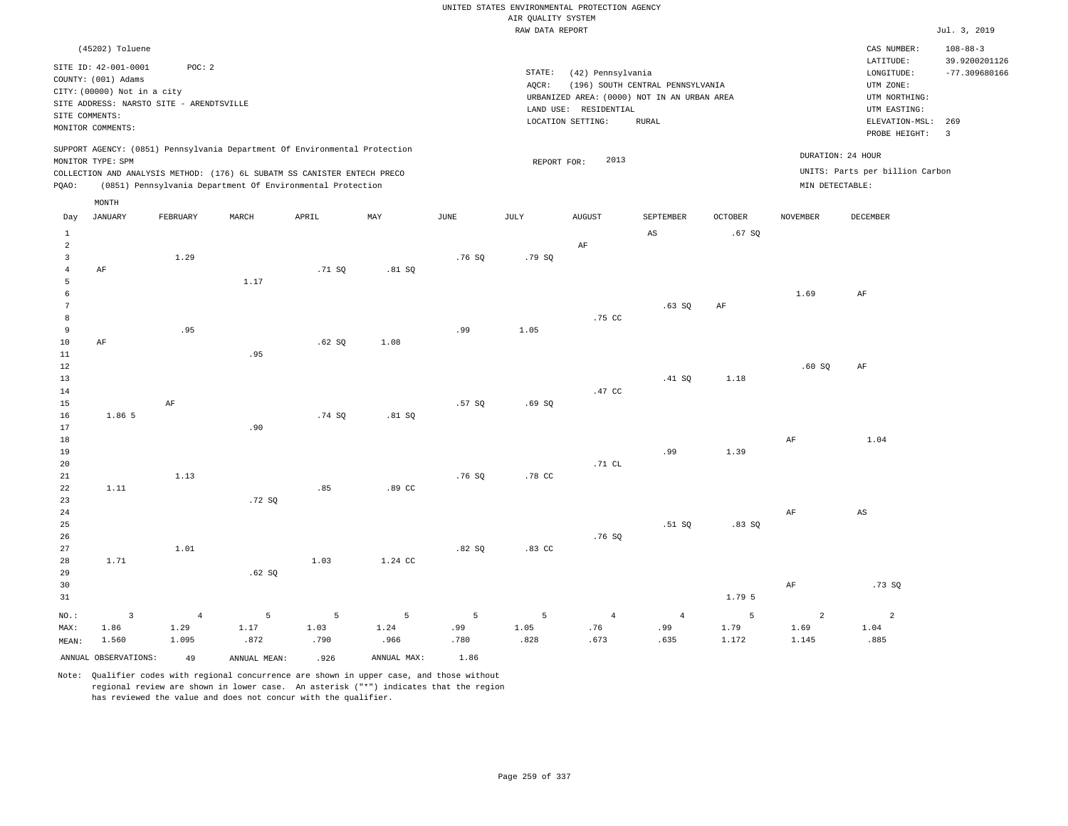|                   |                                             |                |                                                                                                                                        |        |                |             |                                       | UNITED STATES ENVIRONMENTAL PROTECTION AGENCY |                                  |                |                   |                                 |                                 |
|-------------------|---------------------------------------------|----------------|----------------------------------------------------------------------------------------------------------------------------------------|--------|----------------|-------------|---------------------------------------|-----------------------------------------------|----------------------------------|----------------|-------------------|---------------------------------|---------------------------------|
|                   |                                             |                |                                                                                                                                        |        |                |             | AIR QUALITY SYSTEM<br>RAW DATA REPORT |                                               |                                  |                |                   |                                 | Jul. 3, 2019                    |
|                   |                                             |                |                                                                                                                                        |        |                |             |                                       |                                               |                                  |                |                   |                                 |                                 |
|                   | (45202) Toluene                             |                |                                                                                                                                        |        |                |             |                                       |                                               |                                  |                |                   | CAS NUMBER:<br>LATITUDE:        | $108 - 88 - 3$<br>39.9200201126 |
|                   | SITE ID: 42-001-0001<br>COUNTY: (001) Adams | POC: 2         |                                                                                                                                        |        |                |             | STATE:                                | (42) Pennsylvania                             |                                  |                |                   | LONGITUDE:                      | $-77.309680166$                 |
|                   | CITY: (00000) Not in a city                 |                |                                                                                                                                        |        |                |             | AOCR:                                 |                                               | (196) SOUTH CENTRAL PENNSYLVANIA |                |                   | UTM ZONE:                       |                                 |
|                   | SITE ADDRESS: NARSTO SITE - ARENDTSVILLE    |                |                                                                                                                                        |        |                |             |                                       | URBANIZED AREA: (0000) NOT IN AN URBAN AREA   |                                  |                |                   | UTM NORTHING:                   |                                 |
| SITE COMMENTS:    |                                             |                |                                                                                                                                        |        |                |             |                                       | LAND USE: RESIDENTIAL                         |                                  |                |                   | UTM EASTING:                    |                                 |
|                   | MONITOR COMMENTS:                           |                |                                                                                                                                        |        |                |             |                                       | LOCATION SETTING:                             | RURAL                            |                |                   | ELEVATION-MSL:<br>PROBE HEIGHT: | 269<br>$\overline{3}$           |
|                   |                                             |                | SUPPORT AGENCY: (0851) Pennsylvania Department Of Environmental Protection                                                             |        |                |             |                                       |                                               |                                  |                | DURATION: 24 HOUR |                                 |                                 |
|                   | MONITOR TYPE: SPM                           |                |                                                                                                                                        |        |                |             | REPORT FOR:                           | 2013                                          |                                  |                |                   | UNITS: Parts per billion Carbon |                                 |
| PQAO:             |                                             |                | COLLECTION AND ANALYSIS METHOD: (176) 6L SUBATM SS CANISTER ENTECH PRECO<br>(0851) Pennsylvania Department Of Environmental Protection |        |                |             |                                       |                                               |                                  |                | MIN DETECTABLE:   |                                 |                                 |
|                   | MONTH                                       |                |                                                                                                                                        |        |                |             |                                       |                                               |                                  |                |                   |                                 |                                 |
| Day               | <b>JANUARY</b>                              | FEBRUARY       | MARCH                                                                                                                                  | APRIL  | MAY            | <b>JUNE</b> | JULY                                  | <b>AUGUST</b>                                 | SEPTEMBER                        | <b>OCTOBER</b> | <b>NOVEMBER</b>   | <b>DECEMBER</b>                 |                                 |
| $\mathbf{1}$<br>2 |                                             |                |                                                                                                                                        |        |                |             |                                       | AF                                            | $\mathbb{A}\mathbb{S}$           | .67SQ          |                   |                                 |                                 |
| $\overline{3}$    |                                             | 1.29           |                                                                                                                                        |        |                | .76 SO      | .79SQ                                 |                                               |                                  |                |                   |                                 |                                 |
| $\overline{4}$    | AF                                          |                |                                                                                                                                        | .71 SQ | .81SQ          |             |                                       |                                               |                                  |                |                   |                                 |                                 |
| 5                 |                                             |                | 1.17                                                                                                                                   |        |                |             |                                       |                                               |                                  |                |                   |                                 |                                 |
| 6                 |                                             |                |                                                                                                                                        |        |                |             |                                       |                                               |                                  |                | 1.69              | AF                              |                                 |
| $7\phantom{.0}$   |                                             |                |                                                                                                                                        |        |                |             |                                       |                                               | .63S                             | AF             |                   |                                 |                                 |
| 8                 |                                             |                |                                                                                                                                        |        |                |             |                                       | .75 CC                                        |                                  |                |                   |                                 |                                 |
| 9                 |                                             | .95            |                                                                                                                                        |        |                | .99         | 1.05                                  |                                               |                                  |                |                   |                                 |                                 |
| $10$<br>11        | $\rm AF$                                    |                | .95                                                                                                                                    | .62SQ  | 1.08           |             |                                       |                                               |                                  |                |                   |                                 |                                 |
| 12                |                                             |                |                                                                                                                                        |        |                |             |                                       |                                               |                                  |                | .60SQ             | AF                              |                                 |
| 13                |                                             |                |                                                                                                                                        |        |                |             |                                       |                                               | .41 SQ                           | 1.18           |                   |                                 |                                 |
| 14                |                                             |                |                                                                                                                                        |        |                |             |                                       | .47 CC                                        |                                  |                |                   |                                 |                                 |
| 15                |                                             | AF             |                                                                                                                                        |        |                | .57SQ       | .69SQ                                 |                                               |                                  |                |                   |                                 |                                 |
| 16                | 1.86 5                                      |                |                                                                                                                                        | .74 SO | .81SQ          |             |                                       |                                               |                                  |                |                   |                                 |                                 |
| 17                |                                             |                | .90                                                                                                                                    |        |                |             |                                       |                                               |                                  |                |                   |                                 |                                 |
| 18                |                                             |                |                                                                                                                                        |        |                |             |                                       |                                               |                                  |                | AF                | 1.04                            |                                 |
| 19                |                                             |                |                                                                                                                                        |        |                |             |                                       |                                               | .99                              | 1.39           |                   |                                 |                                 |
| 20<br>$21\,$      |                                             | 1.13           |                                                                                                                                        |        |                | .76SQ       | .78 CC                                | .71 CL                                        |                                  |                |                   |                                 |                                 |
| 22                | 1.11                                        |                |                                                                                                                                        | .85    | .89 CC         |             |                                       |                                               |                                  |                |                   |                                 |                                 |
| 23                |                                             |                | .72SQ                                                                                                                                  |        |                |             |                                       |                                               |                                  |                |                   |                                 |                                 |
| $2\,4$            |                                             |                |                                                                                                                                        |        |                |             |                                       |                                               |                                  |                | AF                | $\mathbb{A}\mathbb{S}$          |                                 |
| 25                |                                             |                |                                                                                                                                        |        |                |             |                                       |                                               | .51 SO                           | $.83$ SO       |                   |                                 |                                 |
| 26                |                                             |                |                                                                                                                                        |        |                |             |                                       | .76SQ                                         |                                  |                |                   |                                 |                                 |
| 27                |                                             | 1.01           |                                                                                                                                        |        |                | .82S        | .83 <sub>cc</sub>                     |                                               |                                  |                |                   |                                 |                                 |
| 28                | 1.71                                        |                |                                                                                                                                        | 1.03   | 1.24 CC        |             |                                       |                                               |                                  |                |                   |                                 |                                 |
| 29                |                                             |                | .62SQ                                                                                                                                  |        |                |             |                                       |                                               |                                  |                |                   |                                 |                                 |
| 30<br>31          |                                             |                |                                                                                                                                        |        |                |             |                                       |                                               |                                  | 1.79 5         | AF                | .73SQ                           |                                 |
|                   |                                             |                |                                                                                                                                        |        |                |             |                                       |                                               |                                  |                |                   |                                 |                                 |
| NO.:              | $\overline{3}$                              | $\overline{4}$ | 5                                                                                                                                      | 5      | $\overline{5}$ | 5           | 5                                     | $\overline{4}$                                | $\overline{4}$                   | 5              | $\overline{a}$    | $\overline{a}$                  |                                 |
| MAX:              | 1.86                                        | 1.29           | 1.17                                                                                                                                   | 1.03   | 1.24           | .99         | 1.05                                  | .76                                           | .99                              | 1.79           | 1.69              | 1.04                            |                                 |
| MEAN:             | 1.560                                       | 1.095          | .872                                                                                                                                   | .790   | .966           | .780        | .828                                  | .673                                          | .635                             | 1.172          | 1.145             | .885                            |                                 |
|                   | ANNUAL OBSERVATIONS:                        | 49             | ANNUAL MEAN:                                                                                                                           | .926   | ANNUAL MAX:    | 1.86        |                                       |                                               |                                  |                |                   |                                 |                                 |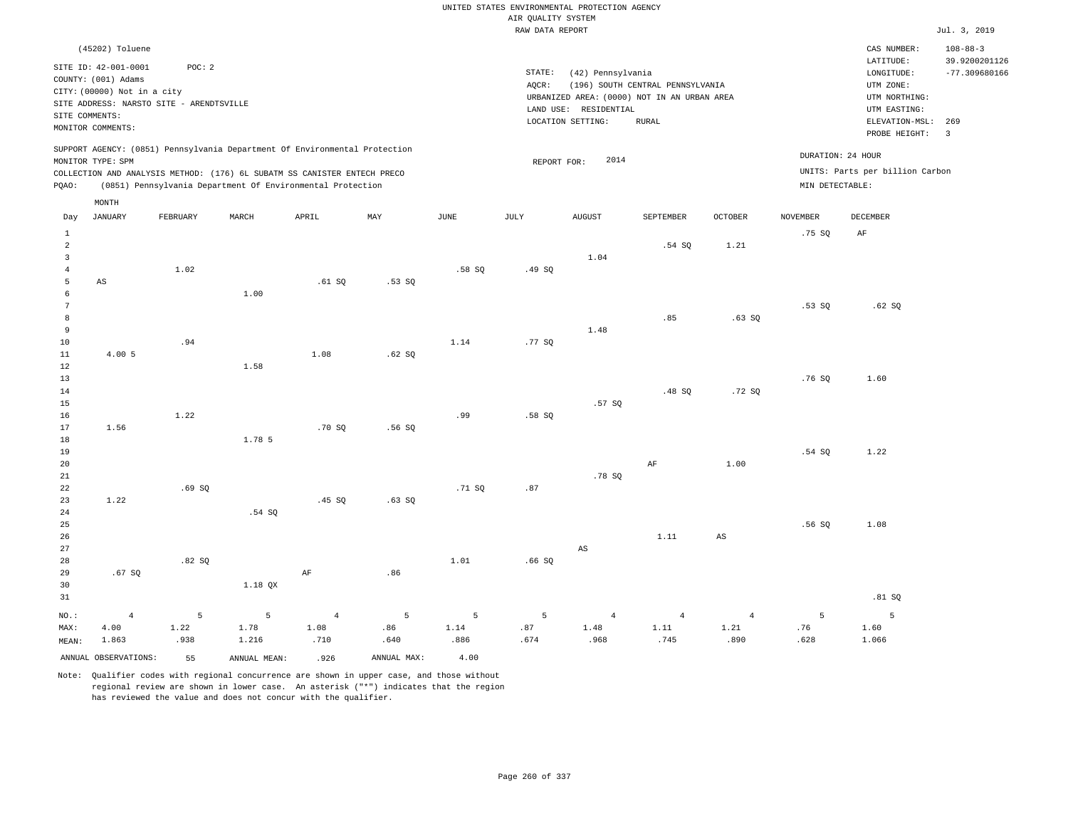|                                                  |                                                                                                                                                             |                   |                                                                                                                                                                                                                      |                                |                  |                   |                                       | UNITED STATES ENVIRONMENTAL PROTECTION AGENCY                   |                                                                                                 |                                |                                      |                                                                                                            |                                                    |
|--------------------------------------------------|-------------------------------------------------------------------------------------------------------------------------------------------------------------|-------------------|----------------------------------------------------------------------------------------------------------------------------------------------------------------------------------------------------------------------|--------------------------------|------------------|-------------------|---------------------------------------|-----------------------------------------------------------------|-------------------------------------------------------------------------------------------------|--------------------------------|--------------------------------------|------------------------------------------------------------------------------------------------------------|----------------------------------------------------|
|                                                  |                                                                                                                                                             |                   |                                                                                                                                                                                                                      |                                |                  |                   | AIR QUALITY SYSTEM<br>RAW DATA REPORT |                                                                 |                                                                                                 |                                |                                      |                                                                                                            | Jul. 3, 2019                                       |
|                                                  |                                                                                                                                                             |                   |                                                                                                                                                                                                                      |                                |                  |                   |                                       |                                                                 |                                                                                                 |                                |                                      |                                                                                                            |                                                    |
|                                                  | (45202) Toluene<br>SITE ID: 42-001-0001<br>COUNTY: (001) Adams<br>CITY: (00000) Not in a city<br>SITE ADDRESS: NARSTO SITE - ARENDTSVILLE<br>SITE COMMENTS: | POC: 2            |                                                                                                                                                                                                                      |                                |                  |                   | STATE:<br>AQCR:                       | (42) Pennsylvania<br>LAND USE: RESIDENTIAL<br>LOCATION SETTING: | (196) SOUTH CENTRAL PENNSYLVANIA<br>URBANIZED AREA: (0000) NOT IN AN URBAN AREA<br><b>RURAL</b> |                                |                                      | CAS NUMBER:<br>LATITUDE:<br>LONGITUDE:<br>UTM ZONE:<br>UTM NORTHING:<br>UTM EASTING:<br>ELEVATION-MSL: 269 | $108 - 88 - 3$<br>39.9200201126<br>$-77.309680166$ |
|                                                  | MONITOR COMMENTS:                                                                                                                                           |                   |                                                                                                                                                                                                                      |                                |                  |                   |                                       |                                                                 |                                                                                                 |                                |                                      | PROBE HEIGHT:                                                                                              | $\overline{\mathbf{3}}$                            |
| PQAO:                                            | MONITOR TYPE: SPM                                                                                                                                           |                   | SUPPORT AGENCY: (0851) Pennsylvania Department Of Environmental Protection<br>COLLECTION AND ANALYSIS METHOD: (176) 6L SUBATM SS CANISTER ENTECH PRECO<br>(0851) Pennsylvania Department Of Environmental Protection |                                |                  |                   | REPORT FOR:                           | 2014                                                            |                                                                                                 |                                | DURATION: 24 HOUR<br>MIN DETECTABLE: | UNITS: Parts per billion Carbon                                                                            |                                                    |
| Day                                              | MONTH<br><b>JANUARY</b>                                                                                                                                     | FEBRUARY          | MARCH                                                                                                                                                                                                                | APRIL                          | MAY              | <b>JUNE</b>       | <b>JULY</b>                           | <b>AUGUST</b>                                                   | SEPTEMBER                                                                                       | <b>OCTOBER</b>                 | <b>NOVEMBER</b>                      | <b>DECEMBER</b>                                                                                            |                                                    |
| $\mathbf{1}$<br>$\overline{2}$<br>$\overline{3}$ |                                                                                                                                                             |                   |                                                                                                                                                                                                                      |                                |                  |                   |                                       | 1.04                                                            | .54S                                                                                            | 1.21                           | .75S                                 | AF                                                                                                         |                                                    |
| $\overline{4}$<br>$\overline{5}$<br>6            | $\mathbb{A}\mathbb{S}$                                                                                                                                      | 1.02              | 1.00                                                                                                                                                                                                                 | .61SQ                          | .53SQ            | .58S              | .49SQ                                 |                                                                 |                                                                                                 |                                |                                      |                                                                                                            |                                                    |
| $7\phantom{.0}$<br>8<br>9<br>10                  |                                                                                                                                                             | .94               |                                                                                                                                                                                                                      |                                |                  | 1.14              | .77SQ                                 | 1.48                                                            | .85                                                                                             | .63SQ                          | .53SQ                                | .62SQ                                                                                                      |                                                    |
| 11<br>$1\,2$<br>13<br>$1\,4$                     | 4.00 5                                                                                                                                                      |                   | 1.58                                                                                                                                                                                                                 | 1.08                           | .62 SQ           |                   |                                       |                                                                 | .48SQ                                                                                           | .72SQ                          | .76 SO                               | 1.60                                                                                                       |                                                    |
| 15<br>16<br>17<br>18                             | 1.56                                                                                                                                                        | 1.22              | 1.78 5                                                                                                                                                                                                               | .70 SO                         | .56 SO           | .99               | .58SQ                                 | .57SQ                                                           |                                                                                                 |                                |                                      |                                                                                                            |                                                    |
| 19<br>$20$<br>21<br>22                           |                                                                                                                                                             | .69S              |                                                                                                                                                                                                                      |                                |                  | .71SQ             | .87                                   | .78S                                                            | $\rm{AF}$                                                                                       | 1.00                           | .54S                                 | 1.22                                                                                                       |                                                    |
| 23<br>24<br>25<br>26                             | 1.22                                                                                                                                                        |                   | .54 SQ                                                                                                                                                                                                               | .45SQ                          | .63SQ            |                   |                                       |                                                                 | 1.11                                                                                            | $\mathbb{A}\mathbb{S}$         | .56 SQ                               | 1.08                                                                                                       |                                                    |
| 27<br>28<br>29<br>30                             | .67SQ                                                                                                                                                       | .82S              | 1.18 QX                                                                                                                                                                                                              | $\rm AF$                       | .86              | 1.01              | .66S                                  | AS                                                              |                                                                                                 |                                |                                      |                                                                                                            |                                                    |
| 31                                               |                                                                                                                                                             |                   |                                                                                                                                                                                                                      |                                |                  |                   |                                       |                                                                 |                                                                                                 |                                |                                      | .81 SQ                                                                                                     |                                                    |
| NO.:<br>MAX:<br>MEAN:                            | $\overline{4}$<br>4.00<br>1.863                                                                                                                             | 5<br>1.22<br>.938 | 5<br>1.78<br>1.216                                                                                                                                                                                                   | $\overline{4}$<br>1.08<br>.710 | 5<br>.86<br>.640 | 5<br>1.14<br>.886 | 5<br>.87<br>.674                      | $\overline{4}$<br>1.48<br>.968                                  | $\overline{4}$<br>1.11<br>.745                                                                  | $\overline{4}$<br>1.21<br>.890 | 5<br>.76<br>.628                     | $\overline{5}$<br>1.60<br>1.066                                                                            |                                                    |
|                                                  | ANNUAL OBSERVATIONS:                                                                                                                                        | 55                | ANNUAL, MEAN:                                                                                                                                                                                                        | .926                           | ANNUAL MAX:      | 4.00              |                                       |                                                                 |                                                                                                 |                                |                                      |                                                                                                            |                                                    |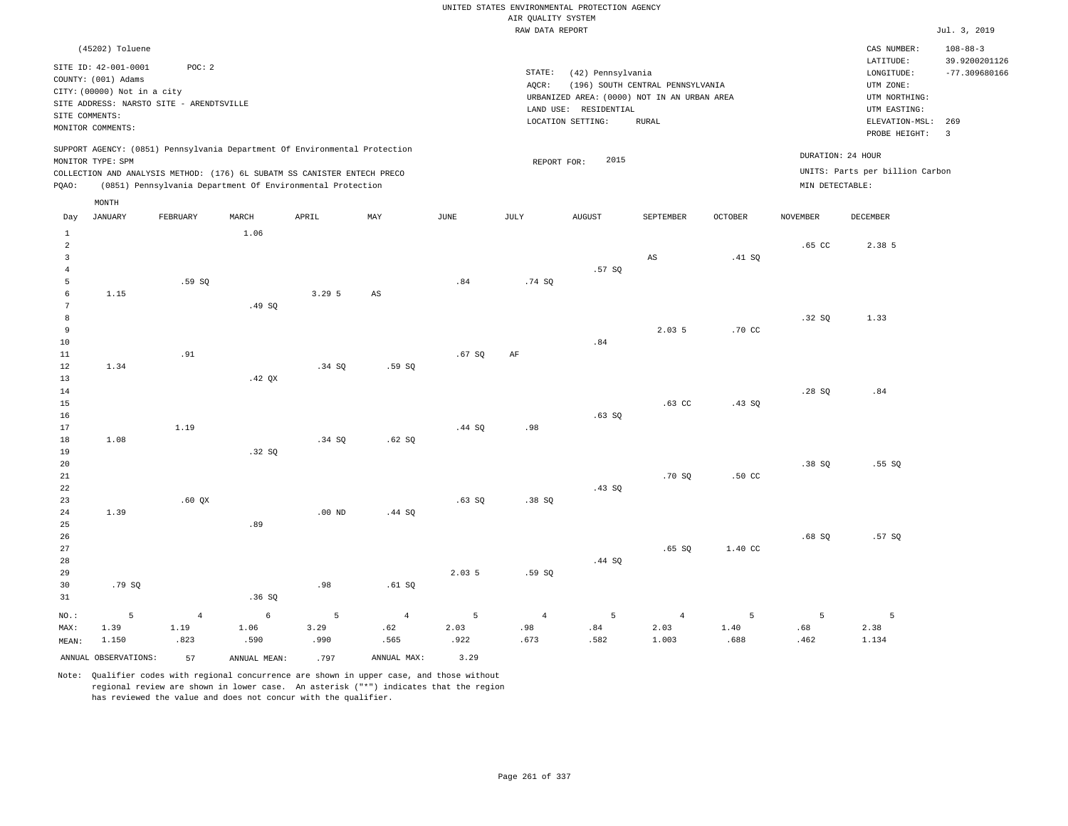|                         |                                             |                                          |                                                                            |              |                        |              | AIR QUALITY SYSTEM | UNITED STATES ENVIRONMENTAL PROTECTION AGENCY |                                  |                  |                   |                                    |                                 |
|-------------------------|---------------------------------------------|------------------------------------------|----------------------------------------------------------------------------|--------------|------------------------|--------------|--------------------|-----------------------------------------------|----------------------------------|------------------|-------------------|------------------------------------|---------------------------------|
|                         |                                             |                                          |                                                                            |              |                        |              | RAW DATA REPORT    |                                               |                                  |                  |                   |                                    | Jul. 3, 2019                    |
|                         | (45202) Toluene                             |                                          |                                                                            |              |                        |              |                    |                                               |                                  |                  |                   | CAS NUMBER:<br>LATITUDE:           | $108 - 88 - 3$<br>39.9200201126 |
|                         | SITE ID: 42-001-0001<br>COUNTY: (001) Adams | POC: 2                                   |                                                                            |              |                        |              | STATE:             | (42) Pennsylvania                             |                                  |                  |                   | LONGITUDE:                         | $-77.309680166$                 |
|                         | CITY: (00000) Not in a city                 |                                          |                                                                            |              |                        |              | AQCR:              |                                               | (196) SOUTH CENTRAL PENNSYLVANIA |                  |                   | UTM ZONE:                          |                                 |
|                         |                                             | SITE ADDRESS: NARSTO SITE - ARENDTSVILLE |                                                                            |              |                        |              |                    | URBANIZED AREA: (0000) NOT IN AN URBAN AREA   |                                  |                  |                   | UTM NORTHING:                      |                                 |
| SITE COMMENTS:          |                                             |                                          |                                                                            |              |                        |              |                    | LAND USE: RESIDENTIAL<br>LOCATION SETTING:    | ${\tt RURAL}$                    |                  |                   | UTM EASTING:<br>ELEVATION-MSL: 269 |                                 |
|                         | MONITOR COMMENTS:                           |                                          |                                                                            |              |                        |              |                    |                                               |                                  |                  |                   | PROBE HEIGHT:                      | $\overline{3}$                  |
|                         | MONITOR TYPE: SPM                           |                                          | SUPPORT AGENCY: (0851) Pennsylvania Department Of Environmental Protection |              |                        |              | REPORT FOR:        | 2015                                          |                                  |                  | DURATION: 24 HOUR |                                    |                                 |
|                         |                                             |                                          | COLLECTION AND ANALYSIS METHOD: (176) 6L SUBATM SS CANISTER ENTECH PRECO   |              |                        |              |                    |                                               |                                  |                  |                   | UNITS: Parts per billion Carbon    |                                 |
| PQAO:                   |                                             |                                          | (0851) Pennsylvania Department Of Environmental Protection                 |              |                        |              |                    |                                               |                                  |                  | MIN DETECTABLE:   |                                    |                                 |
|                         | MONTH                                       |                                          |                                                                            |              |                        |              |                    |                                               |                                  |                  |                   |                                    |                                 |
| Day<br>$\,1\,$          | <b>JANUARY</b>                              | FEBRUARY                                 | MARCH<br>1.06                                                              | APRIL        | MAX                    | <b>JUNE</b>  | <b>JULY</b>        | <b>AUGUST</b>                                 | SEPTEMBER                        | <b>OCTOBER</b>   | <b>NOVEMBER</b>   | <b>DECEMBER</b>                    |                                 |
| $\overline{a}$          |                                             |                                          |                                                                            |              |                        |              |                    |                                               |                                  |                  | .65 <sub>c</sub>  | 2.38 5                             |                                 |
| $\overline{\mathbf{3}}$ |                                             |                                          |                                                                            |              |                        |              |                    |                                               | $\mathbb{A}\mathbb{S}$           | .41 SQ           |                   |                                    |                                 |
| $\overline{4}$          |                                             |                                          |                                                                            |              |                        |              |                    | .57SQ                                         |                                  |                  |                   |                                    |                                 |
| 5<br>6                  | 1.15                                        | .59 SO                                   |                                                                            | 3.295        |                        | .84          | .74 SQ             |                                               |                                  |                  |                   |                                    |                                 |
| $\overline{7}$          |                                             |                                          | .49 SO                                                                     |              | $\mathbb{A}\mathbb{S}$ |              |                    |                                               |                                  |                  |                   |                                    |                                 |
| 8                       |                                             |                                          |                                                                            |              |                        |              |                    |                                               |                                  |                  | .32S              | 1.33                               |                                 |
| $\overline{9}$          |                                             |                                          |                                                                            |              |                        |              |                    |                                               | 2.035                            | .70 CC           |                   |                                    |                                 |
| 10                      |                                             |                                          |                                                                            |              |                        |              |                    | .84                                           |                                  |                  |                   |                                    |                                 |
| $1\,1$                  |                                             | .91                                      |                                                                            |              |                        | .67 SQ       | AF                 |                                               |                                  |                  |                   |                                    |                                 |
| 12                      | 1.34                                        |                                          |                                                                            | .34S         | .59SQ                  |              |                    |                                               |                                  |                  |                   |                                    |                                 |
| 13<br>14                |                                             |                                          | $.42$ QX                                                                   |              |                        |              |                    |                                               |                                  |                  | .28S              | .84                                |                                 |
| 15                      |                                             |                                          |                                                                            |              |                        |              |                    |                                               | $.63$ CC                         | .43SQ            |                   |                                    |                                 |
| 16                      |                                             |                                          |                                                                            |              |                        |              |                    | $.63$ SO                                      |                                  |                  |                   |                                    |                                 |
| 17                      |                                             | 1.19                                     |                                                                            |              |                        | .44SQ        | .98                |                                               |                                  |                  |                   |                                    |                                 |
| 18                      | 1.08                                        |                                          |                                                                            | .34S         | .62SQ                  |              |                    |                                               |                                  |                  |                   |                                    |                                 |
| 19                      |                                             |                                          | .32 SQ                                                                     |              |                        |              |                    |                                               |                                  |                  |                   |                                    |                                 |
| 20                      |                                             |                                          |                                                                            |              |                        |              |                    |                                               |                                  |                  | .38SQ             | .55SQ                              |                                 |
| 21<br>22                |                                             |                                          |                                                                            |              |                        |              |                    | .43SQ                                         | .70 SO                           | .50 <sub>C</sub> |                   |                                    |                                 |
| 23                      |                                             | $.60$ $OX$                               |                                                                            |              |                        | .63S         | .38S               |                                               |                                  |                  |                   |                                    |                                 |
| 24                      | 1.39                                        |                                          |                                                                            | $.00$ ND     | .44 SQ                 |              |                    |                                               |                                  |                  |                   |                                    |                                 |
| 25                      |                                             |                                          | .89                                                                        |              |                        |              |                    |                                               |                                  |                  |                   |                                    |                                 |
| 26                      |                                             |                                          |                                                                            |              |                        |              |                    |                                               |                                  |                  | .68SQ             | .57SQ                              |                                 |
| 27                      |                                             |                                          |                                                                            |              |                        |              |                    |                                               | .65SQ                            | 1.40 CC          |                   |                                    |                                 |
| 28                      |                                             |                                          |                                                                            |              |                        |              |                    | .44 SQ                                        |                                  |                  |                   |                                    |                                 |
| 29                      |                                             |                                          |                                                                            |              |                        | 2.03 5       | .59SQ              |                                               |                                  |                  |                   |                                    |                                 |
| 30<br>31                | .79SQ                                       |                                          | .36SQ                                                                      | .98          | .61SQ                  |              |                    |                                               |                                  |                  |                   |                                    |                                 |
|                         |                                             |                                          |                                                                            |              |                        |              |                    |                                               |                                  |                  |                   |                                    |                                 |
| NO.:                    | 5                                           | $\overline{4}$                           | $\epsilon$                                                                 | 5            | $\sqrt{4}$             | 5            | $\sqrt{4}$         | 5                                             | $\overline{4}$                   | 5                | 5                 | 5                                  |                                 |
| MAX:                    | 1.39<br>1.150                               | 1.19<br>.823                             | 1.06<br>.590                                                               | 3.29<br>.990 | .62<br>.565            | 2.03<br>.922 | .98<br>.673        | .84<br>.582                                   | 2.03<br>1.003                    | 1.40<br>.688     | .68<br>.462       | 2.38<br>1.134                      |                                 |
| MEAN:                   |                                             |                                          |                                                                            |              |                        |              |                    |                                               |                                  |                  |                   |                                    |                                 |
|                         | ANNUAL OBSERVATIONS:                        | 57                                       | ANNUAL MEAN:                                                               | .797         | ANNUAL MAX:            | 3.29         |                    |                                               |                                  |                  |                   |                                    |                                 |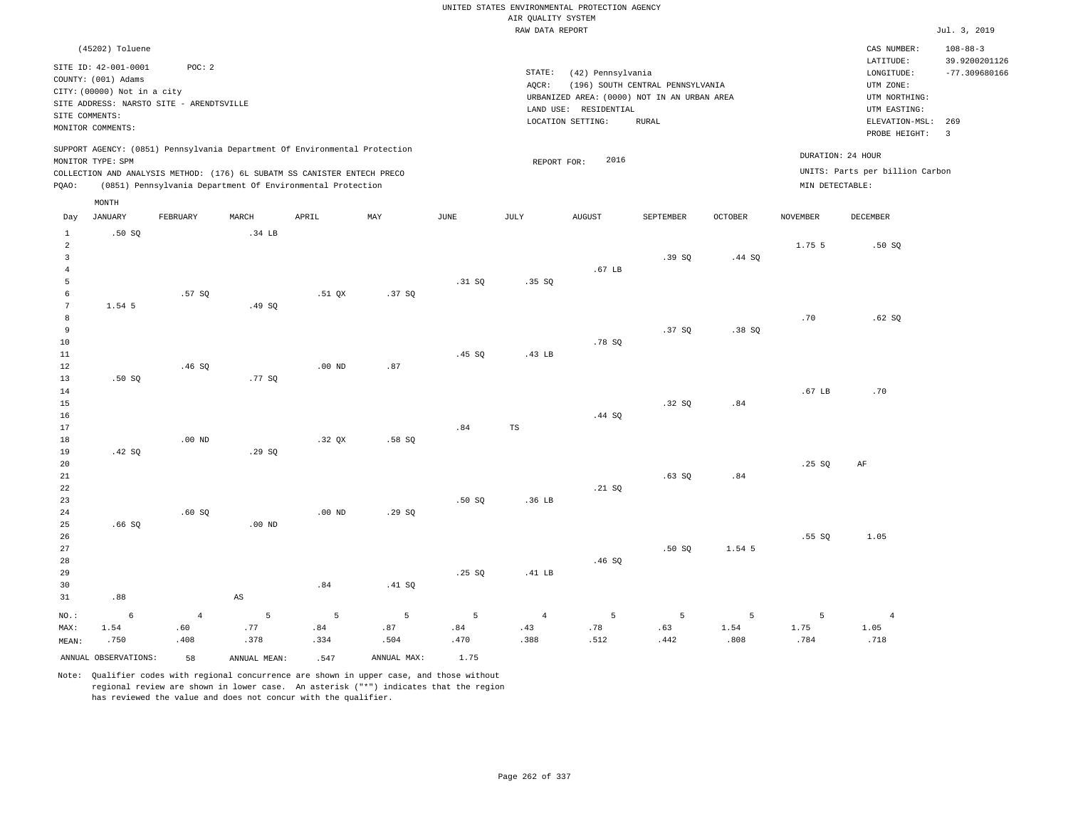|                                                         |                                                                            |                                          |                        |                                                                                                                                                        |             |               | AIR QUALITY SYSTEM | UNITED STATES ENVIRONMENTAL PROTECTION AGENCY |                                  |                |                 |                                                      |                                 |
|---------------------------------------------------------|----------------------------------------------------------------------------|------------------------------------------|------------------------|--------------------------------------------------------------------------------------------------------------------------------------------------------|-------------|---------------|--------------------|-----------------------------------------------|----------------------------------|----------------|-----------------|------------------------------------------------------|---------------------------------|
|                                                         |                                                                            |                                          |                        |                                                                                                                                                        |             |               | RAW DATA REPORT    |                                               |                                  |                |                 |                                                      | Jul. 3, 2019                    |
|                                                         | (45202) Toluene                                                            |                                          |                        |                                                                                                                                                        |             |               |                    |                                               |                                  |                |                 | CAS NUMBER:<br>LATITUDE:                             | $108 - 88 - 3$<br>39.9200201126 |
|                                                         | SITE ID: 42-001-0001<br>COUNTY: (001) Adams<br>CITY: (00000) Not in a city | POC: 2                                   |                        |                                                                                                                                                        |             |               | STATE:<br>AOCR:    | (42) Pennsylvania                             | (196) SOUTH CENTRAL PENNSYLVANIA |                |                 | LONGITUDE:<br>UTM ZONE:                              | $-77.309680166$                 |
|                                                         |                                                                            | SITE ADDRESS: NARSTO SITE - ARENDTSVILLE |                        |                                                                                                                                                        |             |               |                    | URBANIZED AREA: (0000) NOT IN AN URBAN AREA   |                                  |                |                 | UTM NORTHING:                                        |                                 |
|                                                         | SITE COMMENTS:                                                             |                                          |                        |                                                                                                                                                        |             |               |                    | LAND USE: RESIDENTIAL<br>LOCATION SETTING:    | <b>RURAL</b>                     |                |                 | UTM EASTING:<br>ELEVATION-MSL: 269                   |                                 |
|                                                         | MONITOR COMMENTS:                                                          |                                          |                        |                                                                                                                                                        |             |               |                    |                                               |                                  |                |                 | PROBE HEIGHT:                                        | $\overline{3}$                  |
|                                                         | MONITOR TYPE: SPM                                                          |                                          |                        | SUPPORT AGENCY: (0851) Pennsylvania Department Of Environmental Protection<br>COLLECTION AND ANALYSIS METHOD: (176) 6L SUBATM SS CANISTER ENTECH PRECO |             |               | REPORT FOR:        | 2016                                          |                                  |                |                 | DURATION: 24 HOUR<br>UNITS: Parts per billion Carbon |                                 |
| PQAO:                                                   |                                                                            |                                          |                        | (0851) Pennsylvania Department Of Environmental Protection                                                                                             |             |               |                    |                                               |                                  |                | MIN DETECTABLE: |                                                      |                                 |
|                                                         | MONTH                                                                      |                                          |                        |                                                                                                                                                        |             |               |                    |                                               |                                  |                |                 |                                                      |                                 |
| Day<br>$\mathbf{1}$                                     | JANUARY<br>.50S                                                            | FEBRUARY                                 | MARCH<br>.34 LB        | APRIL                                                                                                                                                  | MAY         | $_{\rm JUNE}$ | <b>JULY</b>        | <b>AUGUST</b>                                 | SEPTEMBER                        | <b>OCTOBER</b> | <b>NOVEMBER</b> | <b>DECEMBER</b>                                      |                                 |
| $\overline{a}$<br>$\overline{\mathbf{3}}$<br>$\sqrt{4}$ |                                                                            |                                          |                        |                                                                                                                                                        |             |               |                    | .67 LB                                        | .39SQ                            | .44 SQ         | 1.75 5          | .50 SO                                               |                                 |
| 5<br>$\epsilon$                                         |                                                                            | .57 SO                                   |                        | .51 OX                                                                                                                                                 | .37S        | .31 SQ        | .35S               |                                               |                                  |                |                 |                                                      |                                 |
| $7\phantom{.0}$<br>8<br>9                               | 1.54 5                                                                     |                                          | .49 SQ                 |                                                                                                                                                        |             |               |                    |                                               | .37S                             | .38 S          | .70             | .62SQ                                                |                                 |
| 10<br>11<br>12                                          |                                                                            | .46SQ                                    |                        | $.00$ ND                                                                                                                                               | .87         | .45 SO        | .43 LB             | .78 SQ                                        |                                  |                |                 |                                                      |                                 |
| 13<br>14<br>15                                          | .50S                                                                       |                                          | .77 SO                 |                                                                                                                                                        |             |               |                    | .44 S0                                        | .32SQ                            | .84            | .67 LB          | .70                                                  |                                 |
| 16<br>17<br>18<br>19                                    | .42 SQ                                                                     | $.00$ ND                                 | .29SQ                  | .32 OX                                                                                                                                                 | $.58$ SO    | .84           | $_{\rm TS}$        |                                               |                                  |                |                 |                                                      |                                 |
| 20<br>21<br>22                                          |                                                                            |                                          |                        |                                                                                                                                                        |             |               |                    | .21 SQ                                        | .63SQ                            | .84            | .25SQ           | AF                                                   |                                 |
| 23<br>24<br>25                                          | .66S                                                                       | .60SQ                                    | $.00$ ND               | .00 <sub>ND</sub>                                                                                                                                      | .29SQ       | .50S          | .36 LB             |                                               |                                  |                |                 |                                                      |                                 |
| 26<br>27<br>28<br>29                                    |                                                                            |                                          |                        |                                                                                                                                                        |             | .25 SQ        | .41 LB             | .46SQ                                         | .50SQ                            | 1.54 5         | .55SQ           | 1.05                                                 |                                 |
| 30                                                      |                                                                            |                                          |                        | .84                                                                                                                                                    | .41 SQ      |               |                    |                                               |                                  |                |                 |                                                      |                                 |
| 31                                                      | .88                                                                        |                                          | $\mathbb{A}\mathbb{S}$ |                                                                                                                                                        |             |               |                    |                                               |                                  |                |                 |                                                      |                                 |
| $NO.$ :                                                 | $\epsilon$                                                                 | $\overline{4}$                           | 5                      | 5                                                                                                                                                      | $\,$ 5 $\,$ | 5             | $\overline{4}$     | 5                                             | 5                                | 5              | 5               | $\,4$                                                |                                 |
| MAX:                                                    | 1.54                                                                       | .60                                      | .77                    | .84                                                                                                                                                    | .87         | .84           | .43                | .78                                           | .63                              | 1.54           | 1.75            | 1.05                                                 |                                 |
| MEAN:                                                   | .750                                                                       | .408                                     | .378                   | .334                                                                                                                                                   | .504        | .470          | .388               | .512                                          | .442                             | .808           | .784            | .718                                                 |                                 |
|                                                         | ANNUAL OBSERVATIONS:                                                       | 58                                       | ANNUAL, MEAN:          | .547                                                                                                                                                   | ANNUAL MAX: | 1.75          |                    |                                               |                                  |                |                 |                                                      |                                 |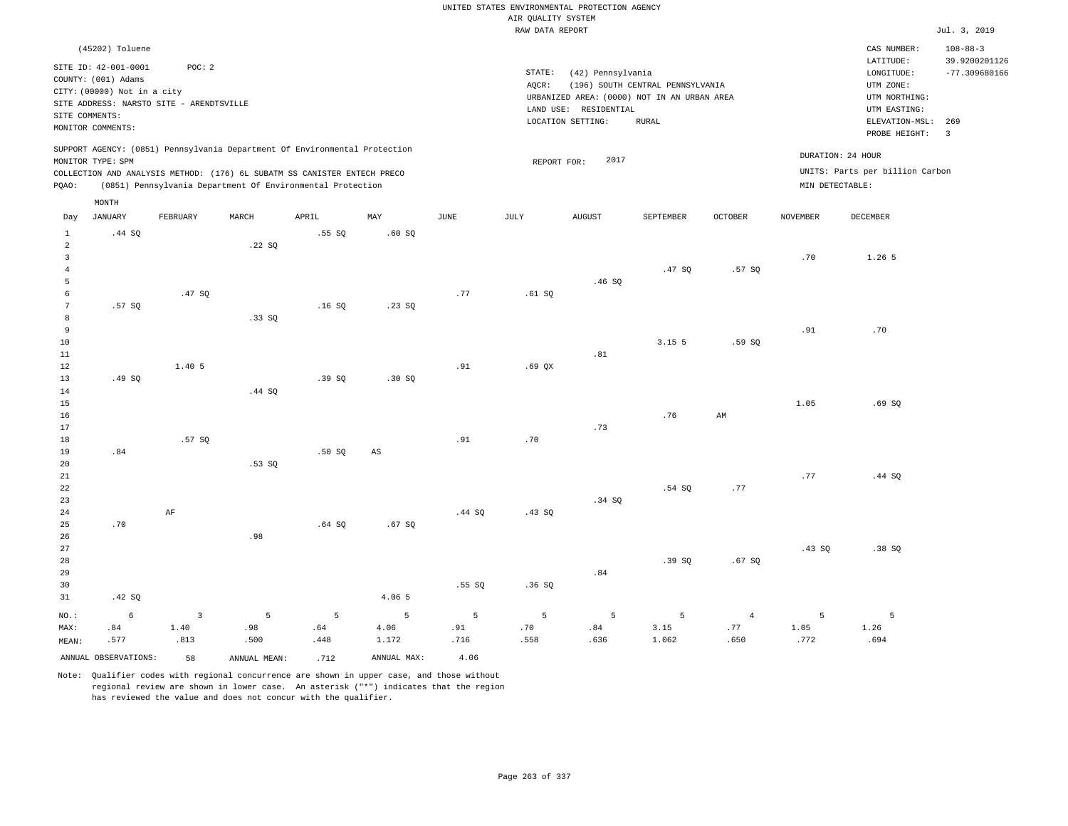|                                                                    |                                                                                                                                                                |                                |                                                                                                                                                        |                  |                        |                  |                                       | UNITED STATES ENVIRONMENTAL PROTECTION AGENCY                                                                  |                                                  |                               |                   |                                                                                                                         |                                                                             |
|--------------------------------------------------------------------|----------------------------------------------------------------------------------------------------------------------------------------------------------------|--------------------------------|--------------------------------------------------------------------------------------------------------------------------------------------------------|------------------|------------------------|------------------|---------------------------------------|----------------------------------------------------------------------------------------------------------------|--------------------------------------------------|-------------------------------|-------------------|-------------------------------------------------------------------------------------------------------------------------|-----------------------------------------------------------------------------|
|                                                                    |                                                                                                                                                                |                                |                                                                                                                                                        |                  |                        |                  | AIR OUALITY SYSTEM<br>RAW DATA REPORT |                                                                                                                |                                                  |                               |                   |                                                                                                                         | Jul. 3, 2019                                                                |
|                                                                    |                                                                                                                                                                |                                |                                                                                                                                                        |                  |                        |                  |                                       |                                                                                                                |                                                  |                               |                   |                                                                                                                         |                                                                             |
| SITE COMMENTS:                                                     | (45202) Toluene<br>SITE ID: 42-001-0001<br>COUNTY: (001) Adams<br>CITY: (00000) Not in a city<br>SITE ADDRESS: NARSTO SITE - ARENDTSVILLE<br>MONITOR COMMENTS: | POC: 2                         |                                                                                                                                                        |                  |                        |                  | STATE:<br>AOCR:                       | (42) Pennsylvania<br>URBANIZED AREA: (0000) NOT IN AN URBAN AREA<br>LAND USE: RESIDENTIAL<br>LOCATION SETTING: | (196) SOUTH CENTRAL PENNSYLVANIA<br><b>RURAL</b> |                               |                   | CAS NUMBER:<br>LATITUDE:<br>LONGITUDE:<br>UTM ZONE:<br>UTM NORTHING:<br>UTM EASTING:<br>ELEVATION-MSL:<br>PROBE HEIGHT: | $108 - 88 - 3$<br>39.9200201126<br>$-77.309680166$<br>269<br>$\overline{3}$ |
|                                                                    | MONITOR TYPE: SPM                                                                                                                                              |                                | SUPPORT AGENCY: (0851) Pennsylvania Department Of Environmental Protection<br>COLLECTION AND ANALYSIS METHOD: (176) 6L SUBATM SS CANISTER ENTECH PRECO |                  |                        |                  | REPORT FOR:                           | 2017                                                                                                           |                                                  |                               | DURATION: 24 HOUR | UNITS: Parts per billion Carbon                                                                                         |                                                                             |
| PQAO:                                                              |                                                                                                                                                                |                                | (0851) Pennsylvania Department Of Environmental Protection                                                                                             |                  |                        |                  |                                       |                                                                                                                |                                                  |                               | MIN DETECTABLE:   |                                                                                                                         |                                                                             |
|                                                                    | MONTH                                                                                                                                                          |                                |                                                                                                                                                        |                  |                        |                  |                                       |                                                                                                                |                                                  |                               |                   |                                                                                                                         |                                                                             |
| Day                                                                | <b>JANUARY</b>                                                                                                                                                 | FEBRUARY                       | MARCH                                                                                                                                                  | APRIL            | MAY                    | $_{\rm JUNE}$    | JULY                                  | <b>AUGUST</b>                                                                                                  | SEPTEMBER                                        | OCTOBER                       | <b>NOVEMBER</b>   | DECEMBER                                                                                                                |                                                                             |
| $\mathbf{1}$<br>$\overline{a}$<br>$\overline{3}$<br>$\overline{4}$ | .44 SQ                                                                                                                                                         |                                | .22 SQ                                                                                                                                                 | .55 SO           | .60SQ                  |                  |                                       |                                                                                                                | .47SQ                                            | .57SQ                         | .70               | 1.26 5                                                                                                                  |                                                                             |
| 5<br>6<br>$7\phantom{.0}$<br>8                                     | .57 SO                                                                                                                                                         | .47SQ                          | .33SQ                                                                                                                                                  | .16S             | .23 S0                 | .77              | .61SQ                                 | .46S                                                                                                           |                                                  |                               |                   |                                                                                                                         |                                                                             |
| 9<br>$10$<br>11                                                    |                                                                                                                                                                |                                |                                                                                                                                                        |                  |                        |                  |                                       | .81                                                                                                            | 3.15 <sub>5</sub>                                | .59SQ                         | .91               | .70                                                                                                                     |                                                                             |
| 12<br>13<br>14<br>15                                               | .49 SO                                                                                                                                                         | 1.40 5                         | .44 SQ                                                                                                                                                 | .39S             | .30S                   | .91              | .69QX                                 |                                                                                                                |                                                  |                               | 1.05              | .69S                                                                                                                    |                                                                             |
| 16<br>17<br>18                                                     |                                                                                                                                                                | .57SQ                          |                                                                                                                                                        |                  |                        | .91              | .70                                   | .73                                                                                                            | .76                                              | AM                            |                   |                                                                                                                         |                                                                             |
| 19<br>20<br>21<br>22<br>23                                         | .84                                                                                                                                                            |                                | .53SQ                                                                                                                                                  | .50S             | $\mathbb{A}\mathbb{S}$ |                  |                                       | .34 SQ                                                                                                         | .54S                                             | .77                           | .77               | .44 SQ                                                                                                                  |                                                                             |
| 24<br>25<br>26<br>27                                               | .70                                                                                                                                                            | $\rm AF$                       | .98                                                                                                                                                    | .64SQ            | .67SQ                  | .44 SQ           | .43SQ                                 |                                                                                                                |                                                  |                               |                   |                                                                                                                         |                                                                             |
| 28<br>29<br>30<br>31                                               | .42SQ                                                                                                                                                          |                                |                                                                                                                                                        |                  | 4.06 5                 | .55SQ            | .36S                                  | .84                                                                                                            | .39SQ                                            | .67S                          | .43 SQ            | .38SQ                                                                                                                   |                                                                             |
| NO.:<br>MAX:<br>MEAN:                                              | 6<br>.84<br>.577                                                                                                                                               | $\overline{3}$<br>1.40<br>.813 | 5<br>.98<br>.500                                                                                                                                       | 5<br>.64<br>.448 | 5<br>4.06<br>1.172     | 5<br>.91<br>.716 | 5<br>.70<br>.558                      | 5<br>.84<br>.636                                                                                               | 5<br>3.15<br>1.062                               | $\overline{4}$<br>.77<br>.650 | 5<br>1.05<br>.772 | 5<br>1.26<br>.694                                                                                                       |                                                                             |
|                                                                    | ANNUAL OBSERVATIONS:                                                                                                                                           | 58                             | ANNUAL MEAN:                                                                                                                                           | .712             | ANNUAL MAX:            | 4.06             |                                       |                                                                                                                |                                                  |                               |                   |                                                                                                                         |                                                                             |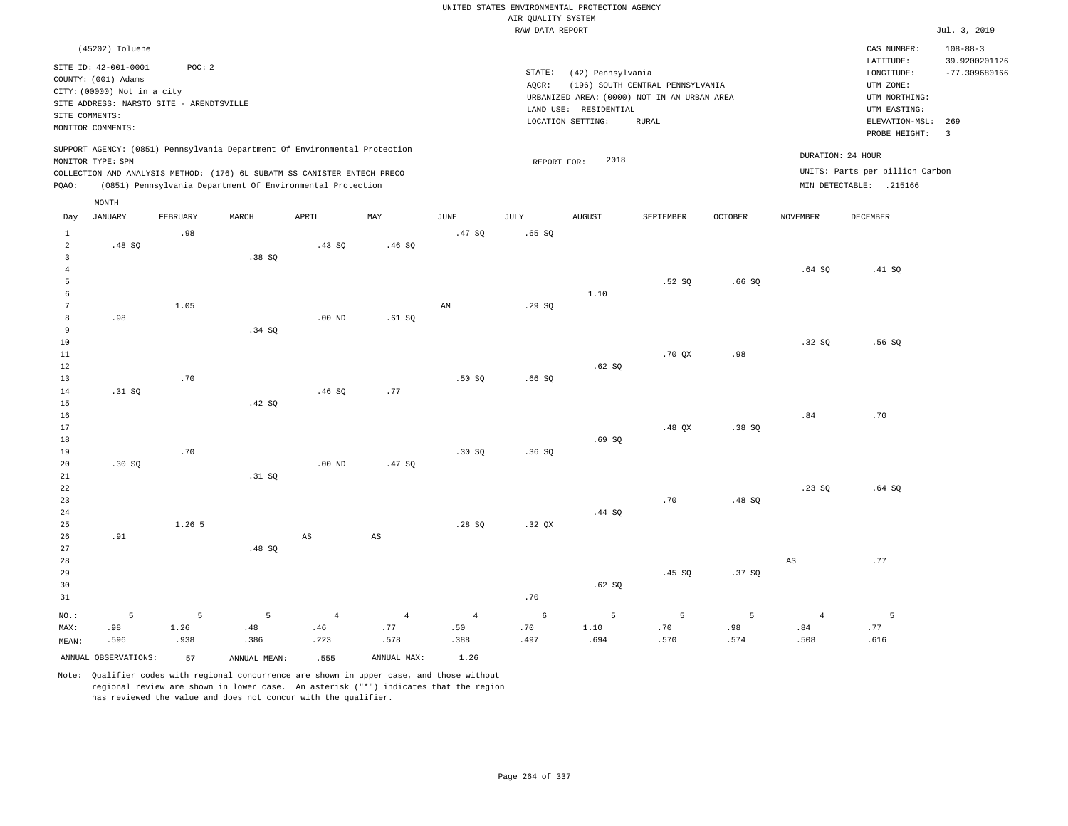|                      |                                          |          |                                                                            |                        |                        |                        |                    | UNITED STATES ENVIRONMENTAL PROTECTION AGENCY |                                             |         |                 |                                 |                                 |
|----------------------|------------------------------------------|----------|----------------------------------------------------------------------------|------------------------|------------------------|------------------------|--------------------|-----------------------------------------------|---------------------------------------------|---------|-----------------|---------------------------------|---------------------------------|
|                      |                                          |          |                                                                            |                        |                        |                        | AIR QUALITY SYSTEM |                                               |                                             |         |                 |                                 |                                 |
|                      |                                          |          |                                                                            |                        |                        |                        | RAW DATA REPORT    |                                               |                                             |         |                 |                                 | Jul. 3, 2019                    |
|                      | (45202) Toluene<br>SITE ID: 42-001-0001  | POC: 2   |                                                                            |                        |                        |                        |                    |                                               |                                             |         |                 | CAS NUMBER:<br>LATITUDE:        | $108 - 88 - 3$<br>39.9200201126 |
|                      | COUNTY: (001) Adams                      |          |                                                                            |                        |                        |                        | STATE:             | (42) Pennsylvania                             |                                             |         |                 | LONGITUDE:                      | $-77.309680166$                 |
|                      | CITY: (00000) Not in a city              |          |                                                                            |                        |                        |                        | AQCR:              |                                               | (196) SOUTH CENTRAL PENNSYLVANIA            |         |                 | UTM ZONE:                       |                                 |
|                      | SITE ADDRESS: NARSTO SITE - ARENDTSVILLE |          |                                                                            |                        |                        |                        |                    |                                               | URBANIZED AREA: (0000) NOT IN AN URBAN AREA |         |                 | UTM NORTHING:                   |                                 |
| SITE COMMENTS:       |                                          |          |                                                                            |                        |                        |                        |                    | LAND USE: RESIDENTIAL                         |                                             |         |                 | UTM EASTING:                    |                                 |
|                      | MONITOR COMMENTS:                        |          |                                                                            |                        |                        |                        |                    | LOCATION SETTING:                             | <b>RURAL</b>                                |         |                 | ELEVATION-MSL:<br>PROBE HEIGHT: | 269<br>$\overline{\mathbf{3}}$  |
|                      | MONITOR TYPE: SPM                        |          | SUPPORT AGENCY: (0851) Pennsylvania Department Of Environmental Protection |                        |                        |                        | REPORT FOR:        | 2018                                          |                                             |         |                 | DURATION: 24 HOUR               |                                 |
|                      |                                          |          | COLLECTION AND ANALYSIS METHOD: (176) 6L SUBATM SS CANISTER ENTECH PRECO   |                        |                        |                        |                    |                                               |                                             |         |                 | UNITS: Parts per billion Carbon |                                 |
| PQAO:                |                                          |          | (0851) Pennsylvania Department Of Environmental Protection                 |                        |                        |                        |                    |                                               |                                             |         |                 | MIN DETECTABLE: .215166         |                                 |
|                      | MONTH                                    |          |                                                                            |                        |                        |                        |                    |                                               |                                             |         |                 |                                 |                                 |
| Day                  | <b>JANUARY</b>                           | FEBRUARY | MARCH                                                                      | APRIL                  | MAY                    | <b>JUNE</b>            | JULY               | AUGUST                                        | SEPTEMBER                                   | OCTOBER | <b>NOVEMBER</b> | <b>DECEMBER</b>                 |                                 |
| $\mathbf{1}$         |                                          | .98      |                                                                            |                        |                        | .47 SO                 | .65 SQ             |                                               |                                             |         |                 |                                 |                                 |
| $\overline{a}$       | .48 SO                                   |          |                                                                            | .43 SO                 | .46S                   |                        |                    |                                               |                                             |         |                 |                                 |                                 |
| $\mathbf{3}$         |                                          |          | .38SQ                                                                      |                        |                        |                        |                    |                                               |                                             |         |                 |                                 |                                 |
| $\overline{4}$       |                                          |          |                                                                            |                        |                        |                        |                    |                                               |                                             |         | $.64$ SO        | .41 SQ                          |                                 |
| 5                    |                                          |          |                                                                            |                        |                        |                        |                    |                                               | .52S                                        | .66SQ   |                 |                                 |                                 |
| 6<br>$7\phantom{.0}$ |                                          |          |                                                                            |                        |                        |                        |                    | 1.10                                          |                                             |         |                 |                                 |                                 |
| 8                    | .98                                      | 1.05     |                                                                            | $.00$ ND               |                        | $\mathbb{A}\mathbb{M}$ | .29SQ              |                                               |                                             |         |                 |                                 |                                 |
| 9                    |                                          |          | .34 SQ                                                                     |                        | .61SQ                  |                        |                    |                                               |                                             |         |                 |                                 |                                 |
| 10                   |                                          |          |                                                                            |                        |                        |                        |                    |                                               |                                             |         | .32S            | .56 SO                          |                                 |
| $11\,$               |                                          |          |                                                                            |                        |                        |                        |                    |                                               | .70QX                                       | .98     |                 |                                 |                                 |
| 12                   |                                          |          |                                                                            |                        |                        |                        |                    | .62SQ                                         |                                             |         |                 |                                 |                                 |
| 13                   |                                          | .70      |                                                                            |                        |                        | .50S                   | .66SQ              |                                               |                                             |         |                 |                                 |                                 |
| 14                   | .31 SQ                                   |          |                                                                            | .46SQ                  | .77                    |                        |                    |                                               |                                             |         |                 |                                 |                                 |
| 15                   |                                          |          | .42 SQ                                                                     |                        |                        |                        |                    |                                               |                                             |         |                 |                                 |                                 |
| 16                   |                                          |          |                                                                            |                        |                        |                        |                    |                                               |                                             |         | .84             | .70                             |                                 |
| 17                   |                                          |          |                                                                            |                        |                        |                        |                    |                                               | .48 OX                                      | .38 SO  |                 |                                 |                                 |
| 18                   |                                          |          |                                                                            |                        |                        |                        |                    | .69SQ                                         |                                             |         |                 |                                 |                                 |
| 19                   |                                          | .70      |                                                                            |                        |                        | .30S                   | .36S               |                                               |                                             |         |                 |                                 |                                 |
| 20                   | .30SQ                                    |          |                                                                            | .00 <sub>ND</sub>      | .47SQ                  |                        |                    |                                               |                                             |         |                 |                                 |                                 |
| $21\,$               |                                          |          | .31 SQ                                                                     |                        |                        |                        |                    |                                               |                                             |         |                 |                                 |                                 |
| 22                   |                                          |          |                                                                            |                        |                        |                        |                    |                                               |                                             |         | .23 SQ          | .64SQ                           |                                 |
| 23                   |                                          |          |                                                                            |                        |                        |                        |                    |                                               | .70                                         | .48S    |                 |                                 |                                 |
| 24                   |                                          |          |                                                                            |                        |                        |                        |                    | .44 SQ                                        |                                             |         |                 |                                 |                                 |
| 25                   |                                          | 1.265    |                                                                            |                        |                        | .28S                   | .32 QX             |                                               |                                             |         |                 |                                 |                                 |
| 26                   | .91                                      |          |                                                                            | $\mathbb{A}\mathbb{S}$ | $\mathbb{A}\mathbb{S}$ |                        |                    |                                               |                                             |         |                 |                                 |                                 |
| 27                   |                                          |          | .48 SQ                                                                     |                        |                        |                        |                    |                                               |                                             |         |                 |                                 |                                 |
| 28                   |                                          |          |                                                                            |                        |                        |                        |                    |                                               |                                             |         | AS              | .77                             |                                 |
| 29                   |                                          |          |                                                                            |                        |                        |                        |                    |                                               | .45 SQ                                      | .37SQ   |                 |                                 |                                 |
| 30                   |                                          |          |                                                                            |                        |                        |                        |                    | .62SQ                                         |                                             |         |                 |                                 |                                 |
| 31                   |                                          |          |                                                                            |                        |                        |                        | .70                |                                               |                                             |         |                 |                                 |                                 |
| NO.:                 | 5                                        | 5        | 5                                                                          | $\overline{4}$         | $\overline{4}$         | $\overline{4}$         | 6                  | 5                                             | 5                                           | 5       | $\overline{4}$  | 5                               |                                 |
| MAX:                 | .98                                      | 1.26     | .48                                                                        | .46                    | .77                    | .50                    | .70                | 1.10                                          | .70                                         | .98     | .84             | .77                             |                                 |
| MEAN:                | .596                                     | .938     | .386                                                                       | .223                   | .578                   | .388                   | .497               | .694                                          | .570                                        | .574    | .508            | .616                            |                                 |
|                      | ANNUAL OBSERVATIONS:                     | 57       | ANNUAL MEAN:                                                               | .555                   | ANNUAL MAX:            | 1.26                   |                    |                                               |                                             |         |                 |                                 |                                 |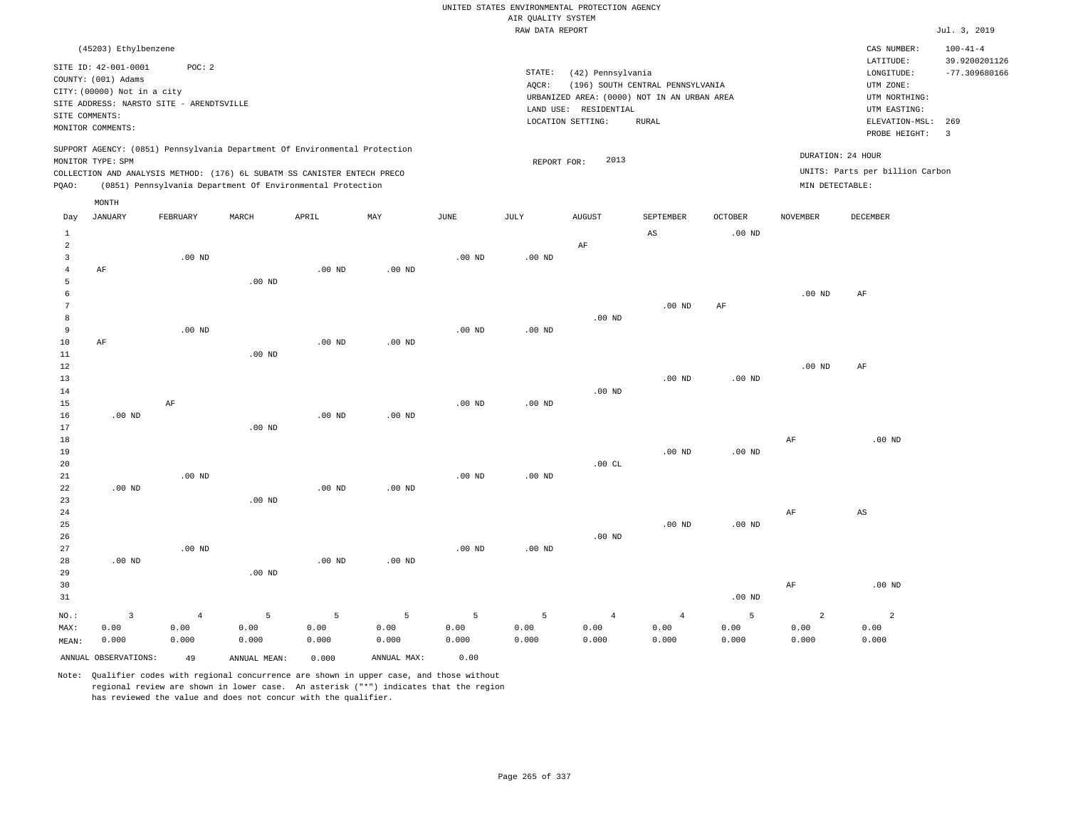|                     |                                                                            |                   |                   |                                                            |                   |                   |                                       | UNITED STATES ENVIRONMENTAL PROTECTION AGENCY |                                             |                   |                 |                                 |                                 |
|---------------------|----------------------------------------------------------------------------|-------------------|-------------------|------------------------------------------------------------|-------------------|-------------------|---------------------------------------|-----------------------------------------------|---------------------------------------------|-------------------|-----------------|---------------------------------|---------------------------------|
|                     |                                                                            |                   |                   |                                                            |                   |                   | AIR OUALITY SYSTEM<br>RAW DATA REPORT |                                               |                                             |                   |                 |                                 | Jul. 3, 2019                    |
|                     |                                                                            |                   |                   |                                                            |                   |                   |                                       |                                               |                                             |                   |                 |                                 |                                 |
|                     | (45203) Ethylbenzene<br>SITE ID: 42-001-0001                               | POC: 2            |                   |                                                            |                   |                   |                                       |                                               |                                             |                   |                 | CAS NUMBER:<br>LATITUDE:        | $100 - 41 - 4$<br>39.9200201126 |
|                     | COUNTY: (001) Adams                                                        |                   |                   |                                                            |                   |                   | STATE:                                | (42) Pennsylvania                             |                                             |                   |                 | LONGITUDE:                      | $-77.309680166$                 |
|                     | CITY: (00000) Not in a city                                                |                   |                   |                                                            |                   |                   | AQCR:                                 |                                               | (196) SOUTH CENTRAL PENNSYLVANIA            |                   |                 | UTM ZONE:                       |                                 |
|                     | SITE ADDRESS: NARSTO SITE - ARENDTSVILLE                                   |                   |                   |                                                            |                   |                   |                                       | LAND USE: RESIDENTIAL                         | URBANIZED AREA: (0000) NOT IN AN URBAN AREA |                   |                 | UTM NORTHING:<br>UTM EASTING:   |                                 |
| SITE COMMENTS:      |                                                                            |                   |                   |                                                            |                   |                   |                                       | LOCATION SETTING:                             | <b>RURAL</b>                                |                   |                 | ELEVATION-MSL:                  | 269                             |
|                     | MONITOR COMMENTS:                                                          |                   |                   |                                                            |                   |                   |                                       |                                               |                                             |                   |                 | PROBE HEIGHT:                   | $\overline{3}$                  |
|                     | SUPPORT AGENCY: (0851) Pennsylvania Department Of Environmental Protection |                   |                   |                                                            |                   |                   |                                       |                                               |                                             |                   |                 | DURATION: 24 HOUR               |                                 |
|                     | MONITOR TYPE: SPM                                                          |                   |                   |                                                            |                   |                   | REPORT FOR:                           | 2013                                          |                                             |                   |                 | UNITS: Parts per billion Carbon |                                 |
| PQAO:               | COLLECTION AND ANALYSIS METHOD: (176) 6L SUBATM SS CANISTER ENTECH PRECO   |                   |                   | (0851) Pennsylvania Department Of Environmental Protection |                   |                   |                                       |                                               |                                             |                   | MIN DETECTABLE: |                                 |                                 |
|                     | MONTH                                                                      |                   |                   |                                                            |                   |                   |                                       |                                               |                                             |                   |                 |                                 |                                 |
| Day                 | JANUARY                                                                    | FEBRUARY          | MARCH             | APRIL                                                      | MAY               | <b>JUNE</b>       | JULY                                  | <b>AUGUST</b>                                 | SEPTEMBER                                   | <b>OCTOBER</b>    | <b>NOVEMBER</b> | <b>DECEMBER</b>                 |                                 |
| $\mathbf{1}$        |                                                                            |                   |                   |                                                            |                   |                   |                                       |                                               | AS                                          | .00 <sub>ND</sub> |                 |                                 |                                 |
| $\overline{a}$      |                                                                            |                   |                   |                                                            |                   |                   |                                       | $\rm AF$                                      |                                             |                   |                 |                                 |                                 |
| $\overline{3}$      |                                                                            | $.00$ ND          |                   |                                                            |                   | $.00$ ND          | $.00$ ND                              |                                               |                                             |                   |                 |                                 |                                 |
| $\overline{4}$<br>5 | AF                                                                         |                   | .00 <sub>ND</sub> | $.00$ ND                                                   | $.00$ ND          |                   |                                       |                                               |                                             |                   |                 |                                 |                                 |
| 6                   |                                                                            |                   |                   |                                                            |                   |                   |                                       |                                               |                                             |                   | $.00$ ND        | AF                              |                                 |
| $7\phantom{.0}$     |                                                                            |                   |                   |                                                            |                   |                   |                                       |                                               | $.00$ ND                                    | AF                |                 |                                 |                                 |
| 8                   |                                                                            |                   |                   |                                                            |                   |                   |                                       | .00 <sub>ND</sub>                             |                                             |                   |                 |                                 |                                 |
| 9                   |                                                                            | .00 <sub>ND</sub> |                   |                                                            |                   | $.00$ ND          | .00 <sub>ND</sub>                     |                                               |                                             |                   |                 |                                 |                                 |
| 10                  | AF                                                                         |                   |                   | $.00$ ND                                                   | $.00$ ND          |                   |                                       |                                               |                                             |                   |                 |                                 |                                 |
| 11                  |                                                                            |                   | $.00$ ND          |                                                            |                   |                   |                                       |                                               |                                             |                   |                 |                                 |                                 |
| 12                  |                                                                            |                   |                   |                                                            |                   |                   |                                       |                                               |                                             |                   | $.00$ ND        | AF                              |                                 |
| 13                  |                                                                            |                   |                   |                                                            |                   |                   |                                       |                                               | $.00$ ND                                    | .00 $ND$          |                 |                                 |                                 |
| 14<br>15            |                                                                            | AF                |                   |                                                            |                   | .00 <sub>ND</sub> | .00 <sub>ND</sub>                     | .00 <sub>ND</sub>                             |                                             |                   |                 |                                 |                                 |
| 16                  | $.00$ ND                                                                   |                   |                   | .00 <sub>ND</sub>                                          | .00 <sub>ND</sub> |                   |                                       |                                               |                                             |                   |                 |                                 |                                 |
| 17                  |                                                                            |                   | $.00$ ND          |                                                            |                   |                   |                                       |                                               |                                             |                   |                 |                                 |                                 |
| 18                  |                                                                            |                   |                   |                                                            |                   |                   |                                       |                                               |                                             |                   | $\rm{AF}$       | $.00$ ND                        |                                 |
| 19                  |                                                                            |                   |                   |                                                            |                   |                   |                                       |                                               | .00 <sub>ND</sub>                           | $.00$ ND          |                 |                                 |                                 |
| 20                  |                                                                            |                   |                   |                                                            |                   |                   |                                       | .00CL                                         |                                             |                   |                 |                                 |                                 |
| 21                  |                                                                            | $.00$ ND          |                   |                                                            |                   | $.00$ ND          | $.00$ ND                              |                                               |                                             |                   |                 |                                 |                                 |
| 22                  | .00 <sub>ND</sub>                                                          |                   |                   | .00 <sub>ND</sub>                                          | $.00$ ND          |                   |                                       |                                               |                                             |                   |                 |                                 |                                 |
| 23<br>24            |                                                                            |                   | $.00$ ND          |                                                            |                   |                   |                                       |                                               |                                             |                   | AF              | AS                              |                                 |
| 25                  |                                                                            |                   |                   |                                                            |                   |                   |                                       |                                               | $.00$ ND                                    | .00 <sub>ND</sub> |                 |                                 |                                 |
| 26                  |                                                                            |                   |                   |                                                            |                   |                   |                                       | $.00$ ND                                      |                                             |                   |                 |                                 |                                 |
| 27                  |                                                                            | .00 <sub>ND</sub> |                   |                                                            |                   | .00 <sub>ND</sub> | $.00$ ND                              |                                               |                                             |                   |                 |                                 |                                 |
| 28                  | $.00$ ND                                                                   |                   |                   | $.00$ ND                                                   | .00 <sub>ND</sub> |                   |                                       |                                               |                                             |                   |                 |                                 |                                 |
| 29                  |                                                                            |                   | $.00$ ND          |                                                            |                   |                   |                                       |                                               |                                             |                   |                 |                                 |                                 |
| 30                  |                                                                            |                   |                   |                                                            |                   |                   |                                       |                                               |                                             |                   | $\rm AF$        | $.00$ ND                        |                                 |
| 31                  |                                                                            |                   |                   |                                                            |                   |                   |                                       |                                               |                                             | $.00$ ND          |                 |                                 |                                 |
| NO.:                | $\overline{3}$                                                             | $\sqrt{4}$        | 5                 | 5                                                          | $\overline{5}$    | 5                 | 5                                     | $\overline{4}$                                | $\overline{4}$                              | 5                 | $\overline{a}$  | $\overline{a}$                  |                                 |
| MAX:                | 0.00                                                                       | 0.00              | 0.00              | 0.00                                                       | 0.00              | 0.00              | 0.00                                  | 0.00                                          | 0.00                                        | 0.00              | 0.00            | 0.00                            |                                 |
| MEAN:               | 0.000                                                                      | 0.000             | 0.000             | 0.000                                                      | 0.000             | 0.000             | 0.000                                 | 0.000                                         | 0.000                                       | 0.000             | 0.000           | 0.000                           |                                 |
|                     | ANNUAL OBSERVATIONS:                                                       | 49                | ANNUAL MEAN:      | 0.000                                                      | ANNUAL MAX:       | 0.00              |                                       |                                               |                                             |                   |                 |                                 |                                 |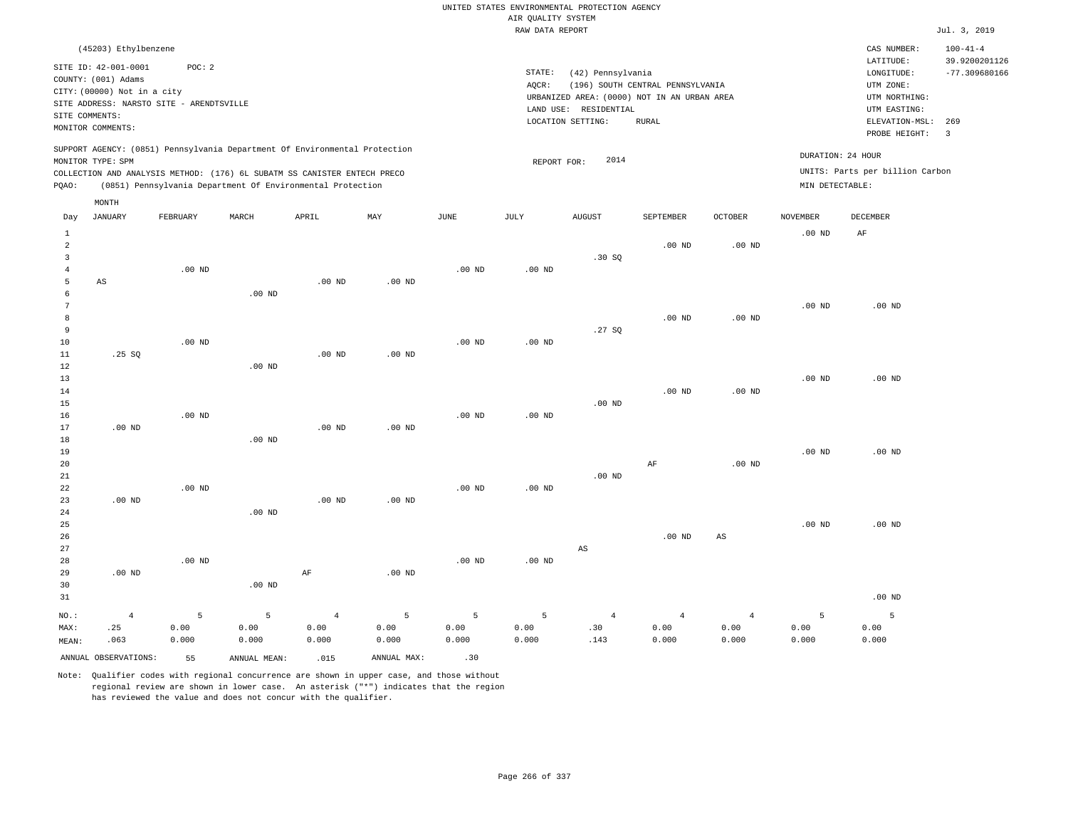|                                                    |                                                    |                                          |                                                                                                                                        |                                 |                    |                    |                    | UNITED STATES ENVIRONMENTAL PROTECTION AGENCY |                                                                                 |                                 |                    |                                            |                                                    |
|----------------------------------------------------|----------------------------------------------------|------------------------------------------|----------------------------------------------------------------------------------------------------------------------------------------|---------------------------------|--------------------|--------------------|--------------------|-----------------------------------------------|---------------------------------------------------------------------------------|---------------------------------|--------------------|--------------------------------------------|----------------------------------------------------|
|                                                    |                                                    |                                          |                                                                                                                                        |                                 |                    |                    | AIR QUALITY SYSTEM |                                               |                                                                                 |                                 |                    |                                            |                                                    |
|                                                    |                                                    |                                          |                                                                                                                                        |                                 |                    |                    | RAW DATA REPORT    |                                               |                                                                                 |                                 |                    |                                            | Jul. 3, 2019                                       |
|                                                    | (45203) Ethylbenzene<br>SITE ID: 42-001-0001       | POC: 2                                   |                                                                                                                                        |                                 |                    |                    | STATE:             | (42) Pennsylvania                             |                                                                                 |                                 |                    | CAS NUMBER:<br>LATITUDE:<br>LONGITUDE:     | $100 - 41 - 4$<br>39.9200201126<br>$-77.309680166$ |
|                                                    | COUNTY: (001) Adams<br>CITY: (00000) Not in a city | SITE ADDRESS: NARSTO SITE - ARENDTSVILLE |                                                                                                                                        |                                 |                    |                    | AQCR:              | LAND USE: RESIDENTIAL                         | (196) SOUTH CENTRAL PENNSYLVANIA<br>URBANIZED AREA: (0000) NOT IN AN URBAN AREA |                                 |                    | UTM ZONE:<br>UTM NORTHING:<br>UTM EASTING: |                                                    |
| SITE COMMENTS:                                     | MONITOR COMMENTS:                                  |                                          |                                                                                                                                        |                                 |                    |                    |                    | LOCATION SETTING:                             | <b>RURAL</b>                                                                    |                                 |                    | ELEVATION-MSL:<br>PROBE HEIGHT:            | 269<br>$\overline{3}$                              |
|                                                    | MONITOR TYPE: SPM                                  |                                          | SUPPORT AGENCY: (0851) Pennsylvania Department Of Environmental Protection                                                             |                                 |                    |                    | REPORT FOR:        | 2014                                          |                                                                                 |                                 | DURATION: 24 HOUR  |                                            |                                                    |
| PQAO:                                              |                                                    |                                          | COLLECTION AND ANALYSIS METHOD: (176) 6L SUBATM SS CANISTER ENTECH PRECO<br>(0851) Pennsylvania Department Of Environmental Protection |                                 |                    |                    |                    |                                               |                                                                                 |                                 | MIN DETECTABLE:    | UNITS: Parts per billion Carbon            |                                                    |
| Day                                                | MONTH<br><b>JANUARY</b>                            | FEBRUARY                                 | MARCH                                                                                                                                  | APRIL                           | MAX                | <b>JUNE</b>        | JULY               | <b>AUGUST</b>                                 | SEPTEMBER                                                                       | <b>OCTOBER</b>                  | <b>NOVEMBER</b>    | <b>DECEMBER</b>                            |                                                    |
| $1\,$<br>$\overline{a}$<br>$\overline{\mathbf{3}}$ |                                                    |                                          |                                                                                                                                        |                                 |                    |                    |                    |                                               | $.00$ ND                                                                        | $.00$ ND                        | $.00$ ND           | AF                                         |                                                    |
| $\overline{4}$<br>5<br>6                           | AS                                                 | .00 <sub>ND</sub>                        | $.00$ ND                                                                                                                               | $.00$ ND                        | $.00$ ND           | .00 <sub>ND</sub>  | .00 <sub>ND</sub>  | .30S                                          |                                                                                 |                                 |                    |                                            |                                                    |
| $\overline{7}$<br>8<br>$\overline{9}$              |                                                    |                                          |                                                                                                                                        |                                 |                    |                    |                    | .27SQ                                         | $.00$ ND                                                                        | .00 <sub>ND</sub>               | .00 <sub>ND</sub>  | $.00$ ND                                   |                                                    |
| 10<br>$11\,$<br>12                                 | .25SQ                                              | $.00$ ND                                 | $.00$ ND                                                                                                                               | .00 <sub>ND</sub>               | $.00$ ND           | $.00$ ND           | $.00$ ND           |                                               |                                                                                 |                                 |                    |                                            |                                                    |
| 13<br>14<br>15                                     |                                                    |                                          |                                                                                                                                        |                                 |                    |                    |                    | $.00$ ND                                      | $.00$ ND                                                                        | $.00$ ND                        | $.00$ ND           | $.00$ ND                                   |                                                    |
| 16<br>17<br>18                                     | $.00$ ND                                           | .00 <sub>ND</sub>                        | $.00$ ND                                                                                                                               | $.00$ ND                        | $.00$ ND           | $.00$ ND           | $.00$ ND           |                                               |                                                                                 |                                 |                    |                                            |                                                    |
| 19<br>$20$<br>$2\sqrt{1}$                          |                                                    |                                          |                                                                                                                                        |                                 |                    |                    |                    | $.00$ ND                                      | $\rm AF$                                                                        | $.00$ ND                        | $.00$ ND           | $.00$ ND                                   |                                                    |
| 22<br>23<br>24                                     | $.00$ ND                                           | $.00$ ND                                 | $.00$ ND                                                                                                                               | $.00$ ND                        | .00 <sub>ND</sub>  | .00 <sub>ND</sub>  | $.00$ ND           |                                               |                                                                                 |                                 |                    |                                            |                                                    |
| 25<br>26<br>27                                     |                                                    |                                          |                                                                                                                                        |                                 |                    |                    |                    | $\mathbb{A}\mathbb{S}$                        | $.00$ ND                                                                        | $_{\rm AS}$                     | .00 <sub>ND</sub>  | $.00$ ND                                   |                                                    |
| 28<br>29<br>30<br>31                               | $.00$ ND                                           | $.00$ ND                                 | $.00$ ND                                                                                                                               | $\rm{AF}$                       | $.00$ ND           | .00 <sub>ND</sub>  | $.00$ ND           |                                               |                                                                                 |                                 |                    | $.00$ ND                                   |                                                    |
|                                                    |                                                    |                                          |                                                                                                                                        |                                 |                    |                    |                    |                                               |                                                                                 |                                 |                    |                                            |                                                    |
| NO.:<br>MAX:<br>MEAN:                              | $\overline{4}$<br>.25<br>.063                      | 5<br>0.00<br>0.000                       | 5<br>0.00<br>0.000                                                                                                                     | $\overline{4}$<br>0.00<br>0.000 | 5<br>0.00<br>0.000 | 5<br>0.00<br>0.000 | 5<br>0.00<br>0.000 | $\overline{4}$<br>.30<br>.143                 | $\overline{4}$<br>0.00<br>0.000                                                 | $\overline{4}$<br>0.00<br>0.000 | 5<br>0.00<br>0.000 | 5<br>0.00<br>0.000                         |                                                    |
|                                                    | ANNUAL OBSERVATIONS:                               | 55                                       | ANNUAL, MEAN:                                                                                                                          | .015                            | ANNUAL MAX:        | .30                |                    |                                               |                                                                                 |                                 |                    |                                            |                                                    |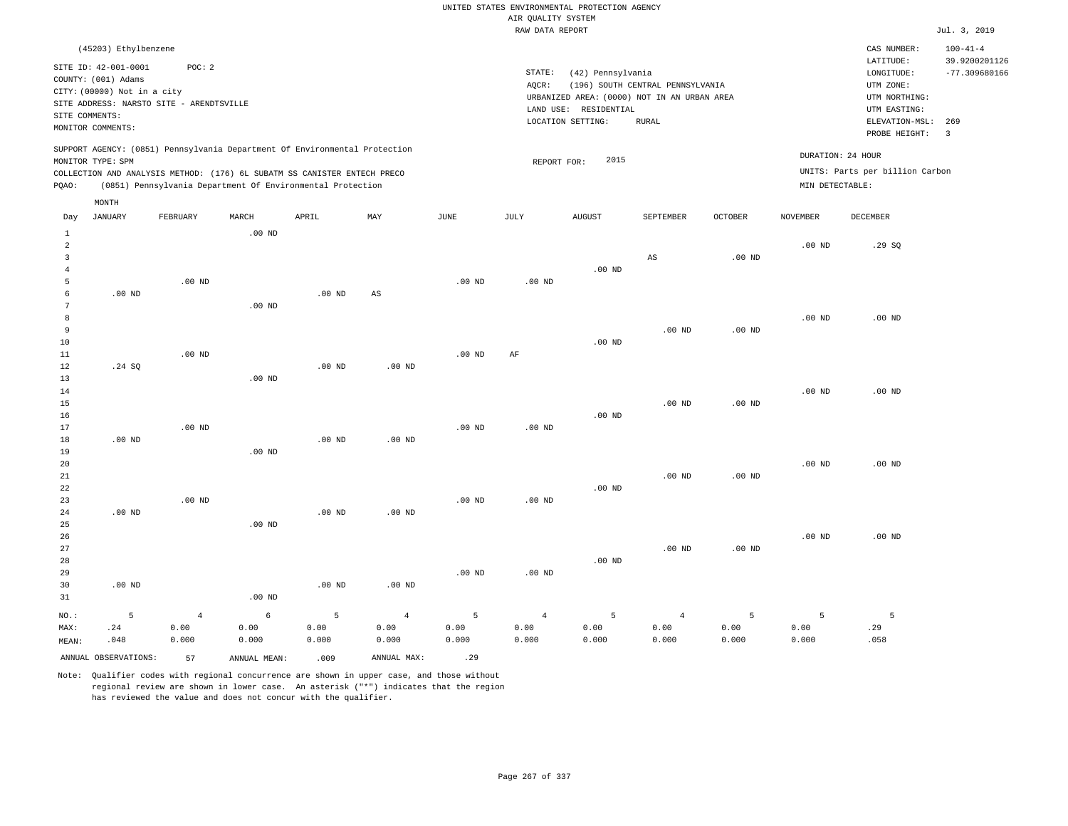|                         |                             |                                          |                   |                                                                            |                |                   | AIR QUALITY SYSTEM | UNITED STATES ENVIRONMENTAL PROTECTION AGENCY |                                  |                   |                   |                                 |                                 |
|-------------------------|-----------------------------|------------------------------------------|-------------------|----------------------------------------------------------------------------|----------------|-------------------|--------------------|-----------------------------------------------|----------------------------------|-------------------|-------------------|---------------------------------|---------------------------------|
|                         |                             |                                          |                   |                                                                            |                |                   | RAW DATA REPORT    |                                               |                                  |                   |                   |                                 | Jul. 3, 2019                    |
|                         |                             |                                          |                   |                                                                            |                |                   |                    |                                               |                                  |                   |                   |                                 |                                 |
|                         | (45203) Ethylbenzene        |                                          |                   |                                                                            |                |                   |                    |                                               |                                  |                   |                   | CAS NUMBER:<br>LATITUDE:        | $100 - 41 - 4$<br>39.9200201126 |
|                         | SITE ID: 42-001-0001        | POC: 2                                   |                   |                                                                            |                |                   | STATE:             | (42) Pennsylvania                             |                                  |                   |                   | LONGITUDE:                      | $-77.309680166$                 |
|                         | COUNTY: (001) Adams         |                                          |                   |                                                                            |                |                   | AOCR:              |                                               | (196) SOUTH CENTRAL PENNSYLVANIA |                   |                   | UTM ZONE:                       |                                 |
|                         | CITY: (00000) Not in a city |                                          |                   |                                                                            |                |                   |                    | URBANIZED AREA: (0000) NOT IN AN URBAN AREA   |                                  |                   |                   | UTM NORTHING:                   |                                 |
| SITE COMMENTS:          |                             | SITE ADDRESS: NARSTO SITE - ARENDTSVILLE |                   |                                                                            |                |                   |                    | LAND USE: RESIDENTIAL                         |                                  |                   |                   | UTM EASTING:                    |                                 |
|                         | MONITOR COMMENTS:           |                                          |                   |                                                                            |                |                   |                    | LOCATION SETTING:                             | <b>RURAL</b>                     |                   |                   | ELEVATION-MSL:                  | 269                             |
|                         |                             |                                          |                   |                                                                            |                |                   |                    |                                               |                                  |                   |                   | PROBE HEIGHT:                   | $\overline{\mathbf{3}}$         |
|                         |                             |                                          |                   | SUPPORT AGENCY: (0851) Pennsylvania Department Of Environmental Protection |                |                   |                    |                                               |                                  |                   | DURATION: 24 HOUR |                                 |                                 |
|                         | MONITOR TYPE: SPM           |                                          |                   |                                                                            |                |                   | REPORT FOR:        | 2015                                          |                                  |                   |                   |                                 |                                 |
|                         |                             |                                          |                   | COLLECTION AND ANALYSIS METHOD: (176) 6L SUBATM SS CANISTER ENTECH PRECO   |                |                   |                    |                                               |                                  |                   |                   | UNITS: Parts per billion Carbon |                                 |
| PQAO:                   |                             |                                          |                   | (0851) Pennsylvania Department Of Environmental Protection                 |                |                   |                    |                                               |                                  |                   | MIN DETECTABLE:   |                                 |                                 |
| Day                     | MONTH<br><b>JANUARY</b>     | FEBRUARY                                 | MARCH             | APRIL                                                                      | MAY            | <b>JUNE</b>       | <b>JULY</b>        | <b>AUGUST</b>                                 | <b>SEPTEMBER</b>                 | <b>OCTOBER</b>    | <b>NOVEMBER</b>   | <b>DECEMBER</b>                 |                                 |
|                         |                             |                                          |                   |                                                                            |                |                   |                    |                                               |                                  |                   |                   |                                 |                                 |
| $\mathbf{1}$<br>2       |                             |                                          | .00 <sub>ND</sub> |                                                                            |                |                   |                    |                                               |                                  |                   | .00 <sub>ND</sub> | .29S                            |                                 |
| $\overline{\mathbf{3}}$ |                             |                                          |                   |                                                                            |                |                   |                    |                                               | $_{\rm AS}$                      | .00 <sub>ND</sub> |                   |                                 |                                 |
| $\overline{4}$          |                             |                                          |                   |                                                                            |                |                   |                    | $.00$ ND                                      |                                  |                   |                   |                                 |                                 |
| 5                       |                             | $.00$ ND                                 |                   |                                                                            |                | .00 <sub>ND</sub> | $.00$ ND           |                                               |                                  |                   |                   |                                 |                                 |
| 6                       | $.00$ ND                    |                                          |                   | $.00$ ND                                                                   | AS             |                   |                    |                                               |                                  |                   |                   |                                 |                                 |
| $7\phantom{.0}$         |                             |                                          | $.00$ ND          |                                                                            |                |                   |                    |                                               |                                  |                   |                   |                                 |                                 |
| 8                       |                             |                                          |                   |                                                                            |                |                   |                    |                                               |                                  |                   | .00 <sub>ND</sub> | $.00$ ND                        |                                 |
| 9                       |                             |                                          |                   |                                                                            |                |                   |                    |                                               | $.00$ ND                         | .00 <sub>ND</sub> |                   |                                 |                                 |
| 10<br>11                |                             | .00 <sub>ND</sub>                        |                   |                                                                            |                | .00 <sub>ND</sub> | AF                 | $.00$ ND                                      |                                  |                   |                   |                                 |                                 |
| $1\,2$                  | .24 SQ                      |                                          |                   | $.00$ ND                                                                   | $.00$ ND       |                   |                    |                                               |                                  |                   |                   |                                 |                                 |
| 13                      |                             |                                          | .00 <sub>ND</sub> |                                                                            |                |                   |                    |                                               |                                  |                   |                   |                                 |                                 |
| 14                      |                             |                                          |                   |                                                                            |                |                   |                    |                                               |                                  |                   | .00 <sub>ND</sub> | $.00$ ND                        |                                 |
| 15                      |                             |                                          |                   |                                                                            |                |                   |                    |                                               | $.00$ ND                         | .00 <sub>ND</sub> |                   |                                 |                                 |
| 16                      |                             |                                          |                   |                                                                            |                |                   |                    | $.00$ ND                                      |                                  |                   |                   |                                 |                                 |
| 17                      |                             | $.00$ ND                                 |                   |                                                                            |                | .00 <sub>ND</sub> | .00 <sub>ND</sub>  |                                               |                                  |                   |                   |                                 |                                 |
| 18                      | $.00$ ND                    |                                          | .00 <sub>ND</sub> | .00 <sub>ND</sub>                                                          | $.00$ ND       |                   |                    |                                               |                                  |                   |                   |                                 |                                 |
| 19<br>20                |                             |                                          |                   |                                                                            |                |                   |                    |                                               |                                  |                   | $.00$ ND          | $.00$ ND                        |                                 |
| 21                      |                             |                                          |                   |                                                                            |                |                   |                    |                                               | $.00$ ND                         | .00 <sub>ND</sub> |                   |                                 |                                 |
| 22                      |                             |                                          |                   |                                                                            |                |                   |                    | $.00$ ND                                      |                                  |                   |                   |                                 |                                 |
| 23                      |                             | $.00$ ND                                 |                   |                                                                            |                | .00 <sub>ND</sub> | $.00$ ND           |                                               |                                  |                   |                   |                                 |                                 |
| 24                      | $.00$ ND                    |                                          |                   | $.00$ ND                                                                   | $.00$ ND       |                   |                    |                                               |                                  |                   |                   |                                 |                                 |
| 25                      |                             |                                          | $.00$ ND          |                                                                            |                |                   |                    |                                               |                                  |                   |                   |                                 |                                 |
| 26                      |                             |                                          |                   |                                                                            |                |                   |                    |                                               |                                  |                   | .00 <sub>ND</sub> | $.00$ ND                        |                                 |
| 27                      |                             |                                          |                   |                                                                            |                |                   |                    |                                               | $.00$ ND                         | .00 <sub>ND</sub> |                   |                                 |                                 |
| 28<br>29                |                             |                                          |                   |                                                                            |                | .00 <sub>ND</sub> | $.00$ ND           | $.00$ ND                                      |                                  |                   |                   |                                 |                                 |
| 30                      | .00 <sub>ND</sub>           |                                          |                   | .00 <sub>ND</sub>                                                          | $.00$ ND       |                   |                    |                                               |                                  |                   |                   |                                 |                                 |
| 31                      |                             |                                          | .00 <sub>ND</sub> |                                                                            |                |                   |                    |                                               |                                  |                   |                   |                                 |                                 |
| NO.:                    | 5                           | $\overline{4}$                           | 6                 | 5                                                                          | $\overline{4}$ | 5                 | $\overline{4}$     | 5                                             | $\overline{4}$                   | 5                 | 5                 | 5                               |                                 |
| MAX:                    | .24                         | 0.00                                     | 0.00              | 0.00                                                                       | 0.00           | 0.00              | 0.00               | 0.00                                          | 0.00                             | 0.00              | 0.00              | .29                             |                                 |
| MEAN:                   | .048                        | 0.000                                    | 0.000             | 0.000                                                                      | 0.000          | 0.000             | 0.000              | 0.000                                         | 0.000                            | 0.000             | 0.000             | .058                            |                                 |
|                         |                             |                                          |                   |                                                                            |                |                   |                    |                                               |                                  |                   |                   |                                 |                                 |

ANNUAL OBSERVATIONS: 57 ANNUAL MEAN: .009 ANNUAL MAX: .29 Note: Qualifier codes with regional concurrence are shown in upper case, and those without

regional review are shown in lower case. An asterisk ("\*") indicates that the region

has reviewed the value and does not concur with the qualifier.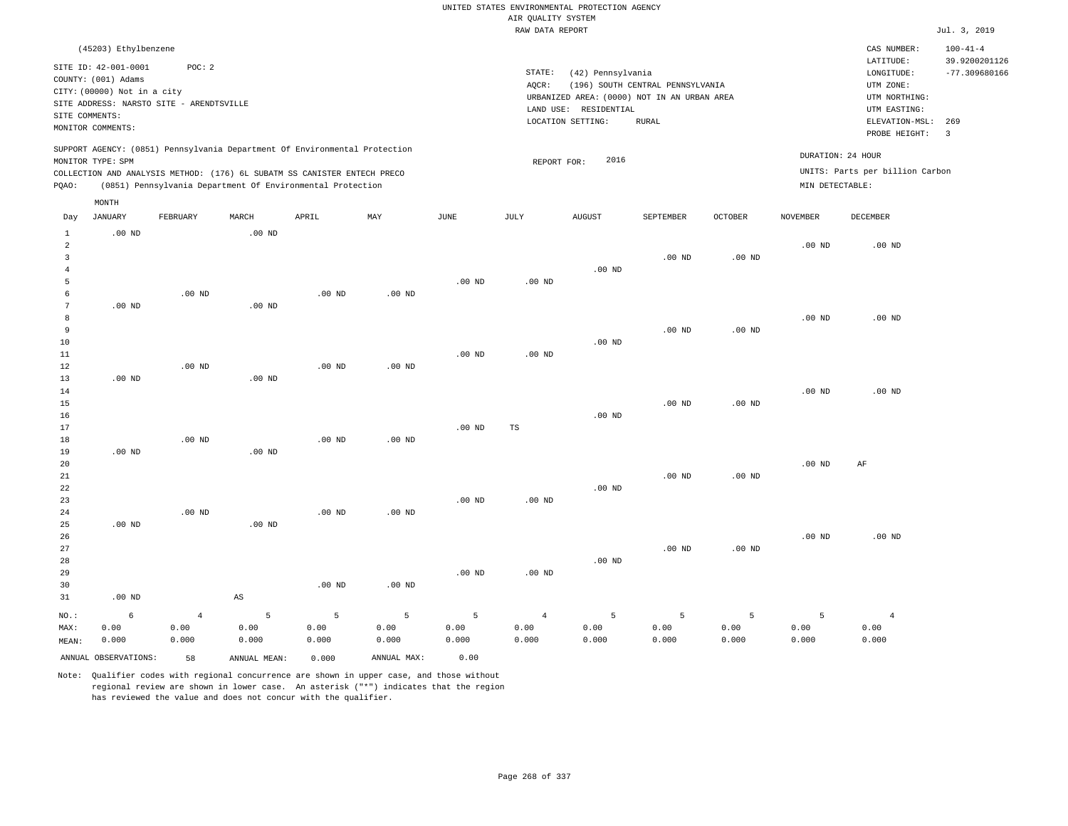|                 |                                          |                |              |                                                                            |                   |                   |                    | UNITED STATES ENVIRONMENTAL PROTECTION AGENCY |                                  |                |                   |                                 |                                  |
|-----------------|------------------------------------------|----------------|--------------|----------------------------------------------------------------------------|-------------------|-------------------|--------------------|-----------------------------------------------|----------------------------------|----------------|-------------------|---------------------------------|----------------------------------|
|                 |                                          |                |              |                                                                            |                   |                   | AIR QUALITY SYSTEM |                                               |                                  |                |                   |                                 |                                  |
|                 |                                          |                |              |                                                                            |                   |                   | RAW DATA REPORT    |                                               |                                  |                |                   |                                 | Jul. 3, 2019                     |
|                 | (45203) Ethylbenzene                     |                |              |                                                                            |                   |                   |                    |                                               |                                  |                |                   | CAS NUMBER:                     | $100 - 41 - 4$                   |
|                 | SITE ID: 42-001-0001                     | POC: 2         |              |                                                                            |                   |                   | STATE:             | (42) Pennsylvania                             |                                  |                |                   | LATITUDE:                       | 39.9200201126<br>$-77.309680166$ |
|                 | COUNTY: (001) Adams                      |                |              |                                                                            |                   |                   | AOCR:              |                                               | (196) SOUTH CENTRAL PENNSYLVANIA |                |                   | ${\tt LONGITUDE:}$<br>UTM ZONE: |                                  |
|                 | CITY: (00000) Not in a city              |                |              |                                                                            |                   |                   |                    | URBANIZED AREA: (0000) NOT IN AN URBAN AREA   |                                  |                |                   | UTM NORTHING:                   |                                  |
|                 | SITE ADDRESS: NARSTO SITE - ARENDTSVILLE |                |              |                                                                            |                   |                   |                    | LAND USE: RESIDENTIAL                         |                                  |                |                   | UTM EASTING:                    |                                  |
| SITE COMMENTS:  |                                          |                |              |                                                                            |                   |                   |                    | LOCATION SETTING:                             | <b>RURAL</b>                     |                |                   | ELEVATION-MSL:                  | 269                              |
|                 | MONITOR COMMENTS:                        |                |              |                                                                            |                   |                   |                    |                                               |                                  |                |                   | PROBE HEIGHT:                   | $\overline{3}$                   |
|                 |                                          |                |              | SUPPORT AGENCY: (0851) Pennsylvania Department Of Environmental Protection |                   |                   |                    |                                               |                                  |                |                   | DURATION: 24 HOUR               |                                  |
|                 | MONITOR TYPE: SPM                        |                |              |                                                                            |                   |                   | REPORT FOR:        | 2016                                          |                                  |                |                   |                                 |                                  |
|                 |                                          |                |              | COLLECTION AND ANALYSIS METHOD: (176) 6L SUBATM SS CANISTER ENTECH PRECO   |                   |                   |                    |                                               |                                  |                |                   | UNITS: Parts per billion Carbon |                                  |
| PQAO:           |                                          |                |              | (0851) Pennsylvania Department Of Environmental Protection                 |                   |                   |                    |                                               |                                  |                | MIN DETECTABLE:   |                                 |                                  |
| Day             | MONTH<br><b>JANUARY</b>                  | FEBRUARY       | MARCH        | APRIL                                                                      | MAY               | $_{\rm JUNE}$     | JULY               | <b>AUGUST</b>                                 | SEPTEMBER                        | <b>OCTOBER</b> | <b>NOVEMBER</b>   | <b>DECEMBER</b>                 |                                  |
| $\mathbf{1}$    | $.00$ ND                                 |                | $.00$ ND     |                                                                            |                   |                   |                    |                                               |                                  |                |                   |                                 |                                  |
| $\overline{a}$  |                                          |                |              |                                                                            |                   |                   |                    |                                               |                                  |                | .00 <sub>ND</sub> | .00 <sub>ND</sub>               |                                  |
| $\overline{3}$  |                                          |                |              |                                                                            |                   |                   |                    |                                               | $.00$ ND                         | $.00$ ND       |                   |                                 |                                  |
| $\overline{4}$  |                                          |                |              |                                                                            |                   |                   |                    | $.00$ ND                                      |                                  |                |                   |                                 |                                  |
| 5               |                                          |                |              |                                                                            |                   | $.00$ ND          | $.00$ ND           |                                               |                                  |                |                   |                                 |                                  |
| -6              |                                          | $.00$ ND       |              | $.00$ ND                                                                   | $.00$ ND          |                   |                    |                                               |                                  |                |                   |                                 |                                  |
| $7\phantom{.0}$ | $.00$ ND                                 |                | $.00$ ND     |                                                                            |                   |                   |                    |                                               |                                  |                |                   |                                 |                                  |
| 8               |                                          |                |              |                                                                            |                   |                   |                    |                                               |                                  |                | $.00$ ND          | $.00$ ND                        |                                  |
| 9               |                                          |                |              |                                                                            |                   |                   |                    |                                               | $.00$ ND                         | $.00$ ND       |                   |                                 |                                  |
| 10              |                                          |                |              |                                                                            |                   |                   |                    | $.00$ ND                                      |                                  |                |                   |                                 |                                  |
| 11              |                                          |                |              |                                                                            |                   | .00 <sub>ND</sub> | $.00$ ND           |                                               |                                  |                |                   |                                 |                                  |
| 12              |                                          | $.00$ ND       |              | $.00$ ND                                                                   | $.00$ ND          |                   |                    |                                               |                                  |                |                   |                                 |                                  |
| 13              | $.00$ ND                                 |                | $.00$ ND     |                                                                            |                   |                   |                    |                                               |                                  |                |                   |                                 |                                  |
| 14<br>15        |                                          |                |              |                                                                            |                   |                   |                    |                                               | $.00$ ND                         | $.00$ ND       | .00 <sub>ND</sub> | $.00$ ND                        |                                  |
| 16              |                                          |                |              |                                                                            |                   |                   |                    | $.00$ ND                                      |                                  |                |                   |                                 |                                  |
| 17              |                                          |                |              |                                                                            |                   | $.00$ ND          | TS                 |                                               |                                  |                |                   |                                 |                                  |
| 18              |                                          | $.00$ ND       |              | $.00$ ND                                                                   | $.00$ ND          |                   |                    |                                               |                                  |                |                   |                                 |                                  |
| 19              | $.00$ ND                                 |                | $.00$ ND     |                                                                            |                   |                   |                    |                                               |                                  |                |                   |                                 |                                  |
| 20              |                                          |                |              |                                                                            |                   |                   |                    |                                               |                                  |                | $.00$ ND          | AF                              |                                  |
| $2\sqrt{1}$     |                                          |                |              |                                                                            |                   |                   |                    |                                               | $.00$ ND                         | $.00$ ND       |                   |                                 |                                  |
| 22              |                                          |                |              |                                                                            |                   |                   |                    | $.00$ ND                                      |                                  |                |                   |                                 |                                  |
| 23              |                                          |                |              |                                                                            |                   | .00 <sub>ND</sub> | .00 <sub>ND</sub>  |                                               |                                  |                |                   |                                 |                                  |
| 24              |                                          | $.00$ ND       |              | $.00$ ND                                                                   | $.00$ ND          |                   |                    |                                               |                                  |                |                   |                                 |                                  |
| 25              | $.00$ ND                                 |                | $.00$ ND     |                                                                            |                   |                   |                    |                                               |                                  |                |                   |                                 |                                  |
| 26              |                                          |                |              |                                                                            |                   |                   |                    |                                               |                                  |                | .00 <sub>ND</sub> | $.00$ ND                        |                                  |
| 27              |                                          |                |              |                                                                            |                   |                   |                    |                                               | $.00$ ND                         | $.00$ ND       |                   |                                 |                                  |
| 28              |                                          |                |              |                                                                            |                   |                   |                    | $.00$ ND                                      |                                  |                |                   |                                 |                                  |
| 29              |                                          |                |              |                                                                            |                   | $.00$ ND          | $.00$ ND           |                                               |                                  |                |                   |                                 |                                  |
| 30              |                                          |                |              | .00 <sub>ND</sub>                                                          | .00 <sub>ND</sub> |                   |                    |                                               |                                  |                |                   |                                 |                                  |
| 31              | $.00$ ND                                 |                | AS           |                                                                            |                   |                   |                    |                                               |                                  |                |                   |                                 |                                  |
| NO.:            | 6                                        | $\overline{4}$ | 5            | 5                                                                          | 5                 | 5                 | $\overline{4}$     | 5                                             | 5                                | 5              | 5                 | $\overline{4}$                  |                                  |
| MAX:            | 0.00                                     | 0.00           | 0.00         | 0.00                                                                       | 0.00              | 0.00              | 0.00               | 0.00                                          | 0.00                             | 0.00           | 0.00              | 0.00                            |                                  |
| MEAN:           | 0.000                                    | 0.000          | 0.000        | 0.000                                                                      | 0.000             | 0.000             | 0.000              | 0.000                                         | 0.000                            | 0.000          | 0.000             | 0.000                           |                                  |
|                 | ANNUAL OBSERVATIONS:                     | 58             | ANNUAL MEAN: | 0.000                                                                      | ANNUAL MAX:       | 0.00              |                    |                                               |                                  |                |                   |                                 |                                  |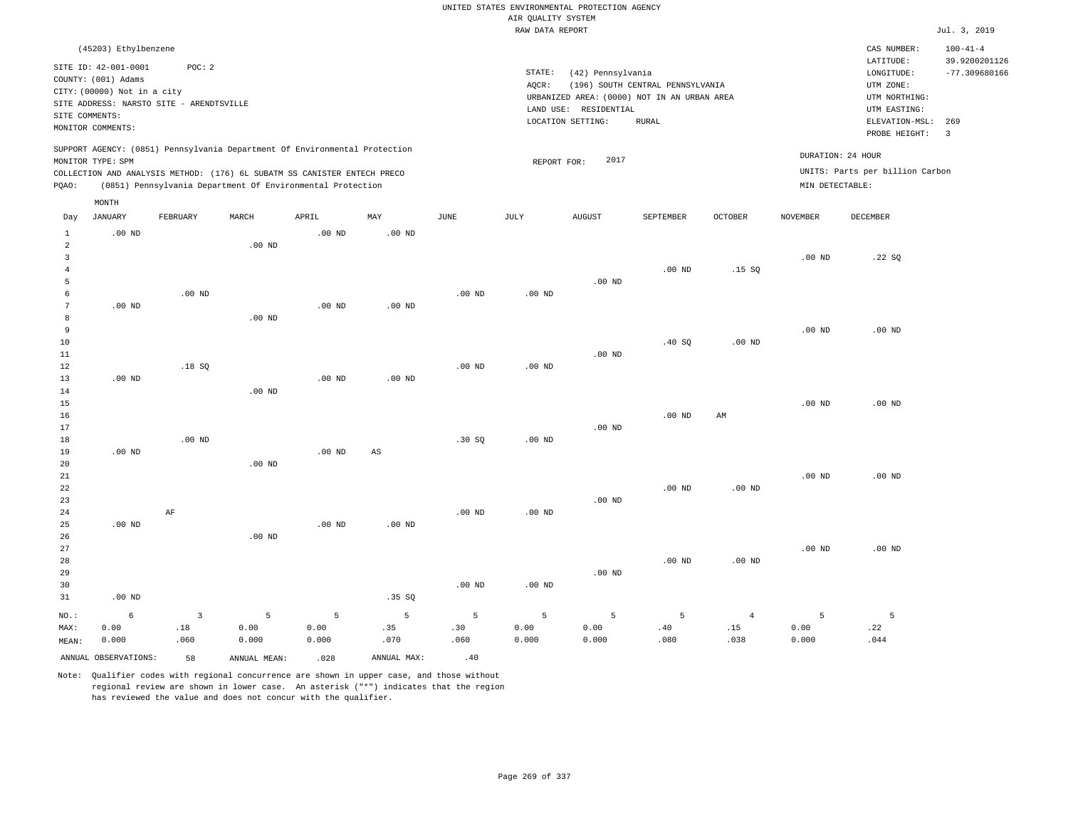|                                       |                                                                            |                                                    |                                                                                                                                        |                        |                        |                   | AIR QUALITY SYSTEM | UNITED STATES ENVIRONMENTAL PROTECTION AGENCY |                                                                                 |                 |                   |                                                          |                                 |
|---------------------------------------|----------------------------------------------------------------------------|----------------------------------------------------|----------------------------------------------------------------------------------------------------------------------------------------|------------------------|------------------------|-------------------|--------------------|-----------------------------------------------|---------------------------------------------------------------------------------|-----------------|-------------------|----------------------------------------------------------|---------------------------------|
|                                       |                                                                            |                                                    |                                                                                                                                        |                        |                        |                   | RAW DATA REPORT    |                                               |                                                                                 |                 |                   |                                                          | Jul. 3, 2019                    |
|                                       | (45203) Ethylbenzene                                                       |                                                    |                                                                                                                                        |                        |                        |                   |                    |                                               |                                                                                 |                 |                   | CAS NUMBER:<br>LATITUDE:                                 | $100 - 41 - 4$<br>39.9200201126 |
|                                       | SITE ID: 42-001-0001<br>COUNTY: (001) Adams<br>CITY: (00000) Not in a city | POC: 2<br>SITE ADDRESS: NARSTO SITE - ARENDTSVILLE |                                                                                                                                        |                        |                        |                   | STATE:<br>AQCR:    | (42) Pennsylvania<br>LAND USE: RESIDENTIAL    | (196) SOUTH CENTRAL PENNSYLVANIA<br>URBANIZED AREA: (0000) NOT IN AN URBAN AREA |                 |                   | LONGITUDE:<br>UTM ZONE:<br>UTM NORTHING:<br>UTM EASTING: | $-77.309680166$                 |
| SITE COMMENTS:                        | MONITOR COMMENTS:                                                          |                                                    |                                                                                                                                        |                        |                        |                   |                    | LOCATION SETTING:                             | <b>RURAL</b>                                                                    |                 |                   | ELEVATION-MSL:<br>PROBE HEIGHT:                          | 269<br>$\overline{\mathbf{3}}$  |
|                                       | MONITOR TYPE: SPM                                                          |                                                    | SUPPORT AGENCY: (0851) Pennsylvania Department Of Environmental Protection                                                             |                        |                        |                   | REPORT FOR:        | 2017                                          |                                                                                 |                 |                   | DURATION: 24 HOUR                                        |                                 |
| PQAO:                                 |                                                                            |                                                    | COLLECTION AND ANALYSIS METHOD: (176) 6L SUBATM SS CANISTER ENTECH PRECO<br>(0851) Pennsylvania Department Of Environmental Protection |                        |                        |                   |                    |                                               |                                                                                 |                 | MIN DETECTABLE:   | UNITS: Parts per billion Carbon                          |                                 |
|                                       | MONTH                                                                      |                                                    |                                                                                                                                        |                        |                        |                   |                    |                                               |                                                                                 |                 |                   |                                                          |                                 |
| Day                                   | <b>JANUARY</b>                                                             | FEBRUARY                                           | MARCH                                                                                                                                  | APRIL                  | MAY                    | JUNE              | JULY               | <b>AUGUST</b>                                 | SEPTEMBER                                                                       | <b>OCTOBER</b>  | <b>NOVEMBER</b>   | DECEMBER                                                 |                                 |
| $\mathbf{1}$<br>$\overline{a}$        | $.00$ ND                                                                   |                                                    | $.00$ ND                                                                                                                               | .00 <sub>ND</sub>      | $.00$ ND               |                   |                    |                                               |                                                                                 |                 |                   |                                                          |                                 |
| $\overline{3}$<br>$\overline{4}$<br>5 |                                                                            |                                                    |                                                                                                                                        |                        |                        |                   |                    | $.00$ ND                                      | $.00$ ND                                                                        | .15S            | $.00$ ND          | .22SQ                                                    |                                 |
| 6<br>$7\phantom{.0}$<br>8             | $.00$ ND                                                                   | $.00$ ND                                           | $.00$ ND                                                                                                                               | $.00$ ND               | $.00$ ND               | $.00$ ND          | $.00$ ND           |                                               |                                                                                 |                 |                   |                                                          |                                 |
| 9<br>10<br>11                         |                                                                            |                                                    |                                                                                                                                        |                        |                        |                   |                    | $.00$ ND                                      | .40S                                                                            | $.00$ ND        | $.00$ ND          | $.00$ ND                                                 |                                 |
| 12<br>13<br>14                        | .00 <sub>ND</sub>                                                          | .18S                                               | .00 <sub>ND</sub>                                                                                                                      | .00 <sub>ND</sub>      | $.00$ ND               | $.00$ ND          | $.00$ ND           |                                               |                                                                                 |                 |                   |                                                          |                                 |
| 15<br>16<br>17                        |                                                                            |                                                    |                                                                                                                                        |                        |                        |                   |                    | $.00$ ND                                      | $.00$ ND                                                                        | AM              | .00 <sub>ND</sub> | $.00$ ND                                                 |                                 |
| 18<br>19<br>20                        | $.00$ ND                                                                   | $.00$ ND                                           | $.00$ ND                                                                                                                               | .00 <sub>ND</sub>      | $\mathbb{A}\mathbb{S}$ | .30 SQ            | .00 <sub>ND</sub>  |                                               |                                                                                 |                 |                   |                                                          |                                 |
| 21<br>22<br>23<br>24                  |                                                                            | AF                                                 |                                                                                                                                        |                        |                        | .00 <sub>ND</sub> | .00 <sub>ND</sub>  | $.00$ ND                                      | $.00$ ND                                                                        | $.00$ ND        | $.00$ ND          | $.00$ ND                                                 |                                 |
| 25<br>26<br>27                        | $.00$ ND                                                                   |                                                    | $.00$ ND                                                                                                                               | $.00$ ND               | $.00$ ND               |                   |                    |                                               |                                                                                 |                 | $.00$ ND          | $.00$ ND                                                 |                                 |
| 28<br>29<br>30<br>31                  | $.00$ ND                                                                   |                                                    |                                                                                                                                        |                        | .35 SQ                 | .00 <sub>ND</sub> | .00 <sub>ND</sub>  | $.00$ ND                                      | $.00$ ND                                                                        | $.00$ ND        |                   |                                                          |                                 |
| $NO.$ :<br>MAX:                       | 6<br>0.00                                                                  | $\overline{3}$<br>.18                              | 5<br>0.00                                                                                                                              | $\overline{5}$<br>0.00 | 5<br>.35               | 5<br>.30          | 5<br>0.00          | 5<br>0.00                                     | 5<br>.40                                                                        | $\bf{4}$<br>.15 | 5<br>0.00         | $\mathsf S$<br>.22                                       |                                 |
| MEAN:                                 | 0.000<br>ANNUAL OBSERVATIONS:                                              | .060<br>58                                         | 0.000<br>ANNUAL, MEAN:                                                                                                                 | 0.000<br>.028          | .070<br>ANNUAL MAX:    | .060<br>.40       | 0.000              | 0.000                                         | .080                                                                            | .038            | 0.000             | .044                                                     |                                 |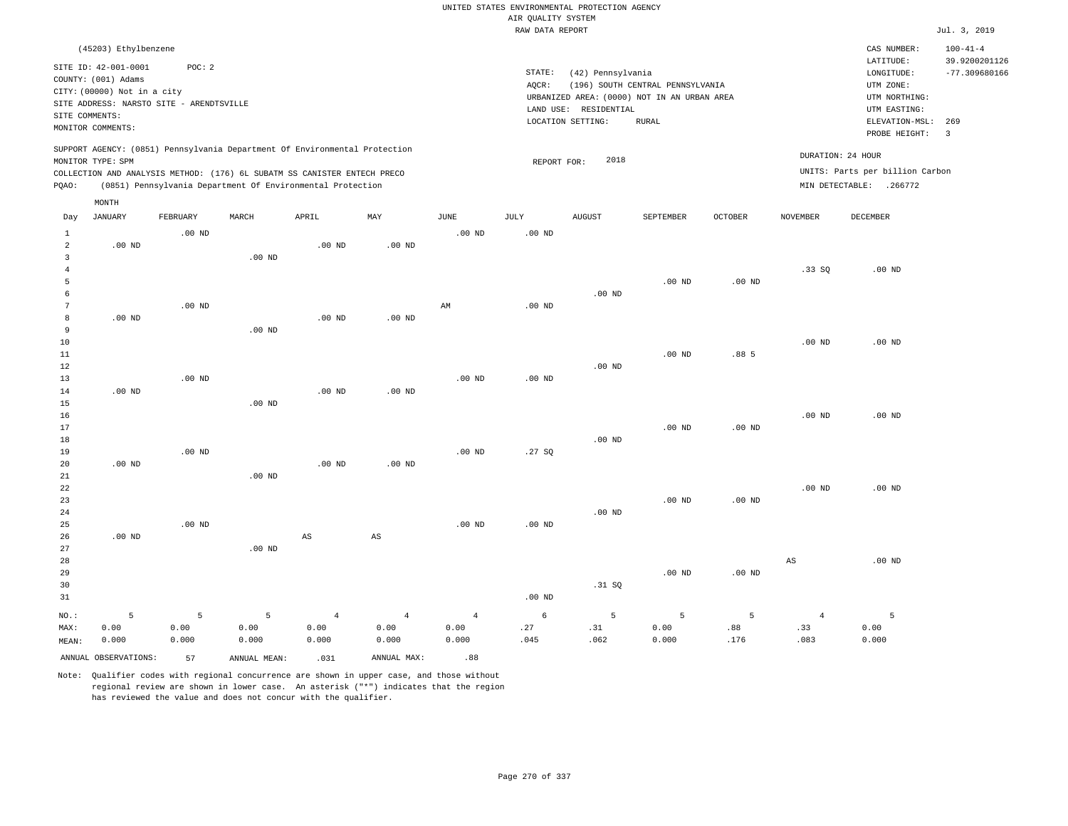|                                       |                                                                                                                                             |             |                                                            |                        |                        |                        | AIR QUALITY SYSTEM | UNITED STATES ENVIRONMENTAL PROTECTION AGENCY                   |                                                                                                 |          |                       |                                                                                             |                                                   |
|---------------------------------------|---------------------------------------------------------------------------------------------------------------------------------------------|-------------|------------------------------------------------------------|------------------------|------------------------|------------------------|--------------------|-----------------------------------------------------------------|-------------------------------------------------------------------------------------------------|----------|-----------------------|---------------------------------------------------------------------------------------------|---------------------------------------------------|
|                                       |                                                                                                                                             |             |                                                            |                        |                        |                        | RAW DATA REPORT    |                                                                 |                                                                                                 |          |                       |                                                                                             | Jul. 3, 2019                                      |
|                                       | (45203) Ethylbenzene                                                                                                                        |             |                                                            |                        |                        |                        |                    |                                                                 |                                                                                                 |          |                       | CAS NUMBER:<br>LATITUDE:                                                                    | $100 - 41 - 4$<br>39.9200201126                   |
| SITE COMMENTS:                        | SITE ID: 42-001-0001<br>COUNTY: (001) Adams<br>CITY: (00000) Not in a city<br>SITE ADDRESS: NARSTO SITE - ARENDTSVILLE<br>MONITOR COMMENTS: | POC: 2      |                                                            |                        |                        |                        | STATE:<br>AQCR:    | (42) Pennsylvania<br>LAND USE: RESIDENTIAL<br>LOCATION SETTING: | (196) SOUTH CENTRAL PENNSYLVANIA<br>URBANIZED AREA: (0000) NOT IN AN URBAN AREA<br><b>RURAL</b> |          |                       | LONGITUDE:<br>UTM ZONE:<br>UTM NORTHING:<br>UTM EASTING:<br>ELEVATION-MSL:<br>PROBE HEIGHT: | $-77.309680166$<br>269<br>$\overline{\mathbf{3}}$ |
|                                       | SUPPORT AGENCY: (0851) Pennsylvania Department Of Environmental Protection<br>MONITOR TYPE: SPM                                             |             |                                                            |                        |                        |                        | REPORT FOR:        | 2018                                                            |                                                                                                 |          |                       | DURATION: 24 HOUR                                                                           |                                                   |
| PQAO:                                 | COLLECTION AND ANALYSIS METHOD: (176) 6L SUBATM SS CANISTER ENTECH PRECO                                                                    |             | (0851) Pennsylvania Department Of Environmental Protection |                        |                        |                        |                    |                                                                 |                                                                                                 |          |                       | UNITS: Parts per billion Carbon<br>MIN DETECTABLE: .266772                                  |                                                   |
|                                       | MONTH                                                                                                                                       |             |                                                            |                        |                        |                        |                    |                                                                 |                                                                                                 |          |                       |                                                                                             |                                                   |
| Day                                   | JANUARY                                                                                                                                     | FEBRUARY    | MARCH                                                      | APRIL                  | MAY                    | JUNE                   | JULY               | <b>AUGUST</b>                                                   | SEPTEMBER                                                                                       | OCTOBER  | NOVEMBER              | DECEMBER                                                                                    |                                                   |
| $\mathbf{1}$<br>$\overline{a}$        | $.00$ ND                                                                                                                                    | $.00$ ND    |                                                            | $.00$ ND               | $.00$ ND               | .00 <sub>ND</sub>      | .00 <sub>ND</sub>  |                                                                 |                                                                                                 |          |                       |                                                                                             |                                                   |
| $\overline{3}$<br>$\overline{4}$<br>5 |                                                                                                                                             |             | .00 <sub>ND</sub>                                          |                        |                        |                        |                    |                                                                 | $.00$ ND                                                                                        | $.00$ ND | .33SQ                 | $.00$ ND                                                                                    |                                                   |
| 6<br>$7\phantom{.0}$                  |                                                                                                                                             | $.00$ ND    |                                                            |                        |                        | $\mathbb{A}\mathbb{M}$ | $.00$ ND           | $.00$ ND                                                        |                                                                                                 |          |                       |                                                                                             |                                                   |
| 8<br>9                                | $.00$ ND                                                                                                                                    |             | $.00$ ND                                                   | $.00$ ND               | $.00$ ND               |                        |                    |                                                                 |                                                                                                 |          |                       |                                                                                             |                                                   |
| $10$<br>11<br>12                      |                                                                                                                                             |             |                                                            |                        |                        |                        |                    | $.00$ ND                                                        | .00 <sub>ND</sub>                                                                               | .88 5    | $.00$ ND              | $.00$ ND                                                                                    |                                                   |
| 13<br>14                              | $.00$ ND                                                                                                                                    | $.00$ ND    |                                                            | .00 <sub>ND</sub>      | $.00$ ND               | .00 <sub>ND</sub>      | .00 <sub>ND</sub>  |                                                                 |                                                                                                 |          |                       |                                                                                             |                                                   |
| 15<br>16                              |                                                                                                                                             |             | $.00$ ND                                                   |                        |                        |                        |                    |                                                                 |                                                                                                 |          | .00 <sub>ND</sub>     | $.00$ ND                                                                                    |                                                   |
| 17<br>18<br>19                        |                                                                                                                                             | $.00$ ND    |                                                            |                        |                        | $.00$ ND               | .27SQ              | .00 <sub>ND</sub>                                               | $.00$ ND                                                                                        | $.00$ ND |                       |                                                                                             |                                                   |
| 20<br>21                              | $.00$ ND                                                                                                                                    |             | $.00$ ND                                                   | $.00$ ND               | $.00$ ND               |                        |                    |                                                                 |                                                                                                 |          |                       |                                                                                             |                                                   |
| 22<br>23<br>24                        |                                                                                                                                             |             |                                                            |                        |                        |                        |                    | $.00$ ND                                                        | $.00$ ND                                                                                        | $.00$ ND | $.00$ ND              | $.00$ ND                                                                                    |                                                   |
| 25<br>26                              | $.00$ ND                                                                                                                                    | $.00$ ND    |                                                            | $\mathbb{A}\mathbb{S}$ | $\mathbb{A}\mathbb{S}$ | .00 <sub>ND</sub>      | .00 <sub>ND</sub>  |                                                                 |                                                                                                 |          |                       |                                                                                             |                                                   |
| 27<br>28<br>29<br>30<br>31            |                                                                                                                                             |             | $.00$ ND                                                   |                        |                        |                        | .00 <sub>ND</sub>  | .31 SQ                                                          | $.00$ ND                                                                                        | $.00$ ND | $_{\rm AS}$           | $.00$ ND                                                                                    |                                                   |
| NO.:<br>MAX:                          | 5<br>0.00                                                                                                                                   | 5<br>0.00   | 5<br>0.00                                                  | $\overline{4}$<br>0.00 | $\overline{4}$<br>0.00 | $\overline{4}$<br>0.00 | 6<br>.27           | 5<br>.31                                                        | 5<br>0.00                                                                                       | 5<br>.88 | $\overline{4}$<br>.33 | 5<br>0.00                                                                                   |                                                   |
| MEAN:                                 | 0.000<br>ANNUAL OBSERVATIONS:                                                                                                               | 0.000<br>57 | 0.000<br>ANNUAL MEAN:                                      | 0.000<br>.031          | 0.000<br>ANNUAL MAX:   | 0.000<br>.88           | .045               | .062                                                            | 0.000                                                                                           | .176     | .083                  | 0.000                                                                                       |                                                   |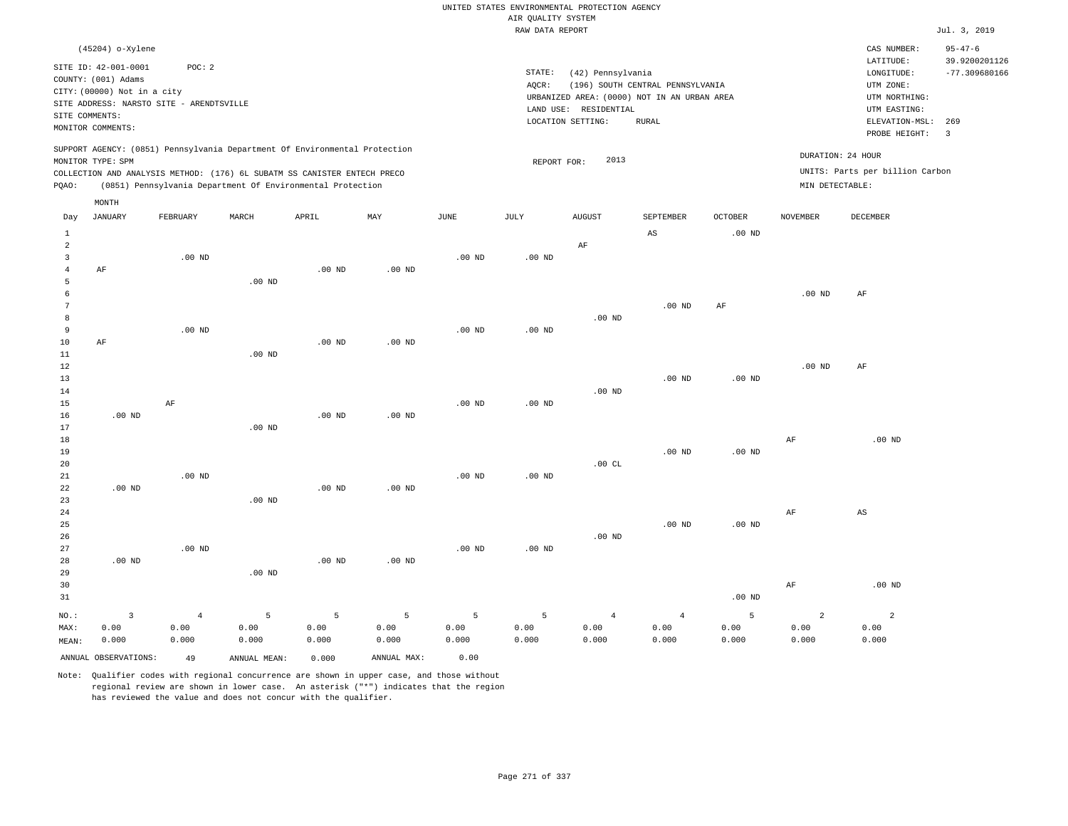|                |                                                                                                 |                   |                                                            |                   |                   |                   | UNITED STATES ENVIRONMENTAL PROTECTION AGENCY |                       |                                             |                |                   |                                 |                                |
|----------------|-------------------------------------------------------------------------------------------------|-------------------|------------------------------------------------------------|-------------------|-------------------|-------------------|-----------------------------------------------|-----------------------|---------------------------------------------|----------------|-------------------|---------------------------------|--------------------------------|
|                |                                                                                                 |                   |                                                            |                   |                   |                   | AIR QUALITY SYSTEM                            |                       |                                             |                |                   |                                 |                                |
|                |                                                                                                 |                   |                                                            |                   |                   |                   | RAW DATA REPORT                               |                       |                                             |                |                   |                                 | Jul. 3, 2019                   |
|                | (45204) o-Xylene<br>SITE ID: 42-001-0001                                                        | POC: 2            |                                                            |                   |                   |                   |                                               |                       |                                             |                |                   | CAS NUMBER:<br>LATITUDE:        | $95 - 47 - 6$<br>39.9200201126 |
|                | COUNTY: (001) Adams                                                                             |                   |                                                            |                   |                   |                   | $\texttt{STATE}$ :<br>AOCR:                   | (42) Pennsylvania     | (196) SOUTH CENTRAL PENNSYLVANIA            |                |                   | LONGITUDE:<br>UTM ZONE:         | $-77.309680166$                |
|                | CITY: (00000) Not in a city                                                                     |                   |                                                            |                   |                   |                   |                                               |                       | URBANIZED AREA: (0000) NOT IN AN URBAN AREA |                |                   | UTM NORTHING:                   |                                |
|                | SITE ADDRESS: NARSTO SITE - ARENDTSVILLE                                                        |                   |                                                            |                   |                   |                   |                                               | LAND USE: RESIDENTIAL |                                             |                |                   | UTM EASTING:                    |                                |
| SITE COMMENTS: |                                                                                                 |                   |                                                            |                   |                   |                   |                                               | LOCATION SETTING:     | <b>RURAL</b>                                |                |                   | ELEVATION-MSL:                  | 269                            |
|                | MONITOR COMMENTS:                                                                               |                   |                                                            |                   |                   |                   |                                               |                       |                                             |                |                   | PROBE HEIGHT:                   | 3                              |
|                | SUPPORT AGENCY: (0851) Pennsylvania Department Of Environmental Protection<br>MONITOR TYPE: SPM |                   |                                                            |                   |                   |                   | REPORT FOR:                                   | 2013                  |                                             |                |                   | DURATION: 24 HOUR               |                                |
| PQAO:          | COLLECTION AND ANALYSIS METHOD: (176) 6L SUBATM SS CANISTER ENTECH PRECO                        |                   | (0851) Pennsylvania Department Of Environmental Protection |                   |                   |                   |                                               |                       |                                             |                | MIN DETECTABLE:   | UNITS: Parts per billion Carbon |                                |
|                | MONTH                                                                                           |                   |                                                            |                   |                   |                   |                                               |                       |                                             |                |                   |                                 |                                |
| Day            | <b>JANUARY</b>                                                                                  | FEBRUARY          | MARCH                                                      | APRIL             | MAY               | $_{\rm JUNE}$     | <b>JULY</b>                                   | <b>AUGUST</b>         | SEPTEMBER                                   | <b>OCTOBER</b> | <b>NOVEMBER</b>   | <b>DECEMBER</b>                 |                                |
| $\mathbf{1}$   |                                                                                                 |                   |                                                            |                   |                   |                   |                                               |                       | $\mathbb{A}\mathbb{S}$                      | $.00$ ND       |                   |                                 |                                |
| $\overline{2}$ |                                                                                                 |                   |                                                            |                   |                   |                   |                                               | AF                    |                                             |                |                   |                                 |                                |
| $\overline{3}$ |                                                                                                 | .00 <sub>ND</sub> |                                                            |                   |                   | .00 <sub>ND</sub> | .00 <sub>ND</sub>                             |                       |                                             |                |                   |                                 |                                |
| $\overline{4}$ | AF                                                                                              |                   |                                                            | $.00$ ND          | $.00$ ND          |                   |                                               |                       |                                             |                |                   |                                 |                                |
| 5              |                                                                                                 |                   | .00 <sub>ND</sub>                                          |                   |                   |                   |                                               |                       |                                             |                |                   |                                 |                                |
| 6              |                                                                                                 |                   |                                                            |                   |                   |                   |                                               |                       |                                             |                | $.00$ ND          | AF                              |                                |
| 7              |                                                                                                 |                   |                                                            |                   |                   |                   |                                               |                       | $.00$ ND                                    | $\rm{AF}$      |                   |                                 |                                |
| 8<br>9         |                                                                                                 | $.00$ ND          |                                                            |                   |                   | $.00$ ND          | $.00$ ND                                      | .00 <sub>ND</sub>     |                                             |                |                   |                                 |                                |
| 10             | AF                                                                                              |                   |                                                            | $.00$ ND          | $.00$ ND          |                   |                                               |                       |                                             |                |                   |                                 |                                |
| 11             |                                                                                                 |                   | $.00$ ND                                                   |                   |                   |                   |                                               |                       |                                             |                |                   |                                 |                                |
| $1\,2$         |                                                                                                 |                   |                                                            |                   |                   |                   |                                               |                       |                                             |                | .00 <sub>ND</sub> | AF                              |                                |
| 13             |                                                                                                 |                   |                                                            |                   |                   |                   |                                               |                       | $.00$ ND                                    | $.00$ ND       |                   |                                 |                                |
| 14             |                                                                                                 |                   |                                                            |                   |                   |                   |                                               | $.00$ ND              |                                             |                |                   |                                 |                                |
| 15             |                                                                                                 | AF                |                                                            |                   |                   | $.00$ ND          | $.00$ ND                                      |                       |                                             |                |                   |                                 |                                |
| 16             | $.00$ ND                                                                                        |                   |                                                            | .00 <sub>ND</sub> | $.00$ ND          |                   |                                               |                       |                                             |                |                   |                                 |                                |
| 17             |                                                                                                 |                   | $.00$ ND                                                   |                   |                   |                   |                                               |                       |                                             |                |                   |                                 |                                |
| 18             |                                                                                                 |                   |                                                            |                   |                   |                   |                                               |                       |                                             |                | AF                | $.00$ ND                        |                                |
| 19             |                                                                                                 |                   |                                                            |                   |                   |                   |                                               |                       | $.00$ ND                                    | $.00$ ND       |                   |                                 |                                |
| 20<br>21       |                                                                                                 | $.00$ ND          |                                                            |                   |                   | $.00$ ND          | .00 <sub>ND</sub>                             | .00CL                 |                                             |                |                   |                                 |                                |
| 22             | $.00$ ND                                                                                        |                   |                                                            | $.00$ ND          | $.00$ ND          |                   |                                               |                       |                                             |                |                   |                                 |                                |
| 23             |                                                                                                 |                   | $.00$ ND                                                   |                   |                   |                   |                                               |                       |                                             |                |                   |                                 |                                |
| 24             |                                                                                                 |                   |                                                            |                   |                   |                   |                                               |                       |                                             |                | AF                | $_{\rm AS}$                     |                                |
| 25             |                                                                                                 |                   |                                                            |                   |                   |                   |                                               |                       | .00 <sub>ND</sub>                           | $.00$ ND       |                   |                                 |                                |
| 26             |                                                                                                 |                   |                                                            |                   |                   |                   |                                               | $.00$ ND              |                                             |                |                   |                                 |                                |
| 27             |                                                                                                 | $.00$ ND          |                                                            |                   |                   | $.00$ ND          | $.00$ ND                                      |                       |                                             |                |                   |                                 |                                |
| 28             | .00 <sub>ND</sub>                                                                               |                   |                                                            | $.00$ ND          | .00 <sub>ND</sub> |                   |                                               |                       |                                             |                |                   |                                 |                                |
| 29             |                                                                                                 |                   | $.00$ ND                                                   |                   |                   |                   |                                               |                       |                                             |                |                   |                                 |                                |
| 30             |                                                                                                 |                   |                                                            |                   |                   |                   |                                               |                       |                                             |                | AF                | $.00$ ND                        |                                |
| 31             |                                                                                                 |                   |                                                            |                   |                   |                   |                                               |                       |                                             | $.00$ ND       |                   |                                 |                                |
| NO.:           | $\overline{3}$                                                                                  | $\overline{4}$    | 5                                                          | 5                 | $\overline{5}$    | 5                 | 5                                             | $\overline{4}$        | $\sqrt{4}$                                  | 5              | $\overline{a}$    | $\overline{a}$                  |                                |
| MAX:           | 0.00                                                                                            | 0.00              | 0.00                                                       | 0.00              | 0.00              | 0.00              | 0.00                                          | 0.00                  | 0.00                                        | 0.00           | 0.00              | 0.00                            |                                |
| MEAN:          | 0.000                                                                                           | 0.000             | 0.000                                                      | 0.000             | 0.000             | 0.000             | 0.000                                         | 0.000                 | 0.000                                       | 0.000          | 0.000             | 0.000                           |                                |
|                | ANNUAL OBSERVATIONS:                                                                            | 49                | ANNUAL MEAN:                                               | 0.000             | ANNUAL MAX:       | 0.00              |                                               |                       |                                             |                |                   |                                 |                                |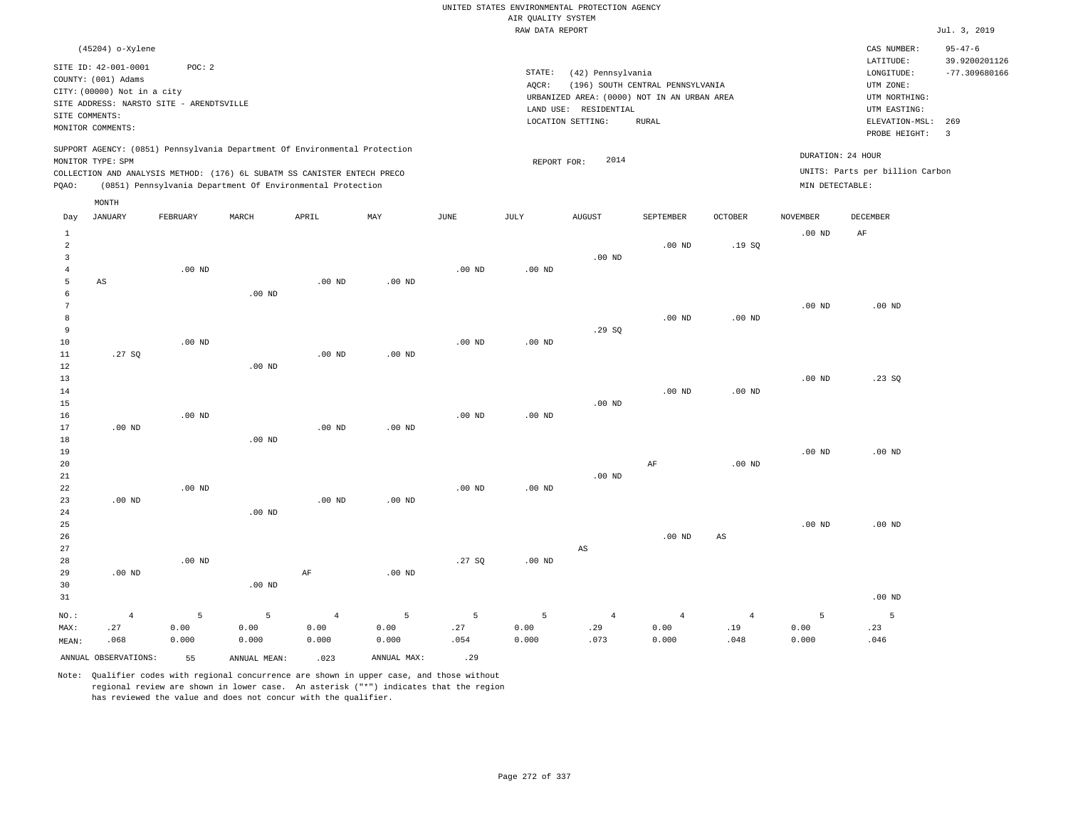|                                                           |                                                                                           |                   |                                                                                                                                                        |                |                   |                   |                    | UNITED STATES ENVIRONMENTAL PROTECTION AGENCY                                             |                                  |                        |                   |                                                      |                                                   |
|-----------------------------------------------------------|-------------------------------------------------------------------------------------------|-------------------|--------------------------------------------------------------------------------------------------------------------------------------------------------|----------------|-------------------|-------------------|--------------------|-------------------------------------------------------------------------------------------|----------------------------------|------------------------|-------------------|------------------------------------------------------|---------------------------------------------------|
|                                                           |                                                                                           |                   |                                                                                                                                                        |                |                   |                   | AIR QUALITY SYSTEM |                                                                                           |                                  |                        |                   |                                                      |                                                   |
|                                                           |                                                                                           |                   |                                                                                                                                                        |                |                   |                   | RAW DATA REPORT    |                                                                                           |                                  |                        |                   |                                                      | Jul. 3, 2019                                      |
|                                                           | (45204) o-Xylene<br>SITE ID: 42-001-0001<br>COUNTY: (001) Adams                           | POC: 2            |                                                                                                                                                        |                |                   |                   | STATE:<br>AQCR:    | (42) Pennsylvania                                                                         | (196) SOUTH CENTRAL PENNSYLVANIA |                        |                   | CAS NUMBER:<br>LATITUDE:<br>LONGITUDE:<br>UTM ZONE:  | $95 - 47 - 6$<br>39.9200201126<br>$-77.309680166$ |
|                                                           | CITY: (00000) Not in a city<br>SITE ADDRESS: NARSTO SITE - ARENDTSVILLE<br>SITE COMMENTS: |                   |                                                                                                                                                        |                |                   |                   |                    | URBANIZED AREA: (0000) NOT IN AN URBAN AREA<br>LAND USE: RESIDENTIAL<br>LOCATION SETTING: | <b>RURAL</b>                     |                        |                   | UTM NORTHING:<br>UTM EASTING:<br>ELEVATION-MSL:      | 269                                               |
|                                                           | MONITOR COMMENTS:                                                                         |                   |                                                                                                                                                        |                |                   |                   |                    |                                                                                           |                                  |                        |                   | PROBE HEIGHT:                                        | $\overline{\mathbf{3}}$                           |
|                                                           | MONITOR TYPE: SPM                                                                         |                   | SUPPORT AGENCY: (0851) Pennsylvania Department Of Environmental Protection<br>COLLECTION AND ANALYSIS METHOD: (176) 6L SUBATM SS CANISTER ENTECH PRECO |                |                   |                   | REPORT FOR:        | 2014                                                                                      |                                  |                        |                   | DURATION: 24 HOUR<br>UNITS: Parts per billion Carbon |                                                   |
| PQAO:                                                     |                                                                                           |                   | (0851) Pennsylvania Department Of Environmental Protection                                                                                             |                |                   |                   |                    |                                                                                           |                                  |                        | MIN DETECTABLE:   |                                                      |                                                   |
|                                                           | MONTH                                                                                     |                   |                                                                                                                                                        |                |                   |                   |                    |                                                                                           |                                  |                        |                   |                                                      |                                                   |
| Day                                                       | <b>JANUARY</b>                                                                            | FEBRUARY          | MARCH                                                                                                                                                  | APRIL          | MAY               | JUNE              | JULY               | <b>AUGUST</b>                                                                             | SEPTEMBER                        | <b>OCTOBER</b>         | <b>NOVEMBER</b>   | DECEMBER                                             |                                                   |
| $\mathbf{1}$<br>$\overline{a}$<br>$\overline{\mathbf{3}}$ |                                                                                           |                   |                                                                                                                                                        |                |                   |                   |                    | $.00$ ND                                                                                  | $.00$ ND                         | .19SQ                  | .00 <sub>ND</sub> | AF                                                   |                                                   |
| $\overline{4}$<br>5                                       | $\mathbb{A}\mathbb{S}$                                                                    | .00 <sub>ND</sub> |                                                                                                                                                        | $.00$ ND       | $.00$ ND          | .00 <sub>ND</sub> | .00 <sub>ND</sub>  |                                                                                           |                                  |                        |                   |                                                      |                                                   |
| 6<br>$7\phantom{.0}$<br>8                                 |                                                                                           |                   | $.00$ ND                                                                                                                                               |                |                   |                   |                    |                                                                                           | $.00$ ND                         | $.00$ ND               | .00 <sub>ND</sub> | $.00$ ND                                             |                                                   |
| 9<br>$10$<br>11                                           | .27SQ                                                                                     | $.00$ ND          |                                                                                                                                                        | $.00$ ND       | $.00$ ND          | .00 <sub>ND</sub> | $.00$ ND           | .29SQ                                                                                     |                                  |                        |                   |                                                      |                                                   |
| $1\,2$<br>13<br>14                                        |                                                                                           |                   | .00 <sub>ND</sub>                                                                                                                                      |                |                   |                   |                    |                                                                                           | $.00$ ND                         | $.00$ ND               | .00 <sub>ND</sub> | .23SQ                                                |                                                   |
| 15<br>16<br>17                                            | $.00$ ND                                                                                  | .00 <sub>ND</sub> |                                                                                                                                                        | $.00$ ND       | $.00$ ND          | .00 <sub>ND</sub> | $.00$ ND           | $.00$ ND                                                                                  |                                  |                        |                   |                                                      |                                                   |
| 18<br>19<br>20                                            |                                                                                           |                   | $.00$ ND                                                                                                                                               |                |                   |                   |                    |                                                                                           | $\rm AF$                         | $.00$ ND               | .00 <sub>ND</sub> | $.00$ ND                                             |                                                   |
| $2\sqrt{1}$<br>22                                         |                                                                                           | .00 <sub>ND</sub> |                                                                                                                                                        |                |                   | .00 <sub>ND</sub> | .00 <sub>ND</sub>  | $.00$ ND                                                                                  |                                  |                        |                   |                                                      |                                                   |
| 23<br>24<br>25                                            | $.00$ ND                                                                                  |                   | $.00$ ND                                                                                                                                               | $.00$ ND       | .00 <sub>ND</sub> |                   |                    |                                                                                           |                                  |                        | .00 <sub>ND</sub> | $.00$ ND                                             |                                                   |
| 26<br>27<br>28                                            |                                                                                           | $.00$ ND          |                                                                                                                                                        |                |                   | .27 SO            | .00 <sub>ND</sub>  | AS                                                                                        | $.00$ ND                         | $\mathbb{A}\mathbb{S}$ |                   |                                                      |                                                   |
| 29<br>30<br>31                                            | $.00$ ND                                                                                  |                   | .00 <sub>ND</sub>                                                                                                                                      | $\rm AF$       | .00 <sub>ND</sub> |                   |                    |                                                                                           |                                  |                        |                   | $.00$ ND                                             |                                                   |
| NO.:                                                      | $\overline{4}$                                                                            | 5                 | 5                                                                                                                                                      | $\overline{4}$ | 5                 | 5                 | 5                  | $\overline{4}$                                                                            | $\overline{4}$                   | $\overline{4}$         | 5                 | $\overline{5}$                                       |                                                   |
| MAX:<br>MEAN:                                             | .27<br>.068                                                                               | 0.00<br>0.000     | 0.00<br>0.000                                                                                                                                          | 0.00<br>0.000  | 0.00<br>0.000     | .27<br>.054       | 0.00<br>0.000      | .29<br>.073                                                                               | 0.00<br>0.000                    | .19<br>.048            | 0.00<br>0.000     | .23<br>.046                                          |                                                   |
|                                                           | ANNUAL OBSERVATIONS:                                                                      | 55                | ANNUAL MEAN:                                                                                                                                           | .023           | ANNUAL MAX:       | .29               |                    |                                                                                           |                                  |                        |                   |                                                      |                                                   |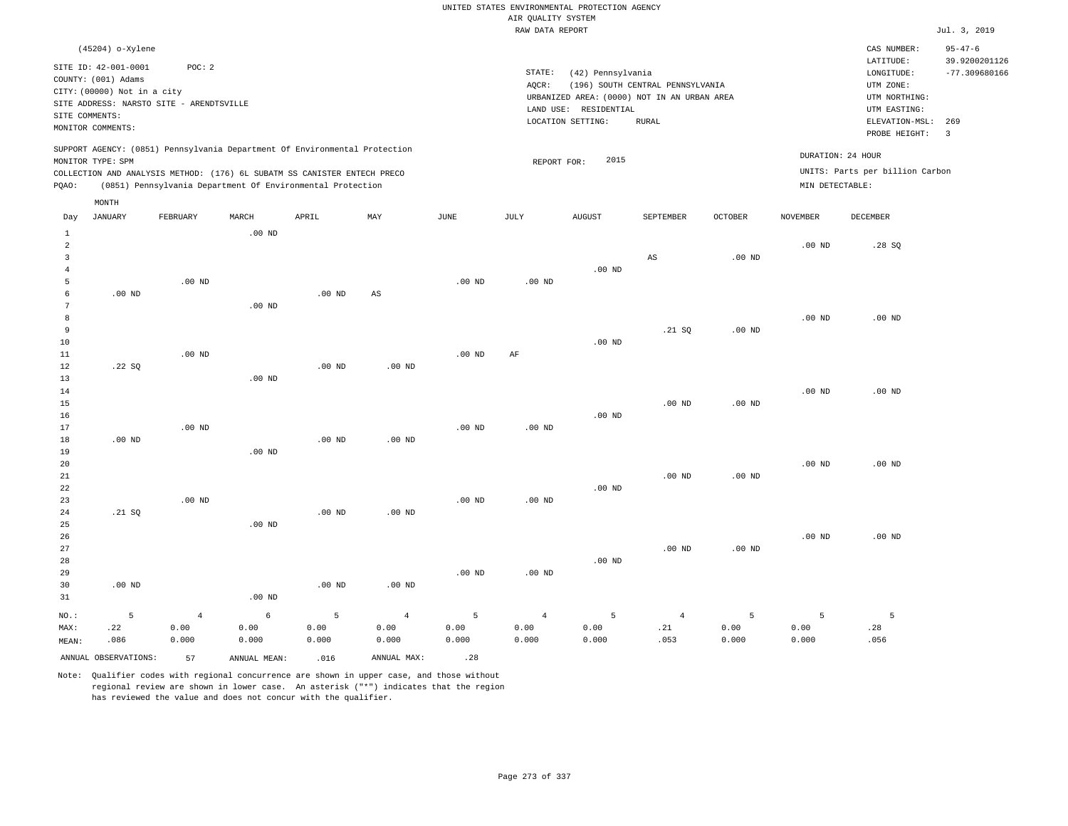|                |                                          |                   |                                                                            |                   |                   |                   |                                       | UNITED STATES ENVIRONMENTAL PROTECTION AGENCY |                                  |                |                   |                                 |                                |
|----------------|------------------------------------------|-------------------|----------------------------------------------------------------------------|-------------------|-------------------|-------------------|---------------------------------------|-----------------------------------------------|----------------------------------|----------------|-------------------|---------------------------------|--------------------------------|
|                |                                          |                   |                                                                            |                   |                   |                   | AIR QUALITY SYSTEM<br>RAW DATA REPORT |                                               |                                  |                |                   |                                 | Jul. 3, 2019                   |
|                |                                          |                   |                                                                            |                   |                   |                   |                                       |                                               |                                  |                |                   |                                 |                                |
|                | (45204) o-Xylene                         |                   |                                                                            |                   |                   |                   |                                       |                                               |                                  |                |                   | CAS NUMBER:<br>LATITUDE:        | $95 - 47 - 6$<br>39.9200201126 |
|                | SITE ID: 42-001-0001                     | POC: 2            |                                                                            |                   |                   |                   | STATE:                                | (42) Pennsylvania                             |                                  |                |                   | LONGITUDE:                      | $-77.309680166$                |
|                | COUNTY: (001) Adams                      |                   |                                                                            |                   |                   |                   | AOCR:                                 |                                               | (196) SOUTH CENTRAL PENNSYLVANIA |                |                   | UTM ZONE:                       |                                |
|                | CITY: (00000) Not in a city              |                   |                                                                            |                   |                   |                   |                                       | URBANIZED AREA: (0000) NOT IN AN URBAN AREA   |                                  |                |                   | UTM NORTHING:                   |                                |
|                | SITE ADDRESS: NARSTO SITE - ARENDTSVILLE |                   |                                                                            |                   |                   |                   |                                       | LAND USE: RESIDENTIAL                         |                                  |                |                   | UTM EASTING:                    |                                |
| SITE COMMENTS: | MONITOR COMMENTS:                        |                   |                                                                            |                   |                   |                   |                                       | LOCATION SETTING:                             | <b>RURAL</b>                     |                |                   | ELEVATION-MSL:                  | 269                            |
|                |                                          |                   |                                                                            |                   |                   |                   |                                       |                                               |                                  |                |                   | PROBE HEIGHT:                   | $\overline{3}$                 |
|                |                                          |                   | SUPPORT AGENCY: (0851) Pennsylvania Department Of Environmental Protection |                   |                   |                   |                                       |                                               |                                  |                |                   |                                 |                                |
|                | MONITOR TYPE: SPM                        |                   |                                                                            |                   |                   |                   | REPORT FOR:                           | 2015                                          |                                  |                | DURATION: 24 HOUR |                                 |                                |
|                |                                          |                   | COLLECTION AND ANALYSIS METHOD: (176) 6L SUBATM SS CANISTER ENTECH PRECO   |                   |                   |                   |                                       |                                               |                                  |                |                   | UNITS: Parts per billion Carbon |                                |
| PQAO:          |                                          |                   | (0851) Pennsylvania Department Of Environmental Protection                 |                   |                   |                   |                                       |                                               |                                  |                | MIN DETECTABLE:   |                                 |                                |
|                | MONTH                                    |                   |                                                                            |                   |                   |                   |                                       |                                               |                                  |                |                   |                                 |                                |
| Day            | <b>JANUARY</b>                           | FEBRUARY          | MARCH                                                                      | APRIL             | MAY               | $_{\rm JUNE}$     | <b>JULY</b>                           | <b>AUGUST</b>                                 | SEPTEMBER                        | <b>OCTOBER</b> | <b>NOVEMBER</b>   | <b>DECEMBER</b>                 |                                |
| $\mathbf{1}$   |                                          |                   | .00 <sub>ND</sub>                                                          |                   |                   |                   |                                       |                                               |                                  |                |                   |                                 |                                |
| 2              |                                          |                   |                                                                            |                   |                   |                   |                                       |                                               |                                  |                | $.00$ ND          | .28S                            |                                |
| $\overline{3}$ |                                          |                   |                                                                            |                   |                   |                   |                                       |                                               | $\mathbb{A}\mathbb{S}$           | $.00$ ND       |                   |                                 |                                |
| $\overline{4}$ |                                          |                   |                                                                            |                   |                   |                   |                                       | .00 <sub>ND</sub>                             |                                  |                |                   |                                 |                                |
| 5              |                                          | .00 <sub>ND</sub> |                                                                            |                   |                   | .00 <sub>ND</sub> | $.00$ ND                              |                                               |                                  |                |                   |                                 |                                |
| 6              | $.00$ ND                                 |                   |                                                                            | $.00$ ND          | AS                |                   |                                       |                                               |                                  |                |                   |                                 |                                |
| 7              |                                          |                   | .00 <sub>ND</sub>                                                          |                   |                   |                   |                                       |                                               |                                  |                |                   |                                 |                                |
| 8              |                                          |                   |                                                                            |                   |                   |                   |                                       |                                               |                                  |                | .00 <sub>ND</sub> | $.00$ ND                        |                                |
| 9              |                                          |                   |                                                                            |                   |                   |                   |                                       |                                               | .21 S0                           | $.00$ ND       |                   |                                 |                                |
| $10$           |                                          |                   |                                                                            |                   |                   |                   |                                       | .00 $ND$                                      |                                  |                |                   |                                 |                                |
| 11<br>12       | .22SQ                                    | $.00$ ND          |                                                                            | $.00$ ND          | $.00$ ND          | $.00$ ND          | AF                                    |                                               |                                  |                |                   |                                 |                                |
| 13             |                                          |                   | $.00$ ND                                                                   |                   |                   |                   |                                       |                                               |                                  |                |                   |                                 |                                |
| 14             |                                          |                   |                                                                            |                   |                   |                   |                                       |                                               |                                  |                | $.00$ ND          | $.00$ ND                        |                                |
| 15             |                                          |                   |                                                                            |                   |                   |                   |                                       |                                               | $.00$ ND                         | $.00$ ND       |                   |                                 |                                |
| 16             |                                          |                   |                                                                            |                   |                   |                   |                                       | $.00$ ND                                      |                                  |                |                   |                                 |                                |
| 17             |                                          | .00 <sub>ND</sub> |                                                                            |                   |                   | .00 <sub>ND</sub> | .00 <sub>ND</sub>                     |                                               |                                  |                |                   |                                 |                                |
| 18             | $.00$ ND                                 |                   |                                                                            | $.00$ ND          | $.00$ ND          |                   |                                       |                                               |                                  |                |                   |                                 |                                |
| 19             |                                          |                   | $.00$ ND                                                                   |                   |                   |                   |                                       |                                               |                                  |                |                   |                                 |                                |
| 20             |                                          |                   |                                                                            |                   |                   |                   |                                       |                                               |                                  |                | .00 <sub>ND</sub> | $.00$ ND                        |                                |
| $2\sqrt{1}$    |                                          |                   |                                                                            |                   |                   |                   |                                       |                                               | .00 <sub>ND</sub>                | $.00$ ND       |                   |                                 |                                |
| 22             |                                          |                   |                                                                            |                   |                   |                   |                                       | $.00$ ND                                      |                                  |                |                   |                                 |                                |
| 23             |                                          | $.00$ ND          |                                                                            |                   |                   | .00 <sub>ND</sub> | .00 <sub>ND</sub>                     |                                               |                                  |                |                   |                                 |                                |
| 24             | .21 SQ                                   |                   |                                                                            | .00 <sub>ND</sub> | .00 <sub>ND</sub> |                   |                                       |                                               |                                  |                |                   |                                 |                                |
| 25             |                                          |                   | $.00$ ND                                                                   |                   |                   |                   |                                       |                                               |                                  |                |                   |                                 |                                |
| 26<br>27       |                                          |                   |                                                                            |                   |                   |                   |                                       |                                               | .00 <sub>ND</sub>                | $.00$ ND       | $.00$ ND          | $.00$ ND                        |                                |
| 28             |                                          |                   |                                                                            |                   |                   |                   |                                       | $.00$ ND                                      |                                  |                |                   |                                 |                                |
| 29             |                                          |                   |                                                                            |                   |                   | $.00$ ND          | $.00$ ND                              |                                               |                                  |                |                   |                                 |                                |
| 30             | $.00$ ND                                 |                   |                                                                            | $.00$ ND          | .00 <sub>ND</sub> |                   |                                       |                                               |                                  |                |                   |                                 |                                |
| 31             |                                          |                   | $.00$ ND                                                                   |                   |                   |                   |                                       |                                               |                                  |                |                   |                                 |                                |
|                |                                          |                   |                                                                            |                   |                   |                   |                                       |                                               |                                  |                |                   |                                 |                                |
| NO.:           | 5                                        | $\overline{4}$    | $\epsilon$                                                                 | $\overline{5}$    | $\overline{4}$    | 5                 | $\overline{4}$                        | 5                                             | $\sqrt{4}$                       | 5              | 5                 | 5                               |                                |
| MAX:           | .22<br>.086                              | 0.00<br>0.000     | 0.00<br>0.000                                                              | 0.00<br>0.000     | 0.00<br>0.000     | 0.00<br>0.000     | 0.00<br>0.000                         | 0.00<br>0.000                                 | .21<br>.053                      | 0.00<br>0.000  | 0.00<br>0.000     | .28<br>.056                     |                                |
| MEAN:          |                                          |                   |                                                                            |                   |                   |                   |                                       |                                               |                                  |                |                   |                                 |                                |
|                | ANNUAL OBSERVATIONS:                     | 57                | ANNUAL, MEAN:                                                              | .016              | ANNUAL MAX:       | .28               |                                       |                                               |                                  |                |                   |                                 |                                |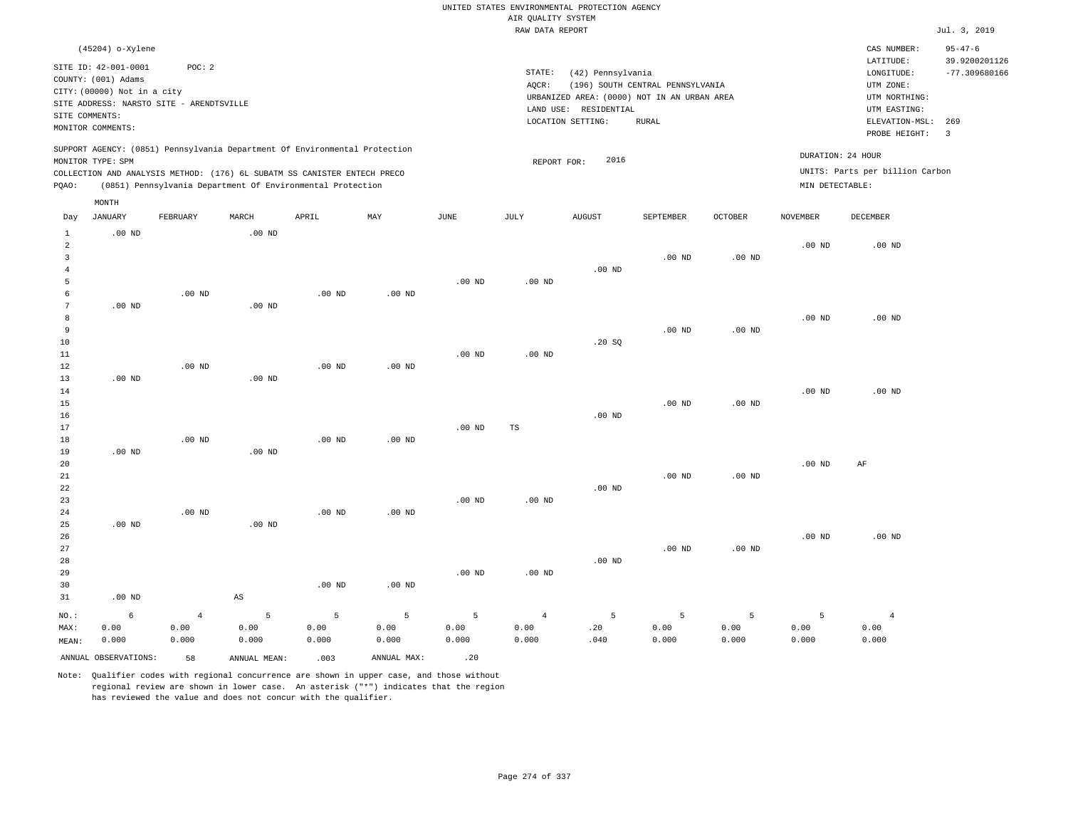|                         |                                                    |                                          |                            |                                                                            |                   |               | AIR QUALITY SYSTEM | UNITED STATES ENVIRONMENTAL PROTECTION AGENCY |                                  |                   |                   |                                 |                                |
|-------------------------|----------------------------------------------------|------------------------------------------|----------------------------|----------------------------------------------------------------------------|-------------------|---------------|--------------------|-----------------------------------------------|----------------------------------|-------------------|-------------------|---------------------------------|--------------------------------|
|                         |                                                    |                                          |                            |                                                                            |                   |               | RAW DATA REPORT    |                                               |                                  |                   |                   |                                 | Jul. 3, 2019                   |
|                         | (45204) o-Xylene                                   |                                          |                            |                                                                            |                   |               |                    |                                               |                                  |                   |                   | CAS NUMBER:<br>LATITUDE:        | $95 - 47 - 6$<br>39.9200201126 |
|                         | SITE ID: 42-001-0001                               | POC: 2                                   |                            |                                                                            |                   |               | STATE:             | (42) Pennsylvania                             |                                  |                   |                   | LONGITUDE:                      | $-77.309680166$                |
|                         | COUNTY: (001) Adams<br>CITY: (00000) Not in a city |                                          |                            |                                                                            |                   |               | AQCR:              |                                               | (196) SOUTH CENTRAL PENNSYLVANIA |                   |                   | UTM ZONE:                       |                                |
|                         |                                                    | SITE ADDRESS: NARSTO SITE - ARENDTSVILLE |                            |                                                                            |                   |               |                    | URBANIZED AREA: (0000) NOT IN AN URBAN AREA   |                                  |                   |                   | UTM NORTHING:                   |                                |
| SITE COMMENTS:          |                                                    |                                          |                            |                                                                            |                   |               |                    | LAND USE: RESIDENTIAL                         |                                  |                   |                   | UTM EASTING:                    |                                |
|                         | MONITOR COMMENTS:                                  |                                          |                            |                                                                            |                   |               |                    | LOCATION SETTING:                             | <b>RURAL</b>                     |                   |                   | ELEVATION-MSL:<br>PROBE HEIGHT: | 269<br>$\overline{3}$          |
|                         | MONITOR TYPE: SPM                                  |                                          |                            | SUPPORT AGENCY: (0851) Pennsylvania Department Of Environmental Protection |                   |               | REPORT FOR:        | 2016                                          |                                  |                   |                   | DURATION: 24 HOUR               |                                |
|                         |                                                    |                                          |                            | COLLECTION AND ANALYSIS METHOD: (176) 6L SUBATM SS CANISTER ENTECH PRECO   |                   |               |                    |                                               |                                  |                   |                   | UNITS: Parts per billion Carbon |                                |
| PQAO:                   |                                                    |                                          |                            | (0851) Pennsylvania Department Of Environmental Protection                 |                   |               |                    |                                               |                                  |                   | MIN DETECTABLE:   |                                 |                                |
|                         | MONTH                                              |                                          |                            |                                                                            |                   |               |                    |                                               |                                  |                   |                   |                                 |                                |
| Day<br>$\,1\,$          | <b>JANUARY</b><br>$.00$ ND                         | FEBRUARY                                 | MARCH<br>.00 <sub>ND</sub> | APRIL                                                                      | MAX               | $_{\rm JUNE}$ | <b>JULY</b>        | <b>AUGUST</b>                                 | SEPTEMBER                        | <b>OCTOBER</b>    | <b>NOVEMBER</b>   | <b>DECEMBER</b>                 |                                |
| $\overline{a}$          |                                                    |                                          |                            |                                                                            |                   |               |                    |                                               |                                  |                   | $.00$ ND          | $.00$ ND                        |                                |
| $\overline{\mathbf{3}}$ |                                                    |                                          |                            |                                                                            |                   |               |                    |                                               | $.00$ ND                         | .00 <sub>ND</sub> |                   |                                 |                                |
| $\overline{4}$          |                                                    |                                          |                            |                                                                            |                   |               |                    | $.00$ ND                                      |                                  |                   |                   |                                 |                                |
| 5                       |                                                    |                                          |                            |                                                                            |                   | $.00$ ND      | $.00$ ND           |                                               |                                  |                   |                   |                                 |                                |
| 6<br>$\overline{7}$     | $.00$ ND                                           | $.00$ ND                                 | $.00$ ND                   | $.00$ ND                                                                   | .00 <sub>ND</sub> |               |                    |                                               |                                  |                   |                   |                                 |                                |
| 8                       |                                                    |                                          |                            |                                                                            |                   |               |                    |                                               |                                  |                   | $.00$ ND          | $.00$ ND                        |                                |
| $\overline{9}$          |                                                    |                                          |                            |                                                                            |                   |               |                    |                                               | $.00$ ND                         | .00 <sub>ND</sub> |                   |                                 |                                |
| 10                      |                                                    |                                          |                            |                                                                            |                   |               |                    | .20SQ                                         |                                  |                   |                   |                                 |                                |
| $1\,1$                  |                                                    |                                          |                            |                                                                            |                   | $.00$ ND      | $.00$ ND           |                                               |                                  |                   |                   |                                 |                                |
| 12                      |                                                    | $.00$ ND                                 |                            | $.00$ ND                                                                   | $.00$ ND          |               |                    |                                               |                                  |                   |                   |                                 |                                |
| 13                      | $.00$ ND                                           |                                          | .00 <sub>ND</sub>          |                                                                            |                   |               |                    |                                               |                                  |                   |                   |                                 |                                |
| 14                      |                                                    |                                          |                            |                                                                            |                   |               |                    |                                               |                                  |                   | $.00$ ND          | $.00$ ND                        |                                |
| 15                      |                                                    |                                          |                            |                                                                            |                   |               |                    |                                               | $.00$ ND                         | .00 <sub>ND</sub> |                   |                                 |                                |
| 16<br>17                |                                                    |                                          |                            |                                                                            |                   | $.00$ ND      | $_{\rm TS}$        | $.00$ ND                                      |                                  |                   |                   |                                 |                                |
| 18                      |                                                    | .00 <sub>ND</sub>                        |                            | .00 <sub>ND</sub>                                                          | .00 <sub>ND</sub> |               |                    |                                               |                                  |                   |                   |                                 |                                |
| 19                      | $.00$ ND                                           |                                          | .00 <sub>ND</sub>          |                                                                            |                   |               |                    |                                               |                                  |                   |                   |                                 |                                |
| 20                      |                                                    |                                          |                            |                                                                            |                   |               |                    |                                               |                                  |                   | .00 <sub>ND</sub> | AF                              |                                |
| 21                      |                                                    |                                          |                            |                                                                            |                   |               |                    |                                               | $.00$ ND                         | $.00$ ND          |                   |                                 |                                |
| 22                      |                                                    |                                          |                            |                                                                            |                   |               |                    | $.00$ ND                                      |                                  |                   |                   |                                 |                                |
| 23                      |                                                    |                                          |                            |                                                                            |                   | $.00$ ND      | $.00$ ND           |                                               |                                  |                   |                   |                                 |                                |
| 24                      |                                                    | $.00$ ND                                 |                            | $.00$ ND                                                                   | $.00$ ND          |               |                    |                                               |                                  |                   |                   |                                 |                                |
| 25                      | $.00$ ND                                           |                                          | .00 <sub>ND</sub>          |                                                                            |                   |               |                    |                                               |                                  |                   |                   |                                 |                                |
| 26<br>27                |                                                    |                                          |                            |                                                                            |                   |               |                    |                                               | $.00$ ND                         | $.00$ ND          | $.00$ ND          | .00 <sub>ND</sub>               |                                |
| 28                      |                                                    |                                          |                            |                                                                            |                   |               |                    | $.00$ ND                                      |                                  |                   |                   |                                 |                                |
| 29                      |                                                    |                                          |                            |                                                                            |                   | $.00$ ND      | .00 <sub>ND</sub>  |                                               |                                  |                   |                   |                                 |                                |
| 30                      |                                                    |                                          |                            | $.00$ ND                                                                   | $.00$ ND          |               |                    |                                               |                                  |                   |                   |                                 |                                |
| 31                      | $.00$ ND                                           |                                          | $_{\rm AS}$                |                                                                            |                   |               |                    |                                               |                                  |                   |                   |                                 |                                |
| NO.:                    | 6                                                  | $\overline{4}$                           | 5                          | 5                                                                          | 5                 | 5             | $\sqrt{4}$         | $\overline{5}$                                | $\overline{5}$                   | 5                 | 5                 | $\overline{4}$                  |                                |
| MAX:                    | 0.00                                               | 0.00                                     | 0.00                       | 0.00                                                                       | 0.00              | 0.00          | 0.00               | .20                                           | 0.00                             | 0.00              | 0.00              | 0.00                            |                                |
| MEAN:                   | 0.000                                              | 0.000                                    | 0.000                      | 0.000                                                                      | 0.000             | 0.000         | 0.000              | .040                                          | 0.000                            | 0.000             | 0.000             | 0.000                           |                                |
|                         | ANNUAL OBSERVATIONS:                               | 58                                       | ANNUAL MEAN:               | .003                                                                       | ANNUAL MAX:       | .20           |                    |                                               |                                  |                   |                   |                                 |                                |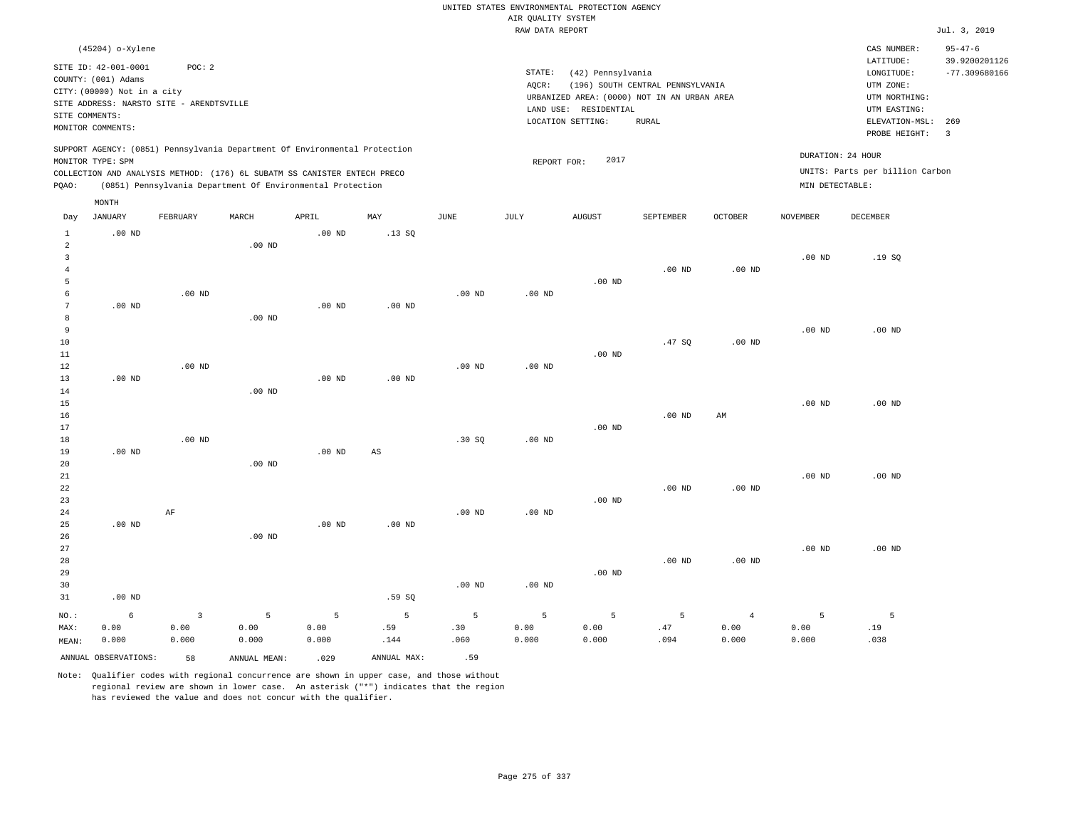|                                       |                                                                                                                        |                                          |                                                                                                                                        |                                 |                        |                   | AIR QUALITY SYSTEM | UNITED STATES ENVIRONMENTAL PROTECTION AGENCY                                             |                                  |                                 |                    |                                                          |                                |
|---------------------------------------|------------------------------------------------------------------------------------------------------------------------|------------------------------------------|----------------------------------------------------------------------------------------------------------------------------------------|---------------------------------|------------------------|-------------------|--------------------|-------------------------------------------------------------------------------------------|----------------------------------|---------------------------------|--------------------|----------------------------------------------------------|--------------------------------|
|                                       |                                                                                                                        |                                          |                                                                                                                                        |                                 |                        |                   | RAW DATA REPORT    |                                                                                           |                                  |                                 |                    |                                                          | Jul. 3, 2019                   |
|                                       | (45204) o-Xylene                                                                                                       |                                          |                                                                                                                                        |                                 |                        |                   |                    |                                                                                           |                                  |                                 |                    | CAS NUMBER:<br>LATITUDE:                                 | $95 - 47 - 6$<br>39.9200201126 |
|                                       | SITE ID: 42-001-0001<br>COUNTY: (001) Adams<br>CITY: (00000) Not in a city<br>SITE ADDRESS: NARSTO SITE - ARENDTSVILLE | POC: 2                                   |                                                                                                                                        |                                 |                        |                   | STATE:<br>AQCR:    | (42) Pennsylvania<br>URBANIZED AREA: (0000) NOT IN AN URBAN AREA<br>LAND USE: RESIDENTIAL | (196) SOUTH CENTRAL PENNSYLVANIA |                                 |                    | LONGITUDE:<br>UTM ZONE:<br>UTM NORTHING:<br>UTM EASTING: | $-77.309680166$                |
| SITE COMMENTS:                        | MONITOR COMMENTS:                                                                                                      |                                          |                                                                                                                                        |                                 |                        |                   |                    | LOCATION SETTING:                                                                         | <b>RURAL</b>                     |                                 |                    | ELEVATION-MSL:<br>PROBE HEIGHT:                          | 269<br>$\overline{\mathbf{3}}$ |
|                                       | MONITOR TYPE: SPM                                                                                                      |                                          | SUPPORT AGENCY: (0851) Pennsylvania Department Of Environmental Protection                                                             |                                 |                        |                   | REPORT FOR:        | 2017                                                                                      |                                  |                                 |                    | DURATION: 24 HOUR                                        |                                |
| PQAO:                                 |                                                                                                                        |                                          | COLLECTION AND ANALYSIS METHOD: (176) 6L SUBATM SS CANISTER ENTECH PRECO<br>(0851) Pennsylvania Department Of Environmental Protection |                                 |                        |                   |                    |                                                                                           |                                  |                                 | MIN DETECTABLE:    | UNITS: Parts per billion Carbon                          |                                |
|                                       | MONTH                                                                                                                  |                                          |                                                                                                                                        |                                 |                        |                   |                    |                                                                                           |                                  |                                 |                    |                                                          |                                |
| Day                                   | <b>JANUARY</b>                                                                                                         | FEBRUARY                                 | MARCH                                                                                                                                  | APRIL                           | MAY                    | JUNE              | JULY               | <b>AUGUST</b>                                                                             | SEPTEMBER                        | <b>OCTOBER</b>                  | <b>NOVEMBER</b>    | DECEMBER                                                 |                                |
| $\mathbf{1}$<br>$\overline{a}$        | $.00$ ND                                                                                                               |                                          | $.00$ ND                                                                                                                               | .00 <sub>ND</sub>               | .13SQ                  |                   |                    |                                                                                           |                                  |                                 |                    |                                                          |                                |
| $\overline{3}$<br>$\overline{4}$<br>5 |                                                                                                                        |                                          |                                                                                                                                        |                                 |                        |                   |                    | $.00$ ND                                                                                  | .00 <sub>ND</sub>                | $.00$ ND                        | .00 <sub>ND</sub>  | .19S                                                     |                                |
| 6<br>$7\phantom{.0}$<br>8             | $.00$ ND                                                                                                               | $.00$ ND                                 | $.00$ ND                                                                                                                               | $.00$ ND                        | $.00$ ND               | $.00$ ND          | $.00$ ND           |                                                                                           |                                  |                                 |                    |                                                          |                                |
| 9<br>10                               |                                                                                                                        |                                          |                                                                                                                                        |                                 |                        |                   |                    |                                                                                           | .47S                             | $.00$ ND                        | $.00$ ND           | $.00$ ND                                                 |                                |
| 11<br>12<br>13                        | $.00$ ND                                                                                                               | $.00$ ND                                 |                                                                                                                                        | .00 <sub>ND</sub>               | $.00$ ND               | $.00$ ND          | $.00$ ND           | $.00$ ND                                                                                  |                                  |                                 |                    |                                                          |                                |
| 14<br>15                              |                                                                                                                        |                                          | .00 <sub>ND</sub>                                                                                                                      |                                 |                        |                   |                    |                                                                                           |                                  |                                 | .00 <sub>ND</sub>  | $.00$ ND                                                 |                                |
| 16<br>17<br>18                        |                                                                                                                        | $.00$ ND                                 |                                                                                                                                        |                                 |                        | .30S              | .00 <sub>ND</sub>  | $.00$ ND                                                                                  | $.00$ ND                         | AM                              |                    |                                                          |                                |
| 19<br>20<br>21                        | $.00$ ND                                                                                                               |                                          | $.00$ ND                                                                                                                               | .00 <sub>ND</sub>               | $\mathbb{A}\mathbb{S}$ |                   |                    |                                                                                           |                                  |                                 | $.00$ ND           | $.00$ ND                                                 |                                |
| 22<br>23<br>24                        |                                                                                                                        | AF                                       |                                                                                                                                        |                                 |                        | .00 <sub>ND</sub> | .00 <sub>ND</sub>  | $.00$ ND                                                                                  | $.00$ ND                         | $.00$ ND                        |                    |                                                          |                                |
| 25<br>26<br>27                        | $.00$ ND                                                                                                               |                                          | $.00$ ND                                                                                                                               | $.00$ ND                        | $.00$ ND               |                   |                    |                                                                                           |                                  |                                 | $.00$ ND           | $.00$ ND                                                 |                                |
| 28<br>29<br>30                        |                                                                                                                        |                                          |                                                                                                                                        |                                 |                        | .00 <sub>ND</sub> | .00 <sub>ND</sub>  | $.00$ ND                                                                                  | .00 <sub>ND</sub>                | $.00$ ND                        |                    |                                                          |                                |
| 31                                    | $.00$ ND                                                                                                               |                                          |                                                                                                                                        |                                 | .59SQ                  |                   |                    |                                                                                           |                                  |                                 |                    |                                                          |                                |
| $NO.$ :<br>MAX:<br>MEAN:              | 6<br>0.00<br>0.000                                                                                                     | $\overline{\mathbf{3}}$<br>0.00<br>0.000 | 5<br>0.00<br>0.000                                                                                                                     | $\overline{5}$<br>0.00<br>0.000 | 5<br>.59<br>.144       | 5<br>.30<br>.060  | 5<br>0.00<br>0.000 | 5<br>0.00<br>0.000                                                                        | 5<br>.47<br>.094                 | $\overline{4}$<br>0.00<br>0.000 | 5<br>0.00<br>0.000 | $\mathsf S$<br>.19<br>.038                               |                                |
|                                       | ANNUAL OBSERVATIONS:                                                                                                   | 58                                       | ANNUAL, MEAN:                                                                                                                          | .029                            | ANNUAL MAX:            | .59               |                    |                                                                                           |                                  |                                 |                    |                                                          |                                |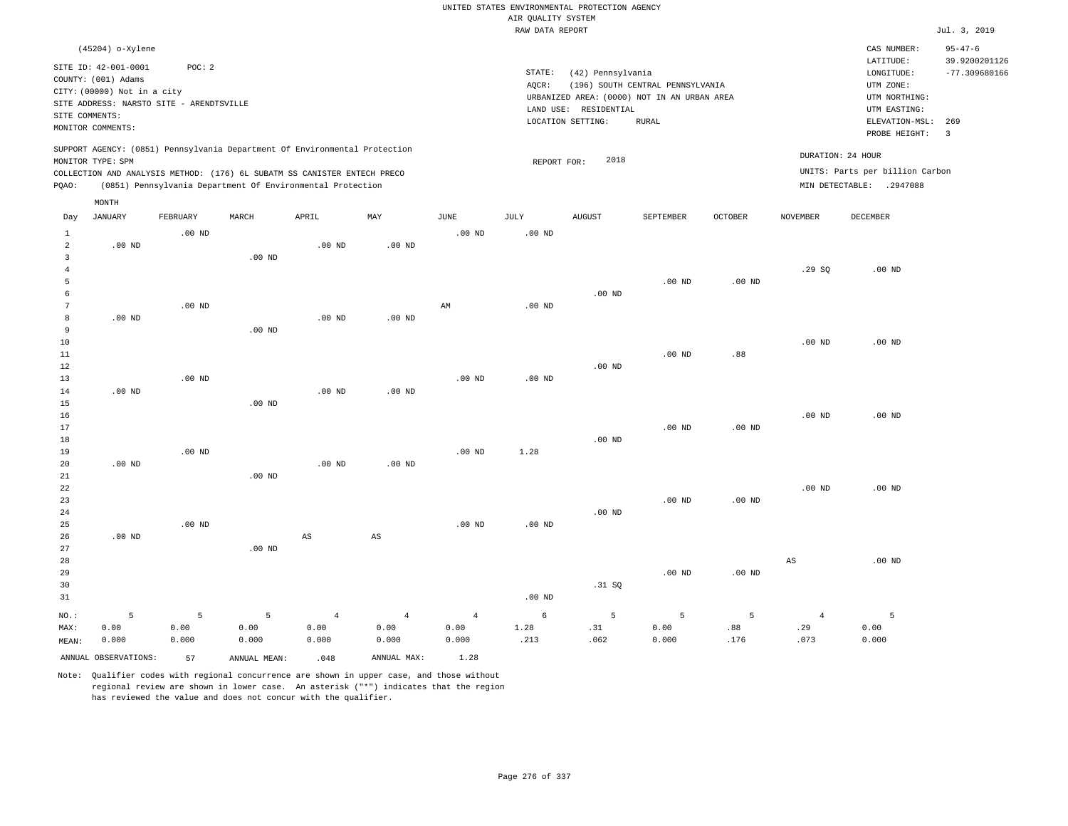|                                |                                                                            |                   |                   |                                                                                                                                        |                        |                   | AIR QUALITY SYSTEM | UNITED STATES ENVIRONMENTAL PROTECTION AGENCY |                                  |                   |                   |                                                             |                                  |
|--------------------------------|----------------------------------------------------------------------------|-------------------|-------------------|----------------------------------------------------------------------------------------------------------------------------------------|------------------------|-------------------|--------------------|-----------------------------------------------|----------------------------------|-------------------|-------------------|-------------------------------------------------------------|----------------------------------|
|                                |                                                                            |                   |                   |                                                                                                                                        |                        |                   | RAW DATA REPORT    |                                               |                                  |                   |                   |                                                             | Jul. 3, 2019                     |
|                                | (45204) o-Xylene                                                           |                   |                   |                                                                                                                                        |                        |                   |                    |                                               |                                  |                   |                   | CAS NUMBER:                                                 | $95 - 47 - 6$                    |
|                                | SITE ID: 42-001-0001<br>COUNTY: (001) Adams<br>CITY: (00000) Not in a city | POC: 2            |                   |                                                                                                                                        |                        |                   | STATE:<br>AQCR:    | (42) Pennsylvania                             | (196) SOUTH CENTRAL PENNSYLVANIA |                   |                   | $\mathtt{LATITUDE}$<br>LONGITUDE:<br>UTM ZONE:              | 39.9200201126<br>$-77.309680166$ |
|                                | SITE ADDRESS: NARSTO SITE - ARENDTSVILLE                                   |                   |                   |                                                                                                                                        |                        |                   |                    | URBANIZED AREA: (0000) NOT IN AN URBAN AREA   |                                  |                   |                   | UTM NORTHING:                                               |                                  |
| SITE COMMENTS:                 |                                                                            |                   |                   |                                                                                                                                        |                        |                   |                    | LAND USE: RESIDENTIAL                         |                                  |                   |                   | UTM EASTING:                                                |                                  |
|                                | MONITOR COMMENTS:                                                          |                   |                   |                                                                                                                                        |                        |                   |                    | LOCATION SETTING:                             | <b>RURAL</b>                     |                   |                   | ELEVATION-MSL:<br>PROBE HEIGHT:                             | 269<br>$\overline{3}$            |
|                                | MONITOR TYPE: SPM                                                          |                   |                   | SUPPORT AGENCY: (0851) Pennsylvania Department Of Environmental Protection                                                             |                        |                   | REPORT FOR:        | 2018                                          |                                  |                   |                   | DURATION: 24 HOUR                                           |                                  |
| PQAO:                          |                                                                            |                   |                   | COLLECTION AND ANALYSIS METHOD: (176) 6L SUBATM SS CANISTER ENTECH PRECO<br>(0851) Pennsylvania Department Of Environmental Protection |                        |                   |                    |                                               |                                  |                   |                   | UNITS: Parts per billion Carbon<br>MIN DETECTABLE: .2947088 |                                  |
|                                | MONTH                                                                      |                   |                   |                                                                                                                                        |                        |                   |                    |                                               |                                  |                   |                   |                                                             |                                  |
| Day                            | JANUARY                                                                    | FEBRUARY          | MARCH             | APRIL                                                                                                                                  | MAY                    | JUNE              | JULY               | <b>AUGUST</b>                                 | SEPTEMBER                        | OCTOBER           | NOVEMBER          | DECEMBER                                                    |                                  |
| $\mathbf{1}$<br>$\overline{a}$ | $.00$ ND                                                                   | $.00$ ND          |                   | $.00$ ND                                                                                                                               | $.00$ ND               | .00 <sub>ND</sub> | $.00$ ND           |                                               |                                  |                   |                   |                                                             |                                  |
| $\overline{3}$                 |                                                                            |                   | $.00$ ND          |                                                                                                                                        |                        |                   |                    |                                               |                                  |                   |                   |                                                             |                                  |
| $\overline{4}$                 |                                                                            |                   |                   |                                                                                                                                        |                        |                   |                    |                                               |                                  |                   | .29SQ             | $.00$ ND                                                    |                                  |
| 5                              |                                                                            |                   |                   |                                                                                                                                        |                        |                   |                    |                                               | $.00$ ND                         | $.00$ ND          |                   |                                                             |                                  |
| 6                              |                                                                            |                   |                   |                                                                                                                                        |                        |                   |                    | $.00$ ND                                      |                                  |                   |                   |                                                             |                                  |
| $7\phantom{.0}$<br>8           |                                                                            | .00 <sub>ND</sub> |                   |                                                                                                                                        |                        | AM                | $.00$ ND           |                                               |                                  |                   |                   |                                                             |                                  |
| 9                              | $.00$ ND                                                                   |                   | $.00$ ND          | $.00$ ND                                                                                                                               | $.00$ ND               |                   |                    |                                               |                                  |                   |                   |                                                             |                                  |
| 10                             |                                                                            |                   |                   |                                                                                                                                        |                        |                   |                    |                                               |                                  |                   | $.00$ ND          | $.00$ ND                                                    |                                  |
| 11                             |                                                                            |                   |                   |                                                                                                                                        |                        |                   |                    |                                               | .00 <sub>ND</sub>                | .88               |                   |                                                             |                                  |
| 12                             |                                                                            |                   |                   |                                                                                                                                        |                        |                   |                    | $.00$ ND                                      |                                  |                   |                   |                                                             |                                  |
| 13                             |                                                                            | .00 <sub>ND</sub> |                   |                                                                                                                                        |                        | .00 <sub>ND</sub> | .00 <sub>ND</sub>  |                                               |                                  |                   |                   |                                                             |                                  |
| 14                             | .00 <sub>ND</sub>                                                          |                   |                   | .00 <sub>ND</sub>                                                                                                                      | .00 <sub>ND</sub>      |                   |                    |                                               |                                  |                   |                   |                                                             |                                  |
| 15                             |                                                                            |                   | $.00$ ND          |                                                                                                                                        |                        |                   |                    |                                               |                                  |                   |                   |                                                             |                                  |
| 16                             |                                                                            |                   |                   |                                                                                                                                        |                        |                   |                    |                                               |                                  |                   | .00 <sub>ND</sub> | $.00$ ND                                                    |                                  |
| 17                             |                                                                            |                   |                   |                                                                                                                                        |                        |                   |                    |                                               | $.00$ ND                         | $.00$ ND          |                   |                                                             |                                  |
| 18                             |                                                                            |                   |                   |                                                                                                                                        |                        |                   |                    | $.00$ ND                                      |                                  |                   |                   |                                                             |                                  |
| 19<br>20                       | $.00$ ND                                                                   | $.00$ ND          |                   | $.00$ ND                                                                                                                               | $.00$ ND               | $.00$ ND          | 1.28               |                                               |                                  |                   |                   |                                                             |                                  |
| 21                             |                                                                            |                   | $.00$ ND          |                                                                                                                                        |                        |                   |                    |                                               |                                  |                   |                   |                                                             |                                  |
| 22                             |                                                                            |                   |                   |                                                                                                                                        |                        |                   |                    |                                               |                                  |                   | $.00$ ND          | $.00$ ND                                                    |                                  |
| 23                             |                                                                            |                   |                   |                                                                                                                                        |                        |                   |                    |                                               | $.00$ ND                         | $.00$ ND          |                   |                                                             |                                  |
| 24                             |                                                                            |                   |                   |                                                                                                                                        |                        |                   |                    | $.00$ ND                                      |                                  |                   |                   |                                                             |                                  |
| 25                             |                                                                            | $.00$ ND          |                   |                                                                                                                                        |                        | .00 <sub>ND</sub> | .00 <sub>ND</sub>  |                                               |                                  |                   |                   |                                                             |                                  |
| 26                             | $.00$ ND                                                                   |                   |                   | $_{\rm AS}$                                                                                                                            | $\mathbb{A}\mathbb{S}$ |                   |                    |                                               |                                  |                   |                   |                                                             |                                  |
| 27                             |                                                                            |                   | .00 <sub>ND</sub> |                                                                                                                                        |                        |                   |                    |                                               |                                  |                   |                   |                                                             |                                  |
| 28                             |                                                                            |                   |                   |                                                                                                                                        |                        |                   |                    |                                               |                                  |                   | AS                | .00 <sub>ND</sub>                                           |                                  |
| 29                             |                                                                            |                   |                   |                                                                                                                                        |                        |                   |                    |                                               | .00 <sub>ND</sub>                | .00 <sub>ND</sub> |                   |                                                             |                                  |
| 30                             |                                                                            |                   |                   |                                                                                                                                        |                        |                   |                    | .31 SQ                                        |                                  |                   |                   |                                                             |                                  |
| 31                             |                                                                            |                   |                   |                                                                                                                                        |                        |                   | .00 <sub>ND</sub>  |                                               |                                  |                   |                   |                                                             |                                  |
| NO.:                           | 5                                                                          | 5                 | 5                 | $\overline{4}$                                                                                                                         | $\overline{4}$         | $\overline{4}$    | 6                  | 5                                             | 5                                | 5                 | $\overline{4}$    | 5                                                           |                                  |
| MAX:                           | 0.00                                                                       | 0.00              | 0.00              | 0.00                                                                                                                                   | 0.00                   | 0.00              | 1.28               | .31                                           | 0.00                             | .88               | .29               | 0.00                                                        |                                  |
| MEAN:                          | 0.000                                                                      | 0.000             | 0.000             | 0.000                                                                                                                                  | 0.000                  | 0.000             | .213               | .062                                          | 0.000                            | .176              | .073              | 0.000                                                       |                                  |
|                                | ANNUAL OBSERVATIONS:                                                       | 57                | ANNUAL MEAN:      | .048                                                                                                                                   | ANNUAL MAX:            | 1.28              |                    |                                               |                                  |                   |                   |                                                             |                                  |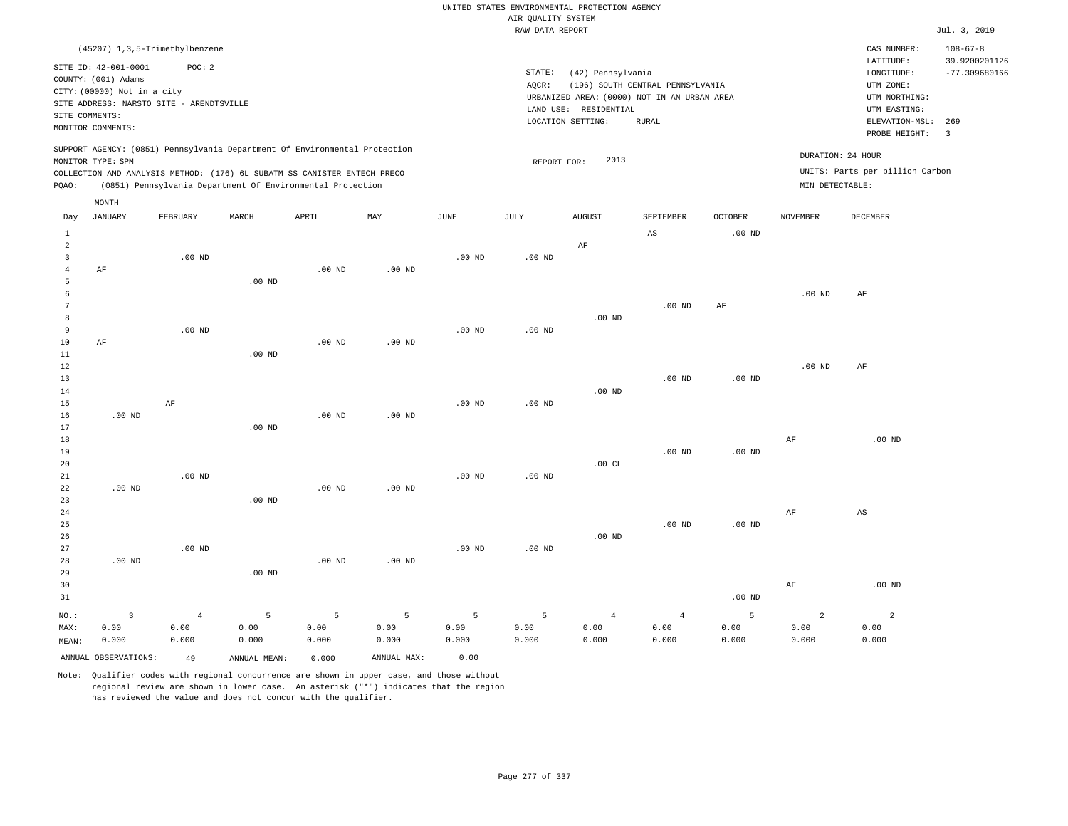|                                           |                                          |                   |                                                                            |          |                   |                   |                    | UNITED STATES ENVIRONMENTAL PROTECTION AGENCY |                                             |                   |                   |                                 |                       |
|-------------------------------------------|------------------------------------------|-------------------|----------------------------------------------------------------------------|----------|-------------------|-------------------|--------------------|-----------------------------------------------|---------------------------------------------|-------------------|-------------------|---------------------------------|-----------------------|
|                                           |                                          |                   |                                                                            |          |                   |                   | AIR QUALITY SYSTEM |                                               |                                             |                   |                   |                                 |                       |
|                                           |                                          |                   |                                                                            |          |                   |                   | RAW DATA REPORT    |                                               |                                             |                   |                   |                                 | Jul. 3, 2019          |
|                                           | (45207) 1, 3, 5-Trimethylbenzene         |                   |                                                                            |          |                   |                   |                    |                                               |                                             |                   |                   | CAS NUMBER:                     | $108 - 67 - 8$        |
|                                           | SITE ID: 42-001-0001                     | POC: 2            |                                                                            |          |                   |                   |                    |                                               |                                             |                   |                   | LATITUDE:                       | 39.9200201126         |
|                                           | COUNTY: (001) Adams                      |                   |                                                                            |          |                   |                   | STATE:             | (42) Pennsylvania                             |                                             |                   |                   | LONGITUDE:                      | $-77.309680166$       |
|                                           | CITY: (00000) Not in a city              |                   |                                                                            |          |                   |                   | AQCR:              |                                               | (196) SOUTH CENTRAL PENNSYLVANIA            |                   |                   | UTM ZONE:                       |                       |
|                                           | SITE ADDRESS: NARSTO SITE - ARENDTSVILLE |                   |                                                                            |          |                   |                   |                    |                                               | URBANIZED AREA: (0000) NOT IN AN URBAN AREA |                   |                   | UTM NORTHING:                   |                       |
|                                           | SITE COMMENTS:                           |                   |                                                                            |          |                   |                   |                    | LAND USE: RESIDENTIAL                         |                                             |                   |                   | UTM EASTING:                    |                       |
|                                           | MONITOR COMMENTS:                        |                   |                                                                            |          |                   |                   |                    | LOCATION SETTING:                             | <b>RURAL</b>                                |                   |                   | ELEVATION-MSL:<br>PROBE HEIGHT: | 269<br>$\overline{3}$ |
|                                           |                                          |                   | SUPPORT AGENCY: (0851) Pennsylvania Department Of Environmental Protection |          |                   |                   |                    |                                               |                                             |                   |                   |                                 |                       |
|                                           | MONITOR TYPE: SPM                        |                   |                                                                            |          |                   |                   | REPORT FOR:        | 2013                                          |                                             |                   |                   | DURATION: 24 HOUR               |                       |
|                                           |                                          |                   | COLLECTION AND ANALYSIS METHOD: (176) 6L SUBATM SS CANISTER ENTECH PRECO   |          |                   |                   |                    |                                               |                                             |                   |                   | UNITS: Parts per billion Carbon |                       |
| PQAO:                                     |                                          |                   | (0851) Pennsylvania Department Of Environmental Protection                 |          |                   |                   |                    |                                               |                                             |                   | MIN DETECTABLE:   |                                 |                       |
|                                           | MONTH                                    |                   |                                                                            |          |                   |                   |                    |                                               |                                             |                   |                   |                                 |                       |
| Day                                       | <b>JANUARY</b>                           | FEBRUARY          | MARCH                                                                      | APRIL    | MAY               | <b>JUNE</b>       | JULY               | <b>AUGUST</b>                                 | SEPTEMBER                                   | <b>OCTOBER</b>    | <b>NOVEMBER</b>   | DECEMBER                        |                       |
| $\mathbf{1}$                              |                                          |                   |                                                                            |          |                   |                   |                    |                                               | $_{\rm AS}$                                 | $.00{\rm ~ND}$    |                   |                                 |                       |
| $\overline{a}$<br>$\overline{\mathbf{3}}$ |                                          |                   |                                                                            |          |                   | .00 <sub>ND</sub> | .00 <sub>ND</sub>  | AF                                            |                                             |                   |                   |                                 |                       |
| $\overline{4}$                            | AF                                       | $.00$ ND          |                                                                            | $.00$ ND | $.00$ ND          |                   |                    |                                               |                                             |                   |                   |                                 |                       |
| 5                                         |                                          |                   | $.00$ ND                                                                   |          |                   |                   |                    |                                               |                                             |                   |                   |                                 |                       |
| 6                                         |                                          |                   |                                                                            |          |                   |                   |                    |                                               |                                             |                   | .00 <sub>ND</sub> | $\rm AF$                        |                       |
| 7                                         |                                          |                   |                                                                            |          |                   |                   |                    |                                               | $.00$ ND                                    | $\rm AF$          |                   |                                 |                       |
| 8                                         |                                          |                   |                                                                            |          |                   |                   |                    | $.00$ ND                                      |                                             |                   |                   |                                 |                       |
| $\overline{9}$                            |                                          | $.00$ ND          |                                                                            |          |                   | $.00$ ND          | $.00$ ND           |                                               |                                             |                   |                   |                                 |                       |
| 10                                        | AF                                       |                   |                                                                            | $.00$ ND | $.00$ ND          |                   |                    |                                               |                                             |                   |                   |                                 |                       |
| 11                                        |                                          |                   | .00 <sub>ND</sub>                                                          |          |                   |                   |                    |                                               |                                             |                   |                   |                                 |                       |
| $1\,2$                                    |                                          |                   |                                                                            |          |                   |                   |                    |                                               |                                             |                   | $.00$ ND          | $\rm AF$                        |                       |
| 13                                        |                                          |                   |                                                                            |          |                   |                   |                    |                                               | $.00$ ND                                    | .00 <sub>ND</sub> |                   |                                 |                       |
| 14                                        |                                          |                   |                                                                            |          |                   |                   |                    | $.00$ ND                                      |                                             |                   |                   |                                 |                       |
| 15                                        |                                          | $\rm AF$          |                                                                            |          |                   | $.00$ ND          | $.00$ ND           |                                               |                                             |                   |                   |                                 |                       |
| 16                                        | $.00$ ND                                 |                   |                                                                            | $.00$ ND | $.00$ ND          |                   |                    |                                               |                                             |                   |                   |                                 |                       |
| 17                                        |                                          |                   | $.00$ ND                                                                   |          |                   |                   |                    |                                               |                                             |                   |                   |                                 |                       |
| 18                                        |                                          |                   |                                                                            |          |                   |                   |                    |                                               |                                             |                   | $\rm{AF}$         | $.00$ ND                        |                       |
| 19                                        |                                          |                   |                                                                            |          |                   |                   |                    |                                               | $.00$ ND                                    | $.00$ ND          |                   |                                 |                       |
| 20                                        |                                          |                   |                                                                            |          |                   |                   |                    | .00CL                                         |                                             |                   |                   |                                 |                       |
| 21                                        |                                          | .00 <sub>ND</sub> |                                                                            |          |                   | .00 <sub>ND</sub> | $.00$ ND           |                                               |                                             |                   |                   |                                 |                       |
| 22                                        | $.00$ ND                                 |                   |                                                                            | $.00$ ND | $.00$ ND          |                   |                    |                                               |                                             |                   |                   |                                 |                       |
| 23                                        |                                          |                   | .00 <sub>ND</sub>                                                          |          |                   |                   |                    |                                               |                                             |                   |                   |                                 |                       |
| 24<br>25                                  |                                          |                   |                                                                            |          |                   |                   |                    |                                               | $.00$ ND                                    | .00 <sub>ND</sub> | AF                | $\mathbb{A}\mathbb{S}$          |                       |
| 26                                        |                                          |                   |                                                                            |          |                   |                   |                    | $.00$ ND                                      |                                             |                   |                   |                                 |                       |
| 27                                        |                                          | $.00$ ND          |                                                                            |          |                   | $.00$ ND          | $.00$ ND           |                                               |                                             |                   |                   |                                 |                       |
| 28                                        | $.00$ ND                                 |                   |                                                                            | $.00$ ND | .00 <sub>ND</sub> |                   |                    |                                               |                                             |                   |                   |                                 |                       |
| 29                                        |                                          |                   | $.00$ ND                                                                   |          |                   |                   |                    |                                               |                                             |                   |                   |                                 |                       |
| 30                                        |                                          |                   |                                                                            |          |                   |                   |                    |                                               |                                             |                   | AF                | $.00$ ND                        |                       |
| 31                                        |                                          |                   |                                                                            |          |                   |                   |                    |                                               |                                             | $.00$ ND          |                   |                                 |                       |
|                                           |                                          |                   |                                                                            |          |                   |                   |                    |                                               |                                             |                   |                   |                                 |                       |
| NO.:                                      | $\overline{\mathbf{3}}$                  | $\overline{4}$    | 5                                                                          | 5        | 5                 | 5                 | 5                  | $\overline{4}$                                | $\overline{4}$                              | 5                 | $\overline{a}$    | $\overline{a}$                  |                       |
| MAX:                                      | 0.00                                     | 0.00              | 0.00                                                                       | 0.00     | 0.00              | 0.00              | 0.00               | 0.00                                          | 0.00                                        | 0.00              | 0.00              | 0.00                            |                       |
| MEAN:                                     | 0.000                                    | 0.000             | 0.000                                                                      | 0.000    | 0.000             | 0.000             | 0.000              | 0.000                                         | 0.000                                       | 0.000             | 0.000             | 0.000                           |                       |
|                                           | ANNUAL OBSERVATIONS:                     | 49                | ANNUAL, MEAN:                                                              | 0.000    | ANNUAL MAX:       | 0.00              |                    |                                               |                                             |                   |                   |                                 |                       |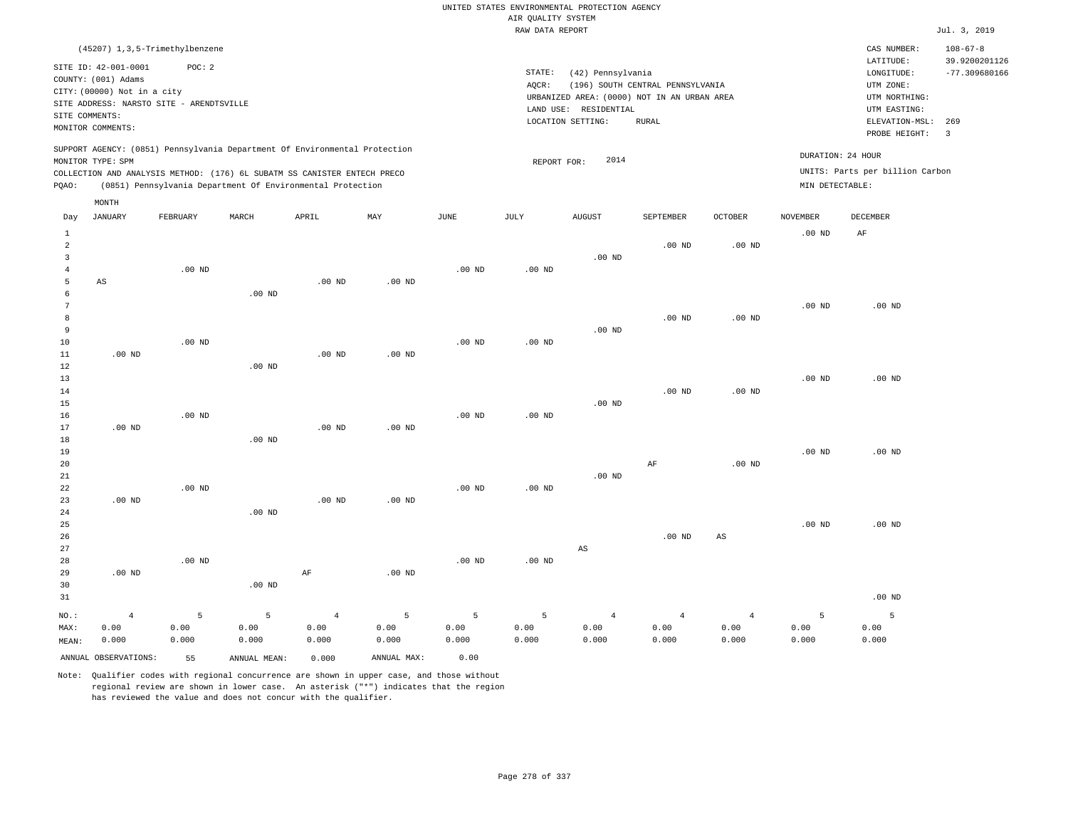|                                |                                          |          |                                                                            |                   |             |                   |                    | UNITED STATES ENVIRONMENTAL PROTECTION AGENCY |                                  |                   |                   |                                 |                                  |
|--------------------------------|------------------------------------------|----------|----------------------------------------------------------------------------|-------------------|-------------|-------------------|--------------------|-----------------------------------------------|----------------------------------|-------------------|-------------------|---------------------------------|----------------------------------|
|                                |                                          |          |                                                                            |                   |             |                   | AIR QUALITY SYSTEM |                                               |                                  |                   |                   |                                 |                                  |
|                                |                                          |          |                                                                            |                   |             |                   | RAW DATA REPORT    |                                               |                                  |                   |                   |                                 | Jul. 3, 2019                     |
|                                | (45207) 1,3,5-Trimethylbenzene           |          |                                                                            |                   |             |                   |                    |                                               |                                  |                   |                   | CAS NUMBER:                     | $108 - 67 - 8$                   |
|                                | SITE ID: 42-001-0001                     | POC: 2   |                                                                            |                   |             |                   | STATE:             | (42) Pennsylvania                             |                                  |                   |                   | LATITUDE:<br>LONGITUDE:         | 39.9200201126<br>$-77.309680166$ |
|                                | COUNTY: (001) Adams                      |          |                                                                            |                   |             |                   | AQCR:              |                                               | (196) SOUTH CENTRAL PENNSYLVANIA |                   |                   | UTM ZONE:                       |                                  |
|                                | CITY: (00000) Not in a city              |          |                                                                            |                   |             |                   |                    | URBANIZED AREA: (0000) NOT IN AN URBAN AREA   |                                  |                   |                   | UTM NORTHING:                   |                                  |
|                                | SITE ADDRESS: NARSTO SITE - ARENDTSVILLE |          |                                                                            |                   |             |                   |                    | LAND USE: RESIDENTIAL                         |                                  |                   |                   | UTM EASTING:                    |                                  |
|                                | SITE COMMENTS:                           |          |                                                                            |                   |             |                   |                    | LOCATION SETTING:                             | <b>RURAL</b>                     |                   |                   | ELEVATION-MSL:                  | 269                              |
|                                | MONITOR COMMENTS:                        |          |                                                                            |                   |             |                   |                    |                                               |                                  |                   |                   | PROBE HEIGHT:                   | $\overline{3}$                   |
|                                |                                          |          | SUPPORT AGENCY: (0851) Pennsylvania Department Of Environmental Protection |                   |             |                   |                    | 2014                                          |                                  |                   | DURATION: 24 HOUR |                                 |                                  |
|                                | MONITOR TYPE: SPM                        |          | COLLECTION AND ANALYSIS METHOD: (176) 6L SUBATM SS CANISTER ENTECH PRECO   |                   |             |                   | REPORT FOR:        |                                               |                                  |                   |                   | UNITS: Parts per billion Carbon |                                  |
| PQAO:                          |                                          |          | (0851) Pennsylvania Department Of Environmental Protection                 |                   |             |                   |                    |                                               |                                  |                   | MIN DETECTABLE:   |                                 |                                  |
|                                | MONTH                                    |          |                                                                            |                   |             |                   |                    |                                               |                                  |                   |                   |                                 |                                  |
| Day                            | <b>JANUARY</b>                           | FEBRUARY | MARCH                                                                      | APRIL             | MAY         | JUNE              | JULY               | <b>AUGUST</b>                                 | SEPTEMBER                        | <b>OCTOBER</b>    | <b>NOVEMBER</b>   | DECEMBER                        |                                  |
| $\mathbf{1}$<br>$\overline{a}$ |                                          |          |                                                                            |                   |             |                   |                    |                                               | $.00$ ND                         | .00 <sub>ND</sub> | .00 <sub>ND</sub> | AF                              |                                  |
| $\overline{3}$                 |                                          |          |                                                                            |                   |             |                   |                    | $.00$ ND                                      |                                  |                   |                   |                                 |                                  |
| $\overline{4}$                 |                                          | $.00$ ND |                                                                            |                   |             | .00 <sub>ND</sub> | $.00$ ND           |                                               |                                  |                   |                   |                                 |                                  |
| 5                              | $\mathbb{A}\mathbb{S}$                   |          |                                                                            | $.00$ ND          | $.00$ ND    |                   |                    |                                               |                                  |                   |                   |                                 |                                  |
| 6                              |                                          |          | $.00$ ND                                                                   |                   |             |                   |                    |                                               |                                  |                   |                   |                                 |                                  |
| $7\phantom{.0}$                |                                          |          |                                                                            |                   |             |                   |                    |                                               |                                  |                   | $.00$ ND          | $.00$ ND                        |                                  |
| 8                              |                                          |          |                                                                            |                   |             |                   |                    |                                               | $.00$ ND                         | .00 <sub>ND</sub> |                   |                                 |                                  |
| 9                              |                                          |          |                                                                            |                   |             |                   |                    | $.00$ ND                                      |                                  |                   |                   |                                 |                                  |
| 10                             |                                          | $.00$ ND |                                                                            |                   |             | $.00$ ND          | $.00$ ND           |                                               |                                  |                   |                   |                                 |                                  |
| 11                             | $.00$ ND                                 |          |                                                                            | .00 <sub>ND</sub> | $.00$ ND    |                   |                    |                                               |                                  |                   |                   |                                 |                                  |
| $1\,2$                         |                                          |          | .00 <sub>ND</sub>                                                          |                   |             |                   |                    |                                               |                                  |                   |                   |                                 |                                  |
| 13                             |                                          |          |                                                                            |                   |             |                   |                    |                                               |                                  |                   | $.00$ ND          | $.00$ ND                        |                                  |
| 14                             |                                          |          |                                                                            |                   |             |                   |                    |                                               | $.00$ ND                         | .00 <sub>ND</sub> |                   |                                 |                                  |
| 15                             |                                          |          |                                                                            |                   |             |                   |                    | $.00$ ND                                      |                                  |                   |                   |                                 |                                  |
| 16                             |                                          | $.00$ ND |                                                                            |                   |             | $.00$ ND          | $.00$ ND           |                                               |                                  |                   |                   |                                 |                                  |
| 17                             | $.00$ ND                                 |          |                                                                            | $.00$ ND          | $.00$ ND    |                   |                    |                                               |                                  |                   |                   |                                 |                                  |
| $1\,8$                         |                                          |          | .00 <sub>ND</sub>                                                          |                   |             |                   |                    |                                               |                                  |                   |                   |                                 |                                  |
| 19                             |                                          |          |                                                                            |                   |             |                   |                    |                                               |                                  |                   | .00 <sub>ND</sub> | $.00$ ND                        |                                  |
| 20                             |                                          |          |                                                                            |                   |             |                   |                    |                                               | AF                               | .00 <sub>ND</sub> |                   |                                 |                                  |
| 21                             |                                          |          |                                                                            |                   |             |                   |                    | .00 <sub>ND</sub>                             |                                  |                   |                   |                                 |                                  |
| 22                             |                                          | $.00$ ND |                                                                            |                   |             | $.00$ ND          | $.00$ ND           |                                               |                                  |                   |                   |                                 |                                  |
| 23                             | $.00$ ND                                 |          |                                                                            | $.00$ ND          | $.00$ ND    |                   |                    |                                               |                                  |                   |                   |                                 |                                  |
| 24<br>25                       |                                          |          | .00 <sub>ND</sub>                                                          |                   |             |                   |                    |                                               |                                  |                   | .00 <sub>ND</sub> | $.00$ ND                        |                                  |
| 26                             |                                          |          |                                                                            |                   |             |                   |                    |                                               | .00 <sub>ND</sub>                | AS                |                   |                                 |                                  |
| 27                             |                                          |          |                                                                            |                   |             |                   |                    | AS                                            |                                  |                   |                   |                                 |                                  |
| 28                             |                                          | $.00$ ND |                                                                            |                   |             | $.00$ ND          | .00 <sub>ND</sub>  |                                               |                                  |                   |                   |                                 |                                  |
| 29                             | $.00$ ND                                 |          |                                                                            | AF                | $.00$ ND    |                   |                    |                                               |                                  |                   |                   |                                 |                                  |
| 30                             |                                          |          | $.00$ ND                                                                   |                   |             |                   |                    |                                               |                                  |                   |                   |                                 |                                  |
| 31                             |                                          |          |                                                                            |                   |             |                   |                    |                                               |                                  |                   |                   | $.00$ ND                        |                                  |
| NO.:                           | $\overline{4}$                           | 5        | 5                                                                          | $\overline{4}$    | 5           | 5                 | 5                  | $\overline{4}$                                | $\overline{4}$                   | $\overline{4}$    | 5                 | 5                               |                                  |
| MAX:                           | 0.00                                     | 0.00     | 0.00                                                                       | 0.00              | 0.00        | 0.00              | 0.00               | 0.00                                          | 0.00                             | 0.00              | 0.00              | 0.00                            |                                  |
| MEAN:                          | 0.000                                    | 0.000    | 0.000                                                                      | 0.000             | 0.000       | 0.000             | 0.000              | 0.000                                         | 0.000                            | 0.000             | 0.000             | 0.000                           |                                  |
|                                | ANNUAL OBSERVATIONS:                     | 55       | ANNUAL, MEAN:                                                              | 0.000             | ANNUAL MAX: | 0.00              |                    |                                               |                                  |                   |                   |                                 |                                  |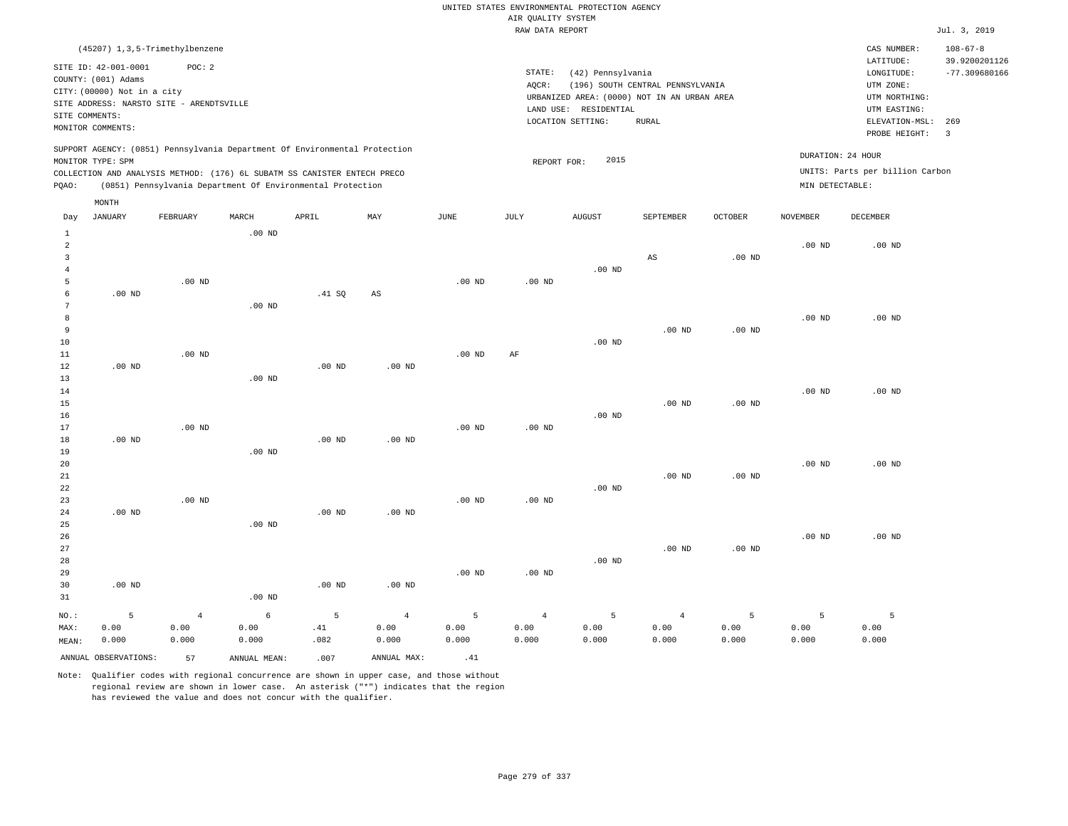RAW DATA REPORT JUL. 3, 2019 UNITED STATES ENVIRONMENTAL PROTECTION AGENCY AIR QUALITY SYSTEM

| (45207) 1,3,5-Trimethylbenzene                                                                                                                                                       |                                                            |       |     |             |                 |                                                                                                                |                                           |                |                 | CAS NUMBER:                                                                                              | $108 - 67 - 8$                               |
|--------------------------------------------------------------------------------------------------------------------------------------------------------------------------------------|------------------------------------------------------------|-------|-----|-------------|-----------------|----------------------------------------------------------------------------------------------------------------|-------------------------------------------|----------------|-----------------|----------------------------------------------------------------------------------------------------------|----------------------------------------------|
| SITE ID: 42-001-0001<br>COUNTY: (001) Adams<br>CITY: (00000) Not in a city<br>SITE ADDRESS: NARSTO SITE - ARENDTSVILLE<br>SITE COMMENTS:<br>MONITOR COMMENTS:                        | POC: 2                                                     |       |     |             | STATE:<br>AOCR: | (42) Pennsylvania<br>URBANIZED AREA: (0000) NOT IN AN URBAN AREA<br>LAND USE: RESIDENTIAL<br>LOCATION SETTING: | (196) SOUTH CENTRAL PENNSYLVANIA<br>RURAL |                |                 | LATITUDE:<br>LONGITUDE:<br>UTM ZONE:<br>UTM NORTHING:<br>UTM EASTING:<br>ELEVATION-MSL:<br>PROBE HEIGHT: | 39.9200201126<br>$-77.309680166$<br>269<br>3 |
| SUPPORT AGENCY: (0851) Pennsylvania Department Of Environmental Protection<br>MONITOR TYPE: SPM<br>COLLECTION AND ANALYSIS METHOD: (176) 6L SUBATM SS CANISTER ENTECH PRECO<br>POAO: | (0851) Pennsylvania Department Of Environmental Protection |       |     |             |                 | 2015<br>REPORT FOR:                                                                                            |                                           |                | MIN DETECTABLE: | DURATION: 24 HOUR<br>UNITS: Parts per billion Carbon                                                     |                                              |
| MONTH<br>JANUARY<br>FEBRUARY<br>Day                                                                                                                                                  | MARCH                                                      | APRIL | MAY | <b>JUNE</b> | JULY            | <b>AUGUST</b>                                                                                                  | SEPTEMBER                                 | <b>OCTOBER</b> | <b>NOVEMBER</b> | <b>DECEMBER</b>                                                                                          |                                              |

|                | ANNUAL OBSERVATIONS: | 57             | ANNUAL MEAN:  | .007        | ANNUAL MAX:            | .41               |                   |               |                        |               |                |               |
|----------------|----------------------|----------------|---------------|-------------|------------------------|-------------------|-------------------|---------------|------------------------|---------------|----------------|---------------|
| MAX:<br>MEAN:  | 0.00<br>0.000        | 0.00<br>0.000  | 0.00<br>0.000 | .41<br>.082 | 0.00<br>0.000          | 0.00<br>0.000     | 0.00<br>0.000     | 0.00<br>0.000 | 0.00<br>0.000          | 0.00<br>0.000 | 0.00<br>0.000  | 0.00<br>0.000 |
| $_{\rm NO.}$ : | 5                    | $\overline{4}$ | $\epsilon$    | 5           | $\overline{4}$         | 5                 | $\overline{4}$    | 5             | $\overline{4}$         | 5             | $\overline{5}$ | 5             |
| 31             |                      |                | $.00$ ND      |             |                        |                   |                   |               |                        |               |                |               |
| 30             | $.00$ ND             |                |               | $.00$ ND    | $.00$ ND               |                   |                   |               |                        |               |                |               |
| 29             |                      |                |               |             |                        | $.00$ ND          | .00 <sub>ND</sub> |               |                        |               |                |               |
| 28             |                      |                |               |             |                        |                   |                   | $.00$ ND      |                        |               |                |               |
| 27             |                      |                |               |             |                        |                   |                   |               | .00 <sub>ND</sub>      | $.00$ ND      |                |               |
| 26             |                      |                |               |             |                        |                   |                   |               |                        |               | $.00$ ND       | $.00$ ND      |
| 25             |                      |                | $.00$ ND      |             |                        |                   |                   |               |                        |               |                |               |
| 24             | $.00$ ND             |                |               | $.00$ ND    | $.00$ ND               |                   |                   |               |                        |               |                |               |
| 23             |                      | $.00$ ND       |               |             |                        | $.00$ ND          | .00 $ND$          |               |                        |               |                |               |
| 22             |                      |                |               |             |                        |                   |                   | $.00$ ND      |                        |               |                |               |
| 21             |                      |                |               |             |                        |                   |                   |               | $.00$ ND               | .00 $ND$      |                |               |
| 20             |                      |                |               |             |                        |                   |                   |               |                        |               | $.00$ ND       | $.00$ ND      |
| 19             |                      |                | $.00$ ND      |             |                        |                   |                   |               |                        |               |                |               |
| 18             | $.00$ ND             |                |               | $.00$ ND    | $.00$ ND               |                   |                   |               |                        |               |                |               |
| 17             |                      | $.00$ ND       |               |             |                        | .00 <sub>ND</sub> | $.00$ ND          |               |                        |               |                |               |
| 16             |                      |                |               |             |                        |                   |                   | $.00$ ND      |                        |               |                |               |
| 15             |                      |                |               |             |                        |                   |                   |               | $.00$ ND               | $.00$ ND      |                |               |
| 14             |                      |                |               |             |                        |                   |                   |               |                        |               | $.00$ ND       | $.00$ ND      |
| 12<br>13       | $.00$ ND             |                | $.00$ ND      | $.00$ ND    | $.00$ ND               |                   |                   |               |                        |               |                |               |
| $11\,$         |                      | $.00$ ND       |               |             |                        | $.00$ ND          | $\rm{AF}$         |               |                        |               |                |               |
| 10             |                      |                |               |             |                        |                   |                   | $.00$ ND      |                        |               |                |               |
| 9              |                      |                |               |             |                        |                   |                   |               | $.00$ ND               | .00 $ND$      |                |               |
| 8              |                      |                |               |             |                        |                   |                   |               |                        |               | $.00$ ND       | $.00$ ND      |
| 7              |                      |                | $.00$ ND      |             |                        |                   |                   |               |                        |               |                |               |
| 6              | $.00$ ND             |                |               | .41 SQ      | $\mathbb{A}\mathbb{S}$ |                   |                   |               |                        |               |                |               |
| 5              |                      | $.00$ ND       |               |             |                        | $.00$ ND          | .00 <sub>ND</sub> |               |                        |               |                |               |
| $\overline{4}$ |                      |                |               |             |                        |                   |                   | $.00$ ND      |                        |               |                |               |
| 3              |                      |                |               |             |                        |                   |                   |               | $\mathbb{A}\mathbb{S}$ | $.00$ ND      |                |               |
| $\overline{c}$ |                      |                |               |             |                        |                   |                   |               |                        |               | $.00$ ND       | $.00$ ND      |
| $\mathbf{1}$   |                      |                | $.00$ ND      |             |                        |                   |                   |               |                        |               |                |               |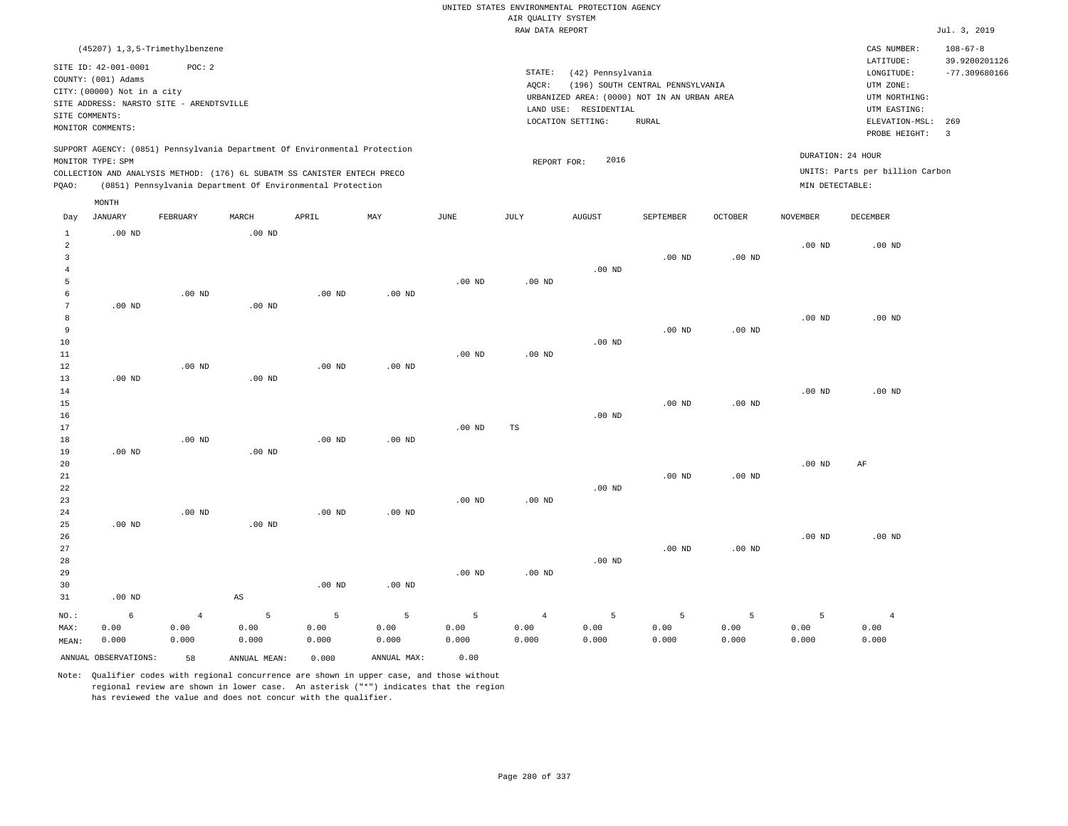|                                           |                             |                                            |                        |                                                                            |                   |                   |                    | UNITED STATES ENVIRONMENTAL PROTECTION AGENCY |                                             |                   |                   |                                 |                                 |
|-------------------------------------------|-----------------------------|--------------------------------------------|------------------------|----------------------------------------------------------------------------|-------------------|-------------------|--------------------|-----------------------------------------------|---------------------------------------------|-------------------|-------------------|---------------------------------|---------------------------------|
|                                           |                             |                                            |                        |                                                                            |                   |                   | AIR QUALITY SYSTEM |                                               |                                             |                   |                   |                                 |                                 |
|                                           |                             |                                            |                        |                                                                            |                   |                   | RAW DATA REPORT    |                                               |                                             |                   |                   |                                 | Jul. 3, 2019                    |
|                                           | SITE ID: 42-001-0001        | (45207) 1, 3, 5-Trimethylbenzene<br>POC: 2 |                        |                                                                            |                   |                   |                    |                                               |                                             |                   |                   | CAS NUMBER:<br>LATITUDE:        | $108 - 67 - 8$<br>39.9200201126 |
|                                           | COUNTY: (001) Adams         |                                            |                        |                                                                            |                   |                   | STATE:             | (42) Pennsylvania                             |                                             |                   |                   | LONGITUDE:                      | $-77.309680166$                 |
|                                           | CITY: (00000) Not in a city |                                            |                        |                                                                            |                   |                   | AOCR:              |                                               | (196) SOUTH CENTRAL PENNSYLVANIA            |                   |                   | UTM ZONE:                       |                                 |
|                                           |                             | SITE ADDRESS: NARSTO SITE - ARENDTSVILLE   |                        |                                                                            |                   |                   |                    |                                               | URBANIZED AREA: (0000) NOT IN AN URBAN AREA |                   |                   | UTM NORTHING:                   |                                 |
|                                           | SITE COMMENTS:              |                                            |                        |                                                                            |                   |                   |                    | LAND USE: RESIDENTIAL                         |                                             |                   |                   | UTM EASTING:                    |                                 |
|                                           | MONITOR COMMENTS:           |                                            |                        |                                                                            |                   |                   |                    | LOCATION SETTING:                             | <b>RURAL</b>                                |                   |                   | ELEVATION-MSL:<br>PROBE HEIGHT: | 269<br>$\overline{3}$           |
|                                           |                             |                                            |                        | SUPPORT AGENCY: (0851) Pennsylvania Department Of Environmental Protection |                   |                   |                    |                                               |                                             |                   |                   |                                 |                                 |
|                                           | MONITOR TYPE: SPM           |                                            |                        |                                                                            |                   |                   | REPORT FOR:        | 2016                                          |                                             |                   |                   | DURATION: 24 HOUR               |                                 |
|                                           |                             |                                            |                        | COLLECTION AND ANALYSIS METHOD: (176) 6L SUBATM SS CANISTER ENTECH PRECO   |                   |                   |                    |                                               |                                             |                   |                   | UNITS: Parts per billion Carbon |                                 |
| PQAO:                                     |                             |                                            |                        | (0851) Pennsylvania Department Of Environmental Protection                 |                   |                   |                    |                                               |                                             |                   | MIN DETECTABLE:   |                                 |                                 |
|                                           | MONTH                       |                                            |                        |                                                                            |                   |                   |                    |                                               |                                             |                   |                   |                                 |                                 |
| Day                                       | JANUARY                     | FEBRUARY                                   | MARCH                  | APRIL                                                                      | MAY               | JUNE              | JULY               | <b>AUGUST</b>                                 | SEPTEMBER                                   | <b>OCTOBER</b>    | <b>NOVEMBER</b>   | <b>DECEMBER</b>                 |                                 |
| $\mathbf{1}$                              | $.00$ ND                    |                                            | $.00$ ND               |                                                                            |                   |                   |                    |                                               |                                             |                   |                   |                                 |                                 |
| 2                                         |                             |                                            |                        |                                                                            |                   |                   |                    |                                               |                                             |                   | .00 <sub>ND</sub> | $.00$ ND                        |                                 |
| $\overline{\mathbf{3}}$<br>$\overline{4}$ |                             |                                            |                        |                                                                            |                   |                   |                    | .00 <sub>ND</sub>                             | .00 <sub>ND</sub>                           | $.00$ ND          |                   |                                 |                                 |
| 5                                         |                             |                                            |                        |                                                                            |                   | $.00$ ND          | $.00$ ND           |                                               |                                             |                   |                   |                                 |                                 |
| 6                                         |                             | $.00$ ND                                   |                        | $.00$ ND                                                                   | $.00$ ND          |                   |                    |                                               |                                             |                   |                   |                                 |                                 |
| $\overline{7}$                            | $.00$ ND                    |                                            | .00 <sub>ND</sub>      |                                                                            |                   |                   |                    |                                               |                                             |                   |                   |                                 |                                 |
| 8                                         |                             |                                            |                        |                                                                            |                   |                   |                    |                                               |                                             |                   | $.00$ ND          | $.00$ ND                        |                                 |
| $\overline{9}$                            |                             |                                            |                        |                                                                            |                   |                   |                    |                                               | $.00$ ND                                    | .00 <sub>ND</sub> |                   |                                 |                                 |
| 10                                        |                             |                                            |                        |                                                                            |                   |                   |                    | $.00$ ND                                      |                                             |                   |                   |                                 |                                 |
| 11                                        |                             |                                            |                        |                                                                            |                   | $.00$ ND          | $.00$ ND           |                                               |                                             |                   |                   |                                 |                                 |
| 12                                        |                             | $.00$ ND                                   |                        | $.00$ ND                                                                   | $.00$ ND          |                   |                    |                                               |                                             |                   |                   |                                 |                                 |
| 13                                        | $.00$ ND                    |                                            | $.00$ ND               |                                                                            |                   |                   |                    |                                               |                                             |                   |                   |                                 |                                 |
| 14                                        |                             |                                            |                        |                                                                            |                   |                   |                    |                                               |                                             |                   | $.00$ ND          | $.00$ ND                        |                                 |
| 15                                        |                             |                                            |                        |                                                                            |                   |                   |                    |                                               | $.00$ ND                                    | .00 <sub>ND</sub> |                   |                                 |                                 |
| 16                                        |                             |                                            |                        |                                                                            |                   |                   |                    | $.00$ ND                                      |                                             |                   |                   |                                 |                                 |
| 17                                        |                             |                                            |                        |                                                                            |                   | .00 <sub>ND</sub> | TS                 |                                               |                                             |                   |                   |                                 |                                 |
| 18                                        |                             | .00 <sub>ND</sub>                          |                        | $.00$ ND                                                                   | $.00$ ND          |                   |                    |                                               |                                             |                   |                   |                                 |                                 |
| 19                                        | $.00$ ND                    |                                            | .00 <sub>ND</sub>      |                                                                            |                   |                   |                    |                                               |                                             |                   |                   |                                 |                                 |
| 20                                        |                             |                                            |                        |                                                                            |                   |                   |                    |                                               |                                             |                   | .00 <sub>ND</sub> | AF                              |                                 |
| 21                                        |                             |                                            |                        |                                                                            |                   |                   |                    |                                               | .00 <sub>ND</sub>                           | .00 <sub>ND</sub> |                   |                                 |                                 |
| 22                                        |                             |                                            |                        |                                                                            |                   |                   |                    | $.00$ ND                                      |                                             |                   |                   |                                 |                                 |
| 23                                        |                             |                                            |                        |                                                                            |                   | $.00$ ND          | $.00$ ND           |                                               |                                             |                   |                   |                                 |                                 |
| 24                                        |                             | $.00$ ND                                   |                        | .00 <sub>ND</sub>                                                          | $.00$ ND          |                   |                    |                                               |                                             |                   |                   |                                 |                                 |
| 25                                        | $.00$ ND                    |                                            | $.00$ ND               |                                                                            |                   |                   |                    |                                               |                                             |                   |                   |                                 |                                 |
| 26                                        |                             |                                            |                        |                                                                            |                   |                   |                    |                                               |                                             |                   | $.00$ ND          | $.00$ ND                        |                                 |
| 27                                        |                             |                                            |                        |                                                                            |                   |                   |                    |                                               | .00 <sub>ND</sub>                           | $.00$ ND          |                   |                                 |                                 |
| 28                                        |                             |                                            |                        |                                                                            |                   |                   |                    | $.00$ ND                                      |                                             |                   |                   |                                 |                                 |
| 29                                        |                             |                                            |                        |                                                                            |                   | .00 <sub>ND</sub> | $.00$ ND           |                                               |                                             |                   |                   |                                 |                                 |
| 30<br>31                                  | $.00$ ND                    |                                            | $\mathbb{A}\mathbb{S}$ | $.00$ ND                                                                   | .00 <sub>ND</sub> |                   |                    |                                               |                                             |                   |                   |                                 |                                 |
| $NO.$ :                                   | 6                           | $\overline{4}$                             | 5                      | 5                                                                          | 5                 | 5                 | 4                  | 5                                             | 5                                           | 5                 | 5                 | $\overline{4}$                  |                                 |
|                                           |                             |                                            |                        |                                                                            |                   |                   |                    |                                               |                                             |                   |                   |                                 |                                 |

ANNUAL OBSERVATIONS: 58 ANNUAL MEAN: 0.000 ANNUAL MAX: 0.00

 0.00 0.000  0.00 0.000  0.00 0.000

 0.00 0.000

NO.: MAX: MEAN:

 0.00 0.000

 0.00 0.000

Note: Qualifier codes with regional concurrence are shown in upper case, and those without regional review are shown in lower case. An asterisk ("\*") indicates that the region has reviewed the value and does not concur with the qualifier.

 0.00 0.000  0.00 0.000  0.00 0.000

 0.00 0.000  0.00 0.000  0.00 0.000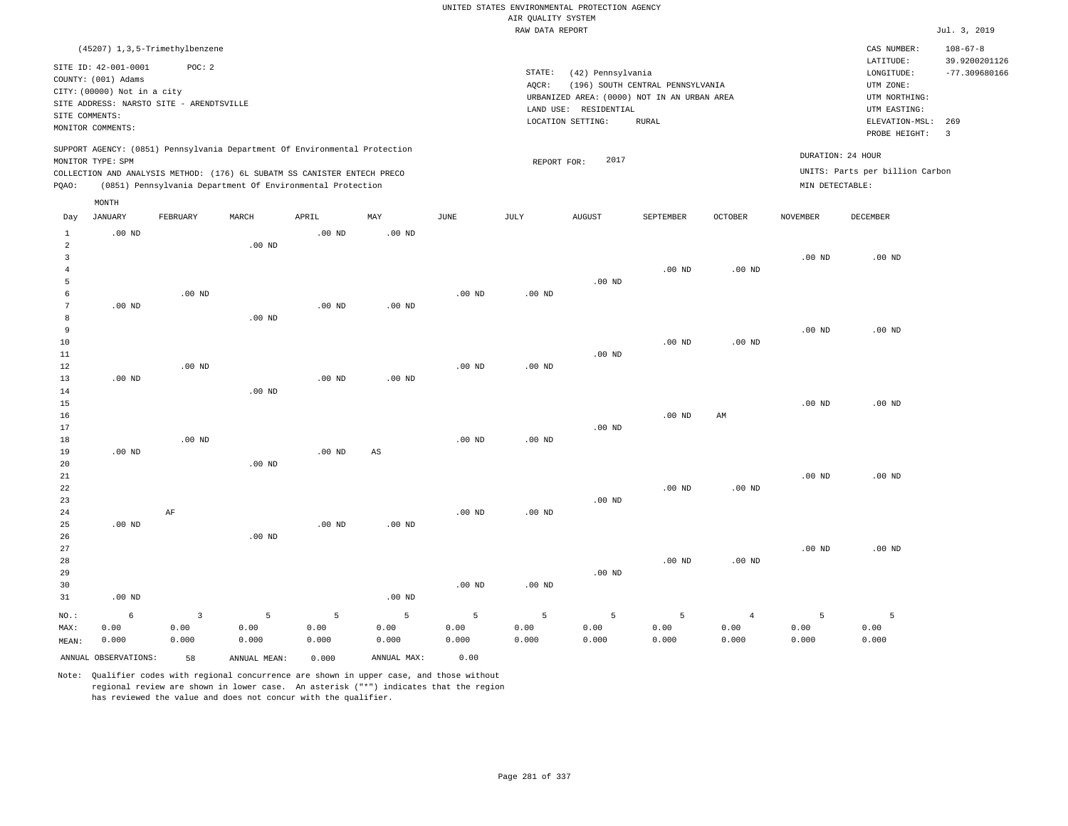|                |                                                          |          |                                                                            |                   |                        |                   |                    | UNITED STATES ENVIRONMENTAL PROTECTION AGENCY |                                  |                |                   |                                 |                                 |
|----------------|----------------------------------------------------------|----------|----------------------------------------------------------------------------|-------------------|------------------------|-------------------|--------------------|-----------------------------------------------|----------------------------------|----------------|-------------------|---------------------------------|---------------------------------|
|                |                                                          |          |                                                                            |                   |                        |                   | AIR QUALITY SYSTEM |                                               |                                  |                |                   |                                 |                                 |
|                |                                                          |          |                                                                            |                   |                        |                   | RAW DATA REPORT    |                                               |                                  |                |                   |                                 | Jul. 3, 2019                    |
|                | (45207) 1, 3, 5-Trimethylbenzene<br>SITE ID: 42-001-0001 | POC: 2   |                                                                            |                   |                        |                   |                    |                                               |                                  |                |                   | CAS NUMBER:<br>LATITUDE:        | $108 - 67 - 8$<br>39.9200201126 |
|                | COUNTY: (001) Adams                                      |          |                                                                            |                   |                        |                   | STATE:<br>AQCR:    | (42) Pennsylvania                             | (196) SOUTH CENTRAL PENNSYLVANIA |                |                   | LONGITUDE:<br>UTM ZONE:         | $-77.309680166$                 |
|                | CITY: (00000) Not in a city                              |          |                                                                            |                   |                        |                   |                    | URBANIZED AREA: (0000) NOT IN AN URBAN AREA   |                                  |                |                   | UTM NORTHING:                   |                                 |
|                | SITE ADDRESS: NARSTO SITE - ARENDTSVILLE                 |          |                                                                            |                   |                        |                   |                    | LAND USE: RESIDENTIAL                         |                                  |                |                   | UTM EASTING:                    |                                 |
| SITE COMMENTS: | MONITOR COMMENTS:                                        |          |                                                                            |                   |                        |                   |                    | LOCATION SETTING:                             | RURAL                            |                |                   | ELEVATION-MSL:                  | 269                             |
|                |                                                          |          |                                                                            |                   |                        |                   |                    |                                               |                                  |                |                   | PROBE HEIGHT:                   | $\overline{3}$                  |
|                | MONITOR TYPE: SPM                                        |          | SUPPORT AGENCY: (0851) Pennsylvania Department Of Environmental Protection |                   |                        |                   | REPORT FOR:        | 2017                                          |                                  |                | DURATION: 24 HOUR |                                 |                                 |
|                |                                                          |          | COLLECTION AND ANALYSIS METHOD: (176) 6L SUBATM SS CANISTER ENTECH PRECO   |                   |                        |                   |                    |                                               |                                  |                |                   | UNITS: Parts per billion Carbon |                                 |
| PQAO:          |                                                          |          | (0851) Pennsylvania Department Of Environmental Protection                 |                   |                        |                   |                    |                                               |                                  |                | MIN DETECTABLE:   |                                 |                                 |
| Day            | MONTH<br>JANUARY                                         | FEBRUARY | MARCH                                                                      | APRIL             | MAY                    | JUNE              | JULY               | AUGUST                                        | SEPTEMBER                        | OCTOBER        | <b>NOVEMBER</b>   | DECEMBER                        |                                 |
| $\mathbf{1}$   | $.00$ ND                                                 |          |                                                                            | $.00$ ND          | .00 <sub>ND</sub>      |                   |                    |                                               |                                  |                |                   |                                 |                                 |
| $\overline{a}$ |                                                          |          | .00 <sub>ND</sub>                                                          |                   |                        |                   |                    |                                               |                                  |                |                   |                                 |                                 |
| $\overline{3}$ |                                                          |          |                                                                            |                   |                        |                   |                    |                                               |                                  |                | .00 <sub>ND</sub> | $.00$ ND                        |                                 |
| $\overline{4}$ |                                                          |          |                                                                            |                   |                        |                   |                    |                                               | $.00$ ND                         | $.00$ ND       |                   |                                 |                                 |
| 5              |                                                          |          |                                                                            |                   |                        |                   |                    | $.00$ ND                                      |                                  |                |                   |                                 |                                 |
| 6              |                                                          | $.00$ ND |                                                                            |                   |                        | $.00$ ND          | .00 <sub>ND</sub>  |                                               |                                  |                |                   |                                 |                                 |
| $\overline{7}$ | $.00$ ND                                                 |          |                                                                            | .00 <sub>ND</sub> | $.00$ ND               |                   |                    |                                               |                                  |                |                   |                                 |                                 |
| 8              |                                                          |          | $.00$ ND                                                                   |                   |                        |                   |                    |                                               |                                  |                |                   |                                 |                                 |
| 9              |                                                          |          |                                                                            |                   |                        |                   |                    |                                               |                                  |                | .00 <sub>ND</sub> | $.00$ ND                        |                                 |
| $10$<br>$1\,1$ |                                                          |          |                                                                            |                   |                        |                   |                    | .00 <sub>ND</sub>                             | $.00$ ND                         | $.00$ ND       |                   |                                 |                                 |
| 12             |                                                          | $.00$ ND |                                                                            |                   |                        | $.00$ ND          | $.00$ ND           |                                               |                                  |                |                   |                                 |                                 |
| 13             | $.00$ ND                                                 |          |                                                                            | $.00$ ND          | $.00$ ND               |                   |                    |                                               |                                  |                |                   |                                 |                                 |
| 14             |                                                          |          | $.00$ ND                                                                   |                   |                        |                   |                    |                                               |                                  |                |                   |                                 |                                 |
| 15             |                                                          |          |                                                                            |                   |                        |                   |                    |                                               |                                  |                | .00 <sub>ND</sub> | $.00$ ND                        |                                 |
| 16             |                                                          |          |                                                                            |                   |                        |                   |                    |                                               | $.00$ ND                         | AM             |                   |                                 |                                 |
| 17             |                                                          |          |                                                                            |                   |                        |                   |                    | $.00$ ND                                      |                                  |                |                   |                                 |                                 |
| 18             |                                                          | $.00$ ND |                                                                            |                   |                        | .00 <sub>ND</sub> | .00 <sub>ND</sub>  |                                               |                                  |                |                   |                                 |                                 |
| 19             | $.00$ ND                                                 |          |                                                                            | $.00$ ND          | $\mathbb{A}\mathbb{S}$ |                   |                    |                                               |                                  |                |                   |                                 |                                 |
| 20             |                                                          |          | $.00$ ND                                                                   |                   |                        |                   |                    |                                               |                                  |                |                   |                                 |                                 |
| 21<br>22       |                                                          |          |                                                                            |                   |                        |                   |                    |                                               | $.00$ ND                         | $.00$ ND       | .00 <sub>ND</sub> | $.00$ ND                        |                                 |
| 23             |                                                          |          |                                                                            |                   |                        |                   |                    | $.00$ ND                                      |                                  |                |                   |                                 |                                 |
| 24             |                                                          | AF       |                                                                            |                   |                        | $.00$ ND          | $.00$ ND           |                                               |                                  |                |                   |                                 |                                 |
| 25             | $.00$ ND                                                 |          |                                                                            | $.00$ ND          | $.00$ ND               |                   |                    |                                               |                                  |                |                   |                                 |                                 |
| 26             |                                                          |          | $.00$ ND                                                                   |                   |                        |                   |                    |                                               |                                  |                |                   |                                 |                                 |
| $2\,7$         |                                                          |          |                                                                            |                   |                        |                   |                    |                                               |                                  |                | .00 <sub>ND</sub> | $.00$ ND                        |                                 |
| 28             |                                                          |          |                                                                            |                   |                        |                   |                    |                                               | $.00$ ND                         | $.00$ ND       |                   |                                 |                                 |
| 29             |                                                          |          |                                                                            |                   |                        |                   |                    | .00 <sub>ND</sub>                             |                                  |                |                   |                                 |                                 |
| 30             |                                                          |          |                                                                            |                   |                        | .00 <sub>ND</sub> | .00 <sub>ND</sub>  |                                               |                                  |                |                   |                                 |                                 |
| 31             | $.00$ ND                                                 |          |                                                                            |                   | $.00$ ND               |                   |                    |                                               |                                  |                |                   |                                 |                                 |
| NO.:           | 6                                                        | 3        | 5                                                                          | 5                 | 5                      | 5                 | 5                  | 5                                             | 5                                | $\overline{4}$ | 5                 | 5                               |                                 |
| MAX:           | 0.00                                                     | 0.00     | 0.00                                                                       | 0.00              | 0.00                   | 0.00              | 0.00               | 0.00                                          | 0.00                             | 0.00           | 0.00              | 0.00                            |                                 |
| MEAN:          | 0.000                                                    | 0.000    | 0.000                                                                      | 0.000             | 0.000                  | 0.000             | 0.000              | 0.000                                         | 0.000                            | 0.000          | 0.000             | 0.000                           |                                 |
|                | ANNUAL OBSERVATIONS:                                     | 58       | ANNUAL, MEAN:                                                              | 0.000             | ANNUAL MAX:            | 0.00              |                    |                                               |                                  |                |                   |                                 |                                 |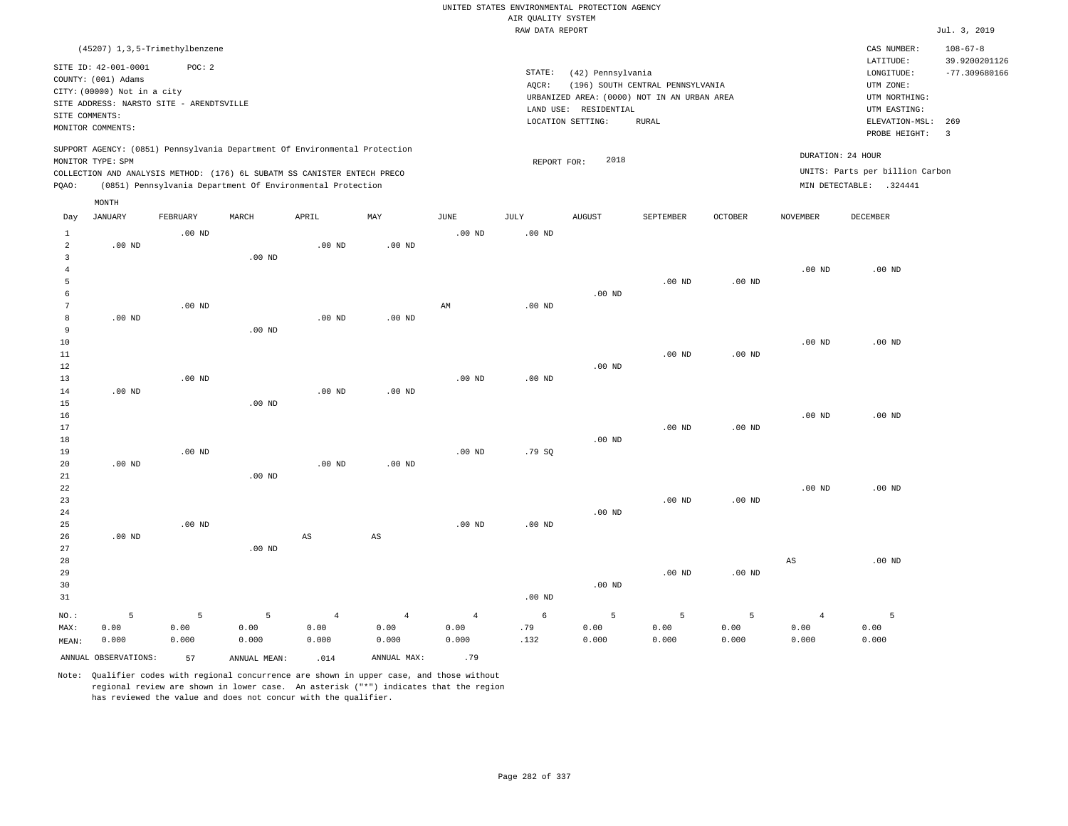|                                |                                                                                                                                                                                 |                    |                                                                                                                                        |                                 |                                 |                                 | UNITED STATES ENVIRONMENTAL PROTECTION AGENCY<br>AIR QUALITY SYSTEM |                                                                 |                                                                                                 |                    |                                 |                                                                                                                         |                                                                                      |
|--------------------------------|---------------------------------------------------------------------------------------------------------------------------------------------------------------------------------|--------------------|----------------------------------------------------------------------------------------------------------------------------------------|---------------------------------|---------------------------------|---------------------------------|---------------------------------------------------------------------|-----------------------------------------------------------------|-------------------------------------------------------------------------------------------------|--------------------|---------------------------------|-------------------------------------------------------------------------------------------------------------------------|--------------------------------------------------------------------------------------|
|                                |                                                                                                                                                                                 |                    |                                                                                                                                        |                                 |                                 |                                 | RAW DATA REPORT                                                     |                                                                 |                                                                                                 |                    |                                 |                                                                                                                         | Jul. 3, 2019                                                                         |
| SITE COMMENTS:                 | (45207) 1, 3, 5-Trimethylbenzene<br>SITE ID: 42-001-0001<br>COUNTY: (001) Adams<br>CITY: (00000) Not in a city<br>SITE ADDRESS: NARSTO SITE - ARENDTSVILLE<br>MONITOR COMMENTS: | POC: 2             |                                                                                                                                        |                                 |                                 |                                 | STATE:<br>AQCR:                                                     | (42) Pennsylvania<br>LAND USE: RESIDENTIAL<br>LOCATION SETTING: | (196) SOUTH CENTRAL PENNSYLVANIA<br>URBANIZED AREA: (0000) NOT IN AN URBAN AREA<br><b>RURAL</b> |                    |                                 | CAS NUMBER:<br>LATITUDE:<br>LONGITUDE:<br>UTM ZONE:<br>UTM NORTHING:<br>UTM EASTING:<br>ELEVATION-MSL:<br>PROBE HEIGHT: | $108 - 67 - 8$<br>39.9200201126<br>$-77.309680166$<br>269<br>$\overline{\mathbf{3}}$ |
|                                | MONITOR TYPE: SPM                                                                                                                                                               |                    | SUPPORT AGENCY: (0851) Pennsylvania Department Of Environmental Protection                                                             |                                 |                                 |                                 | REPORT FOR:                                                         | 2018                                                            |                                                                                                 |                    |                                 | DURATION: 24 HOUR                                                                                                       |                                                                                      |
| PQAO:                          |                                                                                                                                                                                 |                    | COLLECTION AND ANALYSIS METHOD: (176) 6L SUBATM SS CANISTER ENTECH PRECO<br>(0851) Pennsylvania Department Of Environmental Protection |                                 |                                 |                                 |                                                                     |                                                                 |                                                                                                 |                    |                                 | UNITS: Parts per billion Carbon<br>MIN DETECTABLE: .324441                                                              |                                                                                      |
|                                | MONTH                                                                                                                                                                           |                    |                                                                                                                                        |                                 |                                 |                                 |                                                                     |                                                                 |                                                                                                 |                    |                                 |                                                                                                                         |                                                                                      |
| Day                            | <b>JANUARY</b>                                                                                                                                                                  | FEBRUARY           | MARCH                                                                                                                                  | APRIL                           | MAY                             | JUNE                            | JULY                                                                | <b>AUGUST</b>                                                   | SEPTEMBER                                                                                       | <b>OCTOBER</b>     | <b>NOVEMBER</b>                 | DECEMBER                                                                                                                |                                                                                      |
| $\mathbf{1}$<br>$\overline{a}$ | $.00$ ND                                                                                                                                                                        | $.00$ ND           |                                                                                                                                        | .00 <sub>ND</sub>               | $.00$ ND                        | $.00$ ND                        | $.00$ ND                                                            |                                                                 |                                                                                                 |                    |                                 |                                                                                                                         |                                                                                      |
| 3<br>$\overline{4}$<br>5       |                                                                                                                                                                                 |                    | $.00$ ND                                                                                                                               |                                 |                                 |                                 |                                                                     |                                                                 | .00 <sub>ND</sub>                                                                               | $.00$ ND           | $.00$ ND                        | $.00$ ND                                                                                                                |                                                                                      |
| 6<br>$7\phantom{.0}$           |                                                                                                                                                                                 | .00 <sub>ND</sub>  |                                                                                                                                        |                                 |                                 | AM                              | .00 <sub>ND</sub>                                                   | $.00$ ND                                                        |                                                                                                 |                    |                                 |                                                                                                                         |                                                                                      |
| 8<br>9<br>10                   | $.00$ ND                                                                                                                                                                        |                    | $.00$ ND                                                                                                                               | .00 <sub>ND</sub>               | $.00$ ND                        |                                 |                                                                     |                                                                 |                                                                                                 |                    | $.00$ ND                        | $.00$ ND                                                                                                                |                                                                                      |
| 11<br>12                       |                                                                                                                                                                                 |                    |                                                                                                                                        |                                 |                                 |                                 |                                                                     | $.00$ ND                                                        | $.00$ ND                                                                                        | $.00$ ND           |                                 |                                                                                                                         |                                                                                      |
| 13<br>14<br>15                 | $.00$ ND                                                                                                                                                                        | $.00$ ND           | $.00$ ND                                                                                                                               | .00 <sub>ND</sub>               | $.00$ ND                        | $.00$ ND                        | $.00$ ND                                                            |                                                                 |                                                                                                 |                    |                                 |                                                                                                                         |                                                                                      |
| 16<br>17                       |                                                                                                                                                                                 |                    |                                                                                                                                        |                                 |                                 |                                 |                                                                     |                                                                 | .00 <sub>ND</sub>                                                                               | .00 <sub>ND</sub>  | $.00$ ND                        | $.00$ ND                                                                                                                |                                                                                      |
| 18<br>19<br>20                 | $.00$ ND                                                                                                                                                                        | $.00$ ND           |                                                                                                                                        | .00 <sub>ND</sub>               | $.00$ ND                        | $.00$ ND                        | .79SQ                                                               | $.00$ ND                                                        |                                                                                                 |                    |                                 |                                                                                                                         |                                                                                      |
| 21<br>22<br>23                 |                                                                                                                                                                                 |                    | $.00$ ND                                                                                                                               |                                 |                                 |                                 |                                                                     |                                                                 | $.00$ ND                                                                                        | $.00$ ND           | .00 <sub>ND</sub>               | $.00$ ND                                                                                                                |                                                                                      |
| 24<br>25<br>26                 | $.00$ ND                                                                                                                                                                        | $.00$ ND           |                                                                                                                                        | $\mathbb{A}\mathbb{S}$          | $\mathbb{A}\mathbb{S}$          | $.00$ ND                        | $.00$ ND                                                            | $.00$ ND                                                        |                                                                                                 |                    |                                 |                                                                                                                         |                                                                                      |
| 27<br>28<br>29<br>30<br>31     |                                                                                                                                                                                 |                    | .00 <sub>ND</sub>                                                                                                                      |                                 |                                 |                                 | .00 <sub>ND</sub>                                                   | $.00$ ND                                                        | .00 <sub>ND</sub>                                                                               | $.00$ ND           | AS                              | $.00$ ND                                                                                                                |                                                                                      |
| NO.:<br>MAX:<br>MEAN:          | 5<br>0.00<br>0.000                                                                                                                                                              | 5<br>0.00<br>0.000 | 5<br>0.00<br>0.000                                                                                                                     | $\overline{4}$<br>0.00<br>0.000 | $\overline{4}$<br>0.00<br>0.000 | $\overline{4}$<br>0.00<br>0.000 | 6<br>.79<br>.132                                                    | 5<br>0.00<br>0.000                                              | 5<br>0.00<br>0.000                                                                              | 5<br>0.00<br>0.000 | $\overline{4}$<br>0.00<br>0.000 | 5<br>0.00<br>0.000                                                                                                      |                                                                                      |
|                                | ANNUAL OBSERVATIONS:                                                                                                                                                            | 57                 | ANNUAL MEAN:                                                                                                                           | .014                            | ANNUAL MAX:                     | .79                             |                                                                     |                                                                 |                                                                                                 |                    |                                 |                                                                                                                         |                                                                                      |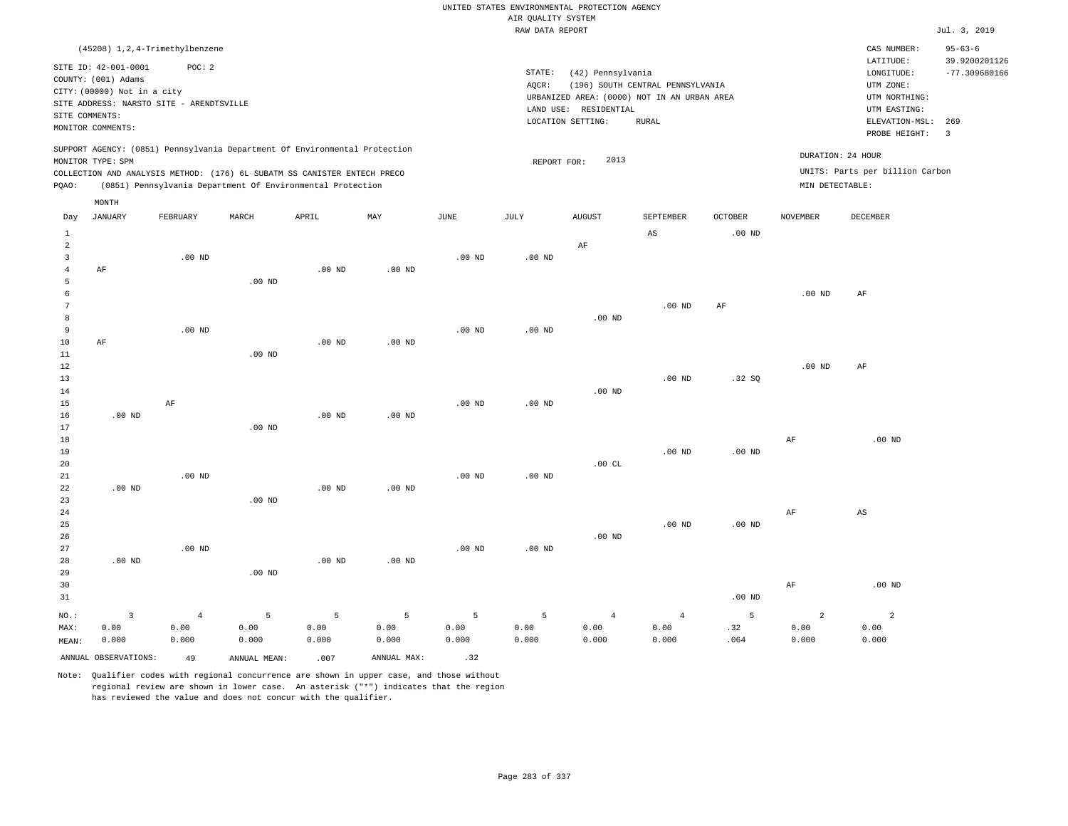|                         |                                             |                   |                                                                            |                   |                   |                   |                                       | UNITED STATES ENVIRONMENTAL PROTECTION AGENCY |                                  |                   |                   |                                 |                                  |
|-------------------------|---------------------------------------------|-------------------|----------------------------------------------------------------------------|-------------------|-------------------|-------------------|---------------------------------------|-----------------------------------------------|----------------------------------|-------------------|-------------------|---------------------------------|----------------------------------|
|                         |                                             |                   |                                                                            |                   |                   |                   | AIR QUALITY SYSTEM<br>RAW DATA REPORT |                                               |                                  |                   |                   |                                 | Jul. 3, 2019                     |
|                         | (45208) 1, 2, 4-Trimethylbenzene            |                   |                                                                            |                   |                   |                   |                                       |                                               |                                  |                   |                   | CAS NUMBER:                     | $95 - 63 - 6$                    |
|                         | SITE ID: 42-001-0001<br>COUNTY: (001) Adams | POC: 2            |                                                                            |                   |                   |                   | STATE:                                | (42) Pennsylvania                             |                                  |                   |                   | LATITUDE:<br>LONGITUDE:         | 39.9200201126<br>$-77.309680166$ |
|                         | CITY: (00000) Not in a city                 |                   |                                                                            |                   |                   |                   | AQCR:                                 |                                               | (196) SOUTH CENTRAL PENNSYLVANIA |                   |                   | UTM ZONE:                       |                                  |
|                         | SITE ADDRESS: NARSTO SITE - ARENDTSVILLE    |                   |                                                                            |                   |                   |                   |                                       | URBANIZED AREA: (0000) NOT IN AN URBAN AREA   |                                  |                   |                   | UTM NORTHING:                   |                                  |
|                         | SITE COMMENTS:                              |                   |                                                                            |                   |                   |                   |                                       | LAND USE: RESIDENTIAL<br>LOCATION SETTING:    | <b>RURAL</b>                     |                   |                   | UTM EASTING:<br>ELEVATION-MSL:  | 269                              |
|                         | MONITOR COMMENTS:                           |                   |                                                                            |                   |                   |                   |                                       |                                               |                                  |                   |                   | PROBE HEIGHT:                   | $\overline{3}$                   |
|                         | MONITOR TYPE: SPM                           |                   | SUPPORT AGENCY: (0851) Pennsylvania Department Of Environmental Protection |                   |                   |                   |                                       | 2013                                          |                                  |                   |                   | DURATION: 24 HOUR               |                                  |
|                         |                                             |                   | COLLECTION AND ANALYSIS METHOD: (176) 6L SUBATM SS CANISTER ENTECH PRECO   |                   |                   |                   | REPORT FOR:                           |                                               |                                  |                   |                   | UNITS: Parts per billion Carbon |                                  |
| PQAO:                   |                                             |                   | (0851) Pennsylvania Department Of Environmental Protection                 |                   |                   |                   |                                       |                                               |                                  |                   | MIN DETECTABLE:   |                                 |                                  |
|                         | MONTH                                       |                   |                                                                            |                   |                   |                   |                                       |                                               |                                  |                   |                   |                                 |                                  |
| Day                     | <b>JANUARY</b>                              | FEBRUARY          | MARCH                                                                      | APRIL             | MAY               | <b>JUNE</b>       | <b>JULY</b>                           | <b>AUGUST</b>                                 | SEPTEMBER                        | <b>OCTOBER</b>    | <b>NOVEMBER</b>   | DECEMBER                        |                                  |
| $1\,$<br>$\mathfrak{D}$ |                                             |                   |                                                                            |                   |                   |                   |                                       | AF                                            | $\mathbb{A}\mathbb{S}$           | .00 <sub>ND</sub> |                   |                                 |                                  |
| $\overline{3}$          |                                             | .00 <sub>ND</sub> |                                                                            |                   |                   | .00 <sub>ND</sub> | .00 <sub>ND</sub>                     |                                               |                                  |                   |                   |                                 |                                  |
| $\overline{4}$          | AF                                          |                   |                                                                            | $.00$ ND          | $.00$ ND          |                   |                                       |                                               |                                  |                   |                   |                                 |                                  |
| 5                       |                                             |                   | $.00$ ND                                                                   |                   |                   |                   |                                       |                                               |                                  |                   |                   |                                 |                                  |
| $\epsilon$              |                                             |                   |                                                                            |                   |                   |                   |                                       |                                               |                                  |                   | $.00$ ND          | AF                              |                                  |
| $\overline{7}$          |                                             |                   |                                                                            |                   |                   |                   |                                       |                                               | .00 <sub>ND</sub>                | $\rm AF$          |                   |                                 |                                  |
| 8                       |                                             |                   |                                                                            |                   |                   |                   |                                       | .00 <sub>ND</sub>                             |                                  |                   |                   |                                 |                                  |
| $\mathbf{q}$            |                                             | $.00$ ND          |                                                                            |                   |                   | .00 <sub>ND</sub> | .00 <sub>ND</sub>                     |                                               |                                  |                   |                   |                                 |                                  |
| 10                      | AF                                          |                   |                                                                            | .00 <sub>ND</sub> | .00 <sub>ND</sub> |                   |                                       |                                               |                                  |                   |                   |                                 |                                  |
| 11                      |                                             |                   | $.00$ ND                                                                   |                   |                   |                   |                                       |                                               |                                  |                   |                   |                                 |                                  |
| 12                      |                                             |                   |                                                                            |                   |                   |                   |                                       |                                               |                                  |                   | .00 <sub>ND</sub> | AF                              |                                  |
| 13                      |                                             |                   |                                                                            |                   |                   |                   |                                       |                                               | $.00$ ND                         | .32 SQ            |                   |                                 |                                  |
| 14                      |                                             |                   |                                                                            |                   |                   |                   |                                       | $.00$ ND                                      |                                  |                   |                   |                                 |                                  |
| 15                      |                                             | AF                |                                                                            |                   |                   | $.00$ ND          | $.00$ ND                              |                                               |                                  |                   |                   |                                 |                                  |
| 16                      | $.00$ ND                                    |                   |                                                                            | $.00$ ND          | $.00$ ND          |                   |                                       |                                               |                                  |                   |                   |                                 |                                  |
| 17                      |                                             |                   | .00 <sub>ND</sub>                                                          |                   |                   |                   |                                       |                                               |                                  |                   |                   |                                 |                                  |
| 18                      |                                             |                   |                                                                            |                   |                   |                   |                                       |                                               |                                  |                   | AF                | $.00$ ND                        |                                  |
| 19                      |                                             |                   |                                                                            |                   |                   |                   |                                       |                                               | $.00$ ND                         | .00 <sub>ND</sub> |                   |                                 |                                  |
| 20                      |                                             |                   |                                                                            |                   |                   |                   |                                       | .00CL                                         |                                  |                   |                   |                                 |                                  |
| 21<br>22                | $.00$ ND                                    | $.00$ ND          |                                                                            | .00 <sub>ND</sub> | $.00$ ND          | $.00$ ND          | $.00$ ND                              |                                               |                                  |                   |                   |                                 |                                  |
| 23                      |                                             |                   | $.00$ ND                                                                   |                   |                   |                   |                                       |                                               |                                  |                   |                   |                                 |                                  |
| 24                      |                                             |                   |                                                                            |                   |                   |                   |                                       |                                               |                                  |                   | $\rm AF$          | $_{\rm AS}$                     |                                  |
| 25                      |                                             |                   |                                                                            |                   |                   |                   |                                       |                                               | $.00$ ND                         | .00 <sub>ND</sub> |                   |                                 |                                  |
| 26                      |                                             |                   |                                                                            |                   |                   |                   |                                       | $.00$ ND                                      |                                  |                   |                   |                                 |                                  |
| 27                      |                                             | .00 <sub>ND</sub> |                                                                            |                   |                   | $.00$ ND          | $.00$ ND                              |                                               |                                  |                   |                   |                                 |                                  |
| 28                      | $.00$ ND                                    |                   |                                                                            | $.00$ ND          | $.00$ ND          |                   |                                       |                                               |                                  |                   |                   |                                 |                                  |
| 29                      |                                             |                   | $.00$ ND                                                                   |                   |                   |                   |                                       |                                               |                                  |                   |                   |                                 |                                  |
| 30                      |                                             |                   |                                                                            |                   |                   |                   |                                       |                                               |                                  |                   | $\rm{AF}$         | $.00$ ND                        |                                  |
| 31                      |                                             |                   |                                                                            |                   |                   |                   |                                       |                                               |                                  | $.00$ ND          |                   |                                 |                                  |
|                         |                                             |                   |                                                                            |                   |                   |                   |                                       |                                               |                                  |                   |                   |                                 |                                  |
| $_{\rm NO.}$ :          | $\overline{\mathbf{3}}$                     | $\overline{4}$    | 5                                                                          | $\overline{5}$    | $\overline{5}$    | 5                 | 5                                     | $\overline{4}$                                | $\overline{4}$                   | 5                 | $\overline{a}$    | $\overline{a}$                  |                                  |
| MAX:                    | 0.00                                        | 0.00              | 0.00                                                                       | 0.00<br>0.000     | 0.00              | 0.00<br>0.000     | 0.00                                  | 0.00<br>0.000                                 | 0.00                             | .32<br>.064       | 0.00<br>0.000     | 0.00<br>0.000                   |                                  |
| MEAN:                   | 0.000                                       | 0.000             | 0.000                                                                      |                   | 0.000             |                   | 0.000                                 |                                               | 0.000                            |                   |                   |                                 |                                  |
|                         | ANNUAL OBSERVATIONS:                        | 49                | ANNUAL, MEAN:                                                              | .007              | ANNUAL MAX:       | .32               |                                       |                                               |                                  |                   |                   |                                 |                                  |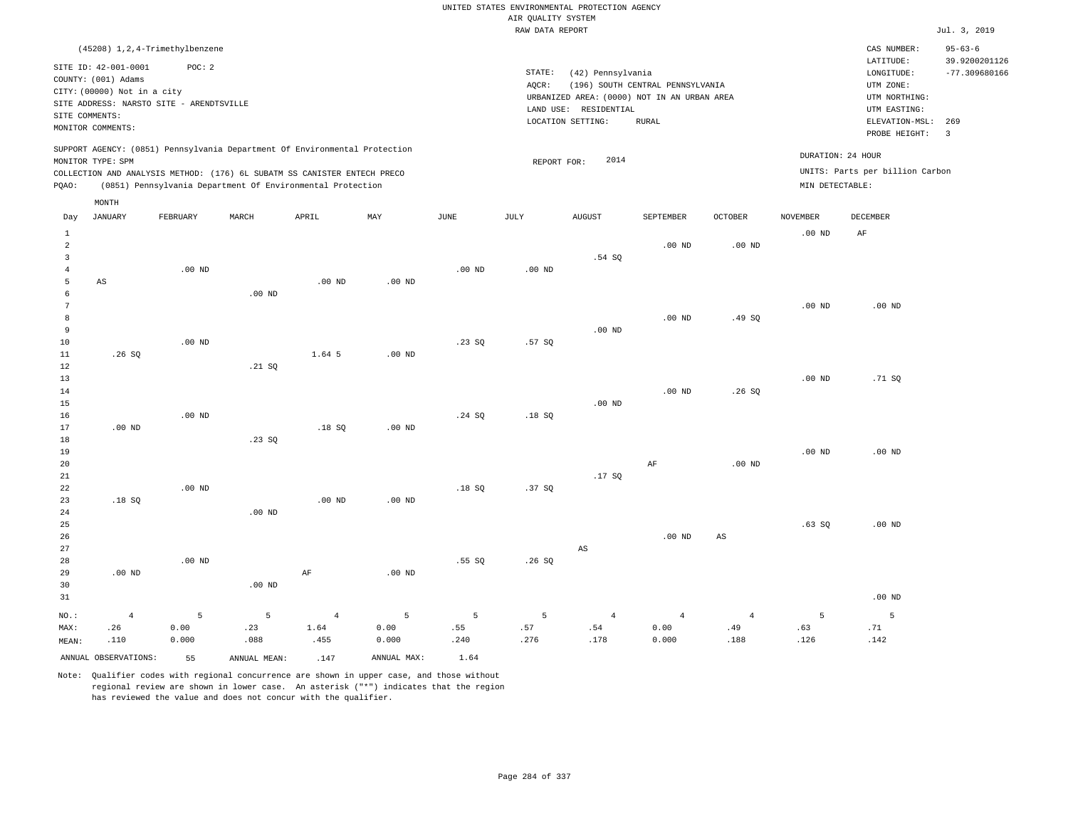|                                                           |                                                    |                                            |                                                                            |                |                   |                 |                    | UNITED STATES ENVIRONMENTAL PROTECTION AGENCY                    |                                  |                |                   |                                        |                                                   |
|-----------------------------------------------------------|----------------------------------------------------|--------------------------------------------|----------------------------------------------------------------------------|----------------|-------------------|-----------------|--------------------|------------------------------------------------------------------|----------------------------------|----------------|-------------------|----------------------------------------|---------------------------------------------------|
|                                                           |                                                    |                                            |                                                                            |                |                   |                 | AIR QUALITY SYSTEM |                                                                  |                                  |                |                   |                                        |                                                   |
|                                                           |                                                    |                                            |                                                                            |                |                   |                 | RAW DATA REPORT    |                                                                  |                                  |                |                   |                                        | Jul. 3, 2019                                      |
|                                                           | SITE ID: 42-001-0001                               | (45208) 1, 2, 4-Trimethylbenzene<br>POC: 2 |                                                                            |                |                   |                 | STATE:             |                                                                  |                                  |                |                   | CAS NUMBER:<br>LATITUDE:<br>LONGITUDE: | $95 - 63 - 6$<br>39.9200201126<br>$-77.309680166$ |
|                                                           | COUNTY: (001) Adams<br>CITY: (00000) Not in a city | SITE ADDRESS: NARSTO SITE - ARENDTSVILLE   |                                                                            |                |                   |                 | AQCR:              | (42) Pennsylvania<br>URBANIZED AREA: (0000) NOT IN AN URBAN AREA | (196) SOUTH CENTRAL PENNSYLVANIA |                |                   | UTM ZONE:<br>UTM NORTHING:             |                                                   |
| SITE COMMENTS:                                            |                                                    |                                            |                                                                            |                |                   |                 |                    | LAND USE: RESIDENTIAL                                            |                                  |                |                   | UTM EASTING:                           |                                                   |
|                                                           | MONITOR COMMENTS:                                  |                                            |                                                                            |                |                   |                 |                    | LOCATION SETTING:                                                | <b>RURAL</b>                     |                |                   | ELEVATION-MSL:<br>PROBE HEIGHT:        | 269<br>$\overline{3}$                             |
|                                                           | MONITOR TYPE: SPM                                  |                                            | SUPPORT AGENCY: (0851) Pennsylvania Department Of Environmental Protection |                |                   |                 | REPORT FOR:        | 2014                                                             |                                  |                | DURATION: 24 HOUR |                                        |                                                   |
|                                                           |                                                    |                                            | COLLECTION AND ANALYSIS METHOD: (176) 6L SUBATM SS CANISTER ENTECH PRECO   |                |                   |                 |                    |                                                                  |                                  |                |                   | UNITS: Parts per billion Carbon        |                                                   |
| PQAO:                                                     |                                                    |                                            | (0851) Pennsylvania Department Of Environmental Protection                 |                |                   |                 |                    |                                                                  |                                  |                | MIN DETECTABLE:   |                                        |                                                   |
|                                                           | MONTH<br><b>JANUARY</b>                            | FEBRUARY                                   | MARCH                                                                      | APRIL          | MAX               | <b>JUNE</b>     | JULY               | <b>AUGUST</b>                                                    | SEPTEMBER                        | <b>OCTOBER</b> | <b>NOVEMBER</b>   | <b>DECEMBER</b>                        |                                                   |
| Day                                                       |                                                    |                                            |                                                                            |                |                   |                 |                    |                                                                  |                                  |                |                   |                                        |                                                   |
| $\mathbf{1}$<br>$\overline{a}$<br>$\overline{\mathbf{3}}$ |                                                    |                                            |                                                                            |                |                   |                 |                    | .54S                                                             | $.00$ ND                         | $.00$ ND       | $.00$ ND          | AF                                     |                                                   |
| $\bf 4$<br>5                                              |                                                    | $.00$ ND                                   |                                                                            |                |                   | $.00$ ND        | $.00$ ND           |                                                                  |                                  |                |                   |                                        |                                                   |
| 6                                                         | $\mathbb{A}\mathbb{S}$                             |                                            | $.00$ ND                                                                   | $.00$ ND       | .00 <sub>ND</sub> |                 |                    |                                                                  |                                  |                |                   |                                        |                                                   |
| $\overline{7}$                                            |                                                    |                                            |                                                                            |                |                   |                 |                    |                                                                  |                                  |                | .00 <sub>ND</sub> | $.00$ ND                               |                                                   |
| $\mathbf{8}$                                              |                                                    |                                            |                                                                            |                |                   |                 |                    |                                                                  | .00 <sub>ND</sub>                | .49S           |                   |                                        |                                                   |
| $\overline{9}$<br>10                                      |                                                    | $.00$ ND                                   |                                                                            |                |                   | .23 S0          | .57SQ              | .00 <sub>ND</sub>                                                |                                  |                |                   |                                        |                                                   |
| $11\,$                                                    | .26SQ                                              |                                            |                                                                            | 1.64 5         | $.00$ ND          |                 |                    |                                                                  |                                  |                |                   |                                        |                                                   |
| 12                                                        |                                                    |                                            | .21 S0                                                                     |                |                   |                 |                    |                                                                  |                                  |                |                   |                                        |                                                   |
| 13                                                        |                                                    |                                            |                                                                            |                |                   |                 |                    |                                                                  |                                  |                | $.00$ ND          | .71 SQ                                 |                                                   |
| 14<br>15                                                  |                                                    |                                            |                                                                            |                |                   |                 |                    | $.00$ ND                                                         | .00 <sub>ND</sub>                | .26S           |                   |                                        |                                                   |
| 16                                                        |                                                    | $.00$ ND                                   |                                                                            |                |                   | .24 SQ          | .18S               |                                                                  |                                  |                |                   |                                        |                                                   |
| 17                                                        | $.00$ ND                                           |                                            |                                                                            | .18SQ          | .00 <sub>ND</sub> |                 |                    |                                                                  |                                  |                |                   |                                        |                                                   |
| 18<br>19                                                  |                                                    |                                            | .23SQ                                                                      |                |                   |                 |                    |                                                                  |                                  |                | $.00$ ND          | $.00$ ND                               |                                                   |
| 20                                                        |                                                    |                                            |                                                                            |                |                   |                 |                    |                                                                  | AF                               | $.00$ ND       |                   |                                        |                                                   |
| 21                                                        |                                                    |                                            |                                                                            |                |                   |                 |                    | .17S                                                             |                                  |                |                   |                                        |                                                   |
| 22                                                        |                                                    | $.00$ ND                                   |                                                                            |                |                   | .18SQ           | .37SQ              |                                                                  |                                  |                |                   |                                        |                                                   |
| 23<br>24                                                  | .18S                                               |                                            | $.00$ ND                                                                   | $.00$ ND       | .00 <sub>ND</sub> |                 |                    |                                                                  |                                  |                |                   |                                        |                                                   |
| 25                                                        |                                                    |                                            |                                                                            |                |                   |                 |                    |                                                                  |                                  |                | .63SQ             | $.00$ ND                               |                                                   |
| 26                                                        |                                                    |                                            |                                                                            |                |                   |                 |                    |                                                                  | .00 <sub>ND</sub>                | AS             |                   |                                        |                                                   |
| 27                                                        |                                                    |                                            |                                                                            |                |                   |                 |                    | $\mathbb{A}\mathbb{S}$                                           |                                  |                |                   |                                        |                                                   |
| 28<br>29                                                  | $.00$ ND                                           | $.00$ ND                                   |                                                                            | $\rm{AF}$      | $.00$ ND          | .55SQ           | .26S               |                                                                  |                                  |                |                   |                                        |                                                   |
| 30                                                        |                                                    |                                            | $.00$ ND                                                                   |                |                   |                 |                    |                                                                  |                                  |                |                   |                                        |                                                   |
| 31                                                        |                                                    |                                            |                                                                            |                |                   |                 |                    |                                                                  |                                  |                |                   | $.00$ ND                               |                                                   |
| NO.:                                                      | $\overline{4}$                                     | 5                                          | 5                                                                          | $\overline{4}$ | 5                 | $5\overline{5}$ | 5                  | $\overline{4}$                                                   | $\overline{4}$                   | $\overline{4}$ | 5                 | 5                                      |                                                   |
| MAX:                                                      | .26                                                | 0.00                                       | .23                                                                        | 1.64           | 0.00              | .55             | .57                | .54                                                              | 0.00                             | .49            | .63               | .71                                    |                                                   |
| MEAN:                                                     | .110                                               | 0.000                                      | .088                                                                       | .455           | 0.000             | .240            | .276               | .178                                                             | 0.000                            | .188           | .126              | .142                                   |                                                   |
|                                                           | ANNUAL OBSERVATIONS:                               | 55                                         | ANNUAL MEAN:                                                               | .147           | ANNUAL MAX:       | 1.64            |                    |                                                                  |                                  |                |                   |                                        |                                                   |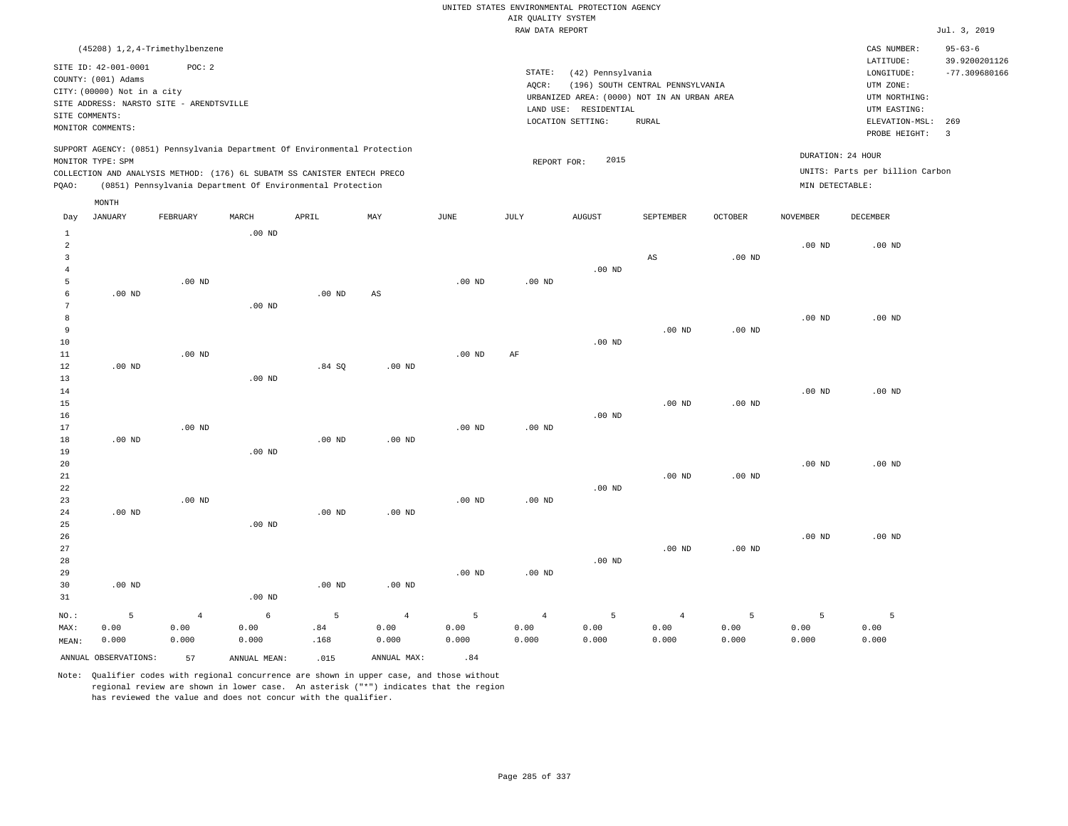|                                                                    |                                                                            |                                                                                                                                        |                    |                   |                                 |                    | AIR QUALITY SYSTEM              | UNITED STATES ENVIRONMENTAL PROTECTION AGENCY                                             |                                  |                    |                    |                                                          |                                |
|--------------------------------------------------------------------|----------------------------------------------------------------------------|----------------------------------------------------------------------------------------------------------------------------------------|--------------------|-------------------|---------------------------------|--------------------|---------------------------------|-------------------------------------------------------------------------------------------|----------------------------------|--------------------|--------------------|----------------------------------------------------------|--------------------------------|
|                                                                    |                                                                            |                                                                                                                                        |                    |                   |                                 |                    | RAW DATA REPORT                 |                                                                                           |                                  |                    |                    |                                                          | Jul. 3, 2019                   |
|                                                                    |                                                                            | (45208) 1, 2, 4-Trimethylbenzene                                                                                                       |                    |                   |                                 |                    |                                 |                                                                                           |                                  |                    |                    | CAS NUMBER:<br>LATITUDE:                                 | $95 - 63 - 6$<br>39.9200201126 |
|                                                                    | SITE ID: 42-001-0001<br>COUNTY: (001) Adams<br>CITY: (00000) Not in a city | POC: 2<br>SITE ADDRESS: NARSTO SITE - ARENDTSVILLE                                                                                     |                    |                   |                                 |                    | STATE:<br>AQCR:                 | (42) Pennsylvania<br>URBANIZED AREA: (0000) NOT IN AN URBAN AREA<br>LAND USE: RESIDENTIAL | (196) SOUTH CENTRAL PENNSYLVANIA |                    |                    | LONGITUDE:<br>UTM ZONE:<br>UTM NORTHING:<br>UTM EASTING: | $-77.309680166$                |
| SITE COMMENTS:                                                     | MONITOR COMMENTS:                                                          |                                                                                                                                        |                    |                   |                                 |                    |                                 | LOCATION SETTING:                                                                         | <b>RURAL</b>                     |                    |                    | ELEVATION-MSL:<br>PROBE HEIGHT:                          | 269<br>$\overline{3}$          |
|                                                                    | MONITOR TYPE: SPM                                                          | SUPPORT AGENCY: (0851) Pennsylvania Department Of Environmental Protection                                                             |                    |                   |                                 |                    | REPORT FOR:                     | 2015                                                                                      |                                  |                    | DURATION: 24 HOUR  |                                                          |                                |
| PQAO:                                                              |                                                                            | COLLECTION AND ANALYSIS METHOD: (176) 6L SUBATM SS CANISTER ENTECH PRECO<br>(0851) Pennsylvania Department Of Environmental Protection |                    |                   |                                 |                    |                                 |                                                                                           |                                  |                    | MIN DETECTABLE:    | UNITS: Parts per billion Carbon                          |                                |
| Day                                                                | MONTH<br><b>JANUARY</b>                                                    | FEBRUARY                                                                                                                               | MARCH              | APRIL             | MAY                             | JUNE               | <b>JULY</b>                     | <b>AUGUST</b>                                                                             | SEPTEMBER                        | <b>OCTOBER</b>     | <b>NOVEMBER</b>    | <b>DECEMBER</b>                                          |                                |
| $\mathbf{1}$<br>$\overline{2}$<br>$\overline{3}$<br>$\overline{4}$ |                                                                            |                                                                                                                                        | $.00$ ND           |                   |                                 |                    |                                 | .00 <sub>ND</sub>                                                                         | AS                               | $.00$ ND           | .00 <sub>ND</sub>  | $.00$ ND                                                 |                                |
| 5<br>6<br>7                                                        | $.00$ ND                                                                   | .00 <sub>ND</sub>                                                                                                                      | $.00$ ND           | $.00$ ND          | AS                              | $.00$ ND           | .00 <sub>ND</sub>               |                                                                                           |                                  |                    |                    |                                                          |                                |
| 8<br>$\overline{9}$<br>10<br>11                                    |                                                                            | $.00$ ND                                                                                                                               |                    |                   |                                 | $.00$ ND           | AF                              | $.00$ ND                                                                                  | .00 <sub>ND</sub>                | .00 <sub>ND</sub>  | $.00$ ND           | $.00$ ND                                                 |                                |
| 12<br>13<br>14                                                     | $.00$ ND                                                                   |                                                                                                                                        | $.00$ ND           | .84S              | $.00$ ND                        |                    |                                 |                                                                                           |                                  |                    | $.00$ ND           | $.00$ ND                                                 |                                |
| 15<br>16<br>17                                                     |                                                                            | $.00$ ND                                                                                                                               |                    |                   |                                 | $.00$ ND           | $.00$ ND                        | $.00$ ND                                                                                  | $.00$ ND                         | $.00$ ND           |                    |                                                          |                                |
| 18<br>19<br>20<br>$2\sqrt{1}$                                      | $.00$ ND                                                                   |                                                                                                                                        | $.00$ ND           | .00 <sub>ND</sub> | $.00$ ND                        |                    |                                 |                                                                                           | $.00$ ND                         | $.00$ ND           | $.00$ ND           | $.00$ ND                                                 |                                |
| 22<br>23<br>24<br>25                                               | $.00$ ND                                                                   | .00 <sub>ND</sub>                                                                                                                      | $.00$ ND           | $.00$ ND          | $.00$ ND                        | $.00$ ND           | $.00$ ND                        | $.00$ ND                                                                                  |                                  |                    |                    |                                                          |                                |
| 26<br>27<br>28<br>29                                               |                                                                            |                                                                                                                                        |                    |                   |                                 | $.00$ ND           | $.00$ ND                        | .00 <sub>ND</sub>                                                                         | $.00$ ND                         | $.00$ ND           | $.00$ ND           | $.00$ ND                                                 |                                |
| 30<br>31                                                           | $.00$ ND                                                                   |                                                                                                                                        | $.00$ ND           | .00 <sub>ND</sub> | .00 <sub>ND</sub>               |                    |                                 |                                                                                           |                                  |                    |                    |                                                          |                                |
| NO.:<br>MAX:<br>MEAN:                                              | 5<br>0.00<br>0.000                                                         | $\overline{4}$<br>0.00<br>0.000                                                                                                        | 6<br>0.00<br>0.000 | 5<br>.84<br>.168  | $\overline{4}$<br>0.00<br>0.000 | 5<br>0.00<br>0.000 | $\overline{4}$<br>0.00<br>0.000 | 5<br>0.00<br>0.000                                                                        | $\overline{4}$<br>0.00<br>0.000  | 5<br>0.00<br>0.000 | 5<br>0.00<br>0.000 | 5<br>0.00<br>0.000                                       |                                |

ANNUAL OBSERVATIONS:  $57$  ANNUAL MEAN: .015 ANNUAL MAX: .84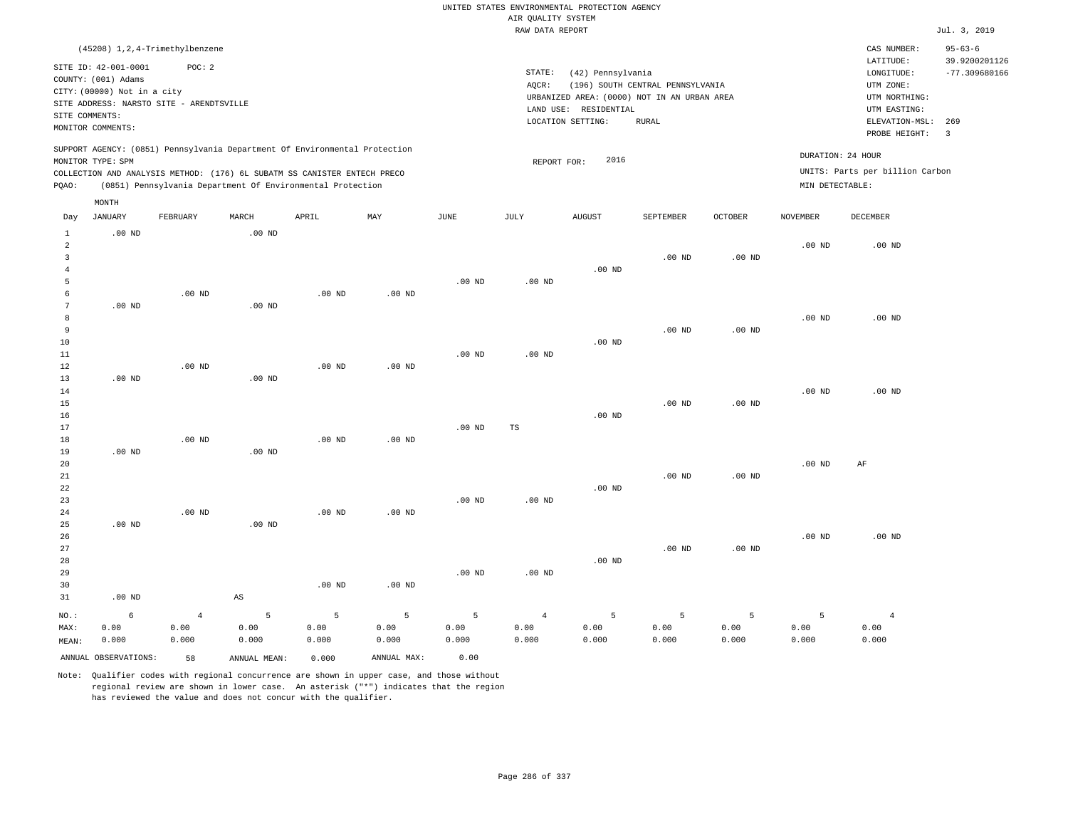RAW DATA REPORT JUL. 3, 2019 UNITED STATES ENVIRONMENTAL PROTECTION AGENCY AIR QUALITY SYSTEM (45208) 1,2,4-Trimethylbenzene STATE: (42) Pennsylvania CAS NUMBER: 95-63-6 SITE ID: 42-001-0001 POC: 2 AQCR: (196) SOUTH CENTRAL PENNSYLVANIA COUNTY: (001) Adams CITY: (00000) Not in a city LONGITUDE: -77.309680166 LATITUDE: 39.9200201126 LOCATION SETTING: RURAL SITE ADDRESS: NARSTO SITE - ARENDTSVILLE LAND USE: RESIDENTIAL SITE COMMENTS: MONITOR COMMENTS: PROBE HEIGHT: 3 ELEVATION-MSL: 269 URBANIZED AREA: (0000) NOT IN AN URBAN AREA **URBAN SERIA UTM NORTHING**: UTM EASTING: UTM ZONE: SUPPORT AGENCY: (0851) Pennsylvania Department Of Environmental Protection MONITOR TYPE: SPM COLLECTION AND ANALYSIS METHOD: (176) 6L SUBATM SS CANISTER ENTECH PRECO REPORT FOR: 2016 UNITS: Parts per billion Carbon PQAO: (0851) Pennsylvania Department Of Environmental Protection MIN DETECTABLE: DURATION: 24 HOUR 1 2 3 4 5 6 7 8 9 10 11 12 13 14 15 16 17 18 19  $20$ 21 22 23 24  $25$ 26 27 28 29 30 31 .00 ND .00 ND .00 ND .00 ND .00 ND .00 ND NO.: MAX: MEAN: 6 0.00 0.000 .00 ND .00 ND .00 ND .00 ND .00 ND .00 ND .00 ND .00 ND .00 ND AS .00 ND .00 ND .00 ND .00 ND .00 ND .00 ND .00 ND .00 ND .00 ND .00 ND .00 ND .00 ND .00 ND .00 ND .00 ND .00 ND .00 ND TS .00 ND .00 ND .00 ND .00 ND .00 ND .00 ND .00 ND .00 ND .00 ND .00 ND .00 ND .00 ND .00 ND .00 ND .00 ND .00 ND .00 ND .00 ND .00 ND .00 ND .00 ND .00 ND .00 ND .00 ND .00 ND AF .00 ND 4 0.00 0.000 5 0.00 0.000 5 0.00 0.000 5 0.00 0.000 5 0.00 0.000 4 0.00 0.000 5 0.00 0.000 5 0.00 0.000 5 0.00 0.000 5 0.00 0.000 4 0.00 0.000 ANNUAL OBSERVATIONS: 58 ANNUAL MEAN: 0.000 ANNUAL MAX: 0.00 Day JANUARY FEBRUARY MARCH APRIL MAY JUNE JULY AUGUST SEPTEMBER OCTOBER NOVEMBER DECEMBER MONTH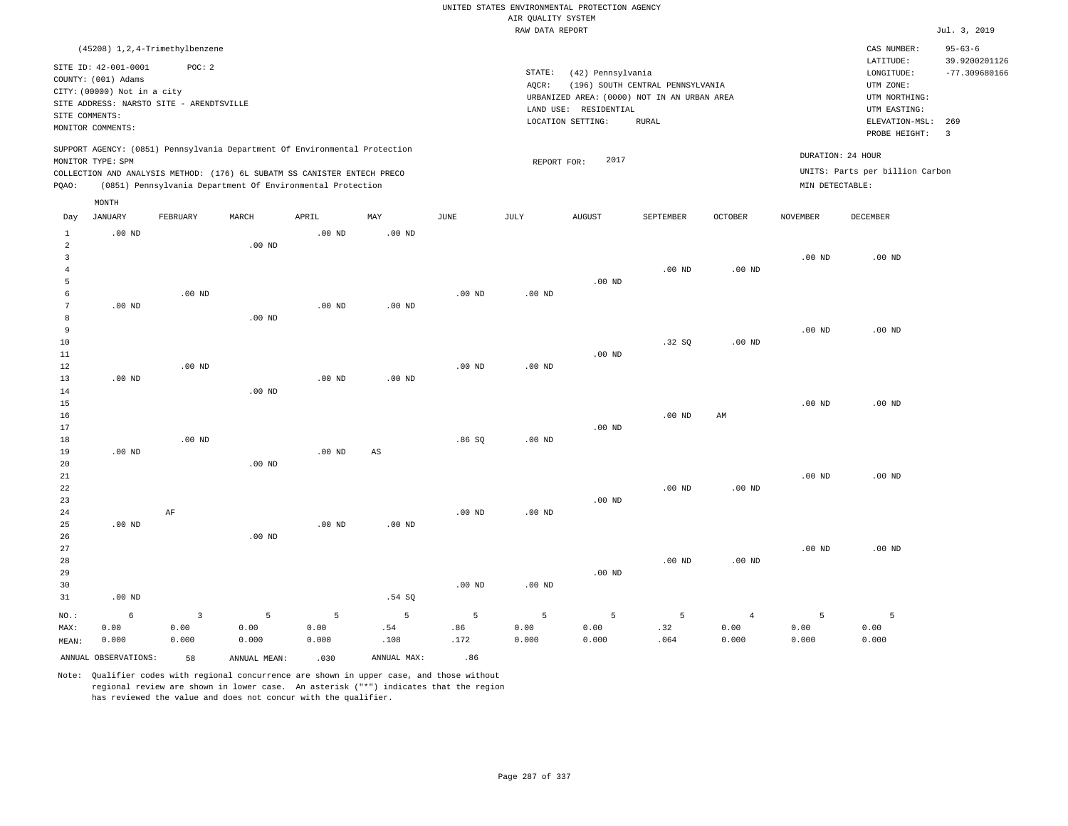|                     |                             |                                            |                                                                            |                   |                   |             | AIR QUALITY SYSTEM | UNITED STATES ENVIRONMENTAL PROTECTION AGENCY |                                             |                |                   |                                        |                                                   |
|---------------------|-----------------------------|--------------------------------------------|----------------------------------------------------------------------------|-------------------|-------------------|-------------|--------------------|-----------------------------------------------|---------------------------------------------|----------------|-------------------|----------------------------------------|---------------------------------------------------|
|                     |                             |                                            |                                                                            |                   |                   |             | RAW DATA REPORT    |                                               |                                             |                |                   |                                        | Jul. 3, 2019                                      |
|                     |                             |                                            |                                                                            |                   |                   |             |                    |                                               |                                             |                |                   |                                        |                                                   |
|                     | SITE ID: 42-001-0001        | (45208) 1, 2, 4-Trimethylbenzene<br>POC: 2 |                                                                            |                   |                   |             | STATE:             | (42) Pennsylvania                             |                                             |                |                   | CAS NUMBER:<br>LATITUDE:<br>LONGITUDE: | $95 - 63 - 6$<br>39.9200201126<br>$-77.309680166$ |
|                     | COUNTY: (001) Adams         |                                            |                                                                            |                   |                   |             | AQCR:              |                                               | (196) SOUTH CENTRAL PENNSYLVANIA            |                |                   | UTM ZONE:                              |                                                   |
|                     | CITY: (00000) Not in a city |                                            |                                                                            |                   |                   |             |                    |                                               | URBANIZED AREA: (0000) NOT IN AN URBAN AREA |                |                   | UTM NORTHING:                          |                                                   |
| SITE COMMENTS:      |                             | SITE ADDRESS: NARSTO SITE - ARENDTSVILLE   |                                                                            |                   |                   |             |                    | LAND USE: RESIDENTIAL                         |                                             |                |                   | UTM EASTING:                           |                                                   |
|                     | MONITOR COMMENTS:           |                                            |                                                                            |                   |                   |             |                    | LOCATION SETTING:                             | <b>RURAL</b>                                |                |                   | ELEVATION-MSL:<br>PROBE HEIGHT:        | 269<br>$\overline{\mathbf{3}}$                    |
|                     | MONITOR TYPE: SPM           |                                            | SUPPORT AGENCY: (0851) Pennsylvania Department Of Environmental Protection |                   |                   |             | REPORT FOR:        | 2017                                          |                                             |                |                   | DURATION: 24 HOUR                      |                                                   |
|                     |                             |                                            | COLLECTION AND ANALYSIS METHOD: (176) 6L SUBATM SS CANISTER ENTECH PRECO   |                   |                   |             |                    |                                               |                                             |                |                   | UNITS: Parts per billion Carbon        |                                                   |
| PQAO:               |                             |                                            | (0851) Pennsylvania Department Of Environmental Protection                 |                   |                   |             |                    |                                               |                                             |                | MIN DETECTABLE:   |                                        |                                                   |
|                     | MONTH                       |                                            |                                                                            |                   |                   |             |                    |                                               |                                             |                |                   |                                        |                                                   |
| Day                 | <b>JANUARY</b>              | FEBRUARY                                   | MARCH                                                                      | APRIL             | MAY               | <b>JUNE</b> | JULY               | <b>AUGUST</b>                                 | SEPTEMBER                                   | <b>OCTOBER</b> | <b>NOVEMBER</b>   | DECEMBER                               |                                                   |
| $\mathbf{1}$        | $.00$ ND                    |                                            |                                                                            | $.00$ ND          | .00 <sub>ND</sub> |             |                    |                                               |                                             |                |                   |                                        |                                                   |
| $\overline{a}$      |                             |                                            | $.00$ ND                                                                   |                   |                   |             |                    |                                               |                                             |                |                   |                                        |                                                   |
| $\mathbf{3}$        |                             |                                            |                                                                            |                   |                   |             |                    |                                               |                                             |                | $.00$ ND          | $.00$ ND                               |                                                   |
| $\overline{4}$<br>5 |                             |                                            |                                                                            |                   |                   |             |                    | $.00$ ND                                      | $.00$ ND                                    | $.00$ ND       |                   |                                        |                                                   |
| 6                   |                             | $.00$ ND                                   |                                                                            |                   |                   | $.00$ ND    | .00 <sub>ND</sub>  |                                               |                                             |                |                   |                                        |                                                   |
| $7\phantom{.0}$     | $.00$ ND                    |                                            |                                                                            | $.00$ ND          | $.00$ ND          |             |                    |                                               |                                             |                |                   |                                        |                                                   |
| 8                   |                             |                                            | $.00$ ND                                                                   |                   |                   |             |                    |                                               |                                             |                |                   |                                        |                                                   |
| 9                   |                             |                                            |                                                                            |                   |                   |             |                    |                                               |                                             |                | $.00$ ND          | $.00$ ND                               |                                                   |
| 10                  |                             |                                            |                                                                            |                   |                   |             |                    |                                               | .32 S                                       | $.00$ ND       |                   |                                        |                                                   |
| 11                  |                             |                                            |                                                                            |                   |                   |             |                    | $.00$ ND                                      |                                             |                |                   |                                        |                                                   |
| 12                  |                             | $.00$ ND                                   |                                                                            |                   |                   | $.00$ ND    | .00 <sub>ND</sub>  |                                               |                                             |                |                   |                                        |                                                   |
| 13                  | $.00$ ND                    |                                            |                                                                            | .00 <sub>ND</sub> | $.00$ ND          |             |                    |                                               |                                             |                |                   |                                        |                                                   |
| 14                  |                             |                                            | $.00$ ND                                                                   |                   |                   |             |                    |                                               |                                             |                |                   |                                        |                                                   |
| 15                  |                             |                                            |                                                                            |                   |                   |             |                    |                                               |                                             |                | .00 <sub>ND</sub> | $.00$ ND                               |                                                   |
| 16                  |                             |                                            |                                                                            |                   |                   |             |                    |                                               | $.00$ ND                                    | AM             |                   |                                        |                                                   |
| 17                  |                             |                                            |                                                                            |                   |                   |             |                    | $.00$ ND                                      |                                             |                |                   |                                        |                                                   |
| 18                  |                             | $.00$ ND                                   |                                                                            |                   |                   | .86SQ       | .00 <sub>ND</sub>  |                                               |                                             |                |                   |                                        |                                                   |
| 19                  | $.00$ ND                    |                                            |                                                                            | $.00$ ND          | $_{\rm AS}$       |             |                    |                                               |                                             |                |                   |                                        |                                                   |
| 20<br>21            |                             |                                            | .00 <sub>ND</sub>                                                          |                   |                   |             |                    |                                               |                                             |                | $.00$ ND          | $.00$ ND                               |                                                   |
| 22                  |                             |                                            |                                                                            |                   |                   |             |                    |                                               | $.00$ ND                                    | $.00$ ND       |                   |                                        |                                                   |
| 23                  |                             |                                            |                                                                            |                   |                   |             |                    | $.00$ ND                                      |                                             |                |                   |                                        |                                                   |
| 24                  |                             | AF                                         |                                                                            |                   |                   | $.00$ ND    | .00 <sub>ND</sub>  |                                               |                                             |                |                   |                                        |                                                   |
| 25                  | $.00$ ND                    |                                            |                                                                            | $.00$ ND          | $.00$ ND          |             |                    |                                               |                                             |                |                   |                                        |                                                   |
| 26                  |                             |                                            | .00 <sub>ND</sub>                                                          |                   |                   |             |                    |                                               |                                             |                |                   |                                        |                                                   |
| 27                  |                             |                                            |                                                                            |                   |                   |             |                    |                                               |                                             |                | $.00$ ND          | $.00$ ND                               |                                                   |
| 28                  |                             |                                            |                                                                            |                   |                   |             |                    |                                               | $.00$ ND                                    | $.00$ ND       |                   |                                        |                                                   |
| 29                  |                             |                                            |                                                                            |                   |                   |             |                    | $.00$ ND                                      |                                             |                |                   |                                        |                                                   |
| 30                  |                             |                                            |                                                                            |                   |                   | $.00$ ND    | .00 <sub>ND</sub>  |                                               |                                             |                |                   |                                        |                                                   |
| 31                  | $.00$ ND                    |                                            |                                                                            |                   | .54 SO            |             |                    |                                               |                                             |                |                   |                                        |                                                   |
| $NO.$ :             | 6                           | $\overline{3}$                             | 5                                                                          | $\overline{5}$    | 5                 | 5           | 5                  | 5                                             | 5                                           | $\overline{4}$ | 5                 | $\mathsf S$                            |                                                   |
| MAX:                | 0.00                        | 0.00                                       | 0.00                                                                       | 0.00              | .54               | .86         | 0.00               | 0.00                                          | .32                                         | 0.00           | 0.00              | 0.00                                   |                                                   |
| MEAN:               | 0.000                       | 0.000                                      | 0.000                                                                      | 0.000             | .108              | .172        | 0.000              | 0.000                                         | .064                                        | 0.000          | 0.000             | 0.000                                  |                                                   |
|                     | ANNUAL OBSERVATIONS:        | 58                                         | ANNUAL, MEAN:                                                              | .030              | ANNUAL MAX:       | .86         |                    |                                               |                                             |                |                   |                                        |                                                   |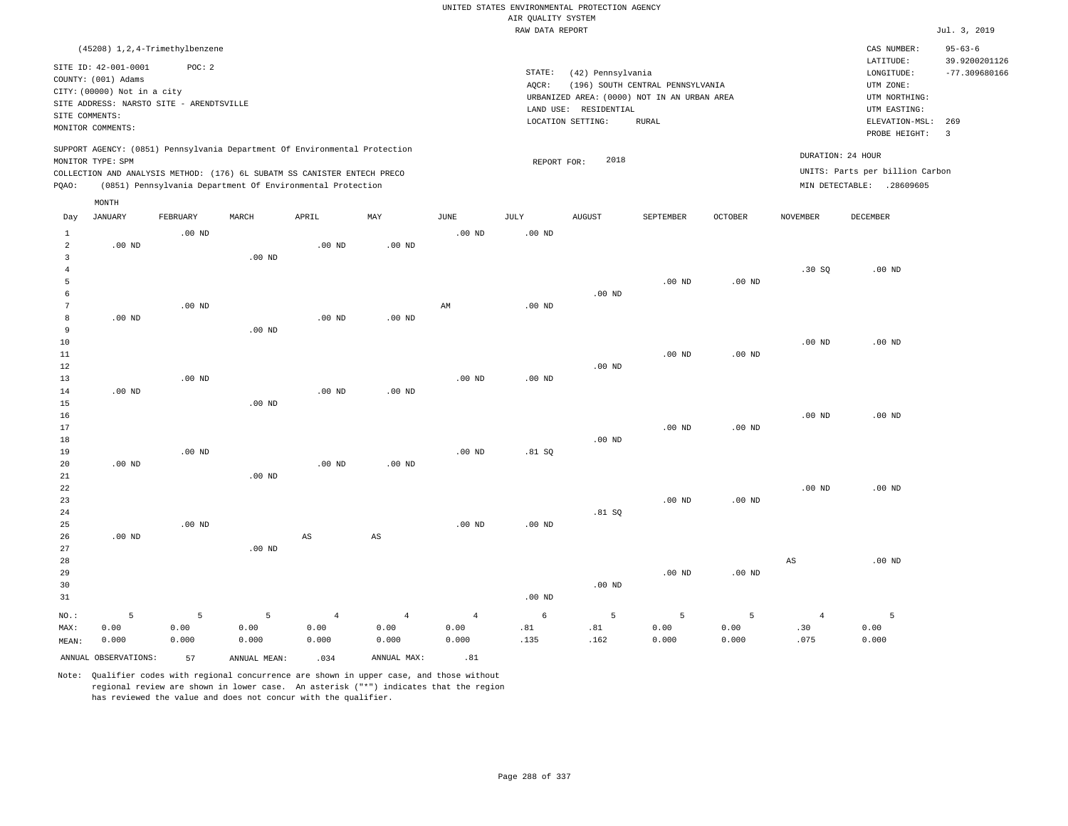|                                       |                                                                                                                        |                    |                                                            |                                 |                                 |                                 | AIR QUALITY SYSTEM | UNITED STATES ENVIRONMENTAL PROTECTION AGENCY |                                                                                 |                    |                               |                                                              |                                |
|---------------------------------------|------------------------------------------------------------------------------------------------------------------------|--------------------|------------------------------------------------------------|---------------------------------|---------------------------------|---------------------------------|--------------------|-----------------------------------------------|---------------------------------------------------------------------------------|--------------------|-------------------------------|--------------------------------------------------------------|--------------------------------|
|                                       |                                                                                                                        |                    |                                                            |                                 |                                 |                                 | RAW DATA REPORT    |                                               |                                                                                 |                    |                               |                                                              | Jul. 3, 2019                   |
|                                       | (45208) 1, 2, 4-Trimethylbenzene                                                                                       |                    |                                                            |                                 |                                 |                                 |                    |                                               |                                                                                 |                    |                               | CAS NUMBER:<br>LATITUDE:                                     | $95 - 63 - 6$<br>39.9200201126 |
|                                       | SITE ID: 42-001-0001<br>COUNTY: (001) Adams<br>CITY: (00000) Not in a city<br>SITE ADDRESS: NARSTO SITE - ARENDTSVILLE | POC: 2             |                                                            |                                 |                                 |                                 | STATE:<br>AQCR:    | (42) Pennsylvania<br>LAND USE: RESIDENTIAL    | (196) SOUTH CENTRAL PENNSYLVANIA<br>URBANIZED AREA: (0000) NOT IN AN URBAN AREA |                    |                               | LONGITUDE:<br>UTM ZONE:<br>UTM NORTHING:<br>UTM EASTING:     | $-77.309680166$                |
| SITE COMMENTS:                        | MONITOR COMMENTS:                                                                                                      |                    |                                                            |                                 |                                 |                                 |                    | LOCATION SETTING:                             | <b>RURAL</b>                                                                    |                    |                               | ELEVATION-MSL:                                               | 269                            |
|                                       | SUPPORT AGENCY: (0851) Pennsylvania Department Of Environmental Protection                                             |                    |                                                            |                                 |                                 |                                 |                    |                                               |                                                                                 |                    | DURATION: 24 HOUR             | PROBE HEIGHT:                                                | $\overline{\mathbf{3}}$        |
| PQAO:                                 | MONITOR TYPE: SPM<br>COLLECTION AND ANALYSIS METHOD: (176) 6L SUBATM SS CANISTER ENTECH PRECO                          |                    | (0851) Pennsylvania Department Of Environmental Protection |                                 |                                 |                                 | REPORT FOR:        | 2018                                          |                                                                                 |                    |                               | UNITS: Parts per billion Carbon<br>MIN DETECTABLE: .28609605 |                                |
|                                       | MONTH                                                                                                                  |                    |                                                            |                                 |                                 |                                 |                    |                                               |                                                                                 |                    |                               |                                                              |                                |
| Day                                   | JANUARY                                                                                                                | FEBRUARY           | MARCH                                                      | APRIL                           | MAY                             | JUNE                            | JULY               | <b>AUGUST</b>                                 | SEPTEMBER                                                                       | OCTOBER            | NOVEMBER                      | DECEMBER                                                     |                                |
| $\mathbf{1}$<br>$\overline{a}$        | $.00$ ND                                                                                                               | $.00$ ND           |                                                            | $.00$ ND                        | $.00$ ND                        | .00 <sub>ND</sub>               | .00 <sub>ND</sub>  |                                               |                                                                                 |                    |                               |                                                              |                                |
| $\overline{3}$<br>$\overline{4}$<br>5 |                                                                                                                        |                    | .00 <sub>ND</sub>                                          |                                 |                                 |                                 |                    |                                               | $.00$ ND                                                                        | $.00$ ND           | .30S                          | $.00$ ND                                                     |                                |
| 6<br>$7\phantom{.0}$                  |                                                                                                                        | $.00$ ND           |                                                            |                                 |                                 | $\mathbb{A}\mathbb{M}$          | $.00$ ND           | $.00$ ND                                      |                                                                                 |                    |                               |                                                              |                                |
| 8<br>9                                | $.00$ ND                                                                                                               |                    | $.00$ ND                                                   | $.00$ ND                        | $.00$ ND                        |                                 |                    |                                               |                                                                                 |                    |                               |                                                              |                                |
| $10$<br>11<br>12                      |                                                                                                                        |                    |                                                            |                                 |                                 |                                 |                    | $.00$ ND                                      | .00 <sub>ND</sub>                                                               | $.00$ ND           | $.00$ ND                      | $.00$ ND                                                     |                                |
| 13<br>14                              | $.00$ ND                                                                                                               | $.00$ ND           |                                                            | .00 <sub>ND</sub>               | $.00$ ND                        | .00 <sub>ND</sub>               | .00 <sub>ND</sub>  |                                               |                                                                                 |                    |                               |                                                              |                                |
| 15<br>16<br>17                        |                                                                                                                        |                    | $.00$ ND                                                   |                                 |                                 |                                 |                    |                                               | $.00$ ND                                                                        | $.00$ ND           | .00 <sub>ND</sub>             | $.00$ ND                                                     |                                |
| 18<br>19                              |                                                                                                                        | $.00$ ND           |                                                            |                                 |                                 | $.00$ ND                        | .81 S              | .00 <sub>ND</sub>                             |                                                                                 |                    |                               |                                                              |                                |
| 20<br>21<br>22                        | $.00$ ND                                                                                                               |                    | $.00$ ND                                                   | $.00$ ND                        | $.00$ ND                        |                                 |                    |                                               |                                                                                 |                    | $.00$ ND                      | $.00$ ND                                                     |                                |
| 23<br>24                              |                                                                                                                        |                    |                                                            |                                 |                                 |                                 |                    | .81 SQ                                        | $.00$ ND                                                                        | $.00$ ND           |                               |                                                              |                                |
| 25<br>26<br>27                        | $.00$ ND                                                                                                               | $.00$ ND           | $.00$ ND                                                   | $\mathbb{A}\mathbb{S}$          | $\mathbb{A}\mathbb{S}$          | .00 <sub>ND</sub>               | .00 <sub>ND</sub>  |                                               |                                                                                 |                    |                               |                                                              |                                |
| 28<br>29<br>30<br>31                  |                                                                                                                        |                    |                                                            |                                 |                                 |                                 | .00 <sub>ND</sub>  | $.00$ ND                                      | $.00$ ND                                                                        | $.00$ ND           | $_{\rm AS}$                   | $.00$ ND                                                     |                                |
| NO.:<br>MAX:<br>MEAN:                 | 5<br>0.00<br>0.000                                                                                                     | 5<br>0.00<br>0.000 | 5<br>0.00<br>0.000                                         | $\overline{4}$<br>0.00<br>0.000 | $\overline{4}$<br>0.00<br>0.000 | $\overline{4}$<br>0.00<br>0.000 | 6<br>.81<br>.135   | 5<br>.81<br>.162                              | 5<br>0.00<br>0.000                                                              | 5<br>0.00<br>0.000 | $\overline{4}$<br>.30<br>.075 | 5<br>0.00<br>0.000                                           |                                |
|                                       | ANNUAL OBSERVATIONS:                                                                                                   | 57                 | ANNUAL MEAN:                                               | .034                            | ANNUAL MAX:                     | .81                             |                    |                                               |                                                                                 |                    |                               |                                                              |                                |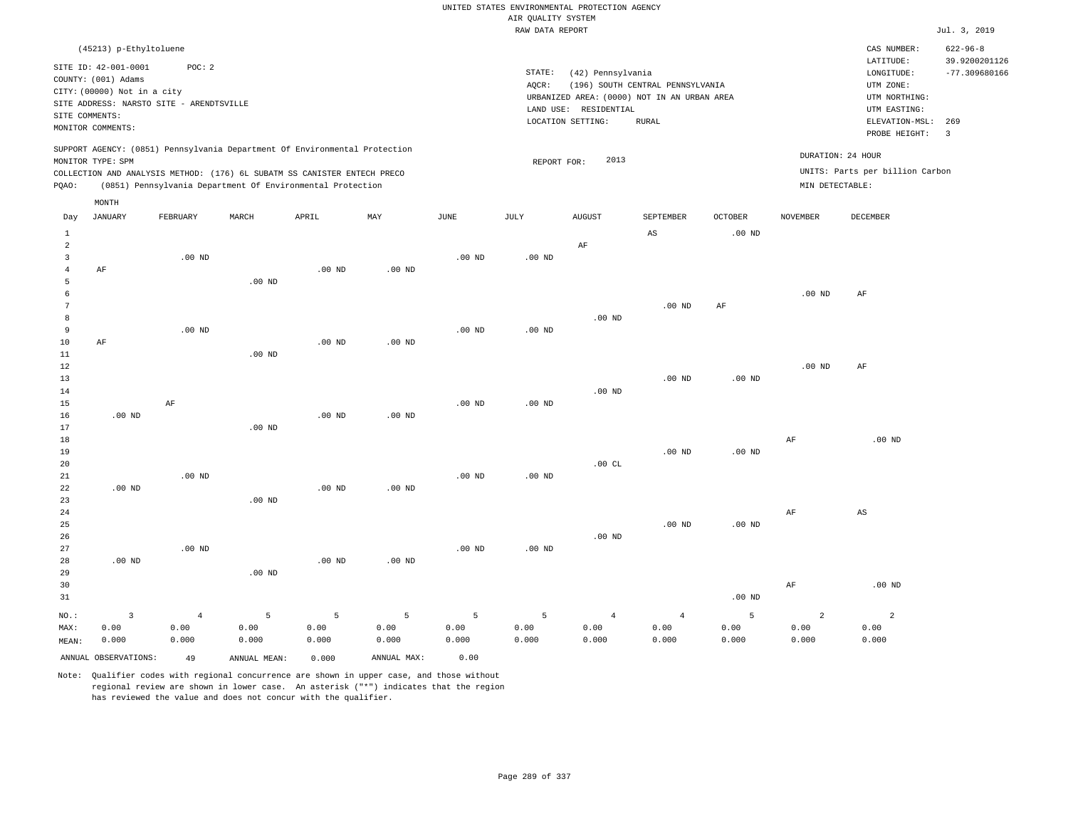|                      |                                                                            |                   |                                                            |                   |                   |                   | UNITED STATES ENVIRONMENTAL PROTECTION AGENCY |                       |                                             |                   |                   |                                 |                                 |
|----------------------|----------------------------------------------------------------------------|-------------------|------------------------------------------------------------|-------------------|-------------------|-------------------|-----------------------------------------------|-----------------------|---------------------------------------------|-------------------|-------------------|---------------------------------|---------------------------------|
|                      |                                                                            |                   |                                                            |                   |                   |                   | AIR OUALITY SYSTEM                            |                       |                                             |                   |                   |                                 |                                 |
|                      |                                                                            |                   |                                                            |                   |                   |                   | RAW DATA REPORT                               |                       |                                             |                   |                   |                                 | Jul. 3, 2019                    |
|                      | (45213) p-Ethyltoluene                                                     |                   |                                                            |                   |                   |                   |                                               |                       |                                             |                   |                   | CAS NUMBER:<br>LATITUDE:        | $622 - 96 - 8$<br>39.9200201126 |
|                      | SITE ID: 42-001-0001                                                       | POC: 2            |                                                            |                   |                   |                   | STATE:                                        | (42) Pennsylvania     |                                             |                   |                   | LONGITUDE:                      | $-77.309680166$                 |
|                      | COUNTY: (001) Adams<br>CITY: (00000) Not in a city                         |                   |                                                            |                   |                   |                   | AQCR:                                         |                       | (196) SOUTH CENTRAL PENNSYLVANIA            |                   |                   | UTM ZONE:                       |                                 |
|                      | SITE ADDRESS: NARSTO SITE - ARENDTSVILLE                                   |                   |                                                            |                   |                   |                   |                                               |                       | URBANIZED AREA: (0000) NOT IN AN URBAN AREA |                   |                   | UTM NORTHING:                   |                                 |
| SITE COMMENTS:       |                                                                            |                   |                                                            |                   |                   |                   |                                               | LAND USE: RESIDENTIAL |                                             |                   |                   | UTM EASTING:                    |                                 |
|                      | MONITOR COMMENTS:                                                          |                   |                                                            |                   |                   |                   |                                               | LOCATION SETTING:     | <b>RURAL</b>                                |                   |                   | ELEVATION-MSL:                  | 269                             |
|                      | SUPPORT AGENCY: (0851) Pennsylvania Department Of Environmental Protection |                   |                                                            |                   |                   |                   |                                               |                       |                                             |                   |                   | PROBE HEIGHT:                   | $\overline{3}$                  |
|                      | MONITOR TYPE: SPM                                                          |                   |                                                            |                   |                   |                   | REPORT FOR:                                   | 2013                  |                                             |                   | DURATION: 24 HOUR |                                 |                                 |
|                      | COLLECTION AND ANALYSIS METHOD: (176) 6L SUBATM SS CANISTER ENTECH PRECO   |                   |                                                            |                   |                   |                   |                                               |                       |                                             |                   |                   | UNITS: Parts per billion Carbon |                                 |
| PQAO:                |                                                                            |                   | (0851) Pennsylvania Department Of Environmental Protection |                   |                   |                   |                                               |                       |                                             |                   | MIN DETECTABLE:   |                                 |                                 |
|                      | MONTH                                                                      |                   |                                                            |                   |                   |                   |                                               |                       |                                             |                   |                   |                                 |                                 |
| Day                  | JANUARY                                                                    | FEBRUARY          | MARCH                                                      | APRIL             | MAY               | <b>JUNE</b>       | <b>JULY</b>                                   | <b>AUGUST</b>         | SEPTEMBER                                   | <b>OCTOBER</b>    | <b>NOVEMBER</b>   | <b>DECEMBER</b>                 |                                 |
| $\mathbf{1}$         |                                                                            |                   |                                                            |                   |                   |                   |                                               |                       | AS                                          | .00 <sub>ND</sub> |                   |                                 |                                 |
| $\overline{a}$       |                                                                            |                   |                                                            |                   |                   |                   |                                               | $\rm AF$              |                                             |                   |                   |                                 |                                 |
| $\overline{3}$       |                                                                            | $.00$ ND          |                                                            |                   |                   | $.00$ ND          | $.00$ ND                                      |                       |                                             |                   |                   |                                 |                                 |
| $\overline{4}$       | AF                                                                         |                   |                                                            | $.00$ ND          | $.00$ ND          |                   |                                               |                       |                                             |                   |                   |                                 |                                 |
| 5                    |                                                                            |                   | .00 <sub>ND</sub>                                          |                   |                   |                   |                                               |                       |                                             |                   |                   |                                 |                                 |
| 6                    |                                                                            |                   |                                                            |                   |                   |                   |                                               |                       |                                             |                   | $.00$ ND          | AF                              |                                 |
| $7\phantom{.0}$<br>8 |                                                                            |                   |                                                            |                   |                   |                   |                                               | .00 <sub>ND</sub>     | $.00$ ND                                    | AF                |                   |                                 |                                 |
| 9                    |                                                                            | .00 <sub>ND</sub> |                                                            |                   |                   | .00 <sub>ND</sub> | .00 <sub>ND</sub>                             |                       |                                             |                   |                   |                                 |                                 |
| 10                   | AF                                                                         |                   |                                                            | $.00$ ND          | $.00$ ND          |                   |                                               |                       |                                             |                   |                   |                                 |                                 |
| 11                   |                                                                            |                   | $.00$ ND                                                   |                   |                   |                   |                                               |                       |                                             |                   |                   |                                 |                                 |
| 12                   |                                                                            |                   |                                                            |                   |                   |                   |                                               |                       |                                             |                   | $.00$ ND          | AF                              |                                 |
| 13                   |                                                                            |                   |                                                            |                   |                   |                   |                                               |                       | $.00$ ND                                    | .00 $ND$          |                   |                                 |                                 |
| 14                   |                                                                            |                   |                                                            |                   |                   |                   |                                               | .00 <sub>ND</sub>     |                                             |                   |                   |                                 |                                 |
| 15                   |                                                                            | AF                |                                                            |                   |                   | .00 <sub>ND</sub> | .00 <sub>ND</sub>                             |                       |                                             |                   |                   |                                 |                                 |
| 16                   | $.00$ ND                                                                   |                   |                                                            | .00 <sub>ND</sub> | .00 <sub>ND</sub> |                   |                                               |                       |                                             |                   |                   |                                 |                                 |
| 17                   |                                                                            |                   | $.00$ ND                                                   |                   |                   |                   |                                               |                       |                                             |                   |                   |                                 |                                 |
| 18                   |                                                                            |                   |                                                            |                   |                   |                   |                                               |                       |                                             |                   | $\rm{AF}$         | $.00$ ND                        |                                 |
| 19                   |                                                                            |                   |                                                            |                   |                   |                   |                                               |                       | .00 <sub>ND</sub>                           | $.00$ ND          |                   |                                 |                                 |
| 20<br>21             |                                                                            |                   |                                                            |                   |                   |                   |                                               | .00CL                 |                                             |                   |                   |                                 |                                 |
| 22                   | .00 <sub>ND</sub>                                                          | $.00$ ND          |                                                            | .00 <sub>ND</sub> | $.00$ ND          | .00 <sub>ND</sub> | $.00$ ND                                      |                       |                                             |                   |                   |                                 |                                 |
| 23                   |                                                                            |                   | $.00$ ND                                                   |                   |                   |                   |                                               |                       |                                             |                   |                   |                                 |                                 |
| 24                   |                                                                            |                   |                                                            |                   |                   |                   |                                               |                       |                                             |                   | AF                | AS                              |                                 |
| 25                   |                                                                            |                   |                                                            |                   |                   |                   |                                               |                       | $.00$ ND                                    | .00 <sub>ND</sub> |                   |                                 |                                 |
| 26                   |                                                                            |                   |                                                            |                   |                   |                   |                                               | $.00$ ND              |                                             |                   |                   |                                 |                                 |
| 27                   |                                                                            | .00 <sub>ND</sub> |                                                            |                   |                   | .00 <sub>ND</sub> | $.00$ ND                                      |                       |                                             |                   |                   |                                 |                                 |
| 28                   | $.00$ ND                                                                   |                   |                                                            | $.00$ ND          | .00 <sub>ND</sub> |                   |                                               |                       |                                             |                   |                   |                                 |                                 |
| 29                   |                                                                            |                   | $.00$ ND                                                   |                   |                   |                   |                                               |                       |                                             |                   |                   |                                 |                                 |
| 30                   |                                                                            |                   |                                                            |                   |                   |                   |                                               |                       |                                             |                   | $\rm AF$          | $.00$ ND                        |                                 |
| 31                   |                                                                            |                   |                                                            |                   |                   |                   |                                               |                       |                                             | $.00$ ND          |                   |                                 |                                 |
| NO.:                 | $\overline{3}$                                                             | $\overline{4}$    | 5                                                          | 5                 | $\overline{5}$    | 5                 | 5                                             | $\overline{4}$        | $\overline{4}$                              | 5                 | $\overline{a}$    | $\overline{a}$                  |                                 |
| MAX:                 | 0.00                                                                       | 0.00              | 0.00                                                       | 0.00              | 0.00              | 0.00              | 0.00                                          | 0.00                  | 0.00                                        | 0.00              | 0.00              | 0.00                            |                                 |
| MEAN:                | 0.000                                                                      | 0.000             | 0.000                                                      | 0.000             | 0.000             | 0.000             | 0.000                                         | 0.000                 | 0.000                                       | 0.000             | 0.000             | 0.000                           |                                 |
|                      | ANNUAL OBSERVATIONS:                                                       | 49                | ANNUAL MEAN:                                               | 0.000             | ANNUAL MAX:       | 0.00              |                                               |                       |                                             |                   |                   |                                 |                                 |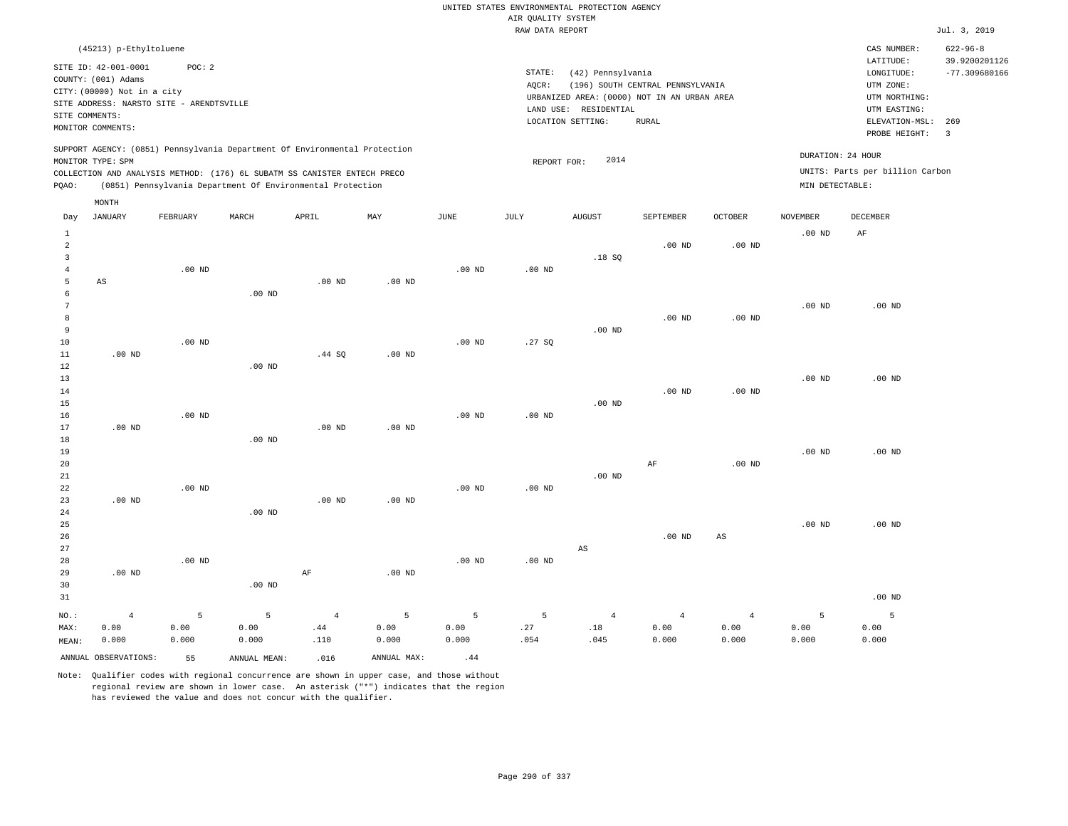|                |                                             |                   |                   |                                                                            |                   |                   |                    | UNITED STATES ENVIRONMENTAL PROTECTION AGENCY |                                  |                   |                   |                                 |                                 |
|----------------|---------------------------------------------|-------------------|-------------------|----------------------------------------------------------------------------|-------------------|-------------------|--------------------|-----------------------------------------------|----------------------------------|-------------------|-------------------|---------------------------------|---------------------------------|
|                |                                             |                   |                   |                                                                            |                   |                   | AIR QUALITY SYSTEM |                                               |                                  |                   |                   |                                 |                                 |
|                |                                             |                   |                   |                                                                            |                   |                   | RAW DATA REPORT    |                                               |                                  |                   |                   |                                 | Jul. 3, 2019                    |
|                | (45213) p-Ethyltoluene                      |                   |                   |                                                                            |                   |                   |                    |                                               |                                  |                   |                   | CAS NUMBER:<br>LATITUDE:        | $622 - 96 - 8$<br>39.9200201126 |
|                | SITE ID: 42-001-0001<br>COUNTY: (001) Adams | POC: 2            |                   |                                                                            |                   |                   | STATE:             | (42) Pennsylvania                             |                                  |                   |                   | LONGITUDE:                      | $-77.309680166$                 |
|                | CITY: (00000) Not in a city                 |                   |                   |                                                                            |                   |                   | AQCR:              |                                               | (196) SOUTH CENTRAL PENNSYLVANIA |                   |                   | UTM ZONE:                       |                                 |
|                | SITE ADDRESS: NARSTO SITE - ARENDTSVILLE    |                   |                   |                                                                            |                   |                   |                    | URBANIZED AREA: (0000) NOT IN AN URBAN AREA   |                                  |                   |                   | UTM NORTHING:                   |                                 |
| SITE COMMENTS: |                                             |                   |                   |                                                                            |                   |                   |                    | LAND USE: RESIDENTIAL<br>LOCATION SETTING:    | <b>RURAL</b>                     |                   |                   | UTM EASTING:<br>ELEVATION-MSL:  | 269                             |
|                | MONITOR COMMENTS:                           |                   |                   |                                                                            |                   |                   |                    |                                               |                                  |                   |                   | PROBE HEIGHT:                   | $\overline{3}$                  |
|                | MONITOR TYPE: SPM                           |                   |                   | SUPPORT AGENCY: (0851) Pennsylvania Department Of Environmental Protection |                   |                   | REPORT FOR:        | 2014                                          |                                  |                   | DURATION: 24 HOUR |                                 |                                 |
|                |                                             |                   |                   | COLLECTION AND ANALYSIS METHOD: (176) 6L SUBATM SS CANISTER ENTECH PRECO   |                   |                   |                    |                                               |                                  |                   |                   | UNITS: Parts per billion Carbon |                                 |
| PQAO:          |                                             |                   |                   | (0851) Pennsylvania Department Of Environmental Protection                 |                   |                   |                    |                                               |                                  |                   | MIN DETECTABLE:   |                                 |                                 |
|                | MONTH                                       |                   |                   |                                                                            |                   |                   |                    |                                               |                                  |                   |                   |                                 |                                 |
| Day            | <b>JANUARY</b>                              | FEBRUARY          | MARCH             | APRIL                                                                      | MAX               | <b>JUNE</b>       | JULY               | <b>AUGUST</b>                                 | SEPTEMBER                        | <b>OCTOBER</b>    | <b>NOVEMBER</b>   | <b>DECEMBER</b>                 |                                 |
| <sup>1</sup>   |                                             |                   |                   |                                                                            |                   |                   |                    |                                               |                                  |                   | .00 <sub>ND</sub> | AF                              |                                 |
| $\overline{a}$ |                                             |                   |                   |                                                                            |                   |                   |                    |                                               | $.00$ ND                         | .00 <sub>ND</sub> |                   |                                 |                                 |
| $\overline{3}$ |                                             |                   |                   |                                                                            |                   |                   |                    | .18S                                          |                                  |                   |                   |                                 |                                 |
| $\overline{4}$ |                                             | $.00$ ND          |                   |                                                                            |                   | $.00$ ND          | $.00$ ND           |                                               |                                  |                   |                   |                                 |                                 |
| 5<br>6         | AS                                          |                   | .00 <sub>ND</sub> | $.00$ ND                                                                   | $.00$ ND          |                   |                    |                                               |                                  |                   |                   |                                 |                                 |
| $\overline{7}$ |                                             |                   |                   |                                                                            |                   |                   |                    |                                               |                                  |                   | .00 <sub>ND</sub> | $.00$ ND                        |                                 |
| 8              |                                             |                   |                   |                                                                            |                   |                   |                    |                                               | .00 <sub>ND</sub>                | .00 <sub>ND</sub> |                   |                                 |                                 |
| 9              |                                             |                   |                   |                                                                            |                   |                   |                    | $.00$ ND                                      |                                  |                   |                   |                                 |                                 |
| 10             |                                             | .00 <sub>ND</sub> |                   |                                                                            |                   | .00 <sub>ND</sub> | .27SQ              |                                               |                                  |                   |                   |                                 |                                 |
| 11             | $.00$ ND                                    |                   |                   | .44 SQ                                                                     | $.00$ ND          |                   |                    |                                               |                                  |                   |                   |                                 |                                 |
| 12             |                                             |                   | $.00$ ND          |                                                                            |                   |                   |                    |                                               |                                  |                   |                   |                                 |                                 |
| 13             |                                             |                   |                   |                                                                            |                   |                   |                    |                                               |                                  |                   | .00 <sub>ND</sub> | $.00$ ND                        |                                 |
| 14             |                                             |                   |                   |                                                                            |                   |                   |                    | .00 <sub>ND</sub>                             | .00 <sub>ND</sub>                | .00 <sub>ND</sub> |                   |                                 |                                 |
| 15<br>16       |                                             | .00 <sub>ND</sub> |                   |                                                                            |                   | .00 <sub>ND</sub> | $.00$ ND           |                                               |                                  |                   |                   |                                 |                                 |
| 17             | $.00$ ND                                    |                   |                   | $.00$ ND                                                                   | .00 <sub>ND</sub> |                   |                    |                                               |                                  |                   |                   |                                 |                                 |
| 18             |                                             |                   | $.00$ ND          |                                                                            |                   |                   |                    |                                               |                                  |                   |                   |                                 |                                 |
| 19             |                                             |                   |                   |                                                                            |                   |                   |                    |                                               |                                  |                   | $.00$ ND          | $.00$ ND                        |                                 |
| 20             |                                             |                   |                   |                                                                            |                   |                   |                    |                                               | $\rm AF$                         | .00 <sub>ND</sub> |                   |                                 |                                 |
| 21             |                                             |                   |                   |                                                                            |                   |                   |                    | $.00$ ND                                      |                                  |                   |                   |                                 |                                 |
| 22             |                                             | $.00$ ND          |                   |                                                                            |                   | $.00$ ND          | $.00$ ND           |                                               |                                  |                   |                   |                                 |                                 |
| 23             | .00 <sub>ND</sub>                           |                   | .00 <sub>ND</sub> | .00 <sub>ND</sub>                                                          | .00 <sub>ND</sub> |                   |                    |                                               |                                  |                   |                   |                                 |                                 |
| 24<br>25       |                                             |                   |                   |                                                                            |                   |                   |                    |                                               |                                  |                   | .00 <sub>ND</sub> | $.00$ ND                        |                                 |
| 26             |                                             |                   |                   |                                                                            |                   |                   |                    |                                               | .00 <sub>ND</sub>                | AS                |                   |                                 |                                 |
| 27             |                                             |                   |                   |                                                                            |                   |                   |                    | $_{\rm AS}$                                   |                                  |                   |                   |                                 |                                 |
| 28             |                                             | $.00$ ND          |                   |                                                                            |                   | $.00$ ND          | $.00$ ND           |                                               |                                  |                   |                   |                                 |                                 |
| 29             | $.00$ ND                                    |                   |                   | $\rm{AF}$                                                                  | $.00$ ND          |                   |                    |                                               |                                  |                   |                   |                                 |                                 |
| 30             |                                             |                   | $.00$ ND          |                                                                            |                   |                   |                    |                                               |                                  |                   |                   |                                 |                                 |
| 31             |                                             |                   |                   |                                                                            |                   |                   |                    |                                               |                                  |                   |                   | $.00$ ND                        |                                 |
| NO.:           | $\overline{4}$                              | 5                 | 5                 | $\overline{4}$                                                             | 5                 | 5                 | 5                  | $\overline{4}$                                | $\overline{4}$                   | $\overline{4}$    | 5                 | 5                               |                                 |
| MAX:           | 0.00                                        | 0.00              | 0.00              | .44                                                                        | 0.00              | 0.00              | .27                | .18                                           | 0.00                             | 0.00              | 0.00              | 0.00                            |                                 |
| MEAN:          | 0.000                                       | 0.000             | 0.000             | .110                                                                       | 0.000             | 0.000             | .054               | .045                                          | 0.000                            | 0.000             | 0.000             | 0.000                           |                                 |
|                | ANNUAL OBSERVATIONS:                        | 55                | ANNUAL, MEAN:     | .016                                                                       | ANNUAL MAX:       | .44               |                    |                                               |                                  |                   |                   |                                 |                                 |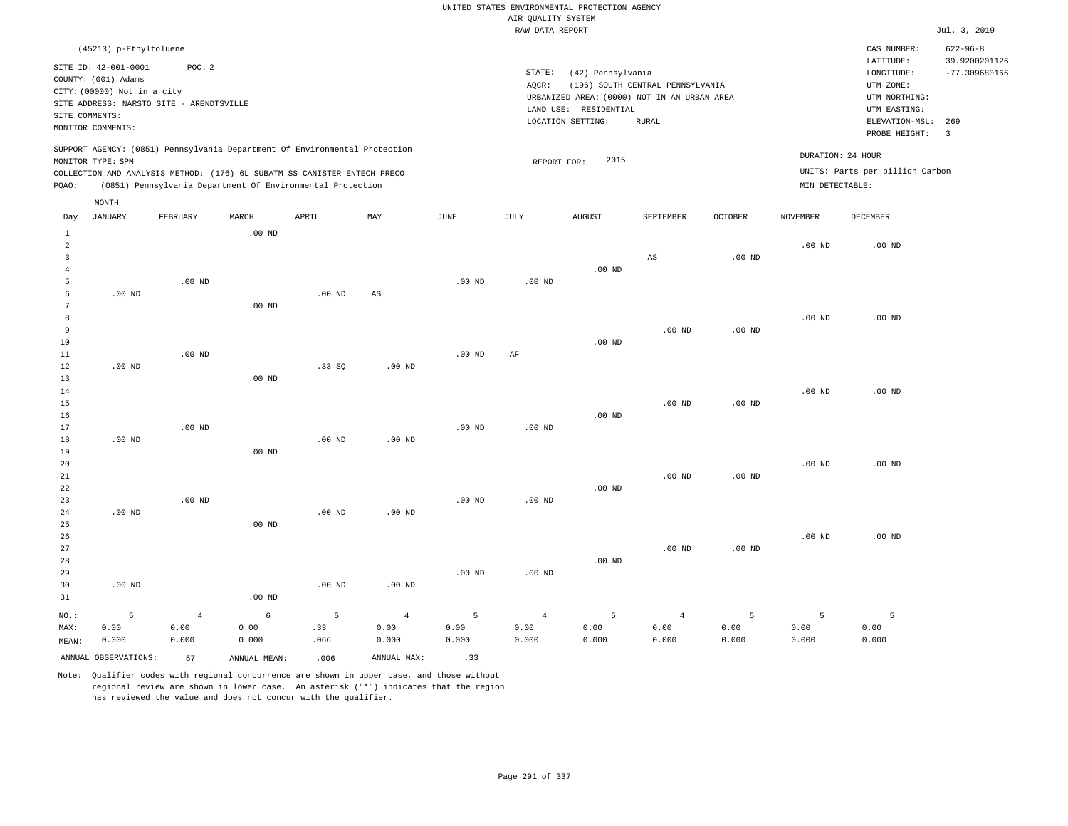|                                                                    |                                                                                                      |                                                    |                    |                                                                                                                                                                                                                      |                                 |                    | AIR QUALITY SYSTEM              | UNITED STATES ENVIRONMENTAL PROTECTION AGENCY                                             |                                  |                    |                                      |                                                                                      |                                                    |
|--------------------------------------------------------------------|------------------------------------------------------------------------------------------------------|----------------------------------------------------|--------------------|----------------------------------------------------------------------------------------------------------------------------------------------------------------------------------------------------------------------|---------------------------------|--------------------|---------------------------------|-------------------------------------------------------------------------------------------|----------------------------------|--------------------|--------------------------------------|--------------------------------------------------------------------------------------|----------------------------------------------------|
|                                                                    |                                                                                                      |                                                    |                    |                                                                                                                                                                                                                      |                                 |                    | RAW DATA REPORT                 |                                                                                           |                                  |                    |                                      |                                                                                      | Jul. 3, 2019                                       |
|                                                                    | (45213) p-Ethyltoluene<br>SITE ID: 42-001-0001<br>COUNTY: (001) Adams<br>CITY: (00000) Not in a city | POC: 2<br>SITE ADDRESS: NARSTO SITE - ARENDTSVILLE |                    |                                                                                                                                                                                                                      |                                 |                    | STATE:<br>AQCR:                 | (42) Pennsylvania<br>URBANIZED AREA: (0000) NOT IN AN URBAN AREA<br>LAND USE: RESIDENTIAL | (196) SOUTH CENTRAL PENNSYLVANIA |                    |                                      | CAS NUMBER:<br>LATITUDE:<br>LONGITUDE:<br>UTM ZONE:<br>UTM NORTHING:<br>UTM EASTING: | $622 - 96 - 8$<br>39.9200201126<br>$-77.309680166$ |
| SITE COMMENTS:                                                     | MONITOR COMMENTS:                                                                                    |                                                    |                    |                                                                                                                                                                                                                      |                                 |                    |                                 | LOCATION SETTING:                                                                         | <b>RURAL</b>                     |                    |                                      | ELEVATION-MSL:<br>PROBE HEIGHT:                                                      | 269<br>$\overline{\mathbf{3}}$                     |
| PQAO:                                                              | MONITOR TYPE: SPM                                                                                    |                                                    |                    | SUPPORT AGENCY: (0851) Pennsylvania Department Of Environmental Protection<br>COLLECTION AND ANALYSIS METHOD: (176) 6L SUBATM SS CANISTER ENTECH PRECO<br>(0851) Pennsylvania Department Of Environmental Protection |                                 |                    | REPORT FOR:                     | 2015                                                                                      |                                  |                    | DURATION: 24 HOUR<br>MIN DETECTABLE: | UNITS: Parts per billion Carbon                                                      |                                                    |
| Day                                                                | MONTH<br><b>JANUARY</b>                                                                              | FEBRUARY                                           | MARCH              | APRIL                                                                                                                                                                                                                | MAX                             | JUNE               | JULY                            | <b>AUGUST</b>                                                                             | SEPTEMBER                        | <b>OCTOBER</b>     | <b>NOVEMBER</b>                      | <b>DECEMBER</b>                                                                      |                                                    |
| $\mathbf{1}$<br>$\overline{a}$<br>$\overline{3}$<br>$\overline{4}$ |                                                                                                      |                                                    | $.00$ ND           |                                                                                                                                                                                                                      |                                 |                    |                                 | $.00$ ND                                                                                  | AS                               | .00 <sub>ND</sub>  | .00 <sub>ND</sub>                    | $.00$ ND                                                                             |                                                    |
| 5<br>$\epsilon$<br>$7\phantom{.0}$<br>8<br>$\overline{9}$          | $.00$ ND                                                                                             | $.00$ ND                                           | .00 <sub>ND</sub>  | $.00$ ND                                                                                                                                                                                                             | $\mathbb{A}\mathbb{S}$          | $.00$ ND           | $.00$ ND                        |                                                                                           | .00 <sub>ND</sub>                | .00 <sub>ND</sub>  | $.00$ ND                             | $.00$ ND                                                                             |                                                    |
| 10<br>11<br>12<br>13<br>14                                         | $.00$ ND                                                                                             | $.00$ ND                                           | $.00$ ND           | .33S                                                                                                                                                                                                                 | .00 <sub>ND</sub>               | .00 <sub>ND</sub>  | AF                              | $.00$ ND                                                                                  |                                  |                    | .00 <sub>ND</sub>                    | $.00$ ND                                                                             |                                                    |
| 15<br>16<br>17<br>18                                               | $.00$ ND                                                                                             | $.00$ ND                                           |                    | .00 <sub>ND</sub>                                                                                                                                                                                                    | $.00$ ND                        | .00 <sub>ND</sub>  | $.00$ ND                        | $.00$ ND                                                                                  | .00 <sub>ND</sub>                | $.00$ ND           |                                      |                                                                                      |                                                    |
| 19<br>20<br>21<br>22<br>23                                         |                                                                                                      | $.00$ ND                                           | $.00$ ND           |                                                                                                                                                                                                                      |                                 | .00 <sub>ND</sub>  | .00 <sub>ND</sub>               | $.00$ ND                                                                                  | $.00$ ND                         | .00 <sub>ND</sub>  | $.00$ ND                             | $.00$ ND                                                                             |                                                    |
| 24<br>25<br>26<br>27<br>28<br>29                                   | $.00$ ND                                                                                             |                                                    | .00 <sub>ND</sub>  | $.00$ ND                                                                                                                                                                                                             | $.00$ ND                        | .00 <sub>ND</sub>  | $.00$ ND                        | $.00$ ND                                                                                  | $.00$ ND                         | .00 <sub>ND</sub>  | $.00$ ND                             | $.00$ ND                                                                             |                                                    |
| 30<br>31                                                           | $.00$ ND                                                                                             |                                                    | .00 <sub>ND</sub>  | .00 <sub>ND</sub>                                                                                                                                                                                                    | $.00$ ND                        |                    |                                 |                                                                                           |                                  |                    |                                      |                                                                                      |                                                    |
| NO.:<br>MAX:<br>MEAN:                                              | 5<br>0.00<br>0.000                                                                                   | $\overline{4}$<br>0.00<br>0.000                    | 6<br>0.00<br>0.000 | 5<br>.33<br>.066                                                                                                                                                                                                     | $\overline{4}$<br>0.00<br>0.000 | 5<br>0.00<br>0.000 | $\overline{4}$<br>0.00<br>0.000 | 5<br>0.00<br>0.000                                                                        | $\overline{4}$<br>0.00<br>0.000  | 5<br>0.00<br>0.000 | 5<br>0.00<br>0.000                   | 5<br>0.00<br>0.000                                                                   |                                                    |

ANNUAL OBSERVATIONS: 57 ANNUAL MEAN: .006 ANNUAL MAX: .33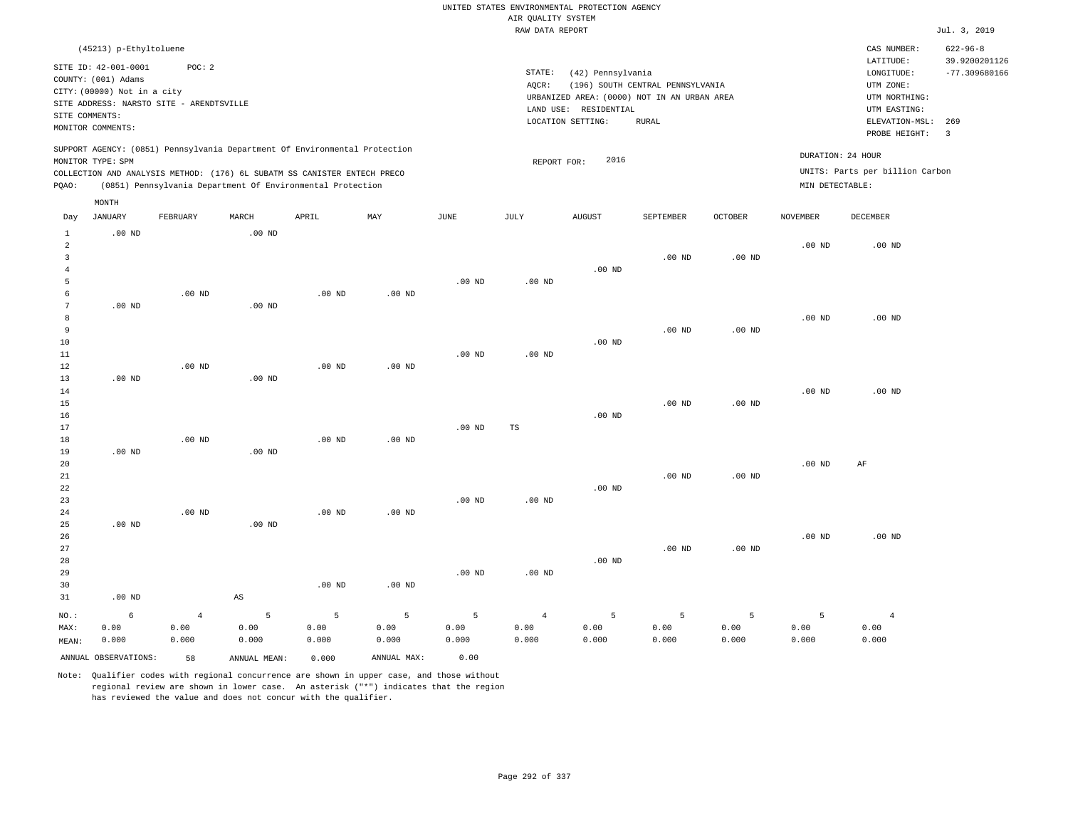|                                |                                          |                |              |                                                                            |                   |                   |                    | UNITED STATES ENVIRONMENTAL PROTECTION AGENCY |                                  |                |                   |                                 |                                  |
|--------------------------------|------------------------------------------|----------------|--------------|----------------------------------------------------------------------------|-------------------|-------------------|--------------------|-----------------------------------------------|----------------------------------|----------------|-------------------|---------------------------------|----------------------------------|
|                                |                                          |                |              |                                                                            |                   |                   | AIR QUALITY SYSTEM |                                               |                                  |                |                   |                                 |                                  |
|                                |                                          |                |              |                                                                            |                   |                   | RAW DATA REPORT    |                                               |                                  |                |                   |                                 | Jul. 3, 2019                     |
|                                | (45213) p-Ethyltoluene                   |                |              |                                                                            |                   |                   |                    |                                               |                                  |                |                   | CAS NUMBER:                     | $622 - 96 - 8$                   |
|                                | SITE ID: 42-001-0001                     | POC: 2         |              |                                                                            |                   |                   | STATE:             | (42) Pennsylvania                             |                                  |                |                   | LATITUDE:                       | 39.9200201126<br>$-77.309680166$ |
|                                | COUNTY: (001) Adams                      |                |              |                                                                            |                   |                   | AOCR:              |                                               | (196) SOUTH CENTRAL PENNSYLVANIA |                |                   | ${\tt LONGITUDE:}$<br>UTM ZONE: |                                  |
|                                | CITY: (00000) Not in a city              |                |              |                                                                            |                   |                   |                    | URBANIZED AREA: (0000) NOT IN AN URBAN AREA   |                                  |                |                   | UTM NORTHING:                   |                                  |
|                                | SITE ADDRESS: NARSTO SITE - ARENDTSVILLE |                |              |                                                                            |                   |                   |                    | LAND USE: RESIDENTIAL                         |                                  |                |                   | UTM EASTING:                    |                                  |
| SITE COMMENTS:                 |                                          |                |              |                                                                            |                   |                   |                    | LOCATION SETTING:                             | <b>RURAL</b>                     |                |                   | ELEVATION-MSL:                  | 269                              |
|                                | MONITOR COMMENTS:                        |                |              |                                                                            |                   |                   |                    |                                               |                                  |                |                   | PROBE HEIGHT:                   | $\overline{3}$                   |
|                                |                                          |                |              | SUPPORT AGENCY: (0851) Pennsylvania Department Of Environmental Protection |                   |                   |                    |                                               |                                  |                |                   |                                 |                                  |
|                                | MONITOR TYPE: SPM                        |                |              |                                                                            |                   |                   | REPORT FOR:        | 2016                                          |                                  |                |                   | DURATION: 24 HOUR               |                                  |
|                                |                                          |                |              | COLLECTION AND ANALYSIS METHOD: (176) 6L SUBATM SS CANISTER ENTECH PRECO   |                   |                   |                    |                                               |                                  |                |                   | UNITS: Parts per billion Carbon |                                  |
| PQAO:                          |                                          |                |              | (0851) Pennsylvania Department Of Environmental Protection                 |                   |                   |                    |                                               |                                  |                | MIN DETECTABLE:   |                                 |                                  |
|                                | MONTH                                    |                |              |                                                                            |                   |                   |                    |                                               |                                  |                |                   |                                 |                                  |
| Day                            | <b>JANUARY</b>                           | FEBRUARY       | MARCH        | APRIL                                                                      | MAY               | $_{\rm JUNE}$     | <b>JULY</b>        | <b>AUGUST</b>                                 | SEPTEMBER                        | <b>OCTOBER</b> | <b>NOVEMBER</b>   | <b>DECEMBER</b>                 |                                  |
| $\mathbf{1}$<br>$\overline{a}$ | $.00$ ND                                 |                | $.00$ ND     |                                                                            |                   |                   |                    |                                               |                                  |                | .00 <sub>ND</sub> | .00 <sub>ND</sub>               |                                  |
| $\overline{3}$                 |                                          |                |              |                                                                            |                   |                   |                    |                                               | $.00$ ND                         | $.00$ ND       |                   |                                 |                                  |
| $\overline{4}$                 |                                          |                |              |                                                                            |                   |                   |                    | $.00$ ND                                      |                                  |                |                   |                                 |                                  |
| 5                              |                                          |                |              |                                                                            |                   | $.00$ ND          | $.00$ ND           |                                               |                                  |                |                   |                                 |                                  |
| -6                             |                                          | $.00$ ND       |              | $.00$ ND                                                                   | $.00$ ND          |                   |                    |                                               |                                  |                |                   |                                 |                                  |
| $7\phantom{.0}$                | $.00$ ND                                 |                | $.00$ ND     |                                                                            |                   |                   |                    |                                               |                                  |                |                   |                                 |                                  |
| 8                              |                                          |                |              |                                                                            |                   |                   |                    |                                               |                                  |                | $.00$ ND          | $.00$ ND                        |                                  |
| 9                              |                                          |                |              |                                                                            |                   |                   |                    |                                               | $.00$ ND                         | $.00$ ND       |                   |                                 |                                  |
| 10                             |                                          |                |              |                                                                            |                   |                   |                    | $.00$ ND                                      |                                  |                |                   |                                 |                                  |
| 11                             |                                          |                |              |                                                                            |                   | .00 <sub>ND</sub> | $.00$ ND           |                                               |                                  |                |                   |                                 |                                  |
| 12                             |                                          | $.00$ ND       |              | $.00$ ND                                                                   | $.00$ ND          |                   |                    |                                               |                                  |                |                   |                                 |                                  |
| 13                             | $.00$ ND                                 |                | $.00$ ND     |                                                                            |                   |                   |                    |                                               |                                  |                |                   |                                 |                                  |
| 14<br>15                       |                                          |                |              |                                                                            |                   |                   |                    |                                               | $.00$ ND                         | $.00$ ND       | .00 <sub>ND</sub> | $.00$ ND                        |                                  |
| 16                             |                                          |                |              |                                                                            |                   |                   |                    | $.00$ ND                                      |                                  |                |                   |                                 |                                  |
| 17                             |                                          |                |              |                                                                            |                   | $.00$ ND          | TS                 |                                               |                                  |                |                   |                                 |                                  |
| 18                             |                                          | $.00$ ND       |              | $.00$ ND                                                                   | $.00$ ND          |                   |                    |                                               |                                  |                |                   |                                 |                                  |
| 19                             | $.00$ ND                                 |                | $.00$ ND     |                                                                            |                   |                   |                    |                                               |                                  |                |                   |                                 |                                  |
| 20                             |                                          |                |              |                                                                            |                   |                   |                    |                                               |                                  |                | $.00$ ND          | AF                              |                                  |
| $2\sqrt{1}$                    |                                          |                |              |                                                                            |                   |                   |                    |                                               | $.00$ ND                         | $.00$ ND       |                   |                                 |                                  |
| 22                             |                                          |                |              |                                                                            |                   |                   |                    | $.00$ ND                                      |                                  |                |                   |                                 |                                  |
| 23                             |                                          |                |              |                                                                            |                   | .00 <sub>ND</sub> | .00 <sub>ND</sub>  |                                               |                                  |                |                   |                                 |                                  |
| 24                             |                                          | $.00$ ND       |              | $.00$ ND                                                                   | $.00$ ND          |                   |                    |                                               |                                  |                |                   |                                 |                                  |
| 25                             | $.00$ ND                                 |                | $.00$ ND     |                                                                            |                   |                   |                    |                                               |                                  |                |                   |                                 |                                  |
| 26                             |                                          |                |              |                                                                            |                   |                   |                    |                                               |                                  |                | .00 <sub>ND</sub> | $.00$ ND                        |                                  |
| 27                             |                                          |                |              |                                                                            |                   |                   |                    |                                               | $.00$ ND                         | $.00$ ND       |                   |                                 |                                  |
| 28                             |                                          |                |              |                                                                            |                   |                   |                    | $.00$ ND                                      |                                  |                |                   |                                 |                                  |
| 29<br>30                       |                                          |                |              | .00 <sub>ND</sub>                                                          |                   | $.00$ ND          | $.00$ ND           |                                               |                                  |                |                   |                                 |                                  |
| 31                             | $.00$ ND                                 |                | AS           |                                                                            | .00 <sub>ND</sub> |                   |                    |                                               |                                  |                |                   |                                 |                                  |
|                                |                                          |                |              |                                                                            |                   |                   |                    |                                               |                                  |                |                   |                                 |                                  |
| NO.:                           | 6                                        | $\overline{4}$ | 5            | 5                                                                          | 5                 | 5                 | $\overline{4}$     | 5                                             | 5                                | 5              | 5                 | $\overline{4}$                  |                                  |
| MAX:                           | 0.00                                     | 0.00           | 0.00         | 0.00                                                                       | 0.00              | 0.00              | 0.00               | 0.00                                          | 0.00                             | 0.00           | 0.00              | 0.00                            |                                  |
| MEAN:                          | 0.000                                    | 0.000          | 0.000        | 0.000                                                                      | 0.000             | 0.000             | 0.000              | 0.000                                         | 0.000                            | 0.000          | 0.000             | 0.000                           |                                  |
|                                | ANNUAL OBSERVATIONS:                     | 58             | ANNUAL MEAN: | 0.000                                                                      | ANNUAL MAX:       | 0.00              |                    |                                               |                                  |                |                   |                                 |                                  |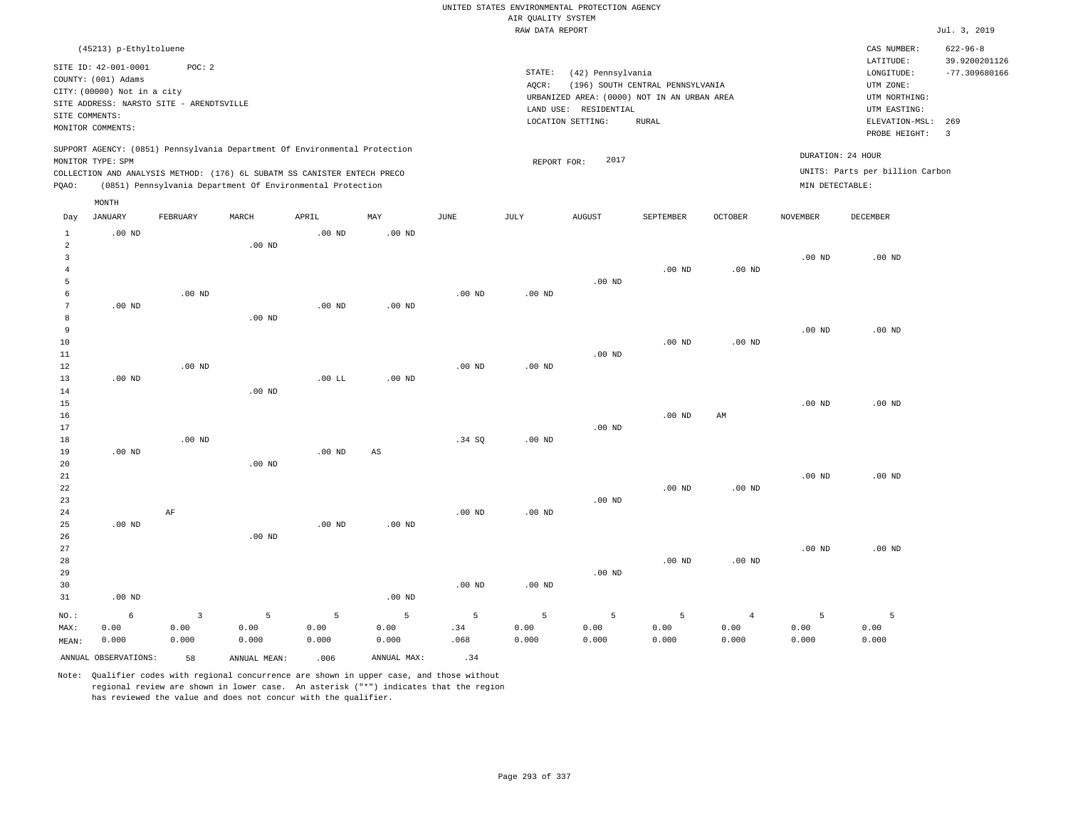|                     |                                             |                   |                                                                            |                   |                   |             |                    | UNITED STATES ENVIRONMENTAL PROTECTION AGENCY |                                  |                   |                   |                                 |                                 |
|---------------------|---------------------------------------------|-------------------|----------------------------------------------------------------------------|-------------------|-------------------|-------------|--------------------|-----------------------------------------------|----------------------------------|-------------------|-------------------|---------------------------------|---------------------------------|
|                     |                                             |                   |                                                                            |                   |                   |             | AIR QUALITY SYSTEM |                                               |                                  |                   |                   |                                 |                                 |
|                     |                                             |                   |                                                                            |                   |                   |             | RAW DATA REPORT    |                                               |                                  |                   |                   |                                 | Jul. 3, 2019                    |
|                     | (45213) p-Ethyltoluene                      |                   |                                                                            |                   |                   |             |                    |                                               |                                  |                   |                   | CAS NUMBER:<br>LATITUDE:        | $622 - 96 - 8$<br>39.9200201126 |
|                     | SITE ID: 42-001-0001<br>COUNTY: (001) Adams | POC: 2            |                                                                            |                   |                   |             | STATE:             | (42) Pennsylvania                             |                                  |                   |                   | LONGITUDE:                      | $-77.309680166$                 |
|                     | CITY: (00000) Not in a city                 |                   |                                                                            |                   |                   |             | AOCR:              |                                               | (196) SOUTH CENTRAL PENNSYLVANIA |                   |                   | UTM ZONE:                       |                                 |
|                     | SITE ADDRESS: NARSTO SITE - ARENDTSVILLE    |                   |                                                                            |                   |                   |             |                    | URBANIZED AREA: (0000) NOT IN AN URBAN AREA   |                                  |                   |                   | UTM NORTHING:                   |                                 |
| SITE COMMENTS:      |                                             |                   |                                                                            |                   |                   |             |                    | LAND USE: RESIDENTIAL<br>LOCATION SETTING:    | <b>RURAL</b>                     |                   |                   | UTM EASTING:<br>ELEVATION-MSL:  | 269                             |
|                     | MONITOR COMMENTS:                           |                   |                                                                            |                   |                   |             |                    |                                               |                                  |                   |                   | PROBE HEIGHT:                   | $\overline{\mathbf{3}}$         |
|                     | MONITOR TYPE: SPM                           |                   | SUPPORT AGENCY: (0851) Pennsylvania Department Of Environmental Protection |                   |                   |             | REPORT FOR:        | 2017                                          |                                  |                   | DURATION: 24 HOUR |                                 |                                 |
|                     |                                             |                   | COLLECTION AND ANALYSIS METHOD: (176) 6L SUBATM SS CANISTER ENTECH PRECO   |                   |                   |             |                    |                                               |                                  |                   |                   | UNITS: Parts per billion Carbon |                                 |
| PQAO:               |                                             |                   | (0851) Pennsylvania Department Of Environmental Protection                 |                   |                   |             |                    |                                               |                                  |                   | MIN DETECTABLE:   |                                 |                                 |
|                     | MONTH                                       |                   |                                                                            |                   |                   |             |                    |                                               |                                  |                   |                   |                                 |                                 |
| Day                 | <b>JANUARY</b>                              | FEBRUARY          | MARCH                                                                      | APRIL             | MAY               | <b>JUNE</b> | JULY               | <b>AUGUST</b>                                 | SEPTEMBER                        | <b>OCTOBER</b>    | <b>NOVEMBER</b>   | DECEMBER                        |                                 |
| $\mathbf{1}$        | $.00$ ND                                    |                   |                                                                            | .00 <sub>ND</sub> | $.00$ ND          |             |                    |                                               |                                  |                   |                   |                                 |                                 |
| 2                   |                                             |                   | $.00$ ND                                                                   |                   |                   |             |                    |                                               |                                  |                   |                   |                                 |                                 |
| $\mathbf{3}$        |                                             |                   |                                                                            |                   |                   |             |                    |                                               |                                  |                   | $.00$ ND          | $.00$ ND                        |                                 |
| $\overline{4}$<br>5 |                                             |                   |                                                                            |                   |                   |             |                    | $.00$ ND                                      | $.00$ ND                         | $.00$ ND          |                   |                                 |                                 |
| 6                   |                                             | $.00$ ND          |                                                                            |                   |                   | $.00$ ND    | $.00$ ND           |                                               |                                  |                   |                   |                                 |                                 |
| $\overline{7}$      | $.00$ ND                                    |                   |                                                                            | $.00$ ND          | $.00$ ND          |             |                    |                                               |                                  |                   |                   |                                 |                                 |
| 8                   |                                             |                   | .00 <sub>ND</sub>                                                          |                   |                   |             |                    |                                               |                                  |                   |                   |                                 |                                 |
| 9                   |                                             |                   |                                                                            |                   |                   |             |                    |                                               |                                  |                   | $.00$ ND          | $.00$ ND                        |                                 |
| 10                  |                                             |                   |                                                                            |                   |                   |             |                    |                                               | .00 <sub>ND</sub>                | .00 <sub>ND</sub> |                   |                                 |                                 |
| $11\,$              |                                             |                   |                                                                            |                   |                   |             |                    | $.00$ ND                                      |                                  |                   |                   |                                 |                                 |
| 12                  |                                             | .00 <sub>ND</sub> |                                                                            |                   |                   | $.00$ ND    | $.00$ ND           |                                               |                                  |                   |                   |                                 |                                 |
| 13                  | $.00$ ND                                    |                   |                                                                            | $.00$ LL          | $.00$ ND          |             |                    |                                               |                                  |                   |                   |                                 |                                 |
| 14                  |                                             |                   | $.00$ ND                                                                   |                   |                   |             |                    |                                               |                                  |                   |                   |                                 |                                 |
| 15<br>16            |                                             |                   |                                                                            |                   |                   |             |                    |                                               | $.00$ ND                         | AM                | .00 <sub>ND</sub> | $.00$ ND                        |                                 |
| 17                  |                                             |                   |                                                                            |                   |                   |             |                    | $.00$ ND                                      |                                  |                   |                   |                                 |                                 |
| 18                  |                                             | $.00$ ND          |                                                                            |                   |                   | .34 SO      | $.00$ ND           |                                               |                                  |                   |                   |                                 |                                 |
| 19                  | $.00$ ND                                    |                   |                                                                            | .00 <sub>ND</sub> | $_{\rm AS}$       |             |                    |                                               |                                  |                   |                   |                                 |                                 |
| 20                  |                                             |                   | $.00$ ND                                                                   |                   |                   |             |                    |                                               |                                  |                   |                   |                                 |                                 |
| 21                  |                                             |                   |                                                                            |                   |                   |             |                    |                                               |                                  |                   | .00 <sub>ND</sub> | $.00$ ND                        |                                 |
| 22                  |                                             |                   |                                                                            |                   |                   |             |                    |                                               | $.00$ ND                         | $.00$ ND          |                   |                                 |                                 |
| 23                  |                                             |                   |                                                                            |                   |                   |             |                    | $.00$ ND                                      |                                  |                   |                   |                                 |                                 |
| 24                  |                                             | AF                |                                                                            |                   |                   | $.00$ ND    | .00 <sub>ND</sub>  |                                               |                                  |                   |                   |                                 |                                 |
| 25                  | $.00$ ND                                    |                   |                                                                            | $.00$ ND          | .00 <sub>ND</sub> |             |                    |                                               |                                  |                   |                   |                                 |                                 |
| 26<br>27            |                                             |                   | $.00$ ND                                                                   |                   |                   |             |                    |                                               |                                  |                   | $.00$ ND          | $.00$ ND                        |                                 |
| 28                  |                                             |                   |                                                                            |                   |                   |             |                    |                                               | $.00$ ND                         | $.00$ ND          |                   |                                 |                                 |
| 29                  |                                             |                   |                                                                            |                   |                   |             |                    | $.00$ ND                                      |                                  |                   |                   |                                 |                                 |
| 30                  |                                             |                   |                                                                            |                   |                   | $.00$ ND    | .00 <sub>ND</sub>  |                                               |                                  |                   |                   |                                 |                                 |
| 31                  | $.00$ ND                                    |                   |                                                                            |                   | $.00$ ND          |             |                    |                                               |                                  |                   |                   |                                 |                                 |
| NO.:                | $6\overline{6}$                             | $\overline{3}$    | 5                                                                          | 5                 | 5                 | 5           | 5                  | 5                                             | 5                                | $\overline{4}$    | 5                 | $\overline{5}$                  |                                 |
| MAX:                | 0.00                                        | 0.00              | 0.00                                                                       | 0.00              | 0.00              | .34         | 0.00               | 0.00                                          | 0.00                             | 0.00              | 0.00              | 0.00                            |                                 |
| MEAN:               | 0.000                                       | 0.000             | 0.000                                                                      | 0.000             | 0.000             | .068        | 0.000              | 0.000                                         | 0.000                            | 0.000             | 0.000             | 0.000                           |                                 |
|                     | ANNUAL OBSERVATIONS:                        | 58                | ANNUAL, MEAN:                                                              | .006              | ANNUAL MAX:       | .34         |                    |                                               |                                  |                   |                   |                                 |                                 |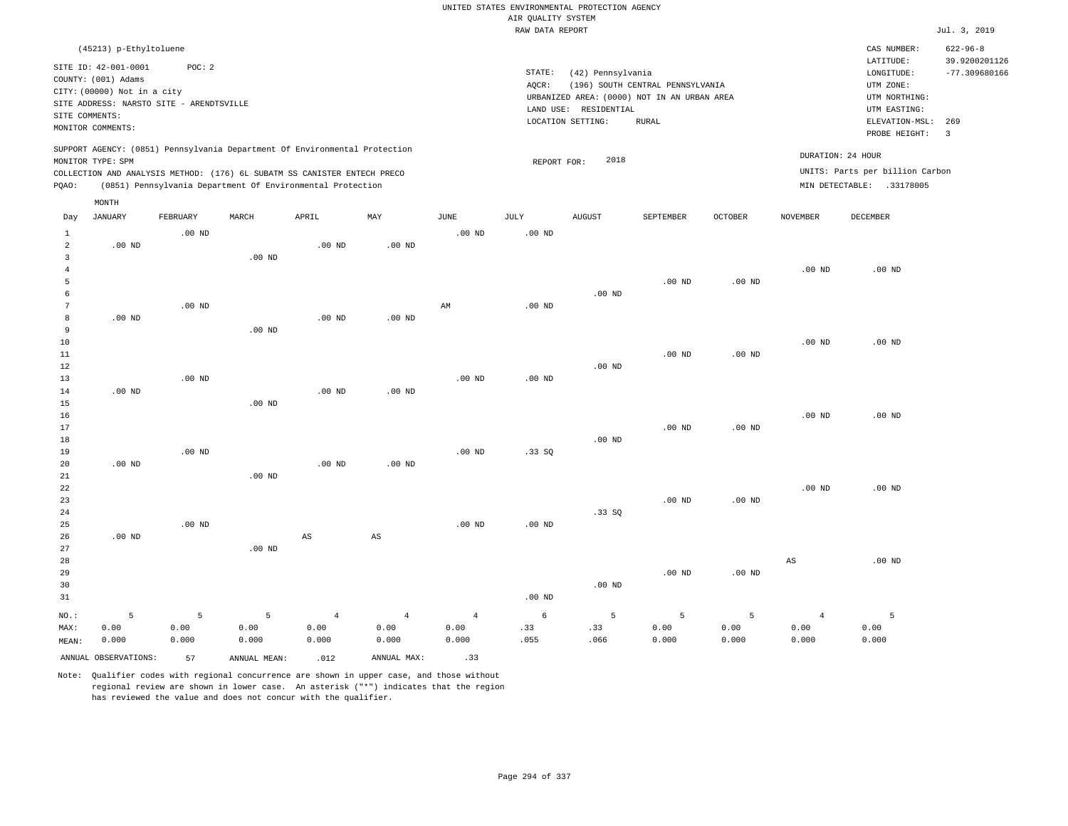|                     |                                                                            |          |                   |                                                                            |                        |                   | AIR QUALITY SYSTEM | UNITED STATES ENVIRONMENTAL PROTECTION AGENCY |                                                                                 |          |                |                                          |                                 |
|---------------------|----------------------------------------------------------------------------|----------|-------------------|----------------------------------------------------------------------------|------------------------|-------------------|--------------------|-----------------------------------------------|---------------------------------------------------------------------------------|----------|----------------|------------------------------------------|---------------------------------|
|                     |                                                                            |          |                   |                                                                            |                        |                   | RAW DATA REPORT    |                                               |                                                                                 |          |                |                                          | Jul. 3, 2019                    |
|                     | (45213) p-Ethyltoluene                                                     |          |                   |                                                                            |                        |                   |                    |                                               |                                                                                 |          |                | CAS NUMBER:<br>$\mathtt{LATITUDE}$       | $622 - 96 - 8$<br>39.9200201126 |
|                     | SITE ID: 42-001-0001<br>COUNTY: (001) Adams<br>CITY: (00000) Not in a city | POC: 2   |                   |                                                                            |                        |                   | STATE:<br>AQCR:    | (42) Pennsylvania                             | (196) SOUTH CENTRAL PENNSYLVANIA<br>URBANIZED AREA: (0000) NOT IN AN URBAN AREA |          |                | LONGITUDE:<br>UTM ZONE:<br>UTM NORTHING: | $-77.309680166$                 |
|                     | SITE ADDRESS: NARSTO SITE - ARENDTSVILLE                                   |          |                   |                                                                            |                        |                   |                    | LAND USE: RESIDENTIAL                         |                                                                                 |          |                | UTM EASTING:                             |                                 |
| SITE COMMENTS:      | MONITOR COMMENTS:                                                          |          |                   |                                                                            |                        |                   |                    | LOCATION SETTING:                             | <b>RURAL</b>                                                                    |          |                | ELEVATION-MSL:<br>PROBE HEIGHT:          | 269<br>$\overline{\mathbf{3}}$  |
|                     | MONITOR TYPE: SPM                                                          |          |                   | SUPPORT AGENCY: (0851) Pennsylvania Department Of Environmental Protection |                        |                   | REPORT FOR:        | 2018                                          |                                                                                 |          |                | DURATION: 24 HOUR                        |                                 |
|                     |                                                                            |          |                   | COLLECTION AND ANALYSIS METHOD: (176) 6L SUBATM SS CANISTER ENTECH PRECO   |                        |                   |                    |                                               |                                                                                 |          |                | UNITS: Parts per billion Carbon          |                                 |
| PQAO:               | MONTH                                                                      |          |                   | (0851) Pennsylvania Department Of Environmental Protection                 |                        |                   |                    |                                               |                                                                                 |          |                | MIN DETECTABLE: .33178005                |                                 |
| Day                 | JANUARY                                                                    | FEBRUARY | MARCH             | APRIL                                                                      | MAY                    | JUNE              | JULY               | <b>AUGUST</b>                                 | SEPTEMBER                                                                       | OCTOBER  | NOVEMBER       | DECEMBER                                 |                                 |
| $\mathbf{1}$        |                                                                            | $.00$ ND |                   |                                                                            |                        | .00 <sub>ND</sub> | .00 <sub>ND</sub>  |                                               |                                                                                 |          |                |                                          |                                 |
| $\overline{a}$      | .00 <sub>ND</sub>                                                          |          |                   | .00 <sub>ND</sub>                                                          | .00 <sub>ND</sub>      |                   |                    |                                               |                                                                                 |          |                |                                          |                                 |
| $\overline{3}$      |                                                                            |          | $.00$ ND          |                                                                            |                        |                   |                    |                                               |                                                                                 |          |                |                                          |                                 |
| $\overline{4}$<br>5 |                                                                            |          |                   |                                                                            |                        |                   |                    |                                               | $.00$ ND                                                                        | $.00$ ND | $.00$ ND       | $.00$ ND                                 |                                 |
| 6                   |                                                                            |          |                   |                                                                            |                        |                   |                    | $.00$ ND                                      |                                                                                 |          |                |                                          |                                 |
| $7\phantom{.0}$     |                                                                            | $.00$ ND |                   |                                                                            |                        | AM                | $.00$ ND           |                                               |                                                                                 |          |                |                                          |                                 |
| 8                   | $.00$ ND                                                                   |          |                   | .00 <sub>ND</sub>                                                          | $.00$ ND               |                   |                    |                                               |                                                                                 |          |                |                                          |                                 |
| $\overline{9}$      |                                                                            |          | $.00$ ND          |                                                                            |                        |                   |                    |                                               |                                                                                 |          |                |                                          |                                 |
| 10                  |                                                                            |          |                   |                                                                            |                        |                   |                    |                                               |                                                                                 |          | $.00$ ND       | $.00$ ND                                 |                                 |
| 11                  |                                                                            |          |                   |                                                                            |                        |                   |                    |                                               | .00 <sub>ND</sub>                                                               | $.00$ ND |                |                                          |                                 |
| 12                  |                                                                            |          |                   |                                                                            |                        |                   |                    | $.00$ ND                                      |                                                                                 |          |                |                                          |                                 |
| 13                  |                                                                            | $.00$ ND |                   |                                                                            |                        | .00 <sub>ND</sub> | .00 <sub>ND</sub>  |                                               |                                                                                 |          |                |                                          |                                 |
| 14                  | .00 <sub>ND</sub>                                                          |          |                   | $.00$ ND                                                                   | $.00$ ND               |                   |                    |                                               |                                                                                 |          |                |                                          |                                 |
| 15                  |                                                                            |          | .00 <sub>ND</sub> |                                                                            |                        |                   |                    |                                               |                                                                                 |          |                |                                          |                                 |
| 16                  |                                                                            |          |                   |                                                                            |                        |                   |                    |                                               |                                                                                 |          | $.00$ ND       | $.00$ ND                                 |                                 |
| 17                  |                                                                            |          |                   |                                                                            |                        |                   |                    |                                               | $.00$ ND                                                                        | $.00$ ND |                |                                          |                                 |
| 18<br>19            |                                                                            | $.00$ ND |                   |                                                                            |                        | .00 <sub>ND</sub> | .33 S0             | $.00$ ND                                      |                                                                                 |          |                |                                          |                                 |
| 20                  | $.00$ ND                                                                   |          |                   | $.00$ ND                                                                   | $.00$ ND               |                   |                    |                                               |                                                                                 |          |                |                                          |                                 |
| 21                  |                                                                            |          | $.00$ ND          |                                                                            |                        |                   |                    |                                               |                                                                                 |          |                |                                          |                                 |
| 22                  |                                                                            |          |                   |                                                                            |                        |                   |                    |                                               |                                                                                 |          | $.00$ ND       | $.00$ ND                                 |                                 |
| 23                  |                                                                            |          |                   |                                                                            |                        |                   |                    |                                               | $.00$ ND                                                                        | $.00$ ND |                |                                          |                                 |
| 24                  |                                                                            |          |                   |                                                                            |                        |                   |                    | .33SQ                                         |                                                                                 |          |                |                                          |                                 |
| 25                  |                                                                            | $.00$ ND |                   |                                                                            |                        | $.00$ ND          | $.00$ ND           |                                               |                                                                                 |          |                |                                          |                                 |
| 26                  | $.00$ ND                                                                   |          |                   | $\mathbb{A}\mathbb{S}$                                                     | $\mathbb{A}\mathbb{S}$ |                   |                    |                                               |                                                                                 |          |                |                                          |                                 |
| 27                  |                                                                            |          | .00 <sub>ND</sub> |                                                                            |                        |                   |                    |                                               |                                                                                 |          |                |                                          |                                 |
| 28                  |                                                                            |          |                   |                                                                            |                        |                   |                    |                                               |                                                                                 |          | $_{\rm AS}$    | .00 <sub>ND</sub>                        |                                 |
| 29                  |                                                                            |          |                   |                                                                            |                        |                   |                    |                                               | .00 <sub>ND</sub>                                                               | $.00$ ND |                |                                          |                                 |
| 30                  |                                                                            |          |                   |                                                                            |                        |                   |                    | $.00$ ND                                      |                                                                                 |          |                |                                          |                                 |
| 31                  |                                                                            |          |                   |                                                                            |                        |                   | $.00$ ND           |                                               |                                                                                 |          |                |                                          |                                 |
| NO.:                | 5                                                                          | 5        | 5                 | $\overline{4}$                                                             | $\overline{4}$         | $\overline{4}$    | 6                  | 5                                             | 5                                                                               | 5        | $\overline{4}$ | 5                                        |                                 |
| MAX:                | 0.00                                                                       | 0.00     | 0.00              | 0.00                                                                       | 0.00                   | 0.00              | .33                | .33                                           | 0.00                                                                            | 0.00     | 0.00           | 0.00                                     |                                 |
| MEAN:               | 0.000                                                                      | 0.000    | 0.000             | 0.000                                                                      | 0.000                  | 0.000             | .055               | .066                                          | 0.000                                                                           | 0.000    | 0.000          | 0.000                                    |                                 |
|                     | ANNUAL OBSERVATIONS:                                                       | 57       | ANNUAL MEAN:      | .012                                                                       | ANNUAL MAX:            | .33               |                    |                                               |                                                                                 |          |                |                                          |                                 |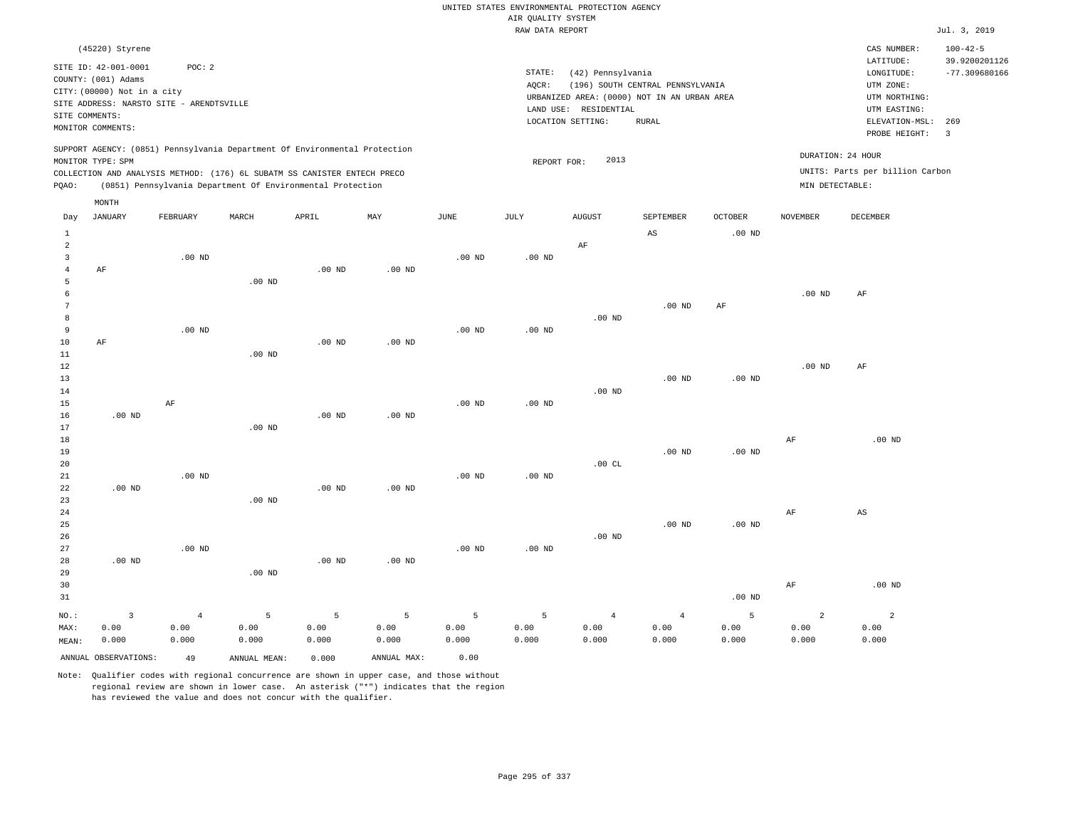|                      |                                                                                               |                |                                                            |          |                   |                   |                    | UNITED STATES ENVIRONMENTAL PROTECTION AGENCY |                                             |                   |                   |                                 |                                 |
|----------------------|-----------------------------------------------------------------------------------------------|----------------|------------------------------------------------------------|----------|-------------------|-------------------|--------------------|-----------------------------------------------|---------------------------------------------|-------------------|-------------------|---------------------------------|---------------------------------|
|                      |                                                                                               |                |                                                            |          |                   |                   | AIR QUALITY SYSTEM |                                               |                                             |                   |                   |                                 |                                 |
|                      |                                                                                               |                |                                                            |          |                   |                   | RAW DATA REPORT    |                                               |                                             |                   |                   |                                 | Jul. 3, 2019                    |
|                      | (45220) Styrene                                                                               |                |                                                            |          |                   |                   |                    |                                               |                                             |                   |                   | CAS NUMBER:<br>LATITUDE:        | $100 - 42 - 5$<br>39.9200201126 |
|                      | SITE ID: 42-001-0001<br>COUNTY: (001) Adams                                                   | POC: 2         |                                                            |          |                   |                   | STATE:             | (42) Pennsylvania                             |                                             |                   |                   | LONGITUDE:                      | $-77.309680166$                 |
|                      | CITY: (00000) Not in a city                                                                   |                |                                                            |          |                   |                   | AQCR:              |                                               | (196) SOUTH CENTRAL PENNSYLVANIA            |                   |                   | UTM ZONE:                       |                                 |
|                      | SITE ADDRESS: NARSTO SITE - ARENDTSVILLE                                                      |                |                                                            |          |                   |                   |                    |                                               | URBANIZED AREA: (0000) NOT IN AN URBAN AREA |                   |                   | UTM NORTHING:                   |                                 |
| SITE COMMENTS:       |                                                                                               |                |                                                            |          |                   |                   |                    | LAND USE: RESIDENTIAL                         |                                             |                   |                   | UTM EASTING:                    |                                 |
|                      | MONITOR COMMENTS:                                                                             |                |                                                            |          |                   |                   |                    | LOCATION SETTING:                             | <b>RURAL</b>                                |                   |                   | ELEVATION-MSL:<br>PROBE HEIGHT: | 269<br>$\overline{3}$           |
|                      | SUPPORT AGENCY: (0851) Pennsylvania Department Of Environmental Protection                    |                |                                                            |          |                   |                   |                    | 2013                                          |                                             |                   | DURATION: 24 HOUR |                                 |                                 |
|                      | MONITOR TYPE: SPM<br>COLLECTION AND ANALYSIS METHOD: (176) 6L SUBATM SS CANISTER ENTECH PRECO |                |                                                            |          |                   |                   | REPORT FOR:        |                                               |                                             |                   |                   | UNITS: Parts per billion Carbon |                                 |
| PQAO:                |                                                                                               |                | (0851) Pennsylvania Department Of Environmental Protection |          |                   |                   |                    |                                               |                                             |                   | MIN DETECTABLE:   |                                 |                                 |
|                      | MONTH                                                                                         |                |                                                            |          |                   |                   |                    |                                               |                                             |                   |                   |                                 |                                 |
| Day                  | <b>JANUARY</b>                                                                                | FEBRUARY       | MARCH                                                      | APRIL    | $_{\rm MAY}$      | $_{\rm JUNE}$     | JULY               | <b>AUGUST</b>                                 | SEPTEMBER                                   | <b>OCTOBER</b>    | <b>NOVEMBER</b>   | <b>DECEMBER</b>                 |                                 |
| $\mathbf{1}$         |                                                                                               |                |                                                            |          |                   |                   |                    |                                               | AS                                          | $.00$ ND          |                   |                                 |                                 |
| $\overline{a}$       |                                                                                               |                |                                                            |          |                   |                   |                    | $\rm{AF}$                                     |                                             |                   |                   |                                 |                                 |
| $\overline{3}$       |                                                                                               | $.00$ ND       |                                                            |          |                   | .00 <sub>ND</sub> | $.00$ ND           |                                               |                                             |                   |                   |                                 |                                 |
| $\overline{4}$       | AF                                                                                            |                |                                                            | $.00$ ND | $.00$ ND          |                   |                    |                                               |                                             |                   |                   |                                 |                                 |
| 5                    |                                                                                               |                | $.00$ ND                                                   |          |                   |                   |                    |                                               |                                             |                   |                   |                                 |                                 |
| 6<br>$7\phantom{.0}$ |                                                                                               |                |                                                            |          |                   |                   |                    |                                               | .00 <sub>ND</sub>                           | $\rm{AF}$         | .00 <sub>ND</sub> | $\rm{AF}$                       |                                 |
| 8                    |                                                                                               |                |                                                            |          |                   |                   |                    | $.00$ ND                                      |                                             |                   |                   |                                 |                                 |
| 9                    |                                                                                               | $.00$ ND       |                                                            |          |                   | $.00~\mathrm{ND}$ | $.00$ ND           |                                               |                                             |                   |                   |                                 |                                 |
| 10                   | AF                                                                                            |                |                                                            | $.00$ ND | $.00$ ND          |                   |                    |                                               |                                             |                   |                   |                                 |                                 |
| 11                   |                                                                                               |                | $.00$ ND                                                   |          |                   |                   |                    |                                               |                                             |                   |                   |                                 |                                 |
| 12                   |                                                                                               |                |                                                            |          |                   |                   |                    |                                               |                                             |                   | .00 <sub>ND</sub> | AF                              |                                 |
| 13                   |                                                                                               |                |                                                            |          |                   |                   |                    |                                               | $.00$ ND                                    | $.00$ ND          |                   |                                 |                                 |
| 14                   |                                                                                               |                |                                                            |          |                   |                   |                    | $.00$ ND                                      |                                             |                   |                   |                                 |                                 |
| 15                   |                                                                                               | AF             |                                                            |          |                   | $.00$ ND          | $.00$ ND           |                                               |                                             |                   |                   |                                 |                                 |
| 16                   | $.00$ ND                                                                                      |                |                                                            | $.00$ ND | .00 <sub>ND</sub> |                   |                    |                                               |                                             |                   |                   |                                 |                                 |
| 17                   |                                                                                               |                | $.00$ ND                                                   |          |                   |                   |                    |                                               |                                             |                   |                   |                                 |                                 |
| 18                   |                                                                                               |                |                                                            |          |                   |                   |                    |                                               |                                             |                   | $\rm{AF}$         | .00 <sub>ND</sub>               |                                 |
| 19<br>20             |                                                                                               |                |                                                            |          |                   |                   |                    | .00CL                                         | $.00$ ND                                    | $.00$ ND          |                   |                                 |                                 |
| 21                   |                                                                                               | $.00$ ND       |                                                            |          |                   | $.00$ ND          | $.00$ ND           |                                               |                                             |                   |                   |                                 |                                 |
| 22                   | $.00$ ND                                                                                      |                |                                                            | $.00$ ND | $.00$ ND          |                   |                    |                                               |                                             |                   |                   |                                 |                                 |
| 23                   |                                                                                               |                | $.00$ ND                                                   |          |                   |                   |                    |                                               |                                             |                   |                   |                                 |                                 |
| 24                   |                                                                                               |                |                                                            |          |                   |                   |                    |                                               |                                             |                   | AF                | AS                              |                                 |
| 25                   |                                                                                               |                |                                                            |          |                   |                   |                    |                                               | $.00$ ND                                    | .00 <sub>ND</sub> |                   |                                 |                                 |
| 26                   |                                                                                               |                |                                                            |          |                   |                   |                    | $.00$ ND                                      |                                             |                   |                   |                                 |                                 |
| 27                   |                                                                                               | $.00$ ND       |                                                            |          |                   | $.00$ ND          | $.00$ ND           |                                               |                                             |                   |                   |                                 |                                 |
| 28                   | $.00$ ND                                                                                      |                |                                                            | $.00$ ND | .00 <sub>ND</sub> |                   |                    |                                               |                                             |                   |                   |                                 |                                 |
| 29                   |                                                                                               |                | .00 <sub>ND</sub>                                          |          |                   |                   |                    |                                               |                                             |                   |                   |                                 |                                 |
| 30                   |                                                                                               |                |                                                            |          |                   |                   |                    |                                               |                                             |                   | AF                | $.00$ ND                        |                                 |
| 31                   |                                                                                               |                |                                                            |          |                   |                   |                    |                                               |                                             | $.00$ ND          |                   |                                 |                                 |
| NO.:                 | $\overline{3}$                                                                                | $\overline{4}$ | 5                                                          | 5        | 5                 | 5                 | 5                  | $\overline{4}$                                | $\overline{4}$                              | 5                 | $\overline{a}$    | $\overline{a}$                  |                                 |
| MAX:                 | 0.00                                                                                          | 0.00           | 0.00                                                       | 0.00     | 0.00              | 0.00              | 0.00               | 0.00                                          | 0.00                                        | 0.00              | 0.00              | 0.00                            |                                 |
| MEAN:                | 0.000                                                                                         | 0.000          | 0.000                                                      | 0.000    | 0.000             | 0.000             | 0.000              | 0.000                                         | 0.000                                       | 0.000             | 0.000             | 0.000                           |                                 |
|                      | ANNUAL OBSERVATIONS:                                                                          | 49             | ANNUAL MEAN:                                               | 0.000    | ANNUAL MAX:       | 0.00              |                    |                                               |                                             |                   |                   |                                 |                                 |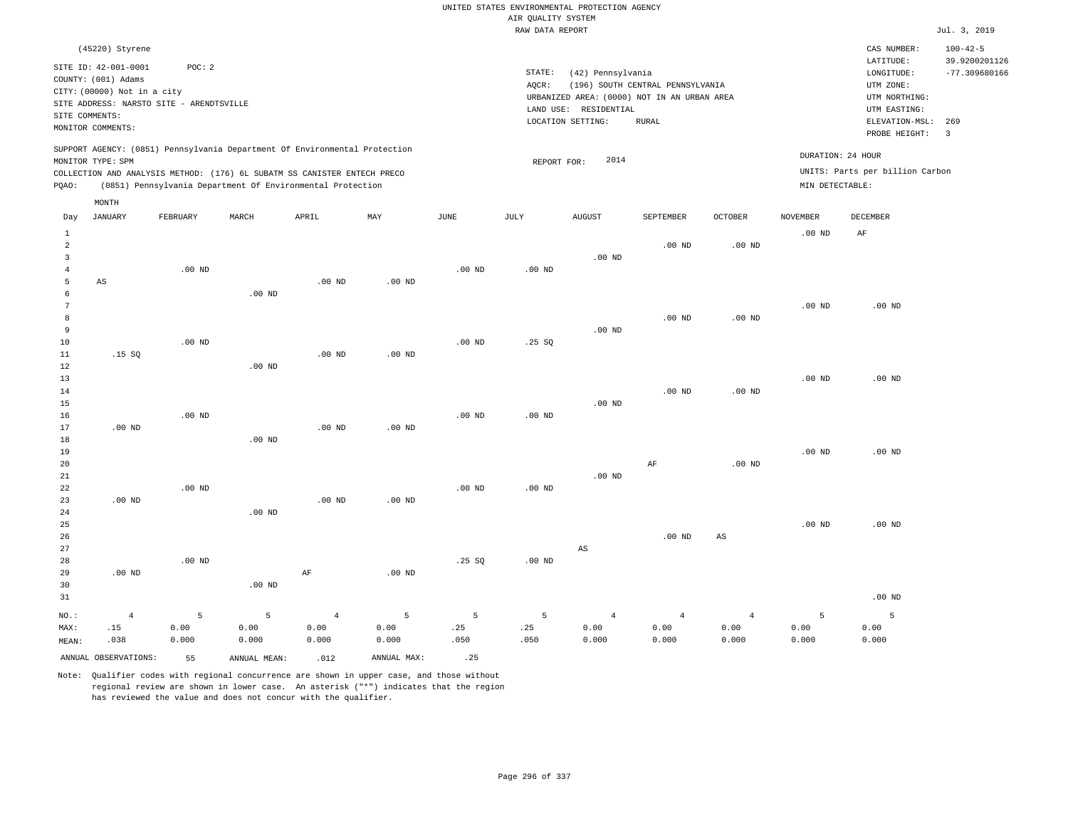|                                                |                                                                                                                  |                    |                                                            |                                 |                    |                   |                    | UNITED STATES ENVIRONMENTAL PROTECTION AGENCY                        |                                  |                                 |                    |                                            |                                                    |
|------------------------------------------------|------------------------------------------------------------------------------------------------------------------|--------------------|------------------------------------------------------------|---------------------------------|--------------------|-------------------|--------------------|----------------------------------------------------------------------|----------------------------------|---------------------------------|--------------------|--------------------------------------------|----------------------------------------------------|
|                                                |                                                                                                                  |                    |                                                            |                                 |                    |                   | AIR QUALITY SYSTEM |                                                                      |                                  |                                 |                    |                                            |                                                    |
|                                                |                                                                                                                  |                    |                                                            |                                 |                    |                   | RAW DATA REPORT    |                                                                      |                                  |                                 |                    |                                            | Jul. 3, 2019                                       |
|                                                | (45220) Styrene<br>SITE ID: 42-001-0001                                                                          | POC: 2             |                                                            |                                 |                    |                   | STATE:             | (42) Pennsylvania                                                    |                                  |                                 |                    | CAS NUMBER:<br>LATITUDE:<br>LONGITUDE:     | $100 - 42 - 5$<br>39.9200201126<br>$-77.309680166$ |
|                                                | COUNTY: (001) Adams<br>CITY: (00000) Not in a city<br>SITE ADDRESS: NARSTO SITE - ARENDTSVILLE<br>SITE COMMENTS: |                    |                                                            |                                 |                    |                   | AQCR:              | URBANIZED AREA: (0000) NOT IN AN URBAN AREA<br>LAND USE: RESIDENTIAL | (196) SOUTH CENTRAL PENNSYLVANIA |                                 |                    | UTM ZONE:<br>UTM NORTHING:<br>UTM EASTING: |                                                    |
|                                                | MONITOR COMMENTS:                                                                                                |                    |                                                            |                                 |                    |                   |                    | LOCATION SETTING:                                                    | <b>RURAL</b>                     |                                 |                    | ELEVATION-MSL: 269<br>PROBE HEIGHT:        | $\overline{3}$                                     |
|                                                | SUPPORT AGENCY: (0851) Pennsylvania Department Of Environmental Protection<br>MONITOR TYPE: SPM                  |                    |                                                            |                                 |                    |                   | REPORT FOR:        | 2014                                                                 |                                  |                                 | DURATION: 24 HOUR  |                                            |                                                    |
| PQAO:                                          | COLLECTION AND ANALYSIS METHOD: (176) 6L SUBATM SS CANISTER ENTECH PRECO                                         |                    | (0851) Pennsylvania Department Of Environmental Protection |                                 |                    |                   |                    |                                                                      |                                  |                                 | MIN DETECTABLE:    | UNITS: Parts per billion Carbon            |                                                    |
|                                                | MONTH                                                                                                            |                    |                                                            |                                 |                    |                   |                    |                                                                      |                                  |                                 |                    |                                            |                                                    |
| Day                                            | <b>JANUARY</b>                                                                                                   | FEBRUARY           | MARCH                                                      | APRIL                           | MAY                | $_{\rm JUNE}$     | $\mathtt{JULY}$    | <b>AUGUST</b>                                                        | SEPTEMBER                        | OCTOBER                         | <b>NOVEMBER</b>    | DECEMBER                                   |                                                    |
| $1\,$<br>2                                     |                                                                                                                  |                    |                                                            |                                 |                    |                   |                    |                                                                      | $.00$ ND                         | $.00$ ND                        | .00 <sub>ND</sub>  | AF                                         |                                                    |
| $\overline{\mathbf{3}}$<br>$\overline{4}$<br>5 | $_{\rm AS}$                                                                                                      | $.00$ ND           |                                                            | $.00$ ND                        | .00 <sub>ND</sub>  | $.00$ ND          | $.00$ ND           | $.00$ ND                                                             |                                  |                                 |                    |                                            |                                                    |
| 6<br>$\overline{7}$<br>8                       |                                                                                                                  |                    | .00 <sub>ND</sub>                                          |                                 |                    |                   |                    |                                                                      | $.00$ ND                         | $.00$ ND                        | .00 <sub>ND</sub>  | $.00$ ND                                   |                                                    |
| 9<br>10<br>$1\,1$                              | .15S                                                                                                             | $.00$ ND           |                                                            | $.00$ ND                        | .00 <sub>ND</sub>  | $.00$ ND          | .25S               | .00 <sub>ND</sub>                                                    |                                  |                                 |                    |                                            |                                                    |
| 12<br>13<br>14                                 |                                                                                                                  |                    | .00 <sub>ND</sub>                                          |                                 |                    |                   |                    |                                                                      | $.00$ ND                         | $.00$ ND                        | .00 <sub>ND</sub>  | $.00$ ND                                   |                                                    |
| 15<br>16<br>17                                 | $.00$ ND                                                                                                         | $.00$ ND           |                                                            | $.00$ ND                        | $.00$ ND           | .00 <sub>ND</sub> | $.00$ ND           | $.00$ ND                                                             |                                  |                                 |                    |                                            |                                                    |
| 18<br>19<br>$20$                               |                                                                                                                  |                    | .00 <sub>ND</sub>                                          |                                 |                    |                   |                    |                                                                      | $\rm AF$                         | $.00$ ND                        | .00 <sub>ND</sub>  | $.00$ ND                                   |                                                    |
| 21<br>22<br>23                                 | .00 <sub>ND</sub>                                                                                                | .00 <sub>ND</sub>  |                                                            | $.00$ ND                        | $.00$ ND           | .00 <sub>ND</sub> | $.00$ ND           | $.00$ ND                                                             |                                  |                                 |                    |                                            |                                                    |
| 24<br>25<br>26                                 |                                                                                                                  |                    | $.00$ ND                                                   |                                 |                    |                   |                    |                                                                      | $.00$ ND                         | $\mathbb{A}\mathbb{S}$          | .00 <sub>ND</sub>  | $.00$ ND                                   |                                                    |
| 27<br>28<br>29                                 | $.00$ ND                                                                                                         | $.00$ ND           |                                                            | AF                              | $.00$ ND           | .25SQ             | $.00$ ND           | AS                                                                   |                                  |                                 |                    |                                            |                                                    |
| 30<br>31                                       |                                                                                                                  |                    | $.00$ ND                                                   |                                 |                    |                   |                    |                                                                      |                                  |                                 |                    | $.00$ ND                                   |                                                    |
| NO.:<br>MAX:<br>MEAN:                          | $\overline{4}$<br>.15<br>.038                                                                                    | 5<br>0.00<br>0.000 | 5<br>0.00<br>0.000                                         | $\overline{4}$<br>0.00<br>0.000 | 5<br>0.00<br>0.000 | 5<br>.25<br>.050  | 5<br>.25<br>.050   | $\overline{4}$<br>0.00<br>0.000                                      | $\overline{4}$<br>0.00<br>0.000  | $\overline{4}$<br>0.00<br>0.000 | 5<br>0.00<br>0.000 | 5<br>0.00<br>0.000                         |                                                    |
|                                                | ANNUAL OBSERVATIONS:                                                                                             | 55                 | ANNUAL MEAN:                                               | .012                            | ANNUAL MAX:        | .25               |                    |                                                                      |                                  |                                 |                    |                                            |                                                    |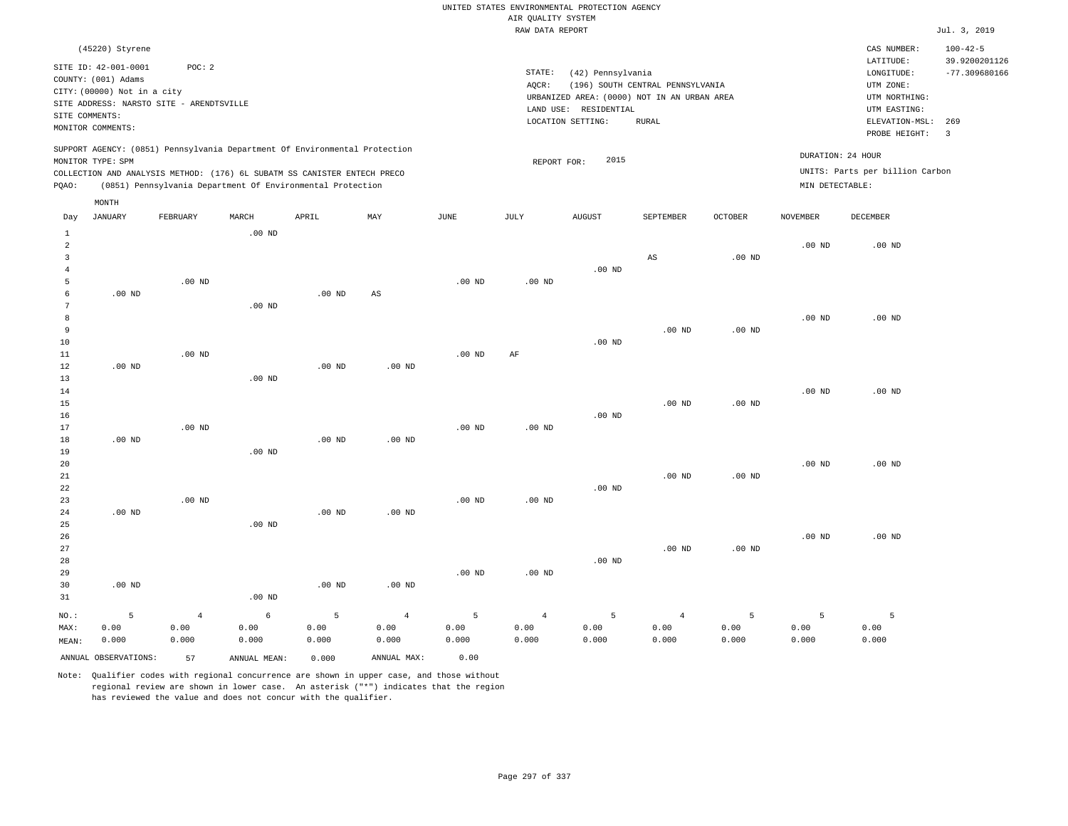|                |                                          |                   |                                                                            |                   |                        |                   |                    | UNITED STATES ENVIRONMENTAL PROTECTION AGENCY |                                  |                   |                   |                                 |                                 |
|----------------|------------------------------------------|-------------------|----------------------------------------------------------------------------|-------------------|------------------------|-------------------|--------------------|-----------------------------------------------|----------------------------------|-------------------|-------------------|---------------------------------|---------------------------------|
|                |                                          |                   |                                                                            |                   |                        |                   | AIR QUALITY SYSTEM |                                               |                                  |                   |                   |                                 |                                 |
|                |                                          |                   |                                                                            |                   |                        |                   | RAW DATA REPORT    |                                               |                                  |                   |                   |                                 | Jul. 3, 2019                    |
|                | (45220) Styrene                          |                   |                                                                            |                   |                        |                   |                    |                                               |                                  |                   |                   | CAS NUMBER:<br>LATITUDE:        | $100 - 42 - 5$<br>39.9200201126 |
|                | SITE ID: 42-001-0001                     | POC: 2            |                                                                            |                   |                        |                   | STATE:             | (42) Pennsylvania                             |                                  |                   |                   | LONGITUDE:                      | $-77.309680166$                 |
|                | COUNTY: (001) Adams                      |                   |                                                                            |                   |                        |                   | AOCR:              |                                               | (196) SOUTH CENTRAL PENNSYLVANIA |                   |                   | UTM ZONE:                       |                                 |
|                | CITY: (00000) Not in a city              |                   |                                                                            |                   |                        |                   |                    | URBANIZED AREA: (0000) NOT IN AN URBAN AREA   |                                  |                   |                   | UTM NORTHING:                   |                                 |
|                | SITE ADDRESS: NARSTO SITE - ARENDTSVILLE |                   |                                                                            |                   |                        |                   |                    | LAND USE: RESIDENTIAL                         |                                  |                   |                   | UTM EASTING:                    |                                 |
| SITE COMMENTS: |                                          |                   |                                                                            |                   |                        |                   |                    | LOCATION SETTING:                             | <b>RURAL</b>                     |                   |                   | ELEVATION-MSL:                  | 269                             |
|                | MONITOR COMMENTS:                        |                   |                                                                            |                   |                        |                   |                    |                                               |                                  |                   |                   | PROBE HEIGHT:                   | $\overline{\mathbf{3}}$         |
|                |                                          |                   | SUPPORT AGENCY: (0851) Pennsylvania Department Of Environmental Protection |                   |                        |                   |                    |                                               |                                  |                   | DURATION: 24 HOUR |                                 |                                 |
|                | MONITOR TYPE: SPM                        |                   |                                                                            |                   |                        |                   | REPORT FOR:        | 2015                                          |                                  |                   |                   | UNITS: Parts per billion Carbon |                                 |
|                |                                          |                   | COLLECTION AND ANALYSIS METHOD: (176) 6L SUBATM SS CANISTER ENTECH PRECO   |                   |                        |                   |                    |                                               |                                  |                   | MIN DETECTABLE:   |                                 |                                 |
| PQAO:          |                                          |                   | (0851) Pennsylvania Department Of Environmental Protection                 |                   |                        |                   |                    |                                               |                                  |                   |                   |                                 |                                 |
|                | MONTH                                    |                   |                                                                            |                   |                        |                   |                    |                                               |                                  |                   |                   |                                 |                                 |
| Day            | <b>JANUARY</b>                           | FEBRUARY          | MARCH                                                                      | APRIL             | MAY                    | <b>JUNE</b>       | JULY               | <b>AUGUST</b>                                 | SEPTEMBER                        | <b>OCTOBER</b>    | <b>NOVEMBER</b>   | <b>DECEMBER</b>                 |                                 |
| $1\,$          |                                          |                   | $.00$ ND                                                                   |                   |                        |                   |                    |                                               |                                  |                   |                   |                                 |                                 |
| $\overline{a}$ |                                          |                   |                                                                            |                   |                        |                   |                    |                                               |                                  |                   | $.00$ ND          | $.00$ ND                        |                                 |
| $\overline{3}$ |                                          |                   |                                                                            |                   |                        |                   |                    |                                               | AS                               | $.00$ ND          |                   |                                 |                                 |
| $\overline{4}$ |                                          |                   |                                                                            |                   |                        |                   |                    | $.00$ ND                                      |                                  |                   |                   |                                 |                                 |
| 5<br>6         | $.00$ ND                                 | $.00$ ND          |                                                                            | $.00$ ND          | $\mathbb{A}\mathbb{S}$ | $.00$ ND          | $.00$ ND           |                                               |                                  |                   |                   |                                 |                                 |
| 7              |                                          |                   | $.00$ ND                                                                   |                   |                        |                   |                    |                                               |                                  |                   |                   |                                 |                                 |
| 8              |                                          |                   |                                                                            |                   |                        |                   |                    |                                               |                                  |                   | $.00$ ND          | $.00$ ND                        |                                 |
| 9              |                                          |                   |                                                                            |                   |                        |                   |                    |                                               | $.00$ ND                         | .00 <sub>ND</sub> |                   |                                 |                                 |
| $10$           |                                          |                   |                                                                            |                   |                        |                   |                    | $.00$ ND                                      |                                  |                   |                   |                                 |                                 |
| 11             |                                          | .00 <sub>ND</sub> |                                                                            |                   |                        | $.00$ ND          | AF                 |                                               |                                  |                   |                   |                                 |                                 |
| 12             | $.00$ ND                                 |                   |                                                                            | $.00$ ND          | $.00$ ND               |                   |                    |                                               |                                  |                   |                   |                                 |                                 |
| 13             |                                          |                   | $.00$ ND                                                                   |                   |                        |                   |                    |                                               |                                  |                   |                   |                                 |                                 |
| 14             |                                          |                   |                                                                            |                   |                        |                   |                    |                                               |                                  |                   | .00 <sub>ND</sub> | $.00$ ND                        |                                 |
| 15             |                                          |                   |                                                                            |                   |                        |                   |                    |                                               | .00 <sub>ND</sub>                | $.00$ ND          |                   |                                 |                                 |
| 16             |                                          |                   |                                                                            |                   |                        |                   |                    | .00 <sub>ND</sub>                             |                                  |                   |                   |                                 |                                 |
| 17             | $.00$ ND                                 | .00 <sub>ND</sub> |                                                                            |                   | .00 <sub>ND</sub>      | .00 <sub>ND</sub> | .00 <sub>ND</sub>  |                                               |                                  |                   |                   |                                 |                                 |
| 18<br>19       |                                          |                   | $.00$ ND                                                                   | .00 <sub>ND</sub> |                        |                   |                    |                                               |                                  |                   |                   |                                 |                                 |
| 20             |                                          |                   |                                                                            |                   |                        |                   |                    |                                               |                                  |                   | $.00$ ND          | $.00$ ND                        |                                 |
| 21             |                                          |                   |                                                                            |                   |                        |                   |                    |                                               | $.00$ ND                         | .00 <sub>ND</sub> |                   |                                 |                                 |
| 22             |                                          |                   |                                                                            |                   |                        |                   |                    | $.00$ ND                                      |                                  |                   |                   |                                 |                                 |
| 23             |                                          | .00 <sub>ND</sub> |                                                                            |                   |                        | .00 <sub>ND</sub> | $.00$ ND           |                                               |                                  |                   |                   |                                 |                                 |
| 24             | $.00$ ND                                 |                   |                                                                            | $.00$ ND          | $.00$ ND               |                   |                    |                                               |                                  |                   |                   |                                 |                                 |
| 25             |                                          |                   | $.00$ ND                                                                   |                   |                        |                   |                    |                                               |                                  |                   |                   |                                 |                                 |
| 26             |                                          |                   |                                                                            |                   |                        |                   |                    |                                               |                                  |                   | $.00$ ND          | $.00$ ND                        |                                 |
| 27             |                                          |                   |                                                                            |                   |                        |                   |                    |                                               | $.00$ ND                         | .00 <sub>ND</sub> |                   |                                 |                                 |
| 28             |                                          |                   |                                                                            |                   |                        |                   |                    | $.00$ ND                                      |                                  |                   |                   |                                 |                                 |
| 29<br>30       | $.00$ ND                                 |                   |                                                                            | $.00$ ND          | $.00$ ND               | .00 <sub>ND</sub> | $.00$ ND           |                                               |                                  |                   |                   |                                 |                                 |
| 31             |                                          |                   | .00 <sub>ND</sub>                                                          |                   |                        |                   |                    |                                               |                                  |                   |                   |                                 |                                 |
|                |                                          |                   |                                                                            |                   |                        |                   |                    |                                               |                                  |                   |                   |                                 |                                 |
| NO.:           | 5                                        | $\overline{4}$    | 6                                                                          | 5                 | $\overline{4}$         | 5                 | $\overline{4}$     | 5                                             | $\overline{4}$                   | 5                 | 5                 | 5                               |                                 |
| MAX:           | 0.00                                     | 0.00              | 0.00                                                                       | 0.00              | 0.00                   | 0.00              | 0.00               | 0.00                                          | 0.00                             | 0.00              | 0.00              | 0.00                            |                                 |
| MEAN:          | 0.000                                    | 0.000             | 0.000                                                                      | 0.000             | 0.000                  | 0.000             | 0.000              | 0.000                                         | 0.000                            | 0.000             | 0.000             | 0.000                           |                                 |
|                | ANNUAL OBSERVATIONS:                     | 57                | ANNUAL, MEAN:                                                              | 0.000             | ANNUAL MAX:            | 0.00              |                    |                                               |                                  |                   |                   |                                 |                                 |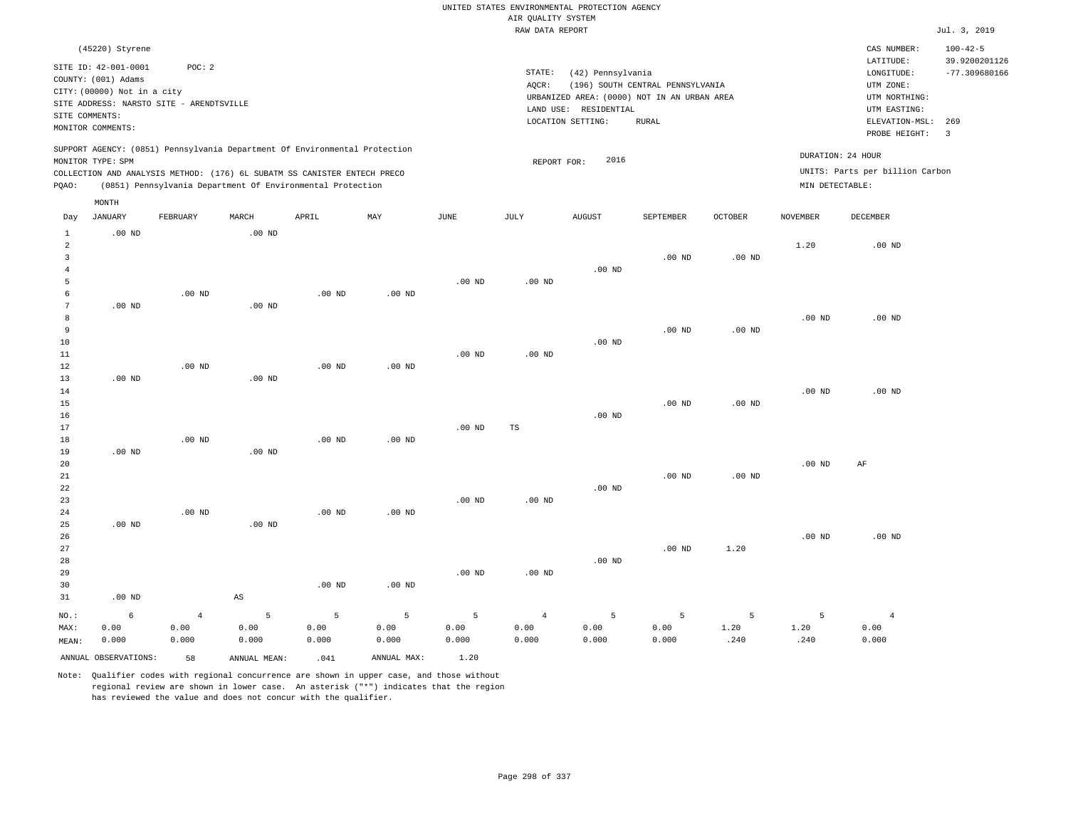|                     |                             |                                          |                        |                                                                            |                   |                   |                    | UNITED STATES ENVIRONMENTAL PROTECTION AGENCY |                                  |                   |                   |                                 |                                 |
|---------------------|-----------------------------|------------------------------------------|------------------------|----------------------------------------------------------------------------|-------------------|-------------------|--------------------|-----------------------------------------------|----------------------------------|-------------------|-------------------|---------------------------------|---------------------------------|
|                     |                             |                                          |                        |                                                                            |                   |                   | AIR QUALITY SYSTEM |                                               |                                  |                   |                   |                                 |                                 |
|                     |                             |                                          |                        |                                                                            |                   |                   | RAW DATA REPORT    |                                               |                                  |                   |                   |                                 | Jul. 3, 2019                    |
|                     | (45220) Styrene             |                                          |                        |                                                                            |                   |                   |                    |                                               |                                  |                   |                   | CAS NUMBER:<br>LATITUDE:        | $100 - 42 - 5$<br>39.9200201126 |
|                     | SITE ID: 42-001-0001        | POC: 2                                   |                        |                                                                            |                   |                   | STATE:             | (42) Pennsylvania                             |                                  |                   |                   | LONGITUDE:                      | $-77.309680166$                 |
|                     | COUNTY: (001) Adams         |                                          |                        |                                                                            |                   |                   | AQCR:              |                                               | (196) SOUTH CENTRAL PENNSYLVANIA |                   |                   | UTM ZONE:                       |                                 |
|                     | CITY: (00000) Not in a city |                                          |                        |                                                                            |                   |                   |                    | URBANIZED AREA: (0000) NOT IN AN URBAN AREA   |                                  |                   |                   | UTM NORTHING:                   |                                 |
| SITE COMMENTS:      |                             | SITE ADDRESS: NARSTO SITE - ARENDTSVILLE |                        |                                                                            |                   |                   |                    | LAND USE: RESIDENTIAL                         |                                  |                   |                   | UTM EASTING:                    |                                 |
|                     | MONITOR COMMENTS:           |                                          |                        |                                                                            |                   |                   |                    | LOCATION SETTING:                             | <b>RURAL</b>                     |                   |                   | ELEVATION-MSL:<br>PROBE HEIGHT: | 269<br>$\overline{3}$           |
|                     |                             |                                          |                        | SUPPORT AGENCY: (0851) Pennsylvania Department Of Environmental Protection |                   |                   |                    | 2016                                          |                                  |                   |                   | DURATION: 24 HOUR               |                                 |
|                     | MONITOR TYPE: SPM           |                                          |                        | COLLECTION AND ANALYSIS METHOD: (176) 6L SUBATM SS CANISTER ENTECH PRECO   |                   |                   | REPORT FOR:        |                                               |                                  |                   |                   | UNITS: Parts per billion Carbon |                                 |
| PQAO:               |                             |                                          |                        | (0851) Pennsylvania Department Of Environmental Protection                 |                   |                   |                    |                                               |                                  |                   | MIN DETECTABLE:   |                                 |                                 |
|                     | $\texttt{MONTH}$            |                                          |                        |                                                                            |                   |                   |                    |                                               |                                  |                   |                   |                                 |                                 |
| Day<br>$\mathbf{1}$ | <b>JANUARY</b><br>$.00$ ND  | FEBRUARY                                 | MARCH<br>$.00$ ND      | APRIL                                                                      | MAY               | <b>JUNE</b>       | JULY               | <b>AUGUST</b>                                 | SEPTEMBER                        | <b>OCTOBER</b>    | <b>NOVEMBER</b>   | DECEMBER                        |                                 |
| $\sqrt{2}$          |                             |                                          |                        |                                                                            |                   |                   |                    |                                               |                                  |                   | 1.20              | $.00$ ND                        |                                 |
| 3                   |                             |                                          |                        |                                                                            |                   |                   |                    |                                               | $.00$ ND                         | .00 <sub>ND</sub> |                   |                                 |                                 |
| $\overline{4}$      |                             |                                          |                        |                                                                            |                   |                   |                    | $.00$ ND                                      |                                  |                   |                   |                                 |                                 |
| 5                   |                             |                                          |                        |                                                                            |                   | .00 <sub>ND</sub> | $.00$ ND           |                                               |                                  |                   |                   |                                 |                                 |
| 6                   |                             | $.00$ ND                                 |                        | $.00$ ND                                                                   | .00 <sub>ND</sub> |                   |                    |                                               |                                  |                   |                   |                                 |                                 |
| $\overline{7}$      | $.00$ ND                    |                                          | .00 <sub>ND</sub>      |                                                                            |                   |                   |                    |                                               |                                  |                   |                   |                                 |                                 |
| 8                   |                             |                                          |                        |                                                                            |                   |                   |                    |                                               |                                  |                   | $.00$ ND          | $.00$ ND                        |                                 |
| $\overline{9}$      |                             |                                          |                        |                                                                            |                   |                   |                    |                                               | $.00$ ND                         | .00 <sub>ND</sub> |                   |                                 |                                 |
| $10$<br>11          |                             |                                          |                        |                                                                            |                   | $.00$ ND          | $.00$ ND           | $.00$ ND                                      |                                  |                   |                   |                                 |                                 |
| 12                  |                             | $.00$ ND                                 |                        | $.00$ ND                                                                   | .00 <sub>ND</sub> |                   |                    |                                               |                                  |                   |                   |                                 |                                 |
| 13                  | $.00$ ND                    |                                          | $.00$ ND               |                                                                            |                   |                   |                    |                                               |                                  |                   |                   |                                 |                                 |
| 14                  |                             |                                          |                        |                                                                            |                   |                   |                    |                                               |                                  |                   | .00 <sub>ND</sub> | $.00$ ND                        |                                 |
| 15                  |                             |                                          |                        |                                                                            |                   |                   |                    |                                               | $.00$ ND                         | .00 <sub>ND</sub> |                   |                                 |                                 |
| 16                  |                             |                                          |                        |                                                                            |                   |                   |                    | $.00$ ND                                      |                                  |                   |                   |                                 |                                 |
| 17                  |                             |                                          |                        |                                                                            |                   | .00 <sub>ND</sub> | TS                 |                                               |                                  |                   |                   |                                 |                                 |
| 18                  |                             | .00 <sub>ND</sub>                        |                        | .00 <sub>ND</sub>                                                          | .00 <sub>ND</sub> |                   |                    |                                               |                                  |                   |                   |                                 |                                 |
| 19<br>20            | $.00$ ND                    |                                          | .00 <sub>ND</sub>      |                                                                            |                   |                   |                    |                                               |                                  |                   | $.00$ ND          | AF                              |                                 |
| $2\sqrt{1}$         |                             |                                          |                        |                                                                            |                   |                   |                    |                                               | $.00$ ND                         | $.00$ ND          |                   |                                 |                                 |
| 22                  |                             |                                          |                        |                                                                            |                   |                   |                    | $.00$ ND                                      |                                  |                   |                   |                                 |                                 |
| 23                  |                             |                                          |                        |                                                                            |                   | $.00$ ND          | .00 <sub>ND</sub>  |                                               |                                  |                   |                   |                                 |                                 |
| 24                  |                             | $.00$ ND                                 |                        | $.00$ ND                                                                   | $.00$ ND          |                   |                    |                                               |                                  |                   |                   |                                 |                                 |
| 25                  | $.00$ ND                    |                                          | $.00$ ND               |                                                                            |                   |                   |                    |                                               |                                  |                   |                   |                                 |                                 |
| 26                  |                             |                                          |                        |                                                                            |                   |                   |                    |                                               |                                  |                   | .00 <sub>ND</sub> | $.00$ ND                        |                                 |
| 27                  |                             |                                          |                        |                                                                            |                   |                   |                    |                                               | $.00$ ND                         | 1.20              |                   |                                 |                                 |
| 28                  |                             |                                          |                        |                                                                            |                   |                   |                    | .00 <sub>ND</sub>                             |                                  |                   |                   |                                 |                                 |
| 29                  |                             |                                          |                        |                                                                            |                   | .00 <sub>ND</sub> | $.00$ ND           |                                               |                                  |                   |                   |                                 |                                 |
| 30                  |                             |                                          |                        | .00 <sub>ND</sub>                                                          | $.00$ ND          |                   |                    |                                               |                                  |                   |                   |                                 |                                 |
| 31                  | $.00$ ND                    |                                          | $\mathbb{A}\mathbb{S}$ |                                                                            |                   |                   |                    |                                               |                                  |                   |                   |                                 |                                 |
| NO.:                | 6                           | $\overline{4}$                           | 5                      | 5                                                                          | 5                 | 5                 | $\overline{4}$     | 5                                             | 5                                | 5                 | 5                 | $\overline{4}$                  |                                 |
| MAX:                | 0.00                        | 0.00                                     | 0.00                   | 0.00                                                                       | 0.00              | 0.00              | 0.00               | 0.00                                          | 0.00                             | 1.20              | 1.20              | 0.00                            |                                 |
| MEAN:               | 0.000                       | 0.000                                    | 0.000                  | 0.000                                                                      | 0.000             | 0.000             | 0.000              | 0.000                                         | 0.000                            | .240              | .240              | 0.000                           |                                 |
|                     | ANNUAL OBSERVATIONS:        | 58                                       | ANNUAL MEAN:           | .041                                                                       | ANNUAL MAX:       | 1.20              |                    |                                               |                                  |                   |                   |                                 |                                 |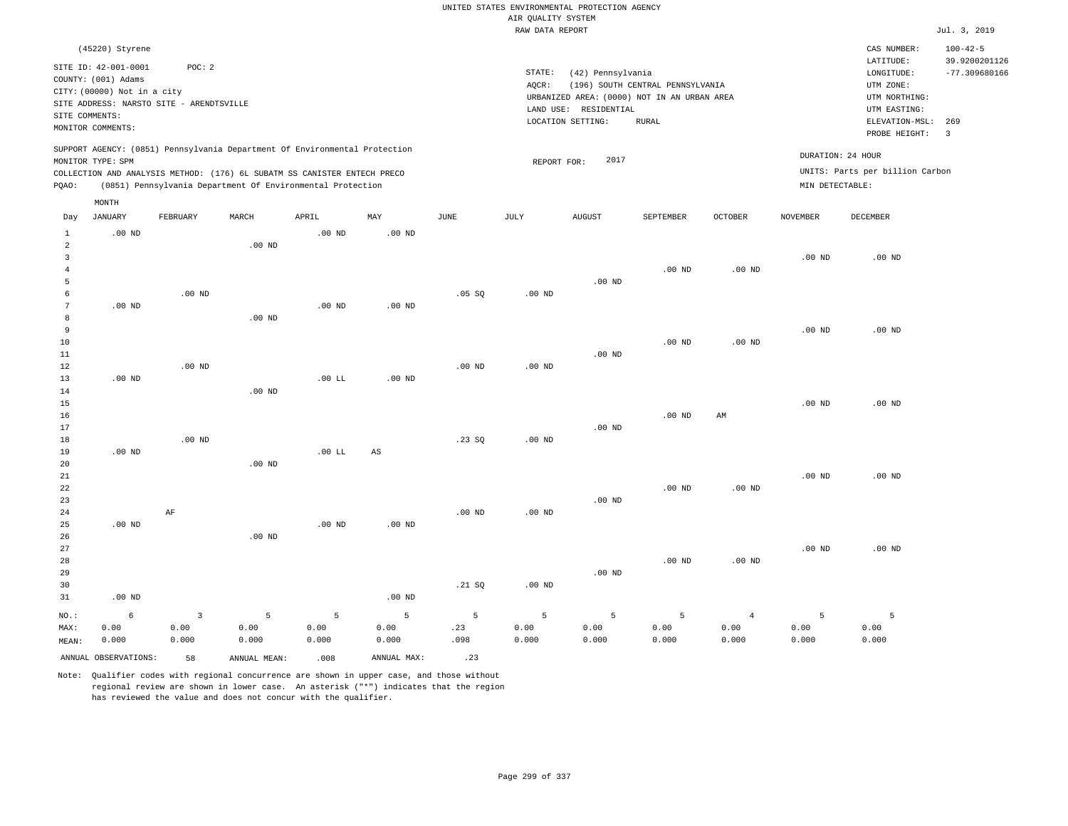|                   |                                          |                   |                                                                            |                   |                   |             |                    | UNITED STATES ENVIRONMENTAL PROTECTION AGENCY                        |                                  |                   |                   |                                 |                                 |
|-------------------|------------------------------------------|-------------------|----------------------------------------------------------------------------|-------------------|-------------------|-------------|--------------------|----------------------------------------------------------------------|----------------------------------|-------------------|-------------------|---------------------------------|---------------------------------|
|                   |                                          |                   |                                                                            |                   |                   |             | AIR QUALITY SYSTEM |                                                                      |                                  |                   |                   |                                 |                                 |
|                   |                                          |                   |                                                                            |                   |                   |             | RAW DATA REPORT    |                                                                      |                                  |                   |                   |                                 | Jul. 3, 2019                    |
|                   | (45220) Styrene<br>SITE ID: 42-001-0001  | POC: 2            |                                                                            |                   |                   |             |                    |                                                                      |                                  |                   |                   | CAS NUMBER:<br>LATITUDE:        | $100 - 42 - 5$<br>39.9200201126 |
|                   | COUNTY: (001) Adams                      |                   |                                                                            |                   |                   |             | STATE:             | (42) Pennsylvania                                                    |                                  |                   |                   | LONGITUDE:                      | $-77.309680166$                 |
|                   | CITY: (00000) Not in a city              |                   |                                                                            |                   |                   |             | AOCR:              |                                                                      | (196) SOUTH CENTRAL PENNSYLVANIA |                   |                   | UTM ZONE:<br>UTM NORTHING:      |                                 |
|                   | SITE ADDRESS: NARSTO SITE - ARENDTSVILLE |                   |                                                                            |                   |                   |             |                    | URBANIZED AREA: (0000) NOT IN AN URBAN AREA<br>LAND USE: RESIDENTIAL |                                  |                   |                   | UTM EASTING:                    |                                 |
| SITE COMMENTS:    |                                          |                   |                                                                            |                   |                   |             |                    | LOCATION SETTING:                                                    | <b>RURAL</b>                     |                   |                   | ELEVATION-MSL:                  | 269                             |
|                   | MONITOR COMMENTS:                        |                   |                                                                            |                   |                   |             |                    |                                                                      |                                  |                   |                   | PROBE HEIGHT:                   | $\overline{\mathbf{3}}$         |
|                   | MONITOR TYPE: SPM                        |                   | SUPPORT AGENCY: (0851) Pennsylvania Department Of Environmental Protection |                   |                   |             | REPORT FOR:        | 2017                                                                 |                                  |                   | DURATION: 24 HOUR |                                 |                                 |
|                   |                                          |                   | COLLECTION AND ANALYSIS METHOD: (176) 6L SUBATM SS CANISTER ENTECH PRECO   |                   |                   |             |                    |                                                                      |                                  |                   |                   | UNITS: Parts per billion Carbon |                                 |
| PQAO:             |                                          |                   | (0851) Pennsylvania Department Of Environmental Protection                 |                   |                   |             |                    |                                                                      |                                  |                   | MIN DETECTABLE:   |                                 |                                 |
|                   | MONTH                                    |                   |                                                                            |                   |                   |             |                    |                                                                      |                                  |                   |                   |                                 |                                 |
| Day               | <b>JANUARY</b>                           | FEBRUARY          | MARCH                                                                      | APRIL             | MAY               | <b>JUNE</b> | JULY               | <b>AUGUST</b>                                                        | SEPTEMBER                        | <b>OCTOBER</b>    | <b>NOVEMBER</b>   | DECEMBER                        |                                 |
| $\mathbf{1}$<br>2 | $.00$ ND                                 |                   | $.00$ ND                                                                   | .00 <sub>ND</sub> | $.00$ ND          |             |                    |                                                                      |                                  |                   |                   |                                 |                                 |
| $\mathbf{3}$      |                                          |                   |                                                                            |                   |                   |             |                    |                                                                      |                                  |                   | $.00$ ND          | $.00$ ND                        |                                 |
| $\overline{4}$    |                                          |                   |                                                                            |                   |                   |             |                    |                                                                      | $.00$ ND                         | $.00$ ND          |                   |                                 |                                 |
| 5                 |                                          |                   |                                                                            |                   |                   |             |                    | $.00$ ND                                                             |                                  |                   |                   |                                 |                                 |
| 6                 |                                          | $.00$ ND          |                                                                            |                   |                   | .05 SQ      | $.00$ ND           |                                                                      |                                  |                   |                   |                                 |                                 |
| $\overline{7}$    | $.00$ ND                                 |                   |                                                                            | $.00$ ND          | $.00$ ND          |             |                    |                                                                      |                                  |                   |                   |                                 |                                 |
| 8                 |                                          |                   | .00 <sub>ND</sub>                                                          |                   |                   |             |                    |                                                                      |                                  |                   |                   |                                 |                                 |
| 9                 |                                          |                   |                                                                            |                   |                   |             |                    |                                                                      |                                  |                   | $.00$ ND          | $.00$ ND                        |                                 |
| 10                |                                          |                   |                                                                            |                   |                   |             |                    |                                                                      | .00 <sub>ND</sub>                | .00 <sub>ND</sub> |                   |                                 |                                 |
| $11\,$            |                                          | .00 <sub>ND</sub> |                                                                            |                   |                   | $.00$ ND    | $.00$ ND           | $.00$ ND                                                             |                                  |                   |                   |                                 |                                 |
| $1\,2$<br>13      | $.00$ ND                                 |                   |                                                                            | $.00$ LL          | $.00$ ND          |             |                    |                                                                      |                                  |                   |                   |                                 |                                 |
| 14                |                                          |                   | $.00$ ND                                                                   |                   |                   |             |                    |                                                                      |                                  |                   |                   |                                 |                                 |
| 15                |                                          |                   |                                                                            |                   |                   |             |                    |                                                                      |                                  |                   | .00 <sub>ND</sub> | $.00$ ND                        |                                 |
| 16                |                                          |                   |                                                                            |                   |                   |             |                    |                                                                      | $.00$ ND                         | AM                |                   |                                 |                                 |
| 17                |                                          |                   |                                                                            |                   |                   |             |                    | $.00$ ND                                                             |                                  |                   |                   |                                 |                                 |
| 18                |                                          | $.00$ ND          |                                                                            |                   |                   | .23 S0      | $.00$ ND           |                                                                      |                                  |                   |                   |                                 |                                 |
| 19                | $.00$ ND                                 |                   |                                                                            | $.00$ LL          | $_{\rm AS}$       |             |                    |                                                                      |                                  |                   |                   |                                 |                                 |
| 20                |                                          |                   | $.00$ ND                                                                   |                   |                   |             |                    |                                                                      |                                  |                   |                   |                                 |                                 |
| 21<br>22          |                                          |                   |                                                                            |                   |                   |             |                    |                                                                      | $.00$ ND                         | $.00$ ND          | .00 <sub>ND</sub> | $.00$ ND                        |                                 |
| 23                |                                          |                   |                                                                            |                   |                   |             |                    | $.00$ ND                                                             |                                  |                   |                   |                                 |                                 |
| 24                |                                          | AF                |                                                                            |                   |                   | $.00$ ND    | .00 <sub>ND</sub>  |                                                                      |                                  |                   |                   |                                 |                                 |
| 25                | $.00$ ND                                 |                   |                                                                            | $.00$ ND          | .00 <sub>ND</sub> |             |                    |                                                                      |                                  |                   |                   |                                 |                                 |
| 26                |                                          |                   | $.00$ ND                                                                   |                   |                   |             |                    |                                                                      |                                  |                   |                   |                                 |                                 |
| 27                |                                          |                   |                                                                            |                   |                   |             |                    |                                                                      |                                  |                   | $.00$ ND          | $.00$ ND                        |                                 |
| 28                |                                          |                   |                                                                            |                   |                   |             |                    |                                                                      | $.00$ ND                         | $.00$ ND          |                   |                                 |                                 |
| 29                |                                          |                   |                                                                            |                   |                   |             |                    | $.00$ ND                                                             |                                  |                   |                   |                                 |                                 |
| 30                |                                          |                   |                                                                            |                   |                   | .21 SQ      | .00 <sub>ND</sub>  |                                                                      |                                  |                   |                   |                                 |                                 |
| 31                | $.00$ ND                                 |                   |                                                                            |                   | $.00$ ND          |             |                    |                                                                      |                                  |                   |                   |                                 |                                 |
| NO.:              | $6\overline{6}$                          | $\overline{3}$    | 5                                                                          | 5                 | 5                 | 5           | 5                  | 5                                                                    | 5                                | $\overline{4}$    | 5                 | $\overline{5}$                  |                                 |
| MAX:              | 0.00                                     | 0.00              | 0.00                                                                       | 0.00              | 0.00              | .23         | 0.00               | 0.00                                                                 | 0.00                             | 0.00              | 0.00              | 0.00                            |                                 |
| MEAN:             | 0.000                                    | 0.000             | 0.000                                                                      | 0.000             | 0.000             | .098        | 0.000              | 0.000                                                                | 0.000                            | 0.000             | 0.000             | 0.000                           |                                 |
|                   | ANNUAL OBSERVATIONS:                     | 58                | ANNUAL, MEAN:                                                              | .008              | ANNUAL MAX:       | .23         |                    |                                                                      |                                  |                   |                   |                                 |                                 |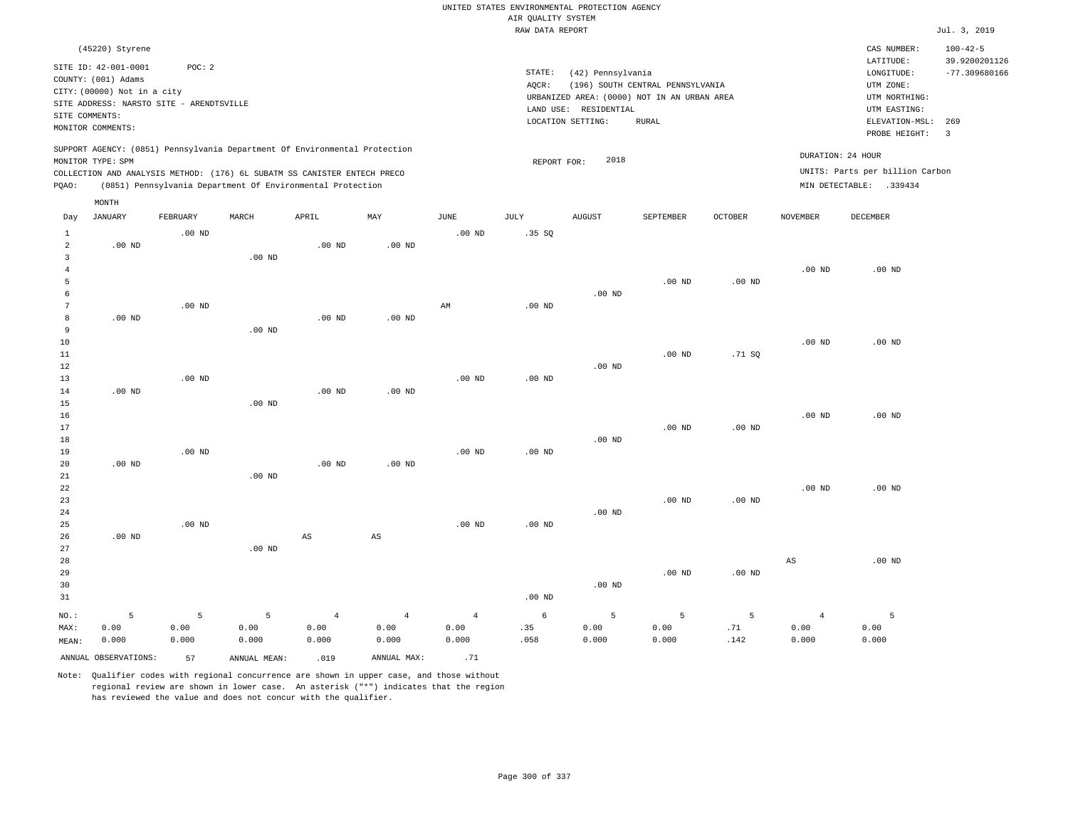|                     |                                                                                               |          |                                                                            |                        |                        |                        | UNITED STATES ENVIRONMENTAL PROTECTION AGENCY |                       |                                                                                 |                   |                        |                                                                      |                                                    |
|---------------------|-----------------------------------------------------------------------------------------------|----------|----------------------------------------------------------------------------|------------------------|------------------------|------------------------|-----------------------------------------------|-----------------------|---------------------------------------------------------------------------------|-------------------|------------------------|----------------------------------------------------------------------|----------------------------------------------------|
|                     |                                                                                               |          |                                                                            |                        |                        |                        | AIR QUALITY SYSTEM<br>RAW DATA REPORT         |                       |                                                                                 |                   |                        |                                                                      | Jul. 3, 2019                                       |
|                     |                                                                                               |          |                                                                            |                        |                        |                        |                                               |                       |                                                                                 |                   |                        |                                                                      |                                                    |
|                     | (45220) Styrene<br>SITE ID: 42-001-0001<br>COUNTY: (001) Adams<br>CITY: (00000) Not in a city | POC: 2   |                                                                            |                        |                        |                        | STATE:<br>AQCR:                               | (42) Pennsylvania     | (196) SOUTH CENTRAL PENNSYLVANIA<br>URBANIZED AREA: (0000) NOT IN AN URBAN AREA |                   |                        | CAS NUMBER:<br>LATITUDE:<br>LONGITUDE:<br>UTM ZONE:<br>UTM NORTHING: | $100 - 42 - 5$<br>39.9200201126<br>$-77.309680166$ |
|                     | SITE ADDRESS: NARSTO SITE - ARENDTSVILLE                                                      |          |                                                                            |                        |                        |                        |                                               | LAND USE: RESIDENTIAL |                                                                                 |                   |                        | UTM EASTING:                                                         |                                                    |
| SITE COMMENTS:      |                                                                                               |          |                                                                            |                        |                        |                        |                                               | LOCATION SETTING:     | <b>RURAL</b>                                                                    |                   |                        | ELEVATION-MSL:                                                       | 269                                                |
|                     | MONITOR COMMENTS:                                                                             |          |                                                                            |                        |                        |                        |                                               |                       |                                                                                 |                   |                        | PROBE HEIGHT:                                                        | $\overline{\mathbf{3}}$                            |
|                     | MONITOR TYPE: SPM                                                                             |          | SUPPORT AGENCY: (0851) Pennsylvania Department Of Environmental Protection |                        |                        |                        | REPORT FOR:                                   | 2018                  |                                                                                 |                   |                        | DURATION: 24 HOUR                                                    |                                                    |
|                     |                                                                                               |          | COLLECTION AND ANALYSIS METHOD: (176) 6L SUBATM SS CANISTER ENTECH PRECO   |                        |                        |                        |                                               |                       |                                                                                 |                   |                        | UNITS: Parts per billion Carbon                                      |                                                    |
| PQAO:               |                                                                                               |          | (0851) Pennsylvania Department Of Environmental Protection                 |                        |                        |                        |                                               |                       |                                                                                 |                   |                        | MIN DETECTABLE: .339434                                              |                                                    |
|                     | MONTH                                                                                         |          |                                                                            |                        |                        |                        |                                               |                       |                                                                                 |                   |                        |                                                                      |                                                    |
| Day                 | <b>JANUARY</b>                                                                                | FEBRUARY | MARCH                                                                      | APRIL                  | MAY                    | JUNE                   | JULY                                          | <b>AUGUST</b>         | SEPTEMBER                                                                       | <b>OCTOBER</b>    | <b>NOVEMBER</b>        | <b>DECEMBER</b>                                                      |                                                    |
| $\mathbf{1}$        |                                                                                               | $.00$ ND |                                                                            |                        |                        | .00 <sub>ND</sub>      | .35S                                          |                       |                                                                                 |                   |                        |                                                                      |                                                    |
| 2                   | $.00$ ND                                                                                      |          |                                                                            | $.00$ ND               | $.00$ ND               |                        |                                               |                       |                                                                                 |                   |                        |                                                                      |                                                    |
| $\overline{3}$      |                                                                                               |          | .00 <sub>ND</sub>                                                          |                        |                        |                        |                                               |                       |                                                                                 |                   |                        |                                                                      |                                                    |
| $\overline{4}$<br>5 |                                                                                               |          |                                                                            |                        |                        |                        |                                               |                       | .00 <sub>ND</sub>                                                               | $.00$ ND          | $.00$ ND               | $.00$ ND                                                             |                                                    |
| 6                   |                                                                                               |          |                                                                            |                        |                        |                        |                                               | $.00$ ND              |                                                                                 |                   |                        |                                                                      |                                                    |
| $7\phantom{.0}$     |                                                                                               | $.00$ ND |                                                                            |                        |                        | $\mathbb{A}\mathbb{M}$ | .00 <sub>ND</sub>                             |                       |                                                                                 |                   |                        |                                                                      |                                                    |
| 8                   | .00 <sub>ND</sub>                                                                             |          |                                                                            | .00 <sub>ND</sub>      | .00 <sub>ND</sub>      |                        |                                               |                       |                                                                                 |                   |                        |                                                                      |                                                    |
| 9                   |                                                                                               |          | $.00$ ND                                                                   |                        |                        |                        |                                               |                       |                                                                                 |                   |                        |                                                                      |                                                    |
| 10                  |                                                                                               |          |                                                                            |                        |                        |                        |                                               |                       |                                                                                 |                   | $.00$ ND               | $.00$ ND                                                             |                                                    |
| 11                  |                                                                                               |          |                                                                            |                        |                        |                        |                                               |                       | $.00$ ND                                                                        | .71SQ             |                        |                                                                      |                                                    |
| 12                  |                                                                                               |          |                                                                            |                        |                        |                        |                                               | $.00$ ND              |                                                                                 |                   |                        |                                                                      |                                                    |
| 13                  |                                                                                               | $.00$ ND |                                                                            |                        |                        | $.00$ ND               | $.00$ ND                                      |                       |                                                                                 |                   |                        |                                                                      |                                                    |
| 14                  | $.00$ ND                                                                                      |          |                                                                            | $.00$ ND               | $.00$ ND               |                        |                                               |                       |                                                                                 |                   |                        |                                                                      |                                                    |
| 15                  |                                                                                               |          | $.00$ ND                                                                   |                        |                        |                        |                                               |                       |                                                                                 |                   |                        |                                                                      |                                                    |
| 16                  |                                                                                               |          |                                                                            |                        |                        |                        |                                               |                       |                                                                                 |                   | $.00$ ND               | $.00$ ND                                                             |                                                    |
| 17                  |                                                                                               |          |                                                                            |                        |                        |                        |                                               |                       | .00 <sub>ND</sub>                                                               | .00 <sub>ND</sub> |                        |                                                                      |                                                    |
| 18                  |                                                                                               |          |                                                                            |                        |                        |                        |                                               | $.00$ ND              |                                                                                 |                   |                        |                                                                      |                                                    |
| 19                  |                                                                                               | $.00$ ND |                                                                            |                        |                        | $.00$ ND               | $.00$ ND                                      |                       |                                                                                 |                   |                        |                                                                      |                                                    |
| 20                  | $.00$ ND                                                                                      |          |                                                                            | $.00$ ND               | $.00$ ND               |                        |                                               |                       |                                                                                 |                   |                        |                                                                      |                                                    |
| 21<br>22            |                                                                                               |          | $.00$ ND                                                                   |                        |                        |                        |                                               |                       |                                                                                 |                   | .00 <sub>ND</sub>      | $.00$ ND                                                             |                                                    |
| 23                  |                                                                                               |          |                                                                            |                        |                        |                        |                                               |                       | $.00$ ND                                                                        | $.00$ ND          |                        |                                                                      |                                                    |
| 24                  |                                                                                               |          |                                                                            |                        |                        |                        |                                               | $.00$ ND              |                                                                                 |                   |                        |                                                                      |                                                    |
| 25                  |                                                                                               | $.00$ ND |                                                                            |                        |                        | $.00$ ND               | $.00$ ND                                      |                       |                                                                                 |                   |                        |                                                                      |                                                    |
| 26                  | $.00$ ND                                                                                      |          |                                                                            | $\mathbb{A}\mathbb{S}$ | $\mathbb{A}\mathbb{S}$ |                        |                                               |                       |                                                                                 |                   |                        |                                                                      |                                                    |
| 27                  |                                                                                               |          | $.00$ ND                                                                   |                        |                        |                        |                                               |                       |                                                                                 |                   |                        |                                                                      |                                                    |
| 28                  |                                                                                               |          |                                                                            |                        |                        |                        |                                               |                       |                                                                                 |                   | $\mathbb{A}\mathbb{S}$ | $.00$ ND                                                             |                                                    |
| 29                  |                                                                                               |          |                                                                            |                        |                        |                        |                                               |                       | .00 <sub>ND</sub>                                                               | $.00$ ND          |                        |                                                                      |                                                    |
| 30                  |                                                                                               |          |                                                                            |                        |                        |                        |                                               | $.00$ ND              |                                                                                 |                   |                        |                                                                      |                                                    |
| 31                  |                                                                                               |          |                                                                            |                        |                        |                        | .00 <sub>ND</sub>                             |                       |                                                                                 |                   |                        |                                                                      |                                                    |
| NO.:                | 5                                                                                             | 5        | 5                                                                          | $\overline{4}$         | $\overline{4}$         | $\overline{4}$         | 6                                             | 5                     | 5                                                                               | 5                 | $\overline{4}$         | 5                                                                    |                                                    |
| MAX:                | 0.00                                                                                          | 0.00     | 0.00                                                                       | 0.00                   | 0.00                   | 0.00                   | .35                                           | 0.00                  | 0.00                                                                            | .71               | 0.00                   | 0.00                                                                 |                                                    |
| MEAN:               | 0.000                                                                                         | 0.000    | 0.000                                                                      | 0.000                  | 0.000                  | 0.000                  | .058                                          | 0.000                 | 0.000                                                                           | .142              | 0.000                  | 0.000                                                                |                                                    |
|                     | ANNUAL OBSERVATIONS:                                                                          | 57       | ANNUAL MEAN:                                                               | .019                   | ANNUAL MAX:            | .71                    |                                               |                       |                                                                                 |                   |                        |                                                                      |                                                    |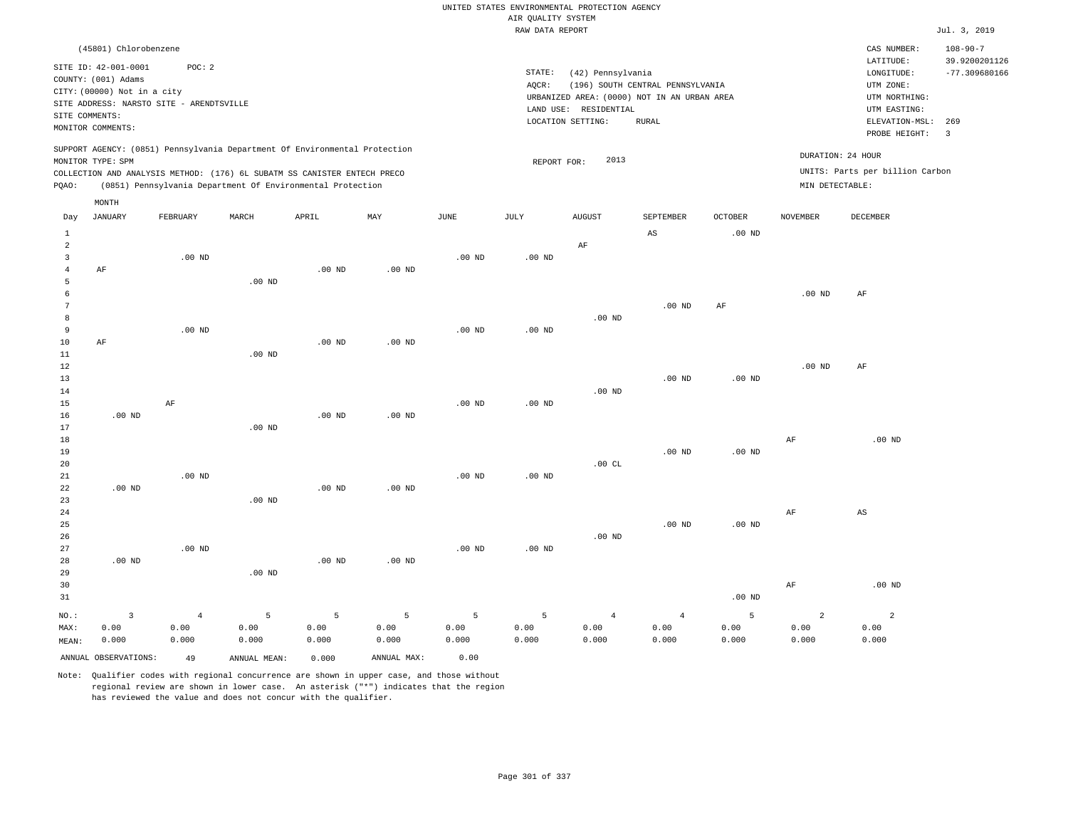|                   |                                                    |                   |                                                                            |                |                   |                   | AIR QUALITY SYSTEM | UNITED STATES ENVIRONMENTAL PROTECTION AGENCY |                                             |                   |                 |                                 |                                 |
|-------------------|----------------------------------------------------|-------------------|----------------------------------------------------------------------------|----------------|-------------------|-------------------|--------------------|-----------------------------------------------|---------------------------------------------|-------------------|-----------------|---------------------------------|---------------------------------|
|                   |                                                    |                   |                                                                            |                |                   |                   | RAW DATA REPORT    |                                               |                                             |                   |                 |                                 | Jul. 3, 2019                    |
|                   | (45801) Chlorobenzene                              |                   |                                                                            |                |                   |                   |                    |                                               |                                             |                   |                 | CAS NUMBER:<br>LATITUDE:        | $108 - 90 - 7$<br>39.9200201126 |
|                   | SITE ID: 42-001-0001                               | POC: 2            |                                                                            |                |                   |                   | STATE:             | (42) Pennsylvania                             |                                             |                   |                 | LONGITUDE:                      | $-77.309680166$                 |
|                   | COUNTY: (001) Adams<br>CITY: (00000) Not in a city |                   |                                                                            |                |                   |                   | AQCR:              |                                               | (196) SOUTH CENTRAL PENNSYLVANIA            |                   |                 | UTM ZONE:                       |                                 |
|                   | SITE ADDRESS: NARSTO SITE - ARENDTSVILLE           |                   |                                                                            |                |                   |                   |                    |                                               | URBANIZED AREA: (0000) NOT IN AN URBAN AREA |                   |                 | UTM NORTHING:                   |                                 |
|                   | SITE COMMENTS:                                     |                   |                                                                            |                |                   |                   |                    | LAND USE: RESIDENTIAL                         |                                             |                   |                 | UTM EASTING:                    |                                 |
|                   | MONITOR COMMENTS:                                  |                   |                                                                            |                |                   |                   |                    | LOCATION SETTING:                             | RURAL                                       |                   |                 | ELEVATION-MSL:<br>PROBE HEIGHT: | 269<br>3                        |
|                   |                                                    |                   | SUPPORT AGENCY: (0851) Pennsylvania Department Of Environmental Protection |                |                   |                   |                    |                                               |                                             |                   |                 |                                 |                                 |
|                   | MONITOR TYPE: SPM                                  |                   |                                                                            |                |                   |                   | REPORT FOR:        | 2013                                          |                                             |                   |                 | DURATION: 24 HOUR               |                                 |
|                   |                                                    |                   | COLLECTION AND ANALYSIS METHOD: (176) 6L SUBATM SS CANISTER ENTECH PRECO   |                |                   |                   |                    |                                               |                                             |                   |                 | UNITS: Parts per billion Carbon |                                 |
| PQAO:             |                                                    |                   | (0851) Pennsylvania Department Of Environmental Protection                 |                |                   |                   |                    |                                               |                                             |                   | MIN DETECTABLE: |                                 |                                 |
| Day               | MONTH<br><b>JANUARY</b>                            | FEBRUARY          | MARCH                                                                      | APRIL          | MAY               | $_{\rm JUNE}$     | <b>JULY</b>        | <b>AUGUST</b>                                 | SEPTEMBER                                   | <b>OCTOBER</b>    | <b>NOVEMBER</b> | DECEMBER                        |                                 |
|                   |                                                    |                   |                                                                            |                |                   |                   |                    |                                               |                                             |                   |                 |                                 |                                 |
| $\mathbf{1}$<br>2 |                                                    |                   |                                                                            |                |                   |                   |                    | AF                                            | $_{\rm AS}$                                 | $.00$ ND          |                 |                                 |                                 |
| $\overline{3}$    |                                                    | .00 <sub>ND</sub> |                                                                            |                |                   | .00 <sub>ND</sub> | $.00$ ND           |                                               |                                             |                   |                 |                                 |                                 |
| $\overline{4}$    | AF                                                 |                   |                                                                            | $.00$ ND       | $.00$ ND          |                   |                    |                                               |                                             |                   |                 |                                 |                                 |
| 5                 |                                                    |                   | $.00$ ND                                                                   |                |                   |                   |                    |                                               |                                             |                   |                 |                                 |                                 |
| 6                 |                                                    |                   |                                                                            |                |                   |                   |                    |                                               |                                             |                   | $.00$ ND        | AF                              |                                 |
| $\overline{7}$    |                                                    |                   |                                                                            |                |                   |                   |                    |                                               | $.00$ ND                                    | AF                |                 |                                 |                                 |
| 8                 |                                                    |                   |                                                                            |                |                   |                   |                    | $.00$ ND                                      |                                             |                   |                 |                                 |                                 |
| 9                 |                                                    | $.00$ ND          |                                                                            |                |                   | $.00$ ND          | $.00$ ND           |                                               |                                             |                   |                 |                                 |                                 |
| 10<br>$1\,1$      | AF                                                 |                   | $.00$ ND                                                                   | $.00$ ND       | .00 <sub>ND</sub> |                   |                    |                                               |                                             |                   |                 |                                 |                                 |
| 12                |                                                    |                   |                                                                            |                |                   |                   |                    |                                               |                                             |                   | $.00$ ND        | AF                              |                                 |
| 13                |                                                    |                   |                                                                            |                |                   |                   |                    |                                               | $.00$ ND                                    | .00 <sub>ND</sub> |                 |                                 |                                 |
| 14                |                                                    |                   |                                                                            |                |                   |                   |                    | .00 <sub>ND</sub>                             |                                             |                   |                 |                                 |                                 |
| 15                |                                                    | $\rm AF$          |                                                                            |                |                   | .00 <sub>ND</sub> | .00 <sub>ND</sub>  |                                               |                                             |                   |                 |                                 |                                 |
| 16                | $.00$ ND                                           |                   |                                                                            | $.00$ ND       | $.00$ ND          |                   |                    |                                               |                                             |                   |                 |                                 |                                 |
| 17                |                                                    |                   | .00 <sub>ND</sub>                                                          |                |                   |                   |                    |                                               |                                             |                   |                 |                                 |                                 |
| 18                |                                                    |                   |                                                                            |                |                   |                   |                    |                                               |                                             |                   | $\rm AF$        | $.00$ ND                        |                                 |
| 19<br>20          |                                                    |                   |                                                                            |                |                   |                   |                    | .00CL                                         | $.00$ ND                                    | $.00$ ND          |                 |                                 |                                 |
| 21                |                                                    | .00 <sub>ND</sub> |                                                                            |                |                   | $.00$ ND          | $.00$ ND           |                                               |                                             |                   |                 |                                 |                                 |
| 22                | $.00$ ND                                           |                   |                                                                            | $.00$ ND       | .00 <sub>ND</sub> |                   |                    |                                               |                                             |                   |                 |                                 |                                 |
| 23                |                                                    |                   | $.00$ ND                                                                   |                |                   |                   |                    |                                               |                                             |                   |                 |                                 |                                 |
| 24                |                                                    |                   |                                                                            |                |                   |                   |                    |                                               |                                             |                   | $\rm AF$        | $\mathbb{A}\mathbb{S}$          |                                 |
| 25                |                                                    |                   |                                                                            |                |                   |                   |                    |                                               | $.00$ ND                                    | .00 <sub>ND</sub> |                 |                                 |                                 |
| 26                |                                                    |                   |                                                                            |                |                   |                   |                    | $.00$ ND                                      |                                             |                   |                 |                                 |                                 |
| 27                |                                                    | .00 <sub>ND</sub> |                                                                            |                |                   | $.00$ ND          | $.00$ ND           |                                               |                                             |                   |                 |                                 |                                 |
| 28                | $.00$ ND                                           |                   |                                                                            | $.00$ ND       | $.00$ ND          |                   |                    |                                               |                                             |                   |                 |                                 |                                 |
| 29<br>30          |                                                    |                   | .00 <sub>ND</sub>                                                          |                |                   |                   |                    |                                               |                                             |                   | $\rm AF$        | $.00$ ND                        |                                 |
| 31                |                                                    |                   |                                                                            |                |                   |                   |                    |                                               |                                             | $.00$ ND          |                 |                                 |                                 |
|                   |                                                    |                   |                                                                            |                |                   |                   |                    |                                               |                                             |                   |                 |                                 |                                 |
| NO.:              | $\overline{\mathbf{3}}$                            | $\overline{4}$    | 5                                                                          | $\overline{5}$ | $\overline{5}$    | 5                 | 5                  | $\overline{4}$                                | $\overline{4}$                              | 5                 | $\overline{a}$  | $\overline{a}$                  |                                 |
| MAX:<br>MEAN:     | 0.00<br>0.000                                      | 0.00<br>0.000     | 0.00<br>0.000                                                              | 0.00<br>0.000  | 0.00<br>0.000     | 0.00<br>0.000     | 0.00<br>0.000      | 0.00<br>0.000                                 | 0.00<br>0.000                               | 0.00<br>0.000     | 0.00<br>0.000   | 0.00<br>0.000                   |                                 |
|                   |                                                    |                   |                                                                            |                |                   |                   |                    |                                               |                                             |                   |                 |                                 |                                 |
|                   | ANNUAL OBSERVATIONS:                               | 49                | ANNUAL, MEAN:                                                              | 0.000          | ANNUAL MAX:       | 0.00              |                    |                                               |                                             |                   |                 |                                 |                                 |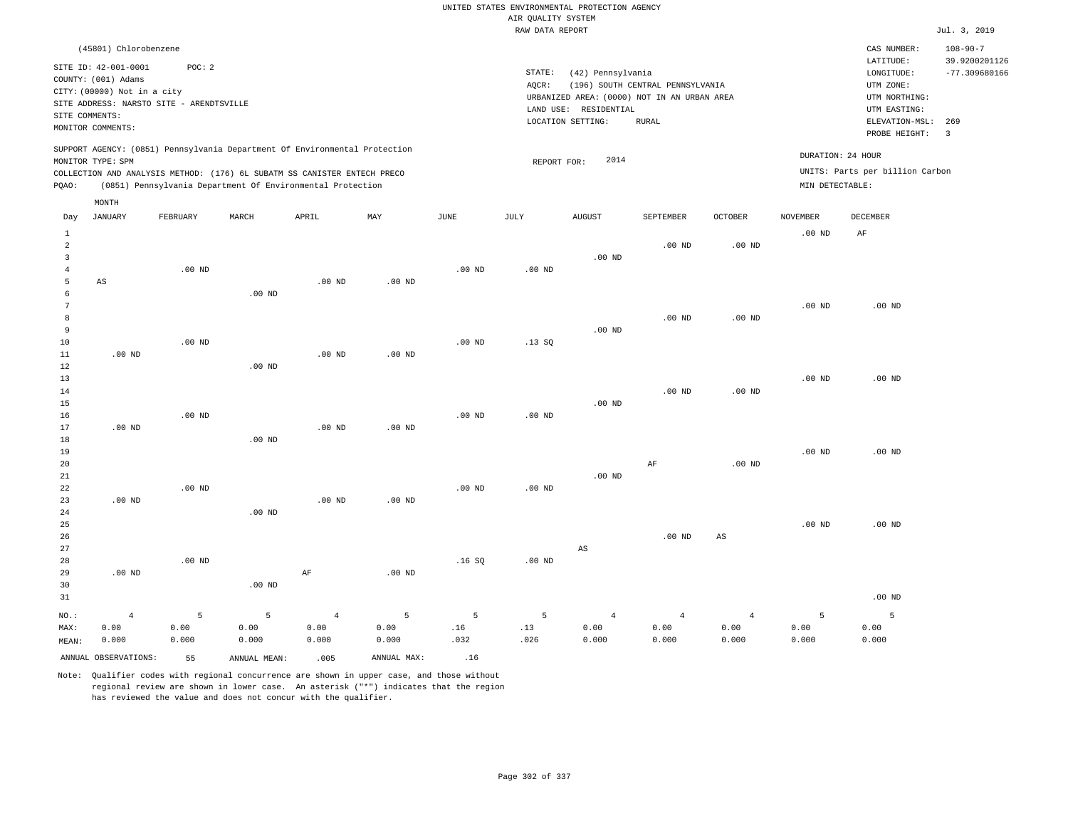|                     |                                                                                               |          |                   |                                                            |                   |                   |                    | UNITED STATES ENVIRONMENTAL PROTECTION AGENCY |                                  |                |                   |                                 |                                 |
|---------------------|-----------------------------------------------------------------------------------------------|----------|-------------------|------------------------------------------------------------|-------------------|-------------------|--------------------|-----------------------------------------------|----------------------------------|----------------|-------------------|---------------------------------|---------------------------------|
|                     |                                                                                               |          |                   |                                                            |                   |                   | AIR QUALITY SYSTEM |                                               |                                  |                |                   |                                 |                                 |
|                     |                                                                                               |          |                   |                                                            |                   |                   | RAW DATA REPORT    |                                               |                                  |                |                   |                                 | Jul. 3, 2019                    |
|                     | (45801) Chlorobenzene<br>SITE ID: 42-001-0001                                                 | POC: 2   |                   |                                                            |                   |                   |                    |                                               |                                  |                |                   | CAS NUMBER:<br>LATITUDE:        | $108 - 90 - 7$<br>39.9200201126 |
|                     | COUNTY: (001) Adams                                                                           |          |                   |                                                            |                   |                   | STATE:             | (42) Pennsylvania                             |                                  |                |                   | LONGITUDE:                      | $-77.309680166$                 |
|                     | CITY: (00000) Not in a city                                                                   |          |                   |                                                            |                   |                   | AOCR:              |                                               | (196) SOUTH CENTRAL PENNSYLVANIA |                |                   | UTM ZONE:                       |                                 |
|                     | SITE ADDRESS: NARSTO SITE - ARENDTSVILLE                                                      |          |                   |                                                            |                   |                   |                    | URBANIZED AREA: (0000) NOT IN AN URBAN AREA   |                                  |                |                   | UTM NORTHING:                   |                                 |
| SITE COMMENTS:      |                                                                                               |          |                   |                                                            |                   |                   |                    | LAND USE: RESIDENTIAL<br>LOCATION SETTING:    | <b>RURAL</b>                     |                |                   | UTM EASTING:<br>ELEVATION-MSL:  | 269                             |
|                     | MONITOR COMMENTS:                                                                             |          |                   |                                                            |                   |                   |                    |                                               |                                  |                |                   | PROBE HEIGHT:                   | $\overline{3}$                  |
|                     | SUPPORT AGENCY: (0851) Pennsylvania Department Of Environmental Protection                    |          |                   |                                                            |                   |                   |                    | 2014                                          |                                  |                | DURATION: 24 HOUR |                                 |                                 |
|                     | MONITOR TYPE: SPM<br>COLLECTION AND ANALYSIS METHOD: (176) 6L SUBATM SS CANISTER ENTECH PRECO |          |                   |                                                            |                   |                   | REPORT FOR:        |                                               |                                  |                |                   | UNITS: Parts per billion Carbon |                                 |
| PQAO:               |                                                                                               |          |                   | (0851) Pennsylvania Department Of Environmental Protection |                   |                   |                    |                                               |                                  |                | MIN DETECTABLE:   |                                 |                                 |
|                     | MONTH                                                                                         |          |                   |                                                            |                   |                   |                    |                                               |                                  |                |                   |                                 |                                 |
| Day                 | <b>JANUARY</b>                                                                                | FEBRUARY | MARCH             | APRIL                                                      | MAY               | JUNE              | JULY               | <b>AUGUST</b>                                 | SEPTEMBER                        | OCTOBER        | NOVEMBER          | DECEMBER                        |                                 |
| $\mathbf{1}$        |                                                                                               |          |                   |                                                            |                   |                   |                    |                                               |                                  |                | $.00$ ND          | AF                              |                                 |
| 2                   |                                                                                               |          |                   |                                                            |                   |                   |                    |                                               | $.00$ ND                         | $.00$ ND       |                   |                                 |                                 |
| $\overline{3}$      |                                                                                               |          |                   |                                                            |                   |                   |                    | $.00$ ND                                      |                                  |                |                   |                                 |                                 |
| $\overline{4}$<br>5 | $_{\rm AS}$                                                                                   | $.00$ ND |                   | $.00$ ND                                                   | $.00$ ND          | .00 <sub>ND</sub> | $.00$ ND           |                                               |                                  |                |                   |                                 |                                 |
| 6                   |                                                                                               |          | $.00$ ND          |                                                            |                   |                   |                    |                                               |                                  |                |                   |                                 |                                 |
| 7                   |                                                                                               |          |                   |                                                            |                   |                   |                    |                                               |                                  |                | $.00$ ND          | $.00$ ND                        |                                 |
| 8                   |                                                                                               |          |                   |                                                            |                   |                   |                    |                                               | $.00$ ND                         | $.00$ ND       |                   |                                 |                                 |
| 9                   |                                                                                               |          |                   |                                                            |                   |                   |                    | $.00$ ND                                      |                                  |                |                   |                                 |                                 |
| 10                  |                                                                                               | $.00$ ND |                   |                                                            |                   | $.00$ ND          | .13S               |                                               |                                  |                |                   |                                 |                                 |
| $11\,$              | $.00$ ND                                                                                      |          |                   | $.00$ ND                                                   | .00 <sub>ND</sub> |                   |                    |                                               |                                  |                |                   |                                 |                                 |
| 12                  |                                                                                               |          | $.00$ ND          |                                                            |                   |                   |                    |                                               |                                  |                |                   |                                 |                                 |
| $13$                |                                                                                               |          |                   |                                                            |                   |                   |                    |                                               |                                  |                | $.00$ ND          | $.00$ ND                        |                                 |
| 14<br>15            |                                                                                               |          |                   |                                                            |                   |                   |                    | $.00$ ND                                      | $.00$ ND                         | $.00$ ND       |                   |                                 |                                 |
| 16                  |                                                                                               | $.00$ ND |                   |                                                            |                   | .00 <sub>ND</sub> | $.00$ ND           |                                               |                                  |                |                   |                                 |                                 |
| 17                  | $.00$ ND                                                                                      |          |                   | $.00$ ND                                                   | $.00$ ND          |                   |                    |                                               |                                  |                |                   |                                 |                                 |
| 18                  |                                                                                               |          | $.00$ ND          |                                                            |                   |                   |                    |                                               |                                  |                |                   |                                 |                                 |
| 19                  |                                                                                               |          |                   |                                                            |                   |                   |                    |                                               |                                  |                | $.00$ ND          | $.00$ ND                        |                                 |
| 20                  |                                                                                               |          |                   |                                                            |                   |                   |                    |                                               | $\rm AF$                         | $.00$ ND       |                   |                                 |                                 |
| 21                  |                                                                                               |          |                   |                                                            |                   |                   |                    | $.00$ ND                                      |                                  |                |                   |                                 |                                 |
| 22                  |                                                                                               | $.00$ ND |                   |                                                            |                   | $.00$ ND          | $.00$ ND           |                                               |                                  |                |                   |                                 |                                 |
| 23                  | $.00$ ND                                                                                      |          |                   | $.00$ ND                                                   | $.00$ ND          |                   |                    |                                               |                                  |                |                   |                                 |                                 |
| 24<br>25            |                                                                                               |          | .00 <sub>ND</sub> |                                                            |                   |                   |                    |                                               |                                  |                | $.00$ ND          | $.00$ ND                        |                                 |
| 26                  |                                                                                               |          |                   |                                                            |                   |                   |                    |                                               | $.00$ ND                         | $_{\rm AS}$    |                   |                                 |                                 |
| 27                  |                                                                                               |          |                   |                                                            |                   |                   |                    | $\mathbb{A}\mathbb{S}$                        |                                  |                |                   |                                 |                                 |
| 28                  |                                                                                               | $.00$ ND |                   |                                                            |                   | .16S              | $.00$ ND           |                                               |                                  |                |                   |                                 |                                 |
| 29                  | .00 <sub>ND</sub>                                                                             |          |                   | $\rm AF$                                                   | .00 <sub>ND</sub> |                   |                    |                                               |                                  |                |                   |                                 |                                 |
| 30                  |                                                                                               |          | $.00$ ND          |                                                            |                   |                   |                    |                                               |                                  |                |                   |                                 |                                 |
| 31                  |                                                                                               |          |                   |                                                            |                   |                   |                    |                                               |                                  |                |                   | $.00$ ND                        |                                 |
| NO.:                | $\sqrt{4}$                                                                                    | 5        | 5                 | $\overline{4}$                                             | 5                 | 5                 | 5                  | $\overline{4}$                                | $\sqrt{4}$                       | $\overline{4}$ | 5                 | 5                               |                                 |
| MAX:                | 0.00                                                                                          | 0.00     | 0.00              | 0.00                                                       | 0.00              | .16               | .13                | 0.00                                          | 0.00                             | 0.00           | 0.00              | 0.00                            |                                 |
| MEAN:               | 0.000                                                                                         | 0.000    | 0.000             | 0.000                                                      | 0.000             | .032              | .026               | 0.000                                         | 0.000                            | 0.000          | 0.000             | 0.000                           |                                 |
|                     | ANNUAL OBSERVATIONS:                                                                          | 55       | ANNUAL, MEAN:     | .005                                                       | ANNUAL MAX:       | .16               |                    |                                               |                                  |                |                   |                                 |                                 |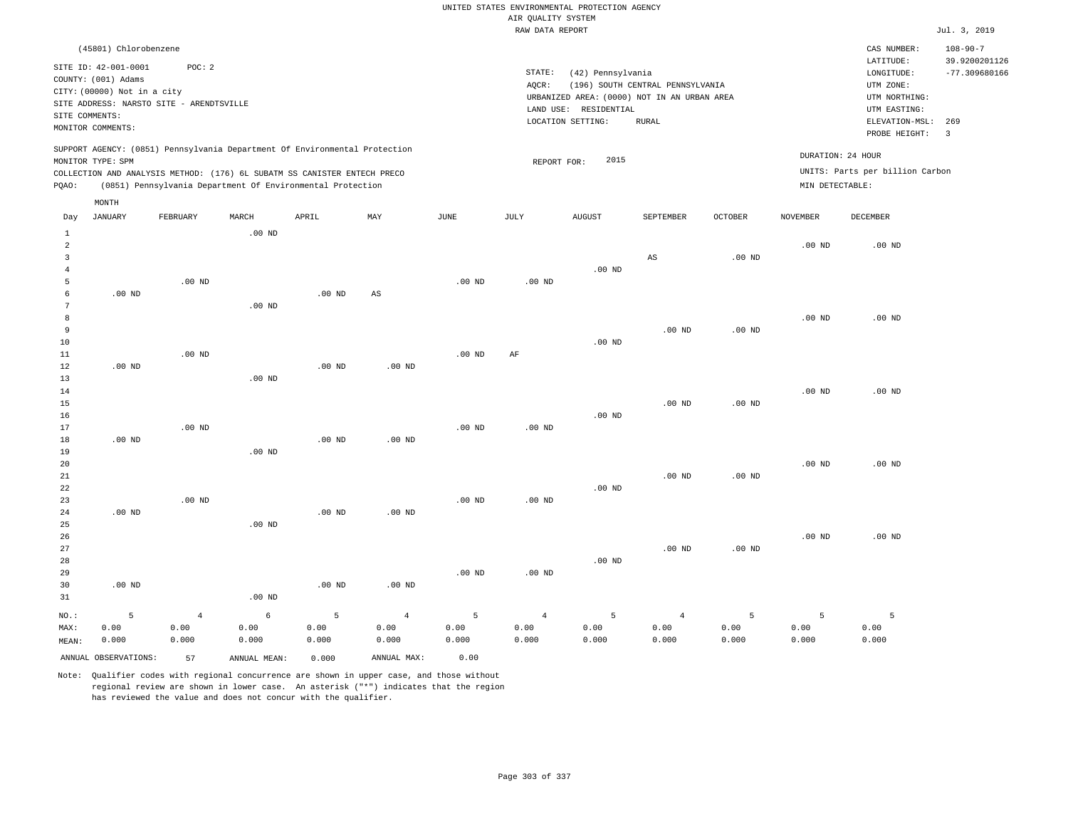|                                                                          |                                                                                                     |                                                    |                                         |                                                                                                                                                                                                                      |                                 |                    | AIR QUALITY SYSTEM              | UNITED STATES ENVIRONMENTAL PROTECTION AGENCY                                             |                                  |                    |                                      |                                                                                      |                                                    |
|--------------------------------------------------------------------------|-----------------------------------------------------------------------------------------------------|----------------------------------------------------|-----------------------------------------|----------------------------------------------------------------------------------------------------------------------------------------------------------------------------------------------------------------------|---------------------------------|--------------------|---------------------------------|-------------------------------------------------------------------------------------------|----------------------------------|--------------------|--------------------------------------|--------------------------------------------------------------------------------------|----------------------------------------------------|
|                                                                          |                                                                                                     |                                                    |                                         |                                                                                                                                                                                                                      |                                 |                    | RAW DATA REPORT                 |                                                                                           |                                  |                    |                                      |                                                                                      | Jul. 3, 2019                                       |
|                                                                          | (45801) Chlorobenzene<br>SITE ID: 42-001-0001<br>COUNTY: (001) Adams<br>CITY: (00000) Not in a city | POC: 2<br>SITE ADDRESS: NARSTO SITE - ARENDTSVILLE |                                         |                                                                                                                                                                                                                      |                                 |                    | STATE:<br>AQCR:                 | (42) Pennsylvania<br>URBANIZED AREA: (0000) NOT IN AN URBAN AREA<br>LAND USE: RESIDENTIAL | (196) SOUTH CENTRAL PENNSYLVANIA |                    |                                      | CAS NUMBER:<br>LATITUDE:<br>LONGITUDE:<br>UTM ZONE:<br>UTM NORTHING:<br>UTM EASTING: | $108 - 90 - 7$<br>39.9200201126<br>$-77.309680166$ |
| SITE COMMENTS:                                                           | MONITOR COMMENTS:                                                                                   |                                                    |                                         |                                                                                                                                                                                                                      |                                 |                    |                                 | LOCATION SETTING:                                                                         | <b>RURAL</b>                     |                    |                                      | ELEVATION-MSL:<br>PROBE HEIGHT:                                                      | 269<br>$\overline{\mathbf{3}}$                     |
| PQAO:                                                                    | MONITOR TYPE: SPM                                                                                   |                                                    |                                         | SUPPORT AGENCY: (0851) Pennsylvania Department Of Environmental Protection<br>COLLECTION AND ANALYSIS METHOD: (176) 6L SUBATM SS CANISTER ENTECH PRECO<br>(0851) Pennsylvania Department Of Environmental Protection |                                 |                    | REPORT FOR:                     | 2015                                                                                      |                                  |                    | DURATION: 24 HOUR<br>MIN DETECTABLE: | UNITS: Parts per billion Carbon                                                      |                                                    |
| Day                                                                      | MONTH<br><b>JANUARY</b>                                                                             | FEBRUARY                                           | MARCH                                   | APRIL                                                                                                                                                                                                                | MAX                             | JUNE               | JULY                            | <b>AUGUST</b>                                                                             | SEPTEMBER                        | <b>OCTOBER</b>     | <b>NOVEMBER</b>                      | DECEMBER                                                                             |                                                    |
| $\mathbf{1}$<br>$\overline{a}$<br>$\overline{3}$<br>$\overline{4}$       |                                                                                                     |                                                    | .00 <sub>ND</sub>                       |                                                                                                                                                                                                                      |                                 |                    |                                 | $.00$ ND                                                                                  | AS                               | .00 <sub>ND</sub>  | .00 <sub>ND</sub>                    | $.00$ ND                                                                             |                                                    |
| 5<br>$\epsilon$<br>$7\phantom{.0}$<br>$\boldsymbol{8}$<br>$\overline{9}$ | $.00$ ND                                                                                            | $.00$ ND                                           | .00 <sub>ND</sub>                       | $.00$ ND                                                                                                                                                                                                             | $\mathbb{A}\mathbb{S}$          | $.00$ ND           | $.00$ ND                        |                                                                                           | .00 <sub>ND</sub>                | .00 <sub>ND</sub>  | .00 <sub>ND</sub>                    | $.00$ ND                                                                             |                                                    |
| 10<br>11<br>12<br>13<br>14                                               | $.00$ ND                                                                                            | $.00$ ND                                           | $.00$ ND                                | .00 <sub>ND</sub>                                                                                                                                                                                                    | .00 <sub>ND</sub>               | .00 <sub>ND</sub>  | AF                              | $.00$ ND                                                                                  |                                  |                    | .00 <sub>ND</sub>                    | $.00$ ND                                                                             |                                                    |
| 15<br>16<br>17<br>18                                                     | $.00$ ND                                                                                            | $.00$ ND                                           |                                         | .00 <sub>ND</sub>                                                                                                                                                                                                    | $.00$ ND                        | .00 <sub>ND</sub>  | $.00$ ND                        | $.00$ ND                                                                                  | $.00$ ND                         | $.00$ ND           |                                      |                                                                                      |                                                    |
| 19<br>20<br>21<br>22<br>23                                               |                                                                                                     | $.00$ ND                                           | $.00$ ND                                |                                                                                                                                                                                                                      |                                 | .00 <sub>ND</sub>  | .00 <sub>ND</sub>               | $.00$ ND                                                                                  | $.00$ ND                         | .00 <sub>ND</sub>  | $.00$ ND                             | $.00$ ND                                                                             |                                                    |
| 24<br>25<br>26<br>27<br>28<br>29<br>30                                   | $.00$ ND<br>$.00$ ND                                                                                |                                                    | .00 <sub>ND</sub>                       | $.00$ ND<br>$.00$ ND                                                                                                                                                                                                 | $.00$ ND<br>$.00$ ND            | .00 <sub>ND</sub>  | $.00$ ND                        | $.00$ ND                                                                                  | $.00$ ND                         | .00 <sub>ND</sub>  | $.00$ ND                             | $.00$ ND                                                                             |                                                    |
| 31<br>NO.:<br>MAX:<br>MEAN:                                              | 5<br>0.00<br>0.000                                                                                  | $\overline{4}$<br>0.00<br>0.000                    | .00 <sub>ND</sub><br>6<br>0.00<br>0.000 | 5<br>0.00<br>0.000                                                                                                                                                                                                   | $\overline{4}$<br>0.00<br>0.000 | 5<br>0.00<br>0.000 | $\overline{4}$<br>0.00<br>0.000 | 5<br>0.00<br>0.000                                                                        | $\overline{4}$<br>0.00<br>0.000  | 5<br>0.00<br>0.000 | 5<br>0.00<br>0.000                   | 5<br>0.00<br>0.000                                                                   |                                                    |

ANNUAL OBSERVATIONS: 57 ANNUAL MEAN: 0.000 ANNUAL MAX: 0.00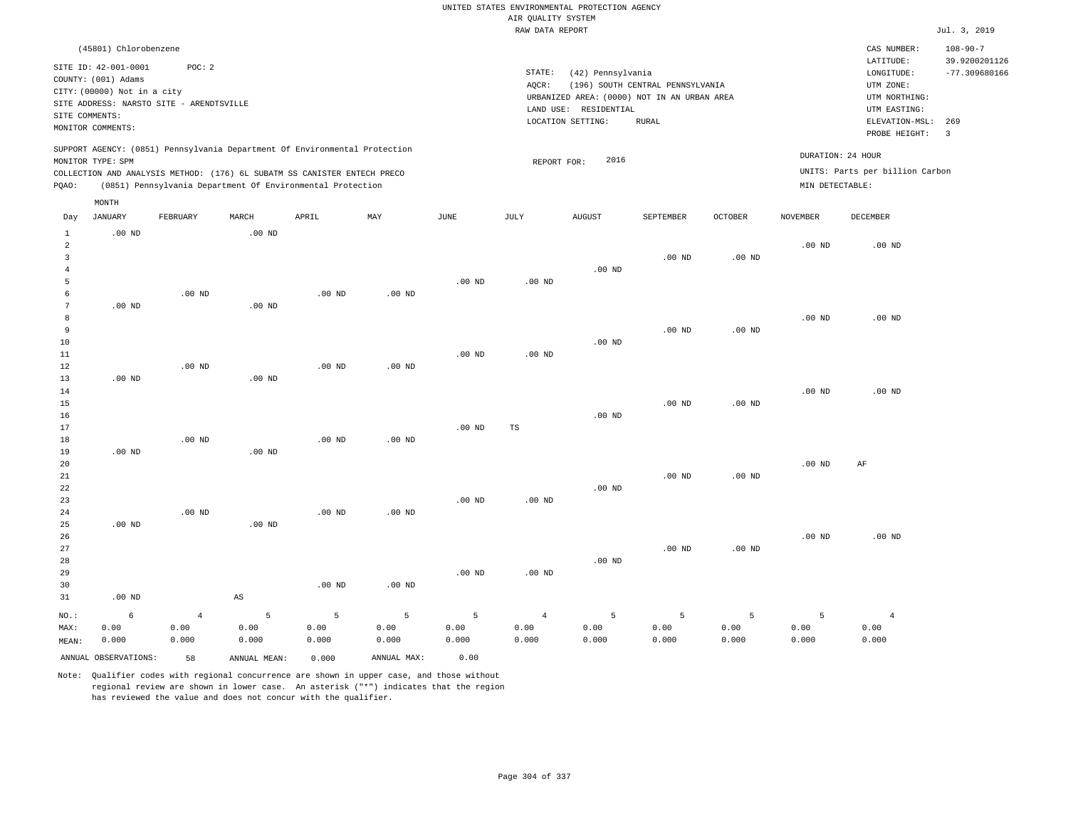|                     |                             |                                          |                   |                                                                            |                   |                   |                                       | UNITED STATES ENVIRONMENTAL PROTECTION AGENCY |                                  |                   |                   |                                 |                                  |
|---------------------|-----------------------------|------------------------------------------|-------------------|----------------------------------------------------------------------------|-------------------|-------------------|---------------------------------------|-----------------------------------------------|----------------------------------|-------------------|-------------------|---------------------------------|----------------------------------|
|                     |                             |                                          |                   |                                                                            |                   |                   | AIR QUALITY SYSTEM<br>RAW DATA REPORT |                                               |                                  |                   |                   |                                 | Jul. 3, 2019                     |
|                     |                             |                                          |                   |                                                                            |                   |                   |                                       |                                               |                                  |                   |                   |                                 |                                  |
|                     | (45801) Chlorobenzene       |                                          |                   |                                                                            |                   |                   |                                       |                                               |                                  |                   |                   | CAS NUMBER:                     | $108 - 90 - 7$                   |
|                     | SITE ID: 42-001-0001        | POC: 2                                   |                   |                                                                            |                   |                   | STATE:                                | (42) Pennsylvania                             |                                  |                   |                   | LATITUDE:<br>LONGITUDE:         | 39.9200201126<br>$-77.309680166$ |
|                     | COUNTY: (001) Adams         |                                          |                   |                                                                            |                   |                   | AOCR:                                 |                                               | (196) SOUTH CENTRAL PENNSYLVANIA |                   |                   | UTM ZONE:                       |                                  |
|                     | CITY: (00000) Not in a city |                                          |                   |                                                                            |                   |                   |                                       | URBANIZED AREA: (0000) NOT IN AN URBAN AREA   |                                  |                   |                   | UTM NORTHING:                   |                                  |
|                     |                             | SITE ADDRESS: NARSTO SITE - ARENDTSVILLE |                   |                                                                            |                   |                   |                                       | LAND USE: RESIDENTIAL                         |                                  |                   |                   | UTM EASTING:                    |                                  |
| SITE COMMENTS:      |                             |                                          |                   |                                                                            |                   |                   |                                       | LOCATION SETTING:                             | <b>RURAL</b>                     |                   |                   | ELEVATION-MSL:                  | 269                              |
|                     | MONITOR COMMENTS:           |                                          |                   |                                                                            |                   |                   |                                       |                                               |                                  |                   |                   | PROBE HEIGHT:                   | $\overline{3}$                   |
|                     |                             |                                          |                   | SUPPORT AGENCY: (0851) Pennsylvania Department Of Environmental Protection |                   |                   |                                       |                                               |                                  |                   |                   |                                 |                                  |
|                     | MONITOR TYPE: SPM           |                                          |                   |                                                                            |                   |                   | REPORT FOR:                           | 2016                                          |                                  |                   |                   | DURATION: 24 HOUR               |                                  |
|                     |                             |                                          |                   | COLLECTION AND ANALYSIS METHOD: (176) 6L SUBATM SS CANISTER ENTECH PRECO   |                   |                   |                                       |                                               |                                  |                   |                   | UNITS: Parts per billion Carbon |                                  |
| PQAO:               |                             |                                          |                   | (0851) Pennsylvania Department Of Environmental Protection                 |                   |                   |                                       |                                               |                                  |                   | MIN DETECTABLE:   |                                 |                                  |
|                     | MONTH                       |                                          |                   |                                                                            |                   |                   |                                       |                                               |                                  |                   |                   |                                 |                                  |
| Day                 | <b>JANUARY</b>              | FEBRUARY                                 | MARCH             | APRIL                                                                      | $\texttt{MAY}$    | <b>JUNE</b>       | JULY                                  | <b>AUGUST</b>                                 | SEPTEMBER                        | <b>OCTOBER</b>    | <b>NOVEMBER</b>   | DECEMBER                        |                                  |
| $\mathbf{1}$        | $.00$ ND                    |                                          | .00 <sub>ND</sub> |                                                                            |                   |                   |                                       |                                               |                                  |                   |                   |                                 |                                  |
| $\overline{a}$      |                             |                                          |                   |                                                                            |                   |                   |                                       |                                               |                                  |                   | .00 <sub>ND</sub> | $.00$ ND                        |                                  |
| 3                   |                             |                                          |                   |                                                                            |                   |                   |                                       |                                               | $.00$ ND                         | .00 <sub>ND</sub> |                   |                                 |                                  |
| $\overline{4}$<br>5 |                             |                                          |                   |                                                                            |                   | $.00$ ND          | $.00$ ND                              | $.00$ ND                                      |                                  |                   |                   |                                 |                                  |
| 6                   |                             | $.00$ ND                                 |                   | $.00$ ND                                                                   | $.00$ ND          |                   |                                       |                                               |                                  |                   |                   |                                 |                                  |
| $\overline{7}$      | $.00$ ND                    |                                          | .00 <sub>ND</sub> |                                                                            |                   |                   |                                       |                                               |                                  |                   |                   |                                 |                                  |
| 8                   |                             |                                          |                   |                                                                            |                   |                   |                                       |                                               |                                  |                   | .00 <sub>ND</sub> | $.00$ ND                        |                                  |
| $\overline{9}$      |                             |                                          |                   |                                                                            |                   |                   |                                       |                                               | $.00$ ND                         | .00 <sub>ND</sub> |                   |                                 |                                  |
| 10                  |                             |                                          |                   |                                                                            |                   |                   |                                       | $.00$ ND                                      |                                  |                   |                   |                                 |                                  |
| $11\,$              |                             |                                          |                   |                                                                            |                   | $.00$ ND          | $.00$ ND                              |                                               |                                  |                   |                   |                                 |                                  |
| 12                  |                             | $.00$ ND                                 |                   | $.00$ ND                                                                   | .00 <sub>ND</sub> |                   |                                       |                                               |                                  |                   |                   |                                 |                                  |
| 13                  | $.00$ ND                    |                                          | $.00$ ND          |                                                                            |                   |                   |                                       |                                               |                                  |                   |                   |                                 |                                  |
| 14                  |                             |                                          |                   |                                                                            |                   |                   |                                       |                                               |                                  |                   | $.00$ ND          | $.00$ ND                        |                                  |
| 15<br>16            |                             |                                          |                   |                                                                            |                   |                   |                                       | $.00$ ND                                      | $.00$ ND                         | .00 <sub>ND</sub> |                   |                                 |                                  |
| 17                  |                             |                                          |                   |                                                                            |                   | $.00$ ND          | TS                                    |                                               |                                  |                   |                   |                                 |                                  |
| 18                  |                             | $.00$ ND                                 |                   | $.00$ ND                                                                   | $.00$ ND          |                   |                                       |                                               |                                  |                   |                   |                                 |                                  |
| 19                  | $.00$ ND                    |                                          | $.00$ ND          |                                                                            |                   |                   |                                       |                                               |                                  |                   |                   |                                 |                                  |
| 20                  |                             |                                          |                   |                                                                            |                   |                   |                                       |                                               |                                  |                   | .00 <sub>ND</sub> | $\rm{AF}$                       |                                  |
| $2\sqrt{1}$         |                             |                                          |                   |                                                                            |                   |                   |                                       |                                               | $.00$ ND                         | .00 <sub>ND</sub> |                   |                                 |                                  |
| 22                  |                             |                                          |                   |                                                                            |                   |                   |                                       | $.00$ ND                                      |                                  |                   |                   |                                 |                                  |
| 23                  |                             |                                          |                   |                                                                            |                   | $.00$ ND          | $.00$ ND                              |                                               |                                  |                   |                   |                                 |                                  |
| 24                  |                             | $.00$ ND                                 |                   | $.00$ ND                                                                   | .00 <sub>ND</sub> |                   |                                       |                                               |                                  |                   |                   |                                 |                                  |
| 25<br>26            | $.00$ ND                    |                                          | $.00$ ND          |                                                                            |                   |                   |                                       |                                               |                                  |                   | $.00$ ND          | $.00$ ND                        |                                  |
| 27                  |                             |                                          |                   |                                                                            |                   |                   |                                       |                                               | $.00$ ND                         | .00 <sub>ND</sub> |                   |                                 |                                  |
| 28                  |                             |                                          |                   |                                                                            |                   |                   |                                       | $.00$ ND                                      |                                  |                   |                   |                                 |                                  |
| 29                  |                             |                                          |                   |                                                                            |                   | .00 <sub>ND</sub> | $.00$ ND                              |                                               |                                  |                   |                   |                                 |                                  |
| 30                  |                             |                                          |                   | .00 <sub>ND</sub>                                                          | $.00$ ND          |                   |                                       |                                               |                                  |                   |                   |                                 |                                  |
| 31                  | $.00$ ND                    |                                          | $_{\rm AS}$       |                                                                            |                   |                   |                                       |                                               |                                  |                   |                   |                                 |                                  |
| NO.:                | 6                           | $\overline{4}$                           | 5                 | 5                                                                          | 5                 | 5                 | $\overline{4}$                        | 5                                             | $\overline{5}$                   | 5                 | 5                 | $\overline{4}$                  |                                  |
| MAX:                | 0.00                        | 0.00                                     | 0.00              | 0.00                                                                       | 0.00              | 0.00              | 0.00                                  | 0.00                                          | 0.00                             | 0.00              | 0.00              | 0.00                            |                                  |
| MEAN:               | 0.000                       | 0.000                                    | 0.000             | 0.000                                                                      | 0.000             | 0.000             | 0.000                                 | 0.000                                         | 0.000                            | 0.000             | 0.000             | 0.000                           |                                  |
|                     | ANNUAL OBSERVATIONS:        | 58                                       | ANNUAL MEAN:      | 0.000                                                                      | ANNUAL MAX:       | 0.00              |                                       |                                               |                                  |                   |                   |                                 |                                  |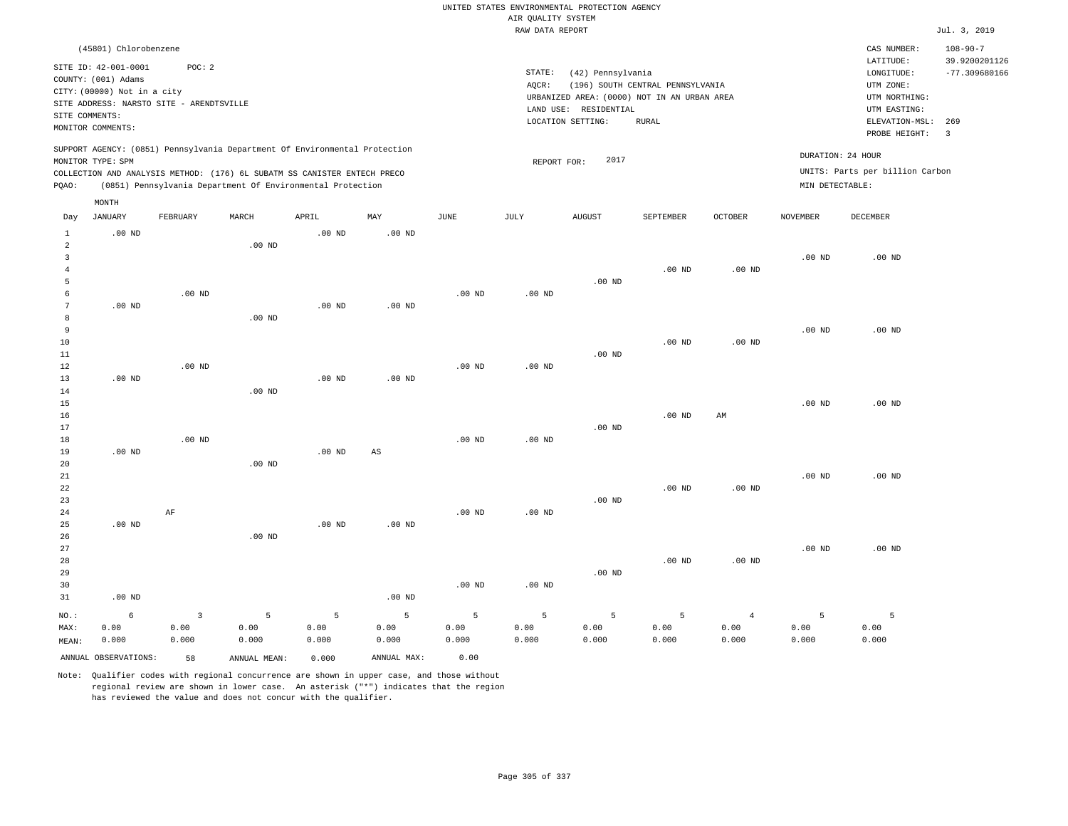|                                                    |                                                                                                                                                 |                                 |                                                                                                                                                                                                                      |                    |                        |                    |                    | UNITED STATES ENVIRONMENTAL PROTECTION AGENCY                    |                                  |                                 |                                      |                                                                      |                                                    |
|----------------------------------------------------|-------------------------------------------------------------------------------------------------------------------------------------------------|---------------------------------|----------------------------------------------------------------------------------------------------------------------------------------------------------------------------------------------------------------------|--------------------|------------------------|--------------------|--------------------|------------------------------------------------------------------|----------------------------------|---------------------------------|--------------------------------------|----------------------------------------------------------------------|----------------------------------------------------|
|                                                    |                                                                                                                                                 |                                 |                                                                                                                                                                                                                      |                    |                        |                    | AIR QUALITY SYSTEM |                                                                  |                                  |                                 |                                      |                                                                      |                                                    |
|                                                    |                                                                                                                                                 |                                 |                                                                                                                                                                                                                      |                    |                        |                    | RAW DATA REPORT    |                                                                  |                                  |                                 |                                      |                                                                      | Jul. 3, 2019                                       |
|                                                    | (45801) Chlorobenzene<br>SITE ID: 42-001-0001<br>COUNTY: (001) Adams<br>CITY: (00000) Not in a city<br>SITE ADDRESS: NARSTO SITE - ARENDTSVILLE | POC: 2                          |                                                                                                                                                                                                                      |                    |                        |                    | STATE:<br>AQCR:    | (42) Pennsylvania<br>URBANIZED AREA: (0000) NOT IN AN URBAN AREA | (196) SOUTH CENTRAL PENNSYLVANIA |                                 |                                      | CAS NUMBER:<br>LATITUDE:<br>LONGITUDE:<br>UTM ZONE:<br>UTM NORTHING: | $108 - 90 - 7$<br>39.9200201126<br>$-77.309680166$ |
| SITE COMMENTS:                                     | MONITOR COMMENTS:                                                                                                                               |                                 |                                                                                                                                                                                                                      |                    |                        |                    |                    | LAND USE: RESIDENTIAL<br>LOCATION SETTING:                       | <b>RURAL</b>                     |                                 |                                      | UTM EASTING:<br>ELEVATION-MSL:<br>PROBE HEIGHT:                      | 269<br>$\overline{\mathbf{3}}$                     |
| PQAO:                                              | MONITOR TYPE: SPM                                                                                                                               |                                 | SUPPORT AGENCY: (0851) Pennsylvania Department Of Environmental Protection<br>COLLECTION AND ANALYSIS METHOD: (176) 6L SUBATM SS CANISTER ENTECH PRECO<br>(0851) Pennsylvania Department Of Environmental Protection |                    |                        |                    | REPORT FOR:        | 2017                                                             |                                  |                                 | DURATION: 24 HOUR<br>MIN DETECTABLE: | UNITS: Parts per billion Carbon                                      |                                                    |
| Day                                                | MONTH<br><b>JANUARY</b>                                                                                                                         | FEBRUARY                        | MARCH                                                                                                                                                                                                                | APRIL              | MAY                    | <b>JUNE</b>        | <b>JULY</b>        | <b>AUGUST</b>                                                    | SEPTEMBER                        | OCTOBER                         | <b>NOVEMBER</b>                      | <b>DECEMBER</b>                                                      |                                                    |
| $\mathbf{1}$<br>$\overline{a}$<br>3                | $.00$ ND                                                                                                                                        |                                 | $.00$ ND                                                                                                                                                                                                             | $.00$ ND           | $.00$ ND               |                    |                    |                                                                  |                                  |                                 | .00 <sub>ND</sub>                    | .00 <sub>ND</sub>                                                    |                                                    |
| $\bf{4}$<br>$\overline{5}$<br>6<br>$7\phantom{.0}$ | $.00$ ND                                                                                                                                        | $.00$ ND                        |                                                                                                                                                                                                                      | $.00$ ND           | .00 <sub>ND</sub>      | $.00$ ND           | $.00$ ND           | .00 <sub>ND</sub>                                                | $.00$ ND                         | $.00$ ND                        |                                      |                                                                      |                                                    |
| 8<br>9<br>10                                       |                                                                                                                                                 |                                 | $.00$ ND                                                                                                                                                                                                             |                    |                        |                    |                    |                                                                  | $.00$ ND                         | $.00$ ND                        | $.00$ ND                             | $.00$ ND                                                             |                                                    |
| $11\,$<br>12<br>13<br>14                           | $.00$ ND                                                                                                                                        | $.00$ ND                        | .00 <sub>ND</sub>                                                                                                                                                                                                    | .00 <sub>ND</sub>  | $.00$ ND               | $.00$ ND           | .00 <sub>ND</sub>  | $.00$ ND                                                         |                                  |                                 |                                      |                                                                      |                                                    |
| 15<br>16<br>17                                     |                                                                                                                                                 |                                 |                                                                                                                                                                                                                      |                    |                        |                    |                    | .00 <sub>ND</sub>                                                | $.00$ ND                         | AM                              | $.00$ ND                             | $.00$ ND                                                             |                                                    |
| 18<br>19<br>20<br>21                               | $.00$ ND                                                                                                                                        | $.00$ ND                        | $.00$ ND                                                                                                                                                                                                             | .00 <sub>ND</sub>  | $\mathbb{A}\mathbb{S}$ | $.00$ ND           | $.00$ ND           |                                                                  |                                  |                                 | $.00$ ND                             | $.00$ ND                                                             |                                                    |
| 22<br>23<br>24                                     |                                                                                                                                                 | AF                              |                                                                                                                                                                                                                      |                    |                        | $.00$ ND           | $.00$ ND           | $.00$ ND                                                         | .00 <sub>ND</sub>                | $.00$ ND                        |                                      |                                                                      |                                                    |
| 25<br>26<br>27<br>28<br>29                         | $.00$ ND                                                                                                                                        |                                 | .00 <sub>ND</sub>                                                                                                                                                                                                    | .00 <sub>ND</sub>  | $.00$ ND               |                    |                    | .00 <sub>ND</sub>                                                | $.00$ ND                         | $.00$ ND                        | $.00$ ND                             | $.00$ ND                                                             |                                                    |
| 30<br>31                                           | $.00$ ND                                                                                                                                        |                                 |                                                                                                                                                                                                                      |                    | $.00$ ND               | $.00$ ND           | .00 <sub>ND</sub>  |                                                                  |                                  |                                 |                                      |                                                                      |                                                    |
| NO.:<br>MAX:<br>MEAN:                              | 6<br>0.00<br>0.000                                                                                                                              | $\overline{3}$<br>0.00<br>0.000 | 5<br>0.00<br>0.000                                                                                                                                                                                                   | 5<br>0.00<br>0.000 | 5<br>0.00<br>0.000     | 5<br>0.00<br>0.000 | 5<br>0.00<br>0.000 | 5<br>0.00<br>0.000                                               | 5<br>0.00<br>0.000               | $\overline{4}$<br>0.00<br>0.000 | 5<br>0.00<br>0.000                   | 5<br>0.00<br>0.000                                                   |                                                    |
|                                                    | ANNUAL OBSERVATIONS:                                                                                                                            | 58                              | ANNUAL MEAN:                                                                                                                                                                                                         | 0.000              | ANNUAL MAX:            | 0.00               |                    |                                                                  |                                  |                                 |                                      |                                                                      |                                                    |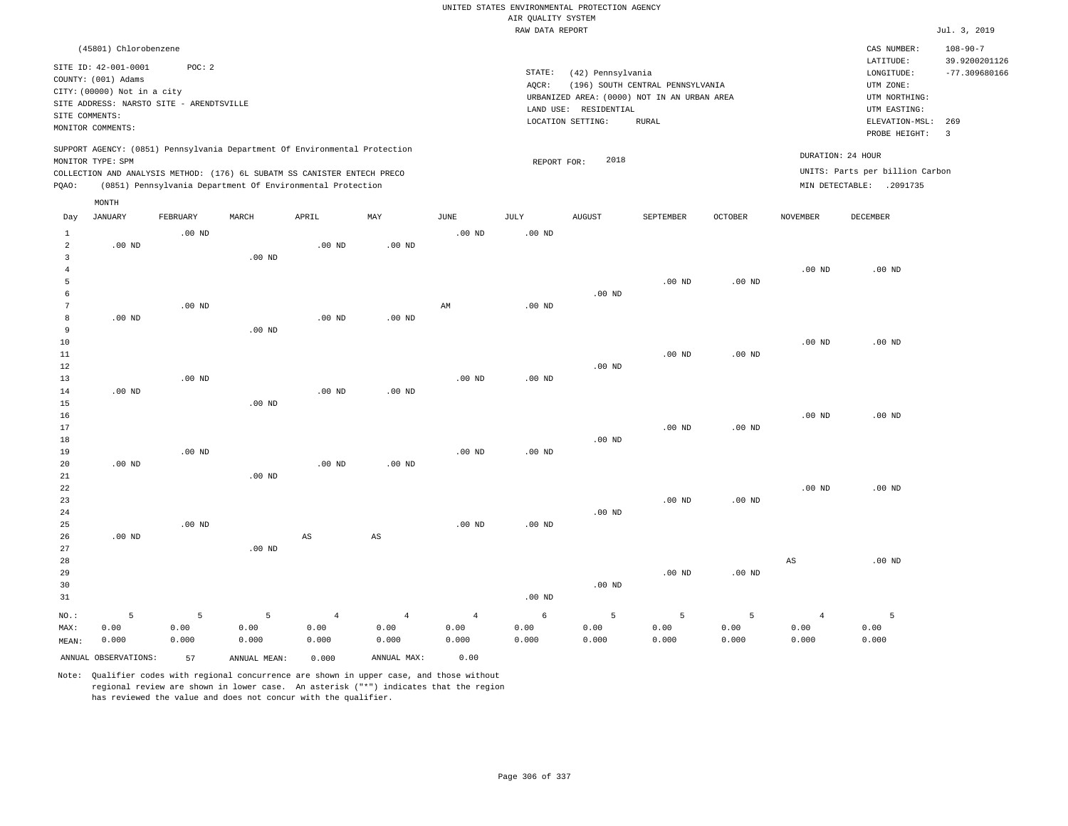|                                  |                                                                                                                        |                    |                                                            |                                 |                                 |                                 | AIR QUALITY SYSTEM | UNITED STATES ENVIRONMENTAL PROTECTION AGENCY                   |                                                                                                 |                    |                                 |                                                                            |                                 |
|----------------------------------|------------------------------------------------------------------------------------------------------------------------|--------------------|------------------------------------------------------------|---------------------------------|---------------------------------|---------------------------------|--------------------|-----------------------------------------------------------------|-------------------------------------------------------------------------------------------------|--------------------|---------------------------------|----------------------------------------------------------------------------|---------------------------------|
|                                  |                                                                                                                        |                    |                                                            |                                 |                                 |                                 | RAW DATA REPORT    |                                                                 |                                                                                                 |                    |                                 |                                                                            | Jul. 3, 2019                    |
|                                  | (45801) Chlorobenzene                                                                                                  |                    |                                                            |                                 |                                 |                                 |                    |                                                                 |                                                                                                 |                    |                                 | CAS NUMBER:<br>LATITUDE:                                                   | $108 - 90 - 7$<br>39.9200201126 |
| SITE COMMENTS:                   | SITE ID: 42-001-0001<br>COUNTY: (001) Adams<br>CITY: (00000) Not in a city<br>SITE ADDRESS: NARSTO SITE - ARENDTSVILLE | POC: 2             |                                                            |                                 |                                 |                                 | STATE:<br>AQCR:    | (42) Pennsylvania<br>LAND USE: RESIDENTIAL<br>LOCATION SETTING: | (196) SOUTH CENTRAL PENNSYLVANIA<br>URBANIZED AREA: (0000) NOT IN AN URBAN AREA<br><b>RURAL</b> |                    |                                 | LONGITUDE:<br>UTM ZONE:<br>UTM NORTHING:<br>UTM EASTING:<br>ELEVATION-MSL: | $-77.309680166$<br>269          |
|                                  | MONITOR COMMENTS:<br>SUPPORT AGENCY: (0851) Pennsylvania Department Of Environmental Protection                        |                    |                                                            |                                 |                                 |                                 |                    |                                                                 |                                                                                                 |                    |                                 | PROBE HEIGHT:                                                              | $\overline{\mathbf{3}}$         |
|                                  | MONITOR TYPE: SPM<br>COLLECTION AND ANALYSIS METHOD: (176) 6L SUBATM SS CANISTER ENTECH PRECO                          |                    |                                                            |                                 |                                 |                                 | REPORT FOR:        | 2018                                                            |                                                                                                 |                    | DURATION: 24 HOUR               | UNITS: Parts per billion Carbon                                            |                                 |
| PQAO:                            |                                                                                                                        |                    | (0851) Pennsylvania Department Of Environmental Protection |                                 |                                 |                                 |                    |                                                                 |                                                                                                 |                    |                                 | MIN DETECTABLE: .2091735                                                   |                                 |
|                                  | MONTH                                                                                                                  |                    |                                                            |                                 |                                 |                                 |                    |                                                                 |                                                                                                 |                    |                                 |                                                                            |                                 |
| Day                              | JANUARY                                                                                                                | FEBRUARY           | MARCH                                                      | APRIL                           | MAY                             | JUNE                            | JULY               | <b>AUGUST</b>                                                   | SEPTEMBER                                                                                       | OCTOBER            | NOVEMBER                        | DECEMBER                                                                   |                                 |
| $\mathbf{1}$<br>$\overline{a}$   | $.00$ ND                                                                                                               | $.00$ ND           |                                                            | $.00$ ND                        | .00 <sub>ND</sub>               | .00 <sub>ND</sub>               | .00 <sub>ND</sub>  |                                                                 |                                                                                                 |                    |                                 |                                                                            |                                 |
| $\overline{3}$<br>$\overline{4}$ |                                                                                                                        |                    | .00 <sub>ND</sub>                                          |                                 |                                 |                                 |                    |                                                                 |                                                                                                 |                    | $.00$ ND                        | $.00$ ND                                                                   |                                 |
| 5<br>6<br>$7\phantom{.0}$        |                                                                                                                        | $.00$ ND           |                                                            |                                 |                                 | $\mathbb{A}\mathbb{M}$          | $.00$ ND           | $.00$ ND                                                        | $.00$ ND                                                                                        | $.00$ ND           |                                 |                                                                            |                                 |
| 8<br>9                           | $.00$ ND                                                                                                               |                    | $.00$ ND                                                   | $.00$ ND                        | $.00$ ND                        |                                 |                    |                                                                 |                                                                                                 |                    |                                 |                                                                            |                                 |
| $10$<br>11                       |                                                                                                                        |                    |                                                            |                                 |                                 |                                 |                    |                                                                 | .00 <sub>ND</sub>                                                                               | $.00$ ND           | $.00$ ND                        | $.00$ ND                                                                   |                                 |
| 12<br>13                         |                                                                                                                        | $.00$ ND           |                                                            |                                 |                                 | .00 <sub>ND</sub>               | .00 <sub>ND</sub>  | $.00$ ND                                                        |                                                                                                 |                    |                                 |                                                                            |                                 |
| 14<br>15<br>16                   | $.00$ ND                                                                                                               |                    | $.00$ ND                                                   | .00 <sub>ND</sub>               | $.00$ ND                        |                                 |                    |                                                                 |                                                                                                 |                    | .00 <sub>ND</sub>               | .00 <sub>ND</sub>                                                          |                                 |
| 17<br>18                         |                                                                                                                        |                    |                                                            |                                 |                                 |                                 |                    | .00 <sub>ND</sub>                                               | $.00$ ND                                                                                        | $.00$ ND           |                                 |                                                                            |                                 |
| 19<br>20                         | $.00$ ND                                                                                                               | $.00$ ND           |                                                            | $.00$ ND                        | $.00$ ND                        | $.00$ ND                        | $.00$ ND           |                                                                 |                                                                                                 |                    |                                 |                                                                            |                                 |
| 21<br>22<br>23                   |                                                                                                                        |                    | $.00$ ND                                                   |                                 |                                 |                                 |                    |                                                                 | $.00$ ND                                                                                        | $.00$ ND           | $.00$ ND                        | $.00$ ND                                                                   |                                 |
| 24<br>25<br>26                   | $.00$ ND                                                                                                               | $.00$ ND           |                                                            | $\mathbb{A}\mathbb{S}$          | $\mathbb{A}\mathbb{S}$          | .00 <sub>ND</sub>               | .00 <sub>ND</sub>  | $.00$ ND                                                        |                                                                                                 |                    |                                 |                                                                            |                                 |
| 27<br>28<br>29<br>30<br>31       |                                                                                                                        |                    | $.00$ ND                                                   |                                 |                                 |                                 | .00 <sub>ND</sub>  | $.00$ ND                                                        | $.00$ ND                                                                                        | $.00$ ND           | $_{\rm AS}$                     | $.00$ ND                                                                   |                                 |
| NO.:<br>MAX:<br>MEAN:            | 5<br>0.00<br>0.000                                                                                                     | 5<br>0.00<br>0.000 | 5<br>0.00<br>0.000                                         | $\overline{4}$<br>0.00<br>0.000 | $\overline{4}$<br>0.00<br>0.000 | $\overline{4}$<br>0.00<br>0.000 | 6<br>0.00<br>0.000 | 5<br>0.00<br>0.000                                              | 5<br>0.00<br>0.000                                                                              | 5<br>0.00<br>0.000 | $\overline{4}$<br>0.00<br>0.000 | 5<br>0.00<br>0.000                                                         |                                 |
|                                  | ANNUAL OBSERVATIONS:                                                                                                   | 57                 | ANNUAL MEAN:                                               | 0.000                           | ANNUAL MAX:                     | 0.00                            |                    |                                                                 |                                                                                                 |                    |                                 |                                                                            |                                 |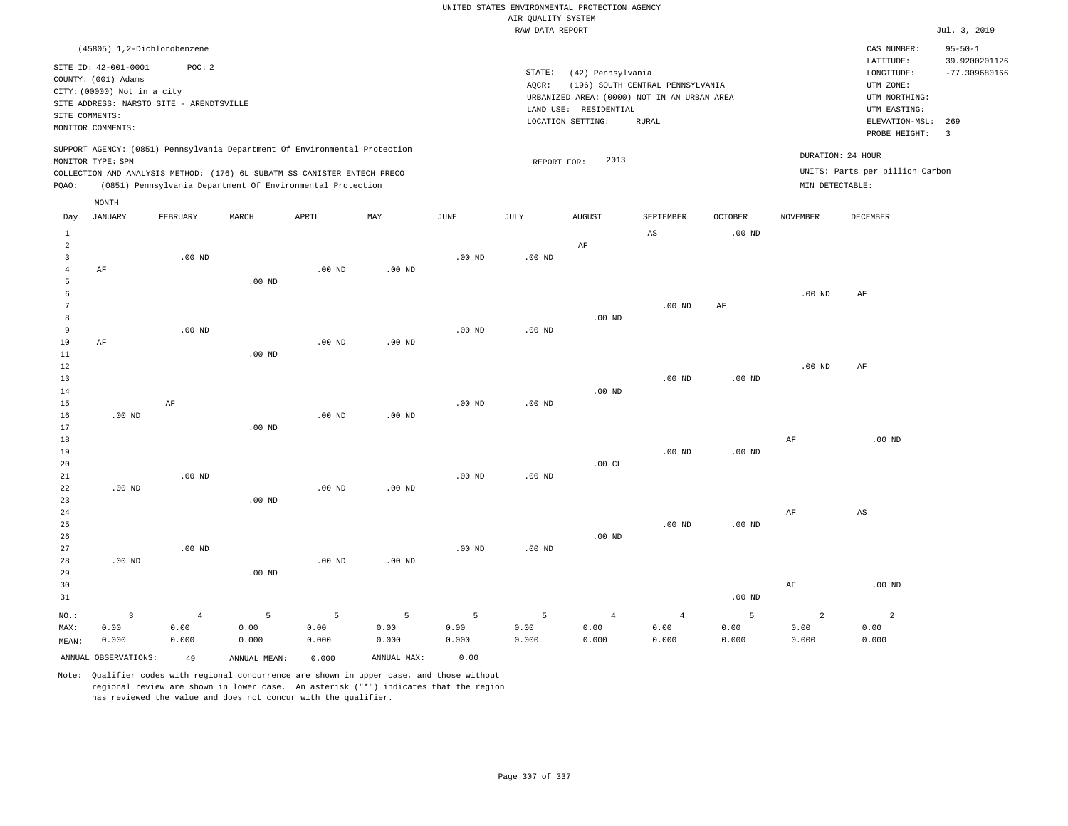|                         |                                             |                   |                                                                            |                   |                   |                   |                    | UNITED STATES ENVIRONMENTAL PROTECTION AGENCY |                                             |                   |                   |                                 |                                |
|-------------------------|---------------------------------------------|-------------------|----------------------------------------------------------------------------|-------------------|-------------------|-------------------|--------------------|-----------------------------------------------|---------------------------------------------|-------------------|-------------------|---------------------------------|--------------------------------|
|                         |                                             |                   |                                                                            |                   |                   |                   | AIR OUALITY SYSTEM |                                               |                                             |                   |                   |                                 |                                |
|                         |                                             |                   |                                                                            |                   |                   |                   | RAW DATA REPORT    |                                               |                                             |                   |                   |                                 | Jul. 3, 2019                   |
|                         | (45805) 1,2-Dichlorobenzene                 |                   |                                                                            |                   |                   |                   |                    |                                               |                                             |                   |                   | CAS NUMBER:<br>LATITUDE:        | $95 - 50 - 1$<br>39.9200201126 |
|                         | SITE ID: 42-001-0001<br>COUNTY: (001) Adams | POC: 2            |                                                                            |                   |                   |                   | STATE:             | (42) Pennsylvania                             |                                             |                   |                   | LONGITUDE:                      | $-77.309680166$                |
|                         | CITY: (00000) Not in a city                 |                   |                                                                            |                   |                   |                   | AQCR:              |                                               | (196) SOUTH CENTRAL PENNSYLVANIA            |                   |                   | UTM ZONE:                       |                                |
|                         | SITE ADDRESS: NARSTO SITE - ARENDTSVILLE    |                   |                                                                            |                   |                   |                   |                    |                                               | URBANIZED AREA: (0000) NOT IN AN URBAN AREA |                   |                   | UTM NORTHING:                   |                                |
| SITE COMMENTS:          |                                             |                   |                                                                            |                   |                   |                   |                    | LAND USE: RESIDENTIAL                         |                                             |                   |                   | UTM EASTING:                    |                                |
|                         | MONITOR COMMENTS:                           |                   |                                                                            |                   |                   |                   |                    | LOCATION SETTING:                             | <b>RURAL</b>                                |                   |                   | ELEVATION-MSL:<br>PROBE HEIGHT: | 269<br>$\overline{\mathbf{3}}$ |
|                         |                                             |                   | SUPPORT AGENCY: (0851) Pennsylvania Department Of Environmental Protection |                   |                   |                   |                    |                                               |                                             |                   | DURATION: 24 HOUR |                                 |                                |
|                         | MONITOR TYPE: SPM                           |                   |                                                                            |                   |                   |                   | REPORT FOR:        | 2013                                          |                                             |                   |                   | UNITS: Parts per billion Carbon |                                |
|                         |                                             |                   | COLLECTION AND ANALYSIS METHOD: (176) 6L SUBATM SS CANISTER ENTECH PRECO   |                   |                   |                   |                    |                                               |                                             |                   |                   |                                 |                                |
| PQAO:                   |                                             |                   | (0851) Pennsylvania Department Of Environmental Protection                 |                   |                   |                   |                    |                                               |                                             |                   | MIN DETECTABLE:   |                                 |                                |
| Day                     | MONTH<br>JANUARY                            | FEBRUARY          | MARCH                                                                      | APRIL             | MAY               | <b>JUNE</b>       | JULY               | <b>AUGUST</b>                                 | SEPTEMBER                                   | <b>OCTOBER</b>    | <b>NOVEMBER</b>   | <b>DECEMBER</b>                 |                                |
| <sup>1</sup>            |                                             |                   |                                                                            |                   |                   |                   |                    |                                               | AS                                          | .00 <sub>ND</sub> |                   |                                 |                                |
| $\overline{a}$          |                                             |                   |                                                                            |                   |                   |                   |                    | AF                                            |                                             |                   |                   |                                 |                                |
| $\overline{\mathbf{3}}$ |                                             | $.00$ ND          |                                                                            |                   |                   | $.00$ ND          | $.00$ ND           |                                               |                                             |                   |                   |                                 |                                |
| $\overline{4}$          | AF                                          |                   |                                                                            | .00 <sub>ND</sub> | .00 <sub>ND</sub> |                   |                    |                                               |                                             |                   |                   |                                 |                                |
| 5<br>6                  |                                             |                   | .00 <sub>ND</sub>                                                          |                   |                   |                   |                    |                                               |                                             |                   | $.00$ ND          | AF                              |                                |
| $\overline{7}$          |                                             |                   |                                                                            |                   |                   |                   |                    |                                               | $.00$ ND                                    | AF                |                   |                                 |                                |
| $\mathbf{g}$            |                                             |                   |                                                                            |                   |                   |                   |                    | $.00$ ND                                      |                                             |                   |                   |                                 |                                |
| $\overline{9}$          |                                             | .00 <sub>ND</sub> |                                                                            |                   |                   | .00 <sub>ND</sub> | $.00$ ND           |                                               |                                             |                   |                   |                                 |                                |
| 10                      | AF                                          |                   |                                                                            | $.00$ ND          | $.00$ ND          |                   |                    |                                               |                                             |                   |                   |                                 |                                |
| 11                      |                                             |                   | $.00$ ND                                                                   |                   |                   |                   |                    |                                               |                                             |                   |                   |                                 |                                |
| $1\,2$                  |                                             |                   |                                                                            |                   |                   |                   |                    |                                               |                                             |                   | $.00$ ND          | AF                              |                                |
| 13                      |                                             |                   |                                                                            |                   |                   |                   |                    |                                               | $.00$ ND                                    | $.00$ ND          |                   |                                 |                                |
| 14<br>15                |                                             |                   |                                                                            |                   |                   | .00 <sub>ND</sub> | .00 <sub>ND</sub>  | $.00{\rm ~ND}$                                |                                             |                   |                   |                                 |                                |
| 16                      | $.00$ ND                                    | $\rm AF$          |                                                                            | .00 <sub>ND</sub> | $.00$ ND          |                   |                    |                                               |                                             |                   |                   |                                 |                                |
| 17                      |                                             |                   | $.00$ ND                                                                   |                   |                   |                   |                    |                                               |                                             |                   |                   |                                 |                                |
| 18                      |                                             |                   |                                                                            |                   |                   |                   |                    |                                               |                                             |                   | $\rm{AF}$         | $.00$ ND                        |                                |
| 19                      |                                             |                   |                                                                            |                   |                   |                   |                    |                                               | $.00$ ND                                    | $.00$ ND          |                   |                                 |                                |
| 20                      |                                             |                   |                                                                            |                   |                   |                   |                    | .00CL                                         |                                             |                   |                   |                                 |                                |
| 21                      |                                             | $.00$ ND          |                                                                            |                   |                   | .00 <sub>ND</sub> | $.00$ ND           |                                               |                                             |                   |                   |                                 |                                |
| 22                      | $.00$ ND                                    |                   |                                                                            | .00 <sub>ND</sub> | .00 <sub>ND</sub> |                   |                    |                                               |                                             |                   |                   |                                 |                                |
| 23                      |                                             |                   | .00 <sub>ND</sub>                                                          |                   |                   |                   |                    |                                               |                                             |                   |                   |                                 |                                |
| 24<br>25                |                                             |                   |                                                                            |                   |                   |                   |                    |                                               | .00 <sub>ND</sub>                           | .00 <sub>ND</sub> | AF                | $_{\rm AS}$                     |                                |
| 26                      |                                             |                   |                                                                            |                   |                   |                   |                    | $.00$ ND                                      |                                             |                   |                   |                                 |                                |
| 27                      |                                             | $.00$ ND          |                                                                            |                   |                   | .00 <sub>ND</sub> | $.00$ ND           |                                               |                                             |                   |                   |                                 |                                |
| 28                      | $.00$ ND                                    |                   |                                                                            | $.00$ ND          | $.00$ ND          |                   |                    |                                               |                                             |                   |                   |                                 |                                |
| 29                      |                                             |                   | $.00$ ND                                                                   |                   |                   |                   |                    |                                               |                                             |                   |                   |                                 |                                |
| 30                      |                                             |                   |                                                                            |                   |                   |                   |                    |                                               |                                             |                   | $\rm{AF}$         | .00 <sub>ND</sub>               |                                |
| 31                      |                                             |                   |                                                                            |                   |                   |                   |                    |                                               |                                             | $.00$ ND          |                   |                                 |                                |
| $NO.$ :                 | $\overline{3}$                              | $\overline{4}$    | 5                                                                          | 5                 | 5                 | 5                 | 5                  | $\overline{4}$                                | $\overline{4}$                              | 5                 | $\overline{a}$    | $\overline{2}$                  |                                |
| MAX:                    | 0.00                                        | 0.00              | 0.00                                                                       | 0.00              | 0.00              | 0.00              | 0.00               | 0.00                                          | 0.00                                        | 0.00              | 0.00              | 0.00                            |                                |
| MEAN:                   | 0.000                                       | 0.000             | 0.000                                                                      | 0.000             | 0.000             | 0.000             | 0.000              | 0.000                                         | 0.000                                       | 0.000             | 0.000             | 0.000                           |                                |
|                         | ANNUAL OBSERVATIONS:                        | 49                | ANNUAL MEAN:                                                               | 0.000             | ANNUAL MAX:       | 0.00              |                    |                                               |                                             |                   |                   |                                 |                                |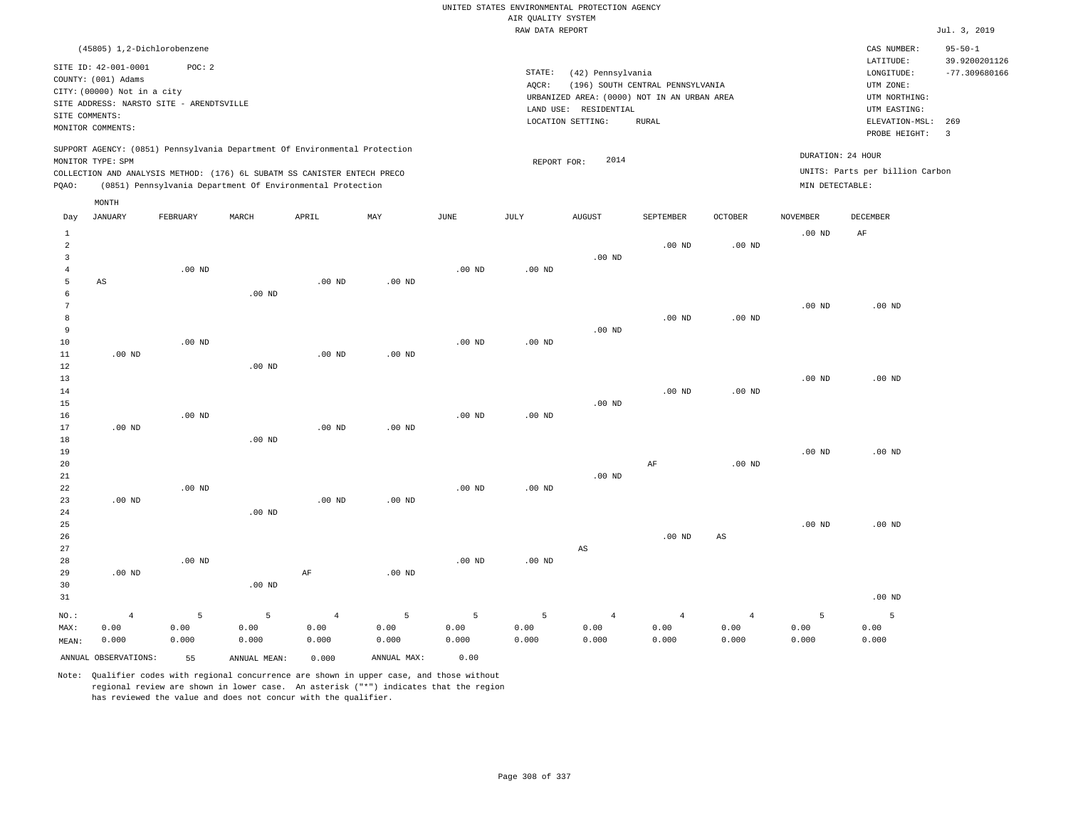|                                  |                                                                                                 |                   |                                                            |                   |                   |                   |                    | UNITED STATES ENVIRONMENTAL PROTECTION AGENCY |                                  |                |                   |                                                     |                                                   |
|----------------------------------|-------------------------------------------------------------------------------------------------|-------------------|------------------------------------------------------------|-------------------|-------------------|-------------------|--------------------|-----------------------------------------------|----------------------------------|----------------|-------------------|-----------------------------------------------------|---------------------------------------------------|
|                                  |                                                                                                 |                   |                                                            |                   |                   |                   | AIR QUALITY SYSTEM |                                               |                                  |                |                   |                                                     |                                                   |
|                                  |                                                                                                 |                   |                                                            |                   |                   |                   | RAW DATA REPORT    |                                               |                                  |                |                   |                                                     | Jul. 3, 2019                                      |
|                                  | (45805) 1,2-Dichlorobenzene<br>SITE ID: 42-001-0001<br>COUNTY: (001) Adams                      | POC: 2            |                                                            |                   |                   |                   | STATE:<br>AQCR:    | (42) Pennsylvania                             |                                  |                |                   | CAS NUMBER:<br>LATITUDE:<br>LONGITUDE:<br>UTM ZONE: | $95 - 50 - 1$<br>39.9200201126<br>$-77.309680166$ |
|                                  | CITY: (00000) Not in a city                                                                     |                   |                                                            |                   |                   |                   |                    | URBANIZED AREA: (0000) NOT IN AN URBAN AREA   | (196) SOUTH CENTRAL PENNSYLVANIA |                |                   | UTM NORTHING:                                       |                                                   |
|                                  | SITE ADDRESS: NARSTO SITE - ARENDTSVILLE                                                        |                   |                                                            |                   |                   |                   |                    | LAND USE: RESIDENTIAL                         |                                  |                |                   | UTM EASTING:                                        |                                                   |
| SITE COMMENTS:                   |                                                                                                 |                   |                                                            |                   |                   |                   |                    | LOCATION SETTING:                             | RURAL                            |                |                   | ELEVATION-MSL:                                      | 269                                               |
|                                  | MONITOR COMMENTS:                                                                               |                   |                                                            |                   |                   |                   |                    |                                               |                                  |                |                   | PROBE HEIGHT:                                       | 3                                                 |
|                                  | SUPPORT AGENCY: (0851) Pennsylvania Department Of Environmental Protection<br>MONITOR TYPE: SPM |                   |                                                            |                   |                   |                   | REPORT FOR:        | 2014                                          |                                  |                | DURATION: 24 HOUR |                                                     |                                                   |
|                                  | COLLECTION AND ANALYSIS METHOD: (176) 6L SUBATM SS CANISTER ENTECH PRECO                        |                   |                                                            |                   |                   |                   |                    |                                               |                                  |                |                   | UNITS: Parts per billion Carbon                     |                                                   |
| PQAO:                            |                                                                                                 |                   | (0851) Pennsylvania Department Of Environmental Protection |                   |                   |                   |                    |                                               |                                  |                | MIN DETECTABLE:   |                                                     |                                                   |
|                                  | $\texttt{MONTH}$                                                                                |                   |                                                            |                   |                   |                   |                    |                                               |                                  |                |                   |                                                     |                                                   |
| Day                              | <b>JANUARY</b>                                                                                  | FEBRUARY          | MARCH                                                      | APRIL             | MAY               | <b>JUNE</b>       | JULY               | <b>AUGUST</b>                                 | SEPTEMBER                        | <b>OCTOBER</b> | <b>NOVEMBER</b>   | <b>DECEMBER</b>                                     |                                                   |
| $\mathbf{1}$<br>$\overline{a}$   |                                                                                                 |                   |                                                            |                   |                   |                   |                    |                                               | $.00$ ND                         | $.00$ ND       | $.00$ ND          | AF                                                  |                                                   |
| $\overline{3}$<br>$\overline{4}$ |                                                                                                 | .00 <sub>ND</sub> |                                                            |                   |                   | $.00$ ND          | $.00$ ND           | .00 <sub>ND</sub>                             |                                  |                |                   |                                                     |                                                   |
| 5                                | $\mathbb{A}\mathbb{S}$                                                                          |                   |                                                            | $.00$ ND          | $.00$ ND          |                   |                    |                                               |                                  |                |                   |                                                     |                                                   |
| 6                                |                                                                                                 |                   | $.00$ ND                                                   |                   |                   |                   |                    |                                               |                                  |                |                   |                                                     |                                                   |
| $7\phantom{.0}$                  |                                                                                                 |                   |                                                            |                   |                   |                   |                    |                                               |                                  |                | $.00$ ND          | $.00$ ND                                            |                                                   |
| 8                                |                                                                                                 |                   |                                                            |                   |                   |                   |                    |                                               | $.00$ ND                         | $.00$ ND       |                   |                                                     |                                                   |
| $\overline{9}$                   |                                                                                                 |                   |                                                            |                   |                   |                   |                    | .00 <sub>ND</sub>                             |                                  |                |                   |                                                     |                                                   |
| 10                               |                                                                                                 | $.00$ ND          |                                                            |                   |                   | $.00$ ND          | $.00$ ND           |                                               |                                  |                |                   |                                                     |                                                   |
| 11<br>12                         | $.00$ ND                                                                                        |                   | $.00$ ND                                                   | $.00$ ND          | $.00$ ND          |                   |                    |                                               |                                  |                |                   |                                                     |                                                   |
| 13                               |                                                                                                 |                   |                                                            |                   |                   |                   |                    |                                               |                                  |                | $.00$ ND          | $.00$ ND                                            |                                                   |
| 14                               |                                                                                                 |                   |                                                            |                   |                   |                   |                    |                                               | $.00$ ND                         | $.00$ ND       |                   |                                                     |                                                   |
| 15                               |                                                                                                 |                   |                                                            |                   |                   |                   |                    | $.00$ ND                                      |                                  |                |                   |                                                     |                                                   |
| 16                               |                                                                                                 | .00 <sub>ND</sub> |                                                            |                   |                   | .00 <sub>ND</sub> | $.00$ ND           |                                               |                                  |                |                   |                                                     |                                                   |
| 17                               | $.00$ ND                                                                                        |                   |                                                            | .00 <sub>ND</sub> | .00 <sub>ND</sub> |                   |                    |                                               |                                  |                |                   |                                                     |                                                   |
| 18<br>19                         |                                                                                                 |                   | $.00$ ND                                                   |                   |                   |                   |                    |                                               |                                  |                | $.00$ ND          | $.00$ ND                                            |                                                   |
| 20                               |                                                                                                 |                   |                                                            |                   |                   |                   |                    |                                               | AF                               | $.00$ ND       |                   |                                                     |                                                   |
| 21                               |                                                                                                 |                   |                                                            |                   |                   |                   |                    | $.00$ ND                                      |                                  |                |                   |                                                     |                                                   |
| 22                               |                                                                                                 | $.00$ ND          |                                                            |                   |                   | .00 <sub>ND</sub> | .00 <sub>ND</sub>  |                                               |                                  |                |                   |                                                     |                                                   |
| 23                               | .00 <sub>ND</sub>                                                                               |                   |                                                            | $.00$ ND          | .00 <sub>ND</sub> |                   |                    |                                               |                                  |                |                   |                                                     |                                                   |
| 24                               |                                                                                                 |                   | $.00$ ND                                                   |                   |                   |                   |                    |                                               |                                  |                |                   |                                                     |                                                   |
| 25                               |                                                                                                 |                   |                                                            |                   |                   |                   |                    |                                               |                                  |                | $.00$ ND          | $.00$ ND                                            |                                                   |
| 26<br>27                         |                                                                                                 |                   |                                                            |                   |                   |                   |                    | $\mathbb{A}\mathbb{S}$                        | $.00$ ND                         | $_{\rm AS}$    |                   |                                                     |                                                   |
| 28                               |                                                                                                 | $.00$ ND          |                                                            |                   |                   | $.00$ ND          | $.00$ ND           |                                               |                                  |                |                   |                                                     |                                                   |
| 29                               | $.00$ ND                                                                                        |                   |                                                            | $\rm AF$          | .00 <sub>ND</sub> |                   |                    |                                               |                                  |                |                   |                                                     |                                                   |
| 30                               |                                                                                                 |                   | $.00$ ND                                                   |                   |                   |                   |                    |                                               |                                  |                |                   |                                                     |                                                   |
| 31                               |                                                                                                 |                   |                                                            |                   |                   |                   |                    |                                               |                                  |                |                   | .00 <sub>ND</sub>                                   |                                                   |
| NO.:                             | $\overline{4}$                                                                                  | 5                 | 5                                                          | $\overline{4}$    | $\overline{5}$    | 5                 | 5                  | $\overline{4}$                                | $\overline{4}$                   | $\overline{4}$ | 5                 | 5                                                   |                                                   |
| MAX:                             | 0.00                                                                                            | 0.00              | 0.00                                                       | 0.00              | 0.00              | 0.00              | 0.00               | 0.00                                          | 0.00                             | 0.00           | 0.00              | 0.00                                                |                                                   |
| MEAN:                            | 0.000                                                                                           | 0.000             | 0.000                                                      | 0.000             | 0.000             | 0.000             | 0.000              | 0.000                                         | 0.000                            | 0.000          | 0.000             | 0.000                                               |                                                   |
|                                  | ANNUAL OBSERVATIONS:                                                                            | 55                | ANNUAL MEAN:                                               | 0.000             | ANNUAL MAX:       | 0.00              |                    |                                               |                                  |                |                   |                                                     |                                                   |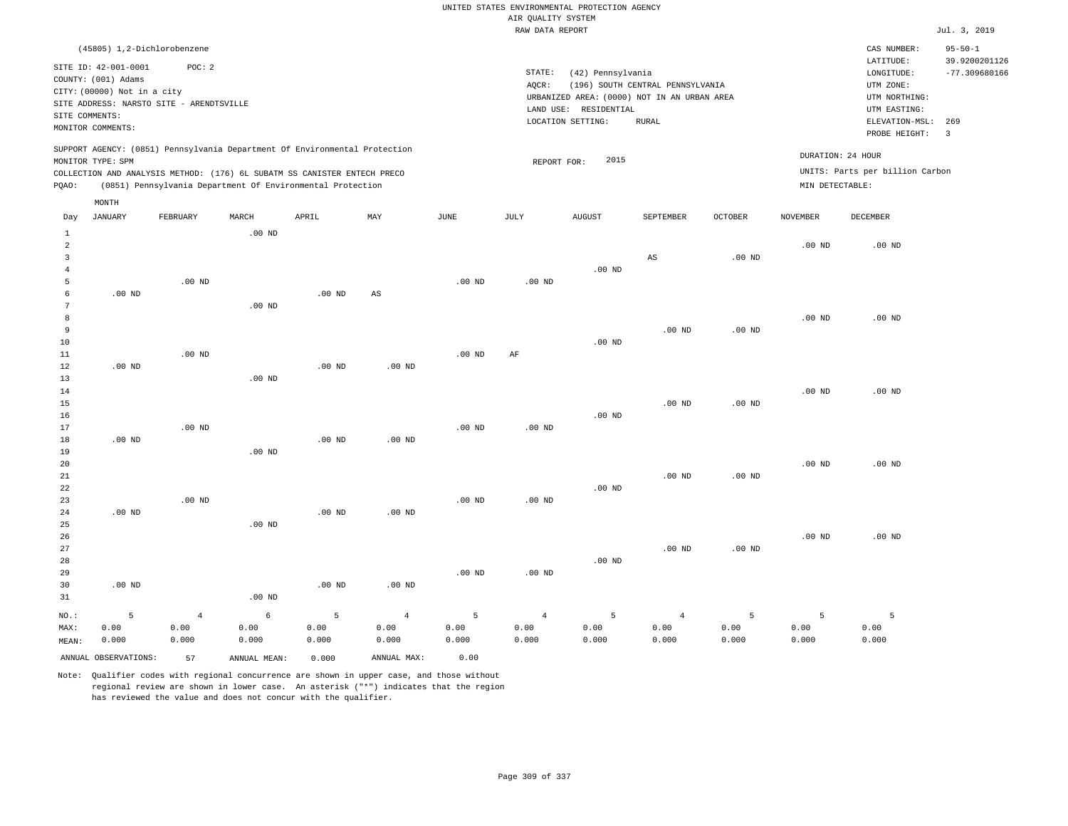|                 |                             |                                          |                   |                                                                            |                   |                   |                    | UNITED STATES ENVIRONMENTAL PROTECTION AGENCY |                                  |                   |                   |                                 |                                  |
|-----------------|-----------------------------|------------------------------------------|-------------------|----------------------------------------------------------------------------|-------------------|-------------------|--------------------|-----------------------------------------------|----------------------------------|-------------------|-------------------|---------------------------------|----------------------------------|
|                 |                             |                                          |                   |                                                                            |                   |                   | AIR OUALITY SYSTEM |                                               |                                  |                   |                   |                                 |                                  |
|                 |                             |                                          |                   |                                                                            |                   |                   | RAW DATA REPORT    |                                               |                                  |                   |                   |                                 | Jul. 3, 2019                     |
|                 |                             | (45805) 1,2-Dichlorobenzene              |                   |                                                                            |                   |                   |                    |                                               |                                  |                   |                   | CAS NUMBER:                     | $95 - 50 - 1$                    |
|                 | SITE ID: 42-001-0001        | POC: 2                                   |                   |                                                                            |                   |                   | STATE:             |                                               |                                  |                   |                   | LATITUDE:                       | 39.9200201126<br>$-77.309680166$ |
|                 | COUNTY: (001) Adams         |                                          |                   |                                                                            |                   |                   | AQCR:              | (42) Pennsylvania                             | (196) SOUTH CENTRAL PENNSYLVANIA |                   |                   | LONGITUDE:<br>UTM ZONE:         |                                  |
|                 | CITY: (00000) Not in a city |                                          |                   |                                                                            |                   |                   |                    | URBANIZED AREA: (0000) NOT IN AN URBAN AREA   |                                  |                   |                   | UTM NORTHING:                   |                                  |
|                 |                             | SITE ADDRESS: NARSTO SITE - ARENDTSVILLE |                   |                                                                            |                   |                   |                    | LAND USE: RESIDENTIAL                         |                                  |                   |                   | UTM EASTING:                    |                                  |
| SITE COMMENTS:  |                             |                                          |                   |                                                                            |                   |                   |                    | LOCATION SETTING:                             | ${\tt RURAL}$                    |                   |                   | ELEVATION-MSL:                  | 269                              |
|                 | MONITOR COMMENTS:           |                                          |                   |                                                                            |                   |                   |                    |                                               |                                  |                   |                   | PROBE HEIGHT:                   | $\overline{3}$                   |
|                 |                             |                                          |                   | SUPPORT AGENCY: (0851) Pennsylvania Department Of Environmental Protection |                   |                   |                    |                                               |                                  |                   | DURATION: 24 HOUR |                                 |                                  |
|                 | MONITOR TYPE: SPM           |                                          |                   |                                                                            |                   |                   | REPORT FOR:        | 2015                                          |                                  |                   |                   |                                 |                                  |
|                 |                             |                                          |                   | COLLECTION AND ANALYSIS METHOD: (176) 6L SUBATM SS CANISTER ENTECH PRECO   |                   |                   |                    |                                               |                                  |                   |                   | UNITS: Parts per billion Carbon |                                  |
| PQAO:           | MONTH                       |                                          |                   | (0851) Pennsylvania Department Of Environmental Protection                 |                   |                   |                    |                                               |                                  |                   | MIN DETECTABLE:   |                                 |                                  |
| Day             | <b>JANUARY</b>              | FEBRUARY                                 | MARCH             | APRIL                                                                      | MAY               | JUNE              | JULY               | <b>AUGUST</b>                                 | SEPTEMBER                        | <b>OCTOBER</b>    | <b>NOVEMBER</b>   | <b>DECEMBER</b>                 |                                  |
| $\mathbf{1}$    |                             |                                          | .00 <sub>ND</sub> |                                                                            |                   |                   |                    |                                               |                                  |                   |                   |                                 |                                  |
| $\overline{a}$  |                             |                                          |                   |                                                                            |                   |                   |                    |                                               |                                  |                   | .00 <sub>ND</sub> | $.00$ ND                        |                                  |
| $\overline{3}$  |                             |                                          |                   |                                                                            |                   |                   |                    |                                               | AS                               | .00 <sub>ND</sub> |                   |                                 |                                  |
| $\overline{4}$  |                             | $.00$ ND                                 |                   |                                                                            |                   |                   |                    | $.00$ ND                                      |                                  |                   |                   |                                 |                                  |
| 5<br>6          | $.00$ ND                    |                                          |                   | $.00$ ND                                                                   | AS                | .00 <sub>ND</sub> | $.00$ ND           |                                               |                                  |                   |                   |                                 |                                  |
| $7\phantom{.0}$ |                             |                                          | $.00$ ND          |                                                                            |                   |                   |                    |                                               |                                  |                   |                   |                                 |                                  |
| 8               |                             |                                          |                   |                                                                            |                   |                   |                    |                                               |                                  |                   | .00 <sub>ND</sub> | $.00$ ND                        |                                  |
| 9               |                             |                                          |                   |                                                                            |                   |                   |                    |                                               | $.00$ ND                         | .00 <sub>ND</sub> |                   |                                 |                                  |
| 10              |                             |                                          |                   |                                                                            |                   |                   |                    | $.00$ ND                                      |                                  |                   |                   |                                 |                                  |
| 11              |                             | $.00$ ND                                 |                   |                                                                            |                   | .00 <sub>ND</sub> | AF                 |                                               |                                  |                   |                   |                                 |                                  |
| 12              | $.00$ ND                    |                                          |                   | .00 <sub>ND</sub>                                                          | $.00$ ND          |                   |                    |                                               |                                  |                   |                   |                                 |                                  |
| 13              |                             |                                          | $.00$ ND          |                                                                            |                   |                   |                    |                                               |                                  |                   |                   |                                 |                                  |
| 14              |                             |                                          |                   |                                                                            |                   |                   |                    |                                               |                                  |                   | .00 <sub>ND</sub> | $.00$ ND                        |                                  |
| 15<br>16        |                             |                                          |                   |                                                                            |                   |                   |                    | $.00$ ND                                      | $.00$ ND                         | .00 <sub>ND</sub> |                   |                                 |                                  |
| 17              |                             | .00 <sub>ND</sub>                        |                   |                                                                            |                   | .00 <sub>ND</sub> | $.00$ ND           |                                               |                                  |                   |                   |                                 |                                  |
| 18              | $.00$ ND                    |                                          |                   | .00 <sub>ND</sub>                                                          | $.00$ ND          |                   |                    |                                               |                                  |                   |                   |                                 |                                  |
| 19              |                             |                                          | $.00$ ND          |                                                                            |                   |                   |                    |                                               |                                  |                   |                   |                                 |                                  |
| 20              |                             |                                          |                   |                                                                            |                   |                   |                    |                                               |                                  |                   | $.00$ ND          | $.00$ ND                        |                                  |
| 21              |                             |                                          |                   |                                                                            |                   |                   |                    |                                               | .00 <sub>ND</sub>                | .00 <sub>ND</sub> |                   |                                 |                                  |
| 22              |                             |                                          |                   |                                                                            |                   |                   |                    | $.00$ ND                                      |                                  |                   |                   |                                 |                                  |
| 23              |                             | $.00$ ND                                 |                   |                                                                            |                   | .00 <sub>ND</sub> | $.00$ ND           |                                               |                                  |                   |                   |                                 |                                  |
| 24              | .00 <sub>ND</sub>           |                                          |                   | .00 <sub>ND</sub>                                                          | $.00$ ND          |                   |                    |                                               |                                  |                   |                   |                                 |                                  |
| 25<br>26        |                             |                                          | $.00$ ND          |                                                                            |                   |                   |                    |                                               |                                  |                   | .00 <sub>ND</sub> | $.00$ ND                        |                                  |
| 27              |                             |                                          |                   |                                                                            |                   |                   |                    |                                               | $.00$ ND                         | .00 <sub>ND</sub> |                   |                                 |                                  |
| 28              |                             |                                          |                   |                                                                            |                   |                   |                    | $.00$ ND                                      |                                  |                   |                   |                                 |                                  |
| 29              |                             |                                          |                   |                                                                            |                   | .00 <sub>ND</sub> | $.00$ ND           |                                               |                                  |                   |                   |                                 |                                  |
| 30              | $.00$ ND                    |                                          |                   | .00 <sub>ND</sub>                                                          | .00 <sub>ND</sub> |                   |                    |                                               |                                  |                   |                   |                                 |                                  |
| 31              |                             |                                          | $.00$ ND          |                                                                            |                   |                   |                    |                                               |                                  |                   |                   |                                 |                                  |
| NO.:            | 5                           | $\overline{4}$                           | 6                 | 5                                                                          | $\overline{4}$    | 5                 | $\overline{4}$     | 5                                             | $\overline{4}$                   | 5                 | 5                 | 5                               |                                  |
| MAX:            | 0.00                        | 0.00                                     | 0.00              | 0.00                                                                       | 0.00              | 0.00              | 0.00               | 0.00                                          | 0.00                             | 0.00              | 0.00              | 0.00                            |                                  |
| MEAN:           | 0.000                       | 0.000                                    | 0.000             | 0.000                                                                      | 0.000             | 0.000             | 0.000              | 0.000                                         | 0.000                            | 0.000             | 0.000             | 0.000                           |                                  |
|                 |                             |                                          |                   |                                                                            |                   |                   |                    |                                               |                                  |                   |                   |                                 |                                  |

ANNUAL OBSERVATIONS: 57 ANNUAL MEAN: 0.000 ANNUAL MAX: 0.00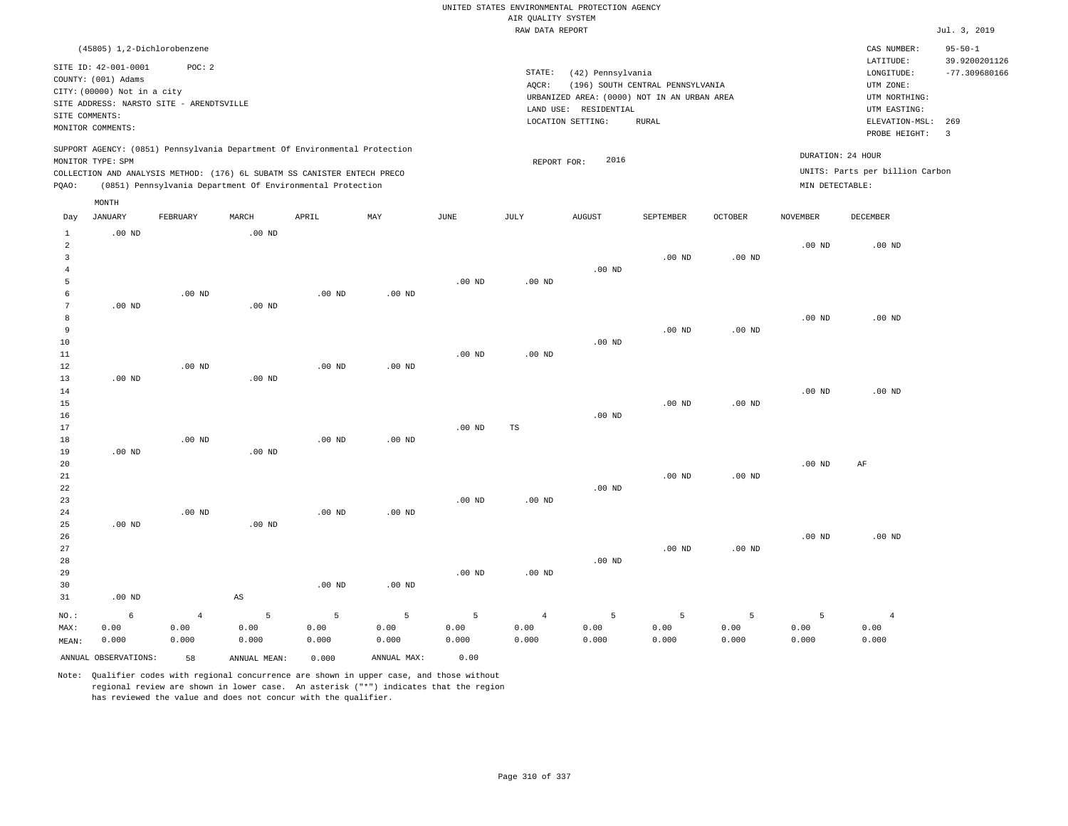|                |                                    |                                          |                        |                                                                            |                   |                   |                        | UNITED STATES ENVIRONMENTAL PROTECTION AGENCY |                                  |                   |                   |                                 |                                |
|----------------|------------------------------------|------------------------------------------|------------------------|----------------------------------------------------------------------------|-------------------|-------------------|------------------------|-----------------------------------------------|----------------------------------|-------------------|-------------------|---------------------------------|--------------------------------|
|                |                                    |                                          |                        |                                                                            |                   |                   | AIR QUALITY SYSTEM     |                                               |                                  |                   |                   |                                 |                                |
|                |                                    |                                          |                        |                                                                            |                   |                   | RAW DATA REPORT        |                                               |                                  |                   |                   |                                 | Jul. 3, 2019                   |
|                | (45805) 1,2-Dichlorobenzene        |                                          |                        |                                                                            |                   |                   |                        |                                               |                                  |                   |                   | CAS NUMBER:<br>LATITUDE:        | $95 - 50 - 1$<br>39.9200201126 |
|                | SITE ID: 42-001-0001               | POC: 2                                   |                        |                                                                            |                   |                   | STATE:                 | (42) Pennsylvania                             |                                  |                   |                   | LONGITUDE:                      | $-77.309680166$                |
|                | COUNTY: (001) Adams                |                                          |                        |                                                                            |                   |                   | AQCR:                  |                                               | (196) SOUTH CENTRAL PENNSYLVANIA |                   |                   | UTM ZONE:                       |                                |
|                | CITY: (00000) Not in a city        |                                          |                        |                                                                            |                   |                   |                        | URBANIZED AREA: (0000) NOT IN AN URBAN AREA   |                                  |                   |                   | UTM NORTHING:                   |                                |
|                |                                    | SITE ADDRESS: NARSTO SITE - ARENDTSVILLE |                        |                                                                            |                   |                   |                        | LAND USE: RESIDENTIAL                         |                                  |                   |                   | UTM EASTING:                    |                                |
| SITE COMMENTS: |                                    |                                          |                        |                                                                            |                   |                   |                        | LOCATION SETTING:                             | <b>RURAL</b>                     |                   |                   | ELEVATION-MSL:                  | 269                            |
|                | MONITOR COMMENTS:                  |                                          |                        |                                                                            |                   |                   |                        |                                               |                                  |                   |                   | PROBE HEIGHT:                   | $\overline{3}$                 |
|                |                                    |                                          |                        | SUPPORT AGENCY: (0851) Pennsylvania Department Of Environmental Protection |                   |                   |                        |                                               |                                  |                   |                   | DURATION: 24 HOUR               |                                |
|                | MONITOR TYPE: SPM                  |                                          |                        |                                                                            |                   |                   | REPORT FOR:            | 2016                                          |                                  |                   |                   |                                 |                                |
|                |                                    |                                          |                        | COLLECTION AND ANALYSIS METHOD: (176) 6L SUBATM SS CANISTER ENTECH PRECO   |                   |                   |                        |                                               |                                  |                   |                   | UNITS: Parts per billion Carbon |                                |
| PQAO:          |                                    |                                          |                        | (0851) Pennsylvania Department Of Environmental Protection                 |                   |                   |                        |                                               |                                  |                   | MIN DETECTABLE:   |                                 |                                |
| Day            | $\texttt{MONTH}$<br><b>JANUARY</b> | FEBRUARY                                 | MARCH                  | APRIL                                                                      | MAY               | <b>JUNE</b>       | JULY                   | <b>AUGUST</b>                                 | SEPTEMBER                        | <b>OCTOBER</b>    | <b>NOVEMBER</b>   | DECEMBER                        |                                |
| <sup>1</sup>   | $.00$ ND                           |                                          | $.00$ ND               |                                                                            |                   |                   |                        |                                               |                                  |                   |                   |                                 |                                |
| $\sqrt{2}$     |                                    |                                          |                        |                                                                            |                   |                   |                        |                                               |                                  |                   | $.00$ ND          | .00 <sub>ND</sub>               |                                |
| 3              |                                    |                                          |                        |                                                                            |                   |                   |                        |                                               | $.00$ ND                         | .00 <sub>ND</sub> |                   |                                 |                                |
| $\overline{4}$ |                                    |                                          |                        |                                                                            |                   |                   |                        | $.00$ ND                                      |                                  |                   |                   |                                 |                                |
| 5              |                                    |                                          |                        |                                                                            |                   | .00 <sub>ND</sub> | $.00$ ND               |                                               |                                  |                   |                   |                                 |                                |
| 6              |                                    | $.00$ ND                                 |                        | $.00$ ND                                                                   | .00 <sub>ND</sub> |                   |                        |                                               |                                  |                   |                   |                                 |                                |
| $\overline{7}$ | $.00$ ND                           |                                          | .00 <sub>ND</sub>      |                                                                            |                   |                   |                        |                                               |                                  |                   |                   |                                 |                                |
| 8              |                                    |                                          |                        |                                                                            |                   |                   |                        |                                               |                                  |                   | $.00$ ND          | $.00$ ND                        |                                |
| 9              |                                    |                                          |                        |                                                                            |                   |                   |                        |                                               | $.00$ ND                         | .00 <sub>ND</sub> |                   |                                 |                                |
| $10$           |                                    |                                          |                        |                                                                            |                   |                   |                        | $.00$ ND                                      |                                  |                   |                   |                                 |                                |
| 11             |                                    |                                          |                        |                                                                            |                   | $.00$ ND          | $.00$ ND               |                                               |                                  |                   |                   |                                 |                                |
| 12<br>13       | $.00$ ND                           | $.00$ ND                                 | $.00$ ND               | $.00$ ND                                                                   | .00 <sub>ND</sub> |                   |                        |                                               |                                  |                   |                   |                                 |                                |
| 14             |                                    |                                          |                        |                                                                            |                   |                   |                        |                                               |                                  |                   | .00 <sub>ND</sub> | $.00$ ND                        |                                |
| 15             |                                    |                                          |                        |                                                                            |                   |                   |                        |                                               | $.00$ ND                         | .00 <sub>ND</sub> |                   |                                 |                                |
| 16             |                                    |                                          |                        |                                                                            |                   |                   |                        | $.00$ ND                                      |                                  |                   |                   |                                 |                                |
| 17             |                                    |                                          |                        |                                                                            |                   | .00 <sub>ND</sub> | TS                     |                                               |                                  |                   |                   |                                 |                                |
| 18             |                                    | .00 <sub>ND</sub>                        |                        | .00 <sub>ND</sub>                                                          | .00 <sub>ND</sub> |                   |                        |                                               |                                  |                   |                   |                                 |                                |
| 19             | $.00$ ND                           |                                          | .00 <sub>ND</sub>      |                                                                            |                   |                   |                        |                                               |                                  |                   |                   |                                 |                                |
| 20             |                                    |                                          |                        |                                                                            |                   |                   |                        |                                               |                                  |                   | $.00$ ND          | AF                              |                                |
| $2\sqrt{1}$    |                                    |                                          |                        |                                                                            |                   |                   |                        |                                               | $.00$ ND                         | $.00$ ND          |                   |                                 |                                |
| 22             |                                    |                                          |                        |                                                                            |                   |                   |                        | $.00$ ND                                      |                                  |                   |                   |                                 |                                |
| 23             |                                    |                                          |                        |                                                                            |                   | .00 <sub>ND</sub> | .00 <sub>ND</sub>      |                                               |                                  |                   |                   |                                 |                                |
| 24             |                                    | $.00$ ND                                 |                        | $.00$ ND                                                                   | $.00$ ND          |                   |                        |                                               |                                  |                   |                   |                                 |                                |
| 25             | $.00$ ND                           |                                          | $.00$ ND               |                                                                            |                   |                   |                        |                                               |                                  |                   | .00 <sub>ND</sub> | $.00$ ND                        |                                |
| 26<br>27       |                                    |                                          |                        |                                                                            |                   |                   |                        |                                               | $.00$ ND                         | .00 <sub>ND</sub> |                   |                                 |                                |
| 28             |                                    |                                          |                        |                                                                            |                   |                   |                        | $.00$ ND                                      |                                  |                   |                   |                                 |                                |
| 29             |                                    |                                          |                        |                                                                            |                   | .00 <sub>ND</sub> | $.00$ ND               |                                               |                                  |                   |                   |                                 |                                |
| 30             |                                    |                                          |                        | .00 <sub>ND</sub>                                                          | $.00$ ND          |                   |                        |                                               |                                  |                   |                   |                                 |                                |
| 31             | $.00$ ND                           |                                          | $\mathbb{A}\mathbb{S}$ |                                                                            |                   |                   |                        |                                               |                                  |                   |                   |                                 |                                |
|                | 6                                  | $\overline{4}$                           | 5                      | 5                                                                          | 5                 | 5                 |                        | 5                                             | 5                                | 5                 | 5                 | $\overline{4}$                  |                                |
| NO.:<br>MAX:   | 0.00                               | 0.00                                     | 0.00                   | 0.00                                                                       | 0.00              | 0.00              | $\overline{4}$<br>0.00 | 0.00                                          | 0.00                             | 0.00              | 0.00              | 0.00                            |                                |
| MEAN:          | 0.000                              | 0.000                                    | 0.000                  | 0.000                                                                      | 0.000             | 0.000             | 0.000                  | 0.000                                         | 0.000                            | 0.000             | 0.000             | 0.000                           |                                |
|                | ANNUAL OBSERVATIONS:               |                                          |                        |                                                                            | ANNUAL MAX:       | 0.00              |                        |                                               |                                  |                   |                   |                                 |                                |
|                |                                    | 58                                       | ANNUAL MEAN:           | 0.000                                                                      |                   |                   |                        |                                               |                                  |                   |                   |                                 |                                |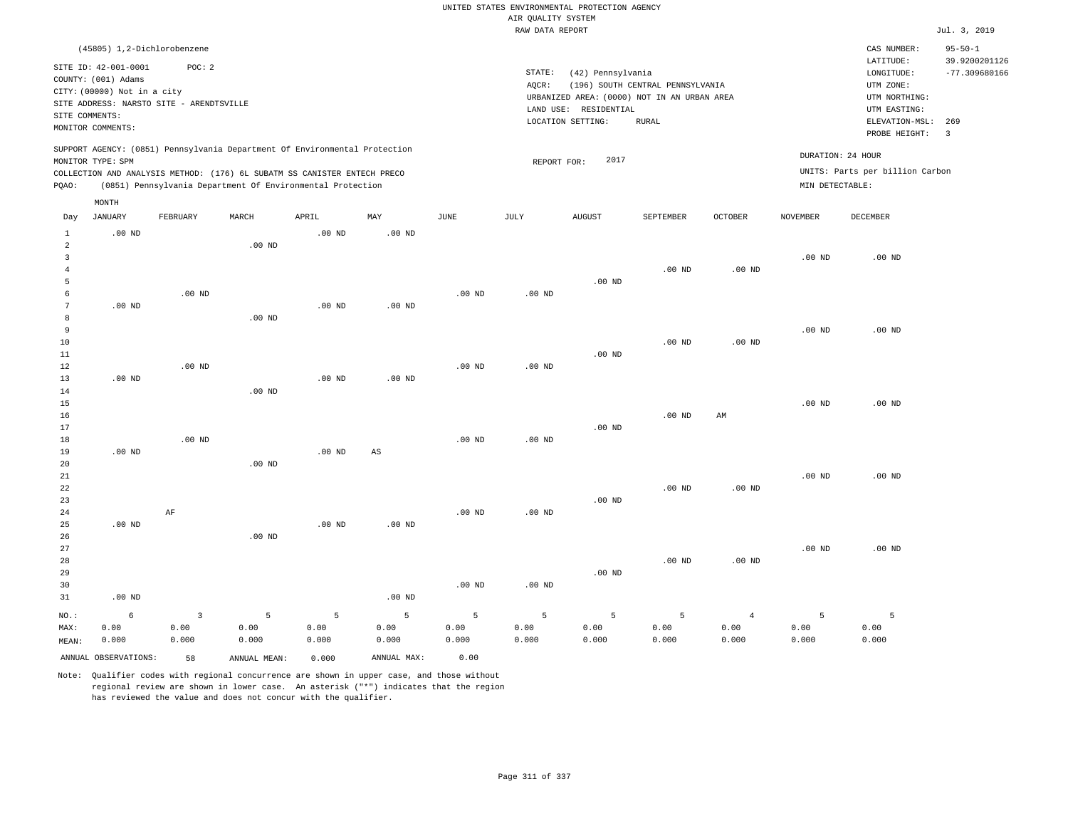|                                |                                                                                                           |                                                    |                                                                            |                   |                   |             |                                       | UNITED STATES ENVIRONMENTAL PROTECTION AGENCY                    |                                  |                |                   |                                                                      |                                                   |
|--------------------------------|-----------------------------------------------------------------------------------------------------------|----------------------------------------------------|----------------------------------------------------------------------------|-------------------|-------------------|-------------|---------------------------------------|------------------------------------------------------------------|----------------------------------|----------------|-------------------|----------------------------------------------------------------------|---------------------------------------------------|
|                                |                                                                                                           |                                                    |                                                                            |                   |                   |             | AIR QUALITY SYSTEM<br>RAW DATA REPORT |                                                                  |                                  |                |                   |                                                                      | Jul. 3, 2019                                      |
|                                |                                                                                                           |                                                    |                                                                            |                   |                   |             |                                       |                                                                  |                                  |                |                   |                                                                      |                                                   |
|                                | (45805) 1,2-Dichlorobenzene<br>SITE ID: 42-001-0001<br>COUNTY: (001) Adams<br>CITY: (00000) Not in a city | POC: 2<br>SITE ADDRESS: NARSTO SITE - ARENDTSVILLE |                                                                            |                   |                   |             | STATE:<br>AQCR:                       | (42) Pennsylvania<br>URBANIZED AREA: (0000) NOT IN AN URBAN AREA | (196) SOUTH CENTRAL PENNSYLVANIA |                |                   | CAS NUMBER:<br>LATITUDE:<br>LONGITUDE:<br>UTM ZONE:<br>UTM NORTHING: | $95 - 50 - 1$<br>39.9200201126<br>$-77.309680166$ |
| SITE COMMENTS:                 |                                                                                                           |                                                    |                                                                            |                   |                   |             |                                       | LAND USE: RESIDENTIAL                                            |                                  |                |                   | UTM EASTING:                                                         |                                                   |
|                                | MONITOR COMMENTS:                                                                                         |                                                    |                                                                            |                   |                   |             |                                       | LOCATION SETTING:                                                | <b>RURAL</b>                     |                |                   | ELEVATION-MSL:<br>PROBE HEIGHT:                                      | 269<br>$\overline{\mathbf{3}}$                    |
|                                | MONITOR TYPE: SPM                                                                                         |                                                    | SUPPORT AGENCY: (0851) Pennsylvania Department Of Environmental Protection |                   |                   |             | REPORT FOR:                           | 2017                                                             |                                  |                | DURATION: 24 HOUR |                                                                      |                                                   |
|                                |                                                                                                           |                                                    | COLLECTION AND ANALYSIS METHOD: (176) 6L SUBATM SS CANISTER ENTECH PRECO   |                   |                   |             |                                       |                                                                  |                                  |                |                   | UNITS: Parts per billion Carbon                                      |                                                   |
| PQAO:                          |                                                                                                           |                                                    | (0851) Pennsylvania Department Of Environmental Protection                 |                   |                   |             |                                       |                                                                  |                                  |                | MIN DETECTABLE:   |                                                                      |                                                   |
|                                | MONTH                                                                                                     |                                                    |                                                                            |                   |                   |             |                                       |                                                                  |                                  |                |                   |                                                                      |                                                   |
| Day                            | <b>JANUARY</b>                                                                                            | FEBRUARY                                           | MARCH                                                                      | APRIL             | MAY               | <b>JUNE</b> | JULY                                  | <b>AUGUST</b>                                                    | SEPTEMBER                        | <b>OCTOBER</b> | <b>NOVEMBER</b>   | <b>DECEMBER</b>                                                      |                                                   |
| $\mathbf{1}$<br>2              | $.00$ ND                                                                                                  |                                                    | $.00$ ND                                                                   | $.00$ ND          | .00 <sub>ND</sub> |             |                                       |                                                                  |                                  |                |                   |                                                                      |                                                   |
| $\mathbf{3}$<br>$\overline{4}$ |                                                                                                           |                                                    |                                                                            |                   |                   |             |                                       |                                                                  | $.00$ ND                         | $.00$ ND       | $.00$ ND          | $.00$ ND                                                             |                                                   |
| 5                              |                                                                                                           |                                                    |                                                                            |                   |                   |             |                                       | .00 <sub>ND</sub>                                                |                                  |                |                   |                                                                      |                                                   |
| 6                              |                                                                                                           | $.00$ ND                                           |                                                                            |                   |                   | $.00$ ND    | $.00$ ND                              |                                                                  |                                  |                |                   |                                                                      |                                                   |
| $\overline{7}$                 | $.00$ ND                                                                                                  |                                                    |                                                                            | .00 <sub>ND</sub> | $.00$ ND          |             |                                       |                                                                  |                                  |                |                   |                                                                      |                                                   |
| 8<br>9                         |                                                                                                           |                                                    | $.00$ ND                                                                   |                   |                   |             |                                       |                                                                  |                                  |                | $.00$ ND          | $.00$ ND                                                             |                                                   |
| 10                             |                                                                                                           |                                                    |                                                                            |                   |                   |             |                                       |                                                                  | $.00$ ND                         | $.00$ ND       |                   |                                                                      |                                                   |
| 11                             |                                                                                                           |                                                    |                                                                            |                   |                   |             |                                       | $.00$ ND                                                         |                                  |                |                   |                                                                      |                                                   |
| 12                             |                                                                                                           | $.00$ ND                                           |                                                                            |                   |                   | $.00$ ND    | $.00$ ND                              |                                                                  |                                  |                |                   |                                                                      |                                                   |
| 13                             | $.00$ ND                                                                                                  |                                                    |                                                                            | .00 <sub>ND</sub> | $.00$ ND          |             |                                       |                                                                  |                                  |                |                   |                                                                      |                                                   |
| 14<br>15                       |                                                                                                           |                                                    | $.00$ ND                                                                   |                   |                   |             |                                       |                                                                  |                                  |                | .00 <sub>ND</sub> | $.00$ ND                                                             |                                                   |
| 16                             |                                                                                                           |                                                    |                                                                            |                   |                   |             |                                       |                                                                  | $.00$ ND                         | AM             |                   |                                                                      |                                                   |
| 17                             |                                                                                                           |                                                    |                                                                            |                   |                   |             |                                       | .00 <sub>ND</sub>                                                |                                  |                |                   |                                                                      |                                                   |
| $18\,$                         |                                                                                                           | .00 <sub>ND</sub>                                  |                                                                            |                   |                   | $.00$ ND    | $.00$ ND                              |                                                                  |                                  |                |                   |                                                                      |                                                   |
| 19                             | $.00$ ND                                                                                                  |                                                    |                                                                            | $.00$ ND          | AS                |             |                                       |                                                                  |                                  |                |                   |                                                                      |                                                   |
| 20<br>21                       |                                                                                                           |                                                    | $.00$ ND                                                                   |                   |                   |             |                                       |                                                                  |                                  |                | $.00$ ND          | $.00$ ND                                                             |                                                   |
| 22                             |                                                                                                           |                                                    |                                                                            |                   |                   |             |                                       |                                                                  | $.00$ ND                         | $.00$ ND       |                   |                                                                      |                                                   |
| 23                             |                                                                                                           |                                                    |                                                                            |                   |                   |             |                                       | $.00$ ND                                                         |                                  |                |                   |                                                                      |                                                   |
| 24                             |                                                                                                           | AF                                                 |                                                                            |                   |                   | $.00$ ND    | $.00$ ND                              |                                                                  |                                  |                |                   |                                                                      |                                                   |
| 25                             | $.00$ ND                                                                                                  |                                                    |                                                                            | $.00$ ND          | $.00$ ND          |             |                                       |                                                                  |                                  |                |                   |                                                                      |                                                   |
| 26<br>27                       |                                                                                                           |                                                    | $.00$ ND                                                                   |                   |                   |             |                                       |                                                                  |                                  |                | $.00$ ND          | $.00$ ND                                                             |                                                   |
| 28                             |                                                                                                           |                                                    |                                                                            |                   |                   |             |                                       |                                                                  | $.00$ ND                         | $.00$ ND       |                   |                                                                      |                                                   |
| 29                             |                                                                                                           |                                                    |                                                                            |                   |                   |             |                                       | $.00$ ND                                                         |                                  |                |                   |                                                                      |                                                   |
| 30                             |                                                                                                           |                                                    |                                                                            |                   |                   | $.00$ ND    | .00 <sub>ND</sub>                     |                                                                  |                                  |                |                   |                                                                      |                                                   |
| 31                             | $.00$ ND                                                                                                  |                                                    |                                                                            |                   | $.00$ ND          |             |                                       |                                                                  |                                  |                |                   |                                                                      |                                                   |
| NO.:                           | $\epsilon$                                                                                                | 3                                                  | 5                                                                          | 5                 | 5                 | 5           | 5                                     | 5                                                                | 5                                | $\overline{4}$ | 5                 | 5                                                                    |                                                   |
| MAX:                           | 0.00                                                                                                      | 0.00                                               | 0.00                                                                       | 0.00              | 0.00              | 0.00        | 0.00                                  | 0.00                                                             | 0.00                             | 0.00           | 0.00              | 0.00                                                                 |                                                   |
| MEAN:                          | 0.000                                                                                                     | 0.000                                              | 0.000                                                                      | 0.000             | 0.000             | 0.000       | 0.000                                 | 0.000                                                            | 0.000                            | 0.000          | 0.000             | 0.000                                                                |                                                   |
|                                | ANNUAL OBSERVATIONS:                                                                                      | 58                                                 | ANNUAL MEAN:                                                               | 0.000             | ANNUAL MAX:       | 0.00        |                                       |                                                                  |                                  |                |                   |                                                                      |                                                   |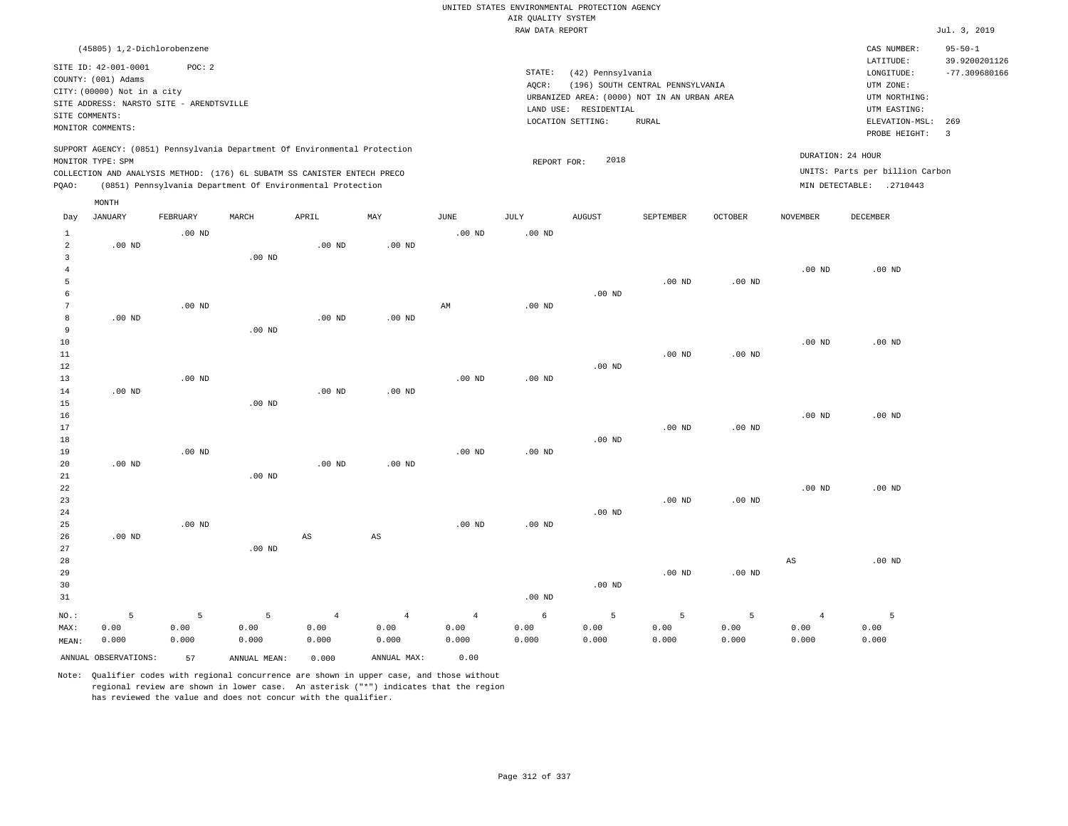|                                                  |                                                                                                                        |                    |                                                            |                                 |                                 |                                 | AIR QUALITY SYSTEM | UNITED STATES ENVIRONMENTAL PROTECTION AGENCY |                                                                                 |                    |                                 |                                                             |                                |
|--------------------------------------------------|------------------------------------------------------------------------------------------------------------------------|--------------------|------------------------------------------------------------|---------------------------------|---------------------------------|---------------------------------|--------------------|-----------------------------------------------|---------------------------------------------------------------------------------|--------------------|---------------------------------|-------------------------------------------------------------|--------------------------------|
|                                                  |                                                                                                                        |                    |                                                            |                                 |                                 |                                 | RAW DATA REPORT    |                                               |                                                                                 |                    |                                 |                                                             | Jul. 3, 2019                   |
|                                                  | (45805) 1,2-Dichlorobenzene                                                                                            |                    |                                                            |                                 |                                 |                                 |                    |                                               |                                                                                 |                    |                                 | CAS NUMBER:<br>LATITUDE:                                    | $95 - 50 - 1$<br>39.9200201126 |
|                                                  | SITE ID: 42-001-0001<br>COUNTY: (001) Adams<br>CITY: (00000) Not in a city<br>SITE ADDRESS: NARSTO SITE - ARENDTSVILLE | POC: 2             |                                                            |                                 |                                 |                                 | STATE:<br>AQCR:    | (42) Pennsylvania<br>LAND USE: RESIDENTIAL    | (196) SOUTH CENTRAL PENNSYLVANIA<br>URBANIZED AREA: (0000) NOT IN AN URBAN AREA |                    |                                 | LONGITUDE:<br>UTM ZONE:<br>UTM NORTHING:<br>UTM EASTING:    | $-77.309680166$                |
| SITE COMMENTS:                                   | MONITOR COMMENTS:                                                                                                      |                    |                                                            |                                 |                                 |                                 |                    | LOCATION SETTING:                             | <b>RURAL</b>                                                                    |                    |                                 | ELEVATION-MSL:                                              | 269                            |
|                                                  | SUPPORT AGENCY: (0851) Pennsylvania Department Of Environmental Protection<br>MONITOR TYPE: SPM                        |                    |                                                            |                                 |                                 |                                 | REPORT FOR:        | 2018                                          |                                                                                 |                    |                                 | PROBE HEIGHT:<br>DURATION: 24 HOUR                          | $\overline{\mathbf{3}}$        |
| PQAO:                                            | COLLECTION AND ANALYSIS METHOD: (176) 6L SUBATM SS CANISTER ENTECH PRECO                                               |                    | (0851) Pennsylvania Department Of Environmental Protection |                                 |                                 |                                 |                    |                                               |                                                                                 |                    |                                 | UNITS: Parts per billion Carbon<br>MIN DETECTABLE: .2710443 |                                |
|                                                  | MONTH                                                                                                                  |                    |                                                            |                                 |                                 |                                 |                    |                                               |                                                                                 |                    |                                 |                                                             |                                |
| Day                                              | JANUARY                                                                                                                | FEBRUARY           | MARCH                                                      | APRIL                           | MAY                             | JUNE                            | JULY               | <b>AUGUST</b>                                 | SEPTEMBER                                                                       | OCTOBER            | NOVEMBER                        | DECEMBER                                                    |                                |
| $\mathbf{1}$<br>$\overline{a}$<br>$\overline{3}$ | $.00$ ND                                                                                                               | $.00$ ND           |                                                            | $.00$ ND                        | .00 <sub>ND</sub>               | .00 <sub>ND</sub>               | .00 <sub>ND</sub>  |                                               |                                                                                 |                    |                                 |                                                             |                                |
| $\overline{4}$<br>5                              |                                                                                                                        |                    | .00 <sub>ND</sub>                                          |                                 |                                 |                                 |                    |                                               | $.00$ ND                                                                        | $.00$ ND           | $.00$ ND                        | $.00$ ND                                                    |                                |
| 6<br>$7\phantom{.0}$<br>8                        | $.00$ ND                                                                                                               | $.00$ ND           |                                                            | $.00$ ND                        | $.00$ ND                        | $\mathbb{A}\mathbb{M}$          | $.00$ ND           | $.00$ ND                                      |                                                                                 |                    |                                 |                                                             |                                |
| 9<br>$10$                                        |                                                                                                                        |                    | $.00$ ND                                                   |                                 |                                 |                                 |                    |                                               |                                                                                 |                    | $.00$ ND                        | $.00$ ND                                                    |                                |
| 11<br>12<br>13                                   |                                                                                                                        | .00 <sub>ND</sub>  |                                                            |                                 |                                 | .00 <sub>ND</sub>               | .00 <sub>ND</sub>  | $.00$ ND                                      | .00 <sub>ND</sub>                                                               | $.00$ ND           |                                 |                                                             |                                |
| 14<br>15                                         | $.00$ ND                                                                                                               |                    | $.00$ ND                                                   | .00 <sub>ND</sub>               | $.00$ ND                        |                                 |                    |                                               |                                                                                 |                    |                                 |                                                             |                                |
| 16<br>17<br>18                                   |                                                                                                                        |                    |                                                            |                                 |                                 |                                 |                    | .00 <sub>ND</sub>                             | $.00$ ND                                                                        | $.00$ ND           | .00 <sub>ND</sub>               | $.00$ ND                                                    |                                |
| 19<br>20                                         | $.00$ ND                                                                                                               | $.00$ ND           |                                                            | $.00$ ND                        | $.00$ ND                        | $.00$ ND                        | $.00$ ND           |                                               |                                                                                 |                    |                                 |                                                             |                                |
| 21<br>22<br>23<br>24                             |                                                                                                                        |                    | $.00$ ND                                                   |                                 |                                 |                                 |                    | $.00$ ND                                      | $.00$ ND                                                                        | $.00$ ND           | $.00$ ND                        | $.00$ ND                                                    |                                |
| 25<br>26<br>27                                   | $.00$ ND                                                                                                               | $.00$ ND           | $.00$ ND                                                   | $\mathbb{A}\mathbb{S}$          | $\mathbb{A}\mathbb{S}$          | .00 <sub>ND</sub>               | .00 <sub>ND</sub>  |                                               |                                                                                 |                    |                                 |                                                             |                                |
| 28<br>29<br>30<br>31                             |                                                                                                                        |                    |                                                            |                                 |                                 |                                 | .00 <sub>ND</sub>  | $.00$ ND                                      | $.00$ ND                                                                        | $.00$ ND           | $_{\rm AS}$                     | $.00$ ND                                                    |                                |
| NO.:<br>MAX:<br>MEAN:                            | 5<br>0.00<br>0.000                                                                                                     | 5<br>0.00<br>0.000 | 5<br>0.00<br>0.000                                         | $\overline{4}$<br>0.00<br>0.000 | $\overline{4}$<br>0.00<br>0.000 | $\overline{4}$<br>0.00<br>0.000 | 6<br>0.00<br>0.000 | 5<br>0.00<br>0.000                            | 5<br>0.00<br>0.000                                                              | 5<br>0.00<br>0.000 | $\overline{4}$<br>0.00<br>0.000 | 5<br>0.00<br>0.000                                          |                                |
|                                                  | ANNUAL OBSERVATIONS:                                                                                                   | 57                 | ANNUAL MEAN:                                               | 0.000                           | ANNUAL MAX:                     | 0.00                            |                    |                                               |                                                                                 |                    |                                 |                                                             |                                |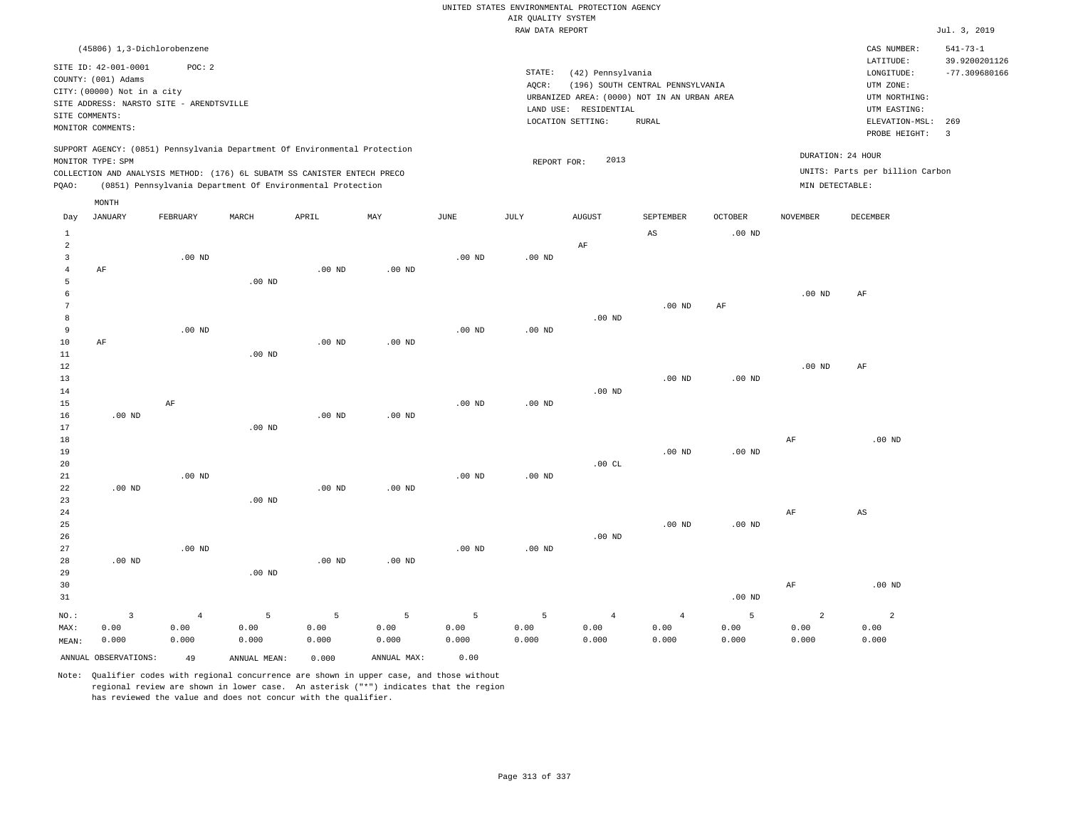|                                |                                             |                   |                                                                            |                   |                   |                   | AIR QUALITY SYSTEM | UNITED STATES ENVIRONMENTAL PROTECTION AGENCY |                                             |                            |                   |                                 |                                 |
|--------------------------------|---------------------------------------------|-------------------|----------------------------------------------------------------------------|-------------------|-------------------|-------------------|--------------------|-----------------------------------------------|---------------------------------------------|----------------------------|-------------------|---------------------------------|---------------------------------|
|                                |                                             |                   |                                                                            |                   |                   |                   | RAW DATA REPORT    |                                               |                                             |                            |                   |                                 | Jul. 3, 2019                    |
|                                | (45806) 1,3-Dichlorobenzene                 |                   |                                                                            |                   |                   |                   |                    |                                               |                                             |                            |                   | CAS NUMBER:<br>LATITUDE:        | $541 - 73 - 1$<br>39.9200201126 |
|                                | SITE ID: 42-001-0001<br>COUNTY: (001) Adams | POC: 2            |                                                                            |                   |                   |                   | STATE:<br>AQCR:    | (42) Pennsylvania                             | (196) SOUTH CENTRAL PENNSYLVANIA            |                            |                   | LONGITUDE:<br>UTM ZONE:         | $-77.309680166$                 |
|                                | CITY: (00000) Not in a city                 |                   |                                                                            |                   |                   |                   |                    |                                               | URBANIZED AREA: (0000) NOT IN AN URBAN AREA |                            |                   | UTM NORTHING:                   |                                 |
|                                | SITE ADDRESS: NARSTO SITE - ARENDTSVILLE    |                   |                                                                            |                   |                   |                   |                    | LAND USE: RESIDENTIAL                         |                                             |                            |                   | UTM EASTING:                    |                                 |
| SITE COMMENTS:                 | MONITOR COMMENTS:                           |                   |                                                                            |                   |                   |                   |                    | LOCATION SETTING:                             | <b>RURAL</b>                                |                            |                   | ELEVATION-MSL:<br>PROBE HEIGHT: | 269<br>$\overline{3}$           |
|                                | MONITOR TYPE: SPM                           |                   | SUPPORT AGENCY: (0851) Pennsylvania Department Of Environmental Protection |                   |                   |                   |                    | 2013                                          |                                             |                            | DURATION: 24 HOUR |                                 |                                 |
|                                |                                             |                   | COLLECTION AND ANALYSIS METHOD: (176) 6L SUBATM SS CANISTER ENTECH PRECO   |                   |                   |                   | REPORT FOR:        |                                               |                                             |                            |                   | UNITS: Parts per billion Carbon |                                 |
| PQAO:                          |                                             |                   | (0851) Pennsylvania Department Of Environmental Protection                 |                   |                   |                   |                    |                                               |                                             |                            | MIN DETECTABLE:   |                                 |                                 |
|                                | MONTH                                       |                   |                                                                            |                   |                   |                   |                    |                                               |                                             |                            |                   |                                 |                                 |
| Day                            | <b>JANUARY</b>                              | FEBRUARY          | MARCH                                                                      | APRIL             | MAY               | <b>JUNE</b>       | JULY               | <b>AUGUST</b>                                 | <b>SEPTEMBER</b><br>$_{\rm AS}$             | <b>OCTOBER</b><br>$.00$ ND | <b>NOVEMBER</b>   | DECEMBER                        |                                 |
| $\mathbf{1}$<br>$\overline{a}$ |                                             |                   |                                                                            |                   |                   |                   |                    | $\rm AF$                                      |                                             |                            |                   |                                 |                                 |
| $\overline{\mathbf{3}}$        |                                             | .00 <sub>ND</sub> |                                                                            |                   |                   | .00 <sub>ND</sub> | $.00$ ND           |                                               |                                             |                            |                   |                                 |                                 |
| $\overline{4}$                 | AF                                          |                   |                                                                            | .00 <sub>ND</sub> | $.00$ ND          |                   |                    |                                               |                                             |                            |                   |                                 |                                 |
| 5                              |                                             |                   | $.00$ ND                                                                   |                   |                   |                   |                    |                                               |                                             |                            |                   |                                 |                                 |
| 6                              |                                             |                   |                                                                            |                   |                   |                   |                    |                                               |                                             |                            | $.00$ ND          | $\rm AF$                        |                                 |
| 7                              |                                             |                   |                                                                            |                   |                   |                   |                    |                                               | $.00$ ND                                    | $\rm AF$                   |                   |                                 |                                 |
| 8<br>$\overline{9}$            |                                             | $.00$ ND          |                                                                            |                   |                   | $.00$ ND          | $.00$ ND           | $.00$ ND                                      |                                             |                            |                   |                                 |                                 |
| $10$                           | AF                                          |                   |                                                                            | .00 <sub>ND</sub> | .00 <sub>ND</sub> |                   |                    |                                               |                                             |                            |                   |                                 |                                 |
| $1\,1$                         |                                             |                   | $.00$ ND                                                                   |                   |                   |                   |                    |                                               |                                             |                            |                   |                                 |                                 |
| 12                             |                                             |                   |                                                                            |                   |                   |                   |                    |                                               |                                             |                            | .00 <sub>ND</sub> | AF                              |                                 |
| 13                             |                                             |                   |                                                                            |                   |                   |                   |                    |                                               | .00 <sub>ND</sub>                           | $.00$ ND                   |                   |                                 |                                 |
| 14                             |                                             |                   |                                                                            |                   |                   |                   |                    | $.00$ ND                                      |                                             |                            |                   |                                 |                                 |
| 15                             |                                             | AF                |                                                                            |                   |                   | .00 <sub>ND</sub> | $.00$ ND           |                                               |                                             |                            |                   |                                 |                                 |
| 16                             | $.00$ ND                                    |                   |                                                                            | $.00$ ND          | $.00$ ND          |                   |                    |                                               |                                             |                            |                   |                                 |                                 |
| 17                             |                                             |                   | .00 <sub>ND</sub>                                                          |                   |                   |                   |                    |                                               |                                             |                            |                   |                                 |                                 |
| 18                             |                                             |                   |                                                                            |                   |                   |                   |                    |                                               |                                             |                            | AF                | $.00$ ND                        |                                 |
| 19<br>20                       |                                             |                   |                                                                            |                   |                   |                   |                    | .00CL                                         | $.00$ ND                                    | .00 <sub>ND</sub>          |                   |                                 |                                 |
| 21                             |                                             | $.00$ ND          |                                                                            |                   |                   | .00 <sub>ND</sub> | $.00$ ND           |                                               |                                             |                            |                   |                                 |                                 |
| 22                             | $.00$ ND                                    |                   |                                                                            | $.00$ ND          | $.00$ ND          |                   |                    |                                               |                                             |                            |                   |                                 |                                 |
| 23                             |                                             |                   | $.00$ ND                                                                   |                   |                   |                   |                    |                                               |                                             |                            |                   |                                 |                                 |
| 24                             |                                             |                   |                                                                            |                   |                   |                   |                    |                                               |                                             |                            | $\rm AF$          | $_{\rm AS}$                     |                                 |
| 25                             |                                             |                   |                                                                            |                   |                   |                   |                    |                                               | .00 <sub>ND</sub>                           | $.00$ ND                   |                   |                                 |                                 |
| 26                             |                                             |                   |                                                                            |                   |                   |                   |                    | .00 <sub>ND</sub>                             |                                             |                            |                   |                                 |                                 |
| 27                             |                                             | $.00$ ND          |                                                                            |                   |                   | .00 <sub>ND</sub> | $.00$ ND           |                                               |                                             |                            |                   |                                 |                                 |
| 28                             | $.00$ ND                                    |                   |                                                                            | $.00$ ND          | $.00$ ND          |                   |                    |                                               |                                             |                            |                   |                                 |                                 |
| 29                             |                                             |                   | .00 <sub>ND</sub>                                                          |                   |                   |                   |                    |                                               |                                             |                            |                   |                                 |                                 |
| 30                             |                                             |                   |                                                                            |                   |                   |                   |                    |                                               |                                             |                            | $\rm AF$          | $.00$ ND                        |                                 |
| 31                             |                                             |                   |                                                                            |                   |                   |                   |                    |                                               |                                             | $.00$ ND                   |                   |                                 |                                 |
| NO.:                           | $\overline{\mathbf{3}}$                     | $\overline{4}$    | 5                                                                          | $\overline{5}$    | $\overline{5}$    | 5                 | 5                  | $\overline{4}$                                | $\overline{4}$                              | 5                          | $\overline{a}$    | $\overline{a}$                  |                                 |
| MAX:                           | 0.00                                        | 0.00              | 0.00                                                                       | 0.00              | 0.00              | 0.00              | 0.00               | 0.00                                          | 0.00                                        | 0.00                       | 0.00              | 0.00                            |                                 |
| MEAN:                          | 0.000                                       | 0.000             | 0.000                                                                      | 0.000             | 0.000             | 0.000             | 0.000              | 0.000                                         | 0.000                                       | 0.000                      | 0.000             | 0.000                           |                                 |
|                                | ANNUAL OBSERVATIONS:                        | 49                | ANNUAL, MEAN:                                                              | 0.000             | ANNUAL MAX:       | 0.00              |                    |                                               |                                             |                            |                   |                                 |                                 |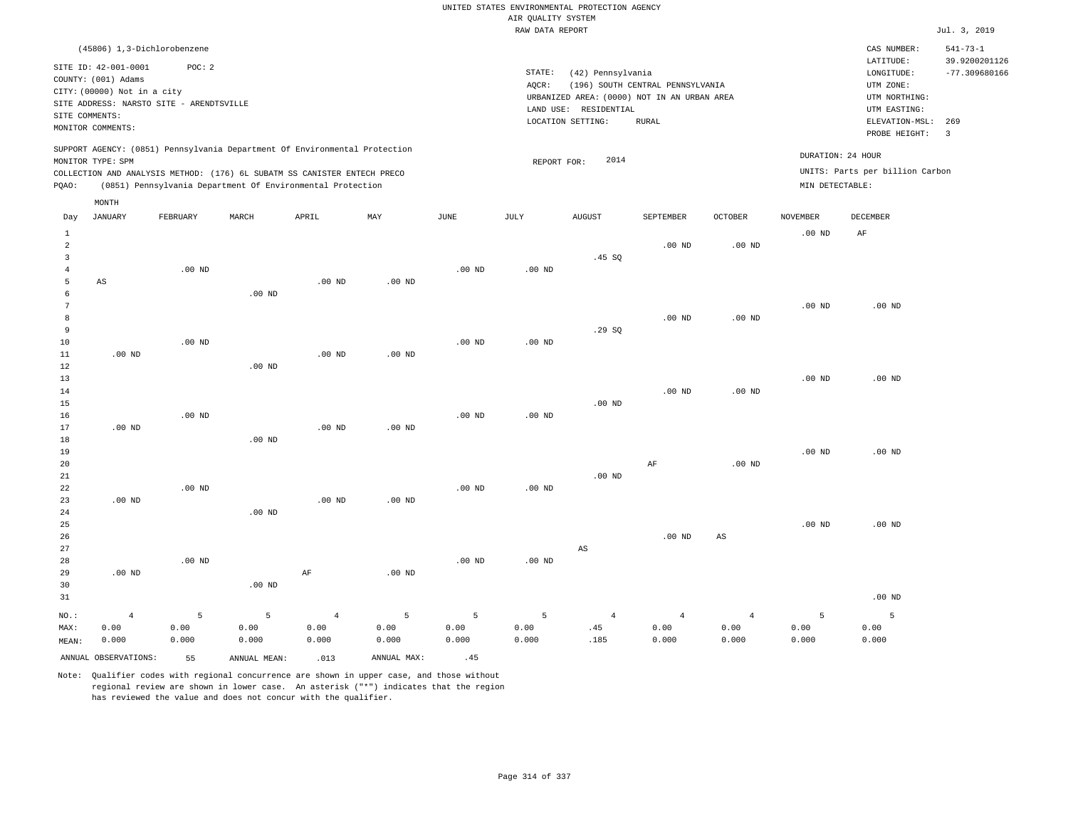|                |                                             |                   |                                                                            |                   |                |                   |                                       | UNITED STATES ENVIRONMENTAL PROTECTION AGENCY |                                  |                        |                   |                                      |                                  |
|----------------|---------------------------------------------|-------------------|----------------------------------------------------------------------------|-------------------|----------------|-------------------|---------------------------------------|-----------------------------------------------|----------------------------------|------------------------|-------------------|--------------------------------------|----------------------------------|
|                |                                             |                   |                                                                            |                   |                |                   | AIR QUALITY SYSTEM<br>RAW DATA REPORT |                                               |                                  |                        |                   |                                      | Jul. 3, 2019                     |
|                | (45806) 1,3-Dichlorobenzene                 |                   |                                                                            |                   |                |                   |                                       |                                               |                                  |                        |                   | CAS NUMBER:                          | $541 - 73 - 1$                   |
|                | SITE ID: 42-001-0001<br>COUNTY: (001) Adams | POC: 2            |                                                                            |                   |                |                   | STATE:<br>AQCR:                       | (42) Pennsylvania                             | (196) SOUTH CENTRAL PENNSYLVANIA |                        |                   | LATITUDE:<br>LONGITUDE:<br>UTM ZONE: | 39.9200201126<br>$-77.309680166$ |
|                | CITY: (00000) Not in a city                 |                   |                                                                            |                   |                |                   |                                       | URBANIZED AREA: (0000) NOT IN AN URBAN AREA   |                                  |                        |                   | UTM NORTHING:                        |                                  |
|                | SITE ADDRESS: NARSTO SITE - ARENDTSVILLE    |                   |                                                                            |                   |                |                   |                                       | LAND USE: RESIDENTIAL                         |                                  |                        |                   | UTM EASTING:                         |                                  |
| SITE COMMENTS: | MONITOR COMMENTS:                           |                   |                                                                            |                   |                |                   |                                       | LOCATION SETTING:                             | <b>RURAL</b>                     |                        |                   | ELEVATION-MSL:                       | 269                              |
|                |                                             |                   | SUPPORT AGENCY: (0851) Pennsylvania Department Of Environmental Protection |                   |                |                   |                                       |                                               |                                  |                        |                   | PROBE HEIGHT:                        | $\overline{3}$                   |
|                | MONITOR TYPE: SPM                           |                   |                                                                            |                   |                |                   | REPORT FOR:                           | 2014                                          |                                  |                        | DURATION: 24 HOUR |                                      |                                  |
|                |                                             |                   | COLLECTION AND ANALYSIS METHOD: (176) 6L SUBATM SS CANISTER ENTECH PRECO   |                   |                |                   |                                       |                                               |                                  |                        |                   | UNITS: Parts per billion Carbon      |                                  |
| PQAO:          |                                             |                   | (0851) Pennsylvania Department Of Environmental Protection                 |                   |                |                   |                                       |                                               |                                  |                        | MIN DETECTABLE:   |                                      |                                  |
| Day            | MONTH<br><b>JANUARY</b>                     | FEBRUARY          | MARCH                                                                      | APRIL             | MAY            | <b>JUNE</b>       | JULY                                  | <b>AUGUST</b>                                 | SEPTEMBER                        | <b>OCTOBER</b>         | <b>NOVEMBER</b>   | DECEMBER                             |                                  |
| $1\,$          |                                             |                   |                                                                            |                   |                |                   |                                       |                                               |                                  |                        | $.00$ ND          | AF                                   |                                  |
| $\overline{a}$ |                                             |                   |                                                                            |                   |                |                   |                                       |                                               | $.00$ ND                         | $.00$ ND               |                   |                                      |                                  |
| $\overline{3}$ |                                             |                   |                                                                            |                   |                |                   |                                       | .45 SQ                                        |                                  |                        |                   |                                      |                                  |
| $\overline{4}$ |                                             | $.00$ ND          |                                                                            |                   |                | $.00$ ND          | $.00$ ND                              |                                               |                                  |                        |                   |                                      |                                  |
| 5              | AS                                          |                   |                                                                            | $.00$ ND          | $.00$ ND       |                   |                                       |                                               |                                  |                        |                   |                                      |                                  |
| 6              |                                             |                   | $.00$ ND                                                                   |                   |                |                   |                                       |                                               |                                  |                        |                   |                                      |                                  |
| 7<br>8         |                                             |                   |                                                                            |                   |                |                   |                                       |                                               |                                  |                        | $.00$ ND          | $.00$ ND                             |                                  |
| 9              |                                             |                   |                                                                            |                   |                |                   |                                       | .29SQ                                         | $.00$ ND                         | $.00$ ND               |                   |                                      |                                  |
| 10             |                                             | .00 <sub>ND</sub> |                                                                            |                   |                | .00 <sub>ND</sub> | $.00$ ND                              |                                               |                                  |                        |                   |                                      |                                  |
| 11             | $.00$ ND                                    |                   |                                                                            | .00 <sub>ND</sub> | $.00$ ND       |                   |                                       |                                               |                                  |                        |                   |                                      |                                  |
| 12             |                                             |                   | $.00$ ND                                                                   |                   |                |                   |                                       |                                               |                                  |                        |                   |                                      |                                  |
| 13             |                                             |                   |                                                                            |                   |                |                   |                                       |                                               |                                  |                        | .00 <sub>ND</sub> | $.00$ ND                             |                                  |
| 14             |                                             |                   |                                                                            |                   |                |                   |                                       |                                               | $.00$ ND                         | .00 <sub>ND</sub>      |                   |                                      |                                  |
| 15             |                                             |                   |                                                                            |                   |                |                   |                                       | $.00$ ND                                      |                                  |                        |                   |                                      |                                  |
| 16             |                                             | $.00$ ND          |                                                                            |                   |                | $.00$ ND          | $.00$ ND                              |                                               |                                  |                        |                   |                                      |                                  |
| 17             | $.00$ ND                                    |                   |                                                                            | .00 <sub>ND</sub> | $.00$ ND       |                   |                                       |                                               |                                  |                        |                   |                                      |                                  |
| 18             |                                             |                   | $.00$ ND                                                                   |                   |                |                   |                                       |                                               |                                  |                        |                   |                                      |                                  |
| 19             |                                             |                   |                                                                            |                   |                |                   |                                       |                                               |                                  |                        | .00 <sub>ND</sub> | .00 <sub>ND</sub>                    |                                  |
| 20<br>21       |                                             |                   |                                                                            |                   |                |                   |                                       | $.00$ ND                                      | AF                               | .00 <sub>ND</sub>      |                   |                                      |                                  |
| 22             |                                             | $.00$ ND          |                                                                            |                   |                | $.00$ ND          | .00 <sub>ND</sub>                     |                                               |                                  |                        |                   |                                      |                                  |
| 23             | $.00$ ND                                    |                   |                                                                            | $.00$ ND          | $.00$ ND       |                   |                                       |                                               |                                  |                        |                   |                                      |                                  |
| 24             |                                             |                   | .00 <sub>ND</sub>                                                          |                   |                |                   |                                       |                                               |                                  |                        |                   |                                      |                                  |
| 25             |                                             |                   |                                                                            |                   |                |                   |                                       |                                               |                                  |                        | .00 <sub>ND</sub> | $.00$ ND                             |                                  |
| 26             |                                             |                   |                                                                            |                   |                |                   |                                       |                                               | $.00$ ND                         | $\mathbb{A}\mathbb{S}$ |                   |                                      |                                  |
| 27             |                                             |                   |                                                                            |                   |                |                   |                                       | AS                                            |                                  |                        |                   |                                      |                                  |
| 28             |                                             | $.00$ ND          |                                                                            |                   |                | $.00$ ND          | $.00$ ND                              |                                               |                                  |                        |                   |                                      |                                  |
| 29             | $.00$ ND                                    |                   |                                                                            | $\rm AF$          | $.00$ ND       |                   |                                       |                                               |                                  |                        |                   |                                      |                                  |
| 30             |                                             |                   | .00 <sub>ND</sub>                                                          |                   |                |                   |                                       |                                               |                                  |                        |                   |                                      |                                  |
| 31             |                                             |                   |                                                                            |                   |                |                   |                                       |                                               |                                  |                        |                   | $.00$ ND                             |                                  |
| $_{\rm NO.}$ : | $\overline{4}$                              | 5                 | 5                                                                          | $\overline{4}$    | $\overline{5}$ | $\overline{5}$    | 5                                     | $\overline{4}$                                | $\overline{4}$                   | $\overline{4}$         | 5                 | 5                                    |                                  |
| MAX:           | 0.00                                        | 0.00              | 0.00                                                                       | 0.00              | 0.00           | 0.00              | 0.00                                  | .45                                           | 0.00                             | 0.00                   | 0.00              | 0.00                                 |                                  |
| MEAN:          | 0.000                                       | 0.000             | 0.000                                                                      | 0.000             | 0.000          | 0.000             | 0.000                                 | .185                                          | 0.000                            | 0.000                  | 0.000             | 0.000                                |                                  |
|                | ANNUAL OBSERVATIONS:                        | 55                | ANNUAL, MEAN:                                                              | .013              | ANNUAL MAX:    | .45               |                                       |                                               |                                  |                        |                   |                                      |                                  |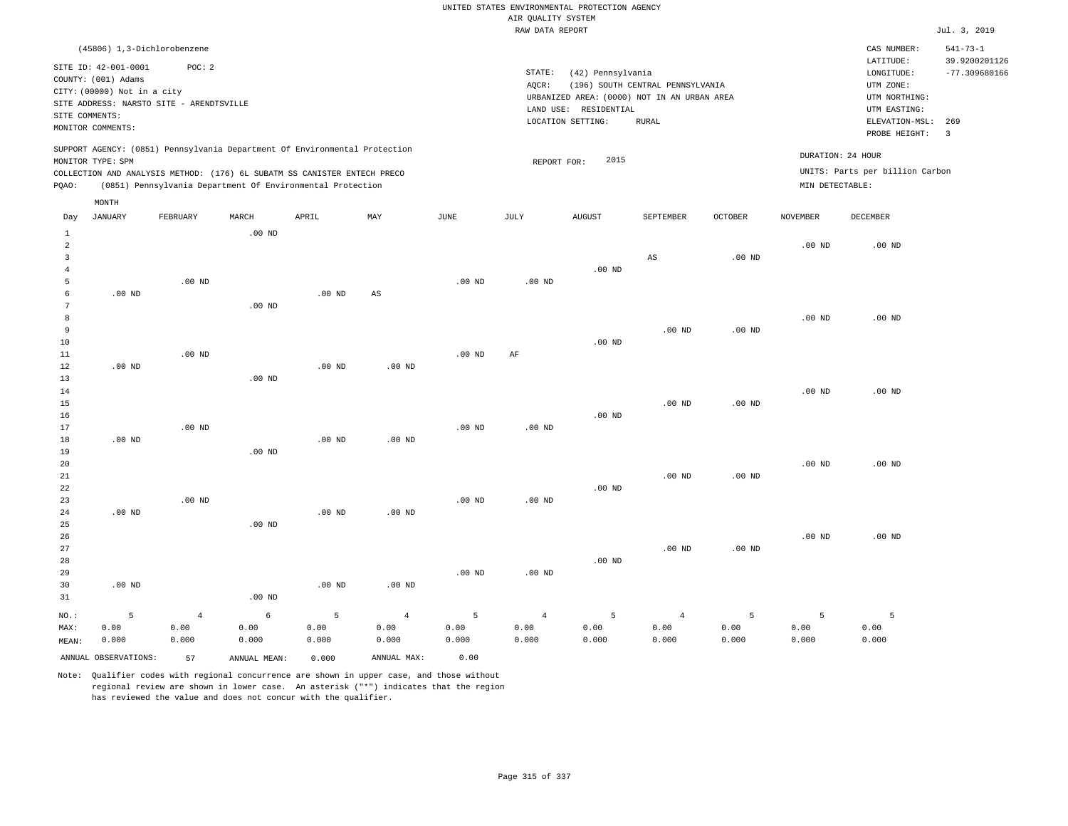RAW DATA REPORT Jul. 3, 2019 UNITED STATES ENVIRONMENTAL PROTECTION AGENCY AIR QUALITY SYSTEM

| (45806) 1,3-Dichlorobenzene                                                |                                             | CAS NUMBER:                     | $541 - 73 - 1$  |
|----------------------------------------------------------------------------|---------------------------------------------|---------------------------------|-----------------|
| SITE ID: 42-001-0001<br>POC: 2                                             |                                             | LATITUDE:                       | 39.9200201126   |
|                                                                            | STATE:<br>(42) Pennsylvania                 | LONGITUDE:                      | $-77.309680166$ |
| COUNTY: (001) Adams                                                        | (196) SOUTH CENTRAL PENNSYLVANIA<br>AOCR:   | UTM ZONE:                       |                 |
| CITY: (00000) Not in a city                                                | URBANIZED AREA: (0000) NOT IN AN URBAN AREA | UTM NORTHING:                   |                 |
| SITE ADDRESS: NARSTO SITE - ARENDTSVILLE                                   | LAND USE: RESIDENTIAL                       | UTM EASTING:                    |                 |
| SITE COMMENTS:                                                             | LOCATION SETTING:<br>RURAL                  | ELEVATION-MSL: 269              |                 |
| MONITOR COMMENTS:                                                          |                                             | PROBE HEIGHT:                   |                 |
| SUPPORT AGENCY: (0851) Pennsylvania Department Of Environmental Protection |                                             |                                 |                 |
| MONITOR TYPE: SPM                                                          | 2015<br>REPORT FOR:                         | DURATION: 24 HOUR               |                 |
| COLLECTION AND ANALYSIS METHOD: (176) 6L SUBATM SS CANISTER ENTECH PRECO   |                                             | UNITS: Parts per billion Carbon |                 |

PQAO: (0851) Pennsylvania Department Of Environmental Protection MIN DETECTABLE:

|                                                   | $\texttt{MONTH}$     |                |              |          |                        |          |                |               |           |                |                   |                 |
|---------------------------------------------------|----------------------|----------------|--------------|----------|------------------------|----------|----------------|---------------|-----------|----------------|-------------------|-----------------|
| Day                                               | <b>JANUARY</b>       | FEBRUARY       | MARCH        | APRIL    | MAY                    | JUNE     | JULY           | <b>AUGUST</b> | SEPTEMBER | <b>OCTOBER</b> | NOVEMBER          | <b>DECEMBER</b> |
| $\mathbf{1}$<br>$\overline{\mathbf{c}}$<br>3<br>4 |                      |                | $.00$ ND     |          |                        |          |                | $.00$ ND      | AS        | $.00$ ND       | $.00$ ND          | $.00$ ND        |
| 5                                                 |                      | $.00$ ND       |              |          |                        | $.00$ ND | $.00$ ND       |               |           |                |                   |                 |
| 6                                                 | $.00$ ND             |                |              | $.00$ ND | $\mathbb{A}\mathbb{S}$ |          |                |               |           |                |                   |                 |
| 7<br>8                                            |                      |                | $.00$ ND     |          |                        |          |                |               |           |                | $.00$ ND          | $.00$ ND        |
| 9                                                 |                      |                |              |          |                        |          |                |               | $.00$ ND  | $.00$ ND       |                   |                 |
| 10                                                |                      |                |              |          |                        |          |                | $.00$ ND      |           |                |                   |                 |
| 11                                                |                      | $.00$ ND       |              |          |                        | $.00$ ND | $\rm{AF}$      |               |           |                |                   |                 |
| 12                                                | $.00$ ND             |                |              | $.00$ ND | $.00$ ND               |          |                |               |           |                |                   |                 |
| 13                                                |                      |                | $.00$ ND     |          |                        |          |                |               |           |                |                   |                 |
| 14                                                |                      |                |              |          |                        |          |                |               |           |                | .00 <sub>ND</sub> | $.00$ ND        |
| 15                                                |                      |                |              |          |                        |          |                |               | $.00$ ND  | $.00$ ND       |                   |                 |
| 16                                                |                      |                |              |          |                        |          |                | $.00$ ND      |           |                |                   |                 |
| 17<br>18                                          | $.00$ ND             | $.00$ ND       |              | $.00$ ND | $.00$ ND               | $.00$ ND | $.00$ ND       |               |           |                |                   |                 |
| 19                                                |                      |                | $.00$ ND     |          |                        |          |                |               |           |                |                   |                 |
| 20                                                |                      |                |              |          |                        |          |                |               |           |                | .00 <sub>ND</sub> | $.00$ ND        |
| 21                                                |                      |                |              |          |                        |          |                |               | $.00$ ND  | $.00$ ND       |                   |                 |
| 22                                                |                      |                |              |          |                        |          |                | $.00$ ND      |           |                |                   |                 |
| 23                                                |                      | $.00$ ND       |              |          |                        | $.00$ ND | $.00$ ND       |               |           |                |                   |                 |
| 24                                                | $.00$ ND             |                |              | $.00$ ND | $.00$ ND               |          |                |               |           |                |                   |                 |
| 25                                                |                      |                | $.00$ ND     |          |                        |          |                |               |           |                |                   |                 |
| 26<br>27                                          |                      |                |              |          |                        |          |                |               | $.00$ ND  | $.00$ ND       | $.00$ ND          | $.00$ ND        |
| 28                                                |                      |                |              |          |                        |          |                | $.00$ ND      |           |                |                   |                 |
| 29                                                |                      |                |              |          |                        | $.00$ ND | $.00$ ND       |               |           |                |                   |                 |
| 30                                                | $.00$ ND             |                |              | $.00$ ND | $.00$ ND               |          |                |               |           |                |                   |                 |
| 31                                                |                      |                | $.00$ ND     |          |                        |          |                |               |           |                |                   |                 |
| $NO.$ :                                           | 5                    | $\overline{4}$ | 6            | 5        | $\overline{4}$         | 5        | $\overline{4}$ | 5             | $\,4\,$   | 5              | 5                 | 5               |
| MAX:                                              | 0.00                 | 0.00           | 0.00         | 0.00     | 0.00                   | 0.00     | 0.00           | 0.00          | 0.00      | 0.00           | 0.00              | 0.00            |
| MEAN:                                             | 0.000                | 0.000          | 0.000        | 0.000    | 0.000                  | 0.000    | 0.000          | 0.000         | 0.000     | 0.000          | 0.000             | 0.000           |
|                                                   | ANNUAL OBSERVATIONS: | 57             | ANNUAL MEAN: | 0.000    | ANNUAL MAX:            | 0.00     |                |               |           |                |                   |                 |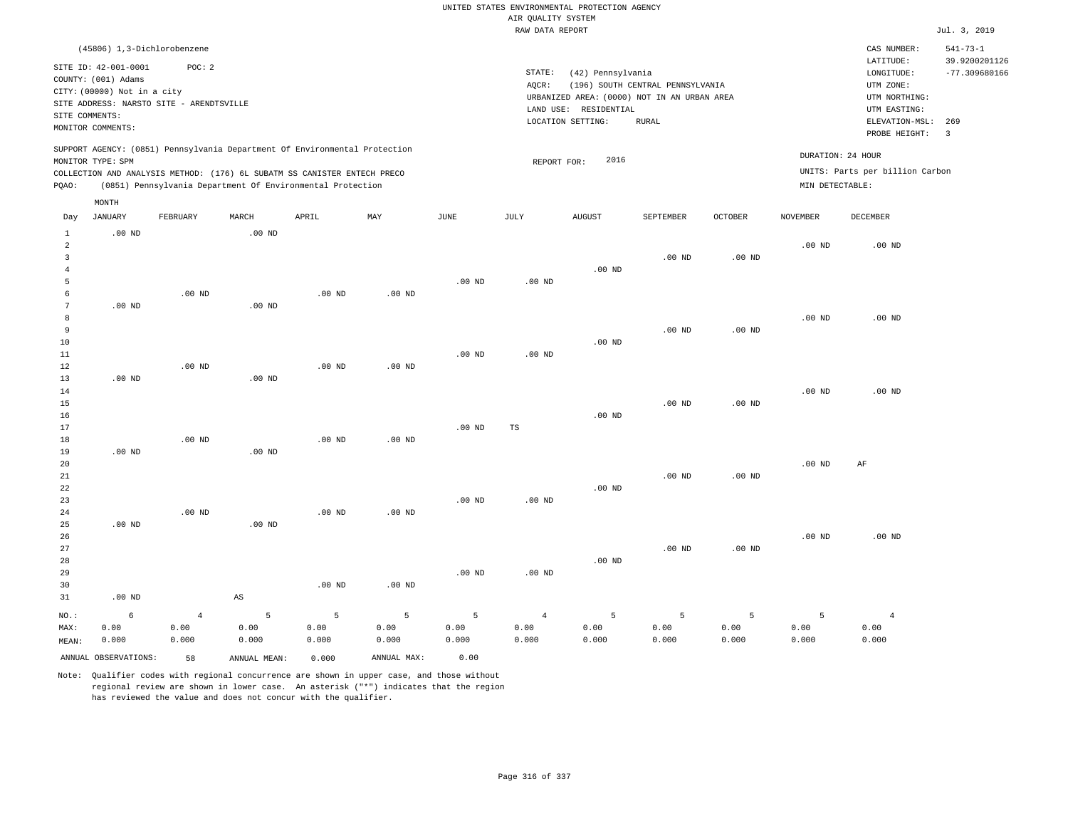| Jul. 3, 2019                                       |
|----------------------------------------------------|
| $541 - 73 - 1$<br>39.9200201126<br>$-77.309680166$ |
| ELEVATION-MSL:<br>269<br>$\overline{\mathbf{3}}$   |
| UNITS: Parts per billion Carbon                    |
|                                                    |
|                                                    |
|                                                    |
|                                                    |
|                                                    |
|                                                    |
|                                                    |
|                                                    |
|                                                    |
|                                                    |
|                                                    |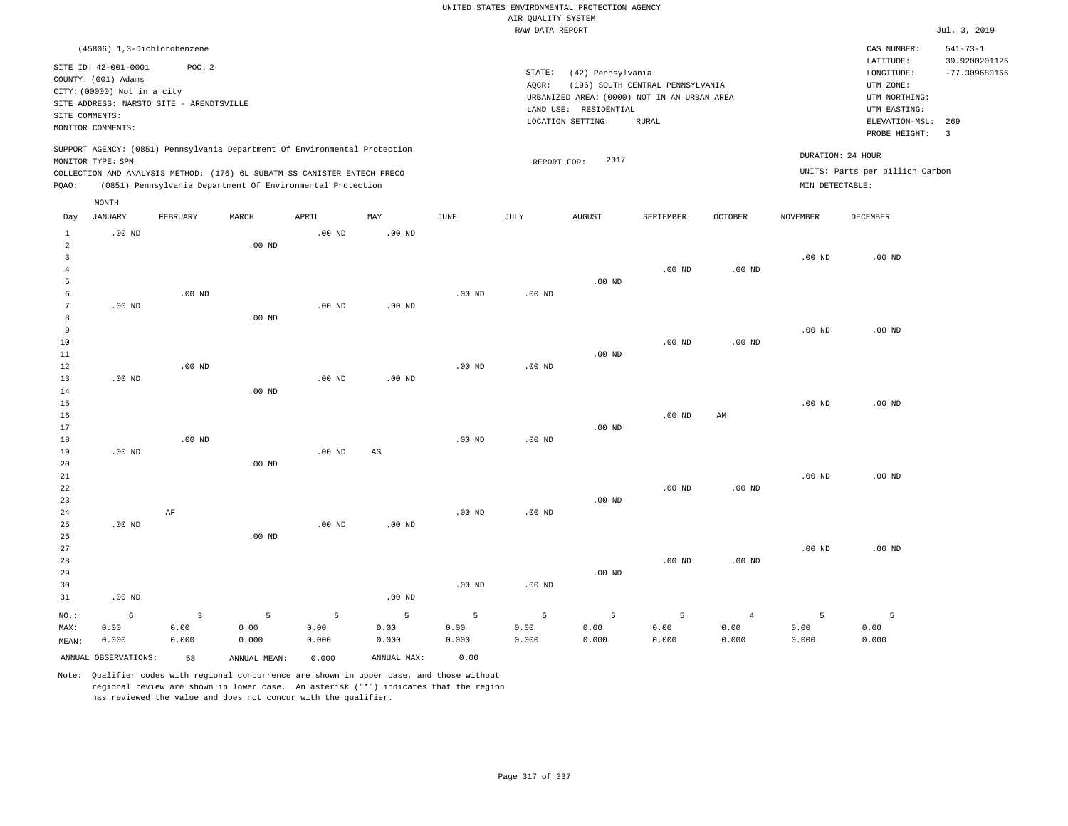|                                                                                                                                                          |                                                                                                                                                                            |                                  |                                                                                                                                                                                                                      |                                                    |                                           |                                  |                                           | UNITED STATES ENVIRONMENTAL PROTECTION AGENCY                                                                  |                                                  |                                     |                                      |                                                                                                                         |                                                                             |
|----------------------------------------------------------------------------------------------------------------------------------------------------------|----------------------------------------------------------------------------------------------------------------------------------------------------------------------------|----------------------------------|----------------------------------------------------------------------------------------------------------------------------------------------------------------------------------------------------------------------|----------------------------------------------------|-------------------------------------------|----------------------------------|-------------------------------------------|----------------------------------------------------------------------------------------------------------------|--------------------------------------------------|-------------------------------------|--------------------------------------|-------------------------------------------------------------------------------------------------------------------------|-----------------------------------------------------------------------------|
|                                                                                                                                                          |                                                                                                                                                                            |                                  |                                                                                                                                                                                                                      |                                                    |                                           |                                  | AIR QUALITY SYSTEM                        |                                                                                                                |                                                  |                                     |                                      |                                                                                                                         |                                                                             |
|                                                                                                                                                          |                                                                                                                                                                            |                                  |                                                                                                                                                                                                                      |                                                    |                                           |                                  | RAW DATA REPORT                           |                                                                                                                |                                                  |                                     |                                      |                                                                                                                         | Jul. 3, 2019                                                                |
| SITE COMMENTS:                                                                                                                                           | (45806) 1,3-Dichlorobenzene<br>SITE ID: 42-001-0001<br>COUNTY: (001) Adams<br>CITY: (00000) Not in a city<br>SITE ADDRESS: NARSTO SITE - ARENDTSVILLE<br>MONITOR COMMENTS: | POC: 2                           |                                                                                                                                                                                                                      |                                                    |                                           |                                  | STATE:<br>AQCR:                           | (42) Pennsylvania<br>URBANIZED AREA: (0000) NOT IN AN URBAN AREA<br>LAND USE: RESIDENTIAL<br>LOCATION SETTING: | (196) SOUTH CENTRAL PENNSYLVANIA<br><b>RURAL</b> |                                     |                                      | CAS NUMBER:<br>LATITUDE:<br>LONGITUDE:<br>UTM ZONE:<br>UTM NORTHING:<br>UTM EASTING:<br>ELEVATION-MSL:<br>PROBE HEIGHT: | $541 - 73 - 1$<br>39.9200201126<br>$-77.309680166$<br>269<br>$\overline{3}$ |
| PQAO:                                                                                                                                                    | MONITOR TYPE: SPM                                                                                                                                                          |                                  | SUPPORT AGENCY: (0851) Pennsylvania Department Of Environmental Protection<br>COLLECTION AND ANALYSIS METHOD: (176) 6L SUBATM SS CANISTER ENTECH PRECO<br>(0851) Pennsylvania Department Of Environmental Protection |                                                    |                                           |                                  | REPORT FOR:                               | 2017                                                                                                           |                                                  |                                     | DURATION: 24 HOUR<br>MIN DETECTABLE: | UNITS: Parts per billion Carbon                                                                                         |                                                                             |
| Day                                                                                                                                                      | MONTH<br><b>JANUARY</b>                                                                                                                                                    | FEBRUARY                         | MARCH                                                                                                                                                                                                                | APRIL                                              | MAY                                       | <b>JUNE</b>                      | JULY                                      | ${\tt AUGUST}$                                                                                                 | SEPTEMBER                                        | OCTOBER                             | <b>NOVEMBER</b>                      | DECEMBER                                                                                                                |                                                                             |
| $\mathbf{1}$<br>$\overline{a}$<br>$\overline{3}$<br>$\bf{4}$<br>5<br>6<br>$\overline{7}$<br>8<br>9<br>10<br>11<br>12<br>13<br>14<br>15<br>16<br>17<br>18 | $.00$ ND<br>$.00$ ND<br>$.00$ ND                                                                                                                                           | $.00$ ND<br>$.00$ ND<br>$.00$ ND | $.00$ ND<br>$.00$ ND<br>$.00$ ND                                                                                                                                                                                     | $.00$ ND<br>.00 <sub>ND</sub><br>.00 <sub>ND</sub> | $.00$ ND<br>$.00$ ND<br>.00 <sub>ND</sub> | $.00$ ND<br>$.00$ ND<br>$.00$ ND | .00 <sub>ND</sub><br>$.00$ ND<br>$.00$ ND | .00 <sub>ND</sub><br>$.00$ ND<br>.00 <sub>ND</sub>                                                             | $.00$ ND<br>.00 <sub>ND</sub><br>$.00$ ND        | $.00$ ND<br>.00 <sub>ND</sub><br>AM | $.00$ ND<br>$.00$ ND<br>$.00$ ND     | $.00$ ND<br>$.00$ ND<br>$.00$ ND                                                                                        |                                                                             |
| 19<br>20<br>21<br>22<br>23<br>24<br>25                                                                                                                   | $.00$ ND<br>$.00$ ND                                                                                                                                                       | AF                               | $.00$ ND                                                                                                                                                                                                             | .00 <sub>ND</sub><br>.00 <sub>ND</sub>             | $\mathbb{A}\mathbb{S}$<br>$.00$ ND        | .00 <sub>ND</sub>                | .00 <sub>ND</sub>                         | .00 <sub>ND</sub>                                                                                              | $.00$ ND                                         | $.00$ ND                            | $.00$ ND                             | $.00$ ND                                                                                                                |                                                                             |
| 26<br>27<br>28<br>29<br>30<br>31                                                                                                                         | $.00$ ND                                                                                                                                                                   |                                  | $.00$ ND                                                                                                                                                                                                             |                                                    | $.00$ ND                                  | $.00$ ND                         | .00 <sub>ND</sub>                         | $.00$ ND                                                                                                       | $.00$ ND                                         | $.00$ ND                            | $.00$ ND                             | $.00$ ND                                                                                                                |                                                                             |
| NO.:<br>MAX:<br>MEAN:                                                                                                                                    | 6<br>0.00<br>0.000                                                                                                                                                         | $\overline{3}$<br>0.00<br>0.000  | 5<br>0.00<br>0.000                                                                                                                                                                                                   | 5<br>0.00<br>0.000                                 | 5<br>0.00<br>0.000                        | 5<br>0.00<br>0.000               | 5<br>0.00<br>0.000                        | 5<br>0.00<br>0.000                                                                                             | 5<br>0.00<br>0.000                               | $\overline{4}$<br>0.00<br>0.000     | 5<br>0.00<br>0.000                   | 5<br>0.00<br>0.000                                                                                                      |                                                                             |
|                                                                                                                                                          | ANNUAL OBSERVATIONS:                                                                                                                                                       | 58                               | ANNUAL MEAN:                                                                                                                                                                                                         | 0.000                                              | ANNUAL MAX:                               | 0.00                             |                                           |                                                                                                                |                                                  |                                     |                                      |                                                                                                                         |                                                                             |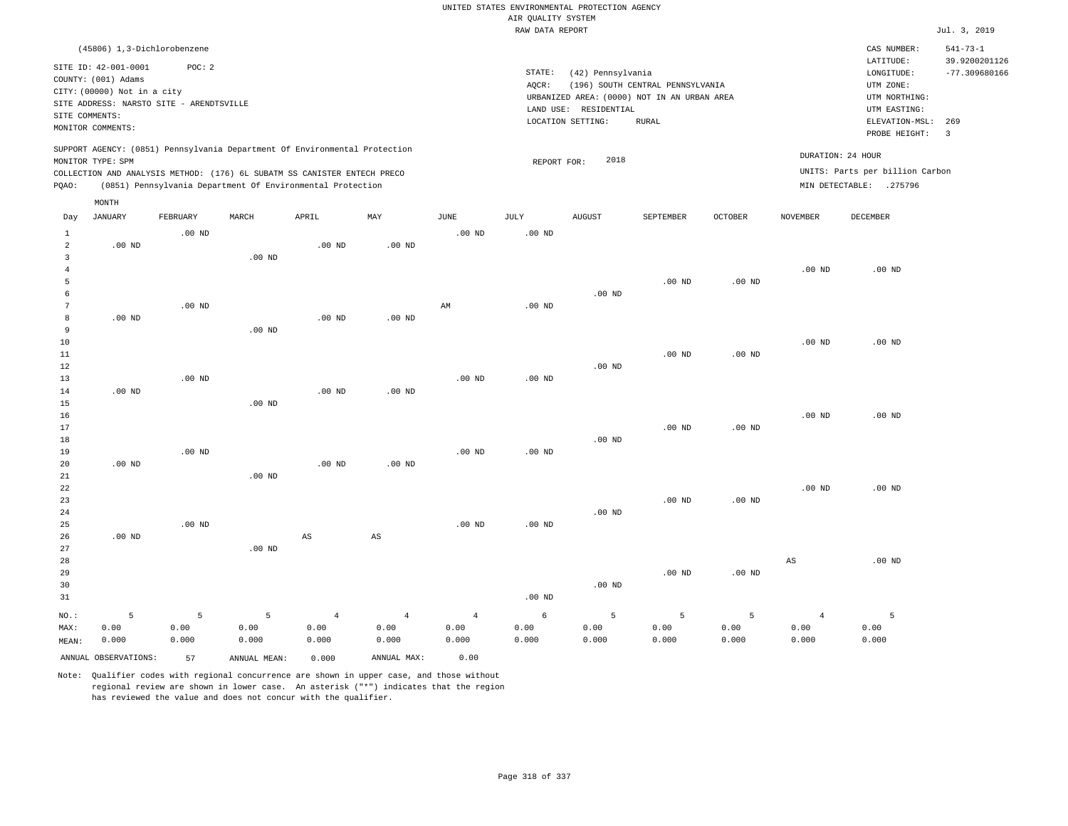|                 |                                                     |                   |                                                                            |                   |                        |                        |                    | UNITED STATES ENVIRONMENTAL PROTECTION AGENCY |                                             |                   |                 |                                 |                                 |
|-----------------|-----------------------------------------------------|-------------------|----------------------------------------------------------------------------|-------------------|------------------------|------------------------|--------------------|-----------------------------------------------|---------------------------------------------|-------------------|-----------------|---------------------------------|---------------------------------|
|                 |                                                     |                   |                                                                            |                   |                        |                        | AIR QUALITY SYSTEM |                                               |                                             |                   |                 |                                 |                                 |
|                 |                                                     |                   |                                                                            |                   |                        |                        | RAW DATA REPORT    |                                               |                                             |                   |                 |                                 | Jul. 3, 2019                    |
|                 | (45806) 1,3-Dichlorobenzene<br>SITE ID: 42-001-0001 | POC: 2            |                                                                            |                   |                        |                        |                    |                                               |                                             |                   |                 | CAS NUMBER:<br>LATITUDE:        | $541 - 73 - 1$<br>39.9200201126 |
|                 | COUNTY: (001) Adams                                 |                   |                                                                            |                   |                        |                        | STATE:             | (42) Pennsylvania                             |                                             |                   |                 | LONGITUDE:                      | $-77.309680166$                 |
|                 | CITY: (00000) Not in a city                         |                   |                                                                            |                   |                        |                        | AQCR:              |                                               | (196) SOUTH CENTRAL PENNSYLVANIA            |                   |                 | UTM ZONE:                       |                                 |
|                 | SITE ADDRESS: NARSTO SITE - ARENDTSVILLE            |                   |                                                                            |                   |                        |                        |                    |                                               | URBANIZED AREA: (0000) NOT IN AN URBAN AREA |                   |                 | UTM NORTHING:                   |                                 |
| SITE COMMENTS:  |                                                     |                   |                                                                            |                   |                        |                        |                    | LAND USE: RESIDENTIAL                         |                                             |                   |                 | UTM EASTING:                    |                                 |
|                 | MONITOR COMMENTS:                                   |                   |                                                                            |                   |                        |                        |                    | LOCATION SETTING:                             | <b>RURAL</b>                                |                   |                 | ELEVATION-MSL:<br>PROBE HEIGHT: | 269<br>$\overline{\mathbf{3}}$  |
|                 | MONITOR TYPE: SPM                                   |                   | SUPPORT AGENCY: (0851) Pennsylvania Department Of Environmental Protection |                   |                        |                        | REPORT FOR:        | 2018                                          |                                             |                   |                 | DURATION: 24 HOUR               |                                 |
|                 |                                                     |                   | COLLECTION AND ANALYSIS METHOD: (176) 6L SUBATM SS CANISTER ENTECH PRECO   |                   |                        |                        |                    |                                               |                                             |                   |                 | UNITS: Parts per billion Carbon |                                 |
| PQAO:           |                                                     |                   | (0851) Pennsylvania Department Of Environmental Protection                 |                   |                        |                        |                    |                                               |                                             |                   |                 | MIN DETECTABLE: .275796         |                                 |
|                 | MONTH                                               |                   |                                                                            |                   |                        |                        |                    |                                               |                                             |                   |                 |                                 |                                 |
| Day             | <b>JANUARY</b>                                      | FEBRUARY          | MARCH                                                                      | APRIL             | MAY                    | <b>JUNE</b>            | JULY               | AUGUST                                        | SEPTEMBER                                   | OCTOBER           | <b>NOVEMBER</b> | <b>DECEMBER</b>                 |                                 |
| 1               |                                                     | $.00$ ND          |                                                                            |                   |                        | $.00$ ND               | $.00$ ND           |                                               |                                             |                   |                 |                                 |                                 |
| $\overline{a}$  | $.00$ ND                                            |                   |                                                                            | $.00$ ND          | $.00$ ND               |                        |                    |                                               |                                             |                   |                 |                                 |                                 |
| $\mathbf{3}$    |                                                     |                   | .00 <sub>ND</sub>                                                          |                   |                        |                        |                    |                                               |                                             |                   |                 |                                 |                                 |
| $\overline{4}$  |                                                     |                   |                                                                            |                   |                        |                        |                    |                                               |                                             |                   | $.00$ ND        | $.00$ ND                        |                                 |
| 5               |                                                     |                   |                                                                            |                   |                        |                        |                    |                                               | .00 <sub>ND</sub>                           | $.00$ ND          |                 |                                 |                                 |
| 6               |                                                     |                   |                                                                            |                   |                        |                        |                    | $.00$ ND                                      |                                             |                   |                 |                                 |                                 |
| $7\phantom{.0}$ |                                                     | $.00$ ND          |                                                                            |                   |                        | $\mathbb{A}\mathbb{M}$ | $.00$ ND           |                                               |                                             |                   |                 |                                 |                                 |
| 8               | $.00$ ND                                            |                   |                                                                            | $.00$ ND          | $.00$ ND               |                        |                    |                                               |                                             |                   |                 |                                 |                                 |
| 9<br>10         |                                                     |                   | $.00$ ND                                                                   |                   |                        |                        |                    |                                               |                                             |                   |                 |                                 |                                 |
|                 |                                                     |                   |                                                                            |                   |                        |                        |                    |                                               | $.00$ ND                                    | $.00$ ND          | $.00$ ND        | $.00$ ND                        |                                 |
| 11<br>12        |                                                     |                   |                                                                            |                   |                        |                        |                    | $.00$ ND                                      |                                             |                   |                 |                                 |                                 |
| 13              |                                                     | .00 <sub>ND</sub> |                                                                            |                   |                        | .00 <sub>ND</sub>      | $.00$ ND           |                                               |                                             |                   |                 |                                 |                                 |
| 14              | .00 <sub>ND</sub>                                   |                   |                                                                            | $.00$ ND          | $.00$ ND               |                        |                    |                                               |                                             |                   |                 |                                 |                                 |
| 15              |                                                     |                   | .00 <sub>ND</sub>                                                          |                   |                        |                        |                    |                                               |                                             |                   |                 |                                 |                                 |
| 16              |                                                     |                   |                                                                            |                   |                        |                        |                    |                                               |                                             |                   | $.00$ ND        | $.00$ ND                        |                                 |
| 17              |                                                     |                   |                                                                            |                   |                        |                        |                    |                                               | .00 <sub>ND</sub>                           | .00 <sub>ND</sub> |                 |                                 |                                 |
| 18              |                                                     |                   |                                                                            |                   |                        |                        |                    | $.00$ ND                                      |                                             |                   |                 |                                 |                                 |
| 19              |                                                     | $.00$ ND          |                                                                            |                   |                        | $.00$ ND               | .00 <sub>ND</sub>  |                                               |                                             |                   |                 |                                 |                                 |
| 20              | $.00$ ND                                            |                   |                                                                            | .00 <sub>ND</sub> | $.00$ ND               |                        |                    |                                               |                                             |                   |                 |                                 |                                 |
| $21\,$          |                                                     |                   | $.00$ ND                                                                   |                   |                        |                        |                    |                                               |                                             |                   |                 |                                 |                                 |
| 22              |                                                     |                   |                                                                            |                   |                        |                        |                    |                                               |                                             |                   | $.00$ ND        | $.00$ ND                        |                                 |
| 23              |                                                     |                   |                                                                            |                   |                        |                        |                    |                                               | $.00$ ND                                    | $.00$ ND          |                 |                                 |                                 |
| 24              |                                                     |                   |                                                                            |                   |                        |                        |                    | $.00$ ND                                      |                                             |                   |                 |                                 |                                 |
| 25              |                                                     | $.00$ ND          |                                                                            |                   |                        | $.00$ ND               | $.00$ ND           |                                               |                                             |                   |                 |                                 |                                 |
| 26              | $.00$ ND                                            |                   |                                                                            | AS                | $\mathbb{A}\mathbb{S}$ |                        |                    |                                               |                                             |                   |                 |                                 |                                 |
| 27              |                                                     |                   | .00 <sub>ND</sub>                                                          |                   |                        |                        |                    |                                               |                                             |                   |                 |                                 |                                 |
| 28              |                                                     |                   |                                                                            |                   |                        |                        |                    |                                               |                                             |                   | AS              | $.00$ ND                        |                                 |
| 29              |                                                     |                   |                                                                            |                   |                        |                        |                    |                                               | $.00$ ND                                    | $.00$ ND          |                 |                                 |                                 |
| 30              |                                                     |                   |                                                                            |                   |                        |                        |                    | .00 <sub>ND</sub>                             |                                             |                   |                 |                                 |                                 |
| 31              |                                                     |                   |                                                                            |                   |                        |                        | .00 <sub>ND</sub>  |                                               |                                             |                   |                 |                                 |                                 |
| NO.:            | 5                                                   | 5                 | 5                                                                          | $\overline{4}$    | $\overline{4}$         | $\overline{4}$         | 6                  | 5                                             | 5                                           | 5                 | $\overline{4}$  | 5                               |                                 |
| MAX:            | 0.00                                                | 0.00              | 0.00                                                                       | 0.00              | 0.00                   | 0.00                   | 0.00               | 0.00                                          | 0.00                                        | 0.00              | 0.00            | 0.00                            |                                 |
| MEAN:           | 0.000                                               | 0.000             | 0.000                                                                      | 0.000             | 0.000                  | 0.000                  | 0.000              | 0.000                                         | 0.000                                       | 0.000             | 0.000           | 0.000                           |                                 |
|                 | ANNUAL OBSERVATIONS:                                | 57                | ANNUAL MEAN:                                                               | 0.000             | ANNUAL MAX:            | 0.00                   |                    |                                               |                                             |                   |                 |                                 |                                 |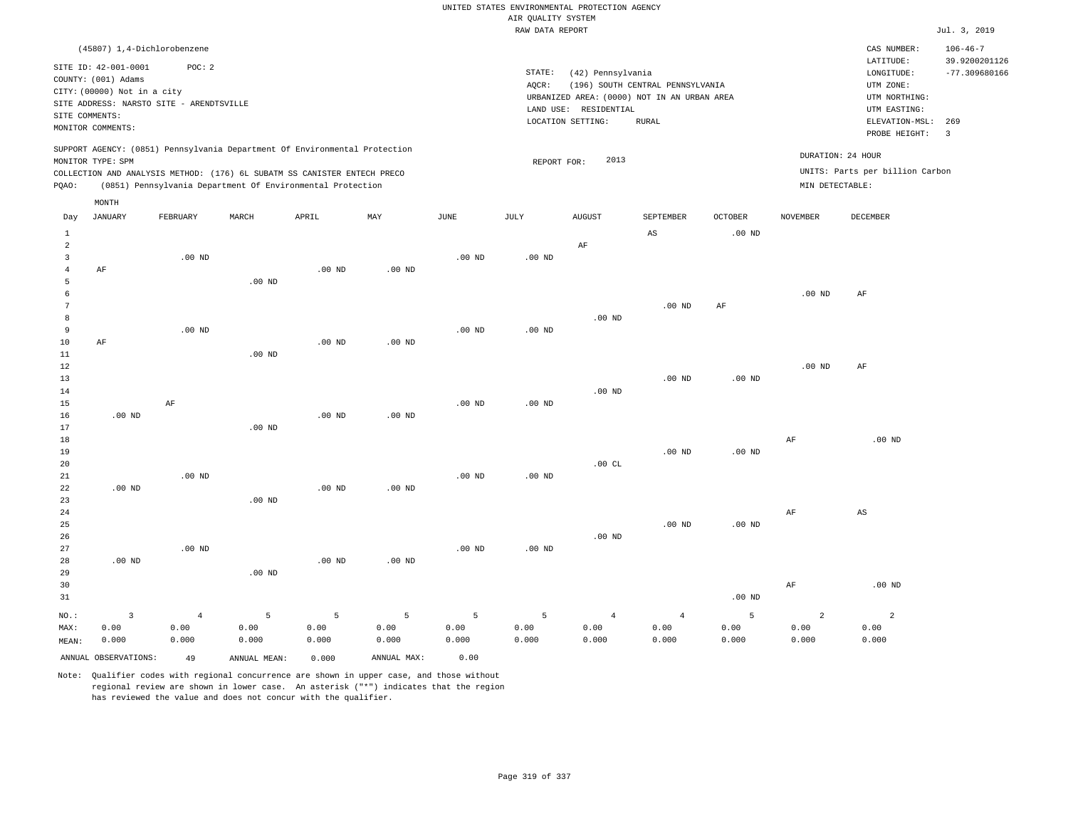|                         |                                          |                |                                                                                                                                        |                   |                |                   |                    | UNITED STATES ENVIRONMENTAL PROTECTION AGENCY |                                  |                   |                 |                                 |                         |
|-------------------------|------------------------------------------|----------------|----------------------------------------------------------------------------------------------------------------------------------------|-------------------|----------------|-------------------|--------------------|-----------------------------------------------|----------------------------------|-------------------|-----------------|---------------------------------|-------------------------|
|                         |                                          |                |                                                                                                                                        |                   |                |                   | AIR QUALITY SYSTEM |                                               |                                  |                   |                 |                                 |                         |
|                         |                                          |                |                                                                                                                                        |                   |                |                   | RAW DATA REPORT    |                                               |                                  |                   |                 |                                 | Jul. 3, 2019            |
|                         | (45807) 1,4-Dichlorobenzene              |                |                                                                                                                                        |                   |                |                   |                    |                                               |                                  |                   |                 | CAS NUMBER:                     | $106 - 46 - 7$          |
|                         | SITE ID: 42-001-0001                     | POC: 2         |                                                                                                                                        |                   |                |                   |                    |                                               |                                  |                   |                 | LATITUDE:                       | 39.9200201126           |
|                         | COUNTY: (001) Adams                      |                |                                                                                                                                        |                   |                |                   | STATE:             | (42) Pennsylvania                             |                                  |                   |                 | LONGITUDE:                      | $-77.309680166$         |
|                         | CITY: (00000) Not in a city              |                |                                                                                                                                        |                   |                |                   | AOCR:              |                                               | (196) SOUTH CENTRAL PENNSYLVANIA |                   |                 | UTM ZONE:                       |                         |
|                         | SITE ADDRESS: NARSTO SITE - ARENDTSVILLE |                |                                                                                                                                        |                   |                |                   |                    | URBANIZED AREA: (0000) NOT IN AN URBAN AREA   |                                  |                   |                 | UTM NORTHING:                   |                         |
| SITE COMMENTS:          |                                          |                |                                                                                                                                        |                   |                |                   |                    | LAND USE: RESIDENTIAL<br>LOCATION SETTING:    | <b>RURAL</b>                     |                   |                 | UTM EASTING:<br>ELEVATION-MSL:  | 269                     |
|                         | MONITOR COMMENTS:                        |                |                                                                                                                                        |                   |                |                   |                    |                                               |                                  |                   |                 | PROBE HEIGHT:                   | $\overline{\mathbf{3}}$ |
|                         |                                          |                | SUPPORT AGENCY: (0851) Pennsylvania Department Of Environmental Protection                                                             |                   |                |                   |                    |                                               |                                  |                   |                 | DURATION: 24 HOUR               |                         |
|                         | MONITOR TYPE: SPM                        |                |                                                                                                                                        |                   |                |                   | REPORT FOR:        | 2013                                          |                                  |                   |                 |                                 |                         |
| PQAO:                   |                                          |                | COLLECTION AND ANALYSIS METHOD: (176) 6L SUBATM SS CANISTER ENTECH PRECO<br>(0851) Pennsylvania Department Of Environmental Protection |                   |                |                   |                    |                                               |                                  |                   | MIN DETECTABLE: | UNITS: Parts per billion Carbon |                         |
|                         | MONTH                                    |                |                                                                                                                                        |                   |                |                   |                    |                                               |                                  |                   |                 |                                 |                         |
| Day                     | <b>JANUARY</b>                           | FEBRUARY       | MARCH                                                                                                                                  | APRIL             | MAY            | $_{\rm JUNE}$     | <b>JULY</b>        | <b>AUGUST</b>                                 | SEPTEMBER                        | <b>OCTOBER</b>    | <b>NOVEMBER</b> | DECEMBER                        |                         |
| $\mathbf{1}$            |                                          |                |                                                                                                                                        |                   |                |                   |                    |                                               | $\mathbb{A}\mathbb{S}$           | .00 <sub>ND</sub> |                 |                                 |                         |
| $\overline{a}$          |                                          |                |                                                                                                                                        |                   |                |                   |                    | AF                                            |                                  |                   |                 |                                 |                         |
| $\overline{\mathbf{3}}$ |                                          | $.00$ ND       |                                                                                                                                        |                   |                | $.00$ ND          | $.00$ ND           |                                               |                                  |                   |                 |                                 |                         |
| $\overline{4}$          | AF                                       |                |                                                                                                                                        | $.00$ ND          | $.00$ ND       |                   |                    |                                               |                                  |                   |                 |                                 |                         |
| 5                       |                                          |                | $.00$ ND                                                                                                                               |                   |                |                   |                    |                                               |                                  |                   |                 |                                 |                         |
| $\epsilon$              |                                          |                |                                                                                                                                        |                   |                |                   |                    |                                               |                                  |                   | $.00$ ND        | $\rm AF$                        |                         |
| 7                       |                                          |                |                                                                                                                                        |                   |                |                   |                    |                                               | .00 <sub>ND</sub>                | AF                |                 |                                 |                         |
| $^{\rm 8}$              |                                          |                |                                                                                                                                        |                   |                |                   |                    | $.00$ ND                                      |                                  |                   |                 |                                 |                         |
| 9<br>$10$               |                                          | $.00$ ND       |                                                                                                                                        | $.00$ ND          | $.00$ ND       | $.00$ ND          | $.00$ ND           |                                               |                                  |                   |                 |                                 |                         |
| 11                      | AF                                       |                | .00 <sub>ND</sub>                                                                                                                      |                   |                |                   |                    |                                               |                                  |                   |                 |                                 |                         |
| 12                      |                                          |                |                                                                                                                                        |                   |                |                   |                    |                                               |                                  |                   | $.00$ ND        | AF                              |                         |
| 13                      |                                          |                |                                                                                                                                        |                   |                |                   |                    |                                               | .00 <sub>ND</sub>                | $.00$ ND          |                 |                                 |                         |
| 14                      |                                          |                |                                                                                                                                        |                   |                |                   |                    | $.00$ ND                                      |                                  |                   |                 |                                 |                         |
| 15                      |                                          | $\rm AF$       |                                                                                                                                        |                   |                | .00 <sub>ND</sub> | $.00$ ND           |                                               |                                  |                   |                 |                                 |                         |
| 16                      | $.00$ ND                                 |                |                                                                                                                                        | .00 <sub>ND</sub> | $.00$ ND       |                   |                    |                                               |                                  |                   |                 |                                 |                         |
| 17                      |                                          |                | $.00$ ND                                                                                                                               |                   |                |                   |                    |                                               |                                  |                   |                 |                                 |                         |
| 18                      |                                          |                |                                                                                                                                        |                   |                |                   |                    |                                               |                                  |                   | AF              | $.00$ ND                        |                         |
| 19                      |                                          |                |                                                                                                                                        |                   |                |                   |                    |                                               | $.00$ ND                         | .00 <sub>ND</sub> |                 |                                 |                         |
| 20                      |                                          |                |                                                                                                                                        |                   |                |                   |                    | .00CL                                         |                                  |                   |                 |                                 |                         |
| 21                      |                                          | $.00$ ND       |                                                                                                                                        |                   |                | .00 <sub>ND</sub> | $.00$ ND           |                                               |                                  |                   |                 |                                 |                         |
| 22                      | $.00$ ND                                 |                |                                                                                                                                        | $.00$ ND          | $.00$ ND       |                   |                    |                                               |                                  |                   |                 |                                 |                         |
| 23                      |                                          |                | $.00$ ND                                                                                                                               |                   |                |                   |                    |                                               |                                  |                   |                 |                                 |                         |
| 24                      |                                          |                |                                                                                                                                        |                   |                |                   |                    |                                               |                                  |                   | AF              | $\mathbb{A}\mathbb{S}$          |                         |
| 25                      |                                          |                |                                                                                                                                        |                   |                |                   |                    |                                               | $.00$ ND                         | .00 <sub>ND</sub> |                 |                                 |                         |
| 26                      |                                          |                |                                                                                                                                        |                   |                |                   |                    | $.00$ ND                                      |                                  |                   |                 |                                 |                         |
| 27                      |                                          | $.00$ ND       |                                                                                                                                        |                   |                | $.00$ ND          | $.00$ ND           |                                               |                                  |                   |                 |                                 |                         |
| 28                      | $.00$ ND                                 |                |                                                                                                                                        | $.00$ ND          | $.00$ ND       |                   |                    |                                               |                                  |                   |                 |                                 |                         |
| 29                      |                                          |                | .00 <sub>ND</sub>                                                                                                                      |                   |                |                   |                    |                                               |                                  |                   |                 |                                 |                         |
| 30                      |                                          |                |                                                                                                                                        |                   |                |                   |                    |                                               |                                  |                   | AF              | $.00$ ND                        |                         |
| 31                      |                                          |                |                                                                                                                                        |                   |                |                   |                    |                                               |                                  | .00 <sub>ND</sub> |                 |                                 |                         |
| NO.:                    | $\overline{\mathbf{3}}$                  | $\overline{4}$ | 5                                                                                                                                      | $\overline{5}$    | $\overline{5}$ | 5                 | 5                  | $\overline{4}$                                | $\overline{4}$                   | 5                 | $\overline{a}$  | $\overline{a}$                  |                         |
| MAX:                    | 0.00                                     | 0.00           | 0.00                                                                                                                                   | 0.00              | 0.00           | 0.00              | 0.00               | 0.00                                          | 0.00                             | 0.00              | 0.00            | 0.00                            |                         |
| MEAN:                   | 0.000                                    | 0.000          | 0.000                                                                                                                                  | 0.000             | 0.000          | 0.000             | 0.000              | 0.000                                         | 0.000                            | 0.000             | 0.000           | 0.000                           |                         |
|                         | ANNUAL OBSERVATIONS:                     | 49             | ANNUAL, MEAN:                                                                                                                          | 0.000             | ANNUAL MAX:    | 0.00              |                    |                                               |                                  |                   |                 |                                 |                         |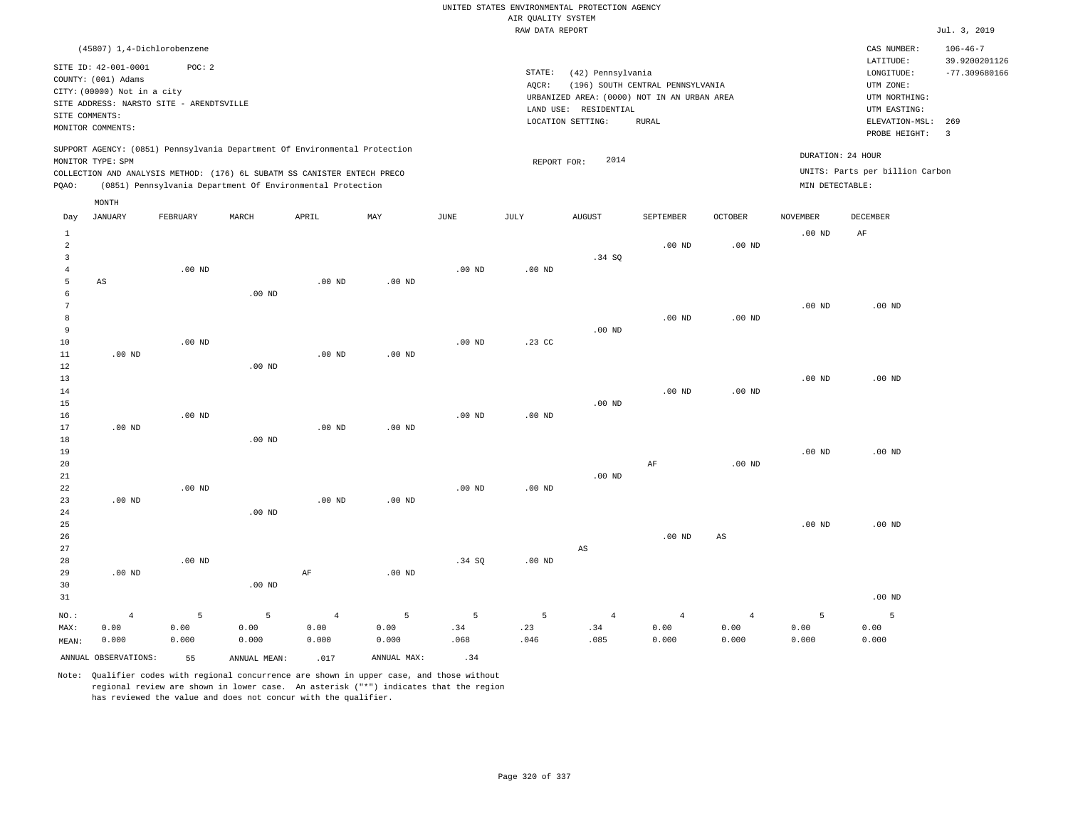|                 |                                          |                   |                                                                                                                                        |                   |             |                   |                    | UNITED STATES ENVIRONMENTAL PROTECTION AGENCY |                                  |                   |                   |                                 |                                 |
|-----------------|------------------------------------------|-------------------|----------------------------------------------------------------------------------------------------------------------------------------|-------------------|-------------|-------------------|--------------------|-----------------------------------------------|----------------------------------|-------------------|-------------------|---------------------------------|---------------------------------|
|                 |                                          |                   |                                                                                                                                        |                   |             |                   | AIR QUALITY SYSTEM |                                               |                                  |                   |                   |                                 |                                 |
|                 |                                          |                   |                                                                                                                                        |                   |             |                   | RAW DATA REPORT    |                                               |                                  |                   |                   |                                 | Jul. 3, 2019                    |
|                 | (45807) 1,4-Dichlorobenzene              |                   |                                                                                                                                        |                   |             |                   |                    |                                               |                                  |                   |                   | CAS NUMBER:<br>LATITUDE:        | $106 - 46 - 7$<br>39.9200201126 |
|                 | SITE ID: 42-001-0001                     | POC: 2            |                                                                                                                                        |                   |             |                   | STATE:             | (42) Pennsylvania                             |                                  |                   |                   | LONGITUDE:                      | $-77.309680166$                 |
|                 | COUNTY: (001) Adams                      |                   |                                                                                                                                        |                   |             |                   | AQCR:              |                                               | (196) SOUTH CENTRAL PENNSYLVANIA |                   |                   | UTM ZONE:                       |                                 |
|                 | CITY: (00000) Not in a city              |                   |                                                                                                                                        |                   |             |                   |                    | URBANIZED AREA: (0000) NOT IN AN URBAN AREA   |                                  |                   |                   | UTM NORTHING:                   |                                 |
|                 | SITE ADDRESS: NARSTO SITE - ARENDTSVILLE |                   |                                                                                                                                        |                   |             |                   |                    | LAND USE: RESIDENTIAL                         |                                  |                   |                   | UTM EASTING:                    |                                 |
|                 | SITE COMMENTS:                           |                   |                                                                                                                                        |                   |             |                   |                    | LOCATION SETTING:                             | <b>RURAL</b>                     |                   |                   | ELEVATION-MSL:                  | 269                             |
|                 | MONITOR COMMENTS:                        |                   |                                                                                                                                        |                   |             |                   |                    |                                               |                                  |                   |                   | PROBE HEIGHT:                   | $\overline{\mathbf{3}}$         |
|                 |                                          |                   | SUPPORT AGENCY: (0851) Pennsylvania Department Of Environmental Protection                                                             |                   |             |                   |                    |                                               |                                  |                   |                   | DURATION: 24 HOUR               |                                 |
|                 | MONITOR TYPE: SPM                        |                   |                                                                                                                                        |                   |             |                   | REPORT FOR:        | 2014                                          |                                  |                   |                   | UNITS: Parts per billion Carbon |                                 |
| PQAO:           |                                          |                   | COLLECTION AND ANALYSIS METHOD: (176) 6L SUBATM SS CANISTER ENTECH PRECO<br>(0851) Pennsylvania Department Of Environmental Protection |                   |             |                   |                    |                                               |                                  |                   | MIN DETECTABLE:   |                                 |                                 |
|                 | MONTH                                    |                   |                                                                                                                                        |                   |             |                   |                    |                                               |                                  |                   |                   |                                 |                                 |
| Day             | <b>JANUARY</b>                           | FEBRUARY          | MARCH                                                                                                                                  | APRIL             | MAY         | JUNE              | JULY               | <b>AUGUST</b>                                 | SEPTEMBER                        | <b>OCTOBER</b>    | <b>NOVEMBER</b>   | DECEMBER                        |                                 |
| $\mathbf{1}$    |                                          |                   |                                                                                                                                        |                   |             |                   |                    |                                               |                                  |                   | .00 <sub>ND</sub> | AF                              |                                 |
| $\overline{a}$  |                                          |                   |                                                                                                                                        |                   |             |                   |                    |                                               | .00 <sub>ND</sub>                | $.00$ ND          |                   |                                 |                                 |
| $\overline{3}$  |                                          |                   |                                                                                                                                        |                   |             |                   |                    | .34 SQ                                        |                                  |                   |                   |                                 |                                 |
| $\sqrt{4}$      |                                          | $.00$ ND          |                                                                                                                                        |                   |             | .00 <sub>ND</sub> | .00 <sub>ND</sub>  |                                               |                                  |                   |                   |                                 |                                 |
| 5               | AS                                       |                   |                                                                                                                                        | $.00$ ND          | $.00$ ND    |                   |                    |                                               |                                  |                   |                   |                                 |                                 |
| 6               |                                          |                   | $.00$ ND                                                                                                                               |                   |             |                   |                    |                                               |                                  |                   |                   |                                 |                                 |
| $7\phantom{.0}$ |                                          |                   |                                                                                                                                        |                   |             |                   |                    |                                               |                                  |                   | $.00$ ND          | $.00$ ND                        |                                 |
| 8<br>9          |                                          |                   |                                                                                                                                        |                   |             |                   |                    | $.00$ ND                                      | $.00$ ND                         | .00 <sub>ND</sub> |                   |                                 |                                 |
| $10$            |                                          | $.00$ ND          |                                                                                                                                        |                   |             | $.00$ ND          | $.23$ CC           |                                               |                                  |                   |                   |                                 |                                 |
| 11              | $.00$ ND                                 |                   |                                                                                                                                        | $.00$ ND          | $.00$ ND    |                   |                    |                                               |                                  |                   |                   |                                 |                                 |
| 12              |                                          |                   | .00 <sub>ND</sub>                                                                                                                      |                   |             |                   |                    |                                               |                                  |                   |                   |                                 |                                 |
| 13              |                                          |                   |                                                                                                                                        |                   |             |                   |                    |                                               |                                  |                   | .00 <sub>ND</sub> | $.00$ ND                        |                                 |
| 14              |                                          |                   |                                                                                                                                        |                   |             |                   |                    |                                               | $.00$ ND                         | $.00$ ND          |                   |                                 |                                 |
| 15              |                                          |                   |                                                                                                                                        |                   |             |                   |                    | $.00$ ND                                      |                                  |                   |                   |                                 |                                 |
| 16              |                                          | $.00$ ND          |                                                                                                                                        |                   |             | .00 <sub>ND</sub> | $.00$ ND           |                                               |                                  |                   |                   |                                 |                                 |
| 17              | $.00$ ND                                 |                   |                                                                                                                                        | .00 <sub>ND</sub> | $.00$ ND    |                   |                    |                                               |                                  |                   |                   |                                 |                                 |
| 18              |                                          |                   | $.00$ ND                                                                                                                               |                   |             |                   |                    |                                               |                                  |                   |                   |                                 |                                 |
| 19              |                                          |                   |                                                                                                                                        |                   |             |                   |                    |                                               |                                  |                   | $.00$ ND          | $.00$ ND                        |                                 |
| 20              |                                          |                   |                                                                                                                                        |                   |             |                   |                    |                                               | AF                               | .00 <sub>ND</sub> |                   |                                 |                                 |
| $2\sqrt{1}$     |                                          |                   |                                                                                                                                        |                   |             |                   |                    | $.00$ ND                                      |                                  |                   |                   |                                 |                                 |
| 22              | $.00$ ND                                 | $.00$ ND          |                                                                                                                                        | $.00$ ND          | $.00$ ND    | $.00$ ND          | $.00$ ND           |                                               |                                  |                   |                   |                                 |                                 |
| 23<br>24        |                                          |                   | $.00$ ND                                                                                                                               |                   |             |                   |                    |                                               |                                  |                   |                   |                                 |                                 |
| 25              |                                          |                   |                                                                                                                                        |                   |             |                   |                    |                                               |                                  |                   | .00 <sub>ND</sub> | $.00$ ND                        |                                 |
| 26              |                                          |                   |                                                                                                                                        |                   |             |                   |                    |                                               | $.00$ ND                         | AS                |                   |                                 |                                 |
| 27              |                                          |                   |                                                                                                                                        |                   |             |                   |                    | AS                                            |                                  |                   |                   |                                 |                                 |
| 28              |                                          | .00 <sub>ND</sub> |                                                                                                                                        |                   |             | .34 SQ            | $.00$ ND           |                                               |                                  |                   |                   |                                 |                                 |
| 29              | $.00$ ND                                 |                   |                                                                                                                                        | AF                | $.00$ ND    |                   |                    |                                               |                                  |                   |                   |                                 |                                 |
| 30              |                                          |                   | $.00$ ND                                                                                                                               |                   |             |                   |                    |                                               |                                  |                   |                   |                                 |                                 |
| 31              |                                          |                   |                                                                                                                                        |                   |             |                   |                    |                                               |                                  |                   |                   | $.00$ ND                        |                                 |
| $NO.$ :         | $\overline{4}$                           | 5                 | 5                                                                                                                                      | $\overline{4}$    | 5           | 5                 | 5                  | $\overline{4}$                                | $\overline{4}$                   | $\overline{4}$    | 5                 | 5                               |                                 |
| MAX:            | 0.00                                     | 0.00              | 0.00                                                                                                                                   | 0.00              | 0.00        | .34               | .23                | .34                                           | 0.00                             | 0.00              | 0.00              | 0.00                            |                                 |
| MEAN:           | 0.000                                    | 0.000             | 0.000                                                                                                                                  | 0.000             | 0.000       | .068              | .046               | .085                                          | 0.000                            | 0.000             | 0.000             | 0.000                           |                                 |
|                 | ANNUAL OBSERVATIONS:                     | 55                | ANNUAL, MEAN:                                                                                                                          | .017              | ANNUAL MAX: | .34               |                    |                                               |                                  |                   |                   |                                 |                                 |

Note: Qualifier codes with regional concurrence are shown in upper case, and those without regional review are shown in lower case. An asterisk ("\*") indicates that the region

has reviewed the value and does not concur with the qualifier.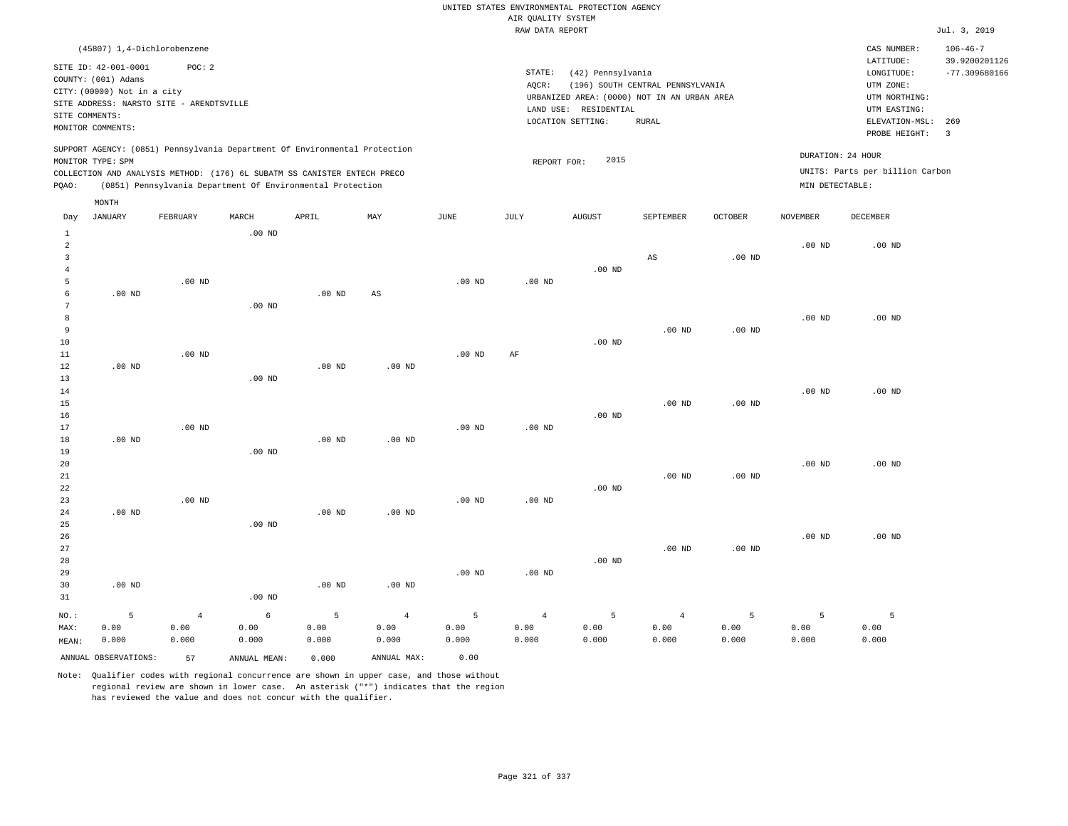## RAW DATA REPORT Jul. 3, 2019 UNITED STATES ENVIRONMENTAL PROTECTION AGENCY AIR QUALITY SYSTEM

| (45807) 1,4-Dichlorobenzene                                                                     |          |                                                            |       |     |      |                   |                                             |                                  |                |                 | CAS NUMBER:                     | $106 - 46 - 7$  |
|-------------------------------------------------------------------------------------------------|----------|------------------------------------------------------------|-------|-----|------|-------------------|---------------------------------------------|----------------------------------|----------------|-----------------|---------------------------------|-----------------|
| SITE ID: 42-001-0001                                                                            | POC: 2   |                                                            |       |     |      |                   |                                             |                                  |                |                 | LATITUDE:                       | 39.9200201126   |
| COUNTY: (001) Adams                                                                             |          |                                                            |       |     |      | STATE:            | (42) Pennsylvania                           |                                  |                |                 | LONGITUDE:                      | $-77.309680166$ |
| CITY: (00000) Not in a city                                                                     |          |                                                            |       |     |      | AOCR:             |                                             | (196) SOUTH CENTRAL PENNSYLVANIA |                |                 | UTM ZONE:                       |                 |
| SITE ADDRESS: NARSTO SITE - ARENDTSVILLE                                                        |          |                                                            |       |     |      |                   | URBANIZED AREA: (0000) NOT IN AN URBAN AREA |                                  |                |                 | UTM NORTHING:                   |                 |
| SITE COMMENTS:                                                                                  |          |                                                            |       |     |      |                   | LAND USE: RESIDENTIAL                       |                                  | UTM EASTING:   |                 |                                 |                 |
| MONITOR COMMENTS:                                                                               |          |                                                            |       |     |      | LOCATION SETTING: | ELEVATION-MSL:                              | 269                              |                |                 |                                 |                 |
|                                                                                                 |          |                                                            |       |     |      |                   |                                             |                                  |                |                 | PROBE HEIGHT:                   |                 |
| SUPPORT AGENCY: (0851) Pennsylvania Department Of Environmental Protection<br>MONITOR TYPE: SPM |          |                                                            |       |     |      |                   | 2015<br>REPORT FOR:                         |                                  |                |                 | DURATION: 24 HOUR               |                 |
| COLLECTION AND ANALYSIS METHOD: (176) 6L SUBATM SS CANISTER ENTECH PRECO                        |          |                                                            |       |     |      |                   |                                             |                                  |                |                 | UNITS: Parts per billion Carbon |                 |
| POAO:                                                                                           |          | (0851) Pennsylvania Department Of Environmental Protection |       |     |      |                   |                                             |                                  |                | MIN DETECTABLE: |                                 |                 |
| MONTH                                                                                           |          |                                                            |       |     |      |                   |                                             |                                  |                |                 |                                 |                 |
| JANUARY<br>Day                                                                                  | FEBRUARY | MARCH                                                      | APRIL | MAY | JUNE | JULY              | <b>AUGUST</b>                               | SEPTEMBER                        | <b>OCTOBER</b> | NOVEMBER        | DECEMBER                        |                 |
|                                                                                                 |          | $.00$ ND                                                   |       |     |      |                   |                                             |                                  |                |                 |                                 |                 |

| $\overline{a}$ |                   |                |            |                   |                |                   |                   |          |                        |          | .00 $ND$ | .00 $ND$          |
|----------------|-------------------|----------------|------------|-------------------|----------------|-------------------|-------------------|----------|------------------------|----------|----------|-------------------|
| 3              |                   |                |            |                   |                |                   |                   |          | $\mathbb{A}\mathbb{S}$ | $.00$ ND |          |                   |
| $\overline{4}$ |                   |                |            |                   |                |                   |                   | $.00$ ND |                        |          |          |                   |
| 5              |                   | $.00$ ND       |            |                   |                | $.00$ ND          | .00 <sub>ND</sub> |          |                        |          |          |                   |
| 6              | .00 <sub>ND</sub> |                |            | $.00$ ND          | $_{\rm AS}$    |                   |                   |          |                        |          |          |                   |
| 7              |                   |                | .00 $ND$   |                   |                |                   |                   |          |                        |          |          |                   |
| 8              |                   |                |            |                   |                |                   |                   |          |                        |          | $.00$ ND | $.00$ ND          |
| 9              |                   |                |            |                   |                |                   |                   |          | $.00$ ND               | $.00$ ND |          |                   |
| 10             |                   |                |            |                   |                |                   |                   | $.00$ ND |                        |          |          |                   |
| 11             |                   | $.00$ ND       |            |                   |                | .00 <sub>ND</sub> | $\rm{AF}$         |          |                        |          |          |                   |
| 12             | $.00$ ND          |                |            | .00 <sub>ND</sub> | $.00$ ND       |                   |                   |          |                        |          |          |                   |
| 13             |                   |                | $.00$ ND   |                   |                |                   |                   |          |                        |          |          |                   |
| 14             |                   |                |            |                   |                |                   |                   |          |                        |          | $.00$ ND | $.00$ ND          |
| 15             |                   |                |            |                   |                |                   |                   |          | $.00$ ND               | $.00$ ND |          |                   |
| 16             |                   |                |            |                   |                |                   |                   | $.00$ ND |                        |          |          |                   |
| 17             |                   | $.00$ ND       |            |                   |                | $.00$ ND          | .00 $ND$          |          |                        |          |          |                   |
| 18             | $.00$ ND          |                |            | .00 $ND$          | $.00$ ND       |                   |                   |          |                        |          |          |                   |
| 19             |                   |                | $.00$ ND   |                   |                |                   |                   |          |                        |          |          |                   |
| 20             |                   |                |            |                   |                |                   |                   |          |                        |          | $.00$ ND | $.00$ ND          |
| 21             |                   |                |            |                   |                |                   |                   |          | $.00$ ND               | .00 $ND$ |          |                   |
| 22             |                   |                |            |                   |                |                   |                   | .00 $ND$ |                        |          |          |                   |
| 23             |                   | $.00$ ND       |            |                   |                | .00 <sub>ND</sub> | .00 $ND$          |          |                        |          |          |                   |
| 24             | $.00$ ND          |                |            | $.00$ ND          | $.00$ ND       |                   |                   |          |                        |          |          |                   |
| 25             |                   |                | $.00$ ND   |                   |                |                   |                   |          |                        |          |          |                   |
| 26             |                   |                |            |                   |                |                   |                   |          |                        |          | $.00$ ND | .00 <sub>ND</sub> |
| 27             |                   |                |            |                   |                |                   |                   |          | $.00$ ND               | $.00$ ND |          |                   |
| 28             |                   |                |            |                   |                |                   |                   | $.00$ ND |                        |          |          |                   |
| 29             |                   |                |            |                   |                | .00 <sub>ND</sub> | $.00$ ND          |          |                        |          |          |                   |
| 30             | $.00$ ND          |                |            | $.00$ ND          | $.00$ ND       |                   |                   |          |                        |          |          |                   |
| 31             |                   |                | $.00$ ND   |                   |                |                   |                   |          |                        |          |          |                   |
| $NO.$ :        | 5                 | $\overline{4}$ | $\epsilon$ | 5                 | $\overline{4}$ | 5                 | $\overline{4}$    | 5        | $\overline{4}$         | 5        | 5        | 5                 |
| MAX:           | 0.00              | 0.00           | 0.00       | 0.00              | 0.00           | 0.00              | 0.00              | 0.00     | 0.00                   | 0.00     | 0.00     | 0.00              |
| MEAN:          | 0.000             | 0.000          | 0.000      | 0.000             | 0.000          | 0.000             | 0.000             | 0.000    | 0.000                  | 0.000    | 0.000    | 0.000             |

Note: Qualifier codes with regional concurrence are shown in upper case, and those without regional review are shown in lower case. An asterisk ("\*") indicates that the region has reviewed the value and does not concur with the qualifier.

ANNUAL OBSERVATIONS: 57 ANNUAL MEAN: 0.000 ANNUAL MAX: 0.00

MEAN: 0.000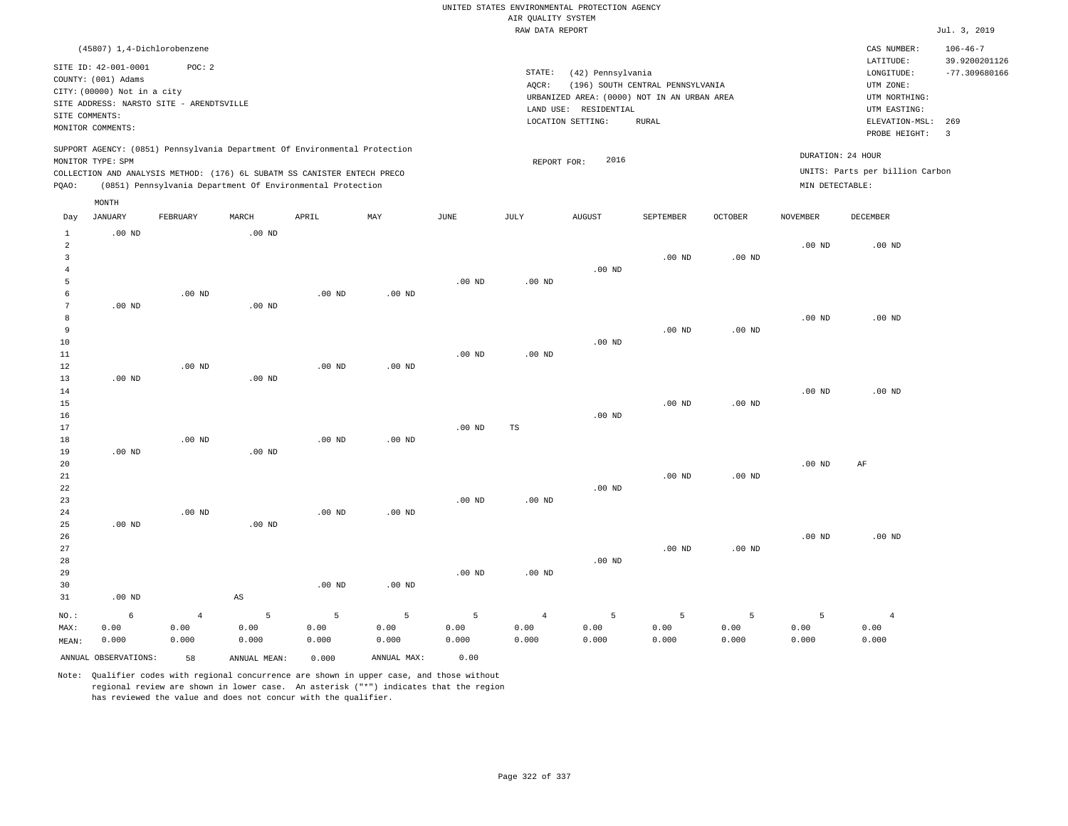RAW DATA REPORT JUL. 3, 2019 UNITED STATES ENVIRONMENTAL PROTECTION AGENCY AIR QUALITY SYSTEM

| (45807) 1,4-Dichlorobenzene                                                                                                                                                                                                                        |                                                                                                                                                                                | CAS NUMBER:                                                                                              | $106 - 46 - 7$                          |
|----------------------------------------------------------------------------------------------------------------------------------------------------------------------------------------------------------------------------------------------------|--------------------------------------------------------------------------------------------------------------------------------------------------------------------------------|----------------------------------------------------------------------------------------------------------|-----------------------------------------|
| SITE ID: 42-001-0001<br>POC: 2<br>COUNTY: (001) Adams<br>CITY: (00000) Not in a city<br>SITE ADDRESS: NARSTO SITE - ARENDTSVILLE<br>SITE COMMENTS:<br>MONITOR COMMENTS:                                                                            | STATE:<br>(42) Pennsylvania<br>(196) SOUTH CENTRAL PENNSYLVANIA<br>AOCR:<br>URBANIZED AREA: (0000) NOT IN AN URBAN AREA<br>LAND USE: RESIDENTIAL<br>LOCATION SETTING:<br>RURAL | LATITUDE:<br>LONGITUDE:<br>UTM ZONE:<br>UTM NORTHING:<br>UTM EASTING:<br>ELEVATION-MSL:<br>PROBE HEIGHT: | 39.9200201126<br>$-77.309680166$<br>269 |
| SUPPORT AGENCY: (0851) Pennsylvania Department Of Environmental Protection<br>MONITOR TYPE: SPM<br>COLLECTION AND ANALYSIS METHOD: (176) 6L SUBATM SS CANISTER ENTECH PRECO<br>(0851) Pennsylvania Department Of Environmental Protection<br>POAO: | 2016<br>REPORT FOR:                                                                                                                                                            | DURATION: 24 HOUR<br>UNITS: Parts per billion Carbon<br>MIN DETECTABLE:                                  |                                         |

|                | MONTH          |                |                        |          |                   |          |                |          |           |                |                 |                |
|----------------|----------------|----------------|------------------------|----------|-------------------|----------|----------------|----------|-----------|----------------|-----------------|----------------|
| Day            | <b>JANUARY</b> | FEBRUARY       | MARCH                  | APRIL    | MAY               | JUNE     | JULY           | AUGUST   | SEPTEMBER | <b>OCTOBER</b> | <b>NOVEMBER</b> | DECEMBER       |
| $\mathbf{1}$   | $.00$ ND       |                | $.00$ ND               |          |                   |          |                |          |           |                |                 |                |
| $\overline{a}$ |                |                |                        |          |                   |          |                |          |           |                | $.00$ ND        | $.00$ ND       |
| $\overline{3}$ |                |                |                        |          |                   |          |                |          | $.00$ ND  | $.00$ ND       |                 |                |
| $\overline{4}$ |                |                |                        |          |                   |          |                | $.00$ ND |           |                |                 |                |
| 5              |                |                |                        |          |                   | $.00$ ND | $.00$ ND       |          |           |                |                 |                |
| 6              |                | $.00$ ND       |                        | $.00$ ND | .00 <sub>ND</sub> |          |                |          |           |                |                 |                |
| 7              | $.00$ ND       |                | $.00$ ND               |          |                   |          |                |          |           |                |                 |                |
| 8              |                |                |                        |          |                   |          |                |          |           |                | $.00$ ND        | $.00$ ND       |
| 9              |                |                |                        |          |                   |          |                |          | $.00$ ND  | $.00$ ND       |                 |                |
| $10$           |                |                |                        |          |                   |          |                | $.00$ ND |           |                |                 |                |
| 11             |                |                |                        |          |                   | $.00$ ND | $.00$ ND       |          |           |                |                 |                |
| 12             |                | $.00$ ND       |                        | $.00$ ND | $.00$ ND          |          |                |          |           |                |                 |                |
| 13             | $.00$ ND       |                | $.00$ ND               |          |                   |          |                |          |           |                |                 |                |
| 14             |                |                |                        |          |                   |          |                |          |           |                | $.00$ ND        | $.00$ ND       |
| 15             |                |                |                        |          |                   |          |                |          | $.00$ ND  | $.00$ ND       |                 |                |
| 16             |                |                |                        |          |                   |          |                | $.00$ ND |           |                |                 |                |
| 17             |                |                |                        |          |                   | $.00$ ND | $_{\rm TS}$    |          |           |                |                 |                |
| 18             |                | $.00$ ND       |                        | $.00$ ND | $.00$ ND          |          |                |          |           |                |                 |                |
| 19             | $.00$ ND       |                | .00 $ND$               |          |                   |          |                |          |           |                |                 |                |
| 20             |                |                |                        |          |                   |          |                |          |           |                | $.00$ ND        | AF             |
| 21             |                |                |                        |          |                   |          |                |          | $.00$ ND  | $.00$ ND       |                 |                |
| 22             |                |                |                        |          |                   |          |                | $.00$ ND |           |                |                 |                |
| 23             |                |                |                        |          |                   | $.00$ ND | .00 $ND$       |          |           |                |                 |                |
| 24             |                | $.00$ ND       |                        | $.00$ ND | $.00$ ND          |          |                |          |           |                |                 |                |
| 25             | $.00$ ND       |                | $.00$ ND               |          |                   |          |                |          |           |                |                 |                |
| 26             |                |                |                        |          |                   |          |                |          |           |                | $.00$ ND        | $.00$ ND       |
| 27             |                |                |                        |          |                   |          |                |          | $.00$ ND  | $.00$ ND       |                 |                |
| 28             |                |                |                        |          |                   |          |                | $.00$ ND |           |                |                 |                |
| 29             |                |                |                        |          |                   | $.00$ ND | $.00$ ND       |          |           |                |                 |                |
| 30             |                |                |                        | $.00$ ND | $.00$ ND          |          |                |          |           |                |                 |                |
| 31             | $.00$ ND       |                | $\mathbb{A}\mathbb{S}$ |          |                   |          |                |          |           |                |                 |                |
| NO.:           | 6              | $\overline{4}$ | 5                      | 5        | 5                 | 5        | $\overline{4}$ | 5        | 5         | 5              | 5               | $\overline{4}$ |

ANNUAL OBSERVATIONS: 58 ANNUAL MEAN: 0.000 ANNUAL MAX: 0.00

 0.00 0.000  0.00 0.000  0.00 0.000

 0.00 0.000

MAX: MEAN:

 0.00 0.000

 0.00 0.000

Note: Qualifier codes with regional concurrence are shown in upper case, and those without regional review are shown in lower case. An asterisk ("\*") indicates that the region has reviewed the value and does not concur with the qualifier.

 0.00 0.000  0.00 0.000  0.00 0.000

 0.00 0.000

 0.00 0.000

 0.00 0.000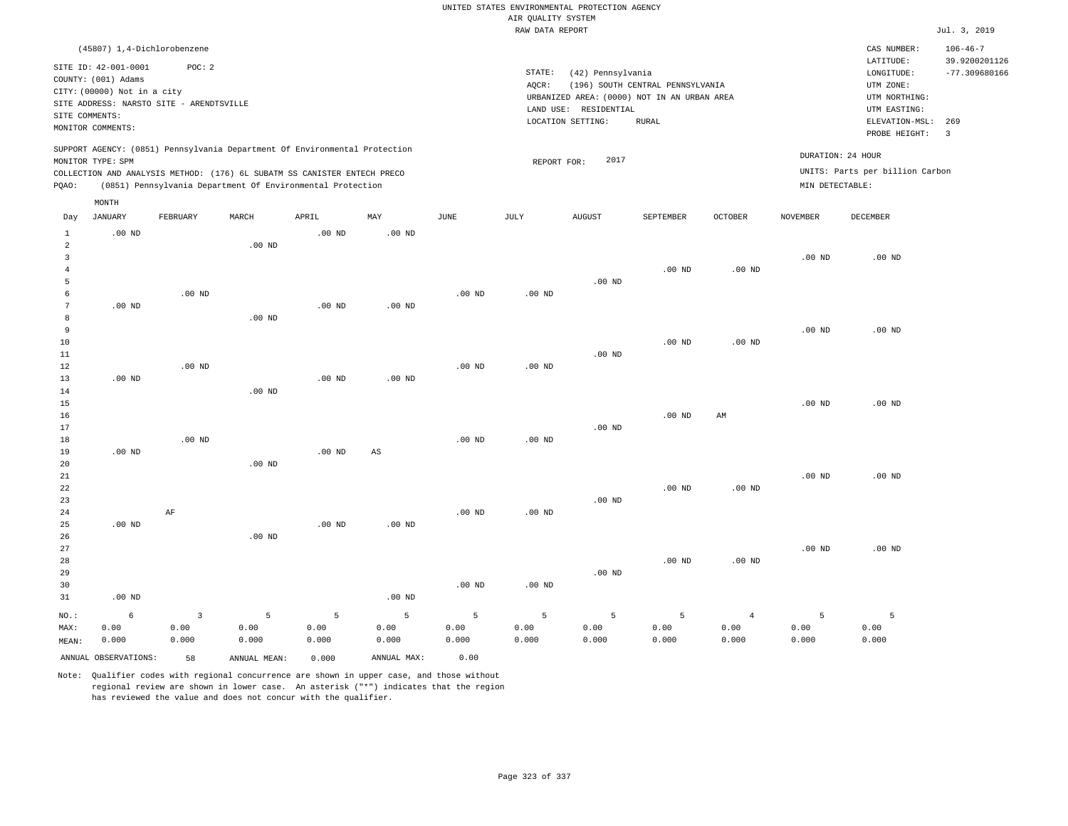|                                |                                                                            |                   |                                                                            |          |                        |                   |                    | UNITED STATES ENVIRONMENTAL PROTECTION AGENCY |                                  |                |                   |                                                     |                                                    |
|--------------------------------|----------------------------------------------------------------------------|-------------------|----------------------------------------------------------------------------|----------|------------------------|-------------------|--------------------|-----------------------------------------------|----------------------------------|----------------|-------------------|-----------------------------------------------------|----------------------------------------------------|
|                                |                                                                            |                   |                                                                            |          |                        |                   | AIR QUALITY SYSTEM |                                               |                                  |                |                   |                                                     |                                                    |
|                                |                                                                            |                   |                                                                            |          |                        |                   | RAW DATA REPORT    |                                               |                                  |                |                   |                                                     | Jul. 3, 2019                                       |
|                                | (45807) 1,4-Dichlorobenzene<br>SITE ID: 42-001-0001<br>COUNTY: (001) Adams | POC: 2            |                                                                            |          |                        |                   | STATE:<br>$AQCR$ : | (42) Pennsylvania                             | (196) SOUTH CENTRAL PENNSYLVANIA |                |                   | CAS NUMBER:<br>LATITUDE:<br>LONGITUDE:<br>UTM ZONE: | $106 - 46 - 7$<br>39.9200201126<br>$-77.309680166$ |
|                                | CITY: (00000) Not in a city                                                |                   |                                                                            |          |                        |                   |                    | URBANIZED AREA: (0000) NOT IN AN URBAN AREA   |                                  |                |                   | UTM NORTHING:                                       |                                                    |
| SITE COMMENTS:                 | SITE ADDRESS: NARSTO SITE - ARENDTSVILLE                                   |                   |                                                                            |          |                        |                   |                    | LAND USE: RESIDENTIAL                         |                                  |                |                   | UTM EASTING:                                        |                                                    |
|                                | MONITOR COMMENTS:                                                          |                   |                                                                            |          |                        |                   |                    | LOCATION SETTING:                             | <b>RURAL</b>                     |                |                   | ELEVATION-MSL:<br>PROBE HEIGHT:                     | 269<br>$\overline{\mathbf{3}}$                     |
|                                | MONITOR TYPE: SPM                                                          |                   | SUPPORT AGENCY: (0851) Pennsylvania Department Of Environmental Protection |          |                        |                   | REPORT FOR:        | 2017                                          |                                  |                | DURATION: 24 HOUR |                                                     |                                                    |
|                                |                                                                            |                   | COLLECTION AND ANALYSIS METHOD: (176) 6L SUBATM SS CANISTER ENTECH PRECO   |          |                        |                   |                    |                                               |                                  |                |                   | UNITS: Parts per billion Carbon                     |                                                    |
| PQAO:                          |                                                                            |                   | (0851) Pennsylvania Department Of Environmental Protection                 |          |                        |                   |                    |                                               |                                  |                | MIN DETECTABLE:   |                                                     |                                                    |
|                                | MONTH                                                                      |                   |                                                                            |          |                        |                   |                    |                                               |                                  |                |                   |                                                     |                                                    |
| Day                            | JANUARY                                                                    | FEBRUARY          | MARCH                                                                      | APRIL    | MAY                    | JUNE              | JULY               | AUGUST                                        | SEPTEMBER                        | OCTOBER        | NOVEMBER          | DECEMBER                                            |                                                    |
| $\mathbf{1}$<br>$\overline{a}$ | $.00$ ND                                                                   |                   | $.00$ ND                                                                   | $.00$ ND | $.00$ ND               |                   |                    |                                               |                                  |                |                   |                                                     |                                                    |
| $\overline{3}$                 |                                                                            |                   |                                                                            |          |                        |                   |                    |                                               |                                  |                | .00 <sub>ND</sub> | $.00$ ND                                            |                                                    |
| $\overline{4}$                 |                                                                            |                   |                                                                            |          |                        |                   |                    |                                               | $.00$ ND                         | $.00$ ND       |                   |                                                     |                                                    |
| 5                              |                                                                            |                   |                                                                            |          |                        |                   |                    | $.00$ ND                                      |                                  |                |                   |                                                     |                                                    |
| 6                              |                                                                            | $.00$ ND          |                                                                            |          |                        | .00 <sub>ND</sub> | .00 <sub>ND</sub>  |                                               |                                  |                |                   |                                                     |                                                    |
| 7                              | $.00$ ND                                                                   |                   |                                                                            | $.00$ ND | $.00$ ND               |                   |                    |                                               |                                  |                |                   |                                                     |                                                    |
| 8                              |                                                                            |                   | .00 <sub>ND</sub>                                                          |          |                        |                   |                    |                                               |                                  |                |                   |                                                     |                                                    |
| 9<br>10                        |                                                                            |                   |                                                                            |          |                        |                   |                    |                                               | $.00$ ND                         | $.00$ ND       | .00 <sub>ND</sub> | $.00$ ND                                            |                                                    |
| 11                             |                                                                            |                   |                                                                            |          |                        |                   |                    | $.00$ ND                                      |                                  |                |                   |                                                     |                                                    |
| 12                             |                                                                            | $.00$ ND          |                                                                            |          |                        | .00 <sub>ND</sub> | $.00$ ND           |                                               |                                  |                |                   |                                                     |                                                    |
| 13                             | $.00$ ND                                                                   |                   |                                                                            | $.00$ ND | $.00$ ND               |                   |                    |                                               |                                  |                |                   |                                                     |                                                    |
| 14                             |                                                                            |                   | $.00$ ND                                                                   |          |                        |                   |                    |                                               |                                  |                |                   |                                                     |                                                    |
| 15                             |                                                                            |                   |                                                                            |          |                        |                   |                    |                                               |                                  |                | .00 <sub>ND</sub> | $.00$ ND                                            |                                                    |
| 16                             |                                                                            |                   |                                                                            |          |                        |                   |                    |                                               | $.00$ ND                         | AM             |                   |                                                     |                                                    |
| 17<br>18                       |                                                                            | .00 <sub>ND</sub> |                                                                            |          |                        | $.00$ ND          | .00 <sub>ND</sub>  | $.00$ ND                                      |                                  |                |                   |                                                     |                                                    |
| 19                             | $.00$ ND                                                                   |                   |                                                                            | $.00$ ND | $\mathbb{A}\mathbb{S}$ |                   |                    |                                               |                                  |                |                   |                                                     |                                                    |
| 20                             |                                                                            |                   | $.00$ ND                                                                   |          |                        |                   |                    |                                               |                                  |                |                   |                                                     |                                                    |
| $2\sqrt{1}$                    |                                                                            |                   |                                                                            |          |                        |                   |                    |                                               |                                  |                | .00 <sub>ND</sub> | $.00$ ND                                            |                                                    |
| 22                             |                                                                            |                   |                                                                            |          |                        |                   |                    |                                               | $.00$ ND                         | $.00$ ND       |                   |                                                     |                                                    |
| 23                             |                                                                            |                   |                                                                            |          |                        |                   |                    | .00 <sub>ND</sub>                             |                                  |                |                   |                                                     |                                                    |
| 24                             |                                                                            | AF                |                                                                            |          |                        | $.00$ ND          | $.00$ ND           |                                               |                                  |                |                   |                                                     |                                                    |
| 25                             | $.00$ ND                                                                   |                   |                                                                            | $.00$ ND | .00 <sub>ND</sub>      |                   |                    |                                               |                                  |                |                   |                                                     |                                                    |
| 26<br>27                       |                                                                            |                   | $.00$ ND                                                                   |          |                        |                   |                    |                                               |                                  |                | .00 <sub>ND</sub> | $.00$ ND                                            |                                                    |
| 28                             |                                                                            |                   |                                                                            |          |                        |                   |                    |                                               | .00 <sub>ND</sub>                | $.00$ ND       |                   |                                                     |                                                    |
| 29                             |                                                                            |                   |                                                                            |          |                        |                   |                    | $.00$ ND                                      |                                  |                |                   |                                                     |                                                    |
| 30                             |                                                                            |                   |                                                                            |          |                        | .00 <sub>ND</sub> | .00 <sub>ND</sub>  |                                               |                                  |                |                   |                                                     |                                                    |
| 31                             | $.00$ ND                                                                   |                   |                                                                            |          | $.00$ ND               |                   |                    |                                               |                                  |                |                   |                                                     |                                                    |
| NO.:                           | 6                                                                          | 3                 | 5                                                                          | 5        | 5                      | 5                 | 5                  | 5                                             | 5                                | $\overline{4}$ | 5                 | 5                                                   |                                                    |
| MAX:                           | 0.00                                                                       | 0.00              | 0.00                                                                       | 0.00     | 0.00                   | 0.00              | 0.00               | 0.00                                          | 0.00                             | 0.00           | 0.00              | 0.00                                                |                                                    |
| MEAN:                          | 0.000                                                                      | 0.000             | 0.000                                                                      | 0.000    | 0.000                  | 0.000             | 0.000              | 0.000                                         | 0.000                            | 0.000          | 0.000             | 0.000                                               |                                                    |
|                                | ANNUAL OBSERVATIONS:                                                       | 58                | ANNUAL, MEAN:                                                              | 0.000    | ANNUAL MAX:            | 0.00              |                    |                                               |                                  |                |                   |                                                     |                                                    |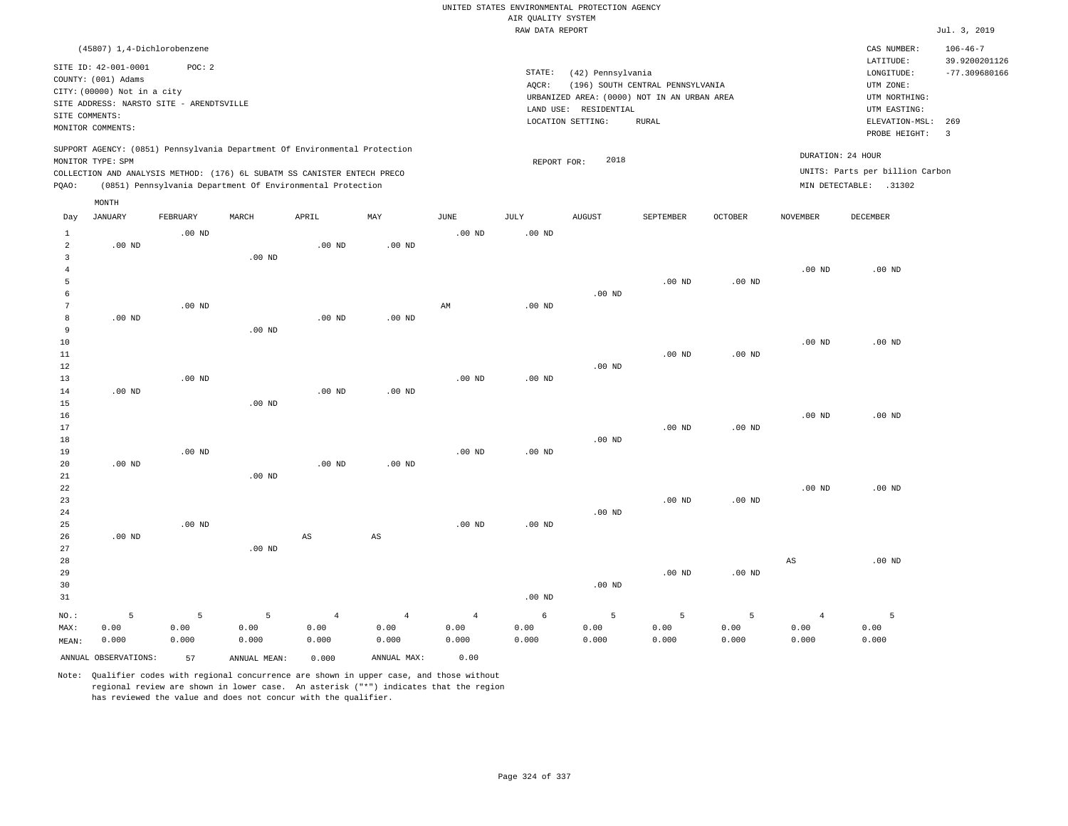|                |                                                                                                                                                       |                   |                                                                                                                                                                                                                      |                   |                   |                |                    | UNITED STATES ENVIRONMENTAL PROTECTION AGENCY |                                                                                 |                   |                 |                                                                                |                                                    |
|----------------|-------------------------------------------------------------------------------------------------------------------------------------------------------|-------------------|----------------------------------------------------------------------------------------------------------------------------------------------------------------------------------------------------------------------|-------------------|-------------------|----------------|--------------------|-----------------------------------------------|---------------------------------------------------------------------------------|-------------------|-----------------|--------------------------------------------------------------------------------|----------------------------------------------------|
|                |                                                                                                                                                       |                   |                                                                                                                                                                                                                      |                   |                   |                | AIR QUALITY SYSTEM |                                               |                                                                                 |                   |                 |                                                                                |                                                    |
|                |                                                                                                                                                       |                   |                                                                                                                                                                                                                      |                   |                   |                | RAW DATA REPORT    |                                               |                                                                                 |                   |                 |                                                                                | Jul. 3, 2019                                       |
|                | (45807) 1,4-Dichlorobenzene<br>SITE ID: 42-001-0001<br>COUNTY: (001) Adams<br>CITY: (00000) Not in a city<br>SITE ADDRESS: NARSTO SITE - ARENDTSVILLE | POC: 2            |                                                                                                                                                                                                                      |                   |                   |                | STATE:<br>AQCR:    | (42) Pennsylvania                             | (196) SOUTH CENTRAL PENNSYLVANIA<br>URBANIZED AREA: (0000) NOT IN AN URBAN AREA |                   |                 | CAS NUMBER:<br>LATITUDE:<br>LONGITUDE:<br>UTM ZONE:<br>UTM NORTHING:           | $106 - 46 - 7$<br>39.9200201126<br>$-77.309680166$ |
| SITE COMMENTS: |                                                                                                                                                       |                   |                                                                                                                                                                                                                      |                   |                   |                |                    | LAND USE: RESIDENTIAL                         |                                                                                 |                   |                 | UTM EASTING:                                                                   |                                                    |
|                | MONITOR COMMENTS:                                                                                                                                     |                   |                                                                                                                                                                                                                      |                   |                   |                |                    | LOCATION SETTING:                             | <b>RURAL</b>                                                                    |                   |                 | ELEVATION-MSL:<br>PROBE HEIGHT:                                                | 269<br>$\overline{\mathbf{3}}$                     |
| PQAO:          | MONITOR TYPE: SPM                                                                                                                                     |                   | SUPPORT AGENCY: (0851) Pennsylvania Department Of Environmental Protection<br>COLLECTION AND ANALYSIS METHOD: (176) 6L SUBATM SS CANISTER ENTECH PRECO<br>(0851) Pennsylvania Department Of Environmental Protection |                   |                   |                | REPORT FOR:        | 2018                                          |                                                                                 |                   |                 | DURATION: 24 HOUR<br>UNITS: Parts per billion Carbon<br>MIN DETECTABLE: .31302 |                                                    |
|                | MONTH                                                                                                                                                 |                   |                                                                                                                                                                                                                      |                   |                   |                |                    |                                               |                                                                                 |                   |                 |                                                                                |                                                    |
| Day            | <b>JANUARY</b>                                                                                                                                        | FEBRUARY          | MARCH                                                                                                                                                                                                                | APRIL             | MAY               | <b>JUNE</b>    | <b>JULY</b>        | <b>AUGUST</b>                                 | SEPTEMBER                                                                       | OCTOBER           | <b>NOVEMBER</b> | <b>DECEMBER</b>                                                                |                                                    |
| $\mathbf{1}$   |                                                                                                                                                       | $.00$ ND          |                                                                                                                                                                                                                      |                   |                   | $.00$ ND       | $.00$ ND           |                                               |                                                                                 |                   |                 |                                                                                |                                                    |
| $\overline{a}$ | $.00$ ND                                                                                                                                              |                   |                                                                                                                                                                                                                      | .00 <sub>ND</sub> | .00 <sub>ND</sub> |                |                    |                                               |                                                                                 |                   |                 |                                                                                |                                                    |
| 3              |                                                                                                                                                       |                   | $.00$ ND                                                                                                                                                                                                             |                   |                   |                |                    |                                               |                                                                                 |                   |                 |                                                                                |                                                    |
| $\bf{4}$       |                                                                                                                                                       |                   |                                                                                                                                                                                                                      |                   |                   |                |                    |                                               |                                                                                 |                   | $.00$ ND        | $.00$ ND                                                                       |                                                    |
| $\overline{5}$ |                                                                                                                                                       |                   |                                                                                                                                                                                                                      |                   |                   |                |                    |                                               | .00 <sub>ND</sub>                                                               | .00 <sub>ND</sub> |                 |                                                                                |                                                    |
| 6<br>7         |                                                                                                                                                       | $.00$ ND          |                                                                                                                                                                                                                      |                   |                   |                | $.00$ ND           | $.00$ ND                                      |                                                                                 |                   |                 |                                                                                |                                                    |
| 8              | $.00$ ND                                                                                                                                              |                   |                                                                                                                                                                                                                      | .00 <sub>ND</sub> | $.00$ ND          | AM             |                    |                                               |                                                                                 |                   |                 |                                                                                |                                                    |
| 9              |                                                                                                                                                       |                   | .00 <sub>ND</sub>                                                                                                                                                                                                    |                   |                   |                |                    |                                               |                                                                                 |                   |                 |                                                                                |                                                    |
| 10             |                                                                                                                                                       |                   |                                                                                                                                                                                                                      |                   |                   |                |                    |                                               |                                                                                 |                   | $.00$ ND        | $.00$ ND                                                                       |                                                    |
| $11\,$         |                                                                                                                                                       |                   |                                                                                                                                                                                                                      |                   |                   |                |                    |                                               | .00 <sub>ND</sub>                                                               | $.00$ ND          |                 |                                                                                |                                                    |
| 12             |                                                                                                                                                       |                   |                                                                                                                                                                                                                      |                   |                   |                |                    | $.00$ ND                                      |                                                                                 |                   |                 |                                                                                |                                                    |
| 13             |                                                                                                                                                       | .00 <sub>ND</sub> |                                                                                                                                                                                                                      |                   |                   | $.00$ ND       | .00 <sub>ND</sub>  |                                               |                                                                                 |                   |                 |                                                                                |                                                    |
| 14             | $.00$ ND                                                                                                                                              |                   |                                                                                                                                                                                                                      | .00 <sub>ND</sub> | $.00$ ND          |                |                    |                                               |                                                                                 |                   |                 |                                                                                |                                                    |
| 15             |                                                                                                                                                       |                   | $.00$ ND                                                                                                                                                                                                             |                   |                   |                |                    |                                               |                                                                                 |                   |                 |                                                                                |                                                    |
| 16             |                                                                                                                                                       |                   |                                                                                                                                                                                                                      |                   |                   |                |                    |                                               |                                                                                 |                   | $.00$ ND        | $.00$ ND                                                                       |                                                    |
| 17             |                                                                                                                                                       |                   |                                                                                                                                                                                                                      |                   |                   |                |                    |                                               | .00 <sub>ND</sub>                                                               | .00 <sub>ND</sub> |                 |                                                                                |                                                    |
| 18             |                                                                                                                                                       |                   |                                                                                                                                                                                                                      |                   |                   |                |                    | $.00$ ND                                      |                                                                                 |                   |                 |                                                                                |                                                    |
| 19<br>20       | $.00$ ND                                                                                                                                              | .00 <sub>ND</sub> |                                                                                                                                                                                                                      | $.00$ ND          | $.00$ ND          | $.00$ ND       | .00 <sub>ND</sub>  |                                               |                                                                                 |                   |                 |                                                                                |                                                    |
| 21             |                                                                                                                                                       |                   | $.00$ ND                                                                                                                                                                                                             |                   |                   |                |                    |                                               |                                                                                 |                   |                 |                                                                                |                                                    |
| 22             |                                                                                                                                                       |                   |                                                                                                                                                                                                                      |                   |                   |                |                    |                                               |                                                                                 |                   | $.00$ ND        | $.00$ ND                                                                       |                                                    |
| 23             |                                                                                                                                                       |                   |                                                                                                                                                                                                                      |                   |                   |                |                    |                                               | $.00$ ND                                                                        | $.00$ ND          |                 |                                                                                |                                                    |
| 24             |                                                                                                                                                       |                   |                                                                                                                                                                                                                      |                   |                   |                |                    | $.00$ ND                                      |                                                                                 |                   |                 |                                                                                |                                                    |
| 25             |                                                                                                                                                       | $.00$ ND          |                                                                                                                                                                                                                      |                   |                   | $.00$ ND       | $.00$ ND           |                                               |                                                                                 |                   |                 |                                                                                |                                                    |
| 26             | $.00$ ND                                                                                                                                              |                   |                                                                                                                                                                                                                      | $_{\rm AS}$       | $_{\rm AS}$       |                |                    |                                               |                                                                                 |                   |                 |                                                                                |                                                    |
| 27             |                                                                                                                                                       |                   | $.00$ ND                                                                                                                                                                                                             |                   |                   |                |                    |                                               |                                                                                 |                   |                 |                                                                                |                                                    |
| 28             |                                                                                                                                                       |                   |                                                                                                                                                                                                                      |                   |                   |                |                    |                                               |                                                                                 |                   | AS              | .00 <sub>ND</sub>                                                              |                                                    |
| 29             |                                                                                                                                                       |                   |                                                                                                                                                                                                                      |                   |                   |                |                    |                                               | .00 <sub>ND</sub>                                                               | $.00$ ND          |                 |                                                                                |                                                    |
| 30             |                                                                                                                                                       |                   |                                                                                                                                                                                                                      |                   |                   |                |                    | $.00$ ND                                      |                                                                                 |                   |                 |                                                                                |                                                    |
| 31             |                                                                                                                                                       |                   |                                                                                                                                                                                                                      |                   |                   |                | .00 <sub>ND</sub>  |                                               |                                                                                 |                   |                 |                                                                                |                                                    |
| NO.:           | 5                                                                                                                                                     | 5                 | 5                                                                                                                                                                                                                    | $\overline{4}$    | $\overline{4}$    | $\overline{4}$ | 6                  | 5                                             | 5                                                                               | 5                 | $\overline{4}$  | 5                                                                              |                                                    |
| MAX:           | 0.00                                                                                                                                                  | 0.00              | 0.00                                                                                                                                                                                                                 | 0.00              | 0.00              | 0.00           | 0.00               | 0.00                                          | 0.00                                                                            | 0.00              | 0.00            | 0.00                                                                           |                                                    |
| MEAN:          | 0.000                                                                                                                                                 | 0.000             | 0.000                                                                                                                                                                                                                | 0.000             | 0.000             | 0.000          | 0.000              | 0.000                                         | 0.000                                                                           | 0.000             | 0.000           | 0.000                                                                          |                                                    |
|                | ANNUAL OBSERVATIONS:                                                                                                                                  | 57                | ANNUAL MEAN:                                                                                                                                                                                                         | 0.000             | ANNUAL MAX:       | 0.00           |                    |                                               |                                                                                 |                   |                 |                                                                                |                                                    |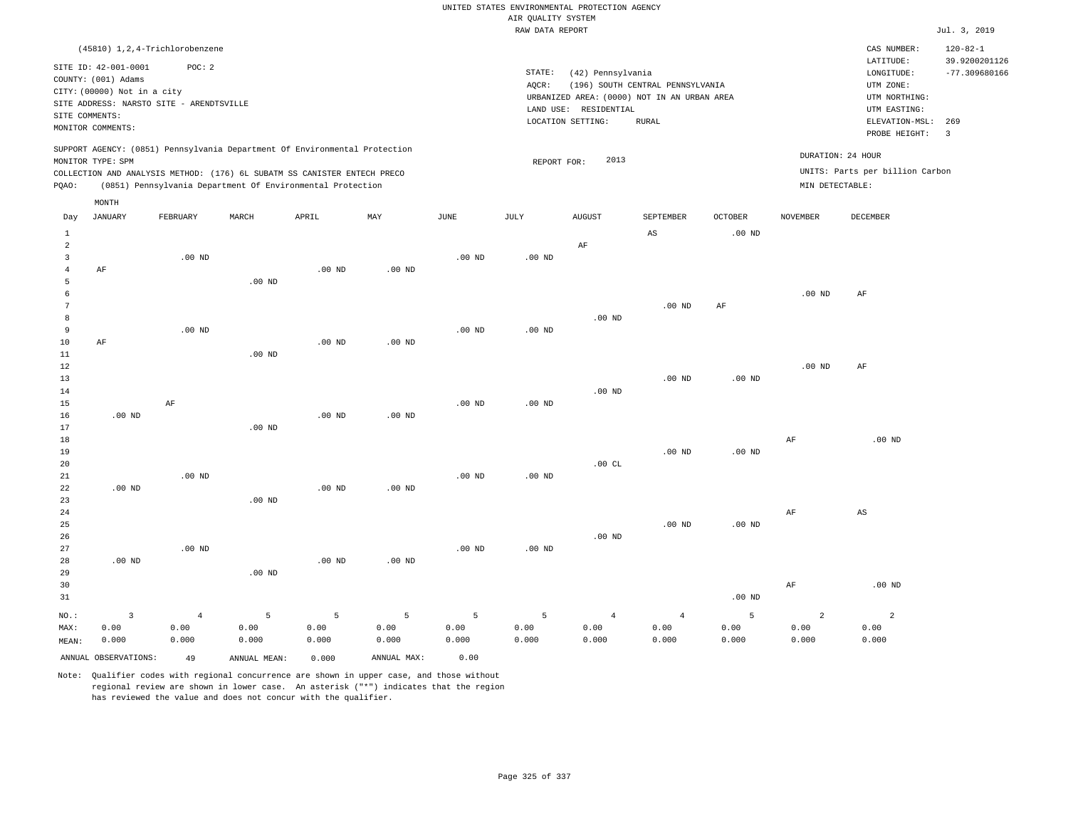|                |                                                    |                                                                            |                   |                   |                   |                   |                    | UNITED STATES ENVIRONMENTAL PROTECTION AGENCY |                                  |                   |                 |                                 |                                 |
|----------------|----------------------------------------------------|----------------------------------------------------------------------------|-------------------|-------------------|-------------------|-------------------|--------------------|-----------------------------------------------|----------------------------------|-------------------|-----------------|---------------------------------|---------------------------------|
|                |                                                    |                                                                            |                   |                   |                   |                   | AIR QUALITY SYSTEM |                                               |                                  |                   |                 |                                 |                                 |
|                |                                                    |                                                                            |                   |                   |                   |                   | RAW DATA REPORT    |                                               |                                  |                   |                 |                                 | Jul. 3, 2019                    |
|                |                                                    | (45810) 1, 2, 4-Trichlorobenzene                                           |                   |                   |                   |                   |                    |                                               |                                  |                   |                 | CAS NUMBER:<br>LATITUDE:        | $120 - 82 - 1$<br>39.9200201126 |
|                | SITE ID: 42-001-0001                               | POC: 2                                                                     |                   |                   |                   |                   | STATE:             | (42) Pennsylvania                             |                                  |                   |                 | LONGITUDE:                      | $-77.309680166$                 |
|                | COUNTY: (001) Adams<br>CITY: (00000) Not in a city |                                                                            |                   |                   |                   |                   | AOCR:              |                                               | (196) SOUTH CENTRAL PENNSYLVANIA |                   |                 | UTM ZONE:                       |                                 |
|                |                                                    | SITE ADDRESS: NARSTO SITE - ARENDTSVILLE                                   |                   |                   |                   |                   |                    | URBANIZED AREA: (0000) NOT IN AN URBAN AREA   |                                  |                   |                 | UTM NORTHING:                   |                                 |
| SITE COMMENTS: |                                                    |                                                                            |                   |                   |                   |                   |                    | LAND USE: RESIDENTIAL                         |                                  |                   |                 | UTM EASTING:                    |                                 |
|                | MONITOR COMMENTS:                                  |                                                                            |                   |                   |                   |                   |                    | LOCATION SETTING:                             | <b>RURAL</b>                     |                   |                 | ELEVATION-MSL:                  | 269                             |
|                |                                                    |                                                                            |                   |                   |                   |                   |                    |                                               |                                  |                   |                 | PROBE HEIGHT:                   | $\overline{3}$                  |
|                |                                                    | SUPPORT AGENCY: (0851) Pennsylvania Department Of Environmental Protection |                   |                   |                   |                   |                    |                                               |                                  |                   |                 |                                 |                                 |
|                | MONITOR TYPE: SPM                                  |                                                                            |                   |                   |                   |                   | REPORT FOR:        | 2013                                          |                                  |                   |                 | DURATION: 24 HOUR               |                                 |
|                |                                                    | COLLECTION AND ANALYSIS METHOD: (176) 6L SUBATM SS CANISTER ENTECH PRECO   |                   |                   |                   |                   |                    |                                               |                                  |                   |                 | UNITS: Parts per billion Carbon |                                 |
| PQAO:          |                                                    | (0851) Pennsylvania Department Of Environmental Protection                 |                   |                   |                   |                   |                    |                                               |                                  |                   | MIN DETECTABLE: |                                 |                                 |
|                | MONTH                                              |                                                                            |                   |                   |                   |                   |                    |                                               |                                  |                   |                 |                                 |                                 |
| Day            | JANUARY                                            | FEBRUARY                                                                   | MARCH             | APRIL             | MAY               | JUNE              | JULY               | <b>AUGUST</b>                                 | SEPTEMBER                        | <b>OCTOBER</b>    | NOVEMBER        | DECEMBER                        |                                 |
| $\mathbf{1}$   |                                                    |                                                                            |                   |                   |                   |                   |                    |                                               | $\mathbb{A}\mathbb{S}$           | .00 <sub>ND</sub> |                 |                                 |                                 |
| $\overline{a}$ |                                                    |                                                                            |                   |                   |                   |                   |                    | AF                                            |                                  |                   |                 |                                 |                                 |
| $\overline{3}$ |                                                    | .00 <sub>ND</sub>                                                          |                   |                   |                   | .00 <sub>ND</sub> | $.00$ ND           |                                               |                                  |                   |                 |                                 |                                 |
| $\overline{4}$ | AF                                                 |                                                                            |                   | $.00$ ND          | $.00$ ND          |                   |                    |                                               |                                  |                   |                 |                                 |                                 |
| 5              |                                                    |                                                                            | $.00$ ND          |                   |                   |                   |                    |                                               |                                  |                   |                 |                                 |                                 |
| 6              |                                                    |                                                                            |                   |                   |                   |                   |                    |                                               |                                  |                   | $.00$ ND        | AF                              |                                 |
| 7              |                                                    |                                                                            |                   |                   |                   |                   |                    |                                               | $.00$ ND                         | AF                |                 |                                 |                                 |
| 8              |                                                    |                                                                            |                   |                   |                   |                   |                    | $.00$ ND                                      |                                  |                   |                 |                                 |                                 |
| $\overline{9}$ |                                                    | $.00$ ND                                                                   |                   |                   |                   | $.00$ ND          | $.00$ ND           |                                               |                                  |                   |                 |                                 |                                 |
| 10             | AF                                                 |                                                                            |                   | $.00$ ND          | .00 <sub>ND</sub> |                   |                    |                                               |                                  |                   |                 |                                 |                                 |
| 11             |                                                    |                                                                            | $.00$ ND          |                   |                   |                   |                    |                                               |                                  |                   |                 |                                 |                                 |
| 12<br>13       |                                                    |                                                                            |                   |                   |                   |                   |                    |                                               | $.00$ ND                         | .00 <sub>ND</sub> | $.00$ ND        | $\rm AF$                        |                                 |
| 14             |                                                    |                                                                            |                   |                   |                   |                   |                    | $.00$ ND                                      |                                  |                   |                 |                                 |                                 |
| 15             |                                                    | AF                                                                         |                   |                   |                   | $.00$ ND          | $.00$ ND           |                                               |                                  |                   |                 |                                 |                                 |
| 16             | $.00$ ND                                           |                                                                            |                   | .00 <sub>ND</sub> | .00 <sub>ND</sub> |                   |                    |                                               |                                  |                   |                 |                                 |                                 |
| 17             |                                                    |                                                                            | $.00$ ND          |                   |                   |                   |                    |                                               |                                  |                   |                 |                                 |                                 |
| 18             |                                                    |                                                                            |                   |                   |                   |                   |                    |                                               |                                  |                   | AF              | $.00$ ND                        |                                 |
| 19             |                                                    |                                                                            |                   |                   |                   |                   |                    |                                               | .00 <sub>ND</sub>                | $.00$ ND          |                 |                                 |                                 |
| 20             |                                                    |                                                                            |                   |                   |                   |                   |                    | .00CL                                         |                                  |                   |                 |                                 |                                 |
| 21             |                                                    | .00 <sub>ND</sub>                                                          |                   |                   |                   | .00 <sub>ND</sub> | $.00$ ND           |                                               |                                  |                   |                 |                                 |                                 |
| 22             | $.00$ ND                                           |                                                                            |                   | .00 <sub>ND</sub> | .00 <sub>ND</sub> |                   |                    |                                               |                                  |                   |                 |                                 |                                 |
| 23             |                                                    |                                                                            | .00 <sub>ND</sub> |                   |                   |                   |                    |                                               |                                  |                   |                 |                                 |                                 |
| 24             |                                                    |                                                                            |                   |                   |                   |                   |                    |                                               |                                  |                   | AF              | AS                              |                                 |
| 25             |                                                    |                                                                            |                   |                   |                   |                   |                    |                                               | $.00$ ND                         | .00 <sub>ND</sub> |                 |                                 |                                 |
| 26             |                                                    |                                                                            |                   |                   |                   |                   |                    | $.00$ ND                                      |                                  |                   |                 |                                 |                                 |
| 27             |                                                    | $.00$ ND                                                                   |                   |                   |                   | $.00$ ND          | $.00$ ND           |                                               |                                  |                   |                 |                                 |                                 |
| 28             | $.00$ ND                                           |                                                                            |                   | $.00$ ND          | $.00$ ND          |                   |                    |                                               |                                  |                   |                 |                                 |                                 |
| 29             |                                                    |                                                                            | $.00$ ND          |                   |                   |                   |                    |                                               |                                  |                   |                 |                                 |                                 |
| 30             |                                                    |                                                                            |                   |                   |                   |                   |                    |                                               |                                  |                   | $\rm AF$        | $.00$ ND                        |                                 |
| 31             |                                                    |                                                                            |                   |                   |                   |                   |                    |                                               |                                  | $.00$ ND          |                 |                                 |                                 |
| NO.:           | $\overline{\mathbf{3}}$                            | $\overline{4}$                                                             | 5                 | $\overline{5}$    | 5                 | 5                 | 5                  | $\overline{4}$                                | $\overline{4}$                   | 5                 | $\overline{2}$  | $\overline{a}$                  |                                 |
| MAX:           | 0.00                                               | 0.00                                                                       | 0.00              | 0.00              | 0.00              | 0.00              | 0.00               | 0.00                                          | 0.00                             | 0.00              | 0.00            | 0.00                            |                                 |
| MFAN:          | 0.000                                              | 0.000                                                                      | 0.000             | 0.000             | 0.000             | 0.000             | 0.000              | 0.000                                         | 0.000                            | 0.000             | 0.000           | 0.000                           |                                 |

ANNUAL OBSERVATIONS: 49 ANNUAL MEAN: 0.000 ANNUAL MAX: 0.00

0.000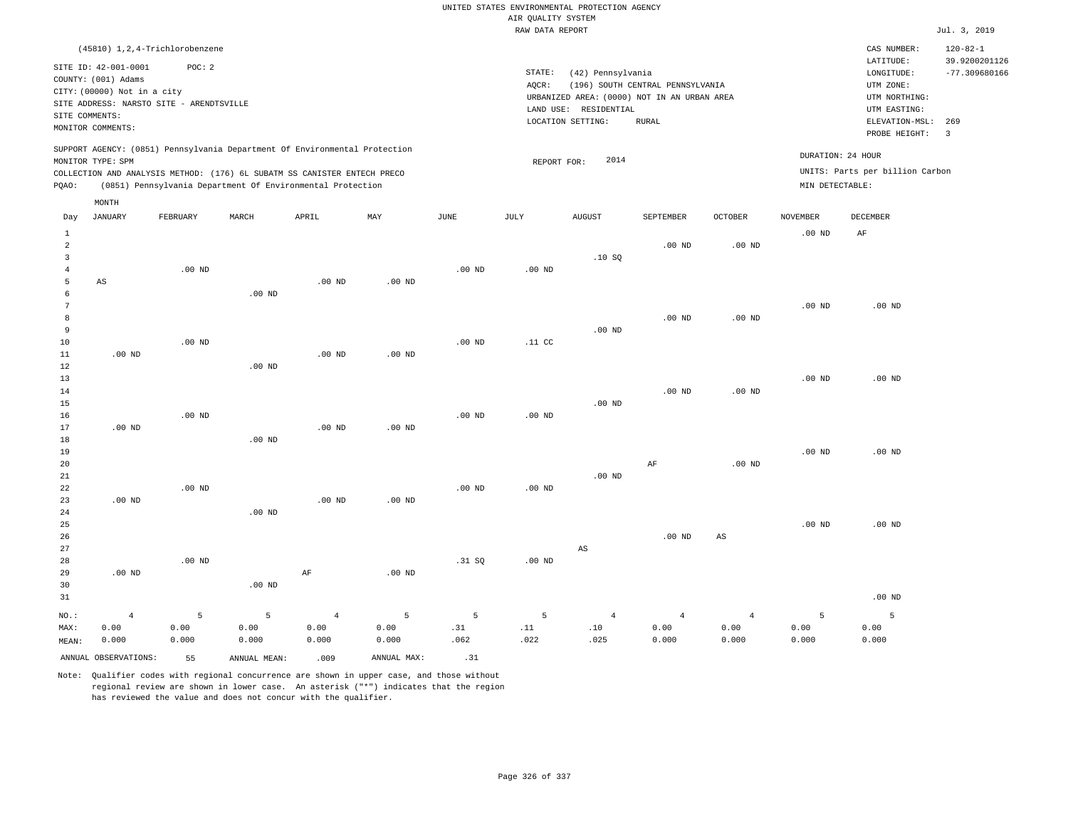|                      |                             |                                            |                   |                                                                            |                   |                   |                    | UNITED STATES ENVIRONMENTAL PROTECTION AGENCY |                                  |                   |                   |                                        |                                                    |
|----------------------|-----------------------------|--------------------------------------------|-------------------|----------------------------------------------------------------------------|-------------------|-------------------|--------------------|-----------------------------------------------|----------------------------------|-------------------|-------------------|----------------------------------------|----------------------------------------------------|
|                      |                             |                                            |                   |                                                                            |                   |                   | AIR QUALITY SYSTEM |                                               |                                  |                   |                   |                                        |                                                    |
|                      |                             |                                            |                   |                                                                            |                   |                   | RAW DATA REPORT    |                                               |                                  |                   |                   |                                        | Jul. 3, 2019                                       |
|                      | SITE ID: 42-001-0001        | (45810) 1, 2, 4-Trichlorobenzene<br>POC: 2 |                   |                                                                            |                   |                   | STATE:             | (42) Pennsylvania                             |                                  |                   |                   | CAS NUMBER:<br>LATITUDE:<br>LONGITUDE: | $120 - 82 - 1$<br>39.9200201126<br>$-77.309680166$ |
|                      | COUNTY: (001) Adams         |                                            |                   |                                                                            |                   |                   | AOCR:              |                                               | (196) SOUTH CENTRAL PENNSYLVANIA |                   |                   | UTM ZONE:                              |                                                    |
|                      | CITY: (00000) Not in a city |                                            |                   |                                                                            |                   |                   |                    | URBANIZED AREA: (0000) NOT IN AN URBAN AREA   |                                  |                   |                   | UTM NORTHING:                          |                                                    |
|                      |                             | SITE ADDRESS: NARSTO SITE - ARENDTSVILLE   |                   |                                                                            |                   |                   |                    | LAND USE: RESIDENTIAL                         |                                  |                   |                   | UTM EASTING:                           |                                                    |
| SITE COMMENTS:       |                             |                                            |                   |                                                                            |                   |                   |                    | LOCATION SETTING:                             | <b>RURAL</b>                     |                   |                   | ELEVATION-MSL:                         | 269                                                |
|                      | MONITOR COMMENTS:           |                                            |                   |                                                                            |                   |                   |                    |                                               |                                  |                   |                   | PROBE HEIGHT:                          | $\overline{\mathbf{3}}$                            |
|                      | MONITOR TYPE: SPM           |                                            |                   | SUPPORT AGENCY: (0851) Pennsylvania Department Of Environmental Protection |                   |                   | REPORT FOR:        | 2014                                          |                                  |                   | DURATION: 24 HOUR |                                        |                                                    |
|                      |                             |                                            |                   | COLLECTION AND ANALYSIS METHOD: (176) 6L SUBATM SS CANISTER ENTECH PRECO   |                   |                   |                    |                                               |                                  |                   |                   | UNITS: Parts per billion Carbon        |                                                    |
| PQAO:                |                             |                                            |                   | (0851) Pennsylvania Department Of Environmental Protection                 |                   |                   |                    |                                               |                                  |                   | MIN DETECTABLE:   |                                        |                                                    |
| Day                  | MONTH<br><b>JANUARY</b>     | FEBRUARY                                   | MARCH             | APRIL                                                                      | MAY               | JUNE              | JULY               | <b>AUGUST</b>                                 | SEPTEMBER                        | <b>OCTOBER</b>    | <b>NOVEMBER</b>   | DECEMBER                               |                                                    |
| $\mathbf{1}$         |                             |                                            |                   |                                                                            |                   |                   |                    |                                               |                                  |                   | .00 $ND$          | AF                                     |                                                    |
| $\overline{a}$       |                             |                                            |                   |                                                                            |                   |                   |                    |                                               | $.00$ ND                         | .00 <sub>ND</sub> |                   |                                        |                                                    |
| $\overline{3}$       |                             |                                            |                   |                                                                            |                   |                   |                    | .10S                                          |                                  |                   |                   |                                        |                                                    |
| $\overline{4}$       |                             | $.00$ ND                                   |                   |                                                                            |                   | .00 <sub>ND</sub> | $.00$ ND           |                                               |                                  |                   |                   |                                        |                                                    |
| 5                    | $\mathbb{A}\mathbb{S}$      |                                            |                   | $.00$ ND                                                                   | $.00$ ND          |                   |                    |                                               |                                  |                   |                   |                                        |                                                    |
| 6<br>$7\phantom{.0}$ |                             |                                            | $.00$ ND          |                                                                            |                   |                   |                    |                                               |                                  |                   | .00 <sub>ND</sub> | .00 <sub>ND</sub>                      |                                                    |
| 8                    |                             |                                            |                   |                                                                            |                   |                   |                    |                                               | .00 <sub>ND</sub>                | $.00$ ND          |                   |                                        |                                                    |
| 9                    |                             |                                            |                   |                                                                            |                   |                   |                    | $.00$ ND                                      |                                  |                   |                   |                                        |                                                    |
| 10                   |                             | $.00$ ND                                   |                   |                                                                            |                   | .00 <sub>ND</sub> | .11 <sub>c</sub>   |                                               |                                  |                   |                   |                                        |                                                    |
| 11                   | $.00$ ND                    |                                            |                   | $.00$ ND                                                                   | $.00$ ND          |                   |                    |                                               |                                  |                   |                   |                                        |                                                    |
| 12                   |                             |                                            | .00 <sub>ND</sub> |                                                                            |                   |                   |                    |                                               |                                  |                   |                   |                                        |                                                    |
| 13                   |                             |                                            |                   |                                                                            |                   |                   |                    |                                               |                                  |                   | $.00$ ND          | $.00$ ND                               |                                                    |
| 14                   |                             |                                            |                   |                                                                            |                   |                   |                    |                                               | $.00$ ND                         | .00 <sub>ND</sub> |                   |                                        |                                                    |
| 15                   |                             |                                            |                   |                                                                            |                   |                   |                    | $.00$ ND                                      |                                  |                   |                   |                                        |                                                    |
| 16                   |                             | $.00$ ND                                   |                   |                                                                            |                   | .00 <sub>ND</sub> | $.00$ ND           |                                               |                                  |                   |                   |                                        |                                                    |
| 17                   | $.00$ ND                    |                                            |                   | .00 <sub>ND</sub>                                                          | .00 <sub>ND</sub> |                   |                    |                                               |                                  |                   |                   |                                        |                                                    |
| 18<br>19             |                             |                                            | $.00$ ND          |                                                                            |                   |                   |                    |                                               |                                  |                   | $.00$ ND          | $.00$ ND                               |                                                    |
| 20                   |                             |                                            |                   |                                                                            |                   |                   |                    |                                               | AF                               | .00 <sub>ND</sub> |                   |                                        |                                                    |
| 21                   |                             |                                            |                   |                                                                            |                   |                   |                    | $.00$ ND                                      |                                  |                   |                   |                                        |                                                    |
| 22                   |                             | $.00$ ND                                   |                   |                                                                            |                   | .00 <sub>ND</sub> | $.00$ ND           |                                               |                                  |                   |                   |                                        |                                                    |
| 23                   | $.00$ ND                    |                                            |                   | $.00$ ND                                                                   | $.00$ ND          |                   |                    |                                               |                                  |                   |                   |                                        |                                                    |
| 24                   |                             |                                            | $.00$ ND          |                                                                            |                   |                   |                    |                                               |                                  |                   |                   |                                        |                                                    |
| 25                   |                             |                                            |                   |                                                                            |                   |                   |                    |                                               |                                  |                   | .00 <sub>ND</sub> | $.00$ ND                               |                                                    |
| 26                   |                             |                                            |                   |                                                                            |                   |                   |                    |                                               | $.00$ ND                         | $_{\rm AS}$       |                   |                                        |                                                    |
| 27                   |                             |                                            |                   |                                                                            |                   |                   |                    | AS                                            |                                  |                   |                   |                                        |                                                    |
| 28                   |                             | $.00$ ND                                   |                   |                                                                            |                   | .31 SQ            | $.00$ ND           |                                               |                                  |                   |                   |                                        |                                                    |
| 29                   | $.00$ ND                    |                                            |                   | AF                                                                         | $.00$ ND          |                   |                    |                                               |                                  |                   |                   |                                        |                                                    |
| 30                   |                             |                                            | $.00$ ND          |                                                                            |                   |                   |                    |                                               |                                  |                   |                   |                                        |                                                    |
| 31                   |                             |                                            |                   |                                                                            |                   |                   |                    |                                               |                                  |                   |                   | $.00$ ND                               |                                                    |
| NO.:                 | $\overline{4}$              | 5                                          | 5                 | $\overline{4}$                                                             | 5                 | 5                 | 5                  | $\overline{4}$                                | $\overline{4}$                   | $\overline{4}$    | 5                 | 5                                      |                                                    |
| MAX:                 | 0.00                        | 0.00                                       | 0.00              | 0.00                                                                       | 0.00              | .31               | .11                | .10                                           | 0.00                             | 0.00              | 0.00              | 0.00                                   |                                                    |
| MEAN:                | 0.000                       | 0.000                                      | 0.000             | 0.000                                                                      | 0.000             | .062              | .022               | .025                                          | 0.000                            | 0.000             | 0.000             | 0.000                                  |                                                    |

ANNUAL OBSERVATIONS: 55 ANNUAL MEAN: .009 ANNUAL MAX: .31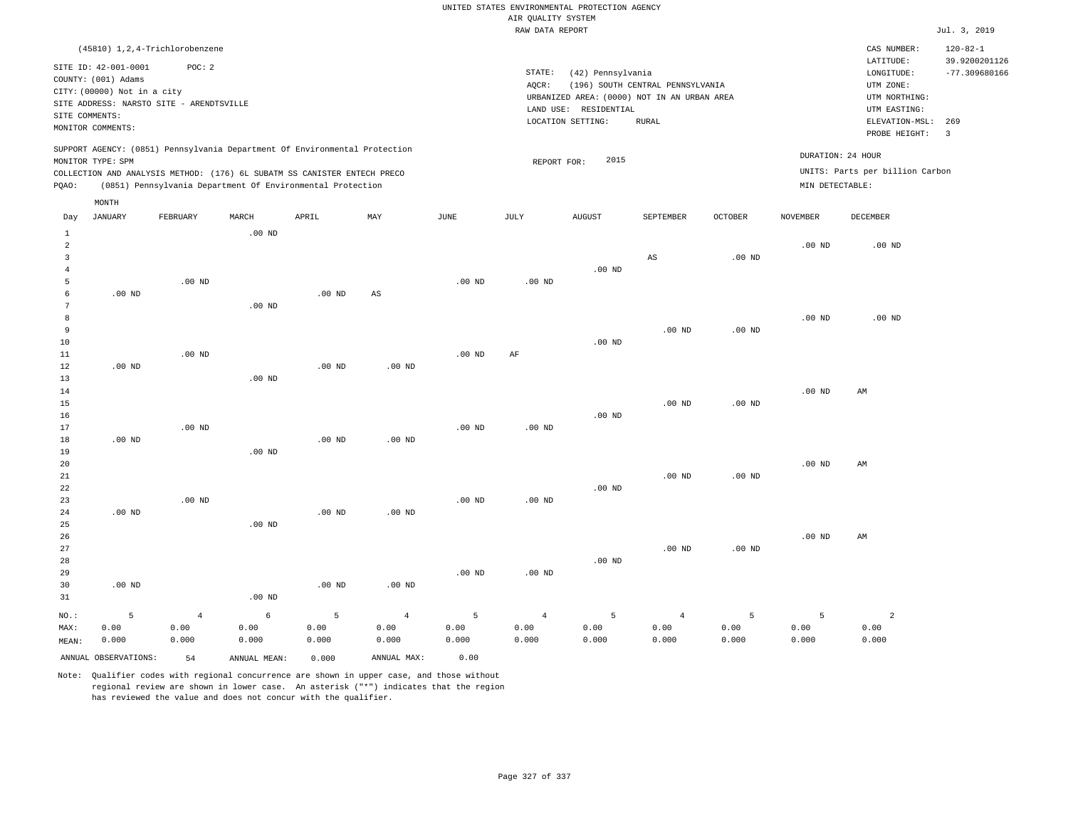RAW DATA REPORT Jul. 3, 2019 UNITED STATES ENVIRONMENTAL PROTECTION AGENCY AIR QUALITY SYSTEM

| (45810) 1,2,4-Trichlorobenzene                                                                                                                                                                                                                     |                                                                                                                                                                                |                                      | CAS NUMBER:                                                                                                  | $120 - 82 - 1$                   |
|----------------------------------------------------------------------------------------------------------------------------------------------------------------------------------------------------------------------------------------------------|--------------------------------------------------------------------------------------------------------------------------------------------------------------------------------|--------------------------------------|--------------------------------------------------------------------------------------------------------------|----------------------------------|
| SITE ID: 42-001-0001<br>POC:2<br>COUNTY: (001) Adams<br>CITY: (00000) Not in a city<br>SITE ADDRESS: NARSTO SITE - ARENDTSVILLE<br>SITE COMMENTS:<br>MONITOR COMMENTS:                                                                             | STATE:<br>(42) Pennsylvania<br>(196) SOUTH CENTRAL PENNSYLVANIA<br>AOCR:<br>URBANIZED AREA: (0000) NOT IN AN URBAN AREA<br>LAND USE: RESIDENTIAL<br>LOCATION SETTING:<br>RURAL |                                      | LATITUDE:<br>LONGITUDE:<br>UTM ZONE:<br>UTM NORTHING:<br>UTM EASTING:<br>ELEVATION-MSL: 269<br>PROBE HEIGHT: | 39.9200201126<br>$-77.309680166$ |
| SUPPORT AGENCY: (0851) Pennsylvania Department Of Environmental Protection<br>MONITOR TYPE: SPM<br>COLLECTION AND ANALYSIS METHOD: (176) 6L SUBATM SS CANISTER ENTECH PRECO<br>(0851) Pennsylvania Department Of Environmental Protection<br>POAO: | 2015<br>REPORT FOR:                                                                                                                                                            | DURATION: 24 HOUR<br>MIN DETECTABLE: | UNITS: Parts per billion Carbon                                                                              |                                  |
| MONTH                                                                                                                                                                                                                                              |                                                                                                                                                                                |                                      |                                                                                                              |                                  |

| Day            | JANUARY              | FEBRUARY       | MARCH        | APRIL       | MAY                    | JUNE     | JULY      | AUGUST   | SEPTEMBER              | OCTOBER    | NOVEMBER          | DECEMBER       |
|----------------|----------------------|----------------|--------------|-------------|------------------------|----------|-----------|----------|------------------------|------------|-------------------|----------------|
| $\mathbf{1}$   |                      |                | $.00$ ND     |             |                        |          |           |          |                        |            |                   |                |
| $\overline{c}$ |                      |                |              |             |                        |          |           |          |                        |            | $.00$ ND          | $.00$ ND       |
| 3              |                      |                |              |             |                        |          |           |          | $\mathbb{A}\mathbb{S}$ | $.00$ ND   |                   |                |
| $\overline{4}$ |                      |                |              |             |                        |          |           | $.00$ ND |                        |            |                   |                |
| 5              |                      | $.00$ ND       |              |             |                        | $.00$ ND | $.00$ ND  |          |                        |            |                   |                |
| 6              | $.00$ ND             |                |              | $.00$ ND    | $\mathbb{A}\mathbb{S}$ |          |           |          |                        |            |                   |                |
| 7              |                      |                | $.00$ ND     |             |                        |          |           |          |                        |            |                   |                |
| 8              |                      |                |              |             |                        |          |           |          |                        |            | $.00$ ND          | $.00$ ND       |
| 9              |                      |                |              |             |                        |          |           |          | $.00$ ND               | $.00$ ND   |                   |                |
| 10             |                      |                |              |             |                        |          |           | $.00$ ND |                        |            |                   |                |
| 11             |                      | $.00$ ND       |              |             |                        | $.00$ ND | $\rm{AF}$ |          |                        |            |                   |                |
| 12             | $.00$ ND             |                |              | $.00$ ND    | $.00$ ND               |          |           |          |                        |            |                   |                |
| 13             |                      |                | $.00$ ND     |             |                        |          |           |          |                        |            |                   |                |
| 14             |                      |                |              |             |                        |          |           |          |                        |            | .00 $ND$          | AM             |
| 15             |                      |                |              |             |                        |          |           |          | $.00$ ND               | $.00$ ND   |                   |                |
| 16             |                      |                |              |             |                        |          |           | $.00$ ND |                        |            |                   |                |
| 17             |                      | $.00$ ND       |              |             |                        | $.00$ ND | $.00$ ND  |          |                        |            |                   |                |
| 18             | $.00$ ND             |                |              | $.00$ ND    | .00 $ND$               |          |           |          |                        |            |                   |                |
| 19             |                      |                | $.00$ ND     |             |                        |          |           |          |                        |            |                   |                |
| 20             |                      |                |              |             |                        |          |           |          |                        |            | $.00$ ND          | AM             |
| 21             |                      |                |              |             |                        |          |           |          | $.00$ ND               | $.00$ ND   |                   |                |
| 22             |                      |                |              |             |                        |          |           | $.00$ ND |                        |            |                   |                |
| 23             |                      | $.00$ ND       |              |             |                        | $.00$ ND | $.00$ ND  |          |                        |            |                   |                |
| 24             | $.00$ ND             |                |              | $.00$ ND    | $.00$ ND               |          |           |          |                        |            |                   |                |
| 25             |                      |                | $.00$ ND     |             |                        |          |           |          |                        |            |                   |                |
| 26             |                      |                |              |             |                        |          |           |          |                        |            | .00 <sub>ND</sub> | AM             |
| 27             |                      |                |              |             |                        |          |           |          | $.00$ ND               | $.00$ ND   |                   |                |
| 28             |                      |                |              |             |                        |          |           | $.00$ ND |                        |            |                   |                |
| 29             |                      |                |              |             |                        | $.00$ ND | $.00$ ND  |          |                        |            |                   |                |
| 30             | .00 <sub>ND</sub>    |                |              | $.00$ ND    | $.00$ ND               |          |           |          |                        |            |                   |                |
| 31             |                      |                | $.00$ ND     |             |                        |          |           |          |                        |            |                   |                |
| $_{\rm NO.}$ : | 5                    | $\overline{4}$ | $\epsilon$   | $\mathsf S$ | $\overline{4}$         | 5        | $\bf{4}$  | 5        | $\overline{4}$         | $\sqrt{5}$ | $\overline{5}$    | $\overline{a}$ |
| MAX:           | 0.00                 | 0.00           | 0.00         | 0.00        | 0.00                   | 0.00     | 0.00      | 0.00     | 0.00                   | 0.00       | 0.00              | 0.00           |
| MEAN:          | 0.000                | 0.000          | 0.000        | 0.000       | 0.000                  | 0.000    | 0.000     | 0.000    | 0.000                  | 0.000      | 0.000             | 0.000          |
|                | ANNUAL OBSERVATIONS: | 54             | ANNUAL MEAN: | 0.000       | ANNUAL MAX:            | 0.00     |           |          |                        |            |                   |                |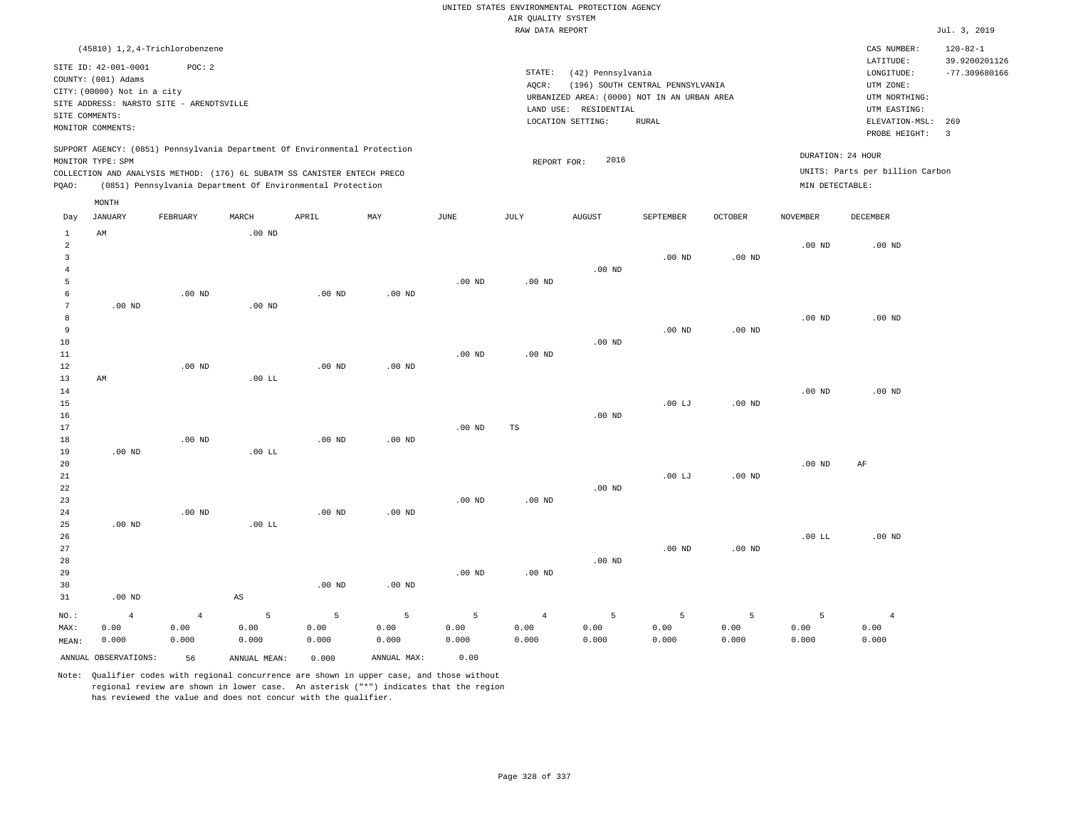RAW DATA REPORT JUL. 3, 2019 UNITED STATES ENVIRONMENTAL PROTECTION AGENCY AIR QUALITY SYSTEM

|                |                             | (45810) 1, 2, 4-Trichlorobenzene                                                                                                       |          |                   |          |                   |             |                                             |                                  |          |                 | CAS NUMBER:<br>LATITUDE:        | $120 - 82 - 1$<br>39.9200201126 |
|----------------|-----------------------------|----------------------------------------------------------------------------------------------------------------------------------------|----------|-------------------|----------|-------------------|-------------|---------------------------------------------|----------------------------------|----------|-----------------|---------------------------------|---------------------------------|
|                | SITE ID: 42-001-0001        | POC: 2                                                                                                                                 |          |                   |          |                   | STATE:      | (42) Pennsylvania                           |                                  |          |                 | LONGITUDE:                      | $-77.309680166$                 |
|                | COUNTY: (001) Adams         |                                                                                                                                        |          |                   |          |                   | AQCR:       |                                             | (196) SOUTH CENTRAL PENNSYLVANIA |          |                 | UTM ZONE:                       |                                 |
|                | CITY: (00000) Not in a city |                                                                                                                                        |          |                   |          |                   |             | URBANIZED AREA: (0000) NOT IN AN URBAN AREA |                                  |          |                 | UTM NORTHING:                   |                                 |
|                |                             | SITE ADDRESS: NARSTO SITE - ARENDTSVILLE                                                                                               |          |                   |          |                   |             | LAND USE: RESIDENTIAL                       |                                  |          |                 | UTM EASTING:                    |                                 |
|                | SITE COMMENTS:              |                                                                                                                                        |          |                   |          |                   |             | LOCATION SETTING:                           | RURAL                            |          |                 | ELEVATION-MSL:                  | 269                             |
|                | MONITOR COMMENTS:           |                                                                                                                                        |          |                   |          |                   |             |                                             |                                  |          |                 | PROBE HEIGHT:                   | $\overline{\mathbf{3}}$         |
|                |                             | SUPPORT AGENCY: (0851) Pennsylvania Department Of Environmental Protection                                                             |          |                   |          |                   |             |                                             |                                  |          |                 | DURATION: 24 HOUR               |                                 |
|                | MONITOR TYPE: SPM           |                                                                                                                                        |          |                   |          |                   | REPORT FOR: | 2016                                        |                                  |          |                 | UNITS: Parts per billion Carbon |                                 |
| PQAO:          |                             | COLLECTION AND ANALYSIS METHOD: (176) 6L SUBATM SS CANISTER ENTECH PRECO<br>(0851) Pennsylvania Department Of Environmental Protection |          |                   |          |                   |             |                                             |                                  |          | MIN DETECTABLE: |                                 |                                 |
|                |                             |                                                                                                                                        |          |                   |          |                   |             |                                             |                                  |          |                 |                                 |                                 |
|                | MONTH                       |                                                                                                                                        |          |                   |          |                   |             |                                             |                                  |          |                 |                                 |                                 |
| Day            | JANUARY                     | FEBRUARY                                                                                                                               | MARCH    | APRIL             | MAY      | JUNE              | JULY        | AUGUST                                      | SEPTEMBER                        | OCTOBER  | NOVEMBER        | DECEMBER                        |                                 |
| $\mathbf{1}$   | AM                          |                                                                                                                                        | $.00$ ND |                   |          |                   |             |                                             |                                  |          |                 |                                 |                                 |
| 2              |                             |                                                                                                                                        |          |                   |          |                   |             |                                             |                                  |          | $.00$ ND        | .00 <sub>ND</sub>               |                                 |
| $\overline{3}$ |                             |                                                                                                                                        |          |                   |          |                   |             |                                             | $.00$ ND                         | $.00$ ND |                 |                                 |                                 |
| $\overline{4}$ |                             |                                                                                                                                        |          |                   |          |                   |             | $.00$ ND                                    |                                  |          |                 |                                 |                                 |
| 5              |                             |                                                                                                                                        |          |                   |          | .00 <sub>ND</sub> | $.00$ ND    |                                             |                                  |          |                 |                                 |                                 |
| 6<br>7         | $.00$ ND                    | .00 <sub>ND</sub>                                                                                                                      | $.00$ ND | $.00$ ND          | $.00$ ND |                   |             |                                             |                                  |          |                 |                                 |                                 |
| 8              |                             |                                                                                                                                        |          |                   |          |                   |             |                                             |                                  |          | $.00$ ND        | $.00$ ND                        |                                 |
| $\overline{9}$ |                             |                                                                                                                                        |          |                   |          |                   |             |                                             | $.00$ ND                         | $.00$ ND |                 |                                 |                                 |
| 10             |                             |                                                                                                                                        |          |                   |          |                   |             | $.00$ ND                                    |                                  |          |                 |                                 |                                 |
| 11             |                             |                                                                                                                                        |          |                   |          | .00 <sub>ND</sub> | $.00$ ND    |                                             |                                  |          |                 |                                 |                                 |
| 12             |                             | $.00$ ND                                                                                                                               |          | $.00$ ND          | $.00$ ND |                   |             |                                             |                                  |          |                 |                                 |                                 |
| 13             | AM                          |                                                                                                                                        | .00 LL   |                   |          |                   |             |                                             |                                  |          |                 |                                 |                                 |
| 14             |                             |                                                                                                                                        |          |                   |          |                   |             |                                             |                                  |          | $.00$ ND        | $.00$ ND                        |                                 |
| 15             |                             |                                                                                                                                        |          |                   |          |                   |             |                                             | .00LJ                            | $.00$ ND |                 |                                 |                                 |
| 16             |                             |                                                                                                                                        |          |                   |          |                   |             | $.00$ ND                                    |                                  |          |                 |                                 |                                 |
| 17             |                             |                                                                                                                                        |          |                   |          | .00 <sub>ND</sub> | TS          |                                             |                                  |          |                 |                                 |                                 |
| 18             |                             | $.00$ ND                                                                                                                               |          | $.00$ ND          | $.00$ ND |                   |             |                                             |                                  |          |                 |                                 |                                 |
| 19             | $.00$ ND                    |                                                                                                                                        | .00 LL   |                   |          |                   |             |                                             |                                  |          |                 |                                 |                                 |
| 20             |                             |                                                                                                                                        |          |                   |          |                   |             |                                             |                                  |          | $.00$ ND        | $\rm AF$                        |                                 |
| 21             |                             |                                                                                                                                        |          |                   |          |                   |             |                                             | .00LJ                            | $.00$ ND |                 |                                 |                                 |
| 22             |                             |                                                                                                                                        |          |                   |          |                   |             | $.00$ ND                                    |                                  |          |                 |                                 |                                 |
| 23             |                             |                                                                                                                                        |          |                   |          | $.00$ ND          | $.00$ ND    |                                             |                                  |          |                 |                                 |                                 |
| 24             |                             | .00 <sub>ND</sub>                                                                                                                      |          | .00 <sub>ND</sub> | $.00$ ND |                   |             |                                             |                                  |          |                 |                                 |                                 |
| 25             | $.00$ ND                    |                                                                                                                                        | .00 LL   |                   |          |                   |             |                                             |                                  |          |                 |                                 |                                 |
| 26             |                             |                                                                                                                                        |          |                   |          |                   |             |                                             |                                  |          | .00 LL          | $.00$ ND                        |                                 |
| 27             |                             |                                                                                                                                        |          |                   |          |                   |             |                                             | $.00$ ND                         | $.00$ ND |                 |                                 |                                 |
| 28             |                             |                                                                                                                                        |          |                   |          |                   |             | $.00$ ND                                    |                                  |          |                 |                                 |                                 |
| 29             |                             |                                                                                                                                        |          |                   |          | $.00$ ND          | $.00$ ND    |                                             |                                  |          |                 |                                 |                                 |
| 30             |                             |                                                                                                                                        |          | $.00$ ND          | $.00$ ND |                   |             |                                             |                                  |          |                 |                                 |                                 |
| 31             | .00 <sub>ND</sub>           |                                                                                                                                        | AS       |                   |          |                   |             |                                             |                                  |          |                 |                                 |                                 |

NO.: MAX: MEAN: 4 0.00 0.000 4 0.00 0.000 5 0.00 0.000 5 0.00 0.000 5 0.00 0.000 5 0.00 0.000 4 0.00 0.000 5 0.00 0.000 5 0.00 0.000 5 0.00 0.000 5 0.00 0.000 4 0.00 0.000 ANNUAL OBSERVATIONS: 56 ANNUAL MEAN: 0.000 ANNUAL MAX: 0.00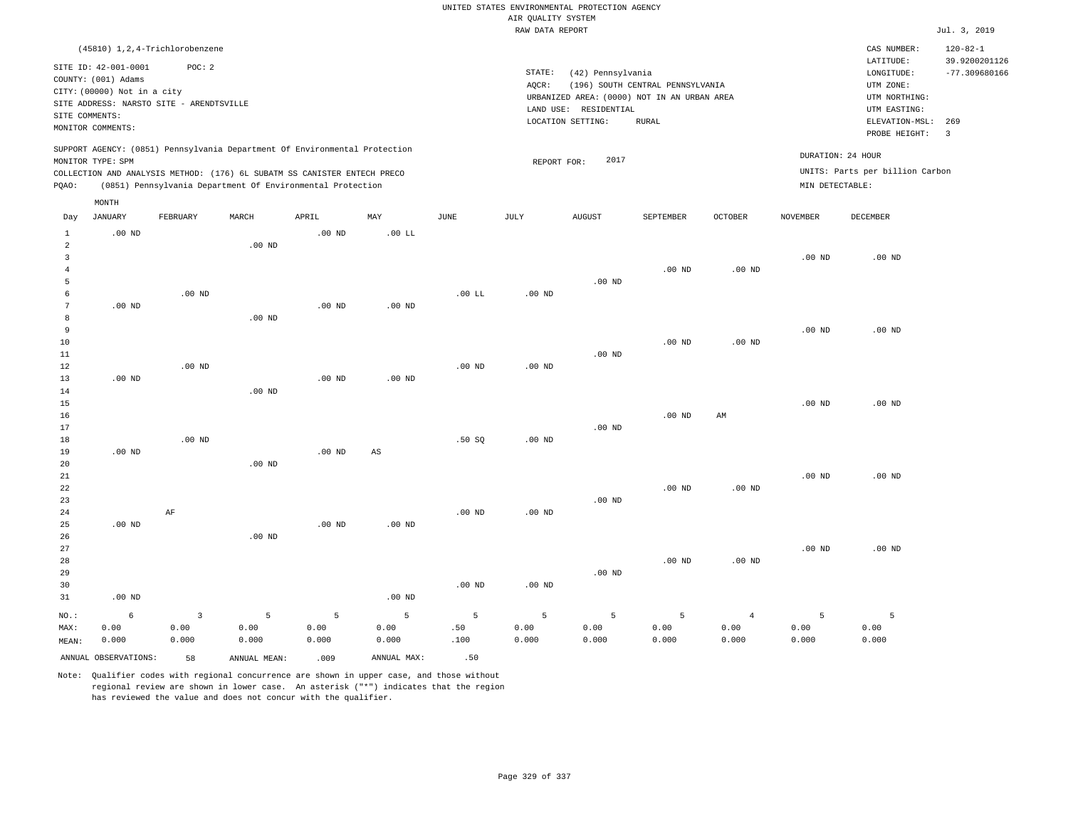|                                                                                  |                                                                                                                                                            |                    |                                                                                                                                                        |                    |                                |                   |                    | UNITED STATES ENVIRONMENTAL PROTECTION AGENCY                    |                                  |                                 |                    |                                                                      |                                                    |
|----------------------------------------------------------------------------------|------------------------------------------------------------------------------------------------------------------------------------------------------------|--------------------|--------------------------------------------------------------------------------------------------------------------------------------------------------|--------------------|--------------------------------|-------------------|--------------------|------------------------------------------------------------------|----------------------------------|---------------------------------|--------------------|----------------------------------------------------------------------|----------------------------------------------------|
|                                                                                  |                                                                                                                                                            |                    |                                                                                                                                                        |                    |                                |                   | AIR OUALITY SYSTEM |                                                                  |                                  |                                 |                    |                                                                      |                                                    |
|                                                                                  |                                                                                                                                                            |                    |                                                                                                                                                        |                    |                                |                   | RAW DATA REPORT    |                                                                  |                                  |                                 |                    |                                                                      | Jul. 3, 2019                                       |
|                                                                                  | (45810) 1, 2, 4-Trichlorobenzene<br>SITE ID: 42-001-0001<br>COUNTY: (001) Adams<br>CITY: (00000) Not in a city<br>SITE ADDRESS: NARSTO SITE - ARENDTSVILLE | POC: 2             |                                                                                                                                                        |                    |                                |                   | STATE:<br>AOCR:    | (42) Pennsylvania<br>URBANIZED AREA: (0000) NOT IN AN URBAN AREA | (196) SOUTH CENTRAL PENNSYLVANIA |                                 |                    | CAS NUMBER:<br>LATITUDE:<br>LONGITUDE:<br>UTM ZONE:<br>UTM NORTHING: | $120 - 82 - 1$<br>39.9200201126<br>$-77.309680166$ |
| SITE COMMENTS:                                                                   | MONITOR COMMENTS:                                                                                                                                          |                    |                                                                                                                                                        |                    |                                |                   |                    | LAND USE: RESIDENTIAL<br>LOCATION SETTING:                       | <b>RURAL</b>                     |                                 |                    | UTM EASTING:<br>ELEVATION-MSL:<br>PROBE HEIGHT:                      | 269<br>$\overline{\mathbf{3}}$                     |
|                                                                                  | MONITOR TYPE: SPM                                                                                                                                          |                    | SUPPORT AGENCY: (0851) Pennsylvania Department Of Environmental Protection<br>COLLECTION AND ANALYSIS METHOD: (176) 6L SUBATM SS CANISTER ENTECH PRECO |                    |                                |                   | REPORT FOR:        | 2017                                                             |                                  |                                 | DURATION: 24 HOUR  | UNITS: Parts per billion Carbon                                      |                                                    |
| PQAO:                                                                            |                                                                                                                                                            |                    | (0851) Pennsylvania Department Of Environmental Protection                                                                                             |                    |                                |                   |                    |                                                                  |                                  |                                 | MIN DETECTABLE:    |                                                                      |                                                    |
| Day                                                                              | MONTH<br><b>JANUARY</b>                                                                                                                                    | FEBRUARY           | MARCH                                                                                                                                                  | APRIL              | MAY                            | JUNE              | JULY               | <b>AUGUST</b>                                                    | SEPTEMBER                        | <b>OCTOBER</b>                  | <b>NOVEMBER</b>    | <b>DECEMBER</b>                                                      |                                                    |
| $\mathbf{1}$<br>$\overline{a}$<br>$\overline{\mathbf{3}}$<br>$\overline{4}$<br>5 | $.00$ ND                                                                                                                                                   |                    | $.00$ ND                                                                                                                                               | $.00$ ND           | .00 LL                         |                   |                    | $.00$ ND                                                         | $.00$ ND                         | $.00$ ND                        | .00 <sub>ND</sub>  | $.00$ ND                                                             |                                                    |
| 6<br>7<br>8<br>9                                                                 | $.00$ ND                                                                                                                                                   | $.00$ ND           | $.00$ ND                                                                                                                                               | $.00$ ND           | $.00$ ND                       | $.00$ LL          | .00 <sub>ND</sub>  |                                                                  |                                  |                                 | .00 <sub>ND</sub>  | $.00$ ND                                                             |                                                    |
| 10<br>11<br>12<br>13                                                             | $.00$ ND                                                                                                                                                   | $.00$ ND           |                                                                                                                                                        | .00 <sub>ND</sub>  | $.00$ ND                       | .00 <sub>ND</sub> | .00 <sub>ND</sub>  | $.00$ ND                                                         | $.00$ ND                         | $.00$ ND                        |                    |                                                                      |                                                    |
| 14<br>15<br>16<br>17<br>18                                                       |                                                                                                                                                            | $.00$ ND           | .00 <sub>ND</sub>                                                                                                                                      |                    |                                | .50SQ             | $.00$ ND           | $.00$ ND                                                         | $.00$ ND                         | AM                              | .00 <sub>ND</sub>  | $.00$ ND                                                             |                                                    |
| 19<br>20<br>21<br>22<br>23<br>24                                                 | $.00$ ND                                                                                                                                                   | $\rm AF$           | $.00$ ND                                                                                                                                               | $.00$ ND           | AS                             | $.00$ ND          | $.00$ ND           | $.00$ ND                                                         | .00 <sub>ND</sub>                | $.00$ ND                        | .00 <sub>ND</sub>  | $.00$ ND                                                             |                                                    |
| 25<br>26<br>27<br>28<br>29<br>30                                                 | .00 <sub>ND</sub>                                                                                                                                          |                    | $.00$ ND                                                                                                                                               | $.00$ ND           | $.00$ ND                       | .00 <sub>ND</sub> | $.00$ ND           | $.00$ ND                                                         | $.00$ ND                         | $.00$ ND                        | .00 <sub>ND</sub>  | $.00$ ND                                                             |                                                    |
| 31<br>NO.:<br>MAX:<br>MEAN:                                                      | $.00$ ND<br>6<br>0.00<br>0.000                                                                                                                             | 3<br>0.00<br>0.000 | 5<br>0.00<br>0.000                                                                                                                                     | 5<br>0.00<br>0.000 | $.00$ ND<br>5<br>0.00<br>0.000 | 5<br>.50<br>.100  | 5<br>0.00<br>0.000 | 5<br>0.00<br>0.000                                               | 5<br>0.00<br>0.000               | $\overline{4}$<br>0.00<br>0.000 | 5<br>0.00<br>0.000 | 5<br>0.00<br>0.000                                                   |                                                    |
|                                                                                  | ANNUAL OBSERVATIONS:                                                                                                                                       | 58                 | ANNUAL, MEAN:                                                                                                                                          | .009               | ANNUAL MAX:                    | .50               |                    |                                                                  |                                  |                                 |                    |                                                                      |                                                    |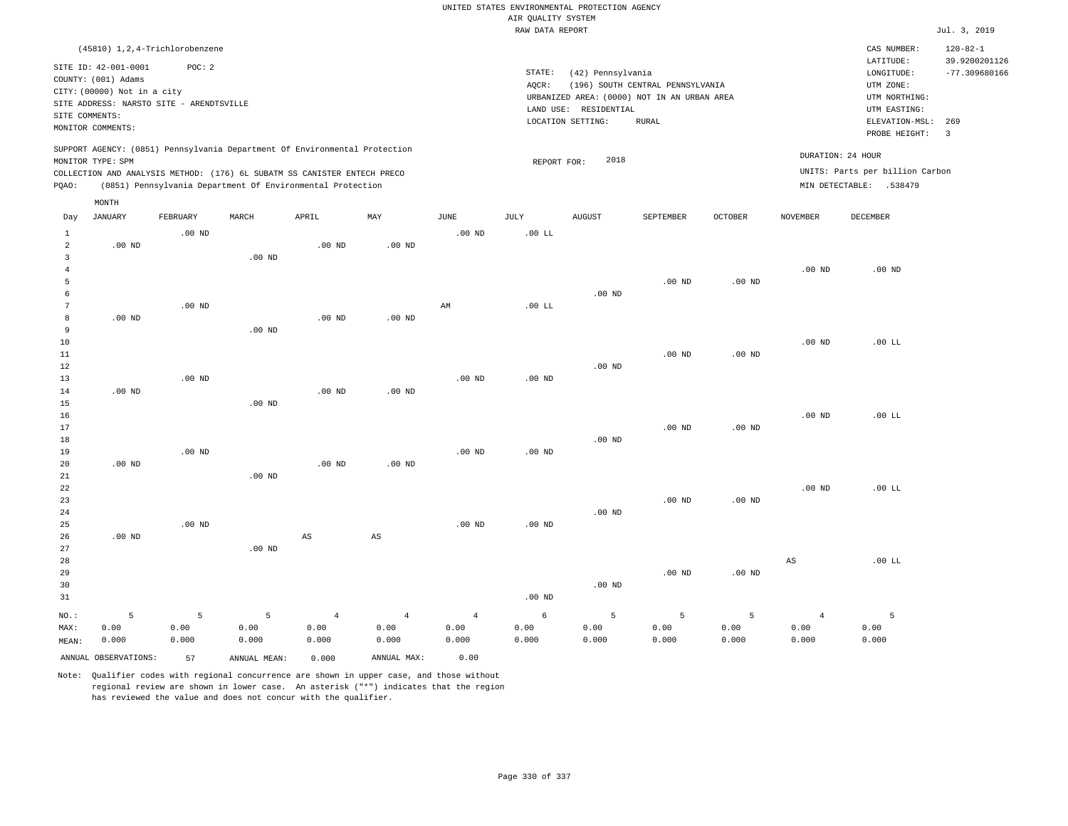|                                  |                                                                                                |                      |                                                                                                                                                        |                                 |                                 |                                 |                    | UNITED STATES ENVIRONMENTAL PROTECTION AGENCY |                                                                                 |                    |                                 |                                                      |                                                    |
|----------------------------------|------------------------------------------------------------------------------------------------|----------------------|--------------------------------------------------------------------------------------------------------------------------------------------------------|---------------------------------|---------------------------------|---------------------------------|--------------------|-----------------------------------------------|---------------------------------------------------------------------------------|--------------------|---------------------------------|------------------------------------------------------|----------------------------------------------------|
|                                  |                                                                                                |                      |                                                                                                                                                        |                                 |                                 |                                 | AIR QUALITY SYSTEM |                                               |                                                                                 |                    |                                 |                                                      |                                                    |
|                                  |                                                                                                |                      |                                                                                                                                                        |                                 |                                 |                                 | RAW DATA REPORT    |                                               |                                                                                 |                    |                                 |                                                      | Jul. 3, 2019                                       |
|                                  | (45810) 1, 2, 4-Trichlorobenzene<br>SITE ID: 42-001-0001                                       | POC: 2               |                                                                                                                                                        |                                 |                                 |                                 | STATE:             | (42) Pennsylvania                             |                                                                                 |                    |                                 | CAS NUMBER:<br>LATITUDE:<br>LONGITUDE:               | $120 - 82 - 1$<br>39.9200201126<br>$-77.309680166$ |
|                                  | COUNTY: (001) Adams<br>CITY: (00000) Not in a city<br>SITE ADDRESS: NARSTO SITE - ARENDTSVILLE |                      |                                                                                                                                                        |                                 |                                 |                                 | AQCR:              | LAND USE: RESIDENTIAL                         | (196) SOUTH CENTRAL PENNSYLVANIA<br>URBANIZED AREA: (0000) NOT IN AN URBAN AREA |                    |                                 | UTM ZONE:<br>UTM NORTHING:<br>UTM EASTING:           |                                                    |
| SITE COMMENTS:                   | MONITOR COMMENTS:                                                                              |                      |                                                                                                                                                        |                                 |                                 |                                 |                    | LOCATION SETTING:                             | RURAL                                                                           |                    |                                 | ELEVATION-MSL:<br>PROBE HEIGHT:                      | 269<br>$\overline{3}$                              |
|                                  | MONITOR TYPE: SPM                                                                              |                      | SUPPORT AGENCY: (0851) Pennsylvania Department Of Environmental Protection<br>COLLECTION AND ANALYSIS METHOD: (176) 6L SUBATM SS CANISTER ENTECH PRECO |                                 |                                 |                                 | REPORT FOR:        | 2018                                          |                                                                                 |                    |                                 | DURATION: 24 HOUR<br>UNITS: Parts per billion Carbon |                                                    |
| PQAO:                            |                                                                                                |                      | (0851) Pennsylvania Department Of Environmental Protection                                                                                             |                                 |                                 |                                 |                    |                                               |                                                                                 |                    |                                 | MIN DETECTABLE: .538479                              |                                                    |
|                                  | MONTH                                                                                          |                      |                                                                                                                                                        |                                 |                                 |                                 |                    |                                               |                                                                                 |                    |                                 |                                                      |                                                    |
| Day<br>$\mathbf{1}$              | <b>JANUARY</b>                                                                                 | FEBRUARY<br>$.00$ ND | MARCH                                                                                                                                                  | APRIL                           | MAY                             | JUNE<br>$.00$ ND                | JULY<br>.00 LL     | AUGUST                                        | SEPTEMBER                                                                       | OCTOBER            | NOVEMBER                        | DECEMBER                                             |                                                    |
| $\overline{a}$<br>$\overline{3}$ | $.00$ ND                                                                                       |                      | $.00$ ND                                                                                                                                               | $.00$ ND                        | $.00$ ND                        |                                 |                    |                                               |                                                                                 |                    |                                 |                                                      |                                                    |
| $\overline{4}$<br>5              |                                                                                                |                      |                                                                                                                                                        |                                 |                                 |                                 |                    |                                               | .00 <sub>ND</sub>                                                               | $.00$ ND           | .00 <sub>ND</sub>               | $.00$ ND                                             |                                                    |
| 6<br>$\overline{7}$<br>8         | $.00$ ND                                                                                       | $.00$ ND             |                                                                                                                                                        | .00 <sub>ND</sub>               | $.00$ ND                        | AM                              | $.00$ LL           | $.00$ ND                                      |                                                                                 |                    |                                 |                                                      |                                                    |
| 9<br>10                          |                                                                                                |                      | $.00$ ND                                                                                                                                               |                                 |                                 |                                 |                    |                                               |                                                                                 |                    | .00 <sub>ND</sub>               | .00L                                                 |                                                    |
| $1\,1$<br>12                     |                                                                                                |                      |                                                                                                                                                        |                                 |                                 |                                 |                    | $.00$ ND                                      | .00 <sub>ND</sub>                                                               | $.00$ ND           |                                 |                                                      |                                                    |
| 13<br>14<br>15                   | $.00$ ND                                                                                       | $.00$ ND             | $.00$ ND                                                                                                                                               | $.00$ ND                        | $.00$ ND                        | .00 <sub>ND</sub>               | $.00$ ND           |                                               |                                                                                 |                    |                                 |                                                      |                                                    |
| 16<br>17                         |                                                                                                |                      |                                                                                                                                                        |                                 |                                 |                                 |                    |                                               | .00 <sub>ND</sub>                                                               | $.00$ ND           | .00 <sub>ND</sub>               | .00 L                                                |                                                    |
| 18<br>19                         |                                                                                                | $.00$ ND             |                                                                                                                                                        |                                 |                                 | $.00$ ND                        | $.00$ ND           | .00 <sub>ND</sub>                             |                                                                                 |                    |                                 |                                                      |                                                    |
| 20<br>21<br>22                   | $.00$ ND                                                                                       |                      | $.00$ ND                                                                                                                                               | $.00$ ND                        | $.00$ ND                        |                                 |                    |                                               |                                                                                 |                    | .00 <sub>ND</sub>               | .00 L                                                |                                                    |
| 23<br>24<br>25                   |                                                                                                | $.00$ ND             |                                                                                                                                                        |                                 |                                 | $.00$ ND                        | $.00$ ND           | .00 <sub>ND</sub>                             | .00 <sub>ND</sub>                                                               | .00 <sub>ND</sub>  |                                 |                                                      |                                                    |
| 26<br>27<br>28                   | $.00$ ND                                                                                       |                      | $.00$ ND                                                                                                                                               | $_{\rm AS}$                     | $_{\rm AS}$                     |                                 |                    |                                               |                                                                                 |                    | AS                              | $.00$ LL                                             |                                                    |
| 29<br>30<br>31                   |                                                                                                |                      |                                                                                                                                                        |                                 |                                 |                                 | $.00$ ND           | $.00$ ND                                      | $.00$ ND                                                                        | $.00$ ND           |                                 |                                                      |                                                    |
| NO.:<br>MAX:                     | 5<br>0.00<br>0.000                                                                             | 5<br>0.00<br>0.000   | 5<br>0.00<br>0.000                                                                                                                                     | $\overline{4}$<br>0.00<br>0.000 | $\overline{4}$<br>0.00<br>0.000 | $\overline{4}$<br>0.00<br>0.000 | 6<br>0.00<br>0.000 | 5<br>0.00<br>0.000                            | 5<br>0.00<br>0.000                                                              | 5<br>0.00<br>0.000 | $\overline{4}$<br>0.00<br>0.000 | 5<br>0.00<br>0.000                                   |                                                    |
| MEAN:                            | ANNUAL OBSERVATIONS:                                                                           | 57                   | ANNUAL MEAN:                                                                                                                                           | 0.000                           | ANNUAL MAX:                     | 0.00                            |                    |                                               |                                                                                 |                    |                                 |                                                      |                                                    |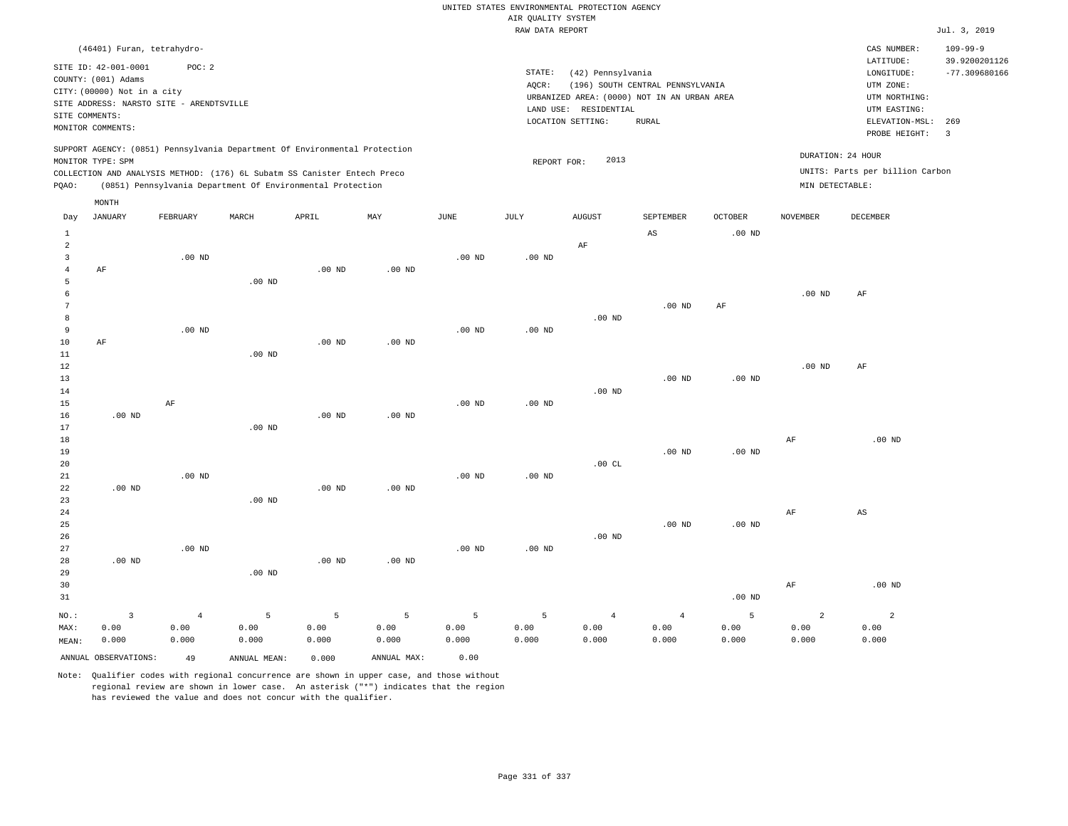|                         |                                                                                                 |                |                                                            |          |                           |                   |                    | UNITED STATES ENVIRONMENTAL PROTECTION AGENCY |                                  |                |                   |                                 |                                 |
|-------------------------|-------------------------------------------------------------------------------------------------|----------------|------------------------------------------------------------|----------|---------------------------|-------------------|--------------------|-----------------------------------------------|----------------------------------|----------------|-------------------|---------------------------------|---------------------------------|
|                         |                                                                                                 |                |                                                            |          |                           |                   | AIR QUALITY SYSTEM |                                               |                                  |                |                   |                                 |                                 |
|                         |                                                                                                 |                |                                                            |          |                           |                   | RAW DATA REPORT    |                                               |                                  |                |                   |                                 | Jul. 3, 2019                    |
|                         | (46401) Furan, tetrahydro-                                                                      |                |                                                            |          |                           |                   |                    |                                               |                                  |                |                   | CAS NUMBER:<br>LATITUDE:        | $109 - 99 - 9$<br>39.9200201126 |
|                         | SITE ID: 42-001-0001<br>COUNTY: (001) Adams                                                     | POC: 2         |                                                            |          |                           |                   | STATE:             | (42) Pennsylvania                             |                                  |                |                   | LONGITUDE:                      | $-77.309680166$                 |
|                         | CITY: (00000) Not in a city                                                                     |                |                                                            |          |                           |                   | AQCR:              |                                               | (196) SOUTH CENTRAL PENNSYLVANIA |                |                   | UTM ZONE:                       |                                 |
|                         | SITE ADDRESS: NARSTO SITE - ARENDTSVILLE                                                        |                |                                                            |          |                           |                   |                    | URBANIZED AREA: (0000) NOT IN AN URBAN AREA   |                                  |                |                   | UTM NORTHING:                   |                                 |
| SITE COMMENTS:          |                                                                                                 |                |                                                            |          |                           |                   |                    | LAND USE: RESIDENTIAL                         |                                  |                |                   | UTM EASTING:                    |                                 |
|                         | MONITOR COMMENTS:                                                                               |                |                                                            |          |                           |                   |                    | LOCATION SETTING:                             | <b>RURAL</b>                     |                |                   | ELEVATION-MSL:<br>PROBE HEIGHT: | 269<br>$\overline{\mathbf{3}}$  |
|                         | SUPPORT AGENCY: (0851) Pennsylvania Department Of Environmental Protection<br>MONITOR TYPE: SPM |                |                                                            |          |                           |                   |                    | 2013                                          |                                  |                |                   | DURATION: 24 HOUR               |                                 |
|                         | COLLECTION AND ANALYSIS METHOD: (176) 6L Subatm SS Canister Entech Preco                        |                |                                                            |          |                           |                   | REPORT FOR:        |                                               |                                  |                |                   | UNITS: Parts per billion Carbon |                                 |
| PQAO:                   |                                                                                                 |                | (0851) Pennsylvania Department Of Environmental Protection |          |                           |                   |                    |                                               |                                  |                | MIN DETECTABLE:   |                                 |                                 |
|                         | MONTH                                                                                           |                |                                                            |          |                           |                   |                    |                                               |                                  |                |                   |                                 |                                 |
| Day                     | JANUARY                                                                                         | FEBRUARY       | MARCH                                                      | APRIL    | $\ensuremath{\text{MAX}}$ | $_{\rm JUNE}$     | $\mathtt{JULY}$    | <b>AUGUST</b>                                 | SEPTEMBER                        | <b>OCTOBER</b> | <b>NOVEMBER</b>   | DECEMBER                        |                                 |
| $1\,$<br>$\overline{a}$ |                                                                                                 |                |                                                            |          |                           |                   |                    | $\rm AF$                                      | $_{\rm AS}$                      | $.00$ ND       |                   |                                 |                                 |
| $\overline{3}$          |                                                                                                 | $.00$ ND       |                                                            |          |                           | $.00$ ND          | $.00$ ND           |                                               |                                  |                |                   |                                 |                                 |
| $\overline{4}$          | AF                                                                                              |                |                                                            | $.00$ ND | $.00$ ND                  |                   |                    |                                               |                                  |                |                   |                                 |                                 |
| 5                       |                                                                                                 |                | $.00$ ND                                                   |          |                           |                   |                    |                                               |                                  |                |                   |                                 |                                 |
| 6                       |                                                                                                 |                |                                                            |          |                           |                   |                    |                                               |                                  |                | .00 <sub>ND</sub> | $\rm{AF}$                       |                                 |
| 7                       |                                                                                                 |                |                                                            |          |                           |                   |                    |                                               | .00 <sub>ND</sub>                | $\rm AF$       |                   |                                 |                                 |
| 8<br>9                  |                                                                                                 | $.00$ ND       |                                                            |          |                           | $.00$ ND          | $.00$ ND           | $.00$ ND                                      |                                  |                |                   |                                 |                                 |
| 10                      | AF                                                                                              |                |                                                            | $.00$ ND | $.00$ ND                  |                   |                    |                                               |                                  |                |                   |                                 |                                 |
| $11\,$                  |                                                                                                 |                | .00 <sub>ND</sub>                                          |          |                           |                   |                    |                                               |                                  |                |                   |                                 |                                 |
| 12                      |                                                                                                 |                |                                                            |          |                           |                   |                    |                                               |                                  |                | .00 <sub>ND</sub> | AF                              |                                 |
| $13$                    |                                                                                                 |                |                                                            |          |                           |                   |                    |                                               | .00 <sub>ND</sub>                | $.00$ ND       |                   |                                 |                                 |
| 14                      |                                                                                                 |                |                                                            |          |                           |                   |                    | $.00$ ND                                      |                                  |                |                   |                                 |                                 |
| 15                      |                                                                                                 | $\rm AF$       |                                                            |          |                           | .00 <sub>ND</sub> | .00 <sub>ND</sub>  |                                               |                                  |                |                   |                                 |                                 |
| 16<br>17                | $.00$ ND                                                                                        |                | $.00$ ND                                                   | $.00$ ND | $.00$ ND                  |                   |                    |                                               |                                  |                |                   |                                 |                                 |
| 18                      |                                                                                                 |                |                                                            |          |                           |                   |                    |                                               |                                  |                | AF                | $.00$ ND                        |                                 |
| 19                      |                                                                                                 |                |                                                            |          |                           |                   |                    |                                               | $.00$ ND                         | $.00$ ND       |                   |                                 |                                 |
| 20                      |                                                                                                 |                |                                                            |          |                           |                   |                    | .00CL                                         |                                  |                |                   |                                 |                                 |
| 21                      |                                                                                                 | $.00$ ND       |                                                            |          |                           | $.00$ ND          | $.00$ ND           |                                               |                                  |                |                   |                                 |                                 |
| 22                      | .00 <sub>ND</sub>                                                                               |                |                                                            | $.00$ ND | $.00$ ND                  |                   |                    |                                               |                                  |                |                   |                                 |                                 |
| 23                      |                                                                                                 |                | $.00$ ND                                                   |          |                           |                   |                    |                                               |                                  |                |                   |                                 |                                 |
| 24                      |                                                                                                 |                |                                                            |          |                           |                   |                    |                                               |                                  |                | AF                | AS                              |                                 |
| 25                      |                                                                                                 |                |                                                            |          |                           |                   |                    |                                               | $.00$ ND                         | $.00$ ND       |                   |                                 |                                 |
| 26<br>27                |                                                                                                 | $.00$ ND       |                                                            |          |                           | $.00$ ND          | $.00$ ND           | $.00$ ND                                      |                                  |                |                   |                                 |                                 |
| 28                      | .00 <sub>ND</sub>                                                                               |                |                                                            | $.00$ ND | .00 <sub>ND</sub>         |                   |                    |                                               |                                  |                |                   |                                 |                                 |
| 29                      |                                                                                                 |                | $.00$ ND                                                   |          |                           |                   |                    |                                               |                                  |                |                   |                                 |                                 |
| 30                      |                                                                                                 |                |                                                            |          |                           |                   |                    |                                               |                                  |                | $\rm{AF}$         | $.00$ ND                        |                                 |
| 31                      |                                                                                                 |                |                                                            |          |                           |                   |                    |                                               |                                  | $.00$ ND       |                   |                                 |                                 |
| NO.:                    | $\overline{\mathbf{3}}$                                                                         | $\overline{4}$ | 5                                                          | 5        | 5                         | 5                 | 5                  | $\overline{4}$                                | $\overline{4}$                   | 5              | $\overline{a}$    | $\overline{a}$                  |                                 |
| MAX:                    | 0.00                                                                                            | 0.00           | 0.00                                                       | 0.00     | 0.00                      | 0.00              | 0.00               | 0.00                                          | 0.00                             | 0.00           | 0.00              | 0.00                            |                                 |
| MEAN:                   | 0.000                                                                                           | 0.000          | 0.000                                                      | 0.000    | 0.000                     | 0.000             | 0.000              | 0.000                                         | 0.000                            | 0.000          | 0.000             | 0.000                           |                                 |
|                         | ANNUAL OBSERVATIONS:                                                                            | 49             | ANNUAL MEAN:                                               | 0.000    | ANNUAL MAX:               | 0.00              |                    |                                               |                                  |                |                   |                                 |                                 |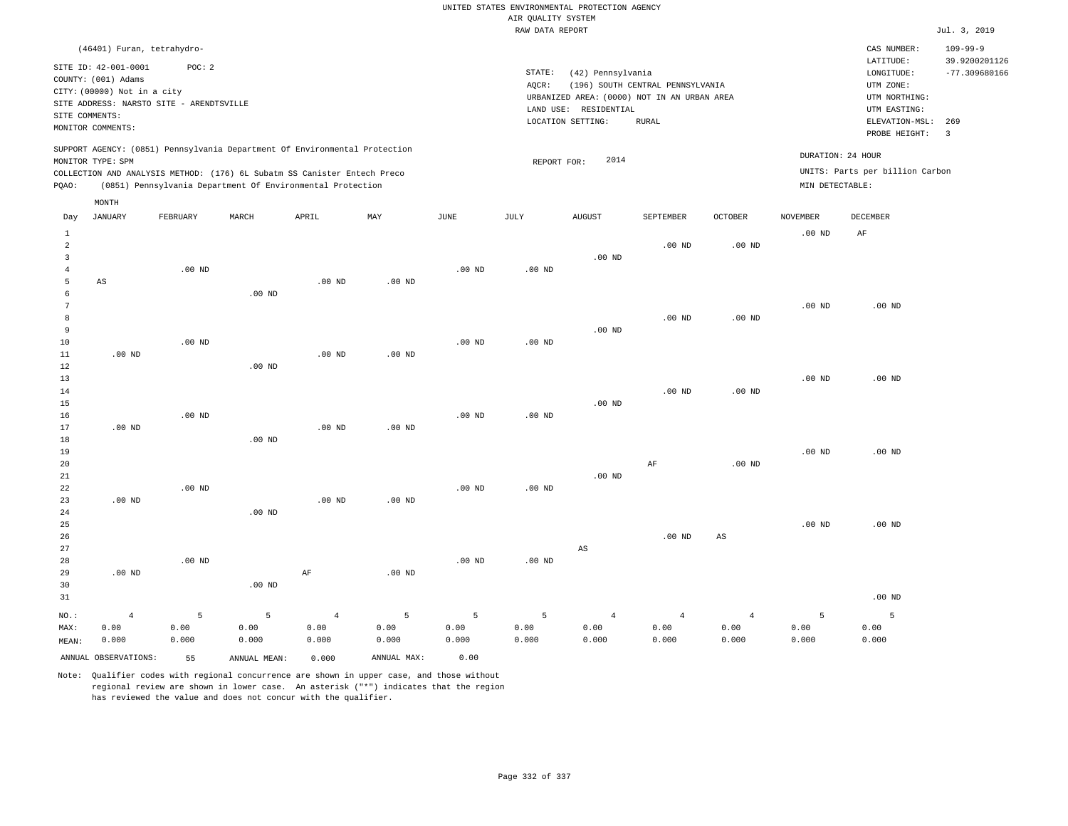|                     |                                             |                   |                                                                            |                |                   |                   | AIR QUALITY SYSTEM | UNITED STATES ENVIRONMENTAL PROTECTION AGENCY |                                  |                   |                   |                                 |                                 |
|---------------------|---------------------------------------------|-------------------|----------------------------------------------------------------------------|----------------|-------------------|-------------------|--------------------|-----------------------------------------------|----------------------------------|-------------------|-------------------|---------------------------------|---------------------------------|
|                     |                                             |                   |                                                                            |                |                   |                   | RAW DATA REPORT    |                                               |                                  |                   |                   |                                 | Jul. 3, 2019                    |
|                     | (46401) Furan, tetrahydro-                  |                   |                                                                            |                |                   |                   |                    |                                               |                                  |                   |                   | CAS NUMBER:<br>LATITUDE:        | $109 - 99 - 9$<br>39.9200201126 |
|                     | SITE ID: 42-001-0001<br>COUNTY: (001) Adams | POC: 2            |                                                                            |                |                   |                   | STATE:<br>AQCR:    | (42) Pennsylvania                             | (196) SOUTH CENTRAL PENNSYLVANIA |                   |                   | LONGITUDE:<br>UTM ZONE:         | $-77.309680166$                 |
|                     | CITY: (00000) Not in a city                 |                   |                                                                            |                |                   |                   |                    | URBANIZED AREA: (0000) NOT IN AN URBAN AREA   |                                  |                   |                   | UTM NORTHING:                   |                                 |
|                     | SITE ADDRESS: NARSTO SITE - ARENDTSVILLE    |                   |                                                                            |                |                   |                   |                    | LAND USE: RESIDENTIAL                         |                                  |                   |                   | UTM EASTING:                    |                                 |
| SITE COMMENTS:      | MONITOR COMMENTS:                           |                   |                                                                            |                |                   |                   |                    | LOCATION SETTING:                             | <b>RURAL</b>                     |                   |                   | ELEVATION-MSL:<br>PROBE HEIGHT: | 269<br>$\overline{3}$           |
|                     | MONITOR TYPE: SPM                           |                   | SUPPORT AGENCY: (0851) Pennsylvania Department Of Environmental Protection |                |                   |                   | REPORT FOR:        | 2014                                          |                                  |                   | DURATION: 24 HOUR |                                 |                                 |
|                     |                                             |                   | COLLECTION AND ANALYSIS METHOD: (176) 6L Subatm SS Canister Entech Preco   |                |                   |                   |                    |                                               |                                  |                   |                   | UNITS: Parts per billion Carbon |                                 |
| PQAO:               |                                             |                   | (0851) Pennsylvania Department Of Environmental Protection                 |                |                   |                   |                    |                                               |                                  |                   | MIN DETECTABLE:   |                                 |                                 |
| Day                 | MONTH<br><b>JANUARY</b>                     | FEBRUARY          | MARCH                                                                      | APRIL          | MAY               | <b>JUNE</b>       | JULY               | <b>AUGUST</b>                                 | SEPTEMBER                        | <b>OCTOBER</b>    | <b>NOVEMBER</b>   | <b>DECEMBER</b>                 |                                 |
| $\mathbf{1}$        |                                             |                   |                                                                            |                |                   |                   |                    |                                               |                                  |                   | .00 <sub>ND</sub> | AF                              |                                 |
| $\sqrt{2}$          |                                             |                   |                                                                            |                |                   |                   |                    |                                               | $.00$ ND                         | $.00$ ND          |                   |                                 |                                 |
| $\overline{3}$      |                                             |                   |                                                                            |                |                   |                   |                    | $.00$ ND                                      |                                  |                   |                   |                                 |                                 |
| $\overline{4}$      |                                             | $.00$ ND          |                                                                            |                |                   | .00 <sub>ND</sub> | $.00$ ND           |                                               |                                  |                   |                   |                                 |                                 |
| 5                   | AS                                          |                   |                                                                            | $.00$ ND       | .00 <sub>ND</sub> |                   |                    |                                               |                                  |                   |                   |                                 |                                 |
| 6<br>$\overline{7}$ |                                             |                   | .00 <sub>ND</sub>                                                          |                |                   |                   |                    |                                               |                                  |                   | $.00$ ND          | $.00$ ND                        |                                 |
| 8                   |                                             |                   |                                                                            |                |                   |                   |                    |                                               | .00 <sub>ND</sub>                | .00 <sub>ND</sub> |                   |                                 |                                 |
| $\overline{9}$      |                                             |                   |                                                                            |                |                   |                   |                    | $.00$ ND                                      |                                  |                   |                   |                                 |                                 |
| 10                  |                                             | $.00$ ND          |                                                                            |                |                   | $.00$ ND          | .00 <sub>ND</sub>  |                                               |                                  |                   |                   |                                 |                                 |
| 11                  | $.00$ ND                                    |                   |                                                                            | $.00$ ND       | .00 <sub>ND</sub> |                   |                    |                                               |                                  |                   |                   |                                 |                                 |
| 12                  |                                             |                   | $.00$ ND                                                                   |                |                   |                   |                    |                                               |                                  |                   |                   |                                 |                                 |
| 13<br>14            |                                             |                   |                                                                            |                |                   |                   |                    |                                               | $.00$ ND                         | .00 <sub>ND</sub> | $.00$ ND          | .00 <sub>ND</sub>               |                                 |
| 15                  |                                             |                   |                                                                            |                |                   |                   |                    | .00 <sub>ND</sub>                             |                                  |                   |                   |                                 |                                 |
| 16                  |                                             | $.00$ ND          |                                                                            |                |                   | $.00$ ND          | $.00$ ND           |                                               |                                  |                   |                   |                                 |                                 |
| 17                  | $.00$ ND                                    |                   |                                                                            | $.00$ ND       | .00 <sub>ND</sub> |                   |                    |                                               |                                  |                   |                   |                                 |                                 |
| 18                  |                                             |                   | $.00$ ND                                                                   |                |                   |                   |                    |                                               |                                  |                   |                   |                                 |                                 |
| 19                  |                                             |                   |                                                                            |                |                   |                   |                    |                                               |                                  |                   | $.00$ ND          | $.00$ ND                        |                                 |
| 20                  |                                             |                   |                                                                            |                |                   |                   |                    |                                               | $\rm{AF}$                        | .00 <sub>ND</sub> |                   |                                 |                                 |
| 21<br>22            |                                             | $.00$ ND          |                                                                            |                |                   | .00 <sub>ND</sub> | $.00$ ND           | $.00$ ND                                      |                                  |                   |                   |                                 |                                 |
| 23                  | $.00$ ND                                    |                   |                                                                            | $.00$ ND       | $.00$ ND          |                   |                    |                                               |                                  |                   |                   |                                 |                                 |
| 24                  |                                             |                   | $.00$ ND                                                                   |                |                   |                   |                    |                                               |                                  |                   |                   |                                 |                                 |
| 25                  |                                             |                   |                                                                            |                |                   |                   |                    |                                               |                                  |                   | $.00$ ND          | .00 <sub>ND</sub>               |                                 |
| 26                  |                                             |                   |                                                                            |                |                   |                   |                    |                                               | $.00$ ND                         | $_{\rm AS}$       |                   |                                 |                                 |
| 27                  |                                             |                   |                                                                            |                |                   |                   |                    | $\mathbb{A}\mathbb{S}$                        |                                  |                   |                   |                                 |                                 |
| 28                  |                                             | .00 <sub>ND</sub> |                                                                            |                |                   | .00 <sub>ND</sub> | $.00$ ND           |                                               |                                  |                   |                   |                                 |                                 |
| 29<br>30            | .00 <sub>ND</sub>                           |                   | $.00$ ND                                                                   | $\rm AF$       | $.00$ ND          |                   |                    |                                               |                                  |                   |                   |                                 |                                 |
| 31                  |                                             |                   |                                                                            |                |                   |                   |                    |                                               |                                  |                   |                   | $.00$ ND                        |                                 |
| NO.:                | $\overline{4}$                              | 5                 | 5                                                                          | $\overline{4}$ | 5                 | 5                 | 5                  | $\overline{4}$                                | $\overline{4}$                   | $\,4$             | 5                 | 5                               |                                 |
| MAX:                | 0.00                                        | 0.00              | 0.00                                                                       | 0.00           | 0.00              | 0.00              | 0.00               | 0.00                                          | 0.00                             | 0.00              | 0.00              | 0.00                            |                                 |
| MEAN:               | 0.000                                       | 0.000             | 0.000                                                                      | 0.000          | 0.000             | 0.000             | 0.000              | 0.000                                         | 0.000                            | 0.000             | 0.000             | 0.000                           |                                 |
|                     | ANNUAL OBSERVATIONS:                        | 55                | ANNUAL MEAN:                                                               | 0.000          | ANNUAL MAX:       | 0.00              |                    |                                               |                                  |                   |                   |                                 |                                 |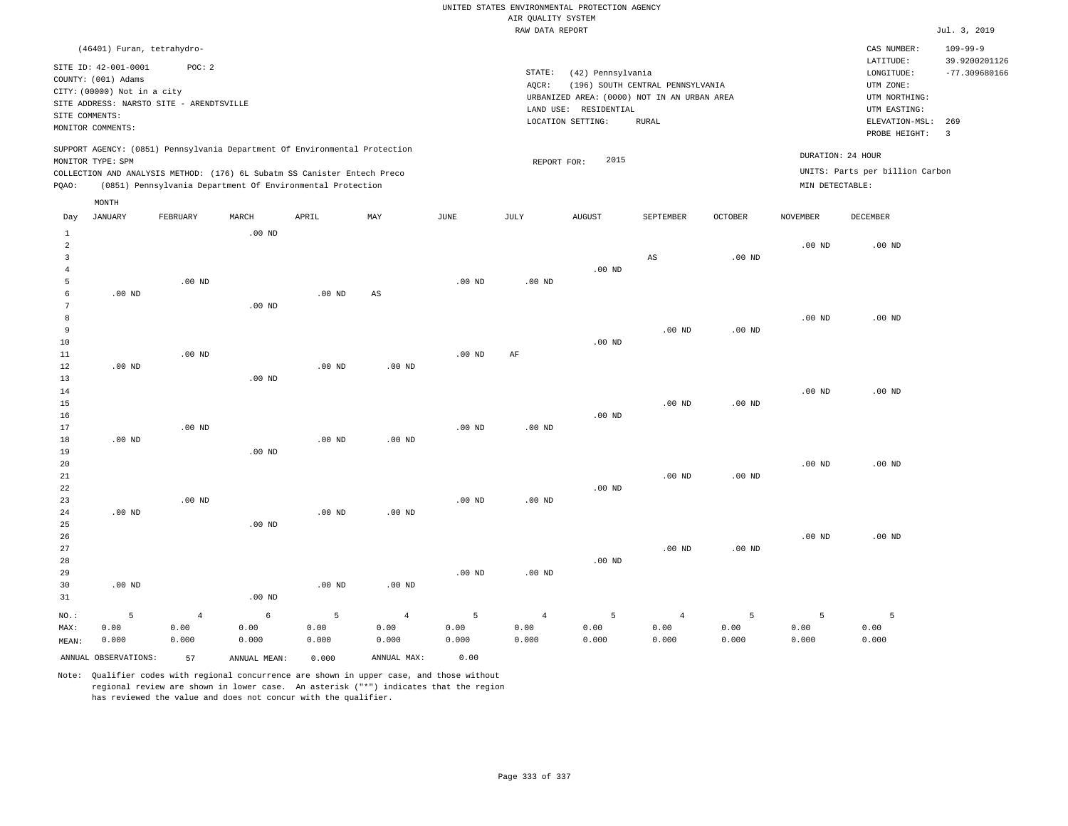## RAW DATA REPORT JUL. 3, 2019 UNITED STATES ENVIRONMENTAL PROTECTION AGENCY AIR QUALITY SYSTEM

| (46401) Furan, tetrahydro-                                                                                                                                                                                                                         |                                                                                                                                                                                |                                                                         | CAS NUMBER:                                                                                                  | $109 - 99 - 9$                   |
|----------------------------------------------------------------------------------------------------------------------------------------------------------------------------------------------------------------------------------------------------|--------------------------------------------------------------------------------------------------------------------------------------------------------------------------------|-------------------------------------------------------------------------|--------------------------------------------------------------------------------------------------------------|----------------------------------|
| SITE ID: 42-001-0001<br>POC:2<br>COUNTY: (001) Adams<br>CITY: (00000) Not in a city<br>SITE ADDRESS: NARSTO SITE - ARENDTSVILLE<br>SITE COMMENTS:<br>MONITOR COMMENTS:                                                                             | STATE:<br>(42) Pennsylvania<br>(196) SOUTH CENTRAL PENNSYLVANIA<br>AOCR:<br>URBANIZED AREA: (0000) NOT IN AN URBAN AREA<br>LAND USE: RESIDENTIAL<br>RURAL<br>LOCATION SETTING: |                                                                         | LATITUDE:<br>LONGITUDE:<br>UTM ZONE:<br>UTM NORTHING:<br>UTM EASTING:<br>ELEVATION-MSL: 269<br>PROBE HEIGHT: | 39.9200201126<br>$-77.309680166$ |
| SUPPORT AGENCY: (0851) Pennsylvania Department Of Environmental Protection<br>MONITOR TYPE: SPM<br>COLLECTION AND ANALYSIS METHOD: (176) 6L Subatm SS Canister Entech Preco<br>(0851) Pennsylvania Department Of Environmental Protection<br>POAO: | 2015<br>REPORT FOR:                                                                                                                                                            | DURATION: 24 HOUR<br>UNITS: Parts per billion Carbon<br>MIN DETECTABLE: |                                                                                                              |                                  |

| Day            | <b>JANUARY</b>       | FEBRUARY          | MARCH             | ${\tt APRIL}$ | MAY         | $_{\rm JUNE}$ | $\mathtt{JULY}$ | AUGUST         | SEPTEMBER              | $OCTOBER$         | NOVEMBER          | DECEMBER          |
|----------------|----------------------|-------------------|-------------------|---------------|-------------|---------------|-----------------|----------------|------------------------|-------------------|-------------------|-------------------|
| 1              |                      |                   | $.00$ ND          |               |             |               |                 |                |                        |                   |                   |                   |
| $\overline{a}$ |                      |                   |                   |               |             |               |                 |                |                        |                   | $.00$ ND          | $.00$ ND          |
| 3              |                      |                   |                   |               |             |               |                 |                | $\mathbb{A}\mathbb{S}$ | $.00$ ND          |                   |                   |
| $\overline{4}$ |                      |                   |                   |               |             |               |                 | $.00$ ND       |                        |                   |                   |                   |
| 5              |                      | .00 <sub>ND</sub> |                   |               |             | $.00$ ND      | $.00$ ND        |                |                        |                   |                   |                   |
| 6              | $.00$ ND             |                   |                   | $.00$ ND      | AS          |               |                 |                |                        |                   |                   |                   |
| 7              |                      |                   | .00 <sub>ND</sub> |               |             |               |                 |                |                        |                   |                   |                   |
| 8              |                      |                   |                   |               |             |               |                 |                |                        |                   | $.00$ ND          | .00 <sub>ND</sub> |
| 9              |                      |                   |                   |               |             |               |                 |                | .00 <sub>ND</sub>      | $.00$ ND          |                   |                   |
| 10             |                      |                   |                   |               |             |               |                 | $.00$ ND       |                        |                   |                   |                   |
| 11             |                      | $.00$ ND          |                   |               |             | $.00$ ND      | $\rm AF$        |                |                        |                   |                   |                   |
| 12             | $.00$ ND             |                   |                   | $.00$ ND      | $.00$ ND    |               |                 |                |                        |                   |                   |                   |
| 13             |                      |                   | $.00$ ND          |               |             |               |                 |                |                        |                   |                   |                   |
| 14             |                      |                   |                   |               |             |               |                 |                |                        |                   | .00 <sub>ND</sub> | $.00$ ND          |
| 15             |                      |                   |                   |               |             |               |                 |                | .00 <sub>ND</sub>      | .00 <sub>ND</sub> |                   |                   |
| 16             |                      |                   |                   |               |             |               |                 | $.00$ ND       |                        |                   |                   |                   |
| 17             |                      | $.00$ ND          |                   |               |             | $.00$ ND      | $.00$ ND        |                |                        |                   |                   |                   |
| 18             | $.00$ ND             |                   |                   | $.00$ ND      | $.00$ ND    |               |                 |                |                        |                   |                   |                   |
| 19             |                      |                   | $.00$ ND          |               |             |               |                 |                |                        |                   |                   |                   |
| 20             |                      |                   |                   |               |             |               |                 |                |                        |                   | $.00$ ND          | $.00$ ND          |
| $21\,$         |                      |                   |                   |               |             |               |                 |                | $.00$ ND               | .00 <sub>ND</sub> |                   |                   |
| 22             |                      |                   |                   |               |             |               |                 | $.00$ ND       |                        |                   |                   |                   |
| 23             |                      | $.00$ ND          |                   |               |             | $.00$ ND      | $.00$ ND        |                |                        |                   |                   |                   |
| 24             | $.00$ ND             |                   |                   | $.00$ ND      | $.00$ ND    |               |                 |                |                        |                   |                   |                   |
| 25             |                      |                   | $.00$ ND          |               |             |               |                 |                |                        |                   |                   |                   |
| 26             |                      |                   |                   |               |             |               |                 |                |                        |                   | .00 $ND$          | $.00$ ND          |
| 27             |                      |                   |                   |               |             |               |                 |                | $.00$ ND               | $.00$ ND          |                   |                   |
| 28             |                      |                   |                   |               |             |               |                 | $.00$ ND       |                        |                   |                   |                   |
| 29             |                      |                   |                   |               |             | $.00$ ND      | $.00$ ND        |                |                        |                   |                   |                   |
| 30             | $.00$ ND             |                   |                   | $.00$ ND      | $.00$ ND    |               |                 |                |                        |                   |                   |                   |
| 31             |                      |                   | $.00$ ND          |               |             |               |                 |                |                        |                   |                   |                   |
| $NO.$ :        | $\overline{5}$       | $\,4$             | $\epsilon$        | 5             | $\,4$       | $\mathsf S$   | $\overline{4}$  | $\overline{5}$ | $\overline{4}$         | 5                 | 5                 | 5                 |
| MAX:           | 0.00                 | 0.00              | 0.00              | 0.00          | 0.00        | 0.00          | 0.00            | 0.00           | 0.00                   | 0.00              | 0.00              | 0.00              |
| MEAN:          | 0.000                | 0.000             | 0.000             | 0.000         | 0.000       | 0.000         | 0.000           | 0.000          | 0.000                  | 0.000             | 0.000             | 0.000             |
|                | ANNUAL OBSERVATIONS: | 57                | ANNUAL MEAN:      | 0.000         | ANNUAL MAX: | 0.00          |                 |                |                        |                   |                   |                   |

Note: Qualifier codes with regional concurrence are shown in upper case, and those without regional review are shown in lower case. An asterisk ("\*") indicates that the region has reviewed the value and does not concur with the qualifier.

MONTH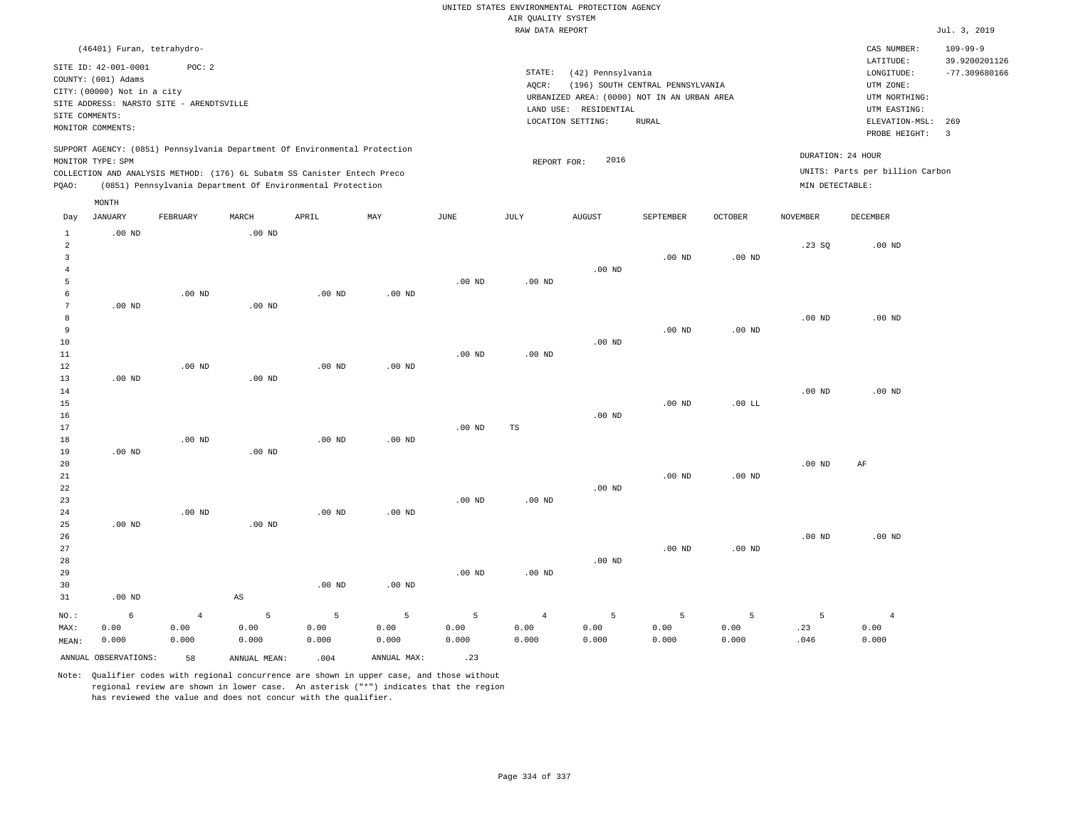|                                                                                                                                                                         |                            |          |          |                                                                                                                                                                                                                      |                                                                                                                                                                                       |                   | AIR QUALITY SYSTEM | UNITED STATES ENVIRONMENTAL PROTECTION AGENCY |                   |                   |                                                                                                          |                                                                    |                |
|-------------------------------------------------------------------------------------------------------------------------------------------------------------------------|----------------------------|----------|----------|----------------------------------------------------------------------------------------------------------------------------------------------------------------------------------------------------------------------|---------------------------------------------------------------------------------------------------------------------------------------------------------------------------------------|-------------------|--------------------|-----------------------------------------------|-------------------|-------------------|----------------------------------------------------------------------------------------------------------|--------------------------------------------------------------------|----------------|
|                                                                                                                                                                         |                            |          |          |                                                                                                                                                                                                                      |                                                                                                                                                                                       |                   | RAW DATA REPORT    |                                               |                   |                   |                                                                                                          |                                                                    | Jul. 3, 2019   |
|                                                                                                                                                                         | (46401) Furan, tetrahydro- |          |          |                                                                                                                                                                                                                      |                                                                                                                                                                                       |                   |                    |                                               |                   |                   |                                                                                                          | CAS NUMBER:                                                        | $109 - 99 - 9$ |
| SITE ID: 42-001-0001<br>POC: 2<br>COUNTY: (001) Adams<br>CITY: (00000) Not in a city<br>SITE ADDRESS: NARSTO SITE - ARENDTSVILLE<br>SITE COMMENTS:<br>MONITOR COMMENTS: |                            |          |          |                                                                                                                                                                                                                      | STATE:<br>(42) Pennsylvania<br>AQCR:<br>(196) SOUTH CENTRAL PENNSYLVANIA<br>URBANIZED AREA: (0000) NOT IN AN URBAN AREA<br>LAND USE: RESIDENTIAL<br>LOCATION SETTING:<br><b>RURAL</b> |                   |                    |                                               |                   |                   | LATITUDE:<br>LONGITUDE:<br>UTM ZONE:<br>UTM NORTHING:<br>UTM EASTING:<br>ELEVATION-MSL:<br>PROBE HEIGHT: | 39.9200201126<br>$-77.309680166$<br>269<br>$\overline{\mathbf{3}}$ |                |
| PQAO:                                                                                                                                                                   | MONITOR TYPE: SPM          |          |          | SUPPORT AGENCY: (0851) Pennsylvania Department Of Environmental Protection<br>COLLECTION AND ANALYSIS METHOD: (176) 6L Subatm SS Canister Entech Preco<br>(0851) Pennsylvania Department Of Environmental Protection |                                                                                                                                                                                       |                   | REPORT FOR:        | 2016                                          |                   |                   | MIN DETECTABLE:                                                                                          | DURATION: 24 HOUR<br>UNITS: Parts per billion Carbon               |                |
| Day                                                                                                                                                                     | MONTH<br>JANUARY           | FEBRUARY | MARCH    | APRIL                                                                                                                                                                                                                | MAY                                                                                                                                                                                   | <b>JUNE</b>       | JULY               | <b>AUGUST</b>                                 | SEPTEMBER         | <b>OCTOBER</b>    | NOVEMBER                                                                                                 | DECEMBER                                                           |                |
| $\mathbf{1}$<br>$\overline{a}$<br>$\overline{3}$<br>$\overline{4}$                                                                                                      | $.00$ ND                   |          | $.00$ ND |                                                                                                                                                                                                                      |                                                                                                                                                                                       |                   |                    | $.00$ ND                                      | $.00$ ND          | .00 <sub>ND</sub> | .23SQ                                                                                                    | $.00$ ND                                                           |                |
| 5<br>6<br>7                                                                                                                                                             | $.00$ ND                   | $.00$ ND | $.00$ ND | $.00$ ND                                                                                                                                                                                                             | $.00$ ND                                                                                                                                                                              | $.00$ ND          | $.00$ ND           |                                               |                   |                   |                                                                                                          |                                                                    |                |
| 8<br>9<br>10<br>11                                                                                                                                                      |                            |          |          |                                                                                                                                                                                                                      |                                                                                                                                                                                       | $.00$ ND          | $.00$ ND           | $.00$ ND                                      | .00 <sub>ND</sub> | .00 <sub>ND</sub> | .00 <sub>ND</sub>                                                                                        | $.00$ ND                                                           |                |
| 12<br>13<br>14                                                                                                                                                          | $.00$ ND                   | $.00$ ND | $.00$ ND | $.00$ ND                                                                                                                                                                                                             | $.00$ ND                                                                                                                                                                              |                   |                    |                                               |                   |                   | .00 <sub>ND</sub>                                                                                        | $.00$ ND                                                           |                |
| 15<br>16<br>17<br>18                                                                                                                                                    |                            | $.00$ ND |          | $.00$ ND                                                                                                                                                                                                             | $.00$ ND                                                                                                                                                                              | $.00$ ND          | TS                 | $.00$ ND                                      | .00 <sub>ND</sub> | $.00$ LL          |                                                                                                          |                                                                    |                |
| 19<br>20<br>21                                                                                                                                                          | $.00$ ND                   |          | $.00$ ND |                                                                                                                                                                                                                      |                                                                                                                                                                                       |                   |                    | $.00$ ND                                      | .00 <sub>ND</sub> | .00 <sub>ND</sub> | .00 <sub>ND</sub>                                                                                        | AF                                                                 |                |
| 22<br>23<br>24<br>25                                                                                                                                                    | .00 <sub>ND</sub>          | $.00$ ND | $.00$ ND | $.00$ ND                                                                                                                                                                                                             | $.00$ ND                                                                                                                                                                              | .00 <sub>ND</sub> | $.00$ ND           |                                               |                   |                   |                                                                                                          |                                                                    |                |
| 26                                                                                                                                                                      |                            |          |          |                                                                                                                                                                                                                      |                                                                                                                                                                                       |                   |                    |                                               |                   |                   | $.00$ ND                                                                                                 | $.00$ ND                                                           |                |

26 27 28 29 30 31 .00 ND NO.: MAX: MEAN: 6 0.00 0.000 AS .00 ND .00 ND .00 ND .00 ND .00 ND .00 ND .00 ND 4 0.00 0.000 5 0.00 0.000 5 0.00 0.000 5 0.00 0.000 5 0.00 0.000 4 0.00 0.000 5 0.00 0.000 5 0.00 0.000 5 0.00 0.000 5 .23 .046 4 0.00 0.000

ANNUAL OBSERVATIONS:  $58$  ANNUAL MEAN: .004 ANNUAL MAX: .23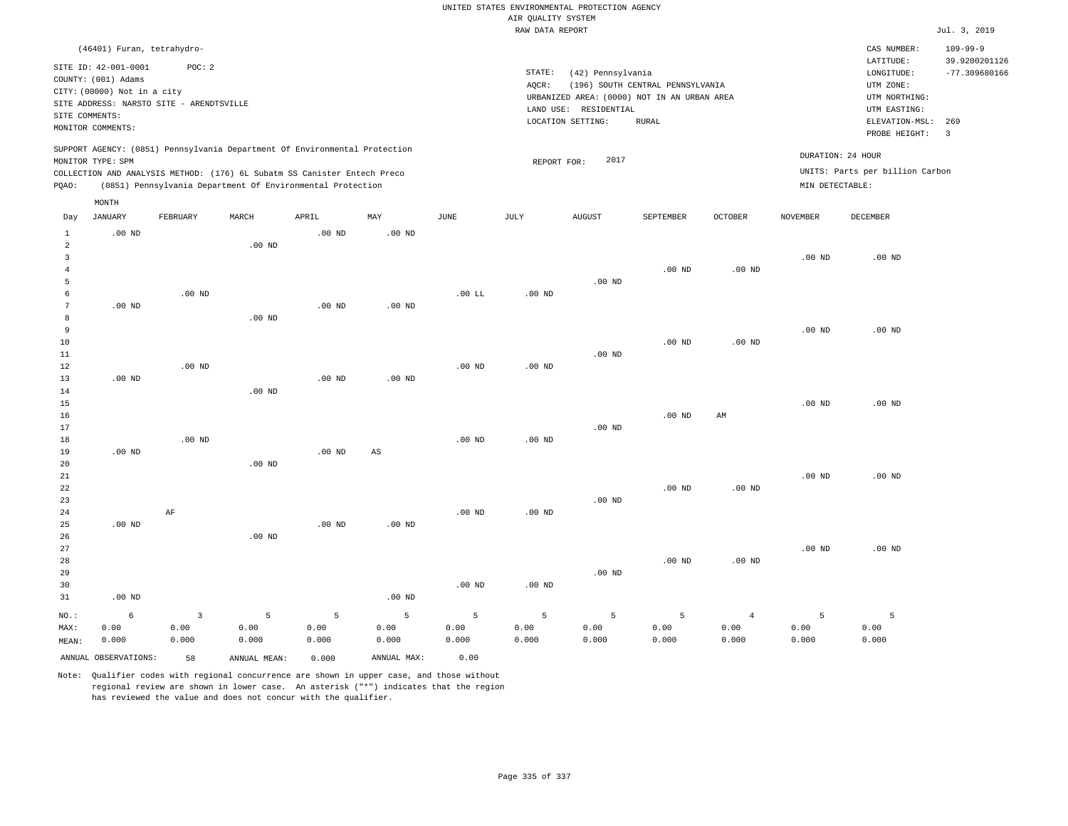|                                                                                                                                                 |                                                                                                          |          |                                                                            |          |                        |                   |                    | UNITED STATES ENVIRONMENTAL PROTECTION AGENCY                    |                                  |                                                    |                                |                                                                      |                                                    |
|-------------------------------------------------------------------------------------------------------------------------------------------------|----------------------------------------------------------------------------------------------------------|----------|----------------------------------------------------------------------------|----------|------------------------|-------------------|--------------------|------------------------------------------------------------------|----------------------------------|----------------------------------------------------|--------------------------------|----------------------------------------------------------------------|----------------------------------------------------|
|                                                                                                                                                 |                                                                                                          |          |                                                                            |          |                        |                   | AIR QUALITY SYSTEM |                                                                  |                                  |                                                    |                                |                                                                      |                                                    |
|                                                                                                                                                 |                                                                                                          |          |                                                                            |          |                        |                   | RAW DATA REPORT    |                                                                  |                                  |                                                    |                                |                                                                      | Jul. 3, 2019                                       |
|                                                                                                                                                 | (46401) Furan, tetrahydro-<br>SITE ID: 42-001-0001<br>COUNTY: (001) Adams<br>CITY: (00000) Not in a city | POC: 2   |                                                                            |          |                        |                   | STATE:<br>$AQCR$ : | (42) Pennsylvania<br>URBANIZED AREA: (0000) NOT IN AN URBAN AREA | (196) SOUTH CENTRAL PENNSYLVANIA |                                                    |                                | CAS NUMBER:<br>LATITUDE:<br>LONGITUDE:<br>UTM ZONE:<br>UTM NORTHING: | $109 - 99 - 9$<br>39.9200201126<br>$-77.309680166$ |
| SITE ADDRESS: NARSTO SITE - ARENDTSVILLE<br>SITE COMMENTS:<br>MONITOR COMMENTS:                                                                 |                                                                                                          |          |                                                                            |          |                        |                   |                    | LAND USE: RESIDENTIAL<br>LOCATION SETTING:                       |                                  | UTM EASTING:<br>ELEVATION-MSL:<br>PROBE HEIGHT:    | 269<br>$\overline{\mathbf{3}}$ |                                                                      |                                                    |
|                                                                                                                                                 | MONITOR TYPE: SPM                                                                                        |          | SUPPORT AGENCY: (0851) Pennsylvania Department Of Environmental Protection |          |                        |                   | REPORT FOR:        | 2017                                                             |                                  | DURATION: 24 HOUR                                  |                                |                                                                      |                                                    |
| COLLECTION AND ANALYSIS METHOD: (176) 6L Subatm SS Canister Entech Preco<br>(0851) Pennsylvania Department Of Environmental Protection<br>PQAO: |                                                                                                          |          |                                                                            |          |                        |                   |                    |                                                                  |                                  | UNITS: Parts per billion Carbon<br>MIN DETECTABLE: |                                |                                                                      |                                                    |
|                                                                                                                                                 | MONTH                                                                                                    |          |                                                                            |          |                        |                   |                    |                                                                  |                                  |                                                    |                                |                                                                      |                                                    |
| Day                                                                                                                                             | JANUARY                                                                                                  | FEBRUARY | MARCH                                                                      | APRIL    | MAY                    | JUNE              | JULY               | AUGUST                                                           | SEPTEMBER                        | OCTOBER                                            | NOVEMBER                       | DECEMBER                                                             |                                                    |
| $\mathbf{1}$<br>$\overline{a}$                                                                                                                  | $.00$ ND                                                                                                 |          | $.00$ ND                                                                   | $.00$ ND | $.00$ ND               |                   |                    |                                                                  |                                  |                                                    |                                |                                                                      |                                                    |
| $\overline{3}$<br>$\overline{4}$<br>5                                                                                                           |                                                                                                          |          |                                                                            |          |                        |                   |                    | $.00$ ND                                                         | $.00$ ND                         | $.00$ ND                                           | .00 <sub>ND</sub>              | $.00$ ND                                                             |                                                    |
| 6                                                                                                                                               |                                                                                                          | $.00$ ND |                                                                            |          |                        | $.00$ LL          | .00 <sub>ND</sub>  |                                                                  |                                  |                                                    |                                |                                                                      |                                                    |
| 7                                                                                                                                               | $.00$ ND                                                                                                 |          |                                                                            | $.00$ ND | $.00$ ND               |                   |                    |                                                                  |                                  |                                                    |                                |                                                                      |                                                    |
| 8<br>9                                                                                                                                          |                                                                                                          |          | .00 <sub>ND</sub>                                                          |          |                        |                   |                    |                                                                  |                                  |                                                    | .00 <sub>ND</sub>              | $.00$ ND                                                             |                                                    |
| 10                                                                                                                                              |                                                                                                          |          |                                                                            |          |                        |                   |                    |                                                                  | $.00$ ND                         | $.00$ ND                                           |                                |                                                                      |                                                    |
| 11                                                                                                                                              |                                                                                                          |          |                                                                            |          |                        |                   |                    | $.00$ ND                                                         |                                  |                                                    |                                |                                                                      |                                                    |
| 12                                                                                                                                              |                                                                                                          | $.00$ ND |                                                                            |          |                        | $.00$ ND          | $.00$ ND           |                                                                  |                                  |                                                    |                                |                                                                      |                                                    |
| 13                                                                                                                                              | $.00$ ND                                                                                                 |          |                                                                            | $.00$ ND | $.00$ ND               |                   |                    |                                                                  |                                  |                                                    |                                |                                                                      |                                                    |
| 14<br>15                                                                                                                                        |                                                                                                          |          | $.00$ ND                                                                   |          |                        |                   |                    |                                                                  |                                  |                                                    | .00 <sub>ND</sub>              | $.00$ ND                                                             |                                                    |
| 16                                                                                                                                              |                                                                                                          |          |                                                                            |          |                        |                   |                    |                                                                  | $.00$ ND                         | AM                                                 |                                |                                                                      |                                                    |
| 17                                                                                                                                              |                                                                                                          |          |                                                                            |          |                        |                   |                    | $.00$ ND                                                         |                                  |                                                    |                                |                                                                      |                                                    |
| 18                                                                                                                                              |                                                                                                          | $.00$ ND |                                                                            |          |                        | $.00$ ND          | .00 <sub>ND</sub>  |                                                                  |                                  |                                                    |                                |                                                                      |                                                    |
| 19<br>20                                                                                                                                        | $.00$ ND                                                                                                 |          | $.00$ ND                                                                   | $.00$ ND | $\mathbb{A}\mathbb{S}$ |                   |                    |                                                                  |                                  |                                                    |                                |                                                                      |                                                    |
| $2\sqrt{1}$<br>22<br>23                                                                                                                         |                                                                                                          |          |                                                                            |          |                        |                   |                    | .00 <sub>ND</sub>                                                | $.00$ ND                         | $.00$ ND                                           | .00 <sub>ND</sub>              | $.00$ ND                                                             |                                                    |
| 24<br>25                                                                                                                                        | $.00$ ND                                                                                                 | AF       |                                                                            | $.00$ ND | .00 <sub>ND</sub>      | $.00$ ND          | $.00$ ND           |                                                                  |                                  |                                                    |                                |                                                                      |                                                    |
| 26<br>27<br>28<br>29                                                                                                                            |                                                                                                          |          | $.00$ ND                                                                   |          |                        |                   |                    | $.00$ ND                                                         | .00 <sub>ND</sub>                | $.00$ ND                                           | .00 <sub>ND</sub>              | $.00$ ND                                                             |                                                    |
| 30<br>31                                                                                                                                        | $.00$ ND                                                                                                 |          |                                                                            |          | $.00$ ND               | .00 <sub>ND</sub> | .00 <sub>ND</sub>  |                                                                  |                                  |                                                    |                                |                                                                      |                                                    |
| NO.:                                                                                                                                            | 6                                                                                                        | 3        | 5                                                                          | 5        | 5                      | 5                 | 5                  | 5                                                                | 5                                | $\overline{4}$                                     | 5                              | 5                                                                    |                                                    |
| MAX:                                                                                                                                            | 0.00                                                                                                     | 0.00     | 0.00                                                                       | 0.00     | 0.00                   | 0.00              | 0.00               | 0.00                                                             | 0.00                             | 0.00                                               | 0.00                           | 0.00                                                                 |                                                    |
| MEAN:                                                                                                                                           | 0.000                                                                                                    | 0.000    | 0.000                                                                      | 0.000    | 0.000                  | 0.000             | 0.000              | 0.000                                                            | 0.000                            | 0.000                                              | 0.000                          | 0.000                                                                |                                                    |
|                                                                                                                                                 | ANNUAL OBSERVATIONS:                                                                                     | 58       | ANNUAL, MEAN:                                                              | 0.000    | ANNUAL MAX:            | 0.00              |                    |                                                                  |                                  |                                                    |                                |                                                                      |                                                    |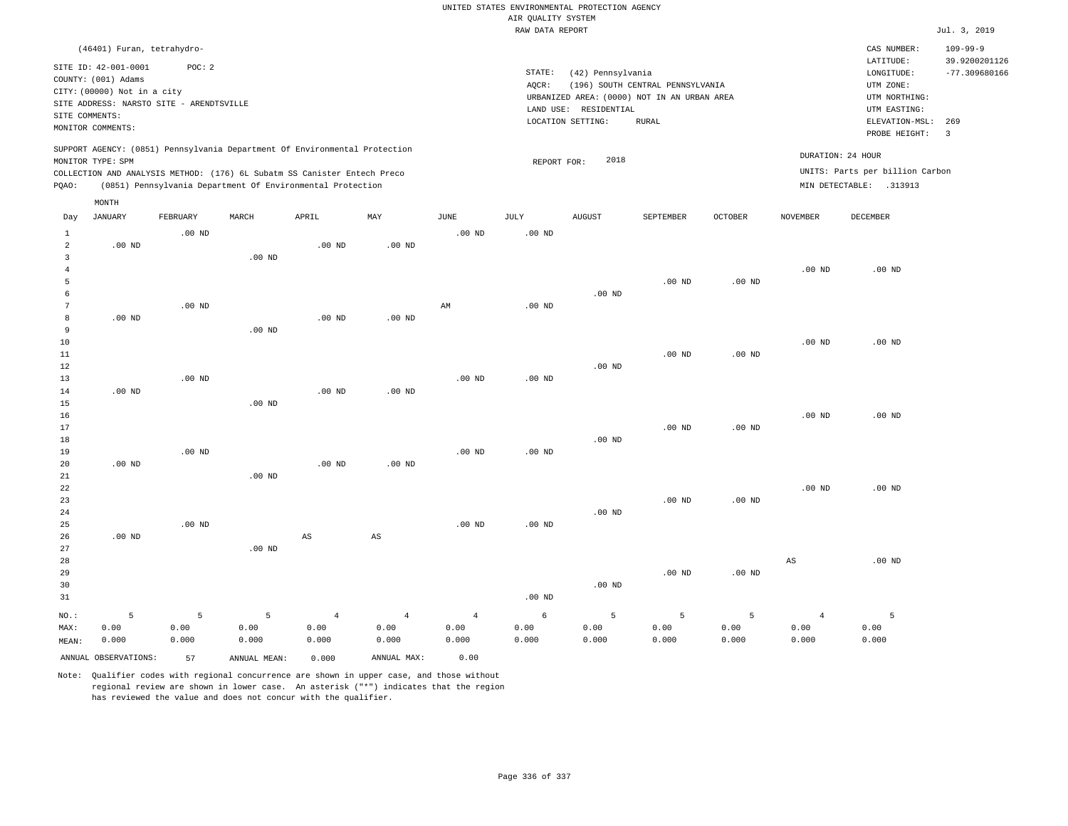|                                                                                                                                                                             |                                                                                                                                                      |                    |                                                            |                                 |                                 |                                 |                                       | UNITED STATES ENVIRONMENTAL PROTECTION AGENCY                                                                                                      |                                                      |                                                                                                        |                                                           |                    |                         |
|-----------------------------------------------------------------------------------------------------------------------------------------------------------------------------|------------------------------------------------------------------------------------------------------------------------------------------------------|--------------------|------------------------------------------------------------|---------------------------------|---------------------------------|---------------------------------|---------------------------------------|----------------------------------------------------------------------------------------------------------------------------------------------------|------------------------------------------------------|--------------------------------------------------------------------------------------------------------|-----------------------------------------------------------|--------------------|-------------------------|
|                                                                                                                                                                             |                                                                                                                                                      |                    |                                                            |                                 |                                 |                                 | AIR QUALITY SYSTEM<br>RAW DATA REPORT |                                                                                                                                                    |                                                      |                                                                                                        |                                                           |                    | Jul. 3, 2019            |
|                                                                                                                                                                             |                                                                                                                                                      |                    |                                                            |                                 |                                 |                                 |                                       |                                                                                                                                                    |                                                      |                                                                                                        |                                                           |                    |                         |
| SITE COMMENTS:                                                                                                                                                              | (46401) Furan, tetrahydro-<br>SITE ID: 42-001-0001<br>COUNTY: (001) Adams<br>CITY: (00000) Not in a city<br>SITE ADDRESS: NARSTO SITE - ARENDTSVILLE | POC: 2             |                                                            |                                 |                                 |                                 | STATE:<br>AQCR:                       | (42) Pennsylvania<br>(196) SOUTH CENTRAL PENNSYLVANIA<br>URBANIZED AREA: (0000) NOT IN AN URBAN AREA<br>LAND USE: RESIDENTIAL<br>LOCATION SETTING: |                                                      | CAS NUMBER:<br>LATITUDE:<br>LONGITUDE:<br>UTM ZONE:<br>UTM NORTHING:<br>UTM EASTING:<br>ELEVATION-MSL: | $109 - 99 - 9$<br>39.9200201126<br>$-77.309680166$<br>269 |                    |                         |
|                                                                                                                                                                             | MONITOR COMMENTS:                                                                                                                                    |                    |                                                            |                                 |                                 |                                 |                                       |                                                                                                                                                    | <b>RURAL</b>                                         |                                                                                                        |                                                           | PROBE HEIGHT:      | $\overline{\mathbf{3}}$ |
| SUPPORT AGENCY: (0851) Pennsylvania Department Of Environmental Protection<br>MONITOR TYPE: SPM<br>COLLECTION AND ANALYSIS METHOD: (176) 6L Subatm SS Canister Entech Preco |                                                                                                                                                      |                    |                                                            |                                 |                                 | REPORT FOR:                     | 2018                                  |                                                                                                                                                    | DURATION: 24 HOUR<br>UNITS: Parts per billion Carbon |                                                                                                        |                                                           |                    |                         |
| PQAO:                                                                                                                                                                       |                                                                                                                                                      |                    | (0851) Pennsylvania Department Of Environmental Protection |                                 |                                 |                                 |                                       |                                                                                                                                                    |                                                      | MIN DETECTABLE: .313913                                                                                |                                                           |                    |                         |
|                                                                                                                                                                             | MONTH                                                                                                                                                |                    |                                                            |                                 |                                 |                                 |                                       |                                                                                                                                                    |                                                      |                                                                                                        |                                                           |                    |                         |
| Day                                                                                                                                                                         | <b>JANUARY</b>                                                                                                                                       | FEBRUARY           | MARCH                                                      | APRIL                           | MAY                             | <b>JUNE</b>                     | JULY                                  | <b>AUGUST</b>                                                                                                                                      | SEPTEMBER                                            | <b>OCTOBER</b>                                                                                         | <b>NOVEMBER</b>                                           | DECEMBER           |                         |
| $\mathbf{1}$<br>$\overline{a}$                                                                                                                                              | $.00$ ND                                                                                                                                             | $.00$ ND           |                                                            | $.00$ ND                        | $.00$ ND                        | $.00$ ND                        | .00 <sub>ND</sub>                     |                                                                                                                                                    |                                                      |                                                                                                        |                                                           |                    |                         |
| $\mathbf{3}$<br>$\overline{4}$<br>5                                                                                                                                         |                                                                                                                                                      |                    | $.00$ ND                                                   |                                 |                                 |                                 |                                       |                                                                                                                                                    | $.00$ ND                                             | $.00$ ND                                                                                               | $.00$ ND                                                  | $.00$ ND           |                         |
| 6<br>$\overline{7}$                                                                                                                                                         |                                                                                                                                                      | .00 <sub>ND</sub>  |                                                            |                                 |                                 | $\mbox{AM}$                     | $.00$ ND                              | $.00$ ND                                                                                                                                           |                                                      |                                                                                                        |                                                           |                    |                         |
| 8<br>9<br>10                                                                                                                                                                | $.00$ ND                                                                                                                                             |                    | $.00$ ND                                                   | .00 <sub>ND</sub>               | .00 <sub>ND</sub>               |                                 |                                       |                                                                                                                                                    |                                                      |                                                                                                        | $.00$ ND                                                  | $.00$ ND           |                         |
| 11<br>12<br>13                                                                                                                                                              |                                                                                                                                                      | .00 <sub>ND</sub>  |                                                            |                                 |                                 | $.00$ ND                        | $.00$ ND                              | $.00$ ND                                                                                                                                           | $.00$ ND                                             | $.00$ ND                                                                                               |                                                           |                    |                         |
| 14<br>15                                                                                                                                                                    | .00 <sub>ND</sub>                                                                                                                                    |                    | $.00$ ND                                                   | $.00$ ND                        | $.00$ ND                        |                                 |                                       |                                                                                                                                                    |                                                      |                                                                                                        |                                                           |                    |                         |
| 16<br>17<br>$18\,$                                                                                                                                                          |                                                                                                                                                      |                    |                                                            |                                 |                                 |                                 |                                       | .00 <sub>ND</sub>                                                                                                                                  | .00 <sub>ND</sub>                                    | .00 <sub>ND</sub>                                                                                      | $.00$ ND                                                  | $.00$ ND           |                         |
| 19<br>20<br>21                                                                                                                                                              | $.00$ ND                                                                                                                                             | $.00$ ND           | $.00$ ND                                                   | .00 <sub>ND</sub>               | $.00$ ND                        | $.00$ ND                        | $.00$ ND                              |                                                                                                                                                    |                                                      |                                                                                                        |                                                           |                    |                         |
| 22<br>23<br>24                                                                                                                                                              |                                                                                                                                                      |                    |                                                            |                                 |                                 |                                 |                                       | $.00$ ND                                                                                                                                           | $.00$ ND                                             | $.00$ ND                                                                                               | .00 <sub>ND</sub>                                         | $.00$ ND           |                         |
| 25<br>26                                                                                                                                                                    | $.00$ ND                                                                                                                                             | .00 <sub>ND</sub>  |                                                            | $\mathbb{A}\mathbb{S}$          | $\mathbb{A}\mathbb{S}$          | $.00$ ND                        | $.00$ ND                              |                                                                                                                                                    |                                                      |                                                                                                        |                                                           |                    |                         |
| 27<br>28<br>29<br>30<br>31                                                                                                                                                  |                                                                                                                                                      |                    | $.00$ ND                                                   |                                 |                                 |                                 | .00 <sub>ND</sub>                     | $.00$ ND                                                                                                                                           | $.00$ ND                                             | $.00$ ND                                                                                               | AS                                                        | $.00$ ND           |                         |
| NO.:<br>MAX:<br>MEAN:                                                                                                                                                       | 5<br>0.00<br>0.000                                                                                                                                   | 5<br>0.00<br>0.000 | $\overline{5}$<br>0.00<br>0.000                            | $\overline{4}$<br>0.00<br>0.000 | $\overline{4}$<br>0.00<br>0.000 | $\overline{4}$<br>0.00<br>0.000 | 6<br>0.00<br>0.000                    | 5<br>0.00<br>0.000                                                                                                                                 | 5<br>0.00<br>0.000                                   | 5<br>0.00<br>0.000                                                                                     | $\overline{4}$<br>0.00<br>0.000                           | 5<br>0.00<br>0.000 |                         |
| ANNUAL OBSERVATIONS:<br>ANNUAL MAX:<br>57<br>ANNUAL MEAN:<br>0.000                                                                                                          |                                                                                                                                                      |                    |                                                            |                                 | 0.00                            |                                 |                                       |                                                                                                                                                    |                                                      |                                                                                                        |                                                           |                    |                         |